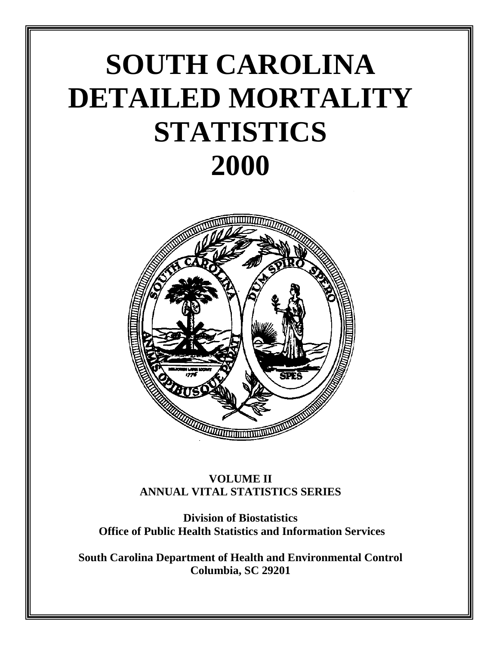# **SOUTH CAROLINA DETAILED MORTALITY STATISTICS 2000**



### **VOLUME II ANNUAL VITAL STATISTICS SERIES**

**Division of Biostatistics Office of Public Health Statistics and Information Services**

**South Carolina Department of Health and Environmental Control Columbia, SC 29201**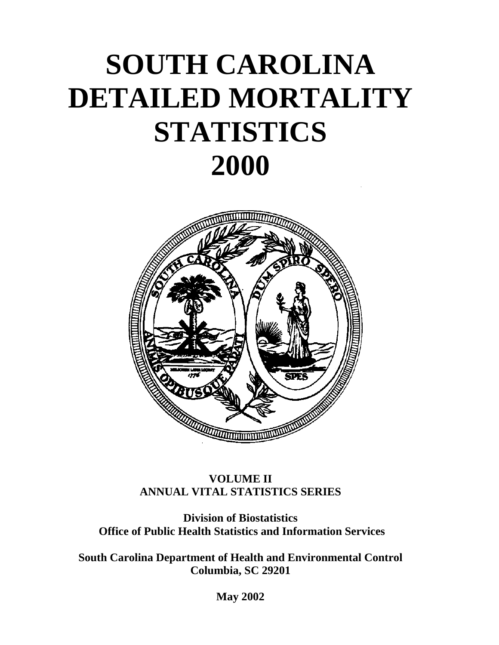# **SOUTH CAROLINA DETAILED MORTALITY STATISTICS 2000**



## **VOLUME II ANNUAL VITAL STATISTICS SERIES**

**Division of Biostatistics Office of Public Health Statistics and Information Services**

**South Carolina Department of Health and Environmental Control Columbia, SC 29201**

**May 2002**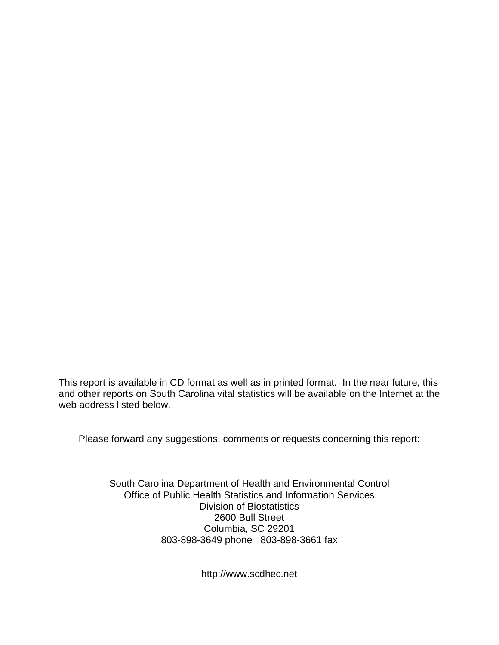This report is available in CD format as well as in printed format. In the near future, this and other reports on South Carolina vital statistics will be available on the Internet at the web address listed below.

Please forward any suggestions, comments or requests concerning this report:

South Carolina Department of Health and Environmental Control Office of Public Health Statistics and Information Services Division of Biostatistics 2600 Bull Street Columbia, SC 29201 803-898-3649 phone 803-898-3661 fax

http://www.scdhec.net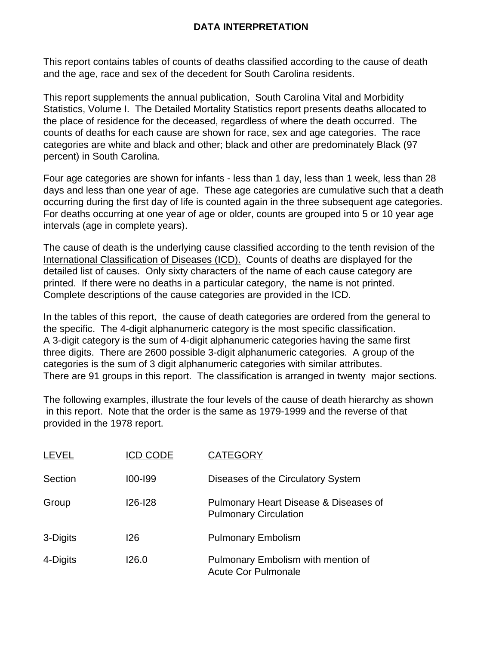### **DATA INTERPRETATION**

This report contains tables of counts of deaths classified according to the cause of death and the age, race and sex of the decedent for South Carolina residents.

This report supplements the annual publication, South Carolina Vital and Morbidity Statistics, Volume I. The Detailed Mortality Statistics report presents deaths allocated to the place of residence for the deceased, regardless of where the death occurred. The counts of deaths for each cause are shown for race, sex and age categories. The race categories are white and black and other; black and other are predominately Black (97 percent) in South Carolina.

Four age categories are shown for infants - less than 1 day, less than 1 week, less than 28 days and less than one year of age. These age categories are cumulative such that a death occurring during the first day of life is counted again in the three subsequent age categories. For deaths occurring at one year of age or older, counts are grouped into 5 or 10 year age intervals (age in complete years).

The cause of death is the underlying cause classified according to the tenth revision of the International Classification of Diseases (ICD). Counts of deaths are displayed for the detailed list of causes. Only sixty characters of the name of each cause category are printed. If there were no deaths in a particular category, the name is not printed. Complete descriptions of the cause categories are provided in the ICD.

In the tables of this report, the cause of death categories are ordered from the general to the specific. The 4-digit alphanumeric category is the most specific classification. A 3-digit category is the sum of 4-digit alphanumeric categories having the same first three digits. There are 2600 possible 3-digit alphanumeric categories. A group of the categories is the sum of 3 digit alphanumeric categories with similar attributes. There are 91 groups in this report. The classification is arranged in twenty major sections.

The following examples, illustrate the four levels of the cause of death hierarchy as shown in this report. Note that the order is the same as 1979-1999 and the reverse of that provided in the 1978 report.

| <b>LEVEL</b> | <b>ICD CODE</b> | <b>CATEGORY</b>                                                       |
|--------------|-----------------|-----------------------------------------------------------------------|
| Section      | $100 - 199$     | Diseases of the Circulatory System                                    |
| Group        | <b>126-128</b>  | Pulmonary Heart Disease & Diseases of<br><b>Pulmonary Circulation</b> |
| 3-Digits     | 126             | <b>Pulmonary Embolism</b>                                             |
| 4-Digits     | 126.0           | Pulmonary Embolism with mention of<br><b>Acute Cor Pulmonale</b>      |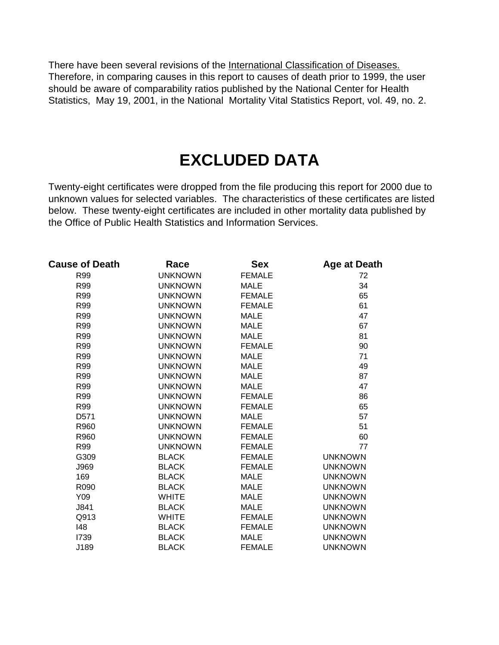There have been several revisions of the International Classification of Diseases. Therefore, in comparing causes in this report to causes of death prior to 1999, the user should be aware of comparability ratios published by the National Center for Health Statistics, May 19, 2001, in the National Mortality Vital Statistics Report, vol. 49, no. 2.

# **EXCLUDED DATA**

Twenty-eight certificates were dropped from the file producing this report for 2000 due to unknown values for selected variables. The characteristics of these certificates are listed below. These twenty-eight certificates are included in other mortality data published by the Office of Public Health Statistics and Information Services.

| <b>Cause of Death</b> | Race           | <b>Sex</b>    | Age at Death   |
|-----------------------|----------------|---------------|----------------|
| R99                   | <b>UNKNOWN</b> | <b>FEMALE</b> | 72             |
| R99                   | <b>UNKNOWN</b> | <b>MALE</b>   | 34             |
| R99                   | <b>UNKNOWN</b> | <b>FEMALE</b> | 65             |
| R99                   | <b>UNKNOWN</b> | <b>FEMALE</b> | 61             |
| R99                   | <b>UNKNOWN</b> | <b>MALE</b>   | 47             |
| R99                   | <b>UNKNOWN</b> | <b>MALE</b>   | 67             |
| R99                   | <b>UNKNOWN</b> | <b>MALE</b>   | 81             |
| R99                   | <b>UNKNOWN</b> | <b>FEMALE</b> | 90             |
| R99                   | <b>UNKNOWN</b> | <b>MALE</b>   | 71             |
| R99                   | <b>UNKNOWN</b> | <b>MALE</b>   | 49             |
| <b>R99</b>            | <b>UNKNOWN</b> | <b>MALE</b>   | 87             |
| R99                   | <b>UNKNOWN</b> | <b>MALE</b>   | 47             |
| R99                   | <b>UNKNOWN</b> | <b>FEMALE</b> | 86             |
| R99                   | <b>UNKNOWN</b> | <b>FEMALE</b> | 65             |
| D571                  | <b>UNKNOWN</b> | <b>MALE</b>   | 57             |
| R960                  | <b>UNKNOWN</b> | <b>FEMALE</b> | 51             |
| R960                  | <b>UNKNOWN</b> | <b>FEMALE</b> | 60             |
| R99                   | <b>UNKNOWN</b> | <b>FEMALE</b> | 77             |
| G309                  | <b>BLACK</b>   | <b>FEMALE</b> | <b>UNKNOWN</b> |
| J969                  | <b>BLACK</b>   | <b>FEMALE</b> | <b>UNKNOWN</b> |
| 169                   | <b>BLACK</b>   | <b>MALE</b>   | <b>UNKNOWN</b> |
| R090                  | <b>BLACK</b>   | <b>MALE</b>   | <b>UNKNOWN</b> |
| Y09                   | <b>WHITE</b>   | <b>MALE</b>   | <b>UNKNOWN</b> |
| J841                  | <b>BLACK</b>   | <b>MALE</b>   | <b>UNKNOWN</b> |
| Q913                  | <b>WHITE</b>   | <b>FEMALE</b> | <b>UNKNOWN</b> |
| 148                   | <b>BLACK</b>   | <b>FEMALE</b> | <b>UNKNOWN</b> |
| 1739                  | <b>BLACK</b>   | <b>MALE</b>   | <b>UNKNOWN</b> |
| J189                  | <b>BLACK</b>   | <b>FEMALE</b> | <b>UNKNOWN</b> |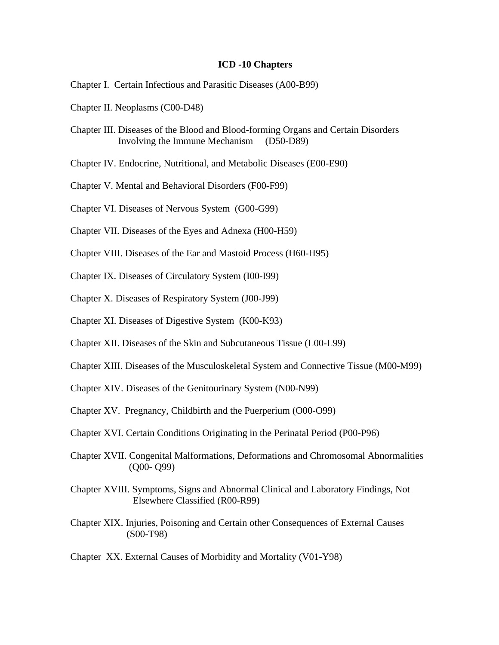#### **ICD -10 Chapters**

- Chapter I. Certain Infectious and Parasitic Diseases (A00-B99)
- Chapter II. Neoplasms (C00-D48)
- Chapter III. Diseases of the Blood and Blood-forming Organs and Certain Disorders Involving the Immune Mechanism (D50-D89)
- Chapter IV. Endocrine, Nutritional, and Metabolic Diseases (E00-E90)
- Chapter V. Mental and Behavioral Disorders (F00-F99)
- Chapter VI. Diseases of Nervous System (G00-G99)
- Chapter VII. Diseases of the Eyes and Adnexa (H00-H59)
- Chapter VIII. Diseases of the Ear and Mastoid Process (H60-H95)
- Chapter IX. Diseases of Circulatory System (I00-I99)
- Chapter X. Diseases of Respiratory System (J00-J99)
- Chapter XI. Diseases of Digestive System (K00-K93)
- Chapter XII. Diseases of the Skin and Subcutaneous Tissue (L00-L99)
- Chapter XIII. Diseases of the Musculoskeletal System and Connective Tissue (M00-M99)
- Chapter XIV. Diseases of the Genitourinary System (N00-N99)
- Chapter XV. Pregnancy, Childbirth and the Puerperium (O00-O99)
- Chapter XVI. Certain Conditions Originating in the Perinatal Period (P00-P96)
- Chapter XVII. Congenital Malformations, Deformations and Chromosomal Abnormalities (Q00- Q99)
- Chapter XVIII. Symptoms, Signs and Abnormal Clinical and Laboratory Findings, Not Elsewhere Classified (R00-R99)
- Chapter XIX. Injuries, Poisoning and Certain other Consequences of External Causes (S00-T98)
- Chapter XX. External Causes of Morbidity and Mortality (V01-Y98)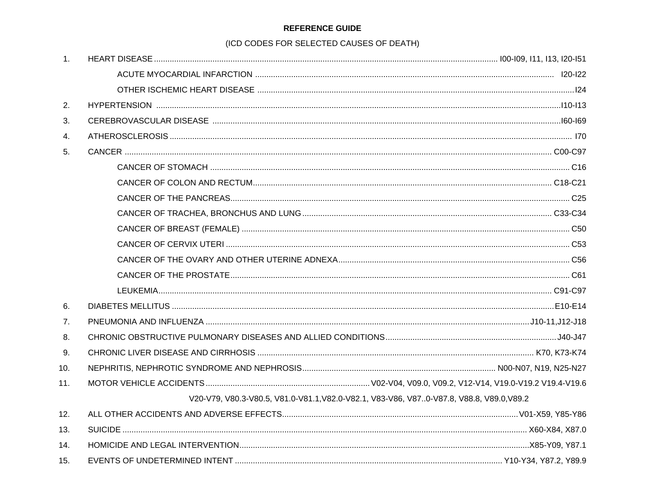#### **REFERENCE GUIDE**

#### (ICD CODES FOR SELECTED CAUSES OF DEATH)

| 1.             |                                                                                          |  |
|----------------|------------------------------------------------------------------------------------------|--|
|                |                                                                                          |  |
|                |                                                                                          |  |
| 2.             |                                                                                          |  |
| 3.             |                                                                                          |  |
| 4.             |                                                                                          |  |
| 5.             |                                                                                          |  |
|                |                                                                                          |  |
|                |                                                                                          |  |
|                |                                                                                          |  |
|                |                                                                                          |  |
|                |                                                                                          |  |
|                |                                                                                          |  |
|                |                                                                                          |  |
|                |                                                                                          |  |
|                |                                                                                          |  |
| 6.             |                                                                                          |  |
| 7 <sub>1</sub> |                                                                                          |  |
| 8.             |                                                                                          |  |
| 9.             |                                                                                          |  |
| 10.            |                                                                                          |  |
| 11.            |                                                                                          |  |
|                | V20-V79, V80.3-V80.5, V81.0-V81.1, V82.0-V82.1, V83-V86, V870-V87.8, V88.8, V89.0, V89.2 |  |
| 12.            |                                                                                          |  |
| 13.            |                                                                                          |  |
| 14.            |                                                                                          |  |
| 15.            |                                                                                          |  |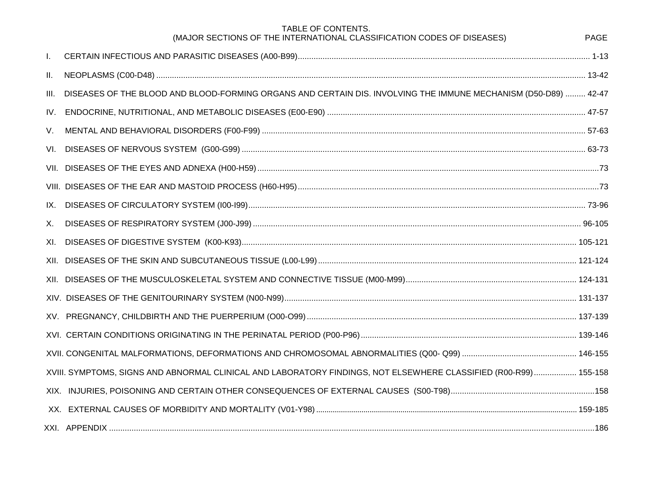|      | TABLE OF CONTENTS.<br>(MAJOR SECTIONS OF THE INTERNATIONAL CLASSIFICATION CODES OF DISEASES)                     | <b>PAGE</b> |
|------|------------------------------------------------------------------------------------------------------------------|-------------|
| Τ.   |                                                                                                                  |             |
| Ш.   |                                                                                                                  |             |
| III. | DISEASES OF THE BLOOD AND BLOOD-FORMING ORGANS AND CERTAIN DIS. INVOLVING THE IMMUNE MECHANISM (D50-D89)  42-47  |             |
| IV.  |                                                                                                                  |             |
| V.   |                                                                                                                  |             |
| VI.  |                                                                                                                  |             |
|      |                                                                                                                  |             |
|      |                                                                                                                  |             |
| IX.  |                                                                                                                  |             |
| Х.   |                                                                                                                  |             |
| XI.  |                                                                                                                  |             |
|      |                                                                                                                  |             |
|      |                                                                                                                  |             |
|      |                                                                                                                  |             |
|      |                                                                                                                  |             |
|      |                                                                                                                  |             |
|      |                                                                                                                  |             |
|      | XVIII. SYMPTOMS, SIGNS AND ABNORMAL CLINICAL AND LABORATORY FINDINGS, NOT ELSEWHERE CLASSIFIED (R00-R99) 155-158 |             |
|      |                                                                                                                  |             |
|      |                                                                                                                  |             |
|      |                                                                                                                  |             |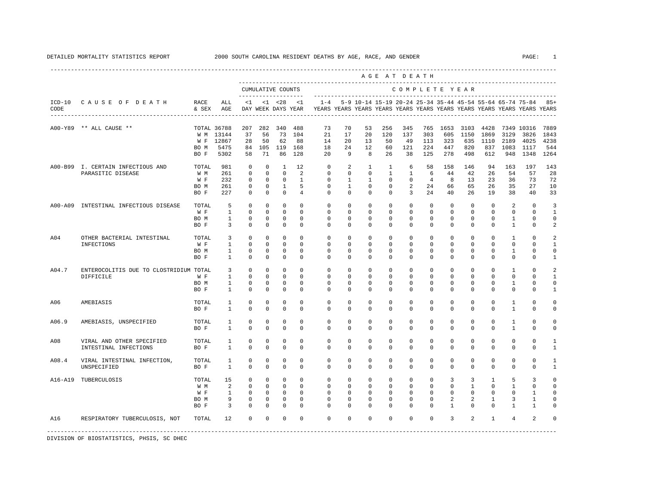<span id="page-8-0"></span>

|                |                                                                |                                              |                                                                |                                                                                   |                                                                                   |                                                                                |                                                                           |                                                                                                       |                                                             |                                                                            |                                                                         | AGE AT DEATH                                                                  |                                                     |                                                    |                                                   |                                                                    |                                                           |                                                 |                                                              |
|----------------|----------------------------------------------------------------|----------------------------------------------|----------------------------------------------------------------|-----------------------------------------------------------------------------------|-----------------------------------------------------------------------------------|--------------------------------------------------------------------------------|---------------------------------------------------------------------------|-------------------------------------------------------------------------------------------------------|-------------------------------------------------------------|----------------------------------------------------------------------------|-------------------------------------------------------------------------|-------------------------------------------------------------------------------|-----------------------------------------------------|----------------------------------------------------|---------------------------------------------------|--------------------------------------------------------------------|-----------------------------------------------------------|-------------------------------------------------|--------------------------------------------------------------|
|                |                                                                |                                              |                                                                |                                                                                   | CUMULATIVE COUNTS<br>-------------------                                          |                                                                                |                                                                           |                                                                                                       |                                                             |                                                                            |                                                                         | COMPLETE YEAR                                                                 |                                                     |                                                    |                                                   |                                                                    |                                                           |                                                 |                                                              |
| CODE           | ICD-10 CAUSE OF DEATH<br>------------------------------------- | RACE<br>& SEX                                | ALL<br>AGE                                                     | $\leq$ 1                                                                          |                                                                                   | $< 1$ $< 28$                                                                   | < 1                                                                       | $1 - 4$<br>DAY WEEK DAYS YEAR YEARS YEARS YEARS YEARS YEARS YEARS YEARS YEARS YEARS YEARS YEARS YEARS |                                                             |                                                                            |                                                                         |                                                                               |                                                     |                                                    |                                                   |                                                                    | 5-9 10-14 15-19 20-24 25-34 35-44 45-54 55-64 65-74 75-84 |                                                 | $85+$                                                        |
|                | A00-Y89 ** ALL CAUSE **                                        | BO M<br>BO F                                 | TOTAL 36788<br>W M 13144<br>W F 12867<br>5475<br>5302          | 207<br>37<br>28<br>84<br>58                                                       | 282<br>56<br>50<br>71                                                             | 340<br>73<br>62<br>105 119<br>86                                               | 488<br>104<br>88<br>168<br>128                                            | 73<br>21<br>14<br>18<br>20                                                                            | 70<br>17<br>20<br>24<br>9                                   | 53<br>20<br>13<br>12<br>8                                                  | 256<br>120<br>50<br>60<br>26                                            | 345<br>137<br>49<br>121<br>38                                                 | 765<br>303<br>113<br>224<br>125                     | 1653<br>605<br>323<br>447<br>278                   | 3103<br>1150<br>635<br>820<br>498                 | 4428<br>1869<br>1110<br>837<br>612                                 | 3129<br>2189<br>1083<br>948                               | 7349 10316<br>3826<br>4025<br>1117<br>1348      | 7889<br>1843<br>4238<br>544<br>1264                          |
|                | A00-B99 I. CERTAIN INFECTIOUS AND<br>PARASITIC DISEASE         | TOTAL<br>W M<br>W F<br>BO M<br>BO F          | 981<br>261<br>232<br>261<br>227                                | $\Omega$<br>$\mathbf 0$<br>$^{\circ}$<br>0<br>$^{\circ}$                          | $^{\circ}$<br>$\mathbf 0$<br>$^{\circ}$<br>$^{\circ}$<br>$\mathbf 0$              | $\overline{1}$<br>$\mathbf 0$<br>$\overline{0}$<br>$\mathbf{1}$<br>$\mathbf 0$ | 12<br>2<br><sup>1</sup><br>5<br>4                                         | $\mathbf 0$<br>$\mathbf{0}$<br>$\mathbf{0}$<br>0<br>$\Omega$                                          | 2<br>$\mathbf 0$<br>1<br>$\mathbf{1}$<br>$\mathbf 0$        | $\mathbf{1}$<br>$\mathbf{0}$<br>1<br>$\mathbf 0$<br>$\Omega$               | $\mathbf{1}$<br>$\mathbf{1}$<br>0<br>0<br>$\mathbf 0$                   | 6<br>$\mathbf{1}$<br>$\mathbf 0$<br>2<br>3                                    | 58<br>-6<br>$\overline{4}$<br>24<br>24              | 158<br>44<br>8<br>66<br>40                         | 146<br>42<br>13<br>65<br>26                       | 94<br>26<br>23<br>26<br>19                                         | 163<br>54<br>36<br>35<br>38                               | 197<br>57<br>73<br>27<br>40                     | 143<br>28<br>72<br>10<br>33                                  |
| A00-A09        | INTESTINAL INFECTIOUS DISEASE                                  | TOTAL<br>W F<br>BO M<br>BO F                 | 5<br><sup>1</sup><br>$\mathbf{1}$<br>$\overline{3}$            | $^{\circ}$<br>$\Omega$<br>$\mathbf 0$<br>$\mathbf 0$                              | $^{\circ}$<br>$\Omega$<br>$\Omega$<br>$\mathbf 0$                                 | $^{\circ}$<br>$\Omega$<br>$^{\circ}$<br>$\mathbf 0$                            | $\Omega$<br>$\Omega$<br>$\Omega$<br>$\mathbf 0$                           | $\Omega$<br>$\Omega$<br>$\Omega$<br>$\mathbf 0$                                                       | $\mathbf 0$<br>$\Omega$<br>$\Omega$<br>0                    | $^{\circ}$<br>$\Omega$<br>$\Omega$<br>$\mathbf 0$                          | $\mathbf 0$<br>$\Omega$<br>$\Omega$<br>$\mathbf 0$                      | $\mathbf 0$<br>$\Omega$<br>$\Omega$<br>$\mathbf{0}$                           | $\mathbf{0}$<br>$\Omega$<br>$\Omega$<br>0           | $\mathbf 0$<br>$\Omega$<br>$\Omega$<br>$\mathbf 0$ | $^{\circ}$<br>$\Omega$<br>$\Omega$<br>$\mathbf 0$ | $\mathbf 0$<br>$\Omega$<br>$\Omega$<br>$\mathbf 0$                 | 2<br>$\Omega$<br>$\mathbf{1}$<br>$\mathbf{1}$             | $\mathbf 0$<br>$\Omega$<br>$\Omega$<br>0        | 3<br>$\mathbf{1}$<br>$\mathbf 0$<br>2                        |
| A04            | OTHER BACTERIAL INTESTINAL<br>INFECTIONS                       | TOTAL<br>W F<br>BO M<br>BO F                 | 3<br>1<br>$\mathbf{1}$<br>$\mathbf{1}$                         | $\mathbf 0$<br>$\mathbf 0$<br>$\Omega$<br>$\mathbf 0$                             | $\mathbf 0$<br>$\Omega$<br>$\Omega$<br>$\mathbf 0$                                | $\mathbf 0$<br>$\mathbf 0$<br>$\mathbf 0$<br>$\mathbf 0$                       | $\mathbf 0$<br>$\Omega$<br>$\Omega$<br>$\Omega$                           | $\mathbf{0}$<br>0<br>$\Omega$<br>$\Omega$                                                             | $\mathbf 0$<br>$\Omega$<br>$\Omega$<br>$\Omega$             | $\mathbf 0$<br>$^{\circ}$<br>$\Omega$<br>$\Omega$                          | $\mathbf 0$<br>$\Omega$<br>$\Omega$<br>$\Omega$                         | $\mathbf{0}$<br>$\Omega$<br>$\Omega$<br>$\Omega$                              | $\mathbf{0}$<br>$\Omega$<br>$\Omega$<br>$\Omega$    | $\mathbf 0$<br>$\Omega$<br>$\Omega$<br>$\Omega$    | $\mathbf 0$<br>$\Omega$<br>$\Omega$<br>$\Omega$   | $\mathbf 0$<br>$\Omega$<br>$\Omega$<br>$\Omega$                    | $\mathbf{1}$<br>0<br>1<br>$\Omega$                        | $\mathbf 0$<br>$\Omega$<br>$\Omega$<br>$\Omega$ | $\overline{a}$<br>1<br>$\mathbf 0$<br>$\mathbf{1}$           |
| A04.7          | ENTEROCOLITIS DUE TO CLOSTRIDIUM TOTAL<br>DIFFICILE            | W F<br>BO M<br>BO F                          | $\overline{3}$<br>$\mathbf{1}$<br>$\mathbf{1}$<br>$\mathbf{1}$ | $\Omega$<br>$\mathbf 0$<br>$\mathbf 0$<br>$\mathbf 0$                             | $\Omega$<br>$\mathbf 0$<br>$^{\circ}$<br>$\mathbf 0$                              | $\Omega$<br>$\mathbf 0$<br>$\mathbf 0$<br>$\mathbf 0$                          | $\Omega$<br>$\Omega$<br>$\mathbf 0$<br>$\mathbf 0$                        | $\Omega$<br>$\mathbf 0$<br>$^{\circ}$<br>$\mathbf 0$                                                  | $\Omega$<br>0<br>0<br>$\circ$                               | $\Omega$<br>$\mathbf 0$<br>0<br>$\mathbf 0$                                | $\Omega$<br>$\mathbf 0$<br>0<br>0                                       | $\Omega$<br>$\mathbf{0}$<br>0<br>$\mathbf{0}$                                 | $\Omega$<br>$\mathbf 0$<br>$\circ$<br>0             | $\Omega$<br>$\mathbf 0$<br>0<br>0                  | $\Omega$<br>$\mathbf 0$<br>0<br>0                 | $\Omega$<br>$\mathbf 0$<br>0<br>$^{\circ}$                         | $\mathbf{1}$<br>$\mathbf{0}$<br>1<br>0                    | $\Omega$<br>$\mathbf 0$<br>0<br>0               | $\overline{a}$<br>$\mathbf{1}$<br>0<br>$\mathbf{1}$          |
| A06            | AMEBIASIS                                                      | TOTAL<br>BO F                                | $\mathbf{1}$<br>$\mathbf{1}$                                   | $\mathbf 0$<br>$\mathbf 0$                                                        | $\mathbf 0$<br>$\mathbf 0$                                                        | $\mathbf 0$<br>$\mathbf 0$                                                     | $\Omega$<br>$\Omega$                                                      | $\mathbf 0$<br>$\Omega$                                                                               | 0<br>0                                                      | $\Omega$<br>$\Omega$                                                       | 0<br>$\mathbf 0$                                                        | $\Omega$<br>$\Omega$                                                          | 0<br>$\mathbf 0$                                    | $\Omega$<br>$\Omega$                               | $\Omega$<br>$\mathbf 0$                           | $\Omega$<br>$\mathbf 0$                                            | $\mathbf{1}$<br>$\mathbf{1}$                              | 0<br>0                                          | 0<br>0                                                       |
| A06.9          | AMEBIASIS, UNSPECIFIED                                         | TOTAL<br>BO F                                | 1<br>$\mathbf{1}$                                              | $\Omega$<br>$\mathbf 0$                                                           | $\Omega$<br>$\mathbf 0$                                                           | $\mathbf 0$<br>$\mathbf 0$                                                     | $\Omega$<br>$\Omega$                                                      | $\Omega$<br>$\Omega$                                                                                  | $\Omega$<br>0                                               | $\Omega$<br>$\Omega$                                                       | $\Omega$<br>$\mathbf 0$                                                 | $\Omega$<br>$\Omega$                                                          | $\Omega$<br>0                                       | $\Omega$<br>$\Omega$                               | $\Omega$<br>$\mathbf 0$                           | $\Omega$<br>$\Omega$                                               | $\overline{1}$<br>$\mathbf{1}$                            | $\Omega$<br>$\mathbf 0$                         | $\Omega$<br>0                                                |
| A08            | VIRAL AND OTHER SPECIFIED<br>INTESTINAL INFECTIONS             | TOTAL<br>BO F                                | 1<br>$\mathbf{1}$                                              | $^{\circ}$<br>$\mathbf 0$                                                         | $^{\circ}$<br>$\Omega$                                                            | $^{\circ}$<br>$\Omega$                                                         | $\mathbf 0$<br>$\Omega$                                                   | $\mathbf 0$<br>$\Omega$                                                                               | 0<br>$\Omega$                                               | $^{\circ}$<br>$\Omega$                                                     | 0<br>$\Omega$                                                           | $\mathbf 0$<br>$\Omega$                                                       | 0<br>$\Omega$                                       | 0<br>$\Omega$                                      | 0<br>$\Omega$                                     | $^{\circ}$<br>$\Omega$                                             | $\mathbf 0$<br>$\Omega$                                   | 0<br>$\Omega$                                   | 1<br>1                                                       |
| A08.4          | VIRAL INTESTINAL INFECTION,<br>UNSPECIFIED                     | TOTAL<br>BO F                                | 1<br>$\mathbf{1}$                                              | $\mathbf 0$<br>$\Omega$                                                           | $\mathbf 0$<br>$\Omega$                                                           | $\mathbf 0$<br>$\Omega$                                                        | $\mathbf 0$<br>$\Omega$                                                   | $\mathbf 0$<br>$\Omega$                                                                               | $\mathbf 0$<br>$\Omega$                                     | $\mathbf 0$<br>$\Omega$                                                    | $\mathbf 0$<br>$\Omega$                                                 | $\mathbf 0$<br>$\Omega$                                                       | 0<br>$\Omega$                                       | $\mathbf 0$<br>$\Omega$                            | $\mathbf 0$<br>$\Omega$                           | $\mathbf 0$<br>$\Omega$                                            | $\mathbf 0$<br>$\Omega$                                   | 0<br>$\Omega$                                   | 1<br>$\mathbf{1}$                                            |
| A16-A19<br>A16 | TUBERCULOSIS<br>RESPIRATORY TUBERCULOSIS, NOT                  | TOTAL<br>W M<br>W F<br>BO M<br>BO F<br>TOTAL | 15<br>2<br>$\mathbf{1}$<br>9<br>3<br>12                        | $\Omega$<br>$\mathbf 0$<br>$^{\circ}$<br>$^{\circ}$<br>$\mathbf 0$<br>$\mathbf 0$ | $\Omega$<br>$^{\circ}$<br>$\mathbf 0$<br>$^{\circ}$<br>$\mathbf 0$<br>$\mathbf 0$ | $\mathbf 0$<br>$\circ$<br>$\circ$<br>$\mathbf 0$<br>$\mathbf 0$<br>$\mathbf 0$ | $\Omega$<br>$\Omega$<br>$\mathbf 0$<br>$^{\circ}$<br>$\Omega$<br>$\Omega$ | $\Omega$<br>$\mathbf 0$<br>0<br>$\Omega$<br>$\Omega$<br>$\Omega$                                      | $\Omega$<br>$\mathbf 0$<br>$\circ$<br>0<br>$\mathbf 0$<br>0 | $\Omega$<br>$^{\circ}$<br>$^{\circ}$<br>$^{\circ}$<br>$\Omega$<br>$\Omega$ | $\Omega$<br>$\mathbf 0$<br>$^{\circ}$<br>$^{\circ}$<br>0<br>$\mathbf 0$ | $\Omega$<br>$\mathbf 0$<br>$\mathbf 0$<br>$\mathbf 0$<br>$\Omega$<br>$\Omega$ | $\Omega$<br>$\mathbf{0}$<br>0<br>0<br>0<br>$\Omega$ | 3<br>$\mathbf 0$<br>0<br>2<br>$\mathbf{1}$<br>3    | 3<br>$\mathbf{1}$<br>$\mathbf 0$<br>2<br>0<br>2   | $\overline{1}$<br>$^{\circ}$<br>0<br>1<br>$\Omega$<br>$\mathbf{1}$ | 5<br>1<br>0<br>3<br>1<br>4                                | 3<br>0<br>1<br>1<br>1<br>$\overline{a}$         | $\Omega$<br>$\mathbf 0$<br>$\mathbf 0$<br>0<br>0<br>$\Omega$ |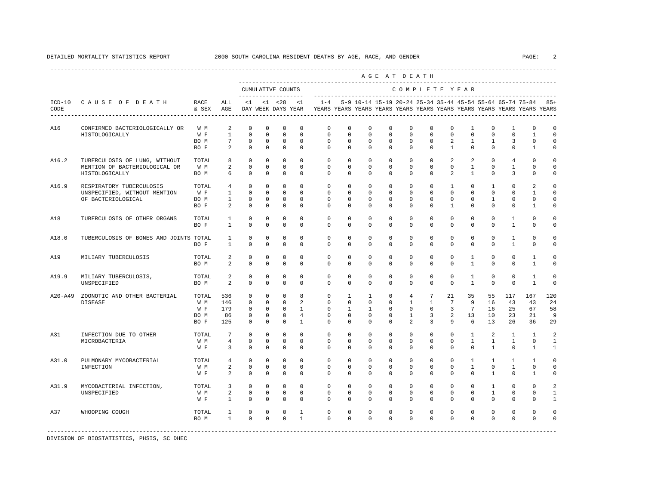|             |                                        |                   |                     |                         |              |                         |                |                                                                                                       |                         |                         | AGE AT DEATH            |                         |                         |                 |                              |                         |                                                           |                              |                |
|-------------|----------------------------------------|-------------------|---------------------|-------------------------|--------------|-------------------------|----------------|-------------------------------------------------------------------------------------------------------|-------------------------|-------------------------|-------------------------|-------------------------|-------------------------|-----------------|------------------------------|-------------------------|-----------------------------------------------------------|------------------------------|----------------|
|             |                                        |                   |                     | ____________________    |              | CUMULATIVE COUNTS       |                |                                                                                                       |                         |                         |                         | COMPLETE YEAR           |                         |                 |                              |                         |                                                           |                              |                |
| CODE        | ICD-10 CAUSE OF DEATH                  | RACE<br>& SEX AGE | ALL                 | $\leq 1$                |              | $<1$ $<28$              | $\leq$ 1       | $1 - 4$<br>DAY WEEK DAYS YEAR TEARS YEARS YEARS YEARS YEARS YEARS YEARS YEARS YEARS YEARS YEARS YEARS |                         |                         |                         |                         |                         |                 |                              |                         | 5-9 10-14 15-19 20-24 25-34 35-44 45-54 55-64 65-74 75-84 |                              | $85+$          |
| A16         | CONFIRMED BACTERIOLOGICALLY OR         | W M               | 2                   | $\Omega$                | $\mathbf 0$  | $^{\circ}$              | $\mathbf 0$    | $\mathbf{0}$                                                                                          | $\mathbf 0$             | $\mathbf 0$             | $\mathbf 0$             | $\mathbf 0$             | $\Omega$                | $\Omega$        | $\mathbf{1}$                 | $\Omega$                | $\mathbf{1}$                                              | $\Omega$                     | $\circ$        |
|             | HISTOLOGICALLY                         | W F               | $\mathbf{1}$        | $\Omega$                | $\Omega$     | $\Omega$                | $\Omega$       | $\Omega$                                                                                              | $\Omega$                | $\Omega$                | $\Omega$                | $\Omega$                | $\Omega$                | $\Omega$        | $\Omega$                     | $\Omega$                | $\Omega$                                                  | $\mathbf{1}$                 | $\Omega$       |
|             |                                        | BO M              | $7\phantom{.0}$     | $\mathbf 0$             | $\mathbf 0$  | $\mathbf 0$             | $\mathbf 0$    | $\mathbf{0}$                                                                                          | $\mathsf{O}\xspace$     | $\mathsf 0$             | $\mathbb O$             | $\mathbf 0$             | $\mathbf 0$             | 2               | $\mathbf{1}$                 | $\mathbf{1}$            | 3                                                         | $\mathbb O$                  | $\mathsf 0$    |
|             |                                        | BO F              | 2                   | $\Omega$                | $\mathbf 0$  | $\mathbf 0$             | $\Omega$       | $\Omega$                                                                                              | $\mathbf 0$             | $\mathbf 0$             | $\mathbf 0$             | $\mathbf 0$             | $\mathbf 0$             | $\mathbf{1}$    | $\mathbf 0$                  | $\Omega$                | $\mathbf 0$                                               | $\mathbf{1}$                 | 0              |
| A16.2       | TUBERCULOSIS OF LUNG, WITHOUT          | TOTAL             | 8                   | $\Omega$                | $\Omega$     | $\Omega$                | $\Omega$       | $\Omega$                                                                                              | $\Omega$                | $\Omega$                | $\Omega$                | $\Omega$                | $\Omega$                | 2               | 2                            | $\Omega$                | $\overline{4}$                                            | $\Omega$                     | $\Omega$       |
|             | MENTION OF BACTERIOLOGICAL OR          | W M               | 2                   | $\Omega$                | $\Omega$     | $\Omega$                | $\Omega$       | $\Omega$                                                                                              | $\Omega$                | $\Omega$                | $\Omega$                | $\Omega$                | $\Omega$                | $\Omega$        | $\overline{1}$               | $\Omega$                | $\overline{1}$                                            | $\Omega$                     | $\Omega$       |
|             | HISTOLOGICALLY                         | BO M              | 6                   | $\Omega$                | $\Omega$     | $\Omega$                | $\Omega$       | $\Omega$                                                                                              | $\Omega$                | $\Omega$                | $\Omega$                | $\Omega$                | $\Omega$                | $\overline{a}$  | $\mathbf{1}$                 | $\Omega$                | 3                                                         | $\Omega$                     | $\mathbf 0$    |
| A16.9       | RESPIRATORY TUBERCULOSIS               | TOTAL             | $\overline{4}$      | $\Omega$                | $\Omega$     | $\Omega$                | $\Omega$       | $\mathbf{0}$                                                                                          | $\mathbf 0$             | $\mathbf 0$             | $\Omega$                | $\mathbf 0$             | $\Omega$                | $\mathbf{1}$    | $\Omega$                     | $\mathbf{1}$            | $\Omega$                                                  | 2                            | $\Omega$       |
|             | UNSPECIFIED, WITHOUT MENTION           | W F               | $\mathbf{1}$        | $\Omega$                | $\Omega$     | $\Omega$                | $\Omega$       | $\mathbf{0}$                                                                                          | $\mathbf 0$             | $\mathbf 0$             | $\mathbf 0$             | $\Omega$                | $\Omega$                | $\Omega$        | $\Omega$                     | $\Omega$                | $\Omega$                                                  | $\mathbf{1}$                 | $\mathbf 0$    |
|             | OF BACTERIOLOGICAL                     | BO M              | $\mathbf{1}$        | $\Omega$                | $\Omega$     | $\mathbf 0$             | $\Omega$       | $\mathbf{0}$                                                                                          | $\mathbf 0$             | $\mathbf 0$             | $\mathbf 0$             | $\mathbf 0$             | $\Omega$                | $\mathbf 0$     | $\mathbf 0$                  | $\mathbf{1}$            | $\mathbf 0$                                               | $\mathbf{0}$                 | $\mathbf 0$    |
|             |                                        | BO F              | 2                   | $\Omega$                | 0            | $\mathbf 0$             | $\Omega$       | $\Omega$                                                                                              | $\mathbf 0$             | $\Omega$                | $\mathbf 0$             | $\Omega$                | $\Omega$                | $\mathbf{1}$    | $\Omega$                     | $\Omega$                | $\Omega$                                                  | $\mathbf{1}$                 | 0              |
| A18         | TUBERCULOSIS OF OTHER ORGANS           | TOTAL             | $\mathbf{1}$        | $\mathbf 0$             | $\mathbf 0$  | $\mathbf 0$             | $\Omega$       | $\mathbf{0}$                                                                                          | $\mathbf 0$             | $\mathbf 0$             | $\mathbf 0$             | $\mathbf 0$             | $\mathbf 0$             | $\mathbf 0$     | $\mathbf 0$                  | $\mathbf 0$             | $\mathbf{1}$                                              | $\mathbf 0$                  | 0              |
|             |                                        | BO F              | $\mathbf{1}$        | $\mathbf 0$             | $\mathbf 0$  | $\mathbf 0$             | $\mathbf 0$    | $\mathbf 0$                                                                                           | $\mathbf 0$             | $\mathbf 0$             | $\mathbf 0$             | $\mathbf 0$             | $\mathbf 0$             | $\mathbf 0$     | $\mathbf 0$                  | $\mathbf 0$             | $\mathbf{1}$                                              | $\mathbf 0$                  | 0              |
|             |                                        |                   |                     |                         |              |                         |                |                                                                                                       |                         |                         |                         |                         |                         |                 |                              |                         |                                                           |                              |                |
| A18.0       | TUBERCULOSIS OF BONES AND JOINTS TOTAL |                   | $\mathbf{1}$        | $\Omega$                | $\Omega$     | $\mathbf 0$             | $\Omega$       | $\Omega$                                                                                              | $\Omega$                | $\Omega$                | $\Omega$                | $\Omega$                | $\Omega$                | $\Omega$        | $\Omega$                     | $\Omega$                | $\mathbf{1}$                                              | $\Omega$                     | $\Omega$       |
|             |                                        | BO F              | $\mathbf{1}$        | $\Omega$                | $\Omega$     | $\Omega$                | $\Omega$       | $\Omega$                                                                                              | $\mathbf 0$             | $\Omega$                | $\Omega$                | $\Omega$                | $\Omega$                | $\Omega$        | $\Omega$                     | $\Omega$                | $\overline{1}$                                            | $\Omega$                     | $\Omega$       |
| A19         | MILIARY TUBERCULOSIS                   | TOTAL             | 2                   | $\mathbf 0$             | $\mathbf 0$  | $\mathbf 0$             | $\mathbf 0$    | $\mathbf 0$                                                                                           | $\mathbf 0$             | $\mathbf 0$             | $\mathbf 0$             | $\mathbf 0$             | $\mathbf 0$             | $\circ$         | $\mathbf{1}$                 | $\mathbf 0$             | $\mathbf 0$                                               | $\mathbf{1}$                 | 0              |
|             |                                        | BO M              | $\overline{a}$      | $\mathbf 0$             | $\circ$      | $\mathbf 0$             | $\Omega$       | $\mathbf 0$                                                                                           | $\mathbf 0$             | $\mathbf 0$             | 0                       | $\Omega$                | $\Omega$                | $\Omega$        | $\mathbf{1}$                 | $\Omega$                | $\Omega$                                                  | 1                            | 0              |
|             |                                        |                   |                     |                         | $\Omega$     |                         | $\Omega$       | $\Omega$                                                                                              |                         |                         |                         |                         |                         | $\Omega$        |                              |                         |                                                           |                              |                |
| A19.9       | MILIARY TUBERCULOSIS,<br>UNSPECIFIED   | TOTAL<br>BO M     | 2<br>$\overline{2}$ | $\mathbf 0$<br>$\Omega$ | $\Omega$     | $\mathbf 0$<br>$\Omega$ | $\Omega$       | $\Omega$                                                                                              | $\mathbf 0$<br>$\Omega$ | $\mathbf 0$<br>$\Omega$ | $\mathbf 0$<br>$\Omega$ | $\mathbf 0$<br>$\Omega$ | $\mathbf 0$<br>$\Omega$ | $\Omega$        | $\mathbf{1}$<br>$\mathbf{1}$ | $\mathbf 0$<br>$\Omega$ | $\mathbf 0$<br>$\Omega$                                   | $\mathbf{1}$<br>$\mathbf{1}$ | 0<br>$\Omega$  |
|             |                                        |                   |                     |                         |              |                         |                |                                                                                                       |                         |                         |                         |                         |                         |                 |                              |                         |                                                           |                              |                |
| $A20 - A49$ | ZOONOTIC AND OTHER BACTERIAL           | TOTAL             | 536                 | $\mathbf 0$             | $\mathbf 0$  | $\mathbf 0$             | 8              | $\mathbf{0}$                                                                                          | $\mathbf{1}$            | $\mathbf{1}$            | $\mathbf 0$             | $\overline{4}$          | $7\phantom{.0}$         | 21              | 35                           | 55                      | 117                                                       | 167                          | 120            |
|             | <b>DISEASE</b>                         | W M               | 146                 | $\Omega$                | $\Omega$     | $\Omega$                | $\mathfrak{D}$ | $\Omega$                                                                                              | $\Omega$                | $\Omega$                | $\Omega$                | $\mathbf{1}$            | $\mathbf{1}$            | $7\phantom{.0}$ | 9                            | 16                      | 43                                                        | 43                           | 24             |
|             |                                        | W F               | 179                 | 0                       | $\Omega$     | $\Omega$                | $\mathbf{1}$   | $\mathbf{0}$                                                                                          | $\mathbf{1}$            | $\mathbf{1}$            | $\Omega$                | $\mathbf{0}$            | $\mathbf 0$             | $\overline{3}$  | $7\overline{ }$              | 16                      | 25                                                        | 67                           | 58             |
|             |                                        | BO M              | 86                  | $\mathbf 0$             | $\Omega$     | $\mathbf 0$             | $\overline{4}$ | $\Omega$                                                                                              | $\Omega$                | $\Omega$                | $\Omega$                | $\mathbf{1}$            | 3                       | 2               | 13                           | 10                      | 23                                                        | 21                           | 9              |
|             |                                        | BO F              | 125                 | $\Omega$                | $\Omega$     | $\Omega$                | $\mathbf{1}$   | $\Omega$                                                                                              | $\Omega$                | $\Omega$                | $\Omega$                | $\overline{a}$          | 3                       | $\mathsf{Q}$    | 6                            | 13                      | 2.6                                                       | 36                           | 29             |
| A31         | INFECTION DUE TO OTHER                 | TOTAL             | $7\phantom{.0}$     | $\mathbf 0$             | $\mathbf{0}$ | $\mathbf 0$             | $\Omega$       | $\mathbf{0}$                                                                                          | $\mathbf 0$             | $\mathbf 0$             | $\mathbf 0$             | $\circ$                 | $\mathbf{0}$            | $\mathbf 0$     | $\mathbf{1}$                 | 2                       | $\mathbf{1}$                                              | $\mathbf{1}$                 | $\overline{a}$ |
|             | MICROBACTERIA                          | W M               | $\overline{4}$      | $\mathbf 0$             | $\mathbf{0}$ | $\mathbf 0$             | $\mathbf 0$    | $\circ$                                                                                               | $\mathbf{0}$            | $\mathbf 0$             | $\mathbf{0}$            | $\mathbf 0$             | $\mathbf{0}$            | $\mathbf 0$     | $\mathbf{1}$                 | $\mathbf{1}$            | $\mathbf{1}$                                              | 0                            | $\mathbf{1}$   |
|             |                                        | W F               | $\overline{3}$      | $\Omega$                | $\Omega$     | $\Omega$                | $\Omega$       | $\Omega$                                                                                              | $\Omega$                | $\Omega$                | $\Omega$                | $\Omega$                | $\Omega$                | $\Omega$        | $\Omega$                     | $\mathbf{1}$            | $\Omega$                                                  | $\overline{1}$               | 1              |
| A31.0       | PULMONARY MYCOBACTERIAL                | TOTAL             | $\overline{4}$      | $\mathbf 0$             | $\mathbf 0$  | $\mathbf 0$             | $\mathbf 0$    | $\mathbf 0$                                                                                           | $\mathbf 0$             | $\mathbf 0$             | $\mathbf 0$             | $\mathbf 0$             | $\circ$                 | $\circ$         | $\mathbf{1}$                 | $\mathbf{1}$            | $\mathbf{1}$                                              | $\mathbf{1}$                 | $\circ$        |
|             | INFECTION                              | W M               | 2                   | 0                       | $\circ$      | $\mathbf 0$             | 0              | 0                                                                                                     | 0                       | $^{\circ}$              | $^{\circ}$              | $\mathbf 0$             | $\mathbf{0}$            | 0               | $\mathbf{1}$                 | 0                       | 1                                                         | 0                            | $\mathbf 0$    |
|             |                                        | W F               | 2                   | $\Omega$                | $\Omega$     | $\Omega$                | $\Omega$       | $\Omega$                                                                                              | $\Omega$                | $\Omega$                | $\Omega$                | $\Omega$                | $\Omega$                | $\Omega$        | $\Omega$                     | $\mathbf{1}$            | $\Omega$                                                  | $\mathbf{1}$                 | 0              |
|             |                                        |                   |                     |                         |              |                         |                |                                                                                                       |                         |                         |                         |                         |                         |                 |                              |                         |                                                           |                              |                |
| A31.9       | MYCOBACTERIAL INFECTION,               | TOTAL             | $\overline{3}$      | $\Omega$                | $\Omega$     | $\Omega$                | $\Omega$       | $\Omega$                                                                                              | $\Omega$                | $\Omega$                | $\Omega$                | $\Omega$                | $\Omega$                | $\Omega$        | $\Omega$                     | $\overline{1}$          | $\Omega$                                                  | $\Omega$                     | $\mathfrak{D}$ |
|             | UNSPECIFIED                            | W M               | $\overline{a}$      | $\mathbf{0}$            | $\mathbf{0}$ | $\mathbf 0$             | $\mathbf 0$    | $\mathbf{0}$                                                                                          | $\mathbf 0$             | $\mathbf 0$             | $\mathbf 0$             | $\mathbf 0$             | $\mathbf 0$             | $\Omega$        | $\mathbf 0$                  | $\mathbf{1}$            | $\Omega$                                                  | $\Omega$                     | $\mathbf{1}$   |
|             |                                        | W F               | $\mathbf{1}$        | $\mathbf 0$             | $\mathbf 0$  | $\mathbf 0$             | $\Omega$       | $\Omega$                                                                                              | $\mathbf 0$             | $\mathbf 0$             | $\mathbf 0$             | $\Omega$                | $\mathbf 0$             | $\Omega$        | $\mathbf 0$                  | $\Omega$                | $\mathbf 0$                                               | $\Omega$                     | $\mathbf{1}$   |
| A37         | WHOOPING COUGH                         | TOTAL             | $\mathbf{1}$        | 0                       | $\mathbf 0$  | $\mathbf 0$             | $\mathbf{1}$   | $\mathbf{0}$                                                                                          | 0                       | $\mathbf 0$             | $\mathbf 0$             | $\mathbf 0$             | $\mathbf 0$             | $\mathbf 0$     | $\mathbf 0$                  | $\mathbf 0$             | $\mathbf 0$                                               | $\mathbf 0$                  | $\Omega$       |
|             |                                        | BO M              | $\mathbf{1}$        | $\Omega$                | $\Omega$     | $\Omega$                | $\mathbf{1}$   | $\Omega$                                                                                              | $\Omega$                | $\Omega$                | $\Omega$                | $\Omega$                | $\Omega$                | $\Omega$        | $\Omega$                     | $\Omega$                | $\Omega$                                                  | $\Omega$                     | $\Omega$       |
|             |                                        |                   |                     |                         |              |                         |                |                                                                                                       |                         |                         |                         |                         |                         |                 |                              |                         |                                                           |                              |                |
|             |                                        |                   |                     |                         |              |                         |                |                                                                                                       |                         |                         |                         |                         |                         |                 |                              |                         |                                                           |                              |                |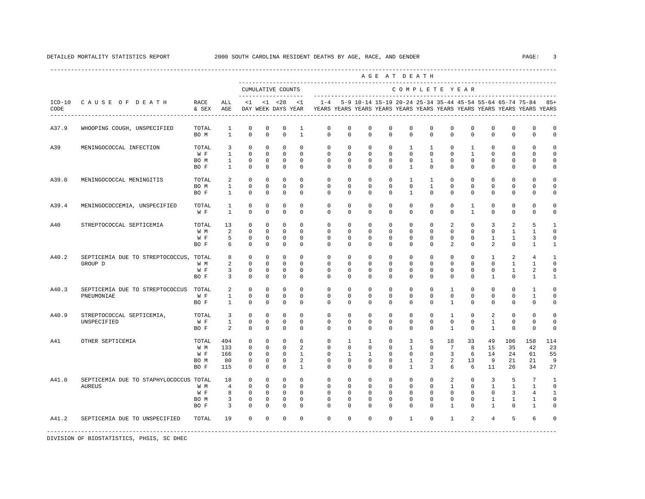|                  |                                                   |                                     |                                                                  |                                                                |                                                                    |                                                                     |                                                          |                                                                        |                                                              |                                                             |                                                             | AGE AT DEATH                                                 |                                                             |                                                                           |                                                           |                                                                      |                                                                                                                                      |                                                                          |                                                                     |
|------------------|---------------------------------------------------|-------------------------------------|------------------------------------------------------------------|----------------------------------------------------------------|--------------------------------------------------------------------|---------------------------------------------------------------------|----------------------------------------------------------|------------------------------------------------------------------------|--------------------------------------------------------------|-------------------------------------------------------------|-------------------------------------------------------------|--------------------------------------------------------------|-------------------------------------------------------------|---------------------------------------------------------------------------|-----------------------------------------------------------|----------------------------------------------------------------------|--------------------------------------------------------------------------------------------------------------------------------------|--------------------------------------------------------------------------|---------------------------------------------------------------------|
|                  |                                                   |                                     |                                                                  |                                                                |                                                                    | CUMULATIVE COUNTS<br>-------------------                            |                                                          |                                                                        |                                                              |                                                             |                                                             |                                                              |                                                             |                                                                           | COMPLETE YEAR                                             |                                                                      |                                                                                                                                      |                                                                          |                                                                     |
| $ICD-10$<br>CODE | CAUSE OF DEATH<br>------------------------------  | RACE<br>& SEX                       | ALL<br>AGE                                                       | < 1                                                            |                                                                    | $< 1$ $< 28$<br>DAY WEEK DAYS YEAR                                  | $\leq 1$                                                 | $1 - 4$                                                                |                                                              |                                                             |                                                             |                                                              |                                                             |                                                                           |                                                           |                                                                      | 5-9 10-14 15-19 20-24 25-34 35-44 45-54 55-64 65-74 75-84<br>YEARS YEARS YEARS YEARS YEARS YEARS YEARS YEARS YEARS YEARS YEARS YEARS |                                                                          | $85+$                                                               |
| A37.9            | WHOOPING COUGH, UNSPECIFIED                       | TOTAL<br>BO M                       | $\mathbf{1}$<br>$\overline{1}$                                   | $\mathbf 0$<br>$\Omega$                                        | $\mathbf 0$<br>$\Omega$                                            | $\mathbf 0$<br>$\Omega$                                             | $\mathbf{1}$<br>$\mathbf{1}$                             | $\mathbf 0$<br>$\Omega$                                                | $\mathbf 0$<br>$\Omega$                                      | $\mathbf 0$<br>$\Omega$                                     | $\mathbf 0$<br>$\Omega$                                     | $\mathbf 0$<br>$\Omega$                                      | $\mathbf 0$<br>$\Omega$                                     | $\mathbf 0$<br>$\Omega$                                                   | $\mathbf 0$<br>$\Omega$                                   | $\mathbf 0$<br>$\Omega$                                              | $\mathbf 0$<br>$\Omega$                                                                                                              | $\mathbf 0$<br>$\Omega$                                                  | $\mathbf 0$<br>$\circ$                                              |
| A39              | MENINGOCOCCAL INFECTION                           | TOTAL<br>W F<br>BO M<br>BO F        | $\overline{3}$<br>$\overline{1}$<br>$\mathbf{1}$<br>$\mathbf{1}$ | $\mathbf 0$<br>$\Omega$<br>$^{\circ}$<br>$\mathbf 0$           | $\mathbf 0$<br>$\Omega$<br>$\mathbf 0$<br>$^{\circ}$               | $\mathbf 0$<br>$\Omega$<br>$^{\circ}$<br>$\mathbf 0$                | $\Omega$<br>$\Omega$<br>$\mathbf 0$<br>$\Omega$          | $\mathbf 0$<br>$\Omega$<br>$\mathbf 0$<br>$\Omega$                     | $\mathbf{0}$<br>$\Omega$<br>$\mathbf 0$<br>0                 | $\mathbf 0$<br>$\Omega$<br>$\mathbf 0$<br>$\Omega$          | $\mathbf 0$<br>$\Omega$<br>$\mathbf 0$<br>0                 | $\overline{1}$<br>$\Omega$<br>$\mathbf 0$<br>$\overline{1}$  | $\mathbf{1}$<br>$\Omega$<br>$\mathbf{1}$<br>$\mathbf{0}$    | $\mathbf{0}$<br>$\Omega$<br>$\mathbf 0$<br>$\Omega$                       | $\mathbf{1}$<br>$\overline{1}$<br>$\mathbf 0$<br>$\Omega$ | $\Omega$<br>$\Omega$<br>$\mathbf 0$<br>$\Omega$                      | $\mathbf 0$<br>$\Omega$<br>$\mathbf{0}$<br>$\mathbf{0}$                                                                              | $\mathbf 0$<br>$\Omega$<br>0<br>$\mathbf{0}$                             | $\Omega$<br>$\Omega$<br>$\mathbf 0$<br>0                            |
| A39.0            | MENINGOCOCCAL MENINGITIS                          | TOTAL<br>BO M<br>BO F               | 2<br>$\mathbf{1}$<br>$\overline{1}$                              | $^{\circ}$<br>$\mathbf 0$<br>$\Omega$                          | $\circ$<br>$^{\circ}$<br>$\Omega$                                  | $\mathbf 0$<br>$\mathbf 0$<br>$\Omega$                              | $\Omega$<br>$\Omega$<br>$\Omega$                         | $\mathbf 0$<br>$\mathbf 0$<br>$\Omega$                                 | $\mathbf 0$<br>$\Omega$<br>$\Omega$                          | $\Omega$<br>$\Omega$<br>$\Omega$                            | $\mathbf 0$<br>$\Omega$<br>$\Omega$                         | $\mathbf{1}$<br>$\mathbf{0}$<br>$\overline{1}$               | $\mathbf{1}$<br>$\mathbf{1}$<br>$\Omega$                    | $\Omega$<br>$\Omega$<br>$\Omega$                                          | $\circ$<br>$\Omega$<br>$\Omega$                           | $\Omega$<br>$\mathbf 0$<br>$\Omega$                                  | $\mathbf{0}$<br>$\mathbf{0}$<br>$\Omega$                                                                                             | $\Omega$<br>$\mathbf 0$<br>$\Omega$                                      | $\mathbf 0$<br>$\mathbf 0$<br>$\mathbf 0$                           |
| A39.4            | MENINGOCOCCEMIA, UNSPECIFIED                      | TOTAL<br>W F                        | 1<br>$\overline{1}$                                              | $\circ$<br>$\Omega$                                            | 0<br>$\Omega$                                                      | 0<br>$\Omega$                                                       | $\Omega$<br>$\Omega$                                     | $\mathbf 0$<br>$\Omega$                                                | $^{\circ}$<br>$\Omega$                                       | $\Omega$<br>$\Omega$                                        | 0<br>$\Omega$                                               | $\mathbf{0}$<br>$\Omega$                                     | 0<br>$\Omega$                                               | 0<br>$\Omega$                                                             | $\mathbf{1}$<br>$\mathbf{1}$                              | $^{\circ}$<br>$\Omega$                                               | $\mathbf{0}$<br>$\Omega$                                                                                                             | 0<br>$\Omega$                                                            | $\Omega$<br>$\Omega$                                                |
| A40              | STREPTOCOCCAL SEPTICEMIA                          | TOTAL<br>W M<br>W F<br>BO F         | 13<br>2<br>5<br>6                                                | $\Omega$<br>$\Omega$<br>$\Omega$<br>$\Omega$                   | $\Omega$<br>$\Omega$<br>$\Omega$<br>$\Omega$                       | $\Omega$<br>$\Omega$<br>$\Omega$<br>$\Omega$                        | $\Omega$<br>$\Omega$<br>$\Omega$<br>$\Omega$             | $\Omega$<br>$\Omega$<br>$\Omega$<br>$\Omega$                           | $\Omega$<br>$\Omega$<br>$\Omega$<br>$\Omega$                 | $\Omega$<br>$\Omega$<br>$\Omega$<br>$\Omega$                | $\Omega$<br>$\Omega$<br>$\Omega$<br>$\Omega$                | $\Omega$<br>$\Omega$<br>$\Omega$<br>$\Omega$                 | $\Omega$<br>$\Omega$<br>$\Omega$<br>$\Omega$                | 2<br>$\Omega$<br>$\Omega$<br>$\mathfrak{D}$                               | $\Omega$<br>$\Omega$<br>$\Omega$<br>$\Omega$              | 3<br>$\Omega$<br>$\overline{1}$<br>$\overline{a}$                    | $\overline{a}$<br>$\overline{1}$<br>$\overline{1}$<br>$\Omega$                                                                       | 5<br>$\overline{1}$<br>3<br>$\mathbf{1}$                                 | $\mathbf{1}$<br>$\Omega$<br>$\mathbf 0$<br>$\mathbf{1}$             |
| A40.2            | SEPTICEMIA DUE TO STREPTOCOCCUS, TOTAL<br>GROUP D | W M<br>W F<br>BO F                  | 8<br>2<br>3<br>3                                                 | $^{\circ}$<br>$\Omega$<br>$\mathbf 0$<br>$\circ$               | $\circ$<br>$\Omega$<br>0<br>$\circ$                                | $\circ$<br>$\Omega$<br>$\mathbf 0$<br>$^{\circ}$                    | $\circ$<br>$\Omega$<br>$\mathbf 0$<br>$\Omega$           | $\mathbf{0}$<br>$\Omega$<br>$\mathbf 0$<br>$\Omega$                    | 0<br>$\Omega$<br>0<br>0                                      | $\circ$<br>$\Omega$<br>0<br>$\Omega$                        | 0<br>$\Omega$<br>0<br>0                                     | $\mathbf{0}$<br>$\Omega$<br>$\mathbf{0}$<br>$\Omega$         | $\mathbf{0}$<br>$\Omega$<br>$\mathbf{0}$<br>$\mathbf 0$     | 0<br>$\Omega$<br>0<br>$\Omega$                                            | $\circ$<br>$\Omega$<br>0<br>$\Omega$                      | $\mathbf{1}$<br>$\Omega$<br>0<br>$\mathbf{1}$                        | 2<br>1<br>$\mathbf{1}$<br>$\mathbf{0}$                                                                                               | 4<br>1<br>2<br>1                                                         | 1<br>$\Omega$<br>$\mathbf 0$<br>1                                   |
| A40.3            | SEPTICEMIA DUE TO STREPTOCOCCUS<br>PNEUMONIAE     | TOTAL<br>W F<br>BO F                | 2<br>$\mathbf{1}$<br>$\mathbf{1}$                                | $\mathbf 0$<br>$\Omega$<br>$\Omega$                            | $\mathbf 0$<br>0<br>$\circ$                                        | $\mathbf 0$<br>$\mathbf 0$<br>$\mathbf 0$                           | $\Omega$<br>$\Omega$<br>$\Omega$                         | $\mathbf 0$<br>$\Omega$<br>$\Omega$                                    | $\mathbf 0$<br>$\Omega$<br>$\Omega$                          | $\mathbf 0$<br>$\Omega$<br>$\Omega$                         | $\mathbf 0$<br>$\Omega$<br>$\Omega$                         | $\mathbf 0$<br>$\Omega$<br>$\Omega$                          | $\mathbf 0$<br>$\Omega$<br>$\Omega$                         | $\mathbf{1}$<br>$\Omega$<br>$\mathbf{1}$                                  | $\mathbf 0$<br>$\Omega$<br>$\Omega$                       | $\mathbf 0$<br>$\Omega$<br>$\Omega$                                  | $\mathbf 0$<br>$\Omega$<br>$\Omega$                                                                                                  | $\mathbf{1}$<br>$\mathbf{1}$<br>$\Omega$                                 | $\mathbf 0$<br>$\mathbf 0$<br>$\Omega$                              |
| A40.9            | STREPTOCOCCAL SEPTICEMIA,<br>UNSPECIFIED          | TOTAL<br>W F<br>BO F                | $\overline{3}$<br>$\mathbf{1}$<br>$\mathcal{L}$                  | $\Omega$<br>$\mathbf 0$<br>$\Omega$                            | $\mathbf 0$<br>$\Omega$<br>$\Omega$                                | $\mathbf 0$<br>$\mathbf 0$<br>$\Omega$                              | $\Omega$<br>$\Omega$<br>$\Omega$                         | $\Omega$<br>$\Omega$<br>$\Omega$                                       | $\Omega$<br>$\Omega$<br>$\Omega$                             | $\Omega$<br>$\Omega$<br>$\Omega$                            | $\Omega$<br>$\Omega$<br>$\Omega$                            | $\Omega$<br>$\Omega$<br>$\Omega$                             | $\Omega$<br>$\Omega$<br>$\Omega$                            | $\mathbf{1}$<br>$\Omega$<br>$\mathbf{1}$                                  | $\Omega$<br>$\Omega$<br>$\Omega$                          | 2<br>$\overline{1}$<br>$\overline{1}$                                | $\Omega$<br>$\mathbf{0}$<br>$\Omega$                                                                                                 | $\Omega$<br>$\mathbf{0}$<br>$\Omega$                                     | $\mathbf 0$<br>$\Omega$<br>$\Omega$                                 |
| A41              | OTHER SEPTICEMIA                                  | TOTAL<br>W M<br>W F<br>BO M<br>BO F | 494<br>133<br>166<br>80<br>115                                   | $\mathbf 0$<br>0<br>$\circ$<br>$\mathbf 0$<br>$\Omega$         | $\mathbb O$<br>$\mathbf{0}$<br>$\mathbf{0}$<br>$\circ$<br>$\Omega$ | $\mathbf 0$<br>$\mathbf 0$<br>$^{\circ}$<br>$\mathbf 0$<br>$\Omega$ | 6<br>2<br>1<br>2<br>$\mathbf{1}$                         | $\mathbf{0}$<br>$\mathbf 0$<br>$\mathbf{0}$<br>$\mathbf 0$<br>$\Omega$ | $\mathbf{1}$<br>$\mathbf 0$<br>1<br>$\mathbf 0$<br>$\Omega$  | $\mathbf{1}$<br>$\circ$<br>1<br>$\mathbf 0$<br>$\Omega$     | $\mathbf 0$<br>0<br>0<br>0<br>$\Omega$                      | 3<br>1<br>$\mathbf{0}$<br>$\mathbf{1}$<br>$\overline{1}$     | 5<br>0<br>$\mathbf{0}$<br>2<br>3                            | 18<br>7<br>3<br>2<br>6                                                    | 33<br>8<br>6<br>13<br>6                                   | 49<br>15<br>14<br>9<br>11                                            | 106<br>35<br>24<br>21<br>26                                                                                                          | 158<br>42<br>61<br>21<br>34                                              | 114<br>23<br>55<br>9<br>27                                          |
| A41.0            | SEPTICEMIA DUE TO STAPHYLOCOCCUS TOTAL<br>AUREUS  | W M<br>W F<br>BO M<br>BO F          | 18<br>$\overline{4}$<br>8<br>3<br>3                              | $\Omega$<br>$\Omega$<br>$\mathbf 0$<br>$\mathbf 0$<br>$\Omega$ | $\mathbf 0$<br>$\Omega$<br>$\mathbf 0$<br>$\Omega$<br>$\Omega$     | $\Omega$<br>$\Omega$<br>$\mathbf 0$<br>$\mathbf 0$<br>$\Omega$      | $\Omega$<br>$\Omega$<br>$\Omega$<br>$\Omega$<br>$\Omega$ | $^{\circ}$<br>$\Omega$<br>$\mathbf{0}$<br>$\Omega$<br>$\Omega$         | $\Omega$<br>$\Omega$<br>$\mathbf{0}$<br>$\Omega$<br>$\Omega$ | $\Omega$<br>$\Omega$<br>$\mathbf 0$<br>$\Omega$<br>$\Omega$ | $\Omega$<br>$\Omega$<br>$\mathbf 0$<br>$\Omega$<br>$\Omega$ | $\Omega$<br>$\Omega$<br>$\mathbf{0}$<br>$\Omega$<br>$\Omega$ | $\Omega$<br>$\Omega$<br>$\mathbf 0$<br>$\Omega$<br>$\Omega$ | $\overline{a}$<br>$\mathbf{1}$<br>$\mathbf 0$<br>$\Omega$<br>$\mathbf{1}$ | $\Omega$<br>$\Omega$<br>0<br>$\Omega$<br>$\Omega$         | 3<br>$\overline{1}$<br>$\mathbf 0$<br>$\mathbf{1}$<br>$\overline{1}$ | 5<br>$\overline{1}$<br>3<br>1<br>$\Omega$                                                                                            | $7\phantom{.0}$<br>$\mathbf{1}$<br>$\overline{4}$<br>1<br>$\overline{1}$ | $\mathbf{1}$<br>$\Omega$<br>$\mathbf{1}$<br>$\mathbf 0$<br>$\Omega$ |
| A41.2            | SEPTICEMIA DUE TO UNSPECIFIED                     | TOTAL                               | 19                                                               | $\Omega$                                                       | $\mathbf 0$                                                        | $\Omega$                                                            | $\Omega$                                                 | $\Omega$                                                               | $\Omega$                                                     | $\Omega$                                                    | $\Omega$                                                    | $\overline{1}$                                               | $\Omega$                                                    | $\overline{1}$                                                            | $\mathfrak{D}$                                            | $\overline{4}$                                                       | 5                                                                                                                                    | 6                                                                        | $\Omega$                                                            |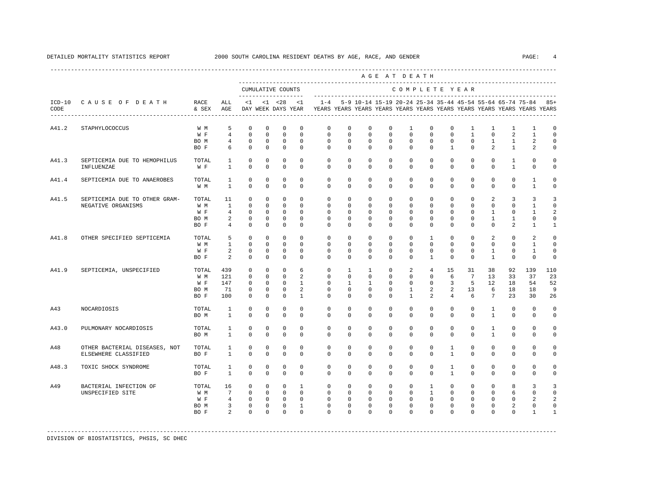|       |                                                       |                                     |                                                                             |                                                                      |                                                                       |                                                                                |                                                                         |                                                                                                       |                                                                      |                                                                      |                                                                       | AGE AT DEATH                                                     |                                                                                |                                                                       |                                                                |                                                               |                                                                    |                                                       |                                                                |
|-------|-------------------------------------------------------|-------------------------------------|-----------------------------------------------------------------------------|----------------------------------------------------------------------|-----------------------------------------------------------------------|--------------------------------------------------------------------------------|-------------------------------------------------------------------------|-------------------------------------------------------------------------------------------------------|----------------------------------------------------------------------|----------------------------------------------------------------------|-----------------------------------------------------------------------|------------------------------------------------------------------|--------------------------------------------------------------------------------|-----------------------------------------------------------------------|----------------------------------------------------------------|---------------------------------------------------------------|--------------------------------------------------------------------|-------------------------------------------------------|----------------------------------------------------------------|
|       |                                                       |                                     |                                                                             |                                                                      |                                                                       | CUMULATIVE COUNTS                                                              |                                                                         |                                                                                                       |                                                                      |                                                                      |                                                                       | COMPLETE YEAR                                                    |                                                                                |                                                                       |                                                                |                                                               |                                                                    |                                                       |                                                                |
| CODE  | ICD-10 CAUSE OF DEATH                                 | RACE<br>& SEX                       | ALL<br>AGE                                                                  |                                                                      |                                                                       | --------------------<br>$<1$ $<1$ $<28$                                        | < 1                                                                     | $1 - 4$<br>DAY WEEK DAYS YEAR YEARS YEARS YEARS YEARS YEARS YEARS YEARS YEARS YEARS YEARS YEARS YEARS |                                                                      |                                                                      |                                                                       | 5-9 10-14 15-19 20-24 25-34 35-44 45-54 55-64 65-74 75-84 85+    |                                                                                |                                                                       |                                                                |                                                               |                                                                    |                                                       |                                                                |
| A41.2 | STAPHYLOCOCCUS                                        | W M<br>W F<br>BO M<br>BO F          | 5<br>$\overline{4}$<br>$\overline{4}$<br>6                                  | $\mathbf 0$<br>$\mathbf 0$<br>0<br>$\mathbf 0$                       | $\mathbf 0$<br>0<br>0<br>$\mathbf 0$                                  | $\mathbf 0$<br>$\mathbf 0$<br>$^{\circ}$<br>$\mathbf{0}$                       | $\mathbf 0$<br>$\Omega$<br>$\mathbf 0$<br>$\Omega$                      | $\mathbf 0$<br>$\mathbf 0$<br>$\mathbf{0}$<br>$\Omega$                                                | $\mathbf 0$<br>$\mathbf 0$<br>$\mathbf 0$<br>$\mathbf 0$             | $\mathbf 0$<br>0<br>0<br>$\Omega$                                    | $\mathbf 0$<br>$\mathbf 0$<br>$\mathbf 0$<br>$\mathbf 0$              | 1<br>$\mathbf{0}$<br>$\mathbf{0}$<br>$\mathbf{0}$                | $\mathbf{0}$<br>$\mathbf{0}$<br>$\mathbf{0}$<br>$\mathbf{0}$                   | $\mathbf 0$<br>$\mathbf 0$<br>$\mathbf{0}$<br>$\mathbf{1}$            | $\mathbf{1}$<br>$\mathbf{1}$<br>$\circ$<br>$\mathbf 0$         | $\mathbf{1}$<br>$\mathbf 0$<br>$\mathbf{1}$<br>$\mathfrak{D}$ | $\mathbf{1}$<br>2<br>$\mathbf{1}$<br>$\mathbf{1}$                  | $\mathbf{1}$<br>$\mathbf{1}$<br>2<br>2                | $\mathbf 0$<br>$\Omega$<br>$\Omega$<br>$\Omega$                |
| A41.3 | SEPTICEMIA DUE TO HEMOPHILUS<br>INFLUENZAE            | TOTAL<br>W F                        | 1<br>$\mathbf{1}$                                                           | $\mathbf 0$<br>$\Omega$                                              | $\mathbf 0$<br>$\Omega$                                               | $\mathbf 0$<br>$\Omega$                                                        | $\mathbf 0$<br>$\Omega$                                                 | $\mathbf 0$<br>$\Omega$                                                                               | $\mathbf 0$<br>$\Omega$                                              | $\mathbf{0}$<br>$\Omega$                                             | $\mathbf 0$<br>$\Omega$                                               | $\circ$<br>$\Omega$                                              | $\mathbf 0$<br>$\Omega$                                                        | $\mathbf{0}$<br>$\Omega$                                              | $\mathbf 0$<br>$\Omega$                                        | $\mathbf 0$<br>$\Omega$                                       | $\mathbf{1}$<br>$\overline{1}$                                     | $\mathbf 0$<br>$\Omega$                               | $\Omega$<br>$\Omega$                                           |
| A41.4 | SEPTICEMIA DUE TO ANAEROBES                           | TOTAL<br>W M                        | 1<br>$\overline{1}$                                                         | $\circ$<br>$\Omega$                                                  | 0<br>$\Omega$                                                         | $\mathbf 0$<br>$\Omega$                                                        | $\mathbf 0$<br>$\Omega$                                                 | $\mathbf{0}$<br>$\Omega$                                                                              | $\mathbf 0$<br>$\Omega$                                              | $\mathbf 0$<br>$\Omega$                                              | $\mathbf 0$<br>$\Omega$                                               | $\mathbf 0$<br>$\Omega$                                          | $\mathbf 0$<br>$\Omega$                                                        | $\mathbf 0$<br>$\Omega$                                               | $\mathbf 0$<br>$\Omega$                                        | $\mathbf 0$<br>$\Omega$                                       | $\mathbf 0$<br>$\Omega$                                            | $\mathbf{1}$<br>$\overline{1}$                        | $\Omega$<br>$\mathbf 0$                                        |
| A41.5 | SEPTICEMIA DUE TO OTHER GRAM-<br>NEGATIVE ORGANISMS   | TOTAL<br>W M<br>W F<br>BO M<br>BO F | 11<br>$\mathbf{1}$<br>$\overline{4}$<br>2<br>$\overline{4}$                 | $\Omega$<br>$\mathbf 0$<br>$\Omega$<br>$\mathbf 0$<br>$\Omega$       | $\Omega$<br>$\mathbf 0$<br>$\Omega$<br>$\mathbf 0$<br>$\Omega$        | $\Omega$<br>$^{\circ}$<br>$\Omega$<br>$^{\circ}$<br>$\Omega$                   | $\Omega$<br>$\Omega$<br>$\Omega$<br>$\Omega$<br>$\Omega$                | $\Omega$<br>$\mathbf 0$<br>$\Omega$<br>$\Omega$<br>$\Omega$                                           | $\Omega$<br>$\mathbf 0$<br>$\Omega$<br>$\Omega$<br>$\Omega$          | $\Omega$<br>$\Omega$<br>$\Omega$<br>$\Omega$<br>$\Omega$             | $\Omega$<br>$\mathbf 0$<br>$\Omega$<br>$\Omega$<br>$\Omega$           | $\Omega$<br>$\mathbf{0}$<br>$\mathbf{0}$<br>$\Omega$<br>$\Omega$ | $\Omega$<br>$\mathbf{0}$<br>$\Omega$<br>$\Omega$<br>$\Omega$                   | $\Omega$<br>$\mathbf 0$<br>$\mathbf 0$<br>$\Omega$<br>$\Omega$        | $\Omega$<br>$\mathbf 0$<br>$\Omega$<br>$\mathbf 0$<br>$\Omega$ | 2<br>$\mathbf 0$<br>1<br>$\mathbf{1}$<br>$\Omega$             | 3<br>$\mathbf 0$<br>$\mathbf{0}$<br>$\mathbf{1}$<br>$\mathfrak{D}$ | 3<br>$\mathbf{1}$<br>1<br>$\mathbf 0$<br>$\mathbf{1}$ | 3<br>$\mathbf 0$<br>$\mathfrak{D}$<br>$\Omega$<br>$\mathbf{1}$ |
| A41.8 | OTHER SPECIFIED SEPTICEMIA                            | TOTAL<br>W M<br>W F<br>BO F         | 5<br>$\mathbf{1}$<br>2<br>2                                                 | $\mathbf 0$<br>$\mathbf 0$<br>$\mathbf 0$<br>$\Omega$                | $\mathbf 0$<br>$\Omega$<br>$\circ$<br>$\mathbf 0$                     | $\mathbf 0$<br>$\Omega$<br>$\mathbf 0$<br>$\Omega$                             | $\Omega$<br>$\Omega$<br>$\mathbf 0$<br>$\Omega$                         | $\mathbf 0$<br>$\Omega$<br>$\mathbf 0$<br>$\Omega$                                                    | $\mathbf 0$<br>$\Omega$<br>$\mathbf 0$<br>$\Omega$                   | $\mathbf{0}$<br>$\Omega$<br>0<br>$\Omega$                            | $\mathbf 0$<br>$\Omega$<br>$\mathbf 0$<br>$\Omega$                    | $\circ$<br>$\mathbf 0$<br>$\mathsf{O}$<br>$\Omega$               | $\mathbf{1}$<br>$\Omega$<br>$\circ$<br>$\mathbf{1}$                            | $\mathbf 0$<br>$\Omega$<br>$\mathbf 0$<br>$\Omega$                    | $\mathbf{0}$<br>$\Omega$<br>$\mathbf 0$<br>$\Omega$            | 2<br>$\Omega$<br>$\mathbf{1}$<br>$\overline{1}$               | $\mathbf 0$<br>$\Omega$<br>0<br>$\mathbf 0$                        | 2<br>$\mathbf{1}$<br>$\mathbf{1}$<br>$\circ$          | 0<br>$\Omega$<br>0<br>$\mathbf 0$                              |
| A41.9 | SEPTICEMIA, UNSPECIFIED                               | TOTAL<br>W M<br>W F<br>BO M<br>BO F | 439<br>121<br>147<br>71<br>100                                              | $\circ$<br>$\mathbf 0$<br>$\Omega$<br>$\mathbf 0$<br>$\Omega$        | $\mathbf 0$<br>$\mathbf 0$<br>$\Omega$<br>$\mathbf 0$<br>$\Omega$     | $\Omega$<br>$\mathbf{0}$<br>$\Omega$<br>$\mathbf{0}$<br>$\Omega$               | 6<br>$\overline{a}$<br>$\overline{1}$<br>$\overline{a}$<br>$\mathbf{1}$ | $\mathbf 0$<br>$\Omega$<br>$\Omega$<br>$\mathbf 0$<br>$\Omega$                                        | $\mathbf{1}$<br>$\Omega$<br>$\mathbf{1}$<br>$\mathbf{0}$<br>$\Omega$ | $\mathbf{1}$<br>$\Omega$<br>$\mathbf{1}$<br>$\mathbf{0}$<br>$\Omega$ | $\mathbf 0$<br>$\mathbf 0$<br>$\Omega$<br>$\mathbf 0$<br>$\Omega$     | 2<br>$\mathbf 0$<br>$\Omega$<br>$\mathbf{1}$<br>$\mathbf{1}$     | $\overline{4}$<br>$\mathbf{0}$<br>$\Omega$<br>$\overline{a}$<br>$\overline{a}$ | 15<br>6<br>3<br>2<br>$\overline{4}$                                   | 31<br>$7\overline{ }$<br>-5<br>13<br>6                         | 38<br>13<br>12<br>6<br>$7\overline{ }$                        | 92<br>33<br>18<br>18<br>2.3                                        | 139<br>37<br>54<br>18<br>30                           | 110<br>23<br>52<br>9<br>26                                     |
| A43   | NOCARDIOSIS                                           | TOTAL<br>BO M                       | $\mathbf{1}$<br>$\mathbf{1}$                                                | $\circ$<br>$\Omega$                                                  | 0<br>$\mathbf 0$                                                      | $\mathbf 0$<br>$\mathbf 0$                                                     | $\mathbf 0$<br>$\Omega$                                                 | $\mathbf 0$<br>$\Omega$                                                                               | $\mathbf 0$<br>$\Omega$                                              | $\mathbf 0$<br>$\Omega$                                              | $\mathbf 0$<br>$\Omega$                                               | $\mathbf{0}$<br>$\Omega$                                         | $\mathbf{0}$<br>$\Omega$                                                       | $\mathbf 0$<br>$\Omega$                                               | $\circ$<br>$\Omega$                                            | $\mathbf{1}$<br>$\mathbf{1}$                                  | $\mathbf 0$<br>$\mathbf 0$                                         | $\mathbf 0$<br>$\mathbf 0$                            | $\mathbf 0$<br>0                                               |
| A43.0 | PULMONARY NOCARDIOSIS                                 | TOTAL<br>BO M                       | $\mathbf{1}$<br>$\mathbf{1}$                                                | $\mathbf 0$<br>$\mathbf 0$                                           | $\mathbf 0$<br>$\mathbf 0$                                            | $\mathbf 0$<br>$\mathbf 0$                                                     | $\Omega$<br>$\mathbf 0$                                                 | $\mathbf 0$<br>$\Omega$                                                                               | $\Omega$<br>$\mathbf 0$                                              | $\Omega$<br>$\Omega$                                                 | $\mathbf 0$<br>$\mathbf 0$                                            | $\mathbf 0$<br>$\mathbf 0$                                       | $\Omega$<br>$\mathbf{0}$                                                       | $\mathbf 0$<br>$\mathbf 0$                                            | $\circ$<br>$\mathbf 0$                                         | $\mathbf{1}$<br>$\mathbf{1}$                                  | $\mathbf 0$<br>0                                                   | $\mathbf 0$<br>0                                      | $\Omega$<br>0                                                  |
| A48   | OTHER BACTERIAL DISEASES, NOT<br>ELSEWHERE CLASSIFIED | TOTAL<br>BO F                       | $\mathbf{1}$<br>$\mathbf{1}$                                                | $\mathbf 0$<br>$\Omega$                                              | $\mathbf 0$<br>$\Omega$                                               | $\mathbf 0$<br>$\Omega$                                                        | $\Omega$<br>$\Omega$                                                    | $\mathbf 0$<br>$\Omega$                                                                               | $\mathbf 0$<br>$\Omega$                                              | $\Omega$<br>$\Omega$                                                 | $\mathbf 0$<br>$\Omega$                                               | $\mathbf 0$<br>$\Omega$                                          | $\Omega$<br>$\Omega$                                                           | $\mathbf{1}$<br>$\mathbf{1}$                                          | $\Omega$<br>$\Omega$                                           | $\Omega$<br>$\Omega$                                          | $\mathbf 0$<br>0                                                   | $\mathbf 0$<br>$\mathbf 0$                            | $\Omega$<br>$\Omega$                                           |
| A48.3 | TOXIC SHOCK SYNDROME                                  | TOTAL<br>BO F                       | 1<br>$\mathbf{1}$                                                           | $\mathbf 0$<br>$\mathbf 0$                                           | $\mathbf 0$<br>$\mathbf 0$                                            | $\mathbf 0$<br>$\Omega$                                                        | $\mathbf 0$<br>$\Omega$                                                 | $\mathbf 0$<br>$\Omega$                                                                               | $\mathbf 0$<br>$\Omega$                                              | $\mathbf 0$<br>$\Omega$                                              | $\mathbf 0$<br>$\mathbf 0$                                            | $\circ$<br>$\mathbf 0$                                           | $\circ$<br>$\Omega$                                                            | $\mathbf{1}$<br>$\mathbf{1}$                                          | $\circ$<br>$\mathbf 0$                                         | $\mathbf 0$<br>$\Omega$                                       | $\mathbf 0$<br>$\mathbf 0$                                         | $\mathbf 0$<br>$\mathbf 0$                            | 0<br>$\Omega$                                                  |
| A49   | BACTERIAL INFECTION OF<br>UNSPECIFIED SITE            | TOTAL<br>W M<br>W F<br>BO M<br>BO F | 16<br>$7\overline{ }$<br>$\overline{4}$<br>$\overline{3}$<br>$\overline{2}$ | $\mathbf 0$<br>$\mathbf 0$<br>$\mathbf 0$<br>$\mathbf 0$<br>$\Omega$ | $\mathbf 0$<br>$\mathbf{0}$<br>$\mathbf 0$<br>$\mathbf 0$<br>$\Omega$ | $\mathbf{0}$<br>$\overline{0}$<br>$\overline{0}$<br>$\overline{0}$<br>$\Omega$ | $\overline{1}$<br>$\circ$<br>$\mathbf{0}$<br>$\mathbf{1}$<br>$\Omega$   | $\mathbf 0$<br>$\mathbf{0}$<br>$\mathbf{0}$<br>$\mathbf 0$<br>$\Omega$                                | $\mathbf{0}$<br>$\circ$<br>$\circ$<br>$\mathbf 0$<br>$\cap$          | $\Omega$<br>$\mathbf{0}$<br>$\mathbf{0}$<br>$\mathbf 0$<br>$\Omega$  | $\mathbf 0$<br>$\mathbf{0}$<br>$\mathbf 0$<br>$\mathbf 0$<br>$\Omega$ | $\circ$<br>$\circ$<br>$\circ$<br>$\mathbf 0$<br>$\Omega$         | $\mathbf{1}$<br>$\mathbf{1}$<br>$\circ$<br>$\mathbf 0$<br>$\cap$               | $\mathbf{0}$<br>$\mathbf 0$<br>$\mathbf 0$<br>$\mathbf 0$<br>$\Omega$ | $\circ$<br>$\mathbf{0}$<br>$\circ$<br>$\mathbf 0$<br>$\Omega$  | $\Omega$<br>$\circ$<br>$\mathbf 0$<br>$\mathbf 0$<br>$\Omega$ | 8<br>6<br>$\mathbf 0$<br>$\overline{a}$<br>$\Omega$                | $\overline{3}$<br>0<br>2<br>0<br>1                    | 3<br>$\Omega$                                                  |

----------------------------------------------------------------------------------------------------------------------------------------------------- DIVISION OF BIOSTATISTICS, PHSIS, SC DHEC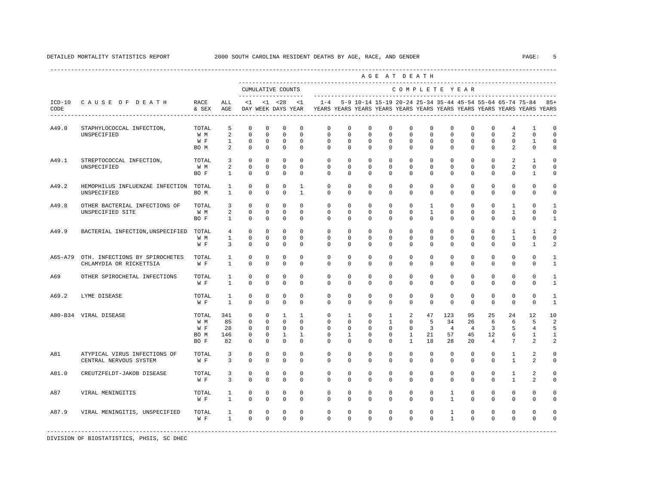|         |                                                           |                                     |                                                |                                                              |                                                                |                                                                        |                                                       |                                                                                            |                                                                     |                                                                       |                                                    | AGE AT DEATH                                                 |                                                       |                                                        |                                                       |                                             |                                                      |                                                                     |                                             |
|---------|-----------------------------------------------------------|-------------------------------------|------------------------------------------------|--------------------------------------------------------------|----------------------------------------------------------------|------------------------------------------------------------------------|-------------------------------------------------------|--------------------------------------------------------------------------------------------|---------------------------------------------------------------------|-----------------------------------------------------------------------|----------------------------------------------------|--------------------------------------------------------------|-------------------------------------------------------|--------------------------------------------------------|-------------------------------------------------------|---------------------------------------------|------------------------------------------------------|---------------------------------------------------------------------|---------------------------------------------|
|         |                                                           |                                     |                                                |                                                              |                                                                | CUMULATIVE COUNTS<br>--------------------                              |                                                       |                                                                                            |                                                                     |                                                                       |                                                    | COMPLETE YEAR                                                |                                                       |                                                        |                                                       |                                             |                                                      |                                                                     |                                             |
| CODE    | ICD-10 CAUSE OF DEATH                                     | RACE<br>& SEX                       | ALL<br>AGE                                     |                                                              |                                                                | $<1$ $<1$ $<28$                                                        | < 1                                                   | DAY WEEK DAYS YEAR TEARS YEARS YEARS YEARS YEARS YEARS YEARS YEARS YEARS YEARS YEARS YEARS |                                                                     |                                                                       |                                                    |                                                              |                                                       |                                                        |                                                       |                                             |                                                      | $1-4$ 5-9 10-14 15-19 20-24 25-34 35-44 45-54 55-64 65-74 75-84 85+ |                                             |
| A49.0   | STAPHYLOCOCCAL INFECTION,<br>UNSPECIFIED                  | TOTAL<br>W M<br>W F<br>BO M         | 5<br>2<br>$\mathbf{1}$<br>$\overline{a}$       | $\circ$<br>$\circ$<br>$\mathbf 0$<br>$\mathbf 0$             | $\mathbf 0$<br>$\mathbf 0$<br>$^{\circ}$<br>$\mathbf 0$        | $\mathbf 0$<br>$\mathbf 0$<br>$^{\circ}$<br>$\mathbb O$                | $\mathbf 0$<br>$\Omega$<br>$\mathbf 0$<br>$\mathbf 0$ | $\mathbf{0}$<br>$\mathbf 0$<br>$\mathbf 0$<br>$\mathbf{0}$                                 | $\mathbf 0$<br>$\Omega$<br>$\Omega$<br>$\mathbf 0$                  | $\mathbf 0$<br>$\mathbf 0$<br>$\mathbf 0$<br>$\mathbf 0$              | $\mathbf 0$<br>$\Omega$<br>$\Omega$<br>$\mathbf 0$ | $\mathbf 0$<br>$\mathbf 0$<br>$\mathbf 0$<br>$\mathbf 0$     | $\mathbf 0$<br>$\Omega$<br>$\mathbf 0$<br>$\mathbf 0$ | $\mathbf{0}$<br>$\Omega$<br>$\mathbf 0$<br>$\mathbf 0$ | $\mathbf 0$<br>$\Omega$<br>$\mathbf 0$<br>$\mathbf 0$ | 0<br>$\Omega$<br>$\mathbf 0$<br>$\mathbf 0$ | 4<br>$\overline{a}$<br>$\mathbf 0$<br>$\overline{a}$ | 1<br>$\mathbf{0}$<br>$\mathbf{1}$<br>$\mathbf{0}$                   | $\mathbf 0$<br>$\mathbf 0$<br>$\Omega$<br>0 |
| A49.1   | STREPTOCOCCAL INFECTION,<br>UNSPECIFIED                   | TOTAL<br>W M<br>BO F                | 3<br>2<br>$\mathbf{1}$                         | $^{\circ}$<br>$\mathbf 0$<br>$^{\circ}$                      | $\circ$<br>$\mathbf 0$<br>$\mathbf 0$                          | $^{\circ}$<br>$\circ$<br>$\Omega$                                      | $\Omega$<br>$\Omega$<br>$\Omega$                      | $\mathbf 0$<br>$\Omega$<br>$\Omega$                                                        | 0<br>$\Omega$<br>$\Omega$                                           | $\mathbf 0$<br>$\Omega$<br>$\Omega$                                   | 0<br>$\Omega$<br>$\Omega$                          | $\mathbf 0$<br>$\Omega$<br>$\Omega$                          | $\mathbf{0}$<br>$\Omega$<br>$\Omega$                  | $\mathbf 0$<br>$\Omega$<br>$\Omega$                    | $\mathbf 0$<br>$\Omega$<br>$\Omega$                   | $\mathbf 0$<br>$\Omega$<br>$\Omega$         | 2<br>2<br>$\Omega$                                   | 1<br>$\Omega$<br>$\mathbf{1}$                                       | $\mathbf 0$<br>$\Omega$<br>0                |
| A49.2   | HEMOPHILUS INFLUENZAE INFECTION<br>UNSPECIFIED            | TOTAL<br>BO M                       | $\mathbf{1}$<br>$\mathbf{1}$                   | $\Omega$<br>$\mathbf 0$                                      | $\Omega$<br>$\mathbf 0$                                        | $\Omega$<br>$\mathbf 0$                                                | $\mathbf{1}$<br>$\mathbf{1}$                          | $\Omega$<br>$\Omega$                                                                       | $\Omega$<br>$\Omega$                                                | $\Omega$<br>$\Omega$                                                  | $\Omega$<br>$\Omega$                               | $\Omega$<br>$\Omega$                                         | $\Omega$<br>$\mathbf 0$                               | $\Omega$<br>$\mathbf 0$                                | $\Omega$<br>$\mathbf 0$                               | $\Omega$<br>$\Omega$                        | $\Omega$<br>0                                        | $\mathbf{0}$<br>0                                                   | $\Omega$<br>0                               |
| A49.8   | OTHER BACTERIAL INFECTIONS OF<br>UNSPECIFIED SITE         | TOTAL<br>W M<br>BO F                | $\overline{\mathbf{3}}$<br>2<br>$\overline{1}$ | $\circ$<br>$^{\circ}$<br>$\Omega$                            | $\mathbf 0$<br>$\mathbf 0$<br>$\Omega$                         | $\mathbf 0$<br>$\mathbf 0$<br>$\Omega$                                 | $\Omega$<br>$\Omega$<br>$\Omega$                      | $\mathbf 0$<br>$\mathbf 0$<br>$\Omega$                                                     | $\mathbf{0}$<br>$\Omega$<br>$\Omega$                                | $\mathbf 0$<br>$\mathbf 0$<br>$\Omega$                                | $\mathbf 0$<br>$\Omega$<br>$\Omega$                | $\mathbf 0$<br>$\Omega$<br>$\Omega$                          | $\mathbf{1}$<br>$\mathbf{1}$<br>$\Omega$              | $\mathbf 0$<br>$\Omega$<br>$\Omega$                    | $\mathbf 0$<br>$\Omega$<br>$\Omega$                   | $\mathbf 0$<br>$\Omega$<br>$\Omega$         | $\mathbf{1}$<br>$\mathbf{1}$<br>$\Omega$             | 0<br>$\Omega$<br>$\Omega$                                           | $\mathbf{1}$<br>0<br>1                      |
| A49.9   | BACTERIAL INFECTION, UNSPECIFIED                          | TOTAL<br>W M<br>W F                 | 4<br>1<br>$\overline{\mathbf{3}}$              | $\circ$<br>$^{\circ}$<br>$^{\circ}$                          | $\mathbf 0$<br>$^{\circ}$<br>$\circ$                           | $\mathbf 0$<br>$^{\circ}$<br>$^{\circ}$                                | $\mathbf 0$<br>$^{\circ}$<br>$\Omega$                 | $\circ$<br>$\mathbf{0}$<br>$\Omega$                                                        | $\mathbf 0$<br>$\circ$<br>$\Omega$                                  | $\mathbf{0}$<br>$^{\circ}$<br>$\Omega$                                | 0<br>0<br>$\Omega$                                 | $\circ$<br>$\mathbf{0}$<br>$\Omega$                          | $\mathbf 0$<br>$\mathbf{0}$<br>$\Omega$               | $\mathbf 0$<br>$\mathbf{0}$<br>$\Omega$                | $\mathbf 0$<br>0<br>0                                 | $\mathbf 0$<br>0<br>$\Omega$                | 1<br>$\mathbf{1}$<br>$\mathbf{0}$                    | $\mathbf{1}$<br>0<br>$\mathbf{1}$                                   | $\overline{a}$<br>$\mathbf 0$<br>2          |
| A65-A79 | OTH. INFECTIONS BY SPIROCHETES<br>CHLAMYDIA OR RICKETTSIA | TOTAL<br>W F                        | $\mathbf{1}$<br>$\mathbf{1}$                   | $^{\circ}$<br>$\mathbf{0}$                                   | $\mathbf 0$<br>$\Omega$                                        | $\mathbf 0$<br>$\Omega$                                                | $\Omega$<br>$\Omega$                                  | $\mathbf{0}$<br>$\Omega$                                                                   | $\mathbf 0$<br>$\Omega$                                             | $\mathbf 0$<br>$\Omega$                                               | 0<br>$\Omega$                                      | $\mathbf 0$<br>$\Omega$                                      | $\mathbf 0$<br>$\Omega$                               | $\mathbf 0$<br>$\Omega$                                | $\mathbf 0$<br>$\Omega$                               | $\mathbf 0$<br>$\Omega$                     | $\mathbf 0$<br>$\Omega$                              | $\mathbf 0$<br>$\Omega$                                             | $\mathbf{1}$<br>$\mathbf{1}$                |
| A69     | OTHER SPIROCHETAL INFECTIONS                              | TOTAL<br>W F                        | $\mathbf{1}$<br>$\mathbf{1}$                   | $\mathbf 0$<br>$\mathbf{0}$                                  | $\mathbf 0$<br>$\mathbf 0$                                     | $\mathbf 0$<br>$\mathbf 0$                                             | $\mathbf 0$<br>$\Omega$                               | $\mathbf{0}$<br>$\mathbf{0}$                                                               | $\mathbf{0}$<br>$\mathbf 0$                                         | $\mathbf 0$<br>$\mathbf 0$                                            | 0<br>0                                             | 0<br>$\mathbf 0$                                             | 0<br>$\mathbf{0}$                                     | 0<br>$\mathbf 0$                                       | $\mathbf 0$<br>0                                      | $\mathbf 0$<br>0                            | $\mathbb O$<br>0                                     | $\mathbf 0$<br>0                                                    | 1<br>1                                      |
| A69.2   | LYME DISEASE                                              | TOTAL<br>W F                        | $\mathbf{1}$<br>$\mathbf{1}$                   | $^{\circ}$<br>$\Omega$                                       | $\mathbf 0$<br>$\Omega$                                        | $\mathbf 0$<br>$\Omega$                                                | $\Omega$<br>$\Omega$                                  | $\Omega$<br>$\Omega$                                                                       | $\Omega$<br>$\Omega$                                                | $\Omega$<br>$\Omega$                                                  | $\Omega$<br>$\Omega$                               | $\Omega$<br>$\Omega$                                         | $\Omega$<br>$\Omega$                                  | $\Omega$<br>$\Omega$                                   | $\Omega$<br>$\Omega$                                  | $\Omega$<br>$\Omega$                        | $\Omega$<br>$\Omega$                                 | $\Omega$<br>$\Omega$                                                | $\mathbf{1}$<br>$\mathbf{1}$                |
|         | A80-B34 VIRAL DISEASE                                     | TOTAL<br>W M<br>W F<br>BO M<br>BO F | 341<br>85<br>28<br>146<br>82                   | $^{\circ}$<br>$\circ$<br>$\circ$<br>$^{\circ}$<br>$^{\circ}$ | $^{\circ}$<br>$^{\circ}$<br>$\circ$<br>$\mathbf{0}$<br>$\circ$ | $\mathbf{1}$<br>$\circ$<br>$\mathbf{0}$<br>$\mathbf{1}$<br>$\mathbf 0$ | 1<br>$\Omega$<br>$\circ$<br>$\mathbf{1}$<br>$\Omega$  | $\circ$<br>$\mathbf{0}$<br>$\mathbf{0}$<br>$\Omega$<br>$\Omega$                            | $\mathbf{1}$<br>$\Omega$<br>$\mathbf 0$<br>$\mathbf{1}$<br>$\Omega$ | $\mathbf{0}$<br>$\mathbf 0$<br>$\mathbf 0$<br>$\mathbf 0$<br>$\Omega$ | $\mathbf{1}$<br>1<br>$\mathbf 0$<br>0<br>$\Omega$  | 2<br>$^{\circ}$<br>$\circ$<br>$\mathbf{1}$<br>$\overline{1}$ | 47<br>-5<br>$\overline{\mathbf{3}}$<br>21<br>18       | 123<br>34<br>$\overline{4}$<br>57<br>28                | 95<br>26<br>4<br>45<br>20                             | 25<br>6<br>3<br>12<br>$\overline{4}$        | 24<br>6<br>5<br>6<br>7                               | 12<br>5<br>4<br>1<br>$\mathfrak{D}$                                 | 10<br>2<br>5<br>$\mathbf{1}$<br>2           |
| A81     | ATYPICAL VIRUS INFECTIONS OF<br>CENTRAL NERVOUS SYSTEM    | TOTAL<br>W F                        | $\overline{3}$<br>3                            | $\circ$<br>$\mathbf 0$                                       | $\mathbf 0$<br>$\mathbf 0$                                     | $\mathbf 0$<br>$\mathbf 0$                                             | $\mathbf 0$<br>$\mathbf 0$                            | $\mathbf 0$<br>$\mathbf 0$                                                                 | $\mathbf 0$<br>$\circ$                                              | $\mathbf 0$<br>$\mathbf 0$                                            | 0<br>0                                             | $\mathbf 0$<br>$\mathbf 0$                                   | $\mathbf{0}$<br>$\mathbf{0}$                          | $\circ$<br>$\mathbf 0$                                 | $\mathbf 0$<br>0                                      | $\mathbf 0$<br>0                            | 1<br>1                                               | 2<br>2                                                              | $\mathbf 0$<br>0                            |
| A81.0   | CREUTZFELDT-JAKOB DISEASE                                 | TOTAL<br>W F                        | 3<br>3                                         | $^{\circ}$<br>$\mathbf 0$                                    | $\mathbf 0$<br>$\mathbf 0$                                     | $\mathbf 0$<br>$\mathbf 0$                                             | $\mathbf 0$<br>$\Omega$                               | $\mathbf 0$<br>$\Omega$                                                                    | $\mathbf 0$<br>$\Omega$                                             | $\mathbf 0$<br>$\Omega$                                               | $\mathbf 0$<br>$\mathbf 0$                         | $\mathbf 0$<br>$\Omega$                                      | $\mathbf 0$<br>0                                      | $\mathbf 0$<br>$\mathbf 0$                             | $\mathbf 0$<br>$\mathbf 0$                            | $\mathbf 0$<br>$\Omega$                     | $\mathbf{1}$<br>$\mathbf{1}$                         | 2<br>2                                                              | $\mathbf 0$<br>0                            |
| A87     | VIRAL MENINGITIS                                          | TOTAL<br>W F                        | $\mathbf{1}$<br>$\mathbf{1}$                   | $\mathbf 0$<br>$\mathbf 0$                                   | $\mathbf 0$<br>$\mathbf 0$                                     | $\mathbf 0$<br>$\mathbf 0$                                             | $\mathbf 0$<br>$\mathbf 0$                            | $\mathbf 0$<br>$\mathbf 0$                                                                 | 0<br>$\mathbf 0$                                                    | $\mathbf 0$<br>$\mathbf 0$                                            | 0<br>0                                             | $\mathbf 0$<br>$\mathbf 0$                                   | 0<br>$\mathbf{0}$                                     | $\mathbf{1}$<br>$\mathbf{1}$                           | 0<br>0                                                | $\mathbf 0$<br>$\mathbf 0$                  | 0<br>0                                               | 0<br>0                                                              | $\mathbf 0$<br>0                            |
| A87.9   | VIRAL MENINGITIS, UNSPECIFIED                             | TOTAL<br>W F                        | $\mathbf{1}$<br>$\mathbf{1}$                   | 0<br>$\Omega$                                                | $\mathbf 0$<br>$\Omega$                                        | $\circ$<br>$\mathbf{0}$                                                | $\mathbf 0$<br>$\Omega$                               | $\mathbf{0}$<br>$\Omega$                                                                   | $\mathbf 0$<br>$\Omega$                                             | $\mathbf 0$<br>$\Omega$                                               | 0<br>$\Omega$                                      | 0<br>$\Omega$                                                | 0<br>$\Omega$                                         | $\mathbf{1}$<br>$\mathbf{1}$                           | 0<br>$\Omega$                                         | 0<br>$\Omega$                               | 0<br>$\mathbf 0$                                     | 0<br>$\mathbf 0$                                                    | 0<br>0                                      |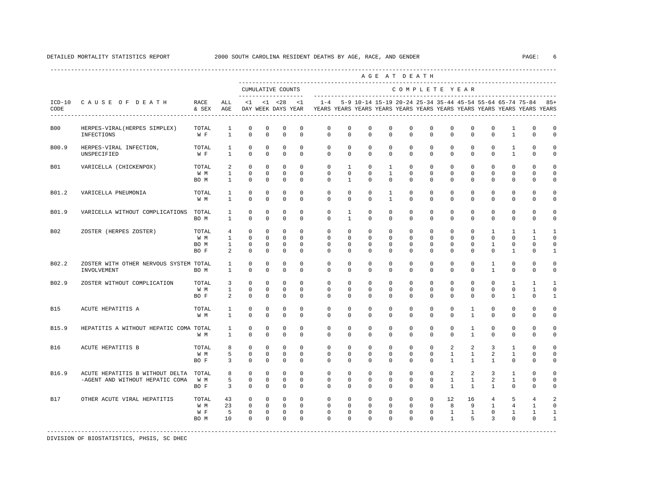|            |                                                                    |                              |                                                |                                                       |                                                       |                                                                          |                                                       |                                                                                                       |                                             |                                                        |                                                       | AGE AT DEATH                                       |                                                       |                                                    |                                                    |                                                                 |                                                         |                                                               |                                                         |
|------------|--------------------------------------------------------------------|------------------------------|------------------------------------------------|-------------------------------------------------------|-------------------------------------------------------|--------------------------------------------------------------------------|-------------------------------------------------------|-------------------------------------------------------------------------------------------------------|---------------------------------------------|--------------------------------------------------------|-------------------------------------------------------|----------------------------------------------------|-------------------------------------------------------|----------------------------------------------------|----------------------------------------------------|-----------------------------------------------------------------|---------------------------------------------------------|---------------------------------------------------------------|---------------------------------------------------------|
|            |                                                                    |                              |                                                |                                                       |                                                       | CUMULATIVE COUNTS                                                        |                                                       |                                                                                                       |                                             |                                                        |                                                       | COMPLETE YEAR                                      |                                                       |                                                    |                                                    |                                                                 |                                                         |                                                               |                                                         |
| CODE       | ICD-10 CAUSE OF DEATH                                              | RACE<br>& SEX                | ALL<br>AGE                                     | $\leq 1$                                              |                                                       | $< 1$ $< 28$                                                             | <1                                                    | $1 - 4$<br>DAY WEEK DAYS YEAR TEARS YEARS YEARS YEARS YEARS YEARS YEARS YEARS YEARS YEARS YEARS YEARS |                                             |                                                        |                                                       |                                                    |                                                       |                                                    |                                                    |                                                                 |                                                         | 5-9 10-14 15-19 20-24 25-34 35-44 45-54 55-64 65-74 75-84 85+ |                                                         |
| <b>B00</b> | HERPES-VIRAL (HERPES SIMPLEX)<br>INFECTIONS                        | TOTAL<br>W F                 | $\mathbf{1}$<br>$\mathbf{1}$                   | $\mathbf 0$<br>$\Omega$                               | $\mathbf 0$<br>$\Omega$                               | $\mathbf 0$<br>$\Omega$                                                  | $\mathbf 0$<br>$\Omega$                               | $\mathbf 0$<br>$\Omega$                                                                               | $\Omega$<br>$\Omega$                        | $\mathbf 0$<br>$\Omega$                                | $\Omega$<br>$\Omega$                                  | $\mathbf 0$<br>$\Omega$                            | $\Omega$<br>$\Omega$                                  | $\Omega$<br>$\Omega$                               | $\Omega$<br>$\Omega$                               | $\Omega$<br>$\Omega$                                            | $\mathbf{1}$<br>$\mathbf{1}$                            | $\Omega$<br>$\Omega$                                          | $\mathbf 0$<br>$\mathbf 0$                              |
| B00.9      | HERPES-VIRAL INFECTION,<br>UNSPECIFIED                             | TOTAL<br>W F                 | 1<br>$\overline{1}$                            | $\mathbf 0$<br>$\Omega$                               | $\mathbf 0$<br>$\Omega$                               | $\mathbf 0$<br>$\Omega$                                                  | $\Omega$<br>$\Omega$                                  | $\mathbf 0$<br>$\Omega$                                                                               | $\mathbf 0$<br>$\Omega$                     | $\mathbf 0$<br>$\Omega$                                | $\mathbf 0$<br>$\Omega$                               | $\mathbf 0$<br>$\Omega$                            | $\mathbf 0$<br>$\Omega$                               | $\mathbf 0$<br>$\Omega$                            | $\mathbf 0$<br>$\Omega$                            | $\mathbf 0$<br>$\Omega$                                         | 1<br>$\overline{1}$                                     | 0<br>$\Omega$                                                 | $\mathbf 0$<br>$\Omega$                                 |
| <b>B01</b> | VARICELLA (CHICKENPOX)                                             | TOTAL<br>W M<br>BO M         | $\overline{a}$<br>$\mathbf{1}$<br>$\mathbf{1}$ | $\mathbf{0}$<br>$\mathbf 0$<br>$\Omega$               | $\mathbf{0}$<br>$\mathbf 0$<br>$\Omega$               | $\mathbf{0}$<br>$\mathbb O$<br>$\Omega$                                  | $\mathbf{0}$<br>$^{\circ}$<br>$\Omega$                | $\mathbf 0$<br>$\mathbf{0}$<br>$\Omega$                                                               | $\mathbf{1}$<br>$\mathbf 0$<br>$\mathbf{1}$ | $\mathbf{0}$<br>$\mathbf 0$<br>$\Omega$                | $\mathbf{1}$<br>1<br>$\Omega$                         | $\circ$<br>$\mathbf{0}$<br>$\Omega$                | $\mathbf 0$<br>$\mathbf{0}$<br>$\Omega$               | $\mathbf{0}$<br>$\mathbf 0$<br>$\Omega$            | $\mathbf{0}$<br>$\mathbf{0}$<br>$\Omega$           | $\mathbf{0}$<br>$\mathbf 0$<br>$\Omega$                         | $\mathbf{0}$<br>$\mathbf{0}$<br>$\Omega$                | $\mathbf 0$<br>$\mathbf{0}$<br>$\Omega$                       | $\circ$<br>$\mathbf 0$<br>$\mathbf 0$                   |
| B01.2      | VARICELLA PNEUMONIA                                                | TOTAL<br>W M                 | $\mathbf{1}$<br>$\mathbf{1}$                   | $\mathbf 0$<br>$\mathbf 0$                            | $\mathbf 0$<br>$\mathbf 0$                            | $\mathbf 0$<br>$\mathbf 0$                                               | $\mathbf 0$<br>$\mathbf 0$                            | $\mathbf{0}$<br>$\mathbf{0}$                                                                          | $\mathbf 0$<br>0                            | $\mathbf 0$<br>$\mathbf 0$                             | $\mathbf{1}$<br>$\mathbf{1}$                          | $\mathbf 0$<br>$\mathbf 0$                         | $\mathbf 0$<br>$\mathbf 0$                            | $\mathbf 0$<br>$\mathbf 0$                         | $\mathbf 0$<br>$\mathbf 0$                         | $\Omega$<br>$\Omega$                                            | $\mathbf 0$<br>$\mathbf 0$                              | $\mathbf 0$<br>$\mathbf 0$                                    | $\mathbf 0$<br>$\mathbf 0$                              |
| B01.9      | VARICELLA WITHOUT COMPLICATIONS TOTAL                              | BO M                         | 1<br>$\mathbf{1}$                              | $\mathbf 0$<br>$\Omega$                               | $\mathbf 0$<br>$\Omega$                               | $\mathbf 0$<br>$\Omega$                                                  | $\mathbf 0$<br>$\Omega$                               | $\mathbf{0}$<br>$\Omega$                                                                              | $\mathbf{1}$<br>$\mathbf{1}$                | $\mathbf 0$<br>$\Omega$                                | $\mathbf 0$<br>$\Omega$                               | $\mathbf 0$<br>$\Omega$                            | $\mathbf 0$<br>$\Omega$                               | $\mathbf 0$<br>$\Omega$                            | $\mathbf 0$<br>$\Omega$                            | $\Omega$<br>$\Omega$                                            | $\mathbf 0$<br>$\Omega$                                 | $\mathbf 0$<br>$\Omega$                                       | $\mathbf 0$<br>$\Omega$                                 |
| B02        | ZOSTER (HERPES ZOSTER)                                             | TOTAL<br>W M<br>BO M<br>BO F | 4<br>$\mathbf{1}$<br>$\mathbf{1}$<br>2         | $^{\circ}$<br>$\Omega$<br>$\mathbf 0$<br>$\Omega$     | $\mathbf 0$<br>$\Omega$<br>$\mathbf 0$<br>$\mathbf 0$ | $\mathbf 0$<br>$\Omega$<br>$\mathbf 0$<br>$\mathbf{0}$                   | $\mathbf 0$<br>$\Omega$<br>$^{\circ}$<br>$\Omega$     | $\mathbf 0$<br>$\Omega$<br>$\mathbf 0$<br>$\Omega$                                                    | $\mathbf 0$<br>$\Omega$<br>0<br>$\mathbf 0$ | $\mathbf 0$<br>$\Omega$<br>$\mathbf 0$<br>$\mathbf 0$  | $\mathbf 0$<br>$\Omega$<br>$\mathbf 0$<br>$\mathbf 0$ | $\mathbf 0$<br>$\Omega$<br>$\mathbf 0$<br>$\Omega$ | $\mathbf 0$<br>$\Omega$<br>$\mathbf 0$<br>$\mathbf 0$ | $\mathbf 0$<br>$\Omega$<br>$\mathbf 0$<br>$\Omega$ | $\mathbf 0$<br>$\Omega$<br>$\mathbf 0$<br>$\Omega$ | $\mathbf{1}$<br>$\Omega$<br>$\mathbf{1}$<br>$\Omega$            | $\mathbf{1}$<br>$\Omega$<br>$\mathbf 0$<br>$\mathbf{1}$ | $\mathbf{1}$<br>1<br>$\mathbf 0$<br>$\Omega$                  | $\mathbf{1}$<br>$\Omega$<br>$\mathbf 0$<br>$\mathbf{1}$ |
| B02.2      | ZOSTER WITH OTHER NERVOUS SYSTEM TOTAL<br>INVOLVEMENT              | BO M                         | $\mathbf{1}$<br>$\mathbf{1}$                   | $\Omega$<br>$\Omega$                                  | $\Omega$<br>$\mathbf 0$                               | $\Omega$<br>$\mathbf 0$                                                  | $\Omega$<br>$\mathbf 0$                               | $\Omega$<br>$\mathbf 0$                                                                               | $\Omega$<br>$\mathbf 0$                     | $\Omega$<br>$\mathbf 0$                                | $\Omega$<br>$\mathbf 0$                               | $\Omega$<br>$\mathbf 0$                            | $\Omega$<br>$\mathbf 0$                               | $\Omega$<br>$\mathbf 0$                            | $\Omega$<br>$\mathbf 0$                            | $\mathbf{1}$<br>$\mathbf{1}$                                    | $\Omega$<br>$\mathbf 0$                                 | $\Omega$<br>$\mathbf 0$                                       | $\Omega$<br>$\mathbf 0$                                 |
| B02.9      | ZOSTER WITHOUT COMPLICATION                                        | TOTAL<br>W M<br>BO F         | 3<br>$\mathbf{1}$<br>$\overline{a}$            | $\Omega$<br>$\Omega$<br>$\Omega$                      | $\Omega$<br>$\Omega$<br>$\Omega$                      | $\Omega$<br>$\Omega$<br>$\Omega$                                         | $\Omega$<br>$\Omega$<br>$\Omega$                      | $\Omega$<br>$\Omega$<br>$\cap$                                                                        | $\Omega$<br>$\Omega$<br>$\Omega$            | $\Omega$<br>$\Omega$<br>$\Omega$                       | $\Omega$<br>$\Omega$<br>$\Omega$                      | $\Omega$<br>$\Omega$<br>$\Omega$                   | $\Omega$<br>$\Omega$<br>$\Omega$                      | $\Omega$<br>$\Omega$<br>$\Omega$                   | $\Omega$<br>$\Omega$<br>$\Omega$                   | $\Omega$<br>$\Omega$<br>$\Omega$                                | $\overline{1}$<br>$\Omega$<br>$\overline{1}$            | $\overline{1}$<br>$\mathbf{1}$<br>$\Omega$                    | $\overline{1}$<br>$\Omega$<br>$\mathbf{1}$              |
| <b>B15</b> | ACUTE HEPATITIS A                                                  | TOTAL<br>W M                 | 1<br>$\mathbf{1}$                              | $\circ$<br>$\Omega$                                   | 0<br>$\Omega$                                         | 0<br>$\Omega$                                                            | $\mathbf 0$<br>$\Omega$                               | 0<br>$\Omega$                                                                                         | $\mathbf{0}$<br>$\Omega$                    | 0<br>$\Omega$                                          | 0<br>$\Omega$                                         | $\mathbf{0}$<br>$\Omega$                           | $\mathbf{0}$<br>$\Omega$                              | $\circ$<br>$\Omega$                                | $\mathbf{1}$<br>$\mathbf{1}$                       | $^{\circ}$<br>$\Omega$                                          | $\mathbf{0}$<br>$\Omega$                                | $\mathbf{0}$<br>$\Omega$                                      | $\Omega$<br>$\mathbf 0$                                 |
| B15.9      | HEPATITIS A WITHOUT HEPATIC COMA TOTAL                             | W M                          | $\mathbf{1}$<br>$\mathbf{1}$                   | $\mathbf 0$<br>$\Omega$                               | $\mathbf 0$<br>$\mathbf 0$                            | $\mathbf 0$<br>$\mathbf 0$                                               | $\mathbf 0$<br>$\mathbf 0$                            | $\mathbf 0$<br>$\mathbf 0$                                                                            | $\mathbf 0$<br>0                            | $\mathbf 0$<br>$\mathbf 0$                             | $\mathbf 0$<br>$\mathbf 0$                            | $\mathbf 0$<br>$\mathbf 0$                         | $\mathbf 0$<br>$\mathbf 0$                            | $\mathbf 0$<br>$\Omega$                            | $\mathbf{1}$<br>$\mathbf{1}$                       | $\mathbf 0$<br>$\Omega$                                         | $\mathbf 0$<br>$\mathbf 0$                              | $\mathbf 0$<br>$\mathbf 0$                                    | $\mathbf 0$<br>$\mathsf{O}\xspace$                      |
| B16        | ACUTE HEPATITIS B                                                  | TOTAL<br>W M<br>BO F         | 8<br>5<br>3                                    | $\mathbf 0$<br>$\Omega$<br>$\Omega$                   | $\mathbf 0$<br>$\Omega$<br>$\Omega$                   | $\mathbf 0$<br>$\mathbf{0}$<br>$\mathbf 0$                               | $\Omega$<br>$\Omega$<br>$\Omega$                      | $\mathbf{0}$<br>$\Omega$<br>$\Omega$                                                                  | $\mathbf 0$<br>$\Omega$<br>$\Omega$         | $\mathbf 0$<br>$\mathbf 0$<br>$\Omega$                 | $\mathbf 0$<br>$\Omega$<br>$\Omega$                   | $\mathbf 0$<br>$\mathbf 0$<br>$\Omega$             | $\Omega$<br>$\Omega$<br>$\Omega$                      | 2<br>$\mathbf{1}$<br>$\overline{1}$                | $\overline{a}$<br>$\mathbf{1}$<br>$\mathbf{1}$     | 3<br>$\overline{a}$<br>$\mathbf{1}$                             | $\mathbf{1}$<br>$\mathbf{1}$<br>$\Omega$                | $\Omega$<br>$\Omega$<br>$\Omega$                              | $\mathbf 0$<br>$\mathbf 0$<br>$\mathbf 0$               |
| B16.9      | ACUTE HEPATITIS B WITHOUT DELTA<br>-AGENT AND WITHOUT HEPATIC COMA | TOTAL<br>W M<br>BO F         | 8<br>5<br>$\overline{3}$                       | $\Omega$<br>$\mathbf 0$<br>$\Omega$                   | $\Omega$<br>$^{\circ}$<br>$\Omega$                    | $\mathbf 0$<br>$\mathbb O$<br>$\Omega$                                   | $\Omega$<br>$\mathbf 0$<br>$\Omega$                   | $\mathbf 0$<br>$\mathbf 0$<br>$\Omega$                                                                | $\mathbf 0$<br>$\mathbf 0$<br>$\Omega$      | $\mathbf 0$<br>$\mathbf 0$<br>$\Omega$                 | $\mathbf 0$<br>$\mathbf 0$<br>$\Omega$                | $\mathbf 0$<br>$\mathbf 0$<br>$\Omega$             | $\Omega$<br>$\mathbf 0$<br>$\Omega$                   | 2<br>$\mathbf{1}$<br>$\mathbf{1}$                  | 2<br>$\mathbf{1}$<br>$\overline{1}$                | $\overline{3}$<br>2<br>$\overline{1}$                           | $\mathbf{1}$<br>$\mathbf{1}$<br>$\Omega$                | $\mathbf{0}$<br>$\mathbf{0}$<br>$\Omega$                      | $\mathbf 0$<br>$\mathbf 0$<br>$\mathbf 0$               |
| <b>B17</b> | OTHER ACUTE VIRAL HEPATITIS                                        | TOTAL<br>W M<br>W F<br>BO M  | 43<br>23<br>5<br>10                            | $\mathbf 0$<br>$\mathbf 0$<br>$\mathbb O$<br>$\Omega$ | $\mathbf 0$<br>$\circ$<br>$\mathbf 0$<br>$\mathbf 0$  | $\mathbf 0$<br>$\overline{\phantom{0}}$<br>$\overline{0}$<br>$\mathbf 0$ | $\mathbf{0}$<br>$^{\circ}$<br>$\mathbf 0$<br>$\Omega$ | $\mathbf 0$<br>$\mathbf{0}$<br>$\mathbf 0$<br>$\Omega$                                                | $\mathbf 0$<br>$\mathbf 0$<br>0<br>0        | $\mathbf 0$<br>$\mathbf{0}$<br>$\mathbf 0$<br>$\Omega$ | $\mathbf 0$<br>$\mathbf 0$<br>$\mathbf 0$<br>0        | $\circ$<br>$\circ$<br>$\mathbf 0$<br>$\Omega$      | $\mathbf 0$<br>$\mathbf 0$<br>0<br>$\Omega$           | 12<br>8<br>$\mathbf{1}$<br>$\mathbf{1}$            | 16<br>9<br>$\mathbf{1}$<br>5                       | $\overline{4}$<br>$\mathbf{1}$<br>$\mathbf 0$<br>$\overline{3}$ | 5<br>$\overline{4}$<br>$\mathbf{1}$<br>$\mathbf 0$      | $\overline{4}$<br>1<br>$\mathbf{1}$<br>$\mathbf 0$            | 2<br>$\mathbf 0$<br>$\mathbf{1}$<br>$\mathbf{1}$        |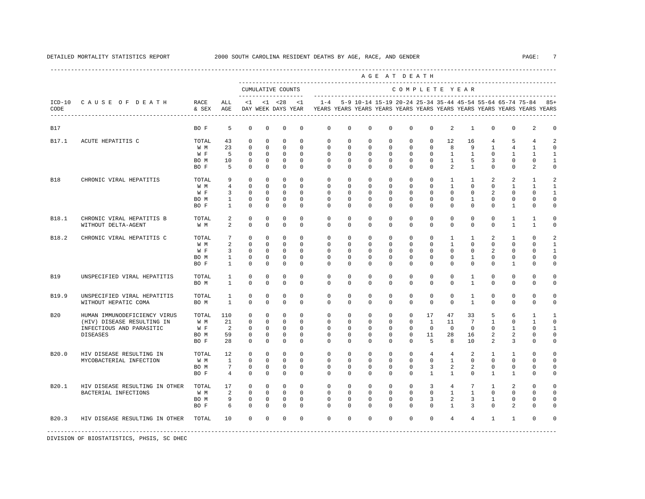----------------------------------------------------------------------------------------------------------------------------------------------------

|                  |                                                                                                           |                                     |                                                                                     |                                                                        |                                                               |                                                                     |                                                                 |                                                                                                                                                                 |                                                                     |                                                               |                                                                           | AGE AT DEATH                                                        |                                                             |                                                                    |                                                                           |                                                                |                                                                           |                                                             |                                                |
|------------------|-----------------------------------------------------------------------------------------------------------|-------------------------------------|-------------------------------------------------------------------------------------|------------------------------------------------------------------------|---------------------------------------------------------------|---------------------------------------------------------------------|-----------------------------------------------------------------|-----------------------------------------------------------------------------------------------------------------------------------------------------------------|---------------------------------------------------------------------|---------------------------------------------------------------|---------------------------------------------------------------------------|---------------------------------------------------------------------|-------------------------------------------------------------|--------------------------------------------------------------------|---------------------------------------------------------------------------|----------------------------------------------------------------|---------------------------------------------------------------------------|-------------------------------------------------------------|------------------------------------------------|
|                  |                                                                                                           |                                     |                                                                                     | --------------------                                                   |                                                               | CUMULATIVE COUNTS                                                   |                                                                 |                                                                                                                                                                 |                                                                     |                                                               |                                                                           | COMPLETE YEAR                                                       |                                                             |                                                                    |                                                                           |                                                                |                                                                           |                                                             |                                                |
| $ICD-10$<br>CODE | CAUSE OF DEATH                                                                                            | RACE<br>& SEX AGE                   | ALL                                                                                 |                                                                        |                                                               |                                                                     | $<1$ $<1$ $<28$ $<1$                                            | 1-4 5-9 10-14 15-19 20-24 25-34 35-44 45-54 55-64 65-74 75-84 85+<br>DAY WEEK DAYS YEAR YEARS YEARS YEARS YEARS YEARS YEARS YEARS YEARS YEARS YEARS YEARS YEARS |                                                                     |                                                               |                                                                           |                                                                     |                                                             |                                                                    |                                                                           |                                                                |                                                                           |                                                             |                                                |
| B17              |                                                                                                           | BO F                                | 5                                                                                   | $\mathbf 0$                                                            | $^{\circ}$                                                    | $\circ$                                                             | $\mathbf 0$                                                     | $\mathbf 0$                                                                                                                                                     | $\Omega$                                                            | $\mathbf 0$                                                   | $\Omega$                                                                  | $\Omega$                                                            | $\Omega$                                                    | 2                                                                  | $\mathbf{1}$                                                              | $\Omega$                                                       | $\Omega$                                                                  | 2                                                           | $\Omega$                                       |
| B17.1            | ACUTE HEPATITIS C                                                                                         | TOTAL<br>W M<br>W F<br>BO M<br>BO F | 43<br>23<br>5<br>10<br>5                                                            | $\mathbf 0$<br>$\mathbf 0$<br>$\mathbf 0$<br>0<br>$\Omega$             | $\Omega$<br>$\Omega$<br>$^{\circ}$<br>0<br>$\Omega$           | $\Omega$<br>$\Omega$<br>$\circ$<br>$\mathbf 0$<br>$\Omega$          | $\Omega$<br>$\Omega$<br>$\mathbf 0$<br>$\mathbf{0}$<br>$\Omega$ | $\mathbf 0$<br>$\Omega$<br>0<br>0<br>$\Omega$                                                                                                                   | $\mathbf 0$<br>$\Omega$<br>$\mathbf{0}$<br>$\circ$<br>$\Omega$      | $\mathbf 0$<br>$\mathbf 0$<br>$\mathbf 0$<br>0<br>$\Omega$    | $\mathbf 0$<br>$\Omega$<br>$\circ$<br>$\mathbf{0}$<br>$\Omega$            | $\mathbf 0$<br>$\Omega$<br>$\circ$<br>$\circ$<br>$\Omega$           | $\circ$<br>$\Omega$<br>$\circ$<br>$\circ$<br>$\Omega$       | 12<br>8<br>$\mathbf{1}$<br>$\mathbf{1}$<br>$\overline{a}$          | 16<br>9<br>$\mathbf{1}$<br>5<br>$\mathbf{1}$                              | $\overline{4}$<br>$\mathbf{1}$<br>$\mathbf 0$<br>3<br>$\Omega$ | 5<br>$\overline{4}$<br>$\mathbf{1}$<br>0<br>$\Omega$                      | 4<br>$\mathbf{1}$<br>$\mathbf{1}$<br>0<br>$\overline{a}$    | 2<br>$\Omega$<br>1<br>1<br>$\Omega$            |
| B18              | CHRONIC VIRAL HEPATITIS                                                                                   | TOTAL<br>W M<br>W F<br>BO M<br>BO F | 9<br>$\overline{4}$<br>$\overline{3}$<br>$\mathbf{1}$<br>$\mathbf{1}$               | $\mathbf 0$<br>$\mathbf 0$<br>$\mathbf 0$<br>$\mathbf 0$<br>$\Omega$   | $\mathbf 0$<br>$^{\circ}$<br>$\Omega$<br>$\Omega$<br>$\Omega$ | $\mathbf 0$<br>$\mathbf 0$<br>$\circ$<br>$\mathbf 0$<br>$\Omega$    | $\mathbf 0$<br>$\Omega$<br>$\Omega$<br>$\mathbf 0$<br>$\Omega$  | $\mathbf 0$<br>$\mathbf 0$<br>$\Omega$<br>$\mathbf 0$<br>$\Omega$                                                                                               | $\circ$<br>$\Omega$<br>$\Omega$<br>$\mathbf{0}$<br>$\Omega$         | $\mathbf 0$<br>$\mathbf 0$<br>0<br>$\mathbf 0$<br>$\mathbf 0$ | $\mathbf{0}$<br>$\mathbf 0$<br>$\mathbf{0}$<br>$\mathbf 0$<br>$\mathbf 0$ | $\mathbf 0$<br>$\mathbf 0$<br>$^{\circ}$<br>$\mathbf 0$<br>$\Omega$ | $\circ$<br>$\circ$<br>$\circ$<br>$\circ$<br>$\Omega$        | $\mathbf{1}$<br>$\mathbf{1}$<br>$\Omega$<br>$\circ$<br>$\Omega$    | $\mathbf{1}$<br>$\mathbf 0$<br>$\Omega$<br>$\mathbf{1}$<br>$\mathbf 0$    | 2<br>$\mathbf 0$<br>2<br>$\mathbf 0$<br>$\mathbf 0$            | $\overline{a}$<br>$\mathbf{1}$<br>$\Omega$<br>$\mathbf 0$<br>$\mathbf{1}$ | 1<br>$\mathbf{1}$<br>$\Omega$<br>$\mathbf 0$<br>$\mathbf 0$ | 2<br>$\mathbf{1}$<br>$\Omega$<br>$\Omega$      |
| B18.1            | CHRONIC VIRAL HEPATITIS B<br>WITHOUT DELTA-AGENT                                                          | TOTAL<br>W M                        | 2<br>$\overline{a}$                                                                 | $^{\circ}$<br>$\Omega$                                                 | 0<br>$\Omega$                                                 | 0<br>$\Omega$                                                       | $^{\circ}$<br>$\Omega$                                          | $\mathbf 0$<br>$\Omega$                                                                                                                                         | $\mathbf{0}$<br>$\Omega$                                            | 0<br>$\Omega$                                                 | $\mathbf{0}$<br>$\Omega$                                                  | $^{\circ}$<br>$\Omega$                                              | $^{\circ}$<br>$\Omega$                                      | 0<br>$\Omega$                                                      | 0<br>$\Omega$                                                             | 0<br>$\Omega$                                                  | 1<br>$\mathbf{1}$                                                         | $\mathbf{1}$<br>$\mathbf{1}$                                | $\Omega$<br>$\Omega$                           |
| B18.2            | CHRONIC VIRAL HEPATITIS C                                                                                 | TOTAL<br>W M<br>W F<br>BO M<br>BO F | $7\phantom{.0}$<br>$\overline{a}$<br>$\overline{3}$<br>$\mathbf{1}$<br>$\mathbf{1}$ | $\mathbf 0$<br>$\mathbf 0$<br>$\mathbf 0$<br>$\mathbf 0$<br>$\Omega$   | $\Omega$<br>$^{\circ}$<br>$^{\circ}$<br>$\Omega$<br>$\Omega$  | $\mathbf 0$<br>$\circ$<br>$\circ$<br>$\mathbf 0$<br>$\Omega$        | $\Omega$<br>$\Omega$<br>0<br>$\mathbf 0$<br>$\Omega$            | $\mathbf 0$<br>$\mathbf 0$<br>0<br>$\mathbf 0$<br>$\Omega$                                                                                                      | $\mathbf 0$<br>$\Omega$<br>$\mathbf{0}$<br>$\mathbf{0}$<br>$\Omega$ | $\mathbf 0$<br>$\mathbf 0$<br>0<br>$\mathbf 0$<br>$\mathbf 0$ | $\mathbf 0$<br>$\mathbf 0$<br>0<br>$\mathbf 0$<br>$\mathbf 0$             | $\mathbf 0$<br>$\circ$<br>$\mathbf 0$<br>$\circ$<br>$\Omega$        | $\circ$<br>$\circ$<br>$\mathbf 0$<br>$\mathbb O$<br>$\circ$ | $\mathbf{1}$<br>$\mathbf{1}$<br>$\mathbf 0$<br>$\circ$<br>$\Omega$ | $\mathbf{1}$<br>$\mathbf 0$<br>$\mathbf 0$<br>$\mathbf{1}$<br>$\mathbf 0$ | 2<br>$\mathbf 0$<br>2<br>$\mathbf 0$<br>$\mathbf 0$            | $\mathbf{1}$<br>$\mathbf 0$<br>0<br>0<br>$\mathbf{1}$                     | $\mathbf 0$<br>$\Omega$<br>0<br>$\mathbf 0$<br>$\mathbf 0$  | 2<br>$\mathbf{1}$<br>1<br>$\Omega$<br>$\Omega$ |
| B19              | UNSPECIFIED VIRAL HEPATITIS                                                                               | TOTAL<br>BO M                       | $\mathbf{1}$<br>$\overline{1}$                                                      | 0<br>$\Omega$                                                          | $\mathbf 0$<br>$\Omega$                                       | 0<br>$\Omega$                                                       | $\mathbf 0$<br>$\Omega$                                         | $\mathbf 0$<br>$\Omega$                                                                                                                                         | $\mathbf 0$<br>$\Omega$                                             | 0<br>$\Omega$                                                 | $\mathbf 0$<br>$\mathbf 0$                                                | 0<br>$\Omega$                                                       | $\circ$<br>$\Omega$                                         | 0<br>$\Omega$                                                      | $\mathbf{1}$<br>$\mathbf{1}$                                              | 0<br>$\Omega$                                                  | 0<br>$\mathbf 0$                                                          | $\mathbf 0$<br>$\Omega$                                     | 0<br>$\Omega$                                  |
| B19.9            | UNSPECIFIED VIRAL HEPATITIS<br>WITHOUT HEPATIC COMA                                                       | TOTAL<br>BO M                       | 1<br>$\overline{1}$                                                                 | $\mathbf 0$<br>$\Omega$                                                | $\mathbf 0$<br>$\Omega$                                       | $\mathbf 0$<br>$\Omega$                                             | $\mathbf 0$<br>$\Omega$                                         | $\mathbf 0$<br>$\Omega$                                                                                                                                         | $\mathbf 0$<br>$\Omega$                                             | $\mathbf 0$<br>$\mathbf 0$                                    | $\mathbf 0$<br>$\mathbf 0$                                                | $\mathbf 0$<br>$\Omega$                                             | $\mathbf 0$<br>$\Omega$                                     | $\circ$<br>$\Omega$                                                | $\mathbf{1}$<br>$\mathbf{1}$                                              | $\mathbf 0$<br>$\mathbf 0$                                     | $\mathbf 0$<br>$\mathbf 0$                                                | $\mathbf 0$<br>$\mathbf 0$                                  | $\Omega$<br>$\circ$                            |
| <b>B20</b>       | HUMAN IMMUNODEFICIENCY VIRUS<br>(HIV) DISEASE RESULTING IN<br>INFECTIOUS AND PARASITIC<br><b>DISEASES</b> | TOTAL<br>W M<br>W F<br>BO M<br>BO F | 110<br>21<br>$\overline{2}$<br>59<br>28                                             | $^{\circ}$<br>$\mathbf 0$<br>$\mathbf 0$<br>$\mathbf 0$<br>$\mathbf 0$ | $\Omega$<br>$\Omega$<br>0<br>$^{\circ}$<br>$\mathbf 0$        | $\mathbf 0$<br>$\mathbf 0$<br>$\circ$<br>$\mathbf 0$<br>$\mathbf 0$ | $\Omega$<br>$\Omega$<br>$\mathbf 0$<br>0<br>$\mathbf 0$         | $\mathbf 0$<br>$\Omega$<br>$\mathbf{0}$<br>$\mathbf 0$<br>$\mathbf 0$                                                                                           | $\mathbf{0}$<br>$\Omega$<br>$\circ$<br>$\mathbf{0}$<br>$\mathbf{0}$ | 0<br>$\mathbf 0$<br>$\mathbf 0$<br>$\mathbf 0$<br>$\mathbf 0$ | $\mathbf{0}$<br>$\mathbf 0$<br>$\mathbf 0$<br>$\mathbf 0$<br>$\mathbf 0$  | $\mathbf 0$<br>$\circ$<br>$\circ$<br>$\mathbf 0$<br>$\circ$         | 17<br>$\mathbf{1}$<br>$\circ$<br>11<br>5                    | 47<br>11<br>$\overline{0}$<br>28<br>8                              | 33<br>$7\phantom{.0}$<br>$^{\circ}$<br>16<br>10                           | 5<br>$\mathbf{1}$<br>$\mathbf 0$<br>2<br>2                     | 6<br>$\Omega$<br>$\mathbf{1}$<br>$\overline{a}$<br>3                      | 1<br>$\mathbf{1}$<br>0<br>$\mathsf 0$<br>$\mathsf 0$        | -1<br>$\Omega$<br>0<br>0                       |
| B20.0            | HIV DISEASE RESULTING IN<br>MYCOBACTERIAL INFECTION                                                       | TOTAL<br>W M<br>BO M<br>BO F        | 12<br><sup>1</sup><br>$7\overline{ }$<br>$4\overline{ }$                            | $\mathbf 0$<br>$\mathbf 0$<br>0<br>$\Omega$                            | $\Omega$<br>$\mathbf 0$<br>0<br>$\mathbf 0$                   | $\mathbf 0$<br>$\mathbf 0$<br>$\mathbf 0$<br>$\mathbf 0$            | $\Omega$<br>$\mathbf 0$<br>$^{\circ}$<br>$\mathbf 0$            | $\mathbf 0$<br>$\Omega$<br>0<br>$\Omega$                                                                                                                        | $\mathbf 0$<br>$\Omega$<br>$\mathbf{0}$<br>$\Omega$                 | $\mathbf 0$<br>$\mathbf 0$<br>0<br>$\mathbf 0$                | $\mathbf 0$<br>$\mathbf 0$<br>$\mathbf{0}$<br>$\mathbf 0$                 | $\mathbf 0$<br>$\circ$<br>$\mathbf 0$<br>$\circ$                    | $\overline{4}$<br>$\circ$<br>3<br>$\mathbf{1}$              | 4<br>$\mathbf{1}$<br>2<br>$\mathbf{1}$                             | 2<br>$\mathbf 0$<br>$\overline{a}$<br>$\mathbf 0$                         | $\mathbf{1}$<br>$\mathbf 0$<br>$^{\circ}$<br>$\mathbf{1}$      | $\mathbf{1}$<br>$\mathbf 0$<br>$\mathbf 0$<br>$\mathbf{1}$                | $\mathbf 0$<br>$\mathbf 0$<br>0<br>0                        | $\Omega$<br>$\Omega$<br>$\Omega$<br>$\Omega$   |
| B20.1            | HIV DISEASE RESULTING IN OTHER<br>BACTERIAL INFECTIONS                                                    | TOTAL<br>W M<br>BO M<br>BO F        | 17<br>2<br>9<br>6                                                                   | $\mathbf 0$<br>$\mathbf 0$<br>$\mathbf 0$<br>$\Omega$                  | $\mathbf{0}$<br>$^{\circ}$<br>$\mathbf 0$<br>$\Omega$         | $\mathbf 0$<br>$\mathbf 0$<br>$\mathbf 0$<br>$\Omega$               | $\mathbf 0$<br>$\mathbf 0$<br>$\mathbf 0$<br>$\Omega$           | $\mathbf 0$<br>$\mathbf 0$<br>$\mathbf 0$<br>$\Omega$                                                                                                           | $\mathbf 0$<br>$\mathbf 0$<br>$\mathbf 0$<br>$\Omega$               | $\mathbf 0$<br>$\mathbf 0$<br>$\mathbf 0$<br>$\mathbf{0}$     | $\mathbf 0$<br>$\mathbf 0$<br>$\mathbf 0$<br>$\mathbf{0}$                 | $\mathbf 0$<br>$\mathbf 0$<br>$\mathbf 0$<br>$\Omega$               | $\overline{3}$<br>$\circ$<br>3<br>$\Omega$                  | $4\overline{ }$<br>$\mathbf{1}$<br>2<br>1                          | $7\overline{ }$<br>$\mathbf{1}$<br>3<br>3                                 | $\mathbf{1}$<br>$\mathbf 0$<br>$\mathbf{1}$<br>$\Omega$        | 2<br>$\mathbf 0$<br>$\mathbf 0$<br>2                                      | $\mathbf 0$<br>$\mathbf 0$<br>$\Omega$<br>$\Omega$          | $\Omega$<br>$\Omega$                           |
| B20.3            | HIV DISEASE RESULTING IN OTHER TOTAL                                                                      |                                     | 10                                                                                  | $\mathbf 0$                                                            | $\mathbf 0$                                                   | $\mathbf 0$                                                         | $\mathbf 0$                                                     | $\Omega$                                                                                                                                                        | $\Omega$                                                            | $\mathbf 0$                                                   | $\mathbf 0$                                                               | $\circ$                                                             | $\mathbf 0$                                                 | $\overline{4}$                                                     | $\overline{4}$                                                            | $\mathbf{1}$                                                   | $\mathbf{1}$                                                              | $\mathbf 0$                                                 | $\Omega$                                       |
|                  |                                                                                                           |                                     |                                                                                     |                                                                        |                                                               |                                                                     |                                                                 |                                                                                                                                                                 |                                                                     |                                                               |                                                                           |                                                                     |                                                             |                                                                    |                                                                           |                                                                |                                                                           |                                                             |                                                |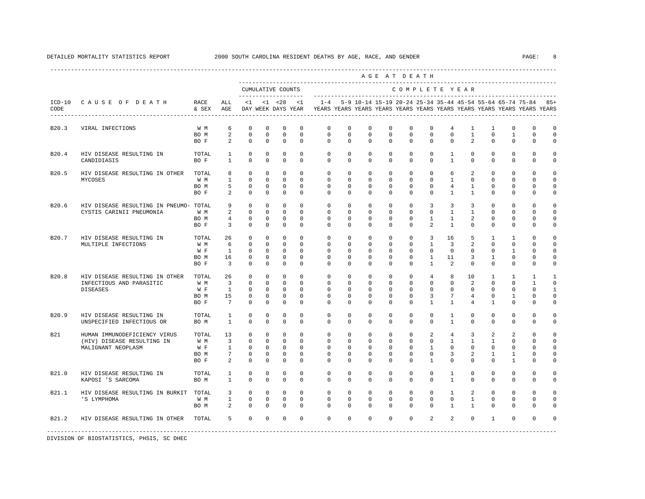|                  |                                         |               |                                  |                            |                             |                                          |                            |                          |                            |                                                           | ----------------------<br>AGE AT DEATH |                            |                          |                                |                              |                            |                             |                                                                         |                         |
|------------------|-----------------------------------------|---------------|----------------------------------|----------------------------|-----------------------------|------------------------------------------|----------------------------|--------------------------|----------------------------|-----------------------------------------------------------|----------------------------------------|----------------------------|--------------------------|--------------------------------|------------------------------|----------------------------|-----------------------------|-------------------------------------------------------------------------|-------------------------|
|                  |                                         |               |                                  |                            |                             | CUMULATIVE COUNTS<br>------------------- |                            |                          |                            |                                                           |                                        | COMPLETE YEAR              |                          |                                |                              |                            |                             |                                                                         |                         |
| $ICD-10$<br>CODE | CAUSE OF DEATH                          | RACE<br>& SEX | ALL<br>AGE                       | $\leq 1$                   |                             | $< 1$ $< 28$<br>DAY WEEK DAYS YEAR       | < 1                        | $1 - 4$                  |                            | 5-9 10-14 15-19 20-24 25-34 35-44 45-54 55-64 65-74 75-84 |                                        |                            |                          |                                |                              |                            |                             | YEARS YEARS YEARS YEARS YEARS YEARS YEARS YEARS YEARS YEARS YEARS YEARS | $85+$                   |
| B20.3            | VIRAL INFECTIONS                        | W M           | 6                                | $\mathbf 0$                | $\mathbf 0$                 | $\mathbf 0$                              | $\mathbf 0$                | 0                        | 0                          | $\mathbf 0$                                               | $\mathbf 0$                            | $\mathbf 0$                | $\mathbf 0$              | 4                              | $\mathbf{1}$                 | $\mathbf{1}$               | $\mathbf{0}$                | $\mathbf{0}$                                                            | $\mathbf 0$             |
|                  |                                         | BO M<br>BO F  | $\overline{a}$<br>2              | $\mathbf 0$<br>$\circ$     | $\mathbf 0$<br>$\mathbf 0$  | $\mathbf 0$<br>$\mathbf 0$               | $\mathbf 0$<br>$\mathbf 0$ | 0<br>$\mathbf{0}$        | $\mathbf 0$<br>$\mathbf 0$ | $\mathbf 0$<br>$^{\circ}$                                 | $\mathbf 0$<br>$\Omega$                | $\mathbf 0$<br>$\mathbf 0$ | $\mathbf 0$<br>$\Omega$  | $\circ$<br>$\mathbf 0$         | $\mathbf{1}$<br>2            | $\mathbf 0$<br>$\mathbf 0$ | $\mathbf{1}$<br>$\mathbf 0$ | $\mathbf 0$<br>$\mathbf 0$                                              | $\mathbf 0$<br>$\Omega$ |
| B20.4            | HIV DISEASE RESULTING IN<br>CANDIDIASIS | TOTAL<br>BO F | $\mathbf{1}$<br>$\mathbf{1}$     | $\mathbf 0$<br>$\Omega$    | $\mathbf 0$<br>$\Omega$     | $\mathbf 0$<br>$\Omega$                  | $\mathbf 0$<br>$\Omega$    | $\mathbf{0}$<br>$\Omega$ | $\mathbf{0}$<br>$\Omega$   | 0<br>$\Omega$                                             | 0<br>$\Omega$                          | $\mathbf 0$<br>$\Omega$    | 0<br>$\Omega$            | 1<br>$\mathbf{1}$              | $^{\circ}$<br>$\Omega$       | $^{\circ}$<br>$\Omega$     | $\mathbf 0$<br>$\Omega$     | $\mathbf{0}$<br>$\Omega$                                                | $\Omega$<br>$\Omega$    |
| B20.5            | HIV DISEASE RESULTING IN OTHER          | TOTAL         | 8                                | $\mathbf 0$                | $\mathbf 0$                 | $\mathbf 0$                              | $\Omega$                   | $\mathbf 0$              | $\mathbf 0$                | $\mathbf 0$                                               | $\mathbf 0$                            | $\mathbf 0$                | $\mathbf 0$              | 6                              | 2                            | $\mathbf 0$                | $\mathbf 0$                 | $\Omega$                                                                | $\Omega$                |
|                  | MYCOSES                                 | W M           | $\mathbf{1}$                     | $\Omega$                   | $\Omega$                    | $\Omega$                                 | $\Omega$                   | $\Omega$                 | $\Omega$                   | $\Omega$                                                  | $\Omega$                               | $\Omega$                   | $\Omega$                 | $\mathbf{1}$                   | $\Omega$                     | $\Omega$                   | $\Omega$                    | $\Omega$                                                                | $\cap$                  |
|                  |                                         | BO M<br>BO F  | 5<br>2                           | $\mathbf 0$<br>$\mathbf 0$ | $\mathbf 0$<br>$\mathbf 0$  | $\mathbf 0$<br>$\mathbf 0$               | $\mathbf 0$<br>$\mathbf 0$ | $\mathbf 0$<br>0         | $\mathbf 0$<br>0           | $\mathbf 0$<br>$\mathbf 0$                                | $\mathbf 0$<br>0                       | $\mathbf 0$<br>$\mathbf 0$ | $\mathbf 0$<br>0         | $\overline{4}$<br>$\mathbf{1}$ | $\mathbf{1}$<br>$\mathbf{1}$ | $\mathbf 0$<br>$^{\circ}$  | $\mathbf{0}$<br>$\mathbf 0$ | $\mathbf 0$<br>$\Omega$                                                 | $\Omega$<br>0           |
| B20.6            | HIV DISEASE RESULTING IN PNEUMO- TOTAL  |               | 9                                | $\mathbf 0$                | $^{\circ}$                  | $^{\circ}$                               | $\Omega$                   | 0                        | 0                          | 0                                                         | 0                                      | 0                          | 3                        | 3                              | 3                            | $^{\circ}$                 | $\mathbf 0$                 | $\Omega$                                                                | $\Omega$                |
|                  | CYSTIS CARINII PNEUMONIA                | W M           | 2                                | $\circ$                    | $\mathbf 0$                 | $\mathbf 0$                              | $\Omega$                   | $\mathbf 0$              | $\mathbf 0$                | $\mathbf 0$                                               | $\mathbf 0$                            | $\Omega$                   | $\Omega$                 | $\mathbf{1}$                   | $\mathbf{1}$                 | $\mathbf 0$                | $\Omega$                    | $\Omega$                                                                | $\Omega$                |
|                  |                                         | BO M<br>BO F  | $\overline{4}$<br>$\overline{3}$ | $\mathbf 0$<br>$\mathbf 0$ | $\mathbf{0}$<br>$\mathbf 0$ | $\mathbf 0$<br>$\mathbf 0$               | $\mathbf 0$<br>$\mathbf 0$ | $\mathbf 0$<br>$\Omega$  | 0<br>0                     | 0<br>$\Omega$                                             | 0<br>0                                 | 0<br>$\Omega$              | $\mathbf{1}$<br>2        | $\mathbf{1}$<br>$\mathbf{1}$   | 2<br>0                       | $^{\circ}$<br>$\Omega$     | $\mathbf 0$<br>$\mathbf 0$  | 0<br>$\Omega$                                                           | $\mathbf 0$<br>$\Omega$ |
| B20.7            | HIV DISEASE RESULTING IN                | TOTAL         | 26                               | $\mathbf 0$                | $\mathbf 0$                 | $\mathbf 0$                              | $\mathbf 0$                | $\mathbf 0$              | $\mathbf 0$                | $\mathbf 0$                                               | $\mathbf 0$                            | $\mathbf 0$                | 3                        | 16                             | 5                            | $\mathbf{1}$               | $\mathbf{1}$                | $\Omega$                                                                | $\Omega$                |
|                  | MULTIPLE INFECTIONS                     | W M           | 6                                | $\Omega$                   | $\Omega$                    | $\Omega$                                 | $\Omega$                   | $\Omega$                 | $\Omega$                   | $\Omega$                                                  | $\Omega$                               | $\Omega$                   | $\mathbf{1}$             | 3                              | 2                            | $\Omega$                   | $\Omega$                    | $\Omega$                                                                | $\Omega$                |
|                  |                                         | W F           | <sup>1</sup>                     | $\mathbf 0$                | $\mathbf 0$                 | $\mathbf 0$                              | $\mathbf 0$                | 0                        | $\mathbf 0$                | $\mathbf 0$                                               | $\mathbf 0$                            | $\mathbf 0$                | $\mathbf 0$              | $\mathbf 0$                    | $\mathbf 0$                  | $^{\circ}$                 | 1                           | $\Omega$                                                                | $\Omega$                |
|                  |                                         | BO M<br>BO F  | 16<br>$\overline{\mathbf{3}}$    | 0<br>$\mathbf 0$           | $^{\circ}$<br>$\mathbf 0$   | 0<br>$\mathbf 0$                         | 0<br>$\mathbf 0$           | 0<br>0                   | 0<br>0                     | 0<br>0                                                    | 0<br>0                                 | 0<br>$\Omega$              | 1<br>$\mathbf{1}$        | 11<br>2                        | 3<br>$^{\circ}$              | 1<br>0                     | 0<br>$\mathbf{0}$           | 0<br>$\Omega$                                                           | $\Omega$<br>$\Omega$    |
| B20.8            | HIV DISEASE RESULTING IN OTHER          | TOTAL         | 26                               | $\mathbf 0$                | $\mathbf 0$                 | $\mathbf 0$                              | $\Omega$                   | $\mathbf 0$              | $\mathbf 0$                | $\mathbf 0$                                               | $\mathbf 0$                            | $\mathbf 0$                | 4                        | 8                              | 10                           | 1                          | 1                           | 1                                                                       | 1                       |
|                  | INFECTIOUS AND PARASITIC                | W M           | $\overline{\mathbf{3}}$          | $\Omega$                   | $\mathbf 0$                 | $\mathbf 0$                              | $\Omega$                   | 0                        | 0                          | $\Omega$                                                  | $\Omega$                               | $\Omega$                   | $\Omega$                 | $\Omega$                       | 2                            | $\Omega$                   | $\Omega$                    | $\mathbf{1}$                                                            | $\Omega$                |
|                  | <b>DISEASES</b>                         | W F           | $\mathbf{1}$                     | $\mathbf 0$                | $\mathbf{0}$                | $\mathbf 0$                              | $\mathbf 0$                | 0                        | 0                          | $\mathbf 0$                                               | $\mathbf 0$                            | $\mathbf 0$                | $\mathbf 0$              | $\mathbf 0$                    | $\mathbf 0$                  | 0                          | $\mathbf 0$                 | $\Omega$                                                                | $\mathbf{1}$            |
|                  |                                         | BO M<br>BO F  | 15<br>$7\overline{ }$            | $\mathbf 0$<br>$\Omega$    | 0<br>$\Omega$               | $\mathbf 0$<br>$\mathbf 0$               | $\mathbf 0$<br>$\Omega$    | 0<br>$\Omega$            | 0<br>$\Omega$              | 0<br>$\Omega$                                             | $\mathbf 0$<br>$\Omega$                | $\mathbf 0$<br>$\Omega$    | 3<br>$\mathbf{1}$        | 7<br>$\mathbf{1}$              | $\overline{4}$<br>4          | $\Omega$<br>$\mathbf{1}$   | $\mathbf{1}$<br>$\Omega$    | $\Omega$<br>$\Omega$                                                    | $\Omega$<br>$\Omega$    |
| B20.9            | HIV DISEASE RESULTING IN                | TOTAL         | 1                                | $\mathbf 0$                | 0                           | $\mathbf 0$                              | $\mathbf 0$                | $\mathbf{0}$             | $\mathbf 0$                | $\mathbf 0$                                               | $\mathbf 0$                            | $\mathbf 0$                | $\mathbf 0$              | $\mathbf{1}$                   | $\mathbf 0$                  | $\mathbf 0$                | 0                           | $\mathbf 0$                                                             | 0                       |
|                  | UNSPECIFIED INFECTIOUS OR               | BO M          | 1                                | $\mathbf 0$                | 0                           | $\mathbf 0$                              | 0                          | 0                        | 0                          | 0                                                         | 0                                      | $\mathbf{0}$               | $\mathbf{0}$             | 1                              | 0                            | $\mathbf 0$                | $\mathbf{0}$                | $\mathbf{0}$                                                            | $\Omega$                |
| <b>B21</b>       | HUMAN IMMUNODEFICIENCY VIRUS            | TOTAL         | 13                               | $\circ$                    | $\mathbf 0$                 | $\mathbf 0$                              | $\mathbf 0$                | $\mathbf 0$              | $\mathbf 0$                | $\mathbf 0$                                               | $\mathbf 0$                            | $\mathbf 0$                | 2                        | 4                              | 3                            | 2                          | 2                           | $\mathbf 0$                                                             | $\Omega$                |
|                  | (HIV) DISEASE RESULTING IN              | W M           | $\overline{3}$                   | $\circ$                    | $\mathbf 0$                 | $\mathbf 0$                              | $\mathbf 0$                | $\mathbf 0$              | 0                          | $\mathbf 0$                                               | $\mathbf 0$                            | $\mathbf 0$                | $\mathbf 0$              | $\mathbf{1}$                   | $\mathbf{1}$                 | 1                          | $\mathbf 0$                 | $\mathbf 0$                                                             | $\Omega$                |
|                  | MALIGNANT NEOPLASM                      | W F           | 1                                | $^{\circ}$                 | 0                           | $^{\circ}$                               | $^{\circ}$                 | 0                        | 0                          | 0                                                         | 0                                      | 0                          | 1                        | 0                              | $^{\circ}$                   | 0                          | $\mathbf 0$                 | $\Omega$                                                                | $\Omega$                |
|                  |                                         | BO M<br>BO F  | 7<br>2                           | $\mathbf 0$<br>$\mathbf 0$ | $^{\circ}$<br>$\mathbf 0$   | $\mathbf 0$<br>$\mathbf 0$               | $\mathbf 0$<br>0           | $\mathbf 0$<br>$\Omega$  | $\mathbf 0$<br>0           | $\Omega$<br>$\Omega$                                      | $\Omega$<br>$\mathbf 0$                | $\Omega$<br>$\Omega$       | $\Omega$<br>$\mathbf{1}$ | 3<br>$\Omega$                  | 2<br>$\Omega$                | 1<br>$\Omega$              | 1<br>$\mathbf{1}$           | $\Omega$<br>$\Omega$                                                    | $\Omega$<br>$\Omega$    |
| B21.0            | HIV DISEASE RESULTING IN                | TOTAL         | $\mathbf{1}$                     | $\mathbf 0$                | $\mathbf 0$                 | $\mathbf 0$                              | $\mathbf 0$                | 0                        | 0                          | $\mathbf 0$                                               | 0                                      | $\mathbf 0$                | $\circ$                  | $\mathbf{1}$                   | $\mathbf 0$                  | $\mathbf 0$                | $\mathbb O$                 | $\mathbf 0$                                                             | $\mathbf 0$             |
|                  | KAPOSI 'S SARCOMA                       | BO M          | $\mathbf{1}$                     | $\mathbf 0$                | $\mathbf 0$                 | $\mathbf 0$                              | $^{\circ}$                 | 0                        | 0                          | $\mathbf 0$                                               | 0                                      | $\mathbf 0$                | $\mathbf{0}$             | $\mathbf{1}$                   | 0                            | 0                          | $\mathbf 0$                 | $\mathbf 0$                                                             | 0                       |
| B21.1            | HIV DISEASE RESULTING IN BURKIT         | TOTAL         | 3                                | $\mathbf 0$                | 0                           | $\mathbf 0$                              | $\mathbf 0$                | $\mathbf 0$              | $\mathbf 0$                | $\mathbf 0$                                               | $\mathbf 0$                            | $\mathbf 0$                | $\mathbf 0$              | $\mathbf{1}$                   | 2                            | $\mathbf 0$                | $\mathbb O$                 | $\mathbf 0$                                                             | $\mathbf 0$             |
|                  | 'S LYMPHOMA                             | W M<br>BO M   | $\mathbf{1}$<br>2                | $\mathbf 0$<br>$\mathbf 0$ | 0<br>$\mathbf 0$            | $\mathbf 0$<br>$\mathbf 0$               | $\mathbf 0$<br>$\mathbf 0$ | $\mathbf{0}$<br>$\Omega$ | 0<br>$\mathbf 0$           | $\mathbf 0$<br>$\Omega$                                   | 0<br>$\mathbf 0$                       | $\mathbf 0$<br>$\Omega$    | $\Omega$<br>$\mathbf 0$  | $\mathbf 0$<br>$\mathbf{1}$    | 1<br>$\mathbf{1}$            | $^{\circ}$<br>$\mathbf 0$  | $\mathbf 0$<br>$\mathbf{0}$ | 0<br>$\mathbf{0}$                                                       | $\Omega$<br>$\cap$      |
| B21.2            |                                         | TOTAL         | 5                                | $\mathbf 0$                | $\mathbf 0$                 | $\mathbf 0$                              | $\mathbf 0$                | $\mathbf 0$              | $\mathbf 0$                | $\mathbf 0$                                               | $\mathbf 0$                            | $\mathbf{0}$               | 2                        | $\overline{a}$                 | $\mathbf 0$                  | $\mathbf{1}$               | $\mathbf{0}$                | $\Omega$                                                                |                         |
|                  | HIV DISEASE RESULTING IN OTHER          |               |                                  |                            |                             |                                          |                            |                          |                            |                                                           |                                        |                            |                          |                                |                              |                            |                             |                                                                         |                         |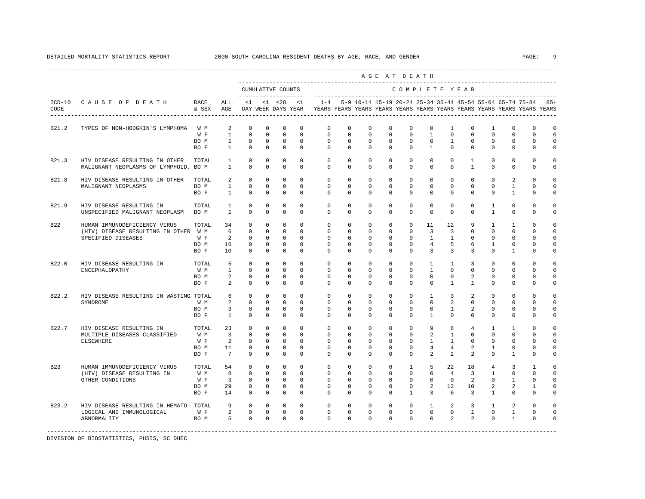|                                                            |                                                                                                     |                                                                                                                                                                                                                      |                                                                        |                                                                                                       | CUMULATIVE COUNTS<br>--------------                                                                |                                                                                                          |                                                                                                    |                                                                                                    |                                        |                                                                                                                                                                                                 |                                                                                                             | COMPLETE YEAR                                                                                                                                                            |                                                                                                |                                                                                                |                                                                                                                   |                                                                                                                             |                                                                                              |                                                                                                 |
|------------------------------------------------------------|-----------------------------------------------------------------------------------------------------|----------------------------------------------------------------------------------------------------------------------------------------------------------------------------------------------------------------------|------------------------------------------------------------------------|-------------------------------------------------------------------------------------------------------|----------------------------------------------------------------------------------------------------|----------------------------------------------------------------------------------------------------------|----------------------------------------------------------------------------------------------------|----------------------------------------------------------------------------------------------------|----------------------------------------|-------------------------------------------------------------------------------------------------------------------------------------------------------------------------------------------------|-------------------------------------------------------------------------------------------------------------|--------------------------------------------------------------------------------------------------------------------------------------------------------------------------|------------------------------------------------------------------------------------------------|------------------------------------------------------------------------------------------------|-------------------------------------------------------------------------------------------------------------------|-----------------------------------------------------------------------------------------------------------------------------|----------------------------------------------------------------------------------------------|-------------------------------------------------------------------------------------------------|
| CAUSE OF DEATH                                             | RACE<br>& SEX                                                                                       | ALL<br>AGE                                                                                                                                                                                                           | <1                                                                     |                                                                                                       | $< 1$ $< 28$<br>DAY WEEK DAYS YEAR                                                                 | <1                                                                                                       | $1 - 4$                                                                                            |                                                                                                    |                                        |                                                                                                                                                                                                 |                                                                                                             |                                                                                                                                                                          |                                                                                                |                                                                                                |                                                                                                                   | 5-9 10-14 15-19 20-24 25-34 35-44 45-54 55-64 65-74 75-84                                                                   | YEARS YEARS YEARS YEARS YEARS YEARS YEARS YEARS YEARS YEARS YEARS YEARS                      | $85+$                                                                                           |
| TYPES OF NON-HODGKIN'S LYMPHOMA                            | W M                                                                                                 | 2                                                                                                                                                                                                                    | $\mathbf 0$                                                            | $\mathbf 0$                                                                                           | $\mathbf 0$                                                                                        | $^{\circ}$                                                                                               | 0                                                                                                  | $\mathbf 0$                                                                                        | 0                                      | $\mathbf 0$                                                                                                                                                                                     | $\mathbf 0$                                                                                                 | $\mathbb O$                                                                                                                                                              | 1                                                                                              | $\mathbf 0$                                                                                    | 1                                                                                                                 | $\mathbf 0$                                                                                                                 | $\mathbf{0}$                                                                                 | $\Omega$<br>$\circ$                                                                             |
|                                                            | BO M<br>BO F                                                                                        | $\mathbf{1}$<br>$\mathbf{1}$                                                                                                                                                                                         | $\mathbf 0$<br>$\mathbf 0$                                             | $^{\circ}$<br>$\mathbf 0$                                                                             | $\mathbf 0$<br>$\mathbf 0$                                                                         | $\mathbf 0$<br>0                                                                                         | $\mathbf{0}$<br>$\mathbf 0$                                                                        | $^{\circ}$<br>$\mathbf 0$                                                                          | $^{\circ}$<br>$\mathbf 0$              | $\mathbf 0$<br>$\mathbf 0$                                                                                                                                                                      | $\mathbf 0$                                                                                                 | $\mathbf{0}$<br>$\mathbf{1}$                                                                                                                                             | $\mathbf{1}$<br>$\mathbf 0$                                                                    | $\mathbf 0$<br>$\mathbf 0$                                                                     | $\mathbf 0$<br>$\mathbf 0$                                                                                        | $\Omega$<br>$\mathbf 0$                                                                                                     | $\mathbf 0$<br>$\mathbf 0$                                                                   | $\mathbf 0$<br>$\mathbf 0$                                                                      |
| HIV DISEASE RESULTING IN OTHER                             | TOTAL                                                                                               | $\mathbf{1}$<br>$\mathbf{1}$                                                                                                                                                                                         | $\mathbf 0$<br>$\Omega$                                                | $\mathbf 0$<br>$\mathbf 0$                                                                            | $\mathbf 0$<br>$\mathbf 0$                                                                         | 0<br>$\Omega$                                                                                            | $\mathbf 0$<br>$\Omega$                                                                            | $\mathbf 0$<br>$\Omega$                                                                            | $^{\circ}$<br>$\mathbf 0$              | $\mathbf 0$<br>$\mathbf 0$                                                                                                                                                                      | $\mathbf 0$<br>$\mathbf 0$                                                                                  | $\mathbf 0$<br>$\mathbf{0}$                                                                                                                                              | $\mathbf 0$<br>$\Omega$                                                                        | $\mathbf{1}$<br>$\mathbf{1}$                                                                   | $\mathbf 0$<br>$\Omega$                                                                                           | $\mathbf 0$<br>$\mathbf 0$                                                                                                  | $\Omega$<br>$\mathbf 0$                                                                      | $\Omega$<br>$\mathbf 0$                                                                         |
| HIV DISEASE RESULTING IN OTHER                             | TOTAL                                                                                               | 2                                                                                                                                                                                                                    | $\mathbf 0$                                                            | $\mathbf 0$                                                                                           | $\mathbf 0$                                                                                        | $\Omega$                                                                                                 | $\Omega$                                                                                           | $\mathbf 0$                                                                                        | $^{\circ}$                             | $\mathbf 0$                                                                                                                                                                                     | $\mathbf 0$                                                                                                 | $\mathbf 0$                                                                                                                                                              | $\mathbf 0$                                                                                    | $\mathbf 0$                                                                                    | $\Omega$                                                                                                          | 2                                                                                                                           | $\Omega$                                                                                     | $\mathbf 0$<br>$\mathbf 0$                                                                      |
|                                                            | BO F                                                                                                | $\mathbf{1}$                                                                                                                                                                                                         | $\Omega$                                                               | $\Omega$                                                                                              | $\mathbf 0$                                                                                        | $\Omega$                                                                                                 | $\Omega$                                                                                           | $\Omega$                                                                                           | $\Omega$                               | $\Omega$                                                                                                                                                                                        |                                                                                                             | $\Omega$                                                                                                                                                                 | $\Omega$                                                                                       | $\Omega$                                                                                       | $\Omega$                                                                                                          | $\mathbf{1}$                                                                                                                | $\Omega$                                                                                     | $\mathbf 0$                                                                                     |
| HIV DISEASE RESULTING IN<br>UNSPECIFIED MALIGNANT NEOPLASM | TOTAL<br>BO M                                                                                       | 1<br>$\mathbf{1}$                                                                                                                                                                                                    | $\mathbf 0$<br>$\Omega$                                                | $\mathbf 0$<br>$\Omega$                                                                               | 0<br>$\Omega$                                                                                      | 0<br>$\Omega$                                                                                            | $\mathbf 0$<br>$\Omega$                                                                            | 0<br>$\Omega$                                                                                      | $\mathbf 0$<br>$\Omega$                | $\mathbf 0$<br>$\Omega$                                                                                                                                                                         | $\mathbf 0$<br>$\Omega$                                                                                     | $\mathbf{0}$<br>$\Omega$                                                                                                                                                 | $\mathbf 0$<br>$\Omega$                                                                        | $\mathbf 0$<br>$\Omega$                                                                        | 1<br>$\mathbf{1}$                                                                                                 | $\mathbf 0$<br>$\Omega$                                                                                                     | $\mathbf 0$<br>$\Omega$                                                                      | $\Omega$<br>0                                                                                   |
| HUMAN IMMUNODEFICIENCY VIRUS                               | TOTAL                                                                                               | 34<br>6                                                                                                                                                                                                              | $\mathbf 0$<br>$\Omega$                                                | $\mathbf 0$<br>$\Omega$                                                                               | $\mathbf 0$<br>$\Omega$                                                                            | $\Omega$<br>$\Omega$                                                                                     | $\mathbf 0$<br>$\Omega$                                                                            | $\mathbf 0$<br>$\Omega$                                                                            | $\mathbf 0$<br>$\Omega$                | $\mathbf 0$<br>$\Omega$                                                                                                                                                                         | $\Omega$                                                                                                    | 11<br>3                                                                                                                                                                  | 12<br>$\overline{3}$                                                                           | 9<br>$\Omega$                                                                                  | $\mathbf{1}$<br>$\Omega$                                                                                          | $\mathbf{1}$<br>$\Omega$                                                                                                    | $\Omega$<br>$\Omega$                                                                         | $\circ$<br>$\Omega$                                                                             |
| SPECIFIED DISEASES                                         | W F<br>BO M<br>BO F                                                                                 | 2<br>16<br>10                                                                                                                                                                                                        | $\mathbf 0$<br>$\mathbf 0$<br>$\Omega$                                 | $\mathbf 0$<br>$\mathbf 0$<br>$\mathbf 0$                                                             | $\mathbf 0$<br>$\mathbf 0$<br>$\mathbf 0$                                                          | $\Omega$<br>$\mathbf 0$<br>$\Omega$                                                                      | $\mathbf 0$<br>$\mathbf 0$<br>$\Omega$                                                             | 0<br>$\mathbf 0$<br>$\mathbf 0$                                                                    | $\mathbf 0$<br>$\mathbf 0$<br>$\Omega$ | $\mathbf 0$<br>$\mathbf 0$<br>$\mathbf 0$                                                                                                                                                       | $\mathbf 0$<br>$\mathbf 0$<br>$\Omega$                                                                      | $\mathbf{1}$<br>$\overline{4}$<br>3                                                                                                                                      | $\mathbf{1}$<br>5<br>3                                                                         | $\mathbf 0$<br>6<br>3                                                                          | $\Omega$<br>$\mathbf{1}$<br>$\Omega$                                                                              | $\Omega$<br>$\mathbf 0$<br>$\mathbf{1}$                                                                                     | $\Omega$<br>$\mathbf 0$<br>$\Omega$                                                          | $\mathbf 0$<br>$\circ$<br>$\Omega$                                                              |
| HIV DISEASE RESULTING IN                                   | TOTAL                                                                                               | 5                                                                                                                                                                                                                    | $\Omega$                                                               | $\Omega$                                                                                              | $\Omega$                                                                                           | $\Omega$                                                                                                 | $\Omega$                                                                                           | $\Omega$                                                                                           | $\Omega$                               | $\Omega$                                                                                                                                                                                        | $\Omega$                                                                                                    | $\mathbf{1}$                                                                                                                                                             | $\mathbf{1}$                                                                                   | 3                                                                                              | $\Omega$                                                                                                          | $\Omega$                                                                                                                    | $\Omega$                                                                                     | $\Omega$                                                                                        |
|                                                            | BO M<br>BO F                                                                                        | 2<br>2                                                                                                                                                                                                               | $\Omega$<br>$\Omega$                                                   | $\Omega$<br>$\Omega$                                                                                  | $\mathbf 0$<br>$\Omega$                                                                            | $\Omega$<br>$\Omega$                                                                                     | $\Omega$<br>$\Omega$                                                                               | $\Omega$<br>$\Omega$                                                                               | $\mathbf 0$<br>$\Omega$                | $\mathbf 0$<br>$\Omega$                                                                                                                                                                         | $\mathbf 0$<br>$\Omega$                                                                                     | $\mathbf 0$<br>$\Omega$                                                                                                                                                  | $\circ$<br>$\mathbf{1}$                                                                        | $\overline{2}$<br>$\mathbf{1}$                                                                 | $\Omega$<br>$\Omega$                                                                                              | $\mathbf 0$<br>$\Omega$                                                                                                     | $\Omega$<br>$\Omega$                                                                         | $\circ$<br>$\circ$<br>$\Omega$                                                                  |
|                                                            |                                                                                                     | 6                                                                                                                                                                                                                    | $\Omega$                                                               | $\Omega$                                                                                              | $\mathbf 0$                                                                                        | $\Omega$                                                                                                 | $\Omega$                                                                                           | $\Omega$                                                                                           | $\mathbf 0$                            | $\mathbf 0$                                                                                                                                                                                     | $\Omega$                                                                                                    | $\mathbf{1}$                                                                                                                                                             | 3                                                                                              | 2                                                                                              | $\Omega$                                                                                                          | $\Omega$                                                                                                                    | $\Omega$                                                                                     | $\Omega$<br>$\Omega$                                                                            |
|                                                            | BO M<br>BO F                                                                                        | $\overline{3}$<br>$\mathbf{1}$                                                                                                                                                                                       | $\mathbf 0$<br>$\Omega$                                                | $\mathbf 0$<br>$\Omega$                                                                               | $\mathbf 0$<br>$\Omega$                                                                            | $\mathbf 0$<br>$\Omega$                                                                                  | $\mathbf 0$<br>$\Omega$                                                                            | $\mathbf 0$<br>$\Omega$                                                                            | $\mathbf 0$<br>$\Omega$                | $\mathbf 0$<br>$\mathbf 0$                                                                                                                                                                      | $\mathbf 0$<br>$\Omega$                                                                                     | $\mathbf{0}$<br>$\mathbf{1}$                                                                                                                                             | $\mathbf{1}$<br>$\Omega$                                                                       | 2<br>$\mathbf 0$                                                                               | $\mathbf 0$<br>$\Omega$                                                                                           | $\mathbf 0$<br>$\mathbf 0$                                                                                                  | $\mathbf 0$<br>$\Omega$                                                                      | $\circ$<br>$\mathbf 0$                                                                          |
| HIV DISEASE RESULTING IN<br>MULTIPLE DISEASES CLASSIFIED   | TOTAL<br>W M                                                                                        | 23<br>$\overline{3}$                                                                                                                                                                                                 | $\mathbf 0$<br>$\Omega$                                                | $\mathbf 0$<br>$\Omega$                                                                               | $\mathbf 0$<br>$\mathbf 0$                                                                         | $\Omega$<br>$\Omega$                                                                                     | $\mathbf 0$<br>$\Omega$                                                                            | $\mathbf 0$<br>$\Omega$                                                                            | $\mathbf 0$<br>$\Omega$                | $\mathbf 0$<br>$\Omega$                                                                                                                                                                         | $\mathbf 0$<br>$\Omega$                                                                                     | 9<br>$\overline{a}$                                                                                                                                                      | 8<br>$\mathbf{1}$                                                                              | $\overline{4}$<br>$\Omega$                                                                     | $\mathbf{1}$<br>$\Omega$                                                                                          | $\mathbf{1}$<br>$\Omega$                                                                                                    | $\Omega$<br>$\Omega$                                                                         | 0<br>$\circ$                                                                                    |
|                                                            | BO M<br>BO F                                                                                        | 11<br>$7\overline{ }$                                                                                                                                                                                                | $\mathbf 0$<br>$\Omega$                                                | $\mathbf 0$<br>$\Omega$                                                                               | $\mathbf 0$<br>$\Omega$                                                                            | $\Omega$<br>$\Omega$                                                                                     | $\Omega$<br>$\Omega$                                                                               | $\mathbf 0$<br>$\Omega$                                                                            | $\mathbf 0$<br>$\Omega$                | $\mathbf 0$<br>$\Omega$                                                                                                                                                                         | $\mathbf 0$<br>$\Omega$                                                                                     | $\overline{4}$<br>2                                                                                                                                                      | $\overline{4}$<br>$\mathfrak{D}$                                                               | 2<br>2                                                                                         | 1<br>$\Omega$                                                                                                     | $\mathbf 0$<br>$\mathbf{1}$                                                                                                 | $\mathbf 0$<br>$\Omega$                                                                      | $\Omega$<br>$\circ$<br>$\Omega$                                                                 |
| HUMAN IMMUNODEFICIENCY VIRUS                               | TOTAL                                                                                               | 54                                                                                                                                                                                                                   | $\Omega$                                                               | $\Omega$                                                                                              | $\Omega$                                                                                           | $\Omega$                                                                                                 | $\Omega$                                                                                           | $\Omega$                                                                                           | $\Omega$                               | $\Omega$                                                                                                                                                                                        | $\mathbf{1}$                                                                                                | 5                                                                                                                                                                        | 2.2.                                                                                           | 18                                                                                             | $\overline{4}$                                                                                                    | 3                                                                                                                           | $\mathbf{1}$                                                                                 | $\Omega$<br>$\Omega$                                                                            |
| OTHER CONDITIONS                                           | W F<br>BO M                                                                                         | $\overline{3}$<br>29                                                                                                                                                                                                 | $\mathbf 0$<br>$\Omega$                                                | $\mathbf 0$<br>$\Omega$                                                                               | $\mathbf 0$<br>$\mathbf 0$                                                                         | $\Omega$<br>$\Omega$                                                                                     | $\Omega$<br>$\Omega$                                                                               | $\Omega$<br>0                                                                                      | $\mathbf 0$<br>$\mathbf 0$             | $\mathbf 0$<br>$\mathbf 0$                                                                                                                                                                      | $\mathbf 0$<br>$\mathbf 0$                                                                                  | $\mathbf 0$<br>2                                                                                                                                                         | $\mathbf 0$<br>12                                                                              | 2<br>10                                                                                        | $\Omega$<br>$\overline{a}$                                                                                        | $\mathbf{1}$<br>2                                                                                                           | $\Omega$<br>$\mathbf{1}$                                                                     | $\Omega$<br>$\circ$                                                                             |
|                                                            |                                                                                                     |                                                                                                                                                                                                                      |                                                                        |                                                                                                       |                                                                                                    |                                                                                                          |                                                                                                    |                                                                                                    |                                        |                                                                                                                                                                                                 |                                                                                                             |                                                                                                                                                                          |                                                                                                |                                                                                                |                                                                                                                   |                                                                                                                             |                                                                                              | $\Omega$<br>$\Omega$                                                                            |
| LOGICAL AND IMMUNOLOGICAL<br>ABNORMALITY                   | W F<br>BO M                                                                                         | $\overline{a}$<br>5                                                                                                                                                                                                  | $\Omega$<br>$\Omega$                                                   | $\Omega$<br>$\Omega$                                                                                  | $\Omega$<br>$\Omega$                                                                               | $\Omega$<br>$\Omega$                                                                                     | $\Omega$<br>$\Omega$                                                                               | $\Omega$<br>$\Omega$                                                                               | $\Omega$<br>$\Omega$                   | $\Omega$<br>$\Omega$                                                                                                                                                                            | $\Omega$                                                                                                    | $\Omega$<br>$\Omega$                                                                                                                                                     | $\overline{a}$                                                                                 | $\overline{a}$                                                                                 | $\Omega$<br>$\Omega$                                                                                              | $\mathbf{1}$<br>$\mathbf{1}$                                                                                                | $\Omega$<br>$\Omega$                                                                         | $\Omega$<br>$\Omega$                                                                            |
|                                                            | MALIGNANT NEOPLASMS<br>ENCEPHALOPATHY<br>SYNDROME<br><b>ELSEWHERE</b><br>(HIV) DISEASE RESULTING IN | W F<br>MALIGNANT NEOPLASMS OF LYMPHOID, BO M<br>BO M<br>(HIV) DISEASE RESULTING IN OTHER W M<br>W M<br>HIV DISEASE RESULTING IN WASTING TOTAL<br>W M<br>W F<br>W M<br>BO F<br>HIV DISEASE RESULTING IN HEMATO- TOTAL | $\mathbf{1}$<br>$\mathbf{1}$<br>$\mathbf{1}$<br>2<br>2<br>8<br>14<br>9 | $\mathbf 0$<br>$\mathbf 0$<br>$\Omega$<br>$\Omega$<br>$\Omega$<br>$\Omega$<br>$\Omega$<br>$\mathbf 0$ | $\mathbf 0$<br>$\mathbf 0$<br>$\Omega$<br>$\Omega$<br>$\Omega$<br>$\Omega$<br>$\Omega$<br>$\Omega$ | $\mathbf 0$<br>$\mathbf 0$<br>$\Omega$<br>$\Omega$<br>$\mathbf 0$<br>$\Omega$<br>$\Omega$<br>$\mathbf 0$ | $\mathbf 0$<br>$\mathbf 0$<br>$\Omega$<br>$\Omega$<br>$\Omega$<br>$\Omega$<br>$\Omega$<br>$\Omega$ | $\mathbf 0$<br>$\mathbf 0$<br>$\Omega$<br>$\Omega$<br>$\Omega$<br>$\Omega$<br>$\Omega$<br>$\Omega$ | $\Omega$                               | $\Omega$<br>$\mathbf 0$<br>$\mathbf 0$<br>$\mathbf 0$<br>$\mathbf 0$<br>$\mathbf 0$<br>$\Omega$<br>$\Omega$<br>$\Omega$<br>$\Omega$<br>$\Omega$<br>$\Omega$<br>$\Omega$<br>$\Omega$<br>$\Omega$ | $\mathbf 0$<br>$\mathbf 0$<br>$\mathbf 0$<br>$\Omega$<br>$\mathbf 0$<br>$\Omega$<br>$\Omega$<br>$\mathbf 0$ | $\mathbf 0$<br>$\mathbf 0$<br>$\mathbf 0$<br>$\Omega$<br>$\mathbf 0$<br>$\mathbf 0$<br>$\Omega$<br>$\mathbf 0$<br>$\Omega$<br>$\overline{1}$<br>$\mathbf{0}$<br>$\Omega$ | $\mathbf{1}$<br>$\mathbf{0}$<br>$\mathbf{1}$<br>$\Omega$<br>1<br>$\Omega$<br>3<br>$\mathbf{1}$ | $\circ$<br>$\mathbf 0$<br>$\mathbf 0$<br>$\mathfrak{D}$<br>$\mathbf{1}$<br>$\overline{4}$<br>6 | $\mathbf 0$<br>$\mathbf 0$<br>$\mathbf 0$<br>$\Omega$<br>$\mathbf 0$<br>$\overline{3}$<br>3<br>2<br>3<br>$\Omega$ | $\Omega$<br>$\mathbf 0$<br>$\Omega$<br>$\Omega$<br>$\Omega$<br>$\mathbf{1}$<br>$\mathbf{1}$<br>$\mathbf{1}$<br>$\mathbf{1}$ | $\Omega$<br>$\mathbf{1}$<br>$\mathbf 0$<br>$\Omega$<br>$\Omega$<br>$\Omega$<br>$\Omega$<br>2 | $\Omega$<br>$\mathbf 0$<br>$\Omega$<br>$\Omega$<br>$\Omega$<br>$\Omega$<br>$\Omega$<br>$\Omega$ |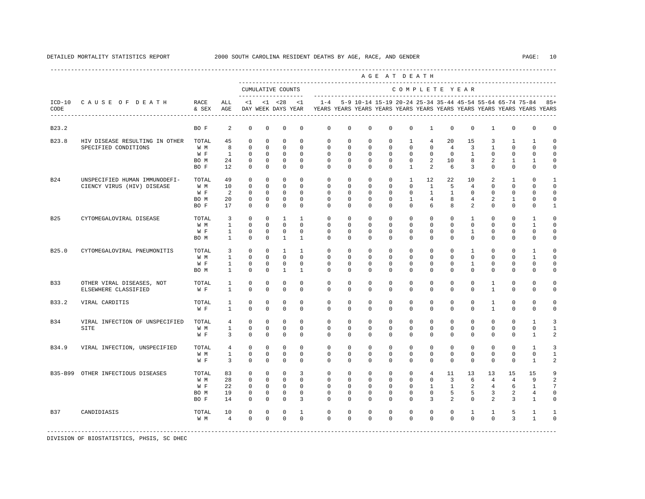|            |                                |               |                |              |             |                                          |              |              |             |             |             | AGE AT DEATH  |                   |                |                |                |                |                                                                                                                                      |              |
|------------|--------------------------------|---------------|----------------|--------------|-------------|------------------------------------------|--------------|--------------|-------------|-------------|-------------|---------------|-------------------|----------------|----------------|----------------|----------------|--------------------------------------------------------------------------------------------------------------------------------------|--------------|
|            |                                |               |                |              |             | CUMULATIVE COUNTS<br>------------------- |              |              |             |             |             | COMPLETE YEAR |                   |                |                |                |                |                                                                                                                                      |              |
| CODE       | ICD-10 CAUSE OF DEATH          | RACE<br>& SEX | ALL<br>AGE     | $\leq 1$     |             | $< 1$ $< 28$<br>DAY WEEK DAYS YEAR       | <1           | $1 - 4$      |             |             |             |               |                   |                |                |                |                | 5-9 10-14 15-19 20-24 25-34 35-44 45-54 55-64 65-74 75-84<br>YEARS YEARS YEARS YEARS YEARS YEARS YEARS YEARS YEARS YEARS YEARS YEARS | $85+$        |
| B23.2      |                                | BO F          | 2              | $\mathbf 0$  | $\mathbf 0$ | $\mathbf 0$                              | $\mathbf 0$  | $\mathbf 0$  | $\mathbf 0$ | $\mathbf 0$ | $\mathbf 0$ | $\mathbf 0$   | $\mathbf{1}$      | $\mathbf 0$    | $\mathbf 0$    | $\mathbf{1}$   | $\mathbf 0$    | $\mathbf 0$                                                                                                                          | $\Omega$     |
| B23.8      | HIV DISEASE RESULTING IN OTHER | TOTAL         | 45             | $\Omega$     | $\Omega$    | $\Omega$                                 | $\Omega$     | $\Omega$     | $\Omega$    | $\Omega$    | $\Omega$    | 1             | $\overline{4}$    | 20             | 15             | 3              | 1              | 1                                                                                                                                    | O            |
|            | SPECIFIED CONDITIONS           | W M           | 8              | $\mathbf 0$  | $\mathbf 0$ | $\Omega$                                 | $\Omega$     | $\mathbf 0$  | $\mathbf 0$ | $\mathbf 0$ | $\mathbf 0$ | $\Omega$      | $\mathbf 0$       | $\overline{4}$ | 3              | $\mathbf{1}$   | $\mathbf{0}$   | $\Omega$                                                                                                                             | $\Omega$     |
|            |                                | W F           | $\mathbf{1}$   | $\Omega$     | $\mathbf 0$ | $\mathbf 0$                              | $\Omega$     | $\Omega$     | $\Omega$    | $\Omega$    | $\Omega$    | $\Omega$      | $\Omega$          | $\Omega$       | $\mathbf{1}$   | $\Omega$       | $\mathbf{0}$   | $\Omega$                                                                                                                             | 0            |
|            |                                | BO M          | 24             | 0            | 0           | $\mathbf 0$                              | $\Omega$     | $\Omega$     | 0           | $\mathbf 0$ | $\mathbf 0$ | $\mathbf{0}$  | 2                 | 10             | 8              | 2              | $\mathbf{1}$   | 1                                                                                                                                    | 0            |
|            |                                | BO F          | 12             | $\Omega$     | $\Omega$    | $\Omega$                                 | $\Omega$     | $\Omega$     | $\Omega$    | $\Omega$    | $\Omega$    | $\mathbf{1}$  | 2                 | 6              | 3              | $\Omega$       | $\mathbf{0}$   | $\Omega$                                                                                                                             | $\Omega$     |
| <b>B24</b> | UNSPECIFIED HUMAN IMMUNODEFI-  | TOTAL         | 49             | $\Omega$     | $\mathbf 0$ | $\mathbf 0$                              | $\Omega$     | $\Omega$     | $\Omega$    | $\Omega$    | $\Omega$    | $\mathbf{1}$  | $12 \overline{ }$ | 22             | 10             | 2              | $\mathbf{1}$   | $\Omega$                                                                                                                             |              |
|            | CIENCY VIRUS (HIV) DISEASE     | W M           | 10             | $\Omega$     | $\Omega$    | $\Omega$                                 | $\Omega$     | $\Omega$     | $\Omega$    | $\Omega$    | $\Omega$    | $\Omega$      | $\mathbf{1}$      | 5              | $\overline{4}$ | $\Omega$       | $\Omega$       | $\cap$                                                                                                                               | $\Omega$     |
|            |                                | W F           | 2              | $^{\circ}$   | 0           | $\circ$                                  | $\Omega$     | $\Omega$     | $\Omega$    | $^{\circ}$  | $^{\circ}$  | $\Omega$      | $\mathbf{1}$      | $\mathbf{1}$   | $\Omega$       | 0              | $\Omega$       | $\Omega$                                                                                                                             | $\Omega$     |
|            |                                | BO M          | 20             | 0            | 0           | $\mathbf 0$                              | $\mathbf 0$  | 0            | 0           | 0           | 0           | 1             | $\overline{4}$    | 8              | $\overline{4}$ | 2              | 1              | 0                                                                                                                                    | 0            |
|            |                                | BO F          | 17             | 0            | $^{\circ}$  | $\mathbf 0$                              | 0            | $\Omega$     | 0           | 0           | 0           | $\Omega$      | 6                 | 8              | 2              | 0              | $\mathbf{0}$   | $\mathbf{0}$                                                                                                                         |              |
| <b>B25</b> | CYTOMEGALOVIRAL DISEASE        | TOTAL         | 3              | $\mathbf 0$  | $\mathbf 0$ | 1                                        | $\mathbf{1}$ | $\mathbf{0}$ | $\mathbf 0$ | $^{\circ}$  | $^{\circ}$  | $\mathbf 0$   | $\mathbf{0}$      | $\mathbf{0}$   | $\mathbf{1}$   | 0              | $\mathbf 0$    | 1                                                                                                                                    | 0            |
|            |                                | W M           | $\mathbf{1}$   | $\Omega$     | $\Omega$    | $\Omega$                                 | $\Omega$     | $\Omega$     | $\Omega$    | $\Omega$    | $\Omega$    | $\Omega$      | $\Omega$          | $\Omega$       | $\mathbf 0$    | $\Omega$       | $\Omega$       | 1                                                                                                                                    | $\Omega$     |
|            |                                | W F           | $\mathbf{1}$   | 0            | 0           | $^{\circ}$                               | 0            | $\mathbf{0}$ | 0           | $^{\circ}$  | $^{\circ}$  | $\mathbf{0}$  | 0                 | 0              | 1              | 0              | 0              | $\mathbf{0}$                                                                                                                         | <sup>n</sup> |
|            |                                | BO M          | 1              | $\Omega$     | $\Omega$    | $\mathbf{1}$                             | 1            | $\Omega$     | $\Omega$    | $\Omega$    | 0           | $\Omega$      | $\Omega$          | $\Omega$       | $\mathbf 0$    | $\Omega$       | $\mathbf 0$    | $\mathbf{0}$                                                                                                                         | 0            |
| B25.0      |                                | TOTAL         | 3              | $\mathbf 0$  | 0           | 1                                        | $\mathbf{1}$ | $\mathbf 0$  | $\mathbf 0$ | $\mathbf 0$ | $\mathbf 0$ | $\mathbf 0$   | $\mathbf 0$       | $\mathbf 0$    | 1              | $\mathbf 0$    | $\mathbf 0$    | $\mathbf{1}$                                                                                                                         |              |
|            | CYTOMEGALOVIRAL PNEUMONITIS    |               |                |              |             | $\Omega$                                 | $\Omega$     | $\Omega$     |             |             |             |               |                   | $\Omega$       |                | $\Omega$       | $\Omega$       |                                                                                                                                      | 0            |
|            |                                | W M           | 1              | $\mathbf 0$  | $\Omega$    |                                          |              |              | $\Omega$    | $\Omega$    | $\Omega$    | $\Omega$      | $\Omega$          |                | $\mathbf 0$    |                |                | 1                                                                                                                                    |              |
|            |                                | W F           | $\mathbf{1}$   | $\mathbf{0}$ | $\circ$     | $\mathbf 0$                              | $\Omega$     | $\Omega$     | $\Omega$    | $^{\circ}$  | $\mathbf 0$ | $\Omega$      | $\Omega$          | $\Omega$       | $\mathbf{1}$   | 0              | $\mathbf{0}$   | 0                                                                                                                                    | $\Omega$     |
|            |                                | BO M          | $\mathbf{1}$   | $\mathbf 0$  | $\mathbf 0$ | $\mathbf{1}$                             | $\mathbf{1}$ | $\Omega$     | $\mathbf 0$ | $\mathbf 0$ | $\mathbf 0$ | $\mathbf 0$   | $\mathbf 0$       | $\mathbf 0$    | $\mathbf 0$    | $\mathbf 0$    | $\mathbf 0$    | $\mathbf 0$                                                                                                                          | $\Omega$     |
| B33        | OTHER VIRAL DISEASES, NOT      | TOTAL         | 1              | $\Omega$     | $\Omega$    | $\mathbf 0$                              | $\Omega$     | $\Omega$     | $\Omega$    | $\Omega$    | $\Omega$    | $\Omega$      | $\Omega$          | $\Omega$       | $\Omega$       | $\mathbf{1}$   | $\Omega$       | $\Omega$                                                                                                                             | $\Omega$     |
|            | ELSEWHERE CLASSIFIED           | W F           | $\overline{1}$ | $\Omega$     | $\Omega$    | $\Omega$                                 | $\Omega$     | $\Omega$     | $\Omega$    | $\Omega$    | $\Omega$    | $\Omega$      | $\Omega$          | $\Omega$       | $\Omega$       | $\mathbf{1}$   | $\Omega$       | $\Omega$                                                                                                                             | $\Omega$     |
| B33.2      | VIRAL CARDITIS                 | TOTAL         | 1              | $\Omega$     | $\Omega$    | $\mathbf 0$                              | $\Omega$     | $\Omega$     | $\Omega$    | $\Omega$    | $\Omega$    | $\Omega$      | $\Omega$          | $\Omega$       | $\Omega$       | $\mathbf{1}$   | $\Omega$       | $\Omega$                                                                                                                             | 0            |
|            |                                | W F           | $\overline{1}$ | $\Omega$     | $\Omega$    | $\Omega$                                 | $\Omega$     | $\Omega$     | $\Omega$    | $\Omega$    | $\Omega$    | $\Omega$      | $\Omega$          | $\Omega$       | $\Omega$       | $\overline{1}$ | $\Omega$       | $\Omega$                                                                                                                             | $\Omega$     |
| B34        | VIRAL INFECTION OF UNSPECIFIED | TOTAL         | 4              | 0            | $^{\circ}$  | $^{\circ}$                               | $\mathbf 0$  | $\mathbf 0$  | $\mathbf 0$ | $\mathbf 0$ | $^{\circ}$  | $\mathbf 0$   | $\mathbf{0}$      | $\mathbf 0$    | $\mathbf 0$    | 0              | $\mathbf 0$    | 1                                                                                                                                    | 3            |
|            | SITE                           | W M           | $\mathbf{1}$   | $^{\circ}$   | $^{\circ}$  | $^{\circ}$                               | 0            | $\mathbf 0$  | 0           | $^{\circ}$  | 0           | $\mathbf 0$   | 0                 | $\mathbf{0}$   | 0              | 0              | $\mathbf{0}$   | $\mathbf{0}$                                                                                                                         | 1            |
|            |                                | W F           | $\overline{3}$ | $\Omega$     | 0           | $^{\circ}$                               | $\Omega$     | $\Omega$     | $\Omega$    | $^{\circ}$  | $^{\circ}$  | $\Omega$      | $\Omega$          | $\Omega$       | 0              | $\Omega$       | $\mathbf{0}$   | 1                                                                                                                                    | 2            |
| B34.9      | VIRAL INFECTION, UNSPECIFIED   | TOTAL         | $\overline{4}$ | 0            | $^{\circ}$  | $\mathbf 0$                              | $\mathbf 0$  | $\mathbf 0$  | $\mathbf 0$ | $\mathbf 0$ | $\mathbf 0$ | $\mathbf{0}$  | 0                 | $\mathbf 0$    | 0              | 0              | $\mathbf{0}$   | 1                                                                                                                                    |              |
|            |                                | W M           | 1              | 0            | 0           | $^{\circ}$                               | 0            | $\mathbf 0$  | 0           | $^{\circ}$  | $^{\circ}$  | $\mathbf{0}$  | $\mathbf{0}$      | $\mathbf 0$    | 0              | 0              | $\mathbf{0}$   | $\mathbf{0}$                                                                                                                         | 1            |
|            |                                | W F           | 3              | $\mathbf 0$  | $\mathbf 0$ | $\mathbf 0$                              | $\mathbf 0$  | $\Omega$     | $\mathbf 0$ | $\mathbf 0$ | $^{\circ}$  | $\Omega$      | $\Omega$          | $\Omega$       | $\mathbf 0$    | $\mathbf 0$    | $\mathbf 0$    | 1                                                                                                                                    | 2            |
| B35-B99    | OTHER INFECTIOUS DISEASES      | TOTAL         | 83             | $^{\circ}$   | $\mathbf 0$ | $\mathbf 0$                              | 3            | $\mathbf 0$  | $\mathbf 0$ | $\mathbf 0$ | $\mathbf 0$ | $\mathbf 0$   | $4\overline{ }$   | 11             | 13             | 13             | 15             | 15                                                                                                                                   | 9            |
|            |                                | W M           | 28             | $\Omega$     | $\Omega$    | $\mathbf 0$                              | $\Omega$     | $\Omega$     | $\Omega$    | $\mathbf 0$ | $^{\circ}$  | $\mathbf 0$   | $\mathbf 0$       | 3              | 6              | $\overline{4}$ | $\overline{4}$ | 9                                                                                                                                    | 2            |
|            |                                | W F           | 22             | $\mathbf{0}$ | $\mathbf 0$ | $\mathbf 0$                              | $\Omega$     | $\Omega$     | $\Omega$    | $^{\circ}$  | $^{\circ}$  | $\Omega$      | $\mathbf{1}$      | $\mathbf{1}$   | 2              | $\overline{4}$ | 6              | 1                                                                                                                                    | 7            |
|            |                                | BO M          | 19             | 0            | $^{\circ}$  | $\mathbf 0$                              | $\mathbf 0$  | $\mathbf 0$  | $\mathbf 0$ | $^{\circ}$  | $^{\circ}$  | $\mathbf 0$   | $\mathbf 0$       | 5              | 5              | 3              | 2              | 4                                                                                                                                    | 0            |
|            |                                | BO F          | 14             | $\Omega$     | 0           | $\mathbf 0$                              | 3            | $\Omega$     | $\Omega$    | $\Omega$    | $\Omega$    | $\Omega$      | 3                 | $\mathfrak{D}$ | $\mathbf 0$    | $\overline{a}$ | 3              | $\mathbf{1}$                                                                                                                         | U            |
|            |                                |               |                |              |             |                                          |              |              |             |             |             |               |                   |                |                |                |                |                                                                                                                                      |              |
| <b>B37</b> | CANDIDIASIS                    | TOTAL         | 10             | $\mathbf 0$  | $\mathbf 0$ | $\mathbf 0$                              | $\mathbf{1}$ | $\mathbf 0$  | $\mathbf 0$ | $\mathbf 0$ | $^{\circ}$  | $\mathbf 0$   | $\mathbf 0$       | $\mathbf 0$    | $\mathbf{1}$   | 1              | 5              | $\mathbf{1}$                                                                                                                         |              |
|            |                                | W M           | $\overline{4}$ | $\Omega$     | $\Omega$    | $\Omega$                                 | $\Omega$     | $\Omega$     | $\Omega$    | $\Omega$    | $\Omega$    | $\Omega$      | $\Omega$          | $\Omega$       | $\Omega$       | $\Omega$       | 3              | $\mathbf{1}$                                                                                                                         | 0            |
|            |                                |               |                |              |             |                                          |              |              |             |             |             |               |                   |                |                |                |                |                                                                                                                                      |              |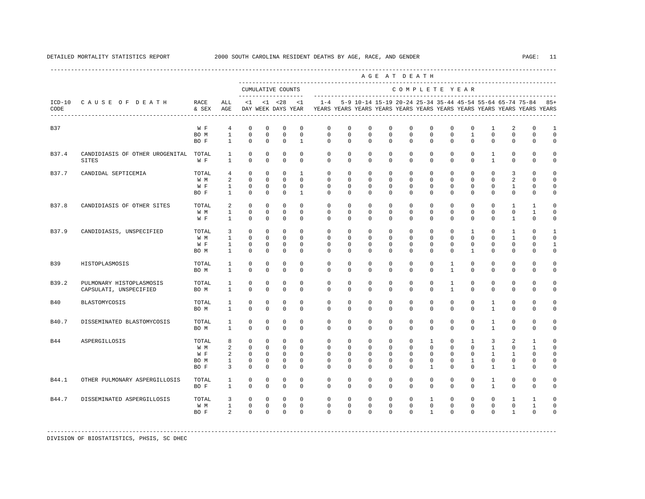|            |                                                            |                                     |                                                            |                                                                |                                                            |                                                             |                                                          |                                                                         |                                                                |                                                              |                                                      | AGE AT DEATH                                                       |                                                                          |                                                                |                                                                     |                                                                              |                                                                 |                                                                  |                                                          |
|------------|------------------------------------------------------------|-------------------------------------|------------------------------------------------------------|----------------------------------------------------------------|------------------------------------------------------------|-------------------------------------------------------------|----------------------------------------------------------|-------------------------------------------------------------------------|----------------------------------------------------------------|--------------------------------------------------------------|------------------------------------------------------|--------------------------------------------------------------------|--------------------------------------------------------------------------|----------------------------------------------------------------|---------------------------------------------------------------------|------------------------------------------------------------------------------|-----------------------------------------------------------------|------------------------------------------------------------------|----------------------------------------------------------|
|            |                                                            |                                     |                                                            |                                                                |                                                            | CUMULATIVE COUNTS<br>--------------------                   |                                                          |                                                                         |                                                                |                                                              |                                                      | COMPLETE YEAR                                                      |                                                                          |                                                                |                                                                     |                                                                              |                                                                 |                                                                  |                                                          |
| CODE       | ICD-10 CAUSE OF DEATH<br>--------------------------------- | RACE<br>& SEX                       | ALL<br>AGE                                                 | $\leq 1$                                                       |                                                            | $< 1$ $< 28$<br>DAY WEEK DAYS YEAR                          | < 1                                                      | YEARS YEARS YEARS YEARS YEARS YEARS YEARS YEARS YEARS YEARS YEARS YEARS |                                                                |                                                              |                                                      |                                                                    |                                                                          |                                                                |                                                                     |                                                                              | $1-4$ 5-9 10-14 15-19 20-24 25-34 35-44 45-54 55-64 65-74 75-84 |                                                                  | $85+$                                                    |
| <b>B37</b> |                                                            | W F<br>BO M<br>BO F                 | $\overline{4}$<br>$\mathbf{1}$<br>$\mathbf{1}$             | $\mathbf 0$<br>$\mathbf 0$<br>$^{\circ}$                       | $\mathbf 0$<br>$\mathbf 0$<br>$\mathbf 0$                  | $\mathbf 0$<br>$\mathbf 0$<br>$^{\circ}$                    | $\mathbb O$<br>$\mathbf 0$<br>$\mathbf{1}$               | 0<br>$\mathbf 0$<br>$\Omega$                                            | 0<br>0<br>$\Omega$                                             | $\mathbf 0$<br>0<br>$\Omega$                                 | $\mathsf 0$<br>0<br>$\Omega$                         | 0<br>0<br>$\Omega$                                                 | $\mathbb O$<br>$\mathbf{0}$<br>$\Omega$                                  | 0<br>$\mathbf 0$<br>$\Omega$                                   | $\mathbb O$<br>$\mathbf{1}$<br>$\Omega$                             | $\mathbf{1}$<br>$\mathbf 0$<br>$\Omega$                                      | 2<br>$\mathbf 0$<br>$\mathbf 0$                                 | $\mathbf 0$<br>$\mathbf 0$<br>0                                  | $\mathbf{1}$<br>$\mathbf 0$<br>0                         |
| B37.4      | CANDIDIASIS OF OTHER UROGENITAL<br>SITES                   | TOTAL<br>W F                        | 1<br>$\mathbf{1}$                                          | $^{\circ}$<br>$\Omega$                                         | $^{\circ}$<br>$\Omega$                                     | $\mathbf 0$<br>$\Omega$                                     | $\mathbf 0$<br>$\Omega$                                  | $\mathbf{0}$<br>$\Omega$                                                | $\mathbf 0$<br>$\Omega$                                        | $\mathbf 0$<br>$\Omega$                                      | 0<br>$\Omega$                                        | $\mathbf 0$<br>$\Omega$                                            | $\mathbf 0$<br>$\Omega$                                                  | $\mathbf 0$<br>$\Omega$                                        | $\mathbf 0$<br>$\Omega$                                             | 1<br>$\mathbf{1}$                                                            | $\mathbf 0$<br>$\Omega$                                         | $\mathbf 0$<br>$\Omega$                                          | $\circ$<br>$\Omega$                                      |
| B37.7      | CANDIDAL SEPTICEMIA                                        | TOTAL<br>W M<br>W F<br>BO F         | $\overline{4}$<br>2<br>$\mathbf{1}$<br>$\mathbf{1}$        | $\circ$<br>$\Omega$<br>$\overline{0}$<br>$\mathbf 0$           | $^{\circ}$<br>$\Omega$<br>$\mathbf{0}$<br>0                | $^{\circ}$<br>$\Omega$<br>$\circ$<br>$\mathbf 0$            | $\mathbf{1}$<br>$\Omega$<br>$\Omega$<br>$\mathbf{1}$     | $\mathbf{0}$<br>$\Omega$<br>$\Omega$<br>$\mathbf{0}$                    | $\mathbf 0$<br>$\Omega$<br>$\Omega$<br>$\mathbf{0}$            | $\Omega$<br>$\Omega$<br>$\Omega$<br>0                        | $\mathbf 0$<br>$\Omega$<br>$\Omega$<br>0             | $\Omega$<br>$\Omega$<br>$\Omega$<br>$\mathbf{0}$                   | $\mathbf 0$<br>$\Omega$<br>$\Omega$<br>$\mathbf{0}$                      | $\Omega$<br>$\Omega$<br>$\Omega$<br>$\mathbf 0$                | $\Omega$<br>$\Omega$<br>$\Omega$<br>0                               | $\Omega$<br>$\Omega$<br>$\Omega$<br>0                                        | 3<br>2<br>$\mathbf{1}$<br>$\mathbf{0}$                          | $\Omega$<br>$\Omega$<br>$\Omega$<br>0                            | $\Omega$<br>$\Omega$<br>$\Omega$<br>0                    |
| B37.8      | CANDIDIASIS OF OTHER SITES                                 | TOTAL<br>W M<br>W F                 | 2<br>$\mathbf{1}$<br>$\mathbf{1}$                          | $\circ$<br>$^{\circ}$<br>$\Omega$                              | $\circ$<br>$\mathbf 0$<br>$\Omega$                         | $\mathbf 0$<br>$\mathbf 0$<br>$\Omega$                      | $\mathbf 0$<br>$\mathbf 0$<br>$\Omega$                   | $\mathbf 0$<br>$\mathbf 0$<br>$\Omega$                                  | $\mathbf 0$<br>0<br>$\Omega$                                   | 0<br>$\mathbf 0$<br>0                                        | 0<br>0<br>0                                          | $\mathbf 0$<br>$\mathbf{0}$<br>$\Omega$                            | $\mathbf 0$<br>0<br>$\Omega$                                             | $\mathbf 0$<br>$\mathbf 0$<br>$\Omega$                         | $\mathbf 0$<br>$\mathbf 0$<br>$\Omega$                              | $\mathbf 0$<br>$\Omega$<br>$\Omega$                                          | $\mathbf{1}$<br>$\mathbf 0$<br>$\mathbf{1}$                     | 1<br>1<br>$\Omega$                                               | $\circ$<br>$\Omega$<br>$\Omega$                          |
| B37.9      | CANDIDIASIS, UNSPECIFIED                                   | TOTAL<br>W M<br>W F<br>BO M         | 3<br>$\mathbf{1}$<br>$\mathbf{1}$<br>$\mathbf{1}$          | $^{\circ}$<br>$\Omega$<br>$\mathbf 0$<br>$\mathbf{0}$          | $\circ$<br>$\Omega$<br>$\circ$<br>$\mathbf 0$              | $\mathbf 0$<br>$\Omega$<br>$\circ$<br>$\mathbb O$           | $\Omega$<br>$\Omega$<br>$\circ$<br>$\mathbf 0$           | $\Omega$<br>$\Omega$<br>$\mathbf 0$<br>$\mathbf{0}$                     | $\Omega$<br>$\Omega$<br>$\mathbf 0$<br>$\mathbf 0$             | $\Omega$<br>$\Omega$<br>$\mathbf 0$<br>$\mathbf 0$           | $\Omega$<br>$\Omega$<br>$\mathbf 0$<br>$\mathbf 0$   | $\Omega$<br>$\Omega$<br>$\mathbf 0$<br>$\mathbf 0$                 | $\mathbf{0}$<br>$\Omega$<br>$\mathbf 0$<br>$\mathbf 0$                   | $\Omega$<br>$\Omega$<br>$\mathbf 0$<br>$\mathbf 0$             | $\mathbf{1}$<br>$\Omega$<br>$\mathbf 0$<br>$\mathbf{1}$             | $\Omega$<br>$\Omega$<br>$\mathbf 0$<br>$\mathbf 0$                           | $\mathbf{1}$<br>$\overline{1}$<br>$\mathbf 0$<br>$\mathbf 0$    | $\Omega$<br>$\cap$<br>0<br>$\mathbf 0$                           | 1<br>$\Omega$<br>$\mathbf{1}$<br>$\mathsf{O}\xspace$     |
| <b>B39</b> | HISTOPLASMOSIS                                             | TOTAL<br>BO M                       | $\mathbf{1}$<br>$\mathbf{1}$                               | 0<br>$\Omega$                                                  | 0<br>$\mathbf 0$                                           | $^{\circ}$<br>$\mathbf 0$                                   | 0<br>$\Omega$                                            | 0<br>$\Omega$                                                           | 0<br>$\Omega$                                                  | 0<br>$\mathbf 0$                                             | 0<br>$\mathbf 0$                                     | 0<br>$\mathbf 0$                                                   | 0<br>$\mathbf 0$                                                         | 1<br>$\mathbf{1}$                                              | 0<br>$\Omega$                                                       | 0<br>$\Omega$                                                                | $\mathbf{0}$<br>$\mathbf 0$                                     | 0<br>$\mathbf 0$                                                 | $\circ$<br>$\mathbf 0$                                   |
| B39.2      | PULMONARY HISTOPLASMOSIS<br>CAPSULATI, UNSPECIFIED         | TOTAL<br>BO M                       | 1<br>$\mathbf{1}$                                          | $^{\circ}$<br>$\Omega$                                         | $^{\circ}$<br>$\Omega$                                     | $\circ$<br>$\Omega$                                         | 0<br>$\Omega$                                            | $\mathbf{0}$<br>$\Omega$                                                | 0<br>$\Omega$                                                  | $\mathbf 0$<br>$\Omega$                                      | 0<br>$\Omega$                                        | $\mathbf{0}$<br>$\Omega$                                           | $\mathbf 0$<br>$\Omega$                                                  | 1<br>$\mathbf{1}$                                              | $\mathbf 0$<br>$\Omega$                                             | $\Omega$<br>$\Omega$                                                         | $\mathbf 0$<br>$\Omega$                                         | $\mathbf 0$<br>$\Omega$                                          | $\circ$<br>$\mathbf 0$                                   |
| <b>B40</b> | BLASTOMYCOSIS                                              | TOTAL<br>BO M                       | 1<br>$\mathbf{1}$                                          | $\mathbf 0$<br>$\Omega$                                        | $\mathbf 0$<br>$\Omega$                                    | $\mathbf 0$<br>$\Omega$                                     | $\Omega$<br>$\Omega$                                     | $\mathbf{0}$<br>$\Omega$                                                | $\mathbf 0$<br>$\Omega$                                        | $\mathbf 0$<br>$\Omega$                                      | $\mathbf 0$<br>$\Omega$                              | $\mathbf 0$<br>$\Omega$                                            | $\mathbf 0$<br>$\Omega$                                                  | $\mathbf 0$<br>$\Omega$                                        | $\Omega$<br>$\Omega$                                                | $\mathbf{1}$<br>$\mathbf{1}$                                                 | $\mathbf 0$<br>$\Omega$                                         | $\Omega$<br>$\Omega$                                             | $\circ$<br>$\Omega$                                      |
| B40.7      | DISSEMINATED BLASTOMYCOSIS                                 | TOTAL<br>BO M                       | $\mathbf{1}$<br>$\mathbf{1}$                               | $^{\circ}$<br>$\circ$                                          | 0<br>$\mathbf 0$                                           | $\circ$<br>$^{\circ}$                                       | $\mathbf 0$<br>$\mathbf 0$                               | $\mathbf{0}$<br>$\mathbf{0}$                                            | $\mathbf 0$<br>$\mathbf 0$                                     | $\mathbf 0$<br>$\mathbf 0$                                   | $\mathbf 0$<br>0                                     | $\mathbf 0$<br>$\mathbf 0$                                         | $\mathbf 0$<br>$\mathbf{0}$                                              | $\mathbf 0$<br>$\mathbf 0$                                     | $\mathbf 0$<br>$\mathbf 0$                                          | $\mathbf{1}$<br>$\mathbf{1}$                                                 | $\mathbf 0$<br>$\mathbf 0$                                      | $\mathbf 0$<br>$\mathbf 0$                                       | $\circ$<br>$\mathbf 0$                                   |
| B44        | ASPERGILLOSIS                                              | TOTAL<br>W M<br>W F<br>BO M<br>BO F | 8<br>2<br>$\overline{a}$<br>$\mathbf{1}$<br>$\overline{3}$ | $^{\circ}$<br>$\overline{0}$<br>$\circ$<br>$\circ$<br>$\Omega$ | $^{\circ}$<br>$\circ$<br>$\circ$<br>$^{\circ}$<br>$\Omega$ | $\circ$<br>$\circ$<br>$\circ$<br>$\overline{0}$<br>$\Omega$ | $\Omega$<br>$\Omega$<br>$\Omega$<br>$\Omega$<br>$\Omega$ | $\Omega$<br>$\mathbf{0}$<br>$\Omega$<br>$\Omega$<br>$\Omega$            | $\Omega$<br>$\mathbf 0$<br>$\mathbf 0$<br>$\Omega$<br>$\Omega$ | $\Omega$<br>$\mathbf 0$<br>$^{\circ}$<br>$\circ$<br>$\Omega$ | $\Omega$<br>$\mathbf 0$<br>0<br>$\Omega$<br>$\Omega$ | $\Omega$<br>$\mathbf 0$<br>$\mathbf{0}$<br>$\mathbf 0$<br>$\Omega$ | $\mathbf{1}$<br>$\mathbf 0$<br>$\mathbf 0$<br>$\Omega$<br>$\overline{1}$ | $\Omega$<br>$\mathbf 0$<br>$\mathbf 0$<br>$\Omega$<br>$\Omega$ | $\mathbf{1}$<br>$\mathbf 0$<br>$\Omega$<br>$\mathbf{1}$<br>$\Omega$ | $\overline{3}$<br>$\mathbf{1}$<br>$\mathbf{1}$<br>$\Omega$<br>$\overline{1}$ | 2<br>$\mathbf 0$<br>$\mathbf{1}$<br>$\mathbf 0$<br>$\mathbf{1}$ | $\mathbf{1}$<br>$\mathbf{1}$<br>$\Omega$<br>$\Omega$<br>$\Omega$ | $\Omega$<br>$\Omega$<br>$\Omega$<br>$\Omega$<br>$\Omega$ |
| B44.1      | OTHER PULMONARY ASPERGILLOSIS                              | TOTAL<br>BO F                       | $\mathbf{1}$<br>$\mathbf{1}$                               | $^{\circ}$<br>$^{\circ}$                                       | $^{\circ}$<br>0                                            | $\circ$<br>$^{\circ}$                                       | $\mathbf 0$<br>$\Omega$                                  | $\mathbf{0}$<br>$\mathbf{0}$                                            | $\mathbf{0}$<br>$\mathbf{0}$                                   | 0<br>0                                                       | 0<br>0                                               | $\mathbf{0}$<br>$\Omega$                                           | $\mathbf{0}$<br>0                                                        | $\mathbf 0$<br>$\Omega$                                        | $\mathbf 0$<br>0                                                    | 1<br>$\overline{1}$                                                          | $\mathbf 0$<br>$\mathbf{0}$                                     | $\mathbf 0$<br>$\Omega$                                          | 0<br>$\Omega$                                            |
| B44.7      | DISSEMINATED ASPERGILLOSIS                                 | TOTAL<br>W M<br>BO F                | 3<br>$\mathbf{1}$<br>$\overline{a}$                        | $^{\circ}$<br>$^{\circ}$<br>$\Omega$                           | $^{\circ}$<br>$\mathbf 0$<br>$\Omega$                      | $^{\circ}$<br>$^{\circ}$<br>$\Omega$                        | $\mathbf 0$<br>$\mathbf 0$<br>$\Omega$                   | $\mathbf 0$<br>$\mathbf 0$<br>$\Omega$                                  | 0<br>0<br>$\Omega$                                             | $\mathbf 0$<br>$^{\circ}$<br>$\Omega$                        | 0<br>0<br>$\Omega$                                   | $\mathbf 0$<br>$\mathbf{0}$<br>$\Omega$                            | $\mathbf{1}$<br>$\mathbf 0$<br>$\overline{1}$                            | $\mathbf 0$<br>0<br>$\Omega$                                   | $\mathbf 0$<br>$\mathbf 0$<br>$\Omega$                              | $\mathbf 0$<br>$\mathbf 0$<br>$\Omega$                                       | $\mathbf{1}$<br>$\mathbf 0$<br>$\overline{1}$                   | 1<br>1<br>$\Omega$                                               | $\Omega$<br>$\Omega$<br>$\Omega$                         |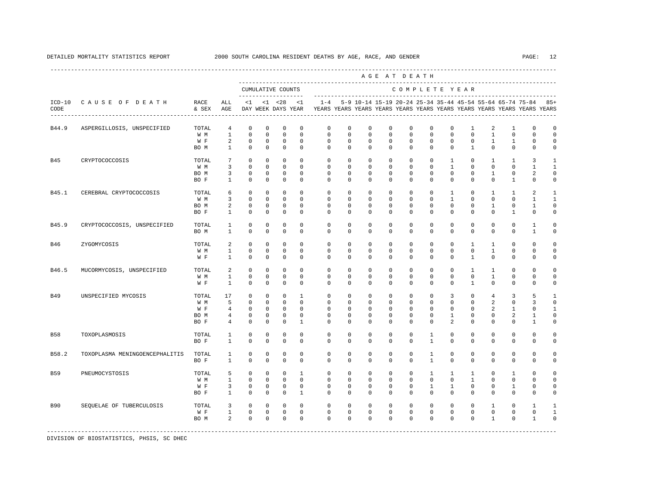|                  |                                |                                     |                                                               |                                                                  |                                                                    |                                                           |                                                                     |                                                                                    |                                                             |                                                             | AGE AT DEATH                                                |                                                             |                                                             |                                                            |                                                             |                                                  |                                                              |                                                               |                                                                     |
|------------------|--------------------------------|-------------------------------------|---------------------------------------------------------------|------------------------------------------------------------------|--------------------------------------------------------------------|-----------------------------------------------------------|---------------------------------------------------------------------|------------------------------------------------------------------------------------|-------------------------------------------------------------|-------------------------------------------------------------|-------------------------------------------------------------|-------------------------------------------------------------|-------------------------------------------------------------|------------------------------------------------------------|-------------------------------------------------------------|--------------------------------------------------|--------------------------------------------------------------|---------------------------------------------------------------|---------------------------------------------------------------------|
|                  |                                |                                     |                                                               |                                                                  |                                                                    | CUMULATIVE COUNTS<br>--------------                       |                                                                     |                                                                                    |                                                             |                                                             |                                                             | COMPLETE YEAR                                               |                                                             |                                                            |                                                             |                                                  |                                                              |                                                               |                                                                     |
| $ICD-10$<br>CODE | CAUSE OF DEATH                 | RACE<br>& SEX                       | ALL<br>AGE                                                    | <1                                                               |                                                                    | $< 1$ $< 28$<br>DAY WEEK DAYS YEAR                        | $\leq 1$                                                            | $1 - 4$<br>YEARS YEARS YEARS YEARS YEARS YEARS YEARS YEARS YEARS YEARS YEARS YEARS |                                                             |                                                             |                                                             |                                                             |                                                             |                                                            |                                                             |                                                  |                                                              | 5-9 10-14 15-19 20-24 25-34 35-44 45-54 55-64 65-74 75-84 85+ |                                                                     |
| B44.9            | ASPERGILLOSIS, UNSPECIFIED     | TOTAL<br>W M<br>W F<br>BO M         | $\overline{4}$<br>$\mathbf{1}$<br>2<br>$\mathbf{1}$           | $\mathbf 0$<br>$\mathbf 0$<br>$^{\circ}$<br>$\mathbf 0$          | $\mathbf 0$<br>$\Omega$<br>$^{\circ}$<br>$^{\circ}$                | $\mathbf{0}$<br>$\Omega$<br>$\Omega$<br>$\mathbf 0$       | $\Omega$<br>$\Omega$<br>$\Omega$<br>$\Omega$                        | $\Omega$<br>$\Omega$<br>$\Omega$<br>$\Omega$                                       | $\mathbf 0$<br>$\Omega$<br>$\Omega$<br>$\Omega$             | $\mathbf 0$<br>$\Omega$<br>$\Omega$<br>$\Omega$             | $\Omega$<br>$\Omega$<br>$\Omega$<br>$\mathbf 0$             | $\Omega$<br>$\Omega$<br>$\Omega$<br>$\Omega$                | $\mathbf 0$<br>$\Omega$<br>$\Omega$<br>$\mathbf 0$          | $\mathbf 0$<br>$\Omega$<br>$\Omega$<br>$\Omega$            | $\mathbf{1}$<br>$\Omega$<br>$\Omega$<br>$\mathbf{1}$        | 2<br>$\mathbf{1}$<br>$\mathbf{1}$<br>$\Omega$    | $\mathbf{1}$<br>$\Omega$<br>1<br>$\mathbf 0$                 | $\Omega$<br>$\Omega$<br>$\Omega$<br>$\mathbf 0$               | $\mathbf 0$<br>$\Omega$<br>$\Omega$<br>$\mathbf 0$                  |
| <b>B45</b>       | CRYPTOCOCCOSIS                 | TOTAL<br>W M<br>BO M<br>BO F        | 7<br>$\overline{3}$<br>3<br>$\mathbf{1}$                      | $\Omega$<br>$\mathbf 0$<br>$\mathbb O$<br>$\Omega$               | $\Omega$<br>$\Omega$<br>$^{\circ}$<br>$\Omega$                     | $\Omega$<br>$\Omega$<br>$\mathbf 0$<br>$\Omega$           | $\Omega$<br>$\Omega$<br>$\mathbf 0$<br>$\Omega$                     | $\Omega$<br>$\Omega$<br>$\mathbf 0$<br>$\Omega$                                    | $\Omega$<br>$\Omega$<br>$\mathbf 0$<br>$\Omega$             | $\Omega$<br>$\Omega$<br>$\mathbf 0$<br>$\Omega$             | $\Omega$<br>$\Omega$<br>$\mathbf 0$<br>$\Omega$             | $\Omega$<br>$\Omega$<br>$\mathbf 0$<br>$\Omega$             | $\Omega$<br>$\Omega$<br>$\mathbf 0$<br>$\Omega$             | $\mathbf{1}$<br>$\mathbf{1}$<br>$\mathbf 0$<br>$\Omega$    | $\Omega$<br>$\Omega$<br>$\mathbf 0$<br>$\Omega$             | 1<br>$\Omega$<br>$\mathbf{1}$<br>$\Omega$        | $\overline{1}$<br>$\Omega$<br>0<br>$\mathbf{1}$              | 3<br>$\mathbf{1}$<br>2<br>$\Omega$                            | $\mathbf{1}$<br>$\mathbf{1}$<br>$\mathbf 0$<br>$\Omega$             |
| B45.1            | CEREBRAL CRYPTOCOCCOSIS        | TOTAL<br>W M<br>BO M<br>BO F        | 6<br>3<br>2<br>$\mathbf{1}$                                   | $\mathbf 0$<br>$\Omega$<br>$\mathbb O$<br>$\mathbf 0$            | $^{\circ}$<br>$\Omega$<br>$^{\circ}$<br>$^{\circ}$                 | 0<br>$\Omega$<br>$^{\circ}$<br>$\mathbf{0}$               | $\Omega$<br>$\Omega$<br>$\mathbf 0$<br>$\mathbf 0$                  | $\mathbf 0$<br>$\Omega$<br>$\mathbf 0$<br>0                                        | 0<br>$\Omega$<br>$\mathbf 0$<br>0                           | $\Omega$<br>$\Omega$<br>$\mathbf 0$<br>0                    | $\mathbf 0$<br>$\Omega$<br>$\mathbf 0$<br>$\mathbf 0$       | $\Omega$<br>$\Omega$<br>$\mathbf 0$<br>$\mathbf 0$          | $\mathbf 0$<br>$\Omega$<br>$\mathbf 0$<br>0                 | $\mathbf{1}$<br>$\mathbf{1}$<br>$\mathbf 0$<br>$\mathbf 0$ | $\mathbf 0$<br>$\Omega$<br>$\mathbf 0$<br>$\mathbf 0$       | 1<br>$\Omega$<br>$\mathbf{1}$<br>$\mathbf 0$     | 1<br>$\Omega$<br>$\mathbf 0$<br>$\mathbf{1}$                 | 2<br>1<br>$\mathbf{1}$<br>$\mathbf 0$                         | $\mathbf{1}$<br>$\mathbf{1}$<br>$\circ$<br>$\mathbf 0$              |
| B45.9            | CRYPTOCOCCOSIS, UNSPECIFIED    | TOTAL<br>BO M                       | $\mathbf{1}$<br>$\mathbf{1}$                                  | $\mathbb O$<br>$\mathbf 0$                                       | $\mathbf{0}$<br>$^{\circ}$                                         | $\mathbf 0$<br>$\mathbf 0$                                | $\mathbf 0$<br>$\Omega$                                             | $\mathbf 0$<br>$\mathbf 0$                                                         | $\mathbf 0$<br>0                                            | $\mathbf 0$<br>$\Omega$                                     | $\mathbf 0$<br>$\mathbf 0$                                  | $\mathbf 0$<br>$\mathbf 0$                                  | $\mathbf 0$<br>$\mathbf 0$                                  | $\mathbf 0$<br>$\mathbf 0$                                 | $\mathbf 0$<br>$\mathbf 0$                                  | $\mathbf 0$<br>$\mathbf 0$                       | $\mathbf 0$<br>$\mathbf 0$                                   | $\mathbf{1}$<br>$\mathbf{1}$                                  | $\mathbf 0$<br>$\mathbf 0$                                          |
| B46              | ZYGOMYCOSIS                    | TOTAL<br>W M<br>W F                 | 2<br>$\mathbf{1}$<br>$\mathbf{1}$                             | $\mathbf 0$<br>$\mathbf 0$<br>$\mathbf 0$                        | $\mathbf{0}$<br>$\mathbf 0$<br>$\Omega$                            | $\mathbf{0}$<br>$\mathbf 0$<br>$\mathbf 0$                | $\Omega$<br>$\mathbf 0$<br>$\Omega$                                 | $\mathbf 0$<br>$\mathbf 0$<br>$\Omega$                                             | $\circ$<br>0<br>0                                           | $\mathbf 0$<br>$\mathbf 0$<br>$\Omega$                      | $\mathbf 0$<br>$\mathbf 0$<br>$\Omega$                      | $\mathbf 0$<br>$\mathbf{0}$<br>$\Omega$                     | $\mathbf 0$<br>0<br>$\mathbf 0$                             | $\mathbf 0$<br>0<br>$\Omega$                               | $\mathbf{1}$<br>$\mathbf 0$<br>$\mathbf{1}$                 | $\mathbf{1}$<br>$\mathbf{1}$<br>$\Omega$         | $\mathbf 0$<br>0<br>$\Omega$                                 | $\mathbf 0$<br>0<br>$\mathbf 0$                               | $\Omega$<br>$\mathbf 0$<br>$\mathbf 0$                              |
| B46.5            | MUCORMYCOSIS, UNSPECIFIED      | TOTAL<br>W M<br>W F                 | 2<br>$\mathbf{1}$<br>$\mathbf{1}$                             | $\mathbf 0$<br>$\mathbf 0$<br>$\Omega$                           | $^{\circ}$<br>$^{\circ}$<br>$\Omega$                               | $\mathbf 0$<br>$\mathbf 0$<br>$\Omega$                    | $\mathbf 0$<br>$\Omega$<br>$\Omega$                                 | $\mathbf 0$<br>$\Omega$<br>$\Omega$                                                | 0<br>$\Omega$<br>$\Omega$                                   | $\mathbf 0$<br>$\Omega$<br>$\Omega$                         | $\mathbf 0$<br>$\Omega$<br>$\Omega$                         | $\mathbf 0$<br>$\Omega$<br>$\Omega$                         | $\mathsf 0$<br>$\Omega$<br>$\Omega$                         | $\mathbf 0$<br>$\Omega$<br>$\Omega$                        | $\mathbf{1}$<br>$\Omega$<br>$\mathbf{1}$                    | $\mathbf{1}$<br>$\mathbf{1}$<br>$\Omega$         | $\mathsf 0$<br>$\mathbf 0$<br>$\Omega$                       | $\mathbf 0$<br>$\mathbf 0$<br>$\Omega$                        | $\mathbf 0$<br>$\mathbf 0$<br>$\Omega$                              |
| B49              | UNSPECIFIED MYCOSIS            | TOTAL<br>W M<br>W F<br>BO M<br>BO F | 17<br>5<br>$\overline{4}$<br>$\overline{4}$<br>$\overline{4}$ | $\circ$<br>$\mathbf 0$<br>$\mathbf 0$<br>$\mathbf 0$<br>$\Omega$ | $^{\circ}$<br>$^{\circ}$<br>$\mathbf 0$<br>$\mathbf 0$<br>$\Omega$ | 0<br>$\mathbf 0$<br>$^{\circ}$<br>$\mathbf 0$<br>$\Omega$ | $\mathbf{1}$<br>$\Omega$<br>$\mathbf 0$<br>$\Omega$<br>$\mathbf{1}$ | $\Omega$<br>$\Omega$<br>$\mathbf 0$<br>$\Omega$<br>$\Omega$                        | $\Omega$<br>$\Omega$<br>$\mathbf 0$<br>$\Omega$<br>$\Omega$ | $\Omega$<br>$\Omega$<br>$\mathbf 0$<br>$\Omega$<br>$\Omega$ | $\Omega$<br>$\Omega$<br>$\mathbf 0$<br>$\Omega$<br>$\Omega$ | $\Omega$<br>$\Omega$<br>$\mathbf 0$<br>$\Omega$<br>$\Omega$ | $\Omega$<br>$\Omega$<br>$\mathbf 0$<br>$\Omega$<br>$\Omega$ | 3<br>$\Omega$<br>$\mathbf 0$<br>$\mathbf{1}$<br>2          | $\Omega$<br>$\Omega$<br>$\mathbf 0$<br>$\Omega$<br>$\Omega$ | 4<br>2<br>$\overline{a}$<br>$\Omega$<br>$\Omega$ | 3<br>$\Omega$<br>$\mathbf{1}$<br>2<br>$\Omega$               | 5<br>3<br>$\Omega$<br>1<br>$\mathbf{1}$                       | $\mathbf{1}$<br>$\Omega$<br>$\mathbf{1}$<br>$\mathbf 0$<br>$\Omega$ |
| <b>B58</b>       | TOXOPLASMOSIS                  | TOTAL<br>BO F                       | 1<br>$\mathbf{1}$                                             | $\mathbf 0$<br>$\Omega$                                          | $^{\circ}$<br>$\Omega$                                             | $\mathbf 0$<br>$\Omega$                                   | $\Omega$<br>$\Omega$                                                | $\Omega$<br>$\Omega$                                                               | $\Omega$<br>$\Omega$                                        | $\Omega$<br>$\Omega$                                        | $\Omega$<br>$\Omega$                                        | $\Omega$<br>$\Omega$                                        | $\mathbf{1}$<br>$\mathbf{1}$                                | $\Omega$<br>$\Omega$                                       | $\Omega$<br>$\Omega$                                        | $\Omega$<br>$\Omega$                             | $\mathbf 0$<br>$\Omega$                                      | $\Omega$<br>$\Omega$                                          | $\Omega$<br>$\Omega$                                                |
| B58.2            | TOXOPLASMA MENINGOENCEPHALITIS | TOTAL<br>BO F                       | $\mathbf{1}$<br>$\mathbf{1}$                                  | $\mathbf 0$<br>$\mathbf 0$                                       | $\mathbf 0$<br>$\Omega$                                            | $\mathbf 0$<br>$\mathbf{0}$                               | $\Omega$<br>$\Omega$                                                | $\Omega$<br>$\Omega$                                                               | $\Omega$<br>$\mathbf 0$                                     | $\Omega$<br>$\Omega$                                        | $\Omega$<br>$\Omega$                                        | $\Omega$<br>$\Omega$                                        | $\mathbf{1}$<br>$\mathbf{1}$                                | $\Omega$<br>$\Omega$                                       | $\Omega$<br>$\Omega$                                        | $\Omega$<br>$\Omega$                             | $\mathbf 0$<br>$\mathbf 0$                                   | $\mathbf 0$<br>$\mathbf 0$                                    | $\Omega$<br>$\Omega$                                                |
| <b>B59</b>       | PNEUMOCYSTOSIS                 | TOTAL<br>W M<br>W F<br>BO F         | 5<br>$\mathbf{1}$<br>3<br>$\mathbf{1}$                        | $\mathbf 0$<br>$\mathbf 0$<br>$\mathbf 0$<br>$\mathbf 0$         | $^{\circ}$<br>$\mathbf{0}$<br>0<br>$^{\circ}$                      | $\mathbf 0$<br>$\mathbf 0$<br>$^{\circ}$<br>$\mathbf{0}$  | $\mathbf{1}$<br>$\Omega$<br>$\mathbf{0}$<br>$\mathbf{1}$            | $\Omega$<br>0<br>$\mathbf{0}$<br>$\Omega$                                          | $\Omega$<br>0<br>$\mathbf{0}$<br>$\mathbf 0$                | $\Omega$<br>$\mathbf 0$<br>0<br>$\Omega$                    | $\Omega$<br>$\Omega$<br>0<br>$\mathbf 0$                    | $\Omega$<br>$\Omega$<br>$\mathbf 0$<br>$\Omega$             | $\mathbf{1}$<br>$\mathbf 0$<br>$\mathbf{1}$<br>$\mathbf 0$  | $\mathbf{1}$<br>$\mathbf 0$<br>$\mathbf{1}$<br>$\Omega$    | $\overline{1}$<br>$\mathbf{1}$<br>$\mathbf 0$<br>$\Omega$   | $\Omega$<br>$\Omega$<br>$\mathbf 0$<br>$\Omega$  | $\overline{1}$<br>$\mathbf 0$<br>$\mathbf{1}$<br>$\mathbf 0$ | $\Omega$<br>$\mathbf 0$<br>$\Omega$<br>$\Omega$               | $\Omega$<br>$\mathbf 0$<br>0<br>$\mathbf 0$                         |
| <b>B90</b>       | SEQUELAE OF TUBERCULOSIS       | TOTAL<br>W F<br>BO M                | 3<br>$\mathbf{1}$<br>2                                        | $\mathbf 0$<br>$\mathbb O$<br>$\Omega$                           | $\mathbf 0$<br>$\mathbf{0}$<br>$\Omega$                            | $^{\circ}$<br>$\mathbf{0}$<br>$\Omega$                    | $\mathbf 0$<br>$\mathbf 0$<br>$\Omega$                              | $\mathbf{0}$<br>$\mathbf 0$<br>$\Omega$                                            | $\mathbf{0}$<br>$\mathbf 0$<br>$\Omega$                     | 0<br>$\mathbf 0$<br>$\Omega$                                | 0<br>$\mathbf 0$<br>$\Omega$                                | $\mathbf 0$<br>$\mathbf 0$<br>$\Omega$                      | 0<br>$\mathbf 0$<br>$\Omega$                                | 0<br>$\mathbf 0$<br>$\Omega$                               | $\mathbf 0$<br>$\mathbf 0$<br>$\Omega$                      | 1<br>$\mathbf 0$<br>$\mathbf{1}$                 | $\mathbf 0$<br>$\mathbf 0$<br>$\Omega$                       | 1<br>$\mathbf 0$<br>$\mathbf{1}$                              | 1<br>$\mathbf{1}$<br>$\Omega$                                       |

-----------------------------------------------------------------------------------------------------------------------------------------------------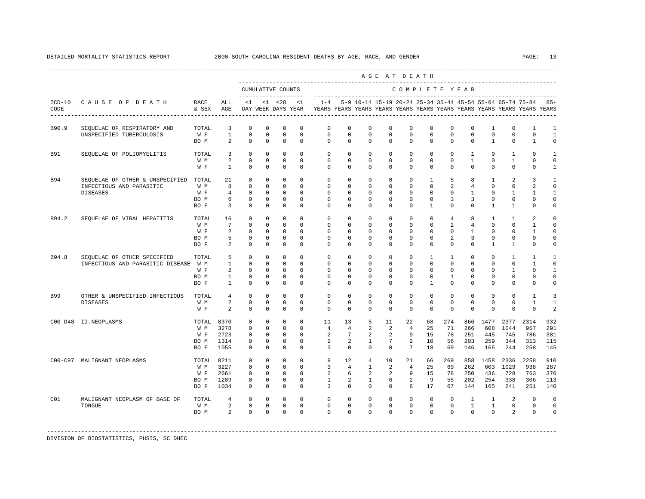|                  |                                                                     |               |                       |                            |                           |                          |                         |                                                                                            |                         |                         |                         | AGE AT DEATH            |                            |                            |                                |                          |                               |                                                                     |                             |
|------------------|---------------------------------------------------------------------|---------------|-----------------------|----------------------------|---------------------------|--------------------------|-------------------------|--------------------------------------------------------------------------------------------|-------------------------|-------------------------|-------------------------|-------------------------|----------------------------|----------------------------|--------------------------------|--------------------------|-------------------------------|---------------------------------------------------------------------|-----------------------------|
|                  |                                                                     |               |                       |                            |                           | CUMULATIVE COUNTS        | --------------------    |                                                                                            |                         |                         |                         | COMPLETE YEAR           |                            |                            |                                |                          |                               |                                                                     |                             |
| $ICD-10$<br>CODE | CAUSE OF DEATH<br>--------------------------------------            | RACE<br>& SEX | ALL<br>AGE            |                            |                           | $<1$ $<1$ $<28$ $<1$     |                         | DAY WEEK DAYS YEAR YEARS YEARS YEARS YEARS YEARS YEARS YEARS YEARS YEARS YEARS YEARS YEARS |                         |                         |                         |                         |                            |                            |                                |                          |                               | $1-4$ 5-9 10-14 15-19 20-24 25-34 35-44 45-54 55-64 65-74 75-84 85+ |                             |
| B90.9            | SEQUELAE OF RESPIRATORY AND                                         | TOTAL         | 3                     | $\mathbf 0$                | $\mathbf 0$               | $\mathbf 0$              | $\Omega$                | $\Omega$                                                                                   | $\Omega$                | $\Omega$                | $\Omega$                | $\Omega$                | $\Omega$                   | 0                          | 0                              | 1                        | $\mathbf 0$                   | 1                                                                   | 1                           |
|                  | UNSPECIFIED TUBERCULOSIS                                            | W F<br>BO M   | $\mathbf{1}$<br>2     | $\mathbf 0$<br>$\Omega$    | $\mathbf 0$<br>$\Omega$   | $\mathbf 0$<br>$\Omega$  | $\mathbf 0$<br>$\Omega$ | $\mathbf 0$<br>$\Omega$                                                                    | 0<br>$\Omega$           | $\mathbf 0$<br>$\Omega$ | $\mathbf 0$<br>$\Omega$ | $\mathbf 0$<br>$\Omega$ | $\mathbf 0$<br>$\Omega$    | $\mathbf 0$<br>$\Omega$    | $\Omega$<br>$\Omega$           | $\Omega$<br>$\mathbf{1}$ | $\mathbf 0$<br>$\Omega$       | $\mathbf 0$<br>1                                                    | $\mathbf{1}$<br>$\Omega$    |
| <b>B91</b>       | SEQUELAE OF POLIOMYELITIS                                           | TOTAL         | 3                     | $\mathbf 0$                | $\Omega$                  | $\mathbf 0$              | $\Omega$                | $\Omega$                                                                                   | $\Omega$                | $\Omega$                | $\Omega$                | $\Omega$                | $\Omega$                   | $\Omega$                   | $\mathbf{1}$                   | $\Omega$                 | 1                             | $\Omega$                                                            | 1                           |
|                  |                                                                     | W M<br>W F    | 2<br>$\mathbf{1}$     | $\mathbf 0$<br>$\mathbf 0$ | $^{\circ}$<br>$^{\circ}$  | $\circ$<br>$^{\circ}$    | $\Omega$<br>$\mathbf 0$ | $\Omega$<br>$\mathbf 0$                                                                    | $\Omega$<br>0           | $\Omega$<br>$\mathbf 0$ | $\Omega$<br>$\mathbf 0$ | $\Omega$<br>$\mathbf 0$ | $\Omega$<br>$\mathbf 0$    | $\mathbf 0$<br>$\mathbf 0$ | $\mathbf{1}$<br>$\mathbf{0}$   | $\Omega$<br>0            | $\mathbf{1}$<br>$\mathbf{0}$  | $\mathbf 0$<br>0                                                    | $\circ$<br>$\mathbf{1}$     |
| <b>B94</b>       | SEQUELAE OF OTHER & UNSPECIFIED                                     | TOTAL         | 21                    | $\mathbf 0$                | $^{\circ}$                | $\mathbf 0$              | $\Omega$                | $\mathbf 0$                                                                                | 0                       | $\Omega$                | $\Omega$                | $\Omega$                | $\mathbf{1}$               | 5                          | 8                              | 1                        | 2                             | 3                                                                   | 1                           |
|                  | INFECTIOUS AND PARASITIC<br><b>DISEASES</b>                         | W M<br>W F    | 8<br>$\overline{4}$   | $\mathbf 0$<br>$\mathbf 0$ | $^{\circ}$<br>$\mathbf 0$ | $\circ$<br>$^{\circ}$    | 0<br>$\Omega$           | $\mathbf 0$<br>$\Omega$                                                                    | 0<br>$\Omega$           | $\mathbf 0$<br>$\Omega$ | $\mathbf 0$<br>$\Omega$ | $\mathbf 0$<br>$\Omega$ | $\mathbf 0$<br>$\Omega$    | 2<br>$\Omega$              | $\overline{4}$<br>$\mathbf{1}$ | $\mathbf 0$<br>$\Omega$  | $\mathbf{0}$<br>1             | $\overline{a}$<br>1                                                 | $\mathbf 0$<br>$\mathbf{1}$ |
|                  |                                                                     | BO M          | 6                     | $\mathbf 0$                | $\mathbf 0$               | $\mathbf 0$              | $\mathbf 0$             | $\mathbf 0$                                                                                | 0                       | $\mathbf 0$             | $\mathbf 0$             | $\mathbf 0$             | $\mathbf 0$                | 3                          | 3                              | 0                        | 0                             | 0                                                                   | $\circ$                     |
|                  |                                                                     | BO F          | $\overline{3}$        | $\mathbf 0$                | $^{\circ}$                | $^{\circ}$               | $\Omega$                | $\Omega$                                                                                   | $\Omega$                | $\Omega$                | $\Omega$                | $\Omega$                | $\mathbf{1}$               | $\Omega$                   | $\Omega$                       | $\mathbf{1}$             | $\mathbf{1}$                  | $\mathbf 0$                                                         | $\mathbf 0$                 |
| B94.2            | SEQUELAE OF VIRAL HEPATITIS                                         | TOTAL<br>W M  | 16<br>$7\overline{ }$ | 0<br>$\mathbf 0$           | $^{\circ}$<br>$^{\circ}$  | 0<br>$\mathbf{0}$        | $\Omega$<br>$\Omega$    | $\mathbf 0$<br>$\Omega$                                                                    | 0<br>$\Omega$           | $\mathbf 0$<br>$\Omega$ | $\mathbf 0$<br>$\Omega$ | $\mathbf 0$<br>$\Omega$ | $\mathbf 0$<br>$\mathbf 0$ | 4<br>2                     | 8<br>$\overline{4}$            | 1<br>$\Omega$            | 1<br>$\mathbf 0$              | 2<br>$\mathbf{1}$                                                   | $\mathbf 0$<br>$\mathbf 0$  |
|                  |                                                                     | W F           | 2                     | $\mathbf 0$                | $^{\circ}$                | $\mathbf 0$              | $\mathbf 0$             | $\mathbf 0$                                                                                | $\mathbf 0$             | $\mathbf 0$             | $\mathbf 0$             | $\mathbf 0$             | 0                          | $\mathbf 0$                | $\mathbf{1}$                   | $\mathbf 0$              | $\mathbf 0$                   | 1                                                                   | $\mathbf 0$                 |
|                  |                                                                     | BO M          | 5                     | $\mathbf 0$                | $^{\circ}$                | $^{\circ}$               | 0                       | $\mathbf{0}$                                                                               | $\Omega$                | 0                       | $\Omega$                | $\Omega$                | $\Omega$                   | 2                          | 3                              | 0                        | $\mathbf{0}$                  | $\mathbf{0}$                                                        | 0                           |
|                  |                                                                     | BO F          | 2                     | $\mathbf 0$                | $^{\circ}$                | $^{\circ}$               | $\Omega$                | $\Omega$                                                                                   | $\Omega$                | $\Omega$                | $\Omega$                | $\Omega$                | $\Omega$                   | $\Omega$                   | $\Omega$                       | $\mathbf{1}$             | $\mathbf{1}$                  | $\mathbf 0$                                                         | $\mathbf 0$                 |
| B94.8            | SEQUELAE OF OTHER SPECIFIED<br>INFECTIOUS AND PARASITIC DISEASE W M | TOTAL         | 5<br>$\mathbf{1}$     | $\mathbf 0$<br>$\mathbf 0$ | $\mathbf 0$<br>$^{\circ}$ | $\Omega$<br>$\circ$      | $\Omega$<br>$\Omega$    | $\Omega$<br>$\Omega$                                                                       | $\Omega$<br>$\Omega$    | $\Omega$<br>$\Omega$    | $\Omega$<br>$\Omega$    | $\Omega$<br>$\Omega$    | $\mathbf{1}$<br>$\Omega$   | $\mathbf{1}$<br>$\Omega$   | $\Omega$<br>$\Omega$           | $\Omega$<br>$\Omega$     | $\mathbf{1}$<br>$\Omega$      | 1<br>$\mathbf{1}$                                                   | 1<br>$\Omega$               |
|                  |                                                                     | W F           | 2                     | $\mathbf 0$                | $^{\circ}$                | $^{\circ}$               | $\Omega$                | $\Omega$                                                                                   | $\Omega$                | $\Omega$                | $\Omega$                | $\Omega$                | $\Omega$                   | $\Omega$                   | $\Omega$                       | $\Omega$                 | $\mathbf{1}$                  | $\mathbf 0$                                                         | $\mathbf{1}$                |
|                  |                                                                     | BO M          | $\mathbf{1}$          | $\mathbf 0$                | $\mathbf 0$               | $\mathbf 0$              | $\mathbf 0$             | $\mathbf 0$                                                                                | $\mathbf 0$             | $\mathbf 0$             | $\mathbf 0$             | $\mathbf 0$             | $\mathbf 0$                | $\mathbf{1}$               | $\mathbf 0$                    | $\mathbf 0$              | $\mathsf{O}$                  | 0                                                                   | $\mathbf 0$                 |
|                  |                                                                     | BO F          | $\mathbf{1}$          | $\mathbf 0$                | $\mathbf 0$               | $\mathbf 0$              | $\mathbf 0$             | $\mathbf 0$                                                                                | 0                       | $\mathbf 0$             | $\mathbf 0$             | $\mathbf 0$             | $\mathbf{1}$               | $\mathbf 0$                | $\mathbf 0$                    | $\Omega$                 | $\mathbf 0$                   | $\mathsf 0$                                                         | $\circ$                     |
| B99              | OTHER & UNSPECIFIED INFECTIOUS<br><b>DISEASES</b>                   | TOTAL<br>W M  | 4<br>2                | $\mathbf 0$<br>$\mathbf 0$ | $\mathbf 0$<br>$\Omega$   | $\mathbf 0$<br>$\Omega$  | $\Omega$<br>$\Omega$    | $\Omega$<br>$\Omega$                                                                       | $\mathbf 0$<br>$\Omega$ | $\Omega$<br>$\Omega$    | $\Omega$<br>$\Omega$    | $\Omega$<br>$\Omega$    | $\mathbf 0$<br>$\Omega$    | $\mathbf 0$<br>$\Omega$    | $\mathbf 0$<br>$\Omega$        | $\Omega$<br>$\Omega$     | $\mathbf 0$<br>$\Omega$       | $\mathbf{1}$<br>$\mathbf{1}$                                        | $\overline{3}$<br>1         |
|                  |                                                                     | W F           | 2                     | $\Omega$                   | $\Omega$                  | $\Omega$                 | $\Omega$                | $\Omega$                                                                                   | $\Omega$                | $\Omega$                | $\Omega$                | $\Omega$                | $\Omega$                   | $\Omega$                   | $\Omega$                       | $\Omega$                 | $\Omega$                      | $\Omega$                                                            | $\overline{a}$              |
|                  | C00-D48 II.NEOPLASMS                                                | TOTAL         | 8370                  | $\mathbf 0$                | $^{\circ}$                | $\mathbf 0$              | $\Omega$                | 11                                                                                         | 13                      | 5                       | 11                      | 22                      | 68                         | 274                        | 866                            | 1477                     | 2377                          | 2314                                                                | 932                         |
|                  |                                                                     | W M<br>W F    | 3278<br>2723          | $^{\circ}$<br>$\mathbf 0$  | $^{\circ}$<br>$\circ$     | $\circ$<br>$\circ$       | $\Omega$<br>$\Omega$    | $\overline{4}$<br>2                                                                        | $\overline{4}$<br>7     | 2<br>2                  | 2<br>2                  | $\overline{4}$<br>9     | 25<br>15                   | 71<br>78                   | 266<br>251                     | 608<br>445               | 1044<br>745                   | 957<br>786                                                          | 291<br>381                  |
|                  |                                                                     | BO M          | 1314                  | $\mathbf 0$                | $\mathbf 0$               | $\mathbf 0$              | $\Omega$                | 2                                                                                          | 2                       | $\mathbf{1}$            | 7                       | 2                       | 10                         | 56                         | 203                            | 259                      | 344                           | 313                                                                 | 115                         |
|                  |                                                                     | BO F          | 1055                  | $\circ$                    | $\circ$                   | $^{\circ}$               | $\Omega$                | 3                                                                                          | $\Omega$                | $\Omega$                | $\Omega$                | $7\overline{ }$         | 18                         | 69                         | 146                            | 165                      | 244                           | 258                                                                 | 145                         |
|                  | C00-C97 MALIGNANT NEOPLASMS                                         | TOTAL 8211    |                       | $\mathbf 0$                | $^{\circ}$                | $^{\circ}$               | $\Omega$                | 9                                                                                          | 12                      | 4                       | 10                      | 21                      | 66                         | 269                        | 858                            | 1458                     | 2336                          | 2258                                                                | 910                         |
|                  |                                                                     | W M<br>W F    | 3227<br>2661          | $\mathbf 0$<br>$\mathbf 0$ | $\Omega$<br>$\circ$       | $\Omega$<br>$\mathbf{0}$ | $\Omega$<br>$\mathbf 0$ | 3<br>2                                                                                     | $\overline{4}$<br>6     | $\overline{1}$<br>2     | $\mathfrak{D}$<br>2     | $\overline{4}$<br>9     | 25<br>15                   | 69<br>78                   | 262<br>250                     | 603<br>436               | 1029<br>728                   | 938<br>763                                                          | 287<br>370                  |
|                  |                                                                     | BO M          | 1289                  | 0                          | 0                         | $\mathbf 0$              | $\mathbf 0$             | $\mathbf{1}$                                                                               | 2                       | $\mathbf{1}$            | 6                       | 2                       | 9                          | 55                         | 202                            | 254                      | 338                           | 306                                                                 | 113                         |
|                  |                                                                     | BO F          | 1034                  | $\mathbf 0$                | $\Omega$                  | $\circ$                  | $\Omega$                | 3                                                                                          | $\Omega$                | $\Omega$                | $\Omega$                | 6                       | 17                         | 67                         | 144                            | 165                      | 241                           | 251                                                                 | 140                         |
| C01              | MALIGNANT NEOPLASM OF BASE OF                                       | TOTAL         | 4                     | 0                          | $^{\circ}$                | $^{\circ}$               | $\Omega$                | $\mathbf 0$                                                                                | 0                       | $\mathbf 0$             | $\mathbf 0$             | $\mathbf 0$             | $\mathbf 0$                | 0                          | 1                              | 1                        | 2                             | $\mathbf 0$                                                         | $\mathbf 0$                 |
|                  | TONGUE                                                              | W M           | 2<br>2                | $\mathbf 0$<br>$\Omega$    | $\mathbf 0$<br>$\Omega$   | $\mathbf 0$<br>$\Omega$  | $\mathbf 0$<br>$\Omega$ | $\mathbf 0$<br>$\Omega$                                                                    | $\mathbf 0$<br>$\Omega$ | $\mathbf 0$<br>$\Omega$ | $\Omega$<br>$\Omega$    | $\mathbf 0$<br>$\Omega$ | $\mathbf 0$<br>$\Omega$    | $\mathbf 0$<br>$\Omega$    | $\mathbf{1}$<br>$\Omega$       | $\mathbf{1}$<br>$\Omega$ | $\mathbf 0$<br>$\overline{a}$ | $\mathbf{0}$<br>$\mathbf 0$                                         | $\mathbf 0$<br>$\mathbf 0$  |
|                  |                                                                     | BO M          |                       |                            |                           |                          |                         |                                                                                            |                         |                         |                         |                         |                            |                            |                                |                          |                               |                                                                     |                             |

DIVISION OF BIOSTATISTICS, PHSIS, SC DHEC

<span id="page-20-0"></span>----------------------------------------------------------------------------------------------------------------------------------------------------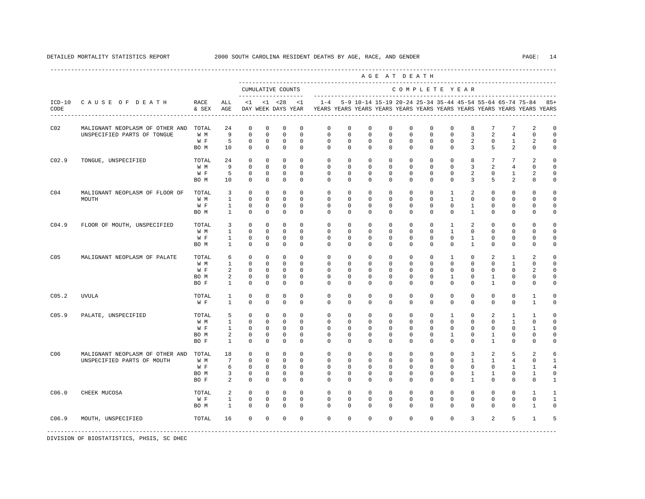|                   |                                 |                      |                 |             |             |                                          | -------------------- |              |             | ---------------------    |          | AGE AT DEATH                                              |              |              |              |                |                |                                                                         |              |
|-------------------|---------------------------------|----------------------|-----------------|-------------|-------------|------------------------------------------|----------------------|--------------|-------------|--------------------------|----------|-----------------------------------------------------------|--------------|--------------|--------------|----------------|----------------|-------------------------------------------------------------------------|--------------|
|                   |                                 |                      |                 |             |             | CUMULATIVE COUNTS<br>------------------- |                      |              |             | ------------------------ |          | COMPLETE YEAR                                             |              |              |              |                |                |                                                                         |              |
| $ICD-10$<br>CODE  | CAUSE OF DEATH                  | <b>RACE</b><br>& SEX | ALL<br>AGE      | $\leq 1$    |             | $<1$ $<28$<br>DAY WEEK DAYS YEAR         | ${<}1$               | $1 - 4$      |             |                          |          | 5-9 10-14 15-19 20-24 25-34 35-44 45-54 55-64 65-74 75-84 |              |              |              |                |                | YEARS YEARS YEARS YEARS YEARS YEARS YEARS YEARS YEARS YEARS YEARS YEARS | $85+$        |
| CO <sub>2</sub>   | MALIGNANT NEOPLASM OF OTHER AND | TOTAL                | 24              | $^{\circ}$  | $^{\circ}$  | $^{\circ}$                               | $^{\circ}$           | 0            | 0           | 0                        | 0        | 0                                                         | 0            | 0            | 8            |                | 7              | 2                                                                       | $\Omega$     |
|                   | UNSPECIFIED PARTS OF TONGUE     | W M                  | 9               | $\mathbf 0$ | $\mathbf 0$ | $\mathbf 0$                              | $\mathbf 0$          | $\mathbf 0$  | 0           | 0                        | 0        | 0                                                         | $\mathbf{0}$ | 0            | 3            | 2              | 4              | $\mathbf 0$                                                             | $\Omega$     |
|                   |                                 | W F                  | 5               | 0           | $^{\circ}$  | 0                                        | $\mathbf 0$          | 0            | 0           | 0                        | 0        | 0                                                         | $\mathbf 0$  | 0            | 2            | $^{\circ}$     | 1              | 2                                                                       | $\Omega$     |
|                   |                                 | BO M                 | 10              | $\mathbf 0$ | $\mathbf 0$ | $\mathbf 0$                              | $^{\circ}$           | $\mathbf 0$  | $\mathbf 0$ | 0                        | 0        | 0                                                         | $\mathbf 0$  | $\mathbf 0$  | 3            | 5              | 2              | $\mathbf 0$                                                             | $\mathbf 0$  |
| CO <sub>2.9</sub> | TONGUE, UNSPECIFIED             | TOTAL                | 24              | 0           | 0           | $\mathbf 0$                              | $\mathbf 0$          | 0            | 0           | 0                        | 0        | 0                                                         | 0            | 0            | 8            | 7              | 7              | 2                                                                       | $\Omega$     |
|                   |                                 | W M                  | 9               | $\mathbf 0$ | $\mathbf 0$ | $\mathbf 0$                              | $\mathbf 0$          | $\mathbf 0$  | 0           | $\Omega$                 | 0        | $\Omega$                                                  | $\Omega$     | $\Omega$     | 3            | 2              | 4              | $\Omega$                                                                | $\Omega$     |
|                   |                                 | W F                  | 5               | $\mathbf 0$ | $\mathbf 0$ | $\mathbf 0$                              | $\mathbf 0$          | $\mathbb O$  | 0           | 0                        | 0        | 0                                                         | $\mathbf 0$  | 0            | 2            | $^{\circ}$     | 1              | $\overline{a}$                                                          | $\mathbf 0$  |
|                   |                                 | BO M                 | 10              | $\mathbf 0$ | $\mathbf 0$ | $\mathbb O$                              | $\mathbf 0$          | $\mathbf 0$  | $\mathbf 0$ | 0                        | 0        | $\mathbf 0$                                               | $\mathbf 0$  | $\mathbf 0$  | 3            | 5              | $\overline{a}$ | $\mathbf 0$                                                             | $\mathbf 0$  |
| CO <sub>4</sub>   | MALIGNANT NEOPLASM OF FLOOR OF  | TOTAL                | 3               | $\mathbf 0$ | $\mathbf 0$ | 0                                        | $\mathbf 0$          | $\mathbf 0$  | 0           | 0                        | 0        | 0                                                         | $\mathbf 0$  | 1            | 2            | $^{\circ}$     | $\mathbf 0$    | $\mathbf 0$                                                             | $\mathbf 0$  |
|                   | MOUTH                           | W M                  | 1               | $\mathbf 0$ | $\mathbf 0$ | $\mathbf 0$                              | $\mathbf 0$          | $\mathbf 0$  | 0           | 0                        | 0        | $\Omega$                                                  | $\Omega$     | $\mathbf{1}$ | $^{\circ}$   | 0              | $\mathbf 0$    | $\mathbf 0$                                                             | $\Omega$     |
|                   |                                 | W F                  | $\mathbf{1}$    | $\mathbf 0$ | $\mathbf 0$ | $\mathbf 0$                              | $^{\circ}$           | $\mathbf{0}$ | 0           | 0                        | 0        | 0                                                         | $\mathbf 0$  | $\mathbf 0$  | $\mathbf{1}$ | $^{\circ}$     | $\mathbf{0}$   | $\mathbf 0$                                                             | $\mathbf 0$  |
|                   |                                 | BO M                 | $\mathbf{1}$    | $\mathbf 0$ | $\mathbf 0$ | $\mathbf 0$                              | $\mathbf 0$          | $\mathbf 0$  | $\mathbf 0$ | 0                        | 0        | $\mathbf 0$                                               | $\mathbf 0$  | $\mathbf 0$  | $\mathbf{1}$ | 0              | $\mathbf{0}$   | $\mathbf 0$                                                             | $\mathbf 0$  |
| CO <sub>4.9</sub> | FLOOR OF MOUTH, UNSPECIFIED     | TOTAL                | 3               | $\mathbf 0$ | $\mathbf 0$ | $\mathbf 0$                              | $\Omega$             | $\Omega$     | $\Omega$    | $\Omega$                 | $\Omega$ | $\Omega$                                                  | $\Omega$     | $\mathbf{1}$ | 2            | $\Omega$       | $\mathbf 0$    | $\Omega$                                                                | $\Omega$     |
|                   |                                 | W M                  | $\mathbf{1}$    | $\mathbb O$ | $\mathbb O$ | $\mathbf 0$                              | $\Omega$             | $\mathbf{0}$ | $\Omega$    | $\Omega$                 | $\Omega$ | $\Omega$                                                  | $\Omega$     | $\mathbf{1}$ | $\mathbf 0$  | $\Omega$       | $\mathbf{0}$   | $\Omega$                                                                | $\Omega$     |
|                   |                                 | W F                  | $\mathbf{1}$    | $\mathbf 0$ | $\mathbf 0$ | $\mathsf 0$                              | $\mathbf 0$          | $\mathbf 0$  | $\mathbf 0$ | 0                        | 0        | $\mathbf 0$                                               | $\mathbf 0$  | $\mathbf 0$  | $\mathbf{1}$ | $\Omega$       | $\mathbf{0}$   | $\Omega$                                                                | $\Omega$     |
|                   |                                 | BO M                 | $\mathbf{1}$    | $\mathbf 0$ | $\mathbf 0$ | $\mathbf 0$                              | $\mathbf 0$          | $\mathbf 0$  | $\mathbf 0$ | 0                        | 0        | $\mathbf 0$                                               | $\mathbf 0$  | $\mathbf 0$  | $\mathbf{1}$ | $\mathbf 0$    | $\mathbf{0}$   | $\mathbf 0$                                                             | $\Omega$     |
| C05               | MALIGNANT NEOPLASM OF PALATE    | TOTAL                | 6               | $\mathbf 0$ | $\mathbf 0$ | $\mathbf 0$                              | $\Omega$             | $\mathbf{0}$ | $\Omega$    | $\Omega$                 | $\Omega$ | $\Omega$                                                  | $\Omega$     | $\mathbf{1}$ | $\Omega$     | $\overline{a}$ | $\mathbf{1}$   | $\mathfrak{D}$                                                          | $\Omega$     |
|                   |                                 | W M                  | $\mathbf{1}$    | $\mathbf 0$ | $\mathbf 0$ | $\mathbf 0$                              | $\mathbf 0$          | $\mathbf{0}$ | $\mathbf 0$ | 0                        | 0        | $\mathbf 0$                                               | $\Omega$     | $\Omega$     | $\mathbf 0$  | $\mathbf 0$    | $\mathbf{1}$   | $\mathbf 0$                                                             | $\Omega$     |
|                   |                                 | W F                  | 2               | $\mathbf 0$ | $\mathbf 0$ | $\mathbf 0$                              | $\mathbf 0$          | $\mathbf{0}$ | $\mathbf 0$ | 0                        | 0        | $\mathbf 0$                                               | $\mathbf 0$  | $\mathbf 0$  | $\mathbf 0$  | $\mathbf 0$    | $\mathbf{0}$   | 2                                                                       | $\Omega$     |
|                   |                                 | BO M                 | 2               | $\mathbf 0$ | $\mathbf 0$ | $\mathbf 0$                              | $^{\circ}$           | $\mathbf 0$  | $\mathbf 0$ | 0                        | 0        | $\mathbf 0$                                               | $\mathbf 0$  | $\mathbf{1}$ | $^{\circ}$   | $\mathbf{1}$   | $\mathbf{0}$   | $\mathbf 0$                                                             | $\Omega$     |
|                   |                                 | BO F                 | $\mathbf{1}$    | $\mathbf 0$ | $\Omega$    | $\mathbf 0$                              | $\Omega$             | $\Omega$     | $\Omega$    | $\Omega$                 | $\Omega$ | $\Omega$                                                  | $\Omega$     | $\Omega$     | $\Omega$     | $\mathbf{1}$   | $\mathbf{0}$   | $\Omega$                                                                | $\Omega$     |
| C05.2             | <b>UVULA</b>                    | TOTAL                | 1               | $^{\circ}$  | $\circ$     | $^{\circ}$                               | 0                    | $\mathbf{0}$ | $\Omega$    | 0                        | 0        | 0                                                         | $\mathbf 0$  | $\Omega$     | $^{\circ}$   | $^{\circ}$     | $\mathbf 0$    | 1                                                                       | $\Omega$     |
|                   |                                 | W F                  | $\mathbf{1}$    | $\Omega$    | $\Omega$    | $\Omega$                                 | $\Omega$             | $\Omega$     | $\Omega$    | 0                        | 0        | $\Omega$                                                  | $\Omega$     | $\Omega$     | $\Omega$     | $\Omega$       | $\Omega$       | $\mathbf{1}$                                                            | $\Omega$     |
| C05.9             | PALATE, UNSPECIFIED             | TOTAL                | 5               | $\Omega$    | $\Omega$    | $^{\circ}$                               | $\Omega$             | $\Omega$     | $\Omega$    | $\Omega$                 | $\Omega$ | $\Omega$                                                  | $\Omega$     | $\mathbf{1}$ | $\Omega$     | 2              | 1              | $\mathbf{1}$                                                            | $\Omega$     |
|                   |                                 | W M                  | $\mathbf{1}$    | $\mathbf 0$ | $\mathbf 0$ | $\mathbf 0$                              | $^{\circ}$           | 0            | 0           | 0                        | 0        | 0                                                         | $\mathbf 0$  | $\mathbf 0$  | $^{\circ}$   | $^{\circ}$     | $\mathbf{1}$   | $\mathbf 0$                                                             | $\mathbf 0$  |
|                   |                                 | W F                  | $\mathbf{1}$    | $\mathbf 0$ | $\mathbf 0$ | $\mathbf 0$                              | $\mathbf 0$          | $\mathbf 0$  | 0           | 0                        | 0        | 0                                                         | $\mathbf 0$  | 0            | $\mathbf 0$  | 0              | $\mathbf 0$    | 1                                                                       | $\mathbf 0$  |
|                   |                                 | BO M                 | 2               | $\mathbf 0$ | $\mathbf 0$ | $\mathbf 0$                              | $\mathbf 0$          | 0            | 0           | 0                        | 0        | 0                                                         | 0            | 1            | 0            | 1              | 0              | 0                                                                       | 0            |
|                   |                                 | BO F                 | $\mathbf{1}$    | $\mathbf 0$ | $\mathbf 0$ | $\mathbf 0$                              | $\mathbf 0$          | $\mathbf 0$  | 0           | $\Omega$                 | 0        | $\Omega$                                                  | $\mathbf 0$  | $\Omega$     | 0            | 1              | 0              | 0                                                                       | $\mathbf 0$  |
| C06               | MALIGNANT NEOPLASM OF OTHER AND | TOTAL                | 18              | $\mathbf 0$ | $\mathbf 0$ | $\mathbf 0$                              | $\mathbf 0$          | $\mathbb O$  | $\mathbf 0$ | 0                        | 0        | $\mathbf 0$                                               | $\mathbf 0$  | $\mathbf 0$  | 3            | 2              | 5              | 2                                                                       | 6            |
|                   | UNSPECIFIED PARTS OF MOUTH      | W M                  | $7\phantom{.0}$ | $\mathbf 0$ | $\mathbf 0$ | $\mathbf 0$                              | $\mathbf 0$          | 0            | 0           | 0                        | 0        | 0                                                         | 0            | 0            | 1            | 1              | 4              | 0                                                                       | 1            |
|                   |                                 | W F                  | 6               | 0           | 0           | $\mathbf 0$                              | $\mathbf 0$          | $\mathbf 0$  | 0           | 0                        | 0        | 0                                                         | $\mathbf 0$  | 0            | $\mathbf 0$  | 0              | 1              | $\mathbf{1}$                                                            | 4            |
|                   |                                 | BO M                 | 3               | $\mathbf 0$ | $\mathbf 0$ | $\mathbf 0$                              | $\mathbf 0$          | 0            | 0           | 0                        | 0        | 0                                                         | $\mathbf{0}$ | 0            | 1            | 1              | 0              | 1                                                                       | $\mathbf 0$  |
|                   |                                 | BO F                 | 2               | $\mathbf 0$ | $\mathbf 0$ | $\mathbf 0$                              | $\mathbf 0$          | $\mathbf 0$  | $\mathbf 0$ | 0                        | 0        | 0                                                         | $\mathbf 0$  | $\Omega$     | $\mathbf{1}$ | 0              | $\mathbf 0$    | $\mathbf 0$                                                             | $\mathbf{1}$ |
| C06.0             | CHEEK MUCOSA                    | TOTAL                | 2               | 0           | 0           | 0                                        | $^{\circ}$           | $\mathbf 0$  | 0           | 0                        | 0        | 0                                                         | 0            | 0            | 0            | $\Omega$       | 0              | $\mathbf{1}$                                                            | $\mathbf{1}$ |
|                   |                                 | W F                  | $\mathbf{1}$    | $\mathbb O$ | $\mathbb O$ | $\mathbf 0$                              | $\mathbf 0$          | $\Omega$     | $\mathbf 0$ | 0                        | 0        | $\mathbf 0$                                               | $\mathbf 0$  | $\Omega$     | 0            | $\Omega$       | $\mathbf 0$    | $\Omega$                                                                | $\mathbf{1}$ |
|                   |                                 | BO M                 | $\mathbf{1}$    | $\Omega$    | $\Omega$    | $\mathbf 0$                              | $\Omega$             | $\Omega$     | $\Omega$    | $\Omega$                 | $\Omega$ | $\Omega$                                                  | $\Omega$     | $\Omega$     | $\Omega$     | $\Omega$       | $\Omega$       | $\mathbf{1}$                                                            | $\Omega$     |

C06.9 MOUTH, UNSPECIFIED TOTAL 16 0 0 0 0 0 0 0 0 0 0 0 3 2 5 1 5

-----------------------------------------------------------------------------------------------------------------------------------------------------

DIVISION OF BIOSTATISTICS, PHSIS, SC DHEC

----------------------------------------------------------------------------------------------------------------------------------------------------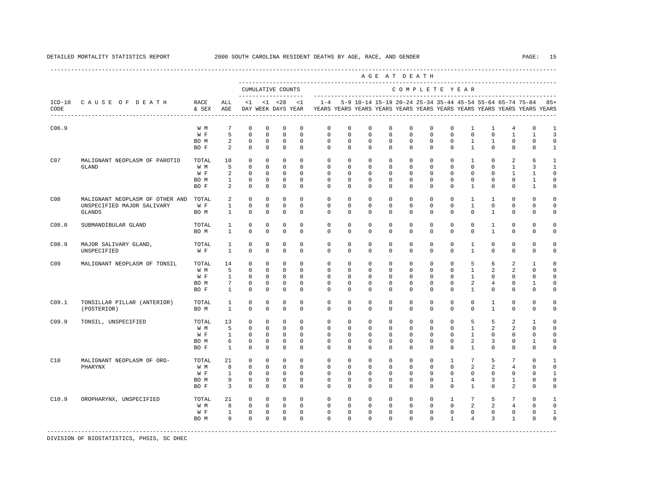|                  |                                 |               |                |              |             |                                           |              |                                                                                                       |              |             |             | AGE AT DEATH  |              |              |                 |                |                |                                                               |                     |
|------------------|---------------------------------|---------------|----------------|--------------|-------------|-------------------------------------------|--------------|-------------------------------------------------------------------------------------------------------|--------------|-------------|-------------|---------------|--------------|--------------|-----------------|----------------|----------------|---------------------------------------------------------------|---------------------|
|                  |                                 |               |                |              |             | CUMULATIVE COUNTS<br>____________________ |              |                                                                                                       |              |             |             | COMPLETE YEAR |              |              |                 |                |                |                                                               |                     |
| $ICD-10$<br>CODE | CAUSE OF DEATH                  | RACE<br>& SEX | ALL<br>AGE     | $\leq 1$     |             | $< 1$ $< 28$                              | $\leq 1$     | $1 - 4$<br>DAY WEEK DAYS YEAR TEARS YEARS YEARS YEARS YEARS YEARS YEARS YEARS YEARS YEARS YEARS YEARS |              |             |             |               |              |              |                 |                |                | 5-9 10-14 15-19 20-24 25-34 35-44 45-54 55-64 65-74 75-84 85+ |                     |
| C06.9            |                                 | W M           | 7              | $\mathbf{0}$ | $\mathbf 0$ | $\mathbf 0$                               | $\mathbf 0$  | $\mathbf{0}$                                                                                          | $\mathbf 0$  | $\mathbf 0$ | $\mathbf 0$ | $\mathbf{0}$  | $\mathbf 0$  | 0            | $\mathbf{1}$    | 1              | 4              | $\Omega$                                                      | $\mathbf{1}$        |
|                  |                                 | W F           | 5              | $\Omega$     | $\Omega$    | $\Omega$                                  | $\Omega$     | $\Omega$                                                                                              | $\Omega$     | $\Omega$    | $\Omega$    | $\Omega$      | $\Omega$     | $\Omega$     | $\Omega$        | $\Omega$       | $\mathbf{1}$   | $\mathbf{1}$                                                  | 3                   |
|                  |                                 | BO M          | 2              | $\mathbb O$  | 0           | $\mathbb O$                               | $\mathbb O$  | $\mathbb O$                                                                                           | $\mathsf 0$  | 0           | 0           | 0             | 0            | 0            | $\mathbf{1}$    | $\mathbf{1}$   | $\mathbf 0$    | $\mathbf 0$                                                   | $\mathsf{O}\xspace$ |
|                  |                                 | BO F          | 2              | $\circ$      | $\mathbf 0$ | $\mathbf 0$                               | $\mathbf 0$  | $\mathbf 0$                                                                                           | $\mathbf 0$  | $\Omega$    | $\mathbf 0$ | $\Omega$      | $\mathbf 0$  | $\Omega$     | $\mathbf{1}$    | $\Omega$       | $\mathbf 0$    | $\mathbf 0$                                                   | $\mathbf{1}$        |
| CO7              | MALIGNANT NEOPLASM OF PAROTID   | TOTAL         | 10             | $\mathbf 0$  | $\mathbf 0$ | $\mathbf 0$                               | $\Omega$     | $\mathbf 0$                                                                                           | $\mathbf 0$  | $\Omega$    | $\Omega$    | $\Omega$      | $\Omega$     | $\Omega$     | $\mathbf{1}$    | $\Omega$       | 2              | 6                                                             | $\mathbf{1}$        |
|                  | GLAND                           | W M           | 5              | $\Omega$     | $\Omega$    | $\Omega$                                  | $\Omega$     | $\Omega$                                                                                              | $\Omega$     | $\Omega$    | $\Omega$    | $\Omega$      | $\Omega$     | $\Omega$     | $\Omega$        | $\Omega$       | $\overline{1}$ | 3                                                             | $\mathbf{1}$        |
|                  |                                 | W F           | 2              | $\mathbf{0}$ | $\mathbf 0$ | $\mathbf 0$                               | $\mathbf 0$  | $\mathbf 0$                                                                                           | $\mathbf 0$  | $\Omega$    | $\Omega$    | $\Omega$      | $\mathbf 0$  | $\Omega$     | $\Omega$        | $\Omega$       | $\mathbf{1}$   | $\mathbf{1}$                                                  | $\circ$             |
|                  |                                 | BO M          | $\mathbf{1}$   | 0            | $\mathbf 0$ | 0                                         | $\mathbf 0$  | $\mathbf 0$                                                                                           | $\mathbf 0$  | $^{\circ}$  | $^{\circ}$  | $\mathbf{0}$  | $\mathbf{0}$ | 0            | 0               | 0              | 0              | 1                                                             | $\circ$             |
|                  |                                 | BO F          | 2              | $\circ$      | $\mathbf 0$ | $\mathbf 0$                               | $\Omega$     | $\Omega$                                                                                              | $\Omega$     | $\Omega$    | $\Omega$    | $\Omega$      | $\Omega$     | $\Omega$     | $\mathbf{1}$    | $\Omega$       | $\Omega$       | $\mathbf{1}$                                                  | 0                   |
| CO8              | MALIGNANT NEOPLASM OF OTHER AND | TOTAL         | 2              | $\mathbf{0}$ | $\mathbf 0$ | $\mathbf 0$                               | $\Omega$     | $\mathbf{0}$                                                                                          | $\Omega$     | $\Omega$    | $\Omega$    | $\Omega$      | $\Omega$     | $\Omega$     | $\mathbf{1}$    | $\mathbf{1}$   | $\Omega$       | $\Omega$                                                      | $\Omega$            |
|                  | UNSPECIFIED MAJOR SALIVARY      | W F           | $\mathbf{1}$   | $\mathbf 0$  | $\mathbf 0$ | $\mathbf 0$                               | $\mathbf 0$  | $\mathbf{0}$                                                                                          | $\mathbf 0$  | $\mathbf 0$ | $\mathbf 0$ | $\mathbf 0$   | $\Omega$     | 0            | $\mathbf{1}$    | $\Omega$       | $\Omega$       | $\Omega$                                                      | $\mathbf 0$         |
|                  | <b>GLANDS</b>                   | BO M          | $\mathbf{1}$   | $\mathbb O$  | $\mathbf 0$ | $\mathbb O$                               | $\mathbf 0$  | $\mathbf 0$                                                                                           | $\mathbf 0$  | $\mathbf 0$ | $\mathbf 0$ | $\mathbf 0$   | $\mathbf 0$  | $\mathbf 0$  | $\mathbf 0$     | $\mathbf{1}$   | $\mathbf 0$    | $\Omega$                                                      | $\mathbf 0$         |
| C08.0            | SUBMANDIBULAR GLAND             | TOTAL         | 1              | $\mathbb O$  | $\mathbf 0$ | $\mathbf 0$                               | $\mathbf 0$  | $\mathbf 0$                                                                                           | 0            | $\mathbf 0$ | 0           | $\mathbf 0$   | $\mathbf 0$  | $\mathbf 0$  | $\mathbf 0$     | 1              | $\mathbf 0$    | $\mathbf 0$                                                   | $\circ$             |
|                  |                                 | BO M          | $\mathbf{1}$   | $\mathbf 0$  | $\mathbf 0$ | $\mathbf 0$                               | $\Omega$     | $\mathbf 0$                                                                                           | $\mathbf 0$  | $\Omega$    | $\mathbf 0$ | $\Omega$      | $\mathbf 0$  | $\Omega$     | $\Omega$        | $\mathbf{1}$   | $\Omega$       | $\Omega$                                                      | $\mathbf 0$         |
| C08.9            | MAJOR SALIVARY GLAND,           | TOTAL         | $\mathbf{1}$   | $\mathbf 0$  | $\mathbf 0$ | $\mathbf 0$                               | $\mathbf 0$  | $\mathbf{0}$                                                                                          | $\mathbf 0$  | $\mathbf 0$ | $\mathbf 0$ | $\Omega$      | $\mathbf{0}$ | $\mathbf 0$  | $\mathbf{1}$    | $\Omega$       | $\mathbf 0$    | $\Omega$                                                      | $\circ$             |
|                  | UNSPECIFIED                     | W F           | $\mathbf{1}$   | $\mathbf{0}$ | $\mathbf 0$ | $\mathbf 0$                               | $\mathbf 0$  | $\mathbf{0}$                                                                                          | $\mathbf 0$  | $\Omega$    | $\mathbf 0$ | $\mathbf 0$   | $\mathbf 0$  | $\mathbf 0$  | $\mathbf{1}$    | $\Omega$       | $\mathbf 0$    | $\mathbf 0$                                                   | $\mathsf{O}\xspace$ |
| CO <sub>9</sub>  | MALIGNANT NEOPLASM OF TONSIL    | TOTAL         | 14             | 0            | $\mathbf 0$ | $\mathbf 0$                               | $\mathbf 0$  | $\mathbf 0$                                                                                           | $\mathbf 0$  | $\mathbf 0$ | $^{\circ}$  | $\mathbf{0}$  | 0            | $\mathbf 0$  | 5               | 6              | 2              | 1                                                             | $\Omega$            |
|                  |                                 | W M           | 5              | $\Omega$     | $\Omega$    | $\Omega$                                  | $\Omega$     | $\Omega$                                                                                              | $\Omega$     | $\Omega$    | $\Omega$    | $\Omega$      | $\Omega$     | $\Omega$     | $\overline{1}$  | $\overline{2}$ | 2              | $\Omega$                                                      | $\Omega$            |
|                  |                                 | W F           | $\mathbf{1}$   | $\mathbf{0}$ | $\mathbf 0$ | $\mathbf 0$                               | $\mathbf 0$  | $\mathbf 0$                                                                                           | $\mathbf 0$  | $\mathbf 0$ | $\mathbf 0$ | $\mathbf 0$   | 0            | $\mathbf 0$  | $\mathbf{1}$    | $\mathbf 0$    | $\mathbf 0$    | $\mathbf 0$                                                   | $\circ$             |
|                  |                                 | BO M          | 7              | $^{\circ}$   | $\mathbf 0$ | $\mathbf 0$                               | $\mathbf 0$  | $\mathbf 0$                                                                                           | $\mathbf 0$  | $\mathbf 0$ | $\Omega$    | $\Omega$      | $\Omega$     | $\Omega$     | 2               | 4              | $\Omega$       | $\mathbf{1}$                                                  | $\circ$             |
|                  |                                 | BO F          | 1              | $^{\circ}$   | $\mathbf 0$ | $\mathbf 0$                               | $\mathbf 0$  | $\mathbf 0$                                                                                           | $\mathbf{0}$ | 0           | 0           | $\mathbf{0}$  | 0            | 0            | $\mathbf{1}$    | 0              | 0              | 0                                                             | $\Omega$            |
| C09.1            | TONSILLAR PILLAR (ANTERIOR)     | TOTAL         | $\mathbf{1}$   | $^{\circ}$   | $\mathbf 0$ | $\mathbf 0$                               | $\mathbf 0$  | $\mathbf 0$                                                                                           | $\mathbf 0$  | $\mathbf 0$ | $\mathbf 0$ | $\mathbf 0$   | 0            | $\mathbf 0$  | $\mathbf 0$     | $\mathbf{1}$   | $\mathbf 0$    | $\mathbf 0$                                                   | $\circ$             |
|                  | (POSTERIOR)                     | BO M          | $\mathbf{1}$   | $\mathbf{0}$ | $\mathbf 0$ | $\mathbf 0$                               | $\Omega$     | $\Omega$                                                                                              | $\mathbf 0$  | $\Omega$    | $\mathbf 0$ | $\Omega$      | 0            | $\Omega$     | $\Omega$        | $\overline{1}$ | $\Omega$       | $\Omega$                                                      | $\circ$             |
| C09.9            | TONSIL, UNSPECIFIED             | TOTAL         | 13             | $\Omega$     | $\Omega$    | $\Omega$                                  | $\Omega$     | $\Omega$                                                                                              | $\Omega$     | $\Omega$    | $\Omega$    | $\Omega$      | $\Omega$     | $\Omega$     | 5               | 5              | 2              | $\mathbf{1}$                                                  | $\Omega$            |
|                  |                                 | W M           | 5              | $\mathbf 0$  | $\mathbf 0$ | $\mathbf 0$                               | $\mathbf 0$  | $\mathbf 0$                                                                                           | $\mathbf 0$  | $\mathbf 0$ | $\mathbf 0$ | $\mathbf 0$   | $\mathbf 0$  | 0            | $\mathbf{1}$    | 2              | 2              | $\Omega$                                                      | $\mathbf 0$         |
|                  |                                 | W F           | 1              | $\mathbf 0$  | $\mathbf 0$ | $\mathbf 0$                               | $\mathbf 0$  | $\mathbf 0$                                                                                           | $\mathbf 0$  | 0           | 0           | 0             | 0            | 0            | $\mathbf{1}$    | 0              | 0              | $\Omega$                                                      | $\Omega$            |
|                  |                                 | BO M          | 6              | $^{\circ}$   | $\mathbf 0$ | $\mathbf 0$                               | $\mathbf 0$  | $\mathbf 0$                                                                                           | $^{\circ}$   | 0           | 0           | $\mathbf{0}$  | $\mathbf{0}$ | 0            | 2               | 3              | $\mathbf{0}$   | 1                                                             | 0                   |
|                  |                                 | BO F          | $\mathbf{1}$   | $\Omega$     | $\Omega$    | $\mathbf 0$                               | $\Omega$     | $\Omega$                                                                                              | $\Omega$     | $\Omega$    | $\Omega$    | $\Omega$      | $\Omega$     | $\Omega$     | $\overline{1}$  | $\Omega$       | $\Omega$       | $\Omega$                                                      | $\Omega$            |
| C10              | MALIGNANT NEOPLASM OF ORO-      | TOTAL         | 21             | $\mathbf{0}$ | $\mathbf 0$ | $\mathbf 0$                               | $\mathbf 0$  | $\mathbf 0$                                                                                           | $\mathbf 0$  | $\mathbf 0$ | $\mathbf 0$ | $\mathbf 0$   | $\mathbf 0$  | $\mathbf{1}$ | $7\phantom{.0}$ | 5              | 7              | $\Omega$                                                      | $\mathbf{1}$        |
|                  | PHARYNX                         | W M           | 8              | $^{\circ}$   | $^{\circ}$  | $\mathbf 0$                               | $\mathbf 0$  | $\mathbf 0$                                                                                           | $\mathbf{0}$ | $^{\circ}$  | 0           | $\mathbf{0}$  | 0            | 0            | 2               | 2              | 4              | $\Omega$                                                      | $\circ$             |
|                  |                                 | W F           | $\mathbf{1}$   | $^{\circ}$   | $\mathbf 0$ | $\mathbf 0$                               | $\Omega$     | $\mathbf 0$                                                                                           | $\Omega$     | $\Omega$    | $\Omega$    | $\Omega$      | $\Omega$     | $\Omega$     | $\Omega$        | $\Omega$       | $\Omega$       | $\Omega$                                                      | 1                   |
|                  |                                 | BO M          | 9              | $\mathbf 0$  | $\mathbf 0$ | $\mathbf 0$                               | $\mathbf 0$  | $\mathbf 0$                                                                                           | $\mathbf 0$  | $^{\circ}$  | $^{\circ}$  | $\mathbf{0}$  | $\mathbf{0}$ | $\mathbf{1}$ | 4               | 3              | 1              | 0                                                             | $\circ$             |
|                  |                                 | BO F          | $\overline{3}$ | $\Omega$     | $\Omega$    | $\mathbf 0$                               | $\Omega$     | $\Omega$                                                                                              | $\Omega$     | $\Omega$    | $\Omega$    | $\Omega$      | $\Omega$     | $\Omega$     | $\overline{1}$  | $\Omega$       | $\mathfrak{D}$ | $\cap$                                                        | $\Omega$            |
| C10.9            | OROPHARYNX, UNSPECIFIED         | TOTAL         | 21             | $^{\circ}$   | $\mathbf 0$ | $\mathbf 0$                               | $\mathbf{0}$ | $\mathbb O$                                                                                           | $\mathbf 0$  | $\circ$     | $\mathbf 0$ | $\mathbf 0$   | $\mathbf 0$  | $\mathbf{1}$ | $7\overline{ }$ | 5              | 7              | $\Omega$                                                      | 1                   |
|                  |                                 | W M           | 8              | $\mathbf 0$  | $\circ$     | $\mathbf 0$                               | $\mathbf{0}$ | $\circ$                                                                                               | $\mathbf 0$  | $\mathbf 0$ | $\mathbf 0$ | $\Omega$      | $\Omega$     | $\mathbf 0$  | $\overline{2}$  | $\overline{2}$ | 4              | $\Omega$                                                      | $\Omega$            |
|                  |                                 | W F           | $\mathbf{1}$   | $\mathbf 0$  | $\mathbf 0$ | $\circ$                                   | $\mathbf 0$  | $\circ$                                                                                               | $\circ$      | $\mathbf 0$ | $\mathbf 0$ | $\mathbf 0$   | $\mathbf 0$  | $\mathbf 0$  | $\mathbf 0$     | $\mathbf 0$    | $\mathsf 0$    | 0                                                             | 1                   |
|                  |                                 | BO M          | 9              | $\mathbf 0$  | $\mathbf 0$ | $\mathbf 0$                               | $\Omega$     | $\Omega$                                                                                              | $\Omega$     | $\Omega$    | $\Omega$    | $\Omega$      | $\Omega$     | $\mathbf{1}$ | 4               | 3              | $\mathbf{1}$   | $\Omega$                                                      | $\Omega$            |
|                  |                                 |               |                |              |             |                                           |              |                                                                                                       |              |             |             |               |              |              |                 |                |                |                                                               |                     |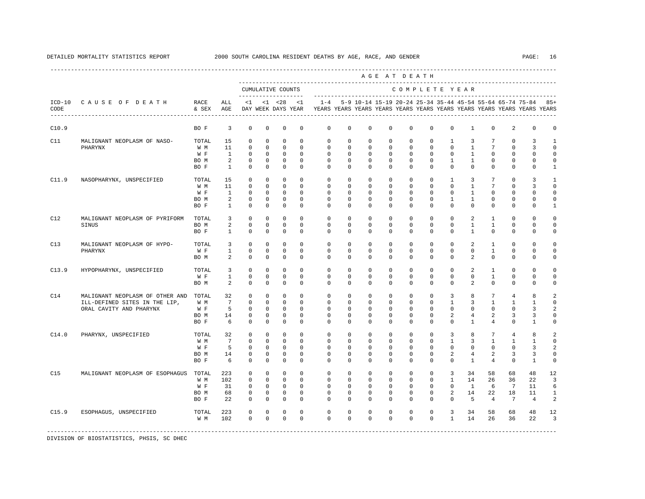|       |                                                                                             |                                     |                                                           |                                                                |                                                                  |                                                                        |                                                                   |                                                                    |                                                                   |                                                                  | AGE AT DEATH                                                       |                                                                     |                                                                   |                                                             |                                                        |                                                                   |                                                                    |                                                                                                                                      |                                                        |
|-------|---------------------------------------------------------------------------------------------|-------------------------------------|-----------------------------------------------------------|----------------------------------------------------------------|------------------------------------------------------------------|------------------------------------------------------------------------|-------------------------------------------------------------------|--------------------------------------------------------------------|-------------------------------------------------------------------|------------------------------------------------------------------|--------------------------------------------------------------------|---------------------------------------------------------------------|-------------------------------------------------------------------|-------------------------------------------------------------|--------------------------------------------------------|-------------------------------------------------------------------|--------------------------------------------------------------------|--------------------------------------------------------------------------------------------------------------------------------------|--------------------------------------------------------|
|       |                                                                                             |                                     |                                                           | --------------------                                           |                                                                  | CUMULATIVE COUNTS                                                      |                                                                   |                                                                    |                                                                   |                                                                  |                                                                    | COMPLETE YEAR                                                       |                                                                   |                                                             |                                                        |                                                                   |                                                                    |                                                                                                                                      |                                                        |
| CODE  | ICD-10 CAUSE OF DEATH<br>---------------------------------                                  | RACE<br>& SEX                       | ALL<br>AGE                                                | $\leq$ 1                                                       |                                                                  | $< 1$ $< 28$<br>DAY WEEK DAYS YEAR                                     | $\leq$ 1                                                          | $1 - 4$                                                            |                                                                   |                                                                  |                                                                    |                                                                     |                                                                   |                                                             |                                                        |                                                                   |                                                                    | 5-9 10-14 15-19 20-24 25-34 35-44 45-54 55-64 65-74 75-84<br>YEARS YEARS YEARS YEARS YEARS YEARS YEARS YEARS YEARS YEARS YEARS YEARS | 85+                                                    |
| C10.9 |                                                                                             | BO F                                | 3                                                         | $\mathbf 0$                                                    | $\mathbf 0$                                                      | $\mathbf 0$                                                            | $\mathbf 0$                                                       | $\circ$                                                            | $\mathbf 0$                                                       | $\mathbf 0$                                                      | $\mathbf 0$                                                        | $\mathbf{0}$                                                        | $\mathbf 0$                                                       | $\mathbf 0$                                                 | $\mathbf{1}$                                           | $^{\circ}$                                                        | 2                                                                  | $\mathbf{0}$                                                                                                                         | 0                                                      |
| C11   | MALIGNANT NEOPLASM OF NASO-<br>PHARYNX                                                      | TOTAL<br>W M<br>W F<br>BO M<br>BO F | 15<br>11<br>$\mathbf{1}$<br>2<br><sup>1</sup>             | $\mathbf 0$<br>$\Omega$<br>$\mathbf 0$<br>0<br>$^{\circ}$      | $\Omega$<br>$\Omega$<br>$\mathbf 0$<br>$^{\circ}$<br>0           | $\Omega$<br>$\Omega$<br>$\mathbf 0$<br>0<br>$\mathbf 0$                | $\Omega$<br>$\Omega$<br>$\Omega$<br>0<br>0                        | $\mathbf 0$<br>$\Omega$<br>$\mathbf 0$<br>$\mathbf{0}$<br>$\Omega$ | $\mathbf 0$<br>$\Omega$<br>$\mathbf 0$<br>0<br>0                  | $\mathbf 0$<br>$\Omega$<br>$\mathbf 0$<br>0<br>$^{\circ}$        | $\mathbf 0$<br>$\Omega$<br>$\mathbf 0$<br>$^{\circ}$<br>$^{\circ}$ | $\mathbf{0}$<br>$\Omega$<br>$\mathbf{0}$<br>0<br>$\mathbf{0}$       | $\mathbf 0$<br>$\Omega$<br>$\mathbf{0}$<br>$\mathbf 0$<br>$\circ$ | $\mathbf{1}$<br>$\Omega$<br>$\mathbf 0$<br>1<br>$\mathbf 0$ | 3<br>$\mathbf{1}$<br>$\mathbf{1}$<br>1<br>$\mathbf{0}$ | $7\phantom{.0}$<br>$7\phantom{.0}$<br>$\Omega$<br>0<br>$^{\circ}$ | $\mathbf 0$<br>$\Omega$<br>$\mathbf 0$<br>0<br>$\mathbf 0$         | 3<br>3<br>$\Omega$<br>0<br>0                                                                                                         | $\mathbf{1}$<br>$\Omega$<br>$\Omega$<br>0<br>1         |
| C11.9 | NASOPHARYNX, UNSPECIFIED                                                                    | TOTAL<br>W M<br>W F<br>BO M<br>BO F | 15<br>11<br>$\mathbf{1}$<br>2<br>$\mathbf{1}$             | $\mathbf 0$<br>$\Omega$<br>$\Omega$<br>$\Omega$<br>$\mathbf 0$ | $\mathbf 0$<br>$\Omega$<br>$\Omega$<br>$\Omega$<br>$\mathbf 0$   | $\mathbf 0$<br>$\Omega$<br>$\Omega$<br>$\Omega$<br>$\mathbf 0$         | $\Omega$<br>$\Omega$<br>$\Omega$<br>$\Omega$<br>$\mathbf 0$       | $\mathbf 0$<br>$\Omega$<br>$\Omega$<br>$\Omega$<br>$\mathbf 0$     | $\mathbf 0$<br>$\mathbf 0$<br>$\Omega$<br>$\Omega$<br>$\mathbf 0$ | $\mathbf 0$<br>$^{\circ}$<br>$\Omega$<br>$\Omega$<br>$\mathbf 0$ | $\mathbf 0$<br>$^{\circ}$<br>$\Omega$<br>$\Omega$<br>$\mathbf 0$   | $\mathbf{0}$<br>$\circ$<br>$\Omega$<br>$\mathbf{0}$<br>$\mathbf{0}$ | $\mathbf{0}$<br>$\circ$<br>$\Omega$<br>$\Omega$<br>$\mathbf 0$    | 1<br>$\mathbf 0$<br>$\Omega$<br>$\mathbf{1}$<br>$\mathbf 0$ | 3<br>$\mathbf{1}$<br>1<br>$\mathbf{1}$<br>$\mathbf 0$  | 7<br>$7\phantom{.0}$<br>$\Omega$<br>$\Omega$<br>$\mathbf 0$       | $\mathbf 0$<br>$\mathbf{0}$<br>$\Omega$<br>$\Omega$<br>$\mathbf 0$ | 3<br>3<br>$\Omega$<br>$\Omega$<br>$\mathbf 0$                                                                                        | -1<br>$\Omega$<br>$\Omega$<br>$\Omega$<br>$\mathbf{1}$ |
| C12   | MALIGNANT NEOPLASM OF PYRIFORM<br>SINUS                                                     | TOTAL<br>BO M<br>BO F               | $\overline{\mathbf{3}}$<br>$\overline{a}$<br>$\mathbf{1}$ | $^{\circ}$<br>$\mathbf 0$<br>$\mathbf 0$                       | $\mathbf 0$<br>$\circ$<br>$\mathbf 0$                            | $\mathbf 0$<br>$\mathbf 0$<br>$\mathbf 0$                              | $\Omega$<br>$\mathbf 0$<br>$\Omega$                               | $\mathbf 0$<br>0<br>$\Omega$                                       | $\mathbf 0$<br>0<br>$\mathbf 0$                                   | $\mathbf 0$<br>$^{\circ}$<br>$\mathbf 0$                         | $\mathbf 0$<br>$^{\circ}$<br>$\mathbf 0$                           | $\mathbf{0}$<br>$\circ$<br>$\Omega$                                 | $\mathbf{0}$<br>$\circ$<br>$\mathbf{0}$                           | $\mathbf 0$<br>$\mathbf 0$<br>$\Omega$                      | $\overline{2}$<br>$\mathbf{1}$<br>$\mathbf{1}$         | $\mathbf{1}$<br>$\mathbf{1}$<br>$\Omega$                          | $\mathbf 0$<br>$\mathbf{0}$<br>$\mathbf 0$                         | $\mathbf 0$<br>$\mathbf 0$<br>$\mathbf 0$                                                                                            | $\Omega$<br>$\Omega$<br>$\Omega$                       |
| C13   | MALIGNANT NEOPLASM OF HYPO-<br>PHARYNX                                                      | TOTAL<br>W F<br>BO M                | 3<br>$\mathbf{1}$<br>2                                    | $\Omega$<br>$\mathbf 0$<br>$\mathbf 0$                         | $\Omega$<br>$\mathbf 0$<br>$\circ$                               | $\Omega$<br>$\mathbf 0$<br>$\mathbf 0$                                 | $\Omega$<br>$\Omega$<br>$\mathbf 0$                               | $\Omega$<br>$\Omega$<br>$\Omega$                                   | $\Omega$<br>$\Omega$<br>$\mathbf{0}$                              | $\Omega$<br>$\mathbf 0$<br>0                                     | $\Omega$<br>$\mathbf 0$<br>0                                       | $\Omega$<br>$\mathbf{0}$<br>$\mathbf{0}$                            | $\Omega$<br>$\mathbf{0}$<br>$\mathbf{0}$                          | $\Omega$<br>$\mathbf 0$<br>$\mathbf{0}$                     | $\mathfrak{D}$<br>$\Omega$<br>$\overline{2}$           | $\overline{1}$<br>$\mathbf{1}$<br>$\Omega$                        | $\Omega$<br>$\Omega$<br>$\mathbf{0}$                               | $\Omega$<br>$\Omega$<br>$\mathbf 0$                                                                                                  | $\cap$<br>$\Omega$<br>0                                |
| C13.9 | HYPOPHARYNX, UNSPECIFIED                                                                    | TOTAL<br>W F<br>BO M                | 3<br>$\mathbf{1}$<br>2                                    | $\Omega$<br>$\mathbf 0$<br>$\Omega$                            | $\Omega$<br>$\mathbf 0$<br>$\Omega$                              | $\Omega$<br>$\mathbf 0$<br>$\Omega$                                    | $\Omega$<br>$\Omega$<br>$\Omega$                                  | $\Omega$<br>$\mathbf 0$<br>$\Omega$                                | $\Omega$<br>$\mathbf 0$<br>$\Omega$                               | $\mathbf 0$<br>$\mathbf 0$<br>$\Omega$                           | $\Omega$<br>$\mathbf 0$<br>$\mathbf 0$                             | $\mathbf{0}$<br>$\mathbf{0}$<br>$\Omega$                            | $\Omega$<br>$\mathbf{0}$<br>$\mathbf{0}$                          | $\mathbf 0$<br>$\mathbf 0$<br>$\Omega$                      | 2<br>$\Omega$<br>2                                     | $\mathbf{1}$<br>$\mathbf{1}$<br>$\Omega$                          | $\Omega$<br>$\Omega$<br>$\Omega$                                   | $\Omega$<br>$\Omega$<br>$\Omega$                                                                                                     | $\Omega$<br>$\Omega$<br>$\Omega$                       |
| C14   | MALIGNANT NEOPLASM OF OTHER AND<br>ILL-DEFINED SITES IN THE LIP,<br>ORAL CAVITY AND PHARYNX | TOTAL<br>W M<br>W F<br>BO M<br>BO F | 32<br>7<br>5<br>14<br>- 6                                 | $\mathbf 0$<br>$\mathbf 0$<br>$\mathbf 0$<br>0<br>$\Omega$     | $\mathbf 0$<br>$\Omega$<br>$\mathbf 0$<br>$^{\circ}$<br>$\Omega$ | $\mathbf 0$<br>$\mathbf 0$<br>$\mathbf 0$<br>$\mathbf 0$<br>$\Omega$   | $\mathbf 0$<br>$\Omega$<br>$\mathbf 0$<br>$\mathbf 0$<br>$\Omega$ | $\mathbf 0$<br>0<br>$\mathbf 0$<br>$\Omega$<br>$\Omega$            | $\mathbf 0$<br>$\Omega$<br>$\mathbf 0$<br>$\mathbf 0$<br>$\Omega$ | $\mathbf 0$<br>0<br>$^{\circ}$<br>$^{\circ}$<br>$\Omega$         | $\mathbf 0$<br>$\Omega$<br>$^{\circ}$<br>$^{\circ}$<br>$\Omega$    | $\mathbf{0}$<br>$\circ$<br>$\circ$<br>$\mathbf 0$<br>$\Omega$       | $\mathbf{0}$<br>$\circ$<br>$\circ$<br>$\mathbf 0$<br>$\Omega$     | 3<br>1<br>$\mathbf 0$<br>2<br>$\Omega$                      | 8<br>3<br>$\mathbf{0}$<br>4<br>$\mathbf{1}$            | $7\overline{ }$<br>1<br>$\mathbf 0$<br>2<br>4                     | $\overline{4}$<br>$\mathbf{1}$<br>$\mathbf 0$<br>3<br>$\Omega$     | 8<br>1<br>3<br>3<br>$\mathbf{1}$                                                                                                     | 2<br>$\Omega$<br>2<br>0<br>$\Omega$                    |
| C14.0 | PHARYNX, UNSPECIFIED                                                                        | TOTAL<br>W M<br>W F<br>BO M<br>BO F | 32<br>$7\overline{ }$<br>5<br>14<br>6                     | $\mathbf{0}$<br>$\mathbf 0$<br>0<br>$^{\circ}$<br>$\mathbf 0$  | $\mathbf 0$<br>$\mathbf 0$<br>$\circ$<br>$\circ$<br>$\mathbf 0$  | $\mathbf 0$<br>$\mathbb O$<br>$^{\circ}$<br>$\mathbf 0$<br>$\mathbf 0$ | $\Omega$<br>$\mathbf 0$<br>0<br>$\Omega$<br>$\mathbf 0$           | $\mathbf 0$<br>$\mathbf 0$<br>0<br>$\Omega$<br>$\Omega$            | $\mathbf{0}$<br>$\mathbf 0$<br>0<br>$\Omega$<br>0                 | $\mathbf 0$<br>$\mathbf 0$<br>$\mathbf 0$<br>$\mathbf 0$<br>0    | $\mathbf 0$<br>$\mathbf 0$<br>$\mathbf 0$<br>$\mathbf 0$<br>0      | $\mathbf{0}$<br>$\mathbf{0}$<br>$\mathbf 0$<br>$\mathbf 0$<br>0     | $\mathbf{0}$<br>$\mathbf{0}$<br>$\circ$<br>$\mathbf 0$<br>0       | 3<br>$\mathbf{1}$<br>$\mathbf{0}$<br>2<br>$\Omega$          | 8<br>3<br>$^{\circ}$<br>$\overline{4}$<br>$\mathbf{1}$ | 7<br>$\mathbf{1}$<br>$^{\circ}$<br>2<br>4                         | $\overline{4}$<br>$\mathbf{1}$<br>$\mathbf 0$<br>3<br>$\mathbf 0$  | 8<br>1<br>3<br>3<br>1                                                                                                                | 2<br>$\mathbf 0$<br>2<br>$\Omega$<br>$\mathbf 0$       |
| C15   | MALIGNANT NEOPLASM OF ESOPHAGUS                                                             | TOTAL<br>W M<br>W F<br>BO M<br>BO F | 223<br>102<br>31<br>68<br>22                              | $\Omega$<br>$\mathbf 0$<br>$\mathbf 0$<br>0<br>0               | $\Omega$<br>$\mathbf 0$<br>$\mathbf 0$<br>0<br>$\mathbf 0$       | $\Omega$<br>$\mathbf 0$<br>$\mathbf 0$<br>0<br>$\mathbf 0$             | $\Omega$<br>$\Omega$<br>$\Omega$<br>0<br>$\Omega$                 | $\Omega$<br>$\mathbf 0$<br>$\mathbf 0$<br>0<br>$\Omega$            | $\Omega$<br>$\mathbf 0$<br>$\Omega$<br>0<br>0                     | $\mathbf 0$<br>$\mathbf 0$<br>$\mathbf 0$<br>0<br>$^{\circ}$     | $\Omega$<br>$\mathbf 0$<br>$\mathbf 0$<br>0<br>$^{\circ}$          | $\mathbf{0}$<br>$\mathbf{0}$<br>$\mathbf{0}$<br>0<br>$\mathbf 0$    | $\mathbf{0}$<br>$\mathbf{0}$<br>$\mathbf{0}$<br>0<br>$\circ$      | 3<br>$\mathbf{1}$<br>$\Omega$<br>2<br>$\Omega$              | 34<br>14<br>$\mathbf{1}$<br>14<br>5                    | 58<br>26<br>6<br>22<br>$\overline{4}$                             | 68<br>36<br>$7\phantom{.0}$<br>18<br>7                             | 48<br>22<br>11<br>11<br>$\overline{4}$                                                                                               | 12<br>3<br>6<br>1<br>2                                 |
| C15.9 | ESOPHAGUS, UNSPECIFIED                                                                      | TOTAL<br>W M                        | 223<br>102                                                | $\mathbf 0$<br>$\Omega$                                        | $\mathbf 0$<br>$\Omega$                                          | $\mathbf 0$<br>$\Omega$                                                | $\mathbf 0$<br>$\Omega$                                           | $\mathbf 0$<br>$\Omega$                                            | $\mathbf 0$<br>$\Omega$                                           | $\mathbf 0$<br>$\Omega$                                          | $^{\circ}$<br>$\Omega$                                             | 0<br>$\Omega$                                                       | $\mathbf 0$<br>$\Omega$                                           | 3<br>$\mathbf{1}$                                           | 34<br>14                                               | 58<br>26                                                          | 68<br>36                                                           | 48<br>22                                                                                                                             | 12<br>3                                                |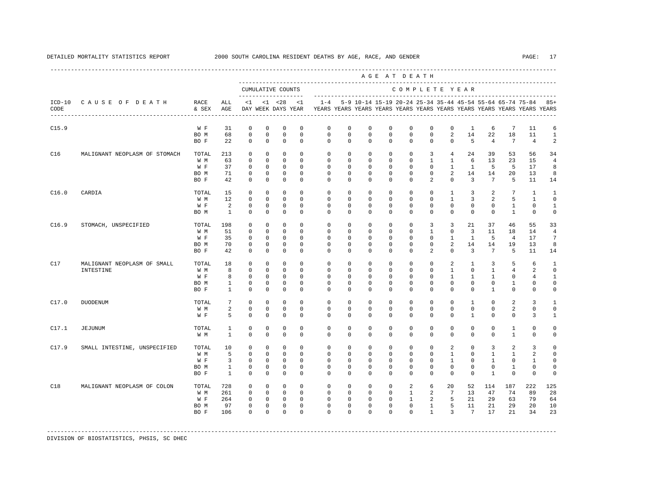|       |                               |               |                                |                            |                             |                                          |                           |                            |                            |                            | AGE AT DEATH               |                            |                         |                             |                         |                             |                                                                                                                                      |                               |                                |
|-------|-------------------------------|---------------|--------------------------------|----------------------------|-----------------------------|------------------------------------------|---------------------------|----------------------------|----------------------------|----------------------------|----------------------------|----------------------------|-------------------------|-----------------------------|-------------------------|-----------------------------|--------------------------------------------------------------------------------------------------------------------------------------|-------------------------------|--------------------------------|
|       |                               |               |                                |                            |                             | CUMULATIVE COUNTS<br>------------------- |                           |                            |                            |                            |                            |                            |                         | COMPLETE YEAR               |                         |                             |                                                                                                                                      |                               |                                |
| CODE  | ICD-10 CAUSE OF DEATH         | RACE<br>& SEX | ALL<br>AGE                     | <1                         |                             | $< 1$ $< 28$<br>DAY WEEK DAYS YEAR       | < 1                       | $1 - 4$                    |                            |                            |                            |                            |                         |                             |                         |                             | 5-9 10-14 15-19 20-24 25-34 35-44 45-54 55-64 65-74 75-84<br>YEARS YEARS YEARS YEARS YEARS YEARS YEARS YEARS YEARS YEARS YEARS YEARS |                               | $85+$                          |
| C15.9 |                               | W F           | 31                             | $\mathbf 0$                | $\mathbf 0$                 | $\mathbf 0$                              | $\mathbf 0$               | $\mathbf 0$                | $\mathbf 0$                | $\mathbf 0$                | $\mathbf 0$                | $\mathbb O$                | $\mathbf 0$             | $\mathbf 0$                 | 1                       | 6                           | $7\phantom{.0}$                                                                                                                      | 11                            | 6                              |
|       |                               | BO M<br>BO F  | 68<br>22                       | $\mathbf 0$<br>$\Omega$    | $\mathbf 0$<br>$\mathbf{0}$ | $\mathsf 0$<br>$^{\circ}$                | $\mathbf{0}$<br>$\Omega$  | $\mathbf 0$<br>$\Omega$    | $\mathbf 0$<br>$\Omega$    | $\mathbf 0$<br>$\Omega$    | $\mathbf 0$<br>$\Omega$    | $\mathbf 0$<br>$\Omega$    | $\mathbf 0$<br>$\Omega$ | 2<br>$\Omega$               | 14<br>5                 | 22<br>$\overline{4}$        | 18<br>$7\phantom{.0}$                                                                                                                | 11<br>$\overline{4}$          | $\mathbf{1}$<br>$\overline{a}$ |
| C16   | MALIGNANT NEOPLASM OF STOMACH | TOTAL         | 213                            | $^{\circ}$                 | $\mathbf 0$                 | $\mathbf 0$                              | $^{\circ}$                | $\mathbf 0$                | $\circ$                    | $\mathbf 0$                | $^{\circ}$                 | $\mathbf 0$                | 3                       | 4                           | 24                      | 39                          | 53                                                                                                                                   | 56                            | 34                             |
|       |                               | W M           | 63                             | $^{\circ}$                 | $\circ$                     | $^{\circ}$                               | $^{\circ}$                | $\mathbf 0$                | 0                          | $\mathbf 0$                | $^{\circ}$                 | $\mathbf 0$                | 1                       | $\mathbf{1}$                | 6                       | 13                          | 23                                                                                                                                   | 15                            | $\overline{4}$                 |
|       |                               | W F           | 37<br>71                       | $^{\circ}$<br>$\mathbf 0$  | $\circ$<br>$\mathbf 0$      | $^{\circ}$<br>$^{\circ}$                 | $\mathbf 0$<br>$\Omega$   | $\mathbf 0$<br>$\mathbf 0$ | $\mathbf 0$<br>$\Omega$    | $\mathbf 0$<br>$\mathbf 0$ | $\mathbf 0$<br>$\mathbf 0$ | $\mathbf 0$<br>$\mathbf 0$ | $\mathbf 0$<br>$\Omega$ | $\mathbf{1}$<br>2           | <sup>1</sup><br>14      | 5<br>14                     | 5<br>20                                                                                                                              | 17<br>13                      | 8<br>8                         |
|       |                               | BO M<br>BO F  | 42                             | $^{\circ}$                 | $\circ$                     | $^{\circ}$                               | 0                         | $\Omega$                   | $\circ$                    | $\Omega$                   | $^{\circ}$                 | $\Omega$                   | 2                       | $\Omega$                    | $\overline{3}$          | $7\phantom{.0}$             | 5                                                                                                                                    | 11                            | 14                             |
| C16.0 | CARDIA                        | TOTAL         | 15                             | $\mathbf 0$                | $\mathbf 0$                 | 0                                        | $\Omega$                  | $\mathbf 0$                | $\Omega$                   | $\Omega$                   | $\mathbf 0$                | $\mathbf{0}$               | $\Omega$                | $\mathbf{1}$                | 3                       | 2                           | $7\phantom{.0}$                                                                                                                      | $\mathbf{1}$                  | $\mathbf{1}$                   |
|       |                               | W M           | 12                             | 0                          | $\mathbf 0$                 | $\mathbf 0$                              | $\mathbf 0$               | $\mathbf 0$                | $\mathbf 0$                | $\mathbf 0$                | $\mathbf 0$                | $\mathbf 0$                | $\mathbf 0$             | $\mathbf{1}$                | 3                       | 2                           | 5                                                                                                                                    | $\mathbf{1}$                  | $\mathbf 0$                    |
|       |                               | W F<br>BO M   | 2<br>$\mathbf{1}$              | $^{\circ}$<br>$\Omega$     | $\circ$<br>$\mathbf 0$      | $\mathbf 0$<br>$^{\circ}$                | $^{\circ}$<br>$\Omega$    | $\mathbf 0$<br>$\Omega$    | $\mathbf 0$<br>$\Omega$    | $\mathbf 0$<br>$\Omega$    | 0<br>$\mathbf 0$           | $\mathbf 0$<br>$\Omega$    | 0<br>$\mathbf 0$        | $\mathbf 0$<br>$\Omega$     | $\mathbf 0$<br>$\Omega$ | $\mathbf 0$<br>$\Omega$     | 1<br>$\mathbf{1}$                                                                                                                    | $\mathbf{0}$<br>$\mathbf 0$   | $\mathbf{1}$<br>$\mathbf 0$    |
| C16.9 | STOMACH, UNSPECIFIED          | TOTAL         | 198                            | $^{\circ}$                 | $\mathbf 0$                 | $\mathbf 0$                              | $\Omega$                  | $\mathbf 0$                | $\mathbf 0$                | $\mathbf 0$                | $\mathbf 0$                | $\mathbf{0}$               | 3                       | 3                           | 21                      | 37                          | 46                                                                                                                                   | 55                            | 33                             |
|       |                               | W M           | 51                             | $\Omega$                   | $\Omega$                    | $\Omega$                                 | $\Omega$                  | $\Omega$                   | $\Omega$                   | $\Omega$                   | $\mathbf 0$                | $\mathbf{0}$               | $\mathbf{1}$            | $\Omega$                    | $\overline{3}$          | 11                          | 18                                                                                                                                   | 14                            | $\overline{4}$                 |
|       |                               | W F           | 35                             | $\mathbf 0$                | $\mathbf 0$                 | $^{\circ}$                               | $^{\circ}$                | $\mathbf 0$                | $\mathbf 0$                | $\mathbf 0$                | $\mathbf 0$                | $\mathbf 0$                | $\Omega$                | $\mathbf{1}$                | $\mathbf{1}$            | 5                           | $\overline{4}$                                                                                                                       | 17                            | 7                              |
|       |                               | BO M          | 70                             | $\mathbf 0$                | $\mathbf 0$                 | $^{\circ}$                               | $^{\circ}$                | $\mathbf 0$                | $\mathbf 0$                | $\mathbf 0$                | $\mathbf 0$                | $\mathbf 0$                | $\mathbf 0$             | 2                           | 14                      | 14                          | 19                                                                                                                                   | 13                            | 8                              |
|       |                               | BO F          | 42                             | $^{\circ}$                 | $\circ$                     | $^{\circ}$                               | $^{\circ}$                | $\Omega$                   | $\mathbf 0$                | $\Omega$                   | $\mathbf 0$                | $\mathbf 0$                | 2                       | $\Omega$                    | $\overline{3}$          | $7\phantom{.0}$             | 5                                                                                                                                    | 11                            | 14                             |
| C17   | MALIGNANT NEOPLASM OF SMALL   | TOTAL         | 18                             | $\Omega$                   | $\Omega$                    | $\Omega$                                 | $\Omega$                  | $\Omega$                   | $\Omega$                   | $\Omega$                   | $\mathbf 0$                | $\Omega$                   | $\Omega$                | 2                           | $\mathbf{1}$            | 3                           | 5                                                                                                                                    | 6                             | $\overline{1}$                 |
|       | INTESTINE                     | W M           | 8                              | $\mathbf 0$                | $\mathbf 0$                 | $^{\circ}$                               | $\mathbf 0$               | $\mathbf 0$                | $\mathbf 0$                | $\mathbf 0$                | $\mathbf 0$                | $\mathbf 0$                | $\circ$                 | $\mathbf{1}$                | $\mathbf 0$             | $\mathbf{1}$                | 4                                                                                                                                    | 2                             | $\mathbf 0$                    |
|       |                               | W F<br>BO M   | 8<br>$\mathbf{1}$              | $\mathbf 0$<br>$\mathbf 0$ | $\circ$<br>$\mathbf 0$      | $^{\circ}$<br>$\mathbf 0$                | $\mathbf 0$<br>$^{\circ}$ | $\mathbf 0$<br>$\mathbf 0$ | $\mathbf 0$<br>$\mathbf 0$ | $\mathbf 0$<br>$\mathbf 0$ | $\mathbf 0$<br>$\mathbf 0$ | $\mathbf 0$<br>$\mathbf 0$ | $\mathbf 0$<br>$\Omega$ | $\mathbf{1}$<br>$\Omega$    | 1<br>$\Omega$           | $\mathbf{1}$<br>$\mathbf 0$ | $\mathbf{0}$<br>$\mathbf{1}$                                                                                                         | $\overline{4}$<br>$\mathbf 0$ | $\mathbf{1}$<br>$\circ$        |
|       |                               | BO F          | $\mathbf{1}$                   | $\mathbf 0$                | $\mathbf 0$                 | $\mathbf{0}$                             | $^{\circ}$                | $\mathbf 0$                | $\mathbf 0$                | $\mathbf 0$                | $\mathbf 0$                | $\mathbf 0$                | $\mathbf 0$             | $\Omega$                    | $\mathbf 0$             | $\mathbf{1}$                | $\mathbf 0$                                                                                                                          | $\circ$                       | $\circ$                        |
| C17.0 | <b>DUODENUM</b>               | TOTAL         | 7                              | $\Omega$                   | $\Omega$                    | $\Omega$                                 | $\Omega$                  | $\Omega$                   | $\Omega$                   | $\Omega$                   | $\Omega$                   | $\Omega$                   | $\Omega$                | $\Omega$                    | $\mathbf{1}$            | $\Omega$                    | 2                                                                                                                                    | 3                             | $\mathbf{1}$                   |
|       |                               | W M           | 2                              | $\mathbf 0$                | $\mathbf 0$                 | $\mathbf{0}$                             | $\mathbf{0}$              | $\mathbf 0$                | $\mathbf 0$                | $\mathbf 0$                | $\mathbf 0$                | $\mathbf 0$                | $\mathbf 0$             | $\mathbf 0$                 | $\mathbf 0$             | $\mathbf 0$                 | 2                                                                                                                                    | $\circ$                       | $\circ$                        |
|       |                               | W F           | 5                              | $\mathbf 0$                | $\mathbf 0$                 | $\mathbf 0$                              | $\Omega$                  | $\Omega$                   | $\Omega$                   | $\Omega$                   | $\mathbf 0$                | $\Omega$                   | $\Omega$                | $\Omega$                    | $\mathbf{1}$            | $\Omega$                    | $\mathbf{0}$                                                                                                                         | $\overline{3}$                | $\mathbf{1}$                   |
| C17.1 | <b>JEJUNUM</b>                | TOTAL         | $\mathbf{1}$                   | $\mathbf 0$                | $\mathbf 0$                 | $\mathbf 0$                              | $\mathbf 0$               | $\mathbf 0$                | $\mathbf 0$                | $\mathbf 0$                | $\mathbf 0$                | $\mathbf{0}$               | $\mathbf 0$             | $\mathbf 0$                 | $\mathbf 0$             | $\mathbf 0$                 | $\mathbf{1}$                                                                                                                         | $\mathbf 0$                   | $\mathbf 0$                    |
|       |                               | W M           | $\mathbf{1}$                   | $\Omega$                   | $\Omega$                    | $\Omega$                                 | $\Omega$                  | $\Omega$                   | $\Omega$                   | $\Omega$                   | $\mathbf 0$                | $\Omega$                   | $\Omega$                | $\Omega$                    | $\Omega$                | $\Omega$                    | $\mathbf{1}$                                                                                                                         | $\Omega$                      | $\circ$                        |
| C17.9 | SMALL INTESTINE, UNSPECIFIED  | TOTAL         | 10                             | $\Omega$                   | $\Omega$                    | $\mathbf 0$                              | $\Omega$                  | $\mathbf 0$                | $\mathbf 0$                | $\mathbf 0$                | $\mathbf 0$                | $\mathbf 0$                | $\mathbf 0$             | 2                           | $\Omega$                | 3                           | 2                                                                                                                                    | 3                             | $\mathbf 0$                    |
|       |                               | W M           | 5                              | $\Omega$                   | $\Omega$                    | $\Omega$                                 | $\Omega$                  | $\Omega$                   | $\Omega$                   | $\Omega$                   | $\Omega$                   | $\Omega$                   | $\Omega$                | $\mathbf{1}$                | $\Omega$                | $\mathbf{1}$                | $\mathbf{1}$                                                                                                                         | 2                             | $\Omega$                       |
|       |                               | W F           | $\overline{3}$<br>$\mathbf{1}$ | $\mathbf 0$<br>$\mathbf 0$ | $\mathbf 0$<br>$\Omega$     | $\mathbf{0}$<br>$\mathbf{0}$             | $\Omega$<br>$\mathbf 0$   | $\mathbf 0$<br>$\mathbf 0$ | $\mathbf 0$<br>$\mathbf 0$ | $\mathbf 0$<br>$\mathbf 0$ | $\mathbf 0$<br>$\mathbf 0$ | $\mathbf 0$<br>$\mathbf 0$ | $\Omega$<br>$\circ$     | $\mathbf{1}$<br>$\mathbf 0$ | $\Omega$<br>$\Omega$    | $\mathbf{1}$<br>$\mathbf 0$ | $\Omega$<br>$\mathbf{1}$                                                                                                             | $\mathbf{1}$<br>$\mathbf 0$   | $\mathbf 0$<br>$\mathbf 0$     |
|       |                               | BO M<br>BO F  | $\overline{1}$                 | $\Omega$                   | $\Omega$                    | $\Omega$                                 | $\Omega$                  | $\Omega$                   | $\Omega$                   | $\Omega$                   | $\Omega$                   | $\Omega$                   | $\Omega$                | $\Omega$                    | $\Omega$                | $\mathbf{1}$                | $\Omega$                                                                                                                             | $\Omega$                      | $\Omega$                       |
| C18   | MALIGNANT NEOPLASM OF COLON   | TOTAL         | 728                            | $\mathbf 0$                | $\mathbf 0$                 | $^{\circ}$                               | $\Omega$                  | $\mathbf 0$                | $\mathbf 0$                | $\mathbf 0$                | $\mathbf 0$                | 2                          | 6                       | 20                          | 52                      | 114                         | 187                                                                                                                                  | 222                           | 125                            |
|       |                               | W M           | 261                            | $\Omega$                   | $\Omega$                    | $\mathbf{0}$                             | $\Omega$                  | $\Omega$                   | $\Omega$                   | $\Omega$                   | $\Omega$                   | $\mathbf{1}$               | 2                       | $7\phantom{.0}$             | 13                      | 47                          | 74                                                                                                                                   | 89                            | 28                             |
|       |                               | W F           | 264                            | $\mathbf 0$                | $\mathbf 0$                 | $\mathbf 0$                              | $\mathbf{0}$              | $\mathbf 0$                | $\mathbf 0$                | $\mathbf 0$                | $\mathbf 0$                | $\mathbf{1}$               | 2                       | 5                           | 21                      | 29                          | 63                                                                                                                                   | 79                            | 64                             |
|       |                               | BO M          | 97                             | 0                          | $\mathbf 0$                 | $^{\circ}$                               | $\mathbf 0$               | $\mathbf 0$                | $\mathbf 0$                | $\mathbf 0$                | $\mathbf 0$                | $\mathbf 0$                | $\mathbf{1}$            | 5                           | 11                      | 21                          | 29                                                                                                                                   | 20                            | 10                             |
|       |                               | BO F          | 106                            | $\Omega$                   | $\Omega$                    | $\Omega$                                 | $\Omega$                  | $\Omega$                   | $\Omega$                   | $\Omega$                   | $\Omega$                   | $\Omega$                   | $\mathbf{1}$            | 3                           | $7\phantom{.0}$         | 17                          | 21                                                                                                                                   | 34                            | 23                             |
|       |                               |               |                                |                            |                             |                                          |                           |                            |                            |                            |                            |                            |                         |                             |                         |                             |                                                                                                                                      |                               |                                |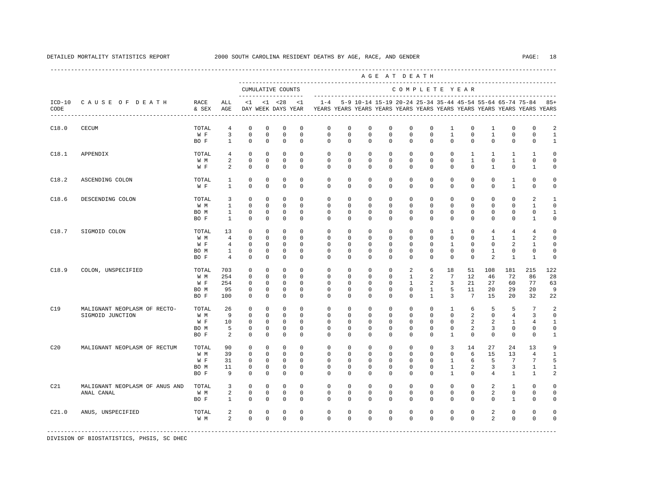|                  |                                                  |                                     |                                                                           |                                                                       |                                                                     |                                                                     |                                                                  |                                                                         |                                               |                                                 |                                     | AGE AT DEATH                                  |                                               |                                                        |                                                    |                                                          |                                                       |                                                                     |                                                         |
|------------------|--------------------------------------------------|-------------------------------------|---------------------------------------------------------------------------|-----------------------------------------------------------------------|---------------------------------------------------------------------|---------------------------------------------------------------------|------------------------------------------------------------------|-------------------------------------------------------------------------|-----------------------------------------------|-------------------------------------------------|-------------------------------------|-----------------------------------------------|-----------------------------------------------|--------------------------------------------------------|----------------------------------------------------|----------------------------------------------------------|-------------------------------------------------------|---------------------------------------------------------------------|---------------------------------------------------------|
|                  |                                                  |                                     |                                                                           |                                                                       |                                                                     | CUMULATIVE COUNTS<br>--------------------                           |                                                                  |                                                                         |                                               |                                                 |                                     | COMPLETE YEAR                                 |                                               |                                                        |                                                    |                                                          |                                                       |                                                                     |                                                         |
| $ICD-10$<br>CODE | CAUSE OF DEATH                                   | RACE<br>& SEX                       | ALL<br>AGE                                                                | $\leq 1$                                                              |                                                                     | $< 1$ $< 28$<br>DAY WEEK DAYS YEAR                                  | < 1                                                              | YEARS YEARS YEARS YEARS YEARS YEARS YEARS YEARS YEARS YEARS YEARS YEARS |                                               |                                                 |                                     |                                               |                                               |                                                        |                                                    |                                                          |                                                       | $1-4$ 5-9 10-14 15-19 20-24 25-34 35-44 45-54 55-64 65-74 75-84 85+ |                                                         |
| C18.0            | <b>CECUM</b>                                     | TOTAL<br>W F<br>BO F                | $\overline{4}$<br>3<br>$\mathbf{1}$                                       | $\mathbf 0$<br>$\mathbf 0$<br>$\mathbf 0$                             | $\mathbf 0$<br>$\mathbf 0$<br>$\mathbf 0$                           | $\mathbf 0$<br>$\mathbf 0$<br>$\mathbf 0$                           | $^{\circ}$<br>$^{\circ}$<br>$\Omega$                             | $\mathbf 0$<br>$\mathbf 0$<br>$\Omega$                                  | $\mathbf 0$<br>$\mathbf 0$<br>$\Omega$        | 0<br>$\mathbf 0$<br>$\Omega$                    | 0<br>0<br>$\Omega$                  | $\mathbf{0}$<br>$\mathbf 0$<br>$\Omega$       | $\mathbf 0$<br>$\mathbf{0}$<br>$\Omega$       | 1<br>$\mathbf{1}$<br>$\Omega$                          | $\mathbf 0$<br>$\mathbf 0$<br>$\Omega$             | 1<br>$\mathbf{1}$<br>$\Omega$                            | $\mathbf 0$<br>$\mathbf 0$<br>$\Omega$                | $\mathbf 0$<br>$\mathbf 0$<br>$\Omega$                              | 2<br>$\mathbf{1}$<br>$\mathbf{1}$                       |
| C18.1            | APPENDIX                                         | TOTAL<br>W M<br>W F                 | $\overline{4}$<br>2<br>2                                                  | 0<br>$\mathbf 0$<br>$\mathbf 0$                                       | 0<br>$\mathbf 0$<br>$\mathbf{0}$                                    | 0<br>$\mathbf 0$<br>$\mathbf 0$                                     | $^{\circ}$<br>$^{\circ}$<br>$^{\circ}$                           | $\circ$<br>$\mathbf{0}$<br>$\Omega$                                     | 0<br>0<br>0                                   | $^{\circ}$<br>0<br>$\Omega$                     | 0<br>0<br>$\Omega$                  | $\mathbf{0}$<br>0<br>$\Omega$                 | $\mathbf{0}$<br>0<br>$\Omega$                 | 0<br>0<br>$\Omega$                                     | $\mathbf{1}$<br>$\mathbf{1}$<br>$\Omega$           | $\mathbf{1}$<br>0<br>$\mathbf{1}$                        | 1<br>1<br>$\mathbf 0$                                 | 1<br>0<br>1                                                         | $\circ$<br>$\circ$<br>0                                 |
| C18.2            | ASCENDING COLON                                  | TOTAL<br>W F                        | 1<br>$\mathbf{1}$                                                         | $\mathbf 0$<br>$\Omega$                                               | $\mathbf 0$<br>$\Omega$                                             | $\mathbf 0$<br>$\mathbf 0$                                          | $\mathbf 0$<br>$\Omega$                                          | $\mathbf 0$<br>$\Omega$                                                 | $\mathbf 0$<br>$\Omega$                       | $\mathbf 0$<br>$\Omega$                         | $\mathbf 0$<br>$\Omega$             | $\mathbf 0$<br>$\Omega$                       | $\mathbf 0$<br>$\Omega$                       | $\mathbf 0$<br>$\Omega$                                | $\mathbf 0$<br>$\Omega$                            | $\mathbf 0$<br>$\Omega$                                  | $\mathbf{1}$<br>$\mathbf{1}$                          | $\Omega$<br>$\Omega$                                                | $\Omega$<br>$\Omega$                                    |
| C18.6            | DESCENDING COLON                                 | TOTAL<br>W M<br>BO M<br>BO F        | 3<br>$\mathbf{1}$<br>$\mathbf{1}$<br>$\mathbf{1}$                         | $\mathbf 0$<br>$\mathbf 0$<br>$\mathbf 0$<br>$\Omega$                 | $\mathbf 0$<br>$\mathbf{0}$<br>$^{\circ}$<br>$\mathbf 0$            | $\mathbf 0$<br>$\mathbf 0$<br>$\mathbf 0$<br>$\mathbf 0$            | $^{\circ}$<br>$^{\circ}$<br>$\mathbf 0$<br>$\Omega$              | $\mathbf 0$<br>$\mathbf 0$<br>$\mathbf 0$<br>$\Omega$                   | $\mathbf 0$<br>$\circ$<br>0<br>$\Omega$       | 0<br>0<br>0<br>$\Omega$                         | 0<br>0<br>$\Omega$<br>$\Omega$      | $\mathbf 0$<br>0<br>0<br>$\Omega$             | $\mathbf 0$<br>0<br>0<br>$\Omega$             | $\mathbf 0$<br>$\mathbf 0$<br>0<br>$\Omega$            | $\mathbf 0$<br>$\mathbf 0$<br>$\Omega$<br>$\Omega$ | $\mathbf 0$<br>$\mathbf 0$<br>0<br>$\Omega$              | $\mathbf 0$<br>$\mathbf 0$<br>0<br>$\Omega$           | 2<br>$\mathbf{1}$<br>$\Omega$<br>$\mathbf{1}$                       | 1<br>$\mathbf 0$<br>$\mathbf{1}$<br>$\Omega$            |
| C18.7            | SIGMOID COLON                                    | TOTAL<br>W M<br>W F<br>BO M<br>BO F | 13<br>$4\overline{ }$<br>$\overline{4}$<br>$\mathbf{1}$<br>$\overline{4}$ | $\mathbf 0$<br>$\circ$<br>$\mathbf 0$<br>$\mathbf 0$<br>$\mathbf 0$   | $\mathbf 0$<br>$\circ$<br>0<br>$\mathbf 0$<br>$\mathbf 0$           | $\mathbf 0$<br>$\circ$<br>$\mathbf 0$<br>$\mathbf 0$<br>$\mathbf 0$ | $^{\circ}$<br>$^{\circ}$<br>$^{\circ}$<br>$\Omega$<br>$\Omega$   | $\mathbf 0$<br>$\circ$<br>$\mathbf 0$<br>$\Omega$<br>$\Omega$           | $\mathbf 0$<br>0<br>0<br>0<br>0               | $\mathbf 0$<br>$^{\circ}$<br>0<br>0<br>$\Omega$ | 0<br>0<br>0<br>0<br>0               | 0<br>$\mathbf 0$<br>0<br>0<br>$\Omega$        | 0<br>0<br>$\mathbf 0$<br>0<br>0               | 1<br>0<br>1<br>0<br>$\mathbf 0$                        | 0<br>0<br>$\Omega$<br>$\mathbf 0$<br>0             | 4<br>$\mathbf{1}$<br>0<br>$\mathbf{1}$<br>$\overline{a}$ | 4<br>$\mathbf{1}$<br>2<br>$\mathbf 0$<br>$\mathbf{1}$ | 4<br>2<br>1<br>$\mathbf 0$<br>$\mathbf{1}$                          | $\mathsf{O}\xspace$<br>0<br>0<br>$\mathbf 0$<br>$\circ$ |
| C18.9            | COLON, UNSPECIFIED                               | TOTAL<br>W M<br>W F<br>BO M<br>BO F | 703<br>254<br>254<br>95<br>100                                            | $\mathbf 0$<br>$\mathbf 0$<br>$\mathbf 0$<br>$^{\circ}$<br>$^{\circ}$ | $\mathbf 0$<br>$\mathbf 0$<br>$\mathbf 0$<br>$\circ$<br>$\mathbf 0$ | $\mathbf 0$<br>$\mathbf 0$<br>$\mathbf 0$<br>0<br>$\mathbf 0$       | $^{\circ}$<br>$^{\circ}$<br>$^{\circ}$<br>$^{\circ}$<br>$\Omega$ | $\mathbf 0$<br>0<br>0<br>$\mathbf{0}$<br>$\Omega$                       | $\mathbf{0}$<br>0<br>0<br>0<br>$\Omega$       | $\mathbf 0$<br>0<br>0<br>0<br>$\Omega$          | 0<br>0<br>0<br>0<br>$\Omega$        | 2<br>1<br>1<br>$\mathbf 0$<br>$\Omega$        | 6<br>2<br>2<br>1<br>$\overline{1}$            | 18<br>7<br>3<br>5<br>3                                 | 51<br>12<br>21<br>11<br>$7\phantom{.0}$            | 108<br>46<br>27<br>20<br>15                              | 181<br>72<br>60<br>29<br>20                           | 215<br>86<br>77<br>20<br>32                                         | 122<br>28<br>63<br>9<br>22                              |
| C19              | MALIGNANT NEOPLASM OF RECTO-<br>SIGMOID JUNCTION | TOTAL<br>W M<br>W F<br>BO M<br>BO F | 26<br>9<br>10<br>5<br>2                                                   | $\mathbf 0$<br>$\mathbf 0$<br>$^{\circ}$<br>0<br>$\mathbf 0$          | $\mathbf 0$<br>$^{\circ}$<br>$\circ$<br>0<br>$\mathbf 0$            | $\mathbf 0$<br>0<br>0<br>0<br>$\mathbf 0$                           | $\Omega$<br>$\mathbf 0$<br>$^{\circ}$<br>0<br>$\Omega$           | $\mathbf 0$<br>$\mathbf 0$<br>0<br>0<br>$\Omega$                        | $\mathbf 0$<br>0<br>0<br>0<br>0               | $\mathbf 0$<br>0<br>0<br>0<br>$\Omega$          | $\Omega$<br>0<br>$\Omega$<br>0<br>0 | $\mathbf 0$<br>0<br>$\mathbf 0$<br>0<br>0     | $\mathbf 0$<br>0<br>$\Omega$<br>0<br>0        | $\mathbf{1}$<br>0<br>$\mathbf{0}$<br>0<br>$\mathbf{1}$ | 6<br>$\overline{2}$<br>2<br>2<br>$\mathbf 0$       | 5<br>0<br>2<br>3<br>$\Omega$                             | 5<br>4<br>1<br>0<br>$\mathbf 0$                       | 7<br>3<br>4<br>0<br>$\mathbf 0$                                     | 2<br>0<br>1<br>$\circ$<br>$\mathbf{1}$                  |
| C20              | MALIGNANT NEOPLASM OF RECTUM                     | TOTAL<br>W M<br>W F<br>BO M<br>BO F | 90<br>39<br>31<br>11<br>9                                                 | $\mathbf 0$<br>$\mathbf 0$<br>$\mathbf 0$<br>0<br>$\mathbf 0$         | $\mathbf 0$<br>$\mathbf 0$<br>0<br>$^{\circ}$<br>$\mathbf 0$        | $\mathbf 0$<br>$\mathbf 0$<br>$\mathbf 0$<br>0<br>$\circ$           | $\Omega$<br>$\Omega$<br>$^{\circ}$<br>$^{\circ}$<br>$\Omega$     | $\Omega$<br>$\mathbf 0$<br>0<br>0<br>$\Omega$                           | $\Omega$<br>$\mathbf 0$<br>0<br>0<br>$\Omega$ | $\Omega$<br>0<br>0<br>0<br>$\Omega$             | $\Omega$<br>0<br>0<br>0<br>$\Omega$ | $\Omega$<br>$\mathbf 0$<br>0<br>0<br>$\Omega$ | $\Omega$<br>$\mathbf 0$<br>0<br>0<br>$\Omega$ | 3<br>$\mathbf 0$<br>1<br>1<br>$\mathbf{1}$             | 14<br>6<br>6<br>2<br>$\Omega$                      | 27<br>15<br>5<br>3<br>4                                  | 24<br>13<br>$7\phantom{.0}$<br>3<br>1                 | 13<br>$\overline{4}$<br>7<br>1<br>1                                 | 9<br>$\mathbf{1}$<br>5<br>1<br>2                        |
| C21              | MALIGNANT NEOPLASM OF ANUS AND<br>ANAL CANAL     | TOTAL<br>W M<br>BO F                | 3<br>2<br>1                                                               | $\mathbf 0$<br>$\mathbf 0$<br>$\mathbf 0$                             | $\mathbf 0$<br>$\circ$<br>0                                         | $\mathbf 0$<br>$\mathbf 0$<br>$\mathbf 0$                           | $\Omega$<br>$\mathbf 0$<br>$^{\circ}$                            | $\mathbf 0$<br>0<br>$^{\circ}$                                          | $\mathbf 0$<br>0<br>$^{\circ}$                | 0<br>0<br>$\Omega$                              | $\mathbf 0$<br>0<br>0               | $\mathbf 0$<br>0<br>$\Omega$                  | $\mathbf 0$<br>0<br>0                         | $\mathbf 0$<br>0<br>$\Omega$                           | $\mathbf 0$<br>$\mathbf 0$<br>0                    | 2<br>2<br>$\Omega$                                       | $\mathbf{1}$<br>$\mathbf 0$<br>1                      | $\mathbf 0$<br>0<br>$\Omega$                                        | $\Omega$<br>$\mathbf 0$<br>0                            |
| C21.0            | ANUS, UNSPECIFIED                                | TOTAL<br>W M                        | 2<br>2                                                                    | $\mathbf 0$<br>$\mathbf 0$                                            | 0<br>$\mathbf 0$                                                    | 0<br>$\mathbf 0$                                                    | $\mathbf 0$<br>$\Omega$                                          | $\mathbf 0$<br>$\Omega$                                                 | $\mathbf 0$<br>$\mathbf 0$                    | 0<br>$\Omega$                                   | 0<br>0                              | $\mathbf 0$<br>$\Omega$                       | 0<br>0                                        | $\mathbf 0$<br>$\Omega$                                | $\mathbf 0$<br>$\Omega$                            | 2<br>$\overline{a}$                                      | $\mathbf 0$<br>$\Omega$                               | $\mathbf 0$<br>$\Omega$                                             | $\Omega$<br>$\Omega$                                    |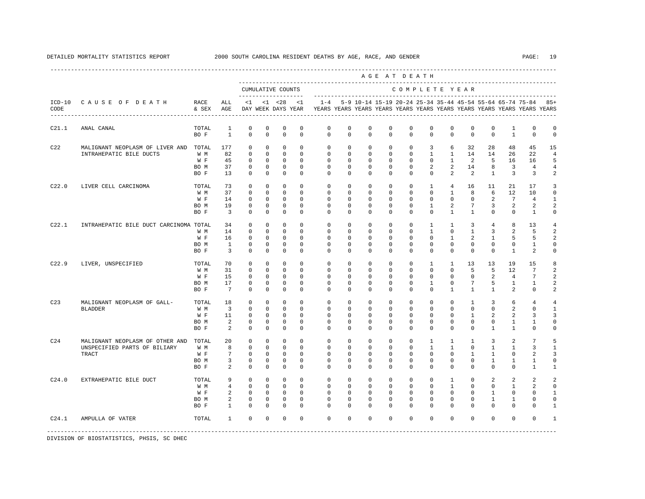|                 |                                                                                 |                                     |                                                            |                                                                         |                                                                     |                                                                  |                                                             |                                                             |                                                             |                                                             |                                                             | AGE AT DEATH                                                     |                                                                 |                                                                     |                                                             |                                                      |                                                   |                                                                         |                                                             |
|-----------------|---------------------------------------------------------------------------------|-------------------------------------|------------------------------------------------------------|-------------------------------------------------------------------------|---------------------------------------------------------------------|------------------------------------------------------------------|-------------------------------------------------------------|-------------------------------------------------------------|-------------------------------------------------------------|-------------------------------------------------------------|-------------------------------------------------------------|------------------------------------------------------------------|-----------------------------------------------------------------|---------------------------------------------------------------------|-------------------------------------------------------------|------------------------------------------------------|---------------------------------------------------|-------------------------------------------------------------------------|-------------------------------------------------------------|
|                 |                                                                                 |                                     |                                                            |                                                                         |                                                                     | CUMULATIVE COUNTS                                                |                                                             |                                                             |                                                             |                                                             |                                                             | COMPLETE YEAR                                                    |                                                                 |                                                                     |                                                             |                                                      |                                                   |                                                                         |                                                             |
| CODE            | ICD-10 CAUSE OF DEATH                                                           | RACE<br>& SEX                       | ALL<br>AGE                                                 | <1                                                                      |                                                                     | $< 1$ $< 28$<br>DAY WEEK DAYS YEAR                               | <1                                                          | $1 - 4$                                                     |                                                             |                                                             |                                                             | 5-9 10-14 15-19 20-24 25-34 35-44 45-54 55-64 65-74 75-84        |                                                                 |                                                                     |                                                             |                                                      |                                                   | YEARS YEARS YEARS YEARS YEARS YEARS YEARS YEARS YEARS YEARS YEARS YEARS | $85+$                                                       |
| C21.1           | ANAL CANAL                                                                      | TOTAL<br>BO F                       | $\mathbf{1}$<br>$\mathbf{1}$                               | $\mathbf 0$<br>$\Omega$                                                 | $\mathbf 0$<br>$\Omega$                                             | $\mathbf 0$<br>$\Omega$                                          | $\mathbf 0$<br>$\Omega$                                     | $\mathbf 0$<br>$\Omega$                                     | $\mathbf 0$<br>$\Omega$                                     | $\mathbf 0$<br>$\Omega$                                     | $\mathbf 0$<br>$\Omega$                                     | $\mathbb O$<br>$\Omega$                                          | $\mathbf 0$<br>$\Omega$                                         | $\mathbf 0$<br>$\Omega$                                             | $\mathbf 0$<br>$\Omega$                                     | 0<br>$\Omega$                                        | 1<br>$\mathbf{1}$                                 | $\mathbf 0$<br>$\Omega$                                                 | $\Omega$<br>$\Omega$                                        |
| C22             | MALIGNANT NEOPLASM OF LIVER AND TOTAL<br>INTRAHEPATIC BILE DUCTS                | W M<br>W F<br>BO M<br>BO F          | 177<br>82<br>45<br>37<br>13                                | $\mathbf 0$<br>$\Omega$<br>$\mathbf 0$<br>$\mathbf 0$<br>$\Omega$       | $^{\circ}$<br>$\Omega$<br>0<br>$^{\circ}$<br>$\Omega$               | $\mathbf 0$<br>$\Omega$<br>$\mathbf 0$<br>$^{\circ}$<br>$\Omega$ | $\Omega$<br>$\Omega$<br>$\Omega$<br>$\Omega$<br>$\Omega$    | $\Omega$<br>$\Omega$<br>$\Omega$<br>$\Omega$<br>$\Omega$    | $\mathbf 0$<br>$\Omega$<br>$\Omega$<br>$\Omega$<br>$\Omega$ | $\mathbf 0$<br>$\Omega$<br>$\Omega$<br>$\Omega$<br>$\Omega$ | $\mathbf 0$<br>$\Omega$<br>$\Omega$<br>$\Omega$<br>$\Omega$ | $\mathbf 0$<br>$\Omega$<br>$\Omega$<br>$\Omega$<br>$\Omega$      | 3<br>$\overline{1}$<br>$\Omega$<br>2<br>$\Omega$                | 6<br>$\mathbf{1}$<br>$\mathbf{1}$<br>2<br>$\overline{a}$            | 32<br>14<br>2<br>14<br>2                                    | 28<br>14<br>5<br>8<br>$\mathbf{1}$                   | 48<br>26<br>16<br>3<br>$\overline{3}$             | 45<br>22<br>16<br>$\overline{4}$<br>$\overline{3}$                      | 15<br>$\overline{4}$<br>5<br>4<br>2                         |
| C22.0           | LIVER CELL CARCINOMA                                                            | TOTAL<br>W M<br>W F<br>BO M<br>BO F | 73<br>37<br>14<br>19<br>$\overline{3}$                     | $\Omega$<br>$\mathbf 0$<br>$\mathbf 0$<br>$\mathbf 0$<br>$\mathbf 0$    | $\Omega$<br>$^{\circ}$<br>$^{\circ}$<br>0<br>$^{\circ}$             | $\Omega$<br>$\mathbf 0$<br>0<br>0<br>0                           | $\Omega$<br>$\Omega$<br>$^{\circ}$<br>0<br>0                | $\Omega$<br>$\Omega$<br>$\mathbf{0}$<br>$\mathbf{0}$<br>0   | $\Omega$<br>$\Omega$<br>0<br>0<br>0                         | $\Omega$<br>$\Omega$<br>0<br>0<br>0                         | $\Omega$<br>$\Omega$<br>0<br>0<br>0                         | $\Omega$<br>$\Omega$<br>$\mathbf{0}$<br>$\mathbf{0}$<br>$\Omega$ | $\overline{1}$<br>$\Omega$<br>$\mathbf{0}$<br>1<br>0            | $\overline{4}$<br>1<br>$\mathbf 0$<br>2<br>$\mathbf{1}$             | 16<br>8<br>$^{\circ}$<br>7<br>$\mathbf{1}$                  | 11<br>6<br>2<br>3<br>$^{\circ}$                      | 2.1<br>12<br>$7\phantom{.0}$<br>2<br>$\mathbf 0$  | 17<br>10<br>4<br>2<br>1                                                 | 3<br>$\Omega$<br>1<br>2<br>0                                |
| C22.1           | INTRAHEPATIC BILE DUCT CARCINOMA TOTAL                                          | W M<br>W F<br>BO M<br>BO F          | 34<br>14<br>16<br>$\mathbf{1}$<br>$\overline{3}$           | $\mathbf 0$<br>$\mathbf 0$<br>$\mathbf 0$<br>$\mathbf 0$<br>$\mathbf 0$ | $^{\circ}$<br>$^{\circ}$<br>$^{\circ}$<br>$^{\circ}$<br>$\mathbf 0$ | 0<br>$\mathbf 0$<br>$\mathbf 0$<br>$\mathbf 0$<br>$\mathbf 0$    | $\Omega$<br>$\Omega$<br>$\Omega$<br>$\Omega$<br>$\Omega$    | $\Omega$<br>0<br>$\Omega$<br>$\mathbf{0}$<br>$\Omega$       | 0<br>0<br>$\Omega$<br>0<br>$\mathbf 0$                      | $\mathbf 0$<br>0<br>$\Omega$<br>0<br>$\Omega$               | $\mathbf 0$<br>0<br>$\Omega$<br>$\mathbf 0$<br>$\mathbf 0$  | $\Omega$<br>$\mathbf 0$<br>$\Omega$<br>$\Omega$<br>$\Omega$      | 1<br>$\mathbf{1}$<br>$\Omega$<br>$\Omega$<br>$\mathbf 0$        | 1<br>$\mathbf 0$<br>$\mathbf{1}$<br>$\Omega$<br>$\Omega$            | 3<br>$\mathbf{1}$<br>2<br>$\mathbf 0$<br>$\mathbf 0$        | 4<br>3<br>$\mathbf{1}$<br>$\mathbf 0$<br>$\mathbf 0$ | 8<br>2<br>5<br>$\mathbf 0$<br>$\mathbf{1}$        | 13<br>5<br>5<br>1<br>2                                                  | $\overline{4}$<br>2<br>2<br>$\Omega$<br>$\Omega$            |
| C22.9           | LIVER, UNSPECIFIED                                                              | TOTAL<br>W M<br>W F<br>BO M<br>BO F | 70<br>31<br>15<br>17<br>$7\overline{ }$                    | $\mathbf 0$<br>$\mathbf 0$<br>$\mathbf 0$<br>$\mathbf 0$<br>$\Omega$    | $^{\circ}$<br>$^{\circ}$<br>0<br>$^{\circ}$<br>$\Omega$             | $\Omega$<br>$\mathbf 0$<br>$\mathbf 0$<br>$^{\circ}$<br>$\Omega$ | $\Omega$<br>$\Omega$<br>$\Omega$<br>$\Omega$<br>$\Omega$    | $\Omega$<br>$\mathbf 0$<br>$\Omega$<br>$\Omega$<br>$\Omega$ | $\Omega$<br>0<br>$\Omega$<br>$\Omega$<br>$\Omega$           | $\Omega$<br>$\mathbf 0$<br>$\Omega$<br>$\Omega$<br>$\Omega$ | $\Omega$<br>$\mathbf 0$<br>$\Omega$<br>$\Omega$<br>$\Omega$ | $\Omega$<br>$\mathbf 0$<br>$\Omega$<br>$\Omega$<br>$\Omega$      | $\mathbf{1}$<br>$\circ$<br>$\Omega$<br>$\mathbf{1}$<br>$\Omega$ | $\mathbf{1}$<br>$\Omega$<br>$\Omega$<br>$\Omega$<br>$\mathbf{1}$    | 13<br>5<br>$\Omega$<br>$7\phantom{.0}$<br>$\mathbf{1}$      | 13<br>5<br>2<br>5<br>$\mathbf{1}$                    | 19<br>12<br>4<br>1<br>2                           | 15<br>$\overline{7}$<br>7<br>1<br>$\Omega$                              | 8<br>2<br>2<br>2<br>2                                       |
| C <sub>23</sub> | MALIGNANT NEOPLASM OF GALL-<br><b>BLADDER</b>                                   | TOTAL<br>W M<br>W F<br>BO M<br>BO F | 18<br>$\overline{3}$<br>11<br>2<br>2                       | $\mathbf 0$<br>$\mathbf 0$<br>$\mathbf 0$<br>0<br>$\mathbf 0$           | $\Omega$<br>$\Omega$<br>0<br>0<br>$^{\circ}$                        | $\Omega$<br>$\Omega$<br>$\mathbf 0$<br>0<br>$^{\circ}$           | $\Omega$<br>$\Omega$<br>$\Omega$<br>0<br>$\Omega$           | $\Omega$<br>$\Omega$<br>$\Omega$<br>0<br>$\Omega$           | $\Omega$<br>$\Omega$<br>0<br>0<br>0                         | $\Omega$<br>$\Omega$<br>0<br>0<br>$\Omega$                  | $\Omega$<br>$\Omega$<br>0<br>0<br>0                         | $\Omega$<br>$\Omega$<br>$\Omega$<br>$\mathbf 0$<br>$\Omega$      | $\Omega$<br>$\Omega$<br>$\Omega$<br>$\mathbf 0$<br>$\Omega$     | $\Omega$<br>$\Omega$<br>$\Omega$<br>0<br>$\Omega$                   | $\mathbf{1}$<br>$\Omega$<br>1<br>$^{\circ}$<br>0            | 3<br>$\Omega$<br>2<br>0<br>$\mathbf{1}$              | 6<br>2<br>2<br>1<br>1                             | $\overline{4}$<br>$\Omega$<br>3<br>1<br>$\mathbf 0$                     | $\overline{4}$<br>$\mathbf{1}$<br>3<br>$\Omega$<br>$\Omega$ |
| C <sub>24</sub> | MALIGNANT NEOPLASM OF OTHER AND<br>UNSPECIFIED PARTS OF BILIARY<br><b>TRACT</b> | TOTAL<br>W M<br>W F<br>BO M<br>BO F | 20<br>8<br>7<br>3<br>2                                     | $\mathbf 0$<br>$\mathbf 0$<br>$\mathbf 0$<br>$\mathbf 0$<br>$\Omega$    | $^{\circ}$<br>$\mathbf 0$<br>$^{\circ}$<br>$^{\circ}$<br>$\Omega$   | 0<br>$\mathbf 0$<br>0<br>$\mathbf 0$<br>$\Omega$                 | $\mathbf 0$<br>$\Omega$<br>0<br>$\mathbf 0$<br>$\Omega$     | $\mathbf 0$<br>0<br>0<br>$\mathbf 0$<br>$\Omega$            | 0<br>0<br>0<br>0<br>$\Omega$                                | $\mathbf 0$<br>0<br>0<br>0<br>$\Omega$                      | $\mathbf 0$<br>0<br>0<br>0<br>$\Omega$                      | $\mathbf 0$<br>$\Omega$<br>$\Omega$<br>$\mathbf 0$<br>$\Omega$   | $\mathbf{1}$<br>1<br>$\mathbf 0$<br>$\mathbf 0$<br>$\Omega$     | 1<br>1<br>0<br>$\mathbf 0$<br>$\Omega$                              | 1<br>$\mathbf 0$<br>$\mathbf{1}$<br>$^{\circ}$<br>$\Omega$  | 3<br>1<br>1<br>1<br>$\Omega$                         | 2<br>1<br>$\mathbf 0$<br>1<br>$\Omega$            | 7<br>3<br>2<br>$\mathbf{1}$<br>1                                        | 5<br>$\mathbf{1}$<br>3<br>$\Omega$<br>$\mathbf{1}$          |
| C24.0           | EXTRAHEPATIC BILE DUCT                                                          | TOTAL<br>W M<br>W F<br>BO M<br>BO F | 9<br>$\overline{4}$<br>$\overline{a}$<br>2<br>$\mathbf{1}$ | $\mathbf 0$<br>$\mathbf 0$<br>$\mathbf 0$<br>$\mathbf 0$<br>$\Omega$    | $^{\circ}$<br>$\Omega$<br>$\circ$<br>$^{\circ}$<br>$\Omega$         | $^{\circ}$<br>$\Omega$<br>$^{\circ}$<br>$\mathbf{0}$<br>$\Omega$ | $\Omega$<br>$\Omega$<br>$\mathbf 0$<br>$\Omega$<br>$\Omega$ | $\Omega$<br>$\Omega$<br>$\mathbf 0$<br>$\Omega$<br>$\Omega$ | $\Omega$<br>$\Omega$<br>0<br>$\Omega$<br>$\Omega$           | $\Omega$<br>$\Omega$<br>$\mathbf 0$<br>$\Omega$<br>$\Omega$ | $\Omega$<br>$\Omega$<br>$\mathbf 0$<br>$\Omega$<br>$\Omega$ | $\Omega$<br>$\Omega$<br>$\mathbf 0$<br>$\Omega$<br>$\Omega$      | $\Omega$<br>$\Omega$<br>$\mathbf 0$<br>$\Omega$<br>$\Omega$     | $\mathbf{1}$<br>$\mathbf{1}$<br>$\mathbf 0$<br>$\Omega$<br>$\Omega$ | $\Omega$<br>$\Omega$<br>$\mathbf 0$<br>$\Omega$<br>$\Omega$ | 2<br>$\Omega$<br>$\mathbf{1}$<br>1<br>$\Omega$       | 2<br>$\mathbf{1}$<br>$\mathbf 0$<br>1<br>$\Omega$ | $\mathfrak{D}$<br>2<br>$\Omega$<br>$\cap$<br>$\Omega$                   | 2<br>$\Omega$<br>$\mathbf{1}$<br>$\Omega$<br>$\mathbf{1}$   |
| C24.1           | AMPULLA OF VATER                                                                | TOTAL                               | $\mathbf{1}$                                               | $\Omega$                                                                | $\Omega$                                                            | $\mathbf 0$                                                      | $\Omega$                                                    | $\Omega$                                                    | $\Omega$                                                    | $\Omega$                                                    | $\Omega$                                                    | $\Omega$                                                         | $\Omega$                                                        | $\Omega$                                                            | $\Omega$                                                    | $\Omega$                                             | $\Omega$                                          | $\Omega$                                                                | $\mathbf{1}$                                                |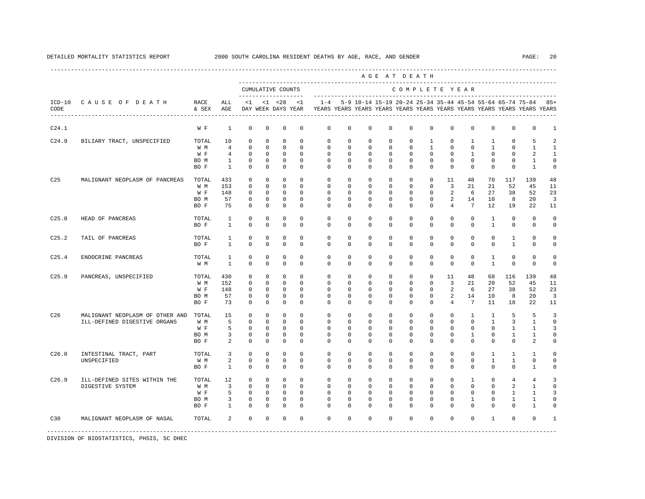|                   |                                 |               |                              |                             |                            |                                           |                            |                             |                             |                                                           |                  | AGE AT DEATH                |                             |                            |                            |                              |                              |                                                                         |                            |
|-------------------|---------------------------------|---------------|------------------------------|-----------------------------|----------------------------|-------------------------------------------|----------------------------|-----------------------------|-----------------------------|-----------------------------------------------------------|------------------|-----------------------------|-----------------------------|----------------------------|----------------------------|------------------------------|------------------------------|-------------------------------------------------------------------------|----------------------------|
|                   |                                 |               |                              |                             |                            | CUMULATIVE COUNTS<br>-------------------- |                            |                             |                             |                                                           |                  | COMPLETE YEAR               |                             |                            |                            |                              |                              |                                                                         |                            |
| CODE              | ICD-10 CAUSE OF DEATH           | RACE<br>& SEX | ALL<br>AGE                   | < 1                         |                            | $< 1$ $< 28$<br>DAY WEEK DAYS YEAR        | < 1                        | $1 - 4$                     |                             | 5-9 10-14 15-19 20-24 25-34 35-44 45-54 55-64 65-74 75-84 |                  |                             |                             |                            |                            |                              |                              | YEARS YEARS YEARS YEARS YEARS YEARS YEARS YEARS YEARS YEARS YEARS YEARS | $85+$                      |
| C24.1             |                                 | W F           | $\mathbf{1}$                 | $\mathbf{0}$                | $\mathbf 0$                | $\mathbf 0$                               | $\mathbf 0$                | $\mathbf 0$                 | $\mathbf 0$                 | $\circ$                                                   | $\mathbf 0$      | $\mathbf 0$                 | $\mathbf 0$                 | $\mathbf 0$                | $\mathbf 0$                | $\mathbf 0$                  | $\mathbf 0$                  | $\mathbf 0$                                                             | 1                          |
| C24.9             | BILIARY TRACT, UNSPECIFIED      | TOTAL         | 10                           | $\mathbf 0$                 | $\mathbf 0$                | $\mathbf 0$                               | $\mathbf 0$                | $\mathbb O$                 | $\mathbf 0$                 | $^{\circ}$                                                | $\mathbf 0$      | $\mathbf 0$                 | 1                           | $\mathbf 0$                | $\mathbf{1}$               | 1                            | $\mathbf 0$                  | 5                                                                       | 2                          |
|                   |                                 | W M           | $\overline{4}$               | $\circ$                     | $\mathbf 0$                | $\mathbf 0$                               | $\mathbf{0}$               | $\mathbf 0$                 | $\circ$                     | $^{\circ}$                                                | $\mathbf{0}$     | $\mathbf{0}$                | $\mathbf{1}$                | $\mathbf{0}$               | 0                          | 1                            | $\Omega$                     | 1                                                                       | 1                          |
|                   |                                 | W F           | $\overline{4}$               | $\mathbf 0$                 | $\mathbf 0$                | $\mathbf 0$                               | $\mathbf 0$                | $\mathbf 0$                 | 0                           | 0                                                         | 0                | $\circ$                     | $^{\circ}$                  | 0                          | $\mathbf{1}$               | 0                            | 0                            | 2                                                                       | $\mathbf{1}$               |
|                   |                                 | BO M          | $\mathbf{1}$                 | 0                           | $\mathbf 0$                | $\mathbf 0$                               | $\mathbf 0$                | $\mathbf 0$                 | $\mathbf 0$                 | $^{\circ}$                                                | 0                | $\mathbf{0}$                | 0                           | 0                          | 0                          | 0                            | $\mathbf 0$                  | $\mathbf{1}$                                                            | $\circ$                    |
|                   |                                 | BO F          | $\mathbf{1}$                 | $^{\circ}$                  | $\mathbf 0$                | $\mathbf 0$                               | $\mathbf 0$                | $\mathbf 0$                 | $\circ$                     | $\mathbf{0}$                                              | 0                | $\mathbf{0}$                | $\mathbf{0}$                | $\mathbf 0$                | $\mathbf 0$                | $\Omega$                     | $\mathbf 0$                  | $\mathbf{1}$                                                            | $\mathbf 0$                |
| C25               | MALIGNANT NEOPLASM OF PANCREAS  | TOTAL         | 433                          | 0                           | 0                          | 0                                         | $\mathbf 0$                | $\mathbf 0$                 | 0                           | 0                                                         | 0                | 0                           | 0                           | 11                         | 48                         | 70                           | 117                          | 139                                                                     | 48                         |
|                   |                                 | W M           | 153                          | $\mathbf 0$                 | $\mathbf 0$                | $\mathbf 0$                               | $\mathbf{0}$               | 0                           | $\circ$                     | $\mathbf{0}$                                              | 0                | $\mathbf{0}$                | $\mathbf{0}$                | $\overline{\mathbf{3}}$    | 21                         | 21                           | 52                           | 45                                                                      | 11                         |
|                   |                                 | W F           | 148                          | 0                           | $^{\circ}$                 | $\mathbf 0$                               | $\mathbf 0$                | $\mathbf 0$                 | $\mathbf 0$                 | 0                                                         | 0                | $\mathbf{0}$                | $\mathbf{0}$                | 2                          | -6                         | 27                           | 38                           | 52                                                                      | 23                         |
|                   |                                 | BO M          | 57                           | 0                           | $\mathbf 0$                | $^{\circ}$                                | $\mathbf 0$                | $\mathbf 0$                 | $^{\circ}$                  | $^{\circ}$                                                | 0                | $\mathbf{0}$                | $^{\circ}$                  | 2                          | 14                         | 10                           | 8                            | 20                                                                      | 3                          |
|                   |                                 | BO F          | 75                           | $^{\circ}$                  | $\mathbf 0$                | $\mathbf 0$                               | $\mathbf 0$                | $\Omega$                    | $\mathbf 0$                 | $\mathbf 0$                                               | 0                | $\Omega$                    | $\mathbf 0$                 | $\overline{4}$             | $7\phantom{.0}$            | 12                           | 19                           | 22                                                                      | 11                         |
| C25.0             | HEAD OF PANCREAS                | TOTAL<br>BO F | $\mathbf{1}$<br>$\mathbf{1}$ | $\mathbf 0$<br>$\mathbf 0$  | $\mathbf 0$<br>$^{\circ}$  | $\mathbf 0$<br>$\mathbf 0$                | $\mathbf 0$<br>$\mathbf 0$ | $\mathbf 0$<br>$\mathbf{0}$ | $\mathbf 0$<br>$\mathbf{0}$ | $\mathbf 0$<br>0                                          | $\mathbf 0$<br>0 | $\mathbf{0}$<br>0           | 0<br>0                      | $\mathbf 0$<br>0           | $^{\circ}$<br>0            | $\mathbf{1}$<br>$\mathbf{1}$ | $\mathbf 0$<br>$\mathbf{0}$  | $\mathbf 0$<br>0                                                        | $\mathbf 0$<br>$\mathbf 0$ |
| C25.2             | TAIL OF PANCREAS                | TOTAL<br>BO F | $\mathbf{1}$<br>$\mathbf{1}$ | $\mathbf 0$<br>$\mathbf{0}$ | $\mathbf 0$<br>$\mathbf 0$ | $\mathbb O$<br>$\mathbf 0$                | $\mathbf 0$<br>$\mathbf 0$ | $\mathbf 0$<br>$\mathbf 0$  | $\mathbf 0$<br>$\mathbf 0$  | $\mathbf 0$<br>$\mathbf 0$                                | $\mathbf 0$<br>0 | $\mathbf 0$<br>$\Omega$     | $\mathbf 0$<br>$\Omega$     | $\mathbf 0$<br>$\Omega$    | $\mathbf 0$<br>$\Omega$    | $\mathbf 0$<br>$\Omega$      | $\mathbf{1}$<br>$\mathbf{1}$ | $\mathbf 0$<br>$\Omega$                                                 | $\mathbf 0$<br>$\circ$     |
| C25.4             | ENDOCRINE PANCREAS              | TOTAL<br>W M  | $\mathbf{1}$<br>$\mathbf{1}$ | $\mathbf 0$<br>$^{\circ}$   | $\mathbf 0$<br>$\mathbf 0$ | $\mathbf 0$<br>$\mathbf 0$                | $\mathbf 0$<br>$\Omega$    | $\mathbf 0$<br>$\Omega$     | $\mathbf 0$<br>$\Omega$     | $^{\circ}$<br>$\Omega$                                    | 0<br>$\Omega$    | $\mathbf{0}$<br>$\mathbf 0$ | $\mathbf{0}$<br>$\mathbf 0$ | $\mathbf 0$<br>$\mathbf 0$ | $\mathbf 0$<br>$\mathbf 0$ | $\mathbf{1}$<br>$\mathbf{1}$ | $\mathbf 0$<br>$\mathbf 0$   | $\mathbf 0$<br>$\mathbf 0$                                              | $\mathbf 0$<br>$\mathbf 0$ |
| C25.9             | PANCREAS, UNSPECIFIED           | TOTAL         | 430                          | $\mathbf 0$                 | $\mathbf 0$                | $\mathbf 0$                               | $\mathbf 0$                | $\mathbf 0$                 | $\mathbf 0$                 | $^{\circ}$                                                | $^{\circ}$       | $\Omega$                    | $\mathbf 0$                 | 11                         | 48                         | 68                           | 116                          | 139                                                                     | 48                         |
|                   |                                 | W M           | 152                          | $\Omega$                    | $\Omega$                   | $\Omega$                                  | $\Omega$                   | $\Omega$                    | $\Omega$                    | $\Omega$                                                  | $\Omega$         | $\Omega$                    | $\Omega$                    | 3                          | 21                         | 20                           | 52                           | 45                                                                      | 11                         |
|                   |                                 | W F           | 148                          | 0                           | 0                          | 0                                         | $\mathbf{0}$               | 0                           | $\circ$                     | $\circ$                                                   | 0                | 0                           | 0                           | 2                          | 6                          | 27                           | 38                           | 52                                                                      | 23                         |
|                   |                                 | BO M          | 57                           | 0                           | $\mathbf 0$                | $\mathbf 0$                               | $\mathbf 0$                | $^{\circ}$                  | $\mathbf 0$                 | 0                                                         | 0                | $\mathbf{0}$                | $\mathbf{0}$                | 2                          | 14                         | 10                           | 8                            | 20                                                                      | 3                          |
|                   |                                 | BO F          | 73                           | 0                           | $\mathbf 0$                | $\mathbf 0$                               | $\circ$                    | $\mathbf{0}$                | $\mathbf{0}$                | $^{\circ}$                                                | 0                | $\mathbf{0}$                | 0                           | $\overline{4}$             | 7                          | 11                           | 18                           | 22                                                                      | 11                         |
| C <sub>26</sub>   | MALIGNANT NEOPLASM OF OTHER AND | TOTAL         | 15                           | $\circ$                     | $\mathbf 0$                | $\mathbf 0$                               | $\mathbf{0}$               | $\mathbf 0$                 | $\circ$                     | $\circ$                                                   | $\mathbf 0$      | $\mathbf 0$                 | $\mathbf 0$                 | $\mathbf 0$                | $\mathbf{1}$               | $\mathbf{1}$                 | 5                            | 5                                                                       | 3                          |
|                   | ILL-DEFINED DIGESTIVE ORGANS    | W M           | 5                            | $\circ$                     | $\mathbf 0$                | $\mathbf 0$                               | $\mathbf 0$                | $\mathbf 0$                 | $\mathbf 0$                 | $\mathbf 0$                                               | $\Omega$         | $\mathbf{0}$                | $\Omega$                    | $\Omega$                   | $\Omega$                   | $\mathbf{1}$                 | 3                            | $\mathbf{1}$                                                            | $\mathbf 0$                |
|                   |                                 | W F           | 5                            | 0                           | 0                          | 0                                         | $^{\circ}$                 | 0                           | $\mathbf 0$                 | $^{\circ}$                                                | $^{\circ}$       | 0                           | 0                           | 0                          | 0                          | $^{\circ}$                   | 1                            | 1                                                                       | 3                          |
|                   |                                 | BO M          | $\overline{3}$               | 0                           | $^{\circ}$                 | 0                                         | $\mathbf 0$                | $\mathbf{0}$                | $^{\circ}$                  | $^{\circ}$                                                | $^{\circ}$       | $\mathbf{0}$                | $\mathbf{0}$                | $\mathbf 0$                | 1                          | $^{\circ}$                   | 1                            | 1                                                                       | 0                          |
|                   |                                 | BO F          | 2                            | $\mathbf 0$                 | $\mathbf 0$                | $\mathbf 0$                               | $\mathbf 0$                | $\mathbf 0$                 | $^{\circ}$                  | 0                                                         | 0                | $\mathbf{0}$                | 0                           | 0                          | $\mathbf 0$                | 0                            | $\mathbf 0$                  | 2                                                                       | 0                          |
| C26.0             | INTESTINAL TRACT, PART          | TOTAL         | 3                            | $^{\circ}$                  | $\mathbf 0$                | $\mathbf 0$                               | $\mathbf 0$                | $\mathbf 0$                 | $\circ$                     | $\circ$                                                   | $\mathbf{0}$     | $\mathbf 0$                 | $\mathbf{0}$                | $\mathbf 0$                | $\mathbf 0$                | $\mathbf{1}$                 | $\mathbf{1}$                 | $\mathbf{1}$                                                            | $\circ$                    |
|                   | UNSPECIFIED                     | W M           | $\overline{a}$               | $\mathbb O$                 | $\mathbf 0$                | $\mathbb O$                               | $\mathbb O$                | $\mathbf 0$                 | $\mathbf 0$                 | $^{\circ}$                                                | $\mathbf 0$      | $\mathbf 0$                 | $\mathbf 0$                 | $\mathbf 0$                | $\mathbf 0$                | $\mathbf{1}$                 | $\mathbf{1}$                 | $\mathbf 0$                                                             | $\circ$                    |
|                   |                                 | BO F          | $\mathbf{1}$                 | $^{\circ}$                  | $\mathbf 0$                | $\mathbf 0$                               | $\Omega$                   | $\Omega$                    | $\Omega$                    | $\Omega$                                                  | $\Omega$         | $\Omega$                    | $\Omega$                    | $\Omega$                   | $\mathbf 0$                | $\Omega$                     | $\Omega$                     | 1                                                                       | 0                          |
| C <sub>26.9</sub> | ILL-DEFINED SITES WITHIN THE    | TOTAL         | 12                           | $^{\circ}$                  | $\mathbf{0}$               | $^{\circ}$                                | $\mathbf 0$                | $^{\circ}$                  | $^{\circ}$                  | $^{\circ}$                                                | $^{\circ}$       | $^{\circ}$                  | $\mathbf{0}$                | $\mathbf 0$                | $\mathbf{1}$               | $^{\circ}$                   | 4                            | 4                                                                       | 3                          |
|                   | DIGESTIVE SYSTEM                | W M           | $\overline{3}$               | $\circ$                     | $\circ$                    | $\mathbf{0}$                              | $\Omega$                   | $\circ$                     | $\Omega$                    | $^{\circ}$                                                | $\Omega$         | $\Omega$                    | $\Omega$                    | $\Omega$                   | $\Omega$                   | $\Omega$                     | 2                            | 1                                                                       | $\Omega$                   |
|                   |                                 | W F           | 5                            | $^{\circ}$                  | $\circ$                    | $\mathbf 0$                               | $\mathbf 0$                | $\mathbf 0$                 | $\mathbf 0$                 | $^{\circ}$                                                | $\mathbf 0$      | $\mathbf 0$                 | $\mathbf 0$                 | $\mathbf 0$                | $\mathbf 0$                | $\mathbf 0$                  | $\mathbf{1}$                 | $\mathbf{1}$                                                            | 3                          |
|                   |                                 | BO M          | 3                            | $\mathbb O$                 | $\mathbf 0$                | $\mathbf 0$                               | $\mathbb O$                | $\mathbf 0$                 | $\mathbf 0$                 | 0                                                         | 0                | $\Omega$                    | 0                           | 0                          | 1                          | 0                            | $\mathbf{1}$                 | 1                                                                       | $\mathbf 0$                |
|                   |                                 | BO F          | 1                            | 0                           | $^{\circ}$                 | $^{\circ}$                                | $\circ$                    | $\mathbf{0}$                | $\circ$                     | $^{\circ}$                                                | $^{\circ}$       | 0                           | 0                           | 0                          | 0                          | 0                            | $\mathbf{0}$                 | $\mathbf{1}$                                                            | $\Omega$                   |
| C30               | MALIGNANT NEOPLASM OF NASAL     | TOTAL         | $\overline{a}$               | $\Omega$                    | $\Omega$                   | $\mathbf 0$                               | $\Omega$                   | $\Omega$                    | $\Omega$                    | $\Omega$                                                  | $\Omega$         | $\Omega$                    | $\Omega$                    | $\Omega$                   | $\mathbf 0$                | $\overline{1}$               | $\Omega$                     | $\mathbf 0$                                                             | 1                          |
|                   |                                 |               |                              |                             |                            |                                           |                            |                             |                             |                                                           |                  |                             |                             |                            |                            |                              |                              |                                                                         |                            |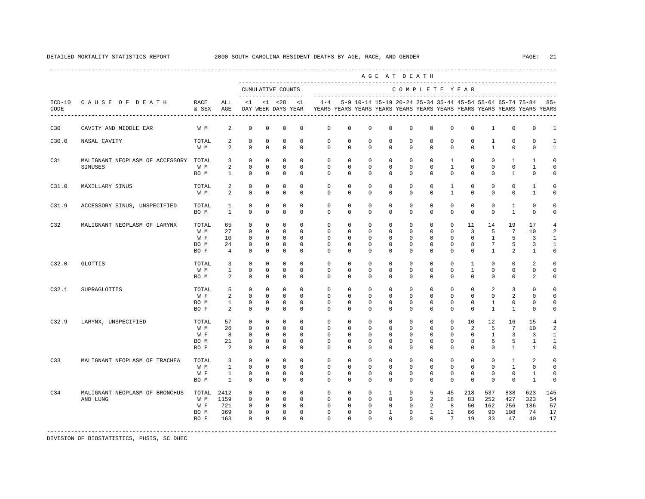|                  |                                                   |                                     |                                                   |                                                                     |                                                                   |                                                                       |                                                      |                                                                |                                                      |                                                                   | AGE AT DEATH                                                         |                                                                |                                                                |                                              |                                                    |                                                    |                                                   |                                                                         |                                                           |
|------------------|---------------------------------------------------|-------------------------------------|---------------------------------------------------|---------------------------------------------------------------------|-------------------------------------------------------------------|-----------------------------------------------------------------------|------------------------------------------------------|----------------------------------------------------------------|------------------------------------------------------|-------------------------------------------------------------------|----------------------------------------------------------------------|----------------------------------------------------------------|----------------------------------------------------------------|----------------------------------------------|----------------------------------------------------|----------------------------------------------------|---------------------------------------------------|-------------------------------------------------------------------------|-----------------------------------------------------------|
|                  |                                                   |                                     |                                                   |                                                                     |                                                                   | CUMULATIVE COUNTS<br>.                                                |                                                      |                                                                |                                                      |                                                                   |                                                                      | COMPLETE YEAR                                                  |                                                                |                                              |                                                    |                                                    |                                                   |                                                                         |                                                           |
| $ICD-10$<br>CODE | CAUSE OF DEATH                                    | RACE<br>& SEX                       | ALL<br>AGE                                        | <1                                                                  |                                                                   | $< 1$ $< 28$<br>DAY WEEK DAYS YEAR                                    | <1                                                   | $1 - 4$                                                        |                                                      |                                                                   | 5-9 10-14 15-19 20-24 25-34 35-44 45-54 55-64 65-74 75-84            |                                                                |                                                                |                                              |                                                    |                                                    |                                                   | YEARS YEARS YEARS YEARS YEARS YEARS YEARS YEARS YEARS YEARS YEARS YEARS | $85+$                                                     |
| C30              | CAVITY AND MIDDLE EAR                             | W M                                 | 2                                                 | $\mathbf 0$                                                         | $\mathbf 0$                                                       | $^{\circ}$                                                            | 0                                                    | $\mathbf 0$                                                    | 0                                                    | $\mathbf 0$                                                       | $\mathbf 0$                                                          | $\mathbf{0}$                                                   | $\mathbf 0$                                                    | 0                                            | $\mathbf 0$                                        | $\mathbf{1}$                                       | $\mathsf 0$                                       | $\mathbf 0$                                                             | 1                                                         |
| C30.0            | NASAL CAVITY                                      | TOTAL<br>W M                        | 2<br>2                                            | $\mathbf 0$<br>$\mathbf 0$                                          | $\mathbf 0$<br>$\mathbf 0$                                        | $\mathbf 0$<br>$\mathbf 0$                                            | $\Omega$<br>$\Omega$                                 | $\Omega$<br>$\mathbf 0$                                        | $\Omega$<br>0                                        | $\Omega$<br>$\Omega$                                              | $\Omega$<br>$\mathbf 0$                                              | $\Omega$<br>$\mathbf 0$                                        | $\Omega$<br>$\mathbf{0}$                                       | $\Omega$<br>0                                | $\Omega$<br>$\mathbf 0$                            | 1<br>$\mathbf{1}$                                  | $\mathbf 0$<br>0                                  | $\Omega$<br>$\mathbf 0$                                                 | $\mathbf{1}$<br>$\mathbf{1}$                              |
| C31              | MALIGNANT NEOPLASM OF ACCESSORY<br><b>SINUSES</b> | TOTAL<br>W M<br>BO M                | $\overline{3}$<br>$\overline{a}$<br>$\mathbf{1}$  | $^{\circ}$<br>$\mathbf 0$<br>$\Omega$                               | $\mathbf 0$<br>$\Omega$<br>$\Omega$                               | $\mathbf 0$<br>$\mathbf 0$<br>$\Omega$                                | $\Omega$<br>$\Omega$<br>$\Omega$                     | $\Omega$<br>$\mathbf 0$<br>$\Omega$                            | $\Omega$<br>$\Omega$<br>$\Omega$                     | $\Omega$<br>$\Omega$<br>$\Omega$                                  | $\Omega$<br>$\Omega$<br>$\Omega$                                     | $\Omega$<br>$\mathbf 0$<br>$\Omega$                            | $\mathbf{0}$<br>$\mathbf 0$<br>$\Omega$                        | $\mathbf{1}$<br>$\mathbf{1}$<br>$\Omega$     | $\Omega$<br>$\Omega$<br>$\Omega$                   | $\Omega$<br>$\Omega$<br>$\Omega$                   | $\mathbf{1}$<br>$\mathbf 0$<br>$\mathbf{1}$       | $\mathbf{1}$<br>$\mathbf{1}$<br>$\Omega$                                | $\Omega$<br>$\Omega$<br>$\Omega$                          |
| C31.0            | MAXILLARY SINUS                                   | TOTAL<br>W M                        | 2<br>2                                            | $\mathbf 0$<br>$\mathbf 0$                                          | $\Omega$<br>$\mathbf 0$                                           | $\Omega$<br>$\mathbf 0$                                               | $\Omega$<br>0                                        | $\Omega$<br>$\Omega$                                           | $\Omega$<br>$\Omega$                                 | $\Omega$<br>$\Omega$                                              | $\Omega$<br>$\Omega$                                                 | $\Omega$<br>$\Omega$                                           | $\Omega$<br>$\mathbf{0}$                                       | $\mathbf{1}$<br>$\mathbf{1}$                 | $\Omega$<br>$\Omega$                               | $\Omega$<br>$\Omega$                               | $\mathbf 0$<br>$\mathbf 0$                        | $\mathbf{1}$<br>$\mathbf{1}$                                            | $\Omega$<br>0                                             |
| C31.9            | ACCESSORY SINUS, UNSPECIFIED                      | TOTAL<br>BO M                       | 1<br>$\mathbf{1}$                                 | 0<br>$\mathbf 0$                                                    | 0<br>0                                                            | 0<br>$^{\circ}$                                                       | 0<br>0                                               | 0<br>0                                                         | 0<br>0                                               | $\mathbf 0$<br>0                                                  | $\mathbf 0$<br>0                                                     | $\mathbf 0$<br>$\mathbf{0}$                                    | $\mathbf 0$<br>0                                               | 0<br>$\mathbf 0$                             | 0<br>$\mathbf 0$                                   | 0<br>$\mathbf 0$                                   | 1<br>$\mathbf{1}$                                 | 0<br>$\mathbf 0$                                                        | $\mathbf 0$<br>0                                          |
| C32              | MALIGNANT NEOPLASM OF LARYNX                      | TOTAL<br>W M<br>W F<br>BO M<br>BO F | 65<br>27<br>10<br>24<br>$\overline{4}$            | 0<br>$\mathbf 0$<br>$\mathbf 0$<br>$\mathbf 0$<br>$\mathbf 0$       | $\mathbf 0$<br>0<br>$^{\circ}$<br>$^{\circ}$<br>0                 | $^{\circ}$<br>$\mathbf 0$<br>$^{\circ}$<br>$\mathbf 0$<br>$\mathbf 0$ | $\Omega$<br>0<br>$\Omega$<br>$\mathbf 0$<br>0        | $\mathbf 0$<br>0<br>$\Omega$<br>$\mathbf 0$<br>$\mathbf 0$     | 0<br>0<br>$\Omega$<br>0<br>0                         | $\Omega$<br>$\mathbf 0$<br>$\Omega$<br>$\mathbf 0$<br>$\mathbf 0$ | $\mathbf 0$<br>$\mathbf 0$<br>$\Omega$<br>$\mathbf 0$<br>$\mathbf 0$ | $\mathbf 0$<br>$\mathbf{0}$<br>$\Omega$<br>$\mathbf{0}$<br>0   | $\mathbf{0}$<br>$\mathbf 0$<br>0<br>$\mathbf 0$<br>$\mathbf 0$ | $\Omega$<br>$\mathbf 0$<br>0<br>0<br>0       | 11<br>3<br>$\Omega$<br>8<br>$\mathbf 0$            | 14<br>5<br>1<br>7<br>$\mathbf{1}$                  | 19<br>$7\phantom{.0}$<br>5<br>5<br>$\overline{a}$ | 17<br>10<br>3<br>3<br>$\mathbf{1}$                                      | $\overline{4}$<br>$\mathfrak{D}$<br>1<br>1<br>$\mathbf 0$ |
| C32.0            | <b>GLOTTIS</b>                                    | TOTAL<br>W M<br>BO M                | $\overline{3}$<br>$\mathbf{1}$<br>2               | $\Omega$<br>$\mathbf 0$<br>$\mathbf 0$                              | $\Omega$<br>$\mathbf 0$<br>0                                      | $\Omega$<br>$\mathbf 0$<br>$\mathbf 0$                                | $\Omega$<br>0<br>$\Omega$                            | $\Omega$<br>0<br>$\Omega$                                      | $\Omega$<br>0<br>$\Omega$                            | $\Omega$<br>$\mathbf 0$<br>$\Omega$                               | $\Omega$<br>$\mathbf 0$<br>$\Omega$                                  | $\Omega$<br>$\mathbf 0$<br>$\Omega$                            | $\Omega$<br>$\mathbf 0$<br>$\Omega$                            | $\Omega$<br>0<br>$\Omega$                    | $\mathbf{1}$<br>$\mathbf{1}$<br>$\Omega$           | $\Omega$<br>$\mathbf 0$<br>$\Omega$                | $\Omega$<br>$\mathbf 0$<br>$\mathbf 0$            | $\mathfrak{D}$<br>$\circ$<br>2                                          | $\Omega$<br>$\mathbf 0$<br>$\mathbf 0$                    |
| C32.1            | SUPRAGLOTTIS                                      | TOTAL<br>W F<br>BO M<br>BO F        | 5<br>2<br>$\mathbf{1}$<br>2                       | $\mathbf 0$<br>$\Omega$<br>$\mathbf 0$<br>$\Omega$                  | $\mathbf 0$<br>$\Omega$<br>0<br>$\Omega$                          | $\Omega$<br>$\Omega$<br>$\mathbf 0$<br>$\Omega$                       | $\Omega$<br>$\Omega$<br>$\Omega$<br>$\Omega$         | $\Omega$<br>$\Omega$<br>$\Omega$<br>$\Omega$                   | $\Omega$<br>$\Omega$<br>$\Omega$<br>$\Omega$         | $\Omega$<br>$\Omega$<br>$\Omega$<br>$\Omega$                      | $\Omega$<br>$\Omega$<br>$\Omega$<br>$\Omega$                         | $\Omega$<br>$\Omega$<br>0<br>$\Omega$                          | $\mathbf{0}$<br>$\Omega$<br>$\mathbf 0$<br>$\Omega$            | $\Omega$<br>$\Omega$<br>$\Omega$<br>$\Omega$ | $\Omega$<br>$\Omega$<br>$\Omega$<br>$\Omega$       | 2<br>$\Omega$<br>1<br>$\mathbf{1}$                 | 3<br>2<br>$\mathbf 0$<br>$\mathbf{1}$             | $\Omega$<br>$\Omega$<br>$\mathbf 0$<br>$\Omega$                         | $\Omega$<br>$\Omega$<br>$\Omega$<br>$\Omega$              |
| C32.9            | LARYNX, UNSPECIFIED                               | TOTAL<br>W M<br>W F<br>BO M<br>BO F | 57<br>26<br>8<br>21<br>2                          | 0<br>0<br>$^{\circ}$<br>0<br>$\mathbf 0$                            | 0<br>0<br>$^{\circ}$<br>0<br>$\mathbf 0$                          | 0<br>$^{\circ}$<br>$^{\circ}$<br>0<br>$\mathbf 0$                     | 0<br>$\Omega$<br>$\Omega$<br>0<br>$\Omega$           | $\mathbf 0$<br>0<br>$\Omega$<br>0<br>$\Omega$                  | 0<br>0<br>$\Omega$<br>0<br>0                         | $\mathbf 0$<br>$\Omega$<br>$\Omega$<br>0<br>$\Omega$              | $\mathbf 0$<br>$\Omega$<br>$\Omega$<br>0<br>$\mathbf 0$              | $\mathbf{0}$<br>$\Omega$<br>$\Omega$<br>0<br>$\Omega$          | $\mathbf 0$<br>0<br>$\Omega$<br>$\mathbf 0$<br>0               | 0<br>0<br>$\Omega$<br>0<br>$\Omega$          | 10<br>2<br>$\Omega$<br>8<br>$\Omega$               | 12<br>5<br>$\mathbf{1}$<br>6<br>$\Omega$           | 16<br>7<br>3<br>5<br>$\mathbf{1}$                 | 15<br>10<br>3<br>1<br>1                                                 | $\overline{4}$<br>2<br>1<br>1<br>0                        |
| C33              | MALIGNANT NEOPLASM OF TRACHEA                     | TOTAL<br>W M<br>W F<br>BO M         | 3<br>$\mathbf{1}$<br>$\mathbf{1}$<br>$\mathbf{1}$ | $\mathbf 0$<br>$\mathbf 0$<br>0<br>$\mathbf 0$                      | $\mathbf 0$<br>$\mathbf 0$<br>$^{\circ}$<br>$\mathbf 0$           | $^{\circ}$<br>$\Omega$<br>$^{\circ}$<br>0                             | 0<br>$\Omega$<br>0<br>$\Omega$                       | $\mathbf{0}$<br>$\Omega$<br>0<br>$\Omega$                      | 0<br>$\Omega$<br>0<br>$\Omega$                       | $\mathbf 0$<br>$\Omega$<br>0<br>$\Omega$                          | $\mathbf 0$<br>$\Omega$<br>0<br>$\Omega$                             | $\mathbf 0$<br>$\Omega$<br>$\mathbf 0$<br>$\Omega$             | $\mathbf{0}$<br>$\Omega$<br>$\mathbf 0$<br>0                   | $\Omega$<br>$\Omega$<br>0<br>$\Omega$        | $\Omega$<br>$\Omega$<br>$\mathbf 0$<br>$\mathbf 0$ | $\Omega$<br>$\Omega$<br>$\mathbf 0$<br>$\mathbf 0$ | 1<br>$\mathbf{1}$<br>$\mathbf 0$<br>$\mathbf 0$   | 2<br>$\mathbf 0$<br>1<br>$\mathbf{1}$                                   | $\mathbf 0$<br>$\mathbf 0$<br>0<br>$\mathbf 0$            |
| C34              | MALIGNANT NEOPLASM OF BRONCHUS<br>AND LUNG        | TOTAL<br>W M<br>W F<br>BO M<br>BO F | 2412<br>1159<br>721<br>369<br>163                 | $^{\circ}$<br>$\mathbf 0$<br>$\mathbf 0$<br>$\mathbf 0$<br>$\Omega$ | $\mathbf 0$<br>$\Omega$<br>$\mathbf 0$<br>$\mathbf 0$<br>$\Omega$ | $\mathbf 0$<br>$\mathbf 0$<br>$\mathbf 0$<br>$\mathbf 0$<br>$\Omega$  | $\mathbf 0$<br>$\Omega$<br>$\Omega$<br>0<br>$\Omega$ | $\mathbf 0$<br>$\Omega$<br>$\Omega$<br>$\mathbf 0$<br>$\Omega$ | $\mathbf 0$<br>$\Omega$<br>$\Omega$<br>0<br>$\Omega$ | $\mathbf 0$<br>$\Omega$<br>$\Omega$<br>$\mathbf 0$<br>$\Omega$    | $\mathbf{1}$<br>$\Omega$<br>$\Omega$<br>$\mathbf{1}$<br>$\Omega$     | $\mathbf 0$<br>$\Omega$<br>$\Omega$<br>$\mathbf 0$<br>$\Omega$ | 5<br>2<br>2<br>$\mathbf{1}$<br>$\Omega$                        | 45<br>18<br>8<br>12<br>$7\phantom{.0}$       | 218<br>83<br>50<br>66<br>19                        | 537<br>252<br>162<br>90<br>33                      | 838<br>427<br>256<br>108<br>47                    | 623<br>323<br>186<br>74<br>40                                           | 145<br>54<br>57<br>17<br>17                               |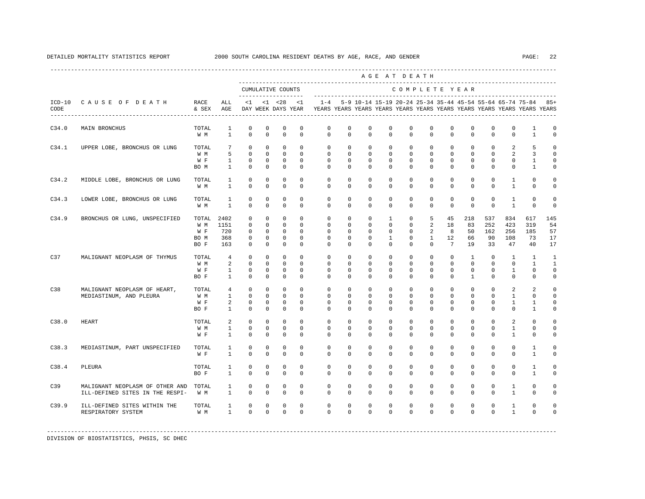| CAUSE OF DEATH                                                     | RACE                        | ALL<br>AGE                                          | $\leq$ 1                                              |                                                    |                                                                         | $\leq 1$                                                          | $1 - 4$                                                        |                                                                                                                                                                                                          |                                                                                                                                             |                                                                                                               |                                                                                                                                                                                                            |                                                                                                                                                                                                                                                                                                                                                                                                                                                                                                       |                                                                                                                                                                                                                                                                                                                                                                                                                                                |                                                                                                                                                                                                                                                                                                                                                                                                                          |                                                                                                                                                                                                                                                                                                                                                                                                                                        |                                                                                                                                                                                                                                                                                                                                                                                                 | $85+$                                                                                                                                                                                                                                                                                                                                                                                                                                                                                                                                                               |
|--------------------------------------------------------------------|-----------------------------|-----------------------------------------------------|-------------------------------------------------------|----------------------------------------------------|-------------------------------------------------------------------------|-------------------------------------------------------------------|----------------------------------------------------------------|----------------------------------------------------------------------------------------------------------------------------------------------------------------------------------------------------------|---------------------------------------------------------------------------------------------------------------------------------------------|---------------------------------------------------------------------------------------------------------------|------------------------------------------------------------------------------------------------------------------------------------------------------------------------------------------------------------|-------------------------------------------------------------------------------------------------------------------------------------------------------------------------------------------------------------------------------------------------------------------------------------------------------------------------------------------------------------------------------------------------------------------------------------------------------------------------------------------------------|------------------------------------------------------------------------------------------------------------------------------------------------------------------------------------------------------------------------------------------------------------------------------------------------------------------------------------------------------------------------------------------------------------------------------------------------|--------------------------------------------------------------------------------------------------------------------------------------------------------------------------------------------------------------------------------------------------------------------------------------------------------------------------------------------------------------------------------------------------------------------------|----------------------------------------------------------------------------------------------------------------------------------------------------------------------------------------------------------------------------------------------------------------------------------------------------------------------------------------------------------------------------------------------------------------------------------------|-------------------------------------------------------------------------------------------------------------------------------------------------------------------------------------------------------------------------------------------------------------------------------------------------------------------------------------------------------------------------------------------------|---------------------------------------------------------------------------------------------------------------------------------------------------------------------------------------------------------------------------------------------------------------------------------------------------------------------------------------------------------------------------------------------------------------------------------------------------------------------------------------------------------------------------------------------------------------------|
| MAIN BRONCHUS                                                      | TOTAL<br>W M                | 1<br>$\mathbf{1}$                                   | 0<br>$\mathbf 0$                                      | 0<br>$\mathbf 0$                                   | 0<br>$\mathbf 0$                                                        | 0<br>$\mathbf 0$                                                  | 0<br>$\mathbf 0$                                               | 0                                                                                                                                                                                                        | 0                                                                                                                                           |                                                                                                               |                                                                                                                                                                                                            |                                                                                                                                                                                                                                                                                                                                                                                                                                                                                                       |                                                                                                                                                                                                                                                                                                                                                                                                                                                |                                                                                                                                                                                                                                                                                                                                                                                                                          |                                                                                                                                                                                                                                                                                                                                                                                                                                        | 1<br>$\mathbf{1}$                                                                                                                                                                                                                                                                                                                                                                               | 0<br>0                                                                                                                                                                                                                                                                                                                                                                                                                                                                                                                                                              |
| UPPER LOBE, BRONCHUS OR LUNG                                       | TOTAL<br>W M<br>W F<br>BO M | 7<br>5<br>$\mathbf{1}$<br>$\mathbf{1}$              | $\mathbf 0$<br>$\mathbf 0$<br>0<br>0                  | $\mathbf 0$<br>$\mathbf 0$<br>0<br>0               | $\mathbf 0$<br>$\mathbf 0$<br>$^{\circ}$<br>$\mathbf 0$                 | $^{\circ}$<br>$\mathbf 0$<br>0<br>0                               | 0<br>$\mathbf{0}$<br>$\mathbf 0$<br>$\mathbf 0$                | $^{\circ}$                                                                                                                                                                                               |                                                                                                                                             |                                                                                                               |                                                                                                                                                                                                            |                                                                                                                                                                                                                                                                                                                                                                                                                                                                                                       |                                                                                                                                                                                                                                                                                                                                                                                                                                                |                                                                                                                                                                                                                                                                                                                                                                                                                          |                                                                                                                                                                                                                                                                                                                                                                                                                                        | 5<br>3<br>1<br>1                                                                                                                                                                                                                                                                                                                                                                                | U<br>U<br>U                                                                                                                                                                                                                                                                                                                                                                                                                                                                                                                                                         |
| MIDDLE LOBE, BRONCHUS OR LUNG                                      | TOTAL<br>W M                | $\mathbf{1}$<br>$\mathbf{1}$                        | $\mathbf 0$<br>$\mathbf 0$                            | $\mathbf 0$<br>0                                   | $\mathbf 0$<br>$\mathbf 0$                                              | $\mathbf 0$<br>0                                                  | $\mathbf 0$<br>0                                               | $\mathbf 0$<br>$^{\circ}$                                                                                                                                                                                | $\mathbf 0$                                                                                                                                 |                                                                                                               |                                                                                                                                                                                                            |                                                                                                                                                                                                                                                                                                                                                                                                                                                                                                       |                                                                                                                                                                                                                                                                                                                                                                                                                                                |                                                                                                                                                                                                                                                                                                                                                                                                                          |                                                                                                                                                                                                                                                                                                                                                                                                                                        | $\mathbf 0$<br>$\mathbf{0}$                                                                                                                                                                                                                                                                                                                                                                     | $\Omega$                                                                                                                                                                                                                                                                                                                                                                                                                                                                                                                                                            |
| LOWER LOBE, BRONCHUS OR LUNG                                       | TOTAL<br>W M                | $\mathbf{1}$<br>1                                   | $\mathbf 0$<br>$\mathbf 0$                            | $\mathbf 0$<br>0                                   | $\mathbb O$<br>$\mathbf 0$                                              | $\mathbf 0$<br>$^{\circ}$                                         | $\mathbf 0$<br>0                                               | $\mathbf 0$<br>$^{\circ}$                                                                                                                                                                                | $\mathbf 0$<br>$^{\circ}$                                                                                                                   |                                                                                                               |                                                                                                                                                                                                            |                                                                                                                                                                                                                                                                                                                                                                                                                                                                                                       |                                                                                                                                                                                                                                                                                                                                                                                                                                                |                                                                                                                                                                                                                                                                                                                                                                                                                          |                                                                                                                                                                                                                                                                                                                                                                                                                                        | $\mathbf 0$<br>0                                                                                                                                                                                                                                                                                                                                                                                | 0<br>0                                                                                                                                                                                                                                                                                                                                                                                                                                                                                                                                                              |
| BRONCHUS OR LUNG, UNSPECIFIED                                      | W M<br>W F<br>BO M<br>BO F  | 1151<br>720<br>368<br>163                           | $\mathbf 0$<br>0<br>$\Omega$<br>$\mathbf 0$<br>0      | $\mathbf 0$<br>0<br>$\Omega$<br>$\mathbf 0$<br>0   | $\mathbf 0$<br>$\mathbf 0$<br>$\mathbf 0$<br>$\mathbf 0$<br>$\mathbf 0$ | $\mathbf 0$<br>$\Omega$<br>$\Omega$<br>$\mathbf 0$<br>$\mathbf 0$ | $\mathbf{0}$<br>0<br>$\Omega$<br>0<br>0                        | $\mathbf 0$<br>$^{\circ}$<br>$\Omega$<br>$^{\circ}$<br>$^{\circ}$                                                                                                                                        | $\mathbf{1}$<br>1                                                                                                                           |                                                                                                               |                                                                                                                                                                                                            |                                                                                                                                                                                                                                                                                                                                                                                                                                                                                                       |                                                                                                                                                                                                                                                                                                                                                                                                                                                |                                                                                                                                                                                                                                                                                                                                                                                                                          |                                                                                                                                                                                                                                                                                                                                                                                                                                        | 617<br>319<br>185<br>73<br>40                                                                                                                                                                                                                                                                                                                                                                   | 145<br>54<br>57<br>17<br>17                                                                                                                                                                                                                                                                                                                                                                                                                                                                                                                                         |
| MALIGNANT NEOPLASM OF THYMUS                                       | TOTAL<br>W M<br>W F<br>BO F | $\overline{4}$<br>2<br>1<br>$\mathbf{1}$            | $\Omega$<br>$\Omega$<br>0<br>$\Omega$                 | $\Omega$<br>$\Omega$<br>0<br>$\Omega$              | $\mathbf 0$<br>$\Omega$<br>$\mathbf 0$<br>$\mathbf 0$                   | $\Omega$<br>$\Omega$<br>$^{\circ}$<br>$\Omega$                    | $\mathbf{0}$<br>$\Omega$<br>$\mathbf 0$<br>$\Omega$            | $\Omega$<br>$\Omega$<br>$^{\circ}$<br>$\Omega$                                                                                                                                                           | $^{\circ}$<br>$^{\circ}$                                                                                                                    |                                                                                                               |                                                                                                                                                                                                            |                                                                                                                                                                                                                                                                                                                                                                                                                                                                                                       |                                                                                                                                                                                                                                                                                                                                                                                                                                                |                                                                                                                                                                                                                                                                                                                                                                                                                          |                                                                                                                                                                                                                                                                                                                                                                                                                                        | $\overline{1}$<br>$\mathbf{1}$<br>$\mathbf 0$<br>$\mathbf{0}$                                                                                                                                                                                                                                                                                                                                   | 1<br>$\overline{1}$<br>$\Omega$<br>$\Omega$                                                                                                                                                                                                                                                                                                                                                                                                                                                                                                                         |
| MALIGNANT NEOPLASM OF HEART,<br>MEDIASTINUM, AND PLEURA            | TOTAL<br>W M<br>W F<br>BO F | $\overline{4}$<br>$\mathbf{1}$<br>2<br>$\mathbf{1}$ | $\mathbf 0$<br>$\Omega$<br>$\mathbf 0$<br>$\mathbf 0$ | $\mathbf 0$<br>$\Omega$<br>$\Omega$<br>$\mathbf 0$ | $\mathbf 0$<br>$\mathbf 0$<br>$\mathbf 0$<br>$\mathbf 0$                | $\mathbf 0$<br>$\Omega$<br>$^{\circ}$<br>$\mathbf 0$              | $\mathbf{0}$<br>$\Omega$<br>$\mathbf 0$<br>$\mathbf{0}$        | $\mathbf 0$<br>$\Omega$<br>$\Omega$                                                                                                                                                                      | $\mathbf 0$<br>$\Omega$<br>$\Omega$                                                                                                         |                                                                                                               |                                                                                                                                                                                                            |                                                                                                                                                                                                                                                                                                                                                                                                                                                                                                       |                                                                                                                                                                                                                                                                                                                                                                                                                                                |                                                                                                                                                                                                                                                                                                                                                                                                                          |                                                                                                                                                                                                                                                                                                                                                                                                                                        | 2<br>$\Omega$<br>1<br>$\mathbf{1}$                                                                                                                                                                                                                                                                                                                                                              | U<br>U<br>U<br>0                                                                                                                                                                                                                                                                                                                                                                                                                                                                                                                                                    |
| <b>HEART</b>                                                       | TOTAL<br>W M<br>W F         | 2<br>$\mathbf{1}$<br>$\mathbf{1}$                   | $\Omega$<br>$\mathbf 0$<br>$\Omega$                   | $\Omega$<br>$\mathbf 0$<br>$\Omega$                | $\Omega$<br>$\mathbf 0$<br>$\mathbf 0$                                  | $\Omega$<br>$\mathbf 0$<br>$\Omega$                               | $\Omega$<br>0<br>$\Omega$                                      | $\Omega$<br>$\mathbf 0$<br>$\Omega$                                                                                                                                                                      | $\Omega$<br>$\Omega$                                                                                                                        |                                                                                                               |                                                                                                                                                                                                            |                                                                                                                                                                                                                                                                                                                                                                                                                                                                                                       |                                                                                                                                                                                                                                                                                                                                                                                                                                                |                                                                                                                                                                                                                                                                                                                                                                                                                          |                                                                                                                                                                                                                                                                                                                                                                                                                                        | $\Omega$<br>$\mathbf 0$<br>$\mathbf 0$                                                                                                                                                                                                                                                                                                                                                          | U<br>$\Omega$<br>U                                                                                                                                                                                                                                                                                                                                                                                                                                                                                                                                                  |
| MEDIASTINUM, PART UNSPECIFIED                                      | TOTAL<br>W F                | 1<br>$\mathbf{1}$                                   | 0<br>$\Omega$                                         | $\Omega$<br>$\Omega$                               | $\mathbf 0$<br>$\Omega$                                                 | $\mathbf 0$<br>$\Omega$                                           | $\Omega$<br>$\Omega$                                           | 0<br>$\Omega$                                                                                                                                                                                            | $\mathbf 0$<br>$\Omega$                                                                                                                     |                                                                                                               |                                                                                                                                                                                                            |                                                                                                                                                                                                                                                                                                                                                                                                                                                                                                       |                                                                                                                                                                                                                                                                                                                                                                                                                                                |                                                                                                                                                                                                                                                                                                                                                                                                                          |                                                                                                                                                                                                                                                                                                                                                                                                                                        | $\mathbf{1}$<br>$\overline{1}$                                                                                                                                                                                                                                                                                                                                                                  | $\Omega$                                                                                                                                                                                                                                                                                                                                                                                                                                                                                                                                                            |
| PLEURA                                                             | TOTAL<br>BO F               | 1<br>$\mathbf{1}$                                   | 0<br>$\Omega$                                         | $\Omega$<br>$\Omega$                               | $\mathbf 0$<br>$\Omega$                                                 | $\mathbf 0$<br>$\Omega$                                           | $\Omega$<br>$\Omega$                                           | $^{\circ}$                                                                                                                                                                                               | $\mathbf 0$                                                                                                                                 |                                                                                                               |                                                                                                                                                                                                            |                                                                                                                                                                                                                                                                                                                                                                                                                                                                                                       |                                                                                                                                                                                                                                                                                                                                                                                                                                                |                                                                                                                                                                                                                                                                                                                                                                                                                          |                                                                                                                                                                                                                                                                                                                                                                                                                                        | $\mathbf{1}$<br>$\overline{1}$                                                                                                                                                                                                                                                                                                                                                                  | U<br>$\Omega$                                                                                                                                                                                                                                                                                                                                                                                                                                                                                                                                                       |
| MALIGNANT NEOPLASM OF OTHER AND<br>ILL-DEFINED SITES IN THE RESPI- | TOTAL<br>W M                | $\mathbf{1}$<br>$\mathbf{1}$                        | 0<br>$\Omega$                                         | $\Omega$<br>$\Omega$                               | $\mathbf 0$<br>$\Omega$                                                 | $\mathbf 0$<br>$\Omega$                                           | $\Omega$<br>$\Omega$                                           | $\mathbf 0$                                                                                                                                                                                              | $\mathbf 0$                                                                                                                                 |                                                                                                               |                                                                                                                                                                                                            |                                                                                                                                                                                                                                                                                                                                                                                                                                                                                                       |                                                                                                                                                                                                                                                                                                                                                                                                                                                |                                                                                                                                                                                                                                                                                                                                                                                                                          |                                                                                                                                                                                                                                                                                                                                                                                                                                        | $\mathbf{0}$<br>$\Omega$                                                                                                                                                                                                                                                                                                                                                                        | U                                                                                                                                                                                                                                                                                                                                                                                                                                                                                                                                                                   |
| ILL-DEFINED SITES WITHIN THE<br>RESPIRATORY SYSTEM                 | TOTAL<br>W M                | $\mathbf{1}$<br>$\mathbf{1}$                        | $\mathbf 0$<br>$\Omega$                               | $\mathbf 0$<br>$\Omega$                            | $\mathbf 0$<br>$\Omega$                                                 | $\mathbf 0$<br>$\Omega$                                           | $\Omega$<br>$\Omega$                                           | $\mathbf 0$                                                                                                                                                                                              | $\mathbf 0$                                                                                                                                 |                                                                                                               |                                                                                                                                                                                                            |                                                                                                                                                                                                                                                                                                                                                                                                                                                                                                       |                                                                                                                                                                                                                                                                                                                                                                                                                                                |                                                                                                                                                                                                                                                                                                                                                                                                                          |                                                                                                                                                                                                                                                                                                                                                                                                                                        | $\mathbf{0}$<br>$\Omega$                                                                                                                                                                                                                                                                                                                                                                        | O                                                                                                                                                                                                                                                                                                                                                                                                                                                                                                                                                                   |
|                                                                    |                             |                                                     | & SEX<br>TOTAL 2402                                   |                                                    |                                                                         | $< 1$ $< 28$                                                      | CUMULATIVE COUNTS<br>-------------------<br>DAY WEEK DAYS YEAR | 0<br>0<br>$\mathbf 0$<br>0<br>0<br>$\Omega$<br>0<br>0<br>$\mathbf 0$<br>0<br>$\Omega$<br>$\Omega$<br>$\Omega$<br>$\Omega$<br>0<br>$\Omega$<br>$\mathbf 0$<br>$\Omega$<br>$\mathbf 0$<br>0<br>$\mathbf 0$ | $\mathbf 0$<br>0<br>$\mathbf 0$<br>0<br>0<br>0<br>$\mathbf 0$<br>$\Omega$<br>$\mathbf 0$<br>$\mathbf 0$<br>$\Omega$<br>$\Omega$<br>$\Omega$ | $\mathbf 0$<br>$\mathbf{0}$<br>$\mathbf 0$<br>$\mathbf{0}$<br>$\mathbf 0$<br>$\Omega$<br>$\Omega$<br>$\Omega$ | -------------------<br>$\mathbf 0$<br>0<br>$\mathbf 0$<br>0<br>$^{\circ}$<br>$^{\circ}$<br>0<br>$\Omega$<br>0<br>$\mathbf 0$<br>$\Omega$<br>$\mathbf 0$<br>$\mathbf 0$<br>$\Omega$<br>$\Omega$<br>$\Omega$ | 0<br>$\mathbf 0$<br>0<br>$\mathbf{0}$<br>$\mathbf{0}$<br>$\mathbf{0}$<br>$\mathbf{0}$<br>$\mathbf{0}$<br>$\mathbf{0}$<br>$\mathbf{0}$<br>$\mathbf 0$<br>$\mathbf{0}$<br>$\mathbf{0}$<br>$\mathbf{0}$<br>$\mathbf{0}$<br>$\mathbf 0$<br>$\Omega$<br>$\mathbf 0$<br>$\mathbf{0}$<br>$\mathbf 0$<br>$\mathbf{0}$<br>$\mathbf{0}$<br>$\mathbf 0$<br>$\Omega$<br>$\mathbf 0$<br>$\mathbf 0$<br>$\mathbf{0}$<br>$\Omega$<br>$\mathbf{0}$<br>$\Omega$<br>$\mathbf{0}$<br>$\Omega$<br>$\mathbf 0$<br>$\Omega$ | AGE AT DEATH<br>0<br>$\mathbf{0}$<br>0<br>$\mathbf{0}$<br>$\circ$<br>0<br>$\mathbf 0$<br>0<br>$\mathbf{0}$<br>$\mathbf{0}$<br>5<br>2<br>2<br>$\mathbf{1}$<br>$\mathbf{0}$<br>$\mathbf 0$<br>$\Omega$<br>$\mathbf{0}$<br>$\mathbf 0$<br>$\mathbf 0$<br>$\mathbf 0$<br>0<br>$\mathbf 0$<br>$\Omega$<br>$\mathbf 0$<br>$\mathbf{0}$<br>$\mathbf{0}$<br>$\Omega$<br>$\mathbf 0$<br>$\Omega$<br>$\mathbf{0}$<br>$\Omega$<br>$\mathbf 0$<br>$\Omega$ | 0<br>$\mathbf 0$<br>0<br>$\mathbf 0$<br>$\circ$<br>$\circ$<br>$\mathbf 0$<br>$\mathbf 0$<br>$\mathbf 0$<br>$\mathbf 0$<br>45<br>18<br>8<br>12<br>$7\overline{ }$<br>$\Omega$<br>$\Omega$<br>$\mathbf 0$<br>$\Omega$<br>$\mathbf 0$<br>$\Omega$<br>0<br>$\mathbf 0$<br>$\Omega$<br>$\mathbf 0$<br>$\mathbf 0$<br>$\mathbf 0$<br>$\Omega$<br>$\mathbf 0$<br>$\Omega$<br>$\mathbf 0$<br>$\Omega$<br>$\mathbf 0$<br>$\Omega$ | COMPLETE YEAR<br>0<br>$\mathbf 0$<br>0<br>$\mathbf 0$<br>$^{\circ}$<br>0<br>$\mathbf 0$<br>$\mathbf 0$<br>$\mathbf 0$<br>$\mathbf 0$<br>218<br>83<br>50<br>66<br>19<br>$\mathbf{1}$<br>$\Omega$<br>$\mathbf 0$<br>$\mathbf{1}$<br>$\mathbf 0$<br>$\mathbf 0$<br>0<br>$\mathbf 0$<br>$\Omega$<br>$\mathbf 0$<br>$\mathbf 0$<br>$\mathbf 0$<br>$\Omega$<br>$\mathbf 0$<br>$\Omega$<br>$\mathbf 0$<br>$\Omega$<br>$\mathbf 0$<br>$\Omega$ | 0<br>$\mathbf 0$<br>0<br>$\mathbf 0$<br>$^{\circ}$<br>0<br>$\mathbf 0$<br>$\mathbf 0$<br>$\mathbf 0$<br>$\mathbf 0$<br>537<br>252<br>162<br>90<br>33<br>$\mathbf{0}$<br>$\Omega$<br>0<br>$\mathbf 0$<br>$\mathbf 0$<br>$\Omega$<br>0<br>$\mathbf 0$<br>$\Omega$<br>$\mathbf 0$<br>$\mathbf 0$<br>$\mathbf 0$<br>$\Omega$<br>$\mathbf 0$<br>$\Omega$<br>0<br>$\Omega$<br>$\mathbf 0$<br>$\Omega$ | 5-9 10-14 15-19 20-24 25-34 35-44 45-54 55-64 65-74 75-84<br>YEARS YEARS YEARS YEARS YEARS YEARS YEARS YEARS YEARS YEARS YEARS YEARS<br>0<br>$\mathbf 0$<br>2<br>2<br>$\mathbf{0}$<br>$\mathsf{O}$<br>$\mathbf{1}$<br>$\mathbf{1}$<br>$\mathbf{1}$<br>$\mathbf{1}$<br>834<br>423<br>256<br>108<br>47<br>$\mathbf{1}$<br>$\Omega$<br>$\mathbf{1}$<br>$\mathbf 0$<br>2<br>$\mathbf{1}$<br>1<br>$\mathbf 0$<br>2<br>$\mathbf{1}$<br>$\mathbf{1}$<br>$\mathbf 0$<br>$\Omega$<br>$\mathbf 0$<br>$\Omega$<br>$\mathbf{1}$<br>$\mathbf{1}$<br>$\mathbf{1}$<br>$\mathbf{1}$ |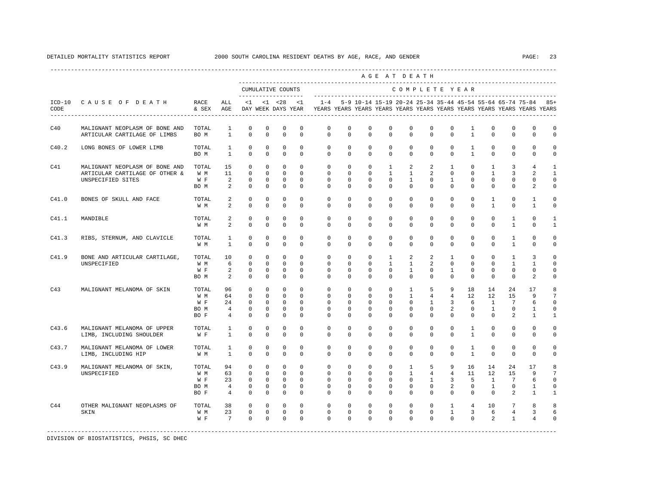|       |                                                                                       |                                     |                                                     |                                                        |                                                      |                                                         |                                                                |                                                                                    |                                                 |                                                    |                                                         | AGE AT DEATH                                                  |                                                   |                                                             |                                                   |                                                        |                                                          |                                    |                                                  |
|-------|---------------------------------------------------------------------------------------|-------------------------------------|-----------------------------------------------------|--------------------------------------------------------|------------------------------------------------------|---------------------------------------------------------|----------------------------------------------------------------|------------------------------------------------------------------------------------|-------------------------------------------------|----------------------------------------------------|---------------------------------------------------------|---------------------------------------------------------------|---------------------------------------------------|-------------------------------------------------------------|---------------------------------------------------|--------------------------------------------------------|----------------------------------------------------------|------------------------------------|--------------------------------------------------|
|       |                                                                                       |                                     |                                                     |                                                        |                                                      | CUMULATIVE COUNTS<br>--------------------               |                                                                |                                                                                    |                                                 |                                                    |                                                         | COMPLETE YEAR                                                 |                                                   |                                                             |                                                   |                                                        |                                                          |                                    |                                                  |
| CODE  | ICD-10 CAUSE OF DEATH                                                                 | RACE<br>& SEX                       | ALL<br>AGE                                          |                                                        | $<1$ $<1$ $<28$                                      | DAY WEEK DAYS YEAR                                      | < 1                                                            | $1 - 4$<br>YEARS YEARS YEARS YEARS YEARS YEARS YEARS YEARS YEARS YEARS YEARS YEARS |                                                 |                                                    |                                                         | 5-9 10-14 15-19 20-24 25-34 35-44 45-54 55-64 65-74 75-84     |                                                   |                                                             |                                                   |                                                        |                                                          |                                    | $85+$                                            |
| C40   | MALIGNANT NEOPLASM OF BONE AND<br>ARTICULAR CARTILAGE OF LIMBS                        | TOTAL<br>BO M                       | 1<br>$\mathbf{1}$                                   | 0<br>$\mathbf 0$                                       | 0<br>$\mathbf 0$                                     | 0<br>$\mathbf 0$                                        | 0<br>$\mathbf 0$                                               | 0<br>$\mathbf 0$                                                                   | $\mathbf{0}$<br>$\mathbf 0$                     | 0<br>$\mathbf 0$                                   | 0<br>$\mathbf 0$                                        | 0<br>$\mathbf{0}$                                             | $\mathbf{0}$<br>0                                 | 0<br>$\mathbf 0$                                            | $\mathbf{1}$<br>$\mathbf{1}$                      | 0<br>$\mathbf 0$                                       | $\mathbf{0}$<br>$\mathbf 0$                              | 0<br>0                             | 0<br>0                                           |
| C40.2 | LONG BONES OF LOWER LIMB                                                              | TOTAL<br>BO M                       | $\mathbf{1}$<br>$\mathbf{1}$                        | $\mathbf 0$<br>$\mathbf 0$                             | $\mathbf 0$<br>$\mathbf 0$                           | $\mathbf 0$<br>$\mathbf 0$                              | $\mathbf 0$<br>$\Omega$                                        | $\circ$<br>$\Omega$                                                                | $\mathbf 0$<br>$\Omega$                         | $\mathbf 0$<br>$\Omega$                            | $\mathbf 0$<br>$\Omega$                                 | $\mathbf 0$<br>$\Omega$                                       | $\mathbf 0$<br>$\Omega$                           | $\mathbf 0$<br>$\Omega$                                     | $\mathbf{1}$<br>$\mathbf{1}$                      | $\mathbf 0$<br>$\Omega$                                | $\mathbf 0$<br>$\mathbf 0$                               | $\mathbf{0}$<br>$\mathbf 0$        | 0<br>0                                           |
| C41   | MALIGNANT NEOPLASM OF BONE AND<br>ARTICULAR CARTILAGE OF OTHER &<br>UNSPECIFIED SITES | TOTAL<br>W M<br>W F<br>BO M         | 15<br>11<br>2<br>2                                  | $\Omega$<br>$\mathbf 0$<br>0<br>$\circ$                | $\Omega$<br>$\mathbf 0$<br>$\circ$<br>0              | $\Omega$<br>$\mathbf 0$<br>$\circ$<br>$^{\circ}$        | $\Omega$<br>$\mathbf 0$<br>$\mathbf 0$<br>0                    | $\Omega$<br>$\mathbf 0$<br>$^{\circ}$<br>$\mathbf{0}$                              | $\mathbf 0$<br>$\mathbf 0$<br>$\mathbf{0}$<br>0 | $\mathbf 0$<br>$\mathbf 0$<br>$\circ$<br>0         | $\mathbf{1}$<br>$\mathbf{1}$<br>0<br>0                  | 2<br>$\mathbf{1}$<br>$\mathbf{1}$<br>$\mathbf{0}$             | 2<br>$\overline{a}$<br>0<br>0                     | $\mathbf{1}$<br>$\mathbf 0$<br>$\mathbf{1}$<br>$\mathbf{0}$ | $\mathbf 0$<br>$\mathbf 0$<br>0<br>0              | $\mathbf{1}$<br>$\mathbf{1}$<br>0<br>0                 | 3<br>3<br>0<br>0                                         | 4<br>2<br>0<br>2                   | $\mathbf{1}$<br>$\mathbf{1}$<br>$\mathbf 0$<br>0 |
| C41.0 | BONES OF SKULL AND FACE                                                               | TOTAL<br>W M                        | 2<br>2                                              | $\mathbf 0$<br>$\mathbf 0$                             | $\mathbf 0$<br>$\mathbf 0$                           | $\mathbf 0$<br>$\mathbf 0$                              | $\Omega$<br>0                                                  | $\mathbf 0$<br>$\mathbf 0$                                                         | $\Omega$<br>0                                   | $\mathbf 0$<br>$\mathbf 0$                         | $\Omega$<br>0                                           | $\mathbf{0}$<br>0                                             | $\Omega$<br>0                                     | $\mathbf 0$<br>0                                            | $\Omega$<br>$\mathbf 0$                           | $\mathbf{1}$<br>$\mathbf{1}$                           | $\mathbf 0$<br>$\mathbf{0}$                              | $\mathbf{1}$<br>$\mathbf{1}$       | 0<br>0                                           |
| C41.1 | MANDIBLE                                                                              | TOTAL<br>W M                        | 2<br>2                                              | $\mathbf 0$<br>$\mathbf 0$                             | $\mathbf 0$<br>0                                     | $\mathbf 0$<br>$\mathbf 0$                              | $\Omega$<br>0                                                  | $\Omega$<br>$\mathbf{0}$                                                           | $\Omega$<br>$\mathbf 0$                         | $\Omega$<br>$\mathbf 0$                            | $\Omega$<br>0                                           | $\Omega$<br>$\mathbf 0$                                       | $\Omega$<br>$\mathbf 0$                           | $\Omega$<br>$\mathbf 0$                                     | $\Omega$<br>$\mathbf 0$                           | $\Omega$<br>$\mathbf 0$                                | $\mathbf{1}$<br>$\mathbf{1}$                             | $\Omega$<br>0                      | $\mathbf{1}$<br>$\mathbf{1}$                     |
| C41.3 | RIBS, STERNUM, AND CLAVICLE                                                           | TOTAL<br>W M                        | $\mathbf{1}$<br>$\mathbf{1}$                        | $\mathbf 0$<br>$^{\circ}$                              | $\mathbf 0$<br>$^{\circ}$                            | $\mathbf 0$<br>$\mathbf 0$                              | $\mathbf 0$<br>$\Omega$                                        | $\mathbf 0$<br>$\mathbf{0}$                                                        | $\mathbf 0$<br>$\Omega$                         | $\mathbf 0$<br>0                                   | $\mathbf 0$<br>0                                        | $\mathbf{0}$<br>$\Omega$                                      | $\mathbf 0$<br>0                                  | $\mathbf 0$<br>$\Omega$                                     | $\mathbf 0$<br>0                                  | $\mathbf 0$<br>$\Omega$                                | $\mathbf{1}$<br>$\mathbf{1}$                             | $\mathbf 0$<br>0                   | 0<br>0                                           |
| C41.9 | BONE AND ARTICULAR CARTILAGE,<br>UNSPECIFIED                                          | TOTAL<br>W M<br>W F<br>BO M         | 10<br>6<br>2<br>2                                   | $\mathbf 0$<br>$\mathbf 0$<br>$\Omega$<br>$\mathbf 0$  | $\mathbf 0$<br>$\Omega$<br>$\Omega$<br>$\mathbf 0$   | $\mathbf 0$<br>$\Omega$<br>$\mathbf 0$<br>$\mathbf 0$   | $\mathbf 0$<br>$\Omega$<br>$\Omega$<br>$\Omega$                | $\mathbf 0$<br>$\Omega$<br>$\Omega$<br>$\Omega$                                    | $\mathbf 0$<br>$\Omega$<br>$\Omega$<br>0        | $\mathbf 0$<br>$\Omega$<br>$\Omega$<br>$\Omega$    | $\mathbf{1}$<br>$\mathbf{1}$<br>$\Omega$<br>$\mathbf 0$ | 2<br>$\mathbf{1}$<br>$\mathbf{1}$<br>$\Omega$                 | 2<br>$\mathfrak{D}$<br>$\Omega$<br>$\mathbf 0$    | $\mathbf{1}$<br>$\Omega$<br>$\mathbf{1}$<br>$\Omega$        | $^{\circ}$<br>$\Omega$<br>$\Omega$<br>$\mathbf 0$ | $\mathbf 0$<br>$\Omega$<br>$\Omega$<br>$\Omega$        | $\mathbf{1}$<br>$\mathbf{1}$<br>$\Omega$<br>$\mathbf{0}$ | 3<br>$\mathbf{1}$<br>$\Omega$<br>2 | $\mathbf 0$<br>$\Omega$<br>$\Omega$<br>0         |
| C43   | MALIGNANT MELANOMA OF SKIN                                                            | TOTAL<br>W M<br>W F<br>BO M<br>BO F | 96<br>64<br>24<br>$\overline{4}$<br>$\overline{4}$  | $\circ$<br>0<br>$\circ$<br>$^{\circ}$<br>$^{\circ}$    | $\circ$<br>$^{\circ}$<br>$\Omega$<br>0<br>$^{\circ}$ | $\mathbf 0$<br>0<br>$\circ$<br>$^{\circ}$<br>$^{\circ}$ | $\mathbf 0$<br>$\Omega$<br>$\Omega$<br>$\mathbf 0$<br>$\Omega$ | $^{\circ}$<br>$\mathbf{0}$<br>$\Omega$<br>$\mathbf{0}$<br>$\Omega$                 | $\mathbf{0}$<br>0<br>$\Omega$<br>0<br>$\Omega$  | $\circ$<br>$^{\circ}$<br>$\Omega$<br>0<br>$\Omega$ | 0<br>$^{\circ}$<br>$\Omega$<br>0<br>$\Omega$            | $\mathbf{1}$<br>$\mathbf{1}$<br>$\Omega$<br>0<br>$\Omega$     | 5<br>4<br>$\mathbf{1}$<br>$\mathbf 0$<br>$\Omega$ | 9<br>$\overline{4}$<br>3<br>2<br>$\Omega$                   | 18<br>12<br>-6<br>$\mathbf 0$<br>$\Omega$         | 14<br>12<br>$\overline{1}$<br>$\mathbf{1}$<br>$\Omega$ | 24<br>15<br>$7\phantom{.0}$<br>$\mathbf 0$<br>2          | 17<br>9<br>6<br>1<br>1             | 8<br>7<br>$\mathbf 0$<br>$\mathbf 0$<br>1        |
| C43.6 | MALIGNANT MELANOMA OF UPPER<br>LIMB, INCLUDING SHOULDER                               | TOTAL<br>W F                        | $\mathbf{1}$<br>$\mathbf{1}$                        | $\mathbf 0$<br>$\mathbf 0$                             | $\mathbf 0$<br>$\mathbf 0$                           | $\mathbf 0$<br>$\mathbf 0$                              | $\mathbf 0$<br>$\mathbf 0$                                     | 0<br>$\Omega$                                                                      | 0<br>$\mathbf 0$                                | $\mathbf 0$<br>$\mathbf 0$                         | $\mathbf 0$<br>0                                        | $\mathbf 0$<br>$\mathbf{0}$                                   | 0<br>0                                            | 0<br>$\Omega$                                               | $\mathbf{1}$<br>$\mathbf{1}$                      | $\mathbf 0$<br>$^{\circ}$                              | $\mathbb O$<br>$\mathbf 0$                               | 0<br>0                             | 0<br>0                                           |
| C43.7 | MALIGNANT MELANOMA OF LOWER<br>LIMB, INCLUDING HIP                                    | TOTAL<br>W M                        | 1<br>$\mathbf{1}$                                   | $^{\circ}$<br>$\Omega$                                 | $^{\circ}$<br>$\Omega$                               | 0<br>$^{\circ}$                                         | 0<br>$\Omega$                                                  | 0<br>$\Omega$                                                                      | 0<br>$\Omega$                                   | $^{\circ}$<br>$\Omega$                             | 0<br>0                                                  | $\mathbf 0$<br>$\Omega$                                       | 0<br>$\Omega$                                     | 0<br>$\Omega$                                               | $\mathbf{1}$<br>$\overline{1}$                    | $^{\circ}$<br>$\Omega$                                 | 0<br>$\Omega$                                            | 0<br>$\Omega$                      | $\Omega$<br>0                                    |
| C43.9 | MALIGNANT MELANOMA OF SKIN,<br>UNSPECIFIED                                            | TOTAL<br>W M<br>W F<br>BO M<br>BO F | 94<br>63<br>23<br>$\overline{4}$<br>$4\overline{ }$ | $\mathbf 0$<br>$\Omega$<br>$\mathbf 0$<br>0<br>$\circ$ | $\mathbf 0$<br>$\Omega$<br>$\mathbf 0$<br>0<br>0     | $\mathbf 0$<br>$\Omega$<br>$\circ$<br>0<br>0            | $\Omega$<br>$\Omega$<br>$\Omega$<br>0<br>0                     | $\mathbf 0$<br>$\Omega$<br>$\Omega$<br>$\mathbf{0}$<br>$\mathbf{0}$                | $\mathbf 0$<br>$\Omega$<br>$\Omega$<br>0<br>0   | $\mathbf 0$<br>$\Omega$<br>$\Omega$<br>0<br>0      | $\mathbf 0$<br>$\Omega$<br>$\Omega$<br>0<br>0           | $\mathbf{1}$<br>$\mathbf{1}$<br>$\Omega$<br>0<br>$\mathbf{0}$ | 5<br>$4\overline{ }$<br>$\overline{1}$<br>0<br>0  | 9<br>$\overline{4}$<br>3<br>2<br>$\mathbf{0}$               | 16<br>11<br>-5<br>0<br>0                          | 14<br>12<br>$\overline{1}$<br>$\mathbf{1}$<br>$\circ$  | 24<br>1.5<br>$7\phantom{.0}$<br>0<br>2                   | 17<br>9<br>6<br>1<br>1             | 8<br>7<br>$\mathbf 0$<br>0<br>1                  |
| C44   | OTHER MALIGNANT NEOPLASMS OF<br>SKIN                                                  | TOTAL<br>W M<br>W F                 | 38<br>23<br>$7^{\circ}$                             | $\mathbf 0$<br>$\mathbf 0$<br>$\Omega$                 | $\mathbf{0}$<br>$\mathbf 0$<br>$\mathbf 0$           | $\mathbf 0$<br>$\circ$<br>$\overline{0}$                | $\mathbf 0$<br>$\mathbf 0$<br>$\Omega$                         | $\mathbf 0$<br>$\mathbf 0$<br>$\Omega$                                             | $\mathbf 0$<br>$\mathbf 0$<br>$\Omega$          | $\mathbf 0$<br>$\mathbf 0$<br>$\Omega$             | $\mathbf 0$<br>0<br>$\Omega$                            | $\mathbf{0}$<br>$\mathbf{0}$<br>$\Omega$                      | $\mathbf 0$<br>$\mathbf 0$<br>$\Omega$            | $\mathbf{1}$<br>$\mathbf{1}$<br>$\Omega$                    | $\overline{4}$<br>$\mathbf{3}$<br>$\Omega$        | 10<br>6<br>2                                           | $7\phantom{.0}$<br>$\overline{4}$<br>$\mathbf{1}$        | 8<br>3<br>4                        | 8<br>6<br>$\Omega$                               |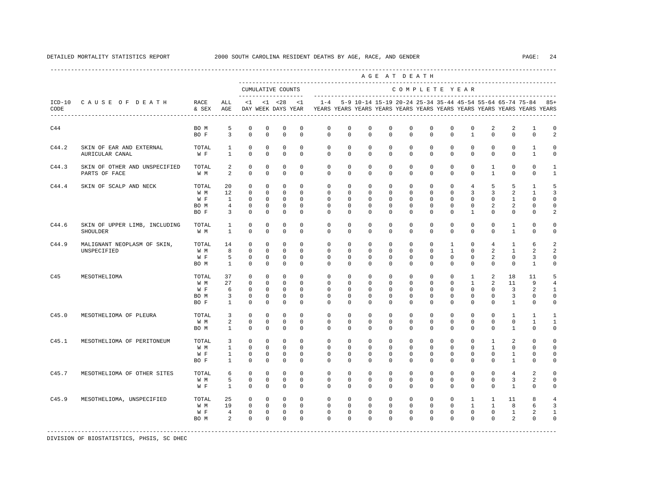|       |                                                   |                                     |                                                   |                                                                     |                                                                       |                                                                            |                                                              |                                                                                             |                                                                   |                                                                   |                                                                   | AGE AT DEATH                                                   |                                                                   |                                                                           |                                                                        |                                                                |                                                                |                                                                   |                                                   |
|-------|---------------------------------------------------|-------------------------------------|---------------------------------------------------|---------------------------------------------------------------------|-----------------------------------------------------------------------|----------------------------------------------------------------------------|--------------------------------------------------------------|---------------------------------------------------------------------------------------------|-------------------------------------------------------------------|-------------------------------------------------------------------|-------------------------------------------------------------------|----------------------------------------------------------------|-------------------------------------------------------------------|---------------------------------------------------------------------------|------------------------------------------------------------------------|----------------------------------------------------------------|----------------------------------------------------------------|-------------------------------------------------------------------|---------------------------------------------------|
|       |                                                   |                                     |                                                   |                                                                     |                                                                       | CUMULATIVE COUNTS<br>--------------------                                  |                                                              |                                                                                             |                                                                   |                                                                   |                                                                   |                                                                |                                                                   |                                                                           | COMPLETE YEAR                                                          |                                                                |                                                                |                                                                   |                                                   |
| CODE  | ICD-10 CAUSE OF DEATH<br>------------------------ | RACE<br>& SEX                       | ALL<br>AGE                                        | $\leq 1$                                                            |                                                                       | $<1$ $<28$                                                                 | < 1                                                          | DAY WEEK DAYS YEAR TYEARS YEARS YEARS YEARS YEARS YEARS YEARS YEARS YEARS YEARS YEARS YEARS |                                                                   |                                                                   |                                                                   |                                                                |                                                                   |                                                                           |                                                                        |                                                                |                                                                | 1-4 5-9 10-14 15-19 20-24 25-34 35-44 45-54 55-64 65-74 75-84 85+ |                                                   |
| C44   |                                                   | BO M<br>BO F                        | 5<br>$\overline{3}$                               | $\mathbf 0$<br>$\mathbf 0$                                          | $\mathbf 0$<br>$\mathbf 0$                                            | $\mathbf 0$<br>$\mathbf 0$                                                 | $^{\circ}$<br>$\circ$                                        | $\circ$<br>$\mathbf 0$                                                                      | $\mathbf{0}$<br>$\Omega$                                          | $\mathbf 0$<br>$\mathbf 0$                                        | $\mathbf 0$<br>$\Omega$                                           | $\mathbf 0$<br>$\mathbf 0$                                     | $\mathbf 0$<br>$\Omega$                                           | $\mathbf 0$<br>$\Omega$                                                   | $\mathbf 0$<br>$\mathbf{1}$                                            | 2<br>$\mathbf 0$                                               | 2<br>$\Omega$                                                  | 1<br>$\mathbf 0$                                                  | $\mathbf 0$<br>2                                  |
| C44.2 | SKIN OF EAR AND EXTERNAL<br>AURICULAR CANAL       | TOTAL<br>W F                        | $\mathbf{1}$<br>$\mathbf{1}$                      | $\circ$<br>$\mathbf 0$                                              | $\mathbf{0}$<br>$\mathbf 0$                                           | $\mathbf 0$<br>$\mathbf 0$                                                 | $\Omega$<br>$\Omega$                                         | $\Omega$<br>$\Omega$                                                                        | $\Omega$<br>$\Omega$                                              | $\circ$<br>$\Omega$                                               | $\Omega$<br>$\Omega$                                              | $\mathbf 0$<br>$\Omega$                                        | $\Omega$<br>$\Omega$                                              | $\circ$<br>$\Omega$                                                       | $\Omega$<br>$\Omega$                                                   | $\mathbf{0}$<br>$\Omega$                                       | $\mathbf 0$<br>$\Omega$                                        | $\mathbf{1}$<br>$\mathbf{1}$                                      | $\Omega$<br>$\circ$                               |
| C44.3 | SKIN OF OTHER AND UNSPECIFIED<br>PARTS OF FACE    | TOTAL<br>W M                        | 2<br>2                                            | $\mathbf{0}$<br>$\mathbf 0$                                         | $^{\circ}$<br>$\mathbf 0$                                             | $\circ$<br>$\mathbf 0$                                                     | $^{\circ}$<br>$\Omega$                                       | $\circ$<br>$\Omega$                                                                         | $\circ$<br>$\Omega$                                               | $\circ$<br>$\Omega$                                               | 0<br>$\Omega$                                                     | $\mathbf{0}$<br>$\Omega$                                       | 0<br>$\Omega$                                                     | $^{\circ}$<br>$\Omega$                                                    | 0<br>$\Omega$                                                          | $\mathbf{1}$<br>$\mathbf{1}$                                   | $\mathbf 0$<br>$\mathbf 0$                                     | $^{\circ}$<br>$\mathbf 0$                                         | 1<br>$\mathbf{1}$                                 |
| C44.4 | SKIN OF SCALP AND NECK                            | TOTAL<br>W M<br>W F<br>BO M<br>BO F | 20<br>12<br>$\mathbf{1}$<br>$\overline{4}$<br>3   | $\circ$<br>$\mathbf 0$<br>$\Omega$<br>$\mathbb O$<br>$\mathbf 0$    | $\mathbf{0}$<br>$\mathbf 0$<br>$\Omega$<br>$\mathbf 0$<br>$\mathbf 0$ | $\mathbf{0}$<br>$\mathbf{0}$<br>$\mathbf{0}$<br>$\mathbf 0$<br>$\mathbf 0$ | $\circ$<br>$\Omega$<br>$\Omega$<br>$\mathbb O$<br>$^{\circ}$ | $\circ$<br>$\mathbf 0$<br>$\Omega$<br>$\mathbb O$<br>$\mathbf 0$                            | $\mathbf 0$<br>$\Omega$<br>$\Omega$<br>$\mathbf 0$<br>$\mathbf 0$ | $\mathbf 0$<br>$\Omega$<br>$\Omega$<br>$\mathbf 0$<br>$\mathbf 0$ | $\mathbf 0$<br>$\Omega$<br>$\Omega$<br>$\mathbf 0$<br>$\mathbf 0$ | $\mathbf 0$<br>$\Omega$<br>$\Omega$<br>0<br>$\mathbf{0}$       | $\mathbf 0$<br>$\Omega$<br>$\Omega$<br>$\mathsf 0$<br>$\mathbf 0$ | $\mathbf 0$<br>$\Omega$<br>$\Omega$<br>$\mathsf{O}\xspace$<br>$\mathbf 0$ | $4\overline{ }$<br>3<br>$\Omega$<br>$\mathbf 0$<br>$\mathbf{1}$        | 5<br>3<br>$\Omega$<br>$\overline{2}$<br>$\mathbf 0$            | 5<br>2<br>$\overline{1}$<br>$\overline{a}$<br>$\mathbf{0}$     | 1<br>$\mathbf{1}$<br>$\Omega$<br>$\mathbf 0$<br>$\mathbf 0$       | 5<br>3<br>$\cap$<br>$\mathbf 0$<br>2              |
| C44.6 | SKIN OF UPPER LIMB, INCLUDING<br>SHOULDER         | TOTAL<br>W M                        | $\mathbf{1}$<br>$\mathbf{1}$                      | 0<br>$\mathbf 0$                                                    | 0<br>$\mathbf 0$                                                      | 0<br>$\mathbf 0$                                                           | $\mathbf 0$<br>$\Omega$                                      | $\Omega$<br>$\Omega$                                                                        | $\Omega$<br>$\Omega$                                              | 0<br>$\Omega$                                                     | 0<br>0                                                            | $\mathbf{0}$<br>$\Omega$                                       | $\Omega$<br>$\mathbf 0$                                           | $\mathbf 0$<br>$\Omega$                                                   | $^{\circ}$<br>$\mathbf 0$                                              | 0<br>$\Omega$                                                  | 1<br>$\mathbf{1}$                                              | $\mathbf 0$<br>$\Omega$                                           | $\Omega$<br>$\Omega$                              |
| C44.9 | MALIGNANT NEOPLASM OF SKIN,<br>UNSPECIFIED        | TOTAL<br>W M<br>W F<br>BO M         | 14<br>8<br>5<br>1                                 | $\mathbf 0$<br>$\mathbf 0$<br>$\mathbf 0$<br>$\mathbf 0$            | $\Omega$<br>$\mathbf{0}$<br>0<br>$\mathbf{0}$                         | $\mathbf 0$<br>$\mathbf{0}$<br>$\mathbf 0$<br>$\mathbf 0$                  | $\Omega$<br>$\Omega$<br>$^{\circ}$<br>$^{\circ}$             | $\Omega$<br>$\circ$<br>$\circ$<br>$\Omega$                                                  | $\Omega$<br>$\Omega$<br>$\circ$<br>$\circ$                        | $\Omega$<br>$\Omega$<br>0<br>0                                    | $\Omega$<br>$\Omega$<br>0<br>0                                    | $\Omega$<br>$\mathbf 0$<br>0<br>$\mathbf{0}$                   | $\Omega$<br>$\Omega$<br>$\mathbf 0$<br>0                          | $\mathbf{1}$<br>$\overline{1}$<br>$\mathbf 0$<br>$\Omega$                 | $\Omega$<br>$\Omega$<br>0<br>$\mathbf 0$                               | $\overline{4}$<br>$\overline{a}$<br>$\overline{2}$<br>$\Omega$ | $\overline{1}$<br>$\mathbf{1}$<br>$\mathbf{0}$<br>$\mathbf{0}$ | 6<br>2<br>3<br>1                                                  | $\mathfrak{D}$<br>2<br>$\mathbf 0$<br>$\Omega$    |
| C45   | MESOTHELIOMA                                      | TOTAL<br>W M<br>W F<br>BO M<br>BO F | 37<br>27<br>6<br>3<br>$\mathbf{1}$                | $\circ$<br>$\mathbf 0$<br>$\mathbf 0$<br>$\mathbb O$<br>$\mathbf 0$ | $\mathbf{0}$<br>$\mathbf{0}$<br>$\circ$<br>$\mathbf 0$<br>$\mathbf 0$ | $\mathbf 0$<br>$\mathbf{0}$<br>$\mathbf{0}$<br>$\mathbb O$<br>$\mathbf 0$  | $\Omega$<br>$\Omega$<br>$\Omega$<br>$\mathbf 0$<br>$\Omega$  | $\circ$<br>$\Omega$<br>$\Omega$<br>$\mathbf{0}$<br>$\Omega$                                 | $\mathbf 0$<br>$\Omega$<br>$\Omega$<br>$\mathbf 0$<br>$\Omega$    | $\mathbf 0$<br>$\Omega$<br>$\Omega$<br>$\mathbf 0$<br>$\Omega$    | $\mathbf 0$<br>$\Omega$<br>0<br>0<br>0                            | $\mathbf 0$<br>$\Omega$<br>$\Omega$<br>$\mathbf 0$<br>$\Omega$ | $\mathbf 0$<br>$\Omega$<br>$\Omega$<br>$\mathbf 0$<br>$\Omega$    | $\mathbf 0$<br>$\Omega$<br>$\Omega$<br>$\mathbf 0$<br>$\Omega$            | $\mathbf{1}$<br>$\mathbf{1}$<br>$\Omega$<br>$\mathbf 0$<br>$\mathbf 0$ | $\overline{2}$<br>2<br>$\Omega$<br>$\mathbf 0$<br>0            | 18<br>11<br>$\overline{3}$<br>3<br>1                           | 11<br>9<br>2<br>$\mathbf 0$<br>$\Omega$                           | 5<br>4<br>$\mathbf{1}$<br>$\mathbf 0$<br>$\Omega$ |
| C45.0 | MESOTHELIOMA OF PLEURA                            | TOTAL<br>W M<br>BO M                | 3<br>2<br>$\mathbf{1}$                            | $\circ$<br>$\circ$<br>$\circ$                                       | $\circ$<br>$\mathbf{0}$<br>$\mathbf{0}$                               | $\mathbf 0$<br>$\mathbf{0}$<br>$\mathbf 0$                                 | $\circ$<br>$\circ$<br>$\Omega$                               | $\circ$<br>$\circ$<br>$\Omega$                                                              | $\circ$<br>$\Omega$<br>$\Omega$                                   | $\circ$<br>$\Omega$<br>$\Omega$                                   | 0<br>$\Omega$<br>$\Omega$                                         | $\mathbf 0$<br>$\Omega$<br>$\Omega$                            | $\mathbf{0}$<br>$\Omega$<br>$\Omega$                              | $\mathbf 0$<br>$\Omega$<br>$\Omega$                                       | $\mathbf 0$<br>$\Omega$<br>$\Omega$                                    | $\mathbf 0$<br>$\mathbf 0$<br>$\Omega$                         | $\mathbf{1}$<br>$\mathbf{0}$<br>$\mathbf{1}$                   | 1<br>1<br>$\Omega$                                                | 1<br>$\mathbf{1}$<br>$\Omega$                     |
| C45.1 | MESOTHELIOMA OF PERITONEUM                        | TOTAL<br>W M<br>W F<br>BO F         | 3<br>$\mathbf{1}$<br>$\mathbf{1}$<br>$\mathbf{1}$ | $\mathbf 0$<br>$\mathbf 0$<br>$\mathbf 0$<br>$\mathbf 0$            | $\mathbf 0$<br>$\circ$<br>$\mathbf{0}$<br>$\mathbf 0$                 | $\mathbf 0$<br>$\mathbf 0$<br>$\mathbf{0}$<br>$\mathbf 0$                  | $\mathbf 0$<br>$^{\circ}$<br>$^{\circ}$<br>$^{\circ}$        | $\circ$<br>$\mathbf{0}$<br>$\circ$<br>$\Omega$                                              | $\mathbf 0$<br>0<br>$\Omega$<br>0                                 | $\mathbf 0$<br>$\mathbf 0$<br>0<br>$^{\circ}$                     | $\mathbf 0$<br>0<br>$\Omega$<br>0                                 | $\mathbf 0$<br>0<br>$\mathbf{0}$<br>$\mathbf 0$                | $\mathbf{0}$<br>$\Omega$<br>$\Omega$<br>0                         | $\mathbf 0$<br>0<br>$\Omega$<br>$\mathbf 0$                               | $\mathbf 0$<br>$\mathbf 0$<br>$\mathbf 0$<br>$^{\circ}$                | $\mathbf{1}$<br>$\mathbf{1}$<br>0<br>0                         | 2<br>$\mathbf 0$<br>1<br>1                                     | $\mathbf 0$<br>0<br>$\mathbf{0}$<br>$\Omega$                      | $\cap$<br>$\Omega$<br>$\Omega$<br>$\mathbf 0$     |
| C45.7 | MESOTHELIOMA OF OTHER SITES                       | TOTAL<br>W M<br>W F                 | 6<br>5<br>$\mathbf{1}$                            | $\circ$<br>$\mathbb O$<br>$\Omega$                                  | $\mathbf{0}$<br>$\mathbf 0$<br>$\Omega$                               | $\mathbf 0$<br>$\mathbf 0$<br>$\Omega$                                     | $\Omega$<br>$^{\circ}$<br>$\Omega$                           | $\Omega$<br>$\Omega$<br>$\Omega$                                                            | $\Omega$<br>$\Omega$<br>$\Omega$                                  | $\Omega$<br>$\Omega$<br>$\Omega$                                  | $\Omega$<br>$\Omega$<br>$\Omega$                                  | $\Omega$<br>$\Omega$<br>$\Omega$                               | $\Omega$<br>$\Omega$<br>$\Omega$                                  | $\Omega$<br>$\Omega$<br>$\Omega$                                          | $\Omega$<br>$\Omega$<br>$\Omega$                                       | $\Omega$<br>$\mathbf 0$<br>$\Omega$                            | $\overline{4}$<br>3<br>$\overline{1}$                          | 2<br>2<br>$\Omega$                                                | $\Omega$<br>$\Omega$<br>$\Omega$                  |
| C45.9 | MESOTHELIOMA, UNSPECIFIED                         | TOTAL<br>W M<br>W F<br>BO M         | 25<br>19<br>$\overline{4}$<br>2                   | $\circ$<br>$\circ$<br>$\overline{0}$<br>$\Omega$                    | $\mathbf{0}$<br>$\overline{0}$<br>$\overline{0}$<br>$\mathbf 0$       | $\mathbf{0}$<br>$\circ$<br>$\circ$<br>$\mathbf 0$                          | $\circ$<br>$\circ$<br>$\mathbf{0}$<br>$\Omega$               | $\mathbf{0}$<br>$\circ$<br>$\circ$<br>$\Omega$                                              | $\circ$<br>$\mathbf 0$<br>$\mathbf 0$<br>$\Omega$                 | $\circ$<br>$\mathbf{0}$<br>$\mathbf 0$<br>$\Omega$                | $\circ$<br>$\mathbf 0$<br>0<br>$\Omega$                           | $\circ$<br>$\mathbf 0$<br>$\mathbf 0$<br>$\Omega$              | $\mathbf{0}$<br>$\Omega$<br>$\mathbf 0$<br>$\Omega$               | 0<br>$\Omega$<br>$\mathbf 0$<br>$\Omega$                                  | $\mathbf{1}$<br>$\mathbf{1}$<br>0<br>$\Omega$                          | $\mathbf{1}$<br>$\mathbf{1}$<br>$\mathbf 0$<br>$\Omega$        | 11<br>8<br>$\mathbf{1}$<br>2                                   | 8<br>6<br>2<br>$\mathbf 0$                                        | $\overline{4}$<br>3<br>1<br>$\Omega$              |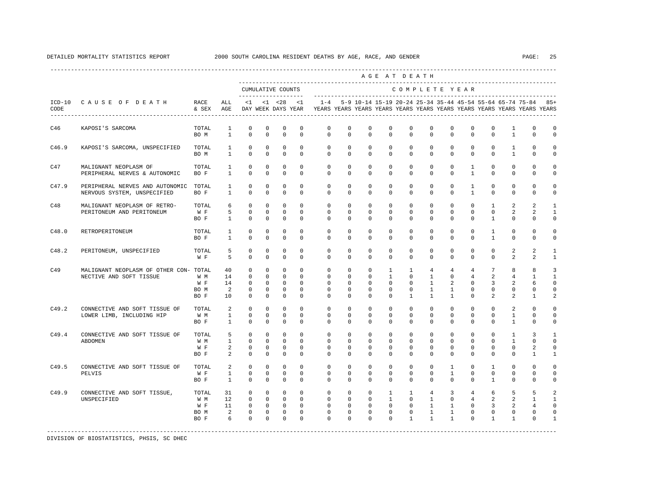|       |                                                                   |                                     |                                          |                                                                     |                                                                     |                                                                                      |                                                                    |                                                                                                  |                                                                 |                                                                    |                                                                       | AGE AT DEATH                                                                |                                                                                      |                                                                               |                                                                      |                                                                      |                                                         |                                                                |                                                                          |
|-------|-------------------------------------------------------------------|-------------------------------------|------------------------------------------|---------------------------------------------------------------------|---------------------------------------------------------------------|--------------------------------------------------------------------------------------|--------------------------------------------------------------------|--------------------------------------------------------------------------------------------------|-----------------------------------------------------------------|--------------------------------------------------------------------|-----------------------------------------------------------------------|-----------------------------------------------------------------------------|--------------------------------------------------------------------------------------|-------------------------------------------------------------------------------|----------------------------------------------------------------------|----------------------------------------------------------------------|---------------------------------------------------------|----------------------------------------------------------------|--------------------------------------------------------------------------|
|       |                                                                   |                                     |                                          |                                                                     |                                                                     | CUMULATIVE COUNTS                                                                    |                                                                    |                                                                                                  |                                                                 |                                                                    |                                                                       |                                                                             |                                                                                      | COMPLETE YEAR                                                                 |                                                                      |                                                                      |                                                         |                                                                |                                                                          |
| CODE  | ICD-10 CAUSE OF DEATH                                             | RACE<br>& SEX                       | ALL<br>AGE                               | $\leq 1$                                                            |                                                                     | $<1$ $<28$                                                                           | <1                                                                 | DAY WEEK DAYS YEAR YEARS YEARS YEARS YEARS YEARS YEARS YEARS YEARS YEARS YEARS YEARS YEARS YEARS |                                                                 | 1-4 5-9 10-14 15-19 20-24 25-34 35-44 45-54 55-64 65-74 75-84      |                                                                       |                                                                             |                                                                                      |                                                                               |                                                                      |                                                                      |                                                         |                                                                | $85+$                                                                    |
| C46   | KAPOSI'S SARCOMA                                                  | TOTAL<br>BO M                       | $\overline{1}$<br>$\mathbf{1}$           | $\Omega$<br>$\Omega$                                                | $\Omega$<br>$\Omega$                                                | $\Omega$<br>$\Omega$                                                                 | $\Omega$<br>$\Omega$                                               | $\Omega$<br>$\Omega$                                                                             | $\Omega$<br>$\Omega$                                            | $\Omega$<br>$\Omega$                                               | $\Omega$<br>$\Omega$                                                  | $\Omega$<br>$\Omega$                                                        | $\Omega$<br>$\Omega$                                                                 | $\Omega$<br>$\Omega$                                                          | $\Omega$<br>$\Omega$                                                 | $\Omega$<br>$\Omega$                                                 | $\mathbf{1}$<br>$\mathbf{1}$                            | $\Omega$<br>$\Omega$                                           | $\circ$<br>$\mathbf 0$                                                   |
| C46.9 | KAPOSI'S SARCOMA, UNSPECIFIED                                     | TOTAL<br>BO M                       | 1<br>$\mathbf{1}$                        | $\circ$<br>$\Omega$                                                 | $\mathbf 0$<br>$\Omega$                                             | $\mathbf 0$<br>$\Omega$                                                              | $\Omega$<br>$\Omega$                                               | $\circ$<br>$\Omega$                                                                              | $\circ$<br>$\Omega$                                             | $\mathbf{0}$<br>$\Omega$                                           | $\mathbf{0}$<br>$\Omega$                                              | $\circ$<br>$\Omega$                                                         | $\Omega$<br>$\Omega$                                                                 | $\circ$<br>$\Omega$                                                           | $\Omega$<br>$\Omega$                                                 | $\mathbf{0}$<br>$\Omega$                                             | $\mathbf{1}$<br>$\mathbf{1}$                            | $\mathbf 0$<br>$\Omega$                                        | $\circ$<br>$\circ$                                                       |
| C47   | MALIGNANT NEOPLASM OF<br>PERIPHERAL NERVES & AUTONOMIC            | TOTAL<br>BO F                       | $\mathbf{1}$<br>$\mathbf{1}$             | $\circ$<br>$\circ$                                                  | $\mathbf{0}$<br>$\mathbf 0$                                         | $\mathbf 0$<br>$\mathbf 0$                                                           | $\Omega$<br>$\Omega$                                               | $\circ$<br>$\Omega$                                                                              | $\circ$<br>$\Omega$                                             | $\circ$<br>$\circ$                                                 | $\mathbf{0}$<br>$\mathbf 0$                                           | $\circ$<br>$\circ$                                                          | $\circ$<br>$\mathbf 0$                                                               | $\mathbf{0}$<br>$\Omega$                                                      | $\mathbf{1}$<br>$\mathbf{1}$                                         | $\circ$<br>$\Omega$                                                  | $\mathbf 0$<br>$\mathbf 0$                              | $\mathbf{0}$<br>$\mathbf{0}$                                   | $\mathsf 0$<br>$\mathbf 0$                                               |
| C47.9 | PERIPHERAL NERVES AND AUTONOMIC<br>NERVOUS SYSTEM, UNSPECIFIED    | TOTAL<br>BO F                       | $\mathbf{1}$<br>$\mathbf{1}$             | $\Omega$<br>$\Omega$                                                | $\Omega$<br>$\Omega$                                                | $\Omega$<br>$\Omega$                                                                 | $\Omega$<br>$\Omega$                                               | $\Omega$<br>$\Omega$                                                                             | $\Omega$<br>$\Omega$                                            | $\mathbf{0}$<br>$\Omega$                                           | $\Omega$<br>$\Omega$                                                  | $\circ$<br>$\Omega$                                                         | $\Omega$<br>$\Omega$                                                                 | $\Omega$<br>$\Omega$                                                          | $\mathbf{1}$<br>$\mathbf{1}$                                         | $\Omega$<br>$\Omega$                                                 | $\Omega$<br>$\Omega$                                    | $\mathbf{0}$<br>$\Omega$                                       | $\circ$<br>$\mathbf 0$                                                   |
| C48   | MALIGNANT NEOPLASM OF RETRO-<br>PERITONEUM AND PERITONEUM         | TOTAL<br>W F<br>BO F                | 6<br>5<br>$\overline{1}$                 | $\circ$<br>$\mathbf 0$<br>$\Omega$                                  | $\circ$<br>$\Omega$<br>$\Omega$                                     | $\circ$<br>$\mathbf 0$<br>$\Omega$                                                   | $\Omega$<br>$\Omega$<br>$\Omega$                                   | $\circ$<br>$\circ$<br>$\Omega$                                                                   | $\circ$<br>$\Omega$<br>$\Omega$                                 | $\mathbf{0}$<br>$\mathbf 0$<br>$\Omega$                            | $\mathbf{0}$<br>$\mathbf{0}$<br>$\cap$                                | $\circ$<br>$\circ$<br>$\Omega$                                              | $\circ$<br>$\mathbf 0$<br>$\Omega$                                                   | $\circ$<br>$\mathbf 0$<br>$\Omega$                                            | $\mathbf{0}$<br>$\Omega$<br>$\cap$                                   | $\mathbf{1}$<br>$\mathbf 0$<br>$\mathbf{1}$                          | 2<br>2<br>$\Omega$                                      | 2<br>2<br>$\Omega$                                             | 1<br>$\mathbf{1}$<br>$\Omega$                                            |
| C48.0 | RETROPERITONEUM                                                   | TOTAL<br>BO F                       | $\mathbf{1}$<br>$\mathbf{1}$             | $\mathbf 0$<br>$\Omega$                                             | $\mathbf 0$<br>$\Omega$                                             | $\mathbf 0$<br>$\Omega$                                                              | $\mathbf 0$<br>$\Omega$                                            | $\circ$<br>$\Omega$                                                                              | $\circ$<br>$\Omega$                                             | $\circ$<br>$\Omega$                                                | $\mathbf 0$<br>$\Omega$                                               | $\mathbf 0$<br>$\Omega$                                                     | $\mathbf 0$<br>$\Omega$                                                              | $\mathbf 0$<br>$\Omega$                                                       | $\mathbf 0$<br>$\Omega$                                              | $\mathbf{1}$<br>$\mathbf{1}$                                         | $\mathbf 0$<br>$\Omega$                                 | $\mathbf{0}$<br>$\Omega$                                       | $\mathbf 0$<br>$\Omega$                                                  |
| C48.2 | PERITONEUM, UNSPECIFIED                                           | TOTAL<br>W F                        | 5<br>5                                   | $\mathbf 0$<br>$\Omega$                                             | $\mathbf 0$<br>$\Omega$                                             | $\mathbf 0$<br>$\Omega$                                                              | $\Omega$<br>$\Omega$                                               | $\circ$<br>$\Omega$                                                                              | $\circ$<br>$\Omega$                                             | $\circ$<br>$\Omega$                                                | $\mathbf 0$<br>$\Omega$                                               | $\circ$<br>$\Omega$                                                         | $\mathbf 0$<br>$\Omega$                                                              | $\mathbf 0$<br>$\Omega$                                                       | $\mathbf 0$<br>$\Omega$                                              | $\mathbf 0$<br>$\Omega$                                              | 2<br>$\mathcal{L}$                                      | 2<br>$\mathfrak{D}$                                            | 1<br>$\mathbf{1}$                                                        |
| C49   | MALIGNANT NEOPLASM OF OTHER CON- TOTAL<br>NECTIVE AND SOFT TISSUE | W M<br>W F<br>BO M<br>BO F          | 40<br>14<br>14<br>$\overline{2}$<br>1 O  | $^{\circ}$<br>$\overline{0}$<br>$\mathbf 0$<br>$\Omega$<br>$\Omega$ | $\mathbf{0}$<br>$\mathbf 0$<br>$\mathbf{0}$<br>$\Omega$<br>$\Omega$ | $\circ$<br>$\circ$<br>$\Omega$<br>$\Omega$<br>$\Omega$                               | $\Omega$<br>$\Omega$<br>$\Omega$<br>$\Omega$<br>$\Omega$           | $\mathbf{0}$<br>$\circ$<br>$\circ$<br>$\Omega$<br>$\cap$                                         | $\circ$<br>$\circ$<br>$\Omega$<br>$\Omega$<br>$\Omega$          | $\circ$<br>$\circ$<br>$\mathbf{0}$<br>$\Omega$<br>$\Omega$         | $\mathbf{1}$<br>$\mathbf{1}$<br>$\Omega$<br>$\Omega$<br>$\Omega$      | $\mathbf{1}$<br>$\circ$<br>$\Omega$<br>$\Omega$<br>$\mathbf{1}$             | $\overline{4}$<br>$\mathbf{1}$<br>$\overline{1}$<br>$\overline{1}$<br>$\overline{1}$ | $\overline{4}$<br>$\circ$<br>$\mathfrak{D}$<br>$\mathbf{1}$<br>$\overline{1}$ | $\overline{4}$<br>$\overline{4}$<br>$\Omega$<br>$\Omega$<br>$\Omega$ | $7\phantom{.0}$<br>2<br>$\overline{3}$<br>$\Omega$<br>$\overline{2}$ | 8<br>$\overline{4}$<br>2<br>$\Omega$<br>$\mathcal{L}$   | 8<br>$\mathbf{1}$<br>6<br>$\mathbf{0}$<br>$\mathbf{1}$         | 3<br>$\mathbf{1}$<br>$\overline{0}$<br>$\circ$<br>$\overline{a}$         |
| C49.2 | CONNECTIVE AND SOFT TISSUE OF<br>LOWER LIMB, INCLUDING HIP        | TOTAL<br>W M<br>BO F                | 2<br>$\mathbf{1}$<br>$\mathbf{1}$        | $\mathbf 0$<br>$\Omega$<br>$\Omega$                                 | $\mathbf{0}$<br>$\Omega$<br>$\Omega$                                | $\circ$<br>$\Omega$<br>$\Omega$                                                      | $\Omega$<br>$\Omega$<br>$\Omega$                                   | $\circ$<br>$\Omega$<br>$\cap$                                                                    | $\circ$<br>$\Omega$<br>$\Omega$                                 | $\mathbf{0}$<br>$\mathbf 0$<br>$\Omega$                            | $\circ$<br>$\mathbf 0$<br>$\Omega$                                    | $\circ$<br>$\mathbf 0$<br>$\Omega$                                          | $\circ$<br>$\mathbf 0$<br>$\Omega$                                                   | $\circ$<br>$\mathbf 0$<br>$\Omega$                                            | $\mathbf{0}$<br>$\Omega$<br>$\Omega$                                 | $\mathbf 0$<br>$\mathbf 0$<br>$\Omega$                               | 2<br>$\mathbf{1}$<br>$\overline{1}$                     | $\mathbf{0}$<br>$\mathbf 0$<br>$\Omega$                        | $\circ$<br>$\mathbf 0$<br>$\circ$                                        |
| C49.4 | CONNECTIVE AND SOFT TISSUE OF<br>ABDOMEN                          | TOTAL<br>W M<br>W F<br>BO F         | 5<br>$\mathbf{1}$<br>2<br>$\overline{a}$ | $\circ$<br>$\mathbf{0}$<br>$\mathbf{0}$<br>$\Omega$                 | $\circ$<br>$^{\circ}$<br>$\mathbf{0}$<br>$\Omega$                   | $\mathbf 0$<br>$\overline{0}$<br>$\circ$<br>$\Omega$                                 | $\circ$<br>$\Omega$<br>$\mathbf 0$<br>$\Omega$                     | $\circ$<br>$\circ$<br>$\mathbf 0$<br>$\Omega$                                                    | $\circ$<br>$\circ$<br>$\circ$<br>$\Omega$                       | $\mathbf 0$<br>$\mathbf{0}$<br>$\mathbf 0$<br>$\Omega$             | $\mathbf{0}$<br>$^{\circ}$<br>0<br>$\Omega$                           | $\circ$<br>$\mathbf 0$<br>$\mathbf 0$<br>$\Omega$                           | $\circ$<br>$\Omega$<br>$\mathbf 0$<br>$\Omega$                                       | $\mathbf{0}$<br>$\mathbf 0$<br>$\mathbf 0$<br>$\Omega$                        | $\mathbf{0}$<br>$\Omega$<br>$\mathbf 0$<br>$\Omega$                  | $\circ$<br>$\circ$<br>$\mathbf 0$<br>$\Omega$                        | $\mathbf{1}$<br>1<br>$\mathbf 0$<br>$\Omega$            | $\overline{3}$<br>$\mathbf{0}$<br>2<br>$\mathbf{1}$            | $\mathbf{1}$<br>$\circ$<br>$\mathbf 0$<br>$\mathbf{1}$                   |
| C49.5 | CONNECTIVE AND SOFT TISSUE OF<br>PELVIS                           | TOTAL<br>W F<br>BO F                | 2<br>$\mathbf{1}$<br>$\mathbf{1}$        | $\mathbf 0$<br>$\Omega$<br>$\mathbf 0$                              | $\mathbf 0$<br>$\Omega$<br>$\mathbf 0$                              | $\circ$<br>$\Omega$<br>$\circ$                                                       | $\Omega$<br>$\Omega$<br>$\Omega$                                   | $\circ$<br>$\Omega$<br>$\Omega$                                                                  | $\mathbf 0$<br>$\Omega$<br>$\Omega$                             | $\mathbf{0}$<br>$\circ$<br>$\Omega$                                | $\mathbf 0$<br>$\Omega$<br>$\mathbf 0$                                | $\mathbf{0}$<br>$\circ$<br>$\Omega$                                         | $\mathbf{0}$<br>$\Omega$<br>$\Omega$                                                 | $\mathbf{1}$<br>$\mathbf{1}$<br>$\Omega$                                      | $\mathbf 0$<br>$\Omega$<br>$\Omega$                                  | $\mathbf{1}$<br>$\mathbf{0}$<br>$\mathbf{1}$                         | $\mathbf{0}$<br>$\Omega$<br>$\Omega$                    | $\mathbf 0$<br>$\mathbf 0$<br>$\Omega$                         | $\mathsf 0$<br>$\circ$<br>$\mathbf 0$                                    |
| C49.9 | CONNECTIVE AND SOFT TISSUE,<br>UNSPECIFIED                        | TOTAL<br>W M<br>W F<br>BO M<br>BO F | 31<br>12<br>11<br>2<br>6                 | $\overline{0}$<br>$\mathbf{0}$<br>$\circ$<br>$\circ$<br>$\Omega$    | $\circ$<br>$\circ$<br>$\overline{0}$<br>$\Omega$                    | $\mathbf{0}$<br>$\overline{0}$<br>$0\qquad 0$<br>$\overline{\phantom{0}}$<br>$\circ$ | $\Omega$<br>$\mathbf{0}$<br>$\Omega$<br>$\overline{0}$<br>$\Omega$ | $\circ$<br>$\mathbb O$<br>$\circ$<br>$\circ$<br>$\Omega$                                         | $\circ$<br>$\mathbb O$<br>$\circ$<br>$\overline{0}$<br>$\Omega$ | $\mathbf{0}$<br>$\mathbf 0$<br>$\mathbf{0}$<br>$\circ$<br>$\Omega$ | $\mathbf{1}$<br>$\mathbf{1}$<br>$\circ$<br>$\overline{0}$<br>$\Omega$ | $\mathbf{1}$<br>$\circ$<br>$\mathbf{0}$<br>$\overline{0}$<br>$\overline{1}$ | $\overline{4}$<br>$\mathbf{1}$<br>$\mathbf{1}$<br>$\mathbf{1}$<br>$\mathbf{1}$       | $\overline{3}$<br>$\circ$<br>$\mathbf{1}$<br>$\mathbf{1}$<br>$\mathbf{1}$     | $\overline{4}$<br>$\overline{4}$<br>$\Omega$<br>$\circ$<br>$\Omega$  | 6<br>2<br>$\overline{3}$<br>$\mathbb O$<br>$\mathbf{1}$              | 5<br>$\overline{a}$<br>2<br>$\mathbf 0$<br>$\mathbf{1}$ | 5<br>$\mathbf{1}$<br>$\overline{4}$<br>$\circ$<br>$\mathbf{0}$ | $\overline{a}$<br>$\mathbf{1}$<br>$\mathbf 0$<br>$\circ$<br>$\mathbf{1}$ |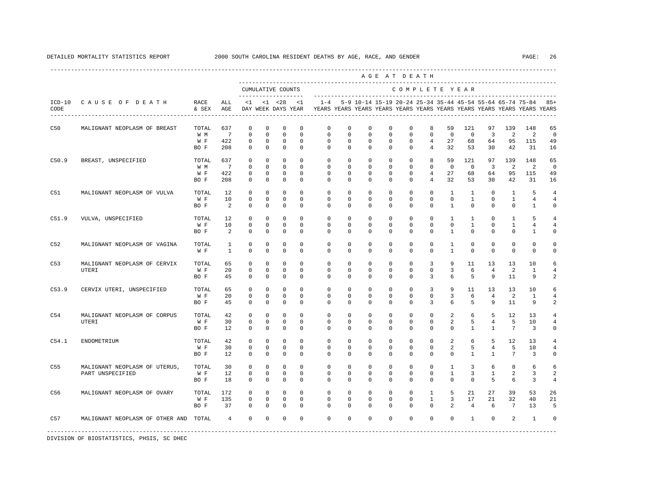----------------------------------------------------------------------------------------------------------------------------------------------------

|                  |                                       |               |                |                                           |             |             |                      |                                                                                                       |              |             |             | AGE AT DEATH                                                  |                |                |                |                |                 |                |                |
|------------------|---------------------------------------|---------------|----------------|-------------------------------------------|-------------|-------------|----------------------|-------------------------------------------------------------------------------------------------------|--------------|-------------|-------------|---------------------------------------------------------------|----------------|----------------|----------------|----------------|-----------------|----------------|----------------|
|                  |                                       |               |                | CUMULATIVE COUNTS<br>-------------------- |             |             |                      |                                                                                                       |              |             |             | COMPLETE YEAR                                                 |                |                |                |                |                 |                |                |
| $ICD-10$<br>CODE | CAUSE OF DEATH                        | RACE<br>& SEX | ALL<br>AGE     |                                           |             |             | $<1$ $<1$ $<28$ $<1$ | $1 - 4$<br>DAY WEEK DAYS YEAR YEARS YEARS YEARS YEARS YEARS YEARS YEARS YEARS YEARS YEARS YEARS YEARS |              |             |             | 5-9 10-14 15-19 20-24 25-34 35-44 45-54 55-64 65-74 75-84 85+ |                |                |                |                |                 |                |                |
| C50              | MALIGNANT NEOPLASM OF BREAST          | TOTAL         | 637            | $\mathbf 0$                               | $\mathbf 0$ | $\mathbf 0$ | $\mathbf 0$          | $\mathbf 0$                                                                                           | $\mathbf 0$  | $\mathbf 0$ | $\mathbf 0$ | $\mathbf 0$                                                   | 8              | 59             | 121            | 97             | 139             | 148            | 65             |
|                  |                                       | W M           | $\overline{7}$ | $\mathbf 0$                               | $\mathbf 0$ | $\mathbf 0$ | $\mathbf 0$          | $\mathbf 0$                                                                                           | $\Omega$     | $\mathbf 0$ | $\mathbf 0$ | $\mathbf 0$                                                   | $\mathbf 0$    | $\mathbf 0$    | $\mathbf 0$    | $\overline{3}$ | 2               | 2              | $\mathbf 0$    |
|                  |                                       | W F           | 422            | 0                                         | $\mathbf 0$ | 0           | $\mathbf 0$          | 0                                                                                                     | $\mathbf 0$  | 0           | $\mathbf 0$ | $\mathbf 0$                                                   | $\overline{4}$ | 27             | 68             | 64             | 95              | 115            | 49             |
|                  |                                       | BO F          | 208            | $^{\circ}$                                | 0           | $\mathbf 0$ | $\mathbf 0$          | $\mathbf{0}$                                                                                          | $\mathbf 0$  | $\mathbf 0$ | $\mathbf 0$ | $\mathbf 0$                                                   | $\overline{4}$ | 32             | 53             | 30             | 42              | 31             | 16             |
| C50.9            | BREAST, UNSPECIFIED                   | TOTAL         | 637            | 0                                         | $\mathbf 0$ | $\mathbf 0$ | $\Omega$             | $\mathbf{0}$                                                                                          | $\mathbf 0$  | $\mathbf 0$ | $\mathbf 0$ | $\mathbf 0$                                                   | 8              | 59             | 121            | 97             | 139             | 148            | 65             |
|                  |                                       | W M           | 7              | 0                                         | $\mathbf 0$ | $\mathbf 0$ | $\mathbf 0$          | $\mathbf{0}$                                                                                          | $\mathbf 0$  | $\mathbf 0$ | $\mathbf 0$ | $\mathbf 0$                                                   | $\mathbf 0$    | $\overline{0}$ | $\mathbf 0$    | $\overline{3}$ | 2               | 2              | 0              |
|                  |                                       | W F           | 422            | 0                                         | $\mathbf 0$ | $\mathbf 0$ | $\mathbf 0$          | $\mathbf 0$                                                                                           | $\mathbf 0$  | 0           | $\mathbf 0$ | $\mathbf 0$                                                   | $\overline{4}$ | 27             | 68             | 64             | 95              | 115            | 49             |
|                  |                                       | BO F          | 208            | $\mathbf 0$                               | $\mathbf 0$ | $\mathbf 0$ | $\mathbf 0$          | $\Omega$                                                                                              | $\mathbf 0$  | $\mathbf 0$ | $\mathbf 0$ | $\mathbf 0$                                                   | $\overline{4}$ | 32             | 53             | 30             | 42              | 31             | 16             |
| C51              | MALIGNANT NEOPLASM OF VULVA           | TOTAL         | 12             | $\mathbf 0$                               | $^{\circ}$  | $\mathbf 0$ | $\mathbf 0$          | $\mathbf{0}$                                                                                          | $\mathbf 0$  | $\mathbf 0$ | $\mathbf 0$ | $\mathbf 0$                                                   | $\mathbf 0$    | $\mathbf{1}$   | $\mathbf{1}$   | $\mathbf 0$    | $\mathbf{1}$    | 5              | $\overline{4}$ |
|                  |                                       | W F           | 10             | 0                                         | $\mathbf 0$ | 0           | $\mathbf 0$          | 0                                                                                                     | $\mathbf{0}$ | 0           | 0           | $\mathbf 0$                                                   | $\mathsf{O}$   | $\mathbf 0$    | $\mathbf{1}$   | 0              | $\mathbf{1}$    | $\overline{4}$ | $\overline{4}$ |
|                  |                                       | BO F          | 2              | $\Omega$                                  | $\Omega$    | $\Omega$    | $\Omega$             | $\Omega$                                                                                              | $\Omega$     | $\Omega$    | $\mathbf 0$ | $\Omega$                                                      | $\Omega$       | $\mathbf{1}$   | $\Omega$       | $\Omega$       | $\Omega$        | $\mathbf{1}$   | $\Omega$       |
| C51.9            | VULVA, UNSPECIFIED                    | TOTAL         | 12             | 0                                         | $\mathbf 0$ | $\mathbf 0$ | $\mathbf 0$          | $\mathbf 0$                                                                                           | $\mathbf 0$  | $\mathbf 0$ | $\mathbf 0$ | $\mathbf 0$                                                   | $\mathbf 0$    | $\mathbf{1}$   | 1              | 0              | 1               | 5              |                |
|                  |                                       | W F           | 10             | 0                                         | 0           | 0           | $^{\circ}$           | 0                                                                                                     | 0            | 0           | 0           | $\mathbf{0}$                                                  | $\mathbf 0$    | $\mathbf 0$    | $\mathbf{1}$   | $\mathbf 0$    | $\mathbf{1}$    | $\overline{4}$ | $\overline{4}$ |
|                  |                                       | BO F          | 2              | $\mathbf 0$                               | $\mathbf 0$ | $\mathbf 0$ | $\mathbf 0$          | $\Omega$                                                                                              | $\Omega$     | $\mathbf 0$ | $\mathbf 0$ | $\mathbf 0$                                                   | $\mathbf 0$    | $\mathbf{1}$   | $\mathbf 0$    | $\mathbf 0$    | $\mathbf 0$     | $\mathbf{1}$   | $\Omega$       |
| C52              | MALIGNANT NEOPLASM OF VAGINA          | TOTAL         | 1              | 0                                         | 0           | $\mathbf 0$ | $\mathbf 0$          | 0                                                                                                     | $\mathbf 0$  | $^{\circ}$  | $\mathbf 0$ | $\mathbf 0$                                                   | $\mathbf 0$    | 1              | 0              | 0              | $\mathbf 0$     | $\mathbf 0$    | $\Omega$       |
|                  |                                       | W F           | $\mathbf{1}$   | $\mathbf 0$                               | $\mathbf 0$ | 0           | $\mathbf 0$          | $\mathbf 0$                                                                                           | $\mathbf 0$  | $\mathbf 0$ | $\mathbf 0$ | 0                                                             | 0              | $\mathbf{1}$   | 0              | 0              | $\mathbf 0$     | $\mathbf 0$    | $\circ$        |
| C53              | MALIGNANT NEOPLASM OF CERVIX          | TOTAL         | 65             | $\Omega$                                  | $\Omega$    | $\Omega$    | $\Omega$             | $\Omega$                                                                                              | $\Omega$     | $\mathbf 0$ | $\mathbf 0$ | $\Omega$                                                      | 3              | 9              | 11             | 13             | 13              | 10             | 6              |
|                  | <b>UTERI</b>                          | W F           | 20             | $\mathbf 0$                               | $\mathbf 0$ | $\mathbf 0$ | $\mathbf 0$          | $\mathbf 0$                                                                                           | $\circ$      | $\mathbf 0$ | $\mathbf 0$ | $\mathbf 0$                                                   | $\mathbf 0$    | 3              | 6              | $\overline{4}$ | $\overline{2}$  | $\mathbf{1}$   | $\overline{4}$ |
|                  |                                       | BO F          | 45             | 0                                         | 0           | $\mathbf 0$ | $\mathbf 0$          | 0                                                                                                     | $\mathbf 0$  | 0           | 0           | 0                                                             | 3              | 6              | 5              | 9              | 11              | 9              | $\overline{c}$ |
| C53.9            | CERVIX UTERI, UNSPECIFIED             | TOTAL         | 65             | $\mathbf 0$                               | $\mathbf 0$ | $\mathbf 0$ | $\mathbf 0$          | 0                                                                                                     | $\circ$      | $\mathbf 0$ | $\mathbf 0$ | $\mathbf{0}$                                                  | 3              | 9              | 11             | 13             | 13              | 10             | 6              |
|                  |                                       | W F           | 20             | $\mathbf 0$                               | $^{\circ}$  | $\mathbf 0$ | $^{\circ}$           | $\mathbf 0$                                                                                           | 0            | $^{\circ}$  | $^{\circ}$  | $\mathbf 0$                                                   | $\mathbf{0}$   | 3              | 6              | $\overline{4}$ | 2               | 1              |                |
|                  |                                       | BO F          | 45             | $\mathbf 0$                               | $\mathbf 0$ | $\mathbf 0$ | $\mathbf 0$          | $\Omega$                                                                                              | $\mathbf 0$  | $\mathbf 0$ | $\mathbf 0$ | $\mathbf 0$                                                   | 3              | 6              | 5              | 9              | 11              | 9              | $\overline{c}$ |
| C54              | MALIGNANT NEOPLASM OF CORPUS          | TOTAL         | 42             | $\mathbf 0$                               | $\Omega$    | $\Omega$    | $\Omega$             | $\mathbf{0}$                                                                                          | $\mathbf 0$  | $\mathbf 0$ | $\mathbf 0$ | $\mathbf 0$                                                   | $\mathbf 0$    | 2              | 6              | 5              | 12              | 13             |                |
|                  | <b>UTERI</b>                          | W F           | 30             | $\mathbf 0$                               | $\mathbf 0$ | $\mathbf 0$ | $\mathbf 0$          | $\mathbf 0$                                                                                           | $\Omega$     | $\mathbf 0$ | $\mathbf 0$ | $\mathbf 0$                                                   | $\mathbf 0$    | 2              | 5              | $\overline{4}$ | 5               | 10             | $\overline{4}$ |
|                  |                                       | BO F          | 12             | 0                                         | 0           | $\mathbf 0$ | $^{\circ}$           | 0                                                                                                     | $\mathbf{0}$ | 0           | 0           | $\mathbf{0}$                                                  | $\mathbf 0$    | $\mathbf 0$    | $\mathbf{1}$   | $\mathbf{1}$   | $7\phantom{.0}$ | $\overline{3}$ | $\Omega$       |
| C54.1            | ENDOMETRIUM                           | TOTAL         | 42             | $\mathbf 0$                               | $\Omega$    | $\Omega$    | $\Omega$             | $\Omega$                                                                                              | $\Omega$     | $\mathbf 0$ | $\mathbf 0$ | $\Omega$                                                      | $\mathbf 0$    | 2              | 6              | 5              | 12              | 13             |                |
|                  |                                       | W F           | 30             | $\mathbf 0$                               | $\mathbf 0$ | $\mathsf 0$ | $\mathbf 0$          | $\mathbf 0$                                                                                           | $\mathbf 0$  | $\mathbf 0$ | $\mathbf 0$ | $\mathbf 0$                                                   | $\mathbf 0$    | 2              | 5              | $\overline{4}$ | 5               | 10             | $\overline{4}$ |
|                  |                                       | BO F          | 12             | 0                                         | 0           | $\mathbf 0$ | $^{\circ}$           | 0                                                                                                     | 0            | 0           | 0           | $\mathbf 0$                                                   | 0              | $\mathbf 0$    | $\mathbf{1}$   | $\mathbf{1}$   | 7               | 3              | $\circ$        |
| C <sub>55</sub>  | MALIGNANT NEOPLASM OF UTERUS,         | TOTAL         | 30             | $\mathbf 0$                               | $\mathbf 0$ | $\mathbf 0$ | $\mathbf 0$          | $\mathbf{0}$                                                                                          | $\mathbf 0$  | $\mathbf 0$ | $\mathbf 0$ | $\mathbf 0$                                                   | $\mathbf 0$    | $\mathbf{1}$   | 3              | 6              | 8               | 6              | 6              |
|                  | PART UNSPECIFIED                      | W F           | 12             | 0                                         | $\mathbf 0$ | $\mathbf 0$ | $\mathbf 0$          | $\mathbb O$                                                                                           | $\mathbf 0$  | $\mathbf 0$ | $\mathbf 0$ | 0                                                             | 0              | $\mathbf{1}$   | 3              | $\mathbf{1}$   | $\overline{a}$  | 3              | $\overline{c}$ |
|                  |                                       | BO F          | 18             | $\mathbf 0$                               | $\mathbf 0$ | $\mathbf 0$ | $\mathbf 0$          | $\mathbf{0}$                                                                                          | $\mathbf 0$  | $\mathbf 0$ | $\mathbf 0$ | $\mathbf 0$                                                   | $\mathbf 0$    | $\mathbf 0$    | $\mathbf 0$    | 5              | 6               | 3              | $\overline{4}$ |
| C56              | MALIGNANT NEOPLASM OF OVARY           | TOTAL         | 172            | $^{\circ}$                                | $\mathbf 0$ | $\mathbf 0$ | $\Omega$             | $\mathbf 0$                                                                                           | $\mathbf 0$  | $\mathbf 0$ | $\mathbf 0$ | $\mathbf 0$                                                   | $\mathbf{1}$   | 5              | 21             | 27             | 39              | 53             | 26             |
|                  |                                       | W F           | 135            | $\mathbf 0$                               | $\mathbf 0$ | $\mathbf 0$ | $\mathbf 0$          | $\mathbf 0$                                                                                           | $\mathbf 0$  | $\mathbf 0$ | $\mathbf 0$ | $\mathbf 0$                                                   | $\mathbf{1}$   | 3              | 17             | 21             | 32              | 40             | 21             |
|                  |                                       | BO F          | 37             | 0                                         | 0           | $\mathbf 0$ | $^{\circ}$           | 0                                                                                                     | $\mathbf{0}$ | 0           | 0           | $\mathbf{0}$                                                  | $\mathbf{0}$   | 2              | $\overline{4}$ | 6              | $7\overline{ }$ | 13             | 5              |
| C57              | MALIGNANT NEOPLASM OF OTHER AND TOTAL |               | $\overline{4}$ | $\mathbf 0$                               | $\mathbf 0$ | $\mathbf 0$ | $\mathbf 0$          | $\Omega$                                                                                              | $\Omega$     | $\mathbf 0$ | $\mathbf 0$ | $\mathbf{0}$                                                  | $\mathbf 0$    | $\mathbf 0$    | $\mathbf{1}$   | $\mathbf 0$    | 2               | $\mathbf{1}$   | $\Omega$       |
|                  |                                       |               |                |                                           |             |             |                      |                                                                                                       |              |             |             |                                                               |                |                |                |                |                 |                |                |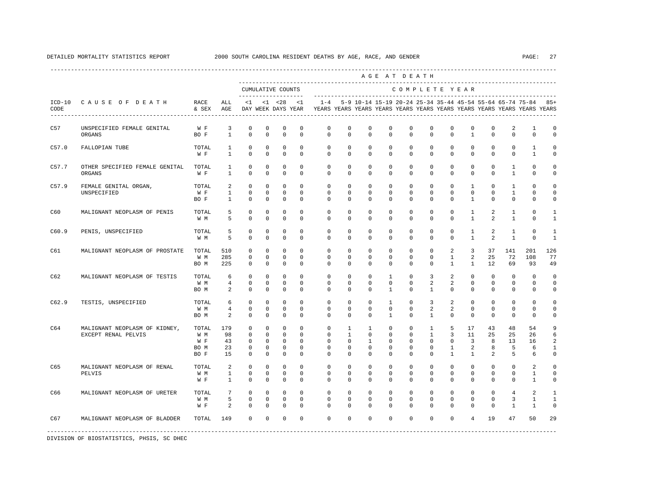|                  |                                                      |                                     |                                   |                                                                         |                                                                |                                                                    |                                                          |                                                                                            |                                                                  |                                                                       |                                                             | AGE AT DEATH                                                |                                                                    |                                                    |                                                  |                                         |                                            |                                                                     |                                     |
|------------------|------------------------------------------------------|-------------------------------------|-----------------------------------|-------------------------------------------------------------------------|----------------------------------------------------------------|--------------------------------------------------------------------|----------------------------------------------------------|--------------------------------------------------------------------------------------------|------------------------------------------------------------------|-----------------------------------------------------------------------|-------------------------------------------------------------|-------------------------------------------------------------|--------------------------------------------------------------------|----------------------------------------------------|--------------------------------------------------|-----------------------------------------|--------------------------------------------|---------------------------------------------------------------------|-------------------------------------|
|                  |                                                      |                                     |                                   |                                                                         |                                                                | CUMULATIVE COUNTS<br>--------------------                          |                                                          |                                                                                            |                                                                  |                                                                       |                                                             | COMPLETE YEAR                                               |                                                                    |                                                    |                                                  |                                         |                                            |                                                                     |                                     |
| $ICD-10$<br>CODE | CAUSE OF DEATH                                       | RACE<br>& SEX                       | ALL<br>AGE                        | <1                                                                      |                                                                | $< 1$ $< 28$                                                       | <1                                                       | DAY WEEK DAYS YEAR TEARS YEARS YEARS YEARS YEARS YEARS YEARS YEARS YEARS YEARS YEARS YEARS |                                                                  |                                                                       |                                                             |                                                             |                                                                    |                                                    |                                                  |                                         |                                            | $1-4$ 5-9 10-14 15-19 20-24 25-34 35-44 45-54 55-64 65-74 75-84 85+ |                                     |
| C57              | UNSPECIFIED FEMALE GENITAL<br>ORGANS                 | W F<br>BO F                         | 3<br>$\mathbf{1}$                 | $\mathbf 0$<br>$\Omega$                                                 | $^{\circ}$<br>$\Omega$                                         | $\mathbf 0$<br>$\Omega$                                            | $\mathbf 0$<br>$\Omega$                                  | $\mathbf{0}$<br>$\Omega$                                                                   | $\mathbf 0$<br>$\Omega$                                          | $\mathbf 0$<br>$\Omega$                                               | $\mathbf 0$<br>$\Omega$                                     | $\mathbf 0$<br>$\Omega$                                     | $\mathbf 0$<br>$\Omega$                                            | $\mathbf 0$<br>$\Omega$                            | $\mathbf 0$<br>$\mathbf{1}$                      | $\mathbf 0$<br>$\Omega$                 | 2<br>$\Omega$                              | 1<br>$\Omega$                                                       | $\mathbf 0$<br>$\Omega$             |
| C57.0            | FALLOPIAN TUBE                                       | TOTAL<br>W F                        | $\mathbf{1}$<br>$\mathbf{1}$      | $\mathbb O$<br>$\mathbf 0$                                              | $\mathbf 0$<br>$\mathbf 0$                                     | $\mathbf 0$<br>$\mathbf 0$                                         | $\mathbf 0$<br>$\mathbf 0$                               | $\mathbf{0}$<br>$\mathbf 0$                                                                | $\mathbf{0}$<br>$\mathbf 0$                                      | $\mathbb O$<br>$\mathbf 0$                                            | $\mathbf 0$<br>$\mathbf 0$                                  | $\mathbf{0}$<br>$\mathbf 0$                                 | $\mathbf 0$<br>$\mathbf 0$                                         | $\mathbf{0}$<br>$\mathbf 0$                        | $\mathbf 0$<br>$\mathbf 0$                       | $\mathbf 0$<br>$\mathbf 0$              | $\mathbf 0$<br>$\mathbf 0$                 | 1<br>$\mathbf{1}$                                                   | $\mathbf 0$<br>$\mathbf 0$          |
| C57.7            | OTHER SPECIFIED FEMALE GENITAL TOTAL<br>ORGANS       | W F                                 | $\mathbf{1}$<br>$\mathbf{1}$      | $\mathbf 0$<br>$\Omega$                                                 | $^{\circ}$<br>$\Omega$                                         | $\Omega$<br>$\Omega$                                               | $\Omega$<br>$\Omega$                                     | $\Omega$<br>$\Omega$                                                                       | $\Omega$<br>$\Omega$                                             | $\mathbf 0$<br>$\Omega$                                               | $\Omega$<br>$\Omega$                                        | $\Omega$<br>$\Omega$                                        | $\Omega$<br>$\Omega$                                               | $\Omega$<br>$\Omega$                               | $\mathbf 0$<br>$\Omega$                          | $\mathbf 0$<br>$\Omega$                 | 1<br>$\mathbf{1}$                          | $\mathbf 0$<br>$\Omega$                                             | $\Omega$<br>$\Omega$                |
| C57.9            | FEMALE GENITAL ORGAN,<br>UNSPECIFIED                 | TOTAL<br>W F<br>BO F                | 2<br>$\mathbf{1}$<br>$\mathbf{1}$ | $\Omega$<br>$\mathbf 0$<br>$\Omega$                                     | $\Omega$<br>$\circ$<br>$\Omega$                                | $\Omega$<br>$\circ$<br>$\Omega$                                    | $\Omega$<br>$\Omega$<br>$\Omega$                         | $\Omega$<br>$\Omega$<br>$\Omega$                                                           | $\Omega$<br>$\Omega$<br>$\Omega$                                 | $\Omega$<br>$\mathbf 0$<br>$\Omega$                                   | $\Omega$<br>$\mathbf 0$<br>$\Omega$                         | $\Omega$<br>$\Omega$<br>$\Omega$                            | $\Omega$<br>$\Omega$<br>$\Omega$                                   | $\Omega$<br>$\Omega$<br>$\Omega$                   | $\mathbf{1}$<br>$\mathbf 0$<br>$\mathbf{1}$      | $\Omega$<br>$\mathbf 0$<br>$\Omega$     | $\mathbf{1}$<br>1<br>$\Omega$              | $\Omega$<br>$\mathbf{0}$<br>$\Omega$                                | $\Omega$<br>$\Omega$<br>$\Omega$    |
| C60              | MALIGNANT NEOPLASM OF PENIS                          | TOTAL<br>W M                        | 5<br>5                            | $\mathbf 0$<br>$\Omega$                                                 | $^{\circ}$<br>$\Omega$                                         | 0<br>$\Omega$                                                      | $\Omega$<br>$\Omega$                                     | $\Omega$<br>$\Omega$                                                                       | $\Omega$<br>$\Omega$                                             | $\Omega$<br>$\Omega$                                                  | $\Omega$<br>$\Omega$                                        | $\Omega$<br>$\Omega$                                        | $\Omega$<br>$\Omega$                                               | $\Omega$<br>$\Omega$                               | $\mathbf{1}$<br>$\mathbf{1}$                     | 2<br>$\mathfrak{D}$                     | $\mathbf{1}$<br>$\mathbf{1}$               | $\Omega$<br>$\Omega$                                                | -1<br>1                             |
| C60.9            | PENIS, UNSPECIFIED                                   | TOTAL<br>W M                        | 5<br>5                            | $\mathbf 0$<br>$\mathbf 0$                                              | $\mathbf 0$<br>$^{\circ}$                                      | $\mathbf 0$<br>$^{\circ}$                                          | $\mathbf 0$<br>$\Omega$                                  | $\mathbf{0}$<br>$\Omega$                                                                   | $\mathbf 0$<br>$\Omega$                                          | $\mathbf 0$<br>$\Omega$                                               | $\mathbf 0$<br>$\Omega$                                     | $\mathbf 0$<br>$\Omega$                                     | $\mathbf 0$<br>$\Omega$                                            | $\mathbf 0$<br>$\Omega$                            | 1<br>$\mathbf{1}$                                | 2<br>2                                  | 1<br>1                                     | $\mathbf 0$<br>$\Omega$                                             | 1<br>$\mathbf{1}$                   |
| C61              | MALIGNANT NEOPLASM OF PROSTATE                       | TOTAL<br>W M<br>BO M                | 510<br>285<br>225                 | $\Omega$<br>$\mathbf 0$<br>$\Omega$                                     | $\Omega$<br>$^{\circ}$<br>$\Omega$                             | $\Omega$<br>$\mathbf 0$<br>$\Omega$                                | $\Omega$<br>$\Omega$<br>$\Omega$                         | $\Omega$<br>$\mathbf{0}$<br>$\Omega$                                                       | $\Omega$<br>$\mathbf 0$<br>$\Omega$                              | $\Omega$<br>$\mathbf 0$<br>$\Omega$                                   | $\Omega$<br>$\mathbf 0$<br>$\Omega$                         | $\Omega$<br>$\mathbf 0$<br>$\Omega$                         | $\Omega$<br>$\mathbf 0$<br>$\Omega$                                | 2<br>$\mathbf{1}$<br>$\mathbf{1}$                  | $\overline{3}$<br>$\overline{a}$<br>$\mathbf{1}$ | 37<br>25<br>12.                         | 141<br>72<br>69                            | 201<br>108<br>93                                                    | 126<br>77<br>49                     |
| C62              | MALIGNANT NEOPLASM OF TESTIS                         | TOTAL<br>W M<br>BO M                | 6<br>$\overline{4}$<br>2          | $\mathbf 0$<br>$\mathbf 0$<br>$\mathbf 0$                               | $\circ$<br>$\circ$<br>$\circ$                                  | $^{\circ}$<br>$\circ$<br>$^{\circ}$                                | $\Omega$<br>$\mathbf 0$<br>$\Omega$                      | $\mathbf{0}$<br>$\mathbf 0$<br>$\Omega$                                                    | $\mathbf 0$<br>$\mathbf{0}$<br>$\mathbf{0}$                      | $\mathbf 0$<br>$\mathbf 0$<br>$\Omega$                                | $\mathbf{1}$<br>$\mathbf 0$<br>$\mathbf{1}$                 | $\mathbf 0$<br>$\mathbf 0$<br>$\Omega$                      | 3<br>2<br>$\mathbf{1}$                                             | $\overline{a}$<br>$\overline{a}$<br>$\Omega$       | $\mathbf 0$<br>$\mathbf{0}$<br>$\mathbf 0$       | $\mathbf{0}$<br>$\mathbf 0$<br>$\Omega$ | $\mathbf 0$<br>$\mathbf 0$<br>$\mathbf{0}$ | $\Omega$<br>$\mathbf 0$<br>0                                        | $\mathbf 0$<br>$\mathbf 0$<br>0     |
| C62.9            | TESTIS, UNSPECIFIED                                  | TOTAL<br>W M<br>BO M                | 6<br>$\overline{4}$<br>2          | $\Omega$<br>$\mathbf 0$<br>$\circ$                                      | $\Omega$<br>$^{\circ}$<br>0                                    | $\Omega$<br>$\Omega$<br>0                                          | $\Omega$<br>$\Omega$<br>$\Omega$                         | $\Omega$<br>$\Omega$<br>$\Omega$                                                           | $\Omega$<br>$\Omega$<br>0                                        | $\Omega$<br>$\Omega$<br>$\Omega$                                      | $\overline{1}$<br>$\Omega$<br>$\mathbf{1}$                  | $\Omega$<br>$\Omega$<br>$\Omega$                            | 3<br>2<br>$\mathbf{1}$                                             | $\overline{a}$<br>2<br>$\Omega$                    | $\Omega$<br>$\Omega$<br>$\mathbf 0$              | $\Omega$<br>$\Omega$<br>$\Omega$        | $\Omega$<br>$\Omega$<br>$\mathbf 0$        | $\Omega$<br>$\Omega$<br>$\mathbf 0$                                 | $\Omega$<br>$\Omega$<br>0           |
| C64              | MALIGNANT NEOPLASM OF KIDNEY,<br>EXCEPT RENAL PELVIS | TOTAL<br>W M<br>W F<br>BO M<br>BO F | 179<br>98<br>43<br>23<br>15       | $\mathbf 0$<br>$\mathbf 0$<br>$\mathbf 0$<br>$\mathbf 0$<br>$\mathbf 0$ | $\circ$<br>$\Omega$<br>$^{\circ}$<br>$^{\circ}$<br>$\mathbf 0$ | $\mathbf 0$<br>$\Omega$<br>$^{\circ}$<br>$^{\circ}$<br>$\mathbf 0$ | $\Omega$<br>$\Omega$<br>$\Omega$<br>$\Omega$<br>$\Omega$ | $\mathbf 0$<br>$\Omega$<br>$\Omega$<br>$\Omega$<br>$\Omega$                                | $\mathbf{1}$<br>$\mathbf{1}$<br>$\Omega$<br>$\Omega$<br>$\Omega$ | $\mathbf{1}$<br>$\Omega$<br>$\overline{1}$<br>$\mathbf 0$<br>$\Omega$ | $\mathbf 0$<br>$\Omega$<br>$\Omega$<br>$\Omega$<br>$\Omega$ | $\mathbf 0$<br>$\Omega$<br>$\Omega$<br>$\Omega$<br>$\Omega$ | $\mathbf{1}$<br>$\overline{1}$<br>$\Omega$<br>$\Omega$<br>$\Omega$ | 5<br>3<br>$\Omega$<br>$\mathbf{1}$<br>$\mathbf{1}$ | 17<br>11<br>$\overline{3}$<br>2<br>$\mathbf{1}$  | 43<br>25<br>8<br>8<br>2                 | 48<br>25<br>13<br>5<br>5                   | 54<br>26<br>16<br>6<br>6                                            | 9<br>6<br>2<br>1<br>$\mathbf 0$     |
| C65              | MALIGNANT NEOPLASM OF RENAL<br>PELVIS                | TOTAL<br>W M<br>W F                 | 2<br>$\mathbf{1}$<br>$\mathbf{1}$ | $\mathbf 0$<br>$\mathbf 0$<br>$\mathbf 0$                               | $^{\circ}$<br>$\circ$<br>$^{\circ}$                            | $^{\circ}$<br>$\Omega$<br>$^{\circ}$                               | $\Omega$<br>$\Omega$<br>$\Omega$                         | $\mathbf 0$<br>$\Omega$<br>$\Omega$                                                        | $\mathbf{0}$<br>$\Omega$<br>$\Omega$                             | $\mathbf 0$<br>$\Omega$<br>$\Omega$                                   | $\mathbf 0$<br>$\Omega$<br>$\Omega$                         | $\Omega$<br>$\Omega$<br>$\Omega$                            | $\Omega$<br>$\Omega$<br>$\Omega$                                   | $\Omega$<br>$\Omega$<br>$\Omega$                   | $\mathbf 0$<br>$\Omega$<br>$\mathbf 0$           | $\mathbf 0$<br>$\Omega$<br>$\Omega$     | $\mathbf 0$<br>$\Omega$<br>$\Omega$        | 2<br>$\mathbf{1}$<br>$\mathbf{1}$                                   | $\Omega$<br>$\Omega$<br>$\mathbf 0$ |
| C66              | MALIGNANT NEOPLASM OF URETER                         | TOTAL<br>W M<br>W F                 | $7\phantom{.0}$<br>5<br>2         | $\mathbb O$<br>$\mathbf 0$<br>$\Omega$                                  | $\mathbb O$<br>$^{\circ}$<br>$\Omega$                          | $^{\circ}$<br>$\mathbf 0$<br>$\Omega$                              | $\mathbf 0$<br>$\Omega$<br>$\Omega$                      | $\mathbf 0$<br>$\mathbf{0}$<br>$\Omega$                                                    | $\mathbf 0$<br>$\Omega$<br>$\Omega$                              | $\mathbf 0$<br>$\mathbf 0$<br>$\Omega$                                | $\mathbf 0$<br>$^{\circ}$<br>$\Omega$                       | $\mathbf 0$<br>$\mathbf{0}$<br>$\Omega$                     | $\circ$<br>$\Omega$<br>$\Omega$                                    | $\mathbf 0$<br>$\mathbf 0$<br>$\Omega$             | $\mathsf 0$<br>$^{\circ}$<br>$\Omega$            | $\mathsf 0$<br>$^{\circ}$<br>$\Omega$   | $\overline{4}$<br>3<br>$\mathbf{1}$        | 2<br>1<br>$\mathbf{1}$                                              | $\mathbf{1}$<br>1<br>$\Omega$       |
| C67              | MALIGNANT NEOPLASM OF BLADDER                        | TOTAL                               | 149                               | $\mathbf 0$                                                             | $\circ$                                                        | $\mathbf 0$                                                        | $\Omega$                                                 | $\Omega$                                                                                   | $\mathbf 0$                                                      | $\Omega$                                                              | $\mathbf 0$                                                 | $\Omega$                                                    | $\Omega$                                                           | $\Omega$                                           | $\overline{4}$                                   | 19                                      | 47                                         | 50                                                                  | 29                                  |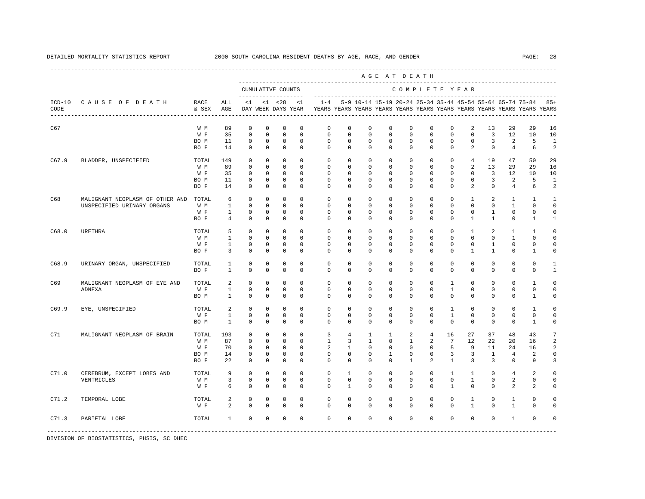|                  |                                 |               |              |             |             |                                          |             |              |                |              |              | AGE AT DEATH  |                |              |                |              |                                                           |                                                                         |                         |
|------------------|---------------------------------|---------------|--------------|-------------|-------------|------------------------------------------|-------------|--------------|----------------|--------------|--------------|---------------|----------------|--------------|----------------|--------------|-----------------------------------------------------------|-------------------------------------------------------------------------|-------------------------|
|                  |                                 |               |              |             |             | CUMULATIVE COUNTS<br>------------------- |             |              |                |              |              | COMPLETE YEAR |                |              |                |              |                                                           |                                                                         |                         |
| $ICD-10$<br>CODE | CAUSE OF DEATH                  | RACE<br>& SEX | ALL<br>AGE   | < 1         |             | $< 1$ $< 28$<br>DAY WEEK DAYS YEAR       | <1          | $1 - 4$      |                |              |              |               |                |              |                |              | 5-9 10-14 15-19 20-24 25-34 35-44 45-54 55-64 65-74 75-84 | YEARS YEARS YEARS YEARS YEARS YEARS YEARS YEARS YEARS YEARS YEARS YEARS | $85+$                   |
| C67              |                                 | W M           | 89           | 0           | $\mathbb O$ | $\mathbf 0$                              | 0           | 0            | 0              | 0            | 0            | 0             | 0              | 0            | 2              | 13           | 29                                                        | 29                                                                      | 16                      |
|                  |                                 | W F           | 35           | $\mathbf 0$ | $\mathbf 0$ | $\mathbf 0$                              | $\mathbf 0$ | $\mathbf 0$  | $\mathbf 0$    | $\mathbf 0$  | $\mathbf 0$  | $\mathbf 0$   | $\mathbf 0$    | $\mathbf 0$  | $\mathbf 0$    | 3            | 12                                                        | 10                                                                      | 10                      |
|                  |                                 | BO M          | 11           | 0           | 0           | $\mathbf 0$                              | $\mathbf 0$ | 0            | 0              | 0            | 0            | 0             | 0              | 0            | $\mathbf 0$    | 3            | 2                                                         | 5                                                                       | $\mathbf{1}$            |
|                  |                                 | BO F          | 14           | 0           | $\mathbf 0$ | $\mathbf 0$                              | $\mathbf 0$ | $\mathbf{0}$ | 0              | 0            | $\mathsf 0$  | $\mathbf 0$   | $\mathbf 0$    | 0            | 2              | $\mathbf 0$  | $\overline{4}$                                            | 6                                                                       | $\overline{\mathbf{c}}$ |
| C67.9            | BLADDER, UNSPECIFIED            | TOTAL         | 149          | $^{\circ}$  | $\mathbf 0$ | $\mathbf 0$                              | $\mathbf 0$ | $\mathbf 0$  | $\mathbf 0$    | 0            | 0            | 0             | 0              | $\circ$      | $\overline{4}$ | 19           | 47                                                        | 50                                                                      | 29                      |
|                  |                                 | W M           | 89           | 0           | 0           | $\Omega$                                 | $\Omega$    | 0            | 0              | 0            | 0            | $\Omega$      | 0              | 0            | $\overline{a}$ | 13           | 29                                                        | 29                                                                      | 16                      |
|                  |                                 | W F           | 35           | $\mathbf 0$ | $\mathbf 0$ | $\mathbf 0$                              | $\Omega$    | $\Omega$     | 0              | 0            | 0            | $\Omega$      | $\Omega$       | 0            | $\mathbf 0$    | 3            | 12                                                        | 10                                                                      | 10                      |
|                  |                                 | BO M          | 11           | 0           | 0           | $\mathbf 0$                              | $\mathbf 0$ | $\Omega$     | 0              | 0            | 0            | 0             | 0              | 0            | $\mathbf 0$    | 3            | 2                                                         | 5                                                                       | $\mathbf{1}$            |
|                  |                                 | BO F          | 14           | 0           | 0           | $\mathbf 0$                              | $\Omega$    | $\Omega$     | 0              | 0            | 0            | 0             | $\mathbf{0}$   | 0            | 2              | $\mathbf 0$  | $\overline{4}$                                            | 6                                                                       | $\overline{\mathbf{c}}$ |
| C68              | MALIGNANT NEOPLASM OF OTHER AND | TOTAL         | 6            | $\mathbf 0$ | $\mathbf 0$ | $\mathbf 0$                              | $\mathbf 0$ | $\mathbf 0$  | $\mathbf 0$    | $\mathbf 0$  | $\mathbf 0$  | $\mathbf 0$   | $\mathbf 0$    | $\mathbf 0$  | $\mathbf{1}$   | 2            | 1                                                         | 1                                                                       | 1                       |
|                  | UNSPECIFIED URINARY ORGANS      | W M           | 1            | 0           | 0           | $\mathbf 0$                              | $\Omega$    | $\Omega$     | 0              | 0            | 0            | 0             | $\Omega$       | 0            | $\mathbf 0$    | 0            | 1                                                         | 0                                                                       | $\circ$                 |
|                  |                                 | W F           | $\mathbf{1}$ | 0           | 0           | $\mathbf 0$                              | $\Omega$    | $\Omega$     | 0              | 0            | 0            | $\Omega$      | $\Omega$       | 0            | $\mathbf 0$    | $\mathbf{1}$ | $\mathbf 0$                                               | $\mathbf{0}$                                                            | $\mathbf 0$             |
|                  |                                 | BO F          | 4            | $\mathbf 0$ | $\mathbf 0$ | $\mathbf 0$                              | $\mathbf 0$ | 0            | 0              | $\Omega$     | 0            | $\Omega$      | $\mathbf 0$    | $\mathbf 0$  | $\mathbf{1}$   | 1            | $\mathbf{0}$                                              | 1                                                                       | 1                       |
| C68.0            | <b>URETHRA</b>                  | TOTAL         | 5            | $^{\circ}$  | $\mathbf 0$ | $\Omega$                                 | $\Omega$    | $\Omega$     | $\mathbf 0$    | 0            | 0            | $\Omega$      | $\Omega$       | 0            | 1              | 2            | 1                                                         | 1                                                                       | $\Omega$                |
|                  |                                 | W M           | $\mathbf{1}$ | $\mathbf 0$ | $\mathbf 0$ | $\mathbf 0$                              | $\Omega$    | $\mathbf 0$  | 0              | 0            | $\mathbf 0$  | $\Omega$      | $\Omega$       | $\mathbf 0$  | $\mathbf 0$    | $\mathbf 0$  | $\mathbf{1}$                                              | $\Omega$                                                                | $\mathbf 0$             |
|                  |                                 | W F           | $\mathbf{1}$ | $\mathbf 0$ | $\mathbf 0$ | $\mathbf 0$                              | $\mathbf 0$ | $\mathbf 0$  | $\mathbf 0$    | 0            | 0            | 0             | $\mathbf 0$    | $\mathbf 0$  | $\mathbf 0$    | 1            | $\mathbf 0$                                               | 0                                                                       | $\circ$                 |
|                  |                                 | BO F          | 3            | 0           | 0           | $\mathbf 0$                              | $\mathbf 0$ | $\Omega$     | 0              | 0            | $\mathbf 0$  | $\mathbf 0$   | $\mathbf 0$    | $\mathbf 0$  | $\mathbf{1}$   | $\mathbf{1}$ | $\mathbf 0$                                               | 1                                                                       | 0                       |
| C68.9            |                                 | TOTAL         |              | $\mathbf 0$ | $\mathbf 0$ | $\mathbf 0$                              | $\Omega$    | $\mathbf 0$  | $\mathbf 0$    | $\mathbf 0$  | $\mathbf 0$  | $\Omega$      | $\mathbf 0$    | $\mathbf 0$  | $\mathbf 0$    | $\mathbf 0$  | $\mathbf 0$                                               | $\mathbf 0$                                                             | $\mathbf{1}$            |
|                  | URINARY ORGAN, UNSPECIFIED      | BO F          | 1<br>1       | $\mathbf 0$ | $\mathbf 0$ | $\mathbf 0$                              | $\mathbf 0$ | $\Omega$     | $\mathbf 0$    | $\mathbf 0$  | $\mathbf 0$  | $\mathbf 0$   | $\mathbf 0$    | $\circ$      | $\mathbf 0$    | $\mathbf 0$  | $\mathbf 0$                                               | $\mathbf 0$                                                             | 1                       |
|                  |                                 |               |              |             |             |                                          |             |              |                |              |              |               |                |              |                |              |                                                           |                                                                         |                         |
| C69              | MALIGNANT NEOPLASM OF EYE AND   | TOTAL         | 2            | $\mathbf 0$ | $\Omega$    | $\mathbf 0$                              | $\Omega$    | $\Omega$     | $\Omega$       | $\Omega$     | $\Omega$     | $\Omega$      | $\Omega$       | $\mathbf{1}$ | $\mathbf 0$    | $\Omega$     | $\Omega$                                                  | $\mathbf{1}$                                                            | $\Omega$                |
|                  | ADNEXA                          | W F           | $\mathbf{1}$ | $\mathbf 0$ | $\mathbf 0$ | $\mathbf 0$                              | $\mathbf 0$ | $\mathbf 0$  | $\mathbf 0$    | $\mathbf 0$  | $\mathbf 0$  | $\mathbf 0$   | $\mathbf 0$    | $\mathbf{1}$ | $\mathbf 0$    | $\mathbf 0$  | $\mathbb O$                                               | $\mathsf{O}\xspace$                                                     | $\mathbf 0$             |
|                  |                                 | BO M          | 1            | 0           | $\mathbf 0$ | $\mathbf 0$                              | $\Omega$    | $\Omega$     | 0              | $\Omega$     | $\mathbf 0$  | $\Omega$      | $\mathbf 0$    | $\Omega$     | $\mathbf 0$    | $\mathbf 0$  | $\mathbf{0}$                                              | $\mathbf{1}$                                                            | $\mathbf 0$             |
| C69.9            | EYE, UNSPECIFIED                | TOTAL         | 2            | $\mathbf 0$ | $\mathbf 0$ | $\mathbf 0$                              | $\mathbf 0$ | $\mathbf 0$  | $\mathbf 0$    | $\mathbf 0$  | $\mathbf 0$  | $\mathbf 0$   | $\mathbf 0$    | $\mathbf{1}$ | $\mathbf 0$    | $\mathbf 0$  | $\mathbf 0$                                               | $\mathbf{1}$                                                            | 0                       |
|                  |                                 | W F           | $\mathbf{1}$ | $\mathbf 0$ | $\mathbf 0$ | $\mathbf 0$                              | $\Omega$    | $\Omega$     | $\mathbf 0$    | $\Omega$     | $\mathbf 0$  | $\Omega$      | $\mathbf 0$    | $\mathbf{1}$ | $\mathbf 0$    | $\mathbf 0$  | $\mathbf 0$                                               | $\mathbf 0$                                                             | $\mathbf 0$             |
|                  |                                 | BO M          | 1            | $\Omega$    | $\Omega$    | $\Omega$                                 | $\Omega$    | $\Omega$     | $\Omega$       | $\Omega$     | $\Omega$     | $\Omega$      | $\Omega$       | $\Omega$     | $\Omega$       | $\Omega$     | $\Omega$                                                  | 1                                                                       | 0                       |
| C71              | MALIGNANT NEOPLASM OF BRAIN     | TOTAL         | 193          | $\mathbf 0$ | $\mathbf 0$ | $\mathbf 0$                              | $\Omega$    | 3            | $\overline{4}$ | 1            | 1            | 2             | $\overline{4}$ | 16           | 27             | 37           | 48                                                        | 43                                                                      | 7                       |
|                  |                                 | W M           | 87           | $\mathbf 0$ | $\mathbf 0$ | $\mathbf 0$                              | $\Omega$    | $\mathbf{1}$ | 3              | $\mathbf{1}$ | 0            | $\mathbf{1}$  | 2              | 7            | 12             | 22           | 20                                                        | 16                                                                      | $\overline{a}$          |
|                  |                                 | W F           | 70           | $\mathbf 0$ | $\Omega$    | $\Omega$                                 | $\Omega$    | 2            | 1              | $\Omega$     | $\Omega$     | $\Omega$      | $\mathbf 0$    | 5            | 9              | 11           | 24                                                        | 16                                                                      | 2                       |
|                  |                                 | BO M          | 14           | $\mathbf 0$ | $\mathbf 0$ | $\mathbf 0$                              | $\Omega$    | $\Omega$     | $\Omega$       | $\Omega$     | $\mathbf{1}$ | $\Omega$      | $\Omega$       | 3            | 3              | $\mathbf{1}$ | $\overline{4}$                                            | 2                                                                       | U                       |
|                  |                                 | BO F          | 22           | 0           | $\mathbf 0$ | $\mathbf 0$                              | $\Omega$    | $\Omega$     | 0              | $\Omega$     | $\mathbf 0$  | $\mathbf{1}$  | 2              | 1            | 3              | 3            | $\mathbf 0$                                               | 9                                                                       | 3                       |
| C71.0            | CEREBRUM, EXCEPT LOBES AND      | TOTAL         | 9            | $\Omega$    | $\Omega$    | $\Omega$                                 | $\Omega$    | $\Omega$     | $\mathbf{1}$   | $\Omega$     | $\Omega$     | $\Omega$      | $\Omega$       | $\mathbf{1}$ | $\mathbf{1}$   | $\Omega$     | $\overline{4}$                                            | 2                                                                       | $\Omega$                |
|                  | VENTRICLES                      | W M           | 3            | $\mathbf 0$ | $\mathbf 0$ | $\mathbf 0$                              | $\mathbf 0$ | $\mathbf 0$  | $\mathbf 0$    | $\mathbf 0$  | $\mathbf 0$  | $\mathbf 0$   | $\mathbf 0$    | $\mathbf 0$  | $\mathbf{1}$   | $\mathbf 0$  | $\overline{a}$                                            | $\mathbf{0}$                                                            | $\mathbf 0$             |
|                  |                                 | W F           | 6            | $\Omega$    | $\Omega$    | $\Omega$                                 | $\Omega$    | $\Omega$     | $\mathbf{1}$   | $\Omega$     | $\Omega$     | $\Omega$      | $\Omega$       | $\mathbf{1}$ | $\mathbf 0$    | $\Omega$     | 2                                                         | 2                                                                       | $\Omega$                |
| C71.2            | TEMPORAL LOBE                   | TOTAL         | 2            | $\mathbf 0$ | $\mathbf 0$ | $\mathbf 0$                              | $\mathbf 0$ | $\mathbf 0$  | $\mathbf 0$    | $\mathbf 0$  | $\mathbf 0$  | $\Omega$      | $\mathbf 0$    | $\mathbf 0$  | $\mathbf{1}$   | $\mathbf 0$  | $\mathbf{1}$                                              | $\mathbf 0$                                                             | U                       |
|                  |                                 | W F           | 2            | $\Omega$    | $\Omega$    | $\Omega$                                 | $\Omega$    | $\Omega$     | $\Omega$       | $\Omega$     | $\Omega$     | $\Omega$      | $\mathbf 0$    | $\Omega$     | $\mathbf{1}$   | $\mathbf 0$  | $\mathbf{1}$                                              | $\mathbf 0$                                                             | U                       |
| C71.3            | PARIETAL LOBE                   | TOTAL         | $\mathbf{1}$ | $\mathbf 0$ | $\Omega$    | $\mathbf 0$                              | $\Omega$    | $\mathbf 0$  | $\circ$        | $\Omega$     | $\Omega$     | $\Omega$      | $\Omega$       | $\Omega$     | $\Omega$       | $\Omega$     | $\mathbf{1}$                                              | $\Omega$                                                                | n                       |
|                  |                                 |               |              |             |             |                                          |             |              |                |              |              |               |                |              |                |              |                                                           |                                                                         |                         |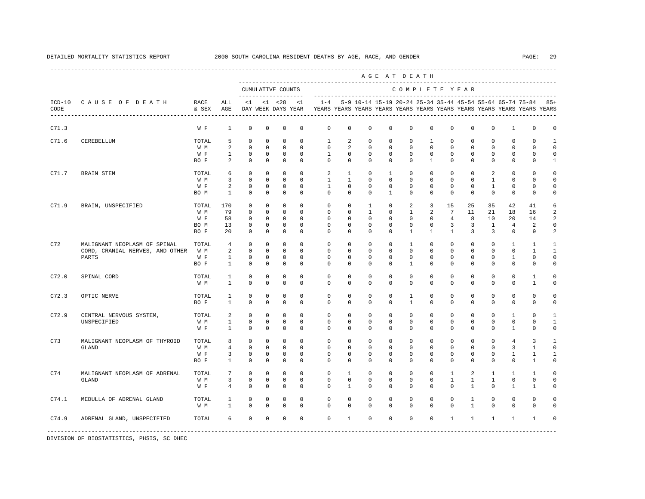|                  |                                 |               |                   |                            |                            |                                    |                            |                          |                  |               |             | AGE AT DEATH                                                                                                                         |                  |                      |                      |                      |                  |                      |                          |
|------------------|---------------------------------|---------------|-------------------|----------------------------|----------------------------|------------------------------------|----------------------------|--------------------------|------------------|---------------|-------------|--------------------------------------------------------------------------------------------------------------------------------------|------------------|----------------------|----------------------|----------------------|------------------|----------------------|--------------------------|
|                  |                                 |               |                   |                            |                            | CUMULATIVE COUNTS                  |                            |                          |                  |               |             | COMPLETE YEAR                                                                                                                        |                  |                      |                      |                      |                  |                      |                          |
| $ICD-10$<br>CODE | CAUSE OF DEATH                  | RACE<br>& SEX | ALL<br>AGE        | $\leq 1$                   |                            | $< 1$ $< 28$<br>DAY WEEK DAYS YEAR | < 1                        | $1 - 4$                  |                  |               |             | 5-9 10-14 15-19 20-24 25-34 35-44 45-54 55-64 65-74 75-84<br>YEARS YEARS YEARS YEARS YEARS YEARS YEARS YEARS YEARS YEARS YEARS YEARS |                  |                      |                      |                      |                  |                      | $85+$                    |
| C71.3            |                                 | W F           | $\mathbf{1}$      | $\mathbf 0$                | $\mathbf 0$                | $\mathbf 0$                        | $\mathbf 0$                | $\mathbf 0$              | $\mathbf 0$      | 0             | 0           | $\mathbf 0$                                                                                                                          | $\mathbf 0$      | $\mathbf 0$          | $\mathbf 0$          | $^{\circ}$           | $\mathbf{1}$     | $\mathbf 0$          | $\mathbf 0$              |
| C71.6            | CEREBELLUM                      | TOTAL         | 5                 | $\mathbf 0$                | $\mathbf 0$                | $\mathbf 0$                        | $\mathbf 0$                | $\mathbf{1}$             | 2                | 0             | 0           | 0                                                                                                                                    | $\mathbf{1}$     | $\Omega$             | $\Omega$             | $\Omega$             | $\Omega$         | $\Omega$             | $\mathbf{1}$             |
|                  |                                 | W M           | 2                 | $\mathbf 0$                | $\mathbf 0$                | $\mathbf 0$                        | $\mathbf 0$                | $\mathbf 0$              | 2                | 0             | 0           | $\mathbf 0$                                                                                                                          | $\mathbf 0$      | $\Omega$             | $\mathbf 0$          | 0                    | $\mathbf{0}$     | $\Omega$             | $\Omega$                 |
|                  |                                 | W F<br>BO F   | $\mathbf{1}$<br>2 | $\mathbb O$<br>$\mathbf 0$ | $\mathbf 0$<br>$\mathbf 0$ | $\mathbb O$<br>$\mathbf 0$         | $\mathbf 0$<br>$\mathbf 0$ | $\mathbf{1}$<br>$\Omega$ | $\mathbf 0$<br>0 | 0<br>$\Omega$ | 0<br>0      | $\mathbf 0$<br>$\Omega$                                                                                                              | $\mathbf 0$<br>1 | $\Omega$<br>$\Omega$ | $\Omega$<br>$\Omega$ | $\Omega$<br>$\Omega$ | $\mathbf 0$<br>0 | $\Omega$<br>$\Omega$ | $\Omega$<br>$\mathbf{1}$ |
| C71.7            | <b>BRAIN STEM</b>               | TOTAL         | 6                 | $\Omega$                   | $\mathbf 0$                | $\mathbf 0$                        | $\Omega$                   | 2                        | $\mathbf{1}$     | $\Omega$      | 1           | $\Omega$                                                                                                                             | $\Omega$         | $\Omega$             | $\Omega$             | 2                    | $\Omega$         | $\Omega$             | $\cap$                   |
|                  |                                 | W M           | 3                 | $\mathbf 0$                | $\mathbf 0$                | $\mathbf 0$                        | $\Omega$                   | $\mathbf{1}$             | $\mathbf{1}$     | $\Omega$      | $\Omega$    | $\Omega$                                                                                                                             | $\Omega$         | $\Omega$             | $\Omega$             | $\mathbf{1}$         | $\Omega$         | $\Omega$             | $\Omega$                 |
|                  |                                 | W F           | 2                 | $\mathbf 0$                | $\mathbf 0$                | $\mathbf 0$                        | $\mathbf 0$                | $\mathbf{1}$             | $\Omega$         | $\Omega$      | 0           | $\Omega$                                                                                                                             | $\Omega$         | $\Omega$             | $\mathbf 0$          | $\mathbf{1}$         | $\mathbf 0$      | $\Omega$             | $\Omega$                 |
|                  |                                 | BO M          | $\mathbf{1}$      | $\mathbf 0$                | $\mathbf 0$                | 0                                  | $^{\circ}$                 | $\mathbf 0$              | 0                | 0             | 1           | 0                                                                                                                                    | $\mathbf{0}$     | $\Omega$             | $^{\circ}$           | $^{\circ}$           | $\mathbf 0$      | $\mathbf{0}$         | 0                        |
| C71.9            | BRAIN, UNSPECIFIED              | TOTAL         | 170               | 0                          | $\mathbf 0$                | 0                                  | $\mathbf 0$                | $\mathbf{0}$             | 0                | 1             | 0           | 2                                                                                                                                    | 3                | 15                   | 25                   | 35                   | 42               | 41                   | 6                        |
|                  |                                 | W M           | 79                | $^{\circ}$                 | $^{\circ}$                 | $^{\circ}$                         | $^{\circ}$                 | $\mathbf 0$              | 0                | 1             | 0           | 1                                                                                                                                    | 2                | 7                    | 11                   | 21                   | 18               | 16                   | 2                        |
|                  |                                 | W F           | 58                | $\mathbf 0$                | 0                          | $\mathbf 0$                        | $^{\circ}$                 | $\mathbf 0$              | 0                | 0             | 0           | 0                                                                                                                                    | $\mathbf{0}$     | 4                    | 8                    | 10                   | 20               | 14                   | 2                        |
|                  |                                 | BO M          | 13                | $\mathbf 0$                | $\mathbf 0$                | $\mathbf 0$                        | $\mathbf 0$                | 0                        | 0                | 0             | 0           | 0                                                                                                                                    | $\mathbf 0$      | 3                    | 3                    | $\mathbf{1}$         | 4                | 2                    | 0                        |
|                  |                                 | BO F          | 20                | $\mathbf 0$                | $\mathbf 0$                | $\mathbf 0$                        | $^{\circ}$                 | $\Omega$                 | 0                | 0             | 0           | 1                                                                                                                                    | 1                | $\mathbf{1}$         | 3                    | $\overline{3}$       | $\mathbf{0}$     | 9                    | 2                        |
| C72              | MALIGNANT NEOPLASM OF SPINAL    | TOTAL         | $\overline{4}$    | $\mathbf 0$                | $\mathbf 0$                | $\mathbf 0$                        | $\Omega$                   | $\mathbf 0$              | 0                | 0             | 0           | $\mathbf{1}$                                                                                                                         | $\mathbf 0$      | $\Omega$             | $\mathbf 0$          | $\mathbf 0$          | $\mathbf{1}$     | $\mathbf{1}$         | -1                       |
|                  | CORD, CRANIAL NERVES, AND OTHER | W M           | 2                 | $\mathbb O$                | $\mathbf 0$                | $\mathbf 0$                        | $\mathbf 0$                | $\mathbf{0}$             | 0                | 0             | 0           | $\mathbf 0$                                                                                                                          | $\mathbf 0$      | $\mathbf 0$          | $\mathbf 0$          | $\mathbf 0$          | $\mathbf{0}$     | $\mathbf{1}$         | $\mathbf{1}$             |
|                  | PARTS                           | W F           | $\mathbf{1}$      | $\mathbf 0$                | $\mathbf 0$                | $\mathbf 0$                        | $\mathbf 0$                | $\Omega$                 | 0                | $\Omega$      | 0           | 0                                                                                                                                    | $\mathbf{0}$     | $\Omega$             | $\Omega$             | $\Omega$             | 1                | $\Omega$             | $\Omega$                 |
|                  |                                 | BO F          | $\mathbf{1}$      | $\mathbf 0$                | $\mathbf 0$                | $\mathbf 0$                        | $\Omega$                   | $\Omega$                 | $\Omega$         | $\Omega$      | 0           | 1                                                                                                                                    | $\Omega$         | $\Omega$             | $\Omega$             | $\Omega$             | 0                | $\Omega$             | $\Omega$                 |
| C72.0            | SPINAL CORD                     | TOTAL         | 1                 | $\mathbf 0$                | $\mathbf 0$                | $\mathbf 0$                        | $\mathbf 0$                | $\mathbf{0}$             | $\mathbf 0$      | 0             | 0           | $\mathbf 0$                                                                                                                          | $\mathbf 0$      | $\mathbf 0$          | $\mathbf 0$          | $\mathbf 0$          | $\mathbf{0}$     | 1                    | $\Omega$                 |
|                  |                                 | W M           | $\mathbf{1}$      | $\mathbf 0$                | $\mathbf 0$                | $\mathbf 0$                        | $\Omega$                   | $\Omega$                 | $\Omega$         | $\Omega$      | $\Omega$    | $\Omega$                                                                                                                             | $\Omega$         | $\Omega$             | $\Omega$             | $\Omega$             | $\Omega$         | 1                    | $\Omega$                 |
| C72.3            | OPTIC NERVE                     | TOTAL         | $\mathbf{1}$      | $\mathbf 0$                | $\mathbf 0$                | $\mathbf 0$                        | $\mathbf 0$                | $\mathbf 0$              | $\circ$          | $\mathbf 0$   | $\mathbf 0$ | $\mathbf{1}$                                                                                                                         | $\mathbf 0$      | $\circ$              | $\mathbf 0$          | $\mathbf 0$          | $\mathbf 0$      | $\mathbf 0$          | $\Omega$                 |
|                  |                                 | BO F          | $\mathbf{1}$      | $\mathbf 0$                | $\mathbf 0$                | $\mathbf 0$                        | $\Omega$                   | $\Omega$                 | $\Omega$         | $\Omega$      | 0           | $\overline{1}$                                                                                                                       | $\Omega$         | $\Omega$             | $\mathbf 0$          | $\Omega$             | $\mathbf 0$      | $\Omega$             | $\Omega$                 |
| C72.9            | CENTRAL NERVOUS SYSTEM,         | TOTAL         | 2                 | $\mathbf 0$                | $\mathbf 0$                | $\mathbf 0$                        | $\mathbf 0$                | 0                        | 0                | $\mathbf 0$   | 0           | 0                                                                                                                                    | $\mathbf 0$      | $\mathbf 0$          | $\mathbf 0$          | 0                    | 1                | 0                    | $\mathbf{1}$             |
|                  | UNSPECIFIED                     | W M           | $\mathbf{1}$      | $\mathbf 0$                | 0                          | $\mathbf 0$                        | $\mathbf 0$                | 0                        | 0                | 0             | 0           | 0                                                                                                                                    | $\mathbf{0}$     | 0                    | 0                    | 0                    | 0                | $\mathbf{0}$         | 1                        |
|                  |                                 | W F           | $\mathbf{1}$      | $\mathbf 0$                | $^{\circ}$                 | $\mathbf 0$                        | $\mathbf 0$                | 0                        | 0                | 0             | 0           | 0                                                                                                                                    | 0                | $\Omega$             | 0                    | 0                    | 1                | $\Omega$             | 0                        |
| C73              | MALIGNANT NEOPLASM OF THYROID   | TOTAL         | 8                 | $\mathbf 0$                | $\mathbf 0$                | 0                                  | $\mathbf 0$                | $\mathbf{0}$             | 0                | 0             | 0           | $\mathbf 0$                                                                                                                          | $\mathsf 0$      | $\mathbf 0$          | $^{\circ}$           | $^{\circ}$           | 4                | 3                    | $\mathbf{1}$             |
|                  | <b>GLAND</b>                    | W M           | $\overline{4}$    | $\mathbf 0$                | $\mathbf 0$                | $\mathbf 0$                        | $\mathbf 0$                | $\mathbf 0$              | 0                | 0             | 0           | 0                                                                                                                                    | $\mathbf{0}$     | 0                    | $^{\circ}$           | 0                    | 3                | -1                   | $\Omega$                 |
|                  |                                 | W F           | 3                 | $\mathbf 0$                | $^{\circ}$                 | 0                                  | 0                          | $\mathbf 0$              | 0                | 0             | 0           | 0                                                                                                                                    | $\mathbf{0}$     | 0                    | $^{\circ}$           | 0                    | 1                | 1                    | 1                        |
|                  |                                 | BO F          | $\mathbf{1}$      | $\mathbf 0$                | $\mathbf 0$                | $\mathbf 0$                        | $\mathbf 0$                | $\mathbf{0}$             | $\mathbf 0$      | 0             | 0           | 0                                                                                                                                    | $\mathbf 0$      | $\Omega$             | 0                    | $\Omega$             | $\mathbf 0$      | $\mathbf{1}$         | $\mathbf 0$              |
| C74              | MALIGNANT NEOPLASM OF ADRENAL   | TOTAL         | 7                 | $\mathbf 0$                | $\mathbf 0$                | $\mathbf 0$                        | $\mathbf 0$                | $\mathbf 0$              | $\mathbf{1}$     | 0             | 0           | $\mathbf 0$                                                                                                                          | $\mathbf 0$      | $\mathbf{1}$         | 2                    | $\mathbf{1}$         | $\mathbf{1}$     | 1                    | $\Omega$                 |
|                  | GLAND                           | W M           | 3                 | $\mathbf 0$                | $\mathbf 0$                | $\mathbf 0$                        | $\mathbf 0$                | $\mathbf{0}$             | $\mathbf 0$      | 0             | 0           | $\mathbf 0$                                                                                                                          | $\mathbf 0$      | $\mathbf{1}$         | 1                    | 1                    | $\mathbf{0}$     | $\mathbf 0$          | $\Omega$                 |
|                  |                                 | W F           | $\overline{4}$    | $\Omega$                   | $\Omega$                   | $\mathbf 0$                        | $\Omega$                   | $\Omega$                 | $\mathbf{1}$     | $\Omega$      | $\Omega$    | $\Omega$                                                                                                                             | $\Omega$         | $\Omega$             | $\mathbf{1}$         | $\Omega$             | $\mathbf{1}$     | $\mathbf{1}$         | $\cap$                   |
| C74.1            | MEDULLA OF ADRENAL GLAND        | TOTAL         | 1                 | $\mathbf 0$                | $\mathbf 0$                | $\mathbf 0$                        | $\mathbf 0$                | $\mathbf{0}$             | $\Omega$         | $\Omega$      | 0           | $\mathbf 0$                                                                                                                          | $\mathbf 0$      | $\Omega$             | 1                    | $\Omega$             | $\mathbf{0}$     | $\Omega$             | $\Omega$                 |
|                  |                                 | W M           | $\mathbf{1}$      | $\Omega$                   | $\Omega$                   | $\mathbf 0$                        | $\Omega$                   | $\Omega$                 | $\Omega$         | $\Omega$      | $\Omega$    | $\Omega$                                                                                                                             | $\Omega$         | $\Omega$             | $\mathbf{1}$         | $\Omega$             | $\Omega$         | $\Omega$             | $\cap$                   |
| C74.9            | ADRENAL GLAND, UNSPECIFIED      | TOTAL         | 6                 | $\mathbf 0$                | $\mathbf 0$                | $\mathbf 0$                        | $\mathbf 0$                | $\mathbf 0$              | $\mathbf{1}$     | $\mathbf 0$   | $\mathbf 0$ | $\mathbf 0$                                                                                                                          | $\circ$          | $\mathbf{1}$         | $\mathbf{1}$         | $\mathbf{1}$         | 1                | 1                    | $\Omega$                 |
|                  |                                 |               |                   | -------------              |                            |                                    |                            |                          |                  |               |             |                                                                                                                                      |                  |                      |                      |                      |                  |                      |                          |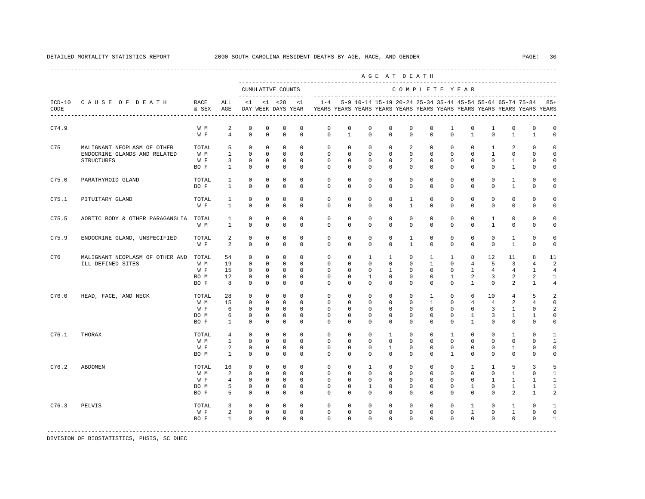|       |                                                                           |                                     |                                                     |                                                                       |                                                                    |                                                                     |                                                            |                                                                                            |                                                           |                                                        | AGE AT DEATH                                                    |                                                                    |                                                          |                                                                      |                                                                      |                                                          |                                                      |                                                                     |                                             |
|-------|---------------------------------------------------------------------------|-------------------------------------|-----------------------------------------------------|-----------------------------------------------------------------------|--------------------------------------------------------------------|---------------------------------------------------------------------|------------------------------------------------------------|--------------------------------------------------------------------------------------------|-----------------------------------------------------------|--------------------------------------------------------|-----------------------------------------------------------------|--------------------------------------------------------------------|----------------------------------------------------------|----------------------------------------------------------------------|----------------------------------------------------------------------|----------------------------------------------------------|------------------------------------------------------|---------------------------------------------------------------------|---------------------------------------------|
|       |                                                                           |                                     |                                                     |                                                                       |                                                                    | CUMULATIVE COUNTS<br>--------------------                           |                                                            |                                                                                            |                                                           |                                                        |                                                                 |                                                                    |                                                          |                                                                      | COMPLETE YEAR                                                        |                                                          |                                                      |                                                                     |                                             |
| CODE  | ICD-10 CAUSE OF DEATH RACE                                                | & SEX AGE                           | ALL                                                 | $\leq 1$                                                              |                                                                    | $< 1$ $< 28$                                                        | <1                                                         | DAY WEEK DAYS YEAR TEARS YEARS YEARS YEARS YEARS YEARS YEARS YEARS YEARS YEARS YEARS YEARS |                                                           |                                                        |                                                                 |                                                                    |                                                          |                                                                      |                                                                      |                                                          |                                                      | $1-4$ 5-9 10-14 15-19 20-24 25-34 35-44 45-54 55-64 65-74 75-84 85+ |                                             |
| C74.9 |                                                                           | W M<br>W F                          | 2<br>$\overline{4}$                                 | $\mathbf 0$<br>$\mathbf 0$                                            | $\circ$<br>$\circ$                                                 | 0<br>$\mathbf{0}$                                                   | $\mathbf 0$<br>$\mathbf 0$                                 | $\circ$<br>$\circ$                                                                         | 0<br>$\mathbf{1}$                                         | $\mathbf 0$<br>$\mathbf 0$                             | $\mathbf 0$<br>$\mathbf 0$                                      | $^{\circ}$<br>$\mathbf 0$                                          | $^{\circ}$<br>$\mathbf 0$                                | 1<br>$\mathbf{0}$                                                    | 0<br>$\mathbf{1}$                                                    | $\mathbf{1}$<br>$\mathbf{0}$                             | 0<br>$\mathbf{1}$                                    | $\mathbf{0}$<br>$\mathbf{1}$                                        | $\mathbf 0$<br>$\mathbf 0$                  |
| C75   | MALIGNANT NEOPLASM OF OTHER<br>ENDOCRINE GLANDS AND RELATED<br>STRUCTURES | TOTAL<br>W M<br>W F<br>BO F         | 5<br>$\mathbf{1}$<br>3<br>$\mathbf{1}$              | $\Omega$<br>$\mathbf 0$<br>0<br>$^{\circ}$                            | $\Omega$<br>$\mathbf{0}$<br>$\circ$<br>$\mathbf{0}$                | $\circ$<br>$\circ$<br>$\circ$<br>$^{\circ}$                         | $\Omega$<br>$\circ$<br>$^{\circ}$<br>$\mathbf{0}$          | $\Omega$<br>$\circ$<br>$\mathbf{0}$<br>$\mathbf{0}$                                        | $\Omega$<br>$\circ$<br>$\mathbf{0}$<br>$\mathbf{0}$       | $\mathbf{0}$<br>$\mathbf{0}$<br>0<br>0                 | $\Omega$<br>$\mathbf 0$<br>0<br>0                               | 2<br>$\mathbf{0}$<br>2<br>$\mathbf{0}$                             | $\Omega$<br>$\mathbf{0}$<br>$\mathbf{0}$<br>$\mathbf{0}$ | $\Omega$<br>$\mathbf{0}$<br>$\mathbf{0}$<br>$\mathbf{0}$             | $\circ$<br>$\mathbf 0$<br>$\circ$<br>0                               | $\mathbf{1}$<br>$\mathbf{1}$<br>$\mathbf{0}$<br>$\circ$  | 2<br>$\mathbf{0}$<br>1<br>$\mathbf{1}$               | $\Omega$<br>$\Omega$<br>0<br>$\mathbf 0$                            | $\Omega$<br>$\Omega$<br>0<br>0              |
| C75.0 | PARATHYROID GLAND                                                         | TOTAL<br>BO F                       | $\mathbf{1}$<br>1                                   | $\mathbf 0$<br>$\mathbf 0$                                            | $\circ$<br>$\mathbf{0}$                                            | $^{\circ}$<br>$^{\circ}$                                            | 0<br>0                                                     | $\mathbf{0}$<br>$\mathbf{0}$                                                               | $\mathbf 0$<br>$\mathbf 0$                                | $\mathbf 0$<br>$^{\circ}$                              | $\mathbf 0$<br>0                                                | $\mathbf 0$<br>$\Omega$                                            | $\mathbf 0$<br>$\mathbf{0}$                              | $\mathbf 0$<br>$\mathbf 0$                                           | $\mathbf 0$<br>$^{\circ}$                                            | $\mathbf 0$<br>$\circ$                                   | $\mathbf{1}$<br>$\mathbf{1}$                         | $\mathbf 0$<br>$\mathbf 0$                                          | $\Omega$<br>0                               |
| C75.1 | PITUITARY GLAND                                                           | TOTAL<br>W F                        | $\mathbf{1}$<br>$\mathbf{1}$                        | $\mathbf 0$<br>$\mathbb O$                                            | $\Omega$<br>$\mathbf 0$                                            | $\circ$<br>$\mathbb O$                                              | $\Omega$<br>$\mathbf 0$                                    | $\Omega$<br>$\mathbf{0}$                                                                   | $\Omega$<br>0                                             | $\Omega$<br>$\mathbf 0$                                | $\Omega$<br>0                                                   | $\mathbf{1}$<br>$\mathbf{1}$                                       | $\Omega$<br>$\mathbf 0$                                  | $\Omega$<br>0                                                        | $\Omega$<br>$\mathbf 0$                                              | $\Omega$<br>$\mathbf 0$                                  | $\Omega$<br>0                                        | $\Omega$<br>$\mathbf 0$                                             | $\Omega$<br>$\mathbf 0$                     |
| C75.5 | AORTIC BODY & OTHER PARAGANGLIA TOTAL                                     | W M                                 | $\mathbf{1}$<br>$\mathbf{1}$                        | $\circ$<br>$\mathbf 0$                                                | $^{\circ}$<br>$^{\circ}$                                           | $^{\circ}$<br>$^{\circ}$                                            | $\mathbf 0$<br>$\Omega$                                    | $\mathbf 0$<br>$\Omega$                                                                    | $\mathbf 0$<br>$\Omega$                                   | $\mathbf 0$<br>$\Omega$                                | $\mathbf 0$<br>$\Omega$                                         | $\mathbf 0$<br>$\Omega$                                            | $\mathbf 0$<br>$\Omega$                                  | $\mathbf 0$<br>$\Omega$                                              | $\mathbf 0$<br>$^{\circ}$                                            | $\mathbf{1}$<br>$\mathbf{1}$                             | $\mathbf{0}$<br>$\mathbf 0$                          | $\mathbf 0$<br>0                                                    | $\Omega$<br>$\Omega$                        |
| C75.9 | ENDOCRINE GLAND, UNSPECIFIED                                              | TOTAL<br>W F                        | 2<br>2                                              | $\mathbf 0$<br>$\Omega$                                               | $^{\circ}$<br>$\Omega$                                             | $^{\circ}$<br>$\Omega$                                              | $\Omega$<br>$\Omega$                                       | $\Omega$<br>$\Omega$                                                                       | $\mathbf 0$<br>$\Omega$                                   | $\mathbf 0$<br>$\Omega$                                | $\mathbf 0$<br>$\Omega$                                         | $\mathbf{1}$<br>$\overline{1}$                                     | $\Omega$<br>$\Omega$                                     | $\Omega$<br>$\Omega$                                                 | $\mathbf 0$<br>$\Omega$                                              | $\mathbf 0$<br>$\Omega$                                  | $\mathbf{1}$<br>$\mathbf{1}$                         | $\Omega$<br>$\Omega$                                                | $\Omega$<br>$\Omega$                        |
| C76   | MALIGNANT NEOPLASM OF OTHER AND TOTAL<br>ILL-DEFINED SITES                | W M<br>W F<br>BO M<br>BO F          | 54<br>19<br>15<br>12<br>8                           | 0<br>$\mathbf 0$<br>$^{\circ}$<br>$\mathbf 0$<br>$\Omega$             | $\mathbf 0$<br>$^{\circ}$<br>$\mathbf{0}$<br>$^{\circ}$<br>$\circ$ | $\mathbf 0$<br>$\circ$<br>$^{\circ}$<br>$\mathbf 0$<br>$^{\circ}$   | $\circ$<br>$\Omega$<br>$\Omega$<br>$\mathbf 0$<br>$\Omega$ | $\circ$<br>$\mathbf{0}$<br>$\Omega$<br>$\mathbf{0}$<br>$\Omega$                            | 0<br>$\mathbf{0}$<br>$\Omega$<br>$\mathbf 0$<br>$\Omega$  | $\mathbf{1}$<br>$\circ$<br>$\Omega$<br>1<br>$\Omega$   | $\mathbf{1}$<br>0<br>$\mathbf{1}$<br>$\mathbf 0$<br>$\mathbf 0$ | $\mathbf 0$<br>$\mathbf{0}$<br>$\Omega$<br>$\mathbf 0$<br>$\Omega$ | $\mathbf{1}$<br>1<br>$\Omega$<br>$\mathbf 0$<br>$\Omega$ | $\mathbf{1}$<br>$\mathbf{0}$<br>$\Omega$<br>$\mathbf{1}$<br>$\Omega$ | 8<br>$\overline{4}$<br>$\mathbf{1}$<br>2<br>$\mathbf{1}$             | 12<br>5<br>$4\overline{ }$<br>3<br>$\Omega$              | 11<br>3<br>$\overline{4}$<br>2<br>2                  | 8<br>4<br>$\mathbf{1}$<br>2<br>1                                    | 11<br>2<br>$\overline{4}$<br>1<br>4         |
| C76.0 | HEAD, FACE, AND NECK                                                      | TOTAL<br>W M<br>W F<br>BO M<br>BO F | 28<br>15<br>6<br>6<br>$\mathbf{1}$                  | $\mathbf 0$<br>$^{\circ}$<br>$\overline{0}$<br>$\circ$<br>$\Omega$    | $\circ$<br>$^{\circ}$<br>$\mathbf{0}$<br>$^{\circ}$<br>$\Omega$    | $\circ$<br>$^{\circ}$<br>$\overline{0}$<br>$^{\circ}$<br>$^{\circ}$ | $\circ$<br>$\Omega$<br>$\circ$<br>$^{\circ}$<br>$\Omega$   | $\circ$<br>$\circ$<br>$\mathbf{0}$<br>$\mathbf{0}$<br>$\Omega$                             | $\mathbf 0$<br>$\Omega$<br>$\mathbf{0}$<br>0<br>$\Omega$  | $\mathbf 0$<br>$\circ$<br>0<br>$\mathbf 0$<br>$\Omega$ | $\mathbf 0$<br>$\Omega$<br>0<br>0<br>$\Omega$                   | $\mathbf 0$<br>$\Omega$<br>$\mathbf 0$<br>$\mathbf{0}$<br>$\Omega$ | $\mathbf{1}$<br>1<br>$\mathbf 0$<br>$\Omega$<br>$\Omega$ | $\mathbf 0$<br>$\mathbf{0}$<br>$\mathbf 0$<br>0<br>$\Omega$          | 6<br>$4\overline{ }$<br>$\mathbf{0}$<br>$\mathbf{1}$<br>$\mathbf{1}$ | 10<br>$4\overline{ }$<br>3<br>3<br>$\Omega$              | $\overline{4}$<br>2<br>$\mathbf{1}$<br>1<br>$\Omega$ | 5<br>$\overline{4}$<br>0<br>1<br>$\Omega$                           | 2<br>$\Omega$<br>2<br>0<br>$\Omega$         |
| C76.1 | THORAX                                                                    | TOTAL<br>W M<br>W F<br>BO M         | $\overline{4}$<br>$\mathbf{1}$<br>2<br>$\mathbf{1}$ | $\mathbf{0}$<br>$\mathbb O$<br>0<br>$^{\circ}$                        | $\mathbf{0}$<br>$\circ$<br>$^{\circ}$<br>$^{\circ}$                | $\circ$<br>$\mathbf 0$<br>$^{\circ}$<br>$^{\circ}$                  | $\Omega$<br>$\mathbf 0$<br>$^{\circ}$<br>$\Omega$          | $\Omega$<br>$\mathbf 0$<br>$\circ$<br>$\Omega$                                             | $\Omega$<br>$\mathbf 0$<br>$\circ$<br>$\Omega$            | $\mathbf 0$<br>$\mathbf 0$<br>0<br>$\Omega$            | $\mathbf{1}$<br>$\mathbf 0$<br>1<br>0                           | $\Omega$<br>$\mathbf 0$<br>$\mathbf 0$<br>$\Omega$                 | $\Omega$<br>$\mathbf 0$<br>$\mathbf{0}$<br>$\Omega$      | $\mathbf{1}$<br>$\mathbf 0$<br>0<br>$\mathbf{1}$                     | $\circ$<br>$\mathbf 0$<br>0<br>0                                     | $\Omega$<br>$\mathbf 0$<br>0<br>$\Omega$                 | $\mathbf{1}$<br>$\mathbf{0}$<br>1<br>$\mathbf 0$     | $\Omega$<br>$\mathbf{0}$<br>0<br>$\mathbf{0}$                       | 1<br>$\mathbf{1}$<br>0<br>0                 |
| C76.2 | <b>ABDOMEN</b>                                                            | TOTAL<br>W M<br>W F<br>BO M<br>BO F | 16<br>2<br>$\overline{4}$<br>5<br>5                 | $\circ$<br>$\overline{0}$<br>$\mathbf 0$<br>$\mathbf 0$<br>$^{\circ}$ | $^{\circ}$<br>$\Omega$<br>$^{\circ}$<br>$^{\circ}$<br>$\circ$      | $^{\circ}$<br>$\Omega$<br>$\overline{0}$<br>$^{\circ}$<br>$\circ$   | $\Omega$<br>$\Omega$<br>$\Omega$<br>$\Omega$<br>$^{\circ}$ | $\mathbf{0}$<br>$\Omega$<br>$\Omega$<br>$\Omega$<br>$\circ$                                | $\mathbf{0}$<br>$\Omega$<br>$\Omega$<br>$\mathbf{0}$<br>0 | $\mathbf{1}$<br>$\Omega$<br>0<br>$\mathbf{1}$<br>0     | 0<br>$\Omega$<br>$\Omega$<br>$^{\circ}$<br>0                    | $\mathbf 0$<br>$\Omega$<br>$\Omega$<br>$\mathbf 0$<br>$\mathbf{0}$ | $\mathbf{0}$<br>$\Omega$<br>$\Omega$<br>$\Omega$<br>0    | $\mathbf 0$<br>$\Omega$<br>$\Omega$<br>$\mathbf 0$<br>$\mathbf{0}$   | $\mathbf{1}$<br>$\Omega$<br>0<br>$\mathbf{1}$<br>0                   | $\mathbf{1}$<br>$\Omega$<br>$\mathbf{1}$<br>$\circ$<br>0 | 5<br>$\mathbf{1}$<br>1<br>1<br>2                     | 3<br>$\Omega$<br>$\mathbf{1}$<br>1<br>1                             | 5<br>$\mathbf{1}$<br>$\mathbf{1}$<br>1<br>2 |
| C76.3 | PELVIS                                                                    | TOTAL<br>W F<br>BO F                | 3<br>$\overline{a}$<br>$\mathbf{1}$                 | $\overline{0}$<br>$\overline{0}$<br>$\mathbf 0$                       | $^{\circ}$<br>$\overline{0}$<br>$\circ$                            | $\mathbf 0$<br>$\circ$<br>$\overline{0}$                            | $\circ$<br>$\mathbf{0}$<br>$\Omega$                        | $\mathbf{0}$<br>$\mathbf{0}$<br>$\Omega$                                                   | $\mathbf{0}$<br>$\mathbf 0$<br>$\Omega$                   | $\mathbf 0$<br>$\mathbf 0$<br>$\Omega$                 | $\mathbf 0$<br>$\mathbf 0$<br>$\Omega$                          | $\mathbf 0$<br>$\mathbf 0$<br>$\Omega$                             | $\mathbf 0$<br>$\mathbf 0$<br>$\Omega$                   | $\mathbf 0$<br>$\mathbf 0$<br>$\Omega$                               | $\mathbf{1}$<br>$\mathbf{1}$<br>$\Omega$                             | $\circ$<br>0<br>$\Omega$                                 | $\mathbf{1}$<br>$\mathbf{1}$<br>$\Omega$             | $\mathbf{0}$<br>$\mathbf{0}$<br>$\Omega$                            | $\mathbf{1}$<br>$\mathbf 0$<br>$\mathbf{1}$ |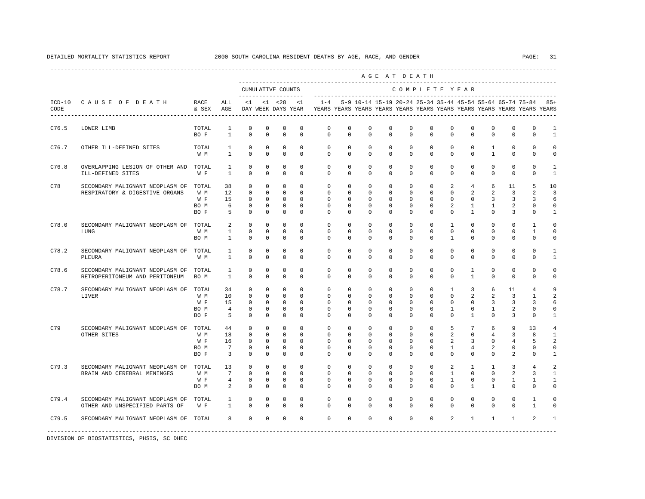|                  |                                                                   |                                     |                                       |                                                                    |                                                                         |                                                                          |                                                                     |                                                                                    |                                                     |                                                           |                                        | AGE AT DEATH                                                       |                                                                    |                                                           |                                                          |                                              |                               |                                         |                                                      |
|------------------|-------------------------------------------------------------------|-------------------------------------|---------------------------------------|--------------------------------------------------------------------|-------------------------------------------------------------------------|--------------------------------------------------------------------------|---------------------------------------------------------------------|------------------------------------------------------------------------------------|-----------------------------------------------------|-----------------------------------------------------------|----------------------------------------|--------------------------------------------------------------------|--------------------------------------------------------------------|-----------------------------------------------------------|----------------------------------------------------------|----------------------------------------------|-------------------------------|-----------------------------------------|------------------------------------------------------|
|                  |                                                                   |                                     |                                       |                                                                    |                                                                         | CUMULATIVE COUNTS<br>--------------------                                |                                                                     |                                                                                    |                                                     |                                                           |                                        | COMPLETE YEAR                                                      |                                                                    |                                                           |                                                          |                                              |                               |                                         |                                                      |
| $ICD-10$<br>CODE | CAUSE OF DEATH                                                    | RACE<br>& SEX                       | ALL<br>AGE                            | $\leq 1$                                                           |                                                                         | $<1$ $<28$<br>DAY WEEK DAYS YEAR                                         | < 1                                                                 | $1 - 4$<br>YEARS YEARS YEARS YEARS YEARS YEARS YEARS YEARS YEARS YEARS YEARS YEARS |                                                     | 5-9 10-14 15-19 20-24 25-34 35-44 45-54 55-64 65-74 75-84 |                                        |                                                                    |                                                                    |                                                           |                                                          |                                              |                               |                                         | $85+$                                                |
| C76.5            | LOWER LIMB                                                        | TOTAL<br>BO F                       | $\mathbf{1}$<br>$\mathbf{1}$          | $\mathbf 0$<br>$\mathbf 0$                                         | $\mathbf 0$<br>$\mathbf 0$                                              | $\mathbf 0$<br>$\mathbf 0$                                               | $^{\circ}$<br>$^{\circ}$                                            | $\mathbf 0$<br>$\mathbf{0}$                                                        | $\mathbf 0$<br>$\Omega$                             | $\mathbf 0$<br>$\mathbf 0$                                | $\mathbf 0$<br>0                       | $\mathbf 0$<br>$\mathbf 0$                                         | $\mathbf 0$<br>$\Omega$                                            | $\mathbf 0$<br>$\circ$                                    | $\mathbf 0$<br>$\mathbf 0$                               | $\mathbf 0$<br>$\mathbf 0$                   | $\mathbf{0}$<br>$\mathbf 0$   | $\mathbf{0}$<br>$\Omega$                | 1<br>$\mathbf{1}$                                    |
| C76.7            | OTHER ILL-DEFINED SITES                                           | TOTAL<br>W M                        | $\mathbf{1}$<br>$\mathbf{1}$          | $\mathbb O$<br>$\mathbf 0$                                         | $\mathbf 0$<br>$\mathbf 0$                                              | $\mathbf 0$<br>$\mathbb O$                                               | $\mathbf 0$<br>$^{\circ}$                                           | $\mathbf 0$<br>$\mathbf 0$                                                         | $\mathbf 0$<br>$\mathbf 0$                          | $\mathbf 0$<br>$\mathbf 0$                                | $\mathbf 0$<br>$\mathbf 0$             | $\mathbf 0$<br>$\mathbf 0$                                         | $\mathbf 0$<br>$\mathbf 0$                                         | $\mathbf 0$<br>$\mathbf 0$                                | $\mathbf 0$<br>$\mathbf 0$                               | $\mathbf{1}$<br>$\mathbf{1}$                 | $\mathbf{0}$<br>$\mathbf 0$   | $\mathbb O$<br>$\mathbf 0$              | $\mathbf 0$<br>$\mathbf 0$                           |
| C76.8            | OVERLAPPING LESION OF OTHER AND TOTAL<br>ILL-DEFINED SITES        | W F                                 | $\mathbf{1}$<br>$\mathbf{1}$          | $\mathbf 0$<br>$\mathbf 0$                                         | $\circ$<br>$\mathbf 0$                                                  | $^{\circ}$<br>$\mathbf 0$                                                | $^{\circ}$<br>$\Omega$                                              | $\mathbf{0}$<br>$\Omega$                                                           | $\circ$<br>$\Omega$                                 | $\circ$<br>$\Omega$                                       | 0<br>$\Omega$                          | $\mathbf{0}$<br>$\Omega$                                           | $\mathbf{0}$<br>$\Omega$                                           | $\mathbf 0$<br>$\Omega$                                   | $\mathbf 0$<br>$\Omega$                                  | $^{\circ}$<br>$\Omega$                       | $\mathbf 0$<br>$\Omega$       | $\mathbf 0$<br>$\Omega$                 | 1<br>$\mathbf{1}$                                    |
| C78              | SECONDARY MALIGNANT NEOPLASM OF<br>RESPIRATORY & DIGESTIVE ORGANS | TOTAL<br>W M<br>W F<br>BO M<br>BO F | 38<br>12<br>15<br>6<br>5              | $\circ$<br>$\mathbf 0$<br>$^{\circ}$<br>$\mathbf 0$<br>$\mathbf 0$ | $\mathbf 0$<br>$\mathbf 0$<br>$^{\circ}$<br>$\mathbf 0$<br>$\mathbf 0$  | $\Omega$<br>$\mathbf 0$<br>$^{\circ}$<br>$\mathbf 0$<br>$\mathbf 0$      | $\Omega$<br>$^{\circ}$<br>$\circ$<br>$\circ$<br>$\mathbf{0}$        | $\circ$<br>$\mathbf 0$<br>$\circ$<br>$\mathbf 0$<br>$\Omega$                       | $\Omega$<br>0<br>$\Omega$<br>$\circ$<br>$\mathbf 0$ | $\mathbf 0$<br>$^{\circ}$<br>$\circ$<br>0<br>$\mathbf 0$  | $\mathbf 0$<br>0<br>$\Omega$<br>0<br>0 | $\Omega$<br>$\mathbf 0$<br>$\Omega$<br>$\mathbf 0$<br>$\mathbf{0}$ | $\Omega$<br>$\mathbf{0}$<br>$\Omega$<br>$\mathbf 0$<br>$\mathbf 0$ | 2<br>$\mathbf 0$<br>$\Omega$<br>2<br>$\Omega$             | $\overline{4}$<br>2<br>0<br>$\mathbf{1}$<br>$\mathbf{1}$ | 6<br>2<br>3<br>$\mathbf{1}$<br>$\mathbf 0$   | 11<br>3<br>3<br>2<br>3        | 5<br>2<br>3<br>$\mathbf{0}$<br>$\Omega$ | 10<br>3<br>6<br>$\mathbf 0$<br>1                     |
| C78.0            | SECONDARY MALIGNANT NEOPLASM OF<br>LUNG                           | TOTAL<br>W M<br>BO M                | 2<br>$\mathbf{1}$<br>$\mathbf{1}$     | $\mathbf 0$<br>$\mathbf 0$<br>$\mathbf 0$                          | $\mathbf 0$<br>$\mathbf 0$<br>$\circ$                                   | $\mathbf 0$<br>$\mathbb O$<br>0                                          | $\Omega$<br>$\mathbf{0}$<br>$^{\circ}$                              | $\Omega$<br>$\mathbf 0$<br>$\mathbf{0}$                                            | $\Omega$<br>$\mathbf 0$<br>0                        | $\Omega$<br>$\mathbf 0$<br>0                              | $\Omega$<br>0<br>0                     | $\Omega$<br>$\mathbf 0$<br>0                                       | $\Omega$<br>$\mathbf 0$<br>0                                       | $\mathbf{1}$<br>$\circ$<br>$\mathbf{1}$                   | $\Omega$<br>$\mathbf 0$<br>0                             | $\Omega$<br>$\mathbf 0$<br>0                 | $\Omega$<br>$\mathbf{0}$<br>0 | $\mathbf{1}$<br>$\mathbf{1}$<br>0       | $\cap$<br>$\Omega$<br>0                              |
| C78.2            | SECONDARY MALIGNANT NEOPLASM OF TOTAL<br>PLEURA                   | W M                                 | $\mathbf{1}$<br>$\mathbf{1}$          | $\mathbf 0$<br>$\Omega$                                            | $\circ$<br>$\Omega$                                                     | $^{\circ}$<br>$\mathbf 0$                                                | $^{\circ}$<br>$\Omega$                                              | $\circ$<br>$\Omega$                                                                | $\circ$<br>$\Omega$                                 | 0<br>$\Omega$                                             | 0<br>$\Omega$                          | $\mathbf{0}$<br>$\Omega$                                           | $\mathbf 0$<br>$\Omega$                                            | 0<br>$\Omega$                                             | $\mathbf 0$<br>$\Omega$                                  | $^{\circ}$<br>$\Omega$                       | $\mathbf 0$<br>$\Omega$       | $\Omega$<br>$\Omega$                    | $\mathbf{1}$<br>$\mathbf{1}$                         |
| C78.6            | SECONDARY MALIGNANT NEOPLASM OF<br>RETROPERITONEUM AND PERITONEUM | TOTAL<br>BO M                       | $\mathbf{1}$<br>$\mathbf{1}$          | $\mathbf 0$<br>$\mathbf 0$                                         | $\mathbf 0$<br>$\mathbf 0$                                              | $\mathbf 0$<br>$\mathbf 0$                                               | $^{\circ}$<br>$\mathbf 0$                                           | $\mathbf 0$<br>$\Omega$                                                            | $\mathbf{0}$<br>$\Omega$                            | $\mathbf 0$<br>$\Omega$                                   | $\mathbf 0$<br>$\Omega$                | $\mathbf{0}$<br>$\Omega$                                           | $\mathbf 0$<br>$\Omega$                                            | $\mathbf 0$<br>$\Omega$                                   | $\mathbf{1}$<br>$\mathbf{1}$                             | $\mathbf 0$<br>$\Omega$                      | $\mathbf{0}$<br>0             | $\Omega$<br>$\Omega$                    | $\Omega$<br>$\Omega$                                 |
| C78.7            | SECONDARY MALIGNANT NEOPLASM OF<br>LIVER                          | TOTAL<br>W M<br>W F<br>BO M<br>BO F | 34<br>10<br>15<br>$\overline{4}$<br>5 | 0<br>$\mathbf 0$<br>$\mathbf 0$<br>$\mathbf 0$<br>$\mathbf 0$      | $\mathbf 0$<br>$\mathbf 0$<br>$\mathbf 0$<br>$\mathbf 0$<br>$\mathbf 0$ | $\mathbf 0$<br>$\mathbf 0$<br>$\mathbf 0$<br>$\mathbf 0$<br>$\mathbf 0$  | $^{\circ}$<br>$\mathbf 0$<br>$\Omega$<br>$^{\circ}$<br>$\mathbf 0$  | $\mathbf 0$<br>$\mathbf{0}$<br>$\Omega$<br>$\mathbf{0}$<br>0                       | 0<br>0<br>$\Omega$<br>$\mathbf 0$<br>0              | $^{\circ}$<br>$\Omega$<br>$\Omega$<br>0<br>0              | 0<br>$\Omega$<br>$\Omega$<br>0<br>0    | $\mathbf 0$<br>$\Omega$<br>$\Omega$<br>0<br>0                      | $\mathbf 0$<br>$\Omega$<br>$\Omega$<br>$\mathbf 0$<br>$\mathbf 0$  | $\mathbf{1}$<br>$\Omega$<br>$\Omega$<br>$\mathbf{1}$<br>0 | 3<br>$\overline{a}$<br>$\Omega$<br>$\mathbf 0$<br>1      | 6<br>$\overline{a}$<br>3<br>1<br>$\mathbf 0$ | 11<br>3<br>3<br>2<br>3        | 4<br>-1<br>3<br>$\Omega$<br>$\Omega$    | 9<br>2<br>6<br>$\Omega$<br>-1                        |
| C79              | SECONDARY MALIGNANT NEOPLASM OF TOTAL<br>OTHER SITES              | W M<br>W F<br>BO M<br>BO F          | 44<br>18<br>16<br>7<br>$\overline{3}$ | 0<br>$\mathbf 0$<br>$\mathbf 0$<br>$\mathbf 0$<br>$\mathbf 0$      | $\mathbf 0$<br>$\Omega$<br>$\mathbf 0$<br>$\mathbf 0$<br>$\mathbf 0$    | $\mathbf 0$<br>$\mathbf{0}$<br>$\mathbf 0$<br>$\mathbf 0$<br>$\mathbf 0$ | $\mathbf 0$<br>$\Omega$<br>$^{\circ}$<br>$\mathbf 0$<br>$\mathbf 0$ | $\mathbf 0$<br>$\Omega$<br>$\mathbf 0$<br>$\mathbf 0$<br>0                         | 0<br>$\Omega$<br>0<br>$\Omega$<br>0                 | $\mathbf 0$<br>$\Omega$<br>0<br>0<br>0                    | 0<br>$\Omega$<br>0<br>$\Omega$<br>0    | 0<br>$\Omega$<br>0<br>$\Omega$<br>0                                | $\mathbf 0$<br>$\Omega$<br>$\mathbf 0$<br>$\Omega$<br>$\mathbf 0$  | 5<br>2<br>2<br>1<br>$\mathbf 0$                           | 7<br>$\Omega$<br>3<br>4<br>$\mathbf 0$                   | 6<br>$\overline{4}$<br>$\mathbf 0$<br>2<br>0 | 9<br>3<br>4<br>0<br>2         | 13<br>8<br>5<br>$\Omega$<br>$\Omega$    | $\overline{4}$<br>$\mathbf{1}$<br>2<br>$\Omega$<br>1 |
| C79.3            | SECONDARY MALIGNANT NEOPLASM OF<br>BRAIN AND CEREBRAL MENINGES    | TOTAL<br>W M<br>W F<br>BO M         | 13<br>7<br>4<br>2                     | $\mathbf 0$<br>$\circ$<br>$\mathbf 0$<br>$\Omega$                  | $\mathbf 0$<br>$\circ$<br>$^{\circ}$<br>$\Omega$                        | $\mathbf 0$<br>$\mathbf 0$<br>$\mathbf 0$<br>$\mathbf 0$                 | $^{\circ}$<br>$\circ$<br>$\mathbf 0$<br>$\Omega$                    | $\mathbf 0$<br>$\mathbf{0}$<br>$\mathbf 0$<br>$\Omega$                             | 0<br>$\circ$<br>$\Omega$<br>$\Omega$                | $\mathbf 0$<br>0<br>$\Omega$<br>$\Omega$                  | 0<br>0<br>$\Omega$<br>$\Omega$         | 0<br>0<br>$\Omega$<br>$\Omega$                                     | $\mathbf 0$<br>$\mathbf 0$<br>$\Omega$<br>$\Omega$                 | 2<br>$\mathbf{1}$<br>$\mathbf{1}$<br>$\Omega$             | $\mathbf{1}$<br>$\mathbf 0$<br>$\Omega$<br>$\mathbf{1}$  | 1<br>$\mathbf 0$<br>$\Omega$<br>$\mathbf{1}$ | 3<br>2<br>1<br>$\Omega$       | $\overline{4}$<br>3<br>-1<br>$\cap$     | 2<br>$\mathbf{1}$<br>1<br>$\cap$                     |
| C79.4            | SECONDARY MALIGNANT NEOPLASM OF<br>OTHER AND UNSPECIFIED PARTS OF | TOTAL<br>W F                        | $\mathbf{1}$<br>$\mathbf{1}$          | $^{\circ}$<br>$\mathbf 0$                                          | $^{\circ}$<br>$\mathbf 0$                                               | 0<br>$\mathbf 0$                                                         | 0<br>$\Omega$                                                       | 0<br>$\Omega$                                                                      | 0<br>$\Omega$                                       | $^{\circ}$<br>0                                           | 0<br>0                                 | $\mathbf 0$<br>$\Omega$                                            | 0<br>$\Omega$                                                      | 0<br>$\Omega$                                             | $^{\circ}$<br>0                                          | $^{\circ}$<br>$\Omega$                       | $\mathbf 0$<br>$\Omega$       | 1<br>1                                  | $\Omega$<br>$\cap$                                   |
| C79.5            | SECONDARY MALIGNANT NEOPLASM OF TOTAL                             |                                     | 8                                     | $\mathbf 0$                                                        | $\mathbf 0$                                                             | $\mathbf 0$                                                              | $\mathbf 0$                                                         | $\mathbf 0$                                                                        | $\mathbf 0$                                         | $\mathbf 0$                                               | 0                                      | $\mathbf 0$                                                        | $\mathbf 0$                                                        | 2                                                         | $\mathbf{1}$                                             | $\mathbf{1}$                                 | 1                             | 2                                       |                                                      |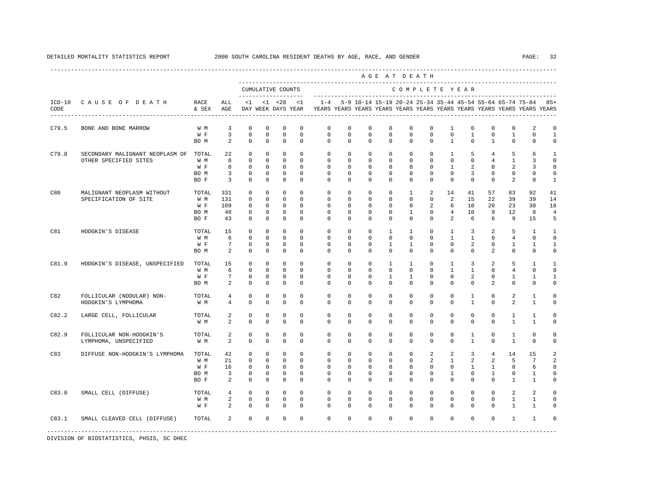|                  |                                                                |                                     |                                                    |                                                                          |                                                                          |                                                                         |                                                                    |                                                                                    |                                                                   |                                                                        | AGE AT DEATH                                                           |                                                                     |                                                                   |                                                                     |                                                                   |                                                           |                                                    |                                                            |                                                        |
|------------------|----------------------------------------------------------------|-------------------------------------|----------------------------------------------------|--------------------------------------------------------------------------|--------------------------------------------------------------------------|-------------------------------------------------------------------------|--------------------------------------------------------------------|------------------------------------------------------------------------------------|-------------------------------------------------------------------|------------------------------------------------------------------------|------------------------------------------------------------------------|---------------------------------------------------------------------|-------------------------------------------------------------------|---------------------------------------------------------------------|-------------------------------------------------------------------|-----------------------------------------------------------|----------------------------------------------------|------------------------------------------------------------|--------------------------------------------------------|
|                  |                                                                |                                     |                                                    |                                                                          |                                                                          | CUMULATIVE COUNTS                                                       |                                                                    |                                                                                    |                                                                   |                                                                        |                                                                        |                                                                     |                                                                   | COMPLETE YEAR                                                       |                                                                   |                                                           |                                                    |                                                            |                                                        |
| $ICD-10$<br>CODE | CAUSE OF DEATH                                                 | RACE<br>& SEX                       | ALL<br>AGE                                         | <1                                                                       |                                                                          | $< 1$ $< 28$<br>DAY WEEK DAYS YEAR                                      | $\leq 1$                                                           | $1 - 4$<br>YEARS YEARS YEARS YEARS YEARS YEARS YEARS YEARS YEARS YEARS YEARS YEARS |                                                                   | 5-9 10-14 15-19 20-24 25-34 35-44 45-54 55-64 65-74 75-84              |                                                                        |                                                                     |                                                                   |                                                                     |                                                                   |                                                           |                                                    |                                                            | $85+$                                                  |
| C79.5            | BONE AND BONE MARROW                                           | W M<br>W F<br>BO M                  | 3<br>$\overline{3}$<br>2                           | $\mathbf 0$<br>$\mathbf 0$<br>$\Omega$                                   | $\mathbf 0$<br>$\mathbf 0$<br>$\Omega$                                   | $\mathbf 0$<br>$\mathbf{0}$<br>$\Omega$                                 | $\mathbf 0$<br>$\mathbf{0}$<br>$\Omega$                            | $\mathbf{0}$<br>$\circ$<br>$\Omega$                                                | $\mathbf 0$<br>$\mathbf 0$<br>$\Omega$                            | $\mathbf 0$<br>$\mathbf 0$<br>$\Omega$                                 | $\mathbf 0$<br>$\Omega$<br>$\Omega$                                    | $\mathbf 0$<br>$\Omega$<br>$\Omega$                                 | $\mathbf{0}$<br>$\Omega$<br>$\Omega$                              | $\mathbf{1}$<br>$\Omega$<br>$\mathbf{1}$                            | $\mathbf 0$<br>$\mathbf{1}$<br>$\Omega$                           | $\mathbf 0$<br>$\mathbf 0$<br>$\mathbf{1}$                | $\mathbf{0}$<br>$\mathbf{1}$<br>$\Omega$           | 2<br>$\mathbf 0$<br>$\Omega$                               | $\mathbf 0$<br>$\mathbf{1}$<br>$\Omega$                |
| C79.8            | SECONDARY MALIGNANT NEOPLASM OF TOTAL<br>OTHER SPECIFIED SITES | W M<br>W F<br>BO M<br>BO F          | 22<br>8<br>8<br>$\overline{\mathbf{3}}$<br>3       | $\mathbf 0$<br>$\mathbf 0$<br>$\mathbf 0$<br>$\mathbf 0$<br>$\mathbf{0}$ | $\mathbf 0$<br>$\mathbf 0$<br>0<br>$\mathbf 0$<br>$\mathbf 0$            | $\mathbf 0$<br>$\mathbf 0$<br>$\mathbf 0$<br>$\mathbf 0$<br>$\mathbf 0$ | $\Omega$<br>$\mathbf 0$<br>$\Omega$<br>$\Omega$<br>$\Omega$        | $\Omega$<br>$\mathbf 0$<br>$\mathbf{0}$<br>$\mathbf 0$<br>$\Omega$                 | $\mathbf 0$<br>$\mathbf 0$<br>0<br>$\mathbf 0$<br>0               | $\mathbf 0$<br>$\mathbf 0$<br>$^{\circ}$<br>$\mathbf 0$<br>$\Omega$    | $\Omega$<br>$\mathbf 0$<br>0<br>$\Omega$<br>0                          | $\Omega$<br>$\mathbf{0}$<br>0<br>$\Omega$<br>$\Omega$               | $\Omega$<br>$\mathbf 0$<br>$\mathbf 0$<br>$\Omega$<br>$\mathbf 0$ | $\mathbf{1}$<br>$\mathbf 0$<br>$\mathbf{1}$<br>$\Omega$<br>$\Omega$ | 5<br>$\mathbf 0$<br>$\overline{a}$<br>3<br>0                      | 4<br>$\overline{4}$<br>$^{\circ}$<br>$\Omega$<br>$\Omega$ | 5<br>$\mathbf{1}$<br>2<br>$\mathbf{0}$<br>2        | 6<br>3<br>3<br>$\mathbf 0$<br>$\mathbf 0$                  | $\mathbf{1}$<br>$\mathbf 0$<br>0<br>0<br>$\mathbf{1}$  |
| C80              | MALIGNANT NEOPLASM WITHOUT<br>SPECIFICATION OF SITE            | TOTAL<br>W M<br>W F<br>BO M<br>BO F | 331<br>131<br>109<br>48<br>43                      | $\mathbf{0}$<br>$\mathbf 0$<br>$^{\circ}$<br>$^{\circ}$<br>$\mathbf 0$   | $\mathbf 0$<br>$\mathbf 0$<br>$\mathbf 0$<br>$\mathbf 0$<br>$\mathbf 0$  | $\mathbf 0$<br>$\mathbf 0$<br>$\mathbf 0$<br>$\mathbf 0$<br>$\mathbf 0$ | $\Omega$<br>$\mathbf 0$<br>$\Omega$<br>$\Omega$<br>$\Omega$        | $\mathbf 0$<br>$\mathbf{0}$<br>$\mathbf{0}$<br>$\Omega$<br>$\Omega$                | $\mathbf{0}$<br>$\mathbf 0$<br>$\circ$<br>$\mathbf 0$<br>$\Omega$ | $\mathbf 0$<br>$\mathbf 0$<br>$\mathbf 0$<br>$\mathbf 0$<br>$\Omega$   | $^{\circ}$<br>$\mathbf 0$<br>$\mathbf 0$<br>$\Omega$<br>$\Omega$       | $\mathbf{1}$<br>$\Omega$<br>$\mathbf 0$<br>$\mathbf{1}$<br>$\Omega$ | 2<br>$\Omega$<br>2<br>$\Omega$<br>$\Omega$                        | 14<br>2<br>6<br>$\overline{4}$<br>$\overline{2}$                    | 41<br>15<br>10<br>10<br>6                                         | 57<br>22<br>20<br>9<br>6                                  | 83<br>39<br>23<br>12<br>9                          | 92<br>39<br>30<br>8<br>15                                  | 41<br>14<br>18<br>$\overline{4}$<br>5                  |
| C81              | HODGKIN'S DISEASE                                              | TOTAL<br>W M<br>W F<br>BO M         | 15<br>6<br>$7\overline{ }$<br>2                    | $\mathbf 0$<br>$\mathbf 0$<br>$\mathbf 0$<br>$\mathbb O$                 | $\mathbf 0$<br>$\mathbf 0$<br>$\mathbf 0$<br>$\mathbb O$                 | $\Omega$<br>$\mathbf 0$<br>$\mathbf 0$<br>$\mathbb O$                   | $\Omega$<br>$\Omega$<br>$\Omega$<br>$\mathbf 0$                    | $\Omega$<br>$\mathbf 0$<br>$\mathbf 0$<br>$\mathbf 0$                              | $\Omega$<br>$\Omega$<br>$\Omega$<br>$\mathbf 0$                   | $\Omega$<br>$\Omega$<br>$\mathbf 0$<br>$\mathbf 0$                     | $\mathbf{1}$<br>$\Omega$<br>$\mathbf{1}$<br>$\mathbf 0$                | $\mathbf{1}$<br>$\Omega$<br>$\mathbf{1}$<br>$\mathbf 0$             | $\Omega$<br>$\Omega$<br>$\Omega$<br>$\mathbf 0$                   | $\mathbf{1}$<br>$\mathbf{1}$<br>$\Omega$<br>$\circ$                 | 3<br>$\mathbf{1}$<br>2<br>$\mathbf 0$                             | 2<br>$\Omega$<br>$\Omega$<br>2                            | 5<br>$\overline{4}$<br>$\mathbf{1}$<br>$\mathbf 0$ | $\mathbf{1}$<br>$\mathbf 0$<br>$\mathbf{1}$<br>$\mathbf 0$ | $\mathbf{1}$<br>$\circ$<br>$\mathbf{1}$<br>$\mathsf 0$ |
| C81.9            | HODGKIN'S DISEASE, UNSPECIFIED                                 | TOTAL<br>W M<br>W F<br>BO M         | 15<br>6<br>$7\overline{ }$<br>2                    | $\mathbf 0$<br>$\mathbb O$<br>$\mathbf 0$<br>$\mathbf 0$                 | $\mathbf 0$<br>$\mathbf 0$<br>0<br>$\mathbf 0$                           | $^{\circ}$<br>$\mathbf 0$<br>$\mathbf 0$<br>$\mathbf 0$                 | $\Omega$<br>$\mathbf 0$<br>$\mathbf 0$<br>$\Omega$                 | $\mathbf{0}$<br>$\mathbf 0$<br>$\mathbf 0$<br>$\Omega$                             | $\mathbf 0$<br>$\mathbf 0$<br>$\circ$<br>$\Omega$                 | $\mathbf 0$<br>$\mathbf 0$<br>$\mathbf 0$<br>$\Omega$                  | 1<br>$\mathbf 0$<br>1<br>$\Omega$                                      | $\mathbf{1}$<br>$\mathbf 0$<br>1<br>$\Omega$                        | $\Omega$<br>$\mathbf 0$<br>$\mathbf 0$<br>$\Omega$                | $\mathbf{1}$<br>$\mathbf{1}$<br>$\mathbf 0$<br>$\Omega$             | 3<br>$\mathbf{1}$<br>$\overline{a}$<br>$\Omega$                   | 2<br>$\mathbf 0$<br>$\mathbf 0$<br>2                      | 5<br>$\overline{4}$<br>1<br>$\Omega$               | $\mathbf{1}$<br>$\mathbf 0$<br>1<br>$\Omega$               | 1<br>$\mathbf 0$<br>$1\,$<br>$\mathbf 0$               |
| C82              | FOLLICULAR (NODULAR) NON-<br>HODGKIN'S LYMPHOMA                | TOTAL<br>W M                        | $\overline{4}$<br>$\overline{4}$                   | $\mathbf 0$<br>$\mathbf 0$                                               | $\mathbf 0$<br>$\mathbf 0$                                               | $\mathbf 0$<br>$\mathbf 0$                                              | $\mathbf 0$<br>$\Omega$                                            | $\mathbf 0$<br>$\Omega$                                                            | $\mathbf 0$<br>$\Omega$                                           | $\mathbf 0$<br>$\Omega$                                                | $\mathbf 0$<br>$\Omega$                                                | $\mathbf 0$<br>$\Omega$                                             | $\mathbf 0$<br>$\Omega$                                           | $\mathbf 0$<br>$\Omega$                                             | $\mathbf{1}$<br>1                                                 | $\mathbf 0$<br>$\Omega$                                   | 2<br>2                                             | $\mathbf{1}$<br>$\mathbf{1}$                               | $\mathbf 0$<br>$\mathbf 0$                             |
| C82.2            | LARGE CELL, FOLLICULAR                                         | TOTAL<br>W M                        | $\overline{a}$<br>$\overline{a}$                   | $\mathbf 0$<br>$\mathbf 0$                                               | $\mathbf 0$<br>$\mathbf 0$                                               | $\mathbf 0$<br>$\mathbf 0$                                              | $\Omega$<br>$\Omega$                                               | $\mathbf 0$<br>$\Omega$                                                            | $\mathbf 0$<br>$\Omega$                                           | $\mathbf 0$<br>$\Omega$                                                | $\mathbf 0$<br>$\Omega$                                                | $\Omega$<br>$\Omega$                                                | $\Omega$<br>$\Omega$                                              | $\mathbf 0$<br>$\Omega$                                             | $\mathbf 0$<br>$\Omega$                                           | $\mathbf 0$<br>$\Omega$                                   | $\mathbf{1}$<br>$\mathbf{1}$                       | $\mathbf{1}$<br>$\mathbf{1}$                               | $\mathbf 0$<br>$\mathbf 0$                             |
| C82.9            | FOLLICULAR NON-HODGKIN'S<br>LYMPHOMA, UNSPECIFIED              | TOTAL<br>W M                        | $\overline{a}$<br>2                                | $\mathbf 0$<br>$\mathbb O$                                               | $\Omega$<br>$\mathbb O$                                                  | $\Omega$<br>$\mathbb O$                                                 | $\Omega$<br>$\mathbf 0$                                            | $\Omega$<br>$\mathbf 0$                                                            | $\Omega$<br>$\mathbf 0$                                           | $\mathbf 0$<br>$\mathbf 0$                                             | $\Omega$<br>$\mathbf 0$                                                | $\Omega$<br>$\mathbf 0$                                             | $\Omega$<br>$\mathbf 0$                                           | $\Omega$<br>$\circ$                                                 | $\mathbf{1}$<br>$\mathbf{1}$                                      | $\Omega$<br>$\mathbf 0$                                   | $\mathbf{1}$<br>$\mathbf{1}$                       | $\Omega$<br>$\mathsf{O}\xspace$                            | $\mathbf 0$<br>$\mathsf{O}\xspace$                     |
| C83              | DIFFUSE NON-HODGKIN'S LYMPHOMA                                 | TOTAL<br>W M<br>W F<br>BO M<br>BO F | 42<br>21<br>16<br>$\overline{3}$<br>$\overline{a}$ | $\mathbf 0$<br>$\mathbf 0$<br>$\mathbf 0$<br>$\mathbf 0$<br>$\mathbf 0$  | $\mathbf 0$<br>$\mathbf 0$<br>$\mathbf 0$<br>$\mathbf{0}$<br>$\mathbf 0$ | $\mathbf 0$<br>$\mathbf 0$<br>$\mathbf 0$<br>$\mathbf 0$<br>$\mathbf 0$ | $\mathbf 0$<br>$^{\circ}$<br>$\circ$<br>$\mathbf 0$<br>$\mathbf 0$ | $\mathbf 0$<br>$\circ$<br>$\mathbf{0}$<br>$\mathbf 0$<br>$\mathbf{0}$              | $\mathbf{0}$<br>$\circ$<br>$\mathbf 0$<br>0<br>$\mathbf 0$        | $\mathbf 0$<br>$\mathbf 0$<br>$\mathbf 0$<br>$^{\circ}$<br>$\mathbf 0$ | $\mathbf 0$<br>$\mathbf 0$<br>$\mathbf 0$<br>$^{\circ}$<br>$\mathbf 0$ | $\mathbf 0$<br>$\mathbf 0$<br>$\Omega$<br>$\mathbf 0$<br>$\Omega$   | 2<br>2<br>$\mathbf{0}$<br>$\mathbf{0}$<br>$\mathbf{0}$            | 2<br>$\mathbf{1}$<br>$\mathbf 0$<br>$\mathbf{1}$<br>$\Omega$        | 3<br>$\overline{2}$<br>$\mathbf{1}$<br>$\mathbf 0$<br>$\mathbf 0$ | 4<br>2<br>$\mathbf{1}$<br>$\mathbf{1}$<br>$\mathbf 0$     | 14<br>5<br>8<br>$\mathbf{0}$<br>$\mathbf{1}$       | 15<br>$7\phantom{.0}$<br>6<br>$\mathbf{1}$<br>$\mathbf{1}$ | 2<br>2<br>$\mathbf 0$<br>$\mathsf 0$<br>0              |
| C83.0            | SMALL CELL (DIFFUSE)                                           | TOTAL<br>W M<br>W F                 | $4\overline{ }$<br>2<br>$\overline{a}$             | $\mathbf{0}$<br>$\mathbf 0$<br>$\Omega$                                  | $\mathbf{0}$<br>$\mathbf 0$<br>$\Omega$                                  | $\mathbf 0$<br>$\mathbb O$<br>$\Omega$                                  | $\mathbf 0$<br>$\mathbf 0$<br>$\Omega$                             | $\mathbf 0$<br>$\mathbf 0$<br>$\Omega$                                             | $\mathbf 0$<br>$\mathbf 0$<br>$\Omega$                            | $\mathbf 0$<br>$\mathbf 0$<br>$\Omega$                                 | $\mathbf 0$<br>$\Omega$<br>$\Omega$                                    | $\mathbf 0$<br>$\Omega$<br>$\Omega$                                 | $\mathbf{0}$<br>$\Omega$<br>$\cap$                                | $\mathbf 0$<br>$\mathbf 0$<br>$\Omega$                              | $\mathbf 0$<br>$\mathbf 0$<br>$\Omega$                            | $\mathbf 0$<br>$\mathbf 0$<br>$\Omega$                    | 2<br>$\mathbf{1}$<br>$\mathbf{1}$                  | 2<br>$\mathbf{1}$<br>$\overline{1}$                        | $\mathbf 0$<br>$\mathbf 0$<br>$\Omega$                 |
| C83.1            | SMALL CLEAVED CELL (DIFFUSE)                                   | TOTAL                               | $\overline{a}$                                     | $\mathbf 0$                                                              | $\mathbf 0$                                                              | $\mathbf 0$                                                             | $\Omega$                                                           | $\Omega$                                                                           | $\mathbf 0$                                                       | $\mathbf 0$                                                            | $\mathbf 0$                                                            | $\Omega$                                                            | $\Omega$                                                          | $\Omega$                                                            | $\mathbf 0$                                                       | $\mathbf{0}$                                              | $\mathbf{1}$                                       | $\mathbf{1}$                                               | $\mathbf 0$                                            |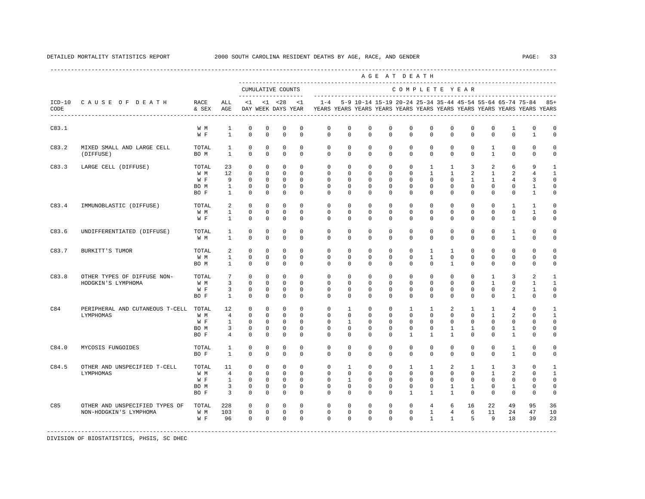|       |                                                          |                                          |                                                             |                                                                         |                                                                         |                                                                          |                                                                   |                                                                                                       |                                                                        |                                                                         |                                                                    | AGE AT DEATH                                                            |                                                                        |                                                                  |                                                                |                                                                       |                                                                 |                                                               |                                                                           |
|-------|----------------------------------------------------------|------------------------------------------|-------------------------------------------------------------|-------------------------------------------------------------------------|-------------------------------------------------------------------------|--------------------------------------------------------------------------|-------------------------------------------------------------------|-------------------------------------------------------------------------------------------------------|------------------------------------------------------------------------|-------------------------------------------------------------------------|--------------------------------------------------------------------|-------------------------------------------------------------------------|------------------------------------------------------------------------|------------------------------------------------------------------|----------------------------------------------------------------|-----------------------------------------------------------------------|-----------------------------------------------------------------|---------------------------------------------------------------|---------------------------------------------------------------------------|
|       |                                                          |                                          |                                                             |                                                                         |                                                                         | CUMULATIVE COUNTS                                                        |                                                                   |                                                                                                       |                                                                        |                                                                         |                                                                    | COMPLETE YEAR                                                           |                                                                        |                                                                  |                                                                |                                                                       |                                                                 |                                                               |                                                                           |
| CODE  | ICD-10 CAUSE OF DEATH                                    | RACE<br>& SEX                            | ALL<br>AGE                                                  | <1                                                                      |                                                                         | $< 1$ $< 28$                                                             | $\leq$ 1                                                          | $1 - 4$<br>DAY WEEK DAYS YEAR TEARS YEARS YEARS YEARS YEARS YEARS YEARS YEARS YEARS YEARS YEARS YEARS |                                                                        |                                                                         |                                                                    |                                                                         |                                                                        |                                                                  |                                                                |                                                                       |                                                                 | 5-9 10-14 15-19 20-24 25-34 35-44 45-54 55-64 65-74 75-84 85+ |                                                                           |
| C83.1 |                                                          | W M<br>$\mathbbmss{W}$ . $\mathbbmss{F}$ | $\mathbf{1}$<br>$\mathbf{1}$                                | $\mathbf 0$<br>$\Omega$                                                 | $\mathbf 0$<br>$\Omega$                                                 | $\mathbf 0$<br>$\mathbf{0}$                                              | $\mathbf 0$<br>$\Omega$                                           | $\mathbf{0}$<br>$\Omega$                                                                              | $\Omega$<br>$\Omega$                                                   | $\mathbf 0$<br>$\mathbf 0$                                              | $\Omega$<br>$\Omega$                                               | $\mathbf 0$<br>$\Omega$                                                 | $\Omega$<br>$\Omega$                                                   | $\Omega$<br>$\Omega$                                             | $\Omega$<br>$\Omega$                                           | $\Omega$<br>$\Omega$                                                  | $\mathbf{1}$<br>$\Omega$                                        | $\mathbf 0$<br>1                                              | $\mathbf 0$<br>$^{\circ}$                                                 |
| C83.2 | MIXED SMALL AND LARGE CELL<br>(DIFFUSE)                  | TOTAL<br>BO M                            | 1<br>$\overline{1}$                                         | $\mathbf 0$<br>$\Omega$                                                 | $\mathbf 0$<br>$\Omega$                                                 | $\mathbf 0$<br>$\Omega$                                                  | $\mathbf 0$<br>$\Omega$                                           | $\circ$<br>$\Omega$                                                                                   | $\mathbf 0$<br>$\Omega$                                                | $\mathbf 0$<br>$\Omega$                                                 | $\mathbf 0$<br>$\Omega$                                            | $\mathbf 0$<br>$\Omega$                                                 | $\mathbf{0}$<br>$\Omega$                                               | $\mathbf 0$<br>$\Omega$                                          | $\mathbf 0$<br>$\Omega$                                        | 1<br>$\mathbf{1}$                                                     | $\mathbf{0}$<br>$\Omega$                                        | $\mathbf{0}$<br>$\Omega$                                      | $\mathbf 0$<br>$\mathbf 0$                                                |
| C83.3 | LARGE CELL (DIFFUSE)                                     | TOTAL<br>W M<br>W F<br>BO M<br>BO F      | 23<br>12<br>9<br>$\mathbf{1}$<br>$\mathbf{1}$               | $\mathbf{0}$<br>$\mathbf 0$<br>$\mathbf 0$<br>$^{\circ}$<br>$\mathbf 0$ | $\mathbf{0}$<br>$\mathbf 0$<br>$\mathbf 0$<br>$^{\circ}$<br>$\mathbf 0$ | $\mathbf{0}$<br>$^{\circ}$<br>$^{\circ}$<br>$\mathbf{0}$<br>$\mathbf{0}$ | $\mathbf{0}$<br>$^{\circ}$<br>$\Omega$<br>$\Omega$<br>$\mathbf 0$ | $\mathbf 0$<br>$\circ$<br>$\mathbf 0$<br>$\Omega$<br>$\Omega$                                         | $\mathsf{O}\xspace$<br>$\mathbf{0}$<br>$\mathbf 0$<br>$\mathbf 0$<br>0 | $\mathbb O$<br>$\mathbf 0$<br>$\mathbf 0$<br>$\mathbf 0$<br>$\mathbf 0$ | $\mathbf 0$<br>0<br>0<br>$\mathbf 0$<br>0                          | $\mathbb O$<br>$\mathbf 0$<br>$\mathbf 0$<br>$\mathbf 0$<br>$\mathbf 0$ | $\mathbf{1}$<br>$\mathbf{1}$<br>$\mathbf 0$<br>$\Omega$<br>$\mathbf 0$ | $\mathbf{1}$<br>$\mathbf{1}$<br>$\Omega$<br>$\Omega$<br>$\Omega$ | 3<br>$\overline{a}$<br>$\mathbf{1}$<br>$\Omega$<br>$\mathbf 0$ | $\overline{a}$<br>1<br>$\mathbf{1}$<br>$\Omega$<br>$\Omega$           | 6<br>2<br>4<br>$\Omega$<br>$\mathbf 0$                          | 9<br>4<br>3<br>$\mathbf{1}$<br>$\overline{1}$                 | $\mathbf{1}$<br>$\mathbf{1}$<br>$\mathbf 0$<br>$\mathbf 0$<br>$\mathbf 0$ |
| C83.4 | IMMUNOBLASTIC (DIFFUSE)                                  | TOTAL<br>W M<br>W F                      | 2<br>$\mathbf{1}$<br>$\mathbf{1}$                           | $\mathbf 0$<br>$\mathbf 0$<br>$\Omega$                                  | 0<br>$\Omega$<br>$\Omega$                                               | 0<br>$\mathbf 0$<br>$\Omega$                                             | $\mathbf 0$<br>$\Omega$<br>$\Omega$                               | $\mathbf{0}$<br>$\Omega$<br>$\Omega$                                                                  | $\mathbf{0}$<br>$\Omega$<br>$\Omega$                                   | 0<br>$\mathbf 0$<br>$\Omega$                                            | 0<br>0<br>$\Omega$                                                 | $\mathbf{0}$<br>$\mathbf 0$<br>$\Omega$                                 | $^{\circ}$<br>$\Omega$<br>$\Omega$                                     | $\mathbf{0}$<br>$\Omega$<br>$\Omega$                             | $\mathbf{0}$<br>$\Omega$<br>$\Omega$                           | $\mathbf{0}$<br>$\Omega$<br>$\Omega$                                  | $\mathbf{1}$<br>$\mathbf 0$<br>$\overline{1}$                   | 1<br>$\mathbf{1}$<br>$\Omega$                                 | $\mathbf 0$<br>$\mathbf 0$<br>$\Omega$                                    |
| C83.6 | UNDIFFERENTIATED (DIFFUSE)                               | TOTAL<br>W M                             | 1<br>$\mathbf{1}$                                           | $\mathbf 0$<br>$\Omega$                                                 | $\mathbf 0$<br>$\Omega$                                                 | $\mathbf 0$<br>$\Omega$                                                  | $\mathbf 0$<br>$\Omega$                                           | $\mathbf{0}$<br>$\Omega$                                                                              | $\mathbf 0$<br>$\Omega$                                                | $\mathbf 0$<br>$\Omega$                                                 | $\mathbf 0$<br>0                                                   | $\mathbf 0$<br>$\Omega$                                                 | $\mathbf 0$<br>$\Omega$                                                | $\mathbf 0$<br>$\Omega$                                          | $\mathbf 0$<br>$\Omega$                                        | $\mathbf 0$<br>$\Omega$                                               | $\mathbf{1}$<br>$\mathbf{1}$                                    | $\mathbf 0$<br>$\Omega$                                       | $\mathbf 0$<br>$^{\circ}$                                                 |
| C83.7 | BURKITT'S TUMOR                                          | TOTAL<br>W M<br>BO M                     | 2<br>$\mathbf{1}$<br>$\overline{1}$                         | $\mathbf 0$<br>$\Omega$<br>$\Omega$                                     | $\mathbf 0$<br>$\Omega$<br>$\Omega$                                     | $\mathbf 0$<br>$\mathbf{0}$<br>$\Omega$                                  | $\Omega$<br>$\Omega$<br>$\Omega$                                  | $\mathbf{0}$<br>$\mathbf{0}$<br>$\Omega$                                                              | $\mathbf 0$<br>$\mathbf 0$<br>$\Omega$                                 | $\mathbf 0$<br>$\mathbf 0$<br>$\Omega$                                  | $\mathbf 0$<br>0<br>$\Omega$                                       | $\mathbf 0$<br>$\mathbf 0$<br>$\Omega$                                  | $\mathbf{1}$<br>$\mathbf{1}$<br>$\Omega$                               | $\mathbf{1}$<br>$\mathbf 0$<br>$\overline{1}$                    | $\mathbf 0$<br>$\mathbf{0}$<br>$\Omega$                        | $\Omega$<br>$\Omega$<br>$\Omega$                                      | $\mathbf 0$<br>$\mathbf{0}$<br>$\Omega$                         | $\mathbf 0$<br>$\mathbf{0}$<br>$\Omega$                       | $\circ$<br>$\circ$<br>$\Omega$                                            |
| C83.8 | OTHER TYPES OF DIFFUSE NON-<br>HODGKIN'S LYMPHOMA        | TOTAL<br>W M<br>W F<br>BO F              | $7\phantom{.0}$<br>3<br>3<br>$\mathbf{1}$                   | $\mathbf 0$<br>$\Omega$<br>$\Omega$<br>$\Omega$                         | $\mathbf{0}$<br>$\Omega$<br>$\Omega$<br>$\Omega$                        | $^{\circ}$<br>$\Omega$<br>$^{\circ}$<br>$\mathbf{0}$                     | $\mathbf 0$<br>$\Omega$<br>$\Omega$<br>$\Omega$                   | $\mathbf 0$<br>$\mathbf 0$<br>$\Omega$<br>$\Omega$                                                    | $\mathbf 0$<br>$\Omega$<br>$\Omega$<br>$\Omega$                        | $\mathbf 0$<br>$^{\circ}$<br>$\Omega$<br>$\Omega$                       | $\mathbf 0$<br>$\Omega$<br>$\Omega$<br>$\Omega$                    | $\mathbf 0$<br>$\Omega$<br>$\Omega$<br>$\Omega$                         | $\mathbf 0$<br>$\Omega$<br>$\Omega$<br>$\Omega$                        | $\mathbf 0$<br>$\Omega$<br>$\Omega$<br>$\Omega$                  | $\mathbf 0$<br>$\Omega$<br>$\Omega$<br>$\Omega$                | $\mathbf{1}$<br>$\overline{1}$<br>$\Omega$<br>$\Omega$                | 3<br>$\mathbf{0}$<br>$\overline{a}$<br>$\overline{1}$           | 2<br>$\overline{1}$<br>$\mathbf{1}$<br>$\Omega$               | $\mathbf{1}$<br>$\mathbf{1}$<br>$\mathbf 0$<br>$\mathbf 0$                |
| C84   | PERIPHERAL AND CUTANEOUS T-CELL<br>LYMPHOMAS             | TOTAL<br>W M<br>W F<br>BO M<br>BO F      | 12<br>$\overline{4}$<br>$\mathbf{1}$<br>3<br>$\overline{4}$ | $\circ$<br>$\Omega$<br>$\Omega$<br>$\mathbf 0$<br>$\mathbf 0$           | $^{\circ}$<br>$\Omega$<br>$\Omega$<br>$\mathbf 0$<br>$\mathbf 0$        | 0<br>$\mathbf 0$<br>$\circ$<br>$\mathbf 0$<br>$\mathbf 0$                | $\mathbf 0$<br>$\Omega$<br>$\Omega$<br>$\mathbf 0$<br>$\mathbf 0$ | $\circ$<br>$\Omega$<br>$\Omega$<br>$\mathbf{0}$<br>$\mathbf 0$                                        | $\mathbf{1}$<br>$\Omega$<br>$\mathbf{1}$<br>$\mathbf 0$<br>$\mathbf 0$ | $^{\circ}$<br>$\Omega$<br>$\Omega$<br>$^{\circ}$<br>$\mathbf 0$         | $^{\circ}$<br>$\Omega$<br>$\Omega$<br>$\mathbf 0$<br>0             | $\mathbf{1}$<br>$\Omega$<br>$\Omega$<br>$\mathbf 0$<br>$\mathbf{1}$     | 1<br>$\Omega$<br>$\Omega$<br>$\mathbf 0$<br>$\mathbf{1}$               | 2<br>$\Omega$<br>$\Omega$<br>1<br>1                              | 1<br>$\Omega$<br>$\Omega$<br>$\mathbf{1}$<br>$\mathbf 0$       | 1<br>$\mathbf{1}$<br>$\Omega$<br>0<br>$\mathbf 0$                     | $\overline{4}$<br>2<br>$\Omega$<br>$\mathbf{1}$<br>$\mathbf{1}$ | 0<br>$\mathbf{0}$<br>$\Omega$<br>$\mathbf 0$<br>$\mathbf 0$   | $\mathbf{1}$<br>$\mathbf{1}$<br>$\mathbf 0$<br>$\mathbf 0$<br>$\mathbf 0$ |
| C84.0 | MYCOSIS FUNGOIDES                                        | TOTAL<br>BO F                            | 1<br>$\mathbf{1}$                                           | 0<br>$\Omega$                                                           | 0<br>$\Omega$                                                           | 0<br>$\Omega$                                                            | $\mathbf 0$<br>$\Omega$                                           | 0<br>$\Omega$                                                                                         | $\mathbf 0$<br>$\Omega$                                                | $^{\circ}$<br>$\Omega$                                                  | $^{\circ}$<br>$\Omega$                                             | $\mathbf{0}$<br>$\Omega$                                                | $\mathbf{0}$<br>$\Omega$                                               | 0<br>$\Omega$                                                    | $^{\circ}$<br>$\Omega$                                         | $^{\circ}$<br>$\Omega$                                                | 1<br>$\overline{1}$                                             | 0<br>$\Omega$                                                 | $\mathbf 0$<br>$\mathbf 0$                                                |
| C84.5 | OTHER AND UNSPECIFIED T-CELL<br>LYMPHOMAS                | TOTAL<br>W M<br>W F<br>BO M<br>BO F      | 11<br>$\overline{4}$<br>$\mathbf{1}$<br>3<br>3              | $\mathbf 0$<br>$\Omega$<br>$\mathbf 0$<br>$\mathbf 0$<br>$\Omega$       | $\mathbf 0$<br>$\Omega$<br>$^{\circ}$<br>$^{\circ}$<br>$\mathbf 0$      | $\mathbf 0$<br>$^{\circ}$<br>$\mathbf 0$<br>$\mathbf{0}$<br>$\mathbf{0}$ | $\mathbf 0$<br>$\Omega$<br>$^{\circ}$<br>$\mathbf 0$<br>$\Omega$  | $\mathbf 0$<br>$\Omega$<br>$\mathbf 0$<br>$\mathbf{0}$<br>$\Omega$                                    | $\mathbf{1}$<br>$^{\circ}$<br>1<br>$\mathbf{0}$<br>$\mathbf{0}$        | $\mathbf 0$<br>$\mathbf 0$<br>0<br>$\mathbf 0$<br>$\Omega$              | $\mathbf 0$<br>$\Omega$<br>$^{\circ}$<br>$\mathbf 0$<br>$^{\circ}$ | $\mathbf{1}$<br>$\Omega$<br>$\mathbf{0}$<br>$\mathbf 0$<br>$\mathbf{1}$ | $\mathbf{1}$<br>$\Omega$<br>$\mathbf 0$<br>$\mathbf{0}$<br>1           | 2<br>$\Omega$<br>$\mathbf 0$<br>1<br>$\mathbf{1}$                | $\mathbf{1}$<br>$\Omega$<br>$\mathbf 0$<br>1<br>$\mathbf 0$    | $\mathbf{1}$<br>$\mathbf{1}$<br>$\mathbf 0$<br>$^{\circ}$<br>$\Omega$ | 3<br>2<br>$\mathbf{0}$<br>1<br>$\mathbf 0$                      | $\mathbf 0$<br>$\Omega$<br>$\mathbf 0$<br>0<br>$\mathbf 0$    | $\mathbf{1}$<br>$\mathbf{1}$<br>$\mathbf 0$<br>$\mathbf 0$<br>$\mathbf 0$ |
| C85   | OTHER AND UNSPECIFIED TYPES OF<br>NON-HODGKIN'S LYMPHOMA | TOTAL<br>W M<br>W F                      | 228<br>103<br>96                                            | 0<br>$\mathbf 0$<br>$\Omega$                                            | $\mathbf 0$<br>$\mathbf 0$<br>$\mathbf 0$                               | $\mathbf 0$<br>$\mathbf 0$<br>$\mathbf 0$                                | $^{\circ}$<br>$\mathbf 0$<br>$\Omega$                             | $\mathbf 0$<br>$\mathbf 0$<br>$\Omega$                                                                | 0<br>0<br>0                                                            | $\mathbf 0$<br>$\mathbf 0$<br>$\Omega$                                  | 0<br>0<br>0                                                        | $\mathbf 0$<br>0<br>$\Omega$                                            | 4<br>$\mathbf{1}$<br>$\mathbf{1}$                                      | 6<br>$\overline{4}$<br>1                                         | 16<br>6<br>5                                                   | 22<br>11<br>9                                                         | 49<br>24<br>18                                                  | 95<br>47<br>39                                                | 36<br>10<br>23                                                            |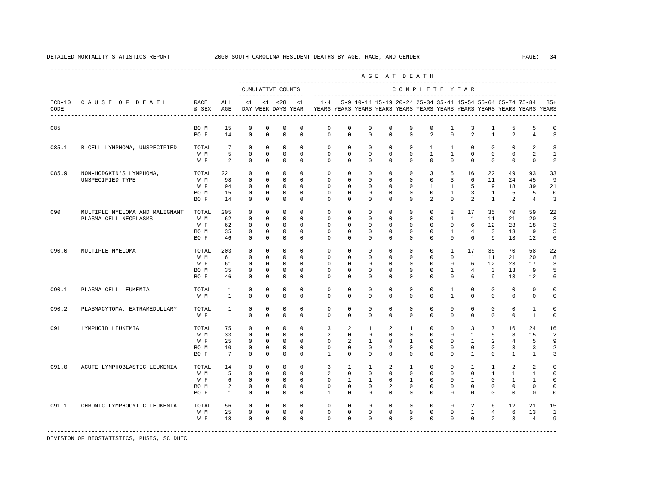|       |                                                         |                                     |                                                |                                                                      |                                                                          |                                                                          |                                                                 |                                                                         |                                                                |                                                                        |                                                   | AGE AT DEATH                                                       |                                                                       |                                                                  |                                                                  |                                                      |                                                                 |                                                                 |                                            |
|-------|---------------------------------------------------------|-------------------------------------|------------------------------------------------|----------------------------------------------------------------------|--------------------------------------------------------------------------|--------------------------------------------------------------------------|-----------------------------------------------------------------|-------------------------------------------------------------------------|----------------------------------------------------------------|------------------------------------------------------------------------|---------------------------------------------------|--------------------------------------------------------------------|-----------------------------------------------------------------------|------------------------------------------------------------------|------------------------------------------------------------------|------------------------------------------------------|-----------------------------------------------------------------|-----------------------------------------------------------------|--------------------------------------------|
|       |                                                         |                                     |                                                |                                                                      |                                                                          | CUMULATIVE COUNTS<br>-------------------                                 |                                                                 |                                                                         |                                                                |                                                                        |                                                   | COMPLETE YEAR                                                      |                                                                       |                                                                  |                                                                  |                                                      |                                                                 |                                                                 |                                            |
| CODE  | ICD-10 CAUSE OF DEATH                                   | RACE<br>& SEX                       | ALL<br>AGE                                     | $\leq 1$                                                             |                                                                          | $<1$ $<28$<br>DAY WEEK DAYS YEAR                                         | < 1                                                             | YEARS YEARS YEARS YEARS YEARS YEARS YEARS YEARS YEARS YEARS YEARS YEARS |                                                                |                                                                        |                                                   |                                                                    |                                                                       |                                                                  |                                                                  |                                                      |                                                                 | $1-4$ 5-9 10-14 15-19 20-24 25-34 35-44 45-54 55-64 65-74 75-84 | $85+$                                      |
| C85   |                                                         | BO M<br>BO F                        | 15<br>14                                       | $^{\circ}$<br>$\mathbf 0$                                            | 0<br>$\mathbf 0$                                                         | 0<br>$\mathbf 0$                                                         | 0<br>$^{\circ}$                                                 | 0<br>$\mathbf{0}$                                                       | $\circ$<br>$\mathbf 0$                                         | 0<br>$\mathbf 0$                                                       | $\circ$<br>$\mathbf 0$                            | 0<br>$\mathbf 0$                                                   | 0<br>2                                                                | 1<br>$\Omega$                                                    | 3<br>2                                                           | 1<br>$\mathbf{1}$                                    | 5<br>2                                                          | 5<br>$\overline{4}$                                             | 0<br>3                                     |
| C85.1 | B-CELL LYMPHOMA, UNSPECIFIED                            | TOTAL<br>W M<br>W F                 | $7\phantom{.0}$<br>5<br>2                      | $\circ$<br>$\mathbb O$<br>$\Omega$                                   | $\mathbf{0}$<br>$\mathbf{0}$<br>$\Omega$                                 | $\mathbf 0$<br>$\mathbf 0$<br>$\Omega$                                   | $\Omega$<br>$^{\circ}$<br>$\Omega$                              | $\Omega$<br>$\circ$<br>$\Omega$                                         | $\Omega$<br>$\Omega$<br>$\Omega$                               | $\mathbf 0$<br>$\mathbf 0$<br>$\Omega$                                 | $\Omega$<br>$\mathbf 0$<br>$\Omega$               | $\mathbf 0$<br>$\mathbf 0$<br>$\Omega$                             | $\mathbf{1}$<br>$\mathbf{1}$<br>$\Omega$                              | $\mathbf{1}$<br>$\mathbf{1}$<br>$\Omega$                         | $\Omega$<br>$\mathbf 0$<br>$\Omega$                              | $\mathbf 0$<br>$\mathbf 0$<br>$\Omega$               | $\mathbf 0$<br>$\mathbf 0$<br>$\Omega$                          | 2<br>2<br>$\Omega$                                              | 3<br>$\mathbf{1}$<br>2                     |
| C85.9 | NON-HODGKIN'S LYMPHOMA,<br>UNSPECIFIED TYPE             | TOTAL<br>W M<br>W F<br>BO M<br>BO F | 221<br>98<br>94<br>15<br>14                    | $\mathbf 0$<br>$\mathbf 0$<br>$\mathbf 0$<br>$\mathbf 0$<br>$\Omega$ | $\mathbf 0$<br>$\mathbf{0}$<br>$\mathbf{0}$<br>$^{\circ}$<br>$\mathbf 0$ | $\mathbf 0$<br>$\mathbf{0}$<br>$\mathbf 0$<br>$\mathbf 0$<br>$\mathbf 0$ | $^{\circ}$<br>$\Omega$<br>$\circ$<br>$^{\circ}$<br>$\Omega$     | $\mathbf 0$<br>$\Omega$<br>$\mathbf{0}$<br>0<br>$\Omega$                | $\mathbf 0$<br>$\Omega$<br>$\circ$<br>0<br>$\Omega$            | $\mathbf 0$<br>$^{\circ}$<br>$^{\circ}$<br>0<br>$\Omega$               | $\mathbf 0$<br>0<br>0<br>0<br>0                   | $\mathbf 0$<br>$\mathbf 0$<br>$\mathbf{0}$<br>0<br>$\Omega$        | 3<br>$\Omega$<br>$\mathbf{1}$<br>$\mathbf 0$<br>2                     | 5<br>3<br>$\mathbf{1}$<br>$\mathbf{1}$<br>$\Omega$               | 16<br>6<br>5<br>3<br>2                                           | 22<br>11<br>9<br>$\mathbf{1}$<br>$\mathbf{1}$        | 49<br>24<br>18<br>5<br>2                                        | 93<br>45<br>39<br>5<br>$\overline{4}$                           | 33<br>9<br>21<br>$\mathbf 0$<br>3          |
| C90   | MULTIPLE MYELOMA AND MALIGNANT<br>PLASMA CELL NEOPLASMS | TOTAL<br>W M<br>W F<br>BO M<br>BO F | 205<br>62<br>62<br>35<br>46                    | $\circ$<br>$\mathbf 0$<br>$\mathbf 0$<br>$\mathbf 0$<br>$\mathbf{0}$ | $\mathbf{0}$<br>$\mathbf 0$<br>$\mathbf 0$<br>$\circ$<br>$\circ$         | $\mathbf 0$<br>$\mathbf{0}$<br>$\mathbf 0$<br>0<br>$\circ$               | $\Omega$<br>$\Omega$<br>$\mathbf 0$<br>$\Omega$<br>0            | $\Omega$<br>$\Omega$<br>$\mathbf{0}$<br>$^{\circ}$<br>$\Omega$          | $\Omega$<br>$\Omega$<br>0<br>0<br>0                            | $\circ$<br>$\Omega$<br>0<br>$^{\circ}$<br>0                            | 0<br>$\Omega$<br>0<br>0<br>0                      | $\mathbf{0}$<br>$\Omega$<br>$\mathbf 0$<br>$\mathbf 0$<br>$\Omega$ | $\mathbf 0$<br>$\Omega$<br>$\mathbf 0$<br>0<br>$\mathbf{0}$           | 2<br>$\mathbf{1}$<br>$\mathbf 0$<br>$\mathbf{1}$<br>$\Omega$     | 17<br>$\mathbf{1}$<br>6<br>4<br>6                                | 35<br>11<br>$12 \overline{ }$<br>3<br>9              | 70<br>21<br>23<br>13<br>13                                      | 59<br>20<br>18<br>9<br>12                                       | 22<br>8<br>3<br>5<br>6                     |
| C90.0 | MULTIPLE MYELOMA                                        | TOTAL<br>W M<br>W F<br>BO M<br>BO F | 203<br>61<br>61<br>35<br>46                    | $\circ$<br>$\mathbf 0$<br>$\mathbf 0$<br>$\mathbf 0$<br>$\mathbf 0$  | $\mathbf{0}$<br>$\mathbf 0$<br>$\mathbf 0$<br>$\circ$<br>$\mathbf 0$     | $\circ$<br>$\mathbf 0$<br>$\mathbf 0$<br>$\circ$<br>$\mathbf 0$          | $\Omega$<br>$\Omega$<br>$\Omega$<br>$\Omega$<br>$\mathbf 0$     | $\Omega$<br>$\Omega$<br>$\Omega$<br>$\Omega$<br>$\Omega$                | $\Omega$<br>$\Omega$<br>$\Omega$<br>$\Omega$<br>$\Omega$       | $\Omega$<br>$\Omega$<br>$\Omega$<br>$\Omega$<br>$\Omega$               | $\Omega$<br>$\Omega$<br>$\Omega$<br>$\Omega$<br>0 | $\Omega$<br>$\Omega$<br>$\Omega$<br>$\Omega$<br>$\Omega$           | $\Omega$<br>$\Omega$<br>$\Omega$<br>$\Omega$<br>$\mathbf 0$           | $\mathbf{1}$<br>$\Omega$<br>$\Omega$<br>$\mathbf{1}$<br>$\Omega$ | 17<br>$\mathbf{1}$<br>6<br>$\overline{4}$<br>6                   | 35<br>11<br>$12 \overline{ }$<br>$\overline{3}$<br>9 | 70<br>21<br>23<br>13<br>13                                      | 58<br>20<br>17<br>9<br>12                                       | 22<br>8<br>3<br>5<br>6                     |
| C90.1 | PLASMA CELL LEUKEMIA                                    | TOTAL<br>W M                        | $\mathbf{1}$<br>$\mathbf{1}$                   | 0<br>$\mathbf 0$                                                     | 0<br>$\mathbf 0$                                                         | 0<br>$\mathbf 0$                                                         | $\mathbf 0$<br>$\mathbf 0$                                      | 0<br>$\Omega$                                                           | 0<br>$\Omega$                                                  | $^{\circ}$<br>$\Omega$                                                 | 0<br>$\Omega$                                     | $\mathbf 0$<br>$\Omega$                                            | $\mathbf{0}$<br>$\Omega$                                              | $\mathbf{1}$<br>$\mathbf{1}$                                     | $^{\circ}$<br>$\Omega$                                           | $^{\circ}$<br>$\Omega$                               | $\mathbf 0$<br>$\Omega$                                         | $\mathbf 0$<br>$\Omega$                                         | $\Omega$<br>0                              |
| C90.2 | PLASMACYTOMA, EXTRAMEDULLARY                            | TOTAL<br>W F                        | $\mathbf{1}$<br>$\mathbf{1}$                   | $\mathbf 0$<br>$\Omega$                                              | $\mathbf 0$<br>$\mathbf 0$                                               | $\mathbf 0$<br>$\mathbf 0$                                               | $^{\circ}$<br>$\Omega$                                          | $\mathbf 0$<br>$\Omega$                                                 | $\mathbf 0$<br>$\Omega$                                        | $\mathbf 0$<br>$\Omega$                                                | $\mathbf 0$<br>$\Omega$                           | $\mathbf{0}$<br>$\Omega$                                           | $\mathbf 0$<br>$\Omega$                                               | $\mathbf 0$<br>$\Omega$                                          | $\mathbf 0$<br>$\Omega$                                          | $\mathbf 0$<br>$\Omega$                              | $\mathbf{0}$<br>$\Omega$                                        | $\mathbf{1}$<br>$\mathbf{1}$                                    | $\Omega$<br>$\Omega$                       |
| C91   | LYMPHOID LEUKEMIA                                       | TOTAL<br>W M<br>W F<br>BO M<br>BO F | 75<br>33<br>25<br>10<br>7                      | $\mathbf 0$<br>$\mathbf 0$<br>0<br>0<br>$\Omega$                     | $\mathbf 0$<br>$\mathbf 0$<br>0<br>$^{\circ}$<br>$\circ$                 | $\mathbf 0$<br>$\mathbf{0}$<br>0<br>0<br>$\circ$                         | $^{\circ}$<br>$\Omega$<br>$^{\circ}$<br>$\mathbf 0$<br>$\Omega$ | 3<br>2<br>$\mathbf{0}$<br>$\mathbf 0$<br>$\mathbf{1}$                   | 2<br>$\Omega$<br>2<br>0<br>$\Omega$                            | $\mathbf{1}$<br>$\mathbf 0$<br>$\mathbf{1}$<br>$\mathbf 0$<br>$\Omega$ | 2<br>$\mathbf 0$<br>0<br>2<br>$\Omega$            | 1<br>$\mathbf 0$<br>$\mathbf{1}$<br>$\mathbf 0$<br>$\Omega$        | $\mathbf{0}$<br>$\mathbf 0$<br>$\mathbf 0$<br>$\mathbf 0$<br>$\Omega$ | $\mathbf 0$<br>$\Omega$<br>0<br>0<br>$\Omega$                    | 3<br>$\mathbf{1}$<br>$\mathbf{1}$<br>$\mathbf 0$<br>$\mathbf{1}$ | $7\phantom{.0}$<br>5<br>2<br>0<br>$\Omega$           | 16<br>8<br>4<br>3<br>1                                          | 24<br>15<br>5<br>3<br>1                                         | 16<br>2<br>9<br>2<br>3                     |
| C91.0 | ACUTE LYMPHOBLASTIC LEUKEMIA                            | TOTAL<br>W M<br>W F<br>BO M<br>BO F | 14<br>5<br>6<br>$\overline{a}$<br>$\mathbf{1}$ | $\mathbf 0$<br>$\Omega$<br>$\circ$<br>$\mathbf 0$<br>$^{\circ}$      | $\mathbf 0$<br>$\Omega$<br>$\mathbf 0$<br>0<br>$\mathbf{0}$              | $\mathbf 0$<br>$\Omega$<br>$\mathbf 0$<br>0<br>0                         | $\Omega$<br>$\Omega$<br>$\Omega$<br>$^{\circ}$<br>0             | 3<br>2<br>$\Omega$<br>$\mathbf{0}$<br>$\mathbf{1}$                      | $\mathbf{1}$<br>$\Omega$<br>$\mathbf{1}$<br>$\circ$<br>$\circ$ | $\mathbf{1}$<br>$\Omega$<br>$\mathbf{1}$<br>0<br>0                     | $\overline{a}$<br>$\Omega$<br>$\Omega$<br>2<br>0  | $\mathbf{1}$<br>$\Omega$<br>$\overline{1}$<br>0<br>$\mathbf{0}$    | $\Omega$<br>$\Omega$<br>$\Omega$<br>$\mathbf 0$<br>0                  | $\Omega$<br>$\Omega$<br>$\Omega$<br>0<br>0                       | $\mathbf{1}$<br>$\Omega$<br>$\mathbf{1}$<br>0<br>0               | $\mathbf{1}$<br>$\mathbf{1}$<br>$\Omega$<br>0<br>0   | 2<br>$\mathbf{1}$<br>$\mathbf{1}$<br>$\mathbf 0$<br>$\mathbf 0$ | 2<br>$\mathbf{1}$<br>$\mathbf{1}$<br>0<br>0                     | $\Omega$<br>$\Omega$<br>$\Omega$<br>0<br>0 |
| C91.1 | CHRONIC LYMPHOCYTIC LEUKEMIA                            | TOTAL<br>W M<br>W F                 | 56<br>25<br>18                                 | $^{\circ}$<br>$\mathbf 0$<br>$\mathbf 0$                             | $\mathbf{0}$<br>$\mathbf{0}$<br>$\mathbf 0$                              | $\mathbf 0$<br>$\circ$<br>$\mathbf 0$                                    | $\Omega$<br>$\circ$<br>$\Omega$                                 | $\circ$<br>$\mathbf 0$<br>$\Omega$                                      | $\mathbf{0}$<br>$\mathbf 0$<br>$\Omega$                        | $\mathbf 0$<br>$\mathbf 0$<br>$\Omega$                                 | 0<br>0<br>$\Omega$                                | $\mathbf 0$<br>$\mathbf{0}$<br>$\Omega$                            | $\mathbf{0}$<br>$\mathbf 0$<br>$\Omega$                               | $\Omega$<br>$\mathbf 0$<br>$\Omega$                              | 2<br>$\mathbf{1}$<br>$\Omega$                                    | 6<br>4<br>$\mathfrak{D}$                             | 12<br>6<br>3                                                    | 21<br>13<br>$\overline{4}$                                      | 15<br>$\mathbf{1}$<br>9                    |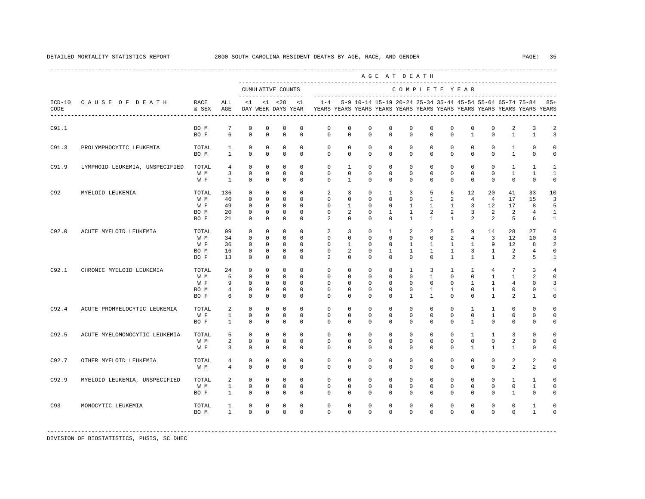|       |                                |                                     |                                   |                                                            |                                                 |                                                    |                                                 |                                                                                    |                                       |                                                           |                                                  | AGE AT DEATH                                                     |                                                           |                                                               |                                                       |                                                                                |                                              |                                              |                                  |
|-------|--------------------------------|-------------------------------------|-----------------------------------|------------------------------------------------------------|-------------------------------------------------|----------------------------------------------------|-------------------------------------------------|------------------------------------------------------------------------------------|---------------------------------------|-----------------------------------------------------------|--------------------------------------------------|------------------------------------------------------------------|-----------------------------------------------------------|---------------------------------------------------------------|-------------------------------------------------------|--------------------------------------------------------------------------------|----------------------------------------------|----------------------------------------------|----------------------------------|
|       |                                |                                     |                                   |                                                            |                                                 | CUMULATIVE COUNTS                                  |                                                 |                                                                                    |                                       |                                                           |                                                  | COMPLETE YEAR                                                    |                                                           |                                                               |                                                       |                                                                                |                                              |                                              |                                  |
| CODE  | ICD-10 CAUSE OF DEATH          | RACE<br>& SEX                       | ALL<br>AGE                        | $\leq$ 1                                                   |                                                 | -------------------<br>$< 1$ $< 28$                | $\leq$ 1<br>DAY WEEK DAYS YEAR                  | $1 - 4$<br>YEARS YEARS YEARS YEARS YEARS YEARS YEARS YEARS YEARS YEARS YEARS YEARS |                                       | 5-9 10-14 15-19 20-24 25-34 35-44 45-54 55-64 65-74 75-84 |                                                  |                                                                  |                                                           |                                                               |                                                       |                                                                                |                                              |                                              | $85+$                            |
| C91.1 |                                | BO M<br>BO F                        | 7<br>6                            | 0<br>$\mathbf 0$                                           | 0<br>$\mathbf 0$                                | $\mathbf 0$<br>$\mathbf 0$                         | 0<br>$\Omega$                                   | 0<br>$\mathbf 0$                                                                   | 0<br>$\Omega$                         | 0<br>$\mathbf 0$                                          | 0<br>$\Omega$                                    | $\mathbf{0}$<br>$\mathbf 0$                                      | 0<br>$\Omega$                                             | 0<br>$\mathbf 0$                                              | 0<br>$\mathbf{1}$                                     | 0<br>$\mathbf 0$                                                               | 2<br>$\mathbf{1}$                            | 3<br>$\mathbf{1}$                            | $\overline{a}$<br>$\overline{3}$ |
| C91.3 | PROLYMPHOCYTIC LEUKEMIA        | TOTAL<br>BO M                       | $\mathbf{1}$<br>$\mathbf{1}$      | $^{\circ}$<br>$\mathbf 0$                                  | 0<br>$\mathbf 0$                                | $\mathbf 0$<br>$\mathbf 0$                         | $\mathbf 0$<br>$\Omega$                         | $\mathbf 0$<br>$\Omega$                                                            | $\mathbf 0$<br>$\Omega$               | $\mathbf 0$<br>$\Omega$                                   | 0<br>$\mathbf 0$                                 | $\mathbf 0$<br>$\Omega$                                          | $\mathbf 0$<br>$\mathbf 0$                                | 0<br>$\mathbf 0$                                              | $\mathbf 0$<br>$\mathbf 0$                            | $\circ$<br>$\mathbf 0$                                                         | $\mathbf{1}$<br>$\mathbf{1}$                 | $\mathbf 0$<br>$\mathbf 0$                   | 0<br>$\mathbf 0$                 |
| C91.9 | LYMPHOID LEUKEMIA, UNSPECIFIED | TOTAL<br>W M                        | $\overline{4}$<br>3               | $\mathbf 0$<br>$\mathbf 0$                                 | $\mathbf 0$<br>$\mathbf 0$                      | $\mathbf 0$<br>$\mathbf 0$                         | $\Omega$<br>$\Omega$                            | $\Omega$<br>$\Omega$                                                               | $\mathbf{1}$<br>$\mathbf 0$           | $\mathbf 0$<br>$\Omega$                                   | $\mathbf 0$<br>$\Omega$                          | $\Omega$<br>$\Omega$                                             | $\mathbf 0$<br>$\mathbf 0$                                | $\mathbf 0$<br>$\mathbf 0$                                    | $\mathbf 0$<br>$\mathbf 0$                            | $\mathbf 0$<br>$\mathbf 0$                                                     | $\mathbf{1}$<br>$\mathbf{1}$                 | $\mathbf{1}$<br>$\mathbf{1}$                 | -1<br>$\mathbf{1}$               |
| C92   | MYELOID LEUKEMIA               | W F<br>TOTAL                        | $\mathbf{1}$<br>136               | $\Omega$<br>$^{\circ}$                                     | $\Omega$<br>$\mathbf 0$                         | $\Omega$<br>$\mathbf 0$                            | $\Omega$<br>$\Omega$                            | $\Omega$<br>2                                                                      | $\mathbf{1}$<br>3                     | $\Omega$<br>$\Omega$                                      | $\Omega$<br>$\mathbf{1}$                         | $\Omega$<br>3                                                    | $\Omega$<br>5                                             | $\Omega$<br>6                                                 | $\Omega$<br>12                                        | $\Omega$<br>20                                                                 | $\Omega$<br>41                               | $\Omega$<br>33                               | $\Omega$<br>10                   |
|       |                                | W M<br>W F<br>BO M<br>BO F          | 46<br>49<br>20<br>21              | $\Omega$<br>$\Omega$<br>$\mathbf 0$<br>0                   | $\Omega$<br>$\Omega$<br>$\Omega$<br>$\mathbf 0$ | $\Omega$<br>$\Omega$<br>$\Omega$<br>$\mathbf 0$    | $\Omega$<br>$\Omega$<br>$\Omega$<br>$\Omega$    | $\Omega$<br>$\Omega$<br>$\Omega$<br>$\mathfrak{D}$                                 | 0<br>$\mathbf{1}$<br>2<br>$\mathbf 0$ | $\Omega$<br>$\Omega$<br>$\Omega$<br>$\Omega$              | $\Omega$<br>$\Omega$<br>$\mathbf{1}$<br>$\Omega$ | $\Omega$<br>1<br>$\mathbf{1}$<br>$\mathbf{1}$                    | $\mathbf{1}$<br>$\overline{1}$<br>2<br>$\mathbf{1}$       | 2<br>$\mathbf{1}$<br>2<br>$\mathbf{1}$                        | $\overline{4}$<br>3<br>3<br>2                         | $\overline{4}$<br>12<br>2<br>2                                                 | 17<br>17<br>2<br>5                           | 15<br>8<br>$\overline{4}$<br>6               | 3<br>5<br>1<br>$\mathbf{1}$      |
| C92.0 | ACUTE MYELOID LEUKEMIA         | TOTAL<br>W M<br>W F<br>BO M         | 99<br>34<br>36<br>16              | $\Omega$<br>$\mathbf 0$<br>$\Omega$<br>$^{\circ}$          | $\Omega$<br>$\mathbf 0$<br>$\Omega$<br>0        | $\Omega$<br>$\mathbf 0$<br>$\Omega$<br>$\mathbf 0$ | $\Omega$<br>$\Omega$<br>$\Omega$<br>$\mathbf 0$ | 2<br>$\Omega$<br>$\Omega$<br>$\mathbf 0$                                           | 3<br>$\mathbf 0$<br>$\mathbf{1}$<br>2 | $\Omega$<br>$\Omega$<br>$\Omega$<br>0                     | $\mathbf{1}$<br>$\Omega$<br>$\Omega$<br>1        | 2<br>$\Omega$<br>$\mathbf{1}$<br>1                               | 2<br>$\Omega$<br>$\mathbf{1}$<br>$\mathbf{1}$             | 5<br>2<br>$\mathbf{1}$<br>$\mathbf{1}$                        | 9<br>$\overline{4}$<br>$\mathbf{1}$<br>3              | 14<br>$\overline{3}$<br>9<br>$\mathbf{1}$                                      | 28<br>12<br>12<br>2                          | 27<br>10<br>8<br>4                           | 6<br>$\overline{3}$<br>2<br>0    |
| C92.1 | CHRONIC MYELOID LEUKEMIA       | BO F<br>TOTAL<br>W M<br>W F<br>BO M | 13<br>24<br>5<br>9<br>4           | $^{\circ}$<br>$^{\circ}$<br>$^{\circ}$<br>$\mathbf 0$<br>0 | $^{\circ}$<br>0<br>0<br>0<br>0                  | 0<br>0<br>0<br>$\mathbf 0$<br>0                    | $\Omega$<br>0<br>$\Omega$<br>$\Omega$<br>0      | 2<br>0<br>$\Omega$<br>0<br>0                                                       | 0<br>0<br>0<br>0<br>0                 | $\Omega$<br>0<br>$\Omega$<br>0<br>0                       | 0<br>0<br>0<br>0<br>0                            | $\Omega$<br>$\mathbf{1}$<br>$\Omega$<br>$\Omega$<br>$\mathbf{0}$ | $\Omega$<br>3<br>$\mathbf{1}$<br>$\Omega$<br>$\mathbf{1}$ | $\mathbf{1}$<br>$\mathbf{1}$<br>$\Omega$<br>$\mathbf{0}$<br>1 | $\mathbf{1}$<br>$\mathbf{1}$<br>$\mathbf 0$<br>1<br>0 | $\mathbf{1}$<br>$\overline{4}$<br>$\mathbf{1}$<br>$\mathbf{1}$<br>$\mathbf{1}$ | 2<br>7<br>$\mathbf{1}$<br>4<br>0             | 5<br>3<br>2<br>$\mathbf{0}$<br>0             | 1<br>4<br>0<br>3<br>-1           |
| C92.4 | ACUTE PROMYELOCYTIC LEUKEMIA   | BO F<br>TOTAL                       | 6<br>2                            | 0<br>$\mathbf 0$                                           | 0<br>0                                          | 0<br>$\mathbf 0$                                   | $\Omega$<br>$\mathbf 0$                         | $\Omega$<br>$\mathbf 0$                                                            | 0<br>$\mathbf 0$                      | 0<br>0                                                    | 0<br>0                                           | 1<br>$\mathbf 0$                                                 | 1<br>$\mathbf 0$                                          | $\mathbf{0}$<br>$\mathbf 0$                                   | 0<br>$\mathbf{1}$                                     | 1<br>$\mathbf{1}$                                                              | 2<br>$\mathbf{0}$                            | 1<br>$\mathbf 0$                             | 0<br>$\Omega$                    |
|       |                                | W F<br>BO F                         | 1<br>$\mathbf{1}$                 | $\mathbf 0$<br>$\Omega$                                    | 0<br>$\Omega$                                   | $\mathbf 0$<br>$\Omega$                            | $\Omega$<br>$\Omega$                            | $\Omega$<br>$\Omega$                                                               | 0<br>$\Omega$                         | 0<br>$\Omega$                                             | 0<br>$\Omega$                                    | 0<br>$\Omega$                                                    | $\mathbf 0$<br>$\Omega$                                   | $\mathbf 0$<br>$\Omega$                                       | $\mathbf 0$<br>$\mathbf{1}$                           | 1<br>$\Omega$                                                                  | $\mathbf 0$<br>$\mathbf{0}$                  | $\mathbf 0$<br>$\Omega$                      | $\mathbf 0$<br>$\Omega$          |
| C92.5 | ACUTE MYELOMONOCYTIC LEUKEMIA  | TOTAL<br>W M<br>W F                 | 5<br>2<br>3                       | $\mathbf 0$<br>$\mathbf 0$<br>$\Omega$                     | $\mathbf 0$<br>0<br>$\Omega$                    | $\mathbf 0$<br>$\mathbf 0$<br>$\Omega$             | $\Omega$<br>0<br>$\Omega$                       | $\mathbf 0$<br>$\mathbf{0}$<br>$\Omega$                                            | $\mathbf 0$<br>0<br>$\Omega$          | $\mathbf 0$<br>0<br>$\Omega$                              | $\mathbf 0$<br>0<br>$\mathbf 0$                  | $\mathbf 0$<br>$\mathbf{0}$<br>$\Omega$                          | $\mathbf 0$<br>$\mathbf{0}$<br>$\mathbf 0$                | $\mathbf 0$<br>$\mathbf{0}$<br>$\Omega$                       | 1<br>$\mathbf{0}$<br>$\mathbf{1}$                     | $\mathbf{1}$<br>$\mathbf{0}$<br>$\mathbf{1}$                                   | 3<br>2<br>$\mathbf{1}$                       | $\mathbf 0$<br>$\mathbf{0}$<br>0             | 0<br>0<br>$\Omega$               |
| C92.7 | OTHER MYELOID LEUKEMIA         | TOTAL<br>W M                        | 4<br>4                            | 0<br>$\Omega$                                              | $\mathbf 0$<br>$\Omega$                         | $\mathbf 0$<br>$\Omega$                            | $\Omega$<br>$\Omega$                            | $\Omega$<br>$\Omega$                                                               | $\mathbf 0$<br>$\Omega$               | $\Omega$<br>$\Omega$                                      | 0<br>$\Omega$                                    | $\Omega$<br>$\Omega$                                             | $\Omega$<br>$\Omega$                                      | $\mathbf 0$<br>$\Omega$                                       | $\mathbf 0$<br>$\Omega$                               | $\mathbf 0$<br>$\Omega$                                                        | 2<br>2                                       | 2<br>2                                       | U<br>$\Omega$                    |
| C92.9 | MYELOID LEUKEMIA, UNSPECIFIED  | TOTAL<br>W M<br>BO F                | 2<br>$\mathbf{1}$<br>$\mathbf{1}$ | $\mathbf 0$<br>$\mathbf 0$<br>$\Omega$                     | $\mathbf 0$<br>$\Omega$<br>$\Omega$             | $\mathbf 0$<br>$\mathbf 0$<br>$\Omega$             | $\Omega$<br>$\Omega$<br>$\Omega$                | $\mathbf 0$<br>0<br>$\Omega$                                                       | $\mathbf 0$<br>$\Omega$<br>$\Omega$   | $\Omega$<br>0<br>$\Omega$                                 | $\Omega$<br>0<br>$\Omega$                        | $\Omega$<br>$\mathbf{0}$<br>$\Omega$                             | $\Omega$<br>$\mathbf{0}$<br>$\Omega$                      | $\mathbf 0$<br>$\mathbf{0}$<br>$\Omega$                       | $\mathbf 0$<br>0<br>$\Omega$                          | $\mathbf 0$<br>0<br>$\Omega$                                                   | $\mathbf{1}$<br>$\mathbf{0}$<br>$\mathbf{1}$ | $\mathbf{1}$<br>$\mathbf{1}$<br>$\mathbf{0}$ | $\Omega$<br>$\Omega$<br>$\Omega$ |
| C93   | MONOCYTIC LEUKEMIA             | TOTAL<br>BO M                       | 1<br>$\mathbf{1}$                 | 0<br>$\Omega$                                              | 0<br>$\Omega$                                   | $\mathbf 0$<br>$\Omega$                            | $\Omega$<br>$\Omega$                            | $\Omega$<br>$\Omega$                                                               | $\mathbf 0$<br>$\Omega$               | $\Omega$<br>$\Omega$                                      | $\Omega$<br>$\Omega$                             | 0<br>$\Omega$                                                    | $\Omega$<br>$\Omega$                                      | $\mathbf 0$<br>$\Omega$                                       | $\mathbf 0$<br>$\Omega$                               | $\mathbf 0$<br>$\Omega$                                                        | $\mathbf 0$<br>$\Omega$                      | $\mathbf{1}$<br>$\mathbf{1}$                 | 0                                |
|       |                                |                                     |                                   |                                                            |                                                 |                                                    |                                                 |                                                                                    |                                       |                                                           |                                                  |                                                                  |                                                           |                                                               |                                                       |                                                                                |                                              |                                              |                                  |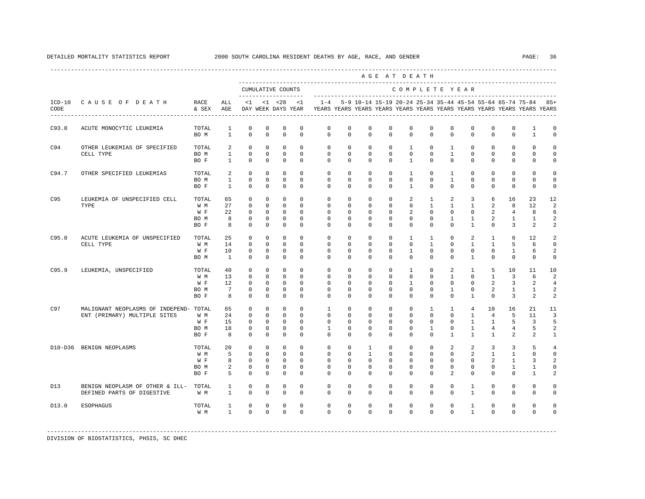|       |                                                                        |                                     |                                                |                                                                     |                                                                    |                                                                 |                                                                  |                                                                                                       |                                                              |                                                                    |                                                           | AGE AT DEATH                                                       |                                                                   |                                                                            |                                                                     |                                                                         |                                            |                                                               |                                                      |
|-------|------------------------------------------------------------------------|-------------------------------------|------------------------------------------------|---------------------------------------------------------------------|--------------------------------------------------------------------|-----------------------------------------------------------------|------------------------------------------------------------------|-------------------------------------------------------------------------------------------------------|--------------------------------------------------------------|--------------------------------------------------------------------|-----------------------------------------------------------|--------------------------------------------------------------------|-------------------------------------------------------------------|----------------------------------------------------------------------------|---------------------------------------------------------------------|-------------------------------------------------------------------------|--------------------------------------------|---------------------------------------------------------------|------------------------------------------------------|
|       |                                                                        |                                     |                                                |                                                                     |                                                                    | CUMULATIVE COUNTS<br>____________________                       |                                                                  |                                                                                                       |                                                              |                                                                    |                                                           | COMPLETE YEAR                                                      |                                                                   |                                                                            |                                                                     |                                                                         |                                            |                                                               |                                                      |
| CODE  | ICD-10 CAUSE OF DEATH                                                  | RACE<br>& SEX                       | ALL<br>AGE                                     | <1                                                                  |                                                                    | $< 1$ $< 28$                                                    | <1                                                               | $1 - 4$<br>DAY WEEK DAYS YEAR YEARS YEARS YEARS YEARS YEARS YEARS YEARS YEARS YEARS YEARS YEARS YEARS |                                                              |                                                                    |                                                           |                                                                    |                                                                   |                                                                            |                                                                     |                                                                         |                                            | 5-9 10-14 15-19 20-24 25-34 35-44 45-54 55-64 65-74 75-84 85+ |                                                      |
| C93.0 | ACUTE MONOCYTIC LEUKEMIA                                               | TOTAL<br>BO M                       | $\mathbf{1}$<br>$\overline{1}$                 | $^{\circ}$<br>$\Omega$                                              | $^{\circ}$<br>$\Omega$                                             | $^{\circ}$<br>$\Omega$                                          | $\mathbf 0$<br>$\Omega$                                          | $\mathbf 0$<br>$\Omega$                                                                               | $\mathbf 0$<br>$\Omega$                                      | $^{\circ}$<br>$\Omega$                                             | $^{\circ}$<br>$\Omega$                                    | $\mathbf 0$<br>$\Omega$                                            | $\mathbf 0$<br>$\Omega$                                           | 0<br>$\Omega$                                                              | $\mathbf 0$<br>$\Omega$                                             | $^{\circ}$<br>$\Omega$                                                  | $\mathbf{0}$<br>$\Omega$                   | 1<br>$\mathbf{1}$                                             | $\mathbf 0$<br>$\Omega$                              |
| C94   | OTHER LEUKEMIAS OF SPECIFIED<br>CELL TYPE                              | TOTAL<br>BO M<br>BO F               | $\overline{a}$<br>$\mathbf{1}$<br>$\mathbf{1}$ | $\Omega$<br>$\Omega$<br>$^{\circ}$                                  | $\Omega$<br>$\Omega$<br>$^{\circ}$                                 | $\mathbf 0$<br>$\mathbf{0}$<br>$\circ$                          | $\Omega$<br>$\Omega$<br>$\mathbf 0$                              | $\Omega$<br>$\Omega$<br>$\mathbf{0}$                                                                  | $\mathbf 0$<br>$\Omega$<br>$\circ$                           | $\Omega$<br>$\Omega$<br>$\circ$                                    | $\Omega$<br>$\Omega$<br>$\circ$                           | $\mathbf{1}$<br>$\Omega$<br>$\mathbf{1}$                           | $\mathbf 0$<br>$\Omega$<br>$\circ$                                | 1<br>$\overline{1}$<br>$\circ$                                             | $\Omega$<br>$\Omega$<br>$\mathbf{0}$                                | $\Omega$<br>$\Omega$<br>$\circ$                                         | $\Omega$<br>$\Omega$<br>$\mathbf{0}$       | $\Omega$<br>$\Omega$<br>$\mathbf{0}$                          | $\mathbf 0$<br>$\Omega$<br>0                         |
| C94.7 | OTHER SPECIFIED LEUKEMIAS                                              | TOTAL<br>BO M<br>BO F               | 2<br>$\mathbf{1}$<br>$\mathbf{1}$              | $^{\circ}$<br>$\mathbf 0$<br>$\Omega$                               | $^{\circ}$<br>$\Omega$<br>$\Omega$                                 | $^{\circ}$<br>$\mathbf 0$<br>$\Omega$                           | $^{\circ}$<br>$\Omega$<br>$\Omega$                               | $\mathbf 0$<br>$\mathbf 0$<br>$\Omega$                                                                | $\mathbf 0$<br>$\mathbf 0$<br>$\Omega$                       | $^{\circ}$<br>$\mathbf 0$<br>$\Omega$                              | $\mathbf 0$<br>$\mathbf 0$<br>$\Omega$                    | $\mathbf{1}$<br>$\mathbf 0$<br>$\mathbf{1}$                        | $\mathbf{0}$<br>$\Omega$<br>$\Omega$                              | $\mathbf{1}$<br>$\mathbf{1}$<br>$\Omega$                                   | $\mathbf 0$<br>$\Omega$<br>$\Omega$                                 | $\mathbf 0$<br>$^{\circ}$<br>$\Omega$                                   | $\mathbf 0$<br>$\mathbf{0}$<br>$\mathbf 0$ | $\mathbf{0}$<br>$\Omega$<br>$\mathbf{0}$                      | $\mathbf 0$<br>$\mathbf 0$<br>$\mathbf 0$            |
| C95   | LEUKEMIA OF UNSPECIFIED CELL<br>TYPE                                   | TOTAL<br>W M<br>W F<br>BO M<br>BO F | 65<br>27<br>22<br>8<br>8                       | $\mathbf 0$<br>$^{\circ}$<br>$^{\circ}$<br>$^{\circ}$<br>$^{\circ}$ | $\Omega$<br>$\mathbf 0$<br>$^{\circ}$<br>$^{\circ}$<br>$\mathbf 0$ | $\Omega$<br>$^{\circ}$<br>$\circ$<br>$\circ$<br>$^{\circ}$      | $\Omega$<br>$\mathbf 0$<br>$\Omega$<br>$^{\circ}$<br>$\mathbf 0$ | $\Omega$<br>$\mathbf 0$<br>$\mathbf 0$<br>$\mathbf 0$<br>$\mathbf{0}$                                 | $\Omega$<br>$\mathbf 0$<br>$\circ$<br>$\mathbf 0$<br>$\circ$ | $\Omega$<br>$\mathbf 0$<br>$^{\circ}$<br>$^{\circ}$<br>$\mathbf 0$ | $\Omega$<br>$\mathbf 0$<br>0<br>$\mathbf 0$<br>0          | 2<br>$\mathbf 0$<br>2<br>$\mathbf 0$<br>$\mathbf 0$                | $\mathbf{1}$<br>$\mathbf{1}$<br>$\mathbf{0}$<br>$\mathbf{0}$<br>0 | 2<br>$\mathbf{1}$<br>$^{\circ}$<br>$\mathbf{1}$<br>$\mathbf 0$             | 3<br>$\mathbf{1}$<br>0<br>$\mathbf{1}$<br>$\mathbf{1}$              | 6<br>2<br>2<br>2<br>0                                                   | 16<br>8<br>4<br>1<br>3                     | 23<br>$12 \overline{ }$<br>8<br>$\mathbf{1}$<br>2             | 12<br>2<br>6<br>2<br>2                               |
| C95.0 | ACUTE LEUKEMIA OF UNSPECIFIED<br>CELL TYPE                             | TOTAL<br>W M<br>W F<br>BO M         | 25<br>14<br>10<br>$\mathbf{1}$                 | $\Omega$<br>$\mathbf 0$<br>$\mathbf 0$<br>0                         | $\Omega$<br>$\mathbf{0}$<br>$\mathbf 0$<br>0                       | $\Omega$<br>$\Omega$<br>$\mathbf 0$<br>$^{\circ}$               | $\Omega$<br>$\Omega$<br>$\mathbf 0$<br>0                         | $\Omega$<br>$\mathbf 0$<br>$\mathbf 0$<br>$\Omega$                                                    | $\Omega$<br>$\mathbf 0$<br>0<br>0                            | $\Omega$<br>$\mathbf 0$<br>$\mathbf 0$<br>$\Omega$                 | $\Omega$<br>$\mathbf 0$<br>$\mathbf 0$<br>0               | $\mathbf{1}$<br>$\mathbf 0$<br>$\mathbf{1}$<br>$\Omega$            | $\overline{1}$<br>$\mathbf{1}$<br>$\mathbf{0}$<br>0               | $\Omega$<br>$\Omega$<br>$\mathbf 0$<br>$\mathbf{0}$                        | 2<br>$\mathbf{1}$<br>$\mathbf 0$<br>$\mathbf{1}$                    | $\overline{1}$<br>$\mathbf{1}$<br>$\mathbf 0$<br>0                      | 6<br>5<br>$\mathbf{1}$<br>$\mathbf 0$      | 12<br>6<br>6<br>0                                             | $\overline{a}$<br>$\mathbf 0$<br>$\overline{a}$<br>0 |
| C95.9 | LEUKEMIA, UNSPECIFIED                                                  | TOTAL<br>W M<br>W F<br>BO M<br>BO F | 40<br>13<br>12<br>$7\overline{ }$<br>8         | $^{\circ}$<br>$\mathbf 0$<br>$\Omega$<br>$\Omega$<br>$\mathbf 0$    | $\mathbf 0$<br>$\Omega$<br>$\Omega$<br>$\Omega$<br>$\mathbf{0}$    | $\mathbf 0$<br>$^{\circ}$<br>$\Omega$<br>$\circ$<br>$\mathbb O$ | $^{\circ}$<br>$\Omega$<br>$\Omega$<br>$\Omega$<br>$\mathbf 0$    | $\circ$<br>$\Omega$<br>$\Omega$<br>$\Omega$<br>$\mathbf 0$                                            | $\circ$<br>$\Omega$<br>$\Omega$<br>$\Omega$<br>$\mathbf 0$   | $^{\circ}$<br>$\Omega$<br>$\Omega$<br>$\Omega$<br>$\mathbf 0$      | 0<br>$\Omega$<br>$\Omega$<br>$\Omega$<br>$\mathbf 0$      | 1<br>$\Omega$<br>$\mathbf{1}$<br>$\Omega$<br>$\mathbf 0$           | $\mathbf{0}$<br>$\Omega$<br>$\Omega$<br>$\Omega$<br>0             | 2<br>$\mathbf{1}$<br>$\Omega$<br>$\overline{1}$<br>$\mathbf 0$             | $\mathbf{1}$<br>$\Omega$<br>$\Omega$<br>$\Omega$<br>$\mathbf{1}$    | -5<br>1<br>$\overline{2}$<br>$\overline{2}$<br>$\mathbf 0$              | 10<br>3<br>3<br>$\overline{1}$<br>3        | 11<br>6<br>$\overline{a}$<br>$\mathbf{1}$<br>$\overline{a}$   | 10<br>2<br>4<br>2<br>$\overline{a}$                  |
| C97   | MALIGNANT NEOPLASMS OF INDEPEND- TOTAL<br>ENT (PRIMARY) MULTIPLE SITES | W M<br>W F<br>BO M<br>BO F          | 65<br>24<br>15<br>18<br>8                      | $^{\circ}$<br>$^{\circ}$<br>$\mathbf 0$<br>$^{\circ}$<br>$\Omega$   | $^{\circ}$<br>$^{\circ}$<br>$\mathbf 0$<br>0<br>$\Omega$           | $^{\circ}$<br>$\circ$<br>$^{\circ}$<br>$\mathbf 0$<br>$\Omega$  | $\Omega$<br>$\mathbf 0$<br>$\Omega$<br>$\mathbf 0$<br>$\Omega$   | $\mathbf{1}$<br>$\mathbf 0$<br>$\mathbf 0$<br>$\mathbf{1}$<br>$\Omega$                                | $\circ$<br>$\mathbf 0$<br>$\mathbf 0$<br>$\circ$<br>$\Omega$ | $^{\circ}$<br>$^{\circ}$<br>$\mathbf 0$<br>$^{\circ}$<br>$\Omega$  | $^{\circ}$<br>$\mathbf 0$<br>$\mathbf 0$<br>0<br>$\Omega$ | $\circ$<br>$\mathbf{0}$<br>$\mathbf{0}$<br>$\mathbf 0$<br>$\Omega$ | $\mathbf{1}$<br>$\mathbf 0$<br>0<br>$\mathbf{1}$<br>$\Omega$      | $\mathbf{1}$<br>$\mathbf 0$<br>$\mathbf 0$<br>$\mathbf{0}$<br>$\mathbf{1}$ | 4<br>$\mathbf{1}$<br>$\mathbf{1}$<br>$\mathbf{1}$<br>$\overline{1}$ | 10<br>$\overline{4}$<br>$\mathbf{1}$<br>$4\overline{ }$<br>$\mathbf{1}$ | 16<br>5<br>5<br>4<br>2                     | 21<br>11<br>$\overline{3}$<br>5<br>$\mathfrak{D}$             | 11<br>3<br>5<br>$\overline{a}$<br>$\mathbf{1}$       |
|       | D10-D36 BENIGN NEOPLASMS                                               | TOTAL<br>W M<br>W F<br>BO M<br>BO F | 20<br>5<br>8<br>2<br>5                         | $\mathbf 0$<br>$\mathbf 0$<br>$\Omega$<br>$\mathbf 0$<br>$^{\circ}$ | $\mathbf 0$<br>0<br>$\Omega$<br>0<br>$^{\circ}$                    | $\mathbf 0$<br>$\mathbf 0$<br>$\circ$<br>$\mathbf 0$<br>$\circ$ | $\mathbf 0$<br>$\mathbf 0$<br>$\Omega$<br>$^{\circ}$<br>$\Omega$ | $\mathbf 0$<br>$\mathbf{0}$<br>$\Omega$<br>$\mathbf{0}$<br>$\Omega$                                   | 0<br>$\mathbf 0$<br>$\Omega$<br>0<br>$\mathbf 0$             | $\mathbf{1}$<br>$\mathbf{1}$<br>$\Omega$<br>$^{\circ}$<br>$\Omega$ | 0<br>0<br>$\Omega$<br>0<br>$\mathbf 0$                    | 0<br>$\mathbf{0}$<br>$\Omega$<br>0<br>$\Omega$                     | $\mathbf 0$<br>0<br>$\Omega$<br>$\circ$<br>0                      | 2<br>$\mathbf 0$<br>$\Omega$<br>$\mathbf{0}$<br>2                          | 2<br>2<br>$\Omega$<br>$\mathbf 0$<br>$\mathbf 0$                    | 3<br>$\mathbf{1}$<br>2<br>0<br>$\Omega$                                 | 3<br>1<br>$\mathbf{1}$<br>1<br>$\mathbf 0$ | 5<br>0<br>3<br>1<br>$\mathbf{1}$                              | 4<br>$\mathbf 0$<br>2<br>$\mathbf 0$<br>2            |
| D13   | BENIGN NEOPLASM OF OTHER & ILL-<br>DEFINED PARTS OF DIGESTIVE          | TOTAL<br>W M                        | $\mathbf{1}$<br>$\mathbf{1}$                   | $\mathbf 0$<br>$\Omega$                                             | $\mathbf 0$<br>0                                                   | $\mathbf 0$<br>$^{\circ}$                                       | $\mathbf 0$<br>$\Omega$                                          | $\mathbf 0$<br>$\Omega$                                                                               | $\mathbf 0$<br>$\Omega$                                      | $\mathbf 0$<br>$\Omega$                                            | $\mathbf 0$<br>$\Omega$                                   | $\mathbf{0}$<br>$\Omega$                                           | 0<br>$\Omega$                                                     | $\mathbf 0$<br>$\Omega$                                                    | $\mathbf{1}$<br>$\mathbf{1}$                                        | $\mathbf 0$<br>$\Omega$                                                 | $\mathbf 0$<br>$\Omega$                    | $\mathbf 0$<br>0                                              | 0<br>0                                               |
| D13.0 | <b>ESOPHAGUS</b>                                                       | TOTAL<br>W M                        | 1<br>$\overline{1}$                            | $^{\circ}$<br>$\Omega$                                              | $^{\circ}$<br>$\Omega$                                             | $^{\circ}$<br>$\Omega$                                          | 0<br>$\Omega$                                                    | 0<br>$\Omega$                                                                                         | 0<br>$\Omega$                                                | $^{\circ}$<br>$\Omega$                                             | 0<br>$\Omega$                                             | 0<br>$\Omega$                                                      | 0<br>$\Omega$                                                     | 0<br>$\Omega$                                                              | $\mathbf{1}$<br>$\mathbf{1}$                                        | $^{\circ}$<br>$\Omega$                                                  | 0<br>$\Omega$                              | 0<br>$\Omega$                                                 | $\Omega$<br>$\Omega$                                 |
|       |                                                                        |                                     |                                                |                                                                     |                                                                    |                                                                 |                                                                  |                                                                                                       |                                                              |                                                                    |                                                           |                                                                    |                                                                   |                                                                            |                                                                     |                                                                         |                                            |                                                               |                                                      |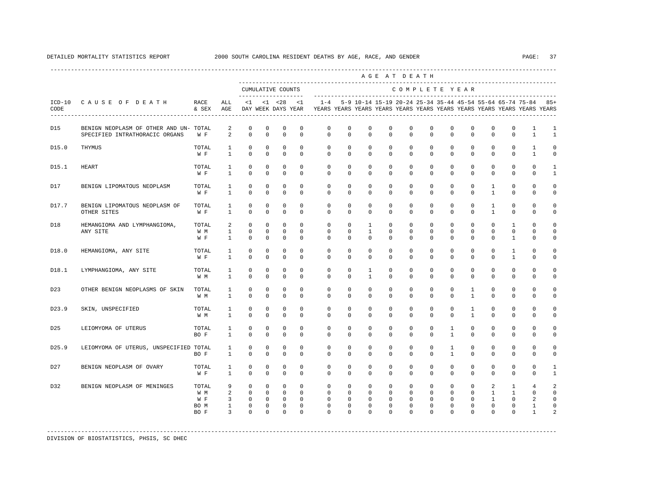|                 |                                                                          |                                     |                                                                           |                                                          |                                                                   |                                                                       |                                                                    |                                                                                                                                                                 |                                                           |                                                                    | AGE AT DEATH                                                  |                                                                 |                                                                 |                                                           |                                                                           |                                                              |                                                                       |                                                                   |                                            |
|-----------------|--------------------------------------------------------------------------|-------------------------------------|---------------------------------------------------------------------------|----------------------------------------------------------|-------------------------------------------------------------------|-----------------------------------------------------------------------|--------------------------------------------------------------------|-----------------------------------------------------------------------------------------------------------------------------------------------------------------|-----------------------------------------------------------|--------------------------------------------------------------------|---------------------------------------------------------------|-----------------------------------------------------------------|-----------------------------------------------------------------|-----------------------------------------------------------|---------------------------------------------------------------------------|--------------------------------------------------------------|-----------------------------------------------------------------------|-------------------------------------------------------------------|--------------------------------------------|
|                 |                                                                          |                                     |                                                                           |                                                          |                                                                   | CUMULATIVE COUNTS                                                     |                                                                    |                                                                                                                                                                 |                                                           |                                                                    |                                                               | COMPLETE YEAR                                                   |                                                                 |                                                           |                                                                           |                                                              |                                                                       |                                                                   |                                            |
| CODE            | ICD-10 CAUSE OF DEATH                                                    | RACE<br>& SEX                       | ALL<br>AGE                                                                |                                                          |                                                                   | $<1$ $<1$ $<28$                                                       | <1                                                                 | 1-4 5-9 10-14 15-19 20-24 25-34 35-44 45-54 55-64 65-74 75-84 85+<br>DAY WEEK DAYS YEAR YEARS YEARS YEARS YEARS YEARS YEARS YEARS YEARS YEARS YEARS YEARS YEARS |                                                           |                                                                    |                                                               |                                                                 |                                                                 |                                                           |                                                                           |                                                              |                                                                       |                                                                   |                                            |
| D15             | BENIGN NEOPLASM OF OTHER AND UN- TOTAL<br>SPECIFIED INTRATHORACIC ORGANS | W F                                 | 2<br>2                                                                    | $\mathbf 0$<br>$\circ$                                   | $\mathbf 0$<br>$\mathbf 0$                                        | $\mathbf 0$<br>$\mathbf 0$                                            | $\mathbf 0$<br>$\mathbf 0$                                         | $\mathbf 0$<br>$\circ$                                                                                                                                          | $\mathbf 0$<br>$\Omega$                                   | $^{\circ}$<br>$\Omega$                                             | $\mathbf 0$<br>$\Omega$                                       | $\mathbf 0$<br>$\Omega$                                         | $\mathbf 0$<br>$\mathbf{0}$                                     | $\mathbf 0$<br>$\mathbf{0}$                               | $\mathbf 0$<br>$\Omega$                                                   | $\mathbf 0$<br>$\Omega$                                      | $\mathbf 0$<br>$\Omega$                                               | 1<br>$\mathbf{1}$                                                 | 1<br>$\mathbf{1}$                          |
| D15.0           | THYMUS                                                                   | TOTAL<br>W F                        | $\mathbf{1}$<br>$\mathbf{1}$                                              | $\circ$<br>$\Omega$                                      | $\mathbf{0}$<br>$\Omega$                                          | $\circ$<br>$\circ$                                                    | $\Omega$<br>$\Omega$                                               | $\mathbf{0}$<br>$\Omega$                                                                                                                                        | $\circ$<br>$\Omega$                                       | $\mathbf{0}$<br>$\Omega$                                           | $\Omega$<br>$\Omega$                                          | $\circ$<br>$\Omega$                                             | $\circ$<br>$\Omega$                                             | $\circ$<br>$\Omega$                                       | $\mathbf{0}$<br>$\Omega$                                                  | $\mathbf 0$<br>$\Omega$                                      | $\mathbf{0}$<br>$\Omega$                                              | 1<br>$\mathbf{1}$                                                 | $\Omega$<br>$\Omega$                       |
| D15.1           | <b>HEART</b>                                                             | TOTAL<br>W F                        | $\mathbf{1}$<br>$\mathbf{1}$                                              | $\Omega$<br>$\mathbf 0$                                  | $\Omega$<br>$\mathbf 0$                                           | $\Omega$<br>$\mathbf 0$                                               | $\Omega$<br>$\mathbf 0$                                            | $\Omega$<br>$\mathbf 0$                                                                                                                                         | $\Omega$<br>$\mathbf 0$                                   | $\Omega$<br>$\circ$                                                | $\Omega$<br>$\mathbf 0$                                       | $\Omega$<br>$\mathbf{0}$                                        | $\Omega$<br>$\mathbf{0}$                                        | $\Omega$<br>$\mathbf{0}$                                  | $\Omega$<br>$\mathbf 0$                                                   | $\Omega$<br>$\mathbf 0$                                      | $\Omega$<br>$\mathbf{0}$                                              | $\Omega$<br>$\mathbf 0$                                           | $\mathbf{1}$<br>$\mathbf{1}$               |
| D17             | BENIGN LIPOMATOUS NEOPLASM                                               | TOTAL<br>W F                        | 1<br>$\mathbf{1}$                                                         | $\circ$<br>$\Omega$                                      | $\mathbf{0}$<br>$\mathbf 0$                                       | $\circ$<br>$\mathbf 0$                                                | $\Omega$<br>$\Omega$                                               | $\circ$<br>$\Omega$                                                                                                                                             | $\Omega$<br>$\Omega$                                      | $^{\circ}$<br>$\Omega$                                             | $\Omega$<br>$\Omega$                                          | $\mathbf{0}$<br>$\Omega$                                        | $\mathbf 0$<br>$\Omega$                                         | $\mathbf 0$<br>$\Omega$                                   | $\mathbf 0$<br>$\Omega$                                                   | $\mathbf{1}$<br>$\mathbf{1}$                                 | $\mathbf 0$<br>$\Omega$                                               | $\mathbf{0}$<br>$\Omega$                                          | $\Omega$<br>$\Omega$                       |
| D17.7           | BENIGN LIPOMATOUS NEOPLASM OF<br>OTHER SITES                             | TOTAL<br>W F                        | $\mathbf{1}$<br>$\mathbf{1}$                                              | $\circ$<br>$\Omega$                                      | $\mathbf 0$<br>$\Omega$                                           | $\mathbf 0$<br>$\Omega$                                               | $\mathbf 0$<br>$\Omega$                                            | $\mathbf 0$<br>$\Omega$                                                                                                                                         | $\mathbf 0$<br>$\Omega$                                   | $^{\circ}$<br>$\Omega$                                             | $\mathbf 0$<br>$\Omega$                                       | $\mathbf{0}$<br>$\Omega$                                        | $\mathbf 0$<br>$\Omega$                                         | $\mathbf 0$<br>$\Omega$                                   | $\mathbf 0$<br>$\Omega$                                                   | $\mathbf{1}$<br>$\mathbf{1}$                                 | $\mathbf 0$<br>$\Omega$                                               | $\mathbf{0}$<br>$\Omega$                                          | $\Omega$<br>$\Omega$                       |
| D18             | HEMANGIOMA AND LYMPHANGIOMA,<br>ANY SITE                                 | TOTAL<br>W M<br>W F                 | 2<br>$\mathbf{1}$<br>$\mathbf{1}$                                         | $\mathbf 0$<br>$\circ$<br>$\Omega$                       | $\mathbf 0$<br>$\mathbf{0}$<br>$\Omega$                           | $\mathbf 0$<br>$\mathbf 0$<br>$\Omega$                                | $\mathbf 0$<br>$\mathbf 0$<br>$\Omega$                             | $\circ$<br>$\mathbf 0$<br>$\Omega$                                                                                                                              | $\circ$<br>$\mathbf 0$<br>$\Omega$                        | $\mathbf{1}$<br>$\mathbf{1}$<br>$\Omega$                           | $\mathbf 0$<br>$\mathbf 0$<br>$\Omega$                        | $\mathbf{0}$<br>$\mathbf 0$<br>$\Omega$                         | $\mathbf{0}$<br>$\mathbf 0$<br>$\Omega$                         | $\mathbf 0$<br>$\mathbf 0$<br>$\Omega$                    | $\mathbf 0$<br>$\mathbf 0$<br>$\Omega$                                    | $\mathbf{0}$<br>$\mathbf 0$<br>$\Omega$                      | $\mathbf{1}$<br>$\mathbf{0}$<br>$\mathbf{1}$                          | $\Omega$<br>$\mathbf 0$<br>$\Omega$                               | $\Omega$<br>$\mathbf 0$<br>$\Omega$        |
| D18.0           | HEMANGIOMA, ANY SITE                                                     | TOTAL<br>W F                        | 1<br>$\mathbf{1}$                                                         | $\mathbf 0$<br>$\Omega$                                  | $\mathbf{0}$<br>$\Omega$                                          | $\mathbf 0$<br>$\Omega$                                               | $\mathbf 0$<br>$\Omega$                                            | $\circ$<br>$\Omega$                                                                                                                                             | $\mathbf 0$<br>$\Omega$                                   | $\circ$<br>$\Omega$                                                | $\mathbf 0$<br>$\Omega$                                       | $\mathbf{0}$<br>$\Omega$                                        | $\mathbf{0}$<br>$\Omega$                                        | $\mathbf{0}$<br>$\Omega$                                  | $\mathbf{0}$<br>$\Omega$                                                  | $\mathbf 0$<br>$\Omega$                                      | $\mathbf{1}$<br>$\mathbf{1}$                                          | $\mathbf 0$<br>$\Omega$                                           | $\Omega$<br>$\Omega$                       |
| D18.1           | LYMPHANGIOMA, ANY SITE                                                   | TOTAL<br>W M                        | 1<br>$\mathbf{1}$                                                         | $\Omega$<br>$\mathbf 0$                                  | $\Omega$<br>$\mathbf 0$                                           | $\Omega$<br>$\mathbf 0$                                               | $\Omega$<br>$\mathbf 0$                                            | $\mathbf 0$<br>$\mathbf{0}$                                                                                                                                     | $\Omega$<br>$\mathbf 0$                                   | $\mathbf{1}$<br>$\mathbf{1}$                                       | $\Omega$<br>$\mathbf 0$                                       | $\Omega$<br>$\mathbf 0$                                         | $\Omega$<br>$\mathbf 0$                                         | $\Omega$<br>$\mathbf 0$                                   | $\Omega$<br>$\mathbf 0$                                                   | $\Omega$<br>$\mathbf 0$                                      | $\Omega$<br>$\mathbf 0$                                               | $\Omega$<br>$\mathbf 0$                                           | $\Omega$<br>$\mathbf 0$                    |
| D <sub>23</sub> | OTHER BENIGN NEOPLASMS OF SKIN                                           | TOTAL<br>W M                        | 1<br>$\mathbf{1}$                                                         | $\mathbf{0}$<br>$\Omega$                                 | $\mathbf{0}$<br>$\Omega$                                          | $\mathbf{0}$<br>$\mathbf 0$                                           | $\mathbf 0$<br>$\Omega$                                            | $\mathbf{0}$<br>$\Omega$                                                                                                                                        | $\mathbf 0$<br>$\Omega$                                   | $\mathbf 0$<br>$\Omega$                                            | $\mathbf 0$<br>$\Omega$                                       | $\mathbf 0$<br>$\Omega$                                         | $\mathbf 0$<br>$\Omega$                                         | $\mathbf 0$<br>$\Omega$                                   | $\mathbf{1}$<br>$\mathbf{1}$                                              | $^{\circ}$<br>$\Omega$                                       | $\mathbf 0$<br>$\Omega$                                               | $\mathbf 0$<br>$\Omega$                                           | $\Omega$<br>$\Omega$                       |
| D23.9           | SKIN, UNSPECIFIED                                                        | TOTAL<br>W M                        | 1<br>$\mathbf{1}$                                                         | $\mathbf 0$<br>$\Omega$                                  | $\mathbf 0$<br>$\Omega$                                           | $\Omega$<br>$\Omega$                                                  | $\Omega$<br>$\Omega$                                               | $\mathbf 0$<br>$\Omega$                                                                                                                                         | $\Omega$<br>$\Omega$                                      | $\mathbf 0$<br>$\Omega$                                            | $\Omega$<br>$\Omega$                                          | $\mathbf 0$<br>$\Omega$                                         | $\Omega$<br>$\Omega$                                            | $\mathbf 0$<br>$\Omega$                                   | $\mathbf{1}$<br>$\mathbf{1}$                                              | $\mathbf 0$<br>$\Omega$                                      | $\Omega$<br>$\Omega$                                                  | $\Omega$<br>$\Omega$                                              | $\Omega$<br>$\Omega$                       |
| D <sub>25</sub> | LEIOMYOMA OF UTERUS                                                      | TOTAL<br>BO F                       | $\mathbf{1}$<br>$\mathbf{1}$                                              | $\mathbf 0$<br>$\mathbf 0$                               | $\mathbf 0$<br>$\mathbf 0$                                        | $\mathbf 0$<br>$\mathbf 0$                                            | $\mathbf 0$<br>$\Omega$                                            | $\mathbf 0$<br>$\Omega$                                                                                                                                         | $\mathbf 0$<br>$\Omega$                                   | $\mathbf 0$<br>$\Omega$                                            | $\mathbf 0$<br>$\Omega$                                       | $\mathbf 0$<br>$\Omega$                                         | $\mathbf 0$<br>$\Omega$                                         | $\mathbf{1}$<br>$\mathbf{1}$                              | $\mathbf 0$<br>$\Omega$                                                   | $\mathbf 0$<br>$\Omega$                                      | $\mathsf 0$<br>$\mathbf 0$                                            | $\mathbf 0$<br>$\Omega$                                           | $\Omega$<br>0                              |
| D25.9           | LEIOMYOMA OF UTERUS, UNSPECIFIED TOTAL                                   | BO F                                | $\mathbf{1}$<br>$\mathbf{1}$                                              | 0<br>$\Omega$                                            | 0<br>$\Omega$                                                     | $\mathbf 0$<br>$\Omega$                                               | $\mathbf 0$<br>$\Omega$                                            | 0<br>$\Omega$                                                                                                                                                   | $\mathbf 0$<br>$\Omega$                                   | $\mathbf 0$<br>$\Omega$                                            | $\mathbf 0$<br>$\Omega$                                       | 0<br>$\Omega$                                                   | $\mathbf 0$<br>$\Omega$                                         | $\mathbf{1}$<br>$\mathbf{1}$                              | $\mathbf 0$<br>$\Omega$                                                   | $\mathbf 0$<br>$\Omega$                                      | $\mathbf 0$<br>$\Omega$                                               | $\mathbf 0$<br>$\Omega$                                           | $\Omega$<br>$\Omega$                       |
| D27             | BENIGN NEOPLASM OF OVARY                                                 | TOTAL<br>W F                        | $\mathbf{1}$<br>$\mathbf{1}$                                              | $\mathbf 0$<br>$\Omega$                                  | $\mathbf 0$<br>$\Omega$                                           | $\mathbf 0$<br>$\Omega$                                               | $\mathbf 0$<br>$\Omega$                                            | $\mathbf 0$<br>$\Omega$                                                                                                                                         | $\mathbf 0$<br>$\Omega$                                   | $^{\circ}$<br>$\Omega$                                             | $\mathbf 0$<br>$\Omega$                                       | $\mathbf 0$<br>$\Omega$                                         | $\mathbf 0$<br>$\Omega$                                         | $\mathbf{0}$<br>$\Omega$                                  | $\mathbf 0$<br>$\Omega$                                                   | $\mathbf 0$<br>$\Omega$                                      | $\mathbf 0$<br>$\Omega$                                               | $\Omega$<br>$\Omega$                                              | $\mathbf{1}$<br>$\mathbf{1}$               |
| D32             | BENIGN NEOPLASM OF MENINGES                                              | TOTAL<br>W M<br>W F<br>BO M<br>BO F | 9<br>$\overline{a}$<br>$\overline{3}$<br>$1 \quad \Box$<br>$\overline{3}$ | $^{\circ}$<br>$\Omega$<br>$\circ$<br>$\circ$<br>$\Omega$ | $^{\circ}$<br>$\overline{0}$<br>$\circ$<br>$^{\circ}$<br>$\Omega$ | $^{\circ}$<br>$\overline{0}$<br>$\overline{0}$<br>$\circ$<br>$\Omega$ | $\mathbf 0$<br>$\Omega$<br>$\mathbf{0}$<br>$\mathbf 0$<br>$\Omega$ | $\circ$<br>$\Omega$<br>$\circ$<br>$\circ$<br>$\Omega$                                                                                                           | $\circ$<br>$\Omega$<br>$\circ$<br>$\mathbf 0$<br>$\Omega$ | $\mathbf{0}$<br>$\Omega$<br>$\mathbf{0}$<br>$^{\circ}$<br>$\Omega$ | $\mathbf 0$<br>$\Omega$<br>$\circ$<br>$\mathbf 0$<br>$\Omega$ | $\mathbf{0}$<br>$\Omega$<br>$\circ$<br>$\mathbf{0}$<br>$\Omega$ | $\mathbf{0}$<br>$\Omega$<br>$\circ$<br>$\mathbf{0}$<br>$\Omega$ | $\circ$<br>$\circ$<br>$\circ$<br>$\mathbf{0}$<br>$\Omega$ | $\mathbf 0$<br>$\overline{0}$<br>$\mathbf{0}$<br>$\mathbf{0}$<br>$\Omega$ | 2<br>$\mathbf{1}$<br>$\mathbf{1}$<br>$\mathbf 0$<br>$\Omega$ | $\mathbf{1}$<br>$\overline{1}$<br>$\circ$<br>$\mathbf{0}$<br>$\Omega$ | $\overline{4}$<br>$\Omega$<br>$\overline{a}$<br>1<br>$\mathbf{1}$ | 2<br>$\Omega$<br>$\Omega$<br>$\Omega$<br>2 |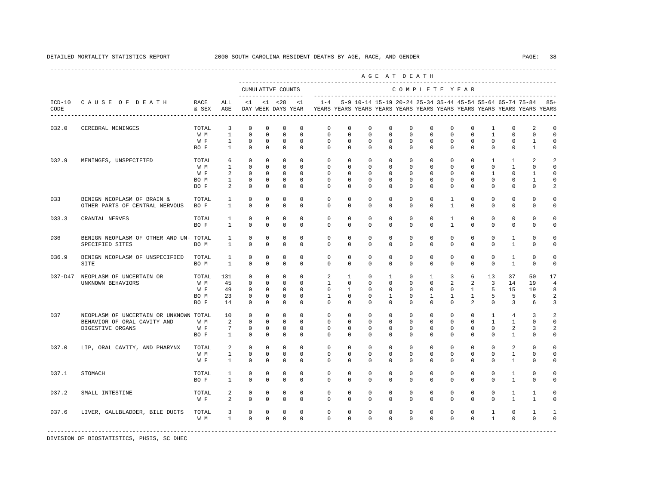|         |                                                                                           |                                     |                                                     |                                                                          |                                                                            |                                                              |                                                                  |                                                                         |                                                                     |                                                                 | AGE AT DEATH                                             |                                                                         |                                                                  |                                                                      |                                                                         |                                                                       |                                                                 |                                                   |                                                                       |
|---------|-------------------------------------------------------------------------------------------|-------------------------------------|-----------------------------------------------------|--------------------------------------------------------------------------|----------------------------------------------------------------------------|--------------------------------------------------------------|------------------------------------------------------------------|-------------------------------------------------------------------------|---------------------------------------------------------------------|-----------------------------------------------------------------|----------------------------------------------------------|-------------------------------------------------------------------------|------------------------------------------------------------------|----------------------------------------------------------------------|-------------------------------------------------------------------------|-----------------------------------------------------------------------|-----------------------------------------------------------------|---------------------------------------------------|-----------------------------------------------------------------------|
|         |                                                                                           |                                     |                                                     |                                                                          |                                                                            | CUMULATIVE COUNTS<br>--------------------                    |                                                                  |                                                                         |                                                                     |                                                                 |                                                          |                                                                         |                                                                  | COMPLETE YEAR                                                        |                                                                         |                                                                       |                                                                 |                                                   |                                                                       |
| CODE    | ICD-10 CAUSE OF DEATH                                                                     | RACE<br>& SEX                       | ALL<br>AGE                                          | $\leq 1$                                                                 |                                                                            | $< 1$ $< 28$<br>DAY WEEK DAYS YEAR                           | $\lt1$                                                           | YEARS YEARS YEARS YEARS YEARS YEARS YEARS YEARS YEARS YEARS YEARS YEARS |                                                                     |                                                                 |                                                          |                                                                         |                                                                  |                                                                      |                                                                         |                                                                       | $1-4$ 5-9 10-14 15-19 20-24 25-34 35-44 45-54 55-64 65-74 75-84 |                                                   | $85+$                                                                 |
| D32.0   | CEREBRAL MENINGES                                                                         | TOTAL<br>W M<br>W F<br>BO F         | 3<br>$\mathbf{1}$<br>$\mathbf{1}$<br>$\overline{1}$ | $\mathbf 0$<br>$\mathbf 0$<br>$\mathbf 0$<br>$\Omega$                    | $\mathbf 0$<br>$\mathbf 0$<br>$\mathbf{0}$<br>$\Omega$                     | $\mathbf 0$<br>$\mathbf 0$<br>$\mathbf 0$<br>$\Omega$        | $\mathbf 0$<br>$\mathbf 0$<br>$\Omega$<br>$\Omega$               | $\mathbf 0$<br>$\circ$<br>$\circ$<br>$\Omega$                           | $\circ$<br>$\circ$<br>$\mathbf 0$<br>$\Omega$                       | $\circ$<br>$\circ$<br>$\mathbf 0$<br>$\Omega$                   | $\mathbf{0}$<br>$\mathbf 0$<br>$\mathbf 0$<br>$\Omega$   | $\mathbf 0$<br>$\mathbf 0$<br>$\mathbf 0$<br>$\Omega$                   | $\mathbf 0$<br>$\mathbf 0$<br>$\mathbf 0$<br>$\Omega$            | $\mathbf 0$<br>$\mathbf 0$<br>$\mathbf 0$<br>$\Omega$                | $\mathbf 0$<br>$\mathbf 0$<br>$\mathbf 0$<br>$\Omega$                   | 1<br>$\mathbf{1}$<br>$\mathbf 0$<br>$\Omega$                          | $\mathbf 0$<br>$\mathbf 0$<br>$\mathbf{0}$<br>$\Omega$          | 2<br>$\mathbf{0}$<br>$\mathbf{1}$<br>$\mathbf{1}$ | $\mathbf 0$<br>$\overline{0}$<br>$\circ$<br>$\circ$                   |
| D32.9   | MENINGES, UNSPECIFIED                                                                     | TOTAL<br>W M<br>W F<br>BO M<br>BO F | 6<br>1<br>2<br>$\mathbf{1}$<br>2                    | $\mathbf 0$<br>$^{\circ}$<br>$\mathbf 0$<br>$\mathbf{0}$<br>$\mathbf{0}$ | $\mathbf{0}$<br>$^{\circ}$<br>$\mathbf{0}$<br>$\mathbf{0}$<br>$\mathbf{0}$ | $\circ$<br>$^{\circ}$<br>$\circ$<br>$\circ$<br>$^{\circ}$    | $\mathbf 0$<br>$^{\circ}$<br>$\Omega$<br>$\mathbf 0$<br>$\Omega$ | $\circ$<br>$\mathbf{0}$<br>$\mathbf 0$<br>$\mathbf 0$<br>$\Omega$       | $\circ$<br>$\mathbf{0}$<br>$^{\circ}$<br>$\circ$<br>$\circ$         | $\circ$<br>$^{\circ}$<br>$^{\circ}$<br>$^{\circ}$<br>$^{\circ}$ | $\mathbf 0$<br>$^{\circ}$<br>0<br>$\mathbf 0$<br>0       | $\mathbf 0$<br>$\mathbf{0}$<br>$\mathbf 0$<br>$\mathbf 0$<br>$^{\circ}$ | $\mathbf 0$<br>$\mathbf{0}$<br>$\circ$<br>$\mathbf 0$<br>$\circ$ | $\mathbf 0$<br>$\mathbf 0$<br>$\mathbf 0$<br>$\mathbf 0$<br>$\Omega$ | $\mathbf 0$<br>$\mathbf{0}$<br>$\mathbf 0$<br>$\mathbf 0$<br>$^{\circ}$ | $\mathbf{1}$<br>$\mathbf 0$<br>$\mathbf{1}$<br>$^{\circ}$<br>$\Omega$ | 1<br>1<br>$\mathbf{0}$<br>$\mathbf 0$<br>$\mathbf 0$            | 2<br>$\circ$<br>1<br>$\mathbf{1}$<br>$\mathbf{0}$ | $\overline{2}$<br>$\circ$<br>$\circ$<br>$\mathbf 0$<br>$\overline{2}$ |
| D33     | BENIGN NEOPLASM OF BRAIN &<br>OTHER PARTS OF CENTRAL NERVOUS                              | TOTAL<br>BO F                       | $\mathbf{1}$<br>$\mathbf{1}$                        | $\Omega$<br>$\mathbf 0$                                                  | $\Omega$<br>$\mathbf 0$                                                    | $\Omega$<br>$\mathbf 0$                                      | $\Omega$<br>$\mathbf 0$                                          | $\Omega$<br>$\mathbf 0$                                                 | $\Omega$<br>$\mathbf 0$                                             | $\Omega$<br>$\mathbf 0$                                         | $\Omega$<br>$\mathbf 0$                                  | $\Omega$<br>$\mathbf 0$                                                 | $\Omega$<br>$\mathbf 0$                                          | $\mathbf{1}$<br>$\mathbf{1}$                                         | $\Omega$<br>$\mathbf 0$                                                 | $\Omega$<br>$\mathbf 0$                                               | $\Omega$<br>$\mathbb O$                                         | $\Omega$<br>$\mathbf 0$                           | $\Omega$<br>$\mathsf 0$                                               |
| D33.3   | CRANIAL NERVES                                                                            | TOTAL<br>BO F                       | 1<br>$\mathbf{1}$                                   | $^{\circ}$<br>$\mathbf 0$                                                | $^{\circ}$<br>$\Omega$                                                     | $\mathbf 0$<br>$\Omega$                                      | $\mathbf 0$<br>$\Omega$                                          | $\mathbf 0$<br>$\mathbf 0$                                              | $\mathbf 0$<br>$\mathbf 0$                                          | $^{\circ}$<br>$^{\circ}$                                        | $\mathbf 0$<br>$^{\circ}$                                | $\mathbf 0$<br>$\mathbf 0$                                              | $\mathbf 0$<br>$\mathbf 0$                                       | 1<br>$\mathbf{1}$                                                    | $\mathbf 0$<br>$^{\circ}$                                               | $\mathbf 0$<br>$\mathbf 0$                                            | $\mathbf{0}$<br>$\mathbf{0}$                                    | $\mathbf 0$<br>0                                  | $\circ$<br>$\circ$                                                    |
| D36     | BENIGN NEOPLASM OF OTHER AND UN- TOTAL<br>SPECIFIED SITES                                 | BO M                                | $\mathbf{1}$<br>$\mathbf{1}$                        | $\mathbf 0$<br>$\Omega$                                                  | $\mathbf 0$<br>$\Omega$                                                    | $\mathbf 0$<br>$\Omega$                                      | $\Omega$<br>$\Omega$                                             | $\circ$<br>$\Omega$                                                     | $\circ$<br>$\Omega$                                                 | $^{\circ}$<br>$\Omega$                                          | $\mathbf 0$<br>$\Omega$                                  | $\mathbf 0$<br>$\Omega$                                                 | $\mathbf 0$<br>$\Omega$                                          | $\mathbf 0$<br>$\Omega$                                              | $\mathbf 0$<br>$\Omega$                                                 | $\mathbf 0$<br>$\Omega$                                               | $\mathbf{1}$<br>$\mathbf{1}$                                    | $\mathbf 0$<br>$\Omega$                           | $\mathbf 0$<br>$\circ$                                                |
| D36.9   | BENIGN NEOPLASM OF UNSPECIFIED<br>SITE                                                    | TOTAL<br>BO M                       | $\mathbf{1}$<br>$\mathbf{1}$                        | $\mathbf 0$<br>$\mathbf 0$                                               | $\mathbf 0$<br>$\mathbf 0$                                                 | $\mathbf 0$<br>$\mathbf 0$                                   | $\mathbf 0$<br>$\Omega$                                          | $\circ$<br>$\mathbf{0}$                                                 | $\circ$<br>$\mathbf{0}$                                             | $\mathbf 0$<br>$^{\circ}$                                       | $\mathbf 0$<br>$\mathbf 0$                               | $\mathbf 0$<br>$\circ$                                                  | $\mathbf 0$<br>$\mathbf 0$                                       | 0<br>$\mathbf 0$                                                     | $\mathbf 0$<br>$\mathbf 0$                                              | $\mathbf 0$<br>$^{\circ}$                                             | $\mathbf{1}$<br>$\mathbf{1}$                                    | $\mathbb O$<br>$\mathbf{0}$                       | $\mathbf 0$<br>$\mathbf 0$                                            |
| D37-D47 | NEOPLASM OF UNCERTAIN OR<br>UNKNOWN BEHAVIORS                                             | TOTAL<br>W M<br>W F<br>BO M<br>BO F | 131<br>45<br>49<br>23<br>14                         | $\mathbf{0}$<br>$\mathbf 0$<br>$\Omega$<br>$\mathbf 0$<br>$^{\circ}$     | $\mathbf 0$<br>$\Omega$<br>$\mathbf{0}$<br>$\mathbf 0$<br>$^{\circ}$       | $\circ$<br>$\Omega$<br>$\circ$<br>$\mathbf 0$<br>$\mathbf 0$ | $\Omega$<br>$\Omega$<br>$\Omega$<br>$\mathbf 0$<br>$\Omega$      | 2<br>$\mathbf{1}$<br>$\circ$<br>$\mathbf{1}$<br>$\Omega$                | $\mathbf{1}$<br>$\Omega$<br>$\mathbf{1}$<br>$\mathbf 0$<br>$\Omega$ | $\circ$<br>$\Omega$<br>$\mathbf{0}$<br>$^{\circ}$<br>$\Omega$   | $\mathbf{1}$<br>$\Omega$<br>$\circ$<br>$\mathbf{1}$<br>0 | $\circ$<br>$\circ$<br>$\circ$<br>$\mathbf 0$<br>$\Omega$                | $\mathbf{1}$<br>$\Omega$<br>$\circ$<br>$\mathbf{1}$<br>$\Omega$  | 3<br>2<br>$\circ$<br>$\mathbf{1}$<br>$\Omega$                        | 6<br>2<br>$\mathbf{1}$<br>$\mathbf{1}$<br>2                             | 13<br>$\overline{3}$<br>5<br>5<br>$\Omega$                            | 37<br>14<br>15<br>5<br>3                                        | 50<br>19<br>19<br>6<br>6                          | 17<br>$\overline{4}$<br>8<br>$\overline{\mathbf{c}}$<br>3             |
| D37     | NEOPLASM OF UNCERTAIN OR UNKNOWN TOTAL<br>BEHAVIOR OF ORAL CAVITY AND<br>DIGESTIVE ORGANS | W M<br>W F<br>BO F                  | 10<br>2<br>$7\overline{ }$<br>$\mathbf{1}$          | $\mathbf 0$<br>$\Omega$<br>$\mathbf 0$<br>$\Omega$                       | $\mathbf 0$<br>$\Omega$<br>$^{\circ}$<br>$\mathbf 0$                       | $\mathbf 0$<br>$\Omega$<br>$\mathbf 0$<br>$\mathbf 0$        | $\circ$<br>$\Omega$<br>$\mathbf 0$<br>$\Omega$                   | $\circ$<br>$\Omega$<br>$\circ$<br>$\Omega$                              | $\circ$<br>$\Omega$<br>$^{\circ}$<br>$\Omega$                       | $\circ$<br>$\Omega$<br>$^{\circ}$<br>$\Omega$                   | $\mathbf 0$<br>$\Omega$<br>$\circ$<br>$\mathbf 0$        | $\mathbf 0$<br>$\Omega$<br>$\mathbf 0$<br>$\Omega$                      | $\mathbf 0$<br>$\Omega$<br>$^{\circ}$<br>$\Omega$                | $\mathbf 0$<br>$\Omega$<br>$\mathbf 0$<br>$\Omega$                   | $\mathbf 0$<br>$\Omega$<br>$\mathbf 0$<br>$\Omega$                      | $\mathbf{1}$<br>$\mathbf{1}$<br>$\mathbf 0$<br>$\Omega$               | $\overline{4}$<br>$\mathbf{1}$<br>2<br>$\mathbf{1}$             | 3<br>$\Omega$<br>3<br>$\Omega$                    | $\overline{a}$<br>$\circ$<br>2<br>$\mathbf 0$                         |
| D37.0   | LIP, ORAL CAVITY, AND PHARYNX                                                             | TOTAL<br>W M<br>W F                 | 2<br>$\mathbf{1}$<br>$\mathbf{1}$                   | $\mathbf{0}$<br>$\mathbf 0$<br>$\mathbf 0$                               | $^{\circ}$<br>$\mathbf{0}$<br>$\mathbf 0$                                  | $^{\circ}$<br>$\mathbf 0$<br>$\mathbf 0$                     | $\circ$<br>$\Omega$<br>$\mathbf 0$                               | 0<br>$\circ$<br>$\Omega$                                                | $\circ$<br>$\mathbf{0}$<br>$\mathbf 0$                              | $^{\circ}$<br>$\circ$<br>$^{\circ}$                             | 0<br>0<br>0                                              | $^{\circ}$<br>$\circ$<br>$\mathbf 0$                                    | 0<br>$\mathbf 0$<br>$\mathbf 0$                                  | $\mathbf 0$<br>$\mathbf 0$<br>$\mathbf 0$                            | $^{\circ}$<br>$\mathbf 0$<br>$\mathbf 0$                                | 0<br>$\mathbf 0$<br>$\mathbf 0$                                       | 2<br>1<br>1                                                     | $\mathbf 0$<br>0<br>$\mathbf 0$                   | $\circ$<br>$\circ$<br>$\mathbf 0$                                     |
| D37.1   | STOMACH                                                                                   | TOTAL<br>BO F                       | 1<br>$\mathbf{1}$                                   | $\mathbf 0$<br>$\Omega$                                                  | $\mathbf 0$<br>$\Omega$                                                    | $\mathbf 0$<br>$\Omega$                                      | $\Omega$<br>$\Omega$                                             | $\mathbf{0}$<br>$\Omega$                                                | $\circ$<br>$\Omega$                                                 | $\circ$<br>$\Omega$                                             | $\mathbf{0}$<br>$\mathbf 0$                              | $\circ$<br>$\circ$                                                      | $\mathbf 0$<br>$\Omega$                                          | $\circ$<br>$\Omega$                                                  | $\Omega$<br>$\Omega$                                                    | $\mathbf{0}$<br>$\Omega$                                              | $\mathbf{1}$<br>$\mathbf{1}$                                    | $\mathbf 0$<br>$\Omega$                           | $\circ$<br>$\circ$                                                    |
| D37.2   | SMALL INTESTINE                                                                           | TOTAL<br>W F                        | 2<br>2                                              | 0<br>$\mathbf 0$                                                         | 0<br>$\mathbf 0$                                                           | $\mathbf 0$<br>$\mathbf 0$                                   | $\mathbf 0$<br>$\mathbf 0$                                       | 0<br>$\mathbf{0}$                                                       | $\circ$<br>$\mathbf 0$                                              | $\circ$<br>$\circ$                                              | $\mathbf{0}$<br>$\mathbf 0$                              | $\circ$<br>$\circ$                                                      | $\circ$<br>$\mathbf 0$                                           | 0<br>$\mathbf 0$                                                     | $\mathbf 0$<br>$\mathbf 0$                                              | $\mathbf 0$<br>$\mathbf 0$                                            | $\mathbf{1}$<br>$\mathbf{1}$                                    | $\mathbf{1}$<br>$\mathbf{1}$                      | $\mathbf 0$<br>$\mathbf 0$                                            |
| D37.6   | LIVER, GALLBLADDER, BILE DUCTS                                                            | TOTAL<br>W M                        | $\overline{3}$<br>$\mathbf{1}$                      | $\mathbf 0$<br>$\Omega$                                                  | $\mathbf 0$<br>$\Omega$                                                    | $\mathbf 0$<br>$\mathbf{0}$                                  | $\mathbf 0$<br>$\Omega$                                          | $\mathbf{0}$<br>$\Omega$                                                | $\circ$<br>$\Omega$                                                 | $\circ$<br>$\Omega$                                             | $\mathbf 0$<br>$\mathbf 0$                               | $\circ$<br>$\Omega$                                                     | $\mathbf 0$<br>$\mathbf 0$                                       | 0<br>$\Omega$                                                        | $\mathbf 0$<br>$\Omega$                                                 | $\mathbf{1}$<br>$\mathbf{1}$                                          | 0<br>$\mathbf 0$                                                | $\mathbf{1}$<br>$\Omega$                          | 1<br>$\mathsf 0$                                                      |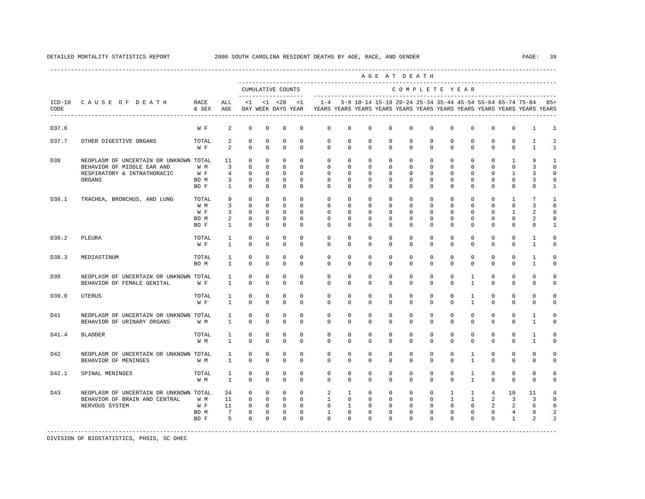|                  |                                                                                                               |                                     |                                                             |                                                                       |                                                                 |                                                                 |                                                          |                                                                          |                                                         |                                                                | AGE AT DEATH                                                   |                                                                |                                                                      |                                                                     |                                                                  |                                                               |                                                             |                                                                                                                                      |                                                                  |
|------------------|---------------------------------------------------------------------------------------------------------------|-------------------------------------|-------------------------------------------------------------|-----------------------------------------------------------------------|-----------------------------------------------------------------|-----------------------------------------------------------------|----------------------------------------------------------|--------------------------------------------------------------------------|---------------------------------------------------------|----------------------------------------------------------------|----------------------------------------------------------------|----------------------------------------------------------------|----------------------------------------------------------------------|---------------------------------------------------------------------|------------------------------------------------------------------|---------------------------------------------------------------|-------------------------------------------------------------|--------------------------------------------------------------------------------------------------------------------------------------|------------------------------------------------------------------|
|                  |                                                                                                               |                                     |                                                             |                                                                       |                                                                 | CUMULATIVE COUNTS                                               |                                                          |                                                                          |                                                         |                                                                |                                                                | COMPLETE YEAR                                                  |                                                                      |                                                                     |                                                                  |                                                               |                                                             |                                                                                                                                      |                                                                  |
| $ICD-10$<br>CODE | CAUSE OF DEATH                                                                                                | RACE<br>& SEX                       | ALL<br>AGE                                                  | <1                                                                    |                                                                 | $< 1$ $< 28$<br>DAY WEEK DAYS YEAR                              | <1                                                       | $1 - 4$                                                                  |                                                         |                                                                |                                                                |                                                                |                                                                      |                                                                     |                                                                  |                                                               |                                                             | 5-9 10-14 15-19 20-24 25-34 35-44 45-54 55-64 65-74 75-84<br>YEARS YEARS YEARS YEARS YEARS YEARS YEARS YEARS YEARS YEARS YEARS YEARS | $85+$                                                            |
| D37.6            |                                                                                                               | W F                                 | 2                                                           | $^{\circ}$                                                            | $^{\circ}$                                                      | 0                                                               | $^{\circ}$                                               | $\mathbf{0}$                                                             | $\mathbf{0}$                                            | 0                                                              | $\mathbf 0$                                                    | $\mathbf{0}$                                                   | $\mathbf 0$                                                          | 0                                                                   | $\Omega$                                                         | $\Omega$                                                      | $\mathbf 0$                                                 | 1                                                                                                                                    | 1                                                                |
| D37.7            | OTHER DIGESTIVE ORGANS                                                                                        | TOTAL<br>W F                        | 2<br>2                                                      | 0<br>$\Omega$                                                         | 0<br>$\Omega$                                                   | 0<br>$\mathbf 0$                                                | $^{\circ}$<br>$\Omega$                                   | $\mathbf{0}$<br>$\Omega$                                                 | 0<br>$\Omega$                                           | 0<br>$\Omega$                                                  | 0<br>$\Omega$                                                  | $\mathbf{0}$<br>$\Omega$                                       | $\mathbf{0}$<br>$\Omega$                                             | 0<br>$\Omega$                                                       | 0<br>$\Omega$                                                    | 0<br>$\Omega$                                                 | $\mathbf{0}$<br>$\Omega$                                    | 1<br>$\mathbf{1}$                                                                                                                    | $\mathbf{1}$                                                     |
| D38              | NEOPLASM OF UNCERTAIN OR UNKNOWN TOTAL<br>BEHAVIOR OF MIDDLE EAR AND<br>RESPIRATORY & INTRATHORACIC<br>ORGANS | W M<br>W F<br>BO M<br>BO F          | 11<br>$\overline{3}$<br>$\overline{4}$<br>3<br>$\mathbf{1}$ | $\circ$<br>$\mathbf 0$<br>$\mathbf 0$<br>$\mathbf 0$<br>$\mathbf{0}$  | $^{\circ}$<br>$\circ$<br>$^{\circ}$<br>$^{\circ}$<br>$^{\circ}$ | $^{\circ}$<br>$\Omega$<br>$\Omega$<br>$^{\circ}$<br>$^{\circ}$  | $\Omega$<br>$\Omega$<br>$\Omega$<br>$\Omega$<br>$\Omega$ | $\mathbf 0$<br>$\Omega$<br>$\Omega$<br>$\Omega$<br>$\Omega$              | $\mathbf 0$<br>$\Omega$<br>$\Omega$<br>$\mathbf 0$<br>0 | $\mathbf 0$<br>$\Omega$<br>$\Omega$<br>$\mathbf 0$<br>$\Omega$ | $\mathbf 0$<br>$\Omega$<br>$\Omega$<br>$\mathbf 0$<br>$\Omega$ | $\mathbf 0$<br>$\Omega$<br>$\Omega$<br>$\mathbf 0$<br>$\Omega$ | $\mathbf 0$<br>$\mathbf 0$<br>$\Omega$<br>$\mathbf 0$<br>$\mathbf 0$ | $\Omega$<br>$\mathbf 0$<br>$\Omega$<br>$\mathbf 0$<br>$\Omega$      | $\Omega$<br>$\mathbf 0$<br>$\Omega$<br>$\Omega$<br>0             | $\Omega$<br>$\Omega$<br>$\Omega$<br>$\Omega$<br>$\Omega$      | 1<br>$\mathbf 0$<br>1<br>$\mathbf 0$<br>$\mathbf 0$         | 9<br>3<br>3<br>3<br>$\Omega$                                                                                                         | $\mathbf{1}$<br>$\Omega$<br>$\Omega$<br>$\Omega$<br>1            |
| D38.1            | TRACHEA, BRONCHUS, AND LUNG                                                                                   | TOTAL<br>W M<br>W F<br>BO M<br>BO F | 9<br>$\overline{3}$<br>3<br>2<br>$\mathbf{1}$               | $\Omega$<br>$\mathbf{0}$<br>$\mathbf 0$<br>$\mathbf 0$<br>$\mathbf 0$ | $\Omega$<br>$\circ$<br>$^{\circ}$<br>$^{\circ}$<br>$^{\circ}$   | $\Omega$<br>$\mathbf 0$<br>$\Omega$<br>$^{\circ}$<br>$^{\circ}$ | $\Omega$<br>$\Omega$<br>$\Omega$<br>$\Omega$<br>$\Omega$ | $\Omega$<br>$\Omega$<br>$\Omega$<br>$\Omega$<br>$\Omega$                 | $\Omega$<br>0<br>$\Omega$<br>$\Omega$<br>$\Omega$       | $\Omega$<br>$\Omega$<br>$\Omega$<br>$\Omega$<br>$\Omega$       | $\Omega$<br>$\Omega$<br>$\Omega$<br>$\Omega$<br>$\Omega$       | $\Omega$<br>$\Omega$<br>$\Omega$<br>$\Omega$<br>$\cap$         | $\Omega$<br>$\mathbf 0$<br>$\Omega$<br>$\Omega$<br>$\Omega$          | $\Omega$<br>$\Omega$<br>$\Omega$<br>$\Omega$<br>$\Omega$            | $\Omega$<br>$\Omega$<br>$\Omega$<br>$\Omega$<br>$\Omega$         | $\Omega$<br>$\Omega$<br>$\Omega$<br>$\Omega$<br>$\Omega$      | $\overline{1}$<br>$\mathbf{0}$<br>1<br>$\Omega$<br>$\Omega$ | 7<br>3<br>$\mathfrak{D}$<br>2<br>$\Omega$                                                                                            | $\mathbf{1}$<br>$\Omega$<br>$\Omega$<br>$\Omega$<br>$\mathbf{1}$ |
| D38.2            | PLEURA                                                                                                        | TOTAL<br>W F                        | $\mathbf{1}$<br>$\mathbf{1}$                                | $\Omega$<br>$\Omega$                                                  | $\Omega$<br>$\Omega$                                            | $\Omega$<br>$\Omega$                                            | $\Omega$<br>$\Omega$                                     | $\Omega$<br>$\Omega$                                                     | $\Omega$<br>$\Omega$                                    | $\Omega$<br>$\Omega$                                           | $\Omega$<br>$\Omega$                                           | $\Omega$<br>$\Omega$                                           | $\Omega$<br>$\Omega$                                                 | $\Omega$<br>$\Omega$                                                | $\Omega$<br>$\Omega$                                             | $\Omega$<br>$\Omega$                                          | $\Omega$<br>$\Omega$                                        | $\mathbf{1}$<br>$\mathbf{1}$                                                                                                         | $\Omega$<br>$\Omega$                                             |
| D38.3            | MEDIASTINUM                                                                                                   | TOTAL<br>BO M                       | $\mathbf{1}$<br>1                                           | $\mathbf 0$<br>$\mathbf 0$                                            | $^{\circ}$<br>$^{\circ}$                                        | $\mathbf 0$<br>$^{\circ}$                                       | $\mathbf 0$<br>0                                         | $\mathbf 0$<br>0                                                         | $\mathbf 0$<br>0                                        | $\mathbf 0$<br>0                                               | $\mathbf 0$<br>0                                               | $\mathbf 0$<br>$\mathbf{0}$                                    | $\mathbf 0$<br>0                                                     | $\mathbf 0$<br>0                                                    | $\mathbf 0$<br>0                                                 | $\mathbf 0$<br>0                                              | $\mathbf 0$<br>$\mathbf{0}$                                 | 1<br>1                                                                                                                               | 0<br>0                                                           |
| D39              | NEOPLASM OF UNCERTAIN OR UNKNOWN TOTAL<br>BEHAVIOR OF FEMALE GENITAL                                          | W F                                 | $\mathbf{1}$<br>1                                           | $\mathbf 0$<br>$\mathbf 0$                                            | $^{\circ}$<br>$^{\circ}$                                        | $^{\circ}$<br>$^{\circ}$                                        | $\mathbf 0$<br>0                                         | $\mathbf 0$<br>0                                                         | $\mathbf 0$<br>0                                        | $\mathbf 0$<br>$\Omega$                                        | $\mathbf 0$<br>0                                               | $\mathbf 0$<br>$\Omega$                                        | $\mathbf 0$<br>0                                                     | $\mathbf 0$<br>0                                                    | $\mathbf{1}$<br>$\mathbf{1}$                                     | $\mathbf 0$<br>0                                              | $\mathbf 0$<br>$\mathbf{0}$                                 | $\mathbf 0$<br>0                                                                                                                     | 0<br>0                                                           |
| D39.0            | <b>UTERUS</b>                                                                                                 | TOTAL<br>W F                        | $\mathbf{1}$<br>$\mathbf{1}$                                | $\mathbf 0$<br>$\mathbf 0$                                            | $\mathbf 0$<br>$\mathbf 0$                                      | $\mathbf 0$<br>$^{\circ}$                                       | $\mathbf 0$<br>$\Omega$                                  | $\mathbf 0$<br>0                                                         | $\mathbf 0$<br>0                                        | $\mathbf 0$<br>$\mathbf 0$                                     | $\mathbf 0$<br>0                                               | $\mathbf 0$<br>$\mathbf 0$                                     | $\mathbf 0$<br>0                                                     | $\mathbf 0$<br>$\mathbf 0$                                          | $\mathbf{1}$<br>$\mathbf{1}$                                     | $\mathbf 0$<br>0                                              | $\mathbf 0$<br>$\mathbf{0}$                                 | $\mathbf 0$<br>$\mathbf 0$                                                                                                           | $\mathbf 0$<br>$\Omega$                                          |
| D41              | NEOPLASM OF UNCERTAIN OR UNKNOWN TOTAL<br>BEHAVIOR OF URINARY ORGANS                                          | W M                                 | $\mathbf{1}$<br>$\mathbf{1}$                                | $\mathbf 0$<br>$\mathbf 0$                                            | $^{\circ}$<br>$^{\circ}$                                        | $\mathbf 0$<br>$^{\circ}$                                       | $\mathbf 0$<br>$\Omega$                                  | $\mathbf 0$<br>0                                                         | $\mathbf 0$<br>0                                        | $\mathbf 0$<br>$\Omega$                                        | $\mathbf 0$<br>$\Omega$                                        | $\mathbf 0$<br>$\Omega$                                        | $\mathbf 0$<br>$\mathbf 0$                                           | $\mathbf 0$<br>$\Omega$                                             | $\mathbf 0$<br>$\Omega$                                          | $\mathbf 0$<br>$\Omega$                                       | $\mathbf 0$<br>$\mathbf{0}$                                 | $\mathbf{1}$<br>1                                                                                                                    | $\mathbf 0$<br>$\Omega$                                          |
| D41.4            | <b>BLADDER</b>                                                                                                | TOTAL<br>W M                        | 1<br>$\mathbf{1}$                                           | $\mathbf 0$<br>$\Omega$                                               | $^{\circ}$<br>$\Omega$                                          | $^{\circ}$<br>$\Omega$                                          | $\Omega$<br>$\Omega$                                     | $\Omega$<br>$\Omega$                                                     | $\Omega$<br>$\Omega$                                    | $\mathbf 0$<br>$\Omega$                                        | $\Omega$<br>$\Omega$                                           | $\mathbf 0$<br>$\Omega$                                        | $\mathbf 0$<br>$\Omega$                                              | $\mathbf 0$<br>$\Omega$                                             | $\mathbf 0$<br>$\Omega$                                          | $\Omega$<br>$\Omega$                                          | $\mathbf 0$<br>$\Omega$                                     | $\mathbf{1}$<br>$\mathbf{1}$                                                                                                         | $\Omega$<br>$\Omega$                                             |
| D42              | NEOPLASM OF UNCERTAIN OR UNKNOWN TOTAL<br>BEHAVIOR OF MENINGES                                                | W M                                 | 1<br>$\mathbf{1}$                                           | $\mathbf 0$<br>$\Omega$                                               | $\mathbf 0$<br>$\Omega$                                         | $\mathbf 0$<br>$\Omega$                                         | $\Omega$<br>$\Omega$                                     | $\mathbf{0}$<br>$\Omega$                                                 | $\mathbf 0$<br>$\Omega$                                 | $\mathbf 0$<br>$\Omega$                                        | $\Omega$<br>$\Omega$                                           | $\Omega$<br>$\Omega$                                           | $\mathbf 0$<br>$\Omega$                                              | $\mathbf 0$<br>$\Omega$                                             | 1<br>$\mathbf{1}$                                                | $\Omega$<br>$\Omega$                                          | $\mathbf 0$<br>$\Omega$                                     | $\mathbf 0$<br>$\Omega$                                                                                                              | $\Omega$<br>$\Omega$                                             |
| D42.1            | SPINAL MENINGES                                                                                               | TOTAL<br>W M                        | 1<br>$\mathbf{1}$                                           | $\mathbf 0$<br>$\Omega$                                               | $^{\circ}$<br>$\Omega$                                          | $\mathbf 0$<br>$\Omega$                                         | $\Omega$<br>$\Omega$                                     | $\Omega$<br>$\Omega$                                                     | $\mathbf 0$<br>$\Omega$                                 | $\Omega$<br>$\Omega$                                           | $\Omega$<br>$\Omega$                                           | $\Omega$<br>$\Omega$                                           | $\mathbf 0$<br>$\Omega$                                              | $\Omega$<br>$\Omega$                                                | $\mathbf{1}$<br>$\mathbf{1}$                                     | $\Omega$<br>$\Omega$                                          | $\mathbf 0$<br>$\Omega$                                     | $\mathbf 0$<br>$\Omega$                                                                                                              | $\Omega$<br>$\Omega$                                             |
| D43              | NEOPLASM OF UNCERTAIN OR UNKNOWN TOTAL<br>BEHAVIOR OF BRAIN AND CENTRAL<br>NERVOUS SYSTEM                     | W M<br>W F<br>BO M<br>BO F          | 34<br>11<br>11<br>$\overline{7}$<br>5                       | $\mathbf 0$<br>$\Omega$<br>$\mathbf 0$<br>$\mathbf{0}$<br>$\Omega$    | $\circ$<br>$\Omega$<br>$\circ$<br>$\mathbf 0$<br>$\Omega$       | $\circ$<br>$\Omega$<br>$\mathbf{0}$<br>$\mathbf 0$<br>$\Omega$  | $\Omega$<br>$\Omega$<br>$\Omega$<br>$\Omega$<br>$\Omega$ | $\overline{a}$<br>$\overline{1}$<br>$\Omega$<br>$\mathbf{1}$<br>$\Omega$ | 1<br>$\Omega$<br>$\mathbf{1}$<br>$\Omega$<br>$\Omega$   | $\mathbf 0$<br>$\Omega$<br>$\Omega$<br>$\Omega$<br>$\Omega$    | $\mathbf 0$<br>$\Omega$<br>$\Omega$<br>$\Omega$<br>$\Omega$    | $\mathbf 0$<br>$\Omega$<br>$\Omega$<br>$\Omega$<br>$\Omega$    | $\mathbf{0}$<br>$\Omega$<br>$\mathbf 0$<br>$\Omega$<br>$\Omega$      | $\mathbf{1}$<br>$\mathbf{1}$<br>$\mathbf 0$<br>$\Omega$<br>$\Omega$ | $\mathbf{1}$<br>$\mathbf{1}$<br>$\Omega$<br>$\Omega$<br>$\Omega$ | $\overline{4}$<br>2<br>$\overline{a}$<br>$\Omega$<br>$\Omega$ | 10<br>3<br>2<br>$\overline{4}$<br>$\mathbf{1}$              | 11<br>3<br>6<br>$\Omega$<br>$\mathfrak{D}$                                                                                           | $\Omega$<br>$\cap$                                               |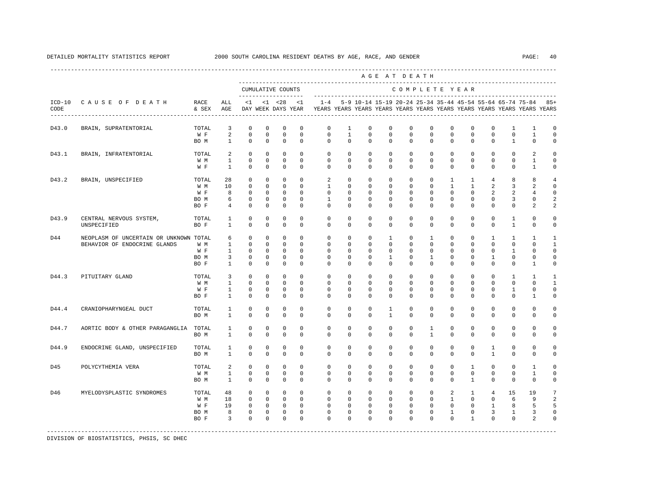|       |                                                                        |                                     |                                                                              |                                                                         |                                                             |                                                                                      |                                                                    |                                                                         |                                                              |                                                                | AGE AT DEATH                                                        |                                                                 |                                                                      |                                                                       |                                                                             |                                                                              |                                                               |                                                                   |                                                               |
|-------|------------------------------------------------------------------------|-------------------------------------|------------------------------------------------------------------------------|-------------------------------------------------------------------------|-------------------------------------------------------------|--------------------------------------------------------------------------------------|--------------------------------------------------------------------|-------------------------------------------------------------------------|--------------------------------------------------------------|----------------------------------------------------------------|---------------------------------------------------------------------|-----------------------------------------------------------------|----------------------------------------------------------------------|-----------------------------------------------------------------------|-----------------------------------------------------------------------------|------------------------------------------------------------------------------|---------------------------------------------------------------|-------------------------------------------------------------------|---------------------------------------------------------------|
|       |                                                                        |                                     |                                                                              |                                                                         |                                                             | CUMULATIVE COUNTS<br>--------------------                                            |                                                                    |                                                                         |                                                              |                                                                |                                                                     |                                                                 |                                                                      |                                                                       | COMPLETE YEAR                                                               |                                                                              |                                                               |                                                                   |                                                               |
| CODE  | ICD-10 CAUSE OF DEATH RACE                                             | & SEX                               | ALL<br>AGE                                                                   |                                                                         | $<1$ $<1$ $<28$                                             | DAY WEEK DAYS YEAR                                                                   | <1                                                                 | YEARS YEARS YEARS YEARS YEARS YEARS YEARS YEARS YEARS YEARS YEARS YEARS |                                                              |                                                                |                                                                     |                                                                 |                                                                      |                                                                       |                                                                             |                                                                              |                                                               | 1-4 5-9 10-14 15-19 20-24 25-34 35-44 45-54 55-64 65-74 75-84 85+ |                                                               |
| D43.0 | BRAIN, SUPRATENTORIAL                                                  | TOTAL<br>W F<br>BO M                | 3<br>$\overline{a}$<br>$\overline{1}$                                        | $\Omega$<br>$\mathbf 0$<br>$\Omega$                                     | $\mathbf 0$<br>0<br>$\Omega$                                | $\mathbf 0$<br>$\mathbf 0$<br>$\Omega$                                               | $\Omega$<br>$\mathbf 0$<br>$\Omega$                                | $\mathbf 0$<br>$\mathbf 0$<br>$\Omega$                                  | 1<br>$\mathbf{1}$<br>$\Omega$                                | $\mathbf 0$<br>$\mathbf 0$<br>$\Omega$                         | $^{\circ}$<br>$\mathbf 0$<br>$\Omega$                               | $\mathbf 0$<br>$\mathbf 0$<br>$\Omega$                          | $\Omega$<br>$\mathbf 0$<br>$\Omega$                                  | $\mathbf 0$<br>$\mathbf 0$<br>$\Omega$                                | $^{\circ}$<br>$\mathbf 0$<br>$\Omega$                                       | $\mathbf 0$<br>$\mathbf 0$<br>$\Omega$                                       | 1<br>$\mathbf 0$<br>$\overline{1}$                            | 1<br>$\mathbf{1}$<br>$\Omega$                                     | $\mathbf 0$<br>$\mathbf 0$<br>$\Omega$                        |
| D43.1 | BRAIN, INFRATENTORIAL                                                  | TOTAL<br>W M<br>W F                 | 2<br>$\mathbf{1}$<br>$\mathbf{1}$                                            | $\mathbf 0$<br>$\mathbf 0$<br>$\mathbf 0$                               | $\mathbf 0$<br>$\mathbf 0$<br>0                             | $\mathbf 0$<br>$\mathbf 0$<br>$\mathbf 0$                                            | $\Omega$<br>$\mathbf 0$<br>$\mathbf 0$                             | $\Omega$<br>$\mathbf 0$<br>$\mathbf{0}$                                 | $\Omega$<br>$\mathbf 0$<br>$\circ$                           | $\Omega$<br>$\mathbf 0$<br>$\mathbf 0$                         | $\Omega$<br>$\mathbf 0$<br>0                                        | $\Omega$<br>$\mathbf 0$<br>$\mathbf 0$                          | $\Omega$<br>$\mathbf 0$<br>0                                         | $\Omega$<br>$\mathbf 0$<br>$\mathbf 0$                                | $\Omega$<br>$\mathbf 0$<br>0                                                | $\Omega$<br>$\mathbf 0$<br>$^{\circ}$                                        | $\Omega$<br>$\mathbf{0}$<br>$\mathbf{0}$                      | 2<br>1<br>$\mathbf{1}$                                            | $\circ$<br>$\mathbf 0$<br>0                                   |
| D43.2 | BRAIN, UNSPECIFIED                                                     | TOTAL<br>W M<br>W F<br>BO M<br>BO F | 28<br>10<br>8<br>6<br>$\overline{4}$                                         | $\mathbf 0$<br>$\mathbf 0$<br>$\mathbf 0$<br>$\mathbf 0$<br>$\mathbb O$ | $\mathbf 0$<br>$\mathbf{0}$<br>$\Omega$<br>$\Omega$<br>0    | $\mathbf 0$<br>$\Omega$<br>$\overline{0}$<br>$\Omega$<br>$\mathbf 0$                 | $\Omega$<br>$\Omega$<br>$\Omega$<br>$\Omega$<br>$\mathbf 0$        | 2<br>$\mathbf{1}$<br>$\Omega$<br>$\mathbf{1}$<br>$\mathbf 0$            | $\mathbf 0$<br>$\Omega$<br>$\Omega$<br>$\Omega$<br>0         | $\mathbf 0$<br>$\Omega$<br>$\Omega$<br>$\Omega$<br>$\mathbf 0$ | $\mathbf 0$<br>$\Omega$<br>$\Omega$<br>$\Omega$<br>0                | $\mathbf 0$<br>$\Omega$<br>$\Omega$<br>$\Omega$<br>$\mathbf 0$  | $\mathbf 0$<br>$\Omega$<br>$\Omega$<br>$\Omega$<br>$\mathbf 0$       | $\mathbf{1}$<br>$\mathbf{1}$<br>$\Omega$<br>$\Omega$<br>$\mathbf 0$   | $\mathbf{1}$<br>$\mathbf{1}$<br>$\Omega$<br>$\Omega$<br>$\mathbf 0$         | $\overline{4}$<br>2<br>2<br>$\Omega$<br>$\mathbf 0$                          | 8<br>3<br>2<br>3<br>$\mathbf 0$                               | 8<br>2<br>4<br>$\mathbf{0}$<br>$\overline{a}$                     | $\overline{4}$<br>$\mathbf 0$<br>$\mathbf 0$<br>2<br>2        |
| D43.9 | CENTRAL NERVOUS SYSTEM,<br>UNSPECIFIED                                 | TOTAL<br>BO F                       | $\mathbf{1}$<br>$\mathbf{1}$                                                 | $\mathbf 0$<br>$\Omega$                                                 | $\mathbf 0$<br>$\Omega$                                     | $\mathbf 0$<br>$\Omega$                                                              | $\mathbf 0$<br>$\Omega$                                            | $\mathbf 0$<br>$\Omega$                                                 | $\mathbf 0$<br>$\Omega$                                      | $\mathbf 0$<br>$\Omega$                                        | $\mathbf 0$<br>$\Omega$                                             | $\mathbf 0$<br>$\Omega$                                         | $\mathbf 0$<br>$\Omega$                                              | $\mathbf 0$<br>$\Omega$                                               | $\mathbf 0$<br>$\Omega$                                                     | $\mathbf 0$<br>$\Omega$                                                      | $\mathbf{1}$<br>$\mathbf{1}$                                  | $\mathbf 0$<br>$\Omega$                                           | 0<br>0                                                        |
| D44   | NEOPLASM OF UNCERTAIN OR UNKNOWN TOTAL<br>BEHAVIOR OF ENDOCRINE GLANDS | W M<br>W F<br>BO M<br>BO F          | 6<br>$\mathbf{1}$<br>$\mathbf{1}$<br>$\overline{\mathbf{3}}$<br>$\mathbf{1}$ | $\mathbf 0$<br>$\Omega$<br>$\mathbf 0$<br>$\mathbf 0$<br>$\mathbf 0$    | $\mathbf 0$<br>$\Omega$<br>$\mathbf{0}$<br>$\mathbf 0$<br>0 | $\mathbf 0$<br>$\Omega$<br>$\overline{0}$<br>$\overline{0}$<br>$\mathbf 0$           | $\Omega$<br>$\Omega$<br>$\Omega$<br>$\mathbf 0$<br>$\Omega$        | $\Omega$<br>$\Omega$<br>$\Omega$<br>$\mathbf 0$<br>$\Omega$             | $\Omega$<br>$\Omega$<br>$\Omega$<br>$\mathbf 0$<br>$\Omega$  | $\Omega$<br>$\Omega$<br>$\Omega$<br>$\mathbf 0$<br>$\Omega$    | $\mathbf{1}$<br>$\Omega$<br>$\Omega$<br>$\mathbf{1}$<br>$\mathbf 0$ | $\Omega$<br>$\Omega$<br>$\Omega$<br>$\mathbf 0$<br>$\Omega$     | $\mathbf{1}$<br>$\Omega$<br>$\Omega$<br>$\mathbf{1}$<br>$\mathbf 0$  | $\Omega$<br>$\Omega$<br>$\Omega$<br>$\mathbf 0$<br>$\Omega$           | $\Omega$<br>$\Omega$<br>$\Omega$<br>$\mathbf 0$<br>0                        | $\overline{1}$<br>$\Omega$<br>$^{\circ}$<br>1<br>$\Omega$                    | $\mathbf{1}$<br>$\Omega$<br>$\mathbf{1}$<br>0<br>$\mathbf{0}$ | $\mathbf{1}$<br>$\Omega$<br>$\Omega$<br>0<br>1                    | $\mathbf{1}$<br>$\overline{1}$<br>$\mathbf 0$<br>$\circ$<br>0 |
| D44.3 | PITUITARY GLAND                                                        | TOTAL<br>W M<br>W F<br>BO F         | $\overline{3}$<br>$\mathbf{1}$<br>$\mathbf{1}$<br>$\mathbf{1}$               | $\mathbf 0$<br>$\Omega$<br>$\mathbf 0$<br>$\mathbf 0$                   | $\circ$<br>$\Omega$<br>$\mathbf{0}$<br>$\mathbf 0$          | $\overline{0}$<br>$\Omega$<br>$\mathbf 0$<br>$\mathbf 0$                             | $\Omega$<br>$\Omega$<br>$\Omega$<br>$\mathbf 0$                    | $\mathbf{0}$<br>$\Omega$<br>$\Omega$<br>$\Omega$                        | $\mathbf 0$<br>$\Omega$<br>$\Omega$<br>$\mathbf 0$           | $\mathbf 0$<br>$\Omega$<br>$\Omega$<br>$\mathbf 0$             | $^{\circ}$<br>$\Omega$<br>$\Omega$<br>$\mathbf 0$                   | $^{\circ}$<br>$\Omega$<br>$\Omega$<br>$\mathbf 0$               | $\mathbf 0$<br>$\Omega$<br>$\Omega$<br>$\mathbf 0$                   | $\mathbf 0$<br>$\Omega$<br>$\Omega$<br>$\mathbf 0$                    | $^{\circ}$<br>$\Omega$<br>$\Omega$<br>$\mathbf 0$                           | $\circ$<br>$\Omega$<br>$\mathbf 0$<br>$\mathbf 0$                            | $\mathbf{1}$<br>$\Omega$<br>$\mathbf{1}$<br>$\mathbf 0$       | $\mathbf{1}$<br>$\Omega$<br>$\Omega$<br>$\mathbf{1}$              | 1<br>$\overline{1}$<br>$\mathbf 0$<br>0                       |
| D44.4 | CRANIOPHARYNGEAL DUCT                                                  | TOTAL<br>BO M                       | $\mathbf{1}$<br>$\mathbf{1}$                                                 | $\mathbf 0$<br>$\Omega$                                                 | 0<br>$\Omega$                                               | $\mathbf 0$<br>$\Omega$                                                              | $\mathbf 0$<br>$\Omega$                                            | $\mathbf{0}$<br>$\Omega$                                                | $\mathbf 0$<br>$\Omega$                                      | $\circ$<br>$\Omega$                                            | 1<br>$\mathbf{1}$                                                   | $\mathbf{0}$<br>$\Omega$                                        | $\mathbf 0$<br>$\Omega$                                              | 0<br>$\Omega$                                                         | 0<br>$\Omega$                                                               | $^{\circ}$<br>$\Omega$                                                       | $\mathbf 0$<br>$\Omega$                                       | 0<br>$\Omega$                                                     | 0<br>0                                                        |
| D44.7 | AORTIC BODY & OTHER PARAGANGLIA                                        | TOTAL<br>BO M                       | $\mathbf{1}$<br>$\mathbf{1}$                                                 | $\mathbf 0$<br>$\Omega$                                                 | $\mathbf 0$<br>$\Omega$                                     | $\mathbf 0$<br>$\Omega$                                                              | $\mathbf 0$<br>$\Omega$                                            | $\mathbf 0$<br>$\Omega$                                                 | $\mathbf 0$<br>$\Omega$                                      | $\mathbf 0$<br>$\Omega$                                        | $\mathbf 0$<br>$\Omega$                                             | $\mathbf 0$<br>$\Omega$                                         | $\mathbf{1}$<br>$\mathbf{1}$                                         | $\mathbf 0$<br>$\Omega$                                               | $\mathbf 0$<br>$\Omega$                                                     | $\mathbf 0$<br>$\Omega$                                                      | $\mathbf{0}$<br>$\Omega$                                      | $\mathbf 0$<br>$\Omega$                                           | 0<br>0                                                        |
| D44.9 | ENDOCRINE GLAND, UNSPECIFIED                                           | TOTAL<br>BO M                       | $\mathbf{1}$<br>$\mathbf{1}$                                                 | 0<br>$\Omega$                                                           | 0<br>$\Omega$                                               | 0<br>$\Omega$                                                                        | 0<br>$\Omega$                                                      | $\mathbf{0}$<br>$\Omega$                                                | 0<br>$\Omega$                                                | 0<br>$\Omega$                                                  | 0<br>$\Omega$                                                       | $\mathbf{0}$<br>$\Omega$                                        | $\mathbf 0$<br>$\Omega$                                              | $^{\circ}$<br>$\Omega$                                                | 0<br>$\Omega$                                                               | $\mathbf{1}$<br>$\overline{1}$                                               | $\mathbf 0$<br>$\Omega$                                       | 0<br>$\Omega$                                                     | 0<br>0                                                        |
| D45   | POLYCYTHEMIA VERA                                                      | TOTAL<br>W M<br>BO M                | 2<br>$\mathbf{1}$<br>$\mathbf{1}$                                            | $\mathbf 0$<br>$\Omega$<br>$\mathbf 0$                                  | $\mathbf 0$<br>$\Omega$<br>$\mathbf 0$                      | $\mathbf 0$<br>$\Omega$<br>$\mathbf 0$                                               | $\Omega$<br>$\Omega$<br>$\Omega$                                   | $\mathbf 0$<br>$\Omega$<br>$\Omega$                                     | $\Omega$<br>$\Omega$<br>$\Omega$                             | $\Omega$<br>$\Omega$<br>$\Omega$                               | $\mathbf 0$<br>$\Omega$<br>$\Omega$                                 | $\mathbf 0$<br>$\Omega$<br>$\Omega$                             | $\mathbf 0$<br>$\Omega$<br>$\Omega$                                  | $\mathbf 0$<br>$\Omega$<br>$\Omega$                                   | $\mathbf{1}$<br>$\Omega$<br>$\mathbf{1}$                                    | $^{\circ}$<br>$\Omega$<br>$\Omega$                                           | $\mathbf{0}$<br>$\Omega$<br>$\Omega$                          | $\mathbf{1}$<br>1<br>$\Omega$                                     | $\Omega$<br>$\Omega$<br>$\mathbf 0$                           |
| D46   | MYELODYSPLASTIC SYNDROMES                                              | TOTAL<br>W M<br>W F<br>BO M<br>BO F | 48<br>18<br>19<br>8<br>$\overline{3}$                                        | $\overline{0}$<br>$\mathbf 0$<br>$\circ$<br>$\mathbf 0$<br>$\Omega$     | $\overline{0}$<br>$\mathbf{0}$<br>$\Omega$                  | $\overline{0}$<br>$\overline{\phantom{0}}$<br>$0\qquad 0$<br>$0$ 0<br>$\overline{0}$ | $\circ$<br>$\circ$<br>$\overline{0}$<br>$\overline{0}$<br>$\Omega$ | $\circ$<br>$\mathbf 0$<br>$\circ$<br>$\mathbf{0}$<br>$\Omega$           | $\circ$<br>$\mathbf 0$<br>$\circ$<br>$\mathbf 0$<br>$\Omega$ | $\circ$<br>$^{\circ}$<br>$\circ$<br>$\mathbf 0$<br>$\Omega$    | $\circ$<br>$^{\circ}$<br>$\circ$<br>$\mathbf 0$<br>$\Omega$         | $\circ$<br>$\overline{0}$<br>$\circ$<br>$\mathbf 0$<br>$\Omega$ | $\mathbf 0$<br>$\mathbf 0$<br>$\mathbf 0$<br>$\mathbf 0$<br>$\Omega$ | $\overline{a}$<br>$\mathbf{1}$<br>$\circ$<br>$\mathbf{1}$<br>$\Omega$ | $\mathbf{1}$<br>$\mathbf{0}$<br>$\mathbf{0}$<br>$\mathbf 0$<br>$\mathbf{1}$ | $\overline{4}$<br>$\mathbf{0}$<br>$\mathbf{1}$<br>$\overline{3}$<br>$\Omega$ | 15<br>6<br>8<br>$\mathbf{1}$<br>$\Omega$                      | 19<br>9<br>5<br>3<br>$\mathfrak{D}$                               | 7<br>2<br>5<br>$\mathbf 0$<br>0                               |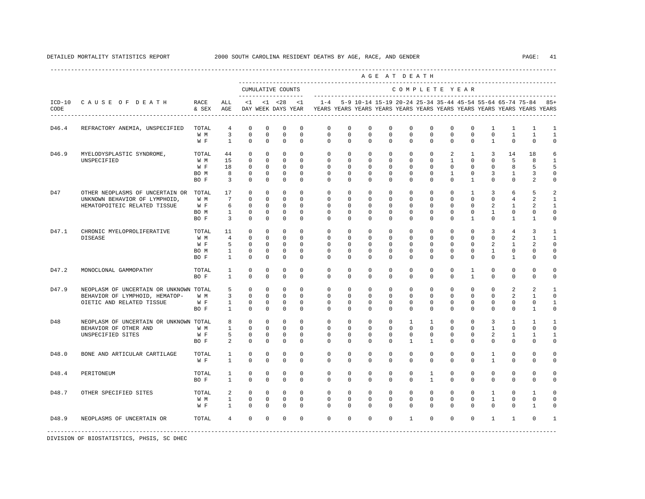|       |                                                                                                        |                                     |                                                                          |                                                                    |                                                                       |                                                                               |                                                                |                                                                                            |                                                                |                                                                   |                                                                   | AGE AT DEATH                                                       |                                                                   |                                                                |                                                                     |                                                                          |                                                                    |                                                    |                                                             |
|-------|--------------------------------------------------------------------------------------------------------|-------------------------------------|--------------------------------------------------------------------------|--------------------------------------------------------------------|-----------------------------------------------------------------------|-------------------------------------------------------------------------------|----------------------------------------------------------------|--------------------------------------------------------------------------------------------|----------------------------------------------------------------|-------------------------------------------------------------------|-------------------------------------------------------------------|--------------------------------------------------------------------|-------------------------------------------------------------------|----------------------------------------------------------------|---------------------------------------------------------------------|--------------------------------------------------------------------------|--------------------------------------------------------------------|----------------------------------------------------|-------------------------------------------------------------|
|       |                                                                                                        |                                     |                                                                          | CUMULATIVE COUNTS                                                  |                                                                       |                                                                               | _____________________                                          |                                                                                            |                                                                |                                                                   |                                                                   | COMPLETE YEAR                                                      |                                                                   |                                                                |                                                                     |                                                                          |                                                                    |                                                    |                                                             |
| CODE  | ICD-10 CAUSE OF DEATH                                                                                  | RACE<br>& SEX AGE                   | ALL                                                                      |                                                                    |                                                                       |                                                                               | $<1$ $<1$ $<28$ $<1$                                           | DAY WEEK DAYS YEAR TEARS YEARS YEARS YEARS YEARS YEARS YEARS YEARS YEARS YEARS YEARS YEARS |                                                                | 1-4 5-9 10-14 15-19 20-24 25-34 35-44 45-54 55-64 65-74 75-84 85+ |                                                                   |                                                                    |                                                                   |                                                                |                                                                     |                                                                          |                                                                    |                                                    |                                                             |
| D46.4 | REFRACTORY ANEMIA, UNSPECIFIED                                                                         | TOTAL<br>W M<br>W F                 | $4\overline{ }$<br>$\overline{3}$<br>$\overline{1}$                      | $\mathbf 0$<br>$\mathbf 0$<br>$\mathbf{0}$                         | $\mathbf 0$<br>$\Omega$<br>$\mathbf{0}$                               | $\mathbf 0$<br>$\mathbf 0$<br>$\mathbf 0$                                     | $\mathbf 0$<br>$\Omega$<br>$\mathbf 0$                         | $\Omega$<br>$\Omega$<br>$\mathbf{0}$                                                       | $\Omega$<br>$\Omega$<br>$\mathbf{0}$                           | $\mathbf 0$<br>$\Omega$<br>$\mathbf 0$                            | $\mathbf 0$<br>$\Omega$<br>$\mathbf 0$                            | $\mathbf{0}$<br>$\Omega$<br>$\mathbf 0$                            | $\mathbf 0$<br>$\Omega$<br>$\mathbf 0$                            | 0<br>$\Omega$<br>$\circ$                                       | $\mathbf 0$<br>$\Omega$<br>$\mathbf 0$                              | 1<br>$\Omega$<br>$\mathbf{1}$                                            | $\mathbf{1}$<br>$\mathbf{1}$<br>$\mathbf{0}$                       | 1<br>$\mathbf{1}$<br>$\mathbf{0}$                  | $\mathbf{1}$<br>1<br>$\mathbf 0$                            |
| D46.9 | MYELODYSPLASTIC SYNDROME,<br>UNSPECIFIED                                                               | TOTAL<br>W M<br>W F<br>BO M<br>BO F | 44<br>15<br>18<br>8<br>$\overline{\mathbf{3}}$                           | $\mathbf 0$<br>$\Omega$<br>$\Omega$<br>$\mathbf 0$<br>$\mathbf 0$  | $\mathbf 0$<br>$\Omega$<br>$\Omega$<br>$\overline{0}$<br>$\mathbf{0}$ | $\mathbf 0$<br>$\Omega$<br>$\overline{0}$<br>$\overline{0}$<br>$\overline{0}$ | $\Omega$<br>$\Omega$<br>$\Omega$<br>$\Omega$<br>$\mathbf 0$    | $\mathbf 0$<br>$\Omega$<br>$\Omega$<br>$\mathbf 0$<br>$\Omega$                             | $\mathbf 0$<br>$\Omega$<br>$\Omega$<br>$\circ$<br>$\mathbf 0$  | $\circ$<br>$\Omega$<br>$\Omega$<br>$\overline{0}$<br>$\Omega$     | $\mathbf 0$<br>$\Omega$<br>$\Omega$<br>$\mathbf 0$<br>$\mathbf 0$ | $\mathbf 0$<br>$\Omega$<br>$\Omega$<br>$\mathbf{0}$<br>$\mathbf 0$ | $\mathbf 0$<br>$\Omega$<br>$\Omega$<br>$\mathbf 0$<br>$\mathbf 0$ | 2<br>$\mathbf{1}$<br>$\Omega$<br>$\mathbf{1}$<br>$\Omega$      | $\mathbf{1}$<br>$\Omega$<br>$\Omega$<br>$\mathbf 0$<br>$\mathbf{1}$ | $\overline{3}$<br>$\Omega$<br>$\Omega$<br>$\overline{3}$<br>$\Omega$     | 14<br>5<br>8<br>$\mathbf{1}$<br>$\mathbf{0}$                       | 18<br>8<br>5<br>3<br>2                             | 6<br>$\mathbf{1}$<br>5<br>$\circ$<br>$\mathbf 0$            |
| D47   | OTHER NEOPLASMS OF UNCERTAIN OR TOTAL<br>UNKNOWN BEHAVIOR OF LYMPHOID,<br>HEMATOPOITEIC RELATED TISSUE | W M<br>W F<br>BO M<br>BO F          | 17<br>$7\overline{ }$<br>6<br>$\overline{\phantom{a}}$<br>$\overline{3}$ | $\mathbf 0$<br>$\Omega$<br>$\Omega$<br>$\mathbf 0$<br>$\mathbf{0}$ | $\mathbf 0$<br>$\Omega$<br>$\circ$<br>$\mathbf 0$<br>$\circ$          | $\mathbf 0$<br>$\Omega$<br>$\Omega$<br>$\mathbf 0$<br>$\Omega$                | $\mathbf 0$<br>$\Omega$<br>$\Omega$<br>$\mathbf 0$<br>$\Omega$ | $\mathbf 0$<br>$\Omega$<br>$\Omega$<br>$\mathbf 0$<br>$\Omega$                             | $\mathbf 0$<br>$\Omega$<br>$\Omega$<br>$\mathbf 0$<br>$\Omega$ | $\circ$<br>$\Omega$<br>$\Omega$<br>$\mathbf 0$<br>$\Omega$        | $\mathbf 0$<br>$\Omega$<br>$\Omega$<br>$\mathbf 0$<br>$\Omega$    | $\overline{0}$<br>$\Omega$<br>$\Omega$<br>$\mathbf 0$<br>$\Omega$  | $\mathbf 0$<br>$\Omega$<br>$\Omega$<br>$\mathbf 0$<br>$\Omega$    | $\mathbf 0$<br>$\Omega$<br>$\Omega$<br>$\mathbf 0$<br>$\Omega$ | $\mathbf{1}$<br>$\Omega$<br>$\Omega$<br>$\mathbf 0$<br>1            | $\overline{3}$<br>$\Omega$<br>$\overline{a}$<br>$\mathbf{1}$<br>$\Omega$ | 6<br>$\overline{4}$<br>$\mathbf{1}$<br>$\mathbf 0$<br>$\mathbf{1}$ | 5<br>2<br>2<br>$\mathbf 0$<br>1                    | 2<br>$\mathbf{1}$<br>$\mathbf{1}$<br>$\circ$<br>$\mathbf 0$ |
| D47.1 | CHRONIC MYELOPROLIFERATIVE<br><b>DISEASE</b>                                                           | TOTAL<br>W M<br>W F<br>BO M<br>BO F | 11<br>$\overline{4}$<br>5<br>$\mathbf{1}$<br>$\mathbf{1}$                | $\mathbf 0$<br>$\Omega$<br>$\Omega$<br>$\mathbf 0$<br>$\mathbf{0}$ | $\mathbf{0}$<br>$\Omega$<br>$\circ$<br>$\circ$<br>$\mathbf 0$         | $\mathbf 0$<br>$\Omega$<br>$\Omega$<br>$\overline{0}$<br>$\circ$              | $\Omega$<br>$\Omega$<br>$\Omega$<br>$\Omega$<br>$\mathbf 0$    | $\mathbf 0$<br>$\Omega$<br>$\Omega$<br>$\mathbf 0$<br>$\Omega$                             | $\mathbf 0$<br>$\Omega$<br>$\Omega$<br>$\mathbf 0$<br>0        | $^{\circ}$<br>$\Omega$<br>$\Omega$<br>$\mathbf{0}$<br>$\Omega$    | 0<br>$\Omega$<br>$\Omega$<br>$\mathbf 0$<br>0                     | $\mathbf 0$<br>$\Omega$<br>$\Omega$<br>$\mathbf 0$<br>$\Omega$     | $\mathbf{0}$<br>$\Omega$<br>$\Omega$<br>$\mathbf 0$<br>0          | $\mathbf 0$<br>$\Omega$<br>$\Omega$<br>$\mathbf 0$<br>$\Omega$ | $\mathbf 0$<br>$\Omega$<br>$\Omega$<br>$\mathbf 0$<br>0             | $\overline{3}$<br>$\Omega$<br>$\overline{a}$<br>$\mathbf{1}$<br>$\Omega$ | $\overline{4}$<br>2<br>$\mathbf{1}$<br>$\mathbf 0$<br>1            | 3<br>$\overline{1}$<br>2<br>$\mathbf 0$<br>0       | 1<br>$\mathbf{1}$<br>$\Omega$<br>$\circ$<br>$\mathbf 0$     |
| D47.2 | MONOCLONAL GAMMOPATHY                                                                                  | TOTAL<br>BO F                       | $\mathbf{1}$<br>$\mathbf{1}$                                             | $\mathbf{0}$<br>$\Omega$                                           | $\mathbf 0$<br>$\Omega$                                               | $\Omega$<br>$\Omega$                                                          | $\Omega$<br>$\Omega$                                           | $\Omega$<br>$\Omega$                                                                       | $\Omega$<br>$\Omega$                                           | $\Omega$<br>$\Omega$                                              | $\mathbf 0$<br>$\Omega$                                           | $\mathbf 0$<br>$\Omega$                                            | $\Omega$<br>$\Omega$                                              | $\circ$<br>$\Omega$                                            | 1<br>$\overline{1}$                                                 | $\Omega$<br>$\Omega$                                                     | $\Omega$<br>$\Omega$                                               | $\Omega$<br>$\Omega$                               | $\mathbf 0$<br>$\mathbf 0$                                  |
| D47.9 | NEOPLASM OF UNCERTAIN OR UNKNOWN TOTAL<br>BEHAVIOR OF LYMPHOID, HEMATOP-<br>OIETIC AND RELATED TISSUE  | W M<br>W F<br>BO F                  | 5<br>$3^{\circ}$<br>$\sim$ 1<br>$\mathbf{1}$                             | $\mathbf 0$<br>$\mathbf 0$<br>$\mathbf{0}$<br>$\mathbf 0$          | $\mathbf 0$<br>$\mathbf 0$<br>$\circ$<br>$\mathbf 0$                  | $\mathbf 0$<br>$\mathbf 0$<br>$\overline{0}$<br>$\mathbf 0$                   | $\mathbf 0$<br>$\Omega$<br>$\overline{0}$<br>$\Omega$          | $\mathbf 0$<br>$\Omega$<br>$\circ$<br>$\Omega$                                             | $\mathbf 0$<br>$\Omega$<br>$\circ$<br>$\Omega$                 | $\circ$<br>$^{\circ}$<br>$\overline{0}$<br>$\Omega$               | 0<br>$\Omega$<br>$\mathbf{0}$<br>$\mathbf 0$                      | $\circ$<br>$\mathbf 0$<br>$\circ$<br>$\Omega$                      | $\mathbf{0}$<br>$\Omega$<br>$\mathbf 0$<br>$\mathbf 0$            | $\circ$<br>$\Omega$<br>$\circ$<br>$\Omega$                     | $\mathbf 0$<br>$\Omega$<br>$\mathbf 0$<br>$\mathbf 0$               | $\mathbf{0}$<br>$\Omega$<br>$\circ$<br>$\Omega$                          | 2<br>$\overline{a}$<br>$\mathbf 0$<br>$\mathbf 0$                  | 2<br>$\overline{1}$<br>$\mathbf 0$<br>$\mathbf{1}$ | 1<br>$\mathbf 0$<br>$\mathbf{1}$<br>$\circ$                 |
| D48   | NEOPLASM OF UNCERTAIN OR UNKNOWN TOTAL<br>BEHAVIOR OF OTHER AND<br>UNSPECIFIED SITES                   | W M<br>W F<br>BO F                  | 8<br>$\mathbf{1}$<br>5<br>2                                              | $\Omega$<br>$\circ$<br>$\mathbf 0$<br>$\mathbf 0$                  | $\Omega$<br>$\overline{0}$<br>$\overline{0}$<br>$\mathbf 0$           | $\Omega$<br>$\overline{0}$<br>$\overline{0}$<br>$\mathbf 0$                   | $\Omega$<br>$\mathbf{0}$<br>$\mathbf 0$<br>$\mathbf 0$         | $\Omega$<br>$\mathbf 0$<br>$\mathbf 0$<br>$\Omega$                                         | $\Omega$<br>$\mathbf 0$<br>$\mathbf 0$<br>$\Omega$             | $\Omega$<br>$\circ$<br>$^{\circ}$<br>$\Omega$                     | $\Omega$<br>$\mathbf 0$<br>$\mathbf 0$<br>$^{\circ}$              | $\overline{1}$<br>$\mathbf 0$<br>$\mathbf 0$<br>$\mathbf{1}$       | $\mathbf{1}$<br>$\mathbf{0}$<br>0<br>$\mathbf{1}$                 | $\Omega$<br>$\mathbf 0$<br>$\mathbf 0$<br>$\Omega$             | $\Omega$<br>$\mathbf 0$<br>$\mathbf 0$<br>$^{\circ}$                | $\overline{3}$<br>$\mathbf{1}$<br>2<br>$\Omega$                          | $\overline{1}$<br>$\mathbf 0$<br>1<br>$\mathbf{0}$                 | $\overline{1}$<br>$\mathbf{0}$<br>1<br>$\Omega$    | $\overline{1}$<br>$\mathbf 0$<br>$\mathbf{1}$<br>$\Omega$   |
| D48.0 | BONE AND ARTICULAR CARTILAGE                                                                           | TOTAL<br>W F                        | $\mathbf{1}$<br>$\mathbf{1}$                                             | $\Omega$<br>$\mathbf 0$                                            | $\Omega$<br>$\mathbf 0$                                               | $\Omega$<br>$\mathbf 0$                                                       | $\Omega$<br>$\mathbf 0$                                        | $\Omega$<br>$\circ$                                                                        | $\Omega$<br>$\mathbf 0$                                        | $\Omega$<br>$\mathbf 0$                                           | $\Omega$<br>$\mathbf 0$                                           | $\Omega$<br>$\mathbf 0$                                            | $\Omega$<br>0                                                     | $\Omega$<br>$\mathbf 0$                                        | $\Omega$<br>0                                                       | $\mathbf{1}$<br>$\mathbf{1}$                                             | $\Omega$<br>$\mathbf{0}$                                           | $\Omega$<br>$\mathbf 0$                            | $\mathbf 0$<br>$\mathsf 0$                                  |
| D48.4 | PERITONEUM                                                                                             | TOTAL<br>BO F                       | $\mathbf{1}$<br>$\mathbf{1}$                                             | $\mathbf 0$<br>$\mathbf 0$                                         | $\mathbf 0$<br>$\mathbf 0$                                            | $\mathbf 0$<br>$\mathbf 0$                                                    | $\Omega$<br>$\Omega$                                           | $\mathbf 0$<br>$\Omega$                                                                    | $\mathbf 0$<br>$\mathbf 0$                                     | $^{\circ}$<br>$\mathbf{0}$                                        | $\mathbf 0$<br>$\mathbf 0$                                        | $\mathbf 0$<br>$\mathbf 0$                                         | $\mathbf{1}$<br>$\mathbf{1}$                                      | $\mathbf 0$<br>$\mathbf 0$                                     | $\mathbf 0$<br>$\mathbf 0$                                          | $\mathbf{0}$<br>$\Omega$                                                 | $\mathbf 0$<br>$\mathbf 0$                                         | $\mathbf{0}$<br>$\mathbf 0$                        | $\mathbf 0$<br>$\mathbf 0$                                  |
| D48.7 | OTHER SPECIFIED SITES                                                                                  | TOTAL<br>W M<br>W F                 | $\overline{a}$<br>$\mathbf{1}$<br>$\mathbf{1}$                           | $\mathbf{0}$<br>$\mathsf{O}$<br>$\circ$                            | $\circ$<br>$\mathbf 0$<br>$\circ$                                     | $\mathbf{0}$<br>$\overline{0}$<br>$\overline{0}$                              | $\Omega$<br>$\mathbf 0$<br>$\Omega$                            | $\Omega$<br>$\mathbf 0$<br>$\Omega$                                                        | $\Omega$<br>$\mathbf 0$<br>$\mathbf{0}$                        | $\Omega$<br>$\mathbf{0}$<br>$\Omega$                              | $\mathbf 0$<br>$\mathbf 0$<br>$\mathbf 0$                         | $\circ$<br>$\mathbf 0$<br>$\circ$                                  | $\circ$<br>$\mathbf 0$<br>$\mathbf 0$                             | $\circ$<br>$\mathbf 0$<br>$\Omega$                             | $\mathbf 0$<br>$\mathbf 0$<br>$\mathbf 0$                           | $\mathbf{1}$<br>$\mathbf{1}$<br>$\Omega$                                 | $\Omega$<br>$\mathbf 0$<br>$\mathbf 0$                             | $\mathbf{1}$<br>$\mathbf 0$<br>$\mathbf{1}$        | $\Omega$<br>$\mathbf 0$<br>0                                |
| D48.9 | NEOPLASMS OF UNCERTAIN OR                                                                              | TOTAL                               | $4\overline{ }$                                                          | $\mathbf{0}$                                                       | $\mathbf 0$                                                           | $\mathbf 0$                                                                   | $\mathbf 0$                                                    | $\Omega$                                                                                   | $\mathbf 0$                                                    | $\mathbf 0$                                                       | $\mathbf 0$                                                       | $\mathbf{1}$                                                       | $\circ$                                                           | $\circ$                                                        | $\mathbf 0$                                                         | $\mathbf{1}$                                                             | $\mathbf{1}$                                                       | $\Omega$                                           | 1                                                           |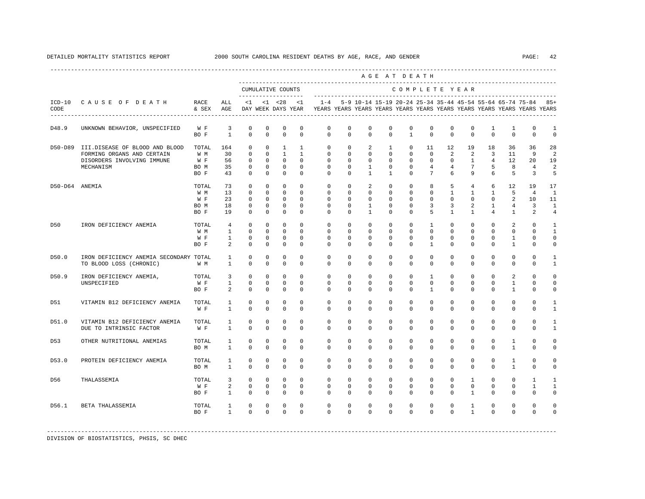|                |                                                                                                         |                                     |                                                                   |                                                                   |                                                                 |                                                                                 |                                                                         |                                                                                            |                                                            |                                                                            |                                                                 | AGE AT DEATH                                                |                                                                |                                                        |                                                                               |                                                                 |                                                 |                                                                     |                                                              |
|----------------|---------------------------------------------------------------------------------------------------------|-------------------------------------|-------------------------------------------------------------------|-------------------------------------------------------------------|-----------------------------------------------------------------|---------------------------------------------------------------------------------|-------------------------------------------------------------------------|--------------------------------------------------------------------------------------------|------------------------------------------------------------|----------------------------------------------------------------------------|-----------------------------------------------------------------|-------------------------------------------------------------|----------------------------------------------------------------|--------------------------------------------------------|-------------------------------------------------------------------------------|-----------------------------------------------------------------|-------------------------------------------------|---------------------------------------------------------------------|--------------------------------------------------------------|
|                |                                                                                                         |                                     |                                                                   |                                                                   |                                                                 | CUMULATIVE COUNTS                                                               |                                                                         |                                                                                            |                                                            |                                                                            |                                                                 | COMPLETE YEAR                                               |                                                                |                                                        |                                                                               |                                                                 |                                                 |                                                                     |                                                              |
| CODE           | ICD-10 CAUSE OF DEATH                                                                                   | RACE<br>& SEX AGE                   | ALL                                                               |                                                                   |                                                                 |                                                                                 | $<1$ $<1$ $<28$ $<1$                                                    | DAY WEEK DAYS YEAR YEARS YEARS YEARS YEARS YEARS YEARS YEARS YEARS YEARS YEARS YEARS YEARS |                                                            |                                                                            |                                                                 |                                                             |                                                                |                                                        |                                                                               |                                                                 |                                                 | $1-4$ 5-9 10-14 15-19 20-24 25-34 35-44 45-54 55-64 65-74 75-84 85+ |                                                              |
| D48.9          | UNKNOWN BEHAVIOR, UNSPECIFIED                                                                           | W F<br>BO F                         | $\overline{\mathbf{3}}$<br>$\overline{1}$                         | 0<br>$\Omega$                                                     | 0<br>$\Omega$                                                   | 0<br>$\Omega$                                                                   | 0<br>$\Omega$                                                           | $\mathbf{0}$<br>$\Omega$                                                                   | 0<br>$\Omega$                                              | $\circ$<br>$\Omega$                                                        | 0<br>$\Omega$                                                   | $\mathbf 0$<br>$\mathbf{1}$                                 | 0<br>$\Omega$                                                  | 0<br>$\Omega$                                          | $^{\circ}$<br>$\Omega$                                                        | 1<br>$\Omega$                                                   | 1<br>$\Omega$                                   | 0<br>$\Omega$                                                       | 1<br>$\Omega$                                                |
| D50-D89        | III.DISEASE OF BLOOD AND BLOOD<br>FORMING ORGANS AND CERTAIN<br>DISORDERS INVOLVING IMMUNE<br>MECHANISM | TOTAL<br>W M<br>W F<br>BO M<br>BO F | 164<br>30<br>56<br>35<br>43                                       | $\Omega$<br>$\Omega$<br>$^{\circ}$<br>$\circ$<br>$\mathbf 0$      | $\Omega$<br>$\Omega$<br>$\mathbf{0}$<br>$\circ$<br>$\mathbf{0}$ | <sup>1</sup><br>$\overline{1}$<br>$\mathbf{0}$<br>$\overline{0}$<br>$\mathbf 0$ | $\mathbf{1}$<br>$\mathbf{1}$<br>$\mathbf{0}$<br>$\Omega$<br>$\mathbf 0$ | $\Omega$<br>$\Omega$<br>$\circ$<br>$\Omega$<br>$\Omega$                                    | $\Omega$<br>$\Omega$<br>$\circ$<br>$\Omega$<br>$\circ$     | $\overline{2}$<br>$\Omega$<br>$\mathbf{0}$<br>$\mathbf{1}$<br>$\mathbf{1}$ | $\mathbf{1}$<br>$\Omega$<br>$\circ$<br>$\Omega$<br>$\mathbf{1}$ | $\Omega$<br>$\Omega$<br>$\circ$<br>$\Omega$<br>$\Omega$     | 11<br>$\Omega$<br>$\circ$<br>$\overline{4}$<br>$7\phantom{.0}$ | 12<br>$\overline{2}$<br>$\circ$<br>$\overline{4}$<br>6 | 19<br>$\overline{2}$<br>$\mathbf{1}$<br>$7^{\circ}$<br>9                      | 18<br>3<br>4<br>5<br>6                                          | 36<br>11<br>12<br>8<br>5                        | 36<br>9<br>20<br>$\overline{4}$<br>3                                | 28<br>$\mathfrak{D}$<br>19<br>2<br>5                         |
| D50-D64 ANEMIA |                                                                                                         | TOTAL<br>W M<br>W F<br>BO M<br>BO F | 73<br>13<br>23<br>18<br>19                                        | $\Omega$<br>$\mathbf 0$<br>$\Omega$<br>$\mathbf 0$<br>$\mathbf 0$ | $\Omega$<br>$\Omega$<br>$\Omega$<br>$\circ$<br>$\mathbf 0$      | $\Omega$<br>$\circ$<br>$\Omega$<br>$\mathbf 0$<br>$\mathbf 0$                   | $\Omega$<br>$\Omega$<br>$\Omega$<br>$\mathbf{0}$<br>$\Omega$            | $\Omega$<br>$\Omega$<br>$\Omega$<br>$\mathbf 0$<br>$\Omega$                                | $\Omega$<br>$\Omega$<br>$\Omega$<br>$\circ$<br>$\mathbf 0$ | 2<br>$\Omega$<br>$\Omega$<br>$\mathbf{1}$<br>$\mathbf{1}$                  | $\Omega$<br>$\Omega$<br>$\Omega$<br>$\mathbf 0$<br>$\mathbf 0$  | $\Omega$<br>$\Omega$<br>$\Omega$<br>$\mathbf 0$<br>$\Omega$ | 8<br>$\Omega$<br>$\Omega$<br>3<br>5                            | 5<br>$\mathbf{1}$<br>$\Omega$<br>3<br>$\mathbf{1}$     | $4\overline{ }$<br>$\mathbf{1}$<br>$\Omega$<br>$\overline{a}$<br>$\mathbf{1}$ | 6<br>$\mathbf{1}$<br>$\Omega$<br>$\mathbf{1}$<br>$\overline{4}$ | 12<br>5<br>2<br>$\overline{4}$<br>$\mathbf{1}$  | 19<br>$\overline{4}$<br>10<br>3<br>2                                | 17<br>$\overline{1}$<br>11<br>$\mathbf{1}$<br>$\overline{4}$ |
| D50            | IRON DEFICIENCY ANEMIA                                                                                  | TOTAL<br>W M<br>W F<br>BO F         | $4\overline{ }$<br>$\mathbf{1}$<br>$\mathbf{1}$<br>$\overline{a}$ | $\mathbf 0$<br>$\Omega$<br>$\Omega$<br>$\Omega$                   | $\mathbf{0}$<br>$\Omega$<br>$\Omega$<br>$\mathbf 0$             | $\mathbf 0$<br>$\Omega$<br>$\Omega$<br>$\Omega$                                 | $\Omega$<br>$\Omega$<br>$\Omega$<br>$\Omega$                            | $\mathbf 0$<br>$\Omega$<br>$\Omega$<br>$\Omega$                                            | $\circ$<br>$\Omega$<br>$\Omega$<br>$\circ$                 | $\mathbf{0}$<br>$\Omega$<br>$\Omega$<br>$\Omega$                           | $\mathbf{0}$<br>$\Omega$<br>$\Omega$<br>$\mathbf{0}$            | $\circ$<br>$\Omega$<br>$\Omega$<br>$\Omega$                 | $\mathbf{1}$<br>$\Omega$<br>$\Omega$<br>$\mathbf{1}$           | $\circ$<br>$\Omega$<br>$\Omega$<br>$\Omega$            | $\mathbf{0}$<br>$\Omega$<br>$\cap$<br>$\Omega$                                | $\mathbf{0}$<br>$\Omega$<br>$\Omega$<br>$\Omega$                | 2<br>$\Omega$<br>$\overline{1}$<br>$\mathbf{1}$ | $\mathbf 0$<br>$\Omega$<br>$\Omega$<br>$\mathbf 0$                  | $\mathbf{1}$<br>$\mathbf{1}$<br>$\Omega$<br>$\Omega$         |
| D50.0          | IRON DEFICIENCY ANEMIA SECONDARY TOTAL<br>TO BLOOD LOSS (CHRONIC)                                       | W M                                 | <sup>1</sup><br>$\mathbf{1}$                                      | $\mathbf 0$<br>$\mathbf 0$                                        | $\mathbf 0$<br>$^{\circ}$                                       | $\mathbf 0$<br>$\Omega$                                                         | $\mathbf 0$<br>$\Omega$                                                 | $\mathbf{0}$<br>$\Omega$                                                                   | $\mathbf 0$<br>$\mathbf{0}$                                | $\mathbf 0$<br>$\Omega$                                                    | $\mathbf 0$<br>$\mathbf 0$                                      | $\mathbf 0$<br>$\Omega$                                     | $\mathbf 0$<br>$\Omega$                                        | $\mathbf 0$<br>$\Omega$                                | $\mathbf 0$<br>$\Omega$                                                       | $\mathbf 0$<br>$\Omega$                                         | $\mathbf 0$<br>$\Omega$                         | $\mathbf 0$<br>$\Omega$                                             | 1<br>1                                                       |
| D50.9          | IRON DEFICIENCY ANEMIA,<br>UNSPECIFIED                                                                  | TOTAL<br>W F<br>BO F                | $\overline{3}$<br>$\mathbf{1}$<br>2                               | $\mathbf 0$<br>$\mathbf{0}$<br>$\Omega$                           | $\Omega$<br>$\Omega$<br>$\Omega$                                | $\mathbf{0}$<br>$\mathbf 0$<br>$\Omega$                                         | $\Omega$<br>$\Omega$<br>$\Omega$                                        | $\Omega$<br>$\mathbf{0}$<br>$\Omega$                                                       | $\Omega$<br>$\Omega$<br>$\Omega$                           | $\Omega$<br>$\mathbf{0}$<br>$\Omega$                                       | $\Omega$<br>$\Omega$<br>$\Omega$                                | $\Omega$<br>$\Omega$<br>$\Omega$                            | $\mathbf{1}$<br>$\Omega$<br>$\mathbf{1}$                       | $\Omega$<br>$\Omega$<br>$\Omega$                       | $\Omega$<br>$\Omega$<br>$\Omega$                                              | $\Omega$<br>$\Omega$<br>$\Omega$                                | 2<br>$\mathbf{1}$<br>$\mathbf{1}$               | $\Omega$<br>$\Omega$<br>$\Omega$                                    | $\Omega$<br>$\Omega$<br>$\Omega$                             |
| D51            | VITAMIN B12 DEFICIENCY ANEMIA                                                                           | TOTAL<br>W F                        | $\mathbf{1}$<br>$\mathbf{1}$                                      | $^{\circ}$<br>$\Omega$                                            | $^{\circ}$<br>$\Omega$                                          | $^{\circ}$<br>$\Omega$                                                          | $^{\circ}$<br>$\Omega$                                                  | $\circ$<br>$\Omega$                                                                        | $\circ$<br>$\Omega$                                        | $^{\circ}$<br>$\Omega$                                                     | $^{\circ}$<br>$\Omega$                                          | $\mathbf{0}$<br>$\Omega$                                    | $\mathbf{0}$<br>$\Omega$                                       | $\circ$<br>$\Omega$                                    | 0<br>$\Omega$                                                                 | $^{\circ}$<br>$\Omega$                                          | $\mathbf{0}$<br>$\Omega$                        | $\mathbf{0}$<br>$\Omega$                                            | 1<br>1                                                       |
| D51.0          | VITAMIN B12 DEFICIENCY ANEMIA<br>DUE TO INTRINSIC FACTOR                                                | TOTAL<br>W F                        | 1<br>$\mathbf{1}$                                                 | $\mathbf 0$<br>$\Omega$                                           | $\mathbf 0$<br>$\Omega$                                         | $\mathbf 0$<br>$\Omega$                                                         | $\Omega$<br>$\Omega$                                                    | $\mathbf 0$<br>$\Omega$                                                                    | $\mathbf 0$<br>$\Omega$                                    | $\mathbf 0$<br>$\Omega$                                                    | $\mathbf 0$<br>$\mathbf 0$                                      | $\mathbf{0}$<br>$\Omega$                                    | $\mathbf 0$<br>$\Omega$                                        | $\mathbf 0$<br>$\Omega$                                | 0<br>$\Omega$                                                                 | $\mathbf 0$<br>$\Omega$                                         | $\mathbf 0$<br>$\mathbf 0$                      | $\mathbf 0$<br>$\Omega$                                             | 1<br>$\mathbf{1}$                                            |
| D53            | OTHER NUTRITIONAL ANEMIAS                                                                               | TOTAL<br>BO M                       | $\mathbf{1}$<br>$\mathbf{1}$                                      | $\mathbf 0$<br>$\mathbf 0$                                        | $\mathbf 0$<br>$\mathbf 0$                                      | $\mathbf 0$<br>$\mathbf 0$                                                      | $\Omega$<br>$\mathbf 0$                                                 | $\mathbf 0$<br>$\mathbf 0$                                                                 | $\mathbf 0$<br>$\circ$                                     | $\mathbf 0$<br>$\mathbf 0$                                                 | $\mathbf 0$<br>$\mathbf 0$                                      | $\mathbf 0$<br>$\mathbf{0}$                                 | $\mathbf 0$<br>$\mathbf{0}$                                    | $\mathbf 0$<br>$\mathbf 0$                             | $\Omega$<br>$\mathbf{0}$                                                      | $\mathbf 0$<br>$\mathbf 0$                                      | $\mathbf{1}$<br>$\mathbf{1}$                    | $\mathbf 0$<br>$\mathbf 0$                                          | $\Omega$<br>$\Omega$                                         |
| D53.0          | PROTEIN DEFICIENCY ANEMIA                                                                               | TOTAL<br>BO M                       | $\mathbf{1}$<br>$\mathbf{1}$                                      | $\mathbf 0$<br>$\Omega$                                           | $\Omega$<br>$\Omega$                                            | $\mathbf 0$<br>$\Omega$                                                         | $\Omega$<br>$\Omega$                                                    | $\Omega$<br>$\Omega$                                                                       | $\Omega$<br>$\Omega$                                       | $\Omega$<br>$\Omega$                                                       | $\Omega$<br>$\Omega$                                            | $\Omega$<br>$\Omega$                                        | $\Omega$<br>$\Omega$                                           | $\Omega$<br>$\Omega$                                   | $\Omega$<br>$\Omega$                                                          | $\Omega$<br>$\Omega$                                            | $\mathbf{1}$<br>$\mathbf{1}$                    | $\Omega$<br>$\Omega$                                                | $\Omega$<br>$\Omega$                                         |
| D56            | THALASSEMIA                                                                                             | TOTAL<br>W F<br>BO F                | 3<br>$\overline{a}$<br>$\mathbf{1}$                               | $\Omega$<br>$\mathbf 0$<br>$\Omega$                               | $\Omega$<br>$\mathbf{0}$<br>$\mathbf{0}$                        | $\Omega$<br>$\mathbf 0$<br>$\overline{0}$                                       | $\Omega$<br>$\mathbf 0$<br>$\Omega$                                     | $\Omega$<br>$\mathbf{0}$<br>$\Omega$                                                       | $\Omega$<br>$\mathbf 0$<br>$\Omega$                        | $\Omega$<br>$\mathbf 0$<br>$\Omega$                                        | $\Omega$<br>$\mathbf 0$<br>$\mathbf{0}$                         | $\Omega$<br>$\mathbf{0}$<br>$\Omega$                        | $\Omega$<br>$\mathbf 0$<br>$\Omega$                            | $\Omega$<br>$\mathbf 0$<br>$\Omega$                    | $\mathbf{1}$<br>$\mathbf{0}$<br>$\mathbf{1}$                                  | $\Omega$<br>$\mathbf 0$<br>$\Omega$                             | $\Omega$<br>$\mathbf 0$<br>$\Omega$             | $\mathbf{1}$<br>1<br>$\mathbf{0}$                                   | $\mathbf{1}$<br>1<br>$\Omega$                                |
| D56.1          | BETA THALASSEMIA                                                                                        | TOTAL<br>BO F                       | $\mathbf{1}$<br>$\mathbf{1}$                                      | $^{\circ}$<br>$\Omega$                                            | 0<br>$\Omega$                                                   | $^{\circ}$<br>$\Omega$                                                          | $\Omega$<br>$\Omega$                                                    | $\mathbf 0$<br>$\Omega$                                                                    | $\circ$<br>$\Omega$                                        | $\circ$<br>$\Omega$                                                        | $^{\circ}$<br>$\Omega$                                          | $\mathbf{0}$<br>$\Omega$                                    | $\mathbf 0$<br>$\Omega$                                        | $\circ$<br>$\Omega$                                    | $\mathbf{1}$<br>$\mathbf{1}$                                                  | $\circ$<br>$\Omega$                                             | $\mathbf{0}$<br>$\Omega$                        | $\mathbf 0$<br>$\Omega$                                             | $\Omega$<br>$\Omega$                                         |
|                |                                                                                                         |                                     |                                                                   |                                                                   |                                                                 |                                                                                 |                                                                         |                                                                                            |                                                            |                                                                            |                                                                 |                                                             |                                                                |                                                        |                                                                               |                                                                 |                                                 |                                                                     |                                                              |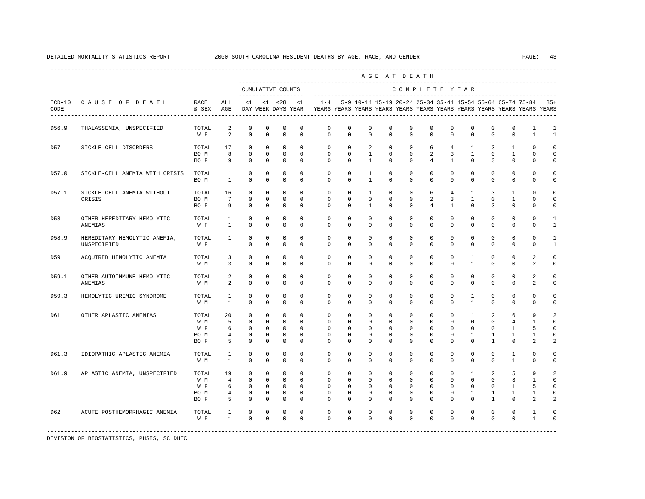|                  |                                             |                                     |                                     |                                                                      |                                                                |                                                                      |                                                                 |                                                                                    |                                                   |                                                            |                                        | -----------------------------<br>AGE AT DEATH             |                                                                      |                                               |                                                    |                              |                                  |                                               |                                                         |
|------------------|---------------------------------------------|-------------------------------------|-------------------------------------|----------------------------------------------------------------------|----------------------------------------------------------------|----------------------------------------------------------------------|-----------------------------------------------------------------|------------------------------------------------------------------------------------|---------------------------------------------------|------------------------------------------------------------|----------------------------------------|-----------------------------------------------------------|----------------------------------------------------------------------|-----------------------------------------------|----------------------------------------------------|------------------------------|----------------------------------|-----------------------------------------------|---------------------------------------------------------|
|                  |                                             |                                     |                                     |                                                                      |                                                                | CUMULATIVE COUNTS<br>-------------------                             |                                                                 |                                                                                    |                                                   |                                                            |                                        | COMPLETE YEAR                                             |                                                                      |                                               |                                                    |                              |                                  |                                               |                                                         |
| $ICD-10$<br>CODE | CAUSE OF DEATH                              | RACE<br>& SEX                       | ALL<br>AGE                          | $\leq 1$                                                             |                                                                | $<1$ $<28$<br>DAY WEEK DAYS YEAR                                     | <1                                                              | $1 - 4$<br>YEARS YEARS YEARS YEARS YEARS YEARS YEARS YEARS YEARS YEARS YEARS YEARS |                                                   |                                                            |                                        | 5-9 10-14 15-19 20-24 25-34 35-44 45-54 55-64 65-74 75-84 |                                                                      |                                               |                                                    |                              |                                  |                                               | $85+$                                                   |
| D56.9            | THALASSEMIA, UNSPECIFIED                    | TOTAL<br>W F                        | 2<br>2                              | $\mathbf 0$<br>$\mathbf 0$                                           | 0<br>$\mathbf 0$                                               | 0<br>$\mathbf 0$                                                     | 0<br>$^{\circ}$                                                 | 0<br>$\mathbf 0$                                                                   | $\circ$<br>$\mathbf 0$                            | 0<br>$\mathbf 0$                                           | 0<br>0                                 | 0<br>$\mathbf{0}$                                         | $\mathbf{0}$<br>$\mathbf 0$                                          | 0<br>$\mathbf 0$                              | 0<br>$\mathbf 0$                                   | 0<br>$\mathbf 0$             | 0<br>$\mathbf{0}$                | 1<br>$\mathbf{1}$                             | 1<br>$\mathbf{1}$                                       |
| D57              | SICKLE-CELL DISORDERS                       | TOTAL<br>BO M<br>BO F               | 17<br>8<br>9                        | $\mathbf 0$<br>$\mathbb O$<br>$\Omega$                               | $\mathbf{0}$<br>$\mathbf 0$<br>$\Omega$                        | $\mathbf 0$<br>$\mathbf 0$<br>$\mathbf{0}$                           | $\Omega$<br>$^{\circ}$<br>$\Omega$                              | $\mathbf 0$<br>$\mathbf 0$<br>$\Omega$                                             | $\Omega$<br>$\mathbf{0}$<br>$\Omega$              | 2<br><sup>1</sup><br>$\overline{1}$                        | $\mathbf 0$<br>$\mathbf 0$<br>$\Omega$ | $\mathbf 0$<br>$\mathbf 0$<br>$\Omega$                    | 6<br>2<br>$\overline{4}$                                             | $4\overline{ }$<br>3<br>$\mathbf{1}$          | $\mathbf{1}$<br>$\mathbf{1}$<br>$\Omega$           | 3<br>$\mathbf 0$<br>3        | 1<br>$\mathbf{1}$<br>$\Omega$    | $\Omega$<br>$\mathbf 0$<br>$\Omega$           | $\Omega$<br>$\Omega$<br>$\cap$                          |
| D57.0            | SICKLE-CELL ANEMIA WITH CRISIS              | TOTAL<br>BO M                       | 1<br>$\mathbf{1}$                   | $\mathbf 0$<br>$\Omega$                                              | $\mathbf 0$<br>$\mathbf 0$                                     | $\mathbf 0$<br>$\Omega$                                              | $\mathbf 0$<br>$\Omega$                                         | $\mathbf 0$<br>$\Omega$                                                            | $\mathbf{0}$<br>$\Omega$                          | $\mathbf{1}$<br>$\mathbf{1}$                               | $\mathbf 0$<br>$\Omega$                | $\mathbf 0$<br>$\Omega$                                   | $\mathbf 0$<br>$\Omega$                                              | $\mathbf 0$<br>$\Omega$                       | $\mathbf 0$<br>$\Omega$                            | $\mathbf 0$<br>$\Omega$      | $\mathbf 0$<br>$\Omega$          | $\mathbf 0$<br>$\Omega$                       | $\Omega$<br>$\cap$                                      |
| D57.1            | SICKLE-CELL ANEMIA WITHOUT<br>CRISIS        | TOTAL<br>BO M<br>BO F               | 16<br>7<br>9                        | $\mathbf 0$<br>$\mathbf 0$<br>$\mathbf 0$                            | $\circ$<br>$\mathbf 0$<br>$\mathbf 0$                          | $\mathbf 0$<br>$\mathbf 0$<br>$\mathbf 0$                            | $^{\circ}$<br>$^{\circ}$<br>$\mathbf 0$                         | 0<br>$\mathbf 0$<br>$\mathbf 0$                                                    | $^{\circ}$<br>$\Omega$<br>$\mathbf 0$             | $\mathbf{1}$<br>$\mathbf 0$<br>$\mathbf{1}$                | 0<br>$\Omega$<br>0                     | $\mathbf 0$<br>$\mathbf 0$<br>$\mathbf 0$                 | 6<br>2<br>4                                                          | $\overline{4}$<br>3<br>$\mathbf{1}$           | $\mathbf{1}$<br>$\mathbf{1}$<br>$\mathbf 0$        | 3<br>$^{\circ}$<br>3         | 1<br>1<br>$\mathbf 0$            | 0<br>$\Omega$<br>$\mathbf 0$                  | $\Omega$<br>$\Omega$<br>$\Omega$                        |
| D58              | OTHER HEREDITARY HEMOLYTIC<br>ANEMIAS       | TOTAL<br>W F                        | 1<br>$\mathbf{1}$                   | $\mathbf 0$<br>$\mathbb O$                                           | $\mathbf 0$<br>$\mathbf 0$                                     | $\mathbf 0$<br>$\mathbb O$                                           | $\Omega$<br>$\mathbf 0$                                         | $\mathbf 0$<br>$\mathbf 0$                                                         | $\Omega$<br>$\mathbf 0$                           | $\Omega$<br>0                                              | $\Omega$<br>0                          | $\Omega$<br>$\mathbf 0$                                   | $\Omega$<br>$\mathbf 0$                                              | $\Omega$<br>$\mathbf 0$                       | $\Omega$<br>0                                      | $\Omega$<br>0                | $\mathbf 0$<br>$\mathbf 0$       | $\Omega$<br>$\mathbf 0$                       | $\mathbf{1}$<br>1                                       |
| D58.9            | HEREDITARY HEMOLYTIC ANEMIA,<br>UNSPECIFIED | TOTAL<br>W F                        | 1<br>1                              | $\mathbf 0$<br>$\mathbf 0$                                           | $\mathbf 0$<br>$\mathbf 0$                                     | $\mathbf 0$<br>$\mathbf 0$                                           | $^{\circ}$<br>$\mathbf 0$                                       | $\mathbf 0$<br>$\mathbf{0}$                                                        | $\mathbf 0$<br>0                                  | $\mathbf 0$<br>0                                           | $\mathbf 0$<br>0                       | $\mathbf 0$<br>0                                          | $\mathbf 0$<br>$\mathbf 0$                                           | $\mathbf 0$<br>$\Omega$                       | $\mathbf 0$<br>0                                   | $\mathbf 0$<br>$\Omega$      | $\mathbf{0}$<br>0                | $\mathbf 0$<br>$\mathbf 0$                    | $\mathbf{1}$<br>1                                       |
| D59              | ACQUIRED HEMOLYTIC ANEMIA                   | TOTAL<br>W M                        | 3<br>3                              | $\mathbf 0$<br>$\mathbf 0$                                           | $\mathbf 0$<br>$\mathbf 0$                                     | $\mathbf 0$<br>$\mathbf 0$                                           | $^{\circ}$<br>$\Omega$                                          | $\mathbf 0$<br>$\Omega$                                                            | $\mathbf 0$<br>$\Omega$                           | $\mathbf 0$<br>$\mathbf 0$                                 | $\mathbf 0$<br>$\Omega$                | $\mathbf 0$<br>$\mathbf 0$                                | $\mathbf 0$<br>$\Omega$                                              | $\mathbf 0$<br>$\Omega$                       | $\mathbf{1}$<br>$\mathbf{1}$                       | $\mathbf 0$<br>$\Omega$      | $\mathbf{0}$<br>$\Omega$         | 2<br>2                                        | $\Omega$<br>$\Omega$                                    |
| D59.1            | OTHER AUTOIMMUNE HEMOLYTIC<br>ANEMIAS       | TOTAL<br>W M                        | $\overline{a}$<br>2                 | $\mathbb O$<br>$\mathbf 0$                                           | $\mathbb O$<br>$\mathbf 0$                                     | $\mathbb O$<br>$\mathbf 0$                                           | $\mathbf{0}$<br>$\Omega$                                        | $\mathbf 0$<br>$\mathbf 0$                                                         | $\mathbf 0$<br>$\Omega$                           | $\mathbf 0$<br>$\mathbf 0$                                 | $\mathbf 0$<br>0                       | $\mathbf 0$<br>$\mathbf 0$                                | $\circ$<br>$\mathbf 0$                                               | $\circ$<br>$\mathbf 0$                        | $\mathbb O$<br>$\mathbf 0$                         | $\mathbf 0$<br>$\mathbf 0$   | $\mathbf 0$<br>0                 | $\overline{a}$<br>2                           | $\mathbf 0$<br>$\Omega$                                 |
| D59.3            | HEMOLYTIC-UREMIC SYNDROME                   | TOTAL<br>W M                        | 1<br>$\mathbf{1}$                   | $\mathbf 0$<br>$\Omega$                                              | $\mathbf 0$<br>$\mathbf 0$                                     | $\mathbf 0$<br>$\mathbf 0$                                           | $^{\circ}$<br>$\Omega$                                          | 0<br>$\Omega$                                                                      | $\mathbf 0$<br>$\Omega$                           | 0<br>$\Omega$                                              | $\mathbf 0$<br>0                       | $\mathbf{0}$<br>$\Omega$                                  | $\mathbf 0$<br>$\Omega$                                              | $\mathbf 0$<br>$\Omega$                       | $\mathbf{1}$<br>$\mathbf{1}$                       | $\mathbf 0$<br>$\Omega$      | $\mathbf{0}$<br>$\Omega$         | $\mathbf 0$<br>$\Omega$                       | $\Omega$<br>$\Omega$                                    |
| D61              | OTHER APLASTIC ANEMIAS                      | TOTAL<br>W M<br>W F<br>BO M<br>BO F | 20<br>5<br>6<br>$\overline{4}$<br>5 | $\mathbf 0$<br>$\Omega$<br>$\mathbf 0$<br>$\mathbf 0$<br>$\mathbf 0$ | $\mathbf 0$<br>$\Omega$<br>$\mathbf 0$<br>$\mathbf 0$<br>0     | $\mathbf 0$<br>$\Omega$<br>$\mathbf 0$<br>$\mathbf 0$<br>$\mathbf 0$ | $\Omega$<br>$\Omega$<br>$^{\circ}$<br>$^{\circ}$<br>$\mathbf 0$ | $\mathbf 0$<br>$\Omega$<br>$\mathbf 0$<br>0<br>$\mathbf{0}$                        | $\mathbf{0}$<br>$\Omega$<br>$\mathbf 0$<br>0<br>0 | $\mathbf 0$<br>$\Omega$<br>$\mathbf 0$<br>$\mathbf 0$<br>0 | $\mathbf 0$<br>0<br>0<br>0<br>0        | $\mathbf{0}$<br>$\Omega$<br>$\mathbf 0$<br>0<br>0         | $\mathbf 0$<br>$\Omega$<br>$\mathbf 0$<br>$\mathbf 0$<br>$\mathbf 0$ | $\Omega$<br>$\Omega$<br>$\mathbf 0$<br>0<br>0 | $\mathbf{1}$<br>$\Omega$<br>$\mathbf 0$<br>1<br>0  | 2<br>$\Omega$<br>0<br>1<br>1 | 6<br>4<br>$\mathbf{1}$<br>1<br>0 | 9<br>$\mathbf{1}$<br>5<br>1<br>2              | 2<br>$\cap$<br>$\Omega$<br>$\Omega$<br>2                |
| D61.3            | IDIOPATHIC APLASTIC ANEMIA                  | TOTAL<br>W M                        | $\mathbf{1}$<br>$\mathbf{1}$        | $\mathbf 0$<br>$\mathbf 0$                                           | $\mathbf 0$<br>$\mathbf 0$                                     | $\mathbf 0$<br>$\mathbf 0$                                           | $\mathbf 0$<br>$\mathbf 0$                                      | $\mathbf 0$<br>$\Omega$                                                            | $\mathbf 0$<br>$\mathbf 0$                        | $\mathbf 0$<br>$\mathbf 0$                                 | $\mathbf 0$<br>0                       | $\mathbf 0$<br>$\mathbf 0$                                | $\mathbf 0$<br>$\mathbf 0$                                           | $\mathbf 0$<br>$\mathbf 0$                    | $\mathbf 0$<br>$\mathbf 0$                         | $\mathbf 0$<br>$\mathbf 0$   | 1<br>$\mathbf{1}$                | $\mathbf 0$<br>$\Omega$                       | $\Omega$<br>$\mathbf 0$                                 |
| D61.9            | APLASTIC ANEMIA, UNSPECIFIED                | TOTAL<br>W M<br>W F<br>BO M<br>BO F | 19<br>$\overline{4}$<br>6<br>4<br>5 | $\mathbf 0$<br>$\mathbf 0$<br>$\mathbf 0$<br>0<br>$\mathbf 0$        | $\mathbf{0}$<br>$\mathbf 0$<br>$\mathbf 0$<br>0<br>$\mathbf 0$ | $\mathbf 0$<br>$\mathbf{0}$<br>$\mathbf 0$<br>0<br>$\mathbf 0$       | $\Omega$<br>$\Omega$<br>$^{\circ}$<br>0<br>$\mathbf 0$          | $\Omega$<br>$\Omega$<br>$\mathbf{0}$<br>0<br>$\Omega$                              | $\Omega$<br>$\Omega$<br>0<br>0<br>$\Omega$        | $\Omega$<br>$\Omega$<br>$^{\circ}$<br>0<br>$\Omega$        | $\Omega$<br>$\Omega$<br>0<br>0<br>0    | $\Omega$<br>$\Omega$<br>$\mathbf 0$<br>0<br>$\Omega$      | $\Omega$<br>$\Omega$<br>$\mathbf 0$<br>$\mathbf 0$<br>$\Omega$       | $\Omega$<br>$\Omega$<br>0<br>0<br>$\Omega$    | $\mathbf{1}$<br>$\Omega$<br>0<br>$\mathbf{1}$<br>0 | 2<br>$\Omega$<br>0<br>1<br>1 | 5<br>3<br>1<br>1<br>$\Omega$     | 9<br>$\mathbf{1}$<br>5<br>1<br>$\mathfrak{D}$ | $\mathfrak{D}$<br>$\Omega$<br>$\Omega$<br>$\Omega$<br>2 |
| D62              | ACUTE POSTHEMORRHAGIC ANEMIA                | TOTAL<br>W F                        | 1<br>$\mathbf{1}$                   | $\mathbf 0$<br>$\Omega$                                              | $\mathbf 0$<br>$\Omega$                                        | $\mathbf 0$<br>$\mathbf 0$                                           | $\mathbf 0$<br>$\Omega$                                         | $\mathbf 0$<br>$\Omega$                                                            | $\mathbf 0$<br>$\Omega$                           | $^{\circ}$<br>$\Omega$                                     | 0<br>$\Omega$                          | $\mathbf 0$<br>$\Omega$                                   | $\mathbf 0$<br>$\Omega$                                              | $\mathbf 0$<br>$\Omega$                       | $^{\circ}$<br>$\Omega$                             | $^{\circ}$<br>$\Omega$       | 0<br>$\Omega$                    | 1<br>$\mathbf{1}$                             |                                                         |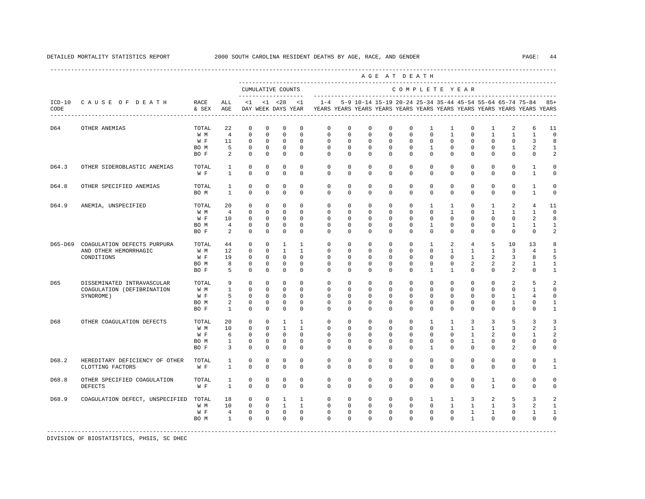|         |                                                                       |                                     |                                                   |                                                                         |                                                                          |                                                                            |                                                                        |                                                                                                       |                                                                      |                                                                      |                                                                      | AGE AT DEATH                                                         |                                                                          |                                                                           |                                                                    |                                                                          |                                                                 |                                                    |                                                                |
|---------|-----------------------------------------------------------------------|-------------------------------------|---------------------------------------------------|-------------------------------------------------------------------------|--------------------------------------------------------------------------|----------------------------------------------------------------------------|------------------------------------------------------------------------|-------------------------------------------------------------------------------------------------------|----------------------------------------------------------------------|----------------------------------------------------------------------|----------------------------------------------------------------------|----------------------------------------------------------------------|--------------------------------------------------------------------------|---------------------------------------------------------------------------|--------------------------------------------------------------------|--------------------------------------------------------------------------|-----------------------------------------------------------------|----------------------------------------------------|----------------------------------------------------------------|
|         |                                                                       |                                     |                                                   |                                                                         |                                                                          | CUMULATIVE COUNTS                                                          |                                                                        |                                                                                                       |                                                                      |                                                                      |                                                                      | COMPLETE YEAR                                                        |                                                                          |                                                                           |                                                                    |                                                                          |                                                                 |                                                    |                                                                |
| CODE    | ICD-10 CAUSE OF DEATH                                                 | RACE<br>& SEX                       | ALL<br>AGE                                        | --------------------                                                    |                                                                          | $<1$ $<1$ $<28$                                                            | < 1                                                                    | $1 - 4$<br>DAY WEEK DAYS YEAR YEARS YEARS YEARS YEARS YEARS YEARS YEARS YEARS YEARS YEARS YEARS YEARS |                                                                      |                                                                      |                                                                      |                                                                      |                                                                          |                                                                           |                                                                    |                                                                          | 5-9 10-14 15-19 20-24 25-34 35-44 45-54 55-64 65-74 75-84       |                                                    | $85+$                                                          |
| D64     | OTHER ANEMIAS                                                         | TOTAL<br>W M<br>W F<br>BO M<br>BO F | 22<br>$\overline{4}$<br>11<br>- 5<br>2            | $\mathbf 0$<br>$\mathbf 0$<br>$\mathbf 0$<br>$\mathbf 0$<br>$\mathbf 0$ | $\mathbf 0$<br>$\mathbf 0$<br>$\mathbf 0$<br>$\mathbf{0}$<br>$\mathbf 0$ | $\mathbf 0$<br>$\mathbf 0$<br>$\mathbf 0$<br>$\overline{0}$<br>$\mathbf 0$ | $\mathbf 0$<br>$\mathbf 0$<br>$\mathbf 0$<br>$\mathbf 0$<br>$\Omega$   | $\mathbf 0$<br>$\mathbf 0$<br>$\mathbf 0$<br>$\mathbf 0$<br>$\Omega$                                  | $\mathbf 0$<br>$\mathbf 0$<br>$\mathbf 0$<br>$\mathbf 0$<br>$\Omega$ | $\mathbf 0$<br>$\mathbf 0$<br>$\mathbf 0$<br>$\mathbf 0$<br>$\Omega$ | $\mathbf 0$<br>$\mathbf 0$<br>$\mathbf 0$<br>$\mathbf 0$<br>$\Omega$ | $\mathbf 0$<br>$\mathbf{0}$<br>$\mathbf 0$<br>$^{\circ}$<br>$\Omega$ | $\mathbf{1}$<br>$\Omega$<br>$\mathbf 0$<br>$\mathbf{1}$<br>$\Omega$      | 1<br>$\mathbf{1}$<br>$\mathbf 0$<br>$\mathbf 0$<br>$\Omega$               | $\mathbf 0$<br>$\Omega$<br>$\mathbf 0$<br>$\mathbf 0$<br>$\Omega$  | $\mathbf{1}$<br>$\mathbf{1}$<br>$\mathbf 0$<br>$^{\circ}$<br>$\Omega$    | 2<br>$\mathbf{1}$<br>$\mathbf 0$<br>$\mathbf{1}$<br>$\Omega$    | 6<br>$\mathbf{1}$<br>3<br>2<br>$\Omega$            | 11<br>$\mathbf{0}$<br>8<br>1<br>2                              |
| D64.3   | OTHER SIDEROBLASTIC ANEMIAS                                           | TOTAL<br>W F                        | $\mathbf{1}$<br>$\mathbf{1}$                      | $\mathbf 0$<br>$\Omega$                                                 | $\mathbf 0$<br>$\Omega$                                                  | $\mathbf 0$<br>$\Omega$                                                    | $\mathbf 0$<br>$\Omega$                                                | $\mathbf 0$<br>$\Omega$                                                                               | $\mathbf 0$<br>$\Omega$                                              | $\mathbf 0$<br>$\Omega$                                              | $\mathbf 0$<br>$\Omega$                                              | $\mathbf 0$<br>$\Omega$                                              | $\mathbf 0$<br>$\Omega$                                                  | $\mathbf 0$<br>$\Omega$                                                   | $\mathbf 0$<br>$\Omega$                                            | $\mathbf 0$<br>$\Omega$                                                  | $\mathbf 0$<br>$\Omega$                                         | $\mathbf{1}$<br>$\mathbf{1}$                       | $\mathbf 0$<br>0                                               |
| D64.8   | OTHER SPECIFIED ANEMIAS                                               | TOTAL<br>BO M                       | $\mathbf{1}$<br>$\mathbf{1}$                      | $\mathbf 0$<br>$\mathbf 0$                                              | $\mathbf 0$<br>$\mathbf 0$                                               | $\mathbf 0$<br>$\mathbf 0$                                                 | $\Omega$<br>$\mathbf 0$                                                | $\mathbf 0$<br>$\mathbf 0$                                                                            | $\mathbf 0$<br>$\mathbf 0$                                           | $\mathbf 0$<br>$\mathbf 0$                                           | $\mathbf 0$<br>$\mathbf 0$                                           | $\mathbf 0$<br>$\mathbf 0$                                           | $\mathbf 0$<br>$\mathbf 0$                                               | $\mathbf 0$<br>$\mathbf 0$                                                | $\mathbf 0$<br>$\mathbf 0$                                         | $\mathbf 0$<br>$\mathbf 0$                                               | $\mathbf 0$<br>$\mathbf 0$                                      | $\mathbf{1}$<br>$\mathbf{1}$                       | $\circ$<br>0                                                   |
| D64.9   | ANEMIA, UNSPECIFIED                                                   | TOTAL<br>W M<br>W F<br>BO M<br>BO F | 20<br>$\overline{4}$<br>10<br>$\overline{4}$<br>2 | $\mathbf 0$<br>$\Omega$<br>$\mathbf 0$<br>$\mathbf 0$<br>$\Omega$       | $\Omega$<br>$\Omega$<br>$\mathbf 0$<br>$\mathbf 0$<br>$\Omega$           | $\mathbf 0$<br>$\Omega$<br>$\circ$<br>$\mathbf 0$<br>$\Omega$              | $\Omega$<br>$\Omega$<br>$\mathbf 0$<br>$\mathbf 0$<br>$\Omega$         | $\Omega$<br>$\Omega$<br>$\mathbf 0$<br>$\mathbf 0$<br>$\Omega$                                        | $\Omega$<br>$\Omega$<br>$\mathbf 0$<br>$\mathbf 0$<br>$\Omega$       | $\Omega$<br>$\Omega$<br>$\mathbf 0$<br>$\mathbf 0$<br>$\Omega$       | $\mathbf 0$<br>$\Omega$<br>$\mathbf 0$<br>$\mathbf 0$<br>$\Omega$    | $\Omega$<br>$\Omega$<br>$\mathbf 0$<br>$\mathbf 0$<br>$\Omega$       | $\mathbf{1}$<br>$\Omega$<br>$\mathbf 0$<br>$\mathbf{1}$<br>$\Omega$      | $\mathbf{1}$<br>$\overline{1}$<br>$\mathbf 0$<br>$\mathbf 0$<br>$\Omega$  | $\mathbf 0$<br>$\Omega$<br>$\mathbf 0$<br>$\mathbf 0$<br>$\Omega$  | $\mathbf{1}$<br>$\overline{1}$<br>$\mathbf 0$<br>$\mathbf 0$<br>$\Omega$ | 2<br>$\overline{1}$<br>$\mathbf{0}$<br>$\mathbf{1}$<br>$\Omega$ | 4<br>$\mathbf{1}$<br>2<br>$\mathbf{1}$<br>$\Omega$ | 11<br>$\Omega$<br>8<br>$\mathbf{1}$<br>2                       |
| D65-D69 | COAGULATION DEFECTS PURPURA<br>AND OTHER HEMORRHAGIC<br>CONDITIONS    | TOTAL<br>W M<br>W F<br>BO M<br>BO F | 44<br>12<br>19<br>8<br>5                          | $\Omega$<br>$\mathbf 0$<br>$\mathbf 0$<br>$\mathbf 0$<br>$\mathbf 0$    | $\Omega$<br>$\mathbf 0$<br>$\mathbf 0$<br>$\mathbf 0$<br>$\mathbf 0$     | $\overline{1}$<br>$\mathbf{1}$<br>$\mathbf 0$<br>$\circ$<br>$\mathbf 0$    | $\mathbf{1}$<br>$\mathbf{1}$<br>$\Omega$<br>$\mathbf 0$<br>$\mathbf 0$ | $\Omega$<br>$\circ$<br>$\mathbf 0$<br>$\mathbf 0$<br>$\Omega$                                         | $\Omega$<br>$\mathbf 0$<br>0<br>$\mathbf 0$<br>$\mathbf 0$           | $\Omega$<br>$\mathbf 0$<br>$\Omega$<br>$\mathbf 0$<br>$\Omega$       | $\Omega$<br>$\mathbf 0$<br>0<br>$\mathbf 0$<br>$\mathbf 0$           | $\Omega$<br>$\mathbf 0$<br>$\Omega$<br>$\mathbf 0$<br>$\Omega$       | $\overline{1}$<br>$\mathbf 0$<br>$\Omega$<br>$\mathbf 0$<br>$\mathbf{1}$ | $\mathfrak{D}$<br>$\mathbf{1}$<br>$\Omega$<br>$\mathbf 0$<br>$\mathbf{1}$ | $\overline{4}$<br>$\mathbf{1}$<br>$\mathbf{1}$<br>2<br>$\mathbf 0$ | 5<br>$\mathbf{1}$<br>2<br>2<br>$\mathbf 0$                               | 10<br>3<br>3<br>2<br>2                                          | 13<br>$\overline{4}$<br>8<br>1<br>0                | 8<br>1<br>5<br>$\mathbf{1}$<br>$\mathbf{1}$                    |
| D65     | DISSEMINATED INTRAVASCULAR<br>COAGULATION (DEFIBRINATION<br>SYNDROME) | TOTAL<br>W M<br>W F<br>BO M<br>BO F | 9<br>$\mathbf{1}$<br>5<br>2<br>$\overline{1}$     | $\Omega$<br>$\mathbf 0$<br>$\Omega$<br>$\mathbf 0$<br>$\Omega$          | $\Omega$<br>0<br>$\Omega$<br>$\Omega$<br>$\Omega$                        | $\Omega$<br>$\mathbf 0$<br>$\mathbf 0$<br>$\overline{0}$<br>$\Omega$       | $\Omega$<br>$\mathbf 0$<br>$\Omega$<br>$\Omega$<br>$\Omega$            | $\Omega$<br>$\circ$<br>$\Omega$<br>$\Omega$<br>$\Omega$                                               | $\Omega$<br>$\mathbf 0$<br>$\Omega$<br>$\Omega$<br>$\Omega$          | $\Omega$<br>$\mathbf 0$<br>$\Omega$<br>$\mathbf 0$<br>$\Omega$       | $\Omega$<br>$\mathbf 0$<br>$\Omega$<br>$\Omega$<br>$\Omega$          | $\Omega$<br>$\mathbf 0$<br>$\Omega$<br>$\Omega$<br>$\Omega$          | $\Omega$<br>$\mathbf 0$<br>$\Omega$<br>$\Omega$<br>$\Omega$              | $\Omega$<br>$\mathbf 0$<br>$\Omega$<br>$\Omega$<br>$\Omega$               | $\Omega$<br>$\mathbf 0$<br>$\Omega$<br>$\Omega$<br>$\Omega$        | $\Omega$<br>$\mathbf 0$<br>$\Omega$<br>$\mathbf 0$<br>$\Omega$           | 2<br>$\mathbf 0$<br>1<br>$\mathbf{1}$<br>$\Omega$               | 5<br>$\mathbf{1}$<br>4<br>0<br>$\Omega$            | $\overline{a}$<br>$\circ$<br>0<br>$\mathbf{1}$<br>$\mathbf{1}$ |
| D68     | OTHER COAGULATION DEFECTS                                             | TOTAL<br>W M<br>W F<br>BO M<br>BO F | 20<br>10<br>6<br>$\mathbf{1}$<br>3                | $\mathbf 0$<br>$\mathbf 0$<br>$\Omega$<br>$\mathbf 0$<br>$\Omega$       | $\mathbf 0$<br>0<br>$\Omega$<br>$\mathbf 0$<br>$\Omega$                  | $\mathbf{1}$<br>$\mathbf{1}$<br>$\Omega$<br>$\overline{0}$<br>$\Omega$     | $\mathbf{1}$<br>$\mathbf{1}$<br>$\Omega$<br>$\mathbf 0$<br>$\Omega$    | $\mathbf 0$<br>$\mathbf 0$<br>$\Omega$<br>$\mathbf 0$<br>$\Omega$                                     | $\mathbf 0$<br>$\Omega$<br>$\Omega$<br>$\mathbf 0$<br>$\Omega$       | $\mathbf 0$<br>$\Omega$<br>$\Omega$<br>$\mathbf 0$<br>$\Omega$       | $\mathbf 0$<br>$\Omega$<br>$\Omega$<br>$\mathbf 0$<br>$\Omega$       | $\mathbf{0}$<br>$\Omega$<br>$\Omega$<br>$\mathbf 0$<br>$\Omega$      | $\mathbf{1}$<br>$\Omega$<br>$\Omega$<br>$\mathbf 0$<br>$\mathbf{1}$      | $\mathbf{1}$<br>$\mathbf{1}$<br>$\Omega$<br>$\mathbf 0$<br>$\Omega$       | 3<br>$\mathbf{1}$<br>$\overline{1}$<br>$\mathbf{1}$<br>$\Omega$    | 3<br>$\mathbf{1}$<br>2<br>0<br>$\Omega$                                  | 5<br>3<br>$\mathbf 0$<br>$\mathbf 0$<br>$\mathfrak{D}$          | 3<br>2<br>1<br>0<br>$\Omega$                       | 3<br>1<br>2<br>0<br>$\Omega$                                   |
| D68.2   | HEREDITARY DEFICIENCY OF OTHER<br>CLOTTING FACTORS                    | TOTAL<br>W F                        | $\mathbf{1}$<br>$\mathbf{1}$                      | $\mathbf 0$<br>$\Omega$                                                 | $\mathbf 0$<br>$\Omega$                                                  | $\mathbf 0$<br>$\Omega$                                                    | $\Omega$<br>$\Omega$                                                   | $\mathbf 0$<br>$\Omega$                                                                               | $\Omega$<br>$\Omega$                                                 | $\Omega$<br>$\Omega$                                                 | $\mathbf 0$<br>$\Omega$                                              | $\Omega$<br>$\Omega$                                                 | $\mathbf 0$<br>$\Omega$                                                  | $\mathbf 0$<br>$\Omega$                                                   | $\mathbf 0$<br>$\Omega$                                            | $\mathbf 0$<br>$\Omega$                                                  | $\mathbf 0$<br>$\Omega$                                         | $\mathbf 0$<br>$\Omega$                            | 1<br>$\mathbf{1}$                                              |
| D68.8   | OTHER SPECIFIED COAGULATION<br><b>DEFECTS</b>                         | TOTAL<br>W F                        | 1<br>$\mathbf{1}$                                 | $\mathbf 0$<br>$\Omega$                                                 | $\mathbf 0$<br>$\Omega$                                                  | $\mathbf 0$<br>$\Omega$                                                    | $\mathbf 0$<br>$\Omega$                                                | $\mathbf 0$<br>$\Omega$                                                                               | $\mathbf 0$<br>$\Omega$                                              | $\mathbf 0$<br>$\Omega$                                              | $\mathbf 0$<br>$\Omega$                                              | $\mathbf 0$<br>$\Omega$                                              | $\mathbf 0$<br>$\Omega$                                                  | $\mathbf 0$<br>$\Omega$                                                   | $\mathbf 0$<br>$\Omega$                                            | $\mathbf{1}$<br>$\overline{1}$                                           | $\mathbf{0}$<br>$\Omega$                                        | $\mathbf 0$<br>$\Omega$                            | 0<br>0                                                         |
| D68.9   | COAGULATION DEFECT, UNSPECIFIED                                       | TOTAL<br>W M<br>W F<br>BO M         | 18<br>10<br>$4\overline{ }$<br>$\mathbf{1}$       | $\mathbf 0$<br>$\mathbf 0$<br>$\overline{0}$<br>$\Omega$                | $\circ$<br>$\circ$<br>$\Omega$                                           | $\mathbf{1}$<br>$\overline{1}$<br>$0\qquad 0$<br>$\overline{0}$            | $\mathbf{1}$<br>$\mathbf{1}$<br>$\overline{0}$<br>$\Omega$             | $\mathbf 0$<br>$\Omega$<br>$\mathbf 0$<br>$\Omega$                                                    | $\mathbf 0$<br>$\Omega$<br>$\mathbf 0$<br>$\Omega$                   | $^{\circ}$<br>$\Omega$<br>$\mathbf 0$<br>$\Omega$                    | $\mathbf 0$<br>$\Omega$<br>$\mathbf 0$<br>$\Omega$                   | $^{\circ}$<br>$\Omega$<br>$\mathbf{0}$<br>$\Omega$                   | 1<br>$\Omega$<br>$\mathbf 0$<br>$\Omega$                                 | $\mathbf{1}$<br>$\overline{1}$<br>$\circ$<br>$\Omega$                     | 3<br>$\mathbf{1}$<br>$\mathbf{1}$<br>$\mathbf{1}$                  | 2<br>$\overline{1}$<br>$\mathbf{1}$<br>$\Omega$                          | 5<br>3<br>$\mathbf 0$<br>$\Omega$                               | 3<br>2<br>$\mathbf{1}$<br>$\Omega$                 | 2<br>$\mathbf{1}$<br>$\mathbf{1}$<br>0                         |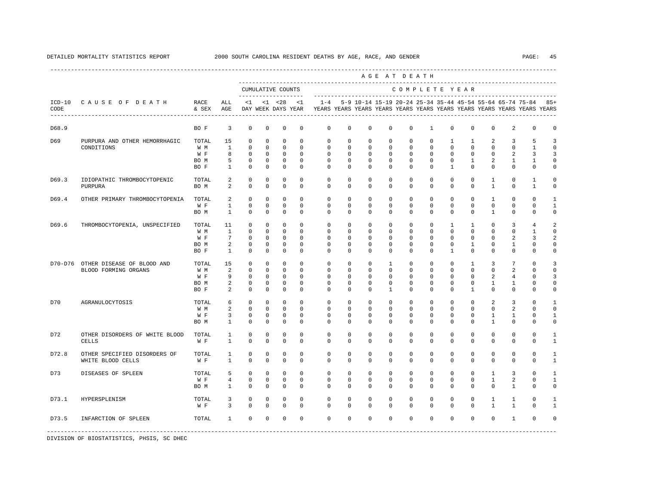|         |                                                    |                                     |                                              |                                                            |                                                                   |                                                                         |                                                             |                                                                                    |                                                                   |                                                                    |                                                                    | AGE AT DEATH                                                              |                                                                    |                                          |                                                              |                                                    |                                               |                                                           |                                                         |
|---------|----------------------------------------------------|-------------------------------------|----------------------------------------------|------------------------------------------------------------|-------------------------------------------------------------------|-------------------------------------------------------------------------|-------------------------------------------------------------|------------------------------------------------------------------------------------|-------------------------------------------------------------------|--------------------------------------------------------------------|--------------------------------------------------------------------|---------------------------------------------------------------------------|--------------------------------------------------------------------|------------------------------------------|--------------------------------------------------------------|----------------------------------------------------|-----------------------------------------------|-----------------------------------------------------------|---------------------------------------------------------|
|         |                                                    |                                     |                                              | --------------------                                       |                                                                   | CUMULATIVE COUNTS                                                       |                                                             |                                                                                    |                                                                   |                                                                    |                                                                    | COMPLETE YEAR                                                             |                                                                    |                                          |                                                              |                                                    |                                               |                                                           |                                                         |
| CODE    | ICD-10 CAUSE OF DEATH<br>------------------------- | RACE<br>& SEX                       | ALL<br>AGE                                   | <1                                                         |                                                                   | $< 1$ $< 28$<br>DAY WEEK DAYS YEAR                                      | $\leq$ 1                                                    | $1 - 4$<br>YEARS YEARS YEARS YEARS YEARS YEARS YEARS YEARS YEARS YEARS YEARS YEARS |                                                                   |                                                                    |                                                                    |                                                                           |                                                                    |                                          |                                                              |                                                    |                                               | 5-9 10-14 15-19 20-24 25-34 35-44 45-54 55-64 65-74 75-84 | $85+$                                                   |
| D68.9   |                                                    | BO F                                | 3                                            | $\mathbf 0$                                                | $\mathbf 0$                                                       | $\mathbf 0$                                                             | 0                                                           | $\mathbf 0$                                                                        | $\mathbf 0$                                                       | $\mathbf 0$                                                        | $\mathbf 0$                                                        | $\mathbb O$                                                               | $\mathbf{1}$                                                       | $\mathbf 0$                              | $\mathbf 0$                                                  | $\mathbf 0$                                        | 2                                             | $\mathbf 0$                                               | 0                                                       |
| D69     | PURPURA AND OTHER HEMORRHAGIC<br>CONDITIONS        | TOTAL<br>W M<br>W F<br>BO M<br>BO F | 15<br><sup>1</sup><br>8<br>5<br>1            | $\mathbf 0$<br>$\Omega$<br>$\mathbf 0$<br>0<br>0           | $\Omega$<br>$\Omega$<br>$\mathbf 0$<br>$\mathbf 0$<br>0           | $\Omega$<br>$\Omega$<br>$\mathbf 0$<br>0<br>0                           | $\Omega$<br>$\Omega$<br>$\Omega$<br>0<br>0                  | $\Omega$<br>$\Omega$<br>$\mathbf 0$<br>0<br>0                                      | $\mathbf 0$<br>$\Omega$<br>$\mathbf 0$<br>0<br>0                  | $\mathbf 0$<br>$\Omega$<br>$\mathbf 0$<br>0<br>$^{\circ}$          | $\mathbf 0$<br>$\Omega$<br>$\mathbf 0$<br>$^{\circ}$<br>$^{\circ}$ | $\mathbf{0}$<br>$\Omega$<br>$\mathbf{0}$<br>0<br>$\mathbf 0$              | $\mathbf{0}$<br>$\Omega$<br>$\mathbf{0}$<br>$\mathbf 0$<br>0       | 1<br>$\Omega$<br>$\mathbf 0$<br>0<br>1   | $\mathbf{1}$<br>$\Omega$<br>$\mathbf 0$<br>1<br>0            | 2<br>$\Omega$<br>$\mathbf 0$<br>2<br>0             | 3<br>$\Omega$<br>2<br>1<br>$\mathbf{0}$       | 5<br>$\mathbf{1}$<br>3<br>-1<br>$\mathbf 0$               | ्र<br>$\Omega$<br>3<br>0<br>$\mathbf 0$                 |
| D69.3   | IDIOPATHIC THROMBOCYTOPENIC<br>PURPURA             | TOTAL<br>BO M                       | 2<br>2                                       | $\mathbf 0$<br>$\mathbf 0$                                 | $\mathbf 0$<br>$\mathbf 0$                                        | $\mathbf 0$<br>$\mathbf 0$                                              | $\mathbf 0$<br>$\Omega$                                     | $\mathbf 0$<br>$\mathbf 0$                                                         | $\mathbf 0$<br>$\mathbf 0$                                        | $\mathbf 0$<br>$^{\circ}$                                          | $\mathbf 0$<br>$^{\circ}$                                          | $\mathbf{0}$<br>$\mathbf 0$                                               | $\mathbf{0}$<br>0                                                  | $\mathbf 0$<br>$\mathbf 0$               | $\mathbf 0$<br>$\mathbf 0$                                   | $\mathbf{1}$<br>$\mathbf{1}$                       | $\mathbf 0$<br>$\mathbf 0$                    | 1<br>1                                                    | $\Omega$<br>$\mathbf 0$                                 |
| D69.4   | OTHER PRIMARY THROMBOCYTOPENIA                     | TOTAL<br>W F<br>BO M                | 2<br>$\mathbf{1}$<br>$\mathbf{1}$            | $\Omega$<br>$\mathsf 0$<br>$\mathbf 0$                     | $\Omega$<br>$\mathbf 0$<br>$\mathbf 0$                            | $\Omega$<br>$\mathbb O$<br>$\mathbf 0$                                  | $\Omega$<br>$\mathsf 0$<br>$\mathbf 0$                      | $\Omega$<br>$\mathbf 0$<br>$\mathbf 0$                                             | $\Omega$<br>$\mathsf{O}\xspace$<br>$\mathbf 0$                    | $\Omega$<br>$\mathbf 0$<br>$^{\circ}$                              | $\Omega$<br>$\mathbf 0$<br>$^{\circ}$                              | $\Omega$<br>$\mathbb O$<br>$\mathbf 0$                                    | $\Omega$<br>$\mathbb O$<br>$\mathbf 0$                             | $\Omega$<br>0<br>$\mathbf 0$             | $\Omega$<br>$\mathsf 0$<br>$\mathbf 0$                       | $\mathbf{1}$<br>$\mathsf 0$<br>1                   | $\Omega$<br>$\mathbb O$<br>$\mathbf{0}$       | $\Omega$<br>$\mathbf 0$<br>0                              | -1<br>$\mathbf{1}$<br>0                                 |
| D69.6   | THROMBOCYTOPENIA, UNSPECIFIED                      | TOTAL<br>W M<br>W F<br>BO M<br>BO F | 11<br><sup>1</sup><br>7<br>2<br>$\mathbf{1}$ | 0<br>$\mathbf 0$<br>$\mathbf 0$<br>$\mathbf 0$<br>$\Omega$ | $\mathbf 0$<br>$\mathbf 0$<br>$\Omega$<br>$\Omega$<br>$\mathbf 0$ | $\mathbf 0$<br>$\mathbf 0$<br>$\mathbf 0$<br>$\mathbf 0$<br>$\mathbf 0$ | $\Omega$<br>$\Omega$<br>$\Omega$<br>$\Omega$<br>$\Omega$    | $\Omega$<br>$\mathbf 0$<br>$\Omega$<br>$\Omega$<br>$\Omega$                        | $\mathbf 0$<br>$\mathbf 0$<br>0<br>$\Omega$<br>$\mathbf 0$        | $^{\circ}$<br>$\mathbf 0$<br>$^{\circ}$<br>$\Omega$<br>$\mathbf 0$ | $^{\circ}$<br>$\mathbf 0$<br>$^{\circ}$<br>$\Omega$<br>$\mathbf 0$ | $\mathbf 0$<br>$\mathbf{0}$<br>$\mathbf 0$<br>$\mathbf 0$<br>$\mathbf{0}$ | $\mathbf 0$<br>$\Omega$<br>$\mathbf 0$<br>$\Omega$<br>$\mathbf{0}$ | 1<br>$\Omega$<br>0<br>0<br>$\mathbf{1}$  | $\mathbf{1}$<br>$\Omega$<br>0<br>$\mathbf{1}$<br>$\mathbf 0$ | 0<br>$\Omega$<br>$\Omega$<br>0<br>$\Omega$         | 3<br>$\Omega$<br>2<br>1<br>$\mathbf 0$        | $\overline{4}$<br>1<br>3<br>$\Omega$<br>$\Omega$          | 2<br>$\Omega$<br>$\mathfrak{D}$<br>$\Omega$<br>$\Omega$ |
| D70-D76 | OTHER DISEASE OF BLOOD AND<br>BLOOD FORMING ORGANS | TOTAL<br>W M<br>W F<br>BO M<br>BO F | 15<br>2<br>9<br>2<br>2                       | 0<br>$\Omega$<br>$^{\circ}$<br>$\mathbf 0$<br>$\Omega$     | 0<br>$\Omega$<br>$\mathbf 0$<br>$\mathbf 0$<br>$\Omega$           | $\mathbf 0$<br>$\Omega$<br>$\mathbf 0$<br>$\mathbf 0$<br>$\Omega$       | $\Omega$<br>$\Omega$<br>$\Omega$<br>$\mathbf 0$<br>$\Omega$ | $\mathbf 0$<br>$\Omega$<br>$\mathbf 0$<br>$\mathbf 0$<br>$\Omega$                  | $\mathbf 0$<br>$\Omega$<br>$\mathbf 0$<br>$\mathbf 0$<br>$\Omega$ | $^{\circ}$<br>$\Omega$<br>$^{\circ}$<br>$\mathbf 0$<br>$\Omega$    | 1<br>$\Omega$<br>$^{\circ}$<br>$\mathbf 0$<br>$\mathbf{1}$         | $\mathbf 0$<br>$\Omega$<br>$\mathbf 0$<br>$\mathbf 0$<br>$\Omega$         | $\mathbf 0$<br>$\Omega$<br>$\mathbf 0$<br>0<br>$\mathbf 0$         | 0<br>$\Omega$<br>0<br>0<br>$\Omega$      | $\mathbf{1}$<br>$\Omega$<br>0<br>0<br>$\mathbf{1}$           | 3<br>$\Omega$<br>2<br>$\mathbf{1}$<br>$\Omega$     | $7\phantom{.0}$<br>2<br>4<br>1<br>$\mathbf 0$ | $\cap$<br>$\Omega$<br>$\Omega$<br>$\Omega$<br>$\Omega$    | 3<br>$\Omega$<br>3<br>$\Omega$<br>$\Omega$              |
| D70     | AGRANULOCYTOSIS                                    | TOTAL<br>W M<br>W F<br>BO M         | 6<br>2<br>3<br>$\mathbf{1}$                  | $\Omega$<br>$\mathbf 0$<br>0<br>$\Omega$                   | $\Omega$<br>$\mathbf 0$<br>0<br>$\Omega$                          | $\mathbf 0$<br>$\mathbf 0$<br>$\mathbf 0$<br>$\Omega$                   | $\Omega$<br>$\mathbf 0$<br>$\mathbf 0$<br>$\Omega$          | $\Omega$<br>$\mathbf 0$<br>0<br>$\Omega$                                           | $\Omega$<br>$\mathbf 0$<br>0<br>$\Omega$                          | $\mathbf 0$<br>$\mathbf 0$<br>0<br>$\Omega$                        | $^{\circ}$<br>$\mathbf 0$<br>$\Omega$<br>$\Omega$                  | $\mathbf{0}$<br>$\mathbf{0}$<br>0<br>$\Omega$                             | $\mathbf 0$<br>$\mathbf 0$<br>0<br>$\Omega$                        | $\Omega$<br>$\mathbf 0$<br>0<br>$\Omega$ | $\Omega$<br>$\mathbf 0$<br>0<br>$\Omega$                     | $\overline{a}$<br>$\mathbf 0$<br>1<br>$\mathbf{1}$ | 3<br>2<br>1<br>$\Omega$                       | $\cap$<br>$\Omega$<br>$\Omega$<br>$\Omega$                | -1<br>$\mathbf 0$<br>1<br>$\Omega$                      |
| D72     | OTHER DISORDERS OF WHITE BLOOD<br><b>CELLS</b>     | TOTAL<br>W F                        | $\mathbf{1}$<br>$\mathbf{1}$                 | $\mathbf 0$<br>$\mathbf 0$                                 | $\mathbf 0$<br>$\mathbf 0$                                        | $\mathbf 0$<br>$\mathbf 0$                                              | $\Omega$<br>$\mathbf 0$                                     | $\mathbf 0$<br>$\mathbf 0$                                                         | $\circ$<br>$\mathbf 0$                                            | $\mathbf 0$<br>$\mathbf 0$                                         | $\mathbf 0$<br>$\mathbf 0$                                         | $\mathbf{0}$<br>$\mathbf{0}$                                              | $\mathbf{0}$<br>$\mathbf{0}$                                       | $\mathbf 0$<br>$\mathbf 0$               | $\mathbf 0$<br>$\mathbf 0$                                   | $\mathbf 0$<br>$\mathbf 0$                         | $\mathbf{0}$<br>$\mathbf 0$                   | $\mathbf 0$<br>$\mathbf 0$                                | 1<br>$\mathbf{1}$                                       |
| D72.8   | OTHER SPECIFIED DISORDERS OF<br>WHITE BLOOD CELLS  | TOTAL<br>W F                        | $\mathbf{1}$<br>$\mathbf{1}$                 | $\mathbf 0$<br>$\mathbf 0$                                 | $\mathbf 0$<br>$\mathbf 0$                                        | $\mathbf 0$<br>$\mathbf 0$                                              | $\mathbf 0$<br>$\mathbf 0$                                  | $\mathbf 0$<br>$\mathbf 0$                                                         | $\mathbf 0$<br>$\mathbf 0$                                        | $\mathbf 0$<br>$\mathbf 0$                                         | $\mathbf 0$<br>$\mathbf 0$                                         | $\mathbf{0}$<br>$\mathbf{0}$                                              | $\mathbf{0}$<br>$\mathbf 0$                                        | $\mathbf 0$<br>0                         | $\mathbf 0$<br>$\mathbf 0$                                   | 0<br>$\mathbf 0$                                   | $\mathbf{0}$<br>$\mathbf 0$                   | $\mathbf 0$<br>$\mathbf 0$                                | 1<br>$\mathbf{1}$                                       |
| D73     | DISEASES OF SPLEEN                                 | TOTAL<br>W F<br>BO M                | 5<br>$\overline{4}$<br>$\mathbf{1}$          | $\Omega$<br>$\mathbf 0$<br>$\Omega$                        | $\Omega$<br>$\Omega$<br>$\Omega$                                  | $\Omega$<br>$\mathbf 0$<br>$\Omega$                                     | $\Omega$<br>$\Omega$<br>$\Omega$                            | $\Omega$<br>$\mathbf 0$<br>$\Omega$                                                | $\Omega$<br>$\Omega$<br>$\Omega$                                  | $\mathbf 0$<br>$\mathbf 0$<br>$\Omega$                             | $\mathbf 0$<br>$\mathbf 0$<br>$\Omega$                             | $\mathbf{0}$<br>$\mathbf{0}$<br>$\Omega$                                  | $\mathbf 0$<br>$\mathbf{0}$<br>$\Omega$                            | $\Omega$<br>$\mathbf 0$<br>$\Omega$      | $\mathbf 0$<br>$\Omega$<br>$\Omega$                          | $\mathbf{1}$<br>$\mathbf{1}$<br>$\Omega$           | 3<br>2<br>$\mathbf{1}$                        | $\Omega$<br>$\Omega$<br>$\Omega$                          | $\mathbf{1}$<br>$\mathbf{1}$<br>$\Omega$                |
| D73.1   | HYPERSPLENISM                                      | TOTAL<br>W F                        | 3<br>3                                       | 0<br>$\Omega$                                              | $^{\circ}$<br>$\Omega$                                            | 0<br>$\Omega$                                                           | 0<br>$\Omega$                                               | $\mathbf{0}$<br>$\Omega$                                                           | 0<br>$\mathbf 0$                                                  | $^{\circ}$<br>$\Omega$                                             | $^{\circ}$<br>$\mathbf 0$                                          | $\mathbf 0$<br>$\mathbf{0}$                                               | $\mathbf 0$<br>$\mathbf 0$                                         | 0<br>$\Omega$                            | 0<br>$\Omega$                                                | 1<br>$\mathbf{1}$                                  | 1<br>$\mathbf{1}$                             | $\Omega$<br>$\Omega$                                      | $\mathbf{1}$                                            |
| D73.5   | INFARCTION OF SPLEEN                               | TOTAL                               | 1                                            | $\mathbf 0$                                                | $\mathbf 0$                                                       | $\mathbf 0$                                                             | $\mathbf 0$                                                 | $\mathbf 0$                                                                        | $\circ$                                                           | $\mathbf 0$                                                        | $\mathbf 0$                                                        | $\mathbf 0$                                                               | $\mathbf 0$                                                        | $\mathbf 0$                              | $\mathbf 0$                                                  | $\mathbf 0$                                        | 1                                             | $\mathbf 0$                                               |                                                         |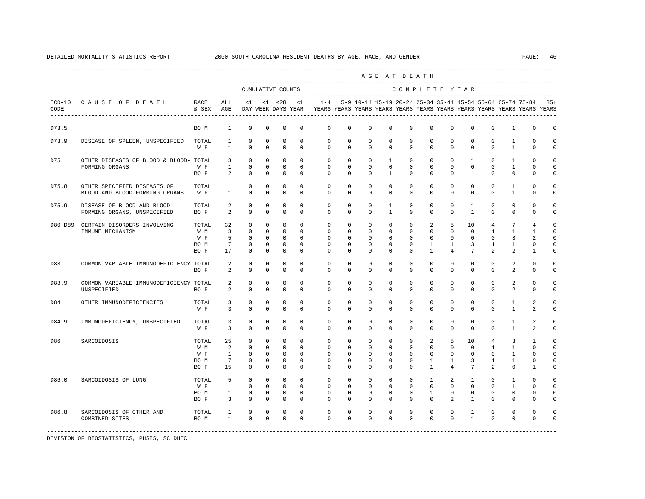|                  |                                                               |                                     |                                                    |                                                                       |                                                                       |                                                                         |                                                                   |                                                                                    |                                                                      |                                                                      |                                                                   | AGE AT DEATH                                                      |                                                             |                                                                   | -----------------------------------                                   |                                                                                 |                                                          |                                                                             |                                                                           |
|------------------|---------------------------------------------------------------|-------------------------------------|----------------------------------------------------|-----------------------------------------------------------------------|-----------------------------------------------------------------------|-------------------------------------------------------------------------|-------------------------------------------------------------------|------------------------------------------------------------------------------------|----------------------------------------------------------------------|----------------------------------------------------------------------|-------------------------------------------------------------------|-------------------------------------------------------------------|-------------------------------------------------------------|-------------------------------------------------------------------|-----------------------------------------------------------------------|---------------------------------------------------------------------------------|----------------------------------------------------------|-----------------------------------------------------------------------------|---------------------------------------------------------------------------|
|                  |                                                               |                                     |                                                    | -------------------                                                   |                                                                       | CUMULATIVE COUNTS                                                       |                                                                   |                                                                                    |                                                                      |                                                                      |                                                                   |                                                                   |                                                             | COMPLETE YEAR                                                     |                                                                       |                                                                                 |                                                          |                                                                             |                                                                           |
| $ICD-10$<br>CODE | CAUSE OF DEATH<br>---------------------------------           | RACE<br>& SEX                       | ALL<br>AGE                                         | <1                                                                    |                                                                       | $< 1$ $< 28$<br>DAY WEEK DAYS YEAR                                      | <1                                                                | $1 - 4$<br>YEARS YEARS YEARS YEARS YEARS YEARS YEARS YEARS YEARS YEARS YEARS YEARS |                                                                      | 5-9 10-14 15-19 20-24 25-34 35-44 45-54 55-64 65-74 75-84            |                                                                   |                                                                   |                                                             |                                                                   |                                                                       |                                                                                 |                                                          |                                                                             | $85+$                                                                     |
| D73.5            |                                                               | BO M                                | $\mathbf{1}$                                       | $\mathbf 0$                                                           | $^{\circ}$                                                            | $\mathbf 0$                                                             | $\mathbf 0$                                                       | $\mathbf{0}$                                                                       | $\mathbf 0$                                                          | $\mathbf 0$                                                          | $\mathbf 0$                                                       | $\mathbf 0$                                                       | $\Omega$                                                    | $\Omega$                                                          | $\mathbf 0$                                                           | $\mathbf 0$                                                                     | $\mathbf{1}$                                             | 0                                                                           | $\mathbf 0$                                                               |
| D73.9            | DISEASE OF SPLEEN, UNSPECIFIED                                | TOTAL<br>W F                        | 1<br>$\overline{1}$                                | $^{\circ}$<br>$\Omega$                                                | $^{\circ}$<br>$^{\circ}$                                              | $\mathbf 0$<br>$\mathbf 0$                                              | $\mathbf 0$<br>$\Omega$                                           | $\mathbf 0$<br>$\Omega$                                                            | 0<br>$\Omega$                                                        | $^{\circ}$<br>$\Omega$                                               | 0<br>$\Omega$                                                     | 0<br>$\Omega$                                                     | 0<br>$\Omega$                                               | 0<br>$\Omega$                                                     | 0<br>$\Omega$                                                         | $^{\circ}$<br>$\Omega$                                                          | 1<br>$\mathbf{1}$                                        | $\Omega$<br>$\Omega$                                                        | $\mathbf 0$<br>$\mathbf 0$                                                |
| D75              | OTHER DISEASES OF BLOOD & BLOOD- TOTAL<br>FORMING ORGANS      | W F<br>BO F                         | 3<br>$\mathbf{1}$<br>2                             | $^{\circ}$<br>$^{\circ}$<br>$\Omega$                                  | $\mathbf{0}$<br>$\circ$<br>$\mathbf 0$                                | $\mathbf 0$<br>$\mathbf 0$<br>$\mathbf 0$                               | $\Omega$<br>$\mathbf{0}$<br>$\Omega$                              | $\mathbf 0$<br>$\mathbf 0$<br>$\Omega$                                             | $\mathbf 0$<br>$\mathbf 0$<br>$\Omega$                               | $\mathbf 0$<br>$\mathbf 0$<br>$\Omega$                               | $\mathbf{1}$<br>$\mathbf 0$<br>$\mathbf{1}$                       | $\mathbf 0$<br>$\mathbf 0$<br>$\Omega$                            | $\Omega$<br>$\mathbf 0$<br>$\Omega$                         | $\Omega$<br>$\mathbf 0$<br>$\Omega$                               | $\mathbf{1}$<br>$\mathbf 0$<br>$\mathbf{1}$                           | $\Omega$<br>$\mathbf 0$<br>$\Omega$                                             | $\mathbf{1}$<br>$\mathbf{1}$<br>$\mathbf 0$              | $\mathbf 0$<br>$\mathbf 0$<br>$\Omega$                                      | $\mathbf 0$<br>$\mathbf 0$<br>$\mathbf 0$                                 |
| D75.8            | OTHER SPECIFIED DISEASES OF<br>BLOOD AND BLOOD-FORMING ORGANS | TOTAL<br>W F                        | 1<br>$\mathbf{1}$                                  | $^{\circ}$<br>$\Omega$                                                | $^{\circ}$<br>$\Omega$                                                | $\mathbf 0$<br>$\mathbf 0$                                              | $\mathbf 0$<br>$\Omega$                                           | $\mathbf 0$<br>$\Omega$                                                            | $\mathbf 0$<br>$\Omega$                                              | $\mathbf 0$<br>$\Omega$                                              | $\mathbf 0$<br>$\Omega$                                           | $\mathbf 0$<br>$\Omega$                                           | $\mathbf 0$<br>$\Omega$                                     | $\mathbf 0$<br>$\Omega$                                           | $\mathbf 0$<br>$\Omega$                                               | $\mathbf 0$<br>$\Omega$                                                         | $\mathbf{1}$<br>$\mathbf{1}$                             | $\circ$<br>$\Omega$                                                         | $\mathbf 0$<br>$\circ$                                                    |
| D75.9            | DISEASE OF BLOOD AND BLOOD-<br>FORMING ORGANS, UNSPECIFIED    | TOTAL<br>BO F                       | 2<br>2                                             | $\mathbf 0$<br>$\Omega$                                               | $^{\circ}$<br>$\mathbf 0$                                             | $\mathbf 0$<br>$\mathbf 0$                                              | $\mathbf 0$<br>$\Omega$                                           | $\mathbf 0$<br>$\Omega$                                                            | $\circ$<br>$\Omega$                                                  | $\mathbf 0$<br>$\Omega$                                              | $\mathbf{1}$<br>$\mathbf{1}$                                      | $\mathbf 0$<br>$\Omega$                                           | $\mathbf 0$<br>$\Omega$                                     | $\mathbf 0$<br>$\Omega$                                           | $\mathbf{1}$<br>$\mathbf{1}$                                          | $\mathbf 0$<br>$\Omega$                                                         | $\mathbf 0$<br>$\mathbf 0$                               | $\circ$<br>$\Omega$                                                         | $\mathbf 0$<br>$\circ$                                                    |
| D80-D89          | CERTAIN DISORDERS INVOLVING<br>IMMUNE MECHANISM               | TOTAL<br>W M<br>W F<br>BO M<br>BO F | 32<br>$\overline{3}$<br>5<br>$7\phantom{.0}$<br>17 | $\Omega$<br>$\Omega$<br>$\Omega$<br>$^{\circ}$<br>$\mathbf 0$         | $^{\circ}$<br>$\mathbf 0$<br>$\Omega$<br>$^{\circ}$<br>$\mathbf 0$    | $\mathbf 0$<br>$\mathbf 0$<br>$\Omega$<br>$\mathbf 0$<br>$\mathbb O$    | $\Omega$<br>$\Omega$<br>$\Omega$<br>$\mathbf 0$<br>$\mathbf 0$    | $\mathbf 0$<br>$\Omega$<br>$\Omega$<br>$\mathbf 0$<br>$\mathbf 0$                  | $\circ$<br>$\Omega$<br>$\Omega$<br>$\circ$<br>$\circ$                | $\mathbf 0$<br>$\mathbf 0$<br>$\Omega$<br>$\mathbf 0$<br>$\mathbf 0$ | $\mathbf 0$<br>$\Omega$<br>$\Omega$<br>$\mathbf 0$<br>$\mathbf 0$ | $\mathbf 0$<br>$\Omega$<br>$\Omega$<br>$\mathbf 0$<br>$\Omega$    | 2<br>$\Omega$<br>$\Omega$<br>$\mathbf{1}$<br>$\mathbf{1}$   | 5<br>$\Omega$<br>$\Omega$<br>$\mathbf{1}$<br>$\overline{4}$       | 10<br>$\Omega$<br>$\Omega$<br>3<br>$7\phantom{.0}$                    | $\overline{4}$<br>$\mathbf{1}$<br>$\Omega$<br>$\mathbf{1}$<br>2                 | 7<br>$\mathbf{1}$<br>3<br>$\mathbf{1}$<br>$\overline{a}$ | $\overline{4}$<br>$\mathbf{1}$<br>$\overline{a}$<br>$\circ$<br>$\mathbf{1}$ | $\mathbf 0$<br>$\Omega$<br>$\Omega$<br>$\mathbf 0$<br>$\mathsf{O}\xspace$ |
| D83              | COMMON VARIABLE IMMUNODEFICIENCY TOTAL                        | BO F                                | 2<br>2                                             | 0<br>$\Omega$                                                         | 0<br>$\mathbf 0$                                                      | 0<br>$\mathbf 0$                                                        | $\mathbf 0$<br>$\mathbf 0$                                        | $\mathsf{O}$<br>$\Omega$                                                           | 0<br>$\mathbf 0$                                                     | 0<br>$\mathbf 0$                                                     | 0<br>$\mathbf 0$                                                  | 0<br>$\Omega$                                                     | 0<br>$\Omega$                                               | 0<br>$\Omega$                                                     | 0<br>$\Omega$                                                         | $\mathbf 0$<br>$\Omega$                                                         | 2<br>2                                                   | $\mathbf{0}$<br>$\mathbf 0$                                                 | $\mathbf 0$<br>$\mathbf 0$                                                |
| D83.9            | COMMON VARIABLE IMMUNODEFICIENCY TOTAL<br>UNSPECIFIED         | BO F                                | 2<br>2                                             | $^{\circ}$<br>$\Omega$                                                | $^{\circ}$<br>$\mathbf 0$                                             | 0<br>$\mathbf 0$                                                        | $\mathbf 0$<br>$\Omega$                                           | $\mathbf{0}$<br>$\Omega$                                                           | $\mathbf 0$<br>$\Omega$                                              | $^{\circ}$<br>$\Omega$                                               | 0<br>$\mathbf 0$                                                  | 0<br>$\Omega$                                                     | 0<br>$\Omega$                                               | 0<br>$\Omega$                                                     | 0<br>$\Omega$                                                         | $^{\circ}$<br>$\Omega$                                                          | 2<br>2                                                   | $\mathbf{0}$<br>$\mathbf 0$                                                 | $\mathbf 0$<br>$\mathbf 0$                                                |
| D84              | OTHER IMMUNODEFICIENCIES                                      | TOTAL<br>W F                        | 3<br>$\overline{3}$                                | $\mathbf 0$<br>$\Omega$                                               | $^{\circ}$<br>$\mathbf 0$                                             | $\mathbf 0$<br>$\mathbf 0$                                              | $\mathbf 0$<br>$\Omega$                                           | $\mathbf 0$<br>$\Omega$                                                            | $\mathbf 0$<br>$\Omega$                                              | $\mathbf 0$<br>$\Omega$                                              | $\mathbf 0$<br>$\Omega$                                           | $\mathbf 0$<br>$\Omega$                                           | $\mathbf 0$<br>$\Omega$                                     | 0<br>$\Omega$                                                     | 0<br>$\Omega$                                                         | $\mathbf 0$<br>$\Omega$                                                         | $\mathbf{1}$<br>$\mathbf{1}$                             | 2<br>2                                                                      | $\mathbf 0$<br>$\mathbf 0$                                                |
| D84.9            | IMMUNODEFICIENCY, UNSPECIFIED                                 | TOTAL<br>W F                        | 3<br>$\overline{3}$                                | $\mathbf 0$<br>$^{\circ}$                                             | $^{\circ}$<br>$^{\circ}$                                              | $\mathbf 0$<br>$\mathbf 0$                                              | $\mathbf 0$<br>$\mathbf 0$                                        | $\mathbf 0$<br>$\mathbf 0$                                                         | $\mathbf 0$<br>$\mathbf 0$                                           | $\mathbf 0$<br>$\mathbf 0$                                           | $\mathbf 0$<br>$\mathbf 0$                                        | $\mathbf 0$<br>$\mathbf 0$                                        | $\mathbf 0$<br>$\mathbf 0$                                  | $\mathbf 0$<br>$\Omega$                                           | $\mathbf 0$<br>$\mathbf 0$                                            | $\mathbf 0$<br>$\Omega$                                                         | 1<br>$\mathbf{1}$                                        | 2<br>2                                                                      | $\mathbf 0$<br>$\mathbf 0$                                                |
| D86              | SARCOIDOSIS                                                   | TOTAL<br>W M<br>W F<br>BO M<br>BO F | 25<br>2<br>1<br>$7\phantom{.0}$<br>15              | $\mathbf 0$<br>$^{\circ}$<br>$\mathbf 0$<br>$\mathbf 0$<br>$^{\circ}$ | $^{\circ}$<br>$^{\circ}$<br>$\mathbf 0$<br>$^{\circ}$<br>$\mathbf{0}$ | $\mathbf 0$<br>$\mathbf 0$<br>$\mathbf 0$<br>$\mathbf 0$<br>$\mathbf 0$ | $\Omega$<br>$\mathbf 0$<br>$\mathbf 0$<br>$\mathbf 0$<br>$\Omega$ | $\Omega$<br>$\mathbf 0$<br>$\mathbf 0$<br>$\mathbf{0}$<br>$\Omega$                 | $\Omega$<br>$\mathbf 0$<br>$\mathbf 0$<br>$\mathbf 0$<br>$\mathbf 0$ | $\mathbf 0$<br>$\mathbf 0$<br>$\mathbf 0$<br>$\mathbf 0$<br>$\Omega$ | $\mathbf 0$<br>$\mathbf 0$<br>0<br>$\mathbf 0$<br>$\mathbf 0$     | $\Omega$<br>$\mathbf 0$<br>$\mathbf 0$<br>$\mathbf 0$<br>$\Omega$ | 2<br>$\mathbf 0$<br>$\circ$<br>$\mathbf{1}$<br>$\mathbf{1}$ | 5<br>$\mathbf 0$<br>$\mathbf 0$<br>$\mathbf{1}$<br>$\overline{4}$ | 10<br>$\mathbf 0$<br>$\mathbf 0$<br>$\overline{3}$<br>$7\phantom{.0}$ | $\overline{4}$<br>$\mathbf{1}$<br>$\mathbf 0$<br>$\mathbf{1}$<br>$\mathfrak{D}$ | 3<br>$\mathbf{1}$<br>1<br>$\mathbf{1}$<br>$\mathbf 0$    | $\mathbf{1}$<br>$\mathbf 0$<br>$\mathbf 0$<br>$\mathbf 0$<br>$\mathbf{1}$   | $\Omega$<br>$\mathbf 0$<br>$\mathbf 0$<br>$\mathbf 0$<br>$\mathbf 0$      |
| D86.0            | SARCOIDOSIS OF LUNG                                           | TOTAL<br>W F<br>BO M<br>BO F        | 5<br>$\mathbf{1}$<br>$\mathbf{1}$<br>3             | $\Omega$<br>$\mathbf{0}$<br>$\mathbf 0$<br>$\Omega$                   | $\Omega$<br>$^{\circ}$<br>$\mathbf{0}$<br>$\Omega$                    | $\Omega$<br>$\mathbf{0}$<br>$\mathbf 0$<br>$\mathbf 0$                  | $\Omega$<br>$\Omega$<br>$\mathbf 0$<br>$\Omega$                   | $\Omega$<br>$\mathbf 0$<br>$\Omega$<br>$\Omega$                                    | $\Omega$<br>$\mathbf 0$<br>$\circ$<br>$\Omega$                       | $\Omega$<br>$\mathbf 0$<br>$\mathbf 0$<br>$\Omega$                   | $\Omega$<br>$\mathbf 0$<br>$\Omega$<br>$\Omega$                   | $\Omega$<br>$\Omega$<br>$\Omega$<br>$\Omega$                      | $\mathbf{1}$<br>$\Omega$<br>$\mathbf{1}$<br>$\Omega$        | $\mathfrak{D}$<br>$\Omega$<br>$\Omega$<br>$\mathfrak{D}$          | $\mathbf{1}$<br>$\Omega$<br>$\Omega$<br>$\mathbf{1}$                  | $\Omega$<br>$\Omega$<br>$\Omega$<br>$\Omega$                                    | $\mathbf{1}$<br>$\mathbf{1}$<br>$\mathbf 0$<br>$\Omega$  | $\Omega$<br>$\mathbf 0$<br>$\circ$<br>$\Omega$                              | $\Omega$<br>$\mathbf 0$<br>$\mathbf 0$<br>$\Omega$                        |
| D86.8            | SARCOIDOSIS OF OTHER AND<br>COMBINED SITES                    | TOTAL<br>BO M                       | 1<br>$\mathbf{1}$                                  | $\Omega$<br>$\Omega$                                                  | $\mathbf 0$<br>$\Omega$                                               | $\mathbf 0$<br>$\Omega$                                                 | $\Omega$<br>$\Omega$                                              | $\mathbf 0$<br>$\Omega$                                                            | $\mathbf 0$<br>$\Omega$                                              | $\mathbf 0$<br>$\Omega$                                              | $\mathbf 0$<br>$\Omega$                                           | $\mathbf 0$<br>$\Omega$                                           | $\circ$<br>$\Omega$                                         | $\Omega$<br>$\Omega$                                              | $\mathbf{1}$<br>$\mathbf{1}$                                          | $\Omega$<br>$\Omega$                                                            | $\mathbf{0}$<br>$\Omega$                                 | $\mathbf 0$<br>$\Omega$                                                     | $\mathbf 0$<br>$\mathbf 0$                                                |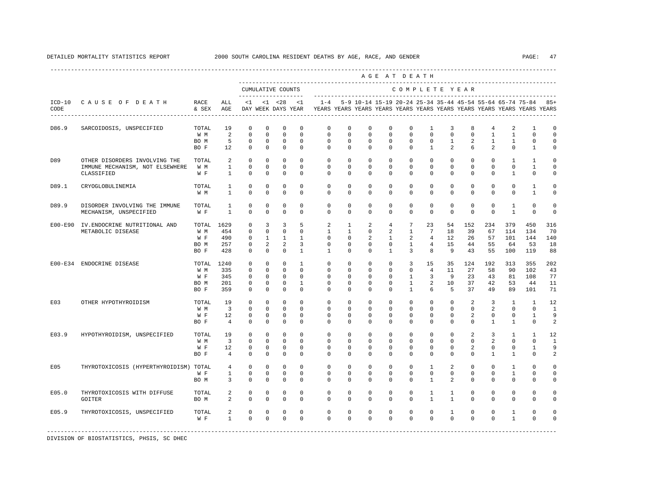|           |                                                                                |                                          |                                                       |                                                              |                                                      |                                                                      |                                                                         |                                                                                                                                                                 |                                                                          |                                                          |                                                       | AGE AT DEATH                                                              |                                                                |                                             |                                                          |                                                                  |                                                      |                                               |                                                    |
|-----------|--------------------------------------------------------------------------------|------------------------------------------|-------------------------------------------------------|--------------------------------------------------------------|------------------------------------------------------|----------------------------------------------------------------------|-------------------------------------------------------------------------|-----------------------------------------------------------------------------------------------------------------------------------------------------------------|--------------------------------------------------------------------------|----------------------------------------------------------|-------------------------------------------------------|---------------------------------------------------------------------------|----------------------------------------------------------------|---------------------------------------------|----------------------------------------------------------|------------------------------------------------------------------|------------------------------------------------------|-----------------------------------------------|----------------------------------------------------|
|           |                                                                                |                                          |                                                       |                                                              |                                                      | CUMULATIVE COUNTS                                                    | ---------------------                                                   |                                                                                                                                                                 |                                                                          |                                                          |                                                       | COMPLETE YEAR                                                             |                                                                |                                             |                                                          |                                                                  |                                                      |                                               |                                                    |
| CODE      | ICD-10 CAUSE OF DEATH                                                          | RACE<br>& SEX AGE                        | ALL                                                   |                                                              |                                                      | $<1$ $<1$ $<28$                                                      | $\lt1$                                                                  | 1-4 5-9 10-14 15-19 20-24 25-34 35-44 45-54 55-64 65-74 75-84 85+<br>DAY WEEK DAYS YEAR TEARS YEARS YEARS YEARS YEARS YEARS YEARS YEARS YEARS YEARS YEARS YEARS |                                                                          |                                                          |                                                       |                                                                           |                                                                |                                             |                                                          |                                                                  |                                                      |                                               |                                                    |
| D86.9     | SARCOIDOSIS, UNSPECIFIED                                                       | TOTAL<br>W M<br>BO M<br>BO F             | 19<br>2<br>5<br>12                                    | $\mathbf 0$<br>$\mathbf 0$<br>$\mathbf 0$<br>$\mathbf{0}$    | $^{\circ}$<br>$\Omega$<br>$^{\circ}$<br>$\mathbf{0}$ | $^{\circ}$<br>$\mathbf{0}$<br>$^{\circ}$<br>$\mathbf{0}$             | $^{\circ}$<br>$\Omega$<br>$^{\circ}$<br>$\mathbf{0}$                    | $\mathbf 0$<br>$\mathbf{0}$<br>$\mathbf 0$<br>$\mathbf 0$                                                                                                       | $\mathbf 0$<br>$\Omega$<br>$\mathbf 0$<br>$\mathbf 0$                    | $\mathbf 0$<br>$\mathbf 0$<br>$\mathbf 0$<br>$\mathbf 0$ | $\mathbf 0$<br>$\Omega$<br>$\mathbf 0$<br>$\mathbf 0$ | $\mathbf 0$<br>$\Omega$<br>$\mathbf 0$<br>$\circ$                         | 1<br>$\Omega$<br>$\mathbf 0$<br>$\mathbf{1}$                   | 3<br>$\Omega$<br>$\mathbf{1}$<br>2          | 8<br>$\Omega$<br>2<br>6                                  | $\overline{4}$<br>$\mathbf{1}$<br>$\mathbf{1}$<br>$\overline{a}$ | 2<br>$\mathbf{1}$<br>$\mathbf{1}$<br>$\mathbf{0}$    | 1<br>$\Omega$<br>$\mathbf 0$<br>$\mathbf{1}$  | $\mathbf 0$<br>$\Omega$<br>$\Omega$<br>$\mathbf 0$ |
| D89       | OTHER DISORDERS INVOLVING THE<br>IMMUNE MECHANISM, NOT ELSEWHERE<br>CLASSIFIED | TOTAL<br>W M<br>W F                      | 2<br>$\mathbf{1}$<br>$\mathbf{1}$                     | $^{\circ}$<br>$\Omega$<br>$\mathbf 0$                        | $\mathbf 0$<br>$\Omega$<br>$\Omega$                  | $^{\circ}$<br>$\Omega$<br>$\mathbf{0}$                               | $\Omega$<br>$\Omega$<br>$\Omega$                                        | $\mathbf{0}$<br>$\Omega$<br>$\Omega$                                                                                                                            | $\mathbf 0$<br>$\Omega$<br>$\Omega$                                      | $\mathbf 0$<br>$\Omega$<br>$\Omega$                      | $\mathbf 0$<br>$\Omega$<br>$\Omega$                   | $\mathbf 0$<br>$\Omega$<br>$\Omega$                                       | $\mathbf 0$<br>$\Omega$<br>$\Omega$                            | $\mathbf 0$<br>$\Omega$<br>$\Omega$         | $\mathbf 0$<br>$\Omega$<br>$\Omega$                      | $\circ$<br>$\Omega$<br>$\Omega$                                  | 1<br>$\Omega$<br>$\overline{1}$                      | 1<br>$\mathbf{1}$<br>$\Omega$                 | $\mathbf 0$<br>$\Omega$<br>$\mathbf 0$             |
| D89.1     | CRYOGLOBULINEMIA                                                               | TOTAL<br>W M                             | $\mathbf{1}$<br>$\mathbf{1}$                          | $\Omega$<br>$\mathbf 0$                                      | $\mathbf 0$<br>$\mathbf 0$                           | $\Omega$<br>$\mathbf 0$                                              | $\Omega$<br>$\mathbf 0$                                                 | $\Omega$<br>$\mathbf{0}$                                                                                                                                        | $\Omega$<br>$\Omega$                                                     | $\mathbf 0$<br>$\mathbf 0$                               | $\Omega$<br>0                                         | $\Omega$<br>$\mathbf 0$                                                   | $\Omega$<br>$\Omega$                                           | $\Omega$<br>$\Omega$                        | $\Omega$<br>$\Omega$                                     | $\Omega$<br>$\Omega$                                             | $\Omega$<br>$\Omega$                                 | $\mathbf{1}$<br>1                             | $\Omega$<br>$\mathbf 0$                            |
| D89.9     | DISORDER INVOLVING THE IMMUNE<br>MECHANISM, UNSPECIFIED                        | TOTAL<br>W F                             | 1<br>$\mathbf{1}$                                     | $\mathbf 0$<br>$\Omega$                                      | $\mathbf 0$<br>$\Omega$                              | $\mathbf 0$<br>$\mathbf{0}$                                          | $\mathbf 0$<br>$\Omega$                                                 | $\mathbf{0}$<br>$\Omega$                                                                                                                                        | $\mathbf 0$<br>$\Omega$                                                  | $\mathbf 0$<br>$\Omega$                                  | 0<br>0                                                | $\mathbf 0$<br>$\Omega$                                                   | $\mathbf 0$<br>$\circ$                                         | $\mathbf{0}$<br>$\Omega$                    | $^{\circ}$<br>$\mathbf 0$                                | $\mathbf 0$<br>$\Omega$                                          | 1<br>$\mathbf{1}$                                    | $\mathbf 0$<br>$\Omega$                       | $\mathbf 0$<br>$\circ$                             |
| $E00-E90$ | IV.ENDOCRINE NUTRITIONAL AND<br>METABOLIC DISEASE                              | TOTAL 1629<br>W M<br>W F<br>BO M<br>BO F | 454<br>490<br>257<br>428                              | $\mathbf 0$<br>$\mathbf 0$<br>$\circ$<br>$\circ$<br>$\Omega$ | 3<br>$\mathbf 0$<br>$\mathbf{1}$<br>2<br>$\Omega$    | 3<br>$\mathbf{0}$<br><sup>1</sup><br>2<br>$\Omega$                   | 5<br>$\mathbf{0}$<br>$\mathbf{1}$<br>$\overline{3}$<br>$\overline{1}$   | 2<br>$\mathbf{1}$<br>$^{\circ}$<br>$^{\circ}$<br>$\mathbf{1}$                                                                                                   | $\mathbf{1}$<br>$\mathbf{1}$<br>$\mathbf{0}$<br>$\mathbf{0}$<br>$\Omega$ | 2<br>$\mathbf 0$<br>2<br>$\mathbf 0$<br>$\Omega$         | $\overline{4}$<br>2<br>1<br>0<br>$\mathbf{1}$         | $7\overline{ }$<br>$\mathbf{1}$<br>2<br>$\mathbf{1}$<br>$\overline{3}$    | 23<br>$7\phantom{.0}$<br>$\overline{4}$<br>$\overline{4}$<br>8 | 54<br>18<br>12<br>15<br>9                   | 152<br>39<br>26<br>44<br>43                              | 234<br>67<br>57<br>55<br>55                                      | 379<br>114<br>101<br>64<br>100                       | 450<br>134<br>144<br>53<br>119                | 316<br>70<br>140<br>18<br>88                       |
|           | E00-E34 ENDOCRINE DISEASE                                                      | TOTAL<br>W M<br>W F<br>BO M<br>BO F      | 1240<br>335<br>345<br>201<br>359                      | $\Omega$<br>$\mathbf 0$<br>$\mathbf 0$<br>$\circ$<br>$\circ$ | $\Omega$<br>$\mathbf{0}$<br>0<br>0<br>$\mathbf 0$    | $\Omega$<br>$\mathbf{0}$<br>$\overline{0}$<br>$\mathbf 0$<br>$\circ$ | $\overline{1}$<br>$\Omega$<br>$\mathbf 0$<br>$\mathbf{1}$<br>$^{\circ}$ | $\Omega$<br>$\mathbf 0$<br>0<br>$^{\circ}$<br>$\mathbf 0$                                                                                                       | $\Omega$<br>$\mathbf 0$<br>0<br>$\mathbf{0}$<br>$\mathbf{0}$             | $\Omega$<br>$\mathbf 0$<br>0<br>0<br>$\mathbf 0$         | $\Omega$<br>$\mathbf 0$<br>0<br>0<br>0                | $\overline{3}$<br>$\circ$<br>$\mathbf{1}$<br>$\mathbf{1}$<br>$\mathbf{1}$ | 15<br>$\overline{4}$<br>3<br>2<br>6                            | 35<br>11<br>9<br>10<br>5                    | 124<br>27<br>23<br>37<br>37                              | 192<br>58<br>43<br>42<br>49                                      | 313<br>90<br>81<br>53<br>89                          | 355<br>102<br>108<br>44<br>101                | 202<br>43<br>77<br>11<br>71                        |
| E03       | OTHER HYPOTHYROIDISM                                                           | TOTAL<br>W M<br>W F<br>BO F              | 19<br>$\overline{\mathbf{3}}$<br>12<br>$\overline{4}$ | $\Omega$<br>$\Omega$<br>$\mathbf 0$<br>$\Omega$              | $\Omega$<br>$\Omega$<br>0<br>$\Omega$                | $\Omega$<br>$\Omega$<br>$^{\circ}$<br>$^{\circ}$                     | $\Omega$<br>$\Omega$<br>$\mathbf 0$<br>$\Omega$                         | $\Omega$<br>$\Omega$<br>0<br>$\Omega$                                                                                                                           | $\Omega$<br>$\Omega$<br>0<br>$\Omega$                                    | $\Omega$<br>$\Omega$<br>$^{\circ}$<br>$\Omega$           | $\Omega$<br>$\Omega$<br>0<br>$\Omega$                 | $\Omega$<br>$\Omega$<br>$\mathbf{0}$<br>$\Omega$                          | $\Omega$<br>$\Omega$<br>$\mathbf{0}$<br>$\Omega$               | $\Omega$<br>$\Omega$<br>0<br>$\Omega$       | 2<br>$\Omega$<br>$\overline{2}$<br>$\Omega$              | $\overline{3}$<br>2<br>$^{\circ}$<br>$\mathbf{1}$                | $\overline{1}$<br>$\Omega$<br>$\mathbf{0}$<br>1      | $\overline{1}$<br>$\Omega$<br>1<br>$\Omega$   | 12<br>$\overline{1}$<br>9<br>2                     |
| E03.9     | HYPOTHYROIDISM, UNSPECIFIED                                                    | TOTAL<br>W M<br>W F<br>BO F              | 19<br>$\overline{\mathbf{3}}$<br>12<br>$\overline{4}$ | $\mathbf{0}$<br>$\Omega$<br>$\mathbf 0$<br>$\Omega$          | $\circ$<br>$\Omega$<br>$\Omega$<br>$\mathbf 0$       | $\mathbf{0}$<br>$\mathbf{0}$<br>$\mathbf{0}$<br>$\mathbf{0}$         | $\Omega$<br>$\Omega$<br>$\Omega$<br>$\Omega$                            | $\mathbf 0$<br>$\mathbf 0$<br>$\mathbf 0$<br>$\Omega$                                                                                                           | $\mathbf 0$<br>$\Omega$<br>$\Omega$<br>$\mathbf 0$                       | $\mathbf 0$<br>$\mathbf 0$<br>$\mathbf 0$<br>$\Omega$    | $\mathbf 0$<br>$\Omega$<br>$\Omega$<br>$\mathbf 0$    | $\circ$<br>$\Omega$<br>$\mathbf{0}$<br>$\Omega$                           | $\circ$<br>$\Omega$<br>$\Omega$<br>$\Omega$                    | $\circ$<br>$\Omega$<br>$\Omega$<br>$\Omega$ | $\overline{2}$<br>$\Omega$<br>$\overline{a}$<br>$\Omega$ | $\overline{3}$<br>$\mathfrak{D}$<br>$\mathbf 0$<br>$\mathbf{1}$  | $\mathbf{1}$<br>$\Omega$<br>$\Omega$<br>$\mathbf{1}$ | $\mathbf{1}$<br>$\Omega$<br>1<br>$\mathbf{0}$ | 12<br>$\overline{1}$<br>9<br>2                     |
| E05       | THYROTOXICOSIS (HYPERTHYROIDISM) TOTAL                                         | W F<br>BO M                              | $4\overline{ }$<br>$\mathbf{1}$<br>3                  | $\mathbf 0$<br>$\Omega$<br>$\mathbf 0$                       | 0<br>$\Omega$<br>$\mathbf 0$                         | $\mathbf 0$<br>$\Omega$<br>$\mathbf 0$                               | $\Omega$<br>$\Omega$<br>$\Omega$                                        | $\mathbf 0$<br>$\Omega$<br>$\Omega$                                                                                                                             | $\mathbf 0$<br>$\Omega$<br>$\Omega$                                      | $\mathbf 0$<br>$\Omega$<br>$\Omega$                      | $^{\circ}$<br>$\Omega$<br>$\mathbf 0$                 | $\mathbf 0$<br>$\Omega$<br>$\Omega$                                       | 1<br>$\Omega$<br>$\overline{1}$                                | 2<br>$\Omega$<br>2                          | $\mathbf{0}$<br>$\Omega$<br>$\mathbf 0$                  | $^{\circ}$<br>$\Omega$<br>$\Omega$                               | 1<br>$\mathbf{1}$<br>$\mathbf 0$                     | $\mathbf{0}$<br>$\Omega$<br>$\Omega$          | $\Omega$<br>$\Omega$<br>$\mathbf 0$                |
| E05.0     | THYROTOXICOSIS WITH DIFFUSE<br>GOITER                                          | TOTAL<br>BO M                            | $\overline{a}$<br>2                                   | $\mathbb O$<br>$\mathbf 0$                                   | $\mathsf 0$<br>$\mathbf 0$                           | $\mathbb O$<br>$\mathbf 0$                                           | $\mathbf 0$<br>$\mathbf 0$                                              | $\mathsf{O}\xspace$<br>$\mathbf 0$                                                                                                                              | 0<br>$\mathbf 0$                                                         | $\mathbf 0$<br>$\mathbf 0$                               | $\mathbf 0$<br>0                                      | $\mathbf 0$<br>$\mathbf 0$                                                | $\mathbf{1}$<br>$\mathbf{1}$                                   | $\mathbf{1}$<br>$\mathbf{1}$                | $\mathbf 0$<br>$\mathbf{0}$                              | $\mathbf 0$<br>$\Omega$                                          | 0<br>$\mathbf{0}$                                    | 0<br>$\mathbf{0}$                             | $\mathbf 0$<br>0                                   |
| E05.9     | THYROTOXICOSIS, UNSPECIFIED                                                    | TOTAL<br>W F                             | $\overline{a}$<br>$\mathbf{1}$                        | $\mathbf 0$<br>$\Omega$                                      | $\mathbf 0$<br>$\Omega$                              | $\mathbf 0$<br>$\Omega$                                              | $^{\circ}$<br>$\Omega$                                                  | $\mathbf 0$<br>$\Omega$                                                                                                                                         | 0<br>$\Omega$                                                            | $\mathbf 0$<br>$\Omega$                                  | $\mathbf 0$<br>$\Omega$                               | $\mathbf 0$<br>$\Omega$                                                   | 0<br>$\Omega$                                                  | $\mathbf{1}$<br>$\Omega$                    | $\mathbf{0}$<br>$\Omega$                                 | $\mathbf 0$<br>$\Omega$                                          | 1<br>$\mathbf{1}$                                    | 0<br>$\Omega$                                 | $\mathbf 0$<br>$\Omega$                            |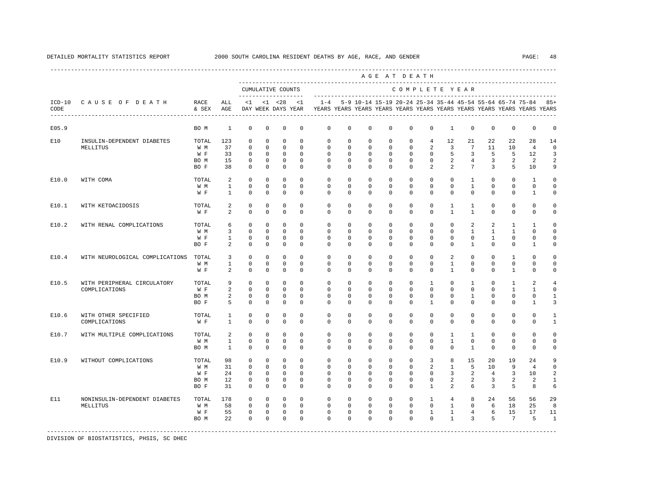|                  |                                                    |                                     |                                     |                                                                         |                                                               |                                                                    |                                                          |                                                             |                                                   |                                                             |                                                             | AGE AT DEATH                                                |                                                      |                                                                |                                               |                                                                |                                                 |                                                                                                                                      |                                            |
|------------------|----------------------------------------------------|-------------------------------------|-------------------------------------|-------------------------------------------------------------------------|---------------------------------------------------------------|--------------------------------------------------------------------|----------------------------------------------------------|-------------------------------------------------------------|---------------------------------------------------|-------------------------------------------------------------|-------------------------------------------------------------|-------------------------------------------------------------|------------------------------------------------------|----------------------------------------------------------------|-----------------------------------------------|----------------------------------------------------------------|-------------------------------------------------|--------------------------------------------------------------------------------------------------------------------------------------|--------------------------------------------|
|                  |                                                    |                                     |                                     |                                                                         |                                                               | CUMULATIVE COUNTS                                                  |                                                          |                                                             |                                                   |                                                             |                                                             | COMPLETE YEAR                                               |                                                      |                                                                |                                               |                                                                |                                                 |                                                                                                                                      |                                            |
| $ICD-10$<br>CODE | CAUSE OF DEATH<br>-------------------------------- | RACE<br>& SEX                       | ALL<br>AGE                          | <1                                                                      |                                                               | $< 1$ $< 28$<br>DAY WEEK DAYS YEAR                                 | <1                                                       | $1 - 4$                                                     |                                                   |                                                             |                                                             |                                                             |                                                      |                                                                |                                               |                                                                |                                                 | 5-9 10-14 15-19 20-24 25-34 35-44 45-54 55-64 65-74 75-84<br>YEARS YEARS YEARS YEARS YEARS YEARS YEARS YEARS YEARS YEARS YEARS YEARS | $85+$                                      |
| E05.9            |                                                    | BO M                                | $\mathbf{1}$                        | $\mathbf 0$                                                             | $^{\circ}$                                                    | $^{\circ}$                                                         | $\mathbf 0$                                              | $\mathbf 0$                                                 | $\mathbf 0$                                       | $\mathbf 0$                                                 | $\mathbf 0$                                                 | $\mathbf 0$                                                 | $\mathbf 0$                                          | $\mathbf{1}$                                                   | $\mathbf 0$                                   | $\mathbf 0$                                                    | $\mathbf 0$                                     | $\circ$                                                                                                                              | 0                                          |
| E10              | INSULIN-DEPENDENT DIABETES<br>MELLITUS             | TOTAL<br>W M                        | 123<br>37                           | $^{\circ}$<br>$\mathbf 0$                                               | $^{\circ}$<br>$^{\circ}$                                      | $^{\circ}$<br>$\Omega$                                             | $\Omega$<br>$\Omega$                                     | 0<br>$\Omega$                                               | 0<br>$\Omega$                                     | 0<br>$\Omega$                                               | 0<br>$\Omega$                                               | 0<br>$\Omega$                                               | $\overline{4}$<br>2                                  | 12<br>3                                                        | 21<br>$7\phantom{.0}$                         | 22<br>11                                                       | 22<br>10                                        | 28<br>$\overline{4}$                                                                                                                 | 14<br>$\Omega$                             |
|                  |                                                    | W F<br>BO M<br>BO F                 | 33<br>15<br>38                      | $\mathbf 0$<br>$\mathbf 0$<br>$\mathbf 0$                               | $^{\circ}$<br>$^{\circ}$<br>$^{\circ}$                        | $^{\circ}$<br>$^{\circ}$<br>$\mathbf 0$                            | $\Omega$<br>$\mathbf 0$<br>$\Omega$                      | $\mathbf 0$<br>$\mathbf 0$<br>$\Omega$                      | $\mathbf 0$<br>$\mathbf 0$<br>0                   | $\mathbf 0$<br>$\mathbf 0$<br>$\Omega$                      | $\mathbf 0$<br>$\mathbf 0$<br>$\Omega$                      | $\mathbf 0$<br>$\mathbf 0$<br>$\Omega$                      | $\mathbf 0$<br>$\mathbf 0$<br>2                      | 5<br>2<br>2                                                    | 3<br>$\overline{4}$<br>7                      | 5<br>$\overline{3}$<br>3                                       | 5<br>$\overline{a}$<br>5                        | 12<br>2<br>10                                                                                                                        | 3<br>2<br>9                                |
| E10.0            | WITH COMA                                          | TOTAL<br>W M                        | 2<br>$\mathbf{1}$                   | $\mathbf 0$<br>$\mathbf 0$                                              | $\mathbf{0}$<br>$\circ$                                       | $\mathbf 0$<br>$\mathbf 0$                                         | $\Omega$<br>$\mathbf 0$                                  | $\Omega$<br>$\mathbf 0$                                     | 0<br>$\mathbf 0$                                  | $\Omega$<br>$\Omega$                                        | $\Omega$<br>$\Omega$                                        | $\Omega$<br>$\mathbf 0$                                     | $\mathbf 0$<br>$\mathbf 0$                           | $\Omega$<br>$\mathbf 0$                                        | $\mathbf{1}$<br>$\mathbf{1}$                  | $\Omega$<br>$\mathbf 0$                                        | $\mathbf 0$<br>$\mathbf 0$                      | $\mathbf{1}$<br>$\mathbf 0$                                                                                                          | $\Omega$<br>$\Omega$                       |
| E10.1            | WITH KETOACIDOSIS                                  | W F<br>TOTAL                        | $\mathbf{1}$<br>2                   | $\mathbf 0$<br>$\mathbf 0$                                              | $\mathbf 0$<br>$^{\circ}$                                     | $\mathbf 0$<br>$\mathbf 0$                                         | $\Omega$<br>$\mathbf 0$                                  | $\Omega$<br>$\mathbf 0$                                     | $\Omega$<br>0                                     | $\Omega$<br>$\mathbf 0$                                     | $\Omega$<br>$\mathbf 0$                                     | $\Omega$<br>$\mathbf 0$                                     | $\Omega$<br>$\mathbf 0$                              | $\Omega$<br>$\mathbf{1}$                                       | $\Omega$<br>$\mathbf{1}$                      | $\Omega$<br>$\mathbf 0$                                        | $\Omega$<br>$\mathbf 0$                         | $\mathbf{1}$<br>$\mathbf 0$                                                                                                          | $\mathbf 0$<br>$\mathbf 0$                 |
| E10.2            | WITH RENAL COMPLICATIONS                           | W F<br>TOTAL                        | 2<br>6                              | $\Omega$<br>$\mathbf 0$                                                 | $\Omega$<br>$^{\circ}$                                        | $\mathbf 0$<br>$\Omega$                                            | $\Omega$<br>$\Omega$                                     | $\Omega$<br>$\Omega$                                        | $\Omega$<br>$\Omega$                              | $\Omega$<br>$\Omega$                                        | $\Omega$<br>$\Omega$                                        | $\Omega$<br>$\Omega$                                        | $\Omega$<br>$\Omega$                                 | $\mathbf{1}$<br>$\Omega$                                       | $\mathbf{1}$<br>2                             | $\Omega$<br>2                                                  | $\Omega$<br>$\mathbf{1}$                        | $\mathbf 0$<br>$\mathbf{1}$                                                                                                          | $\circ$<br>$\Omega$                        |
|                  |                                                    | W M<br>W F<br>BO F                  | $\overline{3}$<br>$\mathbf{1}$<br>2 | $\Omega$<br>$\mathbf 0$<br>$\Omega$                                     | $\Omega$<br>$\Omega$<br>$^{\circ}$                            | $\Omega$<br>$\Omega$<br>$^{\circ}$                                 | $\Omega$<br>$\Omega$<br>$\Omega$                         | $\Omega$<br>$\Omega$<br>$\Omega$                            | $\Omega$<br>$\Omega$<br>$\Omega$                  | $\Omega$<br>$\Omega$<br>$\Omega$                            | $\Omega$<br>$\Omega$<br>$\Omega$                            | $\Omega$<br>$\Omega$<br>$\Omega$                            | $\Omega$<br>$\Omega$<br>$\Omega$                     | $\Omega$<br>$\Omega$<br>$\Omega$                               | $\mathbf{1}$<br>$\Omega$<br>$\mathbf{1}$      | $\mathbf{1}$<br>$\mathbf{1}$<br>$\Omega$                       | $\mathbf{1}$<br>$\Omega$<br>$\Omega$            | $\Omega$<br>$\Omega$<br>$\mathbf{1}$                                                                                                 | $\Omega$<br>$\Omega$<br>$\Omega$           |
| E10.4            | WITH NEUROLOGICAL COMPLICATIONS                    | TOTAL<br>W M<br>W F                 | 3<br>$\mathbf{1}$<br>2              | $\mathbf 0$<br>$\mathbf 0$<br>$\mathbf 0$                               | $^{\circ}$<br>$^{\circ}$<br>$^{\circ}$                        | $\mathbf 0$<br>0<br>$\mathbf 0$                                    | $\mathbf 0$<br>$^{\circ}$<br>$\Omega$                    | $\mathbf 0$<br>$\mathbf{0}$<br>$\Omega$                     | $\mathbf 0$<br>0<br>0                             | $\mathbf 0$<br>0<br>$\Omega$                                | $\mathbf 0$<br>0<br>$\mathbf 0$                             | $\mathbf 0$<br>$\mathbf{0}$<br>$\Omega$                     | $\mathbf 0$<br>$\mathbf 0$<br>$\mathbf 0$            | 2<br>1<br>$\mathbf{1}$                                         | $\mathbf 0$<br>0<br>$\Omega$                  | $\mathbf 0$<br>0<br>$\Omega$                                   | $\mathbf{1}$<br>0<br>$\mathbf{1}$               | 0<br>$\mathbf 0$<br>$\mathbf 0$                                                                                                      | $\mathbf 0$<br>0<br>$\mathbf 0$            |
| E10.5            | WITH PERIPHERAL CIRCULATORY<br>COMPLICATIONS       | TOTAL<br>W F<br>BO M<br>BO F        | 9<br>2<br>2<br>5                    | $^{\circ}$<br>$\mathbf 0$<br>$\mathbf 0$<br>$\mathbf 0$                 | $^{\circ}$<br>$\circ$<br>0<br>$^{\circ}$                      | 0<br>$\circ$<br>$\mathbf 0$<br>$^{\circ}$                          | $\Omega$<br>$\Omega$<br>$\mathbf 0$<br>$\mathbf 0$       | $\mathbf{0}$<br>$\Omega$<br>$\mathbf 0$<br>$\Omega$         | 0<br>$\Omega$<br>$\mathbf 0$<br>$\mathbf 0$       | 0<br>$\Omega$<br>$\mathbf 0$<br>$\mathbf 0$                 | 0<br>$\Omega$<br>$\mathbf 0$<br>$\mathbf 0$                 | $\mathbf 0$<br>$\Omega$<br>$\mathbf 0$<br>$\mathbf 0$       | 1<br>$\Omega$<br>$\mathbf 0$<br>$\mathbf{1}$         | 0<br>$\Omega$<br>0<br>0                                        | $\mathbf{1}$<br>$\Omega$<br>$\mathbf{1}$<br>0 | 0<br>$\Omega$<br>$\mathbf 0$<br>$\Omega$                       | 1<br>$\mathbf{1}$<br>$\mathbf 0$<br>$\mathbf 0$ | 2<br>1<br>$\mathbf 0$<br>1                                                                                                           | 4<br>$\Omega$<br>$\mathbf{1}$<br>3         |
| E10.6            | WITH OTHER SPECIFIED<br>COMPLICATIONS              | TOTAL<br>W F                        | $\mathbf{1}$<br>$\mathbf{1}$        | $\mathbf 0$<br>$\mathbf 0$                                              | $\mathbf 0$<br>$^{\circ}$                                     | $\mathbf 0$<br>$\mathbf{0}$                                        | $\mathbf 0$<br>$\Omega$                                  | $\mathbf 0$<br>$\Omega$                                     | 0<br>0                                            | $\mathbf 0$<br>$\Omega$                                     | $\mathbf 0$<br>$\Omega$                                     | $\mathbf 0$<br>$\Omega$                                     | $\mathbf 0$<br>$\mathbf 0$                           | $\mathbf 0$<br>$\Omega$                                        | $\mathbf 0$<br>$\Omega$                       | $\mathbf 0$<br>$\Omega$                                        | $\mathbf 0$<br>$\mathbf 0$                      | $\circ$<br>$\mathbf 0$                                                                                                               | 1<br>1                                     |
| E10.7            | WITH MULTIPLE COMPLICATIONS                        | TOTAL<br>W M<br>BO M                | 2<br>$\mathbf{1}$<br>$\mathbf{1}$   | $\mathbf 0$<br>$\mathbf 0$<br>$\mathbf 0$                               | $^{\circ}$<br>$\Omega$<br>$^{\circ}$                          | $\mathbf{0}$<br>$^{\circ}$<br>$^{\circ}$                           | $\Omega$<br>$\Omega$<br>$\mathbf 0$                      | $\Omega$<br>$\Omega$<br>$\Omega$                            | $\Omega$<br>$\mathbf 0$<br>0                      | $\Omega$<br>$\mathbf 0$<br>$\Omega$                         | $\Omega$<br>$\Omega$<br>$\mathbf 0$                         | $\Omega$<br>$\mathbf 0$<br>$\Omega$                         | $\mathbf 0$<br>$\mathbf 0$<br>$\mathbf 0$            | $\mathbf{1}$<br>$\mathbf{1}$<br>$\mathbf 0$                    | $\mathbf{1}$<br>$\Omega$<br>$\mathbf{1}$      | $\Omega$<br>$\Omega$<br>$\mathbf 0$                            | $\mathbf 0$<br>$\mathbf 0$<br>$\mathbf 0$       | $\mathbf 0$<br>$\mathbf 0$<br>$\mathbf 0$                                                                                            | $\Omega$<br>$\Omega$<br>$\mathbf 0$        |
| E10.9            | WITHOUT COMPLICATIONS                              | TOTAL<br>W M<br>W F<br>BO M<br>BO F | 98<br>31<br>24<br>12<br>31          | $\mathbf 0$<br>$\mathbf 0$<br>$\mathbf 0$<br>$\mathbf 0$<br>$\mathbf 0$ | $\Omega$<br>$\circ$<br>$^{\circ}$<br>$^{\circ}$<br>$^{\circ}$ | $\Omega$<br>$\mathbf 0$<br>$\mathbf 0$<br>$^{\circ}$<br>$^{\circ}$ | $\Omega$<br>$\Omega$<br>$\Omega$<br>$\Omega$<br>$\Omega$ | $\Omega$<br>$\mathbf 0$<br>$\Omega$<br>$\Omega$<br>$\Omega$ | $\Omega$<br>0<br>$\Omega$<br>$\Omega$<br>$\Omega$ | $\Omega$<br>$\mathbf 0$<br>$\Omega$<br>$\Omega$<br>$\Omega$ | $\Omega$<br>$\mathbf 0$<br>$\Omega$<br>$\Omega$<br>$\Omega$ | $\Omega$<br>$\mathbf 0$<br>$\Omega$<br>$\Omega$<br>$\Omega$ | 3<br>2<br>$\Omega$<br>$\Omega$<br>$\overline{1}$     | 8<br>$\mathbf{1}$<br>3<br>2<br>2                               | 15<br>5<br>2<br>2<br>6                        | 20<br>10<br>$\overline{4}$<br>$\overline{3}$<br>$\overline{3}$ | 19<br>9<br>3<br>2<br>5                          | 24<br>$\overline{4}$<br>10<br>2<br>8                                                                                                 | 9<br>$\mathbf 0$<br>2<br>$\mathbf{1}$<br>6 |
| E11              | NONINSULIN-DEPENDENT DIABETES<br>MELLITUS          | TOTAL<br>W M<br>W F<br>BO M         | 178<br>58<br>55<br>22               | $\Omega$<br>$\mathbf 0$<br>$\mathbf 0$<br>$\Omega$                      | $\Omega$<br>$\circ$<br>$\mathbf{0}$<br>$\Omega$               | $\circ$<br>$\mathbf 0$<br>$\mathbf{0}$<br>$\Omega$                 | $\Omega$<br>$\Omega$<br>$\Omega$<br>$\Omega$             | $\Omega$<br>$\Omega$<br>$\Omega$<br>$\Omega$                | $\Omega$<br>$\Omega$<br>$\Omega$<br>$\Omega$      | $\Omega$<br>$\Omega$<br>$\Omega$<br>$\Omega$                | $\Omega$<br>$\Omega$<br>$\Omega$<br>$\Omega$                | $\Omega$<br>$\Omega$<br>$\Omega$<br>$\Omega$                | $\mathbf{1}$<br>$\Omega$<br>$\mathbf{1}$<br>$\Omega$ | $\overline{4}$<br>$\mathbf{1}$<br>$\mathbf{1}$<br>$\mathbf{1}$ | 8<br>$\Omega$<br>$\overline{4}$<br>3          | 2.4<br>6<br>6<br>5                                             | 56<br>18<br>15<br>$7\phantom{.0}$               | 56<br>25<br>17<br>5                                                                                                                  | 29<br>8<br>11<br>$\mathbf{1}$              |

DETAILED MORTALITY STATISTICS REPORT 2000 SOUTH CAROLINA RESIDENT DEATHS BY AGE, RACE, AND GENDER PAGE: 48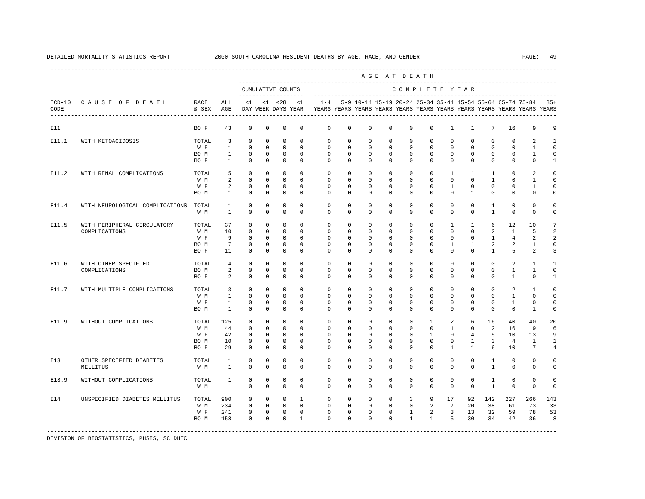|                                 |               |                                |                         |                         |                                          |                      |                      |                      |                      |                                        | AGE AT DEATH                                                      |                      |                            |                                          |                                |                         |                                                                                                                                          |                             |
|---------------------------------|---------------|--------------------------------|-------------------------|-------------------------|------------------------------------------|----------------------|----------------------|----------------------|----------------------|----------------------------------------|-------------------------------------------------------------------|----------------------|----------------------------|------------------------------------------|--------------------------------|-------------------------|------------------------------------------------------------------------------------------------------------------------------------------|-----------------------------|
|                                 |               |                                |                         |                         | CUMULATIVE COUNTS<br>------------------- |                      |                      |                      |                      |                                        |                                                                   |                      |                            | COMPLETE YEAR                            |                                |                         |                                                                                                                                          |                             |
| ICD-10 CAUSE OF DEATH           | RACE<br>& SEX | ALL<br>AGE                     | <1                      |                         | $< 1$ $< 28$<br>DAY WEEK DAYS YEAR       | <1                   | $1 - 4$              |                      |                      |                                        |                                                                   |                      |                            |                                          |                                |                         | 5-9 10-14 15-19 20-24 25-34 35-44 45-54 55-64 65-74 75-84 85+<br>YEARS YEARS YEARS YEARS YEARS YEARS YEARS YEARS YEARS YEARS YEARS YEARS |                             |
|                                 | BO F          | 43                             | $\mathbf 0$             | $\mathbf 0$             | $\mathbf 0$                              | $\mathbf 0$          | $\mathbf 0$          | $\mathbf 0$          | $\mathbf 0$          | $\mathbf 0$                            | $\mathbf{0}$                                                      | $\mathbf 0$          | $\mathbf{1}$               | $\mathbf{1}$                             | 7                              | 16                      | 9                                                                                                                                        | 9                           |
|                                 | TOTAL         | $\overline{3}$                 | $\Omega$                | $\Omega$                | $\Omega$                                 | $\Omega$             | $\Omega$             | $\Omega$             | $\Omega$             | $\Omega$                               | $\Omega$                                                          | $\Omega$             | $\Omega$                   | $\Omega$                                 | $\Omega$                       | $\Omega$                | 2                                                                                                                                        | 1                           |
|                                 | W F           | $\mathbf{1}$                   | $\Omega$                | $\Omega$                | $\Omega$                                 | $\Omega$             | $\Omega$             | $\Omega$             | $\Omega$             | $\Omega$                               | $\mathbf 0$                                                       | $\Omega$             | $\mathbf 0$                | $\Omega$                                 | $\Omega$                       | $\mathbf 0$             | $\mathbf{1}$                                                                                                                             | $\Omega$                    |
|                                 | BO M<br>BO F  | $\mathbf{1}$<br>$\overline{1}$ | $\mathbf 0$<br>$\Omega$ | $\mathbf 0$<br>$\Omega$ | $\mathbf 0$<br>$\Omega$                  | $\Omega$<br>$\Omega$ | $\Omega$<br>$\Omega$ | $\Omega$<br>$\Omega$ | $\Omega$<br>$\Omega$ | $\Omega$<br>$\Omega$                   | $\mathbf 0$<br>$\Omega$                                           | $\Omega$<br>$\Omega$ | $\Omega$<br>$\Omega$       | $\Omega$<br>$\Omega$                     | $\Omega$<br>$\Omega$           | $\mathbf 0$<br>$\Omega$ | $\mathbf{1}$<br>$\Omega$                                                                                                                 | $\Omega$<br>$\mathbf{1}$    |
|                                 |               |                                |                         |                         |                                          |                      |                      |                      |                      |                                        |                                                                   |                      |                            |                                          |                                |                         |                                                                                                                                          |                             |
| WITH RENAL COMPLICATIONS        | TOTAL         | 5                              | $\Omega$                | $\Omega$                | $\Omega$                                 | $\Omega$             | $\Omega$             | $\Omega$             | $\Omega$             | $\Omega$                               | $\Omega$                                                          | $\Omega$             | $\mathbf{1}$               | $\mathbf{1}$                             | $\mathbf{1}$                   | $\Omega$                | $\overline{a}$                                                                                                                           | $\Omega$                    |
|                                 | W M           | $\overline{a}$                 | $\Omega$                | $\Omega$                | $\Omega$                                 | $\Omega$             | $\Omega$             | $\Omega$             | $\Omega$             | $\Omega$                               | $\Omega$                                                          | $\Omega$             | $\Omega$                   | $\Omega$                                 | $\mathbf{1}$                   | $\Omega$                | $\mathbf{1}$                                                                                                                             | $\Omega$                    |
|                                 | W F           | 2                              | $\Omega$                | $\Omega$                | $\Omega$                                 | $\Omega$             | $\Omega$             | $\Omega$             | $\Omega$             | $\Omega$                               | $\mathbf 0$                                                       | $\Omega$             | $\mathbf{1}$               | $\Omega$                                 | $\Omega$                       | $\Omega$                | $\mathbf{1}$                                                                                                                             | $\Omega$                    |
|                                 | BO M          | $\mathbf{1}$                   | $\Omega$                | 0                       | $\mathbf 0$                              | $\Omega$             | $\Omega$             | $\mathbf 0$          | $\Omega$             | $\Omega$                               | $\Omega$                                                          | $\Omega$             | $\Omega$                   | $\mathbf{1}$                             | $\mathbf 0$                    | 0                       | $\mathbf 0$                                                                                                                              | $\Omega$                    |
| WITH NEUROLOGICAL COMPLICATIONS | TOTAL         | 1                              | 0                       | 0                       | 0                                        | $\mathbf 0$          | 0                    | 0                    | 0                    | $^{\circ}$                             | $\mathbf{0}$                                                      | $\mathbf{0}$         | $\mathbf 0$                | $\mathbf{0}$                             | 1                              | 0                       | 0                                                                                                                                        | $\Omega$                    |
|                                 | W M           | $\mathbf{1}$                   | $^{\circ}$              | 0                       | $\mathbf 0$                              | $\mathbf 0$          | $\mathbf 0$          | $\mathbf 0$          | $\mathbf 0$          | $\mathbf 0$                            | $\mathbf 0$                                                       | $\mathbf{0}$         | $\mathbf 0$                | $\mathbf 0$                              | $\mathbf{1}$                   | $\mathbf 0$             | 0                                                                                                                                        | $\Omega$                    |
| WITH PERIPHERAL CIRCULATORY     | TOTAL         | 37                             | 0                       | $\mathbf 0$             | $\mathbf 0$                              | $\Omega$             | $\Omega$             | $\Omega$             | $\Omega$             | $\Omega$                               | $\mathbf{0}$                                                      | $\mathbf 0$          | $\mathbf{1}$               | $\mathbf{1}$                             | 6                              | 12                      | 10                                                                                                                                       |                             |
|                                 | W M           | 10                             | $\mathbf 0$             | $\mathbf 0$             | $\mathbf 0$                              | $\Omega$             | $\mathbf 0$          | $\mathbf 0$          | $\mathbf 0$          | $\mathbf 0$                            | $\mathbf 0$                                                       | $\mathbf 0$          | $\mathbf 0$                | $\mathbf 0$                              | 2                              | $\mathbf{1}$            | 5                                                                                                                                        |                             |
|                                 | W F           | 9                              | $\mathbf 0$             | $^{\circ}$              | $\mathbf 0$                              | $\Omega$             | $\Omega$             | $\Omega$             | $\Omega$             | $\Omega$                               | $\mathbf 0$                                                       | $\Omega$             | $\mathbf 0$                | $\mathbf 0$                              | $\mathbf{1}$                   | 4                       | 2                                                                                                                                        | $\overline{a}$              |
|                                 | BO M          | $7\phantom{.0}$                | $\mathbf 0$             | $\mathbf 0$             | $\mathbf 0$                              | $\Omega$             | $\mathbf 0$          | $\Omega$             | $\Omega$             | $\mathbf 0$                            | $\mathbf 0$                                                       | $\mathbf 0$          | $\mathbf{1}$               | $\mathbf{1}$                             | 2                              | 2                       | $\mathbf{1}$                                                                                                                             | $\Omega$                    |
|                                 | BO F          | 11                             | $\mathbf 0$             | $\mathbf 0$             | $\mathbf 0$                              | $\mathbf 0$          | $\Omega$             | $\mathbf 0$          | $\Omega$             | $\mathbf 0$                            | $\mathbf 0$                                                       | $\mathbf{0}$         | $\mathbf 0$                | $\mathbf 0$                              | $\mathbf{1}$                   | 5                       | $\overline{a}$                                                                                                                           | 3                           |
| WITH OTHER SPECIFIED            | TOTAL         | $\overline{4}$                 | $\Omega$                | $\Omega$                | $\Omega$                                 | $\Omega$             | $\Omega$             | $\Omega$             | $\Omega$             | $\Omega$                               | $\Omega$                                                          | $\Omega$             | $\Omega$                   | $\Omega$                                 | $\Omega$                       | $\mathfrak{D}$          | $\overline{1}$                                                                                                                           | 1                           |
|                                 | BO M          | 2                              | $\mathbf 0$             | $\mathbf 0$             | $\mathbf 0$                              | $\mathbf 0$          | $\mathbf 0$          | $\mathbf 0$          | $\mathbf 0$          | $\mathbf 0$                            | $\mathbf 0$                                                       | $\mathbf 0$          | $\mathbf 0$                | $\mathbf 0$                              | $\mathbf 0$                    | $\mathbf{1}$            | $\mathbf{1}$                                                                                                                             | $\mathbf 0$                 |
|                                 | BO F          | $\overline{a}$                 | $\Omega$                | $\mathbf 0$             | $\Omega$                                 | $\Omega$             | $\Omega$             | $\Omega$             | $\Omega$             | $\Omega$                               | $\Omega$                                                          | $\Omega$             | $\Omega$                   | $\Omega$                                 | $\Omega$                       | $\mathbf{1}$            | $\mathbf 0$                                                                                                                              | $\mathbf{1}$                |
| WITH MULTIPLE COMPLICATIONS     | TOTAL         | 3                              | $\mathbf 0$             | $\Omega$                | $\Omega$                                 | $\Omega$             | $\Omega$             | $\Omega$             | $\Omega$             | $\Omega$                               | $\Omega$                                                          | $\Omega$             | $\Omega$                   | $\mathbf 0$                              | $\Omega$                       | 2                       | $\overline{1}$                                                                                                                           | $\cap$                      |
|                                 | W M           | $\overline{1}$                 | $\Omega$                | $\Omega$                | $\Omega$                                 | $\Omega$             | $\Omega$             | $\Omega$             | $\Omega$             | $\Omega$                               | $\Omega$                                                          | $\Omega$             | $\Omega$                   | $\Omega$                                 | $\Omega$                       | $\mathbf{1}$            | $\Omega$                                                                                                                                 | $\Omega$                    |
|                                 | W F           | $\mathbf{1}$                   | $\mathbf 0$             | $\mathbf 0$             | $\mathbf 0$                              | $\Omega$             | $\Omega$             | $\Omega$             | $\Omega$             | $\Omega$                               | $\mathbf 0$                                                       | $\mathbf{0}$         | $\mathbf 0$                | $\mathbf 0$                              | $\Omega$                       | $\mathbf{1}$            | $\mathbf 0$                                                                                                                              | $\Omega$                    |
|                                 | BO M          | $\overline{1}$                 | $\Omega$                | $\Omega$                | $\Omega$                                 | $\Omega$             | $\Omega$             | $\Omega$             | $\Omega$             | $\Omega$                               | $\Omega$                                                          | $\Omega$             | $\Omega$                   | $\Omega$                                 | $\Omega$                       | $\Omega$                | $\mathbf{1}$                                                                                                                             | $\Omega$                    |
| WITHOUT COMPLICATIONS           | TOTAL         | 125                            | $^{\circ}$              | $\mathbf 0$             | 0                                        | $\mathbf 0$          | $\mathbf 0$          | 0                    | $\mathbf 0$          | $\mathbf 0$                            | $\mathbf{0}$                                                      | 1                    | 2                          | 6                                        | 16                             | 40                      | 40                                                                                                                                       | 20                          |
|                                 | W M           | 44                             | 0                       | 0                       | $\mathbf 0$                              | $\Omega$             | 0                    | 0                    | 0                    | $^{\circ}$                             | $\mathbf{0}$                                                      | $\mathbf 0$          | $\mathbf{1}$               | 0                                        | 2                              | 16                      | 19                                                                                                                                       | 6                           |
|                                 | W F           | 42                             | $^{\circ}$              | 0                       | $\Omega$                                 | $\Omega$             | $\Omega$             | $\Omega$             | $\Omega$             | $\Omega$                               | $\Omega$                                                          | $\mathbf{1}$         | $\Omega$                   | $\overline{4}$                           | 5                              | 10                      | 13                                                                                                                                       | 9                           |
|                                 | BO M          | 10                             | 0                       | 0                       | $\mathbf 0$                              | $\mathbf 0$          | 0                    | 0                    | 0                    | $\mathbf 0$                            | $\mathbb O$                                                       | $\mathbf 0$          | 0                          | $\mathbf{1}$                             | 3                              | $\overline{4}$          | 1                                                                                                                                        | $\mathbf{1}$                |
|                                 | BO F          | 29                             | $\Omega$                | $\Omega$                | $\mathbf 0$                              | $\Omega$             | $\Omega$             | $\Omega$             | $\Omega$             | $\mathbf 0$                            | $\mathbf 0$                                                       | $\mathbf{0}$         | $\mathbf{1}$               | $\mathbf{1}$                             | 6                              | 10                      | 7                                                                                                                                        |                             |
| OTHER SPECIFIED DIABETES        | TOTAL         | 1                              | $\mathbf 0$             | $\mathbf 0$             | $\mathbf 0$                              | $\mathbf 0$          | $\mathbf 0$          | $\mathbf 0$          | $\Omega$             | $\mathbf 0$                            | $\mathbf 0$                                                       | $\mathbf{0}$         | $\mathbf 0$                | $\mathbf 0$                              | $\mathbf{1}$                   | 0                       | $\mathbf 0$                                                                                                                              | 0                           |
|                                 | W M           | $\mathbf{1}$                   | $\Omega$                | $\Omega$                | $\Omega$                                 | $\Omega$             | $\Omega$             | $\Omega$             | $\Omega$             | $\Omega$                               | $\Omega$                                                          | $\mathbf 0$          | $\Omega$                   | $\Omega$                                 | $\mathbf{1}$                   | $\mathbf 0$             | 0                                                                                                                                        | $\cap$                      |
| WITHOUT COMPLICATIONS           | TOTAL         | 1                              | $\Omega$                | $\Omega$                | $\mathbf 0$                              | $\Omega$             | $\Omega$             | $\Omega$             | $\Omega$             | $\Omega$                               | $\mathbf{0}$                                                      | $\Omega$             | $\Omega$                   | $\Omega$                                 | $\overline{1}$                 | $\mathbf 0$             | $\Omega$                                                                                                                                 | $\Omega$                    |
|                                 | W M           | $\overline{1}$                 | $\Omega$                | $\Omega$                | $\Omega$                                 | $\Omega$             | $\Omega$             | $\Omega$             | $\Omega$             | $\Omega$                               | $\Omega$                                                          | $\Omega$             | $\Omega$                   | $\Omega$                                 | $\mathbf{1}$                   | $\Omega$                | $\Omega$                                                                                                                                 | $\Omega$                    |
| UNSPECIFIED DIABETES MELLITUS   |               |                                | $\Omega$                | $\Omega$                | $\Omega$                                 | $\mathbf{1}$         | $\Omega$             |                      | $\Omega$             |                                        |                                                                   |                      |                            |                                          |                                |                         |                                                                                                                                          | 143                         |
|                                 |               |                                | $\Omega$                | $\Omega$                | $\Omega$                                 | $\Omega$             | $\Omega$             |                      |                      |                                        |                                                                   |                      |                            |                                          |                                |                         |                                                                                                                                          | 33                          |
|                                 | W F           |                                | $\mathbf 0$             | $\mathbf 0$             | $\mathbf{0}$                             | $\mathbf 0$          | $\mathbf 0$          |                      |                      |                                        | $\mathbf{1}$                                                      |                      |                            |                                          |                                |                         |                                                                                                                                          | 53                          |
|                                 | BO M          | 158                            | $\Omega$                | $\Omega$                | $\Omega$                                 | $\mathbf{1}$         | $\Omega$             | $\Omega$             | $\Omega$             | $\Omega$                               | $\mathbf{1}$                                                      |                      |                            |                                          |                                |                         | 36                                                                                                                                       | 8                           |
|                                 |               | TOTAL<br>W M                   | 900<br>234<br>241       |                         |                                          |                      |                      |                      |                      | $\mathbf 0$<br>$\Omega$<br>$\mathbf 0$ | $\mathbf 0$<br>$\Omega$<br>$\Omega$<br>$\mathbf 0$<br>$\mathbf 0$ |                      | $\overline{3}$<br>$\Omega$ | 9<br>2<br>$\overline{a}$<br>$\mathbf{1}$ | 17<br>7<br>$\overline{3}$<br>5 | 92<br>20<br>13<br>30    | 142<br>227<br>38<br>61<br>32<br>34                                                                                                       | 266<br>73<br>78<br>59<br>42 |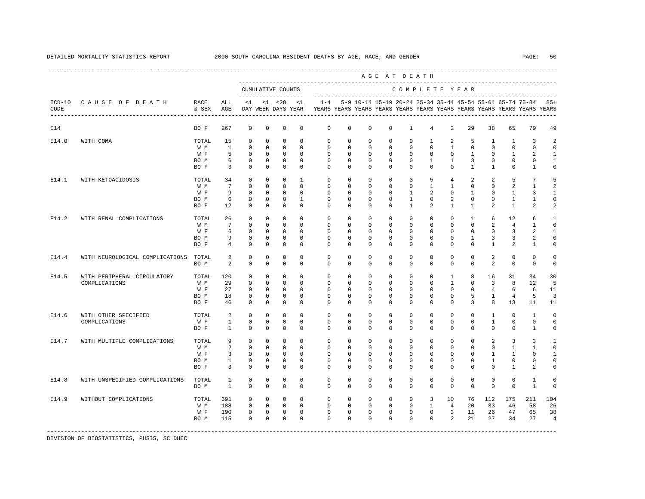|       |                                 |               |                 |             |             |                                          |                |              |              |             | AGE AT DEATH |               |                |                |                |                |                |                                                                                                                                      |                |
|-------|---------------------------------|---------------|-----------------|-------------|-------------|------------------------------------------|----------------|--------------|--------------|-------------|--------------|---------------|----------------|----------------|----------------|----------------|----------------|--------------------------------------------------------------------------------------------------------------------------------------|----------------|
|       |                                 |               |                 |             |             | CUMULATIVE COUNTS<br>------------------- |                |              |              |             |              | COMPLETE YEAR |                |                |                |                |                |                                                                                                                                      |                |
| CODE  | ICD-10 CAUSE OF DEATH           | RACE<br>& SEX | ALL<br>AGE      | <1          |             | $< 1$ $< 28$<br>DAY WEEK DAYS YEAR       | <1             | $1 - 4$      |              |             |              |               |                |                |                |                |                | 5-9 10-14 15-19 20-24 25-34 35-44 45-54 55-64 65-74 75-84<br>YEARS YEARS YEARS YEARS YEARS YEARS YEARS YEARS YEARS YEARS YEARS YEARS | $85+$          |
| E14   |                                 | BO F          | 267             | $\mathbf 0$ | $\mathbf 0$ | $\mathbf 0$                              | $\mathbf 0$    | $\mathbf 0$  | $\mathbf 0$  | $\mathbf 0$ | $\mathbf 0$  | $\mathbf{1}$  | $\overline{4}$ | 2              | 29             | 38             | 65             | 79                                                                                                                                   | 49             |
| E14.0 | WITH COMA                       | TOTAL         | 15              | $\Omega$    | $\Omega$    | $\Omega$                                 | $\Omega$       | $\Omega$     | $\Omega$     | $\Omega$    | $\Omega$     | $\Omega$      | $\overline{1}$ | 2              | 5              | $\mathbf{1}$   | $\mathbf{1}$   | 3                                                                                                                                    |                |
|       |                                 | W M           | $\mathbf{1}$    | $\Omega$    | $\mathbf 0$ | $\Omega$                                 | $\Omega$       | $\mathbf 0$  | $\mathbf 0$  | $\Omega$    | $\mathbf 0$  | $\mathbf 0$   | $\mathbf{0}$   | $\mathbf{1}$   | $\mathbf 0$    | $\Omega$       | $\mathbf 0$    | $\Omega$                                                                                                                             | $\Omega$       |
|       |                                 | W F           | 5               | $\Omega$    | $\mathbf 0$ | $\mathbf{0}$                             | $\Omega$       | $\Omega$     | $\Omega$     | $\Omega$    | $\Omega$     | $\mathbf 0$   | $\Omega$       | $\Omega$       | $\mathbf{1}$   | $\Omega$       | $\mathbf{1}$   | 2                                                                                                                                    | $\mathbf{1}$   |
|       |                                 | BO M          | 6               | $\mathbf 0$ | 0           | $\mathbf{0}$                             | $\Omega$       | $\Omega$     | $\Omega$     | $\Omega$    | $\Omega$     | $\mathbf 0$   | 1              | $\mathbf{1}$   | 3              | $\mathbf 0$    | $\Omega$       | $\mathbf 0$                                                                                                                          | 1              |
|       |                                 | BO F          | 3               | $\Omega$    | $\Omega$    | $\Omega$                                 | $\Omega$       | $\Omega$     | $\Omega$     | $\Omega$    | $\Omega$     | $\Omega$      | $\Omega$       | $\Omega$       | $\mathbf{1}$   | $\mathbf{1}$   | $\Omega$       | $\mathbf{1}$                                                                                                                         | $\Omega$       |
| E14.1 | WITH KETOACIDOSIS               | TOTAL         | 34              | $\Omega$    | $\Omega$    | $\Omega$                                 | $\overline{1}$ | $\Omega$     | $\Omega$     | $\Omega$    | $\Omega$     | 3             | 5              | $\overline{4}$ | $\overline{a}$ | $\overline{a}$ | 5              | 7                                                                                                                                    | 5              |
|       |                                 | W M           | $7\overline{ }$ | $\Omega$    | $\Omega$    | $\Omega$                                 | $\Omega$       | $\Omega$     | $\Omega$     | $\Omega$    | $\Omega$     | $\Omega$      | $\mathbf{1}$   | $\mathbf{1}$   | $\Omega$       | $\Omega$       | $\mathfrak{D}$ | $\mathbf{1}$                                                                                                                         |                |
|       |                                 | W F           | 9               | $\Omega$    | 0           | $\Omega$                                 | $\Omega$       | $\Omega$     | $\Omega$     | $\Omega$    | $\Omega$     | $\mathbf{1}$  | 2              | $\Omega$       | 1              | $\Omega$       | 1              | 3                                                                                                                                    | $\mathbf{1}$   |
|       |                                 | BO M          | 6               | 0           | 0           | $\mathbf 0$                              | $\mathbf{1}$   | 0            | 0            | 0           | $\mathbf 0$  | $\mathbf{1}$  | $\mathbf 0$    | 2              | $\mathbf 0$    | $\mathbf 0$    | $\mathbf{1}$   | 1                                                                                                                                    | 0              |
|       |                                 | BO F          | 12              | $^{\circ}$  | $^{\circ}$  | $\mathbf 0$                              | $\mathbf 0$    | 0            | 0            | $\Omega$    | 0            | 1             | 2              | $\mathbf{1}$   | 1              | $\overline{2}$ | $\mathbf{1}$   | 2                                                                                                                                    | 2              |
| E14.2 | WITH RENAL COMPLICATIONS        | TOTAL         | 26              | $^{\circ}$  | $\mathbf 0$ | $\mathbf 0$                              | $\Omega$       | $\mathbf 0$  | $\mathbf 0$  | $\Omega$    | 0            | $\mathbf 0$   | $\mathbf{0}$   | $\mathbf 0$    | $\mathbf{1}$   | 6              | 12             | 6                                                                                                                                    | 1              |
|       |                                 | W M           | $7\phantom{.0}$ | $\Omega$    | $\mathbf 0$ | $\Omega$                                 | $\Omega$       | $\Omega$     | $\Omega$     | $\Omega$    | $\Omega$     | $\mathbf 0$   | $\mathbf 0$    | $\mathbf 0$    | $\mathbf 0$    | $\overline{a}$ | $\overline{4}$ | 1                                                                                                                                    | $\Omega$       |
|       |                                 | W F           | 6               | $^{\circ}$  | $^{\circ}$  | $\mathbf 0$                              | $\Omega$       | $\mathbf{0}$ | 0            | 0           | $^{\circ}$   | $\mathbf 0$   | $\mathbf 0$    | $\mathbf 0$    | $\mathbf 0$    | $\mathbf 0$    | 3              | 2                                                                                                                                    | 1              |
|       |                                 | BO M          | 9               | $^{\circ}$  | $^{\circ}$  | $\mathbf 0$                              | $\Omega$       | 0            | 0            | $\mathbf 0$ | $\mathbf 0$  | $\mathbf{0}$  | $\mathbf 0$    | $\mathbf 0$    | $\mathbf{1}$   | 3              | 3              | 2                                                                                                                                    | $\mathbf 0$    |
|       |                                 | BO F          | $\overline{4}$  | $\Omega$    | $\Omega$    | $\Omega$                                 | $\Omega$       | $\Omega$     | $\Omega$     | $\Omega$    | $\Omega$     | $\Omega$      | $\Omega$       | $\Omega$       | $\Omega$       | $\overline{1}$ | 2              | $\mathbf{1}$                                                                                                                         | $\Omega$       |
| E14.4 | WITH NEUROLOGICAL COMPLICATIONS | TOTAL         | $\overline{a}$  | $\mathbf 0$ | $\mathbf 0$ | $\mathbf 0$                              | $\Omega$       | $\Omega$     | $\mathbf 0$  | $\Omega$    | $\mathbf 0$  | $\mathbf 0$   | $\mathbf{0}$   | $\Omega$       | $\circ$        | $\overline{2}$ | $\mathbf 0$    | $\mathbf{0}$                                                                                                                         | $\mathbf 0$    |
|       |                                 | BO M          | $\mathfrak{D}$  | $\Omega$    | $\Omega$    | $\Omega$                                 | $\Omega$       | $\Omega$     | $\Omega$     | $\Omega$    | $\Omega$     | $\Omega$      | $\Omega$       | $\Omega$       | $\Omega$       | $\mathfrak{D}$ | $\Omega$       | $\Omega$                                                                                                                             | $\Omega$       |
| E14.5 | WITH PERIPHERAL CIRCULATORY     | TOTAL         | 120             | $\mathbf 0$ | $\mathbf 0$ | $\mathbf 0$                              | $\Omega$       | $\Omega$     | $\mathbf 0$  | $\Omega$    | $\mathbf 0$  | $\mathbf 0$   | $\mathbf{0}$   | 1              | 8              | 16             | 31             | 34                                                                                                                                   | 30             |
|       | COMPLICATIONS                   | W M           | 29              | $\Omega$    | $\Omega$    | $\Omega$                                 | $\Omega$       | $\Omega$     | $\Omega$     | $\Omega$    | $\Omega$     | $\Omega$      | $\Omega$       | $\mathbf{1}$   | $\Omega$       | 3              | 8              | 12                                                                                                                                   | 5              |
|       |                                 | W F           | 27              | $\Omega$    | $\Omega$    | $\Omega$                                 | $\Omega$       | $\Omega$     | $\Omega$     | $\Omega$    | $\Omega$     | $\Omega$      | $\Omega$       | $\mathbf 0$    | $\Omega$       | $\overline{4}$ | 6              | 6                                                                                                                                    | 11             |
|       |                                 | BO M          | 18              | $\mathbf 0$ | $\mathbf 0$ | $\Omega$                                 | $\Omega$       | $\Omega$     | $\Omega$     | $\Omega$    | $\Omega$     | $\mathbf 0$   | $\Omega$       | $\mathbf 0$    | 5              | $\mathbf{1}$   | $\overline{4}$ | 5                                                                                                                                    | $\overline{3}$ |
|       |                                 | BO F          | 46              | $\Omega$    | $\Omega$    | $\Omega$                                 | $\Omega$       | $\Omega$     | $\Omega$     | $\Omega$    | $\Omega$     | $\Omega$      | $\mathbf 0$    | $\Omega$       | 3              | 8              | 13             | 11                                                                                                                                   | 11             |
| E14.6 | WITH OTHER SPECIFIED            | TOTAL         | 2               | $\mathbf 0$ | $\mathbf 0$ | $\mathbf 0$                              | $\Omega$       | $\mathbf 0$  | $\mathbf{0}$ | $\mathbf 0$ | $\mathbf 0$  | $\mathbf 0$   | $\mathbf{0}$   | $\mathbf{0}$   | $\circ$        | $\mathbf{1}$   | $\mathbf 0$    | $\mathbf{1}$                                                                                                                         | 0              |
|       | COMPLICATIONS                   | W F           | $\mathbf{1}$    | $\mathbf 0$ | 0           | $\mathbf 0$                              | 0              | $\mathbf{0}$ | $^{\circ}$   | 0           | $\mathbf 0$  | $\mathbf 0$   | $\mathbf 0$    | $\mathbf 0$    | $\mathbf 0$    | $\mathbf{1}$   | $\mathbf 0$    | $\circ$                                                                                                                              | $\mathbf 0$    |
|       |                                 | BO F          | 1               | $\Omega$    | $^{\circ}$  | $\mathbf 0$                              | $\Omega$       | $\Omega$     | $^{\circ}$   | 0           | 0            | $\mathbf{0}$  | $\circ$        | $^{\circ}$     | $\mathbf{0}$   | $\mathbf{0}$   | $\mathbf{0}$   | 1                                                                                                                                    | 0              |
| E14.7 | WITH MULTIPLE COMPLICATIONS     | TOTAL         | 9               | $\mathbf 0$ | $\mathbf 0$ | $\mathbf 0$                              | $\mathbf 0$    | $\mathbf 0$  | 0            | $\mathbf 0$ | $\mathbf 0$  | $\mathbb O$   | 0              | $\mathbf 0$    | $\mathbf 0$    | 2              | 3              | 3                                                                                                                                    | 1              |
|       |                                 | W M           | $\overline{a}$  | $\mathbf 0$ | $\mathbf 0$ | $\mathbf 0$                              | $\Omega$       | $\mathbf 0$  | 0            | 0           | $\mathbf 0$  | $\mathbf{0}$  | $\mathbf{0}$   | $\mathbf 0$    | $\mathbf 0$    | 0              | $\mathbf{1}$   | 1                                                                                                                                    | $\Omega$       |
|       |                                 | W F           | 3               | $\circ$     | $^{\circ}$  | $\mathbf 0$                              | $\mathbf 0$    | $\mathbf 0$  | $^{\circ}$   | 0           | $^{\circ}$   | $\mathbf{0}$  | $\mathbf{0}$   | $\mathbf 0$    | $\mathbf 0$    | 1              | 1              | 0                                                                                                                                    | 1              |
|       |                                 | BO M          | $\mathbf{1}$    | $\mathbf 0$ | $^{\circ}$  | $\mathbf 0$                              | $\mathbf 0$    | $\mathbf 0$  | 0            | $\mathbf 0$ | $\mathbf 0$  | $\mathbf 0$   | $\mathbf 0$    | $\mathbf 0$    | $\mathbf 0$    | $\mathbf{1}$   | 0              | 0                                                                                                                                    | $\Omega$       |
|       |                                 | BO F          | $\overline{3}$  | $\Omega$    | $\Omega$    | $\Omega$                                 | $\Omega$       | $\Omega$     | $\Omega$     | $\Omega$    | $\Omega$     | $\Omega$      | $\mathbf{0}$   | $\Omega$       | $\Omega$       | $\Omega$       | $\mathbf{1}$   | 2                                                                                                                                    | $\Omega$       |
| E14.8 | WITH UNSPECIFIED COMPLICATIONS  | TOTAL         | 1               | $\Omega$    | $\Omega$    | $\Omega$                                 | $\Omega$       | $\Omega$     | $\Omega$     | $\Omega$    | $\Omega$     | $\Omega$      | $\mathbf 0$    | $\Omega$       | $\Omega$       | $\Omega$       | $\Omega$       | $\overline{1}$                                                                                                                       | $\Omega$       |
|       |                                 | BO M          | $\overline{1}$  | $\Omega$    | $\Omega$    | $\Omega$                                 | $\Omega$       | $\Omega$     | $\Omega$     | $\Omega$    | $\Omega$     | $\Omega$      | $\Omega$       | $\Omega$       | $\Omega$       | $\Omega$       | $\Omega$       | $\overline{1}$                                                                                                                       | $\Omega$       |
| E14.9 | WITHOUT COMPLICATIONS           | TOTAL         | 691             | $\Omega$    | $\Omega$    | $\mathbf{0}$                             | $\Omega$       | $\Omega$     | $\mathbf 0$  | $\mathbf 0$ | $\mathbf 0$  | $\circ$       | 3              | 10             | 76             | 112            | 175            | 211                                                                                                                                  | 104            |
|       |                                 | W M           | 188             | $\Omega$    | $\Omega$    | $\Omega$                                 | $\Omega$       | $\Omega$     | $\Omega$     | $\Omega$    | $\Omega$     | $\Omega$      | $\overline{1}$ | $\overline{4}$ | 20             | 33             | 46             | 58                                                                                                                                   | 26             |
|       |                                 | W F           | 190             | $\mathbf 0$ | $\mathbf 0$ | $\mathbf{0}$                             | $\mathbf 0$    | $\mathbf 0$  | $\mathbf 0$  | 0           | $\mathbf 0$  | $\mathbf 0$   | $\mathbf{0}$   | $\overline{3}$ | 11             | 26             | 47             | 65                                                                                                                                   | 38             |
|       |                                 | BO M          | 115             | $\Omega$    | $\Omega$    | $\Omega$                                 | $\Omega$       | $\Omega$     | $\Omega$     | $\Omega$    | $\Omega$     | $\Omega$      | $\Omega$       | 2              | 21             | 27             | 34             | 27                                                                                                                                   | $\overline{4}$ |
|       |                                 |               |                 |             |             |                                          |                |              |              |             |              |               |                |                |                |                |                |                                                                                                                                      |                |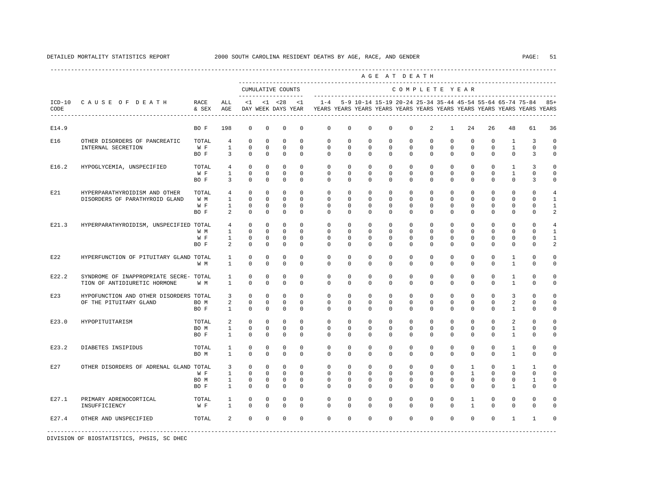|       |                                        |               |                                |                            |                            |                                          |                         |                         |                             |                                                                                                                                      |                           | AGE AT DEATH            |                            |                         |                         |                        |                             |                               |                          |
|-------|----------------------------------------|---------------|--------------------------------|----------------------------|----------------------------|------------------------------------------|-------------------------|-------------------------|-----------------------------|--------------------------------------------------------------------------------------------------------------------------------------|---------------------------|-------------------------|----------------------------|-------------------------|-------------------------|------------------------|-----------------------------|-------------------------------|--------------------------|
|       |                                        |               |                                |                            |                            | CUMULATIVE COUNTS<br>------------------- |                         |                         |                             | -----------------                                                                                                                    |                           | COMPLETE YEAR           |                            |                         |                         |                        |                             |                               |                          |
| CODE  | ICD-10 CAUSE OF DEATH                  | RACE<br>& SEX | ALL<br>AGE                     | $\leq$ 1                   |                            | $< 1$ $< 28$<br>DAY WEEK DAYS YEAR       | <1                      | $1 - 4$                 |                             | 5-9 10-14 15-19 20-24 25-34 35-44 45-54 55-64 65-74 75-84<br>YEARS YEARS YEARS YEARS YEARS YEARS YEARS YEARS YEARS YEARS YEARS YEARS |                           |                         |                            |                         |                         |                        |                             |                               | $85+$                    |
| E14.9 |                                        | BO F          | 198                            | $\mathbf 0$                | $\mathbf 0$                | $\mathbf 0$                              | $\mathbf 0$             | $\mathbf{0}$            | $\mathbf 0$                 | $\mathbf 0$                                                                                                                          | $\mathbf 0$               | $\mathbf 0$             | 2                          | $\mathbf{1}$            | 24                      | 26                     | 48                          | 61                            | 36                       |
| E16   | OTHER DISORDERS OF PANCREATIC          | TOTAL         | $\overline{4}$                 | $\mathbf 0$                | $\mathbf 0$                | $\circ$                                  | $\Omega$                | $\circ$                 | $\Omega$                    | $\circ$                                                                                                                              | $\Omega$                  | $\Omega$                | $\Omega$                   | $\Omega$                | $\Omega$                | $\circ$                | 1                           | 3                             | $\circ$                  |
|       | INTERNAL SECRETION                     | W F<br>BO F   | $\mathbf{1}$<br>$\overline{3}$ | $\mathbf 0$<br>$\mathbf 0$ | $\mathbf 0$<br>$\mathbf 0$ | $\mathbf 0$<br>$\mathbf 0$               | $\mathbf 0$<br>$\Omega$ | $\circ$<br>$\Omega$     | $\circ$<br>$\Omega$         | $\mathbf 0$<br>$\Omega$                                                                                                              | $\mathbf 0$<br>$\Omega$   | $\circ$<br>$\Omega$     | $\circ$<br>$\Omega$        | $\circ$<br>$\Omega$     | $\mathbf 0$<br>$\Omega$ | $\circ$<br>$\Omega$    | $\mathbf{1}$<br>$\Omega$    | $\mathbf 0$<br>$\overline{3}$ | $\circ$<br>$\mathbf 0$   |
| E16.2 | HYPOGLYCEMIA, UNSPECIFIED              | TOTAL         | $\overline{4}$                 | $\mathbf 0$                | $^{\circ}$                 | $^{\circ}$                               | $^{\circ}$              | $\mathbf 0$             | $^{\circ}$                  | $^{\circ}$                                                                                                                           | 0                         | $\mathbf{0}$            | $\mathbf{0}$               | $\circ$                 | $\circ$                 | $\mathbf{0}$           | 1                           | 3                             | 0                        |
|       |                                        | W F           | $\mathbf{1}$                   | $\mathbf 0$                | $^{\circ}$                 | $\circ$                                  | $\circ$                 | $\circ$                 | $\mathbf 0$                 | $\circ$                                                                                                                              | $\mathbf 0$               | $\circ$                 | $\mathbf 0$                | $\circ$                 | $\mathbf 0$             | $\circ$                | $\mathbf{1}$                | $\mathbf 0$                   | 0                        |
|       |                                        | BO F          | 3                              | $\mathbf 0$                | $^{\circ}$                 | $^{\circ}$                               | $\circ$                 | $\mathbf{0}$            | $^{\circ}$                  | $^{\circ}$                                                                                                                           | 0                         | $\circ$                 | 0                          | $^{\circ}$              | $\circ$                 | $^{\circ}$             | $\mathbf{0}$                | 3                             | $\Omega$                 |
| E21   | HYPERPARATHYROIDISM AND OTHER          | TOTAL         | $\overline{4}$                 | $\mathbf 0$                | $\circ$                    | $^{\circ}$                               | $\circ$                 | $\circ$                 | $\circ$                     | $\circ$                                                                                                                              | $^{\circ}$                | $\circ$                 | $\mathbf{0}$               | $\circ$                 | $\mathbf{0}$            | $\mathbf{0}$           | $\mathbf{0}$                | $\mathbf 0$                   | $\overline{4}$           |
|       | DISORDERS OF PARATHYROID GLAND         | W M           | $\mathbf{1}$                   | $\mathbf 0$                | $^{\circ}$                 | $\mathbf 0$                              | $\circ$                 | $\mathbf 0$             | $\mathbf 0$                 | $^{\circ}$                                                                                                                           | $\mathbf 0$               | $\mathbf 0$             | $\mathbf 0$                | $\mathbf 0$             | $\mathbf 0$             | $\mathbf 0$            | $\mathbf{0}$                | $\mathbf 0$                   | $\mathbf{1}$             |
|       |                                        | W F<br>BO F   | $\mathbf{1}$<br>$\overline{a}$ | $\mathbf 0$<br>$\circ$     | $^{\circ}$<br>$^{\circ}$   | $^{\circ}$<br>$^{\circ}$                 | $^{\circ}$<br>$\Omega$  | $\mathbf 0$<br>$\Omega$ | $\mathbf{0}$<br>$\mathbf 0$ | 0<br>$\Omega$                                                                                                                        | $^{\circ}$<br>$\mathbf 0$ | $\mathbf 0$<br>$\Omega$ | $\mathbf 0$<br>$\mathbf 0$ | $\circ$<br>$\Omega$     | $\circ$<br>$\Omega$     | 0<br>$\Omega$          | $\mathbf 0$<br>$\mathbf{0}$ | $\mathbf 0$<br>$\Omega$       | $\mathbf{1}$<br>2        |
| E21.3 | HYPERPARATHYROIDISM, UNSPECIFIED TOTAL |               | 4                              | $\mathbf 0$                | $\mathbf 0$                | $\circ$                                  | $\Omega$                | $\mathbf{0}$            | $\mathbf 0$                 | $^{\circ}$                                                                                                                           | $\mathbf 0$               | $\mathbf 0$             | $\mathbf 0$                | $\Omega$                | $\mathbf 0$             | $\Omega$               | $\mathbf 0$                 | $\Omega$                      | $\overline{4}$           |
|       |                                        | W M           | $\mathbf{1}$                   | $\mathbf{0}$               | $\circ$                    | $\Omega$                                 | $\Omega$                | $\Omega$                | $\Omega$                    | $\Omega$                                                                                                                             | $\Omega$                  | $\Omega$                | $\Omega$                   | $\Omega$                | $\Omega$                | $\Omega$               | $\Omega$                    | $\Omega$                      | $\mathbf{1}$             |
|       |                                        | W F           | $\mathbf{1}$                   | $\mathbf 0$                | $^{\circ}$                 | $\mathbf 0$                              | $\mathbf{0}$            | $\mathbf 0$             | $\mathbf 0$                 | $^{\circ}$                                                                                                                           | $\mathbf 0$               | $\mathbf{0}$            | $\Omega$                   | $\mathbf 0$             | $\Omega$                | $\Omega$               | $\mathbf 0$                 | $\Omega$                      | $\mathbf{1}$             |
|       |                                        | BO F          | 2                              | $\Omega$                   | $\Omega$                   | $\mathbf{0}$                             | $\Omega$                | $\Omega$                | $\Omega$                    | $\Omega$                                                                                                                             | $\Omega$                  | $\Omega$                | $\Omega$                   | $\Omega$                | $\Omega$                | $\Omega$               | $\Omega$                    | $\Omega$                      | $\overline{\mathcal{L}}$ |
| E22   | HYPERFUNCTION OF PITUITARY GLAND TOTAL |               | $\mathbf{1}$                   | $\mathbf 0$                | $\mathbf 0$                | $\mathbf 0$                              | $^{\circ}$              | $\mathbf 0$             | $\mathbf{0}$                | $^{\circ}$                                                                                                                           | 0                         | $\mathbf{0}$            | $\mathbf{0}$               | $^{\circ}$              | $\circ$                 | 0                      | 1                           | $\mathbf 0$                   | $\Omega$                 |
|       |                                        | W M           | $\mathbf{1}$                   | $\mathbf 0$                | $^{\circ}$                 | $^{\circ}$                               | $^{\circ}$              | $\circ$                 | $\mathbf{0}$                | 0                                                                                                                                    | 0                         | $\mathbf{0}$            | $\mathbf{0}$               | $^{\circ}$              | 0                       | 0                      | 1                           | 0                             | 0                        |
| E22.2 | SYNDROME OF INAPPROPRIATE SECRE- TOTAL |               | 1                              | $\mathbf 0$                | $\mathbf 0$                | $\mathbf 0$                              | $^{\circ}$<br>$\Omega$  | $\mathbf 0$             | $\mathbf 0$                 | $^{\circ}$                                                                                                                           | $\mathbf 0$               | $\mathbf 0$<br>$\Omega$ | $\mathbf 0$                | $\mathbf 0$<br>$\Omega$ | $\mathbf 0$             | $^{\circ}$<br>$\Omega$ | 1                           | $\mathbf 0$                   | $\Omega$<br>$\Omega$     |
|       | TION OF ANTIDIURETIC HORMONE           | W M           | $\mathbf{1}$                   | $\mathbf 0$                | $^{\circ}$                 | $^{\circ}$                               |                         | $\mathbf 0$             | $\Omega$                    | $^{\circ}$                                                                                                                           | $\Omega$                  |                         | $\Omega$                   |                         | $\Omega$                |                        | $\mathbf{1}$                | $\Omega$                      |                          |
| E23   | HYPOFUNCTION AND OTHER DISORDERS TOTAL |               | $\overline{3}$                 | $\mathbf{0}$               | $\mathbf 0$                | $\mathbf{0}$                             | $\mathbf 0$             | $\circ$                 | $\circ$                     | $\mathbf 0$                                                                                                                          | $\circ$                   | $\circ$                 | $\circ$                    | $\circ$                 | $\mathbf 0$             | $\circ$                | $\overline{3}$              | $\mathbf 0$                   | $\mathbf 0$              |
|       | OF THE PITUITARY GLAND                 | BO M          | $\overline{a}$                 | $\circ$                    | $\circ$                    | $\circ$                                  | $\circ$                 | $\circ$                 | $\circ$                     | $\mathbf{0}$                                                                                                                         | $^{\circ}$                | $\mathbf{0}$            | $\circ$                    | $\circ$                 | $^{\circ}$              | $^{\circ}$             | 2                           | $\mathbf{0}$                  | $\mathbf 0$              |
|       |                                        | BO F          | $\mathbf{1}$                   | $\mathbf{0}$               | $\circ$                    | $^{\circ}$                               | $\Omega$                | $\circ$                 | $\circ$                     | $\Omega$                                                                                                                             | $\circ$                   | $\Omega$                | $\mathbf 0$                | $\Omega$                | $\mathbf 0$             | $\Omega$               | $\mathbf{1}$                | $\Omega$                      | 0                        |
| E23.0 | HYPOPITUITARISM                        | TOTAL         | 2                              | $\mathbf 0$                | $^{\circ}$                 | $^{\circ}$                               | $\Omega$                | $\Omega$                | $\Omega$                    | $\Omega$                                                                                                                             | $\Omega$                  | $\Omega$                | $\Omega$                   | $\Omega$                | $\Omega$                | $\Omega$               | 2                           | $\Omega$                      | $\Omega$                 |
|       |                                        | BO M          | $\mathbf{1}$                   | $\mathbf 0$                | $^{\circ}$                 | $^{\circ}$                               | $^{\circ}$              | $\mathbf{0}$            | $\mathbf 0$                 | $^{\circ}$                                                                                                                           | $\mathbf 0$               | $\mathbf 0$             | $\mathbf 0$                | $\mathbf 0$             | $\mathbf 0$             | $\mathbf 0$            | $\mathbf{1}$                | $\Omega$                      | $\Omega$                 |
|       |                                        | BO F          | $\mathbf{1}$                   | $\Omega$                   | $\Omega$                   | $\Omega$                                 | $\Omega$                | $\Omega$                | $\Omega$                    | $\Omega$                                                                                                                             | $\Omega$                  | $\Omega$                | $\Omega$                   | $\Omega$                | $\Omega$                | $\Omega$               | $\overline{1}$              | $\Omega$                      | $\Omega$                 |
| E23.2 | DIABETES INSIPIDUS                     | TOTAL         | 1                              | 0                          | 0                          | $\mathbf 0$                              | $\mathbf 0$             | 0                       | 0                           | 0                                                                                                                                    | 0                         | 0                       | 0                          | 0                       | 0                       | 0                      | 1                           | $\mathbf 0$                   | $\Omega$                 |
|       |                                        | BO M          | $\mathbf{1}$                   | $\mathbf 0$                | 0                          | $^{\circ}$                               | 0                       | $\circ$                 | $\mathbf{0}$                | 0                                                                                                                                    | 0                         | $\mathbf{0}$            | $\mathbf{0}$               | $\circ$                 | 0                       | 0                      | $\mathbf{1}$                | $\mathbf 0$                   | $\Omega$                 |
| E27   | OTHER DISORDERS OF ADRENAL GLAND TOTAL |               | 3                              | $\mathbf 0$                | $^{\circ}$                 | $\mathbf 0$                              | $\mathbf{0}$            | $\mathbf 0$             | $\mathbf 0$                 | $^{\circ}$                                                                                                                           | $\mathbf 0$               | $\mathbf 0$             | $\mathbf 0$                | $\mathbf 0$             | 1                       | 0                      | 1                           | 1                             | $\Omega$                 |
|       |                                        | W F           | $\mathbf{1}$                   | $\mathbf 0$                | $^{\circ}$                 | $\circ$                                  | $\circ$                 | $\mathbf 0$             | $\circ$                     | $\circ$                                                                                                                              | 0                         | $\mathbf{0}$            | $\mathbf{0}$               | $\mathbf{0}$            | 1                       | 0                      | $\mathbf{0}$                | 0                             | $\mathbf 0$              |
|       |                                        | BO M          | $\mathbf{1}$                   | $\mathbf 0$                | 0                          | $\mathbf 0$                              | $\mathbf 0$             | $\mathbb O$             | $^{\circ}$                  | $^{\circ}$                                                                                                                           | 0                         | 0                       | $\mathbf 0$                | 0                       | $\circ$                 | $^{\circ}$             | $\mathbf 0$                 | 1                             | $\Omega$                 |
|       |                                        | BO F          | $\mathbf{1}$                   | $\mathbf 0$                | $^{\circ}$                 | $^{\circ}$                               | $\Omega$                | $\Omega$                | $\Omega$                    | $\Omega$                                                                                                                             | $\Omega$                  | $\Omega$                | $\Omega$                   | $\Omega$                | $\Omega$                | $\Omega$               | $\mathbf{1}$                | $\Omega$                      | $\Omega$                 |
| E27.1 | PRIMARY ADRENOCORTICAL                 | TOTAL         | $\mathbf{1}$                   | $\mathbf 0$                | $^{\circ}$                 | $\mathbf 0$                              | $^{\circ}$              | $\mathbf 0$             | $\mathbf 0$                 | $^{\circ}$                                                                                                                           | $\mathbf 0$               | $\mathbf 0$             | $\mathbf 0$                | $\mathbf 0$             | $\mathbf{1}$            | $\mathbf 0$            | $\mathbf 0$                 | $\mathbf{0}$                  | $\Omega$                 |
|       | INSUFFICIENCY                          | W F           | $\mathbf{1}$                   | $\Omega$                   | $\Omega$                   | $\mathbf{0}$                             | $\Omega$                | $\Omega$                | $\Omega$                    | $\Omega$                                                                                                                             | $\Omega$                  | $\Omega$                | $\Omega$                   | $\Omega$                | $\mathbf{1}$            | $\Omega$               | $\Omega$                    | $\Omega$                      | $\Omega$                 |
| E27.4 | OTHER AND UNSPECIFIED                  | TOTAL         | 2                              | $\mathbf 0$                | $\mathbf 0$                | $\mathbf 0$                              | $\mathbf 0$             | $\mathbf{0}$            | $\mathbf 0$                 | $\mathbf 0$                                                                                                                          | $\mathbf 0$               | $\mathbf{0}$            | $\mathbf 0$                | $\mathbf{0}$            | $\mathbf 0$             | $\mathbf 0$            | $\mathbf{1}$                | $\mathbf{1}$                  | $\Omega$                 |
|       |                                        |               |                                |                            |                            |                                          |                         |                         |                             |                                                                                                                                      |                           |                         |                            |                         |                         |                        |                             |                               |                          |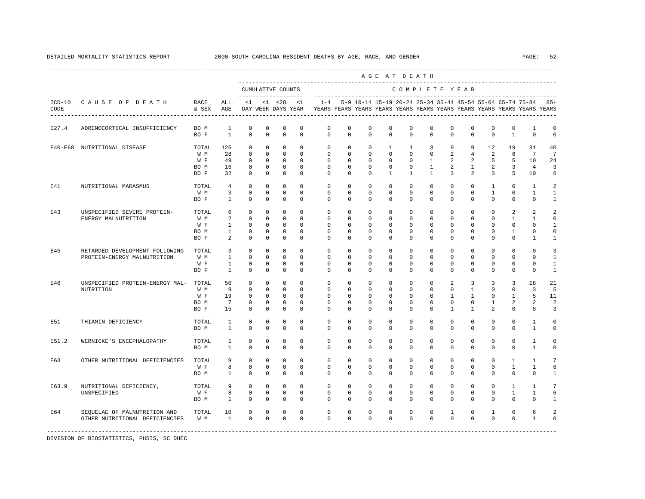---------------------------------------------------------------------------------------------------------------------------------------------------- A G E A T D E A T H --------------------------------------------------------------------------------------------- CUMULATIVE COUNTS C O M P L E T E Y E A R ------------------- ----------------------------------------------------------------------- ICD-10 C A U S E O F D E A T H RACE ALL <1 <1 <28 <1 1-4 5-9 10-14 15-19 20-24 25-34 35-44 45-54 55-64 65-74 75-84 85+ CODE & SEX AGE DAY WEEK DAYS YEAR YEARS YEARS YEARS YEARS YEARS YEARS YEARS YEARS YEARS YEARS YEARS YEARS ---------------------------------------------------------------------------------------------------------------------------------------------------- E27.4 ADRENOCORTICAL INSUFFICIENCY BOM 1 0 0 0 0 0 0 0 0 0 0 0 0 0 0 0 0 0 1 0 0 0 0 0 0 0 0 0 0 0 0 0 0 0 0 0 BO F 1 0 0 0 0 0 0 0 0 0 0 0 0 0 1 0 0 E40-E68 NUTRITIONAL DISEASE TOTAL 125 0 0 0 0 0 0 0 1 1 3 9 9 12 19 31 40 W M 28 0 0 0 0 0 0 0 0 0 0 2 4 2 6 7 7 W F 49 0 0 0 0 0 0 0 0 0 1 2 2 5 5 10 24 BO M 16 0 0 0 0 0 0 0 0 0 1 2 1 2 3 4 3 BO F 32 0 0 0 0 0 0 0 1 1 1 3 2 3 5 10 6 E41 NUTRITIONAL MARASMUS TOTAL 4 0 0 0 0 0 0 0 0 0 0 0 0 0 0 0 1 2<br>
W M 3 0 0 0 0 0 0 0 0 0 0 0 0 0 0 1 0 1 1 W M 3 0 0 0 0 0 0 0 0 0 0 0 0 0 1 0 1 1 BO F 1 0 0 0 0 0 0 0 0 0 0 0 0 0 0 0 1 E43 UNSPECIFIED SEVERE PROTEIN- TOTAL 6 0 0 0 0 0 0 0 0 0 0 0 0 0 2 2 2 ENERGY MALNUTRITION W M 2 0 0 0 0 0 0 0 0 0 0 0 0 0 1 1 0 W F 1 0 0 0 0 0 0 0 0 0 0 0 0 0 0 0 1 BOM 1 0 0 0 0 0 0 0 0 0 0 0 0 0 1 0 0 BO F 2 0 0 0 0 0 0 0 0 0 0 0 0 0 0 1 1 E45 RETARDED DEVELOPMENT FOLLOWING TOTAL 3 0 0 0 0 0 0 0 0 0 0 0 0 0 0 0 3 PROTEIN-ENERGY MALNUTRITION W M 1 0 0 0 0 0 0 0 0 0 0 0 0 0 0 0 1 W F 1 0 0 0 0 0 0 0 0 0 0 0 0 0 0 0 0 1<br>ROF 1 0 0 0 0 0 0 0 0 0 0 0 0 0 0 0 0 1 BOF 1 0 0 0 0 0 0 0 0 0 0 0 0 0 0 0 1 E46 UNSPECIFIED PROTEIN-ENERGY MAL- TOTAL 50 0 0 0 0 0 0 0 0 0 0 2 3 3 3 18 21 NUTRITION W M 9 0 0 0 0 0 0 0 0 0 0 0 1 0 0 3 5 W F 19 0 0 0 0 0 0 0 0 0 0 0 1 1 0 1 5 11 BOM 7 0 0 0 0 0 0 0 0 0 0 0 0 1 2 2 2 BO F 15 0 0 0 0 0 0 0 0 0 0 1 1 2 0 8 3 E51 THIAMIN DEFICIENCY TOTAL 1 0 0 0 0 0 0 0 0 0 0 0 0 0 0 1 0 BO M 1 0 0 0 0 0 0 0 0 0 0 0 0 0 0 1 0 E51.2 WERNICKE'S ENCEPHALOPATHY TOTAL 1 0 0 0 0 0 0 0 0 0 0 0 0 0 0 1 0 BO M 1 0 0 0 0 0 0 0 0 0 0 0 0 0 0 1 0 E63 OTHER NUTRITIONAL DEFICIENCIES TOTAL 9 0 0 0 0 0 0 0 0 0 0 0 0 0 1 1 7 W F 8 0 0 0 0 0 0 0 0 0 0 0 0 0 1 1 6 BOM 1 0 0 0 0 0 0 0 0 0 0 0 0 0 0 0 1 E63.9 NUTRITIONAL DEFICIENCY, TOTAL 9 0 0 0 0 0 0 0 0 0 0 0 0 0 0 0 1 1 7<br>UNSPECIFIED WE 8 0 0 0 0 0 0 0 0 0 0 0 0 0 1 1 6 UNSPECIFIED W F 8 0 0 0 0 0 0 0 0 0 0 0 0 0 1 1 6 BOM 1 0 0 0 0 0 0 0 0 0 0 0 0 0 0 0 1 E64 SEQUELAE OF MALNUTRITION AND TOTAL 10 0 0 0 0 0 0 0 0 0 0 0 0 0 1 0 1 0 6 2<br>OTHER NUTRITIONAL DEFICIENCIES WIM 1 0 0 0 0 0 0 0 0 0 0 0 0 0 0 0 0 0 1 0 OTHER NUTRITIONAL DEFICIENCIES -----------------------------------------------------------------------------------------------------------------------------------------------------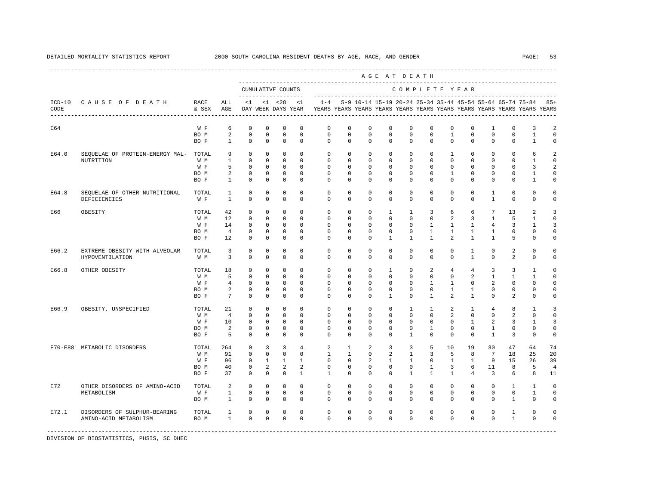|       |                                       |               |                 |                         |                         |                                           |                         |                                                                                                       |               |                     |                | AGE AT DEATH   |                          |                |                               |                     |                |                                                               |                     |
|-------|---------------------------------------|---------------|-----------------|-------------------------|-------------------------|-------------------------------------------|-------------------------|-------------------------------------------------------------------------------------------------------|---------------|---------------------|----------------|----------------|--------------------------|----------------|-------------------------------|---------------------|----------------|---------------------------------------------------------------|---------------------|
|       |                                       |               |                 |                         |                         | CUMULATIVE COUNTS<br>____________________ |                         |                                                                                                       |               |                     |                | COMPLETE YEAR  |                          |                |                               |                     |                |                                                               |                     |
| CODE  | ICD-10 CAUSE OF DEATH                 | RACE<br>& SEX | ALL<br>AGE      | $\leq 1$                |                         | $< 1$ $< 28$                              | <1                      | $1 - 4$<br>DAY WEEK DAYS YEAR TEARS YEARS YEARS YEARS YEARS YEARS YEARS YEARS YEARS YEARS YEARS YEARS |               |                     |                |                |                          |                |                               |                     |                | 5-9 10-14 15-19 20-24 25-34 35-44 45-54 55-64 65-74 75-84 85+ |                     |
| E64   |                                       | W F           | 6               | $\mathbf 0$             | $\mathbf 0$             | $\mathbf 0$                               | $\mathbf 0$             | $\mathbf 0$                                                                                           | $\mathbf 0$   | $\mathbf 0$         | $\mathbf 0$    | $\mathbf 0$    | $\mathbf 0$              | $\mathbf 0$    | $\mathbf 0$                   | 1                   | $\Omega$       | 3                                                             | 2                   |
|       |                                       | BO M          | 2               | $\mathbf 0$             | $\mathbf 0$             | $\mathbf 0$                               | $\mathbf 0$             | $\circ$                                                                                               | $\Omega$      | $\circ$             | $\Omega$       | $\Omega$       | $\Omega$                 | $\mathbf{1}$   | $\Omega$                      | $\Omega$            | $\Omega$       | $\mathbf{1}$                                                  | $\circ$             |
|       |                                       | BO F          | $\mathbf{1}$    | $\mathbf 0$             | $\mathbf 0$             | $\mathbb O$                               | $\mathbf 0$             | $\circ$                                                                                               | $\circ$       | $\mathbf 0$         | $\mathbf 0$    | $\mathbf{0}$   | $\mathbf{0}$             | $\mathbf 0$    | $\mathbf 0$                   | $\mathbf 0$         | $\mathbf 0$    | $\mathbf{1}$                                                  | $\mathsf{O}\xspace$ |
| E64.0 | SEQUELAE OF PROTEIN-ENERGY MAL- TOTAL |               | 9               | $\circ$                 | $\mathbf 0$             | $\mathbf 0$                               | $\mathbf 0$             | $\circ$                                                                                               | $\circ$       | $\circ$             | $\circ$        | $\mathbf 0$    | $\mathbf 0$              | $\mathbf{1}$   | $\Omega$                      | $\Omega$            | $\Omega$       | 6                                                             | $\overline{a}$      |
|       | NUTRITION                             | W M           | $\mathbf{1}$    | $\mathbf 0$             | $\mathbf 0$             | $\mathbf 0$                               | $\Omega$                | $\mathbf{0}$                                                                                          | $\Omega$      | $\Omega$            | $\Omega$       | $\Omega$       | $\Omega$                 | $\Omega$       | $\Omega$                      | $\Omega$            | $\Omega$       | $\mathbf{1}$                                                  | $\Omega$            |
|       |                                       | W F           | 5               | $\mathbf 0$             | $\Omega$                | $\Omega$                                  | $\Omega$                | $\Omega$                                                                                              | $\Omega$      | $\Omega$            | $\Omega$       | $\Omega$       | $\Omega$                 | $\Omega$       | $\Omega$                      | $\Omega$            | $\Omega$       | 3                                                             | 2                   |
|       |                                       | BO M          | 2               | $\mathbf 0$             | $\mathbf 0$             | $\mathbb O$                               | $\mathbf 0$             | $\circ$                                                                                               | $\circ$       | $\circ$             | $\mathbf 0$    | $\mathbf 0$    | $\mathbf 0$              | $\mathbf{1}$   | $\mathbf 0$                   | $\mathbf 0$         | $\mathbf 0$    | $\mathbf{1}$                                                  | $\mathbf 0$         |
|       |                                       | BO F          | $\mathbf{1}$    | $^{\circ}$              | $\mathbf 0$             | $\mathbf 0$                               | $\mathbf 0$             | $\mathbf 0$                                                                                           | $\mathbf 0$   | $^{\circ}$          | 0              | $\mathbf{0}$   | $\mathbf{0}$             | $\mathbf{0}$   | 0                             | $\Omega$            | 0              | 1                                                             | $\Omega$            |
| E64.8 | SEQUELAE OF OTHER NUTRITIONAL         | TOTAL         | 1               | $^{\circ}$              | $\mathbf 0$             | $\mathbf 0$                               | $\mathbf 0$             | $\circ$                                                                                               | $\circ$       | $\circ$             | $\mathbf 0$    | $\mathbf 0$    | $\mathbf 0$              | $\mathbf 0$    | $\mathbf 0$                   | $\mathbf{1}$        | $\mathbf 0$    | $\mathbf 0$                                                   | $\mathbf 0$         |
|       | DEFICIENCIES                          | W F           | $\mathbf{1}$    | $\Omega$                | $\Omega$                | $\Omega$                                  | $\Omega$                | $\Omega$                                                                                              | $\Omega$      | $\Omega$            | $\Omega$       | $\Omega$       | $\Omega$                 | $\Omega$       | $\Omega$                      | $\overline{1}$      | $\Omega$       | $\Omega$                                                      | $\Omega$            |
| E66   | OBESITY                               | TOTAL         | 42              | $^{\circ}$              | $\mathbf 0$             | $\mathbf 0$                               | $\mathbf 0$             | $\mathbf 0$                                                                                           | $\mathbf 0$   | $^{\circ}$          | $\mathbf{1}$   | $\mathbf{1}$   | 3                        | 6              | 6                             | $7\overline{ }$     | 13             | 2                                                             | 3                   |
|       |                                       | W M           | 12              | $^{\circ}$              | $\Omega$                | $\mathbf 0$                               | $\Omega$                | $\mathbf 0$                                                                                           | $\Omega$      | $\circ$             | $\Omega$       | $\Omega$       | $\Omega$                 | 2              | 3                             | $\mathbf{1}$        | 5              | 1                                                             | $\Omega$            |
|       |                                       | W F           | 14              | $\mathbf 0$             | $\mathbf 0$             | $\mathbf 0$                               | $\mathbf 0$             | $\circ$                                                                                               | $\circ$       | $\circ$             | $\mathbf 0$    | $\mathbf 0$    | $\mathbf{1}$             | $\mathbf{1}$   | $\mathbf{1}$                  | $\overline{4}$      | 3              | $\mathbf{1}$                                                  | 3                   |
|       |                                       | BO M          | $\overline{4}$  | $\mathbf 0$             | $\mathbf 0$             | $\mathbf 0$                               | $\mathbf 0$             | $\mathbf 0$                                                                                           | $\mathbf 0$   | $\mathbf 0$         | $\mathbf 0$    | $\mathbf 0$    | $\mathbf{1}$             | $\mathbf{1}$   | $\mathbf{1}$                  | $\mathbf{1}$        | $\Omega$       | $\Omega$                                                      | $\Omega$            |
|       |                                       | BO F          | 12              | $\Omega$                | $\Omega$                | $\Omega$                                  | $\Omega$                | $\Omega$                                                                                              | $\Omega$      | $\Omega$            | $\mathbf{1}$   | $\overline{1}$ | $\overline{1}$           | $\mathfrak{D}$ | $\mathbf{1}$                  | $\mathbf{1}$        | 5              | $\Omega$                                                      | $\Omega$            |
| E66.2 | EXTREME OBESITY WITH ALVEOLAR         | TOTAL         | $\overline{3}$  | $\mathbf{0}$            | $\mathbf 0$             | $\mathbf 0$                               | $\mathbf 0$             | $\circ$                                                                                               | $\circ$       | $\circ$             | $\mathbf 0$    | $\mathbf 0$    | $\mathbf 0$              | $\circ$        | $\mathbf{1}$                  | $\mathbf 0$         | 2              | $\circ$                                                       | $\circ$             |
|       | HYPOVENTILATION                       | W M           | $\overline{3}$  | $^{\circ}$              | $\mathbf 0$             | $\mathbf 0$                               | $\mathbf 0$             | $\Omega$                                                                                              | $\mathbf 0$   | $\Omega$            | 0              | $\Omega$       | 0                        | $\mathbf 0$    | $\mathbf{1}$                  | $\Omega$            | 2              | $\mathbf{0}$                                                  | $\mathbf 0$         |
| E66.8 | OTHER OBESITY                         | TOTAL         | 18              | $^{\circ}$              | $\mathbf 0$             | $\Omega$                                  | $\Omega$                | $\circ$                                                                                               | $\Omega$      | $\circ$             | 1              | $\mathbf 0$    | 2                        | $\overline{4}$ | $\overline{4}$                | 3                   | 3              | $\mathbf{1}$                                                  | $\mathbf 0$         |
|       |                                       | W M           | 5               | $\mathbf 0$             | $\mathbf 0$             | $\mathbf 0$                               | $\mathbf 0$             | $\mathbf 0$                                                                                           | $\mathbf 0$   | $\circ$             | $\mathbf 0$    | $\mathbf 0$    | $\mathbf 0$              | $\mathbf 0$    | 2                             | $\mathbf{1}$        | $\mathbf{1}$   | $\mathbf{1}$                                                  | $\circ$             |
|       |                                       | W F           | $\overline{4}$  | $\mathbf{0}$            | $\Omega$                | $\mathbf 0$                               | $\Omega$                | $\mathbf 0$                                                                                           | $\Omega$      | $\Omega$            | $\Omega$       | $\Omega$       | $\overline{1}$           | $\overline{1}$ | $\Omega$                      | $\overline{a}$      | $\Omega$       | $\Omega$                                                      | $\Omega$            |
|       |                                       | BO M          | 2               | 0                       | $^{\circ}$              | 0                                         | $\mathbf 0$             | $^{\circ}$                                                                                            | $^{\circ}$    | $^{\circ}$          | $^{\circ}$     | $\mathbf{0}$   | $\mathbf{0}$             | $\mathbf{1}$   | $\mathbf{1}$                  | 0                   | $\mathbf{0}$   | $\Omega$                                                      | 0                   |
|       |                                       | BO F          | $7\overline{ }$ | $^{\circ}$              | $\mathbf 0$             | $\mathbf 0$                               | $\mathbf 0$             | $\Omega$                                                                                              | $\mathbf 0$   | $\Omega$            | $\mathbf{1}$   | $\Omega$       | $\mathbf{1}$             | $\mathfrak{D}$ | $\mathbf{1}$                  | $\Omega$            | 2              | $\Omega$                                                      | $\circ$             |
| E66.9 | OBESITY, UNSPECIFIED                  | TOTAL         | 21              | $^{\circ}$              | $\mathbf 0$             | $\mathbf 0$                               | $\mathbf 0$             | $\mathbf 0$                                                                                           | $\circ$       | $\circ$             | $\mathbf 0$    | $\mathbf{1}$   | $\mathbf{1}$             | 2              | $\mathbf{1}$                  | $\overline{4}$      | 8              | $\mathbf{1}$                                                  | 3                   |
|       |                                       | W M           | $\overline{4}$  | $\mathbf{0}$            | $\mathbf 0$             | $\mathbf 0$                               | $\Omega$                | $\Omega$                                                                                              | $\Omega$      | $\Omega$            | $\Omega$       | $\Omega$       | $\Omega$                 | $\overline{a}$ | $\Omega$                      | $\Omega$            | $\mathfrak{D}$ | $\Omega$                                                      | $\Omega$            |
|       |                                       | W F<br>BO M   | 10<br>2         | $\Omega$<br>$\mathbf 0$ | $\Omega$<br>$\mathbf 0$ | $\Omega$<br>$\mathbf 0$                   | $\Omega$<br>$\mathbf 0$ | $\Omega$<br>$\mathbf 0$                                                                               | $\Omega$<br>0 | $\Omega$<br>$\circ$ | $\Omega$<br>0  | $\Omega$<br>0  | $\Omega$<br>$\mathbf{1}$ | $\Omega$<br>0  | $\overline{1}$<br>$\mathbf 0$ | $\overline{a}$<br>1 | 3<br>0         | $\mathbf{1}$<br>$\circ$                                       | 3<br>$\circ$        |
|       |                                       | BO F          | 5               | $^{\circ}$              | $\mathbf 0$             | $\mathbf 0$                               | $\mathbf 0$             | $\mathbf 0$                                                                                           | $\mathbf 0$   | $^{\circ}$          | 0              | $\mathbf{1}$   | $\mathbf{0}$             | $\mathbf 0$    | $\mathbf 0$                   | $\mathbf{1}$        | 3              | $\mathbf 0$                                                   | $\mathbf 0$         |
|       | E70-E88 METABOLIC DISORDERS           | TOTAL         | 264             | $\mathbf{0}$            | 3                       | 3                                         | $\overline{4}$          | 2                                                                                                     | $\mathbf{1}$  | 2                   | 3              | 3              | 5                        | 10             | 19                            | 30                  | 47             | 64                                                            | 74                  |
|       |                                       | W M           | 91              | $\Omega$                | $\Omega$                | $\Omega$                                  | $\Omega$                | $\mathbf{1}$                                                                                          | $\mathbf{1}$  | $\Omega$            | $\overline{a}$ | $\mathbf{1}$   | 3                        | 5              | 8                             | $7\overline{ }$     | 18             | 25                                                            | 20                  |
|       |                                       | W F           | 96              | $\mathbb O$             | $\mathbf{1}$            | $\mathbf{1}$                              | $\mathbf{1}$            | $\mathbf 0$                                                                                           | $\mathbf 0$   | 2                   | $\mathbf{1}$   | $\mathbf{1}$   | $\mathbf 0$              | $\mathbf{1}$   | $\mathbf{1}$                  | 9                   | 15             | 26                                                            | 39                  |
|       |                                       | BO M          | 40              | 0                       | 2                       | 2                                         | 2                       | 0                                                                                                     | $\mathbf{0}$  | 0                   | 0              | 0              | 1                        | 3              | 6                             | 11                  | 8              | 5                                                             | $\overline{4}$      |
|       |                                       | BO F          | 37              | $\Omega$                | $\Omega$                | $\mathbf 0$                               | $\mathbf{1}$            | $\mathbf{1}$                                                                                          | $\Omega$      | $\Omega$            | $\Omega$       | $\mathbf{1}$   | $\mathbf{1}$             | $\mathbf{1}$   | $\overline{4}$                | $\overline{3}$      | 6              | 8                                                             | 11                  |
| E72   | OTHER DISORDERS OF AMINO-ACID         | TOTAL         | $\overline{a}$  | $\mathbf 0$             | $\mathbf 0$             | $\mathbf 0$                               | $\mathbf 0$             | $\circ$                                                                                               | $\circ$       | $\mathbf 0$         | $\mathbf 0$    | $\mathbf 0$    | $\mathbf 0$              | $\mathbf 0$    | $\mathbf 0$                   | $^{\circ}$          | $\mathbf{1}$   | $\mathbf{1}$                                                  | $\circ$             |
|       | METABOLISM                            | W F           | $\mathbf{1}$    | $\mathbf 0$             | $\mathbf 0$             | $\mathbf 0$                               | $\mathbf 0$             | $\circ$                                                                                               | $\circ$       | $\mathbf 0$         | $\mathbf 0$    | $\mathbf 0$    | $\mathbf 0$              | $\mathbf 0$    | $\mathbf 0$                   | $\mathbf 0$         | $\mathbf 0$    | $\mathbf{1}$                                                  | $\mathbf 0$         |
|       |                                       | BO M          | $\mathbf{1}$    | $\mathbb O$             | $\mathbb O$             | $\mathbb O$                               | $\mathbf 0$             | $\mathbf 0$                                                                                           | $\mathbf 0$   | $\mathbf 0$         | $\mathbf 0$    | $\mathbf 0$    | $\mathbf 0$              | $\mathbf 0$    | $\mathbf 0$                   | $\Omega$            | $\mathbf{1}$   | $\mathbf 0$                                                   | $\mathbf 0$         |
| E72.1 | DISORDERS OF SULPHUR-BEARING          | TOTAL         | $\mathbf{1}$    | $\mathbf 0$             | $\mathbf 0$             | $\mathbf 0$                               | $\mathbf 0$             | $\mathbf 0$                                                                                           | $\mathbf 0$   | $\mathbf 0$         | $\mathbf 0$    | $\mathbf 0$    | 0                        | $\mathbf 0$    | $\mathbf 0$                   | $\mathbf 0$         | $\mathbf{1}$   | $\mathbf 0$                                                   | $\circ$             |
|       | AMINO-ACID METABOLISM                 | BO M          | $\mathbf{1}$    | $\mathbf 0$             | $\Omega$                | $\mathbf{0}$                              | $\Omega$                | $\Omega$                                                                                              | $\Omega$      | $\Omega$            | $\Omega$       | $\Omega$       | $\Omega$                 | $\Omega$       | $\Omega$                      | $\Omega$            | $\mathbf{1}$   | $\Omega$                                                      | $\circ$             |
|       |                                       |               |                 |                         |                         |                                           |                         |                                                                                                       |               |                     |                |                |                          |                |                               |                     |                |                                                               |                     |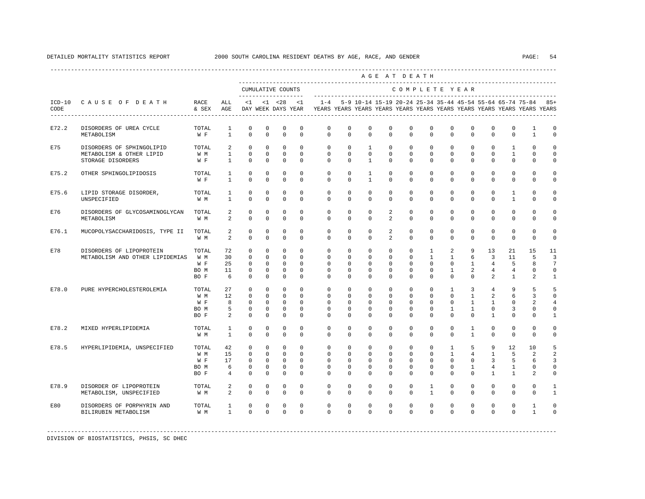|       |                                                                                  |                                     |                                       |                                                                          | AGE AT DEATH<br>CUMULATIVE COUNTS<br>COMPLETE YEAR<br><1 <28 <1 -4 5-9 10-14 15-19 20-24 25-34 35-44 45-54 55-64 65-74 75-84 85+ |                                                                   |                                                                 |                                                                                             |                                                            |                                                                 |                                                                   |                                                           |                                                                    |                                                                        |                                                                            |                                                            |                                                    |                                                  |                                                                        |
|-------|----------------------------------------------------------------------------------|-------------------------------------|---------------------------------------|--------------------------------------------------------------------------|----------------------------------------------------------------------------------------------------------------------------------|-------------------------------------------------------------------|-----------------------------------------------------------------|---------------------------------------------------------------------------------------------|------------------------------------------------------------|-----------------------------------------------------------------|-------------------------------------------------------------------|-----------------------------------------------------------|--------------------------------------------------------------------|------------------------------------------------------------------------|----------------------------------------------------------------------------|------------------------------------------------------------|----------------------------------------------------|--------------------------------------------------|------------------------------------------------------------------------|
|       |                                                                                  |                                     |                                       |                                                                          |                                                                                                                                  |                                                                   |                                                                 |                                                                                             |                                                            |                                                                 |                                                                   |                                                           |                                                                    |                                                                        |                                                                            |                                                            |                                                    |                                                  |                                                                        |
| CODE  | ICD-10 CAUSE OF DEATH RACE                                                       | & SEX AGE                           | ALL                                   |                                                                          |                                                                                                                                  |                                                                   |                                                                 | DAY WEEK DAYS YEAR TYEARS YEARS YEARS YEARS YEARS YEARS YEARS YEARS YEARS YEARS YEARS YEARS |                                                            |                                                                 |                                                                   |                                                           |                                                                    |                                                                        |                                                                            |                                                            |                                                    |                                                  |                                                                        |
| E72.2 | DISORDERS OF UREA CYCLE<br>METABOLISM                                            | TOTAL<br>W F                        | 1<br>$\mathbf{1}$                     | 0<br>$\circ$                                                             | $\circ$<br>$\circ$                                                                                                               | 0<br>$\circ$                                                      | $\mathbf 0$<br>$\circ$                                          | $\mathbf{0}$<br>$\Omega$                                                                    | $\mathbf{0}$<br>$\Omega$                                   | 0<br>$\mathbf{0}$                                               | 0<br>$\Omega$                                                     | $\mathbf{0}$<br>$\Omega$                                  | $\mathbf{0}$<br>$\Omega$                                           | $\mathbf{0}$<br>$\Omega$                                               | 0<br>$\Omega$                                                              | 0<br>$\Omega$                                              | $\mathbf{0}$<br>$\mathbf{0}$                       | 1<br>$\mathbf{1}$                                | $\mathbf 0$<br>$\mathbf{0}$                                            |
| E75   | DISORDERS OF SPHINGOLIPID TOTAL<br>METABOLISM & OTHER LIPID<br>STORAGE DISORDERS | W M<br>$W \quad F$                  | 2<br>$\mathbf{1}$<br>$1 \quad \cdots$ | $\Omega$<br>$\circ$<br>$\Omega$                                          | $\circ$<br>$\mathbf{0}$<br>$\Omega$                                                                                              | $\circ$<br>$\overline{0}$<br>$\overline{0}$                       | $\Omega$<br>$\circ$<br>$\Omega$                                 | $\Omega$<br>$\mathbf{0}$<br>$\Omega$                                                        | $\circ$<br>$\circ$<br>$\Omega$                             | $\mathbf{1}$<br>$\mathbf{0}$<br>$\overline{1}$                  | $\mathbf{0}$<br>$\mathbf{0}$<br>$\Omega$                          | $\overline{0}$<br>$\circ$<br>$\Omega$                     | $\circ$<br>$\overline{0}$<br>$\Omega$                              | $\circ$<br>$\circ$<br>$\Omega$                                         | $\mathbf{0}$<br>$\overline{0}$<br>$\Omega$                                 | $\mathbf{0}$<br>$\mathbf{0}$<br>$\Omega$                   | $\mathbf{1}$<br>$\mathbf{1}$<br>$\Omega$           | $\Omega$<br>$\mathbf{0}$<br>$\Omega$             | $\mathbf 0$<br>$\mathbf 0$<br>$\Omega$                                 |
| E75.2 | OTHER SPHINGOLIPIDOSIS                                                           | TOTAL<br>W F                        | $\mathbf{1}$<br>$\mathbf{1}$          | $\circ$<br>$\circ$                                                       | 0<br>$\mathbf 0$                                                                                                                 | $\mathbf 0$<br>$\mathbf{0}$                                       | $\mathbf 0$<br>$\mathbf 0$                                      | $\circ$<br>$\Omega$                                                                         | $\circ$<br>$\circ$                                         | $\mathbf{1}$<br>$\mathbf{1}$                                    | $\circ$<br>$\circ$                                                | $\circ$<br>$\circ$                                        | $\mathbf{0}$<br>$\Omega$                                           | $\mathbf{0}$<br>$\Omega$                                               | $\circ$<br>0                                                               | $\mathbf{0}$<br>$\Omega$                                   | $\mathbf 0$<br>0                                   | $\mathbf{0}$<br>$\Omega$                         | 0<br>0                                                                 |
| E75.6 | LIPID STORAGE DISORDER,<br>UNSPECIFIED                                           | TOTAL<br>W M                        | $\mathbf{1}$<br>$\mathbf{1}$          | $^{\circ}$<br>$\Omega$                                                   | $\mathbf 0$<br>$\Omega$                                                                                                          | $\mathbf 0$<br>$\Omega$                                           | $\mathbf 0$<br>$\Omega$                                         | $\circ$<br>$\Omega$                                                                         | $\circ$<br>$\Omega$                                        | $\circ$<br>$\Omega$                                             | $\mathbf{0}$<br>$\Omega$                                          | $\circ$<br>$\Omega$                                       | $\mathbf{0}$<br>$\Omega$                                           | $\circ$<br>$\Omega$                                                    | $\mathbf 0$<br>$\Omega$                                                    | $\mathbf{0}$<br>$\Omega$                                   | $\mathbf{1}$<br>$\mathbf{1}$                       | $\mathbf{0}$<br>$\Omega$                         | 0<br>$\Omega$                                                          |
| E76   | DISORDERS OF GLYCOSAMINOGLYCAN TOTAL<br>METABOLISM                               | W M                                 | 2<br>$\overline{a}$                   | $\Omega$<br>$\Omega$                                                     | $\Omega$<br>$\Omega$                                                                                                             | $\mathbf 0$<br>$\Omega$                                           | $\Omega$<br>$\Omega$                                            | $\Omega$<br>$\Omega$                                                                        | $\Omega$<br>$\Omega$                                       | $\Omega$<br>$\Omega$                                            | $\overline{a}$<br>$2^{\circ}$                                     | $\Omega$<br>$\Omega$                                      | $\Omega$<br>$\cap$                                                 | $\Omega$<br>$\Omega$                                                   | $\Omega$<br>$\Omega$                                                       | $\Omega$<br>$\Omega$                                       | $\Omega$<br>$\Omega$                               | $\Omega$<br>$\Omega$                             | $\Omega$<br>$\Omega$                                                   |
| E76.1 | MUCOPOLYSACCHARIDOSIS, TYPE II                                                   | TOTAL<br>W M                        | 2<br>$\overline{a}$                   | $\circ$<br>$\Omega$                                                      | $^{\circ}$<br>$\Omega$                                                                                                           | $^{\circ}$<br>$\Omega$                                            | $^{\circ}$<br>$\Omega$                                          | $\circ$<br>$\Omega$                                                                         | $\circ$<br>$\Omega$                                        | $^{\circ}$<br>$\Omega$                                          | 2<br>$\overline{a}$                                               | $\mathbf{0}$<br>$\Omega$                                  | $\mathbf 0$<br>$\Omega$                                            | $^{\circ}$<br>$\Omega$                                                 | $^{\circ}$<br>$\Omega$                                                     | $\circ$<br>$\Omega$                                        | $\mathbf 0$<br>$\Omega$                            | $\mathbf 0$<br>$\Omega$                          | 0<br>$\Omega$                                                          |
| E78   | DISORDERS OF LIPOPROTEIN<br>METABOLISM AND OTHER LIPIDEMIAS WM                   | TOTAL<br>W F<br>BO M<br>BO F        | 72<br>30<br>25<br>11<br>6             | $\circ$<br>$\overline{0}$<br>$\overline{0}$<br>$\overline{0}$<br>$\circ$ | $\circ$<br>$\Omega$<br>$\Omega$<br>$\mathbf{0}$<br>$\circ$                                                                       | $\circ$<br>$\circ$<br>$\Omega$<br>$\circ$<br>$\circ$              | $\mathbf{0}$<br>$\Omega$<br>$\Omega$<br>$\Omega$<br>$\circ$     | $\circ$<br>$\Omega$<br>$\Omega$<br>$\Omega$<br>$\circ$                                      | $\circ$<br>$\Omega$<br>$\Omega$<br>$\Omega$<br>$\circ$     | $\mathbf{0}$<br>$\circ$<br>$\Omega$<br>$\Omega$<br>$\mathbf{0}$ | $\overline{0}$<br>$\Omega$<br>$\Omega$<br>$\Omega$<br>$\mathbf 0$ | $\circ$<br>$\circ$<br>$\Omega$<br>$\Omega$<br>$\circ$     | $\mathbf{1}$<br>1<br>$\Omega$<br>$\Omega$<br>$\mathbf{0}$          | $\overline{a}$<br>$\mathbf{1}$<br>$\Omega$<br>$\mathbf{1}$<br>$\Omega$ | 9<br>6<br>$\overline{a}$<br>$\mathbf{0}$                                   | 13<br>$\overline{3}$<br>$1 -$<br>$\overline{4}$<br>4<br>2  | 21<br>11<br>- 5<br>$4\overline{ }$<br>$\mathbf{1}$ | 15<br>- 5<br>8<br>$\Omega$<br>2                  | 11<br>$\overline{3}$<br>$7\phantom{.0}$<br>$\mathbf 0$<br>$\mathbf{1}$ |
| E78.0 | PURE HYPERCHOLESTEROLEMIA                                                        | TOTAL<br>W M<br>W F<br>BO M<br>BO F | 27<br>12<br>8<br>5<br>2               | $\overline{0}$<br>$\circ$<br>$\circ$<br>$\overline{0}$<br>$\circ$        | $\mathbf{0}$<br>$\circ$<br>$\mathbf{0}$<br>$^{\circ}$<br>$\Omega$                                                                | $\circ$<br>$\circ$<br>$\overline{0}$<br>$\overline{0}$<br>$\circ$ | $\Omega$<br>$\circ$<br>$\Omega$<br>$\Omega$<br>$\Omega$         | $\circ$<br>$\circ$<br>$\mathbf{0}$<br>$\Omega$<br>$\Omega$                                  | $^{\circ}$<br>$\circ$<br>$\circ$<br>$\Omega$<br>$\Omega$   | $\circ$<br>$\circ$<br>$\circ$<br>$\Omega$<br>$\Omega$           | $\mathbf{0}$<br>$\mathbf 0$<br>$\Omega$<br>$\Omega$<br>$\Omega$   | $\circ$<br>$\circ$<br>$\mathbf 0$<br>$\Omega$<br>$\Omega$ | $\mathbf{0}$<br>$\mathbf 0$<br>$\mathbf 0$<br>$\Omega$<br>$\Omega$ | $\mathbf{1}$<br>$\circ$<br>$\circ$<br>$\mathbf{1}$<br>$\Omega$         | $\overline{3}$<br>$\mathbf{1}$<br>$\mathbf{1}$<br>$\mathbf{1}$<br>$\Omega$ | 4<br>2<br>$\mathbf{1}$<br>$\mathbf{0}$<br>$\overline{1}$   | 9<br>6<br>$\mathbf{0}$<br>3<br>$\Omega$            | 5<br>3<br>$\overline{a}$<br>$\Omega$<br>$\Omega$ | 5<br>$\mathbf 0$<br>$\overline{4}$<br>$\mathbf 0$<br>$\mathbf{1}$      |
| E78.2 | MIXED HYPERLIPIDEMIA                                                             | TOTAL<br>W M                        | $\mathbf{1}$<br>$\mathbf{1}$          | $\mathbf 0$<br>$\mathbf 0$                                               | $\mathbf 0$<br>0                                                                                                                 | $\mathbf 0$<br>$\mathbf 0$                                        | $\mathbf 0$<br>$\Omega$                                         | $\mathbf 0$<br>$\Omega$                                                                     | 0<br>$\Omega$                                              | $\mathbf 0$<br>$\Omega$                                         | $\mathbf 0$<br>0                                                  | $\mathbf 0$<br>$\Omega$                                   | 0<br>$\Omega$                                                      | $\mathbf 0$<br>$\Omega$                                                | $\mathbf{1}$<br>$\mathbf{1}$                                               | 0<br>$\Omega$                                              | $\mathbb O$<br>$\mathbf 0$                         | 0<br>0                                           | 0<br>0                                                                 |
| E78.5 | HYPERLIPIDEMIA, UNSPECIFIED                                                      | TOTAL<br>W M<br>W F<br>BO M<br>BO F | 42<br>15<br>17<br>6<br>4              | $\mathbf 0$<br>$\overline{0}$<br>$\Omega$<br>$\circ$<br>$\Omega$         | $\mathbf 0$<br>$\mathbf{0}$<br>$\Omega$<br>$\circ$<br>$\circ$                                                                    | $\mathbf 0$<br>$\circ$<br>$\Omega$<br>$\circ$<br>$\overline{0}$   | $\mathbf 0$<br>$\Omega$<br>$\Omega$<br>$\mathbf{0}$<br>$\Omega$ | $\circ$<br>$\Omega$<br>$\Omega$<br>$\circ$<br>$\Omega$                                      | $\mathsf{O}$<br>$\circ$<br>$\Omega$<br>$\circ$<br>$\Omega$ | $\circ$<br>$\mathbf{0}$<br>$\Omega$<br>$\circ$<br>$\Omega$      | $\mathbf 0$<br>$\mathbf 0$<br>$\Omega$<br>$\mathbf 0$<br>$\Omega$ | $\circ$<br>$\circ$<br>$\Omega$<br>$\circ$<br>$\Omega$     | $\circ$<br>$\mathbf 0$<br>$\Omega$<br>$\mathbf 0$<br>$\Omega$      | $\mathbf{1}$<br>$\mathbf{1}$<br>$\Omega$<br>$\circ$<br>$\Omega$        | 5<br>$\overline{4}$<br>$\Omega$<br>$\mathbf{1}$<br>$\Omega$                | 9<br>$\mathbf{1}$<br>$\overline{3}$<br>4<br>$\overline{1}$ | 12<br>5<br>5<br>1<br>$\mathbf{1}$                  | 10<br>2<br>6<br>$\circ$<br>$\mathcal{L}$         | 5<br>2<br>3<br>$\mathbf 0$<br>0                                        |
| E78.9 | DISORDER OF LIPOPROTEIN<br>METABOLISM, UNSPECIFIED                               | TOTAL<br>W M                        | $\overline{a}$<br>$\overline{a}$      | 0<br>$\Omega$                                                            | $\circ$<br>$^{\circ}$                                                                                                            | $\circ$<br>$\overline{0}$                                         | 0<br>$\Omega$                                                   | $\circ$<br>$\Omega$                                                                         | $\circ$<br>$\Omega$                                        | $\circ$<br>$\Omega$                                             | 0<br>$\Omega$                                                     | $\mathbf{0}$<br>$\Omega$                                  | $\mathbf{1}$<br>$\mathbf{1}$                                       | $\circ$<br>$\Omega$                                                    | 0<br>$\Omega$                                                              | $^{\circ}$<br>$\Omega$                                     | $\mathbf{0}$<br>$\Omega$                           | $\mathbf 0$<br>$\Omega$                          | 1<br>1                                                                 |
| E80   | DISORDERS OF PORPHYRIN AND<br>BILIRUBIN METABOLISM                               | TOTAL<br>W M                        | $\mathbf{1}$<br>$\overline{1}$        | $\circ$<br>$\Omega$                                                      | 0<br>$\Omega$                                                                                                                    | $\circ$<br>$\Omega$                                               | $^{\circ}$<br>$\Omega$                                          | $\mathbf{0}$<br>$\Omega$                                                                    | $\mathbf 0$<br>$\Omega$                                    | $\mathbf 0$<br>$\Omega$                                         | 0<br>$\Omega$                                                     | $\mathbf 0$<br>$\Omega$                                   | $\mathbf{0}$<br>$\Omega$                                           | $\mathbf 0$<br>$\Omega$                                                | $\mathbf 0$<br>$\Omega$                                                    | 0<br>$\Omega$                                              | $\mathbf 0$<br>$\Omega$                            | 1<br>$\overline{1}$                              | $\Omega$<br>$\Omega$                                                   |
|       |                                                                                  |                                     |                                       |                                                                          |                                                                                                                                  |                                                                   |                                                                 |                                                                                             |                                                            |                                                                 |                                                                   |                                                           |                                                                    |                                                                        |                                                                            |                                                            |                                                    |                                                  |                                                                        |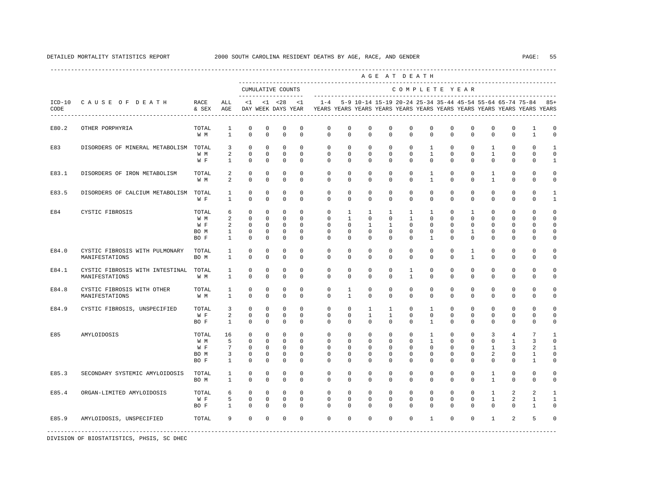|                  |                                                   |                                     |                                             |                                                                  |                                                                 |                                                             |                                                              |                                                          |                                                |                                                                       | AGE AT DEATH                                                                                                                         |                                                                       |                                                                        |                                                      |                                                                |                                                                |                                                                       |                                                       |                                                   |
|------------------|---------------------------------------------------|-------------------------------------|---------------------------------------------|------------------------------------------------------------------|-----------------------------------------------------------------|-------------------------------------------------------------|--------------------------------------------------------------|----------------------------------------------------------|------------------------------------------------|-----------------------------------------------------------------------|--------------------------------------------------------------------------------------------------------------------------------------|-----------------------------------------------------------------------|------------------------------------------------------------------------|------------------------------------------------------|----------------------------------------------------------------|----------------------------------------------------------------|-----------------------------------------------------------------------|-------------------------------------------------------|---------------------------------------------------|
|                  |                                                   |                                     |                                             |                                                                  |                                                                 | CUMULATIVE COUNTS<br>-------------------                    |                                                              |                                                          |                                                |                                                                       |                                                                                                                                      | COMPLETE YEAR                                                         |                                                                        |                                                      |                                                                |                                                                |                                                                       |                                                       |                                                   |
| $ICD-10$<br>CODE | CAUSE OF DEATH                                    | RACE<br>& SEX                       | ALL<br>AGE                                  | <1                                                               |                                                                 | $< 1$ $< 28$<br>DAY WEEK DAYS YEAR                          | <1                                                           | $1 - 4$                                                  |                                                |                                                                       | 5-9 10-14 15-19 20-24 25-34 35-44 45-54 55-64 65-74 75-84<br>YEARS YEARS YEARS YEARS YEARS YEARS YEARS YEARS YEARS YEARS YEARS YEARS |                                                                       |                                                                        |                                                      |                                                                |                                                                |                                                                       |                                                       | $85+$                                             |
| E80.2            | OTHER PORPHYRIA                                   | TOTAL<br>W M                        | 1<br>$\mathbf{1}$                           | $\mathbb O$<br>$\Omega$                                          | $\mathbf 0$<br>$\Omega$                                         | 0<br>$\Omega$                                               | $\mathbf 0$<br>$\Omega$                                      | $\mathbb O$<br>$\Omega$                                  | $\mathbf 0$<br>$\Omega$                        | $\mathbf 0$<br>$\Omega$                                               | $\mathbf 0$<br>$\Omega$                                                                                                              | 0<br>$\Omega$                                                         | 0<br>$\Omega$                                                          | $\mathbf 0$<br>$\Omega$                              | $\mathbf 0$<br>$\Omega$                                        | $\mathbf 0$<br>$\Omega$                                        | 0<br>$\mathbf{0}$                                                     | $\mathbf{1}$<br>$\mathbf{1}$                          | 0<br>$\mathbf 0$                                  |
| E83              | DISORDERS OF MINERAL METABOLISM                   | TOTAL<br>W M<br>W F                 | 3<br>2<br>$\mathbf{1}$                      | $\mathbf 0$<br>$\mathbf 0$<br>$^{\circ}$                         | $\mathbf 0$<br>$\mathbf 0$<br>$\Omega$                          | $\mathbf 0$<br>$\mathbf 0$<br>$\mathbf 0$                   | $\Omega$<br>$\Omega$<br>$\Omega$                             | $\mathbf 0$<br>$\Omega$<br>$\Omega$                      | $\mathbf 0$<br>$\Omega$<br>$\Omega$            | $\mathbf 0$<br>$\Omega$<br>$\Omega$                                   | $\mathbf 0$<br>$\Omega$<br>$\Omega$                                                                                                  | $\mathbf{0}$<br>$\Omega$<br>$\Omega$                                  | $\mathbf{1}$<br>$\mathbf{1}$<br>$\Omega$                               | $\Omega$<br>$\Omega$<br>$\Omega$                     | $\mathbf 0$<br>$\mathbf 0$<br>$\mathbf 0$                      | $\mathbf{1}$<br>$\mathbf{1}$<br>$\Omega$                       | $\mathbf 0$<br>$\mathbf{0}$<br>$\mathbf{0}$                           | $\Omega$<br>$\Omega$<br>$\Omega$                      | $\mathbf{1}$<br>$\mathbf 0$<br>$\mathbf{1}$       |
| E83.1            | DISORDERS OF IRON METABOLISM                      | TOTAL<br>W M                        | 2<br>$\overline{a}$                         | $\Omega$<br>$\Omega$                                             | $\Omega$<br>$\Omega$                                            | $\Omega$<br>$\Omega$                                        | $\Omega$<br>$\Omega$                                         | $\Omega$<br>$\Omega$                                     | $\Omega$<br>$\Omega$                           | $\Omega$<br>$\Omega$                                                  | $\Omega$<br>$\Omega$                                                                                                                 | $\Omega$<br>$\Omega$                                                  | $\mathbf{1}$<br>$\mathbf{1}$                                           | $\Omega$<br>$\Omega$                                 | $\Omega$<br>$\Omega$                                           | $\mathbf{1}$<br>$\mathbf{1}$                                   | $\Omega$<br>$\Omega$                                                  | $\Omega$<br>$\Omega$                                  | $\Omega$<br>$\Omega$                              |
| E83.5            | DISORDERS OF CALCIUM METABOLISM TOTAL             | W F                                 | $\mathbf{1}$<br>$\mathbf{1}$                | $^{\circ}$<br>$\mathbf 0$                                        | $\circ$<br>$\mathbf 0$                                          | 0<br>$\mathbf 0$                                            | $^{\circ}$<br>0                                              | $\mathbf{0}$<br>$\Omega$                                 | $\mathbf 0$<br>$\mathbf 0$                     | $^{\circ}$<br>$\mathbf 0$                                             | $^{\circ}$<br>$\mathbf 0$                                                                                                            | $\mathbf 0$<br>$\Omega$                                               | $\mathbf 0$<br>$\Omega$                                                | $\mathbf{0}$<br>$\Omega$                             | 0<br>$\mathbf 0$                                               | 0<br>$\mathbf 0$                                               | $\mathbf 0$<br>$\mathbf{0}$                                           | $\mathbf{0}$<br>$\mathbf 0$                           | 1<br>$\mathbf{1}$                                 |
| E84              | CYSTIC FIBROSIS                                   | TOTAL<br>W M<br>W F<br>BO M<br>BO F | 6<br>2<br>2<br>$\mathbf{1}$<br>$\mathbf{1}$ | $^{\circ}$<br>$^{\circ}$<br>$\Omega$<br>$^{\circ}$<br>$^{\circ}$ | $\circ$<br>$\circ$<br>$\circ$<br>$\circ$<br>$\Omega$            | $^{\circ}$<br>$\mathbf 0$<br>$\mathbf 0$<br>$^{\circ}$<br>0 | $^{\circ}$<br>$\Omega$<br>$\Omega$<br>$^{\circ}$<br>$\Omega$ | $\mathbf{0}$<br>$\Omega$<br>$\mathbf 0$<br>0<br>$\Omega$ | 1<br>$\mathbf{1}$<br>$\Omega$<br>0<br>$\Omega$ | 1<br>$\Omega$<br>$\mathbf{1}$<br>$^{\circ}$<br>$\Omega$               | $\mathbf{1}$<br>$\mathbf 0$<br>$\mathbf{1}$<br>$^{\circ}$<br>0                                                                       | 1<br>$\mathbf{1}$<br>$\Omega$<br>$\mathbf 0$<br>$\Omega$              | 1<br>$\Omega$<br>$\Omega$<br>$\mathbf 0$<br>1                          | 0<br>$\Omega$<br>$\Omega$<br>0<br>$\Omega$           | $\mathbf{1}$<br>$\mathbf 0$<br>$\mathbf 0$<br>1<br>$\mathbf 0$ | $^{\circ}$<br>$\Omega$<br>$^{\circ}$<br>$^{\circ}$<br>$\Omega$ | $\mathbf{0}$<br>$\mathbf 0$<br>$\Omega$<br>$\mathbf 0$<br>$\mathbf 0$ | $\mathbf{0}$<br>$\Omega$<br>$\Omega$<br>$\Omega$<br>0 | 0<br>$\mathbf 0$<br>$\Omega$<br>$\Omega$<br>0     |
| E84.0            | CYSTIC FIBROSIS WITH PULMONARY<br>MANIFESTATIONS  | TOTAL<br>BO M                       | 1<br>$\mathbf{1}$                           | $\mathbf 0$<br>$\Omega$                                          | $\circ$<br>$\mathbf 0$                                          | $\mathbf 0$<br>$\Omega$                                     | $\mathbf 0$<br>$\Omega$                                      | 0<br>$\Omega$                                            | 0<br>$\Omega$                                  | $\mathbf 0$<br>$\Omega$                                               | $\mathbf 0$<br>$\Omega$                                                                                                              | $\mathbf{0}$<br>$\Omega$                                              | $\mathbf 0$<br>$\Omega$                                                | $\mathbf 0$<br>$\Omega$                              | 1<br>$\mathbf{1}$                                              | $^{\circ}$<br>$\Omega$                                         | 0<br>$\mathbf{0}$                                                     | $\mathbf 0$<br>$\mathbf 0$                            | 0<br>$\mathbf 0$                                  |
| E84.1            | CYSTIC FIBROSIS WITH INTESTINAL<br>MANIFESTATIONS | TOTAL<br>W M                        | $\mathbf{1}$<br>$\mathbf{1}$                | $\mathbf 0$<br>$\Omega$                                          | $\mathbf 0$<br>$\Omega$                                         | $\mathbf 0$<br>$\Omega$                                     | $\mathbf 0$<br>$\Omega$                                      | $\mathbf 0$<br>$\Omega$                                  | 0<br>$\Omega$                                  | $\mathbf 0$<br>$\Omega$                                               | $\mathbf 0$<br>$\Omega$                                                                                                              | 1<br>$\mathbf{1}$                                                     | $\mathbf 0$<br>$\Omega$                                                | $\mathbf 0$<br>$\Omega$                              | $\mathbf 0$<br>$\Omega$                                        | $\mathbf 0$<br>$\Omega$                                        | 0<br>$\mathbf{0}$                                                     | $\mathbf 0$<br>$\Omega$                               | $\mathbf 0$<br>$\mathbf 0$                        |
| E84.8            | CYSTIC FIBROSIS WITH OTHER<br>MANIFESTATIONS      | TOTAL<br>W M                        | $\mathbf{1}$<br>$\mathbf{1}$                | 0<br>$\Omega$                                                    | $\mathbf 0$<br>$\Omega$                                         | $\mathbf 0$<br>$\Omega$                                     | $\mathbf 0$<br>$\Omega$                                      | $\mathbf 0$<br>$\Omega$                                  | $\mathbf{1}$<br>$\mathbf{1}$                   | $\mathbf 0$<br>$\Omega$                                               | $\mathbf 0$<br>$\Omega$                                                                                                              | $\mathbf{0}$<br>$\Omega$                                              | $\mathbf 0$<br>$\Omega$                                                | $\mathbf 0$<br>$\Omega$                              | $\mathbf 0$<br>$\Omega$                                        | $\mathbf 0$<br>$\Omega$                                        | $\mathbf 0$<br>$\Omega$                                               | $\mathbf 0$<br>$\Omega$                               | $\mathbf 0$<br>$\mathbf 0$                        |
| E84.9            | CYSTIC FIBROSIS, UNSPECIFIED                      | TOTAL<br>W F<br>BO F                | 3<br>2<br>$\mathbf{1}$                      | $^{\circ}$<br>$\mathbf 0$<br>$^{\circ}$                          | $\Omega$<br>$\mathbf 0$<br>0                                    | $\Omega$<br>0<br>0                                          | $\Omega$<br>$\mathbf 0$<br>0                                 | $\Omega$<br>$\mathbf 0$<br>0                             | $\Omega$<br>$\mathbf 0$<br>0                   | $\mathbf{1}$<br>$\mathbf{1}$<br>$^{\circ}$                            | $\mathbf{1}$<br>$\mathbf{1}$<br>$^{\circ}$                                                                                           | $\Omega$<br>$\mathbf 0$<br>0                                          | $\mathbf{1}$<br>$\mathbf 0$<br>1                                       | $\Omega$<br>$\Omega$<br>0                            | $\mathbf 0$<br>$\mathbf 0$<br>$^{\circ}$                       | $\Omega$<br>$\mathbf 0$<br>$^{\circ}$                          | $\Omega$<br>$\mathbf{0}$<br>$\mathbf{0}$                              | $\Omega$<br>$\mathbf 0$<br>$\mathbf{0}$               | $\Omega$<br>$\mathbf 0$<br>$\mathbf 0$            |
| E85              | AMYLOIDOSIS                                       | TOTAL<br>W M<br>W F<br>BO M<br>BO F | 16<br>5<br>7<br>3<br>$\mathbf{1}$           | $^{\circ}$<br>$^{\circ}$<br>$^{\circ}$<br>0<br>$\mathbf 0$       | $\mathbf 0$<br>$\mathbf 0$<br>$\circ$<br>$\circ$<br>$\mathbf 0$ | $\mathbf 0$<br>$\mathbf 0$<br>0<br>0<br>$\mathbf 0$         | $\Omega$<br>$\mathbf 0$<br>$\mathbf 0$<br>0<br>0             | $\mathbf 0$<br>$\mathbf 0$<br>0<br>0<br>$\Omega$         | $\Omega$<br>$\mathbf 0$<br>0<br>0<br>0         | $\mathbf 0$<br>$\mathbf 0$<br>$^{\circ}$<br>$^{\circ}$<br>$\mathbf 0$ | $\mathbf 0$<br>$^{\circ}$<br>$^{\circ}$<br>$^{\circ}$<br>$\mathbf 0$                                                                 | $\mathbf{0}$<br>$\mathbf 0$<br>$\mathbf 0$<br>$\mathbf 0$<br>$\Omega$ | $\mathbf{1}$<br>$\mathbf{1}$<br>$\Omega$<br>$\mathbf 0$<br>$\mathbf 0$ | $\Omega$<br>$\Omega$<br>0<br>$\mathbf 0$<br>$\Omega$ | $\mathbf 0$<br>$\mathbf 0$<br>0<br>$\mathbf 0$<br>$\mathbf 0$  | 3<br>$\mathbf 0$<br>1<br>2<br>$\mathbf 0$                      | $\overline{4}$<br>$\mathbf{1}$<br>3<br>$\mathbf 0$<br>$\mathbf 0$     | 7<br>3<br>2<br>1<br>$\mathbf{1}$                      | $\mathbf{1}$<br>$\circ$<br>-1<br>0<br>$\mathbf 0$ |
| E85.3            | SECONDARY SYSTEMIC AMYLOIDOSIS                    | TOTAL<br>BO M                       | 1<br>$\mathbf{1}$                           | $^{\circ}$<br>$\mathbf 0$                                        | $\mathbf 0$<br>$\mathbf 0$                                      | $\mathbf 0$<br>$\mathbf 0$                                  | $\mathbf 0$<br>$\Omega$                                      | $\mathbf 0$<br>$\Omega$                                  | $\mathbf 0$<br>$\Omega$                        | $\mathbf 0$<br>$\Omega$                                               | $\mathbf 0$<br>$\Omega$                                                                                                              | $\mathbf{0}$<br>$\Omega$                                              | $\mathbf{0}$<br>$\Omega$                                               | $\mathbf 0$<br>$\Omega$                              | $\mathbf 0$<br>$\mathbf 0$                                     | $\mathbf{1}$<br>$\mathbf{1}$                                   | $\mathbf 0$<br>$\mathbf 0$                                            | $\mathbf 0$<br>$\mathbf 0$                            | $\circ$<br>0                                      |
| E85.4            | ORGAN-LIMITED AMYLOIDOSIS                         | TOTAL<br>W F<br>BO F                | 6<br>5<br>$\mathbf{1}$                      | $\mathbf{0}$<br>$^{\circ}$<br>$\Omega$                           | $\mathbf 0$<br>$\Omega$<br>$\Omega$                             | $\mathbf 0$<br>$\mathbf 0$<br>$\Omega$                      | $\mathbf 0$<br>$\Omega$<br>$\Omega$                          | $\mathbf 0$<br>$\Omega$<br>$\Omega$                      | $\mathbf 0$<br>$\Omega$<br>$\Omega$            | $\mathbf 0$<br>$\Omega$<br>$\Omega$                                   | $\mathbf 0$<br>$\Omega$<br>$\Omega$                                                                                                  | $\mathbf{0}$<br>$\Omega$<br>$\Omega$                                  | $\circ$<br>$\Omega$<br>$\Omega$                                        | $\mathbf 0$<br>$\Omega$<br>$\Omega$                  | $\mathbf 0$<br>$\Omega$<br>$\Omega$                            | $\mathbf{1}$<br>$\mathbf{1}$<br>$\Omega$                       | 2<br>2<br>$\Omega$                                                    |                                                       | $\mathbf{1}$<br>$\mathbf{1}$<br>$\Omega$          |
| E85.9            | AMYLOIDOSIS, UNSPECIFIED                          | TOTAL                               | 9                                           | $\Omega$                                                         | $\Omega$                                                        | $\mathbf 0$                                                 | $\mathbf 0$                                                  | $\Omega$                                                 | $\Omega$                                       | $\Omega$                                                              | $\Omega$                                                                                                                             | $\Omega$                                                              | $\mathbf{1}$                                                           | $\Omega$                                             | $\mathbf 0$                                                    | $\mathbf{1}$                                                   | 2                                                                     |                                                       | O                                                 |
|                  |                                                   |                                     |                                             |                                                                  |                                                                 |                                                             |                                                              |                                                          |                                                |                                                                       |                                                                                                                                      |                                                                       |                                                                        |                                                      |                                                                |                                                                |                                                                       |                                                       | 2<br>$\mathbf{1}$<br>$\mathbf{1}$<br>5            |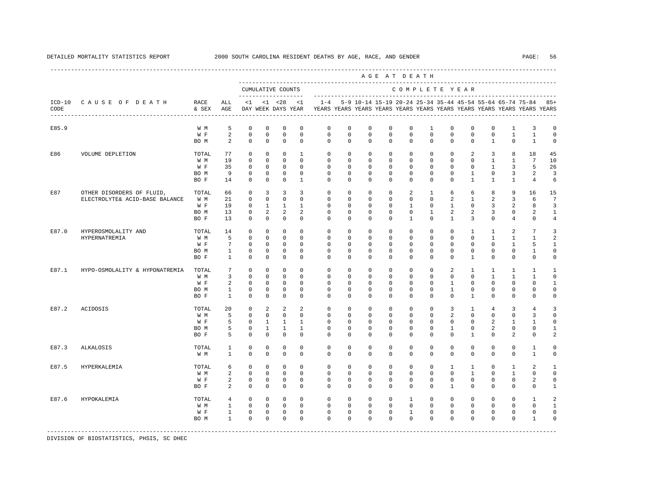| CUMULATIVE COUNTS<br>COMPLETE YEAR<br>-------------------<br>CAUSE OF DEATH<br>RACE<br>5-9 10-14 15-19 20-24 25-34 35-44 45-54 55-64 65-74 75-84<br>$ICD-10$<br>ALL<br>$\leq 1$<br>$< 1$ $< 28$<br>$\langle 1$<br>$1 - 4$<br>CODE<br>AGE<br>DAY WEEK DAYS YEAR<br>YEARS YEARS YEARS YEARS YEARS YEARS YEARS YEARS YEARS YEARS YEARS YEARS<br>& SEX<br>---------------------------------<br>E85.9<br>W M<br>5<br>$\mathbf 0$<br>$\mathbf 0$<br>$\mathbf 0$<br>$\mathbf 0$<br>$\mathbf 0$<br>$\mathbf 0$<br>$^{\circ}$<br>$\mathbf 0$<br>$\mathbf 0$<br>$\mathbf{1}$<br>$\mathbf 0$<br>$\mathbf 0$<br>$\mathbf 0$<br>$\mathbf{1}$<br>3<br>$\overline{a}$<br>$\mathsf 0$<br>$\mathbf 0$<br>$\mathbf 0$<br>$\mathbf 0$<br>$\mathbf 0$<br>$\mathbf 0$<br>$\mathbf 0$<br>$\mathbf 0$<br>$\mathbf 0$<br>$\mathbf 0$<br>$\mathbf 0$<br>$\mathbf 0$<br>$\mathbf 0$<br>$\mathbf{1}$<br>$\mathbf{1}$<br>W F<br>2<br>$\mathbf{0}$<br>$\circ$<br>$\mathbf 0$<br>$\mathbf 0$<br>$\circ$<br>$\circ$<br>$\circ$<br>$\mathbf 0$<br>$\mathbf 0$<br>$\mathbf 0$<br>$\mathbf 0$<br>$\mathbf{1}$<br>$\mathbf 0$<br>$\mathbf{1}$<br>$^{\circ}$<br>BO M<br>77<br>$\mathbf 0$<br>$\mathbf 0$<br>$\mathbf 0$<br>$\mathbf{1}$<br>$\mathbf 0$<br>$\mathbf 0$<br>2<br>8<br>18<br>E86<br>VOLUME DEPLETION<br>TOTAL<br>$^{\circ}$<br>0<br>$\Omega$<br>$\mathbf{0}$<br>$\mathbf{0}$<br>3<br>$\mathbf 0$<br>W M<br>19<br>$\mathbf 0$<br>$\Omega$<br>$\Omega$<br>$\mathbf 0$<br>$\Omega$<br>$\Omega$<br>$\Omega$<br>$\Omega$<br>$\Omega$<br>$\Omega$<br>$\Omega$<br>$\mathbf{1}$<br>$\mathbf{1}$<br>7<br>35<br>$\mathbf{0}$<br>3<br>W F<br>$\mathbf 0$<br>$\mathbf 0$<br>$\mathbf 0$<br>$\circ$<br>$\circ$<br>$\circ$<br>$\mathbf 0$<br>$\mathbf 0$<br>0<br>$\mathbf 0$<br>$\mathbf 0$<br>$\mathbf{1}$<br>5<br>$\mathbf 0$<br>$\mathbf 0$<br>9<br>$\mathbf{0}$<br>$\mathbf 0$<br>$\mathbf 0$<br>$\mathbf 0$<br>$\mathbf 0$<br>$\mathbf{1}$<br>$\mathbf 0$<br>BO M<br>0<br>0<br>$\mathbf{0}$<br>$\mathbf{0}$<br>3<br>2<br>$\Omega$<br>$\Omega$<br>BO F<br>14<br>$\Omega$<br>$\mathbf{1}$<br>$\Omega$<br>$\Omega$<br>$\Omega$<br>$\Omega$<br>$\Omega$<br>$\Omega$<br>$\Omega$<br>$\mathbf{1}$<br>$\overline{1}$<br>$\overline{1}$<br>$\overline{4}$<br>9<br>E87<br>$^{\circ}$<br>3<br>3<br>3<br>0<br>$^{\circ}$<br>$^{\circ}$<br>0<br>2<br>8<br>OTHER DISORDERS OF FLUID,<br>TOTAL<br>66<br>1<br>6<br>6<br>16<br>$\mathbf 0$<br>$\mathbf 0$<br>2<br>ELECTROLYTE& ACID-BASE BALANCE<br>W M<br>21<br>0<br>$\circ$<br>$^{\circ}$<br>$^{\circ}$<br>0<br>0<br>$\mathbf{0}$<br>$\mathbf{0}$<br>2<br>$\mathbf{1}$<br>3<br>6<br>19<br>$\mathbf 0$<br>$\mathbf{1}$<br>$\mathbf{1}$<br>$\mathbf{1}$<br>$\mathbf 0$<br>$\mathbf{1}$<br>W F<br>$^{\circ}$<br>0<br>0<br>1<br>0<br>$\Omega$<br>3<br>2<br>8<br>$\overline{a}$<br>13<br>$\mathbf{0}$<br>2<br>2<br>$\mathbf 0$<br>$\Omega$<br>$\Omega$<br>$\mathbf 0$<br>$\mathbf{1}$<br>2<br>2<br>3<br>$\mathbf 0$<br>2<br>BO M<br>0<br>$\mathbf 0$<br>$\mathbf 0$<br>$\mathbf 0$<br>$\Omega$<br>3<br>$\Omega$<br>BO F<br>13<br>$^{\circ}$<br>$^{\circ}$<br>$\Omega$<br>0<br>$\overline{1}$<br>$\mathbf{0}$<br>$\mathbf{1}$<br>4<br>$\mathbf{0}$<br>E87.0<br>14<br>$\Omega$<br>$\Omega$<br>$\mathbf 0$<br>$\Omega$<br>$\Omega$<br>$\Omega$<br>$\Omega$<br>$\Omega$<br>$\mathbf 0$<br>$\mathbf{1}$<br>2<br>7<br>HYPEROSMOLALITY AND<br>TOTAL<br>$\Omega$<br>$\Omega$<br>1<br>5<br>$\mathbf{0}$<br>$\mathbf 0$<br>$\mathbf 0$<br>$\mathbf 0$<br>$\mathbf 0$<br>$\mathbf 0$<br>$\mathbf 0$<br>$\mathbf 0$<br>$\mathbf 0$<br>$\mathbf 0$<br>$\mathbf 0$<br>$\mathbf 0$<br>$\mathbf{1}$<br>$\mathbf{1}$<br>$\mathbf{1}$<br>HYPERNATREMIA<br>W M<br>$7\phantom{.0}$<br>$\mathbf 0$<br>$\Omega$<br>$\mathbf{0}$<br>W F<br>$\mathbf 0$<br>$\mathbf 0$<br>$\Omega$<br>$\Omega$<br>$\Omega$<br>$\Omega$<br>$\Omega$<br>$\Omega$<br>$\Omega$<br>$\mathbf{1}$<br>5<br>$\Omega$<br>BO M<br>$\mathbf{1}$<br>$\mathbb O$<br>$\mathbf 0$<br>$\mathbf 0$<br>$\mathbf 0$<br>$\mathbf 0$<br>$\mathbf 0$<br>$\mathbf 0$<br>$\mathbf 0$<br>$\mathbf 0$<br>$\mathbf 0$<br>$\mathbf 0$<br>$\mathbf 0$<br>$\mathbf 0$<br>$\mathbf 0$<br>$\mathbf{1}$<br>$\mathbf 0$<br>$\mathbf 0$<br>$\mathbf 0$<br>$\mathbf 0$<br>BO F<br>1<br>$\Omega$<br>$\mathbf{0}$<br>$\Omega$<br>0<br>$\Omega$<br>0<br>$\Omega$<br>$\mathbf{1}$<br>$\Omega$<br>$\mathbf{0}$<br>$\mathbf{0}$<br>$7\phantom{.0}$<br>$^{\circ}$<br>$\mathbf 0$<br>$\mathbf 0$<br>2<br>E87.1<br>HYPO-OSMOLALITY & HYPONATREMIA<br>TOTAL<br>$^{\circ}$<br>$^{\circ}$<br>$^{\circ}$<br>$^{\circ}$<br>0<br>$^{\circ}$<br>$\mathbf{0}$<br>$\mathbf{1}$<br>$\mathbf{1}$<br>1<br>1<br>$\overline{3}$<br>$\mathbf 0$<br>$\mathbf 0$<br>$\mathbf 0$<br>$\mathbf 0$<br>$\mathbf{0}$<br>$\Omega$<br>$\Omega$<br>$\mathbf{1}$<br>W M<br>0<br>0<br>$\Omega$<br>$\Omega$<br>$\Omega$<br>1<br>1<br>W F<br>2<br>$^{\circ}$<br>$\Omega$<br>$\mathbf 0$<br>$\Omega$<br>$\Omega$<br>$\Omega$<br>$\Omega$<br>$\Omega$<br>$\mathbf{1}$<br>$\Omega$<br>$\Omega$<br>$\Omega$<br>$\Omega$<br>$\Omega$<br>$\Omega$<br>$\mathbf{1}$<br>$\mathbf 0$<br>$\mathbf 0$<br>$\mathbf 0$<br>$\mathbf 0$<br>$\mathbf 0$<br>$\mathbf 0$<br>$\mathbf{1}$<br>$\mathbf 0$<br>$\mathbf 0$<br>$\mathbf 0$<br>$\mathbf 0$<br>BO M<br>0<br>0<br>$\mathbf{0}$<br>$\mathbf{0}$<br>$\mathbf 0$<br>$\mathbf 0$<br>$\mathbf 0$<br>$\Omega$<br>$\Omega$<br>$\Omega$<br>$\Omega$<br>$\Omega$<br>$\mathbf{1}$<br>$\Omega$<br>$\Omega$<br>BO F<br>1<br>$\Omega$<br>$\Omega$<br>$\Omega$<br>$\Omega$<br>20<br>$\mathbf{0}$<br>2<br>2<br>2<br>$\mathbf{0}$<br>$\overline{3}$<br>E87.2<br>TOTAL<br>$\mathbf 0$<br>$\mathbf 0$<br>$\mathbf 0$<br>$\mathbf 0$<br>$\mathbf 0$<br>$\mathbf{1}$<br>3<br>ACIDOSIS<br>4<br>4<br>5<br>$\mathbf 0$<br>$^{\circ}$<br>$\mathbf 0$<br>$\mathbf 0$<br>$\mathbf 0$<br>$\mathbf 0$<br>2<br>$\mathbf 0$<br>$\mathbf 0$<br>$\mathbf 0$<br>0<br>0<br>$\mathbf{0}$<br>0<br>3<br>W M<br>W F<br>5<br>0<br>1<br>$\mathbf{1}$<br>$\mathbf{1}$<br>$\mathbf{0}$<br>$^{\circ}$<br>0<br>0<br>$\mathbf{0}$<br>$\mathbf{0}$<br>0<br>0<br>2<br>1<br>1<br>5<br>BO M<br>0<br>$\mathbf{1}$<br>1<br>1<br>0<br>0<br>0<br>0<br>$\mathbf{0}$<br>$\mathbf{0}$<br>1<br>0<br>2<br>$\mathbf{0}$<br>$\mathbf{0}$<br>5<br>$^{\circ}$<br>$\Omega$<br>$\mathbf 0$<br>$\Omega$<br>$\Omega$<br>$\Omega$<br>$\mathbf{1}$<br>$\Omega$<br>2<br>$\mathbf 0$<br>BO F<br>$\Omega$<br>$\Omega$<br>0<br>$\Omega$<br>0<br>$\mathbf 0$<br>$\mathbf 0$<br>$\mathbf 0$<br>$\mathbf 0$<br>$\mathbf{1}$<br>E87.3<br><b>ALKALOSIS</b><br>TOTAL<br>1<br>0<br>$^{\circ}$<br>$^{\circ}$<br>$\mathbf{0}$<br>$^{\circ}$<br>0<br>$\mathbf{0}$<br>0<br>0<br>0<br>$\mathbf{1}$<br>$\Omega$<br>$\mathbf 0$<br>$\mathbf 0$<br>$\Omega$<br>$\Omega$<br>$\Omega$<br>$\Omega$<br>$\Omega$<br>$\Omega$<br>$\Omega$<br>$\Omega$<br>$\Omega$<br>$\Omega$<br>$\Omega$<br>$\mathbf{1}$<br>W M<br>$\Omega$<br>$\mathbf 0$<br>2<br>TOTAL<br>$\mathbf{0}$<br>$\mathbf 0$<br>$\mathbf 0$<br>$\mathbf 0$<br>$\mathbf 0$<br>$\mathbf 0$<br>$\Omega$<br>$\Omega$<br>$\Omega$<br>$\mathbf{1}$<br>E87.5<br>HYPERKALEMIA<br>6<br>$\mathbf{1}$<br>$\mathbf{1}$<br>2<br>$\mathbf{0}$<br>W M<br>$\mathbf 0$<br>$\mathbf 0$<br>$\mathbf 0$<br>$\mathbf 0$<br>$\circ$<br>$\circ$<br>$\mathbf 0$<br>$\mathbf 0$<br>$\mathbf 0$<br>$\mathbf 0$<br>$\mathbf{1}$<br>$\mathbf 0$<br>$\mathbf{1}$<br>$\mathbf 0$<br>2<br>$\mathbf 0$<br>W F<br>0<br>0<br>0<br>0<br>0<br>$^{\circ}$<br>$^{\circ}$<br>$\mathbf{0}$<br>0<br>0<br>$^{\circ}$<br>0<br>$\mathbf{0}$<br>2<br>2<br>$\circ$<br>$\mathbf 0$<br>$\mathbf 0$<br>$\Omega$<br>$\Omega$<br>$\Omega$<br>$\mathbf 0$<br>$\Omega$<br>$\Omega$<br>BO F<br>$\Omega$<br>$\Omega$<br>$\Omega$<br>$\mathbf{0}$<br>$\mathbf{1}$<br>$\Omega$<br>E87.6<br>$\circ$<br>$\mathbf 0$<br>$\mathbf 0$<br>$\circ$<br>HYPOKALEMIA<br>TOTAL<br>$\overline{4}$<br>0<br>$\circ$<br>$^{\circ}$<br>$^{\circ}$<br>1<br>$\mathbf{0}$<br>$\Omega$<br>$^{\circ}$<br>$\Omega$<br>$\Omega$<br>$\overline{1}$<br>W M<br>$\mathbf{1}$<br>$\circ$<br>$\circ$<br>$\circ$<br>$\Omega$<br>$\circ$<br>$\circ$<br>$\circ$<br>$\mathbf 0$<br>$\Omega$<br>$\Omega$<br>$\Omega$<br>$\Omega$<br>$\Omega$<br>$\Omega$<br>$\mathbf 0$<br>$\mathbf{1}$<br>W F<br>$\mathbf 0$<br>$\mathbf 0$<br>$\mathbf 0$<br>$\mathbf 0$<br>$\circ$<br>$\circ$<br>$\mathbf 0$<br>$\mathbf 0$<br>$\mathbf{1}$<br>$\mathbf 0$<br>$\mathbf 0$<br>$\mathbf 0$<br>$\mathbf 0$<br>$\mathbf 0$<br>$\mathbf 0$<br>$\mathbf 0$<br>$\mathbf 0$<br>$\mathbf 0$<br>$\Omega$<br>$\Omega$<br>$\Omega$<br>$\mathbf{1}$<br>$\Omega$<br>$\Omega$<br>$\Omega$<br>$\Omega$<br>$\Omega$<br>$\Omega$<br>$\Omega$<br>$\Omega$<br>$\mathbf{1}$<br>BO M |  |  |  |  |  |  | AGE AT DEATH | ------------------------------ |  |  |                        |
|------------------------------------------------------------------------------------------------------------------------------------------------------------------------------------------------------------------------------------------------------------------------------------------------------------------------------------------------------------------------------------------------------------------------------------------------------------------------------------------------------------------------------------------------------------------------------------------------------------------------------------------------------------------------------------------------------------------------------------------------------------------------------------------------------------------------------------------------------------------------------------------------------------------------------------------------------------------------------------------------------------------------------------------------------------------------------------------------------------------------------------------------------------------------------------------------------------------------------------------------------------------------------------------------------------------------------------------------------------------------------------------------------------------------------------------------------------------------------------------------------------------------------------------------------------------------------------------------------------------------------------------------------------------------------------------------------------------------------------------------------------------------------------------------------------------------------------------------------------------------------------------------------------------------------------------------------------------------------------------------------------------------------------------------------------------------------------------------------------------------------------------------------------------------------------------------------------------------------------------------------------------------------------------------------------------------------------------------------------------------------------------------------------------------------------------------------------------------------------------------------------------------------------------------------------------------------------------------------------------------------------------------------------------------------------------------------------------------------------------------------------------------------------------------------------------------------------------------------------------------------------------------------------------------------------------------------------------------------------------------------------------------------------------------------------------------------------------------------------------------------------------------------------------------------------------------------------------------------------------------------------------------------------------------------------------------------------------------------------------------------------------------------------------------------------------------------------------------------------------------------------------------------------------------------------------------------------------------------------------------------------------------------------------------------------------------------------------------------------------------------------------------------------------------------------------------------------------------------------------------------------------------------------------------------------------------------------------------------------------------------------------------------------------------------------------------------------------------------------------------------------------------------------------------------------------------------------------------------------------------------------------------------------------------------------------------------------------------------------------------------------------------------------------------------------------------------------------------------------------------------------------------------------------------------------------------------------------------------------------------------------------------------------------------------------------------------------------------------------------------------------------------------------------------------------------------------------------------------------------------------------------------------------------------------------------------------------------------------------------------------------------------------------------------------------------------------------------------------------------------------------------------------------------------------------------------------------------------------------------------------------------------------------------------------------------------------------------------------------------------------------------------------------------------------------------------------------------------------------------------------------------------------------------------------------------------------------------------------------------------------------------------------------------------------------------------------------------------------------------------------------------------------------------------------------------------------------------------------------------------------------------------------------------------------------------------------------------------------------------------------------------------------------------------------------------------------------------------------------------------------------------------------------------------------------------------------------------------------------------------------------------------------------------------------------------------------------------------------------------------------------------------------------------------------------------------------------------------------------------------------------------------------------------------------------------------------------------------------------------------------------------------------------------------------------------------------------------------------------------------------------------------------------------------------------------------------------------------------------------------------------------------------------------------------------------------------------------------------------------------------------------------------------------------------------------------------------------------------------------------------------------------------------------------------------------------------------------------------------------------------------------------------------------------------------------------------------------------------------------------------------------------------------------------------------------------------------------------------------------------------------------------------------------------------------------------------------------------------------------------------------------------------------------------------------------------------------------------------------------------------------------------------------------------------------------------------------------------------------------------------------------------------------------------------------------------------------------------------------------------------------------------------------------------------------------------------------------------------------------------------------------------------------------------------------------------------------------------------------------------------------------------------------------------------------------------------------------------------------------------------------------------------------------------------------------------------------------------------------------------------------------------------------------------------------------------------------------------------------------------------------|--|--|--|--|--|--|--------------|--------------------------------|--|--|------------------------|
|                                                                                                                                                                                                                                                                                                                                                                                                                                                                                                                                                                                                                                                                                                                                                                                                                                                                                                                                                                                                                                                                                                                                                                                                                                                                                                                                                                                                                                                                                                                                                                                                                                                                                                                                                                                                                                                                                                                                                                                                                                                                                                                                                                                                                                                                                                                                                                                                                                                                                                                                                                                                                                                                                                                                                                                                                                                                                                                                                                                                                                                                                                                                                                                                                                                                                                                                                                                                                                                                                                                                                                                                                                                                                                                                                                                                                                                                                                                                                                                                                                                                                                                                                                                                                                                                                                                                                                                                                                                                                                                                                                                                                                                                                                                                                                                                                                                                                                                                                                                                                                                                                                                                                                                                                                                                                                                                                                                                                                                                                                                                                                                                                                                                                                                                                                                                                                                                                                                                                                                                                                                                                                                                                                                                                                                                                                                                                                                                                                                                                                                                                                                                                                                                                                                                                                                                                                                                                                                                                                                                                                                                                                                                                                                                                                                                                                                                                                                                                                                                                                                                                                                                                                                                                                                                                                                                                                                                                                                                                                                                                                                                                                                                                                                                                                                                                                                                                                                                                                                                                                                                                                                                                                    |  |  |  |  |  |  |              |                                |  |  |                        |
|                                                                                                                                                                                                                                                                                                                                                                                                                                                                                                                                                                                                                                                                                                                                                                                                                                                                                                                                                                                                                                                                                                                                                                                                                                                                                                                                                                                                                                                                                                                                                                                                                                                                                                                                                                                                                                                                                                                                                                                                                                                                                                                                                                                                                                                                                                                                                                                                                                                                                                                                                                                                                                                                                                                                                                                                                                                                                                                                                                                                                                                                                                                                                                                                                                                                                                                                                                                                                                                                                                                                                                                                                                                                                                                                                                                                                                                                                                                                                                                                                                                                                                                                                                                                                                                                                                                                                                                                                                                                                                                                                                                                                                                                                                                                                                                                                                                                                                                                                                                                                                                                                                                                                                                                                                                                                                                                                                                                                                                                                                                                                                                                                                                                                                                                                                                                                                                                                                                                                                                                                                                                                                                                                                                                                                                                                                                                                                                                                                                                                                                                                                                                                                                                                                                                                                                                                                                                                                                                                                                                                                                                                                                                                                                                                                                                                                                                                                                                                                                                                                                                                                                                                                                                                                                                                                                                                                                                                                                                                                                                                                                                                                                                                                                                                                                                                                                                                                                                                                                                                                                                                                                                                                    |  |  |  |  |  |  |              |                                |  |  | $85+$                  |
|                                                                                                                                                                                                                                                                                                                                                                                                                                                                                                                                                                                                                                                                                                                                                                                                                                                                                                                                                                                                                                                                                                                                                                                                                                                                                                                                                                                                                                                                                                                                                                                                                                                                                                                                                                                                                                                                                                                                                                                                                                                                                                                                                                                                                                                                                                                                                                                                                                                                                                                                                                                                                                                                                                                                                                                                                                                                                                                                                                                                                                                                                                                                                                                                                                                                                                                                                                                                                                                                                                                                                                                                                                                                                                                                                                                                                                                                                                                                                                                                                                                                                                                                                                                                                                                                                                                                                                                                                                                                                                                                                                                                                                                                                                                                                                                                                                                                                                                                                                                                                                                                                                                                                                                                                                                                                                                                                                                                                                                                                                                                                                                                                                                                                                                                                                                                                                                                                                                                                                                                                                                                                                                                                                                                                                                                                                                                                                                                                                                                                                                                                                                                                                                                                                                                                                                                                                                                                                                                                                                                                                                                                                                                                                                                                                                                                                                                                                                                                                                                                                                                                                                                                                                                                                                                                                                                                                                                                                                                                                                                                                                                                                                                                                                                                                                                                                                                                                                                                                                                                                                                                                                                                                    |  |  |  |  |  |  |              |                                |  |  | $\circ$                |
|                                                                                                                                                                                                                                                                                                                                                                                                                                                                                                                                                                                                                                                                                                                                                                                                                                                                                                                                                                                                                                                                                                                                                                                                                                                                                                                                                                                                                                                                                                                                                                                                                                                                                                                                                                                                                                                                                                                                                                                                                                                                                                                                                                                                                                                                                                                                                                                                                                                                                                                                                                                                                                                                                                                                                                                                                                                                                                                                                                                                                                                                                                                                                                                                                                                                                                                                                                                                                                                                                                                                                                                                                                                                                                                                                                                                                                                                                                                                                                                                                                                                                                                                                                                                                                                                                                                                                                                                                                                                                                                                                                                                                                                                                                                                                                                                                                                                                                                                                                                                                                                                                                                                                                                                                                                                                                                                                                                                                                                                                                                                                                                                                                                                                                                                                                                                                                                                                                                                                                                                                                                                                                                                                                                                                                                                                                                                                                                                                                                                                                                                                                                                                                                                                                                                                                                                                                                                                                                                                                                                                                                                                                                                                                                                                                                                                                                                                                                                                                                                                                                                                                                                                                                                                                                                                                                                                                                                                                                                                                                                                                                                                                                                                                                                                                                                                                                                                                                                                                                                                                                                                                                                                                    |  |  |  |  |  |  |              |                                |  |  | $\mathbf 0$<br>$\circ$ |
|                                                                                                                                                                                                                                                                                                                                                                                                                                                                                                                                                                                                                                                                                                                                                                                                                                                                                                                                                                                                                                                                                                                                                                                                                                                                                                                                                                                                                                                                                                                                                                                                                                                                                                                                                                                                                                                                                                                                                                                                                                                                                                                                                                                                                                                                                                                                                                                                                                                                                                                                                                                                                                                                                                                                                                                                                                                                                                                                                                                                                                                                                                                                                                                                                                                                                                                                                                                                                                                                                                                                                                                                                                                                                                                                                                                                                                                                                                                                                                                                                                                                                                                                                                                                                                                                                                                                                                                                                                                                                                                                                                                                                                                                                                                                                                                                                                                                                                                                                                                                                                                                                                                                                                                                                                                                                                                                                                                                                                                                                                                                                                                                                                                                                                                                                                                                                                                                                                                                                                                                                                                                                                                                                                                                                                                                                                                                                                                                                                                                                                                                                                                                                                                                                                                                                                                                                                                                                                                                                                                                                                                                                                                                                                                                                                                                                                                                                                                                                                                                                                                                                                                                                                                                                                                                                                                                                                                                                                                                                                                                                                                                                                                                                                                                                                                                                                                                                                                                                                                                                                                                                                                                                                    |  |  |  |  |  |  |              |                                |  |  | 45                     |
|                                                                                                                                                                                                                                                                                                                                                                                                                                                                                                                                                                                                                                                                                                                                                                                                                                                                                                                                                                                                                                                                                                                                                                                                                                                                                                                                                                                                                                                                                                                                                                                                                                                                                                                                                                                                                                                                                                                                                                                                                                                                                                                                                                                                                                                                                                                                                                                                                                                                                                                                                                                                                                                                                                                                                                                                                                                                                                                                                                                                                                                                                                                                                                                                                                                                                                                                                                                                                                                                                                                                                                                                                                                                                                                                                                                                                                                                                                                                                                                                                                                                                                                                                                                                                                                                                                                                                                                                                                                                                                                                                                                                                                                                                                                                                                                                                                                                                                                                                                                                                                                                                                                                                                                                                                                                                                                                                                                                                                                                                                                                                                                                                                                                                                                                                                                                                                                                                                                                                                                                                                                                                                                                                                                                                                                                                                                                                                                                                                                                                                                                                                                                                                                                                                                                                                                                                                                                                                                                                                                                                                                                                                                                                                                                                                                                                                                                                                                                                                                                                                                                                                                                                                                                                                                                                                                                                                                                                                                                                                                                                                                                                                                                                                                                                                                                                                                                                                                                                                                                                                                                                                                                                                    |  |  |  |  |  |  |              |                                |  |  | 10                     |
|                                                                                                                                                                                                                                                                                                                                                                                                                                                                                                                                                                                                                                                                                                                                                                                                                                                                                                                                                                                                                                                                                                                                                                                                                                                                                                                                                                                                                                                                                                                                                                                                                                                                                                                                                                                                                                                                                                                                                                                                                                                                                                                                                                                                                                                                                                                                                                                                                                                                                                                                                                                                                                                                                                                                                                                                                                                                                                                                                                                                                                                                                                                                                                                                                                                                                                                                                                                                                                                                                                                                                                                                                                                                                                                                                                                                                                                                                                                                                                                                                                                                                                                                                                                                                                                                                                                                                                                                                                                                                                                                                                                                                                                                                                                                                                                                                                                                                                                                                                                                                                                                                                                                                                                                                                                                                                                                                                                                                                                                                                                                                                                                                                                                                                                                                                                                                                                                                                                                                                                                                                                                                                                                                                                                                                                                                                                                                                                                                                                                                                                                                                                                                                                                                                                                                                                                                                                                                                                                                                                                                                                                                                                                                                                                                                                                                                                                                                                                                                                                                                                                                                                                                                                                                                                                                                                                                                                                                                                                                                                                                                                                                                                                                                                                                                                                                                                                                                                                                                                                                                                                                                                                                                    |  |  |  |  |  |  |              |                                |  |  | 26                     |
|                                                                                                                                                                                                                                                                                                                                                                                                                                                                                                                                                                                                                                                                                                                                                                                                                                                                                                                                                                                                                                                                                                                                                                                                                                                                                                                                                                                                                                                                                                                                                                                                                                                                                                                                                                                                                                                                                                                                                                                                                                                                                                                                                                                                                                                                                                                                                                                                                                                                                                                                                                                                                                                                                                                                                                                                                                                                                                                                                                                                                                                                                                                                                                                                                                                                                                                                                                                                                                                                                                                                                                                                                                                                                                                                                                                                                                                                                                                                                                                                                                                                                                                                                                                                                                                                                                                                                                                                                                                                                                                                                                                                                                                                                                                                                                                                                                                                                                                                                                                                                                                                                                                                                                                                                                                                                                                                                                                                                                                                                                                                                                                                                                                                                                                                                                                                                                                                                                                                                                                                                                                                                                                                                                                                                                                                                                                                                                                                                                                                                                                                                                                                                                                                                                                                                                                                                                                                                                                                                                                                                                                                                                                                                                                                                                                                                                                                                                                                                                                                                                                                                                                                                                                                                                                                                                                                                                                                                                                                                                                                                                                                                                                                                                                                                                                                                                                                                                                                                                                                                                                                                                                                                                    |  |  |  |  |  |  |              |                                |  |  | $\overline{3}$         |
|                                                                                                                                                                                                                                                                                                                                                                                                                                                                                                                                                                                                                                                                                                                                                                                                                                                                                                                                                                                                                                                                                                                                                                                                                                                                                                                                                                                                                                                                                                                                                                                                                                                                                                                                                                                                                                                                                                                                                                                                                                                                                                                                                                                                                                                                                                                                                                                                                                                                                                                                                                                                                                                                                                                                                                                                                                                                                                                                                                                                                                                                                                                                                                                                                                                                                                                                                                                                                                                                                                                                                                                                                                                                                                                                                                                                                                                                                                                                                                                                                                                                                                                                                                                                                                                                                                                                                                                                                                                                                                                                                                                                                                                                                                                                                                                                                                                                                                                                                                                                                                                                                                                                                                                                                                                                                                                                                                                                                                                                                                                                                                                                                                                                                                                                                                                                                                                                                                                                                                                                                                                                                                                                                                                                                                                                                                                                                                                                                                                                                                                                                                                                                                                                                                                                                                                                                                                                                                                                                                                                                                                                                                                                                                                                                                                                                                                                                                                                                                                                                                                                                                                                                                                                                                                                                                                                                                                                                                                                                                                                                                                                                                                                                                                                                                                                                                                                                                                                                                                                                                                                                                                                                                    |  |  |  |  |  |  |              |                                |  |  | 6                      |
|                                                                                                                                                                                                                                                                                                                                                                                                                                                                                                                                                                                                                                                                                                                                                                                                                                                                                                                                                                                                                                                                                                                                                                                                                                                                                                                                                                                                                                                                                                                                                                                                                                                                                                                                                                                                                                                                                                                                                                                                                                                                                                                                                                                                                                                                                                                                                                                                                                                                                                                                                                                                                                                                                                                                                                                                                                                                                                                                                                                                                                                                                                                                                                                                                                                                                                                                                                                                                                                                                                                                                                                                                                                                                                                                                                                                                                                                                                                                                                                                                                                                                                                                                                                                                                                                                                                                                                                                                                                                                                                                                                                                                                                                                                                                                                                                                                                                                                                                                                                                                                                                                                                                                                                                                                                                                                                                                                                                                                                                                                                                                                                                                                                                                                                                                                                                                                                                                                                                                                                                                                                                                                                                                                                                                                                                                                                                                                                                                                                                                                                                                                                                                                                                                                                                                                                                                                                                                                                                                                                                                                                                                                                                                                                                                                                                                                                                                                                                                                                                                                                                                                                                                                                                                                                                                                                                                                                                                                                                                                                                                                                                                                                                                                                                                                                                                                                                                                                                                                                                                                                                                                                                                                    |  |  |  |  |  |  |              |                                |  |  | 15                     |
|                                                                                                                                                                                                                                                                                                                                                                                                                                                                                                                                                                                                                                                                                                                                                                                                                                                                                                                                                                                                                                                                                                                                                                                                                                                                                                                                                                                                                                                                                                                                                                                                                                                                                                                                                                                                                                                                                                                                                                                                                                                                                                                                                                                                                                                                                                                                                                                                                                                                                                                                                                                                                                                                                                                                                                                                                                                                                                                                                                                                                                                                                                                                                                                                                                                                                                                                                                                                                                                                                                                                                                                                                                                                                                                                                                                                                                                                                                                                                                                                                                                                                                                                                                                                                                                                                                                                                                                                                                                                                                                                                                                                                                                                                                                                                                                                                                                                                                                                                                                                                                                                                                                                                                                                                                                                                                                                                                                                                                                                                                                                                                                                                                                                                                                                                                                                                                                                                                                                                                                                                                                                                                                                                                                                                                                                                                                                                                                                                                                                                                                                                                                                                                                                                                                                                                                                                                                                                                                                                                                                                                                                                                                                                                                                                                                                                                                                                                                                                                                                                                                                                                                                                                                                                                                                                                                                                                                                                                                                                                                                                                                                                                                                                                                                                                                                                                                                                                                                                                                                                                                                                                                                                                    |  |  |  |  |  |  |              |                                |  |  | 7                      |
|                                                                                                                                                                                                                                                                                                                                                                                                                                                                                                                                                                                                                                                                                                                                                                                                                                                                                                                                                                                                                                                                                                                                                                                                                                                                                                                                                                                                                                                                                                                                                                                                                                                                                                                                                                                                                                                                                                                                                                                                                                                                                                                                                                                                                                                                                                                                                                                                                                                                                                                                                                                                                                                                                                                                                                                                                                                                                                                                                                                                                                                                                                                                                                                                                                                                                                                                                                                                                                                                                                                                                                                                                                                                                                                                                                                                                                                                                                                                                                                                                                                                                                                                                                                                                                                                                                                                                                                                                                                                                                                                                                                                                                                                                                                                                                                                                                                                                                                                                                                                                                                                                                                                                                                                                                                                                                                                                                                                                                                                                                                                                                                                                                                                                                                                                                                                                                                                                                                                                                                                                                                                                                                                                                                                                                                                                                                                                                                                                                                                                                                                                                                                                                                                                                                                                                                                                                                                                                                                                                                                                                                                                                                                                                                                                                                                                                                                                                                                                                                                                                                                                                                                                                                                                                                                                                                                                                                                                                                                                                                                                                                                                                                                                                                                                                                                                                                                                                                                                                                                                                                                                                                                                                    |  |  |  |  |  |  |              |                                |  |  | 3                      |
|                                                                                                                                                                                                                                                                                                                                                                                                                                                                                                                                                                                                                                                                                                                                                                                                                                                                                                                                                                                                                                                                                                                                                                                                                                                                                                                                                                                                                                                                                                                                                                                                                                                                                                                                                                                                                                                                                                                                                                                                                                                                                                                                                                                                                                                                                                                                                                                                                                                                                                                                                                                                                                                                                                                                                                                                                                                                                                                                                                                                                                                                                                                                                                                                                                                                                                                                                                                                                                                                                                                                                                                                                                                                                                                                                                                                                                                                                                                                                                                                                                                                                                                                                                                                                                                                                                                                                                                                                                                                                                                                                                                                                                                                                                                                                                                                                                                                                                                                                                                                                                                                                                                                                                                                                                                                                                                                                                                                                                                                                                                                                                                                                                                                                                                                                                                                                                                                                                                                                                                                                                                                                                                                                                                                                                                                                                                                                                                                                                                                                                                                                                                                                                                                                                                                                                                                                                                                                                                                                                                                                                                                                                                                                                                                                                                                                                                                                                                                                                                                                                                                                                                                                                                                                                                                                                                                                                                                                                                                                                                                                                                                                                                                                                                                                                                                                                                                                                                                                                                                                                                                                                                                                                    |  |  |  |  |  |  |              |                                |  |  | $\mathbf{1}$           |
|                                                                                                                                                                                                                                                                                                                                                                                                                                                                                                                                                                                                                                                                                                                                                                                                                                                                                                                                                                                                                                                                                                                                                                                                                                                                                                                                                                                                                                                                                                                                                                                                                                                                                                                                                                                                                                                                                                                                                                                                                                                                                                                                                                                                                                                                                                                                                                                                                                                                                                                                                                                                                                                                                                                                                                                                                                                                                                                                                                                                                                                                                                                                                                                                                                                                                                                                                                                                                                                                                                                                                                                                                                                                                                                                                                                                                                                                                                                                                                                                                                                                                                                                                                                                                                                                                                                                                                                                                                                                                                                                                                                                                                                                                                                                                                                                                                                                                                                                                                                                                                                                                                                                                                                                                                                                                                                                                                                                                                                                                                                                                                                                                                                                                                                                                                                                                                                                                                                                                                                                                                                                                                                                                                                                                                                                                                                                                                                                                                                                                                                                                                                                                                                                                                                                                                                                                                                                                                                                                                                                                                                                                                                                                                                                                                                                                                                                                                                                                                                                                                                                                                                                                                                                                                                                                                                                                                                                                                                                                                                                                                                                                                                                                                                                                                                                                                                                                                                                                                                                                                                                                                                                                                    |  |  |  |  |  |  |              |                                |  |  | 4                      |
|                                                                                                                                                                                                                                                                                                                                                                                                                                                                                                                                                                                                                                                                                                                                                                                                                                                                                                                                                                                                                                                                                                                                                                                                                                                                                                                                                                                                                                                                                                                                                                                                                                                                                                                                                                                                                                                                                                                                                                                                                                                                                                                                                                                                                                                                                                                                                                                                                                                                                                                                                                                                                                                                                                                                                                                                                                                                                                                                                                                                                                                                                                                                                                                                                                                                                                                                                                                                                                                                                                                                                                                                                                                                                                                                                                                                                                                                                                                                                                                                                                                                                                                                                                                                                                                                                                                                                                                                                                                                                                                                                                                                                                                                                                                                                                                                                                                                                                                                                                                                                                                                                                                                                                                                                                                                                                                                                                                                                                                                                                                                                                                                                                                                                                                                                                                                                                                                                                                                                                                                                                                                                                                                                                                                                                                                                                                                                                                                                                                                                                                                                                                                                                                                                                                                                                                                                                                                                                                                                                                                                                                                                                                                                                                                                                                                                                                                                                                                                                                                                                                                                                                                                                                                                                                                                                                                                                                                                                                                                                                                                                                                                                                                                                                                                                                                                                                                                                                                                                                                                                                                                                                                                                    |  |  |  |  |  |  |              |                                |  |  | 3                      |
|                                                                                                                                                                                                                                                                                                                                                                                                                                                                                                                                                                                                                                                                                                                                                                                                                                                                                                                                                                                                                                                                                                                                                                                                                                                                                                                                                                                                                                                                                                                                                                                                                                                                                                                                                                                                                                                                                                                                                                                                                                                                                                                                                                                                                                                                                                                                                                                                                                                                                                                                                                                                                                                                                                                                                                                                                                                                                                                                                                                                                                                                                                                                                                                                                                                                                                                                                                                                                                                                                                                                                                                                                                                                                                                                                                                                                                                                                                                                                                                                                                                                                                                                                                                                                                                                                                                                                                                                                                                                                                                                                                                                                                                                                                                                                                                                                                                                                                                                                                                                                                                                                                                                                                                                                                                                                                                                                                                                                                                                                                                                                                                                                                                                                                                                                                                                                                                                                                                                                                                                                                                                                                                                                                                                                                                                                                                                                                                                                                                                                                                                                                                                                                                                                                                                                                                                                                                                                                                                                                                                                                                                                                                                                                                                                                                                                                                                                                                                                                                                                                                                                                                                                                                                                                                                                                                                                                                                                                                                                                                                                                                                                                                                                                                                                                                                                                                                                                                                                                                                                                                                                                                                                                    |  |  |  |  |  |  |              |                                |  |  | 2                      |
|                                                                                                                                                                                                                                                                                                                                                                                                                                                                                                                                                                                                                                                                                                                                                                                                                                                                                                                                                                                                                                                                                                                                                                                                                                                                                                                                                                                                                                                                                                                                                                                                                                                                                                                                                                                                                                                                                                                                                                                                                                                                                                                                                                                                                                                                                                                                                                                                                                                                                                                                                                                                                                                                                                                                                                                                                                                                                                                                                                                                                                                                                                                                                                                                                                                                                                                                                                                                                                                                                                                                                                                                                                                                                                                                                                                                                                                                                                                                                                                                                                                                                                                                                                                                                                                                                                                                                                                                                                                                                                                                                                                                                                                                                                                                                                                                                                                                                                                                                                                                                                                                                                                                                                                                                                                                                                                                                                                                                                                                                                                                                                                                                                                                                                                                                                                                                                                                                                                                                                                                                                                                                                                                                                                                                                                                                                                                                                                                                                                                                                                                                                                                                                                                                                                                                                                                                                                                                                                                                                                                                                                                                                                                                                                                                                                                                                                                                                                                                                                                                                                                                                                                                                                                                                                                                                                                                                                                                                                                                                                                                                                                                                                                                                                                                                                                                                                                                                                                                                                                                                                                                                                                                                    |  |  |  |  |  |  |              |                                |  |  | $\mathbf{1}$           |
|                                                                                                                                                                                                                                                                                                                                                                                                                                                                                                                                                                                                                                                                                                                                                                                                                                                                                                                                                                                                                                                                                                                                                                                                                                                                                                                                                                                                                                                                                                                                                                                                                                                                                                                                                                                                                                                                                                                                                                                                                                                                                                                                                                                                                                                                                                                                                                                                                                                                                                                                                                                                                                                                                                                                                                                                                                                                                                                                                                                                                                                                                                                                                                                                                                                                                                                                                                                                                                                                                                                                                                                                                                                                                                                                                                                                                                                                                                                                                                                                                                                                                                                                                                                                                                                                                                                                                                                                                                                                                                                                                                                                                                                                                                                                                                                                                                                                                                                                                                                                                                                                                                                                                                                                                                                                                                                                                                                                                                                                                                                                                                                                                                                                                                                                                                                                                                                                                                                                                                                                                                                                                                                                                                                                                                                                                                                                                                                                                                                                                                                                                                                                                                                                                                                                                                                                                                                                                                                                                                                                                                                                                                                                                                                                                                                                                                                                                                                                                                                                                                                                                                                                                                                                                                                                                                                                                                                                                                                                                                                                                                                                                                                                                                                                                                                                                                                                                                                                                                                                                                                                                                                                                                    |  |  |  |  |  |  |              |                                |  |  | $\circ$                |
|                                                                                                                                                                                                                                                                                                                                                                                                                                                                                                                                                                                                                                                                                                                                                                                                                                                                                                                                                                                                                                                                                                                                                                                                                                                                                                                                                                                                                                                                                                                                                                                                                                                                                                                                                                                                                                                                                                                                                                                                                                                                                                                                                                                                                                                                                                                                                                                                                                                                                                                                                                                                                                                                                                                                                                                                                                                                                                                                                                                                                                                                                                                                                                                                                                                                                                                                                                                                                                                                                                                                                                                                                                                                                                                                                                                                                                                                                                                                                                                                                                                                                                                                                                                                                                                                                                                                                                                                                                                                                                                                                                                                                                                                                                                                                                                                                                                                                                                                                                                                                                                                                                                                                                                                                                                                                                                                                                                                                                                                                                                                                                                                                                                                                                                                                                                                                                                                                                                                                                                                                                                                                                                                                                                                                                                                                                                                                                                                                                                                                                                                                                                                                                                                                                                                                                                                                                                                                                                                                                                                                                                                                                                                                                                                                                                                                                                                                                                                                                                                                                                                                                                                                                                                                                                                                                                                                                                                                                                                                                                                                                                                                                                                                                                                                                                                                                                                                                                                                                                                                                                                                                                                                                    |  |  |  |  |  |  |              |                                |  |  | $\mathbf 0$            |
|                                                                                                                                                                                                                                                                                                                                                                                                                                                                                                                                                                                                                                                                                                                                                                                                                                                                                                                                                                                                                                                                                                                                                                                                                                                                                                                                                                                                                                                                                                                                                                                                                                                                                                                                                                                                                                                                                                                                                                                                                                                                                                                                                                                                                                                                                                                                                                                                                                                                                                                                                                                                                                                                                                                                                                                                                                                                                                                                                                                                                                                                                                                                                                                                                                                                                                                                                                                                                                                                                                                                                                                                                                                                                                                                                                                                                                                                                                                                                                                                                                                                                                                                                                                                                                                                                                                                                                                                                                                                                                                                                                                                                                                                                                                                                                                                                                                                                                                                                                                                                                                                                                                                                                                                                                                                                                                                                                                                                                                                                                                                                                                                                                                                                                                                                                                                                                                                                                                                                                                                                                                                                                                                                                                                                                                                                                                                                                                                                                                                                                                                                                                                                                                                                                                                                                                                                                                                                                                                                                                                                                                                                                                                                                                                                                                                                                                                                                                                                                                                                                                                                                                                                                                                                                                                                                                                                                                                                                                                                                                                                                                                                                                                                                                                                                                                                                                                                                                                                                                                                                                                                                                                                                    |  |  |  |  |  |  |              |                                |  |  | 1                      |
|                                                                                                                                                                                                                                                                                                                                                                                                                                                                                                                                                                                                                                                                                                                                                                                                                                                                                                                                                                                                                                                                                                                                                                                                                                                                                                                                                                                                                                                                                                                                                                                                                                                                                                                                                                                                                                                                                                                                                                                                                                                                                                                                                                                                                                                                                                                                                                                                                                                                                                                                                                                                                                                                                                                                                                                                                                                                                                                                                                                                                                                                                                                                                                                                                                                                                                                                                                                                                                                                                                                                                                                                                                                                                                                                                                                                                                                                                                                                                                                                                                                                                                                                                                                                                                                                                                                                                                                                                                                                                                                                                                                                                                                                                                                                                                                                                                                                                                                                                                                                                                                                                                                                                                                                                                                                                                                                                                                                                                                                                                                                                                                                                                                                                                                                                                                                                                                                                                                                                                                                                                                                                                                                                                                                                                                                                                                                                                                                                                                                                                                                                                                                                                                                                                                                                                                                                                                                                                                                                                                                                                                                                                                                                                                                                                                                                                                                                                                                                                                                                                                                                                                                                                                                                                                                                                                                                                                                                                                                                                                                                                                                                                                                                                                                                                                                                                                                                                                                                                                                                                                                                                                                                                    |  |  |  |  |  |  |              |                                |  |  | $\mathbf 0$            |
|                                                                                                                                                                                                                                                                                                                                                                                                                                                                                                                                                                                                                                                                                                                                                                                                                                                                                                                                                                                                                                                                                                                                                                                                                                                                                                                                                                                                                                                                                                                                                                                                                                                                                                                                                                                                                                                                                                                                                                                                                                                                                                                                                                                                                                                                                                                                                                                                                                                                                                                                                                                                                                                                                                                                                                                                                                                                                                                                                                                                                                                                                                                                                                                                                                                                                                                                                                                                                                                                                                                                                                                                                                                                                                                                                                                                                                                                                                                                                                                                                                                                                                                                                                                                                                                                                                                                                                                                                                                                                                                                                                                                                                                                                                                                                                                                                                                                                                                                                                                                                                                                                                                                                                                                                                                                                                                                                                                                                                                                                                                                                                                                                                                                                                                                                                                                                                                                                                                                                                                                                                                                                                                                                                                                                                                                                                                                                                                                                                                                                                                                                                                                                                                                                                                                                                                                                                                                                                                                                                                                                                                                                                                                                                                                                                                                                                                                                                                                                                                                                                                                                                                                                                                                                                                                                                                                                                                                                                                                                                                                                                                                                                                                                                                                                                                                                                                                                                                                                                                                                                                                                                                                                                    |  |  |  |  |  |  |              |                                |  |  | $\mathbf{1}$           |
|                                                                                                                                                                                                                                                                                                                                                                                                                                                                                                                                                                                                                                                                                                                                                                                                                                                                                                                                                                                                                                                                                                                                                                                                                                                                                                                                                                                                                                                                                                                                                                                                                                                                                                                                                                                                                                                                                                                                                                                                                                                                                                                                                                                                                                                                                                                                                                                                                                                                                                                                                                                                                                                                                                                                                                                                                                                                                                                                                                                                                                                                                                                                                                                                                                                                                                                                                                                                                                                                                                                                                                                                                                                                                                                                                                                                                                                                                                                                                                                                                                                                                                                                                                                                                                                                                                                                                                                                                                                                                                                                                                                                                                                                                                                                                                                                                                                                                                                                                                                                                                                                                                                                                                                                                                                                                                                                                                                                                                                                                                                                                                                                                                                                                                                                                                                                                                                                                                                                                                                                                                                                                                                                                                                                                                                                                                                                                                                                                                                                                                                                                                                                                                                                                                                                                                                                                                                                                                                                                                                                                                                                                                                                                                                                                                                                                                                                                                                                                                                                                                                                                                                                                                                                                                                                                                                                                                                                                                                                                                                                                                                                                                                                                                                                                                                                                                                                                                                                                                                                                                                                                                                                                                    |  |  |  |  |  |  |              |                                |  |  | $\mathbf 0$            |
|                                                                                                                                                                                                                                                                                                                                                                                                                                                                                                                                                                                                                                                                                                                                                                                                                                                                                                                                                                                                                                                                                                                                                                                                                                                                                                                                                                                                                                                                                                                                                                                                                                                                                                                                                                                                                                                                                                                                                                                                                                                                                                                                                                                                                                                                                                                                                                                                                                                                                                                                                                                                                                                                                                                                                                                                                                                                                                                                                                                                                                                                                                                                                                                                                                                                                                                                                                                                                                                                                                                                                                                                                                                                                                                                                                                                                                                                                                                                                                                                                                                                                                                                                                                                                                                                                                                                                                                                                                                                                                                                                                                                                                                                                                                                                                                                                                                                                                                                                                                                                                                                                                                                                                                                                                                                                                                                                                                                                                                                                                                                                                                                                                                                                                                                                                                                                                                                                                                                                                                                                                                                                                                                                                                                                                                                                                                                                                                                                                                                                                                                                                                                                                                                                                                                                                                                                                                                                                                                                                                                                                                                                                                                                                                                                                                                                                                                                                                                                                                                                                                                                                                                                                                                                                                                                                                                                                                                                                                                                                                                                                                                                                                                                                                                                                                                                                                                                                                                                                                                                                                                                                                                                                    |  |  |  |  |  |  |              |                                |  |  | $\mathbf 0$            |
|                                                                                                                                                                                                                                                                                                                                                                                                                                                                                                                                                                                                                                                                                                                                                                                                                                                                                                                                                                                                                                                                                                                                                                                                                                                                                                                                                                                                                                                                                                                                                                                                                                                                                                                                                                                                                                                                                                                                                                                                                                                                                                                                                                                                                                                                                                                                                                                                                                                                                                                                                                                                                                                                                                                                                                                                                                                                                                                                                                                                                                                                                                                                                                                                                                                                                                                                                                                                                                                                                                                                                                                                                                                                                                                                                                                                                                                                                                                                                                                                                                                                                                                                                                                                                                                                                                                                                                                                                                                                                                                                                                                                                                                                                                                                                                                                                                                                                                                                                                                                                                                                                                                                                                                                                                                                                                                                                                                                                                                                                                                                                                                                                                                                                                                                                                                                                                                                                                                                                                                                                                                                                                                                                                                                                                                                                                                                                                                                                                                                                                                                                                                                                                                                                                                                                                                                                                                                                                                                                                                                                                                                                                                                                                                                                                                                                                                                                                                                                                                                                                                                                                                                                                                                                                                                                                                                                                                                                                                                                                                                                                                                                                                                                                                                                                                                                                                                                                                                                                                                                                                                                                                                                                    |  |  |  |  |  |  |              |                                |  |  | 3                      |
|                                                                                                                                                                                                                                                                                                                                                                                                                                                                                                                                                                                                                                                                                                                                                                                                                                                                                                                                                                                                                                                                                                                                                                                                                                                                                                                                                                                                                                                                                                                                                                                                                                                                                                                                                                                                                                                                                                                                                                                                                                                                                                                                                                                                                                                                                                                                                                                                                                                                                                                                                                                                                                                                                                                                                                                                                                                                                                                                                                                                                                                                                                                                                                                                                                                                                                                                                                                                                                                                                                                                                                                                                                                                                                                                                                                                                                                                                                                                                                                                                                                                                                                                                                                                                                                                                                                                                                                                                                                                                                                                                                                                                                                                                                                                                                                                                                                                                                                                                                                                                                                                                                                                                                                                                                                                                                                                                                                                                                                                                                                                                                                                                                                                                                                                                                                                                                                                                                                                                                                                                                                                                                                                                                                                                                                                                                                                                                                                                                                                                                                                                                                                                                                                                                                                                                                                                                                                                                                                                                                                                                                                                                                                                                                                                                                                                                                                                                                                                                                                                                                                                                                                                                                                                                                                                                                                                                                                                                                                                                                                                                                                                                                                                                                                                                                                                                                                                                                                                                                                                                                                                                                                                                    |  |  |  |  |  |  |              |                                |  |  | $\mathbf 0$            |
|                                                                                                                                                                                                                                                                                                                                                                                                                                                                                                                                                                                                                                                                                                                                                                                                                                                                                                                                                                                                                                                                                                                                                                                                                                                                                                                                                                                                                                                                                                                                                                                                                                                                                                                                                                                                                                                                                                                                                                                                                                                                                                                                                                                                                                                                                                                                                                                                                                                                                                                                                                                                                                                                                                                                                                                                                                                                                                                                                                                                                                                                                                                                                                                                                                                                                                                                                                                                                                                                                                                                                                                                                                                                                                                                                                                                                                                                                                                                                                                                                                                                                                                                                                                                                                                                                                                                                                                                                                                                                                                                                                                                                                                                                                                                                                                                                                                                                                                                                                                                                                                                                                                                                                                                                                                                                                                                                                                                                                                                                                                                                                                                                                                                                                                                                                                                                                                                                                                                                                                                                                                                                                                                                                                                                                                                                                                                                                                                                                                                                                                                                                                                                                                                                                                                                                                                                                                                                                                                                                                                                                                                                                                                                                                                                                                                                                                                                                                                                                                                                                                                                                                                                                                                                                                                                                                                                                                                                                                                                                                                                                                                                                                                                                                                                                                                                                                                                                                                                                                                                                                                                                                                                                    |  |  |  |  |  |  |              |                                |  |  | 0                      |
|                                                                                                                                                                                                                                                                                                                                                                                                                                                                                                                                                                                                                                                                                                                                                                                                                                                                                                                                                                                                                                                                                                                                                                                                                                                                                                                                                                                                                                                                                                                                                                                                                                                                                                                                                                                                                                                                                                                                                                                                                                                                                                                                                                                                                                                                                                                                                                                                                                                                                                                                                                                                                                                                                                                                                                                                                                                                                                                                                                                                                                                                                                                                                                                                                                                                                                                                                                                                                                                                                                                                                                                                                                                                                                                                                                                                                                                                                                                                                                                                                                                                                                                                                                                                                                                                                                                                                                                                                                                                                                                                                                                                                                                                                                                                                                                                                                                                                                                                                                                                                                                                                                                                                                                                                                                                                                                                                                                                                                                                                                                                                                                                                                                                                                                                                                                                                                                                                                                                                                                                                                                                                                                                                                                                                                                                                                                                                                                                                                                                                                                                                                                                                                                                                                                                                                                                                                                                                                                                                                                                                                                                                                                                                                                                                                                                                                                                                                                                                                                                                                                                                                                                                                                                                                                                                                                                                                                                                                                                                                                                                                                                                                                                                                                                                                                                                                                                                                                                                                                                                                                                                                                                                                    |  |  |  |  |  |  |              |                                |  |  | 1                      |
|                                                                                                                                                                                                                                                                                                                                                                                                                                                                                                                                                                                                                                                                                                                                                                                                                                                                                                                                                                                                                                                                                                                                                                                                                                                                                                                                                                                                                                                                                                                                                                                                                                                                                                                                                                                                                                                                                                                                                                                                                                                                                                                                                                                                                                                                                                                                                                                                                                                                                                                                                                                                                                                                                                                                                                                                                                                                                                                                                                                                                                                                                                                                                                                                                                                                                                                                                                                                                                                                                                                                                                                                                                                                                                                                                                                                                                                                                                                                                                                                                                                                                                                                                                                                                                                                                                                                                                                                                                                                                                                                                                                                                                                                                                                                                                                                                                                                                                                                                                                                                                                                                                                                                                                                                                                                                                                                                                                                                                                                                                                                                                                                                                                                                                                                                                                                                                                                                                                                                                                                                                                                                                                                                                                                                                                                                                                                                                                                                                                                                                                                                                                                                                                                                                                                                                                                                                                                                                                                                                                                                                                                                                                                                                                                                                                                                                                                                                                                                                                                                                                                                                                                                                                                                                                                                                                                                                                                                                                                                                                                                                                                                                                                                                                                                                                                                                                                                                                                                                                                                                                                                                                                                                    |  |  |  |  |  |  |              |                                |  |  | 2                      |
|                                                                                                                                                                                                                                                                                                                                                                                                                                                                                                                                                                                                                                                                                                                                                                                                                                                                                                                                                                                                                                                                                                                                                                                                                                                                                                                                                                                                                                                                                                                                                                                                                                                                                                                                                                                                                                                                                                                                                                                                                                                                                                                                                                                                                                                                                                                                                                                                                                                                                                                                                                                                                                                                                                                                                                                                                                                                                                                                                                                                                                                                                                                                                                                                                                                                                                                                                                                                                                                                                                                                                                                                                                                                                                                                                                                                                                                                                                                                                                                                                                                                                                                                                                                                                                                                                                                                                                                                                                                                                                                                                                                                                                                                                                                                                                                                                                                                                                                                                                                                                                                                                                                                                                                                                                                                                                                                                                                                                                                                                                                                                                                                                                                                                                                                                                                                                                                                                                                                                                                                                                                                                                                                                                                                                                                                                                                                                                                                                                                                                                                                                                                                                                                                                                                                                                                                                                                                                                                                                                                                                                                                                                                                                                                                                                                                                                                                                                                                                                                                                                                                                                                                                                                                                                                                                                                                                                                                                                                                                                                                                                                                                                                                                                                                                                                                                                                                                                                                                                                                                                                                                                                                                                    |  |  |  |  |  |  |              |                                |  |  | $\circ$                |
|                                                                                                                                                                                                                                                                                                                                                                                                                                                                                                                                                                                                                                                                                                                                                                                                                                                                                                                                                                                                                                                                                                                                                                                                                                                                                                                                                                                                                                                                                                                                                                                                                                                                                                                                                                                                                                                                                                                                                                                                                                                                                                                                                                                                                                                                                                                                                                                                                                                                                                                                                                                                                                                                                                                                                                                                                                                                                                                                                                                                                                                                                                                                                                                                                                                                                                                                                                                                                                                                                                                                                                                                                                                                                                                                                                                                                                                                                                                                                                                                                                                                                                                                                                                                                                                                                                                                                                                                                                                                                                                                                                                                                                                                                                                                                                                                                                                                                                                                                                                                                                                                                                                                                                                                                                                                                                                                                                                                                                                                                                                                                                                                                                                                                                                                                                                                                                                                                                                                                                                                                                                                                                                                                                                                                                                                                                                                                                                                                                                                                                                                                                                                                                                                                                                                                                                                                                                                                                                                                                                                                                                                                                                                                                                                                                                                                                                                                                                                                                                                                                                                                                                                                                                                                                                                                                                                                                                                                                                                                                                                                                                                                                                                                                                                                                                                                                                                                                                                                                                                                                                                                                                                                                    |  |  |  |  |  |  |              |                                |  |  | $\mathbf 0$            |
|                                                                                                                                                                                                                                                                                                                                                                                                                                                                                                                                                                                                                                                                                                                                                                                                                                                                                                                                                                                                                                                                                                                                                                                                                                                                                                                                                                                                                                                                                                                                                                                                                                                                                                                                                                                                                                                                                                                                                                                                                                                                                                                                                                                                                                                                                                                                                                                                                                                                                                                                                                                                                                                                                                                                                                                                                                                                                                                                                                                                                                                                                                                                                                                                                                                                                                                                                                                                                                                                                                                                                                                                                                                                                                                                                                                                                                                                                                                                                                                                                                                                                                                                                                                                                                                                                                                                                                                                                                                                                                                                                                                                                                                                                                                                                                                                                                                                                                                                                                                                                                                                                                                                                                                                                                                                                                                                                                                                                                                                                                                                                                                                                                                                                                                                                                                                                                                                                                                                                                                                                                                                                                                                                                                                                                                                                                                                                                                                                                                                                                                                                                                                                                                                                                                                                                                                                                                                                                                                                                                                                                                                                                                                                                                                                                                                                                                                                                                                                                                                                                                                                                                                                                                                                                                                                                                                                                                                                                                                                                                                                                                                                                                                                                                                                                                                                                                                                                                                                                                                                                                                                                                                                                    |  |  |  |  |  |  |              |                                |  |  | $\mathbf{1}$           |
|                                                                                                                                                                                                                                                                                                                                                                                                                                                                                                                                                                                                                                                                                                                                                                                                                                                                                                                                                                                                                                                                                                                                                                                                                                                                                                                                                                                                                                                                                                                                                                                                                                                                                                                                                                                                                                                                                                                                                                                                                                                                                                                                                                                                                                                                                                                                                                                                                                                                                                                                                                                                                                                                                                                                                                                                                                                                                                                                                                                                                                                                                                                                                                                                                                                                                                                                                                                                                                                                                                                                                                                                                                                                                                                                                                                                                                                                                                                                                                                                                                                                                                                                                                                                                                                                                                                                                                                                                                                                                                                                                                                                                                                                                                                                                                                                                                                                                                                                                                                                                                                                                                                                                                                                                                                                                                                                                                                                                                                                                                                                                                                                                                                                                                                                                                                                                                                                                                                                                                                                                                                                                                                                                                                                                                                                                                                                                                                                                                                                                                                                                                                                                                                                                                                                                                                                                                                                                                                                                                                                                                                                                                                                                                                                                                                                                                                                                                                                                                                                                                                                                                                                                                                                                                                                                                                                                                                                                                                                                                                                                                                                                                                                                                                                                                                                                                                                                                                                                                                                                                                                                                                                                                    |  |  |  |  |  |  |              |                                |  |  | $\mathbf 0$            |
|                                                                                                                                                                                                                                                                                                                                                                                                                                                                                                                                                                                                                                                                                                                                                                                                                                                                                                                                                                                                                                                                                                                                                                                                                                                                                                                                                                                                                                                                                                                                                                                                                                                                                                                                                                                                                                                                                                                                                                                                                                                                                                                                                                                                                                                                                                                                                                                                                                                                                                                                                                                                                                                                                                                                                                                                                                                                                                                                                                                                                                                                                                                                                                                                                                                                                                                                                                                                                                                                                                                                                                                                                                                                                                                                                                                                                                                                                                                                                                                                                                                                                                                                                                                                                                                                                                                                                                                                                                                                                                                                                                                                                                                                                                                                                                                                                                                                                                                                                                                                                                                                                                                                                                                                                                                                                                                                                                                                                                                                                                                                                                                                                                                                                                                                                                                                                                                                                                                                                                                                                                                                                                                                                                                                                                                                                                                                                                                                                                                                                                                                                                                                                                                                                                                                                                                                                                                                                                                                                                                                                                                                                                                                                                                                                                                                                                                                                                                                                                                                                                                                                                                                                                                                                                                                                                                                                                                                                                                                                                                                                                                                                                                                                                                                                                                                                                                                                                                                                                                                                                                                                                                                                                    |  |  |  |  |  |  |              |                                |  |  | 0                      |
|                                                                                                                                                                                                                                                                                                                                                                                                                                                                                                                                                                                                                                                                                                                                                                                                                                                                                                                                                                                                                                                                                                                                                                                                                                                                                                                                                                                                                                                                                                                                                                                                                                                                                                                                                                                                                                                                                                                                                                                                                                                                                                                                                                                                                                                                                                                                                                                                                                                                                                                                                                                                                                                                                                                                                                                                                                                                                                                                                                                                                                                                                                                                                                                                                                                                                                                                                                                                                                                                                                                                                                                                                                                                                                                                                                                                                                                                                                                                                                                                                                                                                                                                                                                                                                                                                                                                                                                                                                                                                                                                                                                                                                                                                                                                                                                                                                                                                                                                                                                                                                                                                                                                                                                                                                                                                                                                                                                                                                                                                                                                                                                                                                                                                                                                                                                                                                                                                                                                                                                                                                                                                                                                                                                                                                                                                                                                                                                                                                                                                                                                                                                                                                                                                                                                                                                                                                                                                                                                                                                                                                                                                                                                                                                                                                                                                                                                                                                                                                                                                                                                                                                                                                                                                                                                                                                                                                                                                                                                                                                                                                                                                                                                                                                                                                                                                                                                                                                                                                                                                                                                                                                                                                    |  |  |  |  |  |  |              |                                |  |  | $\mathbf{1}$           |
|                                                                                                                                                                                                                                                                                                                                                                                                                                                                                                                                                                                                                                                                                                                                                                                                                                                                                                                                                                                                                                                                                                                                                                                                                                                                                                                                                                                                                                                                                                                                                                                                                                                                                                                                                                                                                                                                                                                                                                                                                                                                                                                                                                                                                                                                                                                                                                                                                                                                                                                                                                                                                                                                                                                                                                                                                                                                                                                                                                                                                                                                                                                                                                                                                                                                                                                                                                                                                                                                                                                                                                                                                                                                                                                                                                                                                                                                                                                                                                                                                                                                                                                                                                                                                                                                                                                                                                                                                                                                                                                                                                                                                                                                                                                                                                                                                                                                                                                                                                                                                                                                                                                                                                                                                                                                                                                                                                                                                                                                                                                                                                                                                                                                                                                                                                                                                                                                                                                                                                                                                                                                                                                                                                                                                                                                                                                                                                                                                                                                                                                                                                                                                                                                                                                                                                                                                                                                                                                                                                                                                                                                                                                                                                                                                                                                                                                                                                                                                                                                                                                                                                                                                                                                                                                                                                                                                                                                                                                                                                                                                                                                                                                                                                                                                                                                                                                                                                                                                                                                                                                                                                                                                                    |  |  |  |  |  |  |              |                                |  |  | $\mathfrak{D}$         |
|                                                                                                                                                                                                                                                                                                                                                                                                                                                                                                                                                                                                                                                                                                                                                                                                                                                                                                                                                                                                                                                                                                                                                                                                                                                                                                                                                                                                                                                                                                                                                                                                                                                                                                                                                                                                                                                                                                                                                                                                                                                                                                                                                                                                                                                                                                                                                                                                                                                                                                                                                                                                                                                                                                                                                                                                                                                                                                                                                                                                                                                                                                                                                                                                                                                                                                                                                                                                                                                                                                                                                                                                                                                                                                                                                                                                                                                                                                                                                                                                                                                                                                                                                                                                                                                                                                                                                                                                                                                                                                                                                                                                                                                                                                                                                                                                                                                                                                                                                                                                                                                                                                                                                                                                                                                                                                                                                                                                                                                                                                                                                                                                                                                                                                                                                                                                                                                                                                                                                                                                                                                                                                                                                                                                                                                                                                                                                                                                                                                                                                                                                                                                                                                                                                                                                                                                                                                                                                                                                                                                                                                                                                                                                                                                                                                                                                                                                                                                                                                                                                                                                                                                                                                                                                                                                                                                                                                                                                                                                                                                                                                                                                                                                                                                                                                                                                                                                                                                                                                                                                                                                                                                                                    |  |  |  |  |  |  |              |                                |  |  | $\mathbf{1}$           |
|                                                                                                                                                                                                                                                                                                                                                                                                                                                                                                                                                                                                                                                                                                                                                                                                                                                                                                                                                                                                                                                                                                                                                                                                                                                                                                                                                                                                                                                                                                                                                                                                                                                                                                                                                                                                                                                                                                                                                                                                                                                                                                                                                                                                                                                                                                                                                                                                                                                                                                                                                                                                                                                                                                                                                                                                                                                                                                                                                                                                                                                                                                                                                                                                                                                                                                                                                                                                                                                                                                                                                                                                                                                                                                                                                                                                                                                                                                                                                                                                                                                                                                                                                                                                                                                                                                                                                                                                                                                                                                                                                                                                                                                                                                                                                                                                                                                                                                                                                                                                                                                                                                                                                                                                                                                                                                                                                                                                                                                                                                                                                                                                                                                                                                                                                                                                                                                                                                                                                                                                                                                                                                                                                                                                                                                                                                                                                                                                                                                                                                                                                                                                                                                                                                                                                                                                                                                                                                                                                                                                                                                                                                                                                                                                                                                                                                                                                                                                                                                                                                                                                                                                                                                                                                                                                                                                                                                                                                                                                                                                                                                                                                                                                                                                                                                                                                                                                                                                                                                                                                                                                                                                                                    |  |  |  |  |  |  |              |                                |  |  | $\mathbf 0$            |
|                                                                                                                                                                                                                                                                                                                                                                                                                                                                                                                                                                                                                                                                                                                                                                                                                                                                                                                                                                                                                                                                                                                                                                                                                                                                                                                                                                                                                                                                                                                                                                                                                                                                                                                                                                                                                                                                                                                                                                                                                                                                                                                                                                                                                                                                                                                                                                                                                                                                                                                                                                                                                                                                                                                                                                                                                                                                                                                                                                                                                                                                                                                                                                                                                                                                                                                                                                                                                                                                                                                                                                                                                                                                                                                                                                                                                                                                                                                                                                                                                                                                                                                                                                                                                                                                                                                                                                                                                                                                                                                                                                                                                                                                                                                                                                                                                                                                                                                                                                                                                                                                                                                                                                                                                                                                                                                                                                                                                                                                                                                                                                                                                                                                                                                                                                                                                                                                                                                                                                                                                                                                                                                                                                                                                                                                                                                                                                                                                                                                                                                                                                                                                                                                                                                                                                                                                                                                                                                                                                                                                                                                                                                                                                                                                                                                                                                                                                                                                                                                                                                                                                                                                                                                                                                                                                                                                                                                                                                                                                                                                                                                                                                                                                                                                                                                                                                                                                                                                                                                                                                                                                                                                                    |  |  |  |  |  |  |              |                                |  |  | $\Omega$               |
|                                                                                                                                                                                                                                                                                                                                                                                                                                                                                                                                                                                                                                                                                                                                                                                                                                                                                                                                                                                                                                                                                                                                                                                                                                                                                                                                                                                                                                                                                                                                                                                                                                                                                                                                                                                                                                                                                                                                                                                                                                                                                                                                                                                                                                                                                                                                                                                                                                                                                                                                                                                                                                                                                                                                                                                                                                                                                                                                                                                                                                                                                                                                                                                                                                                                                                                                                                                                                                                                                                                                                                                                                                                                                                                                                                                                                                                                                                                                                                                                                                                                                                                                                                                                                                                                                                                                                                                                                                                                                                                                                                                                                                                                                                                                                                                                                                                                                                                                                                                                                                                                                                                                                                                                                                                                                                                                                                                                                                                                                                                                                                                                                                                                                                                                                                                                                                                                                                                                                                                                                                                                                                                                                                                                                                                                                                                                                                                                                                                                                                                                                                                                                                                                                                                                                                                                                                                                                                                                                                                                                                                                                                                                                                                                                                                                                                                                                                                                                                                                                                                                                                                                                                                                                                                                                                                                                                                                                                                                                                                                                                                                                                                                                                                                                                                                                                                                                                                                                                                                                                                                                                                                                                    |  |  |  |  |  |  |              |                                |  |  |                        |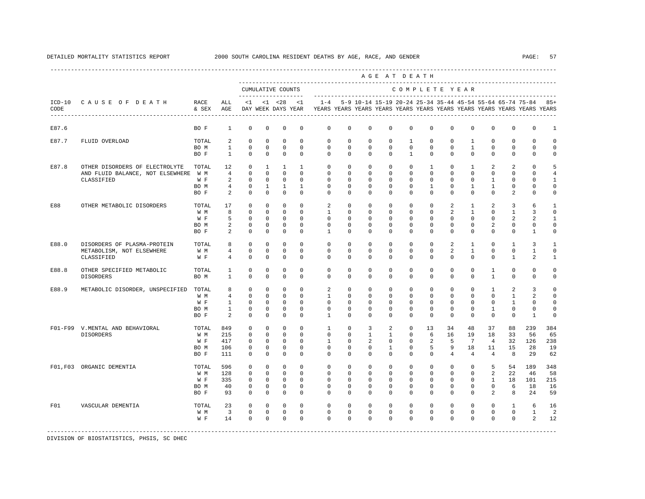|       |                                                          |               |                              |                            |                           |                                          |                         |                      |                      |                      |                      | AGE AT DEATH                                              |                         |                         |                             |                      |                          |                                                                         |                         |
|-------|----------------------------------------------------------|---------------|------------------------------|----------------------------|---------------------------|------------------------------------------|-------------------------|----------------------|----------------------|----------------------|----------------------|-----------------------------------------------------------|-------------------------|-------------------------|-----------------------------|----------------------|--------------------------|-------------------------------------------------------------------------|-------------------------|
|       |                                                          |               |                              |                            |                           | CUMULATIVE COUNTS<br>------------------- |                         |                      |                      |                      |                      | COMPLETE YEAR                                             |                         |                         |                             |                      |                          |                                                                         |                         |
| CODE  | ICD-10 CAUSE OF DEATH<br>------------------------------- | RACE<br>& SEX | ALL<br>AGE                   | $\leq 1$                   |                           | $< 1$ $< 28$<br>DAY WEEK DAYS YEAR       | < 1                     | $1 - 4$              |                      |                      |                      | 5-9 10-14 15-19 20-24 25-34 35-44 45-54 55-64 65-74 75-84 |                         |                         |                             |                      |                          | YEARS YEARS YEARS YEARS YEARS YEARS YEARS YEARS YEARS YEARS YEARS YEARS | $85+$                   |
| E87.6 |                                                          | BO F          | $\mathbf{1}$                 | $\circ$                    | $^{\circ}$                | 0                                        | $^{\circ}$              | $\mathbf{0}$         | $\mathbf{0}$         | 0                    | 0                    | $\mathbf{0}$                                              | $\mathbf{0}$            | 0                       | $^{\circ}$                  | $^{\circ}$           | $\mathbf 0$              | $\mathbf 0$                                                             | 1                       |
| E87.7 | FLUID OVERLOAD                                           | TOTAL         | 2                            | $\mathbf 0$                | $^{\circ}$                | $^{\circ}$                               | $\Omega$                | $\mathbf{0}$         | 0                    | $^{\circ}$           | $^{\circ}$           | 1                                                         | $\mathbf 0$             | $\mathbf 0$             | $\mathbf{1}$                | $^{\circ}$           | $\mathbf 0$              | 0                                                                       | $\Omega$                |
|       |                                                          | BO M<br>BO F  | $\mathbf{1}$<br>$\mathbf{1}$ | $\mathbf 0$<br>$\mathbf 0$ | $\circ$<br>$^{\circ}$     | $\circ$<br>$\mathbf{0}$                  | $\Omega$<br>$\Omega$    | $\Omega$<br>$\Omega$ | $\Omega$<br>$\Omega$ | $\Omega$<br>$\Omega$ | $\Omega$<br>$\Omega$ | $\Omega$<br>$\overline{1}$                                | $\Omega$<br>$\mathbf 0$ | $\Omega$<br>$\Omega$    | $\mathbf{1}$<br>$\mathbf 0$ | $\Omega$<br>$\Omega$ | $\mathbf{0}$<br>$\Omega$ | $\mathbf 0$<br>$\Omega$                                                 | $\Omega$<br>$\mathbf 0$ |
| E87.8 | OTHER DISORDERS OF ELECTROLYTE                           | TOTAL         | 12                           | $\mathbf 0$                | $\mathbf{1}$              | $\mathbf{1}$                             | $\mathbf{1}$            | $\Omega$             | $\Omega$             | $\mathbf 0$          | $\mathbf 0$          | $\Omega$                                                  | $\mathbf{1}$            | $\Omega$                | $\mathbf{1}$                | 2                    | 2                        | $\Omega$                                                                | 5                       |
|       | AND FLUID BALANCE, NOT ELSEWHERE W M                     |               | $\overline{4}$               | $\mathbf 0$                | $^{\circ}$                | $\mathbf{0}$                             | $\mathbf 0$             | $\mathbf 0$          | $\mathbf 0$          | $\mathbf 0$          | $\mathbf 0$          | $\mathbf{0}$                                              | $\mathbf 0$             | $\mathbf 0$             | $\mathbf 0$                 | $\mathbf 0$          | $\mathbf{0}$             | $\mathbf 0$                                                             | $\overline{4}$          |
|       | CLASSIFIED                                               | W F           | 2                            | $\mathbf 0$                | $^{\circ}$                | $^{\circ}$                               | $\Omega$                | $\Omega$             | $\mathbf{0}$         | $^{\circ}$           | $^{\circ}$           | $\mathbf{0}$                                              | $\Omega$                | $\Omega$                | 0                           | $\mathbf{1}$         | $\mathbf 0$              | $\Omega$                                                                | $\mathbf{1}$            |
|       |                                                          | BO M          | $\overline{4}$               | $\circ$                    | $\mathbf{1}$              | $\mathbf{1}$                             | 1                       | $\mathbf{0}$         | $\mathbf{0}$         | 0                    | 0                    | $\mathbf{0}$                                              | 1                       | $\mathbf{0}$            | $\mathbf{1}$                | $\mathbf{1}$         | $\mathbf 0$              | $\mathbf 0$                                                             | $\mathbf 0$             |
|       |                                                          | BO F          | 2                            | $\mathbf 0$                | $^{\circ}$                | $\mathbf 0$                              | $\mathbf 0$             | $\mathbf 0$          | 0                    | $\mathbf 0$          | 0                    | $\Omega$                                                  | $\mathbf 0$             | $\Omega$                | $\mathbf 0$                 | $\mathbf 0$          | 2                        | 0                                                                       | 0                       |
| E88   | OTHER METABOLIC DISORDERS                                | TOTAL         | 17                           | $\mathbf 0$                | $\circ$                   | $^{\circ}$                               | $\Omega$                | 2                    | $\mathbf 0$          | $\mathbf 0$          | $\mathbf 0$          | $\Omega$                                                  | $\Omega$                | 2                       | $\mathbf{1}$                | 2                    | 3                        | 6                                                                       | $\mathbf{1}$            |
|       |                                                          | W M           | 8                            | $\Omega$                   | $\Omega$                  | $\mathbf 0$                              | $\Omega$                | $\overline{1}$       | $\Omega$             | $\Omega$             | $\Omega$             | $\Omega$                                                  | $\Omega$                | 2                       | $\mathbf{1}$                | $\Omega$             | $\mathbf{1}$             | 3                                                                       | $\Omega$                |
|       |                                                          | W F           | 5                            | $\mathbf 0$                | $^{\circ}$                | $^{\circ}$                               | $\Omega$                | $\Omega$             | $\Omega$             | $\Omega$             | $\Omega$             | $\Omega$                                                  | $\Omega$                | $\Omega$                | $\Omega$                    | $\Omega$             | 2                        | 2                                                                       | $\mathbf{1}$            |
|       |                                                          | BO M          | $\overline{a}$               | $\mathbf 0$                | $\mathbf 0$               | $\mathbf 0$                              | $\mathbf 0$             | $\mathbf 0$          | 0                    | 0                    | $\mathbf 0$          | $\mathbf 0$                                               | $\mathbf 0$             | $\mathbf 0$             | $\mathbf 0$                 | 2                    | 0                        | $\mathsf 0$                                                             | $\mathbf 0$             |
|       |                                                          | BO F          | 2                            | $\mathbf 0$                | $^{\circ}$                | $\mathbf 0$                              | $\mathbf 0$             | $\mathbf{1}$         | $\mathbf 0$          | $\mathbf 0$          | $\mathbf 0$          | $\mathbf 0$                                               | $\mathbf 0$             | $\mathbf 0$             | $\mathbf 0$                 | $\mathbf 0$          | $\mathbf{0}$             | 1                                                                       | 0                       |
| E88.0 | DISORDERS OF PLASMA-PROTEIN                              | TOTAL         | 8                            | $\circ$                    | $^{\circ}$                | 0                                        | $\Omega$                | 0                    | 0                    | $^{\circ}$           | 0                    | $\Omega$                                                  | $\Omega$                | 2                       | $\mathbf{1}$                | $\Omega$             | 1                        | 3                                                                       | $\mathbf{1}$            |
|       | METABOLISM, NOT ELSEWHERE                                | W M           | $\overline{4}$               | $\mathbf 0$                | $^{\circ}$                | $\mathbf 0$                              | $\Omega$                | $\Omega$             | $\Omega$             | $\Omega$             | $\Omega$             | $\Omega$                                                  | $\Omega$                | 2                       | $\mathbf{1}$                | $\Omega$             | $\Omega$                 | 1                                                                       | $\Omega$                |
|       | CLASSIFIED                                               | W F           | 4                            | $\mathbf 0$                | $\mathbf 0$               | $\mathbf 0$                              | $\Omega$                | $\Omega$             | $\Omega$             | $\Omega$             | $\Omega$             | $\Omega$                                                  | $\Omega$                | $\Omega$                | $\Omega$                    | $\Omega$             | 1                        | 2                                                                       | $\mathbf{1}$            |
| E88.8 | OTHER SPECIFIED METABOLIC                                | TOTAL         | 1                            | $\mathbf 0$                | $\Omega$                  | $\Omega$                                 | $\Omega$                | $\Omega$             | $\Omega$             | $\Omega$             | $\Omega$             | $\Omega$                                                  | $\Omega$                | $\Omega$                | $\Omega$                    | $\mathbf{1}$         | $\Omega$                 | $\Omega$                                                                | $\Omega$                |
|       | DISORDERS                                                | BO M          | $\mathbf{1}$                 | $\mathbf 0$                | $\mathbf 0$               | $\mathbf 0$                              | $\Omega$                | $\Omega$             | $\Omega$             | $\Omega$             | $\Omega$             | $\Omega$                                                  | $\Omega$                | $\Omega$                | $\Omega$                    | $\mathbf{1}$         | $\mathbf 0$              | $\Omega$                                                                | $\mathbf 0$             |
| E88.9 | METABOLIC DISORDER, UNSPECIFIED                          | TOTAL         | 8                            | $\mathbf 0$                | $^{\circ}$                | $\mathbf 0$                              | $\mathbf 0$             | 2                    | $\mathbf 0$          | $^{\circ}$           | 0                    | $\mathbf 0$                                               | $\mathbf{0}$            | $\mathbf 0$             | $^{\circ}$                  | $\mathbf{1}$         | 2                        | 3                                                                       | $\mathbf 0$             |
|       |                                                          | W M           | $\overline{4}$               | $\mathbf 0$                | $^{\circ}$                | $^{\circ}$                               | $\mathbf 0$             | 1                    | 0                    | 0                    | 0                    | $\Omega$                                                  | $\Omega$                | $\Omega$                | 0                           | $\Omega$             | 1                        | 2                                                                       | $\mathbf 0$             |
|       |                                                          | W F           | $\mathbf{1}$                 | $\mathbf 0$                | $^{\circ}$                | $^{\circ}$                               | $\Omega$                | $\Omega$             | $\Omega$             | $\Omega$             | $\Omega$             | $\Omega$                                                  | $\Omega$                | $\Omega$                | $\Omega$                    | $^{\circ}$           | 1                        | $\mathbf 0$                                                             | $\Omega$                |
|       |                                                          | BO M<br>BO F  | $\mathbf{1}$<br>2            | $\mathbf 0$<br>$\mathbf 0$ | $^{\circ}$<br>$\mathbf 0$ | $\mathbf 0$<br>$\mathbf 0$               | $\mathbf 0$<br>$\Omega$ | 0<br>$\overline{1}$  | 0<br>$\Omega$        | 0<br>$\Omega$        | 0<br>0               | $\mathbf 0$<br>$\Omega$                                   | $\mathbf 0$<br>$\Omega$ | $\mathbf 0$<br>$\Omega$ | $^{\circ}$<br>$\Omega$      | 1<br>$\Omega$        | $\mathbf 0$<br>$\Omega$  | $\mathbf 0$<br>$\mathbf{1}$                                             | $\mathbf 0$<br>$\Omega$ |
|       | F01-F99 V.MENTAL AND BEHAVIORAL                          | TOTAL         | 849                          | $\mathbf 0$                | $\mathbf 0$               | $\mathbf 0$                              | $\mathbf 0$             | $\mathbf{1}$         | $\mathbf 0$          | 3                    | 2                    | $\mathbf 0$                                               | 13                      | 34                      | 48                          | 37                   | 88                       | 239                                                                     | 384                     |
|       | <b>DISORDERS</b>                                         | W M           | 215                          | $\mathbf 0$                | $^{\circ}$                | $\mathbf 0$                              | $\Omega$                | $\Omega$             | $\Omega$             | $\mathbf{1}$         | $\mathbf{1}$         | $\mathbf 0$                                               | 6                       | 16                      | 19                          | 18                   | 33                       | 56                                                                      | 65                      |
|       |                                                          | W F           | 417                          | 0                          | $^{\circ}$                | $\mathbf 0$                              | 0                       | 1                    | 0                    | 2                    | 0                    | $\mathbf 0$                                               | 2                       | 5                       | $7\phantom{.0}$             | $\overline{4}$       | 32                       | 126                                                                     | 238                     |
|       |                                                          | BO M          | 106                          | 0                          | 0                         | 0                                        | 0                       | 0                    | 0                    | 0                    | 1                    | $\mathbf 0$                                               | 5                       | 9                       | 18                          | 11                   | 15                       | 28                                                                      | 19                      |
|       |                                                          | BO F          | 111                          | $\circ$                    | 0                         | 0                                        | $\Omega$                | $\Omega$             | $\Omega$             | $\Omega$             | $\Omega$             | $\Omega$                                                  | $\Omega$                | $\overline{4}$          | 4                           | $\overline{4}$       | 8                        | 29                                                                      | 62                      |
|       | F01.F03 ORGANIC DEMENTIA                                 | TOTAL         | 596                          | $^{\circ}$                 | $^{\circ}$                | $\mathbf 0$                              | $\Omega$                | $\mathbf 0$          | $\Omega$             | $\Omega$             | $\Omega$             | $\Omega$                                                  | $\Omega$                | $\Omega$                | $\mathbf 0$                 | 5                    | 54                       | 189                                                                     | 348                     |
|       |                                                          | W M           | 128                          | $\Omega$                   | $\Omega$                  | $\Omega$                                 | $\Omega$                | $\Omega$             | $\Omega$             | $\Omega$             | $\Omega$             | $\Omega$                                                  | $\Omega$                | $\Omega$                | $\Omega$                    | 2                    | 22                       | 46                                                                      | 58                      |
|       |                                                          | W F           | 335                          | $\mathbf 0$                | $^{\circ}$                | $^{\circ}$                               | $\Omega$                | $\Omega$             | $\Omega$             | $\Omega$             | $\Omega$             | $\Omega$                                                  | $\Omega$                | $\Omega$                | $\Omega$                    | $\mathbf{1}$         | 18                       | 101                                                                     | 215                     |
|       |                                                          | BO M          | 40                           | 0                          | $^{\circ}$                | 0                                        | $^{\circ}$              | 0                    | 0                    | 0                    | 0                    | $\mathbf{0}$                                              | 0                       | 0                       | $^{\circ}$                  | $\circ$              | 6                        | 18                                                                      | 16                      |
|       |                                                          | BO F          | 93                           | $\circ$                    | $^{\circ}$                | 0                                        | 0                       | $\mathbf{0}$         | 0                    | 0                    | 0                    | $\mathbf{0}$                                              | $\mathbf{0}$            | 0                       | 0                           | 2                    | 8                        | 24                                                                      | 59                      |
| F01   | VASCULAR DEMENTIA                                        | TOTAL         | 23                           | $\circ$                    | $\circ$                   | $\circ$                                  | $\Omega$                | $\mathbf 0$          | $\mathbf 0$          | $\mathbf 0$          | $\mathbf 0$          | $\mathbf 0$                                               | $\mathbf 0$             | $\mathbf 0$             | $\mathbf 0$                 | $\mathbf 0$          | $\mathbf{1}$             | 6                                                                       | 16                      |
|       |                                                          | W M           | $\overline{\mathbf{3}}$      | $\mathbf 0$                | $\circ$                   | $\mathbf 0$                              | 0                       | $\mathbf 0$          | 0                    | $\mathbf 0$          | $\mathbf 0$          | $\mathbf 0$                                               | $\mathbf 0$             | $\mathbf 0$             | 0                           | $\mathbf 0$          | $\circ$                  | $\mathbf{1}$                                                            | 2                       |
|       |                                                          | W F           | 14                           | $\mathbf 0$                | $\mathbf 0$               | $\mathbf{0}$                             | $\Omega$                | $\Omega$             | $\Omega$             | $\Omega$             | $\Omega$             | $\Omega$                                                  | $\Omega$                | $\Omega$                | $\Omega$                    | $\Omega$             | $\Omega$                 | 2                                                                       | 12                      |
|       |                                                          |               |                              |                            |                           |                                          |                         |                      |                      |                      |                      |                                                           |                         |                         |                             |                      |                          |                                                                         |                         |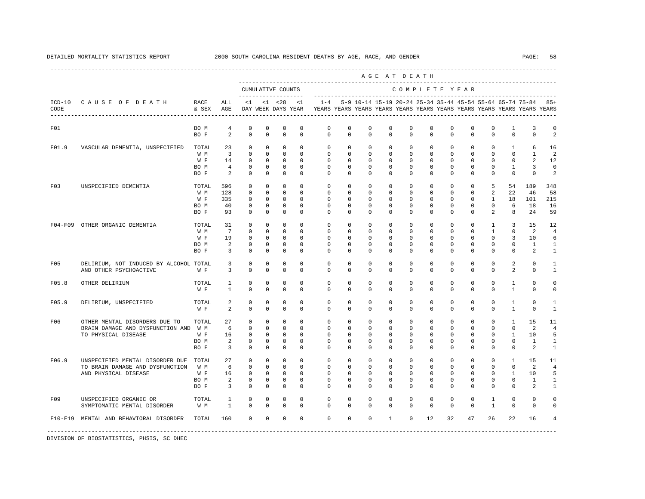---------------------------------------------------------------------------------------------------------------------------------------------------- A G E A T D E A T H --------------------------------------------------------------------------------------------- CUMULATIVE COUNTS C O M P L E T E Y E A R ------------------- ----------------------------------------------------------------------- ICD-10 C A U S E O F D E A T H RACE ALL <1 <1 <28 <1 1-4 5-9 10-14 15-19 20-24 25-34 35-44 45-54 55-64 65-74 75-84 85+ CODE & SEX AGE DAY WEEK DAYS YEAR YEARS YEARS YEARS YEARS YEARS YEARS YEARS YEARS YEARS YEARS YEARS YEARS ---------------------------------------------------------------------------------------------------------------------------------------------------- F01 BO M 4 0 0 0 0 0 0 0 0 0 0 0 0 0 1 3 0 BOF 2 0 0 0 0 0 0 0 0 0 0 0 0 0 0 2 F01.9 VASCULAR DEMENTIA, UNSPECIFIED TOTAL 23 0 0 0 0 0 0 0 0 0 0 0 0 0 1 6 16 W M 3 0 0 0 0 0 0 0 0 0 0 0 0 0 0 1 2 W F 14 0 0 0 0 0 0 0 0 0 0 0 0 0 0 2 12 BO M 4 0 0 0 0 0 0 0 0 0 0 0 0 0 1 3 0 BOF 2 0 0 0 0 0 0 0 0 0 0 0 0 0 0 2 F03 UNSPECIFIED DEMENTIA TOTAL 596 0 0 0 0 0 0 0 0 0 0 0 0 5 54 189 348 W M 128 0 0 0 0 0 0 0 0 0 0 0 0 2 22 46 58 W F 335 0 0 0 0 0 0 0 0 0 0 0 0 0 1 18 101 215 BO M 40 0 0 0 0 0 0 0 0 0 0 0 0 0 6 18 16 BO F 93 0 0 0 0 0 0 0 0 0 0 0 0 2 8 24 59 F04-F09 OTHER ORGANIC DEMENTIA TOTAL 31 0 0 0 0 0 0 0 0 0 0 0 0 1 3 15 12 W M 7 0 0 0 0 0 0 0 0 0 0 0 0 1 0 2 4 W F 19 0 0 0 0 0 0 0 0 0 0 0 0 0 0 3 10 6 BOM 2 0 0 0 0 0 0 0 0 0 0 0 0 0 1 1 BO F 3 0 0 0 0 0 0 0 0 0 0 0 0 0 0 2 1 F05 DELIRIUM, NOT INDUCED BY ALCOHOL TOTAL 3 0 0 0 0 0 0 0 0 0 0 0 0 0 2 0 1 AND OTHER PSYCHOACTIVE W F 3 0 0 0 0 0 0 0 0 0 0 0 0 0 2 0 1 F05.8 OTHER DELIRIUM TOTAL 1 0 0 0 0 0 0 0 0 0 0 0 0 0 1 0 0 W F 1 0 0 0 0 0 0 0 0 0 0 0 0 0 0 1 0 0 F05.9 DELIRIUM, UNSPECIFIED TOTAL 2 0 0 0 0 0 0 0 0 0 0 0 0 0 1 0 1 W F 2 0 0 0 0 0 0 0 0 0 0 0 0 0 1 0 1 F06 OTHER MENTAL DISORDERS DUE TO TOTAL 27 0 0 0 0 0 0 0 0 0 0 0 0 0 1 15 11 BRAIN DAMAGE AND DYSFUNCTION AND W M 6 0 0 0 0 0 0 0 0 0 0 0 0 0 0 2 4 TO PHYSICAL DISEASE WE 16 0 0 0 0 0 0 0 0 0 0 0 0 0 0 1 10 5 BOM 2 0 0 0 0 0 0 0 0 0 0 0 0 0 1 1 BO F 3 0 0 0 0 0 0 0 0 0 0 0 0 0 0 2 1 F06.9 UNSPECIFIED MENTAL DISORDER DUE TOTAL 27 0 0 0 0 0 0 0 0 0 0 0 0 0 1 15 11 TO BRAIN DAMAGE AND DYSFUNCTION W M 6 0 0 0 0 0 0 0 0 0 0 0 0 0 0 0 0 0 2 4<br>AND PHYSICAL DISEASE WF 16 0 0 0 0 0 0 0 0 0 0 0 0 0 0 0 1 10 5 AND PHYSICAL DISEASE W F 16 0 0 0 0 0 0 0 0 0 0 0 0 0 1 10 5 BOM 2 0 0 0 0 0 0 0 0 0 0 0 0 0 0 1 1 BO F 3 0 0 0 0 0 0 0 0 0 0 0 0 0 0 2 1 F09 UNSPECIFIED ORGANIC OR TOTAL 1 0 0 0 0 0 0 0 0 0 0 0 0 1 0 0 0 SYMPTOMATIC MENTAL DISORDER F10-F19 MENTAL AND BEHAVIORAL DISORDER TOTAL 160 0 0 0 0 0 0 0 1 0 12 32 47 26 22 16 4 -----------------------------------------------------------------------------------------------------------------------------------------------------

DIVISION OF BIOSTATISTICS, PHSIS, SC DHEC

## DETAILED MORTALITY STATISTICS REPORT 2000 SOUTH CAROLINA RESIDENT DEATHS BY AGE, RACE, AND GENDER PAGE: 58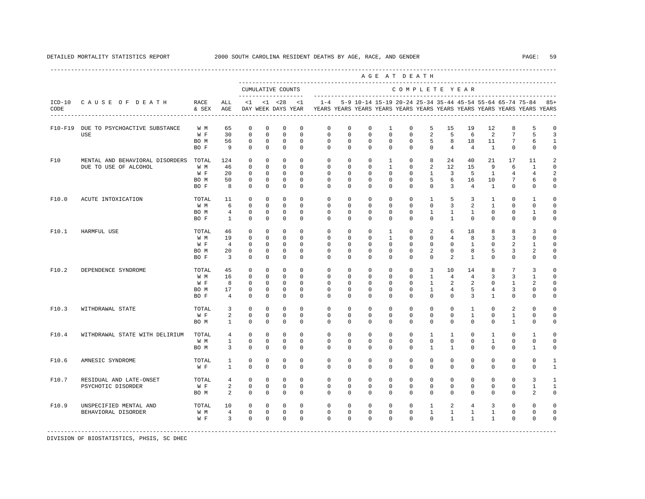|                  |                                                          |                                     |                                                             |                                                                    |                                                                          |                                                                       |                                                                   |                                                                      |                                                              |                                                                                          |                                                                       | AGE AT DEATH                                                            |                                                          |                                                     |                                                 |                                                      |                                                 |                                                                         |                                                               |
|------------------|----------------------------------------------------------|-------------------------------------|-------------------------------------------------------------|--------------------------------------------------------------------|--------------------------------------------------------------------------|-----------------------------------------------------------------------|-------------------------------------------------------------------|----------------------------------------------------------------------|--------------------------------------------------------------|------------------------------------------------------------------------------------------|-----------------------------------------------------------------------|-------------------------------------------------------------------------|----------------------------------------------------------|-----------------------------------------------------|-------------------------------------------------|------------------------------------------------------|-------------------------------------------------|-------------------------------------------------------------------------|---------------------------------------------------------------|
|                  |                                                          |                                     |                                                             |                                                                    |                                                                          | CUMULATIVE COUNTS                                                     |                                                                   |                                                                      |                                                              |                                                                                          |                                                                       | COMPLETE YEAR                                                           |                                                          |                                                     |                                                 |                                                      |                                                 |                                                                         |                                                               |
| $ICD-10$<br>CODE | CAUSE OF DEATH                                           | RACE<br>& SEX                       | ALL<br>AGE                                                  | $\leq 1$                                                           |                                                                          | -------------------<br>$< 1$ $< 28$<br>DAY WEEK DAYS YEAR             | $\leq 1$                                                          | $1 - 4$                                                              |                                                              | ---------------------------<br>5-9 10-14 15-19 20-24 25-34 35-44 45-54 55-64 65-74 75-84 |                                                                       |                                                                         |                                                          |                                                     |                                                 |                                                      |                                                 | YEARS YEARS YEARS YEARS YEARS YEARS YEARS YEARS YEARS YEARS YEARS YEARS | $85+$                                                         |
|                  | F10-F19 DUE TO PSYCHOACTIVE SUBSTANCE<br>USE             | W M<br>W F<br>BO M<br>BO F          | 65<br>30<br>56<br>9                                         | $\mathbf 0$<br>$\mathbf 0$<br>$\mathbf 0$<br>$\mathbf 0$           | $\mathbf 0$<br>$\mathbf 0$<br>$\mathbf 0$<br>$\mathbf 0$                 | $^{\circ}$<br>$\mathbf{0}$<br>$^{\circ}$<br>$^{\circ}$                | $^{\circ}$<br>$\mathbf{0}$<br>$\Omega$<br>$\Omega$                | $\mathbf 0$<br>$\mathbf{0}$<br>$\circ$<br>$\circ$                    | $\mathbf 0$<br>$\Omega$<br>$\Omega$<br>$\mathbf 0$           | $\mathbf 0$<br>$\mathbf 0$<br>$\Omega$<br>$\mathbf 0$                                    | $\mathbf{1}$<br>$\Omega$<br>$\Omega$<br>$\mathbf 0$                   | $\mathbf 0$<br>$\Omega$<br>$\Omega$<br>$\mathbf 0$                      | 5<br>2<br>5<br>$\mathbf 0$                               | 15<br>5<br>8<br>$\overline{4}$                      | 19<br>6<br>18<br>$\overline{4}$                 | 12<br>2<br>11<br>$\mathbf{1}$                        | 8<br>$7\phantom{.0}$<br>7<br>$\Omega$           | 5<br>5<br>6<br>$\mathbf 0$                                              | $\mathbf 0$<br>$\overline{3}$<br>$\mathbf{1}$<br>$\circ$      |
| F10              | MENTAL AND BEHAVIORAL DISORDERS<br>DUE TO USE OF ALCOHOL | TOTAL<br>W M<br>W F<br>BO M<br>BO F | 124<br>46<br>20<br>50<br>8                                  | $^{\circ}$<br>$\mathbf 0$<br>$\mathbf 0$<br>$^{\circ}$<br>$\Omega$ | $\mathbf 0$<br>$\mathbf{0}$<br>$\mathbf{0}$<br>$^{\circ}$<br>$\mathbf 0$ | $\mathbf{0}$<br>$^{\circ}$<br>$\circ$<br>$^{\circ}$<br>$^{\circ}$     | $\mathbf{0}$<br>$\mathbf 0$<br>$\Omega$<br>$^{\circ}$<br>$\Omega$ | $\mathbf 0$<br>$\mathbf 0$<br>$\Omega$<br>$\mathbf 0$<br>$\mathbf 0$ | $\mathbf 0$<br>$\circ$<br>$\Omega$<br>$\circ$<br>$\mathbf 0$ | $\mathbf 0$<br>$\mathbf 0$<br>$\mathbf 0$<br>$^{\circ}$<br>$\mathbf 0$                   | $\mathbf{1}$<br>$\mathbf{1}$<br>$\Omega$<br>$\circ$<br>$\mathbf 0$    | $\mathbf 0$<br>$\mathbf{0}$<br>$\Omega$<br>$\mathbf{0}$<br>$\mathbf{0}$ | 8<br>2<br>$\mathbf{1}$<br>5<br>$\mathbf{0}$              | 24<br>12<br>3<br>6<br>3                             | 40<br>15<br>5<br>16<br>$\overline{4}$           | 21<br>9<br>$\mathbf{1}$<br>10<br>$\mathbf{1}$        | 17<br>6<br>$\overline{4}$<br>7<br>$\mathbf 0$   | 11<br>1<br>$\overline{4}$<br>6<br>$\mathbf{0}$                          | $\sqrt{2}$<br>$\circ$<br>$\overline{a}$<br>$\circ$<br>$\circ$ |
| F10.0            | ACUTE INTOXICATION                                       | TOTAL<br>W M<br>BO M<br>BO F        | 11<br>6<br>$\overline{4}$<br>$\mathbf{1}$                   | $^{\circ}$<br>$\mathbf 0$<br>$\Omega$<br>$\Omega$                  | $\circ$<br>$\circ$<br>$\circ$<br>$\mathbf 0$                             | $^{\circ}$<br>$\mathbf 0$<br>0<br>$\mathbf 0$                         | $\mathbf{0}$<br>$\Omega$<br>$\Omega$<br>$\Omega$                  | $\mathbf{0}$<br>$\mathbf{0}$<br>$\Omega$<br>$\Omega$                 | $\mathbf 0$<br>$\Omega$<br>$\Omega$<br>$\Omega$              | $\mathbf 0$<br>$\mathbf 0$<br>$\Omega$<br>$\Omega$                                       | $\mathbf 0$<br>$\Omega$<br>$\Omega$<br>$\Omega$                       | $\mathbf{0}$<br>$\mathbf{0}$<br>$\Omega$<br>$\Omega$                    | $\mathbf{1}$<br>$\mathbf{0}$<br>$\mathbf{1}$<br>$\Omega$ | 5<br>3<br>$\mathbf{1}$<br>$\mathbf{1}$              | $\overline{3}$<br>2<br>$\mathbf{1}$<br>$\Omega$ | $\mathbf{1}$<br>$\mathbf{1}$<br>$\Omega$<br>$\Omega$ | $\mathbf 0$<br>$\Omega$<br>$\Omega$<br>$\Omega$ | $\mathbf{1}$<br>$\mathbf 0$<br>1<br>$\Omega$                            | $\mathbf 0$<br>$\circ$<br>$\mathbf 0$<br>$\mathbf 0$          |
| F10.1            | HARMFUL USE                                              | TOTAL<br>W M<br>W F<br>BO M<br>BO F | 46<br>19<br>$\overline{4}$<br>20<br>$\overline{\mathbf{3}}$ | $\Omega$<br>$\Omega$<br>$\Omega$<br>0<br>$\circ$                   | $\Omega$<br>$\Omega$<br>$\Omega$<br>$\mathbf 0$<br>$\circ$               | $\Omega$<br>$\Omega$<br>$\Omega$<br>$\mathbf 0$<br>0                  | $\Omega$<br>$\Omega$<br>$\Omega$<br>$^{\circ}$<br>$^{\circ}$      | $\Omega$<br>$\mathbf 0$<br>$\Omega$<br>$\mathbf 0$<br>$\mathbf 0$    | $\Omega$<br>$\Omega$<br>$\Omega$<br>$\mathbf 0$<br>0         | $\Omega$<br>$\Omega$<br>$\Omega$<br>$\mathbf 0$<br>$^{\circ}$                            | $\mathbf{1}$<br>$\mathbf{1}$<br>$\Omega$<br>$\mathbf 0$<br>$^{\circ}$ | $\Omega$<br>$\Omega$<br>$\Omega$<br>$\mathbb O$<br>$\mathbf{0}$         | 2<br>$\Omega$<br>$\Omega$<br>2<br>$\mathbf 0$            | 6<br>$\overline{4}$<br>$\Omega$<br>$\mathbf 0$<br>2 | 18<br>8<br>$\mathbf{1}$<br>8<br>1               | 8<br>3<br>$\Omega$<br>5<br>$\mathbf 0$               | 8<br>3<br>$\overline{a}$<br>3<br>$\mathbf 0$    | 3<br>$\Omega$<br>$\mathbf{1}$<br>$\overline{a}$<br>$\mathbf 0$          | $\mathbf 0$<br>$\circ$<br>$\Omega$<br>$\mathbb O$<br>$\circ$  |
| F10.2            | DEPENDENCE SYNDROME                                      | TOTAL<br>W M<br>W F<br>BO M<br>BO F | 45<br>16<br>8<br>17<br>$\overline{4}$                       | $\mathbf 0$<br>$\mathbf 0$<br>$\circ$<br>$\mathbf 0$<br>$\Omega$   | $\mathbf 0$<br>$\circ$<br>$\circ$<br>0<br>$\mathbf 0$                    | $^{\circ}$<br>$\mathbf 0$<br>$^{\circ}$<br>$\mathbf 0$<br>$\mathbf 0$ | $^{\circ}$<br>$\mathbf 0$<br>$\Omega$<br>$\mathbf 0$<br>$\Omega$  | $\mathbf 0$<br>$\mathbf 0$<br>$\mathbf 0$<br>0<br>$\mathbf 0$        | $\mathbf 0$<br>$\circ$<br>$\Omega$<br>0<br>$\mathbf 0$       | $\mathbf 0$<br>$\mathbf 0$<br>$\mathbf 0$<br>$\mathbf 0$<br>$\mathbf 0$                  | $\mathbf 0$<br>$\mathbf 0$<br>$\Omega$<br>$\mathbf 0$<br>$\mathbf 0$  | $\mathbf 0$<br>$\mathbf 0$<br>$\Omega$<br>$\mathbf 0$<br>$\Omega$       | 3<br>1<br>$\mathbf{1}$<br>$\mathbf{1}$<br>$\mathbf{0}$   | 10<br>4<br>2<br>$\overline{4}$<br>$\Omega$          | 14<br>4<br>$\overline{2}$<br>5<br>3             | 8<br>3<br>$\Omega$<br>4<br>$\mathbf{1}$              | 7<br>3<br>1<br>3<br>$\Omega$                    | 3<br>1<br>2<br>$\mathbf 0$<br>$\Omega$                                  | $\mathbf 0$<br>$\circ$<br>$\mathbf 0$<br>$\circ$<br>$\circ$   |
| F10.3            | WITHDRAWAL STATE                                         | TOTAL<br>W F<br>BO M                | 3<br>2<br>$\mathbf{1}$                                      | $\mathbf 0$<br>$\Omega$<br>$\Omega$                                | $\mathbf 0$<br>$\Omega$<br>$\mathbf 0$                                   | $\mathbf 0$<br>$\mathbf 0$<br>$\mathbf 0$                             | $\Omega$<br>$\Omega$<br>$\Omega$                                  | $\mathbf 0$<br>$\Omega$<br>$\Omega$                                  | $\mathbf 0$<br>$\Omega$<br>$\Omega$                          | $\mathbf 0$<br>$\Omega$<br>$\Omega$                                                      | $\mathbf 0$<br>$\Omega$<br>$\Omega$                                   | $\mathbf{0}$<br>$\Omega$<br>$\Omega$                                    | $\mathbf{0}$<br>$\mathbf 0$<br>$\Omega$                  | $\mathbf 0$<br>$\mathbf 0$<br>$\Omega$              | $\mathbf{1}$<br>$\mathbf{1}$<br>$\Omega$        | $\Omega$<br>$\Omega$<br>$\Omega$                     | 2<br>$\mathbf{1}$<br>$\mathbf{1}$               | $\Omega$<br>$\Omega$<br>$\Omega$                                        | $\mathbf 0$<br>$\circ$<br>$\circ$                             |
| F10.4            | WITHDRAWAL STATE WITH DELIRIUM                           | TOTAL<br>W M<br>BO M                | $\overline{4}$<br>$\mathbf{1}$<br>$\overline{3}$            | $\Omega$<br>$\mathbb O$<br>$\mathbf 0$                             | $\Omega$<br>$\mathbf 0$<br>$\mathbf 0$                                   | $\Omega$<br>$\mathbb O$<br>$^{\circ}$                                 | $\Omega$<br>$\mathbb O$<br>$^{\circ}$                             | $\Omega$<br>$\mathbb O$<br>$\mathbf 0$                               | $\Omega$<br>$\mathsf{O}\xspace$<br>$\mathbf 0$               | $\Omega$<br>$\mathbb O$<br>$\mathbf 0$                                                   | $\Omega$<br>$\mathbb O$<br>$\mathbf 0$                                | $\Omega$<br>$\mathbb O$<br>$\mathbf 0$                                  | $\mathbf{1}$<br>$\mathbb O$<br>1                         | $\mathbf{1}$<br>$\mathsf 0$<br>1                    | $\Omega$<br>$\mathbf 0$<br>$^{\circ}$           | $\mathbf{1}$<br>$\mathbf{1}$<br>$\Omega$             | $\Omega$<br>$\mathbf 0$<br>0                    | $\mathbf{1}$<br>$\mathbb O$<br>1                                        | $\Omega$<br>$\mathsf{O}$<br>$\mathbf 0$                       |
| F10.6            | AMNESIC SYNDROME                                         | TOTAL<br>W F                        | $\mathbf{1}$<br>$\mathbf{1}$                                | 0<br>$\Omega$                                                      | $^{\circ}$<br>$\Omega$                                                   | 0<br>$\mathbf{0}$                                                     | $\mathbf 0$<br>$\Omega$                                           | $\mathbf 0$<br>$\mathbf 0$                                           | $\mathbf 0$<br>$\mathbf 0$                                   | $\mathbf 0$<br>$\Omega$                                                                  | $\mathbf 0$<br>$\mathbf 0$                                            | $\mathbf{0}$<br>$\Omega$                                                | $\mathbf{0}$<br>$\mathbf 0$                              | $\mathbf 0$<br>$\Omega$                             | $\mathbf 0$<br>$\mathbf 0$                      | $\mathbf 0$<br>$\Omega$                              | $\mathbf 0$<br>$\Omega$                         | $\mathbf{0}$<br>$\Omega$                                                | 1<br>$\mathbf{1}$                                             |
| F10.7            | RESIDUAL AND LATE-ONSET<br>PSYCHOTIC DISORDER            | TOTAL<br>W F<br>BO M                | 4<br>2<br>2                                                 | $\Omega$<br>$\mathbf 0$<br>$\circ$                                 | $^{\circ}$<br>$\mathbf 0$<br>$\mathbf 0$                                 | $^{\circ}$<br>$^{\circ}$<br>$^{\circ}$                                | $^{\circ}$<br>$\Omega$<br>$^{\circ}$                              | $\mathbf 0$<br>$\mathbf 0$<br>$^{\circ}$                             | $\mathbf 0$<br>$\Omega$<br>$\circ$                           | $\mathbf 0$<br>$\mathbf 0$<br>$^{\circ}$                                                 | $\mathbf 0$<br>$\Omega$<br>$\mathbf 0$                                | $\mathbf{0}$<br>$\mathbf{0}$<br>$\mathbf 0$                             | $\mathbf 0$<br>$\mathbf{0}$<br>$\mathbf 0$               | $\mathbf 0$<br>$\mathbf 0$<br>$\mathbf 0$           | $\mathbf 0$<br>$\mathbf 0$<br>$\mathbf 0$       | $\Omega$<br>$\Omega$<br>$\Omega$                     | $\Omega$<br>$\Omega$<br>$\mathbf 0$             | 3<br>$\mathbf{1}$<br>2                                                  | 1<br>$\mathbf{1}$<br>$\mathbf 0$                              |
| F10.9            | UNSPECIFIED MENTAL AND<br>BEHAVIORAL DISORDER            | TOTAL<br>W M<br>W F                 | 10<br>$\overline{4}$<br>$\overline{3}$                      | $\mathbf 0$<br>$\mathbf 0$<br>$\Omega$                             | $\mathbf 0$<br>$\mathbf 0$<br>$\Omega$                                   | $\circ$<br>$\circ$<br>$\mathbf{0}$                                    | $\Omega$<br>$\circ$<br>$\Omega$                                   | $\Omega$<br>$\mathbf 0$<br>$\Omega$                                  | $\Omega$<br>0<br>$\Omega$                                    | $\Omega$<br>$\mathbf 0$<br>$\Omega$                                                      | $\Omega$<br>$\mathbf 0$<br>$\Omega$                                   | $\Omega$<br>$\mathbf 0$<br>$\Omega$                                     | $\mathbf{1}$<br>$\mathbf{1}$<br>$\Omega$                 | 2<br>$\mathbf{1}$<br>$\mathbf{1}$                   | $\overline{4}$<br>$\mathbf{1}$<br>$\mathbf{1}$  | 3<br>$\mathbf{1}$<br>$\mathbf{1}$                    | $\Omega$<br>$\mathbf 0$<br>$\Omega$             | $\Omega$<br>$\mathbf{0}$<br>$\Omega$                                    | $\Omega$<br>$\circ$<br>$\circ$                                |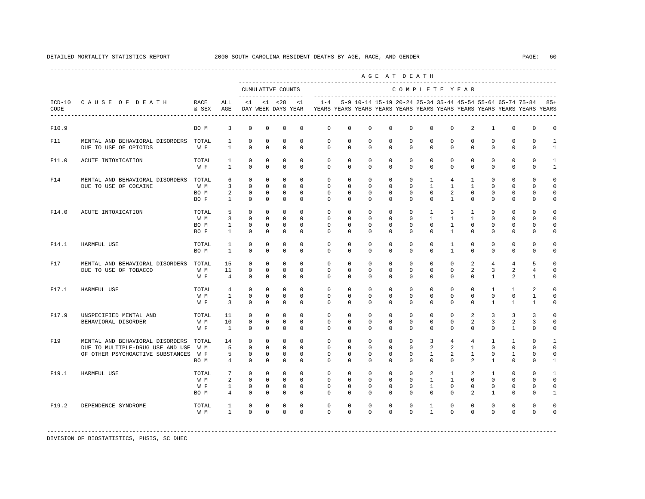|                                                          |                              |                                                                                                               |                                                    |                                                       |                                                       |                                                 |                                                     |          |                                  |                                                                                                                                                                                                                                                                                                                                                                                                 |                                                                                                                                                                                                                                                                                                                                                                                                                                                                                                                                                                                                                                                                | AGE AT DEATH                                                                                                                 |                                                                                                                                                                                                                                                                                                |                                                                                                                                                                                                                                                                                                                                                                                                                                          |                                                                                                                                                                                                                                                                                                                                                                                                                                                               |                                                                                                                                                                                                                                                                                                                                                                                                                                                         |                                                                                                                                                                                                                                                                                                                                                                                                                                                                                              |                                                                                                                                                                                                                                                                                                                                                                                                                                                                                                                                                                                                                                                                                                                                                                                                                                                                                                        |
|----------------------------------------------------------|------------------------------|---------------------------------------------------------------------------------------------------------------|----------------------------------------------------|-------------------------------------------------------|-------------------------------------------------------|-------------------------------------------------|-----------------------------------------------------|----------|----------------------------------|-------------------------------------------------------------------------------------------------------------------------------------------------------------------------------------------------------------------------------------------------------------------------------------------------------------------------------------------------------------------------------------------------|----------------------------------------------------------------------------------------------------------------------------------------------------------------------------------------------------------------------------------------------------------------------------------------------------------------------------------------------------------------------------------------------------------------------------------------------------------------------------------------------------------------------------------------------------------------------------------------------------------------------------------------------------------------|------------------------------------------------------------------------------------------------------------------------------|------------------------------------------------------------------------------------------------------------------------------------------------------------------------------------------------------------------------------------------------------------------------------------------------|------------------------------------------------------------------------------------------------------------------------------------------------------------------------------------------------------------------------------------------------------------------------------------------------------------------------------------------------------------------------------------------------------------------------------------------|---------------------------------------------------------------------------------------------------------------------------------------------------------------------------------------------------------------------------------------------------------------------------------------------------------------------------------------------------------------------------------------------------------------------------------------------------------------|---------------------------------------------------------------------------------------------------------------------------------------------------------------------------------------------------------------------------------------------------------------------------------------------------------------------------------------------------------------------------------------------------------------------------------------------------------|----------------------------------------------------------------------------------------------------------------------------------------------------------------------------------------------------------------------------------------------------------------------------------------------------------------------------------------------------------------------------------------------------------------------------------------------------------------------------------------------|--------------------------------------------------------------------------------------------------------------------------------------------------------------------------------------------------------------------------------------------------------------------------------------------------------------------------------------------------------------------------------------------------------------------------------------------------------------------------------------------------------------------------------------------------------------------------------------------------------------------------------------------------------------------------------------------------------------------------------------------------------------------------------------------------------------------------------------------------------------------------------------------------------|
|                                                          |                              |                                                                                                               |                                                    |                                                       | CUMULATIVE COUNTS                                     |                                                 |                                                     |          |                                  |                                                                                                                                                                                                                                                                                                                                                                                                 | COMPLETE YEAR                                                                                                                                                                                                                                                                                                                                                                                                                                                                                                                                                                                                                                                  |                                                                                                                              |                                                                                                                                                                                                                                                                                                |                                                                                                                                                                                                                                                                                                                                                                                                                                          |                                                                                                                                                                                                                                                                                                                                                                                                                                                               |                                                                                                                                                                                                                                                                                                                                                                                                                                                         |                                                                                                                                                                                                                                                                                                                                                                                                                                                                                              |                                                                                                                                                                                                                                                                                                                                                                                                                                                                                                                                                                                                                                                                                                                                                                                                                                                                                                        |
| ICD-10 CAUSE OF DEATH                                    | RACE<br>& SEX                | ALL<br>AGE                                                                                                    | $\leq 1$                                           |                                                       | $< 1$ $< 28$                                          | <1                                              | $1 - 4$                                             |          |                                  |                                                                                                                                                                                                                                                                                                                                                                                                 |                                                                                                                                                                                                                                                                                                                                                                                                                                                                                                                                                                                                                                                                |                                                                                                                              |                                                                                                                                                                                                                                                                                                |                                                                                                                                                                                                                                                                                                                                                                                                                                          |                                                                                                                                                                                                                                                                                                                                                                                                                                                               |                                                                                                                                                                                                                                                                                                                                                                                                                                                         |                                                                                                                                                                                                                                                                                                                                                                                                                                                                                              | 5-9 10-14 15-19 20-24 25-34 35-44 45-54 55-64 65-74 75-84 85+                                                                                                                                                                                                                                                                                                                                                                                                                                                                                                                                                                                                                                                                                                                                                                                                                                          |
|                                                          | BO M                         | 3                                                                                                             | 0                                                  | 0                                                     | 0                                                     | 0                                               | 0                                                   |          |                                  |                                                                                                                                                                                                                                                                                                                                                                                                 | 0                                                                                                                                                                                                                                                                                                                                                                                                                                                                                                                                                                                                                                                              | 0                                                                                                                            |                                                                                                                                                                                                                                                                                                |                                                                                                                                                                                                                                                                                                                                                                                                                                          |                                                                                                                                                                                                                                                                                                                                                                                                                                                               |                                                                                                                                                                                                                                                                                                                                                                                                                                                         |                                                                                                                                                                                                                                                                                                                                                                                                                                                                                              | 0                                                                                                                                                                                                                                                                                                                                                                                                                                                                                                                                                                                                                                                                                                                                                                                                                                                                                                      |
| MENTAL AND BEHAVIORAL DISORDERS<br>DUE TO USE OF OPIOIDS | TOTAL<br>W F                 | $\mathbf{1}$<br>$\mathbf{1}$                                                                                  | 0<br>$\mathbf 0$                                   | 0<br>$\mathbf 0$                                      | $\mathbf 0$<br>$\mathbf 0$                            | $\mathbf 0$<br>$\mathbf 0$                      | $\mathbf{0}$<br>$\mathbf 0$                         |          |                                  |                                                                                                                                                                                                                                                                                                                                                                                                 | $\mathbf{0}$                                                                                                                                                                                                                                                                                                                                                                                                                                                                                                                                                                                                                                                   | $\mathbf 0$                                                                                                                  |                                                                                                                                                                                                                                                                                                |                                                                                                                                                                                                                                                                                                                                                                                                                                          |                                                                                                                                                                                                                                                                                                                                                                                                                                                               |                                                                                                                                                                                                                                                                                                                                                                                                                                                         |                                                                                                                                                                                                                                                                                                                                                                                                                                                                                              | 1                                                                                                                                                                                                                                                                                                                                                                                                                                                                                                                                                                                                                                                                                                                                                                                                                                                                                                      |
| ACUTE INTOXICATION                                       | TOTAL<br>W F                 | $\mathbf{1}$<br>$\mathbf{1}$                                                                                  | $\mathbf 0$<br>$\Omega$                            | $\mathbf 0$<br>$\Omega$                               | $\mathbf 0$<br>$\mathbf 0$                            | $\mathbf 0$<br>$\mathbf 0$                      | $\mathbf{0}$<br>$\mathbf 0$                         |          | $\mathbf 0$                      |                                                                                                                                                                                                                                                                                                                                                                                                 | $\mathbf 0$                                                                                                                                                                                                                                                                                                                                                                                                                                                                                                                                                                                                                                                    |                                                                                                                              |                                                                                                                                                                                                                                                                                                |                                                                                                                                                                                                                                                                                                                                                                                                                                          |                                                                                                                                                                                                                                                                                                                                                                                                                                                               |                                                                                                                                                                                                                                                                                                                                                                                                                                                         |                                                                                                                                                                                                                                                                                                                                                                                                                                                                                              | $\mathbf{1}$                                                                                                                                                                                                                                                                                                                                                                                                                                                                                                                                                                                                                                                                                                                                                                                                                                                                                           |
| MENTAL AND BEHAVIORAL DISORDERS<br>DUE TO USE OF COCAINE | TOTAL<br>W M<br>BO M<br>BO F | 6<br>$\overline{3}$<br>2<br>1                                                                                 | $^{\circ}$<br>$\Omega$<br>$^{\circ}$<br>$^{\circ}$ | $\mathbf 0$<br>$\Omega$<br>$\mathbf 0$<br>$\mathbf 0$ | $\mathbf 0$<br>$\Omega$<br>$\mathbf 0$<br>$\mathbf 0$ | $\mathbf 0$<br>$\Omega$<br>$\Omega$<br>0        | $\mathbf 0$<br>$\mathbf{0}$<br>$\Omega$<br>$\Omega$ |          | $\mathbf 0$                      |                                                                                                                                                                                                                                                                                                                                                                                                 | $\mathbf 0$                                                                                                                                                                                                                                                                                                                                                                                                                                                                                                                                                                                                                                                    |                                                                                                                              |                                                                                                                                                                                                                                                                                                |                                                                                                                                                                                                                                                                                                                                                                                                                                          |                                                                                                                                                                                                                                                                                                                                                                                                                                                               |                                                                                                                                                                                                                                                                                                                                                                                                                                                         |                                                                                                                                                                                                                                                                                                                                                                                                                                                                                              | U                                                                                                                                                                                                                                                                                                                                                                                                                                                                                                                                                                                                                                                                                                                                                                                                                                                                                                      |
| ACUTE INTOXICATION                                       | TOTAL<br>W M<br>BO M<br>BO F | 5<br>3<br>$\mathbf{1}$<br>$\mathbf{1}$                                                                        | $\Omega$<br>$\mathbf 0$<br>$\mathbf 0$<br>$\Omega$ | $\Omega$<br>$\mathbf 0$<br>$\mathbf 0$<br>$\Omega$    | $\Omega$<br>$\mathbf 0$<br>$\mathbf 0$<br>$\Omega$    | $\Omega$<br>$\Omega$<br>$\mathbf 0$<br>$\Omega$ | $\Omega$<br>$\Omega$<br>$\mathbf 0$<br>$\Omega$     |          |                                  |                                                                                                                                                                                                                                                                                                                                                                                                 |                                                                                                                                                                                                                                                                                                                                                                                                                                                                                                                                                                                                                                                                |                                                                                                                              |                                                                                                                                                                                                                                                                                                |                                                                                                                                                                                                                                                                                                                                                                                                                                          |                                                                                                                                                                                                                                                                                                                                                                                                                                                               |                                                                                                                                                                                                                                                                                                                                                                                                                                                         |                                                                                                                                                                                                                                                                                                                                                                                                                                                                                              | U<br>U                                                                                                                                                                                                                                                                                                                                                                                                                                                                                                                                                                                                                                                                                                                                                                                                                                                                                                 |
| HARMFUL USE                                              | TOTAL<br>BO M                | <sup>1</sup><br>$\mathbf{1}$                                                                                  | $\mathbf 0$<br>$\Omega$                            | $\mathbf 0$<br>$\mathbf 0$                            | $\mathbf 0$<br>$\mathbf 0$                            | $\Omega$<br>$\mathbf 0$                         | $\Omega$<br>$\Omega$                                |          |                                  |                                                                                                                                                                                                                                                                                                                                                                                                 |                                                                                                                                                                                                                                                                                                                                                                                                                                                                                                                                                                                                                                                                |                                                                                                                              |                                                                                                                                                                                                                                                                                                |                                                                                                                                                                                                                                                                                                                                                                                                                                          |                                                                                                                                                                                                                                                                                                                                                                                                                                                               |                                                                                                                                                                                                                                                                                                                                                                                                                                                         |                                                                                                                                                                                                                                                                                                                                                                                                                                                                                              |                                                                                                                                                                                                                                                                                                                                                                                                                                                                                                                                                                                                                                                                                                                                                                                                                                                                                                        |
| DUE TO USE OF TOBACCO                                    | W M<br>W F                   | 15<br>11<br>$\overline{4}$                                                                                    | $\Omega$<br>$\mathbf{0}$<br>$\Omega$               | $\Omega$<br>$\mathbf 0$<br>$\Omega$                   | $\Omega$<br>$\mathbf 0$<br>$\Omega$                   | $\Omega$<br>$\mathbf 0$<br>$\Omega$             | $\Omega$<br>$\mathbf 0$<br>$\Omega$                 |          |                                  |                                                                                                                                                                                                                                                                                                                                                                                                 | $\Omega$<br>$\Omega$                                                                                                                                                                                                                                                                                                                                                                                                                                                                                                                                                                                                                                           |                                                                                                                              |                                                                                                                                                                                                                                                                                                |                                                                                                                                                                                                                                                                                                                                                                                                                                          |                                                                                                                                                                                                                                                                                                                                                                                                                                                               |                                                                                                                                                                                                                                                                                                                                                                                                                                                         |                                                                                                                                                                                                                                                                                                                                                                                                                                                                                              | U<br>$\Omega$                                                                                                                                                                                                                                                                                                                                                                                                                                                                                                                                                                                                                                                                                                                                                                                                                                                                                          |
| HARMFUL USE                                              | TOTAL<br>W M<br>W F          | $\overline{4}$<br>$\mathbf{1}$<br>3                                                                           | $\mathbf 0$<br>$\Omega$<br>$\Omega$                | $\mathbf 0$<br>$\Omega$<br>$\Omega$                   | $\mathbf 0$<br>$\Omega$<br>$\Omega$                   | $\mathbf 0$<br>$\Omega$<br>$\Omega$             | $\mathbf 0$<br>$\Omega$<br>$\Omega$                 |          | $\Omega$                         |                                                                                                                                                                                                                                                                                                                                                                                                 | $\mathbf 0$<br>$\Omega$                                                                                                                                                                                                                                                                                                                                                                                                                                                                                                                                                                                                                                        | $\mathbf 0$                                                                                                                  |                                                                                                                                                                                                                                                                                                |                                                                                                                                                                                                                                                                                                                                                                                                                                          |                                                                                                                                                                                                                                                                                                                                                                                                                                                               |                                                                                                                                                                                                                                                                                                                                                                                                                                                         |                                                                                                                                                                                                                                                                                                                                                                                                                                                                                              | U<br>U                                                                                                                                                                                                                                                                                                                                                                                                                                                                                                                                                                                                                                                                                                                                                                                                                                                                                                 |
| UNSPECIFIED MENTAL AND<br>BEHAVIORAL DISORDER            | TOTAL<br>W M<br>W F          | 11<br>10<br>$\mathbf{1}$                                                                                      | $\Omega$<br>$\Omega$<br>$\Omega$                   | $\Omega$<br>$\Omega$<br>$\Omega$                      | $\mathbf 0$<br>$\mathbf 0$<br>$\Omega$                | $\Omega$<br>$\Omega$<br>$\Omega$                | $\Omega$<br>$\Omega$<br>$\Omega$                    |          |                                  |                                                                                                                                                                                                                                                                                                                                                                                                 | $\Omega$                                                                                                                                                                                                                                                                                                                                                                                                                                                                                                                                                                                                                                                       |                                                                                                                              |                                                                                                                                                                                                                                                                                                |                                                                                                                                                                                                                                                                                                                                                                                                                                          |                                                                                                                                                                                                                                                                                                                                                                                                                                                               |                                                                                                                                                                                                                                                                                                                                                                                                                                                         |                                                                                                                                                                                                                                                                                                                                                                                                                                                                                              | U<br>$\cap$                                                                                                                                                                                                                                                                                                                                                                                                                                                                                                                                                                                                                                                                                                                                                                                                                                                                                            |
| MENTAL AND BEHAVIORAL DISORDERS                          | TOTAL<br>W M<br>W F<br>BO M  | 14<br>5<br>5<br>$\overline{4}$                                                                                | $\Omega$<br>$\Omega$<br>$\Omega$<br>$\Omega$       | $\Omega$<br>$\Omega$<br>$\Omega$<br>$\Omega$          | $\Omega$<br>$\Omega$<br>$\Omega$<br>$\mathbf 0$       | $\Omega$<br>$\Omega$<br>$\Omega$<br>$\Omega$    | $\Omega$<br>$\Omega$<br>$\Omega$<br>$\Omega$        | $\Omega$ | $\Omega$<br>$\Omega$<br>$\Omega$ | $\Omega$<br>$\Omega$                                                                                                                                                                                                                                                                                                                                                                            | $\Omega$<br>$\Omega$<br>$\Omega$<br>$\Omega$                                                                                                                                                                                                                                                                                                                                                                                                                                                                                                                                                                                                                   |                                                                                                                              |                                                                                                                                                                                                                                                                                                |                                                                                                                                                                                                                                                                                                                                                                                                                                          |                                                                                                                                                                                                                                                                                                                                                                                                                                                               |                                                                                                                                                                                                                                                                                                                                                                                                                                                         |                                                                                                                                                                                                                                                                                                                                                                                                                                                                                              | $\cap$                                                                                                                                                                                                                                                                                                                                                                                                                                                                                                                                                                                                                                                                                                                                                                                                                                                                                                 |
| HARMFUL USE                                              | TOTAL<br>W M<br>W F<br>BO M  | $7\overline{ }$<br>2<br>1<br>$\overline{4}$                                                                   | $\Omega$<br>$\mathbf 0$<br>$\mathbf 0$<br>$\Omega$ | $\Omega$<br>$\mathbf 0$<br>$\Omega$<br>$\Omega$       | $\Omega$<br>$\mathbf 0$<br>$\mathbf 0$<br>$\Omega$    | $\Omega$<br>$\Omega$<br>$\mathbf 0$<br>$\Omega$ | $\Omega$<br>$\mathbf 0$<br>$\Omega$<br>$\Omega$     | $\Omega$ | $\Omega$                         |                                                                                                                                                                                                                                                                                                                                                                                                 |                                                                                                                                                                                                                                                                                                                                                                                                                                                                                                                                                                                                                                                                |                                                                                                                              |                                                                                                                                                                                                                                                                                                |                                                                                                                                                                                                                                                                                                                                                                                                                                          |                                                                                                                                                                                                                                                                                                                                                                                                                                                               |                                                                                                                                                                                                                                                                                                                                                                                                                                                         |                                                                                                                                                                                                                                                                                                                                                                                                                                                                                              | -1<br>$\Omega$<br>U<br>-1                                                                                                                                                                                                                                                                                                                                                                                                                                                                                                                                                                                                                                                                                                                                                                                                                                                                              |
| DEPENDENCE SYNDROME                                      | TOTAL<br>W M                 | 1<br>$\mathbf{1}$                                                                                             | $\mathbf 0$<br>$\Omega$                            | $\Omega$<br>$\Omega$                                  | $\Omega$<br>$\Omega$                                  | $\Omega$<br>$\Omega$                            | $\Omega$<br>$\Omega$                                |          |                                  |                                                                                                                                                                                                                                                                                                                                                                                                 |                                                                                                                                                                                                                                                                                                                                                                                                                                                                                                                                                                                                                                                                |                                                                                                                              |                                                                                                                                                                                                                                                                                                |                                                                                                                                                                                                                                                                                                                                                                                                                                          |                                                                                                                                                                                                                                                                                                                                                                                                                                                               |                                                                                                                                                                                                                                                                                                                                                                                                                                                         |                                                                                                                                                                                                                                                                                                                                                                                                                                                                                              | $\cap$                                                                                                                                                                                                                                                                                                                                                                                                                                                                                                                                                                                                                                                                                                                                                                                                                                                                                                 |
|                                                          |                              | MENTAL AND BEHAVIORAL DISORDERS TOTAL<br>DUE TO MULTIPLE-DRUG USE AND USE<br>OF OTHER PSYCHOACTIVE SUBSTANCES |                                                    |                                                       |                                                       |                                                 | DAY WEEK DAYS YEAR                                  |          |                                  | 0<br>0<br>$\mathbf{0}$<br>$\mathbf 0$<br>$\mathbf{0}$<br>$\mathbf 0$<br>$\Omega$<br>$\Omega$<br>0<br>$\Omega$<br>$\Omega$<br>$\circ$<br>$\Omega$<br>$\Omega$<br>$\mathbf{0}$<br>$\Omega$<br>$\mathbf 0$<br>$\Omega$<br>$\mathbf{0}$<br>$\Omega$<br>$\Omega$<br>$\Omega$<br>$\Omega$<br>$\Omega$<br>$\Omega$<br>$\Omega$<br>$\Omega$<br>$\Omega$<br>$\Omega$<br>$\Omega$<br>$\Omega$<br>$\Omega$ | $\mathbf 0$<br>$\mathbf{0}$<br>$\mathbf{0}$<br>0<br>$\mathbf 0$<br>$\mathbf 0$<br>$\mathbf 0$<br>$\mathbf 0$<br>$\Omega$<br>$\Omega$<br>$\Omega$<br>$\mathbf{0}$<br>$\Omega$<br>$\Omega$<br>$\Omega$<br>$\Omega$<br>$\mathbf 0$<br>$\mathbf{0}$<br>$\Omega$<br>$\Omega$<br>$\mathbf 0$<br>$\mathbf 0$<br>$\mathbf 0$<br>$\Omega$<br>$\Omega$<br>$\mathbf 0$<br>$\mathbf 0$<br>$\Omega$<br>$\Omega$<br>$\mathbf 0$<br>$\mathbf 0$<br>$\Omega$<br>$\Omega$<br>$\Omega$<br>$\mathbf 0$<br>$\mathbf 0$<br>$\Omega$<br>$\Omega$<br>$\Omega$<br>$\Omega$<br>$\Omega$<br>$\Omega$<br>$\Omega$<br>$\Omega$<br>$\Omega$<br>$\Omega$<br>$\Omega$<br>$\Omega$<br>$\Omega$ | $\mathbf 0$<br>$\mathbf 0$<br>$\Omega$<br>$\circ$<br>$\mathbf 0$<br>$\Omega$<br>$\Omega$<br>$\Omega$<br>$\Omega$<br>$\Omega$ | $\mathbf 0$<br>$\mathbf{0}$<br>$\mathbf{0}$<br>$\mathbf{0}$<br>$\circ$<br>$\Omega$<br>$\mathbf{0}$<br>$\mathbf{0}$<br>$\Omega$<br>$\mathbf{0}$<br>$\mathbf{0}$<br>$\mathbf 0$<br>$\Omega$<br>$\circ$<br>$\Omega$<br>$\Omega$<br>$\mathbf 0$<br>$\mathbf{0}$<br>$\Omega$<br>$\circ$<br>$\Omega$ | $\mathbf 0$<br>$\mathbf{0}$<br>$\mathbf{0}$<br>$\mathbf{1}$<br>$\mathbf{1}$<br>$\mathbf{0}$<br>$\circ$<br>$\mathbf{1}$<br>$\mathbf{1}$<br>$\mathbf{0}$<br>$\Omega$<br>$\mathbf{0}$<br>$\mathbf{0}$<br>$\Omega$<br>$\mathbf 0$<br>$\Omega$<br>$\Omega$<br>$\Omega$<br>$\circ$<br>$\Omega$<br>$\Omega$<br>3<br>$\overline{a}$<br>$\mathbf{1}$<br>$\Omega$<br>2<br>$\mathbf{1}$<br>$\mathbf{1}$<br>$\Omega$<br>$\mathbf{1}$<br>$\mathbf{1}$ | 0<br>$\Omega$<br>$\mathbf 0$<br>$\mathbf 0$<br>$\mathbf 0$<br>$4\overline{ }$<br>$\mathbf{1}$<br>2<br>$\mathbf{1}$<br>$\overline{3}$<br>$\mathbf{1}$<br>$\mathbf{1}$<br>$\mathbf{1}$<br>$\mathbf{1}$<br>$\mathbf{1}$<br>$\Omega$<br>$\mathbf 0$<br>$\Omega$<br>$\mathbf 0$<br>$\Omega$<br>$\Omega$<br>$\Omega$<br>$\Omega$<br>$\Omega$<br>$\overline{4}$<br>2<br>2<br>$\Omega$<br>$\mathbf{1}$<br>$\mathbf{1}$<br>$\circ$<br>$\Omega$<br>$\Omega$<br>$\Omega$ | 2<br>$\mathbf{0}$<br>$\mathbf 0$<br>$\mathbf 0$<br>$\mathbf 0$<br>$\mathbf{1}$<br>$\mathbf{1}$<br>$\Omega$<br>$^{\circ}$<br>1<br>$\mathbf{1}$<br>$\mathbf{0}$<br>$\mathbf{0}$<br>$\mathbf{0}$<br>$\mathbf{0}$<br>2<br>$\overline{a}$<br>$\Omega$<br>$\mathbf{0}$<br>$\Omega$<br>$\Omega$<br>2<br>2<br>$\mathbf{0}$<br>$\overline{4}$<br>$\mathbf{1}$<br>$\mathbf{1}$<br>$\overline{a}$<br>2<br>$\mathbf{0}$<br>$\mathbf 0$<br>2<br>$\Omega$<br>$\Omega$ | 1<br>$\mathbf{0}$<br>$\mathbf{0}$<br>$\mathbf 0$<br>$\mathbf 0$<br>0<br>$\mathbf 0$<br>$\Omega$<br>0<br>$\Omega$<br>$\Omega$<br>$\mathbf 0$<br>$\Omega$<br>$\mathbf{0}$<br>$\mathbf 0$<br>$\overline{4}$<br>$\overline{3}$<br>$\mathbf{1}$<br>$\mathbf{1}$<br>$\Omega$<br>$\mathbf{1}$<br>$\overline{3}$<br>$\overline{3}$<br>$\mathbf{0}$<br>$\mathbf{1}$<br>$\Omega$<br>$\Omega$<br>$\mathbf{1}$<br>$\mathbf{1}$<br>$\mathbf{0}$<br>$\mathbf 0$<br>$\mathbf{1}$<br>$\mathbf 0$<br>$\Omega$ | YEARS YEARS YEARS YEARS YEARS YEARS YEARS YEARS YEARS YEARS YEARS YEARS<br>0<br>0<br>$\mathbf{0}$<br>$\Omega$<br>0<br>$\mathbf 0$<br>$\mathbf 0$<br>$\Omega$<br>$\mathbf 0$<br>$\mathbf{0}$<br>$\mathbf{0}$<br>$\Omega$<br>$\mathbf 0$<br>$\Omega$<br>$\mathbf 0$<br>$\Omega$<br>$\mathbf 0$<br>0<br>$\Omega$<br>$\Omega$<br>$\Omega$<br>$\Omega$<br>$\mathbf 0$<br>0<br>$\mathbf 0$<br>$\Omega$<br>$\mathbf 0$<br>0<br>$\mathbf 0$<br>$\mathbf 0$<br>$\overline{4}$<br>5<br>2<br>4<br>2<br>$\mathbf{1}$<br>2<br>$\mathbf{1}$<br>$\Omega$<br>$\mathbf{1}$<br>$\mathbf{1}$<br>1<br>$\overline{3}$<br>3<br>2<br>3<br>$\mathbf{1}$<br>$\mathbf 0$<br>$\mathbf{1}$<br>$\Omega$<br>$\Omega$<br>$\Omega$<br>$\mathbf{1}$<br>$\Omega$<br>$\mathbf{0}$<br>U<br>$\Omega$<br>$\Omega$<br>$\mathbf 0$<br>$\Omega$<br>$\mathbf{0}$<br>$\Omega$<br>$\Omega$<br>$\Omega$<br>$\mathbf 0$<br>0<br>$\Omega$<br>$\Omega$ |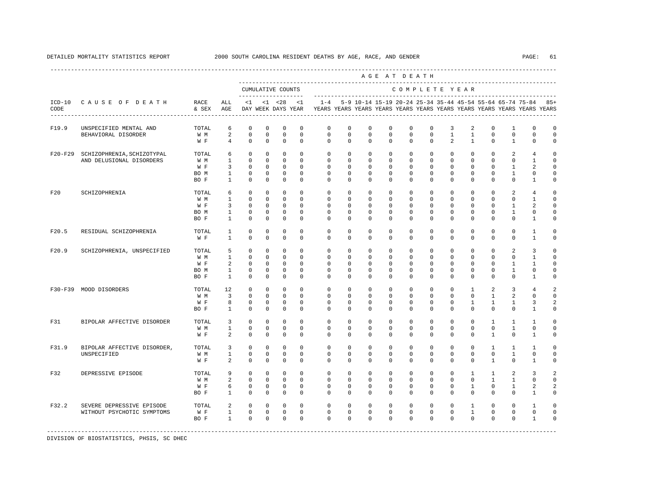|                  |                                                         |                                     |                                                                       |                                                                       |                                                                      |                                                                         |                                                                   |                                                                                    |                                                                      |                                                                      |                                                                | AGE AT DEATH                                                      |                                                          |                                                                   |                                                                   |                                                                   |                                                                                |                                                                  |                                                                              |
|------------------|---------------------------------------------------------|-------------------------------------|-----------------------------------------------------------------------|-----------------------------------------------------------------------|----------------------------------------------------------------------|-------------------------------------------------------------------------|-------------------------------------------------------------------|------------------------------------------------------------------------------------|----------------------------------------------------------------------|----------------------------------------------------------------------|----------------------------------------------------------------|-------------------------------------------------------------------|----------------------------------------------------------|-------------------------------------------------------------------|-------------------------------------------------------------------|-------------------------------------------------------------------|--------------------------------------------------------------------------------|------------------------------------------------------------------|------------------------------------------------------------------------------|
|                  |                                                         |                                     |                                                                       |                                                                       |                                                                      | CUMULATIVE COUNTS                                                       |                                                                   |                                                                                    |                                                                      | ------------------                                                   |                                                                |                                                                   |                                                          | COMPLETE YEAR                                                     |                                                                   |                                                                   |                                                                                |                                                                  |                                                                              |
| $ICD-10$<br>CODE | CAUSE OF DEATH                                          | RACE<br>& SEX                       | ALL<br>AGE                                                            | < 1                                                                   |                                                                      | $< 1$ $< 28$<br>DAY WEEK DAYS YEAR                                      | <1                                                                | $1 - 4$<br>YEARS YEARS YEARS YEARS YEARS YEARS YEARS YEARS YEARS YEARS YEARS YEARS |                                                                      | 5-9 10-14 15-19 20-24 25-34 35-44 45-54 55-64 65-74 75-84            |                                                                |                                                                   |                                                          |                                                                   |                                                                   |                                                                   |                                                                                |                                                                  | $85+$                                                                        |
| F19.9            | UNSPECIFIED MENTAL AND<br>BEHAVIORAL DISORDER           | TOTAL<br>W M<br>W F                 | 6<br>$\overline{a}$<br>$\overline{4}$                                 | $^{\circ}$<br>$\mathbf{0}$<br>$\Omega$                                | $^{\circ}$<br>$\mathbf 0$<br>$\Omega$                                | $\mathbf 0$<br>$\mathbf 0$<br>$\Omega$                                  | $\mathbf 0$<br>$\mathbf 0$<br>$\Omega$                            | $\mathbf 0$<br>$\mathbf 0$<br>$\Omega$                                             | $\mathbf 0$<br>$\circ$<br>$\Omega$                                   | $\mathbf 0$<br>$\mathbf 0$<br>$\Omega$                               | $\mathbf 0$<br>$\mathbf 0$<br>$\Omega$                         | $\mathbf 0$<br>$\mathbf 0$<br>$\Omega$                            | $\mathbf 0$<br>$\mathbf 0$<br>$\Omega$                   | 3<br>$\mathbf{1}$<br>$\overline{2}$                               | $\overline{2}$<br>$\mathbf{1}$<br>$\mathbf{1}$                    | $\mathbf 0$<br>$\mathbf 0$<br>$\Omega$                            | $\mathbf{1}$<br>$\mathbf 0$<br>$\mathbf{1}$                                    | $\mathbf 0$<br>$\mathbf 0$<br>$\Omega$                           | $\mathbf 0$<br>$\mathbf 0$<br>$\circ$                                        |
| $F20-F29$        | SCHIZOPHRENIA, SCHIZOTYPAL<br>AND DELUSIONAL DISORDERS  | TOTAL<br>W M<br>W F<br>BO M<br>BO F | 6<br>$\mathbf{1}$<br>$\overline{3}$<br>$\mathbf{1}$<br>$\overline{1}$ | $^{\circ}$<br>$\Omega$<br>$^{\circ}$<br>$\mathbf 0$<br>$\Omega$       | $^{\circ}$<br>$^{\circ}$<br>$^{\circ}$<br>$^{\circ}$<br>$\Omega$     | $\mathbf 0$<br>$\mathbf 0$<br>$\mathbf 0$<br>$\mathbf 0$<br>$\Omega$    | $\mathbf 0$<br>$\Omega$<br>$\Omega$<br>$\Omega$<br>$\Omega$       | $\mathbf 0$<br>$\Omega$<br>$\mathbf{0}$<br>$\Omega$<br>$\Omega$                    | $\mathbf 0$<br>$\Omega$<br>$\mathbf 0$<br>$\Omega$<br>$\Omega$       | $\mathbf 0$<br>$\Omega$<br>$\mathbf 0$<br>$\mathbf 0$<br>$\Omega$    | $\mathbf 0$<br>$\Omega$<br>$\mathbf 0$<br>$\Omega$<br>$\Omega$ | $\mathbf 0$<br>$\Omega$<br>$\mathbf 0$<br>$\Omega$<br>$\Omega$    | 0<br>$\Omega$<br>$\Omega$<br>$\Omega$<br>$\Omega$        | $\Omega$<br>$\Omega$<br>$\Omega$<br>$\Omega$<br>$\Omega$          | 0<br>$\Omega$<br>$\Omega$<br>$\Omega$<br>$\Omega$                 | $\mathbf 0$<br>$\Omega$<br>$\mathbf 0$<br>$\Omega$<br>$\Omega$    | 2<br>$\Omega$<br>$\mathbf{1}$<br>$\mathbf{1}$<br>$\Omega$                      | 4<br>$\mathbf{1}$<br>2<br>$\mathbf 0$<br>$\overline{1}$          | $\mathbf 0$<br>$\Omega$<br>$\mathsf{O}\xspace$<br>$\mathbf 0$<br>$\mathbf 0$ |
| F20              | SCHIZOPHRENIA                                           | TOTAL<br>W M<br>W F<br>BO M<br>BO F | 6<br>$\mathbf{1}$<br>$\overline{3}$<br>$\overline{1}$<br>$\mathbf{1}$ | $\mathbf 0$<br>$\Omega$<br>$\Omega$<br>$\Omega$<br>$\Omega$           | $^{\circ}$<br>$^{\circ}$<br>$\Omega$<br>$\Omega$<br>$^{\circ}$       | $\mathbf 0$<br>$\mathbf 0$<br>$\Omega$<br>$\Omega$<br>$\mathbf 0$       | $\Omega$<br>$\Omega$<br>$\Omega$<br>$\Omega$<br>$\Omega$          | $\Omega$<br>$\Omega$<br>$\Omega$<br>$\Omega$<br>$\Omega$                           | $\mathbf 0$<br>$\Omega$<br>$\Omega$<br>$\Omega$<br>$\Omega$          | $\mathbf 0$<br>$\Omega$<br>$\Omega$<br>$\Omega$<br>$\Omega$          | $\mathbf 0$<br>$\Omega$<br>$\Omega$<br>$\Omega$<br>$\Omega$    | $\Omega$<br>$\Omega$<br>$\Omega$<br>$\Omega$<br>$\Omega$          | $\Omega$<br>$\Omega$<br>$\Omega$<br>$\Omega$<br>$\Omega$ | $\Omega$<br>$\Omega$<br>$\Omega$<br>$\Omega$<br>$\Omega$          | $\Omega$<br>$\Omega$<br>$\Omega$<br>$\Omega$<br>$\Omega$          | $\Omega$<br>$\Omega$<br>$\Omega$<br>$\Omega$<br>$\Omega$          | 2<br>$\Omega$<br>$\mathbf{1}$<br>$\mathbf{1}$<br>$\Omega$                      | $\overline{4}$<br>$\mathbf{1}$<br>2<br>$\Omega$<br>$\mathbf{1}$  | $\mathbf 0$<br>$\mathbf 0$<br>$\mathbf 0$<br>$\mathbf 0$<br>$\mathbf 0$      |
| F20.5            | RESIDUAL SCHIZOPHRENIA                                  | TOTAL<br>W F                        | $\mathbf{1}$<br>$\mathbf{1}$                                          | $\mathbf 0$<br>$\Omega$                                               | $^{\circ}$<br>$\Omega$                                               | $\Omega$<br>$\Omega$                                                    | $\Omega$<br>$\Omega$                                              | $\Omega$<br>$\Omega$                                                               | $\Omega$<br>$\Omega$                                                 | $\Omega$<br>$\Omega$                                                 | $\Omega$<br>$\Omega$                                           | $\Omega$<br>$\Omega$                                              | $\Omega$<br>$\Omega$                                     | $\Omega$<br>$\Omega$                                              | $\Omega$<br>$\Omega$                                              | $\Omega$<br>$\Omega$                                              | $\mathbf{0}$<br>$\Omega$                                                       | $\mathbf{1}$<br>$\mathbf{1}$                                     | $\mathbf 0$<br>$\circ$                                                       |
| F20.9            | SCHIZOPHRENIA, UNSPECIFIED                              | TOTAL<br>W M<br>W F<br>BO M<br>BO F | 5<br>$\mathbf{1}$<br>2<br>$\mathbf{1}$<br>$\mathbf{1}$                | $^{\circ}$<br>$\mathbf 0$<br>$\mathbf 0$<br>$^{\circ}$<br>$\mathbf 0$ | $^{\circ}$<br>$\mathbf 0$<br>$^{\circ}$<br>$^{\circ}$<br>$\mathbf 0$ | $\mathbf 0$<br>$\mathbf 0$<br>$\mathbf 0$<br>$\mathbf 0$<br>$\mathbf 0$ | $\mathbf 0$<br>$\mathbf 0$<br>$\Omega$<br>$\mathbf 0$<br>$\Omega$ | $\mathbf 0$<br>$\mathbf 0$<br>$\Omega$<br>$\mathbf{0}$<br>$\Omega$                 | $\mathbf 0$<br>$\mathbf 0$<br>$\Omega$<br>$\mathbf 0$<br>$\mathbf 0$ | $\mathbf 0$<br>$\mathbf 0$<br>$\mathbf 0$<br>$\mathbf 0$<br>$\Omega$ | $\mathbf 0$<br>$\mathbf 0$<br>$\Omega$<br>0<br>$\mathbf 0$     | $\mathbf 0$<br>$\mathbf 0$<br>$\Omega$<br>$\mathbf 0$<br>$\Omega$ | $\mathbf 0$<br>$\Omega$<br>$\Omega$<br>0<br>$\circ$      | $\mathbf 0$<br>$\mathbf 0$<br>$\Omega$<br>$\mathbf 0$<br>$\Omega$ | $\mathbf 0$<br>$\mathbf 0$<br>$\Omega$<br>$\mathbf 0$<br>$\Omega$ | $\mathbf 0$<br>$\mathbf 0$<br>$\Omega$<br>$\mathbf 0$<br>$\Omega$ | $\overline{a}$<br>$\mathbf{0}$<br>$\mathbf{1}$<br>$\mathbf{1}$<br>$\mathbf{0}$ | 3<br>$\mathbf{1}$<br>$\mathbf{1}$<br>$\mathbf 0$<br>$\mathbf{1}$ | $\mathbf 0$<br>0<br>$\mathbf 0$<br>$\mathbf 0$<br>$\mathbf 0$                |
|                  | F30-F39 MOOD DISORDERS                                  | TOTAL<br>W M<br>W F<br>BO F         | 12<br>$\overline{3}$<br>8<br>$\mathbf{1}$                             | $^{\circ}$<br>$^{\circ}$<br>$^{\circ}$<br>$\mathbf{0}$                | $^{\circ}$<br>$\mathbf 0$<br>$^{\circ}$<br>$^{\circ}$                | $\mathbf 0$<br>$\mathbf 0$<br>$\mathbf 0$<br>$\mathbb O$                | $\mathbf 0$<br>$\mathbf 0$<br>$\mathbf 0$<br>$\mathbf 0$          | $\mathbf 0$<br>$\mathbf{0}$<br>$\mathbf 0$<br>$\mathbf 0$                          | $\mathbf 0$<br>$\mathbf 0$<br>$\mathbf 0$<br>$\mathbf 0$             | $\mathbf 0$<br>$\mathbf 0$<br>$\mathbf 0$<br>$\mathbf 0$             | $\mathbf 0$<br>$\mathbf 0$<br>0<br>$\mathbf 0$                 | $\mathbf 0$<br>$\mathbf 0$<br>0<br>$\mathbf 0$                    | $\mathbf 0$<br>$\mathbf 0$<br>$\Omega$<br>$\mathbf 0$    | $\mathbf 0$<br>$\mathbf 0$<br>$\Omega$<br>$\Omega$                | $\mathbf{1}$<br>$\mathbf 0$<br>$\mathbf{1}$<br>$\mathbf 0$        | 2<br>$\mathbf{1}$<br>$\mathbf{1}$<br>$\Omega$                     | 3<br>2<br>1<br>$\mathbf 0$                                                     | $\overline{4}$<br>$\mathbf 0$<br>3<br>$\mathbf{1}$               | $\overline{a}$<br>$\mathbf 0$<br>$\sqrt{2}$<br>$\mathsf{O}\xspace$           |
| F31              | BIPOLAR AFFECTIVE DISORDER                              | TOTAL<br>W M<br>W F                 | 3<br>$\mathbf{1}$<br>$\overline{a}$                                   | $\Omega$<br>$\mathbf 0$<br>$\Omega$                                   | $\Omega$<br>$\mathbf 0$<br>$^{\circ}$                                | $\mathbf 0$<br>$\mathbf 0$<br>$\mathbf 0$                               | $\Omega$<br>$\mathbf 0$<br>$\mathbf 0$                            | $\Omega$<br>$\mathbf{0}$<br>$\Omega$                                               | $\Omega$<br>$\circ$<br>$\mathbf 0$                                   | $\Omega$<br>$\mathbf 0$<br>$\mathbf 0$                               | $\Omega$<br>$\mathbf 0$<br>$\mathbf 0$                         | $\Omega$<br>$\mathbf 0$<br>$\Omega$                               | $\Omega$<br>$\mathbf 0$<br>$\Omega$                      | $\Omega$<br>$\mathbf 0$<br>$\Omega$                               | $\Omega$<br>$\mathbf 0$<br>$\Omega$                               | $\mathbf{1}$<br>$\mathbf 0$<br>$\mathbf{1}$                       | $\mathbf{1}$<br>$\mathbf{1}$<br>$\mathbf 0$                                    | $\mathbf{1}$<br>$\mathbf 0$<br>$\mathbf{1}$                      | $\Omega$<br>$\mathsf{O}\xspace$<br>$\circ$                                   |
| F31.9            | BIPOLAR AFFECTIVE DISORDER,<br>UNSPECIFIED              | TOTAL<br>W M<br>W F                 | 3<br>$\overline{1}$<br>2                                              | $^{\circ}$<br>$\Omega$<br>$^{\circ}$                                  | $\mathbf 0$<br>$\Omega$<br>$\mathbf 0$                               | $\mathbf 0$<br>$\Omega$<br>$\mathbf 0$                                  | $\Omega$<br>$\Omega$<br>$\Omega$                                  | $\mathbf{0}$<br>$\Omega$<br>$\Omega$                                               | $\mathbf 0$<br>$\Omega$<br>$\Omega$                                  | $\mathbf 0$<br>$\Omega$<br>$\Omega$                                  | $\mathbf 0$<br>$\Omega$<br>$\Omega$                            | $\mathbf 0$<br>$\Omega$<br>$\Omega$                               | $\Omega$<br>$\Omega$<br>$\Omega$                         | $\Omega$<br>$\Omega$<br>$\Omega$                                  | $\Omega$<br>$\Omega$<br>$\Omega$                                  | $\mathbf{1}$<br>$\Omega$<br>$\mathbf{1}$                          | $\mathbf{1}$<br>$\mathbf{1}$<br>$\mathbf{0}$                                   | $\mathbf{1}$<br>$\Omega$<br>$\mathbf{1}$                         | $\mathbf 0$<br>$\circ$<br>$\mathbf 0$                                        |
| F32              | DEPRESSIVE EPISODE                                      | TOTAL<br>W M<br>W F<br>BO F         | 9<br>$\overline{a}$<br>6<br>$\overline{1}$                            | $\Omega$<br>$\mathbf 0$<br>$\mathbf 0$<br>$\Omega$                    | $\circ$<br>$\mathbf{0}$<br>$^{\circ}$<br>$^{\circ}$                  | $\mathbf 0$<br>$\mathbf{0}$<br>$\mathbf 0$<br>$\mathbf 0$               | $\Omega$<br>$\mathbf 0$<br>$\mathbf 0$<br>$\Omega$                | $\Omega$<br>$\mathbf 0$<br>$\mathbf{0}$<br>$\Omega$                                | $\Omega$<br>$\mathbf 0$<br>$\mathbf 0$<br>$\Omega$                   | $\mathbf 0$<br>$\mathbf 0$<br>$\mathbf 0$<br>$\Omega$                | $\Omega$<br>$\mathbf 0$<br>0<br>$\Omega$                       | $\Omega$<br>$\mathbf 0$<br>$\mathbf 0$<br>$\Omega$                | $\Omega$<br>$\Omega$<br>$\mathbf 0$<br>$\Omega$          | $\Omega$<br>$\Omega$<br>$\mathbf 0$<br>$\Omega$                   | $\mathbf{1}$<br>$\Omega$<br>$\mathbf{1}$<br>$\Omega$              | $\mathbf{1}$<br>$\mathbf{1}$<br>$\mathbf 0$<br>$\Omega$           | 2<br>$\mathbf{1}$<br>$\mathbf{1}$<br>$\Omega$                                  | $\overline{3}$<br>$\mathbf 0$<br>2<br>$\mathbf{1}$               | $\overline{a}$<br>$\mathbf 0$<br>$\overline{a}$<br>$\circ$                   |
| F32.2            | SEVERE DEPRESSIVE EPISODE<br>WITHOUT PSYCHOTIC SYMPTOMS | TOTAL<br>W F<br>BO F                | $\overline{a}$<br>$\mathbf{1}$<br>$\overline{1}$                      | $^{\circ}$<br>$\Omega$<br>$\Omega$                                    | $^{\circ}$<br>$\circ$<br>$\Omega$                                    | $\mathbf 0$<br>$\mathbf{0}$<br>$\mathbf 0$                              | $\Omega$<br>$\Omega$<br>$\Omega$                                  | $\Omega$<br>$\Omega$<br>$\Omega$                                                   | $\mathbf 0$<br>$\Omega$<br>$\Omega$                                  | $\mathbf 0$<br>$\Omega$<br>$\Omega$                                  | $\mathbf 0$<br>$\Omega$<br>$\Omega$                            | $\Omega$<br>$\Omega$<br>$\Omega$                                  | $\circ$<br>$\Omega$<br>$\Omega$                          | $\Omega$<br>$\Omega$<br>$\Omega$                                  | $\mathbf{1}$<br>$\mathbf{1}$<br>$\Omega$                          | $\Omega$<br>$\Omega$<br>$\Omega$                                  | $\mathbf{0}$<br>$\Omega$<br>$\Omega$                                           | $\mathbf{1}$<br>$\Omega$<br>$\mathbf{1}$                         | $\Omega$<br>$\Omega$<br>$\mathbf 0$                                          |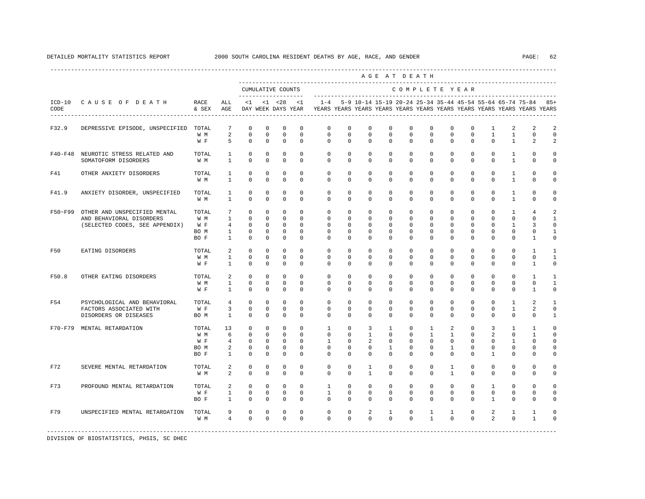|         |                                                                                            |                                     |                                                                 |                                                                            |                                                                           |                                                                            |                                                                   |                                                                                             |                                                                    |                                                              | AGE AT DEATH                                                       |                                                                        |                                                                         |                                                                    |                                                                 |                                                                  |                                                           |                                                                   |                                                             |
|---------|--------------------------------------------------------------------------------------------|-------------------------------------|-----------------------------------------------------------------|----------------------------------------------------------------------------|---------------------------------------------------------------------------|----------------------------------------------------------------------------|-------------------------------------------------------------------|---------------------------------------------------------------------------------------------|--------------------------------------------------------------------|--------------------------------------------------------------|--------------------------------------------------------------------|------------------------------------------------------------------------|-------------------------------------------------------------------------|--------------------------------------------------------------------|-----------------------------------------------------------------|------------------------------------------------------------------|-----------------------------------------------------------|-------------------------------------------------------------------|-------------------------------------------------------------|
|         |                                                                                            |                                     |                                                                 | --------------------                                                       |                                                                           | CUMULATIVE COUNTS                                                          |                                                                   |                                                                                             |                                                                    |                                                              |                                                                    | COMPLETE YEAR                                                          |                                                                         |                                                                    |                                                                 |                                                                  |                                                           |                                                                   |                                                             |
| CODE    | ICD-10 CAUSE OF DEATH RACE                                                                 | & SEX                               | ALL<br>AGE                                                      |                                                                            |                                                                           | $<1$ $<1$ $<28$ $<1$                                                       |                                                                   | DAY WEEK DAYS YEAR TYEARS YEARS YEARS YEARS YEARS YEARS YEARS YEARS YEARS YEARS YEARS YEARS |                                                                    |                                                              |                                                                    |                                                                        |                                                                         |                                                                    |                                                                 |                                                                  |                                                           | 1-4 5-9 10-14 15-19 20-24 25-34 35-44 45-54 55-64 65-74 75-84 85+ |                                                             |
| F32.9   | DEPRESSIVE EPISODE, UNSPECIFIED TOTAL                                                      | W M<br>W F                          | $7\phantom{.0}$<br>2<br>5 <sup>1</sup>                          | $\mathbf 0$<br>$\mathbf 0$<br>$\Omega$                                     | $\mathbf 0$<br>$\mathbf 0$<br>$\Omega$                                    | $\mathbf 0$<br>$\mathbb O$<br>$\Omega$                                     | $\mathbf 0$<br>$\mathbf 0$<br>$\Omega$                            | $\mathbf 0$<br>$\mathbf{0}$<br>$\Omega$                                                     | $\mathbf 0$<br>$\mathbf 0$<br>$\Omega$                             | $\mathbf 0$<br>$\mathbf 0$<br>$\Omega$                       | $^{\circ}$<br>$\mathbf 0$<br>$\Omega$                              | $\mathbf 0$<br>$\mathbf 0$<br>$\Omega$                                 | $\mathbf 0$<br>$\mathbf 0$<br>$\Omega$                                  | $\mathbf 0$<br>$\mathbf 0$<br>$\Omega$                             | $\mathbf 0$<br>$\mathbf 0$<br>$\Omega$                          | $\mathbf{1}$<br>$\mathbf{1}$<br>$\Omega$                         | 2<br>$\mathbf{1}$<br>$\overline{1}$                       | 2<br>$\mathbf{0}$<br>2                                            | 2<br>$\mathbf 0$<br>2                                       |
|         | F40-F48 NEUROTIC STRESS RELATED AND<br>SOMATOFORM DISORDERS                                | TOTAL<br>W M                        | $\mathbf{1}$<br>$\mathbf{1}$                                    | $\mathbf 0$<br>$\mathbf 0$                                                 | $\mathbf 0$<br>$\mathbf 0$                                                | $\mathbf 0$<br>$\mathbf{0}$                                                | $\Omega$<br>$\mathbf 0$                                           | $\circ$<br>$\mathbf{0}$                                                                     | $\mathbf 0$<br>$\mathbf{0}$                                        | $\circ$<br>$\mathbf 0$                                       | $\mathbf 0$<br>$\mathbf{0}$                                        | $\mathbf 0$<br>$\mathbf 0$                                             | $\mathbf{0}$<br>$\circ$                                                 | $\mathbf 0$<br>$\circ$                                             | $\mathbf 0$<br>$\circ$                                          | $\circ$<br>$\Omega$                                              | $\mathbf{1}$<br>1                                         | $\Omega$<br>$\mathbf{0}$                                          | $\mathbf 0$<br>0                                            |
| F41     | OTHER ANXIETY DISORDERS                                                                    | TOTAL<br>W M                        | $\mathbf{1}$<br>$\mathbf{1}$                                    | $\mathbf 0$<br>$\Omega$                                                    | $^{\circ}$<br>$\Omega$                                                    | $\mathbf 0$<br>$\Omega$                                                    | $\mathbf 0$<br>$\Omega$                                           | $\mathbf 0$<br>$\Omega$                                                                     | $\mathbf 0$<br>$\Omega$                                            | $\mathbf 0$<br>$\Omega$                                      | $^{\circ}$<br>$\Omega$                                             | $\mathbf 0$<br>$\Omega$                                                | $\mathbf{0}$<br>$\Omega$                                                | $^{\circ}$<br>$\Omega$                                             | $^{\circ}$<br>$\Omega$                                          | $\Omega$<br>$\Omega$                                             | 1<br>$\mathbf{1}$                                         | $\Omega$<br>$\Omega$                                              | 0<br>$\Omega$                                               |
| F41.9   | ANXIETY DISORDER, UNSPECIFIED                                                              | TOTAL<br>W M                        | 1<br>$\overline{1}$                                             | $\mathbf 0$<br>$\Omega$                                                    | $\Omega$<br>$\Omega$                                                      | $\mathbf 0$<br>$\Omega$                                                    | $\Omega$<br>$\Omega$                                              | $\Omega$<br>$\Omega$                                                                        | $\Omega$<br>$\Omega$                                               | $\Omega$<br>$\Omega$                                         | $\Omega$<br>$\Omega$                                               | $\Omega$<br>$\Omega$                                                   | $\Omega$<br>$\Omega$                                                    | $\Omega$<br>$\Omega$                                               | $\Omega$<br>$\Omega$                                            | $\Omega$<br>$\Omega$                                             | $\overline{1}$<br>$\overline{1}$                          | $\Omega$<br>$\Omega$                                              | $\Omega$<br>$\Omega$                                        |
| F50~F99 | OTHER AND UNSPECIFIED MENTAL<br>AND BEHAVIORAL DISORDERS<br>(SELECTED CODES, SEE APPENDIX) | TOTAL<br>W M<br>W F<br>BO M<br>BO F | 7<br>$\mathbf{1}$<br>$4\degree$<br>$\mathbf{1}$<br>$\mathbf{1}$ | $^{\circ}$<br>$\mathbf{0}$<br>$\mathbf{0}$<br>$\mathbf{0}$<br>$\mathbf{0}$ | $\mathbf{0}$<br>$^{\circ}$<br>$\mathbf{0}$<br>$\mathbf{0}$<br>$\mathbf 0$ | $\mathbf 0$<br>$\mathbf{0}$<br>$\mathbf{0}$<br>$\mathbf{0}$<br>$\mathbf 0$ | $\mathbf 0$<br>$\circ$<br>$\mathbf{0}$<br>$\mathbf 0$<br>$\Omega$ | $^{\circ}$<br>$\mathbf 0$<br>$\mathbf 0$<br>$\mathbf 0$<br>$\Omega$                         | $^{\circ}$<br>$^{\circ}$<br>$\mathbf 0$<br>$\mathbf 0$<br>$\Omega$ | $\circ$<br>$\circ$<br>$\mathbf 0$<br>$\mathbf 0$<br>$\Omega$ | $^{\circ}$<br>$^{\circ}$<br>$\mathbf 0$<br>$\mathbf 0$<br>$\Omega$ | $\circ$<br>$\overline{0}$<br>$\overline{0}$<br>$\mathbf 0$<br>$\Omega$ | $\circ$<br>$\circ$<br>$\Omega$<br>$\mathbf{0}$<br>$\Omega$              | $^{\circ}$<br>$^{\circ}$<br>$\mathbf 0$<br>$\mathbf 0$<br>$\Omega$ | $^{\circ}$<br>$^{\circ}$<br>$\Omega$<br>$\mathbf 0$<br>$\Omega$ | $\mathbf{0}$<br>$\mathbf{0}$<br>$\Omega$<br>$\Omega$<br>$\Omega$ | 1<br>$\mathbf{0}$<br>1<br>$\mathbf 0$<br>$\Omega$         | 4<br>$\mathbf{0}$<br>3<br>$\mathbf 0$<br>$\overline{1}$           | $\mathfrak{D}$<br>1<br>$\Omega$<br>$\mathbf{1}$<br>$\Omega$ |
| F50     | EATING DISORDERS                                                                           | TOTAL<br>W M<br>W F                 | $\overline{a}$<br>$\mathbf{1}$<br>$\mathbf{1}$                  | $\mathbf{0}$<br>$\mathbf 0$<br>$\mathbf 0$                                 | $\mathbf{0}$<br>$\mathbf 0$<br>0                                          | $\mathbf 0$<br>$\mathbf 0$<br>$\mathbf 0$                                  | $\mathbf 0$<br>$\mathbf 0$<br>$\mathbf 0$                         | $\mathbf 0$<br>$\mathbf 0$<br>$\mathbf 0$                                                   | $\mathbf 0$<br>$\mathbf 0$<br>$\mathbf 0$                          | $\circ$<br>$\mathbf 0$<br>$\mathbf 0$                        | $^{\circ}$<br>$\mathbf 0$<br>0                                     | $\circ$<br>$\mathbf 0$<br>$\mathbf 0$                                  | $\mathbf{0}$<br>0<br>0                                                  | $\circ$<br>0<br>$\mathbf{0}$                                       | $\mathbf 0$<br>0<br>0                                           | $\mathbf{0}$<br>$\mathbf 0$<br>$^{\circ}$                        | $\mathbf 0$<br>$\mathbf 0$<br>$\mathbf{0}$                | $\mathbf{1}$<br>$\mathbf 0$<br>1                                  | $\mathbf{1}$<br>$\mathbf{1}$<br>$\mathbf 0$                 |
| F50.8   | OTHER EATING DISORDERS                                                                     | TOTAL<br>W M<br>W F                 | $\overline{a}$<br>$\mathbf{1}$<br>$\mathbf{1}$                  | $\mathbf 0$<br>$\mathbf{0}$<br>$\Omega$                                    | $\circ$<br>$\mathbf{0}$<br>$\mathbf 0$                                    | $\mathbf 0$<br>$\mathbf{0}$<br>$\mathbf 0$                                 | $\mathbf 0$<br>$\mathbf 0$<br>$\mathbf 0$                         | $\mathbf{0}$<br>$\circ$<br>$\Omega$                                                         | $\mathbf 0$<br>$\mathbf 0$<br>$\Omega$                             | $\mathbf 0$<br>$\mathbf 0$<br>$\Omega$                       | $^{\circ}$<br>$\mathbf 0$<br>$\Omega$                              | $\mathbf 0$<br>$\mathbf 0$<br>$\Omega$                                 | $\mathbf 0$<br>$\mathbf 0$<br>$\mathbf{0}$                              | $\mathbf 0$<br>$\mathbf 0$<br>$\Omega$                             | $\mathbf 0$<br>$\mathbf 0$<br>$\mathbf 0$                       | $\mathbf 0$<br>$\mathbf{0}$<br>$\Omega$                          | $\mathbf 0$<br>$\mathbf 0$<br>$\Omega$                    | $\overline{1}$<br>$\mathbf{0}$<br>$\overline{1}$                  | $\mathbf{1}$<br>$\mathbf{1}$<br>$\mathbf 0$                 |
| F54     | PSYCHOLOGICAL AND BEHAVIORAL<br>FACTORS ASSOCIATED WITH<br>DISORDERS OR DISEASES           | TOTAL<br>W F<br>BO M                | 4<br>3<br>$\mathbf{1}$                                          | $\Omega$<br>$\mathbf 0$<br>0                                               | $\Omega$<br>$\mathbf 0$<br>0                                              | $\mathbf 0$<br>$\mathbf 0$<br>$\mathbf 0$                                  | $\Omega$<br>$\mathbf 0$<br>$\mathbf 0$                            | $\Omega$<br>$\mathbf 0$<br>$\Omega$                                                         | $\Omega$<br>$\mathbf 0$<br>$\Omega$                                | $\Omega$<br>$\mathbf 0$<br>$\Omega$                          | $\Omega$<br>$\mathbf 0$<br>0                                       | $\Omega$<br>$\mathbf 0$<br>$\Omega$                                    | $\Omega$<br>$\mathbf{0}$<br>0                                           | $\Omega$<br>$\mathbf 0$<br>$\mathbf{0}$                            | $\Omega$<br>0<br>0                                              | $\Omega$<br>$\mathbf 0$<br>$\Omega$                              | 1<br>$\mathbf{1}$<br>$\mathbf{0}$                         | 2<br>2<br>$\Omega$                                                | $\mathbf{1}$<br>$\mathbf 0$<br>1                            |
|         | F70-F79 MENTAL RETARDATION                                                                 | TOTAL<br>W M<br>W F<br>BO M<br>BO F | 13<br>6<br>4<br>$\overline{a}$<br>$\mathbf{1}$                  | $\mathbf 0$<br>$\Omega$<br>$\mathbb O$<br>0<br>$\Omega$                    | $\mathbf 0$<br>$\Omega$<br>$\circ$<br>$\mathbf{0}$<br>$\mathbf{0}$        | $\mathbf 0$<br>$\Omega$<br>$\overline{0}$<br>0<br>$\mathbf 0$              | $\mathbf 0$<br>$\Omega$<br>$\mathbf{0}$<br>0<br>0                 | $\mathbf{1}$<br>$\Omega$<br>$\mathbf{1}$<br>0<br>$\Omega$                                   | $\mathbf 0$<br>$\Omega$<br>$\circ$<br>0<br>$\Omega$                | 3<br>$\mathbf{1}$<br>$\overline{2}$<br>0<br>$\Omega$         | $\mathbf{1}$<br>$\Omega$<br>$\circ$<br>$\mathbf{1}$<br>$\Omega$    | $\overline{0}$<br>$\Omega$<br>$\overline{0}$<br>0<br>$\Omega$          | $\mathbf{1}$<br>$\mathbf{1}$<br>$\mathbf 0$<br>$\mathbf{0}$<br>$\Omega$ | 2<br>$\mathbf{1}$<br>$\mathbf 0$<br>$\mathbf{1}$<br>$\Omega$       | $\mathbf 0$<br>$\Omega$<br>$\mathbf 0$<br>0<br>$\Omega$         | 3<br>$\overline{a}$<br>$\mathbf 0$<br>0<br>1                     | $\mathbf{1}$<br>$\Omega$<br>$\mathbf{1}$<br>0<br>$\Omega$ | $\mathbf{1}$<br>$\overline{1}$<br>$\mathbf 0$<br>0<br>$\Omega$    | $\mathbf 0$<br>$\Omega$<br>$\circ$<br>$\mathbf 0$<br>0      |
| F72     | SEVERE MENTAL RETARDATION                                                                  | TOTAL<br>W M                        | 2<br>2                                                          | $^{\circ}$<br>$\Omega$                                                     | $^{\circ}$<br>$\Omega$                                                    | $\mathbf 0$<br>$\Omega$                                                    | $\mathbf 0$<br>$\Omega$                                           | $\mathbf 0$<br>$\Omega$                                                                     | $\mathbf 0$<br>$\Omega$                                            | $\mathbf{1}$<br>$\overline{1}$                               | 0<br>$\Omega$                                                      | $\mathbf 0$<br>$\Omega$                                                | 0<br>$\Omega$                                                           | $\mathbf{1}$<br>$\overline{1}$                                     | 0<br>$\Omega$                                                   | $\mathbf{0}$<br>$\Omega$                                         | $\mathbf{0}$<br>$\Omega$                                  | 0<br>$\Omega$                                                     | $\Omega$<br>$\Omega$                                        |
| F73     | PROFOUND MENTAL RETARDATION                                                                | TOTAL<br>W F<br>BO F                | $\overline{a}$<br>$\mathbf{1}$<br>$\mathbf{1}$                  | $\mathbf{0}$<br>$\mathbf{0}$<br>$\mathbf 0$                                | $\Omega$<br>$\overline{0}$<br>$\mathbf 0$                                 | $\circ$<br>$\overline{0}$<br>$\mathbb O$                                   | $\Omega$<br>$\mathbf{0}$<br>$\mathbf 0$                           | $\mathbf{1}$<br>$\mathbf{1}$<br>$\circ$                                                     | $\Omega$<br>$\circ$<br>$\mathbf 0$                                 | $\Omega$<br>$\mathbf{0}$<br>$\mathbf 0$                      | $\Omega$<br>$\mathbf 0$<br>$\mathbf 0$                             | $\circ$<br>$\mathbf 0$<br>$\mathbf 0$                                  | $\circ$<br>$\mathbf 0$<br>$\mathbf{0}$                                  | $\mathbf{0}$<br>$\circ$<br>$\mathbf 0$                             | $\mathbf 0$<br>0<br>0                                           | $\mathbf{1}$<br>$\mathbf 0$<br>$\mathbf{1}$                      | $\Omega$<br>$\mathbf{0}$<br>$\mathbf{0}$                  | $\Omega$<br>$\mathbf{0}$<br>$\mathbf{0}$                          | $\Omega$<br>$\mathbf 0$<br>0                                |
| F79     | UNSPECIFIED MENTAL RETARDATION                                                             | TOTAL<br>W M                        | 9<br>$\overline{4}$                                             | $\mathbf 0$<br>$\Omega$                                                    | $\mathbf 0$<br>$\Omega$                                                   | $\mathbf 0$<br>$\Omega$                                                    | $\mathbf{0}$<br>$\Omega$                                          | $\mathbf{0}$<br>$\Omega$                                                                    | 0<br>$\Omega$                                                      | 2<br>$\Omega$                                                | $\mathbf{1}$<br>$\Omega$                                           | $\mathbf 0$<br>$\Omega$                                                | $\mathbf{1}$<br>$\mathbf{1}$                                            | $\mathbf{1}$<br>$\Omega$                                           | $\mathbf 0$<br>$\Omega$                                         | $\overline{2}$<br>$\overline{2}$                                 | $\mathbf{1}$<br>$\Omega$                                  | 1<br>$\overline{1}$                                               | 0<br>$\Omega$                                               |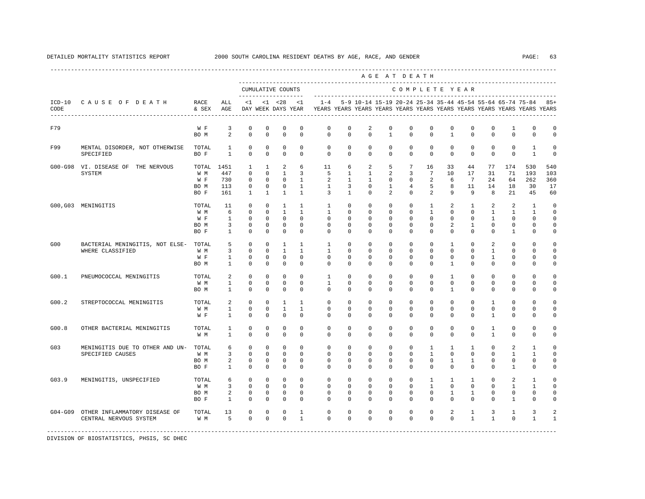|                  |                                                           |                                     |                                                           |                                                               |                                                                           |                                                                 |                                                                            |                                                                                    |                                                          |                                                             |                                                          | AGE AT DEATH                                                                  |                                                                             |                                                  |                                                                 |                                          |                                                        |                                                   |                                                 |
|------------------|-----------------------------------------------------------|-------------------------------------|-----------------------------------------------------------|---------------------------------------------------------------|---------------------------------------------------------------------------|-----------------------------------------------------------------|----------------------------------------------------------------------------|------------------------------------------------------------------------------------|----------------------------------------------------------|-------------------------------------------------------------|----------------------------------------------------------|-------------------------------------------------------------------------------|-----------------------------------------------------------------------------|--------------------------------------------------|-----------------------------------------------------------------|------------------------------------------|--------------------------------------------------------|---------------------------------------------------|-------------------------------------------------|
|                  |                                                           |                                     |                                                           |                                                               |                                                                           | CUMULATIVE COUNTS<br>-------------------                        |                                                                            |                                                                                    |                                                          |                                                             |                                                          |                                                                               |                                                                             | COMPLETE YEAR                                    |                                                                 |                                          |                                                        |                                                   |                                                 |
| $ICD-10$<br>CODE | CAUSE OF DEATH                                            | RACE<br>& SEX                       | ALL<br>AGE                                                | $\leq$ 1                                                      |                                                                           | $< 1$ $< 28$<br>DAY WEEK DAYS YEAR                              | $\langle 1$                                                                | $1 - 4$<br>YEARS YEARS YEARS YEARS YEARS YEARS YEARS YEARS YEARS YEARS YEARS YEARS |                                                          | 5-9 10-14 15-19 20-24 25-34 35-44 45-54 55-64 65-74 75-84   |                                                          |                                                                               |                                                                             |                                                  |                                                                 |                                          |                                                        |                                                   | $85+$                                           |
| F79              |                                                           | W F<br>BO M                         | 3<br>2                                                    | $\mathbf 0$<br>$\mathbf{0}$                                   | $\mathbf 0$<br>$\mathbf 0$                                                | $\mathbf 0$<br>$\mathbf 0$                                      | $\mathbf 0$<br>$\mathbf 0$                                                 | $\mathbf 0$<br>$\circ$                                                             | $\mathbf 0$<br>$\mathbf 0$                               | 2<br>$\mathbf 0$                                            | $\mathbf 0$<br>$\mathbf{1}$                              | $\mathbf 0$<br>$\mathbf 0$                                                    | $\mathbf 0$<br>$\mathbf 0$                                                  | $\mathbf 0$<br>$\mathbf{1}$                      | $\mathbf 0$<br>$\mathbf 0$                                      | $\mathbf 0$<br>$\mathbf 0$               | 1<br>$\mathbf 0$                                       | $\mathbf 0$<br>$\mathbf 0$                        | $\circ$<br>$\mathbf 0$                          |
| F99              | MENTAL DISORDER, NOT OTHERWISE<br>SPECIFIED               | TOTAL<br>BO F                       | 1<br>$\mathbf{1}$                                         | $^{\circ}$<br>$\mathbf 0$                                     | $\mathbf 0$<br>$\mathbf 0$                                                | $\mathbf 0$<br>$\mathbf 0$                                      | $\Omega$<br>$\mathbf 0$                                                    | $\circ$<br>$\mathbf{0}$                                                            | $\Omega$<br>$\mathbf 0$                                  | $\circ$<br>$\Omega$                                         | $\Omega$<br>$\mathbf 0$                                  | $\mathbf 0$<br>$\Omega$                                                       | $\mathbf 0$<br>$\mathbf 0$                                                  | $\mathbf 0$<br>$\circ$                           | $\mathbf 0$<br>$\mathbf 0$                                      | $^{\circ}$<br>$\mathbf 0$                | $\Omega$<br>$\mathbf 0$                                | $\mathbf{1}$<br>$\mathbf{1}$                      | $\circ$<br>$\circ$                              |
|                  | G00-G98 VI. DISEASE OF THE NERVOUS<br>SYSTEM              | TOTAL<br>W M<br>W F<br>BO M<br>BO F | 1451<br>447<br>730<br>113<br>161                          | 1<br>$^{\circ}$<br>$\mathbf 0$<br>$\mathbf 0$<br>$\mathbf{1}$ | $\mathbf{1}$<br>$\mathbf 0$<br>$\mathbf 0$<br>$\mathbf 0$<br>$\mathbf{1}$ | 2<br>$\mathbf{1}$<br>$\mathbf 0$<br>$\mathbf 0$<br>$\mathbf{1}$ | 6<br>$\overline{3}$<br>$\mathbf{1}$<br>$\mathbf{1}$<br>$\mathbf{1}$        | 11<br>5<br>2<br>$\mathbf{1}$<br>$\overline{3}$                                     | 6<br>1<br>$\mathbf{1}$<br>$\overline{3}$<br>$\mathbf{1}$ | 2<br>$\mathbf{1}$<br>$\mathbf{1}$<br>$^{\circ}$<br>$\Omega$ | 5<br>2<br>$\mathbf{0}$<br>$\mathbf{1}$<br>$\overline{2}$ | $7\overline{ }$<br>$\overline{3}$<br>$^{\circ}$<br>$\overline{4}$<br>$\Omega$ | 16<br>7<br>2<br>-5<br>2                                                     | 33<br>10<br>6<br>8<br>9                          | 44<br>17<br>7<br>11<br>9                                        | 77<br>31<br>24<br>14<br>8                | 174<br>71<br>64<br>18<br>21                            | 530<br>193<br>262<br>30<br>45                     | 540<br>103<br>360<br>17<br>60                   |
|                  | G00, G03 MENINGITIS                                       | TOTAL<br>W M<br>W F<br>BO M<br>BO F | 11<br>6<br>$\mathbf{1}$<br>$\overline{3}$<br>$\mathbf{1}$ | $\mathbf 0$<br>$^{\circ}$<br>$^{\circ}$<br>0<br>$\mathbf{0}$  | $\mathbf 0$<br>$\mathbf 0$<br>$^{\circ}$<br>0<br>$\mathbf 0$              | $\mathbf{1}$<br>$\mathbf{1}$<br>$^{\circ}$<br>0<br>$\mathbf 0$  | $\mathbf{1}$<br>$\mathbf{1}$<br>$\mathbf{0}$<br>$\mathbf 0$<br>$\mathbf 0$ | $\mathbf{1}$<br>$\mathbf{1}$<br>$\mathbf{0}$<br>$\mathbf 0$<br>$\mathbf{0}$        | $\circ$<br>$\mathbf 0$<br>$\circ$<br>0<br>$\mathbf 0$    | $\circ$<br>0<br>$^{\circ}$<br>$^{\circ}$<br>$\Omega$        | $\mathbf 0$<br>0<br>$^{\circ}$<br>0<br>$\mathbf 0$       | $\mathbf 0$<br>$\mathbf{0}$<br>$^{\circ}$<br>$\mathbf{0}$<br>$\Omega$         | $\mathbf{1}$<br>$\mathbf{1}$<br>$\mathbf{0}$<br>$\mathbf{0}$<br>$\mathbf 0$ | 2<br>$\mathbf{0}$<br>$\circ$<br>2<br>$\mathbf 0$ | $\mathbf{1}$<br>$\mathbf 0$<br>0<br>$\mathbf{1}$<br>$\mathbf 0$ | 2<br>$\mathbf{1}$<br>1<br>0<br>$\Omega$  | 2<br>1<br>$\mathbf{0}$<br>$\mathbf{0}$<br>$\mathbf{1}$ | $\mathbf{1}$<br>1<br>0<br>$\Omega$<br>$\mathbf 0$ | $\circ$<br>$\mathbf 0$<br>0<br>0<br>$\mathbf 0$ |
| G00              | BACTERIAL MENINGITIS, NOT ELSE- TOTAL<br>WHERE CLASSIFIED | W M<br>W F<br>BO M                  | 5<br>$\overline{3}$<br>$\mathbf{1}$<br>$\mathbf{1}$       | $\mathbf 0$<br>$\mathbf{0}$<br>$\mathbf 0$<br>$\mathbf 0$     | $\mathbf 0$<br>$\mathbf 0$<br>0<br>$\mathbf 0$                            | $\mathbf{1}$<br>$\mathbf{1}$<br>$\mathbf 0$<br>$\mathbf 0$      | $\mathbf{1}$<br>$\mathbf{1}$<br>$\mathbf 0$<br>$\mathbf 0$                 | $\mathbf{1}$<br>$\mathbf{1}$<br>0<br>$^{\circ}$                                    | $\Omega$<br>$\circ$<br>$\mathbf{0}$<br>$\mathbf{0}$      | $\Omega$<br>$\circ$<br>$^{\circ}$<br>0                      | $\Omega$<br>$\mathbf 0$<br>0<br>0                        | $\Omega$<br>$\mathbf 0$<br>$\mathbf{0}$<br>$\mathbf{0}$                       | $\Omega$<br>$\Omega$<br>$\mathbf{0}$<br>0                                   | $\mathbf{1}$<br>$\mathbf 0$<br>0<br>$\mathbf{1}$ | $\Omega$<br>$\Omega$<br>0<br>0                                  | $\mathfrak{D}$<br>$\mathbf{1}$<br>1<br>0 | $\Omega$<br>$\Omega$<br>0<br>0                         | $\Omega$<br>$\Omega$<br>0<br>$\Omega$             | $\Omega$<br>$\circ$<br>0<br>$\Omega$            |
| G00.1            | PNEUMOCOCCAL MENINGITIS                                   | TOTAL<br>W M<br>BO M                | 2<br>$\mathbf{1}$<br>1                                    | $\mathbf{0}$<br>$^{\circ}$<br>$^{\circ}$                      | $\mathbf 0$<br>$\mathbf 0$<br>$\mathbf 0$                                 | $\mathbf 0$<br>$\mathbf 0$<br>$\mathbf 0$                       | $\mathbf{0}$<br>$\mathbf 0$<br>$\mathbf 0$                                 | $\mathbf{1}$<br>$\mathbf{1}$<br>$\Omega$                                           | $\mathbf 0$<br>$\mathbf 0$<br>$^{\circ}$                 | $^{\circ}$<br>$^{\circ}$<br>$\Omega$                        | $\mathbf 0$<br>0<br>0                                    | $\mathbf 0$<br>$\mathbf{0}$<br>$\Omega$                                       | $\mathbf 0$<br>0<br>$\Omega$                                                | 1<br>$\mathbf{0}$<br>$\overline{1}$              | $\mathbf 0$<br>$\mathbf 0$<br>$\Omega$                          | $^{\circ}$<br>$\mathbf 0$<br>$\Omega$    | $\mathbf 0$<br>$\mathbf 0$<br>$\Omega$                 | $\Omega$<br>0<br>$\Omega$                         | $\circ$<br>$\circ$<br>$\circ$                   |
| G00.2            | STREPTOCOCCAL MENINGITIS                                  | TOTAL<br>W M<br>W F                 | 2<br>$\mathbf{1}$<br>1                                    | $^{\circ}$<br>$\mathbf 0$<br>0                                | $^{\circ}$<br>$\mathbf 0$<br>$^{\circ}$                                   | 1<br>$\mathbf{1}$<br>$\mathbf 0$                                | $\mathbf{1}$<br>$\mathbf{1}$<br>$\mathbf 0$                                | $^{\circ}$<br>$^{\circ}$<br>$\mathbf{0}$                                           | $^{\circ}$<br>$^{\circ}$<br>0                            | $^{\circ}$<br>$^{\circ}$<br>0                               | $^{\circ}$<br>0<br>0                                     | $\mathbf{0}$<br>$\mathbf{0}$<br>$\mathbf{0}$                                  | $\Omega$<br>$\mathbf{0}$<br>0                                               | $\mathbf{0}$<br>0<br>0                           | $\Omega$<br>0<br>0                                              | $\mathbf{1}$<br>$\mathbf 0$<br>1         | $\Omega$<br>0<br>0                                     | $\Omega$<br>$\Omega$<br>0                         | $\Omega$<br>$\circ$<br>$\Omega$                 |
| G00.8            | OTHER BACTERIAL MENINGITIS                                | TOTAL<br>W M                        | 1<br>$\mathbf{1}$                                         | $\mathbb O$<br>$\Omega$                                       | $\mathbf 0$<br>$\Omega$                                                   | $\mathbf 0$<br>$\mathbf 0$                                      | $\mathbf 0$<br>$\Omega$                                                    | $\mathbf 0$<br>$\Omega$                                                            | $\mathbf 0$<br>$\Omega$                                  | $^{\circ}$<br>$\Omega$                                      | $\mathbf 0$<br>$\Omega$                                  | $\mathbf 0$<br>$\Omega$                                                       | $\mathbf 0$<br>$\Omega$                                                     | $\mathbf 0$<br>$\Omega$                          | $\mathbf 0$<br>$\Omega$                                         | 1<br>$\mathbf{1}$                        | $\mathbf 0$<br>$\Omega$                                | 0<br>$\Omega$                                     | $\Omega$<br>$\mathbf 0$                         |
| G03              | MENINGITIS DUE TO OTHER AND UN-<br>SPECIFIED CAUSES       | TOTAL<br>W M<br>BO M<br>BO F        | 6<br>3<br>2<br>1                                          | 0<br>$^{\circ}$<br>$\mathbf 0$<br>$^{\circ}$                  | 0<br>$^{\circ}$<br>0<br>$\mathbf 0$                                       | 0<br>$\mathbf{0}$<br>$\mathbf 0$<br>$\mathbf 0$                 | $^{\circ}$<br>$\Omega$<br>$\mathbf 0$<br>$\Omega$                          | $\mathbf{0}$<br>$^{\circ}$<br>0<br>$\Omega$                                        | 0<br>$^{\circ}$<br>$^{\circ}$<br>$\mathbf{0}$            | 0<br>$\mathbf{0}$<br>0<br>$\Omega$                          | 0<br>0<br>0<br>0                                         | $\circ$<br>$\mathbf{0}$<br>$\mathbf{0}$<br>$\Omega$                           | 1<br>1<br>$\mathbf{0}$<br>$\Omega$                                          | $\mathbf{1}$<br>$\mathbf{0}$<br>1<br>$\Omega$    | $\mathbf{1}$<br>$\Omega$<br>$\mathbf{1}$<br>$\Omega$            | 0<br>$\Omega$<br>0<br>$\Omega$           | 2<br>1<br>0<br>1                                       | 1<br>1<br>0<br>$\Omega$                           | $\Omega$<br>$\Omega$<br>$\Omega$<br>$\Omega$    |
| G03.9            | MENINGITIS, UNSPECIFIED                                   | TOTAL<br>W M<br>BO M<br>BO F        | 6<br>$\overline{3}$<br>2<br>1                             | $^{\circ}$<br>$\mathbf 0$<br>0<br>$\mathbf 0$                 | $\mathbf 0$<br>$\Omega$<br>0<br>$\mathbf 0$                               | $\mathbf 0$<br>$\mathbf 0$<br>0<br>$\mathbf 0$                  | $\Omega$<br>$\Omega$<br>0<br>$\mathbf 0$                                   | $\mathbf 0$<br>$\Omega$<br>0<br>0                                                  | $\mathbf 0$<br>$\Omega$<br>0<br>0                        | $\circ$<br>$\Omega$<br>0<br>0                               | $\mathbf 0$<br>$\Omega$<br>0<br>0                        | $\Omega$<br>$\Omega$<br>0<br>$\Omega$                                         | 1<br>$\mathbf{1}$<br>0<br>$\mathbf{0}$                                      | 1<br>$\Omega$<br>1<br>$\Omega$                   | $\mathbf{1}$<br>$\Omega$<br>1<br>0                              | $\Omega$<br>$\Omega$<br>0<br>$\Omega$    | 2<br>$\mathbf{1}$<br>0<br>1                            | $\mathbf{1}$<br>$\mathbf{1}$<br>0<br>$\Omega$     | $\Omega$<br>$\Omega$<br>$\Omega$<br>$\Omega$    |
| $G04-G09$        | OTHER INFLAMMATORY DISEASE OF<br>CENTRAL NERVOUS SYSTEM   | TOTAL<br>W M                        | 13<br>5                                                   | $\mathbf 0$<br>$\mathbf{0}$                                   | $\mathbf 0$<br>$\mathbf 0$                                                | 0<br>$\mathbf 0$                                                | 1<br>$\mathbf{1}$                                                          | $\mathbf 0$<br>$\Omega$                                                            | $\mathbf 0$<br>$\Omega$                                  | $\mathbf 0$<br>$\Omega$                                     | 0<br>$\Omega$                                            | $\mathbf{0}$<br>$\Omega$                                                      | $\mathbf{0}$<br>$\Omega$                                                    | 2<br>$\Omega$                                    | 1<br>$\mathbf{1}$                                               | 3<br>$\mathbf{1}$                        | 1<br>$\Omega$                                          | 3<br>$\mathbf{1}$                                 | $\mathfrak{D}$<br>$\mathbf{1}$                  |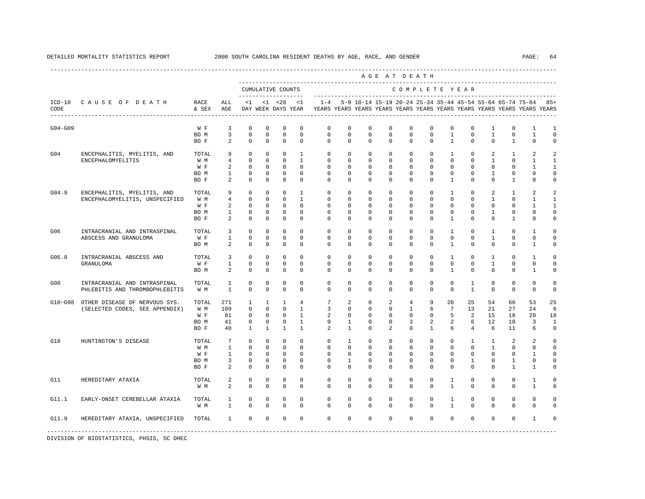|           |                                                                 |                                     |                                                            |                                                                            |                                                            |                                                               |                                                                                |                                                                                    |                                                                  |                                                             |                                                             | AGE AT DEATH                                                             |                                                                     |                                                                        |                                                           |                                                    |                                                                 |                                                              |                                                                 |
|-----------|-----------------------------------------------------------------|-------------------------------------|------------------------------------------------------------|----------------------------------------------------------------------------|------------------------------------------------------------|---------------------------------------------------------------|--------------------------------------------------------------------------------|------------------------------------------------------------------------------------|------------------------------------------------------------------|-------------------------------------------------------------|-------------------------------------------------------------|--------------------------------------------------------------------------|---------------------------------------------------------------------|------------------------------------------------------------------------|-----------------------------------------------------------|----------------------------------------------------|-----------------------------------------------------------------|--------------------------------------------------------------|-----------------------------------------------------------------|
|           |                                                                 |                                     |                                                            |                                                                            |                                                            | CUMULATIVE COUNTS<br>--------------------                     |                                                                                |                                                                                    |                                                                  |                                                             |                                                             | COMPLETE YEAR                                                            |                                                                     |                                                                        |                                                           |                                                    |                                                                 |                                                              |                                                                 |
| CODE      | ICD-10 CAUSE OF DEATH RACE                                      | & SEX                               | ALL<br>AGE                                                 | $\leq 1$                                                                   |                                                            | $< 1$ $< 28$<br>DAY WEEK DAYS YEAR                            | < 1                                                                            | $1 - 4$<br>YEARS YEARS YEARS YEARS YEARS YEARS YEARS YEARS YEARS YEARS YEARS YEARS |                                                                  |                                                             |                                                             |                                                                          |                                                                     |                                                                        |                                                           |                                                    |                                                                 | 5-9 10-14 15-19 20-24 25-34 35-44 45-54 55-64 65-74 75-84    | $85+$                                                           |
| $G04-G09$ |                                                                 | W F<br>BO M<br>BO F                 | 3<br>3<br>2                                                | 0<br>$\mathbf 0$<br>$\mathbf 0$                                            | $^{\circ}$<br>$\mathbf 0$<br>$^{\circ}$                    | 0<br>$\mathbf 0$<br>$^{\circ}$                                | $\mathbf 0$<br>$\mathbf 0$<br>$\Omega$                                         | $\mathbf{0}$<br>$\mathbf{0}$<br>$\Omega$                                           | $\mathbf{0}$<br>$\mathbf 0$<br>$\Omega$                          | 0<br>$\mathbf 0$<br>$\Omega$                                | $\mathbf 0$<br>$\mathbf 0$<br>$\Omega$                      | $\mathbf{0}$<br>$\mathbf 0$<br>$\Omega$                                  | $\mathbf 0$<br>$\mathbf 0$<br>$\Omega$                              | $\mathbf 0$<br>$\mathbf{1}$<br>$\overline{1}$                          | $\mathbf 0$<br>$\mathbf 0$<br>$\Omega$                    | 1<br>$\mathbf{1}$<br>$\Omega$                      | $\mathbf 0$<br>$\mathbf 0$<br>$\mathbf{1}$                      | 1<br>$\mathbf{1}$<br>$\mathbf 0$                             | 1<br>$\mathbf 0$<br>$\Omega$                                    |
| G04       | ENCEPHALITIS, MYELITIS, AND<br>ENCEPHALOMYELITIS                | TOTAL<br>W M<br>W F<br>BO M<br>BO F | 9<br>$\overline{4}$<br>2<br>$\mathbf{1}$<br>2              | $\mathbf 0$<br>$\mathbf 0$<br>$^{\circ}$<br>$\mathbf 0$<br>$\mathbf 0$     | $\circ$<br>$^{\circ}$<br>$^{\circ}$<br>0<br>$\circ$        | $^{\circ}$<br>$^{\circ}$<br>$^{\circ}$<br>0<br>$\circ$        | $\mathbf{1}$<br>1<br>$^{\circ}$<br>$^{\circ}$<br>$\mathbf 0$                   | $\mathbf{0}$<br>$\mathbf{0}$<br>$\mathbf{0}$<br>$\mathbf{0}$<br>$\Omega$           | $\mathbf 0$<br>$\mathbf{0}$<br>$\circ$<br>$\circ$<br>$\mathbf 0$ | $\mathbf 0$<br>$^{\circ}$<br>0<br>$^{\circ}$<br>$\mathbf 0$ | $\mathbf 0$<br>0<br>0<br>$^{\circ}$<br>$\mathbf 0$          | $\mathbf 0$<br>$\mathbf 0$<br>$\mathbf{0}$<br>$\mathbf 0$<br>$\Omega$    | $\mathbf 0$<br>0<br>$\mathbf{0}$<br>$\mathbf 0$<br>$\mathbf 0$      | $\mathbf{1}$<br>0<br>0<br>$\mathbf 0$<br>$\mathbf{1}$                  | $\mathbf 0$<br>0<br>0<br>$^{\circ}$<br>$\mathbf 0$        | 2<br>$\mathbf{1}$<br>0<br>$\mathbf{1}$<br>$\Omega$ | $\mathbf{1}$<br>0<br>$\mathbf 0$<br>$\mathbf 0$<br>$\mathbf{1}$ | 2<br>1<br>1<br>$\mathbf 0$<br>$\Omega$                       | 2<br>1<br>1<br>$\Omega$<br>$\Omega$                             |
| G04.9     | ENCEPHALITIS, MYELITIS, AND<br>ENCEPHALOMYELITIS, UNSPECIFIED   | TOTAL<br>W M<br>W F<br>BO M<br>BO F | 9<br>$\overline{4}$<br>$\overline{a}$<br>$\mathbf{1}$<br>2 | $\mathbf 0$<br>$\mathbf 0$<br>$\mathbf 0$<br>$\mathbf 0$<br>$\circ$        | $^{\circ}$<br>$\Omega$<br>$\mathbf 0$<br>0<br>$^{\circ}$   | $^{\circ}$<br>$\Omega$<br>$\mathbf 0$<br>0<br>$^{\circ}$      | $\mathbf{1}$<br>$\overline{1}$<br>$\mathbf 0$<br>0<br>$^{\circ}$               | $\Omega$<br>$\Omega$<br>$\mathbf 0$<br>0<br>$\mathbf{0}$                           | $\Omega$<br>$\Omega$<br>0<br>0<br>$\mathbf{0}$                   | $\mathbf 0$<br>$\Omega$<br>$\mathbf 0$<br>0<br>$^{\circ}$   | $\mathbf 0$<br>$\Omega$<br>0<br>0<br>0                      | $\Omega$<br>$\Omega$<br>$\mathbb O$<br>$\mathbf 0$<br>$\mathbf 0$        | $\Omega$<br>$\Omega$<br>$\mathbf 0$<br>$\mathbf 0$<br>$\mathbf{0}$  | $\mathbf{1}$<br>$\Omega$<br>$\mathbf 0$<br>$\mathbf 0$<br>$\mathbf{1}$ | $\mathbf 0$<br>$\Omega$<br>$\mathbf 0$<br>$^{\circ}$<br>0 | 2<br>$\mathbf{1}$<br>$\mathbf 0$<br>1<br>0         | $\mathbf{1}$<br>$\Omega$<br>$\mathsf 0$<br>$\Omega$<br>1        | 2<br>$\mathbf{1}$<br>$\mathbf{1}$<br>$\Omega$<br>$\mathbf 0$ | 2<br>$\mathbf{1}$<br>$\mathbf{1}$<br>$\mathbf 0$<br>$\mathbf 0$ |
| G06       | INTRACRANIAL AND INTRASPINAL<br>ABSCESS AND GRANULOMA           | TOTAL<br>W F<br>BO M                | 3<br>$\mathbf{1}$<br>2                                     | $\mathbf 0$<br>$\mathbf 0$<br>$\mathbf 0$                                  | $^{\circ}$<br>$^{\circ}$<br>$^{\circ}$                     | 0<br>$\mathbf 0$<br>$^{\circ}$                                | $\mathbf 0$<br>$\mathbf 0$<br>$\Omega$                                         | $\mathbf{0}$<br>$\mathbf 0$<br>$\Omega$                                            | $\mathbf{0}$<br>$\mathbf{0}$<br>$\Omega$                         | $\circ$<br>$^{\circ}$<br>$\Omega$                           | 0<br>0<br>$\Omega$                                          | $\mathbf{0}$<br>$\Omega$<br>$\Omega$                                     | $\mathbf{0}$<br>$\Omega$<br>$\Omega$                                | 1<br>$\mathbf 0$<br>$\mathbf{1}$                                       | 0<br>0<br>$\mathbf 0$                                     | $\mathbf{1}$<br>$\mathbf{1}$<br>$\Omega$           | $\mathbf 0$<br>$\mathbf 0$<br>$\mathbf{0}$                      | 1<br>$\Omega$<br>$\mathbf{1}$                                | $\Omega$<br>$\Omega$<br>$\Omega$                                |
| G06.0     | INTRACRANIAL ABSCESS AND<br>GRANULOMA                           | TOTAL<br>W F<br>BO M                | 3<br>$\mathbf{1}$<br>2                                     | $\mathbf 0$<br>$\mathbf 0$<br>$\mathbf 0$                                  | $\mathbf 0$<br>0<br>$^{\circ}$                             | $\mathbf 0$<br>0<br>$^{\circ}$                                | $\mathbf 0$<br>0<br>$\Omega$                                                   | 0<br>0<br>$\Omega$                                                                 | 0<br>0<br>$\Omega$                                               | $\mathbf 0$<br>0<br>$\mathbf 0$                             | $\mathbf 0$<br>0<br>0                                       | $\mathbf 0$<br>$\mathbf{0}$<br>$\Omega$                                  | $\mathbf 0$<br>$\mathbf{0}$<br>$\Omega$                             | $\mathbf{1}$<br>0<br>$\mathbf{1}$                                      | $\mathbf 0$<br>0<br>$\mathbf 0$                           | $\mathbf{1}$<br>$\mathbf{1}$<br>$\mathbf 0$        | $\mathbf 0$<br>0<br>$\mathbf{0}$                                | 1<br>$\mathbf 0$<br>1                                        | $\mathbf 0$<br>$\mathbf 0$<br>$\Omega$                          |
| G08       | INTRACRANIAL AND INTRASPINAL<br>PHLEBITIS AND THROMBOPHLEBITIS  | TOTAL<br>W M                        | $\mathbf{1}$<br>$\mathbf{1}$                               | $\mathbf 0$<br>$\mathbf 0$                                                 | $\mathbf 0$<br>$\mathbf 0$                                 | 0<br>$\mathbf 0$                                              | $\Omega$<br>$\Omega$                                                           | $\mathbf 0$<br>$\Omega$                                                            | $\mathbf 0$<br>0                                                 | $\mathbf 0$<br>$\Omega$                                     | $\mathbf 0$<br>$\mathbf 0$                                  | $\mathbf 0$<br>$\Omega$                                                  | $\mathbf 0$<br>$\Omega$                                             | $\mathbf 0$<br>$\Omega$                                                | $\mathbf{1}$<br>$\mathbf{1}$                              | $\mathbf 0$<br>$\mathbf 0$                         | $\mathbf{0}$<br>$\mathbf{0}$                                    | $\mathbf 0$<br>$\mathbf{0}$                                  | $\Omega$<br>$\Omega$                                            |
| G10~G98   | OTHER DISEASE OF NERVOUS SYS.<br>(SELECTED CODES, SEE APPENDIX) | TOTAL<br>W M<br>W F<br>BO M<br>BO F | 271<br>109<br>81<br>41<br>40                               | 1<br>$\mathbf 0$<br>$\circ$<br>$\mathbf 0$<br>$\mathbf{1}$                 | 1<br>$\circ$<br>$^{\circ}$<br>0<br>$\mathbf{1}$            | 1<br>$\circ$<br>$^{\circ}$<br>$\circ$<br>$\mathbf{1}$         | $\overline{4}$<br>$\mathbf{1}$<br>$\mathbf{1}$<br>$\mathbf{1}$<br>$\mathbf{1}$ | 7<br>3<br>2<br>$\circ$<br>2                                                        | 2<br>$\mathbf{0}$<br>0<br>$\mathbf{1}$<br>$\mathbf{1}$           | 0<br>$\mathbf 0$<br>$^{\circ}$<br>$\circ$<br>$\Omega$       | 2<br>$\mathbf 0$<br>$^{\circ}$<br>$\circ$<br>$\overline{2}$ | $\overline{4}$<br>$\mathbf{1}$<br>$\mathbf{0}$<br>3<br>$\Omega$          | 9<br>6<br>$\mathbf{0}$<br>2<br>$\mathbf{1}$                         | 20<br>$7\overline{ }$<br>5<br>2<br>6                                   | 25<br>13<br>2<br>6<br>$\overline{4}$                      | 54<br>21<br>15<br>12<br>6                          | 66<br>27<br>18<br>10<br>11                                      | 53<br>24<br>20<br>3<br>6                                     | 25<br>6<br>18<br>1<br>$\mathbf 0$                               |
| G10       | HUNTINGTON'S DISEASE                                            | TOTAL<br>W M<br>W F<br>BO M<br>BO F | $7\phantom{.0}$<br>$\mathbf{1}$<br>$\mathbf{1}$<br>3<br>2  | $\mathbf 0$<br>$\mathbf 0$<br>$\overline{0}$<br>$\mathbf 0$<br>$\mathbf 0$ | $\mathbf 0$<br>$^{\circ}$<br>$^{\circ}$<br>0<br>$^{\circ}$ | $\mathbf 0$<br>$^{\circ}$<br>$\circ$<br>$\circ$<br>$^{\circ}$ | $\mathbf 0$<br>$^{\circ}$<br>$^{\circ}$<br>$^{\circ}$<br>$\Omega$              | $\mathbf 0$<br>$\mathbf{0}$<br>$\circ$<br>$\circ$<br>$\Omega$                      | $\mathbf{1}$<br>$\mathbf{0}$<br>$\mathbf{0}$<br>1<br>0           | $\mathbf 0$<br>0<br>$^{\circ}$<br>$^{\circ}$<br>$\Omega$    | $\mathbf 0$<br>0<br>0<br>0<br>0                             | $\mathbf{0}$<br>$\mathbf{0}$<br>$\mathbf{0}$<br>$\mathbf{0}$<br>$\Omega$ | $\mathbf 0$<br>$\mathbf{0}$<br>$\Omega$<br>$\mathbf{0}$<br>$\Omega$ | $\mathbf 0$<br>0<br>0<br>0<br>$\Omega$                                 | $\mathbf{1}$<br>0<br>0<br>$\mathbf{1}$<br>$^{\circ}$      | $\mathbf{1}$<br>$\mathbf{1}$<br>0<br>0<br>$\Omega$ | 2<br>$\mathbf 0$<br>0<br>1<br>1                                 | 2<br>0<br>1<br>0<br>1                                        | $\mathbf 0$<br>0<br>0<br>$\mathbf 0$<br>$\Omega$                |
| G11       | HEREDITARY ATAXIA                                               | TOTAL<br>W M                        | 2<br>$\overline{a}$                                        | $\mathbf 0$<br>$\Omega$                                                    | $^{\circ}$<br>$\Omega$                                     | $\mathbf 0$<br>$\Omega$                                       | $\Omega$<br>$\Omega$                                                           | $\mathbf{0}$<br>$\Omega$                                                           | $\Omega$<br>$\Omega$                                             | $\mathbf 0$<br>$\Omega$                                     | $\Omega$<br>$\Omega$                                        | $\Omega$<br>$\Omega$                                                     | $\Omega$<br>$\Omega$                                                | $\mathbf{1}$<br>$\mathbf{1}$                                           | $\mathbf 0$<br>$\Omega$                                   | $\mathbf 0$<br>$\Omega$                            | $\mathbf{0}$<br>$\Omega$                                        | $\mathbf{1}$<br>$\mathbf{1}$                                 | $\Omega$<br>$\Omega$                                            |
| G11.1     | EARLY-ONSET CEREBELLAR ATAXIA                                   | TOTAL<br>W M                        | $\mathbf{1}$<br>$\mathbf{1}$                               | 0<br>$\mathbf 0$                                                           | 0<br>$\mathbf 0$                                           | 0<br>$^{\circ}$                                               | $^{\circ}$<br>$\mathbf 0$                                                      | $\circ$<br>$\Omega$                                                                | $\mathbf{0}$<br>$\mathbf 0$                                      | $^{\circ}$<br>$\mathbf 0$                                   | $^{\circ}$<br>$\mathbf 0$                                   | $\mathbf 0$<br>$\mathbf 0$                                               | $\mathbf{0}$<br>$\Omega$                                            | $\mathbf{1}$<br>$\mathbf{1}$                                           | $^{\circ}$<br>0                                           | $^{\circ}$<br>$\Omega$                             | $\mathbf 0$<br>$\Omega$                                         | $\mathbf 0$<br>$\mathbf{0}$                                  | $\Omega$<br>$\cap$                                              |
| G11.9     | HEREDITARY ATAXIA, UNSPECIFIED                                  | TOTAL                               | $\mathbf{1}$                                               | $\mathbf 0$                                                                | $\mathbf 0$                                                | $\mathbf 0$                                                   | $\mathbf 0$                                                                    | $\mathbf{0}$                                                                       | $\mathbf 0$                                                      | $\mathbf 0$                                                 | $\mathbf 0$                                                 | $\mathbf 0$                                                              | $\mathbf 0$                                                         | $\circ$                                                                | $\mathbf 0$                                               | $\mathbf 0$                                        | $\mathbf{0}$                                                    | 1                                                            |                                                                 |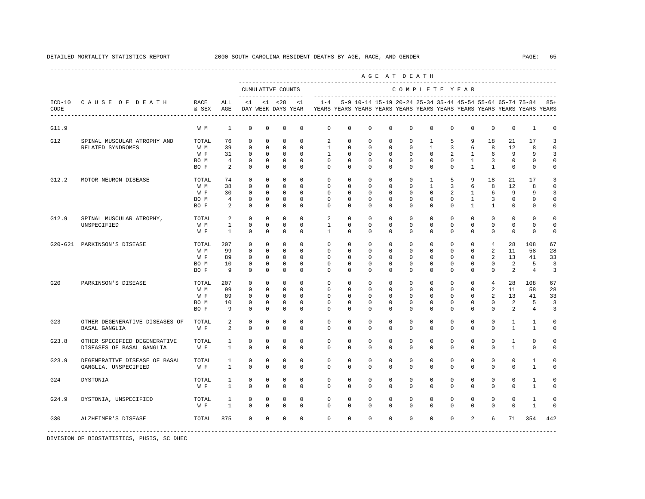|                  |                                                           |                                     |                                       |                                                                   |                                                                  |                                                                      |                                                             |                                                          |                                                      |                                                                   | AGE AT DEATH                                                      |                                                      |                                                                |                                                      |                                                                         |                                                        |                                                           |                                                                         |                              |
|------------------|-----------------------------------------------------------|-------------------------------------|---------------------------------------|-------------------------------------------------------------------|------------------------------------------------------------------|----------------------------------------------------------------------|-------------------------------------------------------------|----------------------------------------------------------|------------------------------------------------------|-------------------------------------------------------------------|-------------------------------------------------------------------|------------------------------------------------------|----------------------------------------------------------------|------------------------------------------------------|-------------------------------------------------------------------------|--------------------------------------------------------|-----------------------------------------------------------|-------------------------------------------------------------------------|------------------------------|
|                  |                                                           |                                     |                                       |                                                                   |                                                                  | CUMULATIVE COUNTS                                                    |                                                             |                                                          |                                                      |                                                                   |                                                                   | COMPLETE YEAR                                        |                                                                |                                                      |                                                                         |                                                        |                                                           |                                                                         |                              |
| $ICD-10$<br>CODE | CAUSE OF DEATH                                            | RACE<br>& SEX                       | ALL<br>AGE                            | <1                                                                |                                                                  | -------------------<br>$< 1$ $< 28$<br>DAY WEEK DAYS YEAR            | < 1                                                         | $1 - 4$                                                  |                                                      |                                                                   |                                                                   |                                                      |                                                                |                                                      |                                                                         |                                                        | 5-9 10-14 15-19 20-24 25-34 35-44 45-54 55-64 65-74 75-84 | YEARS YEARS YEARS YEARS YEARS YEARS YEARS YEARS YEARS YEARS YEARS YEARS | $85+$                        |
| G11.9            |                                                           | W M                                 | $\mathbf{1}$                          | $\mathbf 0$                                                       | $\mathbf 0$                                                      | 0                                                                    | 0                                                           | 0                                                        | 0                                                    | $\mathbf 0$                                                       | $\mathbf 0$                                                       | $\mathbf 0$                                          | $\mathbf 0$                                                    | $\mathbf 0$                                          | $\mathbf 0$                                                             | $\mathbf 0$                                            | $\mathbf 0$                                               | $\mathbf{1}$                                                            | 0                            |
| G12              | SPINAL MUSCULAR ATROPHY AND<br>RELATED SYNDROMES          | TOTAL<br>W M<br>W F<br>BO M<br>BO F | 76<br>39<br>31<br>$\overline{4}$<br>2 | $^{\circ}$<br>$\mathbf 0$<br>$^{\circ}$<br>$^{\circ}$<br>$\Omega$ | $\mathbf 0$<br>$\mathbf 0$<br>$\mathbf 0$<br>$\circ$<br>$\Omega$ | $\mathbf 0$<br>$\mathbf 0$<br>$\mathbf 0$<br>$\mathbf 0$<br>$\Omega$ | $\Omega$<br>$\Omega$<br>$\Omega$<br>$\mathbf 0$<br>$\Omega$ | 2<br>$\mathbf{1}$<br>$\mathbf{1}$<br>0<br>$\Omega$       | $\Omega$<br>$\mathbf 0$<br>$\Omega$<br>0<br>$\Omega$ | $\Omega$<br>$\mathbf 0$<br>$\mathbf 0$<br>$\mathbf 0$<br>$\Omega$ | $\Omega$<br>$\mathbf 0$<br>$\mathbf 0$<br>$\mathbf 0$<br>$\Omega$ | $\Omega$<br>$\mathbf 0$<br>$\Omega$<br>0<br>$\Omega$ | 1<br>$\mathbf{1}$<br>$\Omega$<br>0<br>$\Omega$                 | 5<br>3<br>$\overline{a}$<br>0<br>$\Omega$            | 9<br>6<br>1<br>$\mathbf{1}$<br>$\mathbf{1}$                             | 18<br>8<br>6<br>3<br>$\mathbf{1}$                      | 21<br>12<br>9<br>$\mathbf 0$<br>$\mathbf 0$               | 17<br>8<br>9<br>0<br>$\Omega$                                           | 3<br>$\Omega$<br>3<br>0<br>0 |
| G12.2            | MOTOR NEURON DISEASE                                      | TOTAL<br>W M<br>W F<br>BO M<br>BO F | 74<br>38<br>30<br>$\overline{4}$<br>2 | $\mathbf 0$<br>$\Omega$<br>$^{\circ}$<br>0<br>$\mathbf 0$         | $\mathbf 0$<br>$\Omega$<br>$\circ$<br>0<br>0                     | $\mathbf 0$<br>$\Omega$<br>0<br>$\mathbf 0$<br>$\mathbf 0$           | $\Omega$<br>$\Omega$<br>$\Omega$<br>0<br>0                  | $\Omega$<br>$\Omega$<br>$\Omega$<br>0<br>0               | $\Omega$<br>$\Omega$<br>$\Omega$<br>0<br>0           | $\Omega$<br>$\Omega$<br>$\Omega$<br>0<br>$\Omega$                 | $\mathbf 0$<br>$\Omega$<br>$^{\circ}$<br>0<br>0                   | $\Omega$<br>$\Omega$<br>$\Omega$<br>0<br>0           | $\mathbf{1}$<br>$\mathbf{1}$<br>$\Omega$<br>0<br>$\mathbf{0}$  | 5<br>3<br>2<br>0<br>0                                | 9<br>6<br>$\mathbf{1}$<br>$\mathbf{1}$<br>$\mathbf{1}$                  | 18<br>8<br>6<br>3<br>$\mathbf{1}$                      | 21<br>12<br>9<br>$\mathbf 0$<br>0                         | 17<br>8<br>9<br>0<br>$\mathbf{0}$                                       | 3<br>0<br>3<br>0<br>0        |
| G12.9            | SPINAL MUSCULAR ATROPHY,<br>UNSPECIFIED                   | TOTAL<br>W M<br>W F                 | 2<br>$\mathbf{1}$<br>$\mathbf{1}$     | $\mathbf{0}$<br>$\mathbf 0$<br>$\mathbf 0$                        | $\mathbf 0$<br>$\circ$<br>$\circ$                                | $\mathbf 0$<br>$\mathbf 0$<br>0                                      | $\Omega$<br>$\mathbf 0$<br>0                                | 2<br>1<br>$\mathbf{1}$                                   | 0<br>$\mathbf 0$<br>0                                | $\mathbf 0$<br>$^{\circ}$<br>$^{\circ}$                           | $^{\circ}$<br>$^{\circ}$<br>$^{\circ}$                            | $\mathbf 0$<br>$\mathbf 0$<br>0                      | $\mathbf 0$<br>$\mathbf{0}$<br>$\mathbf{0}$                    | $\mathbf 0$<br>$\mathbf{0}$<br>$\mathbf 0$           | $\mathbf 0$<br>$\mathbf 0$<br>$\mathbf 0$                               | $\mathbf 0$<br>$\mathbf 0$<br>$\mathbf 0$              | $\mathbf 0$<br>$\mathbf{0}$<br>$\mathbf 0$                | $\mathbf{0}$<br>0<br>$\mathbf 0$                                        | $\Omega$<br>$\circ$<br>0     |
|                  | G20-G21 PARKINSON'S DISEASE                               | TOTAL<br>W M<br>W F<br>BO M<br>BO F | 207<br>99<br>89<br>10<br>9            | 0<br>$^{\circ}$<br>$\mathbf 0$<br>0<br>$^{\circ}$                 | $\mathbf 0$<br>$\mathbf 0$<br>$\circ$<br>$\circ$<br>$\mathbf 0$  | $\mathbf 0$<br>$\mathbf 0$<br>$\mathbf 0$<br>0<br>$\mathbf 0$        | $\Omega$<br>0<br>$\Omega$<br>$\mathbf 0$<br>0               | $\mathbf{0}$<br>$\mathbf 0$<br>$\Omega$<br>0<br>$\Omega$ | 0<br>$\mathbf 0$<br>0<br>0<br>0                      | $\Omega$<br>$\mathbf 0$<br>$\Omega$<br>0<br>$\Omega$              | $\mathbf 0$<br>$\mathbf 0$<br>$\Omega$<br>$\mathbf 0$<br>0        | $\Omega$<br>0<br>$\Omega$<br>0<br>$\mathbf 0$        | $\Omega$<br>$\mathbf{0}$<br>0<br>$\mathbf{0}$<br>$\mathbf 0$   | $\Omega$<br>$\mathbf 0$<br>$\Omega$<br>0<br>$\Omega$ | $\mathbf 0$<br>$\mathbf 0$<br>$\mathbf 0$<br>$\mathbf 0$<br>$\mathbf 0$ | $\overline{4}$<br>2<br>2<br>$\mathbf 0$<br>$\mathbf 0$ | 28<br>11<br>13<br>2<br>2                                  | 108<br>58<br>41<br>5<br>$\overline{4}$                                  | 67<br>28<br>33<br>3<br>3     |
| G20              | PARKINSON'S DISEASE                                       | TOTAL<br>W M<br>W F<br>BO M<br>BO F | 207<br>99<br>89<br>10<br>9            | $\Omega$<br>$^{\circ}$<br>$^{\circ}$<br>$\mathbf 0$<br>$\Omega$   | $\Omega$<br>$\mathbf 0$<br>$\mathbf 0$<br>$\circ$<br>$\Omega$    | $\Omega$<br>$\mathbf 0$<br>$\mathbf 0$<br>$\mathbf 0$<br>$\Omega$    | $\Omega$<br>$\Omega$<br>$\Omega$<br>0<br>$\Omega$           | $\Omega$<br>$\mathbf 0$<br>$\Omega$<br>0<br>$\Omega$     | $\Omega$<br>$\Omega$<br>0<br>0<br>$\Omega$           | $\Omega$<br>$\Omega$<br>$\Omega$<br>0<br>$\Omega$                 | $\Omega$<br>$\mathbf 0$<br>$\mathbf 0$<br>$\mathbf 0$<br>$\Omega$ | $\Omega$<br>$\Omega$<br>$\Omega$<br>0<br>$\Omega$    | $\Omega$<br>$\mathbf 0$<br>$\Omega$<br>$\mathbf 0$<br>$\Omega$ | $\Omega$<br>$\Omega$<br>$\Omega$<br>0<br>$\Omega$    | $\Omega$<br>$\mathbf 0$<br>$\mathbf 0$<br>$\mathbf 0$<br>$\mathbf 0$    | $\overline{4}$<br>2<br>2<br>$\mathbf 0$<br>$\Omega$    | 28<br>11<br>13<br>2<br>2                                  | 108<br>58<br>41<br>5<br>$\overline{4}$                                  | 67<br>28<br>33<br>3<br>3     |
| G23              | OTHER DEGENERATIVE DISEASES OF<br>BASAL GANGLIA           | TOTAL<br>W F                        | 2<br>2                                | 0<br>$^{\circ}$                                                   | $\circ$<br>0                                                     | 0<br>$\mathbf 0$                                                     | 0<br>0                                                      | 0<br>0                                                   | 0<br>0                                               | $\mathbf 0$<br>0                                                  | $^{\circ}$<br>0                                                   | $\mathbf 0$<br>0                                     | $\mathbf 0$<br>$\mathbf 0$                                     | $\mathbf 0$<br>0                                     | $\mathbf 0$<br>0                                                        | 0<br>0                                                 | $\mathbf{1}$<br>$\mathbf{1}$                              | 1<br>1                                                                  | 0<br>0                       |
| G23.8            | OTHER SPECIFIED DEGENERATIVE<br>DISEASES OF BASAL GANGLIA | TOTAL<br>W F                        | 1<br>$\mathbf{1}$                     | $\mathbf 0$<br>$\mathbf 0$                                        | $\mathbf 0$<br>$\mathbf 0$                                       | 0<br>$\mathbf 0$                                                     | 0<br>$\mathbf 0$                                            | 0<br>$\mathbf 0$                                         | $\mathbf 0$<br>$\mathbf 0$                           | $\mathbf 0$<br>$\mathbf 0$                                        | $\mathbf 0$<br>0                                                  | $\mathbf{0}$<br>$\mathbf 0$                          | $\mathbf 0$<br>$\mathbf 0$                                     | $\mathbf 0$<br>$\Omega$                              | $\mathbf 0$<br>$\mathbf 0$                                              | $\mathbf 0$<br>$\mathbf 0$                             | $\mathbf{1}$<br>$\mathbf{1}$                              | 0<br>$\mathbf{0}$                                                       | 0<br>0                       |
| G23.9            | DEGENERATIVE DISEASE OF BASAL<br>GANGLIA, UNSPECIFIED     | TOTAL<br>W F                        | $\mathbf{1}$<br>$\mathbf{1}$          | $\mathbb O$<br>$\mathbf 0$                                        | $\mathbf 0$<br>$\mathbf 0$                                       | 0<br>$\mathbf 0$                                                     | $\mathbf 0$<br>$\mathbf 0$                                  | $\mathbf 0$<br>$\mathbf{0}$                              | $\mathbf 0$<br>$\Omega$                              | $\mathbf 0$<br>$\Omega$                                           | $\mathbf 0$<br>$\Omega$                                           | $\mathbf{0}$<br>$\Omega$                             | $\mathbf 0$<br>$\Omega$                                        | $\mathbf 0$<br>$\Omega$                              | $\mathbf 0$<br>$\mathbf 0$                                              | $\mathbf 0$<br>$\mathbf 0$                             | $\mathbf{0}$<br>$\mathbf{0}$                              | $\mathbf{1}$<br>$\mathbf{1}$                                            | 0<br>$\Omega$                |
| G24              | <b>DYSTONIA</b>                                           | TOTAL<br>W F                        | $\mathbf{1}$<br>$\mathbf{1}$          | $\mathbf 0$<br>$\Omega$                                           | $\circ$<br>$\Omega$                                              | 0<br>$\Omega$                                                        | $\Omega$<br>$\Omega$                                        | $\mathbf{0}$<br>$\Omega$                                 | $\Omega$<br>$\Omega$                                 | $\Omega$<br>$\Omega$                                              | $\Omega$<br>$\Omega$                                              | $\mathbf{0}$<br>$\Omega$                             | $\mathbf 0$<br>$\Omega$                                        | $\mathbf 0$<br>$\Omega$                              | $\mathbf 0$<br>$\Omega$                                                 | $\mathbf 0$<br>$\Omega$                                | $\mathbf 0$<br>$\Omega$                                   | $\mathbf{1}$<br>$\mathbf{1}$                                            | 0<br>$\Omega$                |
| G24.9            | DYSTONIA, UNSPECIFIED                                     | TOTAL<br>W F                        | 1<br>$\mathbf{1}$                     | 0<br>$\Omega$                                                     | $\circ$<br>$\Omega$                                              | $^{\circ}$<br>$\Omega$                                               | $\Omega$<br>$\Omega$                                        | $\Omega$<br>$\Omega$                                     | $\Omega$<br>$\Omega$                                 | $\Omega$<br>$\Omega$                                              | $\Omega$<br>$\Omega$                                              | $\Omega$<br>$\Omega$                                 | $\mathbf 0$<br>$\Omega$                                        | $\mathbf 0$<br>$\Omega$                              | $\mathbf 0$<br>$\Omega$                                                 | $\mathbf 0$<br>$\Omega$                                | $\mathbf 0$<br>$\Omega$                                   | $\mathbf{1}$<br>$\mathbf{1}$                                            | O<br>$\cap$                  |
| G30              | ALZHEIMER'S DISEASE                                       | TOTAL                               | 875                                   | $\mathbf 0$                                                       | $\mathbf 0$                                                      | $\mathbf 0$                                                          | 0                                                           | $\mathbf 0$                                              | $\Omega$                                             | $\mathbf 0$                                                       | $\mathbf 0$                                                       | $\Omega$                                             | $\mathbf{0}$                                                   | $\mathbf 0$                                          | $\overline{a}$                                                          | 6                                                      | 71                                                        | 354                                                                     | 442                          |
|                  |                                                           |                                     |                                       |                                                                   |                                                                  |                                                                      |                                                             |                                                          |                                                      |                                                                   |                                                                   |                                                      |                                                                |                                                      |                                                                         |                                                        |                                                           |                                                                         |                              |

# DETAILED MORTALITY STATISTICS REPORT 2000 SOUTH CAROLINA RESIDENT DEATHS BY AGE, RACE, AND GENDER PAGE: 65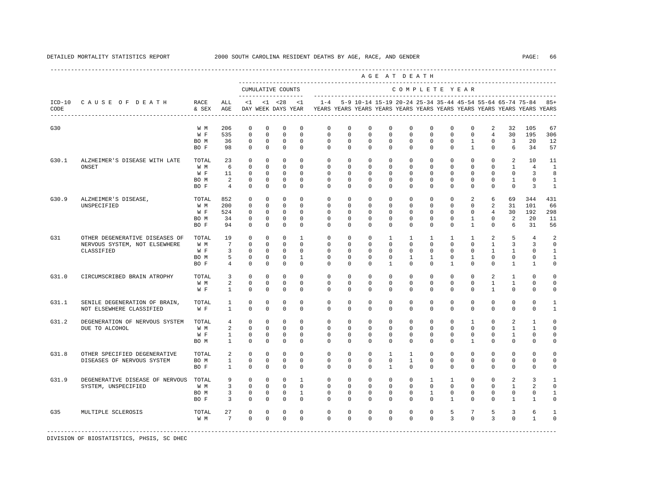|                  |                                       |               |                                |                            |                            |                                           |                            |                            |                            |                                                           |                         | --------------------------<br>AGE AT DEATH |                         |                            |                             |                              |                             |                                                                         |                        |
|------------------|---------------------------------------|---------------|--------------------------------|----------------------------|----------------------------|-------------------------------------------|----------------------------|----------------------------|----------------------------|-----------------------------------------------------------|-------------------------|--------------------------------------------|-------------------------|----------------------------|-----------------------------|------------------------------|-----------------------------|-------------------------------------------------------------------------|------------------------|
|                  |                                       |               |                                |                            |                            | CUMULATIVE COUNTS<br>-------------------- |                            |                            |                            |                                                           |                         | COMPLETE YEAR                              |                         |                            |                             |                              |                             |                                                                         |                        |
| $ICD-10$<br>CODE | CAUSE OF DEATH                        | RACE<br>& SEX | ALL<br>AGE                     | <1                         |                            | $< 1$ $< 28$<br>DAY WEEK DAYS YEAR        | $\leq$ 1                   | $1 - 4$                    |                            | 5-9 10-14 15-19 20-24 25-34 35-44 45-54 55-64 65-74 75-84 |                         |                                            |                         |                            |                             |                              |                             | YEARS YEARS YEARS YEARS YEARS YEARS YEARS YEARS YEARS YEARS YEARS YEARS | $85+$                  |
| G30              |                                       | W M           | 206                            | $\mathbf 0$                | $\mathbf 0$                | $\mathbf 0$                               | $\mathbf 0$                | $\mathbf 0$                | $\mathbf 0$                | $^{\circ}$                                                | $\mathbf 0$             | $\mathbf 0$                                | $\mathbf 0$             | $\mathbf 0$                | $\mathbf 0$                 | 2                            | 32                          | 105                                                                     | 67                     |
|                  |                                       | W F<br>BO M   | 535<br>36                      | $\mathbf 0$<br>0           | $\mathbf 0$<br>$\mathbf 0$ | $\mathbb O$<br>$\mathbf 0$                | $\mathbf 0$<br>$\mathbb O$ | $\mathbf 0$<br>$\mathbf 0$ | $\mathbf 0$<br>$\mathbf 0$ | $\mathbf 0$<br>$^{\circ}$                                 | $\mathbf 0$<br>0        | $\mathbf 0$<br>$\mathbf{0}$                | $\mathbf 0$<br>0        | $\mathbf 0$<br>0           | $\mathbf 0$<br>$\mathbf{1}$ | 4<br>0                       | 30<br>3                     | 195<br>20                                                               | 306<br>12              |
|                  |                                       | BO F          | 98                             | $^{\circ}$                 | $\mathbf 0$                | $\mathbf 0$                               | $\mathbf 0$                | $\mathbf{0}$               | $^{\circ}$                 | $^{\circ}$                                                | 0                       | $\mathbf{0}$                               | 0                       | 0                          | $\mathbf{1}$                | 0                            | 6                           | 34                                                                      | 57                     |
| G30.1            | ALZHEIMER'S DISEASE WITH LATE         | TOTAL         | 23                             | $^{\circ}$                 | $\Omega$                   | $\mathbf 0$                               | $\Omega$                   | $\mathbf 0$                | $\Omega$                   | $\Omega$                                                  | $\Omega$                | $\Omega$                                   | $\Omega$                | $\mathbf 0$                | $\Omega$                    | $\Omega$                     | 2                           | 10                                                                      | 11                     |
|                  | ONSET                                 | W M           | 6                              | $\mathbf{0}$               | $\mathbf 0$                | $\mathbf 0$                               | $\mathbf 0$                | $\mathbf 0$                | $\circ$                    | $\mathbf 0$                                               | 0                       | $\mathbf 0$                                | 0                       | 0                          | $\mathbf 0$                 | $\mathbf 0$                  | $\mathbf{1}$                | $\overline{4}$                                                          | $\mathbf{1}$           |
|                  |                                       | W F           | 11                             | $^{\circ}$                 | $\mathbf 0$                | $\mathbf 0$                               | $\Omega$                   | $\mathbf 0$                | $\mathbf 0$                | $\Omega$                                                  | $\Omega$                | $\Omega$                                   | $\Omega$                | $\Omega$                   | $\Omega$                    | $\Omega$                     | $\Omega$                    | 3                                                                       | 8                      |
|                  |                                       | BO M          | 2                              | $\Omega$                   | $\Omega$                   | $\Omega$                                  | $\Omega$                   | $\mathbf 0$                | $\Omega$                   | $\Omega$                                                  | $\Omega$                | $\Omega$                                   | $\Omega$                | $\Omega$                   | $\Omega$                    | $\Omega$                     | $\mathbf{1}$                | $\Omega$                                                                | $\mathbf{1}$           |
|                  |                                       | BO F          | $\overline{4}$                 | $\mathbf{0}$               | $\mathbf 0$                | $\mathbf 0$                               | $\Omega$                   | $\Omega$                   | $\mathbf 0$                | $\Omega$                                                  | $\mathbf 0$             | $\Omega$                                   | 0                       | $\Omega$                   | $\mathbf 0$                 | $\Omega$                     | $\mathbf 0$                 | 3                                                                       | $\mathbf{1}$           |
| G30.9            | ALZHEIMER'S DISEASE,                  | TOTAL         | 852                            | 0                          | $\mathbf 0$                | $\mathbf 0$                               | $\mathbf 0$                | $\mathbf 0$                | $\mathbf 0$                | $^{\circ}$                                                | 0                       | $\mathbf{0}$                               | $\mathbf{0}$            | 0                          | $\overline{a}$              | 6                            | 69                          | 344                                                                     | 431                    |
|                  | UNSPECIFIED                           | W M<br>W F    | 200<br>524                     | $\mathbf 0$<br>$^{\circ}$  | $\mathbf 0$<br>$\Omega$    | $\mathbf 0$<br>$\mathbf 0$                | $\Omega$<br>$\Omega$       | $\mathbf{0}$<br>$\Omega$   | $\mathbf{0}$<br>$\Omega$   | 0<br>$\Omega$                                             | $\Omega$<br>$\Omega$    | $\Omega$<br>$\Omega$                       | $\Omega$<br>$\Omega$    | $\Omega$<br>$\Omega$       | 0<br>$\mathbf 0$            | 2<br>$\overline{4}$          | 31<br>30                    | 101<br>192                                                              | 66<br>298              |
|                  |                                       | BO M          | 34                             | $\mathbf 0$                | $\mathbf 0$                | $\mathbf 0$                               | $\mathbf 0$                | $\mathbf 0$                | $\mathbf{0}$               | 0                                                         | 0                       | $\mathbf{0}$                               | 0                       | 0                          | $\mathbf{1}$                | 0                            | 2                           | 20                                                                      | 11                     |
|                  |                                       | BO F          | 94                             | $\mathbf 0$                | $\mathbf 0$                | $\mathbf 0$                               | $\Omega$                   | $\Omega$                   | $\Omega$                   | $\Omega$                                                  | 0                       | $\Omega$                                   | $\Omega$                | $\Omega$                   | $\mathbf{1}$                | $\Omega$                     | 6                           | 31                                                                      | 56                     |
| G31              | OTHER DEGENERATIVE DISEASES OF        | TOTAL         | 19                             | $\mathbf{0}$               | $\mathbf 0$                | $\mathbf 0$                               | $\mathbf{1}$               | $\mathbf{0}$               | $\mathbf 0$                | $^{\circ}$                                                | $\mathbf{1}$            | $\overline{1}$                             | $\mathbf{1}$            | $\mathbf{1}$               | $\mathbf{1}$                | 2                            | 5                           | $\overline{4}$                                                          | 2                      |
|                  | NERVOUS SYSTEM, NOT ELSEWHERE         | W M           | 7                              | $^{\circ}$                 | $\Omega$                   | $\Omega$                                  | $\Omega$                   | $\Omega$                   | $\Omega$                   | $\Omega$                                                  | $\Omega$                | $\Omega$                                   | $\Omega$                | $\Omega$                   | $\Omega$                    | $\overline{1}$               | 3                           | 3                                                                       | $\Omega$               |
|                  | CLASSIFIED                            | W F           | $\overline{3}$                 | $^{\circ}$                 | $\mathbf 0$                | $\mathbf 0$                               | $\mathbf 0$                | $\mathbf 0$                | $\mathbf 0$                | $\mathbf 0$                                               | $\mathbf 0$             | $\mathbf 0$                                | $\mathbf 0$             | $\mathbf 0$                | $\mathbf 0$                 | $\mathbf{1}$                 | $\mathbf{1}$                | $\mathbf 0$                                                             | $\mathbf{1}$           |
|                  |                                       | BO M          | 5                              | $\mathbf 0$                | $\mathbf 0$                | $\mathbf 0$                               | $\mathbf{1}$               | 0                          | 0                          | 0                                                         | 0                       | 1                                          | $\mathbf{1}$            | 0                          | $\mathbf{1}$                | $\Omega$                     | 0                           | 0                                                                       | 1                      |
|                  |                                       | BO F          | $\overline{4}$                 | $\mathbf 0$                | $\Omega$                   | $\mathbf 0$                               | $\Omega$                   | $\Omega$                   | $\Omega$                   | $\Omega$                                                  | $\mathbf{1}$            | $\Omega$                                   | $\Omega$                | 1                          | $\Omega$                    | $\Omega$                     | $\mathbf{1}$                | $\mathbf{1}$                                                            | $\circ$                |
| G31.0            | CIRCUMSCRIBED BRAIN ATROPHY           | TOTAL         | $\overline{3}$                 | $\mathbf{0}$               | $\mathbf 0$                | $\mathbf 0$                               | $\mathbf 0$                | $\mathbf 0$                | $\mathbf 0$                | $\Omega$                                                  | $\Omega$                | $\Omega$                                   | $\Omega$                | $\Omega$                   | $\Omega$                    | 2                            | $\mathbf{1}$                | $\Omega$                                                                | $\circ$                |
|                  |                                       | W M<br>W F    | 2<br>$\mathbf{1}$              | $^{\circ}$<br>$\mathbf{0}$ | $\Omega$<br>$\mathbf 0$    | $\mathbf 0$<br>$\mathbf 0$                | $\Omega$<br>$\mathbf 0$    | $\mathbf 0$<br>$\mathbf 0$ | $\Omega$<br>$\circ$        | $\Omega$<br>$\mathbf 0$                                   | $\Omega$<br>$\mathbf 0$ | $\mathbf 0$<br>$\Omega$                    | $\Omega$<br>$\mathbf 0$ | $\mathbf 0$<br>$\mathbf 0$ | $\Omega$<br>$\mathbf 0$     | $\mathbf{1}$<br>$\mathbf{1}$ | $\mathbf{1}$<br>$\mathbf 0$ | $\mathbf 0$<br>$\mathbf 0$                                              | $\circ$<br>$\mathbf 0$ |
| G31.1            | SENILE DEGENERATION OF BRAIN,         | TOTAL.        | $\mathbf{1}$                   | $\Omega$                   | $\Omega$                   | $\Omega$                                  | $\Omega$                   | $\Omega$                   | $\Omega$                   | $\Omega$                                                  | $\Omega$                | $\Omega$                                   | $\Omega$                | $\Omega$                   | $\Omega$                    | $\Omega$                     | $\Omega$                    | $\Omega$                                                                | $\mathbf{1}$           |
|                  | NOT ELSEWHERE CLASSIFIED              | W F           | $\mathbf{1}$                   | $\mathbf{0}$               | $\mathbf 0$                | $\mathbf 0$                               | $\Omega$                   | $\Omega$                   | $\Omega$                   | $\Omega$                                                  | $\Omega$                | $\Omega$                                   | $\Omega$                | $\Omega$                   | $\Omega$                    | $\Omega$                     | $\Omega$                    | $\Omega$                                                                | $\mathbf{1}$           |
|                  |                                       |               |                                |                            |                            |                                           |                            |                            |                            |                                                           |                         |                                            |                         |                            |                             |                              |                             |                                                                         |                        |
| G31.2            | DEGENERATION OF NERVOUS SYSTEM        | TOTAL         | $4\overline{ }$                | $^{\circ}$                 | $\mathbf 0$                | $\mathbf 0$                               | $\mathbf 0$                | $\mathbf 0$                | $\mathbf 0$                | $^{\circ}$                                                | 0                       | $\mathbf{0}$                               | $\mathbf{0}$            | 0                          | $\mathbf{1}$                | $\Omega$                     | 2                           | $\mathbf{1}$                                                            | $\Omega$               |
|                  | DUE TO ALCOHOL                        | W M<br>W F    | $\overline{a}$<br>$\mathbf{1}$ | $^{\circ}$<br>$^{\circ}$   | $\mathbf 0$<br>$\mathbf 0$ | $\mathbf 0$<br>$\mathbf 0$                | $\mathbf 0$<br>$\Omega$    | $\mathbf 0$<br>$\Omega$    | $\mathbf 0$<br>$\Omega$    | $\Omega$<br>$\Omega$                                      | $\Omega$<br>$\Omega$    | $\Omega$<br>$\Omega$                       | $\Omega$<br>$\Omega$    | $\Omega$<br>$\mathbf 0$    | $\Omega$<br>$\mathbf 0$     | $\Omega$<br>$\mathbf 0$      | 1<br>$\mathbf{1}$           | $\overline{1}$<br>$\Omega$                                              | $\Omega$<br>$\Omega$   |
|                  |                                       | BO M          | $\mathbf{1}$                   | $^{\circ}$                 | $\mathbf 0$                | $\mathbf 0$                               | $\mathbf 0$                | $\mathbf 0$                | $\mathbf{0}$               | $\Omega$                                                  | 0                       | $\mathbf{0}$                               | 0                       | 0                          | $\mathbf{1}$                | $\Omega$                     | $\mathbf{0}$                | $\Omega$                                                                | $\Omega$               |
| G31.8            | OTHER SPECIFIED DEGENERATIVE          | TOTAL         | 2                              | $\Omega$                   | $\Omega$                   | $\Omega$                                  | $\Omega$                   | $\Omega$                   | $\Omega$                   | $\Omega$                                                  | $\mathbf{1}$            | $\mathbf{1}$                               | $\Omega$                | $\Omega$                   | $\Omega$                    | $\Omega$                     | $\Omega$                    | $\Omega$                                                                | $\Omega$               |
|                  | DISEASES OF NERVOUS SYSTEM            | BO M          | $\mathbf{1}$                   | $\mathbf 0$                | $\mathbf 0$                | $\mathbf 0$                               | $\mathbf 0$                | $\mathbf 0$                | $\mathbf 0$                | $^{\circ}$                                                | $\mathbf 0$             | $\mathbf{1}$                               | $\mathbf 0$             | $\mathbf 0$                | $\mathbf 0$                 | $\mathbf 0$                  | $\mathbf 0$                 | $\mathbf 0$                                                             | $\mathbf 0$            |
|                  |                                       | BO F          | $\mathbf{1}$                   | $\Omega$                   | $\Omega$                   | $\Omega$                                  | $\Omega$                   | $\Omega$                   | $\Omega$                   | $\Omega$                                                  | $\mathbf{1}$            | $\Omega$                                   | $\Omega$                | $\Omega$                   | $\Omega$                    | $\Omega$                     | $\Omega$                    | $\Omega$                                                                | $\Omega$               |
| G31.9            | DEGENERATIVE DISEASE OF NERVOUS TOTAL |               | 9                              | $^{\circ}$                 | $\mathbf 0$                | $^{\circ}$                                | $\mathbf{1}$               | 0                          | $^{\circ}$                 | $^{\circ}$                                                | 0                       | $\mathbf{0}$                               | $\mathbf{1}$            | $\mathbf{1}$               | $\Omega$                    | $\Omega$                     | 2                           | 3                                                                       | 1                      |
|                  | SYSTEM, UNSPECIFIED                   | W M           | 3                              | $\circ$                    | $\mathbf 0$                | $\mathbf{0}$                              | $\Omega$                   | $\mathbf 0$                | $\Omega$                   | $\Omega$                                                  | $\Omega$                | $\mathbf 0$                                | $\Omega$                | $\mathbf 0$                | $\mathbf 0$                 | $\mathbf 0$                  | $\mathbf{1}$                | 2                                                                       | $\Omega$               |
|                  |                                       | BO M          | 3                              | $\mathbf 0$                | 0                          | $\mathbf 0$                               | $\mathbf{1}$               | 0                          | 0                          | 0                                                         | 0                       | $\mathbf{0}$                               | $\mathbf{1}$            | 0                          | 0                           | 0                            | $\mathbf 0$                 | 0                                                                       | 1                      |
|                  |                                       | BO F          | $\overline{3}$                 | $\mathbf 0$                | $\mathbf 0$                | $\mathbf 0$                               | $\mathbf 0$                | $\Omega$                   | 0                          | $\Omega$                                                  | 0                       | $\Omega$                                   | $\Omega$                | $\mathbf{1}$               | $\Omega$                    | $\Omega$                     | 1                           | $\mathbf{1}$                                                            | $\Omega$               |
| G35              | MULTIPLE SCLEROSIS                    | TOTAL         | 27                             | $\mathbf 0$                | $\mathbf 0$                | $\mathbf 0$                               | $\mathbf 0$                | $\mathbf 0$                | $\mathbf 0$                | $\mathbf 0$                                               | $\mathbf 0$             | $\mathbf 0$                                | $\mathbf 0$             | 5                          | 7                           | 5                            | 3                           | 6                                                                       | $\mathbf{1}$           |
|                  |                                       | W M           | 7                              | $\Omega$                   | $\Omega$                   | $\Omega$                                  | $\Omega$                   | $\Omega$                   | $\Omega$                   | $\Omega$                                                  | $\Omega$                | $\Omega$                                   | $\Omega$                | 3                          | $\Omega$                    | 3                            | $\Omega$                    | $\mathbf{1}$                                                            | $\Omega$               |
|                  |                                       |               |                                |                            |                            |                                           |                            |                            |                            |                                                           |                         |                                            |                         |                            |                             |                              |                             |                                                                         |                        |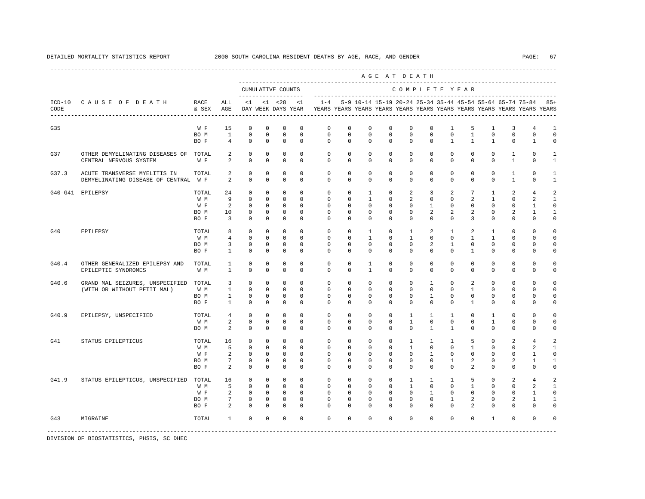|       |                                                                  |       |                                |                             |                        |                                          |                         |                                                                                    |                         |                         | ----------------------------<br>AGE AT DEATH |                         |                         |                             |                              |                             |                                |                                                           |                    |
|-------|------------------------------------------------------------------|-------|--------------------------------|-----------------------------|------------------------|------------------------------------------|-------------------------|------------------------------------------------------------------------------------|-------------------------|-------------------------|----------------------------------------------|-------------------------|-------------------------|-----------------------------|------------------------------|-----------------------------|--------------------------------|-----------------------------------------------------------|--------------------|
|       |                                                                  |       |                                |                             |                        | CUMULATIVE COUNTS<br>------------------- |                         |                                                                                    |                         |                         |                                              | COMPLETE YEAR           |                         |                             |                              |                             |                                |                                                           |                    |
| CODE  | ICD-10 CAUSE OF DEATH RACE<br>---------------------------------- | & SEX | ALL<br>AGE                     |                             |                        | $<1$ $<1$ $<28$<br>DAY WEEK DAYS YEAR    | <1                      | $1 - 4$<br>YEARS YEARS YEARS YEARS YEARS YEARS YEARS YEARS YEARS YEARS YEARS YEARS |                         |                         |                                              |                         |                         |                             |                              |                             |                                | 5-9 10-14 15-19 20-24 25-34 35-44 45-54 55-64 65-74 75-84 | $85+$              |
| G35   |                                                                  | W F   | 15                             | $\mathbf 0$                 | $\circ$                | $^{\circ}$                               | $\mathbf 0$             | $\mathbf{0}$                                                                       | $\mathbf 0$             | $\mathbf 0$             | $\mathbf 0$                                  | $\mathbf 0$             | $\mathbf 0$             | $\mathbf{1}$                | 5                            | $\mathbf{1}$                | 3                              | $\overline{4}$                                            | $\mathbf{1}$       |
|       |                                                                  | BO M  | $\mathbf{1}$<br>$\overline{4}$ | $\mathbf 0$<br>$\mathbf{0}$ | $\mathbf 0$<br>$\circ$ | $\mathbf 0$<br>$\circ$                   | $\mathbf 0$<br>$\Omega$ | $\mathbf 0$<br>$\Omega$                                                            | $\mathbf 0$<br>$\Omega$ | $\mathbf 0$<br>$\Omega$ | $\Omega$<br>$\Omega$                         | $\mathbf 0$<br>$\Omega$ | $\mathbf 0$<br>$\Omega$ | $\mathbf 0$<br>$\mathbf{1}$ | $\mathbf{1}$<br>$\mathbf{1}$ | $\mathbf 0$<br>$\mathbf{1}$ | $\mathbf{0}$<br>$\mathbf{0}$   | $\mathbf 0$<br>$\mathbf{1}$                               | $\mathbf 0$<br>0   |
|       |                                                                  | BO F  |                                |                             |                        |                                          |                         |                                                                                    |                         |                         |                                              |                         |                         |                             |                              |                             |                                |                                                           |                    |
| G37   | OTHER DEMYELINATING DISEASES OF TOTAL<br>CENTRAL NERVOUS SYSTEM  | W F   | 2<br>$\mathfrak{D}$            | $\mathbf 0$<br>$\Omega$     | $^{\circ}$<br>$\Omega$ | $^{\circ}$<br>$\Omega$                   | $\Omega$<br>$\Omega$    | $\Omega$<br>$\Omega$                                                               | $\Omega$<br>$\Omega$    | $\Omega$<br>$\Omega$    | $\Omega$<br>$\Omega$                         | $\Omega$<br>$\cap$      | $\Omega$<br>$\Omega$    | $\Omega$<br>$\Omega$        | $\Omega$<br>$\Omega$         | $\Omega$<br>$\cap$          | $\mathbf{1}$<br>$\overline{1}$ | $\Omega$<br>$\Omega$                                      | -1<br>$\mathbf{1}$ |
| G37.3 | ACUTE TRANSVERSE MYELITIS IN                                     | TOTAL | 2                              | $\mathbf 0$                 | $^{\circ}$             | $\mathbf 0$                              | $\Omega$                | $\Omega$                                                                           | $\Omega$                | $\Omega$                | $\Omega$                                     | $\Omega$                | $\Omega$                | $\Omega$                    | $\Omega$                     | $\Omega$                    | $\mathbf{1}$                   | $\Omega$                                                  | -1                 |
|       | DEMYELINATING DISEASE OF CENTRAL W F                             |       | $\overline{2}$                 | $\Omega$                    | $\Omega$               | $\Omega$                                 | $\Omega$                | $\Omega$                                                                           | $\Omega$                | $\Omega$                | $\Omega$                                     | $\Omega$                | $\Omega$                | $\Omega$                    | $\Omega$                     | $\Omega$                    | $\overline{1}$                 | $\Omega$                                                  | $\mathbf{1}$       |
|       | G40-G41 EPILEPSY                                                 | TOTAL | 24                             | $\mathbf 0$                 | $\circ$                | $^{\circ}$                               | $\mathbf 0$             | $\mathbf{0}$                                                                       | $^{\circ}$              | $\mathbf{1}$            | 0                                            | $\overline{a}$          | 3                       | 2                           | $7\phantom{.0}$              | 1                           | 2                              | $\overline{4}$                                            | $\mathfrak{D}$     |
|       |                                                                  | W M   | 9                              | $\mathbf{0}$                | $^{\circ}$             | $\circ$                                  | $\Omega$                | $\circ$                                                                            | $\mathbf{0}$            | $\mathbf{1}$            | 0                                            | $\overline{a}$          | $\mathbf{0}$            | $\mathbf 0$                 | 2                            | $\mathbf{1}$                | $\mathbf{0}$                   | 2                                                         | $\mathbf{1}$       |
|       |                                                                  | W F   | 2                              | $\mathbf 0$                 | $\circ$                | $\circ$                                  | $\Omega$                | $\Omega$                                                                           | $\Omega$                | $\Omega$                | $\Omega$                                     | $\Omega$                | $\mathbf{1}$            | $\Omega$                    | $\Omega$                     | $\Omega$                    | $\Omega$                       | $\mathbf{1}$                                              | $\Omega$           |
|       |                                                                  | BO M  | 10                             | $\mathbf{0}$                | $\circ$                | $\circ$                                  | $\Omega$                | $\Omega$                                                                           | $\Omega$                | $\Omega$                | $\Omega$                                     | $\Omega$                | $\overline{a}$          | 2                           | $\overline{a}$               | $\Omega$                    | 2                              | 1                                                         | -1                 |
|       |                                                                  | BO F  | $\overline{3}$                 | $\mathbf{0}$                | $\circ$                | $\circ$                                  | $\Omega$                | $\Omega$                                                                           | $\Omega$                | $\Omega$                | $\Omega$                                     | $\Omega$                | $\circ$                 | $\Omega$                    | $\overline{3}$               | $\Omega$                    | $\mathbf 0$                    | $\Omega$                                                  | $\mathbf 0$        |
| G40   | EPILEPSY                                                         | TOTAL | 8                              | $\circ$                     | $\Omega$               | $\Omega$                                 | $\Omega$                | $\Omega$                                                                           | $\Omega$                | $\overline{1}$          | $\Omega$                                     | $\mathbf{1}$            | $\overline{a}$          | 1                           | 2                            | $\mathbf{1}$                | $\Omega$                       | $\Omega$                                                  | $\Omega$           |
|       |                                                                  | W M   | $\overline{4}$                 | $\circ$                     | $\mathbf 0$            | $\mathbf 0$                              | $\Omega$                | $\Omega$                                                                           | $\Omega$                | $\overline{1}$          | $\Omega$                                     | $\mathbf{1}$            | $\Omega$                | $\Omega$                    | $\mathbf{1}$                 | $\mathbf{1}$                | $\Omega$                       | $\Omega$                                                  | $\Omega$           |
|       |                                                                  | BO M  | $\overline{3}$                 | $\mathbf 0$                 | $^{\circ}$             | $^{\circ}$                               | $\Omega$                | $\Omega$                                                                           | $\Omega$                | $\Omega$                | $\Omega$                                     | $\Omega$                | $\overline{2}$          | $\mathbf{1}$                | $\Omega$                     | $\mathbf 0$                 | $\mathbf 0$                    | $\mathbf 0$                                               | $\Omega$           |
|       |                                                                  | BO F  | $\mathbf{1}$                   | $\mathbf 0$                 | $^{\circ}$             | $^{\circ}$                               | $\mathbf 0$             | $\mathbf{0}$                                                                       | $\mathbf 0$             | $\mathbf 0$             | $\mathbf 0$                                  | $\mathbf 0$             | $\mathbf{0}$            | $\mathbf 0$                 | $\mathbf{1}$                 | 0                           | $\mathbf 0$                    | $\mathbf 0$                                               | $\mathbf 0$        |
| G40.4 | OTHER GENERALIZED EPILEPSY AND                                   | TOTAL | 1                              | $\mathbf 0$                 | $^{\circ}$             | $^{\circ}$                               | $\Omega$                | $\mathbf 0$                                                                        | $\mathbf 0$             | $\mathbf{1}$            | $\mathbf 0$                                  | $\mathbf 0$             | $\mathbf 0$             | $\mathbf 0$                 | $\mathbf{0}$                 | $\mathbf{0}$                | $\mathbf{0}$                   | 0                                                         | 0                  |
|       | EPILEPTIC SYNDROMES                                              | W M   | 1                              | $\mathbf 0$                 | $^{\circ}$             | $^{\circ}$                               | $\Omega$                | $\Omega$                                                                           | 0                       | $\mathbf{1}$            | 0                                            | $\Omega$                | $\mathbf 0$             | $\mathbf 0$                 | $\mathbf{0}$                 | $\mathbf 0$                 | $\mathbf 0$                    | $\mathbf 0$                                               | 0                  |
| G40.6 | GRAND MAL SEIZURES, UNSPECIFIED TOTAL                            |       | 3                              | $\circ$                     | $\Omega$               | $\Omega$                                 | $\Omega$                | $\Omega$                                                                           | $\Omega$                | $\Omega$                | $\Omega$                                     | $\Omega$                | $\mathbf{1}$            | $\Omega$                    | 2                            | $\Omega$                    | $\Omega$                       | $\Omega$                                                  | $\Omega$           |
|       | (WITH OR WITHOUT PETIT MAL)                                      | W M   | $\mathbf{1}$                   | $\circ$                     | $\mathbf 0$            | $\mathbf 0$                              | $\Omega$                | $\Omega$                                                                           | $\mathbf 0$             | $\mathbf{0}$            | $\mathbf 0$                                  | $\mathbf 0$             | $\mathbf{0}$            | $\mathbf 0$                 | $\mathbf{1}$                 | $\Omega$                    | $\mathbf{0}$                   | $\Omega$                                                  | $\Omega$           |
|       |                                                                  | BO M  | $\mathbf{1}$                   | $\mathbf 0$                 | $^{\circ}$             | $^{\circ}$                               | $\Omega$                | $\Omega$                                                                           | $\Omega$                | $\Omega$                | $\Omega$                                     | $\Omega$                | $\mathbf{1}$            | $\Omega$                    | $\Omega$                     | $\Omega$                    | $\Omega$                       | $\Omega$                                                  | $\Omega$           |
|       |                                                                  | BO F  | $\mathbf{1}$                   | $\Omega$                    | $\Omega$               | $\Omega$                                 | $\Omega$                | $\Omega$                                                                           | $\Omega$                | $\Omega$                | $\Omega$                                     | $\Omega$                | $\Omega$                | $\Omega$                    | $\mathbf{1}$                 | $\Omega$                    | $\Omega$                       | $\Omega$                                                  | $\Omega$           |
|       |                                                                  |       |                                |                             |                        |                                          |                         |                                                                                    |                         |                         |                                              |                         |                         |                             |                              |                             |                                |                                                           |                    |
| G40.9 | EPILEPSY, UNSPECIFIED                                            | TOTAL | $\overline{4}$                 | $\mathbf{0}$                | $\circ$                | $\circ$                                  | $\mathbf 0$             | $\mathbf{0}$                                                                       | $\mathbf 0$             | $^{\circ}$              | $\mathbf 0$                                  | $\mathbf{1}$            | $\mathbf{1}$            | $\mathbf{1}$                | $\mathbf{0}$                 | 1                           | $\mathbf{0}$                   | $\mathbf{0}$                                              | 0                  |
|       |                                                                  | W M   | 2                              | $\mathbf{0}$                | $^{\circ}$             | $\circ$                                  | $^{\circ}$              | $\mathbf{0}$                                                                       | $\mathbf{0}$            | 0                       | 0                                            | $\mathbf{1}$            | $\mathbf{0}$            | $\mathbf{0}$                | $\mathbf{0}$                 | $\mathbf{1}$                | $\mathbf{0}$                   | $\mathbf{0}$                                              | 0                  |
|       |                                                                  | BO M  | 2                              | $\mathbf 0$                 | $^{\circ}$             | $^{\circ}$                               | $\Omega$                | $\Omega$                                                                           | $\Omega$                | $\Omega$                | $\Omega$                                     | $\Omega$                | $\mathbf{1}$            | $\mathbf{1}$                | $\Omega$                     | $\Omega$                    | $\Omega$                       | $\Omega$                                                  | $\Omega$           |
| G41   | STATUS EPILEPTICUS                                               | TOTAL | 16                             | $\mathbf 0$                 | $\circ$                | $\circ$                                  | $\Omega$                | $\mathbf{0}$                                                                       | $\mathbf 0$             | $^{\circ}$              | $\mathbf 0$                                  | $\mathbf{1}$            | $\mathbf{1}$            | $\mathbf{1}$                | 5                            | $\Omega$                    | 2                              | $\overline{4}$                                            | $\mathfrak{D}$     |
|       |                                                                  | W M   | 5                              | $\mathbf 0$                 | $^{\circ}$             | $\Omega$                                 | $\Omega$                | $\Omega$                                                                           | $\Omega$                | $\Omega$                | $\Omega$                                     | $\mathbf{1}$            | $\Omega$                | $\Omega$                    | $\mathbf{1}$                 | $\Omega$                    | $\Omega$                       | $\mathfrak{D}$                                            | $\mathbf{1}$       |
|       |                                                                  | W F   | 2                              | $\circ$                     | $\circ$                | $\Omega$                                 | $\Omega$                | $\Omega$                                                                           | $\Omega$                | $\Omega$                | $\Omega$                                     | $\Omega$                | $\overline{1}$          | $\Omega$                    | $\Omega$                     | $\Omega$                    | $\Omega$                       | $\mathbf{1}$                                              | $\Omega$           |
|       |                                                                  | BO M  | $7\overline{ }$                | $\mathbf 0$                 | $^{\circ}$             | $\mathbf{0}$                             | $\Omega$                | $\Omega$                                                                           | $\mathbf 0$             | $\mathbf{0}$            | $\mathbf 0$                                  | $\mathbf 0$             | $\mathbf 0$             | $\mathbf{1}$                | $\overline{a}$               | $\Omega$                    | 2                              | 1                                                         | $\mathbf{1}$       |
|       |                                                                  | BO F  | $\overline{2}$                 | $\Omega$                    | $\Omega$               | $\Omega$                                 | $\Omega$                | $\Omega$                                                                           | $\Omega$                | $\Omega$                | $\Omega$                                     | $\Omega$                | $\Omega$                | $\Omega$                    | $\overline{2}$               | $\Omega$                    | $\Omega$                       | $\Omega$                                                  | $\Omega$           |
| G41.9 | STATUS EPILEPTICUS, UNSPECIFIED TOTAL                            |       | 16                             | $\mathbf 0$                 | $\circ$                | $^{\circ}$                               | $\Omega$                | $\circ$                                                                            | $\mathbf{0}$            | $^{\circ}$              | $\Omega$                                     | $\mathbf{1}$            | $\mathbf{1}$            | 1                           | 5                            | $\Omega$                    | 2                              | $\overline{4}$                                            | 2                  |
|       |                                                                  | W M   | 5                              | $\mathbf{0}$                | $\circ$                | $\circ$                                  | $\Omega$                | $\Omega$                                                                           | $\mathbf 0$             | $\Omega$                | $\Omega$                                     | $\mathbf{1}$            | $\Omega$                | $\Omega$                    | $\mathbf{1}$                 | $\Omega$                    | $\Omega$                       | 2                                                         | $\mathbf{1}$       |
|       |                                                                  | W F   | $\overline{a}$                 | $\circ$                     | $\mathbf{0}$           | $\overline{0}$                           | $\mathbf 0$             | $\mathbf{0}$                                                                       | $\mathbf 0$             | $\mathbf 0$             | $\mathbf 0$                                  | $\circ$                 | $\mathbf{1}$            | $\mathbf 0$                 | $\mathbf 0$                  | 0                           | $\mathbf{0}$                   | 1                                                         | 0                  |
|       |                                                                  | BO M  | $7\overline{ }$                | $\mathbf 0$                 | $^{\circ}$             | $\mathbf 0$                              | $\Omega$                | $\Omega$                                                                           | $\Omega$                | $\Omega$                | $\Omega$                                     | $\Omega$                | $\mathbf{0}$            | $\mathbf{1}$                | 2                            | $\Omega$                    | 2                              | 1                                                         | -1                 |
|       |                                                                  | BO F  | 2                              | $\Omega$                    | $\Omega$               | $\Omega$                                 | $\Omega$                | $\Omega$                                                                           | $\Omega$                | $\Omega$                | $\Omega$                                     | $\Omega$                | $\Omega$                | $\Omega$                    | $\overline{a}$               | $\Omega$                    | $\Omega$                       | $\Omega$                                                  | $\cap$             |
| G43   | MIGRAINE                                                         | TOTAL | $\mathbf{1}$                   | $\Omega$                    | $\Omega$               | $^{\circ}$                               | $\Omega$                | $\Omega$                                                                           | $\Omega$                | $\Omega$                | $\Omega$                                     | $\Omega$                | $\Omega$                | $\Omega$                    | $\Omega$                     | $\mathbf{1}$                | $\Omega$                       | $\Omega$                                                  | $\Omega$           |
|       |                                                                  |       |                                |                             |                        |                                          |                         |                                                                                    |                         |                         |                                              |                         |                         |                             |                              |                             |                                |                                                           |                    |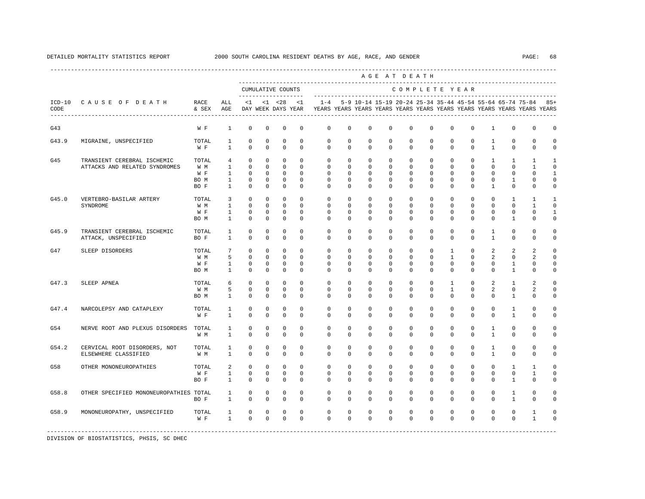---------------------------------------------------------------------------------------------------------------------------------------------------- A G E A T D E A T H --------------------------------------------------------------------------------------------- CUMULATIVE COUNTS C O M P L E T E Y E A R ------------------- ----------------------------------------------------------------------- ICD-10 C A U S E O F D E A T H RACE ALL <1 <1 <28 <1 1-4 5-9 10-14 15-19 20-24 25-34 35-44 45-54 55-64 65-74 75-84 85+ CODE & SEX AGE DAY WEEK DAYS YEAR YEARS YEARS YEARS YEARS YEARS YEARS YEARS YEARS YEARS YEARS YEARS YEARS ---------------------------------------------------------------------------------------------------------------------------------------------------- G43 W F 1 0 0 0 0 0 0 0 0 0 0 0 0 1 0 0 0 G43.9 MIGRAINE, UNSPECIFIED TOTAL 1 0 0 0 0 0 0 0 0 0 0 0 0 1 0 0 0 W F 1 0 0 0 0 0 0 0 0 0 0 0 0 1 0 0 0 G45 TRANSIENT CEREBRAL ISCHEMIC TOTAL 4 0 0 0 0 0 0 0 0 0 0 0 0 0 0 1 1 1 1<br>ATTACKS AND RELATED SYNDROMES W M 1 0 0 0 0 0 0 0 0 0 0 0 0 0 0 0 0 0 1 0 ATTACKS AND RELATED SYNDROMES W M 1 0 0 0 0 0 0 0 0 0 0 0 0 0 0 1 0 W F 1 0 0 0 0 0 0 0 0 0 0 0 0 0 0 0 1 BOM 1 0 0 0 0 0 0 0 0 0 0 0 0 0 0 1 0 0 BO F 1 0 0 0 0 0 0 0 0 0 0 0 0 1 0 0 0 G45.0 VERTEBRO-BASILAR ARTERY TOTAL 3 0 0 0 0 0 0 0 0 0 0 0 0 0 1 1 1 SYNDROME W M 1 0 0 0 0 0 0 0 0 0 0 0 0 0 0 1 0 W F 1 0 0 0 0 0 0 0 0 0 0 0 0 0 0 0 1 BOM 1 0 0 0 0 0 0 0 0 0 0 0 0 0 0 1 0 0 G45.9 TRANSIENT CEREBRAL ISCHEMIC TOTAL 1 0 0 0 0 0 0 0 0 0 0 0 0 1 0 0 0 ATTACK, UNSPECIFIED G47 SLEEP DISORDERS TOTAL 7 0 0 0 0 0 0 0 0 0 0 1 0 2 2 2 0 W M 5 0 0 0 0 0 0 0 0 0 0 1 0 2 0 2 0 W F 1 0 0 0 0 0 0 0 0 0 0 0 0 0 0 1 0 0 BOM 1 0 0 0 0 0 0 0 0 0 0 0 0 0 0 1 0 0 G47.3 SLEEP APNEA TOTAL 6 0 0 0 0 0 0 0 0 0 0 1 0 2 1 2 0 W M 5 0 0 0 0 0 0 0 0 0 0 1 0 2 0 2 0 BOM 1 0 0 0 0 0 0 0 0 0 0 0 0 0 0 1 0 0 G47.4 NARCOLEPSY AND CATAPLEXY TOTAL 1 0 0 0 0 0 0 0 0 0 0 0 0 0 1 0 0 W F 1 0 0 0 0 0 0 0 0 0 0 0 0 0 0 1 0 0 G54 NERVE ROOT AND PLEXUS DISORDERS TOTAL 1 0 0 0 0 0 0 0 0 0 0 0 0 1 0 0 0 W M 1 0 0 0 0 0 0 0 0 0 0 0 0 1 0 0 0 G54.2 CERVICAL ROOT DISORDERS, NOT TOTAL 1 0 0 0 0 0 0 0 0 0 0 0 0 1 0 0 0 ELSEWHERE CLASSIFIED W M 1 0 0 0 0 0 0 0 0 0 0 0 0 1 0 0 0 G58 OTHER MONONEUROPATHIES TOTAL 2 0 0 0 0 0 0 0 0 0 0 0 0 0 1 1 0 W F 1 0 0 0 0 0 0 0 0 0 0 0 0 0 0 1 0 BOF 1 0 0 0 0 0 0 0 0 0 0 0 0 0 1 0 0 G58.8 OTHER SPECIFIED MONONEUROPATHIES TOTAL 1 0 0 0 0 0 0 0 0 0 0 0 0 0 1 0 0 BOF 1 0 0 0 0 0 0 0 0 0 0 0 0 0 1 0 0 G58.9 MONONEUROPATHY, UNSPECIFIED TOTAL 1 0 0 0 0 0 0 0 0 0 0 0 0 0 0 1 0 W F 1 0 0 0 0 0 0 0 0 0 0 0 0 0 0 1 0 -----------------------------------------------------------------------------------------------------------------------------------------------------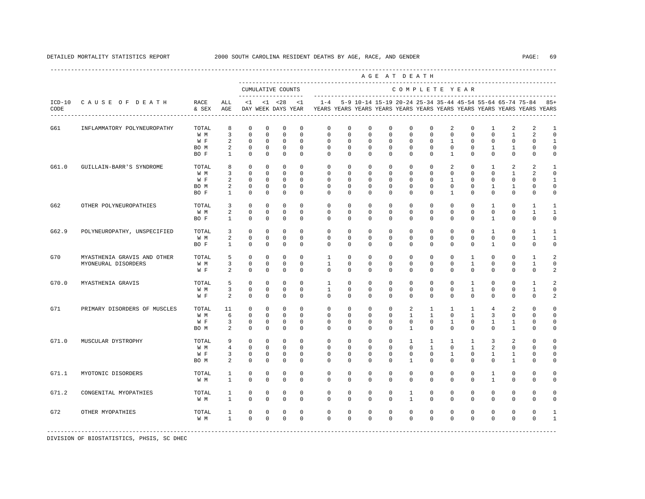----------------------------------------------------------------------------------------------------------------------------------------------------

|                  |                              |               |                              |                                                   |              |              |             |              |             |             | AGE AT DEATH |                              |                            |                                                                                                                                          |                            |                            |              |                |                     |
|------------------|------------------------------|---------------|------------------------------|---------------------------------------------------|--------------|--------------|-------------|--------------|-------------|-------------|--------------|------------------------------|----------------------------|------------------------------------------------------------------------------------------------------------------------------------------|----------------------------|----------------------------|--------------|----------------|---------------------|
|                  |                              |               |                              | CUMULATIVE COUNTS<br>-------------------          |              |              |             |              |             |             |              |                              |                            | COMPLETE YEAR                                                                                                                            |                            |                            |              |                |                     |
| $ICD-10$<br>CODE | CAUSE OF DEATH               | RACE<br>& SEX | ALL<br>AGE<br>$- - - -$      | <1<br>DAY WEEK DAYS YEAR<br>--------------------- |              | $< 1$ $< 28$ | $\langle 1$ | $1 - 4$      |             |             |              |                              |                            | 5-9 10-14 15-19 20-24 25-34 35-44 45-54 55-64 65-74 75-84 85+<br>YEARS YEARS YEARS YEARS YEARS YEARS YEARS YEARS YEARS YEARS YEARS YEARS |                            |                            |              |                |                     |
| G61              | INFLAMMATORY POLYNEUROPATHY  | TOTAL         | 8                            | $\Omega$                                          | $\mathbf 0$  | $\mathbf 0$  | $\mathbf 0$ | $\Omega$     | $\mathbf 0$ | $\Omega$    | $\Omega$     | $\Omega$                     | $\mathbf 0$                | 2                                                                                                                                        | $\mathbf 0$                | $\mathbf{1}$               | 2            | 2              | -1                  |
|                  |                              | W M           | 3                            | $\mathbf 0$                                       | $\mathbf 0$  | $\mathbf 0$  | $\mathbf 0$ | $\mathbf{0}$ | 0           | $\mathbf 0$ | $\mathbf 0$  | $\mathbf 0$                  | 0                          | $\mathbf 0$                                                                                                                              | $\mathbf 0$                | $\mathbf 0$                | $\mathbf{1}$ | $\overline{a}$ | $\overline{0}$      |
|                  |                              | W F           | 2                            | $^{\circ}$                                        | $^{\circ}$   | $\Omega$     | $\Omega$    | $\Omega$     | 0           | 0           | 0            | $\Omega$                     | $\mathbf{0}$               | 1                                                                                                                                        | $\mathbf 0$                | $\mathbf 0$                | $\mathbf 0$  | $\Omega$       | $\mathbf{1}$        |
|                  |                              | BO M          | 2                            | $\mathbf 0$                                       | $\mathbf 0$  | $\mathbf 0$  | $\mathbf 0$ | $\mathbf 0$  | $\mathbf 0$ | 0           | $\mathbf 0$  | $\Omega$                     | $\mathbf 0$                | $\mathbf 0$                                                                                                                              | $\mathbf 0$                | $\mathbf{1}$               | $\mathbf{1}$ | $\Omega$       | 0                   |
|                  |                              | BO F          | 1                            | $^{\circ}$                                        | $\mathbf{0}$ | $^{\circ}$   | 0           | $\mathbf{0}$ | 0           | 0           | 0            | $\mathbf{0}$                 | $\mathbf{0}$               | $\mathbf{1}$                                                                                                                             | $\mathbf 0$                | $\mathbf 0$                | $\mathbf{0}$ | $\mathbf 0$    | 0                   |
| G61.0            | GUILLAIN-BARR'S SYNDROME     | TOTAL         | 8                            | $\mathbf 0$                                       | $\mathbf 0$  | $\mathbf 0$  | $\mathbf 0$ | $\Omega$     | $\mathbf 0$ | $\mathbf 0$ | $\mathbf 0$  | $\Omega$                     | $\mathbf 0$                | 2                                                                                                                                        | $\mathbf 0$                | $\mathbf{1}$               | 2            | $\overline{a}$ | -1                  |
|                  |                              | W M           | 3                            | $\mathbf 0$                                       | 0            | 0            | $\Omega$    | $\Omega$     | 0           | 0           | 0            | 0                            | $\mathbf{0}$               | $\mathbf 0$                                                                                                                              | $\mathbf 0$                | $\mathbf 0$                | 1            | 2              | $\Omega$            |
|                  |                              | W F           | 2                            | $\mathbf 0$                                       | $\mathbf 0$  | $\mathbf 0$  | $\mathbf 0$ | $\mathbf{0}$ | 0           | 0           | 0            | $\mathbf{0}$                 | 0                          | 1                                                                                                                                        | $\mathbf 0$                | $\mathbf 0$                | 0            | 0              | 1                   |
|                  |                              | BO M          | 2                            | 0                                                 | $\Omega$     | 0            | $\Omega$    | $\Omega$     | $\Omega$    | $\Omega$    | $\Omega$     | $\Omega$                     | 0                          | $\mathbf 0$                                                                                                                              | $\Omega$                   | 1                          | 1            | $\Omega$       | 0                   |
|                  |                              | BO F          | $\mathbf{1}$                 | $\Omega$                                          | $\Omega$     | $\mathbf 0$  | $\Omega$    | $\Omega$     | $\Omega$    | $\Omega$    | $\Omega$     | $\Omega$                     | $\Omega$                   | $\mathbf{1}$                                                                                                                             | $\mathbf 0$                | $\Omega$                   | $\mathbf 0$  | $\Omega$       | $\Omega$            |
| G62              | OTHER POLYNEUROPATHIES       | TOTAL         | 3                            | 0                                                 | $^{\circ}$   | 0            | 0           | 0            | 0           | $^{\circ}$  | 0            | $\mathbf{0}$                 | 0                          | 0                                                                                                                                        | $\mathbf{0}$               | 1                          | 0            | 1              | 1                   |
|                  |                              | W M           | 2                            | $\mathbf 0$                                       | $\Omega$     | $\mathbf 0$  | $\Omega$    | $\Omega$     | $\Omega$    | $\Omega$    | $\Omega$     | $\Omega$                     | $\Omega$                   | $\mathbf 0$                                                                                                                              | 0                          | $\mathbf 0$                | $\mathbf 0$  | $\mathbf{1}$   | $\mathbf{1}$        |
|                  |                              | BO F          | $\mathbf{1}$                 | $\mathbf 0$                                       | $\mathbf 0$  | $\mathbf 0$  | $\mathsf 0$ | $\mathbf 0$  | $\mathbf 0$ | $\mathbf 0$ | $\mathbb O$  | $\mathbf 0$                  | 0                          | 0                                                                                                                                        | $\mathbf 0$                | $\mathbf{1}$               | 0            | $\mathbf 0$    | $\mathbf 0$         |
| G62.9            | POLYNEUROPATHY, UNSPECIFIED  | TOTAL         | 3                            | 0                                                 | $\Omega$     | $^{\circ}$   | $\Omega$    | $\Omega$     | $\Omega$    | $\Omega$    | $\Omega$     | $\Omega$                     | 0                          | $\Omega$                                                                                                                                 | $\Omega$                   | 1                          | $\Omega$     | $\mathbf{1}$   | $\mathbf{1}$        |
|                  |                              | W M           | 2                            | $\mathbf 0$                                       | $\mathbf 0$  | $\mathbf 0$  | $\mathbf 0$ | $\mathbf 0$  | $\mathbf 0$ | $\mathbf 0$ | $\mathbf 0$  | $\mathbf 0$                  | $\mathbf 0$                | $\mathsf{O}\xspace$                                                                                                                      | $\mathbb O$                | $\mathbb O$                | $\mathbb O$  | $\mathbf{1}$   | $\mathbf{1}$        |
|                  |                              | BO F          | $\mathbf{1}$                 | $\mathbf 0$                                       | 0            | $\mathbf 0$  | $\mathbf 0$ | $\mathbf 0$  | $\Omega$    | 0           | $\mathbf 0$  | $\mathbf 0$                  | 0                          | $\mathbf 0$                                                                                                                              | 0                          | $\mathbf{1}$               | $\mathbf 0$  | $\mathbf 0$    | 0                   |
| G70              | MYASTHENIA GRAVIS AND OTHER  | TOTAL         | 5                            | $\mathbf 0$                                       | $\mathbf 0$  | $\mathbf 0$  | $\mathbf 0$ | $\mathbf{1}$ | $\mathbf 0$ | $\mathbf 0$ | $\mathbf 0$  | $\mathbf 0$                  | $\mathbf 0$                | $\mathbf 0$                                                                                                                              | $\mathbf{1}$               | $\mathbf 0$                | $\mathbf 0$  | $\mathbf{1}$   | $\overline{a}$      |
|                  | MYONEURAL DISORDERS          | W M           | 3                            | $\mathbf 0$                                       | $^{\circ}$   | $\mathbf 0$  | $\mathbf 0$ | $\mathbf{1}$ | $\mathbf 0$ | 0           | $\mathbf 0$  | $\mathbf 0$                  | $\mathbf 0$                | $\mathbf 0$                                                                                                                              | $\mathbf{1}$               | $\mathbf 0$                | $\mathbf 0$  | $\mathbf{1}$   | 0                   |
|                  |                              | W F           | 2                            | $\mathbf 0$                                       | $\mathbf 0$  | $\mathbf 0$  | $\mathbf 0$ | $\Omega$     | $\mathbf 0$ | $^{\circ}$  | 0            | $\mathbf{0}$                 | $\mathbf 0$                | $\mathbf 0$                                                                                                                              | $\mathbf 0$                | $\mathbf 0$                | $\mathbf 0$  | $\mathbf 0$    | 2                   |
| G70.0            | MYASTHENIA GRAVIS            | TOTAL         | 5                            | $\Omega$                                          | $\Omega$     | $\mathbf 0$  | $\Omega$    | $\mathbf{1}$ | $\mathbf 0$ | $\Omega$    | $\mathbf 0$  | $\Omega$                     | $\mathbf 0$                | $\mathbf 0$                                                                                                                              | 1                          | $\mathbf 0$                | $\mathbf 0$  | $\overline{1}$ | $\overline{a}$      |
|                  |                              | W M           | 3                            | $\mathbf 0$                                       | $\mathbf 0$  | $\mathbf 0$  | $\mathbf 0$ | $\mathbf{1}$ | $\mathbf 0$ | $^{\circ}$  | 0            | $\mathbf{0}$                 | $\mathbf 0$                | $\mathbf 0$                                                                                                                              | $\mathbf{1}$               | $\mathbf 0$                | 0            | $\mathbf{1}$   | 0                   |
|                  |                              | W F           | 2                            | 0                                                 | 0            | 0            | 0           | $\mathbf 0$  | 0           | 0           | 0            | $\mathbf 0$                  | 0                          | 0                                                                                                                                        | $\mathbf 0$                | $\mathbf 0$                | 0            | $\mathbf 0$    | 2                   |
| G71              | PRIMARY DISORDERS OF MUSCLES | TOTAL         | 11                           | 0                                                 | $^{\circ}$   | $\mathbf 0$  | $\mathbf 0$ | $\mathbf 0$  | $\mathbf 0$ | $\mathbf 0$ | 0            | 2                            | 1                          | 1                                                                                                                                        | $\mathbf{1}$               | $\overline{4}$             | 2            | $\mathbf 0$    | U                   |
|                  |                              | W M           | 6                            | $^{\circ}$                                        | $\mathbf{0}$ | $^{\circ}$   | 0           | $\mathbf{0}$ | 0           | $^{\circ}$  | 0            | $\mathbf{1}$                 | $\mathbf{1}$               | $\mathbf 0$                                                                                                                              | $\mathbf{1}$               | 3                          | $\mathbf 0$  | 0              | U                   |
|                  |                              | W F           | 3                            | $^{\circ}$                                        | $^{\circ}$   | $^{\circ}$   | 0           | $\Omega$     | 0           | 0           | 0            | $\Omega$                     | $\mathbf{0}$               | 1                                                                                                                                        | $\mathbf{0}$               | $\mathbf{1}$               | 1            | $\mathbf{0}$   | $\Omega$            |
|                  |                              | BO M          | 2                            | $\mathbf 0$                                       | $\mathbf 0$  | $\mathbf 0$  | $\mathbf 0$ | $\Omega$     | $\mathbf 0$ | $\mathbf 0$ | $\mathbf 0$  | $\mathbf{1}$                 | $\mathbf 0$                | $\mathbf 0$                                                                                                                              | $\mathbf 0$                | $\mathbf 0$                | $\mathbf{1}$ | 0              | U                   |
| G71.0            | MUSCULAR DYSTROPHY           | TOTAL         | 9                            | $^{\circ}$                                        | $\mathbf{0}$ | 0            | $\mathbf 0$ | $\mathbf{0}$ | 0           | $^{\circ}$  | 0            | $\mathbf{1}$                 | 1                          | 1                                                                                                                                        | $\mathbf{1}$               | 3                          | 2            | $\Omega$       | $\Omega$            |
|                  |                              | W M           | $\overline{4}$               | $\mathbf 0$                                       | $\mathbf 0$  | $\mathbf 0$  | $\Omega$    | $\Omega$     | $\mathbf 0$ | $\Omega$    | $\Omega$     | $\Omega$                     | $\mathbf{1}$               | $\mathbf 0$                                                                                                                              | $\mathbf{1}$               | 2                          | $\mathbf 0$  | $\Omega$       | $\Omega$            |
|                  |                              | W F           | 3                            | $^{\circ}$                                        | $\mathbf{0}$ | $\mathbf 0$  | $\mathbf 0$ | $\mathbf 0$  | 0           | $^{\circ}$  | $\mathbf 0$  | $\mathbf 0$                  | $\mathbf 0$                | $\mathbf{1}$                                                                                                                             | $\mathbf 0$                | 1                          | $\mathbf{1}$ | $\mathbf 0$    | $\Omega$            |
|                  |                              | BO M          | 2                            | $\mathsf 0$                                       | 0            | 0            | $\mathsf 0$ | $\mathbf 0$  | 0           | 0           | 0            | 1                            | $\mathsf 0$                | 0                                                                                                                                        | $\mathbf 0$                | $\mathbf 0$                | $\mathbf{1}$ | 0              | 0                   |
| G71.1            | MYOTONIC DISORDERS           | TOTAL         | $\mathbf{1}$                 | $\mathbf 0$                                       | $\mathbf 0$  | $\mathbf 0$  | $\Omega$    | $\Omega$     | $\mathbf 0$ | $\mathbf 0$ | $\mathbf 0$  | $\mathbf 0$                  | $\mathbf 0$                | $\mathbf 0$                                                                                                                              | $\mathbf 0$                | $\mathbf{1}$               | $\mathbf 0$  | $\mathbf 0$    | $\Omega$            |
|                  |                              | W M           | $\mathbf{1}$                 | $\mathbf 0$                                       | 0            | 0            | $\mathbf 0$ | $\mathbf 0$  | $\mathbf 0$ | $\mathbf 0$ | $\mathbf 0$  | $\mathbf 0$                  | $\mathbf 0$                | 0                                                                                                                                        | $\mathbf 0$                | $\mathbf{1}$               | 0            | $\mathbf 0$    | 0                   |
|                  |                              |               |                              |                                                   |              |              |             |              |             |             |              |                              |                            |                                                                                                                                          |                            |                            |              |                |                     |
| G71.2            | CONGENITAL MYOPATHIES        | TOTAL         | $\mathbf{1}$<br>$\mathbf{1}$ | $\mathbf 0$<br>$\mathbf 0$                        | $\mathbf 0$  | $\mathbf 0$  | $\Omega$    | $\mathbf 0$  | $\mathbf 0$ | $\mathbf 0$ | $\mathbf 0$  | $\mathbf{1}$<br>$\mathbf{1}$ | $\mathbf 0$<br>$\mathbf 0$ | $\mathbf 0$<br>$\mathbf 0$                                                                                                               | $\mathbf 0$<br>$\mathbf 0$ | $\mathbf 0$<br>$\mathbf 0$ | $\mathbf 0$  | $\mathbf 0$    | 0<br>$\overline{0}$ |
|                  |                              | W M           |                              |                                                   | 0            | $\mathbf 0$  | $\mathbf 0$ | $\mathbf 0$  | $\mathbf 0$ | $\mathbf 0$ | $\mathbf 0$  |                              |                            |                                                                                                                                          |                            |                            | $\mathbf{0}$ | $\mathbf 0$    |                     |
| G72              | OTHER MYOPATHIES             | TOTAL         | 1                            | 0                                                 | $\mathbf{0}$ | 0            | $\Omega$    | $\Omega$     | 0           | $^{\circ}$  | 0            | $\Omega$                     | $\mathbf{0}$               | 0                                                                                                                                        | $\Omega$                   | $^{\circ}$                 | $\mathbf 0$  | $\mathbf{0}$   | -1.                 |
|                  |                              | W M           | $\mathbf{1}$                 | $\mathbf 0$                                       | 0            | 0            | $\mathbf 0$ | $\mathbf 0$  | $\mathbf 0$ | $\mathbf 0$ | $\mathbf 0$  | $\mathbf 0$                  | $\mathbf 0$                | $\circ$                                                                                                                                  | $\mathbf 0$                | $\mathbf 0$                | $\mathbf 0$  | 0              | $\mathbf{1}$        |
|                  |                              |               |                              |                                                   |              |              |             |              |             |             |              |                              |                            |                                                                                                                                          |                            |                            |              |                |                     |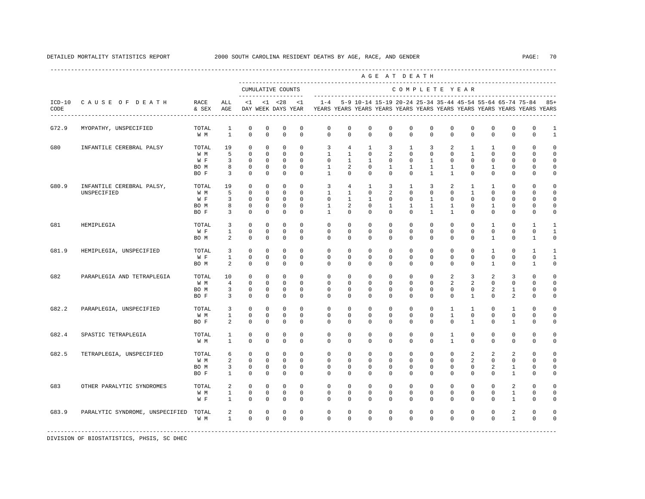|                  |                                          |                                     |                                     |                                                                         |                                                                       |                                                                     |                                                                   |                                                                                    |                                                           |                                                                       |                                                               | AGE AT DEATH                                                |                                                                 |                                                           |                                                                        |                                                                    |                                               |                                                                |                                                    |
|------------------|------------------------------------------|-------------------------------------|-------------------------------------|-------------------------------------------------------------------------|-----------------------------------------------------------------------|---------------------------------------------------------------------|-------------------------------------------------------------------|------------------------------------------------------------------------------------|-----------------------------------------------------------|-----------------------------------------------------------------------|---------------------------------------------------------------|-------------------------------------------------------------|-----------------------------------------------------------------|-----------------------------------------------------------|------------------------------------------------------------------------|--------------------------------------------------------------------|-----------------------------------------------|----------------------------------------------------------------|----------------------------------------------------|
|                  |                                          |                                     |                                     |                                                                         |                                                                       | CUMULATIVE COUNTS<br>--------------------                           |                                                                   |                                                                                    |                                                           |                                                                       |                                                               |                                                             |                                                                 |                                                           | COMPLETE YEAR                                                          |                                                                    |                                               |                                                                |                                                    |
| $ICD-10$<br>CODE | CAUSE OF DEATH                           | RACE<br>& SEX                       | ALL<br>AGE                          | $\leq 1$                                                                |                                                                       | $< 1$ $< 28$<br>DAY WEEK DAYS YEAR                                  | $\leq$ 1                                                          | $1 - 4$<br>YEARS YEARS YEARS YEARS YEARS YEARS YEARS YEARS YEARS YEARS YEARS YEARS |                                                           |                                                                       |                                                               |                                                             |                                                                 |                                                           |                                                                        |                                                                    |                                               | 5-9 10-14 15-19 20-24 25-34 35-44 45-54 55-64 65-74 75-84      | 85+                                                |
| G72.9            | MYOPATHY, UNSPECIFIED                    | TOTAL<br>W M                        | 1<br>$\mathbf{1}$                   | $\mathbf 0$<br>$\mathbf 0$                                              | $\mathbf 0$<br>$\mathbf 0$                                            | $\mathbf 0$<br>$\mathbf 0$                                          | $\mathbf 0$<br>$^{\circ}$                                         | $\mathbf 0$<br>$\mathbf{0}$                                                        | $\mathbf 0$<br>$\mathbf 0$                                | $\mathbf 0$<br>$\mathbf 0$                                            | $\mathbf 0$<br>0                                              | 0<br>$\mathbf 0$                                            | $\mathbf 0$<br>$\mathbf 0$                                      | $\mathbf 0$<br>$\mathbf 0$                                | $\mathbf 0$<br>$\mathbf 0$                                             | $\mathbf 0$<br>$\mathbf 0$                                         | $\mathbb O$<br>$\mathbf{0}$                   | $\mathbb O$<br>$\mathbf 0$                                     | 1<br>$\mathbf{1}$                                  |
| G80              | INFANTILE CEREBRAL PALSY                 | TOTAL<br>W M<br>W F<br>BO M<br>BO F | 19<br>5<br>3<br>8<br>3              | $\circ$<br>$\mathbf 0$<br>0<br>0<br>$\mathbf 0$                         | $\mathbf{0}$<br>$\mathbf 0$<br>0<br>$\mathbf{0}$<br>$\mathbf 0$       | $\mathbf 0$<br>$\mathbf 0$<br>0<br>0<br>$\mathbf 0$                 | $\Omega$<br>$^{\circ}$<br>$^{\circ}$<br>$^{\circ}$<br>$\mathbf 0$ | 3<br>$\mathbf{1}$<br>0<br>$\mathbf{1}$<br>$\overline{1}$                           | 4<br>$\mathbf{1}$<br>1<br>2<br>$\Omega$                   | $\mathbf{1}$<br>$\mathbf 0$<br>1<br>$^{\circ}$<br>$\Omega$            | 3<br>$\overline{a}$<br>0<br>1<br>$^{\circ}$                   | 1<br>$\mathbf 0$<br>$\mathbf 0$<br>$\mathbf{1}$<br>$\Omega$ | 3<br>$\mathbf 0$<br>1<br>1<br>$\mathbf{1}$                      | 2<br>$\mathbf 0$<br>0<br>$\mathbf{1}$<br>$\mathbf{1}$     | $\mathbf{1}$<br>$\mathbf{1}$<br>$^{\circ}$<br>$^{\circ}$<br>$^{\circ}$ | $\mathbf{1}$<br>$\mathbf 0$<br>0<br>$\mathbf{1}$<br>$^{\circ}$     | $\Omega$<br>$\mathbf{0}$<br>0<br>0<br>0       | $\Omega$<br>$\Omega$<br>$\Omega$<br>$\Omega$<br>$\Omega$       | $\Omega$<br>$\Omega$<br>$\Omega$<br>0<br>0         |
| G80.9            | INFANTILE CEREBRAL PALSY,<br>UNSPECIFIED | TOTAL<br>W M<br>W F<br>BO M<br>BO F | 19<br>5<br>3<br>8<br>3              | $\mathbf 0$<br>$\mathbf 0$<br>$\mathbf 0$<br>$\mathbb O$<br>$\mathbf 0$ | $\mathbf{0}$<br>$\mathbf 0$<br>$\Omega$<br>$\mathbf 0$<br>$\mathbf 0$ | $\circ$<br>$\mathbf 0$<br>$\mathbf 0$<br>$\mathbf 0$<br>$\mathbf 0$ | $^{\circ}$<br>$\Omega$<br>$\Omega$<br>$\mathbf 0$<br>$\mathbf 0$  | $\overline{3}$<br>$\mathbf{1}$<br>$\Omega$<br>$\mathbf{1}$<br>$\mathbf{1}$         | $4\overline{ }$<br>$\mathbf{1}$<br>$\mathbf{1}$<br>2<br>0 | $\mathbf{1}$<br>$\Omega$<br>$\mathbf{1}$<br>$\mathbf 0$<br>$^{\circ}$ | 3<br>$\overline{a}$<br>$\Omega$<br>$\mathbf{1}$<br>$^{\circ}$ | 1<br>$\Omega$<br>$\Omega$<br>$\mathbf{1}$<br>0              | 3<br>$\Omega$<br>$\overline{1}$<br>$\mathbf{1}$<br>$\mathbf{1}$ | 2<br>$\Omega$<br>$\Omega$<br>$\mathbf{1}$<br>$\mathbf{1}$ | $\mathbf{1}$<br>$\mathbf{1}$<br>$\Omega$<br>$\mathbf 0$<br>$^{\circ}$  | $\mathbf{1}$<br>$\Omega$<br>$\Omega$<br>$\mathbf{1}$<br>$^{\circ}$ | $\mathbf 0$<br>$\Omega$<br>$\Omega$<br>0<br>0 | $\mathbf 0$<br>$\Omega$<br>$\Omega$<br>$\mathbf 0$<br>$\Omega$ | $\Omega$<br>$\Omega$<br>$\cap$<br>$\mathbf 0$<br>0 |
| G81              | HEMIPLEGIA                               | TOTAL<br>W F<br>BO M                | 3<br>$\mathbf{1}$<br>2              | $^{\circ}$<br>$\mathbf 0$<br>$\mathbf{0}$                               | $^{\circ}$<br>$\mathbf 0$<br>$\circ$                                  | $\mathbf 0$<br>$\mathbf 0$<br>$\circ$                               | $\Omega$<br>$\Omega$<br>$\Omega$                                  | $\mathbf 0$<br>$\Omega$<br>$\Omega$                                                | $\Omega$<br>$\Omega$<br>$\Omega$                          | $\Omega$<br>$\mathbf 0$<br>$\Omega$                                   | $\Omega$<br>0<br>$\Omega$                                     | $\Omega$<br>$\mathbf 0$<br>$\Omega$                         | $\Omega$<br>$\mathbf 0$<br>$\Omega$                             | $\Omega$<br>$\mathbf 0$<br>$\Omega$                       | $\mathbf 0$<br>$\mathbf 0$<br>$\Omega$                                 | 1<br>$\mathbf 0$<br>$\mathbf{1}$                                   | $\mathbf 0$<br>$\mathbf{0}$<br>0              | $\mathbf{1}$<br>$\Omega$<br>1                                  | $\mathbf{1}$<br>$\mathbf{1}$<br>$\Omega$           |
| G81.9            | HEMIPLEGIA, UNSPECIFIED                  | TOTAL<br>W F<br>BO M                | 3<br>$\mathbf{1}$<br>2              | $\mathbf 0$<br>$\mathbf 0$<br>$\mathbf 0$                               | $\mathbf 0$<br>0<br>$\mathbf 0$                                       | $\mathbf 0$<br>$\mathbf 0$<br>$\mathbf 0$                           | $^{\circ}$<br>$^{\circ}$<br>$^{\circ}$                            | $\mathbf 0$<br>$\mathbf{0}$<br>0                                                   | $\mathbf 0$<br>0<br>0                                     | $\mathbf 0$<br>0<br>$^{\circ}$                                        | $\mathbf 0$<br>0<br>0                                         | $\mathbf 0$<br>0<br>0                                       | $\mathbf 0$<br>$\mathbf 0$<br>$\mathbf 0$                       | $\mathbf 0$<br>$\mathbf 0$<br>0                           | $\mathbf 0$<br>$\mathbf 0$<br>$^{\circ}$                               | 1<br>0<br>1                                                        | $\mathbf{0}$<br>$\mathbf 0$<br>0              | 1<br>$\mathbf 0$<br>1                                          | -1<br>$\mathbf{1}$<br>0                            |
| G82              | PARAPLEGIA AND TETRAPLEGIA               | TOTAL<br>W M<br>BO M<br>BO F        | 10<br>$\overline{4}$<br>3<br>3      | $\mathbf 0$<br>$\mathbf 0$<br>$^{\circ}$<br>$\mathbf 0$                 | $\mathbf 0$<br>$\mathbf 0$<br>$\circ$<br>$\mathbf 0$                  | $\mathbf 0$<br>$\mathbf 0$<br>$^{\circ}$<br>$\mathbf 0$             | $^{\circ}$<br>$\Omega$<br>$^{\circ}$<br>$\mathbf 0$               | $\mathbf 0$<br>$\Omega$<br>$\mathbf 0$<br>$\mathbf{0}$                             | $\mathbf 0$<br>$\Omega$<br>$\Omega$<br>0                  | $\mathbf 0$<br>$\Omega$<br>0<br>0                                     | $\mathbf 0$<br>$\Omega$<br>$\Omega$<br>0                      | $\mathbf{0}$<br>$\Omega$<br>0<br>$\mathbf 0$                | $\mathbf{0}$<br>$\Omega$<br>$\Omega$<br>$\mathbf 0$             | 2<br>2<br>$\Omega$<br>$\mathbf 0$                         | 3<br>$\overline{a}$<br>$^{\circ}$<br>1                                 | 2<br>$\Omega$<br>2<br>$\mathbf 0$                                  | 3<br>$\Omega$<br>1<br>2                       | $\Omega$<br>$\Omega$<br>$\Omega$<br>$\mathbf 0$                | $\Omega$<br>$\Omega$<br>$\Omega$<br>0              |
| G82.2            | PARAPLEGIA, UNSPECIFIED                  | TOTAL<br>W M<br>BO F                | 3<br>$\mathbf{1}$<br>2              | 0<br>$\mathbf 0$<br>$\mathbf 0$                                         | 0<br>$\mathbf 0$<br>$\circ$                                           | $\mathbf 0$<br>$\mathbf 0$<br>$^{\circ}$                            | $^{\circ}$<br>$\mathbf 0$<br>$\Omega$                             | 0<br>$\mathbf 0$<br>$\Omega$                                                       | 0<br>0<br>$\Omega$                                        | $\mathbf 0$<br>$\mathbf 0$<br>$\Omega$                                | 0<br>0<br>0                                                   | $\mathbf 0$<br>0<br>$\Omega$                                | $\mathbf 0$<br>$\mathbf{0}$<br>$\Omega$                         | 1<br>$\mathbf{1}$<br>$\Omega$                             | 1<br>$\mathbf 0$<br>$\mathbf{1}$                                       | $\mathbf 0$<br>$\mathbf 0$<br>$\Omega$                             | 1<br>$\mathbf 0$<br>1                         | $\Omega$<br>$\mathbf{0}$<br>$\Omega$                           | $\Omega$<br>$\Omega$<br>$\Omega$                   |
| G82.4            | SPASTIC TETRAPLEGIA                      | TOTAL<br>W M                        | $\mathbf{1}$<br>$\mathbf{1}$        | $\mathbf 0$<br>$\mathbb O$                                              | $\mathbf 0$<br>$\mathbf 0$                                            | $\mathbf 0$<br>$\mathbf 0$                                          | $\mathbf 0$<br>$\mathbf 0$                                        | $\mathbf 0$<br>$\mathbf 0$                                                         | $\mathbf 0$<br>0                                          | $\mathbf 0$<br>0                                                      | $\mathbf 0$<br>0                                              | $\mathbf 0$<br>$\mathbf 0$                                  | $\circ$<br>$\mathbf 0$                                          | $\mathbf{1}$<br>$\mathbf{1}$                              | $\mathbf 0$<br>$^{\circ}$                                              | $\mathbf 0$<br>$\mathbf 0$                                         | $\mathbf{0}$<br>0                             | $\mathbf 0$<br>$\mathbf{0}$                                    | $\Omega$<br>$\mathbf 0$                            |
| G82.5            | TETRAPLEGIA, UNSPECIFIED                 | TOTAL<br>W M<br>BO M<br>BO F        | 6<br>2<br>3<br>$\mathbf{1}$         | $\mathbf 0$<br>$\mathbf 0$<br>0<br>$\mathbf 0$                          | $\mathbf{0}$<br>$\mathbf 0$<br>$^{\circ}$<br>$\circ$                  | 0<br>$\mathbf 0$<br>0<br>$\circ$                                    | $^{\circ}$<br>$^{\circ}$<br>$^{\circ}$<br>$\Omega$                | $\circ$<br>$\mathbf 0$<br>0<br>$\Omega$                                            | $\circ$<br>0<br>0<br>$\Omega$                             | $\circ$<br>$^{\circ}$<br>0<br>$\Omega$                                | 0<br>0<br>0<br>0                                              | $\mathbf{0}$<br>$\mathbf{0}$<br>0<br>$\Omega$               | 0<br>$\mathbf 0$<br>$\mathbf{0}$<br>$\Omega$                    | $\mathbf 0$<br>$\mathbf 0$<br>0<br>$\Omega$               | 2<br>2<br>$^{\circ}$<br>$\Omega$                                       | 2<br>$^{\circ}$<br>2<br>$\Omega$                                   | 2<br>$\mathbf 0$<br>1<br>1                    | $\mathbf 0$<br>$\mathbf{0}$<br>0<br>$\Omega$                   | $\Omega$<br>$\mathbf 0$<br>$\Omega$<br>$\Omega$    |
| G83              | OTHER PARALYTIC SYNDROMES                | TOTAL<br>W M<br>W F                 | $\overline{a}$<br>$\mathbf{1}$<br>1 | $\mathbf 0$<br>0<br>0                                                   | $\mathbf 0$<br>$\mathbf{0}$<br>0                                      | $\mathbf 0$<br>0<br>0                                               | $\Omega$<br>0<br>$^{\circ}$                                       | $\mathbf 0$<br>0<br>$\mathbf 0$                                                    | $\mathbf 0$<br>0<br>0                                     | $\mathbf 0$<br>0<br>$^{\circ}$                                        | 0<br>0<br>0                                                   | $\mathbf{0}$<br>0<br>0                                      | $\mathbf 0$<br>0<br>$\mathbf 0$                                 | $\Omega$<br>0<br>$\Omega$                                 | $\mathbf 0$<br>0<br>$^{\circ}$                                         | $\mathbf 0$<br>0<br>$\Omega$                                       | 2<br>1<br>1                                   | $\Omega$<br>0<br>$\mathbf 0$                                   | $\cap$<br>0<br>0                                   |
| G83.9            | PARALYTIC SYNDROME, UNSPECIFIED          | TOTAL<br>W M                        | 2<br>$\mathbf{1}$                   | $\mathbf 0$<br>$\mathbf 0$                                              | 0<br>$\mathbf 0$                                                      | 0<br>$\mathbf 0$                                                    | $\mathbf 0$<br>$\Omega$                                           | $\mathbf 0$<br>$\Omega$                                                            | $\mathbf 0$<br>$\Omega$                                   | 0<br>$\Omega$                                                         | 0<br>$\Omega$                                                 | 0<br>$\Omega$                                               | $\mathbf 0$<br>$\Omega$                                         | $\mathbf 0$<br>$\Omega$                                   | $^{\circ}$<br>$\Omega$                                                 | $^{\circ}$<br>$\Omega$                                             | 2<br>$\mathbf{1}$                             | $\mathbf 0$<br>$\Omega$                                        | $\Omega$<br>$\Omega$                               |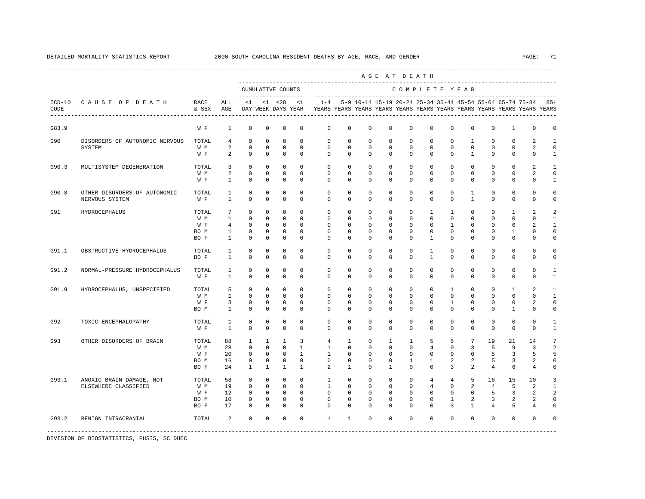|       |                                                |               |                                  |                         |                          |                            |                                |                                                                                                       |                         |                         |                         | AGE AT DEATH             |                            |                          |                                |                         |                                                           |                         |                             |
|-------|------------------------------------------------|---------------|----------------------------------|-------------------------|--------------------------|----------------------------|--------------------------------|-------------------------------------------------------------------------------------------------------|-------------------------|-------------------------|-------------------------|--------------------------|----------------------------|--------------------------|--------------------------------|-------------------------|-----------------------------------------------------------|-------------------------|-----------------------------|
|       |                                                |               |                                  | --------------------    |                          | CUMULATIVE COUNTS          |                                |                                                                                                       |                         |                         |                         | COMPLETE YEAR            |                            |                          |                                |                         |                                                           |                         |                             |
| CODE  | ICD-10 CAUSE OF DEATH                          | RACE<br>& SEX | ALL<br>AGE                       |                         |                          | $<1$ $<1$ $<28$            | <1                             | $1 - 4$<br>DAY WEEK DAYS YEAR YEARS YEARS YEARS YEARS YEARS YEARS YEARS YEARS YEARS YEARS YEARS YEARS |                         |                         |                         |                          |                            |                          |                                |                         | 5-9 10-14 15-19 20-24 25-34 35-44 45-54 55-64 65-74 75-84 |                         | $85+$                       |
| G83.9 |                                                | W F           | $\mathbf{1}$                     | $\mathbf 0$             | $\mathbf 0$              | $\mathbf 0$                | $\mathbf 0$                    | $\mathbf 0$                                                                                           | $\mathbf 0$             | $\mathbf 0$             | $\mathbf 0$             | $\mathbf 0$              | $\mathbf 0$                | $\mathbf 0$              | $\mathbf 0$                    | $\mathbf 0$             | $\mathbf{1}$                                              | $\mathbf 0$             | 0                           |
| G90   | DISORDERS OF AUTONOMIC NERVOUS                 | TOTAL         | 4                                | $\mathbf 0$             | $\mathbf 0$              | $\mathbf 0$                | $\mathbf 0$                    | $\mathbf 0$                                                                                           | $\mathbf 0$             | $\mathbf 0$             | $\mathbf 0$             | $\mathbf 0$              | $\mathbf 0$                | $\mathbf 0$              | $\mathbf{1}$                   | $\mathbf 0$             | $\mathbf 0$                                               | 2                       | $\mathbf{1}$                |
|       | SYSTEM                                         | W M<br>W F    | $\overline{a}$<br>$\overline{a}$ | $\mathbf 0$<br>$\Omega$ | $\mathbf{0}$<br>$\Omega$ | $\mathbf 0$<br>$\Omega$    | $\mathbf 0$<br>$\Omega$        | $\mathbf 0$<br>$\Omega$                                                                               | $\mathbf 0$<br>$\Omega$ | $\mathbf 0$<br>$\Omega$ | $\mathbf 0$<br>$\Omega$ | $\mathbf 0$<br>$\Omega$  | $\mathbf 0$<br>$\Omega$    | $\mathbf 0$<br>$\Omega$  | $\mathbf{0}$<br>$\overline{1}$ | $\mathbf 0$<br>$\Omega$ | $\mathbf 0$<br>$\Omega$                                   | 2<br>$\Omega$           | $\mathbf 0$<br>$\mathbf{1}$ |
| G90.3 | MULTISYSTEM DEGENERATION                       | TOTAL         | 3                                | $\mathbf 0$             | $\mathbf 0$              | $\mathbf 0$                | $\Omega$                       | $\Omega$                                                                                              | $\mathbf 0$             | $\mathbf 0$             | $\mathbf 0$             | $\mathbf{0}$             | $\mathbf 0$                | $\Omega$                 | $\mathbf 0$                    | $\mathbf 0$             | $\mathbf 0$                                               | 2                       | $\overline{1}$              |
|       |                                                | W M           | 2                                | $\Omega$                | $\Omega$                 | $\Omega$                   | $\Omega$                       | $\Omega$                                                                                              | $\Omega$                | $\Omega$                | $\Omega$                | $\Omega$                 | $\Omega$                   | $\Omega$                 | $\Omega$                       | $\Omega$                | $\Omega$                                                  | $\overline{a}$          | $\circ$                     |
|       |                                                | W F           | $\mathbf{1}$                     | $\Omega$                | $\Omega$                 | $\Omega$                   | $\Omega$                       | $\Omega$                                                                                              | $\Omega$                | $\Omega$                | $\Omega$                | $\Omega$                 | $\Omega$                   | $\Omega$                 | $\Omega$                       | $\Omega$                | $\Omega$                                                  | $\Omega$                | $\mathbf{1}$                |
| G90.8 | OTHER DISORDERS OF AUTONOMIC<br>NERVOUS SYSTEM | TOTAL<br>W F  | 1<br>$\mathbf{1}$                | $\mathbf 0$<br>$\Omega$ | $\mathbf 0$<br>$\Omega$  | $\mathbf 0$<br>$\mathbf 0$ | $\mathbf 0$<br>$\Omega$        | $\mathbf{0}$<br>$\Omega$                                                                              | $\mathbf 0$<br>$\Omega$ | $\circ$<br>$\Omega$     | 0<br>$\Omega$           | $\mathbf{0}$<br>$\Omega$ | $\mathbf{0}$<br>$\Omega$   | 0<br>$\Omega$            | $\mathbf{1}$<br>$\mathbf{1}$   | 0<br>$\Omega$           | $\mathbf 0$<br>$\Omega$                                   | $\mathbf 0$<br>$\Omega$ | 0<br>0                      |
| G91   | <b>HYDROCEPHALUS</b>                           | TOTAL         | 7                                | $\Omega$                | $\mathbf 0$              | $\Omega$                   | $\Omega$                       | $\Omega$                                                                                              | $\Omega$                | $\Omega$                | $\mathbf 0$             | $^{\circ}$               | $\mathbf{1}$               | $\mathbf{1}$             | $\Omega$                       | $^{\circ}$              | $\mathbf{1}$                                              | 2                       | 2                           |
|       |                                                | W M           | $\mathbf{1}$                     | $\mathbf 0$             | $\mathbf 0$              | $\mathbf 0$                | $\Omega$                       | $\circ$                                                                                               | $\mathbf 0$             | $\mathbf 0$             | $\mathbf 0$             | $\Omega$                 | $\Omega$                   | $\Omega$                 | $\mathbf 0$                    | $\Omega$                | $\mathbf{0}$                                              | $\mathbf 0$             | 1                           |
|       |                                                | W F           | $4\overline{ }$                  | $\Omega$                | $\Omega$                 | $\Omega$                   | $\Omega$                       | $\Omega$                                                                                              | $\Omega$                | $\Omega$                | $\Omega$                | $\Omega$                 | $\Omega$                   | $\mathbf{1}$             | $\Omega$                       | $\Omega$                | $\Omega$                                                  | $\mathfrak{D}$          | $\overline{1}$              |
|       |                                                | BO M          | $\overline{1}$                   | $\Omega$                | $\Omega$                 | $\Omega$                   | $\Omega$                       | $\Omega$                                                                                              | $\Omega$                | $\Omega$                | $\Omega$                | $\Omega$                 | $\Omega$                   | $\Omega$                 | $\Omega$                       | $\Omega$                | $\overline{1}$                                            | $\Omega$                | $\mathbf 0$                 |
|       |                                                | BO F          | $\mathbf{1}$                     | $\Omega$                | $\Omega$                 | $\Omega$                   | $\Omega$                       | $\Omega$                                                                                              | $\Omega$                | $\Omega$                | $\Omega$                | $\Omega$                 | $\overline{1}$             | $\Omega$                 | $\Omega$                       | $\Omega$                | $\Omega$                                                  | $\Omega$                | 0                           |
| G91.1 | OBSTRUCTIVE HYDROCEPHALUS                      | TOTAL         | $\mathbf{1}$                     | $\mathbf 0$             | $\mathbf 0$              | $\mathbf 0$                | $\mathbf 0$                    | $\mathbf 0$                                                                                           | $\mathbf 0$             | $\mathbf 0$             | $\mathbf 0$             | $\mathbf 0$              | $\mathbf{1}$               | $\mathbf 0$              | $\mathbf 0$                    | $\mathbf 0$             | $\mathbf 0$                                               | $\mathbf 0$             | 0                           |
|       |                                                | BO F          | $\mathbf{1}$                     | $\mathbf 0$             | $\Omega$                 | $\Omega$                   | $\Omega$                       | $\Omega$                                                                                              | $\Omega$                | $\Omega$                | $\Omega$                | $\Omega$                 | $\mathbf{1}$               | $\Omega$                 | $\Omega$                       | $\Omega$                | $\Omega$                                                  | $\Omega$                | $\mathbf 0$                 |
| G91.2 | NORMAL-PRESSURE HYDROCEPHALUS                  | TOTAL         | 1                                | $\mathbf 0$             | $\mathbf 0$              | $\mathbf 0$                | $\mathbf 0$                    | $\mathbf 0$                                                                                           | $\mathbf 0$             | $\mathbf 0$             | $\mathbf 0$             | $\mathbf 0$              | $\mathbf 0$                | $\mathbf 0$              | $\mathbf 0$                    | $^{\circ}$              | $\mathbf{0}$                                              | 0                       | 1                           |
|       |                                                | W F           | $\mathbf{1}$                     | $\Omega$                | $\Omega$                 | $\Omega$                   | $\Omega$                       | $\Omega$                                                                                              | $\Omega$                | $\Omega$                | $\Omega$                | $\Omega$                 | $\Omega$                   | $\Omega$                 | $\Omega$                       | $\Omega$                | $\Omega$                                                  | $\Omega$                | $\mathbf{1}$                |
| G91.9 | HYDROCEPHALUS, UNSPECIFIED                     | TOTAL         | 5                                | $\mathbf 0$             | $\mathbf 0$              | $\mathbf 0$                | $\Omega$                       | $\mathbf 0$                                                                                           | $\mathbf 0$             | $\mathbf 0$             | $\mathbf 0$             | $\mathbf 0$              | $\mathbf 0$                | $\mathbf{1}$             | $\mathbf 0$                    | $\mathbf 0$             | $\mathbf{1}$                                              | $\overline{a}$          | $\mathbf{1}$                |
|       |                                                | W M           | $\mathbf{1}$                     | $\Omega$                | $\Omega$                 | $\Omega$                   | $\Omega$                       | $\Omega$                                                                                              | $\Omega$                | $\Omega$                | $\Omega$                | $\Omega$                 | $\Omega$                   | $\Omega$                 | $\Omega$                       | $\Omega$                | $\Omega$                                                  | $\Omega$                | $\mathbf{1}$                |
|       |                                                | W F<br>BO M   | $\overline{3}$<br>$\mathbf{1}$   | $\mathbf 0$<br>$\Omega$ | $\Omega$<br>$\Omega$     | $\mathbf 0$<br>$\Omega$    | $\Omega$<br>$\Omega$           | $\Omega$<br>$\Omega$                                                                                  | $\Omega$<br>$\Omega$    | $\Omega$<br>$\Omega$    | $\Omega$<br>$\Omega$    | $\Omega$<br>$\Omega$     | $\Omega$<br>$\Omega$       | $\mathbf{1}$<br>$\Omega$ | $\Omega$<br>$\Omega$           | $\Omega$<br>$\Omega$    | $\mathbf 0$<br>$\mathbf{1}$                               | 2<br>$\Omega$           | $\Omega$<br>$\mathbf 0$     |
|       |                                                |               |                                  |                         |                          |                            |                                |                                                                                                       |                         |                         |                         |                          |                            |                          |                                |                         |                                                           |                         |                             |
| G92   | TOXIC ENCEPHALOPATHY                           | TOTAL<br>W F  | <sup>1</sup><br>$\mathbf{1}$     | $\mathbf 0$<br>$\Omega$ | $\mathbf 0$<br>$\Omega$  | $\mathbf 0$<br>$\Omega$    | $\Omega$<br>$\Omega$           | $\mathbf 0$<br>$\Omega$                                                                               | $\mathbf 0$<br>$\Omega$ | $\mathbf 0$<br>$\Omega$ | $\mathbf 0$<br>$\Omega$ | $\mathbf 0$<br>$\Omega$  | $\mathbf 0$<br>$\Omega$    | $\mathbf 0$<br>$\Omega$  | 0<br>$\Omega$                  | $\mathbf 0$<br>$\Omega$ | $\mathbf{0}$<br>$\Omega$                                  | 0<br>$\Omega$           | 1<br>$\mathbf{1}$           |
|       |                                                |               |                                  |                         |                          |                            |                                |                                                                                                       |                         |                         |                         |                          |                            |                          |                                |                         |                                                           |                         |                             |
| G93   | OTHER DISORDERS OF BRAIN                       | TOTAL         | 88                               | $\mathbf{1}$            | $\mathbf{1}$             | $\mathbf{1}$               | 3                              | $\overline{4}$                                                                                        | $\mathbf{1}$            | $\mathbf 0$             | $\mathbf{1}$            | $\overline{1}$           | 5                          | 5                        | $7\overline{ }$                | 19                      | 21                                                        | 14                      | $7\phantom{.0}$             |
|       |                                                | W M<br>W F    | 28<br>20                         | $\Omega$<br>$\Omega$    | $\Omega$<br>$\Omega$     | $\Omega$<br>$\Omega$       | $\mathbf{1}$<br>$\overline{1}$ | $\overline{1}$<br>$\overline{1}$                                                                      | $\Omega$<br>$\Omega$    | $\Omega$<br>$\Omega$    | $\Omega$<br>$\Omega$    | $\Omega$<br>$\Omega$     | $\overline{4}$<br>$\Omega$ | $\Omega$<br>$\Omega$     | 3<br>$\Omega$                  | 5<br>-5                 | 9<br>3                                                    | 3<br>5                  | $\overline{a}$<br>5         |
|       |                                                | BO M          | 16                               | $\mathbf 0$             | $\mathbf 0$              | $\mathbf 0$                | $\Omega$                       | $\mathbf{0}$                                                                                          | $\mathbf 0$             | $\mathbf 0$             | $\mathbf 0$             | $\mathbf{1}$             | $\mathbf{1}$               | 2                        | 2                              | 5                       | 3                                                         | 2                       | $\mathbf 0$                 |
|       |                                                | BO F          | 2.4                              | $\overline{1}$          | $\mathbf{1}$             | $\overline{1}$             | $\mathbf{1}$                   | $\overline{a}$                                                                                        | $\mathbf{1}$            | $\Omega$                | $\overline{1}$          | $\Omega$                 | $\Omega$                   | 3                        | $\overline{a}$                 | $\overline{4}$          | 6                                                         | $\overline{4}$          | $\Omega$                    |
| G93.1 | ANOXIC BRAIN DAMAGE, NOT                       | TOTAL         | 58                               | $\mathbf 0$             | $\mathbf 0$              | $\mathbf 0$                | $\Omega$                       | $\mathbf{1}$                                                                                          | $\mathbf 0$             | $^{\circ}$              | $\mathbf 0$             | $\mathbf 0$              | 4                          | $\overline{4}$           | 5                              | 16                      | 15                                                        | 10                      | 3                           |
|       | ELSEWHERE CLASSIFIED                           | W M           | 19                               | $\Omega$                | $\Omega$                 | $\Omega$                   | $\Omega$                       | $\overline{1}$                                                                                        | $\Omega$                | $\Omega$                | $\Omega$                | $\Omega$                 | $\overline{4}$             | $\Omega$                 | 2                              | $\overline{4}$          | 5                                                         | 2                       | 1                           |
|       |                                                | W F           | 12                               | $\mathbf 0$             | $\mathbf 0$              | $\circ$                    | $\mathbf 0$                    | $\mathbf{0}$                                                                                          | $\mathbf 0$             | $\mathbf 0$             | $\mathbf 0$             | $\mathbf 0$              | $\mathbf 0$                | $\mathbf 0$              | $\mathbf 0$                    | 5                       | 3                                                         | 2                       | 2                           |
|       |                                                | BO M          | 10                               | $\mathbf 0$             | $\mathbf 0$              | $\mathbf 0$                | $\Omega$                       | $\Omega$                                                                                              | $\Omega$                | $\Omega$                | $\Omega$                | $\Omega$                 | $\Omega$                   | $\mathbf{1}$             | $\overline{a}$                 | 3                       | 2                                                         | 2                       | 0                           |
|       |                                                | BO F          | 17                               | $\Omega$                | $\Omega$                 | $\Omega$                   | $\Omega$                       | $\Omega$                                                                                              | $\Omega$                | $\Omega$                | $\Omega$                | $\Omega$                 | $\Omega$                   | 3                        | $\mathbf{1}$                   | $\overline{4}$          | 5                                                         | 4                       | $\Omega$                    |
| G93.2 | BENIGN INTRACRANIAL                            | TOTAL         | $\overline{a}$                   | $\Omega$                | $\Omega$                 | $\Omega$                   | $\Omega$                       | $\mathbf{1}$                                                                                          | $\mathbf{1}$            | $\Omega$                | $\Omega$                | $\Omega$                 | $\Omega$                   | $\Omega$                 | $\Omega$                       | $\Omega$                | $\Omega$                                                  | $\mathbf 0$             | 0                           |
|       |                                                |               |                                  |                         |                          |                            |                                |                                                                                                       |                         |                         |                         |                          |                            |                          |                                |                         |                                                           |                         |                             |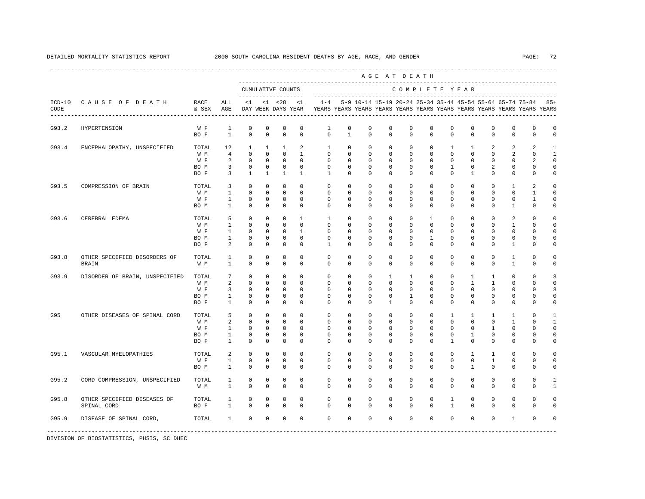---------------------------------------------------------------------------------------------------------------------------------------------------- A G E A T D E A T H --------------------------------------------------------------------------------------------- CUMULATIVE COUNTS C O M P L E T E Y E A R ------------------- ----------------------------------------------------------------------- ICD-10 C A U S E O F D E A T H RACE ALL <1 <1 <28 <1 1-4 5-9 10-14 15-19 20-24 25-34 35-44 45-54 55-64 65-74 75-84 85+ CODE & SEX AGE DAY WEEK DAYS YEAR YEARS YEARS YEARS YEARS YEARS YEARS YEARS YEARS YEARS YEARS YEARS YEARS ---------------------------------------------------------------------------------------------------------------------------------------------------- G93.2 HYPERTENSION W F 1 0 0 0 0 1 0 0 0 0 0 0 0 0 0 0 0 BO F 1 0 0 0 0 0 1 0 0 0 0 0 0 0 0 0 0 G93.4 ENCEPHALOPATHY, UNSPECIFIED TOTAL 12 1 1 1 2 1 0 0 0 0 0 0 0 1 1 2 2 2 1<br>
WM 4 0 0 0 1 0 0 0 0 0 0 0 0 0 0 2 0 1 W M 4 0 0 0 1 0 0 0 0 0 0 0 0 0 2 0 1 W F 2 0 0 0 0 0 0 0 0 0 0 0 0 0 2 0 BOM 3 0 0 0 0 0 0 0 0 0 0 0 1 0 2 0 0 0 BOF 3 1 1 1 1 1 0 0 0 0 0 0 0 1 0 0 0 0 0 G93.5 COMPRESSION OF BRAIN TOTAL 3 0 0 0 0 0 0 0 0 0 0 0 0 0 1 2 0 W M 1 0 0 0 0 0 0 0 0 0 0 0 0 0 0 1 0 W F 1 0 0 0 0 0 0 0 0 0 0 0 0 0 0 1 0 BOM 1 0 0 0 0 0 0 0 0 0 0 0 0 0 1 0 0 G93.6 CEREBRAL EDEMA TOTAL 5 0 0 0 1 1 0 0 0 0 1 0 0 0 2 0 0 W M 1 0 0 0 0 0 0 0 0 0 0 0 0 0 1 0 0 W F 1 0 0 0 1 0 0 0 0 0 0 0 0 0 0 0 0 BO M 1 0 0 0 0 0 0 0 0 0 1 0 0 0 0 0 0 BOF 2 0 0 0 0 1 0 0 0 0 0 0 0 0 0 1 0 0 G93.8 OTHER SPECIFIED DISORDERS OF TOTAL 1 0 0 0 0 0 0 0 0 0 0 0 0 0 1 0 0 BRAIN W M 1 0 0 0 0 0 0 0 0 0 0 0 0 0 1 0 0 G93.9 DISORDER OF BRAIN, UNSPECIFIED TOTAL 7 0 0 0 0 0 0 0 0 1 1 0 0 1 1 0 0 3<br>
W M 2 0 0 0 0 0 0 0 0 0 0 0 0 1 1 0 0 0 W M 2 0 0 0 0 0 0 0 0 0 0 0 0 1 1 0 0 0 W F 3 0 0 0 0 0 0 0 0 0 0 0 0 0 0 3 BO M 1 0 0 0 0 0 0 0 0 1 0 0 0 0 0 0 0 BO F 1 0 0 0 0 0 0 0 1 0 0 0 0 0 0 0 0 G95 OTHER DISEASES OF SPINAL CORD TOTAL 5 0 0 0 0 0 0 0 0 0 0 1 1 1 1 0 1 W M 2 0 0 0 0 0 0 0 0 0 0 0 0 0 1 0 1 W F 1 0 0 0 0 0 0 0 0 0 0 0 0 1 0 0 0 BO M 1 0 0 0 0 0 0 0 0 0 0 0 1 0 0 0 0 BO F 1 0 0 0 0 0 0 0 0 0 0 1 0 0 0 0 0 G95.1 VASCULAR MYELOPATHIES TOTAL 2 0 0 0 0 0 0 0 0 0 0 0 1 1 0 0 0 W F 1 0 0 0 0 0 0 0 0 0 0 0 0 1 0 0 0 BO M 1 0 0 0 0 0 0 0 0 0 0 0 1 0 0 0 0 G95.2 CORD COMPRESSION, UNSPECIFIED TOTAL 1 0 0 0 0 0 0 0 0 0 0 0 0 0 0 0 1 W M 1 0 0 0 0 0 0 0 0 0 0 0 0 0 0 0 0 1 G95.8 OTHER SPECIFIED DISEASES OF TOTAL 1 0 0 0 0 0 0 0 0 0 0 1 0 0 0 0 0 SPINAL CORD BO F 1 0 0 0 0 0 0 0 0 0 0 1 0 0 0 0 0 G95.9 DISEASE OF SPINAL CORD, TOTAL 1 0 0 0 0 0 0 0 0 0 0 0 0 0 1 0 0 -----------------------------------------------------------------------------------------------------------------------------------------------------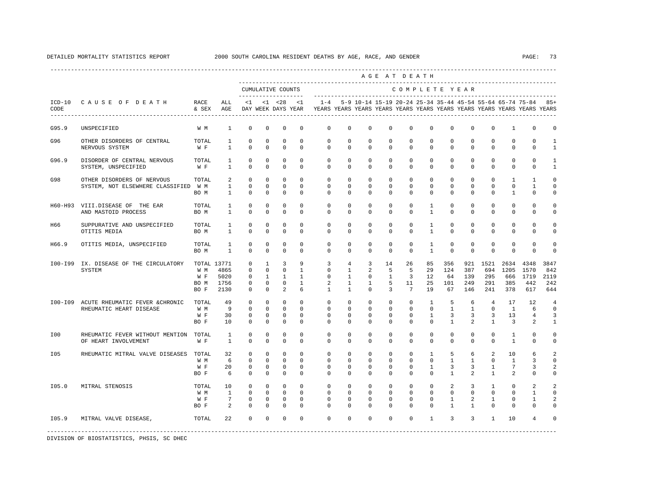|       |                                                                    |                                         |                                                                                                                                                                                                                                                               |                                                                     |                                                                             |                                                      |                                                          |                                                        |                                                                                |                                                                                | AGE AT DEATH                                       |                                                         |                                                         |                                          |                                                    |                                                   |                                                        |                                            |                                         |
|-------|--------------------------------------------------------------------|-----------------------------------------|---------------------------------------------------------------------------------------------------------------------------------------------------------------------------------------------------------------------------------------------------------------|---------------------------------------------------------------------|-----------------------------------------------------------------------------|------------------------------------------------------|----------------------------------------------------------|--------------------------------------------------------|--------------------------------------------------------------------------------|--------------------------------------------------------------------------------|----------------------------------------------------|---------------------------------------------------------|---------------------------------------------------------|------------------------------------------|----------------------------------------------------|---------------------------------------------------|--------------------------------------------------------|--------------------------------------------|-----------------------------------------|
|       |                                                                    |                                         | CUMULATIVE COUNTS<br>COMPLETE YEAR<br>_____________________<br>$<1$ $<1$ $<28$ $<1$<br>1-4 5-9 10-14 15-19 20-24 25-34 35-44 45-54 55-64 65-74 75-84 85+<br>ALL<br>DAY WEEK DAYS YEAR TEARS YEARS YEARS YEARS YEARS YEARS YEARS YEARS YEARS YEARS YEARS YEARS |                                                                     |                                                                             |                                                      |                                                          |                                                        |                                                                                |                                                                                |                                                    |                                                         |                                                         |                                          |                                                    |                                                   |                                                        |                                            |                                         |
| CODE  | ICD-10 CAUSE OF DEATH RACE                                         | & SEX AGE                               |                                                                                                                                                                                                                                                               |                                                                     |                                                                             |                                                      |                                                          |                                                        |                                                                                |                                                                                |                                                    |                                                         |                                                         |                                          |                                                    |                                                   |                                                        |                                            |                                         |
| G95.9 | UNSPECIFIED                                                        | W M                                     | <sup>1</sup>                                                                                                                                                                                                                                                  | $\mathbf 0$                                                         | $\mathbf 0$                                                                 | $\mathbf 0$                                          | $\mathbf 0$                                              | $\mathbf 0$                                            | $\mathbf 0$                                                                    | $\mathbf 0$                                                                    | $\mathbf 0$                                        | $\mathbf 0$                                             | $\mathbf 0$                                             | $\mathbf 0$                              | $\mathbf 0$                                        | $\mathbf 0$                                       | 1                                                      | 0                                          | 0                                       |
| G96   | OTHER DISORDERS OF CENTRAL<br>NERVOUS SYSTEM                       | TOTAL<br>W F                            | $\mathbf{1}$<br>$\mathbf{1}$                                                                                                                                                                                                                                  | $\mathbf 0$<br>$\Omega$                                             | $\mathbf 0$<br>$\Omega$                                                     | $\mathbf 0$<br>$\Omega$                              | $\Omega$<br>$\Omega$                                     | $\mathbf 0$<br>$\Omega$                                | $\mathbf 0$<br>$\Omega$                                                        | $\circ$<br>$\Omega$                                                            | $\mathbf 0$<br>$\Omega$                            | $^{\circ}$<br>$\Omega$                                  | $\mathbf 0$<br>$\Omega$                                 | $\mathbf 0$<br>$\Omega$                  | $\mathbf 0$<br>$\Omega$                            | $^{\circ}$<br>$\Omega$                            | $\mathbf 0$<br>$\mathbf 0$                             | $\mathbf{0}$<br>$\mathbf 0$                | $\mathbf{1}$<br>$\mathbf{1}$            |
| G96.9 | DISORDER OF CENTRAL NERVOUS<br>SYSTEM, UNSPECIFIED                 | TOTAL<br>W F                            | <sup>1</sup><br>$\overline{1}$                                                                                                                                                                                                                                | $^{\circ}$<br>$\Omega$                                              | 0<br>$\Omega$                                                               | $\mathbf 0$<br>$\Omega$                              | $\Omega$<br>$\Omega$                                     | $\mathbf 0$<br>$\Omega$                                | $\mathbf 0$<br>$\Omega$                                                        | $\mathbf 0$<br>$\Omega$                                                        | 0<br>$\Omega$                                      | $\mathbf{0}$<br>$\Omega$                                | $\mathbf{0}$<br>$\Omega$                                | 0<br>$\Omega$                            | 0<br>$\Omega$                                      | $^{\circ}$<br>$\Omega$                            | $\mathbf{0}$<br>$\Omega$                               | 0<br>$\Omega$                              | 1<br>$\mathbf{1}$                       |
| G98   | OTHER DISORDERS OF NERVOUS<br>SYSTEM, NOT ELSEWHERE CLASSIFIED     | TOTAL<br>W M<br>BO M                    | $\overline{a}$<br>$\overline{1}$<br>$\mathbf{1}$                                                                                                                                                                                                              | $\Omega$<br>$\Omega$<br>$\mathbf 0$                                 | $\Omega$<br>$\Omega$<br>$\Omega$                                            | $\Omega$<br>$\Omega$<br>$\mathbf 0$                  | $\Omega$<br>$\Omega$<br>$\Omega$                         | $\Omega$<br>$\Omega$<br>$\Omega$                       | $\Omega$<br>$\Omega$<br>$\Omega$                                               | $\Omega$<br>$\Omega$<br>$\Omega$                                               | $\Omega$<br>$\Omega$<br>$\Omega$                   | $\Omega$<br>$\Omega$<br>$\Omega$                        | $\Omega$<br>$\Omega$<br>$\Omega$                        | $\Omega$<br>$\Omega$<br>$\Omega$         | $\Omega$<br>$\Omega$<br>$\Omega$                   | $\Omega$<br>$\Omega$<br>$\Omega$                  | $\mathbf{1}$<br>$\Omega$<br>$\mathbf{1}$               | $\overline{1}$<br>$\mathbf{1}$<br>$\Omega$ | $\Omega$<br>$\Omega$<br>0               |
|       | H60-H93 VIII.DISEASE OF THE EAR<br>AND MASTOID PROCESS             | TOTAL<br>BO M                           | $\mathbf{1}$<br>$\mathbf{1}$                                                                                                                                                                                                                                  | $\mathbf 0$<br>$\Omega$                                             | $\mathbf 0$<br>$\Omega$                                                     | $\mathbf 0$<br>$\Omega$                              | $\mathbf 0$<br>$\Omega$                                  | $\mathbf 0$<br>$\Omega$                                | $\mathbf 0$<br>$\Omega$                                                        | $\mathbf 0$<br>$\Omega$                                                        | $\mathbf 0$<br>$\Omega$                            | $\mathbf 0$<br>$\Omega$                                 | $\mathbf{1}$<br>$\mathbf{1}$                            | 0<br>$\Omega$                            | $\mathbf 0$<br>$\Omega$                            | $^{\circ}$<br>$\Omega$                            | $\mathbf{0}$<br>$\Omega$                               | 0<br>$\Omega$                              | $\mathbf 0$<br>0                        |
| H66   | SUPPURATIVE AND UNSPECIFIED<br>OTITIS MEDIA                        | TOTAL<br>BO M                           | $\mathbf{1}$<br>$\mathbf{1}$                                                                                                                                                                                                                                  | $\mathbf 0$<br>$\mathbf 0$                                          | $\mathbf 0$<br>$\mathbf 0$                                                  | $\mathbf 0$<br>$\mathbf 0$                           | $\Omega$<br>$\Omega$                                     | $\Omega$<br>$\mathbf 0$                                | $\Omega$<br>$\circ$                                                            | $\Omega$<br>$\mathbf 0$                                                        | $\Omega$<br>$\mathbf 0$                            | $\mathbf 0$<br>$\Omega$                                 | $\mathbf{1}$<br>$\mathbf{1}$                            | $\Omega$<br>$\mathbf 0$                  | $\Omega$<br>$\mathbf 0$                            | $\Omega$<br>$\mathbf 0$                           | $\Omega$<br>$\mathbf 0$                                | $\Omega$<br>$\mathbf 0$                    | $\Omega$<br>$\mathbf 0$                 |
| H66.9 | OTITIS MEDIA, UNSPECIFIED                                          | TOTAL<br>BO M                           | <sup>1</sup><br>$\overline{1}$                                                                                                                                                                                                                                | $\mathbf 0$<br>$\Omega$                                             | 0<br>$\Omega$                                                               | $\mathbf 0$<br>$\Omega$                              | $\Omega$<br>$\Omega$                                     | $\Omega$<br>$\Omega$                                   | $\mathbf 0$<br>$\Omega$                                                        | $\mathbf 0$<br>$\Omega$                                                        | $\mathbf 0$<br>$\Omega$                            | $\mathbf 0$<br>$\Omega$                                 | $\mathbf{1}$<br>$\overline{1}$                          | $\Omega$<br>$\Omega$                     | $\mathbf 0$<br>$\Omega$                            | $\mathbf 0$<br>$\Omega$                           | $\Omega$<br>$\Omega$                                   | $\Omega$<br>$\Omega$                       | $\Omega$<br>$\Omega$                    |
|       | 100-199 IX. DISEASE OF THE CIRCULATORY<br>SYSTEM                   | TOTAL 13771<br>W M<br>BO M 1756<br>BO F | 4865<br>W F 5020<br>2130                                                                                                                                                                                                                                      | $\mathbf 0$<br>$\Omega$<br>$\mathbf 0$<br>$\mathbf 0$<br>$^{\circ}$ | $\mathbf{1}$<br>$\mathbf 0$<br>$\mathbf{1}$<br>$\mathbf{0}$<br>$\mathbf{0}$ | 3<br>$\Omega$<br>$\mathbf{1}$<br>$\circ$<br>2        | 9<br>$\overline{1}$<br>$\mathbf{1}$<br>$\mathbf{1}$<br>6 | 3<br>$\Omega$<br>$\mathbf 0$<br>2<br>$\mathbf{1}$      | $\overline{4}$<br>$\mathbf{1}$<br>$\mathbf{1}$<br>$\mathbf{1}$<br>$\mathbf{1}$ | $\overline{3}$<br>$\overline{a}$<br>$\overline{0}$<br>$\mathbf{1}$<br>$\Omega$ | 14<br>5<br>1<br>5<br>3                             | 26<br>5<br>3<br>11<br>$7\overline{ }$                   | 85<br>29<br>12<br>25<br>19                              | 356<br>124<br>64<br>101<br>67            | 921<br>387<br>139<br>249<br>146                    | 1521<br>694<br>295<br>291<br>241                  | 2634<br>1205<br>666<br>385<br>378                      | 4348<br>1570<br>1719<br>442<br>617         | 3847<br>842<br>2119<br>242<br>644       |
|       | 100-109 ACUTE RHEUMATIC FEVER & CHRONIC<br>RHEUMATIC HEART DISEASE | TOTAL<br>W M<br>W F<br>BO F             | 49<br>9<br>30<br>1 O                                                                                                                                                                                                                                          | $\Omega$<br>$\Omega$<br>$^{\circ}$<br>$\Omega$                      | $\Omega$<br>$\Omega$<br>0<br>$\Omega$                                       | $\Omega$<br>$\Omega$<br>$\mathbf 0$<br>$\Omega$      | $\Omega$<br>$\Omega$<br>$\Omega$<br>$\Omega$             | $\Omega$<br>$\Omega$<br>$\mathbf 0$<br>$\Omega$        | $\Omega$<br>$\Omega$<br>$\Omega$<br>$\Omega$                                   | $\Omega$<br>$\Omega$<br>0<br>$\Omega$                                          | $\Omega$<br>$\Omega$<br>$\Omega$<br>$\Omega$       | $\Omega$<br>$\Omega$<br>$\mathbf 0$<br>$\Omega$         | $\overline{1}$<br>$\Omega$<br>$\mathbf{1}$<br>$\Omega$  | -5<br>$\mathbf{1}$<br>3<br>$\mathbf{1}$  | 6<br>$\overline{1}$<br>3<br>$\overline{2}$         | $\overline{4}$<br>$\Omega$<br>3<br>$\overline{1}$ | 17<br>$\overline{1}$<br>13<br>3                        | 12<br>6<br>4<br>2                          | $\overline{4}$<br>$\Omega$<br>3<br>1    |
| I00   | RHEUMATIC FEVER WITHOUT MENTION TOTAL<br>OF HEART INVOLVEMENT      | W F                                     | $\mathbf{1}$<br>$\mathbf{1}$                                                                                                                                                                                                                                  | $\mathbf 0$<br>$\Omega$                                             | $\mathbf 0$<br>$\Omega$                                                     | $\mathbf 0$<br>$\Omega$                              | $\Omega$<br>$\Omega$                                     | $\Omega$<br>$\Omega$                                   | $\Omega$<br>$\Omega$                                                           | $\Omega$<br>$\Omega$                                                           | $\mathbf 0$<br>$\Omega$                            | $\mathbf 0$<br>$\Omega$                                 | $\Omega$<br>$\Omega$                                    | $\mathbf 0$<br>$\Omega$                  | $\Omega$<br>$\Omega$                               | $\circ$<br>$\Omega$                               | $\mathbf{1}$<br>$\mathbf{1}$                           | $\Omega$<br>$\Omega$                       | $\mathbf 0$<br>0                        |
| I05   | RHEUMATIC MITRAL VALVE DISEASES TOTAL                              | W M<br>W F<br>BO F                      | 32<br>6<br>20<br>-6                                                                                                                                                                                                                                           | $\mathbf 0$<br>$\mathbf 0$<br>$^{\circ}$<br>$\Omega$                | $\mathbf 0$<br>$\mathbf 0$<br>0<br>$\Omega$                                 | $\mathbf 0$<br>$\mathbf 0$<br>$^{\circ}$<br>$\Omega$ | $\Omega$<br>$\mathbf 0$<br>0<br>$\Omega$                 | $\mathbf 0$<br>$\mathbf 0$<br>$\mathbf{0}$<br>$\Omega$ | $\mathbf 0$<br>$\mathbf 0$<br>0<br>$\Omega$                                    | $\mathbf 0$<br>$\mathbf 0$<br>$\circ$<br>$\Omega$                              | $\mathbf 0$<br>$\mathbf 0$<br>0<br>$\Omega$        | $\mathbf{0}$<br>$\mathbf 0$<br>$\mathbf{0}$<br>$\Omega$ | $\mathbf{1}$<br>$\mathbf 0$<br>$\mathbf{1}$<br>$\Omega$ | 5<br>$\mathbf{1}$<br>3<br>$\overline{1}$ | 6<br>$\mathbf{1}$<br>3<br>$\mathfrak{D}$           | 2<br>$^{\circ}$<br>1<br>$\overline{1}$            | 10<br>$\mathbf{1}$<br>7<br>2                           | 6<br>3<br>3<br>$\Omega$                    | $\overline{a}$<br>$\mathbf 0$<br>2<br>0 |
| I05.0 | MITRAL STENOSIS                                                    | TOTAL<br>W M<br>W F<br>BO F             | 10<br>$\mathbf{1}$<br>7<br>2                                                                                                                                                                                                                                  | $\mathbf 0$<br>$\mathbf 0$<br>$^{\circ}$<br>$\Omega$                | $\Omega$<br>$\circ$<br>$^{\circ}$<br>$\mathbf 0$                            | $\circ$<br>$\mathbf 0$<br>$\mathbf 0$<br>$\Omega$    | $\Omega$<br>$\mathbf 0$<br>$\Omega$<br>$\Omega$          | $\Omega$<br>$\mathbf 0$<br>$\Omega$<br>$\Omega$        | $\Omega$<br>$\mathbf{0}$<br>$\Omega$<br>$\mathbf 0$                            | $\Omega$<br>$\mathbf 0$<br>$\Omega$<br>$\Omega$                                | $\Omega$<br>$\mathbf 0$<br>$\Omega$<br>$\mathbf 0$ | $\Omega$<br>$\mathbf 0$<br>$\Omega$<br>$\Omega$         | $\Omega$<br>$\mathbf{0}$<br>$\Omega$<br>$\Omega$        | 2<br>$\circ$<br>1<br>$\overline{1}$      | $\overline{3}$<br>$\mathbf 0$<br>2<br>$\mathbf{1}$ | $\overline{1}$<br>$\mathbf{0}$<br>1<br>$\Omega$   | $\Omega$<br>$\mathbf 0$<br>$\mathbf{0}$<br>$\mathbf 0$ | 2<br>$\mathbf{1}$<br>1<br>0                | $\overline{a}$<br>$\mathbf 0$<br>2<br>0 |
| I05.9 | MITRAL VALVE DISEASE,                                              | TOTAL                                   | 22                                                                                                                                                                                                                                                            | $\Omega$                                                            | $\mathbf 0$                                                                 | $\mathbf 0$                                          | $\Omega$                                                 | $\Omega$                                               | $\Omega$                                                                       | $\Omega$                                                                       | $\mathbf 0$                                        | $\Omega$                                                | $\mathbf{1}$                                            | $\overline{3}$                           | $\overline{3}$                                     | $\mathbf{1}$                                      | 10                                                     | 4                                          | 0                                       |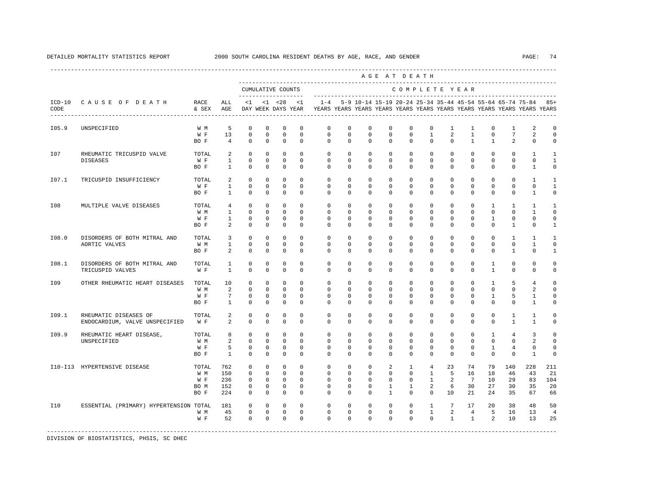|                  |                                                         |                                     |                                                     |                                                         |                                                           |                                                                                                                                        |                                                     |                                                                                    |                                                    |                                                              | AGE AT DEATH                                   |                                                           |                                                                       |                                                 |                                                       |                                                           |                                                              |                                                         |                                            |
|------------------|---------------------------------------------------------|-------------------------------------|-----------------------------------------------------|---------------------------------------------------------|-----------------------------------------------------------|----------------------------------------------------------------------------------------------------------------------------------------|-----------------------------------------------------|------------------------------------------------------------------------------------|----------------------------------------------------|--------------------------------------------------------------|------------------------------------------------|-----------------------------------------------------------|-----------------------------------------------------------------------|-------------------------------------------------|-------------------------------------------------------|-----------------------------------------------------------|--------------------------------------------------------------|---------------------------------------------------------|--------------------------------------------|
|                  |                                                         |                                     |                                                     |                                                         |                                                           | CUMULATIVE COUNTS<br>COMPLETE YEAR<br>-------------------<br>$< 1$ $< 28$<br>5-9 10-14 15-19 20-24 25-34 35-44 45-54 55-64 65-74 75-84 |                                                     |                                                                                    |                                                    |                                                              |                                                |                                                           |                                                                       |                                                 |                                                       |                                                           |                                                              |                                                         |                                            |
| $ICD-10$<br>CODE | CAUSE OF DEATH                                          | RACE<br>& SEX                       | ALL<br>AGE                                          | $\leq 1$                                                |                                                           | DAY WEEK DAYS YEAR                                                                                                                     | $\leq$ 1                                            | $1 - 4$<br>YEARS YEARS YEARS YEARS YEARS YEARS YEARS YEARS YEARS YEARS YEARS YEARS |                                                    |                                                              |                                                |                                                           |                                                                       |                                                 |                                                       |                                                           |                                                              |                                                         | $85+$                                      |
| I05.9            | UNSPECIFIED                                             | W M<br>W F<br>BO F                  | 5<br>13<br>$\overline{4}$                           | $^{\circ}$<br>$\mathbf 0$<br>$^{\circ}$                 | $^{\circ}$<br>$\mathbf 0$<br>$\Omega$                     | $^{\circ}$<br>$\mathbf 0$<br>$\Omega$                                                                                                  | 0<br>$\mathbf 0$<br>$\Omega$                        | 0<br>0<br>$\Omega$                                                                 | 0<br>$\mathbf 0$<br>$\Omega$                       | $^{\circ}$<br>$\mathbf 0$<br>$\Omega$                        | $^{\circ}$<br>$\mathbf 0$<br>$\Omega$          | $\mathbf 0$<br>$\mathbb O$<br>$\Omega$                    | $\mathbf 0$<br>$\mathbf{1}$<br>$\Omega$                               | 1<br>2<br>$\Omega$                              | 1<br>$\mathbf{1}$<br>$\mathbf{1}$                     | $^{\circ}$<br>$\mathbf 0$<br>$\mathbf{1}$                 | 1<br>$7\phantom{.0}$<br>2                                    | 2<br>2<br>$\mathbf 0$                                   | 0<br>$\circ$<br>$\Omega$                   |
| I07              | RHEUMATIC TRICUSPID VALVE<br><b>DISEASES</b>            | TOTAL<br>W F<br>BO F                | 2<br>$\mathbf{1}$<br>$\mathbf{1}$                   | $^{\circ}$<br>$\mathbf{0}$<br>$\Omega$                  | $\mathbf 0$<br>$\Omega$<br>$\mathbf 0$                    | $\mathbf 0$<br>$\Omega$<br>$\mathbf 0$                                                                                                 | $\Omega$<br>$\Omega$<br>$\Omega$                    | $\mathbf 0$<br>$\mathbf 0$<br>$\Omega$                                             | $\Omega$<br>$\Omega$<br>$\Omega$                   | $\Omega$<br>$\Omega$<br>$\Omega$                             | $\Omega$<br>$\Omega$<br>$\mathbf 0$            | $\Omega$<br>$\Omega$<br>$\Omega$                          | $\Omega$<br>$\Omega$<br>$\mathbf 0$                                   | $\Omega$<br>$\Omega$<br>$\Omega$                | $\mathbf 0$<br>$\mathbf 0$<br>$\mathbf 0$             | $\Omega$<br>$\mathbf 0$<br>$\mathbf 0$                    | $\Omega$<br>$\mathbf{0}$<br>$\mathbf{0}$                     | $\mathbf{1}$<br>$\mathbf{0}$<br>$\mathbf{1}$            | 1<br>$\mathbf{1}$<br>$\circ$               |
| I07.1            | TRICUSPID INSUFFICIENCY                                 | TOTAL<br>W F<br>BO F                | $\overline{a}$<br>$\mathbf{1}$<br>$\mathbf{1}$      | $^{\circ}$<br>$^{\circ}$<br>$\mathbf 0$                 | $\mathbf 0$<br>$^{\circ}$<br>$\circ$                      | $\mathbf 0$<br>$\mathbf 0$<br>$\mathbf 0$                                                                                              | $\Omega$<br>$\mathbf 0$<br>0                        | $\mathbf 0$<br>$\mathbf 0$<br>$\Omega$                                             | $\mathbf 0$<br>$\mathbf 0$<br>$\Omega$             | $\mathbf 0$<br>$\mathbf 0$<br>$\Omega$                       | $\mathbf 0$<br>$\mathbf 0$<br>$\mathbf 0$      | $\mathbf{0}$<br>$\mathbf 0$<br>$\Omega$                   | $\mathbf 0$<br>$\mathbf 0$<br>$\mathbf 0$                             | $\Omega$<br>$\mathbf 0$<br>$\Omega$             | $\mathbf 0$<br>$\mathbf 0$<br>$\mathbf 0$             | $\mathbf 0$<br>$\mathbf 0$<br>$\mathbf 0$                 | $\mathbf 0$<br>$\mathbf{0}$<br>$\mathbf{0}$                  | $\mathbf{1}$<br>$\mathbf{0}$<br>1                       | -1<br>1<br>$\mathbf 0$                     |
| I08              | MULTIPLE VALVE DISEASES                                 | TOTAL<br>W M<br>W F<br>BO F         | $\overline{4}$<br>$\mathbf{1}$<br>$\mathbf{1}$<br>2 | $\Omega$<br>$\Omega$<br>$\mathbf 0$<br>$^{\circ}$       | $\Omega$<br>$\Omega$<br>$\Omega$<br>$\mathbf 0$           | $\Omega$<br>$\Omega$<br>$\mathbf 0$<br>$\mathbf 0$                                                                                     | $\Omega$<br>$\Omega$<br>$\Omega$<br>0               | $\Omega$<br>$\Omega$<br>$\Omega$<br>$\Omega$                                       | $\Omega$<br>$\Omega$<br>$\Omega$<br>0              | $\Omega$<br>$\Omega$<br>$\Omega$<br>$\Omega$                 | $\mathbf 0$<br>$\Omega$<br>$\Omega$<br>0       | $\Omega$<br>$\Omega$<br>$\Omega$<br>$\mathbf 0$           | $\Omega$<br>$\Omega$<br>$\Omega$<br>$\mathbf 0$                       | $\Omega$<br>$\Omega$<br>$\Omega$<br>$\mathbf 0$ | $\mathbf 0$<br>$\Omega$<br>$\mathbf 0$<br>$\mathbf 0$ | $\overline{1}$<br>$\Omega$<br>$\mathbf{1}$<br>$\mathbf 0$ | $\mathbf{1}$<br>$\Omega$<br>$\Omega$<br>$\mathbf{1}$         | $\mathbf{1}$<br>$\mathbf{1}$<br>$\Omega$<br>$\mathbf 0$ | -1<br>$\Omega$<br>$\Omega$<br>$\mathbf{1}$ |
| I08.0            | DISORDERS OF BOTH MITRAL AND<br>AORTIC VALVES           | TOTAL<br>W M<br>BO F                | 3<br>$\mathbf{1}$<br>2                              | $^{\circ}$<br>$^{\circ}$<br>$\Omega$                    | $\mathbf 0$<br>$\circ$<br>$\Omega$                        | $\mathbf 0$<br>0<br>$\Omega$                                                                                                           | $\mathbf 0$<br>0<br>$\Omega$                        | $\mathbf{0}$<br>0<br>$\Omega$                                                      | $\mathbf 0$<br>0<br>$\Omega$                       | $\mathbf 0$<br>$\mathbf 0$<br>$\Omega$                       | $\mathbf 0$<br>0<br>$\Omega$                   | $\mathbf{0}$<br>0<br>$\Omega$                             | $\mathbf{0}$<br>$\mathbf 0$<br>$\Omega$                               | $\mathbf 0$<br>0<br>$\Omega$                    | $\mathbf 0$<br>0<br>$\Omega$                          | $\mathbf 0$<br>$\mathbf{0}$<br>$\Omega$                   | $\mathbf{1}$<br>$\circ$<br>$\mathbf{1}$                      | $\mathbf{1}$<br>1<br>$\Omega$                           | 1<br>0<br>$\mathbf{1}$                     |
| I08.1            | DISORDERS OF BOTH MITRAL AND<br>TRICUSPID VALVES        | TOTAL<br>W F                        | $\mathbf{1}$<br>$\mathbf{1}$                        | $\mathbf 0$<br>$\Omega$                                 | $\circ$<br>$\Omega$                                       | 0<br>$\Omega$                                                                                                                          | 0<br>$\Omega$                                       | $\mathbf 0$<br>$\Omega$                                                            | $\Omega$<br>$\Omega$                               | $\mathbf 0$<br>$\Omega$                                      | $\mathbf 0$<br>$\Omega$                        | $\mathbf{0}$<br>$\Omega$                                  | $\mathbf 0$<br>$\Omega$                                               | $\mathbf 0$<br>$\Omega$                         | $\mathbf 0$<br>$\Omega$                               | 1<br>$\mathbf{1}$                                         | $\mathbf 0$<br>$\Omega$                                      | $\mathbf 0$<br>$\Omega$                                 | $\Omega$<br>$\Omega$                       |
| I09              | OTHER RHEUMATIC HEART DISEASES                          | TOTAL<br>W M<br>W F<br>BO F         | 10<br>2<br>7<br>$\mathbf{1}$                        | $^{\circ}$<br>$\circ$<br>$^{\circ}$<br>$\Omega$         | $\circ$<br>$\mathbf 0$<br>$\circ$<br>$\Omega$             | 0<br>$\mathbf 0$<br>0<br>$\Omega$                                                                                                      | $\Omega$<br>$\mathbf 0$<br>0<br>$\Omega$            | $\mathbf 0$<br>$\mathbf 0$<br>0<br>$\Omega$                                        | $\mathbf 0$<br>$\mathbf 0$<br>$\Omega$<br>$\Omega$ | $\mathbf 0$<br>$\mathbf 0$<br>$\Omega$<br>$\Omega$           | $\mathbf 0$<br>$\mathbf 0$<br>0<br>$\Omega$    | $\Omega$<br>$\mathbf{0}$<br>0<br>$\Omega$                 | $\Omega$<br>$\mathbf 0$<br>0<br>$\Omega$                              | $\Omega$<br>$\mathbf 0$<br>0<br>$\Omega$        | $\mathbf 0$<br>$\mathbf 0$<br>0<br>$\Omega$           | 1<br>$\mathbf 0$<br>1<br>$\Omega$                         | 5<br>$\mathbf{0}$<br>5<br>$\Omega$                           | $\overline{4}$<br>2<br>1<br>$\mathbf{1}$                | $\Omega$<br>$\Omega$<br>0<br>0             |
| I09.1            | RHEUMATIC DISEASES OF<br>ENDOCARDIUM, VALVE UNSPECIFIED | TOTAL<br>W F                        | 2<br>2                                              | $\mathbf 0$<br>$\Omega$                                 | $\mathbf 0$<br>$\Omega$                                   | $\mathbf 0$<br>$\Omega$                                                                                                                | $\Omega$<br>$\Omega$                                | $\Omega$<br>$\Omega$                                                               | $\Omega$<br>$\Omega$                               | $\Omega$<br>$\Omega$                                         | $\Omega$<br>$\Omega$                           | $\Omega$<br>$\Omega$                                      | $\Omega$<br>$\Omega$                                                  | $\Omega$<br>$\Omega$                            | $\mathbf 0$<br>$\Omega$                               | $\mathbf 0$<br>$\Omega$                                   | $\mathbf{1}$<br>$\mathbf{1}$                                 | 1<br>$\mathbf{1}$                                       | $\Omega$<br>$\Omega$                       |
| I09.9            | RHEUMATIC HEART DISEASE,<br>UNSPECIFIED                 | TOTAL<br>W M<br>W F<br>BO F         | 8<br>2<br>5<br>$\mathbf{1}$                         | $^{\circ}$<br>$^{\circ}$<br>$^{\circ}$<br>$\Omega$      | $\mathbf 0$<br>$\circ$<br>$\circ$<br>$\Omega$             | 0<br>0<br>0<br>$\Omega$                                                                                                                | $\mathbf 0$<br>$\mathbf 0$<br>0<br>$\Omega$         | $\mathbf 0$<br>0<br>0<br>$\Omega$                                                  | $\mathbf 0$<br>$\mathbf 0$<br>0<br>$\Omega$        | $\mathbf 0$<br>$\mathbf 0$<br>$\mathbf 0$<br>$\Omega$        | $\mathbf 0$<br>0<br>$\mathbf 0$<br>$\Omega$    | $\mathbf 0$<br>$\mathbf 0$<br>$\mathbf 0$<br>$\Omega$     | $\mathbf 0$<br>$\mathbf 0$<br>$\mathbf{0}$<br>$\Omega$                | $\Omega$<br>$\mathbf 0$<br>0<br>$\Omega$        | $\mathbf 0$<br>$\mathbf 0$<br>0<br>$\Omega$           | 1<br>$\mathbf 0$<br>$\mathbf{1}$<br>$\Omega$              | $\overline{4}$<br>$\mathbf{0}$<br>$\overline{4}$<br>$\Omega$ | 3<br>2<br>$\mathbf{0}$<br>$\mathbf{1}$                  | $\circ$<br>$\circ$<br>0<br>$\circ$         |
|                  | I10-I13 HYPERTENSIVE DISEASE                            | TOTAL<br>W M<br>W F<br>BO M<br>BO F | 762<br>150<br>236<br>152<br>224                     | $^{\circ}$<br>$\Omega$<br>$^{\circ}$<br>0<br>$^{\circ}$ | $\mathbf 0$<br>$\Omega$<br>$\Omega$<br>$\circ$<br>$\circ$ | $\Omega$<br>$\Omega$<br>$\Omega$<br>0<br>0                                                                                             | $\Omega$<br>$\Omega$<br>$\Omega$<br>$^{\circ}$<br>0 | $\Omega$<br>$\Omega$<br>$\Omega$<br>0<br>$\Omega$                                  | $\Omega$<br>$\Omega$<br>$\Omega$<br>0<br>0         | $\Omega$<br>$\Omega$<br>$\Omega$<br>$^{\circ}$<br>$^{\circ}$ | 2<br>$\Omega$<br>$\Omega$<br>1<br>$\mathbf{1}$ | $\mathbf{1}$<br>$\Omega$<br>$\Omega$<br>1<br>$\mathbf{0}$ | $\overline{4}$<br>$\mathbf{1}$<br>$\overline{1}$<br>2<br>$\mathbf{0}$ | 23<br>5<br>$\mathfrak{D}$<br>6<br>10            | 74<br>16<br>$7\phantom{.0}$<br>30<br>21               | 79<br>18<br>10<br>27<br>24                                | 140<br>46<br>29<br>30<br>35                                  | 228<br>43<br>83<br>35<br>67                             | 211<br>21<br>104<br>20<br>66               |
| I10              | ESSENTIAL (PRIMARY) HYPERTENSION TOTAL                  | W M<br>W F                          | 181<br>45<br>52                                     | $^{\circ}$<br>$\circ$<br>$^{\circ}$                     | $\mathbf{0}$<br>$\mathbf 0$<br>$\mathbf 0$                | $^{\circ}$<br>0<br>$\mathbf 0$                                                                                                         | $\mathbf 0$<br>0<br>$\Omega$                        | $\mathbf 0$<br>0<br>$\Omega$                                                       | $\Omega$<br>$\mathbf 0$<br>$\Omega$                | $\Omega$<br>$\mathbf 0$<br>$\Omega$                          | $\mathbf 0$<br>$^{\circ}$<br>$\Omega$          | $\Omega$<br>$\mathbf 0$<br>$\Omega$                       | $\mathbf{1}$<br>$\mathbf{1}$<br>$\Omega$                              | 7<br>$\overline{a}$<br>$\mathbf{1}$             | 17<br>$\overline{4}$<br>$\mathbf{1}$                  | 20<br>5<br>$\overline{2}$                                 | 38<br>16<br>10                                               | 48<br>13<br>13                                          | 50<br>$\overline{4}$<br>25                 |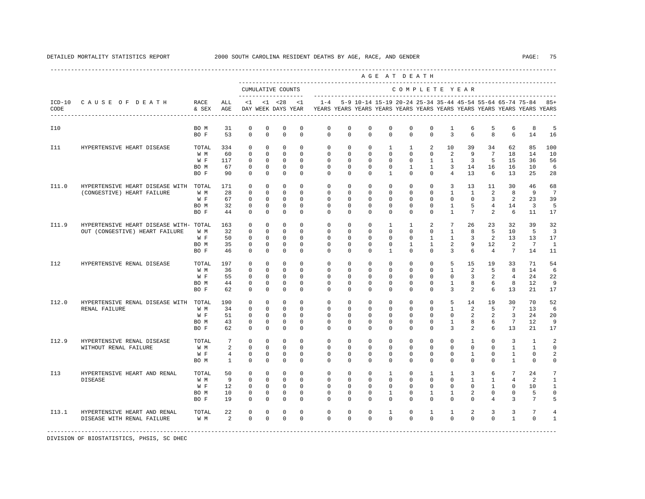|                  |                                                                          |                                       |                                          |                                                                         |                                                                         |                                                                         |                                                                         |                                                                                            |                                                                     |                                                                         |                                                                           | AGE AT DEATH                                                             |                                                                          |                                                                        |                                                            |                                                                    |                                                                   |                                                                   |                                                        |
|------------------|--------------------------------------------------------------------------|---------------------------------------|------------------------------------------|-------------------------------------------------------------------------|-------------------------------------------------------------------------|-------------------------------------------------------------------------|-------------------------------------------------------------------------|--------------------------------------------------------------------------------------------|---------------------------------------------------------------------|-------------------------------------------------------------------------|---------------------------------------------------------------------------|--------------------------------------------------------------------------|--------------------------------------------------------------------------|------------------------------------------------------------------------|------------------------------------------------------------|--------------------------------------------------------------------|-------------------------------------------------------------------|-------------------------------------------------------------------|--------------------------------------------------------|
|                  |                                                                          |                                       |                                          |                                                                         |                                                                         | CUMULATIVE COUNTS                                                       |                                                                         |                                                                                            |                                                                     |                                                                         |                                                                           | COMPLETE YEAR                                                            |                                                                          |                                                                        |                                                            |                                                                    |                                                                   |                                                                   |                                                        |
| $ICD-10$<br>CODE | CAUSE OF DEATH                                                           | RACE<br>& SEX                         | ALL<br>AGE                               |                                                                         |                                                                         | $<1$ $<1$ $<28$ $<1$                                                    |                                                                         | DAY WEEK DAYS YEAR YEARS YEARS YEARS YEARS YEARS YEARS YEARS YEARS YEARS YEARS YEARS YEARS |                                                                     |                                                                         |                                                                           |                                                                          |                                                                          |                                                                        |                                                            |                                                                    |                                                                   | 1-4 5-9 10-14 15-19 20-24 25-34 35-44 45-54 55-64 65-74 75-84 85+ |                                                        |
| I10              |                                                                          | BO M<br>BO F                          | 31<br>53                                 | $\Omega$<br>$\Omega$                                                    | $^{\circ}$<br>$\Omega$                                                  | $^{\circ}$<br>$\mathbf 0$                                               | $^{\circ}$<br>$\Omega$                                                  | $\Omega$<br>$\Omega$                                                                       | $\Omega$<br>$\Omega$                                                | $\Omega$<br>$\Omega$                                                    | $\Omega$<br>$\Omega$                                                      | $\Omega$<br>$\Omega$                                                     | $\Omega$<br>$\Omega$                                                     | $\mathbf{1}$<br>$\overline{3}$                                         | 6<br>6                                                     | 5<br>8                                                             | 6<br>6                                                            | 8<br>14                                                           | 5<br>16                                                |
| I11              | HYPERTENSIVE HEART DISEASE                                               | TOTAL<br>W M<br>$W$ F<br>BO M<br>BO F | 334<br>60<br>117<br>67<br>90             | 0<br>$\mathbf 0$<br>$\mathbf 0$<br>$\mathbf 0$<br>$\Omega$              | $\mathbf 0$<br>$\Omega$<br>$\mathbf 0$<br>$\mathbf 0$<br>$\Omega$       | $\mathbf 0$<br>$\mathbf 0$<br>$\mathbf 0$<br>$\mathbb O$<br>$\mathbf 0$ | $\mathbf 0$<br>$\Omega$<br>$\mathbf 0$<br>$\mathbf 0$<br>$\Omega$       | $\mathbf{0}$<br>$\mathbf 0$<br>$\mathbf 0$<br>$\mathbf 0$<br>$\Omega$                      | $\mathbf 0$<br>$\Omega$<br>$\circ$<br>$\mathbf 0$<br>$\Omega$       | $\circ$<br>$\mathbf 0$<br>$\mathbf 0$<br>$\mathbf 0$<br>$\Omega$        | $\mathbf{1}$<br>$\Omega$<br>$\mathbf 0$<br>$\mathbf 0$<br>$\mathbf{1}$    | $\mathbf{1}$<br>$\mathbf{0}$<br>$\mathbb O$<br>$\mathbf{1}$<br>$\cap$    | 2<br>$\mathbf 0$<br>$\mathbf{1}$<br>$\mathbf{1}$<br>$\Omega$             | 10<br>2<br>$\mathbf{1}$<br>3<br>$\overline{4}$                         | 39<br>9<br>$\overline{3}$<br>14<br>13                      | 34<br>$7\phantom{.0}$<br>5<br>16<br>6                              | 62<br>18<br>15<br>16<br>13                                        | 85<br>14<br>36<br>10<br>25                                        | 100<br>10<br>56<br>6<br>28                             |
| I11.0            | HYPERTENSIVE HEART DISEASE WITH TOTAL<br>(CONGESTIVE) HEART FAILURE      | W M<br>W F<br>BO M<br>BO F            | 171<br>28<br>67<br>32<br>44              | $\mathbf 0$<br>$\mathbf 0$<br>$\mathbf 0$<br>$^{\circ}$<br>$\mathbf 0$  | $\mathbf 0$<br>$\mathbf 0$<br>$\mathbf 0$<br>$\mathbf 0$<br>$\mathbf 0$ | $\mathbf 0$<br>$\mathbf 0$<br>$\mathbf 0$<br>$\mathbf 0$<br>$\mathbf 0$ | $\mathbf 0$<br>$\mathbf 0$<br>$\mathbf 0$<br>$\mathbf 0$<br>$\mathbf 0$ | $\mathbf 0$<br>$\mathbb O$<br>$\mathbf{0}$<br>$\mathbf 0$<br>$\Omega$                      | $\mathbf 0$<br>$\mathbf 0$<br>$\circ$<br>$\circ$<br>$\mathbf 0$     | $\mathbf 0$<br>$\mathbf 0$<br>$\mathbf 0$<br>$\circ$<br>$\mathbf 0$     | $\mathbf 0$<br>$\mathbf 0$<br>$\mathbf 0$<br>$\circ$<br>$\mathbf 0$       | $\mathbf 0$<br>$\mathbf 0$<br>$\mathbf 0$<br>$\mathbf{0}$<br>$\mathbf 0$ | $\mathbf{0}$<br>$\mathbf 0$<br>$\mathbf 0$<br>$\circ$<br>$\mathbf{0}$    | 3<br>$\mathbf{1}$<br>$\mathbf{0}$<br>$\mathbf{1}$<br>$\mathbf{1}$      | 13<br>$\mathbf{1}$<br>$\mathbf{0}$<br>5<br>$7\overline{ }$ | 11<br>2<br>$\mathbf{3}$<br>$4\overline{ }$<br>2                    | 30<br>8<br>2<br>14<br>6                                           | 46<br>9<br>23<br>3<br>11                                          | 68<br>$7\phantom{.0}$<br>39<br>5<br>17                 |
| I11.9            | HYPERTENSIVE HEART DISEASE WITH- TOTAL<br>OUT (CONGESTIVE) HEART FAILURE | W M<br>W F<br>BO M<br>BO F            | 163<br>32<br>50<br>35<br>46              | 0<br>$\mathbf 0$<br>$\mathbf 0$<br>$\mathbb O$<br>$\mathbf 0$           | $\mathbf 0$<br>$\mathbf 0$<br>$\mathbf 0$<br>$\mathbf 0$<br>$\mathbf 0$ | $\mathbf 0$<br>$\mathbf 0$<br>$\mathbb O$<br>$\mathbf 0$<br>$\mathbf 0$ | $\Omega$<br>$\Omega$<br>$\mathbf 0$<br>$\mathbf 0$<br>$\mathbf 0$       | $\mathbf 0$<br>$\mathbf{0}$<br>$\mathbf 0$<br>$\mathbb O$<br>$\Omega$                      | $\mathbf 0$<br>$\mathbf 0$<br>$\mathbf 0$<br>$\circ$<br>$\mathbf 0$ | $\mathbf 0$<br>$\mathbf 0$<br>$\mathbf 0$<br>$\mathbf 0$<br>$\Omega$    | $\mathbf{1}$<br>$\mathbf 0$<br>$\mathbf 0$<br>$\mathbf 0$<br>$\mathbf{1}$ | $\mathbf{1}$<br>$\mathbf 0$<br>$\mathsf 0$<br>$\mathbf{1}$<br>$\Omega$   | 2<br>$\mathbf{0}$<br>$\mathbf{1}$<br>$\mathbf{1}$<br>$\mathbf{0}$        | $7\overline{ }$<br>$\mathbf{1}$<br>$\mathbf{1}$<br>2<br>$\overline{3}$ | 26<br>8<br>3<br>9<br>6                                     | 23<br>5<br>2<br>12<br>$\overline{4}$                               | 32<br>10<br>13<br>2<br>$7\overline{ }$                            | 39<br>5<br>13<br>$7\phantom{.0}$<br>14                            | 32<br>$\overline{3}$<br>17<br>1<br>11                  |
| I12              | HYPERTENSIVE RENAL DISEASE                                               | TOTAL<br>W M<br>W F<br>BO M<br>BO F   | 197<br>36<br>55<br>44<br>62              | $\mathbf 0$<br>$\mathbf 0$<br>$\mathbb O$<br>$\mathbf 0$<br>$\mathbf 0$ | $\mathbf 0$<br>$\mathbf 0$<br>$\mathbf 0$<br>$\mathbf 0$<br>$\mathbf 0$ | $\mathbf 0$<br>$\mathbf 0$<br>$\mathbb O$<br>$\mathbf 0$<br>$\mathbf 0$ | $\mathbf 0$<br>$\mathbf 0$<br>$\mathbf 0$<br>$\mathbf 0$<br>$\Omega$    | $\mathbf 0$<br>$\mathbb O$<br>$\mathbf{0}$<br>$\mathbf 0$<br>$\Omega$                      | $\mathbf 0$<br>$\circ$<br>$\mathbf 0$<br>$\mathbf 0$<br>$\mathbf 0$ | $\mathbf 0$<br>$\mathbf 0$<br>$\mathbf 0$<br>$\mathbf 0$<br>$\mathbf 0$ | $\mathbf 0$<br>$\mathbf 0$<br>$\mathbf 0$<br>$\mathbf 0$<br>$\mathbf 0$   | $\mathbf 0$<br>$\mathbb O$<br>$\mathbf 0$<br>$\mathbf 0$<br>$\mathbf 0$  | $\mathbf 0$<br>$\mathbf 0$<br>$\mathbf{0}$<br>$\mathbf 0$<br>$\mathbf 0$ | 5<br>$\mathbf{1}$<br>$\mathbf 0$<br>$\mathbf{1}$<br>3                  | 15<br>2<br>3<br>8<br>2                                     | 19<br>5<br>2<br>6<br>6                                             | 33<br>8<br>$\overline{4}$<br>8<br>13                              | 71<br>14<br>24<br>12<br>21                                        | 54<br>6<br>22<br>9<br>17                               |
| I12.0            | HYPERTENSIVE RENAL DISEASE WITH TOTAL<br>RENAL FAILURE                   | W M<br>W F<br>BO M<br>BO F            | 190<br>34<br>51<br>43<br>62              | $\Omega$<br>$\mathbf 0$<br>$\mathbf 0$<br>$\mathbb O$<br>$\mathbf 0$    | $\Omega$<br>$\mathbf 0$<br>$\mathbf 0$<br>$\mathbf 0$<br>$\mathbf 0$    | $\mathbf 0$<br>$\mathbf 0$<br>$\mathbf 0$<br>$\mathsf 0$<br>$\mathbf 0$ | $\Omega$<br>$\mathbf 0$<br>$\mathbf 0$<br>$\mathbf 0$<br>$\mathbf 0$    | $\mathbf 0$<br>$\mathbf{0}$<br>$\circ$<br>$\mathbf 0$<br>$\mathbf{0}$                      | $\mathbf 0$<br>$\mathbf 0$<br>$\circ$<br>$\circ$<br>$\mathbf 0$     | $\mathbf 0$<br>$\mathbf 0$<br>$\mathbf 0$<br>$\mathbf 0$<br>$\mathbf 0$ | $\mathbf 0$<br>$\Omega$<br>$\mathbf 0$<br>$\mathbf 0$<br>$\mathbf 0$      | $\mathbf 0$<br>$\mathbf 0$<br>$\mathbf 0$<br>$\mathbb O$<br>$\mathbf 0$  | $\mathbf 0$<br>$\Omega$<br>$\mathbf{0}$<br>$\mathbb O$<br>$\mathbf 0$    | 5<br>$\mathbf{1}$<br>$\mathsf{O}\xspace$<br>$\mathbf{1}$<br>3          | 14<br>2<br>$\overline{a}$<br>8<br>$\overline{a}$           | 19<br>5<br>2<br>6<br>6                                             | 30<br>$7\overline{ }$<br>$\overline{3}$<br>$\overline{7}$<br>13   | 70<br>13<br>24<br>12<br>21                                        | 52<br>6<br>20<br>$\overline{9}$<br>17                  |
| I12.9            | HYPERTENSIVE RENAL DISEASE<br>WITHOUT RENAL FAILURE                      | TOTAL<br>W M<br>W F<br>BO M           | 7<br>2<br>$\overline{4}$<br>$\mathbf{1}$ | $\mathbf 0$<br>$\mathbb O$<br>$\mathbf 0$<br>$\mathbf 0$                | $\mathbf 0$<br>$\mathbf 0$<br>$\mathbf 0$<br>$\Omega$                   | $\mathbf 0$<br>$\mathbf 0$<br>$\mathbf 0$<br>$\mathbf 0$                | $\mathbf 0$<br>$\mathbf 0$<br>$\mathbf 0$<br>$\Omega$                   | $\mathbf 0$<br>$\mathbf 0$<br>$\mathbf 0$<br>$\Omega$                                      | $\mathbf 0$<br>$\mathbf 0$<br>$\mathbf 0$<br>$\Omega$               | $\mathbf 0$<br>$\mathbf 0$<br>$\mathbf 0$<br>$\Omega$                   | $\mathbf 0$<br>$\mathbf 0$<br>$\mathbf 0$<br>$\Omega$                     | $\mathbf 0$<br>$\mathbf{0}$<br>$\mathbf 0$<br>$\Omega$                   | $\mathbf 0$<br>$\mathbf 0$<br>$\mathbf 0$<br>$\Omega$                    | $\mathbf 0$<br>$\mathbf 0$<br>$\mathbb O$<br>$\Omega$                  | $\mathbf{1}$<br>$\mathbf 0$<br>$\mathbf{1}$<br>$\Omega$    | $\mathbf{0}$<br>$\mathbf 0$<br>$\mathbf 0$<br>$\Omega$             | $\overline{3}$<br>$\mathbf{1}$<br>$\mathbf{1}$<br>$\mathbf{1}$    | $\overline{1}$<br>$\mathbf{1}$<br>$\mathbf 0$<br>$\Omega$         | $\overline{a}$<br>$\mathbf 0$<br>2<br>0                |
| I13              | HYPERTENSIVE HEART AND RENAL<br><b>DISEASE</b>                           | TOTAL<br>W M<br>W F<br>BO M<br>BO F   | 50<br>9<br>12<br>10<br>19                | 0<br>$\mathbf 0$<br>$\Omega$<br>$\mathbb O$<br>$\mathbf 0$              | $^{\circ}$<br>$\Omega$<br>$\Omega$<br>$\mathbb O$<br>$\mathbf 0$        | $\mathbf 0$<br>$\mathbf 0$<br>$\mathbf 0$<br>$\mathbb O$<br>$\mathbf 0$ | $\mathbf 0$<br>$\Omega$<br>$\Omega$<br>$\mathbb O$<br>$\mathbf 0$       | 0<br>$\mathbf 0$<br>$\Omega$<br>$\mathsf 0$<br>$\Omega$                                    | 0<br>$\Omega$<br>$\Omega$<br>$\mathbf 0$<br>$\mathbf 0$             | $\circ$<br>$\Omega$<br>$\mathbf 0$<br>$\mathbf 0$<br>$\Omega$           | $\mathbf{1}$<br>$\Omega$<br>$\Omega$<br>$\mathbf{1}$<br>$\mathbf 0$       | $\circ$<br>$\Omega$<br>$\Omega$<br>$\mathbf 0$<br>$\Omega$               | $\mathbf{1}$<br>$\Omega$<br>$\Omega$<br>$\mathbf{1}$<br>$\mathbf 0$      | $\mathbf{1}$<br>$\mathbf 0$<br>$\Omega$<br>$\mathbf{1}$<br>$\mathbf 0$ | 3<br>$\mathbf{1}$<br>$\Omega$<br>2<br>$\mathbf 0$          | 6<br>$\mathbf{1}$<br>$\mathbf{1}$<br>$\mathbf 0$<br>$\overline{4}$ | $7\phantom{.0}$<br>$\overline{4}$<br>$\Omega$<br>$\mathbf 0$<br>3 | 24<br>2<br>10<br>5<br>$7\phantom{.0}$                             | 7<br>$\mathbf{1}$<br>$\mathbf{1}$<br>$\mathsf{O}$<br>5 |
| I13.1            | HYPERTENSIVE HEART AND RENAL<br>DISEASE WITH RENAL FAILURE               | TOTAL<br>W M                          | 22<br>2                                  | 0<br>$\Omega$                                                           | 0<br>$\Omega$                                                           | $\Omega$<br>$\Omega$                                                    | $\Omega$<br>$\Omega$                                                    | $\Omega$<br>$\Omega$                                                                       | 0<br>$\Omega$                                                       | $^{\circ}$<br>$\Omega$                                                  | 1<br>$\Omega$                                                             | $\mathbf{0}$<br>$\Omega$                                                 | 1<br>$\Omega$                                                            | 1<br>$\mathbf 0$                                                       | 2<br>$\Omega$                                              | 3<br>$\Omega$                                                      | 3<br>$\overline{1}$                                               | 7<br>$\Omega$                                                     | $\overline{4}$<br>$\mathbf{1}$                         |

-----------------------------------------------------------------------------------------------------------------------------------------------------

DIVISION OF BIOSTATISTICS, PHSIS, SC DHEC

----------------------------------------------------------------------------------------------------------------------------------------------------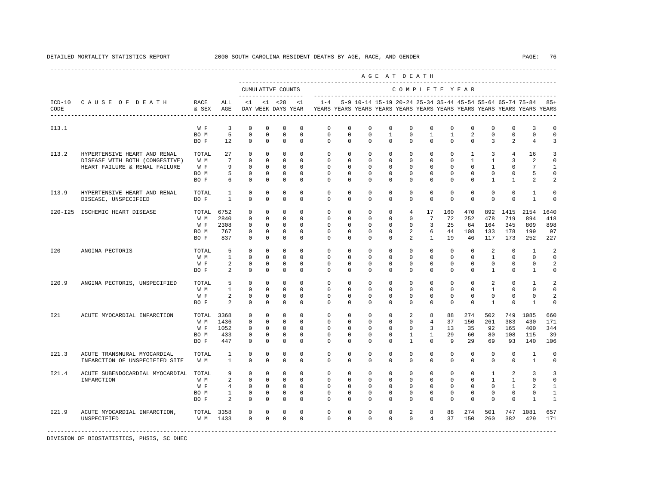|       |                                 |               |                        |                            |                            |                                          |                         |                                                                                    |                         |                         |                          | AGE AT DEATH   |                          |                          |               |                                                           |                  |                               |                  |
|-------|---------------------------------|---------------|------------------------|----------------------------|----------------------------|------------------------------------------|-------------------------|------------------------------------------------------------------------------------|-------------------------|-------------------------|--------------------------|----------------|--------------------------|--------------------------|---------------|-----------------------------------------------------------|------------------|-------------------------------|------------------|
|       |                                 |               |                        |                            |                            | CUMULATIVE COUNTS<br>------------------- |                         |                                                                                    |                         |                         |                          | COMPLETE YEAR  |                          |                          |               |                                                           |                  |                               |                  |
| CODE  | ICD-10 CAUSE OF DEATH           | RACE<br>& SEX | ALL<br>AGE             | $\leq 1$                   |                            | $< 1$ $< 28$<br>DAY WEEK DAYS YEAR       | <1                      | $1 - 4$<br>YEARS YEARS YEARS YEARS YEARS YEARS YEARS YEARS YEARS YEARS YEARS YEARS |                         |                         |                          |                |                          |                          |               | 5-9 10-14 15-19 20-24 25-34 35-44 45-54 55-64 65-74 75-84 |                  |                               | $85+$            |
| I13.1 |                                 | W F           | 3                      | $^{\circ}$                 | 0                          | 0                                        | $^{\circ}$              | 0                                                                                  | $\circ$                 | $\circ$                 | $\circ$                  | $\mathbf{0}$   | $\mathbf{0}$             | 0                        | $\mathbf 0$   | $\mathbf 0$                                               | $\mathbf 0$      | 3                             | 0                |
|       |                                 | BO M<br>BO F  | 5<br>$12 \overline{ }$ | $\mathbf 0$<br>$\mathbf 0$ | $\mathbf 0$<br>$\mathbf 0$ | $\mathbf 0$<br>$\mathbf 0$               | $\mathbf 0$<br>$\Omega$ | $\mathbf 0$<br>$\Omega$                                                            | $\mathbf 0$<br>$\Omega$ | $\mathbf 0$<br>$\Omega$ | $\mathbf{1}$<br>$\Omega$ | 0<br>$\Omega$  | $\mathbf{1}$<br>$\Omega$ | $\mathbf{1}$<br>$\Omega$ | 2<br>$\Omega$ | $\mathbf 0$<br>3                                          | $\mathbb O$<br>2 | $\mathbf 0$<br>$\overline{4}$ | $\mathbf 0$<br>3 |
| I13.2 | HYPERTENSIVE HEART AND RENAL    | TOTAL         | 27                     | $\mathbf 0$                | $\mathbf 0$                | $\mathbf 0$                              | $^{\circ}$              | $\mathbf 0$                                                                        | $\mathbf 0$             | $\mathbf 0$             | $\mathbf 0$              | $\mathbf{0}$   | $\Omega$                 | $\Omega$                 | $\mathbf{1}$  | 3                                                         | 4                | 16                            | 3                |
|       | DISEASE WITH BOTH (CONGESTIVE)  | W M           | $7\overline{ }$        | $\mathbf 0$                | $\mathbf 0$                | $\mathbf 0$                              | $\Omega$                | $\Omega$                                                                           | $\Omega$                | $\Omega$                | $\Omega$                 | $\Omega$       | $\Omega$                 | $\Omega$                 | $\mathbf{1}$  | $\mathbf{1}$                                              | 3                | 2                             | $\Omega$         |
|       | HEART FAILURE & RENAL FAILURE   | W F           | 9                      | $\mathbf 0$                | $\mathbf{0}$               | $\mathbf 0$                              | $\circ$                 | $\mathbf 0$                                                                        | $\Omega$                | $\Omega$                | $\Omega$                 | $\Omega$       | $\Omega$                 | $\Omega$                 | $\mathbf 0$   | $\mathbf{1}$                                              | $\mathbf{0}$     | 7                             | $\mathbf{1}$     |
|       |                                 | BO M          | 5                      | $\mathbb O$                | $\mathbf 0$                | $\mathbf 0$                              | $\mathbf 0$             | $\mathbf{0}$                                                                       | 0                       | 0                       | 0                        | $\mathbf 0$    | $\mathbf 0$              | $\mathbf 0$              | $\mathbf 0$   | $\mathbf 0$                                               | 0                | 5                             | $\mathbf 0$      |
|       |                                 | BO F          | 6                      | $\mathbf 0$                | $\mathbf{0}$               | $\mathbf 0$                              | $\Omega$                | $\Omega$                                                                           | $\Omega$                | 0                       | 0                        | $\Omega$       | $\mathbf{0}$             | $\Omega$                 | 0             | $\mathbf{1}$                                              | $\mathbf{1}$     | 2                             | 2                |
| I13.9 | HYPERTENSIVE HEART AND RENAL    | TOTAL         | 1                      | $^{\circ}$                 | $\circ$                    | $^{\circ}$                               | $\mathbf 0$             | $\mathbf{0}$                                                                       | 0                       | $^{\circ}$              | 0                        | $\mathbf 0$    | 0                        | 0                        | $^{\circ}$    | $^{\circ}$                                                | $\mathbf 0$      | 1                             | $\Omega$         |
|       | DISEASE, UNSPECIFIED            | BO F          | $\mathbf{1}$           | $\Omega$                   | $\Omega$                   | $\Omega$                                 | $\Omega$                | $\Omega$                                                                           | $\Omega$                | 0                       | 0                        | $\Omega$       | $\Omega$                 | $\Omega$                 | $\Omega$      | $\Omega$                                                  | $\Omega$         | $\mathbf{1}$                  | $\Omega$         |
|       | I20-I25 ISCHEMIC HEART DISEASE  | TOTAL         | 6752                   | $^{\circ}$                 | $\mathbf 0$                | $\mathbf 0$                              | $\Omega$                | $\mathbf 0$                                                                        | $\mathbf 0$             | $\mathbf 0$             | 0                        | $\overline{4}$ | 17                       | 160                      | 470           | 892                                                       | 1415             | 2154                          | 1640             |
|       |                                 | W M           | 2840                   | $\mathbf 0$                | $\mathbf 0$                | $\mathbf 0$                              | $\Omega$                | $\mathbf 0$                                                                        | $\Omega$                | $\mathbf 0$             | $^{\circ}$               | $\mathbf{0}$   | $7\phantom{.0}$          | 72                       | 252           | 478                                                       | 719              | 894                           | 418              |
|       |                                 | W F           | 2308                   | $\mathbf 0$                | $\mathbf 0$                | $\mathbf 0$                              | $\mathbf 0$             | $\mathbb O$                                                                        | $\mathbf 0$             | $\mathbf 0$             | 0                        | $\mathbf{0}$   | 3                        | 25                       | 64            | 164                                                       | 345              | 809                           | 898              |
|       |                                 | BO M          | 767                    | 0                          | 0                          | 0                                        | $^{\circ}$              | $\mathbf{0}$                                                                       | 0                       | $^{\circ}$              | 0                        | 2              | 6                        | 44                       | 108           | 133                                                       | 178              | 199                           | 97               |
|       |                                 | BO F          | 837                    | $\mathbf{0}$               | $\circ$                    | $\mathbf 0$                              | $^{\circ}$              | $\Omega$                                                                           | 0                       | 0                       | 0                        | 2              | $\mathbf{1}$             | 19                       | 46            | 117                                                       | 173              | 252                           | 227              |
| I20   | ANGINA PECTORIS                 | TOTAL         | 5                      | $\mathbf 0$                | $\mathbf 0$                | $^{\circ}$                               | $\Omega$                | $\Omega$                                                                           | $\Omega$                | $\Omega$                | $\Omega$                 | $\Omega$       | $\Omega$                 | $\Omega$                 | $\mathbf 0$   | 2                                                         | $\Omega$         | $\overline{1}$                | 2                |
|       |                                 | W M           | $\mathbf{1}$           | $\mathbf 0$                | $\mathbf 0$                | $\mathbf 0$                              | $\Omega$                | $\mathbf 0$                                                                        | $\Omega$                | $\Omega$                | $\Omega$                 | $\Omega$       | $\Omega$                 | $\mathbf 0$              | $\mathbf 0$   | $\mathbf{1}$                                              | $\mathbf{0}$     | $\Omega$                      | $\Omega$         |
|       |                                 | W F           | $\overline{a}$         | $\mathbf 0$                | $\mathbf 0$                | $\mathbf 0$                              | $^{\circ}$              | $\mathbf{0}$                                                                       | 0                       | $^{\circ}$              | $^{\circ}$               | $\mathbf 0$    | $\mathbf 0$              | $\mathbf 0$              | $\mathbf 0$   | $\mathbf 0$                                               | $\mathbf 0$      | $\mathbf 0$                   | 2                |
|       |                                 | BO F          | 2                      | $\Omega$                   | $\Omega$                   | $\Omega$                                 | $\Omega$                | $\Omega$                                                                           | $\Omega$                | $\Omega$                | $\Omega$                 | $\Omega$       | $\Omega$                 | $\Omega$                 | $\Omega$      | $\mathbf{1}$                                              | $\Omega$         | $\mathbf{1}$                  | $\Omega$         |
| I20.9 | ANGINA PECTORIS, UNSPECIFIED    | TOTAL         | 5                      | $\mathbf 0$                | $\mathbf 0$                | $\mathbf 0$                              | $\Omega$                | $\mathbf 0$                                                                        | 0                       | $^{\circ}$              | 0                        | $\mathbf 0$    | $\mathbf 0$              | $\mathbf 0$              | $\mathbf 0$   | 2                                                         | $\mathbf 0$      | 1                             | 2                |
|       |                                 | W M           | $\mathbf{1}$           | $\mathbf 0$                | $\mathbf 0$                | $\mathbf{0}$                             | $\circ$                 | $\mathbf 0$                                                                        | $\mathbf 0$             | $\mathbf 0$             | 0                        | $\mathbf 0$    | $\mathbf 0$              | $\mathbf 0$              | $\mathbf 0$   | $\mathbf{1}$                                              | $\mathbf 0$      | $\mathbf 0$                   | $\mathbf 0$      |
|       |                                 | W F           | 2                      | $\mathbf 0$                | $^{\circ}$                 | $\mathbf 0$                              | $\mathbf 0$             | $\mathbf 0$                                                                        | 0                       | 0                       | 0                        | 0              | $\mathbf{0}$             | $\Omega$                 | $\Omega$      | $^{\circ}$                                                | $\mathbf 0$      | $\Omega$                      | 2                |
|       |                                 | BO F          | $\mathfrak{D}$         | $\Omega$                   | $\mathbf 0$                | $\mathbf 0$                              | $\Omega$                | $\Omega$                                                                           | $\Omega$                | $\Omega$                | $\Omega$                 | $\Omega$       | $\Omega$                 | $\Omega$                 | $\Omega$      | 1                                                         | $\Omega$         | $\mathbf{1}$                  | $\Omega$         |
| I21   | ACUTE MYOCARDIAL INFARCTION     | TOTAL 3368    |                        | $\mathbf 0$                | $\mathbf 0$                | $\mathbf 0$                              | $\Omega$                | $\mathbf 0$                                                                        | $\mathbf 0$             | $\mathbf 0$             | $\mathbf 0$              | 2              | 8                        | 88                       | 274           | 502                                                       | 749              | 1085                          | 660              |
|       |                                 | W M           | 1436                   | $\Omega$                   | $\Omega$                   | $\Omega$                                 | $\Omega$                | $\Omega$                                                                           | $\Omega$                | $\Omega$                | $\Omega$                 | $\Omega$       | 4                        | 37                       | 150           | 261                                                       | 383              | 430                           | 171              |
|       |                                 | W F           | 1052                   | $\mathbf 0$                | $\mathbf 0$                | $\mathbf 0$                              | $\circ$                 | $\mathbf 0$                                                                        | $\mathbf 0$             | $\mathbf 0$             | 0                        | $\mathbf 0$    | 3                        | 13                       | 35            | 92                                                        | 165              | 400                           | 344              |
|       |                                 | BO M          | 433                    | 0                          | $\mathbf 0$                | $\mathbf 0$                              | $^{\circ}$              | $\mathbf{0}$                                                                       | 0                       | $^{\circ}$              | 0                        | $\mathbf{1}$   | $\mathbf{1}$             | 29                       | 60            | 80                                                        | 108              | 115                           | 39               |
|       |                                 | BO F          | 447                    | $^{\circ}$                 | $\mathbf 0$                | $\mathbf 0$                              | $\mathbf 0$             | 0                                                                                  | 0                       | 0                       | 0                        | $\mathbf{1}$   | $\mathbf 0$              | 9                        | 29            | 69                                                        | 93               | 140                           | 106              |
| I21.3 | ACUTE TRANSMURAL MYOCARDIAL     | TOTAL         | $\mathbf{1}$           | $\mathbf 0$                | $\mathbf 0$                | $\mathbf 0$                              | $^{\circ}$              | $\mathbf 0$                                                                        | $\mathbf{0}$            | $\mathbf 0$             | $\mathbf 0$              | $\mathbf 0$    | $\mathbf 0$              | $\mathbf 0$              | $\mathbf 0$   | $\mathbf 0$                                               | $\mathbf{0}$     | 1                             | $\Omega$         |
|       | INFARCTION OF UNSPECIFIED SITE  | W M           | $\mathbf{1}$           | $\mathbf 0$                | $\mathbf 0$                | $\mathbf 0$                              | $^{\circ}$              | $\Omega$                                                                           | $\mathbf 0$             | $\mathbf 0$             | 0                        | $\mathbf{0}$   | $\mathbf 0$              | $\mathbf 0$              | $\mathbf 0$   | $\mathbf 0$                                               | $\mathbf{0}$     | $\mathbf{1}$                  | $\mathbf 0$      |
| I21.4 | ACUTE SUBENDOCARDIAL MYOCARDIAL | TOTAL         | 9                      | $\mathbf 0$                | $\mathbf{0}$               | $\mathbf 0$                              | $\Omega$                | $\Omega$                                                                           | $\Omega$                | $\mathbf 0$             | $\Omega$                 | $\mathbf 0$    | $\Omega$                 | $\Omega$                 | $\Omega$      | $\mathbf{1}$                                              | 2                | 3                             | 3                |
|       | INFARCTION                      | W M           | $\overline{a}$         | $\mathbf 0$                | $\mathbf 0$                | $\mathbf{0}$                             | $\Omega$                | $\mathbf 0$                                                                        | $\Omega$                | $\Omega$                | $\Omega$                 | $\mathbf 0$    | $\Omega$                 | $\Omega$                 | $\Omega$      | $\mathbf{1}$                                              | $\mathbf{1}$     | $\Omega$                      | $\Omega$         |
|       |                                 | W F           | $\overline{4}$         | $\mathbf 0$                | $\mathbf 0$                | $\mathbf 0$                              | $\circ$                 | $\circ$                                                                            | $\circ$                 | $\circ$                 | 0                        | $\mathbf{0}$   | 0                        | 0                        | 0             | $\circ$                                                   | $\mathbf{1}$     | 2                             | 1                |
|       |                                 | BO M          | $\mathbf{1}$           | 0                          | $\mathbf{0}$               | $\mathbf 0$                              | $\mathbf 0$             | 0                                                                                  | 0                       | 0                       | 0                        | 0              | $\mathbf 0$              | 0                        | 0             | 0                                                         | 0                | 0                             | 1                |
|       |                                 | BO F          | 2                      | $\mathbf 0$                | $\mathbf 0$                | $\mathbf 0$                              | $\mathbf 0$             | $\Omega$                                                                           | $\Omega$                | $\Omega$                | $\Omega$                 | $\Omega$       | $\mathbf 0$              | $\Omega$                 | $\mathbf 0$   | 0                                                         | $\mathbf 0$      | 1                             | 1                |
| I21.9 | ACUTE MYOCARDIAL INFARCTION,    | TOTAL 3358    |                        | $\mathbf 0$                | $\mathbf 0$                | $\mathbf 0$                              | $\circ$                 | $\mathbf 0$                                                                        | $\mathbf 0$             | $^{\circ}$              | 0                        | 2              | 8                        | 88                       | 274           | 501                                                       |                  | 747 1081                      | 657              |
|       | UNSPECIFIED                     | W M           | 1433                   | $\Omega$                   | $\mathbf 0$                | $\mathbf 0$                              | $\Omega$                | $\Omega$                                                                           | $\Omega$                | $\Omega$                | $\Omega$                 | $\Omega$       | $\overline{4}$           | 37                       | 150           | 260                                                       | 382              | 429                           | 171              |
|       |                                 |               |                        |                            |                            |                                          |                         |                                                                                    |                         |                         |                          |                |                          |                          |               |                                                           |                  |                               |                  |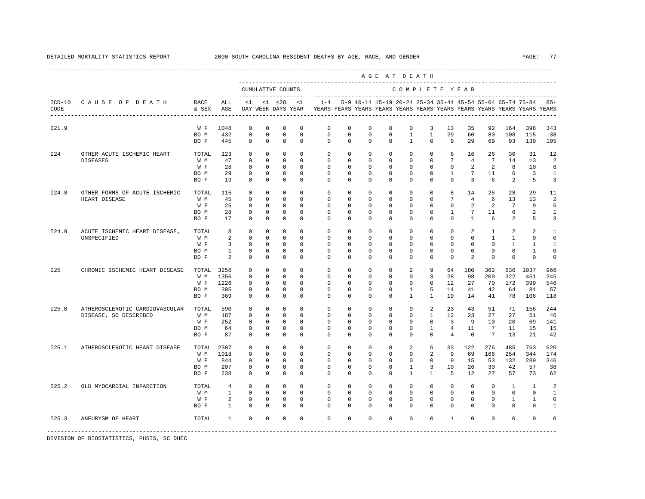|       |                                              |               |                   |                           |                         |                                          |                         |                         |                      |                           | AGE AT DEATH                                              |                              |                              |                          |                      |                      |                          |                                                                         |                                |
|-------|----------------------------------------------|---------------|-------------------|---------------------------|-------------------------|------------------------------------------|-------------------------|-------------------------|----------------------|---------------------------|-----------------------------------------------------------|------------------------------|------------------------------|--------------------------|----------------------|----------------------|--------------------------|-------------------------------------------------------------------------|--------------------------------|
|       |                                              |               |                   |                           |                         | CUMULATIVE COUNTS<br>------------------- |                         |                         |                      |                           |                                                           | COMPLETE YEAR                |                              |                          |                      |                      |                          |                                                                         |                                |
| CODE  | ICD-10 CAUSE OF DEATH                        | RACE<br>& SEX | ALL<br>AGE        | <1                        |                         | $< 1$ $< 28$<br>DAY WEEK DAYS YEAR       | <1                      | $1 - 4$                 |                      |                           | 5-9 10-14 15-19 20-24 25-34 35-44 45-54 55-64 65-74 75-84 |                              |                              |                          |                      |                      |                          | YEARS YEARS YEARS YEARS YEARS YEARS YEARS YEARS YEARS YEARS YEARS YEARS | $85+$                          |
| I21.9 |                                              | W F           | 1048              | $\mathbf 0$               | $\mathbf 0$             | $\mathbf 0$                              | $\mathbf 0$             | $\mathbf 0$             | 0                    | $\mathbf 0$               | $\mathbf 0$                                               | $\mathbf{0}$                 | 3                            | 13                       | 35                   | 92                   | 164                      | 398                                                                     | 343                            |
|       |                                              | BO M<br>BO F  | 432<br>445        | $\mathbf 0$<br>$\Omega$   | $\mathbf 0$<br>$\Omega$ | $\mathbf 0$<br>$\Omega$                  | $\mathbf 0$<br>$\Omega$ | $\mathbf 0$<br>$\Omega$ | $\Omega$<br>$\Omega$ | $\mathbf 0$<br>$\Omega$   | $\mathbf 0$<br>$\Omega$                                   | $\mathbf{1}$<br>$\mathbf{1}$ | $\mathbf{1}$<br>$\Omega$     | 29<br>9                  | 60<br>2.9            | 80<br>69             | 108<br>93                | 115<br>139                                                              | 38<br>105                      |
| I24   | OTHER ACUTE ISCHEMIC HEART                   | TOTAL         | 123               | $^{\circ}$                | $\mathbf 0$             | $\mathbf 0$                              | $\Omega$                | $\mathbf 0$             | $\mathbf 0$          | $\mathbf 0$               | $\mathbf 0$                                               | $\mathbf 0$                  | $\mathbf{0}$                 | 8                        | 16                   | 26                   | 30                       | 31                                                                      | 12                             |
|       | <b>DISEASES</b>                              | W M           | 47                | $\Omega$                  | $\Omega$                | $\Omega$                                 | $\Omega$                | $\Omega$                | $\Omega$             | $\Omega$                  | $\Omega$                                                  | $\Omega$                     | $\Omega$                     | 7                        | $\overline{4}$       | $7\phantom{.0}$      | 14                       | 13                                                                      | $\overline{a}$                 |
|       |                                              | W F           | 28                | $\Omega$                  | $\Omega$                | $\Omega$                                 | $\Omega$                | $\Omega$                | $\Omega$             | $\Omega$                  | $\Omega$                                                  | $\Omega$                     | $\Omega$                     | $\Omega$                 | $\mathcal{L}$        | $\mathfrak{D}$       | 8                        | 10                                                                      | 6                              |
|       |                                              | BO M<br>BO F  | 29<br>19          | $\Omega$<br>$\Omega$      | $\Omega$<br>$\Omega$    | $\Omega$<br>$\Omega$                     | $\Omega$<br>$\Omega$    | $\Omega$<br>$\Omega$    | $\Omega$<br>$\Omega$ | $\Omega$<br>$\Omega$      | $\Omega$<br>$\Omega$                                      | $\Omega$<br>$\Omega$         | $\Omega$<br>$\Omega$         | $\mathbf{1}$<br>$\Omega$ | $7\phantom{.0}$<br>3 | 11<br>6              | 6<br>$\overline{2}$      | $\overline{3}$<br>5                                                     | $\mathbf{1}$<br>$\overline{3}$ |
|       |                                              |               |                   |                           |                         |                                          |                         |                         |                      |                           |                                                           |                              |                              |                          |                      |                      |                          |                                                                         |                                |
| I24.8 | OTHER FORMS OF ACUTE ISCHEMIC                | TOTAL         | 115               | $^{\circ}$                | $^{\circ}$              | 0                                        | $\Omega$                | $\mathbf{0}$            | $^{\circ}$           | $^{\circ}$                | $^{\circ}$                                                | $\mathbf 0$                  | $\mathbf{0}$                 | 8                        | 14                   | 25                   | 28                       | 29                                                                      | 11                             |
|       | HEART DISEASE                                | W M           | 45                | $^{\circ}$                | $\circ$                 | 0                                        | 0                       | 0                       | 0                    | $^{\circ}$                | $^{\circ}$                                                | $\mathbf 0$                  | $\mathbf 0$                  | 7                        | $\overline{4}$       | 6                    | 13                       | 13                                                                      | $\overline{2}$                 |
|       |                                              | W F<br>BO M   | 25<br>28          | 0<br>$^{\circ}$           | 0<br>$\circ$            | 0<br>$^{\circ}$                          | 0<br>0                  | 0<br>0                  | 0<br>0               | 0<br>$^{\circ}$           | $^{\circ}$<br>$^{\circ}$                                  | $\mathbf 0$<br>$\mathbf 0$   | $\mathbf 0$<br>$\mathbf 0$   | 0<br>1                   | 2<br>$7\phantom{.0}$ | 2<br>11              | 7<br>6                   | 9<br>2                                                                  | 5<br>1                         |
|       |                                              | BO F          | 17                | $^{\circ}$                | $\Omega$                | 0                                        | $\Omega$                | $\Omega$                | $\Omega$             | $\Omega$                  | $^{\circ}$                                                | $\Omega$                     | $\Omega$                     | $\Omega$                 | $\mathbf{1}$         | 6                    | $\overline{2}$           | 5                                                                       | 3                              |
|       |                                              |               |                   |                           |                         |                                          |                         |                         |                      |                           |                                                           |                              |                              |                          |                      |                      |                          |                                                                         |                                |
| I24.9 | ACUTE ISCHEMIC HEART DISEASE,<br>UNSPECIFIED | TOTAL<br>W M  | 8<br>2            | $^{\circ}$<br>$\mathbf 0$ | $\circ$<br>$\Omega$     | $^{\circ}$<br>$\Omega$                   | $^{\circ}$<br>$\Omega$  | $\mathbf 0$<br>$\Omega$ | 0<br>$\Omega$        | $\mathbf 0$<br>$\Omega$   | $^{\circ}$<br>$\Omega$                                    | $\mathbf 0$<br>$\Omega$      | $\mathbf{0}$<br>$\Omega$     | $\mathbf 0$<br>$\Omega$  | 2<br>$\Omega$        | 1<br>$\mathbf{1}$    | 2<br>$\mathbf{1}$        | 2<br>$\Omega$                                                           | 1<br>$\circ$                   |
|       |                                              | W F           | 3                 | $\Omega$                  | $\Omega$                | $\Omega$                                 | $\Omega$                | $\Omega$                | $\Omega$             | $\Omega$                  | $\Omega$                                                  | $\Omega$                     | $\Omega$                     | $\Omega$                 | $\Omega$             | $\Omega$             | $\mathbf{1}$             | $\mathbf{1}$                                                            | $\mathbf{1}$                   |
|       |                                              | BO M          | $\mathbf{1}$      | $^{\circ}$                | $\circ$                 | 0                                        | 0                       | 0                       | 0                    | $\mathbf 0$               | $\mathbf 0$                                               | 0                            | $\mathbf 0$                  | $\mathbf 0$              | $\mathbf 0$          | $\mathbf 0$          | $\mathbf{0}$             | $\mathbf{1}$                                                            | $\circ$                        |
|       |                                              | BO F          | 2                 | 0                         | $\circ$                 | $\Omega$                                 | $\Omega$                | $\Omega$                | $\Omega$             | $\Omega$                  | $\Omega$                                                  | $\Omega$                     | $\Omega$                     | $\Omega$                 | 2                    | $\mathbf 0$          | $\mathbf{0}$             | $\Omega$                                                                | $\mathbf 0$                    |
| I25   | CHRONIC ISCHEMIC HEART DISEASE               | TOTAL         | 3256              | $^{\circ}$                | $\mathbf 0$             | $\mathbf 0$                              | $\Omega$                | $\mathbf 0$             | $\mathbf 0$          | $\mathbf 0$               | $\mathbf 0$                                               | 2                            | 9                            | 64                       | 180                  | 362                  | 636                      | 1037                                                                    | 966                            |
|       |                                              | W M           | 1356              | $\mathbf 0$               | $\Omega$                | $\Omega$                                 | $\Omega$                | $\Omega$                | $\Omega$             | $\Omega$                  | $\Omega$                                                  | $\Omega$                     | 3                            | 28                       | 98                   | 209                  | 322                      | 451                                                                     | 245                            |
|       |                                              | W F           | 1226              | $\Omega$                  | $\Omega$                | $\Omega$                                 | $\Omega$                | $\Omega$                | $\Omega$             | $\Omega$                  | $\Omega$                                                  | $\Omega$                     | $\Omega$                     | 12.                      | 27                   | 70                   | 172                      | 399                                                                     | 546                            |
|       |                                              | BO M          | 305               | 0                         | $\mathbf 0$             | $\mathbf 0$                              | 0                       | $\Omega$                | $\Omega$             | $\mathbf 0$               | $\mathbf 0$                                               | $\mathbf{1}$                 | 5                            | 14                       | 41                   | 42                   | 64                       | 81                                                                      | 57                             |
|       |                                              | BO F          | 369               | $\Omega$                  | $\Omega$                | $\Omega$                                 | $\Omega$                | $\Omega$                | $\Omega$             | $\Omega$                  | $\Omega$                                                  | $\mathbf{1}$                 | $\mathbf{1}$                 | 10                       | 14                   | 41                   | 78                       | 106                                                                     | 118                            |
| I25.0 | ATHEROSCLEROTIC CARDIOVASCULAR               | TOTAL         | 590               | $\mathbf{0}$              | $\Omega$                | $\Omega$                                 | $\Omega$                | $\Omega$                | $\Omega$             | $\Omega$                  | $\Omega$                                                  | $\Omega$                     | 2                            | 23                       | 43                   | 51                   | 71                       | 156                                                                     | 244                            |
|       | DISEASE, SO DESCRIBED                        | W M<br>W F    | 187<br>252        | $^{\circ}$<br>0           | $\circ$<br>$\circ$      | 0<br>0                                   | $\Omega$<br>0           | $\mathbf 0$<br>0        | 0<br>0               | $\mathbf 0$<br>$^{\circ}$ | $\mathbf 0$<br>$^{\circ}$                                 | $\mathbf{0}$<br>0            | $\mathbf{1}$<br>$\mathbf{0}$ | 12<br>3                  | 23<br>9              | 27<br>10             | 27<br>20                 | 51<br>69                                                                | 46<br>141                      |
|       |                                              | BO M          | 64                | 0                         | $\circ$                 | 0                                        | 0                       | 0                       | 0                    | 0                         | $^{\circ}$                                                | $\mathbf 0$                  | 1                            | 4                        | 11                   | 7                    | 11                       | 15                                                                      | 15                             |
|       |                                              | BO F          | 87                | $\Omega$                  | $\circ$                 | 0                                        | $\Omega$                | $\Omega$                | $\Omega$             | $\Omega$                  | $\Omega$                                                  | $\Omega$                     | $\Omega$                     | $\overline{4}$           | $\Omega$             | 7                    | 13                       | 21                                                                      | 42                             |
| I25.1 | ATHEROSCLEROTIC HEART DISEASE                | TOTAL         | 2307              | 0                         | $\circ$                 | 0                                        | $\Omega$                | 0                       | 0                    | $\mathbf 0$               | $\mathbf 0$                                               | 2                            | 6                            | 33                       | 122                  | 276                  | 485                      | 763                                                                     | 620                            |
|       |                                              | W M           | 1018              | $^{\circ}$                | $^{\circ}$              | 0                                        | $\Omega$                | 0                       | 0                    | $^{\circ}$                | $^{\circ}$                                                | $\mathbf 0$                  | 2                            | 9                        | 69                   | 166                  | 254                      | 344                                                                     | 174                            |
|       |                                              | W F           | 844               | $^{\circ}$                | $\circ$                 | $\mathbf 0$                              | $\Omega$                | $\mathbf 0$             | $\mathbf 0$          | $\mathbf 0$               | $^{\circ}$                                                | $\mathbf 0$                  | $\mathbf 0$                  | 9                        | 15                   | 53                   | 132                      | 289                                                                     | 346                            |
|       |                                              | BO M          | 207               | 0                         | $\circ$                 | 0                                        | 0                       | 0                       | 0                    | $^{\circ}$                | $^{\circ}$                                                | 1                            | 3                            | 10                       | 26                   | 30                   | 42                       | 57                                                                      | 38                             |
|       |                                              | BO F          | 238               | $^{\circ}$                | $\circ$                 | 0                                        | $\Omega$                | $\Omega$                | $\Omega$             | $\Omega$                  | $^{\circ}$                                                | $\mathbf{1}$                 | $\mathbf{1}$                 | 5                        | 12                   | 27                   | 57                       | 73                                                                      | 62                             |
| I25.2 | OLD MYOCARDIAL INFARCTION                    | TOTAL         | $\overline{4}$    | $^{\circ}$                | $\mathbf 0$             | $\mathbf 0$                              | $\Omega$                | $\Omega$                | $\Omega$             | $\Omega$                  | $\Omega$                                                  | $\Omega$                     | $\Omega$                     | $\Omega$                 | $\Omega$             | $\Omega$             | $\mathbf{1}$             | $\mathbf{1}$                                                            | $\overline{2}$                 |
|       |                                              | W M           | $\mathbf{1}$      | $\mathbf{0}$              | $\mathbf 0$             | $\mathbf 0$                              | $\Omega$                | $\mathbf{0}$            | $\mathbf 0$          | $\mathbf 0$               | $\mathbf 0$                                               | $\mathbf 0$                  | $\mathbf{0}$                 | $\mathbf 0$              | $\mathbf 0$          | $\mathbf 0$          | $\mathbf{0}$             | $\mathbf{0}$                                                            | $\mathbf{1}$                   |
|       |                                              | W F<br>BO F   | 2<br>$\mathbf{1}$ | $\mathbf 0$<br>$\Omega$   | $\Omega$<br>$\Omega$    | $\mathbf 0$<br>$\Omega$                  | $\Omega$<br>$\Omega$    | $\Omega$<br>$\Omega$    | $\Omega$<br>$\Omega$ | $\Omega$<br>$\Omega$      | $\Omega$<br>$\Omega$                                      | $\Omega$<br>$\Omega$         | $\Omega$<br>$\Omega$         | $\Omega$<br>$\Omega$     | $\Omega$<br>$\Omega$ | $\Omega$<br>$\Omega$ | $\mathbf{1}$<br>$\Omega$ | $\mathbf{1}$<br>$\Omega$                                                | $\circ$<br>$\mathbf{1}$        |
|       |                                              |               |                   |                           |                         |                                          |                         |                         |                      |                           |                                                           |                              |                              |                          |                      |                      |                          |                                                                         |                                |
| I25.3 | ANEURYSM OF HEART                            | TOTAL         | $\mathbf{1}$      | $\Omega$                  | $\Omega$                | $\Omega$                                 | $\Omega$                | $\Omega$                | $\Omega$             | $\Omega$                  | $\Omega$                                                  | $\Omega$                     | $\Omega$                     | $\overline{1}$           | $\Omega$             | $\Omega$             | $\Omega$                 | $\Omega$                                                                | $\Omega$                       |
|       |                                              |               |                   |                           |                         |                                          |                         |                         |                      |                           |                                                           |                              |                              |                          |                      |                      |                          |                                                                         |                                |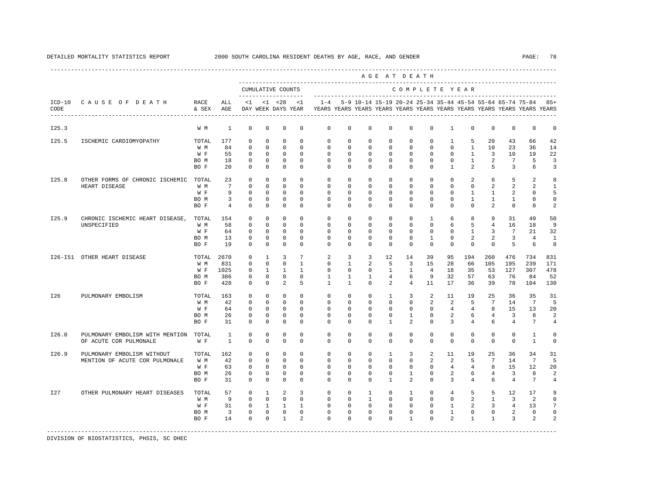|                  |                                 |               |                         |             |              |                                          |                |              |              |              | AGE AT DEATH      |                |                |                |                |                 |                                                                                                                                      |                |                |
|------------------|---------------------------------|---------------|-------------------------|-------------|--------------|------------------------------------------|----------------|--------------|--------------|--------------|-------------------|----------------|----------------|----------------|----------------|-----------------|--------------------------------------------------------------------------------------------------------------------------------------|----------------|----------------|
|                  |                                 |               |                         |             |              | CUMULATIVE COUNTS<br>------------------- |                |              |              |              |                   | COMPLETE YEAR  |                |                |                |                 |                                                                                                                                      |                |                |
| $ICD-10$<br>CODE | CAUSE OF DEATH                  | RACE<br>& SEX | ALL<br>AGE              | <1          |              | $< 1$ $< 28$<br>DAY WEEK DAYS YEAR       | <1             | $1 - 4$      |              |              |                   |                |                |                |                |                 | 5-9 10-14 15-19 20-24 25-34 35-44 45-54 55-64 65-74 75-84<br>YEARS YEARS YEARS YEARS YEARS YEARS YEARS YEARS YEARS YEARS YEARS YEARS |                | $85+$          |
| I25.3            |                                 | W M           | $\mathbf{1}$            | $\mathbf 0$ | $\mathbf 0$  | $\mathbf 0$                              | $\mathbf 0$    | $\mathbf 0$  | $\mathbf 0$  | $\mathbf 0$  | $\mathbf 0$       | $\mathbb O$    | $\mathbf 0$    | $\mathbf{1}$   | $\mathbf 0$    | $^{\circ}$      | $\mathsf 0$                                                                                                                          | $\mathbf 0$    | 0              |
| I25.5            | ISCHEMIC CARDIOMYOPATHY         | TOTAL         | 177                     | $^{\circ}$  | $\Omega$     | $\Omega$                                 | $\Omega$       | $\Omega$     | $\Omega$     | $\Omega$     | $\Omega$          | $\Omega$       | $\Omega$       | $\mathbf{1}$   | 5              | 20              | 43                                                                                                                                   | 66             | 42             |
|                  |                                 | W M           | 84                      | $\mathbf 0$ | $\mathbf 0$  | $\mathbf 0$                              | $\Omega$       | $\mathbf 0$  | $\mathbf 0$  | 0            | $\mathbf 0$       | $\mathbf 0$    | $\mathbf 0$    | $\mathbf{0}$   | $\mathbf{1}$   | 10              | 23                                                                                                                                   | 36             | 14             |
|                  |                                 | W F           | 55                      | $\mathbf 0$ | $\mathbf 0$  | $\mathbf 0$                              | $\Omega$       | $\Omega$     | $\Omega$     | $\Omega$     | $\Omega$          | $\mathbf 0$    | $\mathbf{0}$   | $\mathbf{0}$   | $\mathbf{1}$   | $\overline{3}$  | 10                                                                                                                                   | 19             | 22             |
|                  |                                 | BO M          | 18                      | $^{\circ}$  | $^{\circ}$   | $\mathbf{0}$                             | $\Omega$       | 0            | $\circ$      | 0            | $\mathbf 0$       | $\mathbf{0}$   | $\mathbf{0}$   | $\circ$        | $\mathbf{1}$   | 2               | 7                                                                                                                                    | 5              | 3              |
|                  |                                 | BO F          | $20^{\circ}$            | $\Omega$    | $\Omega$     | $\Omega$                                 | $\Omega$       | $\Omega$     | $\Omega$     | $\Omega$     | $\Omega$          | $\Omega$       | $\Omega$       | $\mathbf{1}$   | 2              | 5               | $\overline{3}$                                                                                                                       | 6              | 3              |
| I25.8            | OTHER FORMS OF CHRONIC ISCHEMIC | TOTAL         | 23                      | $\mathbf 0$ | $\mathbf 0$  | $\mathbf 0$                              | $\Omega$       | $\Omega$     | $\Omega$     | $\Omega$     | $\Omega$          | $\Omega$       | $\Omega$       | $\Omega$       | 2              | 6               | 5                                                                                                                                    | $\mathfrak{D}$ | 8              |
|                  | HEART DISEASE                   | W M           | $7\overline{ }$         | $\Omega$    | $\Omega$     | $\Omega$                                 | $\Omega$       | $\Omega$     | $\Omega$     | $\Omega$     | $\Omega$          | $\Omega$       | $\Omega$       | $\Omega$       | $\Omega$       | 2               | $\overline{a}$                                                                                                                       | $\mathfrak{D}$ | $\mathbf{1}$   |
|                  |                                 | W F           | 9                       | $^{\circ}$  | 0            | $^{\circ}$                               | $\Omega$       | $\Omega$     | $\Omega$     | $\Omega$     | $\Omega$          | $\mathbf{0}$   | $\Omega$       | $\circ$        | 1              | $\mathbf{1}$    | 2                                                                                                                                    | 0              | 5              |
|                  |                                 | BO M          | 3                       | 0           | 0            | $\mathbf 0$                              | $\mathbf 0$    | 0            | 0            | 0            | 0                 | 0              | 0              | 0              | $\mathbf{1}$   | $\mathbf{1}$    | $\mathbf{1}$                                                                                                                         | 0              | 0              |
|                  |                                 | BO F          | $4\overline{ }$         | $^{\circ}$  | $^{\circ}$   | $\mathbf 0$                              | 0              | 0            | 0            | 0            | $^{\circ}$        | $\mathbf{0}$   | $\mathbf{0}$   | $\mathbf{0}$   | $\mathbf{0}$   | 2               | $\mathbf{0}$                                                                                                                         | 0              | 2              |
| I25.9            | CHRONIC ISCHEMIC HEART DISEASE, | TOTAL         | 154                     | $^{\circ}$  | 0            | 0                                        | $\Omega$       | $\mathbf{0}$ | 0            | 0            | $^{\circ}$        | $\mathbf 0$    | 1              | 6              | 8              | 9               | 31                                                                                                                                   | 49             | 50             |
|                  | UNSPECIFIED                     | W M           | 58                      | 0           | 0            | $\mathbf 0$                              | $\Omega$       | $\mathbf{0}$ | 0            | $\Omega$     | $\Omega$          | $\mathbf 0$    | $\circ$        | 6              | 5              | $\overline{4}$  | 16                                                                                                                                   | 18             | 9              |
|                  |                                 | W F           | 64                      | $\mathbf 0$ | 0            | 0                                        | 0              | $\mathbf{0}$ | 0            | 0            | $\mathbf 0$       | $\mathbf 0$    | $\mathbf{0}$   | $\mathbf{0}$   | 1              | 3               | 7                                                                                                                                    | 21             | 32             |
|                  |                                 | BO M          | 13                      | $\mathbf 0$ | $\mathbf 0$  | $\mathbf 0$                              | $\Omega$       | 0            | 0            | 0            | $\mathbf 0$       | $\mathbf 0$    | 1              | $\mathbf 0$    | 2              | 2               | 3                                                                                                                                    | $\overline{4}$ | $\mathbf{1}$   |
|                  |                                 | BO F          | 19                      | $\Omega$    | $\mathbf 0$  | $\mathbf 0$                              | $\Omega$       | $\Omega$     | $\Omega$     | $\Omega$     | $\Omega$          | $\Omega$       | $\Omega$       | $\Omega$       | $\Omega$       | $\Omega$        | 5                                                                                                                                    | 6              | 8              |
|                  | 126-151 OTHER HEART DISEASE     | TOTAL         | 2670                    | $\mathbf 0$ | 1            | 3                                        | 7              | 2            | 3            | 3            | $12 \overline{ }$ | 14             | 39             | 95             | 194            | 260             | 476                                                                                                                                  | 734            | 831            |
|                  |                                 | W M           | 831                     | $\Omega$    | $\Omega$     | $\Omega$                                 | $\mathbf{1}$   | $\Omega$     | $\mathbf{1}$ | 2            | 5                 | 3              | 15             | 28             | 66             | 105             | 195                                                                                                                                  | 239            | 171            |
|                  |                                 | W F           | 1025                    | $^{\circ}$  | $\mathbf{1}$ | $\mathbf{1}$                             | $\mathbf{1}$   | $\mathbf 0$  | $\mathbf 0$  | 0            | $\mathbf{1}$      | $\mathbf{1}$   | $\overline{4}$ | 18             | 35             | 53              | 127                                                                                                                                  | 307            | 478            |
|                  |                                 | BO M          | 386                     | 0           | $\mathbf 0$  | $\mathbf 0$                              | $\Omega$       | 1            | 1            | 1            | $\overline{4}$    | 6              | 9              | 32             | 57             | 63              | 76                                                                                                                                   | 84             | 52             |
|                  |                                 | BO F          | 428                     | $\Omega$    | $\Omega$     | 2                                        | 5              | $\mathbf{1}$ | $\mathbf{1}$ | $\Omega$     | 2                 | $\overline{4}$ | 11             | 17             | 36             | 39              | 78                                                                                                                                   | 104            | 130            |
| I26              | PULMONARY EMBOLISM              | TOTAL         | 163                     | $\mathbf 0$ | $\mathbf 0$  | $\mathbf 0$                              | $\Omega$       | $\Omega$     | $\Omega$     | $\Omega$     | $\mathbf{1}$      | $\overline{3}$ | 2              | 11             | 19             | 25              | 36                                                                                                                                   | 35             | 31             |
|                  |                                 | W M           | 42                      | $\Omega$    | $\Omega$     | $\Omega$                                 | $\Omega$       | $\mathbf 0$  | $\Omega$     | $\Omega$     | $\Omega$          | $\mathbf{0}$   | 2              | 2              | 5              | $7\overline{ }$ | 14                                                                                                                                   | 7              | 5              |
|                  |                                 | W F           | 64                      | $\Omega$    | $\Omega$     | $\Omega$                                 | $\Omega$       | $\Omega$     | $\Omega$     | $\Omega$     | $\Omega$          | $\mathbf 0$    | $\Omega$       | $\overline{4}$ | $\overline{4}$ | 8               | 15                                                                                                                                   | 13             | 20             |
|                  |                                 | BO M          | 26                      | $^{\circ}$  | 0            | $\mathbb O$                              | $\mathbf 0$    | $\mathbf 0$  | 0            | 0            | $\mathbf 0$       | 1              | $\mathbf 0$    | 2              | 6              | $\overline{4}$  | 3                                                                                                                                    | 8              | 2              |
|                  |                                 | BO F          | 31                      | 0           | 0            | 0                                        | 0              | 0            | 0            | 0            | 1                 | 2              | $\mathbf{0}$   | 3              | 4              | 6               | 4                                                                                                                                    | 7              | 4              |
| I26.0            | PULMONARY EMBOLISM WITH MENTION | TOTAL         | 1                       | $^{\circ}$  | 0            | $\mathbf 0$                              | $\Omega$       | 0            | 0            | $\mathbf 0$  | $\mathbf 0$       | $\mathbf 0$    | $\mathbf 0$    | $\mathbf 0$    | $^{\circ}$     | $\mathbf 0$     | $\mathbf 0$                                                                                                                          | 1              | 0              |
|                  | OF ACUTE COR PULMONALE          | W F           | 1                       | 0           | 0            | $\mathbf 0$                              | $\mathbf 0$    | 0            | 0            | $\mathbf 0$  | $\mathbf 0$       | $\mathbf{0}$   | $\mathbf 0$    | 0              | $\mathbf 0$    | $\mathbf 0$     | $\mathsf 0$                                                                                                                          | $\mathbf{1}$   | 0              |
| I26.9            | PULMONARY EMBOLISM WITHOUT      | TOTAL         | 162                     | $^{\circ}$  | 0            | $\mathbf 0$                              | $\mathbf 0$    | $\mathbf 0$  | $\circ$      | $\mathbf 0$  | $\mathbf{1}$      | 3              | 2              | 11             | 19             | 25              | 36                                                                                                                                   | 34             | 31             |
|                  | MENTION OF ACUTE COR PULMONALE  | W M           | 42                      | $\mathbf 0$ | $\mathbf 0$  | $\mathbf 0$                              | $\mathbf 0$    | $\mathbf 0$  | 0            | $\mathbf 0$  | $\mathbf 0$       | $\mathbf 0$    | 2              | 2              | 5              | $7\phantom{.0}$ | 14                                                                                                                                   | 7              | 5              |
|                  |                                 | W F           | 63                      | $\mathbf 0$ | $\mathbf 0$  | $\mathbf 0$                              | $\mathbf 0$    | $\mathbf 0$  | 0            | 0            | 0                 | $\circ$        | $\mathbf{0}$   | $\overline{4}$ | $\overline{4}$ | 8               | 15                                                                                                                                   | 12             | 20             |
|                  |                                 | BO M          | 26                      | $^{\circ}$  | 0            | 0                                        | $\mathbf 0$    | 0            | 0            | 0            | 0                 | $\mathbf{1}$   | $\mathbf 0$    | 2              | 6              | $\overline{4}$  | $\overline{3}$                                                                                                                       | 8              |                |
|                  |                                 | BO F          | 31                      | $\mathbf 0$ | $\mathbf 0$  | $\mathbf 0$                              | $\Omega$       | $\Omega$     | $\Omega$     | $\Omega$     | 1                 | 2              | $\mathbf 0$    | 3              | $\overline{4}$ | 6               | $\overline{4}$                                                                                                                       | 7              | 4              |
| I27              | OTHER PULMONARY HEART DISEASES  | TOTAL         | 57                      | $\mathbf 0$ | $\mathbf{1}$ | 2                                        | 3              | $\mathbf 0$  | $\mathbf 0$  | $\mathbf{1}$ | $\mathbf 0$       | $\mathbf{1}$   | $\mathbf{0}$   | $\overline{4}$ | 5              | 5               | 12                                                                                                                                   | 17             | 9              |
|                  |                                 | W M           | 9                       | $\Omega$    | $\mathbf 0$  | $^{\circ}$                               | $\Omega$       | $\Omega$     | 0            | $\mathbf{1}$ | 0                 | $\mathbf 0$    | $\Omega$       | $\mathbf 0$    | 2              | $\overline{1}$  | 3                                                                                                                                    | 2              | $\mathbf 0$    |
|                  |                                 | W F           | 31                      | $\mathbf 0$ | -1           | $\mathbf{1}$                             | $\mathbf{1}$   | $\Omega$     | $\Omega$     | $\Omega$     | $\Omega$          | $\mathbf 0$    | $\Omega$       | 1              | 2              | 3               | $\overline{4}$                                                                                                                       | 13             |                |
|                  |                                 | BO M          | $\overline{\mathbf{3}}$ | $\mathbf 0$ | $\mathbf 0$  | $\mathbf{0}$                             | $\mathbf 0$    | $\mathbf 0$  | $\mathbf 0$  | 0            | $\mathbf 0$       | $\mathbf 0$    | $\mathbf 0$    | $\mathbf{1}$   | $\mathbf 0$    | $\mathbf 0$     | 2                                                                                                                                    | $\mathbf 0$    | $\Omega$       |
|                  |                                 | BO F          | 14                      | $\Omega$    | $\Omega$     | $\mathbf{1}$                             | $\mathfrak{D}$ | $\Omega$     | $\Omega$     | $\Omega$     | $\Omega$          | $\mathbf{1}$   | $\Omega$       | 2              | $\mathbf{1}$   | $\mathbf{1}$    | 3                                                                                                                                    | $\overline{a}$ | $\mathfrak{D}$ |
|                  |                                 |               |                         |             |              |                                          |                |              |              |              |                   |                |                |                |                |                 |                                                                                                                                      |                |                |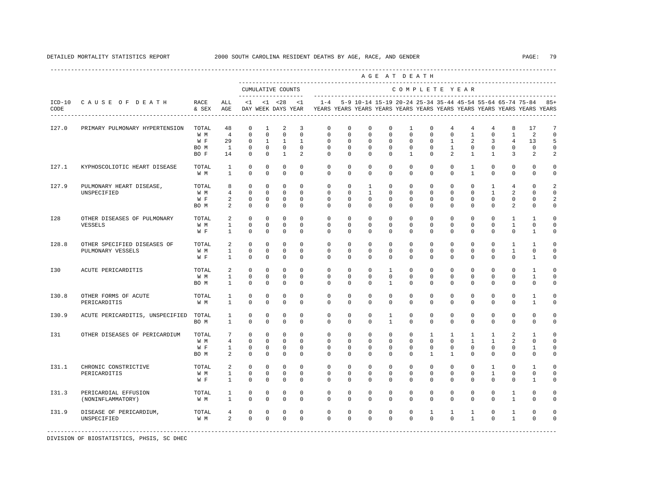|       |                                 |                   |                |                       |              |                   |                |                                                                                                       |             |              |              | AGE AT DEATH  |              |                |              |                |                |                                                           |                 |
|-------|---------------------------------|-------------------|----------------|-----------------------|--------------|-------------------|----------------|-------------------------------------------------------------------------------------------------------|-------------|--------------|--------------|---------------|--------------|----------------|--------------|----------------|----------------|-----------------------------------------------------------|-----------------|
|       |                                 |                   |                | _____________________ |              | CUMULATIVE COUNTS |                |                                                                                                       |             |              |              | COMPLETE YEAR |              |                |              |                |                |                                                           |                 |
| CODE  | ICD-10 CAUSE OF DEATH           | RACE<br>& SEX AGE | ALL            |                       |              | $<1$ $<1$ $<28$   | <1             | $1 - 4$<br>DAY WEEK DAYS YEAR YEARS YEARS YEARS YEARS YEARS YEARS YEARS YEARS YEARS YEARS YEARS YEARS |             |              |              |               |              |                |              |                |                | 5-9 10-14 15-19 20-24 25-34 35-44 45-54 55-64 65-74 75-84 | $85+$           |
| I27.0 | PRIMARY PULMONARY HYPERTENSION  | TOTAL             | 48             | $\mathbf 0$           | 1            | 2                 | 3              | $\mathbf 0$                                                                                           | $\mathbf 0$ | $\mathbf 0$  | $\mathbf 0$  | 1             | $\mathbf 0$  | 4              | 4            | 4              | 8              | 17                                                        | $7\phantom{.0}$ |
|       |                                 | W M               | $\overline{4}$ | $\Omega$              | $\mathbf 0$  | $\Omega$          | $\Omega$       | $\Omega$                                                                                              | $\Omega$    | $\Omega$     | $\Omega$     | $\Omega$      | $\Omega$     | $\Omega$       | $\mathbf{1}$ | $\Omega$       | $\overline{1}$ | 2                                                         | $\mathbf 0$     |
|       |                                 | W F               | 29             | $\mathbf 0$           | $\mathbf{1}$ | $\mathbf{1}$      | $\mathbf{1}$   | $\mathbf 0$                                                                                           | $\mathbf 0$ | $\mathbf 0$  | $\mathbf 0$  | $\mathbf 0$   | $\circ$      | $\mathbf{1}$   | 2            | $\overline{3}$ | $\overline{4}$ | 13                                                        | 5               |
|       |                                 | BO M              | $\mathbf{1}$   | $\mathbf 0$           | $\Omega$     | $\mathbf{0}$      | $\Omega$       | $\Omega$                                                                                              | $\Omega$    | $\Omega$     | $\Omega$     | $\Omega$      | $\Omega$     | $\mathbf{1}$   | $\Omega$     | $\Omega$       | $\Omega$       | $\mathbf 0$                                               | $\mathbf 0$     |
|       |                                 | BO F              | 14             | $\Omega$              | $\Omega$     | $\overline{1}$    | $\mathfrak{D}$ | $\Omega$                                                                                              | $\Omega$    | $\Omega$     | $\Omega$     | $\mathbf{1}$  | $\Omega$     | $\overline{a}$ | $\mathbf{1}$ | $\mathbf{1}$   | 3              | $\mathfrak{D}$                                            | $\overline{a}$  |
| I27.1 | KYPHOSCOLIOTIC HEART DISEASE    | TOTAL             | $\mathbf{1}$   | $\mathbf 0$           | $\mathbf 0$  | $\mathbf 0$       | $\Omega$       | $\mathbf 0$                                                                                           | $\mathbf 0$ | $\mathbf 0$  | $\mathbf 0$  | $\mathbf{0}$  | $\mathbf 0$  | $\mathbf 0$    | $\mathbf{1}$ | $^{\circ}$     | $\mathbf 0$    | $\mathbf 0$                                               | $\circ$         |
|       |                                 | W M               | $\mathbf{1}$   | $\mathbf 0$           | $\mathbf 0$  | $\mathbf 0$       | $\mathbf 0$    | $\Omega$                                                                                              | $\mathbf 0$ | $\mathbf 0$  | $\mathbf 0$  | $\Omega$      | $\Omega$     | $\Omega$       | $\mathbf{1}$ | $\Omega$       | $\mathbf 0$    | $\mathbf 0$                                               | 0               |
| I27.9 | PULMONARY HEART DISEASE,        | TOTAL             | 8              | $\Omega$              | $\Omega$     | $\Omega$          | $\Omega$       | $\Omega$                                                                                              | $\Omega$    | $\mathbf{1}$ | $\Omega$     | $\Omega$      | $\Omega$     | $\Omega$       | $\Omega$     | $\mathbf{1}$   | $\overline{4}$ | $\Omega$                                                  | $\overline{a}$  |
|       | UNSPECIFIED                     | W M               | $\overline{4}$ | $\mathbf 0$           | $\Omega$     | $\mathbf 0$       | $\Omega$       | $\mathbf 0$                                                                                           | $\mathbf 0$ | $\mathbf{1}$ | $\Omega$     | $\Omega$      | $\Omega$     | $\Omega$       | $\Omega$     | $\overline{1}$ | 2              | $\Omega$                                                  | $\circ$         |
|       |                                 | W F               | 2              | $\mathbf 0$           | $\Omega$     | $\mathbf 0$       | $\mathbf 0$    | $\mathbf 0$                                                                                           | $\Omega$    | $\mathbf 0$  | $\Omega$     | $\Omega$      | $\Omega$     | $\Omega$       | $\Omega$     | $\Omega$       | $\Omega$       | $\mathbf 0$                                               | $\overline{a}$  |
|       |                                 | BO M              | 2              | $\mathbf 0$           | $\mathbf 0$  | $\mathbf 0$       | $\mathbf 0$    | $\mathbf 0$                                                                                           | $\mathbf 0$ | $\mathbf 0$  | $\mathbf 0$  | $\mathbf 0$   | $\mathbf 0$  | $\circ$        | $\mathbf 0$  | $\mathbf 0$    | 2              | 0                                                         | 0               |
| I28   | OTHER DISEASES OF PULMONARY     | TOTAL             | $\overline{a}$ | $\Omega$              | $\Omega$     | $\mathbf 0$       | $\Omega$       | $\Omega$                                                                                              | $\Omega$    | $\Omega$     | $\Omega$     | $\Omega$      | $\Omega$     | $\Omega$       | $\Omega$     | $\Omega$       | $\mathbf{1}$   | $\mathbf{1}$                                              | $\mathbf 0$     |
|       | VESSELS                         | W M               | $\mathbf{1}$   | $\mathbf 0$           | $\mathbf 0$  | $\mathbf 0$       | $\mathbf 0$    | $\mathbf 0$                                                                                           | $\mathbf 0$ | $\mathbf 0$  | $\mathbf 0$  | $\mathbf 0$   | $\mathbf 0$  | $\mathbf 0$    | $\mathbf 0$  | $\mathbf 0$    | $\mathbf{1}$   | 0                                                         | $\mathbf 0$     |
|       |                                 | W F               | $\mathbf{1}$   | $\mathbf 0$           | $\mathbf 0$  | $\mathbf 0$       | $\Omega$       | $\Omega$                                                                                              | $\Omega$    | $\Omega$     | $\Omega$     | $\Omega$      | $\Omega$     | $\Omega$       | $\Omega$     | $\Omega$       | $\Omega$       | $\mathbf{1}$                                              | 0               |
| I28.8 | OTHER SPECIFIED DISEASES OF     | TOTAL             | 2              | $\Omega$              | $\mathbf 0$  | $\mathbf 0$       | $\Omega$       | $\circ$                                                                                               | $\circ$     | $\mathbf 0$  | $\Omega$     | $\Omega$      | $\Omega$     | $\Omega$       | $\Omega$     | $\Omega$       | $\mathbf{1}$   | $\mathbf{1}$                                              | $\Omega$        |
|       | PULMONARY VESSELS               | W M               | $\mathbf{1}$   | $\mathbf 0$           | $\mathbf 0$  | $\mathbf 0$       | $\mathbf 0$    | $\mathbf 0$                                                                                           | $\circ$     | $\mathbf 0$  | $\mathbf 0$  | $\mathbf 0$   | $\mathbf 0$  | $\circ$        | $\mathbf 0$  | $\mathbf 0$    | $\mathbf{1}$   | $\mathbf 0$                                               | $\mathbf 0$     |
|       |                                 | W F               | $\mathbf{1}$   | $\mathbf 0$           | $^{\circ}$   | $\mathbf 0$       | $^{\circ}$     | $\Omega$                                                                                              | $\mathbf 0$ | $\mathbf{0}$ | 0            | $\Omega$      | $\Omega$     | $\Omega$       | $\Omega$     | $\Omega$       | $\Omega$       | 1                                                         | 0               |
| I30   | ACUTE PERICARDITIS              | TOTAL             | 2              | $\Omega$              | $\mathbf 0$  | $\mathbf 0$       | $\Omega$       | $\Omega$                                                                                              | $\mathbf 0$ | $\mathbf 0$  | $\mathbf{1}$ | $\Omega$      | $\Omega$     | $\Omega$       | $\Omega$     | $\mathbf 0$    | $\mathbf 0$    | $\mathbf{1}$                                              | $\mathbf 0$     |
|       |                                 | W M               | $\mathbf{1}$   | $\mathbf 0$           | $\mathbf 0$  | $\mathbf 0$       | $\mathbf 0$    | $\Omega$                                                                                              | $\mathbf 0$ | $\mathbf 0$  | $\Omega$     | $\Omega$      | $\Omega$     | $\Omega$       | $\Omega$     | $\Omega$       | $\Omega$       | $\mathbf{1}$                                              | $\circ$         |
|       |                                 | BO M              | $\mathbf{1}$   | $\Omega$              | $\Omega$     | $\Omega$          | $\Omega$       | $\Omega$                                                                                              | $\Omega$    | $\Omega$     | $\mathbf{1}$ | $\Omega$      | $\Omega$     | $\Omega$       | $\Omega$     | $\Omega$       | $\Omega$       | $\Omega$                                                  | $\Omega$        |
| I30.8 | OTHER FORMS OF ACUTE            | TOTAL             | $\mathbf{1}$   | $\mathbb O$           | $\mathbf 0$  | $\mathbb O$       | $\mathbf 0$    | $\mathbf 0$                                                                                           | $\circ$     | $\mathbf 0$  | $\mathbf 0$  | $\mathbf 0$   | $\mathbf 0$  | $\mathbf 0$    | $\mathbf 0$  | $\mathbf 0$    | $\mathbf 0$    | $\mathbf{1}$                                              | $\mathsf 0$     |
|       | PERICARDITIS                    | W M               | $\mathbf{1}$   | $\mathbf 0$           | $\mathbf 0$  | $\mathbf 0$       | $\mathbf 0$    | $\mathbf 0$                                                                                           | $\mathbf 0$ | $\mathbf 0$  | $\mathbf 0$  | $\mathbf 0$   | $\mathbf 0$  | $\mathbf 0$    | $\mathbf 0$  | $\mathbf 0$    | $\mathbf 0$    | $\mathbf{1}$                                              | 0               |
| I30.9 | ACUTE PERICARDITIS, UNSPECIFIED | TOTAL             | $\mathbf{1}$   | $\mathbf 0$           | $\mathbf 0$  | $\mathbb O$       | $\mathbf 0$    | $\mathbf 0$                                                                                           | $\circ$     | $\mathbf 0$  | $\mathbf{1}$ | $\mathbf 0$   | $\circ$      | $\mathbf 0$    | $\mathbf 0$  | $\mathbf 0$    | $\mathbf 0$    | 0                                                         | $\mathbf 0$     |
|       |                                 | BO M              | $\mathbf{1}$   | $\Omega$              | $\Omega$     | $\Omega$          | $\Omega$       | $\Omega$                                                                                              | $\Omega$    | $\Omega$     | $\mathbf{1}$ | $\Omega$      | $\Omega$     | $\Omega$       | $\Omega$     | $\Omega$       | $\Omega$       | $\Omega$                                                  | 0               |
| I31   | OTHER DISEASES OF PERICARDIUM   | TOTAL             | 7              | $\Omega$              | $\Omega$     | $\mathbf 0$       | $\Omega$       | $\Omega$                                                                                              | $\Omega$    | $\Omega$     | $\Omega$     | $\Omega$      | $\mathbf{1}$ | $\overline{1}$ | $\mathbf{1}$ | $\mathbf{1}$   | 2              | $\mathbf{1}$                                              | $\Omega$        |
|       |                                 | W M               | $\overline{4}$ | $\mathbf 0$           | $\mathbf 0$  | $\mathbf 0$       | $\Omega$       | $\Omega$                                                                                              | $\Omega$    | $\mathbf 0$  | $\Omega$     | $\Omega$      | $\Omega$     | $\Omega$       | $\mathbf{1}$ | $\mathbf{1}$   | 2              | $\mathbf 0$                                               | $\circ$         |
|       |                                 | W F               | $\mathbf{1}$   | $\mathbf 0$           | 0            | $\mathbf 0$       | $\mathbf 0$    | 0                                                                                                     | $\circ$     | $\mathbf 0$  | 0            | $\mathbf 0$   | $\mathbf 0$  | $\mathsf{O}$   | 0            | $\mathbf 0$    | 0              | 1                                                         | $\circ$         |
|       |                                 | BO M              | $\overline{a}$ | $\Omega$              | $\mathbf 0$  | $\mathbf 0$       | $\Omega$       | $\Omega$                                                                                              | $\mathbf 0$ | $\Omega$     | $\mathbf 0$  | $\Omega$      | $\mathbf{1}$ | $\mathbf{1}$   | $\mathbf 0$  | $\Omega$       | $\mathbf 0$    | $\Omega$                                                  | 0               |
| I31.1 | CHRONIC CONSTRICTIVE            | TOTAL             | 2              | $\mathbf 0$           | $\mathbf 0$  | $\mathbf 0$       | $\mathbf 0$    | $\mathbf 0$                                                                                           | $\mathbf 0$ | $\mathbf 0$  | $\mathbf 0$  | $\mathbf 0$   | $\mathbf 0$  | $\mathbf 0$    | $\mathbf 0$  | $\mathbf{1}$   | $\mathbf{0}$   | $\mathbf{1}$                                              | $\mathbf 0$     |
|       | PERICARDITIS                    | W M               | $\mathbf{1}$   | $\Omega$              | $\Omega$     | $\mathbf 0$       | $\Omega$       | $\Omega$                                                                                              | $\Omega$    | $\Omega$     | $\Omega$     | $\Omega$      | $\Omega$     | $\Omega$       | $\Omega$     | $\mathbf{1}$   | $\Omega$       | $\Omega$                                                  | $\mathbf 0$     |
|       |                                 | W F               | $\mathbf{1}$   | $\Omega$              | $\Omega$     | $\mathbf 0$       | $\Omega$       | $\Omega$                                                                                              | $\Omega$    | $\Omega$     | $\Omega$     | $\Omega$      | $\Omega$     | $\Omega$       | $\Omega$     | $\Omega$       | $\Omega$       | $\mathbf{1}$                                              | 0               |
| I31.3 | PERICARDIAL EFFUSION            | TOTAL             | 1              | $\mathbf 0$           | $\mathbf 0$  | $\mathbf 0$       | $\mathbf 0$    | $\mathbf 0$                                                                                           | $\mathbf 0$ | $\mathbf 0$  | $\mathbf 0$  | $\mathbf 0$   | $\mathbf 0$  | $\mathbf 0$    | $\mathbf 0$  | $\mathbf 0$    | 1              | $\mathbf 0$                                               | 0               |
|       | (NONINFLAMMATORY)               | W M               | $\mathbf{1}$   | $\mathbf 0$           | $\mathbf 0$  | $\mathbf 0$       | $\mathbf 0$    | $\mathbf 0$                                                                                           | $\mathbf 0$ | $\mathbf 0$  | $\mathbf 0$  | $\mathbf 0$   | $\mathbf 0$  | $\mathbf 0$    | $\mathbf 0$  | $\mathbf 0$    | $\mathbf{1}$   | $\mathbf 0$                                               | 0               |
| I31.9 | DISEASE OF PERICARDIUM,         | TOTAL             | 4              | $^{\circ}$            | $\mathbf 0$  | $\mathbf 0$       | $\mathbf 0$    | $\mathbf 0$                                                                                           | $\mathbf 0$ | $\mathbf 0$  | $\mathbf 0$  | $\mathbf 0$   | $\mathbf{1}$ | $\mathbf{1}$   | $\mathbf{1}$ | $\mathbf 0$    | $\mathbf{1}$   | $\Omega$                                                  | $\Omega$        |
|       | UNSPECIFIED                     | W M               | 2              | $\Omega$              | $\Omega$     | $\Omega$          | $\Omega$       | $\Omega$                                                                                              | $\Omega$    | $\Omega$     | $\Omega$     | $\Omega$      | $\Omega$     | $\Omega$       | $\mathbf{1}$ | $\Omega$       | $\mathbf{1}$   | $\Omega$                                                  | 0               |
|       |                                 |                   |                |                       |              |                   |                |                                                                                                       |             |              |              |               |              |                |              |                |                |                                                           |                 |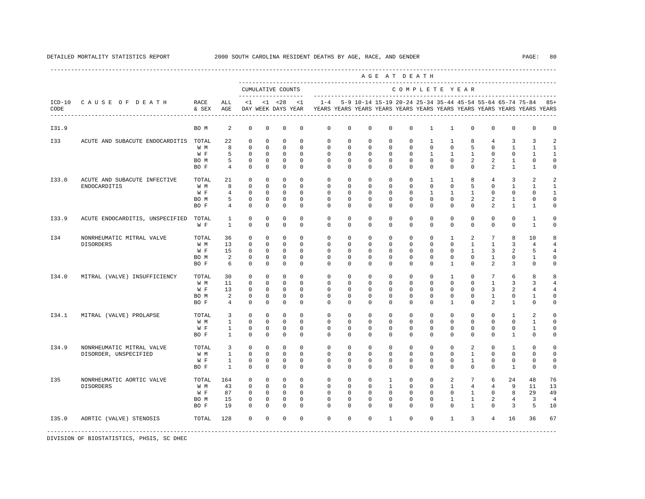|       |                                 |               |                 |              |             |                                    |             |                                                                                    |             |              |              | AGE AT DEATH |              |              |                                                               |                 |                     |                |                |
|-------|---------------------------------|---------------|-----------------|--------------|-------------|------------------------------------|-------------|------------------------------------------------------------------------------------|-------------|--------------|--------------|--------------|--------------|--------------|---------------------------------------------------------------|-----------------|---------------------|----------------|----------------|
|       |                                 |               |                 |              |             | CUMULATIVE COUNTS                  |             |                                                                                    |             |              |              |              |              |              | COMPLETE YEAR                                                 |                 |                     |                |                |
| CODE  | ICD-10 CAUSE OF DEATH           | RACE<br>& SEX | ALL<br>AGE      | $\leq 1$     |             | $< 1$ $< 28$<br>DAY WEEK DAYS YEAR | $\leq 1$    | $1 - 4$<br>YEARS YEARS YEARS YEARS YEARS YEARS YEARS YEARS YEARS YEARS YEARS YEARS |             |              |              |              |              |              | 5-9 10-14 15-19 20-24 25-34 35-44 45-54 55-64 65-74 75-84 85+ |                 |                     |                |                |
| I31.9 |                                 | BO M          | 2               | $\mathbf 0$  | 0           | $\mathbf 0$                        | 0           | 0                                                                                  | 0           | $\mathbf{0}$ | $\mathbf 0$  | 0            | $\mathbf{1}$ | $\mathbf{1}$ | 0                                                             | 0               | 0                   | 0              | 0              |
| I33   | ACUTE AND SUBACUTE ENDOCARDITIS | TOTAL         | 22              | 0            | $\Omega$    | $\mathbf 0$                        | $\Omega$    | $\mathbf 0$                                                                        | $\Omega$    | $\Omega$     | $\Omega$     | $\mathbf 0$  | $\mathbf{1}$ | $\mathbf{1}$ | 8                                                             | $\overline{4}$  | 3                   | 3              |                |
|       |                                 | W M           | 8               | $\mathbf 0$  | $\mathbf 0$ | $\mathbf 0$                        | $\mathbf 0$ | $\mathbf 0$                                                                        | $\mathbf 0$ | $\mathbf 0$  | $\mathbf 0$  | 0            | $\mathsf{O}$ | $\mathsf{O}$ | 5                                                             | $\mathbf 0$     | $\mathbf{1}$        | 1              | -1             |
|       |                                 | W F           | 5               | $\mathbf 0$  | $\mathbf 0$ | $\mathbf 0$                        | $\Omega$    | $\Omega$                                                                           | $\mathbf 0$ | $\mathbf 0$  | $\mathbf 0$  | $\mathbf 0$  | 1            | $\mathbf{1}$ | $\mathbf{1}$                                                  | $\mathbf 0$     | $\mathbf 0$         | 1              | 1              |
|       |                                 | BO M          | 5               | $^{\circ}$   | $^{\circ}$  | $\mathbf 0$                        | $^{\circ}$  | $\mathbf 0$                                                                        | 0           | $^{\circ}$   | 0            | $\mathbf{0}$ | $\mathbf{0}$ | $\circ$      | $\overline{2}$                                                | 2               | 1                   | $\mathbf 0$    | U              |
|       |                                 | BO F          | $4\overline{ }$ | $\Omega$     | 0           | $\mathbf 0$                        | $\Omega$    | $\Omega$                                                                           | 0           | $\Omega$     | 0            | $\mathbf{0}$ | $\mathbf{0}$ | $\mathbf 0$  | $\mathbf{0}$                                                  | $\overline{2}$  | $\mathbf{1}$        | $\mathbf{1}$   | 0              |
| I33.0 | ACUTE AND SUBACUTE INFECTIVE    | TOTAL         | 21              | $\mathbf 0$  | $\mathbf 0$ | $\mathbf 0$                        | $\Omega$    | $\mathbf{0}$                                                                       | 0           | $\Omega$     | $^{\circ}$   | $\mathbf{0}$ | 1            | $\mathbf{1}$ | 8                                                             | $\overline{4}$  | 3                   | 2              |                |
|       | ENDOCARDITIS                    | W M           | 8               | $\Omega$     | $\Omega$    | $\Omega$                           | $\Omega$    | $\mathbf 0$                                                                        | $\Omega$    | $\Omega$     | $\Omega$     | $\mathbf{0}$ | $\mathbf{0}$ | $\Omega$     | 5                                                             | 0               | $\mathbf{1}$        | $\mathbf{1}$   | -1             |
|       |                                 | W F           | $\overline{4}$  | $\Omega$     | $\mathbf 0$ | $\mathbf 0$                        | $\Omega$    | $\Omega$                                                                           | $\Omega$    | $\Omega$     | $\Omega$     | $\mathbf 0$  | $\mathbf{1}$ | $\mathbf{1}$ | $\mathbf{1}$                                                  | $\Omega$        | $\mathbf{0}$        | $\Omega$       | -1             |
|       |                                 | BO M          | 5               | $\mathbf 0$  | $\mathbf 0$ | $\mathbf 0$                        | $\mathbf 0$ | $\mathbf 0$                                                                        | $\mathbf 0$ | $\mathbf 0$  | $\mathbf 0$  | $\mathbf 0$  | $\mathbf{0}$ | $\mathbf 0$  | 2                                                             | 2               | $\mathbf{1}$        | 0              | 0              |
|       |                                 | BO F          | 4               | $\Omega$     | $\Omega$    | $\mathbf 0$                        | $\Omega$    | $\Omega$                                                                           | 0           | $\mathbf 0$  | $\mathbf 0$  | $\mathbf{0}$ | $\mathbf{0}$ | $\Omega$     | $\mathbf 0$                                                   | $\overline{a}$  | $\mathbf{1}$        | 1              | $\Omega$       |
| I33.9 | ACUTE ENDOCARDITIS, UNSPECIFIED | TOTAL         | $\mathbf{1}$    | $\mathbf 0$  | $\mathbf 0$ | $\mathbf 0$                        | $\Omega$    | $\mathbf{0}$                                                                       | $\Omega$    | $\Omega$     | $\mathbf 0$  | $\mathbf 0$  | $\mathbf 0$  | $\mathbf 0$  | $\mathbf{0}$                                                  | $\mathbf 0$     | $\Omega$            | $\mathbf{1}$   | $\Omega$       |
|       |                                 | W F           | $\mathbf{1}$    | $\mathbf 0$  | $\mathbf 0$ | $\Omega$                           | $\Omega$    | $\Omega$                                                                           | $\Omega$    | $\Omega$     | $\Omega$     | $\mathbf{0}$ | $\mathbf{0}$ | $\mathbf 0$  | $\mathbf 0$                                                   | $\mathbf 0$     | $\mathbf{0}$        | $\overline{1}$ | $\Omega$       |
| I34   | NONRHEUMATIC MITRAL VALVE       | TOTAL         | 36              | $\mathbf{0}$ | $\mathbf 0$ | $\mathbf 0$                        | $\Omega$    | $\mathbf{0}$                                                                       | $\mathbf 0$ | $\Omega$     | $\mathbf 0$  | $\mathbf 0$  | $\mathbf 0$  | $\mathbf{1}$ | 2                                                             | $7\overline{ }$ | 8                   | 10             | 8              |
|       | DISORDERS                       | W M           | 13              | $\mathbf 0$  | $\Omega$    | $\mathbf 0$                        | $\Omega$    | $\mathbf{0}$                                                                       | $\Omega$    | $\Omega$     | $\Omega$     | $\mathbf 0$  | $\mathbf 0$  | $\circ$      | $\mathbf{1}$                                                  | $\mathbf{1}$    | $\overline{3}$      | $\overline{4}$ |                |
|       |                                 | W F           | 15              | $\Omega$     | 0           | $\mathbf 0$                        | $\Omega$    | 0                                                                                  | 0           | $\mathbf 0$  | 0            | $\mathbf 0$  | $\Omega$     | $\Omega$     | $\mathbf{1}$                                                  | $\overline{3}$  | 2                   | 5              |                |
|       |                                 | BO M          | $\overline{2}$  | $\Omega$     | $\Omega$    | $\mathbf 0$                        | $\Omega$    | $\Omega$                                                                           | $\Omega$    | $\Omega$     | $\Omega$     | $\mathbf 0$  | $\Omega$     | $\Omega$     | $\Omega$                                                      | $\mathbf{1}$    | $\Omega$            | $\mathbf{1}$   | U              |
|       |                                 | BO F          | 6               | $\Omega$     | $\Omega$    | $\Omega$                           | $\Omega$    | $\Omega$                                                                           | $\cap$      | $\Omega$     | $\Omega$     | $\Omega$     | $\Omega$     | $\mathbf{1}$ | $\Omega$                                                      | $\overline{a}$  | 3                   | $\Omega$       | U              |
| I34.0 | MITRAL (VALVE) INSUFFICIENCY    | TOTAL         | 30              | $^{\circ}$   | $\mathbf 0$ | $\mathbf 0$                        | $\Omega$    | $\Omega$                                                                           | $\Omega$    | $\Omega$     | $\mathbf 0$  | $\mathbf 0$  | $\mathbf 0$  | $\mathbf{1}$ | $\mathbf{0}$                                                  | $7\phantom{.0}$ | 6                   | 8              | 8              |
|       |                                 | W M           | 11              | $\Omega$     | $\Omega$    | $\Omega$                           | $\Omega$    | $\Omega$                                                                           | $\Omega$    | $\Omega$     | $\Omega$     | $\Omega$     | $\Omega$     | $\Omega$     | $\Omega$                                                      | $\mathbf{1}$    | 3                   | 3              |                |
|       |                                 | W F           | 13              | $\mathbf 0$  | 0           | $\mathbf 0$                        | $\mathbf 0$ | $\mathbf 0$                                                                        | $\mathbf 0$ | $\mathbf 0$  | $\mathbf 0$  | $\mathbf 0$  | $\mathbf 0$  | $\mathbf 0$  | $\mathbf{0}$                                                  | 3               | $\overline{a}$      | 4              |                |
|       |                                 | BO M          | 2               | $\Omega$     | $\Omega$    | $\mathbf 0$                        | $\Omega$    | $\Omega$                                                                           | $\Omega$    | $\Omega$     | $\Omega$     | $\mathbf 0$  | $\mathbf 0$  | $\Omega$     | $\mathbf 0$                                                   | $\mathbf{1}$    | $\mathbf 0$         | 1              |                |
|       |                                 | BO F          | $\overline{4}$  | $\Omega$     | $\Omega$    | $\Omega$                           | $\Omega$    | $\Omega$                                                                           | $\Omega$    | $\Omega$     | $\Omega$     | $\Omega$     | $\Omega$     | $\mathbf{1}$ | $\Omega$                                                      | $\overline{a}$  | $\mathbf{1}$        | $\Omega$       |                |
| I34.1 | MITRAL (VALVE) PROLAPSE         | TOTAL         | 3               | $\mathbf 0$  | $\mathbf 0$ | $\mathbf 0$                        | $\Omega$    | $\mathbf{0}$                                                                       | $\mathbf 0$ | $\Omega$     | $\mathbf 0$  | $\mathbf 0$  | $\mathbf{0}$ | $\Omega$     | $\mathbf{0}$                                                  | $\Omega$        | 1                   | 2              | $\Omega$       |
|       |                                 | W M           | $\overline{1}$  | $\Omega$     | $\Omega$    | $\Omega$                           | $\Omega$    | $\Omega$                                                                           | $\Omega$    | $\Omega$     | $\Omega$     | $\Omega$     | $\Omega$     | $\Omega$     | $\Omega$                                                      | $\Omega$        | $\Omega$            | $\mathbf{1}$   | U              |
|       |                                 | W F           | $\mathbf{1}$    | $\mathbf 0$  | $\mathbf 0$ | $\mathbf 0$                        | $^{\circ}$  | $\mathbf 0$                                                                        | $\Omega$    | $\Omega$     | $\Omega$     | $\mathbf 0$  | $\mathbf 0$  | $\mathbf 0$  | $\mathbf 0$                                                   | $\mathbf 0$     | 0                   | $\mathbf{1}$   | $\Omega$       |
|       |                                 | BO F          | $\mathbf{1}$    | $\Omega$     | $\Omega$    | $\Omega$                           | $\Omega$    | $\Omega$                                                                           | $\Omega$    | $\Omega$     | $\Omega$     | $\mathbf 0$  | $\mathbf 0$  | $\Omega$     | $\mathbf 0$                                                   | $\Omega$        | $\mathbf{1}$        | $\mathbf 0$    | U              |
| I34.9 | NONRHEUMATIC MITRAL VALVE       | TOTAL         | 3               | $\Omega$     | $\Omega$    | $\Omega$                           | $\Omega$    | $\Omega$                                                                           | $\Omega$    | $\Omega$     | $\Omega$     | $\mathbf{0}$ | $\Omega$     | $\Omega$     | $\overline{2}$                                                | $\Omega$        | $\mathbf{1}$        | $\Omega$       |                |
|       | DISORDER, UNSPECIFIED           | W M           | <sup>1</sup>    | $\Omega$     | $\Omega$    | $\Omega$                           | $\Omega$    | $\Omega$                                                                           | $\Omega$    | $\Omega$     | $\Omega$     | $\Omega$     | $\Omega$     | $\Omega$     | $\mathbf{1}$                                                  | $\Omega$        | $\Omega$            | $\Omega$       | $\Omega$       |
|       |                                 | W F           | $\mathbf{1}$    | $\mathbf 0$  | $\Omega$    | $\mathbf 0$                        | $\Omega$    | $\Omega$                                                                           | $\Omega$    | $\Omega$     | $\Omega$     | $\mathbf 0$  | $\mathbf 0$  | $\Omega$     | $\mathbf{1}$                                                  | $\mathbf 0$     | $\mathbf 0$         | $\mathbf{0}$   | $\Omega$       |
|       |                                 | BO F          | $\overline{1}$  | $\Omega$     | $\Omega$    | $\Omega$                           | $\Omega$    | $\Omega$                                                                           | $\Omega$    | $\Omega$     | $\Omega$     | $\Omega$     | $\Omega$     | $\Omega$     | $\Omega$                                                      | $\Omega$        | $\mathbf{1}$        | $\Omega$       | $\Omega$       |
| I35   | NONRHEUMATIC AORTIC VALVE       | TOTAL         | 164             | $\mathbf 0$  | $\mathbf 0$ | $\mathbf 0$                        | $\Omega$    | $\mathbf{0}$                                                                       | $\Omega$    | $\Omega$     | $\mathbf{1}$ | $\mathbf 0$  | $\mathbf 0$  | 2            | $7\overline{ }$                                               | 6               | 24                  | 48             | 76             |
|       | <b>DISORDERS</b>                | W M           | 43              | $\Omega$     | $\Omega$    | $\Omega$                           | $\Omega$    | $\Omega$                                                                           | $\Omega$    | $\Omega$     | $\mathbf{1}$ | $\mathbf{0}$ | $\Omega$     | $\mathbf{1}$ | $\overline{4}$                                                | $\overline{4}$  | 9                   | 11             | 13             |
|       |                                 | W F           | 87              | $\Omega$     | $\Omega$    | $\Omega$                           | $\Omega$    | $\Omega$                                                                           | $\Omega$    | $\Omega$     | $\Omega$     | $\Omega$     | $\Omega$     | $\Omega$     | $\mathbf{1}$                                                  | $\Omega$        | 8                   | 29             | 49             |
|       |                                 | BO M          | 15              | $\mathbf 0$  | $\mathbf 0$ | $\mathbf 0$                        | $\mathbf 0$ | $\Omega$                                                                           | $\Omega$    | $\Omega$     | $\Omega$     | $\mathbf 0$  | $\mathbf 0$  | $\mathbf{1}$ | $\mathbf{1}$                                                  | 2               | $\overline{4}$      | $\overline{3}$ | $\overline{4}$ |
|       |                                 | BO F          | 19              | $\Omega$     | $\Omega$    | $\Omega$                           | $\Omega$    | $\Omega$                                                                           | $\Omega$    | $\Omega$     | $\Omega$     | $\Omega$     | $\Omega$     | $\Omega$     | $\mathbf{1}$                                                  | $\Omega$        | $\overline{3}$      | 5              | 10             |
| I35.0 | AORTIC (VALVE) STENOSIS         | TOTAL         | 128             | $\Omega$     | $\Omega$    | $\Omega$                           | $\Omega$    | $\Omega$                                                                           | $\Omega$    | $\Omega$     | $\mathbf{1}$ | $\Omega$     | $\Omega$     | $\mathbf{1}$ | $\overline{3}$                                                | $\overline{4}$  | 16                  | 36             | 67             |
|       |                                 |               |                 |              |             |                                    |             |                                                                                    |             |              |              |              |              |              |                                                               |                 | ------------------- |                |                |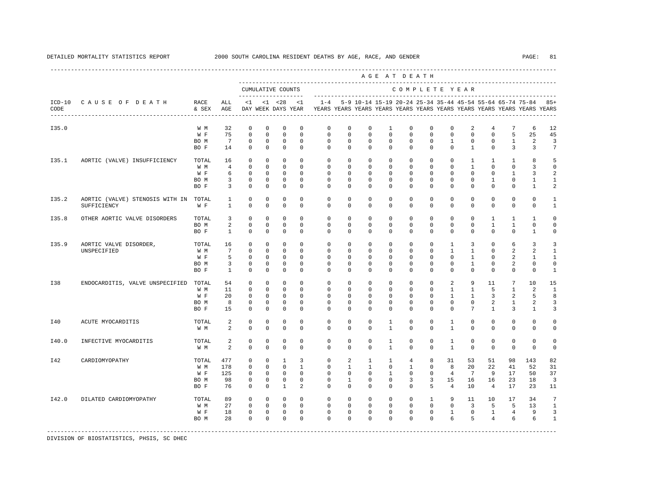|       |                                       |               |                 |              |              |                                          |                |              |              |              | AGE AT DEATH                                              |               |              |                |                 |                |                 |                                                                         |                |
|-------|---------------------------------------|---------------|-----------------|--------------|--------------|------------------------------------------|----------------|--------------|--------------|--------------|-----------------------------------------------------------|---------------|--------------|----------------|-----------------|----------------|-----------------|-------------------------------------------------------------------------|----------------|
|       |                                       |               |                 |              |              | CUMULATIVE COUNTS<br>------------------- |                |              |              |              |                                                           | COMPLETE YEAR |              |                |                 |                |                 |                                                                         |                |
| CODE  | ICD-10 CAUSE OF DEATH                 | RACE<br>& SEX | ALL<br>AGE      | <1           |              | $< 1$ $< 28$<br>DAY WEEK DAYS YEAR       | <1             | $1 - 4$      |              |              | 5-9 10-14 15-19 20-24 25-34 35-44 45-54 55-64 65-74 75-84 |               |              |                |                 |                |                 | YEARS YEARS YEARS YEARS YEARS YEARS YEARS YEARS YEARS YEARS YEARS YEARS | $85+$          |
| I35.0 |                                       | W M           | 32              | $^{\circ}$   | $\mathbf 0$  | $\mathbf 0$                              | $\mathbf 0$    | $\mathbf{0}$ | $\mathbf 0$  | $\mathbf 0$  | $\mathbf{1}$                                              | $\mathbf 0$   | $\mathbf{0}$ | 0              | 2               | 4              | 7               | 6                                                                       | 12             |
|       |                                       | W F           | 75              | $\mathbf{0}$ | $\mathbf 0$  | $\mathbf 0$                              | $\Omega$       | $\Omega$     | $\Omega$     | $\Omega$     | $\Omega$                                                  | $\Omega$      | $\Omega$     | $\Omega$       | $\Omega$        | $\Omega$       | 5               | 25                                                                      | 45             |
|       |                                       | BO M          | 7               | $^{\circ}$   | $\Omega$     | $\mathbf 0$                              | $\Omega$       | $\Omega$     | $\Omega$     | $\Omega$     | $\Omega$                                                  | $\Omega$      | $\Omega$     | $\mathbf{1}$   | $\mathbf 0$     | $\Omega$       | $\mathbf{1}$    | 2                                                                       | 3              |
|       |                                       | BO F          | 14              | $\Omega$     | $\mathbf 0$  | $\mathbf 0$                              | $\Omega$       | $\Omega$     | $\mathbf 0$  | $\mathbf 0$  | $\mathbf 0$                                               | $\Omega$      | $\mathbf 0$  | $\Omega$       | $\mathbf{1}$    | $\mathbf 0$    | 3               | 3                                                                       | 7              |
| I35.1 | AORTIC (VALVE) INSUFFICIENCY          | TOTAL         | 16              | $\Omega$     | $\Omega$     | $\mathbf 0$                              | $\Omega$       | $\Omega$     | $\Omega$     | $\Omega$     | $\Omega$                                                  | $\Omega$      | $\Omega$     | $\Omega$       | $\mathbf{1}$    | $\overline{1}$ | $\mathbf{1}$    | 8                                                                       | 5              |
|       |                                       | W M           | $\overline{4}$  | $\Omega$     | $\Omega$     | $\Omega$                                 | $\Omega$       | $\Omega$     | $\Omega$     | $\Omega$     | $\Omega$                                                  | $\Omega$      | $\Omega$     | $\Omega$       | $\mathbf{1}$    | $\Omega$       | $\Omega$        | 3                                                                       | $\Omega$       |
|       |                                       | W F           | 6               | $\Omega$     | $\Omega$     | $\Omega$                                 | $\Omega$       | $\Omega$     | $\Omega$     | $\Omega$     | $\Omega$                                                  | $\Omega$      | $\Omega$     | $\Omega$       | $\Omega$        | $\Omega$       | $\mathbf{1}$    | 3                                                                       | 2              |
|       |                                       | BO M          | $\overline{3}$  | $^{\circ}$   | $\mathbf 0$  | $\mathbf 0$                              | $\Omega$       | $\Omega$     | $\Omega$     | $\Omega$     | $\Omega$                                                  | $\Omega$      | $\Omega$     | $\Omega$       | $\mathbf 0$     | $\mathbf{1}$   | $\Omega$        | $\mathbf{1}$                                                            | $\mathbf{1}$   |
|       |                                       | BO F          | 3               | $\Omega$     | $\Omega$     | $\Omega$                                 | $\Omega$       | $\Omega$     | $\Omega$     | $\Omega$     | $\Omega$                                                  | $\Omega$      | $\Omega$     | $\Omega$       | $\Omega$        | $\Omega$       | $\Omega$        | $\mathbf{1}$                                                            | $\overline{a}$ |
| I35.2 | AORTIC (VALVE) STENOSIS WITH IN TOTAL |               | $\mathbf{1}$    | $^{\circ}$   | $\mathbf 0$  | 0                                        | $\mathbf 0$    | $\mathbf 0$  | $\mathbf 0$  | $\mathbf 0$  | $\mathbf 0$                                               | $\mathbf{0}$  | $\mathbf 0$  | $\mathbf 0$    | $\mathbf 0$     | $\mathbf 0$    | $\mathbf 0$     | $\mathbf 0$                                                             | 1              |
|       | SUFFICIENCY                           | W F           | $\mathbf{1}$    | $^{\circ}$   | $\mathbf 0$  | $\mathbf 0$                              | 0              | 0            | $\mathbf 0$  | $^{\circ}$   | $^{\circ}$                                                | $\mathbf 0$   | $\mathbf{0}$ | $\mathbf 0$    | $\mathbf 0$     | $\mathbf 0$    | $\mathbf{0}$    | $\mathbf{0}$                                                            | $\mathbf{1}$   |
| I35.8 | OTHER AORTIC VALVE DISORDERS          | TOTAL         | 3               | $^{\circ}$   | $\mathbf 0$  | $\mathbf 0$                              | $\Omega$       | $\Omega$     | $\Omega$     | $\Omega$     | $\mathbf 0$                                               | $\Omega$      | $\mathbf{0}$ | $\Omega$       | $\mathbf 0$     | $\mathbf{1}$   | 1               | 1                                                                       | 0              |
|       |                                       | BO M          | 2               | $^{\circ}$   | $\mathbf 0$  | 0                                        | $\mathbf 0$    | $\mathbf 0$  | $\mathbf 0$  | $\mathbf 0$  | $\mathbf 0$                                               | $\mathbf 0$   | $\Omega$     | $\Omega$       | $\mathbf 0$     | $\mathbf{1}$   | $\mathbf{1}$    | 0                                                                       | $\circ$        |
|       |                                       | BO F          | $\mathbf{1}$    | $^{\circ}$   | $\circ$      | $\mathbf 0$                              | 0              | $\Omega$     | $\Omega$     | $\Omega$     | $^{\circ}$                                                | $\mathbf{0}$  | $\mathbf 0$  | $\Omega$       | $\mathbf 0$     | $\mathbf 0$    | $\mathbf{0}$    | $\mathbf{1}$                                                            | 0              |
| I35.9 | AORTIC VALVE DISORDER,                | TOTAL         | 16              | $\Omega$     | $\Omega$     | $\Omega$                                 | $\Omega$       | $\Omega$     | $\Omega$     | $\Omega$     | $\Omega$                                                  | $\Omega$      | $\Omega$     | $\mathbf{1}$   | 3               | $\Omega$       | 6               | 3                                                                       | 3              |
|       | UNSPECIFIED                           | W M           | $7\overline{ }$ | $^{\circ}$   | $\mathbf 0$  | 0                                        | $\Omega$       | $\mathbf 0$  | $\mathbf 0$  | $\mathbf 0$  | $\mathbf 0$                                               | $\mathbf 0$   | $\mathbf 0$  | $\mathbf{1}$   | $\mathbf{1}$    | $\mathbf 0$    | 2               | 2                                                                       | 1              |
|       |                                       | W F           | 5               | $^{\circ}$   | $\circ$      | $\mathbf 0$                              | $\Omega$       | $\Omega$     | $\Omega$     | $\Omega$     | $\Omega$                                                  | $\Omega$      | $\Omega$     | $\Omega$       | 1               | $\Omega$       | 2               | 1                                                                       | 1              |
|       |                                       | BO M          | 3               | $^{\circ}$   | $^{\circ}$   | $\mathbf 0$                              | $\Omega$       | 0            | $\Omega$     | $^{\circ}$   | $^{\circ}$                                                | $\mathbf 0$   | $\mathbf 0$  | 0              | $\mathbf{1}$    | 0              | 2               | 0                                                                       | $\Omega$       |
|       |                                       | BO F          | $\mathbf{1}$    | $\mathbf{0}$ | $\mathbf 0$  | $\mathbf 0$                              | $\Omega$       | $\Omega$     | $\Omega$     | $\Omega$     | $\mathbf 0$                                               | $\Omega$      | $\Omega$     | $\Omega$       | $\mathbf 0$     | $\mathbf 0$    | $\mathbf{0}$    | $\mathbf 0$                                                             | $\mathbf{1}$   |
| I38   | ENDOCARDITIS, VALVE UNSPECIFIED       | TOTAL         | 54              | $\Omega$     | $\Omega$     | $\Omega$                                 | $\Omega$       | $\Omega$     | $\Omega$     | $\Omega$     | $\Omega$                                                  | $\Omega$      | $\Omega$     | 2              | 9               | 11             | $7\phantom{.0}$ | 1 O                                                                     | 15             |
|       |                                       | W M           | 11              | $^{\circ}$   | $\Omega$     | $\Omega$                                 | $\Omega$       | $\Omega$     | $\Omega$     | $\Omega$     | $\Omega$                                                  | $\Omega$      | $\Omega$     | $\mathbf{1}$   | $\mathbf{1}$    | 5              | $\mathbf{1}$    | 2                                                                       | $\mathbf{1}$   |
|       |                                       | W F           | 20              | $\Omega$     | $\Omega$     | $\Omega$                                 | $\Omega$       | $\Omega$     | $\Omega$     | $\Omega$     | $\Omega$                                                  | $\Omega$      | $\Omega$     | $\mathbf{1}$   | $\mathbf{1}$    | $\overline{3}$ | 2               | 5                                                                       | 8              |
|       |                                       | BO M          | 8               | $\mathbf 0$  | $\circ$      | $\mathbf 0$                              | $\Omega$       | $\mathbf 0$  | $\Omega$     | $\Omega$     | $^{\circ}$                                                | $\Omega$      | $\mathbf 0$  | $\Omega$       | $\mathbf 0$     | $\overline{2}$ | $\mathbf{1}$    | 2                                                                       | 3              |
|       |                                       | BO F          | 15              | $\Omega$     | $\Omega$     | $\Omega$                                 | $\Omega$       | $\Omega$     | $\Omega$     | $\Omega$     | $\Omega$                                                  | $\Omega$      | $\Omega$     | $\Omega$       | $7\overline{ }$ | $\mathbf{1}$   | $\overline{3}$  | $\mathbf{1}$                                                            | 3              |
| I40   | ACUTE MYOCARDITIS                     | TOTAL         | 2               | $^{\circ}$   | $\circ$      | 0                                        | 0              | $\mathbf 0$  | $\mathbf 0$  | $\mathbf 0$  | $\mathbf{1}$                                              | $\mathbf 0$   | $\mathbf 0$  | $\mathbf{1}$   | $\mathbf 0$     | $\mathbf 0$    | $\mathbf{0}$    | $\mathbf 0$                                                             | 0              |
|       |                                       | W M           | 2               | $^{\circ}$   | $\circ$      | $\mathbf 0$                              | $\Omega$       | $\Omega$     | $\Omega$     | $\Omega$     | 1                                                         | 0             | $\mathbf 0$  | 1              | $\circ$         | $\mathbf{0}$   | $\circ$         | $\circ$                                                                 | $\Omega$       |
| I40.0 | INFECTIVE MYOCARDITIS                 | TOTAL         | 2               | $\mathbf 0$  | $\mathbf 0$  | 0                                        | $\mathbf 0$    | $\mathbf 0$  | $\mathbf 0$  | $\mathbf 0$  | $\mathbf{1}$                                              | $\mathbf{0}$  | $\Omega$     | $\mathbf{1}$   | $\mathbf 0$     | $\mathbf 0$    | $\mathbf{0}$    | $\mathbf 0$                                                             | $\circ$        |
|       |                                       | W M           | 2               | $\Omega$     | $\Omega$     | $\Omega$                                 | $\Omega$       | $\Omega$     | $\Omega$     | $\Omega$     | $\mathbf{1}$                                              | $\Omega$      | $\Omega$     | $\mathbf{1}$   | $\mathbf 0$     | $\Omega$       | $\mathbf{0}$    | $\mathbf 0$                                                             | $\Omega$       |
| I42   | CARDIOMYOPATHY                        | TOTAL         | 477             | $^{\circ}$   | $\mathbf 0$  | 1                                        | 3              | $\mathbf 0$  | 2            | $\mathbf{1}$ | $\mathbf{1}$                                              | 4             | 8            | 31             | 53              | 51             | 98              | 143                                                                     | 82             |
|       |                                       | W M           | 178             | $\mathbf 0$  | $\mathbf 0$  | $\Omega$                                 | $\overline{1}$ | $\mathbf{0}$ | $\mathbf{1}$ | $\mathbf{1}$ | $\mathbf 0$                                               | $\mathbf{1}$  | $\mathbf{0}$ | 8              | 20              | 22             | 41              | 52                                                                      | 31             |
|       |                                       | W F           | 125             | $^{\circ}$   | $\mathbf{0}$ | $\mathbf 0$                              | $\Omega$       | $\Omega$     | $\mathbf 0$  | $\mathbf 0$  | $\mathbf{1}$                                              | $\mathbf 0$   | $\mathbf 0$  | $\overline{4}$ | $7\phantom{.0}$ | 9              | 17              | 50                                                                      | 37             |
|       |                                       | BO M          | 98              | $^{\circ}$   | $\circ$      | $\mathbf 0$                              | $\Omega$       | $\Omega$     | $\mathbf{1}$ | $\Omega$     | $\Omega$                                                  | 3             | 3            | 1.5            | 16              | 16             | 23              | 18                                                                      | 3              |
|       |                                       | BO F          | 76              | $\Omega$     | $\Omega$     | $\overline{1}$                           | $\mathfrak{D}$ | $\Omega$     | $\Omega$     | $\Omega$     | $\Omega$                                                  | $\Omega$      | 5            | $\overline{4}$ | 10              | $\overline{4}$ | 17              | 23                                                                      | 11             |
| I42.0 | DILATED CARDIOMYOPATHY                | TOTAL         | 89              | $\Omega$     | $\Omega$     | $\Omega$                                 | $\Omega$       | $\Omega$     | $\Omega$     | $\Omega$     | $\mathbf 0$                                               | $\Omega$      | $\mathbf{1}$ | 9              | 11              | 10             | 17              | 34                                                                      | 7              |
|       |                                       | W M           | 27              | $\Omega$     | $\Omega$     | $\Omega$                                 | $\Omega$       | $\Omega$     | $\Omega$     | $\Omega$     | $\Omega$                                                  | $\Omega$      | $\Omega$     | $\Omega$       | $\overline{3}$  | 5              | 5               | 13                                                                      | $\mathbf{1}$   |
|       |                                       | W F           | 18              | $\circ$      | $\mathbf 0$  | $\mathbf 0$                              | $\mathbf 0$    | $\mathbf{0}$ | $\mathbf 0$  | $\mathbf 0$  | $\mathbf 0$                                               | $\mathbf 0$   | $\mathbf 0$  | $\mathbf{1}$   | $\mathbf 0$     | $\mathbf{1}$   | $\overline{4}$  | 9                                                                       | 3              |
|       |                                       | BO M          | 28              | $\Omega$     | $\Omega$     | $\Omega$                                 | $\Omega$       | $\Omega$     | $\Omega$     | $\Omega$     | $\Omega$                                                  | $\Omega$      | $\Omega$     | 6              | 5               | $\overline{4}$ | 6               | 6                                                                       | $\mathbf{1}$   |
|       |                                       |               |                 |              |              |                                          |                |              |              |              |                                                           |               |              |                |                 |                |                 |                                                                         |                |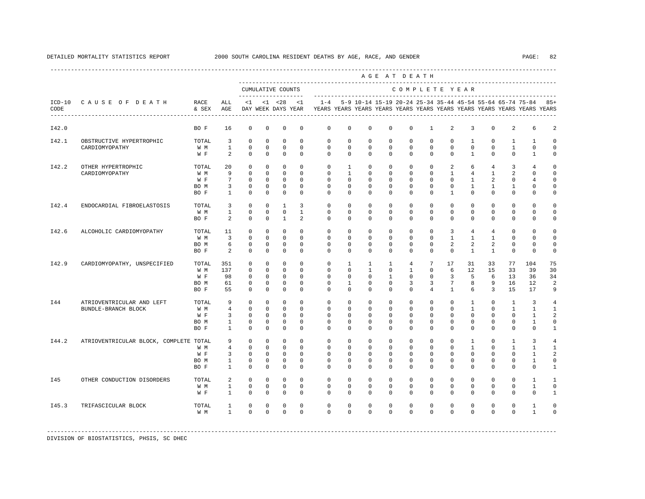|       |                                                         |                                     |                                                                       |                                                                 |                                                                |                                                                    |                                                               |                                                                                            |                                                                      |                                                                          |                                                             | AGE AT DEATH                                                |                                                                    |                                                             |                                                                   |                                                                         |                                                                            |                                                                         |                                                                 |
|-------|---------------------------------------------------------|-------------------------------------|-----------------------------------------------------------------------|-----------------------------------------------------------------|----------------------------------------------------------------|--------------------------------------------------------------------|---------------------------------------------------------------|--------------------------------------------------------------------------------------------|----------------------------------------------------------------------|--------------------------------------------------------------------------|-------------------------------------------------------------|-------------------------------------------------------------|--------------------------------------------------------------------|-------------------------------------------------------------|-------------------------------------------------------------------|-------------------------------------------------------------------------|----------------------------------------------------------------------------|-------------------------------------------------------------------------|-----------------------------------------------------------------|
|       |                                                         |                                     |                                                                       |                                                                 |                                                                | CUMULATIVE COUNTS<br>-------------------                           |                                                               |                                                                                            |                                                                      |                                                                          |                                                             | COMPLETE YEAR                                               |                                                                    |                                                             |                                                                   |                                                                         |                                                                            |                                                                         |                                                                 |
| CODE  | ICD-10 CAUSE OF DEATH<br>------------------------------ | RACE<br>& SEX                       | ALL<br>AGE                                                            |                                                                 | $<1$ $<1$ $<28$                                                |                                                                    | < 1                                                           | DAY WEEK DAYS YEAR TEARS YEARS YEARS YEARS YEARS YEARS YEARS YEARS YEARS YEARS YEARS YEARS |                                                                      |                                                                          |                                                             |                                                             |                                                                    |                                                             |                                                                   |                                                                         |                                                                            | 1-4 5-9 10-14 15-19 20-24 25-34 35-44 45-54 55-64 65-74 75-84 85+       |                                                                 |
| I42.0 |                                                         | BO F                                | 16                                                                    | $\mathbf 0$                                                     | $\mathbf 0$                                                    | $\mathbf 0$                                                        | $\mathbf 0$                                                   | $\mathbf 0$                                                                                | $\mathbf 0$                                                          | $\mathbf 0$                                                              | $\mathbf 0$                                                 | $\mathbf 0$                                                 | $\mathbf{1}$                                                       | 2                                                           | 3                                                                 | $\mathbf 0$                                                             | 2                                                                          | 6                                                                       | $\overline{a}$                                                  |
| I42.1 | OBSTRUCTIVE HYPERTROPHIC<br>CARDIOMYOPATHY              | TOTAL<br>W M<br>W F                 | $\overline{\mathbf{3}}$<br>$\mathbf{1}$<br>2                          | $^{\circ}$<br>$\mathbf 0$<br>$\mathbf 0$                        | $\mathbf{0}$<br>$\mathbf 0$<br>$\mathbf 0$                     | $\mathbf 0$<br>$\mathbf 0$<br>$\mathbf 0$                          | $\Omega$<br>$\Omega$<br>$\mathbf 0$                           | $\mathbf 0$<br>$\Omega$<br>$\Omega$                                                        | $\mathbf 0$<br>$\mathbf 0$<br>$\mathbf 0$                            | $^{\circ}$<br>$\Omega$<br>$\Omega$                                       | $\mathbf 0$<br>$\Omega$<br>$\mathbf 0$                      | $\mathbf 0$<br>$\Omega$<br>$\Omega$                         | $\mathbf 0$<br>$\Omega$<br>$\mathbf 0$                             | $\mathbf 0$<br>$\Omega$<br>$\Omega$                         | $\mathbf{1}$<br>$\Omega$<br>$\mathbf{1}$                          | 0<br>$\Omega$<br>$\Omega$                                               | $\mathbf{1}$<br>$\mathbf{1}$<br>$\Omega$                                   | 1<br>$\Omega$<br>$\mathbf{1}$                                           | $\Omega$<br>$\Omega$<br>$\mathbf 0$                             |
| I42.2 | OTHER HYPERTROPHIC<br>CARDIOMYOPATHY                    | TOTAL<br>W M<br>W F<br>BO M<br>BO F | 20<br>9<br>$7\overline{ }$<br>3<br>$\mathbf{1}$                       | $\Omega$<br>$\Omega$<br>$\Omega$<br>$\Omega$<br>$\mathbf 0$     | $\Omega$<br>$\Omega$<br>$\Omega$<br>$\Omega$<br>0              | $\Omega$<br>$\mathbf 0$<br>$\Omega$<br>$\Omega$<br>$\mathbf 0$     | $\Omega$<br>$\Omega$<br>$\Omega$<br>$\Omega$<br>$^{\circ}$    | $\Omega$<br>$\Omega$<br>$\Omega$<br>$\Omega$<br>$\Omega$                                   | $\mathbf{1}$<br>$\mathbf{1}$<br>$\Omega$<br>$\Omega$<br>$\mathbf{0}$ | $\Omega$<br>$\Omega$<br>$\Omega$<br>$\Omega$<br>$\mathbf 0$              | $\Omega$<br>$\Omega$<br>$\Omega$<br>$\Omega$<br>$\mathbf 0$ | $\Omega$<br>$\Omega$<br>$\Omega$<br>$\Omega$<br>$\mathbf 0$ | $\Omega$<br>$\Omega$<br>$\Omega$<br>$\Omega$<br>0                  | 2<br>$\mathbf{1}$<br>$\Omega$<br>$\Omega$<br>$\mathbf{1}$   | 6<br>$\overline{4}$<br>$\mathbf{1}$<br>$\mathbf{1}$<br>0          | $4\overline{ }$<br>$\overline{1}$<br>$\mathcal{L}$<br>$\mathbf{1}$<br>0 | 3<br>2<br>$\Omega$<br>$\mathbf{1}$<br>$\mathbf 0$                          | $\overline{4}$<br>$\Omega$<br>$\overline{4}$<br>$\Omega$<br>$\mathbf 0$ | $\Omega$<br>$\Omega$<br>$\Omega$<br>$\Omega$<br>$\mathbf 0$     |
| I42.4 | ENDOCARDIAL FIBROELASTOSIS                              | TOTAL<br>W M<br>BO F                | 3<br>$\mathbf{1}$<br>2                                                | $\circ$<br>$\mathbf 0$<br>$\Omega$                              | $\mathbf 0$<br>$\mathbf 0$<br>$\Omega$                         | 1<br>$\circ$<br>$\overline{1}$                                     | 3<br>$\mathbf{1}$<br>$\mathfrak{D}$                           | $\mathbf 0$<br>$\Omega$<br>$\Omega$                                                        | $\mathbf 0$<br>$\Omega$<br>$\Omega$                                  | $\mathbf 0$<br>$\Omega$<br>$\Omega$                                      | $\mathbf 0$<br>$\Omega$<br>$\Omega$                         | $\mathbf 0$<br>$\Omega$<br>$\Omega$                         | $\mathbf 0$<br>$\Omega$<br>$\Omega$                                | $\mathbf 0$<br>$\Omega$<br>$\Omega$                         | $\mathbf 0$<br>$\Omega$<br>$\Omega$                               | $\mathbf 0$<br>$\Omega$<br>$\Omega$                                     | $\mathbf 0$<br>$\mathbf{0}$<br>$\Omega$                                    | $\mathbf 0$<br>$\mathbf 0$<br>$\Omega$                                  | $\Omega$<br>$\mathbf 0$<br>$\Omega$                             |
| I42.6 | ALCOHOLIC CARDIOMYOPATHY                                | TOTAL<br>W M<br>BO M<br>BO F        | 11<br>$\overline{3}$<br>6<br>2                                        | $^{\circ}$<br>$\Omega$<br>$\circ$<br>$\mathbf 0$                | $\mathbf{0}$<br>$\Omega$<br>$\mathbf 0$<br>$\mathbf 0$         | $\Omega$<br>$\Omega$<br>$\mathbf 0$<br>$\mathbf 0$                 | $\Omega$<br>$\Omega$<br>$\Omega$<br>$\mathbf 0$               | $\Omega$<br>$\Omega$<br>$\Omega$<br>$\Omega$                                               | $\mathbf{0}$<br>$\Omega$<br>$\Omega$<br>$\mathbf 0$                  | $\Omega$<br>$\Omega$<br>$\Omega$<br>$\mathbf 0$                          | $\Omega$<br>$\Omega$<br>$\Omega$<br>$\mathbf 0$             | $\Omega$<br>$\Omega$<br>$\mathbf 0$<br>$\Omega$             | $\Omega$<br>$\Omega$<br>$\Omega$<br>$\mathbf 0$                    | 3<br>$\mathbf{1}$<br>$\overline{a}$<br>$\Omega$             | $4\overline{ }$<br>$\mathbf{1}$<br>$\overline{a}$<br>$\mathbf{1}$ | $\overline{4}$<br>$\mathbf{1}$<br>2<br>$\mathbf{1}$                     | $\Omega$<br>$\Omega$<br>$\mathbf 0$<br>$\mathbf 0$                         | $\Omega$<br>$\Omega$<br>$\mathbf{0}$<br>$\mathbf 0$                     | $\Omega$<br>$\cap$<br>$\Omega$<br>$\mathbf 0$                   |
| I42.9 | CARDIOMYOPATHY, UNSPECIFIED                             | TOTAL<br>W M<br>W F<br>BO M<br>BO F | 351<br>137<br>98<br>61<br>55                                          | $^{\circ}$<br>$\Omega$<br>$\mathbf 0$<br>$^{\circ}$<br>$\Omega$ | $^{\circ}$<br>$\mathbf 0$<br>$^{\circ}$<br>0<br>$\Omega$       | $^{\circ}$<br>$\mathbf 0$<br>$\mathbf 0$<br>$^{\circ}$<br>$\Omega$ | $\Omega$<br>$\Omega$<br>$\mathbf 0$<br>$^{\circ}$<br>$\Omega$ | $\mathbf 0$<br>$\Omega$<br>$\mathbf{0}$<br>$\mathbf{0}$<br>$\Omega$                        | 1<br>$\mathbf 0$<br>$\mathbf{0}$<br>$\mathbf{1}$<br>$\Omega$         | $\mathbf{1}$<br>$\overline{1}$<br>$\mathbf 0$<br>$\mathbf 0$<br>$\Omega$ | $\mathbf{1}$<br>$\Omega$<br>1<br>$\Omega$<br>$\Omega$       | 4<br>$\mathbf{1}$<br>$\mathbf 0$<br>3<br>$\Omega$           | $\overline{7}$<br>$\Omega$<br>$\mathbf 0$<br>3<br>$\overline{4}$   | 17<br>6<br>3<br>$7\overline{ }$<br>$\mathbf{1}$             | 31<br>12<br>5<br>8<br>6                                           | 33<br>15<br>6<br>9<br>3                                                 | 77<br>33<br>13<br>16<br>1.5                                                | 104<br>39<br>36<br>12<br>17                                             | 75<br>30<br>34<br>2<br>9                                        |
| I44   | ATRIOVENTRICULAR AND LEFT<br>BUNDLE-BRANCH BLOCK        | TOTAL<br>W M<br>W F<br>BO M<br>BO F | 9<br>$\overline{4}$<br>3<br>$\mathbf{1}$<br>$\mathbf{1}$              | $\Omega$<br>$\Omega$<br>$^{\circ}$<br>$\circ$<br>$\circ$        | $\Omega$<br>$\Omega$<br>$^{\circ}$<br>$\mathbf{0}$<br>0        | $\Omega$<br>$\Omega$<br>$^{\circ}$<br>$\mathbf 0$<br>$\mathbf 0$   | $\Omega$<br>$\Omega$<br>$\Omega$<br>0<br>$\mathbf 0$          | $\Omega$<br>$\Omega$<br>$\mathbf{0}$<br>$\mathbf 0$<br>$\mathbf 0$                         | $\Omega$<br>$\Omega$<br>$\mathbf{0}$<br>$\mathbf 0$<br>$\mathbf 0$   | $\Omega$<br>$\Omega$<br>0<br>$^{\circ}$<br>$\mathbf 0$                   | $\Omega$<br>$\Omega$<br>0<br>$\mathbf 0$<br>$\mathbf 0$     | $\Omega$<br>$\Omega$<br>0<br>$\mathbf 0$<br>$\mathbf 0$     | $\Omega$<br>$\Omega$<br>$\mathbf{0}$<br>$\mathbf 0$<br>$\mathbf 0$ | $\Omega$<br>$\Omega$<br>0<br>$\mathbf 0$<br>$\mathbf 0$     | $\mathbf{1}$<br>$\mathbf{1}$<br>0<br>$\mathbf 0$<br>$\mathbf 0$   | $\Omega$<br>$\Omega$<br>$^{\circ}$<br>0<br>$\mathbf 0$                  | $\mathbf{1}$<br>$\mathbf{1}$<br>$\mathbf 0$<br>$\mathbf{0}$<br>$\mathbf 0$ | 3<br>$\mathbf{1}$<br>1<br>1<br>$\mathbf 0$                              | $\overline{4}$<br>$\mathbf{1}$<br>2<br>0<br>$\mathbf{1}$        |
| I44.2 | ATRIOVENTRICULAR BLOCK, COMPLETE TOTAL                  | W M<br>W F<br>BO M<br>BO F          | 9<br>$\overline{4}$<br>$\overline{3}$<br>$\mathbf{1}$<br>$\mathbf{1}$ | $\Omega$<br>$\circ$<br>$\Omega$<br>$\Omega$<br>$\Omega$         | $\Omega$<br>$\mathbf 0$<br>$\mathbf 0$<br>$\Omega$<br>$\Omega$ | $\Omega$<br>$\mathbf 0$<br>$\mathbf 0$<br>$\Omega$<br>$\Omega$     | $\Omega$<br>$\Omega$<br>$\Omega$<br>$\Omega$<br>$\Omega$      | $\Omega$<br>$\mathbf 0$<br>$\Omega$<br>$\Omega$<br>$\Omega$                                | $\Omega$<br>$\mathbf 0$<br>$\Omega$<br>$\Omega$<br>$\Omega$          | $\Omega$<br>$\mathbf 0$<br>$\Omega$<br>$\Omega$<br>$\Omega$              | $\Omega$<br>$\mathbf 0$<br>$\Omega$<br>$\Omega$<br>$\Omega$ | $\Omega$<br>$\Omega$<br>$\Omega$<br>$\Omega$<br>$\Omega$    | $\Omega$<br>$\Omega$<br>$\Omega$<br>$\Omega$<br>$\Omega$           | $\Omega$<br>$\mathbf 0$<br>$\Omega$<br>$\Omega$<br>$\Omega$ | $\mathbf{1}$<br>$\mathbf{1}$<br>$\Omega$<br>$\Omega$<br>$\Omega$  | $\Omega$<br>$\mathbf 0$<br>$\Omega$<br>$\Omega$<br>$\Omega$             | $\mathbf{1}$<br>$\mathbf{1}$<br>$\Omega$<br>$\Omega$<br>$\Omega$           | 3<br>$\mathbf{1}$<br>1<br>1<br>$\Omega$                                 | $\overline{4}$<br>$\mathbf{1}$<br>2<br>$\Omega$<br>$\mathbf{1}$ |
| I45   | OTHER CONDUCTION DISORDERS                              | TOTAL<br>W M<br>W F                 | 2<br>1<br>$\mathbf{1}$                                                | $\circ$<br>$^{\circ}$<br>$\Omega$                               | $\mathbf{0}$<br>$^{\circ}$<br>$\Omega$                         | $^{\circ}$<br>$^{\circ}$<br>$\Omega$                               | $\mathbf 0$<br>$^{\circ}$<br>$\Omega$                         | $\mathbf 0$<br>$\mathbf{0}$<br>$\Omega$                                                    | $\mathbf 0$<br>0<br>$\Omega$                                         | $^{\circ}$<br>0<br>$\Omega$                                              | $\mathbf 0$<br>0<br>$\Omega$                                | $\mathbf 0$<br>$\mathbf{0}$<br>$\Omega$                     | $\mathbf 0$<br>0<br>$\Omega$                                       | $\mathbf 0$<br>0<br>$\Omega$                                | $\mathbf 0$<br>0<br>$\Omega$                                      | $\mathbf 0$<br>$^{\circ}$<br>$\Omega$                                   | $\mathbf 0$<br>$\mathbf 0$<br>$\Omega$                                     | 1<br>1<br>$\Omega$                                                      | 1<br>0<br>$\mathbf{1}$                                          |
| I45.3 | TRIFASCICULAR BLOCK                                     | TOTAL<br>W M                        | 1<br>$\mathbf{1}$                                                     | $^{\circ}$<br>$\Omega$                                          | 0<br>$\Omega$                                                  | $\mathbf 0$<br>$\Omega$                                            | $\Omega$<br>$\Omega$                                          | $\mathbf{0}$<br>$\Omega$                                                                   | 0<br>$\Omega$                                                        | $\Omega$<br>$\Omega$                                                     | $\Omega$<br>$\Omega$                                        | $\Omega$<br>$\Omega$                                        | $\Omega$<br>$\Omega$                                               | $\mathbf 0$<br>$\Omega$                                     | $\mathbf 0$<br>$\Omega$                                           | $\mathbf 0$<br>$\Omega$                                                 | $\mathbf{0}$<br>$\Omega$                                                   | 1<br>$\mathbf{1}$                                                       | $\Omega$<br>$\Omega$                                            |
|       |                                                         |                                     |                                                                       |                                                                 |                                                                |                                                                    |                                                               |                                                                                            |                                                                      |                                                                          |                                                             |                                                             |                                                                    |                                                             |                                                                   |                                                                         |                                                                            |                                                                         |                                                                 |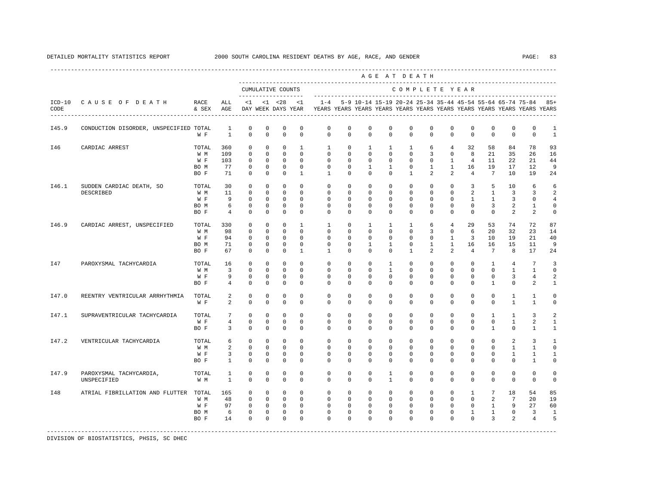|                  |                                        |               |                              |                            |                            |                                          |                         |                         |                         |                         | AGE AT DEATH            |                         |               |                |                |                                                           |                             |                                                                         |                   |
|------------------|----------------------------------------|---------------|------------------------------|----------------------------|----------------------------|------------------------------------------|-------------------------|-------------------------|-------------------------|-------------------------|-------------------------|-------------------------|---------------|----------------|----------------|-----------------------------------------------------------|-----------------------------|-------------------------------------------------------------------------|-------------------|
|                  |                                        |               |                              |                            |                            | CUMULATIVE COUNTS<br>$- - - - - - - - -$ |                         |                         |                         |                         |                         |                         |               | COMPLETE YEAR  |                |                                                           |                             |                                                                         |                   |
| $ICD-10$<br>CODE | CAUSE OF DEATH                         | RACE<br>& SEX | ALL<br>AGE                   | <1                         |                            | $< 1$ $< 28$<br>DAY WEEK DAYS YEAR       | $\leq 1$                | $1 - 4$                 |                         |                         |                         |                         |               |                |                | 5-9 10-14 15-19 20-24 25-34 35-44 45-54 55-64 65-74 75-84 |                             | YEARS YEARS YEARS YEARS YEARS YEARS YEARS YEARS YEARS YEARS YEARS YEARS | $85+$             |
| I45.9            | CONDUCTION DISORDER, UNSPECIFIED TOTAL | W F           | $\mathbf{1}$<br>$\mathbf{1}$ | $\mathbb O$<br>$\mathbf 0$ | $\mathbf 0$<br>$\mathbf 0$ | $\mathbb O$<br>$\Omega$                  | $\mathbf 0$<br>$\Omega$ | $\mathbf 0$<br>$\Omega$ | $\mathbf 0$<br>$\Omega$ | $\mathbb O$<br>$\Omega$ | $\mathbb O$<br>$\Omega$ | $\mathbf 0$<br>$\Omega$ | 0<br>$\Omega$ | 0<br>$\Omega$  | 0<br>$\Omega$  | 0<br>$\Omega$                                             | $\mathsf 0$<br>$\mathbf{0}$ | $\mathsf 0$<br>$\mathbf 0$                                              | 1<br>$\mathbf{1}$ |
| I46              | CARDIAC ARREST                         | TOTAL         | 360                          | $\mathbf 0$                | $^{\circ}$                 | $\mathbf 0$                              | $\mathbf{1}$            | 1                       | $\mathbf 0$             | $\mathbf{1}$            | $\mathbf{1}$            | $\mathbf{1}$            | 6             | 4              | 32             | 58                                                        | 84                          | 78                                                                      | 93                |
|                  |                                        | W M           | 109                          | $\mathbf 0$                | $\mathbf{0}$               | $\mathbf 0$                              | $\Omega$                | $\Omega$                | $\Omega$                | $\Omega$                | $\Omega$                | $\Omega$                | 3             | $\Omega$       | 8              | 21                                                        | 35                          | 26                                                                      | 16                |
|                  |                                        | W F           | 103                          | $\mathbf 0$                | $^{\circ}$                 | $^{\circ}$                               | $\Omega$                | $\mathbf{0}$            | 0                       | 0                       | $\Omega$                | $\mathbf{0}$            | $\mathbf 0$   | $\mathbf{1}$   | $\overline{4}$ | 11                                                        | 22                          | 21                                                                      | 44                |
|                  |                                        | BO M          | 77                           | $\mathbf 0$                | $^{\circ}$                 | $^{\circ}$                               | $\mathbf 0$             | $\mathbf 0$             | 0                       | $\mathbf{1}$            | $\mathbf{1}$            | $\mathbf 0$             | $\mathbf{1}$  | $\mathbf{1}$   | 16             | 19                                                        | 17                          | 12                                                                      | 9                 |
|                  |                                        | BO F          | 71                           | $\Omega$                   | $\Omega$                   | $\Omega$                                 | $\overline{1}$          | $\overline{1}$          | $\Omega$                | $\Omega$                | $\Omega$                | $\overline{1}$          | 2             | 2              | $\overline{4}$ | $7\phantom{.0}$                                           | 10                          | 19                                                                      | 24                |
| I46.1            | SUDDEN CARDIAC DEATH, SO               | TOTAL         | 30                           | $\mathbf 0$                | $\mathbf 0$                | $\Omega$                                 | $\Omega$                | $\Omega$                | $\Omega$                | $\Omega$                | $\Omega$                | $\Omega$                | $\Omega$      | $\Omega$       | $\overline{3}$ | 5                                                         | 10                          | 6                                                                       | 6                 |
|                  | DESCRIBED                              | W M           | 11                           | $\mathbf 0$                | $^{\circ}$                 | $\mathbf 0$                              | $\Omega$                | $\Omega$                | 0                       | $\Omega$                | $\Omega$                | $\Omega$                | 0             | 0              | 2              | $\mathbf{1}$                                              | 3                           | 3                                                                       | 2                 |
|                  |                                        | W F           | 9                            | 0                          | 0                          | 0                                        | $^{\circ}$              | 0                       | 0                       | 0                       | 0                       | 0                       | 0             | 0              | 1              | 1                                                         | 3                           | 0                                                                       | $\overline{4}$    |
|                  |                                        | BO M          | 6                            | $\mathbf 0$                | 0                          | 0                                        | 0                       | 0                       | 0                       | 0                       | 0                       | 0                       | 0             | 0              | 0              | 3                                                         | 2                           | 1                                                                       | 0                 |
|                  |                                        | BO F          | $\overline{4}$               | $^{\circ}$                 | $^{\circ}$                 | 0                                        | 0                       | $\mathbf{0}$            | 0                       | 0                       | 0                       | 0                       | $\mathbf 0$   | 0              | $\mathbf 0$    | $\mathbf 0$                                               | 2                           | 2                                                                       | 0                 |
| I46.9            | CARDIAC ARREST, UNSPECIFIED            | TOTAL         | 330                          | 0                          | $^{\circ}$                 | $^{\circ}$                               | 1                       | 1                       | 0                       | $\mathbf{1}$            | 1                       | $\mathbf{1}$            | 6             | $\overline{4}$ | 29             | 53                                                        | 74                          | 72                                                                      | 87                |
|                  |                                        | W M           | 98                           | $\mathbf 0$                | $^{\circ}$                 | $\mathbf 0$                              | $\mathbf 0$             | $\mathbf 0$             | 0                       | $\mathbf 0$             | $\mathbf 0$             | $\mathbf 0$             | 3             | $\mathbf 0$    | 6              | 20                                                        | 32                          | 23                                                                      | 14                |
|                  |                                        | W F           | 94                           | $\mathbf 0$                | $^{\circ}$                 | $^{\circ}$                               | $\Omega$                | $\Omega$                | $\Omega$                | 0                       | $\Omega$                | $\Omega$                | $\mathbf 0$   | 1              | $\overline{3}$ | 10                                                        | 19                          | 21                                                                      | 40                |
|                  |                                        | BO M          | 71                           | $\mathbf 0$                | $^{\circ}$                 | $\mathbf 0$                              | $\mathbf 0$             | $\mathbf 0$             | $\mathbf 0$             | $\mathbf{1}$            | $\mathbf{1}$            | $\mathbf 0$             | $\mathbf{1}$  | $\mathbf{1}$   | 16             | 16                                                        | 15                          | 11                                                                      | 9                 |
|                  |                                        | BO F          | 67                           | $\mathbf 0$                | $^{\circ}$                 | $^{\circ}$                               | $\mathbf{1}$            | $\mathbf{1}$            | $\mathbf 0$             | $\mathbf 0$             | $\mathbf 0$             | $\mathbf{1}$            | 2             | 2              | $\overline{4}$ | $7\phantom{.0}$                                           | 8                           | 17                                                                      | 24                |
| I47              | PAROXYSMAL TACHYCARDIA                 | TOTAL         | 16                           | $\mathbf 0$                | $\Omega$                   | $\Omega$                                 | $\Omega$                | $\Omega$                | $\Omega$                | $\Omega$                | $\overline{1}$          | $\Omega$                | $\Omega$      | $\Omega$       | $\Omega$       | $\mathbf{1}$                                              | $\overline{4}$              | 7                                                                       | 3                 |
|                  |                                        | W M           | $\overline{3}$               | $\mathbf 0$                | $\mathbf{0}$               | $\mathbf 0$                              | $\Omega$                | $\mathbf 0$             | 0                       | $\mathbf 0$             | $\mathbf{1}$            | $\mathbf 0$             | $\mathbf 0$   | $\mathbf 0$    | $\mathbf 0$    | $\Omega$                                                  | $\mathbf{1}$                | $\mathbf{1}$                                                            | $\circ$           |
|                  |                                        | W F           | 9                            | $\mathbf 0$                | $\mathbf 0$                | $\mathbf 0$                              | $\Omega$                | $\Omega$                | $\Omega$                | $\Omega$                | $\Omega$                | $\Omega$                | $\Omega$      | $\Omega$       | $\Omega$       | $\Omega$                                                  | 3                           | $\overline{4}$                                                          | $\mathfrak{D}$    |
|                  |                                        | BO F          | $\overline{4}$               | $\Omega$                   | $\Omega$                   | $\Omega$                                 | $\Omega$                | $\Omega$                | $\Omega$                | $\Omega$                | $\Omega$                | $\Omega$                | $\Omega$      | $\Omega$       | $\Omega$       | $\mathbf{1}$                                              | $\Omega$                    | 2                                                                       | 1                 |
| I47.0            | REENTRY VENTRICULAR ARRHYTHMIA         | TOTAL         | 2                            | $\mathbf 0$                | $\mathbf{0}$               | $\mathbf 0$                              | $\Omega$                | $\Omega$                | $\mathbf 0$             | $\mathbf 0$             | $\Omega$                | $\Omega$                | $\mathbf 0$   | $\Omega$       | $\Omega$       | $\Omega$                                                  | $\mathbf{1}$                | $\mathbf{1}$                                                            | $\circ$           |
|                  |                                        | W F           | $\mathfrak{D}$               | $\mathbf 0$                | $\mathbf 0$                | $\Omega$                                 | $\Omega$                | $\Omega$                | $\Omega$                | $\Omega$                | $\Omega$                | $\Omega$                | $\Omega$      | $\Omega$       | $\Omega$       | $\Omega$                                                  | $\mathbf{1}$                | $\mathbf{1}$                                                            | $\mathbf 0$       |
| I47.1            | SUPRAVENTRICULAR TACHYCARDIA           | TOTAL         | 7                            | $\mathbf 0$                | $\mathbf 0$                | $\mathbf 0$                              | $\mathbf 0$             | $\mathbf 0$             | $\mathbf 0$             | $\mathbf 0$             | $\mathbf 0$             | $\mathbf 0$             | $\mathbf 0$   | $\mathbf 0$    | $\mathbf 0$    | $\mathbf{1}$                                              | $\mathbf{1}$                | 3                                                                       | 2                 |
|                  |                                        | W F           | $\overline{4}$               | $\mathbf 0$                | 0                          | $\mathbf 0$                              | 0                       | $\mathbf{0}$            | 0                       | $\mathbf 0$             | 0                       | $\mathbf{0}$            | $\mathbf{0}$  | 0              | 0              | 0                                                         | $\mathbf{1}$                | 2                                                                       | 1                 |
|                  |                                        | BO F          | 3                            | $\mathbf 0$                | 0                          | $^{\circ}$                               | $^{\circ}$              | $\mathbf{0}$            | 0                       | 0                       | 0                       | $\Omega$                | 0             | 0              | 0              | 1                                                         | $\mathbf{0}$                | 1                                                                       | 1                 |
| I47.2            | VENTRICULAR TACHYCARDIA                | TOTAL         | 6                            | $\mathbf 0$                | $^{\circ}$                 | 0                                        | $\mathbf 0$             | $\mathbf 0$             | $\mathbf 0$             | $\mathbf 0$             | $\mathbf 0$             | $\mathbf 0$             | $\mathbf 0$   | $\mathbf 0$    | $\mathbf 0$    | $\Omega$                                                  | 2                           | 3                                                                       | $\mathbf{1}$      |
|                  |                                        | W M           | 2                            | $\mathbf 0$                | $^{\circ}$                 | $\mathbf 0$                              | $\Omega$                | 0                       | 0                       | 0                       | 0                       | $\mathbf{0}$            | 0             | 0              | $\Omega$       | $\Omega$                                                  | $\mathbf{1}$                | 1                                                                       | $\mathbf 0$       |
|                  |                                        | W F           | 3                            | 0                          | $^{\circ}$                 | $^{\circ}$                               | $^{\circ}$              | $\mathbf{0}$            | 0                       | 0                       | 0                       | $\mathbf{0}$            | $\mathbf{0}$  | 0              | 0              | 0                                                         | 1                           | 1                                                                       | 1                 |
|                  |                                        | BO F          | $\mathbf{1}$                 | $\mathbf 0$                | $\mathbf 0$                | $\mathbf 0$                              | $\mathbf 0$             | $\Omega$                | $\mathbf 0$             | $\mathbf 0$             | $\mathbf 0$             | $\mathbf 0$             | $\mathbf 0$   | 0              | $\mathbf 0$    | $\Omega$                                                  | $\mathbf 0$                 | 1                                                                       | $\mathbf 0$       |
| I47.9            | PAROXYSMAL TACHYCARDIA,                | TOTAL         | $\mathbf{1}$                 | $\mathbf 0$                | $^{\circ}$                 | $\mathbf 0$                              | $\mathbf 0$             | $\mathbf 0$             | $\mathbf 0$             | $\mathbf 0$             | $\mathbf{1}$            | $\mathbf 0$             | $\mathbf 0$   | $\mathbf 0$    | $\mathbf 0$    | $\mathbf 0$                                               | $\mathbf 0$                 | $\mathbf 0$                                                             | $\mathbf 0$       |
|                  | UNSPECIFIED                            | W M           | 1                            | $\mathbf 0$                | $\mathbf 0$                | $\mathbf 0$                              | $\Omega$                | $\Omega$                | $\Omega$                | $\Omega$                | $\mathbf{1}$            | $\Omega$                | $\mathbf 0$   | $\Omega$       | $\mathbf 0$    | $\Omega$                                                  | $\mathbf 0$                 | $\mathbf 0$                                                             | $\circ$           |
| I48              | ATRIAL FIBRILLATION AND FLUTTER        | TOTAL         | 165                          | $\mathbf 0$                | $^{\circ}$                 | $\mathbf{0}$                             | $\mathbf 0$             | $\mathbf 0$             | $\mathbf 0$             | $\mathbf 0$             | $\mathbf 0$             | $\mathbf 0$             | $\mathbf 0$   | $\mathbf 0$    | $\mathbf{1}$   | $7\phantom{.0}$                                           | 18                          | 54                                                                      | 85                |
|                  |                                        | W M           | 48                           | $\mathbf 0$                | $^{\circ}$                 | $^{\circ}$                               | $\Omega$                | $\Omega$                | $\Omega$                | $\Omega$                | $\Omega$                | $\Omega$                | $\Omega$      | $\mathbf 0$    | $\Omega$       | 2                                                         | $7\phantom{.0}$             | 20                                                                      | 19                |
|                  |                                        | W F           | 97                           | $\mathbf 0$                | $^{\circ}$                 | $\circ$                                  | $\Omega$                | $\Omega$                | $\mathbf 0$             | $\Omega$                | $\Omega$                | $\Omega$                | $\Omega$      | $\mathbf 0$    | $\Omega$       | $\mathbf{1}$                                              | 9                           | 27                                                                      | 60                |
|                  |                                        | BO M          | 6                            | $\mathbf 0$                | $\mathbf 0$                | $\mathbf 0$                              | $\mathbf 0$             | $\mathbf 0$             | $\mathbf 0$             | $\mathbf 0$             | $\mathbf 0$             | $\mathbf 0$             | $\mathbf 0$   | $\mathbf 0$    | $\mathbf{1}$   | $\mathbf{1}$                                              | $\mathbf 0$                 | $\overline{3}$                                                          | $\mathbf{1}$      |
|                  |                                        | BO F          | 14                           | $\Omega$                   | $\Omega$                   | $\mathbf 0$                              | $\Omega$                | $\Omega$                | $\Omega$                | $\Omega$                | $\Omega$                | $\Omega$                | $\Omega$      | $\Omega$       | $\Omega$       | 3                                                         | 2                           | $\overline{4}$                                                          | 5                 |
|                  |                                        |               |                              |                            |                            |                                          |                         |                         |                         |                         |                         |                         |               |                |                |                                                           |                             |                                                                         |                   |

# DETAILED MORTALITY STATISTICS REPORT 2000 SOUTH CAROLINA RESIDENT DEATHS BY AGE, RACE, AND GENDER PAGE: 83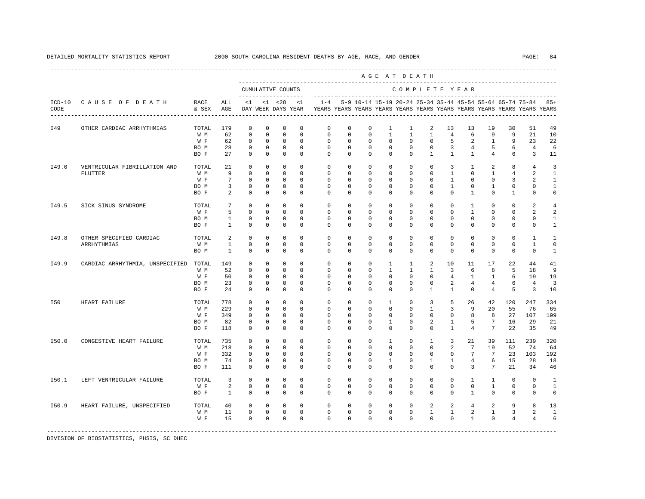| PAGE: | 84 |
|-------|----|
|-------|----|

|       |                                                         |                                     |                                |                                                                     |                                                               |                                                                         |                                                                       | AGE AT DEATH                                                            |                                                                     |                                                                      |                                                                |                                                                             |                                                                 |                                                          |                                                                |                                                               |                                                      |                                                                         |                                                                     |
|-------|---------------------------------------------------------|-------------------------------------|--------------------------------|---------------------------------------------------------------------|---------------------------------------------------------------|-------------------------------------------------------------------------|-----------------------------------------------------------------------|-------------------------------------------------------------------------|---------------------------------------------------------------------|----------------------------------------------------------------------|----------------------------------------------------------------|-----------------------------------------------------------------------------|-----------------------------------------------------------------|----------------------------------------------------------|----------------------------------------------------------------|---------------------------------------------------------------|------------------------------------------------------|-------------------------------------------------------------------------|---------------------------------------------------------------------|
|       |                                                         |                                     |                                |                                                                     |                                                               | CUMULATIVE COUNTS<br>--------------------                               |                                                                       |                                                                         |                                                                     |                                                                      |                                                                | COMPLETE YEAR                                                               |                                                                 |                                                          |                                                                |                                                               |                                                      |                                                                         |                                                                     |
| CODE  | ICD-10 CAUSE OF DEATH<br>------------------------------ | RACE<br>& SEX                       | ALL<br>AGE                     |                                                                     |                                                               | $<1$ $<1$ $<28$<br>DAY WEEK DAYS YEAR                                   | < 1                                                                   |                                                                         |                                                                     |                                                                      |                                                                |                                                                             |                                                                 |                                                          |                                                                | 1-4 5-9 10-14 15-19 20-24 25-34 35-44 45-54 55-64 65-74 75-84 |                                                      | YEARS YEARS YEARS YEARS YEARS YEARS YEARS YEARS YEARS YEARS YEARS YEARS | $85+$                                                               |
| I49   | OTHER CARDIAC ARRHYTHMIAS                               | TOTAL<br>W M<br>W F<br>BO M         | 179<br>62<br>62<br>28          | $^{\circ}$<br>$\mathbf 0$<br>$^{\circ}$<br>$\mathbf 0$              | $\mathbf{0}$<br>$\mathbf 0$<br>0<br>$\mathbf 0$               | $^{\circ}$<br>$\mathbf 0$<br>$^{\circ}$<br>$\mathbf 0$                  | $^{\circ}$<br>$^{\circ}$<br>$\mathbf 0$<br>$\circ$                    | $\circ$<br>$\mathbf 0$<br>$\mathbf 0$<br>$\mathbf 0$                    | 0<br>$\mathbf 0$<br>$\mathbf 0$<br>$\mathbf 0$                      | $\circ$<br>$\mathbf 0$<br>$\mathbf 0$<br>$\mathbf 0$                 | $\mathbf{1}$<br>$\mathbf{1}$<br>$\mathbf 0$<br>$\mathbf 0$     | $\mathbf{1}$<br>$\mathbf{1}$<br>$\mathbf{0}$<br>$\mathbf{0}$                | 2<br>$\mathbf{1}$<br>$\circ$<br>$\mathbf 0$                     | 13<br>$\overline{4}$<br>5<br>$\overline{3}$              | 13<br>6<br>2<br>$\overline{4}$                                 | 19<br>9<br>$\mathbf{1}$<br>5                                  | 30<br>9<br>9<br>6                                    | 51<br>21<br>23<br>$\overline{4}$                                        | 49<br>10<br>22<br>6                                                 |
| I49.0 | VENTRICULAR FIBRILLATION AND                            | BO F<br>TOTAL                       | 27<br>21                       | $\mathbf 0$<br>$\Omega$                                             | $\mathbf 0$<br>$\mathbf 0$                                    | $\mathbf 0$<br>$\mathbf 0$                                              | $\Omega$<br>$\Omega$                                                  | $\Omega$<br>$\mathbf 0$                                                 | $\mathbf 0$<br>$\mathbf 0$                                          | $\Omega$<br>$\mathbf 0$                                              | $\Omega$<br>$\mathbf 0$                                        | $\Omega$<br>$\mathbf{0}$                                                    | $\mathbf{1}$<br>$\Omega$                                        | $\mathbf{1}$<br>3                                        | $\mathbf{1}$<br>$\mathbf{1}$                                   | $\overline{4}$<br>2                                           | 6<br>8                                               | $\overline{3}$<br>$\overline{4}$                                        | 11<br>3                                                             |
|       | FLUTTER                                                 | W M<br>W F<br>BO M<br>BO F          | 9<br>7<br>3<br>2               | $\mathbf 0$<br>$^{\circ}$<br>$\mathbf 0$<br>$\mathbf 0$             | $\mathbf 0$<br>$\circ$<br>$\circ$<br>$\mathbf 0$              | $\mathbb O$<br>$^{\circ}$<br>$\mathbf 0$<br>$\mathbf 0$                 | $\mathbf 0$<br>$\Omega$<br>$^{\circ}$<br>$\mathbf 0$                  | $\mathbf 0$<br>$\mathbb O$<br>$\mathbf 0$<br>$\mathbf 0$                | $\mathbf 0$<br>$\Omega$<br>0<br>$\mathbf 0$                         | $\mathbf 0$<br>$\Omega$<br>$\mathbf 0$<br>$\mathbf 0$                | $\mathbf 0$<br>$^{\circ}$<br>0<br>$\mathbf 0$                  | $\mathbf 0$<br>$\mathbf{0}$<br>$\mathbb O$<br>$\mathbf 0$                   | $\mathbf 0$<br>$\Omega$<br>$\mathbf 0$<br>$\circ$               | $\mathbf{1}$<br>$\mathbf{1}$<br>$\mathbf{1}$<br>$\Omega$ | $\mathbf 0$<br>$\Omega$<br>$\mathbf 0$<br>$\mathbf{1}$         | $\mathbf{1}$<br>$\Omega$<br>$\mathbf{1}$<br>$\mathbf 0$       | $\overline{4}$<br>3<br>$\mathbf{0}$<br>$\mathbf{1}$  | 2<br>2<br>$\mathbf 0$<br>$\mathbf 0$                                    | $\mathbf{1}$<br>$\mathbf{1}$<br>$\mathbf{1}$<br>$\mathsf{O}\xspace$ |
| I49.5 | SICK SINUS SYNDROME                                     | TOTAL<br>W F<br>BO M<br>BO F        | 7<br>5<br>1<br>$\mathbf{1}$    | $\mathbf 0$<br>$\Omega$<br>$\mathbf 0$<br>$\mathbf 0$               | $\mathbf 0$<br>$\Omega$<br>0<br>$\mathbf 0$                   | $\mathbf 0$<br>$\mathbf 0$<br>$\mathbf 0$<br>$\mathbf 0$                | $\Omega$<br>$\Omega$<br>$\mathbf 0$<br>$\mathbf 0$                    | $\mathbf 0$<br>$\Omega$<br>$\mathbf 0$<br>$\mathbf 0$                   | $\mathbf 0$<br>$\Omega$<br>$\mathbf 0$<br>$\mathbf 0$               | $\mathbf 0$<br>$\Omega$<br>$\mathbf 0$<br>$\mathbf 0$                | $\mathbf 0$<br>$\Omega$<br>$\mathbf 0$<br>$\mathbf 0$          | $\mathbf{0}$<br>$\Omega$<br>$\mathbf{0}$<br>$\mathbf 0$                     | $\Omega$<br>$\Omega$<br>$\Omega$<br>$\mathbf 0$                 | $\Omega$<br>$\Omega$<br>$\Omega$<br>$\mathbf 0$          | $\mathbf{1}$<br>$\mathbf{1}$<br>$\Omega$<br>$\mathbf 0$        | $\Omega$<br>$\Omega$<br>$\Omega$<br>$\mathbf 0$               | $\Omega$<br>$\Omega$<br>$\mathbf{0}$<br>$\mathbf{0}$ | 2<br>2<br>$\mathbf 0$<br>$\mathbf 0$                                    | 4<br>2<br>$\mathbf{1}$<br>$\mathbf{1}$                              |
| I49.8 | OTHER SPECIFIED CARDIAC<br>ARRHYTHMIAS                  | TOTAL<br>W M<br>BO M                | 2<br>1<br>$\overline{1}$       | $\mathbf 0$<br>$\mathbf 0$<br>$\Omega$                              | $\mathbf 0$<br>0<br>$\Omega$                                  | $\mathbf 0$<br>$\mathbf 0$<br>$\mathbf 0$                               | $^{\circ}$<br>0<br>$\Omega$                                           | $\mathbf 0$<br>$\mathbf 0$<br>$\Omega$                                  | $\mathbf 0$<br>$^{\circ}$<br>$\Omega$                               | $\mathbf 0$<br>$^{\circ}$<br>$\Omega$                                | $\mathbf 0$<br>0<br>$\Omega$                                   | $\mathbf{0}$<br>$\mathbf{0}$<br>$\Omega$                                    | $\circ$<br>0<br>$\Omega$                                        | $\mathbf 0$<br>0<br>$\Omega$                             | $\mathbf 0$<br>0<br>$\Omega$                                   | $\mathbf 0$<br>$\mathbf 0$<br>$\Omega$                        | $\mathbf 0$<br>$\mathbf{0}$<br>$\mathbf{0}$          | $\mathbf{1}$<br>$\mathbf{1}$<br>$\mathbf 0$                             | $\mathbf{1}$<br>$\mathbf 0$<br>$\mathbf{1}$                         |
| I49.9 | CARDIAC ARRHYTHMIA, UNSPECIFIED                         | TOTAL<br>W M<br>W F<br>BO M<br>BO F | 149<br>52<br>50<br>23<br>24    | $\mathbf 0$<br>$\Omega$<br>$\mathbf 0$<br>0<br>$\mathbf 0$          | $\mathbf 0$<br>$\Omega$<br>$\mathbf 0$<br>0<br>0              | $\mathbf 0$<br>$\Omega$<br>$\mathbf 0$<br>0<br>$^{\circ}$               | $\Omega$<br>$\Omega$<br>$\mathbf 0$<br>$\mathbf 0$<br>$\mathbf 0$     | $\mathbf{0}$<br>$\Omega$<br>$\mathbf 0$<br>$\mathbf 0$<br>$\mathbf 0$   | $\mathbf 0$<br>$\Omega$<br>$\mathbf 0$<br>$^{\circ}$<br>$\mathbf 0$ | $\Omega$<br>$\Omega$<br>$\mathbf 0$<br>0<br>$\mathbf 0$              | 1<br>$\mathbf{1}$<br>$\mathbf 0$<br>0<br>$\mathbf 0$           | $\mathbf{1}$<br>$\mathbf{1}$<br>$\mathbb O$<br>$\mathbb O$<br>$\mathbf{0}$  | 2<br>$\mathbf{1}$<br>$\mathbf 0$<br>$\mathbf 0$<br>$\mathbf{1}$ | 10<br>3<br>$\overline{4}$<br>2<br>$\mathbf{1}$           | 11<br>6<br>$\mathbf{1}$<br>4<br>$\mathbf 0$                    | 17<br>8<br>$\mathbf{1}$<br>$\overline{4}$<br>$\overline{4}$   | 22<br>5<br>6<br>6<br>5                               | 44<br>18<br>19<br>$\overline{4}$<br>3                                   | 41<br>9<br>19<br>3<br>10                                            |
| I50   | HEART FAILURE                                           | TOTAL<br>W M<br>W F<br>BO M<br>BO F | 778<br>229<br>349<br>82<br>118 | $^{\circ}$<br>$\mathbf 0$<br>$\mathbf 0$<br>$\Omega$<br>$\mathbf 0$ | $\mathbf 0$<br>$\mathbf 0$<br>0<br>$\Omega$<br>$\mathbf 0$    | $\mathbf 0$<br>$\mathbf 0$<br>$\mathbf 0$<br>$^{\circ}$<br>$\mathbf{0}$ | $\Omega$<br>$\mathbf{0}$<br>$\mathbf 0$<br>$\mathbf 0$<br>$\mathbf 0$ | $\mathbf 0$<br>$\mathbf 0$<br>$\mathbf 0$<br>$\mathbf 0$<br>$\mathbf 0$ | $\Omega$<br>$\mathbf 0$<br>$\Omega$<br>$\Omega$<br>$\mathbf 0$      | $\Omega$<br>$\mathbf 0$<br>$\mathbf 0$<br>$\mathbf 0$<br>$\Omega$    | 1<br>$\mathbf 0$<br>$\mathbf 0$<br>1<br>$\mathbf 0$            | $\mathbf{0}$<br>$\mathbf{0}$<br>$\mathbf 0$<br>$\mathbf{0}$<br>$\mathbf{0}$ | 3<br>$\mathbf{1}$<br>$\Omega$<br>2<br>$\mathbf 0$               | 5<br>3<br>$\mathbf 0$<br>$\mathbf{1}$<br>$\mathbf{1}$    | 26<br>9<br>8<br>5<br>$\overline{4}$                            | 42<br>20<br>8<br>$7\phantom{.0}$<br>$\overline{7}$            | 120<br>55<br>27<br>16<br>22                          | 247<br>76<br>107<br>29<br>35                                            | 334<br>65<br>199<br>21<br>49                                        |
| I50.0 | CONGESTIVE HEART FAILURE                                | TOTAL<br>W M<br>W F<br>BO M<br>BO F | 735<br>218<br>332<br>74<br>111 | $\mathbf 0$<br>$\mathbf 0$<br>$^{\circ}$<br>$\mathbf 0$<br>$\Omega$ | $\mathbf 0$<br>$\circ$<br>$\mathbf{0}$<br>$\circ$<br>$\Omega$ | 0<br>$\mathbf 0$<br>$^{\circ}$<br>$\mathbf 0$<br>$^{\circ}$             | $^{\circ}$<br>$\mathbf 0$<br>$^{\circ}$<br>$\mathbf 0$<br>$\Omega$    | $\mathbf 0$<br>$\mathbf 0$<br>$^{\circ}$<br>$\mathbf 0$<br>$\Omega$     | $\mathbf 0$<br>$\mathbf 0$<br>$\Omega$<br>$\mathbf 0$<br>$\Omega$   | $\mathbf 0$<br>$\mathbf 0$<br>$\mathbf 0$<br>$\mathbf 0$<br>$\Omega$ | 1<br>$\mathbf 0$<br>$\mathbf 0$<br>$\mathbf{1}$<br>$\mathbf 0$ | $\mathbf{0}$<br>$\mathbf{0}$<br>$\mathbf{0}$<br>$\mathbf 0$<br>$\Omega$     | $\mathbf{1}$<br>0<br>$\Omega$<br>$\mathbf{1}$<br>$\Omega$       | 3<br>2<br>$\Omega$<br>$\mathbf{1}$<br>$\Omega$           | 21<br>7<br>$7\phantom{.0}$<br>$\overline{4}$<br>$\overline{3}$ | 39<br>19<br>$7\phantom{.0}$<br>6<br>$7\overline{ }$           | 111<br>52<br>23<br>15<br>21                          | 239<br>74<br>103<br>28<br>34                                            | 320<br>64<br>192<br>18<br>46                                        |
| I50.1 | LEFT VENTRICULAR FAILURE                                | TOTAL<br>W F<br>BO F                | 3<br>2<br>$\mathbf{1}$         | $\Omega$<br>$\mathbf 0$<br>$^{\circ}$                               | $\Omega$<br>$\circ$<br>0                                      | $^{\circ}$<br>$\mathbf 0$<br>$^{\circ}$                                 | $\Omega$<br>$^{\circ}$<br>0                                           | $\Omega$<br>$\mathbf 0$<br>$^{\circ}$                                   | $\Omega$<br>$\mathbf 0$<br>$\circ$                                  | $\Omega$<br>$\mathbf 0$<br>$\circ$                                   | $\Omega$<br>$\mathbf 0$<br>$^{\circ}$                          | $\Omega$<br>$\mathbf{0}$<br>$\mathbf 0$                                     | $\Omega$<br>$\circ$<br>0                                        | $\Omega$<br>$\Omega$<br>$\mathbf 0$                      | $\mathbf{1}$<br>$\Omega$<br>$\mathbf{1}$                       | $\mathbf{1}$<br>$\mathbf{1}$<br>$\mathbf 0$                   | $\Omega$<br>$\mathbf{0}$<br>$\mathbf 0$              | $\Omega$<br>$\mathbf 0$<br>$\mathbf 0$                                  | $\mathbf{1}$<br>1<br>$\mathbf 0$                                    |
| I50.9 | HEART FAILURE, UNSPECIFIED                              | TOTAL<br>W M<br>W F                 | 40<br>11<br>15                 | $\mathbf 0$<br>$\mathbf 0$<br>$\mathbf 0$                           | $\mathbf 0$<br>$\mathbf 0$<br>$\mathbf 0$                     | $\mathbf 0$<br>$\mathbf 0$<br>$\mathbf 0$                               | $\Omega$<br>$\mathbf 0$<br>$\Omega$                                   | $\mathbf 0$<br>$\mathbf 0$<br>$\Omega$                                  | $\mathbf 0$<br>$\mathbf 0$<br>$\Omega$                              | $\mathbf 0$<br>$\mathbb O$<br>$\Omega$                               | $\mathbf 0$<br>$\mathbf 0$<br>$\Omega$                         | $\mathbf{0}$<br>$\mathbb O$<br>$\Omega$                                     | 2<br>$\mathbf{1}$<br>$\mathbf 0$                                | 2<br>$\mathbf{1}$<br>$\Omega$                            | $\overline{4}$<br>$\overline{a}$<br>$\mathbf{1}$               | 2<br>$\mathbf{1}$<br>$\Omega$                                 | 9<br>3<br>$\overline{4}$                             | 8<br>2<br>$\overline{4}$                                                | 13<br>$\mathbf{1}$<br>6                                             |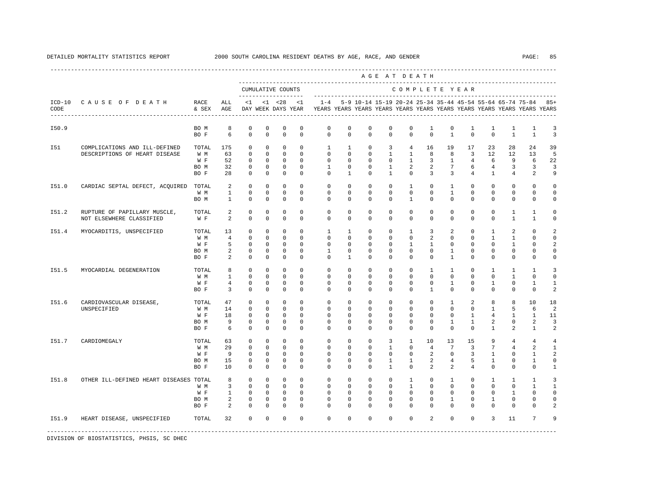|       |                                        |               |                |                         |                         |                                          |                         |                         |                         |               | AGE AT DEATH                                                                                                                         |                |                |                   |                |                 |                   |                   |                |
|-------|----------------------------------------|---------------|----------------|-------------------------|-------------------------|------------------------------------------|-------------------------|-------------------------|-------------------------|---------------|--------------------------------------------------------------------------------------------------------------------------------------|----------------|----------------|-------------------|----------------|-----------------|-------------------|-------------------|----------------|
|       |                                        |               |                |                         |                         | CUMULATIVE COUNTS<br>------------------- |                         |                         |                         |               |                                                                                                                                      | COMPLETE YEAR  |                |                   |                |                 |                   |                   |                |
| CODE  | ICD-10 CAUSE OF DEATH                  | RACE<br>& SEX | ALL<br>AGE     | <1                      |                         | $< 1$ $< 28$<br>DAY WEEK DAYS YEAR       | <1                      | $1 - 4$                 |                         |               | 5-9 10-14 15-19 20-24 25-34 35-44 45-54 55-64 65-74 75-84<br>YEARS YEARS YEARS YEARS YEARS YEARS YEARS YEARS YEARS YEARS YEARS YEARS |                |                |                   |                |                 |                   |                   | $85+$          |
| I50.9 |                                        | BO M<br>BO F  | 8<br>6         | $\mathbf 0$<br>$\Omega$ | $\mathbf 0$<br>$\Omega$ | $\mathbf 0$<br>$\mathbf 0$               | $\mathbb O$<br>$\Omega$ | $\mathbb O$<br>$\Omega$ | $\mathbf 0$<br>$\Omega$ | 0<br>$\Omega$ | 0<br>$\Omega$                                                                                                                        | 0<br>$\Omega$  | 1<br>$\Omega$  | 0<br>$\mathbf{1}$ | 1<br>$\Omega$  | 1<br>$\Omega$   | 1<br>$\mathbf{1}$ | 1<br>$\mathbf{1}$ | 3<br>3         |
|       |                                        |               |                |                         |                         |                                          |                         |                         |                         |               |                                                                                                                                      |                |                |                   |                |                 |                   |                   |                |
| I51   | COMPLICATIONS AND ILL-DEFINED          | TOTAL         | 175            | $\mathbf 0$             | $\mathbf 0$             | $\mathbf 0$                              | $\Omega$                | $\mathbf{1}$            | $\mathbf{1}$            | $\mathbf 0$   | 3                                                                                                                                    | $\overline{4}$ | 16             | 19                | 17             | 23              | 28                | 24                | 39             |
|       | DESCRIPTIONS OF HEART DISEASE          | W M           | 63             | $\Omega$                | $\Omega$                | $\mathbf 0$                              | $\Omega$                | $\Omega$                | $\Omega$                | $\Omega$      | $\mathbf{1}$                                                                                                                         | $\mathbf{1}$   | 8              | 8                 | $\overline{3}$ | 12              | 12                | 13                | 5              |
|       |                                        | W F           | 52             | $\mathbf 0$             | $^{\circ}$              | $\mathbf 0$                              | $\Omega$                | $\Omega$                | $\Omega$                | $\Omega$      | 0                                                                                                                                    | $\mathbf{1}$   | 3              | $\mathbf{1}$      | $\overline{4}$ | 6               | 9                 | 6                 | 22             |
|       |                                        | BO M          | 32             | $\mathbf 0$             | $\Omega$                | $\mathbf 0$                              | $\Omega$                | $\mathbf{1}$            | $\Omega$                | $\mathbf 0$   | $\mathbf{1}$                                                                                                                         | $\overline{a}$ | $\overline{a}$ | $7\overline{ }$   | 6              | $\overline{4}$  | $\overline{3}$    | $\overline{3}$    | 3              |
|       |                                        | BO F          | 28             | $\Omega$                | $\Omega$                | $\Omega$                                 | $\Omega$                | $\Omega$                | $\mathbf{1}$            | $\Omega$      | $\mathbf{1}$                                                                                                                         | $\Omega$       | $\overline{3}$ | 3                 | $\overline{4}$ | $\mathbf{1}$    | $\overline{4}$    | 2                 | 9              |
| I51.0 | CARDIAC SEPTAL DEFECT, ACOUIRED        | TOTAL         | 2              | $\Omega$                | $\Omega$                | $\Omega$                                 | $\Omega$                | $\Omega$                | $\Omega$                | $\Omega$      | $\Omega$                                                                                                                             | $\overline{1}$ | $\Omega$       | $\mathbf{1}$      | $\Omega$       | $\Omega$        | $\Omega$          | $\Omega$          | $\Omega$       |
|       |                                        | W M           | $\mathbf{1}$   | $\mathbf 0$             | $\mathbf{0}$            | $\mathbf 0$                              | $\Omega$                | $\Omega$                | $\Omega$                | $\Omega$      | $\Omega$                                                                                                                             | $\Omega$       | $\Omega$       | $\mathbf{1}$      | $\Omega$       | $\Omega$        | $\mathbf{0}$      | $\mathbf{0}$      | $\Omega$       |
|       |                                        | BO M          | $\mathbf{1}$   | $\circ$                 | $\mathbf{0}$            | $\mathbf 0$                              | $\mathbf 0$             | $\Omega$                | $\mathbf{0}$            | 0             | 0                                                                                                                                    | $\mathbf{1}$   | $\mathbf{0}$   | $\mathbf{0}$      | $\mathbf 0$    | $\mathbf 0$     | $\mathbf{0}$      | 0                 | 0              |
| I51.2 | RUPTURE OF PAPILLARY MUSCLE,           | TOTAL         | 2              | $^{\circ}$              | $\mathbf{0}$            | 0                                        | 0                       | $\mathbf{0}$            | 0                       | 0             | 0                                                                                                                                    | $\mathbf{0}$   | $\mathbf{0}$   | $\circ$           | $^{\circ}$     | $\circ$         | $\mathbf{1}$      | $\mathbf{1}$      | 0              |
|       | NOT ELSEWHERE CLASSIFIED               | W F           | 2              | $\Omega$                | $\Omega$                | $\Omega$                                 | $\Omega$                | $\Omega$                | $\Omega$                | $\Omega$      | $\Omega$                                                                                                                             | $\Omega$       | $\Omega$       | $\Omega$          | $\Omega$       | $\Omega$        | $\mathbf{1}$      | $\mathbf{1}$      | 0              |
| I51.4 | MYOCARDITIS, UNSPECIFIED               | TOTAL         | 13             | $^{\circ}$              | $^{\circ}$              | $^{\circ}$                               | $\mathbf 0$             | $\mathbf{1}$            | 1                       | 0             | 0                                                                                                                                    | $\mathbf{1}$   | 3              | 2                 | $\mathbf 0$    | $\mathbf{1}$    | 2                 | $\mathbf 0$       |                |
|       |                                        | W M           | $\overline{4}$ | $\Omega$                | $\Omega$                | $\mathbf 0$                              | $\Omega$                | $\Omega$                | $\Omega$                | $\Omega$      | $\Omega$                                                                                                                             | $\Omega$       | $\overline{a}$ | $\Omega$          | $\Omega$       | $\mathbf{1}$    | $\mathbf{1}$      | $\Omega$          | $\Omega$       |
|       |                                        | W F           | 5              | $\Omega$                | $\mathbf 0$             | $\mathbf 0$                              | $\Omega$                | $\Omega$                | $\Omega$                | $\Omega$      | $\Omega$                                                                                                                             | $\mathbf{1}$   | $\mathbf{1}$   | $\mathbf 0$       | $\Omega$       | $\Omega$        | $\mathbf{1}$      | $\Omega$          | $\mathfrak{D}$ |
|       |                                        | BO M          | 2              | $\mathbf 0$             | $^{\circ}$              | $\mathbf 0$                              | $\mathbf 0$             | $\mathbf{1}$            | $\mathbf 0$             | $^{\circ}$    | $\mathbf 0$                                                                                                                          | $\mathbf 0$    | $\mathbf{0}$   | $\mathbf{1}$      | $\mathbf 0$    | $\mathbf 0$     | $\mathsf{O}$      | $\mathbf 0$       | 0              |
|       |                                        | BO F          | 2              | $\mathbf 0$             | $\mathbf 0$             | $\mathbf 0$                              | $\Omega$                | $\Omega$                | 1                       | $\Omega$      | $\mathbf 0$                                                                                                                          | $\Omega$       | $\mathbf 0$    | $\mathbf{1}$      | $\mathbf 0$    | $\mathbf 0$     | $\mathbf 0$       | $\mathbf{0}$      | 0              |
| I51.5 | MYOCARDIAL DEGENERATION                | TOTAL         | 8              | $\mathbf 0$             | $\mathbf 0$             | $\mathbf 0$                              | $\mathbf 0$             | $\mathbf 0$             | $\mathbf 0$             | $\mathbf 0$   | $\mathbf 0$                                                                                                                          | $\mathbf 0$    | $\mathbf{1}$   | $\mathbf{1}$      | $\mathbf 0$    | $\mathbf{1}$    | $\mathbf{1}$      | $\mathbf{1}$      | 3              |
|       |                                        | W M           | $\mathbf{1}$   | $\Omega$                | $\Omega$                | $\Omega$                                 | $\Omega$                | $\Omega$                | $\Omega$                | $\Omega$      | $\Omega$                                                                                                                             | $\Omega$       | $\Omega$       | $\Omega$          | $\Omega$       | $\Omega$        | $\mathbf{1}$      | $\Omega$          | 0              |
|       |                                        | W F           | $\overline{4}$ | $\circ$                 | $\Omega$                | $\mathbf 0$                              | $\Omega$                | $\Omega$                | $\Omega$                | $\Omega$      | $\Omega$                                                                                                                             | $\Omega$       | $\Omega$       | $\mathbf{1}$      | $\Omega$       | 1               | $\mathbf 0$       | 1                 | 1              |
|       |                                        | BO F          | $\overline{3}$ | $\Omega$                | $\Omega$                | $\Omega$                                 | $\Omega$                | $\Omega$                | $\mathbf 0$             | $\Omega$      | $\Omega$                                                                                                                             | $\Omega$       | $\overline{1}$ | $\Omega$          | $\Omega$       | $\Omega$        | $\mathbf 0$       | $\mathbf 0$       | 2              |
| I51.6 | CARDIOVASCULAR DISEASE,                | TOTAL         | 47             | $\Omega$                | $\Omega$                | $\Omega$                                 | $\Omega$                | $\Omega$                | $\Omega$                | $\Omega$      | $\Omega$                                                                                                                             | $\Omega$       | $\Omega$       | $\mathbf{1}$      | $\mathfrak{D}$ | 8               | 8                 | 10                | 18             |
|       | UNSPECIFIED                            | W M           | 14             | $\Omega$                | $\Omega$                | $\Omega$                                 | $\Omega$                | $\Omega$                | $\Omega$                | $\Omega$      | $\Omega$                                                                                                                             | $\Omega$       | $\Omega$       | $\Omega$          | $\Omega$       | $\mathbf{1}$    | 5                 | 6                 | $\overline{a}$ |
|       |                                        | W F           | 18             | $\mathbf 0$             | $\mathbf{0}$            | $\mathbf 0$                              | $\mathbf 0$             | $\mathbf 0$             | 0                       | $^{\circ}$    | 0                                                                                                                                    | $\Omega$       | $\mathbf{0}$   | $\mathbf 0$       | $\mathbf{1}$   | $\overline{4}$  | 1                 | 1                 | 11             |
|       |                                        | BO M          | 9              | 0                       | $^{\circ}$              | 0                                        | 0                       | $\mathbf{0}$            | 0                       | 0             | 0                                                                                                                                    | $\mathbf{0}$   | 0              | 1                 | $\mathbf{1}$   | 2               | 0                 | 2                 | 3              |
|       |                                        | BO F          | 6              | $^{\circ}$              | $^{\circ}$              | $\mathbf 0$                              | $\Omega$                | $\Omega$                | 0                       | $\Omega$      | 0                                                                                                                                    | $\mathbf{0}$   | $\mathbf 0$    | $\mathbf 0$       | $\mathbf 0$    | $\mathbf{1}$    | 2                 | $\mathbf{1}$      | 2              |
| I51.7 | CARDIOMEGALY                           | TOTAL         | 63             | $^{\circ}$              | $\mathbf 0$             | $^{\circ}$                               | $\mathbf 0$             | $\mathbf 0$             | $\mathbf 0$             | $\mathbf 0$   | 3                                                                                                                                    | $\mathbf{1}$   | 10             | 13                | 15             | 9               | 4                 | 4                 | 4              |
|       |                                        | W M           | 29             | $\mathbf 0$             | $\mathbf{0}$            | $\mathbf 0$                              | $\Omega$                | $\mathbf 0$             | $\mathbf 0$             | $\mathbf 0$   | $\mathbf{1}$                                                                                                                         | $\Omega$       | $\overline{4}$ | 7                 | $\overline{3}$ | $7\overline{ }$ | $\overline{4}$    | 2                 | $\mathbf{1}$   |
|       |                                        | W F           | 9              | $^{\circ}$              | $\mathbf{0}$            | $^{\circ}$                               | 0                       | $\Omega$                | 0                       | $^{\circ}$    | $\mathbf 0$                                                                                                                          | $\mathbf{0}$   | $\overline{a}$ | $\mathbf 0$       | $\overline{3}$ | $\mathbf{1}$    | $\mathbf{0}$      | $\mathbf{1}$      | 2              |
|       |                                        | BO M          | 15             | $\mathbf 0$             | $^{\circ}$              | $\mathbf 0$                              | $\mathbf 0$             | $\mathbf 0$             | 0                       | $\Omega$      | $\mathbf{1}$                                                                                                                         | $\mathbf{1}$   | 2              | $\overline{4}$    | 5              | $\mathbf{1}$    | $\mathbf 0$       | $\mathbf{1}$      | 0              |
|       |                                        | BO F          | 10             | $\Omega$                | $\Omega$                | $\Omega$                                 | $\Omega$                | $\Omega$                | $\Omega$                | $\Omega$      | $\mathbf{1}$                                                                                                                         | $\Omega$       | $\overline{2}$ | 2                 | $\overline{4}$ | $\Omega$        | $\Omega$          | $\Omega$          | $\mathbf{1}$   |
| I51.8 | OTHER ILL-DEFINED HEART DISEASES TOTAL |               | 8              | $\Omega$                | $\Omega$                | $\Omega$                                 | $\Omega$                | $\Omega$                | $\Omega$                | $\Omega$      | $\Omega$                                                                                                                             | $\mathbf{1}$   | $\mathbf 0$    | $\mathbf{1}$      | $\Omega$       | $\mathbf{1}$    | $\mathbf{1}$      | $\mathbf{1}$      | 3              |
|       |                                        | W M           | $\overline{3}$ | $\Omega$                | $\mathbf 0$             | $\Omega$                                 | $\Omega$                | $\Omega$                | $\Omega$                | $\Omega$      | $\Omega$                                                                                                                             | $\overline{1}$ | $\Omega$       | $\Omega$          | $\Omega$       | $\Omega$        | $\Omega$          | $\overline{1}$    | $\mathbf{1}$   |
|       |                                        | W F           | $\mathbf{1}$   | $\circ$                 | $\mathbf 0$             | $\mathbf 0$                              | $\mathbf 0$             | $\mathbf 0$             | $\mathbf 0$             | $\mathbf 0$   | $\mathbf 0$                                                                                                                          | $\mathbf{0}$   | $\mathbf{0}$   | $\mathbf 0$       | $\mathbf 0$    | $\mathbf{0}$    | $\mathbf{1}$      | $\mathbf 0$       | 0              |
|       |                                        | BO M          | 2              | $\mathbf 0$             | $\Omega$                | $\mathbf 0$                              | $\Omega$                | $\Omega$                | $\Omega$                | $\Omega$      | $\Omega$                                                                                                                             | $\Omega$       | $\Omega$       | 1                 | $\Omega$       | $\mathbf{1}$    | $\Omega$          | $\Omega$          | $\Omega$       |
|       |                                        | BO F          | $\overline{a}$ | $\Omega$                | $\Omega$                | $\Omega$                                 | $\Omega$                | $\Omega$                | $\Omega$                | $\Omega$      | $\Omega$                                                                                                                             | $\Omega$       | $\Omega$       | $\Omega$          | $\Omega$       | $\Omega$        | $\Omega$          | $\Omega$          |                |
| I51.9 | HEART DISEASE, UNSPECIFIED             | TOTAL         | 32             | $\Omega$                | $\mathbf 0$             | $\mathbf 0$                              | $\Omega$                | $\Omega$                | $\Omega$                | $\Omega$      | $\Omega$                                                                                                                             | $\Omega$       | 2              | $\Omega$          | $\Omega$       | $\overline{3}$  | 11                | $7\phantom{.0}$   | 9              |
|       |                                        |               |                |                         |                         |                                          |                         |                         |                         |               |                                                                                                                                      |                |                |                   |                |                 |                   |                   |                |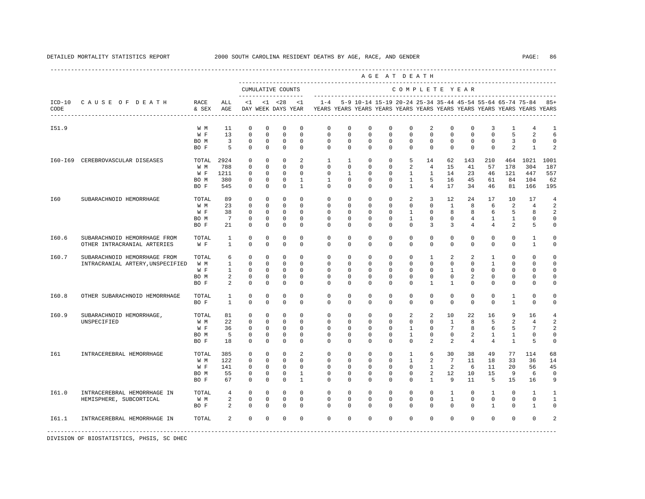|       |                                                                  |                                     |                                             |                                                                         |                                                                         |                                                                         |                                                                         |                                                                                    |                                                                        |                                                                   |                                                          | AGE AT DEATH                                                            |                                                               |                                                       |                                             |                                                |                                                           |                                               |                                                                 |
|-------|------------------------------------------------------------------|-------------------------------------|---------------------------------------------|-------------------------------------------------------------------------|-------------------------------------------------------------------------|-------------------------------------------------------------------------|-------------------------------------------------------------------------|------------------------------------------------------------------------------------|------------------------------------------------------------------------|-------------------------------------------------------------------|----------------------------------------------------------|-------------------------------------------------------------------------|---------------------------------------------------------------|-------------------------------------------------------|---------------------------------------------|------------------------------------------------|-----------------------------------------------------------|-----------------------------------------------|-----------------------------------------------------------------|
|       |                                                                  |                                     |                                             |                                                                         |                                                                         | CUMULATIVE COUNTS<br>--------------------                               |                                                                         |                                                                                    |                                                                        |                                                                   |                                                          | COMPLETE YEAR                                                           |                                                               |                                                       |                                             |                                                |                                                           |                                               |                                                                 |
| CODE  | ICD-10 CAUSE OF DEATH<br>-----------------------                 | RACE<br>& SEX                       | ALL<br>AGE                                  | <1                                                                      |                                                                         | $< 1$ $< 28$<br>DAY WEEK DAYS YEAR                                      | <1                                                                      | $1 - 4$<br>YEARS YEARS YEARS YEARS YEARS YEARS YEARS YEARS YEARS YEARS YEARS YEARS |                                                                        |                                                                   |                                                          |                                                                         |                                                               |                                                       |                                             |                                                | 5-9 10-14 15-19 20-24 25-34 35-44 45-54 55-64 65-74 75-84 |                                               | $85+$                                                           |
| I51.9 |                                                                  | W M<br>W F<br>BO M<br>BO F          | 11<br>13<br>$\overline{3}$<br>5             | 0<br>$\mathbf 0$<br>0<br>$^{\circ}$                                     | $\mathbf 0$<br>$\mathbf 0$<br>0<br>$\mathbf 0$                          | $\mathbf 0$<br>$\mathbf 0$<br>$\mathbf 0$<br>$\mathbf 0$                | $\mathbf 0$<br>$\mathbf 0$<br>$\mathbf 0$<br>$\mathbf 0$                | 0<br>$\mathbf 0$<br>0<br>$\Omega$                                                  | $^{\circ}$<br>$\mathbf 0$<br>0<br>$\Omega$                             | $\circ$<br>$\mathbf 0$<br>0<br>$\Omega$                           | $\mathbf{0}$<br>$\mathbf 0$<br>0<br>$\Omega$             | $^{\circ}$<br>$\mathbf 0$<br>$\circ$<br>$\Omega$                        | 2<br>0<br>$\mathbf{0}$<br>$\mathbf 0$                         | 0<br>0<br>0<br>$\Omega$                               | $\mathbf 0$<br>$\mathbf 0$<br>0<br>$\Omega$ | 3<br>$\mathbf 0$<br>0<br>$\mathbf 0$           | 1<br>5<br>3<br>2                                          | 4<br>2<br>$\mathbf{0}$<br>$\mathbf{1}$        | 1<br>6<br>$\circ$<br>2                                          |
|       | 160-169 CEREBROVASCULAR DISEASES                                 | TOTAL<br>W M<br>W F<br>BO M<br>BO F | 2924<br>788<br>1211<br>380<br>545           | 0<br>$^{\circ}$<br>0<br>0<br>$^{\circ}$                                 | 0<br>$\mathbf{0}$<br>0<br>$^{\circ}$<br>$\mathbf 0$                     | $\mathbf 0$<br>$\mathbf{0}$<br>$\mathbf 0$<br>0<br>$^{\circ}$           | 2<br>$\circ$<br>$\mathbf 0$<br>$\mathbf{1}$<br>$\mathbf{1}$             | $\mathbf{1}$<br>$\mathbf{0}$<br>0<br>$\mathbf{1}$<br>$\circ$                       | 1<br>$\circ$<br>1<br>$^{\circ}$<br>$\circ$                             | 0<br>$^{\circ}$<br>$^{\circ}$<br>$^{\circ}$<br>$\mathbf{0}$       | 0<br>$\mathbf{0}$<br>0<br>$^{\circ}$<br>$^{\circ}$       | 5<br>2<br>1<br>$\mathbf{1}$<br>$\mathbf{1}$                             | 14<br>$\overline{4}$<br>1<br>5<br>$\overline{4}$              | 62<br>15<br>14<br>16<br>17                            | 143<br>41<br>23<br>45<br>34                 | 210<br>57<br>46<br>61<br>46                    | 464<br>178<br>121<br>84<br>81                             | 1021<br>304<br>447<br>104<br>166              | 1001<br>187<br>557<br>62<br>195                                 |
| I60   | SUBARACHNOID HEMORRHAGE                                          | TOTAL<br>W M<br>W F<br>BO M<br>BO F | 89<br>23<br>38<br>7<br>21                   | $\mathbf 0$<br>$\mathbb O$<br>0<br>0<br>$\mathbb O$                     | $\Omega$<br>$\mathbb O$<br>$^{\circ}$<br>$^{\circ}$<br>$\mathbf 0$      | $\mathbf 0$<br>$\mathbb O$<br>0<br>0<br>0                               | $\Omega$<br>$\mathbf 0$<br>$\mathbf 0$<br>$\circ$<br>$\mathbf 0$        | $\mathbf{0}$<br>$\mathbf 0$<br>0<br>$\mathbf{0}$<br>0                              | $\Omega$<br>$\circ$<br>$\mathbf 0$<br>$^{\circ}$<br>$\mathbf 0$        | $\Omega$<br>$\mathbf 0$<br>$^{\circ}$<br>$^{\circ}$<br>$^{\circ}$ | $\Omega$<br>$\mathbf 0$<br>0<br>$^{\circ}$<br>$^{\circ}$ | 2<br>$\mathbf 0$<br>1<br>$\mathbf{1}$<br>$\Omega$                       | $\overline{3}$<br>0<br>$\mathbf{0}$<br>$\mathbf{0}$<br>3      | 12<br>$\mathbf{1}$<br>8<br>$^{\circ}$<br>3            | 24<br>8<br>8<br>4<br>4                      | 17<br>6<br>6<br>1<br>4                         | 10<br>2<br>5<br>1<br>2                                    | 17<br>$\overline{4}$<br>8<br>0<br>5           | $\overline{4}$<br>2<br>2<br>0<br>0                              |
| I60.6 | SUBARACHNOID HEMORRHAGE FROM<br>OTHER INTRACRANIAL ARTERIES      | TOTAL<br>W F                        | 1<br>$\mathbf{1}$                           | $\mathbf 0$<br>$\mathbf 0$                                              | $\mathbf 0$<br>$\mathbf 0$                                              | $\mathbf 0$<br>$\mathbf 0$                                              | $\mathbf 0$<br>$\Omega$                                                 | $\mathbf 0$<br>$\Omega$                                                            | $\mathbf 0$<br>$\Omega$                                                | $\mathbf 0$<br>$\Omega$                                           | $\mathbf 0$<br>$\Omega$                                  | $\mathbf 0$<br>$\Omega$                                                 | $\mathbf 0$<br>$\Omega$                                       | $\mathbf 0$<br>$\Omega$                               | $\mathbf 0$<br>$\Omega$                     | $\Omega$<br>$\Omega$                           | $\mathbf 0$<br>$\Omega$                                   | $\mathbf{1}$<br>$\overline{1}$                | $\circ$<br>$\Omega$                                             |
| I60.7 | SUBARACHNOID HEMORRHAGE FROM<br>INTRACRANIAL ARTERY, UNSPECIFIED | TOTAL<br>W M<br>W F<br>BO M<br>BO F | 6<br>$\mathbf{1}$<br>$\mathbf{1}$<br>2<br>2 | $\mathbf 0$<br>$\mathbf 0$<br>$^{\circ}$<br>$\mathbb O$<br>$\mathbf 0$  | $\mathbf 0$<br>$^{\circ}$<br>$^{\circ}$<br>$\mathbf 0$<br>$\mathbf 0$   | $\mathbf 0$<br>$\mathbf 0$<br>$^{\circ}$<br>$\mathbf 0$<br>$\mathbf 0$  | $\mathbf 0$<br>$\mathbf 0$<br>$\mathbf 0$<br>$\mathbf 0$<br>$\mathbb O$ | $\mathbf 0$<br>0<br>$\mathbf{0}$<br>$\mathbf{0}$<br>$\Omega$                       | $\mathbf 0$<br>$\mathbf{0}$<br>$^{\circ}$<br>$^{\circ}$<br>$\mathbf 0$ | $\mathbf 0$<br>0<br>0<br>0<br>0                                   | 0<br>0<br>0<br>0<br>0                                    | 0<br>$\mathbf{0}$<br>$\mathbf{0}$<br>$\mathbf{0}$<br>$\mathbf{0}$       | $\mathbf{1}$<br>0<br>$\Omega$<br>$\mathbf{0}$<br>$\mathbf{1}$ | 2<br>0<br>$\mathbf{1}$<br>$\mathbf 0$<br>$\mathbf{1}$ | 2<br>0<br>$\Omega$<br>$\overline{a}$<br>0   | $\mathbf{1}$<br>1<br>$\Omega$<br>0<br>$\Omega$ | $\mathbf 0$<br>0<br>$\Omega$<br>0<br>0                    | $\mathbf 0$<br>0<br>$\Omega$<br>0<br>$\Omega$ | $\circ$<br>$\circ$<br>0<br>$\circ$<br>$\Omega$                  |
| I60.8 | OTHER SUBARACHNOID HEMORRHAGE                                    | TOTAL<br>BO F                       | $\mathbf{1}$<br>$\mathbf{1}$                | $\mathbb O$<br>$\mathbf 0$                                              | $\mathbf 0$<br>$\mathbf 0$                                              | $\mathbf 0$<br>$\mathbf 0$                                              | $\mathbf 0$<br>$\mathbf 0$                                              | $\mathbb O$<br>$^{\circ}$                                                          | $\mathbf 0$<br>$\mathbf{0}$                                            | $^{\circ}$<br>0                                                   | $\mathbf 0$<br>0                                         | $\mathbf 0$<br>$\mathbf{0}$                                             | $\mathbf 0$<br>$\mathbf{0}$                                   | $\mathbf 0$<br>$\mathbf{0}$                           | $\mathbf 0$<br>0                            | $\mathbf 0$<br>0                               | $\mathbf{1}$<br>1                                         | $\mathbf 0$<br>0                              | $\circ$<br>0                                                    |
| I60.9 | SUBARACHNOID HEMORRHAGE,<br>UNSPECIFIED                          | TOTAL<br>W M<br>W F<br>BO M<br>BO F | 81<br>22<br>36<br>5<br>18                   | $\mathbf{0}$<br>$^{\circ}$<br>$\mathbf 0$<br>$\mathbf 0$<br>$\mathbb O$ | $\mathbf 0$<br>$\mathbf 0$<br>$\mathbf 0$<br>$\mathbf 0$<br>$\mathbf 0$ | $\mathbf 0$<br>$\mathbf 0$<br>$\mathbf 0$<br>$\mathbb O$<br>$\mathbf 0$ | $\mathbf 0$<br>$\Omega$<br>$\mathbf 0$<br>$\mathbf 0$<br>$\mathbf 0$    | $\mathbf 0$<br>$\mathbf 0$<br>$^{\circ}$<br>$\mathbf 0$<br>$\mathbf 0$             | $\mathbf 0$<br>$^{\circ}$<br>$^{\circ}$<br>$\mathbf 0$<br>0            | $^{\circ}$<br>$^{\circ}$<br>0<br>0<br>$\mathbf 0$                 | 0<br>$\Omega$<br>0<br>$\mathbf 0$<br>0                   | 2<br>$^{\circ}$<br>$\mathbf{1}$<br>$\mathbf{1}$<br>$\mathbf 0$          | 2<br>$^{\circ}$<br>$\mathbf{0}$<br>$\mathbf 0$<br>2           | 10<br>1<br>7<br>$\mathbf 0$<br>2                      | 22<br>8<br>8<br>2<br>4                      | 16<br>5<br>6<br>$\mathbf{1}$<br>$\overline{4}$ | 9<br>2<br>5<br>$\mathbf{1}$<br>$\mathbf{1}$               | 16<br>4<br>7<br>$\mathbf 0$<br>5              | $\overline{4}$<br>$\mathfrak{D}$<br>2<br>$\circ$<br>$\mathbf 0$ |
| I61   | INTRACEREBRAL HEMORRHAGE                                         | TOTAL<br>W M<br>W F<br>BO M<br>BO F | 385<br>122<br>141<br>55<br>67               | $^{\circ}$<br>$\mathbf 0$<br>0<br>$^{\circ}$<br>$\mathbf 0$             | $\mathbf{0}$<br>$\mathbf 0$<br>$^{\circ}$<br>$\mathbf 0$<br>$\mathbf 0$ | 0<br>$\mathbf 0$<br>$^{\circ}$<br>$\mathbf 0$<br>$\mathbf 0$            | 2<br>$\mathbf 0$<br>$\mathbf 0$<br>$\mathbf{1}$<br>$\mathbf{1}$         | 0<br>$\mathbf 0$<br>0<br>$^{\circ}$<br>$\mathbf 0$                                 | $^{\circ}$<br>$^{\circ}$<br>0<br>$^{\circ}$<br>$\mathbf 0$             | $^{\circ}$<br>0<br>0<br>$^{\circ}$<br>$\mathbf 0$                 | $\mathbf{0}$<br>0<br>0<br>$^{\circ}$<br>$\mathbf 0$      | $\mathbf{1}$<br>$\mathbf{1}$<br>$\mathbf{0}$<br>$\mathbf 0$<br>$\Omega$ | 6<br>2<br>$\mathbf{1}$<br>2<br>$\mathbf{1}$                   | 30<br>$7\phantom{.0}$<br>2<br>12<br>9                 | 38<br>11<br>6<br>10<br>11                   | 49<br>18<br>11<br>15<br>5                      | 77<br>33<br>20<br>9<br>15                                 | 114<br>36<br>56<br>6<br>16                    | 68<br>14<br>45<br>$\circ$<br>9                                  |
| I61.0 | INTRACEREBRAL HEMORRHAGE IN<br>HEMISPHERE, SUBCORTICAL           | TOTAL<br>W M<br>BO F                | $\overline{4}$<br>2<br>2                    | $\mathbf 0$<br>$\mathbb O$<br>$^{\circ}$                                | 0<br>0<br>$\mathbf 0$                                                   | $\mathbf 0$<br>$\mathbf 0$<br>$\mathbf 0$                               | $\mathbf 0$<br>$\mathbf 0$<br>$\mathbf 0$                               | 0<br>0<br>$\Omega$                                                                 | 0<br>$\mathbf 0$<br>$\mathbf{0}$                                       | 0<br>$^{\circ}$<br>$\Omega$                                       | 0<br>$^{\circ}$<br>0                                     | 0<br>$\mathbf{0}$<br>$\Omega$                                           | 0<br>$\mathbf{0}$<br>0                                        | $\mathbf{1}$<br>$\mathbf{1}$<br>$\Omega$              | 0<br>0<br>0                                 | $\mathbf{1}$<br>0<br>$\mathbf{1}$              | 0<br>0<br>$\mathbf{0}$                                    | $\mathbf{1}$<br>$\mathbf{0}$<br>1             | $\mathbf{1}$<br>1<br>$\Omega$                                   |
| I61.1 | INTRACEREBRAL HEMORRHAGE IN                                      | TOTAL                               | 2                                           | $\mathbf 0$                                                             | $\mathbf 0$                                                             | $\mathbf 0$                                                             | $\mathbf 0$                                                             | $\mathbf 0$                                                                        | $\mathbf 0$                                                            | $\mathbf 0$                                                       | $\mathbf 0$                                              | $\mathbf 0$                                                             | $\mathbf 0$                                                   | $\mathbf 0$                                           | $\mathbf 0$                                 | $\mathbf 0$                                    | $\Omega$                                                  | $\Omega$                                      | $\mathfrak{D}$                                                  |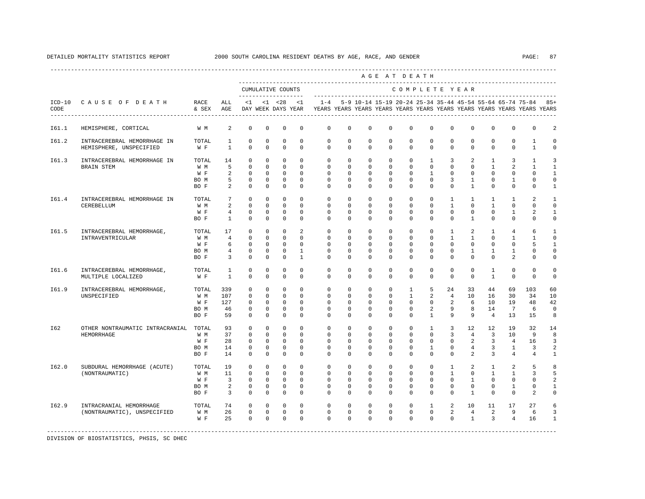|       |                                                        |                                     |                                                                     |                                                                 |                                                                           |                                                                         |                                                             |                                                                                            |                                                               |                                                              |                                                             | AGE AT DEATH                                                             |                                                                       |                                                                               |                                                                            |                                                               |                                                              |                                                                       |                                                                            |
|-------|--------------------------------------------------------|-------------------------------------|---------------------------------------------------------------------|-----------------------------------------------------------------|---------------------------------------------------------------------------|-------------------------------------------------------------------------|-------------------------------------------------------------|--------------------------------------------------------------------------------------------|---------------------------------------------------------------|--------------------------------------------------------------|-------------------------------------------------------------|--------------------------------------------------------------------------|-----------------------------------------------------------------------|-------------------------------------------------------------------------------|----------------------------------------------------------------------------|---------------------------------------------------------------|--------------------------------------------------------------|-----------------------------------------------------------------------|----------------------------------------------------------------------------|
|       |                                                        |                                     |                                                                     |                                                                 | CUMULATIVE COUNTS<br>____________________                                 |                                                                         |                                                             |                                                                                            |                                                               |                                                              | COMPLETE YEAR                                               |                                                                          |                                                                       |                                                                               |                                                                            |                                                               |                                                              |                                                                       |                                                                            |
| CODE  | ICD-10 CAUSE OF DEATH RACE                             | & SEX AGE                           | ALL                                                                 |                                                                 |                                                                           | $<1$ $<1$ $<28$                                                         | < 1                                                         | DAY WEEK DAYS YEAR TEARS YEARS YEARS YEARS YEARS YEARS YEARS YEARS YEARS YEARS YEARS YEARS |                                                               |                                                              |                                                             |                                                                          |                                                                       |                                                                               |                                                                            |                                                               |                                                              | $1-4$ 5-9 10-14 15-19 20-24 25-34 35-44 45-54 55-64 65-74 75-84 85+   |                                                                            |
| I61.1 | HEMISPHERE, CORTICAL                                   | W M                                 | 2                                                                   | $\mathbf 0$                                                     | 0                                                                         | 0                                                                       | $\mathbf 0$                                                 | $\mathbf{0}$                                                                               | $\mathbf 0$                                                   | $\mathbf 0$                                                  | $\mathbf 0$                                                 | $\mathbf{0}$                                                             | $\mathbf 0$                                                           | $\mathbf 0$                                                                   | 0                                                                          | $\mathbf 0$                                                   | $\mathbf 0$                                                  | $\mathbf 0$                                                           | 2                                                                          |
| I61.2 | INTRACEREBRAL HEMORRHAGE IN<br>HEMISPHERE, UNSPECIFIED | TOTAL<br>W F                        | $\mathbf{1}$<br>$\mathbf{1}$                                        | $\mathbf 0$<br>$\mathbf 0$                                      | $\mathbf 0$<br>$\mathbf 0$                                                | $\mathbf 0$<br>$\mathbf 0$                                              | $\Omega$<br>$\Omega$                                        | $\circ$<br>$\Omega$                                                                        | $\circ$<br>$\Omega$                                           | $\circ$<br>$\Omega$                                          | $\mathbf 0$<br>$\mathbf 0$                                  | $\mathbf{0}$<br>$\Omega$                                                 | $\mathbf 0$<br>$\mathbf 0$                                            | $\mathbf 0$<br>$\Omega$                                                       | $\mathbf 0$<br>$\Omega$                                                    | $\circ$<br>$\Omega$                                           | $\mathbf 0$<br>$\mathbf 0$                                   | $\mathbf{1}$<br>$\mathbf{1}$                                          | $\mathbf 0$<br>$\mathbf 0$                                                 |
| I61.3 | INTRACEREBRAL HEMORRHAGE IN<br><b>BRAIN STEM</b>       | TOTAL<br>W M<br>W F<br>BO M<br>BO F | 14<br>- 5<br>2<br>5<br>$\overline{a}$                               | $^{\circ}$<br>$\Omega$<br>$\circ$<br>$\circ$<br>$\Omega$        | $\circ$<br>$\Omega$<br>$\circ$<br>$\circ$<br>$\Omega$                     | $\circ$<br>$\Omega$<br>$\circ$<br>$\mathbf 0$<br>$\Omega$               | $\Omega$<br>$\Omega$<br>$\Omega$<br>$\Omega$<br>$\Omega$    | $\circ$<br>$\Omega$<br>$\Omega$<br>$\circ$<br>$\Omega$                                     | $\circ$<br>$\Omega$<br>$\Omega$<br>$\Omega$<br>$\Omega$       | $\circ$<br>$\Omega$<br>$\Omega$<br>$\circ$<br>$\Omega$       | 0<br>$\Omega$<br>$\Omega$<br>$\mathbf 0$<br>$\Omega$        | $\circ$<br>$\Omega$<br>$\Omega$<br>$\mathbf 0$<br>$\Omega$               | $\mathbf{1}$<br>$\Omega$<br>$\overline{1}$<br>$\mathbf 0$<br>$\Omega$ | 3<br>$\Omega$<br>$\Omega$<br>3<br>$\Omega$                                    | 2<br>$\Omega$<br>$\Omega$<br>$\mathbf{1}$<br>$\mathbf{1}$                  | 1<br>$\overline{1}$<br>$\Omega$<br>0<br>$\Omega$              | 3<br>2<br>$\Omega$<br>$\mathbf{1}$<br>$\Omega$               | $\mathbf{1}$<br>$\overline{1}$<br>$\Omega$<br>$\mathbf 0$<br>$\Omega$ | $\overline{3}$<br>$\mathbf{1}$<br>$\mathbf{1}$<br>$\Omega$<br>$\mathbf{1}$ |
| I61.4 | INTRACEREBRAL HEMORRHAGE IN<br>CEREBELLUM              | TOTAL<br>W M<br>W F<br>BO F         | $7\overline{ }$<br>$\overline{a}$<br>$\overline{4}$<br>$\mathbf{1}$ | $\circ$<br>$\mathbf 0$<br>$\mathbf 0$<br>$\Omega$               | $\mathbf 0$<br>$\mathbf 0$<br>$\circ$<br>$\Omega$                         | $\mathbf 0$<br>$\mathbf 0$<br>$\mathbf 0$<br>$\Omega$                   | $\Omega$<br>$\Omega$<br>$\Omega$<br>$\Omega$                | $\circ$<br>$\mathbf 0$<br>$\Omega$<br>$\Omega$                                             | $\mathbf 0$<br>$\circ$<br>$\Omega$<br>$\Omega$                | $\circ$<br>$\circ$<br>$\Omega$<br>$\Omega$                   | $\mathbf 0$<br>$\mathbf 0$<br>$\Omega$<br>$\Omega$          | $\mathbf{0}$<br>$\circ$<br>$\mathbf 0$<br>$\Omega$                       | $\mathbf{0}$<br>$\mathbf{0}$<br>$\Omega$<br>$\Omega$                  | $\mathbf{1}$<br>$\mathbf{1}$<br>$\Omega$<br>$\Omega$                          | 1<br>0<br>$\Omega$<br>$\mathbf{1}$                                         | $\mathbf{1}$<br>$\mathbf{1}$<br>$\Omega$<br>$\Omega$          | 1<br>$\mathbf 0$<br>1<br>$\Omega$                            | 2<br>$\mathbf 0$<br>2<br>$\Omega$                                     | $\mathbf{1}$<br>$\mathbf 0$<br>$\mathbf{1}$<br>$\Omega$                    |
| I61.5 | INTRACEREBRAL HEMORRHAGE,<br>INTRAVENTRICULAR          | TOTAL<br>W M<br>W F<br>BO M<br>BO F | 17<br>$\overline{4}$<br>6<br>$\overline{4}$<br>$\overline{3}$       | $\circ$<br>$\circ$<br>$\circ$<br>$\circ$<br>$\circ$             | $\mathbf 0$<br>$\mathbf{0}$<br>$\mathbf{0}$<br>$\mathbf 0$<br>$\mathbf 0$ | $\mathbf 0$<br>$^{\circ}$<br>$\circ$<br>$\mathbf 0$<br>$\circ$          | 2<br>$^{\circ}$<br>$\Omega$<br>$\mathbf{1}$<br>$\mathbf{1}$ | $\circ$<br>$^{\circ}$<br>$\mathbf 0$<br>$\Omega$<br>$\Omega$                               | $\mathbf 0$<br>$\circ$<br>$\Omega$<br>$\Omega$<br>$\Omega$    | $\circ$<br>$^{\circ}$<br>$\mathbf 0$<br>$\Omega$<br>$\Omega$ | $\mathbf 0$<br>0<br>$\Omega$<br>$\Omega$<br>$\Omega$        | $\mathbf{0}$<br>$\mathbf{0}$<br>$\Omega$<br>$\Omega$<br>$\Omega$         | $\mathbf 0$<br>$\mathbf{0}$<br>$\Omega$<br>$\Omega$<br>$\Omega$       | $\mathbf{1}$<br>$\mathbf{1}$<br>$\Omega$<br>$\Omega$<br>$\Omega$              | 2<br>1<br>$\Omega$<br>$\overline{1}$<br>$\Omega$                           | 1<br>$^{\circ}$<br>$\Omega$<br>$\mathbf{1}$<br>$\Omega$       | 4<br>1<br>$\mathbf{0}$<br>1<br>2                             | 6<br>1<br>5<br>$\mathbf 0$<br>$\Omega$                                | $\mathbf{1}$<br>$\mathbf 0$<br>$\mathbf{1}$<br>$\mathbf 0$<br>0            |
| I61.6 | INTRACEREBRAL HEMORRHAGE,<br>MULTIPLE LOCALIZED        | TOTAL<br>W F                        | $\mathbf{1}$<br>$\mathbf{1}$                                        | $\mathbf 0$<br>$\mathbf 0$                                      | $\mathbf 0$<br>$\mathbf 0$                                                | $\mathbf 0$<br>$\mathbf 0$                                              | $\mathbf 0$<br>$\Omega$                                     | $\mathbf{0}$<br>$\Omega$                                                                   | $\mathbf 0$<br>$\Omega$                                       | $\mathbf 0$<br>$\Omega$                                      | $\mathbf 0$<br>$\Omega$                                     | $\mathbf{0}$<br>$\Omega$                                                 | $\mathbf 0$<br>$\Omega$                                               | $\mathbf 0$<br>$\Omega$                                                       | $\mathbf 0$<br>$\circ$                                                     | $\mathbf{1}$<br>$\mathbf{1}$                                  | $\mathbf 0$<br>$\mathbf{0}$                                  | $\mathbf 0$<br>$\mathbf 0$                                            | 0<br>$\circ$                                                               |
| I61.9 | INTRACEREBRAL HEMORRHAGE,<br>UNSPECIFIED               | TOTAL<br>W M<br>W F<br>BO M<br>BO F | 339<br>107<br>127<br>46<br>59                                       | $^{\circ}$<br>$\Omega$<br>$\Omega$<br>$\mathbf 0$<br>$^{\circ}$ | $\mathbf{0}$<br>$\Omega$<br>$\Omega$<br>$\mathbf 0$<br>$\circ$            | $\circ$<br>$\mathbf 0$<br>$\Omega$<br>$\mathbf 0$<br>$\circ$            | $\mathbf 0$<br>$\Omega$<br>$\Omega$<br>$\Omega$<br>0        | $\circ$<br>$\Omega$<br>$\Omega$<br>$\Omega$<br>$\mathbf{0}$                                | $\circ$<br>$\Omega$<br>$\Omega$<br>$\Omega$<br>$^{\circ}$     | $\circ$<br>$\Omega$<br>$\Omega$<br>$\mathbf 0$<br>$\circ$    | $\mathbf{0}$<br>$\Omega$<br>$\Omega$<br>$\Omega$<br>0       | $\mathbf{1}$<br>$\mathbf{1}$<br>$\Omega$<br>$\mathbf{0}$<br>$\mathbf{0}$ | 5<br>2<br>$\Omega$<br>$\overline{a}$<br>$\mathbf{1}$                  | 24<br>$\overline{4}$<br>2<br>9<br>9                                           | 33<br>1 O<br>6<br>8<br>9                                                   | 44<br>16<br>10<br>14<br>$\overline{4}$                        | 69<br>30<br>19<br>$7\overline{ }$<br>13                      | 103<br>34<br>48<br>6<br>15                                            | 60<br>10<br>42<br>$\mathbf 0$<br>8                                         |
| I62   | OTHER NONTRAUMATIC INTRACRANIAL TOTAL<br>HEMORRHAGE    | W M<br>W F<br>BO M<br>BO F          | 93<br>37<br>28<br>14<br>14                                          | $\circ$<br>$\Omega$<br>$\circ$<br>$\mathbf 0$<br>$\Omega$       | $\mathbf 0$<br>$\mathbf 0$<br>$\Omega$<br>$\Omega$<br>$\mathbf 0$         | $\mathbf 0$<br>$\mathbf 0$<br>$\mathbf 0$<br>$\mathbf 0$<br>$\mathbf 0$ | $\Omega$<br>$\Omega$<br>$\Omega$<br>$\Omega$<br>$\Omega$    | $\mathbf 0$<br>$\Omega$<br>$\Omega$<br>$\mathbf 0$<br>$\Omega$                             | $\mathbf 0$<br>$\Omega$<br>$\Omega$<br>$\Omega$<br>$\Omega$   | $\circ$<br>$\Omega$<br>$\Omega$<br>$\Omega$<br>$\Omega$      | $\mathbf 0$<br>$\Omega$<br>$\Omega$<br>$\Omega$<br>$\Omega$ | $\circ$<br>$\Omega$<br>$\Omega$<br>$\mathbf{0}$<br>$\Omega$              | $\mathbf{1}$<br>$\Omega$<br>$\Omega$<br>$\mathbf{1}$<br>$\Omega$      | $\overline{\mathbf{3}}$<br>$\overline{3}$<br>$\Omega$<br>$\Omega$<br>$\Omega$ | 12<br>$\overline{4}$<br>$\overline{2}$<br>$\overline{4}$<br>$\overline{a}$ | 12<br>$\overline{3}$<br>$\overline{3}$<br>3<br>$\overline{3}$ | 19<br>10<br>$\overline{4}$<br>$\mathbf{1}$<br>$\overline{4}$ | 32<br>9<br>16<br>3<br>$\overline{4}$                                  | 14<br>8<br>$\overline{3}$<br>2<br>$\mathbf{1}$                             |
| I62.0 | SUBDURAL HEMORRHAGE (ACUTE)<br>(NONTRAUMATIC)          | TOTAL<br>W M<br>W F<br>BO M<br>BO F | 19<br>11<br>$\overline{\mathbf{3}}$<br>2<br>$\overline{3}$          | $^{\circ}$<br>$\Omega$<br>$\Omega$<br>$\circ$<br>$\circ$        | $\circ$<br>$\Omega$<br>$\mathbf 0$<br>$\circ$<br>$\mathbf 0$              | $\circ$<br>$\Omega$<br>$\circ$<br>$\mathbf 0$<br>$\mathbf 0$            | $\Omega$<br>$\Omega$<br>$\Omega$<br>$\Omega$<br>$\mathbf 0$ | $\circ$<br>$\Omega$<br>$\Omega$<br>$\mathbf{0}$<br>$\mathbf{0}$                            | $\circ$<br>$\Omega$<br>$\Omega$<br>$\mathbf 0$<br>$\mathbf 0$ | $\circ$<br>$\Omega$<br>$\Omega$<br>$\circ$<br>$\mathbf 0$    | 0<br>$\Omega$<br>$\Omega$<br>$\mathbf 0$<br>$\mathbf{0}$    | $\mathbf{0}$<br>$\Omega$<br>$\Omega$<br>$\mathbf{0}$<br>$\mathbf{0}$     | 0<br>$\Omega$<br>$\Omega$<br>$\mathbf 0$<br>$\mathbf{0}$              | 1<br>$\overline{1}$<br>$\Omega$<br>$\Omega$<br>$\mathbf 0$                    | 2<br>$\Omega$<br>$\mathbf{1}$<br>$\mathbf 0$<br>$\mathbf{1}$               | 1<br>$\overline{1}$<br>$\Omega$<br>$\mathbf 0$<br>$\circ$     | 2<br>$\mathbf{1}$<br>$\Omega$<br>1<br>$\mathbf 0$            | 5<br>$\overline{3}$<br>$\Omega$<br>$\mathbf 0$<br>2                   | 8<br>5<br>$\overline{a}$<br>$\mathbf{1}$<br>$\mathsf 0$                    |
| I62.9 | INTRACRANIAL HEMORRHAGE<br>(NONTRAUMATIC), UNSPECIFIED | TOTAL<br>W M<br>W F                 | 74<br>26<br>25                                                      | $\circ$<br>$\overline{0}$<br>$\Omega$                           | $\circ$<br>$\mathbf{0}$<br>$\Omega$                                       | $\mathbf 0$<br>$\overline{0}$<br>$\mathbf{0}$                           | $\Omega$<br>$\mathbf{0}$<br>$\Omega$                        | $\circ$<br>$\mathbf{0}$<br>$\Omega$                                                        | $\mathbf 0$<br>$\mathbf 0$<br>$\Omega$                        | $\circ$<br>$\mathbf{0}$<br>$\Omega$                          | $\mathbf 0$<br>$\mathbf 0$<br>$\Omega$                      | $\circ$<br>$\mathbf{0}$<br>$\Omega$                                      | $\mathbf{1}$<br>$\mathbf 0$<br>$\Omega$                               | 2<br>$\overline{a}$<br>$\Omega$                                               | 10<br>$\overline{4}$<br>$\mathbf{1}$                                       | 11<br>2<br>$\overline{3}$                                     | 17<br>9<br>$\overline{4}$                                    | 27<br>6<br>16                                                         | 6<br>3<br>$\mathbf{1}$                                                     |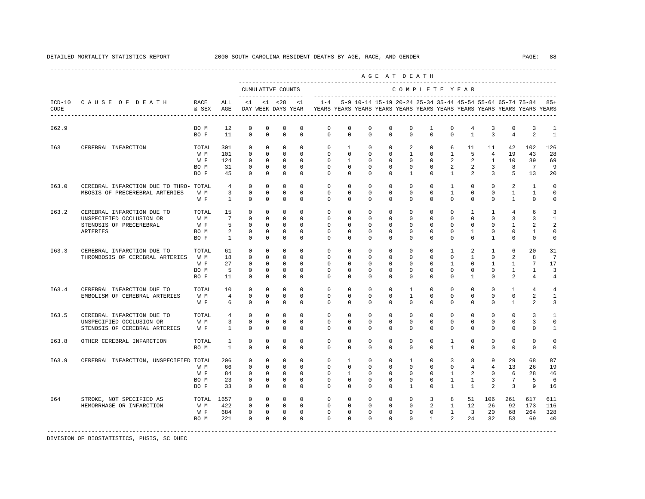|       |                                                                                               |                                     |                                                        |                                                                                      |                                                                  |                                                                                          |                                                                |                                                                                                                                                                  |                                                                  |                                                                              |                                                                    | AGE AT DEATH                                                           |                                                                       |                                                                             |                                                                          |                                                                      |                                                     |                                                          |                                           |
|-------|-----------------------------------------------------------------------------------------------|-------------------------------------|--------------------------------------------------------|--------------------------------------------------------------------------------------|------------------------------------------------------------------|------------------------------------------------------------------------------------------|----------------------------------------------------------------|------------------------------------------------------------------------------------------------------------------------------------------------------------------|------------------------------------------------------------------|------------------------------------------------------------------------------|--------------------------------------------------------------------|------------------------------------------------------------------------|-----------------------------------------------------------------------|-----------------------------------------------------------------------------|--------------------------------------------------------------------------|----------------------------------------------------------------------|-----------------------------------------------------|----------------------------------------------------------|-------------------------------------------|
|       |                                                                                               |                                     |                                                        |                                                                                      |                                                                  | CUMULATIVE COUNTS<br>--------------------                                                |                                                                |                                                                                                                                                                  |                                                                  |                                                                              |                                                                    | COMPLETE YEAR                                                          |                                                                       |                                                                             |                                                                          |                                                                      |                                                     |                                                          |                                           |
| CODE  | ICD-10 CAUSE OF DEATH RACE                                                                    | & SEX                               | ALL<br>AGE                                             |                                                                                      | $<1$ $<1$ $<28$                                                  |                                                                                          | <1                                                             | 1-4 5-9 10-14 15-19 20-24 25-34 35-44 45-54 55-64 65-74 75-84 85+<br>DAY WEEK DAYS YEAR TYEARS YEARS YEARS YEARS YEARS YEARS YEARS YEARS YEARS YEARS YEARS YEARS |                                                                  |                                                                              |                                                                    |                                                                        |                                                                       |                                                                             |                                                                          |                                                                      |                                                     |                                                          |                                           |
| I62.9 |                                                                                               | BO M<br>BO F                        | 12<br>11                                               | $\circ$<br>$\mathbf 0$                                                               | $\circ$<br>$\circ$                                               | $\mathbf 0$<br>$\mathbf 0$                                                               | $\mathbf 0$<br>$\mathbf 0$                                     | $\mathbf 0$<br>$\Omega$                                                                                                                                          | $\mathbf 0$<br>$\mathbf{0}$                                      | $\mathbf 0$<br>$\mathbf 0$                                                   | $\mathbf 0$<br>$\Omega$                                            | 0<br>$\circ$                                                           | $\mathbf{1}$<br>$\Omega$                                              | 0<br>$\Omega$                                                               | 4<br>$\mathbf{1}$                                                        | 3<br>$\overline{3}$                                                  | $\mathbf 0$<br>$\overline{4}$                       | 3<br>2                                                   | 1<br>$\overline{1}$                       |
| I63   | CEREBRAL INFARCTION                                                                           | TOTAL<br>W M<br>W F<br>BO M<br>BO F | 301<br>101<br>124<br>31<br>45                          | $\Omega$<br>$\circ$<br>$^{\circ}$<br>$\overline{0}$<br>$\mathbf{0}$                  | $\Omega$<br>$\overline{0}$<br>$\mathbf{0}$<br>$\circ$<br>$\circ$ | $\Omega$<br>$\overline{0}$<br>$\overline{0}$<br>$\overline{\phantom{0}}$<br>$\mathbf{0}$ | $\Omega$<br>$\Omega$<br>$\circ$<br>$\circ$<br>$\Omega$         | $\Omega$<br>$\mathbf{0}$<br>$\circ$<br>$\mathbf{0}$<br>$\Omega$                                                                                                  | $\mathbf{1}$<br>$\circ$<br>1<br>$\circ$<br>$\Omega$              | $\Omega$<br>$\circ$<br>$\circ$<br>$^{\circ}$<br>$\Omega$                     | $\Omega$<br>$\mathbf{0}$<br>$^{\circ}$<br>$\mathbf{0}$<br>$\Omega$ | $\overline{2}$<br>$\mathbf{1}$<br>$\circ$<br>$\circ$<br>$\overline{1}$ | $\Omega$<br>$\circ$<br>$\overline{0}$<br>$\mathbf{0}$<br>$\Omega$     | 6<br>$\mathbf{1}$<br>$\overline{2}$<br>2<br>$\overline{1}$                  | 11<br>- 5<br>2<br>$\overline{a}$                                         | 11<br>$2 \quad 1$<br>$\overline{\phantom{a}}$<br>$\overline{3}$      | 42<br>19<br>10<br>8<br>- 5                          | 102<br>43<br>39<br>$7\phantom{0}$<br>13                  | 126<br>28<br>69<br>9<br>20                |
| I63.0 | CEREBRAL INFARCTION DUE TO THRO- TOTAL<br>MBOSIS OF PRECEREBRAL ARTERIES                      | W M<br>W F                          | $4\overline{4}$<br>$\overline{\mathbf{3}}$<br>$\sim$ 1 | $\Omega$<br>$\mathbf{0}$<br>$\Omega$                                                 | $\circ$<br>$\Omega$<br>$\Omega$                                  | $\Omega$<br>$\Omega$<br>$\Omega$                                                         | $\Omega$<br>$\Omega$<br>$\Omega$                               | $\mathbf{0}$<br>$\Omega$<br>$\cap$                                                                                                                               | $\circ$<br>$\Omega$<br>$\Omega$                                  | $\mathbf{0}$<br>$\Omega$<br>$\Omega$                                         | $\mathbf{0}$<br>$\Omega$<br>$\Omega$                               | $\mathbf{0}$<br>$\Omega$<br>$\cap$                                     | $\mathbf{0}$<br>$\Omega$<br>$\Omega$                                  | $\mathbf{1}$<br>$\overline{1}$<br>$\Omega$                                  | $\circ$<br>$\Omega$<br>$\Omega$                                          | $\mathbf{0}$<br>$\Omega$<br>$\Omega$                                 | 2<br>$\overline{1}$<br>$\overline{1}$               | $\mathbf{1}$<br>$\overline{1}$<br>$\Omega$               | $\mathbf 0$<br>$\mathbf 0$<br>$\Omega$    |
| I63.2 | CEREBRAL INFARCTION DUE TO<br>UNSPECIFIED OCCLUSION OR<br>STENOSIS OF PRECEREBRAL<br>ARTERIES | TOTAL<br>W M<br>W F<br>BO M<br>BO F | 15<br>$7\overline{ }$<br>2<br>$\mathbf{1}$             | $^{\circ}$<br>$\circ$<br>$5^{\circ}$<br>$\overline{0}$<br>$\overline{0}$<br>$\Omega$ | $^{\circ}$<br>$^{\circ}$<br>$\circ$<br>$\circ$<br>$\Omega$       | $^{\circ}$<br>$^{\circ}$<br>$\overline{0}$<br>$\circ$<br>$\Omega$                        | $\mathbf{0}$<br>$^{\circ}$<br>$\Omega$<br>$\Omega$<br>$\Omega$ | $\circ$<br>$\mathbf{0}$<br>$\circ$<br>$\Omega$<br>$\Omega$                                                                                                       | $\circ$<br>$\mathbf{0}$<br>$\Omega$<br>$\Omega$<br>$\Omega$      | $^{\circ}$<br>$\overline{0}$<br>$\overline{0}$<br>$\Omega$<br>$\Omega$       | $\mathbf{0}$<br>$\mathbf{0}$<br>$\Omega$<br>$\Omega$<br>$\Omega$   | $\circ$<br>$\circ$<br>$\circ$<br>$\Omega$<br>$\Omega$                  | $\mathbf{0}$<br>$\mathbf{0}$<br>$\Omega$<br>$\Omega$<br>$\Omega$      | $\circ$<br>$^{\circ}$<br>$\Omega$<br>$\Omega$<br>$\Omega$                   | $\mathbf{1}$<br>$\circ$<br>$\circ$<br>$\mathbf{1}$<br>$\Omega$           | 1<br>$^{\circ}$<br>$\Omega$<br>$\circ$<br>$\overline{1}$             | $\overline{4}$<br>3<br>1<br>$\mathbf 0$<br>$\Omega$ | 6<br>3<br>2<br>$\mathbf{1}$<br>$\Omega$                  | 3<br>1<br>2<br>$\mathbf 0$<br>$\mathbf 0$ |
| I63.3 | CEREBRAL INFARCTION DUE TO<br>THROMBOSIS OF CEREBRAL ARTERIES W M                             | TOTAL<br>W F<br>BO M<br>BO F        | 61<br>18<br>27<br>$-5$<br>11                           | $\mathbf{0}$<br>$\mathbf{0}$<br>$\mathbf{0}$<br>$^{\circ}$<br>$\mathbf{0}$           | $\circ$<br>$^{\circ}$<br>$^{\circ}$<br>$^{\circ}$<br>$\Omega$    | $\circ$<br>$\circ$<br>$\circ$<br>$^{\circ}$<br>$\circ$                                   | $\Omega$<br>$\circ$<br>$\Omega$<br>$\Omega$<br>$\Omega$        | $\mathbf{0}$<br>$\circ$<br>$\circ$<br>$\Omega$<br>$\Omega$                                                                                                       | $\circ$<br>$\circ$<br>$\circ$<br>$\Omega$<br>$\Omega$            | $\circ$<br>$\overline{0}$<br>$\overline{0}$<br>$\Omega$<br>$\Omega$          | $\mathbf{0}$<br>$\mathbf 0$<br>$\Omega$<br>$\Omega$<br>$\Omega$    | $\mathbf{0}$<br>$\circ$<br>$\circ$<br>$\Omega$<br>$\Omega$             | $\circ$<br>$\mathbf 0$<br>$\Omega$<br>$\Omega$<br>$\Omega$            | $\mathbf{1}$<br>$\circ$<br>$\mathbf{1}$<br>$\Omega$<br>$\Omega$             | 2<br>$\mathbf{1}$<br>$\mathbf 0$<br>$\Omega$<br>$\mathbf{1}$             | $\mathbf{1}$<br>$\mathbf{0}$<br>$\mathbf{1}$<br>$\Omega$<br>$\Omega$ | 6<br>2<br>$\mathbf{1}$<br>$\mathbf{1}$<br>2         | 20<br>8<br>$7^{\circ}$<br>$\mathbf{1}$<br>$\overline{4}$ | 31<br>7<br>17<br>3<br>4                   |
| I63.4 | CEREBRAL INFARCTION DUE TO<br>EMBOLISM OF CEREBRAL ARTERIES                                   | TOTAL<br>W M<br>W F                 | 10<br>$\overline{4}$<br>6                              | $\mathbf{0}$<br>$\mathbf 0$<br>$\mathbf{0}$                                          | $\circ$<br>$\mathbf 0$<br>$^{\circ}$                             | $\Omega$<br>$\mathbf 0$<br>$\circ$                                                       | $\Omega$<br>$\mathbf 0$<br>$\Omega$                            | $\Omega$<br>$\mathbf{0}$<br>$\Omega$                                                                                                                             | $\Omega$<br>$\mathbf 0$<br>$\Omega$                              | $\mathbf{0}$<br>$\mathbf 0$<br>$\Omega$                                      | $\Omega$<br>$\mathbf 0$<br>$\Omega$                                | $\mathbf{1}$<br>$\mathbf{1}$<br>$\Omega$                               | $\Omega$<br>$\mathbf 0$<br>$\Omega$                                   | $\Omega$<br>$\mathbf 0$<br>$\Omega$                                         | $\Omega$<br>$\mathbf 0$<br>$\Omega$                                      | $\mathbf{0}$<br>$\mathbf 0$<br>$\Omega$                              | $\mathbf{1}$<br>$\mathbf 0$<br>$\mathbf{1}$         | $\overline{4}$<br>2<br>2                                 | $\overline{4}$<br>$\mathbf{1}$<br>3       |
| I63.5 | CEREBRAL INFARCTION DUE TO<br>UNSPECIFIED OCCLUSION OR<br>STENOSIS OF CEREBRAL ARTERIES       | TOTAL<br>W M<br>W F                 | 4<br>$\overline{3}$<br>$\mathbf{1}$                    | $\mathbf{0}$<br>$\circ$<br>$\mathbf{0}$                                              | $\circ$<br>$\Omega$<br>$\Omega$                                  | $\circ$<br>$\mathbf{0}$<br>$\Omega$                                                      | $\Omega$<br>$\Omega$<br>$\Omega$                               | $\circ$<br>$\mathbf{0}$<br>$\Omega$                                                                                                                              | $\circ$<br>$\Omega$<br>$\Omega$                                  | $\mathbf{0}$<br>$\circ$<br>$\Omega$                                          | $\mathbf{0}$<br>$\Omega$<br>$\Omega$                               | $\mathbf{0}$<br>$\circ$<br>$\Omega$                                    | $\circ$<br>$\Omega$<br>$\Omega$                                       | $\mathbf{0}$<br>$\circ$<br>$\Omega$                                         | $\mathbf{0}$<br>$\Omega$<br>$\Omega$                                     | $\mathbf{0}$<br>$\mathbf{0}$<br>$\Omega$                             | $\mathbf 0$<br>$\mathbf{0}$<br>$\Omega$             | 3<br>3<br>$\Omega$                                       | 1<br>$\mathbf 0$<br>$\mathbf{1}$          |
| I63.8 | OTHER CEREBRAL INFARCTION                                                                     | TOTAL<br>BO M                       | $\mathbf{1}$<br><sup>1</sup>                           | $\circ$<br>$\circ$                                                                   | $\circ$<br>$^{\circ}$                                            | $\mathbf 0$<br>$\circ$                                                                   | $\mathbf 0$<br>$\Omega$                                        | $\mathbf{0}$<br>$\Omega$                                                                                                                                         | $\circ$<br>$\circ$                                               | $\circ$<br>$\Omega$                                                          | $\mathbf 0$<br>$\Omega$                                            | $\circ$<br>$\Omega$                                                    | $\circ$<br>$\mathbf{0}$                                               | $\mathbf{1}$<br>$\mathbf{1}$                                                | $\mathbf 0$<br>0                                                         | $\mathbf 0$<br>$\Omega$                                              | $\mathbf 0$<br>$\mathbf{0}$                         | $\mathbf{0}$<br>$\mathbf 0$                              | $\mathbf 0$<br>0                          |
| I63.9 | CEREBRAL INFARCTION, UNSPECIFIED TOTAL                                                        | W M<br>W F<br>BO M<br>BO F          | 206<br>66<br>23<br>33                                  | $\mathbf{0}$<br>$\mathbf{0}$<br>84 0<br>$\circ$<br>$\Omega$                          | $\circ$<br>$^{\circ}$<br>$\mathbf{0}$<br>$\circ$<br>$\Omega$     | $\circ$<br>$\circ$<br>$\Omega$<br>$\overline{0}$<br>$\overline{0}$                       | $\circ$<br>$\Omega$<br>$\Omega$<br>$\Omega$<br>$\Omega$        | $\mathbf{0}$<br>$\circ$<br>$\Omega$<br>$\Omega$<br>$\Omega$                                                                                                      | $\mathbf{1}$<br>$\Omega$<br>$\mathbf{1}$<br>$\Omega$<br>$\Omega$ | $\circ$<br>$\circ$<br>$\Omega$<br>$\circ$<br>$\Omega$                        | $\mathbf 0$<br>$\Omega$<br>$\Omega$<br>$\circ$<br>$\Omega$         | $\mathbf{1}$<br>$\circ$<br>$\Omega$<br>$\circ$<br>$\overline{1}$       | $\circ$<br>$\Omega$<br>$\Omega$<br>$\mathbf 0$<br>$\Omega$            | $\overline{3}$<br>$\circ$<br>$\mathbf{1}$<br>$\mathbf{1}$<br>$\overline{1}$ | 8<br>$4\overline{ }$<br>$\overline{a}$<br>$\mathbf{1}$<br>$\overline{1}$ | 9<br>4<br>$\Omega$<br>$\overline{3}$<br>$\overline{2}$               | 29<br>13<br>-6<br>$7\overline{ }$<br>$\overline{3}$ | 68<br>26<br>28<br>$-5$<br>9                              | 87<br>19<br>46<br>6<br>16                 |
| I64   | STROKE, NOT SPECIFIED AS<br>HEMORRHAGE OR INFARCTION                                          | TOTAL 1657<br>W M<br>W F<br>BO M    | 422<br>684<br>221                                      | $\overline{0}$<br>$\overline{0}$<br>$\overline{0}$<br>$\Omega$                       | $\Omega$                                                         | $0\qquad 0$<br>$0\qquad 0\qquad 0$<br>$0\qquad 0$<br>$\overline{0}$                      | $\overline{0}$<br>$\overline{0}$<br>$\Omega$                   | $\circ$<br>$\circ$<br>$\circ$<br>$\Omega$                                                                                                                        | $\overline{0}$<br>$\overline{0}$<br>$\Omega$                     | $\overline{0}$<br>$0 \qquad \qquad$<br>$\overline{0}$<br>$\circ$<br>$\Omega$ | $\overline{0}$<br>$\overline{0}$<br>$\Omega$                       | $\mathbf{0}$<br>$\overline{0}$<br>$\Omega$                             | $\overline{0}$<br>3 <sup>7</sup><br>$0 \qquad \qquad$<br>$\mathbf{1}$ | 8<br>$2 \quad 1$<br>$0\qquad 1$<br>$\overline{2}$                           | 51<br>12<br>$\overline{\phantom{a}}$ 3<br>24                             | 106<br>26<br>20<br>32                                                | 261<br>92<br>68<br>53                               | 617<br>173<br>264<br>69                                  | 611<br>116<br>328<br>40                   |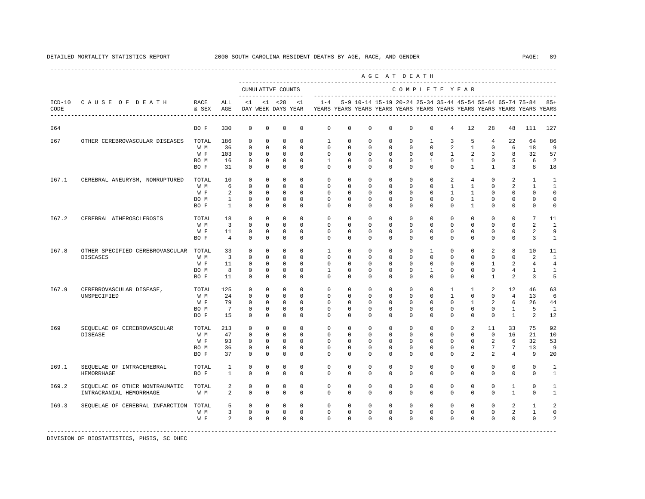|                  |                                 |               |                 |             |             |                                     |             |              |             |             |             | AGE AT DEATH                                              |              |                |              |                |                 |                                                                         |                |
|------------------|---------------------------------|---------------|-----------------|-------------|-------------|-------------------------------------|-------------|--------------|-------------|-------------|-------------|-----------------------------------------------------------|--------------|----------------|--------------|----------------|-----------------|-------------------------------------------------------------------------|----------------|
|                  |                                 |               |                 |             |             | CUMULATIVE COUNTS<br>-------------- |             |              |             |             |             | COMPLETE YEAR                                             |              |                |              |                |                 |                                                                         |                |
| $ICD-10$<br>CODE | CAUSE OF DEATH                  | RACE<br>& SEX | ALL<br>AGE      | <1          |             | $< 1$ $< 28$<br>DAY WEEK DAYS YEAR  | <1          | $1 - 4$      |             |             |             | 5-9 10-14 15-19 20-24 25-34 35-44 45-54 55-64 65-74 75-84 |              |                |              |                |                 | YEARS YEARS YEARS YEARS YEARS YEARS YEARS YEARS YEARS YEARS YEARS YEARS | $85+$          |
| I64              |                                 | BO F          | 330             | $\mathbf 0$ | $\mathbf 0$ | 0                                   | $\mathbf 0$ | $\mathbf 0$  | $\mathbf 0$ | $\mathbf 0$ | $\mathbf 0$ | $\mathbf 0$                                               | $\mathbf 0$  | 4              | 12           | 28             | 48              | 111                                                                     | 127            |
| I67              | OTHER CEREBROVASCULAR DISEASES  | TOTAL         | 186             | $^{\circ}$  | $^{\circ}$  | $\mathbf 0$                         | $\Omega$    | 1            | $\Omega$    | $\Omega$    | $\Omega$    | $\Omega$                                                  | $\mathbf{1}$ | 3              | 5            | $\overline{4}$ | 22              | 64                                                                      | 86             |
|                  |                                 | W M           | 36              | $\mathbf 0$ | $^{\circ}$  | $\mathbf 0$                         | $\Omega$    | $\mathbf 0$  | 0           | $\mathbf 0$ | $\mathbf 0$ | $\Omega$                                                  | $\mathbf 0$  | 2              | $\mathbf{1}$ | $\mathbf 0$    | 6               | 18                                                                      | 9              |
|                  |                                 | W F           | 103             | $\mathbf 0$ | $\mathbf 0$ | $\mathbf 0$                         | $\Omega$    | $\Omega$     | $\Omega$    | $\mathbf 0$ | $\mathbf 0$ | $\Omega$                                                  | $\Omega$     | $\mathbf{1}$   | 2            | 3              | 8               | 32                                                                      | 57             |
|                  |                                 | BO M          | 16              | $^{\circ}$  | 0           | $\mathbf 0$                         | $\mathbf 0$ | 1            | 0           | 0           | 0           | $\mathbf{0}$                                              | 1            | $\Omega$       | $\mathbf{1}$ | $\mathbf 0$    | 5               | 6                                                                       | 2              |
|                  |                                 | BO F          | 31              | $\Omega$    | $\Omega$    | $\Omega$                            | $\Omega$    | $\Omega$     | $\Omega$    | $\Omega$    | $\Omega$    | $\Omega$                                                  | $\Omega$     | $\Omega$       | $\mathbf{1}$ | $\mathbf{1}$   | 3               | 8                                                                       | 18             |
| I67.1            | CEREBRAL ANEURYSM, NONRUPTURED  | TOTAL         | 10              | $\mathbf 0$ | $^{\circ}$  | $\mathbf 0$                         | $\Omega$    | $\Omega$     | $\Omega$    | $\Omega$    | $\Omega$    | $\Omega$                                                  | $\Omega$     | $\mathfrak{D}$ | 4            | $\Omega$       | $\mathfrak{D}$  | $\mathbf{1}$                                                            | $\mathbf{1}$   |
|                  |                                 | W M           | 6               | $\Omega$    | $\Omega$    | $\Omega$                            | $\Omega$    | $\Omega$     | $\Omega$    | $\Omega$    | $\Omega$    | $\Omega$                                                  | $\Omega$     | $\mathbf{1}$   | $\mathbf{1}$ | $\Omega$       | $\mathfrak{D}$  | $\mathbf{1}$                                                            | $\mathbf{1}$   |
|                  |                                 | W F           | 2               | $^{\circ}$  | 0           | 0                                   | $\Omega$    | $\Omega$     | $\Omega$    | 0           | 0           | $\Omega$                                                  | $\Omega$     | 1              | $\mathbf{1}$ | 0              | $\mathbf 0$     | $\Omega$                                                                | $\Omega$       |
|                  |                                 | BO M          | $\mathbf{1}$    | 0           | 0           | $\mathbf 0$                         | $\mathbf 0$ | 0            | 0           | 0           | 0           | $\mathbf 0$                                               | $\mathbf 0$  | 0              | $\mathbf{1}$ | 0              | $\mathbf 0$     | $\mathbf 0$                                                             | $\mathbf 0$    |
|                  |                                 | BO F          | $\mathbf{1}$    | $\mathbf 0$ | $\mathbf 0$ | $\mathbf 0$                         | $\mathbf 0$ | 0            | 0           | 0           | 0           | $\mathbf 0$                                               | $\mathbf 0$  | $\Omega$       | 1            | 0              | $\mathbf 0$     | 0                                                                       | $\mathbf 0$    |
| I67.2            | CEREBRAL ATHEROSCLEROSIS        | TOTAL         | 18              | $\mathbf 0$ | $^{\circ}$  | $^{\circ}$                          | $\Omega$    | $\mathbf{0}$ | 0           | 0           | 0           | $\Omega$                                                  | $\Omega$     | $\Omega$       | $^{\circ}$   | $^{\circ}$     | $\mathbf 0$     | $7\phantom{.0}$                                                         | 11             |
|                  |                                 | W M           | 3               | $\mathbf 0$ | $\mathbf 0$ | $\mathbf 0$                         | $\Omega$    | $\Omega$     | $\Omega$    | $\mathbf 0$ | 0           | $\Omega$                                                  | $\Omega$     | $\Omega$       | $^{\circ}$   | 0              | $\mathbf{0}$    | 2                                                                       | $\mathbf{1}$   |
|                  |                                 | W F           | 11              | $^{\circ}$  | 0           | 0                                   | $^{\circ}$  | $\mathbf{0}$ | 0           | 0           | 0           | $\mathbf{0}$                                              | $\mathbf{0}$ | 0              | $^{\circ}$   | 0              | $\mathbf{0}$    | 2                                                                       | 9              |
|                  |                                 | BO F          | $\overline{4}$  | $^{\circ}$  | $\mathbf 0$ | $\mathbf 0$                         | $\Omega$    | $\Omega$     | $\Omega$    | $\Omega$    | $\Omega$    | $\Omega$                                                  | $\Omega$     | $\Omega$       | 0            | $\Omega$       | $\mathbf{0}$    | 3                                                                       | 1              |
| I67.8            | OTHER SPECIFIED CEREBROVASCULAR | TOTAL         | 33              | $\mathbf 0$ | $\mathbf 0$ | $\mathbf 0$                         | $\mathbf 0$ | $\mathbf{1}$ | 0           | 0           | $\mathbf 0$ | $\mathbf 0$                                               | $\mathbf{1}$ | $\mathbf 0$    | $\mathbf 0$  | 2              | 8               | 10                                                                      | 11             |
|                  | <b>DISEASES</b>                 | W M           | 3               | $\mathbf 0$ | 0           | $\mathbf 0$                         | $\Omega$    | $\Omega$     | $\Omega$    | $\Omega$    | $\Omega$    | $\Omega$                                                  | $\Omega$     | $\Omega$       | $\Omega$     | $\Omega$       | $\mathbf{0}$    | 2                                                                       | $\mathbf{1}$   |
|                  |                                 | W F           | 11              | $\mathbf 0$ | 0           | $\mathbf 0$                         | $\Omega$    | $\Omega$     | $\Omega$    | $\Omega$    | $\Omega$    | $\Omega$                                                  | $\Omega$     | $\Omega$       | $\Omega$     | 1              | 2               | 4                                                                       | $\overline{4}$ |
|                  |                                 | BO M          | 8               | $\mathbf 0$ | $\mathbf 0$ | $\mathbf 0$                         | $\mathbf 0$ | 1            | 0           | 0           | 0           | $\mathbf 0$                                               | $\mathbf{1}$ | $\Omega$       | 0            | 0              | $\overline{4}$  | $\mathbf{1}$                                                            | $\mathbf{1}$   |
|                  |                                 | BO F          | 11              | $\mathbf 0$ | $\mathbf 0$ | $\mathbf 0$                         | $\Omega$    | $\Omega$     | $\Omega$    | $\Omega$    | 0           | $\Omega$                                                  | $\Omega$     | $\Omega$       | $\Omega$     | $\mathbf{1}$   | 2               | 3                                                                       | 5              |
| I67.9            | CEREBROVASCULAR DISEASE,        | TOTAL         | 125             | $\mathbf 0$ | $\mathbf 0$ | $\mathbf 0$                         | $\Omega$    | $\Omega$     | $\mathbf 0$ | $\Omega$    | $\mathbf 0$ | $\Omega$                                                  | $\mathbf 0$  | $\mathbf{1}$   | $\mathbf{1}$ | 2              | 12              | 46                                                                      | 63             |
|                  | UNSPECIFIED                     | W M           | 24              | $\mathbf 0$ | $\Omega$    | $\Omega$                            | $\Omega$    | $\Omega$     | $\Omega$    | $\Omega$    | $\Omega$    | $\Omega$                                                  | $\Omega$     | $\mathbf{1}$   | $\Omega$     | $\Omega$       | $\overline{4}$  | 13                                                                      | 6              |
|                  |                                 | W F           | 79              | $\mathbf 0$ | $\mathbf 0$ | $\mathbf 0$                         | $\Omega$    | $\Omega$     | $\Omega$    | $\Omega$    | $\Omega$    | $\Omega$                                                  | $\Omega$     | $\Omega$       | 1            | 2              | 6               | 26                                                                      | 44             |
|                  |                                 | BO M          | $7\phantom{.0}$ | $\mathbf 0$ | $\mathbf 0$ | $\mathbf 0$                         | $\Omega$    | $\Omega$     | $\Omega$    | 0           | $\mathbf 0$ | $\Omega$                                                  | $\Omega$     | $\Omega$       | $\mathbf 0$  | 0              | $\mathbf{1}$    | 5                                                                       | $\overline{1}$ |
|                  |                                 | BO F          | 15              | $^{\circ}$  | $\mathbf 0$ | 0                                   | 0           | 0            | 0           | 0           | 0           | $\mathbf 0$                                               | 0            | 0              | 0            | $\mathbf 0$    | $\mathbf{1}$    | 2                                                                       | 12             |
| I69              | SEQUELAE OF CEREBROVASCULAR     | TOTAL         | 213             | $^{\circ}$  | 0           | 0                                   | 0           | 0            | 0           | 0           | 0           | $\mathbf 0$                                               | $\mathbf 0$  | 0              | 2            | 11             | 33              | 75                                                                      | 92             |
|                  | <b>DISEASE</b>                  | W M           | 47              | $\mathbf 0$ | 0           | 0                                   | $\Omega$    | $\Omega$     | $\Omega$    | $\Omega$    | $\Omega$    | $\Omega$                                                  | $\Omega$     | $\Omega$       | $^{\circ}$   | $\mathbf 0$    | 16              | 21                                                                      | 10             |
|                  |                                 | W F           | 93              | $\mathbf 0$ | 0           | $\mathbf 0$                         | 0           | $\mathbf{0}$ | 0           | 0           | 0           | $\mathbf{0}$                                              | $\mathbf{0}$ | 0              | 0            | 2              | 6               | 32                                                                      | 53             |
|                  |                                 | BO M          | 36              | 0           | 0           | 0                                   | 0           | $\Omega$     | 0           | $\Omega$    | 0           | $\mathbf{0}$                                              | $\mathbf{0}$ | $\Omega$       | 0            | 7              | $7\phantom{.0}$ | 13                                                                      | 9              |
|                  |                                 | BO F          | 37              | $^{\circ}$  | 0           | 0                                   | 0           | $\Omega$     | 0           | 0           | 0           | $\Omega$                                                  | $\Omega$     | $\Omega$       | 2            | 2              | $\overline{4}$  | 9                                                                       | 20             |
| I69.1            | SEQUELAE OF INTRACEREBRAL       | TOTAL         | 1               | 0           | 0           | 0                                   | $\mathbf 0$ | $\mathbf{0}$ | $\mathbf 0$ | 0           | 0           | $\mathbf 0$                                               | $\mathbf 0$  | $\mathbf 0$    | $\mathbf 0$  | $\mathbf 0$    | $\mathbf 0$     | $\mathbf 0$                                                             | 1              |
|                  | <b>HEMORRHAGE</b>               | BO F          | $\mathbf{1}$    | $\mathbf 0$ | 0           | 0                                   | 0           | 0            | 0           | 0           | 0           | $\Omega$                                                  | 0            | $\Omega$       | $\mathbf 0$  | 0              | $\mathbf 0$     | $\mathbf{0}$                                                            | 1              |
|                  |                                 |               |                 |             |             |                                     |             |              |             |             |             |                                                           |              |                |              |                |                 |                                                                         |                |
| I69.2            | SEQUELAE OF OTHER NONTRAUMATIC  | TOTAL         | 2               | $\mathbf 0$ | $\mathbf 0$ | $\mathbf 0$                         | $\mathbf 0$ | $\mathbf 0$  | $\mathbf 0$ | $\mathbf 0$ | $\mathbf 0$ | $\mathbf 0$                                               | $\mathbf 0$  | $\mathbf 0$    | $\mathbf 0$  | $\mathbf 0$    | 1               | $\mathbf 0$                                                             | $\mathbf{1}$   |
|                  | INTRACRANIAL HEMORRHAGE         | W M           | 2               | $\mathbf 0$ | $\mathbf 0$ | $\mathbf 0$                         | $\mathbf 0$ | $\mathbf 0$  | 0           | $\mathbf 0$ | $\mathbf 0$ | $\mathbf 0$                                               | $\mathbf 0$  | $\mathbf 0$    | $\mathbf 0$  | $\mathbf 0$    | $\mathbf{1}$    | $\mathbf 0$                                                             | $\mathbf{1}$   |
| I69.3            | SEQUELAE OF CEREBRAL INFARCTION | TOTAL         | 5               | $\mathbf 0$ | $\mathbf 0$ | $\mathbf 0$                         | $\Omega$    | $\Omega$     | $\mathbf 0$ | $\Omega$    | $\Omega$    | $\Omega$                                                  | $\Omega$     | $\Omega$       | $\Omega$     | $\Omega$       | 2               | 1                                                                       | $\mathfrak{D}$ |
|                  |                                 | W M           | 3               | $\mathbf 0$ | $\mathbf 0$ | $\mathbf 0$                         | $\mathbf 0$ | $\mathbf 0$  | $\mathbf 0$ | $\mathbf 0$ | $\mathbf 0$ | $\mathbf 0$                                               | $\mathbf 0$  | $\mathbf 0$    | 0            | $\mathbf 0$    | 2               | $\mathbf{1}$                                                            | $\Omega$       |
|                  |                                 | W F           | $\overline{a}$  | $\Omega$    | $\Omega$    | $\Omega$                            | $\Omega$    | $\Omega$     | $\Omega$    | $\Omega$    | $\Omega$    | $\Omega$                                                  | $\Omega$     | $\Omega$       | $\Omega$     | $\Omega$       | $\Omega$        | $\Omega$                                                                | $\mathfrak{D}$ |
|                  |                                 |               |                 |             |             |                                     |             |              |             |             |             |                                                           |              |                |              |                |                 |                                                                         |                |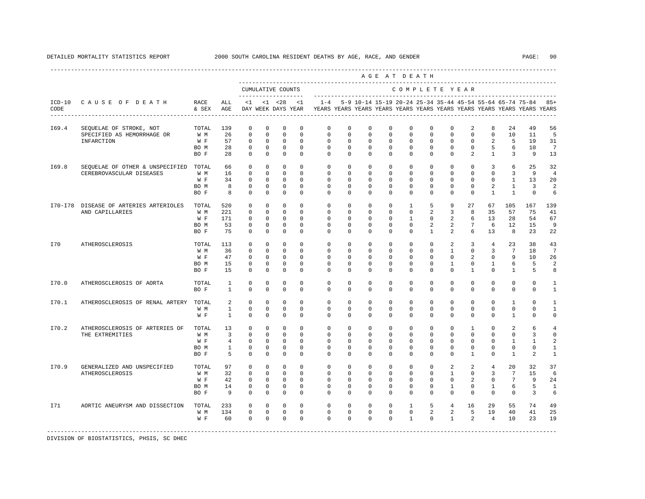|                  |                                                                     |                                     |                                     |                                                                         |                                                                |                                                                         |                                                                |                                                                    |                                                                   |                                                                | AGE AT DEATH                                                      |                                                                       |                                                                       |                                                           |                                                                   |                                                             |                                                                 |                                                                         |                                              |
|------------------|---------------------------------------------------------------------|-------------------------------------|-------------------------------------|-------------------------------------------------------------------------|----------------------------------------------------------------|-------------------------------------------------------------------------|----------------------------------------------------------------|--------------------------------------------------------------------|-------------------------------------------------------------------|----------------------------------------------------------------|-------------------------------------------------------------------|-----------------------------------------------------------------------|-----------------------------------------------------------------------|-----------------------------------------------------------|-------------------------------------------------------------------|-------------------------------------------------------------|-----------------------------------------------------------------|-------------------------------------------------------------------------|----------------------------------------------|
|                  |                                                                     |                                     |                                     |                                                                         |                                                                | CUMULATIVE COUNTS<br>--------------------                               |                                                                |                                                                    |                                                                   |                                                                |                                                                   | COMPLETE YEAR                                                         |                                                                       |                                                           |                                                                   |                                                             |                                                                 |                                                                         |                                              |
| $ICD-10$<br>CODE | CAUSE OF DEATH                                                      | RACE<br>& SEX                       | ALL<br>AGE                          | $\leq 1$                                                                |                                                                | $< 1$ $< 28$<br>DAY WEEK DAYS YEAR                                      | $\leq$ 1                                                       | $1 - 4$                                                            |                                                                   |                                                                |                                                                   |                                                                       |                                                                       |                                                           |                                                                   |                                                             | 5-9 10-14 15-19 20-24 25-34 35-44 45-54 55-64 65-74 75-84       | YEARS YEARS YEARS YEARS YEARS YEARS YEARS YEARS YEARS YEARS YEARS YEARS | $85+$                                        |
| I69.4            | SEQUELAE OF STROKE, NOT<br>SPECIFIED AS HEMORRHAGE OR<br>INFARCTION | TOTAL<br>W M<br>W F<br>BO M<br>BO F | 139<br>26<br>57<br>28<br>28         | 0<br>$\mathbf 0$<br>0<br>$\Omega$<br>$\mathbf 0$                        | $\mathbf 0$<br>0<br>0<br>$\mathbf 0$<br>$\mathbf 0$            | $\mathbf 0$<br>$\mathbf 0$<br>$\mathbf 0$<br>$\mathbf 0$<br>$\mathbf 0$ | $\mathbf 0$<br>$\mathbf 0$<br>$\Omega$<br>$\Omega$<br>$\Omega$ | $\mathbf 0$<br>$\mathbf 0$<br>$\mathbf{0}$<br>$\Omega$<br>$\Omega$ | $^{\circ}$<br>$\mathbf 0$<br>0<br>$\Omega$<br>$\Omega$            | $\circ$<br>$\mathbf 0$<br>0<br>$\Omega$<br>$\Omega$            | 0<br>$\mathbf 0$<br>0<br>$\Omega$<br>$\Omega$                     | $\mathbf 0$<br>$\mathbf{0}$<br>$\mathbf 0$<br>$\Omega$<br>$\Omega$    | $\mathbf{0}$<br>$\mathbf 0$<br>$\mathbf{0}$<br>$\Omega$<br>$\Omega$   | 0<br>$\mathbf 0$<br>$\mathbf 0$<br>$\Omega$<br>$\Omega$   | 2<br>$\mathbf 0$<br>$\Omega$<br>$\Omega$<br>2                     | 8<br>$\mathbf 0$<br>2<br>5<br>$\overline{1}$                | 24<br>10<br>5<br>6<br>3                                         | 49<br>11<br>19<br>10<br>9                                               | 56<br>5<br>31<br>$7\phantom{.0}$<br>13       |
| I69.8            | SEQUELAE OF OTHER & UNSPECIFIED<br>CEREBROVASCULAR DISEASES         | TOTAL<br>W M<br>W F<br>BO M<br>BO F | 66<br>16<br>34<br>8<br>8            | $\mathbf 0$<br>$\mathbf 0$<br>$\mathbf 0$<br>$\mathbf 0$<br>$\mathbf 0$ | $\mathbf 0$<br>$\mathbf 0$<br>$\Omega$<br>0<br>$\mathbf 0$     | $\Omega$<br>$\mathbf 0$<br>$\mathbf 0$<br>$\mathbf 0$<br>$\mathbf 0$    | $\Omega$<br>$\Omega$<br>$\Omega$<br>$\mathbf 0$<br>$\Omega$    | $\Omega$<br>$\mathbf 0$<br>$\Omega$<br>$\mathbf 0$<br>$\Omega$     | $\Omega$<br>$\mathbf 0$<br>$\Omega$<br>$\mathbf 0$<br>$\mathbf 0$ | $\Omega$<br>$\mathbf 0$<br>$\Omega$<br>$\mathbf 0$<br>$\Omega$ | $\Omega$<br>$\mathbf 0$<br>$\mathbf 0$<br>0<br>$\mathbf 0$        | $\Omega$<br>$\mathbf 0$<br>$\Omega$<br>$\mathbf 0$<br>$\Omega$        | $\Omega$<br>$\mathbf 0$<br>$\mathbf 0$<br>$\mathbf{0}$<br>$\mathbf 0$ | $\Omega$<br>0<br>0<br>0<br>$\Omega$                       | $\Omega$<br>$\mathbf 0$<br>$\Omega$<br>$\mathbf 0$<br>$\mathbf 0$ | 3<br>$\mathbf 0$<br>$\mathbf 0$<br>2<br>$\mathbf{1}$        | 6<br>3<br>$\mathbf{1}$<br>$\mathbf{1}$<br>$\mathbf{1}$          | 25<br>9<br>13<br>3<br>$\mathbf{0}$                                      | 32<br>$\overline{4}$<br>20<br>2<br>6         |
|                  | I70-I78 DISEASE OF ARTERIES ARTERIOLES<br>AND CAPILLARIES           | TOTAL<br>W M<br>W F<br>BO M<br>BO F | 520<br>221<br>171<br>53<br>75       | $\mathbf 0$<br>$\Omega$<br>$\Omega$<br>$\mathbf 0$<br>$\mathbf 0$       | $\Omega$<br>$\Omega$<br>$\Omega$<br>$\mathbf 0$<br>$\mathbf 0$ | $\Omega$<br>$\Omega$<br>$\Omega$<br>$\mathbf 0$<br>$\mathbf 0$          | $\Omega$<br>$\Omega$<br>$\Omega$<br>$\mathbf 0$<br>$\Omega$    | $\Omega$<br>$\Omega$<br>$\Omega$<br>$\mathbf 0$<br>$\Omega$        | $\mathbf 0$<br>$\Omega$<br>$\Omega$<br>$\mathbf 0$<br>$\mathbf 0$ | $\Omega$<br>$\Omega$<br>$\Omega$<br>$\mathbf 0$<br>$\Omega$    | $\mathbf 0$<br>$\Omega$<br>$\Omega$<br>$\mathbf 0$<br>$\mathbf 0$ | $\mathbf{1}$<br>$\Omega$<br>$\overline{1}$<br>$\mathbf 0$<br>$\Omega$ | 5<br>2<br>$\Omega$<br>2<br>$\mathbf{1}$                               | 9<br>3<br>2<br>$\overline{a}$<br>2                        | 27<br>8<br>6<br>$7\phantom{.0}$<br>6                              | 67<br>35<br>13<br>6<br>13                                   | 105<br>57<br>28<br>12<br>8                                      | 167<br>75<br>54<br>15<br>23                                             | 139<br>41<br>67<br>9<br>22                   |
| I70              | ATHEROSCLEROSIS                                                     | TOTAL<br>W M<br>W F<br>BO M<br>BO F | 113<br>36<br>47<br>15<br>15         | 0<br>$\Omega$<br>$\mathbf 0$<br>$\mathbf 0$<br>$\Omega$                 | $\Omega$<br>$\Omega$<br>$\mathbf 0$<br>$\mathbf 0$<br>$\Omega$ | $\mathbf 0$<br>$\Omega$<br>$\mathbf 0$<br>$\mathbf 0$<br>$\Omega$       | $\Omega$<br>$\Omega$<br>$\Omega$<br>$\mathbf 0$<br>$\Omega$    | $\Omega$<br>$\Omega$<br>$\Omega$<br>$\mathbf 0$<br>$\Omega$        | $\Omega$<br>$\Omega$<br>$\mathbf 0$<br>$\mathbf 0$<br>$\Omega$    | $\Omega$<br>$\Omega$<br>$\Omega$<br>$\mathbf 0$<br>$\Omega$    | 0<br>$\Omega$<br>$\Omega$<br>$\mathbf 0$<br>$\Omega$              | $\Omega$<br>$\Omega$<br>$\Omega$<br>$\mathbf 0$<br>$\Omega$           | $\mathbf 0$<br>$\Omega$<br>$\Omega$<br>$\mathbf 0$<br>$\Omega$        | 2<br>$\mathbf{1}$<br>$\Omega$<br>$\mathbf{1}$<br>$\Omega$ | 3<br>$\Omega$<br>2<br>$\mathbf 0$<br>$\mathbf{1}$                 | $\overline{4}$<br>3<br>$\Omega$<br>$\mathbf{1}$<br>$\Omega$ | 23<br>$7\phantom{.0}$<br>9<br>6<br>$\mathbf{1}$                 | 38<br>18<br>10<br>5<br>5                                                | 43<br>7<br>26<br>2<br>8                      |
| I70.0            | ATHEROSCLEROSIS OF AORTA                                            | TOTAL<br>BO F                       | 1<br>$\mathbf{1}$                   | $\mathbf 0$<br>$\mathbf 0$                                              | $\mathbf 0$<br>$\mathbf 0$                                     | $\mathbf 0$<br>$\mathbf 0$                                              | $\mathbf 0$<br>$\mathbf 0$                                     | $\mathbf 0$<br>$\mathbf 0$                                         | $\mathbf 0$<br>$\mathbf 0$                                        | $\mathbf 0$<br>$\mathbf 0$                                     | $\mathbf 0$<br>$\mathbf 0$                                        | $\mathbf 0$<br>$\mathbf 0$                                            | $\mathbf{0}$<br>$\mathbf 0$                                           | $\mathbf 0$<br>$\mathbf 0$                                | $\mathbf 0$<br>$\mathbf 0$                                        | $\mathbf 0$<br>$\mathbf 0$                                  | $\mathbf{0}$<br>$\mathbf 0$                                     | 0<br>0                                                                  | 1<br>$\mathbf{1}$                            |
| I70.1            | ATHEROSCLEROSIS OF RENAL ARTERY                                     | TOTAL<br>W M<br>W F                 | 2<br>$\mathbf{1}$<br>$\mathbf{1}$   | $\Omega$<br>$\mathbf 0$<br>$\Omega$                                     | $\Omega$<br>$\mathbf 0$<br>$\Omega$                            | $\Omega$<br>$\mathbf 0$<br>$\Omega$                                     | $\Omega$<br>$\mathbf 0$<br>$\Omega$                            | $\Omega$<br>$\mathbf 0$<br>$\Omega$                                | $\Omega$<br>$\mathbf 0$<br>$\Omega$                               | $\Omega$<br>$\mathbf 0$<br>$\Omega$                            | $\Omega$<br>$\mathbf 0$<br>$\Omega$                               | $\Omega$<br>$\mathbf 0$<br>$\Omega$                                   | $\Omega$<br>$\mathbf 0$<br>$\Omega$                                   | $\Omega$<br>$\mathbf 0$<br>$\Omega$                       | $\Omega$<br>$\mathbf 0$<br>$\Omega$                               | $\Omega$<br>$\mathbf 0$<br>$\Omega$                         | $\mathbf{1}$<br>$\mathbf 0$<br>1                                | $\Omega$<br>0<br>$\Omega$                                               | $\overline{1}$<br>$\mathbf{1}$<br>0          |
| I70.2            | ATHEROSCLEROSIS OF ARTERIES OF<br>THE EXTREMITIES                   | TOTAL<br>W M<br>W F<br>BO M<br>BO F | 13<br>3<br>$\overline{4}$<br>1<br>5 | $\mathbf 0$<br>$\Omega$<br>$\mathbf 0$<br>$^{\circ}$<br>$\Omega$        | $\mathbf 0$<br>$\mathbf 0$<br>0<br>0<br>$\Omega$               | $\mathbf 0$<br>$\mathbf 0$<br>$\mathbf 0$<br>$\mathbf 0$<br>$\Omega$    | $\Omega$<br>$\Omega$<br>$\mathbf 0$<br>0<br>$\Omega$           | $\circ$<br>$\Omega$<br>$\mathbf 0$<br>$\mathbf 0$<br>$\Omega$      | $\mathbf 0$<br>$\Omega$<br>0<br>$\mathbf 0$<br>$\Omega$           | $\mathbf 0$<br>$\Omega$<br>0<br>0<br>$\Omega$                  | $\mathbf 0$<br>$\Omega$<br>0<br>0<br>$\Omega$                     | $\mathbf 0$<br>$\Omega$<br>$\mathbf 0$<br>$\mathbf 0$<br>$\Omega$     | $\mathbf 0$<br>$\mathbf 0$<br>$\mathbf 0$<br>0<br>$\Omega$            | $\mathbf 0$<br>$\mathbf 0$<br>0<br>0<br>$\Omega$          | $\mathbf{1}$<br>$\Omega$<br>0<br>0<br>$\mathbf{1}$                | $\mathbf 0$<br>$\mathbf 0$<br>0<br>0<br>$\Omega$            | 2<br>$\mathbf 0$<br>$\mathbf{1}$<br>$\mathbf 0$<br>$\mathbf{1}$ | 6<br>3<br>1<br>0<br>2                                                   | $\overline{4}$<br>$\mathbf 0$<br>2<br>1<br>1 |
| I70.9            | GENERALIZED AND UNSPECIFIED<br><b>ATHEROSCLEROSIS</b>               | TOTAL<br>W M<br>W F<br>BO M<br>BO F | 97<br>32<br>42<br>14<br>9           | $\mathbf 0$<br>$\Omega$<br>$\Omega$<br>0<br>$\mathbf 0$                 | $\Omega$<br>$\Omega$<br>$\Omega$<br>0<br>0                     | $\Omega$<br>$\Omega$<br>$\mathbf 0$<br>$\mathbf 0$<br>$\mathbf 0$       | $\Omega$<br>$\Omega$<br>$\Omega$<br>$\mathbf 0$<br>$\mathbf 0$ | $\Omega$<br>$\Omega$<br>$\Omega$<br>$\mathbf 0$<br>$\mathbf 0$     | $\Omega$<br>$\Omega$<br>$\Omega$<br>0<br>0                        | $\Omega$<br>$\Omega$<br>$\Omega$<br>0<br>0                     | $\Omega$<br>$\Omega$<br>$\Omega$<br>0<br>0                        | $\Omega$<br>$\Omega$<br>$\Omega$<br>$\mathbf 0$<br>$\mathbf 0$        | $\Omega$<br>$\Omega$<br>$\Omega$<br>0<br>$\mathbf 0$                  | 2<br>$\mathbf{1}$<br>$\Omega$<br>1<br>$\Omega$            | 2<br>$\Omega$<br>2<br>0<br>0                                      | $\overline{4}$<br>3<br>$\Omega$<br>1<br>$\mathbf 0$         | 20<br>$7\phantom{.0}$<br>$7\phantom{.0}$<br>6<br>$\mathbf 0$    | 32<br>15<br>9<br>5<br>3                                                 | 37<br>6<br>24<br>$\mathbf{1}$<br>6           |
| I71              | AORTIC ANEURYSM AND DISSECTION                                      | TOTAL<br>W M<br>W F                 | 233<br>134<br>60                    | $\mathbf 0$<br>$\mathbf 0$<br>$\Omega$                                  | $\mathbf 0$<br>0<br>$\Omega$                                   | $\mathbf 0$<br>$\mathbf 0$<br>$\Omega$                                  | $\Omega$<br>$\mathbf 0$<br>$\Omega$                            | $\Omega$<br>$\mathbf 0$<br>$\Omega$                                | $\mathbf 0$<br>$\mathbf 0$<br>$\Omega$                            | $\mathbf 0$<br>$\mathbf 0$<br>$\Omega$                         | $\mathbf 0$<br>$\mathbf 0$<br>$\Omega$                            | $\mathbf{1}$<br>$\mathbf 0$<br>$\mathbf{1}$                           | 5<br>2<br>$\Omega$                                                    | $\overline{4}$<br>$\overline{a}$<br>$\mathbf{1}$          | 16<br>5<br>$\overline{a}$                                         | 29<br>19<br>$\overline{4}$                                  | 55<br>40<br>10                                                  | 74<br>41<br>23                                                          | 49<br>25<br>19                               |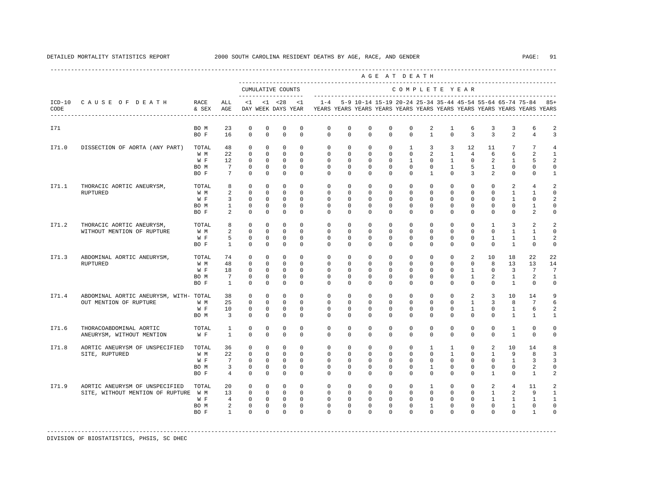|       |                                                                        |                                      |                                                                      |                                                                                        |                                                                         |                                                                                                    |                                                                      |                                                                                             |                                                            |                                                                 | AGE AT DEATH                                                   |                                                               |                                                                     |                                                                            |                                                                    |                                                               |                                                                  |                                                                    |                                                                                 |
|-------|------------------------------------------------------------------------|--------------------------------------|----------------------------------------------------------------------|----------------------------------------------------------------------------------------|-------------------------------------------------------------------------|----------------------------------------------------------------------------------------------------|----------------------------------------------------------------------|---------------------------------------------------------------------------------------------|------------------------------------------------------------|-----------------------------------------------------------------|----------------------------------------------------------------|---------------------------------------------------------------|---------------------------------------------------------------------|----------------------------------------------------------------------------|--------------------------------------------------------------------|---------------------------------------------------------------|------------------------------------------------------------------|--------------------------------------------------------------------|---------------------------------------------------------------------------------|
|       |                                                                        |                                      |                                                                      |                                                                                        |                                                                         | CUMULATIVE COUNTS<br>--------------------                                                          |                                                                      |                                                                                             |                                                            |                                                                 |                                                                |                                                               |                                                                     | COMPLETE YEAR                                                              |                                                                    |                                                               |                                                                  |                                                                    |                                                                                 |
| CODE  | ICD-10 CAUSE OF DEATH                                                  | RACE<br>& SEX                        | ALL<br>AGE                                                           | $\leq 1$                                                                               |                                                                         | $< 1$ $< 28$                                                                                       | < 1                                                                  | DAY WEEK DAYS YEAR TYEARS YEARS YEARS YEARS YEARS YEARS YEARS YEARS YEARS YEARS YEARS YEARS |                                                            |                                                                 |                                                                |                                                               |                                                                     |                                                                            |                                                                    |                                                               |                                                                  | 1-4 5-9 10-14 15-19 20-24 25-34 35-44 45-54 55-64 65-74 75-84 85+  |                                                                                 |
| I71   |                                                                        | BO M<br>BO F                         | 23<br>16                                                             | $\mathbb O$<br>$\mathbf{0}$                                                            | $\mathbb O$<br>$\mathbf{0}$                                             | $\mathbb O$<br>$\mathbf 0$                                                                         | $\mathbb O$<br>$\circ$                                               | $\mathbb O$<br>$\circ$                                                                      | $\circ$<br>$\circ$                                         | $\mathbf 0$<br>$\circ$                                          | $\mathbf 0$<br>$\mathbf 0$                                     | $\mathbf 0$<br>$\mathbf{0}$                                   | 2<br>$\mathbf{1}$                                                   | $\mathbf{1}$<br>$\Omega$                                                   | 6<br>$\overline{3}$                                                | 3<br>$\overline{3}$                                           | 3<br>2                                                           | 6<br>$\overline{4}$                                                | $\overline{a}$<br>3                                                             |
| I71.0 | DISSECTION OF AORTA (ANY PART)                                         | TOTAL<br>W M<br>W F<br>BO M<br>BO F  | 48<br>22<br>12<br>$7\overline{ }$<br>$7\overline{ }$                 | $\circ$<br>$\circ$<br>$\mathbf 0$<br>$\mathbf{0}$<br>$\Omega$                          | $\mathbf{0}$<br>$\circ$<br>$\circ$<br>$\mathbf{0}$<br>$\Omega$          | $\mathbf 0$<br>$\overline{0}$<br>$\mathbf{0}$<br>$\overline{0}$<br>$\mathbf{0}$                    | $\Omega$<br>$\mathbf{0}$<br>$\mathbf{0}$<br>$\circ$<br>$\Omega$      | $\circ$<br>$\circ$<br>$\circ$<br>$\Omega$<br>$\Omega$                                       | $\circ$<br>$\circ$<br>$\circ$<br>$\Omega$<br>$\Omega$      | $\mathbf{0}$<br>$\circ$<br>$\mathbf{0}$<br>$\Omega$<br>$\Omega$ | $\circ$<br>$\circ$<br>$\Omega$<br>$\Omega$<br>$\Omega$         | $\mathbf{1}$<br>$\circ$<br>$\mathbf{1}$<br>$\Omega$<br>$\cap$ | 3<br>$\overline{a}$<br>$\Omega$<br>$\Omega$<br>$\mathbf{1}$         | $\overline{3}$<br>$\mathbf{1}$<br>$\mathbf{1}$<br>$\mathbf{1}$<br>$\Omega$ | 12<br>$\overline{4}$<br>$\Omega$<br>5<br>$\mathcal{E}$             | 11<br>6<br>2<br>$\mathbf{1}$<br>$\overline{2}$                | 7<br>6<br>$\mathbf{1}$<br>$\Omega$<br>$\Omega$                   | $7\phantom{.0}$<br>$\overline{a}$<br>5<br>$\mathbf{0}$<br>$\Omega$ | $\overline{4}$<br>$\mathbf{1}$<br>$\overline{a}$<br>$\mathbf 0$<br>$\mathbf{1}$ |
| I71.1 | THORACIC AORTIC ANEURYSM.<br>RUPTURED                                  | TOTAL.<br>W M<br>W F<br>BO M<br>BO F | 8<br>$\overline{a}$<br>$\overline{3}$<br>$1 \quad \blacksquare$<br>2 | $\Omega$<br>$\circ$<br>$\circ$<br>$\circ$<br>$\mathbf 0$                               | $\Omega$<br>$\mathbf{0}$<br>$\circ$<br>$\overline{0}$<br>$\mathbf 0$    | $\Omega$<br>$\overline{0}$<br>$\mathbf{0}$<br>$\circ$<br>$\mathbf{0}$                              | $\Omega$<br>$\circ$<br>$\Omega$<br>$\circ$<br>$\mathbf{0}$           | $\Omega$<br>$\circ$<br>$\circ$<br>$\circ$<br>$\circ$                                        | $\Omega$<br>$\circ$<br>$\Omega$<br>$\circ$<br>$\circ$      | $\Omega$<br>$\mathbf{0}$<br>$\Omega$<br>$\circ$<br>$\Omega$     | $\Omega$<br>$\Omega$<br>$\Omega$<br>$\circ$<br>$\mathbf 0$     | $\Omega$<br>$\Omega$<br>$\Omega$<br>$\mathbf{0}$<br>$\Omega$  | $\Omega$<br>$\Omega$<br>$\Omega$<br>$\circ$<br>$\mathbf 0$          | $\Omega$<br>$\Omega$<br>$\Omega$<br>$\mathbf{0}$<br>$\Omega$               | $\Omega$<br>$\Omega$<br>$\mathbf{0}$<br>$\mathbf 0$<br>$\mathbf 0$ | $\Omega$<br>$^{\circ}$<br>$\circ$<br>$\circ$<br>$\Omega$      | 2<br>$\mathbf{1}$<br>$\mathbf{1}$<br>0<br>$\mathbf{0}$           | $\overline{4}$<br>$\mathbf{1}$<br>$\circ$<br>$\mathbf{1}$<br>2     | $\overline{a}$<br>$\mathbf 0$<br>2<br>$\mathbf 0$<br>0                          |
| I71.2 | THORACIC AORTIC ANEURYSM,<br>WITHOUT MENTION OF RUPTURE                | TOTAL<br>W M<br>W F<br>BO F          | 8<br>2<br>5<br>$\mathbf{1}$                                          | $\circ$<br>$\mathbf 0$<br>$\circ$<br>$\Omega$                                          | $\mathbf{0}$<br>$\mathbf 0$<br>$\Omega$<br>$\mathbf 0$                  | $\circ$<br>$\circ$<br>$\mathbf{0}$<br>$\circ$                                                      | $\Omega$<br>$\Omega$<br>$\Omega$<br>$\Omega$                         | $\circ$<br>$\Omega$<br>$\Omega$<br>$\Omega$                                                 | $\circ$<br>$\Omega$<br>$\Omega$<br>$\Omega$                | $\Omega$<br>$\Omega$<br>$\Omega$<br>$\Omega$                    | $\circ$<br>$\Omega$<br>$\Omega$<br>$\Omega$                    | $\circ$<br>$\Omega$<br>$\Omega$<br>$\Omega$                   | $\mathbf{0}$<br>$\Omega$<br>$\Omega$<br>$\Omega$                    | $\circ$<br>$\Omega$<br>$\Omega$<br>$\Omega$                                | $\mathbf 0$<br>$\Omega$<br>$\Omega$<br>$\Omega$                    | $\mathbf{1}$<br>$\Omega$<br>$\mathbf{1}$<br>$\Omega$          | $\overline{3}$<br>$\mathbf{1}$<br>$\mathbf{1}$<br>$\overline{1}$ | 2<br>$\mathbf{1}$<br>$\mathbf{1}$<br>$\Omega$                      | 2<br>$\Omega$<br>2<br>$\mathbf 0$                                               |
| I71.3 | ABDOMINAL AORTIC ANEURYSM,<br><b>RUPTURED</b>                          | TOTAL<br>W M<br>W F<br>BO M<br>BO F  | 74<br>48<br>18<br>$7\phantom{.0}\phantom{.0}7$<br>$\mathbf{1}$       | $\circ$<br>$\mathbf 0$<br>$\circ$<br>$\circ$<br>$\Omega$                               | $\mathbf{0}$<br>$^{\circ}$<br>$\circ$<br>$\mathbf{0}$<br>$\Omega$       | $\mathbf{0}$<br>$\overline{0}$<br>$\Omega$<br>$\mathbf{0}$<br>$\circ$                              | $\mathbf{0}$<br>$\Omega$<br>$\Omega$<br>$\overline{0}$<br>$\Omega$   | $\circ$<br>$\circ$<br>$\Omega$<br>$\circ$<br>$\Omega$                                       | $\circ$<br>$\circ$<br>$\Omega$<br>$\circ$<br>$\Omega$      | $\circ$<br>$^{\circ}$<br>$\Omega$<br>$\circ$<br>$\Omega$        | $\circ$<br>$\mathbf{0}$<br>$\Omega$<br>$\mathbf 0$<br>$\Omega$ | $\circ$<br>$\circ$<br>$\Omega$<br>$\circ$<br>$\Omega$         | $\mathbf 0$<br>$\mathbf{0}$<br>$\Omega$<br>$\mathbf{0}$<br>$\Omega$ | $\circ$<br>$\circ$<br>$\Omega$<br>$\circ$<br>$\Omega$                      | 2<br>0<br>$\mathbf{1}$<br>$\mathbf{1}$<br>$\Omega$                 | 10<br>8<br>$\Omega$<br>2<br>$\Omega$                          | 18<br>13<br>$\overline{3}$<br>$\mathbf{1}$<br>$\mathbf{1}$       | 22<br>13<br>$7\overline{ }$<br>2<br>$\Omega$                       | 22<br>14<br>$7\phantom{.0}$<br>1<br>$\mathbf 0$                                 |
| I71.4 | ABDOMINAL AORTIC ANEURYSM, WITH- TOTAL<br>OUT MENTION OF RUPTURE       | W M<br>W F<br>BO M                   | 38<br>25<br>1 O<br>$\overline{\mathbf{3}}$                           | $\circ$<br>$\Omega$<br>$\Omega$<br>$\mathbf{0}$                                        | $\mathbf 0$<br>$\Omega$<br>$\Omega$<br>$\mathbf{0}$                     | $\mathbf{0}$<br>$\Omega$<br>$\Omega$<br>$\mathbf{0}$                                               | $\Omega$<br>$\Omega$<br>$\Omega$<br>$\Omega$                         | $\Omega$<br>$\Omega$<br>$\Omega$<br>$\Omega$                                                | $\Omega$<br>$\Omega$<br>$\Omega$<br>$\Omega$               | $\Omega$<br>$\Omega$<br>$\Omega$<br>$\Omega$                    | $\Omega$<br>$\Omega$<br>$\Omega$<br>$\Omega$                   | $\Omega$<br>$\Omega$<br>$\Omega$<br>$\Omega$                  | $\Omega$<br>$\Omega$<br>$\Omega$<br>$\Omega$                        | $\Omega$<br>$\Omega$<br>$\Omega$<br>$\Omega$                               | $\overline{a}$<br>$\overline{1}$<br>$\overline{1}$<br>$\Omega$     | $\overline{3}$<br>$\overline{3}$<br>$\Omega$<br>$\Omega$      | 10<br>8<br>$\overline{1}$<br>$\mathbf{1}$                        | 14<br>$7\overline{ }$<br>6<br>$\mathbf{1}$                         | 9<br>6<br>2<br>$\mathbf{1}$                                                     |
| I71.6 | THORACOABDOMINAL AORTIC<br>ANEURYSM, WITHOUT MENTION                   | TOTAL<br>W F                         | $\mathbf{1}$<br>$\mathbf{1}$                                         | $\mathbf{0}$<br>$\mathbf 0$                                                            | $\mathbf{0}$<br>$\mathbf 0$                                             | $\mathbf 0$<br>$\mathbf 0$                                                                         | $\circ$<br>$\Omega$                                                  | $\circ$<br>$\Omega$                                                                         | $\circ$<br>$\Omega$                                        | $^{\circ}$<br>$\Omega$                                          | $\mathbf{0}$<br>$\Omega$                                       | $\mathbf{0}$<br>$\Omega$                                      | $\mathbf{0}$<br>$\Omega$                                            | $\circ$<br>$\Omega$                                                        | 0<br>$\Omega$                                                      | $\mathbf{0}$<br>$\Omega$                                      | $\mathbf{1}$<br>$\mathbf{1}$                                     | $\mathbf 0$<br>$\Omega$                                            | 0<br>0                                                                          |
| I71.8 | AORTIC ANEURYSM OF UNSPECIFIED<br>SITE, RUPTURED                       | TOTAL<br>W M<br>W F<br>BO M<br>BO F  | 36<br>22<br>$7^{\circ}$<br>$\overline{3}$<br>$\overline{4}$          | $\mathbf 0$<br>$\circ$<br>$\Omega$<br>$\circ$<br>$\circ$                               | $\mathbf{0}$<br>$\mathbf 0$<br>$\Omega$<br>$\mathbf{0}$<br>$\mathbf{0}$ | $\mathbf 0$<br>$\Omega$<br>$\Omega$<br>$\mathbf{0}$<br>$\mathbf{0}$                                | $\Omega$<br>$\Omega$<br>$\Omega$<br>$\mathbf 0$<br>$\Omega$          | $\circ$<br>$\Omega$<br>$\Omega$<br>$\circ$<br>$\Omega$                                      | $\circ$<br>$\Omega$<br>$\Omega$<br>$\circ$<br>$\Omega$     | $\circ$<br>$\Omega$<br>$\Omega$<br>$\Omega$<br>$\Omega$         | $\circ$<br>$\Omega$<br>$\Omega$<br>$\Omega$<br>$\Omega$        | $\circ$<br>$\Omega$<br>$\Omega$<br>$\Omega$<br>$\Omega$       | $\mathbf{1}$<br>$\Omega$<br>$\Omega$<br>$\mathbf{1}$<br>$\Omega$    | $\mathbf{1}$<br>$\overline{1}$<br>$\Omega$<br>$\Omega$<br>$\Omega$         | $\mathbf 0$<br>$\Omega$<br>$\Omega$<br>$\Omega$<br>$\mathbf 0$     | 2<br>$\mathbf{1}$<br>$\Omega$<br>$\mathbf{0}$<br>$\mathbf{1}$ | 10<br>9<br>$\overline{1}$<br>$\mathbf 0$<br>$\mathbf{0}$         | 14<br>8<br>3<br>2<br>$\mathbf{1}$                                  | 8<br>3<br>3<br>$\Omega$<br>2                                                    |
| I71.9 | AORTIC ANEURYSM OF UNSPECIFIED<br>SITE, WITHOUT MENTION OF RUPTURE W M | TOTAL<br>W F<br>BO M<br>BO F         | 20<br>13<br>4<br>$\mathbf{1}$                                        | $\mathbf 0$<br>$\mathbf{0}$<br>$\mathbf{0}$<br>$2^{\circ}$<br>$\mathbf{0}$<br>$\Omega$ | $\mathbf{0}$<br>$\overline{0}$<br>$\Omega$                              | $\overline{0}$<br>$0\qquad 0$<br>$\overline{0}$<br>$\overline{0}$<br>$0 \qquad \qquad$<br>$\Omega$ | $\mathbf{0}$<br>$\Omega$<br>$\mathbf{0}$<br>$\mathbf{0}$<br>$\Omega$ | $\circ$<br>$\Omega$<br>$\circ$<br>$\circ$<br>$\Omega$                                       | $\mathbf{0}$<br>$\Omega$<br>$\circ$<br>$\circ$<br>$\Omega$ | $^{\circ}$<br>$\Omega$<br>$\circ$<br>$\circ$<br>$\Omega$        | $^{\circ}$<br>$\Omega$<br>$\circ$<br>$\circ$<br>$\Omega$       | $^{\circ}$<br>$\Omega$<br>$\circ$<br>$\circ$<br>$\Omega$      | $\mathbf{1}$<br>$\Omega$<br>$\circ$<br>$\mathbf{1}$<br>$\Omega$     | $^{\circ}$<br>$\Omega$<br>$\circ$<br>$\circ$<br>$\Omega$                   | $^{\circ}$<br>$\Omega$<br>$\mathbf{0}$<br>$\mathbf 0$<br>$\Omega$  | 2<br>$\mathbf{1}$<br>$\mathbf{1}$<br>$\circ$<br>$\Omega$      | $\overline{4}$<br>2<br>$\mathbf{1}$<br>$\mathbf{1}$<br>$\Omega$  | 11<br>9<br>$\mathbf{1}$<br>$^{\circ}$<br>$\overline{1}$            | 2<br>1<br>$\mathbf{1}$<br>$\circ$<br>$\Omega$                                   |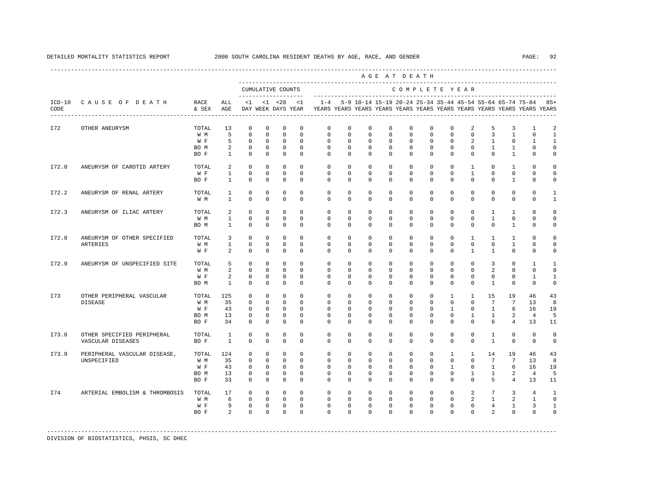|       |                                                 |                                     |                                                       |                                                                           |                                                                       |                                                                           |                                                                |                                                                                             |                                                                   |                                                                   |                                                                   | AGE AT DEATH                                                   |                                                                    |                                                                      |                                                                      |                                                                   |                                                                 |                                                                   |                                                         |
|-------|-------------------------------------------------|-------------------------------------|-------------------------------------------------------|---------------------------------------------------------------------------|-----------------------------------------------------------------------|---------------------------------------------------------------------------|----------------------------------------------------------------|---------------------------------------------------------------------------------------------|-------------------------------------------------------------------|-------------------------------------------------------------------|-------------------------------------------------------------------|----------------------------------------------------------------|--------------------------------------------------------------------|----------------------------------------------------------------------|----------------------------------------------------------------------|-------------------------------------------------------------------|-----------------------------------------------------------------|-------------------------------------------------------------------|---------------------------------------------------------|
|       |                                                 |                                     | --------------------                                  |                                                                           | CUMULATIVE COUNTS                                                     |                                                                           |                                                                |                                                                                             |                                                                   |                                                                   | COMPLETE YEAR                                                     |                                                                |                                                                    |                                                                      |                                                                      |                                                                   |                                                                 |                                                                   |                                                         |
| CODE  | ICD-10 CAUSE OF DEATH                           | RACE<br>& SEX                       | ALL<br>AGE                                            |                                                                           | $<1$ $<1$ $<28$                                                       |                                                                           | <1                                                             | DAY WEEK DAYS YEAR TYEARS YEARS YEARS YEARS YEARS YEARS YEARS YEARS YEARS YEARS YEARS YEARS |                                                                   |                                                                   |                                                                   |                                                                |                                                                    |                                                                      |                                                                      |                                                                   |                                                                 | 1-4 5-9 10-14 15-19 20-24 25-34 35-44 45-54 55-64 65-74 75-84 85+ |                                                         |
| I72   | OTHER ANEURYSM                                  | TOTAL<br>W M<br>W F<br>BO M<br>BO F | 13<br>5<br>5<br>$\overline{a}$<br>$\mathbf{1}$        | $\mathbf{0}$<br>$\mathbf 0$<br>$^{\circ}$<br>$\mathbf{0}$<br>$\mathbf{0}$ | $\mathbb O$<br>$^{\circ}$<br>$^{\circ}$<br>$\mathbf{0}$<br>$^{\circ}$ | $\mathbf{0}$<br>$\mathbf{0}$<br>$\circ$<br>$\overline{0}$<br>$\mathbf{0}$ | $\mathbf{0}$<br>$^{\circ}$<br>$\Omega$<br>$\Omega$<br>$\Omega$ | $\mathbf 0$<br>$\mathbf{0}$<br>$\Omega$<br>$\Omega$<br>$\Omega$                             | $\mathbf 0$<br>$\mathbf 0$<br>$\Omega$<br>$\Omega$<br>$\mathbf 0$ | $\mathbf 0$<br>$\mathbf 0$<br>$\mathbf 0$<br>$\Omega$<br>$\Omega$ | $\mathbf 0$<br>$\mathbf 0$<br>$\Omega$<br>$\Omega$<br>$\Omega$    | $\mathbf 0$<br>$\mathbf 0$<br>$\Omega$<br>$\Omega$<br>$\Omega$ | $\mathbf 0$<br>$\mathbf 0$<br>$\Omega$<br>$\Omega$<br>$\Omega$     | $\mathbf 0$<br>$\mathbf 0$<br>$\Omega$<br>$\Omega$<br>$\Omega$       | 2<br>$\mathbf 0$<br>2<br>$\Omega$<br>$\Omega$                        | 5<br>$\overline{3}$<br>$\overline{1}$<br>$\mathbf{1}$<br>$\Omega$ | 3<br>$\mathbf{1}$<br>$\Omega$<br>$\mathbf{1}$<br>$\overline{1}$ | 1<br>$\mathbf{0}$<br>$\overline{1}$<br>$\mathbf 0$<br>$\Omega$    | 2<br>1<br>$\mathbf{1}$<br>$\Omega$<br>$\mathbf 0$       |
| I72.0 | ANEURYSM OF CAROTID ARTERY                      | TOTAL<br>W F<br>BO F                | 2<br>$\mathbf{1}$<br>$\overline{1}$                   | $\Omega$<br>$\mathbf{0}$<br>$\Omega$                                      | $\Omega$<br>$\Omega$<br>$\Omega$                                      | $\Omega$<br>$\overline{0}$<br>$\Omega$                                    | $\Omega$<br>$\Omega$<br>$\Omega$                               | $\Omega$<br>$\Omega$<br>$\Omega$                                                            | $\Omega$<br>$\Omega$<br>$\Omega$                                  | $\Omega$<br>$\Omega$<br>$\Omega$                                  | $\Omega$<br>$\Omega$<br>$\Omega$                                  | $\Omega$<br>$\Omega$<br>$\Omega$                               | $\Omega$<br>$\Omega$<br>$\Omega$                                   | $\Omega$<br>$\Omega$<br>$\Omega$                                     | $\mathbf{1}$<br>$\overline{1}$<br>$\Omega$                           | $\Omega$<br>$\Omega$<br>$\Omega$                                  | $\overline{1}$<br>$\Omega$<br>$\overline{1}$                    | $\Omega$<br>$\Omega$<br>$\Omega$                                  | $\Omega$<br>$\mathbf 0$<br>$\Omega$                     |
| I72.2 | ANEURYSM OF RENAL ARTERY                        | TOTAL<br>W M                        | 1<br>$\mathbf{1}$                                     | $\mathbf 0$<br>$\Omega$                                                   | $^{\circ}$<br>$\Omega$                                                | $^{\circ}$<br>$\Omega$                                                    | $\Omega$<br>$\Omega$                                           | $\mathbf{0}$<br>$\Omega$                                                                    | $\mathbf{0}$<br>$\Omega$                                          | $\mathbf 0$<br>$\Omega$                                           | $\Omega$<br>$\Omega$                                              | $\mathbf 0$<br>$\Omega$                                        | $\Omega$<br>$\Omega$                                               | $\circ$<br>$\Omega$                                                  | $\Omega$<br>$\Omega$                                                 | $\Omega$<br>$\Omega$                                              | $\mathbf{0}$<br>$\Omega$                                        | $\mathbf 0$<br>$\Omega$                                           | $\mathbf{1}$<br>$\mathbf{1}$                            |
| I72.3 | ANEURYSM OF ILIAC ARTERY                        | TOTAL<br>W M<br>BO M                | 2<br>$\mathbf{1}$<br>$\mathbf{1}$                     | $\mathbf 0$<br>$\Omega$<br>$\Omega$                                       | $^{\circ}$<br>$\Omega$<br>$\mathbf 0$                                 | $^{\circ}$<br>$\Omega$<br>$\Omega$                                        | $\Omega$<br>$\Omega$<br>$\Omega$                               | $\mathbf{0}$<br>$\Omega$<br>$\Omega$                                                        | $\mathbf 0$<br>$\Omega$<br>$\mathbf 0$                            | $\mathbf 0$<br>$\Omega$<br>$\Omega$                               | 0<br>$\Omega$<br>$\mathbf 0$                                      | $\mathbf 0$<br>$\Omega$<br>$\Omega$                            | $\mathbf{0}$<br>$\Omega$<br>$\mathbf 0$                            | $\Omega$<br>$\Omega$<br>$\Omega$                                     | $^{\circ}$<br>$\Omega$<br>$\Omega$                                   | 1<br>$\mathbf{1}$<br>$\Omega$                                     | 1<br>$\Omega$<br>$\overline{1}$                                 | $\Omega$<br>$\Omega$<br>$\mathbf 0$                               | $\Omega$<br>$\Omega$<br>$\mathbf 0$                     |
| I72.8 | ANEURYSM OF OTHER SPECIFIED<br>ARTERIES         | TOTAL<br>W M<br>W F                 | $\overline{3}$<br>$\mathbf{1}$<br>$\overline{a}$      | $\Omega$<br>$\mathbf 0$<br>$\Omega$                                       | $\Omega$<br>$\Omega$<br>$\mathbf{0}$                                  | $\Omega$<br>$\Omega$<br>$\mathbf{0}$                                      | $\Omega$<br>$\Omega$<br>$\Omega$                               | $\Omega$<br>$\Omega$<br>$\Omega$                                                            | $\Omega$<br>$\Omega$<br>$\mathbf 0$                               | $\Omega$<br>$\Omega$<br>$\mathbf 0$                               | $\Omega$<br>$\Omega$<br>$\mathbf 0$                               | $\Omega$<br>$\mathbf 0$<br>$\Omega$                            | $\Omega$<br>$\Omega$<br>$\mathbf 0$                                | $\Omega$<br>$\Omega$<br>$\Omega$                                     | $\mathbf{1}$<br>$\Omega$<br>$\mathbf{1}$                             | $\mathbf{1}$<br>$\Omega$<br>$\mathbf{1}$                          | $\overline{1}$<br>$\overline{1}$<br>$\mathbf{0}$                | $\Omega$<br>$\Omega$<br>$\mathbf 0$                               | $\Omega$<br>$\Omega$<br>$\mathbf 0$                     |
| I72.9 | ANEURYSM OF UNSPECIFIED SITE                    | TOTAL<br>W M<br>W F<br>BO M         | 5<br>$\overline{a}$<br>$\overline{a}$<br>$\mathbf{1}$ | $^{\circ}$<br>$\Omega$<br>$\mathbf{0}$<br>$\Omega$                        | $^{\circ}$<br>$\Omega$<br>$^{\circ}$<br>$\Omega$                      | $^{\circ}$<br>$\Omega$<br>$\overline{0}$<br>$\Omega$                      | $\Omega$<br>$\Omega$<br>$^{\circ}$<br>$\Omega$                 | $\mathbf{0}$<br>$\Omega$<br>$\mathbf{0}$<br>$\Omega$                                        | $\mathbf 0$<br>$\Omega$<br>$\mathbf 0$<br>$\Omega$                | $\mathbf 0$<br>$\Omega$<br>$\mathbf 0$<br>$\Omega$                | 0<br>$\Omega$<br>$\mathbf 0$<br>$\Omega$                          | $\mathbf 0$<br>$\Omega$<br>$\mathbf 0$<br>$\Omega$             | $\mathbf{0}$<br>$\Omega$<br>$\mathbf 0$<br>$\Omega$                | $\Omega$<br>$\Omega$<br>$\mathbf 0$<br>$\Omega$                      | $\mathbf{0}$<br>$\Omega$<br>$\mathbf 0$<br>$\Omega$                  | $\overline{3}$<br>$\overline{a}$<br>$\mathbf 0$<br>$\mathbf{1}$   | $\mathbf{0}$<br>$\Omega$<br>$\mathbf 0$<br>$\Omega$             | 1<br>$\Omega$<br>$\mathbf{1}$<br>$\Omega$                         | $\mathbf{1}$<br>$\Omega$<br>$\mathbf{1}$<br>$\mathbf 0$ |
| I73   | OTHER PERIPHERAL VASCULAR<br><b>DISEASE</b>     | TOTAL<br>W M<br>W F<br>BO M<br>BO F | 125<br>35<br>43<br>13<br>34                           | $\Omega$<br>$\Omega$<br>$\Omega$<br>$\mathbf 0$<br>$\Omega$               | $\Omega$<br>$\Omega$<br>$\Omega$<br>$^{\circ}$<br>$\Omega$            | $\mathbf{0}$<br>$\Omega$<br>$\overline{0}$<br>$\circ$<br>$\Omega$         | $\Omega$<br>$\Omega$<br>$\Omega$<br>$\mathbf 0$<br>$\Omega$    | $\Omega$<br>$\Omega$<br>$\Omega$<br>$\mathbf{0}$<br>$\Omega$                                | $\Omega$<br>$\Omega$<br>$\Omega$<br>$\Omega$<br>$\Omega$          | $\Omega$<br>$\Omega$<br>$\Omega$<br>$\mathbf 0$<br>$\Omega$       | $\Omega$<br>$\Omega$<br>$\Omega$<br>$\Omega$<br>$\Omega$          | $\Omega$<br>$\Omega$<br>$\Omega$<br>$\Omega$<br>$\Omega$       | $\Omega$<br>$\Omega$<br>$\Omega$<br>$\Omega$<br>$\Omega$           | $\overline{1}$<br>$\Omega$<br>$\mathbf{1}$<br>$\Omega$<br>$\Omega$   | $\overline{1}$<br>$\Omega$<br>$\Omega$<br>1<br>$\Omega$              | 15<br>$7\overline{ }$<br>$\overline{1}$<br>$\overline{1}$<br>6    | 19<br>$7\overline{ }$<br>6<br>2<br>$\overline{4}$               | 46<br>13<br>16<br>4<br>13                                         | 43<br>8<br>19<br>5<br>11                                |
| I73.8 | OTHER SPECIFIED PERIPHERAL<br>VASCULAR DISEASES | TOTAL<br>BO F                       | $\mathbf{1}$<br>$\overline{1}$                        | $^{\circ}$<br>$\Omega$                                                    | $^{\circ}$<br>$\Omega$                                                | $^{\circ}$<br>$\Omega$                                                    | $\Omega$<br>$\Omega$                                           | $\Omega$<br>$\Omega$                                                                        | $\Omega$<br>$\Omega$                                              | $\mathbf 0$<br>$\Omega$                                           | $\Omega$<br>0                                                     | $\Omega$<br>$\Omega$                                           | $\Omega$<br>$\Omega$                                               | $\Omega$<br>$\Omega$                                                 | $\Omega$<br>$\Omega$                                                 | $\mathbf{1}$<br>$\overline{1}$                                    | $\mathbf{0}$<br>$\Omega$                                        | $^{\circ}$<br>$\Omega$                                            | $\mathbf 0$<br>$\Omega$                                 |
| I73.9 | PERIPHERAL VASCULAR DISEASE,<br>UNSPECIFIED     | TOTAL<br>W M<br>W F<br>BO M<br>BO F | 124<br>35<br>43<br>13<br>33                           | $\mathbf{0}$<br>$\Omega$<br>$\Omega$<br>$\mathbf{0}$<br>$^{\circ}$        | $\mathbf 0$<br>$\Omega$<br>$\Omega$<br>$\mathbf{0}$<br>$^{\circ}$     | $\mathbf{0}$<br>$\Omega$<br>$\overline{0}$<br>$\overline{0}$<br>$\circ$   | $\Omega$<br>$\Omega$<br>$\Omega$<br>$\mathbf{0}$<br>$^{\circ}$ | $\circ$<br>$\Omega$<br>$\Omega$<br>$\mathbf{0}$<br>$\Omega$                                 | $\circ$<br>$\Omega$<br>$\Omega$<br>$\mathbf 0$<br>$\mathbf{0}$    | $\circ$<br>$\Omega$<br>$\Omega$<br>$\mathbf 0$<br>$\circ$         | $\mathbf{0}$<br>$\Omega$<br>$\Omega$<br>$\mathbf 0$<br>$^{\circ}$ | $\circ$<br>$\Omega$<br>$\Omega$<br>$\mathbf{0}$<br>$^{\circ}$  | $\mathbf 0$<br>$\Omega$<br>$\Omega$<br>$\mathbf 0$<br>$\mathbf{0}$ | $\mathbf{1}$<br>$\Omega$<br>$\mathbf{1}$<br>$\mathbf{0}$<br>$\Omega$ | $\mathbf{1}$<br>$\Omega$<br>$\Omega$<br>$\mathbf{1}$<br>$\mathbf{0}$ | 14<br>$7\overline{ }$<br>$\overline{1}$<br>$\mathbf{1}$<br>5      | 19<br>7<br>6<br>2<br>$\overline{4}$                             | 46<br>13<br>16<br>$\overline{4}$<br>13                            | 43<br>8<br>19<br>5<br>11                                |
| I74   | ARTERIAL EMBOLISM & THROMBOSIS                  | TOTAL<br>W M<br>W F<br>BO F         | 17<br>6<br>9<br>$\overline{2}$                        | $\mathbf{0}$<br>$\mathbf 0$<br>$\mathbf 0$<br>$\Omega$                    | $\circ$<br>$\mathbf{0}$<br>$^{\circ}$<br>$\Omega$                     | $\overline{0}$<br>$\overline{0}$<br>$\overline{\phantom{0}}$<br>$\Omega$  | $\Omega$<br>$\mathbf{0}$<br>$^{\circ}$<br>$\Omega$             | $\circ$<br>$\mathbf{0}$<br>$\mathbf 0$<br>$\Omega$                                          | $\mathbf{0}$<br>$\mathbf 0$<br>$\mathbf 0$<br>$\Omega$            | $\circ$<br>$\mathbf 0$<br>$\mathbf 0$<br>$\Omega$                 | $\circ$<br>$\mathbf 0$<br>$^{\circ}$<br>$\Omega$                  | $\mathbf{0}$<br>$\mathbf 0$<br>$\mathbf 0$<br>$\Omega$         | $\Omega$<br>$\mathbf 0$<br>$\mathbf 0$<br>$\Omega$                 | $\circ$<br>$\circ$<br>$\mathbf 0$<br>$\Omega$                        | $\overline{a}$<br>$\overline{a}$<br>$\mathbf 0$<br>$\Omega$          | $7^{\circ}$<br>$\overline{1}$<br>$\overline{4}$<br>$\overline{2}$ | $\overline{3}$<br>$\overline{a}$<br>1<br>$\Omega$               | $\overline{4}$<br>$\mathbf{1}$<br>3<br>$\Omega$                   | 1<br>$\circ$<br>$\mathbf{1}$<br>$\Omega$                |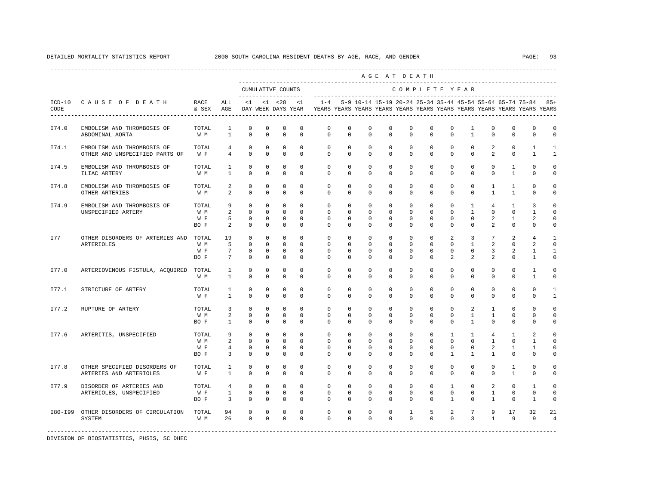|         |                                                              |                             |                                                  |                                                        |                                                       |                                                            |                                                      |                                                                                                       |                                                   |                                                      |                                             | AGE AT DEATH                                                  |                                                            |                                                         |                                                           |                                                |                                               |                                                               |                                                    |
|---------|--------------------------------------------------------------|-----------------------------|--------------------------------------------------|--------------------------------------------------------|-------------------------------------------------------|------------------------------------------------------------|------------------------------------------------------|-------------------------------------------------------------------------------------------------------|---------------------------------------------------|------------------------------------------------------|---------------------------------------------|---------------------------------------------------------------|------------------------------------------------------------|---------------------------------------------------------|-----------------------------------------------------------|------------------------------------------------|-----------------------------------------------|---------------------------------------------------------------|----------------------------------------------------|
|         |                                                              |                             |                                                  |                                                        |                                                       | CUMULATIVE COUNTS                                          |                                                      |                                                                                                       |                                                   |                                                      |                                             | COMPLETE YEAR                                                 |                                                            |                                                         |                                                           |                                                |                                               |                                                               |                                                    |
| CODE    | ICD-10 CAUSE OF DEATH                                        | RACE<br>& SEX AGE           | ALL                                              |                                                        | $<1$ $<1$ $<28$                                       |                                                            | <1                                                   | $1 - 4$<br>DAY WEEK DAYS YEAR YEARS YEARS YEARS YEARS YEARS YEARS YEARS YEARS YEARS YEARS YEARS YEARS |                                                   |                                                      |                                             |                                                               |                                                            |                                                         |                                                           |                                                |                                               | 5-9 10-14 15-19 20-24 25-34 35-44 45-54 55-64 65-74 75-84 85+ |                                                    |
| I74.0   | EMBOLISM AND THROMBOSIS OF<br>ABDOMINAL AORTA                | TOTAL<br>W M                | <sup>1</sup><br>$\overline{1}$                   | $^{\circ}$<br>$\Omega$                                 | $\mathbf 0$<br>$\Omega$                               | $\mathbf 0$<br>$\Omega$                                    | $\mathbf 0$<br>$\Omega$                              | $\mathbf 0$<br>$\Omega$                                                                               | $\mathbf 0$<br>$\Omega$                           | $\mathbf 0$<br>$\Omega$                              | $\mathbf 0$<br>$\Omega$                     | $\mathbf{0}$<br>$\Omega$                                      | $\mathbf 0$<br>$\Omega$                                    | $\mathbf 0$<br>$\Omega$                                 | 1<br>$\mathbf{1}$                                         | $^{\circ}$<br>$\Omega$                         | $\mathbf 0$<br>$\Omega$                       | $\mathbf 0$<br>$\Omega$                                       | $\mathbf 0$<br>$\Omega$                            |
| I74.1   | EMBOLISM AND THROMBOSIS OF<br>OTHER AND UNSPECIFIED PARTS OF | TOTAL<br>W F                | $4\overline{ }$<br>$4\overline{ }$               | $\mathbf{0}$<br>$\mathbf 0$                            | $^{\circ}$<br>$^{\circ}$                              | $\mathbf 0$<br>$\mathbf 0$                                 | $\mathbf{0}$<br>$\mathbf 0$                          | $\circ$<br>$\circ$                                                                                    | $\circ$<br>$\circ$                                | $\circ$<br>$\mathbf{0}$                              | $\overline{0}$<br>$\circ$                   | $\circ$<br>$\circ$                                            | $\circ$<br>$\mathbf{0}$                                    | $\mathbf{0}$<br>$\circ$                                 | $\circ$<br>$\mathbf 0$                                    | 2<br>2                                         | $\mathbf{0}$<br>0                             | $\mathbf{1}$<br>1                                             | 1<br>1                                             |
| I74.5   | EMBOLISM AND THROMBOSIS OF<br>ILIAC ARTERY                   | TOTAL<br>W M                | $\mathbf{1}$<br>$\mathbf{1}$                     | $\circ$<br>$\mathbf 0$                                 | $\mathbf 0$<br>$\mathbf 0$                            | $\mathbf 0$<br>$\mathbf 0$                                 | $\Omega$<br>$\mathbf 0$                              | $\circ$<br>$\Omega$                                                                                   | $\circ$<br>$\Omega$                               | $\circ$<br>$\mathbf{0}$                              | $\mathbf{0}$<br>$\Omega$                    | $\circ$<br>$\mathbf{0}$                                       | $\circ$<br>$\Omega$                                        | $\circ$<br>$\Omega$                                     | $^{\circ}$<br>$\mathbf 0$                                 | $\mathbf 0$<br>$\Omega$                        | 1<br>$\mathbf{1}$                             | $\mathbf{0}$<br>$\Omega$                                      | $\mathbf 0$<br>$\mathbf 0$                         |
| I74.8   | EMBOLISM AND THROMBOSIS OF<br>OTHER ARTERIES                 | TOTAL<br>W M                | $\overline{a}$<br>2                              | $\mathbf 0$<br>$\mathbf 0$                             | $\mathbf 0$<br>$\mathbf 0$                            | $\mathbf 0$<br>$\mathbf 0$                                 | $\mathbf 0$<br>$\mathbf 0$                           | $\circ$<br>$\mathbf 0$                                                                                | $\circ$<br>$\mathbf 0$                            | $\mathbf{0}$<br>$\mathbf 0$                          | $^{\circ}$<br>$\mathbf 0$                   | $\circ$<br>$\mathbf{0}$                                       | $\mathbf{0}$<br>0                                          | $\mathbf 0$<br>$\mathbf 0$                              | 0<br>$\mathbf 0$                                          | $\mathbf{1}$<br>$\mathbf{1}$                   | 1<br>$\mathbf{1}$                             | $\circ$<br>$\mathbf 0$                                        | $\mathbf 0$<br>0                                   |
| I74.9   | EMBOLISM AND THROMBOSIS OF<br>UNSPECIFIED ARTERY             | TOTAL<br>W M<br>W F<br>BO F | 9<br>2<br>5<br>$\overline{a}$                    | $^{\circ}$<br>$\mathbf 0$<br>0<br>$\mathbf 0$          | $\mathbf{0}$<br>$\mathbf 0$<br>$^{\circ}$<br>0        | $\mathbf 0$<br>$\circ$<br>$\overline{0}$<br>$\mathbf 0$    | $\Omega$<br>$\mathbf 0$<br>$^{\circ}$<br>$\mathbf 0$ | $\circ$<br>$\mathbf 0$<br>$\mathbf{0}$<br>$\mathbf{0}$                                                | $\circ$<br>$\mathbf 0$<br>$\circ$<br>$\mathbf{0}$ | $\mathbf 0$<br>$\mathbf 0$<br>$\circ$<br>$\mathbf 0$ | $\mathbf{0}$<br>$\mathbf 0$<br>$\circ$<br>0 | $\mathbf 0$<br>$\mathbf{0}$<br>$\overline{0}$<br>$\mathbf{0}$ | $\mathbf 0$<br>$\mathbf 0$<br>$\mathbf{0}$<br>$\mathbf{0}$ | $\circ$<br>$\mathbf 0$<br>$^{\circ}$<br>$\mathbf 0$     | $\mathbf{1}$<br>$\mathbf{1}$<br>$^{\circ}$<br>$\mathbf 0$ | $4\overline{ }$<br>$\mathbf 0$<br>2<br>2       | $\mathbf{1}$<br>$\mathbf 0$<br>1<br>0         | 3<br>$\mathbf{1}$<br>2<br>0                                   | $\Omega$<br>$\mathbf 0$<br>0<br>0                  |
| I77     | OTHER DISORDERS OF ARTERIES AND<br>ARTERIOLES                | TOTAL<br>W M<br>W F<br>BO F | 19<br>5<br>$7\overline{ }$<br>7                  | $^{\circ}$<br>$\mathbf 0$<br>$\mathbf 0$<br>$^{\circ}$ | $\mathbf 0$<br>$\mathbf{0}$<br>$\mathbf 0$<br>$\circ$ | $\circ$<br>$\Omega$<br>$\mathbf 0$<br>$^{\circ}$           | $\Omega$<br>$\Omega$<br>$\mathbf 0$<br>0             | $\Omega$<br>$\Omega$<br>$\mathbf 0$<br>$\mathbf{0}$                                                   | $\Omega$<br>$\Omega$<br>$\mathbf 0$<br>$\circ$    | $\Omega$<br>$\Omega$<br>$\mathbf 0$<br>0             | $\Omega$<br>$\Omega$<br>$\mathbf 0$<br>0    | $\Omega$<br>$\Omega$<br>$\mathbf{0}$<br>$\mathbf{0}$          | $\Omega$<br>$\Omega$<br>$\mathbf 0$<br>0                   | 2<br>$\Omega$<br>$\mathbf 0$<br>2                       | $\overline{3}$<br>$\mathbf{1}$<br>$\mathbf 0$<br>2        | $7\overline{ }$<br>2<br>3<br>2                 | 2<br>$\Omega$<br>2<br>0                       | $\overline{4}$<br>$\overline{a}$<br>1<br>1                    | $\mathbf{1}$<br>$\Omega$<br>$\mathbf{1}$<br>0      |
| I77.0   | ARTERIOVENOUS FISTULA, ACQUIRED TOTAL                        | W M                         | 1<br>$\mathbf{1}$                                | $\mathbf 0$<br>$\mathbf 0$                             | $\mathbf 0$<br>$\mathbf 0$                            | $\mathbf 0$<br>$\mathbf 0$                                 | $\mathbf 0$<br>$\mathbf 0$                           | $\mathbf{0}$<br>$\Omega$                                                                              | $\circ$<br>$\Omega$                               | $\circ$<br>$\Omega$                                  | 0<br>$\Omega$                               | $\mathbf{0}$<br>$\Omega$                                      | $\mathbf{0}$<br>$\Omega$                                   | $^{\circ}$<br>$\Omega$                                  | 0<br>$\Omega$                                             | $\circ$<br>$\Omega$                            | $\mathbf{0}$<br>$\Omega$                      | 1<br>$\mathbf{1}$                                             | 0<br>0                                             |
| I77.1   | STRICTURE OF ARTERY                                          | TOTAL<br>W F                | $\mathbf{1}$<br>$\mathbf{1}$                     | $\circ$<br>$\Omega$                                    | $\circ$<br>$\Omega$                                   | $^{\circ}$<br>$\mathbf 0$                                  | 0<br>$\Omega$                                        | $\mathbf{0}$<br>$\Omega$                                                                              | $\mathbf{0}$<br>$\Omega$                          | 0<br>$\Omega$                                        | 0<br>0                                      | $\mathbf{0}$<br>$\Omega$                                      | $\mathbf{0}$<br>$\Omega$                                   | $\mathbf{0}$<br>$\Omega$                                | 0<br>$\Omega$                                             | 0<br>$\Omega$                                  | $\mathbf{0}$<br>$\Omega$                      | $\mathbf 0$<br>$\Omega$                                       | 1<br>1                                             |
| I77.2   | RUPTURE OF ARTERY                                            | TOTAL<br>W M<br>BO F        | $\overline{3}$<br>2<br>$\overline{1}$            | $\mathbf 0$<br>$\Omega$<br>$\Omega$                    | $\mathbf 0$<br>$\Omega$<br>$\Omega$                   | $\mathbf 0$<br>$\mathbf 0$<br>$\Omega$                     | $\mathbf 0$<br>$\Omega$<br>$\Omega$                  | $\circ$<br>$\Omega$<br>$\Omega$                                                                       | $\circ$<br>$\Omega$<br>$\Omega$                   | $\mathbf 0$<br>$\Omega$<br>$\Omega$                  | $\mathbf 0$<br>$\Omega$<br>$\Omega$         | $\mathbf 0$<br>$\Omega$<br>$\Omega$                           | $\mathbf 0$<br>$\Omega$<br>$\Omega$                        | $\mathbf 0$<br>$\Omega$<br>$\Omega$                     | 2<br>$\mathbf{1}$<br>$\mathbf{1}$                         | $\mathbf{1}$<br>$\mathbf{1}$<br>$\Omega$       | $\mathbf{0}$<br>$\Omega$<br>$\Omega$          | $\mathbf 0$<br>$\Omega$<br>$\Omega$                           | $\Omega$<br>0<br>$\Omega$                          |
| I77.6   | ARTERITIS, UNSPECIFIED                                       | TOTAL<br>W M<br>W F<br>BO F | 9<br>2<br>$\overline{4}$<br>$\overline{3}$       | $\circ$<br>$\circ$<br>$\circ$<br>$\Omega$              | $\circ$<br>$^{\circ}$<br>$\circ$<br>$\Omega$          | $\overline{0}$<br>$\overline{0}$<br>$\circ$<br>$\mathbf 0$ | $\mathbf{0}$<br>$\circ$<br>$\circ$<br>$\Omega$       | $\mathbf{0}$<br>$^{\circ}$<br>$^{\circ}$<br>$\Omega$                                                  | $\circ$<br>$\circ$<br>$\mathbf{0}$<br>$\Omega$    | $\circ$<br>$^{\circ}$<br>$\circ$<br>$\Omega$         | $\overline{0}$<br>$\circ$<br>0<br>$\Omega$  | $\circ$<br>$\circ$<br>$^{\circ}$<br>$\Omega$                  | $\circ$<br>$^{\circ}$<br>$\mathbf{0}$<br>$\Omega$          | $\mathbf{1}$<br>$\circ$<br>$^{\circ}$<br>$\overline{1}$ | $\mathbf{1}$<br>$^{\circ}$<br>0<br>$\overline{1}$         | 4<br>1<br>$\overline{2}$<br>$\overline{1}$     | 1<br>$\mathbf{0}$<br>$\mathbf{1}$<br>$\Omega$ | $\overline{a}$<br>1<br>1<br>$\Omega$                          | $\mathbf 0$<br>$\mathbf 0$<br>$\Omega$<br>$\Omega$ |
| I77.8   | OTHER SPECIFIED DISORDERS OF<br>ARTERIES AND ARTERIOLES      | TOTAL<br>W F                | $\mathbf{1}$<br>$\mathbf{1}$                     | 0<br>$\Omega$                                          | $^{\circ}$<br>0                                       | 0<br>$\mathbf 0$                                           | $^{\circ}$<br>$\Omega$                               | $\mathbf{0}$<br>$\Omega$                                                                              | $\mathbf{0}$<br>$\Omega$                          | 0<br>$\Omega$                                        | $^{\circ}$<br>$\Omega$                      | $\circ$<br>$\Omega$                                           | $\mathbf 0$<br>$\Omega$                                    | 0<br>$\Omega$                                           | $^{\circ}$<br>$\Omega$                                    | 0<br>$\Omega$                                  | 1<br>$\mathbf{1}$                             | 0<br>$\Omega$                                                 | 0<br>$\mathbf{0}$                                  |
| I77.9   | DISORDER OF ARTERIES AND<br>ARTERIOLES, UNSPECIFIED          | TOTAL<br>W F<br>BO F        | $\overline{4}$<br>$\mathbf{1}$<br>$\overline{3}$ | $\mathbf 0$<br>$\mathbf{0}$<br>$\mathbb O$             | $\mathbf 0$<br>$\mathbf{0}$<br>$\mathbf 0$            | $\circ$<br>$\circ$<br>$\mathbb O$                          | $\mathbf 0$<br>$\mathbf 0$<br>$\mathbf 0$            | $\circ$<br>$\mathbf 0$<br>$\mathbf 0$                                                                 | $\circ$<br>$\mathbf{0}$<br>$\mathbf 0$            | $\mathbf{0}$<br>$\mathbf{0}$<br>$\mathbf 0$          | $\mathbf 0$<br>$\mathbf 0$<br>$\mathbf 0$   | $\circ$<br>$\mathbf 0$<br>$\mathbf{0}$                        | $\mathbf 0$<br>$\mathbf{0}$<br>$\mathbf 0$                 | $\mathbf{1}$<br>$\mathbf 0$<br>$\mathbf{1}$             | $\mathbf 0$<br>$\mathbf 0$<br>$\mathbf 0$                 | $\overline{a}$<br>$\mathbf{1}$<br>$\mathbf{1}$ | $\mathbf 0$<br>$\mathbf 0$<br>$\mathbb O$     | $\mathbf{1}$<br>$\mathbf{0}$<br>$\mathbf{1}$                  | 0<br>0<br>0                                        |
| I80-I99 | OTHER DISORDERS OF CIRCULATION<br>SYSTEM                     | TOTAL<br>W M                | 94<br>26                                         | $\mathbf 0$<br>$\overline{0}$                          | $\mathbf{0}$<br>$\mathbf 0$                           | 0<br>$\overline{0}$                                        | $\mathbf 0$<br>$\mathbf 0$                           | $\mathbf 0$<br>$\Omega$                                                                               | 0<br>$\mathbf 0$                                  | $\mathbf 0$<br>$\Omega$                              | 0<br>$\Omega$                               | $\mathbf{1}$<br>$\Omega$                                      | 5<br>$\Omega$                                              | 2<br>$\Omega$                                           | 7 <sup>7</sup><br>$\overline{3}$                          | 9<br>$\mathbf{1}$                              | 17<br>9                                       | 32<br>9                                                       | 21<br>$\overline{4}$                               |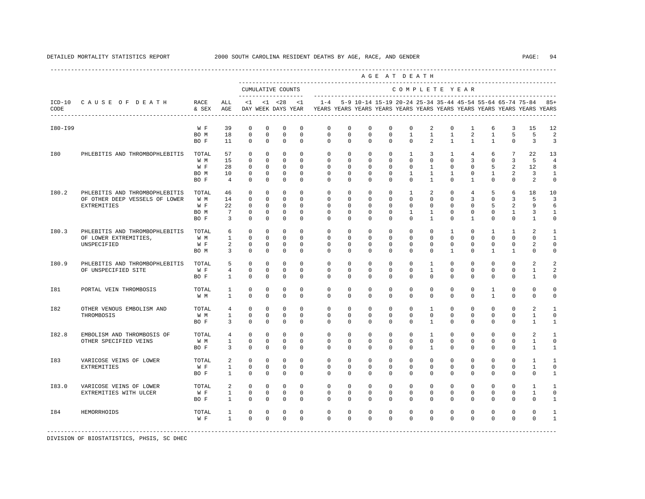|         |                                |               |                |                         |                         |                                          |                         |                         |                         |                                                           |                         | AGE AT DEATH               |                                  |                              |                      |                              |                     |                                                                         |                   |
|---------|--------------------------------|---------------|----------------|-------------------------|-------------------------|------------------------------------------|-------------------------|-------------------------|-------------------------|-----------------------------------------------------------|-------------------------|----------------------------|----------------------------------|------------------------------|----------------------|------------------------------|---------------------|-------------------------------------------------------------------------|-------------------|
|         |                                |               |                |                         |                         | CUMULATIVE COUNTS<br>------------------- |                         |                         |                         |                                                           |                         |                            |                                  |                              | COMPLETE YEAR        |                              |                     |                                                                         |                   |
| CODE    | ICD-10 CAUSE OF DEATH          | RACE<br>& SEX | ALL<br>AGE     | <1                      |                         | $< 1$ $< 28$<br>DAY WEEK DAYS YEAR       | <1                      | $1 - 4$                 |                         | 5-9 10-14 15-19 20-24 25-34 35-44 45-54 55-64 65-74 75-84 |                         |                            |                                  |                              |                      |                              |                     | YEARS YEARS YEARS YEARS YEARS YEARS YEARS YEARS YEARS YEARS YEARS YEARS | $85+$             |
| I80-I99 |                                | W F           | 39             | $\mathbf 0$             | $\mathbf 0$             | $\mathbf 0$                              | $\mathbf 0$             | $\mathbf{0}$            | $\mathbf 0$             | $\mathbf 0$                                               | $\mathbf 0$             | $\mathbf{0}$               | 2                                | $\mathbf 0$                  | $\mathbf{1}$         | 6                            | 3                   | 15                                                                      | 12                |
|         |                                | BO M<br>BO F  | 18<br>11       | $\mathbf 0$<br>$\Omega$ | $\mathbf 0$<br>$\Omega$ | $\mathsf 0$<br>$\mathbf 0$               | $\mathbf 0$<br>$\Omega$ | $\mathbf 0$<br>$\Omega$ | $\mathbf 0$<br>$\Omega$ | $\mathbf 0$<br>$\Omega$                                   | $\mathbf 0$<br>$\Omega$ | $\mathbf{1}$<br>$\Omega$   | $\mathbf{1}$<br>$\mathfrak{D}$   | $\mathbf{1}$<br>$\mathbf{1}$ | 2<br>$\mathbf{1}$    | $\mathbf{1}$<br>$\mathbf{1}$ | 5<br>$\Omega$       | 5<br>3                                                                  | 2<br>3            |
| I80     | PHLEBITIS AND THROMBOPHLEBITIS | TOTAL         | 57             | $\Omega$                | $\mathbf 0$             | $\mathbf 0$                              | $\Omega$                | $\Omega$                | $\mathbf 0$             | $\mathbf 0$                                               | $\mathbf 0$             | $\mathbf{1}$               | 3                                | 1                            | $\overline{4}$       | 6                            | 7                   | 22                                                                      | 13                |
|         |                                | W M           | 15             | $\Omega$                | $\mathbf 0$             | $\mathbf 0$                              | $\Omega$                | $\Omega$                | $\Omega$                | $\mathbf 0$                                               | $\mathbf 0$             | $\Omega$                   | $\Omega$                         | $\Omega$                     | 3                    | $\Omega$                     | 3                   | 5                                                                       | $\overline{4}$    |
|         |                                | W F<br>BO M   | 28<br>10       | $\mathbf 0$<br>$\Omega$ | $\mathbf 0$<br>$\Omega$ | $\Omega$<br>$\Omega$                     | $\Omega$<br>$\Omega$    | $\Omega$<br>$\Omega$    | $\Omega$<br>$\Omega$    | $\Omega$<br>$\Omega$                                      | $\Omega$<br>$\Omega$    | $\Omega$<br>$\overline{1}$ | $\overline{1}$<br>$\overline{1}$ | $\Omega$<br>$\mathbf{1}$     | $\Omega$<br>$\Omega$ | 5<br>$\mathbf{1}$            | $\overline{a}$<br>2 | 12.<br>3                                                                | 8<br>$\mathbf{1}$ |
|         |                                | BO F          | $\overline{4}$ | $\Omega$                | $\Omega$                | $\Omega$                                 | $\Omega$                | $\Omega$                | $\Omega$                | $\Omega$                                                  | $\Omega$                | $\Omega$                   | $\mathbf{1}$                     | $\Omega$                     | $\mathbf{1}$         | $\Omega$                     | $\Omega$            | $\mathfrak{D}$                                                          | $\mathbf 0$       |
|         | PHLEBITIS AND THROMBOPHLEBITIS | TOTAL         |                | $^{\circ}$              | $^{\circ}$              | 0                                        | $\Omega$                | $\Omega$                | $\circ$                 | $^{\circ}$                                                | $\circ$                 | $\mathbf{1}$               |                                  | $^{\circ}$                   |                      |                              |                     |                                                                         |                   |
| I80.2   | OF OTHER DEEP VESSELS OF LOWER | W M           | 46<br>14       | $\mathbf 0$             | $\mathbf 0$             | $\mathbb O$                              | $\mathbf 0$             | $\mathbf 0$             | $^{\circ}$              | 0                                                         | 0                       | $\mathbf{0}$               | 2<br>$\mathbf 0$                 | $^{\circ}$                   | 4<br>3               | 5<br>0                       | 6<br>3              | 18<br>5                                                                 | 10<br>3           |
|         | EXTREMITIES                    | W F           | 22             | $^{\circ}$              | $\mathbf 0$             | $\mathbf 0$                              | $\mathbf 0$             | $\mathbf{0}$            | $\mathbf 0$             | 0                                                         | $\mathbf 0$             | $\mathbf{0}$               | $\mathbf{0}$                     | $\Omega$                     | 0                    | 5                            | 2                   | 9                                                                       | 6                 |
|         |                                | BO M          | 7              | $\mathbf 0$             | $\mathbf 0$             | 0                                        | $\mathbf 0$             | 0                       | 0                       | 0                                                         | $^{\circ}$              | 1                          | 1                                | 0                            | 0                    | 0                            | 1                   | 3                                                                       | 1                 |
|         |                                | BO F          | 3              | $\mathbf 0$             | $\mathbf 0$             | $\mathbf 0$                              | $\Omega$                | $\Omega$                | 0                       | $\Omega$                                                  | $^{\circ}$              | $\Omega$                   | 1                                | $\Omega$                     | 1                    | $\Omega$                     | 0                   | 1                                                                       | 0                 |
| I80.3   | PHLEBITIS AND THROMBOPHLEBITIS | TOTAL         | 6              | $\mathbf 0$             | $\mathbf 0$             | $\mathbf 0$                              | $\mathbf 0$             | $\mathbf{0}$            | $\mathbf 0$             | $\mathbf 0$                                               | $\mathbf 0$             | $\mathbf 0$                | $\mathbf{0}$                     | $\mathbf{1}$                 | 0                    | 1                            | 1                   | 2                                                                       | 1                 |
|         | OF LOWER EXTREMITIES,          | W M           | $\mathbf{1}$   | $\mathbf 0$             | $\mathbf 0$             | $\mathbf 0$                              | $\Omega$                | $\mathbf 0$             | $\mathbf 0$             | $\mathbf 0$                                               | $\mathbf 0$             | $\Omega$                   | $\Omega$                         | $\Omega$                     | $\Omega$             | $\Omega$                     | $\Omega$            | $\Omega$                                                                | $\mathbf{1}$      |
|         | UNSPECIFIED                    | W F           | 2              | $\mathbf 0$             | $\mathbf 0$             | $\mathbf 0$                              | $\mathbf 0$             | $\mathbf{0}$            | $\Omega$                | $\mathbf 0$                                               | $\mathbf 0$             | $\mathbf 0$                | $\mathbf 0$                      | 0                            | 0                    | $\mathbf 0$                  | $\mathbf 0$         | 2                                                                       | $\mathbf 0$       |
|         |                                | BO M          | $\overline{3}$ | $\mathbf 0$             | $\mathbf 0$             | $\mathbf 0$                              | $\mathbf 0$             | $\mathbf 0$             | $\mathbf 0$             | $\mathbf 0$                                               | $\mathbf 0$             | $\mathbf 0$                | $\mathbf 0$                      | $\mathbf{1}$                 | $\mathbf 0$          | $\mathbf{1}$                 | $\mathbf{1}$        | 0                                                                       | 0                 |
| I80.9   | PHLEBITIS AND THROMBOPHLEBITIS | TOTAL         | 5              | $\Omega$                | $\Omega$                | $\Omega$                                 | $\Omega$                | $\Omega$                | $\Omega$                | $\Omega$                                                  | $\Omega$                | $\Omega$                   | $\mathbf{1}$                     | $\Omega$                     | $\Omega$             | $\Omega$                     | $\Omega$            | $\overline{a}$                                                          | $\overline{2}$    |
|         | OF UNSPECIFIED SITE            | W F           | $\overline{4}$ | $\mathbf 0$             | $\mathbf 0$             | $\mathbf 0$                              | $\mathbf 0$             | $\mathbf 0$             | $\mathbf 0$             | $\mathbf 0$                                               | $\mathbf 0$             | $\mathbf 0$                | $\mathbf{1}$                     | $\mathbf 0$                  | $\mathbf 0$          | $\mathbf 0$                  | $\mathbf 0$         | $\mathbf{1}$                                                            | $\overline{a}$    |
|         |                                | BO F          | $\mathbf{1}$   | $\mathbf 0$             | $\mathbf 0$             | $\mathbf 0$                              | $\Omega$                | $\Omega$                | $\Omega$                | $\Omega$                                                  | $\Omega$                | $\Omega$                   | $\Omega$                         | $\Omega$                     | $\Omega$             | $\Omega$                     | $\Omega$            | 1                                                                       | 0                 |
| I81     | PORTAL VEIN THROMBOSIS         | TOTAL         | 1              | $\mathbf 0$             | $\mathbf 0$             | $\mathbf 0$                              | $\mathbf 0$             | $\mathbf{0}$            | $\mathbf 0$             | $\mathbf 0$                                               | $\mathbf 0$             | $\mathbf{0}$               | $\mathbf 0$                      | $\mathbf 0$                  | $\mathbf 0$          | $\mathbf{1}$                 | $\mathbf 0$         | $\mathbf 0$                                                             | $\Omega$          |
|         |                                | W M           | $\mathbf{1}$   | $\Omega$                | $\Omega$                | $\Omega$                                 | $\Omega$                | $\Omega$                | $\Omega$                | $\Omega$                                                  | $\Omega$                | $\Omega$                   | $\Omega$                         | $\Omega$                     | $\Omega$             | $\overline{1}$               | $\Omega$            | $\Omega$                                                                | $\mathbf 0$       |
| I82     | OTHER VENOUS EMBOLISM AND      | TOTAL         | $\overline{4}$ | $\mathbf 0$             | $\mathbf 0$             | $\Omega$                                 | $\Omega$                | $\Omega$                | $\Omega$                | $\mathbf 0$                                               | $\mathbf 0$             | $\Omega$                   | $\mathbf{1}$                     | $\Omega$                     | $\Omega$             | $\Omega$                     | $\Omega$            | $\overline{a}$                                                          | $\mathbf{1}$      |
|         | THROMBOSIS                     | W M           | $\mathbf{1}$   | $\mathbf 0$             | $\mathbf 0$             | $\mathbf 0$                              | $\Omega$                | $\mathbf{0}$            | $\mathbf 0$             | $\mathbf 0$                                               | $\mathbf 0$             | $\mathbf 0$                | $\mathbf 0$                      | $\mathbf 0$                  | $\mathbf 0$          | $\mathbf 0$                  | $\mathbf 0$         | $\mathbf{1}$                                                            | $\mathbf 0$       |
|         |                                | BO F          | 3              | $\mathbf 0$             | $\mathbf 0$             | $\mathbb O$                              | $\mathbf 0$             | $\mathbf 0$             | $\circ$                 | 0                                                         | 0                       | $\mathbf{0}$               | 1                                | 0                            | 0                    | 0                            | 0                   | 1                                                                       | $\mathbf{1}$      |
| I82.8   | EMBOLISM AND THROMBOSIS OF     | TOTAL         | $\overline{4}$ | $\mathbf 0$             | $\mathbf 0$             | $\mathbf 0$                              | $\Omega$                | $\mathbf 0$             | $\Omega$                | $\mathbf 0$                                               | $\mathbf 0$             | $\mathbf 0$                | $\mathbf{1}$                     | 0                            | 0                    | 0                            | $\mathbf{0}$        | 2                                                                       | $\mathbf{1}$      |
|         | OTHER SPECIFIED VEINS          | W M           | $\mathbf{1}$   | $\mathbf 0$             | $\mathbf 0$             | $\mathbf 0$                              | $\mathbf 0$             | $\mathbf 0$             | $\mathbf 0$             | $\mathbf 0$                                               | $\mathbf 0$             | $\mathbf 0$                | $\mathbf 0$                      | $\mathbf 0$                  | 0                    | $\mathbf 0$                  | 0                   | $\mathbf{1}$                                                            | 0                 |
|         |                                | BO F          | 3              | $\mathbf 0$             | $\mathbf 0$             | $^{\circ}$                               | $\Omega$                | $\Omega$                | $\mathbf 0$             | $\Omega$                                                  | $\mathbf 0$             | $\Omega$                   | $\mathbf{1}$                     | $\Omega$                     | $\Omega$             | $\Omega$                     | 0                   | 1                                                                       | $\mathbf{1}$      |
| I83     | VARICOSE VEINS OF LOWER        | TOTAL         | 2              | $\mathbf 0$             | $\mathbf 0$             | $\mathbf 0$                              | $\Omega$                | $\mathbf 0$             | $\mathbf 0$             | $\mathbf 0$                                               | $\mathbf 0$             | $\mathbf 0$                | $\mathbf 0$                      | $\mathbf 0$                  | $\mathbf 0$          | $\Omega$                     | $\mathbf 0$         | $\overline{1}$                                                          | $\mathbf{1}$      |
|         | EXTREMITIES                    | W F           | $\mathbf{1}$   | $\mathbf 0$             | $\mathbf 0$             | $\mathbf 0$                              | $\mathbf 0$             | $\mathbf{0}$            | $\mathbf 0$             | $\mathbf 0$                                               | $\mathbf 0$             | $\mathbf{0}$               | $\mathbf 0$                      | 0                            | 0                    | 0                            | 0                   | 1                                                                       | 0                 |
|         |                                | BO F          | $\mathbf{1}$   | $\mathbf 0$             | $\mathbf 0$             | $\mathbf 0$                              | $\mathbf 0$             | $\Omega$                | 0                       | $^{\circ}$                                                | $^{\circ}$              | $\mathbf 0$                | $\mathbf 0$                      | 0                            | 0                    | $\Omega$                     | 0                   | 0                                                                       | 1                 |
| I83.0   | VARICOSE VEINS OF LOWER        | TOTAL         | 2              | $\mathbf 0$             | $\mathbf 0$             | $\mathbf 0$                              | $\Omega$                | $\Omega$                | $\Omega$                | $\mathbf 0$                                               | $\Omega$                | $\Omega$                   | $\Omega$                         | $\Omega$                     | $\Omega$             | $\Omega$                     | $\mathbf 0$         | $\mathbf{1}$                                                            | $\overline{1}$    |
|         | EXTREMITIES WITH ULCER         | W F           | $\mathbf{1}$   | $\mathbf 0$             | $\mathbf 0$             | $\mathbf 0$                              | $\mathbf 0$             | $\mathbf{0}$            | $\mathbf 0$             | $\mathbf 0$                                               | $\mathbf 0$             | $\mathbf 0$                | $\mathbf 0$                      | $\mathbf 0$                  | $\mathbf 0$          | $\mathbf 0$                  | $\mathbf 0$         | $\mathbf{1}$                                                            | $\mathbf 0$       |
|         |                                | BO F          | $\mathbf{1}$   | $\mathbf 0$             | $\mathbf 0$             | $\mathbf 0$                              | $\Omega$                | $\Omega$                | $\mathbf 0$             | $\Omega$                                                  | $\mathbf 0$             | $\Omega$                   | $\mathbf{0}$                     | $\Omega$                     | $\Omega$             | $\Omega$                     | $\Omega$            | $\Omega$                                                                | $\mathbf{1}$      |
| I84     | HEMORRHOIDS                    | TOTAL         | $\mathbf{1}$   | $\mathbf 0$             | $\mathbf 0$             | $\mathbf 0$                              | $\mathbf 0$             | $\mathbf 0$             | $\mathbf 0$             | $\mathbf 0$                                               | $\mathbf 0$             | $\mathbf 0$                | $\mathbf 0$                      | $\mathbf 0$                  | 0                    | $\mathbf 0$                  | $\mathbf 0$         | $\mathbf 0$                                                             | $\mathbf{1}$      |
|         |                                | W F           | $\mathbf{1}$   | $\Omega$                | $\Omega$                | $\mathbf 0$                              | $\Omega$                | $\Omega$                | $\Omega$                | $\Omega$                                                  | $\Omega$                | $\Omega$                   | $\Omega$                         | $\Omega$                     | $\Omega$             | $\Omega$                     | $\Omega$            | $\Omega$                                                                | $\mathbf{1}$      |
|         |                                |               |                |                         |                         |                                          |                         |                         |                         |                                                           |                         |                            |                                  |                              |                      |                              |                     |                                                                         |                   |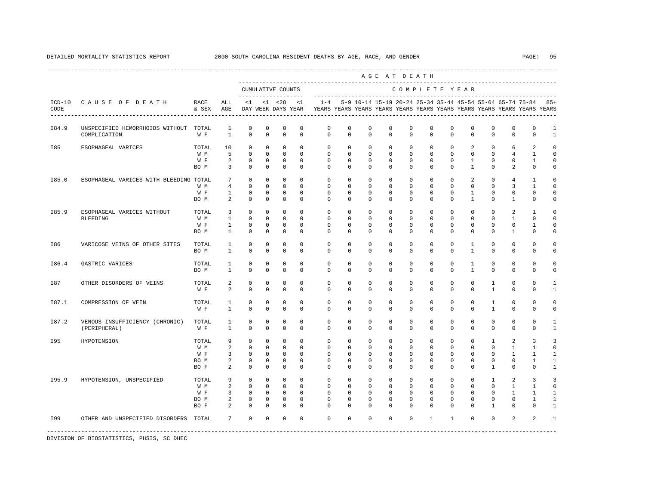---------------------------------------------------------------------------------------------------------------------------------------------------- A G E A T D E A T H --------------------------------------------------------------------------------------------- CUMULATIVE COUNTS C O M P L E T E Y E A R ------------------- ----------------------------------------------------------------------- ICD-10 C A U S E O F D E A T H RACE ALL <1 <1 <28 <1 1-4 5-9 10-14 15-19 20-24 25-34 35-44 45-54 55-64 65-74 75-84 85+ CODE & SEX AGE DAY WEEK DAYS YEAR YEARS YEARS YEARS YEARS YEARS YEARS YEARS YEARS YEARS YEARS YEARS YEARS ---------------------------------------------------------------------------------------------------------------------------------------------------- I84.9 UNSPECIFIED HEMORRHOIDS WITHOUT TOTAL 1 0 0 0 0 0 0 0 0 0 0 0 0 0 0 0 1 COMPLICATION W F 1 0 0 0 0 0 0 0 0 0 0 0 0 0 0 0 1 I85 ESOPHAGEAL VARICES TOTAL 10 0 0 0 0 0 0 0 0 0 0 0 2 0 6 2 0 W M 5 0 0 0 0 0 0 0 0 0 0 0 0 0 4 1 0 W F 2 0 0 0 0 0 0 0 0 0 0 0 0 1 0 0 1 0 BOM 3 0 0 0 0 0 0 0 0 0 0 0 0 1 0 2 0 0 I85.0 ESOPHAGEAL VARICES WITH BLEEDING TOTAL 7 0 0 0 0 0 0 0 0 0 0 0 2 0 4 1 0 W M 4 0 0 0 0 0 0 0 0 0 0 0 0 0 3 1 0 W F 1 0 0 0 0 0 0 0 0 0 0 0 1 0 0 0 0 BOM 2 0 0 0 0 0 0 0 0 0 0 0 1 0 1 0 0 I85.9 ESOPHAGEAL VARICES WITHOUT TOTAL 3 0 0 0 0 0 0 0 0 0 0 0 0 0 2 1 0 BLEEDING W M 1 0 0 0 0 0 0 0 0 0 0 0 0 0 1 0 0 W F 1 0 0 0 0 0 0 0 0 0 0 0 0 0 0 1 0 BOM 1 0 0 0 0 0 0 0 0 0 0 0 0 0 1 0 0 I86 VARICOSE VEINS OF OTHER SITES TOTAL 1 0 0 0 0 0 0 0 0 0 0 0 1 0 0 0 0 BO M 1 0 0 0 0 0 0 0 0 0 0 0 1 0 0 0 0 I86.4 GASTRIC VARICES TOTAL 1 0 0 0 0 0 0 0 0 0 0 0 1 0 0 0 0 BO M 1 0 0 0 0 0 0 0 0 0 0 0 1 0 0 0 0 I87 OTHER DISORDERS OF VEINS TOTAL 2 0 0 0 0 0 0 0 0 0 0 0 0 1 0 0 1 W F 2 0 0 0 0 0 0 0 0 0 0 0 0 0 1 0 0 1 I87.1 COMPRESSION OF VEIN TOTAL 1 0 0 0 0 0 0 0 0 0 0 0 0 1 0 0 0 W F 1 0 0 0 0 0 0 0 0 0 0 0 0 1 0 0 0 I87.2 VENOUS INSUFFICIENCY (CHRONIC) TOTAL 1 0 0 0 0 0 0 0 0 0 0 0 0 0 0 0 1 (PERIPHERAL) W F 1 0 0 0 0 0 0 0 0 0 0 0 0 0 0 0 1 I95 HYPOTENSION TOTAL 9 0 0 0 0 0 0 0 0 0 0 0 0 1 2 3 3 W M 2 0 0 0 0 0 0 0 0 0 0 0 0 0 1 1 0 W F 3 0 0 0 0 0 0 0 0 0 0 0 0 0 1 1 1 BOM 2 0 0 0 0 0 0 0 0 0 0 0 0 0 0 1 1 BOF 2 0 0 0 0 0 0 0 0 0 0 0 0 1 0 0 1 IPS.9 HYPOTENSION, UNSPECIFIED TOTAL 9 0 0 0 0 0 0 0 0 0 0 0 0 0 0 0 0 1 2 3 3 3<br>W M 2 0 0 0 0 0 0 0 0 0 0 0 0 0 0 0 1 1 0 W M 2 0 0 0 0 0 0 0 0 0 0 0 0 0 1 1 0 W F 3 0 0 0 0 0 0 0 0 0 0 0 0 0 1 1 1 BOM 2 0 0 0 0 0 0 0 0 0 0 0 0 0 0 1 1 BOF 2 0 0 0 0 0 0 0 0 0 0 0 0 0 1 0 0 1 I99 OTHER AND UNSPECIFIED DISORDERS TOTAL 7 0 0 0 0 0 0 0 0 0 1 1 0 0 2 2 1 -----------------------------------------------------------------------------------------------------------------------------------------------------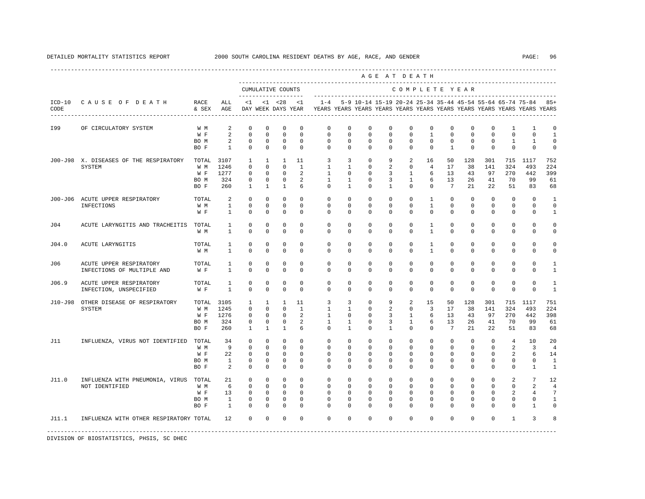|                  |                                                         |                                          |                                    |                                                                     |                                                                      |                                                                         |                                                                 |                                                                                    |                                                                   |                                                              |                                                                | AGE AT DEATH                                                      |                                                                |                                                                |                                                               |                                                            |                                                           |                                                                         |                                                                     |
|------------------|---------------------------------------------------------|------------------------------------------|------------------------------------|---------------------------------------------------------------------|----------------------------------------------------------------------|-------------------------------------------------------------------------|-----------------------------------------------------------------|------------------------------------------------------------------------------------|-------------------------------------------------------------------|--------------------------------------------------------------|----------------------------------------------------------------|-------------------------------------------------------------------|----------------------------------------------------------------|----------------------------------------------------------------|---------------------------------------------------------------|------------------------------------------------------------|-----------------------------------------------------------|-------------------------------------------------------------------------|---------------------------------------------------------------------|
|                  |                                                         |                                          |                                    |                                                                     |                                                                      | CUMULATIVE COUNTS<br>--------------------                               |                                                                 |                                                                                    |                                                                   |                                                              |                                                                |                                                                   |                                                                | COMPLETE YEAR                                                  |                                                               |                                                            |                                                           |                                                                         |                                                                     |
| $ICD-10$<br>CODE | CAUSE OF DEATH                                          | RACE<br>& SEX                            | ALL<br>AGE                         | < 1                                                                 |                                                                      | $< 1$ $< 28$<br>DAY WEEK DAYS YEAR                                      | $\leq$ 1                                                        | $1 - 4$<br>YEARS YEARS YEARS YEARS YEARS YEARS YEARS YEARS YEARS YEARS YEARS YEARS |                                                                   |                                                              |                                                                |                                                                   |                                                                |                                                                |                                                               |                                                            | 5-9 10-14 15-19 20-24 25-34 35-44 45-54 55-64 65-74 75-84 |                                                                         | $85+$                                                               |
| I99              | OF CIRCULATORY SYSTEM                                   | W M<br>W F<br>BO M<br>BO F               | 2<br>2<br>2<br>$\mathbf{1}$        | $\mathbf 0$<br>$\mathbf{0}$<br>$\mathbf 0$<br>$\circ$               | $\Omega$<br>$\mathbf 0$<br>$\mathbf 0$<br>$\mathbf 0$                | $\mathbf 0$<br>$\mathbf 0$<br>$\mathbf 0$<br>$\mathbf 0$                | $\mathbf 0$<br>$\mathbf 0$<br>$\mathbb O$<br>$\mathbf 0$        | $\mathbf 0$<br>$\mathbf{0}$<br>$\mathsf 0$<br>$\Omega$                             | $\Omega$<br>$\mathbf 0$<br>$\mathbf 0$<br>$\circ$                 | $\circ$<br>$\mathbf 0$<br>$\mathbf 0$<br>$\Omega$            | $\Omega$<br>$\Omega$<br>$\mathbf 0$<br>$\Omega$                | $\mathbf 0$<br>$\mathbf 0$<br>$\mathbf 0$<br>$\Omega$             | $\mathbf 0$<br>$\overline{1}$<br>$\mathbf 0$<br>$\Omega$       | $\mathbf 0$<br>$\mathbf 0$<br>$\mathbf 0$<br>$\mathbf{1}$      | $\Omega$<br>$\mathbf 0$<br>$\mathbf 0$<br>$\Omega$            | 0<br>$\Omega$<br>$\mathbf 0$<br>$\Omega$                   | 1<br>$\Omega$<br>$\mathbf{1}$<br>$\Omega$                 | $\overline{1}$<br>$\Omega$<br>$\mathbf{1}$<br>$\mathbf 0$               | $\mathbf 0$<br>$\mathbf{1}$<br>$\circ$<br>$\mathbf 0$               |
|                  | J00-J98 X. DISEASES OF THE RESPIRATORY<br>SYSTEM        | TOTAL<br>W M<br>W F<br>BO M<br>BO F      | 3107<br>1246<br>1277<br>324<br>260 | $\mathbf{1}$<br>$\Omega$<br>$\mathbf 0$<br>0<br>$\mathbf{1}$        | 1<br>$\Omega$<br>$\mathbf 0$<br>$\mathbf 0$<br>$\mathbf{1}$          | $\mathbf{1}$<br>$\Omega$<br>$\mathbf 0$<br>$\mathbf 0$<br>$\mathbf{1}$  | 11<br>$\mathbf{1}$<br>$\mathfrak{D}$<br>2<br>6                  | $\overline{3}$<br>$\mathbf{1}$<br>$\mathbf{1}$<br>$\mathbf{1}$<br>$\circ$          | 3<br>$\mathbf{1}$<br>$\Omega$<br>$\mathbf{1}$<br>1                | $\circ$<br>$\circ$<br>$\Omega$<br>$^{\circ}$<br>$\mathbf{0}$ | 9<br>2<br>3<br>3<br>1                                          | 2<br>$\mathbf 0$<br>$\overline{1}$<br>$\mathbf{1}$<br>$\mathbf 0$ | 16<br>$\overline{4}$<br>6<br>6<br>$\mathbf 0$                  | 50<br>17<br>13<br>13<br>$7\overline{ }$                        | 128<br>38<br>43<br>26<br>21                                   | 301<br>141<br>97<br>41<br>22                               | 715<br>324<br>270<br>70<br>51                             | 1117<br>493<br>442<br>99<br>83                                          | 752<br>224<br>399<br>61<br>68                                       |
|                  | J00-J06 ACUTE UPPER RESPIRATORY<br>INFECTIONS           | TOTAL<br>W M<br>W F                      | 2<br>$\mathbf{1}$<br>$\mathbf{1}$  | $\Omega$<br>$\mathbf{0}$<br>$\mathbf{0}$                            | $\Omega$<br>$\mathbf 0$<br>$\mathbf 0$                               | $\mathbf 0$<br>$\mathbf 0$<br>$\mathbb O$                               | $\Omega$<br>$\mathbf{0}$<br>$\mathbf 0$                         | $\Omega$<br>$\mathbf 0$<br>$\circ$                                                 | $\Omega$<br>$\circ$<br>$\mathbf 0$                                | $\Omega$<br>$\mathbf 0$<br>$\Omega$                          | $\Omega$<br>$\Omega$<br>$\mathbf 0$                            | $\Omega$<br>$\Omega$<br>$\Omega$                                  | $\overline{1}$<br>$\mathbf{1}$<br>$\mathbf 0$                  | $\Omega$<br>$\mathbf 0$<br>$\mathbf 0$                         | $\Omega$<br>$\mathbf 0$<br>$\mathbf 0$                        | $\Omega$<br>$^{\circ}$<br>$\mathbf 0$                      | $\Omega$<br>$\mathbf 0$<br>$\mathbf 0$                    | $\Omega$<br>$\mathbf 0$<br>$\mathbf 0$                                  | $\mathbf{1}$<br>$\mathbf 0$<br>$\mathbf{1}$                         |
| J04              | ACUTE LARYNGITIS AND TRACHEITIS                         | TOTAL<br>W M                             | 1<br>$\mathbf{1}$                  | 0<br>$\Omega$                                                       | $^{\circ}$<br>$\Omega$                                               | $^{\circ}$<br>$\mathbf 0$                                               | $\circ$<br>$\Omega$                                             | $\mathbf{0}$<br>$\Omega$                                                           | $\mathbf{0}$<br>$\Omega$                                          | 0<br>$\Omega$                                                | 0<br>$\Omega$                                                  | $\mathbf{0}$<br>$\Omega$                                          | 1<br>$\mathbf{1}$                                              | 0<br>$\Omega$                                                  | 0<br>$\Omega$                                                 | 0<br>$\Omega$                                              | 0<br>$\Omega$                                             | 0<br>$\Omega$                                                           | $\circ$<br>$\mathbf 0$                                              |
| J04.0            | ACUTE LARYNGITIS                                        | TOTAL<br>W M                             | 1<br>$\mathbf{1}$                  | $\mathbf 0$<br>$\mathbf 0$                                          | $\mathbf 0$<br>$\mathbf 0$                                           | $\mathbf 0$<br>$\mathbf 0$                                              | $\Omega$<br>$\mathbf 0$                                         | $\mathbf 0$<br>$\mathbf 0$                                                         | $\mathbf 0$<br>$\mathbf 0$                                        | $\Omega$<br>$\mathbf 0$                                      | 0<br>$\mathbf 0$                                               | $\Omega$<br>$\mathbf 0$                                           | 1<br>$\mathbf{1}$                                              | $\Omega$<br>0                                                  | $\Omega$<br>$\mathbf 0$                                       | $\Omega$<br>$\mathbf 0$                                    | $\Omega$<br>$\mathbf 0$                                   | $\Omega$<br>$\mathbf 0$                                                 | $\Omega$<br>$\mathbf 0$                                             |
| J06              | ACUTE UPPER RESPIRATORY<br>INFECTIONS OF MULTIPLE AND   | TOTAL<br>W F                             | $\mathbf{1}$<br>$\mathbf{1}$       | $\mathbf 0$<br>$\mathbf{0}$                                         | $\mathbf 0$<br>$\mathbf 0$                                           | $\mathbf 0$<br>$\mathbf 0$                                              | $\Omega$<br>$\Omega$                                            | $\mathbf 0$<br>$\mathbf 0$                                                         | $\mathbf 0$<br>$\mathbf 0$                                        | $\Omega$<br>$\mathbf 0$                                      | 0<br>$\mathbf 0$                                               | $\mathbf{0}$<br>$\Omega$                                          | $\mathbf{0}$<br>0                                              | $\mathbf 0$<br>$\Omega$                                        | $\mathbf 0$<br>$\mathbf 0$                                    | $\mathbf 0$<br>$\Omega$                                    | $\mathbf 0$<br>$\mathbf 0$                                | $\Omega$<br>$\Omega$                                                    | $\mathbf{1}$<br>$\mathbf{1}$                                        |
| J06.9            | ACUTE UPPER RESPIRATORY<br>INFECTION, UNSPECIFIED       | TOTAL<br>W F                             | 1<br>$\mathbf{1}$                  | $\Omega$<br>$\mathbf 0$                                             | $\Omega$<br>$\mathbb O$                                              | $\Omega$<br>$\mathbb O$                                                 | $\Omega$<br>$\mathbf 0$                                         | $\Omega$<br>$\mathbf 0$                                                            | $\Omega$<br>$\circ$                                               | $\Omega$<br>$\mathbf 0$                                      | $\Omega$<br>$\mathbf 0$                                        | $\Omega$<br>$\mathbf 0$                                           | $\Omega$<br>$\mathbf 0$                                        | $\Omega$<br>$\circ$                                            | $\Omega$<br>$\mathbf 0$                                       | $\Omega$<br>$\mathbf 0$                                    | $\Omega$<br>$\mathbf 0$                                   | $\Omega$<br>$\mathbf 0$                                                 | $\mathbf{1}$<br>$\mathbf{1}$                                        |
| J10-J98          | OTHER DISEASE OF RESPIRATORY<br>SYSTEM                  | TOTAL 3105<br>W M<br>W F<br>BO M<br>BO F | 1245<br>1276<br>324<br>260         | 1<br>$\mathbf{0}$<br>$\circ$<br>$\circ$<br>1                        | 1<br>$\mathbf 0$<br>$\mathbf 0$<br>$\circ$<br>1                      | 1<br>$\mathbf 0$<br>$\mathbf 0$<br>$\mathbf 0$<br>$\mathbf{1}$          | 11<br>$\mathbf{1}$<br>2<br>2<br>6                               | $\overline{3}$<br>$\mathbf{1}$<br>$\mathbf{1}$<br>$\mathbf{1}$<br>$\circ$          | $\overline{3}$<br>$\mathbf{1}$<br>$\Omega$<br>1<br>1              | $^{\circ}$<br>$\circ$<br>$\Omega$<br>$\circ$<br>$^{\circ}$   | 9<br>2<br>3<br>3<br>1                                          | 2<br>$\mathbf 0$<br>$\overline{1}$<br>$\overline{1}$<br>$\Omega$  | 15<br>$\overline{3}$<br>6<br>6<br>$\mathbf{0}$                 | 50<br>17<br>13<br>13<br>$7\overline{ }$                        | 128<br>38<br>43<br>26<br>21                                   | 301<br>141<br>97<br>41<br>22                               | 715<br>324<br>270<br>70<br>51                             | 1117<br>493<br>442<br>99<br>83                                          | 751<br>224<br>398<br>61<br>68                                       |
| J11              | INFLUENZA, VIRUS NOT IDENTIFIED TOTAL                   | W M<br>W F<br>BO M<br>BO F               | 34<br>9<br>22<br><sup>1</sup><br>2 | $^{\circ}$<br>$^{\circ}$<br>$\mathbf{0}$<br>$\mathbb O$<br>$\Omega$ | $\mathbf 0$<br>$\Omega$<br>$\mathbf 0$<br>$\mathbf 0$<br>$\Omega$    | $\mathbf 0$<br>$\mathbf 0$<br>$\mathbf 0$<br>$\mathbb O$<br>$\mathbf 0$ | $\mathbf{0}$<br>$\Omega$<br>$\Omega$<br>$\mathbf 0$<br>$\Omega$ | $\circ$<br>$\Omega$<br>$\circ$<br>$\mathbf 0$<br>$\Omega$                          | $\circ$<br>$\Omega$<br>$\circ$<br>$\mathbf 0$<br>$\Omega$         | $\circ$<br>$\Omega$<br>$\Omega$<br>$\mathbf 0$<br>$\Omega$   | $\mathbf 0$<br>$\Omega$<br>$\Omega$<br>$\mathbf 0$<br>$\Omega$ | $\mathbf 0$<br>$\Omega$<br>$\Omega$<br>$\mathbf 0$<br>$\Omega$    | $\mathbf 0$<br>$\Omega$<br>$\Omega$<br>$\mathbf 0$<br>$\Omega$ | $\mathbf 0$<br>$\Omega$<br>$\Omega$<br>$\mathbf 0$<br>$\Omega$ | $^{\circ}$<br>$\Omega$<br>$\Omega$<br>$\mathbf 0$<br>$\Omega$ | $\circ$<br>$\Omega$<br>$\Omega$<br>$\mathbf 0$<br>$\Omega$ | $\overline{4}$<br>2<br>2<br>$\mathbf 0$<br>$\Omega$       | 10<br>3<br>6<br>$\mathbf 0$<br>$\mathbf{1}$                             | 20<br>$\overline{4}$<br>14<br>$\mathbf{1}$<br>1                     |
| J11.0            | INFLUENZA WITH PNEUMONIA, VIRUS TOTAL<br>NOT IDENTIFIED | W M<br>W F<br>BO M<br>BO F               | 21<br>6<br>13<br>$\mathbf{1}$<br>1 | $^{\circ}$<br>$\Omega$<br>$^{\circ}$<br>$\mathbf 0$<br>0            | $\mathbf{0}$<br>$\Omega$<br>$\mathbf 0$<br>$\mathbf 0$<br>$^{\circ}$ | $^{\circ}$<br>$\Omega$<br>$\mathbf 0$<br>$\mathbb O$<br>$^{\circ}$      | $\mathbf 0$<br>$\Omega$<br>$\Omega$<br>$\mathbf 0$<br>$\circ$   | $^{\circ}$<br>$\Omega$<br>$\mathbf 0$<br>$\mathbf 0$<br>$\mathbf{0}$               | $^{\circ}$<br>$\Omega$<br>$\Omega$<br>$\mathbf 0$<br>$\mathbf{0}$ | $^{\circ}$<br>$\Omega$<br>$\Omega$<br>0<br>0                 | 0<br>$\Omega$<br>$\Omega$<br>$\mathbf 0$<br>0                  | $\circ$<br>$\Omega$<br>$\Omega$<br>$\Omega$<br>0                  | $\mathbf{0}$<br>$\Omega$<br>$\Omega$<br>$\Omega$<br>0          | $\Omega$<br>$\Omega$<br>$\Omega$<br>$\Omega$<br><sup>n</sup>   | 0<br>$\Omega$<br>$\Omega$<br>$\Omega$<br>0                    | $\Omega$<br>$\Omega$<br>$\Omega$<br>$\Omega$<br>$\Omega$   | 2<br>$\Omega$<br>2<br>$\mathbf 0$<br>0                    | $7\phantom{.0}$<br>$\mathfrak{D}$<br>$\overline{4}$<br>$\mathbf 0$<br>1 | 12<br>$\overline{4}$<br>$7\phantom{.0}$<br>$\mathbf{1}$<br>$\Omega$ |
| J11.1            | INFLUENZA WITH OTHER RESPIRATORY TOTAL                  |                                          | 12                                 | $\Omega$                                                            | $\Omega$                                                             | $\Omega$                                                                | $\Omega$                                                        | $\Omega$                                                                           | $\Omega$                                                          | $\Omega$                                                     | $\Omega$                                                       | $\Omega$                                                          | $\Omega$                                                       | $\Omega$                                                       | $\Omega$                                                      | $\Omega$                                                   | $\overline{1}$                                            | 3                                                                       | 8                                                                   |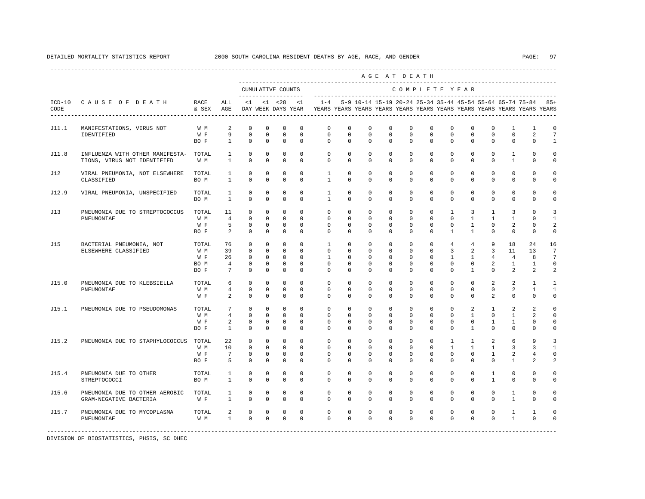|       |                                                                      |                                     |                                                     |                                                                   |                                                                    |                                                                       |                                                             |                                                                                            |                                                          |                                                             |                                                             | AGE AT DEATH                                                |                                                                |                                                                          |                                                                                 |                                                                      |                                                            |                                                                   |                                                              |
|-------|----------------------------------------------------------------------|-------------------------------------|-----------------------------------------------------|-------------------------------------------------------------------|--------------------------------------------------------------------|-----------------------------------------------------------------------|-------------------------------------------------------------|--------------------------------------------------------------------------------------------|----------------------------------------------------------|-------------------------------------------------------------|-------------------------------------------------------------|-------------------------------------------------------------|----------------------------------------------------------------|--------------------------------------------------------------------------|---------------------------------------------------------------------------------|----------------------------------------------------------------------|------------------------------------------------------------|-------------------------------------------------------------------|--------------------------------------------------------------|
|       |                                                                      |                                     |                                                     | CUMULATIVE COUNTS                                                 |                                                                    |                                                                       |                                                             |                                                                                            |                                                          |                                                             |                                                             | COMPLETE YEAR                                               |                                                                |                                                                          |                                                                                 |                                                                      |                                                            |                                                                   |                                                              |
| CODE  | ICD-10 CAUSE OF DEATH                                                | RACE<br>& SEX AGE                   | ALL                                                 |                                                                   |                                                                    |                                                                       | $<1$ $<1$ $<28$ $<1$                                        | DAY WEEK DAYS YEAR YEARS YEARS YEARS YEARS YEARS YEARS YEARS YEARS YEARS YEARS YEARS YEARS |                                                          |                                                             |                                                             |                                                             |                                                                |                                                                          |                                                                                 |                                                                      |                                                            | 1-4 5-9 10-14 15-19 20-24 25-34 35-44 45-54 55-64 65-74 75-84 85+ |                                                              |
| J11.1 | MANIFESTATIONS, VIRUS NOT                                            | W M                                 | $\overline{a}$                                      | $\mathbf 0$                                                       | $\mathbf 0$                                                        | $\mathbf 0$                                                           | $\mathbf 0$                                                 | $\circ$                                                                                    | $\mathbf 0$                                              | $\mathbf 0$                                                 | $\mathbf 0$                                                 | $\mathbf{0}$                                                | $\Omega$                                                       | $\mathbf 0$                                                              | $\Omega$                                                                        | $\mathbf 0$                                                          | $\mathbf{1}$                                               | $\mathbf{1}$                                                      | $\mathbf 0$                                                  |
|       | IDENTIFIED                                                           | W F<br>BO F                         | 9<br>$\mathbf{1}$                                   | $\mathbf 0$<br>$\Omega$                                           | $\mathbf 0$<br>$\Omega$                                            | $\mathbf 0$<br>$\Omega$                                               | $\Omega$<br>$\Omega$                                        | $\mathbf 0$<br>$\Omega$                                                                    | $\Omega$<br>$\Omega$                                     | $\mathbf 0$<br>$\Omega$                                     | $\mathbf 0$<br>$\Omega$                                     | $\mathbf 0$<br>$\Omega$                                     | $\mathbf 0$<br>$\Omega$                                        | $\mathbf 0$<br>$\Omega$                                                  | $\Omega$<br>$\Omega$                                                            | $\mathbf 0$<br>$\Omega$                                              | $\mathbf 0$<br>$\Omega$                                    | 2<br>$\mathbf{0}$                                                 | $7\phantom{.0}$<br>$\mathbf{1}$                              |
| J11.8 | INFLUENZA WITH OTHER MANIFESTA- TOTAL<br>TIONS, VIRUS NOT IDENTIFIED | W M                                 | $\mathbf{1}$<br>$\mathbf{1}$                        | $\Omega$<br>$\mathbf 0$                                           | $\Omega$<br>$\mathbf 0$                                            | $\Omega$<br>$\mathbf 0$                                               | $\Omega$<br>$\mathbf 0$                                     | $\Omega$<br>$\Omega$                                                                       | $\Omega$<br>$\mathbf 0$                                  | $\Omega$<br>$\Omega$                                        | $\Omega$<br>$\mathbf 0$                                     | $\Omega$<br>$\Omega$                                        | $\Omega$<br>$\mathbf 0$                                        | $\Omega$<br>$\Omega$                                                     | $\Omega$<br>$\mathbf 0$                                                         | $\Omega$<br>$\Omega$                                                 | $\mathbf{1}$<br>$\mathbf{1}$                               | $\Omega$<br>$\mathbf 0$                                           | $\Omega$<br>$\mathbf 0$                                      |
| J12   | VIRAL PNEUMONIA, NOT ELSEWHERE<br>CLASSIFIED                         | TOTAL<br>BO M                       | 1<br>$\mathbf{1}$                                   | $\mathbf 0$<br>$\Omega$                                           | $\mathbf 0$<br>$\Omega$                                            | $\mathbf 0$<br>$\Omega$                                               | $\Omega$<br>$\Omega$                                        | $\mathbf{1}$<br>$\overline{1}$                                                             | $\Omega$<br>$\Omega$                                     | $\Omega$<br>$\Omega$                                        | $\Omega$<br>$\Omega$                                        | $\Omega$<br>$\Omega$                                        | $\Omega$<br>$\Omega$                                           | $\Omega$<br>$\Omega$                                                     | $\Omega$<br>$\Omega$                                                            | $\Omega$<br>$\Omega$                                                 | $\mathbf 0$<br>$\Omega$                                    | $\Omega$<br>$\Omega$                                              | 0<br>$\Omega$                                                |
| J12.9 | VIRAL PNEUMONIA, UNSPECIFIED                                         | TOTAL<br>BO M                       | $\mathbf{1}$<br>$\mathbf{1}$                        | $\mathbf 0$<br>$\Omega$                                           | $\mathbf 0$<br>$\Omega$                                            | $\mathbf 0$<br>$\Omega$                                               | $\mathbf 0$<br>$\Omega$                                     | $\mathbf{1}$<br>$\overline{1}$                                                             | $\mathbf 0$<br>$\Omega$                                  | $\mathbf 0$<br>$\Omega$                                     | $\mathbf 0$<br>$\Omega$                                     | $\mathbf 0$<br>$\Omega$                                     | $\mathbf 0$<br>$\Omega$                                        | $\mathbf 0$<br>$\Omega$                                                  | $\mathbf 0$<br>$\Omega$                                                         | $\mathbf 0$<br>$\Omega$                                              | $\mathbf 0$<br>$\Omega$                                    | $\mathbf 0$<br>$\Omega$                                           | 0<br>$\Omega$                                                |
| J13   | PNEUMONIA DUE TO STREPTOCOCCUS<br>PNEUMONIAE                         | TOTAL<br>W M<br>W F<br>BO F         | 11<br>$\overline{4}$<br>5<br>2                      | $\Omega$<br>$\Omega$<br>$\mathbf 0$<br>$\Omega$                   | $\Omega$<br>$\Omega$<br>0<br>$\Omega$                              | $\Omega$<br>$\Omega$<br>$\mathbf 0$<br>$\mathbf 0$                    | $\Omega$<br>$\Omega$<br>$\mathbf 0$<br>$\Omega$             | $\Omega$<br>$\Omega$<br>$\mathbf 0$<br>$\Omega$                                            | $\Omega$<br>$\Omega$<br>$\mathbf 0$<br>$\Omega$          | $\Omega$<br>$\Omega$<br>$\mathbf 0$<br>$\Omega$             | $\Omega$<br>$\Omega$<br>$\mathbf 0$<br>$\Omega$             | $\Omega$<br>$\Omega$<br>$\mathbf 0$<br>$\Omega$             | $\Omega$<br>$\Omega$<br>$\mathbf 0$<br>$\Omega$                | $\overline{1}$<br>$\Omega$<br>$\mathbf 0$<br>$\mathbf{1}$                | 3<br>$\mathbf{1}$<br>$\mathbf{1}$<br>$\mathbf{1}$                               | $\mathbf{1}$<br>$\mathbf{1}$<br>$\mathbf 0$<br>$\Omega$              | 3<br>$\mathbf{1}$<br>2<br>$\Omega$                         | $\Omega$<br>$\Omega$<br>0<br>$\Omega$                             | 3<br>$\mathbf{1}$<br>2<br>$\mathbf 0$                        |
| J15   | BACTERIAL PNEUMONIA, NOT<br>ELSEWHERE CLASSIFIED                     | TOTAL<br>W M<br>W F<br>BO M<br>BO F | 76<br>39<br>26<br>$\overline{4}$<br>$7\overline{ }$ | $\Omega$<br>$\mathbf 0$<br>$\mathbf 0$<br>$\mathbf 0$<br>$\Omega$ | $\Omega$<br>$\mathbf 0$<br>$\mathbf{0}$<br>$\mathbf 0$<br>$\Omega$ | $\Omega$<br>$\mathbf{0}$<br>$\mathbf 0$<br>$\mathbf 0$<br>$\mathbf 0$ | $\Omega$<br>$\Omega$<br>$\Omega$<br>$\mathbf 0$<br>$\Omega$ | $\mathbf{1}$<br>$\Omega$<br>$\mathbf{1}$<br>$\Omega$<br>$\Omega$                           | $\Omega$<br>$\Omega$<br>$\Omega$<br>$\Omega$<br>$\Omega$ | $\Omega$<br>$\Omega$<br>$\Omega$<br>$\mathbf 0$<br>$\Omega$ | $\Omega$<br>$\Omega$<br>$\Omega$<br>$\mathbf 0$<br>$\Omega$ | $\Omega$<br>$\Omega$<br>$\Omega$<br>$\mathbf 0$<br>$\Omega$ | $\Omega$<br>$\mathbf 0$<br>$\Omega$<br>$\mathbf 0$<br>$\Omega$ | $\overline{4}$<br>$\overline{3}$<br>$\mathbf{1}$<br>$\Omega$<br>$\Omega$ | $\overline{4}$<br>$\overline{a}$<br>$\mathbf{1}$<br>$\mathbf 0$<br>$\mathbf{1}$ | 9<br>$\overline{3}$<br>$4\overline{ }$<br>$\overline{2}$<br>$\Omega$ | 18<br>11<br>$\overline{4}$<br>$\mathbf{1}$<br>2            | 24<br>13<br>8<br>$\mathbf{1}$<br>2                                | 16<br>$7\overline{ }$<br>$7\phantom{.0}$<br>$\mathbf 0$<br>2 |
| J15.0 | PNEUMONIA DUE TO KLEBSIELLA<br>PNEUMONIAE                            | TOTAL<br>W M<br>W F                 | 6<br>$\overline{4}$<br>2                            | $\Omega$<br>$\Omega$<br>$\mathbf 0$                               | $\Omega$<br>$\Omega$<br>$\Omega$                                   | $\Omega$<br>$\Omega$<br>$\Omega$                                      | $\Omega$<br>$\Omega$<br>$\Omega$                            | $\Omega$<br>$\Omega$<br>$\Omega$                                                           | $\Omega$<br>$\Omega$<br>$\Omega$                         | $\Omega$<br>$\Omega$<br>$\Omega$                            | $\Omega$<br>$\Omega$<br>$\Omega$                            | $\Omega$<br>$\Omega$<br>$\Omega$                            | $\Omega$<br>$\Omega$<br>$\Omega$                               | $\Omega$<br>$\Omega$<br>$\Omega$                                         | $\Omega$<br>$\Omega$<br>$\Omega$                                                | 2<br>$\Omega$<br>$\mathfrak{D}$                                      | 2<br>2<br>$\Omega$                                         | 1<br>$\mathbf{1}$<br>$\Omega$                                     | $\mathbf{1}$<br>1<br>$\mathbf 0$                             |
| J15.1 | PNEUMONIA DUE TO PSEUDOMONAS                                         | TOTAL<br>W M<br>W F<br>BO F         | $7\phantom{.0}$<br>4<br>2<br>$\mathbf{1}$           | $\Omega$<br>$\mathbf 0$<br>$\mathbf 0$<br>$\Omega$                | $\Omega$<br>$\mathbf 0$<br>$\mathbf 0$<br>$\mathbf 0$              | $\Omega$<br>$\mathbf 0$<br>$\mathbf 0$<br>$\mathbf 0$                 | $\Omega$<br>$\Omega$<br>$\mathbf 0$<br>$\Omega$             | $\Omega$<br>$\Omega$<br>$\mathbf 0$<br>$\Omega$                                            | $\Omega$<br>$\Omega$<br>$\mathbf 0$<br>$\Omega$          | $\Omega$<br>$\Omega$<br>$\mathbf 0$<br>$\Omega$             | $\Omega$<br>$\Omega$<br>$\mathbf 0$<br>$\Omega$             | $\Omega$<br>$\Omega$<br>$\mathbf 0$<br>$\Omega$             | $\Omega$<br>$\Omega$<br>$\mathbf 0$<br>$\Omega$                | $\Omega$<br>$\Omega$<br>$\mathbf 0$<br>$\Omega$                          | 2<br>$\mathbf{1}$<br>$\mathbf 0$<br>$\mathbf{1}$                                | $\mathbf{1}$<br>$\Omega$<br>$\mathbf{1}$<br>$\Omega$                 | $\overline{a}$<br>$\mathbf{1}$<br>$\mathbf{1}$<br>$\Omega$ | $\mathfrak{D}$<br>2<br>0<br>$\Omega$                              | $\Omega$<br>$\mathbf 0$<br>$\mathbf 0$<br>$\mathbf 0$        |
| J15.2 | PNEUMONIA DUE TO STAPHYLOCOCCUS                                      | TOTAL<br>W M<br>W F<br>BO F         | 22<br>10<br>7<br>5                                  | $\mathbf 0$<br>$\mathbf 0$<br>$\Omega$<br>$\Omega$                | $\mathbf 0$<br>0<br>$\Omega$<br>$\Omega$                           | $\mathbf 0$<br>$\Omega$<br>$\circ$<br>$\mathbf 0$                     | $\Omega$<br>$\Omega$<br>$\Omega$<br>$\Omega$                | $\Omega$<br>$\Omega$<br>$\Omega$<br>$\Omega$                                               | $\Omega$<br>$\Omega$<br>$\Omega$<br>$\Omega$             | $\Omega$<br>$\Omega$<br>$\Omega$<br>$\Omega$                | $\mathbf 0$<br>$\Omega$<br>$\Omega$<br>$\Omega$             | $\Omega$<br>$\Omega$<br>$\Omega$<br>$\Omega$                | $\mathbf 0$<br>$\Omega$<br>$\Omega$<br>$\Omega$                | $\mathbf{1}$<br>$\mathbf{1}$<br>$\Omega$<br>$\Omega$                     | $\mathbf{1}$<br>$\mathbf{1}$<br>$\Omega$<br>$\Omega$                            | 2<br>$\mathbf{1}$<br>$\overline{1}$<br>$\Omega$                      | 6<br>3<br>2<br>$\mathbf{1}$                                | 9<br>3<br>4<br>$\mathfrak{D}$                                     | 3<br>1<br>$\mathbf 0$<br>$\overline{a}$                      |
| J15.4 | PNEUMONIA DUE TO OTHER<br>STREPTOCOCCI                               | TOTAL<br>BO M                       | $\mathbf{1}$<br>$\mathbf{1}$                        | $\mathbf 0$<br>$\mathbf 0$                                        | $\mathbf 0$<br>$\mathbf 0$                                         | $\mathbf 0$<br>$\mathbf 0$                                            | $\Omega$<br>$\mathbf 0$                                     | $\circ$<br>$\mathbf 0$                                                                     | $\mathbf 0$<br>$\mathbf 0$                               | $\mathbf 0$<br>$\mathbf 0$                                  | $\mathbf 0$<br>$\mathbf 0$                                  | $\mathbf 0$<br>$\mathbf 0$                                  | $\mathbf 0$<br>$\mathbf 0$                                     | $\mathbf 0$<br>$\mathbf 0$                                               | $\mathbf 0$<br>$\mathbf 0$                                                      | $\mathbf{1}$<br>$\mathbf{1}$                                         | $\mathbf 0$<br>$\mathbf 0$                                 | $\mathbf 0$<br>$\mathbf 0$                                        | $\circ$<br>0                                                 |
| J15.6 | PNEUMONIA DUE TO OTHER AEROBIC<br>GRAM-NEGATIVE BACTERIA             | TOTAL<br>W F                        | $\mathbf{1}$<br>$\mathbf{1}$                        | $\mathbf 0$<br>$\Omega$                                           | $\mathbf 0$<br>$\Omega$                                            | $\mathbf 0$<br>$\Omega$                                               | $\Omega$<br>$\Omega$                                        | $\circ$<br>$\Omega$                                                                        | $\mathbf 0$<br>$\Omega$                                  | $\mathbf 0$<br>$\Omega$                                     | $\mathbf 0$<br>$\Omega$                                     | $\mathbf 0$<br>$\Omega$                                     | $\mathbf{0}$<br>$\Omega$                                       | $\mathbf 0$<br>$\Omega$                                                  | $\mathbf 0$<br>$\Omega$                                                         | $\mathbf 0$<br>$\Omega$                                              | $\mathbf{1}$<br>$\mathbf{1}$                               | $\mathbf{0}$<br>$\Omega$                                          | 0<br>0                                                       |
| J15.7 | PNEUMONIA DUE TO MYCOPLASMA<br>PNEUMONIAE                            | TOTAL<br>W M                        | 2<br>$\mathbf{1}$                                   | $\mathbf 0$<br>$\Omega$                                           | 0<br>$\Omega$                                                      | $\mathbf 0$<br>$\Omega$                                               | $\mathbf 0$<br>$\Omega$                                     | $\mathbf 0$<br>$\Omega$                                                                    | $\mathbf 0$<br>$\Omega$                                  | $\mathbf 0$<br>$\Omega$                                     | $\mathbf 0$<br>$\Omega$                                     | $\mathbf 0$<br>$\Omega$                                     | $\mathbf{0}$<br>$\Omega$                                       | $\mathbf 0$<br>$\Omega$                                                  | $\mathbf 0$<br>$\Omega$                                                         | $\mathbf 0$<br>$\Omega$                                              | $\mathbf{1}$<br>$\mathbf{1}$                               | 1<br>$\Omega$                                                     | 0<br>$\Omega$                                                |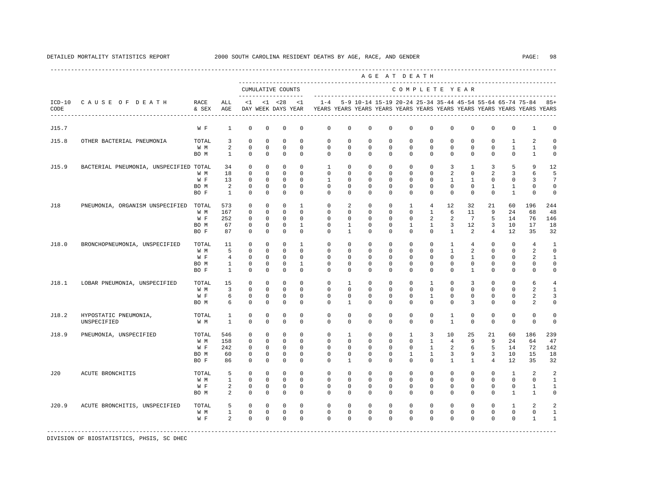|                  |                                        |               |                   |                           |                            |                                           |                            |                |                            |                         | AGE AT DEATH               |                          |                         |                         |                            |                            |                                                           |                                                                         |                        |
|------------------|----------------------------------------|---------------|-------------------|---------------------------|----------------------------|-------------------------------------------|----------------------------|----------------|----------------------------|-------------------------|----------------------------|--------------------------|-------------------------|-------------------------|----------------------------|----------------------------|-----------------------------------------------------------|-------------------------------------------------------------------------|------------------------|
|                  |                                        |               |                   |                           |                            | CUMULATIVE COUNTS<br>-------------------- |                            |                |                            |                         |                            | COMPLETE YEAR            |                         |                         |                            |                            |                                                           |                                                                         |                        |
| $ICD-10$<br>CODE | CAUSE OF DEATH                         | RACE<br>& SEX | ALL<br>AGE        | $\leq$ 1                  |                            | $< 1$ $< 28$<br>DAY WEEK DAYS YEAR        | <1                         | $1 - 4$        |                            |                         |                            |                          |                         |                         |                            |                            | 5-9 10-14 15-19 20-24 25-34 35-44 45-54 55-64 65-74 75-84 | YEARS YEARS YEARS YEARS YEARS YEARS YEARS YEARS YEARS YEARS YEARS YEARS | $85+$                  |
| J15.7            |                                        | W F           | $\mathbf{1}$      | $^{\circ}$                | $\mathbf 0$                | 0                                         | 0                          | 0              | 0                          | $\mathbf 0$             | $\mathbf 0$                | $\mathbf 0$              | $\mathbf 0$             | $\mathbf 0$             | $\mathbf 0$                | $\mathbf 0$                | 0                                                         | $\mathbf{1}$                                                            | 0                      |
| J15.8            | OTHER BACTERIAL PNEUMONIA              | TOTAL         | 3                 | $^{\circ}$                | $\circ$                    | $^{\circ}$                                | $\Omega$                   | 0              | $\Omega$                   | $\Omega$                | $\Omega$                   | $\mathbf 0$              | $\Omega$                | $\Omega$                | $^{\circ}$                 | $^{\circ}$                 | 1                                                         | 2                                                                       | $\Omega$               |
|                  |                                        | W M<br>BO M   | 2<br>$\mathbf{1}$ | $\mathbf 0$<br>$^{\circ}$ | $\mathbf 0$<br>$\mathbf 0$ | $\mathbf 0$<br>$\mathbf 0$                | $\mathbf 0$<br>$\mathbf 0$ | 0<br>$\Omega$  | $\mathbf 0$<br>$\mathbf 0$ | $\mathbf 0$<br>$\Omega$ | $\mathbf 0$<br>$\mathbf 0$ | $\mathbb O$<br>$\Omega$  | $\mathbb O$<br>$\Omega$ | $\mathbf 0$<br>$\Omega$ | $\mathbf 0$<br>$\mathbf 0$ | $\mathbf 0$<br>$\mathbf 0$ | $\mathbf{1}$<br>$\mathbf{0}$                              | $\mathbf{1}$<br>$\mathbf{1}$                                            | $\circ$<br>$\mathbf 0$ |
| J15.9            | BACTERIAL PNEUMONIA, UNSPECIFIED TOTAL |               | 34                | $^{\circ}$                | $\Omega$                   | $\Omega$                                  | $\Omega$                   | $\overline{1}$ | $\Omega$                   | $\Omega$                | $\Omega$                   | $\Omega$                 | $\Omega$                | 3                       | $\mathbf{1}$               | 3                          | 5                                                         | 9                                                                       | 12                     |
|                  |                                        | W M           | 18                | $\Omega$                  | $\Omega$                   | $\Omega$                                  | $\Omega$                   | $\Omega$       | $\Omega$                   | $\Omega$                | $\Omega$                   | $\Omega$                 | $\Omega$                | 2                       | $\Omega$                   | $\overline{2}$             | 3                                                         | 6                                                                       | 5                      |
|                  |                                        | W F           | 13                | $^{\circ}$                | $\circ$                    | $^{\circ}$                                | $\Omega$                   | 1              | $\Omega$                   | $\Omega$                | $\Omega$                   | $\Omega$                 | $\Omega$                | 1                       | $\mathbf{1}$               | $^{\circ}$                 | $\mathbf{0}$                                              | 3                                                                       | 7                      |
|                  |                                        | BO M          | 2                 | $^{\circ}$                | $\Omega$                   | $^{\circ}$                                | $\Omega$                   | $\mathbf{0}$   | $\Omega$                   | $\Omega$                | $\Omega$                   | $\mathbf 0$              | $\Omega$                | $\Omega$                | $\mathbf 0$                | 1                          | 1                                                         | $\mathbf 0$                                                             | $\circ$                |
|                  |                                        | BO F          | $\mathbf{1}$      | $^{\circ}$                | $\circ$                    | 0                                         | 0                          | $\Omega$       | 0                          | $^{\circ}$              | $^{\circ}$                 | $\mathbf 0$              | 0                       | 0                       | 0                          | $\mathbf 0$                | 1                                                         | $\mathbf{0}$                                                            | 0                      |
| J18              | PNEUMONIA, ORGANISM UNSPECIFIED        | TOTAL         | 573               | 0                         | $\circ$                    | 0                                         | 1                          | 0              | 2                          | 0                       | $^{\circ}$                 | 1                        | 4                       | 12                      | 32                         | 21                         | 60                                                        | 196                                                                     | 244                    |
|                  |                                        | W M           | 167               | $^{\circ}$                | $\mathbf{0}$               | $^{\circ}$                                | $^{\circ}$                 | 0              | 0                          | $^{\circ}$              | $^{\circ}$                 | $\mathbf 0$              | $\mathbf{1}$            | 6                       | 11                         | 9                          | 24                                                        | 68                                                                      | 48                     |
|                  |                                        | W F           | 252               | 0                         | $\circ$                    | $^{\circ}$                                | $^{\circ}$                 | 0              | 0                          | 0                       | $^{\circ}$                 | 0                        | 2                       | 2                       | 7                          | 5                          | 14                                                        | 76                                                                      | 146                    |
|                  |                                        | BO M          | 67                | 0                         | $\circ$                    | 0                                         | 1                          | 0              | 1                          | $^{\circ}$              | $^{\circ}$                 | 1                        | 1                       | 3                       | 12                         | 3                          | 10                                                        | 17                                                                      | 18                     |
|                  |                                        | BO F          | 87                | $^{\circ}$                | $\circ$                    | $^{\circ}$                                | $^{\circ}$                 | 0              | $\mathbf{1}$               | $^{\circ}$              | $^{\circ}$                 | $\mathbf 0$              | $\mathbf 0$             | $\mathbf{1}$            | 2                          | $\overline{4}$             | 12                                                        | 35                                                                      | 32                     |
| J18.0            | BRONCHOPNEUMONIA, UNSPECIFIED          | TOTAL         | 11                | $^{\circ}$                | $\circ$                    | 0                                         | 1                          | $\mathbf 0$    | 0                          | $\Omega$                | $^{\circ}$                 | $\mathbf 0$              | $\mathbf 0$             | 1                       | 4                          | 0                          | $\Omega$                                                  | 4                                                                       | 1                      |
|                  |                                        | W M           | 5                 | $^{\circ}$                | $\mathbf{0}$               | $\mathbf 0$                               | $\mathbf 0$                | 0              | $\mathbf 0$                | $^{\circ}$              | $^{\circ}$                 | 0                        | $\mathbf{0}$            | $\mathbf{1}$            | 2                          | $\mathbf 0$                | $\mathbf{0}$                                              | 2                                                                       | $\circ$                |
|                  |                                        | W F           | 4                 | $^{\circ}$                | $^{\circ}$                 | 0                                         | 0                          | $\Omega$       | $\Omega$                   | 0                       | $\Omega$                   | $\Omega$                 | $\mathbf{0}$            | 0                       | 1                          | $^{\circ}$                 | $\mathbf{0}$                                              | 2                                                                       | 1                      |
|                  |                                        | BO M          | $\mathbf{1}$      | 0                         | $\circ$                    | $^{\circ}$                                | 1                          | 0              | 0                          | $^{\circ}$              | $^{\circ}$                 | $\mathbf 0$              | $\mathbf 0$             | 0                       | 0                          | $^{\circ}$                 | $\mathbf{0}$                                              | 0                                                                       | 0                      |
|                  |                                        | BO F          | $\mathbf{1}$      | $^{\circ}$                | $\mathbf 0$                | $\mathbf 0$                               | 0                          | $\mathbf 0$    | $\mathbf 0$                | $\mathbf 0$             | $^{\circ}$                 | $\mathbf 0$              | $\mathbf 0$             | $\mathbf 0$             | $\mathbf{1}$               | $\mathbf 0$                | $\mathbf 0$                                               | $\mathbf 0$                                                             | $\mathbf 0$            |
| J18.1            | LOBAR PNEUMONIA, UNSPECIFIED           | TOTAL         | 15                | $\mathbf 0$               | $\Omega$                   | $\Omega$                                  | $\Omega$                   | $\Omega$       | $\mathbf{1}$               | $\Omega$                | $\Omega$                   | $\Omega$                 | 1                       | $\Omega$                | 3                          | $\Omega$                   | $\Omega$                                                  | 6                                                                       | $\overline{4}$         |
|                  |                                        | W M           | 3                 | $^{\circ}$                | $\mathbf 0$                | 0                                         | $\Omega$                   | $\Omega$       | $\Omega$                   | $\Omega$                | $\Omega$                   | $\Omega$                 | $\Omega$                | $\Omega$                | $\mathbf 0$                | $\mathbf 0$                | $\Omega$                                                  | 2                                                                       | $\mathbf{1}$           |
|                  |                                        | W F           | 6                 | $^{\circ}$                | $\mathbf 0$                | $\mathbf 0$                               | $\Omega$                   | $\mathbf 0$    | $\Omega$                   | $\Omega$                | $\Omega$                   | $\Omega$                 | 1                       | $\Omega$                | $\mathbf 0$                | $\mathbf 0$                | $\mathbf 0$                                               | 2                                                                       | 3                      |
|                  |                                        | BO M          | 6                 | $\mathbf 0$               | 0                          | $\mathbf 0$                               | $\Omega$                   | $\Omega$       | 1                          | $\Omega$                | 0                          | $\Omega$                 | $\Omega$                | $\Omega$                | 3                          | $^{\circ}$                 | $\mathbf 0$                                               | 2                                                                       | $\Omega$               |
| J18.2            | HYPOSTATIC PNEUMONIA,                  | TOTAL         | 1                 | $\mathbf 0$               | $\mathbf 0$                | 0                                         | $\mathbf 0$                | 0              | $\mathbf 0$                | $\mathbf 0$             | $\mathbf 0$                | 0                        | $\mathbb O$             | 1                       | $\mathbf 0$                | $\mathbf 0$                | 0                                                         | 0                                                                       | $\mathbf 0$            |
|                  | UNSPECIFIED                            | W M           | 1                 | 0                         | 0                          | 0                                         | 0                          | 0              | 0                          | $^{\circ}$              | $^{\circ}$                 | 0                        | $\mathbf 0$             | 1                       | 0                          | 0                          | 0                                                         | 0                                                                       | $\mathbf 0$            |
| J18.9            | PNEUMONIA, UNSPECIFIED                 | TOTAL         | 546               | 0                         | $^{\circ}$                 | 0                                         | 0                          | 0              | 1                          | $^{\circ}$              | $^{\circ}$                 | 1                        | 3                       | 10                      | 25                         | 21                         | 60                                                        | 186                                                                     | 239                    |
|                  |                                        | W M           | 158               | 0                         | 0                          | 0                                         | $^{\circ}$                 | 0              | $\mathbf 0$                | 0                       | $^{\circ}$                 | $\mathbf 0$              | 1                       | 4                       | 9                          | 9                          | 24                                                        | 64                                                                      | 47                     |
|                  |                                        | W F           | 242               | 0                         | 0                          | 0                                         | 0                          | 0              | 0                          | 0                       | $^{\circ}$                 | $\mathbf 0$              | 1                       | 2                       | 6                          | 5                          | 14                                                        | 72                                                                      | 142                    |
|                  |                                        | BO M          | 60                | $^{\circ}$                | $\circ$                    | $^{\circ}$                                | 0                          | 0              | 0                          | $^{\circ}$              | $^{\circ}$                 | 1                        | 1                       | 3                       | 9                          | 3                          | 10                                                        | 15                                                                      | 18                     |
|                  |                                        | BO F          | 86                | $^{\circ}$                | $\mathbf 0$                | 0                                         | 0                          | $\mathbf 0$    | 1                          | $^{\circ}$              | $^{\circ}$                 | $\mathbf{0}$             | $\mathbf 0$             | 1                       | $\mathbf{1}$               | $\overline{4}$             | 12                                                        | 35                                                                      | 32                     |
| J20              | ACUTE BRONCHITIS                       | TOTAL         | 5                 | $^{\circ}$                | $^{\circ}$                 | $^{\circ}$                                | $^{\circ}$                 | $\mathbf{0}$   | $\mathbf 0$                | $\mathbf 0$             | $^{\circ}$                 | $\mathbf{0}$             | $\mathbf 0$             | $\mathbf 0$             | $\mathbf{0}$               | $\circ$                    | $\mathbf{1}$                                              | 2                                                                       | $\overline{2}$         |
|                  |                                        | W M           | $\mathbf{1}$      | $^{\circ}$                | $\circ$                    | $\mathbf 0$                               | $\Omega$                   | $\Omega$       | $\Omega$                   | $\Omega$                | $\Omega$                   | $\Omega$                 | $\Omega$                | $\Omega$                | $\mathbf 0$                | $\Omega$                   | $\Omega$                                                  | $\mathbf{0}$                                                            | $\mathbf{1}$           |
|                  |                                        | W F           | 2                 | $^{\circ}$                | $\circ$                    | 0                                         | $^{\circ}$                 | 0              | $\mathbf 0$                | $^{\circ}$              | $^{\circ}$                 | $\mathbf 0$              | $\Omega$                | $\Omega$                | $^{\circ}$                 | $^{\circ}$                 | $\Omega$                                                  | 1                                                                       | 1                      |
|                  |                                        | BO M          | 2                 | $^{\circ}$                | $\circ$                    | 0                                         | 0                          | 0              | 0                          | $^{\circ}$              | $^{\circ}$                 | $\mathbf 0$              | $\mathbf 0$             | $\mathbf 0$             | $\mathbf 0$                | $^{\circ}$                 | $\mathbf{1}$                                              | 1                                                                       | $\circ$                |
| J20.9            | ACUTE BRONCHITIS, UNSPECIFIED          | TOTAL         | 5                 | $^{\circ}$                | $^{\circ}$                 | $\mathbf 0$                               | $\Omega$                   | $\mathbf{0}$   | $\Omega$                   | $\Omega$                | $\Omega$                   | $\Omega$                 | $\Omega$                | $\Omega$                | $\mathbf 0$                | $\mathbf 0$                | 1                                                         | 2                                                                       | 2                      |
|                  |                                        | W M           | $\mathbf{1}$      | $\mathbf 0$               | $\mathbf 0$                | $\mathbf 0$                               | 0                          | $\mathbf 0$    | 0                          | $\mathbf 0$             | $^{\circ}$<br>$\Omega$     | $\mathbf{0}$<br>$\Omega$ | $\mathbf 0$             | $\circ$                 | $\mathbf 0$                | $\mathbf 0$                | $\mathbf{0}$                                              | 0                                                                       | 1                      |
|                  |                                        | W F           | 2                 | $\Omega$                  | $\Omega$                   | $\Omega$                                  | $\Omega$                   | $\Omega$       | $\Omega$                   | $\Omega$                |                            |                          | $\Omega$                | $\Omega$                | $\Omega$                   | $\Omega$                   | $\Omega$                                                  | $\mathbf{1}$                                                            | $\mathbf{1}$           |
|                  |                                        |               |                   |                           |                            |                                           |                            |                |                            |                         |                            |                          |                         |                         |                            |                            |                                                           |                                                                         |                        |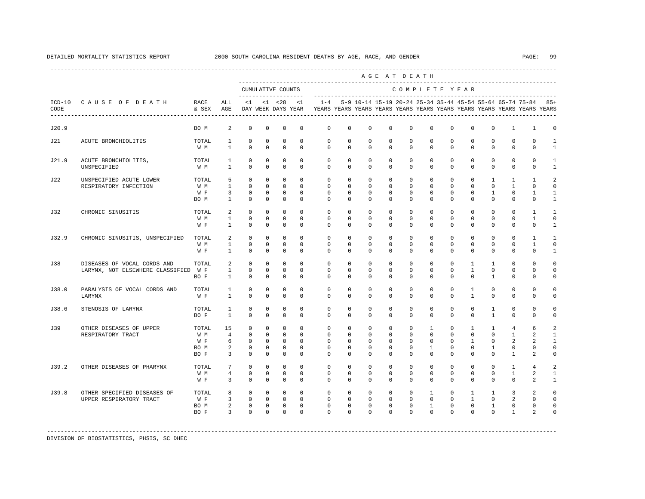|       |                                                                 |                                     |                                                           |                                                      |                                                                       |                                                                 |                                                      |                                                                                                       |                                                                       |                                                         |                                                            | AGE AT DEATH                                                       |                                                                        |                                                         |                                                              |                                                                     |                                                         |                                              |                                                |
|-------|-----------------------------------------------------------------|-------------------------------------|-----------------------------------------------------------|------------------------------------------------------|-----------------------------------------------------------------------|-----------------------------------------------------------------|------------------------------------------------------|-------------------------------------------------------------------------------------------------------|-----------------------------------------------------------------------|---------------------------------------------------------|------------------------------------------------------------|--------------------------------------------------------------------|------------------------------------------------------------------------|---------------------------------------------------------|--------------------------------------------------------------|---------------------------------------------------------------------|---------------------------------------------------------|----------------------------------------------|------------------------------------------------|
|       |                                                                 |                                     |                                                           |                                                      |                                                                       | CUMULATIVE COUNTS<br>-------------------                        |                                                      |                                                                                                       |                                                                       |                                                         |                                                            | COMPLETE YEAR                                                      |                                                                        |                                                         |                                                              |                                                                     |                                                         |                                              |                                                |
| CODE  | ICD-10 CAUSE OF DEATH<br>---------------------------------      | RACE<br>& SEX                       | ALL<br>AGE                                                | $\leq 1$                                             |                                                                       | $<1$ $<28$                                                      | < 1                                                  | $1 - 4$<br>DAY WEEK DAYS YEAR YEARS YEARS YEARS YEARS YEARS YEARS YEARS YEARS YEARS YEARS YEARS YEARS |                                                                       |                                                         |                                                            |                                                                    |                                                                        |                                                         |                                                              | 5-9 10-14 15-19 20-24 25-34 35-44 45-54 55-64 65-74 75-84 85+       |                                                         |                                              |                                                |
| J20.9 |                                                                 | BO M                                | 2                                                         | $\circ$                                              | $\mathbf 0$                                                           | $^{\circ}$                                                      | 0                                                    | $\mathbf 0$                                                                                           | $\mathbf 0$                                                           | $\mathbf 0$                                             | $\mathbf 0$                                                | $\mathbf 0$                                                        | $\Omega$                                                               | $\mathbf 0$                                             | $\mathbf 0$                                                  | $\mathbf 0$                                                         | $\mathbf{1}$                                            | 1                                            | $\Omega$                                       |
| J21   | ACUTE BRONCHIOLITIS                                             | TOTAL<br>W M                        | 1<br>$\mathbf{1}$                                         | $\mathbf 0$<br>$\Omega$                              | $^{\circ}$<br>$\Omega$                                                | $\mathbf 0$<br>$\Omega$                                         | $\Omega$<br>$\Omega$                                 | $\mathbf 0$<br>$\Omega$                                                                               | $\mathbf 0$<br>$\Omega$                                               | $\mathbf 0$<br>$\Omega$                                 | $\Omega$<br>$\Omega$                                       | $\mathbf 0$<br>$\Omega$                                            | $\Omega$<br>$\Omega$                                                   | $\mathbf 0$<br>$\Omega$                                 | $\mathbf 0$<br>$\Omega$                                      | $\mathbf 0$<br>$\Omega$                                             | $\Omega$<br>$\Omega$                                    | $\Omega$<br>$\Omega$                         | $\mathbf{1}$<br>$\mathbf{1}$                   |
| J21.9 | ACUTE BRONCHIOLITIS,<br>UNSPECIFIED                             | TOTAL<br>W M                        | 1<br>$\mathbf{1}$                                         | $^{\circ}$<br>$\circ$                                | $\mathbf 0$<br>$\mathbf 0$                                            | $\mathbb O$<br>$\mathbf 0$                                      | $\mathbf 0$<br>$\mathbf 0$                           | $\mathbf 0$<br>$\mathbf{0}$                                                                           | $\mathbf 0$<br>$\mathbf{0}$                                           | $\mathbf 0$<br>$\mathbf 0$                              | $\mathbf 0$<br>$\mathbf 0$                                 | $\mathbf 0$<br>$\mathbf 0$                                         | $\mathbf 0$<br>$\mathbf 0$                                             | $\mathbf 0$<br>$\mathbf 0$                              | $\mathbf 0$<br>$\mathbf 0$                                   | $\mathbf 0$<br>$\mathbf 0$                                          | $\mathbf 0$<br>$\mathbf 0$                              | $\mathbf{0}$<br>$\mathbf 0$                  | 1<br>$\mathbf{1}$                              |
| J22   | UNSPECIFIED ACUTE LOWER<br>RESPIRATORY INFECTION                | TOTAL<br>W M<br>W F<br>BO M         | 5<br>$\mathbf{1}$<br>3<br>$\mathbf{1}$                    | $\circ$<br>$\circ$<br>$\circ$<br>$\Omega$            | $\mathbf 0$<br>$\mathbf{0}$<br>$^{\circ}$<br>$\Omega$                 | $\circ$<br>$\mathbf 0$<br>$\mathbf{0}$<br>$\Omega$              | $\Omega$<br>$\Omega$<br>$\Omega$<br>$\Omega$         | $\mathbf 0$<br>$\mathbf 0$<br>$\Omega$<br>$\Omega$                                                    | $\mathbf 0$<br>$\mathbf 0$<br>0<br>$\Omega$                           | $^{\circ}$<br>$^{\circ}$<br>0<br>$\Omega$               | $\mathbf 0$<br>$\mathbf 0$<br>0<br>$\Omega$                | $\Omega$<br>$\mathbf{0}$<br>$\mathbf 0$<br>$\Omega$                | $\mathbf 0$<br>$\mathbf 0$<br>0<br>$\Omega$                            | $\mathbf 0$<br>$\mathbf 0$<br>0<br>$\Omega$             | $\mathbf 0$<br>$\mathbf 0$<br>$^{\circ}$<br>$\Omega$         | $\mathbf{1}$<br>$\mathbf 0$<br>$\mathbf{1}$<br>$\Omega$             | $\mathbf{1}$<br>$\mathbf{1}$<br>$\mathbf 0$<br>$\Omega$ | 1<br>$\Omega$<br>1<br>$\Omega$               | 2<br>$\Omega$<br>1<br>1                        |
| J32   | CHRONIC SINUSITIS                                               | TOTAL<br>W M<br>W F                 | 2<br>$\mathbf{1}$<br>$\mathbf{1}$                         | $\circ$<br>$\mathbf 0$<br>$\Omega$                   | $\mathbf{0}$<br>$\mathbf 0$<br>$\Omega$                               | $\mathbf 0$<br>$\mathbf 0$<br>$\Omega$                          | $\Omega$<br>$\Omega$<br>$\Omega$                     | $\mathbf 0$<br>$\Omega$<br>$\Omega$                                                                   | $\mathbf 0$<br>$\Omega$<br>$\Omega$                                   | $^{\circ}$<br>$\Omega$<br>$\Omega$                      | $\mathbf 0$<br>$\Omega$<br>$\Omega$                        | $\Omega$<br>$\Omega$<br>$\Omega$                                   | $\Omega$<br>$\Omega$<br>$\Omega$                                       | $\mathbf{0}$<br>$\Omega$<br>$\Omega$                    | $\mathbf 0$<br>$\mathbf 0$<br>$\Omega$                       | $\mathbf 0$<br>$\mathbf 0$<br>$\Omega$                              | $\mathbf 0$<br>$\mathbf 0$<br>$\mathbf 0$               | 1<br>$\mathbf{1}$<br>$\Omega$                | 1<br>$\Omega$<br>$\mathbf{1}$                  |
| J32.9 | CHRONIC SINUSITIS, UNSPECIFIED                                  | TOTAL<br>W M<br>W F                 | 2<br>$\mathbf{1}$<br>$\mathbf{1}$                         | $\Omega$<br>$\circ$<br>$\mathbf 0$                   | $\Omega$<br>$\Omega$<br>$\mathbf 0$                                   | $\mathbf 0$<br>$\Omega$<br>$\mathbf 0$                          | $\Omega$<br>$\Omega$<br>$\mathbf 0$                  | $\Omega$<br>$\Omega$<br>$\Omega$                                                                      | $\Omega$<br>$\Omega$<br>$\mathbf 0$                                   | $\Omega$<br>$\Omega$<br>$\Omega$                        | $\Omega$<br>$\Omega$<br>$\Omega$                           | $\Omega$<br>$\Omega$<br>$\Omega$                                   | $\Omega$<br>$\Omega$<br>$\mathbf 0$                                    | $\Omega$<br>$\Omega$<br>$\Omega$                        | $\Omega$<br>$\Omega$<br>$\mathbf 0$                          | $\Omega$<br>$\Omega$<br>$\Omega$                                    | $\Omega$<br>$\Omega$<br>$\mathbf{0}$                    | $\mathbf{1}$<br>$\mathbf{1}$<br>$\mathbf 0$  | $\mathbf{1}$<br>$\Omega$<br>$\mathbf{1}$       |
| J38   | DISEASES OF VOCAL CORDS AND<br>LARYNX, NOT ELSEWHERE CLASSIFIED | TOTAL<br>W F<br>BO F                | 2<br>$\mathbf{1}$<br>$\mathbf{1}$                         | $\circ$<br>$\mathbf 0$<br>$\circ$                    | $\mathbf{0}$<br>$\mathbf{0}$<br>$\mathbf 0$                           | $\mathbf 0$<br>$\mathbf{0}$<br>$\mathbf 0$                      | $\Omega$<br>$\Omega$<br>$\mathbf 0$                  | $\mathbf 0$<br>$\Omega$<br>$\Omega$                                                                   | $\mathbf 0$<br>$\Omega$<br>0                                          | $\mathbf 0$<br>$\Omega$<br>$\Omega$                     | $\mathbf 0$<br>$\Omega$<br>0                               | $\mathbf 0$<br>$\Omega$<br>$\Omega$                                | $\mathbf 0$<br>$\Omega$<br>$\mathbf 0$                                 | $\mathbf 0$<br>$\Omega$<br>$\Omega$                     | $\mathbf{1}$<br>$\mathbf{1}$<br>0                            | $\mathbf{1}$<br>$\Omega$<br>$\mathbf{1}$                            | $\mathbf 0$<br>$\mathbf 0$<br>$\mathbf{0}$              | $\Omega$<br>$\mathbf 0$<br>$\Omega$          | $\Omega$<br>$\Omega$<br>$\mathbf 0$            |
| J38.0 | PARALYSIS OF VOCAL CORDS AND<br>LARYNX                          | TOTAL<br>W F                        | $\mathbf{1}$<br>$\mathbf{1}$                              | $^{\circ}$<br>$\Omega$                               | $\mathbf{0}$<br>$\Omega$                                              | $^{\circ}$<br>$\Omega$                                          | $^{\circ}$<br>$\Omega$                               | $\mathbf{0}$<br>$\Omega$                                                                              | $\mathbf{0}$<br>$\Omega$                                              | 0<br>$\Omega$                                           | $\mathbf 0$<br>$\Omega$                                    | $\mathbf 0$<br>$\Omega$                                            | $\mathbf 0$<br>$\Omega$                                                | 0<br>$\Omega$                                           | $\mathbf{1}$<br>$\mathbf{1}$                                 | $^{\circ}$<br>$\Omega$                                              | $\mathbf 0$<br>$\Omega$                                 | $\mathbf 0$<br>$\Omega$                      | $\Omega$<br>$\Omega$                           |
| J38.6 | STENOSIS OF LARYNX                                              | TOTAL<br>BO F                       | $\mathbf{1}$<br>$\mathbf{1}$                              | $^{\circ}$<br>$\Omega$                               | 0<br>$\Omega$                                                         | $^{\circ}$<br>$\Omega$                                          | $\mathbf 0$<br>$\Omega$                              | $\mathbf 0$<br>$\Omega$                                                                               | $\mathbf 0$<br>$\Omega$                                               | $\mathbf 0$<br>$\Omega$                                 | $\mathbf 0$<br>$\Omega$                                    | $\mathbf 0$<br>$\Omega$                                            | $\mathbf 0$<br>$\Omega$                                                | $\mathbf 0$<br>$\Omega$                                 | $\mathbf 0$<br>$\Omega$                                      | 1<br>$\mathbf{1}$                                                   | $\mathbf 0$<br>$\Omega$                                 | $\mathbf 0$<br>$\Omega$                      | $\Omega$<br>$\Omega$                           |
| J39   | OTHER DISEASES OF UPPER<br>RESPIRATORY TRACT                    | TOTAL<br>W M<br>W F<br>BO M<br>BO F | 15<br>$\overline{4}$<br>6<br>2<br>$\overline{\mathbf{3}}$ | $\circ$<br>$\Omega$<br>$\circ$<br>$\circ$<br>$\circ$ | $\mathbf 0$<br>$\Omega$<br>$\mathbf 0$<br>$\mathbf{0}$<br>$\mathbf 0$ | $\mathbf 0$<br>$\Omega$<br>$\circ$<br>$^{\circ}$<br>$\mathbf 0$ | $\Omega$<br>$\Omega$<br>$\mathbf 0$<br>0<br>$\Omega$ | $\mathbf 0$<br>$\Omega$<br>$\mathbf 0$<br>$\mathbf{0}$<br>$\Omega$                                    | $\mathbf 0$<br>$\Omega$<br>$\mathbf 0$<br>$\mathbf{0}$<br>$\mathbf 0$ | $\mathbf 0$<br>$\Omega$<br>$\mathbf 0$<br>0<br>$\Omega$ | $\mathbf 0$<br>$\Omega$<br>$\mathbf 0$<br>0<br>$\mathbf 0$ | $\mathbf 0$<br>$\Omega$<br>$\mathbf 0$<br>$\mathbf{0}$<br>$\Omega$ | $\mathbf{1}$<br>$\Omega$<br>$\mathbf 0$<br>$\mathbf{1}$<br>$\mathbf 0$ | $\mathbf 0$<br>$\Omega$<br>$\mathbf 0$<br>0<br>$\Omega$ | $\mathbf{1}$<br>$\Omega$<br>$\mathbf{1}$<br>0<br>$\mathbf 0$ | $\mathbf{1}$<br>$\Omega$<br>$\mathbf 0$<br>$\mathbf{1}$<br>$\Omega$ | $\overline{4}$<br>$\overline{1}$<br>2<br>0<br>1         | 6<br>$\mathfrak{D}$<br>2<br>$\mathbf 0$<br>2 | 2<br>$\mathbf{1}$<br>1<br>$\Omega$<br>$\Omega$ |
| J39.2 | OTHER DISEASES OF PHARYNX                                       | TOTAL<br>W M<br>W F                 | $7\phantom{.0}$<br>$\overline{4}$<br>3                    | $\circ$<br>$\mathbf 0$<br>$\mathbf 0$                | $\mathbf 0$<br>$\mathbf 0$<br>0                                       | $\mathbf 0$<br>$\mathbf 0$<br>$\mathbf 0$                       | $\Omega$<br>$\Omega$<br>$\mathbf 0$                  | $\mathbf 0$<br>$\Omega$<br>$\Omega$                                                                   | $\mathbf 0$<br>$\mathbf 0$<br>$\mathbf{0}$                            | $\mathbf 0$<br>$\Omega$<br>$\mathbf 0$                  | $\mathbf 0$<br>$\Omega$<br>0                               | $\mathbf 0$<br>$\Omega$<br>$\mathbf 0$                             | $\mathbf 0$<br>$\Omega$<br>$\mathbf{0}$                                | $\mathbf 0$<br>$\mathbf 0$<br>$\mathbf{0}$              | $\mathbf 0$<br>$\Omega$<br>0                                 | $\mathbf 0$<br>$\mathbf 0$<br>$^{\circ}$                            | $\mathbf{1}$<br>$\mathbf{1}$<br>$\mathbf{0}$            | $\overline{4}$<br>2<br>2                     | 2<br>1<br>$\mathbf{1}$                         |
| J39.8 | OTHER SPECIFIED DISEASES OF<br>UPPER RESPIRATORY TRACT          | TOTAL<br>W F<br>BO M<br>BO F        | 8<br>$\overline{3}$<br>$\overline{a}$<br>$\overline{3}$   | $\Omega$<br>$\circ$<br>$\circ$<br>$\Omega$           | $\Omega$<br>$\circ$<br>$\mathbf{0}$<br>$\Omega$                       | $\overline{0}$<br>$\overline{0}$<br>$\circ$<br>$\Omega$         | $\Omega$<br>$\mathbf 0$<br>$\mathbf 0$<br>$\Omega$   | $\Omega$<br>$\mathbf 0$<br>$\mathbf 0$<br>$\Omega$                                                    | $\Omega$<br>$\mathbf 0$<br>$\mathbf 0$<br>$\Omega$                    | $\Omega$<br>$\mathbf{0}$<br>$\mathbf 0$<br>$\Omega$     | $\Omega$<br>$\mathbf 0$<br>$\mathbf 0$<br>$\Omega$         | $\Omega$<br>$\mathbf{0}$<br>$\mathbf 0$<br>$\Omega$                | $\mathbf{1}$<br>$\mathbf 0$<br>$\mathbf{1}$<br>$\Omega$                | $\circ$<br>$\mathbf 0$<br>$\mathbf 0$<br>$\Omega$       | $\mathbf{1}$<br>$\mathbf{1}$<br>$\mathbf 0$<br>$\Omega$      | $\mathbf{1}$<br>$\mathbf{0}$<br>$\mathbf{1}$<br>$\Omega$            | 3<br>2<br>$\mathbf 0$<br>$\mathbf{1}$                   | 2<br>$\mathbf 0$<br>$\mathbf 0$<br>2         | $\Omega$<br>$\Omega$<br>$\Omega$<br>$\Omega$   |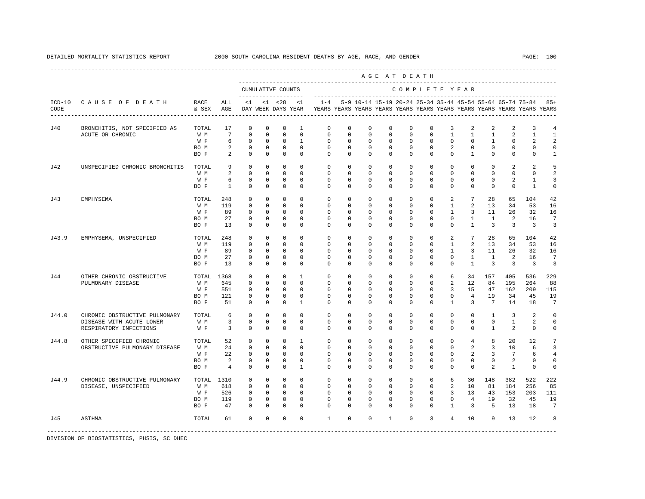A G E A T D E A T H

|          |                                |       |                 |                            |             | CUMULATIVE COUNTS |                    |              |             |                                                                                            |              |              |                | COMPLETE YEAR  |                |                 |                 |                     |                |
|----------|--------------------------------|-------|-----------------|----------------------------|-------------|-------------------|--------------------|--------------|-------------|--------------------------------------------------------------------------------------------|--------------|--------------|----------------|----------------|----------------|-----------------|-----------------|---------------------|----------------|
| $ICD-10$ | CAUSE OF DEATH                 | RACE  | ALL             | --------------------<br><1 |             | $< 1$ $< 28$      | $\leq$ 1           | $1 - 4$      |             | -------------------------<br>5-9 10-14 15-19 20-24 25-34 35-44 45-54 55-64 65-74 75-84 85+ |              |              |                |                |                |                 |                 |                     |                |
| CODE     | ------------------------------ | & SEX | AGE             |                            |             |                   | DAY WEEK DAYS YEAR |              |             | YEARS YEARS YEARS YEARS YEARS YEARS YEARS YEARS YEARS YEARS YEARS YEARS                    |              |              |                |                |                |                 |                 |                     |                |
| J40      | BRONCHITIS, NOT SPECIFIED AS   | TOTAL | 17              | $^{\circ}$                 | 0           | 0                 | 1                  | $\mathbf 0$  | 0           | $^{\circ}$                                                                                 | 0            | $\mathbf 0$  | $\mathbf{0}$   | 3              | 2              | 2               | 2               | 3                   |                |
|          | ACUTE OR CHRONIC               | W M   | $7\phantom{.0}$ | $\mathbf 0$                | $\mathbf 0$ | $\mathbf 0$       | $\mathbf 0$        | $\mathbf 0$  | $\Omega$    | $\mathbf 0$                                                                                | $\mathbf 0$  | $\mathbf 0$  | $\mathbf{0}$   | $\mathbf{1}$   | $\mathbf{1}$   | $\mathbf{1}$    | 2               | $\mathbf{1}$        | $\mathbf{1}$   |
|          |                                | W F   | 6               | $\circ$                    | $\Omega$    | $\Omega$          | $\mathbf{1}$       | $\Omega$     | $\Omega$    | $\Omega$                                                                                   | $\Omega$     | $\Omega$     | $\mathbf{0}$   | $\Omega$       | 0              | $\mathbf{1}$    | $\mathbf{0}$    | 2                   |                |
|          |                                | BO M  | 2               | $\mathbf 0$                | $\mathbf 0$ | $\mathbf 0$       | 0                  | 0            | 0           | $\mathbf 0$                                                                                | $\mathbf 0$  | $\mathbf 0$  | $\circ$        | $\overline{a}$ | $\mathsf 0$    | $\mathbf 0$     | $\mathbb O$     | $\mathbf 0$         | $\circ$        |
|          |                                | BO F  | $\overline{a}$  | $\mathbf 0$                | $\mathbf 0$ | $\mathbf 0$       | $\Omega$           | $\Omega$     | $\Omega$    | $\mathbf 0$                                                                                | $\mathbf 0$  | $\mathbf 0$  | $\mathbf 0$    | $\Omega$       | $\mathbf{1}$   | $\mathbf 0$     | $\mathbf 0$     | $\mathsf{O}\xspace$ | $\mathbf{1}$   |
| J42      | UNSPECIFIED CHRONIC BRONCHITIS | TOTAL | 9               | $\mathbf 0$                | $\mathbf 0$ | $\mathbf 0$       | $\mathbf 0$        | $\mathbf{0}$ | $\mathbf 0$ | $\mathbf 0$                                                                                | $\mathbf 0$  | $\mathbf 0$  | $\mathbf 0$    | $\mathbf 0$    | $\mathbf 0$    | $\mathbf 0$     | 2               | 2                   | 5              |
|          |                                | W M   | 2               | $\mathbf 0$                | $\Omega$    | $\mathbf 0$       | $\Omega$           | $\Omega$     | $\Omega$    | $\mathbf 0$                                                                                | $\Omega$     | $\Omega$     | $\mathbf{0}$   | $\Omega$       | $\mathbf 0$    | $\mathbf 0$     | $\mathbf 0$     | $\mathbf 0$         | $\overline{a}$ |
|          |                                | W F   | 6               | $\mathbf 0$                | $\Omega$    | $\Omega$          | $\Omega$           | $\Omega$     | $\Omega$    | 0                                                                                          | $\mathbf{0}$ | $\mathbf{0}$ | $\mathbf{0}$   | $\Omega$       | 0              | 0               | 2               | $\mathbf{1}$        | 3              |
|          |                                | BO F  | $\mathbf{1}$    | $\mathbf 0$                | $\mathbf 0$ | $\mathbf 0$       | $\Omega$           | $\Omega$     | $\Omega$    | $\mathbf 0$                                                                                | $\mathbf 0$  | $\mathbf 0$  | $\mathbf{0}$   | 0              | $\mathbf 0$    | $\mathbf 0$     | $\mathbf 0$     | $\mathbf{1}$        | $\circ$        |
| J43      | <b>EMPHYSEMA</b>               | TOTAL | 248             | $\mathbf 0$                | $\mathbf 0$ | $\mathbf 0$       | $\mathbf 0$        | $\mathbf{0}$ | 0           | 0                                                                                          | 0            | $\mathbf 0$  | $\mathbf 0$    | $\overline{a}$ | 7              | 28              | 65              | 104                 | 42             |
|          |                                | W M   | 119             | $\mathbf 0$                | $\mathbf 0$ | $\mathbf 0$       | $\Omega$           | $\Omega$     | $\Omega$    | $\mathbf 0$                                                                                | $\mathbf 0$  | $\mathbf 0$  | $\mathbf 0$    | $\mathbf{1}$   | 2              | 13              | 34              | 53                  | 16             |
|          |                                | W F   | 89              | $\Omega$                   | $\Omega$    | $\Omega$          | $\Omega$           | $\Omega$     | $\Omega$    | $\Omega$                                                                                   | $\Omega$     | $\Omega$     | $\Omega$       | $\mathbf{1}$   | 3              | 11              | 26              | 32                  | 16             |
|          |                                | BO M  | 27              | 0                          | $\mathbf 0$ | $\mathbf 0$       | 0                  | 0            | $\mathbf 0$ | $\mathbf 0$                                                                                | $\mathbf 0$  | 0            | 0              | $\mathbf 0$    | $\mathbf{1}$   | $\mathbf{1}$    | 2               | 16                  | 7              |
|          |                                | BO F  | 13              | $\mathbf 0$                | $\Omega$    | $\mathbf 0$       | $\Omega$           | $\Omega$     | $\mathbf 0$ | $\mathbf 0$                                                                                | $\mathbf 0$  | $\mathbf 0$  | $\mathbf 0$    | $\mathbf 0$    | $\mathbf{1}$   | $\overline{3}$  | $\overline{3}$  | $\overline{3}$      | 3              |
| J43.9    | EMPHYSEMA, UNSPECIFIED         | TOTAL | 248             | $^{\circ}$                 | $\mathbf 0$ | $\mathbf 0$       | $\mathbf 0$        | $\mathbf 0$  | $\mathbf 0$ | $\mathbf 0$                                                                                | $\mathbf 0$  | $\mathbf 0$  | $\mathbf 0$    | 2              | 7              | 28              | 65              | 104                 | 42             |
|          |                                | W M   | 119             | $\mathbf 0$                | $\mathbf 0$ | $\mathbf 0$       | $\Omega$           | $\Omega$     | $\Omega$    | $\mathbf 0$                                                                                | $\mathbf 0$  | $\mathbf 0$  | $\mathbf 0$    | $\mathbf{1}$   | $\overline{a}$ | 13              | 34              | 53                  | 16             |
|          |                                | W F   | 89              | $\Omega$                   | $\Omega$    | $\Omega$          | $\Omega$           | $\Omega$     | $\Omega$    | $^{\circ}$                                                                                 | $\mathbf 0$  | $\mathbf{0}$ | $\mathbf 0$    | $\mathbf{1}$   | $\overline{3}$ | 11              | 26              | 32                  | 16             |
|          |                                | BO M  | 27              | 0                          | $\mathbf 0$ | $\mathbf 0$       | $\mathbf 0$        | $\Omega$     | $\Omega$    | $\mathbf 0$                                                                                | $\mathbf 0$  | $\mathbf 0$  | $\mathbf 0$    | $\mathbf 0$    | $\mathbf{1}$   | $\mathbf{1}$    | 2               | 16                  | 7              |
|          |                                | BO F  | 13              | $\Omega$                   | $\Omega$    | $\mathbf 0$       | 0                  | $\Omega$     | $\Omega$    | 0                                                                                          | 0            | $\mathbf 0$  | $\mathbf 0$    | $\Omega$       | $\overline{1}$ | 3               | 3               | $\overline{3}$      | $\overline{3}$ |
| J44      | OTHER CHRONIC OBSTRUCTIVE      | TOTAL | 1368            | $\mathbf 0$                | $\mathbf 0$ | $\mathbf 0$       | $\mathbf{1}$       | $\mathbf{0}$ | $\mathbf 0$ | $\mathbf 0$                                                                                | $\mathbf 0$  | $\mathbf 0$  | $\mathbf{0}$   | 6              | 34             | 157             | 405             | 536                 | 229            |
|          | PULMONARY DISEASE              | W M   | 645             | $\Omega$                   | $\Omega$    | $\Omega$          | $\Omega$           | $\Omega$     | $\Omega$    | $\Omega$                                                                                   | $\Omega$     | $\Omega$     | $\Omega$       | 2              | 12.            | 84              | 195             | 264                 | 88             |
|          |                                | W F   | 551             | $\mathbf 0$                | $\mathbf 0$ | $\mathbf 0$       | $\mathbf 0$        | 0            | $\mathbf 0$ | $\mathbf 0$                                                                                | $\mathbf 0$  | 0            | 0              | 3              | 15             | 47              | 162             | 209                 | 115            |
|          |                                | BO M  | 121             | $\mathbf 0$                | $\mathbf 0$ | $\mathbf 0$       | $\Omega$           | $\Omega$     | $\mathbf 0$ | $\mathbf 0$                                                                                | $\mathbf 0$  | $\mathbf 0$  | $\mathbf{0}$   | $\mathbf 0$    | $\overline{4}$ | 19              | 34              | 45                  | 19             |
|          |                                | BO F  | 51              | $\Omega$                   | $\Omega$    | $\Omega$          | $\mathbf{1}$       | $\Omega$     | $\Omega$    | $\Omega$                                                                                   | $\Omega$     | $\Omega$     | $\Omega$       | $\mathbf{1}$   | $\overline{3}$ | $7\phantom{.0}$ | 14              | 18                  | 7              |
| J44.0    | CHRONIC OBSTRUCTIVE PULMONARY  | TOTAL | 6               | $\mathbf 0$                | $\mathbf 0$ | $\mathbf 0$       | $\Omega$           | $\Omega$     | $\Omega$    | $\mathbf 0$                                                                                | $\mathbf 0$  | $\Omega$     | $\mathbf 0$    | $\Omega$       | $\mathbf 0$    | $\overline{1}$  | $\overline{3}$  | 2                   | $\mathbf 0$    |
|          | DISEASE WITH ACUTE LOWER       | W M   | 3               | $\mathbf 0$                | $\Omega$    | $\Omega$          | $\Omega$           | $\Omega$     | $\Omega$    | 0                                                                                          | $\mathbf 0$  | $\mathbf 0$  | $\mathbf{0}$   | 0              | 0              | $\mathbf 0$     | $\mathbf{1}$    | 2                   | $\Omega$       |
|          | RESPIRATORY INFECTIONS         | W F   | $\overline{3}$  | $\Omega$                   | $\mathbf 0$ | $\Omega$          | $\Omega$           | $\Omega$     | $\Omega$    | $\mathbf 0$                                                                                | $\mathbf 0$  | $\Omega$     | $\mathbf 0$    | $\Omega$       | 0              | $\mathbf{1}$    | 2               | $\mathbf 0$         | $\circ$        |
| J44.8    | OTHER SPECIFIED CHRONIC        | TOTAL | 52              | $^{\circ}$                 | 0           | $\mathbf 0$       | $\mathbf{1}$       | 0            | 0           | $^{\circ}$                                                                                 | 0            | $\mathbf{0}$ | $\mathbf{0}$   | 0              | 4              | 8               | 20              | 12                  | 7              |
|          | OBSTRUCTIVE PULMONARY DISEASE  | W M   | 24              | $\mathbf 0$                | $\mathbf 0$ | $\Omega$          | $\Omega$           | $\Omega$     | $\Omega$    | $\mathbf 0$                                                                                | $\Omega$     | $\Omega$     | $\Omega$       | $\Omega$       | $\overline{a}$ | 3               | 10              | 6                   | 3              |
|          |                                | W F   | 22              | 0                          | $\Omega$    | $\mathbf 0$       | $\Omega$           | $\Omega$     | $\Omega$    | $^{\circ}$                                                                                 | 0            | $\mathbf{0}$ | $\mathbf 0$    | 0              | $\overline{a}$ | 3               | $7\overline{ }$ | 6                   | $\overline{4}$ |
|          |                                | BO M  | 2               | 0                          | $\mathbb O$ | $\mathsf 0$       | 0                  | 0            | $\mathbf 0$ | 0                                                                                          | $\mathbf 0$  | 0            | 0              | 0              | 0              | 0               | 2               | $\mathbf 0$         | $\circ$        |
|          |                                | BO F  | $\overline{4}$  | $\Omega$                   | $\Omega$    | $\Omega$          | $\mathbf{1}$       | $\Omega$     | $\Omega$    | $\mathbf 0$                                                                                | $\mathbf 0$  | $\mathbf 0$  | $\mathbf 0$    | $\mathbf 0$    | $\mathbf 0$    | $\overline{a}$  | $\mathbf{1}$    | $\circ$             | $\circ$        |
| J44.9    | CHRONIC OBSTRUCTIVE PULMONARY  | TOTAL | 1310            | $\mathbf 0$                | $\mathbf 0$ | $\mathbf 0$       | $\mathbf 0$        | $\mathbf{0}$ | $\mathbf 0$ | $\mathbf 0$                                                                                | $\mathbf 0$  | $\mathbf 0$  | 0              | 6              | 30             | 148             | 382             | 522                 | 222            |
|          | DISEASE, UNSPECIFIED           | W M   | 618             | $\mathbf 0$                | $\Omega$    | $\mathbf 0$       | $\Omega$           | $\Omega$     | $\Omega$    | $\mathbf 0$                                                                                | $\mathbf 0$  | $\mathbf 0$  | $\mathbf 0$    | $\overline{a}$ | 10             | 81              | 184             | 256                 | 85             |
|          |                                | W F   | 526             | 0                          | $\Omega$    | $\Omega$          | $\Omega$           | $\Omega$     | $\Omega$    | 0                                                                                          | $\mathbf 0$  | $\mathbf 0$  | $\circ$        | 3              | 13             | 43              | 153             | 203                 | 111            |
|          |                                | BO M  | 119             | $^{\circ}$                 | $\mathbf 0$ | $\mathbf 0$       | $^{\circ}$         | $\Omega$     | $\Omega$    | $^{\circ}$                                                                                 | $\mathbf 0$  | $\mathbf 0$  | $\mathbf 0$    | $\mathbf 0$    | $\overline{4}$ | 19              | 32              | 45                  | 19             |
|          |                                | BO F  | 47              | 0                          | 0           | $\mathbf 0$       | 0                  | $\Omega$     | 0           | 0                                                                                          | $^{\circ}$   | $\mathbf 0$  | $\mathbf{0}$   | $\mathbf{1}$   | 3              | - 5             | 13              | 18                  | 7              |
| J45      | <b>ASTHMA</b>                  | TOTAL | 61              | $\Omega$                   | $\Omega$    | $\Omega$          | $\Omega$           | $\mathbf{1}$ | $\Omega$    | $\Omega$                                                                                   | $\mathbf{1}$ | $\Omega$     | $\overline{3}$ | $\overline{4}$ | 10             | 9               | 13              | 12                  | 8              |
|          |                                |       |                 |                            |             |                   |                    |              |             |                                                                                            |              |              |                |                |                |                 |                 |                     |                |

DIVISION OF BIOSTATISTICS, PHSIS, SC DHEC

----------------------------------------------------------------------------------------------------------------------------------------------------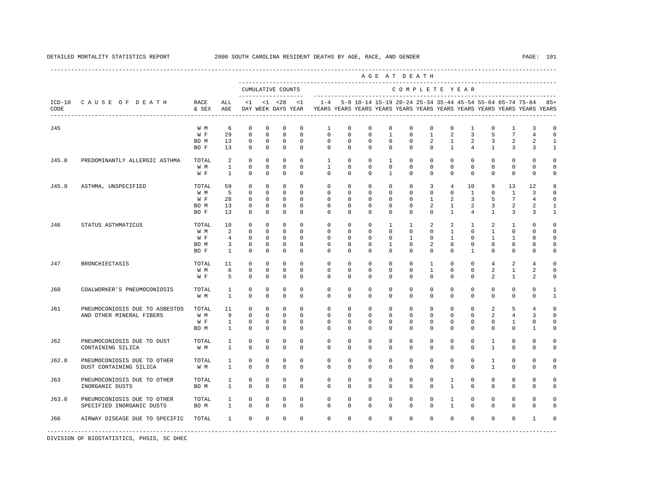|                  |                                                       |               |                              |                            |                            |                                    |                        |                         |                         |                         |                         | AGE AT DEATH                                              |                         |                         |                            |                              |                             |                                                                         |                    |
|------------------|-------------------------------------------------------|---------------|------------------------------|----------------------------|----------------------------|------------------------------------|------------------------|-------------------------|-------------------------|-------------------------|-------------------------|-----------------------------------------------------------|-------------------------|-------------------------|----------------------------|------------------------------|-----------------------------|-------------------------------------------------------------------------|--------------------|
|                  |                                                       |               |                              |                            |                            | CUMULATIVE COUNTS                  |                        |                         |                         |                         |                         | COMPLETE YEAR                                             |                         |                         |                            |                              |                             |                                                                         |                    |
| $ICD-10$<br>CODE | CAUSE OF DEATH                                        | RACE<br>& SEX | ALL<br>AGE                   | $\leq 1$                   |                            | $< 1$ $< 28$<br>DAY WEEK DAYS YEAR | $\leq 1$               | $1 - 4$                 |                         |                         |                         | 5-9 10-14 15-19 20-24 25-34 35-44 45-54 55-64 65-74 75-84 |                         |                         |                            |                              |                             | YEARS YEARS YEARS YEARS YEARS YEARS YEARS YEARS YEARS YEARS YEARS YEARS | $85+$              |
| J45              |                                                       | W M           | 6                            | $\mathbf 0$                | $\mathbf 0$                | $\mathbf 0$                        | $\mathbf 0$            | 1                       | $\mathbf 0$             | 0                       | $\mathbf 0$             | $\mathbb O$                                               | $\mathbb O$             | $\mathbf 0$             | 1                          | 0                            | 1                           | 3                                                                       | 0                  |
|                  |                                                       | W F           | 29                           | $\mathbf 0$                | $\mathbf 0$                | $\mathbf{0}$                       | $\mathbf 0$            | $\mathbf 0$             | $\Omega$                | $\mathbf 0$             | $\mathbf{1}$            | $\mathbf 0$                                               | $\mathbf{1}$            | 2                       | $\overline{3}$             | 5                            | $7\phantom{.0}$             | $\overline{4}$                                                          | 6                  |
|                  |                                                       | BO M          | 13                           | $\mathbf 0$                | $\mathbf 0$                | $\mathbf 0$                        | $\circ$                | $\mathbf 0$             | $\mathbf 0$             | $^{\circ}$              | $^{\circ}$              | $\mathbf 0$                                               | 2                       | $\mathbf{1}$            | 2                          | 3                            | 2                           | 2                                                                       | $\mathbf{1}$       |
|                  |                                                       | BO F          | 13                           | $\mathbf 0$                | $\mathbf 0$                | $\mathbf 0$                        | $\circ$                | $\mathbf 0$             | $\mathbf 0$             | $\Omega$                | $\mathbf 0$             | $\Omega$                                                  | $\mathbf 0$             | $\mathbf{1}$            | 4                          | $\mathbf{1}$                 | 3                           | 3                                                                       | $\mathbf{1}$       |
| J45.0            | PREDOMINANTLY ALLERGIC ASTHMA                         | TOTAL         | 2                            | $\mathbf 0$                | $\mathbf 0$                | $\mathbf 0$                        | $\Omega$               | $\mathbf{1}$            | $\Omega$                | $\Omega$                | $\mathbf{1}$            | $\Omega$                                                  | $\Omega$                | $\Omega$                | $\mathbf 0$                | $\Omega$                     | $\Omega$                    | $\Omega$                                                                | $\Omega$           |
|                  |                                                       | W M           | $\mathbf{1}$                 | $\mathbb O$                | $\mathbf 0$                | $\mathbf 0$                        | $^{\circ}$             | $\mathbf{1}$            | $\Omega$                | $\Omega$                | $\mathbf 0$             | $\Omega$                                                  | $\Omega$                | $\Omega$                | $\mathbf 0$                | $\Omega$                     | $\mathbf{0}$                | $\Omega$                                                                | $\Omega$           |
|                  |                                                       | W F           | $\mathbf{1}$                 | $\Omega$                   | $\Omega$                   | $\Omega$                           | $\Omega$               | $\Omega$                | $\Omega$                | $\Omega$                | $\mathbf{1}$            | $\Omega$                                                  | $\Omega$                | $\Omega$                | $\Omega$                   | $\Omega$                     | $\Omega$                    | $\Omega$                                                                | $\Omega$           |
| J45.9            | ASTHMA, UNSPECIFIED                                   | TOTAL         | 59                           | $\Omega$                   | $\mathbf 0$                | $\mathbf 0$                        | $\Omega$               | $\Omega$                | $\Omega$                | $\Omega$                | $\Omega$                | $\Omega$                                                  | 3                       | $\overline{4}$          | 10                         | 9                            | 13                          | 12                                                                      | 8                  |
|                  |                                                       | W M           | 5                            | $\mathbf 0$                | $\mathbf 0$                | $\mathbf{0}$                       | $^{\circ}$             | $\mathbf{0}$            | $\circ$                 | 0                       | 0                       | $\mathbf{0}$                                              | $\mathbf{0}$            | $\mathbf 0$             | $\mathbf{1}$               | $^{\circ}$                   | $\mathbf{1}$                | 3                                                                       | $\Omega$           |
|                  |                                                       | W F           | 28                           | $\mathbf 0$                | 0                          | $\mathbf 0$                        | $^{\circ}$             | 0                       | 0                       | 0                       | 0                       | 0                                                         | 1                       | 2                       | 3                          | 5                            | $7\phantom{.0}$             | 4                                                                       | 6                  |
|                  |                                                       | BO M          | 13                           | $\mathbf 0$                | 0                          | $\mathbf 0$                        | $\mathbf 0$            | 0                       | 0                       | 0                       | 0                       | 0                                                         | 2                       | 1                       | 2                          | 3                            | 2                           | 2                                                                       | -1                 |
|                  |                                                       | BO F          | 13                           | $\mathbf 0$                | $\circ$                    | $\circ$                            | $^{\circ}$             | 0                       | 0                       | 0                       | 0                       | 0                                                         | $\mathbf 0$             | $\mathbf{1}$            | 4                          | $\mathbf{1}$                 | 3                           | 3                                                                       | 1                  |
|                  |                                                       |               |                              | $\mathbf 0$                | $\mathbf 0$                | $\mathbf 0$                        | $\Omega$               | $\mathbf 0$             |                         |                         |                         |                                                           |                         | 2                       |                            |                              |                             | $\cap$                                                                  | $\Omega$           |
| J46              | STATUS ASTHMATICUS                                    | TOTAL         | 10                           |                            |                            |                                    |                        |                         | 0                       | 0                       | 1                       | 1                                                         | 2                       |                         | $\mathbf{1}$               | 2                            | 1                           |                                                                         | $\Omega$           |
|                  |                                                       | W M           | 2                            | $\mathbf 0$                | $\mathbf 0$                | $\mathbf 0$                        | $^{\circ}$             | $\mathbf{0}$            | 0                       | 0                       | 0                       | $\mathbf 0$                                               | $\mathbf{0}$            | $\mathbf{1}$            | $\mathbf 0$                | 1                            | $\mathbf{0}$                | $\Omega$                                                                |                    |
|                  |                                                       | W F           | 4                            | $\mathbf 0$                | 0                          | $\mathbf 0$                        | $^{\circ}$             | $\mathbf 0$             | 0                       | $\Omega$                | 0                       | 1                                                         | $\Omega$                | 1                       | $^{\circ}$                 | 1                            | 1                           | $\Omega$                                                                | $\Omega$           |
|                  |                                                       | BO M          | 3                            | $\mathbf 0$                | $\mathbf 0$                | $\mathbf 0$                        | $^{\circ}$             | $\mathbf{0}$            | 0                       | 0                       | 1                       | 0                                                         | 2                       | $\mathbf 0$             | $\mathbf 0$                | $^{\circ}$                   | $\mathbf 0$                 | $\mathbf 0$                                                             | $\Omega$           |
|                  |                                                       | BO F          | $\mathbf{1}$                 | $\circ$                    | $\mathbf 0$                | $\mathbf 0$                        | $^{\circ}$             | $\mathbf 0$             | $\mathbf 0$             | 0                       | 0                       | $\Omega$                                                  | $\mathbf 0$             | $\Omega$                | $\mathbf{1}$               | 0                            | $\mathbf{0}$                | $\mathbf 0$                                                             | $\mathbf 0$        |
| J47              | <b>BRONCHIECTASIS</b>                                 | TOTAL         | 11                           | $\Omega$                   | $\Omega$                   | $\mathbf 0$                        | $\Omega$               | $\Omega$                | $\Omega$                | $\Omega$                | $\Omega$                | $\Omega$                                                  | $\overline{1}$          | $\Omega$                | $\Omega$                   | $\overline{4}$               | 2                           | $\overline{4}$                                                          | $\Omega$           |
|                  |                                                       | W M           | 6                            | $\mathbb O$                | $\mathbf 0$                | $\mathbf 0$                        | $^{\circ}$             | $\mathbf 0$             | $\mathbf 0$             | $\mathbf 0$             | 0                       | $\mathbf 0$                                               | $\mathbf{1}$            | $\mathbf 0$             | $\mathbf 0$                | $\overline{a}$               | $\mathbf{1}$                | 2                                                                       | $\Omega$           |
|                  |                                                       | W F           | 5                            | $\mathbf 0$                | $\mathbf 0$                | $\mathbf 0$                        | $\mathbf 0$            | $\Omega$                | 0                       | $\Omega$                | 0                       | $\Omega$                                                  | $\Omega$                | $\Omega$                | $\Omega$                   | $\overline{a}$               | $\mathbf{1}$                | 2                                                                       | 0                  |
| J60              | COALWORKER'S PNEUMOCONIOSIS                           | TOTAL         | 1                            | $\mathbf 0$                | $\mathbf 0$                | $\mathbf 0$                        | $^{\circ}$             | $\mathbf 0$             | $\mathbf 0$             | $\mathbf 0$             | $\mathbf 0$             | $\mathbf 0$                                               | $\mathbf{0}$            | $\mathbf 0$             | $\mathbf 0$                | $\mathbf 0$                  | $\mathbf{0}$                | $\Omega$                                                                | $\mathbf{1}$       |
|                  |                                                       | W M           | $\mathbf{1}$                 | $\Omega$                   | $\Omega$                   | $\mathbf 0$                        | $\Omega$               | $\Omega$                | $\Omega$                | $\Omega$                | $\Omega$                | $\Omega$                                                  | $\Omega$                | $\Omega$                | $\Omega$                   | $\Omega$                     | $\Omega$                    | $\Omega$                                                                | $\mathbf{1}$       |
| J61              | PNEUMOCONIOSIS DUE TO ASBESTOS                        | TOTAL         | 11                           | $\mathbf 0$                | $\mathbf 0$                | $\mathbf 0$                        | $\Omega$               | $\mathbf 0$             | $\Omega$                | $\Omega$                | $\Omega$                | $\Omega$                                                  | $\Omega$                | $\Omega$                | $\mathbf 0$                | $\overline{a}$               | 5                           | $\overline{4}$                                                          | $\Omega$           |
|                  | AND OTHER MINERAL FIBERS                              | W M           | 9                            | $\mathbf 0$                | $\mathbf 0$                | $\mathbf 0$                        | $\Omega$               | $\mathbf 0$             | 0                       | 0                       | 0                       | $\mathbf 0$                                               | $\mathbf 0$             | $\mathbf 0$             | $\mathbf 0$                | 2                            | 4                           | 3                                                                       | $\Omega$           |
|                  |                                                       | W F           | $\mathbf{1}$                 | $\mathbf 0$                | 0                          | 0                                  | 0                      | 0                       | 0                       | 0                       | 0                       | 0                                                         | $\mathbf 0$             | 0                       | 0                          | 0                            | 1                           | 0                                                                       | $\mathbf 0$        |
|                  |                                                       | BO M          | $\mathbf{1}$                 | $\mathbf 0$                | $\mathbf 0$                | $\mathbf 0$                        | $\mathbf 0$            | $\mathbf{0}$            | 0                       | 0                       | 0                       | 0                                                         | $\mathbf 0$             | $\Omega$                | $^{\circ}$                 | 0                            | 0                           | 1                                                                       | $\Omega$           |
| J62              | PNEUMOCONIOSIS DUE TO DUST                            | TOTAL         | $\mathbf{1}$                 | $\mathbf 0$                | $\mathbf 0$                | 0                                  | $\mathbf 0$            | $\mathbf 0$             | $\mathbf 0$             | 0                       | $\mathbf 0$             | $\mathbf{0}$                                              | $\mathbf 0$             | $\mathbf 0$             | $\mathbf 0$                | $\mathbf{1}$                 | $\mathbf{0}$                | $\mathbf 0$                                                             | $\Omega$           |
|                  | CONTAINING SILICA                                     | W M           | $\mathbf{1}$                 | $\mathbf 0$                | $\mathbf 0$                | $\mathbf 0$                        | $\Omega$               | $\Omega$                | $\Omega$                | $\Omega$                | 0                       | $\Omega$                                                  | $\mathbf 0$             | $\Omega$                | $\mathbf 0$                | $\mathbf{1}$                 | $\mathbf{0}$                | $\Omega$                                                                | $\cap$             |
|                  |                                                       |               |                              |                            |                            |                                    |                        |                         |                         |                         |                         |                                                           |                         |                         |                            |                              |                             |                                                                         |                    |
| J62.8            | PNEUMOCONIOSIS DUE TO OTHER<br>DUST CONTAINING SILICA | TOTAL<br>W M  | $\mathbf{1}$<br>$\mathbf{1}$ | $\mathbf 0$<br>$\mathbf 0$ | $\mathbf 0$<br>$\mathbf 0$ | $\mathbf 0$<br>$\mathbf 0$         | $^{\circ}$<br>$\Omega$ | $\mathbf 0$<br>$\Omega$ | $\mathbf 0$<br>$\Omega$ | $\mathbf 0$<br>$\Omega$ | $\mathbf 0$<br>$\Omega$ | $\mathbf 0$<br>$\Omega$                                   | $\mathbf 0$<br>$\Omega$ | $\mathbf 0$<br>$\Omega$ | $\mathbf 0$<br>$\mathbf 0$ | $\mathbf{1}$<br>$\mathbf{1}$ | $\mathbf{0}$<br>$\mathbf 0$ | $\mathbf{0}$<br>$\Omega$                                                | $\Omega$<br>$\cap$ |
|                  |                                                       |               |                              |                            |                            |                                    |                        |                         |                         |                         |                         |                                                           |                         |                         |                            |                              |                             |                                                                         |                    |
| J63              | PNEUMOCONIOSIS DUE TO OTHER                           | TOTAL         | $\mathbf{1}$                 | $\mathbf 0$                | $\mathbf 0$                | $\mathbf 0$                        | $\mathbf 0$            | $\mathbf 0$             | $\Omega$                | 0                       | $\Omega$                | $\Omega$                                                  | $\Omega$                | $\mathbf{1}$            | $\Omega$                   | $\Omega$                     | $\mathbf{0}$                | $\Omega$                                                                | $\Omega$           |
|                  | INORGANIC DUSTS                                       | BO M          | $\mathbf{1}$                 | $\Omega$                   | $\Omega$                   | $\mathbf 0$                        | $\Omega$               | $\Omega$                | $\Omega$                | $\Omega$                | $\Omega$                | $\Omega$                                                  | $\Omega$                | $\mathbf{1}$            | $\Omega$                   | $\Omega$                     | $\Omega$                    | $\Omega$                                                                | $\Omega$           |
| J63.8            | PNEUMOCONIOSIS DUE TO OTHER                           | TOTAL         | 1                            | $\mathbf 0$                | $\mathbf 0$                | $\mathbf 0$                        | $^{\circ}$             | $\circ$                 | $\Omega$                | $\Omega$                | $\Omega$                | $\Omega$                                                  | $\Omega$                | $\mathbf{1}$            | $\Omega$                   | $\Omega$                     | $\Omega$                    | $\Omega$                                                                | $\Omega$           |
|                  | SPECIFIED INORGANIC DUSTS                             | BO M          | $\mathbf{1}$                 | $\Omega$                   | $\Omega$                   | $\mathbf 0$                        | $\Omega$               | $\Omega$                | $\Omega$                | $\Omega$                | $\Omega$                | $\Omega$                                                  | $\Omega$                | $\mathbf{1}$            | $\Omega$                   | $\Omega$                     | $\Omega$                    | $\Omega$                                                                | $\cap$             |
| J66              | AIRWAY DISEASE DUE TO SPECIFIC TOTAL                  |               | 1                            | $\mathbf 0$                | $\mathbf 0$                | $\mathbf 0$                        | $\mathbf 0$            | $\Omega$                | $\Omega$                | $\mathbf 0$             | $\mathbf 0$             | $\mathbf 0$                                               | $\Omega$                | $\Omega$                | $\mathbf 0$                | $\Omega$                     | $\Omega$                    | $\mathbf{1}$                                                            |                    |
|                  |                                                       |               |                              |                            |                            |                                    |                        |                         |                         |                         |                         |                                                           |                         |                         |                            |                              |                             |                                                                         |                    |
|                  |                                                       |               |                              |                            |                            |                                    |                        |                         |                         |                         |                         |                                                           |                         |                         |                            |                              |                             |                                                                         |                    |

# DETAILED MORTALITY STATISTICS REPORT 2000 SOUTH CAROLINA RESIDENT DEATHS BY AGE, RACE, AND GENDER PAGE: 101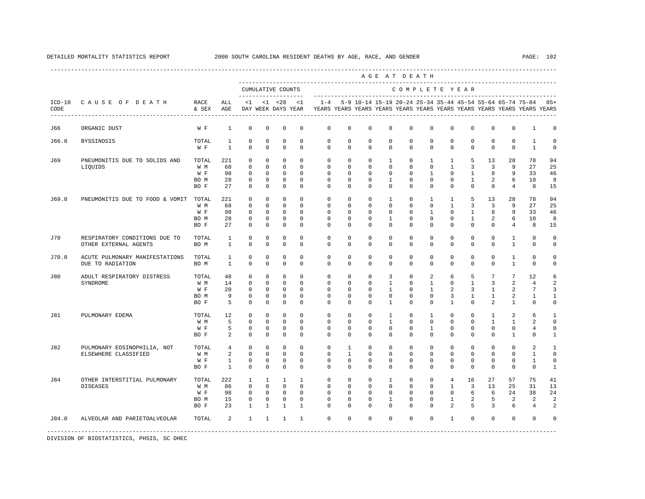---------------------------------------------------------------------------------------------------------------------------------------------------- A G E A T D E A T H --------------------------------------------------------------------------------------------- CUMULATIVE COUNTS C O M P L E T E Y E A R ------------------- ----------------------------------------------------------------------- ICD-10 C A U S E O F D E A T H RACE ALL <1 <1 <28 <1 1-4 5-9 10-14 15-19 20-24 25-34 35-44 45-54 55-64 65-74 75-84 85+ CODE & SEX AGE DAY WEEK DAYS YEAR YEARS YEARS YEARS YEARS YEARS YEARS YEARS YEARS YEARS YEARS YEARS YEARS ---------------------------------------------------------------------------------------------------------------------------------------------------- J66 ORGANIC DUST W F 1 0 0 0 0 0 0 0 0 0 0 0 0 0 0 1 0 J66.0 BYSSINOSIS TOTAL 1 0 0 0 0 0 0 0 0 0 0 0 0 0 0 1 0 W F 1 0 0 0 0 0 0 0 0 0 0 0 0 0 0 1 0 J69 PNEUMONITIS DUE TO SOLIDS AND TOTAL 221 0 0 0 0 0 0 0 1 0 1 1 5 13 28 78 94 LIQUIDS W M 68 0 0 0 0 0 0 0 0 0 0 1 3 3 9 27 25 W F 98 0 0 0 0 0 0 0 0 0 1 0 1 8 9 33 46 BO M 28 0 0 0 0 0 0 0 1 0 0 0 1 2 6 10 8 BO F 27 0 0 0 0 0 0 0 0 0 0 0 0 0 4 8 15 J69.0 PNEUMONITIS DUE TO FOOD & VOMIT TOTAL 221 0 0 0 0 0 0 0 1 0 1 1 5 13 28 78 94 W M 68 0 0 0 0 0 0 0 0 0 0 1 3 3 9 27 25 W F 98 0 0 0 0 0 0 0 0 0 0 1 0 1 8 9 33 46 BO M 28 0 0 0 0 0 0 0 1 0 0 0 1 2 6 10 8 BO F 27 0 0 0 0 0 0 0 0 0 0 0 0 0 4 8 15 J70 RESPIRATORY CONDITIONS DUE TO TOTAL 1 0 0 0 0 0 0 0 0 0 0 0 0 0 1 0 0 OTHER EXTERNAL AGENTS BOM 1 0 0 0 0 0 0 0 0 0 0 0 0 0 0 1 0 0 J70.0 ACUTE PULMONARY MANIFESTATIONS TOTAL 1 0 0 0 0 0 0 0 0 0 0 0 0 0 1 0 0 DUE TO RADIATION BO M 1 0 0 0 0 0 0 0 0 0 0 0 0 0 1 0 0 J80 ADULT RESPIRATORY DISTRESS TOTAL 48 0 0 0 0 0 0 0 3 0 2 6 5 7 7 12 6 SYNDROME W M 14 0 0 0 0 0 0 0 1 0 1 0 1 3 2 4 2 W F 20 0 0 0 0 0 0 0 0 1 0 1 2 3 1 2 7 3 BOM 9 0 0 0 0 0 0 0 0 0 0 0 3 1 1 2 1 1 BOF 5 0 0 0 0 0 0 0 0 0 0 1 0 2 1 0 0 J81 PULMONARY EDEMA TOTAL 12 0 0 0 0 0 0 0 1 0 1 0 0 1 2 6 1 W M M 5 0 0 0 0 0 0 0 0 0 0 0 0 0 0 1 1 2 0 W F 5 0 0 0 0 0 0 0 0 0 0 0 0 0 0 4 0 BO F 2 0 0 0 0 0 0 0 0 0 0 0 0 0 1 0 1 J82 PULMONARY EOSINOPHILIA, NOT TOTAL 4 0 0 0 0 0 1 0 0 0 0 0 0 0 0 2 1 ELSEWHERE CLASSIFIED W M 2 0 0 0 0 0 1 0 0 0 0 0 0 0 0 0 1 0 0 0 0 0 0 0 1 0 0 0 0 0 0 0 0 0 0 0 0 0 0 0 0 0 0 W F 1 0 0 0 0 0 0 0 0 0 0 0 0 0 0 1 0 BO F 1 0 0 0 0 0 0 0 0 0 0 0 0 0 0 0 1 J84 OTHER INTERSTITIAL PULMONARY TOTAL 222 1 1 1 1 0 0 0 1 0 0 4 16 27 57 75 41 DISEASES W M 86 0 0 0 0 0 0 0 0 0 0 1 3 13 25 31 13 W F 98 0 0 0 0 0 0 0 0 0 0 0 6 6 24 38 24 BOM 15 0 0 0 0 0 0 0 0 0 0 1 2 5 2 2 2 BO F 23 1 1 1 1 0 0 0 0 0 0 2 5 3 6 4 2 J84.0 ALVEOLAR AND PARIETOALVEOLAR TOTAL 2 1 1 1 1 0 0 0 0 0 0 1 0 0 0 0 0 -----------------------------------------------------------------------------------------------------------------------------------------------------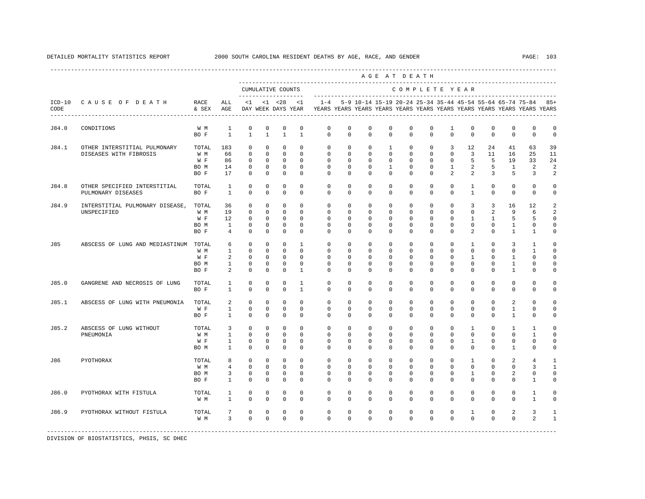|                  |                                                        |                                     |                                                   |                                                                         |                                                                            |                                                                          |                                                                   |                                                                                    |                                                                  |                                                               |                                                  | AGE AT DEATH                                                     |                                                                       |                                                                   |                                                                           |                                                         |                                                  |                                                    |                                                             |
|------------------|--------------------------------------------------------|-------------------------------------|---------------------------------------------------|-------------------------------------------------------------------------|----------------------------------------------------------------------------|--------------------------------------------------------------------------|-------------------------------------------------------------------|------------------------------------------------------------------------------------|------------------------------------------------------------------|---------------------------------------------------------------|--------------------------------------------------|------------------------------------------------------------------|-----------------------------------------------------------------------|-------------------------------------------------------------------|---------------------------------------------------------------------------|---------------------------------------------------------|--------------------------------------------------|----------------------------------------------------|-------------------------------------------------------------|
|                  |                                                        |                                     |                                                   |                                                                         |                                                                            | CUMULATIVE COUNTS                                                        |                                                                   |                                                                                    |                                                                  |                                                               |                                                  | COMPLETE YEAR                                                    |                                                                       |                                                                   |                                                                           |                                                         |                                                  |                                                    |                                                             |
| $ICD-10$<br>CODE | CAUSE OF DEATH                                         | RACE<br>& SEX                       | ALL<br>AGE                                        | $\leq 1$                                                                |                                                                            | $< 1$ $< 28$<br>DAY WEEK DAYS YEAR                                       | <1                                                                | $1 - 4$<br>YEARS YEARS YEARS YEARS YEARS YEARS YEARS YEARS YEARS YEARS YEARS YEARS |                                                                  | 5-9 10-14 15-19 20-24 25-34 35-44 45-54 55-64 65-74 75-84 85+ |                                                  |                                                                  |                                                                       |                                                                   |                                                                           |                                                         |                                                  |                                                    |                                                             |
| J84.0            | CONDITIONS                                             | W M<br>BO F                         | $\mathbf{1}$<br>$\mathbf{1}$                      | $\mathbf 0$<br>$\overline{1}$                                           | $\mathbf 0$<br>$\mathbf{1}$                                                | $\mathbf 0$<br>$\mathbf{1}$                                              | $^{\circ}$<br>$\mathbf{1}$                                        | $\mathbf 0$<br>$\Omega$                                                            | $\mathbf 0$<br>$\Omega$                                          | $\mathbf 0$<br>$\Omega$                                       | $\mathbf 0$<br>$\Omega$                          | $\mathbf{0}$<br>$\Omega$                                         | $\mathbf 0$<br>$\Omega$                                               | $\mathbf{1}$<br>$\Omega$                                          | $\mathbf 0$<br>$\Omega$                                                   | $\mathbf 0$<br>$\Omega$                                 | $\mathbf{0}$<br>$\Omega$                         | $\mathbf 0$<br>$\Omega$                            | $\mathbf 0$<br>$\Omega$                                     |
| J84.1            | OTHER INTERSTITIAL PULMONARY<br>DISEASES WITH FIBROSIS | TOTAL<br>W M<br>W F<br>BO M<br>BO F | 183<br>66<br>86<br>14<br>17                       | $\circ$<br>$\mathbf 0$<br>$\mathbf 0$<br>$\mathbf 0$<br>$\mathbf 0$     | $\mathbf{0}$<br>$\mathbf{0}$<br>$\mathbf 0$<br>$\mathbf{0}$<br>$\mathbf 0$ | $\mathbf 0$<br>$\mathbf{0}$<br>$\mathbf 0$<br>$\mathbf 0$<br>$\mathbf 0$ | $\circ$<br>$\circ$<br>$^{\circ}$<br>$\Omega$<br>$\Omega$          | $\circ$<br>$\mathbf 0$<br>$\mathbf 0$<br>$\Omega$<br>$\Omega$                      | $\circ$<br>$\circ$<br>$\Omega$<br>$\Omega$<br>$\Omega$           | $\circ$<br>0<br>$\Omega$<br>$\Omega$<br>$\Omega$              | 1<br>0<br>0<br>$\mathbf{1}$<br>$\Omega$          | $\mathbf{0}$<br>$\mathbf{0}$<br>$\Omega$<br>$\Omega$<br>$\Omega$ | $\mathbf{0}$<br>$\mathbf{0}$<br>$\Omega$<br>$\Omega$<br>$\Omega$      | 3<br>$\mathbf{0}$<br>$\Omega$<br>$\mathbf{1}$<br>$\mathfrak{D}$   | 12<br>$\overline{3}$<br>5<br>$\overline{2}$<br>$\overline{a}$             | 24<br>11<br>5<br>5<br>3                                 | 41<br>16<br>19<br>$\mathbf{1}$<br>5              | 63<br>25<br>33<br>2<br>3                           | 39<br>11<br>24<br>2<br>2                                    |
| J84.8            | OTHER SPECIFIED INTERSTITIAL<br>PULMONARY DISEASES     | TOTAL<br>BO F                       | 1<br>$\mathbf{1}$                                 | $\mathbf 0$<br>$\mathbf 0$                                              | $\mathbf 0$<br>$\mathbf 0$                                                 | $^{\circ}$<br>$\mathbf 0$                                                | $^{\circ}$<br>$\mathbf 0$                                         | $^{\circ}$<br>$\mathbf 0$                                                          | $\circ$<br>$\mathbf 0$                                           | $\circ$<br>$\mathbf 0$                                        | 0<br>0                                           | $\mathbf{0}$<br>$\mathbf 0$                                      | 0<br>$\mathbf 0$                                                      | $\mathbf 0$<br>$\Omega$                                           | $\mathbf{1}$<br>$\mathbf{1}$                                              | $\mathbf 0$<br>$\Omega$                                 | $\mathbf{0}$<br>$\mathbf{0}$                     | $\mathbf 0$<br>$\mathbf 0$                         | 0<br>$\mathbf 0$                                            |
| J84.9            | INTERSTITIAL PULMONARY DISEASE,<br>UNSPECIFIED         | TOTAL<br>W M<br>W F<br>BO M<br>BO F | 36<br>19<br>12<br>$\mathbf{1}$<br>$\overline{4}$  | $\mathbf 0$<br>$\mathbb O$<br>$^{\circ}$<br>$\mathbf 0$<br>$\mathbf 0$  | $\mathbf 0$<br>$\mathbf 0$<br>$\circ$<br>$\mathbf 0$<br>$\mathbf 0$        | $\mathbf 0$<br>$\mathbb O$<br>$^{\circ}$<br>$\mathbf 0$<br>$\mathbf 0$   | $\Omega$<br>$\mathbf{0}$<br>$\circ$<br>$\mathbf 0$<br>$\mathbf 0$ | $\mathbf 0$<br>$\mathbf 0$<br>$\circ$<br>$\mathbf 0$<br>$\mathbf{0}$               | $\mathbf 0$<br>$\mathbf 0$<br>$\Omega$<br>$\circ$<br>$\mathbf 0$ | $\mathbf 0$<br>$\mathbf 0$<br>0<br>0<br>$\mathbf 0$           | $\mathbf 0$<br>0<br>0<br>0<br>0                  | $\mathbf{0}$<br>$\mathbf 0$<br>$\mathbf{0}$<br>0<br>$\mathbf 0$  | $\mathbf{0}$<br>$\mathbf 0$<br>$\Omega$<br>$\mathbf 0$<br>$\mathbf 0$ | $\mathbf 0$<br>$\mathbf 0$<br>$\Omega$<br>$\mathbf 0$<br>$\Omega$ | 3<br>$\mathbf 0$<br>1<br>$\mathbf 0$<br>$\overline{a}$                    | $\overline{3}$<br>2<br>$\mathbf{1}$<br>0<br>$\mathbf 0$ | 16<br>9<br>5<br>1<br>$\mathbf{1}$                | 12<br>6<br>5<br>0<br>$\mathbf{1}$                  | 2<br>2<br>$\Omega$<br>0<br>0                                |
| J85              | ABSCESS OF LUNG AND MEDIASTINUM                        | TOTAL<br>W M<br>W F<br>BO M<br>BO F | 6<br>$\mathbf{1}$<br>2<br>$\mathbf{1}$<br>2       | $\mathbf 0$<br>$\mathbb O$<br>$\mathbf 0$<br>$\mathbf 0$<br>$\mathbf 0$ | $\mathbf 0$<br>$\mathbf 0$<br>0<br>$\circ$<br>$\mathbf 0$                  | $\mathbf 0$<br>$\mathbf{0}$<br>0<br>0<br>$\mathbf 0$                     | $\mathbf{1}$<br>$\Omega$<br>$^{\circ}$<br>0<br>$\mathbf{1}$       | $\Omega$<br>$\mathbf 0$<br>$\mathbf{0}$<br>0<br>$\Omega$                           | $\Omega$<br>$\mathbf 0$<br>0<br>0<br>$\Omega$                    | $\Omega$<br>$\mathbf 0$<br>0<br>$\mathbf 0$<br>$\Omega$       | $\Omega$<br>$\mathbf 0$<br>0<br>$\mathbf 0$<br>0 | $\Omega$<br>$\mathbf 0$<br>0<br>0<br>$\Omega$                    | $\Omega$<br>$\mathbf 0$<br>$\mathbf 0$<br>0<br>$\Omega$               | $\Omega$<br>$\Omega$<br>0<br>0<br>$\Omega$                        | $\mathbf{1}$<br>$\mathbf 0$<br>$\mathbf{1}$<br>$\mathbf 0$<br>$\mathbf 0$ | $\Omega$<br>$\mathbf 0$<br>0<br>$\mathbf 0$<br>$\Omega$ | 3<br>$\mathbf 0$<br>1<br>1<br>$\mathbf{1}$       | $\mathbf{1}$<br>$\mathbf{1}$<br>0<br>0<br>$\Omega$ | $\Omega$<br>$\Omega$<br>$\mathbf 0$<br>$\Omega$<br>$\Omega$ |
| J85.0            | GANGRENE AND NECROSIS OF LUNG                          | TOTAL<br>BO F                       | $\mathbf{1}$<br>$\mathbf{1}$                      | $\mathbf 0$<br>$\mathbf 0$                                              | $\mathbf 0$<br>$\circ$                                                     | $\mathbf 0$<br>$^{\circ}$                                                | $\mathbf{1}$<br>$\mathbf{1}$                                      | $\Omega$<br>$\mathbf{0}$                                                           | $\Omega$<br>0                                                    | $\Omega$<br>0                                                 | $\Omega$<br>0                                    | $\Omega$<br>0                                                    | $\Omega$<br>$\mathbf 0$                                               | $\Omega$<br>0                                                     | $\Omega$<br>$^{\circ}$                                                    | $\Omega$<br>$^{\circ}$                                  | $\Omega$<br>$\mathbf 0$                          | $\Omega$<br>0                                      | $\Omega$<br>0                                               |
| J85.1            | ABSCESS OF LUNG WITH PNEUMONIA                         | TOTAL<br>W F<br>BO F                | 2<br>$\mathbf{1}$<br>$\mathbf{1}$                 | $\Omega$<br>$\mathbf 0$<br>$\mathbf 0$                                  | $\Omega$<br>$\mathbf 0$<br>$\mathbf 0$                                     | $\Omega$<br>$\mathbf 0$<br>$\mathbf 0$                                   | $\Omega$<br>$^{\circ}$<br>$\Omega$                                | $\Omega$<br>$\mathbf 0$<br>$\Omega$                                                | $\Omega$<br>$\circ$<br>$\Omega$                                  | $\Omega$<br>0<br>$\Omega$                                     | $\Omega$<br>0<br>$\Omega$                        | $\Omega$<br>$\mathbf{0}$<br>$\Omega$                             | $\Omega$<br>$\mathbf 0$<br>$\Omega$                                   | $\Omega$<br>$\mathbf 0$<br>$\Omega$                               | $\Omega$<br>$\mathbf 0$<br>$\Omega$                                       | $\Omega$<br>$\mathbf 0$<br>$\Omega$                     | 2<br>$\mathbf{1}$<br>$\mathbf{1}$                | $\Omega$<br>0<br>$\Omega$                          | $\cap$<br>$\Omega$<br>$\Omega$                              |
| J85.2            | ABSCESS OF LUNG WITHOUT<br>PNEUMONIA                   | TOTAL<br>W M<br>W F<br>BO M         | 3<br>$\mathbf{1}$<br>$\mathbf{1}$<br>$\mathbf{1}$ | $\mathbf 0$<br>$\mathbf 0$<br>$\mathbf 0$<br>$\mathbf 0$                | $\mathbf 0$<br>$\mathbf 0$<br>$^{\circ}$<br>$\mathbf 0$                    | $\mathbf 0$<br>$\mathbf 0$<br>$^{\circ}$<br>$\mathbf 0$                  | $^{\circ}$<br>$\mathbf{0}$<br>$^{\circ}$<br>$\Omega$              | $\mathbf 0$<br>$\mathbf 0$<br>$\circ$<br>$\Omega$                                  | 0<br>0<br>$\circ$<br>$\Omega$                                    | $\mathbf 0$<br>$^{\circ}$<br>$^{\circ}$<br>$\Omega$           | $\mathbf 0$<br>0<br>$^{\circ}$<br>0              | 0<br>$\mathbf 0$<br>$\mathbf 0$<br>$\Omega$                      | $\mathbf 0$<br>$\mathbf 0$<br>$\mathbf 0$<br>$\Omega$                 | $\mathbf 0$<br>$\Omega$<br>0<br>$\Omega$                          | 1<br>$\mathbf 0$<br>$\mathbf{1}$<br>$\Omega$                              | 0<br>$\mathbf 0$<br>$^{\circ}$<br>$\Omega$              | 1<br>$\mathbf{0}$<br>$\mathbf 0$<br>$\mathbf{1}$ | 1<br>1<br>$\mathbf 0$<br>$\Omega$                  | $\Omega$<br>$\Omega$<br>$\Omega$<br>$\Omega$                |
| J86              | PYOTHORAX                                              | TOTAL<br>W M<br>BO M<br>BO F        | 8<br>$\overline{4}$<br>3<br>$\mathbf{1}$          | $\mathbf 0$<br>$\mathbf 0$<br>$\mathbf 0$<br>$\mathbf 0$                | $\mathbf 0$<br>$\circ$<br>$\circ$<br>$\mathbf 0$                           | $\mathbf 0$<br>$\mathbf 0$<br>$\mathbf 0$<br>$\mathbf 0$                 | $\mathbf{0}$<br>$\mathbf 0$<br>$^{\circ}$<br>$\mathbf 0$          | $\mathbf 0$<br>0<br>$\mathbf{0}$<br>$\Omega$                                       | $\mathbf 0$<br>0<br>$\Omega$<br>0                                | $\mathbf 0$<br>0<br>$^{\circ}$<br>$\mathbf 0$                 | 0<br>0<br>$\Omega$<br>0                          | $\mathbf{0}$<br>0<br>$\mathbf 0$<br>$\mathbf{0}$                 | $\mathbf 0$<br>$\Omega$<br>$\Omega$<br>$\mathbf 0$                    | $\circ$<br>$\Omega$<br>$\Omega$<br>$\Omega$                       | $\mathbf{1}$<br>$^{\circ}$<br>$\mathbf{1}$<br>$^{\circ}$                  | $\mathbf 0$<br>$^{\circ}$<br>$^{\circ}$<br>$^{\circ}$   | $\overline{a}$<br>$\mathbf 0$<br>2<br>0          | $\overline{4}$<br>3<br>$\mathbf 0$<br>$\mathbf{1}$ | $\mathbf{1}$<br>1<br>$\Omega$<br>$\mathbf 0$                |
| J86.0            | PYOTHORAX WITH FISTULA                                 | TOTAL<br>W M                        | $\mathbf{1}$<br>$\mathbf{1}$                      | $\mathbf 0$<br>$\mathbb O$                                              | $\mathbf 0$<br>$\mathbb O$                                                 | $\mathbf 0$<br>$\mathbb O$                                               | $\mathbf 0$<br>$\mathbf 0$                                        | $\mathbf 0$<br>$\mathbf 0$                                                         | $\mathbf 0$<br>$\mathbf 0$                                       | $\mathbf 0$<br>$\mathbf 0$                                    | 0<br>0                                           | $\mathbf{0}$<br>$\mathbf 0$                                      | $\mathbf 0$<br>$\mathbf 0$                                            | $\mathbf 0$<br>$\Omega$                                           | $\mathbf 0$<br>$\mathbf 0$                                                | $\mathbf 0$<br>$\mathbf 0$                              | $\mathbf{0}$<br>$\mathbf 0$                      | $\mathbf{1}$<br>$\mathbf{1}$                       | $\Omega$<br>$\mathbf 0$                                     |
| J86.9            | PYOTHORAX WITHOUT FISTULA                              | TOTAL<br>W M                        | $7\phantom{.0}$<br>$\overline{3}$                 | $\mathbf 0$<br>$\Omega$                                                 | $\mathbf 0$<br>$\mathbf 0$                                                 | 0<br>$\mathbf 0$                                                         | $\mathbf 0$<br>$\Omega$                                           | $\mathbf 0$<br>$\Omega$                                                            | $\mathbf 0$<br>$\Omega$                                          | 0<br>$\Omega$                                                 | 0<br>$\Omega$                                    | $\mathbb O$<br>$\Omega$                                          | $\mathbf 0$<br>$\Omega$                                               | $\mathbf 0$<br>$\Omega$                                           | 1<br>$\Omega$                                                             | 0<br>$\Omega$                                           | 2<br>$\Omega$                                    | 3<br>2                                             | $\mathbf{1}$<br>$\mathbf{1}$                                |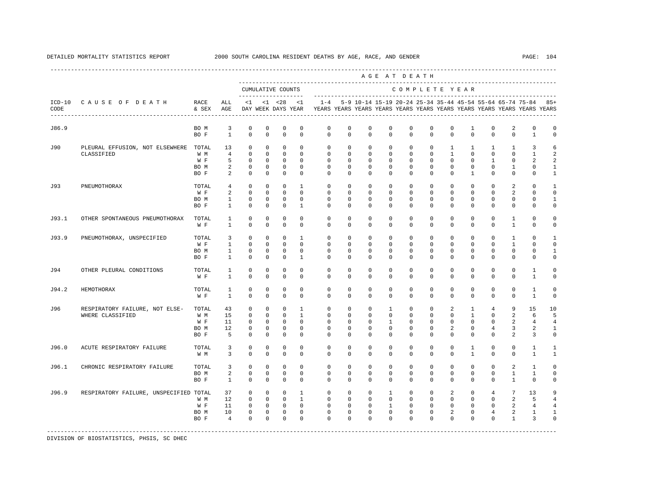|       |                                                                 |               |                                |                         |                             |                                           |                         |                                                                                            |                         |                         |                      | AGE AT DEATH             |                         |                         |                          |                         |                          |                                                                   |                              |
|-------|-----------------------------------------------------------------|---------------|--------------------------------|-------------------------|-----------------------------|-------------------------------------------|-------------------------|--------------------------------------------------------------------------------------------|-------------------------|-------------------------|----------------------|--------------------------|-------------------------|-------------------------|--------------------------|-------------------------|--------------------------|-------------------------------------------------------------------|------------------------------|
|       |                                                                 |               |                                |                         |                             | CUMULATIVE COUNTS<br>____________________ |                         |                                                                                            |                         |                         |                      | COMPLETE YEAR            |                         |                         |                          |                         |                          |                                                                   |                              |
| CODE  | ICD-10 CAUSE OF DEATH<br>-------------------------------------- | RACE<br>& SEX | ALL<br>AGE                     |                         |                             | $<1$ $<1$ $<28$                           | <1                      | DAY WEEK DAYS YEAR TEARS YEARS YEARS YEARS YEARS YEARS YEARS YEARS YEARS YEARS YEARS YEARS |                         |                         |                      |                          |                         |                         |                          |                         |                          | 1-4 5-9 10-14 15-19 20-24 25-34 35-44 45-54 55-64 65-74 75-84 85+ |                              |
| J86.9 |                                                                 | BO M<br>BO F  | $\overline{3}$<br>$\mathbf{1}$ | $\mathbf 0$<br>$\Omega$ | $\mathbf 0$<br>$\Omega$     | $\mathbf 0$<br>$\Omega$                   | $\mathbf 0$<br>$\Omega$ | $\mathbf 0$<br>$\Omega$                                                                    | $\mathbf 0$<br>$\Omega$ | $\mathbf 0$<br>$\Omega$ | $\Omega$<br>$\Omega$ | $\mathbf 0$<br>$\Omega$  | $\mathbf 0$<br>$\Omega$ | $\mathbf 0$<br>$\Omega$ | 1<br>$\Omega$            | $\mathbf 0$<br>$\Omega$ | 2<br>$\Omega$            | $\mathbf 0$<br>$\mathbf{1}$                                       | $\mathbf 0$<br>$\Omega$      |
| J90   | PLEURAL EFFUSION, NOT ELSEWHERE TOTAL                           |               | 13                             | $\circ$                 | $\circ$                     | $\mathbf 0$                               | $\mathbf{0}$            | $^{\circ}$                                                                                 | $\mathbf{0}$            | $^{\circ}$              | $\mathbf 0$          | $\mathbf{0}$             | $\mathbf 0$             | $\mathbf{1}$            | $\mathbf{1}$             | $\mathbf{1}$            | $\mathbf{1}$             | 3                                                                 | 6                            |
|       | CLASSIFIED                                                      | W M           | $\overline{4}$                 | $\circ$                 | $^{\circ}$                  | $\circ$                                   | $\Omega$                | $\mathbf 0$                                                                                | $\mathbf{0}$            | $^{\circ}$              | $\mathbf 0$          | $\mathbf{0}$             | $\Omega$                | $\mathbf{1}$            | $\circ$                  | $\mathbf 0$             | $\mathbf{0}$             | 1                                                                 | 2                            |
|       |                                                                 | W F           | 5                              | $\circ$                 | $\Omega$                    | $\Omega$                                  | $\Omega$                | $\Omega$                                                                                   | $\Omega$                | $\Omega$                | $\Omega$             | $\Omega$                 | $\Omega$                | $\Omega$                | $\Omega$                 | $\mathbf{1}$            | $\Omega$                 | 2                                                                 | 2                            |
|       |                                                                 | BO M<br>BO F  | 2<br>2                         | $\circ$<br>$\mathbf 0$  | $\mathbf{0}$<br>$\mathbf 0$ | $\mathbf 0$<br>$\mathbf 0$                | $\Omega$<br>$\Omega$    | $\Omega$<br>$\Omega$                                                                       | $\Omega$<br>$\Omega$    | $\Omega$<br>$\Omega$    | $\Omega$<br>$\Omega$ | $\Omega$<br>$\Omega$     | $\Omega$<br>$\Omega$    | $\Omega$<br>$\Omega$    | $\Omega$<br>$\mathbf{1}$ | $\Omega$<br>$\Omega$    | $\mathbf{1}$<br>$\Omega$ | $\Omega$<br>$\Omega$                                              | $\mathbf{1}$<br>$\mathbf{1}$ |
|       |                                                                 |               |                                |                         |                             | $\Omega$                                  | $\overline{1}$          | $\Omega$                                                                                   | $\Omega$                | $\Omega$                | $\Omega$             | $\Omega$                 | $\Omega$                |                         | $\Omega$                 |                         |                          |                                                                   |                              |
| J93   | PNEUMOTHORAX                                                    | TOTAL<br>W F  | 4<br>2                         | $\circ$<br>$\circ$      | $\circ$<br>$\circ$          | $\mathbf 0$                               | $\Omega$                | $\mathbf 0$                                                                                | $\mathbf 0$             | $\Omega$                | $\Omega$             | $\mathbf 0$              | $\Omega$                | $\mathbf 0$<br>$\Omega$ | $\mathbf 0$              | $\mathbf 0$<br>$\Omega$ | 2<br>2                   | $\Omega$<br>$\Omega$                                              | $\mathbf{1}$<br>$\Omega$     |
|       |                                                                 | BO M          | $\mathbf{1}$                   | $\mathbf 0$             | $\mathbf 0$                 | $\mathbf 0$                               | $\mathbf 0$             | $\mathbf 0$                                                                                | $\mathbf 0$             | $\mathbf 0$             | $\mathbf 0$          | $\mathbf 0$              | $\mathbf 0$             | $\mathbf{0}$            | $\mathbf 0$              | $\mathbf 0$             | $\mathbf 0$              | $\mathbf 0$                                                       | 1                            |
|       |                                                                 | BO F          | $\mathbf{1}$                   | $\mathbf 0$             | 0                           | $\mathbf 0$                               | $\overline{1}$          | $\Omega$                                                                                   | $\mathbf 0$             | $\Omega$                | $\Omega$             | $\Omega$                 | $\mathbf 0$             | $\Omega$                | $\mathbf 0$              | $\Omega$                | $\mathbf 0$              | $\mathbf 0$                                                       | $\mathbf 0$                  |
| J93.1 | OTHER SPONTANEOUS PNEUMOTHORAX                                  | TOTAL         | $\mathbf{1}$                   | $\mathbf 0$             | $\mathbf 0$                 | $\mathbf 0$                               | $\mathbf 0$             | $\mathbf 0$                                                                                | $\mathbf 0$             | $\mathbf 0$             | $\mathbf 0$          | $\mathbf 0$              | $\Omega$                | $\mathbf 0$             | $\mathbf 0$              | $\mathbf 0$             | 1                        | $\mathbf 0$                                                       | $\Omega$                     |
|       |                                                                 | W F           | $\mathbf{1}$                   | $\circ$                 | $\mathbf 0$                 | $\mathbf 0$                               | $\mathbf 0$             | $\mathbf 0$                                                                                | 0                       | $\mathbf 0$             | $\mathbf 0$          | $\mathbf 0$              | 0                       | $\mathbf 0$             | $\mathbf 0$              | $\mathbf 0$             | $\mathbf{1}$             | $\mathbf 0$                                                       | $\mathbf 0$                  |
| J93.9 | PNEUMOTHORAX, UNSPECIFIED                                       | TOTAL         | 3                              | $\Omega$                | $\Omega$                    | $\circ$                                   | $\overline{1}$          | $\Omega$                                                                                   | $\Omega$                | $\Omega$                | $\Omega$             | $\Omega$                 | $\Omega$                | $\Omega$                | $\Omega$                 | $\Omega$                | $\mathbf{1}$             | $\Omega$                                                          | $\mathbf{1}$                 |
|       |                                                                 | W F           | $\mathbf{1}$                   | $\Omega$                | $\Omega$                    | $\Omega$                                  | $\Omega$                | $\Omega$                                                                                   | $\Omega$                | $\Omega$                | $\Omega$             | $\Omega$                 | $\Omega$                | $\Omega$                | $\Omega$                 | $\Omega$                | $\mathbf{1}$             | $\Omega$                                                          | $\Omega$                     |
|       |                                                                 | BO M          | $\mathbf{1}$                   | $\mathbf 0$             | $\mathbf 0$                 | $\mathbb O$                               | $\mathbf 0$             | $\mathbf 0$                                                                                | $\mathbf 0$             | $\mathbf 0$             | $\mathbf 0$          | $\mathbf 0$              | $\Omega$                | $\mathbf 0$             | $\mathbf 0$              | $\mathbf 0$             | $\mathbf 0$              | $\Omega$                                                          | 1                            |
|       |                                                                 | BO F          | 1                              | $^{\circ}$              | $^{\circ}$                  | $^{\circ}$                                | 1                       | $\mathbf{0}$                                                                               | $\mathbf{0}$            | 0                       | 0                    | $\mathbf{0}$             | $\mathbf{0}$            | $\mathbf{0}$            | $^{\circ}$               | 0                       | 0                        | 0                                                                 | 0                            |
| J94   | OTHER PLEURAL CONDITIONS                                        | TOTAL         | 1                              | $\mathbf 0$             | $\mathbf 0$                 | $\mathbf 0$                               | $\Omega$                | $\mathbf{0}$                                                                               | $\mathbf 0$             | $\mathbf 0$             | $\Omega$             | $\mathbf 0$              | $\Omega$                | $\mathbf 0$             | $\mathbf 0$              | 0                       | $\Omega$                 | 1                                                                 | $\Omega$                     |
|       |                                                                 | W F           | $\mathbf{1}$                   | $\Omega$                | $\Omega$                    | $\mathbf 0$                               | $\Omega$                | $\Omega$                                                                                   | $\Omega$                | $\Omega$                | $\Omega$             | $\Omega$                 | $\Omega$                | $\Omega$                | $\Omega$                 | $\Omega$                | $\Omega$                 | $\mathbf{1}$                                                      | $\Omega$                     |
| J94.2 | HEMOTHORAX                                                      | TOTAL         | $\mathbf{1}$                   | $^{\circ}$<br>$\Omega$  | $^{\circ}$<br>$\Omega$      | $^{\circ}$<br>$\Omega$                    | $^{\circ}$<br>$\Omega$  | $\mathbf{0}$                                                                               | $\mathbf{0}$            | 0<br>$\Omega$           | 0<br>$\Omega$        | $\mathbf{0}$<br>$\Omega$ | 0<br>$\Omega$           | 0<br>$\Omega$           | $^{\circ}$<br>$\Omega$   | $^{\circ}$<br>$\Omega$  | $\mathbf 0$<br>$\Omega$  | 1                                                                 | $\Omega$                     |
|       |                                                                 | W F           | $\mathbf{1}$                   |                         |                             |                                           |                         | $\Omega$                                                                                   | $\Omega$                |                         |                      |                          |                         |                         |                          |                         |                          | $\mathbf{1}$                                                      | $\mathbf 0$                  |
| J96   | RESPIRATORY FAILURE, NOT ELSE-                                  | TOTAL         | 43                             | $\mathbf 0$             | $\mathbf 0$                 | $\mathbf 0$                               | $\mathbf{1}$            | $\mathbf 0$                                                                                | $\mathbf 0$             | $^{\circ}$              | $\mathbf{1}$         | $\mathbf 0$              | $\mathbf 0$             | 2                       | $\mathbf{1}$             | $\overline{4}$          | 9                        | 15                                                                | 10                           |
|       | WHERE CLASSIFIED                                                | W M           | 15                             | $\Omega$                | $\Omega$                    | $\Omega$                                  | $\overline{1}$          | $\Omega$                                                                                   | $\Omega$                | $\Omega$                | $\Omega$             | $\Omega$                 | $\Omega$                | $\Omega$                | $\mathbf{1}$             | $\Omega$                | 2                        | 6                                                                 | 5                            |
|       |                                                                 | W F           | 11                             | $\Omega$                | $\Omega$                    | $\Omega$                                  | $\Omega$                | $\Omega$                                                                                   | $\Omega$                | $\Omega$                | $\overline{1}$       | $\Omega$                 | $\Omega$                | $\Omega$                | $\Omega$                 | $\Omega$                | 2                        | $\overline{4}$                                                    | $\overline{4}$               |
|       |                                                                 | BO M<br>BO F  | 12<br>5                        | 0<br>$\mathbf 0$        | 0<br>$^{\circ}$             | 0<br>$^{\circ}$                           | 0<br>$^{\circ}$         | 0<br>$\mathbf{0}$                                                                          | 0<br>$\mathbf 0$        | 0<br>$^{\circ}$         | 0<br>0               | 0<br>$\mathbf{0}$        | 0<br>$\mathbf 0$        | 2<br>$\mathbf 0$        | 0<br>$\mathbf 0$         | 4<br>$^{\circ}$         | 3<br>2                   | 2<br>3                                                            | $\mathbf{1}$<br>$\mathbf 0$  |
| J96.0 | ACUTE RESPIRATORY FAILURE                                       | TOTAL         | 3                              | $^{\circ}$              | $^{\circ}$                  | $\mathbf 0$                               | $\Omega$                | 0                                                                                          | $\mathbf 0$             | $\mathbf 0$             | $\mathbf 0$          | $\mathbf 0$              | $\mathbf 0$             | $\mathbf 0$             | $\mathbf{1}$             | $\mathbf 0$             | $\mathbf 0$              | 1                                                                 | $\mathbf{1}$                 |
|       |                                                                 | W M           | $\overline{3}$                 | $\Omega$                | $\Omega$                    | $\Omega$                                  | $\Omega$                | $\Omega$                                                                                   | $\Omega$                | $\Omega$                | $\Omega$             | $\Omega$                 | $\Omega$                | $\Omega$                | $\mathbf{1}$             | $\Omega$                | $\Omega$                 | $\mathbf{1}$                                                      | $\mathbf{1}$                 |
| J96.1 | CHRONIC RESPIRATORY FAILURE                                     | TOTAL         | 3                              | $^{\circ}$              | $^{\circ}$                  | $^{\circ}$                                | $\mathbf 0$             | $\mathbf{0}$                                                                               | $\mathbf{0}$            | 0                       | 0                    | $\mathbf 0$              | $\mathbf 0$             | $\mathbf 0$             | $\mathbf 0$              | $^{\circ}$              | 2                        | 1                                                                 | $\Omega$                     |
|       |                                                                 | BO M          | 2                              | $\mathbf 0$             | $\mathbf 0$                 | $\mathbf 0$                               | $\Omega$                | $\Omega$                                                                                   | $\Omega$                | $\Omega$                | $\Omega$             | $\Omega$                 | $\Omega$                | $\mathbf 0$             | $\mathbf 0$              | $\mathbf 0$             | $\mathbf{1}$             | 1                                                                 | $\Omega$                     |
|       |                                                                 | BO F          | $\mathbf{1}$                   | $\mathbf 0$             | $\mathbf 0$                 | $\mathbf 0$                               | $\mathbf 0$             | $\Omega$                                                                                   | $\mathbf 0$             | $\Omega$                | $\mathbf 0$          | $\Omega$                 | $\mathbf 0$             | $\mathbf 0$             | 0                        | $\mathbf 0$             | $\mathbf{1}$             | $\mathbf 0$                                                       | $\mathbf 0$                  |
| J96.9 | RESPIRATORY FAILURE, UNSPECIFIED TOTAL                          |               | 37                             | $\circ$                 | $\circ$                     | $\circ$                                   | $\mathbf{1}$            | $\mathbf 0$                                                                                | $\mathbf 0$             | $^{\circ}$              | $\mathbf{1}$         | $\mathbf{0}$             | $\mathbf 0$             | $\overline{a}$          | $\mathbf{0}$             | $4\overline{ }$         | $7\overline{ }$          | 13                                                                | 9                            |
|       |                                                                 | W M           | 12                             | $\mathbf 0$             | $\circ$                     | $\mathbf 0$                               | $\mathbf{1}$            | $\mathbf 0$                                                                                | $\mathbf 0$             | $\mathbf{0}$            | $\mathbf 0$          | $\mathbf 0$              | $\mathbf 0$             | $\mathbf 0$             | $\mathbf 0$              | $\mathbf 0$             | 2                        | 5                                                                 | $\overline{4}$               |
|       |                                                                 | W F           | 11                             | $\mathbf 0$             | $\mathbf{0}$                | $\overline{0}$                            | $\mathbf{0}$            | $\mathbf 0$                                                                                | $\mathbf 0$             | $^{\circ}$              | $\mathbf{1}$         | $\mathbf{0}$             | $\mathbf{0}$            | $\mathbf{0}$            | $\mathbf{0}$             | $\mathbf 0$             | 2                        | 4                                                                 | 4                            |
|       |                                                                 | BO M          | 10                             | $\mathbf 0$             | $\mathbf{0}$                | $\mathbf 0$                               | $\mathbf 0$             | $\mathbf 0$                                                                                | $\mathbf 0$             | $\mathbf 0$             | $\mathbf 0$          | $\mathbf 0$              | 0                       | 2                       | 0                        | $\overline{4}$          | 2                        | 1                                                                 | 1                            |
|       |                                                                 | BO F          | $\overline{4}$                 | $\Omega$                | $\Omega$                    | $\mathbf 0$                               | $\Omega$                | $\Omega$                                                                                   | $\Omega$                | $\Omega$                | $\Omega$             | $\Omega$                 | $\Omega$                | $\Omega$                | $\Omega$                 | $\Omega$                | $\mathbf{1}$             | 3                                                                 | $\Omega$                     |
|       |                                                                 |               |                                |                         |                             |                                           |                         |                                                                                            |                         |                         |                      |                          |                         |                         |                          |                         |                          |                                                                   |                              |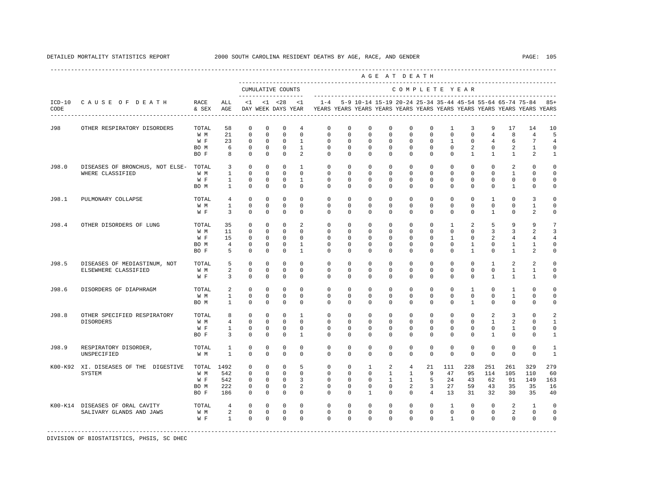|                  |                                                             |                                     |                                       |                                                             |                                                              |                                                                         |                                                           |                                                                     |                                               |                                                      | AGE AT DEATH                                                        |                                                                        |                                                                |                                                            |                                                     |                                               |                                                |                                                                                                                                      |                                     |
|------------------|-------------------------------------------------------------|-------------------------------------|---------------------------------------|-------------------------------------------------------------|--------------------------------------------------------------|-------------------------------------------------------------------------|-----------------------------------------------------------|---------------------------------------------------------------------|-----------------------------------------------|------------------------------------------------------|---------------------------------------------------------------------|------------------------------------------------------------------------|----------------------------------------------------------------|------------------------------------------------------------|-----------------------------------------------------|-----------------------------------------------|------------------------------------------------|--------------------------------------------------------------------------------------------------------------------------------------|-------------------------------------|
|                  |                                                             |                                     |                                       |                                                             |                                                              | CUMULATIVE COUNTS                                                       |                                                           |                                                                     |                                               |                                                      |                                                                     | COMPLETE YEAR                                                          |                                                                |                                                            |                                                     |                                               |                                                |                                                                                                                                      |                                     |
| $ICD-10$<br>CODE | CAUSE OF DEATH                                              | RACE<br>& SEX                       | ALL<br>AGE                            | < 1                                                         |                                                              | -------------------<br>$< 1$ $< 28$<br>DAY WEEK DAYS YEAR               | <1                                                        | $1 - 4$                                                             |                                               |                                                      |                                                                     |                                                                        |                                                                |                                                            |                                                     |                                               |                                                | 5-9 10-14 15-19 20-24 25-34 35-44 45-54 55-64 65-74 75-84<br>YEARS YEARS YEARS YEARS YEARS YEARS YEARS YEARS YEARS YEARS YEARS YEARS | $85+$                               |
| J98              | OTHER RESPIRATORY DISORDERS                                 | TOTAL<br>W M                        | 58<br>21                              | $\mathbf 0$<br>$\mathbf 0$                                  | $\mathbf 0$<br>$\mathbf 0$                                   | $\mathbf 0$<br>$\mathbf 0$                                              | 4<br>$\Omega$                                             | 0<br>$\mathbf 0$                                                    | $\mathbf 0$<br>$\Omega$                       | 0<br>$\Omega$                                        | $\mathbf 0$<br>$\Omega$                                             | 0<br>$\mathbf{0}$                                                      | $\mathbf 0$<br>$\mathbf 0$                                     | 1<br>$\mathbf 0$                                           | 3<br>$\mathbf 0$                                    | 9<br>$\overline{4}$                           | 17<br>8                                        | 14<br>$\overline{4}$                                                                                                                 | 10<br>5                             |
|                  |                                                             | W F<br>BO M<br>BO F                 | 23<br>6<br>8                          | $\Omega$<br>$\mathbf 0$<br>$\Omega$                         | $\Omega$<br>$\mathbf 0$<br>$\mathbf 0$                       | $\Omega$<br>$\mathbf 0$<br>$\mathbf 0$                                  | $\mathbf{1}$<br>$\mathbf{1}$<br>2                         | $\Omega$<br>$\mathbf 0$<br>$\Omega$                                 | $\Omega$<br>$\mathbf 0$<br>$\Omega$           | $\Omega$<br>$\mathbf 0$<br>$\Omega$                  | $\Omega$<br>$\mathbf 0$<br>$\Omega$                                 | $\Omega$<br>$\mathbf 0$<br>$\mathbf 0$                                 | $\Omega$<br>$\mathbf 0$<br>$\mathbf{0}$                        | 1<br>$\mathbf 0$<br>$\Omega$                               | $\Omega$<br>$\overline{a}$<br>$\mathbf{1}$          | $\overline{4}$<br>0<br>$\mathbf{1}$           | 6<br>$\overline{a}$<br>$\mathbf{1}$            | 7<br>$\mathbf{1}$<br>$\overline{a}$                                                                                                  | $\mathbf 0$<br>1                    |
| J98.0            | DISEASES OF BRONCHUS, NOT ELSE-<br>WHERE CLASSIFIED         | TOTAL<br>W M                        | 3<br>$\overline{1}$                   | $\Omega$<br>$\Omega$                                        | $\Omega$<br>$\Omega$                                         | $\Omega$<br>$\Omega$                                                    | $\mathbf{1}$<br>$\Omega$                                  | $\Omega$<br>$\Omega$                                                | $\Omega$<br>$\Omega$                          | $\Omega$<br>$\Omega$                                 | $\Omega$<br>$\Omega$                                                | $\Omega$<br>$\Omega$                                                   | $\Omega$<br>$\Omega$                                           | $\Omega$<br>$\Omega$                                       | $\Omega$<br>$\Omega$                                | $\Omega$<br>$\Omega$                          | $\overline{a}$<br>$\overline{1}$               | $\Omega$<br>$\Omega$                                                                                                                 | $\Omega$                            |
|                  |                                                             | W F<br>BO M                         | $\mathbf{1}$<br>$\overline{1}$        | $\Omega$<br>$\Omega$                                        | $\Omega$<br>$\Omega$                                         | $\mathbf 0$<br>$\Omega$                                                 | $\mathbf{1}$<br>$\Omega$                                  | $\Omega$<br>$\Omega$                                                | $\Omega$<br>$\Omega$                          | $\Omega$<br>$\Omega$                                 | $\Omega$<br>$\Omega$                                                | $\Omega$<br>$\Omega$                                                   | $\Omega$<br>$\Omega$                                           | $\Omega$<br>$\Omega$                                       | $\Omega$<br>$\Omega$                                | $\Omega$<br>$\Omega$                          | $\Omega$<br>$\overline{1}$                     | $\Omega$<br>$\Omega$                                                                                                                 | $\Omega$<br>$\Omega$                |
| J98.1            | PULMONARY COLLAPSE                                          | TOTAL<br>W M<br>W F                 | 4<br>1<br>3                           | $\mathbf 0$<br>0<br>0                                       | $\mathbf 0$<br>0<br>0                                        | $\mathbb O$<br>$\mathbf 0$<br>0                                         | $\mathbf 0$<br>0<br>0                                     | $\mathbf 0$<br>0<br>$\mathbf 0$                                     | 0<br>0<br>0                                   | $\mathbf 0$<br>0<br>0                                | $\mathbf 0$<br>$^{\circ}$<br>$^{\circ}$                             | $\mathbb O$<br>0<br>$\mathbf 0$                                        | 0<br>$\mathbf{0}$<br>$\mathbf{0}$                              | 0<br>0<br>$\mathbf 0$                                      | $\mathbf 0$<br>0<br>$\mathbf 0$                     | $\mathbf{1}$<br>0<br>$\mathbf{1}$             | $\mathsf 0$<br>0<br>$\mathbf 0$                | 3<br>1<br>2                                                                                                                          | n<br>0<br>n                         |
| J98.4            | OTHER DISORDERS OF LUNG                                     | TOTAL<br>W M<br>W F<br>BO M<br>BO F | 35<br>11<br>15<br>$\overline{4}$<br>5 | 0<br>$^{\circ}$<br>$^{\circ}$<br>$\mathbf 0$<br>$\mathbf 0$ | $\mathbf 0$<br>0<br>$^{\circ}$<br>$\mathbf 0$<br>$\mathbf 0$ | $\mathbf 0$<br>$\mathbf 0$<br>$\mathbf 0$<br>$\mathbf 0$<br>$\mathbf 0$ | 2<br>$\Omega$<br>$\Omega$<br>$\mathbf{1}$<br>$\mathbf{1}$ | $\mathbf 0$<br>$\Omega$<br>$\Omega$<br>$\mathbf 0$<br>0             | $\Omega$<br>0<br>0<br>0<br>0                  | $\Omega$<br>0<br>$\Omega$<br>$\Omega$<br>$\mathbf 0$ | $\mathbf 0$<br>$\mathbf 0$<br>$\Omega$<br>$^{\circ}$<br>$\mathbf 0$ | $\mathbf 0$<br>$\mathbf{0}$<br>$\Omega$<br>$\mathbf 0$<br>$\mathbf{0}$ | $\mathbf 0$<br>$\mathbf 0$<br>0<br>$\mathbf{0}$<br>$\mathbf 0$ | 1<br>$\mathbf 0$<br>1<br>$\mathbf 0$<br>$\mathbf 0$        | 2<br>$\mathbf 0$<br>$^{\circ}$<br>1<br>$\mathbf{1}$ | 5<br>3<br>2<br>0<br>$\mathbf 0$               | 9<br>3<br>4<br>$\mathbf{1}$<br>$\mathbf{1}$    | 9<br>$\mathfrak{D}$<br>4<br>1<br>$\overline{a}$                                                                                      | 3<br>$\Omega$<br>$\Omega$           |
| J98.5            | DISEASES OF MEDIASTINUM, NOT<br>ELSEWHERE CLASSIFIED        | TOTAL<br>W M<br>W F                 | 5<br>$\overline{a}$<br>3              | $\Omega$<br>$\mathbf 0$<br>$\mathbf 0$                      | $\Omega$<br>$\mathbf 0$<br>0                                 | $\Omega$<br>$\mathbf 0$<br>$\Omega$                                     | $\Omega$<br>$\mathbf 0$<br>$\Omega$                       | $\Omega$<br>$\mathbf 0$<br>$\Omega$                                 | $\Omega$<br>$\mathbf 0$<br>$\Omega$           | $\Omega$<br>$\mathbf 0$<br>$\Omega$                  | $\Omega$<br>$\mathbf 0$<br>$\mathbf 0$                              | $\Omega$<br>$\mathbf 0$<br>$\mathbf{0}$                                | $\Omega$<br>$\mathbf 0$<br>$\mathbf 0$                         | $\Omega$<br>$\mathbf 0$<br>$\Omega$                        | $\Omega$<br>$\mathbf 0$<br>$\mathbf 0$              | $\overline{1}$<br>$\mathbf 0$<br>$\mathbf{1}$ | $\mathfrak{D}$<br>$\mathbf{1}$<br>$\mathbf{1}$ | $\mathfrak{D}$<br>$\mathbf{1}$<br>1                                                                                                  | $\Omega$<br>$\Omega$                |
| J98.6            | DISORDERS OF DIAPHRAGM                                      | TOTAL<br>W M<br>BO M                | 2<br>$\mathbf{1}$<br>$\mathbf{1}$     | $\mathbf 0$<br>$\Omega$<br>$\Omega$                         | $\Omega$<br>$\Omega$<br>$\Omega$                             | $\Omega$<br>$\Omega$<br>$\Omega$                                        | $\Omega$<br>$\Omega$<br>$\Omega$                          | $\Omega$<br>$\Omega$<br>$\Omega$                                    | $\Omega$<br>$\Omega$<br>$\Omega$              | $\Omega$<br>$\Omega$<br>$\Omega$                     | $\Omega$<br>$\Omega$<br>$\Omega$                                    | $\mathbf{0}$<br>$\Omega$<br>$\Omega$                                   | $\Omega$<br>$\Omega$<br>$\Omega$                               | $\mathbf 0$<br>$\Omega$<br>$\Omega$                        | $\mathbf{1}$<br>$\Omega$<br>$\overline{1}$          | $\Omega$<br>$\Omega$<br>$\Omega$              | $\mathbf{1}$<br>$\mathbf{1}$<br>$\mathbf 0$    | $\mathbf 0$<br>$\mathbf 0$<br>$\Omega$                                                                                               | $\cap$<br>$\Omega$<br>$\Omega$      |
| J98.8            | OTHER SPECIFIED RESPIRATORY<br>DISORDERS                    | TOTAL<br>W M<br>W F<br>BO F         | 8<br>4<br>1<br>3                      | $\mathbf 0$<br>0<br>$\mathbf 0$<br>$\mathbf 0$              | $\mathbf 0$<br>$\mathbf 0$<br>0<br>0                         | $\mathbf 0$<br>$\mathbf 0$<br>0<br>0                                    | $\mathbf{1}$<br>$\mathbf 0$<br>0<br>1                     | $\mathbf 0$<br>$\mathbf{0}$<br>$\Omega$<br>$\Omega$                 | $\circ$<br>0<br>0<br>0                        | $\mathbf 0$<br>0<br>0<br>$\Omega$                    | $\mathbf 0$<br>$\mathbf 0$<br>$\mathbf 0$<br>$\mathbf 0$            | $\mathbf 0$<br>$\mathbf 0$<br>$\mathbf 0$<br>$\mathbf 0$               | $\mathbf{0}$<br>$\mathbf 0$<br>$\mathbf{0}$<br>$\mathbf 0$     | $\mathbf 0$<br>$\mathbf 0$<br>$\mathbf{0}$<br>$\mathbf{0}$ | $\circ$<br>$\mathbf 0$<br>0<br>0                    | 2<br>$\mathbf{1}$<br>0<br>$\mathbf{1}$        | 3<br>2<br>1<br>0                               | $\mathbf 0$<br>0<br>0<br>0                                                                                                           | 2<br>1<br>$\Omega$<br>1             |
| J98.9            | RESPIRATORY DISORDER,<br>UNSPECIFIED                        | TOTAL<br>W M                        | 1<br>$\mathbf{1}$                     | 0<br>0                                                      | 0<br>0                                                       | $\mathbf 0$<br>0                                                        | $\mathbf 0$<br>0                                          | $\mathbf 0$<br>0                                                    | 0<br>0                                        | 0<br>$\mathbf 0$                                     | $\mathbf 0$<br>$\mathbf 0$                                          | $\mathbf{0}$<br>$\mathbf 0$                                            | $\mathbf{0}$<br>$\mathbf 0$                                    | $\mathbf 0$<br>$\mathbf 0$                                 | $\mathbf 0$<br>$\mathbf 0$                          | $\mathbf 0$<br>$\mathbf 0$                    | $\mathbf 0$<br>$\mathbf 0$                     | 0<br>$\mathbf 0$                                                                                                                     | 1<br>$\mathbf{1}$                   |
|                  | K00-K92 XI. DISEASES OF THE DIGESTIVE<br><b>SYSTEM</b>      | TOTAL<br>W M<br>W F<br>BO M<br>BO F | 1492<br>542<br>542<br>222<br>186      | 0<br>$^{\circ}$<br>$^{\circ}$<br>$^{\circ}$<br>$^{\circ}$   | $\mathbf 0$<br>0<br>$\Omega$<br>$^{\circ}$<br>0              | $\mathbf 0$<br>$\Omega$<br>$\mathbf 0$<br>$\mathbf 0$<br>$\mathbf 0$    | 5<br>$\Omega$<br>3<br>2<br>$\mathbf 0$                    | $\mathbf 0$<br>$\mathbf{0}$<br>$\Omega$<br>$\mathbf{0}$<br>$\Omega$ | $\mathbf 0$<br>0<br>$\Omega$<br>$\Omega$<br>0 | 1<br>0<br>$\Omega$<br>$\Omega$<br>$\mathbf{1}$       | 2<br>$\mathbf{1}$<br>$\mathbf{1}$<br>$\Omega$<br>$\mathbf 0$        | $\overline{4}$<br>$\mathbf{1}$<br>$\mathbf{1}$<br>2<br>$\mathbf{0}$    | 21<br>9<br>5<br>3<br>$\overline{4}$                            | 111<br>47<br>24<br>27<br>13                                | 228<br>95<br>43<br>59<br>31                         | 251<br>114<br>62<br>43<br>32                  | 261<br>105<br>91<br>35<br>30                   | 329<br>110<br>149<br>35<br>35                                                                                                        | 279<br>60<br>163<br>16<br>40        |
|                  | K00-K14 DISEASES OF ORAL CAVITY<br>SALIVARY GLANDS AND JAWS | TOTAL<br>W M<br>W F                 | $\overline{4}$<br>2<br>$\mathbf{1}$   | $\mathbf 0$<br>$\mathbf 0$<br>$\Omega$                      | $\mathbf 0$<br>$\mathbf 0$<br>$\Omega$                       | $\mathbf 0$<br>$\mathbf 0$<br>$\Omega$                                  | $\Omega$<br>$\mathbf 0$<br>$\Omega$                       | $\Omega$<br>$\mathbf 0$<br>$\Omega$                                 | $\Omega$<br>$\mathbf 0$<br>$\Omega$           | $\Omega$<br>$\mathbf 0$<br>$\Omega$                  | $\Omega$<br>$\mathbf 0$<br>$\Omega$                                 | $\Omega$<br>$\mathbf 0$<br>$\Omega$                                    | $\Omega$<br>$\mathbf{0}$<br>$\Omega$                           | $\mathbf{1}$<br>$\mathsf 0$<br>$\mathbf{1}$                | $\Omega$<br>$\mathbf 0$<br>$\Omega$                 | $\Omega$<br>$\mathbf 0$<br>$\Omega$           | 2<br>2<br>$\Omega$                             | $\mathbf{1}$<br>$\mathbf{0}$<br>$\mathbf 0$                                                                                          | $\Omega$<br>$\mathbf 0$<br>$\Omega$ |

DETAILED MORTALITY STATISTICS REPORT 2000 SOUTH CAROLINA RESIDENT DEATHS BY AGE, RACE, AND GENDER PAGE: 105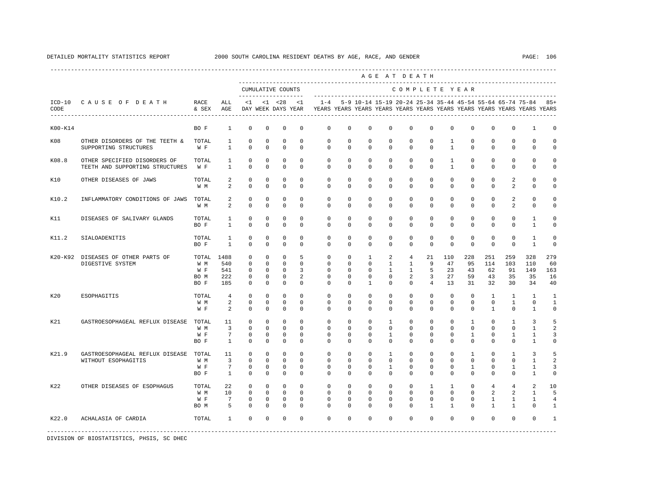| CAUSE OF DEATH<br>OTHER DISORDERS OF THE TEETH &<br>OTHER SPECIFIED DISORDERS OF<br>TEETH AND SUPPORTING STRUCTURES | RACE<br>& SEX<br>BO F<br>TOTAL<br>$\mathbbmss{W}$ . $\mathbbmss{F}$<br>TOTAL | ALL<br>AGE<br>$\mathbf{1}$<br>1<br>$\mathbf{1}$                                                             | <1<br>$\mathbf 0$                             | $\mathbf 0$                                                    | CUMULATIVE COUNTS<br>-------------------<br>$< 1$ $< 28$<br>DAY WEEK DAYS YEAR | <1                                                     | $1 - 4$                                       |                                                      | 5-9 10-14 15-19 20-24 25-34 35-44 45-54 55-64 65-74 75-84      |                                                              |                                                            |                             |                                                                                                                                                                                                       | COMPLETE YEAR                                         |                                                                                                                                                                                                                                                |                                                                                                                                                                                                                                                 |                                                                                        |                                                                                                                                                                                                                                       |
|---------------------------------------------------------------------------------------------------------------------|------------------------------------------------------------------------------|-------------------------------------------------------------------------------------------------------------|-----------------------------------------------|----------------------------------------------------------------|--------------------------------------------------------------------------------|--------------------------------------------------------|-----------------------------------------------|------------------------------------------------------|----------------------------------------------------------------|--------------------------------------------------------------|------------------------------------------------------------|-----------------------------|-------------------------------------------------------------------------------------------------------------------------------------------------------------------------------------------------------|-------------------------------------------------------|------------------------------------------------------------------------------------------------------------------------------------------------------------------------------------------------------------------------------------------------|-------------------------------------------------------------------------------------------------------------------------------------------------------------------------------------------------------------------------------------------------|----------------------------------------------------------------------------------------|---------------------------------------------------------------------------------------------------------------------------------------------------------------------------------------------------------------------------------------|
|                                                                                                                     |                                                                              |                                                                                                             |                                               |                                                                |                                                                                |                                                        |                                               |                                                      |                                                                |                                                              |                                                            |                             |                                                                                                                                                                                                       |                                                       |                                                                                                                                                                                                                                                |                                                                                                                                                                                                                                                 |                                                                                        |                                                                                                                                                                                                                                       |
|                                                                                                                     |                                                                              |                                                                                                             |                                               |                                                                |                                                                                |                                                        |                                               |                                                      |                                                                |                                                              |                                                            |                             |                                                                                                                                                                                                       |                                                       |                                                                                                                                                                                                                                                |                                                                                                                                                                                                                                                 | YEARS YEARS YEARS YEARS YEARS YEARS YEARS YEARS YEARS YEARS YEARS YEARS                | $85+$                                                                                                                                                                                                                                 |
|                                                                                                                     |                                                                              |                                                                                                             |                                               |                                                                | 0                                                                              | $^{\circ}$                                             | $\mathbf 0$                                   | $\mathbf 0$                                          | $\mathbf 0$                                                    | $\mathbf 0$                                                  | $\mathbf 0$                                                | $\mathbf 0$                 | $\mathbf 0$                                                                                                                                                                                           | $\mathbf 0$                                           | $\mathbf 0$                                                                                                                                                                                                                                    | 0                                                                                                                                                                                                                                               | $\mathbf{1}$                                                                           | $\Omega$                                                                                                                                                                                                                              |
|                                                                                                                     |                                                                              |                                                                                                             | $\mathbf 0$<br>$\Omega$                       | $\Omega$<br>$\Omega$                                           | $\mathbf 0$<br>$\Omega$                                                        | $\Omega$<br>$\mathbf 0$                                | $\mathbf 0$<br>$\mathbf{0}$                   | $\Omega$<br>$\mathbf 0$                              | $\mathbf 0$<br>$\mathbf 0$                                     | $\mathbf 0$<br>$\mathbf 0$                                   | $\mathbf 0$<br>$\mathbf{0}$                                | $\mathbf 0$<br>$\mathbf{0}$ | $\mathbf{1}$<br>$\mathbf{1}$                                                                                                                                                                          | $\mathbf 0$<br>$\mathbf 0$                            | $\Omega$<br>$\mathbf 0$                                                                                                                                                                                                                        | $\Omega$<br>0                                                                                                                                                                                                                                   | $\Omega$<br>$\mathbf 0$                                                                | $\Omega$                                                                                                                                                                                                                              |
|                                                                                                                     | W F                                                                          | $\mathbf{1}$<br>$\mathbf{1}$                                                                                | $\mathbf 0$<br>$\Omega$                       | $\Omega$<br>$\Omega$                                           | $\mathbf 0$<br>$\Omega$                                                        | $\Omega$<br>$\Omega$                                   | $\Omega$<br>$\Omega$                          | $\Omega$<br>$\Omega$                                 | $\Omega$<br>$\mathbf 0$                                        | $\Omega$<br>$\mathbf 0$                                      | $\Omega$<br>$\Omega$                                       | $\Omega$<br>$\Omega$        | $\mathbf{1}$<br>$\mathbf{1}$                                                                                                                                                                          | $\Omega$<br>$\Omega$                                  | $\Omega$<br>$\Omega$                                                                                                                                                                                                                           | $\Omega$<br>0                                                                                                                                                                                                                                   | $\Omega$<br>$\Omega$                                                                   |                                                                                                                                                                                                                                       |
|                                                                                                                     | TOTAL<br>W M                                                                 | 2<br>2                                                                                                      | $\Omega$<br>$\Omega$                          | $\Omega$<br>$\Omega$                                           | $\mathbf 0$<br>$\Omega$                                                        | $\Omega$<br>$\Omega$                                   | $\Omega$<br>$\Omega$                          | $\Omega$<br>$\Omega$                                 | $\Omega$<br>$\Omega$                                           | $\Omega$<br>$\Omega$                                         | $\Omega$<br>$\Omega$                                       | $\Omega$<br>$\Omega$        | $\Omega$<br>$\Omega$                                                                                                                                                                                  | $\Omega$<br>$\Omega$                                  | $\Omega$<br>$\Omega$                                                                                                                                                                                                                           | $\overline{a}$<br>$\overline{a}$                                                                                                                                                                                                                | $\Omega$<br>$\Omega$                                                                   |                                                                                                                                                                                                                                       |
| INFLAMMATORY CONDITIONS OF JAWS                                                                                     | TOTAL<br>W M                                                                 | 2<br>$\overline{a}$                                                                                         | $\mathbb O$<br>$\mathbf 0$                    | $\mathbf 0$<br>0                                               | $\mathbf 0$<br>$\mathbf 0$                                                     | $\mathbf 0$<br>$\mathbf 0$                             | $\mathbf{0}$<br>0                             | $\mathbf 0$<br>0                                     | $\mathbf 0$<br>0                                               | $\mathbf 0$<br>0                                             | $\mathbf 0$<br>$\mathbf{0}$                                | $\mathbf 0$<br>$\mathbf 0$  | $\mathbf 0$<br>$\mathbf 0$                                                                                                                                                                            | $\mathbf 0$<br>0                                      | 0<br>0                                                                                                                                                                                                                                         | 2<br>$\overline{a}$                                                                                                                                                                                                                             | 0<br>0                                                                                 | $\Omega$                                                                                                                                                                                                                              |
| DISEASES OF SALIVARY GLANDS                                                                                         | TOTAL<br>BO F                                                                | $\mathbf{1}$<br>$\mathbf{1}$                                                                                | 0<br>$\mathbf 0$                              | $\mathbf 0$<br>$\Omega$                                        | $\mathbf 0$<br>$\Omega$                                                        | $\mathbf 0$<br>$\Omega$                                | $\mathbf 0$<br>$\Omega$                       | $\mathbf 0$<br>$\Omega$                              | $\mathbf 0$<br>$\mathbf 0$                                     | $\mathbf 0$<br>$\mathbf 0$                                   | $\mathbf 0$<br>$\mathbf{0}$                                | $\mathbf{0}$<br>$\Omega$    | $\mathbf 0$<br>$\Omega$                                                                                                                                                                               | $\mathbf 0$<br>$\Omega$                               | $\Omega$<br>$\Omega$                                                                                                                                                                                                                           | $\mathbf 0$<br>0                                                                                                                                                                                                                                | 1<br>$\mathbf{1}$                                                                      | $\Omega$<br>$\Omega$                                                                                                                                                                                                                  |
|                                                                                                                     |                                                                              | 1<br>$\overline{1}$                                                                                         | $\mathbf 0$<br>$\Omega$                       | $\Omega$<br>$\Omega$                                           | $\mathbf 0$<br>$\Omega$                                                        | $\Omega$<br>$\Omega$                                   | $\mathbf{0}$<br>$\Omega$                      | $\mathbf 0$                                          | $\mathbf 0$<br>$\Omega$                                        | $\mathbf 0$<br>$\Omega$                                      | $\mathbf 0$<br>$\Omega$                                    | $\mathbf 0$                 |                                                                                                                                                                                                       |                                                       | $\Omega$<br>$\Omega$                                                                                                                                                                                                                           | $\mathbf 0$<br>$\Omega$                                                                                                                                                                                                                         | 1<br>$\overline{1}$                                                                    | $\Omega$<br>$\Omega$                                                                                                                                                                                                                  |
| DISEASES OF OTHER PARTS OF                                                                                          | W M<br>W F                                                                   | 1488<br>540<br>541<br>222<br>185                                                                            | 0<br>$\Omega$<br>$\mathbf 0$<br>0<br>$\Omega$ | $\mathbf 0$<br>$\Omega$<br>$\mathbf 0$<br>$\Omega$<br>$\Omega$ | $\mathbf 0$<br>$\Omega$<br>$\mathbf 0$<br>$\mathbf 0$<br>$\Omega$              | 5<br>$\Omega$<br>3<br>$\overline{a}$<br>$\Omega$       | 0<br>$\Omega$<br>0<br>$\Omega$<br>$\Omega$    | 0<br>$\Omega$<br>$\mathbf 0$<br>$\Omega$<br>$\Omega$ | $\mathbf{1}$<br>$\mathbf 0$<br>$\mathbf 0$<br>$\mathbf 0$<br>1 | 2<br>$\mathbf{1}$<br>$\mathbf{1}$<br>$\mathbf 0$<br>$\Omega$ | $\overline{4}$<br>1<br>$\mathbf{1}$<br>2<br>$\Omega$       | 9                           | 110<br>47                                                                                                                                                                                             |                                                       | 251<br>114<br>62<br>43                                                                                                                                                                                                                         | 259<br>103<br>91<br>35<br>30                                                                                                                                                                                                                    | 328<br>110<br>149<br>35<br>34                                                          | 279<br>60<br>163<br>16<br>40                                                                                                                                                                                                          |
|                                                                                                                     | W M<br>W F                                                                   | $\overline{4}$<br>2<br>2                                                                                    | $\Omega$<br>$\mathbf 0$<br>$\Omega$           | $\Omega$<br>$\Omega$<br>$\Omega$                               | $\Omega$<br>$\mathbf 0$<br>$\Omega$                                            | $\Omega$<br>$\Omega$<br>$\Omega$                       | $\Omega$<br>0<br>$\Omega$                     | $\Omega$                                             | $\mathbf 0$<br>$\mathbf 0$<br>$\Omega$                         | $\mathbf 0$<br>$\mathbf 0$<br>$\Omega$                       | $\mathbf{0}$<br>$\mathbf{0}$<br>$\Omega$                   |                             |                                                                                                                                                                                                       |                                                       |                                                                                                                                                                                                                                                |                                                                                                                                                                                                                                                 | 1<br>$\mathbf 0$<br>$\overline{1}$                                                     | $\mathbf{1}$<br>$\mathbf{1}$<br>$\mathbf 0$                                                                                                                                                                                           |
| GASTROESOPHAGEAL REFLUX DISEASE                                                                                     | W M<br>W F                                                                   | 11<br>3<br>7<br>$\mathbf{1}$                                                                                | 0<br>0<br>0<br>0                              | $\mathbf 0$<br>0<br>0<br>0                                     | $\mathbf 0$<br>$\mathbf 0$<br>$\mathbf 0$<br>$\mathbf 0$                       | $\mathbf 0$<br>$\Omega$<br>$^{\circ}$<br>0             | 0<br>0<br>$\Omega$<br>$\Omega$                | 0<br>0<br>$\Omega$<br>0                              | $^{\circ}$<br>0<br>$^{\circ}$<br>0                             | 1<br>$^{\circ}$<br>1<br>$^{\circ}$                           | $\mathbf{0}$<br>$\mathbf{0}$<br>$\Omega$<br>$\mathbf{0}$   |                             |                                                                                                                                                                                                       |                                                       | 0<br>0<br>$\mathbf 0$<br>0                                                                                                                                                                                                                     | 1<br>0<br>$\mathbf 0$                                                                                                                                                                                                                           | 3<br>1<br>1<br>1                                                                       | 5<br>3<br>$\Omega$                                                                                                                                                                                                                    |
| GASTROESOPHAGEAL REFLUX DISEASE                                                                                     | W M<br>W F                                                                   | 11<br>3<br>7<br>1                                                                                           | $\mathbf 0$<br>$\mathbf 0$<br>0<br>0          | $\mathbf 0$<br>$\mathbf 0$<br>0<br>0                           | $\mathbf 0$<br>$\mathbf 0$<br>$\mathbf 0$<br>$^{\circ}$                        | $\mathbf 0$<br>$\mathbf 0$<br>$^{\circ}$<br>$^{\circ}$ | $^{\circ}$<br>$\Omega$<br>0<br>$\Omega$       | $^{\circ}$<br>$\Omega$<br>0<br>0                     | $\mathbf 0$<br>$\mathbf 0$<br>0<br>$^{\circ}$                  | $\mathbf{1}$<br>$\mathbf 0$<br>1<br>$\mathbf 0$              | $\mathbf 0$<br>$\mathbf 0$<br>$\mathbf{0}$<br>$\mathbf{0}$ |                             |                                                                                                                                                                                                       |                                                       | $\mathbf 0$<br>$\Omega$<br>0<br>$\mathbf 0$                                                                                                                                                                                                    | 1<br>$\mathbf 0$                                                                                                                                                                                                                                | 3<br>$\mathbf{1}$<br>1<br>1                                                            | 5<br>$\mathfrak{D}$<br>3<br>0                                                                                                                                                                                                         |
| OTHER DISEASES OF ESOPHAGUS                                                                                         | W M<br>W F                                                                   | 22<br>10<br>7<br>5                                                                                          | $\mathbf 0$<br>$\mathbf 0$<br>0<br>$\Omega$   | $\Omega$<br>$\mathbf 0$<br>$\Omega$<br>$\Omega$                | $\mathbf 0$<br>$\mathbf 0$<br>$\mathbf 0$<br>$\Omega$                          | $\Omega$<br>$\mathbf 0$<br>$\Omega$<br>$\Omega$        | $\Omega$<br>$\mathbf 0$<br>$\Omega$<br>$\cap$ | $\Omega$<br>$\Omega$<br>$\Omega$                     | $\Omega$<br>$\mathbf 0$<br>$\mathbf 0$<br>$\Omega$             | $\mathbf 0$<br>$\mathbf 0$<br>$\mathbf 0$<br>$\Omega$        | $\Omega$<br>$\mathbf{0}$<br>$\Omega$<br>$\Omega$           | $\Omega$                    |                                                                                                                                                                                                       |                                                       | $\overline{4}$                                                                                                                                                                                                                                 |                                                                                                                                                                                                                                                 | 2<br>$\mathbf{1}$<br>1<br>$\Omega$                                                     | 10<br>5<br>4<br>$\mathbf{1}$                                                                                                                                                                                                          |
|                                                                                                                     |                                                                              | 1                                                                                                           | $\Omega$                                      | $\Omega$                                                       | $\Omega$                                                                       |                                                        | $\Omega$                                      |                                                      |                                                                |                                                              | $\Omega$                                                   |                             |                                                                                                                                                                                                       |                                                       |                                                                                                                                                                                                                                                |                                                                                                                                                                                                                                                 |                                                                                        |                                                                                                                                                                                                                                       |
|                                                                                                                     |                                                                              | TOTAL<br>BO F<br>TOTAL<br>BO M<br>BO F<br>TOTAL<br>TOTAL<br>BO F<br>TOTAL<br>BO F<br>TOTAL<br>BO M<br>TOTAL |                                               |                                                                |                                                                                |                                                        | $\Omega$                                      |                                                      |                                                                | $\Omega$<br>$\Omega$<br>$\Omega$<br>$\mathbf 0$              | $\Omega$<br>$\Omega$<br>$\Omega$                           |                             | $\Omega$<br>21<br>5<br>3<br>$\overline{4}$<br>$\mathbf{0}$<br>$\mathbf{0}$<br>$\Omega$<br>$\mathbf{0}$<br>$\mathbf 0$<br>$\mathbf{0}$<br>$\mathbf{0}$<br>$\mathbf{0}$<br>$\mathbf{1}$<br>$\mathbf{1}$ | $\mathbf 0$<br>$\mathbf 0$<br>$\Omega$<br>$\mathbf 0$ | $\mathbf 0$<br>$\Omega$<br>23<br>27<br>13<br>$\Omega$<br>$\circ$<br>$\Omega$<br>$\mathbf{0}$<br>$\mathbf{0}$<br>$\mathbf{0}$<br>$\mathbf{0}$<br>$\mathbf 0$<br>$\mathbf 0$<br>$\mathbf{0}$<br>$\mathbf 0$<br>1<br>$\mathbf 0$<br>$\Omega$<br>1 | $\mathbf 0$<br>$\Omega$<br>228<br>95<br>43<br>59<br>31<br>$\Omega$<br>$\mathbf 0$<br>$\Omega$<br>$\mathbf{1}$<br>$\mathbf{0}$<br>1<br>$\mathbf 0$<br>1<br>$\mathbf 0$<br>1<br>$\mathbf 0$<br>$\mathbf 0$<br>$\mathbf 0$<br>$\Omega$<br>$\Omega$ | 32<br>$\mathbf{1}$<br>$\mathbf 0$<br>$\mathbf{1}$<br>2<br>$\mathbf{1}$<br>$\mathbf{1}$ | $\mathbf{1}$<br>$\mathbf{1}$<br>$\Omega$<br>$\mathbf{1}$<br>$\mathbf{1}$<br>$\mathbf 0$<br>$\overline{4}$<br>$\overline{a}$<br>$\mathbf{1}$<br>$\overline{1}$<br>$\Omega$<br>$\Omega$<br>$\Omega$<br>$\Omega$<br>$\Omega$<br>$\Omega$ |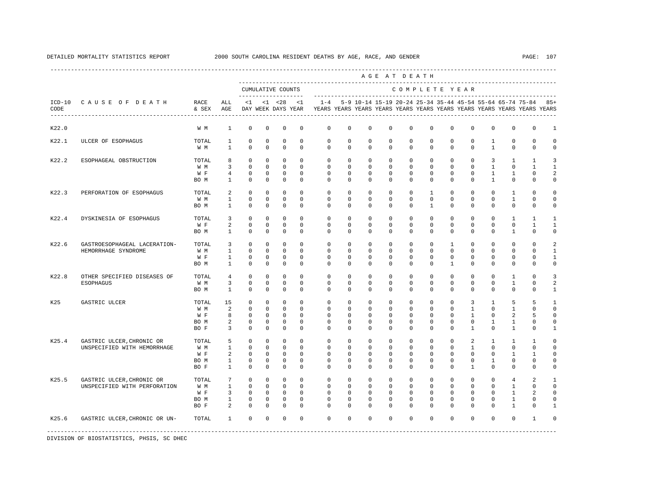|                  |                                                           |                                     |                                                        |                                                                    |                                                               |                                                                |                                                   |                                                   |                                                   |                                                            | AGE AT DEATH                                                     |                                                   |                                                                |                                                        |                                                                 |                                                             |                                                                     |                                                                         |                                 |
|------------------|-----------------------------------------------------------|-------------------------------------|--------------------------------------------------------|--------------------------------------------------------------------|---------------------------------------------------------------|----------------------------------------------------------------|---------------------------------------------------|---------------------------------------------------|---------------------------------------------------|------------------------------------------------------------|------------------------------------------------------------------|---------------------------------------------------|----------------------------------------------------------------|--------------------------------------------------------|-----------------------------------------------------------------|-------------------------------------------------------------|---------------------------------------------------------------------|-------------------------------------------------------------------------|---------------------------------|
|                  |                                                           |                                     |                                                        |                                                                    |                                                               | CUMULATIVE COUNTS<br>--------------                            |                                                   |                                                   |                                                   |                                                            |                                                                  |                                                   |                                                                |                                                        | COMPLETE YEAR                                                   |                                                             |                                                                     |                                                                         |                                 |
| $ICD-10$<br>CODE | CAUSE OF DEATH                                            | RACE<br>& SEX                       | ALL<br>AGE                                             | <1                                                                 |                                                               | $< 1$ $< 28$<br>DAY WEEK DAYS YEAR                             | <1                                                | $1 - 4$                                           |                                                   |                                                            | 5-9 10-14 15-19 20-24 25-34 35-44 45-54 55-64 65-74 75-84        |                                                   |                                                                |                                                        |                                                                 |                                                             |                                                                     | YEARS YEARS YEARS YEARS YEARS YEARS YEARS YEARS YEARS YEARS YEARS YEARS | $85+$                           |
| K22.0            |                                                           | W M                                 | $\mathbf{1}$                                           | $\mathbf 0$                                                        | $\mathbf 0$                                                   | 0                                                              | 0                                                 | 0                                                 | 0                                                 | $\mathbf 0$                                                | $\mathbf 0$                                                      | $\mathbf{0}$                                      | $\mathbf{0}$                                                   | $\mathbf 0$                                            | $\mathbf 0$                                                     | $\mathbf 0$                                                 | $\mathbf 0$                                                         | $\mathbf 0$                                                             | $\mathbf{1}$                    |
| K22.1            | ULCER OF ESOPHAGUS                                        | TOTAL<br>W M                        | 1<br>$\mathbf{1}$                                      | $\mathbf 0$<br>$\Omega$                                            | $\mathbf 0$<br>$\mathbf 0$                                    | $\mathbf 0$<br>$\mathbf 0$                                     | $\Omega$<br>$\Omega$                              | $\mathbf 0$<br>$\mathbf 0$                        | $\Omega$<br>$\mathbf 0$                           | $\mathbf 0$<br>$\mathbf 0$                                 | $\mathbf 0$<br>$\mathbf 0$                                       | $\Omega$<br>$\mathbf{0}$                          | $\Omega$<br>$\mathbf{0}$                                       | $\Omega$<br>$\Omega$                                   | $\mathbf 0$<br>$\mathbf 0$                                      | $\mathbf{1}$<br>$\mathbf{1}$                                | $\Omega$<br>$\mathbf 0$                                             | $\Omega$<br>$\mathbf 0$                                                 | O<br>$\Omega$                   |
| K22.2            | ESOPHAGEAL OBSTRUCTION                                    | TOTAL<br>W M<br>W F<br>BO M         | 8<br>3<br>$\overline{4}$<br>$\mathbf{1}$               | $^{\circ}$<br>$\Omega$<br>$\Omega$<br>$\Omega$                     | $\mathbf 0$<br>$\Omega$<br>$\Omega$<br>$\Omega$               | $\mathbf 0$<br>$\Omega$<br>$\Omega$<br>$\mathbf 0$             | $\Omega$<br>$\Omega$<br>$\Omega$<br>$\Omega$      | $\Omega$<br>$\Omega$<br>$\Omega$<br>$\Omega$      | $\Omega$<br>$\Omega$<br>$\Omega$<br>$\Omega$      | $\Omega$<br>$\Omega$<br>$\Omega$<br>$\Omega$               | $\Omega$<br>$\Omega$<br>$\Omega$<br>$\Omega$                     | $\Omega$<br>$\Omega$<br>$\Omega$<br>$\Omega$      | $\Omega$<br>$\Omega$<br>$\Omega$<br>$\Omega$                   | $\Omega$<br>$\Omega$<br>$\Omega$<br>$\Omega$           | $\mathbf 0$<br>$\Omega$<br>$\Omega$<br>$\Omega$                 | 3<br>$\mathbf{1}$<br>$\overline{1}$<br>$\mathbf{1}$         | $\mathbf{1}$<br>$\Omega$<br>$\mathbf{1}$<br>$\Omega$                | $\mathbf{1}$<br>$\mathbf{1}$<br>$\Omega$<br>$\Omega$                    | $\mathbf{z}$<br>2<br>0          |
| K22.3            | PERFORATION OF ESOPHAGUS                                  | TOTAL<br>W M<br>BO M                | 2<br>$\mathbf{1}$<br>$\mathbf{1}$                      | $^{\circ}$<br>$\mathbf 0$<br>$\mathbf 0$                           | $\mathbf{0}$<br>$\mathbf 0$<br>$\mathbf 0$                    | 0<br>0<br>$\mathbf 0$                                          | $\Omega$<br>0<br>$\mathbf 0$                      | $\Omega$<br>$\mathbf 0$<br>0                      | $\Omega$<br>$\mathbf 0$<br>0                      | $^{\circ}$<br>$^{\circ}$<br>$^{\circ}$                     | $^{\circ}$<br>$^{\circ}$<br>$^{\circ}$                           | $\mathbf 0$<br>0<br>0                             | 1<br>$\mathbf 0$<br>1                                          | $\Omega$<br>$\mathbf 0$<br>0                           | 0<br>$\mathbf 0$<br>0                                           | 0<br>$\mathbf 0$<br>0                                       | 1<br>$\mathbf{1}$<br>$\mathbf{0}$                                   | $\Omega$<br>$\mathbf 0$<br>$\mathbf{0}$                                 | O<br>$\mathbf 0$<br>0           |
| K22.4            | DYSKINESIA OF ESOPHAGUS                                   | TOTAL<br>W F<br>BO M                | 3<br>2<br>1                                            | $^{\circ}$<br>$\mathbf 0$<br>$^{\circ}$                            | $\mathbf 0$<br>$\circ$<br>$\circ$                             | $\mathbf 0$<br>$\mathbf 0$<br>$^{\circ}$                       | $\Omega$<br>$\mathbf 0$<br>0                      | $\Omega$<br>$\mathbf{0}$<br>$\Omega$              | $\Omega$<br>$\mathbf 0$<br>0                      | $\mathbf 0$<br>$\mathbf 0$<br>$^{\circ}$                   | $^{\circ}$<br>$^{\circ}$<br>$^{\circ}$                           | $\mathbf 0$<br>$\mathbf 0$<br>0                   | 0<br>$\mathbf{0}$<br>$\mathbf{0}$                              | $\Omega$<br>$\mathbf{0}$<br>$\mathbf 0$                | $\mathbf 0$<br>$\mathbf 0$<br>$\mathbf 0$                       | $^{\circ}$<br>$\mathbf 0$<br>$\mathbf 0$                    | 1<br>$\mathbf{0}$<br>$\mathbf{1}$                                   | 1<br>$\mathbf{1}$<br>$\mathbf 0$                                        | 1<br>1<br>$\mathbf 0$           |
| K22.6            | GASTROESOPHAGEAL LACERATION-<br>HEMORRHAGE SYNDROME       | TOTAL<br>W M<br>W F<br>BO M         | 3<br>$\mathbf{1}$<br>$\mathbf{1}$<br>$\mathbf{1}$      | $\Omega$<br>$^{\circ}$<br>$\mathbf 0$<br>$\Omega$                  | $\Omega$<br>$\mathbf 0$<br>$\circ$<br>$\Omega$                | 0<br>0<br>$\mathbf 0$<br>$\Omega$                              | $\Omega$<br>$\Omega$<br>$\Omega$<br>$\Omega$      | $\Omega$<br>$\mathbf 0$<br>$\Omega$<br>$\Omega$   | $\Omega$<br>$\mathbf 0$<br>$\Omega$<br>$\Omega$   | $\Omega$<br>$\mathbf 0$<br>$\Omega$<br>$\Omega$            | $\Omega$<br>$\mathbf 0$<br>$\Omega$<br>$\Omega$                  | $\Omega$<br>$\mathbf 0$<br>$\Omega$<br>$\Omega$   | $\Omega$<br>$\mathbf 0$<br>$\Omega$<br>$\Omega$                | $\mathbf{1}$<br>$\Omega$<br>$\Omega$<br>1              | $\Omega$<br>$\mathbf 0$<br>$\mathbf 0$<br>$\Omega$              | $\Omega$<br>$\mathbf 0$<br>$^{\circ}$<br>$\Omega$           | $\Omega$<br>$\mathbf{0}$<br>$\mathbf 0$<br>$\Omega$                 | $\Omega$<br>$\Omega$<br>U<br>$\Omega$                                   | 2<br>$\mathbf{1}$<br>1<br>0     |
| K22.8            | OTHER SPECIFIED DISEASES OF<br><b>ESOPHAGUS</b>           | TOTAL<br>W M<br>BO M                | $\overline{4}$<br>3<br>$\mathbf{1}$                    | $^{\circ}$<br>$^{\circ}$<br>$\Omega$                               | $\mathbf 0$<br>$\Omega$<br>$\Omega$                           | $\mathbf 0$<br>$\mathbf 0$<br>$\Omega$                         | $\Omega$<br>$\Omega$<br>$\Omega$                  | $\Omega$<br>$\Omega$<br>$\Omega$                  | $\Omega$<br>$\Omega$<br>$\Omega$                  | $\Omega$<br>$\Omega$<br>$\Omega$                           | $\mathbf 0$<br>$\Omega$<br>$\Omega$                              | $\mathbf{0}$<br>$\Omega$<br>$\Omega$              | $\mathbf 0$<br>$\Omega$<br>$\Omega$                            | $\Omega$<br>$\Omega$<br>$\Omega$                       | $\mathbf 0$<br>$\Omega$<br>$\Omega$                             | $\mathbf 0$<br>$\Omega$<br>$\Omega$                         | 1<br>$\mathbf{1}$<br>$\Omega$                                       | $\Omega$<br>$\Omega$<br>$\Omega$                                        | 3<br>2<br>$\mathbf{1}$          |
| K25              | GASTRIC ULCER                                             | TOTAL<br>W M<br>W F<br>BO M<br>BO F | 15<br>2<br>8<br>2<br>3                                 | $\Omega$<br>$\Omega$<br>$^{\circ}$<br>0<br>$^{\circ}$              | $\Omega$<br>$\Omega$<br>$\circ$<br>$\circ$<br>$\circ$         | $\Omega$<br>$\Omega$<br>0<br>0<br>0                            | $\Omega$<br>$\Omega$<br>0<br>0<br>$\Omega$        | $\Omega$<br>$\Omega$<br>0<br>0<br>$\Omega$        | $\Omega$<br>$\Omega$<br>0<br>0<br>$\Omega$        | $\Omega$<br>$\Omega$<br>$\Omega$<br>0<br>$\Omega$          | $\Omega$<br>$\Omega$<br>$^{\circ}$<br>0<br>0                     | $\Omega$<br>$\Omega$<br>0<br>$\Omega$<br>$\Omega$ | $\Omega$<br>$\Omega$<br>$\Omega$<br>$\mathbf 0$<br>$\mathbf 0$ | $\Omega$<br>$\Omega$<br>$\Omega$<br>0<br>$\Omega$      | 3<br>$\mathbf{1}$<br>1<br>0<br>1                                | $\mathbf{1}$<br>$\Omega$<br>0<br>1<br>0                     | 5<br>$\mathbf{1}$<br>2<br>1<br>1                                    | 5<br>$\cap$<br>5<br>$\Omega$<br>0                                       | $\Omega$<br>U<br>0<br>-1        |
| K25.4            | GASTRIC ULCER, CHRONIC OR<br>UNSPECIFIED WITH HEMORRHAGE  | TOTAL<br>W M<br>W F<br>BO M<br>BO F | 5<br>$\mathbf{1}$<br>2<br>$\mathbf{1}$<br>$\mathbf{1}$ | $^{\circ}$<br>$\mathbf 0$<br>$^{\circ}$<br>$\mathbf 0$<br>$\Omega$ | $\mathbf 0$<br>$\circ$<br>$\mathbf{0}$<br>$\circ$<br>$\Omega$ | 0<br>$\mathbf 0$<br>$^{\circ}$<br>$\mathbf 0$<br>$\Omega$      | 0<br>$\Omega$<br>0<br>0<br>$\Omega$               | $\mathbf 0$<br>0<br>0<br>$\mathbf 0$<br>$\Omega$  | 0<br>0<br>0<br>0<br>$\Omega$                      | $^{\circ}$<br>$\Omega$<br>0<br>0<br>$\Omega$               | $^{\circ}$<br>$^{\circ}$<br>$^{\circ}$<br>$^{\circ}$<br>$\Omega$ | $\mathbf 0$<br>$\Omega$<br>0<br>0<br>$\Omega$     | $\mathbf 0$<br>$\Omega$<br>0<br>$\mathbf 0$<br>$\Omega$        | $\Omega$<br>$\Omega$<br>0<br>$\Omega$<br>$\cap$        | 2<br>$\mathbf{1}$<br>$\mathbf 0$<br>$\mathbf 0$<br>$\mathbf{1}$ | 1<br>0<br>0<br>1<br>$\Omega$                                | 1<br>$\mathbf{0}$<br>1<br>$\mathbf 0$<br>$\mathbf{0}$               | 1<br>$\Omega$<br>1<br>$\mathbf 0$<br>$\Omega$                           | $\Omega$<br>$\Omega$<br>0<br>U  |
| K25.5            | GASTRIC ULCER, CHRONIC OR<br>UNSPECIFIED WITH PERFORATION | TOTAL<br>W M<br>W F<br>BO M<br>BO F | 7<br>$\mathbf{1}$<br>3<br>$\mathbf{1}$<br>2            | $^{\circ}$<br>$\Omega$<br>$^{\circ}$<br>$\mathbf 0$<br>$\Omega$    | $\Omega$<br>$\Omega$<br>$\mathbf 0$<br>$\Omega$<br>$\Omega$   | $\Omega$<br>$\Omega$<br>$\mathbf 0$<br>$\mathbf 0$<br>$\Omega$ | $\Omega$<br>$\Omega$<br>0<br>$\Omega$<br>$\Omega$ | $\Omega$<br>$\Omega$<br>0<br>$\Omega$<br>$\Omega$ | $\Omega$<br>$\Omega$<br>0<br>$\Omega$<br>$\Omega$ | $\Omega$<br>$\Omega$<br>$^{\circ}$<br>$\Omega$<br>$\Omega$ | $\Omega$<br>$\Omega$<br>$^{\circ}$<br>$\Omega$<br>$\Omega$       | $\Omega$<br>$\Omega$<br>0<br>$\Omega$<br>$\cap$   | $\Omega$<br>$\Omega$<br>$\mathbf 0$<br>$\Omega$<br>$\cap$      | $\Omega$<br>$\Omega$<br>$\Omega$<br>$\Omega$<br>$\cap$ | $\mathbf 0$<br>$\Omega$<br>$\mathbf 0$<br>$\Omega$<br>$\Omega$  | $\Omega$<br>$\Omega$<br>$\mathbf 0$<br>$\Omega$<br>$\Omega$ | $\overline{4}$<br>$\mathbf{1}$<br>$\mathbf{1}$<br>1<br>$\mathbf{1}$ | $\mathfrak{D}$<br>$\Omega$<br>2<br>$\Omega$<br>$\Omega$                 | -1<br>$\Omega$<br>$\Omega$<br>U |
| K25.6            | GASTRIC ULCER, CHRONIC OR UN-                             | TOTAL                               | $\mathbf{1}$                                           | $\Omega$                                                           | $\Omega$                                                      | $\Omega$                                                       | $\Omega$                                          | $\Omega$                                          | $\Omega$                                          | $\Omega$                                                   | $\Omega$                                                         | $\Omega$                                          | $\Omega$                                                       | $\Omega$                                               | $\Omega$                                                        | $\Omega$                                                    | $\Omega$                                                            | $\mathbf{1}$                                                            | O                               |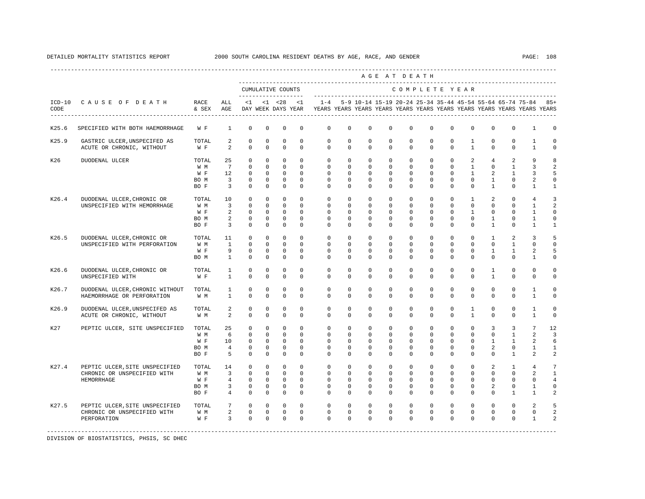|       |                                                                              |                                     |                                                                          |                                                                             |                                                                         |                                                                          |                                                                  |                                                                                                       |                                                              |                                                                       |                                                                         | AGE AT DEATH                                                          |                                                                       |                                                                   |                                                                      |                                                                 |                                                                         |                                                                                |                                                                                        |
|-------|------------------------------------------------------------------------------|-------------------------------------|--------------------------------------------------------------------------|-----------------------------------------------------------------------------|-------------------------------------------------------------------------|--------------------------------------------------------------------------|------------------------------------------------------------------|-------------------------------------------------------------------------------------------------------|--------------------------------------------------------------|-----------------------------------------------------------------------|-------------------------------------------------------------------------|-----------------------------------------------------------------------|-----------------------------------------------------------------------|-------------------------------------------------------------------|----------------------------------------------------------------------|-----------------------------------------------------------------|-------------------------------------------------------------------------|--------------------------------------------------------------------------------|----------------------------------------------------------------------------------------|
|       |                                                                              |                                     |                                                                          | ____________________                                                        |                                                                         | CUMULATIVE COUNTS                                                        |                                                                  |                                                                                                       |                                                              |                                                                       |                                                                         | COMPLETE YEAR                                                         |                                                                       |                                                                   |                                                                      |                                                                 |                                                                         |                                                                                |                                                                                        |
| CODE  | ICD-10 CAUSE OF DEATH                                                        | RACE<br>& SEX                       | ALL<br>AGE                                                               | <1                                                                          |                                                                         | $< 1$ $< 28$                                                             | <1                                                               | $1 - 4$<br>DAY WEEK DAYS YEAR TEARS YEARS YEARS YEARS YEARS YEARS YEARS YEARS YEARS YEARS YEARS YEARS |                                                              | 5-9 10-14 15-19 20-24 25-34 35-44 45-54 55-64 65-74 75-84             |                                                                         |                                                                       |                                                                       |                                                                   |                                                                      |                                                                 |                                                                         |                                                                                | $85+$                                                                                  |
| K25.6 | SPECIFIED WITH BOTH HAEMORRHAGE                                              | W F                                 | 1                                                                        | $^{\circ}$                                                                  | 0                                                                       | $^{\circ}$                                                               | $\mathbf 0$                                                      | $\mathbf 0$                                                                                           | $\mathbf 0$                                                  | $\mathbf 0$                                                           | $\mathbf 0$                                                             | $\mathbf 0$                                                           | $\mathbf 0$                                                           | $\mathbf 0$                                                       | $\mathbf 0$                                                          | $\mathbf 0$                                                     | $\mathbf{0}$                                                            | 1                                                                              | 0                                                                                      |
| K25.9 | GASTRIC ULCER, UNSPECIFED AS<br>ACUTE OR CHRONIC, WITHOUT                    | TOTAL<br>W F                        | $\overline{a}$<br>2                                                      | $\mathbb O$<br>$\mathbf 0$                                                  | $\circ$<br>$\mathbf 0$                                                  | $\mathbb O$<br>$\mathbf 0$                                               | $\mathbb O$<br>$\mathbf 0$                                       | $\mathbb O$<br>$\circ$                                                                                | $\mathbb O$<br>$\circ$                                       | $\mathbf 0$<br>$\mathbf{0}$                                           | $\mathbb O$<br>$\mathbf 0$                                              | $\mathbb O$<br>$\mathbf{0}$                                           | $\mathbb O$<br>$\mathbf{0}$                                           | $\mathsf 0$<br>$\mathbf 0$                                        | $\mathbf{1}$<br>$\mathbf{1}$                                         | $\mathbb O$<br>$\mathbf 0$                                      | $\mathbb O$<br>$\mathbf 0$                                              | 1<br>$\mathbf{1}$                                                              | $\mathsf 0$<br>$\mathbf 0$                                                             |
| K26   | DUODENAL ULCER                                                               | TOTAL<br>W M<br>W F<br>BO M<br>BO F | 25<br>$7\overline{ }$<br>12<br>$\overline{\mathbf{3}}$<br>$\overline{3}$ | $^{\circ}$<br>$\Omega$<br>$\mathbf 0$<br>0<br>$\circ$                       | $^{\circ}$<br>$\Omega$<br>$\circ$<br>$^{\circ}$<br>$\circ$              | $^{\circ}$<br>$\Omega$<br>$\mathbf{0}$<br>$\mathbf 0$<br>$\circ$         | $^{\circ}$<br>$\Omega$<br>$\mathbf 0$<br>$\mathbf 0$<br>$\circ$  | $\mathbf 0$<br>$\Omega$<br>$\circ$<br>$\mathbf 0$<br>$\circ$                                          | $\mathbf 0$<br>$\Omega$<br>$\circ$<br>$\mathbf 0$<br>$\circ$ | $\mathbb O$<br>$\mathbf{0}$<br>$\circ$<br>$\mathbf 0$<br>$\mathbf{0}$ | $\mathbf 0$<br>$\Omega$<br>$\mathbf 0$<br>0<br>$^{\circ}$               | $\mathbf 0$<br>$\Omega$<br>$\mathbf{0}$<br>$\mathbf 0$<br>$\mathbf 0$ | $\mathbf 0$<br>$\Omega$<br>$\mathbf 0$<br>0<br>$\mathbf 0$            | $\mathbf 0$<br>$\Omega$<br>$\circ$<br>$\mathbf 0$<br>$\Omega$     | 2<br>$\mathbf{1}$<br>$\mathbf{1}$<br>$\mathbf 0$<br>$\Omega$         | $\overline{4}$<br>$\Omega$<br>2<br>$\mathbf{1}$<br>$\mathbf{1}$ | 2<br>$\overline{1}$<br>$\mathbf{1}$<br>0<br>$\mathbf{0}$                | 9<br>$\overline{3}$<br>$\overline{3}$<br>2<br>$\mathbf{1}$                     | 8<br>$\overline{a}$<br>5<br>$\mathsf 0$<br>$\mathbf{1}$                                |
| K26.4 | DUODENAL ULCER, CHRONIC OR<br>UNSPECIFIED WITH HEMORRHAGE                    | TOTAL<br>W M<br>W F<br>BO M<br>BO F | 10<br>$\overline{3}$<br>2<br>$\overline{a}$<br>$\overline{3}$            | $\circ$<br>$\mathbf{0}$<br>$\mathbf{0}$<br>$\circ$<br>$\overline{0}$        | $\mathbf 0$<br>$\mathbf{0}$<br>$\mathbf 0$<br>$^{\circ}$<br>$\mathbf 0$ | $\mathbf 0$<br>$\mathbf{0}$<br>$\mathbf 0$<br>$\mathbf 0$<br>$\mathbf 0$ | $\Omega$<br>$\Omega$<br>$\mathbf{0}$<br>$\mathbf 0$<br>$\circ$   | $\circ$<br>$\circ$<br>$\mathbb O$<br>$\circ$<br>$\mathbf 0$                                           | $\circ$<br>$\circ$<br>0<br>$\circ$<br>$\circ$                | $\mathbf{0}$<br>$\circ$<br>$\mathbf 0$<br>$\circ$<br>$\mathbf 0$      | $\mathbf 0$<br>$\mathbf{0}$<br>$\mathbf 0$<br>$^{\circ}$<br>$\mathbf 0$ | $\mathbf{0}$<br>$\circ$<br>$\mathsf 0$<br>$\mathbf 0$<br>$\mathbf 0$  | $\mathbf 0$<br>$\mathbf{0}$<br>$\mathsf{O}$<br>$\mathbf{0}$<br>0      | $\mathbf{0}$<br>$\circ$<br>$\mathsf 0$<br>$\circ$<br>$\mathbf 0$  | $\mathbf{1}$<br>$\Omega$<br>$\mathbf{1}$<br>$\circ$<br>$\mathbf 0$   | 2<br>$\mathbf 0$<br>$\mathbb O$<br>$\mathbf{1}$<br>$\mathbf{1}$ | $\mathbf 0$<br>$\mathbf 0$<br>$\mathbf 0$<br>$\mathbf 0$<br>$\mathbb O$ | $\overline{4}$<br>$\mathbf{1}$<br>$\mathbf{1}$<br>$\mathbf{1}$<br>$\mathbf{1}$ | $\overline{3}$<br>$\overline{a}$<br>$\mathsf{O}\xspace$<br>$\mathbf 0$<br>$\mathbf{1}$ |
| K26.5 | DUODENAL ULCER, CHRONIC OR<br>UNSPECIFIED WITH PERFORATION                   | TOTAL<br>W M<br>$W$ F<br>BO M       | 11<br>$\mathbf{1}$<br>9<br>$\mathbf{1}$                                  | $\mathbf{0}$<br>$\mathbf 0$<br>$\mathbf 0$<br>$\circ$                       | $\mathbf 0$<br>$\circ$<br>$\mathbf 0$<br>$^{\circ}$                     | $\mathbf 0$<br>$\mathbf 0$<br>$\mathbb O$<br>$\circ$                     | $\Omega$<br>$\Omega$<br>$\mathbf 0$<br>$\circ$                   | $\mathbf{0}$<br>$\mathbf 0$<br>$\mathbf{0}$<br>$\mathbf{0}$                                           | $\mathbf 0$<br>$\mathbf 0$<br>$\mathbf 0$<br>$\circ$         | $\mathbf 0$<br>$\mathbf 0$<br>$\mathbb O$<br>$\circ$                  | $\Omega$<br>$\Omega$<br>$\mathbf 0$<br>$\mathbf{0}$                     | $\mathbf 0$<br>$\mathbf 0$<br>$\mathbf 0$<br>$^{\circ}$               | $\Omega$<br>$\Omega$<br>$\mathbf 0$<br>$\mathbf{0}$                   | $\Omega$<br>$\Omega$<br>$\mathbf 0$<br>$\mathbf 0$                | $\Omega$<br>$\Omega$<br>$\mathbf 0$<br>$\mathbf{0}$                  | $\mathbf{1}$<br>$\mathbf 0$<br>$\mathbf{1}$<br>$\Omega$         | 2<br>$\mathbf{1}$<br>$\mathbf{1}$<br>$\mathbf{0}$                       | $\overline{3}$<br>$\mathbf{0}$<br>2<br>1                                       | 5<br>$\mathbf 0$<br>5<br>$\mathbf 0$                                                   |
| K26.6 | DUODENAL ULCER, CHRONIC OR<br>UNSPECIFIED WITH                               | TOTAL<br>W F                        | 1<br>$\mathbf{1}$                                                        | $\circ$<br>$\mathbf 0$                                                      | $\mathbf 0$<br>$\Omega$                                                 | $^{\circ}$<br>$\mathbf 0$                                                | $\Omega$<br>$\Omega$                                             | $\circ$<br>$\Omega$                                                                                   | $\circ$<br>$\Omega$                                          | $\mathbf{0}$<br>$\Omega$                                              | $\Omega$<br>$\Omega$                                                    | $\Omega$<br>$\Omega$                                                  | $\Omega$<br>$\Omega$                                                  | $\Omega$<br>$\Omega$                                              | $\Omega$<br>$\Omega$                                                 | 1<br>$\mathbf{1}$                                               | $\mathbf 0$<br>$\Omega$                                                 | $\mathbf{0}$<br>$\Omega$                                                       | $\circ$<br>$\mathbf 0$                                                                 |
| K26.7 | DUODENAL ULCER, CHRONIC WITHOUT<br>HAEMORRHAGE OR PERFORATION                | TOTAL<br>W M                        | 1<br>$\mathbf{1}$                                                        | $^{\circ}$<br>$\Omega$                                                      | 0<br>$\mathbf 0$                                                        | $^{\circ}$<br>$\mathbf 0$                                                | $^{\circ}$<br>$\Omega$                                           | $\circ$<br>$\Omega$                                                                                   | $\circ$<br>$\mathbf 0$                                       | $\mathbf{0}$<br>$\mathbf 0$                                           | $\mathbf{0}$<br>$\mathbf 0$                                             | $^{\circ}$<br>$\Omega$                                                | $\mathbf{0}$<br>$\Omega$                                              | 0<br>$\Omega$                                                     | $\circ$<br>$\Omega$                                                  | 0<br>$\Omega$                                                   | $\mathbf 0$<br>$\Omega$                                                 | 1<br>$\mathbf{1}$                                                              | 0<br>$\mathbf 0$                                                                       |
| K26.9 | DUODENAL ULCER, UNSPECIFED AS<br>ACUTE OR CHRONIC, WITHOUT                   | TOTAL<br>W M                        | 2<br>$\overline{a}$                                                      | $\circ$<br>$\Omega$                                                         | 0<br>$\Omega$                                                           | $^{\circ}$<br>$\Omega$                                                   | $^{\circ}$<br>$\Omega$                                           | $\mathbf 0$<br>$\Omega$                                                                               | $\mathbf 0$<br>$\Omega$                                      | $\mathbf 0$<br>$\Omega$                                               | $\mathbf 0$<br>$\Omega$                                                 | $\mathbf 0$<br>$\Omega$                                               | $\mathbf 0$<br>$\Omega$                                               | $\mathbf 0$<br>$\Omega$                                           | $\mathbf{1}$<br>$\mathbf{1}$                                         | $\mathbf 0$<br>$\Omega$                                         | $\mathbf{0}$<br>$\Omega$                                                | 1<br>$\mathbf{1}$                                                              | $\circ$<br>$\mathsf 0$                                                                 |
| K27   | PEPTIC ULCER, SITE UNSPECIFIED                                               | TOTAL<br>W M<br>W F<br>BO M<br>BO F | 25<br>6<br>10<br>$\overline{4}$<br>5                                     | $\circ$<br>$\circ$<br>$\overline{0}$<br>$\mathbf 0$<br>$\Omega$             | $\mathbf 0$<br>$\circ$<br>$^{\circ}$<br>$^{\circ}$<br>$\Omega$          | $\mathbf 0$<br>$\mathbf 0$<br>$\overline{0}$<br>$\mathbf 0$<br>$\Omega$  | $\mathbf 0$<br>$\mathbf 0$<br>$\circ$<br>$\mathbf 0$<br>$\Omega$ | $\circ$<br>$\mathbf 0$<br>$\mathbf 0$<br>$\mathbf 0$<br>$\Omega$                                      | $\circ$<br>$\mathbf 0$<br>$\circ$<br>$\mathbf 0$<br>$\Omega$ | $\mathbf 0$<br>$\mathbf 0$<br>$\circ$<br>$\mathbf 0$<br>$\Omega$      | $\mathbf 0$<br>$\mathbf 0$<br>$\mathbf{0}$<br>$\mathbf 0$<br>$\Omega$   | $\mathbf 0$<br>$\mathbf 0$<br>$\mathbf 0$<br>$\mathbf 0$<br>$\Omega$  | 0<br>$\mathbf 0$<br>$\mathbf 0$<br>$\mathbb O$<br>$\Omega$            | $\mathbf 0$<br>$\mathbf 0$<br>$\mathbf 0$<br>$\circ$<br>$\Omega$  | $\mathbf 0$<br>$\mathbf 0$<br>$\mathbf 0$<br>$\mathbf 0$<br>$\Omega$ | 3<br>$\mathbf{0}$<br>$\mathbf{1}$<br>2<br>$\Omega$              | 3<br>$\mathbf{1}$<br>1<br>$\mathbb O$<br>$\mathbf{1}$                   | 7<br>$\overline{a}$<br>2<br>$\mathbf{1}$<br>2                                  | 12<br>$\overline{\mathbf{3}}$<br>6<br>$\mathbf{1}$<br>$\overline{a}$                   |
| K27.4 | PEPTIC ULCER, SITE UNSPECIFIED<br>CHRONIC OR UNSPECIFIED WITH<br>HEMORRHAGE  | TOTAL<br>W M<br>W F<br>BO M<br>BO F | 14<br>$\overline{\mathbf{3}}$<br>$\overline{4}$<br>$\overline{3}$<br>4   | $^{\circ}$<br>$\overline{0}$<br>$\overline{0}$<br>$\circ$<br>$\overline{0}$ | $^{\circ}$<br>$\mathbf{0}$<br>$\circ$<br>$\circ$<br>$\circ$             | $^{\circ}$<br>$\mathbf{0}$<br>$\overline{0}$<br>$\circ$<br>$\circ$       | $^{\circ}$<br>$\Omega$<br>$\circ$<br>$\circ$<br>$\Omega$         | $\mathbf 0$<br>$\circ$<br>$\circ$<br>$\circ$<br>$\Omega$                                              | $^{\circ}$<br>$\circ$<br>$\circ$<br>$\circ$<br>$\circ$       | $\mathbf 0$<br>$\circ$<br>$\circ$<br>$\circ$<br>$\mathbf{0}$          | $^{\circ}$<br>$\Omega$<br>$\mathbf 0$<br>$\mathbf 0$<br>$\mathbf 0$     | $\mathbf 0$<br>$\circ$<br>$\mathbf 0$<br>$\mathbf 0$<br>$\Omega$      | $\mathbf{0}$<br>$\Omega$<br>$\mathbf 0$<br>$\mathbf 0$<br>$\mathbf 0$ | $\mathbf 0$<br>$\Omega$<br>$\mathbf 0$<br>$\mathbf 0$<br>$\Omega$ | $\circ$<br>$\Omega$<br>$\mathbf 0$<br>$\mathbf 0$<br>$\mathbf 0$     | 2<br>$\circ$<br>$^{\circ}$<br>2<br>$\Omega$                     | 1<br>$\Omega$<br>$\mathbf{0}$<br>$\mathbf{0}$<br>$\mathbf{1}$           | $\overline{4}$<br>2<br>$\mathbf{0}$<br>$\mathbf{1}$<br>$\mathbf{1}$            | 7<br>$\mathbf{1}$<br>$\overline{4}$<br>$\mathbf 0$<br>$\overline{a}$                   |
| K27.5 | PEPTIC ULCER, SITE UNSPECIFIED<br>CHRONIC OR UNSPECIFIED WITH<br>PERFORATION | TOTAL<br>W M<br>W F                 | $7\overline{ }$<br>$\overline{a}$<br>$\overline{3}$                      | $\circ$<br>$\overline{0}$<br>$\mathbf 0$                                    | $\mathbf{0}$<br>$\overline{0}$<br>$\mathbf 0$                           | $\mathbf 0$<br>$\circ$<br>$\mathbf{0}$                                   | $\circ$<br>$\circ$<br>$\Omega$                                   | $\circ$<br>$\circ$<br>$\Omega$                                                                        | $\circ$<br>$\circ$<br>$\mathbf 0$                            | $\mathbf 0$<br>$\circ$<br>$\Omega$                                    | $\mathbf 0$<br>$\mathbf 0$<br>$\mathbf 0$                               | $\mathbf 0$<br>$\mathbf 0$<br>$\Omega$                                | $\mathbf{0}$<br>0<br>$\mathbf 0$                                      | $\mathbf 0$<br>$\mathbf 0$<br>$\Omega$                            | $\mathbf 0$<br>$\mathbf 0$<br>$\mathbf 0$                            | $\circ$<br>$\mathbf 0$<br>$\mathbf 0$                           | $\mathbf 0$<br>0<br>$\mathbf 0$                                         | 2<br>$\mathbf 0$<br>$\mathbf{1}$                                               | 5<br>$\overline{a}$<br>$\overline{\mathbf{c}}$                                         |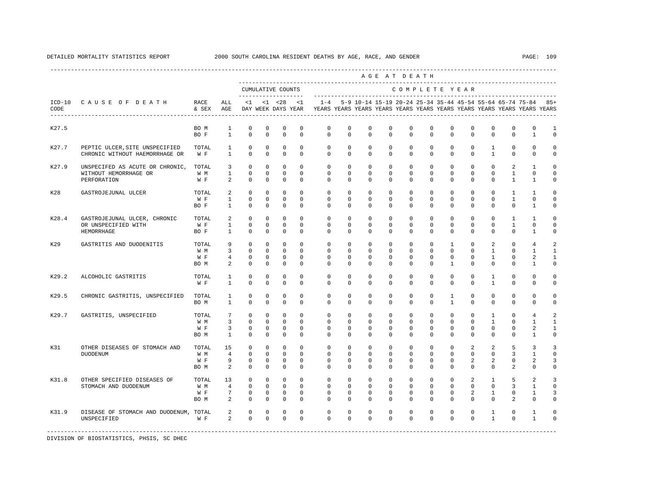|       |                                                                               |                             |                                              |                                                      |                                                           |                                                            |                                                   |                                                                                            |                                        |                                                   |                                        | AGE AT DEATH                                       |                                                        |                                                         |                                                      |                                                      |                                              |                                                                     |                                                           |
|-------|-------------------------------------------------------------------------------|-----------------------------|----------------------------------------------|------------------------------------------------------|-----------------------------------------------------------|------------------------------------------------------------|---------------------------------------------------|--------------------------------------------------------------------------------------------|----------------------------------------|---------------------------------------------------|----------------------------------------|----------------------------------------------------|--------------------------------------------------------|---------------------------------------------------------|------------------------------------------------------|------------------------------------------------------|----------------------------------------------|---------------------------------------------------------------------|-----------------------------------------------------------|
|       |                                                                               |                             |                                              |                                                      |                                                           | CUMULATIVE COUNTS                                          | ---------------------                             |                                                                                            |                                        |                                                   |                                        | COMPLETE YEAR                                      |                                                        |                                                         |                                                      |                                                      |                                              |                                                                     |                                                           |
| CODE  | ICD-10 CAUSE OF DEATH RACE                                                    | & SEX                       | ALL<br>AGE                                   | $\leq 1$                                             |                                                           | $<1$ $<28$ $<1$                                            |                                                   | DAY WEEK DAYS YEAR TEARS YEARS YEARS YEARS YEARS YEARS YEARS YEARS YEARS YEARS YEARS YEARS |                                        |                                                   |                                        |                                                    |                                                        |                                                         |                                                      |                                                      |                                              | $1-4$ 5-9 10-14 15-19 20-24 25-34 35-44 45-54 55-64 65-74 75-84 85+ |                                                           |
| K27.5 |                                                                               | BO M<br>BO F                | $\mathbf{1}$<br>$\mathbf{1}$                 | $\mathbf 0$<br>$\Omega$                              | $\mathbf 0$<br>$\mathbf 0$                                | $\mathbf 0$<br>$\mathbf 0$                                 | $^{\circ}$<br>$\Omega$                            | $\mathbf 0$<br>$\Omega$                                                                    | $\mathbf 0$<br>$\Omega$                | $\mathbf 0$<br>$\Omega$                           | $\mathbf 0$<br>$\Omega$                | $\mathbf 0$<br>$\Omega$                            | $\mathbf 0$<br>$\Omega$                                | $\mathbf 0$<br>$\Omega$                                 | $\mathbf 0$<br>$\Omega$                              | $\mathbf 0$<br>$\Omega$                              | $\mathbf 0$<br>$\Omega$                      | $\mathbf 0$<br>$\mathbf{1}$                                         | 1<br>$\Omega$                                             |
| K27.7 | PEPTIC ULCER, SITE UNSPECIFIED<br>CHRONIC WITHOUT HAEMORRHAGE OR              | TOTAL<br>W F                | $\mathbf{1}$<br>$\mathbf{1}$                 | $\mathbb O$<br>$\mathbf 0$                           | $\mathbf 0$<br>$\mathbf 0$                                | $\mathbf 0$<br>$\mathbf 0$                                 | $\mathbf 0$<br>$\circ$                            | $\mathbf{0}$<br>$\mathbf{0}$                                                               | $\circ$<br>$\mathbf 0$                 | $\mathbf 0$<br>$\mathbf 0$                        | $\mathbf 0$<br>$^{\circ}$              | $\mathbf 0$<br>$\mathbf 0$                         | $\mathbb O$<br>$\mathbf 0$                             | $\mathbf{0}$<br>$\mathbf 0$                             | $\mathbf 0$<br>$\mathbf 0$                           | $\mathbf{1}$<br>$\mathbf{1}$                         | $\mathbb O$<br>0                             | $\mathbb O$<br>$\mathbf 0$                                          | $\mathbf 0$<br>$\mathbf 0$                                |
| K27.9 | UNSPECIFED AS ACUTE OR CHRONIC, TOTAL<br>WITHOUT HEMORRHAGE OR<br>PERFORATION | W M<br>W F                  | 3<br>$\mathbf{1}$<br>2                       | $\circ$<br>$\mathbf 0$<br>$\Omega$                   | $\mathbf{0}$<br>$\mathbf{0}$<br>$\Omega$                  | $\mathbf 0$<br>$\mathbf 0$<br>$\mathbf 0$                  | $\Omega$<br>$\circ$<br>$\Omega$                   | $\circ$<br>$\circ$<br>$\Omega$                                                             | $\Omega$<br>$\mathbf{0}$<br>$\Omega$   | $\circ$<br>$^{\circ}$<br>$\Omega$                 | $\Omega$<br>$\mathbf 0$<br>$\Omega$    | $\circ$<br>$\overline{0}$<br>$\Omega$              | $\Omega$<br>$\mathbf 0$<br>$\Omega$                    | $\Omega$<br>$\mathbf 0$<br>$\Omega$                     | $\mathbf 0$<br>$\mathbf 0$<br>$\Omega$               | $\mathbf 0$<br>$\mathbf 0$<br>$\Omega$               | 2<br>$\mathbf{1}$<br>$\mathbf{1}$            | $\mathbf{1}$<br>$\Omega$<br>$\mathbf{1}$                            | $\Omega$<br>$\Omega$<br>$\Omega$                          |
| K28   | GASTROJEJUNAL ULCER                                                           | TOTAL<br>W F<br>BO F        | 2<br>$\mathbf{1}$<br>$\mathbf{1}$            | $\mathbf 0$<br>$\mathbf 0$<br>$\circ$                | 0<br>$\mathbf 0$<br>$\circ$                               | 0<br>$\mathbf{0}$<br>$\mathbf 0$                           | $\circ$<br>$^{\circ}$<br>$^{\circ}$               | $\circ$<br>$\circ$<br>$\mathbf 0$                                                          | $\circ$<br>$\circ$<br>$\circ$          | $\circ$<br>0<br>0                                 | 0<br>0<br>0                            | $\circ$<br>$\mathbf 0$<br>$\mathbf{0}$             | $\mathbf{0}$<br>$\mathbf 0$<br>$\mathbf{0}$            | 0<br>$\mathbf 0$<br>$\mathbf 0$                         | 0<br>$\mathbf 0$<br>0                                | 0<br>$\mathbf 0$<br>0                                | $\mathbf{1}$<br>1<br>$\mathbf{0}$            | 1<br>$\mathbf 0$<br>1                                               | $\Omega$<br>$\Omega$<br>$\mathbf 0$                       |
| K28.4 | GASTROJEJUNAL ULCER, CHRONIC<br>OR UNSPECIFIED WITH<br>HEMORRHAGE             | TOTAL<br>W F<br>BO F        | 2<br>$\mathbf{1}$<br>$\mathbf{1}$            | $\Omega$<br>$\mathbf 0$<br>$\mathbb O$               | $\Omega$<br>$\mathbf{0}$<br>$\mathbb O$                   | $\mathbf 0$<br>$\mathbf{0}$<br>$\mathbb O$                 | $\Omega$<br>$\circ$<br>$\mathbf{0}$               | $\Omega$<br>$\circ$<br>$\mathbf{0}$                                                        | $\Omega$<br>$\mathbf 0$<br>$\mathbf 0$ | $\Omega$<br>$\mathbf 0$<br>$\mathbf 0$            | $\Omega$<br>$\mathbf 0$<br>$\mathbf 0$ | $\Omega$<br>$\mathbf 0$<br>$\mathbf 0$             | $\Omega$<br>$\mathbf 0$<br>$\circ$                     | $\Omega$<br>$\mathbf 0$<br>$\circ$                      | $\Omega$<br>$\mathbf 0$<br>$\mathbf 0$               | $\Omega$<br>$\mathbf 0$<br>$\mathbf 0$               | $\mathbf{1}$<br>$\mathbf{1}$<br>$\mathbf{0}$ | $\mathbf{1}$<br>$\Omega$<br>$\mathbf{1}$                            | $\cap$<br>$\Omega$<br>$\mathbf 0$                         |
| K29   | GASTRITIS AND DUODENITIS                                                      | TOTAL<br>W M<br>W F<br>BO M | 9<br>$\overline{3}$<br>$\overline{4}$<br>2   | $\circ$<br>$\Omega$<br>$\mathbf 0$<br>$\mathbf 0$    | $\mathbf 0$<br>$\Omega$<br>$\mathbf 0$<br>$\mathbf 0$     | $\mathbf 0$<br>$\Omega$<br>$\mathbf 0$<br>$\mathbf 0$      | $\Omega$<br>$\Omega$<br>$^{\circ}$<br>$\Omega$    | $\mathbf 0$<br>$\Omega$<br>$\mathbf 0$<br>$\Omega$                                         | $\Omega$<br>$\Omega$<br>0<br>$\Omega$  | $\Omega$<br>$\Omega$<br>$^{\circ}$<br>$\Omega$    | $\Omega$<br>$\Omega$<br>0<br>$\Omega$  | $\Omega$<br>$\Omega$<br>$\mathbf{0}$<br>$\Omega$   | $\Omega$<br>$\Omega$<br>$\mathbf 0$<br>$\Omega$        | $\mathbf{1}$<br>$\Omega$<br>$\mathbf 0$<br>$\mathbf{1}$ | $\mathbf 0$<br>$\Omega$<br>$\mathbf 0$<br>$\Omega$   | 2<br>$\mathbf{1}$<br>$\mathbf{1}$<br>$\Omega$        | $\mathbf 0$<br>$\Omega$<br>0<br>$\Omega$     | $\overline{4}$<br>$\mathbf{1}$<br>2<br>$\mathbf{1}$                 | $\mathcal{D}$<br>$\mathbf{1}$<br>$\mathbf{1}$<br>$\Omega$ |
| K29.2 | ALCOHOLIC GASTRITIS                                                           | TOTAL<br>W F                | $\mathbf{1}$<br>$\mathbf{1}$                 | $\mathbf 0$<br>$\mathbf 0$                           | $\mathbf 0$<br>$\mathbf 0$                                | $\mathbf 0$<br>$\mathbf 0$                                 | $^{\circ}$<br>$\Omega$                            | $\mathbf 0$<br>$\mathbf 0$                                                                 | $\mathbf 0$<br>$\Omega$                | $\mathbf 0$<br>0                                  | 0<br>0                                 | $\mathbf{0}$<br>$\mathbf{0}$                       | $\mathbf 0$<br>$\mathbf 0$                             | $\mathbf 0$<br>$\mathbf 0$                              | $\mathbf 0$<br>0                                     | 1<br>$\mathbf{1}$                                    | $\mathbf{0}$<br>0                            | $\Omega$<br>$\mathbf 0$                                             | $\Omega$<br>$\Omega$                                      |
| K29.5 | CHRONIC GASTRITIS, UNSPECIFIED                                                | TOTAL<br>BO M               | $\mathbf{1}$<br>$\mathbf{1}$                 | $\mathbf 0$<br>$\Omega$                              | $\mathbf 0$<br>$\Omega$                                   | $\mathbf 0$<br>$\Omega$                                    | $\Omega$<br>$\Omega$                              | $\Omega$<br>$\Omega$                                                                       | $\Omega$<br>$\Omega$                   | $\Omega$<br>$\Omega$                              | $\Omega$<br>$\Omega$                   | $\Omega$<br>$\Omega$                               | $\Omega$<br>$\Omega$                                   | $\mathbf{1}$<br>$\mathbf{1}$                            | $\Omega$<br>$\Omega$                                 | $\Omega$<br>$\Omega$                                 | $\mathbf{0}$<br>$\Omega$                     | $\Omega$<br>$\Omega$                                                | $\Omega$<br>$\cap$                                        |
| K29.7 | GASTRITIS, UNSPECIFIED                                                        | TOTAL<br>W M<br>W F<br>BO M | 7<br>$\overline{3}$<br>3<br>$\mathbf{1}$     | $\circ$<br>$\mathbf 0$<br>$\mathbf 0$<br>$\mathbf 0$ | $\circ$<br>$\mathbf{0}$<br>0<br>$\mathbf 0$               | $\mathbf 0$<br>$\mathbf{0}$<br>0<br>$\mathbf 0$            | $^{\circ}$<br>$\Omega$<br>$^{\circ}$<br>$\Omega$  | $\circ$<br>$\Omega$<br>$\mathbf{0}$<br>$\Omega$                                            | $\circ$<br>$\Omega$<br>$\circ$<br>0    | $\circ$<br>$\Omega$<br>0<br>$\Omega$              | 0<br>$\Omega$<br>0<br>0                | $\circ$<br>$\Omega$<br>0<br>$\Omega$               | $\mathbf{0}$<br>$\Omega$<br>$\mathbf 0$<br>$\mathbf 0$ | 0<br>$\Omega$<br>0<br>$\Omega$                          | $\mathbf 0$<br>$\Omega$<br>$^{\circ}$<br>$\mathbf 0$ | 1<br>1<br>0<br>$\Omega$                              | $\mathbf 0$<br>$\Omega$<br>0<br>$\Omega$     | $\overline{4}$<br>$\mathbf{1}$<br>2<br>$\mathbf{1}$                 | 2<br>$\mathbf{1}$<br>$\mathbf{1}$<br>$\Omega$             |
| K31   | OTHER DISEASES OF STOMACH AND<br>DUODENUM                                     | TOTAL<br>W M<br>W F<br>BO M | 15<br>$\overline{4}$<br>9<br>2               | $\mathbf 0$<br>$\mathbf 0$<br>$\mathbf 0$<br>$\circ$ | $\mathbf 0$<br>$\mathbf{0}$<br>0<br>$\mathbf 0$           | $\mathbf 0$<br>$\mathbf{0}$<br>$\mathbf{0}$<br>$\mathbf 0$ | $\Omega$<br>$\Omega$<br>$^{\circ}$<br>$\Omega$    | $\Omega$<br>$\mathbf 0$<br>$\circ$<br>$\Omega$                                             | $\Omega$<br>$\Omega$<br>0<br>$\Omega$  | $\Omega$<br>$\mathbf 0$<br>$^{\circ}$<br>$\Omega$ | $\Omega$<br>$\Omega$<br>0<br>$\Omega$  | $\Omega$<br>$\mathbf 0$<br>$\mathbf 0$<br>$\Omega$ | $\Omega$<br>$\Omega$<br>0<br>$\Omega$                  | $\Omega$<br>$\Omega$<br>0<br>$\Omega$                   | 2<br>$\mathbf 0$<br>2<br>$\Omega$                    | 2<br>$\mathbf 0$<br>2<br>$\Omega$                    | 5<br>3<br>0<br>2                             | 3<br>$\mathbf{1}$<br>2<br>$\Omega$                                  | ्र<br>$\Omega$<br>3<br>$\Omega$                           |
| K31.8 | OTHER SPECIFIED DISEASES OF<br>STOMACH AND DUODENUM                           | TOTAL<br>W M<br>W F<br>BO M | 13<br>$\overline{4}$<br>$7\phantom{.0}$<br>2 | $\circ$<br>$\mathbf 0$<br>$\mathbf 0$<br>$\mathbf 0$ | $\mathbf 0$<br>$\mathbf{0}$<br>$\mathbf 0$<br>$\mathbf 0$ | $\mathbf{0}$<br>$\mathbf{0}$<br>$\mathbf 0$<br>$\mathbf 0$ | $\Omega$<br>$\Omega$<br>$\mathbf 0$<br>$^{\circ}$ | $\circ$<br>$\Omega$<br>$\mathbf 0$<br>$\Omega$                                             | $\Omega$<br>$\Omega$<br>0<br>0         | $\mathbf 0$<br>$\Omega$<br>0<br>$\Omega$          | $\mathbf 0$<br>$\Omega$<br>0<br>0      | $\mathbf 0$<br>$\Omega$<br>$\mathbb O$<br>$\Omega$ | $\Omega$<br>$\Omega$<br>$\mathsf 0$<br>$\mathbf{0}$    | $\Omega$<br>$\Omega$<br>$\circ$<br>$\Omega$             | 2<br>$\Omega$<br>$\overline{2}$<br>$^{\circ}$        | $\mathbf{1}$<br>$\Omega$<br>$\mathbf{1}$<br>$\Omega$ | 5<br>3<br>0<br>2                             | 2<br>$\mathbf{1}$<br>1<br>$\Omega$                                  | 3<br>$\Omega$<br>3<br>$\Omega$                            |
| K31.9 | DISEASE OF STOMACH AND DUODENUM, TOTAL<br>UNSPECIFIED                         | W F                         | $\overline{a}$<br>$\overline{a}$             | $\circ$<br>$\Omega$                                  | 0<br>$\Omega$                                             | 0<br>$\mathbf 0$                                           | $\circ$<br>$\Omega$                               | $\mathbf 0$<br>$\Omega$                                                                    | $\mathbf 0$<br>$\Omega$                | $^{\circ}$<br>$\Omega$                            | 0<br>$\Omega$                          | $\mathbf 0$<br>$\Omega$                            | $\mathbf 0$<br>$\Omega$                                | $\mathbf 0$<br>$\Omega$                                 | $^{\circ}$<br>$\Omega$                               | 1<br>$\mathbf{1}$                                    | 0<br>$\Omega$                                | 1<br>$\mathbf{1}$                                                   |                                                           |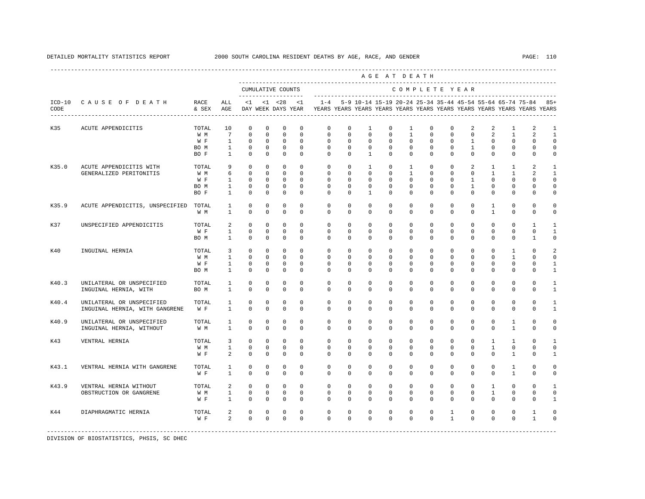|                  |                                                             |                             |                                                   |                                                    |                                                       |                                             |                                                 |                                                                                                       |                                                    |                                                     | AGE AT DEATH                                          |                                                         |                                                      |                                                 |                                                       |                                                         |                                                          |                                                           |                                          |
|------------------|-------------------------------------------------------------|-----------------------------|---------------------------------------------------|----------------------------------------------------|-------------------------------------------------------|---------------------------------------------|-------------------------------------------------|-------------------------------------------------------------------------------------------------------|----------------------------------------------------|-----------------------------------------------------|-------------------------------------------------------|---------------------------------------------------------|------------------------------------------------------|-------------------------------------------------|-------------------------------------------------------|---------------------------------------------------------|----------------------------------------------------------|-----------------------------------------------------------|------------------------------------------|
|                  |                                                             |                             |                                                   |                                                    |                                                       | CUMULATIVE COUNTS                           |                                                 |                                                                                                       |                                                    |                                                     |                                                       | COMPLETE YEAR                                           |                                                      |                                                 |                                                       |                                                         |                                                          |                                                           |                                          |
| $ICD-10$<br>CODE | CAUSE OF DEATH<br>-----------------------                   | RACE<br>& SEX               | ALL<br>AGE                                        | <1                                                 |                                                       | -------------------<br>$<1$ $<28$           | < 1                                             | $1 - 4$<br>DAY WEEK DAYS YEAR YEARS YEARS YEARS YEARS YEARS YEARS YEARS YEARS YEARS YEARS YEARS YEARS |                                                    |                                                     |                                                       |                                                         |                                                      |                                                 |                                                       |                                                         |                                                          | 5-9 10-14 15-19 20-24 25-34 35-44 45-54 55-64 65-74 75-84 | $85+$                                    |
| K35              | ACUTE APPENDICITIS                                          | TOTAL<br>W M<br>W F         | 10<br>$7\overline{ }$<br>$\mathbf{1}$             | $^{\circ}$<br>$\Omega$<br>$^{\circ}$               | $\mathbf 0$<br>$\Omega$<br>$\mathbf 0$                | $\mathbf 0$<br>$\Omega$<br>$\mathbf 0$      | $\mathbf 0$<br>$\Omega$<br>$\mathbf 0$          | $\mathbf{0}$<br>$\Omega$<br>$\mathbf 0$                                                               | $\Omega$<br>$\Omega$<br>$\mathbf 0$                | 1<br>$\Omega$<br>$\mathbf 0$                        | $\mathbf 0$<br>$\Omega$<br>$\mathbf 0$                | 1<br>$\mathbf{1}$<br>$\mathbf 0$                        | $\Omega$<br>$\Omega$<br>$\mathbf 0$                  | $\Omega$<br>$\Omega$<br>$\Omega$                | 2<br>$\Omega$<br>$\mathbf{1}$                         | 2<br>$\overline{2}$<br>$\mathbf 0$                      | $\mathbf{1}$<br>$\mathbf{1}$<br>$\mathbf{0}$             | 2<br>$\overline{\mathbf{c}}$<br>$\Omega$                  | $\mathbf{1}$<br>$\mathbf{1}$<br>$\Omega$ |
|                  |                                                             | BO M<br>BO F                | $\mathbf{1}$<br>1                                 | $\circ$<br>$^{\circ}$                              | 0<br>$\circ$                                          | 0<br>0                                      | $\mathbf 0$<br>$\mathbf 0$                      | $\mathbf 0$<br>$\Omega$                                                                               | $\mathbf 0$<br>0                                   | 0<br>$\mathbf{1}$                                   | 0<br>$\mathbf 0$                                      | $\mathbf{0}$<br>$\mathbf{0}$                            | $\mathbf 0$<br>$\mathbf 0$                           | $\mathbf{0}$<br>$\mathbf 0$                     | $\mathbf{1}$<br>$\mathbf 0$                           | 0<br>$\mathbf 0$                                        | $\mathbf 0$<br>$\mathbf{0}$                              | $\mathbf{0}$<br>$\mathbf{0}$                              | 0<br>0                                   |
| K35.0            | ACUTE APPENDICITIS WITH<br>GENERALIZED PERITONITIS          | TOTAL<br>W M<br>W F<br>BO M | 9<br>6<br>$\mathbf{1}$<br>$\mathbf{1}$            | $^{\circ}$<br>$\mathbf 0$<br>$^{\circ}$<br>$\circ$ | $\mathbf 0$<br>$\mathbf 0$<br>$\Omega$<br>$\mathbf 0$ | $\mathbf 0$<br>0<br>$\Omega$<br>$\mathbf 0$ | $\Omega$<br>$\Omega$<br>$\Omega$<br>$\mathbf 0$ | $\mathbf 0$<br>$\Omega$<br>$\Omega$<br>$\mathbf 0$                                                    | $\mathbf 0$<br>$\Omega$<br>$\Omega$<br>$\mathbf 0$ | $\mathbf{1}$<br>$\Omega$<br>$\Omega$<br>$\mathbf 0$ | $\mathbf 0$<br>$\mathbf 0$<br>$\Omega$<br>$^{\circ}$  | $\mathbf{1}$<br>$\mathbf{1}$<br>$\Omega$<br>$\mathbf 0$ | $\mathbf 0$<br>$\Omega$<br>$\Omega$<br>$\Omega$      | $\Omega$<br>$\Omega$<br>$\Omega$<br>$\mathbf 0$ | 2<br>$\mathbf 0$<br>$\mathbf{1}$<br>$\mathbf{1}$      | $\mathbf{1}$<br>$\mathbf{1}$<br>$\Omega$<br>$\mathbf 0$ | $\mathbf{1}$<br>$\mathbf{1}$<br>$\Omega$<br>$\mathbf{0}$ | 2<br>$\mathfrak{D}$<br>$\Omega$<br>$\Omega$               | -1<br>1<br>$\Omega$<br>$\Omega$          |
| K35.9            | ACUTE APPENDICITIS, UNSPECIFIED                             | BO F<br>TOTAL               | $\mathbf{1}$<br>$\mathbf{1}$                      | $\Omega$<br>$\mathbf 0$                            | $\mathbf 0$<br>$\Omega$                               | $\mathbf 0$<br>$\Omega$                     | $\Omega$<br>$\Omega$                            | $\Omega$<br>$\Omega$                                                                                  | $\Omega$<br>$\Omega$                               | $\mathbf{1}$<br>$\Omega$                            | $\mathbf 0$<br>$\Omega$                               | $\Omega$<br>$\Omega$                                    | $\Omega$<br>$\Omega$                                 | $\Omega$<br>$\Omega$                            | $\mathbf 0$<br>$\Omega$                               | $\Omega$<br>$\overline{1}$                              | $\mathbf 0$<br>$\Omega$                                  | $\Omega$<br>$\Omega$                                      | 0<br>$\Omega$                            |
| K37              | UNSPECIFIED APPENDICITIS                                    | W M<br>TOTAL<br>W F<br>BO M | $\mathbf{1}$<br>2<br>$\mathbf{1}$<br>$\mathbf{1}$ | $\Omega$<br>$^{\circ}$<br>$^{\circ}$<br>$^{\circ}$ | $\Omega$<br>$\circ$<br>$\circ$<br>$\circ$             | $\Omega$<br>0<br>0<br>$\mathbf 0$           | $\Omega$<br>$\Omega$<br>$\Omega$<br>$\Omega$    | $\Omega$<br>$\mathbf{0}$<br>$\Omega$<br>$\Omega$                                                      | $\Omega$<br>$\mathbf 0$<br>$\Omega$<br>0           | $\Omega$<br>$\mathbf 0$<br>$\Omega$<br>$\Omega$     | $\Omega$<br>$\mathbf 0$<br>$\Omega$<br>$^{\circ}$     | $\Omega$<br>$\mathbf 0$<br>$\Omega$<br>$\Omega$         | $\Omega$<br>$\mathbf{0}$<br>$\Omega$<br>$\mathbf{0}$ | $\Omega$<br>0<br>$\Omega$<br>$\Omega$           | $\Omega$<br>0<br>$\mathbf 0$<br>$\mathbf 0$           | $\mathbf{1}$<br>0<br>$\Omega$<br>$\mathbf 0$            | $\Omega$<br>$\circ$<br>$\Omega$<br>$\mathbf{0}$          | $\Omega$<br>1<br>$\Omega$<br>1                            | $\Omega$<br>1<br>$\mathbf 0$             |
| K40              | INGUINAL HERNIA                                             | TOTAL<br>W M<br>W F<br>BO M | 3<br>$\mathbf{1}$<br>$\mathbf{1}$<br>$\mathbf{1}$ | $^{\circ}$<br>$^{\circ}$<br>$\circ$<br>$^{\circ}$  | $\circ$<br>$\Omega$<br>$^{\circ}$<br>$\mathbf 0$      | 0<br>$\Omega$<br>$\mathbf 0$<br>$\mathbf 0$ | $\Omega$<br>$\Omega$<br>$\mathbf 0$<br>$\Omega$ | $\mathbf 0$<br>$\Omega$<br>$\mathbf 0$<br>$\Omega$                                                    | $\mathbf 0$<br>$\Omega$<br>$\Omega$<br>$\Omega$    | $\mathbf 0$<br>$\Omega$<br>$\mathbf 0$<br>$\Omega$  | $\mathbf 0$<br>$\Omega$<br>$\mathbf 0$<br>$\mathbf 0$ | $\mathbf{0}$<br>$\Omega$<br>$\mathbf{0}$<br>$\Omega$    | $\mathbf 0$<br>$\Omega$<br>$\Omega$<br>$\Omega$      | $\Omega$<br>$\Omega$<br>$\Omega$<br>$\Omega$    | $\mathbf 0$<br>$\Omega$<br>$\mathbf 0$<br>$\mathbf 0$ | $\mathbf 0$<br>$\Omega$<br>$\mathbf 0$<br>$\mathbf 0$   | 1<br>$\mathbf{1}$<br>$\Omega$<br>$\mathbf 0$             | $\Omega$<br>U<br>$\Omega$<br>$\Omega$                     | 0<br>$\mathbf{1}$<br>$\mathbf{1}$        |
| K40.3            | UNILATERAL OR UNSPECIFIED<br>INGUINAL HERNIA, WITH          | TOTAL<br>BO M               | $\mathbf{1}$<br>$\mathbf{1}$                      | $\Omega$<br>$\mathbf{0}$                           | $\Omega$<br>$\mathbf 0$                               | $\Omega$<br>$\mathbf 0$                     | $\Omega$<br>$\mathbf 0$                         | $\Omega$<br>$\mathbf 0$                                                                               | $\Omega$<br>$\mathbf 0$                            | $\Omega$<br>$^{\circ}$                              | $\Omega$<br>$^{\circ}$                                | $\Omega$<br>$\mathbf 0$                                 | $\Omega$<br>$\mathbf 0$                              | $\Omega$<br>$\mathbf 0$                         | $\Omega$<br>$\mathsf{O}$                              | $\Omega$<br>$\mathbf 0$                                 | $\Omega$<br>$\mathbb O$                                  | $\Omega$<br>$\mathbf 0$                                   | $\mathbf{1}$<br>1                        |
| K40.4            | UNILATERAL OR UNSPECIFIED<br>INGUINAL HERNIA, WITH GANGRENE | TOTAL<br>W F                | 1<br>$\mathbf{1}$                                 | $^{\circ}$<br>$^{\circ}$                           | $\circ$<br>$\mathbf 0$                                | 0<br>$\mathbf 0$                            | 0<br>0                                          | 0<br>$\mathbf{0}$                                                                                     | 0<br>$\mathbf 0$                                   | $\mathbf 0$<br>$\mathbf 0$                          | $^{\circ}$<br>$\mathbf 0$                             | $\mathbf 0$<br>$\mathbf 0$                              | $\mathbf{0}$<br>$\mathbf 0$                          | 0<br>$\Omega$                                   | $^{\circ}$<br>$\mathbf 0$                             | $^{\circ}$<br>$\mathbf 0$                               | $\mathbf{0}$<br>$\mathbf{0}$                             | $\mathbf{0}$<br>$\mathbf 0$                               | $\mathbf{1}$<br>1                        |
| K40.9            | UNILATERAL OR UNSPECIFIED<br>INGUINAL HERNIA, WITHOUT       | TOTAL<br>W M                | 1<br>$\mathbf{1}$                                 | $^{\circ}$<br>$\Omega$                             | $\circ$<br>$\Omega$                                   | 0<br>$\Omega$                               | $\Omega$<br>$\Omega$                            | $\mathbf 0$<br>$\Omega$                                                                               | $\Omega$<br>$\Omega$                               | $\Omega$<br>$\Omega$                                | $\mathbf 0$<br>$\Omega$                               | $\Omega$<br>$\Omega$                                    | $\Omega$<br>$\Omega$                                 | $\Omega$<br>$\Omega$                            | $\mathbf 0$<br>$\Omega$                               | $\mathbf 0$<br>$\Omega$                                 | 1<br>$\mathbf{1}$                                        | $\Omega$<br>$\Omega$                                      | 0<br>$\Omega$                            |
| K43              | VENTRAL HERNIA                                              | TOTAL<br>W M<br>W F         | 3<br>1<br>2                                       | $\Omega$<br>$\mathbf 0$<br>$\Omega$                | $\mathbf 0$<br>$\Omega$<br>$\Omega$                   | $\mathbf 0$<br>$\Omega$<br>$\Omega$         | $\Omega$<br>$\Omega$<br>$\Omega$                | $\mathbf 0$<br>$\mathbf 0$<br>$\Omega$                                                                | $\mathbf 0$<br>$\Omega$<br>$\Omega$                | $\mathbf 0$<br>$\Omega$<br>$\Omega$                 | $\mathbf 0$<br>$\Omega$<br>$\Omega$                   | $\Omega$<br>$\Omega$<br>$\Omega$                        | $\Omega$<br>$\Omega$<br>$\Omega$                     | $\Omega$<br>$\Omega$<br>$\Omega$                | $\mathbf 0$<br>$\mathbf 0$<br>$\Omega$                | $\mathbf{1}$<br>$\mathbf{1}$<br>$\Omega$                | $\mathbf{1}$<br>$\mathbf{0}$<br>$\mathbf{1}$             | $\Omega$<br>$\Omega$<br>$\Omega$                          | $\mathbf{1}$<br>$\Omega$<br>$\mathbf{1}$ |
| K43.1            | VENTRAL HERNIA WITH GANGRENE                                | TOTAL<br>W F                | 1<br>1                                            | 0<br>$^{\circ}$                                    | $\circ$<br>$\circ$                                    | 0<br>$^{\circ}$                             | 0<br>0                                          | 0<br>0                                                                                                | 0<br>0                                             | $^{\circ}$<br>$^{\circ}$                            | $^{\circ}$<br>$^{\circ}$                              | $\mathbf 0$<br>$\mathbf 0$                              | $\mathbf{0}$<br>$\mathbf{0}$                         | 0<br>$\mathbf{0}$                               | $^{\circ}$<br>$^{\circ}$                              | $\mathbf{0}$<br>$\mathbf{0}$                            | $\mathbf{1}$<br>$\mathbf{1}$                             | 0<br>$\mathbf{0}$                                         | 0<br>0                                   |
| K43.9            | VENTRAL HERNIA WITHOUT<br>OBSTRUCTION OR GANGRENE           | TOTAL<br>W M<br>W F         | 2<br>$\mathbf{1}$<br>$\mathbf{1}$                 | $\circ$<br>$\mathbf 0$<br>$^{\circ}$               | $\mathbf 0$<br>$\mathbf{0}$<br>$\mathbf 0$            | $\mathbf 0$<br>$\mathbf 0$<br>$\mathbf 0$   | $\Omega$<br>$\mathbf 0$<br>$\Omega$             | $\mathbf 0$<br>0<br>$\Omega$                                                                          | $\mathbf 0$<br>$\mathbf 0$<br>$\Omega$             | $\mathbf 0$<br>$\mathbf{0}$<br>$\Omega$             | $\mathbf 0$<br>$^{\circ}$<br>$\Omega$                 | $\mathbf 0$<br>$\mathbf 0$<br>$\Omega$                  | $\Omega$<br>$\mathbf 0$<br>$\Omega$                  | $\Omega$<br>$\mathbf 0$<br>$\Omega$             | $\mathbf 0$<br>0<br>$^{\circ}$                        | 1<br>$\mathbf{1}$<br>$\Omega$                           | $\Omega$<br>$\mathbf{0}$<br>$\mathbf{0}$                 | $\mathbf 0$<br>$\mathbf 0$<br>$\Omega$                    | -1<br>$\mathbf 0$<br>$\mathbf{1}$        |
| K44              | DIAPHRAGMATIC HERNIA                                        | TOTAL<br>W F                | 2<br>2                                            | $\circ$<br>$\Omega$                                | $\mathbf 0$<br>$\Omega$                               | $\mathbf 0$<br>$\Omega$                     | $\mathbf 0$<br>$\Omega$                         | 0<br>$\Omega$                                                                                         | $\mathbf 0$<br>$\Omega$                            | $\mathbf 0$<br>$\Omega$                             | $\mathbf 0$<br>$\Omega$                               | $\mathbf 0$<br>$\Omega$                                 | $\mathbf{0}$<br>$\Omega$                             | 1<br>$\mathbf{1}$                               | $\mathbf 0$<br>$\Omega$                               | $\mathbf 0$<br>$\Omega$                                 | $\mathbf 0$<br>$\Omega$                                  | 1<br>$\mathbf{1}$                                         | Ω<br>O                                   |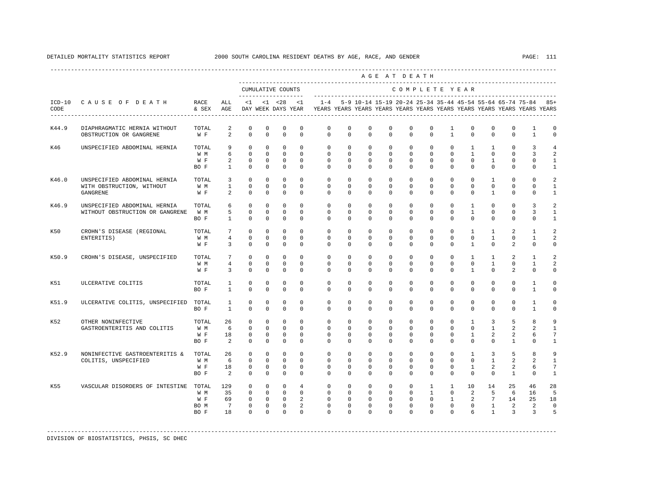|       |                                                                       |                                     |                                          |                                                        |                                                        |                                                                     |                                                               |                                                                                                        |                                                         |                                                               | AGE AT DEATH                                          |                                                       |                                                           |                                                           |                                                         |                                                      |                                                      |                                                               |                                                        |
|-------|-----------------------------------------------------------------------|-------------------------------------|------------------------------------------|--------------------------------------------------------|--------------------------------------------------------|---------------------------------------------------------------------|---------------------------------------------------------------|--------------------------------------------------------------------------------------------------------|---------------------------------------------------------|---------------------------------------------------------------|-------------------------------------------------------|-------------------------------------------------------|-----------------------------------------------------------|-----------------------------------------------------------|---------------------------------------------------------|------------------------------------------------------|------------------------------------------------------|---------------------------------------------------------------|--------------------------------------------------------|
|       |                                                                       |                                     |                                          |                                                        |                                                        | CUMULATIVE COUNTS                                                   |                                                               |                                                                                                        |                                                         |                                                               |                                                       |                                                       |                                                           |                                                           | COMPLETE YEAR                                           |                                                      |                                                      |                                                               |                                                        |
| CODE  | ICD-10 CAUSE OF DEATH                                                 | RACE<br>& SEX                       | ALL<br>AGE                               | $\leq 1$                                               |                                                        | $< 1$ $< 28$                                                        | $\lt1$                                                        | $1 - 4$<br>DAY WEEK DAYS YEAR TYEARS YEARS YEARS YEARS YEARS YEARS YEARS YEARS YEARS YEARS YEARS YEARS |                                                         |                                                               |                                                       |                                                       |                                                           |                                                           |                                                         |                                                      |                                                      | 5-9 10-14 15-19 20-24 25-34 35-44 45-54 55-64 65-74 75-84 85+ |                                                        |
| K44.9 | DIAPHRAGMATIC HERNIA WITHOUT<br>OBSTRUCTION OR GANGRENE               | TOTAL<br>W F                        | 2<br>2                                   | 0<br>$\mathbf 0$                                       | $\mathbf 0$<br>$\mathbf 0$                             | $\mathbf 0$<br>$\Omega$                                             | $\mathbf 0$<br>$\Omega$                                       | $\mathbf 0$<br>$\Omega$                                                                                | $\mathbf 0$<br>$\Omega$                                 | $\mathbf 0$<br>$\Omega$                                       | $\mathbf 0$<br>$\Omega$                               | $\mathbf 0$<br>$\Omega$                               | $\mathbf 0$<br>$\Omega$                                   | 1<br>$\mathbf{1}$                                         | $\mathbf 0$<br>$\Omega$                                 | 0<br>$\Omega$                                        | $\mathbf{0}$<br>$\Omega$                             | 1<br>1                                                        | 0<br>0                                                 |
| K46   | UNSPECIFIED ABDOMINAL HERNIA                                          | TOTAL<br>W M<br>W F<br>BO F         | 9<br>6<br>2<br>$\mathbf{1}$              | $\mathbf 0$<br>$\Omega$<br>0<br>$\mathbf 0$            | $\mathbf 0$<br>$\Omega$<br>$\circ$<br>$\mathbf 0$      | $\mathbf 0$<br>$\Omega$<br>$^{\circ}$<br>$\mathbf 0$                | $\mathbf 0$<br>$\Omega$<br>$^{\circ}$<br>$\Omega$             | $\mathbf 0$<br>$\Omega$<br>0<br>$\Omega$                                                               | $\mathbf 0$<br>$\Omega$<br>0<br>0                       | $\mathbf 0$<br>$\Omega$<br>$^{\circ}$<br>$\Omega$             | $\mathbf 0$<br>$\Omega$<br>0<br>$\Omega$              | $\mathbf 0$<br>$\Omega$<br>$\mathbf{0}$<br>$\Omega$   | $\circ$<br>$\Omega$<br>0<br>$\Omega$                      | $\mathbf 0$<br>$\Omega$<br>$^{\circ}$<br>$\Omega$         | $\mathbf{1}$<br>$\overline{1}$<br>0<br>$\Omega$         | $\mathbf{1}$<br>$\Omega$<br>$\mathbf{1}$<br>$\Omega$ | $\mathbf{0}$<br>$\Omega$<br>$\mathbf{0}$<br>$\Omega$ | 3<br>3<br>0<br>$\Omega$                                       | 4<br>$\mathfrak{D}$<br>1<br>1                          |
| K46.0 | UNSPECIFIED ABDOMINAL HERNIA<br>WITH OBSTRUCTION, WITHOUT<br>GANGRENE | TOTAL<br>W M<br>W F                 | $\overline{3}$<br>$\mathbf{1}$<br>2      | $\mathbf 0$<br>$\mathbf 0$<br>$\Omega$                 | $\mathbf 0$<br>$\mathbf 0$<br>$\Omega$                 | $\Omega$<br>$\mathbf 0$<br>$\mathbf 0$                              | $\Omega$<br>$\mathbf 0$<br>$\Omega$                           | $\Omega$<br>$\mathbf 0$<br>$\Omega$                                                                    | $\Omega$<br>$\mathbf 0$<br>$\Omega$                     | $\Omega$<br>$\mathbf 0$<br>$\Omega$                           | $\Omega$<br>$\mathbf 0$<br>$\Omega$                   | $\Omega$<br>$\mathbf 0$<br>$\Omega$                   | $\Omega$<br>$\mathbf 0$<br>$\Omega$                       | $\Omega$<br>$\Omega$<br>$\Omega$                          | $\Omega$<br>$\mathbf 0$<br>$\Omega$                     | $\mathbf{1}$<br>$\mathbf 0$<br>$\mathbf{1}$          | $\Omega$<br>$\mathbf 0$<br>$\Omega$                  | $\Omega$<br>0<br>$\Omega$                                     | $\mathcal{L}$<br>$\mathbf{1}$<br>1                     |
| K46.9 | UNSPECIFIED ABDOMINAL HERNIA<br>WITHOUT OBSTRUCTION OR GANGRENE       | TOTAL<br>W M<br>BO F                | 6<br>5<br>$\mathbf{1}$                   | $\Omega$<br>$\mathbf 0$<br>$\mathbf 0$                 | $\mathbf 0$<br>$\Omega$<br>$\mathbf 0$                 | $\mathbf 0$<br>$\mathbf 0$<br>$\mathbf 0$                           | $\Omega$<br>$\Omega$<br>$\mathbf 0$                           | $\mathbf 0$<br>$\Omega$<br>$\mathbf 0$                                                                 | $\Omega$<br>$\Omega$<br>$\mathbf 0$                     | $\Omega$<br>$\Omega$<br>$\mathbf 0$                           | $\Omega$<br>$\Omega$<br>$\mathbf 0$                   | $\Omega$<br>$\Omega$<br>$\Omega$                      | $\Omega$<br>$\Omega$<br>$\mathbf 0$                       | $\Omega$<br>$\Omega$<br>$\Omega$                          | $\mathbf{1}$<br>$\mathbf{1}$<br>$\mathbf 0$             | $\Omega$<br>$\Omega$<br>$\mathbf 0$                  | $\mathbf 0$<br>$\Omega$<br>$\mathbf 0$               | 3<br>3<br>$\mathbf 0$                                         | $\overline{a}$<br>$\mathbf{1}$<br>$\mathbf{1}$         |
| K50   | CROHN'S DISEASE (REGIONAL<br>ENTERITIS)                               | TOTAL<br>W M<br>W F                 | $7\phantom{.0}$<br>$\overline{4}$<br>3   | $\mathbf 0$<br>$\mathbf 0$<br>$\Omega$                 | $\mathbf 0$<br>$^{\circ}$<br>$\Omega$                  | $\mathbf 0$<br>$\mathbf 0$<br>$\Omega$                              | $\mathbf 0$<br>$\Omega$<br>$\Omega$                           | $\mathbf 0$<br>$\Omega$<br>$\Omega$                                                                    | $\mathbf 0$<br>$\Omega$<br>$\Omega$                     | $\mathbf 0$<br>$^{\circ}$<br>$\Omega$                         | $\mathbf 0$<br>$\Omega$<br>$\Omega$                   | $\mathbf 0$<br>$\Omega$<br>$\Omega$                   | $\mathbf 0$<br>$\Omega$<br>$\Omega$                       | $\mathbf 0$<br>$\Omega$<br>$\Omega$                       | $\mathbf{1}$<br>$\Omega$<br>$\mathbf{1}$                | $\mathbf{1}$<br>$\mathbf{1}$<br>$\Omega$             | 2<br>$\Omega$<br>2                                   | $\mathbf{1}$<br>1<br>$\Omega$                                 | $\overline{a}$<br>$\overline{a}$<br>$\Omega$           |
| K50.9 | CROHN'S DISEASE, UNSPECIFIED                                          | TOTAL<br>W M<br>W F                 | $7\phantom{.0}$<br>4<br>3                | $\mathbf 0$<br>$\mathbf 0$<br>$\Omega$                 | $\mathbf 0$<br>$\mathbf{0}$<br>$\Omega$                | $\mathbf 0$<br>$\mathbf 0$<br>$\mathbf 0$                           | $\Omega$<br>$\mathbf 0$<br>$\Omega$                           | $\Omega$<br>$\mathbf 0$<br>$\Omega$                                                                    | $\mathbf 0$<br>$\mathbf 0$<br>$\Omega$                  | $\Omega$<br>$\mathbf 0$<br>$\Omega$                           | $\Omega$<br>$\mathbf 0$<br>$\Omega$                   | $\Omega$<br>$\mathbf 0$<br>$\Omega$                   | $\mathbf 0$<br>$\mathbf 0$<br>$\Omega$                    | $\mathbf 0$<br>$\mathbf 0$<br>$\Omega$                    | $\mathbf{1}$<br>0<br>$\mathbf{1}$                       | $\mathbf{1}$<br>$\mathbf{1}$<br>$\Omega$             | 2<br>$\mathbf{0}$<br>2                               | $\mathbf{1}$<br>$\mathbf{1}$<br>$\Omega$                      | 2<br>2<br>0                                            |
| K51   | ULCERATIVE COLITIS                                                    | TOTAL<br>BO F                       | 1<br>$\mathbf{1}$                        | 0<br>$\Omega$                                          | 0<br>$\mathbf 0$                                       | 0<br>$\mathbf 0$                                                    | $^{\circ}$<br>$\Omega$                                        | $\mathbf 0$<br>$\mathbf 0$                                                                             | $\mathbf 0$<br>$\mathbf 0$                              | $\mathbf 0$<br>$\mathbf 0$                                    | 0<br>$\mathbf 0$                                      | $\mathbf 0$<br>$\Omega$                               | $\mathbf 0$<br>$\mathbf 0$                                | $\mathbf 0$<br>$\Omega$                                   | 0<br>$\mathbf 0$                                        | $\mathbf 0$<br>$\mathbf 0$                           | $\mathbf 0$<br>$\mathbf 0$                           | 1<br>$\mathbf{1}$                                             | 0<br>0                                                 |
| K51.9 | ULCERATIVE COLITIS, UNSPECIFIED                                       | TOTAL<br>BO F                       | $\mathbf{1}$<br>$\mathbf{1}$             | $\mathbf 0$<br>$\mathbf 0$                             | $\Omega$<br>$\mathbf 0$                                | $\mathbf 0$<br>$\mathbf 0$                                          | $\Omega$<br>$\mathbf 0$                                       | $\Omega$<br>$\circ$                                                                                    | $\Omega$<br>$\circ$                                     | $\Omega$<br>$\mathbf 0$                                       | $\Omega$<br>$\mathbf 0$                               | $\Omega$<br>$\mathbf 0$                               | $\Omega$<br>$\circ$                                       | $\Omega$<br>$\circ$                                       | $\Omega$<br>$\mathbf 0$                                 | $\Omega$<br>$\mathbf 0$                              | $\Omega$<br>$\mathbf 0$                              | $\overline{1}$<br>$\mathbf{1}$                                | $\Omega$<br>$\mathsf 0$                                |
| K52   | OTHER NONINFECTIVE<br>GASTROENTERITIS AND COLITIS                     | TOTAL<br>W M<br>W F<br>BO F         | 26<br>6<br>18<br>2                       | $\mathbf 0$<br>$\Omega$<br>$\mathbf 0$<br>$\mathbf 0$  | $\Omega$<br>$\Omega$<br>$\mathbf 0$<br>$\mathbf 0$     | $\mathbf 0$<br>$\Omega$<br>$\mathbf 0$<br>$\mathbf 0$               | $\Omega$<br>$\Omega$<br>$\Omega$<br>$\mathbf 0$               | $\Omega$<br>$\Omega$<br>$\Omega$<br>$\mathbf 0$                                                        | $\Omega$<br>$\Omega$<br>$\Omega$<br>$\mathbf 0$         | $\Omega$<br>$\Omega$<br>$\Omega$<br>$\mathbf 0$               | $\Omega$<br>$\Omega$<br>$\Omega$<br>$\mathbf 0$       | $\Omega$<br>$\Omega$<br>$\Omega$<br>$\Omega$          | $\Omega$<br>$\Omega$<br>$\Omega$<br>$\mathbf 0$           | $\Omega$<br>$\Omega$<br>$\Omega$<br>$\Omega$              | $\mathbf{1}$<br>$\Omega$<br>$\mathbf{1}$<br>$\mathbf 0$ | 3<br>$\mathbf{1}$<br>$\overline{2}$<br>$\mathbf 0$   | 5<br>2<br>2<br>$\mathbf{1}$                          | 8<br>2<br>6<br>$\mathbf 0$                                    | 9<br>$\overline{1}$<br>$7\phantom{.0}$<br>$\mathbf{1}$ |
| K52.9 | NONINFECTIVE GASTROENTERITIS &<br>COLITIS, UNSPECIFIED                | TOTAL<br>W M<br>W F<br>BO F         | 26<br>6<br>18<br>2                       | $\mathbf 0$<br>$\Omega$<br>$\mathbf 0$<br>$\mathbf 0$  | $\mathbf 0$<br>$\Omega$<br>$\mathbf 0$<br>$\mathbf 0$  | $\mathbf 0$<br>$\Omega$<br>$\mathbf 0$<br>$\mathbf 0$               | $\mathbf 0$<br>$\Omega$<br>$\mathbf 0$<br>$\mathbf 0$         | $\mathbf 0$<br>$\Omega$<br>0<br>$\mathbf 0$                                                            | $\mathbf 0$<br>$\Omega$<br>$\mathbf 0$<br>$\mathbf 0$   | $\mathbf 0$<br>$\Omega$<br>$\mathbf 0$<br>$\mathbf 0$         | $\mathbf 0$<br>$\Omega$<br>$\mathbf 0$<br>$\mathbf 0$ | $\mathbf 0$<br>$\Omega$<br>$\mathbf 0$<br>$\mathbf 0$ | $\mathbf 0$<br>$\Omega$<br>$\mathbf 0$<br>$\mathbf 0$     | $\mathbf 0$<br>$\Omega$<br>$\mathbf 0$<br>$\circ$         | 1<br>$\Omega$<br>$\mathbf{1}$<br>$\mathbf 0$            | 3<br>$\overline{1}$<br>2<br>$\mathbf 0$              | 5<br>2<br>2<br>$\mathbf{1}$                          | 8<br>2<br>6<br>$\mathbf 0$                                    | 9<br>$\mathbf{1}$<br>$7\phantom{.0}$<br>$\mathbf{1}$   |
| K55   | VASCULAR DISORDERS OF INTESTINE                                       | TOTAL<br>W M<br>W F<br>BO M<br>BO F | 129<br>35<br>69<br>$7\overline{ }$<br>18 | $^{\circ}$<br>$\Omega$<br>$\mathbf 0$<br>0<br>$\Omega$ | $\mathbf 0$<br>$\circ$<br>$\mathbf 0$<br>0<br>$\Omega$ | $\mathbf 0$<br>$\Omega$<br>$\overline{0}$<br>$^{\circ}$<br>$\Omega$ | $\overline{4}$<br>$\Omega$<br>$\overline{a}$<br>2<br>$\Omega$ | $\mathbf 0$<br>$\Omega$<br>$\Omega$<br>0<br>$\Omega$                                                   | $\mathbf 0$<br>$\Omega$<br>$\mathbf 0$<br>0<br>$\Omega$ | $\mathbf 0$<br>$\Omega$<br>$\Omega$<br>$^{\circ}$<br>$\Omega$ | $\mathbf 0$<br>$\Omega$<br>$\Omega$<br>0<br>$\Omega$  | $\mathbf 0$<br>$\Omega$<br>$\Omega$<br>0<br>$\Omega$  | $\mathbf{1}$<br>$\mathbf{1}$<br>$\Omega$<br>0<br>$\Omega$ | $\mathbf{1}$<br>$\Omega$<br>$\mathbf{1}$<br>0<br>$\Omega$ | 10<br>2<br>2<br>0<br>6                                  | 14<br>5<br>$7\phantom{.0}$<br>1<br>$\overline{1}$    | 25<br>6<br>14<br>2<br>$\overline{3}$                 | 46<br>16<br>25<br>2<br>$\overline{3}$                         | 28<br>5<br>18<br>0<br>5                                |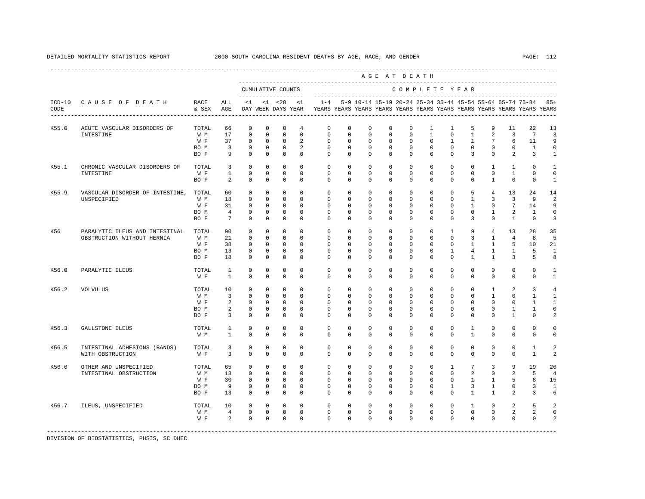|       |                                 |               |                                   |                            |                            |                            |                            |                                                                                            |                            |                                                               |                            | AGE AT DEATH               |                              |                            |                                |                              |                                |                            |                            |
|-------|---------------------------------|---------------|-----------------------------------|----------------------------|----------------------------|----------------------------|----------------------------|--------------------------------------------------------------------------------------------|----------------------------|---------------------------------------------------------------|----------------------------|----------------------------|------------------------------|----------------------------|--------------------------------|------------------------------|--------------------------------|----------------------------|----------------------------|
|       |                                 |               |                                   | CUMULATIVE COUNTS          |                            |                            |                            |                                                                                            |                            |                                                               |                            |                            |                              | COMPLETE YEAR              |                                |                              |                                |                            |                            |
| CODE  | ICD-10 CAUSE OF DEATH           | RACE<br>& SEX | ALL<br>AGE                        |                            |                            | $<1$ $<1$ $<28$            | <1                         | DAY WEEK DAYS YEAR YEARS YEARS YEARS YEARS YEARS YEARS YEARS YEARS YEARS YEARS YEARS YEARS |                            | 1-4 5-9 10-14 15-19 20-24 25-34 35-44 45-54 55-64 65-74 75-84 |                            |                            |                              |                            |                                |                              |                                |                            | $85+$                      |
| K55.0 | ACUTE VASCULAR DISORDERS OF     | TOTAL.        | 66<br>17                          | $\Omega$<br>$\mathbf 0$    | $\Omega$<br>$\Omega$       | $\Omega$<br>$\mathbf{0}$   | $\overline{4}$<br>$\Omega$ | $\Omega$                                                                                   | $\Omega$                   | $\Omega$                                                      | $\Omega$                   | $\Omega$<br>$\mathbf 0$    | $\mathbf{1}$<br>$\mathbf{1}$ | 1<br>$\circ$               | 5<br>$\mathbf{1}$              | 9<br>2                       | 11<br>$\overline{3}$           | 22<br>$7\overline{ }$      | 13                         |
|       | INTESTINE                       | W M<br>W F    | 37                                | $\mathbf 0$                | $\mathbf 0$                | $\mathbf{0}$               | 2                          | $\mathbf{0}$<br>$\mathbf 0$                                                                | $\Omega$<br>$\mathbf 0$    | $^{\circ}$<br>$\mathbf 0$                                     | $\Omega$<br>$\mathbf 0$    | $\circ$                    | $\circ$                      | $\mathbf{1}$               | $\mathbf{1}$                   | $7\overline{ }$              | 6                              | 11                         | $\overline{3}$<br>9        |
|       |                                 | BO M          | $\overline{\mathbf{3}}$           | $\mathbf 0$                | $\mathbf 0$                | $\overline{0}$             | 2                          | $\mathbf 0$                                                                                | $\mathbf 0$                | $\circ$                                                       | $\mathbf 0$                | $\mathbf 0$                | $\mathbf{0}$                 | $\circ$                    | $\mathbf 0$                    | $\mathbf 0$                  | $\mathbf 0$                    | $\mathbf{1}$               | $\mathsf 0$                |
|       |                                 | BO F          | 9                                 | $\Omega$                   | $\Omega$                   | $\Omega$                   | $\Omega$                   | $\Omega$                                                                                   | $\Omega$                   | $\Omega$                                                      | $\Omega$                   | $\Omega$                   | $\Omega$                     | $\Omega$                   | 3                              | $\Omega$                     | 2                              | 3                          | $\mathbf{1}$               |
| K55.1 | CHRONIC VASCULAR DISORDERS OF   | TOTAL         | 3                                 | $\mathbf 0$                | $\mathbf 0$                | $\mathbf{0}$               | $\mathbf{0}$               | $\mathbf 0$                                                                                | $\mathbf{0}$               | $\circ$                                                       | $\mathbf{0}$               | $\circ$                    | $\circ$                      | $\circ$                    | $\mathbf{0}$                   | $\mathbf{1}$                 | $\mathbf{1}$                   | $\circ$                    | $\mathbf{1}$               |
|       | INTESTINE                       | W F           | $\mathbf{1}$                      | $\mathbf 0$                | $\mathbf 0$                | $\mathbf{0}$               | $\mathbf 0$                | $\mathbf{0}$                                                                               | $\mathbf{0}$               | $^{\circ}$                                                    | $\mathbf{0}$               | $\circ$                    | $\mathbf{0}$                 | $\circ$                    | $^{\circ}$                     | $\circ$                      | 1                              | $\mathbf{0}$               | $\mathbf 0$                |
|       |                                 | BO F          | 2                                 | $\Omega$                   | $\Omega$                   | $\Omega$                   | $\Omega$                   | $\Omega$                                                                                   | $\Omega$                   | $\Omega$                                                      | $\Omega$                   | $\Omega$                   | $\mathbf{0}$                 | $\Omega$                   | $\mathbf{0}$                   | $\mathbf{1}$                 | $\mathbf 0$                    | $\mathbf{0}$               | $\mathbf{1}$               |
| K55.9 | VASCULAR DISORDER OF INTESTINE, | TOTAL         | 60                                | $\mathbf 0$                | $\mathbf 0$                | $\mathbf{0}$               | $\mathbf{0}$               | $\mathbf 0$                                                                                | $\mathbf 0$                | $\circ$                                                       | $\mathbf 0$                | $\circ$                    | $\circ$                      | $\circ$                    | 5                              | $\overline{4}$               | 13                             | 24                         | 14                         |
|       | UNSPECIFIED                     | W M           | 18                                | $\mathbf 0$                | $\mathbf 0$                | $\mathbf{0}$               | $\Omega$                   | $\mathbf 0$                                                                                | $\mathbf 0$                | $\mathbf 0$                                                   | $\mathbf 0$                | $\mathbf 0$                | $\mathbf{0}$                 | $\circ$                    | $\mathbf{1}$                   | 3                            | $\overline{3}$                 | 9                          | $\overline{a}$             |
|       |                                 | W F           | 31                                | $\mathbf 0$                | $^{\circ}$                 | $\circ$                    | $\mathbf 0$<br>$\Omega$    | $\mathbf{0}$<br>$\Omega$                                                                   | $\mathbf 0$                | $^{\circ}$                                                    | $\mathbf{0}$               | $\mathbf{0}$               | $\circ$                      | $\circ$                    | $\mathbf{1}$                   | $\circ$                      | $7\phantom{.0}$                | 14                         | 9                          |
|       |                                 | BO M<br>BO F  | $\overline{4}$<br>$7\overline{ }$ | $\mathbf 0$<br>$\Omega$    | $\circ$<br>$\Omega$        | $^{\circ}$<br>$\Omega$     | $\Omega$                   | $\Omega$                                                                                   | $\Omega$<br>$\Omega$       | $\mathbf 0$<br>$\Omega$                                       | $^{\circ}$<br>$\Omega$     | $\mathbf 0$<br>$\Omega$    | $\mathbf{0}$<br>$\Omega$     | $\mathbf 0$<br>$\Omega$    | $\mathbf 0$<br>3               | $\mathbf{1}$<br>$\cap$       | 2<br>$\overline{1}$            | 1<br>$\Omega$              | $\mathsf 0$<br>3           |
|       |                                 |               |                                   |                            |                            |                            |                            |                                                                                            |                            |                                                               |                            |                            |                              |                            |                                |                              |                                |                            |                            |
| K56   | PARALYTIC ILEUS AND INTESTINAL  | TOTAL         | 90                                | $\mathbf 0$                | $\mathbf 0$                | $\mathbf 0$                | $\mathbf 0$                | $\mathbf 0$                                                                                | $\mathbf 0$                | $\mathbf 0$                                                   | $\mathbf 0$                | $\mathbf 0$                | $\mathbf{0}$                 | $\mathbf{1}$               | 9                              | $\overline{4}$               | 13                             | 28                         | 35                         |
|       | OBSTRUCTION WITHOUT HERNIA      | W M           | 21                                | $\Omega$                   | $\Omega$                   | $\Omega$                   | $\Omega$                   | $\Omega$                                                                                   | $\Omega$                   | $\Omega$                                                      | $\Omega$                   | $\Omega$                   | $\Omega$                     | $\Omega$                   | 3                              | $\mathbf{1}$                 | $\overline{4}$                 | 8                          | 5                          |
|       |                                 | W F<br>BO M   | 38<br>13                          | $\mathbf 0$<br>$\mathbf 0$ | $\mathbf 0$<br>$\mathbf 0$ | $\circ$<br>$\circ$         | $\mathbf 0$<br>$\Omega$    | $\mathbf 0$<br>$\Omega$                                                                    | $\mathbf 0$<br>$\Omega$    | $\mathbf 0$<br>$\Omega$                                       | $\mathbf 0$<br>$\Omega$    | $\mathbf 0$<br>$\mathbf 0$ | $\mathbf 0$<br>$\mathbf{0}$  | $\circ$<br>$\mathbf{1}$    | $\mathbf{1}$<br>$\overline{4}$ | $\mathbf{1}$<br>$\mathbf{1}$ | 5<br>$\mathbf{1}$              | 10<br>5                    | 21<br>$\mathbf{1}$         |
|       |                                 | BO F          | 18                                | $\mathbf 0$                | $\Omega$                   | $\mathbf{0}$               | $\Omega$                   | $\Omega$                                                                                   | $\Omega$                   | $\Omega$                                                      | $\Omega$                   | $\Omega$                   | $\Omega$                     | $\Omega$                   | $\mathbf{1}$                   | $\mathbf{1}$                 | 3                              | 5                          | 8                          |
| K56.0 | PARALYTIC ILEUS                 | TOTAL         | 1                                 | $\mathbf 0$                | $\mathbf 0$                | $\mathbf 0$                | $\mathbf 0$                | $\mathbf{0}$                                                                               | $\mathbf{0}$               | $\mathbf{0}$                                                  | $\mathbf{0}$               | $\mathbf{0}$               | $\mathbf{0}$                 | $\circ$                    | $\mathbf{0}$                   | $\mathbf{0}$                 | $\mathbf{0}$                   | 0                          | 1                          |
|       |                                 | W F           | $\mathbf{1}$                      | $\mathbf 0$                | $\mathbf 0$                | $\mathbf 0$                | $\mathbf 0$                | $\Omega$                                                                                   | $\Omega$                   | $\Omega$                                                      | $\Omega$                   | $\Omega$                   | $\circ$                      | $\Omega$                   | $\mathbf{0}$                   | $\Omega$                     | $\mathbf 0$                    | $\mathbf 0$                | $\mathbf{1}$               |
| K56.2 | <b>VOLVULUS</b>                 | TOTAL         | 10                                | $\Omega$                   | $\Omega$                   | $\Omega$                   | $\Omega$                   | $\Omega$                                                                                   | $\Omega$                   | $\Omega$                                                      | $\Omega$                   | $\circ$                    | $\mathbf 0$                  | $\circ$                    | $\mathbf 0$                    | $\mathbf{1}$                 | 2                              | $\overline{3}$             | $\overline{4}$             |
|       |                                 | W M           | $\overline{3}$                    | $\mathbf 0$                | $\Omega$                   | $\Omega$                   | $\Omega$                   | $\Omega$                                                                                   | $\Omega$                   | $\Omega$                                                      | $\Omega$                   | $\Omega$                   | $\mathbf{0}$                 | $\mathbf 0$                | $\Omega$                       | $\overline{1}$               | $\Omega$                       | $\mathbf{1}$               | $\mathbf{1}$               |
|       |                                 | W F           | $\overline{a}$                    | $\mathbf 0$                | $\mathbf 0$                | $\mathbf{0}$               | $\mathbf{0}$               | $\mathbf 0$                                                                                | $\mathbf{0}$               | $\mathbf{0}$                                                  | $\Omega$                   | $\mathbf 0$                | $\mathbf{0}$                 | $\mathbf 0$                | $\mathbf 0$                    | $\Omega$                     | $\mathbf 0$                    | $\mathbf{1}$               | $\mathbf{1}$               |
|       |                                 | BO M<br>BO F  | 2<br>$\overline{3}$               | $^{\circ}$<br>$\Omega$     | $\circ$<br>$\Omega$        | $\circ$<br>$\mathbf 0$     | 0<br>$\Omega$              | $\mathbf{0}$<br>$\Omega$                                                                   | $\mathbf{0}$<br>$\Omega$   | $\mathbf{0}$<br>$\Omega$                                      | $\mathbf{0}$<br>$\Omega$   | $\circ$<br>$\Omega$        | $\mathbf{0}$<br>$\circ$      | $^{\circ}$<br>$\Omega$     | $\mathbf{0}$<br>$\mathbf 0$    | $\mathbf{0}$<br>$\Omega$     | $\mathbf{1}$<br>$\overline{1}$ | $\mathbf{1}$<br>$\Omega$   | $\mathbf 0$<br>2           |
|       |                                 |               |                                   |                            |                            |                            |                            |                                                                                            |                            |                                                               |                            |                            |                              |                            |                                |                              |                                |                            |                            |
| K56.3 | GALLSTONE ILEUS                 | TOTAL<br>W M  | $\mathbf{1}$<br>$\mathbf{1}$      | $\mathbf 0$<br>$\mathbf 0$ | $\mathbf 0$<br>$\mathbf 0$ | $\mathbf 0$<br>$\mathbf 0$ | $\mathbf 0$<br>$\mathbf 0$ | $\mathbf 0$<br>$\mathbf 0$                                                                 | $\mathbf 0$<br>$\mathbf 0$ | $\mathbf 0$<br>$\mathbf 0$                                    | $\mathbf 0$<br>$\mathbf 0$ | $\mathbf 0$<br>$\mathbf 0$ | $\mathbf{0}$<br>$\mathbf{0}$ | $\mathbf 0$<br>$\mathbf 0$ | $\mathbf{1}$<br>$\mathbf{1}$   | $\mathbf 0$<br>$\mathbf 0$   | $\mathbf 0$<br>$\mathbf 0$     | $\mathbf 0$<br>$\mathbf 0$ | $\mathbf 0$<br>$\mathsf 0$ |
|       |                                 |               |                                   |                            |                            |                            |                            |                                                                                            |                            |                                                               |                            |                            |                              |                            |                                |                              |                                |                            |                            |
| K56.5 | INTESTINAL ADHESIONS (BANDS)    | TOTAL         | 3                                 | 0                          | 0                          | $\mathbf 0$                | $\mathbf 0$                | $\mathbf 0$                                                                                | $\mathbf 0$                | $\mathbf 0$                                                   | $\mathbf 0$                | $\mathbf 0$                | $\mathbf 0$                  | $\mathbf 0$                | $\mathbf 0$                    | $\mathbf 0$                  | $\mathbf{0}$                   | 1                          | $\overline{a}$             |
|       | WITH OBSTRUCTION                | W F           | $\overline{3}$                    | $\Omega$                   | $\Omega$                   | $\Omega$                   | $\Omega$                   | $\Omega$                                                                                   | $\Omega$                   | $\Omega$                                                      | $\Omega$                   | $\Omega$                   | $\Omega$                     | $\Omega$                   | $\Omega$                       | $\Omega$                     | $\Omega$                       | $\mathbf{1}$               | $\overline{a}$             |
| K56.6 | OTHER AND UNSPECIFIED           | TOTAL         | 65                                | $\mathbf 0$                | $\mathbf 0$                | $\mathbf 0$                | $\mathbf 0$                | $\mathbf 0$                                                                                | $\mathbf 0$                | $\mathbf 0$                                                   | $\mathbf 0$                | $\mathbf 0$                | $\mathbf 0$                  | $\mathbf{1}$               | $7\phantom{.0}$                | 3                            | 9                              | 19                         | 26                         |
|       | INTESTINAL OBSTRUCTION          | W M           | 13                                | $\Omega$                   | $\Omega$                   | $\Omega$                   | $\Omega$                   | $\Omega$                                                                                   | $\Omega$                   | $\circ$                                                       | $\Omega$                   | $\circ$                    | $\circ$                      | $\circ$                    | $\overline{2}$                 | $\Omega$                     | 2                              | 5                          | $\overline{4}$             |
|       |                                 | W F           | 30                                | $\mathbf 0$                | $\mathbf 0$                | $\overline{0}$             | $^{\circ}$                 | $\mathbf 0$                                                                                | $\mathbf 0$                | $\circ$                                                       | $\circ$                    | $\circ$                    | $\mathbf 0$                  | $\mathbf 0$                | $\mathbf{1}$                   | $\mathbf{1}$                 | 5                              | 8                          | 15                         |
|       |                                 | BO M          | 9                                 | $\mathbf 0$                | $\mathbf 0$                | $^{\circ}$                 | $\mathbf 0$                | $\mathbf 0$                                                                                | $\mathbf 0$                | $^{\circ}$                                                    | $\mathbf 0$                | $\mathbf 0$                | $\mathbf 0$                  | $\mathbf{1}$               | 3                              | 1                            | $\mathbf 0$                    | 3                          | $\mathbf{1}$               |
|       |                                 | BO F          | 13                                | $\mathbf 0$                | $\mathbf 0$                | $\circ$                    | $\Omega$                   | $\Omega$                                                                                   | $\Omega$                   | $\Omega$                                                      | $\Omega$                   | $\Omega$                   | $\mathbf{0}$                 | $\Omega$                   | $\mathbf{1}$                   | $\mathbf{1}$                 | $\mathfrak{D}$                 | 3                          | 6                          |
| K56.7 | ILEUS, UNSPECIFIED              | TOTAL         | 10                                | $\mathbf 0$                | $\overline{0}$             | $\overline{0}$             | $^{\circ}$                 | $\mathbf 0$                                                                                | $\mathbf 0$                | $\mathbf 0$                                                   | $\mathbf 0$                | $\circ$                    | $\mathbf{0}$                 | $\circ$                    | $\mathbf{1}$                   | $\mathbf 0$                  | 2                              | 5                          | $\overline{a}$             |
|       |                                 | W M           | $\overline{4}$                    | $\mathbf 0$                | $\mathbf 0$                | $\overline{0}$             | $\mathbf 0$                | $\mathbf 0$                                                                                | 0                          | $\mathbf 0$                                                   | 0                          | $\mathbf 0$                | $\mathbf 0$                  | $\circ$                    | $\circ$                        | $\mathbf 0$                  | 2                              | 2                          | $\mathbf 0$                |
|       |                                 | W F           | 2                                 | $\Omega$                   | $\Omega$                   | $\mathbf 0$                | $\Omega$                   | $\Omega$                                                                                   | $\Omega$                   | $\Omega$                                                      | $\Omega$                   | $\Omega$                   | $\mathbf 0$                  | $\Omega$                   | $\mathbf 0$                    | $\Omega$                     | $\mathbf 0$                    | $\mathbf 0$                | $\overline{\mathbf{c}}$    |
|       |                                 |               |                                   |                            |                            |                            |                            |                                                                                            |                            |                                                               |                            |                            |                              |                            |                                |                              |                                |                            |                            |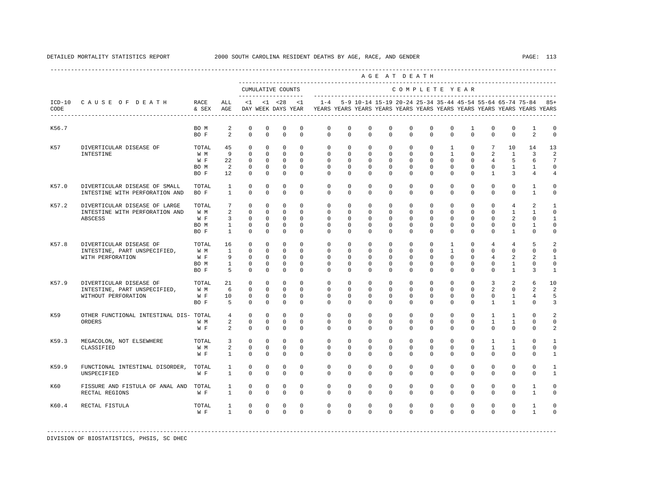|       |                                                                 |                   |                              |                     |                         |                         |                         |                                                                                            |                         |                     |                         | AGE AT DEATH             |                         |                         |                         |                         |                          |                                                                   |                |
|-------|-----------------------------------------------------------------|-------------------|------------------------------|---------------------|-------------------------|-------------------------|-------------------------|--------------------------------------------------------------------------------------------|-------------------------|---------------------|-------------------------|--------------------------|-------------------------|-------------------------|-------------------------|-------------------------|--------------------------|-------------------------------------------------------------------|----------------|
|       |                                                                 |                   |                              |                     |                         | CUMULATIVE COUNTS       |                         |                                                                                            |                         |                     |                         | COMPLETE YEAR            |                         |                         |                         |                         |                          |                                                                   |                |
| CODE  | ICD-10 CAUSE OF DEATH<br>-------------------------------------- | RACE<br>& SEX AGE | ALL.                         |                     |                         |                         | $<1$ $<1$ $<28$ $<1$    | DAY WEEK DAYS YEAR YEARS YEARS YEARS YEARS YEARS YEARS YEARS YEARS YEARS YEARS YEARS YEARS |                         |                     |                         |                          |                         |                         |                         |                         |                          | 1-4 5-9 10-14 15-19 20-24 25-34 35-44 45-54 55-64 65-74 75-84 85+ |                |
| K56.7 |                                                                 | BO M              | 2                            | $^{\circ}$          | $^{\circ}$              | $\mathbf{0}$            | $\mathbf 0$             | $\mathbf{0}$                                                                               | $\Omega$                | $\Omega$            | $\Omega$                | $\Omega$                 | $\Omega$                | $\mathbf 0$             | $\mathbf{1}$            | $\mathbf 0$             | $\Omega$                 | $\mathbf{1}$                                                      | $\mathbf 0$    |
|       |                                                                 | BO F              | $\overline{2}$               | $\Omega$            | $\Omega$                | $\Omega$                | $\Omega$                | $\Omega$                                                                                   | $\Omega$                | $\Omega$            | $\Omega$                | $\Omega$                 | $\Omega$                | $\Omega$                | $\Omega$                | $\Omega$                | $\Omega$                 | $\mathfrak{D}$                                                    | $\Omega$       |
| K57   | DIVERTICULAR DISEASE OF                                         | TOTAL             | 45                           | $\Omega$            | $\Omega$                | $\Omega$                | $\Omega$                | $\Omega$                                                                                   | $\Omega$                | $\Omega$            | $\Omega$                | $\Omega$                 | $\Omega$                | $\mathbf{1}$            | $\Omega$                |                         | 7<br>10                  | 14                                                                | 13             |
|       | INTESTINE                                                       | W M               | $\overline{9}$               | $\Omega$            | $\Omega$                | $\Omega$                | $\Omega$                | $\Omega$                                                                                   | $\Omega$                | $\Omega$            | $\Omega$                | $\Omega$                 | $\Omega$                | $\overline{1}$          | $\Omega$                | $\overline{2}$          | $\overline{1}$           | $\mathbf{3}$                                                      | $\mathfrak{D}$ |
|       |                                                                 | W F               | 22                           | $\Omega$            | $\Omega$                | $\Omega$                | $\Omega$                | $\Omega$                                                                                   | $\Omega$                | $\Omega$            | $\Omega$                | $\Omega$                 | $\Omega$                | $\Omega$                | $\Omega$                | $\overline{4}$          | 5                        | 6                                                                 | 7              |
|       |                                                                 | BO M              | $\overline{2}$               | $\Omega$            | $\Omega$                | $\circ$                 | $\Omega$                | $\Omega$                                                                                   | $\Omega$                | $\Omega$            | $\Omega$                | $\Omega$                 | $\Omega$                | $\Omega$                | $\Omega$                | $\Omega$                | $\mathbf{1}$             | $\mathbf{1}$                                                      | $\Omega$       |
|       |                                                                 | BO F              | 12                           | $\circ$             | $\mathbf 0$             | $\mathbf 0$             | $\Omega$                | $\Omega$                                                                                   | $\Omega$                | $\Omega$            | $\Omega$                | $\Omega$                 | $\circ$                 | $\Omega$                | $\mathbf{0}$            | $\mathbf{1}$            | $\overline{3}$           | $\overline{4}$                                                    | $\overline{4}$ |
| K57.0 | DIVERTICULAR DISEASE OF SMALL                                   | TOTAL 1           |                              | $\Omega$            | $\Omega$                | $\Omega$                | $\Omega$                | $\Omega$                                                                                   | $\Omega$                | $\Omega$            | $\Omega$                | $\Omega$                 | $\Omega$                | $\Omega$                | $\Omega$                | $\Omega$                | $\Omega$                 | $\overline{1}$                                                    | $\Omega$       |
|       | INTESTINE WITH PERFORATION AND                                  | $BOF$ 1           |                              | $\Omega$            | $\Omega$                | $\Omega$                | $\Omega$                | $\Omega$                                                                                   | $\Omega$                | $\Omega$            | $\Omega$                | $\Omega$                 | $\Omega$                | $\Omega$                | $\Omega$                | $\Omega$                | $\Omega$                 | $\mathbf{1}$                                                      | $\circ$        |
| K57.2 | DIVERTICULAR DISEASE OF LARGE                                   | TOTAL             | 7 <sup>7</sup>               | $\Omega$            | $\mathbf 0$             | $\mathbf 0$             | $\Omega$                | $\circ$                                                                                    | $\circ$                 | $\mathbf{0}$        | $\mathbf 0$             | $\circ$                  | $\circ$                 | $\circ$                 | $\mathbf{0}$            | $\circ$                 | $\overline{4}$           | $\overline{a}$                                                    | $\mathbf{1}$   |
|       | INTESTINE WITH PERFORATION AND                                  | W M               | 2                            | $\Omega$            | $\Omega$                | $\Omega$                | $\Omega$                | $\Omega$                                                                                   | $\Omega$                | $\Omega$            | $\Omega$                | $\Omega$                 | $\Omega$                | $\Omega$                | $\Omega$                | $\Omega$                | $\overline{1}$           | $\mathbf{1}$                                                      | $\Omega$       |
|       | <b>ABSCESS</b>                                                  | W F               | $\overline{3}$               | $\Omega$            | $\Omega$                | $\Omega$                | $\Omega$                | $\Omega$                                                                                   | $\Omega$                | $\Omega$            | $\Omega$                | $\Omega$                 | $\Omega$                | $\Omega$                | $\Omega$                | $\Omega$                | $\overline{2}$           | $\Omega$                                                          | $\mathbf{1}$   |
|       |                                                                 | BO M              | $\sim$ 1                     | $\overline{0}$      | $\mathbf{0}$            | $\mathbf 0$             | $\circ$                 | $\circ$                                                                                    | $\mathbf 0$             | $\mathbf 0$         | $\mathbf 0$             | $\mathbf{0}$             | $\mathbf{0}$            | $\mathbf 0$             | $\mathbf{0}$            | $\mathbf 0$             | $\mathbf{0}$             | $\mathbf{1}$                                                      | $\Omega$       |
|       |                                                                 | BO F              | $\overline{1}$               | $\Omega$            | $\Omega$                | $\Omega$                | $\Omega$                | $\Omega$                                                                                   | $\Omega$                | $\Omega$            | $\Omega$                | $\Omega$                 | $\Omega$                | $\Omega$                | $\Omega$                | $\Omega$                | $\mathbf{1}$             | $\Omega$                                                          | $\Omega$       |
|       |                                                                 |                   |                              |                     |                         |                         |                         |                                                                                            |                         |                     |                         |                          |                         |                         |                         |                         |                          |                                                                   |                |
| K57.8 | DIVERTICULAR DISEASE OF                                         | TOTAL             | 16                           | $\Omega$            | $\Omega$                | $\Omega$                | $\Omega$                | $\Omega$                                                                                   | $\Omega$                | $\Omega$            | $\Omega$                | $\Omega$                 | $\Omega$                | $\mathbf{1}$            | $\Omega$                | $\overline{4}$          | $\overline{4}$           | 5                                                                 | $\mathfrak{D}$ |
|       | INTESTINE, PART UNSPECIFIED,                                    | W M               | $\overline{1}$               | $\Omega$            | $\mathbf 0$             | $\mathbf{0}$            | $\Omega$                | $\Omega$                                                                                   | $\Omega$                | $\Omega$            | $\Omega$                | $\Omega$                 | $\Omega$                | $\mathbf{1}$            | $\Omega$                | $\Omega$                | $\Omega$                 | $\Omega$                                                          | $\Omega$       |
|       | WITH PERFORATION                                                | W F               | - 9                          | $\mathbf{0}$        | $^{\circ}$              | $\circ$                 | $\Omega$                | $\circ$                                                                                    | $\Omega$                | $\Omega$            | $\Omega$                | $\Omega$                 | $\Omega$                | $\Omega$                | $\Omega$                | $\overline{4}$          | 2                        | 2                                                                 | 1              |
|       |                                                                 | BO M              | $1 \qquad \qquad$            | $\circ$             | $\mathbf 0$             | $\mathbf 0$             | $\mathbf{0}$            | $\circ$                                                                                    | $\Omega$                | $^{\circ}$          | $\mathbf 0$             | $\mathbf{0}$             | $\mathbf 0$             | $\mathbf{0}$            | $\mathbf{0}$            | $\mathbf 0$             | $\mathbf{1}$             | $\mathbf 0$                                                       | $\Omega$       |
|       |                                                                 | BO F              | 5                            | $\Omega$            | $\Omega$                | $\mathbf 0$             | $\Omega$                | $\Omega$                                                                                   | $\Omega$                | $\Omega$            | $\Omega$                | $\Omega$                 | $\mathbf 0$             | $\Omega$                | $\Omega$                | $\Omega$                | $\mathbf{1}$             | 3                                                                 | $\mathbf{1}$   |
| K57.9 | DIVERTICULAR DISEASE OF                                         | TOTAL             | 21                           | $\Omega$            | $\Omega$                | $\Omega$                | $\Omega$                | $\Omega$                                                                                   | $\Omega$                | $\Omega$            | $\Omega$                | $\Omega$                 | $\Omega$                | $\Omega$                | $\Omega$                | $\mathcal{E}$           | $\overline{2}$           | 6                                                                 | 10             |
|       | INTESTINE, PART UNSPECIFIED,                                    | W M               | 6                            | $\Omega$            | $\Omega$                | $\Omega$                | $\Omega$                | $\Omega$                                                                                   | $\cap$                  | $\Omega$            | $\Omega$                | $\Omega$                 | $\Omega$                | $\Omega$                | $\Omega$                | $\overline{2}$          | $\Omega$                 | $\overline{a}$                                                    | $\mathfrak{D}$ |
|       | WITHOUT PERFORATION                                             | W F               | 10                           | $\mathbf{0}$        | $\mathbf 0$             | $\mathbb O$             | $\mathbf 0$             | $\circ$                                                                                    | $\mathbf 0$             | $\mathbf{0}$        | $\mathbf 0$             | $\mathbf{0}$             | $\mathbf 0$             | $\mathbf 0$             | $\mathbf 0$             | $\mathbf 0$             | $\mathbf{1}$             | $\overline{4}$                                                    | 5              |
|       |                                                                 | BO F              | 5 <sup>5</sup>               | $\circ$             | $\mathbf 0$             | $\circ$                 | $\Omega$                | $\Omega$                                                                                   | $\mathbf 0$             | $\Omega$            | $\mathbf 0$             | $\Omega$                 | $\mathbf 0$             | $\Omega$                | $\mathbf 0$             | $\mathbf{1}$            | $\mathbf{1}$             | $\mathbf 0$                                                       | 3              |
| K59   | OTHER FUNCTIONAL INTESTINAL DIS- TOTAL 4                        |                   |                              | $\Omega$            | $\Omega$                | $\mathbf 0$             | $\Omega$                | $\Omega$                                                                                   | $\Omega$                | $\Omega$            | $\Omega$                | $\Omega$                 | $\Omega$                | $\Omega$                | $\Omega$                | $\overline{1}$          | $\mathbf{1}$             | $\Omega$                                                          | 2              |
|       | ORDERS                                                          | W M               | $\overline{a}$               | $\Omega$            | $\Omega$                | $\Omega$                | $\Omega$                | $\Omega$                                                                                   | $\Omega$                | $\Omega$            | $\Omega$                | $\Omega$                 | $\Omega$                | $\Omega$                | $\Omega$                | $\mathbf{1}$            | $\mathbf{1}$             | $\Omega$                                                          | $\Omega$       |
|       |                                                                 | W F               | $\overline{a}$               | $\Omega$            | $\Omega$                | $\Omega$                | $\Omega$                | $\Omega$                                                                                   | $\Omega$                | $\Omega$            | $\Omega$                | $\Omega$                 | $\Omega$                | $\Omega$                | $\Omega$                | $\Omega$                | $\Omega$                 | $\Omega$                                                          | 2              |
| K59.3 | MEGACOLON, NOT ELSEWHERE                                        | TOTAL             | $\overline{3}$               | $\Omega$            | $\Omega$                | $\Omega$                | $\Omega$                | $\Omega$                                                                                   | $\Omega$                | $\Omega$            | $\Omega$                | $\Omega$                 | $\Omega$                | $\Omega$                | $\Omega$                | $\overline{1}$          | $\mathbf{1}$             | $\Omega$                                                          | $\mathbf{1}$   |
|       | CLASSIFIED                                                      | W M               | $2^{\circ}$                  | $\circ$             | $\mathbf 0$             | $\mathbf 0$             | $\mathbf{0}$            | $\circ$                                                                                    | $\mathbf 0$             | $\circ$             | $\mathbf 0$             | $\mathbf{0}$             | $\mathbf{0}$            | $\mathbf{0}$            | $\mathbf{0}$            | $\mathbf{1}$            | $\mathbf{1}$             | $\mathbf 0$                                                       | $\Omega$       |
|       |                                                                 | W F               | $1 \qquad \qquad$            | $\Omega$            | $\Omega$                | $\Omega$                | $\Omega$                | $\Omega$                                                                                   | $\Omega$                | $\Omega$            | $\Omega$                | $\Omega$                 | $\Omega$                | $\Omega$                | $\Omega$                | $\Omega$                | $\Omega$                 | $\Omega$                                                          | $\mathbf{1}$   |
|       |                                                                 |                   |                              |                     |                         |                         |                         |                                                                                            |                         |                     |                         |                          |                         |                         |                         |                         |                          |                                                                   | $\mathbf{1}$   |
| K59.9 | FUNCTIONAL INTESTINAL DISORDER, TOTAL<br>UNSPECIFIED            | $W$ F             | $\mathbf{1}$<br>$\mathbf{1}$ | $\circ$<br>$\Omega$ | $\mathbf 0$<br>$\Omega$ | $\mathbf 0$<br>$\Omega$ | $\mathbf 0$<br>$\Omega$ | $\circ$<br>$\Omega$                                                                        | $\mathbf 0$<br>$\Omega$ | $\circ$<br>$\Omega$ | $\mathbf 0$<br>$\Omega$ | $\mathbf{0}$<br>$\Omega$ | $\mathbf 0$<br>$\Omega$ | $\mathbf 0$<br>$\Omega$ | $\mathbf 0$<br>$\Omega$ | $\mathbf 0$<br>$\Omega$ | $\mathbf{0}$<br>$\Omega$ | $\mathbf 0$<br>$\Omega$                                           | $\mathbf{1}$   |
|       |                                                                 |                   |                              |                     |                         |                         |                         |                                                                                            |                         |                     |                         |                          |                         |                         |                         |                         |                          |                                                                   |                |
| K60   | FISSURE AND FISTULA OF ANAL AND TOTAL                           |                   | $\mathbf{1}$                 | $\mathbf 0$         | $\mathbf 0$             | $\mathbf 0$             | $\mathbf 0$             | $\circ$                                                                                    | $\mathbf 0$             | $^{\circ}$          | $\mathbf 0$             | $\mathbf 0$              | $\mathbf 0$             | $\mathbf 0$             | $\mathbf 0$             | $\mathbf 0$             | $\mathbf{0}$             | $\mathbf{1}$                                                      | $\mathbf 0$    |
|       | RECTAL REGIONS                                                  | W F               | $\overline{1}$               | $\Omega$            | $\Omega$                | $\Omega$                | $\Omega$                | $\Omega$                                                                                   | $\Omega$                | $\Omega$            | $\Omega$                | $\Omega$                 | $\Omega$                | $\Omega$                | $\Omega$                | $\Omega$                | $\Omega$                 | $\mathbf{1}$                                                      | $\Omega$       |
| K60.4 | RECTAL FISTULA                                                  | TOTAL             | $1 \quad \blacksquare$       | $\circ$             | $^{\circ}$              | $\circ$                 | $\Omega$                | $\circ$                                                                                    | $\mathbf 0$             | $\Omega$            | $\Omega$                | $\Omega$                 | $\mathbf 0$             | $\Omega$                | $\mathbf 0$             | $\mathbf 0$             | $\mathbf 0$              | 1                                                                 |                |
|       |                                                                 | W F               | $\mathbf{1}$                 | $\Omega$            | $\Omega$                | $\overline{0}$          | $\Omega$                | $\Omega$                                                                                   | $\Omega$                | $\Omega$            | $\Omega$                | $\Omega$                 | $\Omega$                | $\Omega$                | $\Omega$                | $\Omega$                | $\Omega$                 | $\mathbf{1}$                                                      | $\cap$         |
|       |                                                                 |                   |                              |                     |                         |                         |                         |                                                                                            |                         |                     |                         |                          |                         |                         |                         |                         |                          |                                                                   |                |
|       |                                                                 |                   |                              |                     |                         |                         |                         |                                                                                            |                         |                     |                         |                          |                         |                         |                         |                         |                          |                                                                   |                |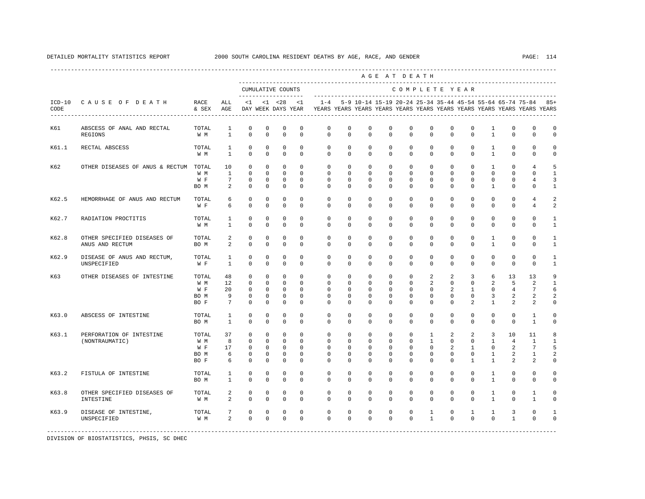|                                                | RACE<br>& SEX                       | ALL<br>AGE                      |                                                                         |                                                                           |                                                                           | <1                                                               |                                                                   |                                                                 |                                                                                                                                                                                                                                                                                                                                                                                                                             |                                                                   |                                                                                                                                                                                                                                                                                                                            |                                          |                            |                                                    |                                                                                                                                                                                                                |                                                                                                                                                                                                                                                                                                                                                                                                      |                                                                                                                                               |
|------------------------------------------------|-------------------------------------|---------------------------------|-------------------------------------------------------------------------|---------------------------------------------------------------------------|---------------------------------------------------------------------------|------------------------------------------------------------------|-------------------------------------------------------------------|-----------------------------------------------------------------|-----------------------------------------------------------------------------------------------------------------------------------------------------------------------------------------------------------------------------------------------------------------------------------------------------------------------------------------------------------------------------------------------------------------------------|-------------------------------------------------------------------|----------------------------------------------------------------------------------------------------------------------------------------------------------------------------------------------------------------------------------------------------------------------------------------------------------------------------|------------------------------------------|----------------------------|----------------------------------------------------|----------------------------------------------------------------------------------------------------------------------------------------------------------------------------------------------------------------|------------------------------------------------------------------------------------------------------------------------------------------------------------------------------------------------------------------------------------------------------------------------------------------------------------------------------------------------------------------------------------------------------|-----------------------------------------------------------------------------------------------------------------------------------------------|
| ABSCESS OF ANAL AND RECTAL<br>REGIONS          | TOTAL<br>W M                        | $\mathbf{1}$<br>$\mathbf{1}$    | $\mathbf 0$<br>$\Omega$                                                 | $\mathbf 0$<br>$\Omega$                                                   | $\mathbf 0$<br>$\Omega$                                                   | $^{\circ}$<br>$\Omega$                                           | $\mathbf 0$<br>$\Omega$                                           | $\mathbf 0$<br>$\Omega$                                         |                                                                                                                                                                                                                                                                                                                                                                                                                             | $\mathbf{0}$<br>$\Omega$                                          | $\mathbf 0$<br>$\Omega$                                                                                                                                                                                                                                                                                                    | $\mathbf 0$<br>$\Omega$                  | $\mathbf 0$                |                                                    | $\mathbf{0}$<br>$\Omega$                                                                                                                                                                                       | $\mathbf 0$<br>$\Omega$                                                                                                                                                                                                                                                                                                                                                                              | $\mathbf 0$<br>$\Omega$                                                                                                                       |
| RECTAL ABSCESS                                 | TOTAL<br>W M                        | $\mathbf{1}$<br>1               | $\mathbf 0$<br>$\mathbf 0$                                              | $\mathbf{0}$<br>$\mathbf 0$                                               | $\mathbf 0$<br>$\mathbf 0$                                                | $\circ$<br>$^{\circ}$                                            | $\circ$<br>$\mathbf{0}$                                           | $\mathbf 0$                                                     |                                                                                                                                                                                                                                                                                                                                                                                                                             | $\mathbf{0}$<br>$\mathbf 0$                                       | $\mathbf 0$<br>$\Omega$                                                                                                                                                                                                                                                                                                    | $\Omega$                                 |                            |                                                    | $\mathbf 0$<br>0                                                                                                                                                                                               | $\mathbf 0$<br>$\mathbf 0$                                                                                                                                                                                                                                                                                                                                                                           | 0<br>$\Omega$                                                                                                                                 |
|                                                | TOTAL<br>W M<br>W F<br>BO M         | 10<br>$\mathbf{1}$<br>7<br>2    | $\mathbf 0$<br>$\mathbf 0$<br>0<br>$\mathbf 0$                          | $\Omega$<br>$\mathbf{0}$<br>0<br>$\mathbf 0$                              | $\mathbf 0$<br>$\mathbf{0}$<br>0<br>0                                     | $\Omega$<br>$\Omega$<br>0<br>0                                   | $\Omega$<br>$\circ$<br>0<br>$\Omega$                              | $\mathbf 0$<br>$\mathbf 0$<br>$^{\circ}$<br>$\Omega$            |                                                                                                                                                                                                                                                                                                                                                                                                                             | $\mathbf 0$<br>$\mathbf 0$<br>0<br>$\Omega$                       | $\Omega$<br>$\Omega$<br>$\mathbf 0$<br>0                                                                                                                                                                                                                                                                                   | $\mathbf 0$<br>0<br>$\Omega$             | $^{\circ}$<br>$^{\circ}$   |                                                    | $\Omega$<br>$\mathbf{0}$<br>0<br>0                                                                                                                                                                             | $\overline{4}$<br>$\Omega$<br>$\overline{4}$<br>$\mathbf 0$                                                                                                                                                                                                                                                                                                                                          | 5<br>$\mathbf{1}$<br>3<br>1                                                                                                                   |
| HEMORRHAGE OF ANUS AND RECTUM                  | TOTAL<br>W F                        | 6<br>6                          | $\mathbf 0$<br>$\mathbf 0$                                              | $\mathbf 0$<br>$\mathbf 0$                                                | $\mathbf 0$<br>$\mathbf 0$                                                | $\mathbf 0$<br>$\mathbf 0$                                       | $\mathbf 0$<br>$\mathbf 0$                                        | $\mathbf 0$<br>0                                                |                                                                                                                                                                                                                                                                                                                                                                                                                             | $\mathbf 0$<br>$\mathbf 0$                                        | $\mathbf 0$<br>$\mathbf 0$                                                                                                                                                                                                                                                                                                 | $\mathbf 0$<br>$\Omega$                  | $\mathbf 0$<br>$\mathbf 0$ |                                                    | $\mathbf 0$<br>$\mathbf{0}$                                                                                                                                                                                    | $\overline{4}$<br>$\overline{4}$                                                                                                                                                                                                                                                                                                                                                                     | 2<br>2                                                                                                                                        |
| RADIATION PROCTITIS                            | TOTAL<br>W M                        | 1<br>$\mathbf{1}$               | $\mathbf 0$<br>$\mathbf 0$                                              | $\mathbf 0$<br>$\mathbf 0$                                                | $\mathbf 0$<br>$\mathbf 0$                                                | $\mathbf 0$<br>$\mathbf 0$                                       | $\mathbf 0$<br>$\mathbf 0$                                        | $\mathbf 0$<br>0                                                |                                                                                                                                                                                                                                                                                                                                                                                                                             | $\mathbf{0}$<br>$\mathbf 0$                                       | $\mathbf 0$<br>$\mathbf 0$                                                                                                                                                                                                                                                                                                 | $\mathbf 0$<br>$\mathbf 0$               | $\mathbf 0$<br>0           |                                                    | $\mathbf{0}$<br>$\mathbf 0$                                                                                                                                                                                    | $\mathbf 0$<br>$\mathbf 0$                                                                                                                                                                                                                                                                                                                                                                           | $\mathbf{1}$<br>$\mathbf{1}$                                                                                                                  |
| OTHER SPECIFIED DISEASES OF<br>ANUS AND RECTUM | TOTAL<br>BO M                       | 2<br>2                          | $\mathbf 0$<br>$\mathbf 0$                                              | $\mathbf 0$<br>$\mathbf 0$                                                | $\mathbf 0$<br>$\mathbf 0$                                                | $\Omega$<br>$\Omega$                                             | $\Omega$<br>$\Omega$                                              | $\Omega$<br>$\Omega$                                            |                                                                                                                                                                                                                                                                                                                                                                                                                             | $\Omega$<br>$\Omega$                                              | $\Omega$<br>$\Omega$                                                                                                                                                                                                                                                                                                       | $\Omega$<br>$\Omega$                     | $\Omega$<br>$\mathbf 0$    |                                                    | $\Omega$<br>$\mathbf{0}$                                                                                                                                                                                       | $\Omega$<br>$\Omega$                                                                                                                                                                                                                                                                                                                                                                                 | $\mathbf{1}$<br>$\mathbf{1}$                                                                                                                  |
| DISEASE OF ANUS AND RECTUM,<br>UNSPECIFIED     | TOTAL<br>W F                        | $\mathbf{1}$<br>1               | $\mathbf 0$<br>$\mathbf 0$                                              | $\mathbf 0$<br>$\mathbf 0$                                                | $\mathbf 0$<br>$\mathbf 0$                                                | $^{\circ}$<br>$\Omega$                                           | $\mathbf 0$<br>$\mathbf 0$                                        | $\mathbf 0$<br>0                                                |                                                                                                                                                                                                                                                                                                                                                                                                                             | $\mathbf{0}$<br>0                                                 | $\mathbf 0$<br>$\Omega$                                                                                                                                                                                                                                                                                                    | $\mathbf 0$<br>$\Omega$                  | $\mathbf 0$<br>0           |                                                    | $\mathbf{0}$<br>$\mathbf{0}$                                                                                                                                                                                   | $\Omega$<br>0                                                                                                                                                                                                                                                                                                                                                                                        | $\mathbf{1}$<br>1                                                                                                                             |
| OTHER DISEASES OF INTESTINE                    | TOTAL<br>W M<br>W F<br>BO M<br>BO F | 48<br>12<br>20<br>9<br>7        | $\mathbf 0$<br>$\mathbf 0$<br>$\mathbf 0$<br>$\mathbf 0$<br>$\mathbf 0$ | $\mathbf 0$<br>$\mathbf{0}$<br>$^{\circ}$<br>0<br>$\mathbf 0$             | $\mathbf 0$<br>$\Omega$<br>$^{\circ}$<br>$\mathbf 0$<br>$\mathbf 0$       | $\mathbf 0$<br>$\Omega$<br>$^{\circ}$<br>$^{\circ}$<br>$\Omega$  | $\circ$<br>$\Omega$<br>$\circ$<br>0<br>$\Omega$                   | $\mathbf 0$<br>$\Omega$<br>$^{\circ}$<br>$^{\circ}$<br>$\Omega$ |                                                                                                                                                                                                                                                                                                                                                                                                                             | $\mathbf 0$<br>$\Omega$<br>0<br>0<br>$\Omega$                     | 2<br>$\mathfrak{D}$<br>$\mathbf{0}$<br>$\Omega$<br>$\Omega$                                                                                                                                                                                                                                                                | 2<br>$\Omega$<br>$\Omega$<br>$\Omega$    | $\mathbf 0$                |                                                    | 13<br>5<br>4<br>2<br>2                                                                                                                                                                                         | 13<br>$\mathfrak{D}$<br>7<br>2<br>2                                                                                                                                                                                                                                                                                                                                                                  | 9<br>$\mathbf{1}$<br>6<br>2<br>$\cap$                                                                                                         |
| ABSCESS OF INTESTINE                           | TOTAL<br>BO M                       | 1<br>$\mathbf{1}$               | $\mathbf 0$<br>$\Omega$                                                 | $\mathbf 0$<br>$\Omega$                                                   | $\mathbf 0$<br>$\Omega$                                                   | $\Omega$<br>$\Omega$                                             | $\mathbf 0$<br>$\Omega$                                           | $\Omega$<br>$\Omega$                                            |                                                                                                                                                                                                                                                                                                                                                                                                                             | $\Omega$<br>$\Omega$                                              | $\Omega$<br>$\Omega$                                                                                                                                                                                                                                                                                                       | $\Omega$<br>$\Omega$                     | $\Omega$<br>$\Omega$       |                                                    | $\Omega$<br>$\Omega$                                                                                                                                                                                           | $\mathbf{1}$<br>$\mathbf{1}$                                                                                                                                                                                                                                                                                                                                                                         | $\Omega$<br>$\Omega$                                                                                                                          |
| PERFORATION OF INTESTINE<br>(NONTRAUMATIC)     | TOTAL<br>W M<br>W F<br>BO M<br>BO F | 37<br>8<br>17<br>6<br>6         | $\circ$<br>$\mathbf 0$<br>$\mathbf 0$<br>$\mathbf 0$<br>$\mathbf 0$     | $\mathbf{0}$<br>$\mathbf{0}$<br>$\mathbf 0$<br>$\mathbf 0$<br>$\mathsf 0$ | $\mathbf{0}$<br>$\mathbf{0}$<br>$\mathbf 0$<br>$\mathbf 0$<br>$\mathbb O$ | $\mathbf 0$<br>$\Omega$<br>$^{\circ}$<br>$\Omega$<br>$\mathbf 0$ | $\circ$<br>$\mathbf 0$<br>$\mathbf{0}$<br>$\Omega$<br>$\mathbf 0$ | $\mathbf 0$<br>$^{\circ}$<br>$\Omega$<br>$\Omega$<br>0          |                                                                                                                                                                                                                                                                                                                                                                                                                             | $\mathbf 0$<br>$\mathbf 0$<br>$\Omega$<br>$\Omega$<br>$\mathbf 0$ | $\Omega$<br>$\Omega$<br>$\mathbf 0$                                                                                                                                                                                                                                                                                        | $\Omega$<br>2<br>$\Omega$<br>$\mathbf 0$ | $\Omega$<br>1              |                                                    | 10<br>$\overline{4}$<br>2<br>2                                                                                                                                                                                 | 11<br>1<br>7<br>1<br>2                                                                                                                                                                                                                                                                                                                                                                               | 8<br>$\mathbf{1}$<br>5<br>2<br>$\Omega$                                                                                                       |
| FISTULA OF INTESTINE                           | TOTAL<br>BO M                       | $\mathbf{1}$<br>$\mathbf{1}$    | $\mathbf 0$<br>$\mathbf 0$                                              | $\mathbf 0$<br>$\mathbf 0$                                                | $\mathbf 0$<br>$\mathbf 0$                                                | $^{\circ}$<br>$\mathbf 0$                                        | $\mathbf 0$<br>$\Omega$                                           | $\mathbf 0$<br>$\mathbf 0$                                      |                                                                                                                                                                                                                                                                                                                                                                                                                             | $\mathbf 0$<br>$\mathbf{0}$                                       | $\mathbf 0$<br>$\Omega$                                                                                                                                                                                                                                                                                                    | $\mathbf 0$<br>$\Omega$                  | $\mathbf 0$<br>0           |                                                    | $\mathbf{0}$<br>$\mathbf 0$                                                                                                                                                                                    | $\mathbf{0}$<br>$\Omega$                                                                                                                                                                                                                                                                                                                                                                             | $\Omega$<br>$\Omega$                                                                                                                          |
| OTHER SPECIFIED DISEASES OF<br>INTESTINE       | TOTAL<br>W M                        | 2<br>2                          | $\mathbf 0$<br>$\mathbb O$                                              | $\mathbf 0$<br>$\mathsf 0$                                                | $\mathbf 0$<br>$\mathbb O$                                                | $\mathbf{0}$<br>$\mathbf 0$                                      | $\mathbf 0$<br>$\circ$                                            | $\mathbf 0$<br>$\mathbf 0$                                      |                                                                                                                                                                                                                                                                                                                                                                                                                             | $\mathbf{0}$<br>$\mathbf 0$                                       | $\mathbf 0$<br>$\Omega$                                                                                                                                                                                                                                                                                                    | $\circ$<br>$\mathbf 0$                   | $\mathbf 0$<br>$\mathbf 0$ |                                                    | $\mathbf{0}$<br>$\mathbf 0$                                                                                                                                                                                    | $\mathbf{1}$<br>$\mathbf{1}$                                                                                                                                                                                                                                                                                                                                                                         | $\Omega$<br>$\Omega$                                                                                                                          |
| DISEASE OF INTESTINE,<br>UNSPECIFIED           | TOTAL<br>W M                        | 7<br>2                          | $\mathbf 0$<br>$\Omega$                                                 | $\mathbf 0$<br>$\Omega$                                                   | $\mathbf 0$<br>$\mathbf 0$                                                | $\mathbf 0$<br>$\Omega$                                          | 0<br>$\Omega$                                                     | 0<br>$\Omega$                                                   |                                                                                                                                                                                                                                                                                                                                                                                                                             | 0<br>$\Omega$                                                     | 1<br>$\mathbf{1}$                                                                                                                                                                                                                                                                                                          | $\mathbf 0$<br>$\Omega$                  |                            |                                                    | 3<br>$\mathbf{1}$                                                                                                                                                                                              | 0<br>$\Omega$                                                                                                                                                                                                                                                                                                                                                                                        | $\Omega$                                                                                                                                      |
|                                                | CAUSE OF DEATH                      | OTHER DISEASES OF ANUS & RECTUM |                                                                         |                                                                           | $\leq 1$                                                                  | $< 1$ $< 28$                                                     | CUMULATIVE COUNTS<br>DAY WEEK DAYS YEAR                           | $1 - 4$                                                         | $\mathbf 0$<br>$\Omega$<br>$\mathbf 0$<br>$\Omega$<br>$\Omega$<br>$\Omega$<br>0<br>$\circ$<br>$\mathbf 0$<br>$\mathbf 0$<br>$\mathbf 0$<br>$\mathbf 0$<br>$\Omega$<br>$\Omega$<br>$\mathbf 0$<br>$\Omega$<br>$\mathbf 0$<br>$\Omega$<br>$\circ$<br>$\Omega$<br>$\Omega$<br>$\Omega$<br>$\Omega$<br>$\mathbf{0}$<br>0<br>$\Omega$<br>$\Omega$<br>0<br>$\mathbf{0}$<br>$\mathbf 0$<br>$\mathbf 0$<br>$\circ$<br>0<br>$\Omega$ | $^{\circ}$                                                        | $\mathbf 0$<br>$\Omega$<br>0<br>0<br>$\Omega$<br>$\Omega$<br>0<br>0<br>0<br>0<br>$\mathbf 0$<br>0<br>$\Omega$<br>$\Omega$<br>0<br>0<br>$\mathbf 0$<br>$\Omega$<br>0<br>$\Omega$<br>$\Omega$<br>$\Omega$<br>$\Omega$<br>$\mathbf 0$<br>$\Omega$<br>$\Omega$<br>$\Omega$<br>0<br>$\mathbf 0$<br>0<br>0<br>0<br>0<br>$\Omega$ | AGE AT DEATH                             | 1<br>$\mathbf{1}$          | COMPLETE YEAR<br>$\mathbf 0$<br>$\Omega$<br>2<br>2 | $\Omega$<br>$\mathbf 0$<br>$\mathbf 0$<br>$\Omega$<br>$\mathbf 0$<br>$\overline{3}$<br>$\Omega$<br>$\mathbf{1}$<br>$\overline{a}$<br>$\overline{2}$<br>$\mathbf 0$<br>$\mathbf{1}$<br>$\mathbf{1}$<br>$\Omega$ | $\mathbf{1}$<br>$\mathbf{1}$<br>1<br>$\mathbf{1}$<br>$\mathbf{1}$<br>$\Omega$<br>0<br>1<br>$\mathbf 0$<br>$\Omega$<br>$\mathbf 0$<br>0<br>$\mathbf{1}$<br>$\mathbf{1}$<br>$\mathbf 0$<br>$\Omega$<br>6<br>2<br>0<br>3<br>$\mathbf{1}$<br>$\Omega$<br>$\Omega$<br>3<br>$\mathbf{1}$<br>$\Omega$<br>$\mathbf{1}$<br>$\mathbf{1}$<br>1<br>$\mathbf{1}$<br>$\mathbf{1}$<br>$\mathbf{1}$<br>1<br>$\Omega$ | 5-9 10-14 15-19 20-24 25-34 35-44 45-54 55-64 65-74 75-84 85+<br>YEARS YEARS YEARS YEARS YEARS YEARS YEARS YEARS YEARS YEARS YEARS YEARS<br>2 |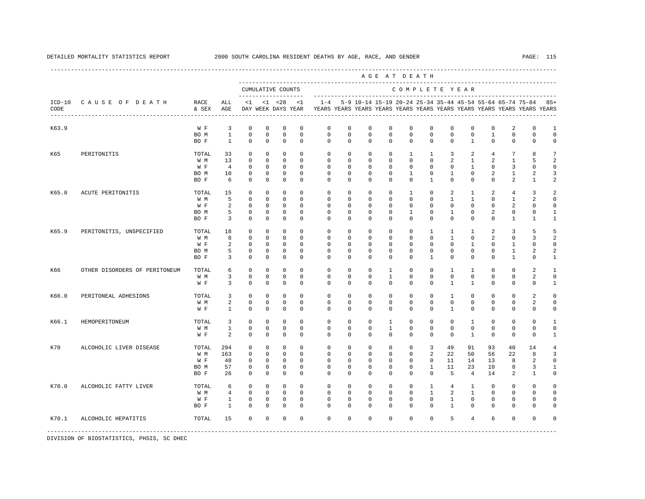---------------------------------------------------------------------------------------------------------------------------------------------------- A G E A T D E A T H --------------------------------------------------------------------------------------------- CUMULATIVE COUNTS C O M P L E T E Y E A R ------------------- ----------------------------------------------------------------------- ICD-10 C A U S E O F D E A T H RACE ALL <1 <1 <28 <1 1-4 5-9 10-14 15-19 20-24 25-34 35-44 45-54 55-64 65-74 75-84 85+ CODE & SEX AGE DAY WEEK DAYS YEAR YEARS YEARS YEARS YEARS YEARS YEARS YEARS YEARS YEARS YEARS YEARS YEARS ---------------------------------------------------------------------------------------------------------------------------------------------------- K63.9 W F 3 0 0 0 0 0 0 0 0 0 0 0 0 0 2 0 1<br>BOM 1 0 0 0 0 0 0 0 0 0 0 0 0 1 0 0 0 BO M 1 0 0 0 0 0 0 0 0 0 0 0 0 1 0 0 0 BO F 1 0 0 0 0 0 0 0 0 0 0 0 1 0 0 0 0 K65 PERITONITIS TOTAL 33 0 0 0 0 0 0 0 0 1 1 3 2 4 7 8 7 W M 13 0 0 0 0 0 0 0 0 0 0 2 1 2 1 5 2 W F 4 0 0 0 0 0 0 0 0 0 0 0 0 1 0 3 0 0 BOM 10 0 0 0 0 0 0 0 0 0 1 0 2 1 2 3 BO F 6 0 0 0 0 0 0 0 0 0 1 0 0 0 2 1 2 K65.0 ACUTE PERITONITIS TOTAL 15 0 0 0 0 0 0 0 0 1 0 2 1 2 4 3 2 W M 5 0 0 0 0 0 0 0 0 0 0 1 1 0 1 2 0 W F 2 0 0 0 0 0 0 0 0 0 0 0 0 0 2 0 0 BOM 5 0 0 0 0 0 0 0 0 0 1 0 2 0 0 1 BO F 3 0 0 0 0 0 0 0 0 0 0 0 0 0 1 1 1 K65.9 PERITONITIS, UNSPECIFIED TOTAL 18 0 0 0 0 0 0 0 0 0 0 0 1 1 1 2 3 5 5<br>
W M 8 0 0 0 0 0 0 0 0 0 0 0 1 0 2 0 3 2 W M M 8 0 0 0 0 0 0 0 0 0 0 0 0 0 0 1 0 2 0 3 2 W F 2 0 0 0 0 0 0 0 0 0 0 0 0 1 0 1 0 0 BOM 5 0 0 0 0 0 0 0 0 0 0 0 0 0 1 2 2 BOF 3 0 0 0 0 0 0 0 0 0 0 0 0 0 1 0 1 K66 OTHER DISORDERS OF PERITONEUM TOTAL 6 0 0 0 0 0 0 0 0 0 1 0 0 1 1 0 0 2 1 W M 3 0 0 0 0 0 0 0 1 0 0 0 0 0 0 2 0 W F 3 0 0 0 0 0 0 0 0 0 0 0 1 1 0 0 0 1 K66.0 PERITONEAL ADHESIONS TOTAL 3 0 0 0 0 0 0 0 0 0 0 1 0 0 0 2 0 W M M 2 0 0 0 0 0 0 0 0 0 0 0 0 0 0 0 2 0 W F 1 0 0 0 0 0 0 0 0 0 0 1 0 0 0 0 0 K66.1 HEMOPERITONEUM TOTAL 3 0 0 0 0 0 0 0 1 0 0 0 1 0 0 0 1 W M 1 0 0 0 0 0 0 0 1 0 0 0 0 0 0 0 0 W F 2 0 0 0 0 0 0 0 0 0 0 0 0 0 0 1 0 0 0 1 K70 ALCOHOLIC LIVER DISEASE TOTAL 294 0 0 0 0 0 0 0 0 0 0 3 49 91 93 40 14 4<br>W M 163 0 0 0 0 0 0 0 0 0 2 22 50 56 22 8 3 W M 163 0 0 0 0 0 0 0 0 0 2 22 50 56 22 8 3 W F 48 0 0 0 0 0 0 0 0 0 0 11 14 13 8 2 0 BO M 57 0 0 0 0 0 0 0 0 0 1 11 23 10 8 3 1 BO F 26 0 0 0 0 0 0 0 0 0 0 5 4 14 2 1 0 K70.0 ALCOHOLIC FATTY LIVER TOTAL 6 0 0 0 0 0 0 0 0 0 1 4 1 0 0 0 0 W M 4 0 0 0 0 0 0 0 0 0 1 2 1 0 0 0 0 W F 1 0 0 0 0 0 0 0 0 0 0 1 0 0 0 0 0 BO F 1 0 0 0 0 0 0 0 0 0 0 1 0 0 0 0 0 K70.1 ALCOHOLIC HEPATITIS TOTAL 15 0 0 0 0 0 0 0 0 0 0 5 4 6 0 0 0 -----------------------------------------------------------------------------------------------------------------------------------------------------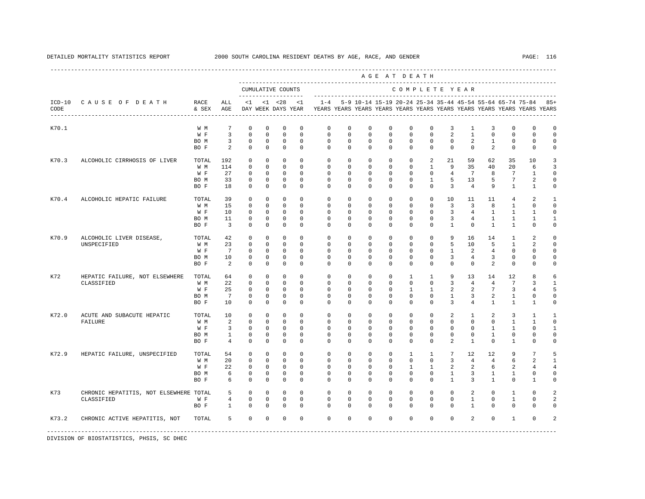---------------------------------------------------------------------------------------------------------------------------------------------------- A G E A T D E A T H --------------------------------------------------------------------------------------------- CUMULATIVE COUNTS C O M P L E T E Y E A R ------------------- ----------------------------------------------------------------------- ICD-10 C A U S E O F D E A T H RACE ALL <1 <1 <28 <1 1-4 5-9 10-14 15-19 20-24 25-34 35-44 45-54 55-64 65-74 75-84 85+ CODE & SEX AGE DAY WEEK DAYS YEAR YEARS YEARS YEARS YEARS YEARS YEARS YEARS YEARS YEARS YEARS YEARS YEARS ---------------------------------------------------------------------------------------------------------------------------------------------------- K70.1 W M 7 0 0 0 0 0 0 0 0 0 3 1 3 0 0 0 W F 3 0 0 0 0 0 0 0 0 0 0 0 2 1 0 0 0 0 BOM 3 0 0 0 0 0 0 0 0 0 0 0 0 2 1 0 0 0 BOF 2 0 0 0 0 0 0 0 0 0 0 0 0 2 0 0 0 K70.3 ALCOHOLIC CIRRHOSIS OF LIVER TOTAL 192 0 0 0 0 0 0 0 0 0 2 21 59 62 35 10 3 W M 114 0 0 0 0 0 0 0 0 0 1 9 35 40 20 6 3 W F 27 0 0 0 0 0 0 0 0 0 0 0 4 7 8 7 1 0 BO M 33 0 0 0 0 0 0 0 0 0 1 5 13 5 7 2 0 BO F 18 0 0 0 0 0 0 0 0 0 0 3 4 9 1 1 0 K70.4 ALCOHOLIC HEPATIC FAILURE TOTAL 39 0 0 0 0 0 0 0 0 0 0 10 11 11 4 2 1 W M 15 0 0 0 0 0 0 0 0 0 0 3 3 8 1 0 0 W F 10 0 0 0 0 0 0 0 0 0 0 0 3 4 1 1 1 0 BOM 11 0 0 0 0 0 0 0 0 0 0 0 3 4 1 1 1 1 BO F 3 0 0 0 0 0 0 0 0 0 0 1 0 1 1 0 0 K70.9 ALCOHOLIC LIVER DISEASE, TOTAL 42 0 0 0 0 0 0 0 0 0 0 0 0 9 16 14 1 2 0<br>UNSPECIFIED WM 23 0 0 0 0 0 0 0 0 0 0 5 10 5 1 2 0 UNSPECIFIED W M 23 0 0 0 0 0 0 0 0 0 0 5 10 5 1 2 0 W F 7 0 0 0 0 0 0 0 0 0 0 0 1 2 4 0 0 0 BOM 10 0 0 0 0 0 0 0 0 0 0 0 3 4 3 0 0 0 BOF 2 0 0 0 0 0 0 0 0 0 0 0 0 2 0 0 0 K72 HEPATIC FAILURE, NOT ELSEWHERE TOTAL 64 0 0 0 0 0 0 0 0 0 0 1 1 9 13 14 12 8 6<br>CLASSIFIED W 22 0 0 0 0 0 0 0 0 0 3 4 4 7 3 1 CLASSIFIED W M 22 0 0 0 0 0 0 0 0 0 0 3 4 4 7 3 1 W F 25 0 0 0 0 0 0 0 0 0 1 1 2 2 7 3 4 5 BO M 7 0 0 0 0 0 0 0 0 0 0 1 3 2 1 0 0 BO F 10 0 0 0 0 0 0 0 0 0 0 3 4 1 1 1 0 K72.0 ACUTE AND SUBACUTE HEPATIC TOTAL 10 0 0 0 0 0 0 0 0 0 0 2 1 2 3 1 1 FAILURE W M 2 0 0 0 0 0 0 0 0 0 0 0 0 0 1 1 0 W F 3 0 0 0 0 0 0 0 0 0 0 0 0 0 1 1 0 1 BO M 1 0 0 0 0 0 0 0 0 0 0 0 0 1 0 0 0 BO F 4 0 0 0 0 0 0 0 0 0 0 2 1 0 1 0 0 K72.9 HEPATIC FAILURE, UNSPECIFIED TOTAL 54 0 0 0 0 0 0 0 0 0 0 1 1 7 12 12 9 7 5<br>W M 20 0 0 0 0 0 0 0 0 0 0 0 3 4 4 6 2 1 W M 20 0 0 0 0 0 0 0 0 0 0 3 4 4 6 2 1 W F 22 0 0 0 0 0 0 0 0 1 1 2 2 6 2 4 4 BO M 6 0 0 0 0 0 0 0 0 0 0 1 3 1 1 0 0 BO F 6 0 0 0 0 0 0 0 0 0 0 1 3 1 0 1 0 K73 CHRONIC HEPATITIS, NOT ELSEWHERE TOTAL 5 0 0 0 0 0 0 0 0 0 0 0 2 0 1 0 2 CLASSIFIED W F 4 0 0 0 0 0 0 0 0 0 0 0 1 0 1 0 2 BO F 1 0 0 0 0 0 0 0 0 0 0 0 1 0 0 0 0 K73.2 CHRONIC ACTIVE HEPATITIS, NOT TOTAL 5 0 0 0 0 0 0 0 0 0 0 0 2 0 1 0 2 ----------------------------------------------------------------------------------------------------------------------------------------------------- DIVISION OF BIOSTATISTICS, PHSIS, SC DHEC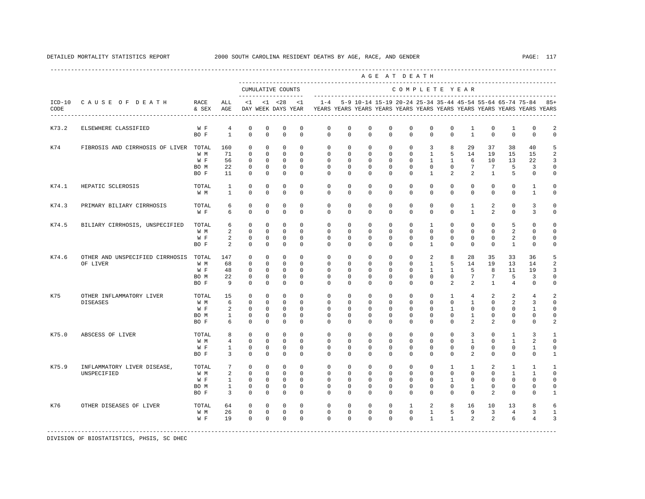|                  |                                             |                                     |                                             |                                                                      |                                                             |                                                         |                                                          |                                                             |                                                             |                                                             | AGE AT DEATH                                                      |                                                              |                                                                    |                                                           |                                                      |                                                      |                                                                |                                                                         |                                       |
|------------------|---------------------------------------------|-------------------------------------|---------------------------------------------|----------------------------------------------------------------------|-------------------------------------------------------------|---------------------------------------------------------|----------------------------------------------------------|-------------------------------------------------------------|-------------------------------------------------------------|-------------------------------------------------------------|-------------------------------------------------------------------|--------------------------------------------------------------|--------------------------------------------------------------------|-----------------------------------------------------------|------------------------------------------------------|------------------------------------------------------|----------------------------------------------------------------|-------------------------------------------------------------------------|---------------------------------------|
|                  |                                             |                                     |                                             |                                                                      |                                                             | CUMULATIVE COUNTS<br>-------------------                |                                                          |                                                             |                                                             |                                                             |                                                                   | COMPLETE YEAR                                                |                                                                    |                                                           |                                                      |                                                      |                                                                |                                                                         |                                       |
| $ICD-10$<br>CODE | CAUSE OF DEATH                              | RACE<br>& SEX                       | ALL<br>AGE                                  | <1                                                                   |                                                             | $< 1$ $< 28$<br>DAY WEEK DAYS YEAR                      | <1                                                       | $1 - 4$                                                     |                                                             |                                                             | 5-9 10-14 15-19 20-24 25-34 35-44 45-54 55-64 65-74 75-84         |                                                              |                                                                    |                                                           |                                                      |                                                      |                                                                | YEARS YEARS YEARS YEARS YEARS YEARS YEARS YEARS YEARS YEARS YEARS YEARS | $85+$                                 |
| K73.2            | ELSEWHERE CLASSIFIED                        | W F<br>BO F                         | 4<br>$\mathbf{1}$                           | $\mathbf 0$<br>$\Omega$                                              | $\mathbf 0$<br>$\Omega$                                     | 0<br>$\Omega$                                           | $\mathbf 0$<br>$\Omega$                                  | $\mathbb O$<br>$\Omega$                                     | $\circ$<br>$\Omega$                                         | $\mathbf 0$<br>$\Omega$                                     | $\mathbf 0$<br>$\Omega$                                           | 0<br>$\Omega$                                                | 0<br>$\Omega$                                                      | $\mathbf 0$<br>$\Omega$                                   | 1<br>$\mathbf{1}$                                    | $\mathbf 0$<br>$\Omega$                              | $\mathbf{1}$<br>$\mathbf{0}$                                   | $\mathbf 0$<br>$\mathbf 0$                                              | 2<br>$\mathbf 0$                      |
| K74              | FIBROSIS AND CIRRHOSIS OF LIVER TOTAL       | W M<br>W F<br>BO M<br>BO F          | 160<br>71<br>56<br>22<br>11                 | $^{\circ}$<br>$\mathbf{0}$<br>$\mathbf 0$<br>$\mathbf 0$<br>$\Omega$ | $\mathbf 0$<br>$\Omega$<br>$\Omega$<br>$\Omega$<br>$\Omega$ | $\mathbf 0$<br>$\mathbf 0$<br>0<br>$\Omega$<br>$\Omega$ | $\Omega$<br>$\Omega$<br>$\Omega$<br>$\Omega$<br>$\Omega$ | $\mathbf 0$<br>$\Omega$<br>$\Omega$<br>$\Omega$<br>$\Omega$ | $\mathbf 0$<br>$\Omega$<br>$\Omega$<br>$\Omega$<br>$\Omega$ | $\mathbf 0$<br>$\Omega$<br>$\Omega$<br>$\Omega$<br>$\Omega$ | $\mathbf 0$<br>$\Omega$<br>$\Omega$<br>$\Omega$<br>$\Omega$       | $\mathbf{0}$<br>$\Omega$<br>$\Omega$<br>$\Omega$<br>$\Omega$ | 3<br>$\mathbf{1}$<br>1<br>$\mathbf{0}$<br>$\mathbf{1}$             | 8<br>5<br>$\mathbf{1}$<br>$\Omega$<br>2                   | 29<br>14<br>6<br>$7\overline{ }$<br>2                | 37<br>19<br>10<br>$7\phantom{.0}$<br>$\overline{1}$  | 38<br>15<br>13<br>5<br>5                                       | 40<br>15<br>22<br>3<br>$\Omega$                                         | 2<br>3<br>$\Omega$<br>$\Omega$        |
| K74.1            | HEPATIC SCLEROSIS                           | TOTAL<br>W M                        | $\mathbf{1}$<br>$\mathbf{1}$                | $\mathbf 0$<br>$\Omega$                                              | $\Omega$<br>0                                               | $\Omega$<br>$\mathbf 0$                                 | $\Omega$<br>$\Omega$                                     | $\Omega$<br>$\Omega$                                        | $\Omega$<br>$\Omega$                                        | $\Omega$<br>$\Omega$                                        | $\Omega$<br>$^{\circ}$                                            | $\Omega$<br>$\Omega$                                         | $\Omega$<br>$\Omega$                                               | $\Omega$<br>$\Omega$                                      | $\mathbf 0$<br>$\mathbf 0$                           | $\Omega$<br>$\mathbf 0$                              | $\mathbf 0$<br>$\Omega$                                        | $\mathbf{1}$<br>1                                                       | $\Omega$<br>$\Omega$                  |
| K74.3            | PRIMARY BILIARY CIRRHOSIS                   | TOTAL<br>W F                        | 6<br>6                                      | 0<br>$^{\circ}$                                                      | 0<br>$\circ$                                                | 0<br>0                                                  | 0<br>0                                                   | 0<br>0                                                      | 0<br>0                                                      | $\mathbf 0$<br>$^{\circ}$                                   | $^{\circ}$<br>$^{\circ}$                                          | $\mathbf 0$<br>$\mathbf 0$                                   | $\mathbf 0$<br>$\mathbf 0$                                         | 0<br>$\mathbf 0$                                          | 1<br>$\mathbf{1}$                                    | 2<br>2                                               | $\mathbf{0}$<br>$\mathbf{0}$                                   | 3<br>3                                                                  | 0<br>0                                |
| K74.5            | BILIARY CIRRHOSIS, UNSPECIFIED              | TOTAL<br>W M<br>W F<br>BO F         | 6<br>2<br>2<br>2                            | $^{\circ}$<br>$^{\circ}$<br>$^{\circ}$<br>$\Omega$                   | $\circ$<br>$\circ$<br>$\circ$<br>$\Omega$                   | 0<br>0<br>0<br>$\Omega$                                 | $\Omega$<br>0<br>$\Omega$<br>$\Omega$                    | $\mathbf 0$<br>0<br>$\Omega$<br>$\Omega$                    | 0<br>0<br>$\Omega$<br>$\Omega$                              | $\Omega$<br>$\mathbf 0$<br>$\Omega$<br>$\Omega$             | $\mathbf 0$<br>$^{\circ}$<br>$\Omega$<br>$\Omega$                 | $\Omega$<br>$\mathbf{0}$<br>$\Omega$<br>$\Omega$             | 1<br>$\mathbf{0}$<br>$\Omega$<br>1                                 | $\Omega$<br>$\mathbf 0$<br>$\Omega$<br>$\Omega$           | $\mathbf 0$<br>$\mathbf 0$<br>$^{\circ}$<br>$\Omega$ | $\mathbf 0$<br>$\mathbf 0$<br>$\Omega$<br>$\Omega$   | 5<br>2<br>2<br>$\mathbf{1}$                                    | $\Omega$<br>$\Omega$<br>$\Omega$<br>$\Omega$                            | n<br>O<br>n                           |
| K74.6            | OTHER AND UNSPECIFIED CIRRHOSIS<br>OF LIVER | TOTAL<br>W M<br>W F<br>BO M<br>BO F | 147<br>68<br>48<br>22<br>9                  | 0<br>$\Omega$<br>$\mathbf 0$<br>$\mathbf 0$<br>$\Omega$              | $\circ$<br>$\Omega$<br>$\mathbf 0$<br>0<br>$\Omega$         | 0<br>$\Omega$<br>$\mathbf 0$<br>0<br>$\Omega$           | $\Omega$<br>$\Omega$<br>$\Omega$<br>$\Omega$<br>$\Omega$ | 0<br>$\Omega$<br>0<br>$\Omega$<br>$\Omega$                  | 0<br>$\Omega$<br>0<br>$\Omega$<br>$\Omega$                  | $\mathbf 0$<br>$\Omega$<br>$\Omega$<br>$\Omega$<br>$\Omega$ | $\mathbf 0$<br>$\Omega$<br>0<br>$\Omega$<br>$\Omega$              | $\Omega$<br>$\Omega$<br>$\Omega$<br>$\Omega$<br>$\Omega$     | 2<br>$\mathbf{1}$<br>$\mathbf{1}$<br>$\Omega$<br>$\Omega$          | 8<br>5<br>$\mathbf{1}$<br>$\Omega$<br>2                   | 28<br>14<br>5<br>$7\phantom{.0}$<br>2                | 35<br>19<br>8<br>$7\phantom{.0}$<br>$\mathbf{1}$     | 33<br>13<br>11<br>5<br>$\overline{4}$                          | 36<br>14<br>19<br>3<br>$\Omega$                                         | 3<br>0                                |
| K75              | OTHER INFLAMMATORY LIVER<br><b>DISEASES</b> | TOTAL<br>W M<br>W F<br>BO M<br>BO F | 15<br>6<br>2<br>1<br>6                      | $^{\circ}$<br>$\Omega$<br>$\Omega$<br>0<br>0                         | $\mathbf 0$<br>$\Omega$<br>$\Omega$<br>$\circ$<br>0         | $\mathbf 0$<br>$\Omega$<br>$\Omega$<br>0<br>$\Omega$    | $\Omega$<br>$\Omega$<br>$\Omega$<br>0<br>0               | $\Omega$<br>$\Omega$<br>$\Omega$<br>0<br>0                  | $\Omega$<br>$\Omega$<br>$\Omega$<br>0<br>0                  | $\Omega$<br>$\Omega$<br>$\Omega$<br>$\Omega$<br>$\Omega$    | $\mathbf 0$<br>$\Omega$<br>$\Omega$<br>$\mathbf 0$<br>0           | $\Omega$<br>$\Omega$<br>$\Omega$<br>0<br>$\Omega$            | $\Omega$<br>$\Omega$<br>$\Omega$<br>$\mathbf 0$<br>0               | $\mathbf{1}$<br>$\Omega$<br>$\mathbf{1}$<br>$\Omega$<br>0 | $\overline{4}$<br>1<br>$\Omega$<br>1<br>2            | 2<br>$\Omega$<br>$\Omega$<br>0<br>2                  | 2<br>$\overline{a}$<br>$\Omega$<br>$\mathbf 0$<br>$\mathbf{0}$ | $\overline{4}$<br>२<br>$\mathbf{1}$<br>0<br>0                           | 2<br>0<br>U<br>0<br>2                 |
| K75.0            | ABSCESS OF LIVER                            | TOTAL<br>W M<br>W F<br>BO F         | 8<br>4<br>$\mathbf{1}$<br>3                 | $^{\circ}$<br>$\mathbf 0$<br>0<br>0                                  | $\mathbf 0$<br>$\mathbf 0$<br>$\circ$<br>$\circ$            | 0<br>$\mathbf 0$<br>0<br>0                              | $\Omega$<br>0<br>0<br>0                                  | $\Omega$<br>0<br>0<br>$\Omega$                              | $\Omega$<br>0<br>0<br>0                                     | $\Omega$<br>$\mathbf 0$<br>0<br>$\Omega$                    | $\mathbf 0$<br>$\mathbf 0$<br>$\mathbf 0$<br>$^{\circ}$           | $\Omega$<br>0<br>$\Omega$<br>0                               | $\Omega$<br>$\mathbf 0$<br>0<br>$\mathbf{0}$                       | $\Omega$<br>$\Omega$<br>0<br>0                            | 3<br>$\mathbf{1}$<br>0<br>2                          | $\Omega$<br>$\mathbf 0$<br>$\mathbf 0$<br>$^{\circ}$ | 1<br>$\mathbf{1}$<br>$\mathbf{0}$<br>$\mathbf 0$               | 3<br>2<br>1<br>0                                                        | -1<br>$\mathbf 0$<br>0<br>1           |
| K75.9            | INFLAMMATORY LIVER DISEASE,<br>UNSPECIFIED  | TOTAL<br>W M<br>W F<br>BO M<br>BO F | 7<br>2<br>$\mathbf{1}$<br>$\mathbf{1}$<br>3 | $^{\circ}$<br>$^{\circ}$<br>$\mathbf{0}$<br>$^{\circ}$<br>$^{\circ}$ | $\mathbf 0$<br>$\circ$<br>$\circ$<br>$\circ$<br>$\mathbf 0$ | 0<br>0<br>$^{\circ}$<br>0<br>0                          | $\Omega$<br>$\Omega$<br>$\Omega$<br>$\Omega$<br>$\Omega$ | 0<br>$\Omega$<br>$\Omega$<br>$\Omega$<br>$\Omega$           | 0<br>$\Omega$<br>$\Omega$<br>$\Omega$<br>0                  | $\mathbf 0$<br>$\Omega$<br>$\Omega$<br>$\Omega$<br>$\Omega$ | $\mathbf 0$<br>$^{\circ}$<br>$\Omega$<br>$^{\circ}$<br>$^{\circ}$ | $\mathbf 0$<br>0<br>$\Omega$<br>$\Omega$<br>$\Omega$         | $\mathbf{0}$<br>$\mathbf 0$<br>$\Omega$<br>$\Omega$<br>$\mathbf 0$ | 1<br>$\Omega$<br>1<br>$\Omega$<br>$\Omega$                | 1<br>$\mathbf 0$<br>$^{\circ}$<br>1<br>$\mathbf 0$   | 2<br>$\mathbf 0$<br>$\Omega$<br>$^{\circ}$<br>2      | 1<br>1<br>$\Omega$<br>$\Omega$<br>$\mathbf 0$                  | 1<br>$\mathbf{1}$<br>$\Omega$<br>$\Omega$<br>$\Omega$                   | $\Omega$<br>$\Omega$<br>$\Omega$<br>1 |
| K76              | OTHER DISEASES OF LIVER                     | TOTAL<br>W M<br>W F                 | 64<br>26<br>19                              | $\mathbf 0$<br>$\mathbf 0$<br>$\Omega$                               | $\mathbf 0$<br>$\mathbf 0$<br>$\Omega$                      | $\mathbf 0$<br>$\mathbf 0$<br>$\Omega$                  | $\Omega$<br>0<br>$\Omega$                                | $\Omega$<br>0<br>$\Omega$                                   | $\Omega$<br>0<br>$\Omega$                                   | $\Omega$<br>$\mathbf 0$<br>$\Omega$                         | $\Omega$<br>$^{\circ}$<br>$\Omega$                                | $\mathbf{1}$<br>$\mathbf 0$<br>$\Omega$                      | 2<br>$\mathbf{1}$<br>$\mathbf{1}$                                  | 8<br>5<br>$\mathbf{1}$                                    | 16<br>9<br>2                                         | 10<br>3<br>2                                         | 13<br>$\overline{4}$<br>6                                      | 8<br>3<br>$\overline{4}$                                                | б<br>$\mathbf{1}$<br>3                |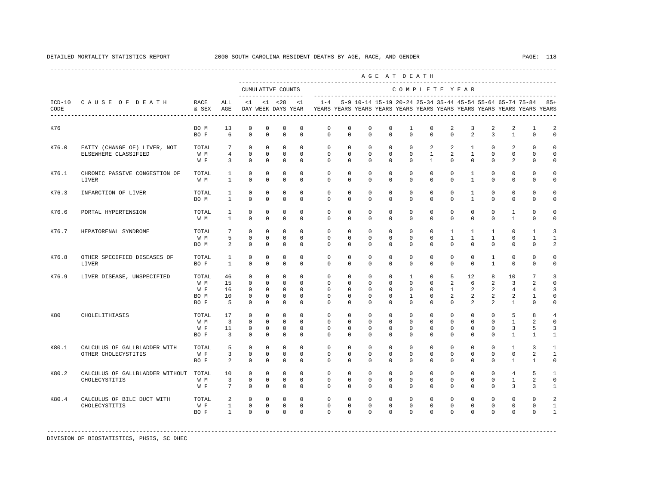|       |                                                                 |                                     |                                                       |                                                          |                                                                            |                                                                 |                                                                |                                                                                                       |                                                                     |                                                      |                                                                | AGE AT DEATH                                           |                                                          |                                              |                                                            |                                             |                                                  |                                                               |                                            |
|-------|-----------------------------------------------------------------|-------------------------------------|-------------------------------------------------------|----------------------------------------------------------|----------------------------------------------------------------------------|-----------------------------------------------------------------|----------------------------------------------------------------|-------------------------------------------------------------------------------------------------------|---------------------------------------------------------------------|------------------------------------------------------|----------------------------------------------------------------|--------------------------------------------------------|----------------------------------------------------------|----------------------------------------------|------------------------------------------------------------|---------------------------------------------|--------------------------------------------------|---------------------------------------------------------------|--------------------------------------------|
|       |                                                                 |                                     |                                                       |                                                          |                                                                            | CUMULATIVE COUNTS                                               |                                                                |                                                                                                       |                                                                     |                                                      |                                                                | COMPLETE YEAR                                          |                                                          |                                              |                                                            |                                             |                                                  |                                                               |                                            |
| CODE  | ICD-10 CAUSE OF DEATH<br>-------------------------------------- | RACE<br>& SEX                       | ALL<br>AGE                                            | $\leq$ 1                                                 |                                                                            |                                                                 | $<1$ $<28$ $<1$                                                | $1 - 4$<br>DAY WEEK DAYS YEAR TEARS YEARS YEARS YEARS YEARS YEARS YEARS YEARS YEARS YEARS YEARS YEARS |                                                                     |                                                      |                                                                |                                                        |                                                          |                                              |                                                            |                                             |                                                  | 5-9 10-14 15-19 20-24 25-34 35-44 45-54 55-64 65-74 75-84 85+ |                                            |
| K76   |                                                                 | BO M<br>BO F                        | 13<br>6                                               | $^{\circ}$<br>$\Omega$                                   | $\mathbf 0$<br>$\Omega$                                                    | $^{\circ}$<br>$\Omega$                                          | $\mathbf 0$<br>$\Omega$                                        | $\mathbf 0$<br>$\Omega$                                                                               | $\mathbf 0$<br>$\Omega$                                             | $\mathbf 0$<br>$\Omega$                              | $\Omega$<br>$\Omega$                                           | 1<br>$\Omega$                                          | $\Omega$<br>$\Omega$                                     | 2<br>$\Omega$                                | 3<br>$\mathcal{L}$                                         | 2<br>$\overline{3}$                         | 2<br>$\mathbf{1}$                                | 1<br>$\Omega$                                                 | 2<br>$\Omega$                              |
| K76.0 | FATTY (CHANGE OF) LIVER, NOT<br>ELSEWHERE CLASSIFIED            | TOTAL<br>W M<br>W F                 | 7<br>$\overline{4}$<br>$\overline{3}$                 | $\circ$<br>$\circ$<br>$\circ$                            | $\mathbf 0$<br>$^{\circ}$<br>$\mathbf 0$                                   | $\mathbf 0$<br>$\circ$<br>$\circ$                               | $\mathbf 0$<br>$\mathbf 0$<br>$\mathbf 0$                      | $\mathbf 0$<br>$\mathbf{0}$<br>$\circ$                                                                | $\mathbf 0$<br>$^{\circ}$<br>$\mathbf 0$                            | $\mathbf 0$<br>$^{\circ}$<br>$^{\circ}$              | $\mathbf 0$<br>$\mathbf 0$<br>$\mathbf 0$                      | $\mathbf{0}$<br>$\circ$<br>$\circ$                     | $\overline{a}$<br>$\mathbf{1}$<br>$\mathbf{1}$           | $\overline{a}$<br>2<br>$\circ$               | $\mathbf{1}$<br>$\mathbf{1}$<br>$\mathbf{0}$               | $\mathbf 0$<br>$\mathbf{0}$<br>$\mathbf 0$  | 2<br>$\mathbf{0}$<br>2                           | $\mathbf{0}$<br>$\mathbf 0$<br>$\mathbf 0$                    | $\mathbf 0$<br>$\Omega$<br>$\Omega$        |
| K76.1 | CHRONIC PASSIVE CONGESTION OF<br>LIVER                          | TOTAL<br>W M                        | 1<br>$\mathbf{1}$                                     | $\circ$<br>$\Omega$                                      | $\mathbf{0}$<br>$\Omega$                                                   | $^{\circ}$<br>$\Omega$                                          | $\Omega$<br>$\Omega$                                           | $\mathbf 0$<br>$\Omega$                                                                               | $\mathbf 0$<br>$\Omega$                                             | $\Omega$<br>$\Omega$                                 | $\Omega$<br>$\Omega$                                           | $\Omega$<br>$\Omega$                                   | $\Omega$<br>$\Omega$                                     | $\Omega$<br>$\Omega$                         | $\mathbf{1}$<br>$\mathbf{1}$                               | $\mathbf 0$<br>$\Omega$                     | $\mathbf{0}$<br>$\Omega$                         | $\Omega$<br>$\Omega$                                          | $\Omega$<br>$\Omega$                       |
| K76.3 | INFARCTION OF LIVER                                             | TOTAL<br>BO M                       | 1<br>1                                                | $^{\circ}$<br>$\mathbf 0$                                | $^{\circ}$<br>0                                                            | 0<br>$\mathbf 0$                                                | $\mathbf 0$<br>$\mathbf 0$                                     | $\mathbf{0}$<br>$\Omega$                                                                              | $\mathbf{0}$<br>$\Omega$                                            | $\mathbf 0$<br>$\Omega$                              | 0<br>$\Omega$                                                  | $\mathbf 0$<br>$\Omega$                                | $\mathbf 0$<br>$\Omega$                                  | $\mathbf 0$<br>$\Omega$                      | $\mathbf{1}$<br>$\mathbf{1}$                               | $\mathbf 0$<br>0                            | $\mathbf 0$<br>$\mathbf 0$                       | $\mathbf 0$<br>$\mathbf 0$                                    | 0<br>$\Omega$                              |
| K76.6 | PORTAL HYPERTENSION                                             | TOTAL<br>W M                        | 1<br>$\mathbf{1}$                                     | $\circ$<br>$\Omega$                                      | $\mathbf 0$<br>$\Omega$                                                    | $\mathbf 0$<br>$\Omega$                                         | $\mathbf 0$<br>$\Omega$                                        | $\mathbf 0$<br>$\Omega$                                                                               | $\mathbf 0$<br>$\Omega$                                             | $^{\circ}$<br>$\Omega$                               | $\mathbf 0$<br>$\Omega$                                        | $\mathbf 0$<br>$\Omega$                                | $\mathbf 0$<br>$\Omega$                                  | $\mathbf 0$<br>$\Omega$                      | $\mathbf 0$<br>$\Omega$                                    | $\mathbf 0$<br>$\Omega$                     | $\mathbf{1}$<br>$\mathbf{1}$                     | $\Omega$<br>$\Omega$                                          | $\Omega$<br>$\Omega$                       |
| K76.7 | HEPATORENAL SYNDROME                                            | TOTAL<br>W M<br>BO M                | 7<br>5<br>2                                           | $^{\circ}$<br>$\mathbf 0$<br>$\circ$                     | $\mathbf{0}$<br>$\mathbf{0}$<br>0                                          | $\mathbf{0}$<br>$\mathbf 0$<br>$\mathbf 0$                      | $\mathbf 0$<br>$\mathbf 0$<br>$\mathbf 0$                      | $^{\circ}$<br>$\mathbf 0$<br>$\mathbf{0}$                                                             | $\mathbf{0}$<br>$\mathbf 0$<br>$\mathbf 0$                          | $^{\circ}$<br>$\mathbf 0$<br>$^{\circ}$              | $^{\circ}$<br>$\mathbf 0$<br>0                                 | $\mathbf 0$<br>$\mathbf 0$<br>$\mathbf 0$              | $\mathbf 0$<br>$\mathbf 0$<br>$\mathbf 0$                | $\mathbf{1}$<br>$\mathbf{1}$<br>$\mathbf{0}$ | $\mathbf{1}$<br>$\mathbf{1}$<br>$\mathbf{0}$               | $\mathbf{1}$<br>$\mathbf{1}$<br>$\mathbf 0$ | $\mathbf 0$<br>$\mathbf{0}$<br>$\mathbf{0}$      | 1<br>1<br>$\mathbf 0$                                         | 3<br>1<br>2                                |
| K76.8 | OTHER SPECIFIED DISEASES OF<br>LIVER                            | TOTAL<br>BO F                       | $\mathbf{1}$<br>$\mathbf{1}$                          | $\Omega$<br>$\Omega$                                     | $\Omega$<br>$\Omega$                                                       | $\mathbf 0$<br>$\Omega$                                         | $\Omega$<br>$\Omega$                                           | $\Omega$<br>$\Omega$                                                                                  | $\Omega$<br>$\Omega$                                                | $\Omega$<br>$\Omega$                                 | $\Omega$<br>$\Omega$                                           | $\Omega$<br>$\Omega$                                   | $\Omega$<br>$\mathbf 0$                                  | $\Omega$<br>$\Omega$                         | $\Omega$<br>$\mathbf 0$                                    | $\mathbf{1}$<br>$\mathbf{1}$                | $\Omega$<br>$\mathbf{0}$                         | $\Omega$<br>$\Omega$                                          | $\Omega$<br>$\Omega$                       |
| K76.9 | LIVER DISEASE, UNSPECIFIED                                      | TOTAL<br>W M<br>W F<br>BO M<br>BO F | 46<br>15<br>16<br>10<br>5                             | $^{\circ}$<br>$\circ$<br>$\Omega$<br>$\circ$<br>$\Omega$ | $\mathbf{0}$<br>$\mathbf{0}$<br>$\mathbf 0$<br>$\mathbf{0}$<br>$\mathbf 0$ | $^{\circ}$<br>$\Omega$<br>$\circ$<br>$\mathbf 0$<br>$\mathbf 0$ | $\mathbf 0$<br>$\Omega$<br>$\Omega$<br>$\mathbf 0$<br>$\Omega$ | $\mathbf 0$<br>$\Omega$<br>$\Omega$<br>$\mathbf 0$<br>$\Omega$                                        | $\mathbf{0}$<br>$\mathbf{0}$<br>$\Omega$<br>$\mathbf 0$<br>$\Omega$ | $\mathbf 0$<br>$\Omega$<br>$\Omega$<br>0<br>$\Omega$ | $\mathbf 0$<br>$\Omega$<br>$\Omega$<br>$\mathbf 0$<br>$\Omega$ | $\mathbf{1}$<br>$\Omega$<br>$\Omega$<br>1<br>$\Omega$  | $\mathbf 0$<br>$\mathbf{0}$<br>$\Omega$<br>0<br>$\Omega$ | 5<br>2<br>$\mathbf{1}$<br>2<br>$\Omega$      | $12^{\circ}$<br>6<br>$\overline{2}$<br>2<br>$\overline{2}$ | 8<br>2<br>2<br>2<br>2                       | 10<br>3<br>$\overline{4}$<br>2<br>1              | 7<br>2<br>$\overline{4}$<br>1<br>$\Omega$                     | 3<br>$\Omega$<br>3<br>$\Omega$<br>$\Omega$ |
| K80   | CHOLELITHIASIS                                                  | TOTAL<br>W M<br>W F<br>BO F         | 17<br>$\overline{3}$<br>11<br>$\overline{\mathbf{3}}$ | $\mathbf 0$<br>$\mathbf 0$<br>$^{\circ}$<br>$\Omega$     | $\mathbf 0$<br>$\mathbf{0}$<br>$\mathbf{0}$<br>$\Omega$                    | $\mathbf 0$<br>$\mathbf 0$<br>$\mathbf{0}$<br>$\mathbf 0$       | $\mathbf 0$<br>$\Omega$<br>0<br>$\Omega$                       | $\mathbf 0$<br>$\mathbf{0}$<br>$\mathbf{0}$<br>$\Omega$                                               | 0<br>0<br>$\mathbf{0}$<br>$\Omega$                                  | $\mathbf 0$<br>0<br>0<br>$\Omega$                    | $\mathbf 0$<br>0<br>0<br>$\Omega$                              | $\mathbf 0$<br>$\mathbf 0$<br>$\mathbf{0}$<br>$\Omega$ | $\mathbf 0$<br>$\Omega$<br>$\mathbf{0}$<br>$\Omega$      | 0<br>$\mathbf 0$<br>0<br>$\Omega$            | $\mathbf 0$<br>0<br>$\mathbf 0$<br>$\Omega$                | $\mathbf 0$<br>0<br>$\mathbf 0$<br>$\Omega$ | 5<br>1<br>3<br>$\mathbf{1}$                      | 8<br>2<br>5<br>$\mathbf{1}$                                   | 4<br>$\Omega$<br>3<br>1                    |
| K80.1 | CALCULUS OF GALLBLADDER WITH<br>OTHER CHOLECYSTITIS             | TOTAL<br>W F<br>BO F                | 5<br>3<br>2                                           | $\circ$<br>$\mathbf 0$<br>$^{\circ}$                     | $\mathbf 0$<br>$\mathbf 0$<br>$\mathbf{0}$                                 | $\mathbf 0$<br>$\mathbf 0$<br>$\mathbf{0}$                      | $\mathbf 0$<br>$\mathbf 0$<br>0                                | $\mathbf 0$<br>$\mathbf 0$<br>$\Omega$                                                                | $\mathbf 0$<br>0<br>$\Omega$                                        | $\mathbf 0$<br>$\mathbf 0$<br>$\Omega$               | $\mathbf 0$<br>$\mathbf 0$<br>$\Omega$                         | $\mathbf 0$<br>$\mathbf 0$<br>$\Omega$                 | $\mathbf 0$<br>$\circ$<br>$\Omega$                       | $\mathbf 0$<br>$\circ$<br>0                  | $\mathbf 0$<br>$\mathbf 0$<br>$\mathbf 0$                  | $\mathbf 0$<br>$\mathbf 0$<br>$\mathbf 0$   | $\mathbf{1}$<br>$\mathbf 0$<br>1                 | 3<br>2<br>1                                                   | $\mathbf{1}$<br>$\mathbf{1}$<br>$\Omega$   |
| K80.2 | CALCULUS OF GALLBLADDER WITHOUT TOTAL<br>CHOLECYSTITIS          | W M<br>W F                          | 10<br>$\overline{3}$<br>$7\overline{ }$               | $\circ$<br>$\circ$<br>$\Omega$                           | $\mathbf{0}$<br>$\mathbf{0}$<br>$\Omega$                                   | $\mathbf 0$<br>$\circ$<br>$\Omega$                              | $\Omega$<br>$\circ$<br>$\Omega$                                | $\circ$<br>$\mathbf{0}$<br>$\Omega$                                                                   | $\circ$<br>$\mathbf{0}$<br>$\Omega$                                 | $\circ$<br>$^{\circ}$<br>$\Omega$                    | $\mathbf 0$<br>$\Omega$<br>$\Omega$                            | $\mathbf{0}$<br>$\mathbf{0}$<br>$\Omega$               | $\circ$<br>$\circ$<br>$\Omega$                           | $\mathbf{0}$<br>$\mathbf{0}$<br>$\Omega$     | $\mathbf{0}$<br>$\circ$<br>$\Omega$                        | $\mathbf 0$<br>$\circ$<br>$\Omega$          | $\overline{4}$<br>$\mathbf{1}$<br>$\overline{3}$ | 5<br>2<br>3                                                   | 1<br>$\Omega$<br>$\mathbf{1}$              |
| K80.4 | CALCULUS OF BILE DUCT WITH<br>CHOLECYSTITIS                     | TOTAL<br>W F<br>BO F                | 2<br>$\mathbf{1}$<br>$\mathbf{1}$                     | $^{\circ}$<br>$\mathbf 0$<br>$\Omega$                    | $\mathbf{0}$<br>$\mathbf{0}$<br>$\Omega$                                   | $\mathbf{0}$<br>$\mathbf 0$<br>$\Omega$                         | 0<br>$\mathbf 0$<br>$\Omega$                                   | $\mathbf{0}$<br>$\mathbf{0}$<br>$\Omega$                                                              | 0<br>0<br>$\Omega$                                                  | 0<br>0<br>$\Omega$                                   | 0<br>0<br>$\Omega$                                             | $\mathbf 0$<br>0<br>$\Omega$                           | 0<br>$\mathbf{0}$<br>$\Omega$                            | $\mathbf 0$<br>0<br>$\Omega$                 | $\mathbf 0$<br>$\mathbf 0$<br>$\Omega$                     | $\mathbf 0$<br>$\mathbf 0$<br>$\Omega$      | $\mathbf 0$<br>$\mathbf 0$<br>$\Omega$           | $\mathbf{0}$<br>$\mathbf 0$<br>$\Omega$                       | 2<br>1<br>1                                |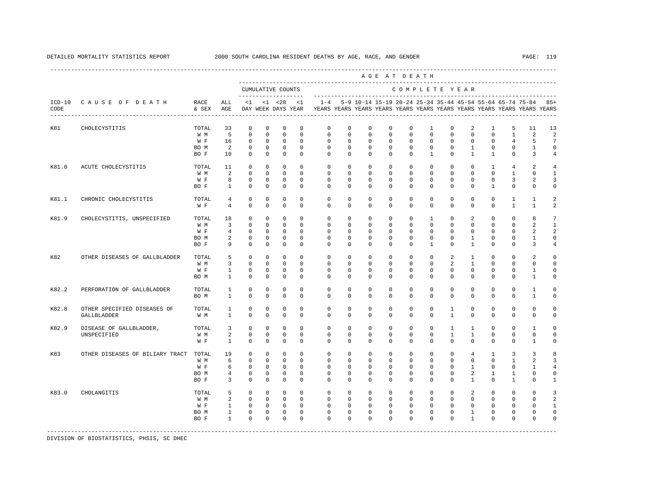|                  |                                            |               |                                  |                            |                            |                                           |                             |                          |                         |                            |                            | AGE AT DEATH               |                             |                              |                              |                          |                                                                                                                                      |                          |                               |
|------------------|--------------------------------------------|---------------|----------------------------------|----------------------------|----------------------------|-------------------------------------------|-----------------------------|--------------------------|-------------------------|----------------------------|----------------------------|----------------------------|-----------------------------|------------------------------|------------------------------|--------------------------|--------------------------------------------------------------------------------------------------------------------------------------|--------------------------|-------------------------------|
|                  |                                            |               |                                  |                            |                            | CUMULATIVE COUNTS<br>-------------------- |                             |                          |                         |                            |                            | COMPLETE YEAR              |                             |                              |                              |                          |                                                                                                                                      |                          |                               |
| $ICD-10$<br>CODE | CAUSE OF DEATH                             | RACE<br>& SEX | ALL<br>AGE                       | <1                         |                            | $< 1$ $< 28$<br>DAY WEEK DAYS YEAR        | <1                          | $1 - 4$                  |                         |                            |                            |                            |                             |                              |                              |                          | 5-9 10-14 15-19 20-24 25-34 35-44 45-54 55-64 65-74 75-84<br>YEARS YEARS YEARS YEARS YEARS YEARS YEARS YEARS YEARS YEARS YEARS YEARS |                          | $85+$                         |
| K81              | CHOLECYSTITIS                              | TOTAL<br>W M  | 33<br>5                          | $\mathbf 0$<br>$\mathbf 0$ | $^{\circ}$<br>$\mathbf{0}$ | $^{\circ}$<br>$\mathbf 0$                 | $\mathbf 0$<br>$\mathbf{0}$ | $\mathbf 0$<br>$\Omega$  | $\mathbf 0$<br>$\Omega$ | $\mathbf 0$<br>$\mathbf 0$ | $\mathbf 0$<br>$\mathbf 0$ | $\mathbf 0$<br>$\mathbf 0$ | $\mathbf{1}$<br>$\Omega$    | $\mathbf 0$<br>$\Omega$      | 2<br>$\Omega$                | $\mathbf{1}$<br>$\Omega$ | 5<br>$\mathbf{1}$                                                                                                                    | 11<br>2                  | 13<br>$\overline{a}$          |
|                  |                                            | W F<br>BO M   | 16<br>2                          | $\mathbf 0$<br>$\mathbf 0$ | $\mathbf 0$<br>$\mathbf 0$ | $^{\circ}$<br>$\circ$                     | $\Omega$<br>$\mathbf 0$     | $\Omega$<br>$\mathbf{0}$ | $\Omega$<br>$\mathbf 0$ | $\Omega$<br>$\mathbf{0}$   | $\Omega$<br>$\mathbf{0}$   | $\Omega$<br>$\circ$        | $\Omega$<br>$\mathbf 0$     | $\Omega$<br>$\mathbf 0$      | $\Omega$<br>$\mathbf{1}$     | $\Omega$<br>$\mathbf 0$  | $\overline{4}$<br>$\mathbf 0$                                                                                                        | 5<br>$\mathbf{1}$        | 7<br>$\mathbf 0$              |
|                  |                                            | BO F          | 10                               | $\mathbf 0$                | $\mathbf{0}$               | $\mathbf{0}$                              | $\Omega$                    | $\Omega$                 | $\Omega$                | $\Omega$                   | $\Omega$                   | $\Omega$                   | $\mathbf{1}$                | $\Omega$                     | $\mathbf{1}$                 | $\mathbf{1}$             | $\Omega$                                                                                                                             | 3                        | $\overline{4}$                |
| K81.0            | ACUTE CHOLECYSTITIS                        | TOTAL<br>W M  | 11<br>2                          | 0<br>$\mathbf 0$           | 0<br>$^{\circ}$            | 0<br>$\circ$                              | $\Omega$<br>$\Omega$        | $\mathbf 0$<br>$\Omega$  | $\circ$<br>$\Omega$     | $\circ$<br>$\mathbf 0$     | $\circ$<br>$\Omega$        | $\circ$<br>$\Omega$        | $\circ$<br>$\Omega$         | $\Omega$<br>$\Omega$         | 0<br>$\Omega$                | $\mathbf{1}$<br>$\Omega$ | 4<br>$\mathbf{1}$                                                                                                                    | 2<br>$\mathbf 0$         | 4<br>$\mathbf{1}$             |
|                  |                                            | W F           | 8                                | $\circ$                    | $^{\circ}$                 | $^{\circ}$                                | $\mathbf 0$                 | $\mathbf 0$              | $\circ$                 | $\circ$                    | $\circ$                    | $\circ$                    | $\mathbf{0}$                | 0                            | 0                            | $^{\circ}$               | 3                                                                                                                                    | 2                        | 3                             |
|                  |                                            | BO F          | $\mathbf{1}$                     | $\mathbf 0$                | $\mathbf 0$                | $\mathbf 0$                               | $\Omega$                    | $\mathbf{0}$             | $\circ$                 | $\mathbf 0$                | $^{\circ}$                 | $\circ$                    | $\mathbf{0}$                | $\Omega$                     | $\Omega$                     | $\mathbf{1}$             | 0                                                                                                                                    | $\Omega$                 | 0                             |
| K81.1            | CHRONIC CHOLECYSTITIS                      | TOTAL<br>W F  | $\overline{4}$<br>$\overline{4}$ | $\mathbf 0$<br>$\mathbf 0$ | $^{\circ}$<br>$\mathbf 0$  | $\mathbf 0$<br>$^{\circ}$                 | $\mathbf 0$<br>$\Omega$     | $\mathbf 0$<br>$\Omega$  | $\mathbf 0$<br>$\Omega$ | $\mathbf 0$<br>$\Omega$    | $\mathbf 0$<br>$^{\circ}$  | $\mathbf 0$<br>$\Omega$    | $\mathbf 0$<br>$\mathbf{0}$ | $\mathbf 0$<br>$\Omega$      | 0<br>$\Omega$                | $\mathbf 0$<br>$\Omega$  | $\mathbf{1}$<br>$\mathbf{1}$                                                                                                         | $\mathbf{1}$<br>1        | 2<br>2                        |
| K81.9            | CHOLECYSTITIS, UNSPECIFIED                 | TOTAL         | 18                               | $\mathbf 0$                | $^{\circ}$                 | $^{\circ}$                                | $\Omega$                    | $\mathbf 0$              | $\mathbf 0$             | $\mathbf 0$                | $\mathbf 0$                | $\mathbf 0$                | $\mathbf{1}$                | $\Omega$                     | $\overline{2}$               | $\Omega$                 | $\mathbf 0$                                                                                                                          | 8                        | 7                             |
|                  |                                            | W M           | $\overline{3}$                   | $\mathbf 0$                | $^{\circ}$                 | $\mathbf 0$                               | $\Omega$                    | $\Omega$                 | $\Omega$                | $\Omega$                   | $\Omega$                   | $\Omega$                   | $\Omega$                    | $\Omega$                     | $\Omega$                     | $\Omega$                 | $\Omega$                                                                                                                             | 2                        | $\mathbf{1}$                  |
|                  |                                            | W F           | $\overline{4}$                   | $\mathbf 0$                | $\mathbf 0$                | $\Omega$                                  | $\Omega$                    | $\Omega$                 | $\Omega$                | $\Omega$                   | $\Omega$                   | $\Omega$                   | $\Omega$                    | $\Omega$                     | $\Omega$                     | $\Omega$                 | $\Omega$                                                                                                                             | 2                        | 2                             |
|                  |                                            | BO M<br>BO F  | 2<br>9                           | $\mathbf 0$<br>$\Omega$    | $\mathbf 0$<br>$\Omega$    | $\mathbf{0}$<br>$\Omega$                  | $\Omega$<br>$\Omega$        | $\Omega$<br>$\Omega$     | $\Omega$<br>$\Omega$    | $\mathbf 0$<br>$\Omega$    | $\mathbf 0$<br>$\Omega$    | $\Omega$<br>$\Omega$       | $\Omega$<br>$\overline{1}$  | $\Omega$<br>$\Omega$         | $\mathbf{1}$<br>$\mathbf{1}$ | $\Omega$<br>$\Omega$     | $\Omega$<br>$\Omega$                                                                                                                 | $\mathbf{1}$<br>3        | $\mathbf 0$<br>$\overline{4}$ |
| K82              | OTHER DISEASES OF GALLBLADDER              | TOTAL<br>W M  | 5<br>3                           | $\mathbf 0$<br>$\mathbf 0$ | 0<br>$^{\circ}$            | 0<br>$\mathbf 0$                          | $\mathbf 0$<br>$\Omega$     | $^{\circ}$<br>$\Omega$   | $^{\circ}$<br>$\Omega$  | $^{\circ}$<br>$^{\circ}$   | 0<br>$\Omega$              | $\circ$<br>$\Omega$        | 0<br>$\Omega$               | 2<br>2                       | 1<br>1                       | $^{\circ}$<br>$\Omega$   | 0<br>$\Omega$                                                                                                                        | 2<br>$\Omega$            | $\mathbf 0$<br>$\Omega$       |
|                  |                                            | W F           | $\mathbf{1}$                     | $\mathbf 0$                | 0                          | 0                                         | $\mathbf 0$                 | 0                        | 0                       | 0                          | 0                          | $\mathbf{0}$               | $\mathbf{0}$                | 0                            | 0                            | 0                        | 0                                                                                                                                    | 1                        | 0                             |
|                  |                                            | BO M          | 1                                | $^{\circ}$                 | $^{\circ}$                 | 0                                         | $\mathbf 0$                 | $\mathbf 0$              | 0                       | $^{\circ}$                 | $^{\circ}$                 | $\mathbf 0$                | $\mathbf 0$                 | 0                            | 0                            | 0                        | 0                                                                                                                                    | 1                        | 0                             |
| K82.2            | PERFORATION OF GALLBLADDER                 | TOTAL         | $\mathbf{1}$                     | $\mathbf 0$                | $\mathbf 0$                | $\mathbf 0$                               | $\mathbf 0$                 | $\mathbf{0}$             | $\mathbf 0$             | $\mathbf 0$                | $\mathbf 0$                | $\mathbf 0$                | $\mathbf 0$                 | $\mathbf 0$                  | $\mathbf 0$                  | $\mathbf 0$              | $\mathsf 0$                                                                                                                          | 1                        | 0                             |
|                  |                                            | BO M          | $\mathbf{1}$                     | $\mathbf 0$                | $\mathbf 0$                | $\mathbf 0$                               | $\Omega$                    | $\Omega$                 | $\Omega$                | $\Omega$                   | $\Omega$                   | $\Omega$                   | $\Omega$                    | $\Omega$                     | $\Omega$                     | $\Omega$                 | $\Omega$                                                                                                                             | $\mathbf{1}$             | 0                             |
| K82.8            | OTHER SPECIFIED DISEASES OF<br>GALLBLADDER | TOTAL<br>W M  | $\mathbf{1}$<br>$\mathbf{1}$     | $\mathbf 0$<br>$\Omega$    | $\mathbf 0$<br>$\mathbf 0$ | $\mathbf 0$<br>$\mathbf 0$                | $\mathbf 0$<br>$\Omega$     | $\mathbf 0$<br>$\Omega$  | $\mathbf 0$<br>$\Omega$ | $\mathbf 0$<br>$\Omega$    | $\mathbf 0$<br>$\Omega$    | $\mathbf 0$<br>$\Omega$    | $\mathbf 0$<br>$\Omega$     | $\mathbf{1}$<br>$\mathbf{1}$ | 0<br>$\Omega$                | $\mathbf 0$<br>$\Omega$  | $\mathbf 0$<br>$\Omega$                                                                                                              | $\mathbf 0$<br>$\Omega$  | 0<br>0                        |
| K82.9            | DISEASE OF GALLBLADDER,                    | TOTAL         | 3                                | $\mathbf 0$                | $\mathbf 0$                | $\mathbf 0$                               | $\Omega$                    | $\Omega$                 | $\Omega$                | $\mathbf 0$                | $\Omega$                   | $\Omega$                   | $\Omega$                    | $\mathbf{1}$                 | $\mathbf{1}$                 | $\Omega$                 | $\Omega$                                                                                                                             | $\overline{1}$           | $\Omega$                      |
|                  | UNSPECIFIED                                | W M<br>W F    | 2<br>$\mathbf{1}$                | $\Omega$<br>$\mathbb O$    | $\Omega$<br>$\mathbb O$    | $\Omega$<br>$\mathbb O$                   | $\Omega$<br>$\mathbf 0$     | $\Omega$<br>$\mathbf 0$  | $\Omega$<br>0           | $\Omega$<br>$\mathbf 0$    | $\Omega$<br>$\mathbf 0$    | $\Omega$<br>$\mathbf 0$    | $\Omega$<br>$\mathbf 0$     | $\mathbf{1}$<br>$\mathbf 0$  | $\mathbf{1}$<br>$\mathbf 0$  | $\Omega$<br>$\mathbf 0$  | $\Omega$<br>0                                                                                                                        | $\Omega$<br>$\mathbf{1}$ | $\Omega$<br>0                 |
| K83              | OTHER DISEASES OF BILIARY TRACT            | TOTAL         | 19                               | $\mathbf 0$                | $^{\circ}$                 | $^{\circ}$                                | $\mathbf 0$                 | $\mathbf 0$              | $\circ$                 | $\circ$                    | $\circ$                    | $\circ$                    | $\circ$                     | 0                            | $\overline{4}$               | 1                        | 3                                                                                                                                    | 3                        | 8                             |
|                  |                                            | W M           | 6                                | $\mathbf 0$                | $\mathbf 0$                | $\mathbf 0$                               | $\mathbf 0$                 | $\mathbf 0$              | $\mathbf 0$             | $\mathbf 0$                | $\circ$                    | $\mathbf 0$                | $\mathbf 0$                 | $\mathbf 0$                  | 0                            | $\mathbf 0$              | 1                                                                                                                                    | 2                        | 3                             |
|                  |                                            | W F           | 6                                | $\mathbf 0$                | $^{\circ}$                 | 0                                         | $\mathbf 0$                 | $\mathbf{0}$             | 0                       | $\circ$                    | 0                          | $\mathbf{0}$               | $\mathbf{0}$                | 0                            | 1                            | 0                        | 0                                                                                                                                    | 1                        | $\overline{4}$                |
|                  |                                            | BO M          | 4                                | 0                          | $^{\circ}$                 | 0                                         | $\mathbf 0$                 | $\mathbf 0$              | $\circ$                 | $^{\circ}$                 | $\circ$                    | $\mathbf 0$                | $\mathbf{0}$                | 0                            | $\overline{a}$               | 1                        | 1                                                                                                                                    | 0                        | 0                             |
|                  |                                            | BO F          | 3                                | $\mathbf 0$                | $\mathbf 0$                | $\mathbf 0$                               | $\Omega$                    | $\Omega$                 | 0                       | $\mathbf 0$                | $^{\circ}$                 | $\mathbf{0}$               | $\mathbf 0$                 | $\Omega$                     | 1                            | $\Omega$                 | 1                                                                                                                                    | $\Omega$                 | $\mathbf{1}$                  |
| K83.0            | CHOLANGITIS                                | TOTAL         | 5                                | $\mathbf 0$                | $\circ$                    | $\circ$                                   | $\mathbf 0$                 | $\mathbf{0}$             | $\mathbf 0$             | $\mathbf{0}$               | $\mathbf{0}$               | $\circ$                    | $\circ$                     | $\mathbf 0$                  | 2                            | $\mathbf 0$              | $\mathbf 0$                                                                                                                          | $\mathbf 0$              | 3                             |
|                  |                                            | W M           | 2                                | $\mathbf 0$                | $\mathbf 0$                | $\circ$                                   | $\Omega$                    | $\mathbf 0$              | $\mathbf 0$             | $\mathbf 0$                | $^{\circ}$                 | $\mathbf 0$                | 0                           | $\Omega$                     | $\Omega$                     | $\Omega$                 | $\Omega$                                                                                                                             | $\Omega$                 | 2                             |
|                  |                                            | W F           | $\mathbf{1}$<br>$\mathbf{1}$     | $\mathbf 0$<br>$\mathbf 0$ | $\mathbf 0$<br>$\mathbf 0$ | $\circ$<br>$\mathbf 0$                    | $\Omega$<br>$\mathbf 0$     | $\Omega$<br>$\mathbf 0$  | $\Omega$<br>$\mathbf 0$ | $\Omega$<br>$\mathbf 0$    | $\mathbf 0$<br>$\mathbf 0$ | $\Omega$<br>$\mathbf 0$    | $\Omega$<br>$\mathbf 0$     | $\Omega$<br>$\mathbf 0$      | $\Omega$<br>$\mathbf{1}$     | $\Omega$<br>$\mathbf 0$  | $\Omega$<br>0                                                                                                                        | $\Omega$<br>0            | $\overline{1}$<br>0           |
|                  |                                            | BO M<br>BO F  | $\mathbf{1}$                     | $\Omega$                   | $\Omega$                   | $\mathbf{0}$                              | $\Omega$                    | $\Omega$                 | $\Omega$                | $\Omega$                   | $\Omega$                   | $\Omega$                   | $\Omega$                    | $\Omega$                     | $\mathbf{1}$                 | $\Omega$                 | $\Omega$                                                                                                                             | $\Omega$                 | $\Omega$                      |
|                  |                                            |               |                                  |                            |                            |                                           |                             |                          |                         |                            |                            |                            |                             |                              |                              |                          |                                                                                                                                      |                          |                               |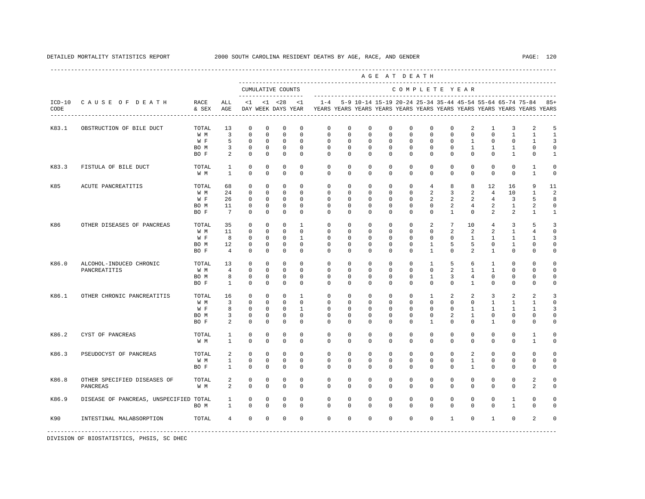|                  |                                                  |                                     |                                           |                                                                         |                                                                        |                                                                         |                                                                         |                                                                                    |                                                                      |                                                                        |                                                                      | AGE AT DEATH                                                            |                                                                         | -------------------------------                        |                                                      |                                                                 |                                                           |                                              |                                             |
|------------------|--------------------------------------------------|-------------------------------------|-------------------------------------------|-------------------------------------------------------------------------|------------------------------------------------------------------------|-------------------------------------------------------------------------|-------------------------------------------------------------------------|------------------------------------------------------------------------------------|----------------------------------------------------------------------|------------------------------------------------------------------------|----------------------------------------------------------------------|-------------------------------------------------------------------------|-------------------------------------------------------------------------|--------------------------------------------------------|------------------------------------------------------|-----------------------------------------------------------------|-----------------------------------------------------------|----------------------------------------------|---------------------------------------------|
|                  |                                                  |                                     |                                           |                                                                         |                                                                        | CUMULATIVE COUNTS<br>--------------------                               |                                                                         |                                                                                    |                                                                      |                                                                        |                                                                      |                                                                         |                                                                         | COMPLETE YEAR                                          |                                                      |                                                                 | --------------------------------------                    |                                              |                                             |
| $ICD-10$<br>CODE | CAUSE OF DEATH<br>------------------------------ | RACE<br>& SEX                       | ALL<br>AGE                                | <1                                                                      |                                                                        | $< 1$ $< 28$<br>DAY WEEK DAYS YEAR                                      | $\leq$ 1                                                                | $1 - 4$<br>YEARS YEARS YEARS YEARS YEARS YEARS YEARS YEARS YEARS YEARS YEARS YEARS |                                                                      |                                                                        |                                                                      |                                                                         |                                                                         |                                                        |                                                      |                                                                 | 5-9 10-14 15-19 20-24 25-34 35-44 45-54 55-64 65-74 75-84 |                                              | $85+$                                       |
| K83.1            | OBSTRUCTION OF BILE DUCT                         | TOTAL<br>W M<br>W F<br>BO M<br>BO F | 13<br>3<br>5<br>3<br>2                    | $\mathbf 0$<br>$\mathbf 0$<br>0<br>0<br>$\mathbf 0$                     | $\mathbf 0$<br>$\mathbf 0$<br>$^{\circ}$<br>0<br>$\mathbf 0$           | $\mathbf 0$<br>$\mathbb O$<br>0<br>$\mathbf 0$<br>$\mathbf 0$           | $\mathbf 0$<br>$\mathbf 0$<br>$\mathbf 0$<br>$\mathbf 0$<br>$\mathbf 0$ | $\mathbf 0$<br>$\mathbb O$<br>$\mathbf 0$<br>$\mathbf 0$<br>$\mathbf 0$            | $\mathbf 0$<br>$\circ$<br>0<br>$\circ$<br>$\mathbf 0$                | $\mathbf 0$<br>$\mathbf 0$<br>$\mathbf 0$<br>$^{\circ}$<br>$\mathbf 0$ | $^{\circ}$<br>$\mathbf 0$<br>$^{\circ}$<br>$^{\circ}$<br>$\mathbf 0$ | $^{\circ}$<br>0<br>$\mathbf{0}$<br>$\mathbf{0}$<br>$\mathbf 0$          | $\mathbf 0$<br>$\mathbf 0$<br>$\mathbf{0}$<br>0<br>$\mathbf 0$          | $\mathbf 0$<br>$\mathbf 0$<br>0<br>$\circ$<br>$\Omega$ | 2<br>$\mathbf 0$<br>1<br>1<br>$\Omega$               | $\mathbf{1}$<br>$\mathbf 0$<br>$^{\circ}$<br>1<br>$\Omega$      | 3<br>1<br>0<br>1<br>$\mathbf{1}$                          | 2<br>$\mathbf{1}$<br>1<br>0<br>$\Omega$      | 5<br>$\mathbf{1}$<br>3<br>0<br>$\mathbf{1}$ |
| K83.3            | FISTULA OF BILE DUCT                             | TOTAL<br>W M                        | $\mathbf{1}$<br>$\mathbf{1}$              | $\mathbf 0$<br>$\mathbf 0$                                              | $\mathbf 0$<br>$\mathbf 0$                                             | $\mathbf 0$<br>$\mathbf 0$                                              | $\mathbf 0$<br>$\Omega$                                                 | $\mathbf 0$<br>$\Omega$                                                            | $\mathbf 0$<br>$\mathbf 0$                                           | $^{\circ}$<br>$\Omega$                                                 | $\mathbf 0$<br>$\mathbf 0$                                           | $\mathbf 0$<br>$\Omega$                                                 | $\mathbf 0$<br>$\mathbf 0$                                              | $\mathbf 0$<br>$\Omega$                                | $\mathbf 0$<br>$\Omega$                              | $\mathbf 0$<br>$\Omega$                                         | $\mathbf{0}$<br>$\mathbf 0$                               | $\mathbf{1}$<br>$\mathbf{1}$                 | 0<br>$\mathbf 0$                            |
| K85              | ACUTE PANCREATITIS                               | TOTAL<br>W M<br>W F<br>BO M<br>BO F | 68<br>24<br>26<br>11<br>7                 | $\mathbf 0$<br>$\mathbf 0$<br>$^{\circ}$<br>$\mathbf 0$<br>$\mathbf 0$  | $\mathbf 0$<br>$\mathbf 0$<br>$^{\circ}$<br>$\mathbf 0$<br>$\mathbf 0$ | $\mathbf 0$<br>$\mathbb O$<br>0<br>0<br>$\mathbf 0$                     | $\mathbf 0$<br>$\mathbf 0$<br>$^{\circ}$<br>$\mathbf 0$<br>$\Omega$     | $\mathbf 0$<br>$\mathbb O$<br>$\mathbf{0}$<br>0<br>$\Omega$                        | $\mathbf 0$<br>$\mathbf 0$<br>$^{\circ}$<br>0<br>$\mathbf 0$         | $\mathbf{0}$<br>$\mathbf 0$<br>$^{\circ}$<br>0<br>$\Omega$             | $\mathbf{0}$<br>$\mathbf 0$<br>0<br>0<br>$\mathbf 0$                 | $\mathbf 0$<br>$\mathbf 0$<br>$\mathbf{0}$<br>$\mathbf{0}$<br>$\Omega$  | $\overline{4}$<br>2<br>2<br>0<br>$\mathbf 0$                            | 8<br>3<br>2<br>2<br>$\mathbf{1}$                       | 8<br>2<br>2<br>4<br>$\mathbf 0$                      | $12 \overline{ }$<br>4<br>$\overline{4}$<br>2<br>$\overline{a}$ | 16<br>10<br>3<br>$\mathbf{1}$<br>2                        | 9<br>1<br>5<br>2<br>$\mathbf{1}$             | 11<br>2<br>8<br>0<br>$\mathbf{1}$           |
| K86              | OTHER DISEASES OF PANCREAS                       | TOTAL<br>W M<br>W F<br>BO M<br>BO F | 35<br>11<br>8<br>12<br>$\overline{4}$     | $\mathbf 0$<br>$\mathbf 0$<br>$\mathbf 0$<br>$\mathbf 0$<br>$\mathbf 0$ | $\mathbf 0$<br>$\Omega$<br>$\mathbf 0$<br>$\mathbf 0$<br>$\mathbf 0$   | $\mathbf 0$<br>$\mathbf 0$<br>$\mathbf 0$<br>$\mathbf 0$<br>$\mathbf 0$ | $\mathbf{1}$<br>$\Omega$<br>$\mathbf{1}$<br>$\mathbf 0$<br>$\mathbf 0$  | $\mathbf 0$<br>$\Omega$<br>$\mathbf 0$<br>$\mathbf{0}$<br>$\mathbf{0}$             | $\mathbf 0$<br>$\Omega$<br>$\mathbf 0$<br>$\mathbf 0$<br>$\mathbf 0$ | $\mathbf 0$<br>$\Omega$<br>$^{\circ}$<br>$\mathbf 0$<br>$\mathbf 0$    | $\mathbf 0$<br>$\Omega$<br>$\mathbf 0$<br>$\mathbf 0$<br>$\mathbf 0$ | $\mathbf{0}$<br>$\Omega$<br>$\mathbf{0}$<br>$\mathbf{0}$<br>$\mathbf 0$ | 2<br>$\Omega$<br>$\mathbf 0$<br>$\mathbf{1}$<br>$\mathbf{1}$            | 7<br>2<br>$\mathbf 0$<br>5<br>$\mathbf 0$              | 10<br>$\overline{a}$<br>$\mathbf{1}$<br>5<br>2       | 4<br>$\overline{a}$<br>1<br>$^{\circ}$<br>$\mathbf{1}$          | 3<br>$\mathbf{1}$<br>$\mathbf{1}$<br>1<br>$\mathbf 0$     | 5<br>$\overline{4}$<br>1<br>0<br>$\mathbf 0$ | 3<br>$\mathbf 0$<br>3<br>0<br>0             |
| K86.0            | ALCOHOL-INDUCED CHRONIC<br>PANCREATITIS          | TOTAL<br>W M<br>BO M<br>BO F        | 13<br>$\overline{4}$<br>8<br>$\mathbf{1}$ | $\mathbf 0$<br>$\mathbf 0$<br>$\mathbf 0$<br>$\mathbf 0$                | $\mathbf 0$<br>$\mathbf 0$<br>$\mathbf 0$<br>$\Omega$                  | $\mathbf 0$<br>$\mathbf 0$<br>$\mathbf 0$<br>$\mathbf 0$                | $\Omega$<br>$\mathbf 0$<br>$\mathbf 0$<br>$\Omega$                      | $\mathbf 0$<br>$\mathbf{0}$<br>$\mathsf 0$<br>$\Omega$                             | $\mathbf 0$<br>$\mathbf 0$<br>$\mathbf 0$<br>$\Omega$                | $\mathbf 0$<br>$^{\circ}$<br>$^{\circ}$<br>$\Omega$                    | $\mathbf 0$<br>0<br>$^{\circ}$<br>$\Omega$                           | $\mathbf 0$<br>$\mathbf 0$<br>$\mathbf 0$<br>$\Omega$                   | $\mathbf{1}$<br>$\mathbf 0$<br>1<br>$\Omega$                            | 5<br>2<br>3<br>$\Omega$                                | 6<br>$\mathbf{1}$<br>4<br>1                          | 1<br>$\mathbf{1}$<br>$\Omega$<br>$\Omega$                       | 0<br>0<br>0<br>$\mathbf 0$                                | 0<br>0<br>0<br>$\Omega$                      | 0<br>$\mathbf 0$<br>0<br>0                  |
| K86.1            | OTHER CHRONIC PANCREATITIS                       | TOTAL<br>W M<br>W F<br>BO M<br>BO F | 16<br>$\overline{3}$<br>8<br>3<br>2       | $\mathbf 0$<br>$\mathbf 0$<br>$\mathbf 0$<br>0<br>$\mathbf 0$           | $\mathbf 0$<br>$\mathbf 0$<br>$\mathbf 0$<br>$\mathbf 0$<br>$^{\circ}$ | $\mathbf 0$<br>$\mathbf 0$<br>$\mathbf 0$<br>$\mathbf 0$<br>$^{\circ}$  | $\mathbf{1}$<br>$\Omega$<br>$\mathbf{1}$<br>$\mathbf 0$<br>$^{\circ}$   | $\mathbf 0$<br>$\mathbf 0$<br>$\mathbf 0$<br>0<br>$\mathbf{0}$                     | $\mathbf 0$<br>$\Omega$<br>$\mathbf 0$<br>$\mathbf 0$<br>0           | $\mathbf 0$<br>$\Omega$<br>$\mathbf 0$<br>0<br>$^{\circ}$              | $\mathbf 0$<br>$\Omega$<br>$\mathbf 0$<br>0<br>$^{\circ}$            | $\mathbf 0$<br>$\Omega$<br>$\mathbf 0$<br>$\mathbf{0}$<br>$\mathbf{0}$  | $\mathbf{1}$<br>$\Omega$<br>$\mathbf 0$<br>$\mathbf{0}$<br>$\mathbf{1}$ | 2<br>$\Omega$<br>$\mathbf 0$<br>2<br>0                 | $\overline{a}$<br>$\Omega$<br>$\mathbf{1}$<br>1<br>0 | 3<br>$\mathbf{1}$<br>$\mathbf{1}$<br>0<br>1                     | 2<br>$\mathbf{1}$<br>$\mathbf{1}$<br>0<br>0               | 2<br>$\mathbf{1}$<br>$\mathbf{1}$<br>0<br>0  | 3<br>$\Omega$<br>3<br>0<br>$\Omega$         |
| K86.2            | CYST OF PANCREAS                                 | TOTAL<br>W M                        | 1<br>1                                    | $\mathbf 0$<br>$\mathbf 0$                                              | $\mathbf 0$<br>$\mathbf 0$                                             | $\mathbf 0$<br>$\mathbf 0$                                              | $\mathbf 0$<br>$\mathbf 0$                                              | $\mathbf 0$<br>$\mathbf 0$                                                         | $\mathbf 0$<br>$\mathbf 0$                                           | $^{\circ}$<br>$\mathbf 0$                                              | $\mathbf 0$<br>$\mathbf 0$                                           | $\mathbf 0$<br>$\mathbf 0$                                              | $\mathbf 0$<br>0                                                        | $\mathbf 0$<br>$\mathbf 0$                             | $\mathbf 0$<br>0                                     | $\mathbf 0$<br>$\mathbf 0$                                      | $\mathbf 0$<br>$\mathbf 0$                                | $\mathbf{1}$<br>$\mathbf{1}$                 | 0<br>0                                      |
| K86.3            | PSEUDOCYST OF PANCREAS                           | TOTAL<br>W M<br>BO F                | 2<br>$\mathbf{1}$<br>$\mathbf{1}$         | $\mathbf 0$<br>$\mathbb O$<br>$\Omega$                                  | $\mathbf 0$<br>$\mathbf 0$<br>$\Omega$                                 | $\mathbf 0$<br>$\mathbb O$<br>$\mathbf 0$                               | $\Omega$<br>$\mathbf 0$<br>$\Omega$                                     | $\mathbf 0$<br>$\mathbf 0$<br>$\Omega$                                             | $\mathbf 0$<br>$\mathbf 0$<br>$\Omega$                               | $^{\circ}$<br>$^{\circ}$<br>$\Omega$                                   | $^{\circ}$<br>$\mathbf 0$<br>$\Omega$                                | $\circ$<br>$\mathbf 0$<br>$\Omega$                                      | $\mathbf 0$<br>$\mathbf 0$<br>$\Omega$                                  | $\Omega$<br>$\mathbf 0$<br>$\Omega$                    | $\overline{a}$<br>$\mathbf{1}$<br>$\mathbf{1}$       | $\Omega$<br>$\mathbf 0$<br>$\Omega$                             | $\mathbf{0}$<br>$\mathbf 0$<br>$\Omega$                   | $\mathbf 0$<br>$\mathbf 0$<br>$\Omega$       | 0<br>$\mathbf 0$<br>$\Omega$                |
| K86.8            | OTHER SPECIFIED DISEASES OF<br>PANCREAS          | TOTAL<br>W M                        | 2<br>2                                    | 0<br>$\mathbf 0$                                                        | 0<br>$\mathbf 0$                                                       | 0<br>$\mathbf 0$                                                        | $\mathbf 0$<br>$\Omega$                                                 | 0<br>$\mathbf 0$                                                                   | 0<br>$\mathbf 0$                                                     | $^{\circ}$<br>$\Omega$                                                 | 0<br>$\Omega$                                                        | $\mathbf{0}$<br>$\Omega$                                                | $\mathbf{0}$<br>$\Omega$                                                | $^{\circ}$<br>$\Omega$                                 | $\mathbf{0}$<br>0                                    | $^{\circ}$<br>$\Omega$                                          | 0<br>0                                                    | 2<br>2                                       | 0<br>0                                      |
| K86.9            | DISEASE OF PANCREAS, UNSPECIFIED TOTAL           | BO M                                | 1<br>$\mathbf{1}$                         | 0<br>$\mathbf 0$                                                        | 0<br>$\Omega$                                                          | 0<br>$\mathbf 0$                                                        | $\mathbf 0$<br>$\Omega$                                                 | 0<br>$\Omega$                                                                      | 0<br>$\Omega$                                                        | $^{\circ}$<br>$\Omega$                                                 | $^{\circ}$<br>$\Omega$                                               | $\mathbf{0}$<br>$\Omega$                                                | $\mathbf{0}$<br>$\Omega$                                                | $^{\circ}$<br>$\Omega$                                 | $^{\circ}$<br>$\Omega$                               | $^{\circ}$<br>$\Omega$                                          | 1<br>$\mathbf{1}$                                         | $\Omega$<br>$\Omega$                         | 0<br>$\Omega$                               |
| K90              | INTESTINAL MALABSORPTION                         | TOTAL                               | $\overline{4}$                            | $\mathbf 0$                                                             | $\mathbf 0$                                                            | $\mathbf 0$                                                             | $\mathbf 0$                                                             | $\mathbf{0}$                                                                       | $\mathbf 0$                                                          | $\mathbf 0$                                                            | $\mathbf 0$                                                          | $\mathbf 0$                                                             | $\mathbf 0$                                                             | $\mathbf{1}$                                           | $\mathbf 0$                                          | $\mathbf{1}$                                                    | $\mathbf 0$                                               | 2                                            | $\Omega$                                    |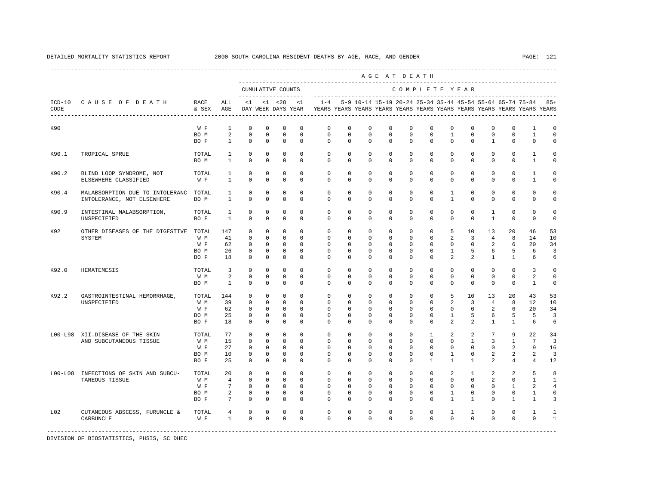|                  |                                                                     |                                     |                                                   |                                                                        |                                                                         |                                                                         |                                                                          |                                                                                                       |                                                                     |                                                               |                                                                | AGE AT DEATH                                                          |                                                                        |                                                                 |                                                                           |                                                                      |                                                                 |                                                               |                                          |
|------------------|---------------------------------------------------------------------|-------------------------------------|---------------------------------------------------|------------------------------------------------------------------------|-------------------------------------------------------------------------|-------------------------------------------------------------------------|--------------------------------------------------------------------------|-------------------------------------------------------------------------------------------------------|---------------------------------------------------------------------|---------------------------------------------------------------|----------------------------------------------------------------|-----------------------------------------------------------------------|------------------------------------------------------------------------|-----------------------------------------------------------------|---------------------------------------------------------------------------|----------------------------------------------------------------------|-----------------------------------------------------------------|---------------------------------------------------------------|------------------------------------------|
|                  |                                                                     |                                     |                                                   |                                                                        |                                                                         | CUMULATIVE COUNTS                                                       |                                                                          |                                                                                                       |                                                                     |                                                               |                                                                | COMPLETE YEAR                                                         |                                                                        |                                                                 |                                                                           |                                                                      |                                                                 |                                                               |                                          |
| $ICD-10$<br>CODE | CAUSE OF DEATH                                                      | RACE<br>& SEX                       | ALL<br>AGE                                        | <1                                                                     |                                                                         | $< 1$ $< 28$                                                            | <1                                                                       | $1 - 4$<br>DAY WEEK DAYS YEAR TEARS YEARS YEARS YEARS YEARS YEARS YEARS YEARS YEARS YEARS YEARS YEARS |                                                                     |                                                               |                                                                |                                                                       |                                                                        |                                                                 |                                                                           |                                                                      |                                                                 | 5-9 10-14 15-19 20-24 25-34 35-44 45-54 55-64 65-74 75-84 85+ |                                          |
| K90              |                                                                     | W F                                 | $\overline{1}$                                    | $\mathbf 0$                                                            | $\mathbf 0$                                                             | $\mathbf 0$                                                             | $\Omega$                                                                 | $\Omega$                                                                                              | $\Omega$                                                            | $\Omega$                                                      | $\Omega$                                                       | $\Omega$                                                              | $\Omega$                                                               | $\Omega$                                                        | $\Omega$                                                                  | $\Omega$                                                             | $\Omega$                                                        | $\overline{1}$                                                | $\Omega$                                 |
|                  |                                                                     | BO M<br>BO F                        | 2<br>$\mathbf{1}$                                 | $\mathbb O$<br>$\mathbf{0}$                                            | $\mathbf 0$<br>$\mathbf 0$                                              | $\mathbb O$<br>$\mathbf 0$                                              | $\mathbf 0$<br>$\mathbf 0$                                               | $\mathbf{0}$<br>$\circ$                                                                               | $^{\circ}$<br>$\circ$                                               | $\mathbf{0}$<br>$\mathbf 0$                                   | $\mathbf{0}$<br>$\mathbf 0$                                    | $\mathbf{0}$<br>$\mathbf 0$                                           | $\mathbf{0}$<br>$\mathbf 0$                                            | $\mathbf{1}$<br>$\mathbf 0$                                     | 0<br>$\mathbf 0$                                                          | 0<br>$\mathbf{1}$                                                    | $\mathbf{0}$<br>$\mathbf 0$                                     | 1<br>$\mathbf 0$                                              | 0<br>$\mathbf 0$                         |
| K90.1            | TROPICAL SPRUE                                                      | TOTAL<br>BO M                       | 1<br>$\overline{1}$                               | $\Omega$<br>$\Omega$                                                   | $\Omega$<br>$\Omega$                                                    | $\mathbf 0$<br>$\Omega$                                                 | $\Omega$<br>$\Omega$                                                     | $\Omega$<br>$\Omega$                                                                                  | $\Omega$<br>$\Omega$                                                | $\Omega$<br>$\Omega$                                          | $\Omega$<br>$\Omega$                                           | $\Omega$<br>$\Omega$                                                  | $\Omega$<br>$\Omega$                                                   | $\Omega$<br>$\Omega$                                            | $\Omega$<br>$\Omega$                                                      | $\Omega$<br>$\Omega$                                                 | $\Omega$<br>$\Omega$                                            | $\mathbf{1}$<br>$\overline{1}$                                | $\Omega$<br>$\Omega$                     |
| K90.2            | BLIND LOOP SYNDROME, NOT<br>ELSEWHERE CLASSIFIED                    | TOTAL<br>W F                        | $\mathbf{1}$<br>$\mathbf{1}$                      | 0<br>$\mathbf 0$                                                       | $^{\circ}$<br>$\Omega$                                                  | 0<br>$\mathbf 0$                                                        | $\mathbf 0$<br>$\Omega$                                                  | $\circ$<br>$\Omega$                                                                                   | $^{\circ}$<br>$\Omega$                                              | $\mathbf{0}$<br>$\Omega$                                      | 0<br>$\Omega$                                                  | $\mathbf{0}$<br>$\Omega$                                              | 0<br>$\Omega$                                                          | 0<br>$\Omega$                                                   | 0<br>$\Omega$                                                             | 0<br>$\Omega$                                                        | $\mathbf 0$<br>$\Omega$                                         | 1<br>$\overline{1}$                                           | $\circ$<br>$\Omega$                      |
| K90.4            | MALABSORPTION DUE TO INTOLERANC TOTAL<br>INTOLERANCE, NOT ELSEWHERE | BO M                                | 1<br>$\mathbf{1}$                                 | $\mathbf 0$<br>$\mathbf{0}$                                            | $\mathbf 0$<br>$\mathbf 0$                                              | $\mathbf 0$<br>$\mathbf 0$                                              | $\mathbf 0$<br>$\mathbf 0$                                               | $\mathbf 0$<br>$\mathbf{0}$                                                                           | $\mathbf 0$<br>$\mathbf 0$                                          | $\mathbf 0$<br>$\mathbf 0$                                    | $\mathbf 0$<br>$\mathbf 0$                                     | $\mathbf 0$<br>$\Omega$                                               | $\mathbf 0$<br>$\mathbf 0$                                             | $\mathbf{1}$<br>$\mathbf{1}$                                    | $\mathbf 0$<br>$\mathbf 0$                                                | $\mathbf 0$<br>$\Omega$                                              | $\mathbf 0$<br>$\mathbf 0$                                      | $\mathbf 0$<br>$\mathbf 0$                                    | $\circ$<br>$\Omega$                      |
| K90.9            | INTESTINAL MALABSORPTION,<br>UNSPECIFIED                            | TOTAL<br>BO F                       | 1<br>$\mathbf{1}$                                 | $\mathbf 0$<br>$\Omega$                                                | $\mathbf 0$<br>$\Omega$                                                 | $\mathbf 0$<br>$\Omega$                                                 | $\mathbf 0$<br>$\Omega$                                                  | $\mathbf{0}$<br>$\cap$                                                                                | $\mathbf 0$<br>$\Omega$                                             | $^{\circ}$<br>$\Omega$                                        | 0<br>$\Omega$                                                  | $\Omega$<br>$\Omega$                                                  | $\Omega$<br>$\Omega$                                                   | $\Omega$<br>$\Omega$                                            | $\Omega$<br>$\Omega$                                                      | 1<br>$\overline{1}$                                                  | $\Omega$<br>$\Omega$                                            | $\Omega$<br>$\Omega$                                          | $\circ$<br>$\Omega$                      |
| K92              | OTHER DISEASES OF THE DIGESTIVE TOTAL<br>SYSTEM                     | W M<br>W F<br>BO M<br>BO F          | 147<br>41<br>62<br>26<br>18                       | $\mathbf 0$<br>$^{\circ}$<br>$^{\circ}$<br>$\mathbf 0$<br>$\mathbf 0$  | $\mathbf 0$<br>$\Omega$<br>$\mathbf 0$<br>$\mathbf 0$<br>$\mathbf 0$    | $\mathbf 0$<br>$\mathbf 0$<br>$\mathbf 0$<br>$\mathbf 0$<br>$\mathbf 0$ | $\mathbf 0$<br>$\Omega$<br>$\mathbf 0$<br>$\mathbf 0$<br>$\Omega$        | $\mathbf 0$<br>$\mathbf 0$<br>$\mathbf 0$<br>$\mathbf 0$<br>$\Omega$                                  | $\mathbf 0$<br>$\Omega$<br>$\mathbf 0$<br>$\Omega$<br>$\Omega$      | $^{\circ}$<br>$\Omega$<br>$\mathbf 0$<br>$\Omega$<br>$\Omega$ | $\mathbf 0$<br>$\Omega$<br>$\mathbf 0$<br>$\Omega$<br>$\Omega$ | $\mathbf 0$<br>$\Omega$<br>$\mathbf 0$<br>$\Omega$<br>$\Omega$        | $\mathbf 0$<br>$\Omega$<br>$\mathbf 0$<br>$\Omega$<br>$\Omega$         | 5<br>2<br>$\mathbf 0$<br>$\mathbf{1}$<br>$\mathfrak{D}$         | 10<br>$\overline{3}$<br>$\mathbf 0$<br>5<br>$\mathfrak{D}$                | 13<br>$\overline{4}$<br>2<br>6<br>$\mathbf{1}$                       | 20<br>8<br>6<br>5<br>$\mathbf{1}$                               | 46<br>14<br>20<br>6<br>6                                      | 53<br>10<br>34<br>3<br>6                 |
| K92.0            | HEMATEMESIS                                                         | TOTAL<br>W M<br>BO M                | 3<br>2<br>$\mathbf{1}$                            | $^{\circ}$<br>$\mathbf 0$<br>$\mathbf 0$                               | $\mathbf{0}$<br>$\mathbf 0$<br>$\mathbf 0$                              | $\mathbf 0$<br>$\mathbf 0$<br>$\mathbf 0$                               | $\mathbf 0$<br>$\mathbf 0$<br>$\Omega$                                   | $^{\circ}$<br>$\mathbf 0$<br>$\Omega$                                                                 | $\circ$<br>$\mathbf{0}$<br>$\mathbf{0}$                             | $\mathbf{0}$<br>0<br>0                                        | $\mathbf{0}$<br>0<br>0                                         | $\mathbf{0}$<br>$\mathbf{0}$<br>$\Omega$                              | $\mathbf{0}$<br>0<br>0                                                 | $\mathbf{0}$<br>0<br>$\Omega$                                   | $\mathbf 0$<br>$\mathbf 0$<br>$\mathbf 0$                                 | 0<br>$\mathbf 0$<br>$\Omega$                                         | $\mathbf{0}$<br>$\mathbf 0$<br>0                                | 3<br>2<br>$\mathbf{1}$                                        | $\mathbf 0$<br>$\mathbf 0$<br>$\circ$    |
| K92.2            | GASTROINTESTINAL HEMORRHAGE,<br>UNSPECIFIED                         | TOTAL<br>W M<br>W F<br>BO M<br>BO F | 144<br>39<br>62<br>25<br>18                       | $\mathbf{0}$<br>$\mathbf 0$<br>$\mathbf{0}$<br>$\mathbf 0$<br>$\Omega$ | $\mathbf 0$<br>$\mathbf 0$<br>$^{\circ}$<br>$\mathbf 0$<br>$\Omega$     | $\mathbf 0$<br>$\mathbf 0$<br>$\mathbf 0$<br>$\mathbf 0$<br>$\Omega$    | $\Omega$<br>$\Omega$<br>$\mathbf 0$<br>$\mathbf 0$<br>$\Omega$           | $\mathbf 0$<br>$\mathbf{0}$<br>$\mathbf{0}$<br>$\mathbf 0$<br>$\Omega$                                | $\mathbf 0$<br>$\Omega$<br>$\mathbf{0}$<br>$\mathbf 0$<br>$\Omega$  | $\Omega$<br>0<br>0<br>$\Omega$<br>$\Omega$                    | $\Omega$<br>0<br>0<br>$\Omega$<br>$\Omega$                     | $\Omega$<br>$\mathbf{0}$<br>$\mathbf{0}$<br>$\Omega$<br>$\Omega$      | $\Omega$<br>$\Omega$<br>$\mathbf{0}$<br>$\Omega$<br>$\Omega$           | 5<br>2<br>$\mathbf{0}$<br>$\mathbf{1}$<br>$\mathfrak{D}$        | 10<br>3<br>$\mathbf 0$<br>5<br>2                                          | 13<br>$\overline{4}$<br>2<br>6<br>$\overline{1}$                     | 20<br>8<br>6<br>5<br>$\overline{1}$                             | 43<br>12<br>20<br>-5<br>6                                     | 53<br>10<br>34<br>3<br>6                 |
|                  | L00-L98 XII.DISEASE OF THE SKIN<br>AND SUBCUTANEOUS TISSUE          | TOTAL<br>W M<br>W F<br>BO M<br>BO F | 77<br>15<br>27<br>10<br>25                        | $^{\circ}$<br>0<br>0<br>$\mathbf 0$<br>$\Omega$                        | $\mathbf 0$<br>$\mathbf 0$<br>$\mathbf 0$<br>$\mathbf 0$<br>$\mathbf 0$ | $\mathbb O$<br>$\mathbf 0$<br>$\mathbf 0$<br>$\mathbf 0$<br>$\mathbf 0$ | $\mathbf{0}$<br>$\mathbf 0$<br>$\mathbf 0$<br>$\Omega$<br>$\Omega$       | $\mathbf 0$<br>$^{\circ}$<br>$\mathbf 0$<br>$\Omega$<br>$\Omega$                                      | $\mathbf 0$<br>$\mathbf{0}$<br>$\mathbf{0}$<br>$\Omega$<br>$\Omega$ | $\mathbf 0$<br>0<br>0<br>$\Omega$<br>$\Omega$                 | $\mathbf 0$<br>0<br>0<br>$\Omega$<br>$\Omega$                  | $\mathbf 0$<br>$\mathbf{0}$<br>$\Omega$<br>$\Omega$<br>$\Omega$       | $\mathbf{1}$<br>$\mathbf{0}$<br>$\Omega$<br>$\Omega$<br>$\mathbf{1}$   | 2<br>0<br>$\Omega$<br>$\mathbf{1}$<br>$\mathbf{1}$              | 2<br>$\mathbf{1}$<br>$\Omega$<br>$\Omega$<br>$\mathbf{1}$                 | $7\phantom{.0}$<br>3<br>$\Omega$<br>$\overline{a}$<br>$\mathfrak{D}$ | 9<br>1<br>2<br>2<br>4                                           | 22<br>7<br>9<br>2<br>$\overline{4}$                           | 34<br>$\overline{3}$<br>16<br>3<br>12    |
| $LOO-L08$        | INFECTIONS OF SKIN AND SUBCU-<br>TANEOUS TISSUE                     | TOTAL<br>W M<br>W F<br>BO M<br>BO F | 20<br>$\overline{4}$<br>7<br>2<br>$7\phantom{.0}$ | $^{\circ}$<br>$\mathbf 0$<br>$^{\circ}$<br>$\mathbf 0$<br>$\mathbb O$  | $\mathbf 0$<br>$\mathbf 0$<br>$\mathbf 0$<br>$\mathbf 0$<br>$\mathbb O$ | $\mathbf 0$<br>$\mathbf 0$<br>$\mathbf 0$<br>$\mathbf 0$<br>$\mathbb O$ | $\mathbf{0}$<br>$\mathbf 0$<br>$\mathbf 0$<br>$\mathbf 0$<br>$\mathbf 0$ | $\mathbf 0$<br>$\mathbf 0$<br>$\mathbf 0$<br>$\mathbf 0$<br>$\mathbf 0$                               | $\circ$<br>$\mathbf 0$<br>$\mathbf 0$<br>$\mathbf 0$<br>$\mathbf 0$ | $\circ$<br>$^{\circ}$<br>0<br>0<br>$\Omega$                   | $\mathbf{0}$<br>0<br>0<br>0<br>$\mathbf 0$                     | $^{\circ}$<br>$\mathbf 0$<br>$\mathbf{0}$<br>$\mathbf{0}$<br>$\Omega$ | $\mathbf{0}$<br>$\mathbf 0$<br>$\Omega$<br>$\mathbf{0}$<br>$\mathbf 0$ | 2<br>$\mathbf 0$<br>$\mathbf 0$<br>$\mathbf{1}$<br>$\mathbf{1}$ | $\mathbf{1}$<br>$\mathbf 0$<br>$\mathbf 0$<br>$\mathbf 0$<br>$\mathbf{1}$ | 2<br>2<br>$\mathbf 0$<br>$\Omega$<br>$\Omega$                        | 2<br>$\mathbf 0$<br>$\mathbf{1}$<br>$\mathbf 0$<br>$\mathbf{1}$ | 5<br>$\mathbf{1}$<br>2<br>1<br>$\mathbf{1}$                   | 8<br>1<br>$\overline{4}$<br>$\circ$<br>3 |
| L02              | CUTANEOUS ABSCESS, FURUNCLE &<br>CARBUNCLE                          | TOTAL<br>W F                        | 4<br>$\mathbf{1}$                                 | $\mathbf 0$<br>$\mathbf 0$                                             | $\mathbf 0$<br>$\Omega$                                                 | 0<br>$\mathbf 0$                                                        | $\mathbf 0$<br>$\Omega$                                                  | $\mathbf 0$<br>$\Omega$                                                                               | 0<br>$\Omega$                                                       | 0<br>$\Omega$                                                 | 0<br>$\Omega$                                                  | $\mathbf{0}$<br>$\Omega$                                              | 0<br>$\Omega$                                                          | 1<br>$\Omega$                                                   | 1<br>$\Omega$                                                             | 0<br>$\Omega$                                                        | $\mathbf 0$<br>$\Omega$                                         | 1<br>$\Omega$                                                 | -1<br>$\mathbf{1}$                       |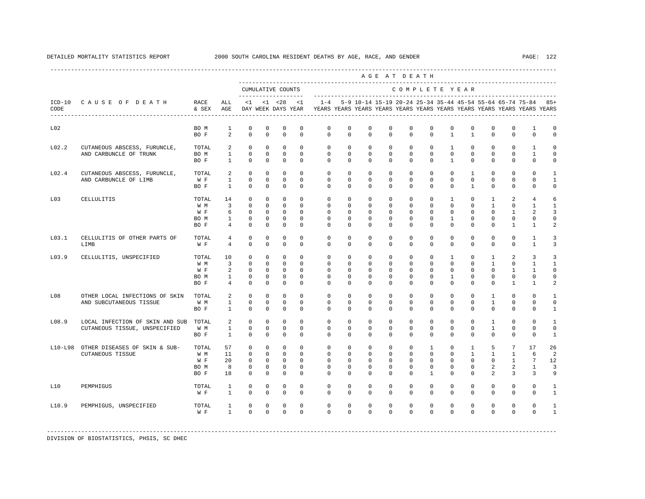|           |                                                                        |                                     |                                                                        |                                                               |                                                          |                                                                     |                                                                 |                                                                                            |                                                               |                                                                          |                                                                   | AGE AT DEATH                                                |                                                                     |                                                            |                                                                 |                                                                      |                                                                        |                                                                   |                                                |
|-----------|------------------------------------------------------------------------|-------------------------------------|------------------------------------------------------------------------|---------------------------------------------------------------|----------------------------------------------------------|---------------------------------------------------------------------|-----------------------------------------------------------------|--------------------------------------------------------------------------------------------|---------------------------------------------------------------|--------------------------------------------------------------------------|-------------------------------------------------------------------|-------------------------------------------------------------|---------------------------------------------------------------------|------------------------------------------------------------|-----------------------------------------------------------------|----------------------------------------------------------------------|------------------------------------------------------------------------|-------------------------------------------------------------------|------------------------------------------------|
|           |                                                                        |                                     |                                                                        |                                                               |                                                          | CUMULATIVE COUNTS                                                   |                                                                 |                                                                                            |                                                               |                                                                          |                                                                   | COMPLETE YEAR                                               |                                                                     |                                                            |                                                                 |                                                                      |                                                                        |                                                                   |                                                |
| CODE      | ICD-10 CAUSE OF DEATH RACE                                             | & SEX AGE                           | ALL                                                                    |                                                               |                                                          | $<1$ $<1$ $<28$                                                     | <1                                                              | DAY WEEK DAYS YEAR YEARS YEARS YEARS YEARS YEARS YEARS YEARS YEARS YEARS YEARS YEARS YEARS |                                                               |                                                                          |                                                                   |                                                             |                                                                     |                                                            |                                                                 |                                                                      |                                                                        | 1-4 5-9 10-14 15-19 20-24 25-34 35-44 45-54 55-64 65-74 75-84 85+ |                                                |
| L02       |                                                                        | BO M                                | 1                                                                      | $^{\circ}$                                                    | $^{\circ}$                                               | $^{\circ}$                                                          | $\mathbf 0$                                                     | $^{\circ}$                                                                                 | $\mathbf 0$                                                   | 0                                                                        | $\Omega$                                                          | $\mathbf 0$                                                 | $\mathbf 0$                                                         | $\mathbf{0}$<br>$\mathbf{1}$                               | $\mathbf 0$                                                     | $^{\circ}$                                                           | $\mathbf{0}$                                                           | $\mathbf{1}$                                                      | 0                                              |
|           |                                                                        | BO F                                | 2                                                                      | $\Omega$                                                      | $\Omega$                                                 | $\Omega$                                                            | $\Omega$                                                        | $\Omega$                                                                                   | $\Omega$                                                      | $\Omega$                                                                 | $\Omega$                                                          | $\Omega$                                                    | $\Omega$                                                            |                                                            | $\mathbf{1}$                                                    | $\Omega$                                                             | $\Omega$                                                               | $\Omega$                                                          | $\Omega$                                       |
| L02.2     | CUTANEOUS ABSCESS, FURUNCLE,<br>AND CARBUNCLE OF TRUNK                 | TOTAL<br>BO M<br>BO F               | 2<br>$\mathbf{1}$<br>$\sim$ 1                                          | $\Omega$<br>$\Omega$<br>$\circ$                               | $\Omega$<br>$\Omega$<br>$\circ$                          | $\circ$<br>$\Omega$<br>$\overline{0}$                               | $\Omega$<br>$\Omega$<br>$\Omega$                                | $\Omega$<br>$\Omega$<br>$\Omega$                                                           | $\Omega$<br>$\Omega$<br>$\circ$                               | $\Omega$<br>$\Omega$<br>$\circ$                                          | $\Omega$<br>$\Omega$<br>$\circ$                                   | $\Omega$<br>$\Omega$<br>$\mathbf{0}$                        | $\Omega$<br>$\Omega$<br>$\circ$                                     | $\mathbf{1}$<br>$\Omega$<br>$\overline{1}$                 | $\Omega$<br>$\Omega$<br>$\mathbf{0}$                            | $\Omega$<br>$\Omega$<br>$\overline{0}$                               | $\Omega$<br>$\Omega$<br>$\circ$                                        | $\overline{1}$<br>$\mathbf{1}$<br>$\circ$                         | $\Omega$<br>$\Omega$<br>0                      |
| L02.4     | CUTANEOUS ABSCESS, FURUNCLE,<br>AND CARBUNCLE OF LIMB                  | TOTAL<br>$W F$ 1<br>BO F            | 2<br>1                                                                 | $\circ$<br>$\overline{0}$<br>$\Omega$                         | $\circ$<br>$\Omega$<br>$\Omega$                          | $\circ$<br>$\Omega$<br>$\Omega$                                     | $\mathbf{0}$<br>$\Omega$<br>$\Omega$                            | $\mathbf{0}$<br>$\Omega$<br>$\Omega$                                                       | $\circ$<br>$\Omega$<br>$\Omega$                               | $\mathbf{0}$<br>$\Omega$<br>$\Omega$                                     | $\circ$<br>$\Omega$<br>$\Omega$                                   | $\mathbf{0}$<br>$\Omega$<br>$\Omega$                        | $\circ$<br>$\Omega$<br>$\Omega$                                     | $\circ$<br>$\Omega$<br>$\Omega$                            | $\mathbf{1}$<br>$\mathbf{0}$<br>$\overline{1}$                  | $\circ$<br>$\Omega$<br>$\Omega$                                      | $\mathbf 0$<br>$\Omega$<br>$\Omega$                                    | $\Omega$<br>$\Omega$<br>$\Omega$                                  | $\mathbf{1}$<br>$\mathbf{1}$<br>$\Omega$       |
| L03       | CELLULITIS                                                             | TOTAL                               | 14                                                                     | $\Omega$                                                      | $\Omega$                                                 | $\Omega$                                                            | $\Omega$                                                        | $\Omega$                                                                                   | $\Omega$                                                      | $\Omega$                                                                 | $\Omega$                                                          | $\Omega$                                                    | $\Omega$                                                            | $\overline{1}$                                             | $\Omega$                                                        | $\overline{1}$                                                       | 2                                                                      | $\overline{4}$                                                    | 6                                              |
|           |                                                                        | W M<br>W F<br>BO M<br>BO F          | $\overline{\mathbf{3}}$<br>6<br>1                                      | $\circ$<br>$\overline{0}$<br>$\circ$<br>$4\degree$<br>$\circ$ | $\circ$<br>$^{\circ}$<br>$^{\circ}$<br>$\mathbf{0}$      | $\circ$<br>$\overline{0}$<br>$\overline{0}$<br>$\circ$              | $\Omega$<br>$\Omega$<br>$\circ$<br>$\mathbf 0$                  | $\circ$<br>$\Omega$<br>$\mathbf{0}$<br>$\circ$                                             | $\circ$<br>$\Omega$<br>$\circ$<br>$\mathbf 0$                 | $\mathbf{0}$<br>$\Omega$<br>$\mathbf{0}$<br>$\circ$                      | $\mathbf{0}$<br>$\Omega$<br>$^{\circ}$<br>$\mathbf 0$             | $\circ$<br>$\Omega$<br>$\circ$<br>$\mathbf 0$               | $\mathbf{0}$<br>$\mathbf{0}$<br>$\circ$<br>$\mathbf{0}$             | $\circ$<br>$\mathbf 0$<br>$\mathbf{1}$<br>$\circ$          | $\circ$<br>$\circ$<br>$\mathbf{0}$<br>$\circ$                   | $\mathbf{1}$<br>$\Omega$<br>$\circ$<br>$\mathbf{0}$                  | $\circ$<br>$\mathbf{1}$<br>$\Omega$<br>$\mathbf{1}$                    | $\mathbf{1}$<br>2<br>$\mathbf 0$<br>$\mathbf{1}$                  | $\mathbf{1}$<br>3<br>$\Omega$<br>2             |
| L03.1     | CELLULITIS OF OTHER PARTS OF<br>LIMB                                   | TOTAL<br>W F                        | 4<br>$\overline{4}$                                                    | $\Omega$<br>$\Omega$                                          | $\Omega$<br>$\mathbf 0$                                  | $\Omega$<br>$\Omega$                                                | $\Omega$<br>$\Omega$                                            | $\Omega$<br>$\Omega$                                                                       | $\Omega$<br>$\Omega$                                          | $\Omega$<br>$\Omega$                                                     | $\Omega$<br>$\Omega$                                              | $\Omega$<br>$\Omega$                                        | $\Omega$<br>$\Omega$                                                | $\Omega$<br>$\Omega$                                       | $\Omega$<br>$\mathbf{0}$                                        | $\Omega$<br>$\Omega$                                                 | $\Omega$<br>$\mathbf 0$                                                | $\mathbf{1}$<br>$\mathbf{1}$                                      | 3<br>3                                         |
| L03.9     | CELLULITIS, UNSPECIFIED                                                | TOTAL<br>W M<br>W F<br>BO M<br>BO F | 10<br>$\overline{\mathbf{3}}$<br>2<br>$\frac{1}{2}$<br>$4\overline{4}$ | $\mathbf{0}$<br>$\circ$<br>$\Omega$<br>$\circ$<br>$\Omega$    | $\circ$<br>$\Omega$<br>$\circ$<br>$^{\circ}$<br>$\Omega$ | $\circ$<br>$\Omega$<br>$\overline{0}$<br>$\overline{0}$<br>$\Omega$ | $\Omega$<br>$\Omega$<br>$\Omega$<br>$\Omega$<br>$\Omega$        | $\circ$<br>$\Omega$<br>$\Omega$<br>$\mathbf{0}$<br>$\Omega$                                | $\mathbf 0$<br>$\Omega$<br>$\Omega$<br>$\Omega$<br>$\Omega$   | $^{\circ}$<br>$\Omega$<br>$\Omega$<br>$\Omega$<br>$\Omega$               | $\mathbf 0$<br>$\Omega$<br>$\Omega$<br>$\Omega$<br>$\Omega$       | $\mathbf 0$<br>$\Omega$<br>$\Omega$<br>$\Omega$<br>$\Omega$ | $\mathbf{0}$<br>$\Omega$<br>$\circ$<br>$\Omega$<br>$\Omega$         | $\mathbf{1}$<br>$\circ$<br>$\circ$<br>1<br>$\Omega$        | $\mathbf 0$<br>$\mathbf{0}$<br>$\Omega$<br>$\circ$<br>$\Omega$  | $\mathbf{1}$<br>$\overline{1}$<br>$\Omega$<br>$^{\circ}$<br>$\Omega$ | 2<br>$\mathbf{0}$<br>$\mathbf{1}$<br>$\mathbf{0}$<br>$\mathbf{1}$      | 3<br>$\mathbf{1}$<br>$\mathbf{1}$<br>$\Omega$<br>$\mathbf{1}$     | 3<br>$\mathbf{1}$<br>$\Omega$<br>$\Omega$<br>2 |
| L08       | OTHER LOCAL INFECTIONS OF SKIN TOTAL<br>AND SUBCUTANEOUS TISSUE        | W M<br>BO F                         | $\overline{a}$<br>$1 \quad \blacksquare$<br>$\mathbf{1}$               | $\circ$<br>$\circ$<br>$\Omega$                                | $\circ$<br>$^{\circ}$<br>$\Omega$                        | $\mathbb O$<br>$\circ$<br>$\circ$                                   | $\circ$<br>$\circ$<br>$\Omega$                                  | $\circ$<br>$\mathbf{0}$<br>$\Omega$                                                        | $\circ$<br>$\circ$<br>$\Omega$                                | $\mathbf{0}$<br>$^{\circ}$<br>$\Omega$                                   | $\mathbf 0$<br>0<br>$\Omega$                                      | $\circ$<br>$\circ$<br>$\Omega$                              | $\circ$<br>$\mathbf{0}$<br>$\Omega$                                 | $\circ$<br>$\circ$<br>$\Omega$                             | $\circ$<br>$\mathbf{0}$<br>$\Omega$                             | $\mathbf{1}$<br>$\mathbf{1}$<br>$\Omega$                             | $\mathbf 0$<br>$\circ$<br>$\Omega$                                     | $\mathbf 0$<br>$\mathbf{0}$<br>$\Omega$                           | $\mathbf{1}$<br>$\mathbf 0$<br>1               |
| L08.9     | LOCAL INFECTION OF SKIN AND SUB TOTAL<br>CUTANEOUS TISSUE, UNSPECIFIED | W M<br>BO F                         | 2<br>$1 \qquad \qquad$<br>$\sim$ 1                                     | $\Omega$<br>$\circ$<br>$\Omega$                               | $\Omega$<br>$\mathbf{0}$<br>$\Omega$                     | $\Omega$<br>$\mathbf 0$<br>$\Omega$                                 | $\Omega$<br>$\Omega$<br>$\Omega$                                | $\Omega$<br>$\Omega$<br>$\Omega$                                                           | $\Omega$<br>$\Omega$<br>$\Omega$                              | $\Omega$<br>$\Omega$<br>$\Omega$                                         | $\Omega$<br>$\Omega$<br>$\Omega$                                  | $\Omega$<br>$\Omega$<br>$\Omega$                            | $\Omega$<br>$\mathbf{0}$<br>$\Omega$                                | $\Omega$<br>$\mathbf{0}$<br>$\Omega$                       | $\Omega$<br>$\mathbf{0}$<br>$\Omega$                            | $\mathbf{1}$<br>$\mathbf{1}$<br>$\Omega$                             | $\Omega$<br>$\mathbf 0$<br>$\Omega$                                    | $\Omega$<br>$\Omega$<br>$\Omega$                                  | $\mathbf{1}$<br>$\Omega$<br>$\mathbf{1}$       |
| $L10-L98$ | OTHER DISEASES OF SKIN & SUB-<br><b>CUTANEOUS TISSUE</b>               | TOTAL<br>W M<br>W F<br>BO M<br>BO F | 57<br>11<br>20<br>8<br>18                                              | $\circ$<br>$\circ$<br>$\Omega$<br>$\circ$<br>$\Omega$         | $\mathbf 0$<br>$\circ$<br>$\Omega$<br>$\circ$<br>$\circ$ | $\circ$<br>$\circ$<br>$\overline{0}$<br>$\circ$<br>$\circ$          | $\mathbf{0}$<br>$\Omega$<br>$\Omega$<br>$\mathbf 0$<br>$\Omega$ | $\circ$<br>$\Omega$<br>$\Omega$<br>$\circ$<br>$\Omega$                                     | $\circ$<br>$\mathbf 0$<br>$\Omega$<br>$\mathbf 0$<br>$\Omega$ | $\overline{0}$<br>$\overline{0}$<br>$\Omega$<br>$\mathbf{0}$<br>$\Omega$ | $\mathbf 0$<br>$\mathbf 0$<br>$\Omega$<br>$\mathbf 0$<br>$\Omega$ | $\circ$<br>$\Omega$<br>$\Omega$<br>$\mathbf{0}$<br>$\Omega$ | $\mathbf{1}$<br>$\Omega$<br>$\Omega$<br>$\mathbf 0$<br>$\mathbf{1}$ | $\circ$<br>$\circ$<br>$\Omega$<br>$\mathbf{0}$<br>$\Omega$ | $\mathbf{1}$<br>$\mathbf{1}$<br>$\Omega$<br>$\circ$<br>$\Omega$ | 5<br>$\mathbf{1}$<br>$\Omega$<br>2<br>$\overline{a}$                 | $7\phantom{.0}$<br>$\mathbf{1}$<br>$\mathbf{1}$<br>2<br>$\overline{3}$ | 17<br>6<br>7<br>$\mathbf{1}$<br>$\overline{3}$                    | 26<br>2<br>12<br>3<br>9                        |
| L10       | PEMPHIGUS                                                              | TOTAL<br>W F                        | $\mathbf{1}$<br>$\mathbf{1}$                                           | $\circ$<br>$\Omega$                                           | $\circ$<br>$\Omega$                                      | $\mathbf 0$<br>$\circ$                                              | $\mathbf 0$<br>$\Omega$                                         | $\mathbf 0$<br>$\Omega$                                                                    | $\mathbf 0$<br>$\Omega$                                       | $^{\circ}$<br>$\Omega$                                                   | $\mathbf 0$<br>$\Omega$                                           | $\mathbf{0}$<br>$\Omega$                                    | $\mathbf 0$<br>$\Omega$                                             | $\mathbf{0}$<br>$\Omega$                                   | $\mathbf 0$<br>$\Omega$                                         | $\mathbf{0}$<br>$\Omega$                                             | $\mathbf 0$<br>$\Omega$                                                | $\mathbf 0$<br>$\Omega$                                           | 1<br>$\mathbf{1}$                              |
| L10.9     | PEMPHIGUS, UNSPECIFIED                                                 | TOTAL<br>W F                        | $\mathbf{1}$<br>$\mathbf{1}$                                           | $^{\circ}$<br>$\Omega$                                        | $^{\circ}$<br>$\Omega$                                   | $\mathbf{0}$<br>$\Omega$                                            | $\mathbf 0$<br>$\Omega$                                         | $\mathbf 0$<br>$\Omega$                                                                    | $\mathbf 0$<br>$\Omega$                                       | $\mathbf 0$<br>$\Omega$                                                  | $\mathbf 0$<br>$\Omega$                                           | $\mathbf 0$<br>$\Omega$                                     | $\mathbf 0$<br>$\Omega$                                             | $\mathbf 0$<br>$\Omega$                                    | $\mathbf 0$<br>$\Omega$                                         | $\mathbf 0$<br>$\Omega$                                              | $\mathbf{0}$<br>$\Omega$                                               | $\mathbf 0$<br>$\Omega$                                           | $\mathbf{1}$                                   |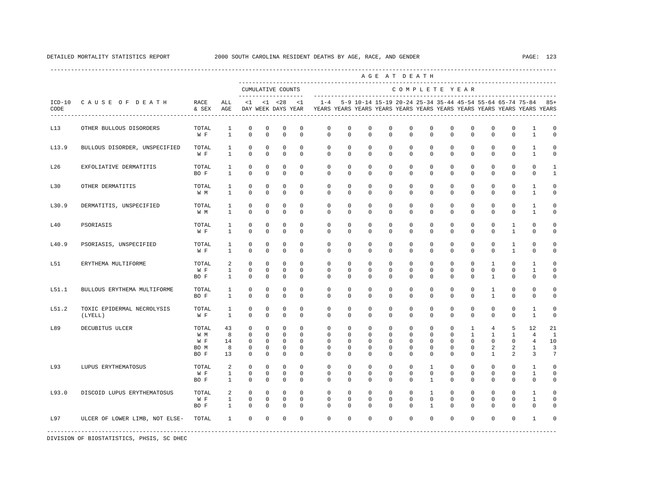|       |                                       |                                     |                                   |                                                                    |                                                  |                                                                 |                                                                     |                                                                                            |                                                    |                                                                    |                                           | AGE AT DEATH                                                      |                                                                    |                                                                       |                                                                        |                                                                  |                                             |                                                                   |                                    |
|-------|---------------------------------------|-------------------------------------|-----------------------------------|--------------------------------------------------------------------|--------------------------------------------------|-----------------------------------------------------------------|---------------------------------------------------------------------|--------------------------------------------------------------------------------------------|----------------------------------------------------|--------------------------------------------------------------------|-------------------------------------------|-------------------------------------------------------------------|--------------------------------------------------------------------|-----------------------------------------------------------------------|------------------------------------------------------------------------|------------------------------------------------------------------|---------------------------------------------|-------------------------------------------------------------------|------------------------------------|
|       |                                       |                                     |                                   |                                                                    |                                                  | CUMULATIVE COUNTS                                               |                                                                     |                                                                                            |                                                    |                                                                    |                                           | COMPLETE YEAR                                                     |                                                                    |                                                                       |                                                                        |                                                                  |                                             |                                                                   |                                    |
| CODE  | ICD-10 CAUSE OF DEATH                 | RACE<br>& SEX AGE                   | ALL                               |                                                                    |                                                  | $<1$ $<1$ $<28$                                                 | < 1                                                                 | DAY WEEK DAYS YEAR YEARS YEARS YEARS YEARS YEARS YEARS YEARS YEARS YEARS YEARS YEARS YEARS |                                                    |                                                                    |                                           |                                                                   |                                                                    |                                                                       |                                                                        |                                                                  |                                             | 1-4 5-9 10-14 15-19 20-24 25-34 35-44 45-54 55-64 65-74 75-84 85+ |                                    |
| L13   | OTHER BULLOUS DISORDERS               | TOTAL<br>W F                        | 1<br>$\overline{1}$               | $\mathbf 0$<br>$\Omega$                                            | $\mathbf 0$<br>$\Omega$                          | $\mathbf 0$<br>$\Omega$                                         | $\mathbf 0$<br>$\Omega$                                             | $\mathbf 0$<br>$\Omega$                                                                    | $\mathbf 0$<br>$\Omega$                            | $\mathbf 0$<br>$\Omega$                                            | $\mathbf 0$<br>$\Omega$                   | $\mathbf 0$<br>$\Omega$                                           | $\mathbf{0}$<br>$\Omega$                                           | $\mathbf 0$<br>$\Omega$                                               | $\mathbf 0$<br>$\Omega$                                                | $\mathbf 0$<br>$\Omega$                                          | $\mathbf 0$<br>$\Omega$                     | 1<br>$\mathbf{1}$                                                 | $\mathbf 0$<br>$\Omega$            |
| L13.9 | BULLOUS DISORDER, UNSPECIFIED         | TOTAL<br>W F                        | $\mathbf{1}$<br>$\mathbf{1}$      | $\mathbf 0$<br>$\mathbf 0$                                         | $^{\circ}$<br>$\mathbf 0$                        | $\mathbf 0$<br>$\mathbf{0}$                                     | $^{\circ}$<br>$^{\circ}$                                            | $\mathbf{0}$<br>$\mathbf 0$                                                                | $\circ$<br>$\mathbf 0$                             | $\mathbf 0$<br>$^{\circ}$                                          | $\mathbf{0}$<br>$\mathbf 0$               | $\circ$<br>$\mathbf 0$                                            | $\mathbf{0}$<br>$\mathbf 0$                                        | $\mathbf 0$<br>$\mathbf 0$                                            | $\mathbf 0$<br>$\mathbf 0$                                             | $\circ$<br>$\mathbf 0$                                           | $\mathbf{0}$<br>$\mathbf 0$                 | $\mathbf{1}$<br>1                                                 | 0<br>$\mathbf 0$                   |
| L26   | EXFOLIATIVE DERMATITIS                | TOTAL<br>BO F                       | 1<br>$\mathbf{1}$                 | $^{\circ}$<br>$\Omega$                                             | $^{\circ}$<br>$\mathbf 0$                        | $^{\circ}$<br>$\mathbf 0$                                       | $\Omega$<br>$\Omega$                                                | $\mathbf 0$<br>$\Omega$                                                                    | $\mathbf 0$<br>$\Omega$                            | $^{\circ}$<br>$\Omega$                                             | $\mathbf 0$<br>$\mathbf 0$                | $\mathbf 0$<br>$\Omega$                                           | $\mathbf{0}$<br>$\mathbf 0$                                        | $\mathbf 0$<br>$\Omega$                                               | $\mathbf 0$<br>$\Omega$                                                | $\mathbf 0$<br>$\Omega$                                          | $\mathbf 0$<br>$\mathbf 0$                  | $\mathbf{0}$<br>$\mathbf 0$                                       | $\mathbf{1}$<br>$\mathbf{1}$       |
| L30   | OTHER DERMATITIS                      | TOTAL<br>W M                        | $\mathbf{1}$<br>$\mathbf{1}$      | $^{\circ}$<br>$\mathbf 0$                                          | $^{\circ}$<br>$\mathbf 0$                        | $\mathbf 0$<br>$\mathbf 0$                                      | $\mathbf 0$<br>$\mathbf 0$                                          | $\mathbf 0$<br>$\mathbf 0$                                                                 | $\mathbf 0$<br>$\mathbf 0$                         | $^{\circ}$<br>$\mathbf 0$                                          | $\mathbf 0$<br>$\mathbf 0$                | $\mathbf 0$<br>$\mathbf 0$                                        | $\mathbf 0$<br>$\mathbf{0}$                                        | $\mathbf 0$<br>$\mathbf 0$                                            | $\mathbf 0$<br>$\mathbf 0$                                             | $\mathbf 0$<br>$\mathbf 0$                                       | $\mathbf 0$<br>$\mathbf 0$                  | $\mathbf{1}$<br>$\mathbf{1}$                                      | $\mathbf 0$<br>0                   |
| L30.9 | DERMATITIS, UNSPECIFIED               | TOTAL<br>W M                        | $\mathbf{1}$<br>$\mathbf{1}$      | $\mathbf 0$<br>$\mathbf 0$                                         | $\mathbf 0$<br>$\mathbf 0$                       | $\mathbf 0$<br>$\mathbf 0$                                      | $\mathbf 0$<br>$\mathbf 0$                                          | $\mathbf 0$<br>$\mathbf 0$                                                                 | $\mathbf 0$<br>$\circ$                             | $\mathbf 0$<br>$\mathbf 0$                                         | $\mathbf 0$<br>$\mathbf 0$                | $\mathbf 0$<br>$\mathbf 0$                                        | $\mathbf 0$<br>$\mathbf 0$                                         | $\mathbf 0$<br>$\mathbf 0$                                            | $\mathbf 0$<br>$\mathbf 0$                                             | $\mathbf 0$<br>$\mathbf 0$                                       | $\mathbf{0}$<br>$\mathbf 0$                 | $\mathbf{1}$<br>$\mathbf{1}$                                      | $\mathbf 0$<br>0                   |
| L40   | PSORIASIS                             | TOTAL<br>W F                        | $\mathbf{1}$<br>$\mathbf{1}$      | $\mathbf 0$<br>$\mathbf 0$                                         | $\mathbf 0$<br>$\mathbf 0$                       | $\mathbf 0$<br>$\mathbf 0$                                      | $\mathbf 0$<br>$\mathbf 0$                                          | $\mathbf 0$<br>$\mathbf 0$                                                                 | 0<br>$\mathbf 0$                                   | $\mathbf 0$<br>$\mathbf 0$                                         | $\mathbf 0$<br>$\mathbf 0$                | 0<br>$\mathbf 0$                                                  | $\mathbf 0$<br>$\mathbf 0$                                         | 0<br>$\mathbf 0$                                                      | $\mathbf 0$<br>$\mathbf 0$                                             | $\mathbf 0$<br>$\mathbf 0$                                       | $\mathbf{1}$<br>$\mathbf{1}$                | $\mathbf 0$<br>$\mathbf 0$                                        | $\mathbf 0$<br>$\mathbf 0$         |
| L40.9 | PSORIASIS, UNSPECIFIED                | TOTAL<br>W F                        | $\mathbf{1}$<br>$\mathbf{1}$      | $\mathbf 0$<br>$\mathbf 0$                                         | $\mathbf 0$<br>$\mathbf 0$                       | $\mathbf 0$<br>$\mathbb O$                                      | $\Omega$<br>$\mathbf 0$                                             | $\mathbf 0$<br>$\mathbf 0$                                                                 | $\mathbf 0$<br>$\mathbf 0$                         | $\mathbf 0$<br>$\mathbf 0$                                         | $\mathbf 0$<br>$\mathsf 0$                | $\mathbf 0$<br>$\mathbf 0$                                        | $\mathbf{0}$<br>$\mathbf 0$                                        | $\mathbf 0$<br>$\mathbf 0$                                            | $\mathbf 0$<br>$\mathbf 0$                                             | $\mathbf 0$<br>$\mathbf 0$                                       | $\mathbf{1}$<br>$\mathbf{1}$                | $\mathbf{0}$<br>$\mathbf 0$                                       | $\mathbf 0$<br>$\mathsf{O}\xspace$ |
| L51   | ERYTHEMA MULTIFORME                   | TOTAL<br>W F<br>BO F                | 2<br>$\mathbf{1}$<br>$\mathbf{1}$ | $\mathbf 0$<br>$\mathbf 0$<br>$^{\circ}$                           | $\mathbf 0$<br>$\mathbf 0$<br>$\mathbf 0$        | $\mathbf 0$<br>$^{\circ}$<br>$\mathbf{0}$                       | $\Omega$<br>$\Omega$<br>$\mathbf 0$                                 | $\mathbf 0$<br>$\mathbf 0$<br>$\Omega$                                                     | $\mathbf 0$<br>$\mathbf 0$<br>$\Omega$             | $\mathbf 0$<br>$\mathbf 0$<br>$\Omega$                             | $\mathbf 0$<br>$\mathbf 0$<br>0           | $\mathbf{0}$<br>$\mathbf 0$<br>$\mathbf 0$                        | $\mathbf{0}$<br>$\mathbf{0}$<br>0                                  | $\mathbf 0$<br>$\mathbf 0$<br>$\Omega$                                | $\mathbf 0$<br>$\mathbf 0$<br>$\mathbf 0$                              | $\mathbf{1}$<br>$\mathbf 0$<br>$\mathbf{1}$                      | $\mathbf{0}$<br>$\mathbf 0$<br>$\mathbf 0$  | 1<br>$\mathbf{1}$<br>$^{\circ}$                                   | $\Omega$<br>$\mathbf 0$<br>0       |
| L51.1 | BULLOUS ERYTHEMA MULTIFORME           | TOTAL<br>BO F                       | 1<br>$\mathbf{1}$                 | 0<br>$\mathbf 0$                                                   | 0<br>$\Omega$                                    | $^{\circ}$<br>$\mathbf 0$                                       | $^{\circ}$<br>$\Omega$                                              | $\mathbf{0}$<br>$\Omega$                                                                   | $^{\circ}$<br>$\Omega$                             | 0<br>$\Omega$                                                      | 0<br>$\Omega$                             | 0<br>$\Omega$                                                     | $\circ$<br>$\Omega$                                                | 0<br>$\Omega$                                                         | 0<br>$\Omega$                                                          | 1<br>$\mathbf{1}$                                                | $\mathbf 0$<br>$\Omega$                     | 0<br>$\Omega$                                                     | 0<br>0                             |
| L51.2 | TOXIC EPIDERMAL NECROLYSIS<br>(LYELL) | TOTAL<br>W F                        | 1<br>$\mathbf{1}$                 | $^{\circ}$<br>$\Omega$                                             | $^{\circ}$<br>$\Omega$                           | $\mathbf 0$<br>$\Omega$                                         | $\mathbf 0$<br>$\Omega$                                             | $\mathbf 0$<br>$\Omega$                                                                    | $\mathbf 0$<br>$\Omega$                            | $\mathbf 0$<br>$\Omega$                                            | $\mathbf 0$<br>$\Omega$                   | $\mathbf{0}$<br>$\Omega$                                          | $\mathbf{0}$<br>$\Omega$                                           | $\mathbf 0$<br>$\Omega$                                               | $\mathbf 0$<br>$\Omega$                                                | $\mathbf 0$<br>$\Omega$                                          | $\mathbf 0$<br>$\Omega$                     | 1<br>$\overline{1}$                                               | 0<br>0                             |
| L89   | DECUBITUS ULCER                       | TOTAL<br>W M<br>W F<br>BO M<br>BO F | 43<br>8<br>14<br>8<br>13          | $\mathbf 0$<br>$\mathbf 0$<br>$^{\circ}$<br>$^{\circ}$<br>$\Omega$ | $\mathbf 0$<br>$\mathbf 0$<br>0<br>0<br>$\Omega$ | $\mathbf 0$<br>$^{\circ}$<br>$\circ$<br>$\mathbf 0$<br>$\Omega$ | $\mathbf 0$<br>$\mathbf 0$<br>$^{\circ}$<br>$\mathbf 0$<br>$\Omega$ | 0<br>$\mathbf{0}$<br>$\mathbf{0}$<br>$\mathbf{0}$<br>$\Omega$                              | 0<br>$\circ$<br>$\circ$<br>$\mathbf 0$<br>$\Omega$ | $\mathbf 0$<br>$^{\circ}$<br>$^{\circ}$<br>$\mathbf 0$<br>$\Omega$ | $\mathbf 0$<br>0<br>0<br>0<br>$\Omega$    | $\mathbf 0$<br>$\mathbf 0$<br>$\circ$<br>$\mathbf{0}$<br>$\Omega$ | $\mathbf 0$<br>$\mathbf{0}$<br>$\circ$<br>$\mathbf{0}$<br>$\Omega$ | $\mathbf 0$<br>$\mathbf 0$<br>$\mathbf{0}$<br>$\mathbf 0$<br>$\Omega$ | $\mathbf{1}$<br>$\mathbf{1}$<br>$\mathbf 0$<br>$\mathbf 0$<br>$\Omega$ | $\overline{4}$<br>$\mathbf{1}$<br>$\circ$<br>2<br>$\overline{1}$ | 5<br>$\mathbf{1}$<br>$\mathbf 0$<br>2<br>2  | 12<br>$\overline{4}$<br>$\overline{4}$<br>$\mathbf{1}$<br>3       | 21<br>1<br>10<br>3<br>7            |
| L93   | LUPUS ERYTHEMATOSUS                   | TOTAL<br>W F<br>BO F                | 2<br>$\mathbf{1}$<br>$\mathbf{1}$ | $\mathbf 0$<br>$\mathbf 0$<br>$^{\circ}$                           | $^{\circ}$<br>$\mathbf 0$<br>$\mathbf 0$         | $\mathbf 0$<br>$^{\circ}$<br>$\mathbf 0$                        | $\mathbf 0$<br>$\Omega$<br>$\mathbf 0$                              | $\mathbf 0$<br>$\mathbf 0$<br>$\mathbf 0$                                                  | $\mathbf 0$<br>$\mathbf 0$<br>$\mathbf 0$          | $\mathbf 0$<br>$\mathbf 0$<br>$^{\circ}$                           | $^{\circ}$<br>$\mathbf 0$<br>$\mathbf 0$  | $\mathbf{0}$<br>$\mathbf 0$<br>$\mathbf 0$                        | $\mathbf{1}$<br>$\mathbf{0}$<br>$\mathbf{1}$                       | $\mathbf 0$<br>$\mathbf 0$<br>$\mathbf 0$                             | $\mathbf 0$<br>$\mathbf 0$<br>$\mathbf 0$                              | $\mathbf 0$<br>$\mathbf 0$<br>$\mathbf 0$                        | $\mathbf 0$<br>$\mathbf 0$<br>$\mathbf{0}$  | 1<br>$\mathbf{1}$<br>$\mathbf 0$                                  | $\mathbf 0$<br>$\mathbf 0$<br>0    |
| L93.0 | DISCOID LUPUS ERYTHEMATOSUS           | TOTAL<br>W F<br>BO F                | 2<br>$\mathbf{1}$<br>$\mathbf{1}$ | $\mathbf{0}$<br>$\mathsf 0$<br>$\mathbf 0$                         | $\mathbf{0}$<br>$^{\circ}$<br>$\mathbf 0$        | $\mathbf{0}$<br>$\mathbb O$<br>$\circ$                          | $\Omega$<br>$\mathbf 0$<br>$^{\circ}$                               | $\mathbf 0$<br>$\mathbf 0$<br>$\mathbf{0}$                                                 | $\mathbf 0$<br>$\mathbf 0$<br>$\mathbf 0$          | $\mathbf{0}$<br>$^{\circ}$<br>$^{\circ}$                           | $\mathbf 0$<br>$\mathbf 0$<br>$\mathbf 0$ | $\mathbf 0$<br>$\mathbf 0$<br>$\mathbf 0$                         | $\mathbf{1}$<br>$\mathbf 0$<br>$\mathbf{1}$                        | $\mathbf 0$<br>$\mathbf 0$<br>$\mathbf 0$                             | $\mathbf 0$<br>$\mathbf 0$<br>$\mathbf 0$                              | $\mathbf 0$<br>$\mathbf 0$<br>$\mathbf 0$                        | $\mathbf 0$<br>$\mathbf{0}$<br>$\mathbf{0}$ | $\mathbf{1}$<br>$\mathbf{1}$<br>$\mathbf{0}$                      | $\mathbf 0$<br>0<br>0              |
| L97   | ULCER OF LOWER LIMB, NOT ELSE-        | TOTAL                               | 1                                 | $\mathbf 0$                                                        | $\mathbf 0$                                      | $\mathbf 0$                                                     | $\mathbf 0$                                                         | $\mathbf 0$                                                                                | $\mathbf 0$                                        | $\mathbf 0$                                                        | $\mathbf 0$                               | $\mathbf 0$                                                       | $\mathbf 0$                                                        | $\mathbf 0$                                                           | $\mathbf 0$                                                            | $\mathbf 0$                                                      | $\mathbf 0$                                 | $\mathbf{1}$                                                      | 0                                  |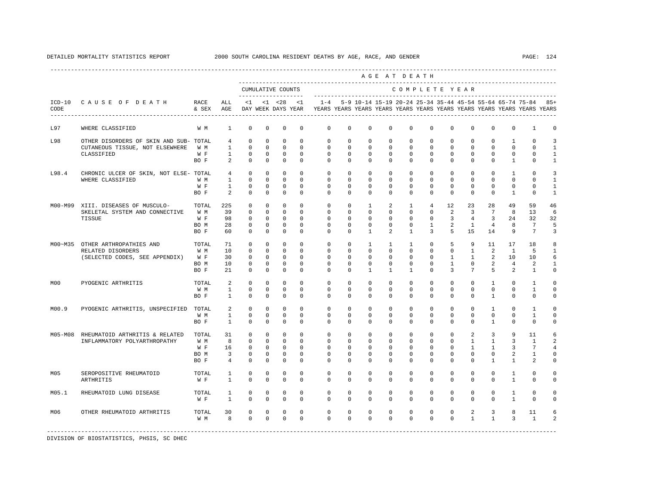|                  |                                             |               |                |              |             |                                    |             |                                                                                    |              |                                                               |              | AGE AT DEATH   |                |              |              |              |                |                 |                |
|------------------|---------------------------------------------|---------------|----------------|--------------|-------------|------------------------------------|-------------|------------------------------------------------------------------------------------|--------------|---------------------------------------------------------------|--------------|----------------|----------------|--------------|--------------|--------------|----------------|-----------------|----------------|
|                  |                                             |               |                |              |             | CUMULATIVE COUNTS                  |             |                                                                                    |              |                                                               |              | COMPLETE YEAR  |                |              |              |              |                |                 |                |
| $ICD-10$<br>CODE | CAUSE OF DEATH<br>------------------------- | RACE<br>& SEX | ALL<br>AGE     | $\leq 1$     |             | $< 1$ $< 28$<br>DAY WEEK DAYS YEAR | <1          | $1 - 4$<br>YEARS YEARS YEARS YEARS YEARS YEARS YEARS YEARS YEARS YEARS YEARS YEARS |              | 5-9 10-14 15-19 20-24 25-34 35-44 45-54 55-64 65-74 75-84 85+ |              |                |                |              |              |              |                |                 |                |
| L97              | WHERE CLASSIFIED                            | W M           | 1              | $^{\circ}$   | 0           | 0                                  | $\mathbf 0$ | $\mathbf{0}$                                                                       | $\mathbf 0$  | $\mathbf 0$                                                   | $\mathbf 0$  | $\mathbf 0$    | $\mathbf 0$    | $\mathbf 0$  | $\mathbf 0$  | $\mathbf 0$  | $\mathbf{0}$   | 1               | $\Omega$       |
| L98              | OTHER DISORDERS OF SKIN AND SUB- TOTAL      |               | $\overline{4}$ | $\mathbb O$  | 0           | 0                                  | $^{\circ}$  | 0                                                                                  | 0            | $\mathbb O$                                                   | 0            | 0              | 0              | $\circ$      | 0            | 0            | 1              | $\mathbf{0}$    | 3              |
|                  | CUTANEOUS TISSUE, NOT ELSEWHERE             | W M           | $\mathbf{1}$   | $\mathbf 0$  | $\mathbf 0$ | $\mathbf 0$                        | $\Omega$    | $\mathbf 0$                                                                        | $\mathbf 0$  | $\mathbf 0$                                                   | $\mathbf 0$  | $\mathbf 0$    | $\Omega$       | $\mathbf 0$  | $\mathbf 0$  | $\mathbf 0$  | $\mathbf{0}$   | $\Omega$        | 1              |
|                  | CLASSIFIED                                  | W F           | $\mathbf{1}$   | $\circ$      | $^{\circ}$  | $^{\circ}$                         | $^{\circ}$  | $\mathbf{0}$                                                                       | $\mathbf{0}$ | 0                                                             | 0            | $\mathbf{0}$   | $\mathbf{0}$   | 0            | $^{\circ}$   | $^{\circ}$   | $\mathbf 0$    | 0               | $\mathbf{1}$   |
|                  |                                             | BO F          | 2              | $\Omega$     | $^{\circ}$  | $^{\circ}$                         | $\Omega$    | $\Omega$                                                                           | $\Omega$     | $\Omega$                                                      | $\Omega$     | $\Omega$       | $\Omega$       | $\Omega$     | $\Omega$     | $\Omega$     | $\mathbf{1}$   | $\Omega$        | 1              |
| L98.4            | CHRONIC ULCER OF SKIN, NOT ELSE- TOTAL      |               | $\overline{4}$ | $\mathbf 0$  | $^{\circ}$  | $\mathbf 0$                        | $\Omega$    | $\mathbf 0$                                                                        | $\mathbf 0$  | $\mathbf 0$                                                   | $\mathbf 0$  | $\Omega$       | $\Omega$       | $\Omega$     | $\Omega$     | $\Omega$     | $\mathbf{1}$   | $\Omega$        | $\mathbf{z}$   |
|                  | WHERE CLASSIFIED                            | W M           | 1              | $\mathbf 0$  | 0           | 0                                  | $\Omega$    | 0                                                                                  | $\Omega$     | 0                                                             | 0            | $\Omega$       | $\Omega$       | $\Omega$     | 0            | $\Omega$     | $\mathbf{0}$   | $\Omega$        | $\mathbf{1}$   |
|                  |                                             | W F           | $\mathbf{1}$   | $\mathbf 0$  | $^{\circ}$  | $^{\circ}$                         | $\Omega$    | $\Omega$                                                                           | $\Omega$     | 0                                                             | $\Omega$     | $\Omega$       | $\Omega$       | $\Omega$     | $^{\circ}$   | $^{\circ}$   | $\mathbf 0$    | $\Omega$        | -1             |
|                  |                                             | BO F          | 2              | $\mathbf 0$  | $^{\circ}$  | $\mathbf 0$                        | $\Omega$    | $\Omega$                                                                           | $\mathbf 0$  | $\Omega$                                                      | $\mathbf 0$  | $\Omega$       | $\mathbf 0$    | $\Omega$     | $^{\circ}$   | $\Omega$     | 1              | $\mathbf 0$     | $\mathbf{1}$   |
| M00-M99          | XIII. DISEASES OF MUSCULO-                  | TOTAL         | 225            | $\mathbf 0$  | $^{\circ}$  | $\Omega$                           | $\Omega$    | $\mathbf 0$                                                                        | $\mathbf 0$  | $\mathbf{1}$                                                  | 2            | $\mathbf{1}$   | $\overline{4}$ | 12           | 23           | 28           | 49             | 59              | 46             |
|                  | SKELETAL SYSTEM AND CONNECTIVE              | W M           | 39             | $\mathbf 0$  | $\mathbf 0$ | $^{\circ}$                         | $\mathbf 0$ | $\mathbf 0$                                                                        | $\mathbf 0$  | $\mathbf 0$                                                   | $\mathbf 0$  | $\mathbf{0}$   | $\mathbf 0$    | 2            | 3            | 7            | 8              | 13              | 6              |
|                  | TISSUE                                      | W F           | 98             | $\circ$      | $^{\circ}$  | $^{\circ}$                         | $\Omega$    | 0                                                                                  | $\Omega$     | 0                                                             | 0            | $\Omega$       | $\Omega$       | 3            | 4            | 3            | 24             | 32              | 32             |
|                  |                                             | BO M          | 28             | 0            | 0           | 0                                  | 0           | 0                                                                                  | 0            | 0                                                             | 0            | 0              | $\mathbf{1}$   | 2            | $\mathbf{1}$ | 4            | 8              | $7\phantom{.0}$ | 5              |
|                  |                                             | BO F          | 60             | $\mathbf 0$  | $\mathbf 0$ | $\mathbf 0$                        | $\mathbf 0$ | $\Omega$                                                                           | 0            | $\mathbf{1}$                                                  | 2            | $\mathbf{1}$   | 3              | 5            | 15           | 14           | 9              | $7\phantom{.0}$ | 3              |
| M00~M35          | OTHER ARTHROPATHIES AND                     | TOTAL         | 71             | $\mathbf 0$  | $^{\circ}$  | $\Omega$                           | $\Omega$    | $\Omega$                                                                           | $\Omega$     | $\mathbf{1}$                                                  | $\mathbf{1}$ | $\overline{1}$ | $\Omega$       | 5            | 9            | 11           | 17             | 18              | 8              |
|                  | RELATED DISORDERS                           | W M           | 10             | $\mathbf 0$  | $\mathbf 0$ | $\mathbf 0$                        | $\Omega$    | $\circ$                                                                            | $\mathbf 0$  | $\mathbf 0$                                                   | $\mathbf 0$  | $\Omega$       | $\Omega$       | $\mathbf 0$  | $\mathbf{1}$ | 2            | $\mathbf{1}$   | 5               | $\mathbf{1}$   |
|                  | (SELECTED CODES, SEE APPENDIX)              | W F           | 30             | 0            | $^{\circ}$  | 0                                  | $^{\circ}$  | 0                                                                                  | 0            | $^{\circ}$                                                    | 0            | $\mathbf 0$    | 0              | $\mathbf{1}$ | $\mathbf{1}$ | 2            | 10             | 10              | 6              |
|                  |                                             | BO M          | 10             | 0            | $^{\circ}$  | 0                                  | $^{\circ}$  | 0                                                                                  | 0            | $^{\circ}$                                                    | 0            | $\mathbf 0$    | $\mathbf 0$    | 1            | 0            | 2            | $\overline{4}$ | 2               | -1             |
|                  |                                             | BO F          | 21             | $\Omega$     | $\mathbf 0$ | $\mathbf 0$                        | $\Omega$    | $\Omega$                                                                           | $\Omega$     | $\mathbf{1}$                                                  | $\mathbf{1}$ | $\overline{1}$ | $\Omega$       | 3            | 7            | 5            | 2              | $\mathbf{1}$    | $\Omega$       |
| MO0              | PYOGENIC ARTHRITIS                          | TOTAL         | 2              | $\Omega$     | $\Omega$    | $\Omega$                           | $\Omega$    | $\Omega$                                                                           | $\Omega$     | $\Omega$                                                      | $\Omega$     | $\Omega$       | $\Omega$       | $\Omega$     | $\Omega$     | $\mathbf{1}$ | $\Omega$       | $\mathbf{1}$    | $\cap$         |
|                  |                                             | W M           | $\mathbf{1}$   | $\circ$      | 0           | 0                                  | $^{\circ}$  | 0                                                                                  | $\mathbf{0}$ | 0                                                             | 0            | $\mathbf 0$    | $\mathbf{0}$   | 0            | $\mathbf 0$  | $\mathbf 0$  | $\mathbf 0$    | 1               | $\mathbf 0$    |
|                  |                                             | BO F          | $\mathbf{1}$   | $^{\circ}$   | 0           | 0                                  | $\Omega$    | $\Omega$                                                                           | $\Omega$     | $\Omega$                                                      | $\Omega$     | $\Omega$       | $\Omega$       | $\Omega$     | 0            | $\mathbf{1}$ | $\mathbf 0$    | $\Omega$        | $\Omega$       |
| M00.9            | PYOGENIC ARTHRITIS, UNSPECIFIED             | TOTAL         | 2              | $\mathbf 0$  | $^{\circ}$  | $\mathbf 0$                        | $\Omega$    | $\mathbf 0$                                                                        | $\mathbf 0$  | $\mathbf 0$                                                   | $\mathbf 0$  | $\mathbf{0}$   | $\Omega$       | $\mathbf 0$  | $\mathbf 0$  | $\mathbf{1}$ | $\mathbf 0$    | $\mathbf{1}$    |                |
|                  |                                             | W M           | $\mathbf{1}$   | $\mathbf 0$  | $\Omega$    | $\mathbf 0$                        | $\Omega$    | $\Omega$                                                                           | $\Omega$     | $\Omega$                                                      | $\Omega$     | $\Omega$       | $\Omega$       | $\Omega$     | $\Omega$     | $\Omega$     | $\Omega$       | $\mathbf{1}$    | $\Omega$       |
|                  |                                             | BO F          | $\mathbf{1}$   | $\Omega$     | $\Omega$    | $\Omega$                           | $\Omega$    | $\Omega$                                                                           | $\Omega$     | $\Omega$                                                      | $\Omega$     | $\Omega$       | $\Omega$       | $\Omega$     | $\Omega$     | $\mathbf{1}$ | $\Omega$       | $\Omega$        | $\cap$         |
|                  |                                             |               |                |              |             |                                    |             |                                                                                    |              |                                                               |              |                |                |              |              |              |                |                 |                |
| M05-M08          | RHEUMATOID ARTHRITIS & RELATED              | TOTAL         | 31             | $\mathbf 0$  | $\circ$     | $\mathbf 0$                        | $\mathbf 0$ | $\mathbf 0$                                                                        | $\mathbf{0}$ | $\mathbf 0$                                                   | 0            | $\mathbf 0$    | $\mathbf 0$    | $\mathbf 0$  | 2            | 3            | 9              | 11              | 6              |
|                  | INFLAMMATORY POLYARTHROPATHY                | W M           | 8              | $\mathbf 0$  | $^{\circ}$  | $\circ$                            | $\Omega$    | 0                                                                                  | 0            | $^{\circ}$                                                    | 0            | $\mathbf{0}$   | $\Omega$       | $\mathbf 0$  | $\mathbf{1}$ | $\mathbf{1}$ | 3              | 1               | 2              |
|                  |                                             | W F           | 16             | $\mathbf 0$  | $^{\circ}$  | $^{\circ}$                         | $\Omega$    | $\Omega$                                                                           | $\Omega$     | $\Omega$                                                      | $\Omega$     | $\Omega$       | $\Omega$       | $\Omega$     | $\mathbf{1}$ | 1            | 3              | 7               | 4              |
|                  |                                             | BO M          | $\overline{3}$ | $\mathbf 0$  | $^{\circ}$  | $^{\circ}$                         | $\Omega$    | $\Omega$                                                                           | $\Omega$     | $\Omega$                                                      | $\Omega$     | $\Omega$       | $\Omega$       | $\Omega$     | $\Omega$     | $\Omega$     | 2              | $\mathbf{1}$    | $\cap$         |
|                  |                                             | BO F          | $\overline{4}$ | $\mathbf 0$  | $\mathbf 0$ | $\mathbf 0$                        | $\mathbf 0$ | $\mathbf 0$                                                                        | 0            | $\mathbf 0$                                                   | $\mathbf 0$  | $\mathbf 0$    | $\mathbf 0$    | $\Omega$     | 0            | $\mathbf{1}$ | 1              | $\mathfrak{D}$  | $\Omega$       |
| M05              | SEROPOSITIVE RHEUMATOID                     | TOTAL         | $\mathbf{1}$   | $\mathbf 0$  | $^{\circ}$  | 0                                  | $\mathbf 0$ | $\mathbf{0}$                                                                       | $\mathbf{0}$ | 0                                                             | 0            | $\mathbf{0}$   | $\mathbf 0$    | $\mathbf 0$  | $\mathbf 0$  | $\mathbf 0$  | 1              | $\mathbf 0$     | $\Omega$       |
|                  | ARTHRITIS                                   | W F           | $\mathbf{1}$   | $\mathbf 0$  | $\mathbf 0$ | $\mathbf 0$                        | $\mathbf 0$ | $\Omega$                                                                           | $\mathbf 0$  | $\mathbf 0$                                                   | $\mathbf 0$  | $\Omega$       | $\mathbf 0$    | $\mathbf 0$  | 0            | $\mathbf 0$  | $\mathbf{1}$   | $\mathbf 0$     | $\Omega$       |
| M05.1            | RHEUMATOID LUNG DISEASE                     | TOTAL         | $\mathbf{1}$   | $\mathbf 0$  | $\mathbf 0$ | $\mathbf 0$                        | $\mathbf 0$ | $\mathbf 0$                                                                        | $\mathbf 0$  | $\mathbf 0$                                                   | $\mathbf 0$  | $\mathbf{0}$   | $\mathbf 0$    | $\mathbf 0$  | $\mathbf 0$  | $\mathbf 0$  | $\mathbf{1}$   | $\mathbf{0}$    | $\Omega$       |
|                  |                                             | W F           | $\mathbf{1}$   | $\mathbf 0$  | $\mathsf 0$ | $\mathbf 0$                        | $\mathbf 0$ | $\mathbf 0$                                                                        | $\mathbf 0$  | $\mathbf 0$                                                   | $\mathbf 0$  | $\mathbf 0$    | $\mathbf 0$    | $\Omega$     | 0            | $\mathbf 0$  | $\mathbf{1}$   | $\mathbf 0$     | $\Omega$       |
| M06              | OTHER RHEUMATOID ARTHRITIS                  | TOTAL         | 30             | $\mathbf 0$  | $\mathbf 0$ | 0                                  | $\mathbf 0$ | 0                                                                                  | 0            | 0                                                             | 0            | $\mathbf{0}$   | $\mathbf 0$    | $\mathbf 0$  | 2            | 3            | 8              | 11              |                |
|                  |                                             | W M           | 8              | $\mathbf{0}$ | $\mathbf 0$ | $\mathbf 0$                        | $\Omega$    | $\Omega$                                                                           | $\Omega$     | $\Omega$                                                      | $\Omega$     | $\Omega$       | $\Omega$       | $\Omega$     | $\mathbf{1}$ | $\mathbf{1}$ | 3              | $\mathbf{1}$    | $\mathfrak{D}$ |
|                  |                                             |               |                |              |             |                                    |             |                                                                                    |              |                                                               |              |                |                |              |              |              |                |                 |                |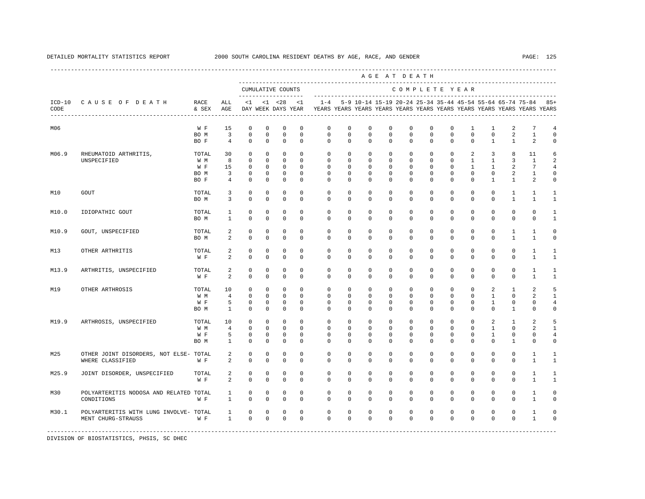|       |                                                                |               |                                  |                            |                            |                            |                            |                                                                                                       |                          |                          |                         | AGE AT DEATH             |                             |                                 |                            |                             |                                                           |                         |                           |
|-------|----------------------------------------------------------------|---------------|----------------------------------|----------------------------|----------------------------|----------------------------|----------------------------|-------------------------------------------------------------------------------------------------------|--------------------------|--------------------------|-------------------------|--------------------------|-----------------------------|---------------------------------|----------------------------|-----------------------------|-----------------------------------------------------------|-------------------------|---------------------------|
|       |                                                                |               |                                  |                            |                            | CUMULATIVE COUNTS          |                            |                                                                                                       |                          |                          |                         |                          |                             |                                 | COMPLETE YEAR              |                             |                                                           |                         |                           |
| CODE  | ICD-10 CAUSE OF DEATH<br>------------------------------------- | RACE<br>& SEX | ALL<br>AGE                       | <1                         |                            |                            | $<1$ $<28$ $<1$            | $1 - 4$<br>DAY WEEK DAYS YEAR TEARS YEARS YEARS YEARS YEARS YEARS YEARS YEARS YEARS YEARS YEARS YEARS |                          |                          |                         |                          |                             |                                 |                            |                             | 5-9 10-14 15-19 20-24 25-34 35-44 45-54 55-64 65-74 75-84 |                         | $85+$                     |
| M06   |                                                                | W F           | 15                               | $\mathbf 0$                | $\mathbf 0$                | $\mathbf 0$                | $\mathbf 0$                | 0                                                                                                     | $\mathbf 0$              | $\mathbf 0$              | $\mathbf 0$             | $\mathbf 0$              | $\mathbb O$                 | $\mathbf 0$                     | $\mathbf{1}$               | 1                           | 2                                                         | $\overline{7}$          | $\overline{4}$            |
|       |                                                                | BO M<br>BO F  | $\overline{3}$<br>$\overline{4}$ | $\mathbf 0$<br>$\Omega$    | $\mathbf 0$<br>$\Omega$    | $\mathbf 0$<br>$\Omega$    | $\mathbf 0$<br>$\Omega$    | 0<br>$\Omega$                                                                                         | $\mathbf{0}$<br>$\Omega$ | $\mathbf 0$<br>$\Omega$  | $\mathbf 0$<br>$\Omega$ | $\mathbb O$<br>$\Omega$  | $\mathbf 0$<br>$\Omega$     | $\mathsf{O}\xspace$<br>$\Omega$ | $\mathbf 0$<br>$\Omega$    | $\mathbf 0$<br>$\mathbf{1}$ | 2<br>$\overline{1}$                                       | $\mathbf{1}$<br>2       | $\circ$<br>$\mathbf 0$    |
| M06.9 | RHEUMATOID ARTHRITIS,                                          | TOTAL         | 30<br>8                          | $^{\circ}$<br>$^{\circ}$   | $^{\circ}$<br>$^{\circ}$   | $\mathbf 0$<br>$\mathbf 0$ | $\mathbf 0$<br>$\mathbf 0$ | $\mathbf 0$<br>$\mathbf{0}$                                                                           | $\circ$<br>$\mathbf 0$   | $\circ$<br>$\circ$       | $^{\circ}$<br>$\circ$   | $\mathbf 0$<br>$\circ$   | $\mathbf 0$<br>$\circ$      | $\mathbf 0$<br>$\circ$          | 2<br>$\mathbf{1}$          | 3<br>$\mathbf{1}$           | 8<br>3                                                    | 11<br>$\mathbf{1}$      | 6<br>2                    |
|       | UNSPECIFIED                                                    | W M<br>W F    | 15                               | $\circ$                    | $^{\circ}$                 | $\circ$                    | $\mathbf 0$                | $\mathbf 0$                                                                                           | $\mathbf 0$              | $^{\circ}$               | $\mathbf 0$             | $\mathbf 0$              | $\mathbf 0$                 | $\mathbf 0$                     | $\mathbf{1}$               | $\mathbf{1}$                | 2                                                         | $7\overline{ }$         | $\overline{4}$            |
|       |                                                                | BO M          | $\overline{3}$                   | $^{\circ}$                 | $^{\circ}$                 | $\overline{0}$             | $\mathbf 0$                | $\mathbf 0$                                                                                           | $\circ$                  | $\circ$                  | $\circ$                 | $\circ$                  | $\circ$                     | $\mathbf 0$                     | $\mathbf 0$                | $\circ$                     | 2                                                         | $\mathbf{1}$            | $\circ$                   |
|       |                                                                | BO F          | $\overline{4}$                   | $\mathbf 0$                | $\mathsf 0$                | $\mathbb O$                | $\mathbf 0$                | $\mathbf{0}$                                                                                          | $\mathbf{0}$             | $\mathbf 0$              | $\mathbb O$             | $\mathbf 0$              | $\mathbb O$                 | $\mathbf 0$                     | $\mathbb O$                | $\mathbf{1}$                | $\mathbf{1}$                                              | 2                       | $\mathsf 0$               |
| M10   | <b>GOUT</b>                                                    | TOTAL<br>BO M | 3<br>3                           | $\mathbf 0$<br>$\Omega$    | $\mathbf 0$<br>$\Omega$    | $\mathbf 0$<br>$\Omega$    | 0<br>$\Omega$              | $\mathbf 0$<br>$\Omega$                                                                               | $\mathbf 0$<br>$\Omega$  | $\circ$<br>$\Omega$      | 0<br>$\Omega$           | $\mathbf 0$<br>$\Omega$  | $\mathbf 0$<br>$\mathbf 0$  | $\mathbf 0$<br>$\Omega$         | $\mathbf 0$<br>$\mathbf 0$ | $\mathbf 0$<br>$\Omega$     | 1<br>$\mathbf{1}$                                         | 1<br>$\mathbf{1}$       | 1<br>$\mathbf{1}$         |
|       |                                                                |               |                                  |                            |                            |                            |                            |                                                                                                       |                          |                          |                         |                          |                             |                                 |                            |                             |                                                           |                         |                           |
| M10.0 | IDIOPATHIC GOUT                                                | TOTAL<br>BO M | 1<br>$\mathbf{1}$                | $\mathbf 0$<br>$\mathbf 0$ | $\mathbf 0$<br>$\mathbf 0$ | $\mathbf 0$<br>$\mathbf 0$ | $\mathbf 0$<br>$\mathbf 0$ | $\mathbf 0$<br>$\Omega$                                                                               | $\mathbf 0$<br>$\Omega$  | $\mathbf 0$<br>$\Omega$  | $\mathbf 0$<br>$\Omega$ | $\mathbf 0$<br>$\Omega$  | $\mathbf 0$<br>$\mathbf 0$  | $\mathbf 0$<br>$\Omega$         | $\mathbf 0$<br>$\mathbf 0$ | $\mathbf 0$<br>$\Omega$     | $\mathbb O$<br>$\mathbf 0$                                | $\circ$<br>$\mathbf 0$  | 1<br>$\mathbf{1}$         |
| M10.9 | GOUT, UNSPECIFIED                                              | TOTAL         | 2                                | $\mathbf 0$                | $\mathbf 0$                | $\mathbf 0$                | $\Omega$                   | $\Omega$                                                                                              | $\Omega$                 | $\Omega$                 | $\mathbf 0$             | $\mathbf 0$              | $\mathbf 0$                 | $\mathbf 0$                     | $\mathbf 0$                | $\mathbf 0$                 | $\mathbf{1}$                                              | $\overline{1}$          | $\circ$                   |
|       |                                                                | BO M          | $\overline{a}$                   | $\mathbf 0$                | $\mathbf 0$                | $\mathbf 0$                | $\mathbf 0$                | $\Omega$                                                                                              | $\Omega$                 | $\Omega$                 | $\Omega$                | $\Omega$                 | $\Omega$                    | $\Omega$                        | $\Omega$                   | $\Omega$                    | $\mathbf{1}$                                              | $\mathbf{1}$            | $\circ$                   |
| M13   | OTHER ARTHRITIS                                                | TOTAL<br>W F  | 2<br>2                           | $\mathbf 0$<br>$\Omega$    | $\mathbf 0$<br>$\Omega$    | $\mathbf 0$<br>$\mathbf 0$ | $\mathbf 0$<br>$\Omega$    | $\mathbf{0}$<br>$\Omega$                                                                              | 0<br>$\Omega$            | $\circ$<br>$\Omega$      | $\mathbf 0$<br>$\Omega$ | $\mathbf 0$<br>$\Omega$  | $\mathbf 0$<br>$\Omega$     | $\mathbf 0$<br>$\Omega$         | $\mathbf 0$<br>$\Omega$    | $\mathbf 0$<br>$\Omega$     | $\mathbf{0}$<br>$\Omega$                                  | 1<br>$\mathbf{1}$       | 1<br>$\mathbf{1}$         |
|       |                                                                |               |                                  |                            |                            |                            |                            |                                                                                                       |                          |                          |                         |                          |                             |                                 |                            |                             |                                                           |                         |                           |
| M13.9 | ARTHRITIS, UNSPECIFIED                                         | TOTAL<br>W F  | 2<br>2                           | 0<br>$\mathbf 0$           | $^{\circ}$<br>$\mathbf 0$  | 0<br>$\mathbf 0$           | $\mathbf 0$<br>$\mathbf 0$ | $\mathbf{0}$<br>$\Omega$                                                                              | $\circ$<br>$\Omega$      | $\mathbf{0}$<br>$\Omega$ | $\mathbf 0$<br>$\Omega$ | $\mathbf 0$<br>$\Omega$  | $\mathbf 0$<br>$\mathbf{0}$ | 0<br>$\Omega$                   | $\mathbf 0$<br>$\mathbf 0$ | $\circ$<br>$\Omega$         | 0<br>$\mathbf 0$                                          | 1<br>1                  | 1<br>$\mathbf{1}$         |
| M19   | OTHER ARTHROSIS                                                | TOTAL         | 10                               | $\Omega$                   | $^{\circ}$                 | $\Omega$                   | $\Omega$                   | $\Omega$                                                                                              | $\Omega$                 | $\Omega$                 | $\Omega$                | $\mathbf 0$              | $\Omega$                    | $\Omega$                        | $\Omega$                   | 2                           | $\mathbf{1}$                                              | 2                       | 5                         |
|       |                                                                | W M           | $\overline{4}$                   | $\mathbf 0$                | $\mathbf 0$                | $\mathbf 0$                | $\mathbf 0$                | $\mathbf{0}$                                                                                          | $^{\circ}$               | $\mathbf 0$              | $\mathbf 0$             | $\mathbf 0$              | $\mathbf 0$                 | $\mathbf 0$                     | $\mathbf 0$                | $\mathbf{1}$                | $\mathbb O$                                               | 2                       | $\mathbf{1}$              |
|       |                                                                | W F           | 5                                | $\mathbf 0$                | 0                          | $\mathbf 0$                | 0                          | $\mathbf{0}$                                                                                          | $^{\circ}$               | $\circ$                  | $\mathbf 0$             | 0                        | $\mathbf 0$                 | 0                               | $\mathbf 0$                | 1                           | $\mathbb O$                                               | 0                       | $\overline{4}$            |
|       |                                                                | BO M          | <sup>1</sup>                     | $\Omega$                   | $\mathbf 0$                | $\mathbf 0$                | $\Omega$                   | $\Omega$                                                                                              | $\Omega$                 | $\Omega$                 | $\Omega$                | $\Omega$                 | $\mathbf 0$                 | $\Omega$                        | $\Omega$                   | $\Omega$                    | $\mathbf{1}$                                              | $\Omega$                | $\circ$                   |
| M19.9 | ARTHROSIS, UNSPECIFIED                                         | TOTAL         | 10                               | $\mathbf{0}$               | $\mathbf{0}$               | $\mathsf 0$                | $\mathbf 0$                | $\mathbf{0}$                                                                                          | $\mathbf 0$              | $\mathbf 0$              | $\mathbf 0$             | $\mathbf 0$              | $\mathbf{0}$                | $\mathbf 0$                     | $\mathbf 0$                | 2                           | $\mathbf{1}$                                              | 2                       | 5                         |
|       |                                                                | W M           | $\overline{4}$                   | $\mathbf{0}$               | $^{\circ}$                 | $\mathbf 0$                | $\mathbf 0$                | $\mathbf 0$                                                                                           | $\mathbf 0$              | $\mathbf 0$              | $\mathbf 0$             | $\mathbf 0$              | $\mathbf 0$                 | 0                               | $\mathbf 0$                | $\mathbf{1}$                | 0                                                         | 2                       | $\mathbf{1}$              |
|       |                                                                | W F<br>BO M   | 5<br>$\mathbf{1}$                | $\mathbf 0$<br>$\Omega$    | $\mathbf 0$<br>$\mathbf 0$ | $\mathbf 0$<br>$\mathbf 0$ | $\mathbf 0$<br>$\Omega$    | $\mathbf 0$<br>$\Omega$                                                                               | 0<br>$\Omega$            | $^{\circ}$<br>$\Omega$   | $\mathbf 0$<br>$\Omega$ | $\mathbf{0}$<br>$\Omega$ | $\mathbf 0$<br>$\Omega$     | $\mathbf 0$<br>$\Omega$         | $\mathbf 0$<br>$\Omega$    | $\mathbf{1}$<br>$\Omega$    | $\mathbf 0$<br>$\mathbf{1}$                               | $\mathbf 0$<br>$\Omega$ | $\overline{4}$<br>$\circ$ |
| M25   | OTHER JOINT DISORDERS, NOT ELSE- TOTAL                         |               | 2                                | $\mathbf 0$                | $\mathbf 0$                | $\mathbf 0$                | $\mathbf 0$                | $\mathbf 0$                                                                                           | $\mathbf 0$              | $\mathbf 0$              | $\mathbf 0$             | $\mathbf 0$              | 0                           | 0                               | $\mathbf 0$                | $\mathbf 0$                 | 0                                                         | 1                       | 1                         |
|       | WHERE CLASSIFIED                                               | W F           | 2                                | $\mathbf 0$                | $\mathbf 0$                | $\mathbf 0$                | 0                          | $\mathbf 0$                                                                                           | 0                        | $\mathbf 0$              | 0                       | $\mathbf 0$              | $\mathbf 0$                 | $\mathbf 0$                     | $\mathbf 0$                | $\mathbf 0$                 | $\mathbf{0}$                                              | 1                       | $\mathbf{1}$              |
| M25.9 | JOINT DISORDER, UNSPECIFIED                                    | TOTAL         | 2                                | $\mathbf 0$                | $\mathbf 0$                | $\mathbf 0$                | $\Omega$                   | $\Omega$                                                                                              | $\Omega$                 | $\mathbf 0$              | $\mathbf{0}$            | $\mathbf 0$              | $\mathbf 0$                 | $\mathbf 0$                     | $\mathbf 0$                | $\mathbf 0$                 | $\mathbf 0$                                               | $\mathbf{1}$            | $\mathbf{1}$              |
|       |                                                                | W F           | 2                                | $\mathbb O$                | $\mathbb O$                | $\mathbb O$                | $\mathbf 0$                | $\mathbf 0$                                                                                           | $\mathbf 0$              | $\mathbf 0$              | $\mathsf 0$             | $\mathsf 0$              | $\mathbb O$                 | $\mathsf{O}\xspace$             | $\mathbb O$                | $\mathbf 0$                 | $\mathbb O$                                               | $\mathbf{1}$            | $\mathbf{1}$              |
| M30   | POLYARTERITIS NODOSA AND RELATED TOTAL                         |               | 1                                | $\mathbf 0$                | $\mathbf 0$                | $\mathbf 0$                | $\mathbf 0$                | $\mathbf 0$                                                                                           | $\mathbf{0}$             | $\circ$                  | $\mathbf 0$             | $\circ$                  | $\mathbf 0$                 | $\circ$                         | $\mathbf 0$                | $\mathbf 0$                 | $\mathbf 0$                                               | $\mathbf{1}$            | $\circ$                   |
|       | CONDITIONS                                                     | W F           | $\mathbf{1}$                     | $\mathbf 0$                | $\mathbf 0$                | $\mathbf 0$                | $\mathbf 0$                | $\mathbf 0$                                                                                           | $\Omega$                 | $\mathbf 0$              | $\mathbf 0$             | $\mathbf 0$              | $\mathbf{0}$                | $\mathbf 0$                     | $\mathbf 0$                | $\mathbf 0$                 | $\mathbf 0$                                               | $\mathbf{1}$            | $\mathbf 0$               |
| M30.1 | POLYARTERITIS WITH LUNG INVOLVE- TOTAL                         |               | $\mathbf{1}$                     | 0                          | 0                          | 0                          | $\mathbf 0$                | 0                                                                                                     | $\mathbf 0$              | $\mathbf 0$              | $\mathbf 0$             | $\mathbf 0$              | 0                           | 0                               | $\mathbf 0$                | $\mathbf 0$                 | $\mathbb O$                                               | 1                       | $\mathbf 0$               |
|       | MENT CHURG-STRAUSS                                             | W F           | $\mathbf{1}$                     | $\mathbf 0$                | $\mathbf 0$                | $\mathbf 0$                | $\mathbf 0$                | $\Omega$                                                                                              | $\circ$                  | $\mathbf 0$              | $\mathbf 0$             | $\mathbf 0$              | $\mathbf 0$                 | $\mathbf{0}$                    | $\mathbf 0$                | $\mathbf 0$                 | $\mathbf 0$                                               | $1\,$                   | $\mathsf 0$               |
|       |                                                                |               |                                  |                            |                            |                            |                            |                                                                                                       |                          |                          |                         |                          |                             |                                 |                            |                             |                                                           |                         |                           |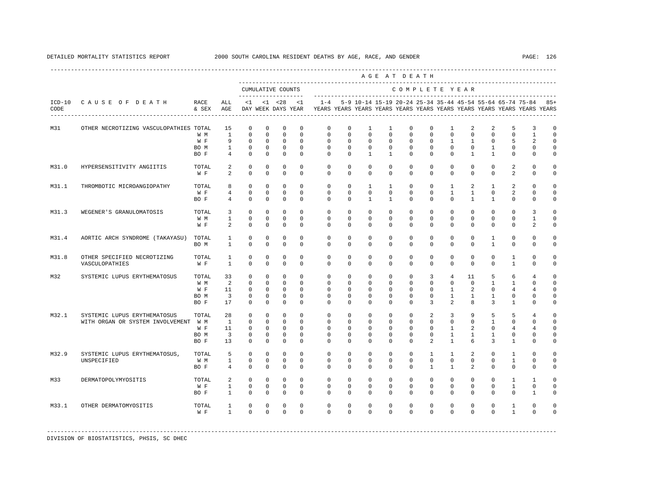|                  |                                               |               |                                |                            |                            |                                          |                         |                      |                            |                             |                             | AGE AT DEATH                                              |                      |                                |                             |                              |                              |                                                                         |                      |
|------------------|-----------------------------------------------|---------------|--------------------------------|----------------------------|----------------------------|------------------------------------------|-------------------------|----------------------|----------------------------|-----------------------------|-----------------------------|-----------------------------------------------------------|----------------------|--------------------------------|-----------------------------|------------------------------|------------------------------|-------------------------------------------------------------------------|----------------------|
|                  |                                               |               |                                |                            |                            | CUMULATIVE COUNTS<br>------------------- |                         |                      |                            |                             |                             | COMPLETE YEAR                                             |                      |                                |                             |                              |                              |                                                                         |                      |
| $ICD-10$<br>CODE | CAUSE OF DEATH                                | RACE<br>& SEX | ALL<br>AGE                     | <1                         |                            | $< 1$ $< 28$<br>DAY WEEK DAYS YEAR       | <1                      | $1 - 4$              |                            |                             |                             | 5-9 10-14 15-19 20-24 25-34 35-44 45-54 55-64 65-74 75-84 |                      |                                |                             |                              |                              | YEARS YEARS YEARS YEARS YEARS YEARS YEARS YEARS YEARS YEARS YEARS YEARS | $85+$                |
| M31              | OTHER NECROTIZING VASCULOPATHIES TOTAL        |               | 15                             | 0                          | $\mathbf 0$                | $\mathbf 0$                              | $\mathbf 0$             | 0                    | 0                          | 1                           | $\mathbf{1}$                | 0                                                         | $\mathbf 0$          | 1                              | 2                           | 2                            | 5                            | 3                                                                       | $\Omega$             |
|                  |                                               | W M           | $\mathbf{1}$                   | $\mathbf 0$                | $\mathbf 0$                | $\mathbf 0$                              | $\mathbf 0$             | $\mathbf 0$          | $\mathbf 0$                | $\mathbf 0$                 | $\mathbf 0$                 | $\Omega$                                                  | $\mathbf 0$          | $\mathbf 0$                    | $\mathbf 0$                 | $\mathbf 0$                  | $\mathbf{0}$                 | 1                                                                       | $\mathbf 0$          |
|                  |                                               | W F           | 9                              | $^{\circ}$                 | $\Omega$                   | $\Omega$                                 | $\Omega$                | $\Omega$             | $\Omega$                   | $\Omega$                    | $\Omega$                    | $\Omega$                                                  | $\Omega$             | 1                              | 1                           | $\Omega$                     | 5                            | 2                                                                       |                      |
|                  |                                               | BO M<br>BO F  | $\mathbf{1}$<br>$\overline{4}$ | $\mathbf 0$<br>$\mathbf 0$ | $\mathbf 0$<br>$\mathbf 0$ | $\mathbf 0$<br>$\mathbf 0$               | $\mathbf 0$<br>$\Omega$ | 0<br>$\Omega$        | 0<br>$\mathbf 0$           | $\mathbf 0$<br>$\mathbf{1}$ | $\mathbb O$<br>$\mathbf{1}$ | $\mathbf 0$<br>$\Omega$                                   | 0<br>$\mathbf 0$     | 0<br>$\mathbf 0$               | $\mathbf 0$<br>$\mathbf{1}$ | $\mathbf{1}$<br>$\mathbf{1}$ | $\mathbf 0$<br>$\mathbf{0}$  | 0<br>$\mathbf 0$                                                        | <sup>n</sup><br>0    |
|                  |                                               |               |                                |                            |                            |                                          |                         |                      |                            |                             |                             |                                                           |                      |                                |                             |                              |                              |                                                                         |                      |
| M31.0            | HYPERSENSITIVITY ANGIITIS                     | TOTAL         | 2                              | $^{\circ}$                 | 0                          | 0                                        | $\Omega$                | 0                    | 0                          | 0                           | 0                           | $\mathbf{0}$                                              | $\mathbf{0}$         | $\mathbf{0}$                   | $^{\circ}$                  | $^{\circ}$                   | 2                            | $\circ$                                                                 | <sup>n</sup>         |
|                  |                                               | W F           | 2                              | $\Omega$                   | $\Omega$                   | $\Omega$                                 | $\Omega$                | $\Omega$             | $\Omega$                   | $\Omega$                    | $\Omega$                    | $\Omega$                                                  | $\Omega$             | $\Omega$                       | $\Omega$                    | $\Omega$                     | 2                            | $\mathbf 0$                                                             | $\mathbf 0$          |
|                  |                                               |               |                                | $\Omega$                   | $\Omega$                   | $\Omega$                                 | $\Omega$                | $\Omega$             | $\mathbf 0$                | $\mathbf{1}$                |                             | $\Omega$                                                  | $\Omega$             | $\mathbf{1}$                   |                             | $\mathbf{1}$                 |                              | $\Omega$                                                                | $\Omega$             |
| M31.1            | THROMBOTIC MICROANGIOPATHY                    | TOTAL<br>W F  | 8<br>$\overline{4}$            | $\mathbf 0$                | $\mathbf 0$                | $\mathbf 0$                              | $\Omega$                | $\Omega$             | $\Omega$                   | $\Omega$                    | $\mathbf{1}$<br>$\Omega$    | $\Omega$                                                  | $\Omega$             | $\mathbf{1}$                   | 2<br>$\mathbf{1}$           | $\Omega$                     | 2<br>2                       | $\Omega$                                                                | $\Omega$             |
|                  |                                               | BO F          | 4                              | $\mathbf 0$                | 0                          | $\mathbf 0$                              | $\Omega$                | $\Omega$             | 0                          | $\mathbf{1}$                | $\mathbf{1}$                | $\Omega$                                                  | $\mathbf 0$          | $\Omega$                       | $\mathbf{1}$                | $\mathbf{1}$                 | $\mathbf{0}$                 | $\mathbf{0}$                                                            | $\mathbf 0$          |
|                  |                                               |               |                                |                            |                            |                                          |                         |                      |                            |                             |                             |                                                           |                      |                                |                             |                              |                              |                                                                         |                      |
| M31.3            | WEGENER'S GRANULOMATOSIS                      | TOTAL         | 3                              | $\Omega$                   | $\Omega$                   | $\Omega$                                 | $\Omega$                | $\Omega$             | $\Omega$                   | $\Omega$                    | $\Omega$                    | $\Omega$                                                  | $\Omega$             | $\Omega$                       | $\Omega$                    | $\Omega$                     | $\Omega$                     | 3                                                                       | O                    |
|                  |                                               | W M<br>W F    | $\mathbf{1}$<br>2              | $\mathbf 0$<br>$\mathbf 0$ | $\mathbf 0$<br>$\mathbf 0$ | $\mathbf 0$<br>$\mathbf 0$               | $\Omega$<br>$\Omega$    | $\Omega$<br>$\Omega$ | $\mathbf 0$<br>$\mathbf 0$ | $\Omega$<br>$\Omega$        | $\mathbf 0$<br>$\mathbf 0$  | $\Omega$<br>$\Omega$                                      | $\Omega$<br>$\Omega$ | $\mathbf 0$<br>$\Omega$        | $\mathbf 0$<br>$\mathbf 0$  | $\mathbf 0$<br>$\mathbf 0$   | $\mathbf{0}$<br>$\mathbf{0}$ | $\mathbf{1}$<br>2                                                       | $\Omega$<br>$\Omega$ |
|                  |                                               |               |                                |                            |                            |                                          |                         |                      |                            |                             |                             |                                                           |                      |                                |                             |                              |                              |                                                                         |                      |
| M31.4            | AORTIC ARCH SYNDROME (TAKAYASU)               | TOTAL         | $\mathbf{1}$                   | $\mathbf 0$                | $\mathbf 0$                | $\mathbf 0$                              | $\Omega$                | $\mathbf 0$          | $\mathbf 0$                | $\mathbf 0$                 | $\mathbf 0$                 | $\Omega$                                                  | $\mathbf 0$          | $\mathbf 0$                    | $\mathbf 0$                 | $\mathbf{1}$                 | $\mathbf{0}$                 | $\mathbf 0$                                                             | $\Omega$             |
|                  |                                               | BO M          | $\mathbf{1}$                   | $\Omega$                   | $\mathbf 0$                | $\Omega$                                 | $\Omega$                | $\Omega$             | $\mathbf 0$                | $\Omega$                    | $\Omega$                    | $\Omega$                                                  | $\Omega$             | $\mathbf 0$                    | $\mathbf 0$                 | $\mathbf{1}$                 | $\mathbf{0}$                 | $\mathbf 0$                                                             | U                    |
|                  |                                               |               |                                | $\mathbf 0$                | $\Omega$                   | $\mathbf 0$                              | $\Omega$                | $\Omega$             | $\mathbf 0$                | $\Omega$                    | $\mathbf 0$                 | $\Omega$                                                  | $\mathbf 0$          | $\mathbf 0$                    | $\mathbf 0$                 | $\Omega$                     | $\mathbf{1}$                 | $\Omega$                                                                | U                    |
| M31.8            | OTHER SPECIFIED NECROTIZING<br>VASCULOPATHIES | TOTAL<br>W F  | $\mathbf{1}$<br>$\mathbf{1}$   | $\Omega$                   | $\Omega$                   | $\Omega$                                 | $\Omega$                | $\Omega$             | $\Omega$                   | $\Omega$                    | $\Omega$                    | $\Omega$                                                  | $\Omega$             | $\Omega$                       | $\Omega$                    | $\Omega$                     | $\mathbf{1}$                 | $\Omega$                                                                | n                    |
|                  |                                               |               |                                |                            |                            |                                          |                         |                      |                            |                             |                             |                                                           |                      |                                |                             |                              |                              |                                                                         |                      |
| M32              | SYSTEMIC LUPUS ERYTHEMATOSUS                  | TOTAL         | 33                             | $\Omega$                   | $\Omega$                   | $\Omega$                                 | $\Omega$                | $\Omega$             | $\Omega$                   | $\Omega$                    | $\mathbf 0$                 | $\Omega$                                                  | 3                    | $\overline{4}$                 | 11                          | 5                            | 6                            | $\overline{4}$                                                          | O                    |
|                  |                                               | W M           | 2                              | $\Omega$                   | $\Omega$                   | $\Omega$                                 | $\Omega$                | $\Omega$             | $\Omega$                   | $\Omega$                    | $\Omega$                    | $\Omega$                                                  | $\Omega$             | $\Omega$                       | $\Omega$                    | $\mathbf{1}$                 | 1                            | $\cap$                                                                  | n                    |
|                  |                                               | W F           | 11                             | $\mathbf 0$                | $\mathbf 0$                | $\mathbf 0$                              | $\Omega$                | $\mathbf 0$          | 0                          | $\mathbf 0$                 | $\mathbf 0$                 | $\Omega$                                                  | $\mathbf 0$          | $\mathbf{1}$                   | 2                           | $\mathbf 0$                  | $\overline{4}$               | 4                                                                       |                      |
|                  |                                               | BO M<br>BO F  | $\overline{3}$<br>17           | 0<br>$\Omega$              | $\Omega$<br>$\Omega$       | $\mathbf 0$<br>$\Omega$                  | $\Omega$<br>$\Omega$    | $\Omega$<br>$\Omega$ | $\Omega$<br>$\Omega$       | $\Omega$<br>$\Omega$        | $\Omega$<br>$\Omega$        | $\Omega$<br>$\Omega$                                      | $\mathbf 0$<br>3     | $\mathbf{1}$<br>$\mathfrak{D}$ | 1<br>8                      | $\mathbf{1}$<br>3            | $\Omega$<br>1                | U<br>$\Omega$                                                           |                      |
|                  |                                               |               |                                |                            |                            |                                          |                         |                      |                            |                             |                             |                                                           |                      |                                |                             |                              |                              |                                                                         |                      |
| M32.1            | SYSTEMIC LUPUS ERYTHEMATOSUS                  | TOTAL         | 28                             | $\Omega$                   | $\mathbf 0$                | $\Omega$                                 | $\Omega$                | $\Omega$             | $\mathbf 0$                | $\Omega$                    | $\Omega$                    | $\Omega$                                                  | 2                    | 3                              | 9                           | 5                            | 5                            | 4                                                                       | U                    |
|                  | WITH ORGAN OR SYSTEM INVOLVEMENT              | W M           | $\mathbf{1}$                   | $\Omega$                   | $\Omega$                   | $\Omega$                                 | $\Omega$                | $\Omega$             | $\Omega$                   | $\Omega$                    | $\Omega$                    | $\Omega$                                                  | $\Omega$             | $\Omega$                       | $\Omega$                    | $\mathbf{1}$                 | $\Omega$                     | $\Omega$                                                                | U                    |
|                  |                                               | W F           | 11                             | $\mathbf 0$                | $\mathbf 0$                | $\Omega$                                 | $\Omega$                | $\Omega$             | $\mathbf 0$                | $\Omega$                    | $\Omega$                    | $\Omega$                                                  | $\Omega$             | $\mathbf{1}$                   | $\overline{2}$              | $\Omega$                     | $\overline{4}$               | 4                                                                       | U                    |
|                  |                                               | BO M          | $\overline{3}$                 | $\mathbf 0$                | $\mathbf 0$                | $\mathbf 0$<br>$\Omega$                  | $\Omega$<br>$\Omega$    | $\Omega$<br>$\Omega$ | $\Omega$                   | $\Omega$                    | $\Omega$                    | $\Omega$                                                  | $\Omega$             | $\mathbf{1}$                   | $\mathbf{1}$                | $\mathbf{1}$                 | $\mathsf{O}$                 | $\Omega$<br>$\Omega$                                                    | U                    |
|                  |                                               | BO F          | 13                             | $\Omega$                   | $\Omega$                   |                                          |                         |                      | $\Omega$                   | $\Omega$                    | $\Omega$                    | $\Omega$                                                  | 2                    | 1                              | 6                           | 3                            | 1                            |                                                                         |                      |
| M32.9            | SYSTEMIC LUPUS ERYTHEMATOSUS,                 | TOTAL         | 5                              | $\Omega$                   | $\Omega$                   | $\Omega$                                 | $\Omega$                | $\Omega$             | $\Omega$                   | $\Omega$                    | $\Omega$                    | $\Omega$                                                  | $\mathbf{1}$         | $\mathbf{1}$                   | 2                           | $\Omega$                     | $\mathbf{1}$                 | $\Omega$                                                                | $\Omega$             |
|                  | UNSPECIFIED                                   | W M           | $\mathbf{1}$                   | $\mathbf 0$                | $\Omega$                   | $\mathbf 0$                              | $\Omega$                | $\Omega$             | $\Omega$                   | $\Omega$                    | $\Omega$                    | $\Omega$                                                  | $\Omega$             | $\Omega$                       | $\mathbf 0$                 | $\Omega$                     | $\mathbf{1}$                 | $\Omega$                                                                | $\Omega$             |
|                  |                                               | BO F          | $\overline{4}$                 | $\Omega$                   | $\Omega$                   | $\Omega$                                 | $\Omega$                | $\Omega$             | $\Omega$                   | $\Omega$                    | $\Omega$                    | $\Omega$                                                  | $\overline{1}$       | $\mathbf{1}$                   | 2                           | $\Omega$                     | $\Omega$                     | $\Omega$                                                                | $\Omega$             |
| M33              | DERMATOPOLYMYOSITIS                           | TOTAL         | 2                              | $\mathbf 0$                | $\mathbf 0$                | $\mathbf 0$                              | $\Omega$                | $\Omega$             | $\Omega$                   | $\Omega$                    | $\Omega$                    | $\Omega$                                                  | $\Omega$             | $\Omega$                       | $\mathbf 0$                 | $\Omega$                     | $\mathbf{1}$                 | $\mathbf{1}$                                                            | $\Omega$             |
|                  |                                               | W F           | $\mathbf{1}$                   | $\mathbf 0$                | $\Omega$                   | $\Omega$                                 | $\Omega$                | $\Omega$             | $\Omega$                   | $\Omega$                    | $\Omega$                    | $\Omega$                                                  | $\Omega$             | $\Omega$                       | $\mathbf 0$                 | $\Omega$                     | $\mathbf{1}$                 | $\Omega$                                                                | $\Omega$             |
|                  |                                               | BO F          | $\overline{1}$                 | $\Omega$                   | $\Omega$                   | $\Omega$                                 | $\Omega$                | $\Omega$             | $\Omega$                   | $\Omega$                    | $\Omega$                    | $\Omega$                                                  | $\Omega$             | $\Omega$                       | $\Omega$                    | $\Omega$                     | $\Omega$                     | $\mathbf{1}$                                                            | $\Omega$             |
|                  |                                               |               |                                |                            |                            |                                          |                         |                      |                            |                             |                             |                                                           |                      |                                |                             |                              |                              |                                                                         |                      |
| M33.1            | OTHER DERMATOMYOSITIS                         | TOTAL         | 1                              | $\mathbf 0$                | $\Omega$                   | $\Omega$                                 | $\Omega$                | $\Omega$             | $\Omega$                   | $\Omega$                    | $\Omega$                    | $\Omega$                                                  | $\Omega$             | $\mathbf 0$                    | $\mathbf 0$                 | $\mathbf 0$                  | 1                            | $\mathbf 0$                                                             |                      |
|                  |                                               | W F           | $\mathbf{1}$                   | $\Omega$                   | $\Omega$                   | $\Omega$                                 | $\Omega$                | $\Omega$             | $\Omega$                   | $\Omega$                    | $\Omega$                    | $\Omega$                                                  | $\Omega$             | $\Omega$                       | $\Omega$                    | $\Omega$                     | $\mathbf{1}$                 | $\Omega$                                                                | 0                    |
|                  |                                               |               |                                |                            |                            |                                          |                         |                      |                            |                             |                             |                                                           |                      |                                |                             |                              |                              |                                                                         |                      |
|                  |                                               |               |                                |                            |                            |                                          |                         |                      |                            |                             |                             |                                                           |                      |                                |                             |                              |                              |                                                                         |                      |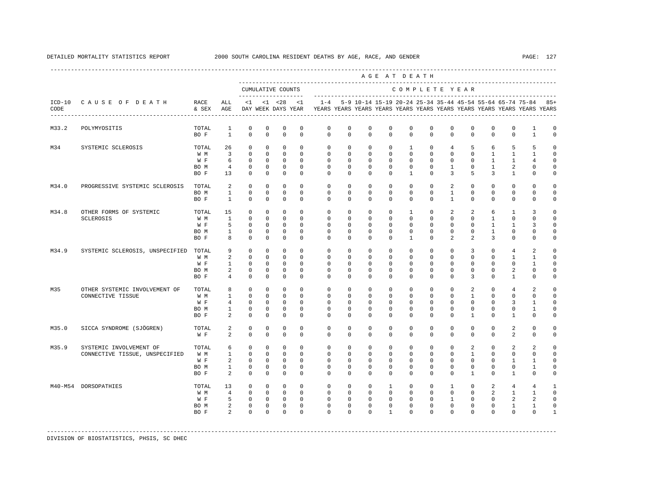|       |                                                           |                                     |                                                            |                                                              |                                                                     |                                                                      |                                                                 |                                                                                                       |                                                                 |                                                               | AGE AT DEATH                                                        |                                                                      |                                                                    |                                                                          |                                                                           |                                                                       |                                                                  |                                                                 |                                                          |
|-------|-----------------------------------------------------------|-------------------------------------|------------------------------------------------------------|--------------------------------------------------------------|---------------------------------------------------------------------|----------------------------------------------------------------------|-----------------------------------------------------------------|-------------------------------------------------------------------------------------------------------|-----------------------------------------------------------------|---------------------------------------------------------------|---------------------------------------------------------------------|----------------------------------------------------------------------|--------------------------------------------------------------------|--------------------------------------------------------------------------|---------------------------------------------------------------------------|-----------------------------------------------------------------------|------------------------------------------------------------------|-----------------------------------------------------------------|----------------------------------------------------------|
|       |                                                           |                                     |                                                            |                                                              |                                                                     | CUMULATIVE COUNTS                                                    |                                                                 |                                                                                                       |                                                                 |                                                               |                                                                     |                                                                      | COMPLETE YEAR                                                      |                                                                          |                                                                           |                                                                       |                                                                  |                                                                 |                                                          |
| CODE  | ICD-10 CAUSE OF DEATH<br>------------------------------   | RACE<br>& SEX                       | ALL<br>AGE                                                 | $\leq 1$                                                     |                                                                     | -------------------<br>$<1$ $<28$                                    | $\lt1$                                                          | $1 - 4$<br>DAY WEEK DAYS YEAR TEARS YEARS YEARS YEARS YEARS YEARS YEARS YEARS YEARS YEARS YEARS YEARS |                                                                 |                                                               |                                                                     |                                                                      |                                                                    |                                                                          |                                                                           |                                                                       |                                                                  | 5-9 10-14 15-19 20-24 25-34 35-44 45-54 55-64 65-74 75-84       | $85+$                                                    |
| M33.2 | POLYMYOSITIS                                              | TOTAL<br>BO F                       | 1<br>$\overline{1}$                                        | $\mathbf 0$<br>$\Omega$                                      | 0<br>$\Omega$                                                       | $\mathbf 0$<br>$\mathbf 0$                                           | 0<br>$\Omega$                                                   | $\mathbf 0$<br>$\Omega$                                                                               | $\mathbf 0$<br>$\Omega$                                         | $\mathbf 0$<br>$\Omega$                                       | $\mathbf 0$<br>$\Omega$                                             | $\mathbf 0$<br>$\Omega$                                              | $\mathbf 0$<br>$\Omega$                                            | $\mathbf 0$<br>$\Omega$                                                  | $\mathbf 0$<br>$\Omega$                                                   | $\mathbf 0$<br>$\Omega$                                               | $\mathbf 0$<br>$\Omega$                                          | 1<br>$\mathbf{1}$                                               | 0<br>$\Omega$                                            |
| M34   | SYSTEMIC SCLEROSIS                                        | TOTAL<br>W M<br>W F<br>BO M<br>BO F | 26<br>$\overline{\mathbf{3}}$<br>6<br>$\overline{4}$<br>13 | $\circ$<br>$\circ$<br>$\Omega$<br>$\circ$<br>$\Omega$        | $\mathbf 0$<br>$^{\circ}$<br>$\Omega$<br>$\mathbf 0$<br>$\mathbf 0$ | $\mathbf 0$<br>$\mathbf 0$<br>$\Omega$<br>$\mathbf 0$<br>$\mathbf 0$ | $\mathbf 0$<br>$\Omega$<br>$\Omega$<br>$\mathbf{0}$<br>$\Omega$ | $\mathbf 0$<br>$\Omega$<br>$\Omega$<br>$\circ$<br>$\Omega$                                            | $\mathbf 0$<br>$\Omega$<br>$\Omega$<br>$\circ$<br>$\Omega$      | $^{\circ}$<br>$\Omega$<br>$\Omega$<br>$\circ$<br>$\Omega$     | $\mathbf 0$<br>$\Omega$<br>$\Omega$<br>$\mathbf 0$<br>$\Omega$      | $\mathbf{1}$<br>$\Omega$<br>$\Omega$<br>$\mathbf{0}$<br>$\mathbf{1}$ | $\mathbf{0}$<br>$\Omega$<br>$\Omega$<br>$\mathbf 0$<br>$\Omega$    | $\overline{4}$<br>$\Omega$<br>$\Omega$<br>$\mathbf{1}$<br>$\overline{3}$ | 5<br>$\Omega$<br>$\Omega$<br>$\mathbf 0$<br>5                             | 6<br>$\mathbf{1}$<br>$\overline{1}$<br>$\mathbf{1}$<br>$\overline{3}$ | 5<br>$\mathbf{1}$<br>$\mathbf{1}$<br>2<br>$\mathbf{1}$           | 5<br>$\mathbf{1}$<br>$\overline{4}$<br>$\mathbf 0$<br>$\Omega$  | $\Omega$<br>$\Omega$<br>$\Omega$<br>$\Omega$<br>$\Omega$ |
| M34.0 | PROGRESSIVE SYSTEMIC SCLEROSIS                            | TOTAL<br>BO M<br>BO F               | $\overline{a}$<br>$\overline{1}$<br>$\mathbf{1}$           | $\Omega$<br>$\Omega$<br>$\Omega$                             | $\Omega$<br>$\Omega$<br>$\Omega$                                    | $\Omega$<br>$\Omega$<br>$\Omega$                                     | $\Omega$<br>$\Omega$<br>$\Omega$                                | $\Omega$<br>$\Omega$<br>$\Omega$                                                                      | $\Omega$<br>$\Omega$<br>$\Omega$                                | $\Omega$<br>$\Omega$<br>$\Omega$                              | $\Omega$<br>$\Omega$<br>$\Omega$                                    | $\Omega$<br>$\Omega$<br>$\Omega$                                     | $\Omega$<br>$\Omega$<br>$\Omega$                                   | $\overline{a}$<br>$\mathbf{1}$<br>$\mathbf{1}$                           | $\mathbf 0$<br>$\Omega$<br>$\Omega$                                       | $\Omega$<br>$\Omega$<br>$\Omega$                                      | $\Omega$<br>$\Omega$<br>$\Omega$                                 | $\Omega$<br>$\Omega$<br>$\Omega$                                | $\Omega$<br>$\Omega$<br>$\Omega$                         |
| M34.8 | OTHER FORMS OF SYSTEMIC<br>SCLEROSIS                      | TOTAL<br>W M<br>W F<br>BO M<br>BO F | 15<br>$\mathbf{1}$<br>5<br>$\mathbf{1}$<br>8               | $\Omega$<br>$\Omega$<br>$\Omega$<br>$\Omega$<br>$\Omega$     | $\Omega$<br>$\mathbf 0$<br>$\Omega$<br>$\Omega$<br>$\Omega$         | $\Omega$<br>$\mathbf 0$<br>$\Omega$<br>$\Omega$<br>$\Omega$          | $\Omega$<br>$\Omega$<br>$\Omega$<br>$\Omega$<br>$\Omega$        | $\Omega$<br>$\Omega$<br>$\Omega$<br>$\Omega$<br>$\Omega$                                              | $\Omega$<br>$\mathbf 0$<br>$\Omega$<br>$\Omega$<br>$\Omega$     | $\Omega$<br>$\Omega$<br>$\Omega$<br>$\Omega$<br>$\Omega$      | $\Omega$<br>$\Omega$<br>$\Omega$<br>$\Omega$<br>$\Omega$            | $\overline{1}$<br>$\Omega$<br>$\Omega$<br>$\Omega$<br>$\mathbf{1}$   | $\Omega$<br>$\Omega$<br>$\Omega$<br>$\Omega$<br>$\Omega$           | 2<br>$\Omega$<br>$\Omega$<br>$\Omega$<br>$\overline{a}$                  | 2<br>$\Omega$<br>$\Omega$<br>$\Omega$<br>$\mathcal{L}$                    | 6<br>$\mathbf{1}$<br>$\mathbf{1}$<br>$\mathbf{1}$<br>3                | $\mathbf{1}$<br>$\Omega$<br>$\mathbf{1}$<br>$\Omega$<br>$\Omega$ | 3<br>$\Omega$<br>3<br>$\Omega$<br>$\Omega$                      | $\Omega$<br>$\Omega$<br>$\Omega$<br>$\Omega$<br>$\Omega$ |
| M34.9 | SYSTEMIC SCLEROSIS, UNSPECIFIED                           | TOTAL<br>W M<br>W F<br>BO M<br>BO F | 9<br>2<br>$\mathbf{1}$<br>2<br>$4\overline{ }$             | $\mathbf{0}$<br>$\circ$<br>$\circ$<br>$^{\circ}$<br>$\Omega$ | $\mathbf 0$<br>$^{\circ}$<br>$^{\circ}$<br>$^{\circ}$<br>$\Omega$   | $\mathbf 0$<br>$\mathbf 0$<br>$\Omega$<br>$^{\circ}$<br>$^{\circ}$   | $\mathbf 0$<br>$\Omega$<br>$\Omega$<br>0<br>$\Omega$            | $\mathbf 0$<br>$\Omega$<br>$\Omega$<br>$\mathbf{0}$<br>$\Omega$                                       | $\mathbf 0$<br>$\Omega$<br>$\Omega$<br>$\mathbf{0}$<br>$\Omega$ | $\mathbf 0$<br>$\Omega$<br>$\Omega$<br>0<br>$\Omega$          | $\mathbf 0$<br>$\Omega$<br>$\Omega$<br>0<br>$\Omega$                | $\mathbf 0$<br>$\Omega$<br>$\Omega$<br>$\mathbf{0}$<br>$\Omega$      | $\mathbf 0$<br>$\mathbf 0$<br>$\Omega$<br>$\mathbf{0}$<br>$\Omega$ | $\mathbf 0$<br>$\Omega$<br>$\Omega$<br>0<br>$\Omega$                     | 3<br>$\Omega$<br>$\Omega$<br>0<br>3                                       | $\mathbf 0$<br>$\Omega$<br>$\Omega$<br>$^{\circ}$<br>$\Omega$         | $\overline{4}$<br>$\mathbf{1}$<br>$\Omega$<br>2<br>1             | 2<br>$\mathbf{1}$<br>$\mathbf{1}$<br>$\mathbf 0$<br>$\Omega$    | $\mathbf 0$<br>$\Omega$<br>$\cap$<br>0<br>$\Omega$       |
| M35   | OTHER SYSTEMIC INVOLVEMENT OF<br>CONNECTIVE TISSUE        | TOTAL<br>W M<br>W F<br>BO M<br>BO F | 8<br>$\mathbf{1}$<br>4<br>$\mathbf{1}$<br>2                | $\circ$<br>$\circ$<br>$\Omega$<br>$\mathbf 0$<br>$^{\circ}$  | $\mathbf 0$<br>$^{\circ}$<br>$\Omega$<br>0<br>$^{\circ}$            | $\mathbf 0$<br>$^{\circ}$<br>$\Omega$<br>$\mathbf 0$<br>$^{\circ}$   | $\mathbf 0$<br>$\Omega$<br>$\Omega$<br>$\mathbf 0$<br>$\Omega$  | $\mathbf 0$<br>$\Omega$<br>$\Omega$<br>$\mathbf 0$<br>$\Omega$                                        | $\mathbf 0$<br>$\Omega$<br>$\Omega$<br>0<br>$\Omega$            | $^{\circ}$<br>$\Omega$<br>$\Omega$<br>$\mathbf 0$<br>$\Omega$ | $\mathbf 0$<br>$\Omega$<br>$\Omega$<br>$\mathbf 0$<br>$\Omega$      | $\mathbf 0$<br>$\Omega$<br>$\Omega$<br>$\mathbf 0$<br>$\Omega$       | $\mathbf 0$<br>$\Omega$<br>$\Omega$<br>$\mathbf 0$<br>$\Omega$     | $\mathbf 0$<br>$\Omega$<br>$\Omega$<br>$\mathbf 0$<br>$\Omega$           | $\overline{2}$<br>$\mathbf{1}$<br>$\Omega$<br>$\mathbf 0$<br>$\mathbf{1}$ | $\mathbf 0$<br>$\Omega$<br>$\Omega$<br>0<br>$\Omega$                  | $\overline{4}$<br>$\Omega$<br>3<br>$\mathbf 0$<br>1              | 2<br>$\Omega$<br>$\mathbf{1}$<br>$\mathbf{1}$<br>$\Omega$       | $\Omega$<br>$\Omega$<br>$\Omega$<br>$\mathbf 0$<br>0     |
| M35.0 | SICCA SYNDROME (SJÖGREN)                                  | TOTAL<br>W F                        | 2<br>2                                                     | $\circ$<br>$\Omega$                                          | $\mathbf 0$<br>$\Omega$                                             | $\mathbf 0$<br>$\Omega$                                              | $\mathbf 0$<br>$\Omega$                                         | $\mathbf 0$<br>$\Omega$                                                                               | $\mathbf 0$<br>$\Omega$                                         | $\mathbf 0$<br>$\Omega$                                       | $\mathbf 0$<br>$\Omega$                                             | $\mathbf 0$<br>$\Omega$                                              | $\mathbf 0$<br>$\Omega$                                            | $\mathbf 0$<br>$\Omega$                                                  | $\mathbf 0$<br>$\Omega$                                                   | $\mathbf 0$<br>$\Omega$                                               | 2<br>$\overline{a}$                                              | $\mathbf 0$<br>$\Omega$                                         | $\Omega$<br>$\Omega$                                     |
| M35.9 | SYSTEMIC INVOLVEMENT OF<br>CONNECTIVE TISSUE, UNSPECIFIED | TOTAL<br>W M<br>W F<br>BO M<br>BO F | 6<br>$\mathbf{1}$<br>2<br>$\mathbf{1}$<br>2                | $\circ$<br>$\Omega$<br>$\Omega$<br>$^{\circ}$<br>$\Omega$    | $\Omega$<br>$\Omega$<br>$\Omega$<br>$\Omega$<br>$\Omega$            | $\Omega$<br>$\Omega$<br>$\mathbf 0$<br>$\Omega$<br>$\Omega$          | $\Omega$<br>$\Omega$<br>$\Omega$<br>$\Omega$<br>$\Omega$        | $\Omega$<br>$\Omega$<br>$\Omega$<br>$\Omega$<br>$\Omega$                                              | $\Omega$<br>$\Omega$<br>$\Omega$<br>$\Omega$<br>$\Omega$        | $\Omega$<br>$\Omega$<br>$\Omega$<br>$\Omega$<br>$\Omega$      | $\Omega$<br>$\Omega$<br>$\Omega$<br>$\Omega$<br>$\Omega$            | $\Omega$<br>$\Omega$<br>$\Omega$<br>$\Omega$<br>$\Omega$             | $\Omega$<br>$\Omega$<br>$\Omega$<br>$\Omega$<br>$\Omega$           | $\Omega$<br>$\Omega$<br>$\Omega$<br>$\Omega$<br>$\Omega$                 | 2<br>$\overline{1}$<br>$\Omega$<br>$\Omega$<br>$\mathbf{1}$               | $\Omega$<br>$\Omega$<br>$\Omega$<br>$\Omega$<br>$\Omega$              | 2<br>$\Omega$<br>1<br>$\mathbf 0$<br>$\mathbf{1}$                | 2<br>$\Omega$<br>$\mathbf{1}$<br>$\mathbf{1}$<br>$\Omega$       | $\Omega$<br>$\Omega$<br>$\Omega$<br>$\Omega$<br>$\Omega$ |
|       | M40-M54 DORSOPATHIES                                      | TOTAL<br>W M<br>W F<br>BO M<br>BO F | 13<br>$\overline{4}$<br>5<br>2<br>$\overline{2}$           | $\circ$<br>$\Omega$<br>$\mathbf 0$<br>$\circ$<br>$\Omega$    | $\circ$<br>$\Omega$<br>$\circ$<br>$\mathbf 0$<br>$\Omega$           | $\circ$<br>$\Omega$<br>$\overline{0}$<br>$\circ$<br>$\Omega$         | $\Omega$<br>$\Omega$<br>$\mathbf 0$<br>$\Omega$<br>$\Omega$     | $\Omega$<br>$\Omega$<br>$\circ$<br>$\Omega$<br>$\cap$                                                 | $\Omega$<br>$\Omega$<br>$\mathbf 0$<br>$\Omega$<br>$\Omega$     | $\Omega$<br>$\Omega$<br>$\mathbf{0}$<br>$\Omega$<br>$\Omega$  | $\mathbf{1}$<br>$\Omega$<br>$\mathbf 0$<br>$\Omega$<br>$\mathbf{1}$ | $\Omega$<br>$\Omega$<br>$\mathbf{0}$<br>$\Omega$<br>$\Omega$         | $\Omega$<br>$\Omega$<br>$\mathbf{0}$<br>$\Omega$<br>$\Omega$       | $\mathbf{1}$<br>$\Omega$<br>$\mathbf{1}$<br>$\Omega$<br>$\Omega$         | $\Omega$<br>$\Omega$<br>$\mathbf 0$<br>$\Omega$<br>$\Omega$               | 2<br>$\overline{2}$<br>$\Omega$<br>$\Omega$<br>$\Omega$               | $\overline{4}$<br>$\mathbf{1}$<br>2<br>$\mathbf{1}$<br>$\Omega$  | $\overline{4}$<br>$\mathbf{1}$<br>2<br>$\mathbf{1}$<br>$\Omega$ | $\mathbf{1}$<br>$\Omega$<br>$\Omega$<br>$\Omega$<br>1    |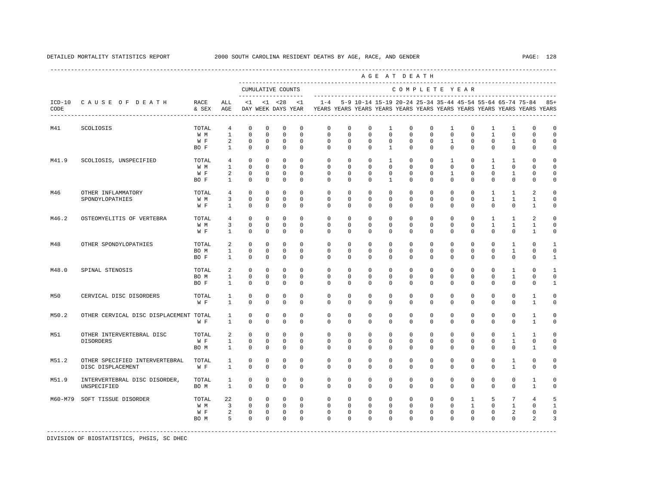|                  |                                                     |                             |                                                     |                                                          |                                                               |                                                          |                                                        |                                                                                    |                                                          |                                                          |                                                 | AGE AT DEATH                                              |                                                          |                                                 |                                                         |                                                         |                                                 |                                                |                                                           |
|------------------|-----------------------------------------------------|-----------------------------|-----------------------------------------------------|----------------------------------------------------------|---------------------------------------------------------------|----------------------------------------------------------|--------------------------------------------------------|------------------------------------------------------------------------------------|----------------------------------------------------------|----------------------------------------------------------|-------------------------------------------------|-----------------------------------------------------------|----------------------------------------------------------|-------------------------------------------------|---------------------------------------------------------|---------------------------------------------------------|-------------------------------------------------|------------------------------------------------|-----------------------------------------------------------|
|                  |                                                     |                             |                                                     |                                                          |                                                               | CUMULATIVE COUNTS<br>--------------------                |                                                        |                                                                                    |                                                          |                                                          |                                                 | COMPLETE YEAR                                             |                                                          |                                                 |                                                         |                                                         |                                                 |                                                |                                                           |
| $ICD-10$<br>CODE | CAUSE OF DEATH                                      | RACE<br>& SEX               | ALL<br>AGE                                          | $\leq 1$                                                 |                                                               | $< 1$ $< 28$<br>DAY WEEK DAYS YEAR                       | < 1                                                    | $1 - 4$<br>YEARS YEARS YEARS YEARS YEARS YEARS YEARS YEARS YEARS YEARS YEARS YEARS |                                                          |                                                          |                                                 | 5-9 10-14 15-19 20-24 25-34 35-44 45-54 55-64 65-74 75-84 |                                                          |                                                 |                                                         |                                                         |                                                 |                                                | $85+$                                                     |
| M41              | SCOLIOSIS                                           | TOTAL<br>W M<br>W F<br>BO F | 4<br>$\mathbf{1}$<br>2<br>$\mathbf{1}$              | $\mathbf 0$<br>$\mathbf 0$<br>$\mathbf 0$<br>$\mathbb O$ | $\mathbf 0$<br>$\mathbf 0$<br>$\mathbf 0$<br>$\mathbb O$      | $\mathbf 0$<br>$\mathbf 0$<br>$\mathbf 0$<br>$\mathbb O$ | $^{\circ}$<br>$^{\circ}$<br>$^{\circ}$<br>$\mathbf{0}$ | $\mathbf 0$<br>$\mathbf 0$<br>$\mathbf 0$<br>$\mathbf 0$                           | $\mathbf 0$<br>$\mathbf 0$<br>$\mathbf 0$<br>$\mathbf 0$ | $\mathbf 0$<br>$\mathbf 0$<br>$\mathbf 0$<br>$\mathbf 0$ | 1<br>$\mathbf 0$<br>$\mathbf 0$<br>$\mathbf{1}$ | $\mathbf 0$<br>$\mathbf 0$<br>$\mathbf 0$<br>$\mathbf 0$  | $\mathbf 0$<br>$\mathbf 0$<br>$\mathbf 0$<br>$\mathbf 0$ | 1<br>$\mathbf 0$<br>$\mathbf{1}$<br>$\mathbf 0$ | $\mathbf 0$<br>$\Omega$<br>$\mathbf 0$<br>$\mathbf 0$   | 1<br>$\mathbf{1}$<br>$\mathbf 0$<br>$\mathbf 0$         | 1<br>$\mathbf 0$<br>$\mathbf{1}$<br>$\mathbf 0$ | $\mathbf 0$<br>$\Omega$<br>$\Omega$<br>0       | $\circ$<br>$\mathbf 0$<br>$\Omega$<br>$\mathsf{O}\xspace$ |
| M41.9            | SCOLIOSIS, UNSPECIFIED                              | TOTAL<br>W M<br>W F<br>BO F | $\overline{4}$<br>$\mathbf{1}$<br>2<br>$\mathbf{1}$ | $\mathbf 0$<br>$\mathbf 0$<br>$\mathbf 0$<br>$\mathbf 0$ | $^{\circ}$<br>$\mathbf{0}$<br>0<br>$\mathbf 0$                | $^{\circ}$<br>$\mathbf{0}$<br>$\mathbf 0$<br>$\mathbf 0$ | $\mathbf 0$<br>$\Omega$<br>$^{\circ}$<br>$\Omega$      | $\circ$<br>$\Omega$<br>$\mathbf 0$<br>$\Omega$                                     | 0<br>$\Omega$<br>0<br>$\Omega$                           | $^{\circ}$<br>$\Omega$<br>$^{\circ}$<br>$\Omega$         | 1<br>$\Omega$<br>0<br>$\mathbf{1}$              | $\mathbf{0}$<br>$\Omega$<br>$\mathbf{0}$<br>$\Omega$      | 0<br>$\Omega$<br>$\mathbf{0}$<br>$\Omega$                | 1<br>$\Omega$<br>1<br>$\Omega$                  | 0<br>$\Omega$<br>$\mathbf 0$<br>$\Omega$                | $\mathbf{1}$<br>$\mathbf{1}$<br>$\mathbf 0$<br>$\Omega$ | 1<br>$\Omega$<br>1<br>$\Omega$                  | $\cap$<br>$\Omega$<br>$\Omega$<br>$\Omega$     | $\Omega$<br>$\Omega$<br>$\circ$<br>$\Omega$               |
| M46              | OTHER INFLAMMATORY<br>SPONDYLOPATHIES               | TOTAL<br>W M<br>W F         | $\overline{4}$<br>3<br>$\mathbf{1}$                 | $\mathbf 0$<br>$\mathbf 0$<br>$\mathbf 0$                | 0<br>$\mathbf 0$<br>$\mathbf 0$                               | 0<br>$\mathbf 0$<br>$\mathbf 0$                          | $^{\circ}$<br>$^{\circ}$<br>$^{\circ}$                 | $\circ$<br>$\mathbf 0$<br>$\circ$                                                  | 0<br>0<br>0                                              | $\mathbf{0}$<br>0<br>0                                   | 0<br>0<br>0                                     | $\mathbf{0}$<br>$\mathbf{0}$<br>0                         | $\mathbf{0}$<br>0<br>0                                   | $\mathbf{0}$<br>$\mathbf 0$<br>0                | 0<br>$\mathbf 0$<br>0                                   | 1<br>$\mathbf{1}$<br>$\mathbf 0$                        | 1<br>$\mathbf{1}$<br>$\mathbf 0$                | 2<br>1<br>1                                    | 0<br>$\mathbf 0$<br>0                                     |
| M46.2            | OSTEOMYELITIS OF VERTEBRA                           | TOTAL<br>W M<br>W F         | $\overline{4}$<br>3<br>$\mathbf{1}$                 | $\mathbf 0$<br>$\mathbf 0$<br>$\mathbb O$                | $\mathbf 0$<br>$\mathbf{0}$<br>$\mathbb O$                    | $\mathbf 0$<br>$\mathbf 0$<br>$\mathbb O$                | $\Omega$<br>$\circ$<br>$\mathbf{0}$                    | $\Omega$<br>$\mathbf 0$<br>$\mathbf 0$                                             | $\Omega$<br>$\mathbf 0$<br>$\mathbf 0$                   | $\Omega$<br>$\mathbf 0$<br>$\mathbf 0$                   | $\Omega$<br>0<br>$\mathbf 0$                    | $\Omega$<br>$\mathbf 0$<br>$\mathbf 0$                    | $\Omega$<br>$\mathbf 0$<br>$\mathbf 0$                   | $\Omega$<br>$\mathbf 0$<br>$\mathbf 0$          | $\Omega$<br>$\mathbf 0$<br>$\mathbf 0$                  | $\mathbf{1}$<br>$\mathbf{1}$<br>$\mathbf 0$             | $\mathbf{1}$<br>$\mathbf{1}$<br>$\mathbf 0$     | $\overline{a}$<br>$\mathbf{1}$<br>$\mathbf{1}$ | $\Omega$<br>$\Omega$<br>$\mathbf 0$                       |
| M48              | OTHER SPONDYLOPATHIES                               | TOTAL<br>BO M<br>BO F       | 2<br>$\mathbf{1}$<br>$\mathbf{1}$                   | $\mathbf 0$<br>$\mathbf 0$<br>$\mathbf 0$                | $\mathbf 0$<br>$\mathbf{0}$<br>$\mathbf 0$                    | $\mathbf 0$<br>$\mathbf{0}$<br>$\mathbf 0$               | $\Omega$<br>$\Omega$<br>$\Omega$                       | $\mathbf 0$<br>$\Omega$<br>$\Omega$                                                | $\Omega$<br>$\Omega$<br>0                                | $\Omega$<br>$\Omega$<br>$\Omega$                         | $\Omega$<br>$\Omega$<br>0                       | $\Omega$<br>$\mathbf 0$<br>$\Omega$                       | $\Omega$<br>0<br>0                                       | $\Omega$<br>$\mathbf 0$<br>$\Omega$             | $\Omega$<br>$\Omega$<br>$\Omega$                        | $\Omega$<br>$\Omega$<br>$\Omega$                        | 1<br>$\mathbf{1}$<br>$\mathbf 0$                | $\Omega$<br>$\Omega$<br>$\mathbf{0}$           | $\mathbf{1}$<br>$\mathbf 0$<br>$\mathbf{1}$               |
| M48.0            | SPINAL STENOSIS                                     | TOTAL<br>BO M<br>BO F       | 2<br>$\mathbf{1}$<br>1                              | $\mathbf 0$<br>$\mathbf 0$<br>$\mathbf 0$                | $\mathbf 0$<br>$\mathbf 0$<br>$\mathbf 0$                     | $\mathbf 0$<br>$\mathbf 0$<br>$\mathbf 0$                | $\mathbf{0}$<br>$^{\circ}$<br>$^{\circ}$               | $\mathbf{0}$<br>0<br>0                                                             | $\mathbf{0}$<br>0<br>0                                   | $\mathbf 0$<br>0<br>0                                    | 0<br>0<br>0                                     | $\mathbf 0$<br>0<br>$\mathbf 0$                           | $\mathbf 0$<br>0<br>0                                    | $\mathbf 0$<br>0<br>0                           | $\mathbf 0$<br>$\mathbf 0$<br>0                         | $\mathbf 0$<br>$\mathbf 0$<br>0                         | $\mathbf{1}$<br>$\mathbf{1}$<br>$\mathbf{0}$    | $\Omega$<br>0<br>0                             | $\mathbf{1}$<br>$\mathbf 0$<br>1                          |
| M50              | CERVICAL DISC DISORDERS                             | TOTAL<br>W F                | 1<br>$\mathbf{1}$                                   | $\mathbf 0$<br>$\Omega$                                  | $\mathbf 0$<br>$\Omega$                                       | $\mathbf 0$<br>$\Omega$                                  | $\mathbf 0$<br>$\Omega$                                | $\mathbf 0$<br>$\Omega$                                                            | $\Omega$<br>$\Omega$                                     | $\Omega$<br>$\Omega$                                     | $\Omega$<br>$\Omega$                            | $\mathbf 0$<br>$\Omega$                                   | $\Omega$<br>$\Omega$                                     | $\mathbf 0$<br>$\Omega$                         | $\Omega$<br>$\Omega$                                    | $\Omega$<br>$\Omega$                                    | $\mathbf 0$<br>$\Omega$                         | $\mathbf{1}$<br>$\mathbf{1}$                   | $\circ$<br>$\Omega$                                       |
| M50.2            | OTHER CERVICAL DISC DISPLACEMENT TOTAL              | W F                         | $\mathbf{1}$<br>$\mathbf{1}$                        | 0<br>$\mathbf 0$                                         | $\circ$<br>$\mathbf 0$                                        | 0<br>$\mathbf 0$                                         | $^{\circ}$<br>$\Omega$                                 | 0<br>$\Omega$                                                                      | 0<br>$\Omega$                                            | $^{\circ}$<br>$\Omega$                                   | 0<br>$\Omega$                                   | $\mathbf 0$<br>$\Omega$                                   | 0<br>$\Omega$                                            | 0<br>$\Omega$                                   | 0<br>$\Omega$                                           | 0<br>$\Omega$                                           | $\mathbf{0}$<br>$\Omega$                        | 1<br>1                                         | $\circ$<br>$\Omega$                                       |
| M51              | OTHER INTERVERTEBRAL DISC<br>DISORDERS              | TOTAL<br>W F<br>BO M        | 2<br>$\mathbf{1}$<br>$\mathbf{1}$                   | $\mathbf 0$<br>$\mathbf 0$<br>$\Omega$                   | $\mathbf{0}$<br>$\circ$<br>$\Omega$                           | $\mathbf{0}$<br>$\circ$<br>$\mathbf 0$                   | $\mathbf 0$<br>$\circ$<br>$\Omega$                     | $\mathbf{0}$<br>$\circ$<br>$\Omega$                                                | $\mathbf{0}$<br>$\circ$<br>$\Omega$                      | $\mathbf 0$<br>$\mathbf{0}$<br>$\Omega$                  | 0<br>0<br>$\Omega$                              | $\mathbf 0$<br>$\mathbf{0}$<br>$\Omega$                   | $\mathbf 0$<br>$\mathbf{0}$<br>$\Omega$                  | $\mathbf 0$<br>$\mathbf 0$<br>$\Omega$          | $\mathbf 0$<br>0<br>$\Omega$                            | $\mathbf 0$<br>$\mathbf 0$<br>$\Omega$                  | 1<br>$\mathbf{1}$<br>$\Omega$                   | $\mathbf{1}$<br>0<br>$\mathbf{1}$              | $\Omega$<br>$\circ$<br>$\Omega$                           |
| M51.2            | OTHER SPECIFIED INTERVERTEBRAL<br>DISC DISPLACEMENT | TOTAL<br>W F                | 1<br>1                                              | 0<br>$\mathbf 0$                                         | 0<br>$\mathbf 0$                                              | 0<br>$\mathbf 0$                                         | $^{\circ}$<br>$\Omega$                                 | 0<br>$\Omega$                                                                      | 0<br>0                                                   | 0<br>$\Omega$                                            | 0<br>$\Omega$                                   | $\mathbf 0$<br>$\Omega$                                   | 0<br>$\Omega$                                            | 0<br>$\Omega$                                   | 0<br>$\Omega$                                           | $^{\circ}$<br>$\Omega$                                  | 1<br>1                                          | $\mathbf 0$<br>$\Omega$                        | 0<br>$\Omega$                                             |
| M51.9            | INTERVERTEBRAL DISC DISORDER,<br>UNSPECIFIED        | TOTAL<br>BO M               | 1<br>$\mathbf{1}$                                   | $\mathbf 0$<br>$\Omega$                                  | $\mathbf 0$<br>$\Omega$                                       | $\mathbf 0$<br>$\Omega$                                  | $^{\circ}$<br>$\Omega$                                 | $\mathbf 0$<br>$\Omega$                                                            | $\mathbf 0$<br>$\Omega$                                  | $\mathbf 0$<br>$\Omega$                                  | 0<br>$\Omega$                                   | $\mathbf 0$<br>$\Omega$                                   | $\mathbf 0$<br>$\Omega$                                  | $\mathbf 0$<br>$\Omega$                         | $\mathbf 0$<br>$\Omega$                                 | $\mathbf 0$<br>$\Omega$                                 | $\mathbf 0$<br>$\Omega$                         | $\mathbf{1}$<br>$\mathbf{1}$                   | $\circ$<br>$\Omega$                                       |
| M60-M79          | SOFT TISSUE DISORDER                                | TOTAL<br>W M<br>W F<br>BO M | 22<br>3<br>2<br>5                                   | 0<br>$\mathbf 0$<br>$\circ$<br>$\mathbf 0$               | $\mathbf{0}$<br>$\mathbf{0}$<br>$\overline{0}$<br>$\mathbf 0$ | $\mathbf 0$<br>$\circ$<br>$\circ$<br>$\mathbf 0$         | $^{\circ}$<br>$\circ$<br>$\mathbf 0$<br>$\mathbf 0$    | $\circ$<br>$\circ$<br>0<br>$\Omega$                                                | $\circ$<br>$\mathbf 0$<br>$\mathbf 0$<br>$\Omega$        | $^{\circ}$<br>$\mathbf 0$<br>0<br>$\Omega$               | $\mathbf{0}$<br>0<br>0<br>$\Omega$              | $^{\circ}$<br>$\mathbf 0$<br>0<br>$\Omega$                | $\mathbf{0}$<br>$\mathbf 0$<br>0<br>$\Omega$             | $^{\circ}$<br>$\mathbf 0$<br>0<br>$\Omega$      | $\mathbf{1}$<br>$\mathbf{1}$<br>$\mathbf 0$<br>$\Omega$ | 5<br>$\mathbf 0$<br>0<br>$\Omega$                       | 7<br>$\mathbf{1}$<br>2<br>$\mathbf 0$           | 4<br>0<br>$\mathbf{0}$<br>2                    | 5<br>$\mathbf{1}$<br>$\Omega$<br>3                        |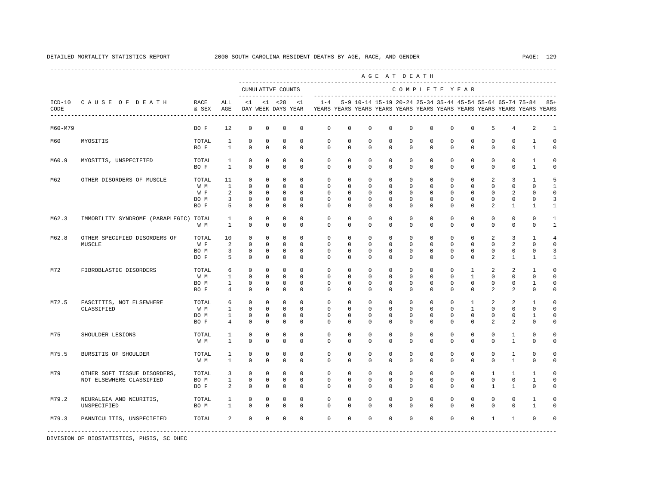|                  |                                                          |                              |                                                     |                                                          |                                                          |                                                          |                                                       |                                                        |                                                 |                                       |                                       | AGE AT DEATH                                              |                                                       |                                                 |                                                         |                                                   |                                              |                                                                         |                                                 |
|------------------|----------------------------------------------------------|------------------------------|-----------------------------------------------------|----------------------------------------------------------|----------------------------------------------------------|----------------------------------------------------------|-------------------------------------------------------|--------------------------------------------------------|-------------------------------------------------|---------------------------------------|---------------------------------------|-----------------------------------------------------------|-------------------------------------------------------|-------------------------------------------------|---------------------------------------------------------|---------------------------------------------------|----------------------------------------------|-------------------------------------------------------------------------|-------------------------------------------------|
|                  |                                                          |                              |                                                     |                                                          |                                                          | CUMULATIVE COUNTS                                        |                                                       |                                                        |                                                 |                                       |                                       | COMPLETE YEAR                                             |                                                       |                                                 |                                                         |                                                   |                                              |                                                                         |                                                 |
| $ICD-10$<br>CODE | CAUSE OF DEATH                                           | RACE<br>& SEX                | ALL<br>AGE                                          | $<$ 1                                                    |                                                          | $< 1$ $< 28$<br>DAY WEEK DAYS YEAR                       | <1                                                    | $1 - 4$                                                |                                                 |                                       |                                       | 5-9 10-14 15-19 20-24 25-34 35-44 45-54 55-64 65-74 75-84 |                                                       |                                                 |                                                         |                                                   |                                              | YEARS YEARS YEARS YEARS YEARS YEARS YEARS YEARS YEARS YEARS YEARS YEARS | $85+$                                           |
| M60-M79          |                                                          | BO F                         | 12                                                  | $\mathbf 0$                                              | $\mathbf 0$                                              | $\mathbf 0$                                              | $^{\circ}$                                            | $\mathbf 0$                                            | $\mathbf 0$                                     | 0                                     | 0                                     | $\mathbf 0$                                               | $\mathbf 0$                                           | $\mathbf 0$                                     | $\mathbf 0$                                             | 5                                                 | 4                                            | 2                                                                       | $\mathbf{1}$                                    |
| M60              | MYOSITIS                                                 | TOTAL<br>BO F                | 1<br>$\mathbf{1}$                                   | $\mathbf 0$<br>$\mathbf 0$                               | $\mathbf 0$<br>$\mathbf 0$                               | $\mathbf 0$<br>$\mathbf 0$                               | $\mathbf 0$<br>$\mathbf 0$                            | $\mathbf 0$<br>$\mathbf 0$                             | $\mathbf 0$<br>$\mathbf 0$                      | 0<br>0                                | 0<br>0                                | $\mathbf 0$<br>$\mathbf 0$                                | $\mathbf 0$<br>$\mathbf 0$                            | $\Omega$<br>$\Omega$                            | $\mathbf 0$<br>$\mathbf 0$                              | $\mathbf 0$<br>0                                  | $\mathbf{0}$<br>$\mathbf{0}$                 | 1<br>$\mathbf{1}$                                                       | $\Omega$<br>$\Omega$                            |
| M60.9            | MYOSITIS, UNSPECIFIED                                    | TOTAL<br>BO F                | $\mathbf{1}$<br>$\mathbf{1}$                        | $\mathbf 0$<br>$\mathbf 0$                               | $\mathbf 0$<br>$\mathbf 0$                               | $\mathbf 0$<br>$\mathbf 0$                               | $\mathbf{0}$<br>$\Omega$                              | $\mathbf 0$<br>$\Omega$                                | $\mathbf 0$<br>$\Omega$                         | 0<br>$\Omega$                         | 0<br>$\Omega$                         | $\mathbf 0$<br>$\Omega$                                   | $\mathbf 0$<br>$\Omega$                               | $\Omega$<br>$\Omega$                            | $\mathbf 0$<br>$\Omega$                                 | $\mathbf 0$<br>$\Omega$                           | $\mathbf{0}$<br>$\Omega$                     | $\mathbf{1}$<br>$\mathbf{1}$                                            | $\Omega$<br>$\Omega$                            |
| M62              | OTHER DISORDERS OF MUSCLE                                | TOTAL<br>W M<br>W F<br>BO M  | 11<br>$\mathbf{1}$<br>2<br>3                        | $\mathbf 0$<br>$\Omega$<br>$\mathbf 0$<br>0              | $\mathbf 0$<br>$\Omega$<br>$^{\circ}$<br>0               | $\mathbf 0$<br>$\mathbf 0$<br>$\circ$<br>$\mathbf 0$     | $\Omega$<br>$\Omega$<br>0<br>$\mathbf 0$              | $\mathbf 0$<br>$\Omega$<br>$\mathbf 0$<br>0            | $\Omega$<br>$\Omega$<br>0<br>0                  | $\Omega$<br>$\Omega$<br>0<br>0        | $\Omega$<br>$\Omega$<br>0<br>0        | $\Omega$<br>$\Omega$<br>0<br>0                            | $\Omega$<br>$\Omega$<br>$\mathbf 0$<br>0              | $\Omega$<br>U<br>$\Omega$<br>0                  | $\Omega$<br>$\Omega$<br>0<br>0                          | $\mathfrak{D}$<br>$\Omega$<br>0<br>0              | $\overline{3}$<br>$\Omega$<br>2<br>0         | $\mathbf{1}$<br>$\cap$<br>$\cap$<br>$\mathbf 0$                         | $\overline{5}$<br>$\mathbf{1}$<br>$\Omega$<br>3 |
| M62.3            | IMMOBILITY SYNDROME (PARAPLEGIC) TOTAL                   | BO F<br>W M                  | 5<br>1<br>$\mathbf{1}$                              | $\mathbf 0$<br>$\mathbf 0$<br>$\mathbf 0$                | $\mathbf 0$<br>$\mathbf 0$<br>$\mathbf 0$                | $\mathbf 0$<br>$\mathbf 0$<br>$\mathbf 0$                | $\mathbf 0$<br>$\mathbf 0$<br>$\Omega$                | $\mathbf 0$<br>$\mathbf{0}$<br>$\mathbf 0$             | 0<br>$\mathbf 0$<br>$\mathbf 0$                 | 0<br>$\mathbf 0$<br>0                 | 0<br>0<br>0                           | 0<br>$\mathbf 0$<br>$\mathbf 0$                           | $\mathbf 0$<br>$\mathbf 0$<br>$\mathbf 0$             | $\Omega$<br>$\mathbf 0$<br>$\Omega$             | $\Omega$<br>$\mathbf 0$<br>$\mathbf 0$                  | $\mathfrak{D}$<br>$\mathbf 0$<br>0                | 1<br>$\mathbf{0}$<br>$\mathbf 0$             | -1<br>$\Omega$<br>$\Omega$                                              | -1<br>1<br>$\mathbf{1}$                         |
| M62.8            | OTHER SPECIFIED DISORDERS OF<br>MUSCLE                   | TOTAL<br>W F<br>BO M<br>BO F | 10<br>2<br>3<br>5                                   | $\mathbf 0$<br>$\mathbf 0$<br>$\mathbf 0$<br>$\mathbf 0$ | $\mathbf 0$<br>$\mathbf 0$<br>$\mathbf 0$<br>$\mathbf 0$ | $\mathbf 0$<br>$\mathbf 0$<br>$\mathbf 0$<br>$\mathbf 0$ | $\mathbf 0$<br>$\Omega$<br>$\mathbf 0$<br>$\mathbf 0$ | $\mathbf{0}$<br>$\Omega$<br>$\mathbf 0$<br>$\mathbf 0$ | $\mathbf 0$<br>$\Omega$<br>0<br>0               | $\mathbf 0$<br>$\Omega$<br>0<br>0     | 0<br>$\Omega$<br>0<br>0               | $\mathbf 0$<br>$\Omega$<br>0<br>0                         | $\mathbf 0$<br>$\Omega$<br>$\mathbf 0$<br>$\mathbf 0$ | $\Omega$<br>$\Omega$<br>0<br>$\Omega$           | $\mathbf 0$<br>$\Omega$<br>0<br>$\Omega$                | 2<br>$\Omega$<br>0<br>2                           | 3<br>2<br>0<br>1                             | $\mathbf{1}$<br>$\Omega$<br>$\Omega$<br>1                               | 4<br>$\Omega$<br>3<br>1                         |
| M72              | FIBROBLASTIC DISORDERS                                   | TOTAL<br>W M<br>BO M<br>BO F | 6<br>$\mathbf{1}$<br>$\mathbf{1}$<br>$\overline{4}$ | $\mathbf 0$<br>$\mathbf 0$<br>$\mathbf 0$<br>$\Omega$    | $\mathbf 0$<br>$\mathbf 0$<br>$\mathbf 0$<br>$\mathbf 0$ | $\mathbf 0$<br>$\mathbf 0$<br>$\mathbf 0$<br>$\mathbf 0$ | $\mathbf 0$<br>$\mathbf 0$<br>$\mathbf 0$<br>$\Omega$ | $\mathbf 0$<br>$\mathbf 0$<br>$\Omega$<br>$\Omega$     | $\mathbf 0$<br>$\Omega$<br>$\Omega$<br>$\Omega$ | 0<br>$\Omega$<br>$\Omega$<br>$\Omega$ | 0<br>$\Omega$<br>$\Omega$<br>$\Omega$ | $\mathbf 0$<br>$\Omega$<br>$\Omega$<br>$\Omega$           | $\mathbf 0$<br>$\Omega$<br>$\Omega$<br>$\Omega$       | $\mathbf 0$<br>$\Omega$<br>$\Omega$<br>$\Omega$ | $\mathbf{1}$<br>$\mathbf{1}$<br>$\Omega$<br>$\mathbf 0$ | 2<br>$\Omega$<br>$\Omega$<br>2                    | 2<br>$\Omega$<br>$\Omega$<br>2               | $\mathbf{1}$<br>$\Omega$<br>1<br>$\Omega$                               | $\Omega$<br>$\Omega$<br>$\Omega$<br>$\Omega$    |
| M72.5            | FASCIITIS, NOT ELSEWHERE<br>CLASSIFIED                   | TOTAL<br>W M<br>BO M<br>BO F | 6<br>$\mathbf{1}$<br>$\mathbf{1}$<br>4              | $\mathbf 0$<br>$\mathbf 0$<br>$\mathbf 0$<br>$\mathbf 0$ | $\mathbf 0$<br>$\mathbf 0$<br>$\mathbf 0$<br>0           | $\mathbf 0$<br>$\mathbf 0$<br>$\mathbf 0$<br>0           | $\Omega$<br>$\Omega$<br>$\mathbf 0$<br>$^{\circ}$     | $\Omega$<br>$\Omega$<br>$\mathbf 0$<br>$\mathbf 0$     | $\Omega$<br>$\Omega$<br>0<br>0                  | $\Omega$<br>$\Omega$<br>0<br>0        | $\Omega$<br>$\Omega$<br>0<br>0        | $\Omega$<br>$\Omega$<br>0<br>0                            | $\Omega$<br>$\Omega$<br>$\mathbf 0$<br>0              | $\Omega$<br>$\Omega$<br>0<br>$\Omega$           | $\mathbf{1}$<br>$\mathbf{1}$<br>$\mathbf 0$<br>0        | $\mathfrak{D}$<br>$\Omega$<br>0<br>$\mathfrak{D}$ | $\overline{a}$<br>$\Omega$<br>0<br>2         | $\mathbf{1}$<br>$\Omega$<br>1<br>0                                      | $\cap$<br>$\Omega$<br>$\Omega$<br>$\Omega$      |
| M75              | SHOULDER LESIONS                                         | TOTAL<br>W M                 | 1<br>$\mathbf{1}$                                   | $\mathbf 0$<br>$\mathbf 0$                               | $\mathbf 0$<br>$\mathbf 0$                               | $\mathbf 0$<br>$\mathbf 0$                               | $^{\circ}$<br>$\mathbf 0$                             | $\mathbf{0}$<br>$\mathbf 0$                            | $\mathbf 0$<br>$\mathbf 0$                      | 0<br>0                                | $\mathbf 0$<br>0                      | $\mathbf{0}$<br>$\mathbf 0$                               | $\mathbf 0$<br>$\mathbf 0$                            | $\mathbf 0$<br>$\mathbf 0$                      | $\mathbf 0$<br>$\mathbf 0$                              | $\mathbf 0$<br>0                                  | 1<br>$\mathbf{1}$                            | $\mathbf 0$<br>$\mathbf 0$                                              | $\Omega$<br>$\mathbf 0$                         |
| M75.5            | <b>BURSITIS OF SHOULDER</b>                              | TOTAL<br>W M                 | 1<br>$\mathbf{1}$                                   | $\mathbf 0$<br>$\mathbf 0$                               | $\mathbf 0$<br>$\mathbf 0$                               | $\mathbf 0$<br>$\mathbb O$                               | $\mathbf 0$<br>$\mathbf 0$                            | $\mathbf{0}$<br>$\mathbf 0$                            | $\mathbf 0$<br>$\mathbf 0$                      | $^{\circ}$<br>0                       | 0<br>0                                | $\mathbf 0$<br>$\mathbf 0$                                | $\mathbf 0$<br>$\mathbf 0$                            | $\mathbf 0$<br>$\mathbf 0$                      | $\mathbf 0$<br>$\mathbf 0$                              | $\mathbf 0$<br>$\mathbf 0$                        | $\mathbf{1}$<br>$\mathbf{1}$                 | $\mathbf 0$<br>$\mathbf 0$                                              | $\Omega$<br>$\mathbf 0$                         |
| M79              | OTHER SOFT TISSUE DISORDERS,<br>NOT ELSEWHERE CLASSIFIED | TOTAL<br>BO M<br>BO F        | 3<br>$\mathbf{1}$<br>2                              | $\mathbf 0$<br>$\mathbf 0$<br>$\Omega$                   | $\mathbf 0$<br>$\mathbf 0$<br>$\Omega$                   | $\mathbf 0$<br>$\mathbf 0$<br>$\mathbf 0$                | $^{\circ}$<br>$\mathbf 0$<br>$\Omega$                 | $\mathbf{0}$<br>$\mathbf{0}$<br>$\Omega$               | $\mathbf 0$<br>0<br>$\Omega$                    | $\mathbf 0$<br>0<br>$\Omega$          | 0<br>0<br>$\Omega$                    | $\mathbf 0$<br>$\mathbf 0$<br>$\Omega$                    | $\mathbf 0$<br>$\mathbf 0$<br>$\Omega$                | $\mathbf 0$<br>$\Omega$<br>$\Omega$             | $\mathbf 0$<br>$^{\circ}$<br>$\Omega$                   | $\mathbf{1}$<br>$\mathbf 0$<br>$\mathbf{1}$       | $\mathbf{1}$<br>$\mathbf{0}$<br>$\mathbf{1}$ | 1<br>1<br>$\Omega$                                                      | $\Omega$<br>$\Omega$<br>$\cap$                  |
| M79.2            | NEURALGIA AND NEURITIS,<br>UNSPECIFIED                   | TOTAL<br>BO M                | 1<br>$\mathbf{1}$                                   | $\mathbf 0$<br>$\Omega$                                  | $\mathbf 0$<br>$\Omega$                                  | 0<br>$\mathbf 0$                                         | $\mathbf 0$<br>$\Omega$                               | $\mathbf{0}$<br>$\Omega$                               | $\Omega$<br>$\Omega$                            | $\Omega$<br>$\Omega$                  | $\Omega$<br>$\Omega$                  | $\mathbf 0$<br>$\Omega$                                   | $\mathbf 0$<br>$\Omega$                               | $\Omega$<br>$\Omega$                            | $\Omega$<br>$\Omega$                                    | $\Omega$<br>$\Omega$                              | $\mathbf{0}$<br>$\Omega$                     | $\mathbf{1}$<br>$\mathbf{1}$                                            | $\Omega$<br>$\cap$                              |
| M79.3            | PANNICULITIS, UNSPECIFIED                                | TOTAL                        | 2                                                   | $\mathbf 0$                                              | $\mathbf 0$                                              | $\mathbf 0$                                              | $\mathbf 0$                                           | $\Omega$                                               | $\mathbf 0$                                     | $\mathbf 0$                           | $\mathbf 0$                           | $\mathbf 0$                                               | $\mathbf 0$                                           | $\Omega$                                        | $\mathbf 0$                                             | $\mathbf{1}$                                      | $\mathbf{1}$                                 | $\Omega$                                                                |                                                 |

# DETAILED MORTALITY STATISTICS REPORT 2000 SOUTH CAROLINA RESIDENT DEATHS BY AGE, RACE, AND GENDER PAGE: 129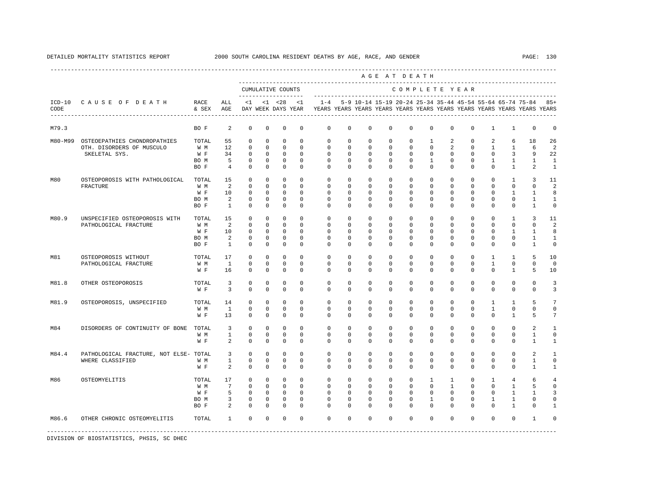|         |                                                        |               |                         |                |              |                                           |             |                                                                         |              |             |             | AGE AT DEATH  |              |                |              |                |                |                                                                   |              |
|---------|--------------------------------------------------------|---------------|-------------------------|----------------|--------------|-------------------------------------------|-------------|-------------------------------------------------------------------------|--------------|-------------|-------------|---------------|--------------|----------------|--------------|----------------|----------------|-------------------------------------------------------------------|--------------|
|         |                                                        |               |                         |                |              | CUMULATIVE COUNTS<br>-------------------- |             |                                                                         |              |             |             | COMPLETE YEAR |              |                |              |                |                |                                                                   |              |
| CODE    | ICD-10 CAUSE OF DEATH<br>----------------------------- | RACE<br>& SEX | ALL<br>AGE              | $\leq 1$       |              | $< 1$ $< 28$<br>DAY WEEK DAYS YEAR        | < 1         | YEARS YEARS YEARS YEARS YEARS YEARS YEARS YEARS YEARS YEARS YEARS YEARS |              |             |             |               |              |                |              |                |                | 1-4 5-9 10-14 15-19 20-24 25-34 35-44 45-54 55-64 65-74 75-84 85+ |              |
| M79.3   |                                                        | BO F          | 2                       | $\mathbf 0$    | $\circ$      | $\mathbf 0$                               | $\mathbf 0$ | $\mathbf 0$                                                             | $\mathbf 0$  | $\mathbf 0$ | $\mathbf 0$ | $\mathbf 0$   | $\mathbf 0$  | $\mathbf 0$    | $\mathbf 0$  | 1              | 1              | $\mathbf 0$                                                       | $\Omega$     |
| M80-M99 | OSTEOEPATHIES CHONDROPATHIES                           | TOTAL         | 55                      | $\mathbf 0$    | $\circ$      | $\Omega$                                  | $\Omega$    | $\Omega$                                                                | $\Omega$     | $\Omega$    | $\Omega$    | $\Omega$      | 1            | 2              | $\Omega$     | 2              | 6              | 18                                                                | 26           |
|         | OTH. DISORDERS OF MUSCULO                              | W M           | 12                      | $\Omega$       | $\Omega$     | $\Omega$                                  | $\Omega$    | $\Omega$                                                                | $\Omega$     | $\Omega$    | $\Omega$    | $\Omega$      | $\Omega$     | 2              | $\Omega$     | $\overline{1}$ | $\overline{1}$ | 6                                                                 | 2            |
|         | SKELETAL SYS.                                          | W F           | 34                      | $\mathbf{0}$   | $\circ$      | $\mathbf 0$                               | $\Omega$    | $\Omega$                                                                | $\Omega$     | $\circ$     | $\Omega$    | $\Omega$      | $\mathbf 0$  | $\Omega$       | $\mathbf 0$  | $\Omega$       | $\overline{3}$ | 9                                                                 | 22           |
|         |                                                        | BO M          | 5                       | $\mathbf 0$    | 0            | $^{\circ}$                                | $^{\circ}$  | $\mathbf{0}$                                                            | $\mathbf{0}$ | $\circ$     | $\mathbf 0$ | $\mathbf{0}$  | 1            | $\mathbf 0$    | $\mathbf 0$  | $\mathbf{1}$   | $\mathbf{1}$   | $\mathbf{1}$                                                      | 1            |
|         |                                                        | BO F          | $\overline{4}$          | $^{\circ}$     | $^{\circ}$   | $^{\circ}$                                | $\Omega$    | $\mathbf{0}$                                                            | $\mathbf{0}$ | 0           | 0           | $\Omega$      | $\mathbf{0}$ | $\mathbf{0}$   | 0            | $\circ$        | $\mathbf{1}$   | $\overline{a}$                                                    | 1            |
| M80     | OSTEOPOROSIS WITH PATHOLOGICAL                         | TOTAL         | 15                      | $\mathbf 0$    | $\circ$      | $\circ$                                   | $\Omega$    | $\mathbf{0}$                                                            | $\mathbf 0$  | $\mathbf 0$ | $\mathbf 0$ | $\mathbf 0$   | $\mathbf 0$  | $\mathbf 0$    | $\mathbf 0$  | $\mathbf 0$    | $\mathbf{1}$   | 3                                                                 | 11           |
|         | FRACTURE                                               | W M           | 2                       | $\overline{0}$ | $\mathbf{0}$ | $\Omega$                                  | $\Omega$    | $\Omega$                                                                | $\Omega$     | $\Omega$    | $\Omega$    | $\Omega$      | $\Omega$     | $\Omega$       | $\mathbf{0}$ | $\mathbf 0$    | $\circ$        | $\Omega$                                                          | 2            |
|         |                                                        | W F           | 10                      | $\circ$        | $^{\circ}$   | $\Omega$                                  | $\Omega$    | $\Omega$                                                                | $\Omega$     | $\Omega$    | $\Omega$    | $\Omega$      | $\Omega$     | $\Omega$       | $\Omega$     | $\Omega$       | $\mathbf{1}$   | $\mathbf{1}$                                                      | 8            |
|         |                                                        | BO M          | 2                       | $\Omega$       | $\Omega$     | $\Omega$                                  | $\Omega$    | $\Omega$                                                                | $\Omega$     | $\Omega$    | $\Omega$    | $\Omega$      | $\Omega$     | $\Omega$       | $\Omega$     | $\Omega$       | $\Omega$       | $\mathbf{1}$                                                      | $\mathbf{1}$ |
|         |                                                        | BO F          | $\mathbf{1}$            | $\mathbf{0}$   | $\mathbf 0$  | $\mathbf{0}$                              | $\Omega$    | $\Omega$                                                                | 0            | $\mathbf 0$ | $\mathbf 0$ | $\mathbf 0$   | $\circ$      | $\mathbf 0$    | $\mathbf 0$  | $\mathbf 0$    | $\mathbf 0$    | $\mathbf{1}$                                                      | $\circ$      |
| M80.9   | UNSPECIFIED OSTEOPOROSIS WITH                          | TOTAL         | 15                      | $\overline{0}$ | $\circ$      | $^{\circ}$                                | $\Omega$    | $\mathbf 0$                                                             | $\mathbf{0}$ | $\mathbf 0$ | $\mathbf 0$ | $\Omega$      | $\mathbf 0$  | $\Omega$       | $\mathbf 0$  | $\Omega$       | $\mathbf{1}$   | 3                                                                 | 11           |
|         | PATHOLOGICAL FRACTURE                                  | W M           | $\overline{2}$          | $\overline{0}$ | $^{\circ}$   | $\Omega$                                  | $\Omega$    | $\Omega$                                                                | $\Omega$     | $\Omega$    | $\Omega$    | $\Omega$      | $\Omega$     | $\Omega$       | 0            | $\Omega$       | $\mathbf 0$    | $\Omega$                                                          | 2            |
|         |                                                        | W F           | 10                      | $\overline{0}$ | $\circ$      | $\Omega$                                  | $\Omega$    | $\Omega$                                                                | $\Omega$     | $\Omega$    | $\Omega$    | $\Omega$      | $\Omega$     | $\Omega$       | $\Omega$     | $\Omega$       | 1              | $\mathbf{1}$                                                      | 8            |
|         |                                                        | BO M          | 2                       | $\mathbf 0$    | $^{\circ}$   | $\circ$                                   | $\Omega$    | $\Omega$                                                                | $\Omega$     | $\Omega$    | $\Omega$    | $\Omega$      | $\Omega$     | $\Omega$       | $\Omega$     | $\Omega$       | $\Omega$       | 1                                                                 | $\mathbf{1}$ |
|         |                                                        | BO F          | $\overline{1}$          | $\Omega$       | $\Omega$     | $\Omega$                                  | $\Omega$    | $\Omega$                                                                | $\Omega$     | $\Omega$    | $\Omega$    | $\Omega$      | $\Omega$     | $\Omega$       | $\Omega$     | $\Omega$       | $\Omega$       | $\mathbf{1}$                                                      | $\Omega$     |
| M81     | OSTEOPOROSIS WITHOUT                                   | TOTAL         | 17                      | $\overline{0}$ | $\circ$      | $\circ$                                   | $\Omega$    | $\mathbf 0$                                                             | $\mathbf 0$  | $\mathbf 0$ | $\mathbf 0$ | $\mathbf 0$   | $\mathbf 0$  | $\mathbf 0$    | $\mathbf 0$  | $\mathbf{1}$   | $\mathbf{1}$   | 5                                                                 | 10           |
|         | PATHOLOGICAL FRACTURE                                  | W M           | $\mathbf{1}$            | $\mathbf 0$    | $\circ$      | $\circ$                                   | $\mathbf 0$ | $\mathbf{0}$                                                            | $\mathbf{0}$ | 0           | 0           | $\mathbf{0}$  | $\mathbf{0}$ | $\mathbf 0$    | $\circ$      | $\mathbf{1}$   | $\mathbf{0}$   | $\mathbf 0$                                                       | $\Omega$     |
|         |                                                        | W F           | 16                      | $\Omega$       | $\Omega$     | $\Omega$                                  | $\Omega$    | $\Omega$                                                                | $\Omega$     | $\Omega$    | $\Omega$    | $\Omega$      | $\Omega$     | $\Omega$       | $\Omega$     | $\Omega$       | $\mathbf{1}$   | 5                                                                 | 10           |
| M81.8   | OTHER OSTEOPOROSIS                                     | TOTAL         | 3                       | $\mathbf 0$    | $^{\circ}$   | $\mathbf 0$                               | $\Omega$    | $\mathbf 0$                                                             | $\Omega$     | $\mathbf 0$ | $\mathbf 0$ | $\Omega$      | $\Omega$     | $\Omega$       | $\mathbf 0$  | $\mathbf 0$    | $\mathbf 0$    | $\mathbf{0}$                                                      | 3            |
|         |                                                        | W F           | $\overline{3}$          | $\Omega$       | $\Omega$     | $\Omega$                                  | $\Omega$    | $\Omega$                                                                | $\Omega$     | $\Omega$    | $\Omega$    | $\Omega$      | $\Omega$     | $\Omega$       | $\Omega$     | $\Omega$       | $\Omega$       | $\Omega$                                                          | 3            |
| M81.9   | OSTEOPOROSIS, UNSPECIFIED                              | TOTAL         | 14                      | $\circ$        | $^{\circ}$   | $^{\circ}$                                | $\Omega$    | $\Omega$                                                                | $\Omega$     | $\Omega$    | $\Omega$    | $\Omega$      | $\Omega$     | $\Omega$       | $\Omega$     | $\mathbf{1}$   | 1              | 5                                                                 | 7            |
|         |                                                        | W M           | $\mathbf{1}$            | $\overline{0}$ | $\circ$      | $\circ$                                   | $\mathbf 0$ | $\mathbf 0$                                                             | $\mathbf 0$  | $\mathbf 0$ | $\mathbf 0$ | $\mathbf 0$   | $\mathbf 0$  | $\mathbf 0$    | $\mathbf 0$  | $\mathbf{1}$   | $\mathbf 0$    | $\mathbf 0$                                                       | $\mathbf 0$  |
|         |                                                        | W F           | 13                      | $\mathbf 0$    | $^{\circ}$   | $^{\circ}$                                | $\Omega$    | $\Omega$                                                                | $\Omega$     | $\Omega$    | $\Omega$    | $\Omega$      | $\Omega$     | $\Omega$       | $\Omega$     | $\Omega$       | 1              | 5                                                                 | 7            |
| M84     | DISORDERS OF CONTINUITY OF BONE                        | TOTAL         | $\overline{\mathbf{3}}$ | $\mathbf 0$    | $\circ$      | $^{\circ}$                                | $\Omega$    | $\mathbf 0$                                                             | $\mathbf 0$  | $\mathbf 0$ | $\mathbf 0$ | $\mathbf 0$   | $\mathbf 0$  | $\mathbf 0$    | $\mathbf 0$  | $\mathbf 0$    | $\mathbf 0$    | 2                                                                 | $\mathbf{1}$ |
|         |                                                        | W M           | $\mathbf{1}$            | $\Omega$       | $\Omega$     | $\Omega$                                  | $\Omega$    | $\Omega$                                                                | $\Omega$     | $\Omega$    | $\Omega$    | $\Omega$      | $\Omega$     | $\Omega$       | $\Omega$     | $\Omega$       | $\Omega$       | $\mathbf{1}$                                                      | $\Omega$     |
|         |                                                        | W F           | 2                       | $\mathbf 0$    | $^{\circ}$   | $^{\circ}$                                | $\mathbf 0$ | $\mathbf 0$                                                             | $\mathbf 0$  | $\mathbf 0$ | $\mathbf 0$ | $\mathbf 0$   | $\mathbf 0$  | $\mathbf 0$    | 0            | $\mathbf 0$    | $\mathbf 0$    | 1                                                                 | $\mathbf{1}$ |
| M84.4   | PATHOLOGICAL FRACTURE, NOT ELSE- TOTAL                 |               | 3                       | $\overline{0}$ | $\circ$      | $^{\circ}$                                | $\Omega$    | $\circ$                                                                 | $\circ$      | $\circ$     | 0           | $^{\circ}$    | $\Omega$     | $\mathbf 0$    | $\mathbf 0$  | $\mathbf 0$    | $\mathbf{0}$   | 2                                                                 | 1            |
|         | WHERE CLASSIFIED                                       | W M           | $\mathbf{1}$            | $\mathbf 0$    | $\circ$      | $\circ$                                   | $\mathbf 0$ | $\mathbf 0$                                                             | $\mathbf 0$  | $\mathbf 0$ | $\mathbf 0$ | $\mathbf 0$   | $\mathbf 0$  | $\mathbf 0$    | $\mathbf 0$  | $\mathbf 0$    | $\mathbf 0$    | $\mathbf{1}$                                                      | $\mathbf 0$  |
|         |                                                        | W F           | 2                       | $\Omega$       | $\Omega$     | $\Omega$                                  | $\Omega$    | $\Omega$                                                                | $\Omega$     | $\Omega$    | $\Omega$    | $\Omega$      | $\Omega$     | $\Omega$       | $\Omega$     | $\Omega$       | $\Omega$       | $\mathbf{1}$                                                      | $\mathbf{1}$ |
| M86     | OSTEOMYELITIS                                          | TOTAL         | 17                      | $\overline{0}$ | $\circ$      | $\circ$                                   | $\Omega$    | $\Omega$                                                                | $\Omega$     | $\Omega$    | $\Omega$    | $\Omega$      | $\mathbf{1}$ | $\overline{1}$ | $\Omega$     | $\mathbf{1}$   | $\overline{4}$ | 6                                                                 | 4            |
|         |                                                        | W M           | $7\overline{ }$         | $\Omega$       | $\Omega$     | $\Omega$                                  | $\Omega$    | $\Omega$                                                                | $\Omega$     | $\Omega$    | $\Omega$    | $\Omega$      | $\Omega$     | $\overline{1}$ | $\Omega$     | $\Omega$       | $\mathbf{1}$   | 5                                                                 | $\Omega$     |
|         |                                                        | W F           | 5                       | $\mathbf 0$    | $\mathbf{0}$ | $\overline{0}$                            | $\mathbf 0$ | $\circ$                                                                 | $\circ$      | $\circ$     | 0           | $\mathbf{0}$  | $\mathbf 0$  | $\mathbf 0$    | 0            | 0              | $\mathbf{1}$   | 1                                                                 | 3            |
|         |                                                        | BO M          | 3                       | 0              | 0            | $\circ$                                   | $\Omega$    | $\Omega$                                                                | $\Omega$     | $\mathbf 0$ | $\mathbf 0$ | $\Omega$      | 1            | $\Omega$       | $\mathbf 0$  | 1              | 1              | 0                                                                 | $\Omega$     |
|         |                                                        | BO F          | $\overline{a}$          | $\Omega$       | $\circ$      | $\circ$                                   | $\Omega$    | $\Omega$                                                                | $\Omega$     | $\Omega$    | $\Omega$    | $\Omega$      | $\Omega$     | $\Omega$       | $\Omega$     | $\Omega$       | 1              | $\Omega$                                                          | $\mathbf{1}$ |
| M86.6   | OTHER CHRONIC OSTEOMYELITIS                            | TOTAL         | $\mathbf{1}$            | $\Omega$       | $\circ$      | $^{\circ}$                                | $\Omega$    | $\Omega$                                                                | $\Omega$     | $\Omega$    | $\Omega$    | $\Omega$      | $\Omega$     | $\Omega$       | $\Omega$     | $\Omega$       | $\Omega$       | 1                                                                 | $\Omega$     |
|         |                                                        |               |                         |                |              |                                           |             |                                                                         |              |             |             |               |              |                |              |                |                |                                                                   |              |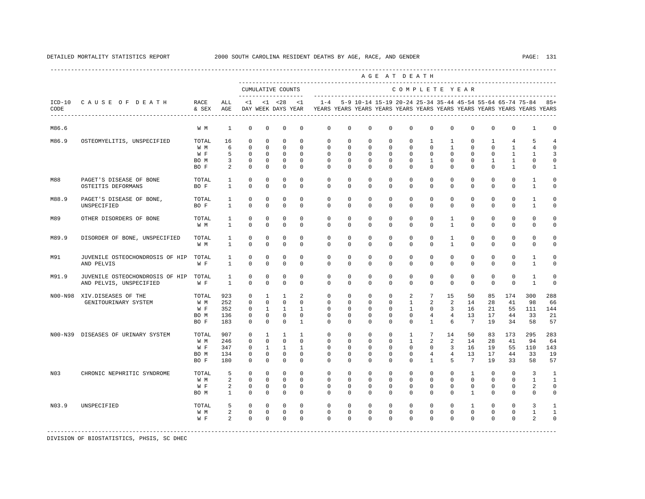|       |                                       |       |                |             |                |                                          |              |                                                                                    |              |             |             | AGE AT DEATH   |                 |                 |                 |             |                |                                                               |                |
|-------|---------------------------------------|-------|----------------|-------------|----------------|------------------------------------------|--------------|------------------------------------------------------------------------------------|--------------|-------------|-------------|----------------|-----------------|-----------------|-----------------|-------------|----------------|---------------------------------------------------------------|----------------|
|       |                                       |       |                |             |                | CUMULATIVE COUNTS<br>------------------- |              |                                                                                    |              |             |             | COMPLETE YEAR  |                 |                 |                 |             |                |                                                               |                |
| CODE  | ICD-10 CAUSE OF DEATH RACE            | & SEX | ALL<br>AGE     | $\leq 1$    |                | $<1$ $<28$<br>DAY WEEK DAYS YEAR         | < 1          | $1 - 4$<br>YEARS YEARS YEARS YEARS YEARS YEARS YEARS YEARS YEARS YEARS YEARS YEARS |              |             |             |                |                 |                 |                 |             |                | 5-9 10-14 15-19 20-24 25-34 35-44 45-54 55-64 65-74 75-84 85+ |                |
| M86.6 |                                       | W M   | $\mathbf{1}$   | $\mathbf 0$ | $\mathbf 0$    | $\mathbf 0$                              | $^{\circ}$   | $\mathbf 0$                                                                        | $\mathbf 0$  | $\mathbf 0$ | $\mathbf 0$ | $\mathbf 0$    | $\mathbf{0}$    | $\mathbf 0$     | $\mathbf 0$     | $\mathbf 0$ | $\mathbf{0}$   | $\mathbf{1}$                                                  | $\Omega$       |
| M86.9 | OSTEOMYELITIS, UNSPECIFIED            | TOTAL | 16             | 0           | $\mathbf{0}$   | $\mathbf 0$                              | $^{\circ}$   | $\circ$                                                                            | $\circ$      | 0           | 0           | $\mathbf{0}$   | 1               | 1               | $\mathbf 0$     | 1           | $\overline{4}$ | 5                                                             | $\overline{4}$ |
|       |                                       | W M   | 6              | $\circ$     | $\mathbf{0}$   | $\mathbf{0}$                             | $\circ$      | $\mathbf{0}$                                                                       | $\circ$      | $\circ$     | 0           | $\mathbf{0}$   | $\mathbf{0}$    | $\mathbf{1}$    | 0               | 0           | $\mathbf{1}$   | $\overline{4}$                                                | 0              |
|       |                                       | W F   | 5              | $\mathbf 0$ | 0              | $\circ$                                  | $^{\circ}$   | $\mathbf 0$                                                                        | $\Omega$     | $\circ$     | $\Omega$    | $\mathbf 0$    | $\Omega$        | $\Omega$        | $\mathbf 0$     | $\mathbf 0$ | 1              | 1                                                             | 3              |
|       |                                       | BO M  | 3              | $\mathbf 0$ | $\mathbf{0}$   | $\circ$                                  | $\circ$      | $\circ$                                                                            | $\circ$      | $\circ$     | $\mathbf 0$ | $\mathbf 0$    | $\mathbf{1}$    | $\mathbf 0$     | $\mathbf 0$     | 1           | 1              | $\mathbf 0$                                                   | $\Omega$       |
|       |                                       | BO F  | 2              | $\circ$     | $\mathbf{0}$   | $\mathbf 0$                              | $^{\circ}$   | $\Omega$                                                                           | $\circ$      | $\mathbf 0$ | 0           | $\Omega$       | $\mathbf 0$     | $\Omega$        | $\mathbf 0$     | $\mathbf 0$ | $\mathbf{1}$   | $\mathbf 0$                                                   | $\mathbf{1}$   |
| M88   | PAGET'S DISEASE OF BONE               | TOTAL | 1              | $\Omega$    | $\Omega$       | $\mathbf 0$                              | $\Omega$     | $\Omega$                                                                           | $\Omega$     | $\Omega$    | $\Omega$    | $\Omega$       | $\Omega$        | $\Omega$        | $\Omega$        | $\Omega$    | $\Omega$       | $\mathbf{1}$                                                  | $\Omega$       |
|       | OSTEITIS DEFORMANS                    | BO F  | $\mathbf{1}$   | $\mathbf 0$ | $\mathbf 0$    | $\mathbf 0$                              | $\Omega$     | $\mathbf 0$                                                                        | $\mathbf 0$  | $\mathbf 0$ | 0           | $\mathbf 0$    | $\mathbf 0$     | $\mathbf 0$     | $\mathbf 0$     | $\mathbf 0$ | $\mathbf 0$    | $\mathbf{1}$                                                  | $\Omega$       |
| M88.9 | PAGET'S DISEASE OF BONE,              | TOTAL | $\mathbf{1}$   | $\mathbf 0$ | $\circ$        | 0                                        | $^{\circ}$   | $\mathbf 0$                                                                        | 0            | $^{\circ}$  | $^{\circ}$  | $\mathbf 0$    | $\mathbf 0$     | $\mathbf 0$     | $\mathbf 0$     | $^{\circ}$  | $\mathbf{0}$   | 1                                                             | $\Omega$       |
|       | UNSPECIFIED                           | BO F  | 1              | $\mathbf 0$ | $\mathbf 0$    | $\mathbf 0$                              | $\mathbf 0$  | $\mathbf{0}$                                                                       | $\Omega$     | $\Omega$    | 0           | $\Omega$       | $\Omega$        | $\Omega$        | $^{\circ}$      | 0           | 0              | 1                                                             | $\Omega$       |
| M89   | OTHER DISORDERS OF BONE               | TOTAL | $\mathbf{1}$   | $\mathbf 0$ | $\mathbf 0$    | $\mathbf 0$                              | $^{\circ}$   | $\mathbf 0$                                                                        | $\mathbf 0$  | $\mathbf 0$ | $\mathbf 0$ | $\mathbf 0$    | $\mathbf 0$     | $\mathbf{1}$    | $\mathbf 0$     | $\mathbf 0$ | $\mathbf{0}$   | $\Omega$                                                      | $\Omega$       |
|       |                                       | W M   | $\mathbf{1}$   | $\mathbf 0$ | $\mathbf 0$    | $\mathbf 0$                              | $\Omega$     | $\mathbf{0}$                                                                       | $\Omega$     | $\Omega$    | $\Omega$    | $\Omega$       | $\Omega$        | $\mathbf{1}$    | $\Omega$        | $\Omega$    | $\Omega$       | $\Omega$                                                      | $\Omega$       |
| M89.9 | DISORDER OF BONE, UNSPECIFIED         | TOTAL | $\mathbf{1}$   | $\mathbf 0$ | $\mathbf 0$    | $\mathbf 0$                              | $\mathbf{0}$ | $\mathbf 0$                                                                        | $\mathbf 0$  | $\mathbf 0$ | $\mathbf 0$ | $\mathbf 0$    | $\mathbf 0$     | $\mathbf{1}$    | $\mathbf 0$     | $\mathbf 0$ | $\mathbf 0$    | $\Omega$                                                      | $\Omega$       |
|       |                                       | W M   | $\mathbf{1}$   | $\mathbf 0$ | $\mathbf 0$    | $\mathbf 0$                              | $\Omega$     | $\Omega$                                                                           | $\Omega$     | $\Omega$    | 0           | $\Omega$       | $\Omega$        | $\mathbf{1}$    | $\Omega$        | $\Omega$    | $\Omega$       | $\Omega$                                                      | $\Omega$       |
| M91   | JUVENILE OSTEOCHONDROSIS OF HIP       | TOTAL | $\mathbf{1}$   | $\mathbf 0$ | $\mathbf 0$    | $\mathbf 0$                              | $^{\circ}$   | $\mathbf{0}$                                                                       | $\circ$      | $\circ$     | $\mathbf 0$ | $\mathbf 0$    | $\mathbf 0$     | $\mathbf 0$     | $\mathbf 0$     | $^{\circ}$  | $\mathbf{0}$   | 1                                                             | $\Omega$       |
|       | AND PELVIS                            | W F   | $\mathbf{1}$   | $\circ$     | $\mathbf 0$    | $\mathbf 0$                              | $\Omega$     | $\Omega$                                                                           | $\Omega$     | $\mathbf 0$ | $\Omega$    | $\mathbf 0$    | $\Omega$        | $\Omega$        | $\Omega$        | $\Omega$    | $\Omega$       | 1                                                             | $\Omega$       |
| M91.9 | JUVENILE OSTEOCHONDROSIS OF HIP TOTAL |       | $\mathbf{1}$   | $\mathbf 0$ | $\mathbf 0$    | $\mathbf 0$                              | $^{\circ}$   | $\circ$                                                                            | $\Omega$     | $\mathbf 0$ | $\Omega$    | $\mathbf 0$    | $\Omega$        | $\Omega$        | $\mathbf 0$     | $\mathbf 0$ | $\mathbf{0}$   | 1                                                             | $\Omega$       |
|       | AND PELVIS, UNSPECIFIED               | W F   | $\overline{1}$ | $\Omega$    | $\Omega$       | $\Omega$                                 | $\Omega$     | $\Omega$                                                                           | $\Omega$     | $\Omega$    | $\Omega$    | $\Omega$       | $\Omega$        | $\Omega$        | $\Omega$        | $\Omega$    | $\Omega$       | $\mathbf{1}$                                                  | $\Omega$       |
|       | NOO-N98 XIV.DISEASES OF THE           | TOTAL | 923            | $\mathbf 0$ | $\mathbf{1}$   | 1                                        | 2            | $\circ$                                                                            | $\mathbf{0}$ | $\mathbf 0$ | $\mathbf 0$ | 2              | $7\overline{ }$ | 15              | 50              | 85          | 174            | 300                                                           | 288            |
|       | GENITOURINARY SYSTEM                  | W M   | 252            | $\Omega$    | $\Omega$       | $\Omega$                                 | $\Omega$     | $\Omega$                                                                           | $\Omega$     | $\Omega$    | $\Omega$    | $\overline{1}$ | $\mathfrak{D}$  | $\overline{2}$  | 14              | 28          | 41             | 98                                                            | 66             |
|       |                                       | W F   | 352            | $\mathbf 0$ | $\mathbf{1}$   | $\mathbf{1}$                             | $\mathbf{1}$ | $\circ$                                                                            | $\mathbf{0}$ | $\mathbf 0$ | $\mathbf 0$ | $\mathbf{1}$   | $\mathbf{0}$    | $\overline{3}$  | 16              | 21          | 55             | 111                                                           | 144            |
|       |                                       | BO M  | 136            | 0           | $\mathbf 0$    | $\mathbf 0$                              | $^{\circ}$   | $\mathbf{0}$                                                                       | 0            | $^{\circ}$  | 0           | $\mathbf{0}$   | 4               | $4\overline{ }$ | 13              | 17          | 44             | 33                                                            | 21             |
|       |                                       | BO F  | 183            | $^{\circ}$  | $\circ$        | $\circ$                                  | $\mathbf{1}$ | $\Omega$                                                                           | 0            | $^{\circ}$  | 0           | $\mathbf{0}$   | $\mathbf{1}$    | 6               | 7               | 19          | 34             | 58                                                            | 57             |
|       | NOO-N39 DISEASES OF URINARY SYSTEM    | TOTAL | 907            | $\circ$     | $\mathbf{1}$   | $\mathbf{1}$                             | $\mathbf{1}$ | $\circ$                                                                            | $\Omega$     | $\mathbf 0$ | $\mathbf 0$ | $\mathbf{1}$   | $7^{\circ}$     | 14              | 50              | 83          | 173            | 295                                                           | 283            |
|       |                                       | W M   | 246            | $\mathbf 0$ | $\mathbf{0}$   | $\mathbf{0}$                             | $\circ$      | $\mathbf{0}$                                                                       | $\circ$      | 0           | 0           | $\mathbf{1}$   | 2               | 2               | 14              | 28          | 41             | 94                                                            | 64             |
|       |                                       | W F   | 347            | $^{\circ}$  | $\mathbf{1}$   | 1                                        | $\mathbf{1}$ | $\mathbf{0}$                                                                       | $\Omega$     | $\Omega$    | $\Omega$    | $\mathbf 0$    | $\mathbf{0}$    | $\overline{3}$  | 16              | 19          | 55             | 110                                                           | 143            |
|       |                                       | BO M  | 134            | $^{\circ}$  | $\mathbf{0}$   | $\mathbf{0}$                             | $\Omega$     | $\Omega$                                                                           | $\Omega$     | $\Omega$    | $\Omega$    | $\Omega$       | $\overline{4}$  | $\overline{4}$  | 13              | 17          | 44             | 33                                                            | 19             |
|       |                                       | BO F  | 180            | $\mathbf 0$ | $\mathbf 0$    | $\mathbf 0$                              | $\Omega$     | $\Omega$                                                                           | $\Omega$     | $\Omega$    | 0           | $\Omega$       | $\mathbf{1}$    | 5               | $7\overline{ }$ | 19          | 33             | 58                                                            | 57             |
| N03   | CHRONIC NEPHRITIC SYNDROME            | TOTAL | 5              | $\circ$     | $\circ$        | $\mathbf{0}$                             | $\circ$      | $\circ$                                                                            | $\mathbf{0}$ | $\mathbf 0$ | $\mathbf 0$ | $\mathbf 0$    | $\mathbf{0}$    | $\mathbf{0}$    | $\mathbf{1}$    | $\circ$     | $\mathbf{0}$   | 3                                                             | $\mathbf{1}$   |
|       |                                       | W M   | 2              | $\mathbf 0$ | $\mathbf{0}$   | $\mathbf 0$                              | $^{\circ}$   | $^{\circ}$                                                                         | $\circ$      | $\circ$     | 0           | $\circ$        | $\mathbf{0}$    | $\mathbf 0$     | 0               | 0           | $\mathbf 0$    | 1                                                             | $\mathbf{1}$   |
|       |                                       | W F   | 2              | $\mathbf 0$ | $^{\circ}$     | $\mathbf{0}$                             | $^{\circ}$   | $\circ$                                                                            | $\circ$      | $\circ$     | 0           | 0              | $\mathbf{0}$    | $^{\circ}$      | 0               | 0           | $\mathbf 0$    | 2                                                             | 0              |
|       |                                       | BO M  | $\mathbf{1}$   | $\circ$     | $\mathbf{0}$   | 0                                        | $^{\circ}$   | $\mathbf{0}$                                                                       | $\circ$      | 0           | 0           | $\mathbf{0}$   | $\mathbf{0}$    | 0               | $\mathbf{1}$    | 0           | $\mathbf 0$    | $\mathbf{0}$                                                  | $\mathbf 0$    |
| N03.9 | UNSPECIFIED                           | TOTAL | 5              | $\circ$     | $\mathbf{0}$   | $\mathbf 0$                              | $\Omega$     | $\circ$                                                                            | $\mathbf 0$  | $\mathbf 0$ | $\mathbf 0$ | $\mathbf 0$    | $\Omega$        | $\Omega$        | $\mathbf{1}$    | $\mathbf 0$ | $\mathbf 0$    | 3                                                             | -1             |
|       |                                       | W M   | $\overline{a}$ | $\mathbf 0$ | $\overline{0}$ | $\circ$                                  | $\circ$      | $\circ$                                                                            | $\mathbf 0$  | $\mathbf 0$ | 0           | $\mathbf 0$    | $\mathbf 0$     | $\mathbf 0$     | $\mathbf 0$     | $\mathbf 0$ | $\mathbf 0$    | 1                                                             | $\mathbf{1}$   |
|       |                                       | W F   | 2              | $\Omega$    | $\mathbf 0$    | $\mathbf 0$                              | $\Omega$     | $\Omega$                                                                           | $\Omega$     | $\Omega$    | $\Omega$    | $\Omega$       | $\Omega$        | $\Omega$        | $\Omega$        | $\Omega$    | $\Omega$       | 2                                                             | $\Omega$       |
|       |                                       |       |                |             |                |                                          |              |                                                                                    |              |             |             |                |                 |                 |                 |             |                |                                                               |                |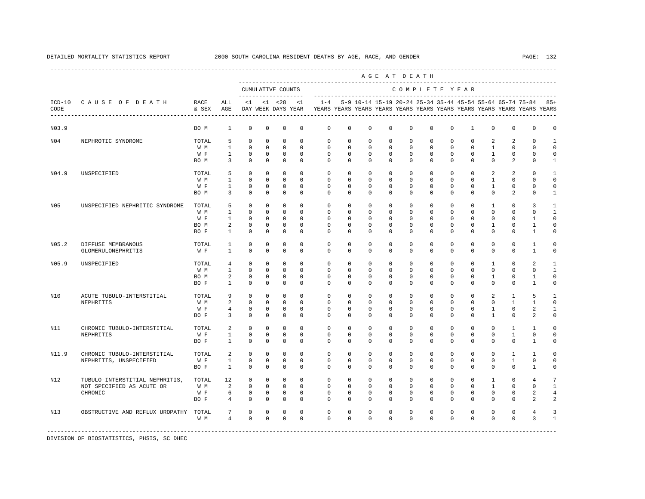|                  |                                 |                           |                 |             |             |                                    |             |              |             |                                                           |          | AGE AT DEATH  |              |             |              |              |              |                                                                         |              |
|------------------|---------------------------------|---------------------------|-----------------|-------------|-------------|------------------------------------|-------------|--------------|-------------|-----------------------------------------------------------|----------|---------------|--------------|-------------|--------------|--------------|--------------|-------------------------------------------------------------------------|--------------|
|                  |                                 |                           |                 |             |             | CUMULATIVE COUNTS<br>----------    |             |              |             |                                                           |          | COMPLETE YEAR |              |             |              |              |              |                                                                         |              |
| $ICD-10$<br>CODE | CAUSE OF DEATH                  | RACE<br>& SEX             | ALL<br>AGE      | $<$ 1       |             | $< 1$ $< 28$<br>DAY WEEK DAYS YEAR | <1          | $1 - 4$      |             | 5-9 10-14 15-19 20-24 25-34 35-44 45-54 55-64 65-74 75-84 |          |               |              |             |              |              |              | YEARS YEARS YEARS YEARS YEARS YEARS YEARS YEARS YEARS YEARS YEARS YEARS | $85+$        |
| N03.9            |                                 | BO M                      | $\mathbf{1}$    | $\mathbf 0$ | $\mathbf 0$ | $\mathbf 0$                        | $\mathbf 0$ | $\mathbf 0$  | $\mathbf 0$ | $\mathbf 0$                                               | 0        | $\mathbf 0$   | $\mathbf 0$  | $\mathbf 0$ | $\mathbf{1}$ | $\mathbf 0$  | $\mathbf{0}$ | $\mathbf{0}$                                                            | $\Omega$     |
| N04              | NEPHROTIC SYNDROME              | TOTAL                     | 5               | $\Omega$    | $\mathbf 0$ | $\mathbf 0$                        | $\Omega$    | $\Omega$     | $\Omega$    | $\Omega$                                                  | $\Omega$ | $\Omega$      | $\Omega$     | $\Omega$    | $\Omega$     | 2            | 2            | $\Omega$                                                                | $\mathbf{1}$ |
|                  |                                 | W M                       | $\mathbf{1}$    | $\mathbf 0$ | $\mathbf 0$ | $\mathbf 0$                        | $\Omega$    | $\mathbf 0$  | $\Omega$    | $\Omega$                                                  | $\Omega$ | $\Omega$      | $\Omega$     | $\Omega$    | $\mathbf 0$  | $\mathbf{1}$ | $\mathbf{0}$ | $\cap$                                                                  | $\Omega$     |
|                  |                                 | W F                       | $\mathbf{1}$    | $\mathbf 0$ | $\mathbf 0$ | $\mathbf 0$                        | $\Omega$    | $\Omega$     | $\Omega$    | $\Omega$                                                  | $\Omega$ | $\Omega$      | $\Omega$     | $\Omega$    | $\Omega$     | $\mathbf{1}$ | $\Omega$     | $\Omega$                                                                | $\Omega$     |
|                  |                                 | BO M                      | 3               | $\mathbf 0$ | $\mathbf 0$ | $\mathbf 0$                        | $\Omega$    | $\Omega$     | $\Omega$    | $\Omega$                                                  | $\Omega$ | $\Omega$      | $\Omega$     | $\Omega$    | $\Omega$     | $\Omega$     | 2            | $\Omega$                                                                | $\mathbf{1}$ |
| N04.9            | UNSPECIFIED                     | TOTAL                     | 5               | $\Omega$    | $\Omega$    | $\Omega$                           | $\Omega$    | $\Omega$     | $\Omega$    | $\Omega$                                                  | $\Omega$ | $\Omega$      | $\Omega$     | $\Omega$    | $\Omega$     | 2            | 2            | $\cap$                                                                  | $\mathbf{1}$ |
|                  |                                 | W M                       | $\mathbf{1}$    | $\Omega$    | $\mathbf 0$ | $\mathbf 0$                        | $\Omega$    | $\Omega$     | $\Omega$    | $\Omega$                                                  | $\Omega$ | $\Omega$      | $\Omega$     | $\Omega$    | $\Omega$     | $\mathbf{1}$ | $\Omega$     | $\cap$                                                                  | $\Omega$     |
|                  |                                 | W F                       | $\mathbf{1}$    | $\mathbf 0$ | $\mathbf 0$ | $\mathbf 0$                        | $\Omega$    | $\Omega$     | $\Omega$    | $\Omega$                                                  | $\Omega$ | $\Omega$      | $\Omega$     | $\Omega$    | $\Omega$     | $\mathbf{1}$ | $\Omega$     | $\Omega$                                                                | $\Omega$     |
|                  |                                 | BO M                      | 3               | $\mathbf 0$ | $\mathbf 0$ | $\mathbf 0$                        | $\Omega$    | $\Omega$     | $\Omega$    | $\Omega$                                                  | 0        | $\Omega$      | $\Omega$     | $\Omega$    | $^{\circ}$   | $\Omega$     | 2            | $\Omega$                                                                | 1            |
| N <sub>05</sub>  | UNSPECIFIED NEPHRITIC SYNDROME  | TOTAL                     | 5               | $\mathbf 0$ | $\mathbf 0$ | $^{\circ}$                         | $\mathbf 0$ | $\mathbf{0}$ | 0           | 0                                                         | 0        | 0             | $\mathbf{0}$ | 0           | $^{\circ}$   | 1            | $\mathbf 0$  | 3                                                                       | -1           |
|                  |                                 | W M                       | 1               | $\mathbf 0$ | $^{\circ}$  | $\mathbf 0$                        | $^{\circ}$  | $\mathbf 0$  | 0           | 0                                                         | 0        | 0             | $\mathbf{0}$ | $\Omega$    | $^{\circ}$   | 0            | 0            | $\cap$                                                                  | 1            |
|                  |                                 | W F                       | 1               | $\mathbf 0$ | $^{\circ}$  | $\mathbf 0$                        | $\mathbf 0$ | $\mathbf 0$  | $\Omega$    | $\Omega$                                                  | $\Omega$ | $\Omega$      | $\Omega$     | $\Omega$    | $\Omega$     | $\Omega$     | $\Omega$     | $\mathbf{1}$                                                            | $\Omega$     |
|                  |                                 | BO M                      | 2               | $\mathbf 0$ | $\mathbf 0$ | $\mathbf 0$                        | $\mathbf 0$ | $\mathbf 0$  | 0           | 0                                                         | 0        | 0             | $\mathbf 0$  | 0           | $^{\circ}$   | 1            | $\mathbf 0$  | $\mathbf{1}$                                                            | $\Omega$     |
|                  |                                 | BO F                      | $\mathbf{1}$    | $\mathbf 0$ | $\mathbf 0$ | $\mathbf 0$                        | $\mathbf 0$ | 0            | 0           | $\Omega$                                                  | 0        | $\Omega$      | $\mathbf 0$  | $\Omega$    | $\Omega$     | $\Omega$     | 0            | $\mathbf{1}$                                                            | $\Omega$     |
| N05.2            | DIFFUSE MEMBRANOUS              | TOTAL                     | 1               | $\mathbf 0$ | $\mathbf 0$ | $\mathbf 0$                        | $\Omega$    | $\mathbf 0$  | $\mathbf 0$ | 0                                                         | 0        | $\mathbf 0$   | $\mathbf 0$  | $\Omega$    | $\mathbf 0$  | $\mathbf 0$  | $\mathbf{0}$ | $\mathbf{1}$                                                            | $\Omega$     |
|                  | GLOMERULONEPHRITIS              | W F                       | $\mathbf{1}$    | $\mathbf 0$ | $\mathbf 0$ | $\mathbf 0$                        | $\Omega$    | $\mathbf 0$  | $\mathbf 0$ | $\Omega$                                                  | 0        | $\Omega$      | $\mathbf 0$  | $\Omega$    | $\mathbf 0$  | 0            | $\mathbf{0}$ | $\mathbf{1}$                                                            | $\Omega$     |
| N05.9            | UNSPECIFIED                     | TOTAL                     | $\overline{4}$  | $\Omega$    | $\Omega$    | $\Omega$                           | $\Omega$    | $\Omega$     | $\Omega$    | $\Omega$                                                  | $\Omega$ | $\Omega$      | $\Omega$     | $\Omega$    | $\Omega$     | $\mathbf{1}$ | $\Omega$     | $\mathfrak{D}$                                                          | $\mathbf{1}$ |
|                  |                                 | W M                       | $\mathbf{1}$    | $\mathbf 0$ | $\mathbf 0$ | $\mathbf 0$                        | $\Omega$    | $\mathbf 0$  | $\mathbf 0$ | 0                                                         | 0        | $\mathbf 0$   | $\mathbf 0$  | $\Omega$    | $\mathbf 0$  | $\mathbf 0$  | $\mathbf 0$  | $\Omega$                                                                | $\mathbf{1}$ |
|                  |                                 | BO M                      | 2               | $\mathbf 0$ | $\mathbf 0$ | $\mathbf 0$                        | $\Omega$    | $\Omega$     | $\Omega$    | $\Omega$                                                  | $\Omega$ | $\Omega$      | $\Omega$     | $\Omega$    | $\Omega$     | 1            | $\Omega$     | $\mathbf{1}$                                                            | $\Omega$     |
|                  |                                 | BO F                      | $\mathbf{1}$    | $\Omega$    | $\Omega$    | $\Omega$                           | $\Omega$    | $\Omega$     | $\Omega$    | $\Omega$                                                  | $\Omega$ | $\Omega$      | $\Omega$     | $\Omega$    | $\Omega$     | $\Omega$     | $\Omega$     | $\mathbf{1}$                                                            | $\Omega$     |
| N10              | ACUTE TUBULO-INTERSTITIAL       | TOTAL                     | 9               | $\Omega$    | $\mathbf 0$ | $\mathbf 0$                        | $\Omega$    | $\Omega$     | $\Omega$    | $\Omega$                                                  | $\Omega$ | $\Omega$      | $\Omega$     | $\Omega$    | $\Omega$     | 2            | $\mathbf{1}$ | 5                                                                       | $\mathbf{1}$ |
|                  | NEPHRITIS                       | W M                       | 2               | $\Omega$    | $\mathbf 0$ | $\mathbf 0$                        | $\Omega$    | $\Omega$     | $\Omega$    | $\Omega$                                                  | $\Omega$ | $\Omega$      | $\Omega$     | $\Omega$    | $\Omega$     | $\Omega$     | $\mathbf{1}$ | $\mathbf{1}$                                                            | $\Omega$     |
|                  |                                 | W F                       | $\overline{4}$  | $\mathbf 0$ | $\mathbf 0$ | $\mathbf 0$                        | $\mathbf 0$ | $\Omega$     | $\Omega$    | $\Omega$                                                  | $\Omega$ | $\Omega$      | $\Omega$     | $\Omega$    | $\Omega$     | $\mathbf{1}$ | $\mathbf{0}$ | 2                                                                       | $\mathbf{1}$ |
|                  |                                 | BO F                      | 3               | $\mathbf 0$ | $\mathbf 0$ | $\mathbf 0$                        | $\Omega$    | $\Omega$     | 0           | 0                                                         | 0        | 0             | $\mathbf 0$  | $\Omega$    | $^{\circ}$   | 1            | $\mathbf 0$  | 2                                                                       | 0            |
| N11              | CHRONIC TUBULO-INTERSTITIAL     | TOTAL                     | 2               | $\mathbf 0$ | $\mathbf 0$ | $\mathbf 0$                        | $\mathbf 0$ | 0            | 0           | 0                                                         | 0        | 0             | $\mathbf 0$  | $\Omega$    | $\mathbf 0$  | 0            | 1            | 1                                                                       | $\Omega$     |
|                  | NEPHRITIS                       | W F                       | $\mathbf{1}$    | $\mathbf 0$ | $\mathbf 0$ | $\mathbf 0$                        | $\Omega$    | $\Omega$     | $\Omega$    | $\Omega$                                                  | 0        | $\Omega$      | $\Omega$     | $\Omega$    | $\Omega$     | $\Omega$     | $\mathbf{1}$ | $\Omega$                                                                | $\Omega$     |
|                  |                                 | BO F                      | $\mathbf{1}$    | $\mathbf 0$ | $\mathbf 0$ | $\mathbf 0$                        | $\mathbf 0$ | $\Omega$     | 0           | 0                                                         | 0        | 0             | $\mathbf 0$  | $\Omega$    | $^{\circ}$   | 0            | $\mathbf 0$  | 1                                                                       | $\mathbf 0$  |
| N11.9            | CHRONIC TUBULO-INTERSTITIAL     | TOTAL                     | 2               | $\mathbf 0$ | $\mathbf 0$ | $\mathbf 0$                        | $^{\circ}$  | $\mathbf 0$  | 0           | $^{\circ}$                                                | 0        | $\mathbf 0$   | $\mathbf 0$  | $\mathbf 0$ | $\mathbf 0$  | $\mathbf 0$  | $\mathbf{1}$ | 1                                                                       | $\Omega$     |
|                  | NEPHRITIS, UNSPECIFIED          | W F                       | $\mathbf{1}$    | $\mathbf 0$ | $\mathbf 0$ | $\mathbf 0$                        | $\mathbf 0$ | $\mathbf 0$  | $\mathbf 0$ | $\mathbf 0$                                               | 0        | $\mathbf{0}$  | $\mathbf 0$  | $\mathbf 0$ | $^{\circ}$   | $^{\circ}$   | $\mathbf{1}$ | $\Omega$                                                                | $\Omega$     |
|                  |                                 | BO F                      | $\mathbf{1}$    | $\Omega$    | $\Omega$    | $\mathbf 0$                        | $\Omega$    | $\Omega$     | $\Omega$    | $\Omega$                                                  | $\Omega$ | $\Omega$      | $\Omega$     | $\Omega$    | $\Omega$     | $\Omega$     | $\Omega$     | $\mathbf{1}$                                                            | $\cap$       |
| N12              | TUBULO-INTERSTITIAL NEPHRITIS,  | TOTAL                     | 12              | $\mathbf 0$ | $\mathbf 0$ | $\mathbf 0$                        | $\Omega$    | $\Omega$     | $\Omega$    | $\Omega$                                                  | $\Omega$ | $\Omega$      | $\Omega$     | $\Omega$    | $\Omega$     | $\mathbf{1}$ | $\Omega$     | $\overline{4}$                                                          | 7            |
|                  | NOT SPECIFIED AS ACUTE OR       | W M                       | 2               | $\Omega$    | $\Omega$    | $\mathbf{0}$                       | $\Omega$    | $\Omega$     | $\Omega$    | $\Omega$                                                  | $\Omega$ | $\Omega$      | $\Omega$     | $\Omega$    | $\Omega$     | $\mathbf{1}$ | $\Omega$     | $\Omega$                                                                | $\mathbf{1}$ |
|                  | CHRONIC                         | W F                       | 6               | $\mathbb O$ | $\mathbf 0$ | $\mathbf 0$                        | $^{\circ}$  | $\mathbf 0$  | $\mathbf 0$ | 0                                                         | 0        | $\mathbf 0$   | $\mathbf 0$  | $\mathbf 0$ | $\mathbf 0$  | 0            | $\mathbf 0$  | 2                                                                       | 4            |
|                  |                                 | BO F                      | $\overline{4}$  | $\Omega$    | $\mathbf 0$ | $\mathbf 0$                        | $\Omega$    | $\Omega$     | $\Omega$    | $\Omega$                                                  | $\Omega$ | $\Omega$      | $\Omega$     | $\Omega$    | $\Omega$     | $\Omega$     | $\Omega$     | $\mathfrak{D}$                                                          | 2            |
| N13              | OBSTRUCTIVE AND REFLUX UROPATHY | TOTAL                     | $7\phantom{.0}$ | $\mathbb O$ | $\mathbf 0$ | $\mathbf 0$                        | $\mathbf 0$ | $\mathbf 0$  | $\mathbf 0$ | 0                                                         | 0        | $\mathbf 0$   | $\mathbf 0$  | $\mathbf 0$ | $\mathbf 0$  | $\mathbf 0$  | $\mathbf 0$  | $\overline{4}$                                                          |              |
|                  |                                 | W M                       | $\overline{4}$  | $\Omega$    | $\Omega$    | $\Omega$                           | $\Omega$    | $\Omega$     | $\Omega$    | $\Omega$                                                  | $\Omega$ | $\Omega$      | $\Omega$     | $\Omega$    | $\Omega$     | $\Omega$     | $\Omega$     | 3                                                                       | $\mathbf{1}$ |
|                  |                                 | ------------------------- |                 |             |             |                                    |             |              |             |                                                           |          |               |              |             |              |              |              |                                                                         |              |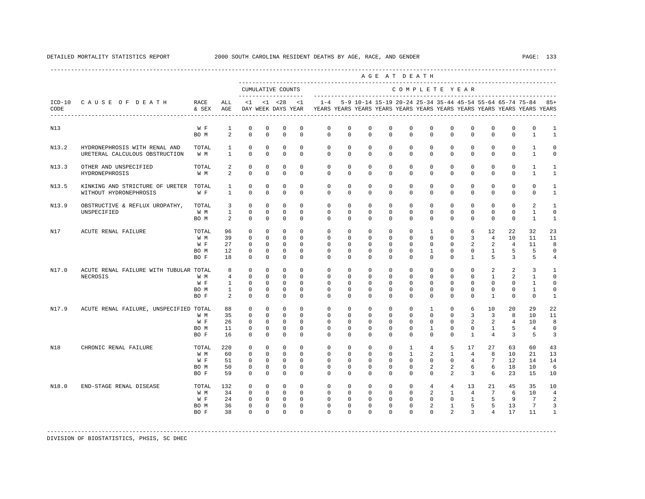|       |                                                                 |                                     |                                                                  |                                                                          |                                                                 |                                                                               |                                                                        |                                                                                            |                                                         |                                                                                                      | AGE AT DEATH                                                |                                                                                              |                                                        |                                                                                                         |                                                                           |                                                                                                  |                                                                     |                                                                                |                                                       |
|-------|-----------------------------------------------------------------|-------------------------------------|------------------------------------------------------------------|--------------------------------------------------------------------------|-----------------------------------------------------------------|-------------------------------------------------------------------------------|------------------------------------------------------------------------|--------------------------------------------------------------------------------------------|---------------------------------------------------------|------------------------------------------------------------------------------------------------------|-------------------------------------------------------------|----------------------------------------------------------------------------------------------|--------------------------------------------------------|---------------------------------------------------------------------------------------------------------|---------------------------------------------------------------------------|--------------------------------------------------------------------------------------------------|---------------------------------------------------------------------|--------------------------------------------------------------------------------|-------------------------------------------------------|
|       |                                                                 |                                     |                                                                  |                                                                          |                                                                 | CUMULATIVE COUNTS                                                             |                                                                        |                                                                                            |                                                         |                                                                                                      |                                                             | COMPLETE YEAR                                                                                |                                                        |                                                                                                         |                                                                           |                                                                                                  |                                                                     |                                                                                |                                                       |
| CODE  | ICD-10 CAUSE OF DEATH RACE                                      | & SEX AGE                           | ALL                                                              |                                                                          |                                                                 | $<1$ $<1$ $<28$                                                               |                                                                        | DAY WEEK DAYS YEAR YEARS YEARS YEARS YEARS YEARS YEARS YEARS YEARS YEARS YEARS YEARS YEARS |                                                         |                                                                                                      |                                                             |                                                                                              |                                                        |                                                                                                         |                                                                           |                                                                                                  |                                                                     |                                                                                |                                                       |
| N13   |                                                                 | W F<br>BO M                         | <sup>1</sup><br>$\overline{2}$                                   | $^{\circ}$<br>$\Omega$                                                   | $^{\circ}$<br>$\Omega$                                          | $^{\circ}$<br>$\Omega$                                                        | $\mathbf 0$<br>$\Omega$                                                | $\circ$<br>$\Omega$                                                                        | $\mathbf 0$<br>$\Omega$                                 | $^{\circ}$<br>$\Omega$                                                                               | $\Omega$<br>$\Omega$                                        | $\Omega$<br>$\Omega$                                                                         | $\Omega$<br>$\Omega$                                   | $\mathbf 0$<br>$\Omega$                                                                                 | $\mathbf 0$<br>$\Omega$                                                   | 0<br>$\Omega$                                                                                    | $\mathbf{0}$<br>$\Omega$                                            | $\mathbf{0}$<br>$\mathbf{1}$                                                   | 1<br>$\mathbf{1}$                                     |
| N13.2 | HYDRONEPHROSIS WITH RENAL AND<br>URETERAL CALCULOUS OBSTRUCTION | TOTAL 1<br>$W \quad M \quad 1$      |                                                                  | $\Omega$<br>$\Omega$                                                     | $\Omega$<br>$\Omega$                                            | $\Omega$<br>$\Omega$                                                          | $\Omega$<br>$\Omega$                                                   | $\Omega$<br>$\Omega$                                                                       |                                                         | $\Omega$<br>$\Omega$<br>$0 \qquad 0$                                                                 | $\Omega$<br>$\Omega$                                        | $\Omega$<br>$\overline{0}$                                                                   | $\Omega$<br>$\Omega$                                   | $\Omega$<br>$\Omega$                                                                                    | $\Omega$<br>$\Omega$                                                      | $\Omega$<br>$\Omega$                                                                             | $\Omega$<br>$\Omega$                                                | $\mathbf{1}$<br>$\mathbf{1}$                                                   | $\Omega$<br>$\Omega$                                  |
| N13.3 | OTHER AND UNSPECIFIED<br>HYDRONEPHROSIS                         | TOTAL<br>W M                        | $\overline{2}$<br>$\overline{a}$                                 | $\Omega$<br>$\overline{0}$                                               | $\Omega$<br>$\mathbf{0}$                                        | $\overline{0}$<br>$\circ$                                                     | $\Omega$<br>$\circ$                                                    | $\circ$<br>$\Omega$                                                                        | $\circ$                                                 | $\overline{0}$<br>$\Omega$<br>$\Omega$                                                               |                                                             | $0 \qquad \qquad$<br>$\Omega$<br>$0 \qquad \qquad$<br>$\circ$                                |                                                        | $\overline{0}$<br>$\Omega$<br>$0 \qquad \qquad$<br>$\circ$                                              | $\mathbf{0}$                                                              | $0 \qquad \qquad$<br>$\Omega$<br>$\mathbf{0}$                                                    | $\circ$<br>$\circ$                                                  | $\mathbf{1}$<br>$\mathbf{1}$                                                   | $\mathbf{1}$<br>$\mathbf{1}$                          |
| N13.5 | KINKING AND STRICTURE OF URETER TOTAL<br>WITHOUT HYDRONEPHROSIS | W F                                 | $1 \quad \blacksquare$<br>1                                      | $\Omega$<br>$\Omega$                                                     | $\Omega$<br>$\Omega$                                            | $\Omega$<br>$\Omega$                                                          | $\Omega$<br>$\Omega$                                                   | $\Omega$<br>$\Omega$                                                                       | $\Omega$                                                | $\Omega$<br>$\Omega$<br>$\Omega$                                                                     | $\Omega$<br>$\Omega$                                        | $\Omega$<br>$\Omega$                                                                         |                                                        | $\Omega$<br>$\Omega$<br>$\Omega$<br>$\Omega$                                                            | $\Omega$                                                                  | $\Omega$<br>$\Omega$<br>$\Omega$                                                                 | $\Omega$<br>$\Omega$                                                | $\Omega$<br>$\Omega$                                                           | $\mathbf{1}$<br>$\mathbf{1}$                          |
| N13.9 | OBSTRUCTIVE & REFLUX UROPATHY,<br>UNSPECIFIED                   | TOTAL 3<br>W M<br>BO M              | $1 \t 0$<br>$\overline{\mathbf{c}}$                              | $\circ$<br>$\Omega$                                                      | $\circ$<br>$\Omega$<br>$\Omega$                                 | $\circ$<br>$\circ$<br>$\overline{0}$                                          | $\overline{0}$<br>$\Omega$<br>$\Omega$                                 | $\circ$<br>$\Omega$<br>$\Omega$                                                            | $\overline{0}$<br>$\Omega$                              | $\circ$<br>$0 \qquad 0$<br>$\Omega$                                                                  | $\overline{0}$<br>$\Omega$                                  | $\circ$<br>$0 \qquad 0$<br>$\Omega$                                                          | $\overline{0}$<br>$\Omega$                             | $\circ$<br>$0\qquad 0$<br>$\Omega$                                                                      | $\overline{0}$<br>$\overline{0}$<br>$\Omega$                              | $\mathbf{0}$<br>$\mathbf{0}$<br>$\Omega$                                                         | $\mathbf{0}$<br>$\Omega$<br>$\Omega$                                | 2<br>$\overline{1}$<br>$\overline{1}$                                          | $\mathbf{1}$<br>$\Omega$<br>$\mathbf{1}$              |
| N17   | ACUTE RENAL FAILURE                                             | TOTAL<br>W M<br>W F<br>BO M<br>BO F | 96<br>39<br>27<br>12<br>18                                       | $\Omega$<br>$\Omega$<br>$\overline{0}$<br>$\circ$<br>$^{\circ}$          | $\Omega$<br>$\Omega$<br>$\overline{0}$<br>$\circ$<br>$^{\circ}$ | $\Omega$<br>$\overline{0}$<br>$\overline{0}$<br>$\mathbf 0$<br>$\overline{0}$ | $\Omega$<br>$\Omega$<br>$\Omega$<br>$\mathbf 0$<br>$^{\circ}$          | $\Omega$<br>$\cap$<br>$\circ$<br>$\Omega$                                                  | $\Omega$<br>$\Omega$<br>$\overline{0}$<br>$\Omega$      | $\Omega$<br>$0\qquad 0$<br>$0 \qquad 0$<br>$\overline{0}$<br>$\overline{0}$                          | $\Omega$<br>$\cap$<br>$\overline{0}$<br>$\Omega$            | $\Omega$<br>$\Omega$<br>$0 \qquad \qquad$<br>$\Omega$<br>$\overline{0}$<br>$\Omega$          | $\mathbf{1}$<br>$\mathbf{1}$<br>$\Omega$               | $\Omega$<br>$\Omega$<br>$\Omega$<br>$0 \qquad \qquad$<br>$\Omega$<br>$\overline{0}$<br>$\Omega$         | 6<br>$\overline{3}$<br>$\mathbf{1}$                                       | 12<br>$\overline{4}$<br>$2 \t 2$<br>$0\qquad1$<br>$-5$                                           | 22<br>10<br>$\overline{4}$<br>5<br>$\overline{3}$                   | 32<br>11<br>11<br>$-5$<br>5                                                    | 23<br>11<br>8<br>$\circ$<br>$\overline{4}$            |
| N17.0 | ACUTE RENAL FAILURE WITH TUBULAR TOTAL<br>NECROSIS              | W M<br>W F<br>BO M<br>BO F          | $\overline{4}$<br>$1 \quad \cdots$<br>$\sim$ 1<br>$\overline{2}$ | $8 - 8$<br>$\overline{0}$<br>$\Omega$<br>$\Omega$<br>$\Omega$<br>$\circ$ | $\circ$<br>$\Omega$<br>$\Omega$<br>$\Omega$<br>$\mathbf{0}$     | $\circ$<br>$\overline{0}$<br>$\Omega$<br>$\Omega$<br>$\circ$                  | $\Omega$<br>$\Omega$<br>$\Omega$<br>$\Omega$<br>$\circ$                | $\circ$<br>$\Omega$<br>$\Omega$<br>$\cap$<br>$\Omega$                                      | $\Omega$<br>$\Omega$<br>$\circ$                         | $0 \qquad \qquad$<br>$\circ$<br>$\overline{0}$<br>$0 \qquad 0$<br>$\overline{0}$<br>$\Omega$         | $\overline{0}$<br>$\Omega$<br>$\Omega$<br>$\overline{0}$    | $\circ$<br>$\overline{0}$<br>$\Omega$<br>$\Omega$<br>$\Omega$<br>$\Omega$                    | $\overline{0}$<br>$\Omega$<br>$\cap$<br>$\overline{0}$ | $\circ$<br>$\overline{0}$<br>$0 \qquad \qquad$<br>$\Omega$<br>$\overline{0}$<br>$\circ$                 | $\Omega$<br>$\Omega$<br>$\overline{0}$                                    | $0 \qquad \qquad$<br>2<br>$\sim$ 1<br>$0 \qquad \qquad$<br>$\Omega$<br>$\Omega$<br>$\sim$ 1      | $\overline{a}$<br>$\overline{a}$<br>$\Omega$<br>$\Omega$<br>$\circ$ | $\overline{3}$<br>$\mathbf{1}$<br>$\overline{1}$<br>$\overline{1}$<br>$\Omega$ | 1<br>$\Omega$<br>$\Omega$<br>$\Omega$<br>$\mathbf{1}$ |
| N17.9 | ACUTE RENAL FAILURE, UNSPECIFIED TOTAL                          | W M<br>W F<br>BO M<br>BO F          | 88<br>35<br>26<br>11<br>16                                       | $\circ$<br>$\circ$<br>$\Omega$<br>$^{\circ}$<br>$\Omega$                 | $\circ$<br>$\circ$<br>$\Omega$<br>$^{\circ}$<br>$\Omega$        | $\Omega$<br>$\overline{0}$<br>$\Omega$<br>$\circ$<br>$\Omega$                 | $\Omega$<br>$\Omega$<br>$\Omega$<br>$\mathbf{0}$<br>$\Omega$           | $\Omega$<br>$\circ$<br>$\Omega$<br>$\Omega$<br>$\Omega$                                    | $\Omega$<br>$\Omega$<br>$\Omega$                        | $\Omega$<br>$0\qquad 0$<br>$0 \qquad 0$<br>$\Omega$<br>$\overline{0}$                                | $\Omega$<br>$\circ$<br>$\Omega$<br>$\Omega$<br>$\Omega$     | $\Omega$<br>$\circ$<br>$\Omega$<br>$\Omega$<br>$\Omega$                                      | $\mathbf{1}$<br>$\Omega$<br>$\mathbf{1}$<br>$\Omega$   | $\circ$<br>$0 \qquad \qquad$<br>$\circ$<br>$\Omega$<br>$\Omega$<br>$\Omega$                             | 6<br>$\overline{3}$<br>$\overline{a}$<br>$\overline{0}$<br>$\overline{1}$ | 10<br>$\overline{\phantom{a}}$ 3<br>$\overline{\phantom{0}}$ 2<br>$\mathbf{1}$<br>$\overline{4}$ | 20<br>8<br>$\overline{4}$<br>5<br>3                                 | 29<br>10<br>10<br>$\overline{4}$<br>5                                          | 22<br>11<br>8<br>$\mathbf 0$<br>3                     |
| N18   | CHRONIC RENAL FAILURE                                           | TOTAL<br>W M<br>W F<br>BO M<br>BO F | 220<br>60<br>51<br>50<br>59                                      | $\mathbf 0$<br>$\circ$<br>$\Omega$<br>$\circ$<br>$\Omega$                | $\circ$<br>$\mathbf{0}$<br>$\Omega$<br>$\circ$<br>$\Omega$      | $\circ$<br>$\overline{0}$<br>$\bigcirc$<br>$\circ$<br>$\Omega$                | $\circ$<br>$\Omega$<br>$\Omega$<br>$\circ$<br>$\Omega$                 | $\circ$<br>$\Omega$<br>$\Omega$<br>$\circ$<br>$\Omega$                                     | $\circ$<br>$\Omega$<br>$\circ$<br>$\Omega$              | $\circ$<br>$0 \qquad \qquad$<br>$\overline{0}$<br>$\overline{0}$<br>$\overline{0}$<br>$\overline{0}$ | $\circ$<br>$\Omega$<br>$\Omega$<br>$\mathbf{0}$<br>$\Omega$ | $\mathbf{1}$<br>$\sim$ 1<br>$\overline{0}$<br>$\circ$<br>$\Omega$                            | 4<br>$\Omega$                                          | 5<br>$2 \quad 1$<br>$\overline{0}$<br>$2 \left( \frac{1}{2} \right)$<br>$0\qquad 2\qquad 3\qquad 6$     | 17<br>$\overline{4}$<br>$\overline{4}$<br>$2^{\circ}$                     | 27<br>8<br>$7\phantom{0}$<br>$6 \quad \Box$                                                      | 63<br>10<br>12<br>18<br>6<br>23                                     | 60<br>21<br>14<br>10<br>15                                                     | 43<br>13<br>14<br>6<br>10                             |
| N18.0 | END-STAGE RENAL DISEASE                                         | TOTAL<br>W M<br>W F<br>BO M<br>BO F | 132<br>34<br>24<br>36 —<br>38                                    | $\circ$<br>$\circ$<br>$\circ$<br>$^{\circ}$<br>$\Omega$                  |                                                                 | $0\qquad 0$<br>$0\qquad 0$<br>$0\qquad 0$<br>$0\qquad 0$<br>$0 \qquad 0$      | $\mathbf{0}$<br>$\Omega$<br>$\mathbf{0}$<br>$\overline{0}$<br>$\Omega$ | $\circ$<br>$\circ$<br>$\Omega$                                                             | $\overline{0}$<br>$\circ$<br>$\overline{0}$<br>$\Omega$ | $0\qquad 0$<br>$0$ 0<br>$\overline{0}$<br>$0 \qquad \qquad$<br>$\overline{0}$<br>$\Omega$            | $\mathbf{0}$<br>$\Omega$                                    | $\circ$<br>$0 \qquad \qquad$<br>$0\qquad 0$<br>$\overline{0}$<br>$0 \qquad \qquad$<br>$\cap$ | $0 \qquad \qquad$                                      | 4 4 13<br>$2 \quad 1$<br>$\begin{array}{cccc} 0 & 0 & 1 \end{array}$<br>$2 \quad 1 \quad 5$<br>$\Omega$ | $2^{\circ}$                                                               | 21<br>4 7<br>$5^{\circ}$<br>5 <sub>1</sub><br>$\overline{3}$ 4                                   | 45<br>6<br>- 9<br>13<br>17                                          | 35<br>10<br>$7^{\circ}$<br>$7\overline{ }$<br>11                               | 10<br>$\overline{4}$<br>2<br>3<br>$\mathbf{1}$        |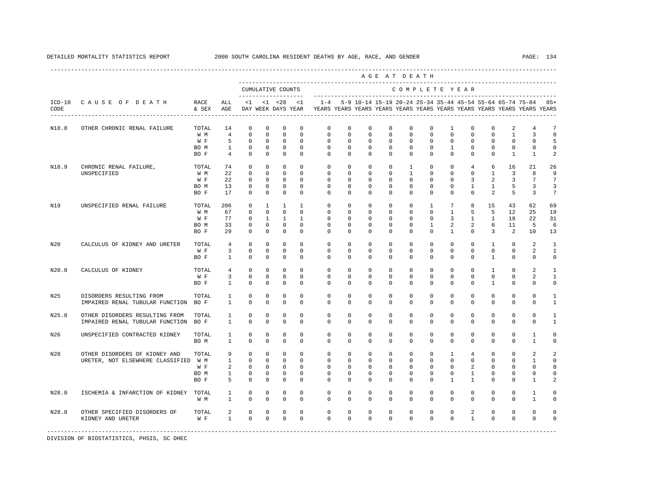|       |                                                                   |                                     |                                                             |                                                                               |                                                                          |                                                                   |                                                                 |                                                                                             |                                                                 |                                                                             |                                                                            | AGE AT DEATH                                                           |                                                                          |                                                                     |                                                                      |                                                                      |                                                                       |                                                                    |                                                                                    |
|-------|-------------------------------------------------------------------|-------------------------------------|-------------------------------------------------------------|-------------------------------------------------------------------------------|--------------------------------------------------------------------------|-------------------------------------------------------------------|-----------------------------------------------------------------|---------------------------------------------------------------------------------------------|-----------------------------------------------------------------|-----------------------------------------------------------------------------|----------------------------------------------------------------------------|------------------------------------------------------------------------|--------------------------------------------------------------------------|---------------------------------------------------------------------|----------------------------------------------------------------------|----------------------------------------------------------------------|-----------------------------------------------------------------------|--------------------------------------------------------------------|------------------------------------------------------------------------------------|
|       |                                                                   |                                     |                                                             | --------------------                                                          |                                                                          | CUMULATIVE COUNTS                                                 |                                                                 |                                                                                             |                                                                 |                                                                             |                                                                            |                                                                        |                                                                          | COMPLETE YEAR                                                       |                                                                      |                                                                      |                                                                       |                                                                    |                                                                                    |
| CODE  | ICD-10 CAUSE OF DEATH                                             | RACE<br>& SEX                       | ALL<br>AGE                                                  | $\leq 1$                                                                      |                                                                          | $<1$ $<28$ $<1$                                                   |                                                                 | DAY WEEK DAYS YEAR TYEARS YEARS YEARS YEARS YEARS YEARS YEARS YEARS YEARS YEARS YEARS YEARS |                                                                 | $1-4$ 5-9 10-14 15-19 20-24 25-34 35-44 45-54 55-64 65-74 75-84             |                                                                            |                                                                        |                                                                          |                                                                     |                                                                      |                                                                      |                                                                       |                                                                    | $85+$                                                                              |
| N18.8 | OTHER CHRONIC RENAL FAILURE                                       | TOTAL<br>W M<br>W F<br>BO M<br>BO F | 14<br>$\overline{4}$<br>5<br>$\mathbf{1}$<br>$\overline{4}$ | $\mathbf 0$<br>$\mathbf 0$<br>$\overline{0}$<br>$\overline{0}$<br>$\mathbf 0$ | $\mathbf{0}$<br>$\mathbf 0$<br>$^{\circ}$<br>$\mathbf{0}$<br>$\mathbf 0$ | $\circ$<br>$\circ$<br>$\circ$<br>$\circ$<br>$\mathbf 0$           | $\circ$<br>$\mathbf 0$<br>$\Omega$<br>$\Omega$<br>$\Omega$      | $\mathbf{0}$<br>$\circ$<br>$\circ$<br>$\Omega$<br>$\Omega$                                  | $\circ$<br>$\circ$<br>$\circ$<br>$\Omega$<br>$\circ$            | $\circ$<br>$\circ$<br>$\circ$<br>$\mathbf{0}$<br>$\Omega$                   | $\mathbf{0}$<br>$\mathbf 0$<br>$\mathbf 0$<br>$\circ$<br>$\mathbf{0}$      | $\mathbf{0}$<br>$\mathbf 0$<br>$\mathbf 0$<br>$\mathbf{0}$<br>$\circ$  | $\mathbf 0$<br>$\mathbf 0$<br>$\mathbf 0$<br>$\Omega$<br>$\mathbf{0}$    | 1<br>$\mathbf 0$<br>$\mathbf 0$<br>$\mathbf{1}$<br>$\Omega$         | $\mathbf 0$<br>$\mathbf 0$<br>$\mathbf 0$<br>$\Omega$<br>$\mathbf 0$ | $\mathbf{0}$<br>$^{\circ}$<br>$\mathbf 0$<br>$\mathbf 0$<br>$\Omega$ | 2<br>$\mathbf{1}$<br>$\mathbf{0}$<br>$\mathbf 0$<br>$\mathbf{1}$      | $\overline{4}$<br>3<br>$\mathbf{0}$<br>$\mathbf 0$<br>$\mathbf{1}$ | 7<br>$\overline{0}$<br>5<br>$\mathbf 0$<br>$\overline{a}$                          |
| N18.9 | CHRONIC RENAL FAILURE,<br>UNSPECIFIED                             | TOTAL<br>W M<br>W F<br>BO M<br>BO F | 74<br>22<br>22<br>13<br>17                                  | $\mathbf{0}$<br>$\mathbf 0$<br>$\mathbf{0}$<br>$^{\circ}$<br>$\Omega$         | $\mathbf{0}$<br>$^{\circ}$<br>$^{\circ}$<br>$^{\circ}$<br>$\Omega$       | $\mathbf{0}$<br>$\circ$<br>$\circ$<br>$^{\circ}$<br>$\mathbf 0$   | $\mathbf{0}$<br>$\Omega$<br>$\Omega$<br>$\mathbf 0$<br>$\Omega$ | $\mathbf{0}$<br>$\mathbf 0$<br>$\circ$<br>$\circ$<br>$\Omega$                               | $\mathbf{0}$<br>$^{\circ}$<br>$\circ$<br>$\circ$<br>$\mathbf 0$ | $\overline{0}$<br>$\mathbf 0$<br>$^{\circ}$<br>$\mathbf{0}$<br>$\mathbf{0}$ | $\mathbf{0}$<br>0<br>$\mathbf 0$<br>$\mathbf{0}$<br>$\mathbf 0$            | $\mathbf{1}$<br>$\mathbf{1}$<br>$\mathbf 0$<br>$\circ$<br>$\mathbf{0}$ | $\mathbf{0}$<br>$^{\circ}$<br>$\mathbf 0$<br>$\mathbf{0}$<br>$\mathbf 0$ | $\circ$<br>$\mathbf 0$<br>$\mathbf 0$<br>$\circ$<br>$\Omega$        | 4<br>$\mathbf 0$<br>$\overline{3}$<br>$\mathbf{1}$<br>$\mathbf 0$    | 6<br>$\mathbf{1}$<br>2<br>$\mathbf{1}$<br>$\overline{2}$             | 16<br>3<br>3<br>5<br>5                                                | 21<br>8<br>$7\overline{ }$<br>$\overline{3}$<br>$\overline{3}$     | 26<br>9<br>7<br>3<br>$\overline{7}$                                                |
| N19   | UNSPECIFIED RENAL FAILURE                                         | TOTAL<br>W M<br>W F<br>BO M<br>BO F | 206<br>67<br>77<br>33<br>29                                 | $\mathbf 0$<br>$\mathbf 0$<br>$\mathbf{0}$<br>$\mathbf{0}$<br>$\mathbf 0$     | $\mathbf{1}$<br>$\mathbf 0$<br><sup>1</sup><br>$^{\circ}$<br>$\mathbf 0$ | $\mathbf{1}$<br>$\circ$<br><sup>1</sup><br>$\circ$<br>$\mathbf 0$ | $\mathbf{1}$<br>$\Omega$<br>$\mathbf{1}$<br>$\circ$<br>$\Omega$ | $\mathbf 0$<br>$\mathbf 0$<br>$\mathbf{0}$<br>$\circ$<br>$\circ$                            | $\circ$<br>$\mathbf 0$<br>$\circ$<br>$\circ$<br>$\circ$         | $\mathbf 0$<br>$^{\circ}$<br>$^{\circ}$<br>$\circ$<br>$\mathbf 0$           | $\mathbf 0$<br>$\mathbf 0$<br>$\mathbf{0}$<br>$\mathbf{0}$<br>$\mathbf{0}$ | $\mathbb O$<br>$\mathbf 0$<br>$\mathbf{0}$<br>$\circ$<br>$\circ$       | $\mathbf{1}$<br>$\mathbf 0$<br>$^{\circ}$<br>$\mathbf{1}$<br>$\mathbf 0$ | $7\phantom{.0}$<br>$\mathbf{1}$<br>3<br>2<br>$\mathbf{1}$           | 8<br>5<br>$\mathbf{1}$<br>2<br>$\mathbf{0}$                          | 15<br>5<br>$\mathbf{1}$<br>6<br>$\overline{3}$                       | 43<br>12<br>18<br>11<br>2                                             | 62<br>25<br>22<br>5<br>10                                          | 69<br>19<br>31<br>6<br>13                                                          |
| N20   | CALCULUS OF KIDNEY AND URETER                                     | TOTAL<br>W F<br>BO F                | $\overline{4}$<br>3<br>$\mathbf{1}$                         | $\Omega$<br>$\mathbf 0$<br>$^{\circ}$                                         | $\Omega$<br>$\mathbf 0$<br>$\mathbf{0}$                                  | $\Omega$<br>$\mathbf 0$<br>$\circ$                                | $\Omega$<br>$\mathbf 0$<br>$^{\circ}$                           | $\Omega$<br>$\mathbf 0$<br>$\mathbf{0}$                                                     | $\Omega$<br>$\mathbf{0}$<br>$\circ$                             | $^{\circ}$<br>$\mathbf 0$<br>$^{\circ}$                                     | $\mathbf 0$<br>$\mathbf 0$<br>$\circ$                                      | $\mathbf 0$<br>$\circ$<br>$\mathbf{0}$                                 | $\Omega$<br>$\mathbf{0}$<br>$\mathbf{0}$                                 | $\mathbf 0$<br>$\mathbf 0$<br>$\circ$                               | $\Omega$<br>$\Omega$<br>$^{\circ}$                                   | $\mathbf{1}$<br>$\mathbf 0$<br>1                                     | $\Omega$<br>$\mathbf 0$<br>$\mathbf{0}$                               | 2<br>2<br>$\mathbf 0$                                              | $\mathbf{1}$<br>$\mathbf{1}$<br>$\mathbf 0$                                        |
| N20.0 | CALCULUS OF KIDNEY                                                | TOTAL<br>W F<br>BO F                | $4\overline{ }$<br>3<br>$\mathbf{1}$                        | $\mathbf 0$<br>$\mathbf 0$<br>$\mathbf 0$                                     | $\mathbf 0$<br>$\mathbf 0$<br>$\Omega$                                   | $\circ$<br>$\mathbf 0$<br>$\Omega$                                | $\Omega$<br>$\Omega$<br>$\Omega$                                | $\circ$<br>$\mathbf 0$<br>$\Omega$                                                          | $\circ$<br>$\mathbf 0$<br>$\Omega$                              | $\circ$<br>$^{\circ}$<br>$^{\circ}$                                         | $\mathbf{0}$<br>$\mathbf 0$<br>$\mathbf 0$                                 | $\circ$<br>$\mathbf 0$<br>$\circ$                                      | $\circ$<br>$\mathbf 0$<br>$\mathbf 0$                                    | $\mathbf 0$<br>$\mathbf 0$<br>$\Omega$                              | $\Omega$<br>$\mathbf 0$<br>$\Omega$                                  | $\mathbf{1}$<br>$\mathbf{0}$<br>$\mathbf{1}$                         | $\mathbf{0}$<br>$\mathbf 0$<br>$\mathbf 0$                            | 2<br>2<br>$\mathbf 0$                                              | 1<br>$\mathbf{1}$<br>$\mathbf 0$                                                   |
| N25   | DISORDERS RESULTING FROM<br>IMPAIRED RENAL TUBULAR FUNCTION       | TOTAL<br>BO F                       | $\mathbf{1}$<br>1                                           | $\mathbf 0$<br>$\mathbf 0$                                                    | $\mathbf 0$<br>$\mathbf{0}$                                              | $\mathbf 0$<br>$\Omega$                                           | $\mathbf 0$<br>$\Omega$                                         | $\mathbf 0$<br>$\mathbf{0}$                                                                 | $\mathbf 0$<br>$\Omega$                                         | $\mathbb O$<br>$^{\circ}$                                                   | $\mathbf 0$<br>$\Omega$                                                    | $\mathbf 0$<br>$\circ$                                                 | $\mathbf 0$<br>$\Omega$                                                  | $\mathsf{O}\xspace$<br>$\Omega$                                     | $\mathbf 0$<br>$\Omega$                                              | $\mathbf 0$<br>$\Omega$                                              | $\mathbf 0$<br>$\Omega$                                               | $\mathbf 0$<br>$\mathbf 0$                                         | $\mathbf{1}$<br>1                                                                  |
| N25.8 | OTHER DISORDERS RESULTING FROM<br>IMPAIRED RENAL TUBULAR FUNCTION | TOTAL<br>BO F                       | $\mathbf{1}$<br>$\mathbf{1}$                                | $\mathbf 0$<br>$\mathbf 0$                                                    | $\mathbf 0$<br>$\Omega$                                                  | $\mathbf 0$<br>$\Omega$                                           | $\mathbf 0$<br>$\Omega$                                         | $\mathbf 0$<br>$\Omega$                                                                     | $\mathbf 0$<br>$\Omega$                                         | $^{\circ}$<br>$\Omega$                                                      | $\mathbf 0$<br>$\Omega$                                                    | $\mathbf 0$<br>$\Omega$                                                | $\mathbf 0$<br>$\Omega$                                                  | $\mathbf 0$<br>$\Omega$                                             | $\mathbf 0$<br>$\Omega$                                              | $\mathbf 0$<br>$\Omega$                                              | $\mathbf 0$<br>$\Omega$                                               | $\mathbf 0$<br>$\Omega$                                            | 1<br>$\mathbf{1}$                                                                  |
| N26   | UNSPECIFIED CONTRACTED KIDNEY                                     | TOTAL<br>BO M                       | $\mathbf{1}$<br>$\mathbf{1}$                                | $\mathbf 0$<br>$\mathbb O$                                                    | $\mathbf 0$<br>$\mathbf 0$                                               | $\mathbf 0$<br>$\mathbf 0$                                        | $\Omega$<br>$\mathbf 0$                                         | $\circ$<br>$\mathbf{0}$                                                                     | $\circ$<br>$\circ$                                              | $\mathbf 0$<br>$\mathbf 0$                                                  | $\mathbf 0$<br>$\mathbf 0$                                                 | $\circ$<br>$\circ$                                                     | $\circ$<br>$\mathbf 0$                                                   | $\mathbf{0}$<br>$\mathbf 0$                                         | $\mathbf 0$<br>$\mathbf 0$                                           | $\circ$<br>$\mathbf 0$                                               | $\mathbf 0$<br>$\mathbf 0$                                            | $\mathbf{1}$<br>$\mathbf{1}$                                       | $\mathbf 0$<br>$\mathsf 0$                                                         |
| N28   | OTHER DISORDERS OF KIDNEY AND<br>URETER, NOT ELSEWHERE CLASSIFIED | TOTAL<br>W M<br>W F<br>BO M<br>BO F | 9<br>$\mathbf{1}$<br>2<br>$\mathbf{1}$<br>5                 | $\overline{0}$<br>$\mathbf 0$<br>$^{\circ}$<br>$\overline{0}$<br>$\mathbf 0$  | $\mathbf{0}$<br>$^{\circ}$<br>$^{\circ}$<br>$^{\circ}$<br>$\mathbf 0$    | $\circ$<br>$\overline{0}$<br>$^{\circ}$<br>$\circ$<br>$\mathbf 0$ | $\circ$<br>$\circ$<br>$^{\circ}$<br>$\Omega$<br>$\Omega$        | $\circ$<br>$\circ$<br>$^{\circ}$<br>$\circ$<br>$\Omega$                                     | $\circ$<br>$\circ$<br>$^{\circ}$<br>$\circ$<br>$\mathbf 0$      | $\mathbf 0$<br>$\mathbf 0$<br>$^{\circ}$<br>$\circ$<br>$\mathbf{0}$         | $\mathbf{0}$<br>$\mathbf 0$<br>0<br>$\mathbf{0}$<br>$\mathbf 0$            | $\mathbf 0$<br>$\circ$<br>$\mathbf 0$<br>$\circ$<br>$\mathbf{0}$       | $\circ$<br>$\mathbf 0$<br>$\mathbf{0}$<br>$\mathbf 0$<br>$\mathbf 0$     | $\mathbf{1}$<br>$\circ$<br>$\mathbf 0$<br>$\circ$<br>$\overline{1}$ | $\overline{4}$<br>$\mathbf 0$<br>2<br>1<br>$\mathbf{1}$              | $\mathbf 0$<br>$^{\circ}$<br>0<br>$\mathbf 0$<br>$\Omega$            | $\mathbf{0}$<br>$\mathbf 0$<br>$\mathbf 0$<br>$\mathbf 0$<br>$\Omega$ | 2<br>$\mathbf{1}$<br>0<br>$\mathbf 0$<br>$\mathbf{1}$              | $\overline{\mathbf{c}}$<br>$\mathbf 0$<br>$\circ$<br>$\mathbf 0$<br>$\overline{a}$ |
| N28.0 | ISCHEMIA & INFARCTION OF KIDNEY                                   | TOTAL<br>W M                        | $\mathbf{1}$<br>$\mathbf{1}$                                | 0<br>$\mathbf 0$                                                              | 0<br>$\mathbf 0$                                                         | 0<br>$\mathbf 0$                                                  | $^{\circ}$<br>$\mathbf 0$                                       | 0<br>$\mathbf 0$                                                                            | $\circ$<br>$\mathbf 0$                                          | $\overline{0}$<br>$^{\circ}$                                                | $\mathbf{0}$<br>$\mathbf 0$                                                | $\circ$<br>$\mathbf 0$                                                 | $\circ$<br>$\mathbf 0$                                                   | $\mathsf{O}$<br>$\mathbf 0$                                         | $\mathbf 0$<br>$\mathbf 0$                                           | 0<br>$\mathbf 0$                                                     | 0<br>$\mathbf{0}$                                                     | $\mathbf{1}$<br>$\mathbf{1}$                                       | 0<br>$\mathbf 0$                                                                   |
| N28.8 | OTHER SPECIFIED DISORDERS OF<br>KIDNEY AND URETER                 | TOTAL<br>W F                        | 2<br>$\mathbf{1}$                                           | $\mathbf 0$<br>$\Omega$                                                       | $\mathbf 0$<br>$\Omega$                                                  | $\mathbf 0$<br>$\mathbf 0$                                        | $\mathbf 0$<br>$\Omega$                                         | $\mathbf{0}$<br>$\Omega$                                                                    | $\circ$<br>$\Omega$                                             | $\mathbf 0$<br>$\Omega$                                                     | $\mathbf 0$<br>$\mathbf 0$                                                 | $\circ$<br>$\Omega$                                                    | $\mathbf 0$<br>$\mathbf 0$                                               | 0<br>$\Omega$                                                       | 2<br>$\mathbf{1}$                                                    | $\mathbf 0$<br>$\Omega$                                              | $\mathbb O$<br>$\mathbf 0$                                            | $\mathbf 0$<br>$\circ$                                             | $\circ$<br>$\mathsf 0$                                                             |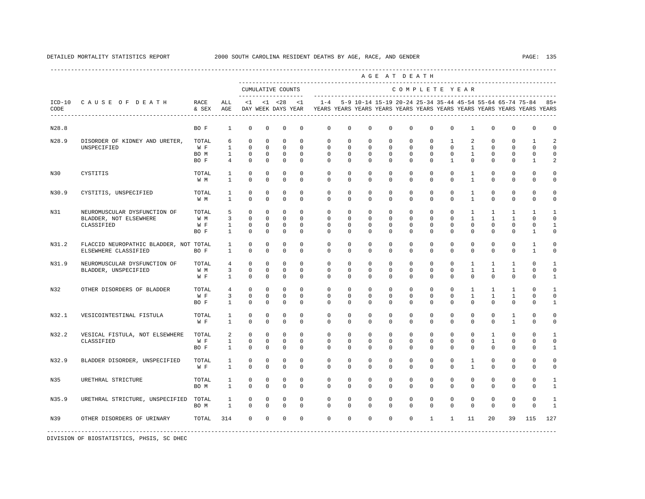|       |                                                       |               |                |             |              |                                           |             |                                                                                                       |              |             |             | AGE AT DEATH                                              |              |              |              |              |              |              |                |
|-------|-------------------------------------------------------|---------------|----------------|-------------|--------------|-------------------------------------------|-------------|-------------------------------------------------------------------------------------------------------|--------------|-------------|-------------|-----------------------------------------------------------|--------------|--------------|--------------|--------------|--------------|--------------|----------------|
|       |                                                       |               |                |             |              | CUMULATIVE COUNTS<br>-------------------- |             |                                                                                                       |              |             |             | COMPLETE YEAR                                             |              |              |              |              |              |              |                |
| CODE  | ICD-10 CAUSE OF DEATH<br>____________________________ | RACE<br>& SEX | ALL<br>AGE     |             |              | $<1$ $<1$ $<28$                           | < 1         | $1 - 4$<br>DAY WEEK DAYS YEAR YEARS YEARS YEARS YEARS YEARS YEARS YEARS YEARS YEARS YEARS YEARS YEARS |              |             |             | 5-9 10-14 15-19 20-24 25-34 35-44 45-54 55-64 65-74 75-84 |              |              |              |              |              |              | $85+$          |
| N28.8 |                                                       | BO F          | 1              | $^{\circ}$  | 0            | 0                                         | 0           | 0                                                                                                     | 0            | 0           | 0           | $\mathbf{0}$                                              | $\mathbf{0}$ | 0            | 1            | 0            | $\mathbf 0$  | $\mathbf 0$  | 0              |
| N28.9 | DISORDER OF KIDNEY AND URETER,                        | TOTAL         | 6              | $^{\circ}$  | $^{\circ}$   | $\mathbf 0$                               | $\mathbf 0$ | $\mathbf{0}$                                                                                          | $\mathbf 0$  | 0           | 0           | $\mathbf 0$                                               | $\mathbf 0$  | $\mathbf{1}$ | 2            | $^{\circ}$   | $\mathbf 0$  | 1            | 2              |
|       | UNSPECIFIED                                           | W F           | $\mathbf{1}$   | $\circ$     | $\Omega$     | $\Omega$                                  | $\Omega$    | $\Omega$                                                                                              | $\Omega$     | $\Omega$    | $\Omega$    | $\Omega$                                                  | $\Omega$     | $\Omega$     | $\mathbf{1}$ | $\Omega$     | $\Omega$     | $\Omega$     | $\Omega$       |
|       |                                                       | BO M          | $\mathbf{1}$   | $\circ$     | $^{\circ}$   | $\mathbf 0$                               | $\mathbf 0$ | $\mathbf 0$                                                                                           | $\mathbf 0$  | $\mathbf 0$ | $\mathbf 0$ | $\mathbf 0$                                               | $\mathbf 0$  | $\mathbf 0$  | $\mathbf{1}$ | $^{\circ}$   | $\mathbf 0$  | $\Omega$     | $\Omega$       |
|       |                                                       | BO F          | $\overline{4}$ | $\Omega$    | $\Omega$     | $\mathbf 0$                               | $\Omega$    | $\Omega$                                                                                              | $\Omega$     | $\Omega$    | $\Omega$    | $\Omega$                                                  | $\Omega$     | $\mathbf{1}$ | $\Omega$     | $\Omega$     | $\Omega$     | $\mathbf{1}$ | $\mathfrak{D}$ |
| N30   | CYSTITIS                                              | TOTAL         | $\mathbf{1}$   | $\mathbf 0$ | $\mathbf 0$  | $\mathbf 0$                               | $\mathbf 0$ | $\mathbf 0$                                                                                           | $\mathbf 0$  | $\mathbf 0$ | $\mathbf 0$ | $\mathbf 0$                                               | $\mathbf 0$  | $\mathbf 0$  | $\mathbf{1}$ | $\mathbf 0$  | $\mathbf 0$  | $\mathbf 0$  | 0              |
|       |                                                       | W M           | $\mathbf{1}$   | $\Omega$    | 0            | $\mathbf 0$                               | $\mathbf 0$ | $\Omega$                                                                                              | $\Omega$     | $\Omega$    | $\Omega$    | $\Omega$                                                  | $\Omega$     | $\Omega$     | $\mathbf{1}$ | $\Omega$     | $\Omega$     | $\Omega$     | $\Omega$       |
| N30.9 | CYSTITIS, UNSPECIFIED                                 | TOTAL         | 1              | $^{\circ}$  | 0            | $^{\circ}$                                | $\mathbf 0$ | $\mathbf 0$                                                                                           | 0            | 0           | 0           | $\mathbf{0}$                                              | $\mathbf 0$  | 0            | $\mathbf{1}$ | $^{\circ}$   | $\mathbf 0$  | $\mathbf 0$  | $\Omega$       |
|       |                                                       | W M           | $\mathbf{1}$   | $\Omega$    | $\Omega$     | $\Omega$                                  | $\Omega$    | $\Omega$                                                                                              | $\Omega$     | $\Omega$    | $\Omega$    | $\Omega$                                                  | $\Omega$     | $\Omega$     | $\mathbf{1}$ | $\Omega$     | $\Omega$     | $\Omega$     | $\Omega$       |
| N31   | NEUROMUSCULAR DYSFUNCTION OF                          | TOTAL         | 5              | $\circ$     | $\mathbf 0$  | $\mathbf 0$                               | $\Omega$    | $\mathbf 0$                                                                                           | $\mathbf 0$  | $\mathbf 0$ | $\mathbf 0$ | $\mathbf 0$                                               | $\mathbf 0$  | $\mathbf 0$  | $\mathbf{1}$ | $\mathbf{1}$ | 1            | 1            | $\mathbf{1}$   |
|       | BLADDER, NOT ELSEWHERE                                | W M           | $\overline{3}$ | $\Omega$    | $\Omega$     | $\mathbf 0$                               | $\Omega$    | $\Omega$                                                                                              | $\Omega$     | $\Omega$    | $\Omega$    | $\Omega$                                                  | $\Omega$     | $\Omega$     | $\mathbf{1}$ | $\mathbf{1}$ | $\mathbf{1}$ | $\Omega$     | $\cap$         |
|       | CLASSIFIED                                            | W F           | $\mathbf{1}$   | $\mathbf 0$ | $\mathbf 0$  | $\mathbf 0$                               | $\mathbf 0$ | 0                                                                                                     | $\mathbf 0$  | $\mathbf 0$ | $\mathbf 0$ | $\mathbf 0$                                               | $\mathbf 0$  | $\mathbf 0$  | $\mathbf 0$  | $\mathbf 0$  | $\mathbb O$  | $\mathbf 0$  | $\mathbf{1}$   |
|       |                                                       | BO F          | $\mathbf{1}$   | $\mathbf 0$ | 0            | $\mathbf 0$                               | $\mathbf 0$ | $\mathbf 0$                                                                                           | $\mathbf 0$  | $\mathbf 0$ | $\mathbf 0$ | $\mathbf 0$                                               | $\mathbf 0$  | $\mathbf 0$  | $\mathbf 0$  | $\mathbf 0$  | $\mathbf 0$  | $\mathbf{1}$ | $\Omega$       |
| N31.2 | FLACCID NEUROPATHIC BLADDER, NOT TOTAL                |               | $\mathbf{1}$   | $^{\circ}$  | 0            | 0                                         | 0           | 0                                                                                                     | 0            | 0           | 0           | $\mathbf{0}$                                              | 0            | $\mathbf 0$  | $^{\circ}$   | $^{\circ}$   | $\mathbf 0$  | 1            | $\Omega$       |
|       | ELSEWHERE CLASSIFIED                                  | BO F          | $\mathbf{1}$   | $\Omega$    | $\mathbf 0$  | $\mathbf 0$                               | $\Omega$    | $\Omega$                                                                                              | $\Omega$     | $\Omega$    | $\Omega$    | $\Omega$                                                  | $\Omega$     | $\Omega$     | $\Omega$     | $\Omega$     | $\mathbf 0$  | $\mathbf{1}$ | $\Omega$       |
| N31.9 | NEUROMUSCULAR DYSFUNCTION OF                          | TOTAL         | $\overline{4}$ | $\Omega$    | 0            | $\mathbf 0$                               | $\Omega$    | $\mathbf 0$                                                                                           | $\mathbf 0$  | $\Omega$    | $\mathbf 0$ | $\Omega$                                                  | $\Omega$     | $\Omega$     | $\mathbf{1}$ | $\mathbf{1}$ | 1            | $\Omega$     | $\mathbf{1}$   |
|       | BLADDER, UNSPECIFIED                                  | W M           | 3              | $\circ$     | $\Omega$     | $\mathbf 0$                               | $\Omega$    | $\Omega$                                                                                              | $\Omega$     | $\Omega$    | $\Omega$    | $\Omega$                                                  | $\Omega$     | $\Omega$     | $\mathbf{1}$ | $\mathbf{1}$ | $\mathbf{1}$ | $\Omega$     | $\Omega$       |
|       |                                                       | W F           | $\mathbf{1}$   | $\mathbf 0$ | 0            | $\mathbf 0$                               | $\mathbf 0$ | $\mathbf 0$                                                                                           | 0            | $\mathbf 0$ | $\mathbf 0$ | $\mathbf 0$                                               | $\mathbf 0$  | $\mathbf 0$  | $\mathbf 0$  | $\Omega$     | $\mathbf 0$  | $\mathbf 0$  | $\mathbf{1}$   |
| N32   | OTHER DISORDERS OF BLADDER                            | TOTAL         | $\overline{4}$ | $^{\circ}$  | $^{\circ}$   | $^{\circ}$                                | $\mathbf 0$ | 0                                                                                                     | 0            | $\mathbf 0$ | 0           | $\mathbf 0$                                               | $\mathbf 0$  | $\mathbf 0$  | $\mathbf{1}$ | $\mathbf{1}$ | 1            | 0            | $\mathbf{1}$   |
|       |                                                       | W F           | 3              | $\mathbf 0$ | 0            | $\mathbf 0$                               | $\mathbf 0$ | 0                                                                                                     | 0            | 0           | 0           | 0                                                         | $\mathbf 0$  | $\mathbf 0$  | $\mathbf{1}$ | 1            | 1            | $\mathbf{0}$ | $\mathbf 0$    |
|       |                                                       | BO F          | $\mathbf{1}$   | $\mathbf 0$ | 0            | $\mathbf 0$                               | $\mathbf 0$ | $\Omega$                                                                                              | $\Omega$     | $\Omega$    | $\Omega$    | $\Omega$                                                  | 0            | $\Omega$     | $\Omega$     | $\Omega$     | $\mathbf{0}$ | $\Omega$     | $\mathbf{1}$   |
| N32.1 | VESICOINTESTINAL FISTULA                              | TOTAL         | $\mathbf{1}$   | $\mathbf 0$ | $\mathbf 0$  | $\mathbf 0$                               | $\Omega$    | $\mathbf 0$                                                                                           | $\mathbf 0$  | $\mathbf 0$ | $\mathbf 0$ | $\mathbf 0$                                               | $\mathbf 0$  | $\circ$      | $\mathbf 0$  | $\mathbf 0$  | $\mathbf{1}$ | $\mathbf 0$  | $\mathbf 0$    |
|       |                                                       | W F           | $\mathbf{1}$   | $\Omega$    | $\Omega$     | $\Omega$                                  | $\Omega$    | $\Omega$                                                                                              | $\Omega$     | $\Omega$    | $\Omega$    | $\Omega$                                                  | $\Omega$     | $\Omega$     | $\Omega$     | $\Omega$     | $\mathbf{1}$ | $\Omega$     | $\Omega$       |
| N32.2 | VESICAL FISTULA, NOT ELSEWHERE                        | TOTAL         | $\overline{a}$ | $\circ$     | $\mathbf 0$  | $\mathbf 0$                               | $\mathbf 0$ | $\mathbf 0$                                                                                           | $\mathbf 0$  | $\mathbf 0$ | $\mathbf 0$ | $\mathbf 0$                                               | $\mathbf 0$  | $\mathbf 0$  | $\mathbf 0$  | $\mathbf{1}$ | $\mathbf{0}$ | $\mathbf 0$  | 1              |
|       | CLASSIFIED                                            | W F           | $\mathbf{1}$   | $\mathbf 0$ | $\mathbf{0}$ | $\mathbf 0$                               | 0           | 0                                                                                                     | $\mathbf{0}$ | $\mathbf 0$ | 0           | $\mathbf 0$                                               | $\mathbf{0}$ | 0            | 0            | $\mathbf{1}$ | 0            | $\mathbf 0$  | $\mathbf 0$    |
|       |                                                       | BO F          | $\mathbf{1}$   | $\mathbf 0$ | $^{\circ}$   | $\mathbf 0$                               | $\Omega$    | $\Omega$                                                                                              | $\mathbf{0}$ | $\Omega$    | $\Omega$    | $\Omega$                                                  | 0            | $\Omega$     | $\mathbf 0$  | $\Omega$     | $\mathbf 0$  | 0            | 1              |
| N32.9 | BLADDER DISORDER, UNSPECIFIED                         | TOTAL         | 1              | $\mathbf 0$ | $^{\circ}$   | 0                                         | $\mathbf 0$ | $\mathbf 0$                                                                                           | $\mathbf 0$  | $\mathbf 0$ | $\mathbf 0$ | $\mathbf 0$                                               | $\mathbf 0$  | $\mathbf 0$  | $\mathbf{1}$ | $\mathbf 0$  | $\mathbf{0}$ | $\mathbf 0$  | $\mathbf 0$    |
|       |                                                       | W F           | $\mathbf{1}$   | $\Omega$    | $\Omega$     | $\Omega$                                  | $\Omega$    | $\Omega$                                                                                              | $\Omega$     | $\Omega$    | $\Omega$    | $\Omega$                                                  | $\Omega$     | $\Omega$     | $\mathbf{1}$ | $\Omega$     | $\Omega$     | $\Omega$     | $\Omega$       |
| N35   | URETHRAL STRICTURE                                    | TOTAL         | $\mathbf{1}$   | $\mathbf 0$ | $\mathbf 0$  | $\mathbf 0$                               | $\Omega$    | $\mathbf 0$                                                                                           | $\Omega$     | $\Omega$    | $\Omega$    | $\Omega$                                                  | $\Omega$     | $\Omega$     | $\mathbf 0$  | $\mathbf 0$  | $\mathbf{0}$ | $\Omega$     | $\mathbf{1}$   |
|       |                                                       | BO M          | $\mathbf{1}$   | $\mathbf 0$ | $\mathbf 0$  | $\mathbf 0$                               | $\mathbf 0$ | $\mathbf 0$                                                                                           | 0            | $\mathbf 0$ | $\mathbf 0$ | $\Omega$                                                  | $\mathbf 0$  | $\Omega$     | $\mathbf 0$  | $\Omega$     | $\mathbf 0$  | $\mathbf 0$  | $\mathbf{1}$   |
| N35.9 | URETHRAL STRICTURE, UNSPECIFIED                       | TOTAL         | 1              | $^{\circ}$  | 0            | 0                                         | $^{\circ}$  | $\mathbf{0}$                                                                                          | $\mathbf{0}$ | 0           | 0           | $\mathbf{0}$                                              | 0            | 0            | $^{\circ}$   | $^{\circ}$   | $\mathbf 0$  | 0            | $\mathbf{1}$   |
|       |                                                       | BO M          | $\mathbf{1}$   | $\mathbf 0$ | 0            | $\mathbf 0$                               | $\Omega$    | $\Omega$                                                                                              | $\Omega$     | $\Omega$    | $\Omega$    | $\Omega$                                                  | $\Omega$     | $\Omega$     | $\mathbf 0$  | $\Omega$     | $\mathbf{0}$ | $\mathbf{0}$ | $\mathbf{1}$   |
| N39   | OTHER DISORDERS OF URINARY                            | TOTAL         | 314            | $\mathbf 0$ | 0            | $\mathbf 0$                               | $\mathbf 0$ | $\mathbf 0$                                                                                           | $\mathbf 0$  | $\mathbf 0$ | $\mathbf 0$ | $\mathbf{0}$                                              | $\mathbf{1}$ | $\mathbf{1}$ | 11           | 20           | 39           | 115          | 127            |
|       |                                                       |               |                |             |              |                                           |             |                                                                                                       |              |             |             |                                                           |              |              |              |              |              |              |                |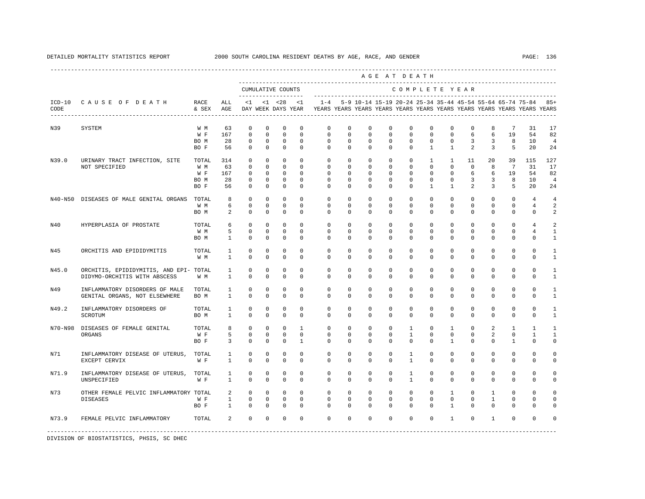A G E A T D E A T H

----------------------------------------------------------------------------------------------------------------------------------------------------

|                  |                                          |               |              | CUMULATIVE COUNTS         |                  |                            |                         |                      |                  |                            |                         |                            | COMPLETE YEAR                                                                                                                        |                             |                     |                |                 |                |                      |
|------------------|------------------------------------------|---------------|--------------|---------------------------|------------------|----------------------------|-------------------------|----------------------|------------------|----------------------------|-------------------------|----------------------------|--------------------------------------------------------------------------------------------------------------------------------------|-----------------------------|---------------------|----------------|-----------------|----------------|----------------------|
| $ICD-10$<br>CODE | CAUSE OF DEATH<br>---------------------- | RACE<br>& SEX | ALL<br>AGE   | <1<br>DAY WEEK DAYS YEAR  |                  | $< 1$ $< 28$               | <1                      | $1 - 4$              |                  |                            |                         |                            | 5-9 10-14 15-19 20-24 25-34 35-44 45-54 55-64 65-74 75-84<br>YEARS YEARS YEARS YEARS YEARS YEARS YEARS YEARS YEARS YEARS YEARS YEARS |                             |                     |                |                 |                | $85+$                |
| N39              | SYSTEM                                   | W M           | 63           | $\mathbf 0$               | $\mathbf 0$      | $\Omega$                   | $\Omega$                | $\Omega$             | $\Omega$         | $\Omega$                   | $\Omega$                | $\mathbf{0}$               | $\Omega$                                                                                                                             | $\mathbf 0$                 | $\mathbf 0$         | 8              | $7\phantom{.0}$ | 31             | 17                   |
|                  |                                          | W F           | 167          | $\mathbf 0$<br>0          | $\mathbf 0$      | $\mathbf 0$<br>$\mathbb O$ | $\Omega$<br>$\mathbf 0$ | $\mathbf 0$          | $\mathbf 0$<br>0 | $\mathbf 0$<br>$\mathbf 0$ | $\mathbf 0$<br>0        | $\mathbf 0$<br>$\mathbb O$ | $\mathbf 0$<br>0                                                                                                                     | $\mathbf 0$<br>0            | 6<br>3              | 6<br>3         | 19<br>8         | 54<br>10       | 82<br>$\overline{4}$ |
|                  |                                          | BO M<br>BO F  | 28<br>56     | 0                         | 0<br>$\mathbf 0$ | $\mathbf 0$                | $\mathbf 0$             | 0<br>$\mathbf 0$     | 0                | $\mathbf 0$                | $\mathbf 0$             | $\mathbf 0$                | $\mathbf{1}$                                                                                                                         | $\mathbf{1}$                | $\overline{a}$      | 3              | 5               | 20             | 24                   |
| N39.0            | URINARY TRACT INFECTION, SITE            | TOTAL         | 314          | $\mathbf 0$               | $\mathbf 0$      | $\mathbf 0$                | $\Omega$                | $\Omega$             | $\Omega$         | $\Omega$                   | $\Omega$                | $\Omega$                   | $\mathbf{1}$                                                                                                                         | $\mathbf{1}$                | 11                  | 20             | 39              | 115            | 127                  |
|                  | NOT SPECIFIED                            | W M           | 63           | $\mathbf 0$               | $\mathbf 0$      | $\mathbf 0$                | $\Omega$                | $\Omega$<br>$\Omega$ | 0                | 0                          | $\mathbf 0$             | $\mathbf{0}$               | $\mathbf 0$                                                                                                                          | $\mathbf 0$                 | $\mathbf 0$         | 8              | $7\phantom{.0}$ | 31             | 17                   |
|                  |                                          | W F           | 167          | 0                         | $\mathbf 0$      | $\mathbf 0$                | $\Omega$                |                      | $\Omega$         | $\Omega$                   | $\Omega$                | $\mathbf{0}$               | $\mathbf 0$                                                                                                                          | $\mathbf 0$                 | 6                   | 6              | 19              | 54             | 82                   |
|                  |                                          | BO M<br>BO F  | 28<br>56     | $^{\circ}$<br>$\mathbf 0$ | $^{\circ}$<br>0  | $\mathbf 0$<br>$\mathbf 0$ | $\Omega$<br>$\mathbf 0$ | $\cap$<br>$\Omega$   | $\Omega$<br>0    | $\Omega$<br>$\mathbf 0$    | $\Omega$<br>$\mathbf 0$ | $\mathbf 0$<br>$\mathbb O$ | $\Omega$<br>$\mathbf{1}$                                                                                                             | $\mathbf 0$<br>$\mathbf{1}$ | 3<br>$\overline{a}$ | 3<br>3         | 8<br>5          | 10<br>20       | $\overline{4}$<br>24 |
| N40-N50          | DISEASES OF MALE GENITAL ORGANS          | TOTAL         | 8            | $^{\circ}$                | $\mathbf 0$      | $\mathbf 0$                | $\Omega$                | $\Omega$             | 0                | $\Omega$                   | $\mathbf 0$             | $\mathbf{0}$               | $\mathbf 0$                                                                                                                          | $\mathbf 0$                 | $\mathbf 0$         | $\mathbf 0$    | $\mathbf 0$     | 4              | 4                    |
|                  |                                          | W M           | 6            | $^{\circ}$                | 0                | $\mathbf 0$                | $\mathbf 0$             | $\Omega$             | 0                | $\mathbf 0$                | $\mathbf 0$             | $\mathbf{0}$               | $\mathbf 0$                                                                                                                          | $\mathbf 0$                 | $\mathbf 0$         | $\mathbf 0$    | $\mathbf 0$     | $\overline{4}$ | $\overline{2}$       |
|                  |                                          | BO M          | 2            | $\mathbf 0$               | $\mathbf 0$      | $\mathbf 0$                | $\mathbf 0$             | $\Omega$             | 0                | $\mathbf 0$                | $\mathbf 0$             | $\mathbf{0}$               | $\mathbf 0$                                                                                                                          | 0                           | $\mathbf 0$         | $\mathbf 0$    | $\mathbf 0$     | 0              | $\overline{2}$       |
| N40              | HYPERPLASIA OF PROSTATE                  | TOTAL         | 6            | $\Omega$                  | $\mathbf 0$      | $\Omega$                   | $\Omega$                | $\Omega$             | $\Omega$         | $\Omega$                   | $\Omega$                | $\Omega$                   | $\Omega$                                                                                                                             | $\Omega$                    | $\Omega$            | $\Omega$       | $\Omega$        | 4              | 2                    |
|                  |                                          | W M           | 5            | $\mathbf 0$               | $\mathbf 0$      | $\mathbb O$                | $\mathbf 0$             | 0                    | $\mathbf 0$      | $\mathbf 0$                | $\mathbf 0$             | $\mathbf{0}$               | $\mathbf 0$                                                                                                                          | $\mathbf 0$                 | $\mathbf 0$         | $\mathbf 0$    | $\mathbf 0$     | $\overline{4}$ | $\mathbf{1}$         |
|                  |                                          | BO M          | $\mathbf{1}$ | $\mathbf 0$               | $\mathbf 0$      | $\mathbf 0$                | $\mathbf 0$             | $\mathbf 0$          | 0                | $\mathbf 0$                | $\mathbf 0$             | $\mathbf{0}$               | $\mathbf 0$                                                                                                                          | $\mathbf 0$                 | $\mathbf 0$         | $\mathbf 0$    | 0               | $\mathbf 0$    | $\mathbf{1}$         |
| N45              | ORCHITIS AND EPIDIDYMITIS                | TOTAL         | 1            | 0                         | 0                | $\mathsf 0$                | $\mathbf 0$             | $\mathbf 0$          | $\mathbf 0$      | $\mathbf 0$                | $\mathbf 0$             | $\mathbf{0}$               | $\mathbf{0}$                                                                                                                         | $\mathbf 0$                 | $\mathbf 0$         | $\mathbf 0$    | 0               | 0              | 1                    |
|                  |                                          | W M           | $\mathbf{1}$ | $\mathbf 0$               | $\mathbf 0$      | $\mathbf 0$                | $\mathbf 0$             | $\mathbf 0$          | $\mathbf 0$      | $\mathbf 0$                | $\mathbf 0$             | $\mathbf 0$                | $\mathbf 0$                                                                                                                          | $\mathbf 0$                 | $\mathbf 0$         | $\mathbf 0$    | $\mathbf 0$     | $\mathbf 0$    | $\mathbf{1}$         |
| N45.0            | ORCHITIS, EPIDIDYMITIS, AND EPI- TOTAL   |               | $\mathbf{1}$ | 0                         | 0                | $\mathbf 0$                | $\Omega$                | $\Omega$             | $\mathbf 0$      | $\mathbf 0$                | $\mathbf 0$             | $\mathbf 0$                | $\mathbf 0$                                                                                                                          | $\mathbf 0$                 | $\mathbf 0$         | $\mathbf 0$    | $\mathbf 0$     | $\mathbf 0$    | 1                    |
|                  | DIDYMO-ORCHITIS WITH ABSCESS             | W M           | $\mathbf{1}$ | $\Omega$                  | $\mathbf 0$      | $\mathbf 0$                | $\Omega$                | $\Omega$             | $\Omega$         | $\Omega$                   | $\Omega$                | $\mathbf 0$                | $\mathbf 0$                                                                                                                          | $\mathbf 0$                 | $\mathbf 0$         | $\Omega$       | $\mathbf 0$     | $\Omega$       | $\mathbf{1}$         |
| N49              | INFLAMMATORY DISORDERS OF MALE           | TOTAL         | 1            | 0                         | 0                | 0                          | $\Omega$                | $\Omega$             | 0                | 0                          | $^{\circ}$              | $\mathbf{0}$               | $\mathbf{0}$                                                                                                                         | $\mathbf 0$                 | 0                   | 0              | 0               | 0              | 1                    |
|                  | GENITAL ORGANS, NOT ELSEWHERE            | BO M          | $\mathbf{1}$ | $\mathbf 0$               | $\mathbf 0$      | $\mathbf 0$                | $\Omega$                | $\Omega$             | $\Omega$         | $\Omega$                   | $\Omega$                | $\mathbf 0$                | $\mathbf 0$                                                                                                                          | $\mathbf 0$                 | $\mathbf 0$         | $\mathbf 0$    | $\mathbf 0$     | $\mathbf 0$    | $\mathbf{1}$         |
| N49.2            | INFLAMMATORY DISORDERS OF                | TOTAL         | 1            | 0                         | $\mathbf 0$      | $\mathbf 0$                | $\mathbf 0$             | $\mathbf 0$          | $\mathbf 0$      | $\mathbf 0$                | $\mathbf 0$             | $\mathbb O$                | 0                                                                                                                                    | 0                           | $\mathbf 0$         | $\mathbf 0$    | 0               | 0              | 1                    |
|                  | <b>SCROTUM</b>                           | BO M          | $\mathbf{1}$ | $\Omega$                  | $\Omega$         | $\Omega$                   | $\Omega$                | $\Omega$             | $\Omega$         | $\Omega$                   | $\Omega$                | $\Omega$                   | $\Omega$                                                                                                                             | $\Omega$                    | $\Omega$            | $\Omega$       | $\Omega$        | $\Omega$       | $\mathbf{1}$         |
| N70-N98          | DISEASES OF FEMALE GENITAL               | TOTAL         | 8            | 0                         | $\mathbf 0$      | $\mathbf 0$                | $\mathbf{1}$            | $\Omega$             | 0                | $\mathbf 0$                | $\mathbf 0$             | $\mathbf{1}$               | $\mathbf 0$                                                                                                                          | $\mathbf{1}$                | $\mathbf 0$         | $\overline{a}$ | $\mathbf{1}$    | $\mathbf{1}$   | $\mathbf{1}$         |
|                  | ORGANS                                   | W F           | 5            | $\mathbf 0$               | 0                | $\mathbf 0$                | $\mathbf 0$             | 0                    | 0                | $\Omega$                   | $\mathbf 0$             | $\mathbf{1}$               | $\mathbf 0$                                                                                                                          | $\mathbf 0$                 | $\mathbf 0$         | 2              | 0               | $\mathbf{1}$   | $\mathbf{1}$         |
|                  |                                          | BO F          | 3            | $\mathbf 0$               | $\mathbf 0$      | $\mathbf 0$                | $\mathbf{1}$            | 0                    | 0                | $\mathbf 0$                | $\mathbf 0$             | $\mathbf 0$                | $\mathbf{0}$                                                                                                                         | $\mathbf{1}$                | $\mathbf 0$         | $\mathbf 0$    | $\mathbf{1}$    | $\mathbf 0$    | $\Omega$             |
| N71              | INFLAMMATORY DISEASE OF UTERUS,          | TOTAL         | 1            | 0                         | 0                | 0                          | $\mathbf 0$             | $\mathbf 0$          | $\mathbf 0$      | $\mathbf 0$                | $\mathbf 0$             | 1                          | $\mathbf 0$                                                                                                                          | $\mathbf 0$                 | $\mathbf 0$         | $\mathbf 0$    | 0               | 0              | $\Omega$             |
|                  | EXCEPT CERVIX                            | W F           | $\mathbf{1}$ | $\Omega$                  | $\Omega$         | $\Omega$                   | $\Omega$                | $\Omega$             | $\Omega$         | $\Omega$                   | $\Omega$                | $\mathbf{1}$               | $\Omega$                                                                                                                             | $\Omega$                    | $\Omega$            | $\Omega$       | 0               | $\Omega$       | $\Omega$             |
| N71.9            | INFLAMMATORY DISEASE OF UTERUS,          | TOTAL         | $\mathbf{1}$ | $\mathbf 0$               | $\mathbf 0$      | $\mathbf 0$                | $\Omega$                | $\mathbf 0$          | $\mathbf 0$      | $\Omega$                   | $\mathbf 0$             | $\mathbf{1}$               | $\mathbf 0$                                                                                                                          | $\mathbf 0$                 | $\mathbf 0$         | $\Omega$       | $\mathbf 0$     | 0              | $\Omega$             |
|                  | UNSPECIFIED                              | W F           | $\mathbf{1}$ | $\mathbf 0$               | $\mathbf 0$      | $\mathbf 0$                | $\Omega$                | $\Omega$             | 0                | $\mathbf 0$                | $\mathbf 0$             | $\mathbf{1}$               | $\mathbf 0$                                                                                                                          | $\mathbf 0$                 | $\mathbf 0$         | $\mathbf 0$    | $\mathbf 0$     | $\mathbf 0$    | $\Omega$             |
| N73              | OTHER FEMALE PELVIC INFLAMMATORY TOTAL   |               | 2            | 0                         | $\mathbf 0$      | $\mathbf 0$                | $\Omega$                | $\Omega$             | $\Omega$         | $\Omega$                   | $\mathbf 0$             | $\mathbf 0$                | $\Omega$                                                                                                                             | $\mathbf{1}$                | $\mathbf 0$         | $\mathbf{1}$   | $\mathbf 0$     | $\mathbf 0$    | $\Omega$             |
|                  | <b>DISEASES</b>                          | W F           | $\mathbf{1}$ | 0                         | 0                | 0                          | $\Omega$                | $\Omega$             | $\Omega$         | 0                          | $^{\circ}$              | $\mathbf 0$                | $\mathbf{0}$                                                                                                                         | $\mathbf 0$                 | $\mathbf 0$         | $\mathbf{1}$   | $\mathbf 0$     | 0              | $\Omega$             |
|                  |                                          | BO F          | $\mathbf{1}$ | $\mathbf 0$               | $\mathbf 0$      | $\mathbf 0$                | $\Omega$                | $\Omega$             | 0                | $\Omega$                   | $\mathbf 0$             | $\mathbf{0}$               | $\mathbf 0$                                                                                                                          | $\mathbf{1}$                | $\Omega$            | $\Omega$       | $\mathbf 0$     | $\mathbf 0$    | $\Omega$             |
| N73.9            | FEMALE PELVIC INFLAMMATORY               | TOTAL         | 2            | $\Omega$                  | $\Omega$         | $\Omega$                   | $\Omega$                | $\Omega$             | $\Omega$         | $\Omega$                   | $\Omega$                | $\Omega$                   | $\Omega$                                                                                                                             | $\mathbf{1}$                | $\Omega$            | $\overline{1}$ | $\Omega$        | $\Omega$       |                      |
|                  |                                          |               |              |                           |                  |                            |                         |                      |                  |                            |                         |                            |                                                                                                                                      |                             |                     |                |                 |                |                      |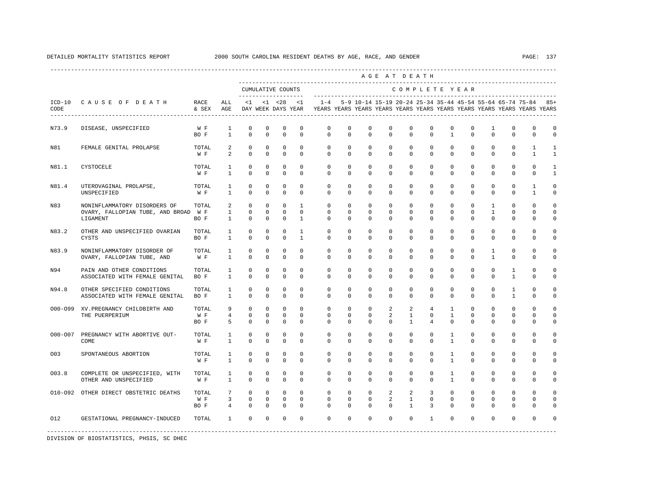|                  |                                                                                  |                      |                                        |                                        |                                           |                                           |                                              |                                                                                                       |                                        |                                                               |                         | AGE AT DEATH                         |                                              |                                            |                                          |                                          |                                      |                                     |                                |
|------------------|----------------------------------------------------------------------------------|----------------------|----------------------------------------|----------------------------------------|-------------------------------------------|-------------------------------------------|----------------------------------------------|-------------------------------------------------------------------------------------------------------|----------------------------------------|---------------------------------------------------------------|-------------------------|--------------------------------------|----------------------------------------------|--------------------------------------------|------------------------------------------|------------------------------------------|--------------------------------------|-------------------------------------|--------------------------------|
|                  |                                                                                  |                      |                                        |                                        |                                           | CUMULATIVE COUNTS<br>____________________ |                                              |                                                                                                       |                                        |                                                               |                         | COMPLETE YEAR                        |                                              |                                            |                                          |                                          |                                      |                                     |                                |
| $ICD-10$<br>CODE | CAUSE OF DEATH                                                                   | RACE<br>& SEX        | ALL<br>AGE                             |                                        |                                           | $<1$ $<1$ $<28$                           | <1                                           | $1 - 4$<br>DAY WEEK DAYS YEAR YEARS YEARS YEARS YEARS YEARS YEARS YEARS YEARS YEARS YEARS YEARS YEARS |                                        | 5-9 10-14 15-19 20-24 25-34 35-44 45-54 55-64 65-74 75-84 85+ |                         |                                      |                                              |                                            |                                          |                                          |                                      |                                     |                                |
| N73.9            | DISEASE, UNSPECIFIED                                                             | W F<br>BO F          | $\mathbf{1}$<br>$\mathbf{1}$           | $\mathbf 0$<br>$\Omega$                | $\mathbf 0$<br>$\Omega$                   | $\mathbf 0$<br>$\Omega$                   | $^{\circ}$<br>$\Omega$                       | $\mathbf 0$<br>$\Omega$                                                                               | $\mathbf 0$<br>$\Omega$                | $\mathbf 0$<br>$\Omega$                                       | $\mathbf 0$<br>$\Omega$ | $\mathbf{0}$<br>$\Omega$             | $\mathbf 0$<br>$\Omega$                      | $\mathbf 0$<br>$\mathbf{1}$                | $\mathbf 0$<br>$\Omega$                  | 1<br>$\Omega$                            | $\mathbf{0}$<br>$\Omega$             | $\mathbf{0}$<br>$\Omega$            | $\mathbf 0$<br>$\Omega$        |
| N81              | FEMALE GENITAL PROLAPSE                                                          | TOTAL<br>W F         | 2<br>2                                 | $\mathbf 0$<br>$\mathbf 0$             | 0<br>$\mathbf 0$                          | $\mathbf 0$<br>$\mathbf 0$                | $^{\circ}$<br>$^{\circ}$                     | $\mathbf{0}$<br>$\mathbf 0$                                                                           | $\mathbf 0$<br>$\circ$                 | 0<br>$\mathbf 0$                                              | 0<br>0                  | $\mathbf{0}$<br>$\mathbf 0$          | $\mathbf 0$<br>$\Omega$                      | $\mathbf 0$<br>$\mathbf 0$                 | $\mathbf 0$<br>$^{\circ}$                | 0<br>$\mathbf 0$                         | $\mathbf 0$<br>0                     | 1<br>$\mathbf{1}$                   | 1<br>1                         |
| N81.1            | <b>CYSTOCELE</b>                                                                 | TOTAL<br>W F         | $\mathbf{1}$<br>$\mathbf{1}$           | $\mathbf 0$<br>$\mathbf 0$             | $\mathbf 0$<br>$\mathbf 0$                | $\mathbf 0$<br>$\mathbf 0$                | $\Omega$<br>$\Omega$                         | $\mathbf{0}$<br>$\Omega$                                                                              | $\Omega$<br>$\Omega$                   | $\mathbf 0$<br>$\Omega$                                       | $\mathbf 0$<br>$\Omega$ | $\mathbf 0$<br>$\Omega$              | $\Omega$<br>$\Omega$                         | $\Omega$<br>$\Omega$                       | $\mathbf 0$<br>$\Omega$                  | $\mathbf 0$<br>$\Omega$                  | $\mathbf{0}$<br>$\Omega$             | $\Omega$<br>$\Omega$                | $\mathbf{1}$<br>$\mathbf{1}$   |
| N81.4            | UTEROVAGINAL PROLAPSE,<br>UNSPECIFIED                                            | TOTAL<br>W F         | 1<br>$\mathbf{1}$                      | $\mathbf 0$<br>$\mathbf 0$             | $\mathbf 0$<br>$\mathbf 0$                | $\mathbf 0$<br>$\mathbf 0$                | $^{\circ}$<br>$\mathbf 0$                    | $\mathbf 0$<br>$\mathbf 0$                                                                            | $\mathbf 0$<br>$\mathbf 0$             | $\mathbf 0$<br>$\mathbf 0$                                    | 0<br>0                  | $\mathbf 0$<br>$\mathbf{0}$          | $\mathbf 0$<br>$\mathbf 0$                   | $\mathbf 0$<br>$\Omega$                    | $\mathbf 0$<br>$\mathbf 0$               | $\mathbf 0$<br>$\mathbf 0$               | $\mathbf 0$<br>$\mathbf 0$           | 1<br>$\mathbf{1}$                   | $\Omega$<br>$\mathbf 0$        |
| N83              | NONINFLAMMATORY DISORDERS OF<br>OVARY, FALLOPIAN TUBE, AND BROAD W F<br>LIGAMENT | TOTAL<br>BO F        | 2<br>$\mathbf{1}$<br>$\mathbf{1}$      | $\Omega$<br>$\mathbb O$<br>$\mathbf 0$ | $\mathbf 0$<br>$\mathbf 0$<br>$\mathbf 0$ | $\Omega$<br>$\mathsf 0$<br>$\mathbf 0$    | $\mathbf{1}$<br>$\mathbf{0}$<br>$\mathbf{1}$ | $\Omega$<br>$\mathbf 0$<br>$\Omega$                                                                   | $\Omega$<br>$\mathbf 0$<br>$\Omega$    | $\Omega$<br>$\mathbf 0$<br>$\Omega$                           | $\Omega$<br>0<br>0      | $\Omega$<br>$\mathbf{0}$<br>$\Omega$ | $\Omega$<br>$\mathbf 0$<br>$\Omega$          | $\Omega$<br>$\circ$<br>$\Omega$            | $\mathbf 0$<br>0<br>$\Omega$             | $\mathbf{1}$<br>$\mathbf{1}$<br>$\Omega$ | $\Omega$<br>$\mathbf 0$<br>$\Omega$  | $\Omega$<br>$\Omega$<br>$\Omega$    | $\cap$<br>$\Omega$<br>$\Omega$ |
| N83.2            | OTHER AND UNSPECIFIED OVARIAN<br><b>CYSTS</b>                                    | TOTAL<br>BO F        | $\mathbf{1}$<br>$\mathbf{1}$           | $^{\circ}$<br>$\Omega$                 | $\circ$<br>$\Omega$                       | $\mathbf 0$<br>$\Omega$                   | $\mathbf{1}$<br>$\overline{1}$               | $\mathbf{0}$<br>$\Omega$                                                                              | 0<br>$\Omega$                          | $\mathbf 0$<br>$\Omega$                                       | 0<br>0                  | $\mathbf 0$<br>$\Omega$              | $\mathbf{0}$<br>$\Omega$                     | 0<br>$\Omega$                              | $\mathbf 0$<br>$\Omega$                  | $\mathbf 0$<br>$\Omega$                  | $\mathbf 0$<br>$\Omega$              | $\mathbf{0}$<br>$\Omega$            | $\Omega$<br>$\cap$             |
| N83.9            | NONINFLAMMATORY DISORDER OF<br>OVARY, FALLOPIAN TUBE, AND                        | TOTAL<br>W F         | 1<br>$\mathbf{1}$                      | $\mathbf 0$<br>$\mathbf 0$             | $\mathbf 0$<br>$\mathbf 0$                | $\mathbf 0$<br>$\mathbf 0$                | $\mathbf 0$<br>$\mathbf 0$                   | $\mathbf 0$<br>$\Omega$                                                                               | $\mathbf 0$<br>$\Omega$                | $\mathbf 0$<br>0                                              | $\mathbf 0$<br>0        | 0<br>$\Omega$                        | $\mathbf 0$<br>$\mathbf 0$                   | $\mathbf 0$<br>$\mathbf 0$                 | $\mathbf 0$<br>0                         | 1<br>$\mathbf{1}$                        | $\mathbb O$<br>0                     | $\mathbf 0$<br>$\mathbf 0$          | $\Omega$<br>$\Omega$           |
| N94              | PAIN AND OTHER CONDITIONS<br>ASSOCIATED WITH FEMALE GENITAL                      | TOTAL<br>BO F        | $\mathbf{1}$<br>$\mathbf{1}$           | $\mathbf 0$<br>$\mathbf 0$             | $\mathbf 0$<br>$\mathbf 0$                | $\mathbf 0$<br>$\mathbf 0$                | $\Omega$<br>$\Omega$                         | $\mathbf{0}$<br>$\Omega$                                                                              | $\Omega$<br>$\Omega$                   | $\mathbf 0$<br>$\Omega$                                       | $\mathbf 0$<br>$\Omega$ | $\mathbf 0$<br>$\Omega$              | $\mathbf 0$<br>$\Omega$                      | $\mathbf 0$<br>$\Omega$                    | $\mathbf 0$<br>$\Omega$                  | $\mathbf 0$<br>$\Omega$                  | 1<br>$\mathbf{1}$                    | $\mathbf 0$<br>$\Omega$             | $\cap$<br>$\Omega$             |
| N94.8            | OTHER SPECIFIED CONDITIONS<br>ASSOCIATED WITH FEMALE GENITAL                     | TOTAL<br>BO F        | 1<br>$\mathbf{1}$                      | $^{\circ}$<br>$\Omega$                 | $\circ$<br>$\mathbf 0$                    | $^{\circ}$<br>$\mathbf 0$                 | $^{\circ}$<br>$\Omega$                       | $\circ$<br>$\Omega$                                                                                   | $\circ$<br>$\Omega$                    | 0<br>$\Omega$                                                 | 0<br>$\Omega$           | $\mathbf{0}$<br>$\Omega$             | $\mathbf 0$<br>$\Omega$                      | 0<br>$\Omega$                              | $^{\circ}$<br>$\Omega$                   | $^{\circ}$<br>$\Omega$                   | 1<br>$\mathbf{1}$                    | $\Omega$<br>$\Omega$                | $\Omega$<br>$\Omega$           |
| 000-099          | XV.PREGNANCY CHILDBIRTH AND<br>THE PUERPERIUM                                    | TOTAL<br>W F<br>BO F | 9<br>$\overline{4}$<br>5               | $\mathbf 0$<br>$\mathbf 0$<br>$\Omega$ | $\mathbf 0$<br>$\mathbf 0$<br>$\Omega$    | $\mathbf 0$<br>$\mathbf 0$<br>$\Omega$    | $\mathbf{0}$<br>$\Omega$<br>$\Omega$         | $\mathbf 0$<br>$\Omega$<br>$\Omega$                                                                   | $\mathbf 0$<br>$\Omega$<br>$\Omega$    | $\mathbf 0$<br>$\Omega$<br>$\Omega$                           | 2<br>2<br>$\Omega$      | 2<br>$\mathbf{1}$<br>$\overline{1}$  | $\overline{4}$<br>$\Omega$<br>$\overline{4}$ | $\mathbf{1}$<br>$\overline{1}$<br>$\Omega$ | $\mathbf 0$<br>$\Omega$<br>$\Omega$      | $\mathbf 0$<br>$\Omega$<br>$\Omega$      | $\mathbf{0}$<br>$\Omega$<br>$\Omega$ | $\Omega$<br>$\Omega$<br>$\Omega$    | $\Omega$<br>$\cap$             |
| $000 - 007$      | PREGNANCY WITH ABORTIVE OUT-<br>COME                                             | TOTAL<br>W F         | $\mathbf{1}$<br>1                      | $\mathbf 0$<br>$\mathbf 0$             | $\mathbf 0$<br>$\mathbf 0$                | $\mathbf 0$<br>$\mathbf 0$                | $\mathbf{0}$<br>$\mathbf 0$                  | $\mathbf 0$<br>$\mathbf{0}$                                                                           | $\mathbf 0$<br>0                       | $\mathbf 0$<br>0                                              | $\mathbf 0$<br>0        | $\mathbf 0$<br>$\mathbf 0$           | $\mathbf 0$<br>$\mathbf{0}$                  | 1<br>$\mathbf{1}$                          | $\mathbf 0$<br>$^{\circ}$                | $\mathbf 0$<br>$^{\circ}$                | $\mathbf{0}$<br>0                    | $\mathbf 0$<br>0                    | $\Omega$<br>$\Omega$           |
| 003              | SPONTANEOUS ABORTION                                                             | TOTAL<br>W F         | $\mathbf{1}$<br>$\mathbf{1}$           | $\mathbf 0$<br>$\mathbf 0$             | $\mathbf 0$<br>$\mathbb O$                | $\mathbf 0$<br>$\mathbb O$                | $\Omega$<br>$\mathbf 0$                      | $\mathbf 0$<br>$\mathbf 0$                                                                            | $\Omega$<br>$\mathbf 0$                | $\mathbf 0$<br>$\mathbf 0$                                    | $\mathbf 0$<br>0        | $\mathbf 0$<br>$\mathbf 0$           | $\Omega$<br>$\mathbf 0$                      | $\mathbf{1}$<br>$\mathbf{1}$               | $\Omega$<br>0                            | $\mathbf 0$<br>$\mathbf 0$               | $\mathbf{0}$<br>$\mathbf 0$          | $\Omega$<br>$\mathbf 0$             | $\cap$<br>$\mathbf 0$          |
| 003.8            | COMPLETE OR UNSPECIFIED, WITH<br>OTHER AND UNSPECIFIED                           | TOTAL<br>W F         | $\mathbf{1}$<br>$\mathbf{1}$           | $\mathbf 0$<br>$\mathbf 0$             | $\mathbf 0$<br>$\mathbf 0$                | $\mathbf 0$<br>$\mathbf 0$                | $^{\circ}$<br>$^{\circ}$                     | $\mathbf 0$<br>$\mathbf 0$                                                                            | $\mathbf 0$<br>$\mathbf 0$             | $\mathbf 0$<br>$\mathbf 0$                                    | $\mathbf 0$<br>0        | $\mathbf 0$<br>$\mathbf{0}$          | $\mathbf 0$<br>$\mathbf 0$                   | $\mathbf{1}$<br>$\mathbf{1}$               | $\mathbf 0$<br>$\mathbf 0$               | $\mathbf 0$<br>$\mathbf 0$               | $\mathbf{0}$<br>0                    | $\mathbf{0}$<br>$\mathbf 0$         | $\Omega$<br>$\mathbf 0$        |
| $010 - 092$      | OTHER DIRECT OBSTETRIC DEATHS                                                    | TOTAL<br>W F<br>BO F | $7\phantom{.0}$<br>3<br>$\overline{4}$ | $\mathbf 0$<br>$\mathbb O$<br>$\Omega$ | $\mathbf{0}$<br>$\mathbb O$<br>$\Omega$   | $\mathbf 0$<br>$\mathsf 0$<br>$\mathbf 0$ | $\mathbf 0$<br>$\mathbf{0}$<br>$\Omega$      | $\mathbf 0$<br>0<br>$\Omega$                                                                          | $\mathbf 0$<br>$\mathbf 0$<br>$\Omega$ | $\mathbf 0$<br>$\mathbf 0$<br>$\Omega$                        | 2<br>2<br>$\Omega$      | 2<br>$\mathbf{1}$<br>$\overline{1}$  | 3<br>$\mathbf 0$<br>3                        | $\Omega$<br>$\mathbf 0$<br>$\Omega$        | $\mathbf 0$<br>$\mathbf 0$<br>$^{\circ}$ | $\mathbf 0$<br>$\mathbf 0$<br>$\Omega$   | $\mathbf{0}$<br>$\mathbf 0$<br>0     | $\Omega$<br>$\mathbf 0$<br>$\Omega$ | $\Omega$<br>$\Omega$<br>$\cap$ |
| 012              | GESTATIONAL PREGNANCY-INDUCED                                                    | TOTAL                | $\mathbf{1}$                           | $\mathbf 0$                            | $\mathbf 0$                               | $\mathbf 0$                               | $\mathbf 0$                                  | $\mathbf 0$                                                                                           | $\mathbf 0$                            | $\mathbf 0$                                                   | $\mathbf 0$             | $\mathbf 0$                          | $\mathbf{1}$                                 | $\mathbf 0$                                | $\mathbf 0$                              | $\Omega$                                 | $\Omega$                             | $\Omega$                            |                                |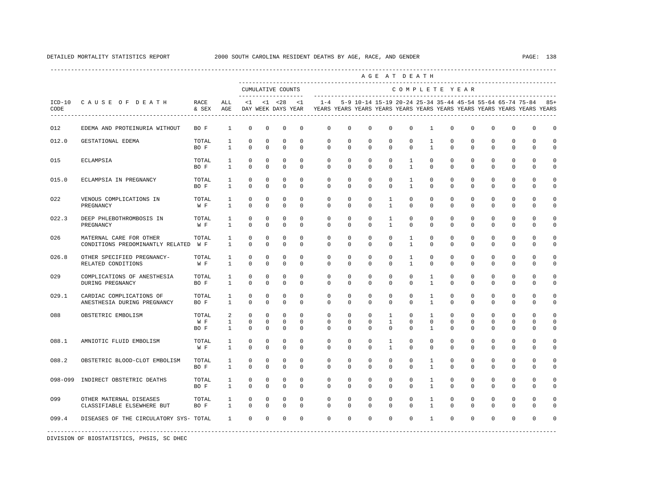|                  |                                                                 |                      |                                   |                                          |                                          |                                                            |                                       |                                                                                    |                              |                                       | AGE AT DEATH                                |                                  |                                   |                                         |                            |                            |                                              |                                                               |          |
|------------------|-----------------------------------------------------------------|----------------------|-----------------------------------|------------------------------------------|------------------------------------------|------------------------------------------------------------|---------------------------------------|------------------------------------------------------------------------------------|------------------------------|---------------------------------------|---------------------------------------------|----------------------------------|-----------------------------------|-----------------------------------------|----------------------------|----------------------------|----------------------------------------------|---------------------------------------------------------------|----------|
|                  |                                                                 |                      |                                   |                                          |                                          | CUMULATIVE COUNTS                                          |                                       |                                                                                    |                              |                                       |                                             | COMPLETE YEAR                    |                                   |                                         |                            |                            |                                              | -------------------------------------                         |          |
| $ICD-10$<br>CODE | CAUSE OF DEATH                                                  | RACE<br>& SEX        | ALL<br>AGE                        | <1                                       |                                          | --------------------<br>$< 1$ $< 28$<br>DAY WEEK DAYS YEAR | < 1                                   | $1 - 4$<br>YEARS YEARS YEARS YEARS YEARS YEARS YEARS YEARS YEARS YEARS YEARS YEARS |                              |                                       | -------------------------------------       |                                  |                                   |                                         |                            |                            |                                              | 5-9 10-14 15-19 20-24 25-34 35-44 45-54 55-64 65-74 75-84 85+ |          |
| 012              | EDEMA AND PROTEINURIA WITHOUT                                   | BO F                 | $\mathbf{1}$                      | $\mathbf 0$                              | $\mathbf 0$                              | 0                                                          | $\mathbf 0$                           | 0                                                                                  | 0                            | $\mathbf 0$                           | $\mathbf 0$                                 | $\mathbb O$                      | $\mathbf{1}$                      | $\mathbf 0$                             | $\mathbf 0$                | $\mathbf 0$                | 0                                            | $\mathbf 0$                                                   | 0        |
| 012.0            | GESTATIONAL EDEMA                                               | TOTAL<br>BO F        | $\mathbf{1}$<br>$\mathbf{1}$      | 0<br>$\mathbf 0$                         | 0<br>$\circ$                             | 0<br>$^{\circ}$                                            | $\mathbf 0$<br>$^{\circ}$             | 0<br>0                                                                             | $\mathbf 0$<br>$\mathbf 0$   | $\mathbf 0$<br>$^{\circ}$             | $\mathbf 0$<br>$^{\circ}$                   | 0<br>$\mathbf 0$                 | 1<br>$\mathbf{1}$                 | 0<br>$\mathbf 0$                        | 0<br>$\mathbf 0$           | 0<br>$\mathbf 0$           | 0<br>$\mathbf 0$                             | $\mathbf{0}$<br>$\mathbf{0}$                                  | 0<br>0   |
| 015              | ECLAMPSIA                                                       | TOTAL<br>BO F        | $\mathbf{1}$<br>$\mathbf{1}$      | $\mathbf 0$<br>$\mathbf 0$               | $\mathbf 0$<br>$\mathbf 0$               | $\mathbf 0$<br>$\mathbf 0$                                 | $\mathbf 0$<br>0                      | $\mathbf 0$<br>$\mathbf{0}$                                                        | $\mathbf 0$<br>$\mathbf 0$   | $\mathbf 0$<br>$\mathbf 0$            | $\mathbf 0$<br>$\mathbf 0$                  | $\mathbf{1}$<br>$\mathbf{1}$     | $\Omega$<br>$\mathbf 0$           | $\Omega$<br>$\mathbf 0$                 | $\mathbf 0$<br>$\mathbf 0$ | $\mathbf 0$<br>$\mathbf 0$ | $\Omega$<br>$\mathbf{0}$                     | $\Omega$<br>$\mathbf 0$                                       | O<br>0   |
| 015.0            | ECLAMPSIA IN PREGNANCY                                          | TOTAL<br>BO F        | $\mathbf{1}$<br>$\mathbf{1}$      | $\mathbf 0$<br>$\mathbf 0$               | $\mathbf 0$<br>$\mathbf 0$               | $\mathbf 0$<br>$\mathbf 0$                                 | $\Omega$<br>0                         | $\Omega$<br>$\mathbf 0$                                                            | $\Omega$<br>$\mathbf 0$      | $\Omega$<br>$\mathbf 0$               | $\Omega$<br>$\mathbf 0$                     | $\mathbf{1}$<br>$\mathbf{1}$     | $\Omega$<br>$\mathbf 0$           | $\Omega$<br>$\Omega$                    | $\Omega$<br>$\mathbf 0$    | $\Omega$<br>$\mathbf 0$    | $\Omega$<br>$\mathbf{0}$                     | $\Omega$<br>$\mathbf 0$                                       | $\Omega$ |
| 022              | VENOUS COMPLICATIONS IN<br>PREGNANCY                            | TOTAL<br>W F         | $\mathbf{1}$<br>$\mathbf{1}$      | $^{\circ}$<br>$^{\circ}$                 | $\circ$<br>$\mathbf 0$                   | $^{\circ}$<br>$\mathbf 0$                                  | $\mathbf 0$<br>0                      | 0<br>0                                                                             | 0<br>0                       | $\mathbf 0$<br>0                      | $\mathbf{1}$<br>$\mathbf{1}$                | $\mathbf{0}$<br>0                | $\mathbf 0$<br>$\mathbf 0$        | $\mathbf 0$<br>0                        | $\mathbf 0$<br>0           | $\mathbf 0$<br>$^{\circ}$  | $\mathbf 0$<br>$\mathbf{0}$                  | $\Omega$<br>$\Omega$                                          | 0        |
| 022.3            | DEEP PHLEBOTHROMBOSIS IN<br>PREGNANCY                           | TOTAL<br>W F         | $\mathbf{1}$<br>$\mathbf{1}$      | $^{\circ}$<br>$\mathbf 0$                | $\mathbf 0$<br>$\mathbf 0$               | $\mathbf 0$<br>$\mathbf 0$                                 | $\mathbf 0$<br>$\Omega$               | 0<br>0                                                                             | 0<br>$\Omega$                | $\mathbf 0$<br>$\Omega$               | $\mathbf{1}$<br>$\mathbf{1}$                | $\mathbf{0}$<br>0                | $\mathbf 0$<br>$\mathbf{0}$       | $\mathbf 0$<br>0                        | $\mathbf 0$<br>0           | $\mathbf 0$<br>0           | $\mathbf 0$<br>$\mathbf 0$                   | $\Omega$<br>0                                                 |          |
| 026              | MATERNAL CARE FOR OTHER<br>CONDITIONS PREDOMINANTLY RELATED W F | TOTAL                | $\mathbf{1}$<br>$\mathbf{1}$      | $\mathbf 0$<br>$\mathbf 0$               | $\mathbf 0$<br>$\mathbf 0$               | $\mathbf 0$<br>$\Omega$                                    | $\mathbf 0$<br>$\Omega$               | $\mathbf 0$<br>$\Omega$                                                            | $\mathbf 0$<br>$\Omega$      | $\mathbf 0$<br>$\Omega$               | $\mathbf 0$<br>$\Omega$                     | $\mathbf{1}$<br>$\mathbf{1}$     | $\mathbf 0$<br>$\Omega$           | $\circ$<br>$\Omega$                     | $\mathbf 0$<br>$\mathbf 0$ | $\mathbf 0$<br>$\Omega$    | $\mathbf 0$<br>$\mathbf{0}$                  | $\Omega$<br>$\Omega$                                          |          |
| 026.8            | OTHER SPECIFIED PREGNANCY-<br>RELATED CONDITIONS                | TOTAL<br>W F         | $\mathbf{1}$<br>$\mathbf{1}$      | 0<br>$\mathbf 0$                         | 0<br>$\mathbf 0$                         | 0<br>$\mathbf 0$                                           | $\mathbf 0$<br>$\mathbf 0$            | 0<br>0                                                                             | 0<br>$\mathbf 0$             | $\mathbf 0$<br>$\mathbf 0$            | $\mathbf 0$<br>0                            | 1<br>$\mathbf{1}$                | 0<br>$\mathbf{0}$                 | 0<br>$\mathbf 0$                        | $\mathbf 0$<br>$\mathbf 0$ | $^{\circ}$<br>$\mathbf 0$  | $\mathbf 0$<br>$\mathbf 0$                   | $\Omega$<br>$\mathbf{0}$                                      |          |
| 029              | COMPLICATIONS OF ANESTHESIA<br>DURING PREGNANCY                 | TOTAL<br>BO F        | $\mathbf{1}$<br>$\mathbf{1}$      | $\mathbb O$<br>$\Omega$                  | $\mathbf 0$<br>$\mathbf 0$               | $\mathbf 0$<br>$\Omega$                                    | $\mathbf 0$<br>$\Omega$               | $\mathbf 0$<br>$\mathbf{0}$                                                        | 0<br>$\Omega$                | $\mathbf 0$<br>$\Omega$               | $\mathbf 0$<br>$\Omega$                     | $\mathbf{0}$<br>$\Omega$         | $\mathbf{1}$<br>$\mathbf{1}$      | $\mathbf 0$<br>$\Omega$                 | $\mathbf 0$<br>$\Omega$    | $\mathbf 0$<br>$\Omega$    | $\mathbf 0$<br>$\Omega$                      | $\Omega$<br>$\Omega$                                          | O        |
| 029.1            | CARDIAC COMPLICATIONS OF<br>ANESTHESIA DURING PREGNANCY         | TOTAL<br>BO F        | $\mathbf{1}$<br>$\mathbf{1}$      | $\mathbf 0$<br>$\Omega$                  | $\mathbf 0$<br>$\Omega$                  | $\mathbf 0$<br>$\Omega$                                    | $\Omega$<br>$\Omega$                  | $\mathbf 0$<br>$\Omega$                                                            | $\mathbf 0$<br>$\Omega$      | $\mathbf 0$<br>$\Omega$               | $\mathbf 0$<br>$\Omega$                     | $\mathbf{0}$<br>$\Omega$         | $\mathbf{1}$<br>$\mathbf{1}$      | $\mathbf 0$<br>$\Omega$                 | $\mathbf 0$<br>$\Omega$    | $\mathbf 0$<br>$\Omega$    | $\mathbf 0$<br>$\Omega$                      | $\Omega$<br>$\Omega$                                          |          |
| 088              | OBSTETRIC EMBOLISM                                              | TOTAL<br>W F<br>BO F | 2<br>$\mathbf{1}$<br>$\mathbf{1}$ | $\mathbf 0$<br>$\mathbf 0$<br>$^{\circ}$ | $\mathbf 0$<br>$^{\circ}$<br>$\mathbf 0$ | 0<br>0<br>$\mathbf 0$                                      | $\mathbf 0$<br>$^{\circ}$<br>$\Omega$ | 0<br>0<br>$\Omega$                                                                 | $\mathbf 0$<br>0<br>$\Omega$ | $\mathbf 0$<br>$^{\circ}$<br>$\Omega$ | $\mathbf{1}$<br>$\mathbf{1}$<br>$\mathbf 0$ | $\mathbf 0$<br>$\mathbf{0}$<br>0 | 1<br>$\mathbf{0}$<br>$\mathbf{1}$ | $\mathbf 0$<br>$\mathbf{0}$<br>$\Omega$ | $\mathbf 0$<br>0<br>0      | 0<br>0<br>$\Omega$         | $\mathbf{0}$<br>$\mathbf{0}$<br>$\mathbf{0}$ | $\mathbf 0$<br>0<br>$\Omega$                                  | 0        |
| 088.1            | AMNIOTIC FLUID EMBOLISM                                         | TOTAL<br>W F         | $\mathbf{1}$<br>$\mathbf{1}$      | $^{\circ}$<br>$\mathbf 0$                | $\circ$<br>$\Omega$                      | 0<br>$\mathbf 0$                                           | $\mathbf 0$<br>$\Omega$               | $\mathbf 0$<br>$\Omega$                                                            | $\mathbf 0$<br>$\Omega$      | $\mathbf 0$<br>$\Omega$               | $\mathbf{1}$<br>$\mathbf{1}$                | $\mathbf{0}$<br>$\Omega$         | $\mathbf{0}$<br>$\Omega$          | $\mathbf 0$<br>$\Omega$                 | $\mathbf 0$<br>$\Omega$    | $\mathbf 0$<br>$\Omega$    | $\mathbf 0$<br>$\Omega$                      | $\mathbf 0$<br>$\Omega$                                       | 0        |
| 088.2            | OBSTETRIC BLOOD-CLOT EMBOLISM                                   | TOTAL<br>BO F        | $\mathbf{1}$<br>$\mathbf{1}$      | $^{\circ}$<br>$\Omega$                   | $\mathbf 0$<br>$\Omega$                  | $\mathbf 0$<br>$\Omega$                                    | $\mathbf 0$<br>$\Omega$               | $\mathbf 0$<br>$\Omega$                                                            | $\mathbf 0$<br>$\Omega$      | $\mathbf 0$<br>$\Omega$               | $\mathbf 0$<br>$\Omega$                     | $\mathbf{0}$<br>$\Omega$         | $\mathbf{1}$<br>$\mathbf{1}$      | $\mathbf 0$<br>$\Omega$                 | $\mathbf 0$<br>$\Omega$    | $\mathbf 0$<br>$\Omega$    | $\mathbf 0$<br>$\Omega$                      | $\mathbf 0$<br>$\Omega$                                       | 0        |
| 098-099          | INDIRECT OBSTETRIC DEATHS                                       | TOTAL<br>BO F        | $\mathbf{1}$<br>$\mathbf{1}$      | 0<br>$\Omega$                            | $\circ$<br>$\Omega$                      | 0<br>$\mathbf 0$                                           | $^{\circ}$<br>$\mathbf 0$             | 0<br>$\Omega$                                                                      | 0<br>$\Omega$                | $^{\circ}$<br>$\Omega$                | $^{\circ}$<br>$\Omega$                      | $\mathbf 0$<br>$\Omega$          | 1<br>$\mathbf{1}$                 | 0<br>$\Omega$                           | 0<br>$\Omega$              | 0<br>$\Omega$              | $\mathbf{0}$<br>$\Omega$                     | $\mathbf{0}$<br>$\Omega$                                      | 0        |
| 099              | OTHER MATERNAL DISEASES<br>CLASSIFIABLE ELSEWHERE BUT           | TOTAL<br>BO F        | $\mathbf{1}$<br>$\mathbf{1}$      | 0<br>$\Omega$                            | $\circ$<br>$\Omega$                      | 0<br>$\mathbf 0$                                           | $^{\circ}$<br>$\Omega$                | $\mathbf 0$<br>$\Omega$                                                            | $\mathbf 0$<br>$\Omega$      | $^{\circ}$<br>$\Omega$                | $^{\circ}$<br>$\Omega$                      | $\mathbf 0$<br>$\Omega$          | 1<br>$\mathbf{1}$                 | 0<br>$\Omega$                           | $^{\circ}$<br>$\Omega$     | $^{\circ}$<br>$\Omega$     | $\mathbf{0}$<br>$\Omega$                     | $\Omega$<br>$\Omega$                                          | 0        |
| 099.4            | DISEASES OF THE CIRCULATORY SYS- TOTAL                          |                      | $\mathbf{1}$                      | $\mathbf{0}$                             | $\mathbf 0$                              | $\mathbf 0$                                                | 0                                     | $\mathbf 0$                                                                        | $\mathbf 0$                  | $\mathbf 0$                           | $\mathbf 0$                                 | $\mathbf 0$                      | $\mathbf{1}$                      | $\Omega$                                | $\mathbf 0$                | $\mathbf 0$                | $\Omega$                                     | $\Omega$                                                      |          |
|                  |                                                                 |                      |                                   |                                          |                                          |                                                            |                                       |                                                                                    |                              |                                       |                                             |                                  |                                   |                                         |                            |                            |                                              |                                                               |          |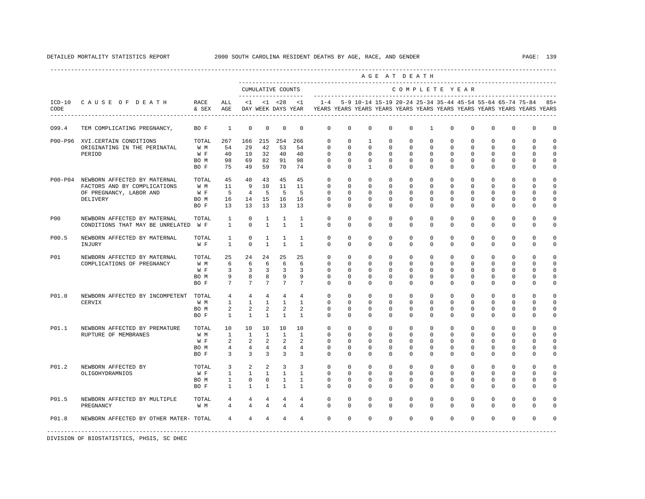|              |                                                       |                   |                 |                          |                   |                         |                      |                                                                                                        |             |              |             | AGE AT DEATH  |              |             |             |             |              |                                                               |             |
|--------------|-------------------------------------------------------|-------------------|-----------------|--------------------------|-------------------|-------------------------|----------------------|--------------------------------------------------------------------------------------------------------|-------------|--------------|-------------|---------------|--------------|-------------|-------------|-------------|--------------|---------------------------------------------------------------|-------------|
|              |                                                       |                   |                 |                          | CUMULATIVE COUNTS |                         | -------------------- |                                                                                                        |             |              |             | COMPLETE YEAR |              |             |             |             |              |                                                               |             |
| CODE         | ICD-10 CAUSE OF DEATH<br>---------------------------- | RACE<br>& SEX AGE | ALL             |                          |                   |                         | $<1$ $<1$ $<28$ $<1$ | $1 - 4$<br>DAY WEEK DAYS YEAR TYEARS YEARS YEARS YEARS YEARS YEARS YEARS YEARS YEARS YEARS YEARS YEARS |             |              |             |               |              |             |             |             |              | 5-9 10-14 15-19 20-24 25-34 35-44 45-54 55-64 65-74 75-84 85+ |             |
| 099.4        | TEM COMPLICATING PREGNANCY,                           | BO F              | $\mathbf{1}$    | $\mathbf 0$              | $\mathbb O$       | $\overline{0}$          | $\mathbf 0$          | $\mathbf 0$                                                                                            | $\mathbf 0$ | $\mathbf 0$  | $\mathbf 0$ | $\mathbf 0$   | $\mathbf{1}$ | $\mathbf 0$ | $\mathbf 0$ | $^{\circ}$  | $\mathbf 0$  | 0                                                             | $\circ$     |
|              | P00-P96 XVI.CERTAIN CONDITIONS                        | TOTAL             | 267             |                          | 166 215 254 266   |                         |                      | $\mathbf{0}$                                                                                           | $\mathbf 0$ | $\mathbf{1}$ | $\mathbf 0$ | $\mathbf 0$   | $\mathbf 0$  | $\mathbf 0$ | $\mathbf 0$ | $^{\circ}$  | $\mathbf 0$  | $\mathbf 0$                                                   | $\circ$     |
|              | ORIGINATING IN THE PERINATAL                          | W M               | 54              | 29                       | 42                | 53                      | 54                   | $\Omega$                                                                                               | $\Omega$    | $\Omega$     | $\Omega$    | $\Omega$      | $\Omega$     | $\Omega$    | $\Omega$    | $\Omega$    | $\Omega$     | $\Omega$                                                      | $\Omega$    |
|              | PERIOD                                                | W F               | 40              | 19                       | 32                | 40                      | 40                   | $\Omega$                                                                                               | $\Omega$    | $\Omega$     | $\Omega$    | $\Omega$      | $\Omega$     | $\Omega$    | $\Omega$    | $\Omega$    | $\Omega$     | $\Omega$                                                      | $\Omega$    |
|              |                                                       | BO M              | 98              | 69                       | 82                | 91                      | 98                   | $\mathbf{0}$                                                                                           | $\mathbf 0$ | $\mathbf 0$  | $\mathbf 0$ | 0             | 0            | $\mathbf 0$ | 0           | 0           | 0            | 0                                                             | $\circ$     |
|              |                                                       | BO F              |                 | 75 49 59                 |                   | 70                      | 74                   | $\mathbf{0}$                                                                                           | $\mathbf 0$ | $\mathbf{1}$ | $\mathbf 0$ | $\mathbf 0$   | $\mathbf 0$  | $\mathbf 0$ | $\mathbf 0$ | $\mathbf 0$ | $\mathbf{0}$ | 0                                                             | 0           |
| $P00-P04$    | NEWBORN AFFECTED BY MATERNAL                          | TOTAL             | 45              | 40                       | 43                | 45                      | 45                   | $\Omega$                                                                                               | $\mathbf 0$ | $\mathbf 0$  | $\Omega$    | $\Omega$      | $\mathbf{0}$ | $\Omega$    | $\Omega$    | $\Omega$    | $\Omega$     | $\Omega$                                                      | $\circ$     |
|              | FACTORS AND BY COMPLICATIONS                          | W M               | 11              | $\overline{9}$           | 10                | 11                      | 11                   | $\Omega$                                                                                               | $\Omega$    | $\Omega$     | $\mathbf 0$ | $\Omega$      | $\Omega$     | $\mathbf 0$ | $\Omega$    | $\mathbf 0$ | $\mathbf 0$  | $\mathbf 0$                                                   | $\mathbb O$ |
|              | OF PREGNANCY, LABOR AND                               | W F               | 5               | $\overline{4}$           | - 5               | 5                       | - 5                  | $\mathbf{0}$                                                                                           | $^{\circ}$  | $\circ$      | 0           | $\mathbf 0$   | $\mathbf 0$  | 0           | 0           | 0           | $\mathbf{0}$ | 0                                                             | $\mathbf 0$ |
|              | DELIVERY                                              | BO M              | 16              | 14                       | 15                | 16                      | 16                   | $\Omega$                                                                                               | 0           | 0            | 0           | $\mathbf{0}$  | $\mathbf{0}$ | 0           | 0           | 0           | $\mathbf{0}$ | 0                                                             | $\mathbf 0$ |
|              |                                                       | BO F              | 13              | 13                       | 13                | 13                      | 13                   | $\Omega$                                                                                               | $\Omega$    | $\Omega$     | $\Omega$    | $\Omega$      | $\Omega$     | $\Omega$    | $\Omega$    | $\Omega$    | $\Omega$     | $\Omega$                                                      | 0           |
| P00          | NEWBORN AFFECTED BY MATERNAL                          | TOTAL             | $\mathbf{1}$    | $\mathbf 0$              | $\mathbf{1}$      | $\mathbf{1}$            | $\mathbf{1}$         | $\mathbf 0$                                                                                            | $\circ$     | $\mathbf 0$  | $\mathbf 0$ | $\mathbf 0$   | $\mathbf 0$  | $\circ$     | $\mathbf 0$ | $\mathbf 0$ | $\mathsf 0$  | 0                                                             | $\mathsf 0$ |
|              | CONDITIONS THAT MAY BE UNRELATED W F                  |                   | $\mathbf{1}$    | $\mathbf 0$              | $\mathbf{1}$      | $\mathbf{1}$            | $\mathbf{1}$         | $\mathbf{0}$                                                                                           | 0           | 0            | 0           | $\mathbf{0}$  | 0            | 0           | 0           | 0           | $\mathbf{0}$ | 0                                                             | 0           |
| P00.5        | NEWBORN AFFECTED BY MATERNAL                          | TOTAL             | <sup>1</sup>    | $\mathbf 0$              | <sup>1</sup>      | <sup>1</sup>            | $\overline{1}$       | $\Omega$                                                                                               | $\Omega$    | $\Omega$     | $\Omega$    | $\Omega$      | $\Omega$     | $\Omega$    | $\Omega$    | $\Omega$    | $\Omega$     | $\mathbf 0$                                                   | $\mathbf 0$ |
|              | INJURY                                                | W F               | $\mathbf{1}$    | $\Omega$                 | $\overline{1}$    | $\mathbf{1}$            | $\overline{1}$       | $\Omega$                                                                                               | $\Omega$    | $\Omega$     | $\Omega$    | $\Omega$      | $\Omega$     | $\Omega$    | $\Omega$    | $\Omega$    | $\mathbf 0$  | $\mathbf 0$                                                   | 0           |
| P01          | NEWBORN AFFECTED BY MATERNAL                          | TOTAL             | 25              | 24                       | 24                | 25                      | 25                   | $\mathbf 0$                                                                                            | $\mathbf 0$ | $\Omega$     | $\mathbf 0$ | $\Omega$      | $\mathbf 0$  | $\Omega$    | $\mathbf 0$ | $\Omega$    | $\mathbf 0$  | $\Omega$                                                      | $\Omega$    |
|              | COMPLICATIONS OF PREGNANCY                            | W M               | 6               | 6                        | 6                 | - 6                     | 6                    | $\Omega$                                                                                               | $\Omega$    | $\Omega$     | $\Omega$    | $\Omega$      | $\Omega$     | $\Omega$    | $\Omega$    | $\Omega$    | $\Omega$     | $\Omega$                                                      | $\Omega$    |
|              |                                                       | W F               | $\overline{3}$  | $\overline{\phantom{a}}$ | $\overline{3}$    | $\overline{\mathbf{3}}$ | $\overline{3}$       | $\Omega$                                                                                               | $\Omega$    | $\Omega$     | $\Omega$    | $\Omega$      | $\Omega$     | $\Omega$    | $\Omega$    | $\Omega$    | $\Omega$     | $\Omega$                                                      | $\mathbf 0$ |
|              |                                                       | BO M              | 9               | 8                        | 8                 | 9                       | 9                    | $\Omega$                                                                                               | $\Omega$    | $\Omega$     | $\Omega$    | $\Omega$      | $\Omega$     | $\Omega$    | $\Omega$    | $\Omega$    | $\Omega$     | $\Omega$                                                      | $\Omega$    |
|              |                                                       | BO F              | $7\overline{ }$ | $7\overline{ }$          | $7\overline{ }$   | $7\overline{ }$         | $7\overline{ }$      | $\Omega$                                                                                               | 0           | $\Omega$     | 0           | $\Omega$      | 0            | $\Omega$    | 0           | $\Omega$    | $\mathbf{0}$ | 0                                                             | 0           |
| <b>P01.0</b> | NEWBORN AFFECTED BY INCOMPETENT                       | TOTAL             | $\overline{4}$  | $\overline{4}$           | 4                 | $\overline{4}$          | $\overline{4}$       | $\mathbf 0$                                                                                            | $\mathbf 0$ | $\mathbf 0$  | $\mathbf 0$ | $\mathbf 0$   | $\mathbf 0$  | $\mathbf 0$ | $\mathbf 0$ | $\mathbf 0$ | $\mathbf 0$  | $\mathbf 0$                                                   | $\mathbf 0$ |
|              | CERVIX                                                | W M               | $\mathbf{1}$    | $\mathbf{1}$             | $\mathbf{1}$      | $\overline{1}$          | $\overline{1}$       | $\Omega$                                                                                               | $\Omega$    | $\Omega$     | $\Omega$    | $\Omega$      | $\Omega$     | $\Omega$    | $\Omega$    | $\Omega$    | $\Omega$     | $\Omega$                                                      | $\Omega$    |
|              |                                                       | BO M              | $\overline{a}$  | $\overline{a}$           | $\overline{a}$    | 2                       | $\mathfrak{D}$       | $\Omega$                                                                                               | $\Omega$    | $\Omega$     | $\Omega$    | $\Omega$      | $\Omega$     | $\Omega$    | $\Omega$    | $\Omega$    | $\Omega$     | $\Omega$                                                      | $\Omega$    |
|              |                                                       | BO F              | $\mathbf{1}$    | $\mathbf{1}$             | $\mathbf{1}$      | $\mathbf{1}$            | $\mathbf{1}$         | $\Omega$                                                                                               | $\Omega$    | $\Omega$     | $\Omega$    | $\Omega$      | $\Omega$     | $\Omega$    | $\Omega$    | $\Omega$    | $\mathbf{0}$ | $\Omega$                                                      | 0           |
| P01.1        | NEWBORN AFFECTED BY PREMATURE                         | TOTAL             | 10              | 10                       | 10                | 10                      | 10                   | $\mathbf 0$                                                                                            | $\mathbf 0$ | $\mathbf 0$  | $\mathbf 0$ | $\mathbf 0$   | $\mathbf 0$  | $\mathbf 0$ | $\mathbf 0$ | $\mathbf 0$ | $\mathbf 0$  | 0                                                             | 0           |
|              | RUPTURE OF MEMBRANES                                  | W M               | <sup>1</sup>    | <sup>1</sup>             | $\overline{1}$    | $\mathbf{1}$            | $\overline{1}$       | $\Omega$                                                                                               | $\Omega$    | $\Omega$     | $\Omega$    | $\Omega$      | $\Omega$     | $\Omega$    | $\Omega$    | $\Omega$    | $\Omega$     | $\Omega$                                                      | $\mathbf 0$ |
|              |                                                       | W F               | $\overline{a}$  | 2                        | 2                 | 2                       | 2                    | $\mathbf 0$                                                                                            | $\mathbf 0$ | $\mathbf 0$  | $\mathbf 0$ | $\mathbf 0$   | $\mathbf 0$  | 0           | $\mathbf 0$ | $\mathbf 0$ | $\mathbf 0$  | $\mathbf 0$                                                   | $\mathbf 0$ |
|              |                                                       | BO M              | $\overline{4}$  | $\overline{4}$           | 4                 | 4                       | 4                    | $\mathbf 0$                                                                                            | 0           | 0            | 0           | $\mathbf 0$   | $\mathbf 0$  | 0           | 0           | 0           | $\mathbf 0$  | 0                                                             | $\mathbf 0$ |
|              |                                                       | BO F              | $\overline{3}$  | $\overline{3}$           | $\overline{3}$    | $\overline{3}$          | 3                    | $\Omega$                                                                                               | $\Omega$    | $\Omega$     | $\Omega$    | $\Omega$      | $\Omega$     | $\Omega$    | $\Omega$    | $\Omega$    | $\mathbf 0$  | $\Omega$                                                      | 0           |
| P01.2        | NEWBORN AFFECTED BY                                   | TOTAL             | 3               | 2                        | $\mathfrak{D}$    | $\overline{3}$          | 3                    | $\Omega$                                                                                               | $\Omega$    | $\Omega$     | $\Omega$    | $\Omega$      | $\Omega$     | $\Omega$    | $\Omega$    | $\Omega$    | $\Omega$     | $\Omega$                                                      | $\Omega$    |
|              | OLIGOHYDRAMNIOS                                       | W F               | $\mathbf{1}$    | $\mathbf{1}$             | $\mathbf{1}$      | $\mathbf{1}$            | $\overline{1}$       | $\Omega$                                                                                               | $\Omega$    | $\Omega$     | $\Omega$    | $\Omega$      | $\Omega$     | $\Omega$    | $\Omega$    | $\Omega$    | $\Omega$     | $\Omega$                                                      | $\mathbf 0$ |
|              |                                                       | BO M              | $\mathbf{1}$    | $\mathbf 0$              | $\mathbf{0}$      | $\mathbf{1}$            | $\mathbf{1}$         | $\mathbf 0$                                                                                            | 0           | $\circ$      | 0           | $\mathbf 0$   | 0            | 0           | 0           | $^{\circ}$  | 0            | 0                                                             | $\circ$     |
|              |                                                       | BO F              | $\mathbf{1}$    | $\mathbf{1}$             | $\mathbf{1}$      | <sup>1</sup>            | $\mathbf{1}$         | $\Omega$                                                                                               | $\Omega$    | $\Omega$     | $\Omega$    | $\Omega$      | $\Omega$     | $\Omega$    | $\Omega$    | $\Omega$    | $\mathbf{0}$ | $\Omega$                                                      | 0           |
| P01.5        | NEWBORN AFFECTED BY MULTIPLE                          | TOTAL             | 4               | $\overline{4}$           | 4                 | 4                       | 4                    | $\Omega$                                                                                               | $\Omega$    | $\Omega$     | $\Omega$    | $\Omega$      | $\Omega$     | $\Omega$    | $\Omega$    | $\Omega$    | $\Omega$     | $\Omega$                                                      | $\Omega$    |
|              | PREGNANCY                                             | W M               | 4               | 4                        | 4                 | $\overline{4}$          | 4                    | $\mathbf 0$                                                                                            | $\circ$     | $\Omega$     | 0           | $\Omega$      | $\mathbf{0}$ | $\Omega$    | 0           | $\Omega$    | $\mathbf{0}$ | $\Omega$                                                      | 0           |
| <b>P01.8</b> | NEWBORN AFFECTED BY OTHER MATER- TOTAL                |                   | 4               | $\overline{4}$           | 4                 | 4                       | 4                    | $\circ$                                                                                                | $\mathbf 0$ | $\Omega$     | $\mathbf 0$ | $\Omega$      | $\Omega$     | $\Omega$    | $\Omega$    | $\Omega$    | $\Omega$     | $\Omega$                                                      | $\Omega$    |
|              |                                                       |                   |                 |                          |                   |                         |                      |                                                                                                        |             |              |             |               |              |             |             |             |              |                                                               |             |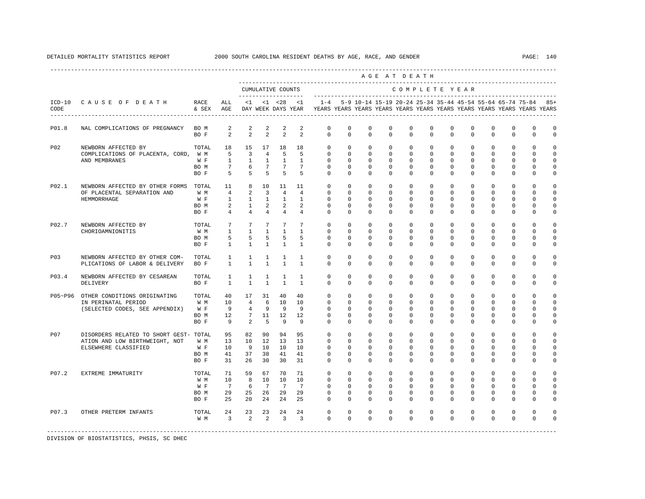|            |                                                                                                  |                                     |                                                               |                                                                       |                                                              |                                                             |                                                                          |                                                                                                        |                                                                   |                                                                   | AGE AT DEATH                                            |                                                                     |                                                                    |                                                         |                                                                |                                                                   |                                                                      |                                                      |                                                         |
|------------|--------------------------------------------------------------------------------------------------|-------------------------------------|---------------------------------------------------------------|-----------------------------------------------------------------------|--------------------------------------------------------------|-------------------------------------------------------------|--------------------------------------------------------------------------|--------------------------------------------------------------------------------------------------------|-------------------------------------------------------------------|-------------------------------------------------------------------|---------------------------------------------------------|---------------------------------------------------------------------|--------------------------------------------------------------------|---------------------------------------------------------|----------------------------------------------------------------|-------------------------------------------------------------------|----------------------------------------------------------------------|------------------------------------------------------|---------------------------------------------------------|
|            |                                                                                                  |                                     |                                                               |                                                                       |                                                              | CUMULATIVE COUNTS                                           |                                                                          |                                                                                                        |                                                                   |                                                                   |                                                         | COMPLETE YEAR                                                       |                                                                    |                                                         |                                                                |                                                                   |                                                                      |                                                      |                                                         |
| CODE       | ICD-10 CAUSE OF DEATH                                                                            | RACE<br>& SEX AGE                   | ALL                                                           |                                                                       | $<1$ $<1$ $<28$                                              |                                                             | <1                                                                       | $1 - 4$<br>DAY WEEK DAYS YEAR TYEARS YEARS YEARS YEARS YEARS YEARS YEARS YEARS YEARS YEARS YEARS YEARS |                                                                   |                                                                   |                                                         |                                                                     |                                                                    |                                                         |                                                                |                                                                   | 5-9 10-14 15-19 20-24 25-34 35-44 45-54 55-64 65-74 75-84            |                                                      | $85+$                                                   |
| P01.8      | NAL COMPLICATIONS OF PREGNANCY                                                                   | BO M<br>BO F                        | 2<br>2                                                        | 2<br>$\overline{a}$                                                   | 2<br>$\overline{a}$                                          | $\overline{a}$<br>2                                         | $\overline{a}$<br>$\mathfrak{D}$                                         | $\mathbf{0}$<br>$\Omega$                                                                               | $\mathbf 0$<br>$\Omega$                                           | $\mathbf 0$<br>$\Omega$                                           | $\mathbf 0$<br>$\Omega$                                 | $\mathbf{0}$<br>$\Omega$                                            | $\mathbf 0$<br>$\Omega$                                            | $\mathbf 0$<br>$\Omega$                                 | $\mathbf 0$<br>$\Omega$                                        | $\mathbf 0$<br>$\Omega$                                           | $\mathbf 0$<br>$\Omega$                                              | 0<br>$\Omega$                                        | $\mathbf 0$<br>$\Omega$                                 |
| P02        | NEWBORN AFFECTED BY<br>COMPLICATIONS OF PLACENTA, CORD,<br>AND MEMBRANES                         | TOTAL<br>W M<br>W F<br>BO M<br>BO F | 18<br>5<br>$\mathbf{1}$<br>$7\overline{ }$<br>5               | 15<br>$\overline{3}$<br>$\mathbf{1}$<br>6<br>5                        | 17<br>$\overline{4}$<br>$\mathbf{1}$<br>$7\overline{ }$<br>5 | 18<br>5<br>$\mathbf{1}$<br>$7^{\circ}$<br>- 5               | 18<br>5<br>$\mathbf{1}$<br>$\overline{7}$<br>5                           | 0<br>$\mathbf{0}$<br>$\Omega$<br>$\Omega$<br>$\Omega$                                                  | $\mathbf 0$<br>$\Omega$<br>$\Omega$<br>$\Omega$<br>$\Omega$       | $\mathbf 0$<br>$\mathbf 0$<br>$\Omega$<br>$\Omega$<br>$\Omega$    | $\mathbf 0$<br>0<br>$\Omega$<br>$\Omega$<br>$\Omega$    | $\mathbf 0$<br>$\mathbf 0$<br>$\Omega$<br>$\Omega$<br>$\Omega$      | $\mathbf 0$<br>$\mathbf{0}$<br>$\Omega$<br>$\Omega$<br>$\Omega$    | $\mathbf 0$<br>0<br>$\Omega$<br>$\Omega$<br>$\Omega$    | $\mathbf 0$<br>$\Omega$<br>$\Omega$<br>$\Omega$<br>$\Omega$    | $\mathbf 0$<br>0<br>$\Omega$<br>$\Omega$<br>$\Omega$              | $\mathbf{0}$<br>$\mathbf{0}$<br>$\Omega$<br>$\Omega$<br>$\Omega$     | 0<br>0<br>$\Omega$<br>$\Omega$<br>$\Omega$           | $\mathbf 0$<br>$\Omega$<br>$\mathbf 0$<br>$\Omega$<br>0 |
| P02.1      | NEWBORN AFFECTED BY OTHER FORMS<br>OF PLACENTAL SEPARATION AND<br>HEMMORRHAGE                    | TOTAL<br>W M<br>W F<br>BO M<br>BO F | 11<br>$\overline{4}$<br>1<br>$\overline{a}$<br>$\overline{4}$ | 8<br>$\mathfrak{D}$<br>$\mathbf{1}$<br>$\mathbf{1}$<br>$\overline{4}$ | 10<br>$\overline{3}$<br>$\mathbf{1}$<br>2<br>$\overline{4}$  | 11<br>$\overline{4}$<br>$\mathbf{1}$<br>2<br>$\overline{4}$ | 11<br>$\overline{4}$<br>$\mathbf{1}$<br>$\overline{a}$<br>$\overline{4}$ | $\Omega$<br>$\Omega$<br>0<br>$\Omega$<br>$\Omega$                                                      | $\Omega$<br>$\Omega$<br>0<br>$\Omega$<br>$\Omega$                 | $\Omega$<br>$\Omega$<br>0<br>$\Omega$<br>$\Omega$                 | $\Omega$<br>$\Omega$<br>0<br>$\mathbf 0$<br>0           | $\Omega$<br>$\Omega$<br>$\Omega$<br>$\Omega$<br>$\Omega$            | $\Omega$<br>$\Omega$<br>$\Omega$<br>$\mathbf 0$<br>$\mathbf 0$     | $\Omega$<br>$\Omega$<br>0<br>$\mathbf 0$<br>$\Omega$    | $\Omega$<br>$\Omega$<br>$\Omega$<br>$\mathbf 0$<br>$\mathbf 0$ | $\Omega$<br>$\Omega$<br>0<br>$^{\circ}$<br>$\Omega$               | $\Omega$<br>$\Omega$<br>$\mathbf 0$<br>$\mathbf 0$<br>$\mathbf 0$    | $\Omega$<br>$\Omega$<br>0<br>0<br>$\Omega$           | 0<br>$\Omega$<br>0<br>$\mathbf 0$<br>0                  |
| P02.7      | NEWBORN AFFECTED BY<br>CHORIOAMNIONITIS                                                          | TOTAL<br>W M<br>BO M<br>BO F        | $7\phantom{.0}$<br>$\mathbf{1}$<br>5<br>$\mathbf{1}$          | $7\overline{ }$<br>$\mathbf{1}$<br>5<br>$\mathbf{1}$                  | $7\overline{ }$<br>$\mathbf{1}$<br>5<br>$\mathbf{1}$         | $7\overline{ }$<br>$\mathbf{1}$<br>5<br>$\mathbf{1}$        | $7\overline{ }$<br>$\mathbf{1}$<br>5<br>$\mathbf{1}$                     | $\mathbf 0$<br>$\mathbf 0$<br>0<br>$\Omega$                                                            | $\mathbf 0$<br>$\mathbf 0$<br>0<br>$\Omega$                       | $\mathbf 0$<br>$\mathbf 0$<br>0<br>$\Omega$                       | $\mathbf 0$<br>$\mathbf 0$<br>0<br>$\Omega$             | $\mathbf 0$<br>$\mathbf{0}$<br>$\mathbf 0$<br>$\Omega$              | $\mathbf 0$<br>$\mathbf{0}$<br>0<br>$\Omega$                       | $\mathbf 0$<br>$\mathbf 0$<br>0<br>$\Omega$             | $\mathbf 0$<br>$\mathbf 0$<br>0<br>$\Omega$                    | $\mathbf 0$<br>$\mathbf 0$<br>0<br>$\Omega$                       | $\mathbf 0$<br>$\mathbf 0$<br>$\mathbf 0$<br>$\mathbf 0$             | 0<br>$\mathbf 0$<br>0<br>$\Omega$                    | 0<br>0<br>0<br>0                                        |
| <b>P03</b> | NEWBORN AFFECTED BY OTHER COM-<br>PLICATIONS OF LABOR & DELIVERY                                 | TOTAL<br>BO F                       | 1<br>$\mathbf{1}$                                             | $\mathbf{1}$<br>$\mathbf{1}$                                          | 1<br>$\mathbf{1}$                                            | $\mathbf{1}$<br>$\mathbf{1}$                                | $\mathbf{1}$<br>$\mathbf{1}$                                             | $\Omega$<br>$\Omega$                                                                                   | $\Omega$<br>$\mathbf 0$                                           | $\Omega$<br>$\mathbf 0$                                           | $\Omega$<br>$\mathbf 0$                                 | $\mathbf 0$<br>$\mathbf 0$                                          | $\mathbf 0$<br>$\mathbf 0$                                         | 0<br>0                                                  | $\Omega$<br>$\mathbf 0$                                        | $\mathbf 0$<br>$\mathbf 0$                                        | $\mathbf 0$<br>$\mathbf 0$                                           | 0<br>0                                               | $\Omega$<br>0                                           |
| P03.4      | NEWBORN AFFECTED BY CESAREAN<br>DELIVERY                                                         | TOTAL<br>BO F                       | $\mathbf{1}$<br>$\mathbf{1}$                                  | $\mathbf{1}$<br>$\mathbf{1}$                                          | $\mathbf{1}$<br>$\mathbf{1}$                                 | $\mathbf{1}$<br>$\mathbf{1}$                                | $\mathbf{1}$<br>$\mathbf{1}$                                             | $\mathbf 0$<br>$\Omega$                                                                                | $\mathbf 0$<br>$\Omega$                                           | $\mathbf 0$<br>$\Omega$                                           | $\mathbf 0$<br>$\Omega$                                 | $\mathbf 0$<br>$\Omega$                                             | $\mathbf 0$<br>$\Omega$                                            | 0<br>$\Omega$                                           | $\mathbf 0$<br>$\Omega$                                        | $\mathbf 0$<br>$\Omega$                                           | $\mathbf 0$<br>$\Omega$                                              | $\mathbf 0$<br>$\Omega$                              | $\Omega$<br>0                                           |
| P05~P96    | OTHER CONDITIONS ORIGINATING<br>IN PERINATAL PERIOD<br>(SELECTED CODES, SEE APPENDIX)            | TOTAL<br>W M<br>W F<br>BO M<br>BO F | 40<br>10<br>- 9<br>12<br>$\overline{9}$                       | 17<br>$\overline{4}$<br>$\overline{4}$<br>$7\overline{ }$<br>2        | 31<br>6<br>9<br>11<br>5                                      | 40<br>10<br>- 9<br>12<br>- 9                                | 40<br>10<br>9<br>12<br>9                                                 | $\mathbf 0$<br>$\mathbf 0$<br>$\Omega$<br>$\mathbf 0$<br>$\Omega$                                      | $\mathbf 0$<br>$\mathbf 0$<br>$\Omega$<br>$\mathbf 0$<br>$\Omega$ | $\mathbf 0$<br>$\mathbf 0$<br>$\Omega$<br>$\mathbf 0$<br>$\Omega$ | $\mathbf 0$<br>0<br>$\Omega$<br>$\mathbf 0$<br>$\Omega$ | $\mathbf{0}$<br>$\mathbf 0$<br>$\Omega$<br>$\mathbf{0}$<br>$\Omega$ | $\mathbf{0}$<br>$\mathbf 0$<br>$\Omega$<br>$\mathbf 0$<br>$\Omega$ | $\mathbf 0$<br>0<br>$\Omega$<br>$\mathbf 0$<br>$\Omega$ | $\mathbf 0$<br>0<br>$\Omega$<br>$\mathbf 0$<br>$\Omega$        | $\mathbf 0$<br>0<br>$\Omega$<br>$\mathbf 0$<br>$\Omega$           | $\mathbf 0$<br>$\mathbf 0$<br>$\Omega$<br>$\mathbf 0$<br>$\Omega$    | $\mathbf 0$<br>0<br>$\Omega$<br>0<br>$\cap$          | 0<br>$\mathbf 0$<br>0<br>0<br>0                         |
| P07        | DISORDERS RELATED TO SHORT GEST- TOTAL<br>ATION AND LOW BIRTHWEIGHT, NOT<br>ELSEWHERE CLASSIFIED | W M<br>W F<br>BO M<br>BO F          | 95<br>13<br>10<br>41<br>31                                    | 82<br>10<br>- 9<br>37<br>26                                           | 90<br>12<br>10<br>38<br>30                                   | 94<br>13<br>10<br>41<br>30                                  | 95<br>13<br>10<br>41<br>31                                               | 0<br>$\Omega$<br>$\Omega$<br>$\mathbf 0$<br>$\mathbf 0$                                                | 0<br>$\Omega$<br>$\Omega$<br>$\mathbf 0$<br>0                     | $^{\circ}$<br>$\Omega$<br>$\Omega$<br>$\mathbf 0$<br>$\Omega$     | 0<br>$\Omega$<br>$\mathbf 0$<br>$\mathbf 0$<br>0        | $\mathbf 0$<br>$\Omega$<br>$\Omega$<br>$\mathbf 0$<br>$\Omega$      | $\mathbf 0$<br>$\Omega$<br>$\Omega$<br>$\mathbf 0$<br>$\mathbf 0$  | 0<br>$\Omega$<br>$\Omega$<br>0<br>$\Omega$              | 0<br>$\Omega$<br>$\Omega$<br>$\mathbf 0$<br>0                  | $\mathbf 0$<br>$\Omega$<br>$\mathbf 0$<br>$\mathbf 0$<br>$\Omega$ | $\mathbf 0$<br>$\Omega$<br>$\mathbf 0$<br>$\mathbf 0$<br>$\mathbf 0$ | 0<br>$\Omega$<br>$\Omega$<br>$\mathbf 0$<br>$\Omega$ | 0<br>$\Omega$<br>$\mathbf 0$<br>0<br>$\Omega$           |
| P07.2      | EXTREME IMMATURITY                                                                               | TOTAL<br>W M<br>W F<br>BO M<br>BO F | 71<br>10<br>$7\overline{ }$<br>29<br>25                       | 59<br>8<br>6<br>25<br>20                                              | 67<br>10<br>7<br>26<br>24                                    | 70<br>10<br>7<br>29<br>24                                   | 71<br>10<br>$7\phantom{.0}$<br>29<br>25                                  | $\Omega$<br>$\circ$<br>$\mathbf 0$<br>0<br>$\Omega$                                                    | $\Omega$<br>$\circ$<br>0<br>0<br>$\Omega$                         | $\Omega$<br>$\mathbb O$<br>0<br>0<br>$\Omega$                     | $\Omega$<br>$\mathbf 0$<br>0<br>0<br>$\Omega$           | $\Omega$<br>0<br>$\mathbf 0$<br>$\mathbf 0$<br>$\Omega$             | $\Omega$<br>$\circ$<br>$\mathbf 0$<br>$\mathbf 0$<br>$\Omega$      | $\Omega$<br>$\circ$<br>0<br>0<br>$\Omega$               | $\Omega$<br>0<br>0<br>0<br>$\Omega$                            | $\Omega$<br>$\mathbf 0$<br>0<br>0<br>$\Omega$                     | $\Omega$<br>$\mathsf 0$<br>$\mathbf 0$<br>$\mathbf 0$<br>$\Omega$    | $\Omega$<br>0<br>0<br>0<br>$\cap$                    | $\Omega$<br>$\mathsf 0$<br>0<br>0<br>$\Omega$           |
| P07.3      | OTHER PRETERM INFANTS                                                                            | TOTAL<br>W M                        | 24<br>$\overline{3}$                                          | 23<br>2                                                               | 23<br>2                                                      | 24<br>$\overline{3}$                                        | 24<br>3                                                                  | $\mathbf 0$<br>$\Omega$                                                                                | 0<br>$\Omega$                                                     | 0<br>$\Omega$                                                     | 0<br>$\Omega$                                           | $\mathbf 0$<br>$\Omega$                                             | 0<br>$\Omega$                                                      | 0<br>$\Omega$                                           | 0<br>$\Omega$                                                  | 0<br>$\Omega$                                                     | 0<br>$\mathbf 0$                                                     | 0<br>0                                               | $\Omega$<br>$\Omega$                                    |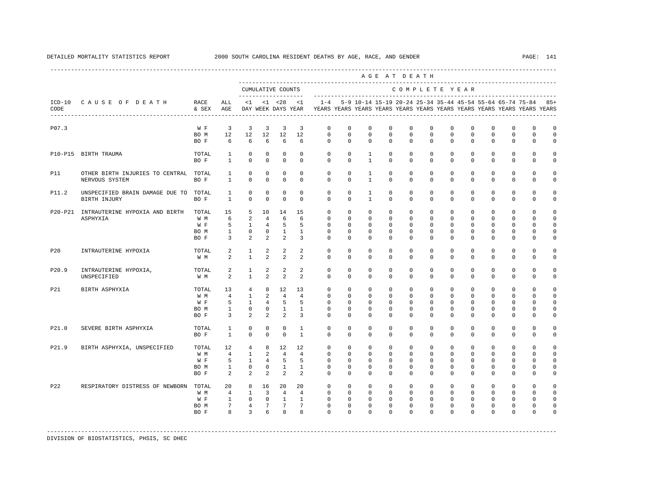|            |                                                         |                                     |                                                             |                                                                          |                                                               |                                                                     |                                                               |                                                                                                                                                                                 |                                                                   |                                                                  |                                                                    | AGE AT DEATH                                                    |                                                                    |                                                                |                                                                   |                                                                 |                                                                    |                                                                    |                                                                   |
|------------|---------------------------------------------------------|-------------------------------------|-------------------------------------------------------------|--------------------------------------------------------------------------|---------------------------------------------------------------|---------------------------------------------------------------------|---------------------------------------------------------------|---------------------------------------------------------------------------------------------------------------------------------------------------------------------------------|-------------------------------------------------------------------|------------------------------------------------------------------|--------------------------------------------------------------------|-----------------------------------------------------------------|--------------------------------------------------------------------|----------------------------------------------------------------|-------------------------------------------------------------------|-----------------------------------------------------------------|--------------------------------------------------------------------|--------------------------------------------------------------------|-------------------------------------------------------------------|
|            |                                                         |                                     |                                                             |                                                                          | CUMULATIVE COUNTS                                             |                                                                     |                                                               |                                                                                                                                                                                 |                                                                   |                                                                  |                                                                    |                                                                 |                                                                    | COMPLETE YEAR                                                  |                                                                   |                                                                 |                                                                    |                                                                    |                                                                   |
| CODE       | ICD-10 CAUSE OF DEATH                                   | RACE<br>& SEX AGE                   | ALL                                                         |                                                                          |                                                               |                                                                     |                                                               | <1 <28 <1 -28 <1 -4 5-9 10-14 15-19 20-24 25-34 35-44 45-54 55-64 65-74 75-84 85+<br>DAY WEEK DAYS YEAR TEARS YEARS YEARS YEARS YEARS YEARS YEARS YEARS YEARS YEARS YEARS YEARS |                                                                   |                                                                  |                                                                    |                                                                 |                                                                    |                                                                |                                                                   |                                                                 |                                                                    |                                                                    |                                                                   |
| P07.3      |                                                         | W F                                 | $\overline{\mathbf{3}}$                                     | $\overline{3}$                                                           | $\overline{3}$                                                | $\overline{3}$                                                      | $\overline{3}$                                                | $\mathbf 0$                                                                                                                                                                     | $\mathbf 0$                                                       | $\mathbf 0$                                                      | $\mathbf 0$                                                        | $\mathbf 0$                                                     | $\mathbf 0$                                                        | $\Omega$                                                       | $\mathbf 0$                                                       | $\Omega$                                                        | $\Omega$                                                           | $\Omega$                                                           | $\mathbf 0$                                                       |
|            |                                                         | BO M<br>BO F                        | 12<br>-6                                                    | 12<br>6                                                                  | 12<br>6                                                       | 12<br>6                                                             | 12<br>6                                                       | $\mathbf 0$<br>$\Omega$                                                                                                                                                         | $\mathbf 0$<br>$\Omega$                                           | $^{\circ}$<br>$\Omega$                                           | $\mathbf 0$<br>$\Omega$                                            | $\mathbf 0$<br>$\Omega$                                         | $\mathbf 0$<br>$\Omega$                                            | $\mathbf 0$<br>$\Omega$                                        | $\mathbf 0$<br>$\Omega$                                           | $\mathbf 0$<br>$\Omega$                                         | $\mathbf 0$<br>$\Omega$                                            | $\circ$<br>$\Omega$                                                | $\mathbf 0$<br>$\Omega$                                           |
|            | P10-P15 BIRTH TRAUMA                                    | TOTAL<br>BO F                       | <sup>1</sup><br>$\mathbf{1}$                                | $\mathbf 0$<br>$\Omega$                                                  | $\Omega$<br>$\Omega$                                          | $\Omega$<br>$\Omega$                                                | $\Omega$<br>$\Omega$                                          | $\Omega$<br>$\Omega$                                                                                                                                                            | $\Omega$<br>$\Omega$                                              | $\mathbf{1}$<br>$\overline{1}$                                   | $\mathbf 0$<br>$\Omega$                                            | $\circ$<br>$\Omega$                                             | $\mathbf 0$<br>$\Omega$                                            | $\circ$<br>$\Omega$                                            | $\Omega$<br>$\Omega$                                              | $\Omega$<br>$\Omega$                                            | $\Omega$<br>$\Omega$                                               | $\mathbf{0}$<br>$\Omega$                                           | $\Omega$<br>$\Omega$                                              |
| <b>P11</b> | OTHER BIRTH INJURIES TO CENTRAL TOTAL<br>NERVOUS SYSTEM | BO F                                | $\mathbf{1}$<br>$\mathbf{1}$                                | $\mathbf 0$<br>$\mathbf 0$                                               | $\Omega$<br>$\mathbf 0$                                       | $\mathbf 0$<br>$\circ$                                              | $\Omega$<br>$\mathbf 0$                                       | $\Omega$<br>$\Omega$                                                                                                                                                            | $\Omega$<br>$\mathbf{0}$                                          | $\mathbf{1}$<br>$\mathbf{1}$                                     | $\Omega$<br>$\mathbf 0$                                            | $\Omega$<br>$\Omega$                                            | $\Omega$<br>$\mathbf 0$                                            | $\Omega$<br>$\Omega$                                           | $\Omega$<br>$\mathbf 0$                                           | $\Omega$<br>$\Omega$                                            | $\Omega$<br>$\mathbf 0$                                            | $\Omega$<br>$\mathbf 0$                                            | $\Omega$<br>$\Omega$                                              |
| P11.2      | UNSPECIFIED BRAIN DAMAGE DUE TO TOTAL<br>BIRTH INJURY   | BO F                                | $\mathbf{1}$<br>$\mathbf{1}$                                | $\Omega$<br>$\mathbf 0$                                                  | $\Omega$<br>$\mathbf 0$                                       | $\Omega$<br>$\mathbf{0}$                                            | $\Omega$<br>$\mathbf 0$                                       | $\Omega$<br>$\Omega$                                                                                                                                                            | $\Omega$<br>$\mathbf{0}$                                          | $\overline{1}$<br>$\overline{1}$                                 | $\Omega$<br>$\mathbf 0$                                            | $\Omega$<br>$\Omega$                                            | $\Omega$<br>$\Omega$                                               | $\Omega$<br>$\Omega$                                           | $\Omega$<br>$\Omega$                                              | $\Omega$<br>$\Omega$                                            | $\Omega$<br>$\Omega$                                               | $\Omega$<br>$\Omega$                                               | $\Omega$<br>$\Omega$                                              |
|            | P20-P21 INTRAUTERINE HYPOXIA AND BIRTH<br>ASPHYXIA      | TOTAL<br>W M<br>W F<br>BO M<br>BO F | 15<br>6<br>5<br>$\mathbf{1}$<br>$\overline{3}$              | 5<br>2<br>$\overline{1}$<br>$\overline{0}$<br>$\overline{a}$             | 10<br>$\overline{4}$<br>$\overline{4}$<br>$\overline{0}$<br>2 | 14<br>-6<br>$-5$<br>$\overline{1}$<br>$\overline{2}$                | 15<br>6<br>5<br>$\mathbf{1}$<br>$\overline{3}$                | $\mathbf 0$<br>$\Omega$<br>$\Omega$<br>$\mathbf 0$<br>$\Omega$                                                                                                                  | $\mathbf 0$<br>$\Omega$<br>$\Omega$<br>$\circ$<br>$\Omega$        | $\mathbf{0}$<br>$\Omega$<br>$\Omega$<br>$\mathbf{0}$<br>$\Omega$ | $\mathbf 0$<br>$\Omega$<br>$\Omega$<br>$\mathsf 0$<br>$\mathbf 0$  | $\mathbf 0$<br>$\Omega$<br>$\Omega$<br>$\mathbf{0}$<br>$\Omega$ | $\mathbf 0$<br>$\Omega$<br>$\Omega$<br>0<br>$\mathbf 0$            | $\mathbf 0$<br>$\Omega$<br>$\Omega$<br>$\mathbf 0$<br>$\Omega$ | $\mathbf 0$<br>$\Omega$<br>$\Omega$<br>$\mathbf 0$<br>$\mathbf 0$ | $\Omega$<br>$\Omega$<br>$\Omega$<br>$\mathbf 0$<br>$\Omega$     | $\mathbf 0$<br>$\Omega$<br>$\Omega$<br>$\mathbf 0$<br>$\mathbf{0}$ | $\Omega$<br>$\Omega$<br>$\Omega$<br>$\mathbf 0$<br>$\Omega$        | $\Omega$<br>$\Omega$<br>$\Omega$<br>$\circ$<br>$\mathbf 0$        |
| P20        | INTRAUTERINE HYPOXIA                                    | TOTAL<br>W M                        | 2<br>$\overline{2}$                                         | $\mathbf{1}$<br>$\overline{1}$                                           | 2<br>$\mathfrak{D}$                                           | 2<br>$\overline{2}$                                                 | 2<br>$\mathfrak{D}$                                           | $\Omega$<br>$\Omega$                                                                                                                                                            | $\Omega$<br>$\Omega$                                              | $\Omega$<br>$\Omega$                                             | $\Omega$<br>$\Omega$                                               | $\Omega$<br>$\Omega$                                            | $\Omega$<br>$\Omega$                                               | $\Omega$<br>$\Omega$                                           | $\Omega$<br>$\Omega$                                              | $\Omega$<br>$\Omega$                                            | $\Omega$<br>$\Omega$                                               | $\Omega$<br>$\Omega$                                               | $\Omega$<br>$\Omega$                                              |
| P20.9      | INTRAUTERINE HYPOXIA,<br>UNSPECIFIED                    | TOTAL<br>W M                        | 2<br>2                                                      | $\mathbf{1}$<br>$\mathbf{1}$                                             | 2<br>2                                                        | 2<br>2                                                              | $\overline{2}$<br>$\mathcal{L}$                               | $\mathbf{0}$<br>$\Omega$                                                                                                                                                        | 0<br>$\Omega$                                                     | $^{\circ}$<br>$\Omega$                                           | $^{\circ}$<br>$\Omega$                                             | $\mathbf{0}$<br>$\Omega$                                        | $\mathbf{0}$<br>$\Omega$                                           | $\mathbf 0$<br>$\Omega$                                        | $^{\circ}$<br>$\Omega$                                            | $\mathbf{0}$<br>$\Omega$                                        | $\mathbf{0}$<br>$\Omega$                                           | 0<br>$\Omega$                                                      | $\Omega$<br>$\Omega$                                              |
| P21        | BIRTH ASPHYXIA                                          | TOTAL<br>W M<br>W F<br>BO M<br>BO F | 13<br>$\overline{4}$<br>5<br>$\mathbf{1}$<br>$\overline{3}$ | $\overline{4}$<br>$\mathbf{1}$<br>$\mathbf{1}$<br>$\circ$<br>2           | 8<br>$\overline{2}$<br>4<br>2                                 | 12<br>$\overline{4}$<br>$5^{\circ}$<br>$0\qquad1$<br>$\overline{2}$ | 13<br>$\overline{4}$<br>5<br>$\overline{1}$<br>$\overline{3}$ | $\Omega$<br>$\Omega$<br>$\mathbf 0$<br>$\Omega$<br>$\Omega$                                                                                                                     | $\Omega$<br>$\Omega$<br>$\mathbf 0$<br>$\Omega$<br>$\Omega$       | $\Omega$<br>$\Omega$<br>$^{\circ}$<br>$\Omega$<br>$\Omega$       | $\mathbf{0}$<br>$\Omega$<br>$\mathbf 0$<br>$\mathbf 0$<br>$\Omega$ | $\circ$<br>$\Omega$<br>$\mathbf 0$<br>$\Omega$<br>$\Omega$      | $\mathbf 0$<br>$\Omega$<br>$\mathbf{0}$<br>$\Omega$<br>$\Omega$    | $\Omega$<br>$\Omega$<br>$\mathbf 0$<br>$\Omega$<br>$\Omega$    | $\Omega$<br>$\Omega$<br>0<br>$\Omega$<br>$\Omega$                 | $\Omega$<br>$\Omega$<br>$\mathbf{0}$<br>$\Omega$<br>$\Omega$    | $\Omega$<br>$\Omega$<br>$\mathbf{0}$<br>$\Omega$<br>$\Omega$       | $\Omega$<br>$\Omega$<br>$\mathbf{0}$<br>$\Omega$<br>$\Omega$       | $\Omega$<br>$\Omega$<br>$\mathbf 0$<br>$\mathbf 0$<br>$\mathbf 0$ |
| P21.0      | SEVERE BIRTH ASPHYXIA                                   | TOTAL<br>BO F                       | $\mathbf{1}$<br>$\mathbf{1}$                                | $\Omega$<br>$\mathbf 0$                                                  | $\Omega$<br>$\Omega$                                          | $\Omega$<br>$\Omega$                                                | $\overline{1}$<br>$\overline{1}$                              | $\Omega$<br>$\Omega$                                                                                                                                                            | $\Omega$<br>$\Omega$                                              | $\Omega$<br>$\Omega$                                             | $\Omega$<br>$\Omega$                                               | $\Omega$<br>$\Omega$                                            | $\Omega$<br>$\Omega$                                               | $\Omega$<br>$\Omega$                                           | $\Omega$<br>$\Omega$                                              | $\Omega$<br>$\Omega$                                            | $\Omega$<br>$\Omega$                                               | $\Omega$<br>$\Omega$                                               | $\Omega$<br>$\circ$                                               |
| P21.9      | BIRTH ASPHYXIA, UNSPECIFIED                             | TOTAL<br>W M<br>W F<br>BO M<br>BO F | 12<br>$\overline{4}$<br>5<br>$\mathbf{1}$<br>2              | $4\overline{ }$<br>$\mathbf{1}$<br>$\overline{1}$<br>$\overline{0}$<br>2 | 8<br>$\overline{a}$<br>$\overline{4}$<br>$\overline{a}$       | 12<br>$\overline{4}$<br>$-5$<br>$0\qquad1$<br>$\overline{2}$        | 12<br>$\overline{4}$<br>5<br>$\mathbf{1}$<br>2                | $\mathbf{0}$<br>$\Omega$<br>$\Omega$<br>$\mathbf 0$<br>$\Omega$                                                                                                                 | $\mathbf 0$<br>$\Omega$<br>$\Omega$<br>$\mathsf 0$<br>$\mathbf 0$ | $^{\circ}$<br>$\Omega$<br>$\Omega$<br>$\mathbb O$<br>$\Omega$    | $\mathbf 0$<br>$\Omega$<br>$\Omega$<br>$\mathbf 0$<br>0            | $\mathbf 0$<br>$\Omega$<br>$\Omega$<br>$\mathsf 0$<br>$\Omega$  | $\mathbf 0$<br>$\Omega$<br>$\Omega$<br>0<br>$\mathbf{0}$           | $\circ$<br>$\Omega$<br>$\Omega$<br>$\mathbf 0$<br>$\Omega$     | $\mathbf 0$<br>$\Omega$<br>$\Omega$<br>$\mathbf 0$<br>0           | $\mathbf{0}$<br>$\Omega$<br>$\Omega$<br>$\mathbf 0$<br>$\Omega$ | $\mathbf 0$<br>$\Omega$<br>$\Omega$<br>0<br>$\mathbf{0}$           | $\mathbf 0$<br>$\Omega$<br>$\Omega$<br>$\mathbf 0$<br>$\mathbf{0}$ | $\Omega$<br>$\Omega$<br>$\Omega$<br>$\mathbf 0$<br>$\mathbf 0$    |
| P22        | RESPIRATORY DISTRESS OF NEWBORN                         | TOTAL<br>W M<br>W F<br>BO M<br>BO F | 20<br>$\overline{4}$<br>$\mathbf{1}$<br>7<br>8              | 8<br>$\mathbf{1}$<br>$\mathbf{0}$<br>$4\overline{ }$<br>$\mathcal{E}$    | 16<br>$\overline{3}$<br>$\overline{0}$<br>7 7<br>6            | 20<br>$\overline{4}$<br>$\sim$ 1<br>$\overline{8}$                  | 20<br>$\overline{4}$<br>$\mathbf{1}$<br>$7^{\circ}$<br>8      | $\mathbf{0}$<br>$\Omega$<br>$\mathbf 0$<br>$\mathbf 0$<br>$\Omega$                                                                                                              | $\Omega$<br>$\Omega$<br>$\circ$<br>$\mathbf 0$<br>$\Omega$        | $\Omega$<br>$\Omega$<br>$\mathbf{0}$<br>$\mathbf 0$<br>$\Omega$  | $\mathbf{0}$<br>$\Omega$<br>$\mathbf 0$<br>$^{\circ}$<br>$\Omega$  | $\circ$<br>$\Omega$<br>$\mathbf{0}$<br>$\mathbf{0}$<br>$\Omega$ | $\mathbf 0$<br>$\Omega$<br>$\mathbf 0$<br>$\mathbf{0}$<br>$\Omega$ | $\circ$<br>$\Omega$<br>$\mathbf 0$<br>0<br>$\Omega$            | $\Omega$<br>$\Omega$<br>$\mathbf 0$<br>$^{\circ}$<br>$\Omega$     | $\Omega$<br>$\Omega$<br>$\mathbf 0$<br>$^{\circ}$<br>$\Omega$   | $\Omega$<br>$\Omega$<br>$\mathbf 0$<br>$\mathbf{0}$<br>$\Omega$    | $\Omega$<br>$\Omega$<br>$\mathbf{0}$<br>$\mathbf{0}$<br>$\Omega$   | $\Omega$<br>$\Omega$<br>$\circ$<br>$\mathbf 0$<br>$\Omega$        |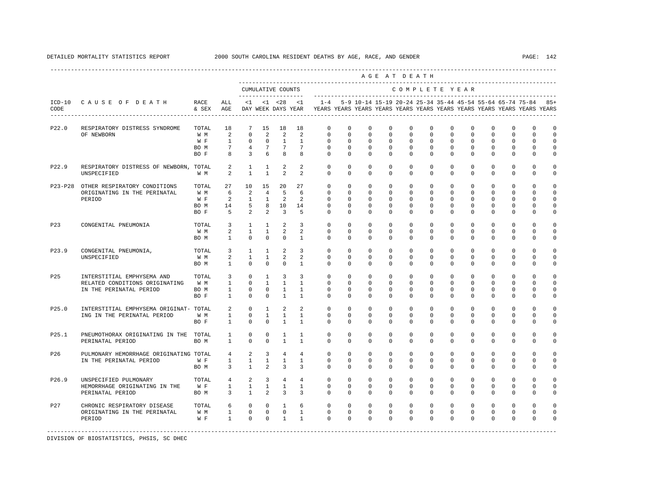|                 |                                                                                         |                                     |                                                                |                                                  |                                                      |                                                                    |                                                                  |                                                                                                       |                                                       |                                                                    |                                                         | AGE AT DEATH                                                   |                                                                     |                                                                |                                                         |                                                               |                                                     |                                                      |                                                     |
|-----------------|-----------------------------------------------------------------------------------------|-------------------------------------|----------------------------------------------------------------|--------------------------------------------------|------------------------------------------------------|--------------------------------------------------------------------|------------------------------------------------------------------|-------------------------------------------------------------------------------------------------------|-------------------------------------------------------|--------------------------------------------------------------------|---------------------------------------------------------|----------------------------------------------------------------|---------------------------------------------------------------------|----------------------------------------------------------------|---------------------------------------------------------|---------------------------------------------------------------|-----------------------------------------------------|------------------------------------------------------|-----------------------------------------------------|
|                 |                                                                                         |                                     |                                                                |                                                  |                                                      | CUMULATIVE COUNTS                                                  |                                                                  |                                                                                                       |                                                       |                                                                    |                                                         | COMPLETE YEAR                                                  |                                                                     |                                                                |                                                         |                                                               |                                                     |                                                      |                                                     |
| CODE            | ICD-10 CAUSE OF DEATH<br>------------------------------------                           | RACE<br>& SEX                       | ALL<br>AGE                                                     | <1                                               |                                                      | $<1$ $<28$                                                         | <1                                                               | $1 - 4$<br>DAY WEEK DAYS YEAR TEARS YEARS YEARS YEARS YEARS YEARS YEARS YEARS YEARS YEARS YEARS YEARS |                                                       | 5-9 10-14 15-19 20-24 25-34 35-44 45-54 55-64 65-74 75-84          |                                                         |                                                                |                                                                     |                                                                |                                                         |                                                               |                                                     |                                                      | $8.5+$                                              |
| P22.0           | RESPIRATORY DISTRESS SYNDROME<br>OF NEWBORN                                             | TOTAL<br>W M<br>W F                 | 18<br>2<br>$\mathbf{1}$                                        | 7<br>$\Omega$<br>$\Omega$                        | 15<br>2<br>$\Omega$                                  | 18<br>2<br>$\mathbf{1}$                                            | 18<br>$\mathfrak{D}$<br>$\mathbf{1}$                             | $\mathbf{0}$<br>$\Omega$<br>$\Omega$                                                                  | $\Omega$<br>$\Omega$<br>$\Omega$                      | $\Omega$<br>$\Omega$<br>$\Omega$                                   | $\Omega$<br>$\Omega$<br>$\Omega$                        | $\Omega$<br>$\Omega$<br>$\Omega$                               | $\Omega$<br>$\Omega$<br>$\Omega$                                    | $\Omega$<br>$\Omega$<br>$\Omega$                               | $\Omega$<br>$\Omega$<br>$\Omega$                        | $\Omega$<br>$\Omega$<br>$\Omega$                              | $\Omega$<br>$\Omega$<br>$\Omega$                    | $\Omega$<br>$\Omega$<br>$\Omega$                     | $\mathbf 0$<br>$\Omega$<br>$\Omega$                 |
|                 |                                                                                         | BO M<br>BO F                        | $7\overline{ }$<br>8                                           | $\overline{4}$<br>$\overline{3}$                 | $7\overline{ }$<br>6                                 | $7\overline{ }$<br>8                                               | $7\overline{ }$<br>8                                             | $\mathbf 0$<br>$\Omega$                                                                               | $\mathbf 0$<br>$\Omega$                               | $\mathbf 0$<br>$\Omega$                                            | $\mathbf 0$<br>$\Omega$                                 | $\mathbf 0$<br>$\Omega$                                        | $\mathbf 0$<br>$\Omega$                                             | $\circ$<br>$\Omega$                                            | $\mathbf 0$<br>$\Omega$                                 | $\mathbf 0$<br>$\Omega$                                       | $\mathbf 0$<br>$\Omega$                             | $\mathbf 0$<br>$\Omega$                              | $\mathbf 0$<br>$\Omega$                             |
| P22.9           | RESPIRATORY DISTRESS OF NEWBORN, TOTAL<br>UNSPECIFIED                                   | W M                                 | $\overline{a}$<br>2                                            | 1<br>$\overline{1}$                              | 1<br>$\mathbf{1}$                                    | 2<br>$\overline{2}$                                                | 2<br>$\mathcal{L}$                                               | $\mathbf{0}$<br>$\Omega$                                                                              | $\Omega$<br>$\Omega$                                  | $\Omega$<br>$\Omega$                                               | $\Omega$<br>$\Omega$                                    | $\Omega$<br>$\Omega$                                           | $\Omega$<br>$\Omega$                                                | $\mathbf 0$<br>$\Omega$                                        | $\mathbf 0$<br>$\Omega$                                 | $\mathbf 0$<br>$\Omega$                                       | $\mathbf{0}$<br>$\Omega$                            | $\mathbf 0$<br>$\Omega$                              | 0<br>0                                              |
| $P23-P28$       | OTHER RESPIRATORY CONDITIONS<br>ORIGINATING IN THE PERINATAL<br>PERIOD                  | TOTAL<br>W M<br>W F<br>BO M<br>BO F | 27<br>6<br>2<br>14<br>5                                        | 10<br>2<br>$\mathbf{1}$<br>5<br>2                | 15<br>$\overline{4}$<br>1<br>8<br>2                  | 20<br>5<br>2<br>10<br>$\overline{3}$                               | 27<br>6<br>2<br>14<br>5                                          | $\mathbf{0}$<br>$\mathbf{0}$<br>0<br>$\Omega$<br>$\Omega$                                             | $\mathbf{0}$<br>0<br>$\Omega$<br>$\Omega$<br>$\Omega$ | $\mathbf{0}$<br>$\mathbf 0$<br>$\mathbf 0$<br>$\Omega$<br>$\Omega$ | $\mathbf 0$<br>0<br>$\Omega$<br>$\Omega$<br>$\mathbf 0$ | $\circ$<br>$\mathbf 0$<br>$\mathbf{0}$<br>$\Omega$<br>$\Omega$ | $\mathbf 0$<br>$\mathbf{0}$<br>$\Omega$<br>$\Omega$<br>$\mathbf{0}$ | $\mathbf 0$<br>$\mathbf 0$<br>$\Omega$<br>$\Omega$<br>$\Omega$ | $\mathbf 0$<br>0<br>$\Omega$<br>$\Omega$<br>$\mathbf 0$ | $\mathbf 0$<br>$^{\circ}$<br>$\Omega$<br>$\Omega$<br>$\Omega$ | $\mathbf 0$<br>0<br>0<br>$\mathbf 0$<br>$\mathbf 0$ | $\mathbf 0$<br>0<br>$\Omega$<br>$\Omega$<br>$\Omega$ | $\mathbf 0$<br>$\mathbf 0$<br>$\mathbf 0$<br>0<br>0 |
| P23             | CONGENITAL PNEUMONIA                                                                    | TOTAL<br>W M<br>BO M                | $\overline{3}$<br>2<br>$\mathbf{1}$                            | $\overline{1}$<br>$\mathbf{1}$<br>$\Omega$       | $\overline{1}$<br>$\mathbf{1}$<br>$\Omega$           | 2<br>2<br>$\Omega$                                                 | 3<br>2<br>$\overline{1}$                                         | $\Omega$<br>$\mathbf 0$<br>$\Omega$                                                                   | $\Omega$<br>$\Omega$<br>$\Omega$                      | $\Omega$<br>$\mathbf 0$<br>$\Omega$                                | $\Omega$<br>$\Omega$<br>$\Omega$                        | $\Omega$<br>$\mathbf 0$<br>$\Omega$                            | $\Omega$<br>$\Omega$<br>$\Omega$                                    | $\Omega$<br>$\mathbf 0$<br>$\Omega$                            | $\Omega$<br>0<br>$\Omega$                               | $\Omega$<br>$\mathbf 0$<br>$\Omega$                           | $\Omega$<br>0<br>$\Omega$                           | $\Omega$<br>0<br>$\Omega$                            | $\Omega$<br>0<br>0                                  |
| P23.9           | CONGENITAL PNEUMONIA,<br>UNSPECIFIED                                                    | TOTAL<br>W M<br>BO M                | 3<br>2<br>$\mathbf{1}$                                         | 1<br>$\mathbf{1}$<br>$\Omega$                    | 1<br>$\mathbf{1}$<br>$\Omega$                        | 2<br>2<br>$\Omega$                                                 | $\overline{3}$<br>2<br>$\mathbf{1}$                              | $\circ$<br>$\Omega$<br>$\Omega$                                                                       | $\Omega$<br>$\Omega$<br>$\Omega$                      | $\Omega$<br>$\Omega$<br>$\Omega$                                   | $\Omega$<br>$\Omega$<br>$\Omega$                        | $\Omega$<br>$\Omega$<br>$\Omega$                               | $\Omega$<br>$\Omega$<br>$\Omega$                                    | $\Omega$<br>$\Omega$<br>$\Omega$                               | $\Omega$<br>$\Omega$<br>$\Omega$                        | $\Omega$<br>$\Omega$<br>$\Omega$                              | $\mathbf 0$<br>$\Omega$<br>$\Omega$                 | $\Omega$<br>$\Omega$<br>$\Omega$                     | $\Omega$<br>$\Omega$<br>$\Omega$                    |
| P <sub>25</sub> | INTERSTITIAL EMPHYSEMA AND<br>RELATED CONDITIONS ORIGINATING<br>IN THE PERINATAL PERIOD | TOTAL<br>W M<br>BO M<br>BO F        | $\overline{3}$<br>$\mathbf{1}$<br>$\mathbf{1}$<br>$\mathbf{1}$ | $\mathbf{0}$<br>$\Omega$<br>$\Omega$<br>$\Omega$ | $\mathbf{1}$<br>$\mathbf{1}$<br>$\Omega$<br>$\Omega$ | $\overline{3}$<br>$\overline{1}$<br>$\overline{1}$<br>$\mathbf{1}$ | $\overline{3}$<br>$\mathbf{1}$<br>$\overline{1}$<br>$\mathbf{1}$ | $\circ$<br>$\Omega$<br>$\Omega$<br>$\Omega$                                                           | $\mathbf 0$<br>$\Omega$<br>$\Omega$<br>$\Omega$       | $\mathbf 0$<br>$\Omega$<br>$\Omega$<br>$\Omega$                    | $\mathbf 0$<br>$\Omega$<br>$\Omega$<br>$\Omega$         | $\mathbf 0$<br>$\Omega$<br>$\Omega$<br>$\Omega$                | $\mathbf 0$<br>$\Omega$<br>$\Omega$<br>$\Omega$                     | $\mathbf 0$<br>$\Omega$<br>$\Omega$<br>$\Omega$                | $\mathbf 0$<br>$\Omega$<br>$\Omega$<br>$\Omega$         | $\mathbf 0$<br>$\Omega$<br>$\Omega$<br>$\Omega$               | $\mathbf 0$<br>$\Omega$<br>$\mathbf 0$<br>0         | $\Omega$<br>$\Omega$<br>$\Omega$<br>$\Omega$         | $\Omega$<br>$\Omega$<br>0<br>0                      |
| P25.0           | INTERSTITIAL EMPHYSEMA ORIGINAT- TOTAL<br>ING IN THE PERINATAL PERIOD                   | W M<br>BO F                         | 2<br>$\mathbf{1}$<br>$\mathbf{1}$                              | $\Omega$<br>$\mathbf 0$<br>$^{\circ}$            | $\overline{1}$<br>$\mathbf{1}$<br>$\mathbf 0$        | $\overline{2}$<br>$\mathbf{1}$<br>$\mathbf{1}$                     | $\mathfrak{D}$<br>$\mathbf{1}$<br>$\mathbf{1}$                   | $\Omega$<br>$\mathbf 0$<br>$\Omega$                                                                   | $\Omega$<br>$\mathbf 0$<br>$\Omega$                   | $\Omega$<br>$\mathbf 0$<br>$\mathbf 0$                             | $\Omega$<br>$\mathbf 0$<br>0                            | $\Omega$<br>$\mathbf 0$<br>$\mathbf 0$                         | $\Omega$<br>$\mathbf 0$<br>0                                        | $\Omega$<br>$\mathbf 0$<br>$\mathbf 0$                         | $\Omega$<br>$\mathbf 0$<br>0                            | $\Omega$<br>0<br>$^{\circ}$                                   | $\Omega$<br>$\mathbf 0$<br>0                        | $\Omega$<br>0<br>$\Omega$                            | $\Omega$<br>0<br>0                                  |
| P25.1           | PNEUMOTHORAX ORIGINATING IN THE TOTAL<br>PERINATAL PERIOD                               | BO M                                | $\mathbf{1}$<br>$\mathbf{1}$                                   | $^{\circ}$<br>$\Omega$                           | $\Omega$<br>$\Omega$                                 | $\mathbf{1}$<br>$\overline{1}$                                     | $\mathbf{1}$<br>$\mathbf{1}$                                     | $\mathbf 0$<br>$\Omega$                                                                               | $\Omega$<br>$\Omega$                                  | $\Omega$<br>$\Omega$                                               | $\Omega$<br>$\Omega$                                    | $\Omega$<br>$\Omega$                                           | $\Omega$<br>$\Omega$                                                | $\Omega$<br>$\Omega$                                           | $\Omega$<br>$\Omega$                                    | $\Omega$<br>$\Omega$                                          | $\Omega$<br>$\Omega$                                | $\Omega$<br>$\Omega$                                 | 0<br>$\Omega$                                       |
| P26             | PULMONARY HEMORRHAGE ORIGINATING TOTAL<br>IN THE PERINATAL PERIOD                       | W F<br>BO M                         | 4<br>$\mathbf{1}$<br>$3^{\circ}$                               | 2<br>$\mathbf{1}$<br>$\overline{1}$              | $\overline{3}$<br>$\overline{1}$<br>2                | $\overline{4}$<br>$\mathbf{1}$<br>$\overline{3}$                   | $\overline{4}$<br>$\mathbf{1}$<br>$\overline{3}$                 | $\mathbf{0}$<br>$\mathbf 0$<br>$\Omega$                                                               | $\mathbf{0}$<br>$\Omega$<br>$\Omega$                  | $\mathbf{0}$<br>$\mathbf 0$<br>$\Omega$                            | $\mathbf 0$<br>$\Omega$<br>$\Omega$                     | $\mathbf{0}$<br>$\mathbf{0}$<br>$\Omega$                       | $\mathbf 0$<br>$\Omega$<br>$\Omega$                                 | $\mathbf 0$<br>$\mathbf 0$<br>$\Omega$                         | $\mathbf 0$<br>$^{\circ}$<br>$\mathbf 0$                | $\mathbf 0$<br>$^{\circ}$<br>$\Omega$                         | $\mathbf 0$<br>0<br>$\mathbf 0$                     | $\mathbf 0$<br>0<br>$\Omega$                         | $\mathbf 0$<br>$\mathbf 0$<br>0                     |
| P26.9           | UNSPECIFIED PULMONARY<br>HEMORRHAGE ORIGINATING IN THE<br>PERINATAL PERIOD              | TOTAL<br>W F<br>BO M                | $4\overline{ }$<br>$1 \quad \cdots$<br>$\overline{3}$          | $\overline{2}$<br>$\mathbf{1}$<br>$\overline{1}$ | $\overline{3}$<br>$\mathbf{1}$<br>$\overline{a}$     | $\overline{4}$<br>$\mathbf{1}$<br>$\overline{3}$                   | $\overline{4}$<br>$\mathbf{1}$<br>3                              | $\Omega$<br>$\mathbf 0$<br>$\Omega$                                                                   | $\Omega$<br>$\Omega$<br>$\Omega$                      | $\Omega$<br>$\Omega$<br>$\Omega$                                   | $\Omega$<br>$\Omega$<br>$\Omega$                        | $\Omega$<br>$\Omega$<br>$\Omega$                               | $\Omega$<br>$\Omega$<br>$\mathbf 0$                                 | $\Omega$<br>$\Omega$<br>$\Omega$                               | $\Omega$<br>$\Omega$<br>$\mathbf 0$                     | $\Omega$<br>$\Omega$<br>$\Omega$                              | $\Omega$<br>$\Omega$<br>$\mathbf 0$                 | $\Omega$<br>$\Omega$<br>$\Omega$                     | $\Omega$<br>$\Omega$<br>0                           |
| P <sub>27</sub> | CHRONIC RESPIRATORY DISEASE<br>ORIGINATING IN THE PERINATAL<br>PERIOD                   | TOTAL<br>W M<br>$W$ F               | 6<br>$1 \qquad \qquad$<br>$1$ and $\sim$                       | $\circ$<br>$\overline{0}$<br>$\Omega$            | $^{\circ}$<br>$\Omega$                               | $\mathbf{1}$<br>$\overline{0}$<br>$0\qquad1$                       | 6<br>$\mathbf{1}$<br>$\overline{1}$                              | $\mathbf 0$<br>$\Omega$<br>$\Omega$                                                                   | 0<br>$\Omega$<br>$\Omega$                             | $^{\circ}$<br>$\Omega$<br>$\Omega$                                 | 0<br>$\Omega$<br>$\Omega$                               | $\mathbf 0$<br>$\Omega$<br>$\Omega$                            | 0<br>$\Omega$<br>$\Omega$                                           | 0<br>$\Omega$<br>$\Omega$                                      | 0<br>$\Omega$<br>$\Omega$                               | $^{\circ}$<br>$\Omega$<br>$\Omega$                            | 0<br>$\Omega$<br>$\Omega$                           | 0<br>$\Omega$<br>$\Omega$                            | $\Omega$<br>$\Omega$<br>$\Omega$                    |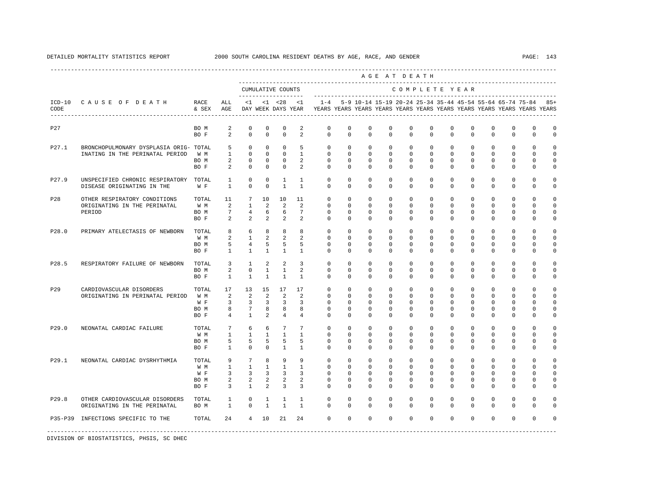|                  |                                        |               |                 |                         |                         |                                    |                 |               |                         |                         | AGE AT DEATH                                                                                                                         |               |                       |                         |                         |                         |                     |                     |                         |
|------------------|----------------------------------------|---------------|-----------------|-------------------------|-------------------------|------------------------------------|-----------------|---------------|-------------------------|-------------------------|--------------------------------------------------------------------------------------------------------------------------------------|---------------|-----------------------|-------------------------|-------------------------|-------------------------|---------------------|---------------------|-------------------------|
|                  |                                        |               |                 |                         |                         | CUMULATIVE COUNTS                  |                 |               |                         |                         |                                                                                                                                      | COMPLETE YEAR |                       |                         |                         |                         |                     |                     |                         |
| $ICD-10$<br>CODE | CAUSE OF DEATH                         | RACE<br>& SEX | ALL<br>AGE      | <1                      |                         | $< 1$ $< 28$<br>DAY WEEK DAYS YEAR | <1              | $1 - 4$       |                         |                         | 5-9 10-14 15-19 20-24 25-34 35-44 45-54 55-64 65-74 75-84<br>YEARS YEARS YEARS YEARS YEARS YEARS YEARS YEARS YEARS YEARS YEARS YEARS |               |                       |                         |                         |                         |                     |                     | $85+$                   |
| P27              |                                        | BO M<br>BO F  | 2<br>2          | $\mathbb O$<br>$\Omega$ | $\mathbf 0$<br>$\Omega$ | 0<br>$\Omega$                      | 2<br>2          | 0<br>$\Omega$ | $\mathbf 0$<br>$\Omega$ | $\mathbf 0$<br>$\Omega$ | $\mathbf 0$<br>$\Omega$                                                                                                              | 0<br>$\Omega$ | $\mathbf 0$<br>$\cap$ | $\mathbf 0$<br>$\Omega$ | $\mathbf 0$<br>$\Omega$ | $\mathbf 0$<br>$\Omega$ | $\circ$<br>$\Omega$ | $\circ$<br>$\Omega$ | $\Omega$<br>$\mathbf 0$ |
| P27.1            | BRONCHOPULMONARY DYSPLASIA ORIG- TOTAL |               | 5               | $^{\circ}$              | $\circ$                 | 0                                  | 5               | 0             | 0                       | $^{\circ}$              | 0                                                                                                                                    | $\mathbf 0$   | $\mathbf 0$           | 0                       | 0                       | 0                       | $\mathbf{0}$        | 0                   | $\Omega$                |
|                  | INATING IN THE PERINATAL PERIOD        | W M           | $\mathbf{1}$    | $^{\circ}$              | $\mathbf 0$             | 0                                  | $\mathbf{1}$    | $\mathbf 0$   | $\mathbf 0$             | $\mathbf 0$             | $\mathbf 0$                                                                                                                          | $\mathbf{0}$  | $\Omega$              | $\Omega$                | $\mathbf 0$             | $\mathbf 0$             | $\mathbf 0$         | $\mathbf 0$         | $\mathbf 0$             |
|                  |                                        | BO M          | 2               | $\mathbf 0$             | $\circ$                 | 0                                  | 2               | 0             | 0                       | $^{\circ}$              | $^{\circ}$                                                                                                                           | $\mathbf 0$   | 0                     | $\mathbf 0$             | $\mathbf 0$             | 0                       | $\mathbf 0$         | 0                   | $\mathbf 0$             |
|                  |                                        | BO F          | 2               | $^{\circ}$              | $\circ$                 | $^{\circ}$                         | $\overline{a}$  | 0             | 0                       | $\Omega$                | 0                                                                                                                                    | 0             | $\mathbf{0}$          | 0                       | 0                       | $^{\circ}$              | $\mathbf{0}$        | $\mathbf{0}$        | 0                       |
| P27.9            | UNSPECIFIED CHRONIC RESPIRATORY        | TOTAL         | $\mathbf{1}$    | $\mathbf 0$             | $\mathbf 0$             | $\mathbf{1}$                       | $\mathbf{1}$    | 0             | 0                       | $\mathbf 0$             | $\mathbf 0$                                                                                                                          | $\mathbf{0}$  | $\mathbf 0$           | $\circ$                 | $\mathbf 0$             | $\mathbf 0$             | $\mathbf 0$         | $\mathbf 0$         | $\mathbf 0$             |
|                  | DISEASE ORIGINATING IN THE             | W F           | $\mathbf{1}$    | $\mathbf 0$             | $\mathbf 0$             | $\mathbf{1}$                       | 1               | $\Omega$      | $\Omega$                | $\Omega$                | 0                                                                                                                                    | $\Omega$      | $\mathbf 0$           | $\mathbf 0$             | $\mathbf 0$             | $\mathbf 0$             | $\mathbf{0}$        | 0                   | 0                       |
| P28              | OTHER RESPIRATORY CONDITIONS           | TOTAL         | 11              | $7\phantom{.0}$         | 10                      | 10                                 | 11              | $\mathbf{0}$  | $\Omega$                | $\Omega$                | $\mathbf 0$                                                                                                                          | $\Omega$      | $\mathbf{0}$          | $\Omega$                | $\mathbf 0$             | $\mathbf 0$             | $\mathbf 0$         | $\Omega$            | $\Omega$                |
|                  | ORIGINATING IN THE PERINATAL           | W M           | 2               | $\mathbf{1}$            | 2                       | 2                                  | $\mathfrak{D}$  | $\Omega$      | $\Omega$                | $\Omega$                | $\Omega$                                                                                                                             | $\Omega$      | $\Omega$              | $\Omega$                | $\Omega$                | $\Omega$                | $\Omega$            | $\Omega$            | $\cap$                  |
|                  | PERIOD                                 | BO M          | $7\phantom{.0}$ | $\overline{4}$          | 6                       | 6                                  | $7\phantom{.0}$ | $\Omega$      | $\Omega$                | $\Omega$                | 0                                                                                                                                    | $\Omega$      | $\mathbf 0$           | $\Omega$                | $\mathbf 0$             | $\mathbf 0$             | $\mathbf 0$         | $\Omega$            | $\Omega$                |
|                  |                                        | BO F          | 2               | 2                       | 2                       | 2                                  | $\overline{a}$  | 0             | 0                       | $\Omega$                | 0                                                                                                                                    | 0             | 0                     | 0                       | $^{\circ}$              | $^{\circ}$              | $\mathbf{0}$        | $\mathbf{0}$        | 0                       |
| P28.0            | PRIMARY ATELECTASIS OF NEWBORN         | TOTAL         | 8               | 6                       | 8                       | 8                                  | 8               | 0             | 0                       | $\mathbf 0$             | $\mathbf 0$                                                                                                                          | $\mathbf 0$   | $\mathbf 0$           | $\mathbf 0$             | $\mathbf 0$             | $^{\circ}$              | $\mathbf 0$         | 0                   | 0                       |
|                  |                                        | W M           | 2               | $\mathbf{1}$            | 2                       | 2                                  | 2               | $\Omega$      | $\Omega$                | $\Omega$                | $\Omega$                                                                                                                             | $\Omega$      | $\mathbf{0}$          | $\Omega$                | $^{\circ}$              | $^{\circ}$              | $\mathbf{0}$        | $\Omega$            | 0                       |
|                  |                                        | BO M          | 5               | $\overline{4}$          | 5                       | 5                                  | 5               | 0             | $\Omega$                | $\Omega$                | $^{\circ}$                                                                                                                           | $\mathbf 0$   | $\mathbf 0$           | $\Omega$                | $^{\circ}$              | $^{\circ}$              | $\mathbf{0}$        | 0                   | 0                       |
|                  |                                        | BO F          | $\mathbf{1}$    | $\mathbf{1}$            | $\mathbf{1}$            | $\mathbf{1}$                       | $\mathbf{1}$    | $\mathbf 0$   | $\mathbf 0$             | $\mathbf 0$             | $^{\circ}$                                                                                                                           | $\mathbf 0$   | $\mathbf{0}$          | $\Omega$                | $\mathbf 0$             | $\mathbf 0$             | $\mathbf 0$         | $\Omega$            | $\mathbf 0$             |
| P28.5            | RESPIRATORY FAILURE OF NEWBORN         | TOTAL         | 3               | $\mathbf{1}$            | 2                       | 2                                  | $\overline{3}$  | $\Omega$      | $\Omega$                | $\Omega$                | $\Omega$                                                                                                                             | $\Omega$      | $\Omega$              | $\Omega$                | $\Omega$                | $\Omega$                | $\mathbf 0$         | $\Omega$            | 0                       |
|                  |                                        | BO M          | 2               | $\mathbb O$             | $\mathbf{1}$            | $\mathbf{1}$                       | 2               | $\mathbf 0$   | 0                       | $\mathbf 0$             | $\mathbf 0$                                                                                                                          | $\mathbf 0$   | $\mathbf 0$           | $\Omega$                | $\mathbf 0$             | $\mathbf 0$             | $\mathbf 0$         | $\Omega$            | $\mathbf 0$             |
|                  |                                        | BO F          | $\mathbf{1}$    | $\mathbf{1}$            | $\mathbf{1}$            | $\overline{1}$                     | $\mathbf{1}$    | $\Omega$      | $\Omega$                | $\Omega$                | $\Omega$                                                                                                                             | $\Omega$      | $\Omega$              | $\Omega$                | $\mathbf 0$             | $\mathbf 0$             | $\mathbf 0$         | $\mathbf 0$         | $\mathbf 0$             |
| P29              | CARDIOVASCULAR DISORDERS               | TOTAL         | 17              | 13                      | 15                      | 17                                 | 17              | $\mathbf 0$   | 0                       | $\Omega$                | $\mathbf 0$                                                                                                                          | $\mathbf 0$   | $\mathbf 0$           | $\mathbf 0$             | $\mathbf 0$             | $\mathbf 0$             | $\mathbf 0$         | $\Omega$            | $\Omega$                |
|                  | ORIGINATING IN PERINATAL PERIOD        | W M           | 2               | 2                       | 2                       | 2                                  | 2               | $\Omega$      | $\Omega$                | $\Omega$                | $^{\circ}$                                                                                                                           | $\Omega$      | $\Omega$              | $\Omega$                | $^{\circ}$              | $\Omega$                | $\Omega$            | $\Omega$            | 0                       |
|                  |                                        | W F           | 3               | $\overline{3}$          | 3                       | 3                                  | 3               | 0             | 0                       | 0                       | 0                                                                                                                                    | 0             | 0                     | 0                       | 0                       | 0                       | 0                   | $\Omega$            | $\mathbf 0$             |
|                  |                                        | BO M          | 8               | $7\phantom{.0}$         | 8                       | 8                                  | 8               | $\Omega$      | 0                       | $\Omega$                | $^{\circ}$                                                                                                                           | 0             | $\mathbf 0$           | 0                       | $^{\circ}$              | 0                       | 0                   | $\Omega$            | 0                       |
|                  |                                        | BO F          | $\overline{4}$  | $\mathbf{1}$            | 2                       | $\overline{4}$                     | 4               | $\Omega$      | $\Omega$                | $\Omega$                | $^{\circ}$                                                                                                                           | $\Omega$      | $\Omega$              | $\Omega$                | $^{\circ}$              | $^{\circ}$              | $\mathbf 0$         | $\Omega$            | 0                       |
| P29.0            | NEONATAL CARDIAC FAILURE               | TOTAL         | 7               | 6                       | 6                       | $7\phantom{.0}$                    | $7\phantom{.0}$ | $\mathbf 0$   | 0                       | $\mathbf 0$             | $\mathbf 0$                                                                                                                          | $\Omega$      | $\mathbf 0$           | $\Omega$                | $\mathbf 0$             | $^{\circ}$              | $\mathbf 0$         | $\Omega$            | U                       |
|                  |                                        | W M           | $\mathbf{1}$    | $\mathbf{1}$            | $\mathbf{1}$            | $\mathbf{1}$                       | $\mathbf{1}$    | $\Omega$      | 0                       | $\Omega$                | $\mathbf 0$                                                                                                                          | 0             | $\mathbf 0$           | $\Omega$                | $\mathbf 0$             | $\mathbf 0$             | $\mathbf 0$         | $\cap$              | $\Omega$                |
|                  |                                        | BO M          | 5               | 5                       | 5                       | 5                                  | 5               | $\Omega$      | $\Omega$                | $\Omega$                | $\Omega$                                                                                                                             | $\Omega$      | $\Omega$              | $\Omega$                | $\mathbf 0$             | $\mathbf 0$             | $\mathbf 0$         | $\Omega$            | 0                       |
|                  |                                        | BO F          | $\mathbf{1}$    | $\Omega$                | $\Omega$                | $\mathbf{1}$                       | $\overline{1}$  | $\Omega$      | $\Omega$                | $\Omega$                | $\Omega$                                                                                                                             | $\Omega$      | $\Omega$              | $\Omega$                | $\Omega$                | $\Omega$                | $\Omega$            | $\Omega$            | O                       |
| P29.1            | NEONATAL CARDIAC DYSRHYTHMIA           | TOTAL         | 9               | $7\phantom{.0}$         | 8                       | 9                                  | 9               | 0             | 0                       | $\mathbf 0$             | $\mathbf 0$                                                                                                                          | $\mathbf{0}$  | $\mathbf 0$           | $\mathbf 0$             | $\mathbf 0$             | $\mathbf 0$             | $\mathbf 0$         | $\mathbf 0$         | $\Omega$                |
|                  |                                        | W M           | $\mathbf{1}$    | $\mathbf{1}$            | $\mathbf{1}$            | $\mathbf{1}$                       | 1               | $\Omega$      | $\Omega$                | $\Omega$                | $\mathbf 0$                                                                                                                          | $\Omega$      | $\Omega$              | $\Omega$                | $\mathbf 0$             | $\Omega$                | $\Omega$            | $\cap$              | 0                       |
|                  |                                        | W F           | 3               | 3                       | 3                       | 3                                  | 3               | 0             | 0                       | $\Omega$                | 0                                                                                                                                    | 0             | $\mathbf{0}$          | 0                       | $\mathbf 0$             | 0                       | 0                   | $\Omega$            | 0                       |
|                  |                                        | BO M          | 2               | 2                       | 2                       | 2                                  | 2               | 0             | 0                       | 0                       | $\Omega$                                                                                                                             | $\Omega$      | $\Omega$              | $\Omega$                | $\mathbf 0$             | $\mathbf 0$             | 0                   | 0                   | 0                       |
|                  |                                        | BO F          | 3               | 1                       | 2                       | 3                                  | 3               | $\Omega$      | $\Omega$                | $\Omega$                | 0                                                                                                                                    | $\Omega$      | $\mathbf 0$           | $\Omega$                | $^{\circ}$              | $^{\circ}$              | $\mathbf{0}$        | $\Omega$            | 0                       |
| P29.8            | OTHER CARDIOVASCULAR DISORDERS         | TOTAL         | 1               | 0                       | 1                       | 1                                  | 1               | 0             | 0                       | $^{\circ}$              | $^{\circ}$                                                                                                                           | $\mathbf 0$   | 0                     | 0                       | $^{\circ}$              | $^{\circ}$              | $\mathbf 0$         | $\mathbf 0$         | 0                       |
|                  | ORIGINATING IN THE PERINATAL           | BO M          | $\mathbf{1}$    | $\mathbf 0$             | 1                       | $\mathbf{1}$                       | 1               | $\Omega$      | $\Omega$                | $\Omega$                | 0                                                                                                                                    | $\Omega$      | $\mathbf 0$           | $\Omega$                | $^{\circ}$              | $^{\circ}$              | $\mathbf 0$         | $\mathbf{0}$        | 0                       |
|                  | P35-P39 INFECTIONS SPECIFIC TO THE     | TOTAL         | 24              | $\overline{4}$          | 10                      | 21                                 | 24              | $\Omega$      | $\Omega$                | $\Omega$                | $\Omega$                                                                                                                             | $\Omega$      | $\Omega$              | $\Omega$                | $\Omega$                | $\Omega$                | $\Omega$            | $\Omega$            |                         |
|                  |                                        |               |                 |                         |                         |                                    |                 |               |                         |                         |                                                                                                                                      |               |                       |                         |                         |                         |                     |                     |                         |

## DETAILED MORTALITY STATISTICS REPORT 2000 SOUTH CAROLINA RESIDENT DEATHS BY AGE, RACE, AND GENDER PAGE: 143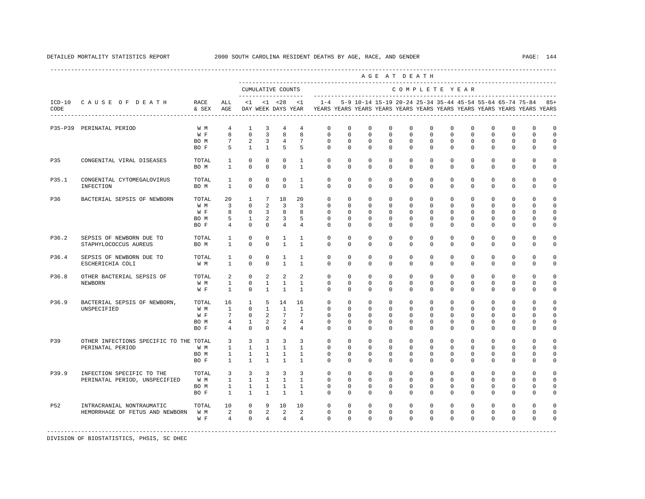|       |                                                              |                                     |                                                                          |                                                                            |                                                                      |                                                                        |                                                                           |                                                                                                        |                                                                      |                                                                 |                                                             | AGE AT DEATH                                                        |                                                             |                                                             |                                                                 |                                                                 |                                                             |                                                               |                                                          |
|-------|--------------------------------------------------------------|-------------------------------------|--------------------------------------------------------------------------|----------------------------------------------------------------------------|----------------------------------------------------------------------|------------------------------------------------------------------------|---------------------------------------------------------------------------|--------------------------------------------------------------------------------------------------------|----------------------------------------------------------------------|-----------------------------------------------------------------|-------------------------------------------------------------|---------------------------------------------------------------------|-------------------------------------------------------------|-------------------------------------------------------------|-----------------------------------------------------------------|-----------------------------------------------------------------|-------------------------------------------------------------|---------------------------------------------------------------|----------------------------------------------------------|
|       |                                                              |                                     |                                                                          |                                                                            |                                                                      | CUMULATIVE COUNTS<br>--------------------                              |                                                                           |                                                                                                        |                                                                      |                                                                 |                                                             | COMPLETE YEAR                                                       |                                                             |                                                             |                                                                 |                                                                 |                                                             |                                                               |                                                          |
| CODE  | ICD-10 CAUSE OF DEATH RACE                                   | & SEX AGE                           | ALL                                                                      |                                                                            | $<1$ $<1$ $<28$                                                      |                                                                        | <1                                                                        | $1 - 4$<br>DAY WEEK DAYS YEAR TYEARS YEARS YEARS YEARS YEARS YEARS YEARS YEARS YEARS YEARS YEARS YEARS |                                                                      |                                                                 |                                                             |                                                                     |                                                             |                                                             |                                                                 |                                                                 |                                                             | 5-9 10-14 15-19 20-24 25-34 35-44 45-54 55-64 65-74 75-84 85+ |                                                          |
|       | P35-P39 PERINATAL PERIOD                                     | W M<br>W F<br>BO M<br>BO F          | $\overline{4}$<br>8<br>$7\overline{ }$<br>5                              | $\mathbf{1}$<br>$\mathbf 0$<br>2<br>$\overline{1}$                         | 3<br>$\overline{3}$<br>3<br>$\overline{1}$                           | $\overline{4}$<br>8<br>$\overline{4}$<br>5                             | 4<br>8<br>$7\phantom{.0}$<br>5                                            | $\mathbf{0}$<br>$\mathbf 0$<br>$\Omega$<br>$\cap$                                                      | $\mathbf 0$<br>$\mathbf 0$<br>$\Omega$<br>$\Omega$                   | $\mathbf 0$<br>$\mathbf 0$<br>$\mathbf 0$<br>$\Omega$           | $\mathbf 0$<br>$\mathbf 0$<br>$\Omega$<br>$\Omega$          | $\mathbf 0$<br>$\mathbf 0$<br>$\mathbf 0$<br>$\Omega$               | $\mathbf 0$<br>$\mathbf 0$<br>$\Omega$<br>$\Omega$          | $\mathbf 0$<br>$\mathbf 0$<br>$\mathbf 0$<br>$\Omega$       | $\mathbf 0$<br>$\mathbf 0$<br>$\mathbf 0$<br>$\Omega$           | 0<br>$\mathbf 0$<br>$\mathbf 0$<br>$\Omega$                     | $\mathbf 0$<br>$\mathbf{0}$<br>$\mathbf 0$<br>$\Omega$      | $\Omega$<br>$\mathbf 0$<br>$\Omega$<br>$\Omega$               | $\Omega$<br>$\Omega$<br>$\Omega$<br>$\Omega$             |
| P35   | CONGENITAL VIRAL DISEASES                                    | TOTAL<br>BO M                       | 1<br>1                                                                   | $\mathbf 0$<br>$\mathbf 0$                                                 | $^{\circ}$<br>$^{\circ}$                                             | $\mathbf 0$<br>$^{\circ}$                                              | 1<br>$\mathbf{1}$                                                         | $\mathbf{0}$<br>$\mathbf{0}$                                                                           | $\mathbf{0}$<br>0                                                    | 0<br>0                                                          | $^{\circ}$<br>0                                             | $\mathbf 0$<br>$\Omega$                                             | $\mathbf 0$<br>$\mathbf{0}$                                 | $\mathbf 0$<br>$\mathbf{0}$                                 | $\mathbf 0$<br>0                                                | $\mathbf 0$<br>0                                                | $\mathbf 0$<br>$\mathbf 0$                                  | 0<br>$\mathbf 0$                                              | 0<br>0                                                   |
| P35.1 | CONGENITAL CYTOMEGALOVIRUS<br>INFECTION                      | TOTAL<br>BO M                       | $\mathbf{1}$<br>1                                                        | $\mathbf 0$<br>$\Omega$                                                    | $^{\circ}$<br>$\Omega$                                               | $^{\circ}$<br>$\Omega$                                                 | $\mathbf{1}$<br>$\overline{1}$                                            | $\mathbf 0$<br>$\Omega$                                                                                | $\mathbf 0$<br>$\Omega$                                              | $\mathbf 0$<br>$\Omega$                                         | $\mathbf 0$<br>$\Omega$                                     | $\mathbf 0$<br>$\Omega$                                             | $\mathbf 0$<br>$\Omega$                                     | $\mathbf 0$<br>$\Omega$                                     | $\mathbf 0$<br>0                                                | $\mathbf 0$<br>$\Omega$                                         | $\mathbf{0}$<br>$\mathbf{0}$                                | $\mathbf 0$<br>$\mathbf{0}$                                   | $\Omega$<br>$\Omega$                                     |
| P36   | BACTERIAL SEPSIS OF NEWBORN                                  | TOTAL<br>W M<br>W F<br>BO M<br>BO F | 20<br>$\overline{3}$<br>8<br>5<br>$\overline{4}$                         | $\mathbf{1}$<br>$\mathbf{0}$<br>$\mathbf 0$<br>$\mathbf{1}$<br>$\mathbf 0$ | $7\overline{ }$<br>$\overline{2}$<br>$\overline{3}$<br>2<br>$\Omega$ | 18<br>$\overline{3}$<br>8<br>$\overline{\mathbf{3}}$<br>$\overline{4}$ | 2.0<br>$\overline{3}$<br>8<br>5<br>$\overline{4}$                         | $\Omega$<br>$\mathbf{0}$<br>$\Omega$<br>$\mathbf{0}$<br>$\Omega$                                       | $\Omega$<br>$\mathbf{0}$<br>$\mathbf{0}$<br>$\mathbf{0}$<br>$\Omega$ | $\Omega$<br>$\mathbf 0$<br>$^{\circ}$<br>$^{\circ}$<br>$\Omega$ | $\Omega$<br>$\mathbf 0$<br>0<br>$^{\circ}$<br>$\Omega$      | $\Omega$<br>$\mathbf 0$<br>$\mathbf{0}$<br>$\mathbf{0}$<br>$\Omega$ | $\Omega$<br>$\mathbf 0$<br>$\Omega$<br>0<br>$\Omega$        | $\Omega$<br>$\mathbf 0$<br>0<br>0<br>$\Omega$               | $\Omega$<br>$\mathbf 0$<br>$^{\circ}$<br>$^{\circ}$<br>$\Omega$ | $\Omega$<br>$\mathbf 0$<br>$^{\circ}$<br>$^{\circ}$<br>$\Omega$ | $\Omega$<br>$\mathbf 0$<br>$\mathbf{0}$<br>0<br>$\mathbf 0$ | $\cap$<br>$\cap$<br>$\cap$<br>$\Omega$<br>$\Omega$            | $\cap$<br>$\Omega$<br>$\Omega$<br>$\Omega$<br>$\Omega$   |
| P36.2 | SEPSIS OF NEWBORN DUE TO<br>STAPHYLOCOCCUS AUREUS            | TOTAL<br>BO M                       | 1<br>$\mathbf{1}$                                                        | $\mathbf 0$<br>$\Omega$                                                    | $\circ$<br>$\Omega$                                                  | $\mathbf{1}$<br>$\overline{1}$                                         | $\mathbf{1}$<br>$\mathbf{1}$                                              | $\Omega$<br>$\Omega$                                                                                   | $\Omega$<br>$\Omega$                                                 | $\Omega$<br>$\Omega$                                            | $\Omega$<br>$\Omega$                                        | $\Omega$<br>$\Omega$                                                | $\Omega$<br>$\Omega$                                        | $\Omega$<br>$\Omega$                                        | $\Omega$<br>$\Omega$                                            | $\Omega$<br>$\Omega$                                            | $\Omega$<br>$\Omega$                                        | $\Omega$<br>$\Omega$                                          | $\Omega$<br>$\Omega$                                     |
| P36.4 | SEPSIS OF NEWBORN DUE TO<br>ESCHERICHIA COLI                 | TOTAL<br>W M                        | $\mathbf{1}$<br>1                                                        | $\mathbf 0$<br>$\mathbf 0$                                                 | $\circ$<br>$\circ$                                                   | $\mathbf{1}$<br>$\mathbf{1}$                                           | $\mathbf{1}$<br>$\mathbf{1}$                                              | $\mathbf{0}$<br>$\mathbf{0}$                                                                           | $\mathbf 0$<br>$\mathbf 0$                                           | $\mathbf 0$<br>$^{\circ}$                                       | $\mathbf 0$<br>0                                            | $\mathbf 0$<br>$\Omega$                                             | $\mathbf 0$<br>0                                            | $\mathbf 0$<br>$\mathbf 0$                                  | $\mathbf 0$<br>$^{\circ}$                                       | $\mathbf 0$<br>$^{\circ}$                                       | $\mathbf{0}$<br>$\mathbf{0}$                                | $\Omega$<br>$\Omega$                                          | $\Omega$<br>$\Omega$                                     |
| P36.8 | OTHER BACTERIAL SEPSIS OF<br>NEWBORN                         | TOTAL<br>W M<br>W F                 | $\overline{a}$<br>$\mathbf{1}$<br>$\mathbf{1}$                           | $\mathbf{0}$<br>$\mathbf 0$<br>$\Omega$                                    | 2<br>$\mathbf{1}$<br>$\overline{1}$                                  | 2<br>$\mathbf{1}$<br>$\mathbf{1}$                                      | 2<br>$\overline{1}$<br>$\mathbf{1}$                                       | $\Omega$<br>$\mathbf{0}$<br>$\Omega$                                                                   | $\mathbf 0$<br>$\Omega$<br>$\Omega$                                  | $\mathbf 0$<br>$\mathbf 0$<br>$\Omega$                          | $\mathbf 0$<br>$\mathbf 0$<br>$\Omega$                      | $\Omega$<br>$\mathbf 0$<br>$\Omega$                                 | $\Omega$<br>$\Omega$<br>$\Omega$                            | $\Omega$<br>$\mathbf 0$<br>$\Omega$                         | $\mathbf 0$<br>$\mathbf 0$<br>$\Omega$                          | $\mathbf 0$<br>$\mathbf 0$<br>$\Omega$                          | $\Omega$<br>$\mathbf 0$<br>$\Omega$                         | $\Omega$<br>$\mathbf{0}$<br>$\Omega$                          | $\Omega$<br>$\Omega$<br>$\Omega$                         |
| P36.9 | BACTERIAL SEPSIS OF NEWBORN,<br>UNSPECIFIED                  | TOTAL<br>W M<br>W F<br>BO M<br>BO F | 16<br>$\mathbf{1}$<br>$7\overline{ }$<br>4<br>$\overline{4}$             | $\mathbf{1}$<br>$\overline{0}$<br>$\mathbf{0}$<br>$\mathbf{1}$<br>$\Omega$ | 5<br>$\mathbf{1}$<br>2<br>2<br>$\Omega$                              | 14<br>$\mathbf{1}$<br>$7\overline{ }$<br>2<br>$\overline{4}$           | 16<br>$\mathbf{1}$<br>$7\phantom{.0}$<br>$\overline{4}$<br>$\overline{4}$ | $\Omega$<br>$\circ$<br>$\mathbf{0}$<br>$\Omega$<br>$\cap$                                              | $\Omega$<br>$\mathbf{0}$<br>$\Omega$<br>$\Omega$<br>$\Omega$         | $\Omega$<br>$\mathbf 0$<br>$^{\circ}$<br>$\circ$<br>$\Omega$    | $\Omega$<br>$\mathbf 0$<br>$\Omega$<br>$\Omega$<br>$\Omega$ | $\Omega$<br>$\mathbf 0$<br>$\Omega$<br>$\Omega$<br>$\Omega$         | $\Omega$<br>$\mathbf 0$<br>$\Omega$<br>$\Omega$<br>$\Omega$ | $\Omega$<br>$\mathbf 0$<br>$\Omega$<br>$\Omega$<br>$\Omega$ | $\Omega$<br>0<br>$\Omega$<br>$\Omega$<br>$\Omega$               | $\Omega$<br>0<br>$\Omega$<br>$^{\circ}$<br>$\Omega$             | $\Omega$<br>$\mathbf{0}$<br>0<br>$\mathbf 0$<br>$\Omega$    | $\Omega$<br>$\cap$<br>$\cap$<br>$\cap$<br>$\cap$              | $\Omega$<br>$\Omega$<br>$\Omega$<br>$\Omega$<br>$\Omega$ |
| P39   | OTHER INFECTIONS SPECIFIC TO THE TOTAL<br>PERINATAL PERIOD   | W M<br>BO M<br>BO F                 | $\overline{3}$<br>$1 \quad \blacksquare$<br>$\mathbf{1}$<br>$\mathbf{1}$ | $\overline{3}$<br>$\mathbf{1}$<br>$\mathbf{1}$<br>$\mathbf{1}$             | $\overline{3}$<br>$\mathbf{1}$<br>$\mathbf{1}$<br>$\mathbf{1}$       | $\overline{3}$<br>$\mathbf{1}$<br>$\mathbf{1}$<br>$\mathbf{1}$         | $\overline{3}$<br>$\mathbf{1}$<br>$\mathbf{1}$<br>$\mathbf{1}$            | $\mathbf 0$<br>$\mathbf{0}$<br>$\Omega$<br>$\Omega$                                                    | $\mathbf 0$<br>0<br>$\Omega$<br>0                                    | $\mathbf 0$<br>0<br>$\Omega$<br>$\Omega$                        | $\mathbf 0$<br>0<br>$\Omega$<br>0                           | $\mathbf 0$<br>$\Omega$<br>$\Omega$<br>$\Omega$                     | $\mathbf 0$<br>$\Omega$<br>$\Omega$<br>0                    | $\circ$<br>$\Omega$<br>$\Omega$<br>$\Omega$                 | $\mathbf 0$<br>0<br>$\Omega$<br>0                               | $\mathbf 0$<br>0<br>$^{\circ}$<br>$\Omega$                      | $\mathbf{0}$<br>$\mathbf 0$<br>$\mathbf{0}$<br>$\Omega$     | $\cap$<br>$\Omega$<br>$\cap$<br>$\Omega$                      | $\cap$<br>$\Omega$<br>$\Omega$<br>$\Omega$               |
| P39.9 | INFECTION SPECIFIC TO THE<br>PERINATAL PERIOD, UNSPECIFIED   | TOTAL<br>W M<br>BO M<br>BO F        | $\overline{3}$<br>$\mathbf{1}$<br>$\mathbf{1}$<br>$\mathbf{1}$           | $\overline{3}$<br>$\mathbf{1}$<br>$\mathbf{1}$<br>$\mathbf{1}$             | $\overline{3}$<br>$\overline{1}$<br>$\mathbf{1}$<br>$\mathbf{1}$     | $\overline{3}$<br>$\overline{1}$<br>$\mathbf{1}$<br>$\mathbf{1}$       | 3<br>$\overline{1}$<br>$\mathbf{1}$<br>$\mathbf{1}$                       | $\Omega$<br>$\Omega$<br>$\Omega$<br>$\mathbf{0}$                                                       | $\Omega$<br>$\Omega$<br>$\Omega$<br>$\circ$                          | $\Omega$<br>$\Omega$<br>$\mathbf 0$<br>$^{\circ}$               | $\Omega$<br>$\Omega$<br>$\mathbf 0$<br>0                    | $\Omega$<br>$\Omega$<br>$\Omega$<br>$\mathbf{0}$                    | $\Omega$<br>$\Omega$<br>$\Omega$<br>$\mathbf{0}$            | $\Omega$<br>$\Omega$<br>$\Omega$<br>0                       | $\Omega$<br>$\Omega$<br>$\Omega$<br>$^{\circ}$                  | $\Omega$<br>$\Omega$<br>$\Omega$<br>0                           | $\Omega$<br>$\Omega$<br>$\Omega$<br>0                       | $\Omega$<br>$\Omega$<br>$\Omega$<br>$\Omega$                  | $\Omega$<br>$\Omega$<br>$\Omega$<br>0                    |
| P52   | INTRACRANIAL NONTRAUMATIC<br>HEMORRHAGE OF FETUS AND NEWBORN | TOTAL<br>W M<br>W F                 | 10<br>2<br>$\overline{4}$                                                | $\mathbf 0$<br>$\overline{0}$<br>$\mathbf{0}$                              | 9<br>2<br>$\overline{4}$                                             | 10<br>$\overline{\phantom{0}}$<br>$\overline{4}$                       | 10<br>2<br>$\overline{4}$                                                 | $\circ$<br>$\circ$<br>$\Omega$                                                                         | $\mathbf 0$<br>$\mathbf{0}$<br>$\Omega$                              | $\mathbf 0$<br>$\mathbf 0$<br>$\Omega$                          | $\mathbf 0$<br>$\mathbf 0$<br>$\Omega$                      | $\Omega$<br>$\mathbf 0$<br>$\Omega$                                 | $\Omega$<br>$\mathbf 0$<br>$\Omega$                         | $\Omega$<br>$\mathbf 0$<br>$\Omega$                         | $\mathbf 0$<br>$\mathbf 0$<br>$\Omega$                          | $^{\circ}$<br>$\mathbf 0$<br>$\Omega$                           | $\mathbf 0$<br>$\mathbf 0$<br>$\Omega$                      | $\Omega$<br>$\mathbf{0}$<br>$\Omega$                          | $\cap$<br>$\Omega$                                       |
|       |                                                              |                                     |                                                                          |                                                                            |                                                                      |                                                                        |                                                                           |                                                                                                        |                                                                      |                                                                 |                                                             |                                                                     |                                                             |                                                             |                                                                 |                                                                 |                                                             |                                                               |                                                          |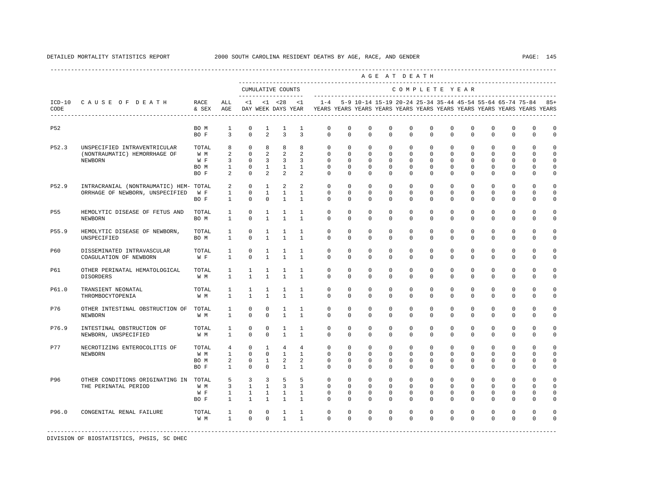|            |                                                                           |                                     |                                                      |                                                                         |                                                         |                                                       |                                                            |                                                                                                       |                                                             |                                                                |                                                         | AGE AT DEATH                                                   |                                                         |                                                          |                                                       |                                                      |                                                           |                                                          |                                                        |
|------------|---------------------------------------------------------------------------|-------------------------------------|------------------------------------------------------|-------------------------------------------------------------------------|---------------------------------------------------------|-------------------------------------------------------|------------------------------------------------------------|-------------------------------------------------------------------------------------------------------|-------------------------------------------------------------|----------------------------------------------------------------|---------------------------------------------------------|----------------------------------------------------------------|---------------------------------------------------------|----------------------------------------------------------|-------------------------------------------------------|------------------------------------------------------|-----------------------------------------------------------|----------------------------------------------------------|--------------------------------------------------------|
|            |                                                                           |                                     |                                                      |                                                                         |                                                         | CUMULATIVE COUNTS                                     |                                                            |                                                                                                       |                                                             |                                                                |                                                         | COMPLETE YEAR                                                  |                                                         |                                                          |                                                       |                                                      |                                                           |                                                          |                                                        |
| CODE       | ICD-10 CAUSE OF DEATH<br>-------------------------------------            | RACE<br>& SEX AGE                   | ALL                                                  | $\leq 1$                                                                |                                                         |                                                       | $<1$ $<28$ $<1$                                            | $1 - 4$<br>DAY WEEK DAYS YEAR YEARS YEARS YEARS YEARS YEARS YEARS YEARS YEARS YEARS YEARS YEARS YEARS |                                                             | 5-9 10-14 15-19 20-24 25-34 35-44 45-54 55-64 65-74 75-84 85+  |                                                         |                                                                |                                                         |                                                          |                                                       |                                                      |                                                           |                                                          |                                                        |
| <b>P52</b> |                                                                           | BO M<br>BO F                        | $\mathbf{1}$<br>$\overline{3}$                       | $\mathbf 0$<br>$\Omega$                                                 | $\mathbf{1}$<br>$\overline{a}$                          | $\mathbf{1}$<br>$\overline{3}$                        | $\mathbf{1}$<br>$\overline{3}$                             | $\mathbf 0$<br>$\Omega$                                                                               | $\Omega$<br>$\Omega$                                        | $\Omega$<br>$\Omega$                                           | $\Omega$<br>$\Omega$                                    | $\Omega$<br>$\Omega$                                           | $\Omega$<br>$\Omega$                                    | $\Omega$<br>$\Omega$                                     | $\Omega$<br>$\Omega$                                  | $\Omega$<br>$\Omega$                                 | $\Omega$<br>$\Omega$                                      | $\Omega$<br>$\Omega$                                     | $\Omega$<br>$\Omega$                                   |
| P52.3      | UNSPECIFIED INTRAVENTRICULAR<br>(NONTRAUMATIC) HEMORRHAGE OF<br>NEWBORN   | TOTAL<br>W M<br>W F<br>BO M<br>BO F | 8<br>2<br>$\overline{3}$<br>$\mathbf{1}$<br>2        | $\Omega$<br>$\Omega$<br>$\circ$<br>$\circ$<br>$\circ$                   | 8<br>2<br>$\overline{3}$<br>$\mathbf{1}$<br>2           | 8<br>2<br>$\overline{3}$<br>$\mathbf{1}$<br>2         | 8<br>$\overline{2}$<br>$\overline{3}$<br>$\mathbf{1}$<br>2 | $\circ$<br>$\Omega$<br>$\Omega$<br>$\circ$<br>$\Omega$                                                | $\mathbf{0}$<br>$\Omega$<br>$\Omega$<br>$\Omega$<br>$\circ$ | $\mathbf 0$<br>$\Omega$<br>$\Omega$<br>$\mathbf 0$<br>$\Omega$ | $\mathbf 0$<br>$\Omega$<br>$\Omega$<br>$\mathbf 0$<br>0 | $\mathbf 0$<br>$\Omega$<br>$\Omega$<br>$\mathbf 0$<br>$\Omega$ | $\mathbf 0$<br>$\Omega$<br>$\Omega$<br>$\mathbf 0$<br>0 | $\Omega$<br>$\Omega$<br>$\Omega$<br>$\Omega$<br>$\Omega$ | $\mathbf 0$<br>$\Omega$<br>$\Omega$<br>$\Omega$<br>0  | $\Omega$<br>$\Omega$<br>$\Omega$<br>$\mathbf 0$<br>0 | $\mathbf{0}$<br>$\Omega$<br>$\Omega$<br>$\mathbf{0}$<br>0 | $\Omega$<br>$\Omega$<br>$\Omega$<br>$\Omega$<br>$\Omega$ | $\Omega$<br>$\cap$<br>$\Omega$<br>$\Omega$<br>$\Omega$ |
| P52.9      | INTRACRANIAL (NONTRAUMATIC) HEM- TOTAL<br>ORRHAGE OF NEWBORN, UNSPECIFIED | W F<br>BO F                         | 2<br>$\mathbf{1}$<br>$\mathbf{1}$                    | $\Omega$<br>$\mathbf 0$<br>$\mathbf 0$                                  | $\mathbf{1}$<br>$\mathbf{1}$<br>$\mathbf 0$             | 2<br>$\mathbf{1}$<br>$\mathbf{1}$                     | 2<br>$\mathbf{1}$<br>$\mathbf{1}$                          | $\Omega$<br>$\mathbf 0$<br>$\circ$                                                                    | $\Omega$<br>$\mathbf 0$<br>$\mathbf 0$                      | $\Omega$<br>$\mathbf 0$<br>$\Omega$                            | $\Omega$<br>$\mathbf 0$<br>$\mathbf 0$                  | $\Omega$<br>$\mathbf 0$<br>$\mathbf 0$                         | $\Omega$<br>$\mathbf 0$<br>$\mathbf 0$                  | $\Omega$<br>$\mathbf 0$<br>$\Omega$                      | $\Omega$<br>$\mathbf 0$<br>$\mathbf 0$                | $\Omega$<br>$\mathbf 0$<br>$\mathbf 0$               | $\Omega$<br>$\mathbf 0$<br>$\mathbf{0}$                   | $\cap$<br>$\Omega$<br>$\mathbf 0$                        | $\Omega$<br>$\Omega$<br>$\Omega$                       |
| P55        | HEMOLYTIC DISEASE OF FETUS AND<br>NEWBORN                                 | TOTAL<br>BO M                       | 1<br>$\mathbf{1}$                                    | $\mathbf 0$<br>$\Omega$                                                 | 1<br>$\mathbf{1}$                                       | 1<br>$\mathbf{1}$                                     | $\mathbf{1}$<br>$\mathbf{1}$                               | $\mathbf 0$<br>$\Omega$                                                                               | $\Omega$<br>$\Omega$                                        | $\Omega$<br>$\Omega$                                           | $\Omega$<br>$\Omega$                                    | $\mathbf{0}$<br>$\Omega$                                       | $\mathbf 0$<br>$\Omega$                                 | $\Omega$<br>$\Omega$                                     | $\mathbf 0$<br>$\Omega$                               | $\mathbf 0$<br>$\Omega$                              | $\mathbf{0}$<br>$\Omega$                                  | $\Omega$<br>$\Omega$                                     | $\Omega$<br>$\Omega$                                   |
| P55.9      | HEMOLYTIC DISEASE OF NEWBORN,<br>UNSPECIFIED                              | TOTAL<br>BO M                       | 1<br>$\mathbf{1}$                                    | $\mathbf 0$<br>$\Omega$                                                 | $\mathbf{1}$<br>$\mathbf{1}$                            | $\mathbf{1}$<br>$\mathbf{1}$                          | $\mathbf{1}$<br>$\mathbf{1}$                               | $\mathbf 0$<br>$\Omega$                                                                               | $\mathbf 0$<br>$\Omega$                                     | $\mathbf 0$<br>$\Omega$                                        | 0<br>0                                                  | $\mathbf{0}$<br>$\Omega$                                       | $\mathbf 0$<br>$\Omega$                                 | $\mathbf 0$<br>$\Omega$                                  | $\mathbf 0$<br>$\Omega$                               | $\mathbf 0$<br>$\Omega$                              | $\mathbf{0}$<br>$\Omega$                                  | $\mathbf 0$<br>$\Omega$                                  | $\Omega$<br>$\Omega$                                   |
| P60        | DISSEMINATED INTRAVASCULAR<br>COAGULATION OF NEWBORN                      | TOTAL<br>W F                        | $\mathbf{1}$<br>$\mathbf{1}$                         | $\mathbf 0$<br>$\Omega$                                                 | $\mathbf{1}$<br>$\mathbf{1}$                            | 1<br>$\mathbf{1}$                                     | $\mathbf{1}$<br>$\mathbf{1}$                               | $\circ$<br>$\Omega$                                                                                   | $\Omega$<br>$\Omega$                                        | $\mathbf 0$<br>$\Omega$                                        | $\mathbf 0$<br>0                                        | $\mathbf 0$<br>$\Omega$                                        | $\mathbf 0$<br>$\Omega$                                 | $\mathbf 0$<br>$\Omega$                                  | $\mathbf 0$<br>$\Omega$                               | $\mathbf 0$<br>$\Omega$                              | $\mathbf{0}$<br>$\Omega$                                  | $\mathbf 0$<br>$\Omega$                                  | $\Omega$<br>$\Omega$                                   |
| P61        | OTHER PERINATAL HEMATOLOGICAL<br><b>DISORDERS</b>                         | TOTAL<br>W M                        | $\mathbf{1}$<br>1                                    | 1<br>$\mathbf{1}$                                                       | 1<br>$\mathbf{1}$                                       | 1<br>$\mathbf{1}$                                     | 1<br>$\mathbf{1}$                                          | $\mathbf{0}$<br>$\Omega$                                                                              | $\circ$<br>$\Omega$                                         | 0<br>$\Omega$                                                  | 0<br>0                                                  | $\mathbf{0}$<br>$\Omega$                                       | 0<br>$\Omega$                                           | 0<br>$\Omega$                                            | 0<br>0                                                | 0<br>$\Omega$                                        | $\mathbf 0$<br>0                                          | 0<br>$\Omega$                                            | $\Omega$<br>$\Omega$                                   |
| P61.0      | TRANSIENT NEONATAL<br>THROMBOCYTOPENIA                                    | TOTAL<br>W M                        | 1<br>$\mathbf{1}$                                    | 1<br>$\mathbf{1}$                                                       | $\mathbf{1}$<br>$\mathbf{1}$                            | 1<br>$\mathbf{1}$                                     | $\mathbf{1}$<br>$\mathbf{1}$                               | $\Omega$<br>$\Omega$                                                                                  | $\Omega$<br>$\Omega$                                        | $\Omega$<br>$\Omega$                                           | $\Omega$<br>$\Omega$                                    | $\Omega$<br>$\Omega$                                           | $\Omega$<br>$\Omega$                                    | $\Omega$<br>$\Omega$                                     | $\Omega$<br>$\Omega$                                  | $\Omega$<br>$\Omega$                                 | $\Omega$<br>$\Omega$                                      | $\Omega$<br>$\Omega$                                     | $\Omega$<br>$\Omega$                                   |
| P76        | OTHER INTESTINAL OBSTRUCTION OF TOTAL<br><b>NEWBORN</b>                   | W M                                 | $\mathbf{1}$<br>$\mathbf{1}$                         | $\mathbf{0}$<br>$\Omega$                                                | $^{\circ}$<br>$\Omega$                                  | 1<br>$\mathbf{1}$                                     | 1<br>$\mathbf{1}$                                          | $\circ$<br>$\Omega$                                                                                   | $\circ$<br>$\Omega$                                         | 0<br>$\Omega$                                                  | 0<br>$\Omega$                                           | $\mathbf{0}$<br>$\Omega$                                       | $\mathbf 0$<br>$\Omega$                                 | 0<br>$\Omega$                                            | $^{\circ}$<br>$\Omega$                                | $^{\circ}$<br>$\Omega$                               | $\mathbf 0$<br>$\Omega$                                   | $\mathbf 0$<br>$\Omega$                                  | $\Omega$<br>$\Omega$                                   |
| P76.9      | INTESTINAL OBSTRUCTION OF<br>NEWBORN, UNSPECIFIED                         | TOTAL<br>W M                        | 1<br>$\mathbf{1}$                                    | $\mathbf 0$<br>$\mathbf{0}$                                             | $\mathbf 0$<br>$\mathbf 0$                              | $\mathbf{1}$<br>$\mathbf{1}$                          | $\mathbf{1}$<br>$\mathbf{1}$                               | $\mathbf{0}$<br>$\mathbf 0$                                                                           | $\mathbf{0}$<br>$\mathbf 0$                                 | $\mathbf 0$<br>$\Omega$                                        | $\mathbf 0$<br>$\mathbf 0$                              | $\mathbf 0$<br>$\Omega$                                        | $\mathbf 0$<br>$\Omega$                                 | $\mathbf 0$<br>$\Omega$                                  | $\mathbf 0$<br>$\mathbf 0$                            | $\mathbf 0$<br>$\Omega$                              | $\mathbf 0$<br>$\mathbf 0$                                | $\Omega$<br>$\Omega$                                     | $\cap$<br>$\mathbf 0$                                  |
| P77        | NECROTIZING ENTEROCOLITIS OF<br><b>NEWBORN</b>                            | TOTAL<br>W M<br>BO M<br>BO F        | $4\overline{ }$<br>$\mathbf{1}$<br>2<br>$\mathbf{1}$ | $\mathbf 0$<br>$\Omega$<br>$\circ$<br>$\mathbf 0$                       | $\mathbf{1}$<br>$\Omega$<br>$\mathbf{1}$<br>$\mathbf 0$ | $\overline{4}$<br>$\overline{1}$<br>2<br>$\mathbf{1}$ | $\overline{4}$<br>$\overline{1}$<br>2<br>$\mathbf{1}$      | $\circ$<br>$\Omega$<br>$\mathbf{0}$<br>$\mathbf{0}$                                                   | $\Omega$<br>$\Omega$<br>$\Omega$<br>$\mathbf 0$             | $\mathbf 0$<br>$\Omega$<br>$\Omega$<br>$\Omega$                | $\Omega$<br>$\Omega$<br>$\Omega$<br>$\mathbf 0$         | $\mathbf 0$<br>$\Omega$<br>$\Omega$<br>$\Omega$                | $\Omega$<br>$\Omega$<br>$\Omega$<br>$\mathbf 0$         | $\Omega$<br>$\Omega$<br>$\Omega$<br>$\Omega$             | $\mathbf 0$<br>$\Omega$<br>$\mathbf 0$<br>$\mathbf 0$ | $\mathbf 0$<br>$\Omega$<br>$\Omega$<br>$\Omega$      | $\mathbf 0$<br>$\Omega$<br>$\mathbf 0$<br>$\mathbf 0$     | $\Omega$<br>$\Omega$<br>$\Omega$<br>$\Omega$             | $\Omega$<br>$\Omega$<br>$\Omega$<br>$\Omega$           |
| P96        | OTHER CONDITIONS ORIGINATING IN TOTAL<br>THE PERINATAL PERIOD             | W M<br>W F<br>BO F                  | 5<br>3<br>$\mathbf{1}$<br>$\mathbf{1}$               | $\overline{\mathbf{3}}$<br>$\mathbf{1}$<br>$\mathbf{1}$<br>$\mathbf{1}$ | 3<br>$\mathbf{1}$<br>$\mathbf{1}$<br>$\mathbf{1}$       | 5<br>$\overline{3}$<br>$\mathbf{1}$<br>$\mathbf{1}$   | 5<br>$\overline{3}$<br>$\mathbf{1}$<br>$\mathbf{1}$        | $\circ$<br>$\Omega$<br>$\mathbf{0}$<br>$\Omega$                                                       | $\mathbf{0}$<br>$\Omega$<br>$\mathbf 0$<br>$\mathbf 0$      | $\mathbf 0$<br>$\Omega$<br>$\mathbf 0$<br>$\Omega$             | $\mathbf 0$<br>$\Omega$<br>$\mathbf 0$<br>0             | $\mathbf 0$<br>$\Omega$<br>$\mathbf{0}$<br>$\Omega$            | $\mathbf 0$<br>$\Omega$<br>$\Omega$<br>$\mathbf 0$      | $\Omega$<br>$\Omega$<br>$\Omega$<br>$\Omega$             | $\mathbf 0$<br>$\Omega$<br>$\mathbf 0$<br>$\mathbf 0$ | $\Omega$<br>$\Omega$<br>$\mathbf 0$<br>$\Omega$      | $\Omega$<br>$\Omega$<br>0<br>$\mathbf 0$                  | $\Omega$<br>$\Omega$<br>$\Omega$<br>$\cap$               | $\Omega$<br>$\cap$<br>$\Omega$<br>$\cap$               |
| P96.0      | CONGENITAL RENAL FAILURE                                                  | TOTAL<br>W M                        | $\mathbf{1}$<br>$\mathbf{1}$                         | $\circ$<br>$\Omega$                                                     | $\circ$<br>$\mathbf{0}$                                 | $\mathbf{1}$<br>$\mathbf{1}$                          | $\mathbf{1}$<br>$\mathbf{1}$                               | $\circ$<br>$\Omega$                                                                                   | $\mathbf 0$<br>$\Omega$                                     | 0<br>$\Omega$                                                  | 0<br>$\Omega$                                           | $\mathbf 0$<br>$\Omega$                                        | $\mathbf{0}$<br>$\Omega$                                | $\mathbf 0$<br>$\Omega$                                  | $^{\circ}$<br>$\Omega$                                | $^{\circ}$<br>$\Omega$                               | 0<br>$\Omega$                                             | $\Omega$<br>$\Omega$                                     | $\Omega$                                               |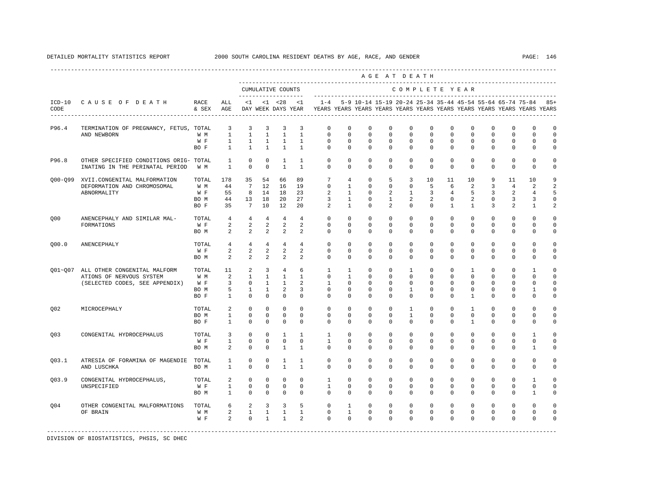|                  |                                                 |               |                      |                                  |                                  |                     |                                  |                                                                                    |                         |                         | AGE AT DEATH            |                         |                         |                         |                         |                         |                                                           |                         |                  |
|------------------|-------------------------------------------------|---------------|----------------------|----------------------------------|----------------------------------|---------------------|----------------------------------|------------------------------------------------------------------------------------|-------------------------|-------------------------|-------------------------|-------------------------|-------------------------|-------------------------|-------------------------|-------------------------|-----------------------------------------------------------|-------------------------|------------------|
|                  |                                                 |               |                      | -------------------              |                                  | CUMULATIVE COUNTS   |                                  |                                                                                    |                         |                         |                         |                         |                         |                         | COMPLETE YEAR           |                         |                                                           |                         |                  |
| $ICD-10$<br>CODE | CAUSE OF DEATH<br>----------------------------- | RACE<br>& SEX | ALL<br>AGE           | $\leq 1$                         |                                  | $< 1$ $< 28$        | $\leq$ 1<br>DAY WEEK DAYS YEAR   | $1 - 4$<br>YEARS YEARS YEARS YEARS YEARS YEARS YEARS YEARS YEARS YEARS YEARS YEARS |                         |                         |                         |                         |                         |                         |                         |                         | 5-9 10-14 15-19 20-24 25-34 35-44 45-54 55-64 65-74 75-84 |                         | $85+$            |
| P96.4            | TERMINATION OF PREGNANCY, FETUS, TOTAL          |               | 3                    | 3                                | 3                                | 3                   | 3                                | $\mathbf{0}$                                                                       | $\mathbf 0$             | $^{\circ}$              | $\mathbf 0$             | $\mathbf 0$             | $\mathbf 0$             | $\mathbf 0$             | $\mathbf 0$             | $\mathbf 0$             | $\mathbf 0$                                               | 0                       | $\mathbf 0$      |
|                  | AND NEWBORN                                     | W M           | $\mathbf{1}$         | $\mathbf{1}$                     | $\mathbf{1}$                     | $\mathbf{1}$        | 1                                | 0                                                                                  | $\mathbf 0$             | 0                       | $\mathbf 0$             | $\Omega$                | $\Omega$                | $\Omega$                | $\Omega$                | $\Omega$                | $\Omega$                                                  | $\Omega$                | $\Omega$         |
|                  |                                                 | W F           | $\mathbf{1}$         | $\mathbf{1}$                     | $\mathbf{1}$                     | $\overline{1}$      | $\overline{1}$                   | $\Omega$                                                                           | $\Omega$                | $\Omega$                | $\Omega$                | $\Omega$                | $\Omega$                | $\Omega$                | $\Omega$                | $\Omega$                | $\Omega$                                                  | $\Omega$                | $\Omega$         |
|                  |                                                 | BO F          | $\mathbf{1}$         | $\mathbf{1}$                     | $\mathbf{1}$                     | $\mathbf{1}$        | $\mathbf{1}$                     | 0                                                                                  | 0                       | $^{\circ}$              | $^{\circ}$              | $\mathbf{0}$            | 0                       | 0                       | 0                       | 0                       | $\mathbf{0}$                                              | 0                       | 0                |
| P96.8            | OTHER SPECIFIED CONDITIONS ORIG- TOTAL          |               | $\mathbf{1}$         | $\circ$                          | $\mathbf 0$                      | $\mathbf{1}$        | 1                                | 0                                                                                  | $\mathbf 0$             | $^{\circ}$              | $\mathbf 0$             | $\mathbf 0$             | $\mathbf 0$             | $\mathbf 0$             | $\mathbf 0$             | $\mathbf 0$             | $\mathbf 0$                                               | 0                       | $\Omega$         |
|                  | INATING IN THE PERINATAL PERIOD                 | W M           | $\mathbf{1}$         | $\Omega$                         | $\Omega$                         | $\mathbf{1}$        | $\mathbf{1}$                     | $\Omega$                                                                           | $\Omega$                | $\Omega$                | $\Omega$                | $\Omega$                | $\Omega$                | $\Omega$                | $\Omega$                | $\Omega$                | $\Omega$                                                  | $\Omega$                | 0                |
| 000-099          | XVII.CONGENITAL MALFORMATION                    | TOTAL         | 178                  | 35                               | 54                               | 66                  | 89                               | 7                                                                                  | 4                       | $\mathbf 0$             | 5                       | 3                       | 10                      | 11                      | 10                      | 9                       | 11                                                        | 10                      | 9                |
|                  | DEFORMATION AND CHROMOSOMAL                     | W M           | 44                   | $7\overline{ }$                  | 12                               | 16                  | 19                               | $\Omega$                                                                           | 1                       | $\Omega$                | $\mathbf 0$             | $\mathbf 0$             | 5                       | 6                       | 2                       | 3                       | 4                                                         | 2                       | $\overline{a}$   |
|                  | ABNORMALITY                                     | W F           | 55                   | 8                                | 14                               | 18                  | 23                               | 2                                                                                  | $\mathbf{1}$            | $\Omega$                | 2                       | $\mathbf{1}$            | 3                       | $\overline{4}$          | 5                       | 3                       | 2                                                         | $\overline{4}$          | $5\overline{5}$  |
|                  |                                                 | BO M<br>BO F  | 44<br>35             | 13<br>$7\phantom{.0}$            | 18<br>10                         | 20<br>12            | 27<br>20                         | 3<br>2                                                                             | 1<br>$\mathbf{1}$       | 0<br>$^{\circ}$         | 1<br>2                  | 2<br>$\mathbf 0$        | 2<br>$\mathbf 0$        | 0<br>$\mathbf{1}$       | 2<br>$\mathbf{1}$       | 0<br>3                  | 3<br>2                                                    | 3<br>$\mathbf{1}$       | $\mathbf 0$<br>2 |
|                  |                                                 |               |                      |                                  |                                  |                     |                                  |                                                                                    |                         |                         |                         |                         |                         |                         |                         |                         |                                                           |                         |                  |
| 000              | ANENCEPHALY AND SIMILAR MAL-                    | TOTAL<br>W F  | $4\overline{ }$<br>2 | $\overline{4}$<br>$\overline{a}$ | $\overline{4}$<br>$\overline{a}$ | $\overline{4}$<br>2 | $\overline{4}$<br>$\overline{a}$ | $\Omega$<br>$\mathbf 0$                                                            | $\Omega$<br>$\mathbf 0$ | $\Omega$<br>$\mathbf 0$ | $\Omega$<br>$\mathbf 0$ | $\Omega$<br>$\mathbf 0$ | $\Omega$<br>$\mathbf 0$ | $\Omega$<br>$\mathbf 0$ | $\Omega$<br>$\mathbf 0$ | $\Omega$<br>$\mathbf 0$ | $\Omega$<br>$\mathbf 0$                                   | $\Omega$<br>$\mathbf 0$ | $\Omega$<br>0    |
|                  | FORMATIONS                                      |               | 2                    | $\overline{a}$                   | $\overline{a}$                   | 2                   | 2                                | 0                                                                                  | 0                       | 0                       | $^{\circ}$              | $\mathbf 0$             | 0                       | $\mathbf 0$             | $\mathbf 0$             | $\Omega$                | $\mathbf 0$                                               | 0                       | 0                |
|                  |                                                 | BO M          |                      |                                  |                                  |                     |                                  |                                                                                    |                         |                         |                         |                         |                         |                         |                         |                         |                                                           |                         |                  |
| 000.0            | ANENCEPHALY                                     | TOTAL         | $\overline{4}$       | $\overline{4}$                   | $4\overline{ }$                  | $\overline{4}$      | 4                                | $\mathbf{0}$                                                                       | $\mathbf 0$             | $\mathbf 0$             | $\mathbf 0$             | $\mathbf 0$             | $\Omega$                | $\Omega$                | $\Omega$                | $\Omega$                | $\Omega$                                                  | $\mathbf 0$             | $\Omega$         |
|                  |                                                 | W F           | 2                    | $\overline{a}$                   | $\overline{a}$                   | $\overline{a}$      | 2                                | 0                                                                                  | 0                       | $\mathbf 0$             | 0                       | $\mathbf 0$             | $\mathbf 0$             | $\mathbf 0$             | $\mathbf 0$             | $\mathbf 0$             | $\mathbf 0$                                               | $\mathbf 0$             | $\Omega$         |
|                  |                                                 | BO M          | 2                    | 2                                | 2                                | 2                   | 2                                | $\Omega$                                                                           | $\Omega$                | $\Omega$                | $\Omega$                | $\Omega$                | $\Omega$                | $\Omega$                | $\Omega$                | $\Omega$                | $\Omega$                                                  | $\Omega$                | 0                |
| $001 - 007$      | ALL OTHER CONGENITAL MALFORM                    | TOTAL         | 11                   | 2                                | 3                                | $\overline{4}$      | 6                                | 1                                                                                  | 1                       | $\Omega$                | $\mathbf 0$             | 1                       | $\Omega$                | $\Omega$                | 1                       | $\Omega$                | $\Omega$                                                  | $\mathbf{1}$            | $\Omega$         |
|                  | ATIONS OF NERVOUS SYSTEM                        | W M           | 2                    | $\mathbf{1}$                     | $\mathbf{1}$                     | $\mathbf{1}$        | $\mathbf{1}$                     | $\mathbf{0}$                                                                       | $\mathbf{1}$            | $\mathbf 0$             | $\mathbf 0$             | $\mathbf 0$             | $\mathbf 0$             | $\mathbf 0$             | $\mathbf 0$             | $\mathbf 0$             | $\mathbf 0$                                               | 0                       | $\Omega$         |
|                  | (SELECTED CODES, SEE APPENDIX)                  | W F           | 3                    | $\mathbf 0$                      | 1                                | $\mathbf{1}$        | $\overline{2}$                   | 1                                                                                  | 0                       | 0                       | $^{\circ}$              | $\mathbf 0$             | $\Omega$                | $\Omega$                | $\Omega$                | $\Omega$                | $\Omega$                                                  | 0                       | $\Omega$         |
|                  |                                                 | BO M          | 5                    | $\mathbf{1}$                     | $\mathbf{1}$                     | $\overline{2}$      | 3                                | $\Omega$                                                                           | $\Omega$                | $^{\circ}$              | $\Omega$                | 1                       | $\Omega$                | $\Omega$                | $\Omega$                | $\Omega$                | $\mathbf 0$                                               | $\mathbf{1}$            | $\mathbf 0$      |
|                  |                                                 | BO F          | $\mathbf{1}$         | $\Omega$                         | $\Omega$                         | $\Omega$            | $\Omega$                         | $\Omega$                                                                           | 0                       | $\Omega$                | 0                       | $\Omega$                | $\Omega$                | $\Omega$                | $\mathbf{1}$            | $\Omega$                | $\mathbf 0$                                               | $\Omega$                | 0                |
| Q <sub>02</sub>  | MICROCEPHALY                                    | TOTAL         | 2                    | $\Omega$                         | $\Omega$                         | $\Omega$            | $\Omega$                         | $\Omega$                                                                           | 0                       | $^{\circ}$              | $^{\circ}$              | 1                       | $\Omega$                | $\Omega$                | 1                       | $\Omega$                | $\mathbf 0$                                               | 0                       | 0                |
|                  |                                                 | BO M          | $\mathbf{1}$         | $\mathbf 0$                      | $\Omega$                         | $\mathbf 0$         | $\Omega$                         | $\mathbf 0$                                                                        | 0                       | $^{\circ}$              | $\mathbf 0$             | $\mathbf{1}$            | $\mathbf 0$             | $\mathbf 0$             | $\mathbf 0$             | $\mathbf 0$             | $\mathbf 0$                                               | 0                       | 0                |
|                  |                                                 | BO F          | $\mathbf{1}$         | $\Omega$                         | $\Omega$                         | $\Omega$            | $\Omega$                         | $\Omega$                                                                           | $\Omega$                | $\Omega$                | $\Omega$                | $\Omega$                | $\Omega$                | $\Omega$                | $\mathbf{1}$            | $\Omega$                | $\Omega$                                                  | $\Omega$                | 0                |
| 003              | CONGENITAL HYDROCEPHALUS                        | TOTAL         | 3                    | 0                                | $\circ$                          | 1                   | 1                                | 1                                                                                  | 0                       | $^{\circ}$              | $^{\circ}$              | $\mathbf{0}$            | 0                       | 0                       | 0                       | 0                       | $\mathbf{0}$                                              | 1                       | $\Omega$         |
|                  |                                                 | W F           | $\mathbf{1}$         | $\mathbf 0$                      | $\Omega$                         | $\mathbf 0$         | $\mathbf 0$                      | $\mathbf{1}$                                                                       | 0                       | $^{\circ}$              | $^{\circ}$              | $\mathbf{0}$            | $\Omega$                | $\Omega$                | $\Omega$                | 0                       | $\mathbf 0$                                               | 0                       | 0                |
|                  |                                                 | BO M          | 2                    | $\Omega$                         | $\Omega$                         | $\mathbf{1}$        | $\mathbf{1}$                     | $\Omega$                                                                           | 0                       | $\mathbf 0$             | 0                       | $\Omega$                | $\mathbf 0$             | $\Omega$                | $\Omega$                | $\Omega$                | $\Omega$                                                  | $\mathbf{1}$            | $\Omega$         |
| 003.1            | ATRESIA OF FORAMINA OF MAGENDIE TOTAL           |               | $\mathbf{1}$         | $\mathbf 0$                      | $\mathbf 0$                      | 1                   | $\mathbf{1}$                     | $\mathbf{0}$                                                                       | 0                       | $^{\circ}$              | $^{\circ}$              | $\mathbf 0$             | 0                       | 0                       | 0                       | 0                       | $\mathbf 0$                                               | 0                       | $\Omega$         |
|                  | AND LUSCHKA                                     | BO M          | $\mathbf{1}$         | $\Omega$                         | $\Omega$                         | $\overline{1}$      | $\mathbf{1}$                     | $\Omega$                                                                           | $\Omega$                | $\Omega$                | $\Omega$                | $\Omega$                | $\Omega$                | $\Omega$                | $\Omega$                | $\Omega$                | $\Omega$                                                  | $\Omega$                | $\Omega$         |
| Q03.9            | CONGENITAL HYDROCEPHALUS,                       | TOTAL         | 2                    | $\Omega$                         | $\Omega$                         | $\Omega$            | $\Omega$                         | $\mathbf{1}$                                                                       | $\Omega$                | $\Omega$                | $\Omega$                | $\Omega$                | $\mathbf 0$             | $\Omega$                | $\Omega$                | $\Omega$                | $\mathsf 0$                                               | $\mathbf{1}$            | $\Omega$         |
|                  | UNSPECIFIED                                     | W F           | $\mathbf{1}$         | $\mathbf 0$                      | 0                                | $\mathbf 0$         | 0                                | $\mathbf{1}$                                                                       | 0                       | 0                       | 0                       | 0                       | 0                       | 0                       | 0                       | 0                       | $\mathbf 0$                                               | 0                       | 0                |
|                  |                                                 | BO M          | $\mathbf{1}$         | 0                                | $^{\circ}$                       | $^{\circ}$          | 0                                | 0                                                                                  | 0                       | $^{\circ}$              | $^{\circ}$              | $\mathbf 0$             | 0                       | 0                       | 0                       | 0                       | $\mathbf{0}$                                              | 1                       | 0                |
| 004              | OTHER CONGENITAL MALFORMATIONS                  | TOTAL         | 6                    | 2                                | $\overline{3}$                   | $\overline{3}$      | 5                                | $\mathbf 0$                                                                        | $\mathbf{1}$            | $\mathbf 0$             | $\mathbf 0$             | $\Omega$                | $\Omega$                | $\Omega$                | $\Omega$                | $\Omega$                | $\mathbf 0$                                               | $\mathbf 0$             | $\Omega$         |
|                  | OF BRAIN                                        | W M           | 2                    | $\mathbf{1}$                     | $\mathbf{1}$                     | $\mathbf{1}$        | $\mathbf{1}$                     | 0                                                                                  | $\mathbf{1}$            | 0                       | 0                       | 0                       | $\mathbf 0$             | $\mathbf 0$             | 0                       | 0                       | $\mathbf{0}$                                              | 0                       | 0                |
|                  |                                                 | W F           | $\overline{a}$       | $\mathbf 0$                      | $\mathbf{1}$                     | $\mathbf{1}$        | $\overline{a}$                   | $\Omega$                                                                           | 0                       | $\Omega$                | $\Omega$                | $\Omega$                | $\Omega$                | $\Omega$                | $\Omega$                | $\Omega$                | $\Omega$                                                  | 0                       | $\Omega$         |
|                  |                                                 |               |                      |                                  |                                  |                     |                                  |                                                                                    |                         |                         |                         |                         |                         |                         |                         |                         |                                                           |                         |                  |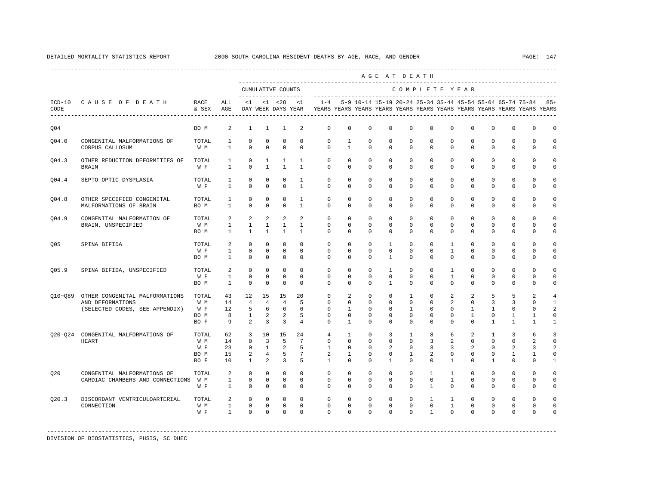|             |                                                                                      |                                     |                                   |                                                |                                                |                                           |                                          |                                                                                    |                                        |                                                           |                                   | AGE AT DEATH                                      |                                        |                                           |                                               |                                            |                                        |                                    |                                               |
|-------------|--------------------------------------------------------------------------------------|-------------------------------------|-----------------------------------|------------------------------------------------|------------------------------------------------|-------------------------------------------|------------------------------------------|------------------------------------------------------------------------------------|----------------------------------------|-----------------------------------------------------------|-----------------------------------|---------------------------------------------------|----------------------------------------|-------------------------------------------|-----------------------------------------------|--------------------------------------------|----------------------------------------|------------------------------------|-----------------------------------------------|
|             |                                                                                      |                                     |                                   | --------------------                           |                                                | CUMULATIVE COUNTS                         |                                          |                                                                                    |                                        |                                                           |                                   | COMPLETE YEAR                                     |                                        |                                           |                                               |                                            |                                        |                                    |                                               |
| CODE        | ICD-10 CAUSE OF DEATH<br>---------------------------------                           | RACE<br>& SEX                       | ALL<br>AGE                        | < 1                                            |                                                | $< 1$ $< 28$<br>DAY WEEK DAYS YEAR        | < 1                                      | $1 - 4$<br>YEARS YEARS YEARS YEARS YEARS YEARS YEARS YEARS YEARS YEARS YEARS YEARS |                                        | 5-9 10-14 15-19 20-24 25-34 35-44 45-54 55-64 65-74 75-84 |                                   |                                                   |                                        |                                           |                                               |                                            |                                        |                                    | $85+$                                         |
| Q04         |                                                                                      | BO M                                | 2                                 | $\mathbf{1}$                                   | $\mathbf{1}$                                   | 1                                         | 2                                        | $\mathbf{0}$                                                                       | 0                                      | $^{\circ}$                                                | $^{\circ}$                        | $\mathbf 0$                                       | $\mathbf{0}$                           | 0                                         | 0                                             | $^{\circ}$                                 | 0                                      | 0                                  | 0                                             |
| 004.0       | CONGENITAL MALFORMATIONS OF<br>CORPUS CALLOSUM                                       | TOTAL<br>W M                        | 1<br>$\mathbf{1}$                 | $\mathbf 0$<br>$\Omega$                        | 0<br>$\Omega$                                  | $\mathbf 0$<br>$\mathbf 0$                | $\mathbf 0$<br>$\Omega$                  | $\mathbf{0}$<br>$\Omega$                                                           | $\mathbf{1}$<br>$\mathbf{1}$           | $\mathbf 0$<br>$\Omega$                                   | $\mathbf 0$<br>$\Omega$           | $\mathbf{0}$<br>$\Omega$                          | $\mathbf 0$<br>$\Omega$                | $\mathbf 0$<br>$\Omega$                   | $\mathbf 0$<br>$\Omega$                       | $\mathbf 0$<br>$\Omega$                    | $\mathbf{0}$<br>$\mathbf{0}$           | 0<br>0                             | $\mathbf 0$<br>0                              |
| Q04.3       | OTHER REDUCTION DEFORMITIES OF<br><b>BRAIN</b>                                       | TOTAL<br>W F                        | 1<br>1                            | 0<br>$\Omega$                                  | 1<br>1                                         | 1<br>1                                    | 1<br>1                                   | 0<br>$\mathbf 0$                                                                   | 0<br>0                                 | 0<br>$\mathbf 0$                                          | 0<br>0                            | 0<br>0                                            | 0<br>0                                 | 0<br>0                                    | 0<br>$\mathbf 0$                              | 0<br>$\mathbf 0$                           | 0<br>$\mathbf 0$                       | 0<br>0                             | 0<br>0                                        |
| Q04.4       | SEPTO-OPTIC DYSPLASIA                                                                | TOTAL<br>W F                        | 1<br>1                            | $^{\circ}$<br>$\Omega$                         | $^{\circ}$<br>$\Omega$                         | $^{\circ}$<br>$\Omega$                    | 1<br>$\overline{1}$                      | 0<br>$\Omega$                                                                      | $\mathbf 0$<br>$\Omega$                | $^{\circ}$<br>$\Omega$                                    | $^{\circ}$<br>$\Omega$            | $\mathbf 0$<br>$\Omega$                           | $\mathbf 0$<br>$\Omega$                | 0<br>$\Omega$                             | $\mathbf 0$<br>$\Omega$                       | 0<br>$\Omega$                              | $\mathbf 0$<br>$\mathbf{0}$            | $\mathbf 0$<br>$\mathbf 0$         | 0<br>0                                        |
| 004.8       | OTHER SPECIFIED CONGENITAL<br>MALFORMATIONS OF BRAIN                                 | TOTAL<br>BO M                       | 1<br>$\mathbf{1}$                 | 0<br>$\mathbf 0$                               | $\Omega$<br>0                                  | $\mathbf 0$<br>$\mathbf 0$                | 1<br>$\mathbf{1}$                        | $\Omega$<br>$\mathbf 0$                                                            | $\mathbf 0$<br>0                       | $\mathbf 0$<br>$\mathbf 0$                                | 0<br>0                            | $\mathbf 0$<br>$\mathbf 0$                        | $\mathbf 0$<br>0                       | $\mathbf 0$<br>$\mathbf 0$                | $\mathbf 0$<br>$\mathbf 0$                    | $\mathbf 0$<br>$\mathbf 0$                 | $\mathbf 0$<br>$\mathbf 0$             | $\mathbf 0$<br>0                   | $\Omega$<br>0                                 |
| Q04.9       | CONGENITAL MALFORMATION OF<br>BRAIN, UNSPECIFIED                                     | TOTAL<br>W M<br>BO M                | 2<br>$\mathbf{1}$<br>$\mathbf{1}$ | 2<br>$\mathbf{1}$<br>$\mathbf{1}$              | 2<br>$\mathbf{1}$<br>$\mathbf{1}$              | 2<br>$\mathbf{1}$<br>1                    | 2<br>$\mathbf{1}$<br>$\mathbf{1}$        | $\mathbf 0$<br>0<br>$\Omega$                                                       | $\mathbf 0$<br>0<br>$\Omega$           | $\mathbf 0$<br>0<br>0                                     | $\mathbf 0$<br>0<br>0             | $\mathbf{0}$<br>0<br>$\mathbf 0$                  | $\mathbf 0$<br>0<br>0                  | $\mathbf 0$<br>0<br>$\Omega$              | $\mathbf 0$<br>0<br>$\mathbf 0$               | $\mathbf 0$<br>0<br>$\Omega$               | $\mathbf 0$<br>0<br>0                  | $\mathbf 0$<br>0<br>0              | $\mathbf 0$<br>0<br>0                         |
| 005         | SPINA BIFIDA                                                                         | TOTAL<br>W F<br>BO M                | 2<br>$\mathbf{1}$<br>1            | $\mathbf 0$<br>$\mathbf 0$<br>0                | $\mathbf 0$<br>$\mathbf 0$<br>0                | $\mathbf 0$<br>$\mathsf 0$<br>0           | $\mathbf 0$<br>$\mathbf 0$<br>0          | $\mathbf 0$<br>$\mathbf{0}$<br>$\mathbf{0}$                                        | $\mathbf 0$<br>$\mathbf 0$<br>0        | $\mathbf 0$<br>$\mathbf 0$<br>0                           | $\mathbf{1}$<br>0<br>$\mathbf{1}$ | $\mathbf 0$<br>$\mathbf 0$<br>0                   | $\mathbf 0$<br>$\mathbf 0$<br>0        | $\mathbf{1}$<br>$\mathbf{1}$<br>0         | $\mathbf 0$<br>$\mathbf 0$<br>0               | $\mathbf 0$<br>$\mathbf 0$<br>0            | $\mathbf 0$<br>$\mathbf 0$<br>0        | $\mathbf 0$<br>0<br>0              | $\mathbf 0$<br>$\mathsf 0$<br>0               |
| 005.9       | SPINA BIFIDA, UNSPECIFIED                                                            | TOTAL<br>W F<br>BO M                | 2<br>1<br>$\mathbf{1}$            | 0<br>$\mathbf 0$<br>$\mathbf 0$                | 0<br>$^{\circ}$<br>$\mathbf 0$                 | $^{\circ}$<br>$\mathbf 0$<br>$\mathbf 0$  | $\mathbf 0$<br>$^{\circ}$<br>$\Omega$    | $\mathbf{0}$<br>$\mathbf{0}$<br>$\Omega$                                           | $\mathbf{0}$<br>0<br>$\Omega$          | 0<br>$^{\circ}$<br>$\Omega$                               | 1<br>0<br>$\mathbf{1}$            | $\circ$<br>0<br>$\Omega$                          | $\mathbf{0}$<br>0<br>$\Omega$          | 1<br>1<br>$\Omega$                        | 0<br>0<br>$\Omega$                            | 0<br>0<br>$\Omega$                         | 0<br>0<br>$\Omega$                     | 0<br>0<br>$\Omega$                 | 0<br>0<br>0                                   |
| $Q10 - Q89$ | OTHER CONGENITAL MALFORMATIONS<br>AND DEFORMATIONS<br>(SELECTED CODES, SEE APPENDIX) | TOTAL<br>W M<br>W F<br>BO M<br>BO F | 43<br>14<br>12<br>8<br>9          | 12<br>$\overline{4}$<br>5<br>$\mathbf{1}$<br>2 | 15<br>4<br>6<br>2<br>3                         | 15<br>4<br>6<br>2<br>$\overline{3}$       | 20<br>5<br>6<br>5<br>$\overline{4}$      | $\mathbf 0$<br>0<br>$\Omega$<br>0<br>0                                             | $\overline{a}$<br>0<br>1<br>0<br>1     | $\mathbb O$<br>0<br>0<br>0<br>0                           | $\mathbf 0$<br>0<br>0<br>0<br>0   | $\mathbf{1}$<br>0<br>1<br>0<br>0                  | $\mathsf 0$<br>0<br>$\Omega$<br>0<br>0 | $\overline{a}$<br>2<br>0<br>0<br>$\Omega$ | $\overline{a}$<br>0<br>1<br>$\mathbf{1}$<br>0 | 5<br>3<br>1<br>0<br>$\mathbf{1}$           | 5<br>3<br>0<br>1<br>1                  | $\overline{a}$<br>0<br>0<br>1<br>1 | $\overline{4}$<br>1<br>2<br>0<br>$\mathbf{1}$ |
| $020 - 024$ | CONGENITAL MALFORMATIONS OF<br>HEART                                                 | TOTAL<br>W M<br>W F<br>BO M<br>BO F | 62<br>14<br>23<br>15<br>10        | 3<br>$\mathbf 0$<br>0<br>2<br>$\mathbf{1}$     | 10<br>$\overline{3}$<br>$\mathbf{1}$<br>4<br>2 | 15<br>5<br>2<br>5<br>3                    | 2.4<br>$7\phantom{.0}$<br>5<br>7<br>5    | $\overline{4}$<br>$\mathbf 0$<br>1<br>2<br>1                                       | 1<br>$\mathbf 0$<br>0<br>1<br>$\Omega$ | $\Omega$<br>$\mathbf 0$<br>0<br>0<br>$\Omega$             | 3<br>0<br>2<br>0<br>$\mathbf{1}$  | $\mathbf{1}$<br>$\mathbf 0$<br>0<br>1<br>$\Omega$ | 8<br>3<br>3<br>2<br>$\Omega$           | 6<br>2<br>3<br>0<br>$\mathbf{1}$          | 2<br>$\mathbf 0$<br>2<br>0<br>$\Omega$        | $\mathbf{1}$<br>$\mathbf 0$<br>0<br>0<br>1 | 3<br>$\mathbf 0$<br>2<br>1<br>$\Omega$ | 6<br>2<br>3<br>1<br>$\Omega$       | 3<br>$\mathbf 0$<br>2<br>0<br>1               |
| 020         | CONGENITAL MALFORMATIONS OF<br>CARDIAC CHAMBERS AND CONNECTIONS                      | TOTAL<br>W M<br>W F                 | 2<br>1<br>$\mathbf{1}$            | $\mathbf 0$<br>$\mathbf 0$<br>$\mathbf 0$      | $\mathbf{0}$<br>0<br>$\mathbf 0$               | $\mathbf 0$<br>$\mathbf 0$<br>$\mathbf 0$ | $\mathbf 0$<br>$^{\circ}$<br>$\mathbf 0$ | $\mathbf 0$<br>$\mathbf{0}$<br>$\mathbf 0$                                         | $\mathbf 0$<br>$\mathbf{0}$<br>0       | $\mathbf 0$<br>0<br>$\mathbf 0$                           | $\mathbf 0$<br>0<br>0             | $\mathbf{0}$<br>0<br>0                            | 1<br>0<br>$\mathbf{1}$                 | 1<br>1<br>$\mathbf 0$                     | $\mathbf 0$<br>0<br>$\mathbf 0$               | $\mathbf 0$<br>0<br>$\mathbf 0$            | $\mathbf 0$<br>0<br>$\mathbf 0$        | $\mathbf 0$<br>0<br>0              | $\mathbf 0$<br>$\mathbf 0$<br>0               |
| Q20.3       | DISCORDANT VENTRICULOARTERIAL<br>CONNECTION                                          | TOTAL<br>W M<br>W F                 | 2<br>1<br>$\mathbf{1}$            | $^{\circ}$<br>$\mathbf 0$<br>$\Omega$          | $^{\circ}$<br>$^{\circ}$<br>$\Omega$           | $^{\circ}$<br>$^{\circ}$<br>$\Omega$      | $^{\circ}$<br>0<br>$\Omega$              | 0<br>0<br>$\Omega$                                                                 | 0<br>0<br>$\Omega$                     | 0<br>0<br>$\Omega$                                        | 0<br>0<br>$\Omega$                | 0<br>0<br>$\Omega$                                | 1<br>0<br>$\overline{1}$               | $\mathbf{1}$<br>$\mathbf{1}$<br>$\Omega$  | 0<br>0<br>$\Omega$                            | 0<br>0<br>$\Omega$                         | 0<br>0<br>$\Omega$                     | 0<br>0<br>$\Omega$                 | $\Omega$<br>$\Omega$<br>0                     |
|             |                                                                                      |                                     |                                   |                                                |                                                |                                           |                                          |                                                                                    |                                        |                                                           |                                   |                                                   |                                        |                                           |                                               |                                            |                                        |                                    |                                               |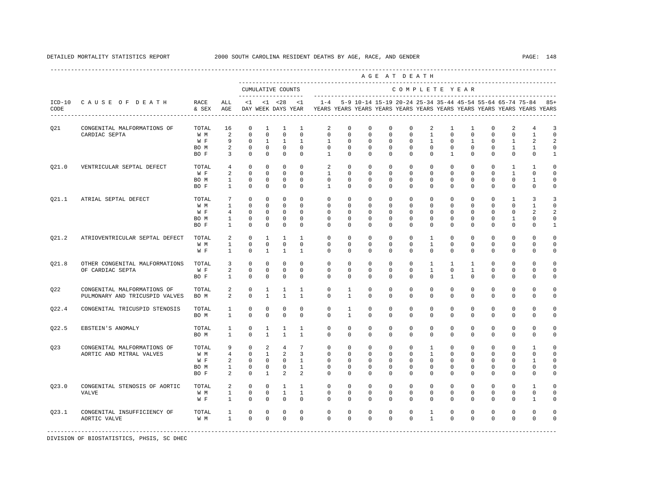|       |                                                               |                                     |                                                            |                                                                      |                                                                        |                                                               |                                                                                     |                                                                         |                                                                |                                                              |                                                                | AGE AT DEATH                                                            |                                                                     |                                                          |                                                                     |                                                               |                                                                      |                                                               |                                                          |
|-------|---------------------------------------------------------------|-------------------------------------|------------------------------------------------------------|----------------------------------------------------------------------|------------------------------------------------------------------------|---------------------------------------------------------------|-------------------------------------------------------------------------------------|-------------------------------------------------------------------------|----------------------------------------------------------------|--------------------------------------------------------------|----------------------------------------------------------------|-------------------------------------------------------------------------|---------------------------------------------------------------------|----------------------------------------------------------|---------------------------------------------------------------------|---------------------------------------------------------------|----------------------------------------------------------------------|---------------------------------------------------------------|----------------------------------------------------------|
|       |                                                               |                                     |                                                            | --------------------                                                 |                                                                        | CUMULATIVE COUNTS                                             |                                                                                     |                                                                         |                                                                |                                                              |                                                                | COMPLETE YEAR                                                           |                                                                     |                                                          |                                                                     |                                                               |                                                                      |                                                               |                                                          |
| CODE  | ICD-10 CAUSE OF DEATH<br>------------------------             | RACE<br>& SEX                       | ALL<br>AGE                                                 | <1                                                                   |                                                                        | $<1$ $<28$<br>DAY WEEK DAYS YEAR                              | <1                                                                                  | YEARS YEARS YEARS YEARS YEARS YEARS YEARS YEARS YEARS YEARS YEARS YEARS |                                                                |                                                              |                                                                |                                                                         |                                                                     |                                                          |                                                                     |                                                               |                                                                      | 1-4 5-9 10-14 15-19 20-24 25-34 35-44 45-54 55-64 65-74 75-84 | $85+$                                                    |
| Q21   | CONGENITAL MALFORMATIONS OF<br>CARDIAC SEPTA                  | TOTAL<br>W M<br>W F<br>BO M<br>BO F | 16<br>2<br>9<br>2<br>$\overline{3}$                        | $\mathbf 0$<br>$\mathbf 0$<br>$^{\circ}$<br>$\Omega$<br>$\mathbf{0}$ | $\mathbf{1}$<br>$^{\circ}$<br>$\mathbf{1}$<br>$\Omega$<br>$\mathbf{0}$ | 1<br>$\mathbf{0}$<br>$\mathbf{1}$<br>$\Omega$<br>$\mathbf{0}$ | 1<br>$\mathbf 0$<br>$\overline{1}$<br>$\Omega$<br>$\Omega$                          | 2<br>$\mathbf{0}$<br>$\mathbf{1}$<br>$\Omega$<br>$\mathbf{1}$           | $\mathbf 0$<br>$\mathbf 0$<br>$\Omega$<br>$\Omega$<br>$\Omega$ | 0<br>$\mathbf 0$<br>$\Omega$<br>$\Omega$<br>$\Omega$         | $\mathbf 0$<br>$\mathbf 0$<br>$\Omega$<br>$\Omega$<br>$\Omega$ | 0<br>$\mathbf 0$<br>$\Omega$<br>$\Omega$<br>$\Omega$                    | 2<br>$\mathbf{1}$<br>$\overline{1}$<br>$\Omega$<br>$\Omega$         | 1<br>$\mathbf 0$<br>$\Omega$<br>$\Omega$<br>$\mathbf{1}$ | $\mathbf{1}$<br>$\mathbf 0$<br>$\mathbf{1}$<br>$\Omega$<br>$\Omega$ | $^{\circ}$<br>$\mathbf 0$<br>$\Omega$<br>$\Omega$<br>$\Omega$ | 2<br>$\mathbf 0$<br>$\overline{1}$<br>$\overline{1}$<br>$\Omega$     | 4<br>$\mathbf{1}$<br>2<br>$\mathbf{1}$<br>$\Omega$            | 3<br>$\mathbf 0$<br>2<br>$\mathbf 0$<br>$\mathbf{1}$     |
| Q21.0 | VENTRICULAR SEPTAL DEFECT                                     | TOTAL<br>W F<br>BO M<br>BO F        | $4\overline{ }$<br>2<br>$\mathbf{1}$<br>$\mathbf{1}$       | $^{\circ}$<br>$\Omega$<br>$\mathbf 0$<br>$\mathbf 0$                 | $^{\circ}$<br>$^{\circ}$<br>$\mathbf 0$<br>$\mathbf 0$                 | $^{\circ}$<br>$\circ$<br>$\circ$<br>$^{\circ}$                | $^{\circ}$<br>$\Omega$<br>$^{\circ}$<br>$\Omega$                                    | 2<br>$\mathbf{1}$<br>$\mathbf 0$<br>$\mathbf{1}$                        | $\circ$<br>$\mathbf 0$<br>$\mathbf 0$<br>0                     | $\circ$<br>$\mathbf 0$<br>$\mathbf 0$<br>$\mathbf 0$         | $\mathbf{0}$<br>$\Omega$<br>$\mathbf 0$<br>0                   | $\circ$<br>$\circ$<br>$\mathbf 0$<br>$\mathbf 0$                        | $\circ$<br>$\Omega$<br>$\mathbf 0$<br>$\mathbf{0}$                  | $\circ$<br>$\Omega$<br>$\mathbf 0$<br>$\mathbf{0}$       | $^{\circ}$<br>$\Omega$<br>$\mathbf 0$<br>0                          | $^{\circ}$<br>$\Omega$<br>$\mathbf 0$<br>$\mathbf 0$          | 1<br>$\mathbf{1}$<br>$\mathbf 0$<br>$\mathbf{0}$                     | 1<br>$\mathbf{0}$<br>1<br>$\mathbf 0$                         | $\mathbf 0$<br>$\mathbf 0$<br>$\mathbf 0$<br>$\mathbf 0$ |
| 021.1 | ATRIAL SEPTAL DEFECT                                          | TOTAL<br>W M<br>W F<br>BO M<br>BO F | $7\phantom{.0}$<br>$\mathbf{1}$<br>4<br>1<br>$\mathbf{1}$  | $\Omega$<br>$\mathbb O$<br>$\mathbf 0$<br>$\circ$<br>$\Omega$        | $\Omega$<br>$\mathbb O$<br>0<br>0<br>$\Omega$                          | $\Omega$<br>$\mathbf{0}$<br>$\circ$<br>$\circ$<br>$\mathbf 0$ | $\Omega$<br>$\mathbf 0$<br>$\mathbf 0$<br>0<br>$\Omega$                             | $\Omega$<br>$\mathbf 0$<br>$\mathbf 0$<br>$\circ$<br>$\Omega$           | $\Omega$<br>0<br>$\mathbf{0}$<br>$\mathbf{0}$<br>0             | $\Omega$<br>$\mathbf 0$<br>$^{\circ}$<br>$\circ$<br>$\Omega$ | $\Omega$<br>$\mathbf 0$<br>0<br>0<br>0                         | $\Omega$<br>0<br>$\mathbf 0$<br>$\mathbf{0}$<br>$\Omega$                | $\Omega$<br>$\mathbf 0$<br>$\mathbf{0}$<br>$\mathbf{0}$<br>$\Omega$ | $\Omega$<br>$\mathbf 0$<br>0<br>$\mathbf{0}$<br>$\Omega$ | $\Omega$<br>$\mathbf 0$<br>0<br>$\mathbf{0}$<br>$\Omega$            | $\Omega$<br>$\mathbf 0$<br>0<br>$^{\circ}$<br>$\Omega$        | $\overline{1}$<br>0<br>$\mathbf{0}$<br>1<br>$\mathbf{0}$             | $\overline{3}$<br>1<br>2<br>0<br>$\Omega$                     | 3<br>$\mathsf 0$<br>2<br>$\circ$<br>$\mathbf{1}$         |
| 021.2 | ATRIOVENTRICULAR SEPTAL DEFECT                                | TOTAL<br>W M<br>W F                 | 2<br>$\mathbf{1}$<br>$\mathbf{1}$                          | $\Omega$<br>$\Omega$<br>$\Omega$                                     | $\mathbf{1}$<br>$\Omega$<br>$\mathbf{1}$                               | <sup>1</sup><br>$^{\circ}$<br><sup>1</sup>                    | $\overline{1}$<br>$\Omega$<br>$\mathbf{1}$                                          | $\Omega$<br>$\Omega$<br>$\Omega$                                        | $\Omega$<br>$\Omega$<br>$\mathbf 0$                            | $\Omega$<br>$\Omega$<br>$\mathbf 0$                          | $\Omega$<br>0<br>$\mathbf 0$                                   | $\Omega$<br>$\Omega$<br>$\mathbf 0$                                     | $\overline{1}$<br>$\overline{1}$<br>$\mathbf 0$                     | $\Omega$<br>$\Omega$<br>$\Omega$                         | $\Omega$<br>$\Omega$<br>$\mathbf 0$                                 | $\Omega$<br>$\Omega$<br>$\Omega$                              | $\Omega$<br>$\Omega$<br>$\mathbf 0$                                  | $\Omega$<br>$\Omega$<br>$\mathbf 0$                           | $\Omega$<br>$\Omega$<br>$\mathbf 0$                      |
| 021.8 | OTHER CONGENITAL MALFORMATIONS<br>OF CARDIAC SEPTA            | TOTAL<br>W F<br>BO F                | 3<br>2<br>$\mathbf{1}$                                     | $\mathbf 0$<br>$\Omega$<br>$\mathbf 0$                               | $^{\circ}$<br>$\Omega$<br>$\Omega$                                     | $^{\circ}$<br>$\Omega$<br>$\circ$                             | $\Omega$<br>$\Omega$<br>$\Omega$                                                    | $\mathbf{0}$<br>$\Omega$<br>$\Omega$                                    | $\mathbf{0}$<br>$\Omega$<br>$\Omega$                           | $\mathbf 0$<br>$\mathbf 0$<br>$\Omega$                       | 0<br>$\Omega$<br>0                                             | $\mathbf 0$<br>$\Omega$<br>$\Omega$                                     | 1<br>$\mathbf{1}$<br>$\Omega$                                       | 1<br>$\Omega$<br>$\overline{1}$                          | 1<br>$\mathbf{1}$<br>$\Omega$                                       | $\Omega$<br>$\Omega$<br>$\Omega$                              | $\mathbf{0}$<br>$\Omega$<br>$\Omega$                                 | 0<br>$\Omega$<br>$\Omega$                                     | $\Omega$<br>$\mathbf 0$<br>$\mathbf 0$                   |
| 022   | CONGENITAL MALFORMATIONS OF<br>PULMONARY AND TRICUSPID VALVES | TOTAL<br>BO M                       | $\overline{a}$<br>$\overline{a}$                           | $\mathbf 0$<br>$\mathbf 0$                                           | $\mathbf{1}$<br>$\mathbf{1}$                                           | 1<br>$\mathbf{1}$                                             | 1<br>$\mathbf{1}$                                                                   | $\mathbf{0}$<br>$\mathbf 0$                                             | 1<br>$\mathbf{1}$                                              | 0<br>$\mathbf 0$                                             | $\mathbf 0$<br>0                                               | $\mathbf 0$<br>0                                                        | $\mathbf 0$<br>$\mathbf{0}$                                         | $\mathbf 0$<br>$\mathbf 0$                               | $\mathbf 0$<br>0                                                    | $\mathbf 0$<br>$\mathbf 0$                                    | $\mathbf 0$<br>$\mathbf 0$                                           | $\mathbf 0$<br>$\mathbf 0$                                    | $\Omega$<br>$\mathbf 0$                                  |
| 022.4 | CONGENITAL TRICUSPID STENOSIS                                 | TOTAL<br>BO M                       | $\mathbf{1}$<br>$\mathbf{1}$                               | $^{\circ}$<br>$\Omega$                                               | 0<br>$\Omega$                                                          | 0<br>$\Omega$                                                 | $\mathbf 0$<br>$\Omega$                                                             | 0<br>$\Omega$                                                           | 1<br>$\mathbf{1}$                                              | $^{\circ}$<br>$\Omega$                                       | 0<br>$\Omega$                                                  | $\mathbf{0}$<br>$\Omega$                                                | 0<br>$\Omega$                                                       | $\mathbf{0}$<br>$\Omega$                                 | $^{\circ}$<br>$\Omega$                                              | 0<br>$\Omega$                                                 | $\mathbf{0}$<br>$\Omega$                                             | 0<br>$\mathbf{0}$                                             | $\mathbf 0$<br>$\mathbf 0$                               |
| 022.5 | EBSTEIN'S ANOMALY                                             | TOTAL<br>BO M                       | 1<br>$\mathbf{1}$                                          | $\mathbf 0$<br>$\Omega$                                              | $\mathbf{1}$<br>$\overline{1}$                                         | 1<br>$\overline{1}$                                           | 1<br>$\overline{1}$                                                                 | $\mathbf 0$<br>$\Omega$                                                 | $\mathbf 0$<br>$\Omega$                                        | $\mathbf 0$<br>$\Omega$                                      | $\mathbf 0$<br>$\Omega$                                        | $\mathbf 0$<br>$\Omega$                                                 | $\mathbf 0$<br>$\Omega$                                             | $\mathbf 0$<br>$\Omega$                                  | $\mathbf 0$<br>$\Omega$                                             | $\mathbf 0$<br>$\Omega$                                       | $\mathbf 0$<br>$\Omega$                                              | $\mathbf 0$<br>$\Omega$                                       | $\mathbf 0$<br>$\mathbf 0$                               |
| Q23   | CONGENITAL MALFORMATIONS OF<br>AORTIC AND MITRAL VALVES       | TOTAL<br>W M<br>W F<br>BO M<br>BO F | 9<br>$\overline{4}$<br>2<br>$\mathbf{1}$<br>$\overline{a}$ | $\circ$<br>$^{\circ}$<br>$^{\circ}$<br>$\circ$<br>$\Omega$           | 2<br>$\mathbf{1}$<br>$\mathbf{0}$<br>$^{\circ}$<br>$\mathbf{1}$        | $\overline{4}$<br>2<br>$\overline{0}$<br>$^{\circ}$<br>2      | $7\overline{ }$<br>$\overline{3}$<br>$\mathbf{1}$<br>$\mathbf{1}$<br>$\overline{2}$ | $\circ$<br>$\mathbf 0$<br>$\mathbf{0}$<br>0<br>$\Omega$                 | $\mathbf{0}$<br>$\mathbf{0}$<br>$\mathbf{0}$<br>0<br>$\Omega$  | 0<br>$\circ$<br>$^{\circ}$<br>$^{\circ}$<br>$\Omega$         | 0<br>$\Omega$<br>$^{\circ}$<br>$^{\circ}$<br>$\Omega$          | $\mathbf{0}$<br>$\mathbf 0$<br>$\mathbf{0}$<br>$\mathbf{0}$<br>$\Omega$ | 1<br>$\mathbf{1}$<br>$\mathbf 0$<br>0<br>$\Omega$                   | 0<br>$\Omega$<br>$\mathbf{0}$<br>0<br>$\Omega$           | $^{\circ}$<br>$\Omega$<br>$^{\circ}$<br>$^{\circ}$<br>$\Omega$      | $^{\circ}$<br>$\Omega$<br>$^{\circ}$<br>0<br>$\Omega$         | $\mathbf{0}$<br>$\Omega$<br>$\mathbf{0}$<br>$\mathbf{0}$<br>$\Omega$ | 1<br>$\mathbf{0}$<br>1<br>0<br>$\Omega$                       | $\mathbf 0$<br>0<br>$\mathbf 0$<br>$\circ$<br>0          |
| Q23.0 | CONGENITAL STENOSIS OF AORTIC<br><b>VALVE</b>                 | TOTAL<br>W M<br>W F                 | $\overline{a}$<br>$\mathbf{1}$<br>$\mathbf{1}$             | $\Omega$<br>$\mathbf 0$<br>$\mathbf 0$                               | $\mathbf{0}$<br>$\mathbf 0$<br>$\mathbf 0$                             | $\mathbf{1}$<br>$\mathbf{1}$<br>$\circ$                       | $\overline{1}$<br>$\mathbf{1}$<br>$\Omega$                                          | $\mathbf 0$<br>0<br>$\Omega$                                            | $\mathbf 0$<br>0<br>$\mathbf{0}$                               | $\mathbf 0$<br>0<br>$^{\circ}$                               | $\mathbf 0$<br>0<br>$^{\circ}$                                 | $\Omega$<br>0<br>$\Omega$                                               | $\Omega$<br>0<br>$\mathbf{0}$                                       | $\Omega$<br>0<br>$\Omega$                                | $\Omega$<br>0<br>$^{\circ}$                                         | $\Omega$<br>0<br>$\Omega$                                     | $\Omega$<br>0<br>$\mathbf{0}$                                        | $\mathbf{1}$<br>0<br>1                                        | $\Omega$<br>0<br>0                                       |
| Q23.1 | CONGENITAL INSUFFICIENCY OF<br>AORTIC VALVE                   | TOTAL<br>W M                        | $\mathbf{1}$<br>$\mathbf{1}$                               | $\mathbf 0$<br>$\Omega$                                              | $\mathbf 0$<br>$\Omega$                                                | $^{\circ}$<br>$\mathbf{0}$                                    | $\mathbf 0$<br>$\Omega$                                                             | $\mathbf{0}$<br>$\Omega$                                                | 0<br>$\Omega$                                                  | $\mathbf 0$<br>$\Omega$                                      | 0<br>$\Omega$                                                  | $\mathbf 0$<br>$\Omega$                                                 | 1<br>$\mathbf{1}$                                                   | $\mathbf 0$<br>$\Omega$                                  | 0<br>$\Omega$                                                       | 0<br>$\Omega$                                                 | $\mathbf 0$<br>$\mathbf{0}$                                          | $\mathbf 0$<br>$\mathbf 0$                                    | $\mathbf 0$<br>$\Omega$                                  |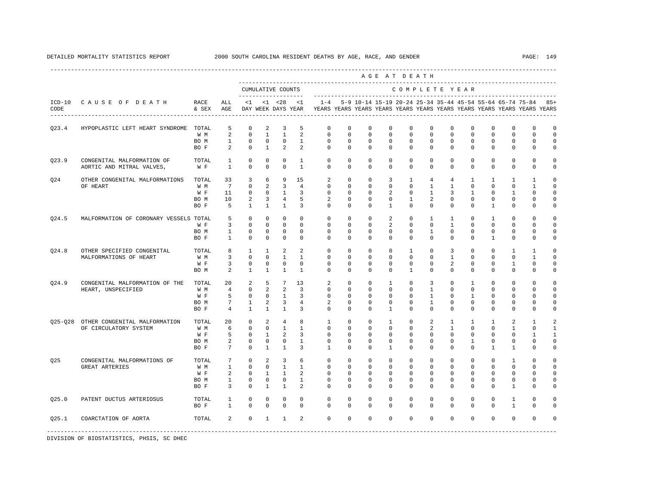DETAILED MORTALITY STATISTICS REPORT 2000 SOUTH CAROLINA RESIDENT DEATHS BY AGE, RACE, AND GENDER PAGE: 149

A G E A T D E A T H

|                  |                                                         |               |                              |                            |                             | CUMULATIVE COUNTS                  |                              |                               |                            |                                                           |                             |                              |                            | COMPLETE YEAR              |                            |                            |                            |                                                                         |                            |
|------------------|---------------------------------------------------------|---------------|------------------------------|----------------------------|-----------------------------|------------------------------------|------------------------------|-------------------------------|----------------------------|-----------------------------------------------------------|-----------------------------|------------------------------|----------------------------|----------------------------|----------------------------|----------------------------|----------------------------|-------------------------------------------------------------------------|----------------------------|
| $ICD-10$<br>CODE | CAUSE OF DEATH<br>---------------------------           | RACE<br>& SEX | ALL<br>AGE                   | <1                         |                             | $< 1$ $< 28$<br>DAY WEEK DAYS YEAR | <1                           | $1 - 4$                       |                            | 5-9 10-14 15-19 20-24 25-34 35-44 45-54 55-64 65-74 75-84 |                             |                              |                            |                            |                            |                            |                            | YEARS YEARS YEARS YEARS YEARS YEARS YEARS YEARS YEARS YEARS YEARS YEARS | $85+$                      |
| Q23.4            | HYPOPLASTIC LEFT HEART SYNDROME                         | TOTAL<br>W M  | 5<br>2                       | 0<br>$\mathbb O$           | 2<br>$\mathbf{1}$           | 3<br>$\mathbf{1}$                  | 5<br>$\boldsymbol{2}$        | $\Omega$<br>$\mathbf 0$       | 0<br>$\mathbf 0$           | 0<br>$\mathbf 0$                                          | $\Omega$<br>$\mathbf 0$     | $\Omega$<br>$\mathbf 0$      | 0<br>$\mathbf 0$           | 0<br>$\mathbf 0$           | $\mathbf 0$<br>$\Omega$    | $\Omega$<br>$\Omega$       | $\mathbf 0$<br>$\mathbf 0$ | 0<br>$\mathbf 0$                                                        | 0<br>$\mathbf 0$           |
|                  |                                                         | BO M<br>BO F  | $\mathbf{1}$<br>2            | $\mathbf 0$<br>$\mathbf 0$ | $\mathbf 0$<br>$\mathbf{1}$ | $^{\circ}$<br>2                    | $\mathbf{1}$<br>2            | 0<br>$\mathbf{0}$             | 0<br>0                     | 0<br>0                                                    | $\mathbf 0$<br>0            | $\mathbf{0}$<br>$\mathbf{0}$ | 0<br>$\mathbf 0$           | 0<br>0                     | 0<br>$\mathbf 0$           | 0<br>0                     | $\mathbf 0$<br>$\mathbf 0$ | $\mathbf 0$<br>$\mathbf 0$                                              | $\mathbf 0$<br>$\mathbf 0$ |
| Q23.9            | CONGENITAL MALFORMATION OF<br>AORTIC AND MITRAL VALVES, | TOTAL<br>W F  | 1<br>1                       | $\mathbf 0$<br>$\mathbf 0$ | $^{\circ}$<br>$\mathbf{0}$  | $\mathbf 0$<br>$\mathbf 0$         | $\mathbf{1}$<br>$\mathbf{1}$ | $\mathbf 0$<br>$\mathbf{0}$   | $\mathbf 0$<br>$\mathbf 0$ | $\mathbf 0$<br>$\Omega$                                   | $\mathbf 0$<br>$\mathbf 0$  | $\mathbf 0$<br>$\mathbf 0$   | $\mathbf 0$<br>$\mathbf 0$ | $\mathbf 0$<br>$\mathbf 0$ | $\mathbf 0$<br>$\mathbf 0$ | $\mathbf 0$<br>$\mathbf 0$ | $\mathbf 0$<br>$\mathbf 0$ | $\mathbf 0$<br>$\mathbf 0$                                              | $\mathbf 0$<br>$\mathbf 0$ |
| Q24              | OTHER CONGENITAL MALFORMATIONS<br>OF HEART              | TOTAL<br>W M  | 33<br>7                      | 3<br>$\mathbf 0$           | 6<br>2                      | 9<br>3                             | 15<br>$\overline{4}$         | 2<br>$\Omega$                 | 0<br>$\Omega$              | 0<br>$\Omega$                                             | 3<br>$\Omega$               | $\mathbf{1}$<br>$\Omega$     | 4<br>1                     | 4<br>1                     | 1<br>$\Omega$              | 1<br>$\Omega$              | 1<br>$\Omega$              | 1<br>1                                                                  | 0<br>$\Omega$              |
|                  |                                                         | W F           |                              | $\mathbf 0$                | $\mathbf 0$                 | $\mathbf{1}$                       | 3                            |                               | 0                          | 0                                                         | $\overline{2}$              | 0                            | $\mathbf{1}$               |                            |                            | 0                          |                            | $\Omega$                                                                | $\circ$                    |
|                  |                                                         |               | 11                           |                            |                             |                                    |                              | 0                             |                            |                                                           |                             |                              |                            | 3                          | 1                          |                            | 1                          |                                                                         |                            |
|                  |                                                         | BO M<br>BO F  | 10<br>5                      | 2<br>$\mathbf{1}$          | 3<br>$\mathbf{1}$           | $\overline{4}$<br>$\mathbf{1}$     | 5<br>3                       | 2<br>$\mathbf{0}$             | 0<br>0                     | 0<br>$\mathbf 0$                                          | 0<br>$\mathbf{1}$           | 1<br>$\mathbf 0$             | 2<br>$\mathbf 0$           | 0<br>0                     | 0<br>$\mathbf 0$           | 0<br>1                     | 0<br>$\mathsf 0$           | $\Omega$<br>$\mathbf 0$                                                 | $\mathbf 0$<br>$\circ$     |
| Q24.5            | MALFORMATION OF CORONARY VESSELS TOTAL                  |               | 5                            | 0                          | $^{\circ}$                  | 0                                  | 0                            | $\mathbf{0}$                  | 0                          | 0                                                         | 2                           | $\mathbf{0}$                 | 1                          | 1                          | 0                          | 1                          | 0                          | 0                                                                       | $\mathbf 0$                |
|                  |                                                         | W F           | 3                            | $\mathbb O$                | $\mathbf 0$                 | 0                                  | $\mathbf 0$                  | $\mathbf{0}$                  | $\mathbf 0$                | $\mathbf 0$                                               | $\overline{2}$              | $\mathbf 0$                  | $\mathbf 0$                | $\mathbf{1}$               | $\mathbf 0$                | $\mathbf 0$                | $\mathbf 0$                | $\Omega$                                                                | $\circ$                    |
|                  |                                                         | BO M<br>BO F  | $\mathbf{1}$<br>$\mathbf{1}$ | $\mathbf 0$<br>$\mathbf 0$ | $^{\circ}$<br>$\mathbf 0$   | 0<br>$\mathbf 0$                   | $\mathbf 0$<br>$\mathbf 0$   | 0<br>0                        | 0<br>0                     | 0<br>0                                                    | $\mathbf 0$<br>0            | $\mathbf 0$<br>$\Omega$      | 1<br>0                     | 0<br>0                     | 0<br>$\mathbf 0$           | 0<br>1                     | $\mathbf 0$<br>$\mathbf 0$ | $\Omega$<br>$\Omega$                                                    | $\mathbf 0$<br>$\mathbf 0$ |
| Q24.8            | OTHER SPECIFIED CONGENITAL                              | TOTAL         | 8                            | $\mathbf{1}$               | $\mathbf{1}$                | 2                                  | $\overline{a}$               | $\mathbf 0$                   | $\mathbf 0$                | $\mathbf 0$                                               | $\mathbf 0$                 | $\mathbf{1}$                 | $\mathbf 0$                | 3                          | $\mathbf 0$                | $\mathbf 0$                | $\mathbf{1}$               | 1                                                                       | $\mathbf 0$                |
|                  | MALFORMATIONS OF HEART                                  | W M           | 3                            | $\mathbf 0$                | $\Omega$                    | $\mathbf{1}$                       | $\mathbf{1}$                 | $\Omega$                      | $\Omega$                   | $\Omega$                                                  | $\Omega$                    | $\Omega$                     | $\Omega$                   | 1                          | $\Omega$                   | $\Omega$                   | $\Omega$                   | $\mathbf{1}$                                                            | $\Omega$                   |
|                  |                                                         | W F           | 3                            | $\mathbf 0$                | $\mathbf 0$                 | $\mathbf 0$                        | $\mathbf 0$                  | 0                             | 0                          | 0                                                         | 0                           | 0                            | 0                          | 2                          | 0                          | 0                          | 1                          | 0                                                                       | $\circ$                    |
|                  |                                                         | BO M          | 2                            | $\mathbf{1}$               | $\mathbf{1}$                | $\mathbf{1}$                       | $\mathbf{1}$                 | $\mathbf 0$                   | $\mathbf 0$                | $\mathbf 0$                                               | $\mathbf 0$                 | $\mathbf{1}$                 | $\mathsf 0$                | 0                          | $\mathbf 0$                | $\mathbf 0$                | $\mathsf 0$                | $\mathbf 0$                                                             | $\Omega$                   |
| Q24.9            | CONGENITAL MALFORMATION OF THE<br>HEART, UNSPECIFIED    | TOTAL<br>W M  | 20<br>$\overline{4}$         | 2<br>$\mathbb O$           | 5<br>$\overline{a}$         | $7\phantom{.0}$<br>2               | 13<br>3                      | $\overline{a}$<br>$\mathbf 0$ | $\mathbf 0$<br>$\mathbf 0$ | $\mathbf 0$<br>$\mathbf 0$                                | $\mathbf{1}$<br>$\mathbf 0$ | $\mathbf 0$<br>$\mathbf 0$   | 3<br>$\mathbf{1}$          | $\mathbf 0$<br>0           | 1<br>$\mathbf 0$           | 0<br>$\mathbf 0$           | $\mathbf 0$<br>$\mathbf 0$ | $\Omega$<br>$\Omega$                                                    | $\Omega$<br>$\mathbf 0$    |
|                  |                                                         | W F           | 5                            | $\mathbf 0$                | $^{\circ}$                  | 1                                  | 3                            | $\Omega$                      | $\Omega$                   | $\Omega$                                                  | $\Omega$                    | $\Omega$                     | 1                          | <sup>n</sup>               | 1                          | $\Omega$                   | $\Omega$                   | $\Omega$                                                                | 0                          |
|                  |                                                         | BO M          | $7\phantom{.0}$              | $\mathbf{1}$               | 2                           | 3                                  | 4                            | 2                             | 0                          | 0                                                         | 0                           | 0                            | 1                          | 0                          | 0                          | 0                          | 0                          | 0                                                                       | $\mathbf 0$                |
|                  |                                                         | BO F          | $\overline{4}$               | $\mathbf{1}$               | $\mathbf{1}$                | $\mathbf{1}$                       | 3                            | $\mathbf 0$                   | $\mathbf 0$                | $\mathbf 0$                                               | $\mathbf{1}$                | $\mathbf 0$                  | $\mathbf 0$                | 0                          | $\mathbf 0$                | $\mathbf 0$                | $\mathbf 0$                | $\Omega$                                                                | $\mathbf 0$                |
| $025 - 028$      | OTHER CONGENITAL MALFORMATION                           | TOTAL         | 20                           | $\mathbf 0$                | 2                           | $\overline{4}$                     | 8                            | $\mathbf{1}$                  | 0                          | $\mathbf 0$                                               | 1                           | $\mathbf 0$                  | 2                          | 1                          | 1                          | 1                          | 2                          | 1                                                                       | $\mathfrak{D}$             |
|                  | OF CIRCULATORY SYSTEM                                   | W M           | 6                            | $\mathbf 0$                | $^{\circ}$                  | $\mathbf{1}$                       | $\mathbf{1}$                 | $\Omega$                      | $\Omega$                   | $\Omega$                                                  | $\Omega$                    | $\Omega$                     | 2                          | $\mathbf{1}$               | $\Omega$                   | $\Omega$                   | $\mathbf{1}$               | $\Omega$                                                                | $\mathbf{1}$               |
|                  |                                                         | W F           | 5                            | $\mathbf 0$                | $\mathbf{1}$                | 2                                  | 3                            | 0                             | 0                          | 0                                                         | 0                           | 0                            | $\mathbf 0$                | 0                          | 0                          | $\Omega$                   | $\mathbf 0$                | 1                                                                       | $\mathbf{1}$               |
|                  |                                                         | BO M<br>BO F  | 2<br>$7\phantom{.0}$         | $\mathbf 0$<br>$\Omega$    | $\mathbf 0$<br>$\mathbf{1}$ | 0<br>1                             | $\mathbf{1}$<br>3            | 0<br>$\overline{1}$           | 0<br>0                     | 0<br>$\Omega$                                             | 0<br>$\mathbf{1}$           | $\Omega$<br>$\Omega$         | $\mathbf 0$<br>$\Omega$    | 0<br>$\Omega$              | 1<br>$\Omega$              | 0<br>$\mathbf{1}$          | 0<br>1                     | $\Omega$<br>$\Omega$                                                    | $\Omega$<br>$\mathbf 0$    |
| Q25              | CONGENITAL MALFORMATIONS OF                             | TOTAL         | 7                            | $\mathbf 0$                | 2                           | 3                                  | 6                            | $\mathbf 0$                   | 0                          | $\mathbb O$                                               | $\mathsf 0$                 | $\mathbf 0$                  | 0                          | $\mathbf 0$                | $\mathbf 0$                | 0                          | $\mathbf{1}$               | 0                                                                       | $\circ$                    |
|                  | GREAT ARTERIES                                          | W M           | 1                            | $\mathbf 0$                | $\mathbf 0$                 | $\mathbf{1}$                       | 1                            | $\Omega$                      | 0                          | $\Omega$                                                  | $\Omega$                    | $\Omega$                     | 0                          | $\Omega$                   | $\Omega$                   | $\Omega$                   | $\mathbf{0}$               | <sup>0</sup>                                                            | $\mathbf 0$                |
|                  |                                                         | W F           | 2                            | $\mathbf 0$                | $\mathbf{1}$                | $\mathbf{1}$                       | 2                            | 0                             | 0                          | 0                                                         | 0                           | 0                            | 0                          | 0                          | 0                          | 0                          | $\mathbf{0}$               | $\Omega$                                                                | $\mathbf 0$                |
|                  |                                                         | BO M          | $\mathbf{1}$                 | $\mathbf 0$                | $\mathbf 0$                 | $\mathbf 0$                        | $\mathbf{1}$                 | 0                             | 0                          | $\Omega$                                                  | 0                           | $\Omega$                     | 0                          | $\Omega$                   | 0                          | 0                          | $\mathsf 0$                | $\Omega$                                                                | $\mathbf 0$                |
|                  |                                                         | BO F          | 3                            | $\mathbf 0$                | 1                           | 1                                  | 2                            | $\Omega$                      | $\Omega$                   | $\Omega$                                                  | $\Omega$                    | $\Omega$                     | $\Omega$                   | $\Omega$                   | 0                          | $\Omega$                   | 1                          | <sup>0</sup>                                                            | $\Omega$                   |
| Q25.0            | PATENT DUCTUS ARTERIOSUS                                | TOTAL<br>BO F | 1<br>$\mathbf{1}$            | $\mathbf 0$<br>$\mathbf 0$ | $\mathbf 0$<br>$\mathbf 0$  | 0<br>$\mathbf 0$                   | $\mathbf 0$<br>$\mathbf 0$   | $\mathbf{0}$<br>$\Omega$      | 0<br>0                     | 0<br>$\mathbf 0$                                          | 0<br>0                      | 0<br>$\mathbf{0}$            | 0<br>0                     | 0<br>0                     | 0<br>$\mathbf 0$           | 0<br>$\Omega$              | 1<br>$\mathbf{1}$          | $\circ$<br>$\mathbf 0$                                                  | $\Omega$<br>$\mathbf 0$    |
|                  |                                                         |               |                              |                            |                             |                                    |                              |                               |                            |                                                           |                             |                              |                            |                            |                            |                            |                            |                                                                         |                            |
| Q25.1            | COARCTATION OF AORTA                                    | TOTAL         | 2                            | $\mathbf 0$                | $\mathbf{1}$                | $\mathbf{1}$                       | $\overline{a}$               | $\mathbf 0$                   | $\mathbf 0$                | $\Omega$                                                  | $\Omega$                    | $\Omega$                     | $\Omega$                   | $\Omega$                   | $\Omega$                   | $\Omega$                   | $\Omega$                   | $\Omega$                                                                | $\cap$                     |
|                  |                                                         |               |                              |                            |                             |                                    |                              |                               |                            |                                                           |                             |                              |                            |                            |                            |                            |                            |                                                                         |                            |

DIVISION OF BIOSTATISTICS, PHSIS, SC DHEC

----------------------------------------------------------------------------------------------------------------------------------------------------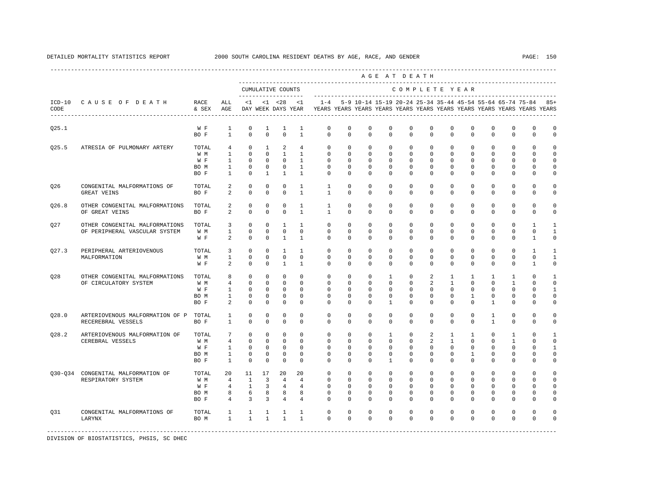|             |                                                            |                   |                 |                   |              |                |                 |                                                                                                        |             |              |              | AGE AT DEATH |              |              |               |                |              |                                                               |              |
|-------------|------------------------------------------------------------|-------------------|-----------------|-------------------|--------------|----------------|-----------------|--------------------------------------------------------------------------------------------------------|-------------|--------------|--------------|--------------|--------------|--------------|---------------|----------------|--------------|---------------------------------------------------------------|--------------|
|             |                                                            |                   |                 | CUMULATIVE COUNTS |              |                | --------------  | --------------------------                                                                             |             |              |              |              |              |              | COMPLETE YEAR |                |              |                                                               |              |
| CODE        | ICD-10 CAUSE OF DEATH<br>--------------------------------- | RACE<br>& SEX AGE | ALL             | $\leq 1$          |              |                | $<1$ $<28$ $<1$ | $1 - 4$<br>DAY WEEK DAYS YEAR TYEARS YEARS YEARS YEARS YEARS YEARS YEARS YEARS YEARS YEARS YEARS YEARS |             |              |              |              |              |              |               |                |              | 5-9 10-14 15-19 20-24 25-34 35-44 45-54 55-64 65-74 75-84 85+ |              |
| Q25.1       |                                                            | W F               | $\mathbf{1}$    | $\mathbf 0$       | $\mathbf{1}$ | $\mathbf{1}$   | $\mathbf{1}$    | 0                                                                                                      | $\mathbf 0$ | $\mathbf 0$  | $\mathbf 0$  | $\mathbf 0$  | $\mathbf{0}$ | $\mathbf 0$  | $\mathbf 0$   | $\mathbf 0$    | $\mathbf{0}$ | $\mathbf{0}$                                                  | $\mathbb O$  |
|             |                                                            | BO F              | $\overline{1}$  | $\Omega$          | $\Omega$     | $\Omega$       | $\overline{1}$  | $\Omega$                                                                                               | $\Omega$    | $\Omega$     | $\Omega$     | $\Omega$     | $\Omega$     | $\Omega$     | $\Omega$      | $\Omega$       | $\Omega$     | $\Omega$                                                      | $\mathbf 0$  |
| Q25.5       | ATRESIA OF PULMONARY ARTERY                                | TOTAL             | $\overline{4}$  | $\Omega$          | $\mathbf{1}$ | 2              | $4\overline{ }$ | $\Omega$                                                                                               | $\Omega$    | $\Omega$     | $\Omega$     | $\Omega$     | $\Omega$     | $\Omega$     | $\Omega$      | $\Omega$       | $\Omega$     | $\Omega$                                                      | $\Omega$     |
|             |                                                            | W M               | $\overline{1}$  | $\Omega$          | $\Omega$     | $\overline{1}$ | $\overline{1}$  | $\Omega$                                                                                               | $\Omega$    | $\Omega$     | $\Omega$     | $\Omega$     | $\Omega$     | $\Omega$     | $\Omega$      | $\Omega$       | $\Omega$     | $\Omega$                                                      | $\Omega$     |
|             |                                                            | W F               | $\mathbf{1}$    | $\mathbf 0$       | $\mathbf 0$  | $\overline{0}$ | $\mathbf{1}$    | $\mathbf{0}$                                                                                           | $\mathbf 0$ | $\mathbf 0$  | $\mathbf 0$  | $\mathbf 0$  | 0            | $\mathbf 0$  | $\mathbf 0$   | $^{\circ}$     | $\mathbf 0$  | 0                                                             | $\mathbf 0$  |
|             |                                                            | BO M              | $\mathbf{1}$    | $\mathbf 0$       | 0            | $\circ$        | $\mathbf{1}$    | $\mathbf 0$                                                                                            | $\mathbf 0$ | $\mathbf 0$  | $\mathbf 0$  | $\mathbf{0}$ | $\mathbf{0}$ | 0            | $\mathbf 0$   | $^{\circ}$     | $\mathbf 0$  | 0                                                             | 0            |
|             |                                                            | BO F              | 1               | $\mathbf 0$       | $\mathbf{1}$ | $\mathbf{1}$   | $\mathbf{1}$    | $\Omega$                                                                                               | $\Omega$    | $\Omega$     | $\Omega$     | $\Omega$     | $\Omega$     | $\Omega$     | $\Omega$      | $\Omega$       | $\Omega$     | $\Omega$                                                      | 0            |
| Q26         | CONGENITAL MALFORMATIONS OF                                | TOTAL             | 2               | $\mathbf 0$       | $\mathbb O$  | $\mathsf 0$    | $\mathbf{1}$    | $\mathbf{1}$                                                                                           | $\mathbf 0$ | $\mathbf 0$  | $\mathbf 0$  | $\mathbf 0$  | $\mathbf 0$  | $\mathbf 0$  | $\mathbf 0$   | $\mathbf 0$    | 0            | 0                                                             | $\mathbb O$  |
|             | GREAT VEINS                                                | BO F              | 2               | $\mathbf 0$       | 0            | $\mathbf 0$    | $\mathbf{1}$    | 1                                                                                                      | 0           | $\mathbf 0$  | 0            | $\mathbf 0$  | 0            | $\mathbf 0$  | 0             | 0              | $\mathbf{0}$ | 0                                                             | 0            |
| Q26.8       | OTHER CONGENITAL MALFORMATIONS                             | TOTAL             | 2               | $\mathbf 0$       | $\mathbf 0$  | $\mathbf 0$    | $\mathbf{1}$    | $\mathbf{1}$                                                                                           | $\Omega$    | $\mathbf 0$  | $\mathbf 0$  | $\mathbf 0$  | $\mathbf 0$  | $\mathbf 0$  | $\mathbf 0$   | $\mathbf 0$    | $\mathbf 0$  | $\mathbf 0$                                                   | 0            |
|             | OF GREAT VEINS                                             | BO F              | 2               | $\Omega$          | $\Omega$     | $\Omega$       | $\mathbf{1}$    | $\overline{1}$                                                                                         | $\Omega$    | $\Omega$     | $\Omega$     | $\Omega$     | $\Omega$     | $\Omega$     | $\Omega$      | $\Omega$       | $\Omega$     | $\Omega$                                                      | $\mathbf 0$  |
| Q27         | OTHER CONGENITAL MALFORMATIONS                             | TOTAL             | 3               | $\mathbf 0$       | $\mathbf 0$  | 1              | $\mathbf{1}$    | $\mathbf{0}$                                                                                           | $\mathbf 0$ | 0            | $^{\circ}$   | $\mathbf{0}$ | $\mathbf 0$  | 0            | $\mathbf 0$   | $^{\circ}$     | $\mathbf{0}$ | 1                                                             | $\mathbf{1}$ |
|             | OF PERIPHERAL VASCULAR SYSTEM                              | W M               | $\mathbf{1}$    | $\mathbf 0$       | $\Omega$     | $\mathbf 0$    | $\Omega$        | $\Omega$                                                                                               | $\Omega$    | $\Omega$     | $\Omega$     | $\Omega$     | $\Omega$     | $\Omega$     | $\Omega$      | $\Omega$       | $\Omega$     | $\Omega$                                                      | $\mathbf{1}$ |
|             |                                                            | W F               | 2               | $\Omega$          | $\Omega$     | $\overline{1}$ | $\overline{1}$  | $\Omega$                                                                                               | $\Omega$    | $\Omega$     | $\Omega$     | $\Omega$     | $\Omega$     | $\Omega$     | $\Omega$      | $\Omega$       | $\Omega$     | $\overline{1}$                                                | $\Omega$     |
| Q27.3       | PERIPHERAL ARTERIOVENOUS                                   | TOTAL             | 3               | $\mathbf 0$       | $\mathbf 0$  | $\mathbf{1}$   | $\mathbf{1}$    | $\mathbf 0$                                                                                            | $\mathbf 0$ | $\mathbf 0$  | $\mathbf 0$  | $\mathbf 0$  | $\mathbf 0$  | $\mathbf 0$  | $\mathbf 0$   | $\mathbf 0$    | $\mathbf 0$  | 1                                                             | 1            |
|             | MALFORMATION                                               | W M               | 1               | $\mathbf 0$       | 0            | $\mathbf 0$    | $\mathbf 0$     | 0                                                                                                      | 0           | 0            | 0            | $\mathbf{0}$ | $\mathbf{0}$ | 0            | 0             | 0              | $\mathbf{0}$ | 0                                                             | 1            |
|             |                                                            | W F               | 2               | $\mathbf 0$       | $\mathbf 0$  | $\mathbf{1}$   | $\overline{1}$  | $\Omega$                                                                                               | $\Omega$    | $\Omega$     | $\Omega$     | $\Omega$     | $\Omega$     | $\Omega$     | $\Omega$      | $\Omega$       | $\Omega$     | $\mathbf{1}$                                                  | $\mathbf 0$  |
| 028         | OTHER CONGENITAL MALFORMATIONS                             | TOTAL             | 8               | $\mathbf 0$       | $\Omega$     | $\mathbf 0$    | $\Omega$        | $\Omega$                                                                                               | $\Omega$    | $\Omega$     | $\mathbf{1}$ | $\Omega$     | 2            | $\mathbf{1}$ | $\mathbf{1}$  | $\mathbf{1}$   | $\mathbf{1}$ | $\Omega$                                                      | $\mathbf{1}$ |
|             | OF CIRCULATORY SYSTEM                                      | W M               | 4               | $\mathbf 0$       | 0            | $\mathbf 0$    | $\Omega$        | 0                                                                                                      | 0           | 0            | 0            | $\mathbf{0}$ | 2            | 1            | 0             | 0              | 1            | n                                                             | 0            |
|             |                                                            | W F               | 1               | $\Omega$          | $\Omega$     | $\Omega$       | $\Omega$        | $\Omega$                                                                                               | $\Omega$    | $\Omega$     | $\Omega$     | $\Omega$     | $\Omega$     | $\Omega$     | $\Omega$      | $\Omega$       | $\Omega$     | $\Omega$                                                      | 1            |
|             |                                                            | BO M              | $\mathbf{1}$    | $\mathbf 0$       | 0            | $\mathbf 0$    | $\mathbf 0$     | $\mathbf 0$                                                                                            | $\mathbf 0$ | $\mathbf 0$  | $\mathbf 0$  | $\mathbf{0}$ | $\mathbf 0$  | 0            | $\mathbf{1}$  | $^{\circ}$     | $\mathbf{0}$ | 0                                                             | $\mathbf 0$  |
|             |                                                            | BO F              | 2               | $\Omega$          | $\Omega$     | $\Omega$       | $\Omega$        | $\Omega$                                                                                               | $\Omega$    | $\Omega$     | $\mathbf{1}$ | $\Omega$     | $\Omega$     | $\Omega$     | $\Omega$      | $\mathbf{1}$   | $\mathbf 0$  | $\Omega$                                                      | 0            |
| Q28.0       | ARTERIOVENOUS MALFORMATION OF P                            | TOTAL             | $\mathbf{1}$    | $\mathbf 0$       | $\mathbf 0$  | $\mathbf 0$    | $\mathbf 0$     | $\mathbf{0}$                                                                                           | $\mathbf 0$ | $\mathbf 0$  | 0            | $\mathbf{0}$ | $\mathbf{0}$ | $\mathbf 0$  | $\mathbf 0$   | $\mathbf{1}$   | $\mathbf 0$  | 0                                                             | 0            |
|             | RECEREBRAL VESSELS                                         | BO F              | $\mathbf{1}$    | $\Omega$          | $\Omega$     | $\Omega$       | $\Omega$        | $\Omega$                                                                                               | $\Omega$    | $\Omega$     | $\Omega$     | $\Omega$     | $\Omega$     | $\Omega$     | $\Omega$      | $\overline{1}$ | $\Omega$     | $\Omega$                                                      | 0            |
| Q28.2       | ARTERIOVENOUS MALFORMATION OF                              | TOTAL             | $7\overline{ }$ | $\mathbf 0$       | $\mathbf 0$  | $\mathbf 0$    | $\Omega$        | $\Omega$                                                                                               | $\Omega$    | $\Omega$     | $\mathbf{1}$ | $\Omega$     | 2            | $\mathbf{1}$ | $\mathbf{1}$  | $\Omega$       | $\mathbf{1}$ | $\Omega$                                                      | $\mathbf{1}$ |
|             | CEREBRAL VESSELS                                           | W M               | $\overline{4}$  | $\mathbf 0$       | $\mathbf 0$  | $\mathbf 0$    | $\mathbf 0$     | $\mathbf 0$                                                                                            | $\mathbf 0$ | $\mathbf 0$  | $\mathbf 0$  | $\mathbf 0$  | 2            | $\mathbf{1}$ | $\mathbf 0$   | $\mathbf 0$    | $\mathbf{1}$ | 0                                                             | $\mathbf 0$  |
|             |                                                            | W F               | $\mathbf{1}$    | $^{\circ}$        | 0            | $^{\circ}$     | 0               | $\mathbf 0$                                                                                            | 0           | 0            | 0            | $\Omega$     | $\mathbf{0}$ | $^{\circ}$   | 0             | 0              | $\mathbf 0$  | 0                                                             | 1            |
|             |                                                            | BO M              | $\mathbf{1}$    | $\mathbf 0$       | $\mathbf 0$  | $\mathbf 0$    | $\Omega$        | $\Omega$                                                                                               | $\Omega$    | $\Omega$     | $\mathbf 0$  | $\Omega$     | $\mathbf{0}$ | 0            | $\mathbf{1}$  | $^{\circ}$     | $\mathbf 0$  | 0                                                             | $\mathbf 0$  |
|             |                                                            | BO F              | $\mathbf{1}$    | $\mathbf 0$       | $\mathbf 0$  | $\mathbf 0$    | $\Omega$        | $\Omega$                                                                                               | $\Omega$    | $\Omega$     | $\mathbf{1}$ | $\Omega$     | $\Omega$     | $\Omega$     | $\Omega$      | $\Omega$       | $\Omega$     | $\Omega$                                                      | 0            |
| $030 - 034$ | CONGENITAL MALFORMATION OF                                 | TOTAL             | 20              | 11                | 17           | 20             | 20              | $\mathbf 0$                                                                                            | $\mathbf 0$ | $\mathbf{0}$ | $\mathbf 0$  | $\mathbf{0}$ | $\mathbf 0$  | $\circ$      | $\mathbf{0}$  | $^{\circ}$     | $\mathbf 0$  | $\mathbf 0$                                                   | $\circ$      |
|             | RESPIRATORY SYSTEM                                         | W M               | 4               | $\mathbf{1}$      | 3            | $\overline{4}$ | 4               | $\circ$                                                                                                | $\mathbf 0$ | $\mathbf 0$  | $\mathbf 0$  | $\mathbf 0$  | $\mathbf 0$  | $\mathbf 0$  | $\mathbf 0$   | $\mathbf 0$    | $\mathbf 0$  | 0                                                             | $\mathbf 0$  |
|             |                                                            | W F               | $\overline{4}$  | $\mathbf{1}$      | 3            | $\overline{4}$ | $\overline{4}$  | $\mathbf 0$                                                                                            | $\mathbf 0$ | $\mathbf 0$  | $^{\circ}$   | $\mathbf 0$  | $\mathbf 0$  | 0            | 0             | $^{\circ}$     | $\mathbf 0$  | 0                                                             | $\mathbf 0$  |
|             |                                                            | BO M              | 8               | 6                 | 8            | 8              | 8               | $\Omega$                                                                                               | $\mathbf 0$ | $\mathbf 0$  | $^{\circ}$   | $\mathbf 0$  | $\mathbf{0}$ | 0            | 0             | 0              | $\mathbf{0}$ | 0                                                             | 0            |
|             |                                                            | BO F              | 4               | $\overline{3}$    | 3            | 4              | 4               | $\Omega$                                                                                               | $\Omega$    | $\Omega$     | $\Omega$     | $\Omega$     | $\Omega$     | $\Omega$     | $\Omega$      | $\Omega$       | $\Omega$     | $\Omega$                                                      | 0            |
| 031         | CONGENITAL MALFORMATIONS OF                                | TOTAL             | $\mathbf{1}$    | $\mathbf{1}$      | $\mathbf{1}$ | 1              | $\mathbf{1}$    | $\mathbf{0}$                                                                                           | $\mathbf 0$ | $\mathbf 0$  | 0            | $\mathbf 0$  | $\mathbf{0}$ | 0            | 0             | 0              | $\mathbf{0}$ | 0                                                             | $\Omega$     |
|             | LARYNX                                                     | BO M              | $\mathbf{1}$    | $\mathbf{1}$      | $\mathbf{1}$ | $\mathbf{1}$   | $\mathbf{1}$    | $\Omega$                                                                                               | $\Omega$    | $\Omega$     | $\Omega$     | $\Omega$     | $\Omega$     | $\Omega$     | $\Omega$      | $\Omega$       | $\Omega$     | $\Omega$                                                      | $\Omega$     |
|             |                                                            |                   |                 |                   |              |                |                 |                                                                                                        |             |              |              |              |              |              |               |                |              |                                                               |              |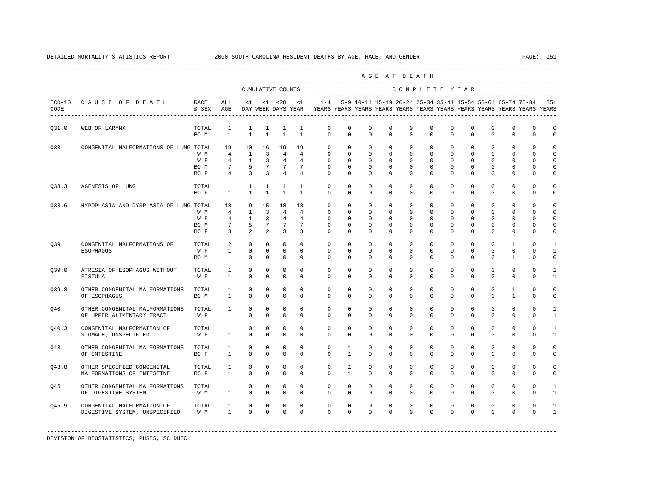DETAILED MORTALITY STATISTICS REPORT 2000 SOUTH CAROLINA RESIDENT DEATHS BY AGE, RACE, AND GENDER PAGE: 151

|                  |                                                             |                            |                                                                              |                                                 |                                                                |                                                                             |                                                                |                                                                                    |                                                     |                                                                       | AGE AT DEATH                                                          |                                                                 |                                                               |                                                   |                                        |                                                                |                                                                       |                                                             |                                                                |
|------------------|-------------------------------------------------------------|----------------------------|------------------------------------------------------------------------------|-------------------------------------------------|----------------------------------------------------------------|-----------------------------------------------------------------------------|----------------------------------------------------------------|------------------------------------------------------------------------------------|-----------------------------------------------------|-----------------------------------------------------------------------|-----------------------------------------------------------------------|-----------------------------------------------------------------|---------------------------------------------------------------|---------------------------------------------------|----------------------------------------|----------------------------------------------------------------|-----------------------------------------------------------------------|-------------------------------------------------------------|----------------------------------------------------------------|
|                  |                                                             |                            |                                                                              |                                                 |                                                                | CUMULATIVE COUNTS<br>--------------------                                   |                                                                |                                                                                    |                                                     |                                                                       |                                                                       | COMPLETE YEAR                                                   |                                                               |                                                   |                                        |                                                                |                                                                       |                                                             |                                                                |
| $ICD-10$<br>CODE | CAUSE OF DEATH                                              | RACE<br>& SEX              | ALL<br>AGE                                                                   | $\leq 1$                                        |                                                                | $< 1$ $< 28$                                                                | < 1<br>DAY WEEK DAYS YEAR                                      | $1 - 4$<br>YEARS YEARS YEARS YEARS YEARS YEARS YEARS YEARS YEARS YEARS YEARS YEARS |                                                     |                                                                       |                                                                       |                                                                 |                                                               |                                                   |                                        |                                                                |                                                                       | 5-9 10-14 15-19 20-24 25-34 35-44 45-54 55-64 65-74 75-84   | $85+$                                                          |
| Q31.0            | WEB OF LARYNX                                               | TOTAL<br>BO M              | 1<br>$\mathbf{1}$                                                            | $\mathbf{1}$<br>$\mathbf{1}$                    | $\mathbf{1}$<br>$\mathbf{1}$                                   | $\mathbf{1}$<br>$\mathbf{1}$                                                | 1<br>$\mathbf{1}$                                              | 0<br>$\mathbf 0$                                                                   | $\mathsf{O}$<br>$\Omega$                            | 0<br>$\mathbf 0$                                                      | 0<br>$\mathbf 0$                                                      | 0<br>$\Omega$                                                   | 0<br>$\Omega$                                                 | 0<br>$\Omega$                                     | 0<br>$\mathbf 0$                       | 0<br>$\Omega$                                                  | 0<br>$\mathbf{0}$                                                     | 0<br>$\mathbf 0$                                            | 0<br>$\mathbf 0$                                               |
| Q33              | CONGENITAL MALFORMATIONS OF LUNG TOTAL                      | W M<br>W F<br>BO M<br>BO F | 19<br>$\overline{4}$<br>$4\overline{ }$<br>$7\phantom{.0}$<br>$\overline{4}$ | 10<br>$\mathbf{1}$<br>-1<br>5<br>$\overline{3}$ | 16<br>3<br>3<br>$7\phantom{.}$<br>$\overline{3}$               | 19<br>$\overline{4}$<br>$\overline{4}$<br>$7\phantom{.0}$<br>$\overline{4}$ | 19<br>$\overline{4}$<br>4<br>$7\phantom{.0}$<br>$\overline{4}$ | 0<br>$\mathbf 0$<br>$\mathbf{0}$<br>$\mathbf{0}$<br>$\Omega$                       | $\mathbf 0$<br>$\mathbf 0$<br>0<br>0<br>$\mathbf 0$ | $\mathbf 0$<br>$\mathbf 0$<br>$^{\circ}$<br>$^{\circ}$<br>$\mathbf 0$ | $\mathbf 0$<br>$\mathbf 0$<br>$^{\circ}$<br>$^{\circ}$<br>$\mathbf 0$ | $\mathbf 0$<br>$\mathbf{0}$<br>$\mathbf 0$<br>0<br>$\mathbf{0}$ | $\mathbf 0$<br>0<br>$\mathbf 0$<br>$\mathbf 0$<br>$\mathbf 0$ | 0<br>$\Omega$<br>0<br>0<br>$\Omega$               | 0<br>$\mathbf 0$<br>0<br>0<br>$\Omega$ | $^{\circ}$<br>$\Omega$<br>$^{\circ}$<br>$^{\circ}$<br>$\Omega$ | 0<br>$\mathbf{0}$<br>$\mathbf 0$<br>0<br>$\mathbf{0}$                 | $\mathbf{0}$<br>$\Omega$<br>$\Omega$<br>0<br>0              | 0<br>$\mathbf 0$<br>$\Omega$<br>0<br>0                         |
| Q33.3            | AGENESIS OF LUNG                                            | TOTAL<br>BO F              | $\mathbf{1}$<br>$\mathbf{1}$                                                 | $\mathbf{1}$<br>$\mathbf{1}$                    | $\mathbf{1}$<br>$\mathbf{1}$                                   | $\mathbf{1}$<br>$\mathbf{1}$                                                | 1<br>$\overline{1}$                                            | $\mathbf{0}$<br>$\Omega$                                                           | 0<br>$\Omega$                                       | $^{\circ}$<br>$\Omega$                                                | $^{\circ}$<br>$\Omega$                                                | $\mathbf 0$<br>$\Omega$                                         | $\mathbf 0$<br>$\Omega$                                       | 0<br>$\Omega$                                     | 0<br>$\Omega$                          | $^{\circ}$<br>$\Omega$                                         | 0<br>$\mathbf{0}$                                                     | $\mathbf 0$<br>$\mathbf 0$                                  | 0<br>$\mathbf 0$                                               |
| Q33.6            | HYPOPLASIA AND DYSPLASIA OF LUNG TOTAL                      | W M<br>W F<br>BO M<br>BO F | 18<br>$\overline{4}$<br>4<br>7<br>3                                          | 9<br>$\mathbf{1}$<br>$\mathbf{1}$<br>5<br>2     | 15<br>$\overline{3}$<br>3<br>$7\overline{ }$<br>$\overline{a}$ | 18<br>$\overline{4}$<br>4<br>$7\phantom{.0}$<br>3                           | 18<br>$\overline{4}$<br>4<br>7<br>3                            | 0<br>$\Omega$<br>0<br>0<br>$\Omega$                                                | $\mathbf 0$<br>$\Omega$<br>0<br>0<br>$\Omega$       | 0<br>$\Omega$<br>$^{\circ}$<br>$\Omega$<br>$\Omega$                   | $\mathbf 0$<br>$\Omega$<br>$^{\circ}$<br>$^{\circ}$<br>$^{\circ}$     | $\mathbf 0$<br>$\Omega$<br>0<br>0<br>$\Omega$                   | $\mathbf 0$<br>$\Omega$<br>$\mathbf 0$<br>$\mathbf 0$<br>0    | $\Omega$<br>$\Omega$<br>$\Omega$<br>0<br>$\Omega$ | 0<br>$\Omega$<br>0<br>0<br>$\Omega$    | 0<br>$\Omega$<br>$\Omega$<br>0<br>$\Omega$                     | $\mathbf 0$<br>$\Omega$<br>$\mathbf 0$<br>$\mathbf 0$<br>$\mathbf{0}$ | $\mathbf 0$<br>$\Omega$<br>$\Omega$<br>$\Omega$<br>$\Omega$ | $\Omega$<br>$\Omega$<br>$\mathbf 0$<br>$\mathbf 0$<br>$\Omega$ |
| Q39              | CONGENITAL MALFORMATIONS OF<br><b>ESOPHAGUS</b>             | TOTAL<br>W F<br>BO M       | 2<br>$\mathbf{1}$<br>$\mathbf{1}$                                            | $\mathbf 0$<br>$\mathbf 0$<br>$\Omega$          | $\mathbf 0$<br>0<br>$\Omega$                                   | $\mathbf 0$<br>$\mathbf 0$<br>$\mathbf 0$                                   | $\Omega$<br>$\mathbf 0$<br>$\Omega$                            | $\Omega$<br>$\Omega$<br>$\Omega$                                                   | $\mathbf 0$<br>0<br>$\Omega$                        | $\mathbf 0$<br>$^{\circ}$<br>$\Omega$                                 | $\mathbf 0$<br>$^{\circ}$<br>$\Omega$                                 | $\Omega$<br>0<br>$\Omega$                                       | $\mathbf{0}$<br>0<br>$\Omega$                                 | $\Omega$<br>0<br>$\Omega$                         | $\mathbf 0$<br>$\mathbf 0$<br>$\Omega$ | $\Omega$<br>$\mathbf 0$<br>$\Omega$                            | 1<br>$\mathbf{0}$<br>1                                                | $\Omega$<br>$\Omega$<br>$\Omega$                            | -1<br>1<br>$\mathbf 0$                                         |
| 039.0            | ATRESIA OF ESOPHAGUS WITHOUT<br>FISTULA                     | TOTAL<br>W F               | 1<br>$\mathbf{1}$                                                            | $^{\circ}$<br>$\Omega$                          | 0<br>$\Omega$                                                  | $\mathbf 0$<br>$\Omega$                                                     | $\mathbf 0$<br>$\Omega$                                        | $\mathbf 0$<br>$\Omega$                                                            | $\mathbf 0$<br>$\Omega$                             | $^{\circ}$<br>$\Omega$                                                | $\mathbf 0$<br>$\Omega$                                               | $\mathbf 0$<br>$\Omega$                                         | $\mathbf 0$<br>$\Omega$                                       | 0<br>$\Omega$                                     | $\mathbf 0$<br>$\Omega$                | 0<br>$\Omega$                                                  | $\mathbf 0$<br>$\mathbf{0}$                                           | $\mathbf 0$<br>$\Omega$                                     | $\mathbf{1}$                                                   |
| 039.8            | OTHER CONGENITAL MALFORMATIONS<br>OF ESOPHAGUS              | TOTAL<br>BO M              | 1<br>$\mathbf{1}$                                                            | 0<br>$\Omega$                                   | 0<br>$\Omega$                                                  | $\mathbf 0$<br>$\mathbf 0$                                                  | $\mathbf 0$<br>$\Omega$                                        | $\mathbf 0$<br>$\Omega$                                                            | $\mathbf 0$<br>$\Omega$                             | $\mathbf 0$<br>$\Omega$                                               | $\mathbf 0$<br>$\Omega$                                               | $\mathbf 0$<br>$\Omega$                                         | $\mathbf{0}$<br>$\Omega$                                      | 0<br>$\Omega$                                     | $\mathbf 0$<br>$\Omega$                | $\mathbf 0$<br>$\Omega$                                        | 1<br>$\mathbf{1}$                                                     | $\mathbf 0$<br>$\Omega$                                     | $\mathbf 0$<br>$\mathbf 0$                                     |
| 040              | OTHER CONGENITAL MALFORMATIONS<br>OF UPPER ALIMENTARY TRACT | TOTAL<br>W F               | 1<br>$\mathbf{1}$                                                            | 0<br>$\Omega$                                   | 0<br>$\Omega$                                                  | $\mathbf 0$<br>$\Omega$                                                     | $\mathbf 0$<br>$\Omega$                                        | $\mathbf 0$<br>$\Omega$                                                            | $\mathbf 0$<br>$\Omega$                             | $\mathbf 0$<br>$\Omega$                                               | $\mathbf 0$<br>$\Omega$                                               | $\mathbf{0}$<br>$\Omega$                                        | $\mathbf{0}$<br>$\Omega$                                      | 0<br>$\Omega$                                     | $\mathbf 0$<br>$\Omega$                | $\mathbf 0$<br>$\Omega$                                        | $\mathbb O$<br>$\mathbf 0$                                            | $\mathbf 0$<br>$\Omega$                                     | 1                                                              |
| Q40.3            | CONGENITAL MALFORMATION OF<br>STOMACH, UNSPECIFIED          | TOTAL<br>W F               | 1<br>$\mathbf{1}$                                                            | 0<br>$\Omega$                                   | 0<br>$\Omega$                                                  | $\mathbf 0$<br>$\mathbf 0$                                                  | $\mathbf 0$<br>$\Omega$                                        | $\mathbf 0$<br>$\Omega$                                                            | $\mathbf 0$<br>$\Omega$                             | $\mathbf 0$<br>$\Omega$                                               | $\mathbf 0$<br>$\Omega$                                               | $\mathbf{0}$<br>$\Omega$                                        | 0<br>$\Omega$                                                 | 0<br>$\Omega$                                     | $\mathbf 0$<br>$\Omega$                | $\mathbf 0$<br>$\Omega$                                        | $\mathbb O$<br>$\mathbf 0$                                            | $\mathbf 0$<br>$\Omega$                                     | $\mathbf{1}$<br>$\mathbf{1}$                                   |
| 043              | OTHER CONGENITAL MALFORMATIONS<br>OF INTESTINE              | TOTAL<br>BO F              | $\mathbf{1}$<br>$\mathbf{1}$                                                 | $^{\circ}$<br>$\Omega$                          | $\Omega$<br>$\Omega$                                           | $\mathbf 0$<br>$\Omega$                                                     | $\Omega$<br>$\Omega$                                           | $\Omega$<br>$\Omega$                                                               | $\mathbf{1}$<br>$\mathbf{1}$                        | $\mathbf 0$<br>$\Omega$                                               | $\mathbf 0$<br>$\Omega$                                               | $\Omega$<br>$\Omega$                                            | $\mathbf 0$<br>$\Omega$                                       | $\Omega$<br>$\Omega$                              | $\mathbf 0$<br>$\Omega$                | $\Omega$<br>$\Omega$                                           | $\mathbf{0}$<br>$\Omega$                                              | $\Omega$<br>$\Omega$                                        | $\Omega$<br>$\Omega$                                           |
| Q43.8            | OTHER SPECIFIED CONGENITAL<br>MALFORMATIONS OF INTESTINE    | TOTAL<br>BO F              | $\mathbf{1}$<br>$\mathbf{1}$                                                 | $^{\circ}$<br>$\Omega$                          | $\Omega$<br>$\Omega$                                           | $\mathbf 0$<br>$\Omega$                                                     | $\Omega$<br>$\Omega$                                           | $\Omega$<br>$\Omega$                                                               | $\mathbf{1}$<br>$\mathbf{1}$                        | $\mathbf 0$<br>$\Omega$                                               | $\mathbf 0$<br>$\Omega$                                               | $\Omega$<br>$\Omega$                                            | $\mathbf{0}$<br>$\Omega$                                      | $\Omega$<br>$\Omega$                              | $\mathbf 0$<br>$\Omega$                | $\Omega$<br>$\Omega$                                           | $\mathbf{0}$<br>$\Omega$                                              | $\mathbf 0$<br>$\Omega$                                     | $\Omega$<br>$\Omega$                                           |
| 045              | OTHER CONGENITAL MALFORMATIONS<br>OF DIGESTIVE SYSTEM       | TOTAL<br>W M               | 1<br>$\mathbf{1}$                                                            | $^{\circ}$<br>$\Omega$                          | $^{\circ}$<br>$\Omega$                                         | $\mathbf 0$<br>$\mathbf 0$                                                  | $\Omega$<br>$\Omega$                                           | $\Omega$<br>$\Omega$                                                               | $\Omega$<br>$\Omega$                                | $\mathbf 0$<br>$\Omega$                                               | $\mathbf 0$<br>$\Omega$                                               | $\Omega$<br>$\Omega$                                            | $\mathbf{0}$<br>$\Omega$                                      | $\Omega$<br>$\Omega$                              | $\mathbf 0$<br>$\Omega$                | $\Omega$<br>$\Omega$                                           | $\mathbf{0}$<br>$\mathbf{0}$                                          | $\mathbf 0$<br>$\Omega$                                     | $\mathbf{1}$<br>$\mathbf{1}$                                   |
| 045.9            | CONGENITAL MALFORMATION OF<br>DIGESTIVE SYSTEM, UNSPECIFIED | TOTAL<br>W M               | $\mathbf{1}$<br>$\mathbf{1}$                                                 | $\mathbf 0$<br>$\Omega$                         | $\mathbf 0$<br>$\Omega$                                        | $\mathbf 0$<br>$\Omega$                                                     | $\Omega$<br>$\Omega$                                           | $\Omega$<br>$\Omega$                                                               | $\Omega$<br>$\Omega$                                | $\Omega$<br>$\Omega$                                                  | $\Omega$<br>$\Omega$                                                  | $\Omega$<br>$\Omega$                                            | $\Omega$<br>$\Omega$                                          | $\Omega$<br>$\Omega$                              | $\Omega$<br>$\Omega$                   | $\mathbf 0$<br>$\Omega$                                        | $\mathbf{0}$<br>$\Omega$                                              | $\mathbf 0$<br>$\Omega$                                     | $\mathbf{1}$                                                   |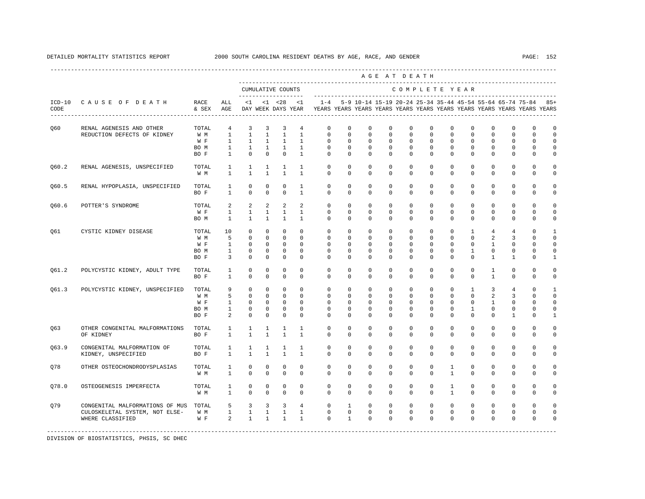DETAILED MORTALITY STATISTICS REPORT 2000 SOUTH CAROLINA RESIDENT DEATHS BY AGE, RACE, AND GENDER PAGE: 152

|                                 |                              |                     |                                   |                         | CUMULATIVE COUNTS                  |                                                                     |                                                                                    |                      |                        |                                                                                 | COMPLETE YEAR                                                                 |                                                                                                                               |                          |                                                                                            |                                                                                                  |                                                                                           |                                                                                                                                                                                        |                                                                                      |
|---------------------------------|------------------------------|---------------------|-----------------------------------|-------------------------|------------------------------------|---------------------------------------------------------------------|------------------------------------------------------------------------------------|----------------------|------------------------|---------------------------------------------------------------------------------|-------------------------------------------------------------------------------|-------------------------------------------------------------------------------------------------------------------------------|--------------------------|--------------------------------------------------------------------------------------------|--------------------------------------------------------------------------------------------------|-------------------------------------------------------------------------------------------|----------------------------------------------------------------------------------------------------------------------------------------------------------------------------------------|--------------------------------------------------------------------------------------|
| CAUSE OF DEATH                  | RACE<br>& SEX                | ALL<br>AGE          | <1                                |                         | $< 1$ $< 28$<br>DAY WEEK DAYS YEAR | <1                                                                  | $1 - 4$<br>YEARS YEARS YEARS YEARS YEARS YEARS YEARS YEARS YEARS YEARS YEARS YEARS |                      |                        |                                                                                 |                                                                               |                                                                                                                               |                          | 5-9 10-14 15-19 20-24 25-34 35-44 45-54 55-64 65-74 75-84                                  |                                                                                                  |                                                                                           |                                                                                                                                                                                        | $85+$                                                                                |
| RENAL AGENESIS AND OTHER        | TOTAL                        | 4                   | 3                                 | 3                       | 3                                  | 4                                                                   | 0                                                                                  | 0                    | 0                      | $\mathbf 0$                                                                     | 0                                                                             | 0                                                                                                                             | 0                        | $\mathbf 0$                                                                                | 0                                                                                                | 0                                                                                         | 0                                                                                                                                                                                      | 0                                                                                    |
| REDUCTION DEFECTS OF KIDNEY     | W M                          | $\mathbf{1}$        | $\mathbf{1}$                      | $\mathbf{1}$            | $\mathbf{1}$                       | $\mathbf{1}$                                                        | $\mathbf 0$                                                                        | $\mathbf 0$          | $\mathbf 0$            | $\mathbf 0$                                                                     | $\mathbf 0$                                                                   | $\mathbf{0}$                                                                                                                  | $\mathbf 0$              | $\mathbf 0$                                                                                | $\mathbf 0$                                                                                      | $\mathbf 0$                                                                               | 0                                                                                                                                                                                      | $\Omega$                                                                             |
|                                 | W F                          | $\mathbf{1}$        | $\mathbf{1}$                      | 1                       | $\mathbf{1}$                       | $\mathbf{1}$                                                        | $\mathbf 0$                                                                        | $\Omega$             | $\Omega$               | $\Omega$                                                                        | $\mathbf{0}$                                                                  | $\mathbf{0}$                                                                                                                  | $\Omega$                 | $\mathbf 0$                                                                                | 0                                                                                                | $\mathbf{0}$                                                                              | $\Omega$                                                                                                                                                                               |                                                                                      |
|                                 | BO M                         | $\mathbf{1}$        | $\mathbf{1}$                      | $\mathbf{1}$            | $\mathbf{1}$                       | $\mathbf{1}$                                                        | 0                                                                                  | $\mathbf 0$          | 0                      | 0                                                                               | $\mathbf 0$                                                                   | $\mathbf 0$                                                                                                                   | 0                        | $\mathbf 0$                                                                                | 0                                                                                                | 0                                                                                         | 0                                                                                                                                                                                      |                                                                                      |
|                                 | BO F                         | $\mathbf{1}$        | $\Omega$                          | $\mathbf 0$             | $\mathbf 0$                        | $\mathbf{1}$                                                        | $\Omega$                                                                           | $\mathbf 0$          | $\mathbf 0$            | $\mathbf 0$                                                                     | $\mathbf 0$                                                                   | $\mathbf{0}$                                                                                                                  | $\mathbf 0$              | $\mathbf 0$                                                                                | $\mathbf 0$                                                                                      | $\mathbf 0$                                                                               | 0                                                                                                                                                                                      | U                                                                                    |
| RENAL AGENESIS, UNSPECIFIED     | TOTAL                        | $\mathbf{1}$        | $\mathbf{1}$                      | $\mathbf{1}$            | $\mathbf{1}$                       | $\mathbf{1}$                                                        | $\mathbf 0$                                                                        | 0                    | $^{\circ}$             | 0                                                                               | $\mathbf{0}$                                                                  | $\mathbf{0}$                                                                                                                  | $\mathbf 0$              | $\mathbf 0$                                                                                | $\mathbf 0$                                                                                      | 0                                                                                         | $\mathbf{0}$                                                                                                                                                                           | U                                                                                    |
|                                 | W M                          | $\mathbf{1}$        | $\mathbf{1}$                      | $\mathbf{1}$            | $\mathbf{1}$                       | $\mathbf{1}$                                                        | $\Omega$                                                                           | $\Omega$             | $\Omega$               | $\Omega$                                                                        | $\Omega$                                                                      | $\Omega$                                                                                                                      | $\Omega$                 | $\mathbf 0$                                                                                | $\Omega$                                                                                         | $\mathbf 0$                                                                               | $\Omega$                                                                                                                                                                               | 0                                                                                    |
| RENAL HYPOPLASIA, UNSPECIFIED   | TOTAL                        | $\mathbf{1}$        | 0                                 | $\mathbf 0$             | $\mathbf 0$                        | $\mathbf{1}$                                                        | $\mathbf 0$                                                                        | 0                    | $^{\circ}$             | 0                                                                               | $\mathbf 0$                                                                   | 0                                                                                                                             | $\mathbf 0$              | $\mathbf 0$                                                                                | $\mathbf 0$                                                                                      | 0                                                                                         | $\mathbf 0$                                                                                                                                                                            | U                                                                                    |
|                                 | BO F                         | $\mathbf{1}$        | $\Omega$                          | $\Omega$                | $\Omega$                           | $\mathbf{1}$                                                        | $\Omega$                                                                           | $\Omega$             | $\Omega$               | $\Omega$                                                                        | $\Omega$                                                                      | $\mathbf{0}$                                                                                                                  | $\Omega$                 | $\mathbf 0$                                                                                | $\Omega$                                                                                         | $\mathbf 0$                                                                               | $\mathbf 0$                                                                                                                                                                            | 0                                                                                    |
| POTTER'S SYNDROME               | TOTAL                        | 2                   | 2                                 | 2                       | 2                                  | 2                                                                   | $\Omega$                                                                           | $\Omega$             | $\mathbf 0$            | $\mathbf 0$                                                                     | $\mathbf 0$                                                                   | $\mathbf 0$                                                                                                                   | $\Omega$                 | $\mathbf 0$                                                                                | $\Omega$                                                                                         | $\mathbf{0}$                                                                              | $\Omega$                                                                                                                                                                               |                                                                                      |
|                                 | W F                          | $\mathbf{1}$        | $\mathbf{1}$                      | $\mathbf{1}$            | $\mathbf{1}$                       | $\mathbf{1}$                                                        | $\Omega$                                                                           | $\Omega$             | $\Omega$               | $\Omega$                                                                        | $\Omega$                                                                      | $\Omega$                                                                                                                      | $\Omega$                 | $\Omega$                                                                                   | $\Omega$                                                                                         | $\mathbf 0$                                                                               | $\Omega$                                                                                                                                                                               | $\Omega$                                                                             |
|                                 | BO M                         | $\mathbf{1}$        | $\mathbf{1}$                      | $\mathbf{1}$            | $\mathbf{1}$                       | $\mathbf{1}$                                                        | $\Omega$                                                                           | $\Omega$             | $\Omega$               | $\Omega$                                                                        | $\Omega$                                                                      | $\mathbf 0$                                                                                                                   | $\Omega$                 | $\mathbf 0$                                                                                | $\Omega$                                                                                         | $\mathbf 0$                                                                               | 0                                                                                                                                                                                      | 0                                                                                    |
|                                 |                              |                     |                                   |                         |                                    |                                                                     |                                                                                    |                      |                        |                                                                                 |                                                                               |                                                                                                                               |                          |                                                                                            |                                                                                                  |                                                                                           |                                                                                                                                                                                        |                                                                                      |
| CYSTIC KIDNEY DISEASE           | TOTAL                        | 10                  | $\Omega$                          | $\Omega$                | $\Omega$                           | $\Omega$                                                            | $\Omega$                                                                           | $\Omega$             | $\Omega$               | $\Omega$                                                                        | $\Omega$                                                                      | $\Omega$                                                                                                                      | $\Omega$                 | $\mathbf{1}$                                                                               | $\overline{4}$                                                                                   | $\overline{4}$                                                                            | $\Omega$                                                                                                                                                                               | л.                                                                                   |
|                                 | W M                          | 5                   | $\mathbf 0$                       | $\mathbf 0$             | $\mathbf 0$                        | $\Omega$                                                            | $\Omega$                                                                           | $\Omega$             | $\Omega$               | $\Omega$                                                                        | $\mathbf 0$                                                                   | $\mathbf 0$                                                                                                                   | $\Omega$                 | $\mathbf 0$                                                                                | $\overline{a}$                                                                                   | 3                                                                                         | $\cap$                                                                                                                                                                                 | $\Omega$                                                                             |
|                                 | W F                          | $\mathbf{1}$        | $\Omega$                          | $\Omega$                | $\mathbf 0$                        | $\Omega$                                                            | $\Omega$                                                                           | $\Omega$             | $\Omega$               | $\Omega$                                                                        | $\mathbf 0$                                                                   | $\mathbf 0$                                                                                                                   | $\mathbf 0$              | $\mathbf 0$                                                                                | $\mathbf{1}$                                                                                     | $\mathbf 0$                                                                               | $\Omega$                                                                                                                                                                               | U                                                                                    |
|                                 | BO M<br>BO F                 | 1<br>$\overline{3}$ | 0<br>$\Omega$                     | 0<br>$\Omega$           | $\mathbf 0$<br>$\mathbf 0$         | $\mathbf 0$<br>$\Omega$                                             | $\mathbf 0$<br>$\Omega$                                                            | 0<br>$\Omega$        | $^{\circ}$<br>$\Omega$ | $\mathbf 0$<br>$\mathbf 0$                                                      | $\mathbf 0$<br>$\Omega$                                                       | $\mathbf 0$<br>$\mathbf 0$                                                                                                    | $\mathbf 0$<br>$\Omega$  | $\mathbf{1}$<br>$\mathbf 0$                                                                | $\mathbf 0$<br>$\mathbf{1}$                                                                      | $\mathbf 0$<br>$\mathbf{1}$                                                               | $\Omega$<br>$\Omega$                                                                                                                                                                   | $\mathbf{1}$                                                                         |
|                                 |                              |                     |                                   |                         |                                    |                                                                     |                                                                                    |                      |                        |                                                                                 |                                                                               |                                                                                                                               |                          |                                                                                            |                                                                                                  |                                                                                           |                                                                                                                                                                                        |                                                                                      |
| POLYCYSTIC KIDNEY, ADULT TYPE   | TOTAL                        | $\mathbf{1}$        | $\mathbf 0$                       | $\mathbf 0$             | $\mathbf 0$                        | $\mathbf 0$                                                         | $\mathbf{0}$                                                                       | $\mathbf 0$          | $\mathbf 0$            | $\mathbf 0$                                                                     | $\mathbf 0$                                                                   | $\mathbf{0}$                                                                                                                  | $\mathbf 0$              | $\mathbf 0$                                                                                | $\mathbf{1}$                                                                                     | $\mathbf 0$                                                                               | $\mathbf 0$                                                                                                                                                                            | U                                                                                    |
|                                 | BO F                         | $\mathbf{1}$        | $\Omega$                          | $\Omega$                | $\Omega$                           | $\Omega$                                                            | $\Omega$                                                                           | $\Omega$             | $\Omega$               | $\Omega$                                                                        | $\Omega$                                                                      | $\Omega$                                                                                                                      | $\Omega$                 | $\Omega$                                                                                   | $\mathbf{1}$                                                                                     | $\Omega$                                                                                  | $\Omega$                                                                                                                                                                               | $\Omega$                                                                             |
| POLYCYSTIC KIDNEY, UNSPECIFIED  | TOTAL                        | 9                   | $\mathbf 0$                       | $\mathbf 0$             | $\mathbf 0$                        | $\mathbf 0$                                                         | $\mathbf{0}$                                                                       | $\mathbf 0$          | $\mathbf 0$            | $\mathbf 0$                                                                     | $\mathbf 0$                                                                   | $\mathbf 0$                                                                                                                   | $\mathbf 0$              | $\mathbf{1}$                                                                               | 3                                                                                                | $\overline{4}$                                                                            | $\Omega$                                                                                                                                                                               |                                                                                      |
|                                 | W M                          | 5                   | $\Omega$                          | $\Omega$                | $\mathbf 0$                        | $\Omega$                                                            | $\Omega$                                                                           | $\Omega$             | $\Omega$               | $\Omega$                                                                        | $\Omega$                                                                      | $\mathbf 0$                                                                                                                   | $\Omega$                 | $\Omega$                                                                                   | 2                                                                                                | 3                                                                                         | $\Omega$                                                                                                                                                                               | U                                                                                    |
|                                 | W F                          | $\mathbf{1}$        | $\Omega$                          | $\Omega$                | $\Omega$                           | $\Omega$                                                            | $\Omega$                                                                           | $\Omega$             | $\Omega$               | $\Omega$                                                                        | $\Omega$                                                                      | $\Omega$                                                                                                                      | $\Omega$                 | $\mathbf 0$                                                                                | $\mathbf{1}$                                                                                     | $\mathbf 0$                                                                               | $\Omega$                                                                                                                                                                               | U                                                                                    |
|                                 | BO M                         | $\mathbf{1}$        | $\mathbf 0$                       | $\mathbf 0$             | $\mathbf 0$                        | $\mathbf 0$                                                         | $\Omega$                                                                           | 0                    | $\mathbf 0$            | $\mathbf 0$                                                                     | $\mathbf{0}$                                                                  | $\mathbf{0}$                                                                                                                  | $\mathbf 0$              | $\mathbf{1}$                                                                               | $\mathbf 0$                                                                                      | $\mathbf 0$                                                                               | 0                                                                                                                                                                                      | $\Omega$                                                                             |
|                                 | BO F                         | $\overline{a}$      | $\Omega$                          | $\Omega$                | $\Omega$                           | $\Omega$                                                            | $\Omega$                                                                           | $\Omega$             | $\Omega$               | $\mathbf 0$                                                                     | $\mathbf{0}$                                                                  | $\mathbf 0$                                                                                                                   | $\Omega$                 | $\mathbf 0$                                                                                | $\Omega$                                                                                         | 1                                                                                         | $\Omega$                                                                                                                                                                               | $\mathbf{1}$                                                                         |
| OTHER CONGENITAL MALFORMATIONS  | TOTAL                        | 1                   | 1                                 | 1                       | 1                                  | 1                                                                   | 0                                                                                  | 0                    | $\mathbf 0$            | $\mathbf 0$                                                                     | $\mathbf{0}$                                                                  | $\mathbf{0}$                                                                                                                  | $\mathbf 0$              | $\mathbf 0$                                                                                | $\mathbf 0$                                                                                      | 0                                                                                         | $\mathbf 0$                                                                                                                                                                            | U                                                                                    |
|                                 | BO F                         | $\mathbf{1}$        | $\mathbf{1}$                      | $\mathbf{1}$            | $\mathbf{1}$                       | $\mathbf{1}$                                                        | $\Omega$                                                                           | $\Omega$             | $\Omega$               | $\Omega$                                                                        | $\Omega$                                                                      | $\mathbf 0$                                                                                                                   | $\Omega$                 | $\mathbf 0$                                                                                | $\Omega$                                                                                         | $\mathbf 0$                                                                               | $\Omega$                                                                                                                                                                               | $\Omega$                                                                             |
| CONGENITAL MALFORMATION OF      | TOTAL                        | 1                   | 1                                 | 1                       | 1                                  | 1                                                                   | $\mathbf{0}$                                                                       | $\mathbf 0$          | $\mathbf 0$            | $\mathbf 0$                                                                     | $\mathbf{0}$                                                                  | $\mathbf{0}$                                                                                                                  | $\mathbf 0$              | $\mathbf 0$                                                                                | $\mathbf 0$                                                                                      | $\mathbf 0$                                                                               | $\mathbf 0$                                                                                                                                                                            | U                                                                                    |
| KIDNEY, UNSPECIFIED             | BO F                         | $\mathbf{1}$        | $\overline{1}$                    | $\overline{1}$          | $\mathbf{1}$                       | $\mathbf{1}$                                                        | $\Omega$                                                                           | $\Omega$             | $\Omega$               | $\Omega$                                                                        | $\Omega$                                                                      | $\Omega$                                                                                                                      | $\Omega$                 | $\Omega$                                                                                   | $\Omega$                                                                                         | $\Omega$                                                                                  | $\Omega$                                                                                                                                                                               | $\Omega$                                                                             |
|                                 |                              |                     |                                   |                         |                                    |                                                                     |                                                                                    |                      |                        |                                                                                 |                                                                               |                                                                                                                               |                          |                                                                                            |                                                                                                  |                                                                                           |                                                                                                                                                                                        |                                                                                      |
|                                 |                              |                     | $\Omega$                          |                         |                                    |                                                                     | $\Omega$                                                                           |                      |                        |                                                                                 |                                                                               |                                                                                                                               |                          |                                                                                            |                                                                                                  |                                                                                           |                                                                                                                                                                                        | $\Omega$                                                                             |
|                                 |                              |                     |                                   |                         |                                    |                                                                     |                                                                                    |                      |                        |                                                                                 |                                                                               |                                                                                                                               |                          |                                                                                            |                                                                                                  |                                                                                           |                                                                                                                                                                                        |                                                                                      |
| OSTEOGENESIS IMPERFECTA         | TOTAL                        | $\mathbf{1}$        | 0                                 | $\Omega$                | $\mathbf 0$                        | $\Omega$                                                            | $\Omega$                                                                           | $\mathbf 0$          | $\mathbf 0$            |                                                                                 |                                                                               |                                                                                                                               |                          |                                                                                            |                                                                                                  |                                                                                           |                                                                                                                                                                                        |                                                                                      |
|                                 |                              |                     |                                   |                         |                                    |                                                                     |                                                                                    |                      |                        |                                                                                 |                                                                               |                                                                                                                               |                          |                                                                                            |                                                                                                  |                                                                                           |                                                                                                                                                                                        | $\Omega$                                                                             |
| CONGENITAL MALFORMATIONS OF MUS | TOTAL                        | 5                   | $\overline{3}$                    | $\overline{3}$          | 3                                  | 4                                                                   | $\mathbf 0$                                                                        |                      |                        |                                                                                 |                                                                               |                                                                                                                               |                          |                                                                                            |                                                                                                  |                                                                                           |                                                                                                                                                                                        |                                                                                      |
| CULOSKELETAL SYSTEM, NOT ELSE-  | W M                          | $\mathbf{1}$        | $\mathbf{1}$                      |                         | $\mathbf{1}$                       | $\mathbf{1}$                                                        | $\Omega$                                                                           |                      |                        |                                                                                 |                                                                               |                                                                                                                               |                          |                                                                                            |                                                                                                  |                                                                                           |                                                                                                                                                                                        | U                                                                                    |
| WHERE CLASSIFIED                | W F                          | $\overline{a}$      | $\overline{1}$                    |                         | $\mathbf{1}$                       | $\mathbf{1}$                                                        | $\Omega$                                                                           |                      | $\Omega$               |                                                                                 |                                                                               |                                                                                                                               |                          |                                                                                            |                                                                                                  |                                                                                           |                                                                                                                                                                                        | U                                                                                    |
|                                 | OTHER OSTEOCHONDRODYSPLASIAS | TOTAL<br>W M<br>W M | 1<br>$\mathbf{1}$<br>$\mathbf{1}$ | $\mathbf 0$<br>$\Omega$ | $\Omega$<br>$\Omega$<br>$\Omega$   | $\mathbf 0$<br>$\Omega$<br>$\Omega$<br>$\mathbf{1}$<br>$\mathbf{1}$ | $\mathbf 0$<br>$\Omega$<br>$\Omega$                                                | $\Omega$<br>$\Omega$ | $\mathbf 0$            | $\mathbf 0$<br>$\Omega$<br>$\Omega$<br>$\mathbf{1}$<br>$\Omega$<br>$\mathbf{1}$ | $\mathbf 0$<br>$\Omega$<br>$\mathbf 0$<br>$\Omega$<br>$\mathbf 0$<br>$\Omega$ | $\mathbf 0$<br>$\Omega$<br>$\Omega$<br>$\mathbf 0$<br>$\Omega$<br>$\mathbf 0$<br>$\Omega$<br>$\Omega$<br>$\Omega$<br>$\Omega$ | $\Omega$<br>$\mathbf{0}$ | $\mathbf 0$<br>$\Omega$<br>$\mathbf 0$<br>$\Omega$<br>$\mathbf{0}$<br>$\Omega$<br>$\Omega$ | $\mathbf{1}$<br>$\mathbf{1}$<br>$\mathbf{1}$<br>$\mathbf{1}$<br>$\Omega$<br>$\Omega$<br>$\Omega$ | $\mathbf 0$<br>$\Omega$<br>$\mathbf 0$<br>$\Omega$<br>$\mathbf 0$<br>$\Omega$<br>$\Omega$ | $\mathbf 0$<br>$\mathbf 0$<br>$\Omega$<br>$\Omega$<br>$\mathbf 0$<br>$\mathbf 0$<br>$\Omega$<br>$\Omega$<br>$\mathbf 0$<br>$\mathbf 0$<br>$\Omega$<br>$\Omega$<br>$\Omega$<br>$\Omega$ | $\Omega$<br>$\Omega$<br>$\mathbf{0}$<br>$\Omega$<br>$\Omega$<br>$\Omega$<br>$\Omega$ |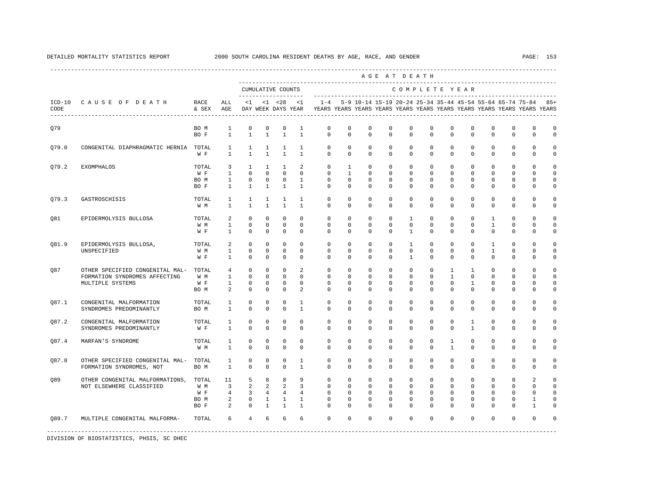|                  |                                                                                      |                                     |                                                   |                                                       |                                                          |                                                          |                                                  |                                                                                    |                                                         |                                                           |                                                        | AGE AT DEATH                                           |                                            |                                                     |                                                      |                                                      |                                                      |                                                |                                                            |
|------------------|--------------------------------------------------------------------------------------|-------------------------------------|---------------------------------------------------|-------------------------------------------------------|----------------------------------------------------------|----------------------------------------------------------|--------------------------------------------------|------------------------------------------------------------------------------------|---------------------------------------------------------|-----------------------------------------------------------|--------------------------------------------------------|--------------------------------------------------------|--------------------------------------------|-----------------------------------------------------|------------------------------------------------------|------------------------------------------------------|------------------------------------------------------|------------------------------------------------|------------------------------------------------------------|
|                  |                                                                                      |                                     |                                                   |                                                       |                                                          | CUMULATIVE COUNTS<br>-------------------                 |                                                  |                                                                                    |                                                         |                                                           |                                                        | COMPLETE YEAR                                          |                                            |                                                     |                                                      |                                                      |                                                      |                                                |                                                            |
| $ICD-10$<br>CODE | CAUSE OF DEATH                                                                       | RACE<br>& SEX                       | ALL<br>AGE                                        | <1                                                    |                                                          | $< 1$ $< 28$<br>DAY WEEK DAYS YEAR                       | <1                                               | $1 - 4$<br>YEARS YEARS YEARS YEARS YEARS YEARS YEARS YEARS YEARS YEARS YEARS YEARS |                                                         | 5-9 10-14 15-19 20-24 25-34 35-44 45-54 55-64 65-74 75-84 |                                                        |                                                        |                                            |                                                     |                                                      |                                                      |                                                      |                                                | $85+$                                                      |
| Q79              |                                                                                      | BO M<br>BO F                        | $\mathbf{1}$<br>$\mathbf{1}$                      | $\mathbf 0$<br>$\mathbf{1}$                           | $\mathbf 0$<br>$\mathbf{1}$                              | $\mathbf 0$<br>$\mathbf{1}$                              | 1<br>$\mathbf{1}$                                | $\mathbf 0$<br>$\circ$                                                             | $\mathbf 0$<br>$\Omega$                                 | $\mathbf 0$<br>$\Omega$                                   | $\mathbf 0$<br>$\Omega$                                | $\mathbf 0$<br>$\Omega$                                | $\mathbf 0$<br>$\Omega$                    | $\mathbf 0$<br>$\Omega$                             | $^{\circ}$<br>$\Omega$                               | $\mathbf 0$<br>$\Omega$                              | $\mathbf 0$<br>$\mathbf 0$                           | $\mathbf 0$<br>$\mathbf 0$                     | $\circ$<br>$\circ$                                         |
| Q79.0            | CONGENITAL DIAPHRAGMATIC HERNIA TOTAL                                                | W F                                 | $\mathbf{1}$<br>$\mathbf{1}$                      | $\mathbf{1}$<br>$\mathbf{1}$                          | $\mathbf{1}$<br>$\mathbf{1}$                             | $\mathbf{1}$<br>$\mathbf{1}$                             | $\mathbf{1}$<br>$\mathbf{1}$                     | $\circ$<br>$\mathbf 0$                                                             | $\circ$<br>$\circ$                                      | $\circ$<br>$\circ$                                        | $\mathbf 0$<br>$\mathbf 0$                             | $\circ$<br>$\mathbf 0$                                 | $\mathbf 0$<br>$\mathbf 0$                 | $\mathbf 0$<br>$\mathbf 0$                          | $^{\circ}$<br>$\mathbf 0$                            | $^{\circ}$<br>$\mathbf 0$                            | $\mathbf 0$<br>$\mathbf 0$                           | $\mathbf 0$<br>$\mathbf 0$                     | $\circ$<br>$\mathbf 0$                                     |
| Q79.2            | <b>EXOMPHALOS</b>                                                                    | TOTAL<br>W F<br>BO M<br>BO F        | 3<br>$\mathbf{1}$<br>$\mathbf{1}$<br>$\mathbf{1}$ | $\mathbf{1}$<br>$\Omega$<br>$\circ$<br>$\mathbf{1}$   | $\mathbf{1}$<br>$\Omega$<br>$\circ$<br>$\mathbf{1}$      | $\mathbf{1}$<br>$\mathbf 0$<br>$\circ$<br>$\mathbf{1}$   | 2<br>$\mathbf 0$<br>$\mathbf{1}$<br>$\mathbf{1}$ | $\mathbf{0}$<br>$\mathbf 0$<br>$\circ$<br>$\Omega$                                 | $\mathbf{1}$<br>$\mathbf{1}$<br>$\Omega$<br>$\circ$     | $^{\circ}$<br>$\Omega$<br>$^{\circ}$<br>$\Omega$          | $\mathbf{0}$<br>$\Omega$<br>$^{\circ}$<br>0            | $\mathbf{0}$<br>$\Omega$<br>$^{\circ}$<br>$\Omega$     | $\mathbf{0}$<br>$\Omega$<br>$\Omega$<br>0  | $\mathbf{0}$<br>$\Omega$<br>$\mathbf 0$<br>$\Omega$ | 0<br>$\Omega$<br>$\mathbf 0$<br>$\Omega$             | 0<br>$\Omega$<br>0<br>$\Omega$                       | $\mathbf 0$<br>$\Omega$<br>0<br>$\Omega$             | $\Omega$<br>$\Omega$<br>$\Omega$<br>$\Omega$   | $\Omega$<br>$\Omega$<br>$\Omega$<br>$\Omega$               |
| Q79.3            | GASTROSCHISIS                                                                        | TOTAL<br>W M                        | $\mathbf{1}$<br>$\mathbf{1}$                      | $\mathbf{1}$<br>$\mathbf{1}$                          | $\mathbf{1}$<br>$\mathbf{1}$                             | 1<br>$\mathbf{1}$                                        | $\mathbf{1}$<br>$\mathbf{1}$                     | $\mathbf 0$<br>$^{\circ}$                                                          | $\mathbf 0$<br>$\circ$                                  | $\mathbf 0$<br>$\mathbf 0$                                | $^{\circ}$<br>$\mathbf 0$                              | $\mathbf{0}$<br>$\mathbf 0$                            | $\mathbf{0}$<br>$\mathbf 0$                | 0<br>0                                              | $\mathbf 0$<br>$\mathbf 0$                           | $\Omega$<br>$\mathbf 0$                              | $\Omega$<br>$\mathbf 0$                              | $\Omega$<br>$\Omega$                           | 0<br>0                                                     |
| 081              | EPIDERMOLYSIS BULLOSA                                                                | TOTAL<br>W M<br>W F                 | $\overline{a}$<br>$\mathbf{1}$<br>$\mathbf{1}$    | $\mathbf 0$<br>$^{\circ}$<br>$\mathbf 0$              | $\mathbf 0$<br>$\mathbf 0$<br>$\mathbf 0$                | $\mathbf 0$<br>$\mathbf 0$<br>$\mathbb O$                | $\mathbf{0}$<br>$\mathbf{0}$<br>$\mathbf{0}$     | $\mathbf 0$<br>$\mathbf 0$<br>$\mathbf{0}$                                         | $\mathbf 0$<br>$\mathbf 0$<br>$\mathbf 0$               | $\Omega$<br>$\mathbf 0$<br>$\mathbf 0$                    | $\Omega$<br>$\Omega$<br>$\mathbf 0$                    | $\overline{1}$<br>$\Omega$<br>$\mathbf{1}$             | $\Omega$<br>$\Omega$<br>0                  | $\Omega$<br>$\Omega$<br>$\mathbf 0$                 | $\Omega$<br>$\Omega$<br>$\mathbf 0$                  | $\mathbf{1}$<br>$\mathbf{1}$<br>$\mathbf 0$          | $\Omega$<br>$\Omega$<br>$\mathbf 0$                  | $\Omega$<br>$\Omega$<br>$\mathbf 0$            | $\Omega$<br>$\Omega$<br>0                                  |
| Q81.9            | EPIDERMOLYSIS BULLOSA,<br>UNSPECIFIED                                                | TOTAL<br>W M<br>W F                 | 2<br>1<br>$\mathbf{1}$                            | $^{\circ}$<br>$\circ$<br>$\Omega$                     | $^{\circ}$<br>$\Omega$<br>$\Omega$                       | $^{\circ}$<br>$\mathbf 0$<br>$\mathbf 0$                 | $\Omega$<br>$\Omega$<br>$\Omega$                 | $\mathbf 0$<br>$\Omega$<br>$\Omega$                                                | $\mathbf 0$<br>$\Omega$<br>$\Omega$                     | $^{\circ}$<br>$\Omega$<br>$\Omega$                        | $^{\circ}$<br>$\Omega$<br>$\Omega$                     | 1<br>$\Omega$<br>$\overline{1}$                        | $\Omega$<br>$\Omega$<br>$\Omega$           | $\Omega$<br>$\Omega$<br>$\Omega$                    | 0<br>$\Omega$<br>$\Omega$                            | $\mathbf{1}$<br>$\mathbf{1}$<br>$\Omega$             | $\Omega$<br>$\Omega$<br>$\mathbf 0$                  | $\Omega$<br>$\Omega$<br>$\Omega$               | $\Omega$<br>$\Omega$<br>$\Omega$                           |
| Q87              | OTHER SPECIFIED CONGENITAL MAL-<br>FORMATION SYNDROMES AFFECTING<br>MULTIPLE SYSTEMS | TOTAL<br>W M<br>W F<br>BO M         | 4<br>$\mathbf{1}$<br>$\mathbf{1}$<br>2            | $^{\circ}$<br>$^{\circ}$<br>$\mathbf 0$<br>$^{\circ}$ | $\mathbf 0$<br>$^{\circ}$<br>$\mathbf 0$<br>$\mathbf 0$  | $\mathbf 0$<br>$\mathbf 0$<br>$\mathbf 0$<br>$\mathbf 0$ | 2<br>$\mathbf 0$<br>$\mathbf 0$<br>2             | $\mathbf 0$<br>0<br>$\mathbf 0$<br>$\mathbf 0$                                     | $\mathbf 0$<br>$\mathbf{0}$<br>$^{\circ}$<br>$^{\circ}$ | $\circ$<br>0<br>0<br>$\mathbf 0$                          | $\mathbf 0$<br>0<br>0<br>0                             | $\mathbf 0$<br>$\Omega$<br>$\mathbf{0}$<br>$\mathbf 0$ | $\mathbf 0$<br>0<br>$\mathbf{0}$<br>0      | $\mathbf{1}$<br>1<br>$\mathbf{0}$<br>0              | $\mathbf{1}$<br>0<br>$\mathbf{1}$<br>$\mathbf 0$     | $\mathbf 0$<br>$\Omega$<br>0<br>$\Omega$             | $\mathbf 0$<br>$\Omega$<br>0<br>0                    | $\Omega$<br><sup>n</sup><br>0<br>$\Omega$      | $\Omega$<br>$\Omega$<br>0<br>$\Omega$                      |
| 087.1            | CONGENITAL MALFORMATION<br>SYNDROMES PREDOMINANTLY                                   | TOTAL<br>BO M                       | 1<br>$\mathbf{1}$                                 | $\mathbf 0$<br>$\mathbf 0$                            | $\mathbf 0$<br>$\mathbf 0$                               | $\mathbf 0$<br>$\mathbf 0$                               | $\mathbf{1}$<br>$\mathbf{1}$                     | $\mathbf 0$<br>$\Omega$                                                            | $\Omega$<br>$\Omega$                                    | $\Omega$<br>$\Omega$                                      | $\Omega$<br>$\Omega$                                   | $\Omega$<br>$\Omega$                                   | $\Omega$<br>$\Omega$                       | $\Omega$<br>$\Omega$                                | $\Omega$<br>$\Omega$                                 | $\Omega$<br>$\Omega$                                 | $\Omega$<br>$\Omega$                                 | $\Omega$<br>$\Omega$                           | $\Omega$<br>$\Omega$                                       |
| Q87.2            | CONGENITAL MALFORMATION<br>SYNDROMES PREDOMINANTLY                                   | TOTAL<br>W F                        | 1<br>$\mathbf{1}$                                 | 0<br>$\mathbf 0$                                      | $^{\circ}$<br>$\mathbf 0$                                | $^{\circ}$<br>$\mathbf 0$                                | $^{\circ}$<br>$\Omega$                           | $^{\circ}$<br>$\Omega$                                                             | $^{\circ}$<br>$\mathbf 0$                               | 0<br>$\Omega$                                             | 0<br>$\Omega$                                          | $\mathbf{0}$<br>$\Omega$                               | $\mathbf{0}$<br>$\Omega$                   | 0<br>$\Omega$                                       | $\mathbf{1}$<br>$\overline{1}$                       | 0<br>$\Omega$                                        | 0<br>$\Omega$                                        | $\Omega$<br>$\Omega$                           | $\Omega$<br>$\Omega$                                       |
| 087.4            | MARFAN'S SYNDROME                                                                    | TOTAL<br>W M                        | 1<br>$\mathbf{1}$                                 | $\mathbf 0$<br>$\Omega$                               | $\mathbf 0$<br>$\Omega$                                  | $\mathbf 0$<br>$\Omega$                                  | $\mathbf 0$<br>$\Omega$                          | $\mathbf 0$<br>$\Omega$                                                            | $\mathbf 0$<br>$\Omega$                                 | $\mathbf 0$<br>$\Omega$                                   | $\mathbf 0$<br>$\Omega$                                | $\mathbf 0$<br>$\Omega$                                | 0<br>$\Omega$                              | $\mathbf{1}$<br>$\mathbf{1}$                        | $\mathbf 0$<br>$\Omega$                              | $\mathbf 0$<br>$\Omega$                              | $\mathbf 0$<br>$\Omega$                              | $\mathbf 0$<br>$\Omega$                        | $\Omega$<br>$\cap$                                         |
| Q87.8            | OTHER SPECIFIED CONGENITAL MAL-<br>FORMATION SYNDROMES, NOT                          | TOTAL<br>BO M                       | 1<br>$\mathbf{1}$                                 | $\mathbf 0$<br>$\mathbf 0$                            | 0<br>$\mathbf 0$                                         | 0<br>$\mathbf 0$                                         | 1<br>$\mathbf{1}$                                | $\circ$<br>$\Omega$                                                                | $^{\circ}$<br>$\Omega$                                  | $^{\circ}$<br>$\Omega$                                    | $\mathbf{0}$<br>$\Omega$                               | $^{\circ}$<br>$\Omega$                                 | $\mathbf{0}$<br>$\Omega$                   | $\mathbf{0}$<br>$\Omega$                            | $\mathbf 0$<br>$\Omega$                              | $^{\circ}$<br>$\Omega$                               | $\mathbf 0$<br>$\Omega$                              | $\mathbf 0$<br>$\Omega$                        | $\Omega$<br>$\Omega$                                       |
| Q89              | OTHER CONGENITAL MALFORMATIONS,<br>NOT ELSEWHERE CLASSIFIED                          | TOTAL<br>W M<br>W F<br>BO M<br>BO F | 11<br>$\overline{3}$<br>4<br>2<br>2               | 5<br>2<br>$\overline{3}$<br>0<br>$^{\circ}$           | 8<br>2<br>$\overline{4}$<br>$\mathbf{1}$<br>$\mathbf{1}$ | 8<br>2<br>$\overline{4}$<br>$\mathbf{1}$<br>$\mathbf{1}$ | 9<br>3<br>$\overline{4}$<br>1<br>$\mathbf{1}$    | $\mathbf 0$<br>$\Omega$<br>$\mathbf 0$<br>0<br>$\Omega$                            | $\mathbf 0$<br>$\Omega$<br>$\circ$<br>0<br>$\mathbf{0}$ | $\circ$<br>$\Omega$<br>$\mathbf 0$<br>0<br>$\Omega$       | $^{\circ}$<br>$\Omega$<br>$\mathbf 0$<br>0<br>$\Omega$ | $\Omega$<br>$\Omega$<br>0<br>0<br>$\Omega$             | $\Omega$<br>$\Omega$<br>0<br>0<br>$\Omega$ | $\Omega$<br>$\Omega$<br>0<br>0<br>$\Omega$          | $\Omega$<br>$\Omega$<br>$\mathsf 0$<br>0<br>$\Omega$ | $\Omega$<br>$\Omega$<br>$\mathsf 0$<br>0<br>$\Omega$ | $\Omega$<br>$\Omega$<br>$\mathsf 0$<br>0<br>$\Omega$ | $\mathfrak{D}$<br>$\cap$<br>$\Omega$<br>1<br>1 | $\Omega$<br>$\cap$<br>$\Omega$<br>$\Omega$<br><sup>n</sup> |
| 089.7            | MULTIPLE CONGENITAL MALFORMA-                                                        | TOTAL                               | 6                                                 | $\overline{4}$                                        | 6                                                        | 6                                                        | 6                                                | $\Omega$                                                                           | $\Omega$                                                | $\Omega$                                                  | 0                                                      | $\Omega$                                               | $\Omega$                                   | $\Omega$                                            | $\Omega$                                             | $\Omega$                                             | $\Omega$                                             | $\Omega$                                       | $\Omega$                                                   |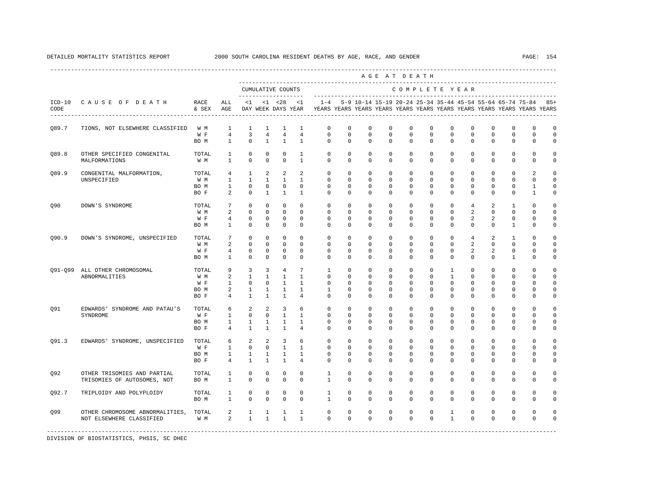DETAILED MORTALITY STATISTICS REPORT 2000 SOUTH CAROLINA RESIDENT DEATHS BY AGE, RACE, AND GENDER PAGE: 154

|                  |                                             |                                   |                                |                         |                                |                                    |                                |                          |                         |                         | AGE AT DEATH                                              |                         |                         |                         |                         |                      |                            |                                                                         |                      |
|------------------|---------------------------------------------|-----------------------------------|--------------------------------|-------------------------|--------------------------------|------------------------------------|--------------------------------|--------------------------|-------------------------|-------------------------|-----------------------------------------------------------|-------------------------|-------------------------|-------------------------|-------------------------|----------------------|----------------------------|-------------------------------------------------------------------------|----------------------|
|                  |                                             |                                   |                                |                         |                                | CUMULATIVE COUNTS<br>---------     |                                |                          |                         |                         |                                                           |                         |                         | COMPLETE YEAR           |                         |                      |                            |                                                                         |                      |
| $ICD-10$<br>CODE | CAUSE OF DEATH                              | RACE<br>& SEX                     | ALL<br>AGE                     | <1                      |                                | $< 1$ $< 28$<br>DAY WEEK DAYS YEAR | <1                             | $1 - 4$                  |                         |                         | 5-9 10-14 15-19 20-24 25-34 35-44 45-54 55-64 65-74 75-84 |                         |                         |                         |                         |                      |                            | YEARS YEARS YEARS YEARS YEARS YEARS YEARS YEARS YEARS YEARS YEARS YEARS | $85+$                |
| Q89.7            | TIONS, NOT ELSEWHERE CLASSIFIED             | W M                               | 1                              | 1                       | 1                              | 1                                  | 1                              | $\mathbf{0}$             | 0                       | $\mathbb O$             | $\mathbf 0$                                               | 0                       | $\mathbf 0$             | 0                       | $\mathbf 0$             | 0                    | $\mathsf 0$                | $\mathbf 0$                                                             | $\mathbf 0$          |
|                  |                                             | W F<br>BO M                       | $\overline{4}$<br>$\mathbf{1}$ | 3<br>$\Omega$           | $\overline{4}$<br>$\mathbf{1}$ | $\overline{4}$<br>$\mathbf{1}$     | $\overline{4}$<br>$\mathbf{1}$ | $\mathbf 0$<br>$\Omega$  | $\mathbf 0$<br>$\Omega$ | $\mathbf 0$<br>$\Omega$ | $\mathbf 0$<br>$\Omega$                                   | $\mathbf 0$<br>$\Omega$ | $\mathbf 0$<br>$\Omega$ | $\mathbf 0$<br>$\Omega$ | $\mathbf 0$<br>$\Omega$ | $\Omega$<br>$\Omega$ | $\mathbf 0$<br>$\Omega$    | $\mathbf 0$<br>0                                                        | $\circ$<br>$\Omega$  |
| 089.8            | OTHER SPECIFIED CONGENITAL<br>MALFORMATIONS | TOTAL<br>W M                      | 1<br>1                         | $\mathbf 0$<br>$\Omega$ | $\mathbf 0$<br>$\mathbf 0$     | $\mathbf 0$<br>$\mathbf 0$         | 1<br>$\mathbf{1}$              | $\mathbf{0}$<br>$\Omega$ | $\mathbf 0$<br>$\Omega$ | 0<br>$\Omega$           | $\mathbf 0$<br>$\Omega$                                   | $\mathbf 0$<br>$\Omega$ | $\mathbf 0$<br>$\Omega$ | 0<br>$\Omega$           | 0<br>$\Omega$           | 0<br>$\Omega$        | $\mathbf 0$<br>$\mathbf 0$ | $\mathbf 0$<br>$\mathbf 0$                                              | $\Omega$<br>$\Omega$ |
| Q89.9            | CONGENITAL MALFORMATION,                    | TOTAL                             | $\overline{4}$                 | $\mathbf{1}$            | 2                              | 2                                  | 2                              | $\Omega$                 | $\Omega$                | $\Omega$                | $\Omega$                                                  | $\Omega$                | $\Omega$                | $\Omega$                | $\Omega$                | $\Omega$             | $\Omega$                   | $\mathfrak{D}$                                                          | $\Omega$             |
|                  | UNSPECIFIED                                 | W M                               | $\mathbf{1}$                   | $\mathbf{1}$            | $\mathbf{1}$                   | $\mathbf{1}$                       | $\mathbf{1}$                   | $\Omega$                 | $\Omega$                | $\Omega$                | $\Omega$                                                  | $\Omega$                | $\Omega$                | $\Omega$                | $\Omega$                | $\Omega$             | $\Omega$                   | $\Omega$                                                                | $\Omega$             |
|                  |                                             | BO M                              | $\mathbf{1}$                   | $\mathbf 0$             | $\mathbf 0$                    | $^{\circ}$                         | $\mathbf 0$                    | $\Omega$                 | $\Omega$                | $\Omega$                | $\Omega$                                                  | $\Omega$                | $\Omega$                | $\Omega$                | $\Omega$                | $\Omega$             | $\mathbf 0$                | 1                                                                       | $\Omega$             |
|                  |                                             | BO F                              | 2                              | $\mathbf 0$             | 1                              | 1                                  | 1                              | $\mathbf{0}$             | 0                       | 0                       | 0                                                         | 0                       | $\mathbf 0$             | 0                       | 0                       | 0                    | $\mathbf 0$                | 1                                                                       | $\mathbf 0$          |
| Q90              | DOWN'S SYNDROME                             | TOTAL                             | 7                              | 0                       | $^{\circ}$                     | 0                                  | 0                              | 0                        | 0                       | 0                       | 0                                                         | 0                       | $\Omega$                | $\Omega$                | 4                       | 2                    | 1                          | 0                                                                       | $\mathbf 0$          |
|                  |                                             | W M                               | 2                              | $\mathbf 0$             | $^{\circ}$                     | $^{\circ}$                         | $^{\circ}$                     | $\mathbf{0}$             | 0                       | 0                       | 0                                                         | 0                       | $\mathbf{0}$            | 0                       | 2                       | 0                    | $\mathbf{0}$               | <sup>0</sup>                                                            | 0                    |
|                  |                                             | W F                               | 4                              | $\mathbf 0$             | $^{\circ}$                     | $\mathbf 0$                        | 0                              | 0                        | 0                       | 0                       | 0                                                         | $\Omega$                | 0                       | $\Omega$                | 2                       | 2                    | $\mathbf{0}$               | $\Omega$                                                                | 0                    |
|                  |                                             | BO M                              | 1                              | $\mathbf 0$             | $\mathbf 0$                    | $\mathbf 0$                        | $\mathbf 0$                    | 0                        | 0                       | 0                       | 0                                                         | $\Omega$                | 0                       | 0                       | 0                       | $\Omega$             | 1                          | $\Omega$                                                                | $\Omega$             |
| Q90.9            | DOWN'S SYNDROME, UNSPECIFIED                | TOTAL                             | 7                              | $\mathbf 0$             | $^{\circ}$                     | $^{\circ}$                         | $\Omega$                       | $\Omega$                 | $\mathbf 0$             | $\mathbf 0$             | $\mathbf 0$                                               | $\Omega$                | $\mathbf 0$             | 0                       | 4                       | 2                    | 1                          | $\Omega$                                                                | $\mathbf 0$          |
|                  |                                             | W M                               | 2                              | $\mathbf 0$             | $\Omega$                       | $\Omega$                           | $\Omega$                       | $\Omega$                 | $\Omega$                | $\Omega$                | $\Omega$                                                  | $\Omega$                | $\Omega$                | $\Omega$                | 2                       | $\Omega$             | $\Omega$                   | $\Omega$                                                                | $\Omega$             |
|                  |                                             | W F                               | 4                              | $\mathbf 0$             | $^{\circ}$                     | $^{\circ}$                         | 0                              | 0                        | 0                       | 0                       | 0                                                         | $\Omega$                | 0                       | 0                       | 2                       | 2                    | $\mathbf 0$                | $\Omega$                                                                | $\mathbf 0$          |
|                  |                                             | BO M                              | $\mathbf{1}$                   | $^{\circ}$              | $\mathbf 0$                    | $\mathbf 0$                        | $\mathbf 0$                    | 0                        | 0                       | $\Omega$                | 0                                                         | $\Omega$                | 0                       | $\Omega$                | $\mathbf 0$             | $\Omega$             | 1                          | $\Omega$                                                                | $\mathbf 0$          |
|                  | 091-099 ALL OTHER CHROMOSOMAL               | TOTAL                             | 9                              | 3                       | 3                              | 4                                  | $7\phantom{.0}$                | $\mathbf{1}$             | $\mathbf 0$             | $\mathbf 0$             | $\mathbf 0$                                               | $\mathbf 0$             | $\mathbf 0$             | $\mathbf{1}$            | $\mathbf 0$             | $\mathbf 0$          | $\mathbf 0$                | $\Omega$                                                                | $\Omega$             |
|                  | ABNORMALITIES                               | W M                               | 2                              | $\mathbf{1}$            | $\mathbf{1}$                   | $\mathbf{1}$                       | $\mathbf{1}$                   | $\Omega$                 | $\Omega$                | $\Omega$                | $\Omega$                                                  | $\Omega$                | $\Omega$                | 1                       | $\Omega$                | $\Omega$             | $\Omega$                   | $\Omega$                                                                | $\Omega$             |
|                  |                                             | W F                               | 1                              | $\mathbf 0$             | $\mathbf 0$                    | $\mathbf{1}$                       | $\mathbf{1}$                   | $\Omega$                 | $\Omega$                | $\Omega$                | $\Omega$                                                  | $\Omega$                | $\Omega$                | $\Omega$                | $\Omega$                | $\Omega$             | $\Omega$                   | $\Omega$                                                                | $\Omega$             |
|                  |                                             | BO M                              | 2                              | 1                       | 1                              | $\mathbf{1}$                       | $\mathbf{1}$                   | 1                        | 0                       | 0                       | $\mathbf 0$                                               | 0                       | $\mathbf 0$             | 0                       | 0                       | $\Omega$             | $\mathbf 0$                | $\Omega$                                                                | $\Omega$             |
|                  |                                             | BO F                              | $\overline{4}$                 | $\mathbf{1}$            | $\mathbf{1}$                   | $\mathbf{1}$                       | $\overline{4}$                 | $\Omega$                 | $\mathbf 0$             | $\Omega$                | $\mathbf 0$                                               | $\Omega$                | 0                       | $\Omega$                | $\Omega$                | $\Omega$             | $\mathbf 0$                | $\circ$                                                                 | $\mathbf 0$          |
| Q91              | EDWARDS' SYNDROME AND PATAU'S               | TOTAL                             | 6                              | 2                       | 2                              | 3                                  | 6                              | $\Omega$                 | $\mathbf 0$             | $\Omega$                | $\Omega$                                                  | $\Omega$                | $\Omega$                | $\Omega$                | $\Omega$                | $\Omega$             | $\Omega$                   | $\Omega$                                                                | $\Omega$             |
|                  | SYNDROME                                    | W F                               | $\mathbf{1}$                   | $\mathbf 0$             | $^{\circ}$                     | $\mathbf{1}$                       | $\mathbf{1}$                   | 0                        | 0                       | 0                       | $\mathbf 0$                                               | 0                       | $\mathbf 0$             | 0                       | 0                       | $\Omega$             | $\mathbf 0$                | $\Omega$                                                                | $\mathbf 0$          |
|                  |                                             | BO M<br>BO F                      | $\mathbf{1}$<br>$\overline{4}$ | 1<br>$\mathbf{1}$       | 1<br>$\mathbf{1}$              | 1<br>1                             | 1<br>4                         | 0<br>$\mathbf{0}$        | 0<br>0                  | 0<br>0                  | 0<br>0                                                    | 0<br>$\Omega$           | 0<br>0                  | 0<br>0                  | 0<br>0                  | 0<br>0               | 0<br>$\mathbf 0$           | $\Omega$<br>$\Omega$                                                    | $\mathbf 0$<br>0     |
| Q91.3            | EDWARDS' SYNDROME, UNSPECIFIED              | TOTAL                             | 6                              | 2                       | 2                              | 3                                  | 6                              | $\mathbf 0$              | 0                       | 0                       | 0                                                         | 0                       | 0                       | 0                       | 0                       | $\Omega$             | 0                          | $\Omega$                                                                | $\mathbf 0$          |
|                  |                                             | $\mathbbmss{W}$ . $\mathbbmss{F}$ | 1                              | $\mathbf 0$             | $^{\circ}$                     | $\mathbf{1}$                       | $\overline{1}$                 | 0                        | 0                       | 0                       | 0                                                         | $\Omega$                | $\mathbf 0$             | 0                       | 0                       | $\Omega$             | 0                          | $\Omega$                                                                | $\mathbf 0$          |
|                  |                                             | BO M                              | 1                              | 1                       | 1                              | $\mathbf{1}$                       | 1                              | 0                        | 0                       | 0                       | 0                                                         | 0                       | 0                       | 0                       | 0                       | 0                    | 0                          | $\Omega$                                                                | $\mathbf 0$          |
|                  |                                             | BO F                              | $\overline{4}$                 | $\mathbf{1}$            | $\mathbf{1}$                   | $\mathbf{1}$                       | 4                              | 0                        | 0                       | 0                       | 0                                                         | $\Omega$                | 0                       | $\Omega$                | 0                       | $\Omega$             | 0                          | $\Omega$                                                                | $\mathbf 0$          |
| Q92              | OTHER TRISOMIES AND PARTIAL                 | TOTAL                             | 1                              | $\mathbf 0$             | $^{\circ}$                     | 0                                  | $^{\circ}$                     | 1                        | 0                       | $\mathbf 0$             | $\mathbf 0$                                               | $\mathbf 0$             | $\mathbf 0$             | 0                       | $\mathbf 0$             | 0                    | $\mathbf 0$                | $\mathbf 0$                                                             | $\mathbf 0$          |
|                  | TRISOMIES OF AUTOSOMES, NOT                 | BO M                              | $\mathbf{1}$                   | $\mathbf 0$             | $\mathbf 0$                    | $\mathbf 0$                        | $\Omega$                       | $\mathbf{1}$             | $\Omega$                | $\Omega$                | $\mathbf 0$                                               | $\Omega$                | 0                       | $\Omega$                | $\mathbf 0$             | $\Omega$             | $\mathbf 0$                | $\mathbf 0$                                                             | $\mathbf 0$          |
| Q92.7            | TRIPLOIDY AND POLYPLOIDY                    | TOTAL                             | $\mathbf{1}$                   | $\mathbf 0$             | $\mathbf 0$                    | $\mathbf 0$                        | $\mathbf 0$                    | $\mathbf{1}$             | $\mathbf 0$             | $\mathbf 0$             | $\mathbf 0$                                               | $\mathbf 0$             | $\mathbf 0$<br>$\Omega$ | $\mathbf 0$<br>$\Omega$ | $\mathbf 0$             | $\mathbf 0$          | $\mathsf 0$                | $\mathbf 0$                                                             | $\mathbf 0$          |
|                  |                                             | BO M                              | $\mathbf{1}$                   | $\mathbf 0$             | $\mathbf 0$                    | $\mathbf 0$                        | $\Omega$                       | $\mathbf{1}$             | $\Omega$                | $\Omega$                | $\Omega$                                                  | $\Omega$                |                         |                         | $\Omega$                | $\Omega$             | $\mathbf 0$                | $\circ$                                                                 | $\mathbf 0$          |
| Q99              | OTHER CHROMOSOME ABNORMALITIES,             | TOTAL                             | 2                              | 1                       | $\mathbf{1}$                   | 1                                  | 1                              | $\mathbf 0$              | $\mathbf 0$             | $\mathbf 0$             | $\mathbf 0$                                               | $\mathbf 0$             | $\mathbf 0$             | 1                       | 0                       | $\mathbf 0$          | $\mathbf 0$                | $\mathbf 0$                                                             | $\Omega$             |
|                  | NOT ELSEWHERE CLASSIFIED                    | W M                               | 2                              | $\mathbf{1}$            | $\mathbf{1}$                   | $\mathbf{1}$                       | $\mathbf{1}$                   | $\Omega$                 | $\Omega$                | $\Omega$                | $\Omega$                                                  | $\Omega$                | $\Omega$                | $\mathbf{1}$            | $\Omega$                | $\Omega$             | $\Omega$                   | $\mathbf 0$                                                             | $\Omega$             |
|                  |                                             |                                   |                                |                         |                                |                                    |                                |                          |                         |                         |                                                           |                         |                         |                         |                         |                      |                            |                                                                         |                      |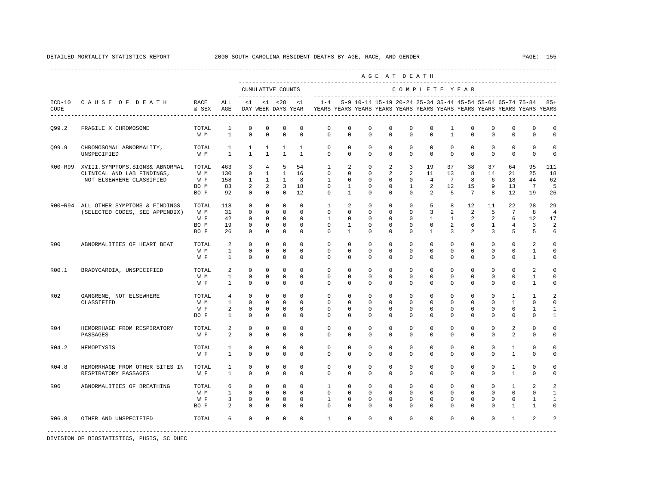|            |                                                                                          |                                       |                                                     |                                                                      |                                                                                  |                                                                         |                                                             |                                                                                            |                                                              |                                                                 |                                                      | AGE AT DEATH                                                        |                                                       |                                                    |                                                 |                                                |                                                      |                                                                   |                                                 |
|------------|------------------------------------------------------------------------------------------|---------------------------------------|-----------------------------------------------------|----------------------------------------------------------------------|----------------------------------------------------------------------------------|-------------------------------------------------------------------------|-------------------------------------------------------------|--------------------------------------------------------------------------------------------|--------------------------------------------------------------|-----------------------------------------------------------------|------------------------------------------------------|---------------------------------------------------------------------|-------------------------------------------------------|----------------------------------------------------|-------------------------------------------------|------------------------------------------------|------------------------------------------------------|-------------------------------------------------------------------|-------------------------------------------------|
|            |                                                                                          |                                       |                                                     |                                                                      |                                                                                  | CUMULATIVE COUNTS                                                       |                                                             |                                                                                            |                                                              |                                                                 |                                                      | COMPLETE YEAR                                                       |                                                       |                                                    |                                                 |                                                |                                                      |                                                                   |                                                 |
| CODE       | ICD-10 CAUSE OF DEATH                                                                    | RACE<br>& SEX AGE                     | ALL                                                 |                                                                      |                                                                                  |                                                                         | $<1$ $<1$ $<28$ $<1$                                        | DAY WEEK DAYS YEAR YEARS YEARS YEARS YEARS YEARS YEARS YEARS YEARS YEARS YEARS YEARS YEARS |                                                              |                                                                 |                                                      |                                                                     |                                                       |                                                    |                                                 |                                                |                                                      | 1-4 5-9 10-14 15-19 20-24 25-34 35-44 45-54 55-64 65-74 75-84 85+ |                                                 |
| Q99.2      | FRAGILE X CHROMOSOME                                                                     | TOTAL<br>W M                          | $\mathbf{1}$<br>$\overline{1}$                      | $\mathbf 0$<br>$\Omega$                                              | $\mathbf 0$<br>$\Omega$                                                          | $\mathbf 0$<br>$\Omega$                                                 | $\mathbf 0$<br>$\Omega$                                     | $\mathbf 0$<br>$\Omega$                                                                    | $\mathbf 0$<br>$\Omega$                                      | $\mathbf 0$<br>$\Omega$                                         | $\mathbf 0$<br>$\Omega$                              | $\mathbf{0}$<br>$\Omega$                                            | $\mathbf{0}$<br>$\Omega$                              | $\mathbf{1}$<br>$\mathbf{1}$                       | $\mathbf 0$<br>$\Omega$                         | $\mathbf 0$<br>$\Omega$                        | $\mathbf{0}$<br>$\Omega$                             | $\mathbf 0$<br>$\Omega$                                           | $\mathbf 0$<br>$\mathbf 0$                      |
| 099.9      | CHROMOSOMAL ABNORMALITY,<br>UNSPECIFIED                                                  | TOTAL<br>W M                          | $\mathbf{1}$<br>$\overline{1}$                      | $\mathbf{1}$<br>$\overline{1}$                                       | $\mathbf{1}$<br>$\overline{1}$                                                   | $\mathbf{1}$<br>$\overline{1}$                                          | $\overline{1}$<br>$\overline{1}$                            | $\Omega$<br>$\Omega$                                                                       | $\Omega$<br>$\Omega$                                         | $\Omega$<br>$\Omega$                                            | $\Omega$<br>$\Omega$                                 | $\Omega$<br>$\Omega$                                                | $\Omega$<br>$\Omega$                                  | $\Omega$<br>$\Omega$                               | $\Omega$<br>$\Omega$                            | $\Omega$<br>$\Omega$                           | $\Omega$<br>$\Omega$                                 | $\Omega$<br>$\Omega$                                              | $\Omega$<br>$\Omega$                            |
| R00-R99    | XVIII.SYMPTOMS,SIGNS& ABNORMAL<br>CLINICAL AND LAB FINDINGS,<br>NOT ELSEWHERE CLASSIFIED | TOTAL<br>W M<br>W F<br>BO M<br>BO F   | 463<br>130<br>158<br>83<br>92                       | 3<br>$\mathbf 0$<br>$\mathbf{1}$<br>2<br>$\mathbf 0$                 | $\overline{4}$<br>$\mathbf{1}$<br>$\mathbf{1}$<br>$\overline{a}$<br>$\mathbf{0}$ | 5<br>$\mathbf{1}$<br>$\overline{1}$<br>$\overline{3}$<br>$\overline{0}$ | 54<br>16<br>8<br>18<br>12                                   | 1<br>$\mathbf 0$<br>$\mathbf{1}$<br>$\mathbf 0$<br>$\mathbf{0}$                            | 2<br>$\Omega$<br>$\mathbf 0$<br>$\mathbf{1}$<br>$\mathbf{1}$ | $^{\circ}$<br>$\circ$<br>$\Omega$<br>$\mathbf 0$<br>$\mathbf 0$ | 2<br>2<br>$\Omega$<br>$\mathbf 0$<br>0               | $\overline{\mathbf{3}}$<br>2<br>$\circ$<br>$\mathbf{1}$<br>$\Omega$ | 19<br>11<br>$\overline{4}$<br>2<br>2                  | 37<br>13<br>7<br>12<br>-5                          | 38<br>8<br>8<br>15<br>7                         | 37<br>14<br>6<br>9<br>8                        | 64<br>21<br>18<br>13<br>12                           | 95<br>25<br>44<br>$7\phantom{.0}$<br>19                           | 111<br>18<br>62<br>5<br>26                      |
|            | R00~R94 ALL OTHER SYMPTOMS & FINDINGS<br>(SELECTED CODES, SEE APPENDIX)                  | TOTAL<br>W M<br>$W$ F<br>BO M<br>BO F | 118<br>31<br>42<br>19<br>26                         | $\Omega$<br>$\mathbf 0$<br>$\mathbf 0$<br>$\mathbf 0$<br>$\mathbf 0$ | $\Omega$<br>$\Omega$<br>$\mathbf 0$<br>0<br>$\mathbf 0$                          | $\Omega$<br>$\overline{0}$<br>$\circ$<br>$\mathbf 0$<br>$\mathbf 0$     | $\Omega$<br>$\Omega$<br>$\Omega$<br>$\mathbf 0$<br>$\Omega$ | $\mathbf{1}$<br>$\Omega$<br>$\mathbf{1}$<br>$\mathbf 0$<br>$\Omega$                        | 2<br>$\Omega$<br>$\mathbf 0$<br>$\mathbf{1}$<br>$\mathbf{1}$ | $\Omega$<br>$\Omega$<br>$\Omega$<br>0<br>$\Omega$               | $\Omega$<br>$\Omega$<br>$\mathbf 0$<br>0<br>$\Omega$ | $\Omega$<br>$\Omega$<br>$\mathbf 0$<br>$\mathbf 0$<br>$\Omega$      | 5<br>3<br>$\mathbf{1}$<br>$\mathbf 0$<br>$\mathbf{1}$ | 8<br>2<br>$\mathbf{1}$<br>$\overline{a}$<br>3      | 12<br>2<br>2<br>6<br>2                          | 11<br>- 5<br>2<br>1<br>3                       | 22<br>$7\phantom{.0}$<br>6<br>$\overline{4}$<br>5    | 28<br>8<br>12<br>3<br>5                                           | 29<br>$\overline{4}$<br>17<br>2<br>6            |
| R00        | ABNORMALITIES OF HEART BEAT                                                              | TOTAL<br>W M<br>W F                   | 2<br>$\mathbf{1}$<br>$\mathbf{1}$                   | $\Omega$<br>$\mathbf 0$<br>$\mathbf{0}$                              | 0<br>$\mathbf 0$<br>0                                                            | $\Omega$<br>$\mathbf 0$<br>$\mathbf 0$                                  | $\Omega$<br>$\mathbf 0$<br>$\Omega$                         | $\Omega$<br>$\mathbf 0$<br>$\Omega$                                                        | $\Omega$<br>$\circ$<br>$\Omega$                              | $\Omega$<br>$\mathbf 0$<br>$\Omega$                             | $\Omega$<br>$\mathbf 0$<br>$\Omega$                  | $\Omega$<br>$\mathbf 0$<br>$\Omega$                                 | $\mathbf 0$<br>$\mathbf 0$<br>$\Omega$                | $\Omega$<br>$\mathbf 0$<br>$\Omega$                | $\mathbf 0$<br>$\mathbf 0$<br>$\Omega$          | $\Omega$<br>$\mathbf 0$<br>$\Omega$            | $\mathbf 0$<br>$\mathbf 0$<br>$\Omega$               | 2<br>$\mathbf{1}$<br>$\mathbf{1}$                                 | $\Omega$<br>$\circ$<br>0                        |
| R00.1      | BRADYCARDIA, UNSPECIFIED                                                                 | TOTAL<br>W M<br>W F                   | 2<br>$\mathbf{1}$<br><sup>1</sup>                   | $\mathbf 0$<br>$\mathbf 0$<br>$^{\circ}$                             | $\mathbf 0$<br>$\Omega$<br>0                                                     | $\mathbf 0$<br>$\mathbf 0$<br>$\mathbf 0$                               | $\Omega$<br>$\Omega$<br>0                                   | $\Omega$<br>$\Omega$<br>$\mathbf{0}$                                                       | $\Omega$<br>$\Omega$<br>0                                    | $\Omega$<br>$\Omega$<br>0                                       | $\Omega$<br>$\Omega$<br>0                            | $\Omega$<br>$\Omega$<br>$\mathbf{0}$                                | $\mathbf 0$<br>$\Omega$<br>$\mathbf{0}$               | $\mathbf 0$<br>$\Omega$<br>0                       | $\Omega$<br>$\Omega$<br>0                       | $^{\circ}$<br>$\Omega$<br>$^{\circ}$           | $\mathbf 0$<br>$\Omega$<br>$\mathbf{0}$              | 2<br>$\mathbf{1}$<br>1                                            | $\circ$<br>$\Omega$<br>0                        |
| <b>R02</b> | GANGRENE, NOT ELSEWHERE<br>CLASSIFIED                                                    | TOTAL<br>W M<br>W F<br>BO F           | $\overline{4}$<br>$\mathbf{1}$<br>2<br>$\mathbf{1}$ | $\mathbf 0$<br>$\Omega$<br>$\Omega$<br>$\mathbf 0$                   | $\mathbf 0$<br>$\Omega$<br>$\Omega$<br>0                                         | $\mathbf 0$<br>$\Omega$<br>$\Omega$<br>$\mathbf 0$                      | $\Omega$<br>$\Omega$<br>$\Omega$<br>$\Omega$                | $\mathbf 0$<br>$\Omega$<br>$\Omega$<br>$\Omega$                                            | $\mathbf 0$<br>$\Omega$<br>$\Omega$<br>$\Omega$              | $\mathbf 0$<br>$\Omega$<br>$\Omega$<br>$\Omega$                 | $\mathbf 0$<br>$\Omega$<br>$\Omega$<br>$\Omega$      | $^{\circ}$<br>$\Omega$<br>$\Omega$<br>$\Omega$                      | $\mathbf 0$<br>$\Omega$<br>$\Omega$<br>$\Omega$       | $\mathbf 0$<br>$\Omega$<br>$\Omega$<br>$\Omega$    | $\mathbf 0$<br>$\Omega$<br>$\Omega$<br>$\Omega$ | $^{\circ}$<br>$\Omega$<br>$\Omega$<br>$\Omega$ | $\mathbf{1}$<br>$\mathbf{1}$<br>$\Omega$<br>$\Omega$ | $\mathbf{1}$<br>$\Omega$<br>1<br>$\Omega$                         | $\overline{a}$<br>$\Omega$<br>$\mathbf{1}$<br>1 |
| R04        | HEMORRHAGE FROM RESPIRATORY<br>PASSAGES                                                  | TOTAL<br>W F                          | 2<br>$\overline{a}$                                 | $\mathbf 0$<br>$\Omega$                                              | 0<br>$\Omega$                                                                    | $\mathbf 0$<br>$\Omega$                                                 | $\mathbf 0$<br>$\Omega$                                     | $\mathbf 0$<br>$\Omega$                                                                    | $\mathbf 0$<br>$\Omega$                                      | $\mathbf 0$<br>$\Omega$                                         | $\mathbf 0$<br>$\Omega$                              | $\mathbf 0$<br>$\Omega$                                             | $\mathbf{0}$<br>$\Omega$                              | 0<br>$\Omega$                                      | $\mathbf 0$<br>$\Omega$                         | $\mathbf 0$<br>$\Omega$                        | 2<br>$\mathfrak{D}$                                  | 0<br>$\Omega$                                                     | 0<br>0                                          |
| R04.2      | HEMOPTYSIS                                                                               | TOTAL<br>W F                          | 1<br>$\mathbf{1}$                                   | 0<br>$\Omega$                                                        | 0<br>$\Omega$                                                                    | 0<br>$\Omega$                                                           | 0<br>$\Omega$                                               | $\mathbf{0}$<br>$\Omega$                                                                   | 0<br>$\Omega$                                                | 0<br>$\Omega$                                                   | 0<br>$\Omega$                                        | $\mathbf{0}$<br>$\Omega$                                            | 0<br>$\Omega$                                         | 0<br>$\Omega$                                      | 0<br>$\Omega$                                   | $\mathbf 0$<br>$\Omega$                        | 1<br>$\mathbf{1}$                                    | 0<br>$\Omega$                                                     | 0<br>0                                          |
| R04.8      | HEMORRHAGE FROM OTHER SITES IN<br>RESPIRATORY PASSAGES                                   | TOTAL<br>W F                          | 1<br>$\mathbf{1}$                                   | $\mathbf 0$<br>$\Omega$                                              | $\Omega$<br>$\Omega$                                                             | $\mathbf 0$<br>$\Omega$                                                 | $\Omega$<br>$\Omega$                                        | $\Omega$<br>$\Omega$                                                                       | $\Omega$<br>$\Omega$                                         | $\Omega$<br>$\Omega$                                            | $\Omega$<br>$\Omega$                                 | $\Omega$<br>$\Omega$                                                | $\Omega$<br>$\Omega$                                  | $\Omega$<br>$\Omega$                               | $\Omega$<br>$\Omega$                            | $\mathbf 0$<br>$\Omega$                        | $\mathbf{1}$<br>$\mathbf{1}$                         | $\Omega$<br>$\Omega$                                              | $\Omega$<br>$\mathbf 0$                         |
| R06        | ABNORMALITIES OF BREATHING                                                               | TOTAL<br>W M<br>W F<br>BO F           | 6<br>$\mathbf{1}$<br>3<br>$\overline{a}$            | $\mathbf 0$<br>$\mathbf 0$<br>$\mathbf 0$<br>$\mathbf 0$             | $\mathbf 0$<br>$\mathbf{0}$<br>$\Omega$<br>$\mathbf 0$                           | $\mathbf 0$<br>$\mathbf 0$<br>$\mathbf 0$<br>$\mathbf 0$                | $\Omega$<br>$\Omega$<br>$\Omega$<br>$\mathbf 0$             | $\mathbf{1}$<br>$\Omega$<br>$\mathbf{1}$<br>$\Omega$                                       | $\mathbf 0$<br>$\Omega$<br>$\Omega$<br>$\circ$               | $\mathbf 0$<br>$\circ$<br>$\Omega$<br>$\Omega$                  | $\mathbf 0$<br>$\mathbf 0$<br>$\Omega$<br>0          | $^{\circ}$<br>$\circ$<br>$\Omega$<br>$\Omega$                       | $\mathbf 0$<br>$\mathbf 0$<br>$\Omega$<br>0           | $\mathbf 0$<br>$\mathbf 0$<br>$\Omega$<br>$\Omega$ | $\mathbf 0$<br>$\mathbf 0$<br>$\Omega$<br>0     | $\mathbf 0$<br>$\mathbf 0$<br>$\Omega$<br>0    | $\mathbf{1}$<br>$\mathbf 0$<br>$\Omega$<br>1         | 2<br>$\Omega$<br>1<br>1                                           | 2<br>1<br>$\mathbf{1}$<br>0                     |
| R06.8      | OTHER AND UNSPECIFIED                                                                    | TOTAL                                 | 6                                                   | $\mathbf 0$                                                          | $\Omega$                                                                         | $\mathbf 0$                                                             | $\Omega$                                                    | $\mathbf{1}$                                                                               | $\Omega$                                                     | $\Omega$                                                        | $\Omega$                                             | $\Omega$                                                            | $\mathbf 0$                                           | $\Omega$                                           | $\mathbf 0$                                     | $\mathbf 0$                                    | $\mathbf{1}$                                         | 2                                                                 | 2                                               |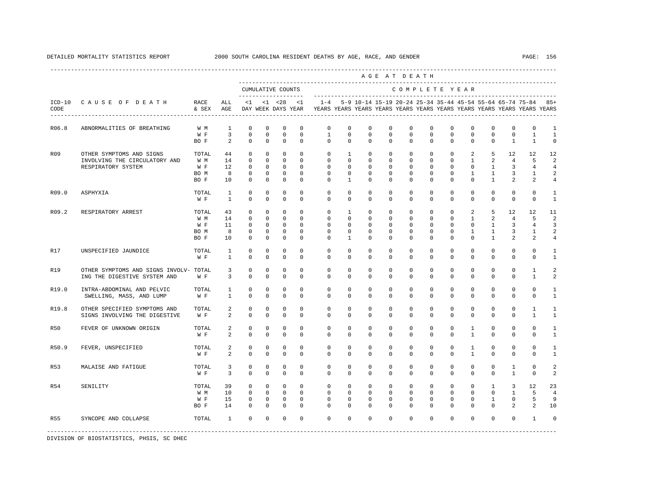DETAILED MORTALITY STATISTICS REPORT 2000 SOUTH CAROLINA RESIDENT DEATHS BY AGE, RACE, AND GENDER PAGE: 156

|            |                                        |               |                     |                         |                                     |                                        |                                                                                                                                                                   |                         |                         |                      | AGE AT DEATH             |                             |                         |                            |                         |                              |                              |                            |
|------------|----------------------------------------|---------------|---------------------|-------------------------|-------------------------------------|----------------------------------------|-------------------------------------------------------------------------------------------------------------------------------------------------------------------|-------------------------|-------------------------|----------------------|--------------------------|-----------------------------|-------------------------|----------------------------|-------------------------|------------------------------|------------------------------|----------------------------|
|            |                                        |               |                     | CUMULATIVE COUNTS       |                                     |                                        |                                                                                                                                                                   |                         |                         |                      |                          |                             | COMPLETE YEAR           |                            |                         |                              |                              |                            |
| CODE       | ICD-10 CAUSE OF DEATH                  | RACE<br>& SEX | ALL<br>AGE          | $<1$ $<1$ $<28$ $<1$    |                                     |                                        | 1-4  5-9 10-14 15-19 20-24 25-34 35-44 45-54 55-64 65-74 75-84  85+<br>DAY WEEK DAYS YEAR YEARS YEARS YEARS YEARS YEARS YEARS YEARS YEARS YEARS YEARS YEARS YEARS |                         |                         |                      |                          |                             |                         |                            |                         |                              |                              |                            |
| R06.8      | ABNORMALITIES OF BREATHING             | W M           | 1                   | $^{\circ}$              | $\mathbf{0}$                        | $\circ$<br>$^{\circ}$                  | $\mathbf{0}$                                                                                                                                                      | $\circ$                 | 0                       | $\mathbf{0}$         | $\Omega$                 | $\circ$                     | $^{\circ}$              | $\Omega$                   | $\circ$                 | $\circ$                      | $\mathbf 0$                  | -1                         |
|            |                                        | W F<br>BO F   | $\overline{3}$<br>2 | $\mathbf 0$<br>$\Omega$ | $\mathbf 0$<br>$\Omega$<br>$\Omega$ | $\mathbf 0$<br>$\mathbf 0$<br>$\Omega$ | $\mathbf{1}$<br>$\Omega$                                                                                                                                          | $\mathbf 0$<br>$\Omega$ | $\mathbf 0$<br>$\Omega$ | $\Omega$<br>$\Omega$ | $\Omega$<br>$\Omega$     | $\mathbf{0}$<br>$\mathbf 0$ | $\mathbf 0$<br>$\Omega$ | $\mathbf 0$<br>$\mathbf 0$ | $\mathbf 0$<br>$\Omega$ | $\mathbf{0}$<br>$\mathbf{1}$ | $\mathbf{1}$<br>$\mathbf{1}$ | $\overline{1}$<br>$\Omega$ |
|            |                                        |               |                     |                         |                                     |                                        |                                                                                                                                                                   |                         |                         |                      |                          |                             |                         |                            |                         |                              |                              |                            |
| <b>R09</b> | OTHER SYMPTOMS AND SIGNS               | TOTAL         | 44                  | $\circ$                 | $\mathbf 0$                         | $\mathbf 0$<br>$^{\circ}$              | $\mathbf 0$                                                                                                                                                       | $\mathbf{1}$            | $\mathbf 0$             | $\mathbf 0$          | $\mathbf 0$              | $\mathbf{0}$                | $\circ$                 | 2                          | 5                       | 12                           | 12                           | 12                         |
|            | INVOLVING THE CIRCULATORY AND          | W M           | 14                  | $^{\circ}$              | $\circ$<br>$\mathbf{0}$             | $\mathbf 0$<br>$\Omega$                | $\mathbf{0}$<br>$\Omega$                                                                                                                                          | $\mathbf{0}$            | 0                       | 0                    | $\mathbf{0}$<br>$\Omega$ | $\mathbf{0}$                | $\circ$                 | $\mathbf{1}$<br>$\Omega$   | 2                       | $\overline{4}$               | 5                            | 2                          |
|            | RESPIRATORY SYSTEM                     | W F           | 12                  | $\Omega$                | $\Omega$<br>$\Omega$                |                                        |                                                                                                                                                                   | $\Omega$                | $\Omega$                | $\Omega$             |                          | $\Omega$                    | $\Omega$                |                            | $\mathbf{1}$            | $\overline{3}$               | $\overline{4}$               | $\overline{4}$             |
|            |                                        | BO M          | 8                   | $\mathbf 0$             | $\mathbf 0$<br>$\mathbf 0$          | $\mathbf 0$                            | $\mathbf 0$                                                                                                                                                       | $\mathbf 0$             | 0                       | $\mathbf 0$          | $\mathbf 0$              | $\mathbf{0}$                | $\mathbf{0}$            | $\mathbf{1}$               | $\mathbf{1}$            | 3                            | 1                            | $\overline{a}$             |
|            |                                        | BO F          | 10                  | $\circ$                 | $\mathbf 0$<br>$\mathbf{0}$         | $\Omega$                               | 0                                                                                                                                                                 | $\mathbf{1}$            | 0                       | 0                    | $\mathbf{0}$             | $\mathbf 0$                 | $\mathbf{0}$            | $\mathbf{0}$               | $\mathbf{1}$            | 2                            | 2                            | 4                          |
| R09.0      | ASPHYXIA                               | TOTAL         | 1                   | $\circ$                 | $\Omega$                            | $\mathbf 0$<br>$\Omega$                | $\Omega$                                                                                                                                                          | $\Omega$                | $\Omega$                | $\Omega$             | $\Omega$                 | $\Omega$                    | $\Omega$                | $\Omega$                   | $\Omega$                | $\mathbf 0$                  | $\Omega$                     | 1                          |
|            |                                        | W F           | $\mathbf{1}$        | $\Omega$                | $\Omega$                            | $\Omega$<br>$\Omega$                   | $\Omega$                                                                                                                                                          | $\Omega$                | $\Omega$                | $\mathbf 0$          | $\Omega$                 | $\mathbf{0}$                | $\mathbf 0$             | $\mathbf{0}$               | $\mathbf 0$             | $\mathbf 0$                  | $\mathbf 0$                  | 1                          |
| R09.2      | RESPIRATORY ARREST                     | TOTAL         | 43                  | $\mathbf 0$             | $\mathbf 0$<br>$\mathbf 0$          | $\mathbf{0}$                           | $\mathbf 0$                                                                                                                                                       | $\mathbf{1}$            | $\mathbf 0$             | $\mathbf 0$          | $\mathbf 0$              | $\mathbf{0}$                | $\mathbf 0$             | $\overline{a}$             | 5                       | 12                           | 12                           | 11                         |
|            |                                        | W M           | 14                  | $^{\circ}$              | $\circ$<br>$^{\circ}$               | $\mathbf 0$                            | $\mathbf{0}$                                                                                                                                                      | $\mathbf 0$             | $^{\circ}$              | $^{\circ}$           | $\mathbf{0}$             | $\mathbf{0}$                | $\circ$                 | $\mathbf{1}$               | $\overline{2}$          | $\overline{4}$               | 5                            | 2                          |
|            |                                        | W F           | 11                  | $\Omega$                | $\Omega$<br>$\Omega$                | $\Omega$                               | $\Omega$                                                                                                                                                          | $\Omega$                | $\Omega$                | $\Omega$             | $\Omega$                 | $\Omega$                    | $\Omega$                | $\Omega$                   | $\mathbf{1}$            | $\overline{3}$               | 4                            | 3                          |
|            |                                        | BO M          | 8                   | $^{\circ}$              | $\circ$<br>$^{\circ}$               | $\mathbf 0$                            | $\mathbf 0$                                                                                                                                                       | $\mathbf 0$             | $\mathbf 0$             | $\mathbf 0$          | $\mathbf 0$              | $\mathbf 0$                 | $\mathbf{0}$            | $\mathbf{1}$               | $\mathbf{1}$            | 3                            | 1                            | $\overline{a}$             |
|            |                                        | BO F          | 10                  | $\circ$                 | $\mathbf{0}$                        | $\mathbf 0$<br>$\Omega$                | 0                                                                                                                                                                 | $\mathbf{1}$            | $\mathbf 0$             | $\mathbf 0$          | $\mathbf 0$              | $\mathbf{0}$                | $\mathbf 0$             | $\mathbf{0}$               | $\mathbf{1}$            | $\overline{a}$               | 2                            | 4                          |
| R17        | UNSPECIFIED JAUNDICE                   | TOTAL         | $\mathbf{1}$        | $\mathbf 0$             | $\mathbf 0$                         | $\mathbf 0$<br>$\mathbf 0$             | $\mathbf 0$                                                                                                                                                       | $\mathbf 0$             | $\mathbf 0$             | $\mathbf 0$          | $\mathbf 0$              | $\mathbf 0$                 | $\mathbf 0$             | $\mathbf 0$                | $\mathbf{0}$            | $\mathbf 0$                  | 0                            | 1                          |
|            |                                        | W F           | $\mathbf{1}$        | $\Omega$                | $\Omega$                            | $\Omega$<br>$\Omega$                   | $\Omega$                                                                                                                                                          | $\Omega$                | $\Omega$                | $\Omega$             | $\Omega$                 | $\mathbf{0}$                | $\mathbf 0$             | $\mathbf 0$                | $\Omega$                | $\mathbf 0$                  | $\Omega$                     | $\mathbf{1}$               |
| R19        | OTHER SYMPTOMS AND SIGNS INVOLV- TOTAL |               | $\overline{3}$      | $\mathbf 0$             | $\mathbf 0$                         | $\mathbf 0$<br>$\mathbf 0$             | $\mathbf 0$                                                                                                                                                       | $\mathbf 0$             | $\mathbf 0$             | $\mathbf 0$          | $\mathbf 0$              | $\mathbf 0$                 | $\mathbf 0$             | $\mathbf 0$                | $\mathbf 0$             | $\mathbf 0$                  | $\mathbf{1}$                 | $\overline{a}$             |
|            | ING THE DIGESTIVE SYSTEM AND           | W F           | 3                   | $\mathbf 0$             | $\mathbf{0}$                        | $\mathbf 0$<br>$\mathbf 0$             | $\mathbf{0}$                                                                                                                                                      | $\mathbf{0}$            | $\mathbf 0$             | $\mathbf 0$          | $\mathbf 0$              | $\mathbf{0}$                | $\mathbf{0}$            | $\mathbf{0}$               | $\mathbf{0}$            | $\mathbf 0$                  | $\mathbf{1}$                 | 2                          |
| R19.0      | INTRA-ABDOMINAL AND PELVIC             | TOTAL         | 1                   | $\mathbf 0$             | $\mathbf 0$<br>$\mathbf 0$          | $\Omega$                               | $\Omega$                                                                                                                                                          | $\circ$                 | $\Omega$                | $\Omega$             | $\Omega$                 | $\mathbf 0$                 | $\mathbf 0$             | $\mathbf 0$                | $\mathbf 0$             | $\mathbf 0$                  | $\mathbf 0$                  | $\mathbf{1}$               |
|            | SWELLING, MASS, AND LUMP               | W F           | $\mathbf{1}$        | $\mathbf 0$             | $\Omega$                            | $\Omega$<br>$\Omega$                   | $\Omega$                                                                                                                                                          | $\mathbf 0$             | $\mathbf 0$             | $\mathbf 0$          | $\mathbf 0$              | $\mathbf{0}$                | $\mathbf{0}$            | $\mathbf 0$                | $\mathbf 0$             | $\mathbf 0$                  | $\mathbf 0$                  | $\mathbf{1}$               |
| R19.8      | OTHER SPECIFIED SYMPTOMS AND           | TOTAL         | 2                   | $^{\circ}$              | $^{\circ}$                          | $\mathbf 0$<br>$\circ$                 | $\mathbf 0$                                                                                                                                                       | $\mathbf 0$             | $\mathbf 0$             | 0                    | $\mathbf{0}$             | $\mathbf 0$                 | $\mathbf 0$             | $\mathbf 0$                | $\mathbf 0$             | $\mathbf 0$                  | $\mathbf{1}$                 | 1                          |
|            | SIGNS INVOLVING THE DIGESTIVE          | W F           | 2                   | $\Omega$                | $\mathbf{0}$                        | $\Omega$<br>$\Omega$                   | $\Omega$                                                                                                                                                          | $\mathbf{0}$            | 0                       | 0                    | $\Omega$                 | $\circ$                     | $\circ$                 | $\mathbf 0$                | 0                       | $\circ$                      | $\mathbf{1}$                 | -1                         |
| R50        | FEVER OF UNKNOWN ORIGIN                | TOTAL         | 2                   | $^{\circ}$              | $^{\circ}$                          | $\mathbf 0$<br>$\mathbf 0$             | $\mathbf 0$                                                                                                                                                       | $\mathbf 0$             | $\mathbf 0$             | $\mathbf 0$          | $\mathbf 0$              | $\mathbf 0$                 | $\mathbf 0$             | $\mathbf{1}$               | $\mathbf 0$             | $\mathbf 0$                  | $\mathbf 0$                  | 1                          |
|            |                                        | W F           | 2                   | $\mathbf 0$             | $\mathbf{0}$                        | $\mathbf 0$<br>$\mathbf 0$             | 0                                                                                                                                                                 | $\mathbf{0}$            | $\mathbf 0$             | $\mathbf 0$          | $\mathbf 0$              | $\mathbf 0$                 | $\mathbf{0}$            | $\mathbf{1}$               | $\mathbf 0$             | 0                            | $\mathbf{0}$                 | -1                         |
| R50.9      | FEVER, UNSPECIFIED                     | TOTAL         | 2                   | $\mathbf 0$             | $\mathbf 0$                         | $\Omega$<br>$\mathbf 0$                | $\Omega$                                                                                                                                                          | $\Omega$                | $\Omega$                | $\Omega$             | $\Omega$                 | $\Omega$                    | $\Omega$                | $\mathbf{1}$               | $\Omega$                | $\mathbf 0$                  | $\Omega$                     | $\mathbf{1}$               |
|            |                                        | W F           | 2                   | $\Omega$                | $\Omega$                            | $\Omega$<br>$\Omega$                   | $\Omega$                                                                                                                                                          | $\Omega$                | $\mathbf 0$             | $\mathbf 0$          | $\mathbf 0$              | $\mathbf{0}$                | $\mathbf{0}$            | $\mathbf{1}$               | $\mathbf 0$             | $\mathbf 0$                  | $\mathbf 0$                  | $\mathbf{1}$               |
| R53        | MALAISE AND FATIGUE                    | TOTAL         | 3                   | $^{\circ}$              | $^{\circ}$                          | $\mathbf 0$<br>$\mathbf 0$             | $\mathbf 0$                                                                                                                                                       | $\mathbf 0$             | $\mathbf 0$             | 0                    | $\mathbf 0$              | $\mathbf 0$                 | $\mathbf 0$             | $\mathbf 0$                | $\mathbf 0$             | $\mathbf{1}$                 | $\mathbf 0$                  | 2                          |
|            |                                        |               | 3                   | $\Omega$                | $\Omega$                            | $\Omega$<br>$\Omega$                   | $\Omega$                                                                                                                                                          | $\Omega$                | $\Omega$                | $\Omega$             | $\Omega$                 | $\Omega$                    | $\Omega$                | $\Omega$                   | $\Omega$                | $\overline{1}$               | $\mathbf{0}$                 | 2                          |
|            |                                        | W F           |                     |                         |                                     |                                        |                                                                                                                                                                   |                         |                         |                      |                          |                             |                         |                            |                         |                              |                              |                            |
| R54        | SENILITY                               | TOTAL         | 39                  | $\circ$                 | $\mathbf{0}$<br>$\mathbf{0}$        | $\mathbf{0}$                           | $\circ$                                                                                                                                                           | $\mathbf 0$             | $\mathbf 0$             | $\mathbf 0$          | $\mathbf 0$              | $\mathbf 0$                 | $\mathbf{0}$            | $\mathbf{0}$               | $\mathbf{1}$            | $\overline{3}$               | 12                           | 23                         |
|            |                                        | W M           | 10                  | $\circ$                 | $\circ$<br>$\overline{0}$           | $\Omega$                               | $\mathbf 0$                                                                                                                                                       | $\mathbf 0$             | $\mathbf 0$             | $\mathbf 0$          | $\mathbf{0}$             | $\mathbf{0}$                | $\mathbf{0}$            | $\mathbf{0}$               | $\mathbf 0$             | $\mathbf{1}$                 | 5                            | 4                          |
|            |                                        | W F           | 15                  | 0                       | $\mathbf{0}$                        | $\mathbf 0$<br>$\mathbf 0$             | $\mathbf 0$                                                                                                                                                       | 0                       | $^{\circ}$              | 0                    | $\mathbf{0}$             | $\mathbf{0}$                | $\circ$                 | $\mathbf 0$                | $\mathbf{1}$            | $\mathbf{0}$                 | 5                            | 9                          |
|            |                                        | BO F          | 14                  | $\Omega$                | $^{\circ}$<br>$^{\circ}$            | $\Omega$                               | $\Omega$                                                                                                                                                          | $\Omega$                | $\Omega$                | $\Omega$             | $\Omega$                 | $\Omega$                    | $\Omega$                | $\Omega$                   | $\Omega$                | 2                            | 2                            | 10                         |
| R55        | SYNCOPE AND COLLAPSE                   | TOTAL         | $\mathbf{1}$        | $\mathbf{0}$            | $\mathbf 0$                         | $\mathbf 0$<br>$\mathbf 0$             | $\Omega$                                                                                                                                                          | $\mathbf 0$             | $\Omega$                | $\Omega$             | $\Omega$                 | $\Omega$                    | $\mathbf 0$             | $\mathbf{0}$               | $\mathbf{0}$            | $\mathbf 0$                  | $\mathbf{1}$                 | 0                          |
|            |                                        |               |                     |                         |                                     |                                        |                                                                                                                                                                   |                         |                         |                      |                          |                             |                         |                            |                         |                              |                              |                            |

DIVISION OF BIOSTATISTICS, PHSIS, SC DHEC

----------------------------------------------------------------------------------------------------------------------------------------------------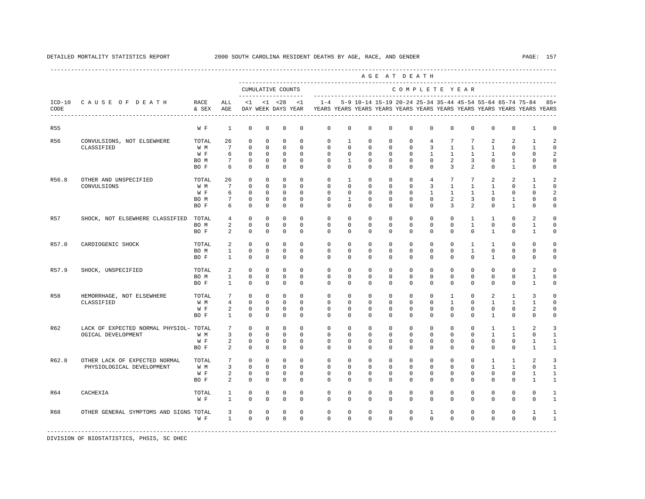|            |                                                              |                                     |                                                          |                                                            |                                                          |                                                                     |                                                                |                                                                         |                                                                           |                                                               |                                                        | AGE AT DEATH                                                         |                                                                     |                                                             |                                                             |                                                     |                                                               |                                                          |                                              |
|------------|--------------------------------------------------------------|-------------------------------------|----------------------------------------------------------|------------------------------------------------------------|----------------------------------------------------------|---------------------------------------------------------------------|----------------------------------------------------------------|-------------------------------------------------------------------------|---------------------------------------------------------------------------|---------------------------------------------------------------|--------------------------------------------------------|----------------------------------------------------------------------|---------------------------------------------------------------------|-------------------------------------------------------------|-------------------------------------------------------------|-----------------------------------------------------|---------------------------------------------------------------|----------------------------------------------------------|----------------------------------------------|
|            |                                                              |                                     |                                                          | --------------------                                       |                                                          | CUMULATIVE COUNTS                                                   |                                                                |                                                                         |                                                                           |                                                               |                                                        | COMPLETE YEAR                                                        |                                                                     |                                                             |                                                             |                                                     |                                                               |                                                          |                                              |
| CODE       | ICD-10 CAUSE OF DEATH                                        | RACE<br>& SEX                       | ALL<br>AGE                                               | $\leq$ 1                                                   |                                                          | $<1$ $<28$<br>DAY WEEK DAYS YEAR                                    | < 1                                                            | YEARS YEARS YEARS YEARS YEARS YEARS YEARS YEARS YEARS YEARS YEARS YEARS |                                                                           |                                                               |                                                        |                                                                      |                                                                     |                                                             |                                                             |                                                     | 1-4 5-9 10-14 15-19 20-24 25-34 35-44 45-54 55-64 65-74 75-84 |                                                          | 85+                                          |
| R55        |                                                              | W F                                 | 1                                                        | $\mathbf 0$                                                | $\mathbf 0$                                              | $\mathbf 0$                                                         | $\mathbf 0$                                                    | $\mathbf 0$                                                             | 0                                                                         | $\mathbf 0$                                                   | $\mathbf 0$                                            | $\mathbf 0$                                                          | $\mathbf 0$                                                         | $\mathbf 0$                                                 | $\mathbf 0$                                                 | $\mathbf 0$                                         | 0                                                             | 1                                                        | 0                                            |
| R56        | CONVULSIONS, NOT ELSEWHERE<br>CLASSIFIED                     | TOTAL<br>W M<br>W F<br>BO M<br>BO F | 26<br>7<br>6<br>$7\phantom{.0}$<br>6                     | $\circ$<br>$\Omega$<br>$\mathbf 0$<br>0<br>$\circ$         | $\Omega$<br>$\Omega$<br>$\mathbf 0$<br>$^{\circ}$<br>0   | $\Omega$<br>$\Omega$<br>$\mathbf 0$<br>$^{\circ}$<br>$^{\circ}$     | $\Omega$<br>$\Omega$<br>$\mathbf 0$<br>0<br>0                  | $\Omega$<br>$\Omega$<br>$\mathbf 0$<br>$\mathbf{0}$<br>$\mathbf{0}$     | $\overline{1}$<br>$\Omega$<br>$\mathbf 0$<br>$\mathbf{1}$<br>$\mathbf{0}$ | $\circ$<br>$\Omega$<br>$\mathbf 0$<br>0<br>0                  | $\Omega$<br>$\Omega$<br>$\mathbf 0$<br>$^{\circ}$<br>0 | $\mathbf{0}$<br>$\Omega$<br>$\mathbf 0$<br>0<br>$\mathbf{0}$         | $\overline{4}$<br>3<br>$\mathbf{1}$<br>$\mathbf{0}$<br>$\mathbf{0}$ | $7\phantom{.0}$<br>$\mathbf{1}$<br>$\mathbf{1}$<br>2<br>3   | 7<br>$\overline{1}$<br>$\mathbf{1}$<br>3<br>2               | 2<br>$\overline{1}$<br>$\overline{1}$<br>0<br>0     | 2<br>$\Omega$<br>$\mathbf{0}$<br>1<br>$\mathbf{1}$            | $\overline{1}$<br>$\mathbf{1}$<br>$\mathbf{0}$<br>0<br>0 | 2<br>$\mathbf 0$<br>$\overline{a}$<br>0<br>0 |
| R56.8      | OTHER AND UNSPECIFIED<br>CONVULSIONS                         | TOTAL<br>W M<br>W F<br>BO M<br>BO F | 26<br>$7\phantom{.0}$<br>6<br>$7\overline{ }$<br>6       | 0<br>$\mathbf 0$<br>$\Omega$<br>$\mathbf 0$<br>$\mathbf 0$ | $\circ$<br>$\circ$<br>$\circ$<br>$\Omega$<br>$\mathbf 0$ | $\mathbf 0$<br>$\circ$<br>$\mathbf 0$<br>$\mathbf 0$<br>$\mathbf 0$ | $\mathbf 0$<br>$\Omega$<br>$\Omega$<br>$\Omega$<br>$\mathbf 0$ | $\mathbf 0$<br>$^{\circ}$<br>$\Omega$<br>$\Omega$<br>$\mathbf 0$        | $\mathbf{1}$<br>$\mathbf 0$<br>$\Omega$<br>$\mathbf{1}$<br>0              | $\mathbf 0$<br>$\circ$<br>$\Omega$<br>$\Omega$<br>$\mathbf 0$ | 0<br>0<br>$\Omega$<br>$\Omega$<br>0                    | $\mathbf{0}$<br>$\mathbf{0}$<br>$\Omega$<br>$\Omega$<br>$\mathbf{0}$ | $\overline{4}$<br>$\overline{3}$<br>$\mathbf{1}$<br>$\Omega$<br>0   | $7\phantom{.0}$<br>$\mathbf{1}$<br>$\overline{1}$<br>2<br>3 | $7\overline{ }$<br>$\mathbf{1}$<br>1<br>3<br>$\overline{a}$ | 2<br>1<br>$\overline{1}$<br>$\Omega$<br>$\mathbf 0$ | 2<br>$\mathbf{0}$<br>$\Omega$<br>1<br>$\mathbf{1}$            | 1<br>1<br>$\Omega$<br>$\Omega$<br>0                      | 2<br>0<br>2<br>$\Omega$<br>0                 |
| R57        | SHOCK, NOT ELSEWHERE CLASSIFIED                              | TOTAL<br>BO M<br>BO F               | $4\overline{ }$<br>2<br>$\overline{a}$                   | $\mathbf 0$<br>$\mathbf 0$<br>$\mathbf 0$                  | $\circ$<br>$\circ$<br>$\mathbf 0$                        | $\circ$<br>$\circ$<br>$\mathbf 0$                                   | $\mathbf 0$<br>$\mathbf 0$<br>$\mathbf 0$                      | $\mathbf 0$<br>$^{\circ}$<br>$\Omega$                                   | $\mathbf 0$<br>$\mathbf{0}$<br>$\mathbf 0$                                | $\mathbf 0$<br>0<br>$\mathbf 0$                               | $^{\circ}$<br>0<br>$\mathbf 0$                         | $\mathbf{0}$<br>$\mathbf{0}$<br>$\mathbf{0}$                         | $\mathbf 0$<br>$\mathbf{0}$<br>$\mathbf 0$                          | $\mathbf 0$<br>$\mathbf{0}$<br>$\mathbf 0$                  | $\mathbf{1}$<br>$\mathbf{1}$<br>$\mathbf 0$                 | 1<br>$\circ$<br>$\mathbf{1}$                        | $\mathbf{0}$<br>$\mathbf{0}$<br>$\mathbf{0}$                  | 2<br>$\mathbf{1}$<br>$\mathbf{1}$                        | $\mathbf 0$<br>$\mathbf 0$<br>0              |
| R57.0      | CARDIOGENIC SHOCK                                            | TOTAL<br>BO M<br>BO F               | 2<br>$\mathbf{1}$<br>$\mathbf{1}$                        | $\Omega$<br>$\mathbf 0$<br>0                               | $\Omega$<br>$\mathbf 0$<br>0                             | $\Omega$<br>$\mathbf 0$<br>$\mathbf 0$                              | $\Omega$<br>$\mathbf 0$<br>0                                   | $\Omega$<br>$\mathbf 0$<br>$\mathbf{0}$                                 | $\Omega$<br>$\mathbf 0$<br>0                                              | $\Omega$<br>$\mathbf 0$<br>0                                  | $\Omega$<br>$\mathbf 0$<br>0                           | $\Omega$<br>$\mathbf{0}$<br>0                                        | $\Omega$<br>$\mathbf 0$<br>0                                        | $\Omega$<br>$\mathbf 0$<br>$\mathbf{0}$                     | $\overline{1}$<br>$\mathbf{1}$<br>0                         | $\mathbf{1}$<br>$\mathbf 0$<br>$\mathbf{1}$         | $\Omega$<br>$\mathbf 0$<br>0                                  | $\Omega$<br>$\mathbf 0$<br>0                             | $\Omega$<br>$\mathbf 0$<br>0                 |
| R57.9      | SHOCK, UNSPECIFIED                                           | TOTAL<br>BO M<br>BO F               | 2<br>$\mathbf{1}$<br>$\mathbf{1}$                        | $\circ$<br>$\mathbf 0$<br>$\Omega$                         | $\circ$<br>$\mathbf 0$<br>$\mathbf 0$                    | $\circ$<br>$\mathbf 0$<br>$\mathbf 0$                               | $\Omega$<br>$\mathbf 0$<br>$\Omega$                            | $\Omega$<br>$\mathbf 0$<br>$\Omega$                                     | $\circ$<br>$\mathbf 0$<br>$\Omega$                                        | $\circ$<br>$\mathbf 0$<br>$\Omega$                            | 0<br>0<br>$\Omega$                                     | $^{\circ}$<br>$\mathbf{0}$<br>$\Omega$                               | $\mathbf{0}$<br>$\mathbf 0$<br>$\Omega$                             | $^{\circ}$<br>$\mathbf 0$<br>$\Omega$                       | 0<br>$\mathbf 0$<br>$\mathbf 0$                             | $\circ$<br>$\mathbf 0$<br>$\Omega$                  | $\mathbf{0}$<br>$\mathbf{0}$<br>$\mathbf 0$                   | 2<br>$\mathbf{1}$<br>$\mathbf{1}$                        | $\mathbf 0$<br>0<br>0                        |
| <b>R58</b> | HEMORRHAGE, NOT ELSEWHERE<br>CLASSIFIED                      | TOTAL<br>W M<br>W F<br>BO F         | 7<br>$\overline{4}$<br>2<br>1                            | $\mathbf 0$<br>$\mathbf 0$<br>0<br>$^{\circ}$              | $\mathbf 0$<br>$\circ$<br>0<br>$\mathbf 0$               | $\mathbf 0$<br>$\circ$<br>$\mathbf 0$<br>$\mathbf 0$                | $\mathbf 0$<br>$\Omega$<br>$\mathbf 0$<br>$\mathbf 0$          | $\mathbf 0$<br>$\mathbf{0}$<br>$\mathbf{0}$<br>0                        | $\mathbf 0$<br>$\Omega$<br>$\mathbf{0}$<br>0                              | $\mathbf 0$<br>0<br>$\mathbf 0$<br>$^{\circ}$                 | $\mathbf 0$<br>$\Omega$<br>0<br>0                      | $\mathbf{0}$<br>$\mathbf{0}$<br>$\mathbf 0$<br>$\mathbf 0$           | $\mathbf 0$<br>$\Omega$<br>$\mathbf{0}$<br>0                        | $\mathbf{1}$<br>$\mathbf{1}$<br>$\mathbf{0}$<br>0           | $\mathbf 0$<br>$\Omega$<br>0<br>0                           | 2<br>1<br>0<br>1                                    | $\mathbf{1}$<br>$\mathbf{1}$<br>0<br>0                        | 3<br>1<br>2<br>0                                         | $\mathbf 0$<br>0<br>$\mathbf 0$<br>0         |
| R62        | LACK OF EXPECTED NORMAL PHYSIOL- TOTAL<br>OGICAL DEVELOPMENT | W M<br>W F<br>BO F                  | $7\phantom{.0}$<br>$\overline{3}$<br>$\overline{a}$<br>2 | $^{\circ}$<br>$\Omega$<br>$\mathbf 0$<br>$^{\circ}$        | $\mathbf 0$<br>$\mathbf 0$<br>0<br>$^{\circ}$            | $\mathbf 0$<br>$\mathbf 0$<br>$\mathbf 0$<br>$^{\circ}$             | $\Omega$<br>$\Omega$<br>$\mathbf 0$<br>$^{\circ}$              | $\mathbf 0$<br>$\Omega$<br>$\mathbf 0$<br>$\Omega$                      | $\mathbf 0$<br>$\Omega$<br>$\mathbf{0}$<br>$\mathbf{0}$                   | $\mathbf 0$<br>$\Omega$<br>0<br>$^{\circ}$                    | $\mathbf 0$<br>$\Omega$<br>0<br>0                      | $\mathbf{0}$<br>$\Omega$<br>$\mathbf{0}$<br>$\mathbf 0$              | $\mathbf 0$<br>$\Omega$<br>$\mathbf{0}$<br>$\mathbf{0}$             | $\mathbf 0$<br>$\Omega$<br>$\mathbf{0}$<br>0                | $\mathbf 0$<br>$\Omega$<br>$^{\circ}$<br>$^{\circ}$         | $\mathbf{1}$<br>$\mathbf{1}$<br>0<br>$\Omega$       | 1<br>$\mathbf{1}$<br>0<br>$\mathbf 0$                         | 2<br>$\Omega$<br>1<br>1                                  | 3<br>$\mathbf{1}$<br>$\mathbf{1}$<br>1       |
| R62.8      | OTHER LACK OF EXPECTED NORMAL<br>PHYSIOLOGICAL DEVELOPMENT   | TOTAL<br>W M<br>W F<br>BO F         | $7\phantom{.0}$<br>$\overline{3}$<br>$\overline{a}$<br>2 | $\mathbf 0$<br>$\mathbf 0$<br>$^{\circ}$<br>$\mathbf 0$    | $\circ$<br>$^{\circ}$<br>$\circ$<br>$\mathbf 0$          | $^{\circ}$<br>$\mathbf 0$<br>$\mathbf 0$<br>$\mathbf 0$             | $\mathbf 0$<br>$\Omega$<br>$\Omega$<br>$\Omega$                | $\mathbf 0$<br>$\mathbf{0}$<br>$\Omega$<br>$\Omega$                     | $\mathbf 0$<br>$\Omega$<br>$\Omega$<br>$\mathbf 0$                        | $\circ$<br>$\Omega$<br>$\Omega$<br>$\Omega$                   | $^{\circ}$<br>$\Omega$<br>$\Omega$<br>$\mathbf 0$      | $\mathbf{0}$<br>$\Omega$<br>$\Omega$<br>$\Omega$                     | 0<br>$\Omega$<br>$\Omega$<br>$\mathbf 0$                            | $\mathbf 0$<br>$\Omega$<br>$\Omega$<br>$\Omega$             | $\mathbf 0$<br>$\Omega$<br>$\Omega$<br>$\mathbf 0$          | 1<br>$\mathbf{1}$<br>$\Omega$<br>$\Omega$           | 1<br>$\mathbf{1}$<br>$\Omega$<br>$\mathbf 0$                  | 2<br>$\Omega$<br>1<br>$\mathbf{1}$                       | 3<br>1<br>1<br>$\mathbf{1}$                  |
| R64        | CACHEXIA                                                     | TOTAL<br>W F                        | 1<br>$\mathbf{1}$                                        | 0<br>$\mathbf 0$                                           | 0<br>$\mathbf 0$                                         | 0<br>$\mathbf 0$                                                    | 0<br>$\mathbf 0$                                               | 0<br>$\mathbf 0$                                                        | 0<br>$\mathbf{0}$                                                         | 0<br>$\mathbf 0$                                              | 0<br>0                                                 | 0<br>$\mathbf{0}$                                                    | 0<br>0                                                              | 0<br>$\mathbf 0$                                            | 0<br>0                                                      | 0<br>$\Omega$                                       | 0<br>0                                                        | 0<br>0                                                   | 1<br>1                                       |
| R68        | OTHER GENERAL SYMPTOMS AND SIGNS TOTAL                       | W F                                 | $\overline{3}$<br>$\mathbf{1}$                           | $\mathbf 0$<br>$\Omega$                                    | 0<br>$\Omega$                                            | $\mathbf 0$<br>$\mathbf 0$                                          | $\mathbf 0$<br>$\Omega$                                        | $\mathbf 0$<br>$\Omega$                                                 | 0<br>$\Omega$                                                             | $\mathbf 0$<br>$\Omega$                                       | 0<br>$\Omega$                                          | $\mathbf 0$<br>$\Omega$                                              | $\mathbf{1}$<br>$\Omega$                                            | 0<br>$\Omega$                                               | 0<br>$\Omega$                                               | $\mathbf 0$<br>$\Omega$                             | 0<br>$\mathbf 0$                                              | 1<br>$\mathbf 0$                                         | $\overline{1}$<br>$\mathbf{1}$               |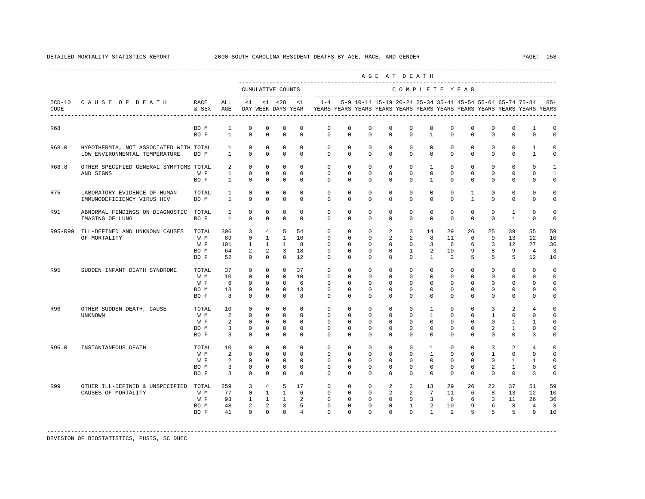|         |                                                                           |                                     |                                                                        |                                                               |                                                               |                                                                                    |                                                          |                                                                                            |                                                        |                                                                                                                         |                                                                |                                                                                           | AGE AT DEATH                                                                            |                                                                                      |                                                                    |                                                                                         |                                                                          |                                                                           |                                                          |
|---------|---------------------------------------------------------------------------|-------------------------------------|------------------------------------------------------------------------|---------------------------------------------------------------|---------------------------------------------------------------|------------------------------------------------------------------------------------|----------------------------------------------------------|--------------------------------------------------------------------------------------------|--------------------------------------------------------|-------------------------------------------------------------------------------------------------------------------------|----------------------------------------------------------------|-------------------------------------------------------------------------------------------|-----------------------------------------------------------------------------------------|--------------------------------------------------------------------------------------|--------------------------------------------------------------------|-----------------------------------------------------------------------------------------|--------------------------------------------------------------------------|---------------------------------------------------------------------------|----------------------------------------------------------|
|         |                                                                           |                                     |                                                                        |                                                               |                                                               | CUMULATIVE COUNTS                                                                  |                                                          |                                                                                            |                                                        |                                                                                                                         |                                                                |                                                                                           | COMPLETE YEAR                                                                           |                                                                                      |                                                                    |                                                                                         |                                                                          |                                                                           |                                                          |
| CODE    | ICD-10 CAUSE OF DEATH RACE                                                | & SEX AGE                           | ALL                                                                    |                                                               |                                                               | $<1$ $<1$ $<28$                                                                    | $\leq$ 1                                                 | DAY WEEK DAYS YEAR YEARS YEARS YEARS YEARS YEARS YEARS YEARS YEARS YEARS YEARS YEARS YEARS |                                                        |                                                                                                                         |                                                                |                                                                                           |                                                                                         |                                                                                      |                                                                    |                                                                                         |                                                                          | 1-4 5-9 10-14 15-19 20-24 25-34 35-44 45-54 55-64 65-74 75-84 85+         |                                                          |
| R68     |                                                                           | BO M<br>BO F                        | 1<br>$\overline{1}$                                                    | $^{\circ}$<br>$\Omega$                                        | $^{\circ}$<br>$\Omega$                                        | $\mathbf{0}$<br>$\Omega$                                                           | $\mathbf 0$<br>$\Omega$                                  | $^{\circ}$<br>$\Omega$                                                                     | $\mathbf 0$<br>$\Omega$                                | $^{\circ}$<br>$\Omega$                                                                                                  | $\Omega$<br>$\Omega$                                           | $\Omega$<br>$\Omega$                                                                      | $\Omega$<br>$\overline{1}$                                                              | $\mathbf 0$<br>$\Omega$                                                              | $\Omega$<br>$\Omega$                                               | $^{\circ}$<br>$\Omega$                                                                  | $\mathbf{0}$<br>$\Omega$                                                 | $\mathbf{1}$<br>$\Omega$                                                  | 0<br>$\Omega$                                            |
| R68.0   | HYPOTHERMIA, NOT ASSOCIATED WITH TOTAL 1<br>LOW ENVIRONMENTAL TEMPERATURE | BO M                                | $\sim$ 1 $\sim$                                                        | $\Omega$<br>$\Omega$                                          | $\Omega$<br>$\Omega$                                          | $\Omega$<br>$\Omega$                                                               | $\Omega$<br>$\Omega$                                     | $\Omega$<br>$\Omega$                                                                       |                                                        | $\Omega$<br>$\Omega$<br>$0 \qquad \qquad 0$                                                                             | $\Omega$<br>$\Omega$                                           | $\Omega$<br>$\Omega$                                                                      | $\Omega$                                                                                | $\Omega$<br>$0 \qquad \qquad$<br>$\Omega$                                            | $\Omega$<br>$\Omega$                                               | $\Omega$<br>$\Omega$                                                                    | $\Omega$<br>$\Omega$                                                     | <sup>1</sup><br>$\mathbf{1}$                                              | $\Omega$<br>$\Omega$                                     |
| R68.8   | OTHER SPECIFIED GENERAL SYMPTOMS TOTAL                                    |                                     |                                                                        | $2 \qquad 0$                                                  | $\Omega$                                                      | $\overline{0}$                                                                     | $\Omega$                                                 | $\Omega$                                                                                   |                                                        | $\Omega$<br>$\Omega$                                                                                                    |                                                                | $0\qquad 0$                                                                               |                                                                                         | $1 \qquad 0$                                                                         |                                                                    | $\Omega$<br>$\Omega$                                                                    | $\Omega$                                                                 | $\Omega$                                                                  | $\mathbf{1}$                                             |
|         | AND SIGNS                                                                 | W F<br>BO F                         |                                                                        | $\circ$<br>$1 \quad \cdots$<br>$1 \qquad 0$                   | $\circ$<br>$\Omega$                                           | $\bigcirc$                                                                         | $0\qquad 0$<br>$\Omega$                                  | $\Omega$                                                                                   | $0 \qquad \qquad$<br>$\Omega$                          | $0\qquad 0$<br>$\Omega$                                                                                                 | $\Omega$                                                       | $0\qquad 0\qquad$<br>$\Omega$                                                             | $\mathbf{1}$                                                                            | $0\qquad 0$<br>$\Omega$                                                              | $\Omega$                                                           | $0 \qquad \qquad$<br>$\circ$<br>$\Omega$                                                | $\circ$<br>$\Omega$                                                      | $\mathbf{0}$<br>$\Omega$                                                  | $\mathbf{1}$<br>$\Omega$                                 |
| R75     | LABORATORY EVIDENCE OF HUMAN<br>IMMUNODEFICIENCY VIRUS HIV                | TOTAL<br>BO M                       | $\mathbf{1}$<br>$1 \quad \cdots$                                       | $\circ$<br>$\Omega$                                           | $\circ$<br>$\Omega$                                           | $\circ$<br>$\Omega$                                                                | $\Omega$<br>$\Omega$                                     | $\circ$<br>$\cap$                                                                          | $\Omega$<br>$\Omega$                                   | $\Omega$<br>$\Omega$                                                                                                    | $\Omega$<br>$\Omega$                                           | $\Omega$<br>$\Omega$                                                                      | $\Omega$<br>$\Omega$                                                                    | $\Omega$<br>$\Omega$                                                                 | $\mathbf{1}$<br>$\mathbf{1}$                                       | $\Omega$<br>$\Omega$                                                                    | $\Omega$<br>$\Omega$                                                     | $\Omega$<br>$\Omega$                                                      | $\Omega$<br>$\Omega$                                     |
| R91     | ABNORMAL FINDINGS ON DIAGNOSTIC TOTAL<br>IMAGING OF LUNG                  | BO F                                | 1<br>$\overline{1}$                                                    | $\circ$<br>$\Omega$                                           | $^{\circ}$<br>$\Omega$                                        | $\mathbf 0$<br>$\Omega$                                                            | $\Omega$<br>$\Omega$                                     | $\Omega$<br>$\cap$                                                                         | $\Omega$<br>$\Omega$                                   | $\Omega$<br>$\Omega$                                                                                                    | $\Omega$<br>$\Omega$                                           | $\Omega$<br>$\cap$                                                                        | $\mathbf{0}$<br>$\Omega$                                                                | $\circ$<br>$\Omega$                                                                  | $\mathbf 0$<br>$\Omega$                                            | $\circ$<br>$\Omega$                                                                     | $\mathbf{1}$<br>$\overline{1}$                                           | $\Omega$<br>$\Omega$                                                      | $\Omega$<br>$\Omega$                                     |
| R95-R99 | ILL-DEFINED AND UNKNOWN CAUSES TOTAL<br>OF MORTALITY                      | W M<br>W F<br>BO M<br>BO F          | 306<br>89<br>101<br>64<br>52                                           | $\overline{3}$<br>$\Omega$<br>$\mathbf{1}$<br>2<br>$^{\circ}$ | 4<br>$\overline{1}$<br>2<br>$\circ$                           | - 5<br>$1 \quad 1$<br>$\sim$ 0                                                     | 54<br>1 16<br>8<br>3 18<br>12                            | $\Omega$<br>$\Omega$<br>$\Omega$<br>$\circ$<br>$\Omega$                                    | $\Omega$<br>$\circ$<br>$\circ$                         | $\Omega$<br>$\Omega$<br>$\Omega$<br>$\Omega$<br>$\Omega$<br>$\overline{0}$<br>$\overline{0}$                            | $\overline{a}$<br>$\overline{2}$<br>$\overline{0}$<br>$\Omega$ | $\overline{3}$<br>$2^{1}$<br>$0 \qquad \qquad$<br>$\overline{1}$<br>$\overline{0}$        | 14<br>8<br>$\Omega$<br>$\mathbf{1}$                                                     | 29<br>11<br>$3 \t 6$<br>2 10<br>$\overline{2}$                                       | 26<br>6<br>5                                                       | 25<br>$\overline{9}$<br>$6 \qquad \qquad 3$<br>9 8<br>$5^{\circ}$                       | 39<br>13<br>12<br>9<br>$5^{\circ}$                                       | 55<br>12.<br>27<br>$\frac{4}{3}$<br>12                                    | 59<br>10<br>36<br>$\overline{3}$<br>10                   |
| R95     | SUDDEN INFANT DEATH SYNDROME                                              | TOTAL<br>W M<br>W F<br>BO M<br>BO F | 37<br>10<br>6<br>13<br>8 <sup>1</sup>                                  | $\circ$<br>$\Omega$<br>$\Omega$<br>$\Omega$<br>$\mathbf{0}$   | $\circ$<br>$\Omega$<br>$\Omega$<br>$\Omega$<br>$\overline{0}$ | $\overline{0}$<br>$\bigcirc$<br>$\circ$                                            | 37<br>$0 \quad 10$<br>6<br>$0 \t 13$<br>8                | $\circ$<br>$\Omega$<br>$\Omega$<br>$\cap$<br>$\Omega$                                      | $\Omega$<br>$\Omega$<br>$\circ$                        | $0 \qquad \qquad$<br>$\overline{0}$<br>$\overline{0}$<br>$0 \qquad 0$<br>$\Omega$<br>$\Omega$                           | $\overline{0}$<br>$\Omega$<br>$\Omega$<br>$\overline{0}$       | $\overline{0}$<br>$\overline{0}$<br>$0 \qquad \qquad$<br>$\Omega$<br>$\Omega$<br>$\Omega$ | $\overline{0}$<br>$\cap$<br>$\overline{0}$                                              | $\circ$<br>$0 \qquad 0$<br>$\Omega$<br>$\Omega$<br>$\Omega$<br>$\Omega$              | $\mathbf{0}$<br>$\Omega$<br>$\Omega$<br>$\overline{0}$             | $\mathbf{0}$<br>$\overline{0}$<br>$0 \qquad \qquad$<br>$\Omega$<br>$\Omega$<br>$\Omega$ | $\circ$<br>$\Omega$<br>$\Omega$<br>$\Omega$<br>$\Omega$                  | $\Omega$<br>$\Omega$<br>$\Omega$<br>$\Omega$<br>$\Omega$                  | $\Omega$<br>$\Omega$<br>$\Omega$<br>$\Omega$<br>$\circ$  |
| R96     | OTHER SUDDEN DEATH, CAUSE<br><b>UNKNOWN</b>                               | TOTAL<br>W M<br>W F<br>BO M<br>BO F | 10<br>$\overline{2}$<br>2<br>$\overline{\mathbf{3}}$<br>$\overline{3}$ | $\Omega$<br>$\circ$<br>$\Omega$<br>$\overline{0}$<br>$\Omega$ | $\circ$<br>$\mathbf{0}$<br>$\Omega$<br>$^{\circ}$<br>$\Omega$ | $\Omega$<br>$\overline{0}$<br>$\overline{0}$<br>$\overline{0}$<br>$\Omega$         | $\Omega$<br>$\Omega$<br>$\Omega$<br>$\Omega$<br>$\Omega$ | $\Omega$<br>$\Omega$<br>$\Omega$<br>$\Omega$<br>$\Omega$                                   | $\Omega$<br>$\overline{0}$<br>$\Omega$<br>$\Omega$     | $\Omega$<br>$\Omega$<br>$0 \qquad 0$<br>$\Omega$<br>$\Omega$                                                            | $\Omega$<br>$\mathbf{0}$<br>$\Omega$<br>$\Omega$<br>$\Omega$   | $\Omega$<br>$\Omega$<br>$\Omega$<br>$\Omega$<br>$\Omega$                                  | $\mathbf{1}$<br>$\Omega$<br>$\Omega$                                                    | $\Omega$<br>$\mathbf{1}$<br>$\Omega$<br>$\Omega$<br>$\Omega$<br>$\Omega$<br>$\Omega$ | $\Omega$<br>$\mathbf{0}$<br>$\Omega$<br>$\Omega$<br>$\Omega$       | $\overline{3}$<br>$\sim$ 1<br>$\Omega$<br>$\overline{a}$<br>$\Omega$                    | $\overline{a}$<br>$\Omega$<br>$\overline{1}$<br>$\mathbf{1}$<br>$\Omega$ | $\overline{4}$<br>$\Omega$<br>$\mathbf{1}$<br>$\Omega$<br>3               | $\Omega$<br>$\Omega$<br>$\Omega$<br>$\Omega$<br>$\Omega$ |
| R96.0   | INSTANTANEOUS DEATH                                                       | TOTAL<br>W M<br>W F<br>BO M<br>BO F | 10<br>2<br>2<br>$\overline{3}$<br>$\overline{3}$                       | $\circ$<br>$\Omega$<br>$\Omega$<br>$\circ$<br>$\Omega$        | $\circ$<br>$\circ$<br>$\Omega$<br>$\mathbf{0}$<br>$\Omega$    | $\overline{0}$<br>$\overline{0}$<br>$\bigcirc$<br>$\overline{0}$<br>$\overline{0}$ | $\circ$<br>$\Omega$<br>$\Omega$<br>$\circ$<br>$\Omega$   | $\circ$<br>$\Omega$<br>$\Omega$<br>$\circ$<br>$\Omega$                                     | $\circ$<br>$\Omega$<br>$\Omega$<br>$\circ$<br>$\Omega$ | $\overline{0}$<br>$\Omega$<br>$\overline{0}$<br>$\overline{0}$<br>$\overline{0}$                                        | $\mathbf{0}$<br>$\Omega$<br>$\Omega$<br>$\circ$<br>$\Omega$    | $\circ$<br>$\Omega$<br>$\overline{0}$<br>$\circ$<br>$\Omega$                              | $\mathbf{1}$<br>$\mathbf{1}$<br>$\Omega$<br>$\circ$<br>$\Omega$                         | $\circ$<br>$\Omega$<br>$\Omega$<br>$\circ$<br>$\Omega$                               | $\overline{0}$<br>$\Omega$<br>$\Omega$<br>$\mathbf{0}$<br>$\Omega$ | $\overline{\mathbf{3}}$<br>$\mathbf{1}$<br>$\Omega$<br>$\overline{a}$<br>$\Omega$       | $\overline{a}$<br>$\Omega$<br>$\overline{1}$<br>$\mathbf{1}$<br>$\Omega$ | $\overline{4}$<br>$\Omega$<br>$\overline{1}$<br>$\circ$<br>$\overline{3}$ | $\Omega$<br>$\Omega$<br>$\Omega$<br>$\Omega$<br>$\Omega$ |
| R99     | OTHER ILL-DEFINED & UNSPECIFIED TOTAL<br>CAUSES OF MORTALITY              | W M<br>W F<br>BO M<br>BO F          | 259<br>77<br>41 —                                                      | $3^{\circ}$<br>$\overline{0}$<br>93 1<br>48 2<br>$\Omega$     |                                                               | 4 5 17<br>$1 \quad 1$<br>$1 \quad 1$<br>$2 \quad 3$<br>$0 \qquad 0$                | -6<br>$\overline{a}$<br>$5^{\circ}$<br>$\overline{4}$    | $\circ$<br>$\Omega$<br>$\circ$<br>$\Omega$                                                 | $\circ$<br>$0 \qquad \qquad$<br>$\Omega$               | $0 \qquad \qquad$<br>$\overline{0}$<br>$0\qquad 0$<br>$\overline{0}$<br>$0 \qquad \qquad$<br>$\overline{0}$<br>$\Omega$ | $\Omega$                                                       | $2 \qquad \qquad 3$<br>$2 \left( \frac{1}{2} \right)$                                     | 13<br>2 7<br>$0 \qquad 0 \qquad 3$<br>$0 \t 1 \t 2 \t 10$<br>$\Omega$<br>$\overline{1}$ | 29<br>11<br>6<br>$\overline{2}$                                                      | 26<br>6<br>6 <sup>6</sup>                                          | 22<br>8 <sup>8</sup><br>$\overline{\mathbf{3}}$<br>$9^{\circ}$                          | 37<br>13<br>11<br>6 8<br>$5 \quad 5 \quad 5$                             | 51<br>12<br>26<br>$\overline{4}$<br>9                                     | 59<br>10<br>36<br>3<br>10                                |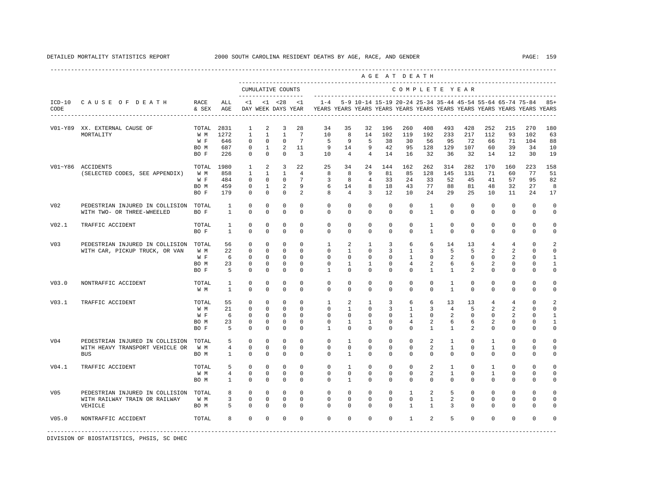|                 |                                                                                  |                                     |                              |                                                                        |                                                              |                                                                         |                                                           |                                                                 |                                                                 |                                                                                                                                      |                                          | AGE AT DEATH                                                       |                                                 |                                                |                                           |                                                                                  |                                                                     |                                                                         |                                                                              |
|-----------------|----------------------------------------------------------------------------------|-------------------------------------|------------------------------|------------------------------------------------------------------------|--------------------------------------------------------------|-------------------------------------------------------------------------|-----------------------------------------------------------|-----------------------------------------------------------------|-----------------------------------------------------------------|--------------------------------------------------------------------------------------------------------------------------------------|------------------------------------------|--------------------------------------------------------------------|-------------------------------------------------|------------------------------------------------|-------------------------------------------|----------------------------------------------------------------------------------|---------------------------------------------------------------------|-------------------------------------------------------------------------|------------------------------------------------------------------------------|
|                 |                                                                                  |                                     |                              |                                                                        |                                                              | CUMULATIVE COUNTS<br>--------------------                               |                                                           |                                                                 |                                                                 | ____________________________                                                                                                         |                                          |                                                                    | COMPLETE YEAR                                   |                                                |                                           |                                                                                  |                                                                     |                                                                         |                                                                              |
| CODE            | ICD-10 CAUSE OF DEATH<br>--------------------------------------                  | RACE<br>& SEX                       | ALL<br>AGE                   | <1                                                                     |                                                              | $< 1$ $< 28$<br>DAY WEEK DAYS YEAR                                      | $\leq$ 1                                                  | $1 - 4$                                                         |                                                                 | 5-9 10-14 15-19 20-24 25-34 35-44 45-54 55-64 65-74 75-84<br>YEARS YEARS YEARS YEARS YEARS YEARS YEARS YEARS YEARS YEARS YEARS YEARS |                                          |                                                                    |                                                 |                                                |                                           |                                                                                  |                                                                     |                                                                         | $85+$                                                                        |
| V01-Y89         | XX. EXTERNAL CAUSE OF<br>MORTALITY                                               | TOTAL<br>W M                        | 2831<br>1272                 | 1<br>1                                                                 | 2<br>$\mathbf{1}$                                            | $\overline{3}$<br>$\mathbf{1}$                                          | 28<br>7                                                   | 34<br>1 O                                                       | 35<br>8                                                         | 32<br>14                                                                                                                             | 196<br>102                               | 260<br>119                                                         | 408<br>192                                      | 493<br>233                                     | 428<br>217                                | 252<br>112                                                                       | 215<br>93                                                           | 270<br>102                                                              | 180<br>63                                                                    |
|                 |                                                                                  | W F<br>BO M<br>BO F                 | 646<br>687<br>226            | 0<br>$^{\circ}$<br>$^{\circ}$                                          | 0<br>$\mathbf{1}$<br>$^{\circ}$                              | $\mathbb O$<br>2<br>$\mathbf 0$                                         | $7\phantom{.0}$<br>11<br>$\overline{3}$                   | 5<br>9<br>10                                                    | 9<br>14<br>$\overline{4}$                                       | 5<br>9<br>$\overline{4}$                                                                                                             | 38<br>42<br>14                           | 30<br>95<br>16                                                     | 56<br>128<br>32                                 | 95<br>129<br>36                                | 72<br>107<br>32                           | 66<br>60<br>14                                                                   | 71<br>39<br>12                                                      | 104<br>34<br>30                                                         | 88<br>10<br>19                                                               |
|                 | V01~Y86 ACCIDENTS<br>(SELECTED CODES, SEE APPENDIX)                              | TOTAL<br>W M                        | 1980<br>858                  | 1<br>1                                                                 | 2<br>$\mathbf{1}$                                            | $\overline{3}$<br>$\mathbf{1}$                                          | 22<br>$\overline{4}$                                      | 25<br>8                                                         | 34<br>8                                                         | 24<br>9                                                                                                                              | 144<br>81                                | 162<br>85                                                          | 262<br>128                                      | 314<br>145                                     | 282<br>131                                | 170<br>71                                                                        | 160<br>60                                                           | 223<br>77                                                               | 158<br>51                                                                    |
|                 |                                                                                  | W F<br>BO M<br>BO F                 | 484<br>459<br>179            | $^{\circ}$<br>$\mathbf{0}$<br>$^{\circ}$                               | $^{\circ}$<br>$\mathbf{1}$<br>$\mathbf 0$                    | $^{\circ}$<br>2<br>$\mathbf 0$                                          | $7\phantom{.0}$<br>9<br>2                                 | 3<br>6<br>8                                                     | 8<br>14<br>4                                                    | $\overline{4}$<br>8<br>3                                                                                                             | 33<br>18<br>12                           | 24<br>43<br>10                                                     | 33<br>77<br>24                                  | 52<br>88<br>29                                 | 45<br>81<br>25                            | 41<br>48<br>10                                                                   | 57<br>32<br>11                                                      | 95<br>27<br>24                                                          | 82<br>8<br>17                                                                |
| V <sub>02</sub> | PEDESTRIAN INJURED IN COLLISION<br>WITH TWO- OR THREE-WHEELED                    | TOTAL<br>BO F                       | 1<br>$\mathbf{1}$            | $\mathbf 0$<br>$\mathbf 0$                                             | $^{\circ}$<br>0                                              | $\mathbf 0$<br>$\mathbf 0$                                              | $\mathbf 0$<br>$\mathbf 0$                                | $\mathbf 0$<br>$\circ$                                          | $\mathbf 0$<br>$\mathbf 0$                                      | $^{\circ}$<br>$\mathbf 0$                                                                                                            | $\mathbf 0$<br>$\mathbb O$               | $\mathbf 0$<br>$\mathbf 0$                                         | $\mathbf{1}$<br>$\mathbf{1}$                    | $\mathbf 0$<br>$\mathbf 0$                     | $\mathbf 0$<br>$\mathbb O$                | $\mathbf 0$<br>$\mathbf 0$                                                       | $\mathbf{0}$<br>$\mathbb O$                                         | $\mathbf{0}$<br>$\mathbf 0$                                             | $\mathbf 0$<br>$\mathsf 0$                                                   |
| V02.1           | TRAFFIC ACCIDENT                                                                 | TOTAL<br>BO F                       | $\mathbf{1}$<br>$\mathbf{1}$ | $\mathbf 0$<br>$\mathbf 0$                                             | 0<br>$\mathbf 0$                                             | 0<br>$\mathbf 0$                                                        | $\mathbf 0$<br>$\mathbf 0$                                | 0<br>$\circ$                                                    | 0<br>$\circ$                                                    | $\mathbf 0$<br>$\mathbf 0$                                                                                                           | $\mathbf 0$<br>$\mathbf 0$               | $\mathbf 0$<br>$\mathbf 0$                                         | 1<br>$\mathbf{1}$                               | $\circ$<br>$\circ$                             | $\mathbf 0$<br>$\mathbf 0$                | $\mathbb O$<br>$\mathbf 0$                                                       | $\mathbb O$<br>$\mathbf 0$                                          | $\mathbb O$<br>$\mathbf 0$                                              | $\mathbf 0$<br>$\mathsf 0$                                                   |
| V03             | PEDESTRIAN INJURED IN COLLISION<br>WITH CAR, PICKUP TRUCK, OR VAN                | TOTAL<br>W M<br>W F<br>BO M<br>BO F | 56<br>22<br>- 6<br>23<br>5   | $\mathbf 0$<br>$\mathbb O$<br>0<br>0<br>$\mathbf 0$                    | $\mathbf 0$<br>$\mathbf 0$<br>0<br>$^{\circ}$<br>$\mathbf 0$ | $\mathbf 0$<br>$\mathbb O$<br>0<br>0<br>$\mathbf 0$                     | $\Omega$<br>$\mathbf 0$<br>$\circ$<br>$\circ$<br>$\Omega$ | $\mathbf{1}$<br>$\mathbf 0$<br>0<br>0<br>$\mathbf{1}$           | 2<br>$\mathbf{1}$<br>0<br>1<br>$\mathbf 0$                      | $\mathbf{1}$<br>$\mathbf 0$<br>0<br>$\mathbf{1}$<br>$\Omega$                                                                         | 3<br>3<br>0<br>0<br>$\mathbf 0$          | 6<br>$\mathbf{1}$<br>$\mathbf{1}$<br>4<br>$\Omega$                 | 6<br>3<br>0<br>2<br>$\mathbf{1}$                | 14<br>5<br>2<br>6<br>$\mathbf{1}$              | 13<br>5<br>0<br>6<br>2                    | $\overline{4}$<br>$\overline{2}$<br>0<br>$\overline{a}$<br>$\Omega$              | $\overline{4}$<br>$\overline{a}$<br>2<br>0<br>$\mathbf 0$           | $\mathbf 0$<br>$\mathbb O$<br>0<br>0<br>$\Omega$                        | $\overline{a}$<br>$\mathsf 0$<br>$\mathbf{1}$<br>$\mathbf{1}$<br>$\mathbf 0$ |
| V03.0           | NONTRAFFIC ACCIDENT                                                              | TOTAL<br>W M                        | 1<br>$\mathbf{1}$            | 0<br>$\mathbf 0$                                                       | $\mathbf 0$<br>$^{\circ}$                                    | 0<br>$^{\circ}$                                                         | $\Omega$<br>0                                             | $\mathbf 0$<br>$\mathbf 0$                                      | $\mathbf 0$<br>0                                                | $\mathbf 0$<br>$\mathbf 0$                                                                                                           | $\mathbf 0$<br>$^{\circ}$                | $\mathbf 0$<br>$\mathbf{0}$                                        | $\mathbf 0$<br>$\circ$                          | $\mathbf{1}$<br>1                              | $\mathbf 0$<br>$\mathbf 0$                | $\mathbf 0$<br>0                                                                 | $\mathbf 0$<br>$\mathbf 0$                                          | $\mathbf 0$<br>$\mathbf{0}$                                             | $\mathbf 0$<br>0                                                             |
| V03.1           | TRAFFIC ACCIDENT                                                                 | TOTAL<br>W M<br>W F<br>BO M<br>BO F | 55<br>21<br>6<br>23<br>5     | $^{\circ}$<br>$\mathbf 0$<br>$\mathbf 0$<br>$\mathbf 0$<br>$\mathbf 0$ | $\mathbf 0$<br>$\mathbf 0$<br>$^{\circ}$<br>$\mathbf 0$<br>0 | $\mathbf 0$<br>$\mathbf 0$<br>$\mathbf 0$<br>$\mathbf 0$<br>$\mathbf 0$ | $\Omega$<br>$\mathbf 0$<br>$\Omega$<br>$\Omega$<br>0      | $\mathbf{1}$<br>$\mathbf 0$<br>$\mathbf 0$<br>0<br>$\mathbf{1}$ | 2<br>$\mathbf{1}$<br>$\mathbf 0$<br>$\mathbf{1}$<br>$\mathbf 0$ | $\mathbf{1}$<br>$^{\circ}$<br>$\mathbf 0$<br>$\mathbf{1}$<br>$^{\circ}$                                                              | 3<br>3<br>$^{\circ}$<br>$\mathbf 0$<br>0 | 6<br>$\mathbf{1}$<br>$\mathbf{1}$<br>$\overline{4}$<br>$\mathbf 0$ | 6<br>$\overline{3}$<br>0<br>$\overline{a}$<br>1 | 13<br>$\overline{4}$<br>2<br>6<br>$\mathbf{1}$ | 13<br>5<br>$\mathbf 0$<br>6<br>2          | $\overline{4}$<br>$\overline{a}$<br>$\mathbf 0$<br>$\overline{2}$<br>$\mathbf 0$ | $\overline{4}$<br>2<br>$\overline{2}$<br>$\mathbf 0$<br>$\mathbf 0$ | $\mathbf 0$<br>$\mathbf 0$<br>$\mathbf 0$<br>$\mathbf 0$<br>$\mathbf 0$ | $\overline{a}$<br>$\mathbf 0$<br>$\mathbf{1}$<br>$\mathbf{1}$<br>$\mathbf 0$ |
| V04             | PEDESTRIAN INJURED IN COLLISION<br>WITH HEAVY TRANSPORT VEHICLE OR<br><b>BUS</b> | TOTAL<br>W M<br>BO M                | 5<br>4<br>$\mathbf{1}$       | $\mathbf 0$<br>$\mathbf 0$<br>$\Omega$                                 | $\mathbf 0$<br>$^{\circ}$<br>$\Omega$                        | 0<br>$\mathbf 0$<br>$\Omega$                                            | $\mathbf 0$<br>$\mathbf 0$<br>$\Omega$                    | $\mathbf 0$<br>$\mathbb O$<br>$\Omega$                          | $\mathbf{1}$<br>$\circ$<br>$\mathbf{1}$                         | $\mathbf 0$<br>$\mathbf 0$<br>$\Omega$                                                                                               | $^{\circ}$<br>0<br>$\Omega$              | $\mathbf 0$<br>$\mathsf 0$<br>$\Omega$                             | 2<br>2<br>$\Omega$                              | 1<br>$\mathbf{1}$<br>$\Omega$                  | $\mathbf 0$<br>$\mathbf 0$<br>$\Omega$    | 1<br>$\mathbf{1}$<br>$\Omega$                                                    | $\mathbf 0$<br>$\mathbf 0$<br>$\Omega$                              | $\mathbf 0$<br>$\mathbf 0$<br>$\Omega$                                  | $\Omega$<br>$\mathbf 0$<br>$\circ$                                           |
| V04.1           | TRAFFIC ACCIDENT                                                                 | TOTAL<br>W M<br>BO M                | 5<br>4<br>1                  | $^{\circ}$<br>$\mathbf 0$<br>$\mathbf 0$                               | $^{\circ}$<br>$\mathbf{0}$<br>$\mathbf 0$                    | 0<br>$^{\circ}$<br>$\mathbf 0$                                          | 0<br>$\Omega$<br>$\mathbf 0$                              | $\mathbf 0$<br>0<br>$\mathbf 0$                                 | 1<br>$\mathbf 0$<br>$\mathbf{1}$                                | $^{\circ}$<br>$^{\circ}$<br>$^{\circ}$                                                                                               | $^{\circ}$<br>$^{\circ}$<br>0            | $\mathbf 0$<br>$\mathbf{0}$<br>$\mathbf 0$                         | 2<br>2<br>$\mathbf 0$                           | 1<br>$\mathbf{1}$<br>$\mathbf 0$               | $^{\circ}$<br>$\mathbf 0$<br>$\mathbf 0$  | 1<br>$\mathbf{1}$<br>$\mathbf 0$                                                 | $\mathbf 0$<br>$\mathbf{0}$<br>$\mathbf{0}$                         | $\mathbf 0$<br>$\mathbf 0$<br>$\mathbf 0$                               | $\mathbf 0$<br>$\mathbf 0$<br>$\mathbf 0$                                    |
| V05             | PEDESTRIAN INJURED IN COLLISION<br>WITH RAILWAY TRAIN OR RAILWAY<br>VEHICLE      | TOTAL<br>W M<br>BO M                | 8<br>3<br>5                  | $\mathbf 0$<br>$\mathbf 0$<br>$\mathbf 0$                              | $\mathbf 0$<br>$\mathbf 0$<br>$\mathbf{0}$                   | $\mathbf 0$<br>$\mathbb O$<br>$\mathbf 0$                               | $\Omega$<br>$\mathbf 0$<br>$\mathbf 0$                    | $\mathbf 0$<br>$\mathbb O$<br>$\mathbf{0}$                      | $\mathbf 0$<br>0<br>$\circ$                                     | $^{\circ}$<br>$\mathbf 0$<br>$\mathbf 0$                                                                                             | $\mathbf 0$<br>$\mathbf 0$<br>0          | $\mathbf{1}$<br>$\mathsf 0$<br>$\mathbf{1}$                        | 2<br>$\mathbf{1}$<br>1                          | 5<br>$\overline{a}$<br>3                       | $\mathbf 0$<br>$\mathbf 0$<br>$\mathbf 0$ | $\mathbf 0$<br>$\mathbf 0$<br>0                                                  | $\mathbf{0}$<br>$\mathbf 0$<br>$\mathbf 0$                          | $\mathbf{0}$<br>$\circ$<br>$\mathbf 0$                                  | $\mathbf 0$<br>$\mathsf 0$<br>0                                              |
| V05.0           | NONTRAFFIC ACCIDENT                                                              | TOTAL                               | 8                            | 0                                                                      | $\mathbf 0$                                                  | 0                                                                       | $\mathbf 0$                                               | $\mathbf 0$                                                     | $\mathbf 0$                                                     | $\mathbf 0$                                                                                                                          | $\mathbf 0$                              | $\mathbf{1}$                                                       | 2                                               | 5                                              | $\mathbf 0$                               | $\mathbf 0$                                                                      | $\mathbf 0$                                                         | $\mathbf 0$                                                             | $\mathbf 0$                                                                  |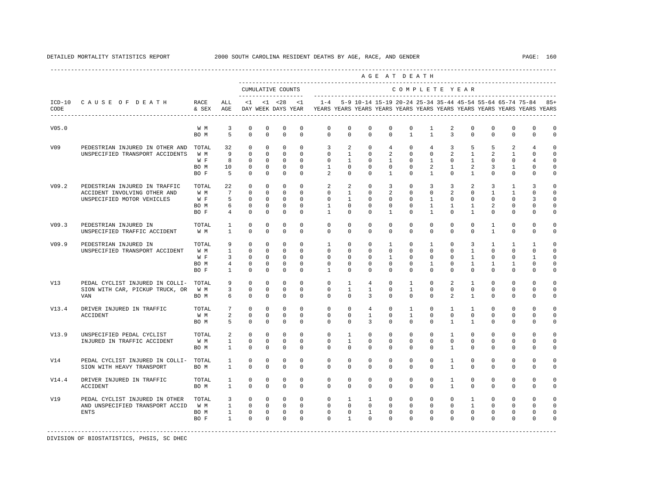|       |                                                            |                   |                         |                            |                             |                                           |                         |                                                                                                       |                         |                                                               |                            | AGE AT DEATH         |                                |                             |                                |                               |                            |                         |                      |
|-------|------------------------------------------------------------|-------------------|-------------------------|----------------------------|-----------------------------|-------------------------------------------|-------------------------|-------------------------------------------------------------------------------------------------------|-------------------------|---------------------------------------------------------------|----------------------------|----------------------|--------------------------------|-----------------------------|--------------------------------|-------------------------------|----------------------------|-------------------------|----------------------|
|       |                                                            |                   |                         |                            |                             | CUMULATIVE COUNTS<br>____________________ |                         |                                                                                                       |                         |                                                               |                            | COMPLETE YEAR        |                                |                             |                                |                               |                            |                         |                      |
| CODE  | ICD-10 CAUSE OF DEATH<br>--------------------------------- | RACE<br>& SEX AGE | ALL                     |                            |                             | $<1$ $<1$ $<28$                           | <1                      | $1 - 4$<br>DAY WEEK DAYS YEAR YEARS YEARS YEARS YEARS YEARS YEARS YEARS YEARS YEARS YEARS YEARS YEARS |                         | 5-9 10-14 15-19 20-24 25-34 35-44 45-54 55-64 65-74 75-84 85+ |                            |                      |                                |                             |                                |                               |                            |                         |                      |
| V05.0 |                                                            | W M               | 3                       | $\mathbf 0$                | $\mathbf 0$                 | $\mathbf 0$                               | $\mathbf 0$             | $\mathbf 0$                                                                                           | $\mathbf 0$             | $\mathbf 0$                                                   | $\mathbf 0$                | $\mathbf{0}$         | 1                              | 2                           | $\mathbf 0$                    | $\mathbf 0$                   | $\mathbf{0}$               | $\mathbf{0}$            | $\Omega$             |
|       |                                                            | BO M              | 5                       | $\Omega$                   | $\Omega$                    | $\Omega$                                  | $\Omega$                | $\Omega$                                                                                              | $\Omega$                | $\Omega$                                                      | $\Omega$                   | $\overline{1}$       | $\overline{1}$                 | 3                           | $\Omega$                       | $\Omega$                      | $\Omega$                   | $\Omega$                | $\Omega$             |
| V09   | PEDESTRIAN INJURED IN OTHER AND                            | TOTAL             | 32                      | $\mathbf 0$                | $\circ$                     | $\mathbf 0$                               | $\Omega$                | $\overline{3}$                                                                                        | 2                       | $\mathbf{0}$                                                  | $4\overline{ }$            | $\circ$              | $4\overline{ }$                | 3                           | 5                              | 5                             | 2                          | $\overline{4}$          | $\Omega$             |
|       | UNSPECIFIED TRANSPORT ACCIDENTS                            | W M               | 9                       | $\mathbf 0$                | $\circ$                     | $\circ$                                   | $\Omega$                | $\circ$                                                                                               | $\mathbf{1}$            | $\mathbf{0}$                                                  | 2                          | $\Omega$             | $\Omega$                       | 2                           | $\mathbf{1}$                   | 2                             | $\mathbf{1}$               | $\Omega$                | $\Omega$             |
|       |                                                            | W F               | 8                       | $\mathbf 0$                | $\circ$                     | $\Omega$                                  | $\Omega$                | $\Omega$                                                                                              | $\mathbf{1}$            | $\Omega$                                                      | $\mathbf{1}$               | $\Omega$<br>$\Omega$ | $\overline{1}$                 | $\Omega$                    | $\overline{1}$                 | $\Omega$                      | $\Omega$                   | $\overline{4}$          | $\Omega$             |
|       |                                                            | BO M<br>BO F      | 10<br>$5^{\circ}$       | $\Omega$<br>$\Omega$       | $\Omega$<br>$\Omega$        | $\Omega$<br>$\Omega$                      | $\Omega$<br>$\Omega$    | $\overline{1}$<br>$\overline{a}$                                                                      | $\Omega$<br>$\Omega$    | $\Omega$<br>$\Omega$                                          | $\Omega$<br>$\overline{1}$ | $\Omega$             | $\overline{2}$<br>$\mathbf{1}$ | $\mathbf{1}$<br>$\Omega$    | $\overline{a}$<br>$\mathbf{1}$ | 3<br>$\Omega$                 | $\mathbf{1}$<br>$\Omega$   | $\Omega$<br>$\Omega$    | $\cap$<br>$\Omega$   |
|       |                                                            |                   |                         |                            |                             |                                           |                         |                                                                                                       |                         |                                                               |                            |                      |                                |                             |                                |                               |                            |                         |                      |
| V09.2 | PEDESTRIAN INJURED IN TRAFFIC                              | TOTAL             | 22                      | $\Omega$                   | $\circ$                     | $\Omega$                                  | $\Omega$                | 2                                                                                                     | 2                       | $\Omega$                                                      | 3                          | $\Omega$             | 3                              | $\overline{3}$              | 2                              | 3                             | $\mathbf{1}$               | 3                       | $\Omega$             |
|       | ACCIDENT INVOLVING OTHER AND                               | W M               | $7\overline{ }$         | $\mathbf{0}$               | $\circ$                     | $\circ$                                   | $\Omega$<br>$\Omega$    | $\mathbf 0$<br>$\Omega$                                                                               | $\overline{1}$          | $\mathbf 0$                                                   | 2                          | $\Omega$             | $\Omega$<br>$\mathbf{1}$       | $\overline{a}$<br>$\Omega$  | $\mathbf{0}$<br>$\Omega$       | $\mathbf{1}$                  | $\mathbf{1}$               | $\Omega$                | $\Omega$<br>$\cap$   |
|       | UNSPECIFIED MOTOR VEHICLES                                 | W F               | 5                       | $\mathbf 0$                | $\Omega$                    | $\Omega$                                  |                         |                                                                                                       | $\mathbf{1}$            | $\Omega$                                                      | $\Omega$                   | $\Omega$             |                                |                             |                                | $\Omega$                      | $\Omega$                   | 3                       |                      |
|       |                                                            | BO M<br>BO F      | 6<br>$\overline{4}$     | $\mathbf 0$<br>$\mathbf 0$ | $\mathbf{0}$<br>$\mathbf 0$ | $\circ$<br>$\mathbf 0$                    | $\Omega$<br>$\mathbf 0$ | $\mathbf{1}$<br>$\mathbf{1}$                                                                          | $\Omega$<br>$\mathbf 0$ | $\Omega$<br>$\mathbf 0$                                       | $\Omega$<br>$\mathbf{1}$   | $\Omega$<br>$\Omega$ | $\mathbf{1}$<br>$\mathbf{1}$   | $\mathbf{1}$<br>$\mathbf 0$ | $\mathbf{1}$<br>$\mathbf{1}$   | $\overline{a}$<br>$\mathbf 0$ | $\mathbf 0$<br>$\mathbf 0$ | $\Omega$<br>$\mathbf 0$ | $\Omega$<br>$\Omega$ |
|       |                                                            |                   |                         |                            |                             |                                           |                         |                                                                                                       |                         |                                                               |                            |                      |                                |                             |                                |                               |                            |                         |                      |
| V09.3 | PEDESTRIAN INJURED IN                                      | TOTAL             | $\mathbf{1}$            | $\mathbf 0$                | 0                           | $\mathbf 0$                               | $\mathbf 0$             | $\mathbf{0}$                                                                                          | $\mathbf 0$             | $\mathbf 0$                                                   | $\mathbf 0$                | $\mathbf 0$          | $\mathbf 0$                    | $\mathbf 0$                 | 0                              | $\mathbf{1}$                  | $\mathbf 0$                | $\mathbf{0}$            | $\Omega$             |
|       | UNSPECIFIED TRAFFIC ACCIDENT                               | W M               | $\mathbf{1}$            | $\Omega$                   | $\mathbf 0$                 | $\mathbf 0$                               | $\Omega$                | $\Omega$                                                                                              | $\Omega$                | $\Omega$                                                      | $\Omega$                   | $\Omega$             | $\Omega$                       | $\Omega$                    | $\Omega$                       | $\mathbf{1}$                  | $\Omega$                   | $\Omega$                | $\Omega$             |
| V09.9 | PEDESTRIAN INJURED IN                                      | TOTAL             | 9                       | $\mathbf 0$                | $\Omega$                    | $\Omega$                                  | $\Omega$                | $\overline{1}$                                                                                        | $\Omega$                | $\Omega$                                                      | $\mathbf{1}$               | $\Omega$             | $\overline{1}$                 | $\Omega$                    | 3                              | $\mathbf{1}$                  | $\mathbf{1}$               | $\mathbf{1}$            | $\cap$               |
|       | UNSPECIFIED TRANSPORT ACCIDENT                             | W M               | $\mathbf{1}$            | $\mathbf 0$                | $\mathbf 0$                 | $\circ$                                   | $\Omega$                | $\Omega$                                                                                              | $\Omega$                | $\mathbf 0$                                                   | $\Omega$                   | $\Omega$             | $\Omega$                       | $\Omega$                    | $\mathbf{1}$                   | $\Omega$                      | $\Omega$                   | $\Omega$                | $\Omega$             |
|       |                                                            | W F               | 3                       | $\mathbf{0}$               | $^{\circ}$                  | $\circ$                                   | $\circ$                 | $\mathbf{0}$                                                                                          | $\mathbf{0}$            | $\circ$                                                       | $\mathbf{1}$               | $\mathbf{0}$         | 0                              | $\mathbf{0}$                | $\mathbf{1}$                   | 0                             | 0                          | 1                       | $\Omega$             |
|       |                                                            | BO M              | $\overline{4}$          | $\mathbf 0$                | $^{\circ}$                  | $^{\circ}$                                | $^{\circ}$              | $\mathbf{0}$                                                                                          | $\mathbf{0}$            | 0                                                             | 0                          | $\mathbf{0}$         | 1                              | $\mathbf{0}$                | $\mathbf{1}$                   | $\mathbf{1}$                  | 1                          | $\mathbf{0}$            | $\Omega$             |
|       |                                                            | BO F              | $\mathbf{1}$            | $\Omega$                   | $\Omega$                    | $\Omega$                                  | $\Omega$                | $\overline{1}$                                                                                        | $\Omega$                | $\Omega$                                                      | $\Omega$                   | $\Omega$             | $\Omega$                       | $\Omega$                    | $\Omega$                       | $\Omega$                      | $\Omega$                   | $\Omega$                | $\cap$               |
| V13   | PEDAL CYCLIST INJURED IN COLLI-                            | TOTAL             | 9                       | $\Omega$                   | $\Omega$                    | $\Omega$                                  | $\Omega$                | $\Omega$                                                                                              | $\overline{1}$          | $\overline{4}$                                                | $\Omega$                   | $\overline{1}$       | $\Omega$                       | $\overline{a}$              | $\mathbf{1}$                   | $\Omega$                      | $\Omega$                   | $\Omega$                | $\cap$               |
|       | SION WITH CAR, PICKUP TRUCK, OR W M                        |                   | 3                       | $\mathbf{0}$               | $^{\circ}$                  | $^{\circ}$                                | $^{\circ}$              | $\mathbf{0}$                                                                                          | 1                       | $\mathbf{1}$                                                  | 0                          | $\mathbf{1}$         | $\mathbf{0}$                   | $\mathbf{0}$                | $\circ$                        | 0                             | $\mathbf 0$                | $\mathbf{0}$            | $\Omega$             |
|       | <b>VAN</b>                                                 | BO M              | 6                       | $\mathbf 0$                | 0                           | $^{\circ}$                                | $\Omega$                | $\Omega$                                                                                              | $\Omega$                | 3                                                             | $\Omega$                   | $\Omega$             | $\Omega$                       | $\mathfrak{D}$              | $\mathbf{1}$                   | $\Omega$                      | $\mathbf{0}$               | $\Omega$                | $\Omega$             |
| V13.4 | DRIVER INJURED IN TRAFFIC                                  | TOTAL             | $7\overline{ }$         | $\mathbf 0$                | $\circ$                     | $\Omega$                                  | $\Omega$                | $\Omega$                                                                                              | $\Omega$                | $\overline{4}$                                                | $\Omega$                   | $\mathbf{1}$         | $\Omega$                       | $\mathbf{1}$                | $\mathbf{1}$                   | $\Omega$                      | $\Omega$                   | $\Omega$                | $\Omega$             |
|       | <b>ACCIDENT</b>                                            | W M               | 2                       | $\Omega$                   | $\Omega$                    | $\Omega$                                  | $\Omega$                | $\Omega$                                                                                              | $\Omega$                | $\overline{1}$                                                | $\Omega$                   | $\overline{1}$       | $\Omega$                       | $\Omega$                    | $\Omega$                       | $\Omega$                      | $\Omega$                   | $\Omega$                | $\Omega$             |
|       |                                                            | BO M              | 5                       | $\Omega$                   | $\Omega$                    | $\Omega$                                  | $\Omega$                | $\Omega$                                                                                              | $\Omega$                | 3                                                             | $\Omega$                   | $\Omega$             | $\Omega$                       | $\overline{1}$              | $\mathbf{1}$                   | $\Omega$                      | $\Omega$                   | $\Omega$                | $\cap$               |
| V13.9 | UNSPECIFIED PEDAL CYCLIST                                  | TOTAL             | $\overline{a}$          | $\mathbf 0$                | $\circ$                     | $\circ$                                   | $\Omega$                | $\circ$                                                                                               | $\mathbf{1}$            | $\mathbf 0$                                                   | $\mathbf 0$                | $\circ$              | $\mathbf{0}$                   | $\mathbf{1}$                | $\mathbf{0}$                   | $\mathbf 0$                   | $\mathbf{0}$               | $\mathbf 0$             | $\Omega$             |
|       | INJURED IN TRAFFIC ACCIDENT                                | W M               | $\mathbf{1}$            | $\mathbf 0$                | $^{\circ}$                  | $\circ$                                   | $\circ$                 | $\circ$                                                                                               | $\mathbf{1}$            | $\circ$                                                       | 0                          | $\mathbf 0$          | $\mathbf{0}$                   | $\circ$                     | $\circ$                        | 0                             | $\mathbf 0$                | 0                       | $\Omega$             |
|       |                                                            | BO M              | $\mathbf{1}$            | $\Omega$                   | $\Omega$                    | $\Omega$                                  | $\Omega$                | $\Omega$                                                                                              | $\Omega$                | $\Omega$                                                      | $\Omega$                   | $\Omega$             | $\Omega$                       | $\mathbf{1}$                | $\Omega$                       | $\Omega$                      | $\Omega$                   | $\Omega$                | $\Omega$             |
| V14   | PEDAL CYCLIST INJURED IN COLLI- TOTAL                      |                   | $\mathbf{1}$            | $\mathbf 0$                | $^{\circ}$                  | $\mathbf 0$                               | $\mathbf 0$             | $\mathbf 0$                                                                                           | $\mathbf 0$             | $\mathbf 0$                                                   | $\mathbf 0$                | $\mathbf 0$          | $\circ$                        | $\mathbf{1}$                | $\mathbf 0$                    | $\mathbf 0$                   | $\mathbf{0}$               | $\mathbf 0$             | $\Omega$             |
|       | SION WITH HEAVY TRANSPORT                                  | BO M              | $\mathbf{1}$            | $\mathbf 0$                | 0                           | $^{\circ}$                                | $\Omega$                | $\Omega$                                                                                              | $\Omega$                | $\Omega$                                                      | $\Omega$                   | $\Omega$             | $\Omega$                       | $\mathbf{1}$                | $\Omega$                       | $\Omega$                      | $\mathbf 0$                | $\Omega$                | $\Omega$             |
| V14.4 | DRIVER INJURED IN TRAFFIC                                  | TOTAL             | $\mathbf{1}$            | $\mathbf 0$                | $^{\circ}$                  | $\mathbf 0$                               | $\Omega$                | $\mathbf 0$                                                                                           | $\Omega$                | $\mathbf 0$                                                   | $\mathbf 0$                | $\mathbf 0$          | $\mathbf 0$                    | $\mathbf{1}$                | $\mathbf 0$                    | $\mathbf 0$                   | $\mathbf{0}$               | $\Omega$                | $\cap$               |
|       | <b>ACCIDENT</b>                                            | BO M              | $\mathbf{1}$            | $\Omega$                   | $\Omega$                    | $\Omega$                                  | $\Omega$                | $\cap$                                                                                                | $\Omega$                | $\Omega$                                                      | $\Omega$                   | $\Omega$             | $\Omega$                       | $\mathbf{1}$                | $\Omega$                       | $\Omega$                      | $\Omega$                   | $\Omega$                | $\cap$               |
| V19   | PEDAL CYCLIST INJURED IN OTHER                             | TOTAL             | $\overline{\mathbf{3}}$ | $\overline{0}$             | $\circ$                     | $\mathbf 0$                               | $\mathbf 0$             | $\circ$                                                                                               | $\mathbf{1}$            | $\mathbf{1}$                                                  | $\mathbf 0$                | $\circ$              | $\mathbf 0$                    | $\mathbf{0}$                | $\mathbf{1}$                   | $\mathbf 0$                   | $\mathbf 0$                | $\Omega$                | $\Omega$             |
|       | AND UNSPECIFIED TRANSPORT ACCID                            | W M               | 1                       | $\overline{0}$             | $\overline{0}$              | $\circ$                                   | $\Omega$                | $\Omega$                                                                                              | $\circ$                 | $\mathbf{0}$                                                  | $\mathbf 0$                | $\Omega$             | $\Omega$                       | $\Omega$                    | $\mathbf{1}$                   | $\mathbf{0}$                  | $\mathbf{0}$               | $\Omega$                | $\cap$               |
|       | <b>ENTS</b>                                                | BO M              |                         | $1 \qquad 0$               |                             | $0\qquad 0$                               | $\mathbf{0}$            | $\circ$                                                                                               | $\circ$                 | $\mathbf{1}$                                                  | $\mathbf 0$                | $\mathbf{0}$         | $\mathbf 0$                    | $\mathbf{0}$                | $\circ$                        | 0                             | $\mathbf 0$                | $\mathbf 0$             | $\Omega$             |
|       |                                                            | BO F              | $1 \quad \cdots$        | $\mathbf{0}$               | $\Omega$                    | $\overline{0}$                            | $\Omega$                | $\Omega$                                                                                              | $\mathbf{1}$            | $\Omega$                                                      | $\Omega$                   | $\Omega$             | $\Omega$                       | $\Omega$                    | $\Omega$                       | $\Omega$                      | $\Omega$                   | $\Omega$                |                      |
|       |                                                            |                   |                         |                            |                             |                                           |                         |                                                                                                       |                         |                                                               |                            |                      |                                |                             |                                |                               |                            |                         |                      |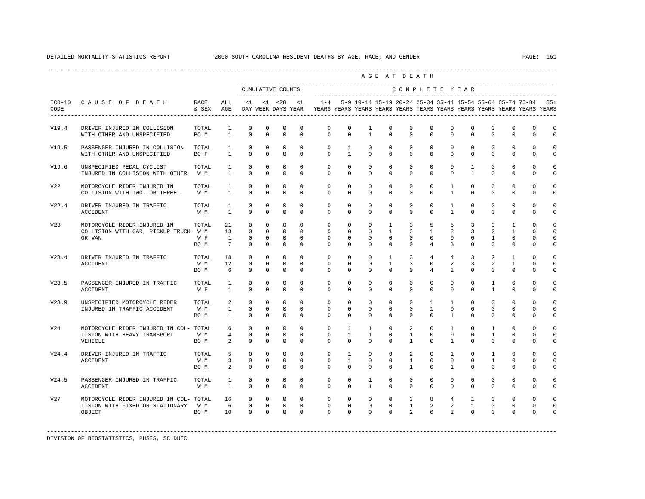|                 |                                                                                         |                      |                                   |                                                 |                                                          |                                                  |                                                          |                                                                                                                                                                 |                                                 |                                                         | AGE AT DEATH                                            |                                     |                                              |                                             |                                              |                                      |                                                   |                                                     |                                              |
|-----------------|-----------------------------------------------------------------------------------------|----------------------|-----------------------------------|-------------------------------------------------|----------------------------------------------------------|--------------------------------------------------|----------------------------------------------------------|-----------------------------------------------------------------------------------------------------------------------------------------------------------------|-------------------------------------------------|---------------------------------------------------------|---------------------------------------------------------|-------------------------------------|----------------------------------------------|---------------------------------------------|----------------------------------------------|--------------------------------------|---------------------------------------------------|-----------------------------------------------------|----------------------------------------------|
|                 |                                                                                         |                      |                                   |                                                 |                                                          | CUMULATIVE COUNTS                                |                                                          |                                                                                                                                                                 |                                                 |                                                         |                                                         | COMPLETE YEAR                       |                                              |                                             |                                              |                                      |                                                   |                                                     |                                              |
| CODE            | ICD-10 CAUSE OF DEATH                                                                   | RACE<br>& SEX AGE    | ALL                               |                                                 |                                                          |                                                  | $<1$ $<1$ $<28$ $<1$                                     | 1-4 5-9 10-14 15-19 20-24 25-34 35-44 45-54 55-64 65-74 75-84 85+<br>DAY WEEK DAYS YEAR YEARS YEARS YEARS YEARS YEARS YEARS YEARS YEARS YEARS YEARS YEARS YEARS |                                                 |                                                         |                                                         |                                     |                                              |                                             |                                              |                                      |                                                   |                                                     |                                              |
| V19.4           | DRIVER INJURED IN COLLISION<br>WITH OTHER AND UNSPECIFIED                               | TOTAL<br>BO M        | 1<br>$\mathbf{1}$                 | $\mathbf{0}$<br>$\mathbf 0$                     | 0<br>$\mathbf{0}$                                        | 0<br>$\mathbf 0$                                 | 0<br>0                                                   | $\mathbf{0}$<br>$\mathbf{0}$                                                                                                                                    | 0<br>$\mathbf{0}$                               | 1<br>$\mathbf{1}$                                       | $\mathbf 0$<br>$\Omega$                                 | $\mathbf 0$<br>$\Omega$             | $\mathbf 0$<br>$\Omega$                      | 0<br>$\Omega$                               | $\mathbf 0$<br>$\Omega$                      | $^{\circ}$<br>$\Omega$               | $\mathbf{0}$<br>$\mathbf 0$                       | $\mathbf 0$<br>$\mathbf 0$                          | $\mathbf 0$<br>$\Omega$                      |
| V19.5           | PASSENGER INJURED IN COLLISION<br>WITH OTHER AND UNSPECIFIED                            | TOTAL<br>BO F        | $\mathbf{1}$<br>$\mathbf{1}$      | $\mathbf 0$<br>$\Omega$                         | $\mathbf 0$<br>$\Omega$                                  | $\mathbf 0$<br>$\mathbf 0$                       | $\Omega$<br>$\Omega$                                     | $\circ$<br>$\Omega$                                                                                                                                             | 1<br>$\mathbf{1}$                               | $\circ$<br>$\Omega$                                     | $\mathbf 0$<br>$\Omega$                                 | $\mathbf{0}$<br>$\Omega$            | $\mathbf 0$<br>$\Omega$                      | $\mathbf{0}$<br>$\Omega$                    | $\mathbf 0$<br>$\Omega$                      | $\mathbf 0$<br>$\Omega$              | $\mathbf 0$<br>$\Omega$                           | $\mathbf{0}$<br>$\Omega$                            | $\Omega$<br>$\Omega$                         |
| V19.6           | UNSPECIFIED PEDAL CYCLIST<br>INJURED IN COLLISION WITH OTHER W M                        | TOTAL                | $\mathbf{1}$<br>$\mathbf{1}$      | $\Omega$<br>$\mathbf 0$                         | $\Omega$<br>0                                            | $\Omega$<br>$\mathbf 0$                          | $\Omega$<br>$\mathbf 0$                                  | $\Omega$<br>$\mathbf 0$                                                                                                                                         | $\Omega$<br>$\mathbf 0$                         | $\Omega$<br>$\mathbf 0$                                 | $\Omega$<br>$\mathbf 0$                                 | $\Omega$<br>$\mathbf 0$             | $\Omega$<br>$\mathbf 0$                      | $\Omega$<br>$\mathbf 0$                     | $\mathbf{1}$<br>$\mathbf{1}$                 | $\Omega$<br>$\mathbf 0$              | $\Omega$<br>$\mathbf 0$                           | $\Omega$<br>$\mathbf 0$                             | $\cap$<br>$\mathbf 0$                        |
| V22             | MOTORCYCLE RIDER INJURED IN<br>COLLISION WITH TWO- OR THREE-                            | TOTAL<br>W M         | $\mathbf{1}$<br>$\mathbf{1}$      | $\circ$<br>$\mathbf 0$                          | $\mathbf 0$<br>0                                         | $\mathbf 0$<br>$\mathbf 0$                       | $\mathbf 0$<br>$\mathbf 0$                               | $\mathbf{0}$<br>$\Omega$                                                                                                                                        | $\mathbf 0$<br>$\mathbf 0$                      | $\mathbf 0$<br>$\Omega$                                 | $\mathbf 0$<br>$\mathbf 0$                              | $\mathbf 0$<br>$\Omega$             | $\mathbf 0$<br>$\Omega$                      | $\mathbf{1}$<br>$\mathbf{1}$                | $^{\circ}$<br>$\Omega$                       | $^{\circ}$<br>$\Omega$               | $\mathbf 0$<br>$\mathbf 0$                        | 0<br>$\Omega$                                       | $\Omega$<br>$\Omega$                         |
| V22.4           | DRIVER INJURED IN TRAFFIC<br><b>ACCIDENT</b>                                            | TOTAL<br>W M         | 1<br>$\mathbf{1}$                 | $\mathbf 0$<br>$\Omega$                         | $\mathbf 0$<br>$\Omega$                                  | $\mathbf 0$<br>$\Omega$                          | $\mathbf 0$<br>$\Omega$                                  | $\mathbf 0$<br>$\Omega$                                                                                                                                         | $\mathbf 0$<br>$\Omega$                         | $\mathbf 0$<br>$\Omega$                                 | $\mathbf 0$<br>$\Omega$                                 | $\mathbf 0$<br>$\Omega$             | $\mathbf 0$<br>$\Omega$                      | $\mathbf{1}$<br>$\mathbf{1}$                | $\mathbf 0$<br>$\Omega$                      | $\mathbf 0$<br>$\Omega$              | $\mathbf 0$<br>$\Omega$                           | $\mathbf 0$<br>$\Omega$                             | $\Omega$<br>$\Omega$                         |
| V <sub>23</sub> | MOTORCYCLE RIDER INJURED IN<br>COLLISION WITH CAR, PICKUP TRUCK W M<br>OR VAN           | TOTAL<br>W F<br>BO M | 21<br>13<br>$\mathbf{1}$<br>7     | $\circ$<br>$\mathbf 0$<br>$^{\circ}$<br>$\circ$ | $\mathbf 0$<br>$^{\circ}$<br>$\mathbf{0}$<br>$\mathbf 0$ | $\mathbf 0$<br>$\mathbf 0$<br>$\circ$<br>$\circ$ | $\mathbf 0$<br>$\mathbf 0$<br>$\mathbf 0$<br>$\mathbf 0$ | 0<br>$\mathbf{0}$<br>$\mathbf{0}$<br>$\Omega$                                                                                                                   | 0<br>$\mathbf 0$<br>$\mathbf{0}$<br>$\mathbf 0$ | $\mathbb O$<br>$\mathbf 0$<br>$^{\circ}$<br>$\mathbf 0$ | $\mathbf{1}$<br>$\mathbf{1}$<br>$\Omega$<br>$\mathbf 0$ | 3<br>3<br>$\Omega$<br>$\mathbf 0$   | 5<br>$\mathbf{1}$<br>$\Omega$<br>4           | 5<br>2<br>$\mathbf 0$<br>3                  | 3<br>3<br>$\circ$<br>$\mathbf 0$             | 3<br>2<br>$\mathbf{1}$<br>$^{\circ}$ | $\mathbf{1}$<br>1<br>$\mathbf{0}$<br>$\mathbf{0}$ | $\mathbf 0$<br>$\Omega$<br>$\Omega$<br>$\mathbf{0}$ | $\Omega$<br>$\Omega$<br>$\Omega$<br>$\Omega$ |
| V23.4           | DRIVER INJURED IN TRAFFIC<br><b>ACCIDENT</b>                                            | TOTAL<br>W M<br>BO M | 18<br>12<br>6                     | $\circ$<br>$\circ$<br>$\Omega$                  | $\Omega$<br>$\Omega$<br>$\Omega$                         | $\mathbf 0$<br>$\circ$<br>$\Omega$               | $\Omega$<br>$\Omega$<br>$\Omega$                         | $\Omega$<br>$\mathbf 0$<br>$\Omega$                                                                                                                             | $\Omega$<br>$\Omega$<br>$\Omega$                | $\Omega$<br>$\Omega$<br>$\Omega$                        | $\mathbf{1}$<br>$\overline{1}$<br>$\Omega$              | $\overline{3}$<br>3<br>$\Omega$     | $\overline{4}$<br>$\Omega$<br>$\overline{4}$ | $\overline{4}$<br>2<br>$\overline{a}$       | $\overline{3}$<br>$\overline{3}$<br>$\Omega$ | $\mathfrak{L}$<br>2<br>$\Omega$      | $\mathbf{1}$<br>$\mathbf{1}$<br>$\Omega$          | $\Omega$<br>$\Omega$<br>$\Omega$                    | $\Omega$<br>$\Omega$                         |
| V23.5           | PASSENGER INJURED IN TRAFFIC<br>ACCIDENT                                                | TOTAL<br>W F         | $\mathbf{1}$<br>$\mathbf{1}$      | $^{\circ}$<br>$\Omega$                          | $^{\circ}$<br>$\Omega$                                   | $^{\circ}$<br>$\mathbf 0$                        | $^{\circ}$<br>$\Omega$                                   | $\mathbf 0$<br>$\Omega$                                                                                                                                         | 0<br>$\Omega$                                   | 0<br>$\Omega$                                           | 0<br>$\Omega$                                           | $\mathbf{0}$<br>$\Omega$            | $\mathbf{0}$<br>$\Omega$                     | 0<br>$\Omega$                               | $^{\circ}$<br>$\Omega$                       | $\mathbf{1}$<br>$\mathbf{1}$         | $\mathbf 0$<br>$\Omega$                           | $\mathbf 0$<br>$\Omega$                             | $\Omega$<br>$\Omega$                         |
| V23.9           | UNSPECIFIED MOTORCYCLE RIDER<br>INJURED IN TRAFFIC ACCIDENT                             | TOTAL<br>W M<br>BO M | 2<br>$\mathbf{1}$<br>$\mathbf{1}$ | $\Omega$<br>$\Omega$<br>$\Omega$                | $\Omega$<br>$\Omega$<br>$\Omega$                         | $\Omega$<br>$\mathbf 0$<br>$\Omega$              | $\Omega$<br>$\Omega$<br>$\Omega$                         | $\Omega$<br>$\Omega$<br>$\Omega$                                                                                                                                | $\Omega$<br>$\Omega$<br>$\Omega$                | $\Omega$<br>$\Omega$<br>$\Omega$                        | $\Omega$<br>$\Omega$<br>$\Omega$                        | $\Omega$<br>$\Omega$<br>$\Omega$    | $\mathbf{1}$<br>$\mathbf{1}$<br>$\Omega$     | $\mathbf{1}$<br>$\Omega$<br>$\mathbf{1}$    | $\Omega$<br>$\Omega$<br>$\Omega$             | $\Omega$<br>$\Omega$<br>$\Omega$     | $\Omega$<br>$\Omega$<br>$\Omega$                  | $\Omega$<br>$\Omega$<br>$\Omega$                    | $\cap$<br>$\Omega$<br>$\Omega$               |
| V24             | MOTORCYCLE RIDER INJURED IN COL- TOTAL<br>LISION WITH HEAVY TRANSPORT<br>VEHICLE        | W M<br>BO M          | 6<br>4<br>2                       | $\circ$<br>$\mathbf 0$<br>$^{\circ}$            | $\mathbf 0$<br>$^{\circ}$<br>$\mathbf{0}$                | $\mathbf 0$<br>$\mathbf 0$<br>$\circ$            | $\mathbf 0$<br>$\mathbf 0$<br>$\Omega$                   | $\mathbf 0$<br>0<br>$\Omega$                                                                                                                                    | $\mathbf{1}$<br>$\mathbf{1}$<br>$\Omega$        | $\mathbf{1}$<br>$\mathbf{1}$<br>$\Omega$                | $\mathbf 0$<br>$\Omega$<br>$\Omega$                     | 2<br>$\mathbf{1}$<br>$\overline{1}$ | $\mathbf 0$<br>$\mathbf 0$<br>$\Omega$       | $\mathbf{1}$<br>$\mathbf 0$<br>$\mathbf{1}$ | $\mathbf 0$<br>$\mathbf 0$<br>$\Omega$       | $\mathbf{1}$<br>1<br>$\Omega$        | $\mathbf{0}$<br>$\mathbf 0$<br>$\Omega$           | $\mathbf 0$<br>0<br>$\Omega$                        | $\Omega$<br>$\Omega$                         |
| V24.4           | DRIVER INJURED IN TRAFFIC<br><b>ACCIDENT</b>                                            | TOTAL<br>W M<br>BO M | 5<br>3<br>2                       | $\circ$<br>$\circ$<br>$\Omega$                  | $\mathbf{0}$<br>$\Omega$<br>$\Omega$                     | $\mathbf 0$<br>$\circ$<br>$\Omega$               | $\Omega$<br>$\Omega$<br>$\Omega$                         | $\mathbf 0$<br>$\Omega$<br>$\Omega$                                                                                                                             | $\mathbf{1}$<br>$\mathbf{1}$<br>$\Omega$        | $\circ$<br>$\Omega$<br>$\Omega$                         | $\mathbf 0$<br>$\Omega$<br>$\Omega$                     | 2<br>$\mathbf{1}$<br>$\overline{1}$ | $\circ$<br>$\Omega$<br>$\Omega$              | $\mathbf{1}$<br>$\circ$<br>$\overline{1}$   | $\mathbf 0$<br>$\Omega$<br>$\Omega$          | 1<br>$\mathbf{1}$<br>$\Omega$        | $\mathbf 0$<br>$\Omega$<br>$\Omega$               | $\mathbf{0}$<br>$\Omega$<br>$\Omega$                | $\Omega$<br>$\Omega$<br>$\Omega$             |
| V24.5           | PASSENGER INJURED IN TRAFFIC<br>ACCIDENT                                                | TOTAL<br>W M         | $\mathbf{1}$<br>1                 | $\mathbf 0$<br>$^{\circ}$                       | $\mathbf 0$<br>$^{\circ}$                                | $\mathbf 0$<br>$\circ$                           | $\mathbf 0$<br>$\Omega$                                  | $\mathbf 0$<br>$\Omega$                                                                                                                                         | $\mathbf 0$<br>$\mathbf{0}$                     | $\mathbf{1}$<br>$\mathbf{1}$                            | $\mathbf 0$<br>0                                        | $\mathbf 0$<br>$\Omega$             | $\mathbf 0$<br>$\Omega$                      | $\mathbf 0$<br>$\Omega$                     | $\mathbf 0$<br>0                             | $\mathbf 0$<br>$\Omega$              | $\mathbf{0}$<br>$\mathbf{0}$                      | $\mathbf 0$<br>$\mathbf{0}$                         | $\Omega$<br>$\Omega$                         |
| V <sub>27</sub> | MOTORCYCLE RIDER INJURED IN COL- TOTAL<br>LISION WITH FIXED OR STATIONARY W M<br>OBJECT | BO M                 | 16<br>6<br>1 O                    | $^{\circ}$<br>$\circ$<br>$\Omega$               | $^{\circ}$<br>$\mathbf 0$<br>$\Omega$                    | $^{\circ}$<br>$\circ$<br>$\Omega$                | $\mathbf 0$<br>$\mathbf 0$<br>$\Omega$                   | $\mathbf 0$<br>$\mathbf 0$<br>$\Omega$                                                                                                                          | $\mathbf{0}$<br>$\mathbf 0$<br>$\Omega$         | $\mathbf 0$<br>$\mathbf 0$<br>$\Omega$                  | $\mathbf 0$<br>$\mathbf 0$<br>$\Omega$                  | 3<br>$\mathbf{1}$<br>$\overline{a}$ | 8<br>$\overline{a}$<br>6                     | $\overline{4}$<br>2<br>$\overline{a}$       | $\mathbf{1}$<br>$\mathbf{1}$<br>$\Omega$     | $^{\circ}$<br>$^{\circ}$<br>$\Omega$ | $\mathbf{0}$<br>$\mathbf{0}$<br>$\Omega$          | $\Omega$<br>$\mathbf{0}$<br>$\Omega$                | $\Omega$                                     |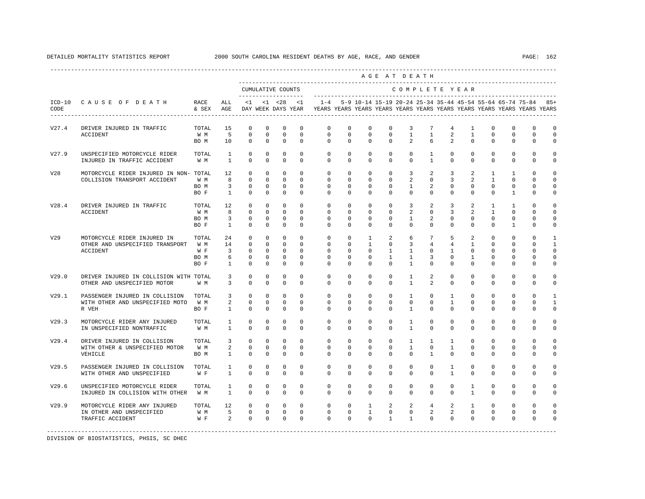|                 |                                                                       |                   |                                  |                              |                          |                               |                         |                                                                                                       |                          |                                                               |                         | AGE AT DEATH                   |                                 |                             |                              |                          |                            |                          |                            |
|-----------------|-----------------------------------------------------------------------|-------------------|----------------------------------|------------------------------|--------------------------|-------------------------------|-------------------------|-------------------------------------------------------------------------------------------------------|--------------------------|---------------------------------------------------------------|-------------------------|--------------------------------|---------------------------------|-----------------------------|------------------------------|--------------------------|----------------------------|--------------------------|----------------------------|
|                 |                                                                       |                   |                                  |                              |                          | CUMULATIVE COUNTS             | --------------------    |                                                                                                       |                          |                                                               |                         | COMPLETE YEAR                  |                                 |                             |                              |                          |                            |                          |                            |
| CODE            | ICD-10 CAUSE OF DEATH                                                 | RACE<br>& SEX AGE | ALL                              |                              |                          |                               | $<1$ $<1$ $<28$ $<1$    | $1 - 4$<br>DAY WEEK DAYS YEAR YEARS YEARS YEARS YEARS YEARS YEARS YEARS YEARS YEARS YEARS YEARS YEARS |                          | 5-9 10-14 15-19 20-24 25-34 35-44 45-54 55-64 65-74 75-84 85+ |                         |                                |                                 |                             |                              |                          |                            |                          |                            |
| V27.4           | DRIVER INJURED IN TRAFFIC<br>ACCIDENT                                 | TOTAL<br>W M      | 1.5<br>$5^{\circ}$               | $\Omega$<br>$\mathbf 0$      | $\Omega$<br>$\circ$      | $\Omega$<br>$\overline{0}$    | $\Omega$<br>$\mathbf 0$ | $\Omega$<br>$\circ$                                                                                   | $\Omega$<br>$\mathbf{0}$ | $\Omega$<br>$\circ$                                           | $\Omega$<br>$\circ$     | 3<br>$\mathbf{1}$              | $7\phantom{.0}$<br>$\mathbf{1}$ | $\overline{4}$<br>2         | $\mathbf{1}$<br>$\mathbf{1}$ | $\Omega$<br>$\mathbf 0$  | $\Omega$<br>$\mathbf 0$    | $\Omega$<br>$\mathbf{0}$ | $\circ$<br>$\overline{0}$  |
|                 |                                                                       | BO M              | 10                               | $\circ$                      | $\mathbf{0}$             | $\mathbf{0}$                  | $\mathbf 0$             | $\Omega$                                                                                              | $\Omega$                 | $\Omega$                                                      | $\Omega$                | 2                              | 6                               | 2                           | $\mathbf{0}$                 | $\Omega$                 | $\mathbf 0$                | $\mathbf 0$              | $\mathbf 0$                |
| V27.9           | UNSPECIFIED MOTORCYCLE RIDER<br>INJURED IN TRAFFIC ACCIDENT           | TOTAL<br>W M      | $\mathbf{1}$<br>$\mathbf{1}$     | $\Omega$<br>$\Omega$         | $\Omega$<br>$\Omega$     | $\mathbf 0$<br>$\Omega$       | $\Omega$<br>$\Omega$    | $\Omega$<br>$\Omega$                                                                                  | $\Omega$<br>$\Omega$     | $\Omega$<br>$\Omega$                                          | $\Omega$<br>$\Omega$    | $\circ$<br>$\Omega$            | $\mathbf{1}$<br>$\mathbf{1}$    | $\Omega$<br>$\Omega$        | $\Omega$<br>$\Omega$         | $\Omega$<br>$\Omega$     | $\Omega$<br>$\Omega$       | $\Omega$<br>$\Omega$     | $\circ$<br>$\Omega$        |
| V28             | MOTORCYCLE RIDER INJURED IN NON- TOTAL                                |                   | 12                               | $\circ$                      | $^{\circ}$               | $\mathbf 0$                   | $\circ$                 | $\circ$                                                                                               | $\circ$                  | $\circ$                                                       | $\circ$                 | $\overline{3}$                 | 2                               | $\overline{3}$              | 2                            | $\mathbf{1}$             | $\mathbf{1}$               | $\mathbf{0}$             | $\circ$                    |
|                 | COLLISION TRANSPORT ACCIDENT                                          | W M               | 8<br>$\overline{\mathbf{3}}$     | $\Omega$<br>$\Omega$         | $\Omega$<br>$\Omega$     | $\Omega$<br>$\Omega$          | $\Omega$<br>$\Omega$    | $\Omega$<br>$\Omega$                                                                                  | $\Omega$<br>$\Omega$     | $\Omega$<br>$\Omega$                                          | $\Omega$<br>$\Omega$    | 2<br>$\mathbf{1}$              | $\Omega$<br>$\overline{a}$      | $\overline{3}$<br>$\Omega$  | 2<br>$\Omega$                | $\mathbf{1}$<br>$\Omega$ | $\Omega$<br>$\Omega$       | $\Omega$<br>$\Omega$     | $\Omega$                   |
|                 |                                                                       | BO M<br>BO F      | $\mathbf{1}$                     | $\mathbf{0}$                 | $^{\circ}$               | $\mathbf 0$                   | $\Omega$                | $\Omega$                                                                                              | $\Omega$                 | $\Omega$                                                      | $\Omega$                | $\Omega$                       | $\circ$                         | $\Omega$                    | $\Omega$                     | $\Omega$                 | $\mathbf{1}$               | $\Omega$                 | $\circ$<br>$\mathbf 0$     |
| V28.4           | DRIVER INJURED IN TRAFFIC                                             | TOTAL             | 12                               | $\circ$                      | $\circ$                  | $\mathbf 0$                   | $\mathbf{0}$            | $\circ$                                                                                               | $\circ$                  | $\mathbf{0}$                                                  | $\mathbf{0}$            | $\overline{3}$                 | 2                               | $\overline{3}$              | 2                            | $\mathbf{1}$             | $\mathbf{1}$               | $\mathbf 0$              | $\circ$                    |
|                 | ACCIDENT                                                              | W M               | $_{\rm 8}$                       | $\Omega$                     | $\Omega$                 | $\mathbf{0}$                  | $\Omega$                | $\Omega$                                                                                              | $\Omega$                 | $\Omega$                                                      | $\Omega$                | 2                              | $\circ$                         | $\overline{3}$              | 2                            | $\mathbf{1}$             | $\Omega$                   | $\Omega$                 | $\circ$                    |
|                 |                                                                       | BO M<br>BO F      | $\overline{3}$<br>$\mathbf{1}$   | $\overline{0}$<br>$\Omega$   | $\circ$<br>$\mathbf{0}$  | $\overline{0}$<br>$\mathbf 0$ | $\Omega$<br>$\Omega$    | $\Omega$<br>$\Omega$                                                                                  | $\Omega$<br>$\Omega$     | $\Omega$<br>$\Omega$                                          | $\Omega$<br>$\circ$     | $\mathbf{1}$<br>$\Omega$       | 2<br>$\circ$                    | $\Omega$<br>$\Omega$        | $\Omega$<br>$\mathbf 0$      | $\Omega$<br>$\Omega$     | $\Omega$<br>$\mathbf{1}$   | $\mathbf{0}$<br>$\Omega$ | $\circ$<br>$\mathbf 0$     |
|                 |                                                                       |                   |                                  |                              |                          |                               |                         |                                                                                                       |                          |                                                               |                         |                                |                                 |                             |                              |                          |                            |                          |                            |
| V <sub>29</sub> | MOTORCYCLE RIDER INJURED IN                                           | TOTAL             | 24                               | $\circ$                      | $^{\circ}$               | $\circ$                       | $\Omega$                | $\Omega$                                                                                              | $\Omega$                 | $\mathbf{1}$                                                  | 2                       | 6                              | $7\overline{ }$                 | 5                           | 2                            | $\Omega$                 | $\Omega$                   | $\Omega$                 | $\mathbf{1}$               |
|                 | OTHER AND UNSPECIFIED TRANSPORT                                       | W M               | 14                               | $\overline{0}$               | $\mathbf{0}$             | $\circ$                       | $\Omega$                | $\mathbf{0}$                                                                                          | $\mathbf 0$              | $\mathbf{1}$                                                  | $\mathbf 0$             | 3                              | $\overline{4}$                  | $\overline{4}$              | $\mathbf{1}$                 | $\Omega$                 | $\mathbf{0}$               | $\Omega$                 | $\mathbf{1}$               |
|                 | <b>ACCIDENT</b>                                                       | W F<br>BO M       | $\overline{\mathbf{3}}$<br>- 6   | $\Omega$<br>$\overline{0}$   | $^{\circ}$<br>$^{\circ}$ | $\overline{0}$<br>$\circ$     | $\Omega$<br>$\Omega$    | $\Omega$<br>$\mathbf 0$                                                                               | $\Omega$<br>$\Omega$     | $\Omega$<br>$\Omega$                                          | $\mathbf{1}$<br>1       | $\mathbf{1}$<br>$\mathbf{1}$   | $\Omega$<br>3                   | $\mathbf{1}$<br>$\mathbf 0$ | $\Omega$<br>$\mathbf{1}$     | $\Omega$<br>$\Omega$     | $\Omega$<br>$\mathbf{0}$   | $\Omega$<br>$\mathbf 0$  | $\mathbf 0$<br>$\mathbf 0$ |
|                 |                                                                       | BO F              | $\overline{1}$                   | $\Omega$                     | $\Omega$                 | $\Omega$                      | $\Omega$                | $\Omega$                                                                                              | $\Omega$                 | $\Omega$                                                      | $\Omega$                | $\mathbf{1}$                   | $\Omega$                        | $\Omega$                    | $\Omega$                     | $\Omega$                 | $\Omega$                   | $\Omega$                 | $\mathbf 0$                |
|                 |                                                                       |                   |                                  |                              |                          |                               |                         |                                                                                                       |                          |                                                               |                         |                                |                                 |                             |                              |                          |                            |                          |                            |
| V29.0           | DRIVER INJURED IN COLLISION WITH TOTAL<br>OTHER AND UNSPECIFIED MOTOR | W M               | $\overline{3}$<br>$\overline{3}$ | $\mathbf{0}$<br>$\mathbf{0}$ | $\mathbf{0}$<br>$\Omega$ | $\mathbf 0$<br>$\mathbf 0$    | $\mathbf 0$<br>$\Omega$ | $\mathbf 0$<br>$\Omega$                                                                               | $\mathbf{0}$<br>$\Omega$ | $\circ$<br>$\Omega$                                           | $\mathbf 0$<br>$\Omega$ | $\mathbf{1}$<br>$\mathbf{1}$   | $\overline{a}$<br>2             | $\mathbf 0$<br>$\Omega$     | $\mathbf 0$<br>$\Omega$      | $\mathbf 0$<br>$\Omega$  | $\mathbf 0$<br>$\mathbf 0$ | $\mathbf{0}$<br>0        | $\circ$<br>$\circ$         |
| V29.1           | PASSENGER INJURED IN COLLISION                                        | TOTAL             | $\overline{3}$                   | $\Omega$                     | $\Omega$                 | $\mathbf 0$                   | $\Omega$                | $\Omega$                                                                                              | $\Omega$                 | $\Omega$                                                      | $\Omega$                | $\mathbf{1}$                   | $\Omega$                        | $\mathbf{1}$                | $\Omega$                     | $\Omega$                 | $\Omega$                   | $\Omega$                 | $\mathbf{1}$               |
|                 | WITH OTHER AND UNSPECIFIED MOTO                                       | W M               | $\overline{a}$                   | $\mathbb O$                  | $\mathbf{0}$             | $\mathbb O$                   | $\mathbf 0$             | $\mathbf{0}$                                                                                          | $\mathbf{0}$             | $\circ$                                                       | $\mathbf 0$             | $\circ$                        | $\circ$                         | $\mathbf{1}$                | $\mathbf 0$                  | $\mathbf 0$              | $\mathbf 0$                | 0                        | $\mathbf{1}$               |
|                 | R VEH                                                                 | BO F              | $\mathbf{1}$                     | $\mathbf{0}$                 | $^{\circ}$               | $\mathbf 0$                   | $\mathbf 0$             | $\Omega$                                                                                              | $\circ$                  | $\circ$                                                       | $\circ$                 | $\mathbf{1}$                   | $\mathbf 0$                     | $\Omega$                    | $\Omega$                     | $\Omega$                 | $\mathbf 0$                | $\mathbf{0}$             | $\circ$                    |
| V29.3           | MOTORCYCLE RIDER ANY INJURED<br>IN UNSPECIFIED NONTRAFFIC             | TOTAL<br>W M      | $\mathbf{1}$<br>1                | $\Omega$<br>$\Omega$         | $\Omega$<br>$\Omega$     | $\Omega$<br>$\Omega$          | $\Omega$<br>$\Omega$    | $\Omega$<br>$\Omega$                                                                                  | $\Omega$<br>$\Omega$     | $\Omega$<br>$\Omega$                                          | $\Omega$<br>$\Omega$    | $\mathbf{1}$<br>$\overline{1}$ | $\Omega$<br>$\Omega$            | $\Omega$<br>$\Omega$        | $\Omega$<br>$\Omega$         | $\Omega$<br>$\Omega$     | $\Omega$<br>$\Omega$       | $\Omega$<br>$\Omega$     | $\Omega$<br>$\mathbf 0$    |
| V29.4           | DRIVER INJURED IN COLLISION                                           | TOTAL             | $\overline{3}$                   | $\mathbf{0}$                 | $^{\circ}$               | $\mathbf 0$                   | $\Omega$                | $\Omega$                                                                                              | $\Omega$                 | $\Omega$                                                      | $^{\circ}$              | $\mathbf{1}$                   | $\mathbf{1}$                    | $\mathbf{1}$                | $\Omega$                     | $\Omega$                 | $\Omega$                   | $\Omega$                 | $\Omega$                   |
|                 | WITH OTHER & UNSPECIFIED MOTOR                                        | W M               | $2 \left( \frac{1}{2} \right)$   | $^{\circ}$                   | $^{\circ}$               | $\mathbf 0$                   | $\mathbf 0$             | $\mathbf{0}$                                                                                          | $\mathbf{0}$             | $\circ$                                                       | $\mathbf 0$             | $\mathbf{1}$                   | $\circ$                         | $\mathbf{1}$                | $\mathbf 0$                  | $\mathbf 0$              | $\mathbf 0$                | $\mathbf 0$              | $\circ$                    |
|                 | VEHICLE                                                               | BO M              | $\mathbf{1}$                     | $\Omega$                     | $\Omega$                 | $\Omega$                      | $\Omega$                | $\Omega$                                                                                              | $\Omega$                 | $\Omega$                                                      | $\Omega$                | $\Omega$                       | $\overline{1}$                  | $\Omega$                    | $\Omega$                     | $\Omega$                 | $\Omega$                   | $\Omega$                 | $\Omega$                   |
| V29.5           | PASSENGER INJURED IN COLLISION                                        | TOTAL             | $\mathbf{1}$                     | $\mathbf 0$                  | $\mathbf 0$              | $\mathbf 0$                   | $\mathbf 0$             | $\mathbf 0$                                                                                           | $\mathbf 0$              | $\mathbf 0$                                                   | $\mathbf 0$             | $\circ$                        | 0                               | $\mathbf{1}$                | $\mathbf 0$                  | $\mathbf 0$              | $\mathbf 0$                | $\mathbf 0$              | $\mathbf 0$                |
|                 | WITH OTHER AND UNSPECIFIED                                            | W F               | $\mathbf{1}$                     | $\Omega$                     | $\Omega$                 | $\Omega$                      | $\Omega$                | $\Omega$                                                                                              | $\Omega$                 | $\Omega$                                                      | $\Omega$                | $\Omega$                       | $\Omega$                        | $\mathbf{1}$                | $\Omega$                     | $\Omega$                 | $\Omega$                   | $\Omega$                 | $\circ$                    |
| V29.6           | UNSPECIFIED MOTORCYCLE RIDER                                          | TOTAL             | 1                                | $^{\circ}$                   | $\mathbf 0$              | $\mathbf 0$                   | $\mathbf 0$             | $\circ$                                                                                               | $\mathbf 0$              | $\mathbf 0$                                                   | $^{\circ}$              | $\circ$                        | $\mathbf 0$                     | $\circ$                     | $\mathbf{1}$                 | $\mathbf 0$              | $\mathbf{0}$               | $\mathbf 0$              | $\mathbf 0$                |
|                 | INJURED IN COLLISION WITH OTHER                                       | W M               | $\mathbf{1}$                     | $\Omega$                     | $\mathbf 0$              | $\mathbf 0$                   | $\Omega$                | $\Omega$                                                                                              | $\Omega$                 | $\Omega$                                                      | $\Omega$                | $\Omega$                       | $\mathbf 0$                     | $\Omega$                    | $\mathbf{1}$                 | $\Omega$                 | $\Omega$                   | $\Omega$                 | $\circ$                    |
| V29.9           | MOTORCYCLE RIDER ANY INJURED                                          | TOTAL             | 12                               | $\overline{0}$               | $\circ$                  | $\overline{\phantom{0}}$      | $\circ$                 | $\circ$                                                                                               | $\circ$                  | $\mathbf{1}$                                                  | 2                       | 2                              | $\overline{4}$                  | 2                           | $\mathbf{1}$                 | $\mathbf 0$              | $\mathbf{0}$               | $\mathbf 0$              | $\circ$                    |
|                 | IN OTHER AND UNSPECIFIED                                              | W M               | $5 \t 0$                         |                              |                          | $0\qquad 0$                   | $\circ$                 | $\circ$                                                                                               | $\overline{0}$           | $\mathbf{1}$                                                  | $\overline{0}$          | $\overline{0}$                 | $2^{\circ}$                     | $\overline{a}$              | $\mathbf{0}$                 | $\mathbf 0$              | 0                          | $\mathbf{0}$             | $\circ$                    |
|                 | TRAFFIC ACCIDENT                                                      | $W \quad F$       |                                  | 2 0 0 0                      |                          |                               | $\Omega$                | $\Omega$                                                                                              | $\Omega$                 | $\Omega$                                                      | $\mathbf{1}$            | $\mathbf{1}$                   | $\Omega$                        | $\Omega$                    | $\mathbf{0}$                 | $\Omega$                 | $\mathbf 0$                | $\mathbf 0$              | $\mathbf 0$                |
|                 |                                                                       |                   |                                  |                              |                          |                               |                         |                                                                                                       |                          |                                                               |                         |                                |                                 |                             |                              |                          |                            |                          |                            |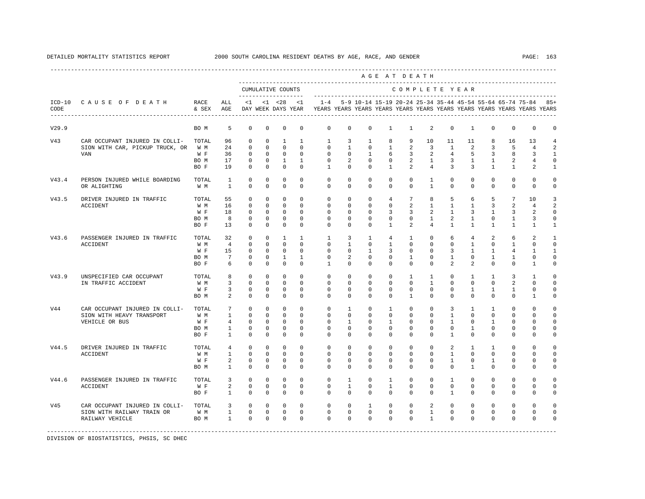|       |                                               |              |                              |                          |                           |                                           |                        |                                                                                                        |                          |                              | AGE AT DEATH                |                            |                              |                     |                              |                          |                              |                                                               |                |
|-------|-----------------------------------------------|--------------|------------------------------|--------------------------|---------------------------|-------------------------------------------|------------------------|--------------------------------------------------------------------------------------------------------|--------------------------|------------------------------|-----------------------------|----------------------------|------------------------------|---------------------|------------------------------|--------------------------|------------------------------|---------------------------------------------------------------|----------------|
|       |                                               |              |                              |                          |                           | CUMULATIVE COUNTS<br>-------------------- |                        |                                                                                                        |                          |                              |                             |                            |                              |                     | COMPLETE YEAR                |                          |                              |                                                               |                |
| CODE  | ICD-10 CAUSE OF DEATH RACE                    | & SEX AGE    | ALL                          | $\leq 1$                 |                           | $< 1$ $< 28$                              | < 1                    | $1 - 4$<br>DAY WEEK DAYS YEAR TYEARS YEARS YEARS YEARS YEARS YEARS YEARS YEARS YEARS YEARS YEARS YEARS |                          |                              |                             |                            |                              |                     |                              |                          |                              | 5-9 10-14 15-19 20-24 25-34 35-44 45-54 55-64 65-74 75-84 85+ |                |
| V29.9 |                                               | BO M         | 5                            | $\mathbf 0$              | $\mathbf 0$               | $\mathbf 0$                               | $\mathbf 0$            | $\mathbf 0$                                                                                            | $\mathbf 0$              | $\mathbf 0$                  | $\mathbf{1}$                | $\mathbf{1}$               | 2                            | $\mathbf 0$         | $\mathbf{1}$                 | $\Omega$                 | $\mathbf 0$                  | $\mathbf 0$                                                   | 0              |
| V43   | CAR OCCUPANT INJURED IN COLLI-                | TOTAL        | 96                           | $^{\circ}$               | $\Omega$                  | $\mathbf{1}$                              | $\mathbf{1}$           | $\mathbf{1}$                                                                                           | 3                        | $\mathbf{1}$                 | 8                           | 9                          | 10                           | 11                  | 11                           | 8                        | 16                           | 13                                                            | $\overline{4}$ |
|       | SION WITH CAR, PICKUP TRUCK, OR               | W M          | 24                           | $\Omega$                 | $\Omega$                  | $\Omega$                                  | $\Omega$               | $\Omega$                                                                                               | $\overline{1}$           | $\Omega$                     | $\mathbf{1}$                | 2                          | $\overline{3}$               | $\overline{1}$      | 2                            | $\overline{3}$           | 5                            | $\overline{4}$                                                | 2              |
|       | VAN                                           | W F          | 36                           | $\mathbf{0}$             | $\mathbf 0$               | $\overline{0}$                            | $\mathbf{0}$           | $\circ$                                                                                                | $\circ$                  | $\mathbf{1}$                 | 6                           | $\overline{\phantom{a}}$ 3 | 2                            | $\overline{4}$      | 5                            | $\overline{3}$           | 8                            | 3                                                             | $\mathbf{1}$   |
|       |                                               | BO M         | 17                           | 0                        | $\circ$                   | $\mathbf{1}$                              | $\mathbf{1}$           | 0                                                                                                      | 2                        | $\circ$                      | $\mathbf{0}$                | $\overline{2}$             | $\overline{1}$               | $\overline{3}$      | $\mathbf{1}$                 | $\mathbf{1}$             | 2                            | $\overline{4}$                                                | 0              |
|       |                                               | BO F         | 19                           | $^{\circ}$               | $^{\circ}$                | $\circ$                                   | $^{\circ}$             | $\mathbf{1}$                                                                                           | $\circ$                  | $\mathbf{0}$                 | $\mathbf{1}$                | $\overline{a}$             | 4                            | $\overline{3}$      | $\overline{3}$               | $\mathbf{1}$             | $\mathbf{1}$                 | 2                                                             | 1              |
| V43.4 | PERSON INJURED WHILE BOARDING<br>OR ALIGHTING | TOTAL<br>W M | <sup>1</sup><br>$\mathbf{1}$ | $^{\circ}$<br>$^{\circ}$ | $\mathbf 0$<br>$^{\circ}$ | $\mathbf 0$<br>$\mathbf 0$                | $^{\circ}$<br>$\Omega$ | $\circ$<br>$\Omega$                                                                                    | $\mathbf{0}$<br>$\Omega$ | $\mathbf{0}$<br>$\mathbf{0}$ | $\mathbf 0$<br>$\mathbf{0}$ | $\circ$<br>$\circ$         | $\mathbf{1}$<br>$\mathbf{1}$ | $\circ$<br>$\Omega$ | $\mathbf{0}$<br>$\mathbf{0}$ | $\mathbf{0}$<br>$\Omega$ | $\mathbf{0}$<br>$\mathbf{0}$ | $\mathbf{0}$<br>$\mathbf{0}$                                  | 0<br>0         |
| V43.5 | DRIVER INJURED IN TRAFFIC                     | TOTAL        | 55                           | $\Omega$                 | $\Omega$                  | $\Omega$                                  | $\Omega$               | $\Omega$                                                                                               | $\Omega$                 | $\Omega$                     | $\overline{4}$              | $7\overline{ }$            | 8                            | 5                   | 6                            | 5                        | $7\phantom{.0}$              | 10                                                            | 3              |
|       | <b>ACCIDENT</b>                               | W M          | 16                           | $\mathbb O$              | $\mathbf 0$               | $\circ$                                   | $\mathbf{0}$           | $\mathbb O$                                                                                            | $\circ$                  | $\mathbf 0$                  | $\mathbf{0}$                | $\overline{a}$             | 1                            | $\mathbf{1}$        | $\mathbf{1}$                 | $\mathbf{3}$             | $\overline{a}$               | $\overline{4}$                                                | $\overline{a}$ |
|       |                                               | W F          | 18                           | $^{\circ}$               | $\circ$                   | $\overline{0}$                            | $^{\circ}$             | $\mathbf 0$                                                                                            | $\mathbf 0$              | $\mathbf 0$                  | 3                           | 3                          | 2                            | $\mathbf{1}$        | 3                            | $\mathbf{1}$             | 3                            | 2                                                             | $\mathbf 0$    |
|       |                                               | BO M         | 8                            | $^{\circ}$               | $^{\circ}$                | $\overline{0}$                            | $^{\circ}$             | $\mathbf{0}$                                                                                           | $\circ$                  | $\circ$                      | $\circ$                     | $\mathbf{0}$               | 1                            | 2                   | $\mathbf{1}$                 | $^{\circ}$               | $\mathbf{1}$                 | 3                                                             | 0              |
|       |                                               | BO F         | 13                           | $^{\circ}$               | $^{\circ}$                | $\mathbf 0$                               | $\Omega$               | $\Omega$                                                                                               | $\Omega$                 | $\mathbf 0$                  | $\mathbf{1}$                | 2                          | $4\overline{ }$              | $\mathbf{1}$        | $\mathbf{1}$                 | $\mathbf{1}$             | $\mathbf{1}$                 | 1                                                             | 1              |
| V43.6 | PASSENGER INJURED IN TRAFFIC                  | TOTAL        | 32                           | $^{\circ}$               | $\mathbf 0$               | $\mathbf{1}$                              | $\mathbf{1}$           | $\mathbf{1}$                                                                                           | 3                        | $\mathbf{1}$                 | $4\overline{ }$             | $\mathbf{1}$               | $\Omega$                     | 6                   | $4\overline{ }$              | 2                        | 6                            | $\mathfrak{D}$                                                | $\mathbf{1}$   |
|       | <b>ACCIDENT</b>                               | W M          | $\overline{4}$               | $\Omega$                 | $\Omega$                  | $\Omega$                                  | $\Omega$               | $\Omega$                                                                                               | $\mathbf{1}$             | $\Omega$                     | $\mathbf{1}$                | $\Omega$                   | $\Omega$                     | $\Omega$            | $\mathbf{1}$                 | $\Omega$                 | $\overline{1}$               | $\Omega$                                                      | $\Omega$       |
|       |                                               | W F          | 15                           | $\overline{0}$           | $\circ$                   | $\overline{0}$                            | $\Omega$               | $\Omega$                                                                                               | $\Omega$                 | $\mathbf{1}$                 | $\overline{3}$              | $\mathbf{0}$               | $\Omega$                     | 3                   | $\mathbf{1}$                 | $\mathbf{1}$             | $\overline{4}$               | 1                                                             | $\mathbf{1}$   |
|       |                                               | BO M         | $7\overline{ }$              | $\mathbf 0$              | 0                         | $\overline{1}$                            | $\mathbf{1}$           | 0                                                                                                      | 2                        | $\mathbf{0}$                 | 0                           | $\mathbf{1}$               | $\mathbf{0}$                 | $\mathbf{1}$        | $\mathbf{0}$                 | $\mathbf{1}$             | $\mathbf{1}$                 | $\mathbf 0$                                                   | 0              |
|       |                                               | BO F         | 6                            | $^{\circ}$               | $\mathbf 0$               | $\mathbf 0$                               | $\mathbf 0$            | $\mathbf{1}$                                                                                           | $\mathbf 0$              | $\mathbf 0$                  | 0                           | $\mathbf{0}$               | 0                            | $\overline{a}$      | $\overline{a}$               | $\Omega$                 | $\mathbf{0}$                 | 1                                                             | 0              |
| V43.9 | UNSPECIFIED CAR OCCUPANT                      | TOTAL        | 8                            | $^{\circ}$               | $\circ$                   | $\circ$                                   | $\Omega$               | $\mathbf 0$                                                                                            | $\mathbf{0}$             | $\mathbf 0$                  | $\mathbf 0$                 | $\mathbf{1}$               | $\mathbf{1}$                 | $\Omega$            | $\mathbf{1}$                 | $\overline{1}$           | 3                            | $\mathbf{1}$                                                  | $\mathbf 0$    |
|       | IN TRAFFIC ACCIDENT                           | W M          | $\overline{3}$               | $\Omega$                 | $\Omega$                  | $\Omega$                                  | $\Omega$               | $\Omega$                                                                                               | $\Omega$                 | $\Omega$                     | $\Omega$                    | $\Omega$                   | $\mathbf{1}$                 | $\Omega$            | $\Omega$                     | $\cap$                   | 2                            | $\Omega$                                                      | $\Omega$       |
|       |                                               | W F          | $\overline{3}$               | $^{\circ}$               | 0                         | $\mathbf 0$                               | $\Omega$               | $\Omega$                                                                                               | $\Omega$                 | $\mathbf 0$                  | $\Omega$                    | $\mathbf{0}$               | $\Omega$                     | $\Omega$            | $\mathbf{1}$                 | $\mathbf{1}$             | $\mathbf{1}$                 | $\mathbf 0$                                                   | $\Omega$       |
|       |                                               | BO M         | 2                            | $\mathbf 0$              | $\mathbf 0$               | $\mathbf 0$                               | $\mathbf 0$            | $\mathbf{0}$                                                                                           | $\mathbf 0$              | $\mathbf 0$                  | $\mathbf 0$                 | $\mathbf{1}$               | $\mathbf{0}$                 | $\mathbf 0$         | 0                            | $\mathbf 0$              | $\mathbf{0}$                 | 1                                                             | $\mathbf 0$    |
| V44   | CAR OCCUPANT INJURED IN COLLI-                | TOTAL        | $7\overline{ }$              | $^{\circ}$               | 0                         | $\mathbf 0$                               | $\mathbf 0$            | $\mathbf 0$                                                                                            | $\mathbf{1}$             | $\mathbf 0$                  | $\mathbf{1}$                | $\mathbf 0$                | $\mathbf{0}$                 | 3                   | $\mathbf{1}$                 | $\mathbf{1}$             | $\mathbf{0}$                 | 0                                                             | 0              |
|       | SION WITH HEAVY TRANSPORT                     | W M          | $\mathbf{1}$                 | $^{\circ}$               | $^{\circ}$                | $\mathbf 0$                               | $\Omega$               | $\Omega$                                                                                               | $\Omega$                 | $\Omega$                     | $\mathbf 0$                 | $\Omega$                   | $\Omega$                     | $\mathbf{1}$        | $\Omega$                     | $\Omega$                 | $\mathbf{0}$                 | $\Omega$                                                      | $\mathbf 0$    |
|       | VEHICLE OR BUS                                | W F          | $4\overline{ }$              | $\Omega$                 | $\Omega$                  | $\Omega$                                  | $\Omega$               | $\Omega$                                                                                               | $\overline{1}$           | $\Omega$                     | $\mathbf{1}$                | $\Omega$                   | $\Omega$                     | $\overline{1}$      | $\Omega$                     | $\mathbf{1}$             | $\Omega$                     | $\Omega$                                                      | $\Omega$       |
|       |                                               | BO M         | $\mathbf{1}$                 | $\mathbf 0$              | 0                         | $\mathbf 0$                               | $^{\circ}$             | $\mathbf{0}$                                                                                           | $\mathbf 0$              | $\mathbf 0$                  | $\mathbf 0$                 | $\mathbf{0}$               | $\mathbf 0$                  | $\circ$             | $\mathbf{1}$                 | $\mathbf 0$              | $\mathbf{0}$                 | $\mathbf{0}$                                                  | $\mathbf 0$    |
|       |                                               | BO F         | $\overline{1}$               | $\Omega$                 | $\mathbf 0$               | $\mathbf 0$                               | $\Omega$               | $\Omega$                                                                                               | $\Omega$                 | $\Omega$                     | $\Omega$                    | $\Omega$                   | $\Omega$                     | $\mathbf{1}$        | $\Omega$                     | $\Omega$                 | $\mathbf{0}$                 | $\Omega$                                                      | $\mathbf 0$    |
| V44.5 | DRIVER INJURED IN TRAFFIC                     | TOTAL        | $\overline{4}$               | $\circ$                  | 0                         | $^{\circ}$                                | 0                      | $\mathbf 0$                                                                                            | 0                        | $^{\circ}$                   | $^{\circ}$                  | $\mathbf 0$                | $\mathbf{0}$                 | 2                   | $\mathbf{1}$                 | 1                        | $\mathbf 0$                  | $\Omega$                                                      | 0              |
|       | ACCIDENT                                      | W M          | $\mathbf{1}$                 | $\Omega$                 | $\circ$                   | $\mathbf 0$                               | $\Omega$               | $\Omega$                                                                                               | $\Omega$                 | $\mathbf 0$                  | $\Omega$                    | $\mathbf{0}$               | $\Omega$                     | $\mathbf{1}$        | $\Omega$                     | $\Omega$                 | $\Omega$                     | $\Omega$                                                      | 0              |
|       |                                               | W F          | $\overline{a}$               | $^{\circ}$               | $\circ$                   | $\mathbf 0$                               | $\mathbf 0$            | $\mathbf 0$                                                                                            | $\mathbf 0$              | 0                            | 0                           | $\mathbf{0}$               | $\circ$                      | $\mathbf{1}$        | $\mathbf{0}$                 | $\mathbf{1}$             | $\mathbf{0}$                 | 0                                                             | $\mathbf 0$    |
|       |                                               | BO M         | $\mathbf{1}$                 | $\Omega$                 | $\Omega$                  | $\circ$                                   | $\Omega$               | $\Omega$                                                                                               | $\Omega$                 | $\Omega$                     | $\Omega$                    | $\Omega$                   | $\Omega$                     | $\Omega$            | $\mathbf{1}$                 | $\Omega$                 | $\mathbf{0}$                 | $\Omega$                                                      | 0              |
| V44.6 | PASSENGER INJURED IN TRAFFIC                  | TOTAL        | $\overline{3}$               | $\Omega$                 | $\Omega$                  | $\Omega$                                  | $\Omega$               | $\Omega$                                                                                               | $\overline{1}$           | $\Omega$                     | $\mathbf{1}$                | $\Omega$                   | $\Omega$                     | $\overline{1}$      | $\Omega$                     | $\Omega$                 | $\Omega$                     | $\Omega$                                                      | $\Omega$       |
|       | <b>ACCIDENT</b>                               | W F          | $\overline{a}$               | $\circ$                  | $\mathbf 0$               | $\mathbf 0$                               | $\Omega$               | $\mathbf 0$                                                                                            | $\mathbf{1}$             | $\mathbf 0$                  | $\mathbf{1}$                | $\Omega$                   | $\Omega$                     | $\Omega$            | $\Omega$                     | $\Omega$                 | $\mathbf{0}$                 | $\mathbf 0$                                                   | $\mathbf 0$    |
|       |                                               | BO F         | $1 \quad \cdots$             | $\overline{0}$           | 0                         | $^{\circ}$                                | 0                      | $\mathbf{0}$                                                                                           | $\circ$                  | $\circ$                      | 0                           | $\mathbf{0}$               | $\mathbf{0}$                 | $\mathbf{1}$        | $\circ$                      | $\mathbf{0}$             | 0                            | 0                                                             | 0              |
| V45   | CAR OCCUPANT INJURED IN COLLI-                | TOTAL        | $3^{\circ}$                  | $\overline{0}$           | $\circ$                   | $\overline{0}$                            | $\circ$                | $\circ$                                                                                                | $\circ$                  | $\mathbf{1}$                 | $\mathbf 0$                 | $\circ$                    | $\overline{a}$               | $\Omega$            | $\Omega$                     | $\Omega$                 | $\mathbf{0}$                 | 0                                                             | 0              |
|       | SION WITH RAILWAY TRAIN OR                    | W M          |                              | $1 \qquad 0$             |                           | $0\qquad 0$                               | $\mathbf 0$            | $\mathbf 0$                                                                                            | $\overline{0}$           | $\overline{0}$               | $\overline{0}$              | $\mathbf{0}$               | $\mathbf{1}$                 | $\circ$             | $\circ$                      | $\mathbf{0}$             | $\mathsf{O}$                 | $\mathbf 0$                                                   | $\mathbf 0$    |
|       | RAILWAY VEHICLE                               | BO M         | $\sim$ 1                     | $\Omega$                 | $\Omega$                  | $\overline{\phantom{0}}$                  | $\Omega$               | $\Omega$                                                                                               | $\Omega$                 | $\Omega$                     | $\Omega$                    | $\Omega$                   | $\mathbf{1}$                 | $\Omega$            | $\Omega$                     | $\Omega$                 | $\Omega$                     | $\mathbf{0}$                                                  | $\mathbf 0$    |
|       |                                               |              |                              |                          |                           |                                           |                        |                                                                                                        |                          |                              |                             |                            |                              |                     |                              |                          |                              |                                                               |                |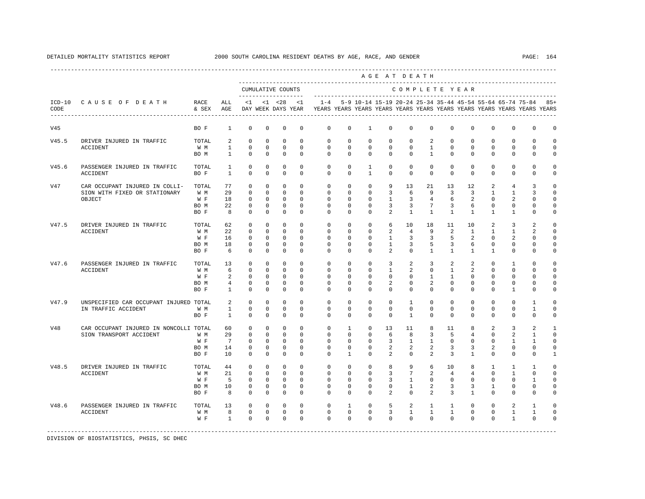|       |                                                         |               |                              |                        |                        |                                           |                      |                                                                                             |                        |                                |                         | AGE AT DEATH            |                                |                        |                        |                        |                          |                                                                   |                     |
|-------|---------------------------------------------------------|---------------|------------------------------|------------------------|------------------------|-------------------------------------------|----------------------|---------------------------------------------------------------------------------------------|------------------------|--------------------------------|-------------------------|-------------------------|--------------------------------|------------------------|------------------------|------------------------|--------------------------|-------------------------------------------------------------------|---------------------|
|       |                                                         |               |                              |                        |                        | CUMULATIVE COUNTS<br>-------------------- |                      |                                                                                             |                        |                                |                         | COMPLETE YEAR           |                                |                        |                        |                        |                          |                                                                   |                     |
| CODE  | ICD-10 CAUSE OF DEATH<br>------------------------------ | RACE<br>& SEX | ALL<br>AGE                   | $\leq 1$               |                        | $<1$ $<28$                                | < 1                  | DAY WEEK DAYS YEAR TYEARS YEARS YEARS YEARS YEARS YEARS YEARS YEARS YEARS YEARS YEARS YEARS |                        |                                |                         |                         |                                |                        |                        |                        |                          | 1-4 5-9 10-14 15-19 20-24 25-34 35-44 45-54 55-64 65-74 75-84 85+ |                     |
| V45   |                                                         | BO F          | $\mathbf{1}$                 | $^{\circ}$             | $\mathbf 0$            | $\mathbf 0$                               | $\mathbf 0$          | $\mathbf{0}$                                                                                | $\mathbf 0$            | 1                              | $\mathbf 0$             | $\mathbf 0$             | $\mathbf{0}$                   | $\Omega$               | $\Omega$               | $\Omega$               | $\mathbf 0$              | $\mathbf{0}$                                                      | $\mathbf 0$         |
| V45.5 | DRIVER INJURED IN TRAFFIC                               | TOTAL         | $\overline{a}$               | $\circ$                | $\Omega$               | $\Omega$                                  | $\Omega$             | $\Omega$                                                                                    | $\Omega$               | $\Omega$                       | $\Omega$                | $\Omega$                | 2                              | $\Omega$               | $\Omega$               | $\Omega$               | $\Omega$                 | $\Omega$                                                          | $\Omega$            |
|       | <b>ACCIDENT</b>                                         | W M<br>BO M   | $\mathbf{1}$<br>$\mathbf{1}$ | $\Omega$<br>$\Omega$   | $\Omega$<br>$\Omega$   | $\Omega$<br>$\mathbf 0$                   | $\Omega$<br>$\Omega$ | $\Omega$<br>$\Omega$                                                                        | $\Omega$<br>$\Omega$   | $\Omega$<br>$\Omega$           | $\Omega$<br>$\Omega$    | $\Omega$<br>$\Omega$    | $\overline{1}$<br>$\mathbf{1}$ | $\Omega$<br>$\Omega$   | $\cap$<br>$\Omega$     | $\cap$<br>$\Omega$     | $\Omega$<br>$\Omega$     | $\Omega$<br>$\Omega$                                              | $\Omega$<br>$\circ$ |
| V45.6 | PASSENGER INJURED IN TRAFFIC<br>ACCIDENT                | TOTAL<br>BO F | $\mathbf{1}$<br>$\mathbf{1}$ | $^{\circ}$<br>$\Omega$ | $^{\circ}$<br>$\Omega$ | $^{\circ}$<br>$\Omega$                    | 0<br>$\Omega$        | $\circ$<br>$\Omega$                                                                         | $^{\circ}$<br>$\Omega$ | $\mathbf{1}$<br>$\overline{1}$ | 0<br>$\Omega$           | $\mathbf 0$<br>$\Omega$ | $^{\circ}$<br>$\Omega$         | $^{\circ}$<br>$\Omega$ | $^{\circ}$<br>$\Omega$ | $^{\circ}$<br>$\Omega$ | $\mathbf{0}$<br>$\Omega$ | 0<br>$\mathbf{0}$                                                 | 0<br>$\mathbf 0$    |
| V47   | CAR OCCUPANT INJURED IN COLLI-                          | TOTAL         | 77                           | $\Omega$               | $\mathbf 0$            | $^{\circ}$                                | $\Omega$             | $\mathbf 0$                                                                                 | $\mathbf 0$            | $\mathbf 0$                    | 9                       | 13                      | 21                             | 13                     | 12                     | $\overline{a}$         | $\overline{4}$           | 3                                                                 | $\Omega$            |
|       | SION WITH FIXED OR STATIONARY                           | W M           | 29                           | $\Omega$               | $\Omega$               | $\Omega$                                  | $\Omega$             | $\Omega$                                                                                    | $\Omega$               | $\Omega$                       | 3                       | 6                       | 9                              | 3                      | 3                      | $\mathbf{1}$           | $\overline{1}$           | 3                                                                 | $\Omega$            |
|       | OBJECT                                                  | W F           | 18                           | $\Omega$               | $\Omega$               | $\Omega$                                  | $\Omega$             | $\Omega$                                                                                    | $\Omega$               | $\Omega$                       | $\overline{1}$          | $\overline{3}$          | $\overline{4}$                 | 6                      | $\mathfrak{D}$         | $\Omega$               | $\overline{a}$           | $\Omega$                                                          | $\Omega$            |
|       |                                                         | BO M          | 22                           | $\mathbb O$            | $\mathbf 0$            | $\mathbf 0$                               | $\mathbf 0$          | $\mathbf 0$                                                                                 | $\mathsf{O}\xspace$    | $\mathbf 0$                    | 3                       | 3                       | $7\overline{ }$                | 3                      | 6                      | $\mathbf{0}$           | $\mathbf 0$              | $\circ$                                                           | $\mathbf 0$         |
|       |                                                         | BO F          | 8                            | $\circ$                | $\mathbf 0$            | $\mathbf 0$                               | $\mathbf 0$          | $\mathbf 0$                                                                                 | 0                      | $\Omega$                       | $\overline{2}$          | $\mathbf{1}$            | $\mathbf{1}$                   | $\mathbf{1}$           | $\mathbf{1}$           | $\mathbf{1}$           | 1                        | $\Omega$                                                          | 0                   |
| V47.5 | DRIVER INJURED IN TRAFFIC                               | TOTAL         | 62                           | $\Omega$               | $\Omega$               | $\Omega$                                  | $\Omega$             | $\Omega$                                                                                    | $\Omega$               | $\Omega$                       | 6                       | 10                      | 18                             | 11                     | 10                     | 2                      | 3                        | 2                                                                 | $\Omega$            |
|       | ACCIDENT                                                | W M           | 22                           | $\Omega$               | $\Omega$               | $\Omega$                                  | $\Omega$             | $\Omega$                                                                                    | $\Omega$               | $\Omega$                       | $\overline{a}$          | $\overline{4}$          | 9                              | 2                      | $\overline{1}$         | $\mathbf{1}$           | $\mathbf{1}$             | $\overline{a}$                                                    | $\mathbf 0$         |
|       |                                                         | W F           | 16                           | $\Omega$               | $\Omega$               | $\mathbf 0$                               | $\Omega$             | $\Omega$                                                                                    | $\Omega$               | $\Omega$                       | $\mathbf{1}$            | $\overline{3}$          | 3                              | 5                      | $\mathfrak{D}$         | $\Omega$               | 2                        | $\Omega$                                                          | $\Omega$            |
|       |                                                         | BO M          | 18                           | $^{\circ}$             | $\Omega$               | $\Omega$                                  | $\Omega$             | $\Omega$                                                                                    | $\Omega$               | $\Omega$                       | $\mathbf{1}$            | $\overline{3}$          | 5                              | 3                      | 6                      | $\Omega$               | $\mathbf 0$              | $\Omega$                                                          | $\Omega$            |
|       |                                                         | BO F          | 6                            | $\Omega$               | $\mathbf 0$            | $\mathbf 0$                               | $\Omega$             | $\Omega$                                                                                    | $\Omega$               | $\Omega$                       | $\overline{a}$          | $\Omega$                | $\mathbf{1}$                   | $\mathbf{1}$           | $\mathbf{1}$           | $\mathbf{1}$           | $\mathbf 0$              | $\mathbf 0$                                                       | $\mathbf 0$         |
| V47.6 | PASSENGER INJURED IN TRAFFIC                            | TOTAL         | 13                           | $^{\circ}$             | $\mathbf{0}$           | $\mathbf{0}$                              | $\Omega$             | $\mathbf 0$                                                                                 | $^{\circ}$             | $\mathbf 0$                    | 3                       | $\overline{a}$          | 3                              | 2                      | 2                      | $\Omega$               | $\mathbf{1}$             | $\Omega$                                                          | $\Omega$            |
|       | ACCIDENT                                                | W M           | 6                            | $\Omega$               | $\Omega$               | $\Omega$                                  | $\Omega$             | $\Omega$                                                                                    | $\Omega$               | $\Omega$                       | $\mathbf{1}$            | 2                       | $\Omega$                       | $\mathbf{1}$           | $\overline{a}$         | $\Omega$               | $\Omega$                 | $\Omega$                                                          | $\Omega$            |
|       |                                                         | W F           | 2                            | $\mathbf{0}$           | $^{\circ}$             | $\mathbf 0$                               | $\Omega$             | $\Omega$                                                                                    | $\Omega$               | $\Omega$                       | $\Omega$                | $\Omega$                | $\mathbf{1}$                   | $\mathbf{1}$           | $\Omega$               | $\Omega$               | $\mathbf{0}$             | $\Omega$                                                          | $\Omega$            |
|       |                                                         | BO M          | $\overline{4}$               | $\circ$                | $^{\circ}$             | $\mathbf 0$                               | $\Omega$             | $\mathbf 0$                                                                                 | $\Omega$               | $\Omega$                       | 2                       | $\mathbf{0}$            | 2                              | $\Omega$               | $\Omega$               | $\Omega$               | $\mathbf{0}$             | $\Omega$                                                          | 0                   |
|       |                                                         | BO F          | $\mathbf{1}$                 | $\Omega$               | $\Omega$               | $\Omega$                                  | $\Omega$             | $\Omega$                                                                                    | $\Omega$               | $\Omega$                       | $\Omega$                | $\Omega$                | $\Omega$                       | $\Omega$               | $\Omega$               | $\Omega$               | $\mathbf{1}$             | $\Omega$                                                          | $\Omega$            |
| V47.9 | UNSPECIFIED CAR OCCUPANT INJURED TOTAL                  |               | 2                            | $\Omega$               | $\Omega$               | $^{\circ}$                                | $\Omega$             | $\Omega$                                                                                    | $\Omega$               | $\Omega$                       | $\Omega$                | $\mathbf{1}$            | $\Omega$                       | $\Omega$               | $\Omega$               | $\Omega$               | $\Omega$                 | $\mathbf{1}$                                                      | $\Omega$            |
|       | IN TRAFFIC ACCIDENT                                     | W M           | $\mathbf{1}$                 | $\circ$                | $^{\circ}$             | $\mathbf 0$                               | $\mathbf 0$          | $\mathbf 0$                                                                                 | 0                      | $\mathbf 0$                    | $\mathbf 0$             | $\mathbf{0}$            | $\circ$                        | $\mathbf 0$            | $\mathbf{0}$           | 0                      | $\mathbf 0$              | $\mathbf{1}$                                                      | $\mathbf 0$         |
|       |                                                         | BO F          | $\mathbf{1}$                 | $^{\circ}$             | $^{\circ}$             | $^{\circ}$                                | $\Omega$             | $\Omega$                                                                                    | $\Omega$               | $\Omega$                       | $\Omega$                | $\mathbf{1}$            | $\Omega$                       | $\Omega$               | $\Omega$               | $\Omega$               | $\mathbf 0$              | $^{\circ}$                                                        | 0                   |
| V48   | CAR OCCUPANT INJURED IN NONCOLLI TOTAL                  |               | 60                           | $^{\circ}$             | $\mathbf 0$            | $\mathbf 0$                               | $\Omega$             | $\mathbf 0$                                                                                 | $\mathbf{1}$           | $\mathbf 0$                    | 13                      | 11                      | 8                              | 11                     | 8                      | $\overline{a}$         | 3                        | 2                                                                 | $\mathbf{1}$        |
|       | SION TRANSPORT ACCIDENT                                 | W M           | 29                           | $\Omega$               | $\Omega$               | $\Omega$                                  | $\Omega$             | $\Omega$                                                                                    | $\Omega$               | $\Omega$                       | 6                       | 8                       | 3                              | 5                      | $\overline{4}$         | $\Omega$               | $\overline{a}$           | $\mathbf{1}$                                                      | $\circ$             |
|       |                                                         | W F           | $7\overline{ }$              | $^{\circ}$             | $\mathbf 0$            | $\mathbf 0$                               | $\mathbf 0$          | $\mathbf 0$                                                                                 | $\mathbf 0$            | $\mathbf 0$                    | $\overline{3}$          | $\mathbf{1}$            | $\mathbf{1}$                   | $\circ$                | 0                      | 0                      | $\mathbf{1}$             | 1                                                                 | $\mathbf 0$         |
|       |                                                         | BO M          | 14                           | $^{\circ}$             | $^{\circ}$             | $\mathbf 0$                               | $\mathbf 0$          | 0                                                                                           | 0                      | 0                              | $\overline{a}$          | 2                       | 2                              | 3                      | 3                      | 2                      | $\mathbf{0}$             | $\mathbf 0$                                                       | 0                   |
|       |                                                         | BO F          | 10                           | $\Omega$               | $\Omega$               | $\Omega$                                  | $\Omega$             | $\Omega$                                                                                    | 1                      | $\Omega$                       | 2                       | $\Omega$                | 2                              | 3                      | $\mathbf{1}$           | $\Omega$               | $\mathbf{0}$             | $\Omega$                                                          | 1                   |
| V48.5 | DRIVER INJURED IN TRAFFIC                               | TOTAL         | 44                           | $^{\circ}$             | $^{\circ}$             | $\mathbf 0$                               | $\Omega$             | $\Omega$                                                                                    | $\Omega$               | $\Omega$                       | 8                       | 9                       | 6                              | 10                     | 8                      | 1                      | $\mathbf{1}$             | 1                                                                 | $\Omega$            |
|       | <b>ACCIDENT</b>                                         | W M           | 21                           | $\Omega$               | $\Omega$               | $\Omega$                                  | $\Omega$             | $\Omega$                                                                                    | $\Omega$               | $\Omega$                       | 3                       | $7^{\circ}$             | 2                              | $\overline{4}$         | $\overline{4}$         | $\Omega$               | $\overline{1}$           | $\Omega$                                                          | $\Omega$            |
|       |                                                         | W F           | 5                            | $^{\circ}$             | $\Omega$               | $\mathbf 0$                               | $\Omega$             | $\Omega$                                                                                    | $\Omega$               | $\Omega$                       | 3                       | $\mathbf{1}$            | $\mathbf{0}$                   | $\Omega$               | $\Omega$               | $\Omega$               | $\Omega$                 | $\mathbf{1}$                                                      | $\Omega$            |
|       |                                                         | BO M          | 10                           | $^{\circ}$             | $\Omega$               | $\Omega$                                  | $\Omega$             | $\mathbf 0$                                                                                 | $\Omega$               | $\Omega$                       | $\Omega$                | $\mathbf{1}$            | 2                              | 3                      | 3                      | 1                      | $\mathbf 0$              | $\mathbf 0$                                                       | $\Omega$            |
|       |                                                         | BO F          | 8                            | $^{\circ}$             | $\mathbf{0}$           | $^{\circ}$                                | $^{\circ}$           | 0                                                                                           | 0                      | 0                              | 2                       | $\mathbf{0}$            | 2                              | 3                      | $\mathbf{1}$           | 0                      | $\mathbf{0}$             | 0                                                                 | 0                   |
| V48.6 | PASSENGER INJURED IN TRAFFIC                            | TOTAL         | 13                           | $^{\circ}$             | $^{\circ}$             | $\circ$                                   | $\mathbf 0$          | $\mathbf 0$                                                                                 | 1                      | $\Omega$                       | 5                       | $\overline{a}$          | $\mathbf{1}$                   | $\mathbf{1}$           | $\Omega$               | $\Omega$               | 2                        | 1                                                                 | $\Omega$            |
|       | <b>ACCIDENT</b>                                         | W M           | 8                            | $\circ$                | $\overline{0}$         | $\overline{0}$                            | $\mathbf 0$          | $\mathbf 0$                                                                                 | $\mathbf{0}$           | $\mathbf 0$                    | $\overline{\mathbf{3}}$ | $\mathbf{1}$            | $\mathbf{1}$                   | $\mathbf{1}$           | $\mathbf{0}$           | $\mathbf{0}$           | $\mathbf{1}$             | $\mathbf{1}$                                                      | $\mathbf 0$         |
|       |                                                         | W F           | $\mathbf{1}$                 | $\Omega$               | $\Omega$               | $\Omega$                                  | $\Omega$             | $\Omega$                                                                                    | $\Omega$               | $\Omega$                       | $\Omega$                | $\Omega$                | $\Omega$                       | $\Omega$               | $\Omega$               | $\Omega$               | $\mathbf{1}$             | $\Omega$                                                          | $\Omega$            |
|       |                                                         |               |                              |                        |                        |                                           |                      |                                                                                             |                        |                                |                         |                         |                                |                        |                        |                        |                          |                                                                   |                     |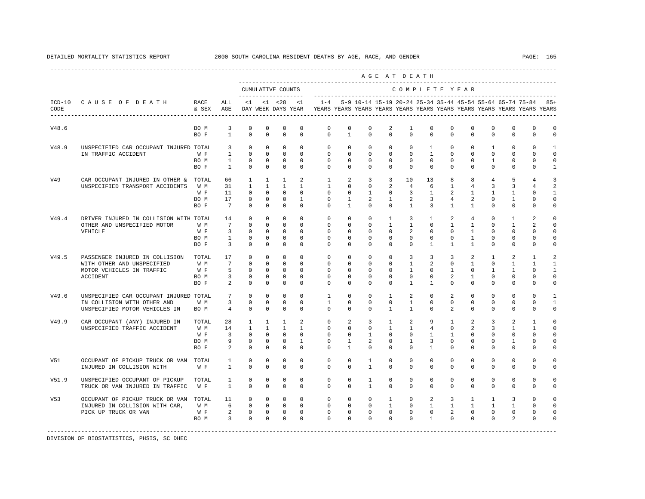|       |                                        |           |                         |                                       |                |                                           |                                  |                                                                                             |                |                                                                     |                | AGE AT DEATH                 |                   |                                   |                |                                                  |                              |                |              |
|-------|----------------------------------------|-----------|-------------------------|---------------------------------------|----------------|-------------------------------------------|----------------------------------|---------------------------------------------------------------------------------------------|----------------|---------------------------------------------------------------------|----------------|------------------------------|-------------------|-----------------------------------|----------------|--------------------------------------------------|------------------------------|----------------|--------------|
|       |                                        |           |                         |                                       |                | CUMULATIVE COUNTS<br>____________________ |                                  |                                                                                             |                |                                                                     |                | COMPLETE YEAR                |                   |                                   |                |                                                  |                              |                |              |
| CODE  | ICD-10 CAUSE OF DEATH RACE             | & SEX AGE | ALL                     |                                       |                | $<1$ $<1$ $<28$                           | <1                               | DAY WEEK DAYS YEAR TYEARS YEARS YEARS YEARS YEARS YEARS YEARS YEARS YEARS YEARS YEARS YEARS |                | $1-4$ 5-9 10-14 15-19 20-24 25-34 35-44 45-54 55-64 65-74 75-84 85+ |                |                              |                   |                                   |                |                                                  |                              |                |              |
| V48.6 |                                        | BO M      | 3                       | $\mathbf 0$                           | $\mathbf 0$    | $\mathbf 0$                               | $^{\circ}$                       | $\circ$                                                                                     | $\Omega$       | $^{\circ}$                                                          | 2              | $\mathbf{1}$                 | $\Omega$          | $\Omega$                          | $\mathbf 0$    | $\mathbf 0$                                      | $\mathbf{0}$                 | $\mathbf{0}$   | $\Omega$     |
|       |                                        | BO F      | $\mathbf{1}$            | $\Omega$                              | $\Omega$       | $\Omega$                                  | $\Omega$                         | $\Omega$                                                                                    | $\mathbf{1}$   | $\Omega$                                                            | $\Omega$       | $\Omega$                     | $\Omega$          | $\Omega$                          | $\Omega$       | $\Omega$                                         | $\Omega$                     | $\Omega$       | $\Omega$     |
| V48.9 | UNSPECIFIED CAR OCCUPANT INJURED TOTAL |           |                         | $\mathbf{0}$<br>$3^{\circ}$           | $\circ$        | $\mathbf{0}$                              | $\overline{0}$                   | $\circ$                                                                                     | $\circ$        | $\mathbf{0}$                                                        | $^{\circ}$     | $\circ$                      | $\mathbf{1}$      | $\circ$                           | $\overline{0}$ | $\mathbf{1}$                                     | $\circ$                      | $\Omega$       | 1            |
|       | IN TRAFFIC ACCIDENT                    | W F       |                         | $1 \quad \cdots$<br>$\circ$           | $\overline{0}$ |                                           | $\overline{0}$<br>$\overline{0}$ | $\circ$                                                                                     | $\Omega$       | $\circ$                                                             | $\Omega$       | $\Omega$                     | $\mathbf{1}$      | $\Omega$                          | $\Omega$       | $\circ$                                          | $\circ$                      | $\Omega$       | $\Omega$     |
|       |                                        | BO M      |                         | $\mathbf 0$<br>$1 \quad \blacksquare$ |                | $0 \qquad \qquad$                         | 0<br>$\overline{0}$              | $\overline{0}$                                                                              | $\Omega$       | $\circ$                                                             | $\Omega$       | $\overline{0}$               | $\Omega$          | $\circ$                           |                | $0 \qquad 1$                                     | $\mathbf{0}$                 | $\mathbf 0$    | $\Omega$     |
|       |                                        | BO F      |                         | $1 \qquad \qquad$<br>$\Omega$         | $\Omega$       | $\overline{0}$                            | $\Omega$                         | $\Omega$                                                                                    | $\Omega$       | $\Omega$                                                            | $\Omega$       | $\Omega$                     | $\Omega$          | $\cap$                            | $\Omega$       | $\Omega$                                         | $\Omega$                     | $\Omega$       | 1            |
| V49   | CAR OCCUPANT INJURED IN OTHER & TOTAL  |           | 66                      | $\mathbf{1}$                          | $\mathbf{1}$   | $\mathbf{1}$                              | 2                                | $\mathbf{1}$                                                                                | 2              | $\overline{3}$                                                      | 3              | 10                           | 13                | 8                                 | 8              | $4\overline{ }$                                  | 5                            | $\overline{4}$ | 3            |
|       | UNSPECIFIED TRANSPORT ACCIDENTS        | W M       | 31                      | $\mathbf{1}$                          | $\mathbf{1}$   | $\mathbf{1}$                              | $\overline{1}$                   | $\overline{1}$                                                                              | $\Omega$       | $\Omega$                                                            | 2              | 4                            | -6                | $\overline{1}$                    | $\overline{4}$ | $\overline{3}$                                   | 3                            | $\overline{4}$ | 2            |
|       |                                        | W F       | 11                      | $\circ$                               | $\mathbf{0}$   | $\overline{0}$                            | $\Omega$                         | $\circ$                                                                                     | $\circ$        | $\mathbf{1}$                                                        | $\mathbf{0}$   | $\overline{3}$               | $\mathbf{1}$      | 2                                 | $\mathbf{1}$   | $\mathbf{1}$                                     | $\mathbf{1}$                 | $\Omega$       | 1            |
|       |                                        | BO M      | 17                      | $\circ$                               | $\mathbf 0$    | $\mathbf{0}$                              | $\mathbf{1}$                     | $\circ$                                                                                     | $\overline{1}$ | 2                                                                   | $\mathbf{1}$   | 2                            | $\overline{3}$    | $\overline{4}$                    | $\overline{a}$ | $\mathbf{0}$                                     | 1                            | $\Omega$       | $\cap$       |
|       |                                        | BO F      |                         | 7 0                                   | $\Omega$       | $\Omega$                                  | $\Omega$                         | $\Omega$                                                                                    | $\mathbf{1}$   | $\Omega$                                                            | $\Omega$       | $\overline{1}$               | $\overline{3}$    | $\overline{1}$                    | $\mathbf{1}$   | $\Omega$                                         | $\Omega$                     | $\Omega$       | $\Omega$     |
| V49.4 | DRIVER INJURED IN COLLISION WITH TOTAL |           | 14                      | $\circ$                               | $\mathbf{0}$   | $\overline{0}$                            | $\Omega$                         | $\Omega$                                                                                    | $\Omega$       | $\Omega$                                                            | $\mathbf{1}$   | $\overline{3}$               | $\mathbf{1}$      | 2                                 | 4              | $\Omega$                                         | $\mathbf{1}$                 | 2              | $\Omega$     |
|       | OTHER AND UNSPECIFIED MOTOR            | W M       |                         | 7 0                                   | $\mathbf{0}$   |                                           | $\overline{0}$<br>$\Omega$       | $\circ$                                                                                     | $\overline{0}$ | $\circ$                                                             | $\mathbf{1}$   | $\mathbf{1}$                 |                   | $0 \qquad \qquad$<br>$\mathbf{1}$ |                | $1 \quad \blacksquare$<br>$\circ$                | $\mathbf{1}$                 | $\mathfrak{D}$ | $\Omega$     |
|       | VEHICLE                                | W F       | $\overline{\mathbf{3}}$ | $\Omega$                              | $\mathbf{0}$   |                                           | $\overline{0}$<br>$\Omega$       | $\Omega$                                                                                    | $\Omega$       | $\Omega$                                                            | $\Omega$       | $\overline{a}$               | $\Omega$          | $\Omega$                          | $\mathbf{1}$   | $\Omega$                                         | $\Omega$                     |                | $\Omega$     |
|       |                                        | BO M      | $1 \qquad \qquad$       | $\circ$                               | $\Omega$       | $\mathbf{0}$                              | $\Omega$                         | $\Omega$                                                                                    | $\Omega$       | $\Omega$                                                            | $\Omega$       | $\Omega$                     | $\Omega$          | $\Omega$                          | $\overline{1}$ | $\Omega$                                         | $\Omega$                     | $\Omega$       | $\cap$       |
|       |                                        | BO F      | $\overline{\mathbf{3}}$ | $\Omega$                              | $\Omega$       | $\Omega$                                  | $\Omega$                         | $\Omega$                                                                                    | $\Omega$       | $\Omega$                                                            | $\Omega$       | $\Omega$                     | $\overline{1}$    | $\overline{1}$                    | $\mathbf{1}$   | $\Omega$                                         | $\Omega$                     | $\Omega$       | $\Omega$     |
| V49.5 | PASSENGER INJURED IN COLLISION TOTAL   |           | 17                      | $\circ$                               | $\mathbf{0}$   | $\mathbf{0}$                              | $\overline{0}$                   | $\circ$                                                                                     | $\circ$        | $\circ$                                                             | $\mathbf{0}$   | $\overline{3}$               | $\overline{3}$    | $\overline{3}$                    | $\overline{a}$ | $\mathbf{1}$                                     | 2                            | $\mathbf{1}$   | 2            |
|       | WITH OTHER AND UNSPECIFIED             | W M       | 7                       | $\circ$                               | $\circ$        |                                           | $\Omega$<br>$\Omega$             | $\circ$                                                                                     | $\Omega$       | $\Omega$                                                            | $\Omega$       | $\overline{1}$               | $\overline{2}$    | $\Omega$                          | $\mathbf{1}$   | $\Omega$                                         | 1                            | $\mathbf{1}$   | $\mathbf{1}$ |
|       | MOTOR VEHICLES IN TRAFFIC              | W F       |                         | $5 \qquad 0$                          | $\Omega$       | $\Omega$                                  | $\Omega$                         | $\Omega$                                                                                    | $\Omega$       | $\Omega$                                                            | $\Omega$       | $\overline{1}$               | $\cap$            | $\overline{1}$                    |                | $\Omega$<br>$\overline{1}$                       | $\mathbf{1}$                 | $\cap$         | $\mathbf{1}$ |
|       | ACCIDENT                               | BO M      |                         | $3^{\circ}$<br>$\circ$                | $\circ$        | $\mathbf{0}$                              | $\circ$                          | $\Omega$                                                                                    | $\mathbf{0}$   | $\mathbf 0$                                                         | $\mathbf 0$    | $\circ$                      | $\mathbf{0}$      | $\overline{a}$                    | $\mathbf{1}$   | $\Omega$                                         | $\mathbf 0$                  | $\Omega$       | $\Omega$     |
|       |                                        | BO F      | $\overline{2}$          | $\Omega$                              | $\Omega$       | $\Omega$                                  | $\Omega$                         | $\Omega$                                                                                    | $\Omega$       | $\Omega$                                                            | $\Omega$       | $\overline{1}$               | $\overline{1}$    | $\Omega$                          | $\Omega$       | $\Omega$                                         | $\Omega$                     | $\Omega$       | $\Omega$     |
| V49.6 | UNSPECIFIED CAR OCCUPANT INJURED TOTAL |           | 7                       | $\circ$                               | $\mathbf{0}$   | $\mathbf{0}$                              | $\Omega$                         | $\mathbf{1}$                                                                                | $\Omega$       | $\Omega$                                                            | $\overline{1}$ | 2                            |                   | $\Omega$<br>2                     |                | $\Omega$<br>$\Omega$                             | $\Omega$                     | $\Omega$       | $\mathbf{1}$ |
|       | IN COLLISION WITH OTHER AND            | W M       |                         | $\Omega$<br>$3^{\circ}$               | $\Omega$       | $\overline{0}$                            | $\Omega$                         | $\overline{1}$                                                                              | $\Omega$       | $\Omega$                                                            | $\Omega$       | $\mathbf{1}$                 |                   | $0 \qquad \qquad$                 | $\overline{0}$ | $0 \qquad \qquad$<br>$\circ$                     | $\Omega$                     | $\Omega$       | $\mathbf{1}$ |
|       | UNSPECIFIED MOTOR VEHICLES IN          | BO M      | $4\overline{4}$         | $\Omega$                              | $\Omega$       | $\Omega$                                  | $\Omega$                         | $\Omega$                                                                                    | $\Omega$       | $\Omega$                                                            | $\mathbf{1}$   | $\overline{1}$               | $\Omega$          | $\overline{2}$                    | $\Omega$       | $\Omega$                                         | $\Omega$                     | $\Omega$       | $\Omega$     |
|       |                                        |           |                         |                                       |                |                                           |                                  |                                                                                             |                |                                                                     |                |                              |                   |                                   |                |                                                  |                              |                |              |
| V49.9 | CAR OCCUPANT (ANY) INJURED IN          | TOTAL     |                         | 28 1                                  | $\mathbf{1}$   | $\mathbf{1}$                              | $\overline{2}$                   | $\Omega$                                                                                    | $\overline{2}$ | $\mathcal{E}$                                                       | $\overline{1}$ | $\overline{2}$               | $\mathsf{Q}$      | $\overline{1}$                    | $\overline{a}$ | $\mathcal{E}$                                    | $\mathfrak{D}$               | $\mathbf{1}$   | $\cap$       |
|       | UNSPECIFIED TRAFFIC ACCIDENT           | W M       |                         | 14 1                                  | $\mathbf{1}$   | $\sim$ 1                                  | $1 -$                            | $\circ$                                                                                     | $\overline{0}$ | $\overline{0}$                                                      |                | 1<br>$\mathbf{1}$            |                   | $4\degree$<br>$\circ$             |                | $2 \left( \frac{1}{2} \right)$<br>$\overline{3}$ | $\mathbf{1}$                 | $\mathbf{1}$   | $\Omega$     |
|       |                                        | W F       |                         | $3 \t 0$                              | $\overline{0}$ |                                           | $\overline{0}$<br>$\Omega$       | $\Omega$                                                                                    | $\Omega$       | $\mathbf{1}$                                                        | $\Omega$       | $\Omega$                     | $\mathbf{1}$      | $\overline{1}$                    |                | $0 \qquad \qquad$<br>$\Omega$                    | $\mathbf 0$                  | $\Omega$       | $\Omega$     |
|       |                                        | BO M      |                         | 9 0                                   | $\mathbf{0}$   | $\mathbf{0}$                              | $\mathbf{1}$                     | $\overline{0}$                                                                              | $\mathbf{1}$   | 2                                                                   | $\overline{0}$ | $\frac{1}{2}$                | $\overline{3}$    | $\circ$                           | $\mathbf{0}$   | $\mathbf{0}$                                     | $\mathbf{1}$                 | $\Omega$       | $\Omega$     |
|       |                                        | BO F      |                         | $2^{\circ}$<br>$\Omega$               | $\Omega$       | $\Omega$                                  | $\Omega$                         | $\Omega$                                                                                    | $\overline{1}$ | $\Omega$                                                            | $\Omega$       | $\Omega$                     | $\overline{1}$    | $\Omega$                          | $\Omega$       | $\Omega$                                         | $\Omega$                     | $\Omega$       | $\cap$       |
| V51   | OCCUPANT OF PICKUP TRUCK OR VAN TOTAL  |           | $1 \quad \blacksquare$  | $\circ$                               | $\mathbf{0}$   | $\circ$                                   | $\circ$                          | $\circ$                                                                                     | $\circ$        | $\mathbf{1}$                                                        | $\mathbf{0}$   | $\circ$                      | $\mathbf{0}$      | $\circ$                           | $\mathbf{0}$   | $\circ$                                          | $\mathbf 0$                  | $\mathbf{0}$   | $\Omega$     |
|       | INJURED IN COLLISION WITH              | W F       | $1 \quad \cdots$        | $\Omega$                              | $\Omega$       | $\Omega$                                  | $\Omega$                         | $\Omega$                                                                                    | $\Omega$       | $\overline{1}$                                                      | $\Omega$       | $\Omega$                     | $\Omega$          | $\Omega$                          | $\Omega$       | $\Omega$                                         | $\Omega$                     | $\Omega$       | $\Omega$     |
| V51.9 | UNSPECIFIED OCCUPANT OF PICKUP         | TOTAL     | $\mathbf{1}$            | $\circ$                               | $\mathbf{0}$   | $\mathbf{0}$                              | $\Omega$                         | $\circ$                                                                                     | $\Omega$       | $\overline{1}$                                                      | $\Omega$       | $\circ$                      | $\Omega$          | $\Omega$                          | $\Omega$       | $\mathbf 0$                                      | $\Omega$                     | $\Omega$       | $\cap$       |
|       | TRUCK OR VAN INJURED IN TRAFFIC W F    |           | $1 \quad \cdots$        | $\Omega$                              | $\Omega$       | $\Omega$                                  | $\cap$                           | $\Omega$                                                                                    | $\Omega$       | $\overline{1}$                                                      | $\Omega$       | $\cap$                       | $\Omega$          | $\Omega$                          | $\Omega$       | $\Omega$                                         | $\Omega$                     | $\Omega$       | $\cap$       |
| V53   | OCCUPANT OF PICKUP TRUCK OR VAN TOTAL  |           | 11                      | $\overline{0}$                        |                | $0 \qquad \qquad$<br>$\overline{0}$       | $\overline{0}$                   | $\overline{0}$                                                                              | $\overline{0}$ | $\circ$                                                             | $\mathbf{1}$   | $\circ$                      | $\overline{a}$    | $\overline{\mathbf{3}}$           | $\mathbf{1}$   | $\mathbf{1}$                                     | 3                            | $\Omega$       | $\Omega$     |
|       | INJURED IN COLLISION WITH CAR,         | W M       | $6\qquad 0$             |                                       |                | $0\qquad 0$                               | $\overline{0}$                   | $\Omega$                                                                                    |                | $0\qquad 0$                                                         |                | $1 -$                        | $0 \qquad \qquad$ | $1 \quad 1$                       |                | $1 \quad 1$                                      | $\mathbf{1}$                 | $\Omega$       | $\cap$       |
|       | PICK UP TRUCK OR VAN                   | W F       | $2 \t 0 \t 0 \t 0$      |                                       |                |                                           |                                  |                                                                                             |                | $0\qquad 0$                                                         |                | $\circ$<br>$0 \qquad \qquad$ |                   | $\overline{0}$                    | $2^{\circ}$    | 0                                                | $0 \qquad \qquad$<br>$\circ$ | $\mathbf{0}$   | $\Omega$     |
|       |                                        | BO M      | $\overline{\mathbf{3}}$ |                                       | $\overline{0}$ | $0\qquad 0$                               |                                  | $\begin{matrix} 0&0\\0&0 \end{matrix}$                                                      |                | $0\qquad 0$                                                         |                | $0\qquad 0$                  |                   | $1 \qquad \qquad$                 | $\Omega$       | $\overline{0}$<br>$\Omega$                       | 2                            | $\Omega$       |              |
|       |                                        |           |                         |                                       |                |                                           |                                  |                                                                                             |                |                                                                     |                |                              |                   |                                   |                |                                                  |                              |                |              |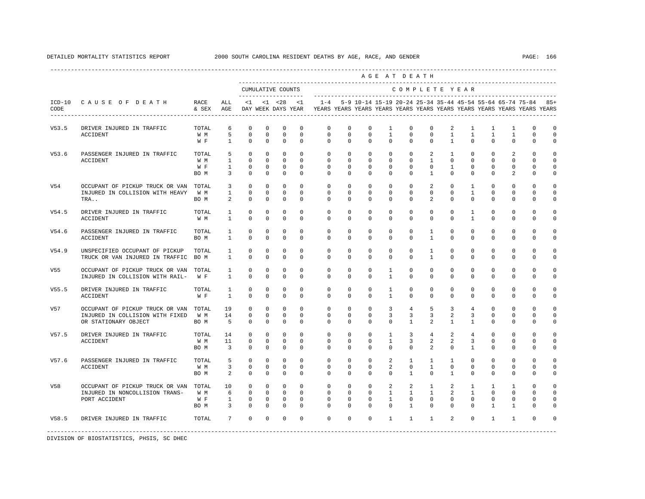|                  |                                                                   |                   |                              |                                           |                          |                            |                         |                          |                         |                              | AGE AT DEATH             |                         |                              |                                |                          |                          |                                                           |                                                                                             |                            |
|------------------|-------------------------------------------------------------------|-------------------|------------------------------|-------------------------------------------|--------------------------|----------------------------|-------------------------|--------------------------|-------------------------|------------------------------|--------------------------|-------------------------|------------------------------|--------------------------------|--------------------------|--------------------------|-----------------------------------------------------------|---------------------------------------------------------------------------------------------|----------------------------|
|                  |                                                                   |                   |                              | CUMULATIVE COUNTS<br>-------------------- |                          |                            |                         |                          |                         | ---------------------------- |                          |                         |                              |                                | COMPLETE YEAR            |                          |                                                           |                                                                                             |                            |
| $ICD-10$<br>CODE | CAUSE OF DEATH                                                    | RACE<br>& SEX AGE | ALL                          |                                           |                          |                            | $<1$ $<1$ $<28$ $<1$    | $1 - 4$                  |                         |                              |                          |                         |                              |                                |                          |                          | 5-9 10-14 15-19 20-24 25-34 35-44 45-54 55-64 65-74 75-84 | DAY WEEK DAYS YEAR TYEARS YEARS YEARS YEARS YEARS YEARS YEARS YEARS YEARS YEARS YEARS YEARS | $85+$                      |
| V53.5            | DRIVER INJURED IN TRAFFIC                                         | TOTAL             | 6                            | $\mathbf 0$                               | $\mathbf 0$              | 0                          | $\mathbf 0$             | $\mathbb O$              | 0                       | $\mathbf 0$                  | $\mathbf{1}$             | $\mathsf 0$             | $\mathbf 0$                  | 2                              | $\mathbf{1}$             | $\mathbf{1}$             | $\mathbf{1}$                                              | 0                                                                                           | $\circ$                    |
|                  | <b>ACCIDENT</b>                                                   | W M<br>W F        | 5<br>$\mathbf{1}$            | $\mathbf 0$<br>$\Omega$                   | $\mathbf 0$<br>$\Omega$  | $\mathbf 0$<br>$\Omega$    | $\mathbf 0$<br>$\Omega$ | $\mathbf 0$<br>$\Omega$  | $\mathbf 0$<br>$\Omega$ | $\mathbf 0$<br>$\Omega$      | $\mathbf{1}$<br>$\Omega$ | $\mathbf 0$<br>$\Omega$ | $\mathbf 0$<br>$\Omega$      | $\mathbf{1}$<br>$\mathbf{1}$   | $\mathbf{1}$<br>$\Omega$ | $\mathbf{1}$<br>$\Omega$ | $\mathbf{1}$<br>$\Omega$                                  | $\mathbf 0$<br>$\Omega$                                                                     | $\circ$<br>$\Omega$        |
| V53.6            | PASSENGER INJURED IN TRAFFIC                                      | TOTAL             | 5                            | $\Omega$                                  | $\Omega$                 | $\Omega$                   | $\Omega$                | $\Omega$                 | $\Omega$                | $\Omega$                     | $\mathbf 0$              | $\mathbf 0$             | 2                            | $\mathbf{1}$                   | $\Omega$                 | $\Omega$                 | 2                                                         | $\mathbf 0$                                                                                 | $\Omega$                   |
|                  | <b>ACCIDENT</b>                                                   | W M<br>W F        | $\mathbf{1}$<br>$\mathbf{1}$ | $\Omega$<br>0                             | $\mathbf{0}$<br>$\Omega$ | $\mathbf 0$<br>$\mathbf 0$ | $\Omega$<br>$\Omega$    | $\mathbf{0}$<br>$\Omega$ | $\mathbf 0$<br>$\Omega$ | $\mathbf 0$<br>$\Omega$      | $\mathbf 0$<br>$\Omega$  | $\mathbf 0$<br>$\Omega$ | $\mathbf{1}$<br>$\Omega$     | $\mathbf 0$<br>$\mathbf{1}$    | $\mathbf 0$<br>$\Omega$  | $\Omega$<br>$\Omega$     | $\mathbf 0$<br>$\Omega$                                   | $\Omega$<br>$\Omega$                                                                        | $\circ$<br>$\mathbf 0$     |
|                  |                                                                   | BO M              | 3                            | $\Omega$                                  | $\Omega$                 | $\Omega$                   | $\Omega$                | $\Omega$                 | $\Omega$                | $\Omega$                     | $\Omega$                 | $\Omega$                | $\mathbf{1}$                 | $\Omega$                       | $\Omega$                 | $\Omega$                 | $\mathfrak{D}$                                            | $\Omega$                                                                                    | $\Omega$                   |
| V54              | OCCUPANT OF PICKUP TRUCK OR VAN                                   | TOTAL             | 3                            | $\Omega$                                  | $\Omega$                 | $\mathbf 0$                | $\Omega$                | $\mathbf{0}$             | $\mathbf 0$             | $\mathbf 0$                  | $\mathbf 0$              | $\mathbf 0$             | 2                            | $\mathbf 0$                    | 1                        | $\mathbf 0$              | $\mathbf 0$                                               | $\mathbf 0$                                                                                 | 0                          |
|                  | INJURED IN COLLISION WITH HEAVY<br>TRA                            | W M<br>BO M       | $\mathbf{1}$<br>2            | 0<br>$\Omega$                             | $\Omega$<br>$\Omega$     | $\mathbf 0$<br>$\Omega$    | $\Omega$<br>$\Omega$    | $\mathbf 0$<br>$\Omega$  | 0<br>$\Omega$           | $^{\circ}$<br>$\Omega$       | $^{\circ}$<br>$\Omega$   | $\mathbf 0$<br>$\Omega$ | $\Omega$<br>$\mathfrak{D}$   | $\Omega$<br>$\Omega$           | $\mathbf{1}$<br>$\Omega$ | $\Omega$<br>$\Omega$     | $\mathbf{0}$<br>$\Omega$                                  | 0<br>$\Omega$                                                                               | $\mathbf 0$<br>$\Omega$    |
| V54.5            | DRIVER INJURED IN TRAFFIC                                         | TOTAL             | $\mathbf{1}$                 | $\mathbf 0$                               | $\mathbf 0$              | $\mathbf 0$                | $\mathbf 0$             | $\mathbf{0}$             | $\mathbf 0$             | $\mathbf 0$                  | $\mathbf 0$              | $\mathbf 0$             | $\mathbf 0$                  | $\mathbf 0$                    | $\mathbf{1}$             | $\mathbf 0$              | $\mathbf 0$                                               | $\mathbf 0$                                                                                 | 0                          |
|                  | <b>ACCIDENT</b>                                                   | W M               | $\mathbf{1}$                 | $\Omega$                                  | $\Omega$                 | $\Omega$                   | $\Omega$                | $\Omega$                 | $\Omega$                | $\Omega$                     | $\Omega$                 | $\Omega$                | $\Omega$                     | $\Omega$                       | $\mathbf{1}$             | $\Omega$                 | $\Omega$                                                  | $\Omega$                                                                                    | $\Omega$                   |
| V54.6            | PASSENGER INJURED IN TRAFFIC<br><b>ACCIDENT</b>                   | TOTAL<br>BO M     | $\mathbf{1}$<br>$\mathbf{1}$ | $\mathbf 0$<br>$\Omega$                   | $\Omega$<br>$\Omega$     | $\mathbf 0$<br>$\Omega$    | $\Omega$<br>$\Omega$    | $\Omega$<br>$\Omega$     | $\Omega$<br>$\Omega$    | $\Omega$<br>$\Omega$         | $\Omega$<br>$\Omega$     | $\Omega$<br>$\Omega$    | $\mathbf{1}$<br>$\mathbf{1}$ | $\Omega$<br>$\Omega$           | $\Omega$<br>$\Omega$     | $\Omega$<br>$\Omega$     | $\Omega$<br>$\Omega$                                      | $\Omega$<br>$\Omega$                                                                        | $\Omega$<br>$\Omega$       |
|                  |                                                                   |                   |                              |                                           |                          |                            |                         |                          |                         |                              |                          |                         |                              |                                |                          |                          |                                                           |                                                                                             |                            |
| V54.9            | UNSPECIFIED OCCUPANT OF PICKUP<br>TRUCK OR VAN INJURED IN TRAFFIC | TOTAL<br>BO M     | 1<br>$\mathbf{1}$            | 0<br>$\Omega$                             | $\Omega$<br>$\Omega$     | $^{\circ}$<br>$\Omega$     | $\Omega$<br>$\Omega$    | $\Omega$<br>$\Omega$     | $\mathbf 0$<br>$\Omega$ | $\mathbf 0$<br>$\Omega$      | $\mathbf 0$<br>$\Omega$  | $\mathbf 0$<br>$\Omega$ | 1<br>$\mathbf{1}$            | $\Omega$<br>$\Omega$           | $\mathbf 0$<br>$\Omega$  | $\Omega$<br>$\Omega$     | $\mathbf 0$<br>$\Omega$                                   | $\Omega$<br>$\Omega$                                                                        | $\Omega$<br>$\Omega$       |
| V55              | OCCUPANT OF PICKUP TRUCK OR VAN                                   | TOTAL             | $\mathbf{1}$                 | 0                                         | 0                        | $^{\circ}$                 | $\mathbf 0$             | $\mathbf 0$              | $\mathbf 0$             | $\mathbf 0$                  | $\mathbf{1}$             | $\mathbf 0$             | $\mathbf 0$                  | $\mathbf 0$                    | $\mathbf 0$              | 0                        | $\mathbf 0$                                               | 0                                                                                           | 0                          |
|                  | INJURED IN COLLISION WITH RAIL-                                   | W F               | $\mathbf{1}$                 | $\Omega$                                  | $\Omega$                 | $\Omega$                   | $\Omega$                | $\Omega$                 | $\Omega$                | $\Omega$                     | $\mathbf{1}$             | $\Omega$                | $\Omega$                     | $\Omega$                       | $\Omega$                 | $\Omega$                 | $\Omega$                                                  | $\Omega$                                                                                    | 0                          |
| V55.5            | DRIVER INJURED IN TRAFFIC                                         | TOTAL             | $\mathbf{1}$                 | $\Omega$                                  | $\Omega$                 | $\Omega$                   | $\Omega$                | $\Omega$                 | $\Omega$                | $\Omega$                     | $\mathbf{1}$             | $\Omega$                | $\Omega$                     | $\Omega$                       | $\Omega$                 | $\Omega$                 | $\Omega$                                                  | $\Omega$                                                                                    | $\Omega$                   |
|                  | <b>ACCIDENT</b>                                                   | W F               | $\mathbf{1}$                 | $\Omega$                                  | $\Omega$                 | $\Omega$                   | $\Omega$                | $\Omega$                 | $\Omega$                | $\Omega$                     | $\mathbf{1}$             | $\Omega$                | $\Omega$                     | $\Omega$                       | $\Omega$                 | $\Omega$                 | $\Omega$                                                  | $\Omega$                                                                                    | 0                          |
| V57              | OCCUPANT OF PICKUP TRUCK OR VAN                                   | TOTAL             | 19                           | $\Omega$                                  | $\Omega$                 | $\Omega$                   | $\Omega$                | $\Omega$                 | $\Omega$                | $\Omega$                     | 3                        | $\overline{4}$          | 5                            | 3                              | $\overline{4}$           | $\Omega$                 | $\Omega$                                                  | $\Omega$                                                                                    | $\Omega$                   |
|                  | INJURED IN COLLISION WITH FIXED<br>OR STATIONARY OBJECT           | W M<br>BO M       | 14<br>5                      | $\mathbf 0$<br>$\mathbf 0$                | $\Omega$<br>$\mathbf 0$  | $\mathbf 0$<br>$\mathbf 0$ | $\Omega$<br>$\mathbf 0$ | $\Omega$<br>$\Omega$     | $\Omega$<br>$\mathbf 0$ | $\Omega$<br>$\mathbf 0$      | 3<br>$\mathbf 0$         | 3<br>$\mathbf{1}$       | 3<br>$\overline{a}$          | $\overline{a}$<br>$\mathbf{1}$ | 3<br>$\mathbf{1}$        | $\Omega$<br>$\Omega$     | $\Omega$<br>$\mathbf 0$                                   | $\Omega$<br>$\mathbf 0$                                                                     | $\mathbf 0$<br>$\mathbf 0$ |
| V57.5            |                                                                   |                   |                              | $\mathbf 0$                               | $\mathbf 0$              | $\mathbf 0$                | $\Omega$                | $\mathbf 0$              | $\mathbf 0$             | $\mathbf 0$                  | $\mathbf{1}$             | 3                       |                              | 2                              |                          | $\Omega$                 | $\mathbf 0$                                               | $\Omega$                                                                                    | $\mathbf 0$                |
|                  | DRIVER INJURED IN TRAFFIC<br><b>ACCIDENT</b>                      | TOTAL<br>W M      | 14<br>11                     | $\Omega$                                  | $\Omega$                 | $\mathbf 0$                | $\Omega$                | $\Omega$                 | $\Omega$                | $\Omega$                     | $\mathbf{1}$             | 3                       | 4<br>2                       | 2                              | 4<br>3                   | $\Omega$                 | $\Omega$                                                  | $\Omega$                                                                                    | $\mathbf 0$                |
|                  |                                                                   | BO M              | $\overline{\mathbf{3}}$      | $\Omega$                                  | $\Omega$                 | $\Omega$                   | $\Omega$                | $\Omega$                 | $\Omega$                | $\Omega$                     | $\Omega$                 | $\Omega$                | $\mathcal{L}$                | $\Omega$                       | $\mathbf{1}$             | $\Omega$                 | $\Omega$                                                  | $\Omega$                                                                                    | $\Omega$                   |
| V57.6            | PASSENGER INJURED IN TRAFFIC                                      | TOTAL             | 5                            | $\Omega$                                  | $\Omega$                 | $\Omega$                   | $\Omega$                | $\Omega$                 | $\Omega$                | $\Omega$                     | 2                        | $\overline{1}$          | $\mathbf{1}$                 | $\overline{1}$                 | $\Omega$                 | $\Omega$                 | $\Omega$                                                  | $\Omega$                                                                                    | $\Omega$                   |
|                  | ACCIDENT                                                          | W M               | 3                            | $\mathbf 0$                               | $\Omega$                 | $\mathbf 0$                | $\Omega$                | $\mathbf 0$              | $\mathbf 0$             | $\mathbf 0$                  | 2                        | $\mathbf 0$             | $\mathbf{1}$                 | $\mathbf 0$                    | $\Omega$                 | $\Omega$                 | $\mathbf{0}$                                              | $\Omega$                                                                                    | $\Omega$                   |
|                  |                                                                   | BO M              | 2                            | $\Omega$                                  | $\Omega$                 | $\Omega$                   | $\Omega$                | $\Omega$                 | $\Omega$                | $\Omega$                     | $\Omega$                 | $\overline{1}$          | $\Omega$                     | $\overline{1}$                 | $\Omega$                 | $\Omega$                 | $\Omega$                                                  | $\Omega$                                                                                    | $\Omega$                   |
| V58              | OCCUPANT OF PICKUP TRUCK OR VAN                                   | TOTAL             | 10                           | $\mathbf 0$                               | $\mathbf 0$              | $\mathbf 0$                | $\Omega$                | $\mathbf{0}$             | $\mathbf 0$             | $\mathbf 0$                  | 2                        | $\overline{a}$          | $\mathbf{1}$                 | 2                              | $\mathbf{1}$             | 1                        | $\mathbf{1}$                                              | 0                                                                                           | 0                          |
|                  | INJURED IN NONCOLLISION TRANS-                                    | W M               | 6                            | $\mathbf 0$                               | $\mathbf{0}$             | $\mathbf 0$                | $\mathbf 0$             | $\mathbf 0$              | $\mathbf 0$             | $\mathbf 0$                  | $\mathbf{1}$             | $\mathbf{1}$            | $\mathbf{1}$                 | $\overline{a}$                 | $\mathbf{1}$             | $\Omega$                 | $\mathbf{0}$                                              | $\Omega$                                                                                    | $\Omega$                   |
|                  | PORT ACCIDENT                                                     | W F               | $\mathbf{1}$                 | $\mathbf 0$                               | $\Omega$                 | $\mathbf 0$                | $\Omega$                | $\Omega$                 | $\Omega$                | $\Omega$                     | $\mathbf{1}$             | $\Omega$                | $\Omega$                     | $\Omega$                       | $\Omega$                 | $\Omega$                 | $\mathbf 0$                                               | $\Omega$                                                                                    | $\Omega$                   |
|                  |                                                                   | BO M              | $\overline{3}$               | $\mathbf 0$                               | $\mathbf 0$              | $\mathbf 0$                | $\mathbf 0$             | $\mathbf{0}$             | $\mathbf 0$             | $\mathbf 0$                  | $\mathbf 0$              | $\mathbf{1}$            | $\mathbf 0$                  | $\circ$                        | $\mathbf 0$              | $\mathbf{1}$             | $\mathbf{1}$                                              | $\mathbf 0$                                                                                 | $\Omega$                   |
| V58.5            | DRIVER INJURED IN TRAFFIC                                         | TOTAL             | 7                            | $\mathbf 0$                               | $\mathbf 0$              | $\mathbf 0$                | $\mathbf 0$             | $\mathbf{0}$             | $\mathbf 0$             | $\mathbf 0$                  | $\mathbf{1}$             | $\mathbf{1}$            | $\mathbf{1}$                 | $\overline{a}$                 | $\mathbf 0$              | $\mathbf{1}$             | $\mathbf{1}$                                              | $\Omega$                                                                                    | $\Omega$                   |
|                  |                                                                   |                   |                              |                                           |                          |                            |                         |                          |                         |                              |                          |                         |                              |                                |                          |                          |                                                           |                                                                                             |                            |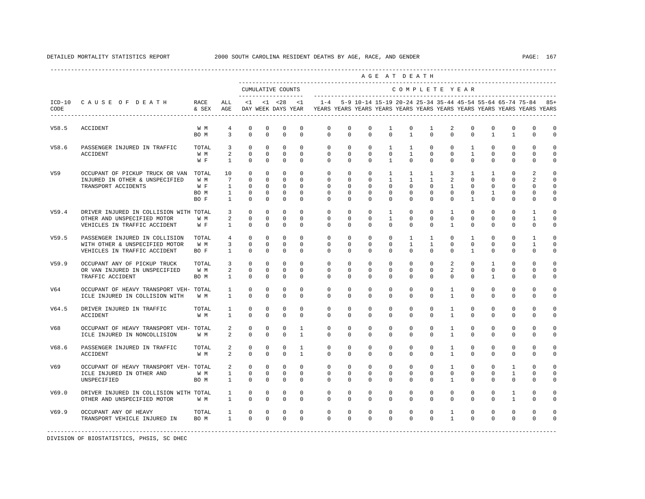|                 |                                                                                                       |                            |                                                                   |                                                                        |                                                                   |                                                              |                                                         |                                                                                            |                                                                 |                                                                   |                                                                     | AGE AT DEATH                                                        |                                                          |                                                                  |                                                                    |                                                                  |                                                                |                                                         |                                                          |
|-----------------|-------------------------------------------------------------------------------------------------------|----------------------------|-------------------------------------------------------------------|------------------------------------------------------------------------|-------------------------------------------------------------------|--------------------------------------------------------------|---------------------------------------------------------|--------------------------------------------------------------------------------------------|-----------------------------------------------------------------|-------------------------------------------------------------------|---------------------------------------------------------------------|---------------------------------------------------------------------|----------------------------------------------------------|------------------------------------------------------------------|--------------------------------------------------------------------|------------------------------------------------------------------|----------------------------------------------------------------|---------------------------------------------------------|----------------------------------------------------------|
|                 |                                                                                                       |                            |                                                                   |                                                                        |                                                                   | CUMULATIVE COUNTS<br>____________________                    |                                                         |                                                                                            |                                                                 |                                                                   |                                                                     | COMPLETE YEAR                                                       |                                                          |                                                                  |                                                                    |                                                                  |                                                                |                                                         |                                                          |
| CODE            | ICD-10 CAUSE OF DEATH RACE<br>-------------------------                                               | & SEX AGE                  | ALL                                                               |                                                                        |                                                                   | $<1$ $<1$ $<28$                                              | <1                                                      | DAY WEEK DAYS YEAR YEARS YEARS YEARS YEARS YEARS YEARS YEARS YEARS YEARS YEARS YEARS YEARS |                                                                 | 1-4 5-9 10-14 15-19 20-24 25-34 35-44 45-54 55-64 65-74 75-84 85+ |                                                                     |                                                                     |                                                          |                                                                  |                                                                    |                                                                  |                                                                |                                                         |                                                          |
| V58.5           | ACCIDENT                                                                                              | W M<br>BO M                | $\overline{4}$<br>3                                               | $\mathbf 0$<br>$\Omega$                                                | $\mathbf 0$<br>$\Omega$                                           | $\mathbf 0$<br>$\Omega$                                      | $\mathbf 0$<br>$\Omega$                                 | $\mathbf{0}$<br>$\Omega$                                                                   | $\mathbf 0$<br>$\Omega$                                         | $\mathbf 0$<br>$\Omega$                                           | $\mathbf{1}$<br>$\Omega$                                            | $\mathbf 0$<br>$\overline{1}$                                       | 1<br>$\Omega$                                            | 2<br>$\Omega$                                                    | $\mathbf 0$<br>$\Omega$                                            | $^{\circ}$<br>$\mathbf{1}$                                       | $\mathbf{0}$<br>$\mathbf{1}$                                   | $\mathbf{0}$<br>$\Omega$                                | $\mathbf 0$<br>$\Omega$                                  |
| V58.6           | PASSENGER INJURED IN TRAFFIC<br>ACCIDENT                                                              | TOTAL<br>W M<br>W F        | $\overline{\mathbf{3}}$<br>2<br>$\mathbf{1}$                      | $\mathbf 0$<br>$\mathbf 0$<br>$\Omega$                                 | $\circ$<br>$\circ$<br>$\Omega$                                    | $\circ$<br>$\circ$<br>$\Omega$                               | $\Omega$<br>$\circ$<br>$\Omega$                         | $\mathbf{0}$<br>$\circ$<br>$\Omega$                                                        | $\circ$<br>$\circ$<br>$\Omega$                                  | $\circ$<br>$\mathbf{0}$<br>$\Omega$                               | $\mathbf{1}$<br>$\mathbf 0$<br>$\overline{1}$                       | $\mathbf{1}$<br>$\mathbf{1}$<br>$\Omega$                            | $\mathbf{0}$<br>$\mathbf{0}$<br>$\Omega$                 | $\circ$<br>$\circ$<br>$\Omega$                                   | $\mathbf{1}$<br>$\mathbf{1}$<br>$\Omega$                           | $\circ$<br>$\circ$<br>$\Omega$                                   | $\mathbf{0}$<br>$\mathbf{0}$<br>$\Omega$                       | $\mathbf{0}$<br>$\mathbf 0$<br>$\Omega$                 | $\Omega$<br>$\Omega$<br>$\Omega$                         |
| V <sub>59</sub> | OCCUPANT OF PICKUP TRUCK OR VAN TOTAL<br>INJURED IN OTHER & UNSPECIFIED<br>TRANSPORT ACCIDENTS        | W M<br>W F<br>BO M<br>BO F | 10<br>$7^{\circ}$<br>$\mathbf{1}$<br>$\mathbf{1}$<br>$\mathbf{1}$ | $\mathbf{0}$<br>$\mathbf 0$<br>$\mathbf{0}$<br>$\mathbf 0$<br>$\Omega$ | $\mathbf 0$<br>$^{\circ}$<br>$^{\circ}$<br>$^{\circ}$<br>$\Omega$ | $\mathbf 0$<br>$\circ$<br>$\circ$<br>$\mathbf 0$<br>$\Omega$ | $\Omega$<br>$\Omega$<br>$\Omega$<br>$\circ$<br>$\Omega$ | $\mathbf 0$<br>$\mathbf{0}$<br>$\Omega$<br>$\mathbf 0$<br>$\Omega$                         | $\mathbf 0$<br>$\Omega$<br>$\Omega$<br>$\mathbf{0}$<br>$\Omega$ | $\mathbf 0$<br>$^{\circ}$<br>$\Omega$<br>$\mathbf 0$<br>$\Omega$  | $\mathbf{1}$<br>$\mathbf{1}$<br>$\Omega$<br>$\mathbf 0$<br>$\Omega$ | $\mathbf{1}$<br>$\mathbf{1}$<br>$\Omega$<br>$\mathbf 0$<br>$\Omega$ | $\mathbf{1}$<br>1<br>$\Omega$<br>$\mathbf 0$<br>$\Omega$ | $\overline{3}$<br>2<br>$\overline{1}$<br>$\mathbf 0$<br>$\Omega$ | $\mathbf{1}$<br>$\Omega$<br>$\Omega$<br>$^{\circ}$<br>$\mathbf{1}$ | $\mathbf{1}$<br>$\Omega$<br>$\Omega$<br>$\mathbf{1}$<br>$\Omega$ | $\Omega$<br>$\mathbf 0$<br>$\Omega$<br>$\mathbf 0$<br>$\Omega$ | $\mathfrak{D}$<br>2<br>$\Omega$<br>$\Omega$<br>$\Omega$ | $\Omega$<br>$\Omega$<br>$\Omega$<br>$\Omega$<br>$\Omega$ |
| V59.4           | DRIVER INJURED IN COLLISION WITH TOTAL<br>OTHER AND UNSPECIFIED MOTOR<br>VEHICLES IN TRAFFIC ACCIDENT | W M<br>W F                 | 3<br>2<br>$\mathbf{1}$                                            | $\mathbf 0$<br>$\mathbf 0$<br>$\mathbf 0$                              | $^{\circ}$<br>$\circ$<br>$\mathbf 0$                              | $^{\circ}$<br>$\circ$<br>$\circ$                             | $\mathbf 0$<br>$\Omega$<br>$\mathbf 0$                  | $\mathbf 0$<br>$\mathbf{0}$<br>$\mathbf{0}$                                                | $\mathbf 0$<br>$\mathbf{0}$<br>$\mathbf 0$                      | $\mathbf 0$<br>$\mathbf 0$<br>$\mathbf 0$                         | $\mathbf{1}$<br>$\mathbf{1}$<br>$\mathbf 0$                         | $^{\circ}$<br>$\Omega$<br>$\mathbf 0$                               | $\mathbf 0$<br>$\Omega$<br>$\mathbf 0$                   | $\mathbf{1}$<br>$\mathbf{0}$<br>$\mathbf{1}$                     | $\mathbf 0$<br>$\circ$<br>0                                        | $\mathbf 0$<br>$^{\circ}$<br>$^{\circ}$                          | $\mathbf{0}$<br>$\mathbf 0$<br>$\mathbf 0$                     | $\mathbf{1}$<br>1<br>$\mathbf 0$                        | $\mathbf 0$<br>$\Omega$<br>$\mathbf 0$                   |
| V59.5           | PASSENGER INJURED IN COLLISION<br>WITH OTHER & UNSPECIFIED MOTOR<br>VEHICLES IN TRAFFIC ACCIDENT      | TOTAL<br>W M<br>BO F       | $\overline{4}$<br>3<br>$\mathbf{1}$                               | $\Omega$<br>$\mathbb O$<br>$\mathbf 0$                                 | $\Omega$<br>$\circ$<br>$\mathbf 0$                                | $\Omega$<br>$\circ$<br>$\mathbf 0$                           | $\Omega$<br>$\Omega$<br>$\Omega$                        | $\Omega$<br>$\mathbf{0}$<br>$\Omega$                                                       | $\Omega$<br>$\mathbf 0$<br>$\mathbf 0$                          | $\Omega$<br>$\mathbf 0$<br>$\mathbf 0$                            | $\Omega$<br>$\mathbf 0$<br>$\mathbf 0$                              | $\mathbf{1}$<br>$\mathbf{1}$<br>$\Omega$                            | $\mathbf{1}$<br>$\mathbf{1}$<br>$\mathbf 0$              | $\Omega$<br>$\mathbf 0$<br>$\Omega$                              | $\mathbf{1}$<br>$\mathbf 0$<br>$\mathbf{1}$                        | $\Omega$<br>$\mathbf 0$<br>$\Omega$                              | $\Omega$<br>$\mathbf 0$<br>$\mathbf 0$                         | $\mathbf{1}$<br>$\mathbf{1}$<br>$\mathbf 0$             | $\Omega$<br>$\Omega$<br>$\mathbf 0$                      |
| V59.9           | OCCUPANT ANY OF PICKUP TRUCK<br>OR VAN INJURED IN UNSPECIFIED<br>TRAFFIC ACCIDENT                     | TOTAL<br>W M<br>BO M       | 3<br>2<br>$\mathbf{1}$                                            | $\mathbf 0$<br>$\mathbf 0$<br>$\mathbf 0$                              | $^{\circ}$<br>$\Omega$<br>$\Omega$                                | $^{\circ}$<br>$\circ$<br>$\mathbf 0$                         | $\Omega$<br>$\Omega$<br>$\Omega$                        | $\Omega$<br>$\Omega$<br>$\Omega$                                                           | $\Omega$<br>$\Omega$<br>$\Omega$                                | $\Omega$<br>$\Omega$<br>$\Omega$                                  | $\mathbf 0$<br>$\Omega$<br>$\Omega$                                 | $\Omega$<br>$\Omega$<br>$\Omega$                                    | $\Omega$<br>$\Omega$<br>$\Omega$                         | $\overline{a}$<br>2<br>$\Omega$                                  | $\mathbf 0$<br>$\Omega$<br>$\Omega$                                | $\mathbf{1}$<br>$\Omega$<br>$\mathbf{1}$                         | $\mathbf 0$<br>$\Omega$<br>$\mathbf 0$                         | $\Omega$<br>$\Omega$<br>$\Omega$                        | $\Omega$<br>$\Omega$<br>$\Omega$                         |
| V64             | OCCUPANT OF HEAVY TRANSPORT VEH- TOTAL<br>ICLE INJURED IN COLLISION WITH                              | W M                        | 1<br>$\mathbf{1}$                                                 | 0<br>$\Omega$                                                          | $^{\circ}$<br>$\Omega$                                            | $^{\circ}$<br>$\mathbf 0$                                    | $^{\circ}$<br>$\Omega$                                  | $\mathbf 0$<br>$\Omega$                                                                    | $\mathbf 0$<br>$\Omega$                                         | $^{\circ}$<br>$\Omega$                                            | $^{\circ}$<br>$\Omega$                                              | $\mathbf{0}$<br>$\Omega$                                            | 0<br>$\Omega$                                            | $\mathbf{1}$<br>$\mathbf{1}$                                     | $^{\circ}$<br>$\Omega$                                             | $^{\circ}$<br>$\Omega$                                           | $\mathbf 0$<br>$\Omega$                                        | $\mathbf 0$<br>$\Omega$                                 | $\Omega$<br>$\mathbf 0$                                  |
| V64.5           | DRIVER INJURED IN TRAFFIC<br><b>ACCIDENT</b>                                                          | TOTAL<br>W M               | 1<br>$\mathbf{1}$                                                 | $\circ$<br>$\Omega$                                                    | 0<br>$\Omega$                                                     | 0<br>$\Omega$                                                | $\mathbf 0$<br>$\Omega$                                 | $\mathbf{0}$<br>$\Omega$                                                                   | $\mathbf 0$<br>$\Omega$                                         | $\mathbf 0$<br>$\Omega$                                           | $\mathbf 0$<br>$\Omega$                                             | $\mathbf{0}$<br>$\Omega$                                            | $\mathbf 0$<br>$\Omega$                                  | $\mathbf{1}$<br>$\mathbf{1}$                                     | $\mathbf 0$<br>$\Omega$                                            | $^{\circ}$<br>$\Omega$                                           | $\mathbf 0$<br>$\Omega$                                        | $\mathbf 0$<br>$\Omega$                                 | $\Omega$<br>$\Omega$                                     |
| V68             | OCCUPANT OF HEAVY TRANSPORT VEH- TOTAL<br>ICLE INJURED IN NONCOLLISION                                | W M                        | 2<br>$\overline{a}$                                               | 0<br>$\mathbf 0$                                                       | 0<br>$\mathbf 0$                                                  | 0<br>$\mathbf 0$                                             | $\mathbf{1}$<br>$\mathbf{1}$                            | 0<br>$\Omega$                                                                              | 0<br>$\Omega$                                                   | 0<br>$\Omega$                                                     | 0<br>$\Omega$                                                       | 0<br>$\Omega$                                                       | 0<br>$\Omega$                                            | $\mathbf{1}$<br>$\mathbf{1}$                                     | 0<br>$\Omega$                                                      | 0<br>$\Omega$                                                    | 0<br>$\Omega$                                                  | 0<br>$\Omega$                                           | $\Omega$<br>$\Omega$                                     |
| V68.6           | PASSENGER INJURED IN TRAFFIC<br><b>ACCIDENT</b>                                                       | TOTAL<br>W M               | 2<br>$\overline{a}$                                               | $\mathbf 0$<br>$\Omega$                                                | $\mathbf 0$<br>$\Omega$                                           | $\mathbf 0$<br>$\Omega$                                      | $\mathbf{1}$<br>$\mathbf{1}$                            | $\mathbf 0$<br>$\Omega$                                                                    | $\mathbf 0$<br>$\Omega$                                         | $\mathbf 0$<br>$\Omega$                                           | $\mathbf 0$<br>$\Omega$                                             | $\mathbf{0}$<br>$\Omega$                                            | $\mathbf 0$<br>$\Omega$                                  | $\mathbf{1}$<br>$\mathbf{1}$                                     | $\mathbf 0$<br>$\Omega$                                            | $\mathbf 0$<br>$\Omega$                                          | $\mathbf 0$<br>$\Omega$                                        | 0<br>$\Omega$                                           | $\Omega$<br>$\Omega$                                     |
| V69             | OCCUPANT OF HEAVY TRANSPORT VEH- TOTAL<br>ICLE INJURED IN OTHER AND<br>UNSPECIFIED                    | W M<br>BO M                | $\overline{a}$<br>$\mathbf{1}$<br>$\mathbf{1}$                    | $\mathbf 0$<br>$\mathbf 0$<br>$\mathbf 0$                              | $^{\circ}$<br>$\circ$<br>$^{\circ}$                               | $\circ$<br>$\circ$<br>$\circ$                                | $\mathbf 0$<br>$\Omega$<br>$\mathbf 0$                  | $\mathbf 0$<br>$\Omega$<br>$\Omega$                                                        | $\mathbf 0$<br>$\Omega$<br>$\mathbf 0$                          | $\mathbf 0$<br>$\mathbf 0$<br>$\mathbf 0$                         | $\mathbf 0$<br>$\mathbf 0$<br>$\mathbf 0$                           | $\mathbf 0$<br>$\Omega$<br>$\Omega$                                 | $\mathbf 0$<br>$\Omega$<br>$\mathbf 0$                   | $\mathbf{1}$<br>$\circ$<br>$\mathbf{1}$                          | $\mathbf 0$<br>$\mathbf 0$<br>0                                    | $\mathbf 0$<br>$\mathbf 0$<br>$\Omega$                           | 1<br>$\mathbf{1}$<br>$\mathbf 0$                               | $\mathbf 0$<br>$\Omega$<br>$\Omega$                     | $\Omega$<br>$\Omega$<br>$\Omega$                         |
| V69.0           | DRIVER INJURED IN COLLISION WITH TOTAL<br>OTHER AND UNSPECIFIED MOTOR W M                             |                            | $\mathbf{1}$<br>$\mathbf{1}$                                      | $\mathbf 0$<br>$\mathbf 0$                                             | $\circ$<br>$\mathbf 0$                                            | $\circ$<br>$\mathbb O$                                       | $\mathbf 0$<br>$\mathbf 0$                              | $\mathbf 0$<br>$\mathbf 0$                                                                 | $\mathbf 0$<br>$\mathbf 0$                                      | $\mathbf 0$<br>$\mathbf 0$                                        | $\mathbf 0$<br>$\mathbf 0$                                          | $\mathbf 0$<br>$\mathbf 0$                                          | $\circ$<br>$\mathbf 0$                                   | $\mathbf 0$<br>$\circ$                                           | $\mathbf 0$<br>$\mathbf 0$                                         | $\mathbf 0$<br>$\mathbf 0$                                       | $\mathbf{1}$<br>$\mathbf{1}$                                   | $\mathbf 0$<br>$\mathbf 0$                              | $\Omega$<br>$\mathbf 0$                                  |
| V69.9           | OCCUPANT ANY OF HEAVY<br>TRANSPORT VEHICLE INJURED IN                                                 | TOTAL<br>BO M              | $1 \quad \blacksquare$<br>$1 \qquad \qquad$                       | $\circ$<br>$\Omega$                                                    | $\circ$<br>$\Omega$                                               | $\circ$<br>$\mathbf 0$                                       | $\circ$<br>$\Omega$                                     | 0<br>$\Omega$                                                                              | 0<br>$\Omega$                                                   | $\mathbf 0$<br>$\Omega$                                           | $\mathbf 0$<br>$\Omega$                                             | 0<br>$\Omega$                                                       | $\mathbf 0$<br>$\Omega$                                  | $\mathbf{1}$<br>$\mathbf{1}$                                     | 0<br>$\Omega$                                                      | $\mathbf 0$<br>$\Omega$                                          | $\mathsf 0$<br>$\Omega$                                        | $\mathbf 0$<br>$\Omega$                                 |                                                          |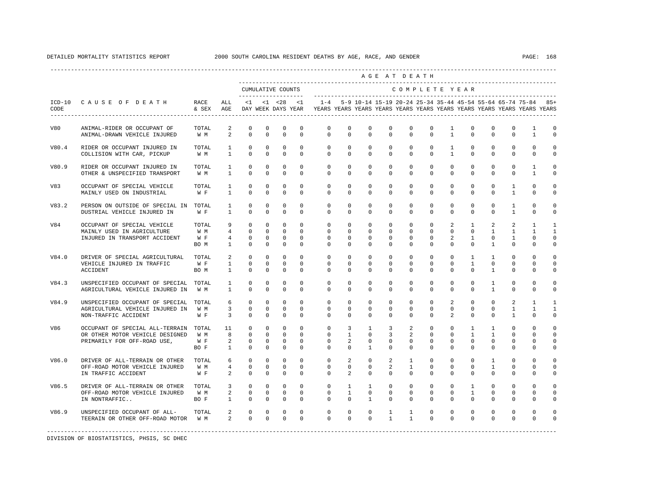|       |                                                                                                         |                             |                                                  |                                                                                           |                                                     |                                                      |                                                  |                                                                                                                                                                            |                                                                             |                                                          |                                                 | AGE AT DEATH                                      |                                                     |                                             |                                                                |                                                                      |                                               |                                                      |                                           |
|-------|---------------------------------------------------------------------------------------------------------|-----------------------------|--------------------------------------------------|-------------------------------------------------------------------------------------------|-----------------------------------------------------|------------------------------------------------------|--------------------------------------------------|----------------------------------------------------------------------------------------------------------------------------------------------------------------------------|-----------------------------------------------------------------------------|----------------------------------------------------------|-------------------------------------------------|---------------------------------------------------|-----------------------------------------------------|---------------------------------------------|----------------------------------------------------------------|----------------------------------------------------------------------|-----------------------------------------------|------------------------------------------------------|-------------------------------------------|
|       |                                                                                                         |                             |                                                  |                                                                                           |                                                     | CUMULATIVE COUNTS<br>---------------------           |                                                  |                                                                                                                                                                            |                                                                             |                                                          |                                                 |                                                   |                                                     |                                             | COMPLETE YEAR                                                  |                                                                      |                                               |                                                      |                                           |
| CODE  | ICD-10 CAUSE OF DEATH RACE                                                                              | & SEX AGE                   | ALL                                              |                                                                                           |                                                     |                                                      |                                                  | <1 <28 <1 -4 5-9 10-14 15-19 20-24 25-34 35-44 45-54 55-64 65-74 75-84 85+<br>DAY WEEK DAYS YEAR   YEARS YEARS YEARS YEARS YEARS YEARS YEARS YEARS YEARS YEARS YEARS YEARS |                                                                             |                                                          |                                                 |                                                   |                                                     |                                             |                                                                |                                                                      |                                               |                                                      |                                           |
| V80   | ANIMAL-RIDER OR OCCUPANT OF<br>ANIMAL-DRAWN VEHICLE INJURED                                             | TOTAL<br>W M                | 2                                                | $\circ$<br>$\circ$<br>$2^{\circ}$                                                         | $\mathbf{0}$<br>$\mathbf{0}$                        | $\mathbf{0}$<br>$\mathbf 0$                          | $\circ$<br>$\mathbf{0}$                          | $\circ$<br>$\Omega$                                                                                                                                                        | $\circ$<br>$\Omega$                                                         | $\mathbf{0}$<br>$\circ$                                  | $\mathbf{0}$<br>$\circ$                         | $\circ$<br>$\Omega$                               | $\circ$<br>$\Omega$                                 | $\mathbf{1}$<br>$\overline{1}$              | $\mathbf{0}$<br>$\mathbf{0}$                                   | $\mathbf{0}$<br>$\overline{0}$                                       | $\mathbf{0}$<br>$\mathbf{0}$                  | $\mathbf{1}$<br>$\mathbf{1}$                         | $\Omega$<br>$\Omega$                      |
| V80.4 | RIDER OR OCCUPANT INJURED IN<br>COLLISION WITH CAR, PICKUP                                              | TOTAL 1<br>$W \t M$ 1       |                                                  | $\Omega$<br>$\circ$                                                                       | $\Omega$<br>$\mathbf 0$                             | $\circ$<br>$\mathbf 0$                               | $\Omega$<br>$\Omega$                             | $\Omega$                                                                                                                                                                   | $\overline{0}$<br>$\Omega$<br>$\Omega$                                      | $\overline{0}$<br>$\Omega$                               | $\Omega$<br>$\Omega$                            | $\overline{0}$<br>$\Omega$                        | $\circ$<br>$\Omega$                                 | $\mathbf{1}$<br>$\overline{1}$              | $\Omega$<br>$\Omega$                                           | $\Omega$<br>$\Omega$                                                 | $\Omega$<br>$\Omega$                          | $\Omega$<br>$\Omega$                                 | $\cap$<br>$\Omega$                        |
| V80.9 | RIDER OR OCCUPANT INJURED IN<br>OTHER & UNSPECIFIED TRANSPORT                                           | TOTAL<br>W M 1              |                                                  | $1 \quad \blacksquare$<br>$\circ$<br>$\mathbf 0$                                          | $\mathbf{0}$<br>$\mathbf 0$                         | $\mathbf{0}$<br>$\mathbf 0$                          | $\circ$<br>$\Omega$                              | $\mathbf{0}$<br>$\Omega$                                                                                                                                                   | $\circ$<br>$\Omega$                                                         | $^{\circ}$<br>$\Omega$                                   | $\circ$<br>$\Omega$                             | $\circ$<br>$\Omega$                               | $\mathbf{0}$<br>$\Omega$                            | $\circ$<br>$\Omega$                         | $\mathbf{0}$<br>$\mathbf 0$                                    | $\circ$<br>$\Omega$                                                  | $\mathbf 0$<br>$\Omega$                       | 1<br>$\mathbf{1}$                                    | $\Omega$<br>$\Omega$                      |
| V83   | OCCUPANT OF SPECIAL VEHICLE<br>MAINLY USED ON INDUSTRIAL                                                | TOTAL<br>$W F$ 1            | $\mathbf{1}$                                     | $\circ$<br>$\Omega$                                                                       | $\mathbf 0$<br>$\Omega$                             | $\mathbf{0}$<br>$\Omega$                             | $\circ$<br>$\Omega$                              | $\overline{0}$<br>$\Omega$                                                                                                                                                 | $\mathbf{0}$<br>$\Omega$                                                    | $\mathbf{0}$<br>$\Omega$                                 | $\mathbf{0}$<br>$\Omega$                        | $\circ$<br>$\Omega$                               | $\mathbf 0$<br>$\Omega$                             | $\circ$<br>$\Omega$                         | $\mathbf 0$<br>$\Omega$                                        | $\mathbf{0}$<br>$\Omega$                                             | $\mathbf{1}$<br>$\mathbf{1}$                  | $\mathbf 0$<br>$\Omega$                              | $\Omega$<br>$\Omega$                      |
| V83.2 | PERSON ON OUTSIDE OF SPECIAL IN TOTAL<br>DUSTRIAL VEHICLE INJURED IN                                    | W F                         | $\mathbf{1}$<br>$\sim$ 1                         | $\mathbf 0$<br>$\circ$                                                                    | $\mathbf 0$<br>$\mathbf 0$                          | $\mathbf 0$<br>$\mathbf{0}$                          | $\mathbf 0$<br>$\mathbf 0$                       | $\overline{0}$<br>$\circ$                                                                                                                                                  | $\mathbf 0$<br>$\mathbf{0}$                                                 | $\circ$<br>$\circ$                                       | $\mathbf 0$<br>$\mathbf 0$                      | $\circ$<br>$\circ$                                | 0<br>$\mathbf 0$                                    | $\mathsf{O}$<br>$\Omega$                    | 0<br>$\mathbf 0$                                               | $\mathbf 0$<br>$\Omega$                                              | $\mathbf{1}$<br>$\mathbf{1}$                  | $\mathbf 0$<br>$\Omega$                              | $\Omega$<br>$\Omega$                      |
| V84   | OCCUPANT OF SPECIAL VEHICLE<br>MAINLY USED IN AGRICULTURE<br>INJURED IN TRANSPORT ACCIDENT              | TOTAL<br>W M<br>W F<br>BO M | 1                                                | 9<br>$\circ$<br>$4\degree$<br>$\circ$<br>$4\overline{ }$<br>$\circ$<br>$\circ$            | $\mathbf 0$<br>$\circ$<br>$\mathbf{0}$<br>$\Omega$  | $\circ$<br>$\overline{0}$<br>$\mathbf{0}$<br>$\circ$ | $\Omega$<br>$\Omega$<br>$\circ$<br>$\Omega$      | $\circ$<br>$\Omega$<br>$\circ$<br>$\Omega$                                                                                                                                 | $\Omega$<br>$\Omega$<br>$\Omega$<br>$\Omega$                                | $\mathbf{0}$<br>$\Omega$<br>$\overline{0}$<br>$\Omega$   | $\mathbf 0$<br>$\Omega$<br>$\Omega$<br>$\Omega$ | $\circ$<br>$\Omega$<br>$\overline{0}$<br>$\Omega$ | $\mathbf 0$<br>$\Omega$<br>$\Omega$<br>$\Omega$     | $\overline{a}$<br>$\Omega$<br>2<br>$\Omega$ | $\mathbf{1}$<br>$\mathbf{1}$<br>$\Omega$                       | 2<br>$0 \qquad \qquad$<br>$\mathbf{1}$<br>$\Omega$<br>$\overline{1}$ | 2<br>$\mathbf{1}$<br>$\mathbf{1}$<br>$\Omega$ | $\mathbf{1}$<br>$\mathbf{1}$<br>$\Omega$<br>$\Omega$ | $\mathbf{1}$<br>1<br>$\Omega$<br>$\Omega$ |
| V84.0 | DRIVER OF SPECIAL AGRICULTURAL TOTAL<br>VEHICLE INJURED IN TRAFFIC<br>ACCIDENT                          | W F<br>BO M                 | $1 \quad \blacksquare$<br>$1 \quad \cdots$       | $2 \left( \frac{1}{2} \right)$<br>$\circ$<br>$\circ$<br>$\Omega$                          | $\mathbf{0}$<br>$\mathbf{0}$<br>$\Omega$            | $\circ$<br>$\circ$<br>$\Omega$                       | $\overline{0}$<br>$\mathbf{0}$<br>$\Omega$       | $\circ$<br>$\circ$<br>$\Omega$                                                                                                                                             | $\circ$<br>$\circ$<br>$\Omega$                                              | $\mathbf{0}$<br>$\mathbf{0}$<br>$\Omega$                 | $\mathbf{0}$<br>$\circ$<br>$\Omega$             | $\circ$<br>$\mathbf{0}$<br>$\Omega$               | $\circ$<br>$\circ$<br>$\Omega$                      | $\circ$<br>$\circ$<br>$\Omega$              | $\mathbf{1}$<br>$\mathbf{1}$<br>$\Omega$                       | $\mathbf{1}$<br>$\mathbf{0}$<br>$\overline{1}$                       | $\mathbf 0$<br>$\mathbf{0}$<br>$\Omega$       | $\Omega$<br>0<br>$\Omega$                            | $\Omega$<br>$\Omega$<br>$\Omega$          |
| V84.3 | UNSPECIFIED OCCUPANT OF SPECIAL TOTAL<br>AGRICULTURAL VEHICLE INJURED IN W M                            |                             | $1 \quad \cdots$                                 | $\circ$<br>$1 \quad \blacksquare$<br>$\Omega$                                             | $\mathbf 0$<br>$\Omega$                             | $\mathbf 0$<br>$\Omega$                              | $\Omega$<br>$\Omega$                             | $\Omega$<br>$\Omega$                                                                                                                                                       | $\Omega$<br>$\Omega$                                                        | $\Omega$<br>$\Omega$                                     | $\Omega$<br>$\Omega$                            | $\circ$<br>$\Omega$                               | $\Omega$<br>$\Omega$                                | $\Omega$<br>$\Omega$                        | $\mathbf{0}$<br>$\Omega$                                       | $\mathbf{1}$<br>$\overline{1}$                                       | $\mathbf{0}$<br>$\Omega$                      | $\Omega$<br>$\Omega$                                 | $\Omega$<br>$\Omega$                      |
| V84.9 | UNSPECIFIED OCCUPANT OF SPECIAL TOTAL<br>AGRICULTURAL VEHICLE INJURED IN<br>NON-TRAFFIC ACCIDENT        | W M<br>W F                  | $6\overline{}$<br>$\overline{\mathbf{3}}$        | $\Omega$<br>$3^{\circ}$<br>$\circ$<br>$\circ$                                             | $\circ$<br>$\mathbf{0}$<br>$\circ$                  | $^{\circ}$<br>$\circ$<br>$\mathbf 0$                 | $\Omega$<br>$\circ$<br>$^{\circ}$                | $\Omega$<br>$\circ$<br>$\Omega$                                                                                                                                            | $\Omega$<br>$\circ$<br>$\Omega$                                             | $\Omega$<br>$^{\circ}$<br>$\Omega$                       | $\Omega$<br>$\circ$<br>0                        | $\Omega$<br>$\circ$<br>$\Omega$                   | $\Omega$<br>$\mathbf{0}$<br>$\Omega$                | 2<br>$\circ$<br>$\mathfrak{D}$              | $\Omega$<br>$\mathbf{0}$<br>$\Omega$                           | $\Omega$<br>$\mathbf{0}$<br>$\Omega$                                 | 2<br>$\mathbf{1}$<br>$\mathbf{1}$             | $\mathbf{1}$<br>$\mathbf{1}$<br>$\Omega$             | -1<br>1<br>$\Omega$                       |
| V86   | OCCUPANT OF SPECIAL ALL-TERRAIN TOTAL<br>OR OTHER MOTOR VEHICLE DESIGNED<br>PRIMARILY FOR OFF-ROAD USE, | W M<br>W F<br>BO F          | 11 \,<br>8 <sup>1</sup><br>2<br>$1 \quad \cdots$ | $\circ$<br>$\Omega$<br>$\mathbf 0$<br>$\circ$                                             | $\mathbf{0}$<br>$\Omega$<br>$\mathbf{0}$<br>$\circ$ | $\mathbf{0}$<br>$\Omega$<br>$\circ$<br>$\mathbf 0$   | $\Omega$<br>$\Omega$<br>$\mathbf{0}$<br>$\Omega$ | $\circ$<br>$\Omega$<br>$\circ$<br>$\circ$                                                                                                                                  | $\overline{\mathbf{3}}$<br>$\overline{1}$<br>$\overline{a}$<br>$\mathbf{0}$ | $\mathbf{1}$<br>$\Omega$<br>$\mathbf{0}$<br>$\mathbf{1}$ | $\overline{3}$<br>$\mathcal{E}$<br>$\circ$<br>0 | 2<br>$\overline{2}$<br>$\mathbf 0$<br>$\Omega$    | $\mathbf 0$<br>$\Omega$<br>$\mathbf{0}$<br>$\Omega$ | $\circ$<br>$\Omega$<br>$\circ$<br>$\Omega$  | $\mathbf{1}$<br>$\overline{1}$<br>$\mathbf{0}$<br>$\mathbf{0}$ | $\mathbf{1}$<br>$\overline{1}$<br>$\mathbf 0$<br>$\Omega$            | $\mathbf 0$<br>$\Omega$<br>$\mathbf 0$<br>0   | $\Omega$<br>$\Omega$<br>$\Omega$<br>$\Omega$         | $\cap$<br>$\cap$<br>$\Omega$<br>$\Omega$  |
| V86.0 | DRIVER OF ALL-TERRAIN OR OTHER<br>OFF-ROAD MOTOR VEHICLE INJURED<br>IN TRAFFIC ACCIDENT                 | TOTAL<br>W M<br>W F         |                                                  | $6\overline{}$<br>$\circ$<br>$4\degree$<br>$\circ$<br>$2^{\circ}$<br>$\Omega$             | $\mathbf{0}$<br>$\circ$<br>$\Omega$                 | $\mathbf{0}$<br>$\mathbf{0}$<br>$\mathbf{0}$         | $\mathbf{0}$<br>$\circ$<br>$\Omega$              | $\circ$<br>$\mathbf{0}$<br>$\Omega$                                                                                                                                        | 2<br>$\Omega$<br>2                                                          | $\circ$<br>$^{\circ}$<br>$\Omega$                        | 2<br>2<br>$\Omega$                              | $\mathbf{1}$<br>1<br>$\Omega$                     | $\mathbf{0}$<br>$\Omega$<br>$\Omega$                | $\circ$<br>$\circ$<br>$\Omega$              | $\mathbf{0}$<br>$\mathbf{0}$<br>$\Omega$                       | $\mathbf{1}$<br>$\mathbf{1}$<br>$\Omega$                             | $\mathbf 0$<br>$\mathbf 0$<br>$\Omega$        | $\Omega$<br>$\Omega$<br>$\Omega$                     | $\Omega$<br>$\Omega$<br>$\Omega$          |
| V86.5 | DRIVER OF ALL-TERRAIN OR OTHER<br>OFF-ROAD MOTOR VEHICLE INJURED<br>IN NONTRAFFIC                       | TOTAL<br>W M<br>BO F        | $\mathbf{1}$                                     | $3^{\circ}$<br>$\circ$<br>$2 \left( \frac{1}{2} \right)$<br>$\overline{0}$<br>$\mathbb O$ | $\circ$<br>$\overline{0}$<br>$\mathbf 0$            | $\mathbf{0}$<br>$\overline{0}$<br>$\mathbf 0$        | $\Omega$<br>$\overline{0}$<br>$\circ$            | $\Omega$<br>$\circ$<br>$\Omega$                                                                                                                                            | $\overline{1}$<br>$\mathbf{1}$<br>$\Omega$                                  | $\mathbf{1}$<br>$\overline{0}$<br>$\mathbf{1}$           | $\circ$<br>$\mathbf{0}$<br>$\Omega$             | $\circ$<br>$\overline{0}$<br>$\Omega$             | $\Omega$<br>$\circ$<br>$\mathbf 0$                  | $\Omega$<br>$\circ$<br>$\Omega$             | $\mathbf{1}$<br>$\mathbf{1}$<br>$\circ$                        | $\Omega$<br>$\mathbf{0}$<br>$\Omega$                                 | $\Omega$<br>0<br>0                            | $\Omega$<br>$\Omega$<br>$\cap$                       | $\Omega$<br>$\Omega$                      |
| V86.9 | UNSPECIFIED OCCUPANT OF ALL-<br>TEERAIN OR OTHER OFF-ROAD MOTOR WM                                      | TOTAL                       |                                                  | $2 \left( \frac{1}{2} \right)$<br>$\overline{0}$<br>$2^{\circ}$<br>$\Omega$               | $\overline{0}$<br>$\Omega$                          | $\overline{0}$<br>0                                  | $\overline{0}$                                   | $\circ$<br>$\begin{matrix} 0 \\ 0 \end{matrix}$<br>$\Omega$                                                                                                                | $\overline{0}$                                                              | $\mathbf{0}$<br>$\overline{0}$<br>$\Omega$               | $\mathbf{1}$                                    | $\mathbf{1}$<br>$1 -$<br>$\overline{1}$           | $\mathbf 0$<br>$\Omega$                             | $\mathbf{0}$<br>$\Omega$                    | $\mathbf{0}$<br>$\Omega$                                       | 0<br>$\Omega$                                                        | $\mathbf 0$<br>$\Omega$                       | 0<br>$\Omega$                                        |                                           |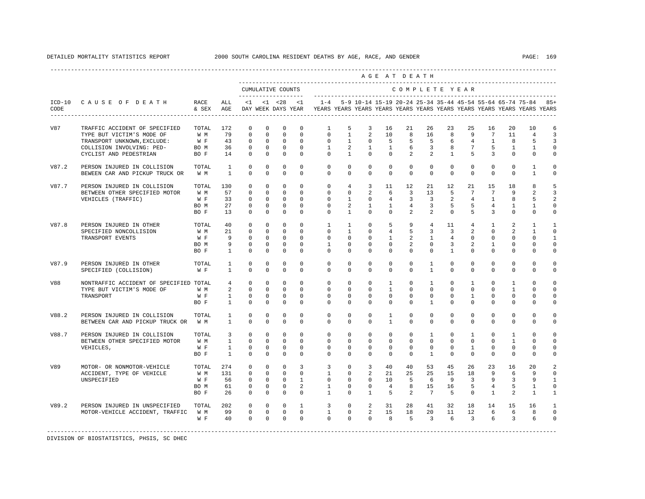|       |                                                                     |                   |                                   |                            |                             |                               |                                |                                                                                            |                              |                                  |                                | AGE AT DEATH                     |                                  |                            |                          |                                  |                            |                                                                   |                            |
|-------|---------------------------------------------------------------------|-------------------|-----------------------------------|----------------------------|-----------------------------|-------------------------------|--------------------------------|--------------------------------------------------------------------------------------------|------------------------------|----------------------------------|--------------------------------|----------------------------------|----------------------------------|----------------------------|--------------------------|----------------------------------|----------------------------|-------------------------------------------------------------------|----------------------------|
|       |                                                                     |                   |                                   |                            |                             | CUMULATIVE COUNTS             |                                |                                                                                            |                              |                                  |                                | COMPLETE YEAR                    |                                  |                            |                          |                                  |                            |                                                                   |                            |
| CODE  | ICD-10 CAUSE OF DEATH                                               | RACE<br>& SEX AGE | ALL                               |                            |                             |                               | $<1$ $<1$ $<28$ $<1$           | DAY WEEK DAYS YEAR TEARS YEARS YEARS YEARS YEARS YEARS YEARS YEARS YEARS YEARS YEARS YEARS |                              |                                  |                                |                                  |                                  |                            |                          |                                  |                            | 1-4 5-9 10-14 15-19 20-24 25-34 35-44 45-54 55-64 65-74 75-84 85+ |                            |
| V87   | TRAFFIC ACCIDENT OF SPECIFIED<br>TYPE BUT VICTIM'S MODE OF          | TOTAL<br>W M      | 172<br>79                         | $\mathbf 0$<br>$\Omega$    | $\mathbf 0$<br>$\Omega$     | $\mathbf 0$<br>$\Omega$       | $\mathbf 0$<br>$\Omega$        | $\mathbf{1}$<br>$\Omega$                                                                   | 5<br>$\overline{1}$          | 3<br>2                           | 16<br>10                       | 21<br>8                          | 26<br>16                         | 23<br>8                    | 25<br>9                  | 16<br>$7\phantom{.0}$            | 20<br>11                   | 10<br>$\overline{4}$                                              | 6<br>3                     |
|       | TRANSPORT UNKNOWN, EXCLUDE:<br>COLLISION INVOLVING: PED-            | W F<br>BO M       | 43<br>36                          | $\mathbb O$<br>$\mathbf 0$ | $\mathbf 0$<br>$\circ$      | $\mathbf 0$<br>$\overline{0}$ | $\mathbf 0$<br>$\mathbf{0}$    | $\mathbf{0}$<br>$\mathbf{1}$                                                               | $\mathbf{1}$<br>2            | $\overline{0}$<br>$\mathbf{1}$   | 5<br>$\mathbf{1}$              | 5<br>6                           | 5<br>$\overline{3}$              | 6<br>8                     | 4<br>$7^{\circ}$         | $\mathbf{1}$<br>5                | 8<br>1                     | 5<br>1                                                            | 3<br>$\mathbf 0$           |
|       | CYCLIST AND PEDESTRIAN                                              | BO F              | 14                                | $\mathbf{0}$               | $\mathbf{0}$                | $\circ$                       | $\Omega$                       | $\Omega$                                                                                   | $\mathbf{1}$                 | $\Omega$                         | 0                              | $\overline{2}$                   | $\overline{a}$                   | $\mathbf{1}$               | 5                        | 3                                | $\Omega$                   | $\Omega$                                                          | 0                          |
| V87.2 | PERSON INJURED IN COLLISION<br>BEWEEN CAR AND PICKUP TRUCK OR       | TOTAL<br>W M      | $\overline{1}$<br>$\overline{1}$  | $\Omega$<br>$\Omega$       | $\Omega$<br>$\Omega$        | $\Omega$<br>$\Omega$          | $\Omega$<br>$\Omega$           | $\Omega$<br>$\Omega$                                                                       | $\Omega$<br>$\Omega$         | $\Omega$<br>$\Omega$             | $\Omega$<br>$\Omega$           | $\Omega$<br>$\Omega$             | $\Omega$<br>$\Omega$             | $\Omega$<br>$\Omega$       | $\Omega$<br>$\Omega$     | $\Omega$<br>$\Omega$             | $\Omega$<br>$\Omega$       | 1<br>$\overline{1}$                                               | $\Omega$<br>$\circ$        |
| V87.7 | PERSON INJURED IN COLLISION<br>BETWEEN OTHER SPECIFIED MOTOR        | TOTAL<br>W M      | 130<br>57                         | $\Omega$<br>$\mathbf 0$    | $\Omega$<br>$\mathbf 0$     | $\Omega$<br>$\mathbf 0$       | $\Omega$<br>$\mathbf 0$        | $\Omega$<br>$\mathbf 0$                                                                    | 4<br>$\mathbf 0$             | $\overline{3}$<br>2              | 11<br>6                        | 12<br>$\overline{3}$             | 21<br>13                         | 12<br>-5                   | 21<br>$7\overline{ }$    | 15<br>$7\overline{ }$            | 18<br>9                    | 8<br>2                                                            | 5<br>3                     |
|       | VEHICLES (TRAFFIC)                                                  | W F<br>BO M       | 33<br>27                          | $\mathbf 0$<br>$\mathbf 0$ | $\Omega$<br>$\mathbf 0$     | $\Omega$<br>$\mathbf 0$       | $\Omega$<br>$\mathbf{0}$       | $\Omega$<br>$\Omega$                                                                       | $\mathbf{1}$<br>2            | $\Omega$<br>$\mathbf{1}$         | $\overline{4}$<br>$\mathbf{1}$ | $\overline{3}$<br>$\overline{4}$ | $\overline{3}$<br>$\overline{3}$ | 2<br>5                     | $\overline{4}$<br>5      | $\overline{1}$<br>$\overline{4}$ | 8<br>1                     | 5<br>$\mathbf{1}$                                                 | 2<br>$\Omega$              |
|       |                                                                     | BO F              | 13                                | $\mathbf 0$                | $\mathbf 0$                 | $\mathbf 0$                   | $\mathbf 0$                    | $\mathbf 0$                                                                                | $\mathbf{1}$                 | $\mathbf{0}$                     | $\mathbf 0$                    | 2                                | $\overline{a}$                   | $\circ$                    | 5                        | $\overline{3}$                   | $\mathbf 0$                | $\mathbf 0$                                                       | $\mathbf 0$                |
| V87.8 | PERSON INJURED IN OTHER                                             | TOTAL<br>W M      | 40<br>21                          | $\mathbf 0$<br>$\mathbf 0$ | $\mathbf 0$<br>$\mathbf 0$  | $\mathbf 0$<br>$\mathbf 0$    | $\mathbf 0$<br>$\Omega$        | $\mathbf{1}$<br>$\Omega$                                                                   | $\mathbf{1}$<br>$\mathbf{1}$ | $^{\circ}$<br>$\Omega$           | 5<br>$\overline{4}$            | 9<br>5                           | 4<br>3                           | 11<br>$\overline{3}$       | 4<br>$\overline{a}$      | $\mathbf{1}$<br>$\Omega$         | 2<br>2                     | $\mathbf{1}$<br>$\overline{1}$                                    | $\mathbf{1}$<br>$\Omega$   |
|       | SPECIFIED NONCOLLISION<br>TRANSPORT EVENTS                          | W F               | 9                                 | $\Omega$                   | $\Omega$                    | $\Omega$                      | $\Omega$                       | $\Omega$                                                                                   | $\Omega$                     | $\Omega$                         | $\mathbf{1}$                   | 2                                | $\overline{1}$                   | $\overline{4}$             | $\Omega$                 | $\Omega$                         | $\Omega$                   | $\Omega$                                                          | $\overline{1}$             |
|       |                                                                     | BO M<br>BO F      | 9<br>$\mathbf{1}$                 | $\mathbf 0$<br>$\mathbf 0$ | $\mathbf{0}$<br>$\mathbf 0$ | $\mathbf 0$<br>$\mathbf 0$    | $\mathbf 0$<br>$\Omega$        | $\mathbf{1}$<br>$\Omega$                                                                   | $\mathbf 0$<br>$\mathbf 0$   | $\mathbf 0$<br>$\Omega$          | $\mathbf 0$<br>$\mathbf 0$     | 2<br>$\Omega$                    | $\circ$<br>$\mathbf 0$           | 3<br>$\mathbf{1}$          | 2<br>$\mathbf 0$         | $\mathbf{1}$<br>$\Omega$         | $\mathbf 0$<br>$\mathbf 0$ | $\Omega$<br>$\Omega$                                              | $\mathbf 0$<br>$\circ$     |
| V87.9 | PERSON INJURED IN OTHER<br>SPECIFIED (COLLISION)                    | TOTAL<br>W F      | $\mathbf{1}$<br>$\mathbf{1}$      | $^{\circ}$<br>$\Omega$     | $^{\circ}$<br>$\Omega$      | $^{\circ}$<br>$\Omega$        | $\Omega$<br>$\Omega$           | $\mathbf 0$<br>$\Omega$                                                                    | 0<br>$\Omega$                | 0<br>$\Omega$                    | 0<br>$\Omega$                  | $\mathbf 0$<br>$\Omega$          | $\mathbf{1}$<br>$\mathbf{1}$     | 0<br>$\Omega$              | 0<br>$\Omega$            | 0<br>$\Omega$                    | $\mathbf{0}$<br>$\Omega$   | 0<br>$\Omega$                                                     | $\Omega$<br>$\Omega$       |
|       |                                                                     |                   |                                   |                            |                             |                               |                                |                                                                                            |                              |                                  |                                |                                  |                                  |                            |                          |                                  |                            |                                                                   |                            |
| V88   | NONTRAFFIC ACCIDENT OF SPECIFIED TOTAL<br>TYPE BUT VICTIM'S MODE OF | W M               | $4\overline{ }$<br>$\overline{a}$ | $\Omega$<br>$\mathbf 0$    | $\Omega$<br>$\circ$         | $\Omega$<br>$\overline{0}$    | $\Omega$<br>$\mathbf 0$        | $\Omega$<br>$\mathbf 0$                                                                    | $\Omega$<br>0                | $\Omega$<br>$^{\circ}$           | $\mathbf{1}$<br>1              | $\Omega$<br>$\mathbf 0$          | $\mathbf{1}$<br>$\mathbf{0}$     | $\Omega$<br>$\mathbf 0$    | $\mathbf{1}$<br>0        | $\Omega$<br>$\mathbf{0}$         | $\overline{1}$<br>1        | $\Omega$<br>$\mathbf{0}$                                          | $\Omega$<br>$\mathbf 0$    |
|       | TRANSPORT                                                           | W F               | $\mathbf{1}$                      | $\mathbf 0$                | $\mathbf 0$                 | $\overline{0}$                | $\Omega$                       | $\mathbf 0$                                                                                | $\Omega$                     | $^{\circ}$                       | 0                              | $\circ$                          | $\Omega$                         | $\mathbf{0}$               | 1                        | $\Omega$                         | $\mathbf{0}$               | $\Omega$                                                          | $\mathbf 0$                |
|       |                                                                     | BO F              | $\mathbf{1}$                      | $\Omega$                   | $\Omega$                    | $\Omega$                      | $\Omega$                       | $\Omega$                                                                                   | $\Omega$                     | $\Omega$                         | $\Omega$                       | $\mathbf 0$                      | 1                                | $\Omega$                   | $\Omega$                 | $\Omega$                         | $\Omega$                   | $\Omega$                                                          | $\Omega$                   |
| V88.2 | PERSON INJURED IN COLLISION<br>BETWEEN CAR AND PICKUP TRUCK OR      | TOTAL<br>W M      | $\mathbf{1}$<br>$\mathbf{1}$      | $\Omega$<br>$\Omega$       | $\Omega$<br>$\Omega$        | $\Omega$<br>$\Omega$          | $\Omega$<br>$\Omega$           | $\Omega$<br>$\Omega$                                                                       | $\Omega$<br>$\Omega$         | $\Omega$<br>$\Omega$             | $\mathbf{1}$<br>$\overline{1}$ | $\Omega$<br>$\Omega$             | $\Omega$<br>$\Omega$             | $\Omega$<br>$\Omega$       | $\Omega$<br>$\Omega$     | $\Omega$<br>$\Omega$             | $\Omega$<br>$\Omega$       | $\Omega$<br>$\Omega$                                              | $\Omega$<br>$\Omega$       |
| V88.7 | PERSON INJURED IN COLLISION                                         | TOTAL             | $\overline{3}$                    | $\mathbf{0}$               | $\mathbf{0}$                | $\mathbf 0$                   | $\mathbf 0$                    | $\mathbf 0$                                                                                | $\circ$                      | $\circ$                          | $\mathbf 0$                    | $\circ$                          | $\mathbf{1}$                     | $\circ$                    | $\mathbf{1}$             | $\circ$                          | $\mathbf{1}$               | $\mathbf{0}$                                                      | $\circ$                    |
|       | BETWEEN OTHER SPECIFIED MOTOR<br>VEHICLES,                          | W M<br>W F        | $\mathbf{1}$<br>$\mathbf{1}$      | $\mathbf 0$<br>$\mathbf 0$ | $\circ$<br>$\mathbf 0$      | $\overline{0}$<br>$\mathbf 0$ | $\Omega$<br>$\mathbf 0$        | $\mathbf{0}$<br>$\mathbf{0}$                                                               | $^{\circ}$<br>$^{\circ}$     | $^{\circ}$<br>$\mathbf 0$        | 0<br>0                         | $\mathbf 0$<br>$\mathbf 0$       | $\Omega$<br>$\mathbf{0}$         | $\mathbf 0$<br>$\mathbf 0$ | $\Omega$<br>$\mathbf{1}$ | $\Omega$<br>$\mathbf{0}$         | $\mathbf{1}$<br>$\circ$    | $\Omega$<br>$\mathbf{0}$                                          | $\Omega$<br>$\mathbf 0$    |
|       |                                                                     | BO F              | $\overline{1}$                    | $\Omega$                   | $\Omega$                    | $\Omega$                      | $\Omega$                       | $\Omega$                                                                                   | $\Omega$                     | $\Omega$                         | $\Omega$                       | $\Omega$                         | $\mathbf{1}$                     | $\Omega$                   | $\Omega$                 | $\Omega$                         | $\Omega$                   | $\Omega$                                                          | $\Omega$                   |
| V89   | MOTOR- OR NONMOTOR-VEHICLE                                          | TOTAL             | 274                               | $^{\circ}$                 | $\mathbf 0$                 | $\mathbf 0$                   | 3                              | 3                                                                                          | 0                            | 3                                | 40                             | 40                               | 53                               | 45                         | 26                       | 23                               | 16                         | 20                                                                | 2                          |
|       | ACCIDENT, TYPE OF VEHICLE<br>UNSPECIFIED                            | W M<br>W F        | 131<br>56                         | $\Omega$<br>$\mathbf 0$    | $\Omega$<br>$\mathbf{0}$    | $\Omega$<br>$\overline{0}$    | $\Omega$<br>$\mathbf{1}$       | $\overline{1}$<br>$\circ$                                                                  | $\Omega$<br>$\mathbf 0$      | $\overline{2}$<br>$\overline{0}$ | 21<br>10                       | 25<br>- 5                        | 25<br>6                          | 15<br>- 9                  | 18<br>$\overline{3}$     | 9<br>9                           | 6<br>3                     | 9<br>9                                                            | $\Omega$<br>$\overline{1}$ |
|       |                                                                     | BO M              | 61                                | $\mathbf 0$                | $\mathbf 0$                 | $\mathbf 0$                   | 2                              | $\mathbf{1}$                                                                               | $\mathbf 0$                  | $\mathbf{0}$                     | $\overline{4}$                 | 8                                | 15                               | 16                         | 5                        | $\overline{4}$                   | 5                          | 1                                                                 | $\mathbf 0$                |
|       |                                                                     | BO F              | 26                                | $\Omega$                   | $\mathbf 0$                 | $\Omega$                      | $\Omega$                       | $\mathbf{1}$                                                                               | $\Omega$                     | $\overline{1}$                   | - 5                            | $\overline{2}$                   | $7\overline{ }$                  | -5                         | $\Omega$                 | $\mathbf{1}$                     | 2                          | $\overline{1}$                                                    | $\mathbf{1}$               |
| V89.2 | PERSON INJURED IN UNSPECIFIED                                       | TOTAL             | 202<br>99                         | $\mathbf 0$                | $\circ$                     | $\overline{0}$                | $\mathbf{1}$<br>$\overline{0}$ | 3                                                                                          | $\circ$                      | $\overline{a}$                   | 31                             | 28                               | 41                               | 32                         | 18                       | 14                               | 15                         | 16                                                                | 1                          |
|       | MOTOR-VEHICLE ACCIDENT, TRAFFIC                                     | W M<br>W F        | 40                                | $\overline{0}$<br>$\Omega$ | $\Omega$                    | $0\qquad 0$<br>$\overline{0}$ | $\Omega$                       | $\mathbf{1}$<br>$\Omega$                                                                   | $\overline{0}$<br>$\Omega$   | $\overline{a}$<br>$\Omega$       | 15<br>8                        | 18<br>$5^{\circ}$                | 20<br>$\overline{3}$             | 11<br>$6\overline{6}$      | 12<br>$\overline{3}$     | 6<br>6                           | 6<br>3                     | 8<br>6                                                            | $\mathbf 0$<br>$\Omega$    |
|       |                                                                     |                   |                                   |                            |                             |                               |                                |                                                                                            |                              |                                  |                                |                                  |                                  |                            |                          |                                  |                            |                                                                   |                            |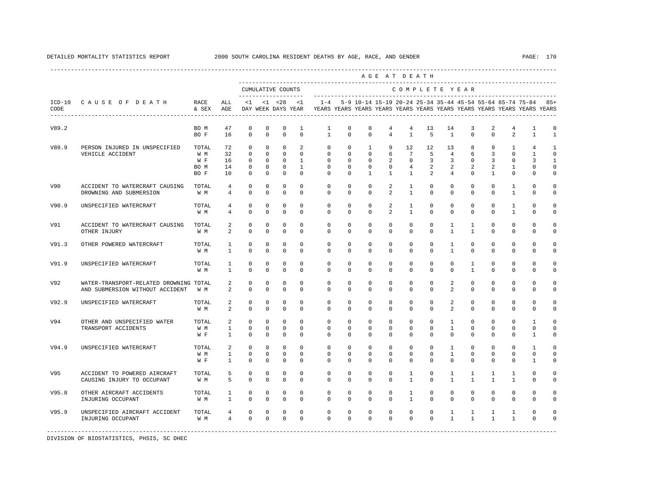|       |                                        |               |                 |             |              |                                           |              |                                                                                            |              |                                                                   |                | AGE AT DEATH    |                |                |                |                |                |              |              |
|-------|----------------------------------------|---------------|-----------------|-------------|--------------|-------------------------------------------|--------------|--------------------------------------------------------------------------------------------|--------------|-------------------------------------------------------------------|----------------|-----------------|----------------|----------------|----------------|----------------|----------------|--------------|--------------|
|       |                                        |               |                 |             |              | CUMULATIVE COUNTS<br>____________________ |              |                                                                                            |              |                                                                   |                |                 |                | COMPLETE YEAR  |                |                |                |              |              |
| CODE  | ICD-10 CAUSE OF DEATH                  | RACE<br>& SEX | ALL<br>AGE      | $\leq 1$    |              | $< 1$ $< 28$                              | < 1          | DAY WEEK DAYS YEAR TEARS YEARS YEARS YEARS YEARS YEARS YEARS YEARS YEARS YEARS YEARS YEARS |              | 1-4 5-9 10-14 15-19 20-24 25-34 35-44 45-54 55-64 65-74 75-84 85+ |                |                 |                |                |                |                |                |              |              |
| V89.2 |                                        | BO M          | 47              | $\mathbf 0$ | $\mathbf 0$  | $\mathbf 0$                               | $\mathbf{1}$ | $\mathbf{1}$                                                                               | $\mathbf 0$  | $\mathbf 0$                                                       | 4              | $\overline{4}$  | 13             | 14             | 3              | $\overline{2}$ | 4              | 1            | $\circ$      |
|       |                                        | BO F          | 16              | $\Omega$    | $\Omega$     | $\Omega$                                  | $\Omega$     | $\mathbf{1}$                                                                               | $\Omega$     | $\Omega$                                                          | $\overline{4}$ | $\overline{1}$  | 5              | $\overline{1}$ | $\Omega$       | $\Omega$       | $\overline{a}$ | $\mathbf{1}$ | $\mathbf{1}$ |
| V89.9 | PERSON INJURED IN UNSPECIFIED          | TOTAL         | 72              | $\mathbf 0$ | $\mathbf{0}$ | $\mathbf{0}$                              | 2            | $\circ$                                                                                    | $\mathbf 0$  | $\mathbf{1}$                                                      | 9              | 12              | 12             | 13             | 8              | 9              | 1              | 4            | 1            |
|       | VEHICLE ACCIDENT                       | W M           | 32              | $\mathbf 0$ | $\mathbf{0}$ | $\circ$                                   | $\mathbf 0$  | $\circ$                                                                                    | $\circ$      | $\circ$                                                           | 6              | $7\overline{ }$ | -5             | $\overline{4}$ | 6              | 3              | $\mathbf 0$    | $\mathbf{1}$ | $\Omega$     |
|       |                                        | W F           | 16              | $\mathbf 0$ | $\mathbf 0$  | $\mathbf{0}$                              | $\mathbf{1}$ | $\mathbf 0$                                                                                | $\Omega$     | $\Omega$                                                          | 2              | $\circ$         | 3              | 3              | $\Omega$       | 3              | $\Omega$       | 3            | $\mathbf{1}$ |
|       |                                        | BO M          | 14              | $\mathbf 0$ | $\mathbf{0}$ | $\mathbf{0}$                              | $\mathbf{1}$ | $\Omega$                                                                                   | $\Omega$     | $\Omega$                                                          | $\Omega$       | $\overline{4}$  | $\overline{a}$ | 2              | 2              | 2              | $\mathbf{1}$   | $\cap$       | $\Omega$     |
|       |                                        | BO F          | 10              | $\mathbf 0$ | $\mathbf 0$  | $\mathbf 0$                               | $\Omega$     | $\Omega$                                                                                   | $\Omega$     | $\mathbf{1}$                                                      | $\mathbf{1}$   | $\overline{1}$  | 2              | $\overline{4}$ | $\Omega$       | $\mathbf{1}$   | $\Omega$       | $\Omega$     | $\Omega$     |
| V90   | ACCIDENT TO WATERCRAFT CAUSING         | TOTAL         | $\overline{4}$  | $\mathbf 0$ | $\circ$      | $\mathbf 0$                               | $^{\circ}$   | $\mathbf 0$                                                                                | $\mathbf 0$  | $\mathbf 0$                                                       | $\overline{a}$ | $\mathbf{1}$    | $\mathbf{0}$   | $\mathbf 0$    | $\mathbf 0$    | $\mathbf 0$    | 1              | $\Omega$     | 0            |
|       | DROWNING AND SUBMERSION                | W M           | $\overline{4}$  | $\mathbf 0$ | $\mathbf 0$  | $\mathbf 0$                               | $\mathbf 0$  | $\Omega$                                                                                   | $\Omega$     | $\Omega$                                                          | $\overline{a}$ | $\mathbf{1}$    | 0              | $\Omega$       | $\Omega$       | $\Omega$       | $\mathbf{1}$   | $\Omega$     | $\mathbf 0$  |
| V90.9 | UNSPECIFIED WATERCRAFT                 | TOTAL         | $4\overline{ }$ | $\mathbf 0$ | $\mathbf 0$  | $\mathbf 0$                               | $^{\circ}$   | $\mathbf 0$                                                                                | $\mathbf 0$  | $\mathbf 0$                                                       | 2              | $\mathbf{1}$    | $\mathbf 0$    | $\mathbf 0$    | $\mathbf 0$    | $\mathbf 0$    | $\mathbf{1}$   | $\mathbf 0$  | $\circ$      |
|       |                                        | W M           | $\overline{4}$  | $\mathbf 0$ | $\mathbf 0$  | $\mathsf 0$                               | $\mathbf 0$  | $\mathbf 0$                                                                                | $\mathbf 0$  | $\mathbf 0$                                                       | $\overline{a}$ | $\mathbf{1}$    | $\mathbf 0$    | $\mathbf 0$    | $\mathbf 0$    | $\mathbf 0$    | $\mathbf{1}$   | $\mathbf 0$  | $\Omega$     |
| V91   | ACCIDENT TO WATERCRAFT CAUSING         | TOTAL         | 2               | $\mathbf 0$ | $\mathbf 0$  | $\mathbf 0$                               | $\mathbf 0$  | 0                                                                                          | $\mathbf 0$  | $\mathbf 0$                                                       | $\mathbf 0$    | 0               | 0              | $\mathbf{1}$   | 1              | $\mathbf 0$    | $\mathbf 0$    | 0            | $\Omega$     |
|       | OTHER INJURY                           | W M           | 2               | $\mathbf 0$ | $\mathbf 0$  | $\mathbf 0$                               | $\mathbf 0$  | $\mathbf 0$                                                                                | $\mathbf 0$  | $\Omega$                                                          | $\mathbf 0$    | $\mathbf 0$     | $\mathbf 0$    | $\mathbf{1}$   | $\mathbf{1}$   | $\Omega$       | $\mathbf 0$    | $\Omega$     | $\Omega$     |
| V91.3 | OTHER POWERED WATERCRAFT               | TOTAL         | $\mathbf{1}$    | $\mathbf 0$ | $\mathbf 0$  | $\mathbf 0$                               | $\mathbf 0$  | $\mathbf 0$                                                                                | $\mathbf 0$  | 0                                                                 | $\mathbf 0$    | $\mathbf 0$     | $\mathbf 0$    | $\mathbf{1}$   | $\mathbf 0$    | $\mathbf 0$    | $\mathbf 0$    | $\mathbf 0$  | $\Omega$     |
|       |                                        | W M           | $\mathbf{1}$    | $\mathbf 0$ | $\mathbf 0$  | $\mathbf 0$                               | $\mathbf 0$  | $\mathbf 0$                                                                                | $\mathbf 0$  | $\mathbf 0$                                                       | $\mathbf 0$    | $\mathbf 0$     | $\mathbf 0$    | $\mathbf{1}$   | $\mathbf 0$    | $\Omega$       | $\mathbf 0$    | $\mathbf 0$  | $\circ$      |
| V91.9 | UNSPECIFIED WATERCRAFT                 | TOTAL         | 1               | 0           | $^{\circ}$   | $^{\circ}$                                | $\mathbf 0$  | $^{\circ}$                                                                                 | $^{\circ}$   | 0                                                                 | 0              | 0               | 0              | $\mathbf{0}$   | $\mathbf{1}$   | 0              | 0              | 0            | $\circ$      |
|       |                                        | W M           | $\mathbf{1}$    | $\Omega$    | $\Omega$     | $\mathbf 0$                               | $\Omega$     | $\Omega$                                                                                   | $\Omega$     | $\Omega$                                                          | $\Omega$       | $\Omega$        | $\Omega$       | $\Omega$       | $\mathbf{1}$   | $\Omega$       | $\Omega$       | $\Omega$     | $\Omega$     |
| V92   | WATER-TRANSPORT-RELATED DROWNING TOTAL |               | 2               | $\mathbf 0$ | $\mathbf 0$  | $\mathbf 0$                               | $\mathbf 0$  | $\Omega$                                                                                   | $\Omega$     | $\Omega$                                                          | $\Omega$       | $\Omega$        | $\Omega$       | 2              | $\Omega$       | $\Omega$       | $\Omega$       | $\Omega$     | $\Omega$     |
|       | AND SUBMERSION WITHOUT ACCIDENT        | WM.           | 2               | $\mathbf 0$ | 0            | $\mathbf 0$                               | $^{\circ}$   | $\mathbf 0$                                                                                | 0            | 0                                                                 | 0              | $\mathbf{0}$    | 0              | 2              | 0              | 0              | $\mathbf{0}$   | $\Omega$     | $\Omega$     |
| V92.9 | UNSPECIFIED WATERCRAFT                 | TOTAL         | 2               | $\mathbf 0$ | $\mathbf 0$  | 0                                         | $\mathbf 0$  | $\mathbf 0$                                                                                | $\mathbf{0}$ | 0                                                                 | 0              | $\mathbf 0$     | $\mathbf 0$    | 2              | $\mathbf 0$    | $\mathbf 0$    | $\mathbf 0$    | $\mathbf 0$  | $\circ$      |
|       |                                        | W M           | 2               | $\mathbf 0$ | $\mathbf 0$  | $\mathbf 0$                               | $\Omega$     | $\Omega$                                                                                   | $\mathbf 0$  | $\Omega$                                                          | 0              | $\Omega$        | $\Omega$       | 2              | $\Omega$       | $\Omega$       | $\Omega$       | $\Omega$     | $\Omega$     |
| V94   | OTHER AND UNSPECIFIED WATER            | TOTAL         | 2               | $\Omega$    | $\Omega$     | $\Omega$                                  | $\Omega$     | $\Omega$                                                                                   | $\Omega$     | $\Omega$                                                          | $\Omega$       | $\Omega$        | $\Omega$       | $\mathbf{1}$   | $\Omega$       | $\Omega$       | $\Omega$       | $\mathbf{1}$ | $\cap$       |
|       | TRANSPORT ACCIDENTS                    | W M           | 1               | $\mathbf 0$ | 0            | $\mathbf 0$                               | $\mathbf 0$  | 0                                                                                          | 0            | 0                                                                 | 0              | 0               | 0              | $\mathbf{1}$   | 0              | 0              | 0              | $\mathbf 0$  | $\Omega$     |
|       |                                        | W F           | 1               | $\mathbf 0$ | $\mathbf 0$  | $\mathbf 0$                               | $^{\circ}$   | $\mathbf{0}$                                                                               | 0            | 0                                                                 | 0              | $\mathbf{0}$    | 0              | $\mathbf{0}$   | 0              | $\Omega$       | 0              | 1            | $\Omega$     |
| V94.9 | UNSPECIFIED WATERCRAFT                 | TOTAL         | 2               | $\mathbf 0$ | $\mathbf 0$  | $\mathbf 0$                               | $\Omega$     | $\mathbf 0$                                                                                | $\Omega$     | $\Omega$                                                          | $\Omega$       | $\Omega$        | $\Omega$       | $\mathbf{1}$   | $\Omega$       | $\Omega$       | $\Omega$       | $\mathbf{1}$ | $\Omega$     |
|       |                                        | W M           | $\mathbf{1}$    | $\Omega$    | $\Omega$     | $\mathbf 0$                               | $\Omega$     | $\Omega$                                                                                   | $\Omega$     | $\Omega$                                                          | $\Omega$       | $\Omega$        | $\Omega$       | $\mathbf{1}$   | $\Omega$       | $\Omega$       | $\Omega$       | $\Omega$     | $\Omega$     |
|       |                                        | W F           | $\mathbf{1}$    | $\mathbb O$ | $\mathbf 0$  | $\mathbb O$                               | $\mathbf 0$  | $\mathbf 0$                                                                                | $\mathbf 0$  | $\mathbf 0$                                                       | 0              | $\mathbf 0$     | $\mathbf 0$    | $\mathbf 0$    | $\mathbf 0$    | $\mathbf 0$    | $\mathbf 0$    | $\mathbf{1}$ | $\Omega$     |
| V95   | ACCIDENT TO POWERED AIRCRAFT           | TOTAL         | 5               | $\mathbf 0$ | $\mathbf 0$  | $\mathbf 0$                               | $^{\circ}$   | $\mathbf 0$                                                                                | $\mathbf 0$  | $\mathbf 0$                                                       | 0              | $\mathbf{1}$    | $\mathbf{0}$   | 1              | 1              | 1              | 1              | $\mathbf 0$  | $\Omega$     |
|       | CAUSING INJURY TO OCCUPANT             | W M           | 5               | $\mathbf 0$ | $\mathbf 0$  | $\mathbf 0$                               | $\mathbf 0$  | $\mathbf 0$                                                                                | $\mathbf 0$  | $\mathbf 0$                                                       | $\mathbf 0$    | 1               | $\mathbf 0$    | $\mathbf{1}$   | $\overline{1}$ | $\overline{1}$ | $\mathbf{1}$   | $\Omega$     | $\Omega$     |
| V95.8 | OTHER AIRCRAFT ACCIDENTS               | TOTAL         | $\mathbf{1}$    | $\mathbf 0$ | $\mathbf 0$  | $\mathbf 0$                               | $\mathbf{0}$ | $\mathbf 0$                                                                                | $\mathbf 0$  | $\mathbf 0$                                                       | $\mathbf 0$    | $\mathbf{1}$    | $\mathbf 0$    | $\mathbf 0$    | $\mathbf 0$    | $\mathbf 0$    | $\mathbf 0$    | $\mathbf 0$  | $\Omega$     |
|       | INJURING OCCUPANT                      | W M           | $\mathbf{1}$    | $\mathbb O$ | $\mathsf 0$  | $\mathbb O$                               | $\mathbf 0$  | $\mathbf 0$                                                                                | $\mathbf 0$  | $\mathbf 0$                                                       | $\mathbf 0$    | $\mathbf{1}$    | $\Omega$       | $\mathbf 0$    | $\Omega$       | $\Omega$       | $\mathbf 0$    | $\Omega$     | $\Omega$     |
| V95.9 | UNSPECIFIED AIRCRAFT ACCIDENT          | TOTAL         | 4               | $\mathbf 0$ | $\mathbf 0$  | 0                                         | $\mathbf 0$  | 0                                                                                          | $\mathbf 0$  | 0                                                                 | 0              | 0               | 0              | 1              | $\mathbf{1}$   | 1              | 1              | 0            | $\Omega$     |
|       | INJURING OCCUPANT                      | W M           | $\overline{4}$  | $\mathbf 0$ | $\mathbf{0}$ | $\mathbf{0}$                              | $\Omega$     | $\Omega$                                                                                   | $\Omega$     | $\Omega$                                                          | $\Omega$       | $\Omega$        | $\Omega$       | $\mathbf{1}$   | $\mathbf{1}$   | $\mathbf{1}$   | $\mathbf{1}$   | $\Omega$     | $\Omega$     |
|       |                                        |               |                 |             |              |                                           |              |                                                                                            |              |                                                                   |                |                 |                |                |                |                |                |              |              |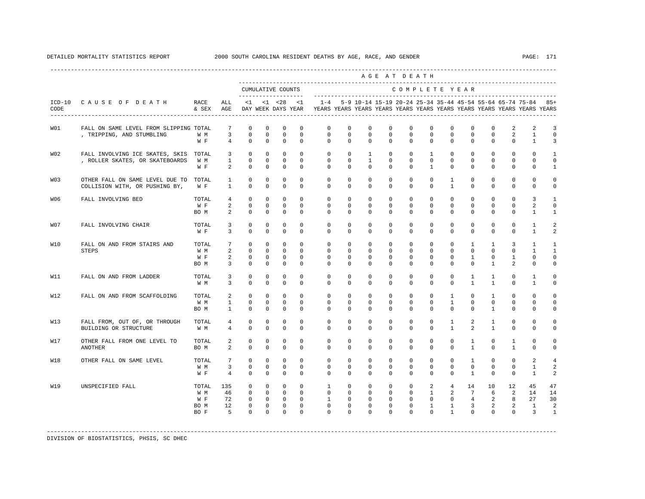|                  |                                        |                      |                 | CUMULATIVE COUNTS           |             |                | $- - - -$    |              |              | ---------------------------                               |             |              |                | COMPLETE YEAR  |                 |              |              | --------------------------                                              |                         |
|------------------|----------------------------------------|----------------------|-----------------|-----------------------------|-------------|----------------|--------------|--------------|--------------|-----------------------------------------------------------|-------------|--------------|----------------|----------------|-----------------|--------------|--------------|-------------------------------------------------------------------------|-------------------------|
| $ICD-10$<br>CODE | CAUSE OF DEATH                         | <b>RACE</b><br>& SEX | ALL<br>AGE      | $<$ 1<br>DAY WEEK DAYS YEAR |             | $< 1$ $< 28$   | <1           | $1 - 4$      |              | 5-9 10-14 15-19 20-24 25-34 35-44 45-54 55-64 65-74 75-84 |             |              |                |                |                 |              |              | YEARS YEARS YEARS YEARS YEARS YEARS YEARS YEARS YEARS YEARS YEARS YEARS | $85+$                   |
|                  |                                        |                      |                 |                             |             |                |              |              |              |                                                           |             |              |                |                |                 |              |              |                                                                         |                         |
| WO1              | FALL ON SAME LEVEL FROM SLIPPING TOTAL |                      | 7               | $\Omega$                    | $\Omega$    | $\Omega$       | $\mathbf 0$  | $\mathbf 0$  | $\mathbf 0$  | $\mathbf 0$                                               | $\mathbf 0$ | $\mathbf 0$  | $\mathbf 0$    | $\mathbf 0$    | $\mathbf 0$     | $\mathbf 0$  | 2            | 2                                                                       | $\overline{3}$          |
|                  | , TRIPPING, AND STUMBLING              | W M                  | $\overline{3}$  | $\mathbf 0$                 | $\Omega$    | $\mathbf 0$    | $\mathbf 0$  | $\mathbf 0$  | $\Omega$     | $\Omega$                                                  | $\Omega$    | $\mathbf 0$  | $\mathbf 0$    | $\circ$        | $\mathbf 0$     | $\mathbf 0$  | 2            | $\mathbf{1}$                                                            | $\mathsf{O}\xspace$     |
|                  |                                        | W F                  | $\overline{4}$  | $\mathbf 0$                 | $\mathbf 0$ | $\mathbf{0}$   | $\Omega$     | $\mathbf 0$  | $\Omega$     | $\mathbf 0$                                               | $\mathbf 0$ | $\mathbf 0$  | $\mathbf{0}$   | $\mathbf 0$    | $\mathbf 0$     | $\mathbf 0$  | $\mathbf{0}$ | $\mathbf{1}$                                                            | 3                       |
| W02              | FALL INVOLVING ICE SKATES, SKIS        | TOTAL                | 3               | $\Omega$                    | $\Omega$    | $\Omega$       | $\Omega$     | $\Omega$     | $\Omega$     | $\mathbf{1}$                                              | $\Omega$    | $\Omega$     | $\overline{1}$ | $\Omega$       | $\Omega$        | $\Omega$     | $\Omega$     | $\Omega$                                                                | $\mathbf{1}$            |
|                  | , ROLLER SKATES, OR SKATEBOARDS        | W M                  | $\mathbf{1}$    | $\mathbf 0$                 | $\mathbf 0$ | $\mathbf 0$    | $\mathbf 0$  | $\mathbf 0$  | $\mathbf 0$  | $\mathbf{1}$                                              | $\mathbf 0$ | $\mathbf{0}$ | $\mathbf 0$    | $\mathbf 0$    | $\mathbf 0$     | $\mathbf 0$  | $\mathbf 0$  | $\mathbf 0$                                                             | $\mathbf 0$             |
|                  |                                        | W F                  | $\overline{a}$  | $\mathbf 0$                 | $\mathbf 0$ | $\mathbf{0}$   | $\Omega$     | $\Omega$     | $\Omega$     | $\Omega$                                                  | $\Omega$    | $\Omega$     | $\mathbf{1}$   | $\mathbf 0$    | $\mathbf 0$     | $\mathbf 0$  | $\mathbf 0$  | $\mathbf 0$                                                             | $\mathbf{1}$            |
| WO3              | OTHER FALL ON SAME LEVEL DUE TO        | TOTAL                | $\mathbf{1}$    | $\mathbf 0$                 | $\mathbf 0$ | $\mathbf 0$    | $\mathbf 0$  | $\mathbf{0}$ | $\mathbf 0$  | $\mathbf 0$                                               | $\mathbf 0$ | $\mathbf{0}$ | $\circ$        | $\mathbf{1}$   | $\mathbf{0}$    | $\mathbf 0$  | $\mathbf 0$  | $\mathbf 0$                                                             | $\mathbf 0$             |
|                  | COLLISION WITH, OR PUSHING BY,         | W F                  | $\mathbf{1}$    | $\Omega$                    | $\Omega$    | $\Omega$       | $\Omega$     | $\Omega$     | $\Omega$     | $\Omega$                                                  | $\Omega$    | $\Omega$     | $\Omega$       | $\mathbf{1}$   | $\Omega$        | $\Omega$     | $\Omega$     | $\Omega$                                                                | $\mathbf 0$             |
| W06              | FALL INVOLVING BED                     | TOTAL                | 4               | $\mathbf 0$                 | $\mathbf 0$ | $\mathbf 0$    | $\Omega$     | $\Omega$     | $\Omega$     | $\Omega$                                                  | $\Omega$    | $\Omega$     | $\mathbf{0}$   | $\mathbf 0$    | $\mathbf 0$     | $\Omega$     | $\Omega$     | 3                                                                       | 1                       |
|                  |                                        | W F                  | 2               | $\mathbf 0$                 | $\mathbf 0$ | $\mathbf 0$    | $\mathbf 0$  | $\mathbf 0$  | $\mathbf 0$  | $\mathbf 0$                                               | $\mathbf 0$ | $\mathbf 0$  | $\mathbf{0}$   | $\mathbf 0$    | $\mathbf 0$     | $\mathbf 0$  | $\mathbf 0$  | 2                                                                       | $\mathbf 0$             |
|                  |                                        | BO M                 | 2               | $\Omega$                    | $\Omega$    | $\Omega$       | $\Omega$     | $\Omega$     | $\Omega$     | $\Omega$                                                  | $\Omega$    | $\Omega$     | $\Omega$       | $\Omega$       | $\Omega$        | $\Omega$     | $\Omega$     | $\mathbf{1}$                                                            | $\mathbf{1}$            |
| <b>W07</b>       | FALL INVOLVING CHAIR                   | TOTAL                | 3               | $\mathbf 0$                 | $\mathbf 0$ | $\mathbf 0$    | $\mathbf 0$  | $\mathbf 0$  | $\mathbf 0$  | $\mathbf 0$                                               | $\mathbf 0$ | $\mathbf{0}$ | $\mathbf 0$    | $\mathbf 0$    | $\mathbf 0$     | $\mathbf 0$  | 0            | $\mathbf{1}$                                                            | $\overline{a}$          |
|                  |                                        | W F                  | $\overline{3}$  | $\Omega$                    | $\Omega$    | $\Omega$       | $\Omega$     | $\Omega$     | $\Omega$     | $\Omega$                                                  | $\Omega$    | $\Omega$     | $\Omega$       | $\Omega$       | $\Omega$        | $\Omega$     | $\Omega$     | $\mathbf{1}$                                                            | 2                       |
|                  |                                        |                      |                 |                             |             |                |              |              |              |                                                           |             |              |                |                |                 |              |              |                                                                         |                         |
| W10              | FALL ON AND FROM STAIRS AND            | TOTAL                | 7               | $\mathbf 0$                 | $\mathbf 0$ | $\mathbf 0$    | $\mathbf 0$  | $\mathbf 0$  | $\mathbf 0$  | $\mathbf 0$                                               | $\mathbf 0$ | $\mathbf{0}$ | $\mathbf{0}$   | $\mathbf 0$    | $\mathbf{1}$    | $\mathbf{1}$ | 3            | 1                                                                       | 1                       |
|                  | <b>STEPS</b>                           | W M                  | 2               | $\mathbf 0$                 | $\Omega$    | $\mathbf 0$    | $\Omega$     | $\Omega$     | $\Omega$     | $\Omega$                                                  | $\mathbf 0$ | $\mathbf 0$  | $\mathbf{0}$   | $\mathbf 0$    | $\mathbf 0$     | $\Omega$     | $\mathbf 0$  | $\mathbf{1}$                                                            | $\mathbf{1}$            |
|                  |                                        | W F                  | $\overline{a}$  | $\mathbf 0$                 | $\mathbf 0$ | $\mathbf{0}$   | $\mathbf{0}$ | $\mathbf 0$  | $\mathbf 0$  | $\mathbf 0$                                               | $\mathbf 0$ | $\mathbf 0$  | $\mathbf{0}$   | $\mathbf 0$    | $\mathbf{1}$    | $\mathbf 0$  | $\mathbf{1}$ | $\mathbf 0$                                                             | $\mathbf 0$             |
|                  |                                        | BO M                 | 3               | $\mathbf 0$                 | $\mathbf 0$ | $\mathbf 0$    | $\Omega$     | $\Omega$     | $\mathbf 0$  | $\Omega$                                                  | $\mathbf 0$ | $\Omega$     | $\mathbf 0$    | $\Omega$       | $\mathbf 0$     | $\mathbf{1}$ | 2            | $\circ$                                                                 | $\mathsf 0$             |
| W11              | FALL ON AND FROM LADDER                | TOTAL                | 3               | $\Omega$                    | $\Omega$    | $\Omega$       | $\Omega$     | $\Omega$     | $\Omega$     | $\Omega$                                                  | $\Omega$    | $\mathbf 0$  | $\mathbf{0}$   | $\circ$        | $\mathbf{1}$    | $\mathbf{1}$ | $\mathbf{0}$ | $\mathbf{1}$                                                            | $\mathbf 0$             |
|                  |                                        | W M                  | 3               | $\Omega$                    | $\Omega$    | $\Omega$       | $\Omega$     | $\Omega$     | $\Omega$     | $\Omega$                                                  | $\Omega$    | $\Omega$     | $\Omega$       | $\Omega$       | $\mathbf{1}$    | $\mathbf{1}$ | $\Omega$     | $\mathbf{1}$                                                            | $\circ$                 |
| W12              | FALL ON AND FROM SCAFFOLDING           | TOTAL                | $\overline{a}$  | $\mathbf 0$                 | $\mathbf 0$ | $\mathbf{0}$   | $\Omega$     | $\mathbf 0$  | $\mathbf 0$  | $\Omega$                                                  | $\Omega$    | $\Omega$     | $\circ$        | $\mathbf{1}$   | $\mathbf 0$     | $\mathbf{1}$ | $\mathbf 0$  | $\Omega$                                                                | $\mathbf 0$             |
|                  |                                        | W M                  | $\mathbf{1}$    | $\mathbf 0$                 | $\mathbf 0$ | $\mathbf 0$    | $\mathbf 0$  | $\mathbf 0$  | $\mathbf 0$  | $\mathbf 0$                                               | $\mathbf 0$ | $\mathbf 0$  | $\mathbf 0$    | $\mathbf{1}$   | $\mathbf 0$     | $\mathbb O$  | 0            | 0                                                                       | $\mathsf 0$             |
|                  |                                        | BO M                 | $\mathbf{1}$    | $\mathbf 0$                 | $\mathbf 0$ | $\mathbf{0}$   | $\mathbf 0$  | $\mathbf 0$  | $\mathbf 0$  | $\mathbf 0$                                               | $\mathbf 0$ | $\mathbf 0$  | $\mathbf 0$    | $\mathbf 0$    | $\mathbf 0$     | $\mathbf{1}$ | $\mathbf 0$  | $\mathbf 0$                                                             | $\mathbf 0$             |
| W13              | FALL FROM, OUT OF, OR THROUGH          | TOTAL                | $\overline{4}$  | $\mathbf 0$                 | $\mathbf 0$ | $\Omega$       | $\Omega$     | 0            | $\mathbf 0$  | $\mathbf 0$                                               | $\mathbf 0$ | $\mathbf 0$  | $\mathbf{0}$   | $\mathbf{1}$   | $\overline{a}$  | $\mathbf{1}$ | $\mathbf 0$  | $\mathbf 0$                                                             | $\circ$                 |
|                  | BUILDING OR STRUCTURE                  | W M                  | $\overline{4}$  | $\mathbf 0$                 | $\mathbf 0$ | $\mathbf 0$    | $\mathbf 0$  | 0            | $\mathbf 0$  | $\mathbf 0$                                               | $\mathbf 0$ | $\mathbf 0$  | $\mathbf 0$    | $\mathbf{1}$   | $\overline{a}$  | $\mathbf{1}$ | $\mathbf 0$  | $\mathbf 0$                                                             | $\mathbf 0$             |
| W17              | OTHER FALL FROM ONE LEVEL TO           | TOTAL                | 2               | $\mathbf 0$                 | $\Omega$    | $\mathbf 0$    | $\Omega$     | $\mathbf 0$  | $\Omega$     | $\Omega$                                                  | $\mathbf 0$ | $\circ$      | $\mathbf 0$    | $\circ$        | $\mathbf{1}$    | $\mathbf 0$  | $\mathbf{1}$ | $\mathbf 0$                                                             | $\mathbf 0$             |
|                  | ANOTHER                                | BO M                 | 2               | $\Omega$                    | $\Omega$    | $\Omega$       | $\Omega$     | $\Omega$     | $\Omega$     | $\Omega$                                                  | $\Omega$    | $\Omega$     | $\Omega$       | $\circ$        | $\mathbf{1}$    | $\Omega$     | $\mathbf{1}$ | $\mathbf 0$                                                             | $\circ$                 |
| W18              | OTHER FALL ON SAME LEVEL               | TOTAL                | $7\phantom{.0}$ | $\mathbf 0$                 | $\Omega$    | $\mathbf{0}$   | $\Omega$     | $\mathbf 0$  | $\mathbf 0$  | $\Omega$                                                  | $\mathbf 0$ | $\circ$      | $\circ$        | $\circ$        | $\mathbf{1}$    | $\mathbf 0$  | $\mathbf 0$  | 2                                                                       | $\overline{4}$          |
|                  |                                        | W M                  | 3               | $\mathbf 0$                 | $\mathbf 0$ | $^{\circ}$     | $^{\circ}$   | 0            | $\mathbf 0$  | $\mathbf 0$                                               | $\mathbf 0$ | $\circ$      | $\mathbf 0$    | $\mathbf 0$    | $\mathbf 0$     | $\mathbf 0$  | $\mathbb O$  | $\mathbf{1}$                                                            | $\overline{\mathbf{c}}$ |
|                  |                                        | W F                  | $\overline{4}$  | $\mathbf 0$                 | $\mathbf 0$ | $\mathbf{0}$   | $\mathbf{0}$ | $\mathbf 0$  | $\mathbf 0$  | $\mathbf 0$                                               | $\mathbf 0$ | $\mathbf 0$  | $\mathbf 0$    | $\mathbf 0$    | $\mathbf{1}$    | $\mathbf 0$  | $\mathbf 0$  | $\mathbf{1}$                                                            | $\overline{\mathbf{c}}$ |
| W19              | UNSPECIFIED FALL                       | TOTAL                | 135             | $\mathbf 0$                 | $\mathbf 0$ | $\mathbf 0$    | $\Omega$     | $\mathbf{1}$ | $\mathbf{0}$ | $\mathbf{0}$                                              | $\mathbf 0$ | $\mathbf 0$  | 2              | $\overline{4}$ | 14              | 10           | 12           | 45                                                                      | 47                      |
|                  |                                        | W M                  | 46              | $\mathbf 0$                 | $\mathbf 0$ | $\circ$        | $^{\circ}$   | $\mathbf 0$  | $\mathbf 0$  | $\mathbf 0$                                               | $\mathbf 0$ | $\circ$      | $\mathbf{1}$   | 2              | $7\overline{ }$ | 6            | 2            | 14                                                                      | 14                      |
|                  |                                        | W F                  | 72              | $\mathbf 0$                 | $\mathbf 0$ | $\overline{0}$ | $^{\circ}$   | $\mathbf{1}$ | $\mathbf 0$  | $\mathbf 0$                                               | $\mathbf 0$ | $\mathbf 0$  | $\circ$        | $\circ$        | $\overline{4}$  | 2            | 8            | 27                                                                      | 30                      |
|                  |                                        | BO M                 | 12              | $\mathbf 0$                 | $\mathbf 0$ | $\mathbf 0$    | $\Omega$     | $\Omega$     | $\Omega$     | $\Omega$                                                  | $\mathbf 0$ | $\mathbf{0}$ | $\mathbf{1}$   | $\mathbf{1}$   | $\overline{3}$  | 2            | 2            | $\mathbf{1}$                                                            | $\overline{a}$          |
|                  |                                        | BO F                 | 5               | $\Omega$                    | $\Omega$    | $\mathbf 0$    | $\Omega$     | $\Omega$     | $\Omega$     | $\Omega$                                                  | $\Omega$    | $\Omega$     | $\Omega$       | $\mathbf{1}$   | $\mathbf 0$     | $\Omega$     | $\Omega$     | 3                                                                       | $\mathbf{1}$            |
|                  |                                        |                      |                 |                             |             |                |              |              |              |                                                           |             |              |                |                |                 |              |              |                                                                         |                         |

-----------------------------------------------------------------------------------------------------------------------------------------------------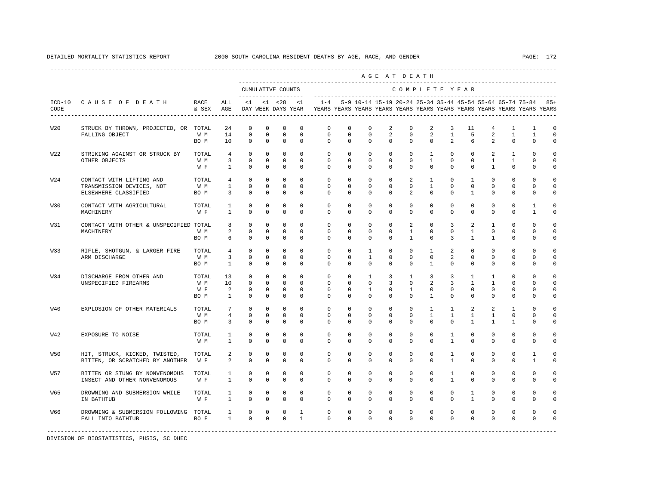|            |                                                                  |                             |                                                     |                                                      |                                                    |                                                            |                                              |                                                                                                                                                                                  |                                                  |                                                          |                                             | AGE AT DEATH                                        |                                                              |                                                          |                                                         |                                                        |                                                    |                                              |                                   |
|------------|------------------------------------------------------------------|-----------------------------|-----------------------------------------------------|------------------------------------------------------|----------------------------------------------------|------------------------------------------------------------|----------------------------------------------|----------------------------------------------------------------------------------------------------------------------------------------------------------------------------------|--------------------------------------------------|----------------------------------------------------------|---------------------------------------------|-----------------------------------------------------|--------------------------------------------------------------|----------------------------------------------------------|---------------------------------------------------------|--------------------------------------------------------|----------------------------------------------------|----------------------------------------------|-----------------------------------|
|            |                                                                  |                             |                                                     |                                                      |                                                    | CUMULATIVE COUNTS                                          |                                              |                                                                                                                                                                                  |                                                  |                                                          |                                             | COMPLETE YEAR                                       |                                                              |                                                          |                                                         |                                                        |                                                    |                                              |                                   |
| CODE       | ICD-10 CAUSE OF DEATH                                            | RACE<br>& SEX AGE           | ALL                                                 |                                                      |                                                    |                                                            |                                              | <1 <28 <1 -28 <1 -4 5-9 10-14 15-19 20-24 25-34 35-44 45-54 55-64 65-74 75-84 85+<br>DAY WEEK DAYS YEAR TYEARS YEARS YEARS YEARS YEARS YEARS YEARS YEARS YEARS YEARS YEARS YEARS |                                                  |                                                          |                                             |                                                     |                                                              |                                                          |                                                         |                                                        |                                                    |                                              |                                   |
| <b>W20</b> | STRUCK BY THROWN, PROJECTED, OR TOTAL                            |                             | 24                                                  | $\mathbb O$                                          | $\mathbf 0$                                        | $\mathbf 0$                                                | $\mathbf 0$                                  | $\mathbf 0$                                                                                                                                                                      | $\mathbf 0$                                      | $\mathbf 0$                                              | 2                                           | $\mathbf 0$                                         | 2                                                            | 3                                                        | 11                                                      | $\overline{4}$                                         | $\mathbf{1}$                                       | $\mathbf{1}$                                 | $\mathbf 0$                       |
|            | FALLING OBJECT                                                   | W M<br>BO M                 | 14<br>10                                            | $\mathbf{0}$<br>$\circ$                              | $\mathbf{0}$<br>$\mathbf 0$                        | $\circ$<br>$\mathbf 0$                                     | $\mathbf{0}$<br>$\mathbf 0$                  | $\circ$<br>$\Omega$                                                                                                                                                              | $\circ$<br>$\Omega$                              | $\circ$<br>$\Omega$                                      | $\overline{2}$<br>$\Omega$                  | $\mathbf{0}$<br>$\Omega$                            | 2<br>$\Omega$                                                | $\mathbf{1}$<br>$\overline{2}$                           | 5<br>6                                                  | $\overline{2}$<br>2                                    | $\mathbf{1}$<br>$\Omega$                           | $\mathbf{1}$<br>$\mathbf 0$                  | $\mathbf 0$<br>$\mathbf 0$        |
| W22        | STRIKING AGAINST OR STRUCK BY                                    | TOTAL                       | $\overline{4}$                                      | $\Omega$                                             | $\Omega$                                           | $\Omega$                                                   | $\Omega$                                     | $\Omega$                                                                                                                                                                         | $\Omega$                                         | $\Omega$                                                 | $\Omega$                                    | $\Omega$                                            | $\overline{1}$                                               | $\Omega$                                                 | $\Omega$                                                | 2                                                      | $\overline{1}$                                     | $\Omega$                                     | $\Omega$                          |
|            | OTHER OBJECTS                                                    | W M<br>W F                  | $\overline{3}$<br>$\mathbf{1}$                      | 0<br>$\Omega$                                        | 0<br>$\mathbf 0$                                   | $\mathbf 0$<br>$\mathbf 0$                                 | 0<br>$\Omega$                                | $\mathsf{O}$<br>$\Omega$                                                                                                                                                         | 0<br>$\mathbf 0$                                 | 0<br>$\mathbf 0$                                         | 0<br>$\mathbf 0$                            | $\mathsf{O}$<br>$\Omega$                            | $\mathbf{1}$<br>$\mathbf 0$                                  | $\mathbf 0$<br>$\Omega$                                  | $\mathbf 0$<br>$\mathbf 0$                              | $\mathbf{1}$<br>$\mathbf{1}$                           | $\mathbf{1}$<br>$\mathbf 0$                        | 0<br>0                                       | $\mathbf 0$<br>0                  |
| W24        | CONTACT WITH LIFTING AND<br>TRANSMISSION DEVICES, NOT            | TOTAL<br>W M                | $\overline{4}$<br>$\mathbf{1}$                      | $\circ$<br>$\mathbf 0$                               | $\mathbf 0$<br>$\circ$                             | $\mathbf 0$<br>$\circ$                                     | $\Omega$<br>$\Omega$                         | $\mathbf 0$<br>$\mathbf 0$                                                                                                                                                       | $\mathbf 0$<br>$\mathbf 0$                       | $\mathbf 0$<br>$\mathbf 0$                               | $\mathbf 0$<br>$\Omega$                     | $\overline{a}$<br>$\Omega$                          | $\mathbf{1}$<br>$\mathbf{1}$                                 | $\circ$<br>$\Omega$                                      | $\mathbf{1}$<br>$\Omega$                                | $\mathbf 0$<br>$\mathbf 0$                             | $\mathbf 0$<br>$\mathbf 0$                         | $\Omega$<br>$\mathbf{0}$                     | $\Omega$<br>$\circ$               |
|            | ELSEWHERE CLASSIFIED                                             | BO M                        | 3                                                   | $\mathbf 0$                                          | 0                                                  | $\mathbf 0$                                                | 0                                            | $\circ$                                                                                                                                                                          | $\mathbf{0}$                                     | $\mathbf{0}$                                             | 0                                           | 2                                                   | $\mathbf 0$                                                  | $\Omega$                                                 | $\mathbf{1}$                                            | $\Omega$                                               | $\mathbf 0$                                        | 0                                            | 0                                 |
| <b>W30</b> | CONTACT WITH AGRICULTURAL<br>MACHINERY                           | TOTAL<br>W F                | $\mathbf{1}$<br>$\mathbf{1}$                        | $\mathbf 0$<br>$\Omega$                              | $\mathbf 0$<br>$\Omega$                            | $\mathbf 0$<br>$\mathbf 0$                                 | $\Omega$<br>$\Omega$                         | $\mathbf 0$<br>$\Omega$                                                                                                                                                          | $\mathbf 0$<br>$\Omega$                          | $\mathbf 0$<br>$\Omega$                                  | $\Omega$<br>$\Omega$                        | $\mathbf 0$<br>$\Omega$                             | $\Omega$<br>$\Omega$                                         | $\mathbf 0$<br>$\Omega$                                  | $\Omega$<br>$\Omega$                                    | $\mathbf 0$<br>$\Omega$                                | $\mathbf 0$<br>$\Omega$                            | $\mathbf{1}$<br>$\overline{1}$               | 0<br>0                            |
| W31        | CONTACT WITH OTHER & UNSPECIFIED TOTAL<br>MACHINERY              | W M<br>BO M                 | 8<br>$\overline{a}$<br>6                            | $\mathbf 0$<br>$\mathbf 0$<br>$\Omega$               | $\mathbf 0$<br>$\Omega$<br>$\Omega$                | $\mathbf 0$<br>$\mathbf 0$<br>$\Omega$                     | $\mathbf 0$<br>$\Omega$<br>$\Omega$          | $\mathbf 0$<br>$\Omega$<br>$\Omega$                                                                                                                                              | $\mathbf 0$<br>$\Omega$<br>$\Omega$              | $\mathbf 0$<br>$\Omega$<br>$\Omega$                      | $\mathbf 0$<br>$\Omega$<br>$\Omega$         | $\overline{2}$<br>$\mathbf{1}$<br>$\overline{1}$    | $\mathbf 0$<br>$\Omega$<br>$\Omega$                          | 3<br>$\Omega$<br>3                                       | 2<br>$\overline{1}$<br>$\overline{1}$                   | $\mathbf{1}$<br>$\Omega$<br>$\overline{1}$             | $\mathbf 0$<br>$\Omega$<br>$\Omega$                | 0<br>$\Omega$<br>$\Omega$                    | 0<br>0<br>$\Omega$                |
| <b>W33</b> | RIFLE, SHOTGUN, & LARGER FIRE-<br>ARM DISCHARGE                  | TOTAL<br>W M<br>BO M        | 4<br>$\overline{3}$<br>$\sim$ 1                     | $\circ$<br>$\mathbf 0$<br>$\Omega$                   | $\circ$<br>0<br>$\mathbf 0$                        | $\mathbf 0$<br>$\mathbf{0}$<br>$\mathbf 0$                 | $\mathbf{0}$<br>0<br>$\mathbf 0$             | $\mathbf 0$<br>$\mathbf 0$<br>$\Omega$                                                                                                                                           | $\circ$<br>$\circ$<br>$\Omega$                   | $\mathbf{1}$<br>$\mathbf{1}$<br>$\Omega$                 | $\mathbf{0}$<br>0<br>$\Omega$               | $\circ$<br>$\mathbf{0}$<br>$\Omega$                 | $\mathbf{1}$<br>$\circ$<br>$\overline{1}$                    | $\overline{a}$<br>2<br>$\Omega$                          | $\mathbf{0}$<br>$^{\circ}$<br>$\Omega$                  | $\circ$<br>$^{\circ}$<br>$\Omega$                      | $\mathbf 0$<br>$\mathbf 0$<br>$\Omega$             | $\mathbf 0$<br>0<br>$\Omega$                 | $\mathbf 0$<br>$\mathbf 0$<br>0   |
| <b>W34</b> | DISCHARGE FROM OTHER AND<br>UNSPECIFIED FIREARMS                 | TOTAL<br>W M<br>W F<br>BO M | 13<br>10<br>$\overline{a}$<br>$\mathbf{1}$          | $\circ$<br>$\mathbf 0$<br>$\mathbf 0$<br>$\mathbf 0$ | $\mathbf 0$<br>$\mathbf{0}$<br>$\circ$<br>$\Omega$ | $\overline{0}$<br>$\circ$<br>$\overline{0}$<br>$\mathbf 0$ | $\Omega$<br>$\Omega$<br>$\Omega$<br>$\Omega$ | $\Omega$<br>$\mathbf 0$<br>$\Omega$<br>$\Omega$                                                                                                                                  | $\Omega$<br>$\mathbf{0}$<br>$\Omega$<br>$\Omega$ | $\mathbf{1}$<br>$\mathbf{0}$<br>$\mathbf{1}$<br>$\Omega$ | $\overline{3}$<br>3<br>$\Omega$<br>$\Omega$ | $\overline{1}$<br>$\circ$<br>$\mathbf{1}$<br>$\cap$ | $\overline{3}$<br>$\overline{a}$<br>$\Omega$<br>$\mathbf{1}$ | $\overline{3}$<br>$\overline{3}$<br>$\Omega$<br>$\Omega$ | $\mathbf{1}$<br>$\mathbf{1}$<br>$\Omega$<br>$\mathbf 0$ | $\overline{1}$<br>$\mathbf{1}$<br>$\Omega$<br>$\Omega$ | $\Omega$<br>$\mathbf 0$<br>$\Omega$<br>$\mathbf 0$ | $\Omega$<br>$\Omega$<br>$\Omega$<br>$\Omega$ | $\Omega$<br>$\mathbf 0$<br>0<br>0 |
| <b>W40</b> | EXPLOSION OF OTHER MATERIALS                                     | TOTAL.<br>W M<br>BO M       | $7\phantom{.0}$<br>$\overline{4}$<br>$\overline{3}$ | $\Omega$<br>$\mathbf 0$<br>$\Omega$                  | $\Omega$<br>$\mathbf 0$<br>$\Omega$                | $\Omega$<br>$\mathbf 0$<br>$\Omega$                        | $\Omega$<br>$\mathbf 0$<br>$\Omega$          | $\Omega$<br>$\mathbf 0$<br>$\Omega$                                                                                                                                              | $\Omega$<br>$\mathbf 0$<br>$\Omega$              | $\Omega$<br>$\mathbf 0$<br>$\Omega$                      | $\Omega$<br>$\Omega$<br>$\Omega$            | $\Omega$<br>$\mathbf 0$<br>$\Omega$                 | $\mathbf{1}$<br>$\mathbf{1}$<br>$\Omega$                     | $\mathbf{1}$<br>$\mathbf{1}$<br>$\Omega$                 | $\mathfrak{D}$<br>$\mathbf{1}$<br>$\mathbf{1}$          | 2<br>$\mathbf{1}$<br>$\mathbf{1}$                      | $\overline{1}$<br>$\mathbf 0$<br>$\mathbf{1}$      | $\Omega$<br>0<br>$\Omega$                    | $\Omega$<br>0<br>$\Omega$         |
| W42        | EXPOSURE TO NOISE                                                | TOTAL<br>W M                | $\mathbf{1}$<br>$\mathbf{1}$                        | $\mathbf 0$<br>$\mathbf 0$                           | $\mathbf 0$<br>$\mathbf 0$                         | $\mathbf 0$<br>$\mathbf 0$                                 | $\Omega$<br>$\mathbf 0$                      | $\Omega$<br>$\mathbf 0$                                                                                                                                                          | $\Omega$<br>$\mathbf 0$                          | $\Omega$<br>$\mathbf 0$                                  | $\Omega$<br>$\mathbf 0$                     | $\Omega$<br>$\mathbf 0$                             | $\Omega$<br>$\mathbf 0$                                      | $\mathbf{1}$<br>$\mathbf{1}$                             | $\Omega$<br>$\mathbf 0$                                 | $\Omega$<br>$\mathbf 0$                                | $\Omega$<br>$\mathbf 0$                            | $\Omega$<br>0                                | $\mathbf 0$<br>0                  |
| W50        | HIT, STRUCK, KICKED, TWISTED,<br>BITTEN, OR SCRATCHED BY ANOTHER | TOTAL<br>W F                | 2<br>2                                              | $\mathbf 0$<br>$\mathbf 0$                           | $\mathbf 0$<br>$\Omega$                            | $\mathbf 0$<br>$\mathbf 0$                                 | $\Omega$<br>$\Omega$                         | $\mathbf 0$<br>$\Omega$                                                                                                                                                          | $\mathbf 0$<br>$\Omega$                          | $\mathbf 0$<br>$\Omega$                                  | $\mathbf 0$<br>$\Omega$                     | $\mathbf{0}$<br>$\Omega$                            | $\mathbf 0$<br>$\Omega$                                      | $\mathbf{1}$<br>$\mathbf{1}$                             | $\mathbf 0$<br>$\Omega$                                 | $^{\circ}$<br>$\Omega$                                 | $\mathbf 0$<br>$\Omega$                            | $\mathbf{1}$<br>$\mathbf{1}$                 | $\mathbf 0$<br>0                  |
| <b>W57</b> | BITTEN OR STUNG BY NONVENOMOUS<br>INSECT AND OTHER NONVENOMOUS   | TOTAL<br>W F                | $\mathbf{1}$<br>$\mathbf{1}$                        | $\mathbf 0$<br>$\mathbf 0$                           | $\mathbf 0$<br>$\mathbf 0$                         | $\mathbf 0$<br>$\mathbf 0$                                 | $\mathbf 0$<br>$\mathbf 0$                   | $\mathbf 0$<br>$\mathbf 0$                                                                                                                                                       | $\mathbf 0$<br>$\mathbf 0$                       | $\mathbf 0$<br>$\mathbf 0$                               | $\mathbf 0$<br>$\mathbf 0$                  | $\mathbf 0$<br>$\mathbf 0$                          | $\mathbf 0$<br>$\mathbf 0$                                   | $\mathbf{1}$<br>$\mathbf{1}$                             | $\mathbf 0$<br>$\mathbf 0$                              | $\mathbf{0}$<br>$\mathbf 0$                            | $\mathbf 0$<br>$\mathbf 0$                         | $\mathbf 0$<br>0                             | $\circ$<br>0                      |
| <b>W65</b> | DROWNING AND SUBMERSION WHILE<br>IN BATHTUB                      | TOTAL<br>W F                | $\mathbf{1}$<br>$\mathbf{1}$                        | $\mathbf 0$<br>$\Omega$                              | $\mathbf 0$<br>$\Omega$                            | $\mathbf 0$<br>$\mathbf 0$                                 | $\mathbf 0$<br>$\Omega$                      | $\mathbf 0$<br>$\Omega$                                                                                                                                                          | $\mathbf 0$<br>$\Omega$                          | $\mathbf 0$<br>$\Omega$                                  | $\mathbf 0$<br>$\Omega$                     | $\mathbf 0$<br>$\Omega$                             | $\circ$<br>$\Omega$                                          | $\circ$<br>$\Omega$                                      | $\mathbf{1}$<br>$\mathbf{1}$                            | $^{\circ}$<br>$\Omega$                                 | $\mathbf 0$<br>$\Omega$                            | $\mathbf 0$<br>$\Omega$                      | 0<br>0                            |
| W66        | DROWNING & SUBMERSION FOLLOWING TOTAL<br>FALL INTO BATHTUB       | BO F                        | $\mathbf{1}$<br>1                                   | $\circ$<br>$\Omega$                                  | 0<br>$\Omega$                                      | 0<br>$\Omega$                                              | $\mathbf{1}$<br>$\mathbf{1}$                 | 0<br>$\Omega$                                                                                                                                                                    | 0<br>$\Omega$                                    | $\mathbf 0$<br>$\Omega$                                  | $\mathbf 0$<br>$\Omega$                     | 0<br>$\Omega$                                       | $\circ$<br>$\Omega$                                          | $\mathbf 0$<br>$\Omega$                                  | $\mathbf 0$<br>$\Omega$                                 | $^{\circ}$<br>$\Omega$                                 | $\mathbb O$<br>$\Omega$                            | 0<br>$\mathbf 0$                             | 0<br>0                            |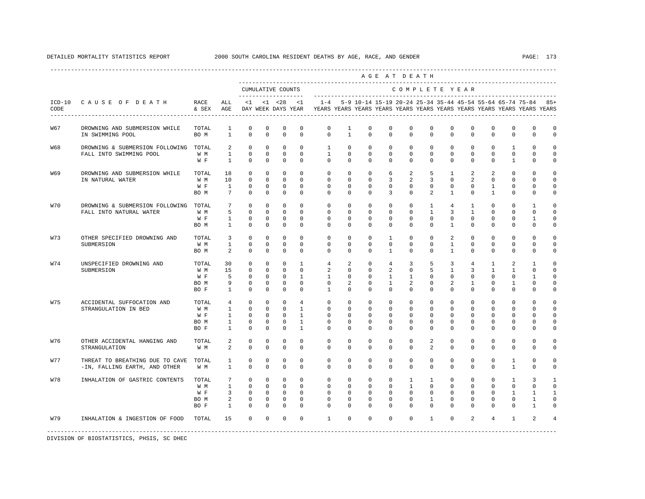|            |                                                                  |                                     |                                                                                 |                                                             |                                                                  |                                                                      |                                                                                |                                                                                                                                                                 |                                                                     |                                                              |                                                                 | AGE AT DEATH                                                       |                                                                    |                                                             |                                                              |                                                              |                                                                      |                                                                 |                                                |
|------------|------------------------------------------------------------------|-------------------------------------|---------------------------------------------------------------------------------|-------------------------------------------------------------|------------------------------------------------------------------|----------------------------------------------------------------------|--------------------------------------------------------------------------------|-----------------------------------------------------------------------------------------------------------------------------------------------------------------|---------------------------------------------------------------------|--------------------------------------------------------------|-----------------------------------------------------------------|--------------------------------------------------------------------|--------------------------------------------------------------------|-------------------------------------------------------------|--------------------------------------------------------------|--------------------------------------------------------------|----------------------------------------------------------------------|-----------------------------------------------------------------|------------------------------------------------|
|            |                                                                  |                                     |                                                                                 | CUMULATIVE COUNTS                                           |                                                                  |                                                                      |                                                                                |                                                                                                                                                                 |                                                                     |                                                              |                                                                 | COMPLETE YEAR                                                      |                                                                    |                                                             |                                                              |                                                              |                                                                      |                                                                 |                                                |
| CODE       | ICD-10 CAUSE OF DEATH                                            | RACE<br>$\&$ SEX $\quad$ AGE        | ALL                                                                             |                                                             |                                                                  |                                                                      | $<1$ $<1$ $<28$ $<1$                                                           | 1-4 5-9 10-14 15-19 20-24 25-34 35-44 45-54 55-64 65-74 75-84 85+<br>DAY WEEK DAYS YEAR YEARS YEARS YEARS YEARS YEARS YEARS YEARS YEARS YEARS YEARS YEARS YEARS |                                                                     |                                                              |                                                                 |                                                                    |                                                                    |                                                             |                                                              |                                                              |                                                                      |                                                                 |                                                |
| W67        | DROWNING AND SUBMERSION WHILE<br>IN SWIMMING POOL                | TOTAL<br>BO M                       | $\mathbf{1}$<br>$\overline{1}$                                                  | $\mathbf 0$<br>$\Omega$                                     | $\mathbf 0$<br>$\Omega$                                          | $\mathbf 0$<br>$\Omega$                                              | $\mathbf 0$<br>$\Omega$                                                        | $\mathsf{O}\xspace$<br>$\Omega$                                                                                                                                 | $\mathbf{1}$<br>$\overline{1}$                                      | $\mathbf 0$<br>$\Omega$                                      | $\mathbf 0$<br>$\Omega$                                         | $\mathbf 0$<br>$\Omega$                                            | $\circ$<br>$\Omega$                                                | $\mathbf 0$<br>$\Omega$                                     | $\Omega$<br>$\Omega$                                         | $\mathbf 0$<br>$\Omega$                                      | $\mathbf 0$<br>$\Omega$                                              | $\mathbf{0}$<br>$\Omega$                                        | $\circ$<br>$\Omega$                            |
| <b>W68</b> | DROWNING & SUBMERSION FOLLOWING TOTAL<br>FALL INTO SWIMMING POOL | W M<br>W F                          | 2<br>$\mathbf{1}$<br>$\mathbf{1}$                                               | $\Omega$<br>$\Omega$<br>$\mathbf 0$                         | $\Omega$<br>$\Omega$<br>$\mathbf{0}$                             | $\Omega$<br>$\Omega$<br>$\mathbf 0$                                  | $\Omega$<br>$\Omega$<br>$\mathbf{0}$                                           | $\overline{1}$<br>$\overline{1}$<br>$\Omega$                                                                                                                    | $\Omega$<br>$\Omega$<br>$\mathbf{0}$                                | $\Omega$<br>$\Omega$<br>$\circ$                              | $\Omega$<br>$\cap$<br>$\mathbf{0}$                              | $\Omega$<br>$\Omega$<br>$\Omega$                                   | $\Omega$<br>$\Omega$<br>$\mathbf{0}$                               | $\Omega$<br>$\Omega$<br>$\Omega$                            | $\Omega$<br>$\Omega$<br>$\mathbf{0}$                         | $\Omega$<br>$\Omega$<br>$\mathbf{0}$                         | $\overline{1}$<br>$\Omega$<br>$\mathbf{1}$                           | $\Omega$<br>$\Omega$<br>$\mathbf{0}$                            | $\Omega$<br>$\Omega$<br>0                      |
| W69        | DROWNING AND SUBMERSION WHILE<br>IN NATURAL WATER                | TOTAL<br>W M<br>W F<br>BO M         | 18<br>10<br>$\overline{1}$<br>$7^{\circ}$                                       | $^{\circ}$<br>$\Omega$<br>$\circ$<br>$\mathbf 0$            | $\Omega$<br>$\Omega$<br>$\mathbf{0}$<br>$\mathbf 0$              | $\Omega$<br>$\Omega$<br>$\overline{0}$<br>$\mathbf 0$                | $\Omega$<br>$\Omega$<br>$\Omega$<br>$\mathbf 0$                                | $\Omega$<br>$\Omega$<br>$\Omega$<br>$\Omega$                                                                                                                    | $\Omega$<br>$\Omega$<br>$\Omega$<br>$\mathbf{0}$                    | $\Omega$<br>$\Omega$<br>$\Omega$<br>$\Omega$                 | 6<br>$\overline{3}$<br>$\Omega$<br>3                            | $\overline{2}$<br>$\overline{2}$<br>$\Omega$<br>$\Omega$           | 5<br>3<br>$\Omega$<br>2                                            | $\overline{1}$<br>$\Omega$<br>$\Omega$<br>$\overline{1}$    | $\mathcal{L}$<br>$\overline{a}$<br>$\Omega$<br>0             | $\mathfrak{D}$<br>$\Omega$<br>$\mathbf{1}$<br>$\overline{1}$ | $\Omega$<br>$\Omega$<br>$\mathbf 0$<br>$\mathbf{0}$                  | $\Omega$<br>$\Omega$<br>$\mathbf 0$<br>$\Omega$                 | $\Omega$<br>$\Omega$<br>$\mathbf 0$<br>0       |
| <b>W70</b> | DROWNING & SUBMERSION FOLLOWING<br>FALL INTO NATURAL WATER       | TOTAL<br>W M<br>W F<br>BO M         | $7\overline{ }$<br>5<br>$\mathbf{1}$<br>$\mathbf{1}$                            | $\Omega$<br>$\Omega$<br>$\mathbf 0$<br>$\mathbf 0$          | $\Omega$<br>$\Omega$<br>$\mathbf 0$<br>$\circ$                   | $\Omega$<br>$\mathbf 0$<br>$\mathbf{0}$<br>$\mathbf 0$               | $\Omega$<br>$\Omega$<br>$\mathbf 0$<br>$\mathbf 0$                             | $\Omega$<br>$\Omega$<br>$\mathbf{0}$<br>$\mathbf 0$                                                                                                             | $\Omega$<br>$\Omega$<br>$\mathbf 0$<br>$\mathbf 0$                  | $\Omega$<br>$\Omega$<br>$\mathbf 0$<br>$\mathbf 0$           | $\Omega$<br>$\Omega$<br>$\mathbf 0$<br>$\mathbf 0$              | $\Omega$<br>$\Omega$<br>$\mathbf{0}$<br>$\mathbf 0$                | $\overline{1}$<br>$\overline{1}$<br>$\mathbf 0$<br>$\mathbf 0$     | $\overline{4}$<br>3<br>$\mathbf 0$<br>$\mathbf{1}$          | $\mathbf{1}$<br>$\overline{1}$<br>$\mathbf 0$<br>$\mathbf 0$ | $\Omega$<br>$\Omega$<br>$\mathbf{0}$<br>$\mathbf 0$          | $\Omega$<br>$\Omega$<br>$\mathbf{0}$<br>$\mathbf{0}$                 | $\mathbf{1}$<br>$\Omega$<br>$\mathbf{1}$<br>0                   | $\Omega$<br>$\Omega$<br>$\mathbf 0$<br>0       |
| <b>W73</b> | OTHER SPECIFIED DROWNING AND<br>SUBMERSION                       | TOTAL<br>W M<br>BO M                | $\overline{\mathbf{3}}$<br>$\mathbf{1}$<br>$\overline{a}$                       | $\Omega$<br>$\mathbf 0$<br>$\Omega$                         | $\Omega$<br>$\mathbf{0}$<br>$\mathbf 0$                          | $\Omega$<br>$\mathbf 0$<br>$\mathbf 0$                               | $\Omega$<br>$\Omega$<br>$\Omega$                                               | $\Omega$<br>$\Omega$<br>$\Omega$                                                                                                                                | $\Omega$<br>$\mathbf 0$<br>$\mathbf 0$                              | $\Omega$<br>$\mathbf 0$<br>$\Omega$                          | $\overline{1}$<br>$\mathbf 0$<br>$\mathbf{1}$                   | $\Omega$<br>$\mathbf 0$<br>$\Omega$                                | $\Omega$<br>$\Omega$<br>$\circ$                                    | $\overline{a}$<br>$\mathbf{1}$<br>$\mathbf{1}$              | $\Omega$<br>0<br>$\mathbf 0$                                 | $\Omega$<br>$\mathbf 0$<br>$\Omega$                          | $\Omega$<br>$\mathbf 0$<br>$\mathbf 0$                               | $\Omega$<br>$\mathbf 0$<br>0                                    | $\Omega$<br>$\mathbf 0$<br>$\mathbf 0$         |
| <b>W74</b> | UNSPECIFIED DROWNING AND<br>SUBMERSION                           | TOTAL<br>W M<br>W F<br>BO M<br>BO F | 30<br>15<br>5<br>9<br>$\mathbf{1}$                                              | $\Omega$<br>$\Omega$<br>$\Omega$<br>$\mathbf 0$<br>$\Omega$ | $\Omega$<br>$\Omega$<br>$\Omega$<br>$\mathbf{0}$<br>$\Omega$     | $\Omega$<br>$\Omega$<br>$\Omega$<br>$\mathbf 0$<br>$\Omega$          | $\overline{1}$<br>$\Omega$<br>$\mathbf{1}$<br>$\mathbf 0$<br>$\Omega$          | $\overline{4}$<br>2<br>$\overline{1}$<br>$\mathbf 0$<br>$\overline{1}$                                                                                          | 2<br>$\Omega$<br>$\Omega$<br>2<br>$\Omega$                          | $\Omega$<br>$\Omega$<br>$\Omega$<br>$\mathbf{0}$<br>$\Omega$ | $\overline{4}$<br>2<br>$\mathbf{1}$<br>$\mathbf{1}$<br>$\Omega$ | 3<br>$\Omega$<br>$\overline{1}$<br>$\overline{2}$<br>$\Omega$      | 5<br>5<br>$\Omega$<br>$\mathbf{0}$<br>$\Omega$                     | 3<br>$\overline{1}$<br>$\Omega$<br>2<br>$\Omega$            | $\overline{4}$<br>3<br>$\Omega$<br>$\mathbf{1}$<br>$\Omega$  | $\mathbf{1}$<br>$\overline{1}$<br>$\Omega$<br>0<br>$\Omega$  | 2<br>$\mathbf{1}$<br>$\Omega$<br>$\mathbf{1}$<br>$\Omega$            | $\overline{1}$<br>$\Omega$<br>$\mathbf{1}$<br>0<br>$\Omega$     | $\Omega$<br>$\Omega$<br>$\Omega$<br>0<br>0     |
| <b>W75</b> | ACCIDENTAL SUFFOCATION AND<br>STRANGULATION IN BED               | TOTAL<br>W M<br>W F<br>BO M<br>BO F | $4\overline{ }$<br>$\mathbf{1}$<br>$\mathbf{1}$<br>$\mathbf{1}$<br>$\mathbf{1}$ | $\Omega$<br>$\Omega$<br>$\mathbf 0$<br>$\circ$<br>$\Omega$  | $\Omega$<br>$\Omega$<br>$\circ$<br>$\circ$<br>$\mathbf{0}$       | $\Omega$<br>$\Omega$<br>$\mathbf 0$<br>$\overline{0}$<br>$\mathbf 0$ | $\overline{4}$<br>$\mathbf{1}$<br>$\mathbf{1}$<br>$\mathbf{1}$<br>$\mathbf{1}$ | $\Omega$<br>$\Omega$<br>$\Omega$<br>$\mathbf 0$<br>$\Omega$                                                                                                     | $\Omega$<br>$\Omega$<br>$\mathbf 0$<br>$\mathbf{0}$<br>$\mathbf{0}$ | $\Omega$<br>$\Omega$<br>$\Omega$<br>$\mathbf 0$<br>$\Omega$  | $\Omega$<br>$\Omega$<br>$\Omega$<br>$\mathbf 0$<br>$\Omega$     | $\Omega$<br>$\Omega$<br>$\Omega$<br>$\mathbf 0$<br>$\Omega$        | $\Omega$<br>$\Omega$<br>$\Omega$<br>$\Omega$<br>$\Omega$           | $\Omega$<br>$\Omega$<br>$\Omega$<br>$\mathbf 0$<br>$\Omega$ | $\Omega$<br>$\Omega$<br>$\Omega$<br>$\Omega$<br>$\Omega$     | $\Omega$<br>$\Omega$<br>$\Omega$<br>$^{\circ}$<br>$\Omega$   | $\Omega$<br>$\Omega$<br>$\mathbf{0}$<br>$\mathbf 0$<br>$\mathbf 0$   | $\Omega$<br>$\Omega$<br>$\Omega$<br>0<br>$\Omega$               | $\Omega$<br>$\Omega$<br>0<br>$\mathbf 0$<br>0  |
| <b>W76</b> | OTHER ACCIDENTAL HANGING AND<br>STRANGULATION                    | TOTAL<br>W M                        | 2<br>2                                                                          | $\mathbf 0$<br>$\Omega$                                     | $\mathbf 0$<br>$\Omega$                                          | $\mathbf 0$<br>$\Omega$                                              | $\mathbf 0$<br>$\Omega$                                                        | $\mathbf 0$<br>$\Omega$                                                                                                                                         | $\mathbf 0$<br>$\Omega$                                             | $\mathbf 0$<br>$\Omega$                                      | $\mathbf 0$<br>$\Omega$                                         | $\Omega$<br>$\Omega$                                               | 2<br>2                                                             | $\Omega$<br>$\Omega$                                        | $\mathbf 0$<br>$\Omega$                                      | $\mathbf 0$<br>$\Omega$                                      | $\mathbf 0$<br>$\Omega$                                              | $\mathbf 0$<br>$\Omega$                                         | 0<br>$\Omega$                                  |
| <b>W77</b> | THREAT TO BREATHING DUE TO CAVE<br>-IN, FALLING EARTH, AND OTHER | TOTAL<br>W M                        | $\mathbf{1}$<br>$\overline{1}$                                                  | $\Omega$<br>$\Omega$                                        | $\Omega$<br>$\Omega$                                             | $\mathbf 0$<br>$\Omega$                                              | $\Omega$<br>$\Omega$                                                           | $\Omega$<br>$\Omega$                                                                                                                                            | $\Omega$<br>$\Omega$                                                | $\Omega$<br>$\Omega$                                         | $\Omega$<br>$\Omega$                                            | $\Omega$<br>$\Omega$                                               | $\Omega$<br>$\Omega$                                               | $\Omega$<br>$\Omega$                                        | $\Omega$<br>$\Omega$                                         | $\Omega$<br>$\Omega$                                         | $\mathbf{1}$<br>$\overline{1}$                                       | $\Omega$<br>$\Omega$                                            | $\Omega$<br>$\Omega$                           |
| <b>W78</b> | INHALATION OF GASTRIC CONTENTS                                   | TOTAL<br>W M<br>W F<br>BO M<br>BO F | $7\overline{ }$<br>$\mathbf{1}$<br>3 <sup>1</sup><br>2<br>$\mathbf{1}$          | $\circ$<br>$\Omega$<br>$\circ$<br>$\mathbf 0$<br>$\Omega$   | $\mathbf 0$<br>$\circ$<br>$\mathbf{0}$<br>$\mathbf 0$<br>$\circ$ | $\mathbf 0$<br>$\Omega$<br>$\Omega$<br>$\mathbf 0$<br>$\Omega$       | $\Omega$<br>$\Omega$<br>$\Omega$<br>$\Omega$<br>$\Omega$                       | $\circ$<br>$\Omega$<br>$\Omega$<br>$\Omega$<br>$\Omega$                                                                                                         | $\mathbf 0$<br>$\Omega$<br>$\Omega$<br>$\Omega$<br>$\mathbf 0$      | $\mathbf{0}$<br>$\Omega$<br>$\Omega$<br>$\Omega$<br>$\Omega$ | $\mathbf 0$<br>$\Omega$<br>$\Omega$<br>$\Omega$<br>$\mathbf 0$  | $\mathbf{1}$<br>$\overline{1}$<br>$\Omega$<br>$\Omega$<br>$\Omega$ | $\mathbf{1}$<br>$\Omega$<br>$\Omega$<br>$\overline{1}$<br>$\Omega$ | $\Omega$<br>$\Omega$<br>$\Omega$<br>$\Omega$<br>$\Omega$    | $\mathbf 0$<br>$\Omega$<br>$\Omega$<br>$\Omega$<br>$\Omega$  | $\Omega$<br>$\Omega$<br>$\Omega$<br>$\Omega$<br>$\Omega$     | $\mathbf{1}$<br>$\Omega$<br>$\mathbf{1}$<br>$\Omega$<br>$\mathbf{0}$ | 3<br>$\Omega$<br>$\mathbf{1}$<br>$\overline{1}$<br>$\mathbf{1}$ | $\mathbf{1}$<br>$\Omega$<br>1<br>$\Omega$<br>0 |
| <b>W79</b> | INHALATION & INGESTION OF FOOD TOTAL                             |                                     | 15                                                                              | $\mathbf{0}$                                                | $\Omega$                                                         | $\mathbf 0$                                                          | $\Omega$                                                                       | $\mathbf{1}$                                                                                                                                                    | $\Omega$                                                            | $\Omega$                                                     | $\Omega$                                                        | $\Omega$                                                           | $\mathbf{1}$                                                       | $\Omega$                                                    | $\overline{a}$                                               | $\overline{4}$                                               | $\mathbf{1}$                                                         | 2                                                               | $\overline{4}$                                 |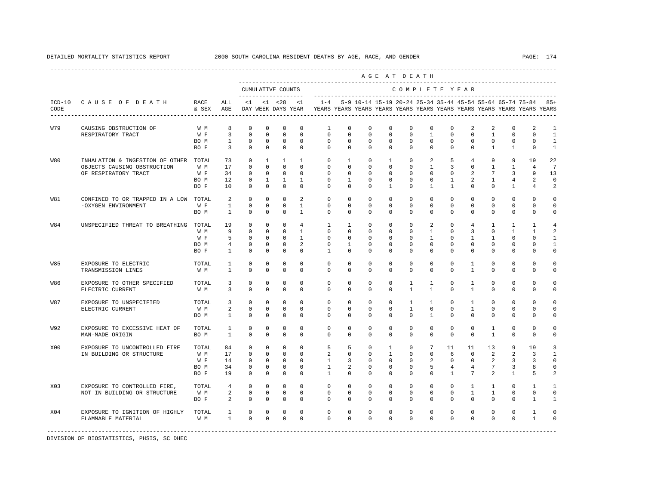DETAILED MORTALITY STATISTICS REPORT 2000 SOUTH CAROLINA RESIDENT DEATHS BY AGE, RACE, AND GENDER

|                  |                                       |                   |                        |                                                                                            |              |                |                 |                                                                            |              |              |              | AGE AT DEATH   |                 |                |                 |              |                |                |                |
|------------------|---------------------------------------|-------------------|------------------------|--------------------------------------------------------------------------------------------|--------------|----------------|-----------------|----------------------------------------------------------------------------|--------------|--------------|--------------|----------------|-----------------|----------------|-----------------|--------------|----------------|----------------|----------------|
|                  |                                       |                   |                        | CUMULATIVE COUNTS                                                                          |              |                |                 |                                                                            |              |              |              | COMPLETE YEAR  |                 |                |                 |              |                |                |                |
| CODE             | ICD-10 CAUSE OF DEATH                 | RACE<br>& SEX AGE | ALL                    | DAY WEEK DAYS YEAR YEARS YEARS YEARS YEARS YEARS YEARS YEARS YEARS YEARS YEARS YEARS YEARS |              |                |                 | <1 <28 <1 -4 5-9 10-14 15-19 20-24 25-34 35-44 45-54 55-64 65-74 75-84 85+ |              |              |              |                |                 |                |                 |              |                |                |                |
| W79              | CAUSING OBSTRUCTION OF                | W M               | 8                      | $\circ$                                                                                    | $^{\circ}$   | $^{\circ}$     | $\mathbf{0}$    | 1                                                                          | $\Omega$     | $^{\circ}$   | $\Omega$     | $\mathbf{0}$   | $\circ$         | $\Omega$       | 2               | 2            | $\Omega$       | 2              | 1              |
|                  | RESPIRATORY TRACT                     | W F               | $\overline{3}$         | $\mathbf 0$                                                                                | $^{\circ}$   | $\mathbf 0$    | $\mathbf 0$     | $\mathbf{0}$                                                               | $\Omega$     | $\mathbf 0$  | $\mathbf 0$  | $\mathbf 0$    | $\mathbf{1}$    | $\mathbf{0}$   | $\mathbf 0$     | $\mathbf{1}$ | $\mathbf 0$    | $\Omega$       | $\mathbf{1}$   |
|                  |                                       | BO M              | $\mathbf{1}$           | $\mathbf 0$                                                                                | $^{\circ}$   | $\mathbf 0$    | $\mathbf 0$     | $\circ$                                                                    | $\circ$      | $\mathbf 0$  | $\mathbf 0$  | $\circ$        | $\circ$         | $\circ$        | $\mathbf 0$     | $\mathbf 0$  | $\mathbb O$    | $\mathbf 0$    | $\mathbf{1}$   |
|                  |                                       | BO F              | $\overline{3}$         | $\Omega$                                                                                   | $\Omega$     | $\Omega$       | $\Omega$        | $\Omega$                                                                   | $\Omega$     | $\Omega$     | $\Omega$     | $\Omega$       | $\Omega$        | $\Omega$       | $\mathbf{0}$    | $\mathbf{1}$ | $\mathbf{1}$   | $\mathbf 0$    | $\mathbf{1}$   |
| W80              | INHALATION & INGESTION OF OTHER TOTAL |                   | 73                     | $^{\circ}$                                                                                 | $\mathbf{1}$ | $\mathbf{1}$   | $\mathbf{1}$    | $\mathbf{0}$                                                               | $\mathbf{1}$ | $\mathbf{0}$ | $\mathbf{1}$ | $\mathbf{0}$   | 2               | 5              | 4               | 9            | 9              | 19             | 22             |
|                  | OBJECTS CAUSING OBSTRUCTION           | W M               | 17                     | $\Omega$                                                                                   | $\Omega$     | $\Omega$       | $\Omega$        | $\Omega$                                                                   | $\Omega$     | $\Omega$     | $\Omega$     | $\Omega$       | $\mathbf{1}$    | $\overline{3}$ | $\Omega$        | $\mathbf{1}$ | $\mathbf{1}$   | $\overline{4}$ | 7              |
|                  | OF RESPIRATORY TRACT                  | W F               | 34                     | $\mathbf 0$                                                                                | $\circ$      | $\circ$        | $\mathbf{0}$    | $\mathbf 0$                                                                | $\mathbf 0$  | $\mathbf 0$  | $\mathbf{0}$ | $\mathbf{0}$   | $\circ$         | $\mathbf 0$    | 2               | 7            | 3              | 9              | 13             |
|                  |                                       | BO M              | 12                     | $\mathbf 0$                                                                                | $\mathbf{1}$ | $\mathbf{1}$   | $\mathbf{1}$    | $\mathbf{0}$                                                               | $\mathbf{1}$ | $\mathbf 0$  | $\mathbf 0$  | $\circ$        | $\circ$         | $\mathbf{1}$   | $\overline{a}$  | $\mathbf{1}$ | $\overline{4}$ | $\overline{a}$ | 0              |
|                  |                                       | BO F              | 10                     | $\circ$                                                                                    | $\mathbf 0$  | $\circ$        | $\circ$         | $\mathbf 0$                                                                | $\Omega$     | $\mathbf 0$  | $\mathbf{1}$ | $\circ$        | $\mathbf{1}$    | $\mathbf{1}$   | $\mathbf 0$     | $\mathbf 0$  | $\mathbf{1}$   | $\overline{4}$ | 2              |
| W81              | CONFINED TO OR TRAPPED IN A LOW TOTAL |                   | 2                      | $\Omega$                                                                                   | $\Omega$     | $\Omega$       | $\mathcal{L}$   | $\Omega$                                                                   | $\Omega$     | $\Omega$     | $\Omega$     | $\Omega$       | $\Omega$        | $\Omega$       | $\Omega$        | $\Omega$     | $\Omega$       | $\Omega$       | $\Omega$       |
|                  | -OXYGEN ENVIRONMENT                   | W F               | $\overline{1}$         | $\Omega$                                                                                   | $\Omega$     | $\Omega$       | $\overline{1}$  | $\Omega$                                                                   | $\Omega$     | $\Omega$     | $\Omega$     | $\Omega$       | $\Omega$        | $\Omega$       | $\Omega$        | $\mathbf 0$  | $\mathbf 0$    | $\mathbf 0$    | $\Omega$       |
|                  |                                       | BO M              | $\mathbf{1}$           | $\mathbf 0$                                                                                | $\mathbf 0$  | $\mathbf{0}$   | $\mathbf{1}$    | $\mathbf{0}$                                                               | $\mathbf{0}$ | $\mathbf 0$  | $\mathbf 0$  | $\circ$        | $\mathbf{0}$    | $\mathbf{0}$   | 0               | $\mathbf 0$  | $\mathbf 0$    | $\mathbf 0$    | $\Omega$       |
| W84              | UNSPECIFIED THREAT TO BREATHING TOTAL |                   | 19                     | $\Omega$                                                                                   | $\Omega$     | $\Omega$       | $4\overline{ }$ | $\mathbf{1}$                                                               | $\mathbf{1}$ | $\Omega$     | $\Omega$     | $\Omega$       | 2               | $\Omega$       | $4\overline{ }$ | 1            | 1              | $\mathbf{1}$   | $\overline{4}$ |
|                  |                                       | W M               | 9                      | $\mathbf 0$                                                                                | $\Omega$     | $\Omega$       | $\mathbf{1}$    | $\Omega$                                                                   | $\Omega$     | $\mathbf 0$  | $\Omega$     | $\Omega$       | $\mathbf{1}$    | $\Omega$       | $\overline{3}$  | $\Omega$     | $\mathbf{1}$   | $\mathbf{1}$   | $\mathcal{L}$  |
|                  |                                       | W F               | 5                      | $\mathbf 0$                                                                                | $\circ$      | $\Omega$       | $\mathbf{1}$    | $\mathbf 0$                                                                | $\mathbf{0}$ | $\mathbf 0$  | $\mathbf 0$  | $\circ$        | $\mathbf{1}$    | $\circ$        | $\mathbf{1}$    | $\mathbf{1}$ | $\mathbf 0$    | $\mathbf 0$    | $\mathbf{1}$   |
|                  |                                       | BO M              | $\overline{4}$         | $\mathbf 0$                                                                                | $\circ$      | $\overline{0}$ | $\overline{2}$  | $\mathbf{0}$                                                               | $\mathbf{1}$ | $\mathbf 0$  | $\mathbf 0$  | $\circ$        | $\circ$         | $\mathbf 0$    | $\mathbf 0$     | $\mathbf 0$  | $\mathbf 0$    | $\circ$        | $\mathbf{1}$   |
|                  |                                       | BO F              | <sup>1</sup>           | $\mathbf 0$                                                                                | $\mathbf 0$  | $\circ$        | $\circ$         | $\mathbf{1}$                                                               | $\circ$      | $\mathbf 0$  | $\mathbf{0}$ | $\mathbf{0}$   | $\mathbf{0}$    | $\circ$        | 0               | $\mathbf 0$  | $\mathbf 0$    | $\mathbf 0$    | $\Omega$       |
| <b>W85</b>       | EXPOSURE TO ELECTRIC                  | TOTAL             | 1                      | $\mathbf 0$                                                                                | $\mathbf 0$  | $\mathbf 0$    | $\Omega$        | $\Omega$                                                                   | $\Omega$     | $\mathbf 0$  | $\Omega$     | $\Omega$       | $\Omega$        | $\Omega$       | 1               | $\mathbf 0$  | $\mathbf 0$    | $\mathbf 0$    | $\Omega$       |
|                  | TRANSMISSION LINES                    | W M               | $\mathbf{1}$           | $\Omega$                                                                                   | $\Omega$     | $\mathbf 0$    | $\mathbf 0$     | $\Omega$                                                                   | $\Omega$     | $\mathbf 0$  | $\mathbf 0$  | $\mathbf 0$    | 0               | $\Omega$       | $\mathbf{1}$    | $\Omega$     | $\mathbf 0$    | $\mathbf 0$    | $\Omega$       |
| W86              | EXPOSURE TO OTHER SPECIFIED           | TOTAL             | 3                      | 0                                                                                          | $\Omega$     | $\Omega$       | $\Omega$        | $\Omega$                                                                   | $\Omega$     | 0            | 0            | $\mathbf{1}$   | $\mathbf{1}$    | $\Omega$       | $\mathbf{1}$    | 0            | $\mathbf 0$    | $\mathbf 0$    | $\Omega$       |
|                  | ELECTRIC CURRENT                      | W M               | 3                      | $\Omega$                                                                                   | $\Omega$     | $\Omega$       | $\Omega$        | $\Omega$                                                                   | $\Omega$     | $\Omega$     | $\Omega$     | $\overline{1}$ | $\overline{1}$  | $\Omega$       | $\mathbf{1}$    | $\Omega$     | $\Omega$       | $\Omega$       | $\Omega$       |
| W87              | EXPOSURE TO UNSPECIFIED               | TOTAL             | 3                      | $\mathbf 0$                                                                                | $\Omega$     | $\Omega$       | $\Omega$        | $\Omega$                                                                   | $\Omega$     | $\mathbf 0$  | $\Omega$     | $\mathbf{1}$   | $\mathbf{1}$    | $\Omega$       | $\mathbf{1}$    | $\mathbf 0$  | $\mathbf 0$    | $\mathbf 0$    | $\Omega$       |
|                  | ELECTRIC CURRENT                      | W M               | 2                      | $\mathbf 0$                                                                                | $\mathbf 0$  | $\mathbf 0$    | $\mathbf 0$     | $\mathbf 0$                                                                | $\mathbf 0$  | $\mathbf 0$  | $\mathbf 0$  | $\mathbf{1}$   | $\circ$         | $\mathbf 0$    | $\mathbf{1}$    | $\mathbf 0$  | $\mathbf 0$    | $\Omega$       | $\Omega$       |
|                  |                                       | BO M              | $\mathbf{1}$           | $\Omega$                                                                                   | 0            | $\Omega$       | $\mathbf 0$     | $\Omega$                                                                   | $\Omega$     | $\mathbf{0}$ | $\mathbf 0$  | $\circ$        | $\mathbf{1}$    | $\Omega$       | $\mathbf{0}$    | 0            | $\mathbf 0$    | 0              | $\Omega$       |
| W92              | EXPOSURE TO EXCESSIVE HEAT OF         | TOTAL             | 1                      | $\mathbf 0$                                                                                | $\mathbf 0$  | $\mathbf 0$    | $\Omega$        | $\mathbf 0$                                                                | $\Omega$     | $\mathbf 0$  | $\mathbf 0$  | $\mathbf 0$    | $\mathbf 0$     | $\mathbf 0$    | $\mathbf 0$     | $\mathbf{1}$ | $\mathbf 0$    | $\mathbf 0$    | $\Omega$       |
|                  | MAN-MADE ORIGIN                       | BO M              | $\mathbf{1}$           | $\Omega$                                                                                   | $\mathbf 0$  | $\mathbf 0$    | $\mathbf 0$     | $\mathbf 0$                                                                | $\mathbf{0}$ | $\mathbf 0$  | $\mathbf 0$  | $\circ$        | $\mathbf{0}$    | $\mathbf 0$    | $\mathbf 0$     | $\mathbf{1}$ | $\mathbf 0$    | $\mathbf 0$    | 0              |
| X <sub>0</sub> 0 | EXPOSURE TO UNCONTROLLED FIRE         | TOTAL             | 84                     | $\mathbf 0$                                                                                | $\Omega$     | $\mathbf 0$    | $\Omega$        | 5                                                                          | 5            | $\mathbf 0$  | $\mathbf{1}$ | $\Omega$       | $7\overline{ }$ | 11             | 11              | 13           | 9              | 19             |                |
|                  | IN BUILDING OR STRUCTURE              | W M               | 17                     | $\mathbf 0$                                                                                | $\Omega$     | $\Omega$       | $\Omega$        | $\overline{a}$                                                             | $\Omega$     | $\mathbf 0$  | $\mathbf{1}$ | $\circ$        | $\circ$         | 6              | $^{\circ}$      | 2            | 2              | 3              |                |
|                  |                                       | W F               | 14                     | $\mathbf 0$                                                                                | $\mathbf 0$  | $\overline{0}$ | $\mathbf 0$     | $\mathbf{1}$                                                               | 3            | $\mathbf 0$  | $\mathbf 0$  | $\circ$        | $\overline{a}$  | $\circ$        | $\mathbf 0$     | 2            | 3              | 3              | 0              |
|                  |                                       | BO M              | 34                     | $\circ$                                                                                    | 0            | $\circ$        | 0               | $\mathbf{1}$                                                               | 2            | 0            | $\mathbf{0}$ | $\circ$        | 5               | 4              | $\overline{4}$  | 7            | 3              | 8              | $\Omega$       |
|                  |                                       | BO F              | 19                     | $\Omega$                                                                                   | $\Omega$     | $\Omega$       | $\mathbf 0$     | $\mathbf{1}$                                                               | $\Omega$     | $\Omega$     | $\Omega$     | $\Omega$       | $\circ$         | $\mathbf{1}$   | $7^{\circ}$     | 2            | $\overline{1}$ | 5              | $\mathcal{D}$  |
| X03              | EXPOSURE TO CONTROLLED FIRE,          | TOTAL             | 4                      | $\circ$                                                                                    | $\mathbf{0}$ | $\mathbf 0$    | $\Omega$        | $\Omega$                                                                   | $\Omega$     | $\mathbf 0$  | $\mathbf 0$  | $\mathbf 0$    | $\circ$         | $\circ$        | $\mathbf{1}$    | $\mathbf{1}$ | $\mathbf 0$    | $\mathbf{1}$   | $\mathbf{1}$   |
|                  | NOT IN BUILDING OR STRUCTURE          | W M               | $\overline{a}$         | $\mathbf 0$                                                                                | $^{\circ}$   | $\mathbf 0$    | $\mathbf 0$     | $\mathbf 0$                                                                | $\circ$      | $\mathbf 0$  | $\mathbf 0$  | $\circ$        | 0               | $\circ$        | $\mathbf{1}$    | $\mathbf{1}$ | 0              | $\mathbf 0$    | 0              |
|                  |                                       | BO F              | $\overline{a}$         | $\mathbf 0$                                                                                | $\mathbf 0$  | $\mathbb O$    | $\mathbf 0$     | $\mathbf 0$                                                                | $\mathbf 0$  | $\mathbf 0$  | $\mathbf 0$  | $\mathbf 0$    | $\mathbf{0}$    | $\mathbf 0$    | $\mathbf 0$     | $\mathbf 0$  | $\mathbf 0$    | $\mathbf{1}$   | $\mathbf{1}$   |
| X04              | EXPOSURE TO IGNITION OF HIGHLY        | TOTAL             | $1 \quad \blacksquare$ | $\mathbf 0$                                                                                | $\mathbf 0$  | $\mathbf 0$    | $\mathbf 0$     | $\mathbf 0$                                                                | $\mathbf 0$  | $\mathbf 0$  | $\mathbf 0$  | $\mathbf 0$    | $\mathbf 0$     | $\mathbf 0$    | $\mathbf 0$     | $\mathbf 0$  | $\mathbf 0$    | $\mathbf{1}$   | $\Omega$       |
|                  | FLAMMABLE MATERIAL                    | W M               | $\mathbf{1}$           | $\Omega$                                                                                   | $\Omega$     | $\mathbf 0$    | $\Omega$        | $\Omega$                                                                   | $\Omega$     | $\Omega$     | $\Omega$     | $\Omega$       | $\Omega$        | $\Omega$       | $\mathbf 0$     | $\mathbf 0$  | $\Omega$       | $\mathbf{1}$   | $\Omega$       |
|                  |                                       |                   |                        |                                                                                            |              |                |                 |                                                                            |              |              |              |                |                 |                |                 |              |                |                |                |

DIVISION OF BIOSTATISTICS, PHSIS, SC DHEC

----------------------------------------------------------------------------------------------------------------------------------------------------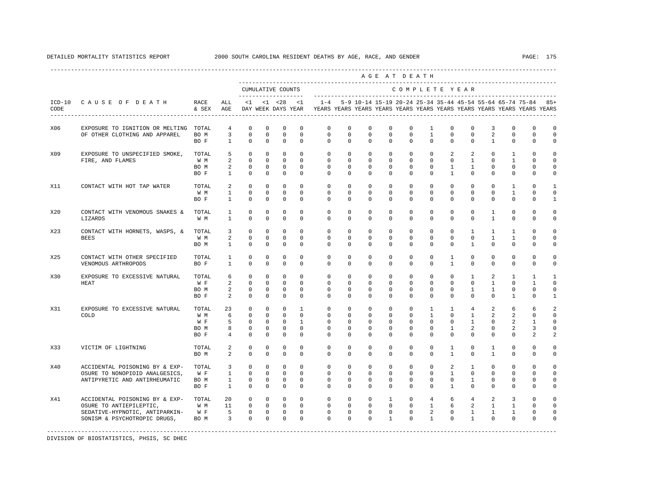DETAILED MORTALITY STATISTICS REPORT 2000 SOUTH CAROLINA RESIDENT DEATHS BY AGE, RACE, AND GENDER PAGE: 175

----------------------------------------------------------------------------------------------------------------------------------------------------

|                  |                                                                                                                             |                                     |                                                   |                                                                         |                                                                  |                                                                   |                                                                 |                                                             |                                                    |                                                    |                                                         | AGE AT DEATH                                            |                                                                        |                                                              |                                                                   |                                                    |                                                         |                                                                                                                                      |                                                              |
|------------------|-----------------------------------------------------------------------------------------------------------------------------|-------------------------------------|---------------------------------------------------|-------------------------------------------------------------------------|------------------------------------------------------------------|-------------------------------------------------------------------|-----------------------------------------------------------------|-------------------------------------------------------------|----------------------------------------------------|----------------------------------------------------|---------------------------------------------------------|---------------------------------------------------------|------------------------------------------------------------------------|--------------------------------------------------------------|-------------------------------------------------------------------|----------------------------------------------------|---------------------------------------------------------|--------------------------------------------------------------------------------------------------------------------------------------|--------------------------------------------------------------|
|                  |                                                                                                                             |                                     |                                                   | CUMULATIVE COUNTS<br>-------------------                                |                                                                  |                                                                   |                                                                 |                                                             |                                                    |                                                    |                                                         | COMPLETE YEAR                                           |                                                                        |                                                              |                                                                   |                                                    |                                                         |                                                                                                                                      |                                                              |
| $ICD-10$<br>CODE | CAUSE OF DEATH                                                                                                              | RACE<br>$&$ SEX<br>---------        | ALL<br>AGE                                        | $\leq 1$<br>DAY WEEK DAYS YEAR<br>---------------------                 | $< 1$ $< 28$                                                     |                                                                   | $\leq$ 1                                                        | $1 - 4$                                                     |                                                    |                                                    |                                                         |                                                         |                                                                        |                                                              |                                                                   |                                                    |                                                         | 5-9 10-14 15-19 20-24 25-34 35-44 45-54 55-64 65-74 75-84<br>YEARS YEARS YEARS YEARS YEARS YEARS YEARS YEARS YEARS YEARS YEARS YEARS | $85+$                                                        |
| X06              | EXPOSURE TO IGNITION OR MELTING TOTAL<br>OF OTHER CLOTHING AND APPAREL                                                      | BO M<br>BO F                        | $\overline{4}$<br>3<br>$\mathbf{1}$               | $\mathbf 0$<br>$\mathbb O$<br>$\mathbf 0$                               | $^{\circ}$<br>$\mathbb O$<br>$\mathbf 0$                         | $\Omega$<br>$\mathsf 0$<br>$\Omega$                               | $\Omega$<br>$\mathbf 0$<br>$\Omega$                             | $\mathbf{0}$<br>$\mathbf 0$<br>$\Omega$                     | $\mathbf 0$<br>$\mathbf 0$<br>$\Omega$             | $\mathbf 0$<br>$\mathbf 0$<br>$\Omega$             | $\mathbf 0$<br>$\mathbf 0$<br>$\Omega$                  | $\mathbf 0$<br>$\mathbf 0$<br>$\Omega$                  | $\mathbf{1}$<br>$\mathbf{1}$<br>$\mathbf 0$                            | $\mathbf 0$<br>$\mathbf 0$<br>$\Omega$                       | $\Omega$<br>$\mathbf 0$<br>$\Omega$                               | 3<br>$\overline{a}$<br>$\mathbf{1}$                | $\Omega$<br>$\mathbf 0$<br>$\mathbf 0$                  | $\mathbf 0$<br>$\mathbf 0$<br>$\mathbf 0$                                                                                            | $\mathbf 0$<br>$\circ$<br>$\Omega$                           |
| X09              | EXPOSURE TO UNSPECIFIED SMOKE,<br>FIRE, AND FLAMES                                                                          | TOTAL<br>W M<br>BO M<br>BO F        | 5<br>2<br>$\overline{a}$<br>1                     | $\mathbf 0$<br>$\mathbf 0$<br>$\mathbf 0$<br>$\mathbf 0$                | $^{\circ}$<br>$^{\circ}$<br>$\Omega$<br>$^{\circ}$               | $^{\circ}$<br>$\mathbf 0$<br>$\Omega$<br>$\mathbf{0}$             | $\Omega$<br>$\Omega$<br>$\Omega$<br>$\Omega$                    | $\mathbf 0$<br>$\Omega$<br>$\Omega$<br>$\Omega$             | $\mathbf 0$<br>$\Omega$<br>$\Omega$<br>$\Omega$    | $\mathbf 0$<br>$\mathbf 0$<br>$\Omega$<br>$\Omega$ | $\mathbf 0$<br>$\Omega$<br>$\Omega$<br>$\Omega$         | $\mathbf 0$<br>$\mathbf 0$<br>$\Omega$<br>$\Omega$      | $\mathbf 0$<br>$\mathbf 0$<br>$\Omega$<br>$\mathbf{0}$                 | 2<br>$\mathbf 0$<br>$\mathbf{1}$<br>$\mathbf{1}$             | $\overline{a}$<br>$\mathbf{1}$<br>$\mathbf{1}$<br>$\Omega$        | $\mathbf 0$<br>$\mathbf 0$<br>$\Omega$<br>$\Omega$ | $\mathbf{1}$<br>$\mathbf{1}$<br>$\Omega$<br>$\mathbf 0$ | $\Omega$<br>0<br>$\mathbf 0$<br>$\mathbf{0}$                                                                                         | $\mathbf 0$<br>$\mathbf 0$<br>$\circ$<br>$\mathbf 0$         |
| X11              | CONTACT WITH HOT TAP WATER                                                                                                  | TOTAL<br>W M<br>BO F                | 2<br>$\mathbf{1}$<br>$\mathbf{1}$                 | $\Omega$<br>$\mathbf 0$<br>$\mathbf 0$                                  | $\Omega$<br>$\Omega$<br>$^{\circ}$                               | $\Omega$<br>$\Omega$<br>$^{\circ}$                                | $\Omega$<br>$\Omega$<br>$\mathbf 0$                             | $\Omega$<br>$\Omega$<br>$\mathbf 0$                         | $\Omega$<br>$\Omega$<br>0                          | $\Omega$<br>$\Omega$<br>$\mathbf 0$                | $\Omega$<br>$\Omega$<br>$\mathbf 0$                     | $\Omega$<br>$\Omega$<br>$\mathbf 0$                     | $\Omega$<br>$\Omega$<br>$\mathsf 0$                                    | $\Omega$<br>$\Omega$<br>$\mathbf 0$                          | $\Omega$<br>$\Omega$<br>$\mathbf 0$                               | $\Omega$<br>$\Omega$<br>$\mathbf 0$                | $\mathbf{1}$<br>$\mathbf{1}$<br>0                       | $\Omega$<br>$\Omega$<br>$\mathsf 0$                                                                                                  | 1<br>$\Omega$<br>$\mathbf{1}$                                |
| X20              | CONTACT WITH VENOMOUS SNAKES &<br>LIZARDS                                                                                   | TOTAL<br>W M                        | $\mathbf{1}$<br>$\mathbf{1}$                      | $\mathbf 0$<br>$\mathbf 0$                                              | $\mathbf 0$<br>$^{\circ}$                                        | $^{\circ}$<br>$^{\circ}$                                          | $\Omega$<br>$\mathbf 0$                                         | $\Omega$<br>$\mathbf 0$                                     | $\Omega$<br>0                                      | $\Omega$<br>$\mathbf 0$                            | $\Omega$<br>$\mathbf 0$                                 | $\Omega$<br>$\mathbf 0$                                 | $\Omega$<br>$\mathbf 0$                                                | $\Omega$<br>$\mathbf 0$                                      | $\Omega$<br>$\mathbf 0$                                           | $\mathbf{1}$<br>$\mathbf{1}$                       | $\Omega$<br>0                                           | $\Omega$<br>$\mathbf 0$                                                                                                              | $\Omega$<br>$\circ$                                          |
| X23              | CONTACT WITH HORNETS, WASPS, &<br><b>BEES</b>                                                                               | TOTAL<br>W M<br>BO M                | 3<br>2<br>$\mathbf{1}$                            | $\mathbf 0$<br>$\mathbf 0$<br>$\mathbf 0$                               | $\Omega$<br>$\mathbf 0$<br>$\mathbf 0$                           | $\Omega$<br>$\mathbf 0$<br>$\mathbf 0$                            | $\Omega$<br>$\mathbf 0$<br>$\mathbf 0$                          | $\Omega$<br>$\mathbf 0$<br>$\mathbf 0$                      | $\Omega$<br>0<br>$\mathbf 0$                       | $\Omega$<br>$\mathbf 0$<br>$\mathbf 0$             | $\Omega$<br>$\mathbf 0$<br>$\mathbf 0$                  | $\Omega$<br>$\mathbf 0$<br>$\Omega$                     | $\Omega$<br>$\mathbf 0$<br>$\mathbf 0$                                 | $\Omega$<br>$\mathbf 0$<br>$\Omega$                          | $\mathbf{1}$<br>$\mathbf 0$<br>$\mathbf{1}$                       | $\mathbf{1}$<br>$\mathbf{1}$<br>$\Omega$           | $\overline{1}$<br>$\mathbf{1}$<br>$\mathbf 0$           | $\Omega$<br>$\mathbf 0$<br>$\mathbf 0$                                                                                               | $\Omega$<br>$\circ$<br>$\mathbf 0$                           |
| X25              | CONTACT WITH OTHER SPECIFIED<br>VENOMOUS ARTHROPODS                                                                         | TOTAL<br>BO F                       | $\mathbf{1}$<br>$\mathbf{1}$                      | $\mathbb O$<br>$\mathbf 0$                                              | $^{\circ}$<br>$\mathbf 0$                                        | $\mathbf 0$<br>$\mathbf 0$                                        | $\mathbf 0$<br>$\Omega$                                         | $\mathbf 0$<br>$\Omega$                                     | 0<br>$\mathbf 0$                                   | $\mathbf 0$<br>$\Omega$                            | $\mathbf 0$<br>$\Omega$                                 | $\mathbf 0$<br>$\Omega$                                 | $\mathbf 0$<br>$\Omega$                                                | $\mathbf{1}$<br>$\mathbf{1}$                                 | $\mathbf 0$<br>$\Omega$                                           | $\mathbf 0$<br>$\Omega$                            | $\mathbf 0$<br>$\mathbf 0$                              | $\mathsf 0$<br>$\mathbf 0$                                                                                                           | $\circ$<br>$\circ$                                           |
| X30              | EXPOSURE TO EXCESSIVE NATURAL<br>HEAT                                                                                       | TOTAL<br>W F<br>BO M<br>BO F        | 6<br>2<br>2<br>2                                  | $\mathbf 0$<br>$\mathbf 0$<br>$\mathbf 0$<br>$\mathbf 0$                | $^{\circ}$<br>$\mathbf 0$<br>$^{\circ}$<br>$\mathbf 0$           | $\Omega$<br>$\mathbf 0$<br>$^{\circ}$<br>$^{\circ}$               | $\Omega$<br>$\Omega$<br>$\mathbf 0$<br>$\mathbf 0$              | $\mathbf{0}$<br>$\Omega$<br>$\mathbf 0$<br>$\mathbf{0}$     | 0<br>$\Omega$<br>$\mathbf 0$<br>0                  | 0<br>$\Omega$<br>$\mathbf 0$<br>0                  | $\Omega$<br>$\Omega$<br>$\mathbf 0$<br>$\mathbf 0$      | $\mathbf 0$<br>$\Omega$<br>$\mathbf 0$<br>$\mathbf 0$   | $\mathbf 0$<br>$\Omega$<br>$\mathbf 0$<br>$\mathbf 0$                  | 0<br>$\Omega$<br>$\mathbf 0$<br>$\mathbf 0$                  | $\mathbf{1}$<br>$\Omega$<br>$\mathbf{1}$<br>$\mathbf 0$           | 2<br>$\mathbf{1}$<br>$\mathbf{1}$<br>$\mathbf 0$   | 1<br>$\Omega$<br>$\mathbf 0$<br>$\mathbf{1}$            | 1<br>$\mathbf{1}$<br>$\mathbf 0$<br>$\mathbf 0$                                                                                      | $\mathbf{1}$<br>$\Omega$<br>$\mathbf 0$<br>1                 |
| X31              | EXPOSURE TO EXCESSIVE NATURAL<br>COLD                                                                                       | TOTAL<br>W M<br>W F<br>BO M<br>BO F | 23<br>6<br>5<br>8<br>$\overline{4}$               | $\mathbf 0$<br>$\mathbf 0$<br>$\mathbf 0$<br>$\mathsf 0$<br>$\mathbf 0$ | $^{\circ}$<br>$^{\circ}$<br>$\Omega$<br>$^{\circ}$<br>$^{\circ}$ | $\mathbf 0$<br>$^{\circ}$<br>$\Omega$<br>$^{\circ}$<br>$^{\circ}$ | $\mathbf{1}$<br>$\mathbf 0$<br>$\mathbf{1}$<br>$\mathbf 0$<br>0 | $\mathbf 0$<br>$\mathbf{0}$<br>$\Omega$<br>$\mathbf 0$<br>0 | $\mathbf 0$<br>0<br>$\Omega$<br>$\mathbf 0$<br>0   | $\mathbf 0$<br>0<br>$\Omega$<br>$\mathbf 0$<br>0   | $\mathbf 0$<br>0<br>$\Omega$<br>$\mathbf 0$<br>0        | $\mathbf 0$<br>0<br>$\Omega$<br>$\mathbf 0$<br>$\Omega$ | $\mathbf{1}$<br>$\mathbf{1}$<br>$\Omega$<br>$\mathbf 0$<br>$\mathbf 0$ | $\mathbf{1}$<br>$\mathbf 0$<br>$\Omega$<br>$\mathbf{1}$<br>0 | 4<br>$\mathbf{1}$<br>$\mathbf{1}$<br>2<br>0                       | 2<br>2<br>$\Omega$<br>$\mathbf 0$<br>$\mathbf 0$   | 6<br>2<br>2<br>2<br>$\mathbf 0$                         | 6<br>0<br>1<br>3<br>2                                                                                                                | $\mathcal{L}$<br>$\mathbf 0$<br>$\Omega$<br>$\mathbf 0$<br>2 |
| X33              | VICTIM OF LIGHTNING                                                                                                         | TOTAL<br>BO M                       | 2<br>2                                            | $\mathbf 0$<br>$\mathbf 0$                                              | $\mathbf 0$<br>$\mathbf 0$                                       | $\mathbf 0$<br>$\mathbf 0$                                        | $\Omega$<br>$\mathbf 0$                                         | $\mathbf 0$<br>$\mathbf 0$                                  | $\mathbf 0$<br>0                                   | $\mathbf 0$<br>$\mathbf 0$                         | $\mathbf 0$<br>$\mathbf 0$                              | $\mathbf 0$<br>$\mathbf 0$                              | $\mathbf 0$<br>$\mathbf 0$                                             | $\mathbf{1}$<br>$\mathbf{1}$                                 | $\mathbf 0$<br>$\mathbf 0$                                        | 1<br>$\mathbf{1}$                                  | $\mathbf 0$<br>$\mathbf 0$                              | $\mathbf 0$<br>$\mathbf 0$                                                                                                           | $\mathbf 0$<br>$\mathbf 0$                                   |
| X40              | ACCIDENTAL POISONING BY & EXP-<br>OSURE TO NONOPIOID ANALGESICS,<br>ANTIPYRETIC AND ANTIRHEUMATIC                           | TOTAL<br>W F<br>BO M<br>BO F        | 3<br>$\mathbf{1}$<br>$\mathbf{1}$<br>$\mathbf{1}$ | $\mathbf 0$<br>$\Omega$<br>$\mathbb O$<br>$\mathbf 0$                   | $\Omega$<br>$\Omega$<br>$^{\circ}$<br>$\mathbf{0}$               | $\Omega$<br>$\Omega$<br>$\mathbf 0$<br>$\mathbf{0}$               | $\Omega$<br>$\Omega$<br>$\mathbf 0$<br>$\mathbf 0$              | $\Omega$<br>$\Omega$<br>$\mathbf 0$<br>$\mathbf 0$          | $\Omega$<br>$\Omega$<br>$\mathbf 0$<br>0           | $\Omega$<br>$\Omega$<br>$\mathbf 0$<br>$\mathbf 0$ | $\Omega$<br>$\Omega$<br>$\mathbf 0$<br>$\mathbf 0$      | $\Omega$<br>$\Omega$<br>$\mathbf 0$<br>$\mathbf 0$      | $\Omega$<br>$\Omega$<br>$\mathbf 0$<br>$\mathbf 0$                     | 2<br>$\mathbf{1}$<br>$\mathbf 0$<br>$\mathbf{1}$             | 1<br>$\Omega$<br>$\mathbf{1}$<br>0                                | $\Omega$<br>$\Omega$<br>$\mathbf 0$<br>$\Omega$    | $\Omega$<br>$\Omega$<br>$\mathbf 0$<br>$\mathbf 0$      | $\Omega$<br>$\Omega$<br>$\mathbf 0$<br>$\mathbf 0$                                                                                   | $\Omega$<br>$\Omega$<br>$\mathbf 0$<br>0                     |
| X41              | ACCIDENTAL POISONING BY & EXP-<br>OSURE TO ANTIEPILEPTIC,<br>SEDATIVE-HYPNOTIC, ANTIPARKIN-<br>SONISM & PSYCHOTROPIC DRUGS, | TOTAL<br>W M<br>W F<br>BO M         | 20<br>11<br>5<br>$\overline{3}$                   | $\mathbf 0$<br>$\mathbf 0$<br>$\mathbf 0$<br>$\mathbf 0$                | $\circ$<br>$\mathbf 0$<br>$\Omega$<br>$\mathbf 0$                | $\circ$<br>$^{\circ}$<br>$\Omega$<br>$\mathbf 0$                  | $\mathbf 0$<br>$\mathbf 0$<br>$\Omega$<br>$\Omega$              | $\mathbf 0$<br>$\mathbf{0}$<br>$\Omega$<br>$\Omega$         | $\mathbf 0$<br>$\mathbf 0$<br>$\Omega$<br>$\Omega$ | $^{\circ}$<br>$\mathbf 0$<br>$\Omega$<br>$\Omega$  | $\mathbf{1}$<br>$\mathbf 0$<br>$\Omega$<br>$\mathbf{1}$ | $\mathbf 0$<br>$\mathbf 0$<br>$\Omega$<br>$\Omega$      | $\overline{4}$<br>$\mathbf{1}$<br>2<br>$\mathbf{1}$                    | 6<br>6<br>$\Omega$<br>$\Omega$                               | $4\overline{ }$<br>$\overline{a}$<br>$\mathbf{1}$<br>$\mathbf{1}$ | 2<br>$\mathbf{1}$<br>$\mathbf{1}$<br>$\Omega$      | 3<br>1<br>$\mathbf{1}$<br>$\mathbf 0$                   | $\circ$<br>0<br>$\Omega$<br>$\mathbf 0$                                                                                              | $\mathbf 0$<br>0<br>$\Omega$<br>$\circ$                      |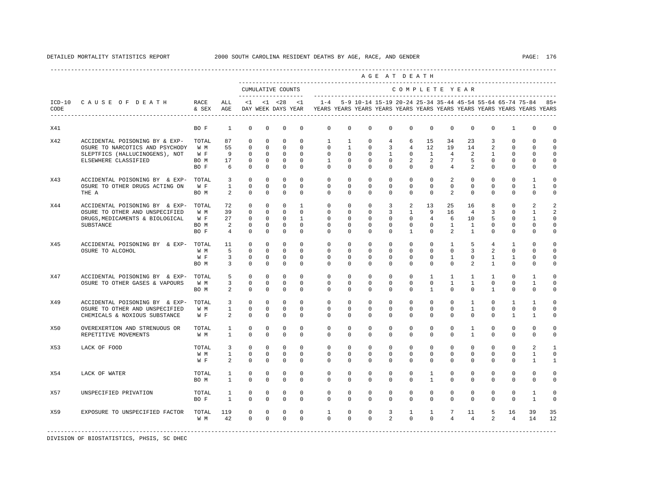|                  |                                      |               |                |              |              |                                           |                |                                                                         |              |              |                | AGE AT DEATH   |                |                 |                |                |                |                                                                     |              |
|------------------|--------------------------------------|---------------|----------------|--------------|--------------|-------------------------------------------|----------------|-------------------------------------------------------------------------|--------------|--------------|----------------|----------------|----------------|-----------------|----------------|----------------|----------------|---------------------------------------------------------------------|--------------|
|                  |                                      |               |                |              |              | CUMULATIVE COUNTS<br>-------------------- |                |                                                                         |              |              |                | COMPLETE YEAR  |                |                 |                |                |                |                                                                     |              |
| $ICD-10$<br>CODE | CAUSE OF DEATH                       | RACE<br>& SEX | ALL<br>AGE     | $\leq 1$     |              | $< 1$ $< 28$<br>DAY WEEK DAYS YEAR        | < 1            | YEARS YEARS YEARS YEARS YEARS YEARS YEARS YEARS YEARS YEARS YEARS YEARS |              |              |                |                |                |                 |                |                |                | $1-4$ 5-9 10-14 15-19 20-24 25-34 35-44 45-54 55-64 65-74 75-84 85+ |              |
| X41              |                                      | BO F          | 1              | $\mathbf 0$  | $^{\circ}$   | $\mathbf 0$                               | $\mathbf 0$    | $\mathbf{0}$                                                            | $\mathbf 0$  | $\mathbf 0$  | $\mathbf 0$    | $\mathbf 0$    | $\mathbf 0$    | $\mathbf 0$     | $\mathbf 0$    | $\mathbf 0$    | $\mathbf{1}$   | $\mathbf 0$                                                         | $\mathbf 0$  |
| X42              | ACCIDENTAL POISONING BY & EXP-       | TOTAL         | 87             | $\mathbf 0$  | $^{\circ}$   | $\Omega$                                  | $\Omega$       | $\mathbf{1}$                                                            | $\mathbf{1}$ | $^{\circ}$   | $\overline{4}$ | 6              | 15             | 34              | 23             | $\overline{3}$ | $\Omega$       | $\Omega$                                                            | $\Omega$     |
|                  | OSURE TO NARCOTICS AND PSYCHODY      | W M           | 55             | $\mathbf{0}$ | $\mathbf 0$  | $\mathbf 0$                               | $\Omega$       | $\mathbf 0$                                                             | $\mathbf{1}$ | $\mathbf 0$  | 3              | $\overline{4}$ | 12             | 19              | 14             | $\overline{a}$ | $\mathbf{0}$   | $\mathbf 0$                                                         | $\circ$      |
|                  | SLEPTFICS (HALLUCINOGENS), NOT       | W F           | 9              | $\mathbf 0$  | $^{\circ}$   | $\circ$                                   | $\mathbf 0$    | $\mathbf{0}$                                                            | $^{\circ}$   | $^{\circ}$   | 1              | $\mathbf{0}$   | $\mathbf{1}$   | $4\overline{ }$ | 2              | $\mathbf{1}$   | $\mathbf{0}$   | $\mathbf 0$                                                         | $\mathbf 0$  |
|                  | ELSEWHERE CLASSIFIED                 | BO M          | 17             | 0            | $^{\circ}$   | $^{\circ}$                                | $^{\circ}$     | 1                                                                       | $\mathbf{0}$ | $^{\circ}$   | 0              | $\overline{a}$ | 2              | 7               | 5              | $^{\circ}$     | $\mathbf{0}$   | $\mathbf 0$                                                         | 0            |
|                  |                                      | BO F          | 6              | $\Omega$     | $^{\circ}$   | $^{\circ}$                                | $\Omega$       | $\Omega$                                                                | $\Omega$     | $\Omega$     | $\Omega$       | $\Omega$       | $\mathbf{0}$   | $\overline{4}$  | 2              | $\Omega$       | $\mathbf{0}$   | $\mathbf 0$                                                         | $\Omega$     |
| X43              | ACCIDENTAL POISONING BY & EXP-       | TOTAL         | 3              | $\mathbf 0$  | $\Omega$     | $\Omega$                                  | $\Omega$       | $\Omega$                                                                | $\Omega$     | $\Omega$     | $\Omega$       | $\Omega$       | $\Omega$       | $\overline{a}$  | $\Omega$       | $\Omega$       | $\Omega$       | $\mathbf{1}$                                                        | $\Omega$     |
|                  | OSURE TO OTHER DRUGS ACTING ON       | W F           | $\mathbf{1}$   | $\Omega$     | $\Omega$     | $\Omega$                                  | $\Omega$       | $\Omega$                                                                | $\Omega$     | $\Omega$     | $\Omega$       | $\Omega$       | $\Omega$       | $\Omega$        | $\Omega$       | $\Omega$       | $\Omega$       | $\mathbf{1}$                                                        | $\Omega$     |
|                  | THE A                                | BO M          | 2              | $\mathbf 0$  | $^{\circ}$   | $^{\circ}$                                | $\Omega$       | $\Omega$                                                                | $\mathbf{0}$ | $\Omega$     | 0              | $\Omega$       | $\mathbf 0$    | 2               | $\Omega$       | $\Omega$       | $\mathbf{0}$   | $\Omega$                                                            | 0            |
| X44              | ACCIDENTAL POISONING BY & EXP-       | TOTAL         | 72             | $\mathbf 0$  | $\circ$      | $\circ$                                   | $\mathbf{1}$   | $\mathbf{0}$                                                            | $\mathbf{0}$ | $\mathbf 0$  | 3              | 2              | 13             | 25              | 16             | 8              | $\mathbf 0$    | 2                                                                   | 2            |
|                  | OSURE TO OTHER AND UNSPECIFIED       | W M           | 39             | $\mathbf 0$  | $^{\circ}$   | $\circ$                                   | $\Omega$       | $\Omega$                                                                | $\Omega$     | $\Omega$     | 3              | $\mathbf{1}$   | 9              | 16              | $\overline{4}$ | 3              | $\Omega$       | 1                                                                   | 2            |
|                  | DRUGS, MEDICAMENTS & BIOLOGICAL      | W F           | 27             | $\mathbf 0$  | $\Omega$     | $\Omega$                                  | $\overline{1}$ | $\Omega$                                                                | $\Omega$     | $\Omega$     | $\Omega$       | $\Omega$       | $\overline{4}$ | 6               | 1 O            | 5              | $\Omega$       | 1                                                                   | $\Omega$     |
|                  | <b>SUBSTANCE</b>                     | BO M          | 2              | $\mathbf{0}$ | $\circ$      | $\circ$                                   | $\circ$        | $\mathbf{0}$                                                            | $\mathbf 0$  | $\mathbf 0$  | $\mathbf 0$    | $\mathbf 0$    | $\mathbf 0$    | $\mathbf{1}$    | $\mathbf{1}$   | $\mathbf 0$    | $\mathbf 0$    | $\mathbf 0$                                                         | $\Omega$     |
|                  |                                      | BO F          | $\overline{4}$ | $\mathbf 0$  | $\mathbf{0}$ | $\mathbf{0}$                              | $\mathbf 0$    | $\mathbf 0$                                                             | $\mathbf 0$  | $\mathbf 0$  | $\mathbf 0$    | $\mathbf{1}$   | $\mathbf 0$    | 2               | $\mathbf{1}$   | $\mathbf 0$    | $\mathbf 0$    | $\mathbf 0$                                                         | $\mathbf 0$  |
| X45              | ACCIDENTAL POISONING BY & EXP- TOTAL |               | 11             | $\mathbf 0$  | $^{\circ}$   | $\circ$                                   | $\Omega$       | $\Omega$                                                                | $\Omega$     | $\Omega$     | $\Omega$       | $\mathbf 0$    | $\mathbf{0}$   | $\mathbf{1}$    | 5              | $\overline{4}$ | 1              | $\Omega$                                                            | $\Omega$     |
|                  | OSURE TO ALCOHOL                     | W M           | 5              | $\Omega$     | $\Omega$     | $\Omega$                                  | $\Omega$       | $\Omega$                                                                | $\Omega$     | $\Omega$     | $\Omega$       | $\Omega$       | $\Omega$       | $\Omega$        | $\overline{3}$ | $\overline{a}$ | $\Omega$       | $\Omega$                                                            | $\Omega$     |
|                  |                                      | W F           | 3              | $\mathbf 0$  | $^{\circ}$   | $\circ$                                   | $\mathbf 0$    | $\mathbf{0}$                                                            | $\mathbf 0$  | $^{\circ}$   | $\mathbf 0$    | $\mathbf 0$    | $\mathbf 0$    | $\mathbf{1}$    | $\mathbf{0}$   | $\mathbf{1}$   | $\mathbf{1}$   | $\mathbf 0$                                                         | $\mathbf 0$  |
|                  |                                      | BO M          | 3              | $\Omega$     | $\Omega$     | $^{\circ}$                                | $\Omega$       | $\Omega$                                                                | $\Omega$     | $\Omega$     | $\Omega$       | $\Omega$       | $\Omega$       | $\Omega$        | $\overline{a}$ | $\mathbf{1}$   | $\mathbf 0$    | $\Omega$                                                            | $\Omega$     |
| X47              | ACCIDENTAL POISONING BY & EXP-       | TOTAL         | 5              | $\mathbf 0$  | $\circ$      | $\mathbf 0$                               | $\mathbf 0$    | $\mathbf 0$                                                             | $\mathbf 0$  | $^{\circ}$   | $\mathbf 0$    | $\mathbf 0$    | $\mathbf{1}$   | $\mathbf{1}$    | $\mathbf{1}$   | $\mathbf{1}$   | $\mathbf 0$    | 1                                                                   | $\mathbf 0$  |
|                  | OSURE TO OTHER GASES & VAPOURS       | W M           | 3              | $\mathbf 0$  | $\circ$      | $\circ$                                   | $\mathbf 0$    | $\mathbf{0}$                                                            | 0            | 0            | 0              | $\mathbf{0}$   | $\circ$        | $\mathbf{1}$    | $\mathbf{1}$   | 0              | $\mathbf{0}$   | 1                                                                   | 0            |
|                  |                                      | BO M          | 2              | $\mathbf 0$  | $^{\circ}$   | $^{\circ}$                                | $\mathbf{0}$   | $\Omega$                                                                | $\mathbf{0}$ | $\Omega$     | 0              | $\Omega$       | $\mathbf{1}$   | $\mathbf 0$     | $\mathbf{0}$   | $\mathbf{1}$   | $\mathbf 0$    | $\mathbf 0$                                                         | 0            |
| X49              | ACCIDENTAL POISONING BY & EXP-       | TOTAL         | $\overline{3}$ | $\Omega$     | $\Omega$     | $\Omega$                                  | $\Omega$       | $\Omega$                                                                | $\Omega$     | $\Omega$     | $\Omega$       | $\Omega$       | $\Omega$       | $\Omega$        | $\mathbf{1}$   | $\Omega$       | $\overline{1}$ | $\mathbf{1}$                                                        | $\Omega$     |
|                  | OSURE TO OTHER AND UNSPECIFIED       | W M           | $\mathbf{1}$   | $\mathbf{0}$ | $\circ$      | $^{\circ}$                                | $\Omega$       | $\Omega$                                                                | $\Omega$     | $\Omega$     | $\Omega$       | $\Omega$       | $\Omega$       | $\mathbf 0$     | $\mathbf{1}$   | $\Omega$       | $\mathbf 0$    | $\mathbf 0$                                                         | $\Omega$     |
|                  | CHEMICALS & NOXIOUS SUBSTANCE        | W F           | 2              | $\circ$      | $^{\circ}$   | $^{\circ}$                                | $^{\circ}$     | $\mathbf{0}$                                                            | 0            | 0            | 0              | $\Omega$       | $\mathbf 0$    | $\Omega$        | 0              | 0              | 1              | 1                                                                   | 0            |
| X50              | OVEREXERTION AND STRENUOUS OR        | TOTAL         | $\mathbf{1}$   | 0            | 0            | $\mathbf 0$                               | $\mathbf 0$    | $\mathbf 0$                                                             | 0            | $\mathbf 0$  | $\mathbf 0$    | $\mathbf 0$    | 0              | $\mathbf 0$     | $\mathbf{1}$   | 0              | $\mathbf 0$    | 0                                                                   | 0            |
|                  | REPETITIVE MOVEMENTS                 | W M           | $\mathbf{1}$   | $\Omega$     | $\Omega$     | $\Omega$                                  | $\Omega$       | $\Omega$                                                                | $\Omega$     | $\Omega$     | $\Omega$       | $\Omega$       | $\Omega$       | $\Omega$        | $\mathbf{1}$   | $\Omega$       | $\Omega$       | $\Omega$                                                            | $\mathbf 0$  |
| X53              | LACK OF FOOD                         | TOTAL.        | 3              | $\mathbf 0$  | $\Omega$     | $\Omega$                                  | $\Omega$       | $\Omega$                                                                | $\Omega$     | $\Omega$     | $\Omega$       | $\Omega$       | $\Omega$       | $\Omega$        | $\Omega$       | $\Omega$       | $\Omega$       | $\overline{a}$                                                      | $\mathbf{1}$ |
|                  |                                      | W M           | $\mathbf{1}$   | $\mathbf{0}$ | $\circ$      | $\circ$                                   | $\Omega$       | $\Omega$                                                                | $\mathbf 0$  | $\mathbf{0}$ | $\Omega$       | $\mathbf 0$    | $\mathbf 0$    | $\mathbf 0$     | $\Omega$       | $\Omega$       | $\Omega$       | $\mathbf{1}$                                                        | $\mathbf 0$  |
|                  |                                      | W F           | 2              | $\mathbf 0$  | $^{\circ}$   | $^{\circ}$                                | $\mathbf 0$    | $\mathbf{0}$                                                            | 0            | $\mathbf 0$  | 0              | $\mathbf 0$    | $\mathbf 0$    | 0               | 0              | 0              | $\mathbf{0}$   | 1                                                                   | 1            |
| X54              | LACK OF WATER                        | TOTAL         | 1              | $\mathbf 0$  | $\circ$      | $^{\circ}$                                | $\Omega$       | $\Omega$                                                                | $\mathbf 0$  | $^{\circ}$   | $\Omega$       | $\mathbf 0$    | 1              | $\mathbf 0$     | $\Omega$       | $\Omega$       | $\mathbf 0$    | $\mathbf 0$                                                         | $\mathbf 0$  |
|                  |                                      | BO M          | $\mathbf{1}$   | $\mathbf 0$  | $^{\circ}$   | $\mathbf{0}$                              | $\Omega$       | $\Omega$                                                                | $\Omega$     | $\Omega$     | $\Omega$       | $\Omega$       | $\mathbf{1}$   | $\Omega$        | $\Omega$       | $\Omega$       | $\Omega$       | $\mathbf 0$                                                         | $\mathbf 0$  |
| X57              | UNSPECIFIED PRIVATION                | TOTAL         | $\mathbf{1}$   | $\mathbb O$  | $\mathbf 0$  | $\mathbf 0$                               | $\mathbf 0$    | 0                                                                       | 0            | $\mathbf 0$  | 0              | $\mathbb O$    | 0              | 0               | 0              | 0              | $\mathsf 0$    | $\mathbf{1}$                                                        | $\mathbf 0$  |
|                  |                                      | BO F          | $\mathbf{1}$   | $\mathbf 0$  | $^{\circ}$   | $^{\circ}$                                | $\mathbf 0$    | $\mathbf 0$                                                             | $\mathbf 0$  | $\mathbf 0$  | $\Omega$       | $\Omega$       | $\mathbf 0$    | $\Omega$        | $\mathbf 0$    | $\Omega$       | $\mathbf 0$    | $\mathbf{1}$                                                        | $\mathbf 0$  |
| X59              | EXPOSURE TO UNSPECIFIED FACTOR       | TOTAL         | 119            | $\mathbf 0$  | $\mathbf 0$  | $\mathbf 0$                               | $\mathbf 0$    | $\mathbf{1}$                                                            | 0            | $\mathbf 0$  | 3              | $\mathbf{1}$   | $\mathbf{1}$   | $7\phantom{.0}$ | 11             | 5              | 16             | 39                                                                  | 35           |
|                  |                                      | W M           | 42             | $\mathbf{0}$ | $\mathbf 0$  | $\mathbf 0$                               | $\Omega$       | $\Omega$                                                                | $\Omega$     | $\Omega$     | $\overline{a}$ | $\Omega$       | $\Omega$       | $\overline{4}$  | $\overline{4}$ | $\overline{2}$ | $\overline{4}$ | 14                                                                  | 12           |
|                  |                                      |               |                |              |              |                                           |                |                                                                         |              |              |                |                |                |                 |                |                |                |                                                                     |              |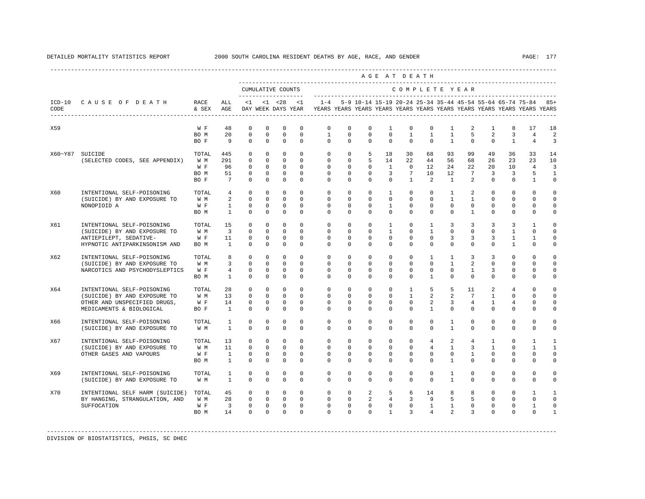|      |                                 |               |                         |                |              |                      |             |                                                                                            |             |              |                | AGE AT DEATH   |                |                |                 |                |                |                                                               |                |
|------|---------------------------------|---------------|-------------------------|----------------|--------------|----------------------|-------------|--------------------------------------------------------------------------------------------|-------------|--------------|----------------|----------------|----------------|----------------|-----------------|----------------|----------------|---------------------------------------------------------------|----------------|
|      |                                 |               |                         |                |              | CUMULATIVE COUNTS    |             |                                                                                            |             |              |                |                |                |                | COMPLETE YEAR   |                |                |                                                               |                |
| CODE | ICD-10 CAUSE OF DEATH           | RACE<br>& SEX | ALL<br>AGE              |                |              | $<1$ $<1$ $<28$ $<1$ |             | DAY WEEK DAYS YEAR TEARS YEARS YEARS YEARS YEARS YEARS YEARS YEARS YEARS YEARS YEARS YEARS |             |              |                |                |                |                |                 |                |                | 1-4 5-9 10-14 15-19 20-24 25-34 35-44 45-54 55-64 65-74 75-84 | $85+$          |
| X59  |                                 | W F           | 48                      | $\Omega$       | $\Omega$     | $\Omega$             | $\Omega$    | $\Omega$                                                                                   | $\Omega$    | $\Omega$     | $\mathbf{1}$   | $\Omega$       | $\Omega$       | $\overline{1}$ | 2               | $\mathbf{1}$   | 8              | 17                                                            | 18             |
|      |                                 | BO M          | 20                      | $\mathbf 0$    | $\mathbf 0$  | $\circ$              | $\circ$     | $\mathbf{1}$                                                                               | $\circ$     | $\circ$      | $\mathbf{0}$   | $\mathbf{1}$   | $\mathbf{1}$   | $\mathbf{1}$   | 5               | 2              | 3              | $\overline{4}$                                                | $\overline{a}$ |
|      |                                 | BO F          | 9                       | $\Omega$       | $\Omega$     | $\Omega$             | $\Omega$    | $\Omega$                                                                                   | $\Omega$    | $\Omega$     | $\Omega$       | $\Omega$       | $\Omega$       | $\overline{1}$ | $\Omega$        | $\Omega$       | $\mathbf{1}$   | $\overline{4}$                                                | 3              |
|      | X60~Y87 SUICIDE                 | TOTAL         | 445                     | $\mathbf 0$    | $\mathbf 0$  | $\mathbf 0$          | $\Omega$    | $\circ$                                                                                    | $\circ$     | 5            | 18             | 30             | 68             | 93             | 99              | 49             | 36             | 33                                                            | 14             |
|      | (SELECTED CODES, SEE APPENDIX)  | W M           | 291                     | $\mathbf 0$    | $\mathbf 0$  | $\mathbf 0$          | $\Omega$    | $\mathbf 0$                                                                                | $\mathbf 0$ | 5            | 14             | 22             | 44             | 56             | 68              | 26             | 23             | 23                                                            | 10             |
|      |                                 | W F           | 96                      | $\Omega$       | $\Omega$     | $\Omega$             | $\Omega$    | $\Omega$                                                                                   | $\Omega$    | $\Omega$     | $\overline{1}$ | $\Omega$       | 12.            | 24             | 22              | $20^{\circ}$   | 10             | $\overline{4}$                                                | 3              |
|      |                                 | BO M          | 51                      | $\mathbf 0$    | $\mathbf 0$  | $\mathbf 0$          | $\circ$     | $\circ$                                                                                    | $\circ$     | $\mathbf{0}$ | $\overline{3}$ | $7^{\circ}$    | 10             | 12             | $7\overline{ }$ | $\overline{3}$ | $\overline{3}$ | 5                                                             | $\mathbf{1}$   |
|      |                                 | BO F          | $7\overline{ }$         | $\Omega$       | $\Omega$     | $\Omega$             | $\Omega$    | $\Omega$                                                                                   | $\mathbf 0$ | $\Omega$     | $\mathbf 0$    | $\overline{1}$ | $\overline{2}$ | $\overline{1}$ | 2               | $\Omega$       | $\Omega$       | $\mathbf{1}$                                                  | $\mathsf 0$    |
| X60  | INTENTIONAL SELF-POISONING      | TOTAL         | $\overline{4}$          | $\Omega$       | $\Omega$     | $\Omega$             | $\Omega$    | $\Omega$                                                                                   | $\Omega$    | $\Omega$     | $\mathbf{1}$   | $\Omega$       | $\Omega$       | $\mathbf{1}$   | $\overline{2}$  | $\Omega$       | $\Omega$       | $\Omega$                                                      | $\Omega$       |
|      | (SUICIDE) BY AND EXPOSURE TO    | W M           | 2                       | $\Omega$       | $\Omega$     | $\Omega$             | $\Omega$    | $\Omega$                                                                                   | $\Omega$    | $\Omega$     | $\Omega$       | $\Omega$       | $\Omega$       | $\mathbf{1}$   | $\mathbf{1}$    | $\Omega$       | $\Omega$       | $\Omega$                                                      | $\mathbf 0$    |
|      | NONOPIOID A                     | W F           | $\mathbf{1}$            | $\mathbf 0$    | $\Omega$     | $\Omega$             | $\Omega$    | $\Omega$                                                                                   | $\Omega$    | $\Omega$     | $\mathbf{1}$   | $\Omega$       | $\Omega$       | $\Omega$       | $\Omega$        | $\Omega$       | $\Omega$       | $\mathbf{0}$                                                  | $\mathbf{0}$   |
|      |                                 | BO M          | $\mathbf{1}$            | $\mathbf 0$    | $\mathbf 0$  | $\mathbf 0$          | $\mathbf 0$ | $\circ$                                                                                    | $\circ$     | $\circ$      | $\mathbf{0}$   | $\circ$        | $\mathbf 0$    | $\mathbf 0$    | $\mathbf{1}$    | $\mathbf 0$    | $\mathbf 0$    | $\mathbf{0}$                                                  | $\mathsf 0$    |
| X61  | INTENTIONAL SELF-POISONING      | TOTAL         | 15                      | $\Omega$       | $\Omega$     | $\Omega$             | $\Omega$    | $\Omega$                                                                                   | $\Omega$    | $\Omega$     | $\mathbf{1}$   | $\Omega$       | $\overline{1}$ | 3              | $\overline{3}$  | $\overline{3}$ | 3              | $\overline{1}$                                                | $\Omega$       |
|      | (SUICIDE) BY AND EXPOSURE TO    | W M           | $\overline{\mathbf{3}}$ | $\mathbf 0$    | $\mathbf 0$  | $\Omega$             | $\Omega$    | $\circ$                                                                                    | $\circ$     | $\mathbf 0$  | $\mathbf{1}$   | $\circ$        | $\mathbf{1}$   | $\Omega$       | $\mathbf 0$     | $\mathbf 0$    | $\mathbf{1}$   | $\mathbf 0$                                                   | $\mathbf 0$    |
|      | ANTIEPILEPT, SEDATIVE-          | W F           | 11                      | $\mathbf 0$    | $^{\circ}$   | $\mathbf 0$          | $\Omega$    | $\mathbf 0$                                                                                | $\mathbf 0$ | $^{\circ}$   | $\mathbf 0$    | $\mathbf 0$    | $\mathbf 0$    | 3              | $\overline{3}$  | 3              | $\mathbf{1}$   | $\mathbf{1}$                                                  | $\mathbf 0$    |
|      | HYPNOTIC ANTIPARKINSONISM AND   | BO M          | $\mathbf{1}$            | $\Omega$       | $\Omega$     | $\Omega$             | $\Omega$    | $\Omega$                                                                                   | $\Omega$    | $\Omega$     | $\mathbf{0}$   | $\Omega$       | $\Omega$       | $\Omega$       | $\Omega$        | $\Omega$       | $\mathbf{1}$   | $\mathbf{0}$                                                  | $\circ$        |
| X62  | INTENTIONAL SELF-POISONING      | TOTAL         | 8                       | $\Omega$       | $\Omega$     | $\Omega$             | $\Omega$    | $\Omega$                                                                                   | $\circ$     | $\circ$      | $\mathbf 0$    | $\mathbf 0$    | $\mathbf{1}$   | $\mathbf{1}$   | $\overline{3}$  | 3              | $\Omega$       | $\Omega$                                                      | $\circ$        |
|      | (SUICIDE) BY AND EXPOSURE TO    | W M           | $\overline{3}$          | $\Omega$       | $\Omega$     | $\Omega$             | $\Omega$    | $\Omega$                                                                                   | $\Omega$    | $\Omega$     | $\Omega$       | $\Omega$       | $\Omega$       | $\mathbf{1}$   | 2               | $\Omega$       | $\Omega$       | $\Omega$                                                      | $\Omega$       |
|      | NARCOTICS AND PSYCHODYSLEPTICS  | W F           | $\overline{4}$          | $\Omega$       | $\Omega$     | $\Omega$             | $\Omega$    | $\Omega$                                                                                   | $\Omega$    | $\Omega$     | $\Omega$       | $\Omega$       | $\Omega$       | $\Omega$       | $\mathbf{1}$    | 3              | $\Omega$       | $\Omega$                                                      | $\Omega$       |
|      |                                 | BO M          | $\overline{1}$          | $\Omega$       | $\Omega$     | $\Omega$             | $\Omega$    | $\Omega$                                                                                   | $\Omega$    | $\Omega$     | $\Omega$       | $\Omega$       | $\mathbf{1}$   | $\Omega$       | $\Omega$        | $\Omega$       | $\Omega$       | $\Omega$                                                      | $\mathbf 0$    |
| X64  | INTENTIONAL SELF-POISONING      | TOTAL         | 28                      | $\mathbf 0$    | $\mathbf 0$  | $\circ$              | $\Omega$    | $\circ$                                                                                    | $\circ$     | $\circ$      | $\mathbf{0}$   | $\mathbf{1}$   | 5              | 5              | 11              | $\overline{2}$ | $\overline{4}$ | $\mathbf 0$                                                   | $\circ$        |
|      | (SUICIDE) BY AND EXPOSURE TO    | W M           | 13                      | $\mathbf 0$    | $\mathbf 0$  | $\circ$              | $\Omega$    | $\mathbf 0$                                                                                | $\circ$     | $\mathbf{0}$ | $\mathbf 0$    | $\mathbf{1}$   | $\overline{2}$ | 2              | $7\overline{ }$ | $\mathbf{1}$   | $\mathbf{0}$   | $\mathbf{0}$                                                  | $\circ$        |
|      | OTHER AND UNSPECIFIED DRUGS,    | W F           | 14                      | $\mathbf 0$    | $\Omega$     | $\Omega$             | $\Omega$    | $\mathbf 0$                                                                                | $\Omega$    | $\mathbf 0$  | $\mathbf{0}$   | $\circ$        | 2              | $\overline{3}$ | $\overline{4}$  | $\mathbf{1}$   | $\overline{4}$ | $\mathbf{0}$                                                  | $\mathbf 0$    |
|      | MEDICAMENTS & BIOLOGICAL        | BO F          | $\mathbf{1}$            | $\Omega$       | $\Omega$     | $\Omega$             | $\Omega$    | $\Omega$                                                                                   | $\Omega$    | $\Omega$     | $\mathbf 0$    | $\Omega$       | $\mathbf{1}$   | $\Omega$       | $\Omega$        | $\Omega$       | $\Omega$       | $\Omega$                                                      | $\circ$        |
| X66  | INTENTIONAL SELF-POISONING      | TOTAL         | 1                       | $^{\circ}$     | $\mathbf{0}$ | 0                    | $\mathbf 0$ | $\mathbf{0}$                                                                               | $\circ$     | $\circ$      | $\mathbf 0$    | $\circ$        | $\mathbf 0$    | $\mathbf{1}$   | $^{\circ}$      | $\mathbf{0}$   | $\mathbf 0$    | $\mathbf 0$                                                   | $\circ$        |
|      | (SUICIDE) BY AND EXPOSURE TO    | W M           | $\mathbf{1}$            | $\Omega$       | $\Omega$     | $\Omega$             | $\Omega$    | $\Omega$                                                                                   | $\Omega$    | $\Omega$     | $\Omega$       | $\Omega$       | $\Omega$       | $\mathbf{1}$   | $\Omega$        | $\Omega$       | $\Omega$       | $\Omega$                                                      | $\Omega$       |
|      |                                 |               |                         |                |              |                      |             |                                                                                            |             |              |                |                |                |                |                 |                |                |                                                               |                |
| X67  | INTENTIONAL SELF-POISONING      | TOTAL         | 13                      | $\mathbf 0$    | $\mathbf 0$  | $\mathbf 0$          | $\Omega$    | $\mathbf{0}$                                                                               | $\circ$     | $\mathbf 0$  | $\mathbf{0}$   | $\circ$        | $\overline{4}$ | 2              | $\overline{4}$  | $\mathbf{1}$   | $\mathbf 0$    | $\mathbf{1}$                                                  | 1              |
|      | (SUICIDE) BY AND EXPOSURE TO    | W M           | 11                      | $\mathbf 0$    | $^{\circ}$   | $^{\circ}$           | $\circ$     | $\circ$                                                                                    | $\circ$     | $\circ$      | $\mathbf{0}$   | $\circ$        | $\overline{4}$ | $\mathbf{1}$   | $\overline{3}$  | $\mathbf{1}$   | $\mathbf{0}$   | 1                                                             | $\mathbf{1}$   |
|      | OTHER GASES AND VAPOURS         | W F           | $\mathbf{1}$            | $\mathbf 0$    | $\Omega$     | $\circ$              | $\Omega$    | $\mathbf 0$                                                                                | $\mathbf 0$ | $^{\circ}$   | $\mathbf 0$    | $\mathbf 0$    | $\Omega$       | $\mathbf 0$    | $\mathbf{1}$    | $\Omega$       | $\mathbf{0}$   | $\mathbf{0}$                                                  | $\mathbf 0$    |
|      |                                 | BO M          | $\mathbf{1}$            | $\Omega$       | $\Omega$     | $\Omega$             | $\Omega$    | $\Omega$                                                                                   | $\Omega$    | $\Omega$     | $\Omega$       | $\Omega$       | $\Omega$       | $\mathbf{1}$   | $\Omega$        | $\Omega$       | $\Omega$       | $\mathbf 0$                                                   | $\mathbf 0$    |
| X69  | INTENTIONAL SELF-POISONING      | TOTAL         | 1                       | $\mathbf 0$    | $\mathbf 0$  | $\mathbf 0$          | $\mathbf 0$ | $\circ$                                                                                    | $\circ$     | $\circ$      | $\mathbf{0}$   | $\circ$        | $\mathbf 0$    | 1              | $\mathbf 0$     | $\mathbf 0$    | $\mathbf 0$    | $\mathbf 0$                                                   | $\circ$        |
|      | (SUICIDE) BY AND EXPOSURE TO    | W M           | $\overline{1}$          | $\Omega$       | $\Omega$     | $\Omega$             | $\Omega$    | $\Omega$                                                                                   | $\Omega$    | $\Omega$     | $\Omega$       | $\Omega$       | $\Omega$       | $\mathbf{1}$   | $\Omega$        | $\Omega$       | $\Omega$       | $\Omega$                                                      | $\Omega$       |
| X70  | INTENTIONAL SELF HARM (SUICIDE) | TOTAL         | 45                      | $\overline{0}$ | $\circ$      | $\overline{0}$       | $\circ$     | $\circ$                                                                                    | $\circ$     | 2            | 5              | 6              | 14             | 8              | 8               | $\circ$        | $\mathbf 0$    | $\mathbf{1}$                                                  | 1              |
|      | BY HANGING, STRANGULATION, AND  | W M           | 28                      | $\mathbf{0}$   | $\mathbf{0}$ | $\overline{0}$       | $\mathbf 0$ | $\circ$                                                                                    | $\circ$     | 2            | $\overline{4}$ | $\overline{3}$ | 9              | 5              | 5               | $\mathbf 0$    | $\mathbf{0}$   | $\mathbf{0}$                                                  | $\mathbf 0$    |
|      | SUFFOCATION                     | W F           | $\overline{\mathbf{3}}$ | $\Omega$       | $\Omega$     | $\Omega$             | $\Omega$    | $\Omega$                                                                                   | $\Omega$    | $\Omega$     | $\Omega$       | $\Omega$       | $\mathbf{1}$   | $\mathbf{1}$   | $\Omega$        | $\Omega$       | $\Omega$       | $\mathbf{1}$                                                  | $\mathbf 0$    |
|      |                                 | BO M          | 14                      | $\circ$        | $\Omega$     | $\circ$              | $\Omega$    | $\Omega$                                                                                   | $\Omega$    | $\Omega$     | $\mathbf{1}$   | $\overline{3}$ | $\overline{4}$ | $\mathfrak{D}$ | $\overline{3}$  | $\Omega$       | $\mathbf{0}$   | $\mathbf 0$                                                   | $\mathbf{1}$   |
|      |                                 |               |                         |                |              |                      |             |                                                                                            |             |              |                |                |                |                |                 |                |                |                                                               |                |

-----------------------------------------------------------------------------------------------------------------------------------------------------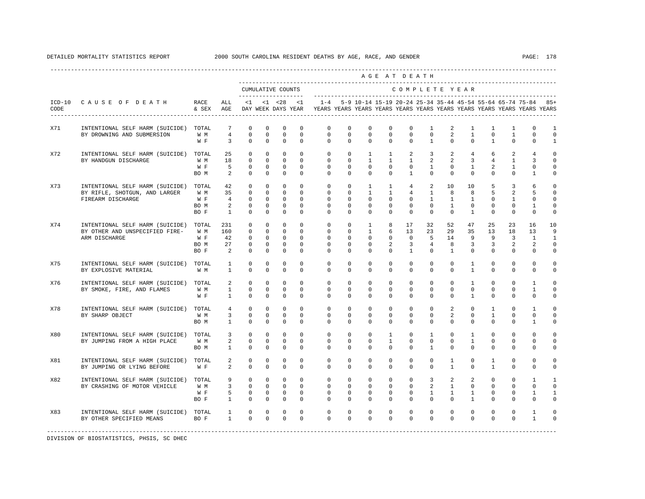|      |                                           |         |                            |                   |                |                |                     |                                                                                                                                                                                                 |                |                              | AGE AT DEATH   |                              |                |                                                  |                |                            |              |                |                |
|------|-------------------------------------------|---------|----------------------------|-------------------|----------------|----------------|---------------------|-------------------------------------------------------------------------------------------------------------------------------------------------------------------------------------------------|----------------|------------------------------|----------------|------------------------------|----------------|--------------------------------------------------|----------------|----------------------------|--------------|----------------|----------------|
|      |                                           |         |                            | CUMULATIVE COUNTS |                |                |                     |                                                                                                                                                                                                 |                |                              |                |                              |                |                                                  | COMPLETE YEAR  |                            |              |                |                |
| CODE | ICD-10 CAUSE OF DEATH                     | RACE    | ALL                        |                   |                |                |                     | <1 <28 <1 -28 <1 -4 5-9 10-14 15-19 20-24 25-34 35-44 45-54 55-64 65-74 75-84 85+<br>& SEX AGE DAY WEEK DAYS YEAR YEARS YEARS YEARS YEARS YEARS YEARS YEARS YEARS YEARS YEARS YEARS YEARS YEARS |                |                              |                |                              |                |                                                  |                |                            |              |                |                |
| X71  | INTENTIONAL SELF HARM (SUICIDE) TOTAL     |         | $7\overline{ }$            | $\circ$           | $\circ$        | $\overline{0}$ | $\mathbf 0$         | 0                                                                                                                                                                                               | $\mathbf 0$    | $\mathbf 0$                  | $\mathbf 0$    | $\mathbf 0$                  | $\mathbf{1}$   | 2                                                | $\mathbf{1}$   | $\mathbf{1}$               | $\mathbf{1}$ | $\mathbf 0$    | $\mathbf{1}$   |
|      | BY DROWNING AND SUBMERSION                | W M     | $\overline{4}$             | $\circ$           |                | $0\qquad 0$    | $\circ$             | $\circ$                                                                                                                                                                                         | $\circ$        | $\circ$                      | $\circ$        | $\circ$                      | $\Omega$       | 2                                                | $\overline{1}$ | $\circ$                    | $\mathbf{1}$ | $\mathbf 0$    | $\mathbf 0$    |
|      |                                           | W F     | $\overline{\phantom{a}}$ 3 | $\Omega$          | $\circ$        | $\overline{0}$ | $\mathbf{0}$        | $\Omega$                                                                                                                                                                                        | $\Omega$       | $\Omega$                     | $\Omega$       | $\Omega$                     | $\mathbf{1}$   | $\Omega$                                         | $\Omega$       | $\mathbf{1}$               | $\Omega$     | $\mathbf 0$    | $\mathbf{1}$   |
| X72  | INTENTIONAL SELF HARM (SUICIDE) TOTAL     |         | 25                         | $\Omega$          | $\Omega$       | $\Omega$       | $\Omega$            | $\Omega$                                                                                                                                                                                        | $\Omega$       | $\mathbf{1}$                 | $\overline{1}$ | $\overline{a}$               | $\overline{3}$ | 2                                                | $\overline{4}$ | 6                          | 2            | $\overline{4}$ | $\Omega$       |
|      | BY HANDGUN DISCHARGE                      | W M     | 18                         | $\mathbf{0}$      | $\circ$        | $\overline{0}$ | $\mathbf{0}$        | $\circ$                                                                                                                                                                                         |                | $0 \qquad 1$                 |                | $1 \quad \blacksquare$       | 1              | $2 \left( \frac{1}{2} \right)$<br>$\overline{a}$ |                | $3^{\circ}$<br>4           | $\mathbf{1}$ | 3              | $\mathbf 0$    |
|      |                                           |         | WF 5 0                     |                   |                | $0\qquad 0$    | $\overline{0}$      | $\circ$                                                                                                                                                                                         |                | $0\qquad 0$                  |                | $0 \qquad \qquad$<br>$\circ$ | $\mathbf{1}$   | $\Omega$                                         | $\mathbf{1}$   | $\overline{\phantom{a}}$ 2 | $\mathbf{1}$ | $\mathbf{0}$   | $\mathbf 0$    |
|      |                                           | BO M    | $\sim$ 2                   | $\overline{0}$    | $\Omega$       | $\overline{0}$ | $\Omega$            | $\Omega$                                                                                                                                                                                        | $\mathbf{0}$   | $\Omega$                     | $\Omega$       | $\overline{1}$               | $\Omega$       | $\Omega$                                         | $\Omega$       | $\Omega$                   | $\Omega$     | 1              | 0              |
| X73  | INTENTIONAL SELF HARM (SUICIDE) TOTAL     |         |                            | 42 0              |                | $0\qquad 0$    | $\overline{0}$      | $\circ$                                                                                                                                                                                         | $\circ$        | $\mathbf{1}$                 | $\mathbf{1}$   | 4                            | 2              | 10                                               | 10             | 5                          | 3            | 6              | $\circ$        |
|      | BY RIFLE, SHOTGUN, AND LARGER             | W M     | 35 0                       |                   |                |                | $0\qquad 0\qquad 0$ | $\circ$                                                                                                                                                                                         | $\mathbf{0}$   | $\overline{1}$               | $\mathbf{1}$   | 4                            | <sup>1</sup>   | 8                                                | 8              | -5                         | 2            | 5              | $\mathbf 0$    |
|      | FIREARM DISCHARGE                         |         | WF 4 0                     |                   |                | $0\qquad 0$    | $\overline{0}$      | $\circ$                                                                                                                                                                                         | $\mathbf{0}$   | $\circ$                      |                | $\Omega$<br>$\circ$          | $\mathbf{1}$   | $\sim$ 1                                         | $\sim$ 1       | $^{\circ}$                 | $\mathbf{1}$ | $\mathbf{0}$   | $\mathbf 0$    |
|      |                                           | BO M    | $\overline{\phantom{a}}$ 2 | $\overline{0}$    |                | $0\qquad 0$    | $\overline{0}$      | $\Omega$                                                                                                                                                                                        | $\Omega$       | $\Omega$                     | $\Omega$       | $\Omega$                     | $\Omega$       | $\overline{1}$                                   | $\Omega$       | $\Omega$                   | $\Omega$     | $\mathbf{1}$   | $\mathbf 0$    |
|      |                                           | BO F    | $\overline{1}$             | $\circ$           | $\circ$        | $\overline{0}$ | $\Omega$            | $\Omega$                                                                                                                                                                                        | $\Omega$       | $\Omega$                     | $\Omega$       | $\Omega$                     | $\Omega$       | $\Omega$                                         | $\mathbf{1}$   | $\Omega$                   | $\Omega$     | $\Omega$       | $\mathbf 0$    |
| X74  | INTENTIONAL SELF HARM (SUICIDE) TOTAL     |         | 231                        | $\circ$           | $\circ$        | $\mathbf{0}$   | $\overline{0}$      | $\circ$                                                                                                                                                                                         | $\circ$        | $\mathbf{1}$                 | 8              | 17                           | 32             | 52                                               | 47             | 25                         | 23           | 16             | 10             |
|      | BY OTHER AND UNSPECIFIED FIRE-            | WM 160  |                            | $^{\circ}$        | $\mathbf{0}$   | $\overline{0}$ | $\Omega$            | $\mathbf 0$                                                                                                                                                                                     | $\Omega$       | $\overline{1}$               | 6              | 13                           | 23             | 29                                               | 35             | 13                         | 18           | 13             | 9              |
|      | ARM DISCHARGE                             | $W$ F   | 42                         | $\Omega$          | $\Omega$       | $\overline{0}$ | $\overline{0}$      | $\Omega$                                                                                                                                                                                        | $\Omega$       | $\Omega$                     |                | $0 \qquad 0$                 | -5             | 14                                               | -9             | 9                          | $\mathbf{3}$ | $\overline{1}$ | $\overline{1}$ |
|      |                                           | BO M    |                            | 27 0              | $\mathbf{0}$   | $\overline{0}$ | $\mathbf{0}$        | $\circ$                                                                                                                                                                                         | $\mathbf{0}$   | $\overline{0}$               | 2              | $\overline{\phantom{a}}$     | $\overline{4}$ | 8 <sup>8</sup>                                   | $\overline{3}$ | $\overline{3}$             | 2            | 2              | $\mathbf 0$    |
|      |                                           | BO F 2  |                            | $\mathbf{0}$      | $\mathbf 0$    | $\mathbf 0$    | $\mathbf 0$         | $\mathbf 0$                                                                                                                                                                                     | $\mathbf 0$    | $\mathbf 0$                  | $\circ$        | $\mathbf{1}$                 | $\circ$        | $\mathbf{1}$                                     | $\mathbf 0$    | $\mathbf 0$                | $\mathbf 0$  | $\mathbf 0$    | $\mathbf 0$    |
| X75  | INTENTIONAL SELF HARM (SUICIDE) TOTAL 1   |         |                            | $^{\circ}$        | $^{\circ}$     | $\mathbf 0$    | $\mathbf 0$         | $\mathbf 0$                                                                                                                                                                                     | $\mathbf 0$    | $\mathbf 0$                  | $\mathbf 0$    | $\mathbf 0$                  | $\mathbf 0$    | $\mathbf{0}$                                     | $\mathbf{1}$   | $\Omega$                   | $\Omega$     | $\Omega$       | $\Omega$       |
|      | BY EXPLOSIVE MATERIAL                     | W M     | $\overline{1}$             | $\Omega$          | $\Omega$       | $\Omega$       | $\Omega$            | $\Omega$                                                                                                                                                                                        | $\Omega$       | $\Omega$                     | $\Omega$       | $\Omega$                     | $\Omega$       | $\Omega$                                         | $\mathbf{1}$   | $\Omega$                   | $\Omega$     | $\Omega$       | $\mathbf 0$    |
| X76  | INTENTIONAL SELF HARM (SUICIDE) TOTAL     |         | $2 \quad \blacksquare$     | $^{\circ}$        | $^{\circ}$     | $^{\circ}$     | $\Omega$            | $\mathbf 0$                                                                                                                                                                                     | $\mathbf 0$    | $\mathbf 0$                  | 0              | $\Omega$                     | $\Omega$       | 0                                                | $\mathbf{1}$   | $\Omega$                   | $\mathbf 0$  | 1              | $\Omega$       |
|      | BY SMOKE, FIRE, AND FLAMES                | W M     | $\mathbf{1}$               | $\circ$           | $\circ$        | $\overline{0}$ | $\Omega$            | $\Omega$                                                                                                                                                                                        | $\Omega$       | $\Omega$                     | $\Omega$       | $\Omega$                     | $\Omega$       | $\Omega$                                         | $\Omega$       | $\Omega$                   | $\Omega$     | $\mathbf{1}$   | $\Omega$       |
|      |                                           | $W$ F   | $\mathbf{1}$               | $\circ$           | $\Omega$       | $\overline{0}$ | $\Omega$            | $\Omega$                                                                                                                                                                                        | $\Omega$       | $\Omega$                     | $\Omega$       | $\Omega$                     | $\Omega$       | $\Omega$                                         | $\mathbf{1}$   | $\Omega$                   | $\Omega$     | $\Omega$       | 0              |
| X78  | INTENTIONAL SELF HARM (SUICIDE) TOTAL     |         | 4                          | $\Omega$          | $\Omega$       | $\Omega$       | $\Omega$            | $\Omega$                                                                                                                                                                                        | $\Omega$       | $\Omega$                     | $\Omega$       | $\Omega$                     | $\Omega$       | 2                                                | $\Omega$       | $\mathbf{1}$               | $\Omega$     | $\overline{1}$ | $\Omega$       |
|      | BY SHARP OBJECT                           | W M     | $3^{\circ}$                | $\mathbf 0$       | $\mathbf{0}$   | $\mathbf{0}$   | $\mathbf 0$         | $\mathbf 0$                                                                                                                                                                                     | $\mathbf 0$    | $\mathbf 0$                  | $\Omega$       | $\mathbf 0$                  | $\Omega$       | 2                                                | $\Omega$       | $\mathbf{1}$               | $\Omega$     | $\Omega$       | 0              |
|      |                                           | BO M    | $\sim$ 1                   | $\Omega$          | $\Omega$       | $\Omega$       | $\Omega$            | $\Omega$                                                                                                                                                                                        | $\Omega$       | $\Omega$                     | $\Omega$       | $\Omega$                     | $\Omega$       | $\Omega$                                         | $\Omega$       | $\Omega$                   | $\Omega$     | $\mathbf{1}$   | $\Omega$       |
| X80  | INTENTIONAL SELF HARM (SUICIDE) TOTAL     |         | $\overline{\mathbf{3}}$    | $\Omega$          | $\Omega$       | $\overline{0}$ | $\Omega$            | $\Omega$                                                                                                                                                                                        | $\Omega$       | $\Omega$                     | $\mathbf{1}$   | $\Omega$                     | $\mathbf{1}$   | $\Omega$                                         | $\mathbf{1}$   | $\Omega$                   | $\Omega$     | $\Omega$       | $\Omega$       |
|      | BY JUMPING FROM A HIGH PLACE              | W M     | $\overline{a}$             | $\circ$           | $\overline{0}$ | $\overline{0}$ | $\circ$             | $\circ$                                                                                                                                                                                         | $\circ$        | $\mathbf{0}$                 | $\mathbf{1}$   | $\mathbf{0}$                 | $\circ$        | $\circ$                                          | $\mathbf{1}$   | $\overline{0}$             | $\mathbf 0$  | $\mathbf{0}$   | $\mathbf 0$    |
|      |                                           | BOM 1   |                            | $^{\circ}$        | $\mathbf 0$    | $\mathbf 0$    | $\mathbf 0$         | $\Omega$                                                                                                                                                                                        | $\circ$        | $\Omega$                     | $\Omega$       | $\Omega$                     | $\overline{1}$ | $\Omega$                                         | $\Omega$       | $\Omega$                   | $\Omega$     | $\Omega$       | $\Omega$       |
| X81  | INTENTIONAL SELF HARM (SUICIDE) TOTAL     |         | 2                          | $^{\circ}$        | $\Omega$       | $\mathbf 0$    | $\Omega$            | $\Omega$                                                                                                                                                                                        | $\Omega$       | $\Omega$                     | $\Omega$       | $\Omega$                     | $\Omega$       | $\mathbf{1}$                                     | $\Omega$       | $\mathbf{1}$               | $\Omega$     | $\Omega$       | $\Omega$       |
|      | BY JUMPING OR LYING BEFORE                | W F     | $\overline{\phantom{a}}$   | $\Omega$          | $\Omega$       | $\Omega$       | $\Omega$            | $\Omega$                                                                                                                                                                                        | $\Omega$       | $\Omega$                     | $\Omega$       | $\Omega$                     | $\Omega$       | $\overline{1}$                                   | $\Omega$       | $\mathbf{1}$               | $\Omega$     | $\cap$         | $\Omega$       |
| X82  | INTENTIONAL SELF HARM (SUICIDE) TOTAL 9 0 |         |                            |                   | $\circ$        | $\overline{0}$ | $\circ$             | $\circ$                                                                                                                                                                                         | $\mathbf{0}$   | $\circ$                      | $\mathbf{0}$   | $\circ$                      | $\overline{3}$ | 2                                                | 2              | $\mathbf{0}$               | $\mathbf 0$  | $\mathbf{1}$   | $\mathbf{1}$   |
|      | BY CRASHING OF MOTOR VEHICLE              |         |                            | WM 3 0 0 0 0      |                |                |                     | $\overline{0}$                                                                                                                                                                                  |                | $0 \qquad \qquad$<br>$\circ$ | $\Omega$       | $\Omega$                     | $\overline{a}$ | $\mathbf{1}$                                     | $\Omega$       | $\Omega$                   | $\Omega$     | $\Omega$       | $\Omega$       |
|      |                                           |         |                            | WF 5 0 0 0        |                |                | $\mathbf{0}$        | $\circ$                                                                                                                                                                                         | $\overline{0}$ | $\overline{0}$               | $\mathbf{0}$   | $\mathbf{0}$                 | $\mathbf{1}$   | $\overline{1}$                                   | $\mathbf{1}$   | $\overline{0}$             | $\mathbf{0}$ | $\mathbf{1}$   | 1              |
|      |                                           | $BOF$ 1 |                            | $\Omega$          | $\Omega$       | $\overline{0}$ | $\Omega$            | $\Omega$                                                                                                                                                                                        | $\Omega$       | $\Omega$                     | $\Omega$       | $\Omega$                     | $\Omega$       | $\Omega$                                         | $\overline{1}$ | $\Omega$                   | $\Omega$     | $\Omega$       | $\Omega$       |
| X83  | INTENTIONAL SELF HARM (SUICIDE) TOTAL 1   |         |                            | $\circ$           | $\mathbf{0}$   | 0              | $\mathbf{0}$        | 0                                                                                                                                                                                               | 0              | $\mathbf 0$                  | $\mathbf 0$    | $\mathbf{0}$                 | 0              | $\circ$                                          | $\mathbf 0$    | $^{\circ}$                 | $\mathbf{0}$ | 1              | $\Omega$       |
|      | BY OTHER SPECIFIED MEANS                  | $BOF$ 1 |                            | $\Omega$          | $\Omega$       | $\Omega$       | $\Omega$            | $\Omega$                                                                                                                                                                                        | $\Omega$       | $\Omega$                     | $\Omega$       | $\Omega$                     | $\Omega$       | $\Omega$                                         | $\Omega$       | $\Omega$                   | $\Omega$     | $\mathbf{1}$   | $\Omega$       |
|      |                                           |         |                            |                   |                |                |                     |                                                                                                                                                                                                 |                |                              |                |                              |                |                                                  |                |                            |              |                |                |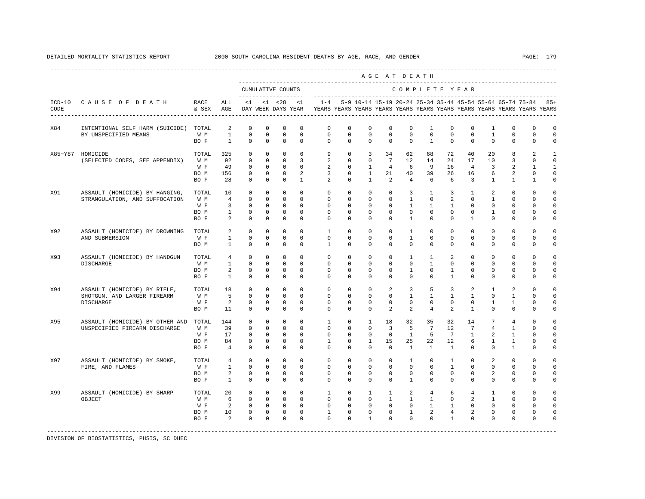|      |                                 |                   |                                |                           |                         |                            |                         |                                                                                                        |                         |                            |                         | AGE AT DEATH                  |                          |                                |                             |                            |                            |                                                               |                           |
|------|---------------------------------|-------------------|--------------------------------|---------------------------|-------------------------|----------------------------|-------------------------|--------------------------------------------------------------------------------------------------------|-------------------------|----------------------------|-------------------------|-------------------------------|--------------------------|--------------------------------|-----------------------------|----------------------------|----------------------------|---------------------------------------------------------------|---------------------------|
|      |                                 |                   |                                | CUMULATIVE COUNTS         |                         |                            |                         |                                                                                                        |                         |                            |                         | COMPLETE YEAR                 |                          |                                |                             |                            |                            |                                                               |                           |
| CODE | ICD-10 CAUSE OF DEATH           | RACE<br>& SEX AGE | ALL                            | $\leq 1$                  |                         |                            | $<1$ $<28$ $<1$         | $1 - 4$<br>DAY WEEK DAYS YEAR TYEARS YEARS YEARS YEARS YEARS YEARS YEARS YEARS YEARS YEARS YEARS YEARS |                         |                            |                         |                               |                          |                                |                             |                            |                            | 5-9 10-14 15-19 20-24 25-34 35-44 45-54 55-64 65-74 75-84 85+ |                           |
| X84  | INTENTIONAL SELF HARM (SUICIDE) | TOTAL             | 2                              | $\mathbf 0$               | $\mathbf 0$             | $\mathbf 0$                | $\mathbf 0$             | $\mathbf 0$                                                                                            | $\Omega$                | $\Omega$                   | $\Omega$                | $\Omega$                      | $\overline{1}$           | $\Omega$                       | $\Omega$                    | $\overline{1}$             | $\Omega$                   | $\Omega$                                                      | $\mathbf 0$               |
|      | BY UNSPECIFIED MEANS            | W M<br>BO F       | $\mathbf{1}$<br>$\mathbf{1}$   | $\Omega$<br>$\mathbf 0$   | $\Omega$<br>$\mathbf 0$ | $\Omega$<br>$\mathbf 0$    | $\Omega$<br>$\mathbf 0$ | $\Omega$<br>$\mathbf 0$                                                                                | $\Omega$<br>$\mathbf 0$ | $\Omega$<br>$\mathbf 0$    | $\Omega$<br>$\mathbf 0$ | $\Omega$<br>$\mathbf 0$       | $\Omega$<br>$\mathbf{1}$ | $\Omega$<br>$\mathbf 0$        | $\Omega$<br>$\mathbf 0$     | $\mathbf{1}$<br>$^{\circ}$ | $\Omega$<br>$\mathbf 0$    | $\mathbf{0}$<br>0                                             | $\Omega$<br>0             |
|      | X85~Y87 HOMICIDE                | TOTAL             | 325<br>92                      | $\mathbf 0$               | $\Omega$                | $\mathbf 0$<br>$\mathbf 0$ | 6                       | 9<br>2                                                                                                 | $\Omega$                | 3<br>$\mathbf 0$           | 34<br>$7\overline{ }$   | 62                            | 68                       | 72                             | 40                          | 20                         | 8                          | 2                                                             | $\overline{1}$<br>$\circ$ |
|      | (SELECTED CODES, SEE APPENDIX)  | W M               | 49                             | $\mathbf 0$<br>$\Omega$   | $\mathbf 0$<br>$\Omega$ | $\Omega$                   | 3<br>$\Omega$           | 2                                                                                                      | $\mathbf 0$<br>$\Omega$ | $\mathbf{1}$               | $\overline{4}$          | 12<br>6                       | 14<br>9                  | 24<br>16                       | 17<br>4                     | 10<br>3                    | 3<br>$\mathfrak{D}$        | $\mathbf 0$                                                   | $\mathbf{1}$              |
|      |                                 | W F<br>BO M       | 156                            | $\Omega$                  | $\Omega$                | $\mathbf 0$                | 2                       | 3                                                                                                      | $\Omega$                | $\overline{1}$             | 21                      | 40                            | 39                       | 26                             | 16                          | 6                          | $\overline{a}$             | 1<br>$\mathbf 0$                                              | $\Omega$                  |
|      |                                 | BO F              | 28                             | $\mathbf 0$               | $\mathbf 0$             | $\mathbf 0$                | $\mathbf{1}$            | 2                                                                                                      | $\mathbf{0}$            | $\mathbf{1}$               | $\overline{a}$          | $\overline{4}$                | 6                        | 6                              | 3                           | $\mathbf{1}$               | $\mathbf{1}$               | $\mathbf{1}$                                                  | 0                         |
| X91  | ASSAULT (HOMICIDE) BY HANGING,  | TOTAL             | 10                             | $\mathbf 0$               | $\mathbf 0$             | $\mathbf 0$                | $\Omega$                | $\Omega$                                                                                               | $\Omega$                | $\Omega$                   | $\Omega$                | 3                             | $\mathbf{1}$             | 3                              | 1                           | $\mathfrak{D}$             | $\Omega$                   | $\Omega$                                                      | $\Omega$                  |
|      | STRANGULATION, AND SUFFOCATION  | W M               | $\overline{4}$                 | $\Omega$                  | $\Omega$                | $\Omega$                   | $\Omega$                | $\Omega$                                                                                               | $\Omega$                | $\Omega$                   | $\Omega$                | $\mathbf{1}$                  | $\Omega$                 | $\mathfrak{D}$                 | $\Omega$                    | $\overline{1}$             | $\Omega$                   | $\Omega$                                                      | $\Omega$                  |
|      |                                 | W F               | 3                              | $\Omega$                  | $\Omega$                | $\Omega$                   | $\Omega$                | $\Omega$                                                                                               | $\Omega$                | $\Omega$                   | $\Omega$                | $\overline{1}$                | $\overline{1}$           | $\mathbf{1}$                   | $\Omega$                    | $\Omega$                   | $\Omega$                   | $\Omega$                                                      | $\Omega$                  |
|      |                                 | BO M<br>BO F      | $\mathbf{1}$<br>$\overline{a}$ | $\mathbb O$<br>$\Omega$   | $\mathbf 0$<br>$\Omega$ | $\mathbb O$<br>$\Omega$    | $\mathbf 0$<br>$\Omega$ | $\mathbf 0$<br>$\Omega$                                                                                | $\mathbf 0$<br>$\Omega$ | $\mathbf 0$<br>$\Omega$    | $\mathbf 0$<br>$\Omega$ | $\mathbf 0$<br>$\overline{1}$ | $\mathbf 0$<br>$\Omega$  | $\mathbf 0$<br>$\Omega$        | $\mathbf 0$<br>$\mathbf{1}$ | $\mathbf{1}$<br>$\Omega$   | $\mathsf 0$<br>$\mathbf 0$ | 0<br>0                                                        | 0<br>0                    |
| X92  | ASSAULT (HOMICIDE) BY DROWNING  | TOTAL             | 2                              | $\mathbf 0$               | $\mathbf 0$             | $\mathbf 0$                | $\Omega$                | $\overline{1}$                                                                                         | $\Omega$                | $\Omega$                   | $\Omega$                | $\overline{1}$                | $\Omega$                 | $\Omega$                       | $\Omega$                    | $\Omega$                   | $\Omega$                   | $\Omega$                                                      | 0                         |
|      | AND SUBMERSION                  | W F               | $\mathbf{1}$                   | $\Omega$                  | $\Omega$                | $\Omega$                   | $\Omega$                | $\Omega$                                                                                               | $\Omega$                | $\Omega$                   | $\Omega$                | $\overline{1}$                | $\Omega$                 | $\Omega$                       | $\Omega$                    | $\Omega$                   | $\mathbf 0$                | $\mathbf 0$                                                   | $\Omega$                  |
|      |                                 | BO M              | $\mathbf{1}$                   | $\Omega$                  | $\Omega$                | $\Omega$                   | $\Omega$                | $\mathbf{1}$                                                                                           | $\Omega$                | $\Omega$                   | $\Omega$                | $\Omega$                      | $\Omega$                 | $\Omega$                       | $\Omega$                    | $\Omega$                   | $\Omega$                   | $\Omega$                                                      | 0                         |
| X93  | ASSAULT (HOMICIDE) BY HANDGUN   | TOTAL             | $\overline{4}$                 | $\mathbf 0$               | $\mathbf 0$             | $\mathbf 0$                | $\Omega$                | $\Omega$                                                                                               | $\Omega$                | $\Omega$                   | $\Omega$                | $\mathbf{1}$                  | $\mathbf{1}$             | 2                              | $\Omega$                    | $\Omega$                   | $\Omega$                   | $\Omega$                                                      | $\Omega$                  |
|      | DISCHARGE                       | W M               | $\mathbf{1}$<br>2              | $\mathbf 0$<br>$\Omega$   | $\mathbf 0$             | $\mathbf 0$<br>$\mathbf 0$ | $\Omega$<br>$\Omega$    | $\mathbf 0$<br>$\Omega$                                                                                | $\mathbf 0$<br>$\Omega$ | $\mathbf 0$<br>$\Omega$    | $\mathbf 0$<br>$\Omega$ | $\mathbf 0$                   | $\mathbf{1}$<br>$\Omega$ | $\mathbf 0$                    | $\mathbf 0$<br>$\Omega$     | $\mathbf 0$<br>$\Omega$    | $\mathbf 0$<br>$\Omega$    | $\Omega$<br>$\Omega$                                          | 0<br>$\Omega$             |
|      |                                 | BO M<br>BO F      | $\mathbf{1}$                   | $\Omega$                  | $\mathbf 0$<br>$\Omega$ | $\Omega$                   | $\Omega$                | $\Omega$                                                                                               | $\Omega$                | $\Omega$                   | $\Omega$                | $\mathbf{1}$<br>$\Omega$      | $\Omega$                 | $\mathbf{1}$<br>$\mathbf{1}$   | $\Omega$                    | $\Omega$                   | $\Omega$                   | $\Omega$                                                      | $\Omega$                  |
| X94  | ASSAULT (HOMICIDE) BY RIFLE,    | TOTAL             | 18                             | $^{\circ}$                | 0                       | $^{\circ}$                 | $\Omega$                | $\Omega$                                                                                               | $\Omega$                | $^{\circ}$                 | 2                       | 3                             | 5                        | 3                              | 2                           | $\mathbf{1}$               | 2                          | 0                                                             | 0                         |
|      | SHOTGUN, AND LARGER FIREARM     | W M               | 5                              | $\mathbf 0$               | 0                       | $\mathbf 0$                | $^{\circ}$              | $\mathbf 0$                                                                                            | 0                       | $\mathbf 0$                | $\mathbf 0$             | $\mathbf{1}$                  | $\mathbf{1}$             | $\mathbf{1}$                   | $\mathbf{1}$                | $\mathbf 0$                | 1                          | 0                                                             | 0                         |
|      | <b>DISCHARGE</b>                | W F               | 2                              | $\mathbf 0$               | $^{\circ}$              | $\mathbf 0$                | $^{\circ}$              | 0                                                                                                      | 0                       | $^{\circ}$                 | $\Omega$                | $\mathbf 0$                   | 0                        | $\mathbf 0$                    | 0                           | $\mathbf{1}$               | $\mathbf{1}$               | 0                                                             | 0                         |
|      |                                 | BO M              | 11                             | $\Omega$                  | $\Omega$                | $\Omega$                   | $\Omega$                | $\Omega$                                                                                               | $\Omega$                | $\Omega$                   | 2                       | $\overline{a}$                | $\overline{4}$           | $\mathfrak{D}$                 | $\overline{1}$              | $\Omega$                   | $\Omega$                   | $\Omega$                                                      | 0                         |
| X95  | ASSAULT (HOMICIDE) BY OTHER AND | TOTAL             | 144                            | $\mathbf 0$               | $\mathbf 0$             | $\mathbf 0$                | $\Omega$                | $\mathbf{1}$                                                                                           | $\mathbf 0$             | $\mathbf{1}$               | 18                      | 32                            | 35                       | 32                             | 14                          | 7                          | $\overline{4}$             | $\mathbf 0$                                                   | $\mathbf 0$               |
|      | UNSPECIFIED FIREARM DISCHARGE   | W M               | 39<br>17                       | $^{\circ}$<br>$\mathbf 0$ | $^{\circ}$              | $\mathbf 0$<br>$\mathbf 0$ | $^{\circ}$<br>$\Omega$  | $\mathbf{0}$<br>$\Omega$                                                                               | 0<br>$\Omega$           | $\mathbf 0$<br>$\mathbf 0$ | 3<br>$\Omega$           | 5<br>$\mathbf{1}$             | $7\phantom{.0}$<br>5     | 12<br>7                        | 7<br>$\mathbf{1}$           | 4                          | $\mathbf{1}$               | 0<br>$\Omega$                                                 | 0<br>0                    |
|      |                                 | W F<br>BO M       | 84                             | $\mathbf 0$               | $^{\circ}$<br>$\Omega$  | $\mathbf 0$                | $\Omega$                | $\mathbf{1}$                                                                                           | $\Omega$                | $\mathbf{1}$               | 15                      | 25                            | 22                       | 12                             | 6                           | 2<br>$\mathbf{1}$          | 1<br>$\mathbf{1}$          | 0                                                             | $\mathbf 0$               |
|      |                                 | BO F              | $\overline{4}$                 | $\mathbf 0$               | $\mathbf 0$             | $\Omega$                   | $\Omega$                | $\Omega$                                                                                               | $\Omega$                | $\Omega$                   | $\mathbf 0$             | $\mathbf{1}$                  | $\mathbf{1}$             | $\mathbf{1}$                   | $\Omega$                    | $\Omega$                   | $\mathbf{1}$               | $\Omega$                                                      | 0                         |
| X97  | ASSAULT (HOMICIDE) BY SMOKE,    | TOTAL             | $\overline{4}$                 | $\mathbf 0$               | $\mathbf 0$             | $\mathbf 0$                | $\Omega$                | $\Omega$                                                                                               | $\Omega$                | $\Omega$                   | $\Omega$                | $\mathbf{1}$                  | $\Omega$                 | $\mathbf{1}$                   | $\Omega$                    | $\overline{2}$             | $\Omega$                   | $\Omega$                                                      | $\Omega$                  |
|      | FIRE, AND FLAMES                | W F               | $\mathbf{1}$                   | $\mathbf 0$               | $\mathbf 0$             | $\mathbf 0$                | $\mathbf 0$             | $\mathbf 0$                                                                                            | $\mathbf 0$             | $\mathbf 0$                | $\mathbf 0$             | $\mathbf 0$                   | $\mathbf 0$              | $\mathbf{1}$                   | $\mathbf 0$                 | $\mathbf 0$                | $\mathbf 0$                | $\mathbf 0$                                                   | $\mathbf 0$               |
|      |                                 | BO M              | 2                              | $\mathbf 0$               | $\mathbf 0$             | $\mathbf 0$                | $\Omega$                | $\Omega$                                                                                               | $\Omega$                | $\Omega$                   | $\Omega$                | $\Omega$                      | $\Omega$                 | $\Omega$                       | $\Omega$                    | $\overline{a}$             | $\mathbf 0$                | 0                                                             | 0                         |
|      |                                 | BO F              | 1                              | $\mathbf 0$               | $^{\circ}$              | $\mathbf 0$                | $\Omega$                | $\Omega$                                                                                               | $\Omega$                | $\Omega$                   | $\Omega$                | $\mathbf{1}$                  | $\Omega$                 | $\Omega$                       | $\Omega$                    | $\Omega$                   | $\Omega$                   | $\Omega$                                                      | $\Omega$                  |
| X99  | ASSAULT (HOMICIDE) BY SHARP     | TOTAL             | 20                             | $\Omega$                  | $\Omega$                | $\Omega$                   | $\Omega$                | $\mathbf{1}$                                                                                           | $\Omega$                | $\mathbf{1}$               | $\mathbf{1}$            | 2                             | $\overline{4}$           | 6                              | $\overline{4}$              | $\mathbf{1}$               | $\Omega$                   | $\Omega$                                                      | $\Omega$                  |
|      | OBJECT                          | W M               | 6                              | $\mathbf 0$               | 0                       | $\mathbf 0$                | 0                       | $\mathbf 0$                                                                                            | $\mathbf 0$             | $\mathbf 0$                | $\mathbf{1}$            | $\mathbf{1}$                  | $\mathbf{1}$             | $\mathbf 0$                    | 2                           | $\mathbf{1}$               | $\mathbf 0$                | 0                                                             | $\mathbf 0$               |
|      |                                 | W F<br>BO M       | 2<br>10                        | $\mathbf 0$<br>$\Omega$   | 0<br>$\mathbf 0$        | $\mathbf 0$<br>$\mathbf 0$ | $^{\circ}$<br>$\Omega$  | 0<br>$\mathbf{1}$                                                                                      | 0<br>$\Omega$           | $\mathbf 0$<br>$\Omega$    | $\mathbf 0$<br>$\Omega$ | $\mathbf 0$<br>$\overline{1}$ | $\mathbf{1}$<br>2        | $\mathbf{1}$<br>$\overline{4}$ | 0<br>2                      | 0<br>$\Omega$              | $\mathbf 0$<br>$\Omega$    | 0<br>$\Omega$                                                 | 0<br>0                    |
|      |                                 | BO F              | $\mathfrak{D}$                 | $\Omega$                  | $\Omega$                | $\mathbf 0$                | $\Omega$                | $\Omega$                                                                                               | $\Omega$                | $\mathbf{1}$               | $\Omega$                | $\Omega$                      | $\Omega$                 | $\overline{1}$                 | $\Omega$                    | $\Omega$                   | $\Omega$                   | $\Omega$                                                      | $\Omega$                  |
|      |                                 |                   |                                |                           |                         |                            |                         |                                                                                                        |                         |                            |                         |                               |                          |                                |                             |                            |                            |                                                               |                           |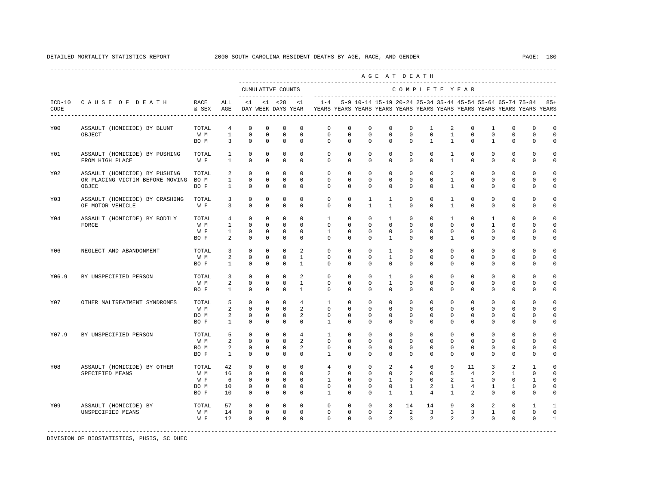|       |                                                    |                            |                                   |                                           |                                        |                                           |                                   |                                                                                             |                                        |                                        |                                             | AGE AT DEATH                             |                                            |                              |                                         |                                       |                                            |                                                                   |                                                 |
|-------|----------------------------------------------------|----------------------------|-----------------------------------|-------------------------------------------|----------------------------------------|-------------------------------------------|-----------------------------------|---------------------------------------------------------------------------------------------|----------------------------------------|----------------------------------------|---------------------------------------------|------------------------------------------|--------------------------------------------|------------------------------|-----------------------------------------|---------------------------------------|--------------------------------------------|-------------------------------------------------------------------|-------------------------------------------------|
|       |                                                    |                            |                                   | CUMULATIVE COUNTS<br>-------------------- |                                        |                                           |                                   |                                                                                             |                                        | ---------------------------            |                                             | COMPLETE YEAR                            |                                            |                              |                                         |                                       |                                            |                                                                   |                                                 |
| CODE  | ICD-10 CAUSE OF DEATH<br>------------------------- | RACE<br>& SEX AGE          | ALL                               | $\leq 1$                                  |                                        |                                           | $<1$ $<28$ $<1$                   | DAY WEEK DAYS YEAR TYEARS YEARS YEARS YEARS YEARS YEARS YEARS YEARS YEARS YEARS YEARS YEARS |                                        |                                        |                                             |                                          |                                            |                              |                                         |                                       |                                            | 1-4 5-9 10-14 15-19 20-24 25-34 35-44 45-54 55-64 65-74 75-84 85+ |                                                 |
| Y00   | ASSAULT (HOMICIDE) BY BLUNT                        | TOTAL                      | $\overline{4}$                    | $\Omega$                                  | $\mathbf 0$                            | $\Omega$                                  | $\Omega$                          | $\Omega$                                                                                    | $\Omega$                               | $\Omega$                               | $\Omega$                                    | $\Omega$                                 | $\overline{1}$                             | 2                            | $\Omega$                                | $\mathbf{1}$                          | $\Omega$                                   | $\Omega$                                                          | $\mathbf 0$                                     |
|       | OBJECT                                             | W M<br>BO M                | $\mathbf{1}$<br>$\overline{3}$    | $\Omega$<br>$\mathbf 0$                   | $\Omega$<br>$\mathbf 0$                | $\Omega$<br>$\mathbf 0$                   | $\Omega$<br>$\mathbf 0$           | $\mathbf 0$<br>$\mathbf{0}$                                                                 | $\Omega$<br>$\mathbf 0$                | $\Omega$<br>$\mathbf 0$                | $\Omega$<br>$\mathbf 0$                     | $\Omega$<br>$\mathbf{0}$                 | $\Omega$<br>$\mathbf{1}$                   | $\mathbf{1}$<br>$\mathbf{1}$ | $\Omega$<br>$^{\circ}$                  | $\mathbf 0$<br>$\mathbf{1}$           | $\mathbf{0}$<br>$\mathbf 0$                | $\mathbf 0$<br>$\mathbf{0}$                                       | $\Omega$<br>0                                   |
| Y01   | ASSAULT (HOMICIDE) BY PUSHING<br>FROM HIGH PLACE   | TOTAL<br>W F               | 1<br>$\mathbf{1}$                 | $\circ$<br>$\mathbf 0$                    | $\Omega$<br>$\mathbf 0$                | 0<br>$\mathbf 0$                          | $\Omega$<br>$\mathbf 0$           | $\Omega$<br>$\Omega$                                                                        | $\Omega$<br>$\Omega$                   | $\Omega$<br>$\mathbf 0$                | $\Omega$<br>$\mathbf 0$                     | $\Omega$<br>$\mathbf 0$                  | $\Omega$<br>$\mathbf{0}$                   | 1<br>$\mathbf{1}$            | $\Omega$<br>$\mathbf 0$                 | $\mathbf 0$<br>$\mathbf 0$            | $\mathbf{0}$<br>$\mathbf{0}$               | $\mathbf 0$<br>$\mathbf 0$                                        | $\circ$<br>$\mathbf 0$                          |
| Y02   | ASSAULT (HOMICIDE) BY PUSHING                      | TOTAL.                     | 2                                 | $\Omega$                                  | $\Omega$                               | $\Omega$                                  | $\Omega$                          | $\Omega$                                                                                    | $\Omega$                               | $\Omega$                               | $\Omega$                                    | $\Omega$                                 | $\Omega$                                   | $\mathfrak{D}$               | $\Omega$                                | $\Omega$                              | $\Omega$                                   | $\Omega$                                                          | $\Omega$                                        |
|       | OR PLACING VICTIM BEFORE MOVING<br>OBJEC           | BO M<br>BO F               | $\mathbf{1}$<br>$\mathbf{1}$      | $\mathbf 0$<br>$\mathbf 0$                | $\mathbf 0$<br>$\mathbf 0$             | $\mathbf 0$<br>$\mathbf 0$                | $\mathbf 0$<br>$\Omega$           | $\mathbf{0}$<br>$\Omega$                                                                    | $\circ$<br>$\mathbf 0$                 | $\mathbf 0$<br>$\mathbf 0$             | $\mathbf 0$<br>$\mathbf 0$                  | $\mathbb O$<br>$\mathbf{0}$              | $\mathbb O$<br>$\mathbf{0}$                | $\mathbf{1}$<br>$\mathbf{1}$ | $\mathbf 0$<br>$^{\circ}$               | 0<br>$^{\circ}$                       | 0<br>$\mathbf 0$                           | 0<br>$\mathbf{0}$                                                 | $\mathbf 0$<br>$\mathbf 0$                      |
| Y03   | ASSAULT (HOMICIDE) BY CRASHING<br>OF MOTOR VEHICLE | TOTAL<br>W F               | 3<br>3                            | $^{\circ}$<br>$\Omega$                    | $\Omega$<br>$\Omega$                   | $\mathbf 0$<br>$\Omega$                   | $\Omega$<br>$\Omega$              | $\mathbf{0}$<br>$\Omega$                                                                    | $\mathbf 0$<br>$\Omega$                | $\mathbf{1}$<br>$\mathbf{1}$           | $\mathbf{1}$<br>$\mathbf{1}$                | $\mathbf{0}$<br>$\Omega$                 | $\mathbf 0$<br>$\Omega$                    | $\mathbf{1}$<br>$\mathbf{1}$ | $\mathbf 0$<br>$\Omega$                 | $\mathbf 0$<br>$\Omega$               | $\mathbf{0}$<br>$\Omega$                   | $\Omega$<br>$\Omega$                                              | $\Omega$<br>$\Omega$                            |
| Y04   | ASSAULT (HOMICIDE) BY BODILY<br>FORCE              | TOTAL<br>W M<br>W F        | 4<br>$\mathbf{1}$<br>$\mathbf{1}$ | $\circ$<br>$\mathbf 0$<br>$\mathbf 0$     | 0<br>0<br>$\Omega$                     | $\mathbf 0$<br>$\mathbf 0$<br>$\mathbf 0$ | 0<br>$\mathbf 0$<br>$\Omega$      | 1<br>$\mathbf 0$<br>$\mathbf{1}$                                                            | $\mathbf 0$<br>$\circ$<br>$\Omega$     | $^{\circ}$<br>$\mathbf 0$<br>$\Omega$  | 1<br>$\mathbf 0$<br>$^{\circ}$              | $\mathbf{0}$<br>$\mathbf{0}$<br>$\Omega$ | $\mathbf 0$<br>$\mathbf{0}$<br>$\mathbf 0$ | 1<br>$\mathbf 0$<br>0        | $\mathbf 0$<br>$^{\circ}$<br>$^{\circ}$ | 1<br>1<br>$^{\circ}$                  | $\mathbf{0}$<br>$\mathbf 0$<br>$\mathbf 0$ | $\Omega$<br>$\cap$<br>$\Omega$                                    | $\Omega$<br>0<br>$\circ$                        |
|       |                                                    | BO F                       | $\overline{2}$                    | $\Omega$                                  | $\Omega$                               | $\Omega$                                  | $\Omega$                          | $\Omega$                                                                                    | $\Omega$                               | $\Omega$                               | $\mathbf{1}$                                | $\Omega$                                 | $\Omega$                                   | $\mathbf{1}$                 | $\Omega$                                | $\Omega$                              | $\Omega$                                   | $\Omega$                                                          | $\Omega$                                        |
| Y06   | NEGLECT AND ABANDONMENT                            | TOTAL<br>W M<br>BO F       | 3<br>2<br>$\mathbf{1}$            | $\mathbf 0$<br>$\Omega$<br>$\mathbf 0$    | $\mathbf 0$<br>$\Omega$<br>$\mathbf 0$ | $\mathbf 0$<br>$\Omega$<br>$\Omega$       | 2<br>$\mathbf{1}$<br>$\mathbf{1}$ | $\mathbf{0}$<br>$\Omega$<br>$\mathbf{0}$                                                    | $\mathbf 0$<br>$\Omega$<br>$\mathbf 0$ | $\mathbf 0$<br>$\Omega$<br>$\mathbf 0$ | $\mathbf{1}$<br>$\mathbf{1}$<br>$\mathbf 0$ | $\mathbf{0}$<br>$\Omega$<br>$\mathbf 0$  | $\mathbf{0}$<br>$\Omega$<br>$\mathbf 0$    | $\mathbf 0$<br>$\Omega$<br>0 | $\mathbf 0$<br>$\Omega$<br>$\mathbf 0$  | $\mathbf 0$<br>$\Omega$<br>$^{\circ}$ | $\mathbf{0}$<br>$\mathbf 0$<br>$\mathbf 0$ | $\Omega$<br>$\Omega$<br>0                                         | $\Omega$<br>$\Omega$<br>$\mathbf 0$             |
| Y06.9 | BY UNSPECIFIED PERSON                              | TOTAL<br>W M               | 3<br>2                            | $\Omega$<br>$\Omega$                      | $\Omega$<br>$\Omega$                   | $\Omega$<br>$\Omega$                      | $\mathfrak{D}$<br>$\mathbf{1}$    | $\Omega$<br>$\mathbf{0}$                                                                    | $\Omega$<br>$\mathbf 0$                | $\Omega$<br>$\Omega$                   | $\mathbf{1}$<br>$\mathbf{1}$                | $\Omega$<br>$\mathbf{0}$                 | $\Omega$<br>$\mathbf{0}$                   | $\Omega$<br>$\mathbf 0$      | $\Omega$<br>$\Omega$                    | $\Omega$<br>$\mathbf 0$               | $\Omega$<br>$\mathbf{0}$                   | $\Omega$<br>$\Omega$                                              | $\Omega$<br>$\Omega$                            |
|       |                                                    | BO F                       | $\mathbf{1}$                      | $\Omega$                                  | $\Omega$                               | $\Omega$                                  | $\mathbf{1}$                      | $\Omega$                                                                                    | $\Omega$                               | $\Omega$                               | $\mathbf 0$                                 | $\Omega$                                 | $\mathbf{0}$                               | $\Omega$                     | $\mathbf 0$                             | $\Omega$                              | $\mathbf 0$                                | $\mathbf 0$                                                       | $\mathbf 0$                                     |
| Y07   | OTHER MALTREATMENT SYNDROMES                       | TOTAL<br>W M               | 5<br>2                            | $\Omega$<br>$\Omega$                      | $\Omega$<br>$\Omega$                   | $\Omega$<br>$\Omega$                      | $\overline{4}$<br>2               | $\mathbf{1}$<br>$\Omega$                                                                    | $\Omega$<br>$\Omega$                   | $\Omega$<br>$\Omega$                   | $\Omega$<br>$\Omega$                        | $\Omega$<br>$\Omega$                     | $\Omega$<br>$\Omega$                       | $\Omega$<br>$\Omega$         | $\Omega$<br>$\Omega$                    | $\Omega$<br>$\Omega$                  | $\Omega$<br>$\Omega$                       | $\Omega$<br>$\Omega$                                              | $\Omega$<br>$\Omega$                            |
|       |                                                    | BO M<br>BO F               | 2<br>$\mathbf{1}$                 | $\mathbf 0$<br>$\mathbf 0$                | $\Omega$<br>$\mathbf 0$                | $\mathbf 0$<br>$\mathbf 0$                | 2<br>$\mathbf 0$                  | $\Omega$<br>$\mathbf{1}$                                                                    | $\mathbf 0$<br>$\mathbf 0$             | $\Omega$<br>$\mathbf 0$                | $\mathbf 0$<br>$\mathbf 0$                  | $\Omega$<br>$\mathbf 0$                  | $\mathbf 0$<br>$\mathbf 0$                 | $\mathbf 0$<br>0             | $\mathbf 0$<br>$\mathbf 0$              | $\mathbf 0$<br>0                      | $\mathbf 0$<br>$\mathbf 0$                 | 0<br>$\Omega$                                                     | $\circ$<br>$\Omega$                             |
| Y07.9 | BY UNSPECIFIED PERSON                              | TOTAL<br>W M               | 5<br>$\overline{a}$               | $\mathbf 0$<br>$\Omega$                   | $\mathbf 0$<br>$\Omega$                | $\mathbf 0$<br>$\Omega$                   | $\overline{4}$<br>2               | $\mathbf{1}$<br>$\Omega$                                                                    | $\mathbf 0$<br>$\Omega$                | $\Omega$<br>$\Omega$                   | $\mathbf 0$<br>$\Omega$                     | $\Omega$<br>$\Omega$                     | $\mathbf{0}$<br>$\Omega$                   | $\Omega$<br>$\Omega$         | $\mathbf 0$<br>$\Omega$                 | $\Omega$<br>$\Omega$                  | $\mathbf{0}$<br>$\Omega$                   | $\cap$<br>$\Omega$                                                | $\circ$<br>$\Omega$                             |
|       |                                                    | BO M<br>BO F               | $\overline{a}$<br>$\mathbf{1}$    | $\mathbf 0$<br>$\Omega$                   | $\mathbf 0$<br>$\Omega$                | $\mathbf 0$<br>$\Omega$                   | 2<br>$\Omega$                     | $\mathbf{0}$<br>$\mathbf{1}$                                                                | $\mathbf 0$<br>$\Omega$                | $\mathbf 0$<br>$\Omega$                | $^{\circ}$<br>$\Omega$                      | $\mathbf{0}$<br>$\Omega$                 | $\mathbf 0$<br>$\Omega$                    | $\mathbf 0$<br>$\Omega$      | $\mathbf 0$<br>$\Omega$                 | 0<br>$\Omega$                         | 0<br>$\Omega$                              | $\Omega$<br>$\Omega$                                              | $\mathbf 0$<br>$\circ$                          |
| Y08   | ASSAULT (HOMICIDE) BY OTHER                        | TOTAL                      | 42                                | $\circ$<br>$\Omega$                       | 0<br>$\Omega$                          | $\mathbf 0$<br>$\Omega$                   | $\mathbf 0$<br>$\Omega$           | 4                                                                                           | $\mathbf 0$<br>$\Omega$                | $^{\circ}$<br>$\Omega$                 | 2<br>$\Omega$                               | 4                                        | 6<br>$\Omega$                              | 9                            | 11                                      | 3                                     | 2                                          | 1                                                                 | 0                                               |
|       | SPECIFIED MEANS                                    | W M<br>W F<br>BO M<br>BO F | 16<br>6<br>10<br>10               | $\mathbf 0$<br>$\mathbf 0$<br>$\Omega$    | $\Omega$<br>$\Omega$<br>$\Omega$       | $\mathbf 0$<br>$\mathbf 0$<br>$\Omega$    | $\Omega$<br>$\Omega$<br>$\Omega$  | 2<br>$\mathbf{1}$<br>$\mathbf{0}$<br>$\mathbf{1}$                                           | 0<br>$\mathbf 0$<br>$\Omega$           | $\Omega$<br>$^{\circ}$<br>$\Omega$     | $\mathbf{1}$<br>$^{\circ}$<br>$\mathbf{1}$  | 2<br>$\Omega$<br>1<br>$\mathbf{1}$       | $\mathbf 0$<br>2<br>$\overline{4}$         | 5<br>2<br>1<br>$\mathbf{1}$  | $\overline{4}$<br>1<br>4<br>2           | 2<br>$\Omega$<br>1<br>$\Omega$        | 1<br>$\mathbf 0$<br>1<br>$\Omega$          | 0<br>1<br>0<br>$\Omega$                                           | $\mathbf 0$<br>$\Omega$<br>$\Omega$<br>$\Omega$ |
| Y09   | ASSAULT (HOMICIDE) BY<br>UNSPECIFIED MEANS         | TOTAL<br>W M<br>W F        | 57<br>14<br>12                    | $^{\circ}$<br>$\Omega$<br>$\Omega$        | 0<br>$\Omega$<br>$\Omega$              | 0<br>$\Omega$<br>$\Omega$                 | 0<br>$\Omega$<br>$\Omega$         | 0<br>$\Omega$<br>$\Omega$                                                                   | 0<br>$\Omega$<br>$\Omega$              | $^{\circ}$<br>$\Omega$<br>$\Omega$     | 8<br>2<br>$\mathfrak{D}$                    | 14<br>2<br>3                             | 14<br>3<br>$\overline{a}$                  | 9<br>3<br>$\mathfrak{D}$     | 8<br>3<br>2                             | 2<br>$\mathbf{1}$<br>$\Omega$         | $\mathbf 0$<br>$\mathbf 0$<br>$\Omega$     | 1<br>$\Omega$<br>0                                                | -1<br>$\Omega$<br>$\mathbf{1}$                  |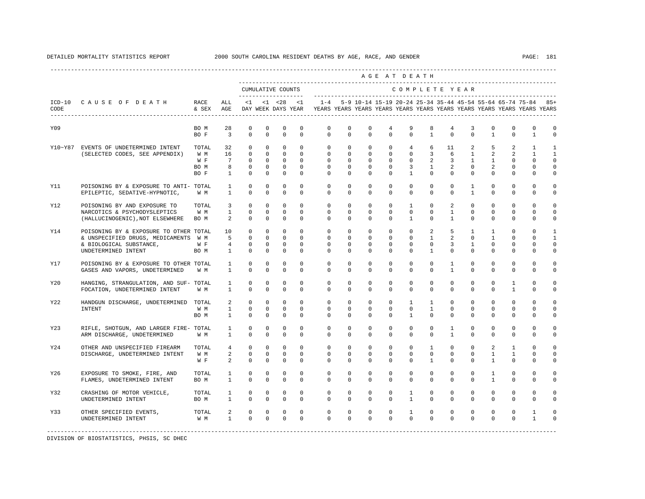|            |                                           |              |                            |                    |                              |                               |                            |                                                                                                                                                                                                 |                    |                           |                             | AGE AT DEATH      |                     |                 |                   |                |              |                                |                                |
|------------|-------------------------------------------|--------------|----------------------------|--------------------|------------------------------|-------------------------------|----------------------------|-------------------------------------------------------------------------------------------------------------------------------------------------------------------------------------------------|--------------------|---------------------------|-----------------------------|-------------------|---------------------|-----------------|-------------------|----------------|--------------|--------------------------------|--------------------------------|
|            |                                           |              |                            | CUMULATIVE COUNTS  |                              |                               |                            |                                                                                                                                                                                                 |                    |                           |                             | COMPLETE YEAR     |                     |                 |                   |                |              |                                |                                |
| CODE       | ICD-10 CAUSE OF DEATH                     | RACE         | ALL                        |                    |                              |                               |                            | <1 <28 <1 -28 <1 -4 5-9 10-14 15-19 20-24 25-34 35-44 45-54 55-64 65-74 75-84 85+<br>& SEX AGE DAY WEEK DAYS YEAR YEARS YEARS YEARS YEARS YEARS YEARS YEARS YEARS YEARS YEARS YEARS YEARS YEARS |                    |                           |                             |                   |                     |                 |                   |                |              |                                |                                |
| Y09        |                                           | BO M         | 28                         | $\mathbf 0$        | $^{\circ}$                   | $\circ$                       | $\mathbf{0}$               | $\circ$                                                                                                                                                                                         | $\mathbf 0$        | $^{\circ}$                | $\overline{4}$              | 9                 | 8                   | $4\overline{ }$ | 3                 | $\mathbf 0$    | $\mathbf 0$  | $\mathbf{0}$                   | $\mathbf 0$                    |
|            |                                           | BO F         | $\overline{\mathbf{3}}$    | $^{\circ}$         | $^{\circ}$                   | $\mathbf{0}$                  | $^{\circ}$                 | $\circ$                                                                                                                                                                                         | $\circ$            | $\circ$                   | $\mathbf 0$                 | $\circ$           | $\mathbf{1}$        | $\circ$         | $\mathbf 0$       | $\mathbf{1}$   | $\mathbf 0$  | $\mathbf{1}$                   | $\mathbf 0$                    |
|            | Y10~Y87 EVENTS OF UNDETERMINED INTENT     | TOTAL<br>W M | 32<br>16                   | $\circ$<br>$\circ$ | $^{\circ}$<br>$\overline{0}$ | $\mathbf 0$<br>$\overline{0}$ | $\overline{0}$<br>$\Omega$ | $\circ$<br>$\circ$                                                                                                                                                                              | $\circ$<br>$\circ$ | $\overline{0}$<br>$\circ$ | $\mathbf 0$<br>$\mathbf{0}$ | 4<br>$\mathbf{0}$ | 6<br>$\overline{3}$ | 11<br>6         | 2<br>$\mathbf{1}$ | 5<br>2         | 2<br>2       | $\mathbf{1}$<br>$\overline{1}$ | $\mathbf{1}$<br>$\overline{1}$ |
|            | (SELECTED CODES, SEE APPENDIX)            | W F          | $\overline{7}$             | $\overline{0}$     | $\Omega$                     | $\overline{0}$                | $\Omega$                   | $\circ$                                                                                                                                                                                         | $\circ$            | $\circ$                   | $\Omega$                    | $\circ$           | 2                   | $\overline{3}$  | $\mathbf{1}$      | $\mathbf{1}$   | $\mathbf 0$  | $\Omega$                       | $\Omega$                       |
|            |                                           | BO M         | $\overline{\phantom{0}}$ 8 | $\mathbf{0}$       | $\circ$                      | $\overline{\phantom{0}}$      | $\circ$                    | $\circ$                                                                                                                                                                                         | $\mathbf 0$        | $\mathbf{0}$              | $\mathbf 0$                 | $\overline{3}$    | $\mathbf{1}$        | 2               | $^{\circ}$        | $\overline{a}$ | $\mathbf 0$  | $\mathbf 0$                    | $\mathbf 0$                    |
|            |                                           | BO F         | $\mathbf{1}$               | $\circ$            | $\Omega$                     | $\overline{0}$                | $^{\circ}$                 | $\Omega$                                                                                                                                                                                        | $\Omega$           | $\Omega$                  | $\Omega$                    | $\mathbf{1}$      | $\Omega$            | $\Omega$        | $\Omega$          | $\Omega$       | $\Omega$     | $\Omega$                       | 0                              |
| Y11        | POISONING BY & EXPOSURE TO ANTI- TOTAL    |              | $\mathbf{1}$               | $^{\circ}$         | $^{\circ}$                   | $\mathbf 0$                   | $\Omega$                   | $\mathbf 0$                                                                                                                                                                                     | $\mathbf 0$        | $\circ$                   | $\mathbf 0$                 | $\mathbf 0$       | $\Omega$            | $\circ$         | $\mathbf{1}$      | $\circ$        | $\mathbf 0$  | $\mathbf{0}$                   | $\mathbf 0$                    |
|            | EPILEPTIC, SEDATIVE-HYPNOTIC,             | W M          | $\mathbf{1}$               | $\Omega$           | $\Omega$                     | $\Omega$                      | $\Omega$                   | $\Omega$                                                                                                                                                                                        | $\Omega$           | $\Omega$                  | $\Omega$                    | $\Omega$          | $\Omega$            | $\Omega$        | $\mathbf{1}$      | $\Omega$       | $\Omega$     | $\Omega$                       | $\Omega$                       |
| Y12        | POISONING BY AND EXPOSURE TO              | TOTAL        | $\overline{3}$             | $\circ$            | $^{\circ}$                   | $^{\circ}$                    | $\Omega$                   | $\circ$                                                                                                                                                                                         | $\circ$            | $\overline{0}$            | $\mathbf{0}$                | $\mathbf{1}$      | $\circ$             | $\overline{a}$  | $\circ$           | $\circ$        | $\mathbf 0$  | $\mathbf{0}$                   | $\mathbf 0$                    |
|            | NARCOTICS & PSYCHODYSLEPTICS              | W M          | $\mathbf{1}$               | $\mathbf{0}$       | $^{\circ}$                   | $\mathbf 0$                   | $\circ$                    | $\circ$                                                                                                                                                                                         | $\circ$            | $\circ$                   | $\mathbf 0$                 | $\circ$           | $\mathbf 0$         | $\mathbf{1}$    | $\mathbf 0$       | $\circ$        | $\mathbf{0}$ | 0                              | $\mathbf 0$                    |
|            | (HALLUCINOGENIC), NOT ELSEWHERE           | BO M         | $\overline{a}$             | $\Omega$           | $\Omega$                     | $\Omega$                      | $\Omega$                   | $\Omega$                                                                                                                                                                                        | $\Omega$           | $\Omega$                  | $\Omega$                    | $\overline{1}$    | $\Omega$            | $\mathbf{1}$    | $\Omega$          | $\Omega$       | $\Omega$     | $\Omega$                       | 0                              |
| Y14        | POISONING BY & EXPOSURE TO OTHER TOTAL 10 |              |                            | $\overline{0}$     | $\mathbb O$                  | $\overline{0}$                | $\mathbf{0}$               | $\circ$                                                                                                                                                                                         | $\mathsf 0$        | $\mathbf 0$               | $\mathbb O$                 | $\mathbf 0$       | $\overline{a}$      | 5               | $\mathbf{1}$      | $\mathbf{1}$   | $\mathbf 0$  | $\mathbf 0$                    | $\mathbf{1}$                   |
|            | & UNSPECIFIED DRUGS, MEDICAMENTS W M 5    |              |                            | $\circ$            | $^{\circ}$                   | $\overline{0}$                | $\mathbf{0}$               | $\circ$                                                                                                                                                                                         | $\circ$            | $\circ$                   | 0                           | $\circ$           | $\mathbf{1}$        | 2               | $\circ$           | $\mathbf{1}$   | 0            | $\Omega$                       | $\mathbf{1}$                   |
|            | & BIOLOGICAL SUBSTANCE,                   | W F          | $4\qquad 0$                |                    | $^{\circ}$                   | $\circ$                       | $\mathbf{0}$               | $\overline{0}$                                                                                                                                                                                  | $^{\circ}$         | $^{\circ}$                | 0                           | $\overline{0}$    | $\circ$             | $\overline{3}$  | $\mathbf{1}$      | $\mathbf 0$    | $\mathbf{0}$ | 0                              | $\mathbf 0$                    |
|            | UNDETERMINED INTENT                       | BO M         | $\sim$ 1                   | $\mathbf 0$        | $\Omega$                     | $\mathbf 0$                   | $\Omega$                   | $\Omega$                                                                                                                                                                                        | $\mathbf 0$        | $\Omega$                  | $\Omega$                    | $\Omega$          | $\mathbf{1}$        | $\Omega$        | $\Omega$          | $\Omega$       | $\mathbf 0$  | $\Omega$                       | 0                              |
| <b>Y17</b> | POISONING BY & EXPOSURE TO OTHER TOTAL    |              | $\mathbf{1}$               | $\mathbf{0}$       | $\mathbf 0$                  | $\mathbf 0$                   | $\mathbf 0$                | $\mathbf 0$                                                                                                                                                                                     | $\mathbf 0$        | $^{\circ}$                | $\mathbf 0$                 | $\mathbf 0$       | $\mathbf{0}$        | $\mathbf{1}$    | $\mathbf 0$       | $\mathbf 0$    | $\mathbf 0$  | $\mathbf 0$                    | $\mathbf 0$                    |
|            | GASES AND VAPORS, UNDETERMINED            | W M          | $\mathbf{1}$               | $\mathbf 0$        | $\mathbf 0$                  | $\mathbf 0$                   | $\mathbf 0$                | $\mathbf 0$                                                                                                                                                                                     | 0                  | $\mathbf 0$               | $\mathbf 0$                 | $\mathbf{0}$      | 0                   | $\mathbf{1}$    | $\mathbf 0$       | $\mathbf 0$    | $\mathbf 0$  | $\mathbf 0$                    | 0                              |
| Y20        | HANGING, STRANGULATION, AND SUF- TOTAL    |              | $\mathbf{1}$               | $^{\circ}$         | $\mathbf 0$                  | $\mathbf 0$                   | $^{\circ}$                 | $\mathbf 0$                                                                                                                                                                                     | $\mathbf 0$        | $^{\circ}$                | $\mathbf 0$                 | $\mathbf 0$       | $\mathbf 0$         | $\mathbf 0$     | $\mathbf 0$       | $\mathbf 0$    | $\mathbf{1}$ | $\mathbf{0}$                   | $\mathbf 0$                    |
|            | FOCATION, UNDETERMINED INTENT             | W M          | $\mathbf{1}$               | $\Omega$           | $\Omega$                     | $\mathbf{0}$                  | $\Omega$                   | $\mathbf 0$                                                                                                                                                                                     | $\Omega$           | $\Omega$                  | $\Omega$                    | $\Omega$          | $\mathbf{0}$        | $\Omega$        | $\mathbf 0$       | $\Omega$       | $\mathbf{1}$ | $\Omega$                       | $\mathbf 0$                    |
| Y22        | HANDGUN DISCHARGE, UNDETERMINED TOTAL     |              | $\overline{a}$             | $^{\circ}$         | $^{\circ}$                   | $^{\circ}$                    | $^{\circ}$                 | $\mathbf 0$                                                                                                                                                                                     | $\mathbf 0$        | $^{\circ}$                | $\mathbf 0$                 | $\mathbf{1}$      | $\mathbf{1}$        | $\mathbf 0$     | $\mathbf 0$       | $\mathbf 0$    | $\mathbf{0}$ | 0                              | $\mathbf 0$                    |
|            | INTENT                                    | W M          | $\mathbf{1}$               | $\circ$            | $^{\circ}$                   | $\circ$                       | $\circ$                    | $\mathbf 0$                                                                                                                                                                                     | $\mathbf 0$        | $^{\circ}$                | $\mathbf 0$                 | $\circ$           | $\mathbf{1}$        | $\mathbf 0$     | $\mathbf 0$       | $\mathbf 0$    | $\mathbf{0}$ | $\mathbf 0$                    | $\mathbf 0$                    |
|            |                                           | BO M         | $\mathbf{1}$               | $\mathbf{0}$       | $^{\circ}$                   | $\overline{0}$                | $\circ$                    | $\Omega$                                                                                                                                                                                        | $\circ$            | $\Omega$                  | 0                           | $\overline{1}$    | $\Omega$            | $\Omega$        | 0                 | $\Omega$       | 0            | 0                              | 0                              |
| Y23        | RIFLE, SHOTGUN, AND LARGER FIRE- TOTAL    |              | $\mathbf{1}$               | $^{\circ}$         | $\mathbf 0$                  | $\mathbf 0$                   | $\Omega$                   | $\Omega$                                                                                                                                                                                        | $\Omega$           | $^{\circ}$                | $\Omega$                    | $\mathbf 0$       | $\Omega$            | $\mathbf{1}$    | $\Omega$          | $\mathbf 0$    | $\Omega$     | $\Omega$                       | $\Omega$                       |
|            | ARM DISCHARGE, UNDETERMINED               | W M          | $\mathbf{1}$               | $\mathbf 0$        | $\Omega$                     | $\mathbf 0$                   | $\Omega$                   | $\Omega$                                                                                                                                                                                        | $\Omega$           | $\Omega$                  | $\Omega$                    | $\Omega$          | $\Omega$            | $\mathbf{1}$    | $\Omega$          | $\Omega$       | $\Omega$     | $\Omega$                       | 0                              |
| Y24        | OTHER AND UNSPECIFIED FIREARM             | TOTAL        | 4                          | $\circ$            | $^{\circ}$                   | $\mathbf{0}$                  | $\mathbf{0}$               | $\mathbf 0$                                                                                                                                                                                     | $\mathbf 0$        | $^{\circ}$                | $\mathbf 0$                 | $\mathbf 0$       | $\mathbf{1}$        | $\mathbf 0$     | $\mathbf 0$       | 2              | $\mathbf{1}$ | 0                              | 0                              |
|            | DISCHARGE, UNDETERMINED INTENT            | W M          | $\overline{a}$             | $\mathbf 0$        | $^{\circ}$                   | $\mathbf{0}$                  | $\Omega$                   | $\mathbf 0$                                                                                                                                                                                     | $\mathbf 0$        | $^{\circ}$                | $\mathbf 0$                 | $\mathbf 0$       | $\mathbf{0}$        | $\mathbf 0$     | $\Omega$          | $\mathbf{1}$   | $\mathbf{1}$ | $\Omega$                       | 0                              |
|            |                                           | W F          | $\overline{a}$             | $\Omega$           | $\Omega$                     | $\Omega$                      | $\Omega$                   | $\Omega$                                                                                                                                                                                        | $\Omega$           | $\Omega$                  | $\Omega$                    | $\Omega$          | $\mathbf{1}$        | $\Omega$        | $\Omega$          | $\overline{1}$ | $\Omega$     | $\Omega$                       | $\Omega$                       |
| Y26        | EXPOSURE TO SMOKE, FIRE, AND              | TOTAL        | $\mathbf{1}$               | $^{\circ}$         | $^{\circ}$                   | $^{\circ}$                    | $^{\circ}$                 | $\mathbf 0$                                                                                                                                                                                     | $\mathbf 0$        | $^{\circ}$                | $\mathbf 0$                 | $\mathbf 0$       | $\mathbf{0}$        | $\circ$         | $\mathbf 0$       | $\mathbf{1}$   | $\mathbf 0$  | $\mathbf{0}$                   | 0                              |
|            | FLAMES, UNDETERMINED INTENT               | BO M         | $\mathbf{1}$               | $\mathbf{0}$       | $\mathbf 0$                  | $\mathbf{0}$                  | $^{\circ}$                 | $\mathbf 0$                                                                                                                                                                                     | $\circ$            | $^{\circ}$                | 0                           | $\mathbf 0$       | $\mathbf{0}$        | $\mathbf 0$     | 0                 | $\mathbf{1}$   | 0            | 0                              | 0                              |
| Y32        | CRASHING OF MOTOR VEHICLE,                | TOTAL        | $\mathbf{1}$               | $\mathbf{0}$       | $^{\circ}$                   | $\mathbf{0}$                  | $\mathbf{0}$               | $\mathbf 0$                                                                                                                                                                                     | $\mathbf 0$        | $^{\circ}$                | $\mathbf 0$                 | $\mathbf{1}$      | $\mathbf{0}$        | $\mathbf 0$     | $\mathbf 0$       | $\mathbf 0$    | $\mathbf 0$  | $\mathbf 0$                    | $\mathbf 0$                    |
|            | UNDETERMINED INTENT                       | BO M         | $\mathbf{1}$               | $\mathbb O$        | $\mathbf{0}$                 | $\mathbb O$                   | $\mathbb O$                | $\mathbf 0$                                                                                                                                                                                     | $\mathbf 0$        | $\mathbf{0}$              | $\mathbf 0$                 | $\mathbf{1}$      | $\mathbf{0}$        | $\mathbf 0$     | $\mathbf 0$       | $\mathbf 0$    | $\mathbf 0$  | $\mathbf 0$                    | 0                              |
| Y33        | OTHER SPECIFIED EVENTS,                   | TOTAL        | $2^{\circ}$                | $\overline{0}$     | $\circ$                      | $\overline{\phantom{0}}$      | $\overline{0}$             | $\circ$                                                                                                                                                                                         | $\mathbf 0$        | $\overline{0}$            | $\mathbf 0$                 | $\mathbf{1}$      | $\circ$             | $\circ$         | $\mathbf 0$       | $\circ$        | $\mathbf 0$  | $\mathbf{1}$                   | 0                              |
|            | UNDETERMINED INTENT                       | W M          | 1                          | $\Omega$           | $\Omega$                     | $\overline{0}$                | $\Omega$                   | $\Omega$                                                                                                                                                                                        | $\Omega$           | $\Omega$                  | $\Omega$                    | $\Omega$          | $\Omega$            | $\Omega$        | $\Omega$          | $\Omega$       | $\Omega$     | $\mathbf{1}$                   | 0                              |
|            |                                           |              |                            |                    |                              |                               |                            |                                                                                                                                                                                                 |                    |                           |                             |                   |                     |                 |                   |                |              |                                |                                |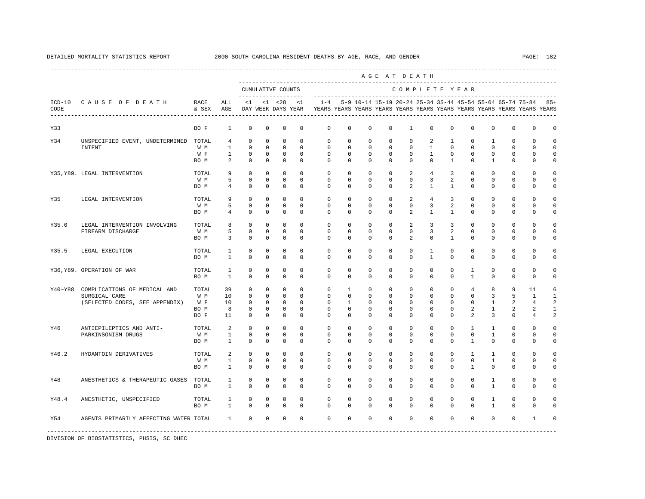|                  |                                                    |                      |                                     |                                           |                                         |                                           |                                         |                                                                                    |                                  |                                |                                | AGE AT DEATH                                                  |                                        |                                  |                                         |                                   |                                            |                                 |                                        |
|------------------|----------------------------------------------------|----------------------|-------------------------------------|-------------------------------------------|-----------------------------------------|-------------------------------------------|-----------------------------------------|------------------------------------------------------------------------------------|----------------------------------|--------------------------------|--------------------------------|---------------------------------------------------------------|----------------------------------------|----------------------------------|-----------------------------------------|-----------------------------------|--------------------------------------------|---------------------------------|----------------------------------------|
|                  |                                                    |                      |                                     |                                           |                                         | CUMULATIVE COUNTS<br>-------------------- |                                         |                                                                                    |                                  |                                |                                | COMPLETE YEAR                                                 |                                        |                                  |                                         |                                   |                                            |                                 |                                        |
| $ICD-10$<br>CODE | CAUSE OF DEATH<br>-------------------------------- | RACE<br>& SEX        | ALL<br>AGE                          | <1                                        |                                         | $< 1$ $< 28$<br>DAY WEEK DAYS YEAR        | $\leq$ 1                                | $1 - 4$<br>YEARS YEARS YEARS YEARS YEARS YEARS YEARS YEARS YEARS YEARS YEARS YEARS |                                  |                                |                                | 5-9 10-14 15-19 20-24 25-34 35-44 45-54 55-64 65-74 75-84 85+ |                                        |                                  |                                         |                                   |                                            |                                 |                                        |
| Y33              |                                                    | BO F                 | $\mathbf{1}$                        | $\mathbf 0$                               | $\mathbf 0$                             | $\mathbf 0$                               | $\mathbf 0$                             | $\mathbf 0$                                                                        | $\mathbf 0$                      | $\mathbf 0$                    | $\mathbf 0$                    | $\mathbf{1}$                                                  | $\mathbf 0$                            | $\mathbf 0$                      | $\mathbf 0$                             | $\mathbf 0$                       | $\mathbf{0}$                               | $\mathbf 0$                     | $\mathbf 0$                            |
| Y34              | UNSPECIFIED EVENT, UNDETERMINED<br>INTENT          | TOTAL<br>W M         | $\overline{4}$<br>$\mathbf{1}$      | $\mathbf 0$<br>$\mathbb O$                | $^{\circ}$<br>$\mathbb O$               | $^{\circ}$<br>$\mathbf 0$                 | $\Omega$<br>$\mathbf 0$                 | $\mathbf{0}$<br>$\mathbf 0$                                                        | $\mathbf 0$<br>$\mathbf 0$       | $\mathbf 0$<br>$\mathsf 0$     | $\mathbf 0$<br>$\mathbf 0$     | $\mathbf 0$<br>$\mathbf 0$                                    | 2<br>$\mathbf{1}$                      | $\mathbf{1}$<br>$\mathbf 0$      | $\mathbf 0$<br>$\mathbf 0$              | $\mathbf{1}$<br>$\mathbf 0$       | $\mathbf 0$<br>$\mathbf{0}$                | $\Omega$<br>$\mathbf 0$         | $\Omega$<br>$\mathbf 0$                |
|                  |                                                    | W F<br>BO M          | $\mathbf{1}$<br>2                   | 0<br>$\mathbf 0$                          | 0<br>$^{\circ}$                         | 0<br>$^{\circ}$                           | $^{\circ}$<br>$^{\circ}$                | 0<br>$\mathbf{0}$                                                                  | $\mathbf{0}$<br>$\mathbf{0}$     | 0<br>$^{\circ}$                | $^{\circ}$<br>0                | 0<br>$\mathbf 0$                                              | $\mathbf{1}$<br>$\mathbf{0}$           | 0<br>$\mathbf{1}$                | 0<br>0                                  | 0<br>$\mathbf{1}$                 | 0<br>$\mathbf 0$                           | 0<br>$\mathbf 0$                | $\mathbf 0$<br>0                       |
|                  | Y35, Y89. LEGAL INTERVENTION                       | TOTAL<br>W M         | 9<br>5                              | $\mathbf 0$<br>$\mathbf 0$                | $^{\circ}$<br>$^{\circ}$                | $^{\circ}$<br>$\mathbf 0$                 | $\Omega$<br>$\mathbf 0$                 | $\circ$<br>$\mathbf 0$                                                             | $\mathbf 0$<br>$\Omega$          | $\mathbf 0$<br>$\mathbf 0$     | $\mathbf 0$<br>$\Omega$        | 2<br>$\Omega$                                                 | $\overline{4}$<br>3                    | $\overline{3}$<br>$\overline{a}$ | $\mathbf 0$<br>$\mathbf 0$              | $\mathbf 0$<br>$\mathbf 0$        | $\mathbf{0}$<br>$\mathbf 0$                | $\Omega$<br>$\Omega$            | $\Omega$<br>$\Omega$                   |
|                  |                                                    | BO M                 | $\overline{4}$                      | $\mathbf 0$                               | $\circ$                                 | $^{\circ}$                                | $\Omega$                                | $\Omega$                                                                           | $\Omega$                         | $\Omega$                       | $\Omega$                       | 2                                                             | $\mathbf{1}$                           | $\mathbf{1}$                     | $\mathbf 0$                             | $\Omega$                          | $\mathbf{0}$                               | $\mathbf 0$                     | $\Omega$                               |
| Y35              | LEGAL INTERVENTION                                 | TOTAL<br>W M         | 9<br>5                              | $\mathbf 0$<br>$\mathbf 0$                | $^{\circ}$<br>$\circ$                   | $\mathbf 0$<br>$\mathbf 0$                | $\mathbf 0$<br>$\mathbf 0$              | $\mathbf{0}$<br>$\mathbf 0$                                                        | $\mathbf 0$<br>$\mathbf 0$       | $\mathbf 0$<br>0               | $\mathbf 0$<br>0               | 2<br>$\mathbf{0}$                                             | $\overline{4}$<br>3                    | 3<br>2                           | $\mathbf 0$<br>$\circ$                  | $\mathbf 0$<br>0                  | $\mathbf{0}$<br>$\mathbf 0$                | $\mathbf 0$<br>$\mathbf 0$      | $\Omega$<br>$\mathbf 0$                |
| Y35.0            | LEGAL INTERVENTION INVOLVING                       | BO M<br>TOTAL        | $\overline{4}$<br>8                 | $\mathbf 0$<br>$\mathbf 0$                | $\mathbf 0$<br>$\circ$                  | $\mathbf 0$<br>$\mathbf 0$                | $\mathbf 0$<br>$\Omega$                 | $\mathbf 0$<br>$\Omega$                                                            | 0<br>$\Omega$                    | $\mathbf 0$<br>$\Omega$        | 0<br>$\Omega$                  | 2<br>2                                                        | $\mathbf{1}$<br>3                      | $\mathbf{1}$<br>3                | $^{\circ}$<br>$\mathbf 0$               | $\mathbf 0$<br>$\Omega$           | $\mathbf 0$<br>$\Omega$                    | 0<br>$\cap$                     | $\mathbf 0$<br>$\Omega$                |
|                  | FIREARM DISCHARGE                                  | W M<br>BO M          | 5<br>3                              | $\mathbb O$<br>$\circ$                    | $\mathbf 0$<br>$^{\circ}$               | $\mathbf 0$<br>$^{\circ}$                 | $\mathbf 0$<br>$^{\circ}$               | $\mathbf 0$<br>$\mathbf{0}$                                                        | $\mathbf 0$<br>0                 | $\mathbf 0$<br>0               | $\mathbf 0$<br>0               | $\mathbf 0$<br>2                                              | 3<br>$\mathbf{0}$                      | 2<br>$\mathbf{1}$                | $\mathbf 0$<br>0                        | $\mathbf 0$<br>$^{\circ}$         | $\mathbf 0$<br>$\mathbf 0$                 | $\mathbf 0$<br>0                | $\mathbf 0$<br>0                       |
| Y35.5            | LEGAL EXECUTION                                    | TOTAL<br>BO M        | $\mathbf{1}$<br>$\mathbf{1}$        | $\circ$<br>$\mathbf 0$                    | 0<br>$\mathbf 0$                        | 0<br>$\mathbf 0$                          | $\Omega$<br>$\mathbf 0$                 | $\circ$<br>$\Omega$                                                                | $\mathbf{0}$<br>$\Omega$         | 0<br>$\Omega$                  | 0<br>$\Omega$                  | $\mathbf 0$<br>$\Omega$                                       | $\mathbf{1}$<br>$\mathbf{1}$           | $\mathbf 0$<br>$\Omega$          | $^{\circ}$<br>0                         | $^{\circ}$<br>$\Omega$            | $\mathbf 0$<br>$\mathbf 0$                 | $\mathbf 0$<br>$\Omega$         | $\Omega$<br>$\Omega$                   |
|                  | Y36, Y89. OPERATION OF WAR                         | TOTAL<br>BO M        | $\mathbf{1}$<br>$\mathbf{1}$        | $\mathbf 0$<br>$\mathbf 0$                | $\mathbf 0$<br>$\mathbf 0$              | $\mathbf 0$<br>$\mathbf 0$                | $\mathbf 0$<br>$\mathbf 0$              | $\mathbf{0}$<br>$\Omega$                                                           | $\mathbf 0$<br>0                 | $\mathbf 0$<br>$\mathbf 0$     | $\mathbf 0$<br>$\mathbf 0$     | $\mathbf 0$<br>$\mathbf 0$                                    | $\mathbf 0$<br>$\mathbf 0$             | $\circ$<br>$\mathbf 0$           | 1<br>$\mathbf{1}$                       | $\mathbf 0$<br>0                  | $\mathbf{0}$<br>$\mathbf 0$                | $\mathbb O$<br>$\mathbf 0$      | $\Omega$<br>$\mathbf 0$                |
| Y40~Y88          | COMPLICATIONS OF MEDICAL AND<br>SURGICAL CARE      | TOTAL<br>W M         | 39<br>10                            | $^{\circ}$<br>$\mathbf 0$                 | $^{\circ}$<br>$^{\circ}$                | $^{\circ}$<br>$^{\circ}$                  | $^{\circ}$<br>$\Omega$                  | $\circ$<br>$\Omega$                                                                | $\mathbf{1}$<br>$\Omega$         | 0<br>$\Omega$                  | 0<br>$\Omega$                  | $\mathbf{0}$<br>$\Omega$                                      | $\mathbf{0}$<br>$\Omega$               | $\mathbf 0$<br>$\Omega$          | $\overline{4}$<br>$\Omega$              | 8<br>3                            | 9<br>5                                     | 11<br>$\overline{1}$            | 6<br>$\mathbf{1}$                      |
|                  | (SELECTED CODES, SEE APPENDIX)                     | W F<br>BO M<br>BO F  | 10<br>8<br>11                       | $\mathbf 0$<br>$\mathbf 0$<br>0           | $^{\circ}$<br>$^{\circ}$<br>0           | $\circ$<br>0<br>0                         | $\Omega$<br>$\mathbf 0$<br>0            | $\Omega$<br>0<br>$\mathbf{0}$                                                      | $\mathbf{1}$<br>$\mathbf 0$<br>0 | $\Omega$<br>$^{\circ}$<br>0    | $\Omega$<br>$^{\circ}$<br>0    | $\Omega$<br>$\mathbf 0$<br>$\mathbf 0$                        | $\Omega$<br>$\Omega$<br>$\mathbf 0$    | $\Omega$<br>$\mathbf 0$<br>0     | $\Omega$<br>2<br>2                      | $\mathbf{1}$<br>$\mathbf{1}$<br>3 | 2<br>2<br>$\mathbf 0$                      | $\overline{4}$<br>2<br>4        | 2<br>$\mathbf{1}$<br>2                 |
| Y46              | ANTIEPILEPTICS AND ANTI-                           | TOTAL                | 2                                   | $\mathbf 0$                               | $\mathbf 0$                             | $\mathbf 0$                               | $\mathbf 0$                             | 0                                                                                  | 0                                | $\mathbf 0$                    | $\mathbf 0$                    | $\mathbf 0$                                                   | $\mathbf 0$                            | $\mathbf 0$                      | $\mathbf{1}$                            | $\mathbf{1}$                      | $\mathbf 0$                                | $\mathbf 0$                     | $\Omega$                               |
|                  | PARKINSONISM DRUGS                                 | W M<br>BO M          | $\mathbf{1}$<br>1                   | $\mathbf 0$<br>$\mathbf 0$                | $\mathbf 0$<br>0                        | $\mathbf 0$<br>$\mathbf 0$                | $\Omega$<br>$\Omega$                    | $\Omega$<br>$\Omega$                                                               | 0<br>0                           | $\mathbf 0$<br>$^{\circ}$      | $\mathbf 0$<br>0               | $\mathbf 0$<br>$\Omega$                                       | $\mathbf 0$<br>$\mathbf 0$             | $\Omega$<br>0                    | $\mathbf 0$<br>$\mathbf{1}$             | $\mathbf{1}$<br>$\Omega$          | $\mathbf 0$<br>$\mathbf 0$                 | $\Omega$<br>$\Omega$            | $\Omega$<br>$\Omega$                   |
| Y46.2            | HYDANTOIN DERIVATIVES                              | TOTAL<br>W M<br>BO M | $\overline{a}$<br>$\mathbf{1}$<br>1 | $\mathbf 0$<br>$\mathbf 0$<br>$\mathbf 0$ | $\mathbf 0$<br>$^{\circ}$<br>$^{\circ}$ | $\mathbf 0$<br>$\mathbf 0$<br>$^{\circ}$  | $\mathbf 0$<br>$^{\circ}$<br>$^{\circ}$ | $\mathbf 0$<br>$\mathbf{0}$<br>$\Omega$                                            | $\mathbf 0$<br>$\mathbf{0}$<br>0 | $\mathbf 0$<br>0<br>$^{\circ}$ | $\mathbf 0$<br>$^{\circ}$<br>0 | $\mathbf 0$<br>$\mathbf{0}$<br>$\Omega$                       | $\mathbf 0$<br>$\mathbf 0$<br>$\Omega$ | 0<br>$\mathbf 0$<br>$\Omega$     | $\mathbf{1}$<br>$\circ$<br>$\mathbf{1}$ | $\mathbf{1}$<br>$\mathbf{1}$<br>0 | $\mathbf{0}$<br>$\mathbf 0$<br>$\mathbf 0$ | $\mathbb O$<br>0<br>$\mathbf 0$ | $\mathbf 0$<br>$\mathbf 0$<br>$\Omega$ |
| Y48              | ANESTHETICS & THERAPEUTIC GASES                    | TOTAL<br>BO M        | $\mathbf{1}$<br>$\mathbf{1}$        | $\mathbf 0$<br>$\Omega$                   | $^{\circ}$<br>$\Omega$                  | 0<br>$\mathbf{0}$                         | $\mathbf 0$<br>$\Omega$                 | $\mathbf{0}$<br>$\Omega$                                                           | $\mathbf 0$<br>$\Omega$          | $\mathbf 0$<br>$\Omega$        | $\mathbf 0$<br>$\Omega$        | $\mathbf 0$<br>$\Omega$                                       | $\mathbf 0$<br>$\Omega$                | $\mathbf 0$<br>$\Omega$          | $\mathbf 0$<br>$\Omega$                 | $\mathbf{1}$<br>$\mathbf{1}$      | $\mathbf{0}$<br>$\Omega$                   | $\Omega$<br>$\Omega$            | $\Omega$<br>$\Omega$                   |
| Y48.4            | ANESTHETIC, UNSPECIFIED                            | TOTAL                | $\mathbf{1}$                        | 0                                         | 0                                       | 0                                         | $^{\circ}$                              | $\circ$                                                                            | $\mathbf{0}$                     | $^{\circ}$                     | $^{\circ}$                     | $\mathbf 0$                                                   | 0                                      | 0                                | $^{\circ}$                              | 1                                 | $\mathbf 0$                                | $\mathbf 0$                     | $\Omega$                               |
|                  |                                                    | BO M                 | $\mathbf{1}$                        | $\mathbf 0$                               | $\mathbf 0$                             | $^{\circ}$                                | $\mathbf 0$                             | $\Omega$                                                                           | $\mathbf 0$                      | $\mathbf 0$                    | $\mathbf 0$                    | $\Omega$                                                      | $\mathbf 0$                            | $\Omega$                         | 0                                       | $\mathbf{1}$                      | $\mathbf 0$                                | $\mathbf 0$                     | $\cap$                                 |
| Y54              | AGENTS PRIMARILY AFFECTING WATER TOTAL             |                      | $\mathbf{1}$                        | $\mathbf 0$                               | $\mathbf 0$                             | 0                                         | $\mathbf 0$                             | $\mathbf{0}$                                                                       | $\mathbf 0$                      | $\mathbf 0$                    | $\mathbf 0$                    | $\mathbf 0$                                                   | $\mathbf 0$                            | $\mathbf 0$                      | $\mathbf 0$                             | $\mathbf 0$                       | $\mathbf{0}$                               | 1                               | $\Omega$                               |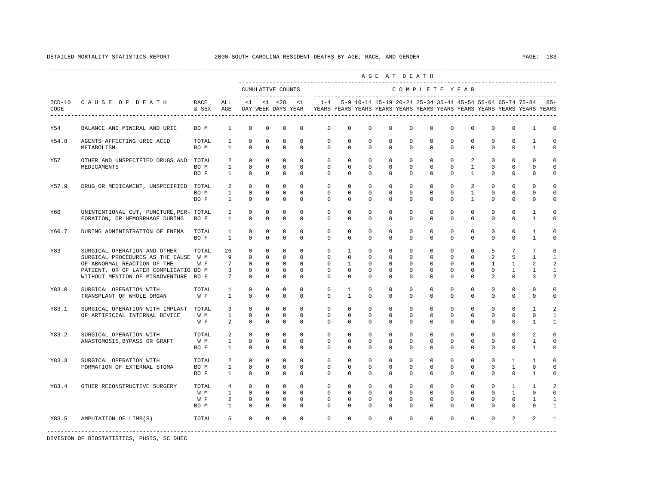|                  |                                                                                                                                                                                      |                             |                                                |                                                                                                   |                                                             |                                                                    |                                                        |                                                                                                                                                                 |                                                                 |                                                                          |                                                            | AGE AT DEATH                                          |                                                            |                                                               |                                                                      |                                                      |                                                                  |                                           |                                             |
|------------------|--------------------------------------------------------------------------------------------------------------------------------------------------------------------------------------|-----------------------------|------------------------------------------------|---------------------------------------------------------------------------------------------------|-------------------------------------------------------------|--------------------------------------------------------------------|--------------------------------------------------------|-----------------------------------------------------------------------------------------------------------------------------------------------------------------|-----------------------------------------------------------------|--------------------------------------------------------------------------|------------------------------------------------------------|-------------------------------------------------------|------------------------------------------------------------|---------------------------------------------------------------|----------------------------------------------------------------------|------------------------------------------------------|------------------------------------------------------------------|-------------------------------------------|---------------------------------------------|
|                  |                                                                                                                                                                                      |                             |                                                |                                                                                                   |                                                             | CUMULATIVE COUNTS                                                  | _____________________                                  |                                                                                                                                                                 |                                                                 |                                                                          |                                                            | COMPLETE YEAR                                         |                                                            |                                                               |                                                                      |                                                      |                                                                  |                                           |                                             |
| $ICD-10$<br>CODE | CAUSE OF DEATH RACE<br>-------------------------------------                                                                                                                         | & SEX AGE                   | ALL                                            |                                                                                                   |                                                             |                                                                    | $<1$ $<1$ $<28$ $<1$                                   | 1-4 5-9 10-14 15-19 20-24 25-34 35-44 45-54 55-64 65-74 75-84 85+<br>DAY WEEK DAYS YEAR TEARS YEARS YEARS YEARS YEARS YEARS YEARS YEARS YEARS YEARS YEARS YEARS |                                                                 |                                                                          |                                                            |                                                       |                                                            |                                                               |                                                                      |                                                      |                                                                  |                                           |                                             |
| Y54              | BALANCE AND MINERAL AND URIC                                                                                                                                                         | BO M                        | $\mathbf{1}$                                   | $\mathbf 0$                                                                                       | $^{\circ}$                                                  | $\mathbf 0$                                                        | $\mathbf 0$                                            | $\mathbf{0}$                                                                                                                                                    | $\mathbf 0$                                                     | $\mathbf 0$                                                              | $\mathbf 0$                                                | $\mathbf 0$                                           | $\mathbf 0$                                                | $\mathbf 0$                                                   | $\mathbf 0$                                                          | $\Omega$                                             | $\mathbf 0$                                                      | 1                                         | $\mathbf 0$                                 |
| Y54.8            | AGENTS AFFECTING URIC ACID<br>METABOLISM                                                                                                                                             | TOTAL<br>BO M               | $1 \quad \blacksquare$<br>$\mathbf{1}$         | $\mathbf 0$<br>$\mathbf{0}$                                                                       | $\mathbf 0$<br>$\circ$                                      | $\mathbf 0$<br>$\circ$                                             | $\circ$<br>$\Omega$                                    | $\circ$<br>$\Omega$                                                                                                                                             | $\circ$<br>$\circ$                                              | $\mathbf 0$<br>$\Omega$                                                  | $\mathbf 0$<br>$\Omega$                                    | $\circ$<br>$\Omega$                                   | 0<br>$\mathbf{0}$                                          | 0<br>$\Omega$                                                 | $\mathbf 0$<br>$\Omega$                                              | $\mathbf 0$<br>$\Omega$                              | $\mathbf 0$<br>$\Omega$                                          | $\mathbf{1}$<br>$\mathbf{1}$              | $\mathbf 0$<br>$\mathbf 0$                  |
| Y57              | OTHER AND UNSPECIFIED DRUGS AND TOTAL<br>MEDICAMENTS                                                                                                                                 | BO M<br>BO F                | 2                                              | $\mathbf 0$<br>$1 \quad \cdots$<br>$\mathbf{0}$<br>$\circ$<br>$1 \quad \cdots$                    | $^{\circ}$<br>$\overline{0}$<br>$\circ$                     | $\circ$<br>$\Omega$<br>$\mathbf{0}$                                | $\Omega$<br>$\Omega$<br>$\Omega$                       | $\Omega$<br>$\Omega$<br>$\Omega$                                                                                                                                | $\circ$<br>$\Omega$<br>$\Omega$                                 | $\circ$<br>$\Omega$<br>$\Omega$                                          | $\Omega$<br>$\Omega$<br>$\Omega$                           | $\Omega$<br>$\Omega$<br>$\Omega$                      | $\mathbf{0}$<br>$\Omega$<br>$\Omega$                       | $\Omega$<br>$\Omega$<br>$\Omega$                              | $\overline{2}$<br>$\mathbf{1}$<br>$\mathbf{1}$                       | $\Omega$<br>$\Omega$<br>$\Omega$                     | $\mathbf{0}$<br>$\Omega$<br>$\Omega$                             | $\Omega$<br>$\Omega$<br>$\Omega$          | $\Omega$<br>$\Omega$<br>$\Omega$            |
| Y57.9            | DRUG OR MEDICAMENT, UNSPECIFIED TOTAL                                                                                                                                                | BO M<br>BO F                |                                                | $2^{\circ}$<br>$\mathbf{0}$<br>$\mathbf{0}$<br>$1 \qquad \qquad$<br>$1 \qquad \qquad$<br>$\Omega$ | $\mathbf{0}$<br>$\circ$<br>$\Omega$                         | $\circ$<br>$\overline{0}$<br>$\Omega$                              | $\circ$<br>$\Omega$<br>$\Omega$                        | $\circ$<br>$\Omega$<br>$\Omega$                                                                                                                                 | $\circ$<br>$\Omega$<br>$\Omega$                                 | $\circ$<br>$\Omega$<br>$\Omega$                                          | $\mathbf{0}$<br>$\Omega$<br>$\Omega$                       | $\circ$<br>$\Omega$<br>$\Omega$                       | $\circ$<br>$\Omega$<br>$\Omega$                            | $\circ$<br>$\circ$<br>$\Omega$                                | 2<br>$\mathbf{1}$<br>$\mathbf{1}$                                    | $\mathbf{0}$<br>$\Omega$<br>$\Omega$                 | $\mathbf{0}$<br>$\Omega$<br>$\Omega$                             | $\mathbf 0$<br>$\mathbf 0$<br>$\Omega$    | $\Omega$<br>$\Omega$<br>$\Omega$            |
| Y60              | UNINTENTIONAL CUT, PUNCTURE, PER- TOTAL<br>FORATION, OR HEMORRHAGE DURING BO F                                                                                                       |                             | $1 \quad \blacksquare$<br>$\mathbf{1}$         | $\mathbf 0$<br>$\mathbf 0$                                                                        | $\mathbf 0$<br>$^{\circ}$                                   | $\mathbf 0$<br>$\circ$                                             | $\mathbf 0$<br>$\mathbf{0}$                            | $\mathbf 0$<br>$\Omega$                                                                                                                                         | $\circ$<br>$\Omega$                                             | $\circ$<br>$\Omega$                                                      | $\mathbf 0$<br>$\Omega$                                    | $\circ$<br>$\Omega$                                   | $\mathbf 0$<br>$\mathbf{0}$                                | $\mathbf 0$<br>$\Omega$                                       | $\mathbf{0}$<br>$^{\circ}$                                           | $\mathbf{0}$<br>$\Omega$                             | $\mathbf 0$<br>$\mathbf{0}$                                      | $\mathbf{1}$<br>$\mathbf{1}$              | $\mathbf 0$<br>0                            |
| Y60.7            | DURING ADMINISTRATION OF ENEMA                                                                                                                                                       | TOTAL<br>BO F               | $\mathbf{1}$<br>$\mathbf{1}$                   | $\mathbf{0}$<br>$\Omega$                                                                          | $^{\circ}$<br>$\Omega$                                      | $\mathbf 0$<br>$\Omega$                                            | $\Omega$<br>$\Omega$                                   | $\circ$<br>$\Omega$                                                                                                                                             | $\circ$<br>$\Omega$                                             | $^{\circ}$<br>$\Omega$                                                   | $\mathbf{0}$<br>$\Omega$                                   | $\circ$<br>$\Omega$                                   | $\mathbf{0}$<br>$\Omega$                                   | $\circ$<br>$\Omega$                                           | $^{\circ}$<br>$\Omega$                                               | $\mathbf{0}$<br>$\Omega$                             | $\mathbf{0}$<br>$\Omega$                                         | $\mathbf{1}$<br>$\overline{1}$            | $\mathbf 0$<br>$\Omega$                     |
| Y83              | SURGICAL OPERATION AND OTHER<br>SURGICAL PROCEDURES AS THE CAUSE W M<br>OF ABNORMAL REACTION OF THE<br>PATIENT, OR OF LATER COMPLICATIO BO M<br>WITHOUT MENTION OF MISADVENTURE BO F | TOTAL<br>W F                | 26<br>9<br>$7\overline{ }$<br>$7\overline{ }$  | $\circ$<br>$\circ$<br>$\circ$<br>$\mathbf{0}$<br>$3^{\circ}$<br>$\mathbf{0}$                      | $\circ$<br>$\circ$<br>$\circ$<br>$^{\circ}$<br>$\Omega$     | $\circ$<br>$\circ$<br>$\mathbf{0}$<br>$^{\circ}$<br>$\overline{0}$ | $\circ$<br>$\circ$<br>$\Omega$<br>$\Omega$<br>$\Omega$ | $\mathbf{0}$<br>$\circ$<br>$\circ$<br>$\Omega$<br>$\Omega$                                                                                                      | $\mathbf{1}$<br>$\circ$<br>$\mathbf{1}$<br>$\Omega$<br>$\Omega$ | $\mathbf{0}$<br>$\overline{0}$<br>$\overline{0}$<br>$\Omega$<br>$\Omega$ | $\circ$<br>$\mathbf 0$<br>$\Omega$<br>$\Omega$<br>$\Omega$ | $\circ$<br>$\circ$<br>$\circ$<br>$\Omega$<br>$\Omega$ | $\circ$<br>$\circ$<br>$\mathbf{0}$<br>$\Omega$<br>$\Omega$ | $\circ$<br>$\mathbf 0$<br>$\mathbf 0$<br>$\Omega$<br>$\Omega$ | $\mathbf{0}$<br>$\mathbf{0}$<br>$\mathbf{0}$<br>$\Omega$<br>$\Omega$ | 5<br>2<br>$\mathbf{1}$<br>$\Omega$<br>$\mathfrak{D}$ | $7\phantom{.0}$<br>5<br>$\mathbf{1}$<br>$\mathbf{1}$<br>$\Omega$ | 7<br>1<br>$\overline{a}$<br>1<br>3        | 6<br>$\mathbf{1}$<br>2<br>$\mathbf{1}$<br>2 |
| Y83.0            | SURGICAL OPERATION WITH<br>TRANSPLANT OF WHOLE ORGAN                                                                                                                                 | TOTAL<br>W F                | $\mathbf{1}$<br>$\mathbf{1}$                   | $\mathbf{0}$<br>$\mathbf 0$                                                                       | $\circ$<br>$\mathbf 0$                                      | 0<br>$^{\circ}$                                                    | $\mathbf{0}$<br>$\mathbf 0$                            | $\mathbf{0}$<br>$\Omega$                                                                                                                                        | $\mathbf{1}$<br>$\mathbf{1}$                                    | $^{\circ}$<br>$\Omega$                                                   | 0<br>$\Omega$                                              | $\mathbf{0}$<br>$\Omega$                              | $\mathbf 0$<br>$\Omega$                                    | $\mathbf{0}$<br>$\Omega$                                      | 0<br>$\Omega$                                                        | $\mathbf{0}$<br>$\Omega$                             | $\mathbf{0}$<br>$\mathbf{0}$                                     | $\mathbf 0$<br>$\mathbf{0}$               | $\mathbf 0$<br>0                            |
| Y83.1            | SURGICAL OPERATION WITH IMPLANT TOTAL<br>OF ARTIFICIAL INTERNAL DEVICE                                                                                                               | W M<br>W F                  | $\overline{\mathbf{3}}$<br>$\mathbf{1}$<br>2   | $\circ$<br>$\mathbf{0}$<br>$\Omega$                                                               | $\circ$<br>$\circ$<br>$\Omega$                              | $\circ$<br>$\mathbf 0$<br>$\Omega$                                 | $\circ$<br>$\Omega$<br>$\Omega$                        | $\mathbf{0}$<br>$\Omega$<br>$\Omega$                                                                                                                            | $\circ$<br>$\Omega$<br>$\Omega$                                 | $\overline{0}$<br>$\Omega$<br>$\Omega$                                   | $\mathbf 0$<br>$\Omega$<br>$\Omega$                        | $\circ$<br>$\Omega$<br>$\Omega$                       | $\mathbf{0}$<br>$\Omega$<br>$\Omega$                       | $\mathbf 0$<br>$\Omega$<br>$\Omega$                           | $\mathbf{0}$<br>$\Omega$<br>$\Omega$                                 | $\mathbf{0}$<br>$\Omega$<br>$\Omega$                 | $\mathbf{0}$<br>$\Omega$<br>$\Omega$                             | $\mathbf{1}$<br>$\Omega$<br>$\mathbf{1}$  | 2<br>$\mathbf{1}$<br>$\mathbf{1}$           |
| Y83.2            | SURGICAL OPERATION WITH<br>ANASTOMOSIS, BYPASS OR GRAFT                                                                                                                              | TOTAL<br>W M<br>BO F        | $\overline{a}$<br>$\mathbf{1}$<br>$\mathbf{1}$ | $\mathbf{0}$<br>$\mathbf 0$<br>$\Omega$                                                           | $\mathbf{0}$<br>$\mathbf{0}$<br>$\Omega$                    | $\mathbf{0}$<br>$\circ$<br>$\mathbf{0}$                            | $\Omega$<br>$\circ$<br>$\Omega$                        | $\circ$<br>$\circ$<br>$\Omega$                                                                                                                                  | $\circ$<br>$\circ$<br>$\Omega$                                  | $\circ$<br>$\mathbf{0}$<br>$\Omega$                                      | $\circ$<br>$\mathbf 0$<br>$\Omega$                         | $\circ$<br>$\circ$<br>$\Omega$                        | $\circ$<br>$\mathbf{0}$<br>$\Omega$                        | $\circ$<br>$\mathbf{0}$<br>$\Omega$                           | $\overline{0}$<br>$\mathbf{0}$<br>$\Omega$                           | $\Omega$<br>$\mathbf{0}$<br>$\Omega$                 | $\mathbf{0}$<br>$\mathbf{0}$<br>$\Omega$                         | 2<br>$\mathbf{1}$<br>$\mathbf{1}$         | $\mathbf 0$<br>$\mathbf 0$<br>$\Omega$      |
| Y83.3            | SURGICAL OPERATION WITH<br>FORMATION OF EXTERNAL STOMA                                                                                                                               | TOTAL<br>BO M<br>BO F       | $\overline{a}$                                 | $\mathbf 0$<br>$\mathbf 0$<br>$1 \quad \blacksquare$<br>$\mathbf{0}$<br>$1 \quad \cdots$          | $\mathbf 0$<br>$\circ$<br>$^{\circ}$                        | $\circ$<br>$\mathbf 0$<br>$^{\circ}$                               | $\mathbf 0$<br>$\mathbf{0}$<br>$\mathbf{0}$            | $\circ$<br>$\mathbf{0}$<br>$\circ$                                                                                                                              | $\circ$<br>$\mathbf{0}$<br>$\mathbf{0}$                         | $\circ$<br>$^{\circ}$<br>$^{\circ}$                                      | $\mathbf 0$<br>0<br>0                                      | $\circ$<br>$\mathbf{0}$<br>$\mathbf{0}$               | $\circ$<br>$\mathbf{0}$<br>$\circ$                         | $\circ$<br>$\circ$<br>$\mathbf{0}$                            | $\mathbf{0}$<br>$\circ$<br>$^{\circ}$                                | $\mathbf 0$<br>$\mathbf{0}$<br>$^{\circ}$            | $\mathbf{1}$<br>1<br>$\mathbf{0}$                                | $\mathbf{1}$<br>$\mathbf{0}$<br>1         | $\mathbf 0$<br>0<br>0                       |
| Y83.4            | OTHER RECONSTRUCTIVE SURGERY                                                                                                                                                         | TOTAL<br>W M<br>W F<br>BO M | $\overline{a}$<br>$\mathbf{1}$                 | $\mathbf{0}$<br>$4\degree$<br>$1 \quad \cdots$<br>$\overline{0}$<br>$\circ$<br>$\circ$            | $\mathbf{0}$<br>$\overline{0}$<br>$\mathbf 0$<br>$^{\circ}$ | $\mathbf{0}$<br>$\circ$<br>$\mathbf 0$<br>$\circ$                  | $\Omega$<br>$\mathbf{0}$<br>$\circ$<br>$\mathbf{0}$    | $\circ$<br>$\overline{0}$<br>$\circ$<br>$\Omega$                                                                                                                | $\mathbf{0}$<br>$\circ$<br>$\mathbf 0$<br>$\circ$               | $\circ$<br>$\circ$<br>$\circ$<br>$\circ$                                 | $\Omega$<br>$\mathbf{0}$<br>$\mathbf 0$<br>$\mathbf{0}$    | $\Omega$<br>$\circ$<br>$\mathbf 0$<br>$\mathbf{0}$    | $\Omega$<br>$\mathbf{0}$<br>$\circ$<br>$\mathbf{0}$        | $\Omega$<br>$\circ$<br>$\mathbf 0$<br>$\mathbf{0}$            | $\Omega$<br>$\overline{0}$<br>$\mathbf{0}$<br>$\mathbf{0}$           | $\Omega$<br>$\circ$<br>$\mathbf 0$<br>$\Omega$       | $\mathbf{1}$<br>$\mathbf{1}$<br>$\mathbf{0}$<br>$\mathbf{0}$     | $\mathbf{1}$<br>$\Omega$<br>1<br>$\Omega$ | $\mathfrak{D}$<br>$\Omega$<br>1<br>-1       |
| Y83.5            | AMPUTATION OF LIMB(S)                                                                                                                                                                | TOTAL                       |                                                | $5^{\circ}$<br>$\overline{0}$                                                                     |                                                             | $0 \qquad \qquad$                                                  | $0 \qquad \qquad$<br>$\overline{0}$                    |                                                                                                                                                                 | $0 \qquad \qquad$                                               | $0 \qquad \qquad$                                                        | $0 \qquad \qquad$                                          | $0 \qquad \qquad$                                     | $0 \qquad \qquad$                                          | $0 \qquad \qquad$<br>$\Omega$                                 | $\Omega$                                                             | $\Omega$                                             | $\overline{a}$                                                   | 2                                         |                                             |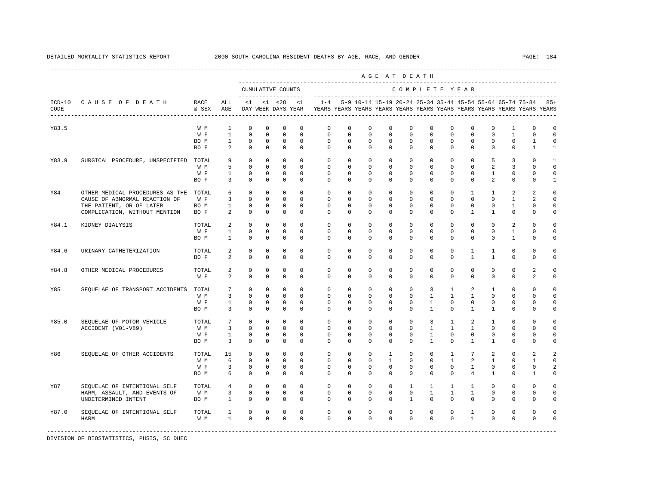|                  |                                       |               |                 |              |              |                                           |              |                                                                                    |             |                                                           |              | AGE AT DEATH  |                |              |                 |                |              |                |              |
|------------------|---------------------------------------|---------------|-----------------|--------------|--------------|-------------------------------------------|--------------|------------------------------------------------------------------------------------|-------------|-----------------------------------------------------------|--------------|---------------|----------------|--------------|-----------------|----------------|--------------|----------------|--------------|
|                  |                                       |               |                 |              |              | CUMULATIVE COUNTS<br>-------------------- |              |                                                                                    |             |                                                           |              | COMPLETE YEAR |                |              |                 |                |              |                |              |
| $ICD-10$<br>CODE | CAUSE OF DEATH                        | RACE<br>& SEX | ALL<br>AGE      | <1           |              | $< 1$ $< 28$<br>DAY WEEK DAYS YEAR        | <1           | $1 - 4$<br>YEARS YEARS YEARS YEARS YEARS YEARS YEARS YEARS YEARS YEARS YEARS YEARS |             | 5-9 10-14 15-19 20-24 25-34 35-44 45-54 55-64 65-74 75-84 |              |               |                |              |                 |                |              |                | $85+$        |
| Y83.5            |                                       | W M           | $\mathbf{1}$    | $\mathbf 0$  | $\mathbf 0$  | $\mathbf 0$                               | $\mathbf 0$  | $\mathbf 0$                                                                        | $\mathbf 0$ | $\circ$                                                   | $\mathbf 0$  | $\mathbf 0$   | $\mathbf 0$    | $\mathbf{0}$ | $\mathbf 0$     | 0              | 1            | $\mathbf 0$    | $\circ$      |
|                  |                                       | W F           | $\mathbf{1}$    | $\mathbf 0$  | $\mathbf 0$  | $\mathbf 0$                               | $\mathbf 0$  | $\circ$                                                                            | $\mathbf 0$ | $\circ$                                                   | $\Omega$     | $\mathbf 0$   | $\Omega$       | $\mathbf 0$  | $\Omega$        | $\mathbf 0$    | $\mathbf{1}$ | $\mathbf 0$    | $\mathbf 0$  |
|                  |                                       | BO M          | $\mathbf{1}$    | $\mathbf 0$  | $\mathbf 0$  | $\mathbf 0$                               | $\mathbf 0$  | $\circ$                                                                            | $\circ$     | $\circ$                                                   | $\mathbf 0$  | $\mathbf 0$   | $\mathbf 0$    | $\mathbf 0$  | $\mathbf 0$     | $\mathbf 0$    | $\mathbf 0$  | $\mathbf{1}$   | $\mathbf 0$  |
|                  |                                       | BO F          | $\overline{a}$  | $\mathbb O$  | $\mathbb O$  | $\mathbf 0$                               | $\mathbf 0$  | $\circ$                                                                            | $\circ$     | $\circ$                                                   | $\mathbf 0$  | $\circ$       | $\mathbf 0$    | $\circ$      | $\mathbf 0$     | $\mathbf{0}$   | $\mathbf 0$  | $\mathbf{1}$   | $\mathbf{1}$ |
| Y83.9            | SURGICAL PROCEDURE, UNSPECIFIED TOTAL |               | 9               | $\mathbf 0$  | $\mathbf 0$  | $\mathbf 0$                               | $\mathbf 0$  | $\mathbf 0$                                                                        | $\mathbf 0$ | $\circ$                                                   | 0            | $^{\circ}$    | $\mathbf{0}$   | $\mathbf 0$  | $\mathbf 0$     | 5              | 3            | $\mathbf 0$    | $\mathbf{1}$ |
|                  |                                       | W M           | 5               | $\circ$      | $\mathbf 0$  | $\Omega$                                  | $\Omega$     | $\Omega$                                                                           | $\Omega$    | $\Omega$                                                  | $\Omega$     | $\Omega$      | $\Omega$       | $\Omega$     | $\Omega$        | 2              | 3            | $\Omega$       | $\Omega$     |
|                  |                                       | W F           | $\mathbf{1}$    | $\mathbf 0$  | $\mathbf 0$  | $\mathbf 0$                               | $\mathbf{0}$ | $\circ$                                                                            | $\circ$     | $\circ$                                                   | $\mathbf{0}$ | $\mathbf 0$   | $\mathbf{0}$   | $\mathbf 0$  | $\mathbf 0$     | $\mathbf{1}$   | $\mathbf 0$  | 0              | $\mathbf 0$  |
|                  |                                       | BO F          | $\overline{3}$  | $\mathbf 0$  | $\mathbf 0$  | $\mathbf 0$                               | $\Omega$     | $\Omega$                                                                           | $\Omega$    | $\Omega$                                                  | $\Omega$     | $\Omega$      | $\Omega$       | $\Omega$     | $\Omega$        | $\overline{2}$ | $\Omega$     | $\Omega$       | $\mathbf{1}$ |
| Y84              | OTHER MEDICAL PROCEDURES AS THE       | TOTAL         | 6               | $\circ$      | $\mathbf 0$  | 0                                         | $\mathbf{0}$ | $\circ$                                                                            | $\circ$     | $^{\circ}$                                                | $\mathbf{0}$ | $^{\circ}$    | $\mathbf{0}$   | $^{\circ}$   | $\mathbf{1}$    | $\mathbf{1}$   | 2            | 2              | $\circ$      |
|                  | CAUSE OF ABNORMAL REACTION OF         | W F           | $\overline{3}$  | $\circ$      | $\mathbf 0$  | $\mathbf{0}$                              | $\Omega$     | $\circ$                                                                            | $\Omega$    | $\Omega$                                                  | $\Omega$     | $\Omega$      | $\Omega$       | $\mathbf 0$  | $\Omega$        | $\Omega$       | $\mathbf{1}$ | 2              | $\Omega$     |
|                  | THE PATIENT, OR OF LATER              | BO M          | $\mathbf{1}$    | $\mathbf 0$  | $\mathbf 0$  | $\mathbf 0$                               | $\mathbf 0$  | $\circ$                                                                            | $\circ$     | $\circ$                                                   | $\mathbf{0}$ | $\mathbf 0$   | $\mathbf 0$    | $\mathbf 0$  | $\mathbf 0$     | $\mathbf 0$    | $\mathbf{1}$ | 0              | $\mathbf 0$  |
|                  | COMPLICATION, WITHOUT MENTION         | BO F          | 2               | $^{\circ}$   | $\mathbf 0$  | $\mathbf 0$                               | $\mathbf 0$  | $\mathbf{0}$                                                                       | $\mathbf 0$ | $^{\circ}$                                                | 0            | $\mathbf 0$   | $\mathbf 0$    | $\mathbf 0$  | $\mathbf{1}$    | $\mathbf{1}$   | $\mathbf 0$  | $\Omega$       | $\Omega$     |
| Y84.1            | KIDNEY DIALYSIS                       | TOTAL         | $\overline{a}$  | $\circ$      | $\mathbf 0$  | $\Omega$                                  | $\Omega$     | $\circ$                                                                            | $\Omega$    | $\Omega$                                                  | $\Omega$     | $\Omega$      | $\Omega$       | $\Omega$     | $\Omega$        | $\Omega$       | 2            | $\Omega$       | $\Omega$     |
|                  |                                       | W F           | $\mathbf{1}$    | $\mathbb O$  | $\mathbf 0$  | $\mathbb O$                               | $\mathbf 0$  | $\mathbf 0$                                                                        | $\mathbf 0$ | $\mathbf 0$                                               | $\mathbf 0$  | $\mathbf 0$   | $\mathbf 0$    | $\mathbf 0$  | $\mathbf 0$     | $\mathbf 0$    | $\mathbf{1}$ | $\mathbf 0$    | $\mathsf 0$  |
|                  |                                       | BO M          | $\mathbf{1}$    | $^{\circ}$   | $\mathbf{0}$ | $\mathbf{0}$                              | $\circ$      | $\mathbf{0}$                                                                       | $\circ$     | $^{\circ}$                                                | 0            | $\mathbf{0}$  | 0              | $\mathbf 0$  | 0               | $^{\circ}$     | 1            | 0              | $\Omega$     |
| Y84.6            | URINARY CATHETERIZATION               | TOTAL         | 2               | $^{\circ}$   | $\mathbf 0$  | $\mathbf 0$                               | $\Omega$     | $\circ$                                                                            | $\Omega$    | $^{\circ}$                                                | $\Omega$     | $^{\circ}$    | $\mathbf{0}$   | $^{\circ}$   | $\mathbf{1}$    | $\mathbf{1}$   | $\mathbf 0$  | $\mathbf 0$    | $\Omega$     |
|                  |                                       | BO F          | 2               | $\mathbf{0}$ | $\mathbf 0$  | $\mathbf 0$                               | $\mathbf 0$  | $\Omega$                                                                           | $\Omega$    | $\Omega$                                                  | $\Omega$     | $\Omega$      | $\Omega$       | $\Omega$     | $\mathbf{1}$    | $\overline{1}$ | $\mathbf 0$  | 0              | $\mathbf 0$  |
| Y84.8            | OTHER MEDICAL PROCEDURES              | TOTAL         | 2               | $\mathbf 0$  | $\mathbf 0$  | $\mathbf 0$                               | $\mathbf 0$  | $\circ$                                                                            | $\circ$     | $\mathbf 0$                                               | $\mathbf 0$  | $\mathbf 0$   | $\mathbf 0$    | $\mathbf 0$  | $\mathbf 0$     | $\mathbf 0$    | $\mathbf 0$  | $\overline{a}$ | $\Omega$     |
|                  |                                       | W F           | 2               | $\mathbf 0$  | $\mathbf 0$  | $\mathbf 0$                               | $\mathbf 0$  | $\circ$                                                                            | $\mathbf 0$ | $\Omega$                                                  | 0            | $\mathbf 0$   | 0              | 0            | $\mathbf 0$     | $\mathbf 0$    | $\mathbf 0$  | 2              | $\circ$      |
| Y85              | SEQUELAE OF TRANSPORT ACCIDENTS       | TOTAL         | 7               | $^{\circ}$   | $\mathbf 0$  | $\mathbf 0$                               | $\mathbf{0}$ | $\circ$                                                                            | $\circ$     | $\circ$                                                   | $\mathbf{0}$ | $\mathbf 0$   | $\overline{3}$ | 1            | 2               | $\mathbf{1}$   | $\mathbf 0$  | $\Omega$       | $\Omega$     |
|                  |                                       | W M           | $\overline{3}$  | $\mathbf{0}$ | $\mathbf 0$  | $\mathbf 0$                               | $\mathbf 0$  | $\mathbf 0$                                                                        | $\mathbf 0$ | $\circ$                                                   | $\Omega$     | $\Omega$      | $\mathbf{1}$   | $\mathbf{1}$ | $\mathbf{1}$    | $\Omega$       | $\Omega$     | $\Omega$       | $\Omega$     |
|                  |                                       | W F           | $\mathbf{1}$    | $\circ$      | $\circ$      | $\mathbf{0}$                              | $\mathbf{0}$ | $\circ$                                                                            | $\circ$     | $\circ$                                                   | $\mathbf{0}$ | $\circ$       | 1              | $\circ$      | $\mathbf 0$     | $^{\circ}$     | $\mathbf 0$  | 0              | $\circ$      |
|                  |                                       | BO M          | $\overline{3}$  | $\mathbf 0$  | $\mathbf 0$  | $\mathbf 0$                               | $\mathbf 0$  | $\Omega$                                                                           | $\circ$     | $\Omega$                                                  | $\mathbf 0$  | $\Omega$      | $\mathbf{1}$   | $\Omega$     | $\mathbf{1}$    | $\mathbf{1}$   | $\Omega$     | $\Omega$       | $\circ$      |
| Y85.0            | SEQUELAE OF MOTOR-VEHICLE             | TOTAL         | $7\overline{ }$ | $\circ$      | $\mathbf 0$  | $\mathbf{0}$                              | $\Omega$     | $\circ$                                                                            | $\circ$     | $\circ$                                                   | $\Omega$     | $\Omega$      | 3              | $\mathbf{1}$ | 2               | $\mathbf{1}$   | $\Omega$     | $\Omega$       | $\Omega$     |
|                  | ACCIDENT (V01-V89)                    | W M           | $\overline{3}$  | $\circ$      | $\mathbf{0}$ | $\mathbf{0}$                              | $\mathbf{0}$ | $\circ$                                                                            | $\circ$     | $\circ$                                                   | $\mathbf 0$  | $\circ$       | $\mathbf{1}$   | $\mathbf{1}$ | $\mathbf{1}$    | $\circ$        | $\mathbf 0$  | $\Omega$       | $\mathbf 0$  |
|                  |                                       | W F           | $\mathbf{1}$    | $\circ$      | $\mathbf 0$  | $\mathbf{0}$                              | $\mathbf{0}$ | $\circ$                                                                            | $\circ$     | $\circ$                                                   | $\mathbf 0$  | $\mathbf 0$   | $\mathbf{1}$   | $\circ$      | $\mathbf 0$     | $\mathbf 0$    | $\mathbf 0$  | $\mathbf 0$    | $\Omega$     |
|                  |                                       | BO M          | 3               | $\circ$      | $\mathbf 0$  | $\mathbf 0$                               | $\mathbf 0$  | $\Omega$                                                                           | $\circ$     | $\Omega$                                                  | $\Omega$     | $\Omega$      | $\overline{1}$ | $\Omega$     | $\mathbf{1}$    | $\mathbf{1}$   | 0            | $\cap$         | $\Omega$     |
| Y86              | SEQUELAE OF OTHER ACCIDENTS           | TOTAL         | 15              | $\circ$      | $\mathbf{0}$ | $\mathbf 0$                               | $\mathbf{0}$ | $\circ$                                                                            | $\circ$     | $\circ$                                                   | $\mathbf{1}$ | $\circ$       | $\circ$        | $\mathbf{1}$ | $7\overline{ }$ | 2              | $\mathbf 0$  | 2              | 2            |
|                  |                                       | W M           | 6               | $\mathbf 0$  | $\circ$      | $\mathbf 0$                               | $\mathbf 0$  | $\mathbf 0$                                                                        | $\circ$     | $\circ$                                                   | 1            | $\mathbf 0$   | $\mathbf{0}$   | $\mathbf{1}$ | $\overline{2}$  | $\mathbf{1}$   | $\mathbf 0$  | $\mathbf{1}$   | $\mathbf 0$  |
|                  |                                       | W F           | 3               | 0            | $^{\circ}$   | 0                                         | 0            | 0                                                                                  | $^{\circ}$  | $^{\circ}$                                                | 0            | $^{\circ}$    | $\mathbf{0}$   | $^{\circ}$   | 1               | $^{\circ}$     | 0            | 0              | 2            |
|                  |                                       | BO M          | 6               | $\circ$      | $\mathbf 0$  | $\mathbf 0$                               | $\Omega$     | $\Omega$                                                                           | $\Omega$    | $\Omega$                                                  | $\Omega$     | $\Omega$      | $\Omega$       | $\Omega$     | $\overline{4}$  | $\mathbf{1}$   | $\Omega$     | 1              | 0            |
| Y87              | SEQUELAE OF INTENTIONAL SELF          | TOTAL         | $\overline{4}$  | $\circ$      | $\mathbf 0$  | $\mathbf 0$                               | $\mathbf 0$  | $\circ$                                                                            | $\circ$     | $\circ$                                                   | $\mathbf 0$  | $\mathbf{1}$  | $\mathbf{1}$   | $\mathbf{1}$ | $\mathbf{1}$    | $^{\circ}$     | $\Omega$     | $\mathbf 0$    | $\circ$      |
|                  | HARM, ASSAULT, AND EVENTS OF          | W M           | $\overline{3}$  | $\mathbb O$  | $\mathbf 0$  | $\mathbf 0$                               | $\circ$      | $\circ$                                                                            | $\circ$     | 0                                                         | $\mathbf 0$  | $\circ$       | $\mathbf{1}$   | $\mathbf{1}$ | $\mathbf{1}$    | $\mathbf 0$    | $\mathbf 0$  | $\mathbf 0$    | $\mathbf 0$  |
|                  | UNDETERMINED INTENT                   | BO M          | $\mathbf{1}$    | $\mathbf 0$  | $\mathbf 0$  | $\mathbf 0$                               | $\mathbf 0$  | $\mathbf 0$                                                                        | $^{\circ}$  | $^{\circ}$                                                | $\mathbf{0}$ | $\mathbf{1}$  | $^{\circ}$     | $^{\circ}$   | $\mathbf 0$     | $\mathbf 0$    | 0            | $\Omega$       | 0            |
| Y87.0            | SEQUELAE OF INTENTIONAL SELF          | TOTAL         | $\mathbf{1}$    | $\mathbf 0$  | $\mathbf 0$  | $\mathbf 0$                               | $\mathbf 0$  | $\mathbf 0$                                                                        | $\circ$     | $\mathbf 0$                                               | 0            | $\mathbf 0$   | $\mathbf{0}$   | 0            | 1               | 0              | $\mathbf 0$  | $\mathbf 0$    | $\Omega$     |
|                  | <b>HARM</b>                           | W M           | $\mathbf{1}$    | $\mathbf{0}$ | $\mathbf 0$  | $\mathbf 0$                               | $\Omega$     | $\Omega$                                                                           | $\Omega$    | $\Omega$                                                  | $\Omega$     | $\Omega$      | $\Omega$       | $\Omega$     | $\mathbf{1}$    | $\Omega$       | $\Omega$     | $\Omega$       | $\Omega$     |
|                  |                                       |               |                 |              |              |                                           |              |                                                                                    |             |                                                           |              |               |                |              |                 |                |              |                |              |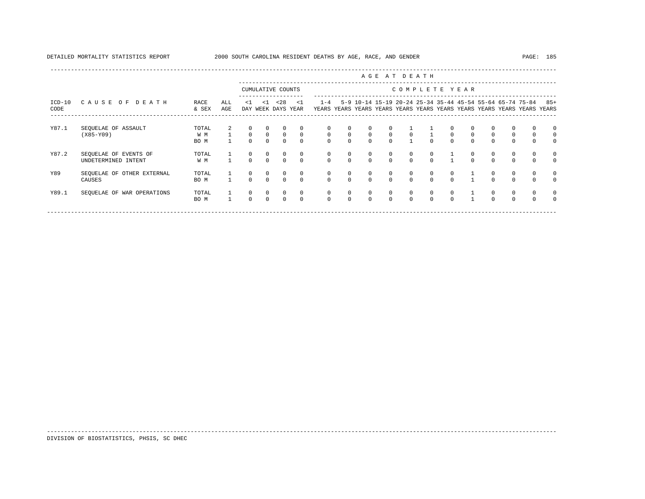|                  |                                              |                      |              |                            | AGE AT DEATH           |                            |                          |                          |                                 |                        |                                      |                          |                          |                     |                          |                        |                                                                                                                                |          |                                   |
|------------------|----------------------------------------------|----------------------|--------------|----------------------------|------------------------|----------------------------|--------------------------|--------------------------|---------------------------------|------------------------|--------------------------------------|--------------------------|--------------------------|---------------------|--------------------------|------------------------|--------------------------------------------------------------------------------------------------------------------------------|----------|-----------------------------------|
|                  |                                              |                      |              | CUMULATIVE COUNTS          |                        |                            | COMPLETE YEAR            |                          |                                 |                        |                                      |                          |                          |                     |                          |                        |                                                                                                                                |          |                                   |
| $ICD-10$<br>CODE | CAUSE OF DEATH                               | RACE<br>& SEX        | ALL<br>AGE   | <1                         | $\leq 1$               | < 28<br>DAY WEEK DAYS YEAR | $\leq$ 1                 | $1 - 4$                  |                                 |                        |                                      |                          |                          |                     |                          |                        | 5-9 10-14 15-19 20-24 25-34 35-44 45-54 55-64 65-74 75-84<br>YEARS YEARS YEARS YEARS YEARS YEARS YEARS YEARS YEARS YEARS YEARS |          | $85+$<br>YEARS                    |
| Y87.1            | SEQUELAE OF ASSAULT<br>$(X85-Y09)$           | TOTAL<br>W M<br>BO M | $\mathbf{1}$ | $\overline{0}$<br>$\Omega$ | $^{\circ}$<br>$\Omega$ | $^{\circ}$<br>$\Omega$     | $\mathbf{0}$<br>$\Omega$ | $\circ$<br>$\Omega$      | $\Omega$<br>$\circ$<br>$\Omega$ | $\circ$<br>$\Omega$    | $\Omega$<br>$\mathbf{0}$<br>$\Omega$ | $\mathbf{0}$             | $\Omega$                 | $\circ$<br>$\Omega$ | 0<br>$\circ$<br>$\Omega$ | $\circ$<br>$\Omega$    | $\mathbf{0}$<br>$\mathbf 0$<br>$\Omega$                                                                                        | 0        | $^{\circ}$<br>$\circ$<br>$\Omega$ |
| Y87.2            | SEQUELAE OF EVENTS OF<br>UNDETERMINED INTENT | TOTAL<br>W M         |              | $\Omega$                   | $\Omega$               | $\Omega$                   | 0<br>$\Omega$            | $\Omega$                 | $^{\circ}$<br>$\Omega$          | $\Omega$               | $^{\circ}$<br>$\Omega$               | $\mathbf{0}$<br>$\Omega$ | $\mathbf{0}$<br>$\Omega$ |                     | 0<br>$\Omega$            | $\Omega$               | 0<br>$\Omega$                                                                                                                  |          | $\circ$<br>$\Omega$               |
| Y89              | SEQUELAE OF OTHER EXTERNAL<br>CAUSES         | TOTAL<br>BO M        |              | $^{\circ}$<br>$\Omega$     | $\Omega$               | $\Omega$                   | 0<br>$\Omega$            | $\mathbf{0}$<br>$\Omega$ | 0<br>$\Omega$                   | $^{\circ}$<br>$\Omega$ | $\mathbf{0}$<br>$\Omega$             | $\mathbf{0}$<br>$\Omega$ | 0<br>$\Omega$            | $\circ$<br>$\Omega$ |                          | $^{\circ}$<br>$\Omega$ | 0<br>$\Omega$                                                                                                                  |          | $\circ$<br>$\Omega$               |
| Y89.1            | SEQUELAE OF WAR OPERATIONS                   | TOTAL<br>BO M        | $\mathbf{1}$ | $^{\circ}$<br>$\Omega$     | $\Omega$               | $\Omega$                   | $^{\circ}$<br>$\Omega$   | $^{\circ}$<br>$\Omega$   | 0<br>$\Omega$                   | $^{\circ}$<br>$\Omega$ | $\mathbf{0}$<br>$\Omega$             | $\mathbf{0}$<br>$\Omega$ | $\circ$<br>$\Omega$      | $\circ$<br>$\Omega$ |                          | $\Omega$               | $\mathbf{0}$<br>$\Omega$                                                                                                       | $\Omega$ | $\Omega$                          |

-----------------------------------------------------------------------------------------------------------------------------------------------------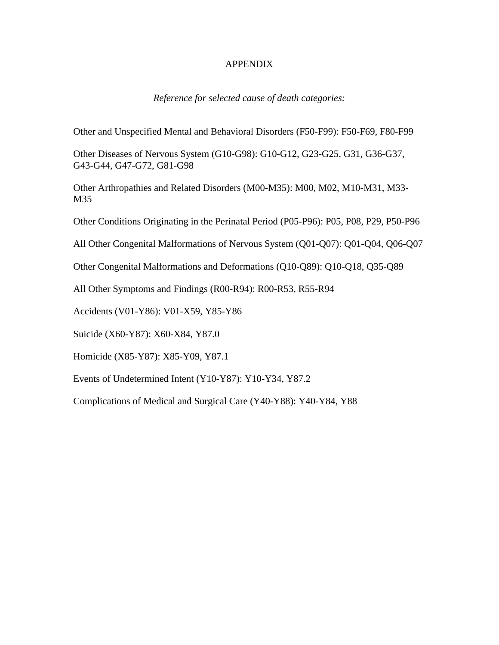#### APPENDIX

### *Reference for selected cause of death categories:*

Other and Unspecified Mental and Behavioral Disorders (F50-F99): F50-F69, F80-F99

Other Diseases of Nervous System (G10-G98): G10-G12, G23-G25, G31, G36-G37, G43-G44, G47-G72, G81-G98

Other Arthropathies and Related Disorders (M00-M35): M00, M02, M10-M31, M33- M35

Other Conditions Originating in the Perinatal Period (P05-P96): P05, P08, P29, P50-P96

All Other Congenital Malformations of Nervous System (Q01-Q07): Q01-Q04, Q06-Q07

Other Congenital Malformations and Deformations (Q10-Q89): Q10-Q18, Q35-Q89

All Other Symptoms and Findings (R00-R94): R00-R53, R55-R94

Accidents (V01-Y86): V01-X59, Y85-Y86

Suicide (X60-Y87): X60-X84, Y87.0

Homicide (X85-Y87): X85-Y09, Y87.1

Events of Undetermined Intent (Y10-Y87): Y10-Y34, Y87.2

Complications of Medical and Surgical Care (Y40-Y88): Y40-Y84, Y88